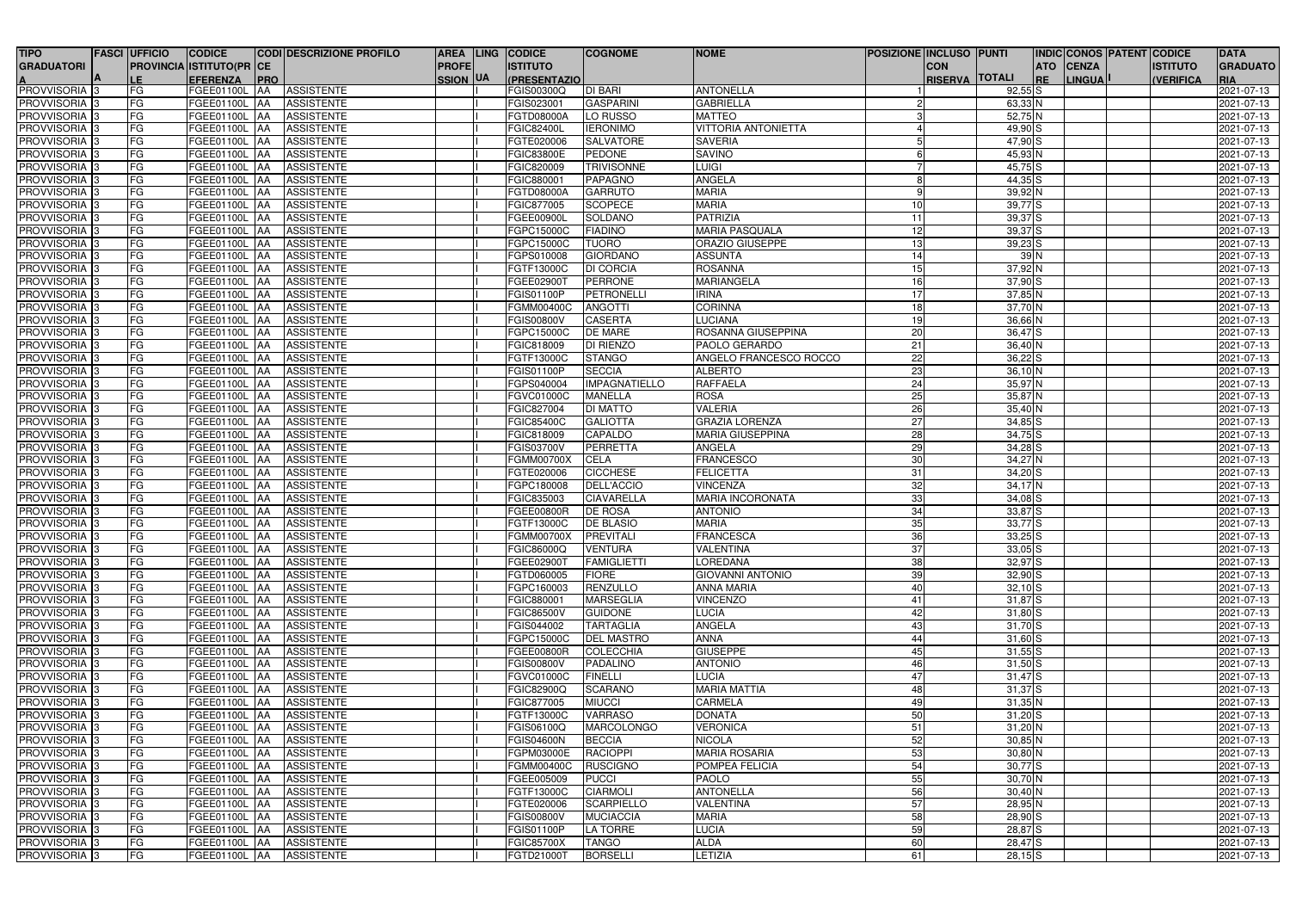| <b>TIPO</b>               | <b>FASCI UFFICIO</b> | <b>CODICE</b>                   |            | <b>CODI DESCRIZIONE PROFILO</b> |                 | AREA LING CODICE     | <b>COGNOME</b>       | <b>NOME</b>                | <b>POSIZIONE INCLUSO PUNTI</b> |             | <b>INDIC CONOS PATENT CODICE</b> |               |                  | <b>DATA</b>         |
|---------------------------|----------------------|---------------------------------|------------|---------------------------------|-----------------|----------------------|----------------------|----------------------------|--------------------------------|-------------|----------------------------------|---------------|------------------|---------------------|
| <b>GRADUATORI</b>         |                      | <b>PROVINCIA ISTITUTO(PR CE</b> |            |                                 | <b>PROFE</b>    | <b>ISTITUTO</b>      |                      |                            | <b>CON</b>                     |             | <b>CENZA</b><br><b>ATO</b>       |               | <b>ISTITUTO</b>  | <b>GRADUATO</b>     |
|                           | LE.                  | <b>EFERENZA</b>                 | <b>PRO</b> |                                 | <b>SSION UA</b> | (PRESENTAZIO)        |                      |                            | <b>RISERVA TOTALI</b>          |             | <b>IRE</b>                       | <b>LINGUA</b> | <b>(VERIFICA</b> | RIA                 |
| <b>A</b><br>PROVVISORIA 3 | FG                   | FGEE01100L AA                   |            | <b>ASSISTENTE</b>               |                 | FGIS00300Q           | <b>DI BARI</b>       | <b>ANTONELLA</b>           |                                | $92,55$ S   |                                  |               |                  | 2021-07-13          |
| PROVVISORIA <sub>3</sub>  | FG                   | FGEE01100L                      | <b>AA</b>  | <b>ASSISTENTE</b>               |                 | FGIS023001           | <b>GASPARINI</b>     | <b>GABRIELLA</b>           |                                | 63,33 N     |                                  |               |                  | 2021-07-13          |
| PROVVISORIA 3             | FG                   | FGEE01100L AA                   |            | <b>ASSISTENTE</b>               |                 | FGTD08000A           | LO RUSSO             | <b>MATTEO</b>              |                                | 52,75 N     |                                  |               |                  | 2021-07-13          |
| PROVVISORIA <sub>3</sub>  | FG                   | FGEE01100L AA                   |            | <b>ASSISTENTE</b>               |                 | <b>FGIC82400L</b>    | <b>IERONIMO</b>      | <b>VITTORIA ANTONIETTA</b> |                                | $49,90$ S   |                                  |               |                  | 2021-07-13          |
| PROVVISORIA <sub>3</sub>  | FG                   | <b>FGEE01100L AA</b>            |            | <b>ASSISTENTE</b>               |                 | FGTE020006           | <b>SALVATORE</b>     | <b>SAVERIA</b>             |                                | $47,90$ S   |                                  |               |                  | 2021-07-13          |
| PROVVISORIA 3             | FG                   | FGEE01100L                      | <b>AA</b>  | <b>ASSISTENTE</b>               |                 | <b>FGIC83800E</b>    | PEDONE               | <b>SAVINO</b>              |                                | 45,93 N     |                                  |               |                  | 2021-07-13          |
| PROVVISORIA <sub>3</sub>  | FG                   | <b>FGEE01100L</b>               | <b>AA</b>  | <b>ASSISTENTE</b>               |                 | FGIC820009           | <b>TRIVISONNE</b>    | <b>LUIGI</b>               |                                | $45,75$ S   |                                  |               |                  | 2021-07-13          |
| PROVVISORIA <sub>3</sub>  | FG                   | FGEE01100L AA                   |            | <b>ASSISTENTE</b>               |                 | FGIC880001           | <b>PAPAGNO</b>       | ANGELA                     |                                | $44,35$ S   |                                  |               |                  | 2021-07-13          |
| PROVVISORIA <sub>3</sub>  | FG                   | FGEE01100L                      | <b>AA</b>  | <b>ASSISTENTE</b>               |                 | FGTD08000A           | <b>GARRUTO</b>       | <b>MARIA</b>               |                                | $39,92$ N   |                                  |               |                  | 2021-07-13          |
| PROVVISORIA <sub>3</sub>  | FG                   | FGEE01100L                      | <b>JAA</b> | <b>ASSISTENTE</b>               |                 | FGIC877005           | <b>SCOPECE</b>       | <b>MARIA</b>               | -10                            | $39,77$ $S$ |                                  |               |                  | $\sqrt{2021-07-13}$ |
| PROVVISORIA <sub>3</sub>  | FG                   | FGEE01100L                      | <b>AA</b>  | <b>ASSISTENTE</b>               |                 | FGEE00900l           | SOLDANO              | <b>PATRIZIA</b>            | 11                             | $39,37$ $S$ |                                  |               |                  | 2021-07-13          |
| PROVVISORIA 3             | FG                   | FGEE01100L                      | <b>AA</b>  | <b>ASSISTENTE</b>               |                 | FGPC15000C           | <b>FIADINO</b>       | <b>MARIA PASQUALA</b>      | 12                             | $39,37$ $S$ |                                  |               |                  | 2021-07-13          |
| PROVVISORIA <sub>3</sub>  | FG                   | FGEE01100L                      | <b>AA</b>  | <b>ASSISTENTE</b>               |                 | FGPC15000C           | <b>TUORO</b>         | <b>ORAZIO GIUSEPPE</b>     | 13                             | $39,23$ S   |                                  |               |                  | 2021-07-13          |
| PROVVISORIA <sub>3</sub>  | FG                   | FGEE01100L                      | <b>AA</b>  | <b>ASSISTENTE</b>               |                 | FGPS010008           | <b>GIORDANO</b>      | <b>ASSUNTA</b>             | 14                             | 39N         |                                  |               |                  | 2021-07-13          |
| PROVVISORIA <sub>3</sub>  | FG                   | FGEE01100L                      | <b>AA</b>  | <b>ASSISTENTE</b>               |                 | FGTF13000C           | <b>DI CORCIA</b>     | <b>ROSANNA</b>             | 15                             | $37,92$ N   |                                  |               |                  | 2021-07-13          |
| PROVVISORIA <sub>3</sub>  | FG                   | FGEE01100L                      | <b>AA</b>  | <b>ASSISTENTE</b>               |                 | FGEE02900T           | <b>PERRONE</b>       | <b>MARIANGELA</b>          | 16                             | $37,90$ S   |                                  |               |                  | 2021-07-13          |
| PROVVISORIA 3             | FG                   | FGEE01100L                      | <b>AA</b>  | <b>ASSISTENTE</b>               |                 | FGIS01100P           | PETRONELLI           | <b>IRINA</b>               | 17                             | $37,85$ N   |                                  |               |                  | 2021-07-13          |
| PROVVISORIA <sub>3</sub>  | FG                   | FGEE01100L                      | <b>IAA</b> | <b>ASSISTENTE</b>               |                 | FGMM00400C           | <b>ANGOTTI</b>       | <b>CORINNA</b>             | 18                             | $37,70$ N   |                                  |               |                  | 2021-07-13          |
| PROVVISORIA <sub>3</sub>  | FG                   | FGEE01100L                      | <b>AA</b>  | <b>ASSISTENTE</b>               |                 | <b>FGIS00800V</b>    | <b>CASERTA</b>       | <b>LUCIANA</b>             | <u>19</u>                      | $36,66$ N   |                                  |               |                  | 2021-07-13          |
| PROVVISORIA 3             | FG                   | FGEE01100L                      | <b>IAA</b> | <b>ASSISTENTE</b>               |                 | FGPC15000C           | <b>DE MARE</b>       | ROSANNA GIUSEPPINA         | 20                             | $36,47$ $S$ |                                  |               |                  | 2021-07-13          |
| PROVVISORIA <sub>3</sub>  | FG                   | FGEE01100L                      | <b>IAA</b> | <b>ASSISTENTE</b>               |                 | FGIC818009           | <b>DI RIENZO</b>     | PAOLO GERARDO              | $\overline{21}$                | 36,40 N     |                                  |               |                  | 2021-07-13          |
| PROVVISORIA <sup>3</sup>  | FG                   | FGEE01100L                      | <b>IAA</b> | <b>ASSISTENTE</b>               |                 | FGTF13000C           | <b>STANGO</b>        | ANGELO FRANCESCO ROCCO     | 22                             | $36,22$ $S$ |                                  |               |                  | 2021-07-13          |
| PROVVISORIA 3             | FG                   | FGEE01100L                      | <b>IAA</b> | <b>ASSISTENTE</b>               |                 | FGIS01100P           | <b>SECCIA</b>        | <b>ALBERTO</b>             | 23                             | $36,10$ N   |                                  |               |                  | 2021-07-13          |
| PROVVISORIA 3             | FG                   | FGEE01100L                      | <b>JAA</b> | <b>ASSISTENTE</b>               |                 | FGPS040004           | <b>IMPAGNATIELLO</b> | <b>RAFFAELA</b>            | 24                             | 35,97 N     |                                  |               |                  | 2021-07-13          |
| PROVVISORIA 3             | FG                   | FGEE01100L                      | <b>AA</b>  | <b>ASSISTENTE</b>               |                 | FGVC01000C           | <b>MANELLA</b>       | <b>ROSA</b>                | 25                             | 35,87 N     |                                  |               |                  | 2021-07-13          |
| PROVVISORIA 3             | FG                   | FGEE01100L AA                   |            | <b>ASSISTENTE</b>               |                 | FGIC827004           | <b>DI MATTO</b>      | <b>VALERIA</b>             | 26                             | 35,40 N     |                                  |               |                  | 2021-07-13          |
| PROVVISORIA 3             | FG                   | FGEE01100L                      | <b>IAA</b> | <b>ASSISTENTE</b>               |                 | <b>FGIC85400C</b>    | <b>GALIOTTA</b>      | <b>GRAZIA LORENZA</b>      | $\overline{27}$                | $34,85$ $S$ |                                  |               |                  | 2021-07-13          |
| PROVVISORIA <sup>13</sup> | FG                   | FGEE01100L                      | <b>AA</b>  | <b>ASSISTENTE</b>               |                 | FGIC818009           | <b>CAPALDO</b>       | <b>MARIA GIUSEPPINA</b>    | $\overline{28}$                | $34,75$ S   |                                  |               |                  | 2021-07-13          |
| PROVVISORIA <sub>3</sub>  | FG                   | <b>FGEE01100L</b>               | <b>AA</b>  | <b>ASSISTENTE</b>               |                 | FGIS03700V           | <b>PERRETTA</b>      | <b>ANGELA</b>              | 29                             | $34,28$ $S$ |                                  |               |                  | 2021-07-13          |
| PROVVISORIA 3             | FG                   | <b>FGEE01100L</b>               | <b>AA</b>  | <b>ASSISTENTE</b>               |                 | <b>FGMM00700X</b>    | <b>CELA</b>          | <b>FRANCESCO</b>           | 30                             | $34,27$ N   |                                  |               |                  | 2021-07-13          |
| PROVVISORIA 3             | FG                   | <b>FGEE01100L</b>               | <b>JAA</b> | <b>ASSISTENTE</b>               |                 | FGTE020006           | <b>CICCHESE</b>      | <b>FELICETTA</b>           | 31                             | $34,20$ S   |                                  |               |                  | 2021-07-13          |
| PROVVISORIA <sup>3</sup>  | FG                   | <b>FGEE01100L</b>               | <b>AA</b>  | <b>ASSISTENTE</b>               |                 | FGPC180008           | <b>DELL'ACCIO</b>    | <b>VINCENZA</b>            | 32                             | $34,17$ N   |                                  |               |                  | 2021-07-13          |
| PROVVISORIA 3             | FG                   | FGEE01100L                      | <b>AA</b>  | <b>ASSISTENTE</b>               |                 | FGIC835003           | <b>CIAVARELLA</b>    | <b>MARIA INCORONATA</b>    | 33                             | $34,08$ S   |                                  |               |                  | 2021-07-13          |
| PROVVISORIA 3             | FG                   | <b>FGEE01100L</b>               | IAA        | <b>ASSISTENTE</b>               |                 | <b>FGEE00800R</b>    | <b>DE ROSA</b>       | <b>ANTONIO</b>             | $\overline{34}$                | $33,87$ $S$ |                                  |               |                  | 2021-07-13          |
| <b>PROVVISORIA 3</b>      | FG                   | <b>FGEE01100L   AA</b>          |            | <b>ASSISTENTE</b>               |                 | FGTF13000C           | <b>DE BLASIO</b>     | <b>MARIA</b>               | 35                             | $33,77$ $S$ |                                  |               |                  | 2021-07-13          |
| <b>PROVVISORIA</b> 3      | <b>FG</b>            | FGEE01100L AA ASSISTENTE        |            |                                 |                 | FGMM00700X PREVITALI |                      | <b>FRANCESCA</b>           | 36                             | $33,25$ S   |                                  |               |                  | 2021-07-13          |
| PROVVISORIA <sup>3</sup>  | FG                   | FGEE01100L AA                   |            | <b>ASSISTENTE</b>               |                 | <b>FGIC86000Q</b>    | <b>VENTURA</b>       | <b>VALENTINA</b>           | 37                             | $33,05$ $S$ |                                  |               |                  | 2021-07-13          |
| PROVVISORIA 3             | <b>FG</b>            | FGEE01100L AA                   |            | <b>ASSISTENTE</b>               |                 | FGEE02900T           | FAMIGLIETTI          | <b>LOREDANA</b>            | 38                             | $32,97$ $S$ |                                  |               |                  | 2021-07-13          |
| PROVVISORIA <sup>3</sup>  | <b>FG</b>            | FGEE01100L AA                   |            | <b>ASSISTENTE</b>               |                 | FGTD060005           | <b>FIORE</b>         | <b>GIOVANNI ANTONIO</b>    | 39                             | $32,90$ S   |                                  |               |                  | 2021-07-13          |
| PROVVISORIA 3             | FG                   | FGEE01100L AA                   |            | <b>ASSISTENTE</b>               |                 | FGPC160003           | <b>RENZULLO</b>      | <b>ANNA MARIA</b>          | 40                             | $32,10$ $S$ |                                  |               |                  | 2021-07-13          |
| PROVVISORIA <sup>3</sup>  | FG                   | FGEE01100L AA                   |            | <b>ASSISTENTE</b>               |                 | FGIC880001           | <b>MARSEGLIA</b>     | <b>VINCENZO</b>            | 41                             | $31,87$ $S$ |                                  |               |                  | 2021-07-13          |
| PROVVISORIA <sup>3</sup>  | FG                   | FGEE01100L AA                   |            | <b>ASSISTENTE</b>               |                 | <b>FGIC86500V</b>    | <b>GUIDONE</b>       | <b>LUCIA</b>               | 42                             | $31,80$ S   |                                  |               |                  | 2021-07-13          |
| PROVVISORIA <sub>3</sub>  | FG                   | FGEE01100L AA                   |            | <b>ASSISTENTE</b>               |                 | FGIS044002           | <b>TARTAGLIA</b>     | <b>ANGELA</b>              | 43                             | $31,70$ S   |                                  |               |                  | 2021-07-13          |
| PROVVISORIA <sup>3</sup>  | FG                   | FGEE01100L AA                   |            | <b>ASSISTENTE</b>               |                 | FGPC15000C           | <b>DEL MASTRO</b>    | <b>ANNA</b>                | 44                             | $31,60$ S   |                                  |               |                  | 2021-07-13          |
| PROVVISORIA 3             | FG                   | FGEE01100L AA                   |            | <b>ASSISTENTE</b>               |                 | FGEE00800R           | <b>COLECCHIA</b>     | <b>GIUSEPPE</b>            | 45                             | $31,55$ S   |                                  |               |                  | 2021-07-13          |
| PROVVISORIA <sup>3</sup>  | FG                   | FGEE01100L AA                   |            | <b>ASSISTENTE</b>               |                 | <b>FGIS00800V</b>    | <b>PADALINO</b>      | <b>ANTONIO</b>             | 46                             | $31,50$ $S$ |                                  |               |                  | 2021-07-13          |
| PROVVISORIA <sup>3</sup>  | FG                   | FGEE01100L AA                   |            | <b>ASSISTENTE</b>               |                 | FGVC01000C           | <b>FINELLI</b>       | <b>LUCIA</b>               | 47                             | $31,47$ $S$ |                                  |               |                  | 2021-07-13          |
| PROVVISORIA <sup>13</sup> | FG                   | FGEE01100L AA                   |            | <b>ASSISTENTE</b>               |                 | FGIC82900Q           | <b>SCARANO</b>       | <b>MARIA MATTIA</b>        | 48                             | $31,37$ S   |                                  |               |                  | 2021-07-13          |
| PROVVISORIA <sup>3</sup>  | FG                   | FGEE01100L AA                   |            | <b>ASSISTENTE</b>               |                 | FGIC877005           | <b>MIUCCI</b>        | <b>CARMELA</b>             | 49                             | $31,35$ N   |                                  |               |                  | 2021-07-13          |
| PROVVISORIA <sup>3</sup>  | FG                   | FGEE01100L AA                   |            | <b>ASSISTENTE</b>               |                 | FGTF13000C           | <b>VARRASO</b>       | <b>DONATA</b>              | 50                             | $31,20$ S   |                                  |               |                  | 2021-07-13          |
| PROVVISORIA <sup>3</sup>  | <b>FG</b>            | FGEE01100L AA                   |            | <b>ASSISTENTE</b>               |                 | FGIS06100Q           | <b>MARCOLONGO</b>    | <b>VERONICA</b>            | 51                             | $31,20$ N   |                                  |               |                  | 2021-07-13          |
| PROVVISORIA 3             | <b>FG</b>            | FGEE01100L AA                   |            | <b>ASSISTENTE</b>               |                 | <b>FGIS04600N</b>    | <b>BECCIA</b>        | <b>NICOLA</b>              | 52                             | $30,85$ N   |                                  |               |                  | 2021-07-13          |
| PROVVISORIA <sup>3</sup>  | <b>FG</b>            | FGEE01100L AA                   |            | <b>ASSISTENTE</b>               |                 | FGPM03000E           | <b>RACIOPPI</b>      | <b>MARIA ROSARIA</b>       | 53                             | $30,80$ N   |                                  |               |                  | 2021-07-13          |
| PROVVISORIA <sup>3</sup>  | <b>FG</b>            | FGEE01100L AA                   |            | <b>ASSISTENTE</b>               |                 | <b>FGMM00400C</b>    | <b>RUSCIGNO</b>      | POMPEA FELICIA             | $\overline{54}$                | $30,77$ S   |                                  |               |                  | 2021-07-13          |
| PROVVISORIA 3             |                      | FGEE01100L AA                   |            | <b>ASSISTENTE</b>               |                 | FGEE005009           | <b>PUCCI</b>         | <b>PAOLO</b>               | 55                             | $30,70$ N   |                                  |               |                  | 2021-07-13          |
| PROVVISORIA <sub>3</sub>  | FG<br>FG             | FGEE01100L AA                   |            | <b>ASSISTENTE</b>               |                 | FGTF13000C           | <b>CIARMOLI</b>      | <b>ANTONELLA</b>           | 56                             | $30,40$ N   |                                  |               |                  | 2021-07-13          |
| PROVVISORIA <sup>3</sup>  | FG                   | FGEE01100L AA                   |            | <b>ASSISTENTE</b>               |                 | FGTE020006           | <b>SCARPIELLO</b>    | <b>VALENTINA</b>           | 57                             | 28,95 N     |                                  |               |                  | 2021-07-13          |
| PROVVISORIA <sub>3</sub>  | FG                   | FGEE01100L AA                   |            | <b>ASSISTENTE</b>               |                 | <b>FGIS00800V</b>    | <b>MUCIACCIA</b>     | <b>MARIA</b>               | 58                             | $28,90$ S   |                                  |               |                  | 2021-07-13          |
| PROVVISORIA <sup>3</sup>  | <b>FG</b>            | FGEE01100L AA                   |            | <b>ASSISTENTE</b>               |                 | <b>FGIS01100P</b>    | LA TORRE             | <b>LUCIA</b>               | $\overline{59}$                | 28,87 S     |                                  |               |                  | 2021-07-13          |
| PROVVISORIA <sup>3</sup>  | FG                   | FGEE01100L AA                   |            | <b>ASSISTENTE</b>               |                 | <b>FGIC85700X</b>    | <b>TANGO</b>         | <b>ALDA</b>                | 60                             | 28,47 S     |                                  |               |                  | 2021-07-13          |
| PROVVISORIA <sup>3</sup>  | FG                   | FGEE01100L AA                   |            | <b>ASSISTENTE</b>               |                 | FGTD21000T           | <b>BORSELLI</b>      | LETIZIA                    | 61                             | $28,15$ S   |                                  |               |                  | 2021-07-13          |
|                           |                      |                                 |            |                                 |                 |                      |                      |                            |                                |             |                                  |               |                  |                     |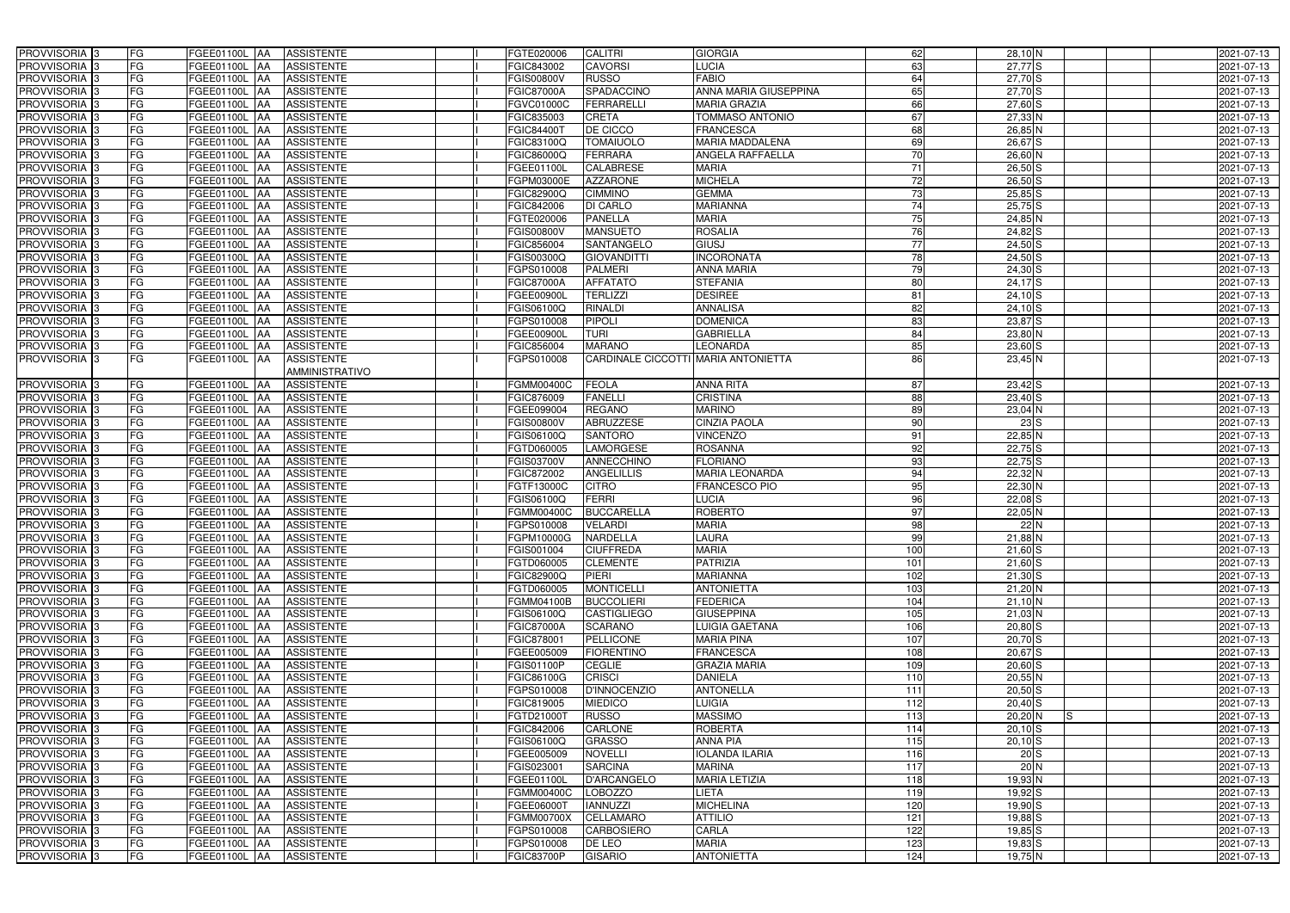| PROVVISORIA <sup>3</sup>   | FG | FGEE01100L AA     | <b>ASSISTENTE</b>               | FGTE020006        | <b>CALITRI</b>                      | <b>GIORGIA</b>          | 62              | 28,10 N          | 2021-07-13       |
|----------------------------|----|-------------------|---------------------------------|-------------------|-------------------------------------|-------------------------|-----------------|------------------|------------------|
| PROVVISORIA <sup>3</sup>   | FG | FGEE01100L        | <b>ASSISTENTE</b><br>IAA        | FGIC843002        | <b>CAVORSI</b>                      | LUCIA                   | 63              | $27,77$ S        | 2021-07-13       |
| PROVVISORIA 3              | FG | FGEE01100L AA     | <b>ASSISTENTE</b>               | FGIS00800V        | <b>RUSSO</b>                        | <b>FABIO</b>            | 64              | $27,70$ S        | 2021-07-13       |
| PROVVISORIA 3              | FG | FGEE01100L        | <b>ASSISTENTE</b><br>IAA        | FGIC87000A        | SPADACCINO                          | ANNA MARIA GIUSEPPINA   | 65              | $27,70$ S        | 2021-07-13       |
| PROVVISORIA <sup>3</sup>   | FG | FGEE01100L        | <b>ASSISTENTE</b><br>IAA        | FGVC01000C        | <b>FERRARELLI</b>                   | <b>MARIA GRAZIA</b>     | 66              | $27,60$ S        | 2021-07-13       |
| PROVVISORIA <sup>3</sup>   | FG | FGEE01100L AA     | <b>ASSISTENTE</b>               | FGIC835003        | <b>CRETA</b>                        | <b>TOMMASO ANTONIO</b>  | 67              | $27,33$ N        | 2021-07-13       |
| PROVVISORIA <sup>1</sup> 3 | FG | FGEE01100L AA     | <b>ASSISTENTE</b>               | FGIC84400T        | <b>DE CICCO</b>                     | <b>FRANCESCA</b>        | 68              | 26,85 N          | 2021-07-13       |
| PROVVISORIA 3              | FG | FGEE01100L AA     | <b>ASSISTENTE</b>               | FGIC83100Q        | <b>TOMAIUOLO</b>                    | <b>MARIA MADDALENA</b>  | 69              | $26,67$ $S$      | 2021-07-13       |
| PROVVISORIA <sup>3</sup>   | FG | FGEE01100L AA     | <b>ASSISTENTE</b>               | FGIC86000Q        | <b>FERRARA</b>                      | <b>ANGELA RAFFAELLA</b> | 70              | $26,60$ N        | 2021-07-13       |
| PROVVISORIA <sup>3</sup>   | FG | FGEE01100L AA     | <b>ASSISTENTE</b>               | FGEE01100L        | <b>CALABRESE</b>                    | <b>MARIA</b>            | 71              | $26,50$ S        | 2021-07-13       |
| PROVVISORIA 3              | FG | FGEE01100L AA     | <b>ASSISTENTE</b>               | FGPM03000E        | <b>AZZARONE</b>                     | <b>MICHELA</b>          | 72              | $26,50$ S        | 2021-07-13       |
| PROVVISORIA 3              | FG | FGEE01100L AA     | <b>ASSISTENTE</b>               | FGIC82900Q        | <b>CIMMINO</b>                      | <b>GEMMA</b>            | 73              | $25,85$ S        | 2021-07-13       |
| PROVVISORIA 3              | FG | FGEE01100L AA     | <b>ASSISTENTE</b>               | FGIC842006        | <b>DI CARLO</b>                     | <b>MARIANNA</b>         | 74              | $25,75$ S        | 2021-07-13       |
| PROVVISORIA 3              | FG | FGEE01100L AA     | <b>ASSISTENTE</b>               | FGTE020006        | <b>PANELLA</b>                      | <b>MARIA</b>            | 75              | $24,85$ N        | 2021-07-13       |
| PROVVISORIA 3              | FG | FGEE01100L AA     | <b>ASSISTENTE</b>               | FGIS00800V        | <b>MANSUETO</b>                     | <b>ROSALIA</b>          | 76              | $24,82$ S        | 2021-07-13       |
| PROVVISORIA <sup>3</sup>   | FG | FGEE01100L        | <b>ASSISTENTE</b><br><b>JAA</b> | FGIC856004        | SANTANGELO                          | <b>GIUSJ</b>            | 77              | $24,50$ S        | 2021-07-13       |
| PROVVISORIA 3              | FG | FGEE01100L        | <b>ASSISTENTE</b><br>IAA        | FGIS00300Q        | <b>GIOVANDITTI</b>                  | <b>INCORONATA</b>       | 78              | $24,50$ S        | 2021-07-13       |
| PROVVISORIA 3              | FG | FGEE01100L AA     | <b>ASSISTENTE</b>               | FGPS010008        | <b>PALMERI</b>                      | <b>ANNA MARIA</b>       | 79              | $24,30$ S        | 2021-07-13       |
| PROVVISORIA 3              | FG | <b>FGEE01100L</b> | <b>ASSISTENTE</b><br><b>JAA</b> | <b>FGIC87000A</b> | <b>AFFATATO</b>                     | <b>STEFANIA</b>         | 80              | $24,17$ S        | 2021-07-13       |
| PROVVISORIA 3              | FG | FGEE01100L        | <b>ASSISTENTE</b><br><b>JAA</b> | FGEE00900L        | <b>TERLIZZI</b>                     | <b>DESIREE</b>          | 81              | $24,10$ S        | 2021-07-13       |
| PROVVISORIA 3              | FG | FGEE01100L        | <b>ASSISTENTE</b><br>IAA        | FGIS06100Q        | RINALDI                             | <b>ANNALISA</b>         | 82              | $24,10$ S        | 2021-07-13       |
| PROVVISORIA 3              | FG | FGEE01100L        | <b>ASSISTENTE</b><br>IAA        | FGPS010008        | <b>PIPOLI</b>                       | <b>DOMENICA</b>         | 83              | $23,87$ $S$      | 2021-07-13       |
| PROVVISORIA 3              | FG | FGEE01100L AA     | <b>ASSISTENTE</b>               | FGEE00900L        | <b>TURI</b>                         | <b>GABRIELLA</b>        | 84              | $23,80$ N        | 2021-07-13       |
| PROVVISORIA 3              | FG | FGEE01100L AA     | <b>ASSISTENTE</b>               | FGIC856004        | <b>MARANO</b>                       | <b>LEONARDA</b>         | 85              | $23,60$ S        | 2021-07-13       |
| PROVVISORIA <sup>1</sup> 3 | FG | FGEE01100L AA     | <b>ASSISTENTE</b>               | GPS010008         | CARDINALE CICCOTTI MARIA ANTONIETTA |                         | 86              | 23,45 N          | 2021-07-13       |
|                            |    |                   | AMMINISTRATIVO                  |                   |                                     |                         |                 |                  |                  |
| PROVVISORIA 3              | FG | FGEE01100L AA     | <b>ASSISTENTE</b>               | <b>FGMM00400C</b> | <b>FEOLA</b>                        | <b>ANNA RITA</b>        | 87              | $23,42$ S        | 2021-07-13       |
| PROVVISORIA <sup>3</sup>   | FG | FGEE01100L AA     | <b>ASSISTENTE</b>               | FGIC876009        | <b>FANELLI</b>                      | <b>CRISTINA</b>         | 88              | $23,40$ S        | 2021-07-13       |
| PROVVISORIA <sup>3</sup>   | FG | FGEE01100L AA     | <b>ASSISTENTE</b>               | FGEE099004        | <b>REGANO</b>                       | <b>MARINO</b>           | 89              | 23,04 N          | 2021-07-13       |
| PROVVISORIA <sup>3</sup>   | FG | FGEE01100L AA     | <b>ASSISTENTE</b>               | FGIS00800V        | <b>ABRUZZESE</b>                    | <b>CINZIA PAOLA</b>     | $\overline{90}$ | 23S              | 2021-07-13       |
| PROVVISORIA <sup>3</sup>   | FG | FGEE01100L AA     | <b>ASSISTENTE</b>               | FGIS06100Q        | <b>SANTORO</b>                      | <b>VINCENZO</b>         | 91              | $22,85$ N        | 2021-07-13       |
| PROVVISORIA <sup>3</sup>   | FG | FGEE01100L AA     | <b>ASSISTENTE</b>               | FGTD060005        | <b>LAMORGESE</b>                    | <b>ROSANNA</b>          | 92              | $22,75$ S        | 2021-07-13       |
| PROVVISORIA <sup>3</sup>   | FG | FGEE01100L AA     | <b>ASSISTENTE</b>               | FGIS03700V        | <b>ANNECCHINO</b>                   | <b>FLORIANO</b>         | -93             | $22,75$ S        | 2021-07-13       |
| PROVVISORIA <sup>3</sup>   | FG | FGEE01100L AA     | <b>ASSISTENTE</b>               | FGIC872002        | <b>ANGELILLIS</b>                   | <b>MARIA LEONARDA</b>   | 94              | 22,32 N          | 2021-07-13       |
| PROVVISORIA <sup>3</sup>   | FG | FGEE01100L        | <b>ASSISTENTE</b><br>IAA        | FGTF13000C        | <b>CITRO</b>                        | <b>FRANCESCO PIO</b>    | 95              | $22,30$ N        | $2021 - 07 - 13$ |
| PROVVISORIA <sup>3</sup>   | FG | <b>FGEE01100L</b> | <b>ASSISTENTE</b><br>IAA        | FGIS06100Q        | <b>FERRI</b>                        | <b>LUCIA</b>            | 96              | $22,08$ S        | 2021-07-13       |
| PROVVISORIA <sup>3</sup>   | FG | FGEE01100L        | <b>ASSISTENTE</b><br><b>JAA</b> | FGMM00400C        | <b>BUCCARELLA</b>                   | <b>ROBERTO</b>          | 97              | 22,05 N          | 2021-07-13       |
| PROVVISORIA <sup>3</sup>   | FG | FGEE01100L AA     | <b>ASSISTENTE</b>               | FGPS010008        | <b>VELARDI</b>                      | <b>MARIA</b>            | 98              | 22N              | 2021-07-13       |
| PROVVISORIA 3              | FG | FGEE01100L AA     | <b>ASSISTENTE</b>               | FGPM10000G        | <b>NARDELLA</b>                     | <b>LAURA</b>            | 99              | $21,88$ N        | 2021-07-13       |
| PROVVISORIA <sup>3</sup>   | FG | FGEE01100L AA     | ASSISTENTE                      | FGIS001004        | <b>CIUFFREDA</b>                    | <b>MARIA</b>            | 100             | $21,60$ S        | 2021-07-13       |
| PROVVISORIA <sup>3</sup>   | FG | FGEE01100L AA     | ASSISTENTE                      | FGTD060005        | <b>CLEMENTE</b>                     | <b>PATRIZIA</b>         | 101             | $21,60$ S        | 2021-07-13       |
| PROVVISORIA <sup>3</sup>   | FG | FGEE01100L AA     | <b>ASSISTENTE</b>               | FGIC82900Q        | <b>PIERI</b>                        | <b>MARIANNA</b>         | 102             | $21,30$ S        | 2021-07-13       |
| PROVVISORIA <sup>3</sup>   | FG | FGEE01100L AA     | ASSISTENTE                      | FGTD060005        | <b>MONTICELLI</b>                   | <b>ANTONIETTA</b>       | $\frac{10}{3}$  | $21,20$ N        | 2021-07-13       |
| PROVVISORIA <sup>3</sup>   | FG | FGEE01100L AA     | ASSISTENTE                      | FGMM04100B        | <b>BUCCOLIERI</b>                   | <b>FEDERICA</b>         | 104             | $21,10$ N        | 2021-07-13       |
| PROVVISORIA 3              | FG | FGEE01100L AA     | <b>ASSISTENTE</b>               | FGIS06100Q        | <b>CASTIGLIEGO</b>                  | <b>GIUSEPPINA</b>       | 105             | $21,03$ N        | 2021-07-13       |
| PROVVISORIA <sup>3</sup>   | FG | FGEE01100L AA     | <b>ASSISTENTE</b>               | <b>FGIC87000A</b> | <b>SCARANO</b>                      | <b>LUIGIA GAETANA</b>   | 106             | $20,80$ S        | 2021-07-13       |
| PROVVISORIA <sup>3</sup>   | FG | FGEE01100L AA     | ASSISTENTE                      | FGIC878001        | <b>PELLICONE</b>                    | <b>MARIA PINA</b>       | 107             | $20,70$ S        | 2021-07-13       |
| PROVVISORIA <sup>3</sup>   | FG | FGEE01100L AA     | ASSISTENTE                      | FGEE005009        | <b>FIORENTINO</b>                   | <b>FRANCESCA</b>        | 108             | $20,67$ S        | 2021-07-13       |
| PROVVISORIA <sup>3</sup>   | FG | FGEE01100L AA     | <b>ASSISTENTE</b>               | FGIS01100P        | <b>CEGLIE</b>                       | <b>GRAZIA MARIA</b>     | 109             | $20,60$ S        | 2021-07-13       |
| PROVVISORIA <sup>3</sup>   | FG | FGEE01100L AA     | ASSISTENTE                      | FGIC86100G        | <b>CRISCI</b>                       | <b>DANIELA</b>          | 110             | $20,55$ N        | 2021-07-13       |
| PROVVISORIA <sup>3</sup>   | FG | FGEE01100L AA     | <b>ASSISTENTE</b>               | FGPS010008        | <b>D'INNOCENZIO</b>                 | <b>ANTONELLA</b>        | 111             | $20,50$ S        | 2021-07-13       |
| PROVVISORIA <sup>3</sup>   | FG | FGEE01100L AA     | ASSISTENTE                      | FGIC819005        | <b>MIEDICO</b>                      | LUIGIA                  | 112             | $20,40$ S        | 2021-07-13       |
| PROVVISORIA <sup>3</sup>   | FG | FGEE01100L AA     | ASSISTENTE                      | FGTD21000T        | <b>RUSSO</b>                        | <b>MASSIMO</b>          | 113             | $20,20$ N<br>IS. | 2021-07-13       |
| PROVVISORIA <sup>3</sup>   | FG | FGEE01100L AA     | <b>ASSISTENTE</b>               | FGIC842006        | <b>CARLONE</b>                      | <b>ROBERTA</b>          | 114             | $20,10$ S        | 2021-07-13       |
| PROVVISORIA <sup>13</sup>  | FG | FGEE01100L AA     | <b>ASSISTENTE</b>               | FGIS06100Q        | <b>GRASSO</b>                       | <b>ANNA PIA</b>         | 115             | $20,10$ S        | 2021-07-13       |
| PROVVISORIA <sup>1</sup> 3 | FG | FGEE01100L AA     | <b>ASSISTENTE</b>               | FGEE005009        | <b>NOVELLI</b>                      | <b>IOLANDA ILARIA</b>   | 116             | 20S              | 2021-07-13       |
| PROVVISORIA <sup>3</sup>   | FG | FGEE01100L AA     | <b>ASSISTENTE</b>               | FGIS023001        | <b>SARCINA</b>                      | <b>MARINA</b>           | 117             | 20N              | 2021-07-13       |
| <b>PROVVISORIA</b> 3       | FG | FGEE01100L AA     | ASSISTENTE                      | FGEE01100L        | <b>D'ARCANGELO</b>                  | <b>MARIA LETIZIA</b>    | 118             | 19,93 N          | 2021-07-13       |
| PROVVISORIA <sup>3</sup>   | FG | FGEE01100L AA     | <b>ASSISTENTE</b>               | <b>FGMM00400C</b> | <b>LOBOZZO</b>                      | LIETA                   | 119             | $19,92$ $S$      | 2021-07-13       |
| PROVVISORIA <sup>1</sup> 3 | FG | FGEE01100L AA     | <b>ASSISTENTE</b>               | FGEE06000T        | <b>IANNUZZI</b>                     | <b>MICHELINA</b>        | 120             | $19,90$ S        | 2021-07-13       |
| PROVVISORIA <sup>3</sup>   | FG | FGEE01100L AA     | <b>ASSISTENTE</b>               | FGMM00700X        | <b>CELLAMARO</b>                    | <b>ATTILIO</b>          | 121             | 19,88 S          | 2021-07-13       |
| PROVVISORIA <sup>3</sup>   | FG | FGEE01100L AA     | <b>ASSISTENTE</b>               | FGPS010008        | <b>CARBOSIERO</b>                   | CARLA                   | 122             | $19,85$ S        | 2021-07-13       |
| PROVVISORIA <sup>3</sup>   | FG | FGEE01100L AA     | ASSISTENTE                      | FGPS010008        | <b>DE LEO</b>                       | <b>MARIA</b>            | 123             | $19,83$ S        | 2021-07-13       |
| PROVVISORIA 3              | FG | FGEE01100L AA     | ASSISTENTE                      | <b>FGIC83700P</b> | <b>GISARIO</b>                      | <b>ANTONIETTA</b>       | $124$           | 19,75 N          | 2021-07-13       |
|                            |    |                   |                                 |                   |                                     |                         |                 |                  |                  |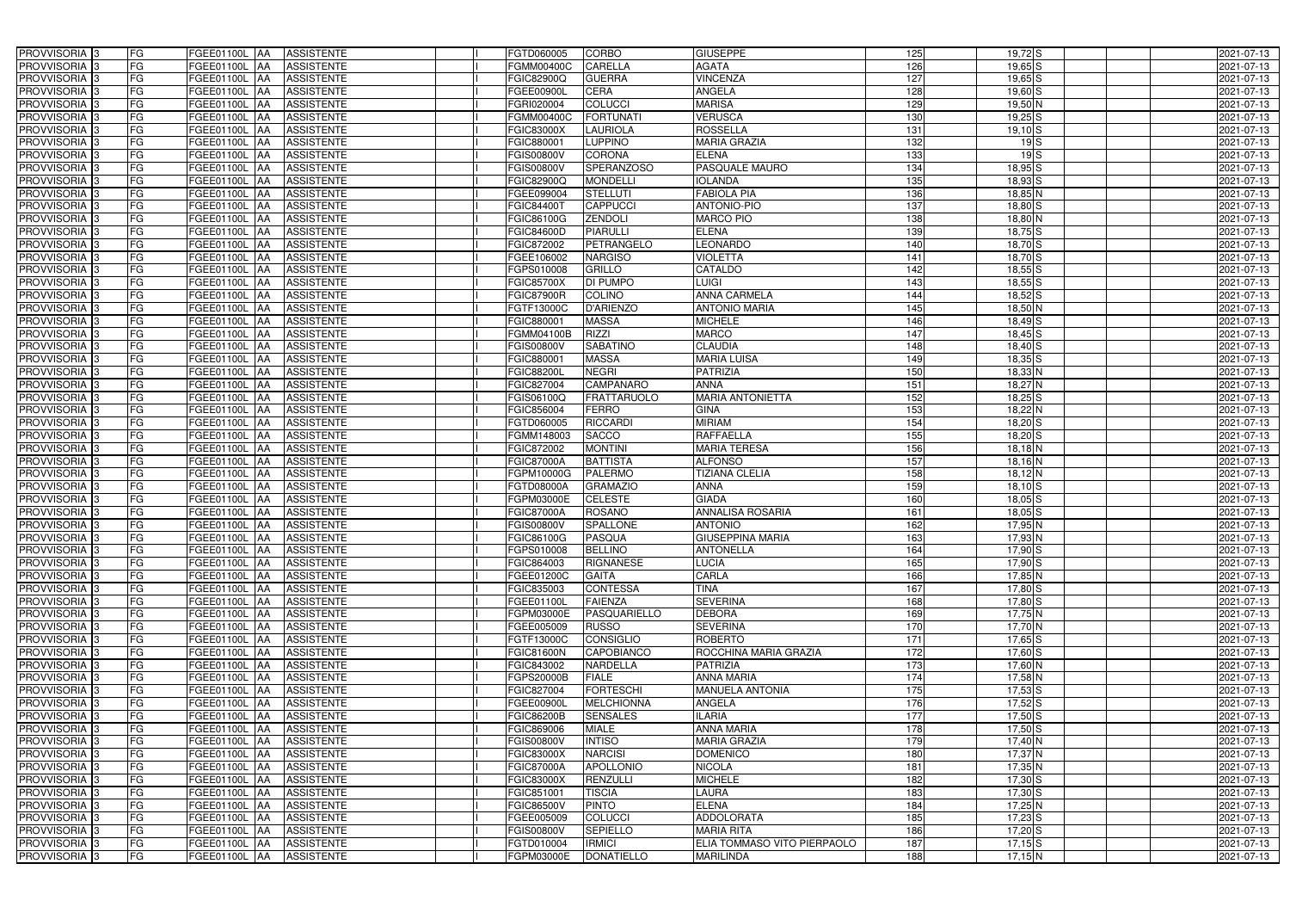| PROVVISORIA <sup>3</sup>   | FG        | FGEE01100L AA            | <b>ASSISTENTE</b> | FGTD060005        | <b>CORBO</b>       | <b>GIUSEPPE</b>             | 125              | $19,72$ S   | 2021-07-13 |
|----------------------------|-----------|--------------------------|-------------------|-------------------|--------------------|-----------------------------|------------------|-------------|------------|
| PROVVISORIA 3              | FG        | FGEE01100L<br>IAA        | <b>ASSISTENTE</b> | FGMM00400C        | CARELLA            | <b>AGATA</b>                | 126              | $19,65$ S   | 2021-07-13 |
| PROVVISORIA 3              | FG        | FGEE01100L AA            | <b>ASSISTENTE</b> | FGIC82900Q        | <b>GUERRA</b>      | <b>VINCENZA</b>             | 127              | $19,65$ S   | 2021-07-13 |
| PROVVISORIA 3              | FG        | FGEE01100L AA            | <b>ASSISTENTE</b> | FGEE00900L        | <b>CERA</b>        | ANGELA                      | 128              | $19,60$ $S$ | 2021-07-13 |
| PROVVISORIA 3              | FG        | FGEE01100L AA            | <b>ASSISTENTE</b> | FGRI020004        | <b>COLUCCI</b>     | <b>MARISA</b>               | 129              | 19,50 N     | 2021-07-13 |
| PROVVISORIA 3              | FG        | FGEE01100L<br>IAA        | <b>ASSISTENTE</b> | FGMM00400C        | <b>FORTUNATI</b>   | <b>VERUSCA</b>              | 130              | $19,25$ S   | 2021-07-13 |
| PROVVISORIA 3              | <b>FG</b> | FGEE01100L AA            | <b>ASSISTENTE</b> | FGIC83000X        | <b>LAURIOLA</b>    | <b>ROSSELLA</b>             | 131              | $19,10$ $S$ | 2021-07-13 |
| <b>PROVVISORIA</b> 3       | <b>FG</b> | FGEE01100L<br>IAA        | <b>ASSISTENTE</b> | FGIC880001        | <b>LUPPINO</b>     | <b>MARIA GRAZIA</b>         | $\overline{132}$ | $19$ $S$    | 2021-07-13 |
| PROVVISORIA <sup>3</sup>   | FG        | FGEE01100L<br>IAA        | <b>ASSISTENTE</b> | FGIS00800V        | <b>CORONA</b>      | <b>ELENA</b>                | 133              | $19$ $S$    | 2021-07-13 |
| PROVVISORIA <sup>1</sup> 3 | FG        | FGEE01100L<br>IAA        | <b>ASSISTENTE</b> | FGIS00800V        | <b>SPERANZOSO</b>  | PASQUALE MAURO              | 134              | $18,95$ S   | 2021-07-13 |
| PROVVISORIA 3              | FG        | FGEE01100L<br><b>JAA</b> | <b>ASSISTENTE</b> | FGIC82900Q        | <b>MONDELLI</b>    | <b>IOLANDA</b>              | 135              | $18,93$ $S$ | 2021-07-13 |
| PROVVISORIA 3              | FG        | FGEE01100L AA            | <b>ASSISTENTE</b> | FGEE099004        | <b>STELLUTI</b>    | <b>FABIOLA PIA</b>          | 136              | $18,85$ N   | 2021-07-13 |
| PROVVISORIA 3              | FG        | FGEE01100L AA            | <b>ASSISTENTE</b> | FGIC844001        | <b>CAPPUCCI</b>    | <b>ANTONIO-PIO</b>          | 137              | $18,80$ $S$ | 2021-07-13 |
| PROVVISORIA 3              | <b>FG</b> | FGEE01100L AA            | <b>ASSISTENTE</b> | FGIC86100G        | <b>ZENDOLI</b>     | <b>MARCO PIO</b>            | 138              | $18,80$ N   | 2021-07-13 |
| PROVVISORIA <sup>3</sup>   | FG        | FGEE01100L AA            | <b>ASSISTENTE</b> | FGIC84600D        | <b>PIARULLI</b>    | <b>ELENA</b>                | 139              | $18,75$ S   | 2021-07-13 |
| PROVVISORIA 3              | FG        | FGEE01100L AA            | <b>ASSISTENTE</b> | FGIC872002        | PETRANGELO         | <b>LEONARDO</b>             | 140              | $18,70$ S   | 2021-07-13 |
| PROVVISORIA 3              | <b>FG</b> | FGEE01100L AA            | <b>ASSISTENTE</b> | FGEE106002        | <b>NARGISO</b>     | <b>VIOLETTA</b>             | 141              | $18,70$ S   | 2021-07-13 |
| PROVVISORIA 3              | FG        | FGEE01100L AA            | <b>ASSISTENTE</b> | FGPS010008        | GRILLO             | <b>CATALDO</b>              | 142              | $18,55$ S   | 2021-07-13 |
| PROVVISORIA 3              | FG        | FGEE01100L<br><b>IAA</b> | <b>ASSISTENTE</b> | <b>FGIC85700X</b> | <b>DI PUMPO</b>    | LUIGI                       | 143              | $18,55$ $S$ | 2021-07-13 |
| <b>PROVVISORIA</b> 3       | FG        | FGEE01100L<br>IAA        | <b>ASSISTENTE</b> | <b>FGIC87900R</b> | <b>COLINO</b>      | <b>ANNA CARMELA</b>         | 144              | $18,52$ $S$ | 2021-07-13 |
| PROVVISORIA <sup>1</sup> 3 | FG        | <b>FGEE01100L</b><br>IAA | <b>ASSISTENTE</b> | FGTF13000C        | D'ARIENZO          | <b>ANTONIO MARIA</b>        | 145              | 18,50 N     | 2021-07-13 |
| PROVVISORIA <sup>13</sup>  | FG        | FGEE01100L<br>IAA        | <b>ASSISTENTE</b> | FGIC880001        | <b>MASSA</b>       | <b>MICHELE</b>              | 146              | $18,49$ $S$ | 2021-07-13 |
| PROVVISORIA <sup>3</sup>   | FG        | FGEE01100L<br>IAA        | <b>ASSISTENTE</b> | FGMM04100B        | <b>RIZZI</b>       | <b>MARCO</b>                | 147              | $18,45$ $S$ | 2021-07-13 |
| <b>PROVVISORIA</b> 3       | FG        | FGEE01100L<br>IAA        | <b>ASSISTENTE</b> | GIS00800V         | <b>SABATINO</b>    | <b>CLAUDIA</b>              | 148              | $18,40$ S   | 2021-07-13 |
| <b>PROVVISORIA</b> 3       | FG        | <b>FGEE01100L</b><br>IAA | <b>ASSISTENTE</b> | FGIC88000         | <b>MASSA</b>       | <b>MARIA LUISA</b>          | 149              | $18,35$ S   | 2021-07-13 |
| PROVVISORIA <sup>3</sup>   | <b>FG</b> | <b>FGEE01100L</b><br>IAA | <b>ASSISTENTE</b> | FGIC88200L        | <b>NEGRI</b>       | <b>PATRIZIA</b>             | 150              | $18,33$ N   | 2021-07-13 |
| PROVVISORIA 3              | <b>FG</b> | FGEE01100L               | <b>ASSISTENTE</b> | FGIC827004        | <b>CAMPANARO</b>   | <b>ANNA</b>                 | 151              | $18,27$ N   | 2021-07-13 |
| PROVVISORIA <sup>3</sup>   | FG        | FGEE01100L<br>IAA        | <b>ASSISTENTE</b> | FGIS06100Q        | <b>FRATTARUOLO</b> | <b>MARIA ANTONIETTA</b>     | 152              | $18,25$ S   | 2021-07-13 |
| PROVVISORIA 3              | FG        | FGEE01100L               | <b>ASSISTENTE</b> | FGIC856004        | <b>FERRO</b>       | <b>GINA</b>                 | 153              | 18,22 N     | 2021-07-13 |
| PROVVISORIA 3              | <b>FG</b> | FGEE01100L<br>IAA        | <b>ASSISTENTE</b> | FGTD060005        | <b>RICCARDI</b>    | <b>MIRIAM</b>               | 154              | $18,20$ $S$ | 2021-07-13 |
| PROVVISORIA 3              | FG        | <b>FGEE01100L</b><br>IAA | <b>ASSISTENTE</b> | FGMM148003        | <b>SACCO</b>       | <b>RAFFAELLA</b>            | 155              | $18,20$ S   | 2021-07-13 |
| PROVVISORIA 3              | FG        | <b>FGEE01100L</b><br>IAA | <b>ASSISTENTE</b> | FGIC872002        | <b>MONTINI</b>     | <b>MARIA TERESA</b>         | 156              | $18,18$ N   | 2021-07-13 |
| <b>PROVVISORIA</b> 3       | <b>FG</b> | FGEE01100L<br>IAA        | <b>ASSISTENTE</b> | <b>FGIC87000A</b> | <b>BATTISTA</b>    | <b>ALFONSO</b>              | 157              | $18,16$ N   | 2021-07-13 |
| PROVVISORIA <sup>1</sup> 3 | FG        | FGEE01100L<br>IAA        | <b>ASSISTENTE</b> | FGPM10000G        | <b>PALERMO</b>     | <b>TIZIANA CLELIA</b>       | 158              | $18,12$ N   | 2021-07-13 |
| PROVVISORIA 3              | FG        | FGEE01100L<br>IAA        | <b>ASSISTENTE</b> | FGTD08000A        | <b>GRAMAZIO</b>    | <b>ANNA</b>                 | 159              | $18,10$ S   | 2021-07-13 |
| PROVVISORIA 3              | FG        | FGEE01100L<br><b>JAA</b> | <b>ASSISTENTE</b> | FGPM03000E        | <b>CELESTE</b>     | <b>GIADA</b>                | 160              | $18,05$ $S$ | 2021-07-13 |
| PROVVISORIA 3              | <b>FG</b> | FGEE01100L AA            | <b>ASSISTENTE</b> | <b>FGIC87000A</b> | <b>ROSANO</b>      | <b>ANNALISA ROSARIA</b>     | 161              | $18,05$ $S$ | 2021-07-13 |
| PROVVISORIA <sup>3</sup>   | <b>FG</b> | FGEE01100L AA            | <b>ASSISTENTE</b> | <b>FGIS00800V</b> | <b>SPALLONE</b>    | <b>ANTONIO</b>              | 162              | $17,95$ N   | 2021-07-13 |
| PROVVISORIA <sup>3</sup>   | <b>FG</b> | FGEE01100L AA ASSISTENTE |                   | <b>FGIC86100G</b> | PASQUA             | <b>GIUSEPPINA MARIA</b>     | 163              | 17,93 N     | 2021-07-13 |
| PROVVISORIA <sup>3</sup>   | <b>FG</b> | FGEE01100L AA            | <b>ASSISTENTE</b> | FGPS010008        | <b>BELLINO</b>     | <b>ANTONELLA</b>            | 164              | 17,90 S     | 2021-07-13 |
| PROVVISORIA <sup>3</sup>   | FG        | FGEE01100L AA            | <b>ASSISTENTE</b> | FGIC864003        | RIGNANESE          | <b>LUCIA</b>                | 165              | $17,90$ S   | 2021-07-13 |
| PROVVISORIA <sup>3</sup>   | FG        | FGEE01100L AA ASSISTENTE |                   | FGEE01200C        | <b>GAITA</b>       | CARLA                       | 166              | 17,85 N     | 2021-07-13 |
| PROVVISORIA <sup>3</sup>   | FG        | <b>FGEE01100L AA</b>     | <b>ASSISTENTE</b> | FGIC835003        | <b>CONTESSA</b>    | <b>TINA</b>                 | 167              | $17,80$ S   | 2021-07-13 |
| PROVVISORIA <sup>3</sup>   | FG        | <b>FGEE01100L AA</b>     | <b>ASSISTENTE</b> | FGEE01100L        | <b>FAIENZA</b>     | <b>SEVERINA</b>             | 168              | 17,80 S     | 2021-07-13 |
| PROVVISORIA 3              | FG        | FGEE01100L AA            | <b>ASSISTENTE</b> | FGPM03000E        | PASQUARIELLO       | <b>DEBORA</b>               | 169              | $17,75$ N   | 2021-07-13 |
| PROVVISORIA 3              | <b>FG</b> | FGEE01100L AA            | <b>ASSISTENTE</b> | FGEE005009        | <b>RUSSO</b>       | <b>SEVERINA</b>             | 170              | 17,70 N     | 2021-07-13 |
| PROVVISORIA <sup>3</sup>   | FG        | FGEE01100L AA            | ASSISTENTE        | FGTF13000C        | <b>CONSIGLIO</b>   | <b>ROBERTO</b>              | 171              | $17,65$ S   | 2021-07-13 |
| PROVVISORIA <sup>3</sup>   | FG        | FGEE01100L AA            | <b>ASSISTENTE</b> | <b>FGIC81600N</b> | <b>CAPOBIANCO</b>  | ROCCHINA MARIA GRAZIA       | 172              | 17,60 S     | 2021-07-13 |
| PROVVISORIA <sup>3</sup>   | FG        | FGEE01100L AA            | <b>ASSISTENTE</b> | FGIC843002        | <b>NARDELLA</b>    | <b>PATRIZIA</b>             | 173              | 17,60 N     | 2021-07-13 |
| PROVVISORIA <sup>3</sup>   | FG        | FGEE01100L AA            | <b>ASSISTENTE</b> | FGPS20000B        | <b>FIALE</b>       | <b>ANNA MARIA</b>           | 174              | 17,58 N     | 2021-07-13 |
| PROVVISORIA <sup>3</sup>   | <b>FG</b> | FGEE01100L AA            | <b>ASSISTENTE</b> | FGIC827004        | <b>FORTESCHI</b>   | <b>MANUELA ANTONIA</b>      | $\overline{175}$ | $17,53$ S   | 2021-07-13 |
| PROVVISORIA <sup>3</sup>   | FG        | FGEE01100L AA            | <b>ASSISTENTE</b> | FGEE00900L        | <b>MELCHIONNA</b>  | <b>ANGELA</b>               | 176              | $17,52$ S   | 2021-07-13 |
| PROVVISORIA <sup>3</sup>   | FG        | FGEE01100L AA            | <b>ASSISTENTE</b> | <b>FGIC86200B</b> | <b>SENSALES</b>    | ILARIA                      | 177              | $17,50$ S   | 2021-07-13 |
| PROVVISORIA <sup>3</sup>   | FG        | <b>FGEE01100L AA</b>     | <b>ASSISTENTE</b> | FGIC869006        | <b>MIALE</b>       | <b>ANNA MARIA</b>           | 178              | $17,50$ S   | 2021-07-13 |
| PROVVISORIA <sup>3</sup>   | FG        | FGEE01100L AA            | <b>ASSISTENTE</b> | FGIS00800V        | <b>INTISO</b>      | <b>MARIA GRAZIA</b>         | 179              | 17,40 N     | 2021-07-13 |
| PROVVISORIA <sup>3</sup>   | FG        | FGEE01100L AA            | <b>ASSISTENTE</b> | <b>FGIC83000X</b> | <b>NARCISI</b>     | <b>DOMENICO</b>             | 180              | 17,37 N     | 2021-07-13 |
| PROVVISORIA <sup>3</sup>   | FG        | FGEE01100L AA            | <b>ASSISTENTE</b> | <b>FGIC87000A</b> | APOLLONIO          | <b>NICOLA</b>               | 181              | 17,35 N     | 2021-07-13 |
| PROVVISORIA <sup>3</sup>   | FG        | FGEE01100L AA            | <b>ASSISTENTE</b> | <b>FGIC83000X</b> | RENZULLI           | <b>MICHELE</b>              | 182              | $17,30$ S   | 2021-07-13 |
| PROVVISORIA <sup>3</sup>   | FG        | FGEE01100L AA            | <b>ASSISTENTE</b> | FGIC851001        | <b>TISCIA</b>      | LAURA                       | 183              | $17,30$ S   | 2021-07-13 |
| PROVVISORIA <sup>3</sup>   | FG        | FGEE01100L AA            | <b>ASSISTENTE</b> | FGIC86500V        | <b>PINTO</b>       | <b>ELENA</b>                | 184              | $17,25$ N   | 2021-07-13 |
| PROVVISORIA <sup>3</sup>   | FG        | FGEE01100L AA            | ASSISTENTE        | FGEE005009        | <b>COLUCCI</b>     | <b>ADDOLORATA</b>           | 185              | $17,23$ S   | 2021-07-13 |
| PROVVISORIA <sup>3</sup>   | FG        | FGEE01100L AA            | <b>ASSISTENTE</b> | <b>FGIS00800V</b> | <b>SEPIELLO</b>    | <b>MARIA RITA</b>           | 186              | $17,20$ S   | 2021-07-13 |
| PROVVISORIA <sup>3</sup>   | FG        | FGEE01100L AA            | ASSISTENTE        | FGTD010004        | <b>IRMICI</b>      | ELIA TOMMASO VITO PIERPAOLO | 187              | $17,15$ $S$ | 2021-07-13 |
| PROVVISORIA 3              | FG        | <b>FGEE01100L AA</b>     | <b>ASSISTENTE</b> | FGPM03000E        | DONATIELLO         | <b>MARILINDA</b>            | 188              |             |            |
|                            |           |                          |                   |                   |                    |                             |                  | $17,15$ N   | 2021-07-13 |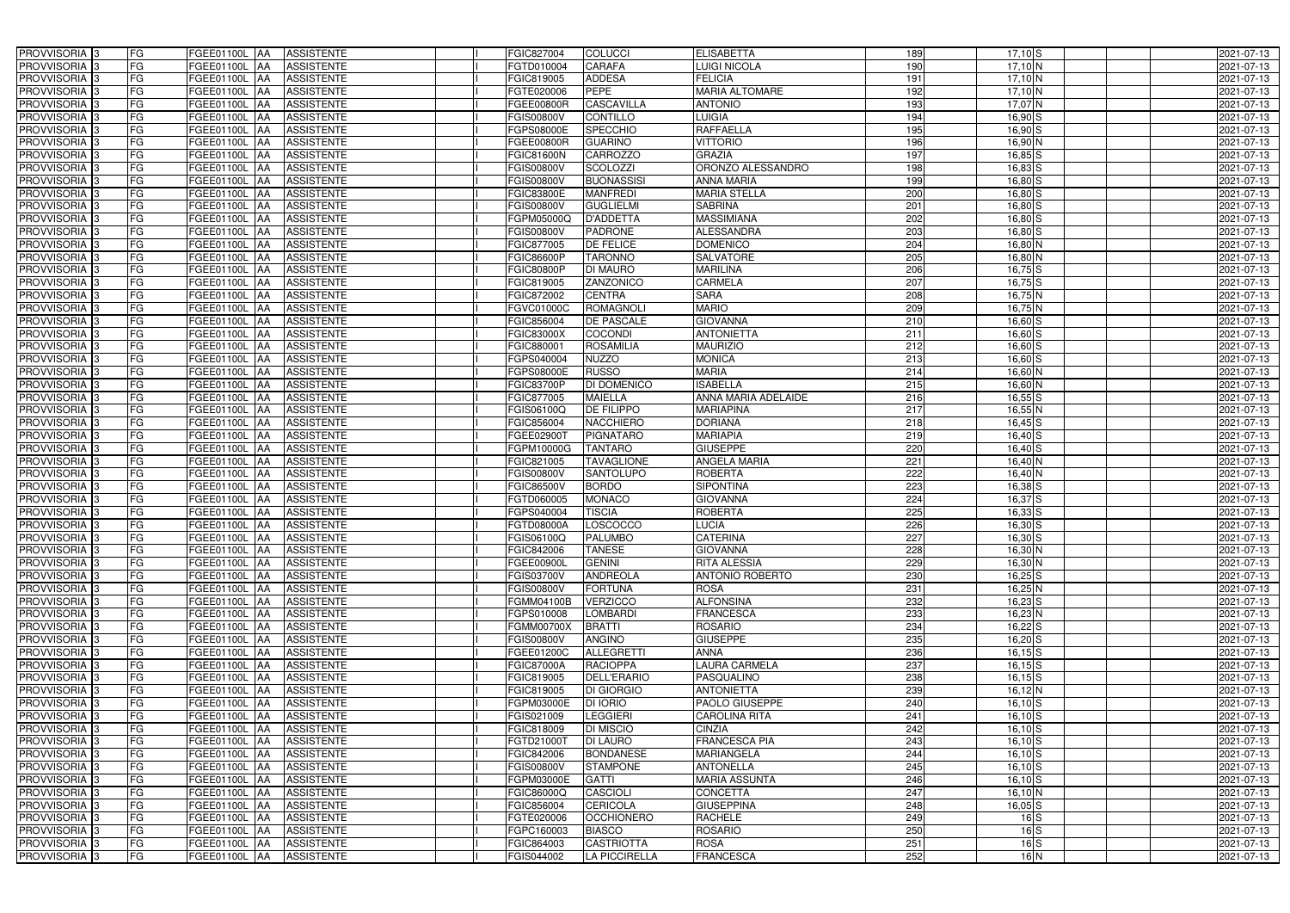| PROVVISORIA <sup>3</sup>   | FG<br>FGEE01100L AA        | <b>ASSISTENTE</b>               | FGIC827004        | <b>COLUCCI</b>       | <b>ELISABETTA</b>    | 189             | $17,10$ S   | 2021-07-13 |
|----------------------------|----------------------------|---------------------------------|-------------------|----------------------|----------------------|-----------------|-------------|------------|
| PROVVISORIA <sup>3</sup>   | FG<br>FGEE01100L           | <b>ASSISTENTE</b><br>IAA        | FGTD010004        | CARAFA               | <b>LUIGI NICOLA</b>  | 190             | 17,10 N     | 2021-07-13 |
| PROVVISORIA <sup>3</sup>   | FG<br>FGEE01100L           | <b>ASSISTENTE</b><br>IAA        | FGIC819005        | <b>ADDESA</b>        | <b>FELICIA</b>       | 191             | 17,10 N     | 2021-07-13 |
| PROVVISORIA <sup>3</sup>   | FG<br><b>FGEE01100L</b>    | <b>ASSISTENTE</b><br>IAA        | FGTE020006        | <b>PEPE</b>          | MARIA ALTOMARE       | 192             | 17,10 N     | 2021-07-13 |
| PROVVISORIA <sup>3</sup>   | FG<br>FGEE01100L           | <b>ASSISTENTE</b><br>IAA        | FGEE00800R        | <b>CASCAVILLA</b>    | <b>ANTONIO</b>       | 193             | 17,07 N     | 2021-07-13 |
| PROVVISORIA <sup>3</sup>   | FG<br>FGEE01100L AA        | <b>ASSISTENTE</b>               | FGIS00800V        | <b>CONTILLO</b>      | <b>LUIGIA</b>        | 194             | $16,90$ $S$ | 2021-07-13 |
| PROVVISORIA <sup>1</sup> 3 | FG<br>FGEE01100L AA        | <b>ASSISTENTE</b>               | FGPS08000E        | <b>SPECCHIO</b>      | <b>RAFFAELLA</b>     | 195             | $16,90$ S   | 2021-07-13 |
| PROVVISORIA <sup>3</sup>   | FG<br>FGEE01100L AA        | <b>ASSISTENTE</b>               | FGEE00800R        | <b>GUARINO</b>       | <b>VITTORIO</b>      | 196             | 16,90 N     | 2021-07-13 |
| PROVVISORIA 3              | FG<br>FGEE01100L AA        | <b>ASSISTENTE</b>               | <b>FGIC81600N</b> | <b>CARROZZO</b>      | <b>GRAZIA</b>        | 197             | $16,85$ S   | 2021-07-13 |
| PROVVISORIA <sup>3</sup>   | FG<br>FGEE01100L AA        | <b>ASSISTENTE</b>               | FGIS00800V        | <b>SCOLOZZI</b>      | ORONZO ALESSANDRO    | 198             | $16,83$ S   | 2021-07-13 |
| PROVVISORIA 3              | FG<br>FGEE01100L AA        | <b>ASSISTENTE</b>               | FGIS00800V        | <b>BUONASSISI</b>    | <b>ANNA MARIA</b>    | 199             | $16,80$ S   | 2021-07-13 |
| PROVVISORIA 3              | FG<br>FGEE01100L AA        | <b>ASSISTENTE</b>               | <b>FGIC83800E</b> | <b>MANFREDI</b>      | <b>MARIA STELLA</b>  | 200             | $16,80$ $S$ | 2021-07-13 |
| PROVVISORIA <sup>3</sup>   | FG<br>FGEE01100L AA        | <b>ASSISTENTE</b>               | FGIS00800V        | <b>GUGLIELMI</b>     | <b>SABRINA</b>       | 201             | $16,80$ S   | 2021-07-13 |
| PROVVISORIA 3              | FG<br>FGEE01100L AA        | <b>ASSISTENTE</b>               | FGPM05000Q        | <b>D'ADDETTA</b>     | <b>MASSIMIANA</b>    | 202             | 16,80 S     | 2021-07-13 |
| PROVVISORIA 3              | FG<br>FGEE01100L AA        | <b>ASSISTENTE</b>               | FGIS00800V        | <b>PADRONE</b>       | <b>ALESSANDRA</b>    | 203             | $16,80$ $S$ | 2021-07-13 |
| PROVVISORIA 3              | FG<br>FGEE01100L           | <b>ASSISTENTE</b><br>IAA        | FGIC877005        | <b>DE FELICE</b>     | <b>DOMENICO</b>      | 204             | $16,80$ N   | 2021-07-13 |
| PROVVISORIA 3              | FG<br>FGEE01100L           | <b>ASSISTENTE</b><br>IAA        | FGIC86600P        | <b>TARONNO</b>       | <b>SALVATORE</b>     | 205             | 16,80 N     | 2021-07-13 |
| PROVVISORIA <sup>3</sup>   | FG<br>FGEE01100L AA        | <b>ASSISTENTE</b>               | <b>FGIC80800P</b> | <b>DI MAURO</b>      | <b>MARILINA</b>      | 206             | $16,75$ S   | 2021-07-13 |
| PROVVISORIA 3              | FG<br>FGEE01100L           | <b>ASSISTENTE</b><br><b>JAA</b> | FGIC819005        | <b>ZANZONICO</b>     | <b>CARMELA</b>       | 207             | $16,75$ S   | 2021-07-13 |
| PROVVISORIA 3              | FG<br>FGEE01100L           | <b>JAA</b><br><b>ASSISTENTE</b> | FGIC872002        | <b>CENTRA</b>        | <b>SARA</b>          | 208             | $16,75$ N   | 2021-07-13 |
| PROVVISORIA <sup>3</sup>   | FG<br>FGEE01100L           | <b>ASSISTENTE</b><br>ΙAΑ        | FGVC01000C        | <b>ROMAGNOLI</b>     | <b>MARIO</b>         | 209             | $16,75$ N   | 2021-07-13 |
| PROVVISORIA 3              | FG<br><b>FGEE01100L</b>    | <b>ASSISTENTE</b><br>IAA        | FGIC856004        | <b>DE PASCALE</b>    | <b>GIOVANNA</b>      | 210             | 16,60 S     | 2021-07-13 |
| PROVVISORIA 3              | FG<br>FGEE01100L           | <b>ASSISTENTE</b><br>IAA        | FGIC83000X        | <b>COCONDI</b>       | <b>ANTONIETTA</b>    | 211             | $16,60$ $S$ | 2021-07-13 |
| PROVVISORIA 3              | FG<br>FGEE01100L AA        | <b>ASSISTENTE</b>               | FGIC88000         | <b>ROSAMILIA</b>     | <b>MAURIZIO</b>      | 212             | $16,60$ S   | 2021-07-13 |
| PROVVISORIA <sup>3</sup>   | FG<br>FGEE01100L           | <b>ASSISTENTE</b><br> AA        | GPS040004         | <b>NUZZO</b>         | <b>MONICA</b>        | 213             | $16,60$ $S$ | 2021-07-13 |
| PROVVISORIA 3              | FG<br>FGEE01100L           | <b>ASSISTENTE</b><br><b>IAA</b> | FGPS08000E        | <b>RUSSO</b>         | <b>MARIA</b>         | 214             | 16,60 N     | 2021-07-13 |
| PROVVISORIA 3              | FG<br>FGEE01100L AA        | <b>ASSISTENTE</b>               | <b>FGIC83700P</b> | DI DOMENICO          | <b>ISABELLA</b>      | 215             | 16,60 N     | 2021-07-13 |
| PROVVISORIA 3              | FG<br>FGEE01100L           | <b>ASSISTENTE</b><br>IAA        | FGIC877005        | <b>MAIELLA</b>       | ANNA MARIA ADELAIDE  | 216             | $16,55$ S   | 2021-07-13 |
| PROVVISORIA <sup>3</sup>   | FG<br>FGEE01100L AA        | <b>ASSISTENTE</b>               | FGIS06100Q        | DE FILIPPO           | <b>MARIAPINA</b>     | 217             | $16,55$ N   | 2021-07-13 |
| PROVVISORIA <sup>3</sup>   | FG<br>FGEE01100L AA        | <b>ASSISTENTE</b>               | FGIC856004        | <b>NACCHIERO</b>     | <b>DORIANA</b>       | $\frac{1}{218}$ | $16,45$ S   | 2021-07-13 |
| PROVVISORIA <sup>3</sup>   | FG<br>FGEE01100L AA        | <b>ASSISTENTE</b>               | FGEE02900T        | <b>PIGNATARO</b>     | <b>MARIAPIA</b>      | 219             | $16,40$ S   | 2021-07-13 |
| PROVVISORIA <sup>3</sup>   | FG<br>FGEE01100L AA        | <b>ASSISTENTE</b>               | FGPM10000G        | <b>TANTARO</b>       | <b>GIUSEPPE</b>      | 220             | $16,40$ S   | 2021-07-13 |
| PROVVISORIA <sup>3</sup>   | FG<br>FGEE01100L AA        | <b>ASSISTENTE</b>               | FGIC821005        | <b>TAVAGLIONE</b>    | <b>ANGELA MARIA</b>  | 221             | $16,40$ N   | 2021-07-13 |
| PROVVISORIA <sup>3</sup>   | FG<br>FGEE01100L AA        | <b>ASSISTENTE</b>               | FGIS00800V        | <b>SANTOLUPO</b>     | <b>ROBERTA</b>       | 222             | $16,40$ N   | 2021-07-13 |
| PROVVISORIA <sup>3</sup>   | FG<br>FGEE01100L           | <b>ASSISTENTE</b><br>IAA        | FGIC86500V        | <b>BORDO</b>         | <b>SIPONTINA</b>     | 223             | $16,38$ $S$ | 2021-07-13 |
| PROVVISORIA <sup>3</sup>   | FG<br><b>FGEE01100L</b>    | <b>ASSISTENTE</b><br>IAA        | FGTD060005        | <b>MONACO</b>        | <b>GIOVANNA</b>      | 224             | $16,37$ $S$ | 2021-07-13 |
| PROVVISORIA <sup>3</sup>   | FG<br>FGEE01100L           | <b>ASSISTENTE</b><br>IAA        | GPS040004         | <b>TISCIA</b>        | <b>ROBERTA</b>       | 225             | $16,33$ $S$ | 2021-07-13 |
| PROVVISORIA <sup>3</sup>   | FG<br>FGEE01100L AA        | <b>ASSISTENTE</b>               | <b>FGTD08000A</b> | LOSCOCCO             | <b>LUCIA</b>         | 226             | $16,30$ $S$ | 2021-07-13 |
| PROVVISORIA <sup>3</sup>   | FG<br><b>FGEE01100L</b> AA | <b>ASSISTENTE</b>               | FGIS06100Q        | <b>PALUMBO</b>       | <b>CATERINA</b>      | 227             | $16,30$ S   | 2021-07-13 |
| PROVVISORIA <sup>3</sup>   | FG<br>FGEE01100L AA        | <b>ASSISTENTE</b>               | FGIC842006        | <b>TANESE</b>        | <b>GIOVANNA</b>      | 228             | 16,30 N     | 2021-07-13 |
| PROVVISORIA <sup>3</sup>   | FG<br>FGEE01100L AA        | ASSISTENTE                      | FGEE00900L        | <b>GENINI</b>        | <b>RITA ALESSIA</b>  | 229             | 16,30 N     | 2021-07-13 |
| PROVVISORIA <sup>3</sup>   | FG<br><b>FGEE01100L AA</b> | ASSISTENTE                      | FGIS03700V        | <b>ANDREOLA</b>      | ANTONIO ROBERTO      | 230             | $16,25$ S   | 2021-07-13 |
| PROVVISORIA <sup>3</sup>   | FG<br>FGEE01100L AA        | <b>ASSISTENTE</b>               | FGIS00800V        | <b>FORTUNA</b>       | <b>ROSA</b>          | 231             | $16,25$ N   | 2021-07-13 |
| PROVVISORIA <sup>3</sup>   | FG<br>FGEE01100L AA        | ASSISTENTE                      | FGMM04100B        | <b>VERZICCO</b>      | <b>ALFONSINA</b>     | 232             | $16,23$ S   | 2021-07-13 |
| PROVVISORIA 3              | FG<br>FGEE01100L AA        | <b>ASSISTENTE</b>               | FGPS010008        | <b>LOMBARDI</b>      | <b>FRANCESCA</b>     | 233             | $16,23$ N   | 2021-07-13 |
| PROVVISORIA <sup>3</sup>   | FG<br>FGEE01100L AA        | <b>ASSISTENTE</b>               | <b>FGMM00700X</b> | <b>BRATTI</b>        | <b>ROSARIO</b>       | 234             | $16,22$ $S$ | 2021-07-13 |
| PROVVISORIA <sup>3</sup>   | FG<br>FGEE01100L AA        | ASSISTENTE                      | <b>FGIS00800V</b> | <b>ANGINO</b>        | <b>GIUSEPPE</b>      | 235             | $16,20$ $S$ | 2021-07-13 |
| PROVVISORIA <sup>3</sup>   | FG<br>FGEE01100L AA        | ASSISTENTE                      | FGEE01200C        | ALLEGRETTI           | <b>ANNA</b>          | 236             | $16, 15$ S  | 2021-07-13 |
| PROVVISORIA <sup>3</sup>   | FG<br>FGEE01100L AA        | ASSISTENTE                      | <b>FGIC87000A</b> | <b>RACIOPPA</b>      | <b>LAURA CARMELA</b> | 237             | $16, 15$ S  | 2021-07-13 |
| PROVVISORIA <sup>3</sup>   | FG<br>FGEE01100L AA        | ASSISTENTE                      | FGIC819005        | <b>DELL'ERARIO</b>   | PASQUALINO           | 238             | $16,15$ $S$ | 2021-07-13 |
| PROVVISORIA <sup>3</sup>   | FG<br>FGEE01100L AA        | <b>ASSISTENTE</b>               | FGIC819005        | DI GIORGIO           | <b>ANTONIETTA</b>    | 239             | 16,12 N     | 2021-07-13 |
| PROVVISORIA <sup>3</sup>   | FG<br>FGEE01100L AA        | ASSISTENTE                      | FGPM03000E        | <b>DI IORIO</b>      | PAOLO GIUSEPPE       | 240             | $16, 10$ S  | 2021-07-13 |
| PROVVISORIA <sup>3</sup>   | FG<br>FGEE01100L AA        | ASSISTENTE                      | FGIS021009        | <b>LEGGIERI</b>      | <b>CAROLINA RITA</b> | 241             | $16, 10$ S  | 2021-07-13 |
| PROVVISORIA <sup>3</sup>   | FG<br>FGEE01100L AA        | <b>ASSISTENTE</b>               | FGIC818009        | <b>DI MISCIO</b>     | <b>CINZIA</b>        | 242             | $16,10$ S   | 2021-07-13 |
| PROVVISORIA <sup>13</sup>  | FG<br>FGEE01100L AA        | <b>ASSISTENTE</b>               | FGTD21000T        | <b>DI LAURO</b>      | <b>FRANCESCA PIA</b> | 243             | $16,10$ S   | 2021-07-13 |
| PROVVISORIA <sup>1</sup> 3 | FG<br>FGEE01100L AA        | <b>ASSISTENTE</b>               | FGIC842006        | <b>BONDANESE</b>     | <b>MARIANGELA</b>    | 244             | $16,10$ S   | 2021-07-13 |
| PROVVISORIA <sup>3</sup>   | FG<br>FGEE01100L AA        | <b>ASSISTENTE</b>               | <b>FGIS00800V</b> | <b>STAMPONE</b>      | <b>ANTONELLA</b>     | 245             | $16, 10$ S  | 2021-07-13 |
| PROVVISORIA <sup>1</sup> 3 | FG<br>FGEE01100L AA        | <b>ASSISTENTE</b>               | FGPM03000E        | <b>GATTI</b>         | <b>MARIA ASSUNTA</b> | 246             | $16,10$ S   | 2021-07-13 |
| PROVVISORIA <sup>3</sup>   | FG<br>FGEE01100L AA        | <b>ASSISTENTE</b>               | FGIC86000Q        | <b>CASCIOLI</b>      | CONCETTA             | 247             | $16,10$ N   | 2021-07-13 |
| PROVVISORIA <sup>1</sup> 3 | FG<br>FGEE01100L AA        | <b>ASSISTENTE</b>               | FGIC856004        | <b>CERICOLA</b>      | <b>GIUSEPPINA</b>    | 248             | $16,05$ S   | 2021-07-13 |
| PROVVISORIA <sup>3</sup>   | FG<br>FGEE01100L AA        | <b>ASSISTENTE</b>               | FGTE020006        | <b>OCCHIONERO</b>    | <b>RACHELE</b>       | 249             | $16$ $S$    | 2021-07-13 |
| PROVVISORIA <sup>3</sup>   | FG<br>FGEE01100L AA        | <b>ASSISTENTE</b>               | FGPC160003        | <b>BIASCO</b>        | <b>ROSARIO</b>       | 250             | $16$ $S$    | 2021-07-13 |
| PROVVISORIA <sup>3</sup>   | FG<br>FGEE01100L AA        | <b>ASSISTENTE</b>               | FGIC864003        | <b>CASTRIOTTA</b>    | <b>ROSA</b>          | 251             | $16$ $S$    | 2021-07-13 |
| PROVVISORIA 3              | FG<br>FGEE01100L AA        | ASSISTENTE                      | FGIS044002        | <b>LA PICCIRELLA</b> | <b>FRANCESCA</b>     | 252             |             |            |
|                            |                            |                                 |                   |                      |                      |                 | 16N         | 2021-07-13 |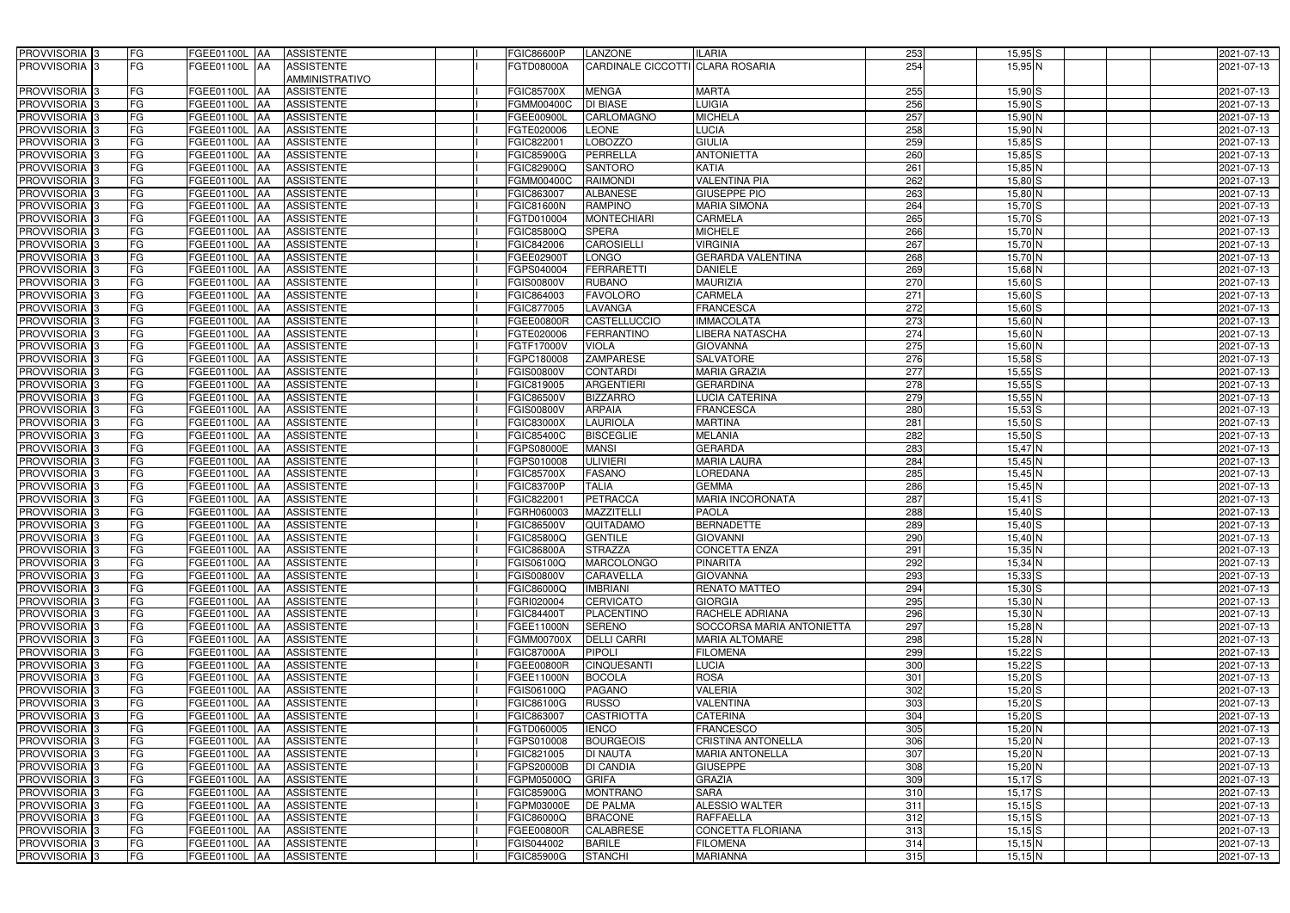| PROVVISORIA 3            | FG | FGEE01100L AA<br><b>ASSISTENTE</b>               | <b>FGIC86600P</b> | <b>LANZONE</b>                   | <b>ILARIA</b>             | 253              | $15,95$ S   | 2021-07-13 |
|--------------------------|----|--------------------------------------------------|-------------------|----------------------------------|---------------------------|------------------|-------------|------------|
| PROVVISORIA 3            | FG | $GEE01100L$ $\overline{AA}$<br><b>ASSISTENTE</b> | FGTD08000A        | CARDINALE CICCOTTI CLARA ROSARIA |                           | 254              | 15,95 N     | 2021-07-13 |
|                          |    | <b>AMMINISTRATIVO</b>                            |                   |                                  |                           |                  |             |            |
| <b>PROVVISORIA</b> 3     | FG | FGEE01100L AA<br><b>ASSISTENTE</b>               | <b>FGIC85700X</b> | <b>MENGA</b>                     | <b>MARTA</b>              | 255              | $15,90$ S   | 2021-07-13 |
| <b>PROVVISORIA</b> 3     | FG | <b>ASSISTENTE</b><br>FGEE01100L AA               | FGMM00400C        | <b>DI BIASE</b>                  | LUIGIA                    | 256              | $15,90$ S   | 2021-07-13 |
| <b>PROVVISORIA</b> 3     | FG | <b>ASSISTENTE</b><br>FGEE01100L<br><b>JAA</b>    | FGEE00900L        | CARLOMAGNO                       | <b>MICHELA</b>            | 257              | 15,90 N     | 2021-07-13 |
| <b>PROVVISORIA</b> 3     | FG | <b>AA</b><br><b>ASSISTENTE</b><br>FGEE01100L     | FGTE020006        | <b>LEONE</b>                     | <b>LUCIA</b>              | 258              | 15,90 N     | 2021-07-13 |
| <b>PROVVISORIA</b> 3     | FG | FGEE01100L<br><b>AA</b><br><b>ASSISTENTE</b>     | FGIC822001        | LOBOZZO                          | <b>GIULIA</b>             | 259              | $15,85$ S   | 2021-07-13 |
| <b>PROVVISORIA</b>       | FG | <b>AA</b><br><b>ASSISTENTE</b><br>FGEE01100L     | <b>FGIC85900G</b> | PERRELLA                         | <b>ANTONIETTA</b>         | 260              | $15,85$ S   | 2021-07-13 |
| PROVVISORIA <sup>3</sup> | FG | <b>ASSISTENTE</b><br>FGEE01100L<br><b>AA</b>     | FGIC82900Q        | <b>SANTORO</b>                   | <b>KATIA</b>              | 261              | $15,85$ N   | 2021-07-13 |
| <b>PROVVISORIA</b> 3     | FG | <b>ASSISTENTE</b><br>FGEE01100L<br><b>AA</b>     | <b>FGMM00400C</b> | <b>RAIMONDI</b>                  | <b>VALENTINA PIA</b>      | 262              | $15,80$ S   | 2021-07-13 |
| PROVVISORIA <sub>3</sub> | FG | <b>ASSISTENTE</b><br>FGEE01100L<br><b>AA</b>     | FGIC863007        | <b>ALBANESE</b>                  | <b>GIUSEPPE PIO</b>       | 263              | 15,80 N     | 2021-07-13 |
| <b>PROVVISORIA</b>       | FG | FGEE01100L<br><b>ASSISTENTE</b><br><b>JAA</b>    | <b>FGIC81600N</b> | <b>RAMPINO</b>                   | <b>MARIA SIMONA</b>       | 264              | $15,70$ S   | 2021-07-13 |
| <b>PROVVISORIA</b> 3     | FG | <b>ASSISTENTE</b><br>FGEE01100L<br><b>AA</b>     | FGTD010004        | <b>MONTECHIARI</b>               | <b>CARMELA</b>            | 265              | $15,70$ $S$ | 2021-07-13 |
| PROVVISORIA 3            | FG | FGEE01100L<br><b>AA</b><br><b>ASSISTENTE</b>     | FGIC85800Q        | <b>SPERA</b>                     | <b>MICHELE</b>            | 266              | 15,70 N     | 2021-07-13 |
| PROVVISORIA <sup>3</sup> | FG | <b>ASSISTENTE</b><br>FGEE01100L<br><b>AA</b>     | <b>FGIC842006</b> | <b>CAROSIELLI</b>                | <b>VIRGINIA</b>           | 267              | $15,70$ N   | 2021-07-13 |
| PROVVISORIA 3            | FG | <b>ASSISTENTE</b><br>FGEE01100L<br><b>JAA</b>    | FGEE02900T        | <b>LONGO</b>                     | <b>GERARDA VALENTINA</b>  | 268              | $15,70$ N   | 2021-07-13 |
| PROVVISORIA 3            | FG | FGEE01100L<br><b>ASSISTENTE</b><br><b>JAA</b>    | FGPS040004        | <b>FERRARETTI</b>                | <b>DANIELE</b>            | 269              | 15,68 N     | 2021-07-13 |
| <b>PROVVISORIA</b> 3     | FG | FGEE01100L<br><b>ASSISTENTE</b><br><b>JAA</b>    | <b>FGIS00800V</b> | <b>RUBANO</b>                    | <b>MAURIZIA</b>           | 270              | $15,60$ S   | 2021-07-13 |
| <b>PROVVISORIA</b>       | FG | FGEE01100L<br><b>AA</b><br><b>ASSISTENTE</b>     | FGIC864003        | <b>FAVOLORO</b>                  | <b>CARMELA</b>            | 271              | $15,60$ S   | 2021-07-13 |
| <b>PROVVISORIA</b> 3     | FG | FGEE01100L<br><b>AA</b><br><b>ASSISTENTE</b>     | FGIC877005        | LAVANGA                          | <b>FRANCESCA</b>          | $\overline{272}$ | $15,60$ $S$ | 2021-07-13 |
| <b>PROVVISORIA</b> 3     | FG | FGEE01100L<br><b>AA</b><br><b>ASSISTENTE</b>     | <b>FGEE00800R</b> | <b>CASTELLUCCIO</b>              | <b>IMMACOLATA</b>         | 273              | $15,60$ N   | 2021-07-13 |
| <b>PROVVISORIA</b> 3     | FG | FGEE01100L<br><b>AA</b><br><b>ASSISTENTE</b>     | FGTE020006        | <b>FERRANTINO</b>                | <b>LIBERA NATASCHA</b>    | $\overline{274}$ | $15,60$ N   | 2021-07-13 |
| <b>PROVVISORIA</b> 3     | FG | FGEE01100L<br><b>JAA</b><br><b>ASSISTENTE</b>    | FGTF17000V        | <b>VIOLA</b>                     | <b>GIOVANNA</b>           | 275              | $15,60$ N   | 2021-07-13 |
| PROVVISORIA <sub>3</sub> | FG | FGEE01100L<br><b>IAA</b><br><b>ASSISTENTE</b>    | FGPC180008        | <b>ZAMPARESE</b>                 | <b>SALVATORE</b>          | 276              | $15,58$ $S$ | 2021-07-13 |
| <b>PROVVISORIA</b> 3     | FG | <b>IAA</b><br><b>ASSISTENTE</b><br>FGEE01100L    | <b>FGIS00800V</b> | <b>CONTARDI</b>                  | <b>MARIA GRAZIA</b>       | $\overline{277}$ | $15,55$ S   | 2021-07-13 |
| <b>PROVVISORIA</b> 3     | FG | FGEE01100L<br><b>IAA</b><br><b>ASSISTENTE</b>    | FGIC819005        | <b>ARGENTIERI</b>                | <b>GERARDINA</b>          | 278              | $15,55$ S   | 2021-07-13 |
| <b>PROVVISORIA</b> 3     | FG | FGEE01100L<br><b>ASSISTENTE</b><br><b>JAA</b>    | FGIC86500V        | <b>BIZZARRO</b>                  | LUCIA CATERINA            | 279              | 15,55N      | 2021-07-13 |
| PROVVISORIA <sup>3</sup> | FG | <b>ASSISTENTE</b><br>FGEE01100L<br><b>IAA</b>    | FGIS00800V        | <b>ARPAIA</b>                    | <b>FRANCESCA</b>          | 280              | 15,53 S     | 2021-07-13 |
| <b>PROVVISORIA</b> 3     | FG | FGEE01100L<br><b>ASSISTENTE</b><br><b>IAA</b>    | <b>FGIC83000X</b> | <b>LAURIOLA</b>                  | <b>MARTINA</b>            | 281              | $15,50$ S   | 2021-07-13 |
| <b>PROVVISORIA</b> 3     | FG | FGEE01100L<br><b>ASSISTENTE</b><br>IAA           | <b>FGIC85400C</b> | <b>BISCEGLIE</b>                 | <b>MELANIA</b>            | 282              | $15,50$ S   | 2021-07-13 |
| PROVVISORIA              | FG | FGEE01100L<br><b>ASSISTENTE</b><br>IAA           | FGPS08000E        | <b>MANSI</b>                     | <b>GERARDA</b>            | 283              | 15,47 N     | 2021-07-13 |
| PROVVISORIA              | FG | FGEE01100L<br><b>JAA</b><br><b>ASSISTENTE</b>    | FGPS010008        | <b>ULIVIERI</b>                  | <b>MARIA LAURA</b>        | 284              | $15,45$ N   | 2021-07-13 |
| PROVVISORIA 3            | FG | <b>AA</b><br><b>ASSISTENTE</b><br>FGEE01100L     | <b>FGIC85700X</b> | <b>FASANO</b>                    | <b>LOREDANA</b>           | 285              | $15,45$ N   | 2021-07-13 |
| <b>PROVVISORIA</b>       | FG | <b>AA</b><br><b>ASSISTENTE</b><br>FGEE01100L     | <b>FGIC83700P</b> | <b>TALIA</b>                     | <b>GEMMA</b>              | 286              | $15,45$ N   | 2021-07-13 |
| <b>PROVVISORIA</b>       | FG | <b>ASSISTENTE</b><br>FGEE01100L<br><b>AA</b>     | FGIC822001        | <b>PETRACCA</b>                  | <b>MARIA INCORONATA</b>   | 287              | $15,41$ $S$ | 2021-07-13 |
| PROVVISORIA <sub>3</sub> | FG | <b>ASSISTENTE</b><br>FGEE01100L<br><b>AA</b>     | FGRH060003        | <b>MAZZITELLI</b>                | <b>PAOLA</b>              | 288              | $15,40$ S   | 2021-07-13 |
| PROVVISORIA <sup>3</sup> | FG | FGEE01100L AA<br><b>ASSISTENTE</b>               | <b>FGIC86500V</b> | QUITADAMO                        | <b>BERNADETTE</b>         | 289              | $15,40$ S   | 2021-07-13 |
| PROVVISORIA <sup>3</sup> | FG | FGEE01100L AA<br>ASSISTENTE                      | <b>FGIC85800Q</b> | <b>GENTILE</b>                   | <b>GIOVANNI</b>           | 290              | $15,40$ N   | 2021-07-13 |
| PROVVISORIA <sup>3</sup> | FG | FGEE01100L AA<br><b>ASSISTENTE</b>               | <b>FGIC86800A</b> | <b>STRAZZA</b>                   | <b>CONCETTA ENZA</b>      | 291              | 15,35 N     | 2021-07-13 |
| <b>PROVVISORIA</b> 3     | FG | <b>ASSISTENTE</b><br>FGEE01100L AA               | FGIS06100Q        | <b>MARCOLONGO</b>                | <b>PINARITA</b>           | 292              | $15,34$ N   | 2021-07-13 |
| PROVVISORIA <sup>3</sup> | FG | FGEE01100L AA<br><b>ASSISTENTE</b>               | <b>FGIS00800V</b> | CARAVELLA                        | <b>GIOVANNA</b>           | 293              | $15,33$ $S$ | 2021-07-13 |
| PROVVISORIA <sup>3</sup> | FG | FGEE01100L AA<br><b>ASSISTENTE</b>               | FGIC86000Q        | <b>IMBRIANI</b>                  | RENATO MATTEO             | 294              | $15,30$ S   | 2021-07-13 |
| PROVVISORIA <sup>3</sup> | FG | FGEE01100L AA<br><b>ASSISTENTE</b>               | FGRI020004        | <b>CERVICATO</b>                 | <b>GIORGIA</b>            | 295              | $15,30$ N   | 2021-07-13 |
| PROVVISORIA 3            | FG | FGEE01100L AA<br><b>ASSISTENTE</b>               | FGIC84400T        | PLACENTINO                       | <b>RACHELE ADRIANA</b>    | 296              | $15,30$ N   | 2021-07-13 |
| PROVVISORIA 3            | FG | FGEE01100L AA<br><b>ASSISTENTE</b>               | <b>FGEE11000N</b> | <b>SERENO</b>                    | SOCCORSA MARIA ANTONIETTA | 297              | $15,28$ N   | 2021-07-13 |
| PROVVISORIA <sup>3</sup> | FG | FGEE01100L AA<br><b>ASSISTENTE</b>               | <b>FGMM00700X</b> | <b>DELLI CARRI</b>               | <b>MARIA ALTOMARE</b>     | 298              | $15,28$ N   | 2021-07-13 |
| <b>PROVVISORIA</b> 3     | FG | FGEE01100L AA<br><b>ASSISTENTE</b>               | <b>FGIC87000A</b> | PIPOLI                           | <b>FILOMENA</b>           | 299              | $15,22$ S   | 2021-07-13 |
| PROVVISORIA <sup>3</sup> | FG | <b>FGEE01100L AA</b><br><b>ASSISTENTE</b>        | <b>FGEE00800R</b> | <b>CINQUESANTI</b>               | <b>LUCIA</b>              | 300              | $15,22$ $S$ | 2021-07-13 |
| PROVVISORIA <sup>3</sup> | FG | FGEE01100L AA<br><b>ASSISTENTE</b>               | FGEE11000N        | <b>BOCOLA</b>                    | <b>ROSA</b>               | 301              | $15,20$ S   | 2021-07-13 |
| PROVVISORIA <sup>3</sup> | FG | FGEE01100L<br><b>AA</b><br><b>ASSISTENTE</b>     | FGIS06100Q        | <b>PAGANO</b>                    | VALERIA                   | 302              | $15,20$ S   | 2021-07-13 |
| PROVVISORIA <sup>3</sup> | FG | FGEE01100L AA<br><b>ASSISTENTE</b>               | <b>FGIC86100G</b> | <b>RUSSO</b>                     | VALENTINA                 | 303              | $15,20$ S   | 2021-07-13 |
| PROVVISORIA <sup>3</sup> | FG | FGEE01100L AA<br><b>ASSISTENTE</b>               | FGIC863007        | <b>CASTRIOTTA</b>                | <b>CATERINA</b>           | 304              | $15,20$ S   | 2021-07-13 |
| PROVVISORIA <sup>3</sup> | FG | FGEE01100L AA<br><b>ASSISTENTE</b>               | FGTD060005        | <b>IENCO</b>                     | <b>FRANCESCO</b>          | 305              | $15,20$ N   | 2021-07-13 |
| PROVVISORIA <sup>3</sup> | FG | FGEE01100L AA<br><b>ASSISTENTE</b>               | FGPS010008        | <b>BOURGEOIS</b>                 | CRISTINA ANTONELLA        | 306              | $15,20$ N   | 2021-07-13 |
| PROVVISORIA <sup>3</sup> | FG | FGEE01100L AA<br><b>ASSISTENTE</b>               | FGIC821005        | <b>DI NAUTA</b>                  | <b>MARIA ANTONELLA</b>    | 307              | 15,20 N     | 2021-07-13 |
| PROVVISORIA <sup>3</sup> | FG | FGEE01100L AA<br><b>ASSISTENTE</b>               | <b>FGPS20000B</b> | <b>DI CANDIA</b>                 | <b>GIUSEPPE</b>           | 308              | $15,20$ N   | 2021-07-13 |
| PROVVISORIA 3            | FG | FGEE01100L AA<br><b>ASSISTENTE</b>               | FGPM05000Q        | <b>GRIFA</b>                     | <b>GRAZIA</b>             | 309              | $15,17$ $S$ | 2021-07-13 |
| PROVVISORIA <sup>3</sup> | FG | <b>ASSISTENTE</b><br>FGEE01100L AA               | <b>FGIC85900G</b> | <b>MONTRANO</b>                  | <b>SARA</b>               | 310              | $15,17$ S   | 2021-07-13 |
| PROVVISORIA <sup>3</sup> | FG | FGEE01100L AA<br><b>ASSISTENTE</b>               | FGPM03000E        | <b>DE PALMA</b>                  | <b>ALESSIO WALTER</b>     | 311              | $15,15$ $S$ | 2021-07-13 |
| PROVVISORIA <sup>3</sup> | FG | <b>ASSISTENTE</b><br>FGEE01100L AA               | <b>FGIC86000Q</b> | <b>BRACONE</b>                   | <b>RAFFAELLA</b>          | 312              | $15,15$ $S$ | 2021-07-13 |
| PROVVISORIA <sup>3</sup> | FG | FGEE01100L AA<br><b>ASSISTENTE</b>               | <b>FGEE00800R</b> | <b>CALABRESE</b>                 | CONCETTA FLORIANA         | 313              | $15,15$ $S$ | 2021-07-13 |
| PROVVISORIA <sup>3</sup> | FG | FGEE01100L AA<br><b>ASSISTENTE</b>               | FGIS044002        | <b>BARILE</b>                    | <b>FILOMENA</b>           | 314              | $15,15$ N   | 2021-07-13 |
| PROVVISORIA <sup>3</sup> | FG | FGEE01100L AA<br><b>ASSISTENTE</b>               | <b>FGIC85900G</b> | <b>STANCHI</b>                   | <b>MARIANNA</b>           | 315              | $15,15$ N   | 2021-07-13 |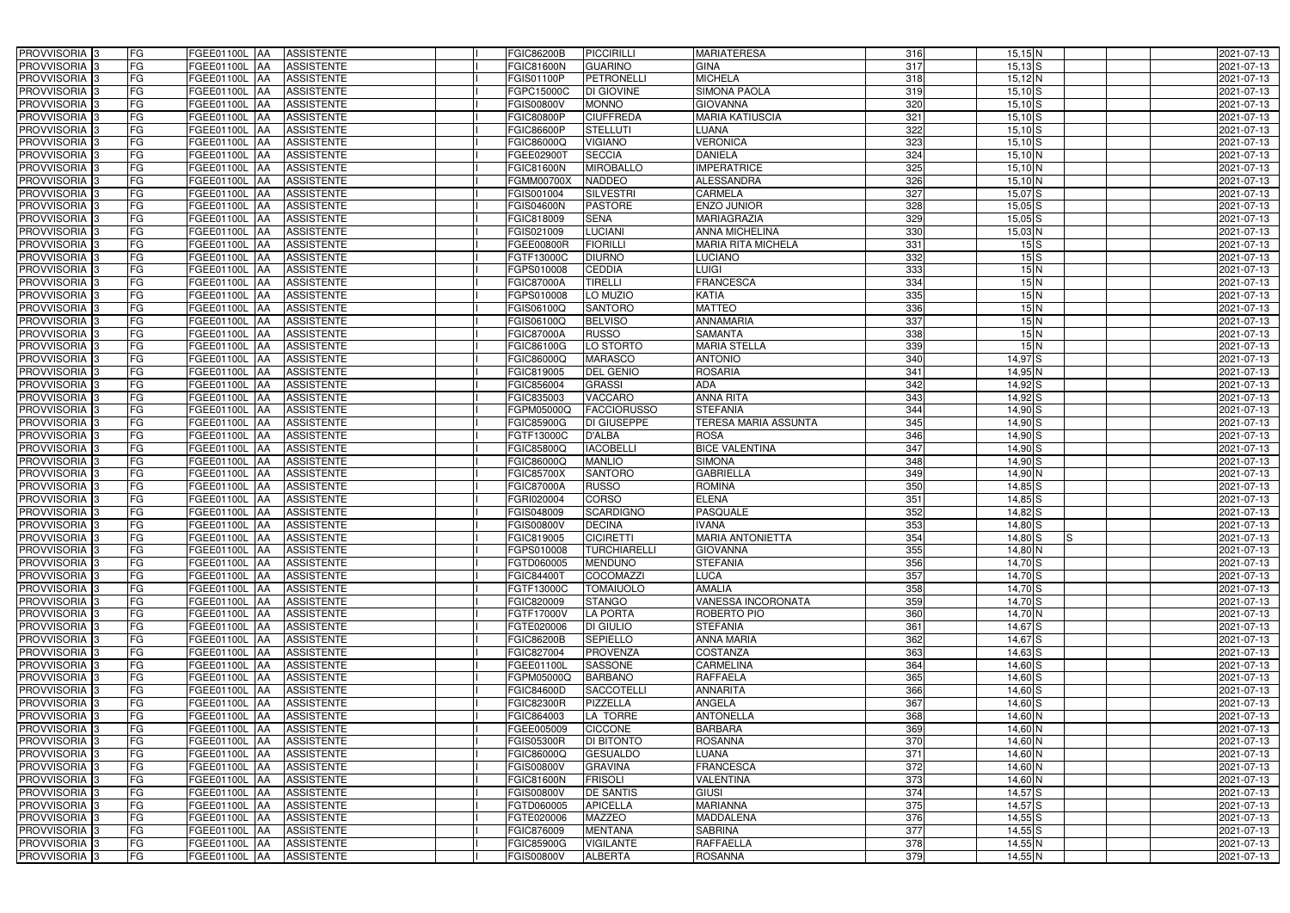| PROVVISORIA <sup>3</sup>                  | FG<br>FGEE01100L AA                         | <b>ASSISTENTE</b>                                                 | <b>FGIC86200B</b>        | PICCIRILLI                       | <b>MARIATERESA</b>          | 316              | $15,15$ N                            | 2021-07-13               |
|-------------------------------------------|---------------------------------------------|-------------------------------------------------------------------|--------------------------|----------------------------------|-----------------------------|------------------|--------------------------------------|--------------------------|
| PROVVISORIA <sup>3</sup>                  | FG<br>FGEE01100L AA                         | <b>ASSISTENTE</b>                                                 | <b>FGIC81600N</b>        | <b>GUARINO</b>                   | <b>GINA</b>                 | 317              | $15,13$ S                            | 2021-07-13               |
| PROVVISORIA <sup>1</sup> 3                | FG<br>FGEE01100L AA                         | <b>ASSISTENTE</b>                                                 | FGIS01100P               | <b>PETRONELLI</b>                | <b>MICHELA</b>              | 318              | $15,12$ N                            | 2021-07-13               |
| PROVVISORIA <sup>3</sup>                  | FG<br>FGEE01100L AA                         | <b>ASSISTENTE</b>                                                 | FGPC15000C               | DI GIOVINE                       | <b>SIMONA PAOLA</b>         | 319              | $15,10$ S                            | 2021-07-13               |
| PROVVISORIA <sup>3</sup>                  | FG<br>FGEE01100L AA                         | <b>ASSISTENTE</b>                                                 | <b>FGIS00800V</b>        | <b>MONNO</b>                     | <b>GIOVANNA</b>             | 320              | $15,10$ S                            | 2021-07-13               |
| PROVVISORIA <sup>3</sup>                  | FG<br>FGEE01100L AA                         | <b>ASSISTENTE</b>                                                 | <b>FGIC80800P</b>        | <b>CIUFFREDA</b>                 | <b>MARIA KATIUSCIA</b>      | 321              | $15,10$ $S$                          | 2021-07-13               |
| PROVVISORIA 3                             | FG<br>FGEE01100L AA                         | <b>ASSISTENTE</b>                                                 | FGIC86600P               | <b>STELLUTI</b>                  | <b>LUANA</b>                | 322              | $15,10$ $S$                          | 2021-07-13               |
| PROVVISORIA 3                             | FG<br>FGEE01100L AA                         | <b>ASSISTENTE</b>                                                 | FGIC86000Q               | <b>VIGIANO</b>                   | <b>VERONICA</b>             | 323              | $15,10$ $S$                          | 2021-07-13               |
| PROVVISORIA 3                             | FG<br>FGEE01100L AA                         | <b>ASSISTENTE</b>                                                 | FGEE02900T               | <b>SECCIA</b>                    | <b>DANIELA</b>              | 324              | $15,10$ N                            | 2021-07-13               |
| PROVVISORIA <sup>3</sup>                  | FG<br>FGEE01100L                            | <b>ASSISTENTE</b><br><b>JAA</b>                                   | FGIC81600N               | <b>MIROBALLO</b>                 | <b>IMPERATRICE</b>          | 325              | $15,10$ N                            | 2021-07-13               |
| PROVVISORIA 3                             | FG<br>FGEE01100L AA                         | <b>ASSISTENTE</b>                                                 | <b>FGMM00700X</b>        | <b>NADDEO</b>                    | <b>ALESSANDRA</b>           | 326              | $15,10$ <sub>N</sub>                 | 2021-07-13               |
| PROVVISORIA <sup>3</sup>                  | FG<br>FGEE01100L AA                         | <b>ASSISTENTE</b>                                                 | FGIS001004               | <b>SILVESTRI</b>                 | <b>CARMELA</b>              | 327              | $15,07$ S                            | 2021-07-13               |
| PROVVISORIA 3                             | FG<br>FGEE01100L AA                         | <b>ASSISTENTE</b>                                                 | <b>FGIS04600N</b>        | <b>PASTORE</b>                   | ENZO JUNIOR                 | 328              | $15,05$ $S$                          | 2021-07-13               |
| PROVVISORIA 3                             | $\overline{\mathsf{FG}}$<br>FGEE01100L AA   | <b>ASSISTENTE</b>                                                 | FGIC818009               | <b>SENA</b>                      | <b>MARIAGRAZIA</b>          | 329              | $15,05$ $S$                          | 2021-07-13               |
| PROVVISORIA 3                             | FG<br>FGEE01100L AA                         | <b>ASSISTENTE</b>                                                 | FGIS021009               | <b>LUCIANI</b>                   | <b>ANNA MICHELINA</b>       | 330              | 15,03 N                              | 2021-07-13               |
| PROVVISORIA 3                             | $\overline{\mathsf{FG}}$<br>FGEE01100L AA   | <b>ASSISTENTE</b>                                                 | FGEE00800R               | <b>FIORILL</b>                   | <b>MARIA RITA MICHELA</b>   | 331              | 15S                                  | 2021-07-13               |
| PROVVISORIA 3                             | FG<br>FGEE01100L AA                         | <b>ASSISTENTE</b>                                                 | FGTF13000C               | <b>DIURNO</b>                    | <b>LUCIANO</b>              | 332              | 15S                                  | 2021-07-13               |
| PROVVISORIA 3                             | FG<br>FGEE01100L AA                         | <b>ASSISTENTE</b>                                                 | FGPS010008               | <b>CEDDIA</b>                    | <b>LUIGI</b>                | 333              | 15N                                  | 2021-07-13               |
| PROVVISORIA 3                             | FG<br>FGEE01100L AA                         | <b>ASSISTENTE</b>                                                 | <b>FGIC87000A</b>        | <b>TIRELLI</b>                   | <b>FRANCESCA</b>            | 334              | 15N                                  | 2021-07-13               |
| PROVVISORIA 3                             | FG<br>FGEE01100L AA                         | <b>ASSISTENTE</b>                                                 | FGPS010008               | LO MUZIO                         | <b>KATIA</b>                | 335              | 15N                                  | 2021-07-13               |
|                                           |                                             |                                                                   |                          |                                  | <b>MATTEO</b>               | 336              | 15N                                  |                          |
| PROVVISORIA <sup>3</sup><br>PROVVISORIA 3 | FG<br>FGEE01100L<br>FG<br><b>FGEE01100L</b> | <b>AA</b><br><b>ASSISTENTE</b><br><b>JAA</b><br><b>ASSISTENTE</b> | FGIS06100Q<br>FGIS06100Q | <b>SANTORO</b><br><b>BELVISO</b> | <b>ANNAMARIA</b>            | 337              | 15N                                  | 2021-07-13<br>2021-07-13 |
|                                           |                                             |                                                                   |                          |                                  |                             |                  |                                      |                          |
| PROVVISORIA 3<br>PROVVISORIA <sup>3</sup> | FG<br><b>FGEE01100L</b> AA<br>FGEE01100L AA | <b>ASSISTENTE</b>                                                 | <b>FGIC87000A</b>        | <b>RUSSO</b>                     | <b>SAMANTA</b>              | 338              | 15N<br>15N                           | 2021-07-13               |
|                                           | FG                                          | <b>ASSISTENTE</b>                                                 | FGIC86100G               | LO STORTO                        | <b>MARIA STELLA</b>         | 339              |                                      | 2021-07-13               |
| PROVVISORIA 3                             | FG<br>FGEE01100L AA                         | <b>ASSISTENTE</b>                                                 | FGIC86000Q               | <b>MARASCO</b>                   | <b>ANTONIO</b>              | 340              | $14,97$ S                            | 2021-07-13               |
| PROVVISORIA 3                             | $\overline{\mathsf{FG}}$<br>FGEE01100L AA   | <b>ASSISTENTE</b>                                                 | FGIC819005               | <b>DEL GENIO</b>                 | <b>ROSARIA</b>              | 341              | 14,95 N                              | 2021-07-13               |
| PROVVISORIA 3                             | FG<br>FGEE01100L                            | <b>ASSISTENTE</b><br>IAA                                          | FGIC856004               | <b>GRASSI</b>                    | <b>ADA</b>                  | 342              | $14,92$ $S$                          | 2021-07-13               |
| PROVVISORIA <sup>3</sup>                  | FG<br>FGEE01100L                            | <b>ASSISTENTE</b><br>IAA                                          | FGIC835003               | VACCARO                          | <b>ANNA RITA</b>            | 343              | $14,92$ $S$                          | 2021-07-13               |
| PROVVISORIA <sup>3</sup>                  | FG<br>FGEE01100L                            | <b>ASSISTENTE</b><br>IAA                                          | FGPM05000Q               | <b>FACCIORUSSO</b>               | <b>STEFANIA</b>             | 344              | 14,90 S                              | 2021-07-13               |
| PROVVISORIA <sup>3</sup>                  | FG<br>FGEE01100L AA                         | <b>ASSISTENTE</b>                                                 | <b>FGIC85900G</b>        | DI GIUSEPPE                      | <b>TERESA MARIA ASSUNTA</b> | 345              | $14,90$ S                            | 2021-07-13               |
| PROVVISORIA <sup>3</sup>                  | FG<br>FGEE01100L AA                         | <b>ASSISTENTE</b>                                                 | FGTF13000C               | D'ALBA                           | <b>ROSA</b>                 | 346              | $14,90$ S                            | 2021-07-13               |
| PROVVISORIA <sup>3</sup>                  | FG<br>FGEE01100L AA                         | <b>ASSISTENTE</b>                                                 | FGIC85800Q               | <b>IACOBELLI</b>                 | <b>BICE VALENTINA</b>       | 347              | 14,90 S                              | 2021-07-13               |
| PROVVISORIA <sup>3</sup>                  | FG<br>FGEE01100L AA                         | <b>ASSISTENTE</b>                                                 | FGIC86000Q               | <b>MANLIO</b>                    | <b>SIMONA</b>               | 348              | $14,90$ $S$                          | 2021-07-13               |
| PROVVISORIA <sup>3</sup>                  | FG<br><b>FGEE01100L   AA</b>                | <b>ASSISTENTE</b>                                                 | <b>FGIC85700X</b>        | <b>SANTORO</b>                   | <b>GABRIELLA</b>            | 349              | $14,90$ N                            | 2021-07-13               |
| PROVVISORIA <sup>3</sup>                  | FG<br>FGEE01100L AA                         | <b>ASSISTENTE</b>                                                 | <b>FGIC87000A</b>        | <b>RUSSO</b>                     | <b>ROMINA</b>               | 350              | $14,85$ S                            | 2021-07-13               |
| PROVVISORIA <sup>3</sup>                  | FG<br>FGEE01100L AA                         | <b>ASSISTENTE</b>                                                 | FGRI020004               | <b>CORSO</b>                     | <b>ELENA</b>                | 351              | $14,85$ $S$                          | 2021-07-13               |
| PROVVISORIA 3                             | FG<br>FGEE01100L AA                         | <b>ASSISTENTE</b>                                                 | FGIS048009               | <b>SCARDIGNO</b>                 | <b>PASQUALE</b>             | 352              | $14,82$ $S$                          | 2021-07-13               |
| PROVVISORIA <sup>3</sup>                  | FG<br>FGEE01100L AA                         | <b>ASSISTENTE</b>                                                 | <b>FGIS00800V</b>        | <b>DECINA</b>                    | <b>IVANA</b>                | 353              | $14,80$ S                            | 2021-07-13               |
| PROVVISORIA <sup>3</sup>                  | <b>FG</b>                                   | FGEE01100L AA ASSISTENTE                                          | <b>FGIC819005</b>        | <b>CICIRETTI</b>                 | <b>MARIA ANTONIETTA</b>     | 354              | $\overline{\mathsf{s}}$<br>$14,80$ S | 2021-07-13               |
| <b>PROVVISORIA</b> 3                      | FG<br>FGEE01100L AA                         | ASSISTENTE                                                        | FGPS010008               | <b>TURCHIARELLI</b>              | <b>GIOVANNA</b>             | 355              | 14,80 N                              | 2021-07-13               |
| PROVVISORIA <sup>3</sup>                  | FG<br>FGEE01100L AA                         | <b>ASSISTENTE</b>                                                 | FGTD060005               | <b>MENDUNO</b>                   | <b>STEFANIA</b>             | 356              | $14,70$ S                            | 2021-07-13               |
| PROVVISORIA <sup>3</sup>                  | FG<br>FGEE01100L AA                         | ASSISTENTE                                                        | FGIC84400T               | <b>COCOMAZZI</b>                 | <b>LUCA</b>                 | 357              | $14,70$ S                            | 2021-07-13               |
| PROVVISORIA <sup>3</sup>                  | FG<br>FGEE01100L AA                         | ASSISTENTE                                                        | FGTF13000C               | <b>TOMAIUOLO</b>                 | <b>AMALIA</b>               | 358              | $14,70$ S                            | 2021-07-13               |
| PROVVISORIA <sup>3</sup>                  | FG<br>FGEE01100L AA                         | <b>ASSISTENTE</b>                                                 | FGIC820009               | <b>STANGO</b>                    | <b>VANESSA INCORONATA</b>   | 359              | $14,70$ S                            | 2021-07-13               |
| PROVVISORIA <sup>3</sup>                  | FG<br>FGEE01100L AA                         | ASSISTENTE                                                        | FGTF17000V               | <b>LA PORTA</b>                  | ROBERTO PIO                 | 360              | 14,70 N                              | 2021-07-13               |
| PROVVISORIA <sup>3</sup>                  | FG<br>FGEE01100L AA                         | <b>ASSISTENTE</b>                                                 | FGTE020006               | DI GIULIO                        | <b>STEFANIA</b>             | 361              | $14,67$ $S$                          | 2021-07-13               |
| PROVVISORIA <sup>1</sup> 3                | FG<br>FGEE01100L AA                         | <b>ASSISTENTE</b>                                                 | <b>FGIC86200B</b>        | <b>SEPIELLO</b>                  | <b>ANNA MARIA</b>           | 362              | $14,67$ $S$                          | 2021-07-13               |
| PROVVISORIA <sup>3</sup>                  | FG<br>FGEE01100L AA                         | <b>ASSISTENTE</b>                                                 | FGIC827004               | PROVENZA                         | <b>COSTANZA</b>             | 363              | $14,63$ $S$                          | 2021-07-13               |
| PROVVISORIA <sup>3</sup>                  | FG<br>FGEE01100L AA                         | <b>ASSISTENTE</b>                                                 | FGEE01100L               | <b>SASSONE</b>                   | <b>CARMELINA</b>            | 364              | $14,60$ S                            | 2021-07-13               |
| PROVVISORIA <sup>3</sup>                  | FG<br>FGEE01100L AA                         | <b>ASSISTENTE</b>                                                 | FGPM05000Q               | <b>BARBANO</b>                   | <b>RAFFAELA</b>             | 365              | $14,60$ S                            | 2021-07-13               |
| PROVVISORIA <sup>3</sup>                  | FG<br>FGEE01100L AA                         | <b>ASSISTENTE</b>                                                 | <b>FGIC84600D</b>        | <b>SACCOTELLI</b>                | <b>ANNARITA</b>             | 366              | $14,60$ S                            | 2021-07-13               |
| PROVVISORIA <sup>3</sup>                  | FG<br>FGEE01100L AA                         | <b>ASSISTENTE</b>                                                 | <b>FGIC82300R</b>        | PIZZELLA                         | <b>ANGELA</b>               | 367              | $14,60$ S                            | 2021-07-13               |
| PROVVISORIA <sup>3</sup>                  | FG<br>FGEE01100L AA                         | <b>ASSISTENTE</b>                                                 | FGIC864003               | LA TORRE                         | <b>ANTONELLA</b>            | 368              | $14,60$ N                            | 2021-07-13               |
| PROVVISORIA <sup>3</sup>                  | FG<br>FGEE01100L AA                         | <b>ASSISTENTE</b>                                                 | FGEE005009               | <b>CICCONE</b>                   | <b>BARBARA</b>              | 369              | $14,60$ N                            | 2021-07-13               |
| PROVVISORIA <sup>3</sup>                  | FG<br>FGEE01100L AA                         | <b>ASSISTENTE</b>                                                 | <b>FGIS05300R</b>        | <b>DI BITONTO</b>                | <b>ROSANNA</b>              | 370              | 14,60 N                              | 2021-07-13               |
| PROVVISORIA <sup>3</sup>                  | FG<br>FGEE01100L AA                         | <b>ASSISTENTE</b>                                                 | FGIC86000Q               | <b>GESUALDO</b>                  | LUANA                       | 371              | 14,60 N                              | 2021-07-13               |
| PROVVISORIA <sup>3</sup>                  | FG<br>FGEE01100L AA                         | <b>ASSISTENTE</b>                                                 | <b>FGIS00800V</b>        | <b>GRAVINA</b>                   | <b>FRANCESCA</b>            | 372              | 14,60 N                              | 2021-07-13               |
| PROVVISORIA <sup>3</sup>                  | FG<br>FGEE01100L AA                         | <b>ASSISTENTE</b>                                                 | FGIC81600N               | <b>FRISOLI</b>                   | VALENTINA                   | 373              | 14,60 N                              | 2021-07-13               |
| PROVVISORIA <sup>3</sup>                  | FGEE01100L AA<br>FG                         | <b>ASSISTENTE</b>                                                 | <b>FGIS00800V</b>        | <b>DE SANTIS</b>                 | <b>GIUSI</b>                | 374              | $14,57$ S                            | 2021-07-13               |
| PROVVISORIA <sup>3</sup>                  | FG<br>FGEE01100L AA                         | <b>ASSISTENTE</b>                                                 | FGTD060005               | <b>APICELLA</b>                  | <b>MARIANNA</b>             | 375              | $14,57$ $S$                          | 2021-07-13               |
| PROVVISORIA <sup>3</sup>                  | FG<br>FGEE01100L AA                         | <b>ASSISTENTE</b>                                                 | FGTE020006               | <b>MAZZEO</b>                    | <b>MADDALENA</b>            | 376              | $14,55$ S                            | 2021-07-13               |
| PROVVISORIA <sup>3</sup>                  | FG<br>FGEE01100L AA                         | <b>ASSISTENTE</b>                                                 | FGIC876009               | <b>MENTANA</b>                   | <b>SABRINA</b>              | $\overline{377}$ | $14,55$ S                            | 2021-07-13               |
| PROVVISORIA <sup>3</sup>                  | FG<br>FGEE01100L AA                         | ASSISTENTE                                                        | <b>FGIC85900G</b>        | <b>VIGILANTE</b>                 | <b>RAFFAELLA</b>            | 378              | $14,55$ N                            | 2021-07-13               |
| PROVVISORIA <sup>3</sup>                  | FG<br>FGEE01100L AA                         | ASSISTENTE                                                        | <b>FGIS00800V</b>        | <b>ALBERTA</b>                   | <b>ROSANNA</b>              | 379              | $14,55$ N                            | 2021-07-13               |
|                                           |                                             |                                                                   |                          |                                  |                             |                  |                                      |                          |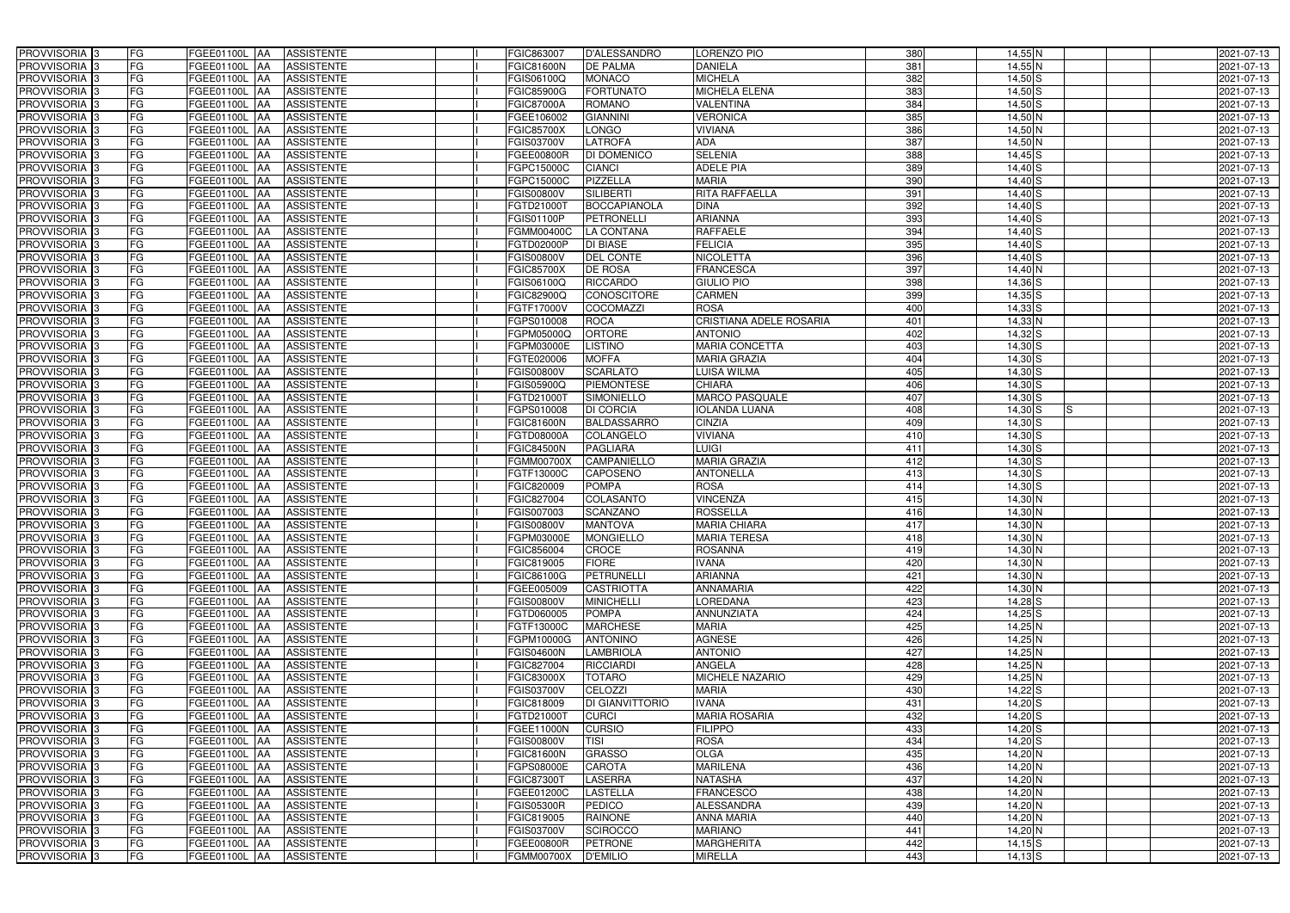| PROVVISORIA <sup>3</sup><br>FG        | FGEE01100L AA<br><b>ASSISTENTE</b>                   | FGIC863007<br>D'ALESSANDRO              | LORENZO PIO             | 380 | $14,55$ N   | 2021-07-13 |
|---------------------------------------|------------------------------------------------------|-----------------------------------------|-------------------------|-----|-------------|------------|
| FG<br>PROVVISORIA <sup>3</sup>        | <b>ASSISTENTE</b><br>FGEE01100L AA                   | <b>DE PALMA</b><br>FGIC81600N           | <b>DANIELA</b>          | 381 | 14,55 N     | 2021-07-13 |
| FG<br>PROVVISORIA <sup>1</sup> 3      | FGEE01100L AA<br><b>ASSISTENTE</b>                   | <b>MONACO</b><br>FGIS06100Q             | <b>MICHELA</b>          | 382 | $14,50$ S   | 2021-07-13 |
| FG<br>PROVVISORIA <sup>3</sup>        | FGEE01100L AA<br><b>ASSISTENTE</b>                   | <b>FORTUNATO</b><br><b>FGIC85900G</b>   | <b>MICHELA ELENA</b>    | 383 | $14,50$ S   | 2021-07-13 |
| FG<br>PROVVISORIA <sup>3</sup>        | <b>ASSISTENTE</b><br>FGEE01100L AA                   | <b>ROMANO</b><br>FGIC87000A             | VALENTINA               | 384 | $14,50$ S   | 2021-07-13 |
| FG<br>PROVVISORIA <sup>3</sup>        | FGEE01100L AA<br><b>ASSISTENTE</b>                   | <b>GIANNINI</b><br>FGEE106002           | <b>VERONICA</b>         | 385 | $14,50$ N   | 2021-07-13 |
| PROVVISORIA 3<br>FG                   | <b>ASSISTENTE</b><br>FGEE01100L AA                   | <b>LONGO</b><br>FGIC85700X              | <b>VIVIANA</b>          | 386 | $14,50$ N   | 2021-07-13 |
| PROVVISORIA 3<br>FG                   | <b>ASSISTENTE</b><br>FGEE01100L AA                   | <b>LATROFA</b><br>FGIS03700V            | <b>ADA</b>              | 387 | 14,50 N     | 2021-07-13 |
| PROVVISORIA <sup>3</sup><br>FG        | <b>ASSISTENTE</b><br><b>FGEE01100L AA</b>            | FGEE00800R<br>DI DOMENICO               | <b>SELENIA</b>          | 388 | $14,45$ S   | 2021-07-13 |
| FG<br>PROVVISORIA <sup>3</sup>        | FGEE01100L<br><b>ASSISTENTE</b><br>IAA               | <b>CIANCI</b><br>FGPC15000C             | <b>ADELE PIA</b>        | 389 | $14,40$ S   | 2021-07-13 |
| PROVVISORIA 3<br>FG                   | <b>FGEE01100L AA</b><br><b>ASSISTENTE</b>            | FGPC15000C<br>PIZZELLA                  | <b>MARIA</b>            | 390 | $14,40$ S   | 2021-07-13 |
| PROVVISORIA 3<br>FG                   | <b>FGEE01100L AA</b><br><b>ASSISTENTE</b>            | <b>SILIBERT</b><br><b>FGIS00800V</b>    | <b>RITA RAFFAELLA</b>   | 391 | $14,40$ S   | 2021-07-13 |
| PROVVISORIA 3<br>FG                   | FGEE01100L AA<br><b>ASSISTENTE</b>                   | <b>BOCCAPIANOLA</b><br>FGTD21000T       | <b>DINA</b>             | 392 | 14,40 S     | 2021-07-13 |
| FG<br>PROVVISORIA 3                   | FGEE01100L AA<br><b>ASSISTENTE</b>                   | FGIS01100P<br><b>PETRONELLI</b>         | <b>ARIANNA</b>          | 393 | $14,40$ S   | 2021-07-13 |
| PROVVISORIA 3<br>FG                   | FGEE01100L AA<br><b>ASSISTENTE</b>                   | FGMM00400C<br><b>LA CONTANA</b>         | <b>RAFFAELE</b>         | 394 | $14,40$ S   | 2021-07-13 |
| FG<br>PROVVISORIA 3                   | <b>FGEE01100L AA</b><br><b>ASSISTENTE</b>            | <b>DI BIASE</b><br>FGTD02000P           | <b>FELICIA</b>          | 395 | $14,40$ S   | 2021-07-13 |
| PROVVISORIA 3<br>FG                   | FGEE01100L AA<br><b>ASSISTENTE</b>                   | <b>DEL CONTE</b><br>FGIS00800V          | <b>NICOLETTA</b>        | 396 | $14,40$ S   | 2021-07-13 |
| PROVVISORIA 3<br>FG                   | FGEE01100L AA<br><b>ASSISTENTE</b>                   | <b>DE ROSA</b><br><b>FGIC85700X</b>     | <b>FRANCESCA</b>        | 397 | $14,40$ N   | 2021-07-13 |
| PROVVISORIA 3<br>FG                   | FGEE01100L AA<br><b>ASSISTENTE</b>                   | <b>RICCARDO</b><br>FGIS06100Q           | <b>GIULIO PIO</b>       | 398 | $14,36$ $S$ | 2021-07-13 |
| PROVVISORIA <sup>3</sup><br>FG        | FGEE01100L<br><b>ASSISTENTE</b><br><b>AA</b>         | <b>CONOSCITORE</b><br>FGIC82900Q        | <b>CARMEN</b>           | 399 | $14,35$ S   | 2021-07-13 |
| PROVVISORIA 3<br>FG                   | FGEE01100L<br><b>ASSISTENTE</b><br>IAA               | FGTF17000V<br><b>COCOMAZZI</b>          | <b>ROSA</b>             | 400 | $14,33$ $S$ | 2021-07-13 |
| PROVVISORIA <sup>3</sup><br>FG        | FGEE01100L<br><b>ASSISTENTE</b><br>IAA               | <b>ROCA</b><br>FGPS010008               | CRISTIANA ADELE ROSARIA | 401 | $14,33$ N   | 2021-07-13 |
| PROVVISORIA 3<br>FG                   | FGEE01100L<br><b>ASSISTENTE</b><br><b>IAA</b>        | <b>ORTORE</b><br><b>GPM05000Q</b>       | <b>ANTONIO</b>          | 402 | $14,32$ $S$ | 2021-07-13 |
| PROVVISORIA <sup>3</sup><br>FG        | <b>FGEE01100L</b><br><b>ASSISTENTE</b><br><b>IAA</b> | <b>LISTINO</b><br><b>GPM03000E</b>      | <b>MARIA CONCETTA</b>   | 403 | $14,30$ S   | 2021-07-13 |
| PROVVISORIA <sup>3</sup><br>FG        | FGEE01100L AA<br><b>ASSISTENTE</b>                   | <b>MOFFA</b><br>FGTE020006              | <b>MARIA GRAZIA</b>     | 404 | $14,30$ $S$ | 2021-07-13 |
| FG<br>PROVVISORIA 3                   | FGEE01100L<br><b>ASSISTENTE</b><br><b>IAA</b>        | <b>SCARLATO</b><br>FGIS00800V           | LUISA WILMA             | 405 | $14,30$ $S$ | 2021-07-13 |
| FG<br>PROVVISORIA 3                   | FGEE01100L<br><b>ASSISTENTE</b><br>IAA               | <b>PIEMONTESE</b><br>FGIS05900Q         | <b>CHIARA</b>           | 406 | $14,30$ S   | 2021-07-13 |
| FG<br>PROVVISORIA <sup>3</sup>        | FGEE01100L<br><b>ASSISTENTE</b><br>IAA               | SIMONIELLO<br>FGTD21000T                | MARCO PASQUALE          | 407 | $14,30$ S   | 2021-07-13 |
| FG<br>PROVVISORIA <sup>3</sup>        | FGEE01100L<br><b>ASSISTENTE</b>                      | <b>DI CORCIA</b><br>GPS010008           | <b>IOLANDA LUANA</b>    | 408 | $14,30$ S   | 2021-07-13 |
| FG<br>PROVVISORIA <sup>3</sup>        | <b>FGEE01100L</b><br><b>ASSISTENTE</b><br><b>AA</b>  | <b>BALDASSARRO</b><br><b>FGIC81600N</b> | <b>CINZIA</b>           | 409 | $14,30$ $S$ | 2021-07-13 |
| FG<br>PROVVISORIA <sup>3</sup>        | FGEE01100L AA<br><b>ASSISTENTE</b>                   | COLANGELO<br>FGTD08000A                 | <b>VIVIANA</b>          | 410 | $14,30$ S   | 2021-07-13 |
| FG<br>PROVVISORIA <sup>3</sup>        | FGEE01100L<br><b>ASSISTENTE</b><br>IAA               | <b>FGIC84500N</b><br><b>PAGLIARA</b>    | <b>LUIGI</b>            | 411 | $14,30$ S   | 2021-07-13 |
| FG<br>PROVVISORIA <sup>3</sup>        | FGEE01100L<br><b>ASSISTENTE</b><br>IAA               | <b>FGMM00700X</b><br>CAMPANIELLO        | <b>MARIA GRAZIA</b>     | 412 | $14,30$ S   | 2021-07-13 |
| PROVVISORIA <sup>3</sup><br>FG        | FGEE01100L AA<br><b>ASSISTENTE</b>                   | <b>CAPOSENO</b><br>FGTF13000C           | <b>ANTONELLA</b>        | 413 | $14,30$ S   | 2021-07-13 |
| PROVVISORIA <sup>3</sup><br>FG        | FGEE01100L AA<br><b>ASSISTENTE</b>                   | <b>POMPA</b><br>FGIC820009              | <b>ROSA</b>             | 414 | $14,30$ S   | 2021-07-13 |
| FG<br>PROVVISORIA <sup>3</sup>        | FGEE01100L AA<br><b>ASSISTENTE</b>                   | <b>COLASANTO</b><br>FGIC827004          | <b>VINCENZA</b>         | 415 | $14,30$ N   | 2021-07-13 |
| PROVVISORIA 3<br>FG                   | FGEE01100L AA<br><b>ASSISTENTE</b>                   | <b>SCANZANO</b><br>FGIS007003           | <b>ROSSELLA</b>         | 416 | $14,30$ N   | 2021-07-13 |
| PROVVISORIA <sup>3</sup><br>FG        | FGEE01100L AA<br><b>ASSISTENTE</b>                   | FGIS00800V<br><b>MANTOVA</b>            | <b>MARIA CHIARA</b>     | 417 | $14,30$ N   | 2021-07-13 |
| PROVVISORIA <sup>3</sup><br><b>FG</b> | FGEE01100L AA ASSISTENTE                             | <b>MONGIELLO</b><br>FGPM03000E          | <b>MARIA TERESA</b>     | 418 | $14,30$ N   | 2021-07-13 |
| FG<br><b>PROVVISORIA</b> 3            | FGEE01100L AA<br>ASSISTENTE                          | FGIC856004<br><b>CROCE</b>              | <b>ROSANNA</b>          | 419 | 14,30 N     | 2021-07-13 |
| PROVVISORIA <sup>3</sup><br>FG        | FGEE01100L AA<br><b>ASSISTENTE</b>                   | <b>FIORE</b><br>FGIC819005              | <b>IVANA</b>            | 420 | 14,30 N     | 2021-07-13 |
| PROVVISORIA <sup>3</sup><br>FG        | FGEE01100L AA ASSISTENTE                             | FGIC86100G<br><b>PETRUNELLI</b>         | <b>ARIANNA</b>          | 421 | $14,30$ N   | 2021-07-13 |
| <b>PROVVISORIA</b> 3<br>FG            | FGEE01100L AA<br>ASSISTENTE                          | <b>CASTRIOTTA</b><br>FGEE005009         | <b>ANNAMARIA</b>        | 422 | 14,30 N     | 2021-07-13 |
| PROVVISORIA <sup>3</sup><br>FG        | FGEE01100L AA<br><b>ASSISTENTE</b>                   | <b>FGIS00800V</b><br><b>MINICHELLI</b>  | LOREDANA                | 423 | $14,28$ S   | 2021-07-13 |
| PROVVISORIA <sup>3</sup><br>FG        | FGEE01100L AA<br><b>ASSISTENTE</b>                   | FGTD060005<br><b>POMPA</b>              | <b>ANNUNZIATA</b>       | 424 | $14,25$ S   | 2021-07-13 |
| PROVVISORIA <sup>3</sup><br>FG        | FGEE01100L AA<br>ASSISTENTE                          | FGTF13000C<br><b>MARCHESE</b>           | <b>MARIA</b>            | 425 | $14,25$ N   | 2021-07-13 |
| PROVVISORIA <sup>1</sup> 3<br>FG      | FGEE01100L AA<br><b>ASSISTENTE</b>                   | <b>ANTONINO</b><br>FGPM10000G           | <b>AGNESE</b>           | 426 | $14,25$ N   | 2021-07-13 |
| PROVVISORIA <sup>3</sup><br>FG        | FGEE01100L AA<br><b>ASSISTENTE</b>                   | FGIS04600N<br><b>LAMBRIOLA</b>          | <b>ANTONIO</b>          | 427 | 14,25 N     | 2021-07-13 |
| PROVVISORIA <sup>3</sup><br>FG        | FGEE01100L AA<br><b>ASSISTENTE</b>                   | FGIC827004<br><b>RICCIARDI</b>          | <b>ANGELA</b>           | 428 | $14,25$ N   | 2021-07-13 |
| PROVVISORIA <sup>3</sup><br>FG        | FGEE01100L AA<br><b>ASSISTENTE</b>                   | FGIC83000X<br><b>TOTARO</b>             | <b>MICHELE NAZARIO</b>  | 429 | $14,25$ N   | 2021-07-13 |
| PROVVISORIA <sup>3</sup><br>FG        | FGEE01100L AA<br><b>ASSISTENTE</b>                   | CELOZZI<br>FGIS03700V                   | <b>MARIA</b>            | 430 | $14,22$ S   | 2021-07-13 |
| FG<br>PROVVISORIA <sup>3</sup>        | FGEE01100L AA<br><b>ASSISTENTE</b>                   | DI GIANVITTORIO<br>FGIC818009           | <b>IVANA</b>            | 431 | $14,20$ S   | 2021-07-13 |
| FG<br>PROVVISORIA <sup>3</sup>        | FGEE01100L AA<br><b>ASSISTENTE</b>                   | FGTD21000T<br><b>CURCI</b>              | <b>MARIA ROSARIA</b>    | 432 | $14,20$ S   | 2021-07-13 |
| FG<br>PROVVISORIA <sup>3</sup>        | FGEE01100L AA<br><b>ASSISTENTE</b>                   | <b>CURSIO</b><br>FGEE11000N             | <b>FILIPPO</b>          | 433 | $14,20$ S   | 2021-07-13 |
| FG<br>PROVVISORIA <sup>3</sup>        | FGEE01100L AA<br><b>ASSISTENTE</b>                   | <b>TISI</b><br><b>FGIS00800V</b>        | <b>ROSA</b>             | 434 | $14,20$ S   | 2021-07-13 |
| PROVVISORIA <sup>3</sup><br>FG        | <b>ASSISTENTE</b><br>FGEE01100L AA                   | <b>GRASSO</b><br><b>FGIC81600N</b>      | OLGA                    | 435 | 14,20 N     | 2021-07-13 |
| PROVVISORIA <sup>3</sup><br>FG        | FGEE01100L AA<br><b>ASSISTENTE</b>                   | <b>CAROTA</b><br>FGPS08000E             | <b>MARILENA</b>         | 436 | 14,20 N     | 2021-07-13 |
| PROVVISORIA <sup>1</sup> 3<br>FG      | FGEE01100L AA<br><b>ASSISTENTE</b>                   | <b>LASERRA</b><br><b>FGIC87300T</b>     | <b>NATASHA</b>          | 437 | 14,20 N     | 2021-07-13 |
| PROVVISORIA <sup>3</sup><br>FG        | <b>ASSISTENTE</b><br>FGEE01100L AA                   | <b>LASTELLA</b><br>FGEE01200C           | <b>FRANCESCO</b>        | 438 | $14,20$ N   | 2021-07-13 |
| FG<br>PROVVISORIA <sup>1</sup> 3      | FGEE01100L AA<br><b>ASSISTENTE</b>                   | <b>FGIS05300R</b><br><b>PEDICO</b>      | <b>ALESSANDRA</b>       | 439 | $14,20$ N   | 2021-07-13 |
| PROVVISORIA <sup>3</sup><br>FG        | FGEE01100L AA<br><b>ASSISTENTE</b>                   | <b>RAINONE</b><br>FGIC819005            | <b>ANNA MARIA</b>       | 440 | 14,20 N     | 2021-07-13 |
| PROVVISORIA <sup>3</sup><br>FG        | <b>ASSISTENTE</b><br>FGEE01100L AA                   | <b>SCIROCCO</b><br>FGIS03700V           | <b>MARIANO</b>          | 441 | 14,20 N     | 2021-07-13 |
| PROVVISORIA <sup>3</sup><br>FG        | FGEE01100L AA<br>ASSISTENTE                          | FGEE00800R<br><b>PETRONE</b>            | <b>MARGHERITA</b>       | 442 | $14,15$ S   | 2021-07-13 |
| FG<br>PROVVISORIA 3                   | ASSISTENTE<br>FGEE01100L AA                          | <b>FGMM00700X</b><br><b>D'EMILIO</b>    | <b>MIRELLA</b>          | 443 | $14,13$ S   | 2021-07-13 |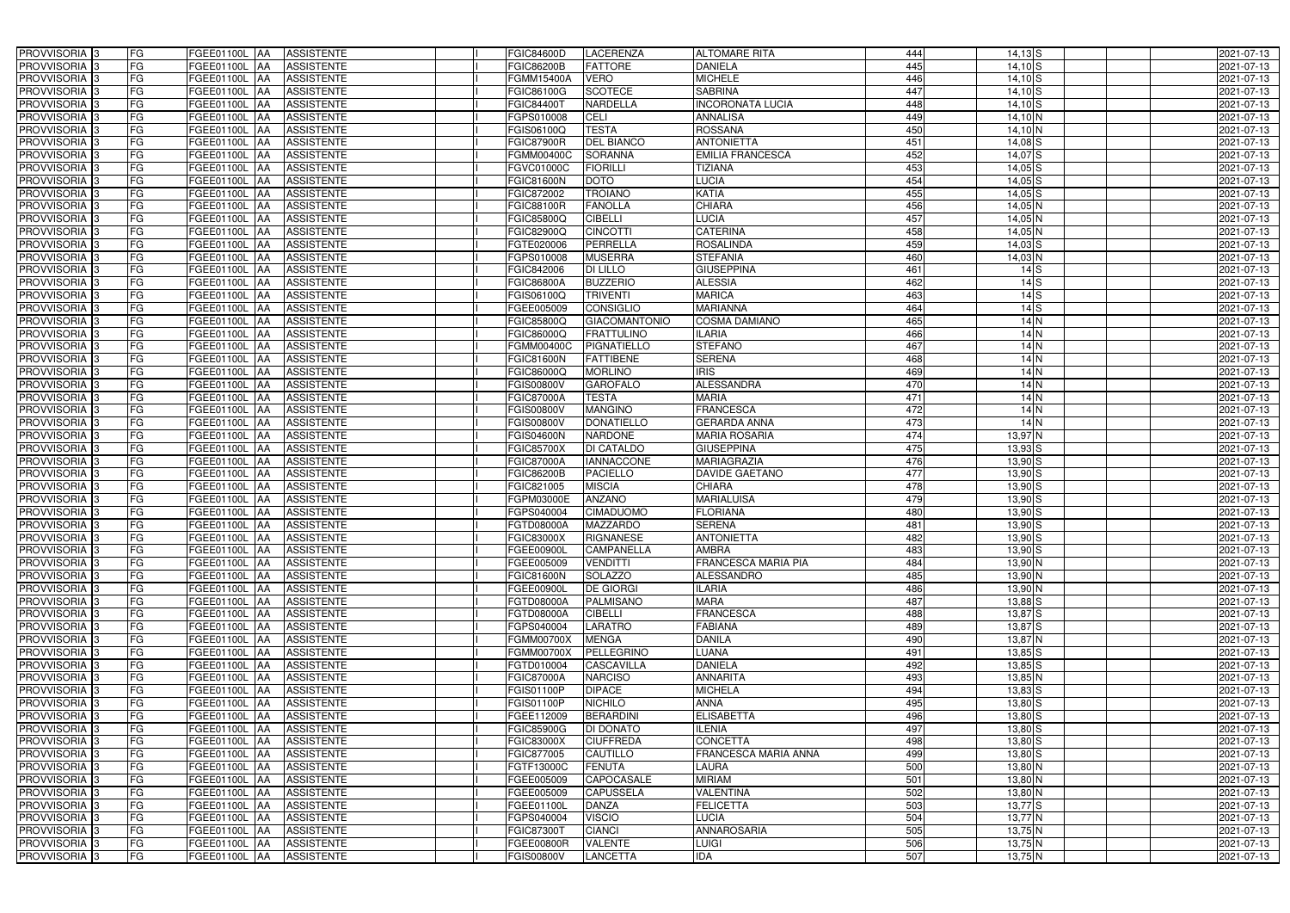| <b>PROVVISORIA</b> 3                                 | FG        | FGEE01100L AA<br><b>ASSISTENTE</b>                           | FGIC84600D               | <b>LACERENZA</b>                     | <b>ALTOMARE RITA</b>              | 444        | $14,13$ $S$                | 2021-07-13               |
|------------------------------------------------------|-----------|--------------------------------------------------------------|--------------------------|--------------------------------------|-----------------------------------|------------|----------------------------|--------------------------|
| PROVVISORIA 3                                        | FG        | <b>ASSISTENTE</b><br>FGEE01100L AA                           | GIC86200B                | <b>FATTORE</b>                       | <b>DANIELA</b>                    | 445        | $14,10$ S                  | 2021-07-13               |
| PROVVISORIA 3                                        | FG        | FGEE01100L AA<br><b>ASSISTENTE</b>                           | FGMM15400A               | <b>VERO</b>                          | <b>MICHELE</b>                    | 446        | $14,10$ S                  | 2021-07-13               |
| PROVVISORIA 3                                        | FG        | <b>FGEE01100L   AA</b><br><b>ASSISTENTE</b>                  | FGIC86100G               | <b>SCOTECE</b>                       | <b>SABRINA</b>                    | 447        | $14,10$ S                  | 2021-07-13               |
| PROVVISORIA 3                                        | FG        | <b>ASSISTENTE</b><br>FGEE01100L AA                           | FGIC844007               | NARDELLA                             | <b>INCORONATA LUCIA</b>           | 448        | $14,10$ S                  | 2021-07-13               |
| PROVVISORIA 3                                        | FG        | <b>FGEE01100L   AA</b><br><b>ASSISTENTE</b>                  | FGPS010008               | <b>CELI</b>                          | <b>ANNALISA</b>                   | 449        | $14,10$ N                  | 2021-07-13               |
| PROVVISORIA 3                                        | <b>FG</b> | FGEE01100L AA<br><b>ASSISTENTE</b>                           | FGIS06100Q               | <b>TESTA</b>                         | <b>ROSSANA</b>                    | 450        | $14,10$ N                  | 2021-07-13               |
| PROVVISORIA 3                                        | <b>FG</b> | <b>FGEE01100L</b><br><b>ASSISTENTE</b><br>IAA                | <b>FGIC87900R</b>        | <b>DEL BIANCO</b>                    | <b>ANTONIETTA</b>                 | 451        | $14,08$ $S$                | 2021-07-13               |
| PROVVISORIA <sup>1</sup> 3                           | FG        | FGEE01100L<br><b>ASSISTENTE</b><br>IAA                       | FGMM00400C               | <b>SORANNA</b>                       | <b>EMILIA FRANCESCA</b>           | 452        | $14,07$ $S$                | 2021-07-13               |
| PROVVISORIA 3                                        | FG        | FGEE01100L<br><b>ASSISTENTE</b><br>AA                        | FGVC01000C               | <b>FIORILLI</b>                      | <b>TIZIANA</b>                    | 453        | $14,05$ S                  | 2021-07-13               |
| PROVVISORIA 3                                        | FG        | <b>FGEE01100L AA</b><br><b>ASSISTENTE</b>                    | FGIC81600N               | <b>DOTO</b>                          | <b>LUCIA</b>                      | 454        | $14,05$ $S$                | 2021-07-13               |
| PROVVISORIA 3                                        | <b>FG</b> | FGEE01100L AA<br><b>ASSISTENTE</b>                           | FGIC872002               | <b>TROIANO</b>                       | <b>KATIA</b>                      | 455        | $14,05$ $S$                | 2021-07-13               |
| PROVVISORIA <sup>3</sup>                             | FG        | FGEE01100L AA<br><b>ASSISTENTE</b>                           | FGIC88100R               | <b>FANOLLA</b>                       | <b>CHIARA</b>                     | 456        | 14,05 N                    | 2021-07-13               |
| PROVVISORIA <sup>3</sup>                             | <b>FG</b> | FGEE01100L AA<br><b>ASSISTENTE</b>                           | FGIC85800Q               | <b>CIBELLI</b>                       | <b>LUCIA</b>                      | 457        | $14,05$ N                  | 2021-07-13               |
| PROVVISORIA 3                                        | FG        | FGEE01100L AA<br><b>ASSISTENTE</b>                           | FGIC82900Q               | <b>CINCOTTI</b>                      | <b>CATERINA</b>                   | 458        | $14,05$ N                  | 2021-07-13               |
| PROVVISORIA 3                                        | <b>FG</b> | FGEE01100L AA<br><b>ASSISTENTE</b>                           | FGTE020006               | <b>PERRELLA</b>                      | <b>ROSALINDA</b>                  | 459        | $14,03$ $S$                | 2021-07-13               |
| PROVVISORIA 3                                        | <b>FG</b> | <b>FGEE01100L   AA</b><br><b>ASSISTENTE</b>                  | FGPS010008               | <b>MUSERRA</b>                       | <b>STEFANIA</b>                   | 460        | 14,03 N                    | 2021-07-13               |
| PROVVISORIA 3                                        | <b>FG</b> | FGEE01100L AA<br><b>ASSISTENTE</b>                           | FGIC842006               | <b>DI LILLO</b>                      | <b>GIUSEPPINA</b>                 | 461        | $14$ $S$                   | 2021-07-13               |
| PROVVISORIA 3                                        | FG        | FGEE01100L AA<br><b>ASSISTENTE</b>                           | <b>FGIC86800A</b>        | <b>BUZZERIO</b>                      | <b>ALESSIA</b>                    | 462        | $14$ $S$                   | 2021-07-13               |
| PROVVISORIA 3                                        | FG        | FGEE01100L<br><b>ASSISTENTE</b><br>IAA                       | FGIS06100Q               | <b>TRIVENTI</b>                      | <b>MARICA</b>                     | 463        | $14$ $S$                   | 2021-07-13               |
| PROVVISORIA <sup>1</sup> 3                           | <b>FG</b> | <b>FGEE01100L</b><br><b>ASSISTENTE</b><br>ΙAΑ                | FGEE005009               | <b>CONSIGLIO</b>                     | <b>MARIANNA</b>                   | 464        | $14$ $S$                   | 2021-07-13               |
| PROVVISORIA <sup>3</sup>                             | FG        | <b>FGEE01100L</b><br><b>ASSISTENTE</b><br>IAA                | FGIC85800Q               | <b>GIACOMANTONIO</b>                 | <b>COSMA DAMIANO</b>              | 465        | 14N                        | 2021-07-13               |
| PROVVISORIA <sup>3</sup>                             | FG        | FGEE01100L<br><b>ASSISTENTE</b><br>IAA                       | <b>GIC86000Q</b>         | <b>FRATTULINO</b>                    | <b>ILARIA</b>                     | 466        | 14N                        | 2021-07-13               |
| PROVVISORIA <sup>3</sup>                             | FG        | FGEE01100L<br><b>ASSISTENTE</b><br>IAA                       | GMM00400C                | <b>PIGNATIELLO</b>                   | <b>STEFANO</b>                    | 467        | 14N                        | 2021-07-13               |
| PROVVISORIA <sup>3</sup>                             | FG        | <b>FGEE01100L</b><br><b>ASSISTENTE</b><br>IAA                | GIC81600N                | <b>FATTIBENE</b>                     | <b>SERENA</b>                     | 468        | 14N                        | 2021-07-13               |
| PROVVISORIA 3                                        | <b>FG</b> | <b>FGEE01100L</b><br><b>ASSISTENTE</b><br>IAA                | FGIC86000Q               | <b>MORLINO</b>                       | IRIS                              | 469        | 14N                        | 2021-07-13               |
| PROVVISORIA 3                                        | <b>FG</b> | FGEE01100L<br><b>ASSISTENTE</b><br>I A A                     | <b>GIS00800V</b>         | <b>GAROFALO</b>                      | <b>ALESSANDRA</b>                 | 470        | 14N                        | 2021-07-13               |
| PROVVISORIA <sup>3</sup>                             | <b>FG</b> | FGEE01100L<br><b>ASSISTENTE</b><br>IAA                       | <b>GIC87000A</b>         | <b>TESTA</b>                         | <b>MARIA</b>                      | 471        | $14$ N                     | 2021-07-13               |
| PROVVISORIA <sup>3</sup>                             | FG        | FGEE01100L<br><b>ASSISTENTE</b>                              | GIS00800V                | <b>MANGINO</b>                       | <b>FRANCESCA</b>                  | 472        | $14$ N                     | 2021-07-13               |
| PROVVISORIA 3                                        | <b>FG</b> | <b>FGEE01100L</b><br><b>ASSISTENTE</b><br>IAA                | FGIS00800V               | <b>DONATIELLO</b>                    | <b>GERARDA ANNA</b>               | 473        | $14$ N                     | 2021-07-13               |
| PROVVISORIA 3                                        | <b>FG</b> | <b>FGEE01100L</b><br><b>ASSISTENTE</b><br>IAA                | <b>FGIS04600N</b>        | <b>NARDONE</b>                       | <b>MARIA ROSARIA</b>              | 474        | 13,97 N                    | 2021-07-13               |
| PROVVISORIA 3                                        | FG        | <b>FGEE01100L</b><br><b>ASSISTENTE</b><br>IAA                | FGIC85700X               | DI CATALDO                           | <b>GIUSEPPINA</b>                 | 475        | $13,93$ S                  | 2021-07-13               |
| PROVVISORIA <sup>1</sup> 3                           | <b>FG</b> | FGEE01100L<br><b>ASSISTENTE</b><br>IAA                       | FGIC87000A               | <b>IANNACCONE</b>                    | <b>MARIAGRAZIA</b>                | 476        | $13,90$ $S$                | 2021-07-13               |
| PROVVISORIA <sup>1</sup> 3                           | FG        | FGEE01100L AA<br><b>ASSISTENTE</b>                           | FGIC86200B               | <b>PACIELLO</b>                      | DAVIDE GAETANO                    | 477        | $13,90$ $S$                | 2021-07-13               |
| PROVVISORIA <sup>3</sup>                             | FG        | FGEE01100L<br><b>ASSISTENTE</b><br>IAA                       | FGIC821005               | <b>MISCIA</b>                        | <b>CHIARA</b>                     | 478        | $13,90$ $S$                | 2021-07-13               |
| PROVVISORIA 3                                        | FG        | <b>FGEE01100L   AA</b><br><b>ASSISTENTE</b>                  | <b>GPM03000E</b>         | <b>ANZANO</b>                        | <b>MARIALUISA</b>                 | 479        | $13,90$ $S$                | 2021-07-13               |
| PROVVISORIA <sup>3</sup>                             | <b>FG</b> | FGEE01100L AA<br><b>ASSISTENTE</b>                           | FGPS040004               | <b>CIMADUOMO</b>                     | <b>FLORIANA</b>                   | 480        | $13,90$ $S$                | 2021-07-13               |
| PROVVISORIA <sup>3</sup>                             | <b>FG</b> | FGEE01100L AA<br><b>ASSISTENTE</b>                           | FGTD08000A               | <b>MAZZARDO</b>                      | <b>SERENA</b>                     | 481        | $13,90$ $S$                | 2021-07-13               |
| PROVVISORIA <sup>3</sup>                             | <b>FG</b> | FGEE01100L AA ASSISTENTE                                     | <b>FGIC83000X</b>        | RIGNANESE                            | <b>ANTONIETTA</b>                 | 482        | $13,90$ S                  | 2021-07-13               |
| PROVVISORIA <sup>3</sup>                             | <b>FG</b> | FGEE01100L AA<br><b>ASSISTENTE</b>                           | FGEE00900L               | <b>CAMPANELLA</b>                    | <b>AMBRA</b>                      | 483        | $13,90$ S                  | 2021-07-13               |
| PROVVISORIA <sup>3</sup>                             | FG        | FGEE01100L AA ASSISTENTE                                     | FGEE005009               | <b>VENDITTI</b>                      | <b>FRANCESCA MARIA PIA</b>        | 484        | $13,90$ N                  | 2021-07-13               |
| PROVVISORIA <sup>3</sup>                             | FG        | FGEE01100L AA ASSISTENTE                                     | FGIC81600N               | SOLAZZO                              | ALESSANDRO                        | 485        | 13,90 N                    | 2021-07-13               |
| PROVVISORIA <sup>3</sup>                             | FG        | FGEE01100L AA<br><b>ASSISTENTE</b>                           | FGEE00900L               | <b>DE GIORGI</b>                     | <b>ILARIA</b>                     | 486        | 13,90 N                    | 2021-07-13               |
| PROVVISORIA <sup>3</sup>                             | FG        | FGEE01100L AA<br><b>ASSISTENTE</b>                           | FGTD08000A               | PALMISANO                            | <b>MARA</b>                       | 487        | $13,88$ $S$                | 2021-07-13               |
| PROVVISORIA 3                                        | FG        | FGEE01100L AA<br><b>ASSISTENTE</b>                           | FGTD08000A               | <b>CIBELLI</b>                       | <b>FRANCESCA</b>                  | 488        | $13,87$ $S$                | 2021-07-13               |
| PROVVISORIA 3                                        | <b>FG</b> | FGEE01100L AA<br><b>ASSISTENTE</b>                           | FGPS040004               | <b>LARATRO</b>                       | <b>FABIANA</b>                    | 489        | $13,87$ $S$                | 2021-07-13               |
| PROVVISORIA <sup>3</sup>                             | FG        | FGEE01100L AA<br>ASSISTENTE                                  | FGMM00700X               | <b>MENGA</b>                         | <b>DANILA</b>                     | 490        | $13,87$ N                  | 2021-07-13               |
| PROVVISORIA <sup>3</sup>                             | FG        | FGEE01100L AA<br><b>ASSISTENTE</b>                           | FGMM00700X               | PELLEGRINO                           | LUANA                             | 491        | $13,85$ S                  | 2021-07-13               |
| PROVVISORIA <sup>3</sup>                             | FG        | FGEE01100L AA<br>ASSISTENTE                                  | FGTD010004               | <b>CASCAVILLA</b>                    | <b>DANIELA</b><br><b>ANNARITA</b> | 492<br>493 | $13,85$ $S$                | 2021-07-13               |
| PROVVISORIA <sup>3</sup>                             | FG<br>FG  | FGEE01100L AA<br><b>ASSISTENTE</b>                           | FGIC87000A               | <b>NARCISO</b>                       |                                   |            | $13,85$ N                  | 2021-07-13               |
| PROVVISORIA <sup>3</sup><br>PROVVISORIA <sup>3</sup> | FG        | FGEE01100L AA<br><b>ASSISTENTE</b><br>FGEE01100L AA          | FGIS01100P               | <b>DIPACE</b>                        | <b>MICHELA</b><br><b>ANNA</b>     | 494<br>495 | $13,83$ $S$<br>$13,80$ $S$ | 2021-07-13<br>2021-07-13 |
| PROVVISORIA <sup>3</sup>                             | FG        | <b>ASSISTENTE</b>                                            | FGIS01100P               | <b>NICHILO</b><br><b>BERARDINI</b>   | <b>ELISABETTA</b>                 | 496        | $13,80$ $S$                |                          |
|                                                      | FG        | FGEE01100L AA<br><b>ASSISTENTE</b><br><b>FGEE01100L   AA</b> | FGEE112009               |                                      | <b>ILENIA</b>                     | 497        | $13,80$ $S$                | 2021-07-13               |
| PROVVISORIA <sup>3</sup><br>PROVVISORIA <sup>3</sup> | FG        | <b>ASSISTENTE</b><br>FGEE01100L AA<br><b>ASSISTENTE</b>      | FGIC85900G<br>FGIC83000X | <b>DI DONATO</b><br><b>CIUFFREDA</b> | <b>CONCETTA</b>                   | 498        | $13,80$ $S$                | 2021-07-13<br>2021-07-13 |
| PROVVISORIA <sup>3</sup>                             | FG        | <b>ASSISTENTE</b>                                            |                          | CAUTILLO                             | FRANCESCA MARIA ANNA              | 499        | $13,80$ S                  |                          |
| PROVVISORIA <sup>3</sup>                             | FG        | FGEE01100L AA<br>FGEE01100L AA<br><b>ASSISTENTE</b>          | FGIC877005<br>FGTF13000C | <b>FENUTA</b>                        | LAURA                             | 500        | $13,80$ N                  | 2021-07-13<br>2021-07-13 |
| PROVVISORIA 3                                        | FG        | FGEE01100L AA<br><b>ASSISTENTE</b>                           | FGEE005009               | CAPOCASALE                           | <b>MIRIAM</b>                     | 501        | $13,80$ N                  | 2021-07-13               |
| PROVVISORIA <sup>3</sup>                             | FG        | FGEE01100L AA<br><b>ASSISTENTE</b>                           | FGEE005009               | <b>CAPUSSELA</b>                     | <b>VALENTINA</b>                  | 502        | $13,80$ N                  | 2021-07-13               |
| PROVVISORIA <sup>3</sup>                             | FG        | FGEE01100L AA<br><b>ASSISTENTE</b>                           | FGEE01100L               | <b>DANZA</b>                         | <b>FELICETTA</b>                  | 503        | $13,77$ $S$                | 2021-07-13               |
| PROVVISORIA <sup>3</sup>                             | FG        | FGEE01100L AA<br>ASSISTENTE                                  | FGPS040004               | <b>VISCIO</b>                        | <b>LUCIA</b>                      | 504        | $13,77$ N                  | 2021-07-13               |
| PROVVISORIA <sup>3</sup>                             | FG        | <b>ASSISTENTE</b><br>FGEE01100L AA                           | FGIC87300T               | <b>CIANCI</b>                        | <b>ANNAROSARIA</b>                | 505        | $13,75$ N                  | 2021-07-13               |
| PROVVISORIA <sup>3</sup>                             | FG        | FGEE01100L AA<br>ASSISTENTE                                  | FGEE00800R               | <b>VALENTE</b>                       | <b>LUIGI</b>                      | 506        | $13,75$ N                  | 2021-07-13               |
| PROVVISORIA 3                                        | FG        | ASSISTENTE<br><b>FGEE01100L AA</b>                           | <b>FGIS00800V</b>        | <b>LANCETTA</b>                      | IDA                               | 507        | $13,75$ N                  | 2021-07-13               |
|                                                      |           |                                                              |                          |                                      |                                   |            |                            |                          |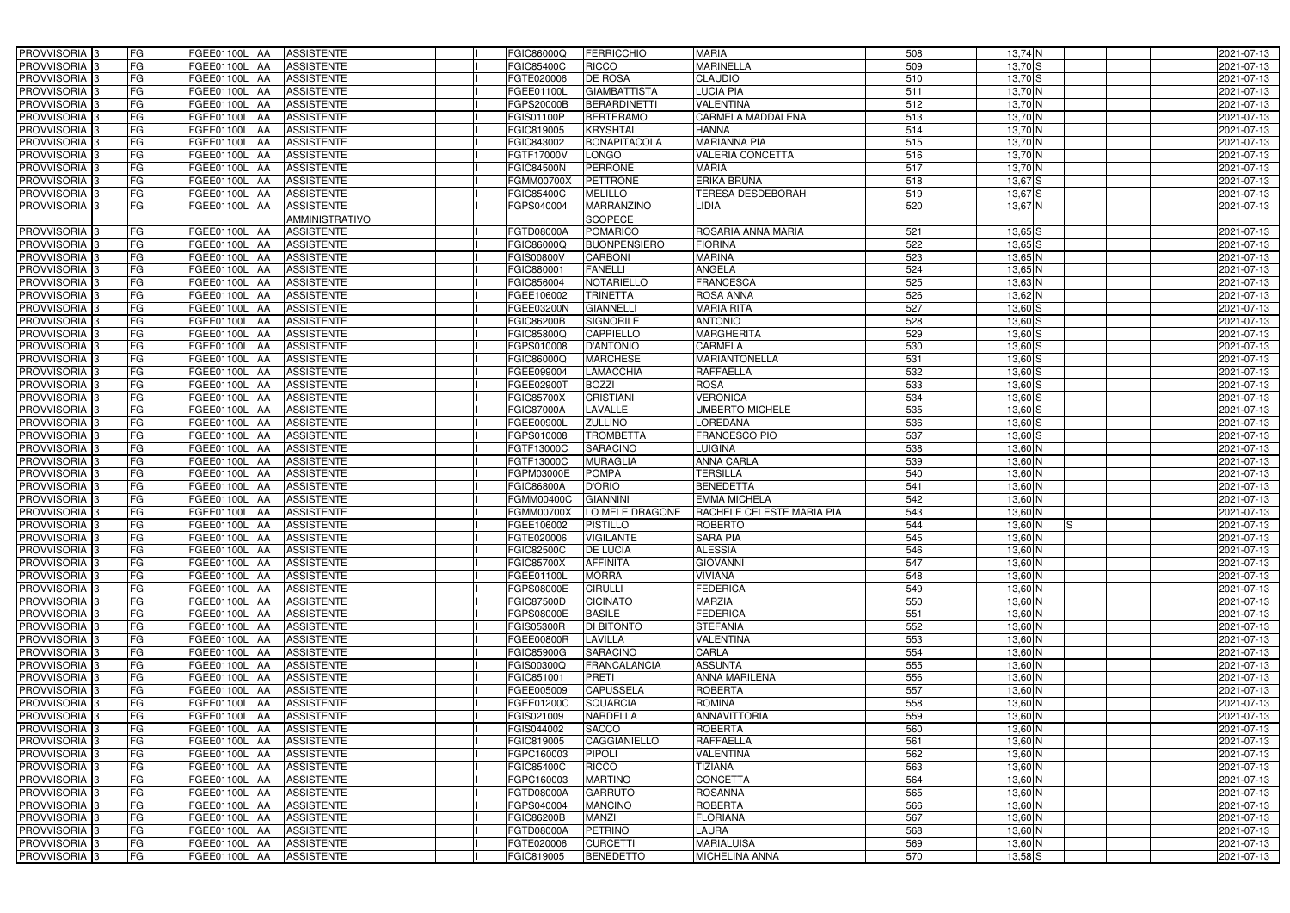| PROVVISORIA 3              | FG | FGEE01100L AA        | <b>ASSISTENTE</b>               | FGIC86000Q        | <b>FERRICCHIO</b>   | <b>MARIA</b>              | 508              | $13,74$ N      | 2021-07-13 |
|----------------------------|----|----------------------|---------------------------------|-------------------|---------------------|---------------------------|------------------|----------------|------------|
| PROVVISORIA <sup>3</sup>   | FG | FGEE01100L AA        | <b>ASSISTENTE</b>               | FGIC85400C        | <b>RICCO</b>        | <b>MARINELLA</b>          | 509              | $13,70$ $S$    | 2021-07-13 |
| PROVVISORIA 3              | FG | FGEE01100L AA        | <b>ASSISTENTE</b>               | FGTE020006        | <b>DE ROSA</b>      | <b>CLAUDIO</b>            | 510              | $13,70$ $S$    | 2021-07-13 |
| PROVVISORIA 3              | FG | FGEE01100L AA        | <b>ASSISTENTE</b>               | FGEE01100L        | <b>GIAMBATTISTA</b> | <b>LUCIA PIA</b>          | 511              | $13,70$ N      | 2021-07-13 |
| PROVVISORIA <sup>3</sup>   | FG | FGEE01100L AA        | <b>ASSISTENTE</b>               | FGPS20000B        | <b>BERARDINETTI</b> | VALENTINA                 | 512              | 13,70 N        | 2021-07-13 |
| PROVVISORIA <sup>1</sup> 3 | FG | FGEE01100L AA        | <b>ASSISTENTE</b>               | FGIS01100P        | <b>BERTERAMO</b>    | CARMELA MADDALENA         | 513              | $13,70$ N      | 2021-07-13 |
| PROVVISORIA 3              | FG | FGEE01100L AA        | <b>ASSISTENTE</b>               | FGIC819005        | <b>KRYSHTAL</b>     | <b>HANNA</b>              | $\overline{514}$ | $13,70$ N      | 2021-07-13 |
| PROVVISORIA <sup>3</sup>   | FG | FGEE01100L AA        | <b>ASSISTENTE</b>               | FGIC843002        | <b>BONAPITACOLA</b> | <b>MARIANNA PIA</b>       | 515              | $13,70$ N      | 2021-07-13 |
| PROVVISORIA <sup>3</sup>   | FG | FGEE01100L AA        | <b>ASSISTENTE</b>               | FGTF17000V        | LONGO               | <b>VALERIA CONCETTA</b>   | 516              | $13,70$ N      | 2021-07-13 |
| PROVVISORIA <sup>3</sup>   | FG | FGEE01100L AA        | <b>ASSISTENTE</b>               | <b>FGIC84500N</b> | <b>PERRONE</b>      | <b>MARIA</b>              | 517              | 13,70 N        | 2021-07-13 |
| PROVVISORIA 3              | FG | FGEE01100L AA        | <b>ASSISTENTE</b>               | <b>FGMM00700X</b> | <b>PETTRONE</b>     | <b>ERIKA BRUNA</b>        | 518              | $13,67$ $S$    | 2021-07-13 |
| PROVVISORIA 3              | FG | <b>FGEE01100L AA</b> | <b>ASSISTENTE</b>               | FGIC85400C        | <b>MELILLO</b>      | <b>TERESA DESDEBORAH</b>  | 519              | $13,67$ $S$    | 2021-07-13 |
|                            | FG |                      |                                 |                   |                     | <b>LIDIA</b>              | 520              |                |            |
| PROVVISORIA <sup>3</sup>   |    | FGEE01100L AA        | <b>ASSISTENTE</b>               | FGPS040004        | MARRANZINO          |                           |                  | 13,67 N        | 2021-07-13 |
|                            |    |                      | <b>AMMINISTRATIVO</b>           |                   | <b>SCOPECE</b>      |                           |                  |                |            |
| <b>PROVVISORIA</b> 3       | FG | FGEE01100L AA        | <b>ASSISTENTE</b>               | <b>FGTD08000A</b> | <b>POMARICO</b>     | ROSARIA ANNA MARIA        | 521              | $13,65$ $S$    | 2021-07-13 |
| PROVVISORIA <sup>3</sup>   | FG | FGEE01100L AA        | <b>ASSISTENTE</b>               | FGIC86000Q        | <b>BUONPENSIERO</b> | <b>FIORINA</b>            | 522              | $13,65$ $S$    | 2021-07-13 |
| PROVVISORIA 3              | FG | FGEE01100L AA        | <b>ASSISTENTE</b>               | FGIS00800V        | <b>CARBONI</b>      | <b>MARINA</b>             | 523              | $13,65$ N      | 2021-07-13 |
| PROVVISORIA 3              | FG | FGEE01100L           | <b>ASSISTENTE</b><br><b>IAA</b> | FGIC88000         | <b>FANELLI</b>      | ANGELA                    | 524              | $13,65$ N      | 2021-07-13 |
| PROVVISORIA 3              | FG | <b>FGEE01100L AA</b> | <b>ASSISTENTE</b>               | FGIC856004        | <b>NOTARIELLO</b>   | <b>FRANCESCA</b>          | 525              | $13,63$ N      | 2021-07-13 |
| PROVVISORIA 3              | FG | FGEE01100L AA        | <b>ASSISTENTE</b>               | FGEE106002        | <b>TRINETTA</b>     | <b>ROSA ANNA</b>          | 526              | 13,62 N        | 2021-07-13 |
| PROVVISORIA <sup>3</sup>   | FG | FGEE01100L AA        | <b>ASSISTENTE</b>               | FGEE03200N        | <b>GIANNELLI</b>    | <b>MARIA RITA</b>         | 527              | $13,60$ S      | 2021-07-13 |
| PROVVISORIA <sup>3</sup>   | FG | <b>FGEE01100L AA</b> | <b>ASSISTENTE</b>               | <b>FGIC86200B</b> | <b>SIGNORILE</b>    | <b>ANTONIO</b>            | 528              | $13,60$ $S$    | 2021-07-13 |
| PROVVISORIA 3              | FG | FGEE01100L AA        | <b>ASSISTENTE</b>               | FGIC85800Q        | <b>CAPPIELLO</b>    | <b>MARGHERITA</b>         | 529              | 13,60 S        | 2021-07-13 |
| PROVVISORIA 3              | FG | FGEE01100L           | <b>ASSISTENTE</b><br>IAA        | FGPS010008        | <b>D'ANTONIO</b>    | <b>CARMELA</b>            | 530              | 13,60 S        | 2021-07-13 |
| PROVVISORIA <sup>3</sup>   | FG | FGEE01100L           | <b>ASSISTENTE</b><br>IAA        | FGIC86000Q        | <b>MARCHESE</b>     | <b>MARIANTONELLA</b>      | 531              | $13,60$ $S$    | 2021-07-13 |
| PROVVISORIA 3              | FG | FGEE01100L           | <b>ASSISTENTE</b><br><b>IAA</b> | FGEE099004        | LAMACCHIA           | <b>RAFFAELLA</b>          | 532              | $13,60$ $S$    | 2021-07-13 |
| PROVVISORIA 3              | FG | <b>FGEE01100L</b>    | <b>ASSISTENTE</b><br>IAA        | FGEE029001        | <b>BOZZI</b>        | <b>ROSA</b>               | 533              | $13,60$ $S$    | 2021-07-13 |
| PROVVISORIA 3              | FG | FGEE01100L AA        | <b>ASSISTENTE</b>               | FGIC85700X        | <b>CRISTIANI</b>    | <b>VERONICA</b>           | 534              | 13,60 S        | 2021-07-13 |
| PROVVISORIA <sup>3</sup>   | FG | <b>FGEE01100L</b>    | <b>ASSISTENTE</b><br>IAA        | FGIC87000A        | LAVALLE             | UMBERTO MICHELE           | 535              | $13,60$ $S$    | 2021-07-13 |
| PROVVISORIA 3              | FG | FGEE01100L           | <b>ASSISTENTE</b>               | FGEE00900L        | <b>ZULLINO</b>      | LOREDANA                  | 536              | $13,60$ $S$    | 2021-07-13 |
| PROVVISORIA 3              | FG | FGEE01100L           | <b>ASSISTENTE</b><br>IAA        | FGPS010008        | <b>TROMBETTA</b>    | FRANCESCO PIO             | 537              | $13,60$ $S$    | 2021-07-13 |
| PROVVISORIA <sup>3</sup>   | FG | FGEE01100L           | <b>ASSISTENTE</b>               | FGTF13000C        | SARACINO            | <b>LUIGINA</b>            | 538              | 13,60 N        | 2021-07-13 |
| PROVVISORIA <sup>3</sup>   | FG | <b>FGEE01100L</b>    | <b>ASSISTENTE</b><br>IAA        | FGTF13000C        | <b>MURAGLIA</b>     | <b>ANNA CARLA</b>         | 539              | 13,60 N        | 2021-07-13 |
| PROVVISORIA <sup>3</sup>   | FG | <b>FGEE01100L AA</b> | <b>ASSISTENTE</b>               | FGPM03000E        | <b>POMPA</b>        | <b>TERSILLA</b>           | 540              | 13,60 N        | 2021-07-13 |
| PROVVISORIA <sup>3</sup>   | FG | <b>FGEE01100L</b>    | <b>ASSISTENTE</b><br><b>IAA</b> | FGIC86800A        | <b>D'ORIO</b>       | <b>BENEDETTA</b>          | 541              | 13,60 N        | 2021-07-13 |
| PROVVISORIA <sup>3</sup>   | FG | <b>FGEE01100L</b>    | <b>ASSISTENTE</b><br>IAA        | <b>FGMM00400C</b> | <b>GIANNINI</b>     | <b>EMMA MICHELA</b>       | 542              | $13,60$ N      | 2021-07-13 |
| PROVVISORIA <sup>3</sup>   | FG | FGEE01100L           | <b>ASSISTENTE</b><br><b>JAA</b> | FGMM00700X        | LO MELE DRAGONE     | RACHELE CELESTE MARIA PIA | 543              | 13,60 N        | 2021-07-13 |
| PROVVISORIA <sup>1</sup> 3 | FG | FGEE01100L AA        | <b>ASSISTENTE</b>               | FGEE106002        | <b>PISTILLO</b>     | <b>ROBERTO</b>            | 544              | 13,60 N<br>IS. | 2021-07-13 |
| PROVVISORIA <sup>3</sup>   | FG | FGEE01100L AA        | <b>ASSISTENTE</b>               | FGTE020006        | <b>VIGILANTE</b>    | <b>SARA PIA</b>           | 545              | $13,60$ N      |            |
| <b>PROVVISORIA</b> 3       | FG |                      |                                 |                   |                     | <b>ALESSIA</b>            | 546              |                | 2021-07-13 |
|                            |    | FGEE01100L AA        | ASSISTENTE                      | FGIC82500C        | <b>DE LUCIA</b>     |                           |                  | 13,60 N        | 2021-07-13 |
| PROVVISORIA <sup>3</sup>   | FG | FGEE01100L AA        | <b>ASSISTENTE</b>               | <b>FGIC85700X</b> | <b>AFFINITA</b>     | <b>GIOVANNI</b>           | 547              | 13,60 N        | 2021-07-13 |
| PROVVISORIA <sup>3</sup>   | FG | FGEE01100L AA        | <b>ASSISTENTE</b>               | FGEE01100L        | <b>MORRA</b>        | <b>VIVIANA</b>            | 548              | 13,60 N        | 2021-07-13 |
| PROVVISORIA <sup>3</sup>   | FG | FGEE01100L AA        | <b>ASSISTENTE</b>               | FGPS08000E        | <b>CIRULLI</b>      | <b>FEDERICA</b>           | 549              | $13,60$ N      | 2021-07-13 |
| PROVVISORIA <sup>3</sup>   | FG | FGEE01100L AA        | <b>ASSISTENTE</b>               | <b>FGIC87500D</b> | <b>CICINATO</b>     | <b>MARZIA</b>             | 550              | $13,60$ N      | 2021-07-13 |
| PROVVISORIA <sup>3</sup>   | FG | FGEE01100L AA        | ASSISTENTE                      | FGPS08000E        | <b>BASILE</b>       | <b>FEDERICA</b>           | 551              | 13,60 N        | 2021-07-13 |
| PROVVISORIA <sup>3</sup>   | FG | FGEE01100L AA        | ASSISTENTE                      | <b>FGIS05300R</b> | <b>DI BITONTO</b>   | <b>STEFANIA</b>           | 552              | 13,60 N        | 2021-07-13 |
| PROVVISORIA <sup>3</sup>   | FG | FGEE01100L AA        | ASSISTENTE                      | FGEE00800R        | <b>LAVILLA</b>      | <b>VALENTINA</b>          | 553              | 13,60 N        | 2021-07-13 |
| PROVVISORIA <sup>3</sup>   | FG | FGEE01100L AA        | ASSISTENTE                      | FGIC85900G        | <b>SARACINO</b>     | CARLA                     | 554              | 13,60 N        | 2021-07-13 |
| PROVVISORIA <sup>3</sup>   | FG | FGEE01100L AA        | <b>ASSISTENTE</b>               | FGIS00300Q        | <b>FRANCALANCIA</b> | <b>ASSUNTA</b>            | 555              | $13,60$ N      | 2021-07-13 |
| PROVVISORIA <sup>3</sup>   | FG | FGEE01100L AA        | <b>ASSISTENTE</b>               | FGIC851001        | <b>PRETI</b>        | ANNA MARILENA             | 556              | 13,60 N        | 2021-07-13 |
| PROVVISORIA <sup>3</sup>   | FG | FGEE01100L AA        | <b>ASSISTENTE</b>               | FGEE005009        | <b>CAPUSSELA</b>    | <b>ROBERTA</b>            | 557              | 13,60 N        | 2021-07-13 |
| PROVVISORIA <sup>3</sup>   | FG | FGEE01100L AA        | <b>ASSISTENTE</b>               | FGEE01200C        | <b>SQUARCIA</b>     | ROMINA                    | 558              | $13,60$ N      | 2021-07-13 |
| PROVVISORIA <sup>3</sup>   | FG | FGEE01100L AA        | <b>ASSISTENTE</b>               | FGIS021009        | NARDELLA            | <b>ANNAVITTORIA</b>       | 559              | 13,60 N        | 2021-07-13 |
| PROVVISORIA <sup>3</sup>   | FG | FGEE01100L AA        | <b>ASSISTENTE</b>               | FGIS044002        | <b>SACCO</b>        | <b>ROBERTA</b>            | 560              | $13,60$ N      | 2021-07-13 |
| PROVVISORIA <sup>3</sup>   | FG | FGEE01100L AA        | <b>ASSISTENTE</b>               | FGIC819005        | CAGGIANIELLO        | <b>RAFFAELLA</b>          | 561              | $13,60$ N      | 2021-07-13 |
| PROVVISORIA <sup>3</sup>   | FG | FGEE01100L AA        | <b>ASSISTENTE</b>               | FGPC160003        | <b>PIPOLI</b>       | <b>VALENTINA</b>          | 562              | 13,60 N        | 2021-07-13 |
| PROVVISORIA <sup>3</sup>   | FG | FGEE01100L AA        | <b>ASSISTENTE</b>               | FGIC85400C        | <b>RICCO</b>        | <b>TIZIANA</b>            | 563              | $13,60$ N      | 2021-07-13 |
| PROVVISORIA <sup>3</sup>   | FG | FGEE01100L AA        | <b>ASSISTENTE</b>               | FGPC160003        | <b>MARTINO</b>      | <b>CONCETTA</b>           | 564              | $13,60$ N      | 2021-07-13 |
| PROVVISORIA <sup>3</sup>   | FG | FGEE01100L AA        | <b>ASSISTENTE</b>               | FGTD08000A        | <b>GARRUTO</b>      | <b>ROSANNA</b>            | 565              | 13,60 N        | 2021-07-13 |
| PROVVISORIA <sup>1</sup> 3 | FG | FGEE01100L AA        | <b>ASSISTENTE</b>               | FGPS040004        | <b>MANCINO</b>      | <b>ROBERTA</b>            | 566              | $13,60$ N      | 2021-07-13 |
| PROVVISORIA <sup>1</sup> 3 | FG | FGEE01100L AA        | <b>ASSISTENTE</b>               | FGIC86200B        | <b>MANZI</b>        | <b>FLORIANA</b>           | 567              | 13,60 N        | 2021-07-13 |
| PROVVISORIA <sup>1</sup> 3 | FG | FGEE01100L AA        | <b>ASSISTENTE</b>               | FGTD08000A        | <b>PETRINO</b>      | <b>LAURA</b>              | 568              | 13,60 N        | 2021-07-13 |
| PROVVISORIA <sup>1</sup> 3 | FG | FGEE01100L AA        | ASSISTENTE                      | FGTE020006        | <b>CURCETTI</b>     | <b>MARIALUISA</b>         | 569              | 13,60 N        | 2021-07-13 |
| PROVVISORIA 3              | FG | FGEE01100L AA        | <b>ASSISTENTE</b>               | FGIC819005        | BENEDETTO           | <b>MICHELINA ANNA</b>     | 570              | $13,58$ $S$    | 2021-07-13 |
|                            |    |                      |                                 |                   |                     |                           |                  |                |            |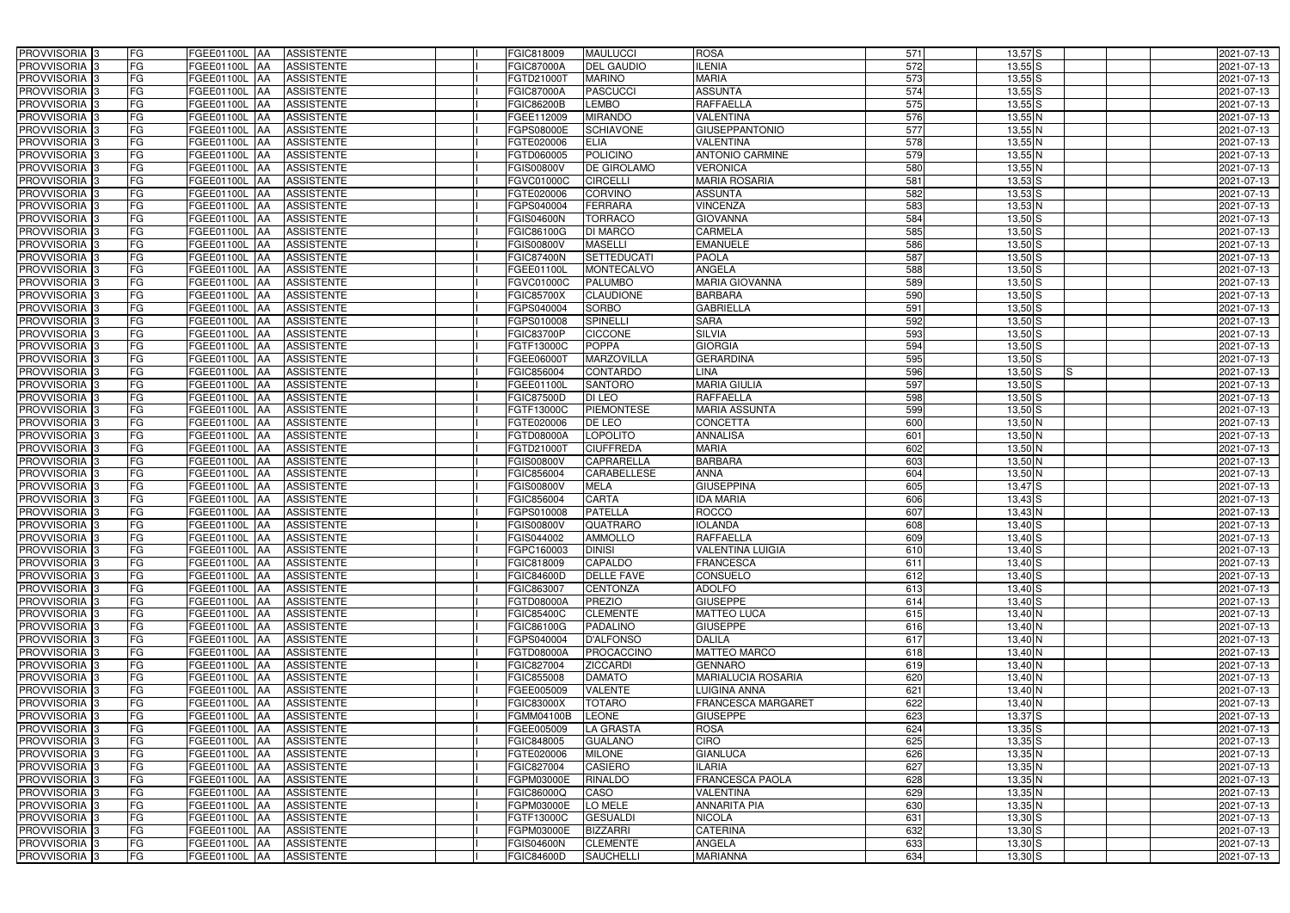| PROVVISORIA <sup>3</sup>   | FG<br>FGEE01100L AA                              | <b>ASSISTENTE</b>               | <b>FGIC818009</b>        | <b>MAULUCCI</b>    | <b>ROSA</b>               | 571        | $13,57$ $S$      | 2021-07-13 |
|----------------------------|--------------------------------------------------|---------------------------------|--------------------------|--------------------|---------------------------|------------|------------------|------------|
| PROVVISORIA <sup>3</sup>   | FG<br>FGEE01100L AA                              | <b>ASSISTENTE</b>               | <b>FGIC87000A</b>        | <b>DEL GAUDIO</b>  | <b>ILENIA</b>             | 572        | $13,55$ $S$      | 2021-07-13 |
| PROVVISORIA <sup>1</sup> 3 | FG<br>FGEE01100L   AA                            | <b>ASSISTENTE</b>               | FGTD21000T               | <b>MARINO</b>      | <b>MARIA</b>              | 573        | $13,55$ S        | 2021-07-13 |
| PROVVISORIA <sup>3</sup>   | FG<br>FGEE01100L AA                              | <b>ASSISTENTE</b>               | <b>FGIC87000A</b>        | <b>PASCUCCI</b>    | <b>ASSUNTA</b>            | 574        | $13,55$ S        | 2021-07-13 |
| PROVVISORIA <sup>3</sup>   | FG<br>FGEE01100L AA                              | <b>ASSISTENTE</b>               | <b>FGIC86200B</b>        | <b>LEMBO</b>       | RAFFAELLA                 | 575        | $13,55$ S        | 2021-07-13 |
| PROVVISORIA <sup>3</sup>   | FG<br>FGEE01100L AA                              | <b>ASSISTENTE</b>               | FGEE112009               | <b>MIRANDO</b>     | <b>VALENTINA</b>          | 576        | $13,55$ N        | 2021-07-13 |
| PROVVISORIA 3              | FG<br>FGEE01100L AA                              | <b>ASSISTENTE</b>               | FGPS08000E               | <b>SCHIAVONE</b>   | <b>GIUSEPPANTONIO</b>     | 577        | $13,55$ N        | 2021-07-13 |
| PROVVISORIA 3              | FG<br>FGEE01100L AA                              | <b>ASSISTENTE</b>               | FGTE020006               | <b>ELIA</b>        | VALENTINA                 | 578        | $13,55$ N        | 2021-07-13 |
| PROVVISORIA 3              | FG<br>FGEE01100L AA                              | <b>ASSISTENTE</b>               | FGTD060005               | <b>POLICINO</b>    | <b>ANTONIO CARMINE</b>    | 579        | $13,55$ N        | 2021-07-13 |
| PROVVISORIA <sup>3</sup>   | FG<br>FGEE01100L                                 | <b>ASSISTENTE</b><br><b>JAA</b> | <b>FGIS00800V</b>        | <b>DE GIROLAMO</b> | <b>VERONICA</b>           | 580        | $13,55$ N        | 2021-07-13 |
| PROVVISORIA 3              | FG<br>FGEE01100L AA                              | <b>ASSISTENTE</b>               | FGVC01000C               | <b>CIRCELLI</b>    | <b>MARIA ROSARIA</b>      | 581        | $13,53$ $S$      | 2021-07-13 |
| PROVVISORIA 3              | FG<br>FGEE01100L AA                              | <b>ASSISTENTE</b>               | FGTE020006               | <b>CORVINO</b>     | <b>ASSUNTA</b>            | 582        | $13,53$ $S$      | 2021-07-13 |
| PROVVISORIA 3              | FG<br>FGEE01100L AA                              | <b>ASSISTENTE</b>               | FGPS040004               | <b>FERRARA</b>     | <b>VINCENZA</b>           | 583        | $13,53$ N        | 2021-07-13 |
| PROVVISORIA 3              | FG<br>FGEE01100L AA                              | <b>ASSISTENTE</b>               | <b>FGIS04600N</b>        | <b>TORRACO</b>     | <b>GIOVANNA</b>           | 584        | $13,50$ S        | 2021-07-13 |
| PROVVISORIA 3              | FG<br><b>FGEE01100L   AA</b>                     | <b>ASSISTENTE</b>               | FGIC86100G               | <b>DI MARCO</b>    | <b>CARMELA</b>            | 585        | $13,50$ $S$      | 2021-07-13 |
| PROVVISORIA 3              | $\overline{\mathsf{FG}}$<br><b>FGEE01100L AA</b> | <b>ASSISTENTE</b>               | <b>FGIS00800V</b>        | <b>MASELLI</b>     | <b>EMANUELE</b>           | 586        | $13,50$ S        | 2021-07-13 |
| PROVVISORIA 3              | FG<br>FGEE01100L AA                              | <b>ASSISTENTE</b>               | <b>FGIC87400N</b>        | <b>SETTEDUCATI</b> | <b>PAOLA</b>              | 587        | $13,50$ S        | 2021-07-13 |
| PROVVISORIA 3              | FG<br>FGEE01100L AA                              | <b>ASSISTENTE</b>               | <b>FGEE01100L</b>        | <b>MONTECALVO</b>  | <b>ANGELA</b>             | 588        | $13,50$ S        | 2021-07-13 |
| PROVVISORIA 3              | FG<br>FGEE01100L AA                              | <b>ASSISTENTE</b>               | FGVC01000C               | <b>PALUMBO</b>     | <b>MARIA GIOVANNA</b>     | 589        | $13,50$ S        | 2021-07-13 |
| PROVVISORIA 3              | FG<br>FGEE01100L AA                              | <b>ASSISTENTE</b>               | <b>FGIC85700X</b>        | <b>CLAUDIONE</b>   | <b>BARBARA</b>            | 590        | $13,50$ S        | 2021-07-13 |
| PROVVISORIA <sup>3</sup>   | FG<br>FGEE01100L                                 | <b>AA</b>                       |                          | <b>SORBO</b>       | <b>GABRIELLA</b>          |            | $13,50$ S        |            |
| PROVVISORIA 3              | FG                                               | <b>ASSISTENTE</b>               | FGPS040004<br>FGPS010008 | <b>SPINELLI</b>    | <b>SARA</b>               | 591<br>592 | $13,50$ S        | 2021-07-13 |
|                            | FGEE01100L                                       | <b>JAA</b><br><b>ASSISTENTE</b> |                          |                    |                           |            |                  | 2021-07-13 |
| PROVVISORIA 3              | FG<br>FGEE01100L AA                              | <b>ASSISTENTE</b>               | FGIC83700P               | <b>CICCONE</b>     | <b>SILVIA</b>             | 593        | $13,50$ S        | 2021-07-13 |
| PROVVISORIA <sup>3</sup>   | FG<br>FGEE01100L AA                              | <b>ASSISTENTE</b>               | FGTF13000C               | <b>POPPA</b>       | <b>GIORGIA</b>            | 594        | $13,50$ S        | 2021-07-13 |
| PROVVISORIA 3              | FG<br><b>FGEE01100L AA</b>                       | <b>ASSISTENTE</b>               | FGEE060001               | <b>MARZOVILLA</b>  | <b>GERARDINA</b>          | 595        | $13,50$ S        | 2021-07-13 |
| PROVVISORIA 3              | $\overline{\mathsf{FG}}$<br>FGEE01100L AA        | <b>ASSISTENTE</b>               | FGIC856004               | <b>CONTARDO</b>    | LINA                      | 596        | $13,50$ S<br>IS. | 2021-07-13 |
| PROVVISORIA 3              | FG<br>FGEE01100L                                 | <b>ASSISTENTE</b><br>IAA        | FGEE01100L               | <b>SANTORO</b>     | <b>MARIA GIULIA</b>       | 597        | $13,50$ S        | 2021-07-13 |
| PROVVISORIA 3              | FG<br>FGEE01100L                                 | <b>ASSISTENTE</b><br>IAA        | <b>FGIC87500D</b>        | DI LEO             | RAFFAELLA                 | 598        | $13,50$ $S$      | 2021-07-13 |
| PROVVISORIA <sup>3</sup>   | FG<br>FGEE01100L                                 | <b>ASSISTENTE</b><br>IAA        | FGTF13000C               | <b>PIEMONTESE</b>  | <b>MARIA ASSUNTA</b>      | 599        | $13,50$ $S$      | 2021-07-13 |
| PROVVISORIA <sup>3</sup>   | FG<br><b>FGEE01100L AA</b>                       | <b>ASSISTENTE</b>               | FGTE020006               | DE LEO             | CONCETTA                  | 600        | 13,50 N          | 2021-07-13 |
| PROVVISORIA <sup>3</sup>   | FG<br><b>FGEE01100L AA</b>                       | <b>ASSISTENTE</b>               | FGTD08000A               | <b>LOPOLITO</b>    | <b>ANNALISA</b>           | 601        | $13,50$ N        | 2021-07-13 |
| PROVVISORIA <sup>3</sup>   | FG<br>FGEE01100L AA                              | <b>ASSISTENTE</b>               | FGTD21000T               | <b>CIUFFREDA</b>   | <b>MARIA</b>              | 602        | 13,50 N          | 2021-07-13 |
| PROVVISORIA <sup>3</sup>   | FG<br>FGEE01100L AA                              | <b>ASSISTENTE</b>               | <b>FGIS00800V</b>        | <b>CAPRARELLA</b>  | <b>BARBARA</b>            | 603        | $13,50$ N        | 2021-07-13 |
| PROVVISORIA <sup>3</sup>   | FG<br><b>FGEE01100L   AA</b>                     | <b>ASSISTENTE</b>               | FGIC856004               | <b>CARABELLESE</b> | <b>ANNA</b>               | 604        | $13,50$ N        | 2021-07-13 |
| PROVVISORIA <sup>3</sup>   | FG<br>FGEE01100L AA                              | <b>ASSISTENTE</b>               | <b>FGIS00800V</b>        | <b>MELA</b>        | <b>GIUSEPPINA</b>         | 605        | $13,47$ $S$      | 2021-07-13 |
| PROVVISORIA <sup>3</sup>   | FG<br>FGEE01100L AA                              | <b>ASSISTENTE</b>               | FGIC856004               | <b>CARTA</b>       | <b>IDA MARIA</b>          | 606        | $13,43$ $S$      | 2021-07-13 |
| PROVVISORIA 3              | FG<br>FGEE01100L AA                              | <b>ASSISTENTE</b>               | FGPS010008               | <b>PATELLA</b>     | <b>ROCCO</b>              | 607        | $13,43$ N        | 2021-07-13 |
| PROVVISORIA <sup>3</sup>   | FG<br>FGEE01100L AA                              | <b>ASSISTENTE</b>               | <b>FGIS00800V</b>        | <b>QUATRARO</b>    | <b>IOLANDA</b>            | 608        | $13,40$ S        | 2021-07-13 |
| PROVVISORIA <sup>3</sup>   | <b>FG</b>                                        | FGEE01100L AA ASSISTENTE        | FGIS044002               | <b>AMMOLLO</b>     | <b>RAFFAELLA</b>          | 609        | $13,40$ S        | 2021-07-13 |
| <b>PROVVISORIA</b> 3       | FG<br>FGEE01100L AA                              | ASSISTENTE                      | FGPC160003               | <b>DINISI</b>      | <b>VALENTINA LUIGIA</b>   | 610        | $13,40$ S        | 2021-07-13 |
| PROVVISORIA <sup>3</sup>   | FG<br>FGEE01100L AA                              | <b>ASSISTENTE</b>               | FGIC818009               | <b>CAPALDO</b>     | <b>FRANCESCA</b>          | 611        | $13,40$ $S$      | 2021-07-13 |
| PROVVISORIA <sup>3</sup>   | FG<br>FGEE01100L AA                              | ASSISTENTE                      | FGIC84600D               | <b>DELLE FAVE</b>  | <b>CONSUELO</b>           | 612        | $13,40$ S        | 2021-07-13 |
| <b>PROVVISORIA</b> 3       | FG<br>FGEE01100L AA                              | ASSISTENTE                      | FGIC863007               | <b>CENTONZA</b>    | <b>ADOLFO</b>             | 613        | $13,40$ S        | 2021-07-13 |
| PROVVISORIA <sup>3</sup>   | FG<br>FGEE01100L AA                              | <b>ASSISTENTE</b>               | FGTD08000A               | <b>PREZIO</b>      | <b>GIUSEPPE</b>           | 614        | $13,40$ S        | 2021-07-13 |
| PROVVISORIA <sup>3</sup>   | FG<br>FGEE01100L AA                              | ASSISTENTE                      | FGIC85400C               | <b>CLEMENTE</b>    | <b>MATTEO LUCA</b>        | 615        | $13,40$ N        | 2021-07-13 |
| PROVVISORIA <sup>3</sup>   | FG<br>FGEE01100L AA                              | <b>ASSISTENTE</b>               | FGIC86100G               | <b>PADALINO</b>    | <b>GIUSEPPE</b>           | 616        | 13,40 N          | 2021-07-13 |
| PROVVISORIA <sup>1</sup> 3 | FG<br>FGEE01100L AA                              | <b>ASSISTENTE</b>               | FGPS040004               | <b>D'ALFONSO</b>   | DALILA                    | 617        | 13,40 N          | 2021-07-13 |
| PROVVISORIA <sup>3</sup>   | FG<br>FGEE01100L AA                              | <b>ASSISTENTE</b>               | FGTD08000A               | <b>PROCACCINO</b>  | <b>MATTEO MARCO</b>       | 618        | 13,40 N          | 2021-07-13 |
| PROVVISORIA <sup>3</sup>   | FG<br>FGEE01100L AA                              | <b>ASSISTENTE</b>               | FGIC827004               | <b>ZICCARDI</b>    | <b>GENNARO</b>            | 619        | $13,40$ N        | 2021-07-13 |
| PROVVISORIA <sup>3</sup>   | FG<br>FGEE01100L AA                              | <b>ASSISTENTE</b>               | FGIC855008               | <b>DAMATO</b>      | MARIALUCIA ROSARIA        | 620        | $13,40$ N        | 2021-07-13 |
| PROVVISORIA <sup>3</sup>   | FG<br>FGEE01100L AA                              | <b>ASSISTENTE</b>               | FGEE005009               | <b>VALENTE</b>     | LUIGINA ANNA              | 621        | 13,40 N          | 2021-07-13 |
| PROVVISORIA <sup>3</sup>   | FG<br>FGEE01100L AA                              | <b>ASSISTENTE</b>               | <b>FGIC83000X</b>        | <b>TOTARO</b>      | <b>FRANCESCA MARGARET</b> | 622        | $13,40$ N        | 2021-07-13 |
| PROVVISORIA <sup>3</sup>   | FG<br>FGEE01100L AA                              | <b>ASSISTENTE</b>               | FGMM04100B               | <b>LEONE</b>       | <b>GIUSEPPE</b>           | 623        | $13,37$ $S$      | 2021-07-13 |
| PROVVISORIA <sup>3</sup>   | FG<br>FGEE01100L AA                              | <b>ASSISTENTE</b>               | FGEE005009               | <b>LA GRASTA</b>   | <b>ROSA</b>               | 624        | $13,35$ $S$      | 2021-07-13 |
| PROVVISORIA <sup>3</sup>   | FG<br>FGEE01100L AA                              | <b>ASSISTENTE</b>               | FGIC848005               | <b>GUALANO</b>     | <b>CIRO</b>               | 625        | $13,35$ $S$      | 2021-07-13 |
| PROVVISORIA <sup>3</sup>   | FG<br>FGEE01100L AA                              | <b>ASSISTENTE</b>               | FGTE020006               | <b>MILONE</b>      | <b>GIANLUCA</b>           | 626        | $13,35$ N        | 2021-07-13 |
| PROVVISORIA <sup>3</sup>   | FG<br>FGEE01100L AA                              | <b>ASSISTENTE</b>               | FGIC827004               | <b>CASIERO</b>     | ILARIA                    | 627        | 13,35 N          | 2021-07-13 |
| PROVVISORIA <sup>1</sup> 3 | FG<br>FGEE01100L AA                              | <b>ASSISTENTE</b>               | FGPM03000E               | <b>RINALDO</b>     | <b>FRANCESCA PAOLA</b>    | 628        | $13,35$ N        | 2021-07-13 |
| PROVVISORIA <sup>3</sup>   | FG<br>FGEE01100L AA                              | <b>ASSISTENTE</b>               | FGIC86000Q               | CASO               | <b>VALENTINA</b>          | 629        | $13,35$ N        | 2021-07-13 |
| PROVVISORIA <sup>1</sup> 3 | FG<br>FGEE01100L AA                              | <b>ASSISTENTE</b>               | FGPM03000E               | LO MELE            | <b>ANNARITA PIA</b>       | 630        | $13,35$ N        | 2021-07-13 |
| PROVVISORIA <sup>3</sup>   | FG<br>FGEE01100L AA                              | <b>ASSISTENTE</b>               | FGTF13000C               | <b>GESUALDI</b>    | <b>NICOLA</b>             | 631        | $13,30$ S        | 2021-07-13 |
| PROVVISORIA <sup>3</sup>   | FG<br>FGEE01100L AA                              | <b>ASSISTENTE</b>               | FGPM03000E               | <b>BIZZARRI</b>    | <b>CATERINA</b>           | 632        | $13,30$ S        | 2021-07-13 |
| PROVVISORIA <sup>3</sup>   | FG<br>FGEE01100L AA                              | ASSISTENTE                      | <b>FGIS04600N</b>        | <b>CLEMENTE</b>    | <b>ANGELA</b>             | 633        | $13,30$ S        | 2021-07-13 |
| PROVVISORIA 3              | FG<br>FGEE01100L AA                              | ASSISTENTE                      | <b>FGIC84600D</b>        | SAUCHELLI          | <b>MARIANNA</b>           | 634        | $13,30$ $S$      | 2021-07-13 |
|                            |                                                  |                                 |                          |                    |                           |            |                  |            |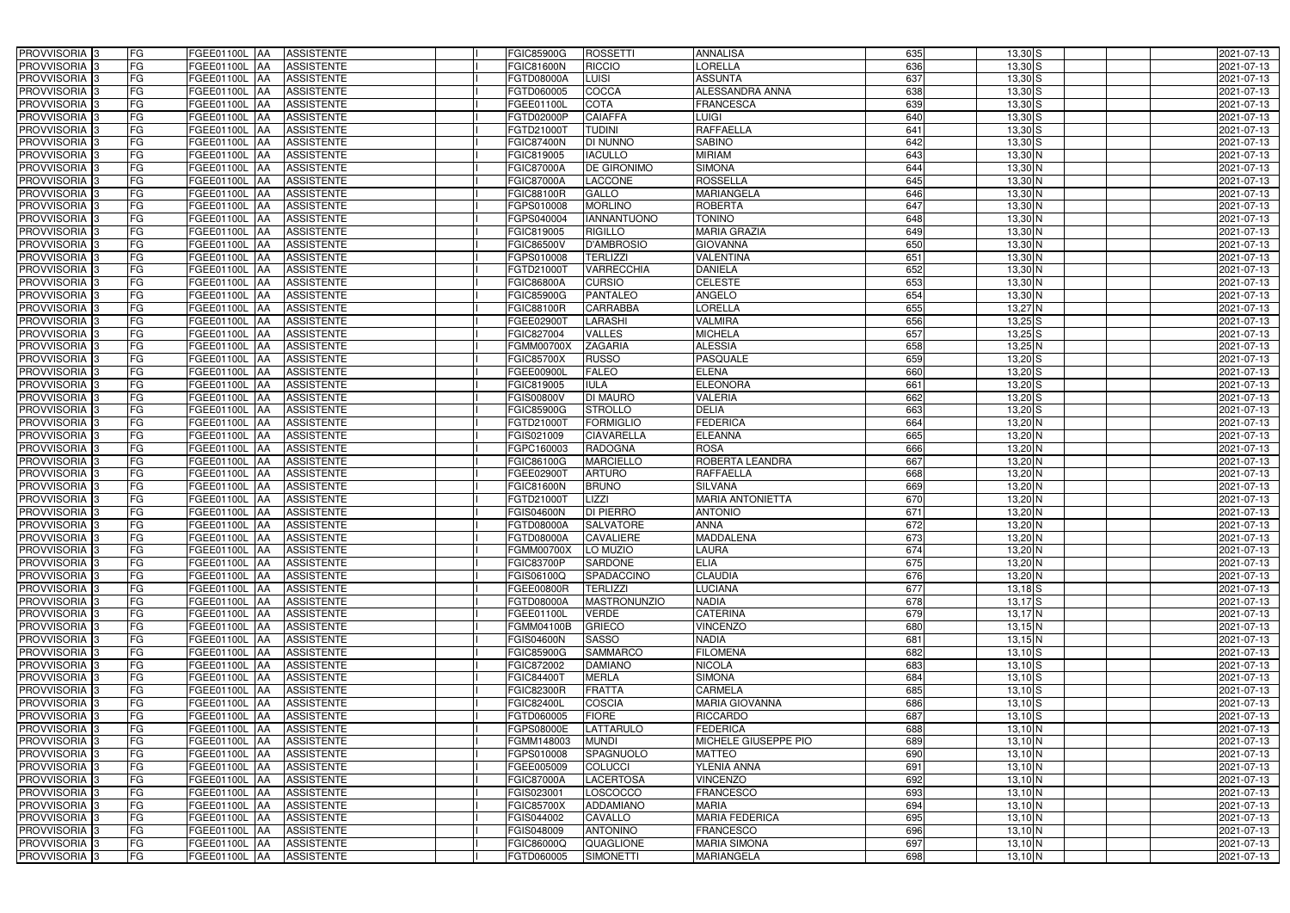| FG<br><b>ASSISTENTE</b><br><b>ORELLA</b><br>636<br>$13,30$ S<br>PROVVISORIA 3<br>FGEE01100L AA<br><b>RICCIO</b><br><b>GIC81600N</b><br>FG<br><b>ASSUNTA</b><br>637<br>$13,30$ $S$<br>PROVVISORIA 3<br>LUISI<br>FGEE01100L AA<br><b>ASSISTENTE</b><br>FGTD08000A<br>FG<br>COCCA<br>ALESSANDRA ANNA<br>638<br>$13,30$ S<br>PROVVISORIA 3<br><b>FGEE01100L   AA</b><br><b>ASSISTENTE</b><br>FGTD060005 | 2021-07-13<br>2021-07-13 |
|-----------------------------------------------------------------------------------------------------------------------------------------------------------------------------------------------------------------------------------------------------------------------------------------------------------------------------------------------------------------------------------------------------|--------------------------|
|                                                                                                                                                                                                                                                                                                                                                                                                     |                          |
|                                                                                                                                                                                                                                                                                                                                                                                                     |                          |
|                                                                                                                                                                                                                                                                                                                                                                                                     | 2021-07-13               |
| FG<br><b>ASSISTENTE</b><br><b>COTA</b><br><b>FRANCESCA</b><br>639<br>$13,30$ S<br>PROVVISORIA 3<br>FGEE01100L AA<br>FGEE01100L                                                                                                                                                                                                                                                                      | 2021-07-13               |
| FG<br><b>CAIAFFA</b><br>PROVVISORIA 3<br>FGEE01100L AA<br><b>ASSISTENTE</b><br>FGTD02000P<br>LUIGI<br>640<br>$13,30$ S                                                                                                                                                                                                                                                                              | 2021-07-13               |
| FG<br><b>RAFFAELLA</b><br>PROVVISORIA 3<br><b>TUDINI</b><br>641<br>$13,30$ $S$<br>FGEE01100L AA<br><b>ASSISTENTE</b><br>FGTD21000T                                                                                                                                                                                                                                                                  | 2021-07-13               |
| <b>FG</b><br>PROVVISORIA <sup>3</sup><br><b>DI NUNNO</b><br><b>SABINO</b><br>642<br>$13,30$ $S$<br>FGEE01100L<br><b>ASSISTENTE</b><br>FGIC87400N<br>IAA                                                                                                                                                                                                                                             | 2021-07-13               |
| <b>MIRIAM</b><br>PROVVISORIA <sup>3</sup><br>FG<br><b>IACULLO</b><br>643<br>$13,30\overline{\text{N}}$<br>FGEE01100L<br><b>ASSISTENTE</b><br>GIC819005<br>IAA                                                                                                                                                                                                                                       | 2021-07-13               |
| FG<br><b>SIMONA</b><br>644<br>$13,30$ N<br>PROVVISORIA <sup>1</sup> 3<br>FGEE01100L<br><b>ASSISTENTE</b><br>FGIC87000A<br><b>DE GIRONIMO</b><br>AA                                                                                                                                                                                                                                                  | 2021-07-13               |
| <b>ROSSELLA</b><br>PROVVISORIA 3<br>FG<br><b>LACCONE</b><br>645<br>$13,30$ N<br>FGEE01100L AA<br><b>ASSISTENTE</b><br>GIC87000A                                                                                                                                                                                                                                                                     | 2021-07-13               |
| PROVVISORIA 3<br><b>FG</b><br><b>GALLO</b><br><b>MARIANGELA</b><br>646<br>13,30 N<br>FGEE01100L AA<br><b>ASSISTENTE</b><br>FGIC88100R                                                                                                                                                                                                                                                               | 2021-07-13               |
| PROVVISORIA <sup>3</sup><br>FG<br><b>MORLINO</b><br><b>ROBERTA</b><br>13,30 N<br>FGEE01100L AA<br><b>ASSISTENTE</b><br>FGPS010008<br>647                                                                                                                                                                                                                                                            | 2021-07-13               |
| 13,30 N<br>PROVVISORIA <sup>3</sup><br><b>FG</b><br><b>IANNANTUONO</b><br><b>TONINO</b><br>648<br>FGEE01100L AA<br><b>ASSISTENTE</b><br>FGPS040004                                                                                                                                                                                                                                                  | 2021-07-13               |
| PROVVISORIA <sup>3</sup><br>FG<br><b>MARIA GRAZIA</b><br>649<br>$13,30$ N<br>FGEE01100L AA<br><b>ASSISTENTE</b><br>FGIC819005<br><b>RIGILLO</b>                                                                                                                                                                                                                                                     | 2021-07-13               |
| PROVVISORIA 3<br><b>FG</b><br>FGEE01100L AA<br><b>D'AMBROSIO</b><br><b>GIOVANNA</b><br>650<br>$13,30$ N<br><b>ASSISTENTE</b><br>FGIC86500V                                                                                                                                                                                                                                                          | 2021-07-13               |
| PROVVISORIA 3<br><b>FG</b><br><b>TERLIZZI</b><br><b>VALENTINA</b><br>651<br>13,30 N<br>FGEE01100L AA<br><b>ASSISTENTE</b><br>FGPS010008                                                                                                                                                                                                                                                             | 2021-07-13               |
| PROVVISORIA 3<br><b>FG</b><br><b>VARRECCHIA</b><br><b>DANIELA</b><br>652<br>$13,30$ N<br>FGEE01100L AA<br><b>ASSISTENTE</b><br>FGTD21000T                                                                                                                                                                                                                                                           | 2021-07-13               |
| <b>CELESTE</b><br>PROVVISORIA 3<br>FG<br><b>CURSIO</b><br>653<br>13,30 N<br><b>FGEE01100L AA</b><br><b>ASSISTENTE</b><br><b>FGIC86800A</b>                                                                                                                                                                                                                                                          | 2021-07-13               |
| PROVVISORIA <sup>3</sup><br>FG<br><b>PANTALEO</b><br><b>ANGELO</b><br>654<br>13,30 N<br>FGEE01100L<br><b>ASSISTENTE</b><br><b>FGIC85900G</b><br>IAA                                                                                                                                                                                                                                                 | 2021-07-13               |
| FG<br><b>LORELLA</b><br>655<br>13,27 N<br>PROVVISORIA <sup>1</sup> 3<br><b>FGEE01100L</b><br><b>CARRABBA</b><br><b>ASSISTENTE</b><br>FGIC88100R<br>l AA                                                                                                                                                                                                                                             | 2021-07-13               |
| PROVVISORIA <sup>3</sup><br>FG<br><b>VALMIRA</b><br>656<br>$13,25$ S<br><b>FGEE01100L</b><br><b>ASSISTENTE</b><br>FGEE02900T<br>LARASHI<br>l AA                                                                                                                                                                                                                                                     | 2021-07-13               |
| <b>MICHELA</b><br>PROVVISORIA <sup>3</sup><br>FG<br>VALLES<br>657<br>$13,25$ S<br>FGEE01100L<br><b>ASSISTENTE</b><br>FGIC827004<br>IAA                                                                                                                                                                                                                                                              | 2021-07-13               |
| <b>ALESSIA</b><br>$13,25$ N<br><b>PROVVISORIA</b> 3<br>FG<br><b>ZAGARIA</b><br>658<br>FGEE01100L<br><b>ASSISTENTE</b><br>GMM00700X<br>IAA                                                                                                                                                                                                                                                           | 2021-07-13               |
| <b>PROVVISORIA</b> 3<br><b>FG</b><br><b>PASQUALE</b><br>659<br>$13,20$ S<br><b>FGEE01100L</b><br><b>ASSISTENTE</b><br>GIC85700X<br><b>RUSSO</b><br>IAA                                                                                                                                                                                                                                              | 2021-07-13               |
| <b>FG</b><br>660<br>$13,20$ S<br>PROVVISORIA <sup>3</sup><br><b>FALEO</b><br><b>ELENA</b><br>FGEE01100L<br><b>ASSISTENTE</b><br>FGEE00900L<br>IAA                                                                                                                                                                                                                                                   | 2021-07-13               |
| <b>FG</b><br>$13,20$ S<br>PROVVISORIA 3<br><b>ELEONORA</b><br>661<br>FGEE01100L<br><b>ASSISTENTE</b><br>FGIC819005<br><b>IULA</b><br>IAA                                                                                                                                                                                                                                                            | 2021-07-13               |
| FG<br>662<br>$13,20$ S<br>PROVVISORIA <sup>3</sup><br>DI MAURO<br>VALERIA<br>FGEE01100L<br><b>ASSISTENTE</b><br><b>GIS00800V</b><br>IAA                                                                                                                                                                                                                                                             | 2021-07-13               |
| FG<br><b>DELIA</b><br>$13,20$ $S$<br>PROVVISORIA 3<br>FGEE01100L<br><b>STROLLO</b><br>663<br><b>ASSISTENTE</b><br>FGIC85900G                                                                                                                                                                                                                                                                        | 2021-07-13               |
| <b>FG</b><br><b>FORMIGLIO</b><br><b>FEDERICA</b><br>664<br>13,20 N<br>PROVVISORIA 3<br>FGEE01100L<br><b>ASSISTENTE</b><br>FGTD21000T<br>IAA                                                                                                                                                                                                                                                         | 2021-07-13               |
| <b>FG</b><br>PROVVISORIA 3<br><b>FGEE01100L</b><br><b>ASSISTENTE</b><br><b>CIAVARELLA</b><br><b>ELEANNA</b><br>665<br>13,20 N<br>FGIS021009<br>IAA                                                                                                                                                                                                                                                  | 2021-07-13               |
| FG<br><b>ROSA</b><br>666<br>13,20 N<br>PROVVISORIA 3<br><b>FGEE01100L</b><br><b>ASSISTENTE</b><br><b>RADOGNA</b><br>FGPC160003<br>IAA                                                                                                                                                                                                                                                               | 2021-07-13               |
| <b>FG</b><br><b>MARCIELLO</b><br>ROBERTA LEANDRA<br>667<br>$13,20$ N<br>PROVVISORIA <sup>1</sup> 3<br>FGEE01100L<br><b>ASSISTENTE</b><br>FGIC86100G<br>IAA                                                                                                                                                                                                                                          | 2021-07-13               |
| FG<br><b>RAFFAELLA</b><br>668<br>PROVVISORIA <sup>1</sup> 3<br>FGEE01100L<br><b>ASSISTENTE</b><br><b>ARTURO</b><br>13,20 N<br>FGEE02900T<br>IAA                                                                                                                                                                                                                                                     | 2021-07-13               |
| 669<br>PROVVISORIA <sup>3</sup><br>FG<br><b>SILVANA</b><br>$13,20$ N<br>FGEE01100L<br><b>ASSISTENTE</b><br>FGIC81600N<br><b>BRUNO</b><br>IAA<br>FG<br>LIZZI<br><b>MARIA ANTONIETTA</b><br>670<br>FGEE01100L<br>FGTD21000T                                                                                                                                                                           | 2021-07-13               |
| $13,20$ N<br>PROVVISORIA 3<br><b>ASSISTENTE</b><br><b>JAA</b><br>671<br><b>FG</b><br><b>DI PIERRO</b><br><b>ANTONIO</b><br>$13,20$ N<br>PROVVISORIA <sup>3</sup><br>FGEE01100L AA<br><b>ASSISTENTE</b><br>FGIS04600N                                                                                                                                                                                | 2021-07-13<br>2021-07-13 |
| 672<br><b>FG</b><br>FGEE01100L AA<br><b>SALVATORE</b><br><b>ANNA</b><br>ASSISTENTE                                                                                                                                                                                                                                                                                                                  |                          |
| $13,20$ N<br>PROVVISORIA <sup>3</sup><br>FGTD08000A<br>PROVVISORIA <sup>3</sup><br><b>FG</b><br>FGEE01100L AA ASSISTENTE<br><b>MADDALENA</b><br>673<br>$13,20$ N<br><b>FGTD08000A</b><br><b>CAVALIERE</b>                                                                                                                                                                                           | 2021-07-13<br>2021-07-13 |
| 674<br>$13,20$ N<br><b>PROVVISORIA</b> 3<br><b>FG</b><br>FGEE01100L AA<br><b>ASSISTENTE</b><br>FGMM00700X<br>LO MUZIO<br><b>LAURA</b>                                                                                                                                                                                                                                                               | 2021-07-13               |
| PROVVISORIA <sup>3</sup><br>FG<br><b>ELIA</b><br>675<br>$13,20$ N<br>FGEE01100L AA<br><b>ASSISTENTE</b><br><b>FGIC83700P</b><br><b>SARDONE</b>                                                                                                                                                                                                                                                      | 2021-07-13               |
| PROVVISORIA 3<br>FG<br><b>CLAUDIA</b><br>676<br>$13,20$ N<br>FGEE01100L AA ASSISTENTE<br>FGIS06100Q<br>SPADACCINO                                                                                                                                                                                                                                                                                   | 2021-07-13               |
| PROVVISORIA <sup>3</sup><br>FG<br><b>TERLIZZI</b><br><b>LUCIANA</b><br>677<br>$13,18$ $S$<br>FGEE01100L AA<br><b>ASSISTENTE</b><br>FGEE00800R                                                                                                                                                                                                                                                       | 2021-07-13               |
| PROVVISORIA <sup>3</sup><br>FG<br><b>NADIA</b><br>FGEE01100L AA<br><b>ASSISTENTE</b><br>FGTD08000A<br><b>MASTRONUNZIO</b><br>678<br>$13,17$ $S$                                                                                                                                                                                                                                                     | 2021-07-13               |
| PROVVISORIA 3<br>FG<br><b>CATERINA</b><br>679<br>$13,17$ N<br>FGEE01100L AA<br><b>ASSISTENTE</b><br>FGEE01100L<br><b>VERDE</b>                                                                                                                                                                                                                                                                      | 2021-07-13               |
| <b>FG</b><br>PROVVISORIA 3<br><b>VINCENZO</b><br>680<br>$13,15$ N<br>FGEE01100L AA<br><b>ASSISTENTE</b><br>FGMM04100B<br><b>GRIECO</b>                                                                                                                                                                                                                                                              | 2021-07-13               |
| PROVVISORIA <sup>3</sup><br>FG<br>681<br>FGEE01100L AA<br>ASSISTENTE<br>SASSO<br>NADIA<br>$13,15$ N<br><b>FGIS04600N</b>                                                                                                                                                                                                                                                                            | 2021-07-13               |
| FG<br>682<br>PROVVISORIA <sup>3</sup><br><b>SAMMARCO</b><br><b>FILOMENA</b><br>$13,10$ S<br>FGEE01100L AA<br><b>ASSISTENTE</b><br>FGIC85900G                                                                                                                                                                                                                                                        | 2021-07-13               |
| PROVVISORIA <sup>3</sup><br>FG<br><b>NICOLA</b><br>683<br>$13,10$ $S$<br>FGEE01100L AA<br><b>ASSISTENTE</b><br>FGIC872002<br><b>DAMIANO</b>                                                                                                                                                                                                                                                         | 2021-07-13               |
| PROVVISORIA <sup>3</sup><br>FG<br><b>SIMONA</b><br>684<br>$13,10$ S<br>FGEE01100L AA<br><b>ASSISTENTE</b><br>FGIC84400T<br><b>MERLA</b>                                                                                                                                                                                                                                                             | 2021-07-13               |
| 685<br>FG<br>PROVVISORIA <sup>3</sup><br><b>FRATTA</b><br>CARMELA<br>$13,10$ S<br>FGEE01100L AA<br><b>ASSISTENTE</b><br><b>FGIC82300R</b>                                                                                                                                                                                                                                                           | 2021-07-13               |
| PROVVISORIA <sup>3</sup><br>FG<br>686<br>$13,10$ $S$<br>FGEE01100L AA<br><b>ASSISTENTE</b><br>FGIC82400L<br><b>COSCIA</b><br><b>MARIA GIOVANNA</b>                                                                                                                                                                                                                                                  | 2021-07-13               |
| FG<br>687<br>PROVVISORIA <sup>3</sup><br><b>FIORE</b><br>RICCARDO<br>$13,10$ S<br>FGEE01100L AA<br><b>ASSISTENTE</b><br>FGTD060005                                                                                                                                                                                                                                                                  | 2021-07-13               |
| FG<br>688<br>PROVVISORIA <sup>3</sup><br><b>FGEE01100L   AA</b><br><b>ASSISTENTE</b><br>LATTARULO<br><b>FEDERICA</b><br>$13,10$ N<br>FGPS08000E                                                                                                                                                                                                                                                     | 2021-07-13               |
| FG<br>689<br>PROVVISORIA <sup>3</sup><br><b>FGEE01100L   AA</b><br><b>ASSISTENTE</b><br>FGMM148003<br><b>MUNDI</b><br>MICHELE GIUSEPPE PIO<br>$13,10$ N                                                                                                                                                                                                                                             | 2021-07-13               |
| PROVVISORIA <sup>3</sup><br>FG<br><b>ASSISTENTE</b><br>SPAGNUOLO<br>690<br>$13,10$ N<br>FGEE01100L AA<br>FGPS010008<br><b>MATTEO</b>                                                                                                                                                                                                                                                                | 2021-07-13               |
| FG<br><b>COLUCCI</b><br>691<br>PROVVISORIA <sup>3</sup><br>FGEE01100L AA<br><b>ASSISTENTE</b><br>FGEE005009<br><b>YLENIA ANNA</b><br>$13,10$ N                                                                                                                                                                                                                                                      | 2021-07-13               |
| FG<br><b>LACERTOSA</b><br><b>VINCENZO</b><br>692<br>$13,10$ N<br>PROVVISORIA <sup>3</sup><br>FGEE01100L AA<br><b>ASSISTENTE</b><br>FGIC87000A                                                                                                                                                                                                                                                       | 2021-07-13               |
| PROVVISORIA <sup>3</sup><br>FG<br><b>ASSISTENTE</b><br>LOSCOCCO<br><b>FRANCESCO</b><br>693<br>$13,10\overline{\text{N}}$<br>FGEE01100L AA<br>FGIS023001                                                                                                                                                                                                                                             | 2021-07-13               |
|                                                                                                                                                                                                                                                                                                                                                                                                     | 2021-07-13               |
| FG<br>694<br>$13,10$ N<br>PROVVISORIA <sup>3</sup><br>FGEE01100L AA<br><b>ASSISTENTE</b><br>FGIC85700X<br><b>ADDAMIANO</b><br><b>MARIA</b>                                                                                                                                                                                                                                                          |                          |
| PROVVISORIA <sup>3</sup><br>FG<br>CAVALLO<br><b>MARIA FEDERICA</b><br>695<br>FGEE01100L AA<br><b>ASSISTENTE</b><br>FGIS044002<br>13,10 N                                                                                                                                                                                                                                                            | 2021-07-13               |
| PROVVISORIA <sup>3</sup><br>FG<br><b>ASSISTENTE</b><br><b>ANTONINO</b><br><b>FRANCESCO</b><br>696<br>$13,10$ N<br>FGEE01100L AA<br>FGIS048009                                                                                                                                                                                                                                                       | 2021-07-13               |
| PROVVISORIA <sup>3</sup><br>FG<br><b>MARIA SIMONA</b><br>697<br>$13,10$ N<br>FGEE01100L AA<br><b>ASSISTENTE</b><br>FGIC86000Q<br>QUAGLIONE<br>PROVVISORIA 3<br>FG<br>ASSISTENTE<br><b>MARIANGELA</b><br>698<br><b>FGEE01100L AA</b><br>FGTD060005<br><b>SIMONETTI</b><br>$13,10$ N                                                                                                                  | 2021-07-13<br>2021-07-13 |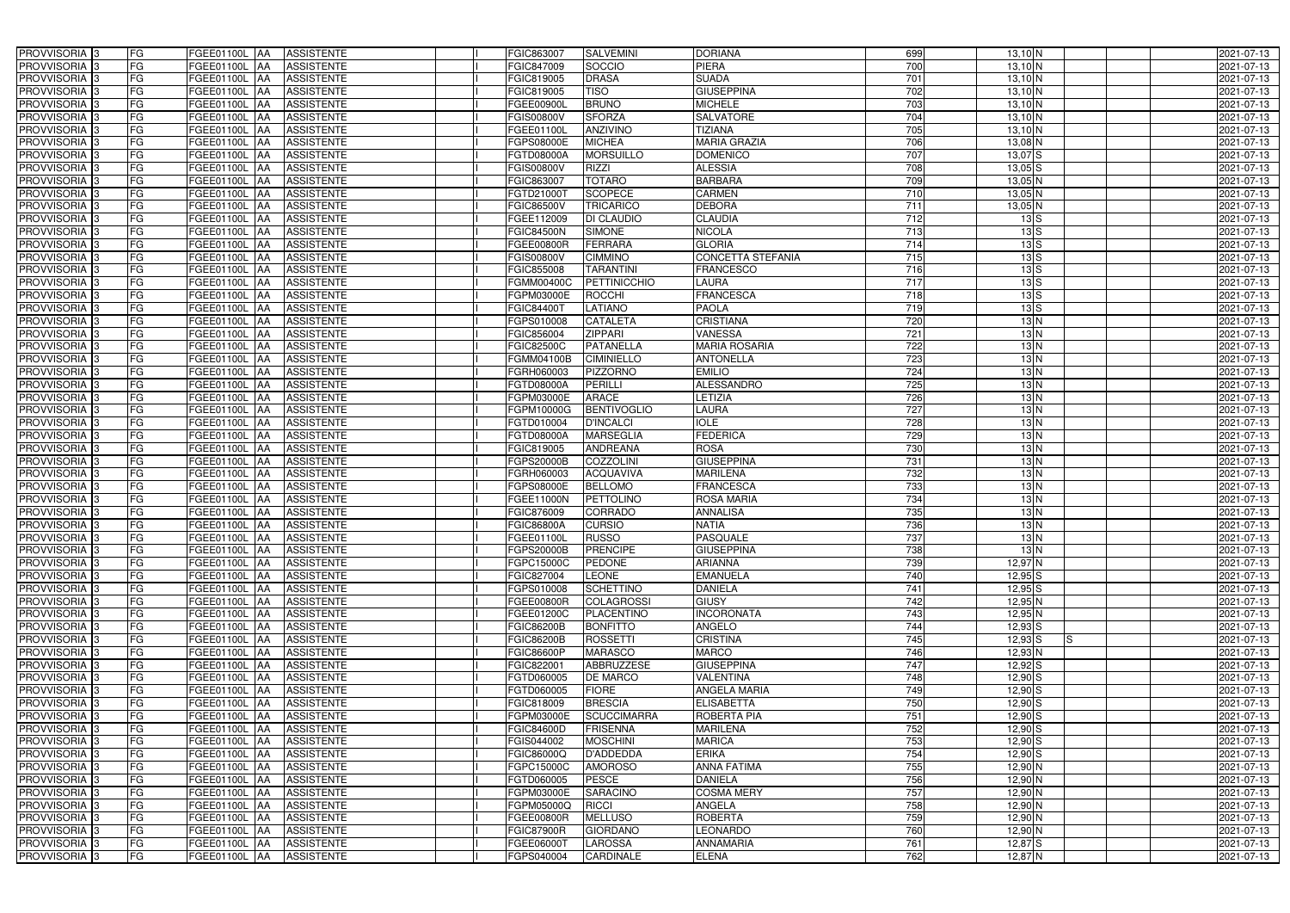| <b>PROVVISORIA</b> 3           | FG        | FGEE01100L AA<br><b>ASSISTENTE</b>                                | FGIC863007               | <b>SALVEMINI</b>                      | <b>DORIANA</b>                 | 699              | $13,10$ N                | 2021-07-13               |
|--------------------------------|-----------|-------------------------------------------------------------------|--------------------------|---------------------------------------|--------------------------------|------------------|--------------------------|--------------------------|
| PROVVISORIA 3                  | FG        | FGEE01100L AA<br><b>ASSISTENTE</b>                                | GIC847009                | SOCCIO                                | <b>PIERA</b>                   | 700              | $13,10$ N                | 2021-07-13               |
| PROVVISORIA 3                  | FG        | FGEE01100L AA<br><b>ASSISTENTE</b>                                | GIC819005 <sup>-</sup>   | <b>DRASA</b>                          | <b>SUADA</b>                   | 701              | $13,10$ N                | 2021-07-13               |
| PROVVISORIA 3                  | FG        | <b>FGEE01100L   AA</b><br><b>ASSISTENTE</b>                       | FGIC819005               | <b>TISO</b>                           | <b>GIUSEPPINA</b>              | 702              | $13,10$ N                | 2021-07-13               |
| PROVVISORIA 3                  | FG        | <b>ASSISTENTE</b><br>FGEE01100L AA                                | FGEE00900L               | <b>BRUNO</b>                          | <b>MICHELE</b>                 | 703              | $13,10$ N                | 2021-07-13               |
| PROVVISORIA 3                  | FG        | FGEE01100L AA<br><b>ASSISTENTE</b>                                | FGIS00800V               | <b>SFORZA</b>                         | <b>SALVATORE</b>               | 704              | $13,10$ N                | 2021-07-13               |
| PROVVISORIA 3                  | <b>FG</b> | FGEE01100L AA<br><b>ASSISTENTE</b>                                | FGEE01100L               | <b>ANZIVINO</b>                       | <b>TIZIANA</b>                 | 705              | $13,10$ N                | 2021-07-13               |
| <b>PROVVISORIA</b> 3           | <b>FG</b> | FGEE01100L<br><b>ASSISTENTE</b><br>IAA                            | FGPS08000E               | <b>MICHEA</b>                         | <b>MARIA GRAZIA</b>            | 706              | 13,08 N                  | 2021-07-13               |
| PROVVISORIA <sup>1</sup> 3     | FG        | FGEE01100L<br><b>ASSISTENTE</b><br>IAA                            | FGTD08000A               | <b>MORSUILLO</b>                      | <b>DOMENICO</b>                | 707              | $13,07$ $S$              | 2021-07-13               |
| PROVVISORIA 3                  | FG        | FGEE01100L<br><b>ASSISTENTE</b><br>IAA                            | <b>GIS00800V</b>         | <b>RIZZI</b>                          | <b>ALESSIA</b>                 | 708              | $13,05$ $S$              | 2021-07-13               |
| PROVVISORIA 3                  | FG        | FGEE01100L AA<br><b>ASSISTENTE</b>                                | FGIC863007               | <b>TOTARO</b>                         | <b>BARBARA</b>                 | 709              | $13,05$ N                | 2021-07-13               |
| PROVVISORIA 3                  | <b>FG</b> | FGEE01100L AA<br><b>ASSISTENTE</b>                                | FGTD21000T               | <b>SCOPECE</b>                        | <b>CARMEN</b>                  | $\overline{710}$ | $13,05$ N                | 2021-07-13               |
| PROVVISORIA <sup>3</sup>       | FG        | FGEE01100L AA<br><b>ASSISTENTE</b>                                | FGIC86500V               | <b>TRICARICO</b>                      | <b>DEBORA</b>                  | 711              | 13,05 N                  | 2021-07-13               |
| PROVVISORIA <sup>3</sup>       | <b>FG</b> | FGEE01100L AA<br><b>ASSISTENTE</b>                                | FGEE112009               | <b>DI CLAUDIO</b>                     | <b>CLAUDIA</b>                 | 712              | 13S                      | 2021-07-13               |
| PROVVISORIA <sup>3</sup>       | FG        | FGEE01100L AA<br><b>ASSISTENTE</b>                                | FGIC84500N               | <b>SIMONE</b>                         | <b>NICOLA</b>                  | 713              | 13S                      | 2021-07-13               |
| PROVVISORIA 3                  | <b>FG</b> | FGEE01100L AA<br><b>ASSISTENTE</b>                                | FGEE00800R               | <b>FERRARA</b>                        | <b>GLORIA</b>                  | 714              | 13S                      | 2021-07-13               |
| PROVVISORIA 3                  | <b>FG</b> | FGEE01100L AA<br><b>ASSISTENTE</b>                                | FGIS00800V               | <b>CIMMINO</b>                        | <b>CONCETTA STEFANIA</b>       | 715              | 13S                      | 2021-07-13               |
| PROVVISORIA 3                  | <b>FG</b> | FGEE01100L AA<br><b>ASSISTENTE</b>                                | FGIC855008               | <b>TARANTINI</b>                      | <b>FRANCESCO</b>               | 716              | 13S                      | 2021-07-13               |
| PROVVISORIA 3                  | FG        | FGEE01100L AA<br><b>ASSISTENTE</b>                                | FGMM00400C               | PETTINICCHIO                          | <b>LAURA</b>                   | 717              | 13S                      | 2021-07-13               |
| PROVVISORIA 3                  | FG        | FGEE01100L<br><b>ASSISTENTE</b><br>IAA                            | FGPM03000E               | <b>ROCCHI</b>                         | <b>FRANCESCA</b>               | 718              | 13S                      | 2021-07-13               |
| PROVVISORIA <sup>1</sup> 3     | <b>FG</b> | <b>FGEE01100L</b><br><b>ASSISTENTE</b><br>l AA                    | FGIC844007               | LATIANO                               | PAOLA                          | 719              | 13S                      | 2021-07-13               |
| PROVVISORIA <sup>3</sup>       | FG        | <b>FGEE01100L</b><br><b>ASSISTENTE</b><br>IAA                     | GPS010008                | <b>CATALETA</b>                       | <b>CRISTIANA</b>               | 720              | 13N                      | 2021-07-13               |
| PROVVISORIA <sup>3</sup>       | FG        | <b>FGEE01100L</b><br><b>ASSISTENTE</b><br>IAA                     | GIC856004                | <b>ZIPPARI</b>                        | <b>VANESSA</b>                 | 721              | 13N                      | 2021-07-13               |
| <b>PROVVISORIA</b> 3           | FG        | FGEE01100L<br><b>ASSISTENTE</b><br>IAA                            | <b>GIC82500C</b>         | <b>PATANELLA</b>                      | <b>MARIA ROSARIA</b>           | 722              | 13N                      | 2021-07-13               |
| PROVVISORIA <sup>3</sup>       | <b>FG</b> | <b>FGEE01100L</b><br><b>ASSISTENTE</b><br>IAA                     | GMM04100B                | <b>CIMINIELLO</b>                     | <b>ANTONELLA</b>               | 723              | 13N                      | 2021-07-13               |
| PROVVISORIA 3                  | <b>FG</b> | <b>FGEE01100L</b><br><b>ASSISTENTE</b><br>IAA                     | GRH060003                | PIZZORNO                              | <b>EMILIO</b>                  | $\overline{724}$ | 13N                      | 2021-07-13               |
| PROVVISORIA 3                  | <b>FG</b> | FGEE01100L<br><b>ASSISTENTE</b>                                   | FGTD08000A               | <b>PERILLI</b>                        | <b>ALESSANDRO</b>              | 725              | 13N                      | 2021-07-13               |
| PROVVISORIA <sup>3</sup>       | <b>FG</b> | FGEE01100L<br><b>ASSISTENTE</b><br>IAA                            | <b>GPM03000E</b>         | <b>ARACE</b>                          | LETIZIA                        | 726              | 13N                      | 2021-07-13               |
| PROVVISORIA 3                  | FG        | FGEE01100L<br><b>ASSISTENTE</b>                                   | <b>GPM10000G</b>         | <b>BENTIVOGLIO</b>                    | LAURA                          | 727              | 13N                      | 2021-07-13               |
| PROVVISORIA 3                  | <b>FG</b> | FGEE01100L<br><b>ASSISTENTE</b><br>IAA                            | FGTD010004               | <b>D'INCALCI</b>                      | <b>IOLE</b>                    | $\overline{728}$ | 13N                      | 2021-07-13               |
| PROVVISORIA 3                  | <b>FG</b> | <b>FGEE01100L</b><br><b>ASSISTENTE</b><br>IAA                     | FGTD08000A               | <b>MARSEGLIA</b>                      | <b>FEDERICA</b>                | 729              | 13N                      | 2021-07-13               |
| PROVVISORIA 3                  | FG        | <b>FGEE01100L</b><br><b>ASSISTENTE</b><br>IAA                     | FGIC819005               | <b>ANDREANA</b>                       | <b>ROSA</b>                    | 730              | 13N                      | 2021-07-13               |
| PROVVISORIA <sup>1</sup> 3     | <b>FG</b> | FGEE01100L<br><b>ASSISTENTE</b><br>IAA                            | FGPS20000B               | COZZOLINI                             | <b>GIUSEPPINA</b>              | 731              | 13N                      | 2021-07-13               |
| PROVVISORIA <sup>1</sup> 3     | FG        | FGEE01100L<br><b>ASSISTENTE</b><br>IAA                            | GRH060003                | <b>ACQUAVIVA</b>                      | <b>MARILENA</b>                | 732              | 13N                      | 2021-07-13               |
| PROVVISORIA 3                  | FG        | FGEE01100L<br><b>ASSISTENTE</b><br>IAA                            | GPS08000E                | <b>BELLOMO</b>                        | <b>FRANCESCA</b>               | 733              | 13N                      | 2021-07-13               |
| PROVVISORIA 3                  | FG        | FGEE01100L<br><b>ASSISTENTE</b><br><b>JAA</b>                     | FGEE11000N               | <b>PETTOLINO</b>                      | <b>ROSA MARIA</b>              | 734              | 13N                      | 2021-07-13               |
| PROVVISORIA <sup>3</sup>       | <b>FG</b> | FGEE01100L AA<br><b>ASSISTENTE</b>                                | FGIC876009               | <b>CORRADO</b>                        | <b>ANNALISA</b>                | 735              | 13N                      | 2021-07-13               |
| PROVVISORIA <sup>3</sup>       | <b>FG</b> | FGEE01100L AA<br><b>ASSISTENTE</b>                                | FGIC86800A               | <b>CURSIO</b>                         | <b>NATIA</b>                   | 736              | 13N                      | 2021-07-13               |
| PROVVISORIA <sup>3</sup>       | <b>FG</b> | FGEE01100L AA ASSISTENTE                                          | FGEE01100L               | RUSSO                                 | <b>PASQUALE</b>                | 737              | 13N                      | 2021-07-13               |
| <b>PROVVISORIA</b> 3           | <b>FG</b> | FGEE01100L AA<br><b>ASSISTENTE</b>                                | FGPS20000B               | <b>PRENCIPE</b>                       | <b>GIUSEPPINA</b>              | 738              | 13N                      | 2021-07-13               |
| PROVVISORIA 3                  | FG        | FGEE01100L AA ASSISTENTE                                          | FGPC15000C               | <b>PEDONE</b>                         | <b>ARIANNA</b>                 | 739              | $12,97$ N                | 2021-07-13               |
| PROVVISORIA <sup>3</sup>       | FG        | FGEE01100L AA ASSISTENTE                                          | FGIC827004               | <b>LEONE</b>                          | <b>EMANUELA</b>                | 740              | $12,95$ $S$              | 2021-07-13               |
| PROVVISORIA <sup>3</sup>       | FG        | FGEE01100L AA<br><b>ASSISTENTE</b>                                | FGPS010008<br>FGEE00800R | <b>SCHETTINO</b><br><b>COLAGROSSI</b> | <b>DANIELA</b><br><b>GIUSY</b> | 741<br>742       | $12,95$ $S$              | 2021-07-13               |
| PROVVISORIA <sup>3</sup>       | FG<br>FG  | FGEE01100L AA<br><b>ASSISTENTE</b>                                |                          |                                       | <b>INCORONATA</b>              |                  | 12,95 N                  | 2021-07-13               |
| PROVVISORIA 3<br>PROVVISORIA 3 | FG        | FGEE01100L AA<br><b>ASSISTENTE</b>                                | FGEE01200C               | PLACENTINO                            | <b>ANGELO</b>                  | 743              | $12,95$ N<br>$12,93$ $S$ | 2021-07-13               |
| PROVVISORIA <sup>3</sup>       | FG        | FGEE01100L AA<br><b>ASSISTENTE</b><br>FGEE01100L AA<br>ASSISTENTE | FGIC86200B<br>FGIC86200B | <b>BONFITTO</b><br><b>ROSSETTI</b>    | <b>CRISTINA</b>                | 744<br>745       | $12,93$ $S$              | 2021-07-13               |
| PROVVISORIA <sup>3</sup>       | FG        | FGEE01100L AA<br><b>ASSISTENTE</b>                                | FGIC86600P               | <b>MARASCO</b>                        | <b>MARCO</b>                   | 746              | IS.<br>$12,93$ N         | 2021-07-13<br>2021-07-13 |
| PROVVISORIA <sup>3</sup>       | FG        | FGEE01100L AA<br><b>ASSISTENTE</b>                                | FGIC822001               | ABBRUZZESE                            | <b>GIUSEPPINA</b>              | 747              | $12,92$ $S$              | 2021-07-13               |
| PROVVISORIA <sup>3</sup>       | FG        | FGEE01100L AA<br><b>ASSISTENTE</b>                                | FGTD060005               | <b>DE MARCO</b>                       | VALENTINA                      | 748              | $12,90$ S                | 2021-07-13               |
| PROVVISORIA <sup>3</sup>       | <b>FG</b> | FGEE01100L AA<br><b>ASSISTENTE</b>                                | FGTD060005               | <b>FIORE</b>                          | ANGELA MARIA                   | 749              | $12,90$ S                | 2021-07-13               |
| PROVVISORIA <sup>3</sup>       | FG        | <b>ASSISTENTE</b><br>FGEE01100L AA                                | FGIC818009               | <b>BRESCIA</b>                        | <b>ELISABETTA</b>              | 750              | $12,90$ S                | 2021-07-13               |
| PROVVISORIA <sup>3</sup>       | FG        | FGEE01100L AA<br><b>ASSISTENTE</b>                                | FGPM03000E               | <b>SCUCCIMARRA</b>                    | <b>ROBERTA PIA</b>             | 751              | $12,90$ S                | 2021-07-13               |
| PROVVISORIA <sup>3</sup>       | FG        | <b>FGEE01100L   AA</b><br><b>ASSISTENTE</b>                       | FGIC84600D               | <b>FRISENNA</b>                       | <b>MARILENA</b>                | 752              | $12,90$ S                | 2021-07-13               |
| PROVVISORIA <sup>3</sup>       | FG        | FGEE01100L AA<br><b>ASSISTENTE</b>                                | FGIS044002               | <b>MOSCHINI</b>                       | <b>MARICA</b>                  | 753              | $12,90$ S                | 2021-07-13               |
| PROVVISORIA <sup>3</sup>       | FG        | <b>ASSISTENTE</b><br>FGEE01100L AA                                | FGIC86000Q               | <b>D'ADDEDDA</b>                      | <b>ERIKA</b>                   | 754              | $12,90$ S                | 2021-07-13               |
| PROVVISORIA <sup>3</sup>       | FG        | FGEE01100L AA<br><b>ASSISTENTE</b>                                | FGPC15000C               | <b>AMOROSO</b>                        | <b>ANNA FATIMA</b>             | 755              | $12,90$ N                | 2021-07-13               |
| PROVVISORIA <sup>3</sup>       | FG        | FGEE01100L AA<br><b>ASSISTENTE</b>                                | FGTD060005               | <b>PESCE</b>                          | <b>DANIELA</b>                 | 756              | $12,90$ N                | 2021-07-13               |
| PROVVISORIA <sup>3</sup>       | FG        | <b>ASSISTENTE</b><br>FGEE01100L AA                                | FGPM03000E               | <b>SARACINO</b>                       | <b>COSMA MERY</b>              | 757              | 12,90 N                  | 2021-07-13               |
| PROVVISORIA <sup>3</sup>       | FG        | FGEE01100L AA<br><b>ASSISTENTE</b>                                | FGPM05000Q               | <b>RICCI</b>                          | ANGELA                         | 758              | 12,90 N                  | 2021-07-13               |
| PROVVISORIA <sup>3</sup>       | FG        | FGEE01100L AA<br><b>ASSISTENTE</b>                                | FGEE00800R               | <b>MELLUSO</b>                        | <b>ROBERTA</b>                 | 759              | 12,90 N                  | 2021-07-13               |
| PROVVISORIA <sup>3</sup>       | FG        | <b>ASSISTENTE</b><br>FGEE01100L AA                                | <b>FGIC87900R</b>        | <b>GIORDANO</b>                       | <b>LEONARDO</b>                | 760              | $12,90$ N                | 2021-07-13               |
| PROVVISORIA <sup>3</sup>       | FG        | FGEE01100L AA<br>ASSISTENTE                                       | FGEE06000T               | <b>LAROSSA</b>                        | <b>ANNAMARIA</b>               | 761              | $12,87$ $S$              | 2021-07-13               |
| PROVVISORIA 3                  | FG        | <b>FGEE01100L AA</b><br>ASSISTENTE                                | FGPS040004               | <b>CARDINALE</b>                      | <b>ELENA</b>                   | 762              | $12,87$ N                | 2021-07-13               |
|                                |           |                                                                   |                          |                                       |                                |                  |                          |                          |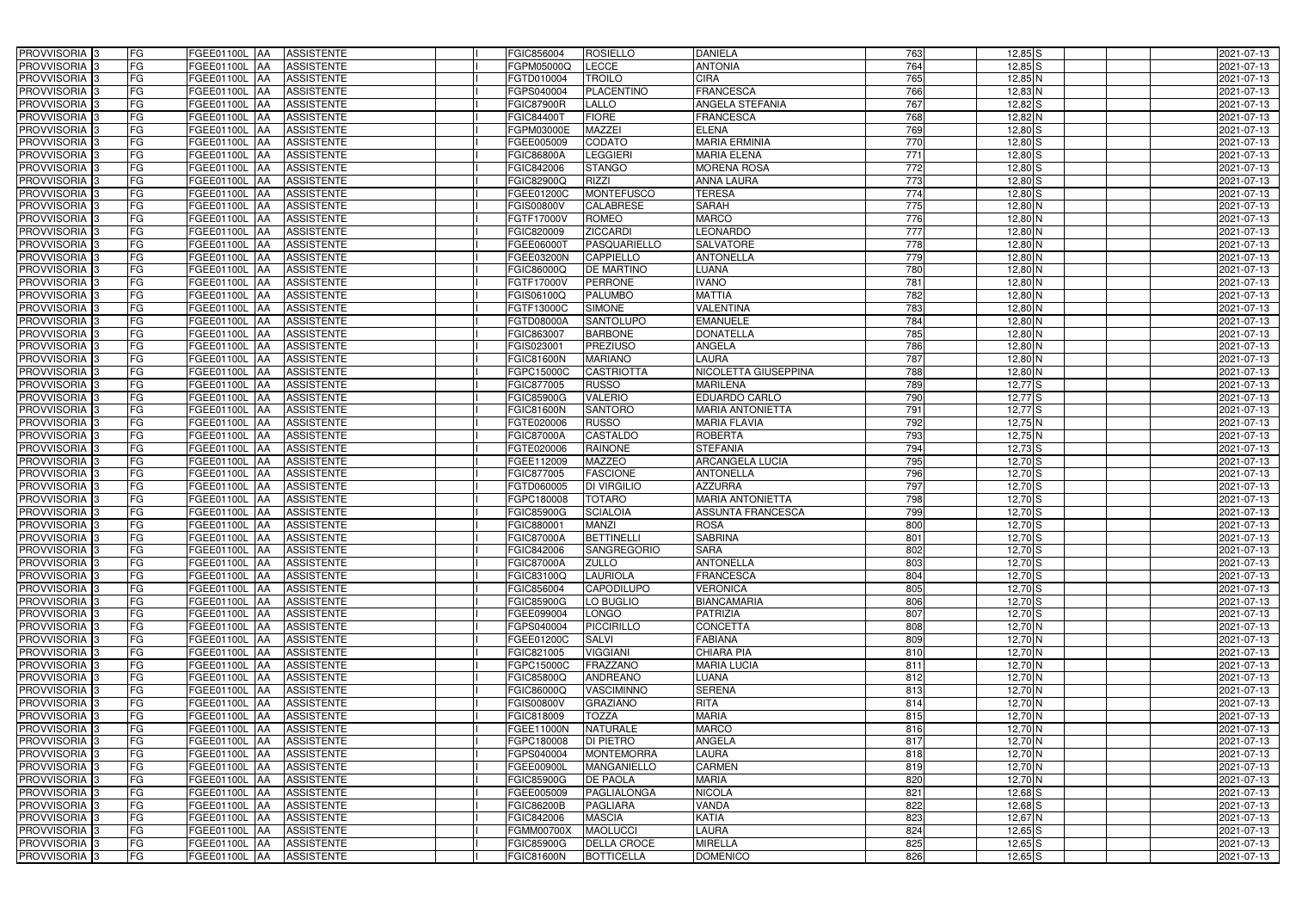| <b>PROVVISORIA</b> 3                                 | FG        | FGEE01100L AA<br><b>ASSISTENTE</b>                                       | FGIC856004               | <b>ROSIELLO</b>                | <b>DANIELA</b>                | 763              | $12,85$ S                | 2021-07-13               |
|------------------------------------------------------|-----------|--------------------------------------------------------------------------|--------------------------|--------------------------------|-------------------------------|------------------|--------------------------|--------------------------|
| PROVVISORIA 3                                        | FG        | FGEE01100L AA<br><b>ASSISTENTE</b>                                       | FGPM05000Q               | LECCE                          | <b>ANTONIA</b>                | 764              | $12,85$ S                | 2021-07-13               |
| PROVVISORIA 3                                        | FG        | FGEE01100L AA<br><b>ASSISTENTE</b>                                       | FGTD010004               | <b>TROILO</b>                  | <b>CIRA</b>                   | 765              | 12,85 N                  | 2021-07-13               |
| PROVVISORIA 3                                        | FG        | <b>FGEE01100L   AA</b><br><b>ASSISTENTE</b>                              | FGPS040004               | <b>PLACENTINO</b>              | <b>FRANCESCA</b>              | 766              | 12,83 N                  | 2021-07-13               |
| PROVVISORIA 3                                        | FG        | <b>ASSISTENTE</b><br>FGEE01100L AA                                       | <b>FGIC87900R</b>        | LALLO                          | ANGELA STEFANIA               | 767              | $12,82$ $S$              | 2021-07-13               |
| PROVVISORIA 3                                        | FG        | FGEE01100L AA<br><b>ASSISTENTE</b>                                       | FGIC844007               | <b>FIORE</b>                   | <b>FRANCESCA</b>              | 768              | 12,82 N                  | 2021-07-13               |
| PROVVISORIA 3                                        | FG        | FGEE01100L AA<br><b>ASSISTENTE</b>                                       | FGPM03000E               | <b>MAZZEI</b>                  | <b>ELENA</b>                  | 769              | $12,80$ S                | 2021-07-13               |
| <b>PROVVISORIA</b> 3                                 | <b>FG</b> | FGEE01100L<br><b>ASSISTENTE</b><br>IAA                                   | FGEE005009               | <b>CODATO</b>                  | <b>MARIA ERMINIA</b>          | 770              | $12,80$ S                | 2021-07-13               |
| PROVVISORIA <sup>3</sup>                             | FG        | FGEE01100L<br><b>ASSISTENTE</b><br>IAA                                   | <b>GIC86800A</b>         | <b>LEGGIERI</b>                | <b>MARIA ELENA</b>            | $\overline{771}$ | $12,80$ S                | 2021-07-13               |
| PROVVISORIA 3                                        | FG        | FGEE01100L<br><b>ASSISTENTE</b><br>IAA                                   | FGIC842006               | <b>STANGO</b>                  | <b>MORENA ROSA</b>            | 772              | $12,80$ S                | 2021-07-13               |
| PROVVISORIA 3                                        | FG        | <b>ASSISTENTE</b><br>FGEE01100L AA                                       | <b>GIC82900Q</b>         | <b>RIZZI</b>                   | <b>ANNA LAURA</b>             | 773              | $12,80$ S                | 2021-07-13               |
| PROVVISORIA 3                                        | <b>FG</b> | FGEE01100L AA<br><b>ASSISTENTE</b>                                       | FGEE01200C               | <b>MONTEFUSCO</b>              | <b>TERESA</b>                 | 774              | $12,80$ S                | 2021-07-13               |
| PROVVISORIA <sup>3</sup>                             | FG        | FGEE01100L AA<br><b>ASSISTENTE</b>                                       | FGIS00800V               | CALABRESE                      | <b>SARAH</b>                  | 775              | $12,80$ N                | 2021-07-13               |
| PROVVISORIA 3                                        | <b>FG</b> | FGEE01100L AA<br><b>ASSISTENTE</b>                                       | FGTF17000V               | <b>ROMEO</b>                   | <b>MARCO</b>                  | 776              | $12,80$ N                | 2021-07-13               |
| PROVVISORIA <sup>3</sup>                             | FG        | FGEE01100L AA<br><b>ASSISTENTE</b>                                       | FGIC820009               | <b>ZICCARDI</b>                | <b>LEONARDO</b>               | 777              | $12,80$ N                | 2021-07-13               |
| PROVVISORIA 3                                        | <b>FG</b> | <b>FGEE01100L   AA</b><br><b>ASSISTENTE</b>                              | FGEE06000T               | PASQUARIELLO                   | <b>SALVATORE</b>              | 778              | $12,80$ N                | 2021-07-13               |
| PROVVISORIA 3                                        | <b>FG</b> | FGEE01100L AA<br><b>ASSISTENTE</b>                                       | FGEE03200N               | <b>CAPPIELLO</b>               | <b>ANTONELLA</b>              | 779              | 12,80 N                  | 2021-07-13               |
| PROVVISORIA 3                                        | <b>FG</b> | FGEE01100L AA<br><b>ASSISTENTE</b>                                       | FGIC86000Q               | <b>DE MARTINO</b>              | <b>LUANA</b>                  | 780              | $12,80$ N                | 2021-07-13               |
| PROVVISORIA 3                                        | FG        | FGEE01100L AA<br><b>ASSISTENTE</b>                                       | FGTF17000V               | <b>PERRONE</b>                 | <b>IVANO</b>                  | 781              | $12,80$ N                | 2021-07-13               |
| <b>PROVVISORIA</b> 3                                 | FG        | FGEE01100L<br><b>ASSISTENTE</b><br>IAA                                   | FGIS06100Q               | <b>PALUMBO</b>                 | <b>MATTIA</b>                 | 782              | $12,80$ N                | 2021-07-13               |
| PROVVISORIA <sup>1</sup> 3                           | FG        | <b>FGEE01100L</b><br><b>ASSISTENTE</b><br>l AA                           | FGTF13000C               | <b>SIMONE</b>                  | <b>VALENTINA</b>              | 783              | $12,80$ N                | 2021-07-13               |
| PROVVISORIA <sup>3</sup>                             | FG        | FGEE01100L<br><b>ASSISTENTE</b><br>IAA                                   | FGTD08000A               | <b>SANTOLUPO</b>               | <b>EMANUELE</b>               | 784              | $12,80$ N                | 2021-07-13               |
| PROVVISORIA <sup>3</sup>                             | FG        | <b>FGEE01100L</b><br><b>ASSISTENTE</b><br>IAA                            | GIC863007                | <b>BARBONE</b>                 | <b>DONATELLA</b>              | 785              | $12,80$ N                | 2021-07-13               |
| <b>PROVVISORIA</b> 3                                 | FG        | FGEE01100L<br><b>ASSISTENTE</b><br>IAA                                   | GIS02300                 | <b>PREZIUSO</b>                | ANGELA                        | 786              | $12,80$ N                | 2021-07-13               |
| <b>PROVVISORIA</b> 3                                 | <b>FG</b> | <b>FGEE01100L</b><br><b>ASSISTENTE</b><br>IAA                            | GIC81600N                | <b>MARIANO</b>                 | <b>LAURA</b>                  | 787              | $12,80$ N                | 2021-07-13               |
| PROVVISORIA 3                                        | <b>FG</b> | <b>FGEE01100L</b><br><b>ASSISTENTE</b><br>IAA                            | GPC15000C                | <b>CASTRIOTTA</b>              | NICOLETTA GIUSEPPINA          | 788              | $12,80$ N                | 2021-07-13               |
| PROVVISORIA 3                                        | <b>FG</b> | FGEE01100L<br><b>ASSISTENTE</b>                                          | GIC877005                | <b>RUSSO</b>                   | <b>MARILENA</b>               | 789              | $12,77$ S                | 2021-07-13               |
| PROVVISORIA <sup>3</sup>                             | <b>FG</b> | FGEE01100L<br><b>ASSISTENTE</b><br>IAA                                   | <b>GIC85900G</b>         | <b>VALERIO</b>                 | EDUARDO CARLO                 | 790              | $12,77$ $S$              | 2021-07-13               |
| PROVVISORIA 3                                        | FG        | FGEE01100L<br><b>ASSISTENTE</b>                                          | GIC81600N                | <b>SANTORO</b>                 | <b>MARIA ANTONIETTA</b>       | 791              | $12,77$ S                | 2021-07-13               |
| PROVVISORIA 3                                        | <b>FG</b> | FGEE01100L<br><b>ASSISTENTE</b><br>IAA                                   | FGTE020006               | <b>RUSSO</b>                   | <b>MARIA FLAVIA</b>           | 792              | $12,75$ N                | 2021-07-13               |
| PROVVISORIA 3                                        | <b>FG</b> | <b>FGEE01100L</b><br><b>ASSISTENTE</b><br>IAA                            | <b>FGIC87000A</b>        | CASTALDO                       | <b>ROBERTA</b>                | 793              | $12,75$ N                | 2021-07-13               |
| PROVVISORIA 3                                        | FG        | <b>FGEE01100L</b><br><b>ASSISTENTE</b><br>IAA                            | FGTE020006               | <b>RAINONE</b>                 | <b>STEFANIA</b>               | 794              | $12,73$ S                | 2021-07-13               |
| PROVVISORIA <sup>1</sup> 3                           | <b>FG</b> | FGEE01100L<br><b>ASSISTENTE</b><br>IAA                                   | FGEE112009               | <b>MAZZEO</b>                  | <b>ARCANGELA LUCIA</b>        | 795              | $12,70$ S                | 2021-07-13               |
| PROVVISORIA <sup>1</sup> 3                           | FG        | FGEE01100L<br><b>ASSISTENTE</b><br>IAA                                   | FGIC877005               | <b>FASCIONE</b>                | <b>ANTONELLA</b>              | 796              | $12,70$ S                | 2021-07-13               |
| PROVVISORIA 3                                        | FG        | FGEE01100L<br><b>ASSISTENTE</b><br>IAA                                   | FGTD060005               | <b>DI VIRGILIO</b>             | <b>AZZURRA</b>                | 797              | $12,70$ S                | 2021-07-13               |
| PROVVISORIA 3                                        | FG        | FGEE01100L<br><b>ASSISTENTE</b><br><b>JAA</b>                            | FGPC180008               | <b>TOTARO</b>                  | <b>MARIA ANTONIETTA</b>       | 798              | $12,70$ S                | 2021-07-13               |
| PROVVISORIA 3                                        | <b>FG</b> | FGEE01100L AA<br><b>ASSISTENTE</b>                                       | <b>FGIC85900G</b>        | <b>SCIALOIA</b>                | <b>ASSUNTA FRANCESCA</b>      | 799              | $12,70$ S                | 2021-07-13               |
| PROVVISORIA <sup>3</sup>                             | <b>FG</b> | FGEE01100L AA<br><b>ASSISTENTE</b>                                       | FGIC880001               | <b>MANZI</b>                   | <b>ROSA</b>                   | 800              | $12,70$ S                | 2021-07-13               |
| PROVVISORIA <sup>3</sup>                             | <b>FG</b> | FGEE01100L AA ASSISTENTE                                                 | <b>FGIC87000A</b>        | BETTINELLI                     | <b>SABRINA</b>                | 801              | $12,70$ S                | 2021-07-13               |
| <b>PROVVISORIA</b> 3                                 | <b>FG</b> | FGEE01100L AA<br><b>ASSISTENTE</b>                                       | FGIC842006               | SANGREGORIO                    | <b>SARA</b>                   | 802              | $12,70$ S                | 2021-07-13               |
| PROVVISORIA <sup>3</sup>                             | FG        | FGEE01100L AA ASSISTENTE                                                 | <b>FGIC87000A</b>        | <b>ZULLO</b>                   | <b>ANTONELLA</b>              | 803              | $12,70$ S                | 2021-07-13               |
| PROVVISORIA 3                                        | FG        | FGEE01100L AA ASSISTENTE                                                 | FGIC83100Q               | <b>LAURIOLA</b>                | <b>FRANCESCA</b>              | 804              | $12,70$ S                | 2021-07-13               |
| PROVVISORIA <sup>3</sup>                             | FG        | FGEE01100L AA<br><b>ASSISTENTE</b>                                       | FGIC856004               | <b>CAPODILUPO</b>              | <b>VERONICA</b>               | 805              | $12,70$ S                | 2021-07-13               |
| PROVVISORIA <sup>3</sup>                             | FG        | FGEE01100L AA<br><b>ASSISTENTE</b>                                       | FGIC85900G               | LO BUGLIO                      | <b>BIANCAMARIA</b>            | 806              | $12,70$ S                | 2021-07-13               |
| PROVVISORIA 3                                        | FG        | FGEE01100L AA<br><b>ASSISTENTE</b>                                       | FGEE099004               | <b>LONGO</b>                   | <b>PATRIZIA</b>               | 807              | $12,70$ S                | 2021-07-13               |
| PROVVISORIA 3                                        | <b>FG</b> | FGEE01100L AA<br><b>ASSISTENTE</b>                                       | FGPS040004               | <b>PICCIRILLO</b>              | <b>CONCETTA</b>               | 808              | $12,70$ N                | 2021-07-13               |
| PROVVISORIA <sup>3</sup>                             | FG        | FGEE01100L AA<br><b>ASSISTENTE</b>                                       | FGEE01200C               | <b>SALVI</b>                   | <b>FABIANA</b>                | 809              | $12,70$ N                | 2021-07-13               |
| PROVVISORIA <sup>3</sup>                             | FG        | FGEE01100L AA<br><b>ASSISTENTE</b>                                       | FGIC821005               | <b>VIGGIANI</b>                | <b>CHIARA PIA</b>             | 810              | 12,70 N                  | 2021-07-13               |
| PROVVISORIA <sup>3</sup>                             | FG        | FGEE01100L AA<br><b>ASSISTENTE</b>                                       | FGPC15000C               | <b>FRAZZANO</b>                | <b>MARIA LUCIA</b>            | 811              | $12,70$ N                | 2021-07-13               |
| PROVVISORIA <sup>3</sup>                             | FG        | FGEE01100L AA<br><b>ASSISTENTE</b>                                       | FGIC85800Q               | <b>ANDREANO</b>                | LUANA                         | 812              | $12,70$ N                | 2021-07-13               |
| PROVVISORIA <sup>3</sup>                             | <b>FG</b> | FGEE01100L AA<br><b>ASSISTENTE</b>                                       | FGIC86000Q               | VASCIMINNO                     | <b>SERENA</b>                 | 813              | $12,70$ N                | 2021-07-13               |
| PROVVISORIA <sup>3</sup>                             | FG        | FGEE01100L AA<br><b>ASSISTENTE</b>                                       | <b>FGIS00800V</b>        | <b>GRAZIANO</b>                | <b>RITA</b>                   | 814              | $12,70$ N                | 2021-07-13               |
| PROVVISORIA <sup>3</sup>                             | FG        | FGEE01100L AA<br><b>ASSISTENTE</b>                                       | FGIC818009               | <b>TOZZA</b>                   | <b>MARIA</b>                  | 815              | $12,70$ N                | 2021-07-13               |
| PROVVISORIA <sup>3</sup>                             | FG        | <b>FGEE01100L   AA</b><br><b>ASSISTENTE</b>                              | FGEE11000N               | <b>NATURALE</b>                | <b>MARCO</b>                  | 816              | $12,70$ N                | 2021-07-13               |
| PROVVISORIA <sup>3</sup>                             | FG        | <b>FGEE01100L   AA</b><br><b>ASSISTENTE</b>                              | FGPC180008               | DI PIETRO                      | ANGELA                        | 817              | $12,70$ N                | 2021-07-13               |
| PROVVISORIA <sup>3</sup>                             | FG        | <b>ASSISTENTE</b><br>FGEE01100L AA                                       | FGPS040004               | <b>MONTEMORRA</b>              | LAURA                         | 818              | 12,70 N                  | 2021-07-13               |
| PROVVISORIA <sup>3</sup>                             | FG<br>FG  | <b>ASSISTENTE</b><br>FGEE01100L AA                                       | FGEE00900L               | <b>MANGANIELLO</b>             | <b>CARMEN</b><br><b>MARIA</b> | 819<br>820       | 12,70 N                  | 2021-07-13               |
| PROVVISORIA <sup>3</sup>                             |           | FGEE01100L AA<br><b>ASSISTENTE</b>                                       | FGIC85900G               | <b>DE PAOLA</b>                |                               |                  | 12,70 N                  | 2021-07-13               |
| PROVVISORIA <sup>3</sup>                             | FG<br>FG  | <b>ASSISTENTE</b><br>FGEE01100L AA                                       | FGEE005009               | PAGLIALONGA<br><b>PAGLIARA</b> | <b>NICOLA</b><br>VANDA        | 821<br>822       | $12,68$ S<br>$12,68$ $S$ | 2021-07-13               |
| PROVVISORIA <sup>3</sup><br>PROVVISORIA <sup>3</sup> | FG        | FGEE01100L AA<br><b>ASSISTENTE</b><br><b>ASSISTENTE</b><br>FGEE01100L AA | FGIC86200B<br>FGIC842006 | <b>MASCIA</b>                  | <b>KATIA</b>                  | 823              | $12,67$ N                | 2021-07-13<br>2021-07-13 |
| PROVVISORIA <sup>3</sup>                             | FG        | <b>ASSISTENTE</b><br>FGEE01100L AA                                       | FGMM00700X               | <b>MAOLUCCI</b>                | <b>LAURA</b>                  | 824              | $12,65$ $S$              | 2021-07-13               |
| PROVVISORIA <sup>3</sup>                             | FG        | FGEE01100L AA<br>ASSISTENTE                                              | FGIC85900G               | <b>DELLA CROCE</b>             | <b>MIRELLA</b>                | 825              | $12,65$ $S$              | 2021-07-13               |
| PROVVISORIA 3                                        | FG        | ASSISTENTE<br><b>FGEE01100L AA</b>                                       | <b>FGIC81600N</b>        | <b>BOTTICELLA</b>              | <b>DOMENICO</b>               | 826              | $12,65$ $S$              | 2021-07-13               |
|                                                      |           |                                                                          |                          |                                |                               |                  |                          |                          |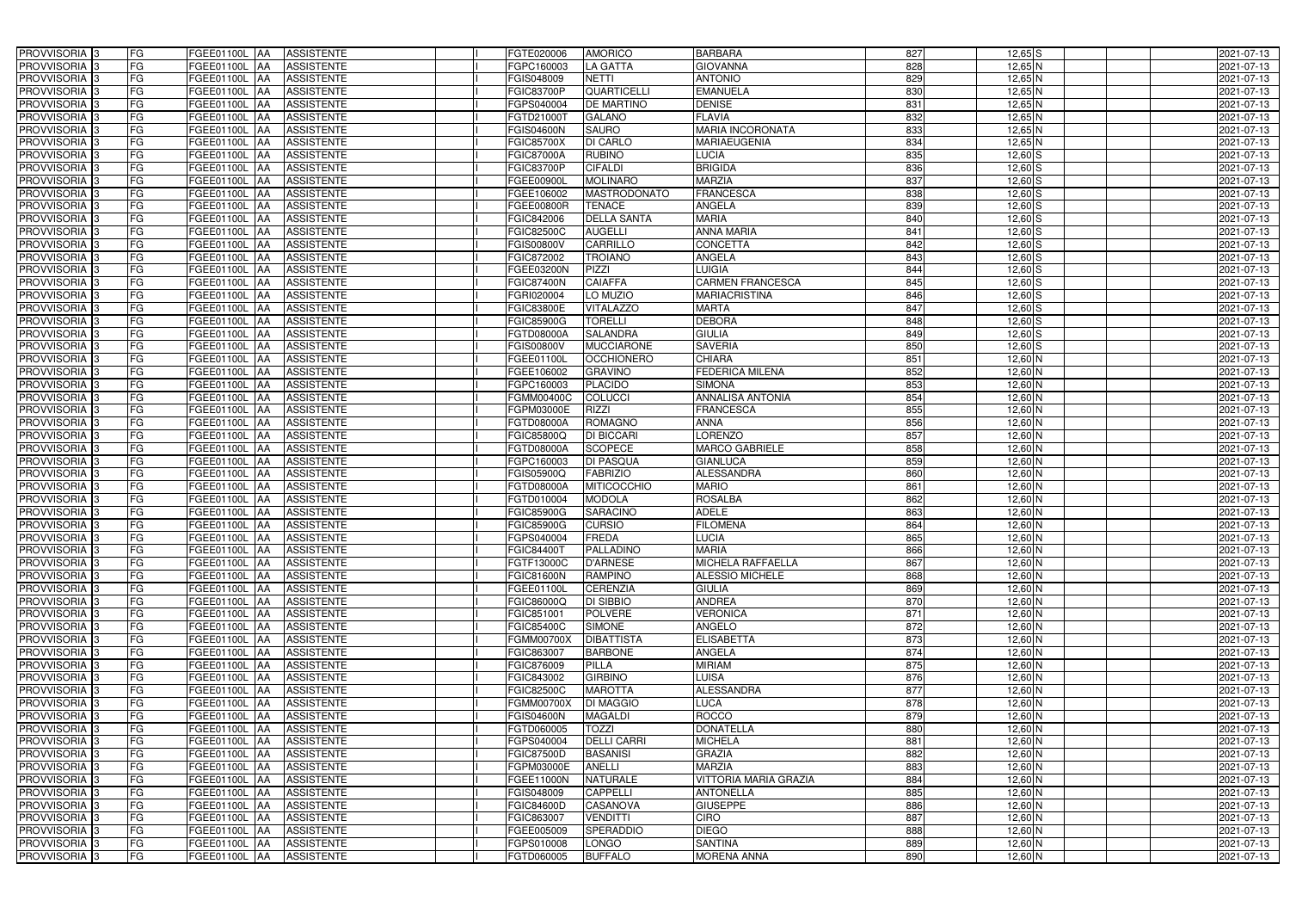| PROVVISORIA <sup>3</sup>                             | FG<br>FGEE01100L AA                              | <b>ASSISTENTE</b>                      | FGTE020006               | <b>AMORICO</b>                     | <b>BARBARA</b>                 | 827        | $12,65$ S            | 2021-07-13               |
|------------------------------------------------------|--------------------------------------------------|----------------------------------------|--------------------------|------------------------------------|--------------------------------|------------|----------------------|--------------------------|
| PROVVISORIA <sup>3</sup>                             | FG<br>FGEE01100L AA                              | <b>ASSISTENTE</b>                      | FGPC160003               | LA GATTA                           | <b>GIOVANNA</b>                | 828        | 12,65 N              | 2021-07-13               |
| PROVVISORIA <sup>3</sup>                             | FG<br>FGEE01100L   AA                            | <b>ASSISTENTE</b>                      | FGIS048009               | <b>NETTI</b>                       | <b>ANTONIO</b>                 | 829        | $12,65$ N            | 2021-07-13               |
| PROVVISORIA <sup>3</sup>                             | FG<br>FGEE01100L AA                              | <b>ASSISTENTE</b>                      | <b>FGIC83700P</b>        | <b>QUARTICELLI</b>                 | <b>EMANUELA</b>                | 830        | $12,65$ N            | 2021-07-13               |
| PROVVISORIA <sup>3</sup>                             | FG<br>FGEE01100L AA                              | <b>ASSISTENTE</b>                      | FGPS040004               | <b>DE MARTINO</b>                  | <b>DENISE</b>                  | 831        | 12,65 N              | 2021-07-13               |
| PROVVISORIA <sup>3</sup>                             | FG<br>FGEE01100L AA                              | <b>ASSISTENTE</b>                      | FGTD21000T               | <b>GALANO</b>                      | <b>FLAVIA</b>                  | 832        | 12,65 N              | 2021-07-13               |
| PROVVISORIA 3                                        | FG<br>FGEE01100L AA                              | <b>ASSISTENTE</b>                      | <b>FGIS04600N</b>        | <b>SAURO</b>                       | <b>MARIA INCORONATA</b>        | 833        | $12,65$ N            | 2021-07-13               |
| PROVVISORIA 3                                        | FG<br>FGEE01100L AA                              | <b>ASSISTENTE</b>                      | <b>FGIC85700X</b>        | <b>DI CARLO</b>                    | <b>MARIAEUGENIA</b>            | 834        | $12,65$ N            | 2021-07-13               |
| PROVVISORIA <sup>3</sup>                             | FG<br>FGEE01100L AA                              | <b>ASSISTENTE</b>                      | <b>FGIC87000A</b>        | <b>RUBINO</b>                      | <b>LUCIA</b>                   | 835        | $12,60$ S            | 2021-07-13               |
| PROVVISORIA <sup>3</sup>                             | FG<br>FGEE01100L                                 | <b>ASSISTENTE</b><br><b>JAA</b>        | <b>FGIC83700P</b>        | <b>CIFALDI</b>                     | <b>BRIGIDA</b>                 | 836        | $12,60$ S            | 2021-07-13               |
| PROVVISORIA 3                                        | FG<br>FGEE01100L AA                              | <b>ASSISTENTE</b>                      | FGEE00900L               | <b>MOLINARO</b>                    | <b>MARZIA</b>                  | 837        | $12,60$ S            | 2021-07-13               |
| PROVVISORIA 3                                        | FG<br>FGEE01100L AA                              | <b>ASSISTENTE</b>                      | FGEE106002               | <b>MASTRODONATO</b>                | <b>FRANCESCA</b>               | 838        | $12,60$ S            | 2021-07-13               |
| PROVVISORIA 3                                        | FG<br>FGEE01100L AA                              | <b>ASSISTENTE</b>                      | FGEE00800R               | <b>TENACE</b>                      | <b>ANGELA</b>                  | 839        | $12,60$ S            | 2021-07-13               |
| PROVVISORIA 3                                        | FG<br>FGEE01100L AA                              | <b>ASSISTENTE</b>                      | FGIC842006               | <b>DELLA SANTA</b>                 | <b>MARIA</b>                   | 840        | $12,60$ S            | 2021-07-13               |
| PROVVISORIA 3                                        | FG<br>FGEE01100L AA                              | <b>ASSISTENTE</b>                      | <b>FGIC82500C</b>        | <b>AUGELLI</b>                     | <b>ANNA MARIA</b>              | 841        | $12,60$ S            | 2021-07-13               |
| PROVVISORIA 3                                        | $\overline{\mathsf{FG}}$<br><b>FGEE01100L AA</b> | <b>ASSISTENTE</b>                      | <b>FGIS00800V</b>        | CARRILLO                           | <b>CONCETTA</b>                | 842        | $12,60$ S            | 2021-07-13               |
| PROVVISORIA <sup>3</sup>                             | FG<br>FGEE01100L AA                              | <b>ASSISTENTE</b>                      | FGIC872002               | <b>TROIANO</b>                     | <b>ANGELA</b>                  | 843        | $12,60$ S            | 2021-07-13               |
| PROVVISORIA 3                                        | FG<br>FGEE01100L AA                              | <b>ASSISTENTE</b>                      | FGEE03200N               | <b>PIZZI</b>                       | <b>LUIGIA</b>                  | 844        | $12,60$ S            | 2021-07-13               |
| PROVVISORIA 3                                        | FG<br>FGEE01100L AA                              | <b>ASSISTENTE</b>                      | <b>FGIC87400N</b>        | <b>CAIAFFA</b>                     | <b>CARMEN FRANCESCA</b>        | 845        | $12,60$ S            | 2021-07-13               |
| PROVVISORIA 3                                        | FG<br>FGEE01100L AA                              | <b>ASSISTENTE</b>                      | FGRI020004               | LO MUZIO                           | <b>MARIACRISTINA</b>           | 846        | $12,60$ S            | 2021-07-13               |
| PROVVISORIA <sup>3</sup>                             | FG<br>FGEE01100L                                 | <b>AA</b><br><b>ASSISTENTE</b>         | FGIC83800E               | <b>VITALAZZO</b>                   | <b>MARTA</b>                   | 847        | 12,60 S              | 2021-07-13               |
| PROVVISORIA 3                                        | FG<br>FGEE01100L                                 | AA<br><b>ASSISTENTE</b>                | FGIC85900G               | <b>TORELLI</b>                     | <b>DEBORA</b>                  | 848        | $12,60$ S            | 2021-07-13               |
| PROVVISORIA 3                                        | FG<br>FGEE01100L                                 | <b>AA</b><br><b>ASSISTENTE</b>         | FGTD08000A               | <b>SALANDRA</b>                    | <b>GIULIA</b>                  | 849        | $12,60$ S            | 2021-07-13               |
| PROVVISORIA <sup>3</sup>                             | FG<br>FGEE01100L                                 | <b>AA</b><br><b>ASSISTENTE</b>         | FGIS00800V               | <b>MUCCIARONE</b>                  | <b>SAVERIA</b>                 | 850        | $12,60$ S            | 2021-07-13               |
| PROVVISORIA 3                                        | FG<br>FGEE01100L AA                              | <b>ASSISTENTE</b>                      | FGEE01100L               | <b>OCCHIONERO</b>                  | <b>CHIARA</b>                  | 851        | $12,60$ N            | 2021-07-13               |
| PROVVISORIA 3                                        | $\overline{\mathsf{FG}}$<br>FGEE01100L AA        | <b>ASSISTENTE</b>                      | FGEE106002               | <b>GRAVINO</b>                     | <b>FEDERICA MILENA</b>         | 852        | $12,60$ N            | 2021-07-13               |
| PROVVISORIA 3                                        | FG<br>FGEE01100L                                 | <b>ASSISTENTE</b><br>IAA               | FGPC160003               | <b>PLACIDO</b>                     | <b>SIMONA</b>                  | 853        | $12,60$ N            | 2021-07-13               |
| PROVVISORIA 3                                        | FG<br>FGEE01100L                                 | <b>ASSISTENTE</b><br>IAA               | FGMM00400C               | <b>COLUCCI</b>                     | ANNALISA ANTONIA               | 854        | $12,60$ N            | 2021-07-13               |
| PROVVISORIA <sup>3</sup>                             | FG<br>FGEE01100L                                 | <b>ASSISTENTE</b><br>IAA               | FGPM03000E               | <b>RIZZI</b>                       | <b>FRANCESCA</b>               | 855        | 12,60 N              | 2021-07-13               |
| PROVVISORIA <sup>3</sup>                             | FG<br>FGEE01100L AA                              | <b>ASSISTENTE</b>                      | <b>FGTD08000A</b>        | <b>ROMAGNO</b>                     | <b>ANNA</b>                    | 856        | $12,60$ N            | 2021-07-13               |
| PROVVISORIA <sup>3</sup>                             | FG<br><b>FGEE01100L AA</b>                       | <b>ASSISTENTE</b>                      | FGIC85800Q               | <b>DI BICCARI</b>                  | <b>LORENZO</b>                 | 857        | 12,60 N              | 2021-07-13               |
| PROVVISORIA <sup>3</sup>                             | FG<br>FGEE01100L AA                              | <b>ASSISTENTE</b>                      | FGTD08000A               | <b>SCOPECE</b>                     | <b>MARCO GABRIELE</b>          | 858        | 12,60 N              | 2021-07-13               |
| PROVVISORIA <sup>3</sup>                             | FG<br>FGEE01100L                                 | <b>ASSISTENTE</b><br><b>JAA</b>        | FGPC160003               | <b>DI PASQUA</b>                   | <b>GIANLUCA</b>                | 859        | $12,60$ N            | 2021-07-13               |
| PROVVISORIA <sup>3</sup>                             | FG<br><b>FGEE01100L   AA</b>                     | <b>ASSISTENTE</b>                      | FGIS05900Q               | <b>FABRIZIO</b>                    | <b>ALESSANDRA</b>              | 860        | 12,60 N              | 2021-07-13               |
| PROVVISORIA 3                                        | FG<br>FGEE01100L AA                              | <b>ASSISTENTE</b>                      | FGTD08000A               | <b>MITICOCCHIO</b>                 | <b>MARIO</b>                   | 861        | $12,60$ N            | 2021-07-13               |
| PROVVISORIA <sup>3</sup>                             | FG<br>FGEE01100L AA                              | <b>ASSISTENTE</b>                      | FGTD010004               | <b>MODOLA</b>                      | <b>ROSALBA</b>                 | 862        | $12,60$ N            | 2021-07-13               |
| PROVVISORIA 3                                        | FG<br>FGEE01100L AA                              | <b>ASSISTENTE</b>                      | <b>FGIC85900G</b>        | <b>SARACINO</b>                    | <b>ADELE</b>                   | 863        | $12,60$ N            | 2021-07-13               |
| PROVVISORIA <sup>3</sup>                             | FG<br>FGEE01100L AA                              | <b>ASSISTENTE</b>                      | <b>FGIC85900G</b>        | <b>CURSIO</b>                      | <b>FILOMENA</b>                | 864        | $12,60$ N            | 2021-07-13               |
| PROVVISORIA <sup>3</sup>                             | <b>FG</b>                                        | FGEE01100L AA ASSISTENTE               | FGPS040004               | FREDA                              | <b>LUCIA</b>                   | 865        | $12,60$ N            | 2021-07-13               |
| <b>PROVVISORIA</b> 3                                 | FG<br>FGEE01100L AA                              | ASSISTENTE                             | <b>FGIC84400T</b>        | PALLADINO                          | <b>MARIA</b>                   | 866        | 12,60 N              | 2021-07-13               |
| PROVVISORIA <sup>3</sup>                             | FG<br>FGEE01100L AA                              | <b>ASSISTENTE</b>                      | FGTF13000C               | <b>D'ARNESE</b>                    | <b>MICHELA RAFFAELLA</b>       | 867        | $12,60$ N            | 2021-07-13               |
| PROVVISORIA <sup>3</sup>                             | FG<br>FGEE01100L AA                              | <b>ASSISTENTE</b>                      | FGIC81600N               | <b>RAMPINO</b>                     | <b>ALESSIO MICHELE</b>         | 868        | $12,60$ N            | 2021-07-13               |
| <b>PROVVISORIA</b> 3                                 | FG<br>FGEE01100L AA                              | ASSISTENTE                             | FGEE01100L               | <b>CERENZIA</b>                    | <b>GIULIA</b>                  | 869        | $12,60$ N            | 2021-07-13               |
| PROVVISORIA <sup>3</sup>                             | FG<br>FGEE01100L AA                              | ASSISTENTE                             | FGIC86000Q               | <b>DI SIBBIO</b>                   | <b>ANDREA</b>                  | 870        | 12,60 N              | 2021-07-13               |
| PROVVISORIA <sup>3</sup>                             | FG<br>FGEE01100L AA                              | ASSISTENTE                             | FGIC851001               | <b>POLVERE</b>                     | <b>VERONICA</b>                | 871        | $12,60$ N            | 2021-07-13               |
| PROVVISORIA <sup>3</sup>                             | FG<br>FGEE01100L AA                              | <b>ASSISTENTE</b>                      | <b>FGIC85400C</b>        | <b>SIMONE</b>                      | ANGELO                         | 872        | $12,60$ N            | 2021-07-13               |
| PROVVISORIA <sup>1</sup> 3                           | FG<br>FGEE01100L AA                              | <b>ASSISTENTE</b>                      | <b>FGMM00700X</b>        | <b>DIBATTISTA</b>                  | <b>ELISABETTA</b>              | 873        | $12,60$ N            | 2021-07-13               |
| PROVVISORIA <sup>3</sup>                             | FG<br>FGEE01100L AA                              | <b>ASSISTENTE</b>                      | FGIC863007               | <b>BARBONE</b>                     | <b>ANGELA</b>                  | 874        | $12,60$ N            | 2021-07-13               |
| PROVVISORIA <sup>3</sup>                             | FG<br>FGEE01100L AA                              | <b>ASSISTENTE</b>                      | FGIC876009               | <b>PILLA</b>                       | <b>MIRIAM</b>                  | 875        | $12,60$ N            | 2021-07-13               |
| PROVVISORIA <sup>3</sup>                             | FG<br>FGEE01100L AA                              | <b>ASSISTENTE</b>                      | FGIC843002               | <b>GIRBINO</b>                     | <b>LUISA</b>                   | 876        | $12,60$ N            | 2021-07-13               |
| PROVVISORIA <sup>3</sup>                             | FG<br>FGEE01100L AA                              | <b>ASSISTENTE</b>                      | <b>FGIC82500C</b>        | <b>MAROTTA</b>                     | <b>ALESSANDRA</b>              | 877        | $12,60$ N            | 2021-07-13               |
| PROVVISORIA <sup>3</sup>                             | FG<br>FGEE01100L AA                              | <b>ASSISTENTE</b>                      | <b>FGMM00700X</b>        | <b>DI MAGGIO</b>                   | <b>LUCA</b>                    | 878        | $12,60$ N            | 2021-07-13               |
| PROVVISORIA <sup>3</sup>                             | FG<br>FGEE01100L AA                              | <b>ASSISTENTE</b>                      | <b>FGIS04600N</b>        | <b>MAGALDI</b>                     | <b>ROCCO</b>                   | 879        | $12,60$ N            | 2021-07-13               |
| PROVVISORIA <sup>3</sup>                             | FG<br>FGEE01100L AA                              | <b>ASSISTENTE</b>                      | FGTD060005               | <b>TOZZI</b>                       | <b>DONATELLA</b>               | 880        | $12,60$ N            | 2021-07-13               |
| PROVVISORIA <sup>3</sup>                             | FG<br>FGEE01100L AA                              | <b>ASSISTENTE</b>                      | FGPS040004               | <b>DELLI CARRI</b>                 | <b>MICHELA</b>                 | 881        | $12,60$ N            | 2021-07-13               |
| PROVVISORIA <sup>3</sup>                             | FG<br>FGEE01100L AA                              | <b>ASSISTENTE</b>                      | <b>FGIC87500D</b>        | <b>BASANISI</b>                    | <b>GRAZIA</b>                  | 882        | 12,60 N              | 2021-07-13               |
| PROVVISORIA <sup>3</sup>                             | FG<br>FGEE01100L AA                              | <b>ASSISTENTE</b>                      | FGPM03000E               | <b>ANELLI</b>                      | <b>MARZIA</b>                  | 883        | 12,60 N              | 2021-07-13               |
| PROVVISORIA <sup>3</sup>                             | FG<br>FGEE01100L AA                              | <b>ASSISTENTE</b>                      | FGEE11000N               | <b>NATURALE</b>                    | <b>VITTORIA MARIA GRAZIA</b>   | 884        | $12,60$ N            | 2021-07-13               |
| PROVVISORIA <sup>3</sup>                             | FG<br>FGEE01100L AA                              | <b>ASSISTENTE</b>                      | FGIS048009               | <b>CAPPELLI</b>                    | <b>ANTONELLA</b>               | 885        | 12,60 N              | 2021-07-13               |
| PROVVISORIA <sup>3</sup><br>PROVVISORIA <sup>3</sup> | FG<br>FGEE01100L AA                              | <b>ASSISTENTE</b>                      | FGIC84600D               | <b>CASANOVA</b><br><b>VENDITTI</b> | <b>GIUSEPPE</b><br><b>CIRO</b> | 886        | $12,60$ N            | 2021-07-13               |
| PROVVISORIA <sup>3</sup>                             | FG<br>FGEE01100L AA<br>FGEE01100L AA             | <b>ASSISTENTE</b><br><b>ASSISTENTE</b> | FGIC863007               | <b>SPERADDIO</b>                   | <b>DIEGO</b>                   | 887<br>888 | 12,60 N<br>$12,60$ N | 2021-07-13               |
| PROVVISORIA <sup>3</sup>                             | FG<br>FG<br>FGEE01100L AA                        |                                        | FGEE005009<br>FGPS010008 | <b>LONGO</b>                       | <b>SANTINA</b>                 | 889        | $12,60$ N            | 2021-07-13<br>2021-07-13 |
| PROVVISORIA 3                                        | FG<br>FGEE01100L AA                              | ASSISTENTE<br>ASSISTENTE               | FGTD060005               | <b>BUFFALO</b>                     | <b>MORENA ANNA</b>             | 890        |                      |                          |
|                                                      |                                                  |                                        |                          |                                    |                                |            | $12,60$ N            | 2021-07-13               |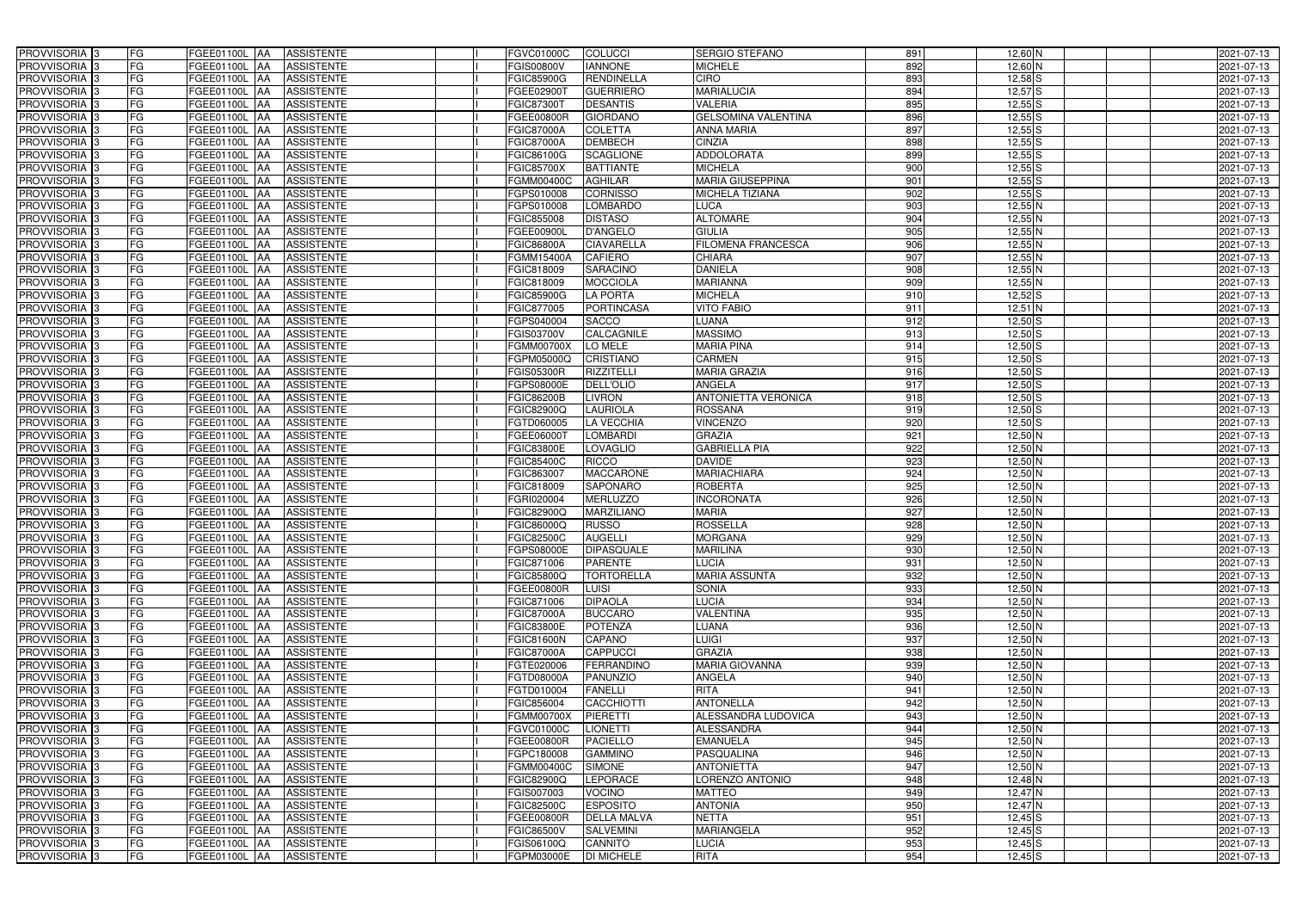| PROVVISORIA <sup>3</sup>   | FG        | FGEE01100L AA<br><b>ASSISTENTE</b>                   | FGVC01000C        | <b>COLUCCI</b>     | <b>SERGIO STEFANO</b>      | 891              | $12,60$ N   | 2021-07-13 |
|----------------------------|-----------|------------------------------------------------------|-------------------|--------------------|----------------------------|------------------|-------------|------------|
| PROVVISORIA <sup>3</sup>   | FG        | <b>ASSISTENTE</b><br>FGEE01100L AA                   | FGIS00800V        | <b>IANNONE</b>     | <b>MICHELE</b>             | 892              | 12,60 N     | 2021-07-13 |
| PROVVISORIA <sup>1</sup> 3 | FG        | FGEE01100L AA<br><b>ASSISTENTE</b>                   | FGIC85900G        | <b>RENDINELLA</b>  | <b>CIRO</b>                | 893              | $12,58$ S   | 2021-07-13 |
| PROVVISORIA <sup>3</sup>   | FG        | FGEE01100L AA<br><b>ASSISTENTE</b>                   | FGEE02900T        | <b>GUERRIERO</b>   | <b>MARIALUCIA</b>          | 894              | $12,57$ $S$ | 2021-07-13 |
| PROVVISORIA <sup>3</sup>   | FG        | FGEE01100L AA<br><b>ASSISTENTE</b>                   | FGIC87300T        | <b>DESANTIS</b>    | <b>VALERIA</b>             | 895              | $12,55$ S   | 2021-07-13 |
| PROVVISORIA <sup>3</sup>   | FG        | <b>FGEE01100L AA</b><br><b>ASSISTENTE</b>            | FGEE00800R        | <b>GIORDANO</b>    | <b>GELSOMINA VALENTINA</b> | 896              | $12,55$ S   | 2021-07-13 |
| PROVVISORIA <sup>3</sup>   | FG        | <b>ASSISTENTE</b><br>FGEE01100L AA                   | <b>FGIC87000A</b> | <b>COLETTA</b>     | <b>ANNA MARIA</b>          | 897              | $12,55$ S   | 2021-07-13 |
| PROVVISORIA 3              | FG        | <b>ASSISTENTE</b><br>FGEE01100L AA                   | <b>FGIC87000A</b> | <b>DEMBECH</b>     | <b>CINZIA</b>              | 898              | $12,55$ S   | 2021-07-13 |
| PROVVISORIA <sup>3</sup>   | FG        | <b>ASSISTENTE</b><br><b>FGEE01100L</b><br><b>IAA</b> | FGIC86100G        | <b>SCAGLIONE</b>   | <b>ADDOLORATA</b>          | 899              | $12,55$ S   | 2021-07-13 |
| PROVVISORIA <sup>3</sup>   | FG        | FGEE01100L<br><b>ASSISTENTE</b><br>IAA               | FGIC85700X        | <b>BATTIANTE</b>   | <b>MICHELA</b>             | 900              | $12,55$ S   | 2021-07-13 |
| PROVVISORIA 3              | FG        | <b>FGEE01100L AA</b><br><b>ASSISTENTE</b>            | FGMM00400C        | <b>AGHILAR</b>     | <b>MARIA GIUSEPPINA</b>    | 901              | $12,55$ S   | 2021-07-13 |
| PROVVISORIA 3              | FG        | <b>FGEE01100L AA</b><br><b>ASSISTENTE</b>            | FGPS010008        | <b>CORNISSO</b>    | <b>MICHELA TIZIANA</b>     | 902              | $12,55$ S   | 2021-07-13 |
| PROVVISORIA 3              | FG        | FGEE01100L<br><b>ASSISTENTE</b><br><b>IAA</b>        | FGPS010008        | <b>LOMBARDO</b>    | <b>LUCA</b>                | 903              | $12,55$ N   | 2021-07-13 |
| PROVVISORIA 3              | FG        | <b>FGEE01100L</b><br><b>ASSISTENTE</b><br><b>IAA</b> | FGIC855008        | <b>DISTASO</b>     | <b>ALTOMARE</b>            | 904              | $12,55$ N   | 2021-07-13 |
| PROVVISORIA 3              | FG        | FGEE01100L<br><b>ASSISTENTE</b><br>IAA               | FGEE00900L        | <b>D'ANGELO</b>    | <b>GIULIA</b>              | 905              | $12,55$ N   | 2021-07-13 |
| PROVVISORIA 3              | FG        | <b>FGEE01100L AA</b><br><b>ASSISTENTE</b>            | <b>FGIC86800A</b> | <b>CIAVARELLA</b>  | <b>FILOMENA FRANCESCA</b>  | 906              | $12,55$ N   | 2021-07-13 |
| PROVVISORIA 3              | FG        | FGEE01100L AA<br><b>ASSISTENTE</b>                   | FGMM15400A        | <b>CAFIERO</b>     | <b>CHIARA</b>              | 907              | $12,55$ N   | 2021-07-13 |
| PROVVISORIA 3              | FG        | FGEE01100L AA<br><b>ASSISTENTE</b>                   | FGIC818009        | <b>SARACINO</b>    | <b>DANIELA</b>             | $\overline{908}$ | $12,55$ N   | 2021-07-13 |
| PROVVISORIA 3              | FG        | <b>FGEE01100L AA</b><br><b>ASSISTENTE</b>            | FGIC818009        | <b>MOCCIOLA</b>    | <b>MARIANNA</b>            | 909              | $12,55$ N   | 2021-07-13 |
| PROVVISORIA 3              | FG        | FGEE01100L<br><b>ASSISTENTE</b><br>l AA              | <b>FGIC85900G</b> | <b>LA PORTA</b>    | <b>MICHELA</b>             | 910              | $12,52$ $S$ | 2021-07-13 |
| PROVVISORIA 3              | FG        | FGEE01100L<br><b>ASSISTENTE</b><br>ΙAΑ               | FGIC877005        | <b>PORTINCASA</b>  | <b>VITO FABIO</b>          | 911              | $12,51$ N   | 2021-07-13 |
| PROVVISORIA 3              | FG        | FGEE01100L<br><b>ASSISTENTE</b><br>IAA               | FGPS040004        | <b>SACCO</b>       | <b>LUANA</b>               | 912              | $12,50$ S   | 2021-07-13 |
| PROVVISORIA 3              | FG        | FGEE01100L<br><b>ASSISTENTE</b><br>IAA               | <b>GIS03700V</b>  | <b>CALCAGNILE</b>  | <b>MASSIMO</b>             | 913              | $12,50$ S   | 2021-07-13 |
| PROVVISORIA <sup>3</sup>   | FG        | <b>FGEE01100L</b><br><b>ASSISTENTE</b><br>IAA        | FGMM00700X        | LO MELE            | <b>MARIA PINA</b>          | 914              | $12,50$ S   | 2021-07-13 |
| PROVVISORIA 3              | FG        | FGEE01100L<br><b>ASSISTENTE</b><br>۱AA               | <b>GPM05000Q</b>  | <b>CRISTIANO</b>   | <b>CARMEN</b>              | 915              | $12,50$ S   | 2021-07-13 |
| PROVVISORIA 3              | FG        | FGEE01100L<br><b>ASSISTENTE</b><br>IAA               | FGIS05300R        | <b>RIZZITELLI</b>  | <b>MARIA GRAZIA</b>        | 916              | $12,50$ S   | 2021-07-13 |
| PROVVISORIA 3              | FG        | FGEE01100L<br><b>ASSISTENTE</b>                      | <b>GPS08000E</b>  | DELL'OLIO          | <b>ANGELA</b>              | 917              | $12,50$ S   | 2021-07-13 |
| PROVVISORIA 3              | FG        | FGEE01100L<br><b>ASSISTENTE</b><br>IAA               | FGIC86200B        | LIVRON             | <b>ANTONIETTA VERONICA</b> | $\overline{918}$ | $12,50$ S   | 2021-07-13 |
| PROVVISORIA <sup>3</sup>   | FG        | FGEE01100L<br><b>ASSISTENTE</b>                      | FGIC82900Q        | LAURIOLA           | <b>ROSSANA</b>             | 919              | $12,50$ S   | 2021-07-13 |
| PROVVISORIA <sup>3</sup>   | FG        | FGEE01100L<br><b>ASSISTENTE</b><br><b>JAA</b>        | FGTD060005        | <b>LA VECCHIA</b>  | <b>VINCENZO</b>            | 920              | $12,50$ S   | 2021-07-13 |
| PROVVISORIA <sup>3</sup>   | FG        | <b>FGEE01100L</b><br><b>ASSISTENTE</b><br><b>IAA</b> | FGEE06000T        | <b>LOMBARDI</b>    | <b>GRAZIA</b>              | 921              | $12,50$ N   | 2021-07-13 |
| PROVVISORIA <sup>3</sup>   | FG        | FGEE01100L<br><b>ASSISTENTE</b><br>IAA               | FGIC83800E        | LOVAGLIO           | <b>GABRIELLA PIA</b>       | 922              | 12,50 N     | 2021-07-13 |
| PROVVISORIA <sup>3</sup>   | FG        | FGEE01100L<br><b>ASSISTENTE</b><br>IAA               | FGIC85400C        | <b>RICCO</b>       | <b>DAVIDE</b>              | 923              | $12,50$ N   | 2021-07-13 |
| PROVVISORIA <sup>3</sup>   | FG        | FGEE01100L AA<br><b>ASSISTENTE</b>                   | FGIC863007        | <b>MACCARONE</b>   | <b>MARIACHIARA</b>         | 924              | $12,50$ N   | 2021-07-13 |
| PROVVISORIA <sup>3</sup>   | FG        | FGEE01100L AA<br><b>ASSISTENTE</b>                   | FGIC818009        | <b>SAPONARO</b>    | <b>ROBERTA</b>             | $\overline{925}$ | $12,50$ N   | 2021-07-13 |
| PROVVISORIA <sup>3</sup>   | FG        | FGEE01100L AA<br><b>ASSISTENTE</b>                   | FGRI020004        | <b>MERLUZZO</b>    | <b>INCORONATA</b>          | 926              | $12,50$ N   | 2021-07-13 |
| PROVVISORIA 3              | FG        | FGEE01100L AA<br><b>ASSISTENTE</b>                   | FGIC82900Q        | <b>MARZILIANO</b>  | <b>MARIA</b>               | 927              | $12,50$ N   | 2021-07-13 |
| PROVVISORIA <sup>3</sup>   | FG        | FGEE01100L AA<br><b>ASSISTENTE</b>                   | FGIC86000Q        | <b>RUSSO</b>       | <b>ROSSELLA</b>            | 928              | $12,50$ N   | 2021-07-13 |
| PROVVISORIA <sup>3</sup>   | <b>FG</b> | FGEE01100L AA ASSISTENTE                             | <b>FGIC82500C</b> | <b>AUGELLI</b>     | <b>MORGANA</b>             | 929              | $12,50$ N   | 2021-07-13 |
| <b>PROVVISORIA</b> 3       | FG        | FGEE01100L AA<br>ASSISTENTE                          | FGPS08000E        | <b>DIPASQUALE</b>  | <b>MARILINA</b>            | 930              | $12,50$ N   | 2021-07-13 |
| PROVVISORIA <sup>3</sup>   | FG        | FGEE01100L AA<br><b>ASSISTENTE</b>                   | FGIC871006        | <b>PARENTE</b>     | <b>LUCIA</b>               | 931              | $12,50$ N   | 2021-07-13 |
| PROVVISORIA <sup>3</sup>   | FG        | FGEE01100L AA<br><b>ASSISTENTE</b>                   | FGIC85800Q        | <b>TORTORELLA</b>  | <b>MARIA ASSUNTA</b>       | 932              | $12,50$ N   | 2021-07-13 |
| <b>PROVVISORIA</b> 3       | FG        | FGEE01100L AA<br>ASSISTENTE                          | FGEE00800R        | <b>LUISI</b>       | <b>SONIA</b>               | 933              | $12,50$ N   | 2021-07-13 |
| PROVVISORIA <sup>3</sup>   | FG        | FGEE01100L AA<br><b>ASSISTENTE</b>                   | FGIC871006        | <b>DIPAOLA</b>     | <b>LUCIA</b>               | 934              | $12,50$ N   | 2021-07-13 |
| PROVVISORIA <sup>3</sup>   | FG        | FGEE01100L AA<br><b>ASSISTENTE</b>                   | <b>FGIC87000A</b> | <b>BUCCARO</b>     | <b>VALENTINA</b>           | 935              | $12,50$ N   | 2021-07-13 |
| PROVVISORIA <sup>3</sup>   | FG        | FGEE01100L AA<br><b>ASSISTENTE</b>                   | FGIC83800E        | <b>POTENZA</b>     | LUANA                      | 936              | $12,50$ N   | 2021-07-13 |
| PROVVISORIA <sup>1</sup> 3 | FG        | FGEE01100L AA<br><b>ASSISTENTE</b>                   | <b>FGIC81600N</b> | <b>CAPANO</b>      | <b>LUIGI</b>               | 937              | $12,50$ N   | 2021-07-13 |
| PROVVISORIA <sup>3</sup>   | FG        | FGEE01100L AA<br><b>ASSISTENTE</b>                   | <b>FGIC87000A</b> | <b>CAPPUCCI</b>    | <b>GRAZIA</b>              | 938              | $12,50$ N   | 2021-07-13 |
| PROVVISORIA <sup>3</sup>   | FG        | FGEE01100L AA<br><b>ASSISTENTE</b>                   | FGTE020006        | <b>FERRANDINO</b>  | <b>MARIA GIOVANNA</b>      | 939              | $12,50$ N   | 2021-07-13 |
| PROVVISORIA <sup>3</sup>   | FG        | FGEE01100L AA<br><b>ASSISTENTE</b>                   | FGTD08000A        | <b>PANUNZIO</b>    | <b>ANGELA</b>              | 940              | $12,50$ N   | 2021-07-13 |
| PROVVISORIA <sup>3</sup>   | FG        | FGEE01100L AA<br><b>ASSISTENTE</b>                   | FGTD010004        | <b>FANELLI</b>     | <b>RITA</b>                | 941              | $12,50$ N   | 2021-07-13 |
| PROVVISORIA <sup>3</sup>   | FG        | FGEE01100L AA<br><b>ASSISTENTE</b>                   | FGIC856004        | <b>CACCHIOTTI</b>  | <b>ANTONELLA</b>           | 942              | $12,50$ N   | 2021-07-13 |
| PROVVISORIA <sup>3</sup>   | FG        | FGEE01100L AA<br><b>ASSISTENTE</b>                   | FGMM00700X        | PIERETTI           | ALESSANDRA LUDOVICA        | 943              | $12,50$ N   | 2021-07-13 |
| PROVVISORIA <sup>3</sup>   | FG        | FGEE01100L AA<br><b>ASSISTENTE</b>                   | FGVC01000C        | <b>LIONETTI</b>    | <b>ALESSANDRA</b>          | 944              | $12,50$ N   | 2021-07-13 |
| PROVVISORIA <sup>3</sup>   | FG        | FGEE01100L AA<br><b>ASSISTENTE</b>                   | FGEE00800R        | <b>PACIELLO</b>    | <b>EMANUELA</b>            | 945              | $12,50$ N   | 2021-07-13 |
| PROVVISORIA <sup>3</sup>   | FG        | <b>ASSISTENTE</b><br>FGEE01100L AA                   | FGPC180008        | <b>GAMMINO</b>     | <b>PASQUALINA</b>          | 946              | $12,50$ N   | 2021-07-13 |
| PROVVISORIA <sup>1</sup> 3 | FG        | FGEE01100L AA<br><b>ASSISTENTE</b>                   | <b>FGMM00400C</b> | <b>SIMONE</b>      | <b>ANTONIETTA</b>          | 947              | $12,50$ N   | 2021-07-13 |
| PROVVISORIA <sup>3</sup>   | FG        | FGEE01100L AA<br><b>ASSISTENTE</b>                   | FGIC82900Q        | <b>LEPORACE</b>    | <b>LORENZO ANTONIO</b>     | 948              | $12,48$ N   | 2021-07-13 |
| PROVVISORIA <sup>3</sup>   | FG        | <b>ASSISTENTE</b><br>FGEE01100L AA                   | FGIS007003        | <b>VOCINO</b>      | <b>MATTEO</b>              | 949              | $12,47$ N   | 2021-07-13 |
| PROVVISORIA <sup>1</sup> 3 | FG        | FGEE01100L AA<br><b>ASSISTENTE</b>                   | FGIC82500C        | <b>ESPOSITO</b>    | <b>ANTONIA</b>             | 950              | 12,47 N     | 2021-07-13 |
| PROVVISORIA <sup>3</sup>   | FG        | <b>ASSISTENTE</b><br>FGEE01100L AA                   | FGEE00800R        | <b>DELLA MALVA</b> | <b>NETTA</b>               | 951              | $12,45$ S   | 2021-07-13 |
| PROVVISORIA <sup>3</sup>   | FG        | <b>ASSISTENTE</b><br>FGEE01100L AA                   | FGIC86500V        | <b>SALVEMINI</b>   | <b>MARIANGELA</b>          | 952              | $12,45$ S   | 2021-07-13 |
| PROVVISORIA <sup>3</sup>   | FG        | FGEE01100L AA<br><b>ASSISTENTE</b>                   | FGIS06100Q        | <b>CANNITO</b>     | <b>LUCIA</b>               | 953              | $12,45$ S   | 2021-07-13 |
| PROVVISORIA 3              | FG        | FGEE01100L AA<br>ASSISTENTE                          | FGPM03000E        | <b>DI MICHELE</b>  | <b>RITA</b>                | 954              | $12,45$ S   | 2021-07-13 |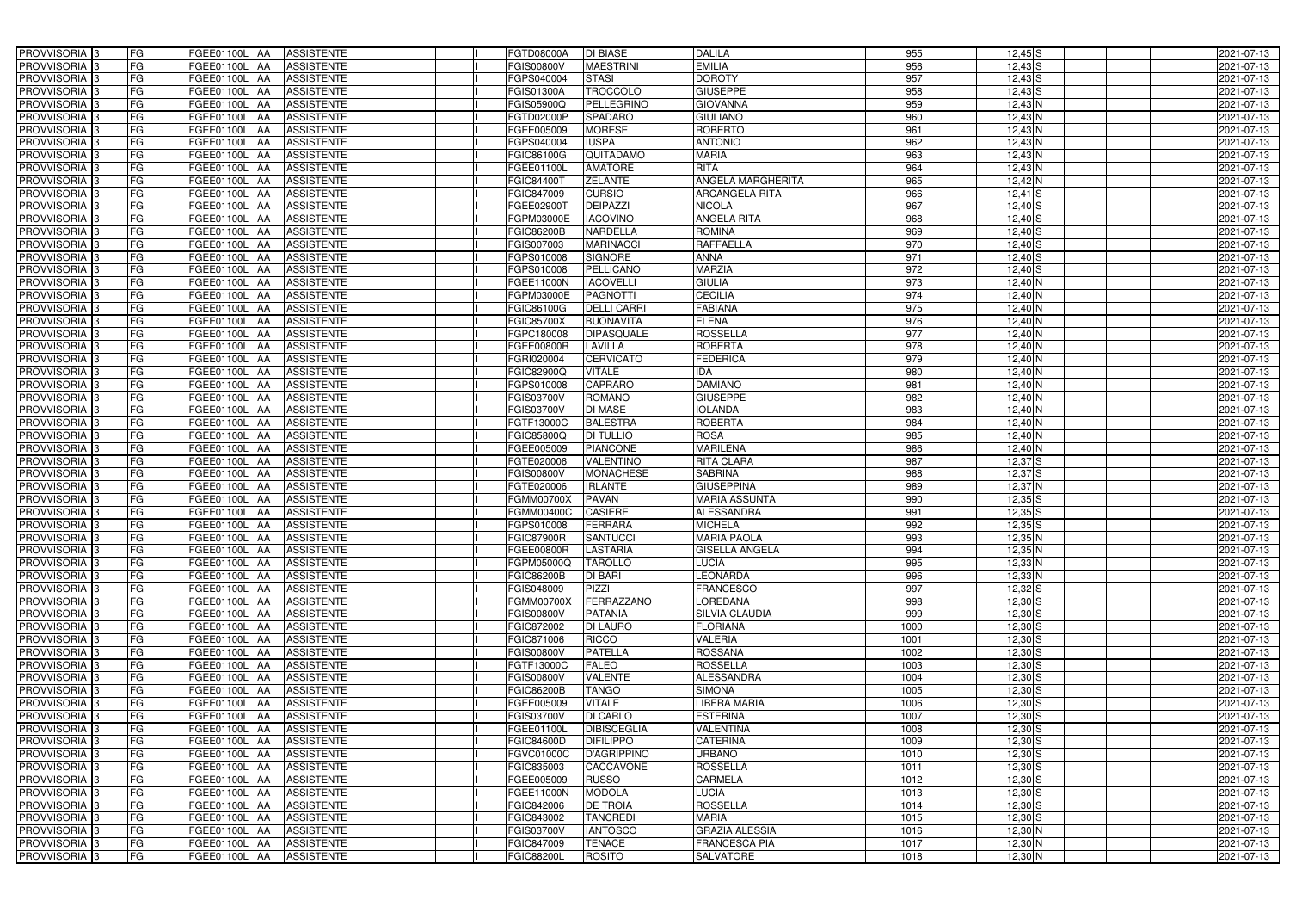| PROVVISORIA <sup>3</sup>                             | FG<br>FGEE01100L AA                              | <b>ASSISTENTE</b>                      | <b>FGTD08000A</b>        | <b>DI BIASE</b>                    | <b>DALILA</b>            | 955              | $12,45$ S              | 2021-07-13               |
|------------------------------------------------------|--------------------------------------------------|----------------------------------------|--------------------------|------------------------------------|--------------------------|------------------|------------------------|--------------------------|
| PROVVISORIA <sup>3</sup>                             | FG<br>FGEE01100L AA                              | <b>ASSISTENTE</b>                      | FGIS00800V               | <b>MAESTRINI</b>                   | <b>EMILIA</b>            | 956              | $12,43$ S              | 2021-07-13               |
| PROVVISORIA <sup>1</sup> 3                           | FG<br>FGEE01100L   AA                            | <b>ASSISTENTE</b>                      | FGPS040004               | <b>STASI</b>                       | <b>DOROTY</b>            | 957              | $12,43$ $S$            | 2021-07-13               |
| PROVVISORIA <sup>3</sup>                             | FG<br>FGEE01100L AA                              | <b>ASSISTENTE</b>                      | <b>FGIS01300A</b>        | <b>TROCCOLO</b>                    | <b>GIUSEPPE</b>          | 958              | $12,43$ $S$            | 2021-07-13               |
| PROVVISORIA <sup>3</sup>                             | FG<br>FGEE01100L AA                              | <b>ASSISTENTE</b>                      | FGIS05900Q               | PELLEGRINO                         | <b>GIOVANNA</b>          | 959              | $12,43$ N              | 2021-07-13               |
| PROVVISORIA <sup>3</sup>                             | FG<br>FGEE01100L AA                              | <b>ASSISTENTE</b>                      | FGTD02000P               | <b>SPADARO</b>                     | <b>GIULIANO</b>          | 960              | $12,43$ N              | 2021-07-13               |
| PROVVISORIA 3                                        | FG<br>FGEE01100L AA                              | <b>ASSISTENTE</b>                      | FGEE005009               | <b>MORESE</b>                      | <b>ROBERTO</b>           | 961              | $12,43$ N              | 2021-07-13               |
| PROVVISORIA 3                                        | FG<br>FGEE01100L AA                              | <b>ASSISTENTE</b>                      | FGPS040004               | <b>IUSPA</b>                       | <b>ANTONIO</b>           | 962              | $12,43$ N              | 2021-07-13               |
| PROVVISORIA 3                                        | FG<br>FGEE01100L AA                              | <b>ASSISTENTE</b>                      | FGIC86100G               | QUITADAMO                          | <b>MARIA</b>             | 963              | $12,43$ N              | 2021-07-13               |
| PROVVISORIA <sup>3</sup>                             | FG<br>FGEE01100L                                 | <b>ASSISTENTE</b><br><b>JAA</b>        | FGEE01100L               | <b>AMATORE</b>                     | <b>RITA</b>              | 964              | $12,43$ N              | 2021-07-13               |
| PROVVISORIA 3                                        | FG<br>FGEE01100L AA                              | <b>ASSISTENTE</b>                      | FGIC84400T               | <b>ZELANTE</b>                     | <b>ANGELA MARGHERITA</b> | 965              | $12,42$ N              | 2021-07-13               |
| PROVVISORIA 3                                        | FG<br>FGEE01100L AA                              | <b>ASSISTENTE</b>                      | FGIC847009               | <b>CURSIO</b>                      | <b>ARCANGELA RITA</b>    | 966              | $12,41$ S              | 2021-07-13               |
| PROVVISORIA 3                                        | FG<br>FGEE01100L AA                              | <b>ASSISTENTE</b>                      | FGEE02900T               | <b>DEIPAZZI</b>                    | <b>NICOLA</b>            | 967              | $12,40$ S              | 2021-07-13               |
| PROVVISORIA 3                                        | $\overline{\mathsf{FG}}$<br>FGEE01100L AA        | <b>ASSISTENTE</b>                      | FGPM03000E               | <b>IACOVINO</b>                    | <b>ANGELA RITA</b>       | 968              | $12,40$ S              | 2021-07-13               |
| PROVVISORIA 3                                        | FG<br><b>FGEE01100L   AA</b>                     | <b>ASSISTENTE</b>                      | <b>FGIC86200B</b>        | <b>NARDELLA</b>                    | <b>ROMINA</b>            | 969              | $12,40$ S              | 2021-07-13               |
| PROVVISORIA 3                                        | $\overline{\mathsf{FG}}$<br><b>FGEE01100L AA</b> | <b>ASSISTENTE</b>                      | FGIS007003               | <b>MARINACCI</b>                   | <b>RAFFAELLA</b>         | 970              | $12,40$ S              | 2021-07-13               |
| PROVVISORIA 3                                        | FG<br>FGEE01100L AA                              | <b>ASSISTENTE</b>                      | FGPS010008               | <b>SIGNORE</b>                     | <b>ANNA</b>              | 971              | $12,40$ S              | 2021-07-13               |
| PROVVISORIA 3                                        | FG<br>FGEE01100L AA                              | <b>ASSISTENTE</b>                      | FGPS010008               | PELLICANO                          | <b>MARZIA</b>            | $\overline{972}$ | $12,40$ S              | 2021-07-13               |
| PROVVISORIA 3                                        | FG<br>FGEE01100L AA                              | <b>ASSISTENTE</b>                      | <b>FGEE11000N</b>        | <b>IACOVELLI</b>                   | <b>GIULIA</b>            | 973              | $12,40$ N              | 2021-07-13               |
| PROVVISORIA 3                                        | FG<br>FGEE01100L AA                              | <b>ASSISTENTE</b>                      | FGPM03000E               | <b>PAGNOTTI</b>                    | <b>CECILIA</b>           | 974              | $12,40$ N              | 2021-07-13               |
| PROVVISORIA <sup>3</sup>                             | FG<br>FGEE01100L                                 | <b>JAA</b><br><b>ASSISTENTE</b>        | FGIC86100G               | <b>DELLI CARRI</b>                 | <b>FABIANA</b>           | 975              | 12,40 N                | 2021-07-13               |
| PROVVISORIA 3                                        | FG<br>FGEE01100L                                 | AA<br><b>ASSISTENTE</b>                | <b>FGIC85700X</b>        | <b>BUONAVITA</b>                   | <b>ELENA</b>             | 976              | 12,40 N                | 2021-07-13               |
| PROVVISORIA 3                                        | FG<br>FGEE01100L                                 | <b>AA</b><br><b>ASSISTENTE</b>         | FGPC180008               | <b>DIPASQUALE</b>                  | <b>ROSSELLA</b>          | 977              | $12,40$ N              | 2021-07-13               |
| PROVVISORIA <sup>3</sup>                             | FG<br>FGEE01100L                                 | <b>AA</b><br><b>ASSISTENTE</b>         | FGEE00800R               | LAVILLA                            | <b>ROBERTA</b>           | 978              | $12,40$ N              | 2021-07-13               |
| PROVVISORIA 3                                        | FG<br>FGEE01100L AA                              | <b>ASSISTENTE</b>                      | FGRI020004               | <b>CERVICATO</b>                   | <b>FEDERICA</b>          | 979              | $12,40$ N              | 2021-07-13               |
| PROVVISORIA 3                                        | $\overline{\mathsf{FG}}$<br>FGEE01100L AA        | <b>ASSISTENTE</b>                      | FGIC82900Q               | <b>VITALE</b>                      | IDA                      | 980              | $12,40$ N              | 2021-07-13               |
| PROVVISORIA 3                                        | FG<br>FGEE01100L                                 | <b>ASSISTENTE</b><br>IAA               | FGPS010008               | <b>CAPRARO</b>                     | <b>DAMIANO</b>           | 981              | $12,40$ N              | 2021-07-13               |
| PROVVISORIA 3                                        | FG<br>FGEE01100L                                 | <b>ASSISTENTE</b><br>IAA               | FGIS03700V               | <b>ROMANO</b>                      | <b>GIUSEPPE</b>          | 982              | $12,40$ N              | 2021-07-13               |
| PROVVISORIA <sup>3</sup>                             | FG<br>FGEE01100L                                 | <b>ASSISTENTE</b><br>IAA               | FGIS03700V               | <b>DI MASE</b>                     | <b>IOLANDA</b>           | 983              | 12,40 N                | 2021-07-13               |
| PROVVISORIA <sup>3</sup>                             | FG<br><b>FGEE01100L AA</b>                       | <b>ASSISTENTE</b>                      | FGTF13000C               | <b>BALESTRA</b>                    | <b>ROBERTA</b>           | 984              | $12,40$ N              | 2021-07-13               |
| PROVVISORIA <sup>3</sup>                             | FG<br><b>FGEE01100L AA</b>                       | <b>ASSISTENTE</b>                      | FGIC85800Q               | <b>DI TULLIO</b>                   | <b>ROSA</b>              | 985              | $12,40$ N              | 2021-07-13               |
| PROVVISORIA <sup>3</sup>                             | FG<br>FGEE01100L AA                              | <b>ASSISTENTE</b>                      | FGEE005009               | <b>PIANCONE</b>                    | <b>MARILENA</b>          | 986              | $12,40$ N              | 2021-07-13               |
| PROVVISORIA <sup>3</sup>                             | FG<br>FGEE01100L AA                              | <b>ASSISTENTE</b>                      | FGTE020006               | <b>VALENTINO</b>                   | <b>RITA CLARA</b>        | 987              | $12,37$ $S$            | 2021-07-13               |
| PROVVISORIA <sup>3</sup>                             | FG<br><b>FGEE01100L   AA</b>                     | <b>ASSISTENTE</b>                      | <b>FGIS00800V</b>        | <b>MONACHESE</b>                   | <b>SABRINA</b>           | 988              | $12,37$ $S$            | 2021-07-13               |
| PROVVISORIA 3                                        | FG<br>FGEE01100L AA                              | <b>ASSISTENTE</b>                      | FGTE020006               | <b>IRLANTE</b>                     | <b>GIUSEPPINA</b>        | 989              | $12,37$ N              | 2021-07-13               |
| PROVVISORIA <sup>3</sup>                             | FG<br>FGEE01100L AA                              | <b>ASSISTENTE</b>                      | <b>FGMM00700X</b>        | <b>PAVAN</b>                       | <b>MARIA ASSUNTA</b>     | 990              | $12,35$ $S$            | 2021-07-13               |
| PROVVISORIA 3                                        | FG<br>FGEE01100L AA                              | <b>ASSISTENTE</b>                      | <b>FGMM00400C</b>        | <b>CASIERE</b>                     | <b>ALESSANDRA</b>        | 991              | $12,35$ $S$            | 2021-07-13               |
| PROVVISORIA <sup>3</sup>                             | FG<br>FGEE01100L AA                              | <b>ASSISTENTE</b>                      | FGPS010008               | FERRARA                            | <b>MICHELA</b>           | 992              | $12,35$ $S$            | 2021-07-13               |
| PROVVISORIA <sup>3</sup>                             | <b>FG</b>                                        | FGEE01100L AA ASSISTENTE               | <b>FGIC87900R</b>        | <b>SANTUCCI</b>                    | <b>MARIA PAOLA</b>       | 993              | $12,35$ N              | 2021-07-13               |
| <b>PROVVISORIA</b> 3                                 | FG<br>FGEE01100L AA                              | ASSISTENTE                             | <b>FGEE00800R</b>        | <b>LASTARIA</b>                    | <b>GISELLA ANGELA</b>    | 994              | $12,35$ N              | 2021-07-13               |
| PROVVISORIA <sup>3</sup>                             | FG<br>FGEE01100L AA                              | <b>ASSISTENTE</b>                      | FGPM05000Q               | <b>TAROLLO</b>                     | LUCIA                    | 995              | $12,33$ N              | 2021-07-13               |
| PROVVISORIA <sup>3</sup>                             | FG<br>FGEE01100L AA                              | ASSISTENTE                             | <b>FGIC86200B</b>        | <b>DI BARI</b>                     | <b>LEONARDA</b>          | 996              | $12,33$ N              | 2021-07-13               |
| <b>PROVVISORIA</b> 3                                 | FG<br>FGEE01100L AA                              | ASSISTENTE                             | FGIS048009               | <b>PIZZI</b>                       | <b>FRANCESCO</b>         | 997              | $12,32$ S              | 2021-07-13               |
| PROVVISORIA <sup>3</sup>                             | FG<br>FGEE01100L AA                              | <b>ASSISTENTE</b>                      | <b>FGMM00700X</b>        | <b>FERRAZZANO</b>                  | LOREDANA                 | 998              | $12,30$ S              | 2021-07-13               |
| PROVVISORIA <sup>3</sup>                             | FG<br>FGEE01100L AA                              | ASSISTENTE                             | <b>FGIS00800V</b>        | <b>PATANIA</b>                     | <b>SILVIA CLAUDIA</b>    | 999              | $12,30$ S              | 2021-07-13               |
| PROVVISORIA <sup>3</sup>                             | FG<br>FGEE01100L AA                              | <b>ASSISTENTE</b>                      | FGIC872002               | <b>DI LAURO</b>                    | <b>FLORIANA</b>          | 1000             | $12,30$ S              | 2021-07-13               |
| PROVVISORIA <sup>1</sup> 3                           | FG<br>FGEE01100L AA                              | <b>ASSISTENTE</b>                      | FGIC871006               | <b>RICCO</b>                       | VALERIA                  | 1001             | $12,30$ S              | 2021-07-13               |
| PROVVISORIA <sup>3</sup>                             | FG<br>FGEE01100L AA                              | <b>ASSISTENTE</b>                      | <b>FGIS00800V</b>        | <b>PATELLA</b>                     | <b>ROSSANA</b>           | 1002             | $12,30$ S              | 2021-07-13               |
| PROVVISORIA <sup>3</sup>                             | FG<br>FGEE01100L AA                              | <b>ASSISTENTE</b>                      | FGTF13000C               | <b>FALEO</b>                       | <b>ROSSELLA</b>          | 1003             | $12,30$ S              | 2021-07-13               |
| PROVVISORIA <sup>3</sup>                             | FG<br>FGEE01100L AA                              | <b>ASSISTENTE</b>                      | <b>FGIS00800V</b>        | <b>VALENTE</b>                     | <b>ALESSANDRA</b>        | 1004             | $12,30$ S              | 2021-07-13               |
| PROVVISORIA <sup>3</sup>                             | FG<br>FGEE01100L AA                              | <b>ASSISTENTE</b>                      | <b>FGIC86200B</b>        | <b>TANGO</b>                       | <b>SIMONA</b>            | 1005             | $12,30$ S              | 2021-07-13               |
| PROVVISORIA <sup>3</sup>                             | FG<br>FGEE01100L AA                              | <b>ASSISTENTE</b>                      | FGEE005009               | <b>VITALE</b>                      | LIBERA MARIA             | 1006             | $12,30$ S              | 2021-07-13               |
| PROVVISORIA <sup>3</sup>                             | FG<br>FGEE01100L AA                              | <b>ASSISTENTE</b>                      | <b>FGIS03700V</b>        | <b>DI CARLO</b>                    | <b>ESTERINA</b>          | 1007             | $12,30$ S              | 2021-07-13               |
| PROVVISORIA <sup>3</sup>                             | FG<br>FGEE01100L AA                              | <b>ASSISTENTE</b>                      | FGEE01100L               | <b>DIBISCEGLIA</b>                 | <b>VALENTINA</b>         | 1008             | $12,30$ S              | 2021-07-13               |
| PROVVISORIA <sup>3</sup>                             | FG<br>FGEE01100L AA                              | <b>ASSISTENTE</b>                      | <b>FGIC84600D</b>        | <b>DIFILIPPO</b>                   | <b>CATERINA</b>          | 1009             | $12,30$ S              | 2021-07-13               |
| PROVVISORIA <sup>3</sup>                             | FG<br>FGEE01100L AA                              | <b>ASSISTENTE</b>                      | FGVC01000C               | <b>D'AGRIPPINO</b>                 | <b>URBANO</b>            | 1010             | $12,30$ S              | 2021-07-13               |
| PROVVISORIA <sup>3</sup>                             | FG<br>FGEE01100L AA                              | <b>ASSISTENTE</b>                      | FGIC835003               | CACCAVONE                          | <b>ROSSELLA</b>          | 1011             | $12,30$ S              | 2021-07-13               |
| PROVVISORIA <sup>3</sup>                             | FG<br>FGEE01100L AA                              | <b>ASSISTENTE</b>                      | FGEE005009               | <b>RUSSO</b>                       | <b>CARMELA</b>           | 1012             | $12,30$ S              | 2021-07-13               |
| PROVVISORIA <sup>3</sup>                             | FGEE01100L AA<br>FG                              | <b>ASSISTENTE</b>                      | FGEE11000N               | <b>MODOLA</b>                      | LUCIA                    | 1013             | $12,30$ S              | 2021-07-13               |
| PROVVISORIA <sup>3</sup><br>PROVVISORIA <sup>3</sup> | FG<br>FGEE01100L AA                              | <b>ASSISTENTE</b>                      | FGIC842006               | <b>DE TROIA</b><br><b>TANCREDI</b> | <b>ROSSELLA</b><br>MARIA | 1014<br>1015     | $12,30$ S              | 2021-07-13               |
| PROVVISORIA <sup>3</sup>                             | FG<br>FGEE01100L AA<br>FGEE01100L AA             | <b>ASSISTENTE</b><br><b>ASSISTENTE</b> | FGIC843002               | <b>IANTOSCO</b>                    | <b>GRAZIA ALESSIA</b>    |                  | $12,30$ S<br>$12,30$ N | 2021-07-13               |
| PROVVISORIA <sup>3</sup>                             | FG<br>FG<br>FGEE01100L AA                        |                                        | FGIS03700V<br>FGIC847009 | <b>TENACE</b>                      | <b>FRANCESCA PIA</b>     | 1016<br>1017     |                        | 2021-07-13<br>2021-07-13 |
| PROVVISORIA 3                                        | FG<br>FGEE01100L AA                              | ASSISTENTE<br>ASSISTENTE               | <b>FGIC88200L</b>        |                                    | <b>SALVATORE</b>         | 1018             | 12,30 N                |                          |
|                                                      |                                                  |                                        |                          | <b>ROSITO</b>                      |                          |                  | $12,30$ N              | 2021-07-13               |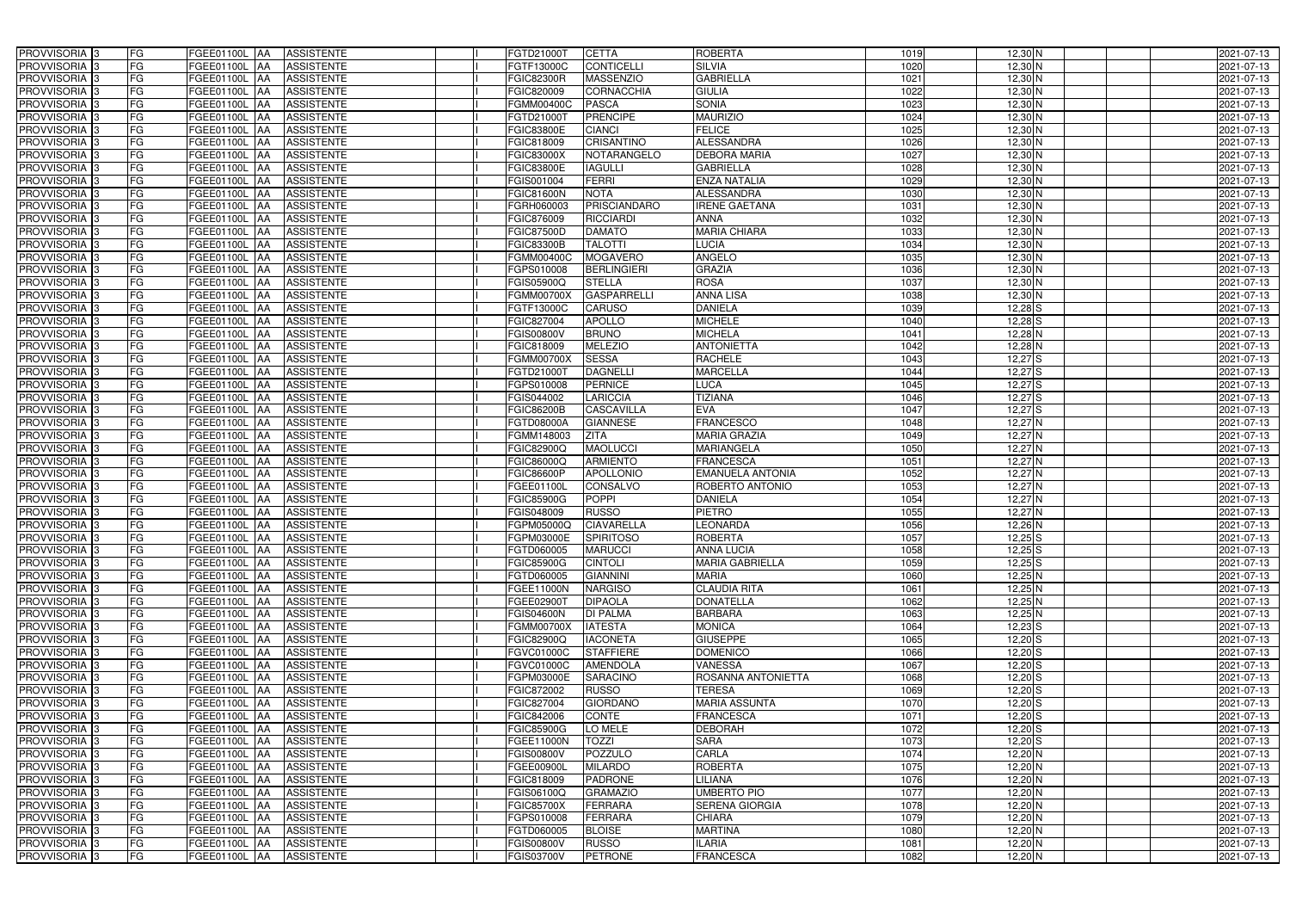| PROVVISORIA <sup>3</sup>                             | FG<br>FGEE01100L AA                              | <b>ASSISTENTE</b>               | FGTD21000T                      | <b>CETTA</b>                      | <b>ROBERTA</b>                         | 1019             | 12,30 N                | 2021-07-13               |
|------------------------------------------------------|--------------------------------------------------|---------------------------------|---------------------------------|-----------------------------------|----------------------------------------|------------------|------------------------|--------------------------|
| PROVVISORIA <sup>3</sup>                             | FG<br>FGEE01100L AA                              | <b>ASSISTENTE</b>               | FGTF13000C                      | <b>CONTICELLI</b>                 | <b>SILVIA</b>                          | 1020             | 12,30 N                | 2021-07-13               |
| PROVVISORIA <sup>1</sup> 3                           | FG<br>FGEE01100L AA                              | <b>ASSISTENTE</b>               | <b>FGIC82300R</b>               | <b>MASSENZIO</b>                  | <b>GABRIELLA</b>                       | 1021             | 12,30 N                | 2021-07-13               |
| PROVVISORIA 3                                        | FG<br>FGEE01100L AA                              | <b>ASSISTENTE</b>               | FGIC820009                      | <b>CORNACCHIA</b>                 | <b>GIULIA</b>                          | 1022             | 12,30 N                | 2021-07-13               |
| PROVVISORIA 3                                        | FG<br>FGEE01100L AA                              | <b>ASSISTENTE</b>               | FGMM00400C                      | <b>PASCA</b>                      | <b>SONIA</b>                           | 1023             | 12,30 N                | 2021-07-13               |
| PROVVISORIA <sup>3</sup>                             | FG<br>FGEE01100L AA                              | <b>ASSISTENTE</b>               | FGTD21000T                      | <b>PRENCIPE</b>                   | <b>MAURIZIO</b>                        | 1024             | 12,30 N                | 2021-07-13               |
| PROVVISORIA 3                                        | FG<br>FGEE01100L AA                              | <b>ASSISTENTE</b>               | <b>FGIC83800E</b>               | <b>CIANCI</b>                     | <b>FELICE</b>                          | 1025             | $12,30$ N              | 2021-07-13               |
| PROVVISORIA 3                                        | FG<br>FGEE01100L AA                              | <b>ASSISTENTE</b>               | FGIC818009                      | <b>CRISANTINO</b>                 | <b>ALESSANDRA</b>                      | 1026             | $12,30$ N              | 2021-07-13               |
| PROVVISORIA 3                                        | FG<br>FGEE01100L AA                              | <b>ASSISTENTE</b>               | <b>FGIC83000X</b>               | NOTARANGELO                       | <b>DEBORA MARIA</b>                    | 1027             | 12,30 N                | 2021-07-13               |
| PROVVISORIA <sup>3</sup>                             | FG<br>FGEE01100L                                 | <b>ASSISTENTE</b><br><b>JAA</b> | <b>FGIC83800E</b>               | <b>IAGULLI</b>                    | <b>GABRIELLA</b>                       | 1028             | 12,30 N                | 2021-07-13               |
| PROVVISORIA 3                                        | FG<br>FGEE01100L AA                              | <b>ASSISTENTE</b>               | FGIS001004                      | <b>FERRI</b>                      | <b>ENZA NATALIA</b>                    | 1029             | $12,30$ N              | 2021-07-13               |
| PROVVISORIA 3                                        | FG<br>FGEE01100L AA                              | <b>ASSISTENTE</b>               | <b>FGIC81600N</b>               | <b>NOTA</b>                       | <b>ALESSANDRA</b>                      | 1030             | $12,30$ N              | 2021-07-13               |
| PROVVISORIA 3                                        | FG<br>FGEE01100L AA                              | <b>ASSISTENTE</b>               | FGRH060003                      | <b>PRISCIANDARO</b>               | <b>IRENE GAETANA</b>                   | 1031             | 12,30 N                | 2021-07-13               |
| PROVVISORIA 3                                        | FG<br>FGEE01100L AA                              | <b>ASSISTENTE</b>               | FGIC876009                      | <b>RICCIARDI</b>                  | <b>ANNA</b>                            | 1032             | $12,30$ N              | 2021-07-13               |
| PROVVISORIA 3                                        | FG<br><b>FGEE01100L   AA</b>                     | <b>ASSISTENTE</b>               | <b>FGIC87500D</b>               | <b>DAMATO</b>                     | <b>MARIA CHIARA</b>                    | 1033             | $12,30$ N              | 2021-07-13               |
| PROVVISORIA 3                                        | $\overline{\mathsf{FG}}$<br><b>FGEE01100L AA</b> | <b>ASSISTENTE</b>               | <b>FGIC83300B</b>               | <b>TALOTTI</b>                    | <b>LUCIA</b>                           | 1034             | 12,30 N                | 2021-07-13               |
| PROVVISORIA 3                                        | FG<br>FGEE01100L AA                              | <b>ASSISTENTE</b>               | FGMM00400C                      | <b>MOGAVERO</b>                   | <b>ANGELO</b>                          | 1035             | 12,30 N                | 2021-07-13               |
| PROVVISORIA 3                                        | FG<br>FGEE01100L AA                              | <b>ASSISTENTE</b>               | FGPS010008                      | <b>BERLINGIERI</b>                | <b>GRAZIA</b>                          | 1036             | $12,30$ N              | 2021-07-13               |
| PROVVISORIA <sup>3</sup>                             | FG<br>FGEE01100L AA                              | <b>ASSISTENTE</b>               | FGIS05900Q                      | <b>STELLA</b>                     | <b>ROSA</b>                            | 1037             | $12,30$ N              | 2021-07-13               |
| PROVVISORIA 3                                        | FG<br>FGEE01100L AA                              | <b>ASSISTENTE</b>               | <b>FGMM00700X</b>               | <b>GASPARRELLI</b>                | <b>ANNA LISA</b>                       | 1038             | $12,30$ N              | 2021-07-13               |
| PROVVISORIA <sup>3</sup>                             | FG<br>FGEE01100L                                 | <b>AA</b><br><b>ASSISTENTE</b>  | FGTF13000C                      | <b>CARUSO</b>                     | <b>DANIELA</b>                         | 1039             | $12,28$ S              | 2021-07-13               |
| PROVVISORIA 3                                        | FG<br>FGEE01100L                                 | <b>JAA</b><br><b>ASSISTENTE</b> | FGIC827004                      | <b>APOLLO</b>                     | <b>MICHELE</b>                         | 1040             | $12,28$ S              | 2021-07-13               |
| PROVVISORIA 3                                        | FG<br>FGEE01100L AA                              | <b>ASSISTENTE</b>               | FGIS00800V                      | <b>BRUNO</b>                      | <b>MICHELA</b>                         | 1041             | $12,28$ N              | 2021-07-13               |
| PROVVISORIA <sup>3</sup>                             | FG<br>FGEE01100L AA                              | <b>ASSISTENTE</b>               | FGIC818009                      | <b>MELEZIO</b>                    | <b>ANTONIETTA</b>                      | 1042             | $12,28$ N              | 2021-07-13               |
| PROVVISORIA 3                                        | FG<br><b>FGEE01100L AA</b>                       | <b>ASSISTENTE</b>               | FGMM00700X                      | <b>SESSA</b>                      | <b>RACHELE</b>                         | 1043             | $12,27$ S              | 2021-07-13               |
| PROVVISORIA 3                                        | $\overline{\mathsf{FG}}$<br>FGEE01100L AA        | <b>ASSISTENTE</b>               | FGTD210001                      | <b>DAGNELLI</b>                   | <b>MARCELLA</b>                        | 1044             | $12,27$ S              | 2021-07-13               |
| PROVVISORIA 3                                        | FG<br>FGEE01100L                                 | <b>ASSISTENTE</b><br>IAA        | FGPS010008                      | <b>PERNICE</b>                    | <b>LUCA</b>                            | 1045             | $12,27$ S              | 2021-07-13               |
| PROVVISORIA <sup>3</sup>                             | FG<br>FGEE01100L                                 | <b>ASSISTENTE</b><br>IAA        | FGIS044002                      | <b>LARICCIA</b>                   | <b>TIZIANA</b>                         | 1046             | $12,27$ S              | 2021-07-13               |
| PROVVISORIA <sup>3</sup>                             | FG<br>FGEE01100L                                 | <b>ASSISTENTE</b><br>IAA        | <b>FGIC86200B</b>               | <b>CASCAVILLA</b>                 | <b>EVA</b>                             | 104              | $12,27$ S              | 2021-07-13               |
| PROVVISORIA <sup>3</sup>                             | FG<br><b>FGEE01100L AA</b>                       | <b>ASSISTENTE</b>               | FGTD08000A                      | <b>GIANNESE</b>                   | <b>FRANCESCO</b>                       | 1048             | $12,27$ N              | 2021-07-13               |
| PROVVISORIA <sup>3</sup>                             | FG<br><b>FGEE01100L AA</b>                       | <b>ASSISTENTE</b>               | FGMM148003                      | <b>ZITA</b>                       | <b>MARIA GRAZIA</b>                    | 1049             | $12,27$ N              | 2021-07-13               |
| PROVVISORIA <sup>3</sup>                             | FG<br>FGEE01100L AA                              | <b>ASSISTENTE</b>               | FGIC82900Q                      | <b>MAOLUCCI</b>                   | <b>MARIANGELA</b>                      | 1050             | $12,27$ N              | 2021-07-13               |
| PROVVISORIA <sup>3</sup>                             | FG<br>FGEE01100L AA                              | <b>ASSISTENTE</b>               | FGIC86000Q                      | <b>ARMIENTO</b>                   | <b>FRANCESCA</b>                       | $\frac{1051}{ }$ | $12,27$ N              | 2021-07-13               |
| PROVVISORIA <sup>3</sup>                             | FG<br><b>FGEE01100L   AA</b>                     | <b>ASSISTENTE</b>               | <b>FGIC86600P</b>               | <b>APOLLONIO</b>                  | <b>EMANUELA ANTONIA</b>                | 1052             | 12,27 N                | 2021-07-13               |
| PROVVISORIA 3                                        | FG<br>FGEE01100L AA                              | <b>ASSISTENTE</b>               | FGEE01100L                      | <b>CONSALVO</b>                   | <b>ROBERTO ANTONIO</b>                 | 1053             | $12,27$ N              | 2021-07-13               |
| PROVVISORIA <sup>3</sup>                             | FG<br>FGEE01100L AA                              | <b>ASSISTENTE</b>               | <b>FGIC85900G</b>               | <b>POPPI</b>                      | <b>DANIELA</b>                         | 1054             | $12,27$ N              | 2021-07-13               |
| PROVVISORIA 3                                        | FG<br>FGEE01100L AA                              | <b>ASSISTENTE</b>               | FGIS048009                      | <b>RUSSO</b>                      | <b>PIETRO</b>                          | 1055             | $12,27$ N              | 2021-07-13               |
| PROVVISORIA <sup>3</sup>                             | FG<br>FGEE01100L AA                              | <b>ASSISTENTE</b>               | FGPM05000Q                      | <b>CIAVARELLA</b>                 | <b>LEONARDA</b>                        | 1056             | $12,26$ N              | 2021-07-13               |
| PROVVISORIA <sup>3</sup>                             | <b>FG</b>                                        | FGEE01100L AA ASSISTENTE        | FGPM03000E                      | <b>SPIRITOSO</b>                  | <b>ROBERTA</b>                         | 1057             | $12,25$ S              | 2021-07-13               |
| <b>PROVVISORIA</b> 3                                 | FG<br>FGEE01100L AA                              | ASSISTENTE                      | FGTD060005                      | <b>MARUCCI</b>                    | <b>ANNA LUCIA</b>                      | 1058             | $12,25$ S              | 2021-07-13               |
| PROVVISORIA <sup>3</sup><br>PROVVISORIA <sup>3</sup> | FG<br>FGEE01100L AA<br>FG                        | <b>ASSISTENTE</b>               | <b>FGIC85900G</b>               | <b>CINTOLI</b><br><b>GIANNINI</b> | <b>MARIA GABRIELLA</b><br><b>MARIA</b> | 1059             | $12,25$ $S$            | 2021-07-13               |
| PROVVISORIA <sup>3</sup>                             | FGEE01100L AA<br>FG<br>FGEE01100L AA             | ASSISTENTE<br>ASSISTENTE        | FGTD060005<br><b>FGEE11000N</b> | <b>NARGISO</b>                    | <b>CLAUDIA RITA</b>                    | 1060<br>1061     | $12,25$ N<br>$12,25$ N | 2021-07-13<br>2021-07-13 |
| PROVVISORIA <sup>3</sup>                             | FG<br>FGEE01100L AA                              | <b>ASSISTENTE</b>               | FGEE02900T                      | <b>DIPAOLA</b>                    | <b>DONATELLA</b>                       | 1062             | $12,25$ N              | 2021-07-13               |
| PROVVISORIA <sup>3</sup>                             | FG<br>FGEE01100L AA                              | ASSISTENTE                      | <b>FGIS04600N</b>               | <b>DI PALMA</b>                   | <b>BARBARA</b>                         | 1063             | $12,25$ N              | 2021-07-13               |
| PROVVISORIA <sup>3</sup>                             | FG<br>FGEE01100L AA                              | <b>ASSISTENTE</b>               | <b>FGMM00700X</b>               | <b>IATESTA</b>                    | <b>MONICA</b>                          | 1064             | $12,23$ $S$            | 2021-07-13               |
| PROVVISORIA <sup>1</sup> 3                           | FG<br>FGEE01100L AA                              | <b>ASSISTENTE</b>               | FGIC82900Q                      | <b>IACONETA</b>                   | <b>GIUSEPPE</b>                        | 1065             | $12,20$ S              | 2021-07-13               |
| PROVVISORIA <sup>3</sup>                             | FG<br>FGEE01100L AA                              | <b>ASSISTENTE</b>               | FGVC01000C                      | <b>STAFFIERE</b>                  | <b>DOMENICO</b>                        | 1066             | $12,20$ S              | 2021-07-13               |
| PROVVISORIA <sup>3</sup>                             | FG<br>FGEE01100L AA                              | <b>ASSISTENTE</b>               | FGVC01000C                      | <b>AMENDOLA</b>                   | <b>VANESSA</b>                         | 1067             | $12,20$ S              | 2021-07-13               |
| PROVVISORIA <sup>3</sup>                             | FG<br>FGEE01100L AA                              | <b>ASSISTENTE</b>               | FGPM03000E                      | <b>SARACINO</b>                   | ROSANNA ANTONIETTA                     | 1068             | $12,20$ S              | 2021-07-13               |
| PROVVISORIA <sup>3</sup>                             | FG<br>FGEE01100L AA                              | <b>ASSISTENTE</b>               | FGIC872002                      | <b>RUSSO</b>                      | <b>TERESA</b>                          | 1069             | $12,20$ S              | 2021-07-13               |
| PROVVISORIA <sup>3</sup>                             | FG<br>FGEE01100L AA                              | <b>ASSISTENTE</b>               | FGIC827004                      | <b>GIORDANO</b>                   | <b>MARIA ASSUNTA</b>                   | 1070             | $12,20$ S              | 2021-07-13               |
| PROVVISORIA <sup>3</sup>                             | FG<br>FGEE01100L AA                              | <b>ASSISTENTE</b>               | FGIC842006                      | CONTE                             | <b>FRANCESCA</b>                       | 1071             | $12,20$ S              | 2021-07-13               |
| PROVVISORIA <sup>3</sup>                             | FG<br>FGEE01100L AA                              | <b>ASSISTENTE</b>               | <b>FGIC85900G</b>               | LO MELE                           | <b>DEBORAH</b>                         | 1072             | $12,20$ S              | 2021-07-13               |
| PROVVISORIA <sup>3</sup>                             | FG<br>FGEE01100L AA                              | <b>ASSISTENTE</b>               | FGEE11000N                      | <b>TOZZI</b>                      | <b>SARA</b>                            | 1073             | $12,20$ S              | 2021-07-13               |
| PROVVISORIA <sup>3</sup>                             | FG<br>FGEE01100L AA                              | <b>ASSISTENTE</b>               | <b>FGIS00800V</b>               | <b>POZZULO</b>                    | CARLA                                  | 1074             | 12,20 N                | 2021-07-13               |
| PROVVISORIA <sup>3</sup>                             | FG<br>FGEE01100L AA                              | <b>ASSISTENTE</b>               | FGEE00900L                      | <b>MILARDO</b>                    | <b>ROBERTA</b>                         | 1075             | $12,20$ N              | 2021-07-13               |
| PROVVISORIA <sup>3</sup>                             | FG<br>FGEE01100L AA                              | <b>ASSISTENTE</b>               | FGIC818009                      | <b>PADRONE</b>                    | LILIANA                                | 1076             | $12,20$ N              | 2021-07-13               |
| PROVVISORIA <sup>3</sup>                             | FG<br>FGEE01100L AA                              | <b>ASSISTENTE</b>               | FGIS06100Q                      | <b>GRAMAZIO</b>                   | <b>UMBERTO PIO</b>                     | 1077             | $12,20$ N              | 2021-07-13               |
| PROVVISORIA <sup>3</sup>                             | FG<br>FGEE01100L AA                              | <b>ASSISTENTE</b>               | <b>FGIC85700X</b>               | <b>FERRARA</b>                    | <b>SERENA GIORGIA</b>                  | 1078             | $12,20$ N              | 2021-07-13               |
| PROVVISORIA <sup>3</sup>                             | FG<br>FGEE01100L AA                              | <b>ASSISTENTE</b>               | FGPS010008                      | <b>FERRARA</b>                    | <b>CHIARA</b>                          | 1079             | $12,20$ N              | 2021-07-13               |
| PROVVISORIA <sup>3</sup>                             | FG<br>FGEE01100L AA                              | <b>ASSISTENTE</b>               | FGTD060005                      | <b>BLOISE</b>                     | <b>MARTINA</b>                         | 1080             | $12,20$ N              | 2021-07-13               |
| PROVVISORIA <sup>3</sup>                             | FG<br>FGEE01100L AA                              | ASSISTENTE                      | <b>FGIS00800V</b>               | <b>RUSSO</b>                      | <b>ILARIA</b>                          | 1081             | $12,20$ N              | 2021-07-13               |
| PROVVISORIA 3                                        | FG<br>FGEE01100L AA                              | ASSISTENTE                      | <b>FGIS03700V</b>               | <b>PETRONE</b>                    | <b>FRANCESCA</b>                       | 1082             | $12,20$ N              | 2021-07-13               |
|                                                      |                                                  |                                 |                                 |                                   |                                        |                  |                        |                          |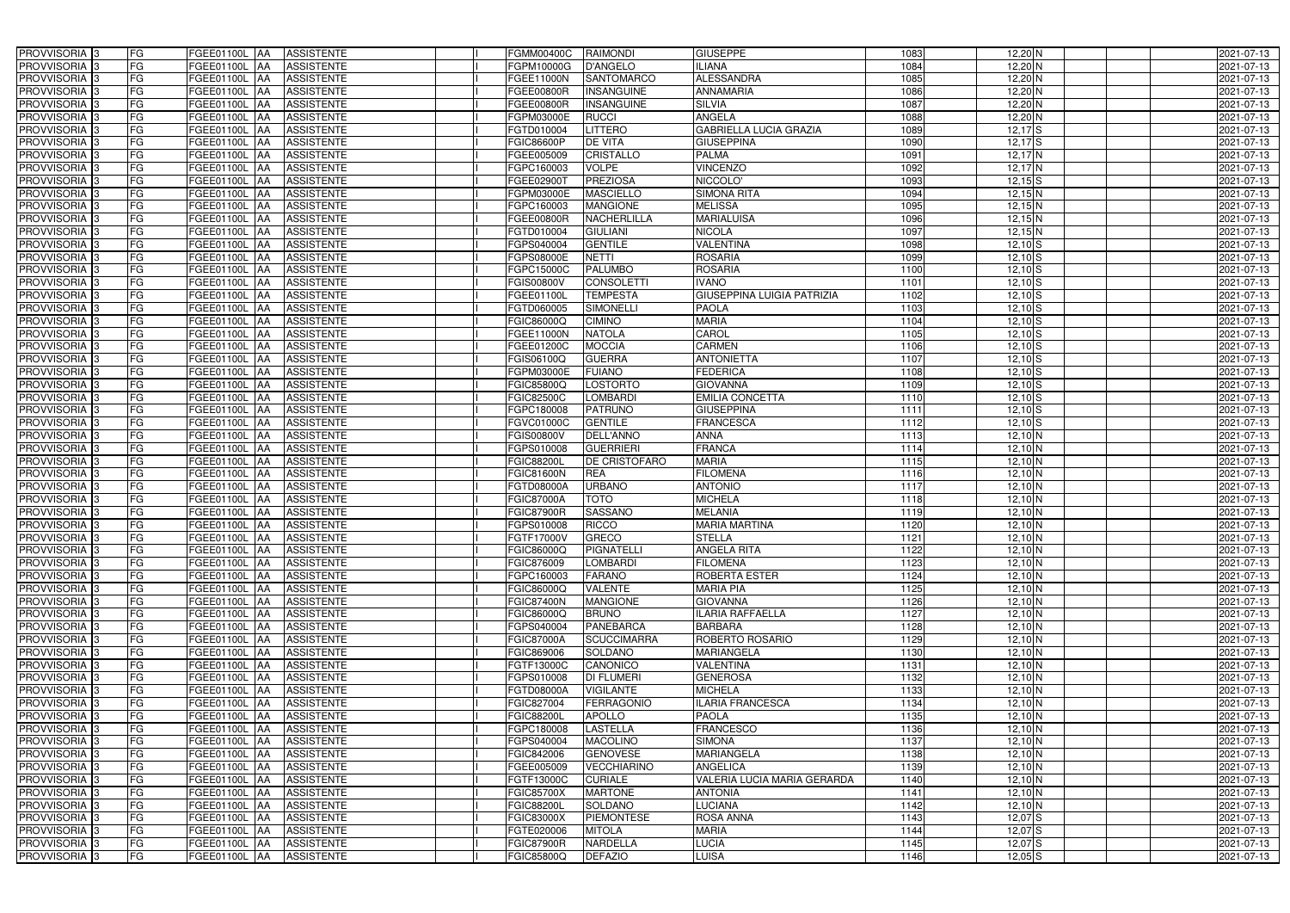| PROVVISORIA <sup>3</sup>   | FG        | FGEE01100L AA<br><b>ASSISTENTE</b>                   | <b>FGMM00400C</b> | <b>RAIMONDI</b>    | <b>GIUSEPPE</b>                   | 1083 | $12,20$ N                  | 2021-07-13 |
|----------------------------|-----------|------------------------------------------------------|-------------------|--------------------|-----------------------------------|------|----------------------------|------------|
| PROVVISORIA <sup>3</sup>   | FG        | <b>ASSISTENTE</b><br>FGEE01100L AA                   | FGPM10000G        | <b>D'ANGELO</b>    | <b>ILIANA</b>                     | 1084 | 12,20 N                    | 2021-07-13 |
| PROVVISORIA <sup>1</sup> 3 | FG        | FGEE01100L AA<br><b>ASSISTENTE</b>                   | FGEE11000N        | <b>SANTOMARCO</b>  | <b>ALESSANDRA</b>                 | 1085 | 12,20 N                    | 2021-07-13 |
| PROVVISORIA <sup>3</sup>   | FG        | FGEE01100L AA<br><b>ASSISTENTE</b>                   | FGEE00800R        | <b>INSANGUINE</b>  | <b>ANNAMARIA</b>                  | 1086 | $12,20$ N                  | 2021-07-13 |
| PROVVISORIA <sup>3</sup>   | FG        | FGEE01100L AA<br><b>ASSISTENTE</b>                   | FGEE00800R        | <b>INSANGUINE</b>  | <b>SILVIA</b>                     | 1087 | 12,20 N                    | 2021-07-13 |
| PROVVISORIA <sup>3</sup>   | FG        | <b>FGEE01100L AA</b><br><b>ASSISTENTE</b>            | FGPM03000E        | <b>RUCCI</b>       | <b>ANGELA</b>                     | 1088 | 12,20 N                    | 2021-07-13 |
| PROVVISORIA <sup>3</sup>   | FG        | <b>ASSISTENTE</b><br>FGEE01100L AA                   | FGTD010004        | <b>LITTERO</b>     | <b>GABRIELLA LUCIA GRAZIA</b>     | 1089 | $12,17$ $S$                | 2021-07-13 |
| PROVVISORIA 3              | FG        | <b>ASSISTENTE</b><br>FGEE01100L<br>IAA               | FGIC86600P        | <b>DE VITA</b>     | <b>GIUSEPPINA</b>                 | 1090 | $12,17$ $S$                | 2021-07-13 |
| PROVVISORIA <sup>3</sup>   | FG        | <b>ASSISTENTE</b><br>FGEE01100L<br><b>IAA</b>        | FGEE005009        | <b>CRISTALLO</b>   | <b>PALMA</b>                      | 1091 | $12,17$ N                  | 2021-07-13 |
| PROVVISORIA <sup>3</sup>   | FG        | <b>FGEE01100L</b><br><b>ASSISTENTE</b><br>IAA        | GPC160003         | <b>VOLPE</b>       | <b>VINCENZO</b>                   | 1092 | $12,17$ N                  | 2021-07-13 |
| PROVVISORIA 3              | FG        | <b>FGEE01100L AA</b><br><b>ASSISTENTE</b>            | FGEE02900T        | <b>PREZIOSA</b>    | NICCOLO'                          | 1093 | $12,15$ $S$                | 2021-07-13 |
| PROVVISORIA 3              | FG        | <b>FGEE01100L AA</b><br><b>ASSISTENTE</b>            | FGPM03000E        | <b>MASCIELLO</b>   | <b>SIMONA RITA</b>                | 1094 | $12,15$ N                  | 2021-07-13 |
| PROVVISORIA 3              | FG        | FGEE01100L<br><b>ASSISTENTE</b><br><b>JAA</b>        | FGPC160003        | <b>MANGIONE</b>    | <b>MELISSA</b>                    | 1095 | $12,15$ N                  | 2021-07-13 |
| PROVVISORIA 3              | FG        | FGEE01100L<br><b>ASSISTENTE</b><br><b>JAA</b>        | FGEE00800R        | <b>NACHERLILLA</b> | <b>MARIALUISA</b>                 | 1096 | $12,15$ N                  | 2021-07-13 |
| PROVVISORIA 3              | FG        | FGEE01100L<br><b>ASSISTENTE</b><br>IAA               | FGTD010004        | <b>GIULIANI</b>    | <b>NICOLA</b>                     | 1097 | $12,15$ N                  | 2021-07-13 |
| PROVVISORIA 3              | FG        | <b>FGEE01100L AA</b><br><b>ASSISTENTE</b>            | FGPS040004        | <b>GENTILE</b>     | VALENTINA                         | 1098 | $12,10$ $S$                | 2021-07-13 |
| PROVVISORIA 3              | FG        | FGEE01100L AA<br><b>ASSISTENTE</b>                   | FGPS08000E        | <b>NETTI</b>       | <b>ROSARIA</b>                    | 1099 | $12,10$ $S$                | 2021-07-13 |
| PROVVISORIA 3              | FG        | FGEE01100L AA<br><b>ASSISTENTE</b>                   | FGPC15000C        | <b>PALUMBO</b>     | <b>ROSARIA</b>                    | 1100 | $12,10$ S                  | 2021-07-13 |
| PROVVISORIA 3              | FG        | <b>FGEE01100L AA</b><br><b>ASSISTENTE</b>            | FGIS00800V        | <b>CONSOLETTI</b>  | <b>IVANO</b>                      | 1101 | $12,10$ $S$                | 2021-07-13 |
| PROVVISORIA 3              | FG        | FGEE01100L<br><b>ASSISTENTE</b><br>l AA              | FGEE01100L        | <b>TEMPESTA</b>    | <b>GIUSEPPINA LUIGIA PATRIZIA</b> | 1102 | $12,10$ S                  | 2021-07-13 |
| PROVVISORIA 3              | FG        | FGEE01100L<br><b>ASSISTENTE</b><br>ΙAΑ               | FGTD060005        | <b>SIMONELLI</b>   | <b>PAOLA</b>                      | 1103 | $12,10$ S                  | 2021-07-13 |
| PROVVISORIA 3              | FG        | FGEE01100L<br><b>ASSISTENTE</b><br>IAA               | FGIC86000Q        | <b>CIMINO</b>      | <b>MARIA</b>                      | 1104 | $12,10$ $S$                | 2021-07-13 |
| PROVVISORIA <sup>3</sup>   | FG        | FGEE01100L<br><b>ASSISTENTE</b><br>IAA               | FGEE11000N        | <b>NATOLA</b>      | CAROL                             | 1105 | $12,10$ $S$                | 2021-07-13 |
| PROVVISORIA <sup>3</sup>   | FG        | <b>FGEE01100L</b><br><b>ASSISTENTE</b><br>IAA        | <b>FGEE01200C</b> | <b>MOCCIA</b>      | <b>CARMEN</b>                     | 1106 | $12,10$ $S$                | 2021-07-13 |
| PROVVISORIA 3              | FG        | <b>FGEE01100L</b><br><b>ASSISTENTE</b><br>۱AA        | FGIS06100Q        | <b>GUERRA</b>      | <b>ANTONIETTA</b>                 | 1107 | $12,10$ $S$                | 2021-07-13 |
| PROVVISORIA 3              | FG        | FGEE01100L<br><b>ASSISTENTE</b><br>IAA               | FGPM03000E        | <b>FUIANO</b>      | <b>FEDERICA</b>                   | 1108 | $12,10$ $S$                | 2021-07-13 |
| PROVVISORIA 3              | FG        | FGEE01100L<br><b>ASSISTENTE</b>                      | FGIC85800Q        | <b>LOSTORTO</b>    | <b>GIOVANNA</b>                   | 1109 | $12,10$ $S$                | 2021-07-13 |
| PROVVISORIA 3              | FG        | FGEE01100L<br><b>ASSISTENTE</b><br>IAA               | <b>GIC82500C</b>  | LOMBARDI           | <b>EMILIA CONCETTA</b>            | 1110 | $12,10$ S                  | 2021-07-13 |
| PROVVISORIA <sup>3</sup>   | FG        | FGEE01100L<br><b>ASSISTENTE</b>                      | FGPC180008        | <b>PATRUNO</b>     | <b>GIUSEPPINA</b>                 | 1111 | $12,10$ S                  | 2021-07-13 |
| PROVVISORIA <sup>3</sup>   | FG        | FGEE01100L<br><b>ASSISTENTE</b><br><b>JAA</b>        | FGVC01000C        | <b>GENTILE</b>     | <b>FRANCESCA</b>                  | 1112 | $12,10$ S                  | 2021-07-13 |
| PROVVISORIA <sup>3</sup>   | FG        | <b>FGEE01100L</b><br><b>ASSISTENTE</b><br><b>IAA</b> | <b>FGIS00800V</b> | DELL'ANNO          | <b>ANNA</b>                       | 1113 | $12,10$ N                  | 2021-07-13 |
| PROVVISORIA <sup>3</sup>   | FG        | FGEE01100L<br><b>ASSISTENTE</b><br>IAA               | FGPS010008        | <b>GUERRIERI</b>   | <b>FRANCA</b>                     | 1114 | $12,10$ N                  | 2021-07-13 |
| PROVVISORIA <sup>3</sup>   | FG        | FGEE01100L<br><b>ASSISTENTE</b><br>IAA               | <b>FGIC88200L</b> | DE CRISTOFARO      | <b>MARIA</b>                      | 1115 | $12,10$ N                  | 2021-07-13 |
| PROVVISORIA <sup>3</sup>   | FG        | <b>FGEE01100L</b><br><b>ASSISTENTE</b><br><b>IAA</b> | <b>FGIC81600N</b> | <b>REA</b>         | <b>FILOMENA</b>                   | 1116 | $12,10$ N                  | 2021-07-13 |
| PROVVISORIA 3              | FG        | FGEE01100L<br><b>ASSISTENTE</b><br><b>AA</b>         | FGTD08000A        | <b>URBANO</b>      | <b>ANTONIO</b>                    | 1117 | $12,10$ N                  | 2021-07-13 |
| PROVVISORIA <sup>3</sup>   | FG        | <b>FGEE01100L AA</b><br><b>ASSISTENTE</b>            | <b>FGIC87000A</b> | <b>TOTO</b>        | <b>MICHELA</b>                    | 1118 | $12,10$ N                  | 2021-07-13 |
| PROVVISORIA 3              | FG        | FGEE01100L AA<br><b>ASSISTENTE</b>                   | <b>FGIC87900R</b> | <b>SASSANO</b>     | <b>MELANIA</b>                    | 1119 | $12,10$ N                  | 2021-07-13 |
| PROVVISORIA <sup>3</sup>   | FG        | FGEE01100L AA<br><b>ASSISTENTE</b>                   | FGPS010008        | <b>RICCO</b>       | <b>MARIA MARTINA</b>              | 1120 | $12,10$ N                  | 2021-07-13 |
| PROVVISORIA <sup>3</sup>   | <b>FG</b> | FGEE01100L AA ASSISTENTE                             | FGTF17000V        | GRECO              | <b>STELLA</b>                     | 1121 | $12,10$ N                  | 2021-07-13 |
| <b>PROVVISORIA</b> 3       | FG        | FGEE01100L AA<br>ASSISTENTE                          | FGIC86000Q        | PIGNATELLI         | <b>ANGELA RITA</b>                | 1122 | $12,10$ N                  | 2021-07-13 |
| PROVVISORIA <sup>3</sup>   | FG        | FGEE01100L AA<br>ASSISTENTE                          | FGIC876009        | <b>LOMBARDI</b>    | <b>FILOMENA</b>                   | 1123 | $12,10$ N                  | 2021-07-13 |
| PROVVISORIA <sup>3</sup>   | FG        | FGEE01100L AA<br><b>ASSISTENTE</b>                   | FGPC160003        | <b>FARANO</b>      | ROBERTA ESTER                     | 1124 | $12,10$ N                  | 2021-07-13 |
| PROVVISORIA <sup>3</sup>   | FG        | FGEE01100L AA<br>ASSISTENTE                          | FGIC86000Q        | <b>VALENTE</b>     | <b>MARIA PIA</b>                  | 1125 | $12,10$ N                  | 2021-07-13 |
| <b>PROVVISORIA</b> 3       | FG        | FGEE01100L AA<br><b>ASSISTENTE</b>                   | <b>FGIC87400N</b> | <b>MANGIONE</b>    | <b>GIOVANNA</b>                   | 1126 | $12,10$ N                  | 2021-07-13 |
| PROVVISORIA <sup>3</sup>   | FG        | FGEE01100L AA<br>ASSISTENTE                          | FGIC86000Q        | <b>BRUNO</b>       | <b>ILARIA RAFFAELLA</b>           | 1127 | $12,10$ N                  | 2021-07-13 |
| PROVVISORIA <sup>3</sup>   | FG        | FGEE01100L AA<br><b>ASSISTENTE</b>                   | FGPS040004        | <b>PANEBARCA</b>   | <b>BARBARA</b>                    | 1128 | $12,10$ N                  | 2021-07-13 |
| PROVVISORIA <sup>1</sup> 3 | FG        | FGEE01100L AA<br><b>ASSISTENTE</b>                   | FGIC87000A        | <b>SCUCCIMARRA</b> | ROBERTO ROSARIO                   | 1129 | $12,10$ N                  | 2021-07-13 |
| PROVVISORIA <sup>3</sup>   | FG        | FGEE01100L AA<br><b>ASSISTENTE</b>                   | FGIC869006        | SOLDANO            | <b>MARIANGELA</b>                 | 1130 | $12,10\overline{\text{N}}$ | 2021-07-13 |
| PROVVISORIA <sup>3</sup>   | FG        | FGEE01100L AA<br><b>ASSISTENTE</b>                   | FGTF13000C        | CANONICO           | <b>VALENTINA</b>                  | 1131 | $12,10$ N                  | 2021-07-13 |
| PROVVISORIA <sup>3</sup>   | FG        | FGEE01100L AA<br><b>ASSISTENTE</b>                   | FGPS010008        | <b>DI FLUMERI</b>  | <b>GENEROSA</b>                   | 1132 | $12,10$ N                  | 2021-07-13 |
| PROVVISORIA <sup>3</sup>   | FG        | <b>ASSISTENTE</b><br>FGEE01100L AA                   | FGTD08000A        | <b>VIGILANTE</b>   | <b>MICHELA</b>                    | 1133 | $12,10$ N                  | 2021-07-13 |
| PROVVISORIA <sup>3</sup>   | FG        | FGEE01100L AA<br><b>ASSISTENTE</b>                   | FGIC827004        | <b>FERRAGONIO</b>  | <b>ILARIA FRANCESCA</b>           | 1134 | $12,10$ N                  | 2021-07-13 |
| PROVVISORIA <sup>3</sup>   | FG        | FGEE01100L AA<br><b>ASSISTENTE</b>                   | <b>FGIC88200L</b> | <b>APOLLO</b>      | <b>PAOLA</b>                      | 1135 | $12,10$ N                  | 2021-07-13 |
| PROVVISORIA <sup>3</sup>   | FG        | FGEE01100L AA<br><b>ASSISTENTE</b>                   | FGPC180008        | <b>LASTELLA</b>    | <b>FRANCESCO</b>                  | 1136 | $12,10$ N                  | 2021-07-13 |
| PROVVISORIA <sup>3</sup>   | FG        | <b>ASSISTENTE</b><br>FGEE01100L AA                   | FGPS040004        | <b>MACOLINO</b>    | <b>SIMONA</b>                     | 1137 | $12,10$ N                  | 2021-07-13 |
| PROVVISORIA <sup>3</sup>   | FG        | <b>ASSISTENTE</b><br>FGEE01100L AA                   | FGIC842006        | <b>GENOVESE</b>    | <b>MARIANGELA</b>                 | 1138 | $12,10\overline{\text{N}}$ | 2021-07-13 |
| PROVVISORIA <sup>1</sup> 3 | FG        | FGEE01100L AA<br><b>ASSISTENTE</b>                   | FGEE005009        | <b>VECCHIARINO</b> | <b>ANGELICA</b>                   | 1139 | $12,10$ N                  | 2021-07-13 |
| PROVVISORIA <sup>3</sup>   | FG        | FGEE01100L AA<br><b>ASSISTENTE</b>                   | FGTF13000C        | <b>CURIALE</b>     | VALERIA LUCIA MARIA GERARDA       | 1140 | $12,10$ N                  | 2021-07-13 |
| PROVVISORIA <sup>3</sup>   | FG        | <b>ASSISTENTE</b><br>FGEE01100L AA                   | FGIC85700X        | <b>MARTONE</b>     | <b>ANTONIA</b>                    | 1141 | $12,10$ N                  | 2021-07-13 |
| PROVVISORIA <sup>3</sup>   | FG        | FGEE01100L AA<br><b>ASSISTENTE</b>                   | FGIC88200L        | SOLDANO            | <b>LUCIANA</b>                    | 1142 | $12,10$ N                  | 2021-07-13 |
| PROVVISORIA <sup>3</sup>   | FG        | <b>ASSISTENTE</b><br>FGEE01100L AA                   | FGIC83000X        | <b>PIEMONTESE</b>  | <b>ROSA ANNA</b>                  | 1143 | $12,07$ $S$                | 2021-07-13 |
| PROVVISORIA <sup>3</sup>   | FG        | <b>FGEE01100L AA</b><br><b>ASSISTENTE</b>            | FGTE020006        | <b>MITOLA</b>      | <b>MARIA</b>                      | 1144 | $12,07$ $S$                | 2021-07-13 |
| PROVVISORIA <sup>3</sup>   | FG        | FGEE01100L AA<br><b>ASSISTENTE</b>                   | <b>FGIC87900R</b> | <b>NARDELLA</b>    | <b>LUCIA</b>                      | 1145 | $12,07$ $S$                | 2021-07-13 |
| PROVVISORIA 3              | FG        | FGEE01100L AA<br>ASSISTENTE                          | FGIC85800Q        | <b>DEFAZIO</b>     | <b>LUISA</b>                      | 1146 | $12,05$ $S$                | 2021-07-13 |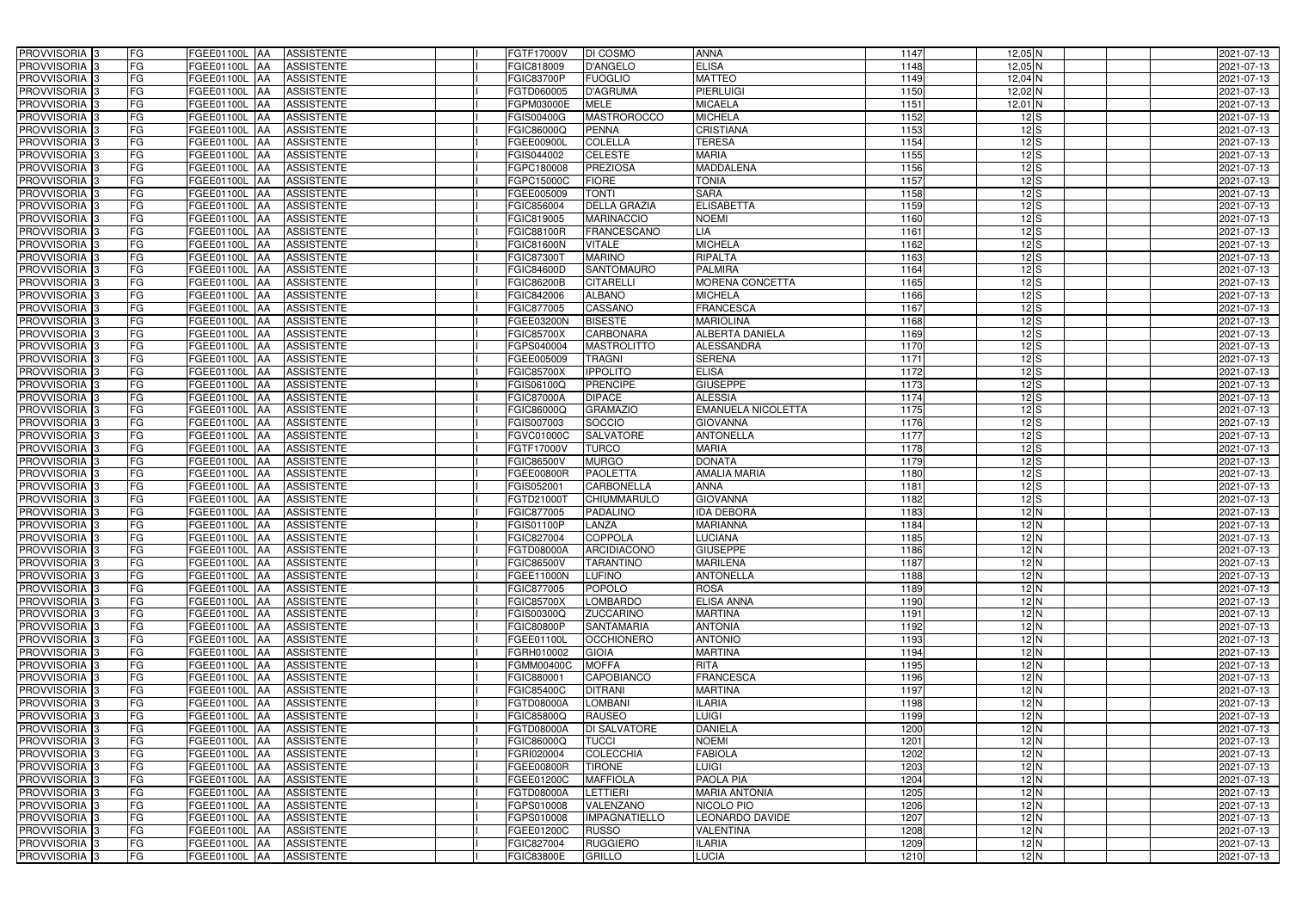| PROVVISORIA <sup>3</sup>   | <b>FG</b><br>FGEE01100L AA | <b>ASSISTENTE</b>               | FGTF17000V        | DI COSMO             | <b>ANNA</b>               | 1147 | $12,05$ N                            | 2021-07-13 |
|----------------------------|----------------------------|---------------------------------|-------------------|----------------------|---------------------------|------|--------------------------------------|------------|
| PROVVISORIA <sup>3</sup>   | FG<br>FGEE01100L           | <b>ASSISTENTE</b><br>IAA        | FGIC818009        | <b>D'ANGELO</b>      | <b>ELISA</b>              | 1148 | $12,05$ N                            | 2021-07-13 |
| PROVVISORIA <sup>3</sup>   | FG<br>FGEE01100L           | <b>ASSISTENTE</b><br>IAA        | <b>FGIC83700P</b> | <b>FUOGLIO</b>       | <b>MATTEO</b>             | 1149 | $12,04$ N                            | 2021-07-13 |
| PROVVISORIA <sup>3</sup>   | FG<br>FGEE01100L           | <b>ASSISTENTE</b><br>IAA        | FGTD060005        | <b>D'AGRUMA</b>      | <b>PIERLUIGI</b>          | 1150 | 12,02 N                              | 2021-07-13 |
| PROVVISORIA <sup>3</sup>   | FG<br>FGEE01100L           | <b>ASSISTENTE</b><br>IAA        | FGPM03000E        | <b>MELE</b>          | <b>MICAELA</b>            | 1151 | $12,01$ N                            | 2021-07-13 |
| PROVVISORIA <sup>3</sup>   | FG<br><b>FGEE01100L AA</b> | <b>ASSISTENTE</b>               | <b>FGIS00400G</b> | <b>MASTROROCCO</b>   | <b>MICHELA</b>            | 1152 | 12S                                  | 2021-07-13 |
| PROVVISORIA <sup>1</sup> 3 | FG<br>FGEE01100L AA        | <b>ASSISTENTE</b>               | FGIC86000Q        | <b>PENNA</b>         | <b>CRISTIANA</b>          | 1153 | 12S                                  | 2021-07-13 |
| PROVVISORIA <sup>3</sup>   | FG<br>FGEE01100L AA        | <b>ASSISTENTE</b>               | FGEE00900L        | <b>COLELLA</b>       | <b>TERESA</b>             | 1154 | 12S                                  | 2021-07-13 |
| PROVVISORIA 3              | FG<br>FGEE01100L AA        | <b>ASSISTENTE</b>               | FGIS044002        | <b>CELESTE</b>       | <b>MARIA</b>              | 1155 | 12S                                  | 2021-07-13 |
| PROVVISORIA <sup>3</sup>   | FG<br>FGEE01100L AA        | <b>ASSISTENTE</b>               | FGPC180008        | <b>PREZIOSA</b>      | <b>MADDALENA</b>          | 1156 | $12\overline{\smash{\vert S \vert}}$ | 2021-07-13 |
| PROVVISORIA 3              | FG<br>FGEE01100L AA        | <b>ASSISTENTE</b>               | FGPC15000C        | <b>FIORE</b>         | <b>TONIA</b>              | 1157 | 12S                                  | 2021-07-13 |
| PROVVISORIA 3              | FG<br>FGEE01100L AA        | <b>ASSISTENTE</b>               | FGEE005009        | <b>TONTI</b>         | <b>SARA</b>               | 1158 | 12S                                  | 2021-07-13 |
| PROVVISORIA <sup>3</sup>   | FG<br>FGEE01100L AA        | <b>ASSISTENTE</b>               | FGIC856004        | <b>DELLA GRAZIA</b>  | <b>ELISABETTA</b>         | 1159 | $12$ $S$                             | 2021-07-13 |
| PROVVISORIA 3              | FG<br>FGEE01100L AA        | <b>ASSISTENTE</b>               | FGIC819005        | <b>MARINACCIO</b>    | <b>NOEMI</b>              | 1160 | $12\overline{\smash{\big }S}$        | 2021-07-13 |
| PROVVISORIA 3              | FG<br>FGEE01100L AA        | <b>ASSISTENTE</b>               | <b>FGIC88100R</b> | <b>FRANCESCANO</b>   | <b>LIA</b>                | 1161 | $12\overline{\smash{\big }S}$        | 2021-07-13 |
| PROVVISORIA 3              | FG<br><b>FGEE01100L</b>    | <b>ASSISTENTE</b><br><b>IAA</b> | <b>FGIC81600N</b> | <b>VITALE</b>        | <b>MICHELA</b>            | 1162 | 12S                                  | 2021-07-13 |
| PROVVISORIA 3              | FG<br>FGEE01100L           | <b>ASSISTENTE</b><br>IAA        | FGIC87300         | <b>MARINO</b>        | <b>RIPALTA</b>            | 1163 | 12S                                  | 2021-07-13 |
| PROVVISORIA <sup>3</sup>   | FG<br>FGEE01100L AA        | <b>ASSISTENTE</b>               | <b>FGIC84600D</b> | <b>SANTOMAURO</b>    | <b>PALMIRA</b>            | 1164 | 12S                                  | 2021-07-13 |
| PROVVISORIA 3              | FG<br>FGEE01100L           | <b>ASSISTENTE</b><br><b>JAA</b> | <b>FGIC86200B</b> | <b>CITARELLI</b>     | <b>MORENA CONCETTA</b>    | 1165 | 12S                                  | 2021-07-13 |
| PROVVISORIA 3              | FG<br>FGEE01100L           | <b>JAA</b><br><b>ASSISTENTE</b> | FGIC842006        | <b>ALBANO</b>        | <b>MICHELA</b>            | 1166 | 12S                                  | 2021-07-13 |
| PROVVISORIA <sup>3</sup>   | FG<br>FGEE01100L           | <b>ASSISTENTE</b><br>ΙAΑ        | FGIC877005        | CASSANO              | <b>FRANCESCA</b>          | 1167 | $\overline{12}$ $\overline{S}$       | 2021-07-13 |
| PROVVISORIA 3              | FG<br><b>FGEE01100L</b>    | <b>ASSISTENTE</b><br>IAA        | FGEE03200N        | <b>BISESTE</b>       | <b>MARIOLINA</b>          | 1168 | 12S                                  | 2021-07-13 |
| PROVVISORIA 3              | FG<br>FGEE01100L           | <b>ASSISTENTE</b><br>IAA        | FGIC85700X        | <b>CARBONARA</b>     | <b>ALBERTA DANIELA</b>    | 1169 | 12S                                  | 2021-07-13 |
| PROVVISORIA 3              | FG<br>FGEE01100L AA        | <b>ASSISTENTE</b>               | GPS040004         | <b>MASTROLITTO</b>   | <b>ALESSANDRA</b>         | 1170 | 12S                                  | 2021-07-13 |
| PROVVISORIA <sup>3</sup>   | FG<br>FGEE01100L           | <b>ASSISTENTE</b><br> AA        | FGEE005009        | <b>TRAGNI</b>        | <b>SERENA</b>             | 1171 | 12S                                  | 2021-07-13 |
| PROVVISORIA 3              | FG<br>FGEE01100L           | <b>ASSISTENTE</b><br><b>JAA</b> | FGIC85700X        | <b>IPPOLITO</b>      | <b>ELISA</b>              | 1172 | $12\overline{\smash{\big }S}$        | 2021-07-13 |
| PROVVISORIA 3              | FG<br>FGEE01100L AA        | <b>ASSISTENTE</b>               | FGIS06100Q        | <b>PRENCIPE</b>      | <b>GIUSEPPE</b>           | 1173 | $12\overline{\smash{\big }S}$        | 2021-07-13 |
| PROVVISORIA 3              | FG<br>FGEE01100L           | <b>ASSISTENTE</b><br>IAA        | <b>FGIC87000A</b> | <b>DIPACE</b>        | <b>ALESSIA</b>            | 1174 | 12S                                  | 2021-07-13 |
| PROVVISORIA <sup>3</sup>   | FG<br>FGEE01100L           | <b>ASSISTENTE</b><br>IAA        | FGIC86000Q        | <b>GRAMAZIO</b>      | <b>EMANUELA NICOLETTA</b> | 1175 | $12$ $S$                             | 2021-07-13 |
| PROVVISORIA <sup>3</sup>   | FG<br>FGEE01100L AA        | <b>ASSISTENTE</b>               | FGIS007003        | SOCCIO               | <b>GIOVANNA</b>           | 1176 | 12S                                  | 2021-07-13 |
| PROVVISORIA <sup>3</sup>   | FG<br>FGEE01100L AA        | <b>ASSISTENTE</b>               | FGVC01000C        | <b>SALVATORE</b>     | <b>ANTONELLA</b>          | 1177 | 12S                                  | 2021-07-13 |
| PROVVISORIA <sup>3</sup>   | FG<br>FGEE01100L AA        | <b>ASSISTENTE</b>               | FGTF17000V        | <b>TURCO</b>         | <b>MARIA</b>              | 1178 | $12$ $S$                             | 2021-07-13 |
| PROVVISORIA <sup>3</sup>   | FG<br><b>FGEE01100L AA</b> | <b>ASSISTENTE</b>               | FGIC86500V        | <b>MURGO</b>         | <b>DONATA</b>             | 1179 | 12S                                  | 2021-07-13 |
| PROVVISORIA <sup>3</sup>   | FG<br>FGEE01100L AA        | <b>ASSISTENTE</b>               | FGEE00800R        | <b>PAOLETTA</b>      | <b>AMALIA MARIA</b>       | 1180 | 12S                                  | 2021-07-13 |
| PROVVISORIA <sup>3</sup>   | FG<br>FGEE01100L           | <b>ASSISTENTE</b><br>IAA        | FGIS052001        | CARBONELLA           | <b>ANNA</b>               | 1181 | 12S                                  | 2021-07-13 |
| PROVVISORIA <sup>3</sup>   | FG<br><b>FGEE01100L</b>    | <b>ASSISTENTE</b><br>IAA        | FGTD21000T        | CHIUMMARULO          | <b>GIOVANNA</b>           | 1182 | $12$ $S$                             | 2021-07-13 |
| PROVVISORIA <sup>3</sup>   | FG<br>FGEE01100L           | <b>ASSISTENTE</b><br>IAA        | FGIC877005        | PADALINO             | <b>IDA DEBORA</b>         | 1183 | 12N                                  | 2021-07-13 |
| PROVVISORIA <sup>3</sup>   | FG<br>FGEE01100L AA        | <b>ASSISTENTE</b>               | FGIS01100P        | LANZA                | <b>MARIANNA</b>           | 1184 | 12N                                  | 2021-07-13 |
| PROVVISORIA <sup>3</sup>   | FG<br><b>FGEE01100L</b> AA | <b>ASSISTENTE</b>               | FGIC827004        | <b>COPPOLA</b>       | <b>LUCIANA</b>            | 1185 | 12N                                  | 2021-07-13 |
| <b>PROVVISORIA</b> 3       | FG<br>FGEE01100L AA        | <b>ASSISTENTE</b>               | FGTD08000A        | ARCIDIACONO          | <b>GIUSEPPE</b>           | 1186 | 12N                                  | 2021-07-13 |
| PROVVISORIA <sup>3</sup>   | FG<br>FGEE01100L AA        | ASSISTENTE                      | FGIC86500V        | <b>TARANTINO</b>     | <b>MARILENA</b>           | 1187 | 12N                                  | 2021-07-13 |
| PROVVISORIA <sup>3</sup>   | FG<br><b>FGEE01100L AA</b> | ASSISTENTE                      | FGEE11000N        | <b>LUFINO</b>        | <b>ANTONELLA</b>          | 1188 | 12N                                  | 2021-07-13 |
| PROVVISORIA <sup>3</sup>   | FG<br>FGEE01100L AA        | <b>ASSISTENTE</b>               | FGIC877005        | <b>POPOLO</b>        | <b>ROSA</b>               | 1189 | 12N                                  | 2021-07-13 |
| PROVVISORIA <sup>3</sup>   | FG<br>FGEE01100L AA        | ASSISTENTE                      | <b>FGIC85700X</b> | <b>LOMBARDO</b>      | <b>ELISA ANNA</b>         | 1190 | $12$ N                               | 2021-07-13 |
| PROVVISORIA 3              | FG<br>FGEE01100L AA        | <b>ASSISTENTE</b>               | FGIS00300Q        | <b>ZUCCARINO</b>     | <b>MARTINA</b>            | 1191 | 12N                                  | 2021-07-13 |
| PROVVISORIA <sup>3</sup>   | FG<br>FGEE01100L AA        | <b>ASSISTENTE</b>               | <b>FGIC80800P</b> | <b>SANTAMARIA</b>    | <b>ANTONIA</b>            | 1192 | 12N                                  | 2021-07-13 |
| PROVVISORIA <sup>3</sup>   | FG<br>FGEE01100L AA        | ASSISTENTE                      | FGEE01100L        | <b>OCCHIONERO</b>    | <b>ANTONIO</b>            | 1193 | 12N                                  | 2021-07-13 |
| PROVVISORIA <sup>3</sup>   | FG<br>FGEE01100L AA        | ASSISTENTE                      | FGRH010002        | <b>GIOIA</b>         | <b>MARTINA</b>            | 1194 | 12N                                  | 2021-07-13 |
| PROVVISORIA <sup>3</sup>   | FG<br>FGEE01100L AA        | ASSISTENTE                      | FGMM00400C        | <b>MOFFA</b>         | <b>RITA</b>               | 1195 | 12N                                  | 2021-07-13 |
| PROVVISORIA <sup>3</sup>   | FG<br>FGEE01100L AA        | ASSISTENTE                      | FGIC880001        | <b>CAPOBIANCO</b>    | <b>FRANCESCA</b>          | 1196 | 12N                                  | 2021-07-13 |
| PROVVISORIA <sup>3</sup>   | FG<br>FGEE01100L AA        | <b>ASSISTENTE</b>               | FGIC85400C        | <b>DITRANI</b>       | <b>MARTINA</b>            | 1197 | 12N                                  | 2021-07-13 |
| PROVVISORIA <sup>3</sup>   | FG<br>FGEE01100L AA        | <b>ASSISTENTE</b>               | FGTD08000A        | <b>LOMBANI</b>       | <b>ILARIA</b>             | 1198 | 12N                                  | 2021-07-13 |
| PROVVISORIA <sup>3</sup>   | FG<br>FGEE01100L AA        | <b>ASSISTENTE</b>               | FGIC85800Q        | <b>RAUSEO</b>        | <b>LUIGI</b>              | 1199 | 12N                                  | 2021-07-13 |
| PROVVISORIA <sup>3</sup>   | FG<br>FGEE01100L AA        | <b>ASSISTENTE</b>               | FGTD08000A        | DI SALVATORE         | <b>DANIELA</b>            | 1200 | 12N                                  | 2021-07-13 |
| PROVVISORIA <sup>13</sup>  | FG<br>FGEE01100L AA        | <b>ASSISTENTE</b>               | FGIC86000Q        | <b>TUCCI</b>         | <b>NOEMI</b>              | 1201 | 12N                                  | 2021-07-13 |
| PROVVISORIA <sup>1</sup> 3 | FG<br>FGEE01100L AA        | <b>ASSISTENTE</b>               | FGRI020004        | <b>COLECCHIA</b>     | <b>FABIOLA</b>            | 1202 | 12N                                  | 2021-07-13 |
| PROVVISORIA <sup>1</sup> 3 | FG<br>FGEE01100L AA        | <b>ASSISTENTE</b>               | FGEE00800R        | <b>TIRONE</b>        | <b>LUIGI</b>              | 1203 | 12N                                  | 2021-07-13 |
| PROVVISORIA <sup>1</sup> 3 | FG<br>FGEE01100L AA        | <b>ASSISTENTE</b>               | FGEE01200C        | <b>MAFFIOLA</b>      | <b>PAOLA PIA</b>          | 1204 | 12N                                  | 2021-07-13 |
| PROVVISORIA <sup>3</sup>   | FG<br>FGEE01100L AA        | <b>ASSISTENTE</b>               | FGTD08000A        | <b>LETTIERI</b>      | <b>MARIA ANTONIA</b>      | 1205 | 12N                                  | 2021-07-13 |
| PROVVISORIA <sup>1</sup> 3 | FG<br>FGEE01100L AA        | <b>ASSISTENTE</b>               | FGPS010008        | VALENZANO            | NICOLO PIO                | 1206 | 12N                                  | 2021-07-13 |
| PROVVISORIA <sup>1</sup> 3 | FG<br>FGEE01100L AA        | <b>ASSISTENTE</b>               | FGPS010008        | <b>IMPAGNATIELLO</b> | LEONARDO DAVIDE           | 1207 | $12$ N                               | 2021-07-13 |
| PROVVISORIA <sup>3</sup>   | FG<br>FGEE01100L AA        | <b>ASSISTENTE</b>               | FGEE01200C        | <b>RUSSO</b>         | <b>VALENTINA</b>          | 1208 | $12$ N                               | 2021-07-13 |
| PROVVISORIA <sup>3</sup>   | FG<br>FGEE01100L AA        | <b>ASSISTENTE</b>               | FGIC827004        | <b>RUGGIERO</b>      | <b>ILARIA</b>             | 1209 | $12$ N                               | 2021-07-13 |
| PROVVISORIA <sup>3</sup>   | FG<br>FGEE01100L AA        | ASSISTENTE                      | <b>FGIC83800E</b> | <b>GRILLO</b>        | <b>LUCIA</b>              | 1210 | 12N                                  | 2021-07-13 |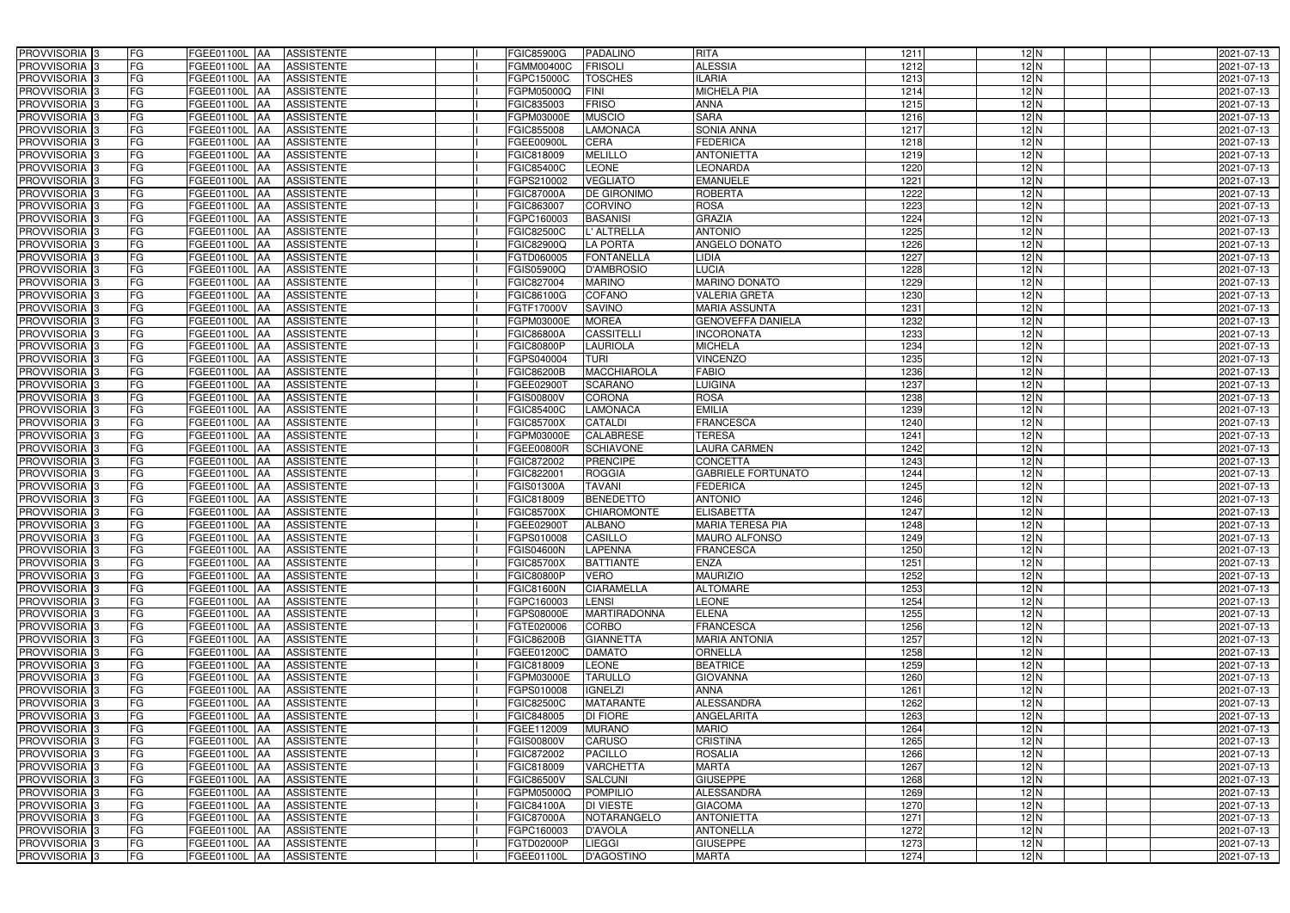| PROVVISORIA <sup>3</sup>   | FG        | FGEE01100L AA<br><b>ASSISTENTE</b>                   | <b>FGIC85900G</b> | <b>PADALINO</b>     | <b>RITA</b>               | 1211 | $12$ N | 2021-07-13 |
|----------------------------|-----------|------------------------------------------------------|-------------------|---------------------|---------------------------|------|--------|------------|
| PROVVISORIA <sup>3</sup>   | FG        | <b>ASSISTENTE</b><br>FGEE01100L AA                   | FGMM00400C        | <b>FRISOLI</b>      | <b>ALESSIA</b>            | 1212 | 12N    | 2021-07-13 |
| PROVVISORIA <sup>1</sup> 3 | FG        | FGEE01100L   AA<br><b>ASSISTENTE</b>                 | FGPC15000C        | <b>TOSCHES</b>      | <b>ILARIA</b>             | 1213 | 12N    | 2021-07-13 |
| PROVVISORIA <sup>3</sup>   | FG        | FGEE01100L AA<br><b>ASSISTENTE</b>                   | FGPM05000Q        | <b>FINI</b>         | <b>MICHELA PIA</b>        | 1214 | 12N    | 2021-07-13 |
| PROVVISORIA <sup>3</sup>   | FG        | FGEE01100L AA<br><b>ASSISTENTE</b>                   | FGIC835003        | <b>FRISO</b>        | <b>ANNA</b>               | 1215 | 12N    | 2021-07-13 |
| PROVVISORIA <sup>3</sup>   | FG        | <b>FGEE01100L AA</b><br><b>ASSISTENTE</b>            | FGPM03000E        | <b>MUSCIO</b>       | <b>SARA</b>               | 1216 | 12N    | 2021-07-13 |
| PROVVISORIA <sup>3</sup>   | FG        | <b>ASSISTENTE</b><br>FGEE01100L AA                   | FGIC855008        | LAMONACA            | <b>SONIA ANNA</b>         | 1217 | 12N    | 2021-07-13 |
| PROVVISORIA <sup>3</sup>   | FG        | <b>ASSISTENTE</b><br>FGEE01100L AA                   | FGEE00900L        | <b>CERA</b>         | <b>FEDERICA</b>           | 1218 | 12N    | 2021-07-13 |
| PROVVISORIA <sup>3</sup>   | FG        | <b>ASSISTENTE</b><br><b>FGEE01100L</b><br><b>IAA</b> | FGIC818009        | <b>MELILLO</b>      | <b>ANTONIETTA</b>         | 1219 | $12$ N | 2021-07-13 |
| PROVVISORIA <sup>3</sup>   | FG        | FGEE01100L<br><b>ASSISTENTE</b><br>IAA               | FGIC85400C        | <b>LEONE</b>        | LEONARDA                  | 1220 | 12N    | 2021-07-13 |
| PROVVISORIA 3              | FG        | <b>FGEE01100L AA</b><br><b>ASSISTENTE</b>            | GPS210002         | <b>VEGLIATO</b>     | <b>EMANUELE</b>           | 1221 | 12N    | 2021-07-13 |
| PROVVISORIA 3              | FG        | <b>FGEE01100L AA</b><br><b>ASSISTENTE</b>            | FGIC87000A        | <b>DE GIRONIMO</b>  | <b>ROBERTA</b>            | 1222 | 12N    | 2021-07-13 |
| PROVVISORIA 3              | FG        | FGEE01100L<br><b>ASSISTENTE</b><br><b>IAA</b>        | FGIC863007        | CORVINO             | <b>ROSA</b>               | 1223 | 12N    | 2021-07-13 |
| PROVVISORIA 3              | FG        | <b>FGEE01100L</b><br><b>ASSISTENTE</b><br><b>IAA</b> | FGPC160003        | <b>BASANISI</b>     | <b>GRAZIA</b>             | 1224 | 12N    | 2021-07-13 |
| PROVVISORIA 3              | FG        | FGEE01100L<br><b>ASSISTENTE</b><br>IAA               | FGIC82500C        | L' ALTRELLA         | <b>ANTONIO</b>            | 1225 | 12N    | 2021-07-13 |
| PROVVISORIA 3              | FG        | <b>FGEE01100L AA</b><br><b>ASSISTENTE</b>            | FGIC82900Q        | <b>LA PORTA</b>     | ANGELO DONATO             | 1226 | 12N    | 2021-07-13 |
| PROVVISORIA 3              | FG        | FGEE01100L AA<br><b>ASSISTENTE</b>                   | FGTD060005        | <b>FONTANELLA</b>   | LIDIA                     | 1227 | $12$ N | 2021-07-13 |
| PROVVISORIA 3              | FG        | FGEE01100L AA<br><b>ASSISTENTE</b>                   | FGIS05900Q        | <b>D'AMBROSIO</b>   | <b>LUCIA</b>              | 1228 | 12N    | 2021-07-13 |
| PROVVISORIA 3              | FG        | FGEE01100L AA<br><b>ASSISTENTE</b>                   | FGIC827004        | <b>MARINO</b>       | <b>MARINO DONATO</b>      | 1229 | 12N    | 2021-07-13 |
| PROVVISORIA 3              | FG        | FGEE01100L<br><b>ASSISTENTE</b><br>l AA              | FGIC86100G        | <b>COFANO</b>       | <b>VALERIA GRETA</b>      | 1230 | 12N    | 2021-07-13 |
| PROVVISORIA <sup>3</sup>   | FG        | FGEE01100L<br><b>ASSISTENTE</b><br>ΙAΑ               | FGTF17000V        | <b>SAVINO</b>       | <b>MARIA ASSUNTA</b>      | 1231 | 12N    | 2021-07-13 |
| PROVVISORIA 3              | FG        | FGEE01100L<br><b>ASSISTENTE</b><br>IAA               | FGPM03000E        | <b>MOREA</b>        | <b>GENOVEFFA DANIELA</b>  | 1232 | 12N    | 2021-07-13 |
| PROVVISORIA 3              | FG        | FGEE01100L<br><b>ASSISTENTE</b><br>IAA               | FGIC86800A        | <b>CASSITELLI</b>   | <b>INCORONATA</b>         | 1233 | 12N    | 2021-07-13 |
| PROVVISORIA <sup>3</sup>   | FG        | <b>FGEE01100L</b><br><b>ASSISTENTE</b><br>IAA        | <b>GIC80800P</b>  | <b>LAURIOLA</b>     | <b>MICHELA</b>            | 1234 | 12N    | 2021-07-13 |
| PROVVISORIA <sup>3</sup>   | FG        | FGEE01100L<br><b>ASSISTENTE</b><br>۱AA               | GPS040004         | <b>TURI</b>         | <b>VINCENZO</b>           | 1235 | 12N    | 2021-07-13 |
| PROVVISORIA 3              | FG        | FGEE01100L<br><b>ASSISTENTE</b><br>IAA               | FGIC86200B        | <b>MACCHIAROLA</b>  | <b>FABIO</b>              | 1236 | 12N    | 2021-07-13 |
| PROVVISORIA 3              | FG        | <b>FGEE01100L</b><br><b>ASSISTENTE</b>               | FGEE02900T        | <b>SCARANO</b>      | <b>LUIGINA</b>            | 1237 | 12N    | 2021-07-13 |
| PROVVISORIA 3              | FG        | FGEE01100L<br><b>ASSISTENTE</b><br>IAA               | GIS00800V         | <b>CORONA</b>       | <b>ROSA</b>               | 1238 | $12$ N | 2021-07-13 |
| PROVVISORIA <sup>3</sup>   | FG        | FGEE01100L<br><b>ASSISTENTE</b>                      | FGIC85400C        | LAMONACA            | <b>EMILIA</b>             | 1239 | $12$ N | 2021-07-13 |
| PROVVISORIA <sup>3</sup>   | FG        | <b>FGEE01100L</b><br><b>ASSISTENTE</b><br>IAA        | FGIC85700X        | <b>CATALDI</b>      | <b>FRANCESCA</b>          | 1240 | $12$ N | 2021-07-13 |
| PROVVISORIA <sup>3</sup>   | FG        | <b>FGEE01100L</b><br><b>ASSISTENTE</b><br><b>IAA</b> | FGPM03000E        | <b>CALABRESE</b>    | <b>TERESA</b>             | 1241 | $12$ N | 2021-07-13 |
| PROVVISORIA <sup>3</sup>   | FG        | FGEE01100L<br><b>ASSISTENTE</b><br>IAA               | FGEE00800R        | <b>SCHIAVONE</b>    | <b>LAURA CARMEN</b>       | 1242 | 12N    | 2021-07-13 |
| PROVVISORIA <sup>3</sup>   | FG        | FGEE01100L<br><b>ASSISTENTE</b><br>IAA               | FGIC872002        | <b>PRENCIPE</b>     | <b>CONCETTA</b>           | 1243 | 12N    | 2021-07-13 |
| PROVVISORIA <sup>3</sup>   | FG        | FGEE01100L AA<br><b>ASSISTENTE</b>                   | FGIC822001        | <b>ROGGIA</b>       | <b>GABRIELE FORTUNATO</b> | 1244 | 12N    | 2021-07-13 |
| PROVVISORIA <sup>3</sup>   | FG        | FGEE01100L AA<br><b>ASSISTENTE</b>                   | <b>FGIS01300A</b> | <b>TAVANI</b>       | <b>FEDERICA</b>           | 1245 | 12N    | 2021-07-13 |
| PROVVISORIA <sup>3</sup>   | FG        | FGEE01100L AA<br><b>ASSISTENTE</b>                   | FGIC818009        | <b>BENEDETTO</b>    | <b>ANTONIO</b>            | 1246 | 12N    | 2021-07-13 |
| PROVVISORIA <sup>3</sup>   | FG        | FGEE01100L AA<br><b>ASSISTENTE</b>                   | FGIC85700X        | <b>CHIAROMONTE</b>  | <b>ELISABETTA</b>         | 1247 | 12N    | 2021-07-13 |
| PROVVISORIA <sup>3</sup>   | FG        | FGEE01100L AA<br><b>ASSISTENTE</b>                   | FGEE02900T        | <b>ALBANO</b>       | <b>MARIA TERESA PIA</b>   | 1248 | 12N    | 2021-07-13 |
| PROVVISORIA <sup>3</sup>   | <b>FG</b> | FGEE01100L AA ASSISTENTE                             | FGPS010008        | <b>CASILLO</b>      | MAURO ALFONSO             | 1249 | 12N    | 2021-07-13 |
| <b>PROVVISORIA</b> 3       | FG        | FGEE01100L AA<br>ASSISTENTE                          | <b>FGIS04600N</b> | <b>LAPENNA</b>      | <b>FRANCESCA</b>          | 1250 | 12N    | 2021-07-13 |
| PROVVISORIA <sup>3</sup>   | FG        | FGEE01100L AA<br><b>ASSISTENTE</b>                   | <b>FGIC85700X</b> | <b>BATTIANTE</b>    | <b>ENZA</b>               | 1251 | 12N    | 2021-07-13 |
| <b>PROVVISORIA</b> 3       | FG        | FGEE01100L AA ASSISTENTE                             | <b>FGIC80800P</b> | <b>VERO</b>         | <b>MAURIZIO</b>           | 1252 | 12N    | 2021-07-13 |
| PROVVISORIA <sup>3</sup>   | FG        | <b>FGEE01100L AA</b><br>ASSISTENTE                   | <b>FGIC81600N</b> | <b>CIARAMELLA</b>   | <b>ALTOMARE</b>           | 1253 | 12N    | 2021-07-13 |
| PROVVISORIA <sup>3</sup>   | FG        | FGEE01100L AA<br><b>ASSISTENTE</b>                   | FGPC160003        | <b>LENSI</b>        | <b>LEONE</b>              | 1254 | $12$ N | 2021-07-13 |
| PROVVISORIA <sup>1</sup> 3 | FG        | FGEE01100L AA<br><b>ASSISTENTE</b>                   | FGPS08000E        | <b>MARTIRADONNA</b> | <b>ELENA</b>              | 1255 | 12N    | 2021-07-13 |
| PROVVISORIA <sup>3</sup>   | FG        | FGEE01100L AA<br>ASSISTENTE                          | FGTE020006        | <b>CORBO</b>        | <b>FRANCESCA</b>          | 1256 | $12$ N | 2021-07-13 |
| PROVVISORIA <sup>1</sup> 3 | FG        | FGEE01100L AA<br><b>ASSISTENTE</b>                   | FGIC86200B        | <b>GIANNETTA</b>    | <b>MARIA ANTONIA</b>      | 1257 | 12N    | 2021-07-13 |
| PROVVISORIA <sup>3</sup>   | FG        | FGEE01100L AA<br><b>ASSISTENTE</b>                   | FGEE01200C        | <b>DAMATO</b>       | <b>ORNELLA</b>            | 1258 | 12N    | 2021-07-13 |
| PROVVISORIA <sup>3</sup>   | FG        | FGEE01100L AA<br><b>ASSISTENTE</b>                   | FGIC818009        | LEONE               | <b>BEATRICE</b>           | 1259 | 12N    | 2021-07-13 |
| PROVVISORIA <sup>3</sup>   | FG        | FGEE01100L AA<br><b>ASSISTENTE</b>                   | FGPM03000E        | <b>TARULLO</b>      | <b>GIOVANNA</b>           | 1260 | 12N    | 2021-07-13 |
| PROVVISORIA <sup>3</sup>   | FG        | FGEE01100L AA<br><b>ASSISTENTE</b>                   | FGPS010008        | <b>IGNELZI</b>      | ANNA                      | 1261 | 12N    | 2021-07-13 |
| PROVVISORIA <sup>3</sup>   | FG        | FGEE01100L AA<br><b>ASSISTENTE</b>                   | FGIC82500C        | <b>MATARANTE</b>    | <b>ALESSANDRA</b>         | 1262 | 12N    | 2021-07-13 |
| PROVVISORIA <sup>3</sup>   | FG        | FGEE01100L AA<br><b>ASSISTENTE</b>                   | FGIC848005        | <b>DI FIORE</b>     | ANGELARITA                | 1263 | $12$ N | 2021-07-13 |
| PROVVISORIA <sup>3</sup>   | FG        | FGEE01100L AA<br><b>ASSISTENTE</b>                   | FGEE112009        | <b>MURANO</b>       | <b>MARIO</b>              | 1264 | 12N    | 2021-07-13 |
| PROVVISORIA <sup>3</sup>   | FG        | FGEE01100L AA<br><b>ASSISTENTE</b>                   | <b>FGIS00800V</b> | <b>CARUSO</b>       | <b>CRISTINA</b>           | 1265 | 12N    | 2021-07-13 |
| PROVVISORIA <sup>3</sup>   | FG        | <b>ASSISTENTE</b><br>FGEE01100L AA                   | FGIC872002        | <b>PACILLO</b>      | <b>ROSALIA</b>            | 1266 | $12$ N | 2021-07-13 |
| PROVVISORIA <sup>3</sup>   | <b>FG</b> | FGEE01100L AA<br><b>ASSISTENTE</b>                   | FGIC818009        | <b>VARCHETTA</b>    | <b>MARTA</b>              | 1267 | 12N    | 2021-07-13 |
| PROVVISORIA <sup>1</sup> 3 | FG        | FGEE01100L AA<br><b>ASSISTENTE</b>                   | FGIC86500V        | <b>SALCUNI</b>      | <b>GIUSEPPE</b>           | 1268 | 12N    | 2021-07-13 |
| PROVVISORIA <sup>3</sup>   | FG        | <b>ASSISTENTE</b><br>FGEE01100L AA                   | FGPM05000Q        | <b>POMPILIO</b>     | <b>ALESSANDRA</b>         | 1269 | $12$ N | 2021-07-13 |
| PROVVISORIA <sup>1</sup> 3 | FG        | FGEE01100L AA<br><b>ASSISTENTE</b>                   | FGIC84100A        | <b>DI VIESTE</b>    | <b>GIACOMA</b>            | 1270 | $12$ N | 2021-07-13 |
| PROVVISORIA <sup>3</sup>   | FG        | FGEE01100L AA<br><b>ASSISTENTE</b>                   | FGIC87000A        | NOTARANGELO         | <b>ANTONIETTA</b>         | 1271 | 12N    | 2021-07-13 |
| PROVVISORIA <sup>3</sup>   | FG        | <b>ASSISTENTE</b><br>FGEE01100L AA                   | FGPC160003        | <b>D'AVOLA</b>      | <b>ANTONELLA</b>          | 1272 | 12N    | 2021-07-13 |
| PROVVISORIA <sup>3</sup>   | FG        | FGEE01100L AA<br><b>ASSISTENTE</b>                   | FGTD02000P        | <b>LIEGGI</b>       | <b>GIUSEPPE</b>           | 1273 | 12N    | 2021-07-13 |
| PROVVISORIA 3              | FG        | ASSISTENTE<br>FGEE01100L AA                          | FGEE01100L        | D'AGOSTINO          | <b>MARTA</b>              | 1274 | 12N    | 2021-07-13 |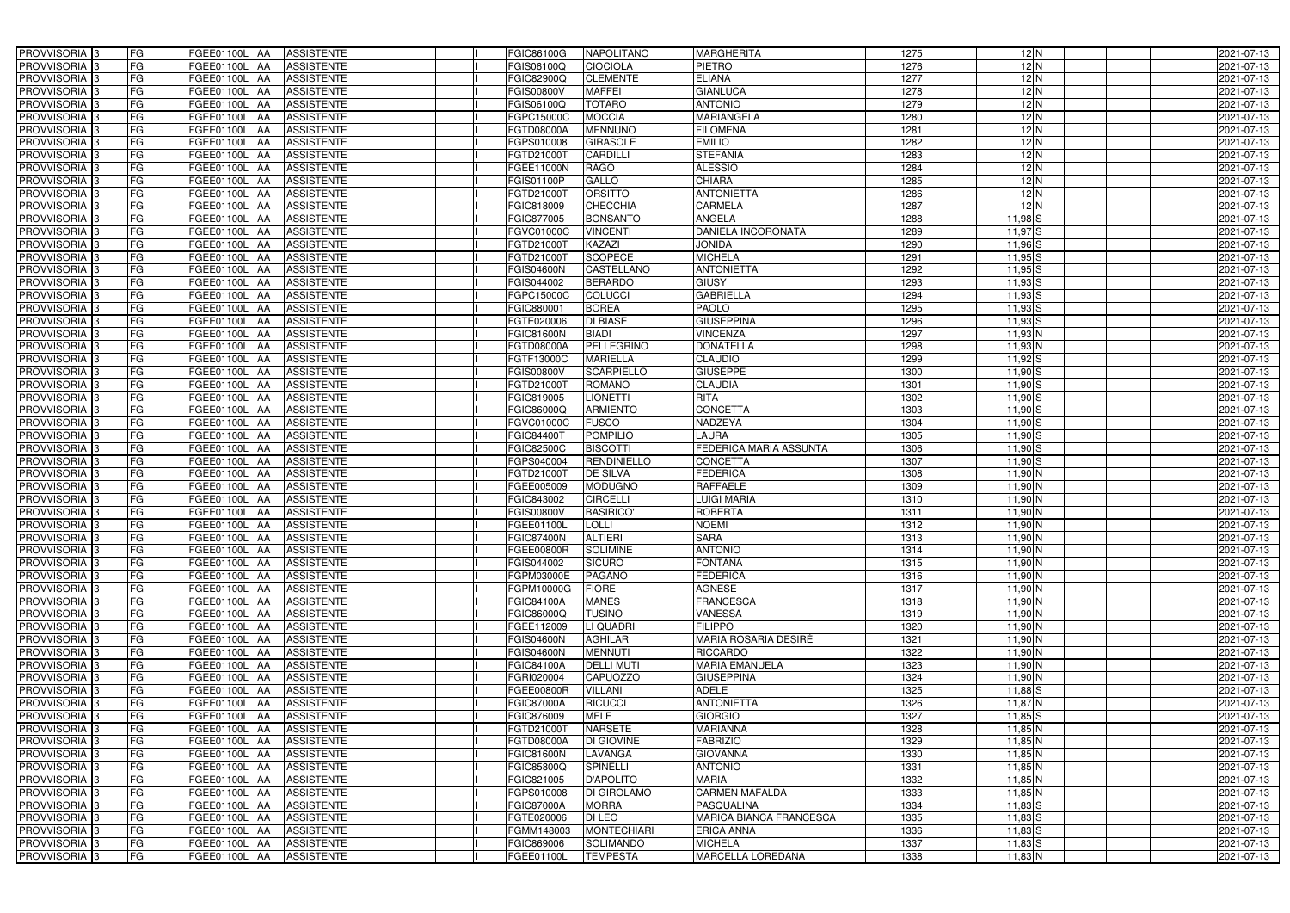| PROVVISORIA <sup>3</sup>                  | FG        | FGEE01100L AA                   | <b>ASSISTENTE</b>                      | FGIC86100G                      | <b>NAPOLITANO</b>                   | <b>MARGHERITA</b>                       | 1275         | $12$ N             | 2021-07-13               |
|-------------------------------------------|-----------|---------------------------------|----------------------------------------|---------------------------------|-------------------------------------|-----------------------------------------|--------------|--------------------|--------------------------|
| PROVVISORIA 3                             | FG        | FGEE01100L AA                   | <b>ASSISTENTE</b>                      | FGIS06100Q                      | <b>CIOCIOLA</b>                     | PIETRO                                  | 1276         | $12$ N             | 2021-07-13               |
| PROVVISORIA 3                             | FG        | FGEE01100L AA                   | <b>ASSISTENTE</b>                      | FGIC82900Q                      | <b>CLEMENTE</b>                     | <b>ELIANA</b>                           | 1277         | $12$ N             | 2021-07-13               |
| PROVVISORIA <sup>3</sup>                  | FG        | <b>FGEE01100L   AA</b>          | <b>ASSISTENTE</b>                      | FGIS00800V                      | <b>MAFFEI</b>                       | <b>GIANLUCA</b>                         | 1278         | 12N                | 2021-07-13               |
| PROVVISORIA <sup>3</sup>                  | FG        | <b>FGEE01100L  AA</b>           | <b>ASSISTENTE</b>                      | FGIS06100Q                      | <b>TOTARO</b>                       | <b>ANTONIO</b>                          | 1279         | 12N                | 2021-07-13               |
| PROVVISORIA 3                             | FG        | FGEE01100L<br><b>IAA</b>        | <b>ASSISTENTE</b>                      | FGPC15000C                      | <b>MOCCIA</b>                       | <b>MARIANGELA</b>                       | 1280         | $12$ N             | 2021-07-13               |
| PROVVISORIA 3                             | <b>FG</b> | FGEE01100L AA                   | <b>ASSISTENTE</b>                      | FGTD08000A                      | <b>MENNUNO</b>                      | <b>FILOMENA</b>                         | 1281         | 12N                | 2021-07-13               |
| <b>PROVVISORIA</b> 3                      | <b>FG</b> | FGEE01100L<br>IAA               | <b>ASSISTENTE</b>                      | FGPS010008                      | <b>GIRASOLE</b>                     | <b>EMILIO</b>                           | 1282         | 12N                | 2021-07-13               |
| PROVVISORIA <sup>1</sup> 3                | FG        | FGEE01100L<br>IAA               | <b>ASSISTENTE</b>                      | FGTD21000T                      | <b>CARDILLI</b>                     | <b>STEFANIA</b>                         | 1283         | 12N                | 2021-07-13               |
| PROVVISORIA 3                             | FG        | FGEE01100L<br>IAA               | <b>ASSISTENTE</b>                      | FGEE11000N                      | <b>RAGO</b>                         | <b>ALESSIO</b>                          | 1284         | 12N                | 2021-07-13               |
| PROVVISORIA 3                             | FG        | FGEE01100L<br><b>AA</b>         | <b>ASSISTENTE</b>                      | <b>FGIS01100P</b>               | GALLO                               | <b>CHIARA</b>                           | 1285         | 12N                | 2021-07-13               |
| PROVVISORIA 3                             | <b>FG</b> | FGEE01100L AA                   | <b>ASSISTENTE</b>                      | FGTD21000T                      | <b>ORSITTO</b>                      | <b>ANTONIETTA</b>                       | 1286         | 12N                | 2021-07-13               |
| PROVVISORIA <sup>3</sup>                  | FG        | FGEE01100L AA                   | <b>ASSISTENTE</b>                      | FGIC818009                      | <b>CHECCHIA</b>                     | CARMELA                                 | 1287         | 12N                | 2021-07-13               |
| PROVVISORIA 3                             | <b>FG</b> | FGEE01100L AA                   | <b>ASSISTENTE</b>                      | FGIC877005                      | <b>BONSANTO</b>                     | <b>ANGELA</b>                           | 1288         | $11,98$ $S$        | 2021-07-13               |
| PROVVISORIA <sup>3</sup>                  | FG        | FGEE01100L AA                   | <b>ASSISTENTE</b>                      | FGVC01000C                      | <b>VINCENTI</b>                     | DANIELA INCORONATA                      | 1289         | $11,97$ $S$        | 2021-07-13               |
| PROVVISORIA 3                             | <b>FG</b> | <b>FGEE01100L   AA</b>          | <b>ASSISTENTE</b>                      | FGTD210001                      | <b>KAZAZI</b>                       | <b>JONIDA</b>                           | 1290         | $11,96$ $S$        | 2021-07-13               |
| PROVVISORIA 3                             | <b>FG</b> | FGEE01100L AA                   | <b>ASSISTENTE</b>                      | FGTD210001                      | <b>SCOPECE</b>                      | <b>MICHELA</b>                          | 1291         | $11,95$ $S$        | 2021-07-13               |
| PROVVISORIA 3                             | <b>FG</b> | FGEE01100L AA                   | <b>ASSISTENTE</b>                      | <b>FGIS04600N</b>               | CASTELLANO                          | <b>ANTONIETTA</b>                       | 1292         | $11,95$ S          | 2021-07-13               |
| PROVVISORIA 3                             | FG        | FGEE01100L AA                   | <b>ASSISTENTE</b>                      | FGIS044002                      | <b>BERARDO</b>                      | <b>GIUSY</b>                            | 1293         | $11,93$ $S$        | 2021-07-13               |
| <b>PROVVISORIA</b> 3                      | FG        | FGEE01100L<br>IAA               | <b>ASSISTENTE</b>                      | FGPC15000C                      | <b>COLUCCI</b>                      | <b>GABRIELLA</b>                        | 1294         | $11,93$ $S$        | 2021-07-13               |
| PROVVISORIA <sup>1</sup> 3                | <b>FG</b> | <b>FGEE01100L</b><br>IAA        | <b>ASSISTENTE</b>                      | FGIC880001                      | <b>BOREA</b>                        | PAOLO                                   | 1295         | $11,93$ S          | 2021-07-13               |
| PROVVISORIA <sup>3</sup>                  | FG        | FGEE01100L<br>IAA               | <b>ASSISTENTE</b>                      | FGTE020006                      | <b>DI BIASE</b>                     | <b>GIUSEPPINA</b>                       | 1296         | $11,93$ $S$        | 2021-07-13               |
| PROVVISORIA <sup>3</sup>                  | FG        | <b>FGEE01100L</b><br>IAA        | <b>ASSISTENTE</b>                      | FGIC81600N                      | <b>BIADI</b>                        | <b>VINCENZA</b>                         | 1297         | $11,93$ N          | 2021-07-13               |
| <b>PROVVISORIA</b> 3                      | FG        | FGEE01100L<br>IAA               | <b>ASSISTENTE</b>                      | FGTD08000A                      | <b>PELLEGRINO</b>                   | <b>DONATELLA</b>                        | 1298         | $11,93$ N          | 2021-07-13               |
| <b>PROVVISORIA</b> 3                      | FG        | FGEE01100L<br>IAA               | <b>ASSISTENTE</b>                      | FGTF13000C                      | <b>MARIELLA</b>                     | <b>CLAUDIO</b>                          | 1299         | $11,92$ $S$        | 2021-07-13               |
| PROVVISORIA <sup>3</sup>                  | <b>FG</b> | <b>FGEE01100L</b><br>IAA        | <b>ASSISTENTE</b>                      | FGIS00800V                      | <b>SCARPIELLO</b>                   | <b>GIUSEPPE</b>                         | 1300         | $11,90$ S          | 2021-07-13               |
| PROVVISORIA 3                             | <b>FG</b> | <b>FGEE01100L</b><br>IAA        | <b>ASSISTENTE</b>                      | FGTD210001                      | <b>ROMANO</b>                       | <b>CLAUDIA</b>                          | 1301         | $11,90$ S          | 2021-07-13               |
| PROVVISORIA <sup>3</sup>                  | <b>FG</b> | FGEE01100L<br>IAA               | <b>ASSISTENTE</b>                      | FGIC819005                      | <b>LIONETTI</b>                     | <b>RITA</b>                             | 1302         | $11,90$ S          | 2021-07-13               |
| PROVVISORIA 3                             | FG        | <b>FGEE01100L</b>               | <b>ASSISTENTE</b>                      | FGIC86000Q                      | <b>ARMIENTO</b>                     | CONCETTA                                | 1303         | 11,90 S            | 2021-07-13               |
| PROVVISORIA 3                             | <b>FG</b> | FGEE01100L<br>IAA               | <b>ASSISTENTE</b>                      | FGVC01000C                      | <b>FUSCO</b>                        | NADZEYA                                 | 1304         | $11,90$ S          | 2021-07-13               |
| PROVVISORIA 3                             | <b>FG</b> | <b>FGEE01100L</b><br>IAA        | <b>ASSISTENTE</b>                      | FGIC844001                      | <b>POMPILIO</b>                     | <b>LAURA</b>                            | 1305         | 11,90 S            | 2021-07-13               |
| PROVVISORIA 3                             | FG        | FGEE01100L<br>IAA               | <b>ASSISTENTE</b>                      | <b>FGIC82500C</b>               | <b>BISCOTTI</b>                     | FEDERICA MARIA ASSUNTA                  | 1306         | $11,90$ S          | 2021-07-13               |
| <b>PROVVISORIA</b> 3                      | <b>FG</b> | FGEE01100L<br>IAA               | <b>ASSISTENTE</b>                      | FGPS040004                      | <b>RENDINIELLO</b>                  | <b>CONCETTA</b>                         | 1307         | $11,90$ S          | 2021-07-13               |
| PROVVISORIA <sup>1</sup> 3                | FG        | <b>FGEE01100L</b><br><b>IAA</b> | <b>ASSISTENTE</b>                      | FGTD21000T                      | <b>DE SILVA</b>                     | <b>FEDERICA</b>                         | 1308         | 11,90 N            | 2021-07-13               |
| PROVVISORIA <sup>13</sup>                 | FG        | FGEE01100L<br>IAA               | <b>ASSISTENTE</b>                      | FGEE005009                      | <b>MODUGNO</b>                      | <b>RAFFAELE</b>                         | 1309         | $11,90$ N          | 2021-07-13               |
| PROVVISORIA 3                             | FG        | FGEE01100L<br><b>AA</b>         | <b>ASSISTENTE</b>                      | FGIC843002                      | <b>CIRCELLI</b>                     | <b>LUIGI MARIA</b>                      | 1310         | 11,90 <sup>N</sup> | 2021-07-13               |
| PROVVISORIA <sup>3</sup>                  | <b>FG</b> | FGEE01100L AA                   | <b>ASSISTENTE</b>                      | <b>FGIS00800V</b>               | <b>BASIRICO'</b>                    | <b>ROBERTA</b>                          | 1311         | 11,90 N            | 2021-07-13               |
| PROVVISORIA <sup>3</sup>                  | <b>FG</b> | FGEE01100L AA                   | <b>ASSISTENTE</b>                      | FGEE01100L                      | <b>LOLLI</b>                        | <b>NOEMI</b>                            | 1312         | 11,90 N            | 2021-07-13               |
| PROVVISORIA <sup>3</sup>                  | FG        | FGEE01100L AA ASSISTENTE        |                                        | <b>FGIC87400N</b>               | <b>ALTIERI</b>                      | <b>SARA</b>                             | 1313         | 11,90 N            | 2021-07-13               |
| <b>PROVVISORIA</b> 3                      | FG        | FGEE01100L AA                   | <b>ASSISTENTE</b>                      | <b>FGEE00800R</b>               | <b>SOLIMINE</b>                     | <b>ANTONIO</b>                          | 1314         | 11,90 N            | 2021-07-13               |
| PROVVISORIA <sup>3</sup>                  | FG        | FGEE01100L AA                   | <b>ASSISTENTE</b>                      | FGIS044002                      | <b>SICURO</b>                       | <b>FONTANA</b>                          | 1315         | 11,90 N            | 2021-07-13               |
| PROVVISORIA <sup>3</sup>                  | FG        | FGEE01100L AA                   | <b>ASSISTENTE</b>                      | FGPM03000E                      | <b>PAGANO</b>                       | <b>FEDERICA</b>                         | 1316         | 11,90 N            | 2021-07-13               |
| PROVVISORIA <sup>3</sup>                  | FG        | <b>FGEE01100L AA</b>            | <b>ASSISTENTE</b>                      | FGPM10000G                      | <b>FIORE</b>                        | <b>AGNESE</b>                           | 1317         | 11,90 N            | 2021-07-13               |
| PROVVISORIA <sup>3</sup>                  | FG        | <b>FGEE01100L AA</b>            | <b>ASSISTENTE</b>                      | FGIC84100A                      | <b>MANES</b>                        | <b>FRANCESCA</b>                        | 1318         | 11,90 N            | 2021-07-13               |
| PROVVISORIA 3                             | FG        | FGEE01100L AA                   | <b>ASSISTENTE</b>                      | FGIC86000Q                      | <b>TUSINO</b>                       | <b>VANESSA</b>                          | 1319         | 11,90 N            | 2021-07-13               |
| PROVVISORIA 3<br>PROVVISORIA <sup>3</sup> | <b>FG</b> | FGEE01100L AA                   | <b>ASSISTENTE</b>                      | FGEE112009                      | LI QUADRI                           | <b>FILIPPO</b>                          | 1320         | $11,90$ N          | 2021-07-13               |
| PROVVISORIA <sup>3</sup>                  | FG<br>FG  | FGEE01100L AA                   | ASSISTENTE                             | <b>FGIS04600N</b>               | <b>AGHILAR</b>                      | MARIA ROSARIA DESIRÈ<br><b>RICCARDO</b> | 1321<br>1322 | 11,90 N<br>11,90 N | 2021-07-13               |
| PROVVISORIA 3                             | FG        | FGEE01100L AA<br>FGEE01100L AA  | <b>ASSISTENTE</b><br><b>ASSISTENTE</b> | <b>FGIS04600N</b><br>FGIC84100A | <b>MENNUTI</b><br><b>DELLI MUTI</b> | <b>MARIA EMANUELA</b>                   | 1323         | $11,90$ N          | 2021-07-13<br>2021-07-13 |
| PROVVISORIA <sup>3</sup>                  | FG        | FGEE01100L AA                   | <b>ASSISTENTE</b>                      | FGRI020004                      | <b>CAPUOZZO</b>                     | <b>GIUSEPPINA</b>                       | 1324         | $11,90$ N          | 2021-07-13               |
| PROVVISORIA <sup>3</sup>                  | FG        | FGEE01100L AA                   | <b>ASSISTENTE</b>                      | <b>FGEE00800R</b>               | <b>VILLANI</b>                      | ADELE                                   | 1325         | $11,88$ S          | 2021-07-13               |
| PROVVISORIA <sup>3</sup>                  | FG        | FGEE01100L AA                   | <b>ASSISTENTE</b>                      | <b>FGIC87000A</b>               | <b>RICUCCI</b>                      | <b>ANTONIETTA</b>                       | 1326         | $11,87$ N          | 2021-07-13               |
| PROVVISORIA <sup>3</sup>                  | FG        | FGEE01100L AA                   | <b>ASSISTENTE</b>                      | FGIC876009                      | <b>MELE</b>                         | <b>GIORGIO</b>                          | 1327         | $11,85$ S          | 2021-07-13               |
| PROVVISORIA <sup>3</sup>                  | FG        | <b>FGEE01100L AA</b>            | <b>ASSISTENTE</b>                      | FGTD21000T                      | <b>NARSETE</b>                      | <b>MARIANNA</b>                         | 1328         | $11,85$ N          | 2021-07-13               |
| PROVVISORIA <sup>3</sup>                  | FG        | FGEE01100L AA                   | <b>ASSISTENTE</b>                      | FGTD08000A                      | <b>DI GIOVINE</b>                   | <b>FABRIZIO</b>                         | 1329         | 11,85 N            | 2021-07-13               |
| PROVVISORIA <sup>3</sup>                  | FG        | FGEE01100L AA                   | <b>ASSISTENTE</b>                      | <b>FGIC81600N</b>               | LAVANGA                             | <b>GIOVANNA</b>                         | 1330         | 11,85 N            | 2021-07-13               |
| PROVVISORIA <sup>3</sup>                  | FG        | FGEE01100L AA                   | <b>ASSISTENTE</b>                      | FGIC85800Q                      | <b>SPINELLI</b>                     | <b>ANTONIO</b>                          | 1331         | $11,85$ N          | 2021-07-13               |
| PROVVISORIA <sup>3</sup>                  | FG        | FGEE01100L AA                   | <b>ASSISTENTE</b>                      | FGIC821005                      | <b>D'APOLITO</b>                    | <b>MARIA</b>                            | 1332         | $11,85$ N          | 2021-07-13               |
| PROVVISORIA <sup>3</sup>                  | FG        | FGEE01100L AA                   | <b>ASSISTENTE</b>                      | FGPS010008                      | <b>DI GIROLAMO</b>                  | <b>CARMEN MAFALDA</b>                   | 1333         | $11,85$ N          | 2021-07-13               |
| PROVVISORIA <sup>3</sup>                  | FG        | FGEE01100L AA                   | <b>ASSISTENTE</b>                      | <b>FGIC87000A</b>               | <b>MORRA</b>                        | PASQUALINA                              | 1334         | $11,83$ S          | 2021-07-13               |
| PROVVISORIA <sup>3</sup>                  | FG        | FGEE01100L AA                   | <b>ASSISTENTE</b>                      | FGTE020006                      | DI LEO                              | <b>MARICA BIANCA FRANCESCA</b>          | 1335         | $11,83$ $S$        | 2021-07-13               |
| PROVVISORIA <sup>3</sup>                  | FG        | FGEE01100L AA                   | <b>ASSISTENTE</b>                      | FGMM148003                      | <b>MONTECHIARI</b>                  | <b>ERICA ANNA</b>                       | 1336         | $11,83$ S          | 2021-07-13               |
| PROVVISORIA <sup>3</sup>                  | FG        | FGEE01100L AA                   | ASSISTENTE                             | FGIC869006                      | SOLIMANDO                           | <b>MICHELA</b>                          | 1337         | $11,83$ S          | 2021-07-13               |
| PROVVISORIA 3                             | FG        | <b>FGEE01100L AA</b>            | <b>ASSISTENTE</b>                      | FGEE01100L                      | <b>TEMPESTA</b>                     | <b>MARCELLA LOREDANA</b>                | 1338         | $11,83$ N          | 2021-07-13               |
|                                           |           |                                 |                                        |                                 |                                     |                                         |              |                    |                          |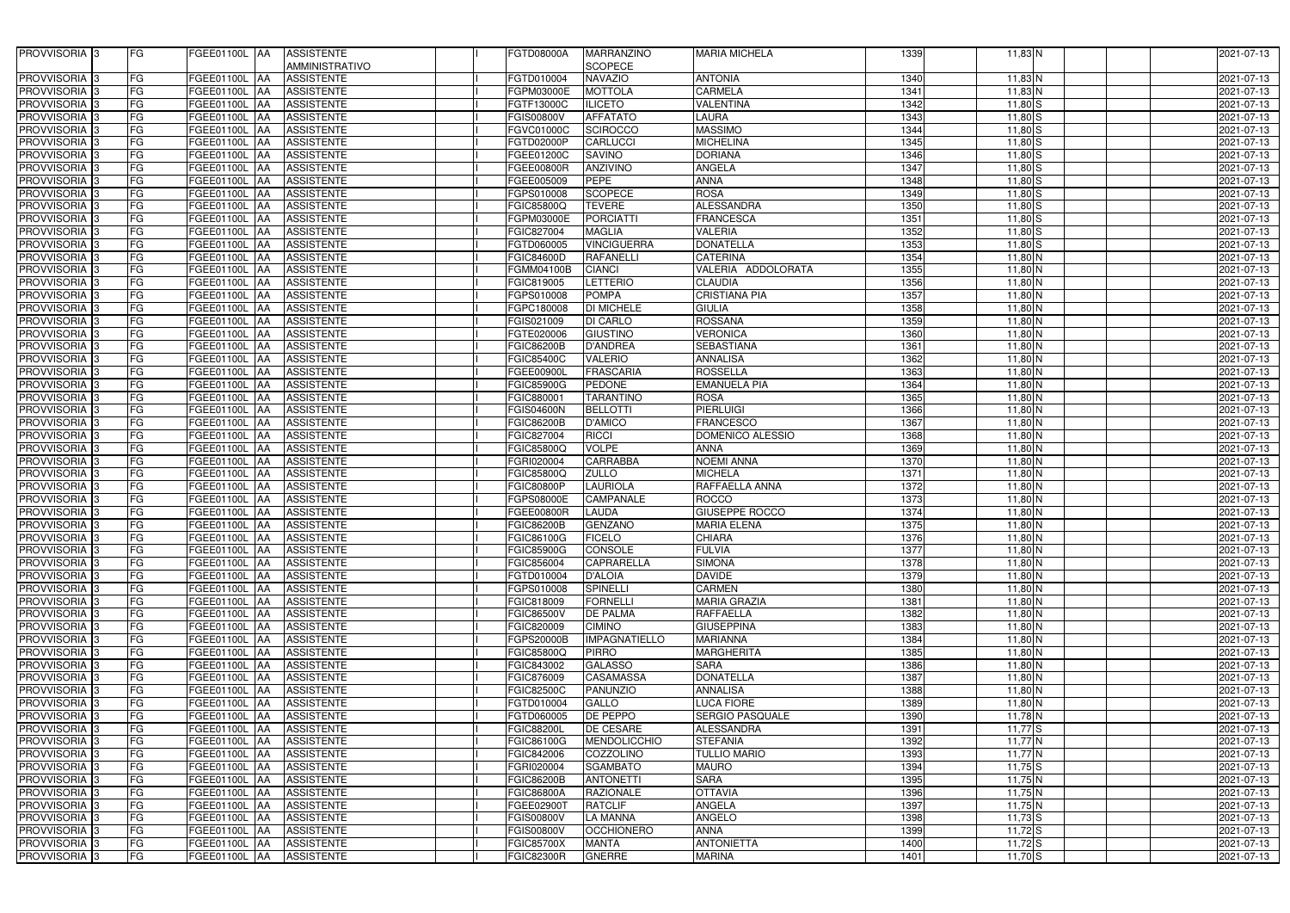| PROVVISORIA <sup>3</sup>   | FG        | <b>ASSISTENTE</b><br>FGEE01100L AA            | FGTD08000A        | <b>MARRANZINO</b>    | <b>MARIA MICHELA</b>           | 1339 | $11,83$ N   | 2021-07-13 |
|----------------------------|-----------|-----------------------------------------------|-------------------|----------------------|--------------------------------|------|-------------|------------|
|                            |           | AMMINISTRATIVO                                |                   | <b>SCOPECE</b>       |                                |      |             |            |
| PROVVISORIA <sup>3</sup>   | FG        | <b>FGEE01100L AA</b><br><b>ASSISTENTE</b>     | FGTD010004        | <b>NAVAZIO</b>       | <b>ANTONIA</b>                 | 1340 | 11,83 N     | 2021-07-13 |
| PROVVISORIA 3              | FG        | FGEE01100L AA<br><b>ASSISTENTE</b>            | FGPM03000E        | <b>MOTTOLA</b>       | <b>CARMELA</b>                 | 1341 | 11,83 N     | 2021-07-13 |
| PROVVISORIA <sup>3</sup>   | FG        | <b>FGEE01100L</b><br><b>ASSISTENTE</b>        | FGTF13000C        | <b>ILICETO</b>       | <b>VALENTINA</b>               | 1342 | $11,80$ S   | 2021-07-13 |
| PROVVISORIA 3              | FG        | <b>FGEE01100L</b><br><b>ASSISTENTE</b><br>IAA | FGIS00800V        | <b>AFFATATO</b>      | <b>LAURA</b>                   | 1343 | $11,80$ S   |            |
|                            |           | FGEE01100L                                    |                   |                      | <b>MASSIMO</b>                 | 1344 |             | 2021-07-13 |
| PROVVISORIA 3              | FG        | <b>ASSISTENTE</b><br><b>IAA</b>               | FGVC01000C        | <b>SCIROCCO</b>      |                                |      | $11,80$ S   | 2021-07-13 |
| PROVVISORIA 3              | FG        | FGEE01100L<br><b>ASSISTENTE</b><br>IAA        | FGTD02000P        | CARLUCCI             | <b>MICHELINA</b>               | 1345 | $11,80$ S   | 2021-07-13 |
| PROVVISORIA 3              | FG        | FGEE01100L<br><b>ASSISTENTE</b><br>IAA        | FGEE01200C        | <b>SAVINO</b>        | <b>DORIANA</b>                 | 1346 | $11,80$ S   | 2021-07-13 |
| PROVVISORIA <sup>3</sup>   | FG        | FGEE01100L<br><b>ASSISTENTE</b><br>IAA        | FGEE00800R        | ANZIVINO             | ANGELA                         | 1347 | $11,80$ S   | 2021-07-13 |
| PROVVISORIA 3              | FG        | FGEE01100L AA<br><b>ASSISTENTE</b>            | FGEE005009        | <b>PEPE</b>          | <b>ANNA</b>                    | 1348 | $11,80$ S   | 2021-07-13 |
| PROVVISORIA 3              | FG        | <b>FGEE01100L AA</b><br><b>ASSISTENTE</b>     | FGPS010008        | <b>SCOPECE</b>       | <b>ROSA</b>                    | 1349 | $11,80$ S   | 2021-07-13 |
| PROVVISORIA <sup>3</sup>   | FG        | FGEE01100L AA<br><b>ASSISTENTE</b>            | FGIC85800Q        | <b>TEVERE</b>        | <b>ALESSANDRA</b>              | 1350 | $11,80$ S   | 2021-07-13 |
| PROVVISORIA <sup>3</sup>   | FG        | FGEE01100L AA<br><b>ASSISTENTE</b>            | FGPM03000E        | <b>PORCIATTI</b>     | <b>FRANCESCA</b>               | 1351 | $11,80$ S   | 2021-07-13 |
| PROVVISORIA 3              | FG        | <b>ASSISTENTE</b><br>FGEE01100L AA            | FGIC827004        | <b>MAGLIA</b>        | <b>VALERIA</b>                 | 1352 | $11,80$ S   | 2021-07-13 |
| PROVVISORIA 3              | FG        | <b>ASSISTENTE</b><br>FGEE01100L AA            | FGTD060005        | <b>VINCIGUERRA</b>   | <b>DONATELLA</b>               | 1353 | $11,80$ S   | 2021-07-13 |
| PROVVISORIA 3              | FG        | <b>FGEE01100L AA</b><br><b>ASSISTENTE</b>     | FGIC84600D        | <b>RAFANELLI</b>     | <b>CATERINA</b>                | 1354 | $11,80$ N   | 2021-07-13 |
| PROVVISORIA <sup>3</sup>   | FG        | <b>FGEE01100L AA</b><br><b>ASSISTENTE</b>     | <b>EGMM04100B</b> | <b>CIANCI</b>        | VALERIA ADDOLORATA             | 1355 | $11,80$ N   | 2021-07-13 |
| PROVVISORIA 3              | FG        | FGEE01100L AA<br><b>ASSISTENTE</b>            | FGIC819005        | <b>LETTERIO</b>      | <b>CLAUDIA</b>                 | 1356 | $11,80$ N   | 2021-07-13 |
| PROVVISORIA <sup>3</sup>   | FG        | FGEE01100L AA<br><b>ASSISTENTE</b>            | FGPS010008        | <b>POMPA</b>         | <b>CRISTIANA PIA</b>           | 1357 | $11,80$ N   | 2021-07-13 |
| PROVVISORIA 3              | FG        | FGEE01100L AA<br><b>ASSISTENTE</b>            | FGPC180008        | <b>DI MICHELE</b>    | <b>GIULIA</b>                  | 1358 | 11,80 N     | 2021-07-13 |
| PROVVISORIA <sup>3</sup>   | FG        | FGEE01100L AA<br><b>ASSISTENTE</b>            | FGIS021009        | <b>DI CARLO</b>      | <b>ROSSANA</b>                 | 1359 | $11,80$ N   | 2021-07-13 |
| PROVVISORIA 3              | FG        | <b>FGEE01100L   AA</b><br><b>ASSISTENTE</b>   | FGTE020006        | <b>GIUSTINO</b>      | <b>VERONICA</b>                | 1360 | 11,80 N     | 2021-07-13 |
| PROVVISORIA 3              | FG        | <b>FGEE01100L</b><br><b>ASSISTENTE</b><br>IAA | <b>FGIC86200B</b> | <b>D'ANDREA</b>      | <b>SEBASTIANA</b>              | 1361 | 11,80 N     | 2021-07-13 |
| PROVVISORIA 3              | FG        | FGEE01100L AA<br><b>ASSISTENTE</b>            | FGIC85400C        | <b>VALERIO</b>       | <b>ANNALISA</b>                | 1362 | $11,80$ N   | 2021-07-13 |
| PROVVISORIA 3              | FG        | FGEE01100L AA<br><b>ASSISTENTE</b>            | FGEE00900L        | <b>FRASCARIA</b>     | <b>ROSSELLA</b>                | 1363 | 11,80 N     | 2021-07-13 |
| PROVVISORIA 3              | FG        | FGEE01100L<br><b>JAA</b><br><b>ASSISTENTE</b> | <b>FGIC85900G</b> | <b>PEDONE</b>        | <b>EMANUELA PIA</b>            | 1364 | 11,80 N     | 2021-07-13 |
| PROVVISORIA 3              | FG        | FGEE01100L<br><b>ASSISTENTE</b><br>l AA       | FGIC88000         | <b>TARANTINO</b>     | <b>ROSA</b>                    | 1365 | $11,80$ N   | 2021-07-13 |
| PROVVISORIA <sup>3</sup>   | FG        | FGEE01100L<br><b>ASSISTENTE</b>               | <b>FGIS04600N</b> | <b>BELLOTTI</b>      | <b>PIERLUIGI</b>               | 1366 | 11,80 N     | 2021-07-13 |
| PROVVISORIA 3              | FG        | FGEE01100L<br><b>ASSISTENTE</b><br>IAA        | FGIC86200B        | D'AMICO              | <b>FRANCESCO</b>               | 1367 | $11,80$ N   | 2021-07-13 |
| PROVVISORIA 3              | FG        | <b>FGEE01100L</b><br><b>ASSISTENTE</b><br>IAA | FGIC827004        | <b>RICCI</b>         | DOMENICO ALESSIO               | 1368 | $11,80$ N   | 2021-07-13 |
| PROVVISORIA 3              | FG        | FGEE01100L<br><b>ASSISTENTE</b><br><b>IAA</b> | FGIC85800Q        | <b>VOLPE</b>         | <b>ANNA</b>                    | 1369 | $11,80$ N   | 2021-07-13 |
| PROVVISORIA 3              | FG        | FGEE01100L<br><b>ASSISTENTE</b><br>IAA        | FGRI020004        | <b>CARRABBA</b>      | <b>NOEMI ANNA</b>              | 1370 | $11,80$ N   | 2021-07-13 |
| PROVVISORIA 3              | FG        | FGEE01100L<br><b>ASSISTENTE</b><br>IAA        | FGIC85800Q        | <b>ZULLO</b>         | <b>MICHELA</b>                 | 1371 | $11,80$ N   | 2021-07-13 |
| PROVVISORIA 3              | FG        | FGEE01100L<br><b>ASSISTENTE</b><br>IAA        | <b>FGIC80800P</b> | <b>LAURIOLA</b>      | RAFFAELLA ANNA                 | 1372 | $11,80$ N   | 2021-07-13 |
|                            | FG        |                                               |                   | <b>CAMPANALE</b>     |                                | 1373 |             |            |
| PROVVISORIA <sup>3</sup>   |           | FGEE01100L AA<br><b>ASSISTENTE</b>            | FGPS08000E        |                      | <b>ROCCO</b><br>GIUSEPPE ROCCO |      | 11,80 N     | 2021-07-13 |
| PROVVISORIA <sup>1</sup> 3 | FG        | FGEE01100L<br><b>ASSISTENTE</b><br>IAA        | FGEE00800R        | LAUDA                |                                | 1374 | 11,80 N     | 2021-07-13 |
| PROVVISORIA 3              | FG        | <b>FGEE01100L AA</b><br><b>ASSISTENTE</b>     | <b>FGIC86200B</b> | <b>GENZANO</b>       | <b>MARIA ELENA</b>             | 1375 | 11,80 N     | 2021-07-13 |
| PROVVISORIA <sup>1</sup> 3 | <b>FG</b> | FGEE01100L AA<br><b>ASSISTENTE</b>            | FGIC86100G        | <b>FICELO</b>        | <b>CHIARA</b>                  | 1376 | $11,80$ N   | 2021-07-13 |
| <b>PROVVISORIA</b> 3       | FG        | FGEE01100L AA<br><b>ASSISTENTE</b>            | FGIC85900G        | CONSOLE              | <b>FULVIA</b>                  | 1377 | 11,80 N     | 2021-07-13 |
| <b>PROVVISORIA</b> 3       | FG        | FGEE01100L AA<br>ASSISTENTE                   | FGIC856004        | <b>CAPRARELLA</b>    | <b>SIMONA</b>                  | 1378 | $11,80$ N   | 2021-07-13 |
| PROVVISORIA <sup>1</sup> 3 | FG        | FGEE01100L AA<br>ASSISTENTE                   | FGTD010004        | <b>D'ALOIA</b>       | <b>DAVIDE</b>                  | 1379 | $11,80$ N   | 2021-07-13 |
| PROVVISORIA <sup>1</sup> 3 | FG        | <b>ASSISTENTE</b><br>FGEE01100L AA            | FGPS010008        | <b>SPINELLI</b>      | <b>CARMEN</b>                  | 1380 | $11,80$ N   | 2021-07-13 |
| PROVVISORIA <sup>3</sup>   | FG        | FGEE01100L AA<br>ASSISTENTE                   | FGIC818009        | <b>FORNELLI</b>      | <b>MARIA GRAZIA</b>            | 1381 | $11,80$ N   | 2021-07-13 |
| PROVVISORIA <sup>3</sup>   | FG        | FGEE01100L AA<br>ASSISTENTE                   | FGIC86500V        | <b>DE PALMA</b>      | <b>RAFFAELLA</b>               | 1382 | 11,80 N     | 2021-07-13 |
| PROVVISORIA <sup>3</sup>   | FG        | FGEE01100L AA<br>ASSISTENTE                   | FGIC820009        | <b>CIMINO</b>        | <b>GIUSEPPINA</b>              | 1383 | 11,80 N     | 2021-07-13 |
| PROVVISORIA <sup>3</sup>   | FG        | FGEE01100L AA<br>ASSISTENTE                   | FGPS20000B        | <b>IMPAGNATIELLO</b> | <b>MARIANNA</b>                | 1384 | $11,80$ N   | 2021-07-13 |
| PROVVISORIA <sup>3</sup>   | FG        | FGEE01100L AA<br><b>ASSISTENTE</b>            | FGIC85800Q        | <b>PIRRO</b>         | <b>MARGHERITA</b>              | 1385 | 11,80 N     | 2021-07-13 |
| <b>PROVVISORIA</b> 3       | FG        | FGEE01100L AA<br>ASSISTENTE                   | FGIC843002        | <b>GALASSO</b>       | <b>SARA</b>                    | 1386 | 11,80 N     | 2021-07-13 |
| PROVVISORIA <sup>3</sup>   | FG        | FGEE01100L AA<br>ASSISTENTE                   | FGIC876009        | <b>CASAMASSA</b>     | <b>DONATELLA</b>               | 1387 | 11,80 N     | 2021-07-13 |
| PROVVISORIA <sup>3</sup>   | FG        | FGEE01100L AA<br><b>ASSISTENTE</b>            | <b>FGIC82500C</b> | <b>PANUNZIO</b>      | <b>ANNALISA</b>                | 1388 | 11,80 N     | 2021-07-13 |
| PROVVISORIA <sup>3</sup>   | FG        | FGEE01100L AA<br>ASSISTENTE                   | FGTD010004        | <b>GALLO</b>         | <b>LUCA FIORE</b>              | 1389 | 11,80 N     | 2021-07-13 |
| PROVVISORIA <sup>3</sup>   | FG        | FGEE01100L AA<br>ASSISTENTE                   | FGTD060005        | <b>DE PEPPO</b>      | <b>SERGIO PASQUALE</b>         | 1390 | 11,78 N     | 2021-07-13 |
| PROVVISORIA <sup>3</sup>   | FG        | FGEE01100L AA<br>ASSISTENTE                   | <b>FGIC88200L</b> | <b>DE CESARE</b>     | <b>ALESSANDRA</b>              | 1391 | $11,77$ $S$ | 2021-07-13 |
| PROVVISORIA <sup>1</sup> 3 | FG        | FGEE01100L AA<br>ASSISTENTE                   | FGIC86100G        | <b>MENDOLICCHIO</b>  | <b>STEFANIA</b>                | 1392 | 11,77 $N$   | 2021-07-13 |
| <b>PROVVISORIA</b> 3       | FG        | FGEE01100L AA<br><b>ASSISTENTE</b>            | FGIC842006        | COZZOLINO            | <b>TULLIO MARIO</b>            | 1393 | 11,77 N     | 2021-07-13 |
| PROVVISORIA <sup>3</sup>   | FG        | FGEE01100L AA<br><b>ASSISTENTE</b>            | FGRI020004        | <b>SGAMBATO</b>      | <b>MAURO</b>                   | 1394 | $11,75$ S   | 2021-07-13 |
| PROVVISORIA <sup>13</sup>  | FG        | FGEE01100L AA<br><b>ASSISTENTE</b>            | <b>FGIC86200B</b> | <b>ANTONETTI</b>     | <b>SARA</b>                    | 1395 | $11,75$ N   | 2021-07-13 |
| PROVVISORIA <sup>3</sup>   | FG        | <b>ASSISTENTE</b><br>FGEE01100L AA            | <b>FGIC86800A</b> | <b>RAZIONALE</b>     | <b>OTTAVIA</b>                 | 1396 | 11,75 N     | 2021-07-13 |
| PROVVISORIA <sup>3</sup>   | FG        | FGEE01100L AA<br><b>ASSISTENTE</b>            | FGEE02900T        | <b>RATCLIF</b>       | <b>ANGELA</b>                  | 1397 | $11,75$ N   | 2021-07-13 |
| PROVVISORIA <sup>1</sup> 3 | FG        | FGEE01100L AA<br><b>ASSISTENTE</b>            | <b>FGIS00800V</b> | <b>LA MANNA</b>      | ANGELO                         | 1398 | $11,73$ S   | 2021-07-13 |
| PROVVISORIA <sup>1</sup> 3 | FG        | FGEE01100L AA<br><b>ASSISTENTE</b>            | FGIS00800V        | <b>OCCHIONERO</b>    | <b>ANNA</b>                    | 1399 | $11,72$ S   | 2021-07-13 |
| PROVVISORIA <sup>1</sup> 3 | FG        | FGEE01100L AA<br><b>ASSISTENTE</b>            | <b>FGIC85700X</b> | <b>MANTA</b>         | <b>ANTONIETTA</b>              | 1400 | $11,72$ S   | 2021-07-13 |
| PROVVISORIA <sup>3</sup>   | FG        | <b>FGEE01100L AA</b><br>ASSISTENTE            | <b>FGIC82300R</b> | <b>GNERRE</b>        | <b>MARINA</b>                  | 1401 | $11,70$ S   | 2021-07-13 |
|                            |           |                                               |                   |                      |                                |      |             |            |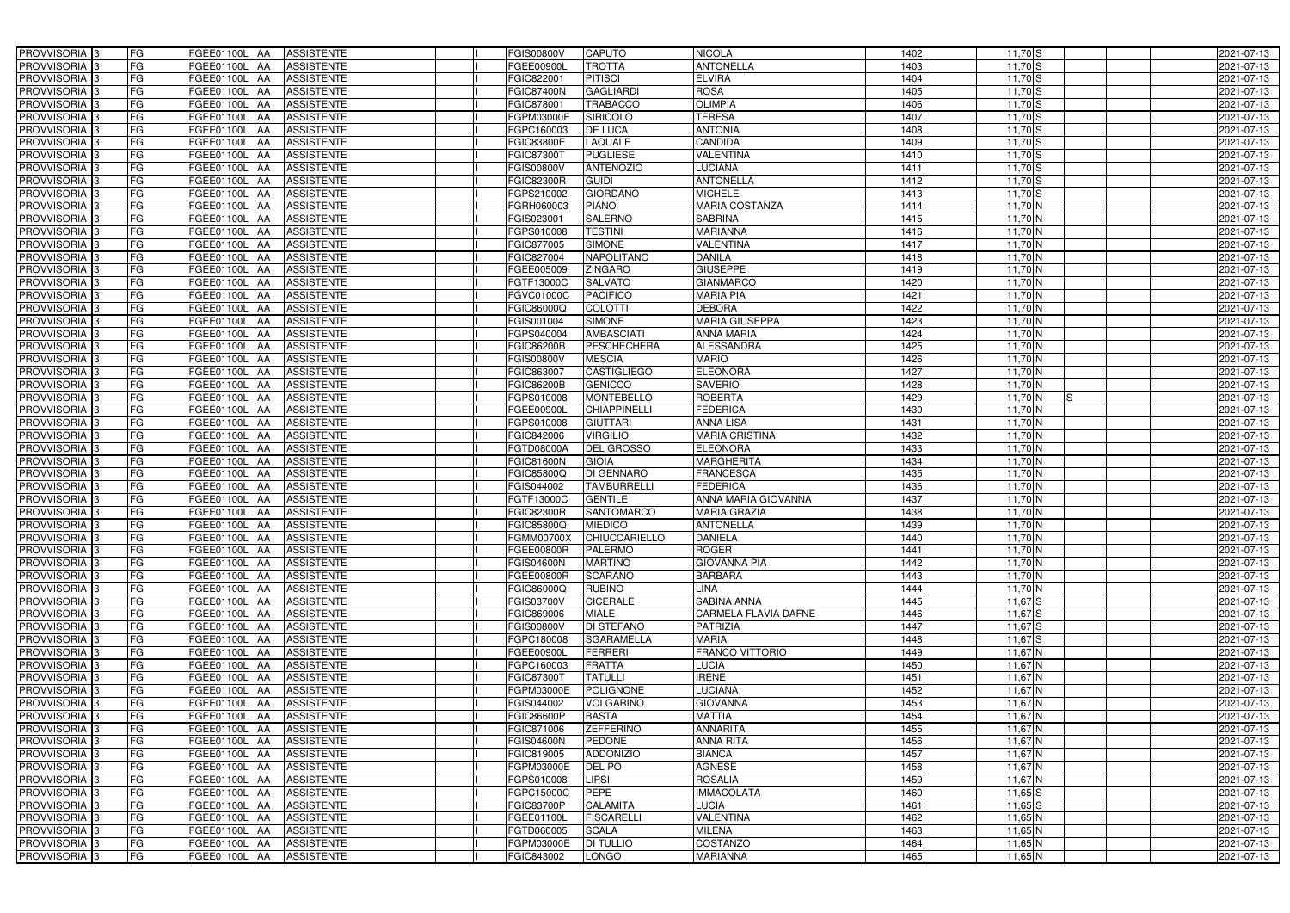| PROVVISORIA <sup>3</sup>   | FG<br>FGEE01100L AA                                | <b>ASSISTENTE</b>               | <b>FGIS00800V</b> | <b>CAPUTO</b>            | <b>NICOLA</b>               | 1402 | $11,70$ S        | 2021-07-13 |
|----------------------------|----------------------------------------------------|---------------------------------|-------------------|--------------------------|-----------------------------|------|------------------|------------|
| PROVVISORIA <sup>3</sup>   | FG<br>FGEE01100L AA                                | <b>ASSISTENTE</b>               | FGEE00900L        | <b>TROTTA</b>            | <b>ANTONELLA</b>            | 1403 | $11,70$ S        | 2021-07-13 |
| PROVVISORIA <sup>1</sup> 3 | FG<br>FGEE01100L AA                                | <b>ASSISTENTE</b>               | FGIC82200         | <b>PITISCI</b>           | <b>ELVIRA</b>               | 1404 | $11,70$ S        | 2021-07-13 |
| PROVVISORIA <sup>3</sup>   | FG<br>FGEE01100L AA                                | <b>ASSISTENTE</b>               | <b>FGIC87400N</b> | <b>GAGLIARDI</b>         | <b>ROSA</b>                 | 1405 | $11,70$ S        | 2021-07-13 |
| PROVVISORIA <sup>3</sup>   | FG<br>FGEE01100L AA                                | <b>ASSISTENTE</b>               | FGIC878001        | <b>TRABACCO</b>          | <b>OLIMPIA</b>              | 1406 | $11,70$ S        | 2021-07-13 |
| PROVVISORIA <sup>3</sup>   | FG<br>FGEE01100L AA                                | <b>ASSISTENTE</b>               | FGPM03000E        | <b>SIRICOLO</b>          | <b>TERESA</b>               | 1407 | $11,70$ S        | 2021-07-13 |
| PROVVISORIA <sup>3</sup>   | FG<br>FGEE01100L AA                                | <b>ASSISTENTE</b>               | FGPC160003        | <b>DE LUCA</b>           | <b>ANTONIA</b>              | 1408 | $11,70$ S        | 2021-07-13 |
| PROVVISORIA 3              | FG<br>FGEE01100L AA                                | <b>ASSISTENTE</b>               | <b>FGIC83800E</b> | <b>LAQUALE</b>           | <b>CANDIDA</b>              | 1409 | $11,70$ S        | 2021-07-13 |
| PROVVISORIA 3              | FG<br><b>FGEE01100L   AA</b>                       | <b>ASSISTENTE</b>               | FGIC87300T        | <b>PUGLIESE</b>          | VALENTINA                   | 1410 | $11,70$ S        | 2021-07-13 |
| PROVVISORIA <sup>3</sup>   | FG<br>FGEE01100L                                   | <b>ASSISTENTE</b><br><b>JAA</b> | FGIS00800V        | <b>ANTENOZIO</b>         | <b>LUCIANA</b>              | 1411 | $11,70$ S        | 2021-07-13 |
| PROVVISORIA 3              | FG<br>FGEE01100L AA                                | <b>ASSISTENTE</b>               | <b>FGIC82300R</b> | <b>GUIDI</b>             | <b>ANTONELLA</b>            | 1412 | $11,70$ S        | 2021-07-13 |
| PROVVISORIA 3              | FG<br>FGEE01100L AA                                | <b>ASSISTENTE</b>               | FGPS210002        | <b>GIORDANO</b>          | <b>MICHELE</b>              | 1413 | $11,70$ S        | 2021-07-13 |
| PROVVISORIA 3              | FG<br>FGEE01100L AA                                | <b>ASSISTENTE</b>               | FGRH060003        | <b>PIANO</b>             | <b>MARIA COSTANZA</b>       | 1414 | $11,70$ N        | 2021-07-13 |
| PROVVISORIA 3              | $\overline{\mathsf{FG}}$<br>FGEE01100L AA          | <b>ASSISTENTE</b>               | FGIS023001        | <b>SALERNO</b>           | <b>SABRINA</b>              | 1415 | $11,70$ N        | 2021-07-13 |
| PROVVISORIA 3              | FG<br><b>FGEE01100L   AA</b>                       | <b>ASSISTENTE</b>               | FGPS010008        | <b>TESTINI</b>           | <b>MARIANNA</b>             | 1416 | $11,70$ N        | 2021-07-13 |
| PROVVISORIA 3              | $\overline{\mathsf{FG}}$<br><b>FGEE01100L   AA</b> | <b>ASSISTENTE</b>               | FGIC877005        | <b>SIMONE</b>            | <b>VALENTINA</b>            | 1417 | $11,70$ N        | 2021-07-13 |
| PROVVISORIA 3              | FG<br>FGEE01100L AA                                | <b>ASSISTENTE</b>               | FGIC827004        | <b>NAPOLITANO</b>        | <b>DANILA</b>               | 1418 | $11,70$ N        | 2021-07-13 |
| PROVVISORIA 3              | FG<br>FGEE01100L AA                                | <b>ASSISTENTE</b>               | FGEE005009        | <b>ZINGARO</b>           | <b>GIUSEPPE</b>             | 1419 | $11,70$ N        | 2021-07-13 |
| PROVVISORIA 3              | FG<br>FGEE01100L AA                                | <b>ASSISTENTE</b>               | FGTF13000C        | <b>SALVATO</b>           | <b>GIANMARCO</b>            | 1420 | 11,70 N          | 2021-07-13 |
| PROVVISORIA 3              | FG<br>FGEE01100L AA                                | <b>ASSISTENTE</b>               | FGVC01000C        | <b>PACIFICO</b>          | <b>MARIA PIA</b>            | 1421 | $11,70$ N        | 2021-07-13 |
| PROVVISORIA <sup>3</sup>   | FG<br>FGEE01100L                                   | <b>ASSISTENTE</b><br><b>IAA</b> | FGIC86000Q        | <b>COLOTTI</b>           | <b>DEBORA</b>               | 1422 | 11,70 N          | 2021-07-13 |
| PROVVISORIA 3              | FG<br>FGEE01100L                                   | AA<br><b>ASSISTENTE</b>         | FGIS001004        | <b>SIMONE</b>            | <b>MARIA GIUSEPPA</b>       | 1423 | 11,70 $N$        | 2021-07-13 |
| PROVVISORIA 3              | FG<br>FGEE01100L                                   | <b>ASSISTENTE</b><br> AA        | FGPS040004        | <b>AMBASCIATI</b>        | <b>ANNA MARIA</b>           | 1424 | $11,70$ N        | 2021-07-13 |
| PROVVISORIA <sup>3</sup>   | FG<br>FGEE01100L                                   | <b>ASSISTENTE</b><br> AA        | <b>FGIC86200B</b> | <b>PESCHECHERA</b>       | <b>ALESSANDRA</b>           | 1425 | $11,70$ N        | 2021-07-13 |
| PROVVISORIA 3              | FG<br><b>FGEE01100L AA</b>                         | <b>ASSISTENTE</b>               | FGIS00800V        | <b>MESCIA</b>            | <b>MARIO</b>                | 1426 | $11,70$ N        | 2021-07-13 |
| PROVVISORIA 3              | $\overline{\mathsf{FG}}$<br>FGEE01100L AA          | <b>ASSISTENTE</b>               | FGIC863007        | <b>CASTIGLIEGO</b>       | <b>ELEONORA</b>             | 1427 | $11,70$ N        | 2021-07-13 |
| PROVVISORIA 3              | FG<br>FGEE01100L                                   | <b>ASSISTENTE</b><br>IAA        | <b>FGIC86200B</b> | <b>GENICCO</b>           | <b>SAVERIO</b>              | 1428 | $11,70$ N        | 2021-07-13 |
| PROVVISORIA 3              | FG<br>FGEE01100L                                   | <b>ASSISTENTE</b><br>IAA        | FGPS010008        | <b>MONTEBELLO</b>        | <b>ROBERTA</b>              | 1429 | $11,70$ N<br>IS. | 2021-07-13 |
| PROVVISORIA <sup>3</sup>   | FG<br>FGEE01100L                                   | <b>ASSISTENTE</b><br>IAA        | FGEE00900L        | <b>CHIAPPINELLI</b>      | <b>FEDERICA</b>             | 1430 | $11,70$ N        | 2021-07-13 |
| PROVVISORIA <sup>3</sup>   | FG<br><b>FGEE01100L AA</b>                         | <b>ASSISTENTE</b>               | FGPS010008        | <b>GIUTTARI</b>          | ANNA LISA                   | 1431 | $11,70$ N        | 2021-07-13 |
| PROVVISORIA <sup>3</sup>   | FG<br><b>FGEE01100L AA</b>                         | <b>ASSISTENTE</b>               | FGIC842006        | <b>VIRGILIO</b>          | <b>MARIA CRISTINA</b>       | 1432 | $11,70$ N        | 2021-07-13 |
| PROVVISORIA <sup>3</sup>   | FG<br>FGEE01100L                                   | <b>ASSISTENTE</b><br><b>AA</b>  | FGTD08000A        | <b>DEL GROSSO</b>        | <b>ELEONORA</b>             | 1433 | $11,70$ N        | 2021-07-13 |
| PROVVISORIA <sup>3</sup>   | FG<br>FGEE01100L                                   | <b>ASSISTENTE</b><br> AA        | <b>FGIC81600N</b> | <b>GIOIA</b>             | <b>MARGHERITA</b>           | 1434 | $11,70$ N        | 2021-07-13 |
| PROVVISORIA <sup>3</sup>   | FG<br><b>FGEE01100L   AA</b>                       | <b>ASSISTENTE</b>               | FGIC85800Q        | <b>DI GENNARO</b>        | <b>FRANCESCA</b>            | 1435 | $11,70$ N        | 2021-07-13 |
| PROVVISORIA <sup>3</sup>   | FG<br>FGEE01100L AA                                | <b>ASSISTENTE</b>               | FGIS044002        | <b>TAMBURRELLI</b>       | <b>FEDERICA</b>             | 1436 | 11,70 $N$        | 2021-07-13 |
| PROVVISORIA <sup>3</sup>   | FG<br>FGEE01100L AA                                | <b>ASSISTENTE</b>               | FGTF13000C        | <b>GENTILE</b>           | ANNA MARIA GIOVANNA         | 1437 | $11,70$ N        | 2021-07-13 |
| PROVVISORIA 3              | FG<br>FGEE01100L AA                                | <b>ASSISTENTE</b>               | <b>FGIC82300R</b> | <b>SANTOMARCO</b>        | <b>MARIA GRAZIA</b>         | 1438 | $11,70$ N        | 2021-07-13 |
| PROVVISORIA <sup>3</sup>   | FG<br>FGEE01100L AA                                | <b>ASSISTENTE</b>               | <b>FGIC85800Q</b> | <b>MIEDICO</b>           | <b>ANTONELLA</b>            | 1439 | $11,70$ N        | 2021-07-13 |
| <b>PROVVISORIA</b> 3       | <b>FG</b>                                          | FGEE01100L AA ASSISTENTE        |                   | FGMM00700X CHIUCCARIELLO | <b>DANIELA</b>              | 1440 | $11,70$ N        | 2021-07-13 |
| <b>PROVVISORIA</b> 3       | FG<br>FGEE01100L AA                                | ASSISTENTE                      | FGEE00800R        | <b>PALERMO</b>           | <b>ROGER</b>                | 1441 | $11,70$ N        | 2021-07-13 |
| PROVVISORIA <sup>3</sup>   | FG<br>FGEE01100L AA                                | <b>ASSISTENTE</b>               | <b>FGIS04600N</b> | <b>MARTINO</b>           | <b>GIOVANNA PIA</b>         | 1442 | 11,70 $N$        | 2021-07-13 |
| PROVVISORIA <sup>3</sup>   | FG<br>FGEE01100L AA                                | <b>ASSISTENTE</b>               | FGEE00800R        | <b>SCARANO</b>           | <b>BARBARA</b>              | 1443 | $11,70$ N        | 2021-07-13 |
| PROVVISORIA <sup>3</sup>   | FG<br>FGEE01100L AA                                | ASSISTENTE                      | FGIC86000Q        | <b>RUBINO</b>            | <b>LINA</b>                 | 1444 | $11,70$ N        | 2021-07-13 |
| PROVVISORIA <sup>3</sup>   | FG<br>FGEE01100L AA                                | ASSISTENTE                      | FGIS03700V        | <b>CICERALE</b>          | <b>SABINA ANNA</b>          | 1445 | $11,67$ S        | 2021-07-13 |
| PROVVISORIA <sup>3</sup>   | FG<br>FGEE01100L AA                                | ASSISTENTE                      | FGIC869006        | <b>MIALE</b>             | <b>CARMELA FLAVIA DAFNE</b> | 1446 | $11,67$ S        | 2021-07-13 |
| PROVVISORIA <sup>3</sup>   | FG<br>FGEE01100L AA                                | <b>ASSISTENTE</b>               | <b>FGIS00800V</b> | <b>DI STEFANO</b>        | PATRIZIA                    | 1447 | $11,67$ S        | 2021-07-13 |
| PROVVISORIA <sup>1</sup> 3 | FG<br>FGEE01100L AA                                | <b>ASSISTENTE</b>               | FGPC180008        | <b>SGARAMELLA</b>        | <b>MARIA</b>                | 1448 | $11,67$ S        | 2021-07-13 |
| PROVVISORIA <sup>3</sup>   | FG<br>FGEE01100L AA                                | <b>ASSISTENTE</b>               | FGEE00900L        | <b>FERRERI</b>           | FRANCO VITTORIO             | 1449 | $11,67$ N        | 2021-07-13 |
| PROVVISORIA <sup>3</sup>   | FG<br>FGEE01100L AA                                | <b>ASSISTENTE</b>               | FGPC160003        | <b>FRATTA</b>            | <b>LUCIA</b>                | 1450 | $11,67$ N        | 2021-07-13 |
| PROVVISORIA <sup>3</sup>   | FG<br>FGEE01100L AA                                | <b>ASSISTENTE</b>               | FGIC87300T        | <b>TATULLI</b>           | <b>IRENE</b>                | 1451 | $11,67$ N        | 2021-07-13 |
| PROVVISORIA <sup>3</sup>   | FG<br>FGEE01100L AA                                | <b>ASSISTENTE</b>               | FGPM03000E        | <b>POLIGNONE</b>         | LUCIANA                     | 1452 | $11,67$ N        | 2021-07-13 |
| PROVVISORIA <sup>3</sup>   | FG<br>FGEE01100L AA                                | <b>ASSISTENTE</b>               | FGIS044002        | <b>VOLGARINO</b>         | <b>GIOVANNA</b>             | 1453 | $11,67$ N        | 2021-07-13 |
| PROVVISORIA <sup>3</sup>   | FG<br>FGEE01100L AA                                | <b>ASSISTENTE</b>               | <b>FGIC86600P</b> | <b>BASTA</b>             | <b>MATTIA</b>               | 1454 | $11,67$ N        | 2021-07-13 |
| PROVVISORIA <sup>3</sup>   | FG<br>FGEE01100L AA                                | <b>ASSISTENTE</b>               | FGIC871006        | <b>ZEFFERINO</b>         | <b>ANNARITA</b>             | 1455 | $11,67$ N        | 2021-07-13 |
| PROVVISORIA <sup>3</sup>   | FG<br>FGEE01100L AA                                | <b>ASSISTENTE</b>               | <b>FGIS04600N</b> | <b>PEDONE</b>            | ANNA RITA                   | 1456 | $11,67$ N        | 2021-07-13 |
| PROVVISORIA <sup>3</sup>   | FG<br>FGEE01100L AA                                | <b>ASSISTENTE</b>               | FGIC819005        | <b>ADDONIZIO</b>         | <b>BIANCA</b>               | 1457 | 11,67 N          | 2021-07-13 |
| PROVVISORIA <sup>3</sup>   | FG<br>FGEE01100L AA                                | <b>ASSISTENTE</b>               | FGPM03000E        | DEL PO                   | <b>AGNESE</b>               | 1458 | $11,67$ N        | 2021-07-13 |
| PROVVISORIA <sup>3</sup>   | FG<br>FGEE01100L AA                                | <b>ASSISTENTE</b>               | FGPS010008        | <b>LIPSI</b>             | <b>ROSALIA</b>              | 1459 | $11,67$ N        | 2021-07-13 |
| PROVVISORIA <sup>3</sup>   | FGEE01100L AA<br>FG                                | <b>ASSISTENTE</b>               | FGPC15000C        | <b>PEPE</b>              | <b>IMMACOLATA</b>           | 1460 | $11,65$ S        | 2021-07-13 |
| PROVVISORIA <sup>3</sup>   | FG<br>FGEE01100L AA                                | <b>ASSISTENTE</b>               | <b>FGIC83700P</b> | <b>CALAMITA</b>          | <b>LUCIA</b>                | 1461 | $11,65$ S        | 2021-07-13 |
| PROVVISORIA <sup>3</sup>   | FG<br>FGEE01100L AA                                | <b>ASSISTENTE</b>               | FGEE01100L        | <b>FISCARELLI</b>        | <b>VALENTINA</b>            | 1462 | $11,65$ N        | 2021-07-13 |
| PROVVISORIA <sup>3</sup>   | FG<br>FGEE01100L AA                                | <b>ASSISTENTE</b>               | FGTD060005        | <b>SCALA</b>             | <b>MILENA</b>               | 1463 | $11,65$ N        | 2021-07-13 |
| PROVVISORIA <sup>3</sup>   | FG<br>FGEE01100L AA                                | ASSISTENTE                      | FGPM03000E        | <b>DI TULLIO</b>         | <b>COSTANZO</b>             | 1464 | $11,65$ N        | 2021-07-13 |
| PROVVISORIA 3              | FG<br>FGEE01100L AA                                | ASSISTENTE                      | FGIC843002        | <b>LONGO</b>             | <b>MARIANNA</b>             | 1465 | $11,65$ N        | 2021-07-13 |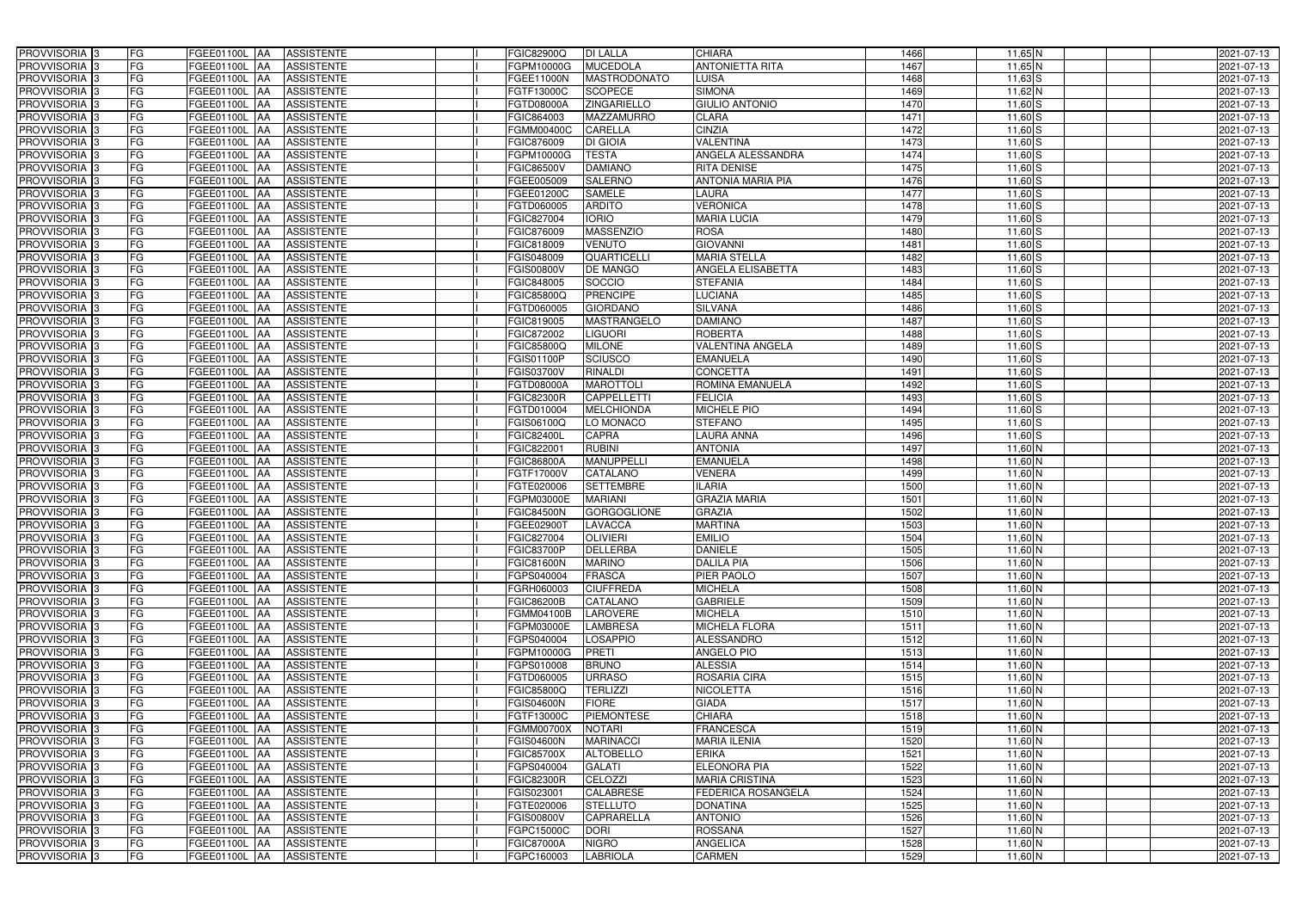| <b>PROVVISORIA</b> 3<br>FG                                 | <b>ASSISTENTE</b><br>FGEE01100L AA                                       | <b>FGIC82900Q</b>               | <b>DI LALLA</b>                      | <b>CHIARA</b>                     | 1466              | $11,65$ N              | 2021-07-13               |
|------------------------------------------------------------|--------------------------------------------------------------------------|---------------------------------|--------------------------------------|-----------------------------------|-------------------|------------------------|--------------------------|
| <b>FG</b><br><b>PROVVISORIA</b> 3                          | FGEE01100L<br><b>AA</b><br><b>ASSISTENTE</b>                             | FGPM10000G                      | <b>MUCEDOLA</b>                      | <b>ANTONIETTA RITA</b>            | 1467              | 11,65 N                | 2021-07-13               |
| FG<br><b>PROVVISORIA</b> 3                                 | FGEE01100L<br><b>JAA</b><br><b>ASSISTENTE</b>                            | FGEE11000N                      | MASTRODONATO                         | LUISA                             | 1468              | $11,63$ $S$            | 2021-07-13               |
| FG<br><b>PROVVISORIA</b> 3                                 | <b>AA</b><br><b>ASSISTENTE</b><br>FGEE01100L                             | FGTF13000C                      | <b>SCOPECE</b>                       | <b>SIMONA</b>                     | 1469              | 11,62 N                | 2021-07-13               |
| <b>PROVVISORIA</b><br>FG                                   | <b>ASSISTENTE</b><br>FGEE01100L<br><b>AA</b>                             | FGTD08000A                      | ZINGARIELLO                          | <b>GIULIO ANTONIO</b>             | 1470              | $11,60$ S              | 2021-07-13               |
| <b>PROVVISORIA</b><br>FG                                   | <b>AA</b><br><b>ASSISTENTE</b><br>FGEE01100L                             | FGIC864003                      | <b>MAZZAMURRO</b>                    | <b>CLARA</b>                      | 1471              | $11,60$ S              | 2021-07-13               |
| <b>PROVVISORIA</b> 3<br>FG                                 | <b>ASSISTENTE</b><br>FGEE01100L<br><b>AA</b>                             | <b>FGMM00400C</b>               | <b>CARELLA</b>                       | <b>CINZIA</b>                     | 1472              | $11,60$ S              | 2021-07-13               |
| <b>PROVVISORIA</b><br>FG                                   | <b>ASSISTENTE</b><br>FGEE01100L<br><b>JAA</b>                            | FGIC876009                      | <b>DI GIOIA</b>                      | <b>VALENTINA</b>                  | 1473              | $11,60$ S              | 2021-07-13               |
| PROVVISORIA <sub>3</sub><br>FG                             | <b>ASSISTENTE</b><br>FGEE01100L<br><b>AA</b>                             | FGPM10000G                      | <b>TESTA</b>                         | ANGELA ALESSANDRA                 | 1474              | $11,60$ S              | 2021-07-13               |
| <b>FG</b><br>PROVVISORIA 3                                 | FGEE01100L<br><b>ASSISTENTE</b><br><b>JAA</b>                            | FGIC86500V                      | <b>DAMIANO</b>                       | <b>RITA DENISE</b>                | 1475              | $11,60$ S              | 2021-07-13               |
| <b>PROVVISORIA</b> 3<br>FG                                 | FGEE01100L<br><b>ASSISTENTE</b><br><b>JAA</b>                            | FGEE005009                      | <b>SALERNO</b>                       | <b>ANTONIA MARIA PIA</b>          | 1476              | $11,60$ $S$            | 2021-07-13               |
| PROVVISORIA 3<br>FG                                        | FGEE01100L<br><b>ASSISTENTE</b><br><b>JAA</b>                            | FGEE01200C                      | <b>SAMELE</b>                        | LAURA                             | 1477              | $11,60$ $S$            | 2021-07-13               |
| PROVVISORIA <sup>3</sup><br><b>FG</b>                      | FGEE01100L<br><b>ASSISTENTE</b><br><b>AA</b>                             | FGTD060005                      | <b>ARDITO</b>                        | <b>VERONICA</b>                   | 1478              | $11,60$ S              | 2021-07-13               |
| <b>PROVVISORIA</b> 3<br>FG                                 | FGEE01100L<br><b>ASSISTENTE</b><br><b>JAA</b>                            | FGIC827004                      | <b>IORIO</b>                         | <b>MARIA LUCIA</b>                | 1479              | $11,60$ S              | 2021-07-13               |
| <b>PROVVISORIA</b> 3<br>FG                                 | FGEE01100L<br><b>ASSISTENTE</b><br><b>JAA</b>                            | FGIC876009                      | <b>MASSENZIO</b>                     | <b>ROSA</b>                       | 1480              | $11,60$ S              | 2021-07-13               |
| <b>PROVVISORIA</b> 3<br>FG                                 | FGEE01100L<br><b>ASSISTENTE</b><br><b>JAA</b>                            | FGIC818009                      | <b>VENUTO</b>                        | <b>GIOVANNI</b>                   | 1481              | $11,60$ S              | 2021-07-13               |
| <b>PROVVISORIA</b><br>FG                                   | FGEE01100L<br><b>AA</b><br><b>ASSISTENTE</b>                             | FGIS048009                      | QUARTICELLI                          | <b>MARIA STELLA</b>               | 1482              | $11,60$ $S$            | 2021-07-13               |
| <b>PROVVISORIA</b> 3<br>FG                                 | FGEE01100L<br><b>AA</b><br><b>ASSISTENTE</b>                             | <b>FGIS00800V</b>               | <b>DE MANGO</b>                      | <b>ANGELA ELISABETTA</b>          | 1483              | $11,60$ S              | 2021-07-13               |
| <b>PROVVISORIA</b><br>FG                                   | FGEE01100L<br><b>AA</b><br><b>ASSISTENTE</b>                             | FGIC848005                      | SOCCIO                               | <b>STEFANIA</b>                   | 1484              | $11,60$ S              | 2021-07-13               |
| <b>PROVVISORIA</b><br>FG                                   | FGEE01100L<br><b>AA</b><br><b>ASSISTENTE</b>                             | <b>FGIC85800Q</b>               | <b>PRENCIPE</b>                      | <b>LUCIANA</b>                    | 1485              | $11,60$ S              | 2021-07-13               |
| PROVVISORIA <sup>3</sup><br>FG                             | FGEE01100L<br><b>IAA</b><br><b>ASSISTENTE</b>                            | FGTD060005                      | <b>GIORDANO</b>                      | <b>SILVANA</b>                    | 1486              | $11,60$ S              | 2021-07-13               |
| <b>PROVVISORIA</b> 3<br>FG                                 | FGEE01100L<br><b>IAA</b><br><b>ASSISTENTE</b>                            | FGIC819005                      | <b>MASTRANGELO</b>                   | <b>DAMIANO</b>                    | 1487              | $11,60$ S              | 2021-07-13               |
| <b>PROVVISORIA</b> 3<br>FG                                 | <b>IAA</b><br><b>ASSISTENTE</b><br>FGEE01100L                            | FGIC872002                      | <b>LIGUORI</b>                       | <b>ROBERTA</b>                    | 1488              | $11,60$ $S$            | 2021-07-13               |
| <b>PROVVISORIA</b> 3<br>FG                                 | FGEE01100L<br><b>IAA</b><br><b>ASSISTENTE</b>                            | FGIC85800Q                      | <b>MILONE</b>                        | <b>VALENTINA ANGELA</b>           | 1489              | $11,60$ S              | 2021-07-13               |
| <b>PROVVISORIA</b> 3<br>FG                                 | <b>ASSISTENTE</b><br>FGEE01100L<br><b>IAA</b>                            | FGIS01100P                      | <b>SCIUSCO</b>                       | <b>EMANUELA</b>                   | 1490              | $11,60$ $S$            | 2021-07-13               |
| <b>PROVVISORIA</b> 3<br>FG                                 | <b>ASSISTENTE</b><br>FGEE01100L<br><b>IAA</b>                            | FGIS03700V                      | <b>RINALDI</b>                       | <b>CONCETTA</b>                   | 1491              | $11,60$ $S$            | 2021-07-13               |
| <b>PROVVISORIA</b> 3<br>FG                                 | FGEE01100L<br><b>ASSISTENTE</b><br><b>IAA</b>                            | FGTD08000A                      | <b>MAROTTOLI</b>                     | ROMINA EMANUELA                   | 1492              | $11,60$ S              | 2021-07-13               |
| FG<br>PROVVISORIA 3                                        | <b>ASSISTENTE</b><br>FGEE01100L<br>IAA                                   | <b>FGIC82300R</b>               | <b>CAPPELLETTI</b>                   | <b>FELICIA</b>                    | 1493              | $11,60$ S              | 2021-07-13               |
| <b>FG</b><br>PROVVISORIA                                   | FGEE01100L<br><b>ASSISTENTE</b><br>IAA                                   | FGTD010004                      | <b>MELCHIONDA</b>                    | MICHELE PIO                       | 1494              | 11,60 S                | 2021-07-13               |
| FG<br>PROVVISORIA                                          | FGEE01100L<br><b>IAA</b><br><b>ASSISTENTE</b>                            | FGIS06100Q                      | LO MONACO                            | <b>STEFANO</b>                    | 1495              | $11,60$ S              | 2021-07-13               |
| <b>PROVVISORIA</b> 3<br>FG                                 | <b>ASSISTENTE</b><br>FGEE01100L<br><b>IAA</b>                            | <b>FGIC82400L</b>               | <b>CAPRA</b>                         | LAURA ANNA                        | 1496              | $11,60$ S              | 2021-07-13               |
| <b>PROVVISORIA</b><br>FG                                   | <b>ASSISTENTE</b><br>FGEE01100L<br>IAA                                   | FGIC822001                      | <b>RUBINI</b>                        | <b>ANTONIA</b>                    | 1497              | 11,60 N                | 2021-07-13               |
| PROVVISORIA  :<br>FG                                       | <b>ASSISTENTE</b><br>FGEE01100L<br><b>IAA</b>                            | <b>FGIC86800A</b>               | <b>MANUPPELLI</b>                    | <b>EMANUELA</b>                   | 1498              | 11,60 N                | 2021-07-13               |
| <b>PROVVISORIA</b> 3<br>FG                                 | FGEE01100L<br><b>ASSISTENTE</b><br><b>JAA</b>                            | <b>FGTF17000V</b>               | <b>CATALANO</b>                      | <b>VENERA</b>                     | 1499              | 11,60 N                | 2021-07-13               |
| <b>PROVVISORIA</b> 3<br>FG                                 | FGEE01100L<br><b>ASSISTENTE</b><br><b>JAA</b>                            | FGTE020006                      | <b>SETTEMBRE</b>                     | <b>ILARIA</b>                     | 1500              | $11,60$ N              | 2021-07-13               |
| <b>PROVVISORIA</b><br>FG                                   | FGEE01100L<br><b>ASSISTENTE</b><br><b>AA</b>                             | FGPM03000E                      | <b>MARIANI</b>                       | <b>GRAZIA MARIA</b>               | 1501              | $11,60$ N              | 2021-07-13               |
| PROVVISORIA <sup>3</sup><br>FG                             | FGEE01100L<br><b>ASSISTENTE</b><br><b>JAA</b>                            | <b>FGIC84500N</b>               | <b>GORGOGLIONE</b>                   | <b>GRAZIA</b>                     | 1502              | $11,60$ N              | 2021-07-13               |
| PROVVISORIA <sup>3</sup><br>FG                             | FGEE01100L AA<br><b>ASSISTENTE</b>                                       | FGEE02900T                      | <b>LAVACCA</b>                       | <b>MARTINA</b>                    | 1503              | $11,60$ N              | 2021-07-13               |
| PROVVISORIA <sup>3</sup><br>FG                             | FGEE01100L AA ASSISTENTE                                                 | FGIC827004                      | <b>OLIVIERI</b>                      | <b>EMILIO</b>                     | 1504              | 11,60 N                | 2021-07-13               |
| PROVVISORIA <sup>3</sup><br>FG                             | FGEE01100L AA<br><b>ASSISTENTE</b>                                       | <b>FGIC83700P</b>               | DELLERBA                             | <b>DANIELE</b>                    | 1505              | 11,60 N                | 2021-07-13               |
| PROVVISORIA <sup>3</sup><br>FG                             | FGEE01100L AA<br><b>ASSISTENTE</b>                                       | <b>FGIC81600N</b>               | <b>MARINO</b>                        | <b>DALILA PIA</b>                 | 1506              | $11,60$ N              | 2021-07-13               |
| PROVVISORIA 3<br>FG                                        | FGEE01100L AA<br><b>ASSISTENTE</b>                                       | FGPS040004                      | FRASCA                               | PIER PAOLO                        | 1507              | $11,60$ N              | 2021-07-13               |
| PROVVISORIA <sup>3</sup><br>FG                             | FGEE01100L AA<br><b>ASSISTENTE</b>                                       | FGRH060003                      | <b>CIUFFREDA</b>                     | <b>MICHELA</b>                    | 1508              | $11,60$ N              | 2021-07-13               |
| PROVVISORIA <sup>3</sup><br>FG                             | FGEE01100L AA<br><b>ASSISTENTE</b>                                       | <b>FGIC86200B</b>               | CATALANO                             | <b>GABRIELE</b>                   | 1509              | $11,60$ N              | 2021-07-13               |
| PROVVISORIA <sup>3</sup><br>FG                             | FGEE01100L AA<br><b>ASSISTENTE</b>                                       | <b>FGMM04100B</b>               | <b>LAROVERE</b>                      | <b>MICHELA</b>                    | 1510              | 11,60 N                | 2021-07-13               |
| PROVVISORIA <sup>3</sup><br>FG                             | FGEE01100L AA<br><b>ASSISTENTE</b>                                       | FGPM03000E                      | <b>LAMBRESA</b>                      | <b>MICHELA FLORA</b>              | $\frac{1511}{25}$ | 11,60 N                | 2021-07-13               |
| <b>PROVVISORIA</b> 3<br>FG                                 | FGEE01100L AA<br><b>ASSISTENTE</b>                                       | FGPS040004                      | <b>LOSAPPIO</b>                      | <b>ALESSANDRO</b>                 | 1512              | $11,60$ N              | 2021-07-13               |
| PROVVISORIA <sup>3</sup><br>FG                             | FGEE01100L<br><b>AA</b><br><b>ASSISTENTE</b>                             | FGPM10000G                      | <b>PRETI</b>                         | <b>ANGELO PIO</b>                 | 1513              | $11,60$ N              | 2021-07-13               |
| PROVVISORIA <sup>3</sup><br>FG                             | FGEE01100L AA<br><b>ASSISTENTE</b>                                       | FGPS010008                      | <b>BRUNO</b>                         | <b>ALESSIA</b>                    | 1514              | $11,60$ N              | 2021-07-13               |
| PROVVISORIA <sup>3</sup><br>FG                             | FGEE01100L AA<br><b>ASSISTENTE</b>                                       | FGTD060005                      | <b>URRASO</b>                        | ROSARIA CIRA                      | 1515              | $11,60$ N              | 2021-07-13               |
| FG<br>PROVVISORIA <sup>3</sup>                             | FGEE01100L AA<br><b>ASSISTENTE</b>                                       | <b>FGIC85800Q</b>               | <b>TERLIZZI</b>                      | <b>NICOLETTA</b>                  | 1516              | $11,60$ N              | 2021-07-13               |
| PROVVISORIA <sup>3</sup><br>FG                             | <b>FGEE01100L AA</b><br><b>ASSISTENTE</b>                                | <b>FGIS04600N</b>               | <b>FIORE</b>                         | <b>GIADA</b>                      | 1517              | $11,60$ N              | 2021-07-13               |
| FG<br>PROVVISORIA <sup>3</sup>                             | FGEE01100L AA<br><b>ASSISTENTE</b>                                       | FGTF13000C                      | <b>PIEMONTESE</b>                    | <b>CHIARA</b>                     | 1518              | $11,60$ N              | 2021-07-13               |
| FG<br>PROVVISORIA <sup>3</sup>                             | FGEE01100L AA<br><b>ASSISTENTE</b>                                       | <b>FGMM00700X</b>               | <b>NOTARI</b>                        | <b>FRANCESCA</b>                  | 1519              | $11,60$ N              | 2021-07-13               |
| FG<br>PROVVISORIA <sup>3</sup>                             | <b>ASSISTENTE</b><br>FGEE01100L AA                                       | <b>FGIS04600N</b>               | <b>MARINACCI</b>                     | <b>MARIA ILENIA</b>               | 1520              | 11,60 N                | 2021-07-13               |
| PROVVISORIA <sup>3</sup><br>FG                             | <b>ASSISTENTE</b><br>FGEE01100L AA                                       | <b>FGIC85700X</b>               | <b>ALTOBELLO</b>                     | <b>ERIKA</b>                      | 1521              | 11,60 N                | 2021-07-13               |
| PROVVISORIA <sup>3</sup><br>FG                             | <b>ASSISTENTE</b><br>FGEE01100L AA                                       | FGPS040004                      | <b>GALATI</b>                        | <b>ELEONORA PIA</b>               | 1522              | 11,60 N                | 2021-07-13               |
| PROVVISORIA 3<br>FG                                        | <b>ASSISTENTE</b><br>FGEE01100L AA                                       | <b>FGIC82300R</b>               | CELOZZI                              | <b>MARIA CRISTINA</b>             | 1523              | $11,60$ N              | 2021-07-13               |
| PROVVISORIA <sup>3</sup><br>FG                             | <b>ASSISTENTE</b><br>FGEE01100L AA                                       | FGIS023001                      | <b>CALABRESE</b>                     | FEDERICA ROSANGELA                | 1524              | 11,60 N                | 2021-07-13               |
| PROVVISORIA <sup>3</sup><br>FG<br>PROVVISORIA <sup>3</sup> | <b>ASSISTENTE</b><br>FGEE01100L AA<br><b>ASSISTENTE</b><br>FGEE01100L AA | FGTE020006<br><b>FGIS00800V</b> | <b>STELLUTO</b><br><b>CAPRARELLA</b> | <b>DONATINA</b><br><b>ANTONIO</b> | 1525<br>1526      | $11,60$ N<br>$11,60$ N | 2021-07-13<br>2021-07-13 |
| FG<br>PROVVISORIA <sup>3</sup><br>FG                       | <b>ASSISTENTE</b><br>FGEE01100L<br><b>AA</b>                             | FGPC15000C                      | <b>DORI</b>                          | <b>ROSSANA</b>                    | 1527              | $11,60$ N              | 2021-07-13               |
| PROVVISORIA <sup>3</sup><br>FG                             | FGEE01100L AA<br><b>ASSISTENTE</b>                                       | <b>FGIC87000A</b>               | <b>NIGRO</b>                         | <b>ANGELICA</b>                   | 1528              | $11,60$ N              | 2021-07-13               |
| PROVVISORIA <sup>3</sup><br>FG                             | <b>ASSISTENTE</b><br>FGEE01100L AA                                       | FGPC160003                      | <b>LABRIOLA</b>                      | <b>CARMEN</b>                     | 1529              | $11,60$ N              | 2021-07-13               |
|                                                            |                                                                          |                                 |                                      |                                   |                   |                        |                          |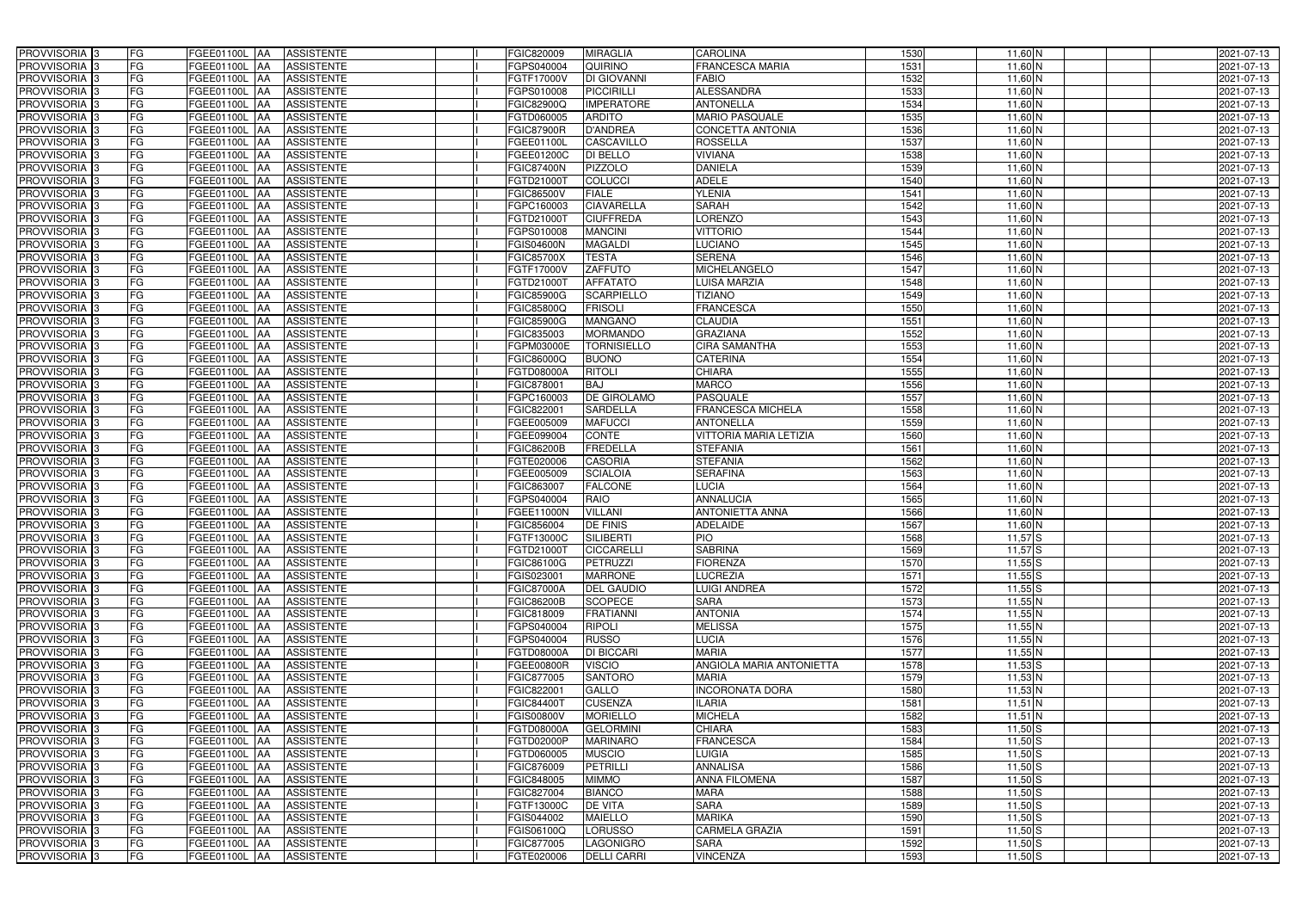| PROVVISORIA <sup>3</sup>                             | FG              | FGEE01100L AA<br><b>ASSISTENTE</b>                                                | FGIC820009               | <b>MIRAGLIA</b>                    | <b>CAROLINA</b>                        | 1530         | 11,60 N                | 2021-07-13               |
|------------------------------------------------------|-----------------|-----------------------------------------------------------------------------------|--------------------------|------------------------------------|----------------------------------------|--------------|------------------------|--------------------------|
| PROVVISORIA 3                                        | FG              | <b>ASSISTENTE</b><br>FGEE01100L AA                                                | GPS040004                | QUIRINO                            | <b>FRANCESCA MARIA</b>                 | 1531         | 11,60 N                | 2021-07-13               |
| PROVVISORIA 3                                        | FG              | FGEE01100L AA<br><b>ASSISTENTE</b>                                                | FGTF17000V               | DI GIOVANNI                        | <b>FABIO</b>                           | 1532         | $11,60$ N              | 2021-07-13               |
| PROVVISORIA 3                                        | FG              | <b>FGEE01100L   AA</b><br><b>ASSISTENTE</b>                                       | GPS010008                | <b>PICCIRILLI</b>                  | <b>ALESSANDRA</b>                      | 1533         | $11,60$ N              | 2021-07-13               |
| PROVVISORIA 3                                        | <b>FG</b>       | <b>ASSISTENTE</b><br>FGEE01100L AA                                                | FGIC82900Q               | <b>IMPERATORE</b>                  | <b>ANTONELLA</b>                       | 1534         | 11,60 N                | 2021-07-13               |
| PROVVISORIA 3                                        | FG              | FGEE01100L AA<br><b>ASSISTENTE</b>                                                | FGTD060005               | <b>ARDITO</b>                      | <b>MARIO PASQUALE</b>                  | 1535         | 11,60 N                | 2021-07-13               |
| PROVVISORIA 3                                        | <b>FG</b>       | FGEE01100L AA<br><b>ASSISTENTE</b>                                                | <b>FGIC87900R</b>        | <b>D'ANDREA</b>                    | <b>CONCETTA ANTONIA</b>                | 1536         | 11,60 N                | 2021-07-13               |
| PROVVISORIA <sup>3</sup>                             | <b>FG</b>       | FGEE01100L<br><b>ASSISTENTE</b><br>IAA                                            | FGEE01100L               | CASCAVILLO                         | <b>ROSSELLA</b>                        | 1537         | $11,60$ N              | 2021-07-13               |
| PROVVISORIA <sup>1</sup> 3                           | FG              | FGEE01100L<br><b>ASSISTENTE</b><br>IAA                                            | FGEE01200C               | <b>DI BELLO</b>                    | <b>VIVIANA</b>                         | 1538         | $11,60$ N              | 2021-07-13               |
| PROVVISORIA <sup>1</sup> 3                           | FG              | FGEE01100L<br><b>ASSISTENTE</b><br>IAA                                            | <b>FGIC87400N</b>        | <b>PIZZOLO</b>                     | <b>DANIELA</b>                         | 1539         | 11,60 N                | 2021-07-13               |
| PROVVISORIA 3                                        | FG              | FGEE01100L<br><b>ASSISTENTE</b><br><b>JAA</b>                                     | FGTD21000T               | <b>COLUCCI</b>                     | <b>ADELE</b>                           | 1540         | $11,60$ N              | 2021-07-13               |
| PROVVISORIA 3                                        | <b>FG</b>       | FGEE01100L AA<br><b>ASSISTENTE</b>                                                | FGIC86500V               | <b>FIALE</b>                       | <b>YLENIA</b>                          | 1541         | $11,60$ N              | 2021-07-13               |
| PROVVISORIA 3                                        | FG              | FGEE01100L AA<br><b>ASSISTENTE</b>                                                | FGPC160003               | <b>CIAVARELLA</b>                  | <b>SARAH</b>                           | 1542         | 11,60 N                | 2021-07-13               |
| PROVVISORIA 3                                        | <b>FG</b>       | FGEE01100L AA<br><b>ASSISTENTE</b>                                                | FGTD21000T               | <b>CIUFFREDA</b>                   | <b>LORENZO</b>                         | 1543         | $11,60$ N              | 2021-07-13               |
| PROVVISORIA 3                                        | FG              | FGEE01100L AA<br><b>ASSISTENTE</b>                                                | FGPS010008               | <b>MANCINI</b>                     | <b>VITTORIO</b>                        | 1544         | $11,60$ N              | 2021-07-13               |
| PROVVISORIA 3                                        | <b>FG</b>       | FGEE01100L AA<br><b>ASSISTENTE</b>                                                | FGIS04600N               | <b>MAGALDI</b>                     | <b>LUCIANO</b>                         | 1545         | $11,60$ N              | 2021-07-13               |
| PROVVISORIA 3                                        | <b>FG</b>       | FGEE01100L<br><b>ASSISTENTE</b><br>IAA                                            | <b>FGIC85700X</b>        | <b>TESTA</b>                       | <b>SERENA</b>                          | 1546         | $11,60$ N              | 2021-07-13               |
| PROVVISORIA 3                                        | <b>FG</b>       | FGEE01100L AA<br><b>ASSISTENTE</b>                                                | FGTF17000V               | <b>ZAFFUTO</b>                     | <b>MICHELANGELO</b>                    | 1547         | $11,60$ N              | 2021-07-13               |
| PROVVISORIA 3                                        | FG              | FGEE01100L<br><b>ASSISTENTE</b><br><b>IAA</b>                                     | FGTD21000T               | <b>AFFATATO</b>                    | <b>LUISA MARZIA</b>                    | 1548         | $11,60$ N              | 2021-07-13               |
| PROVVISORIA <sup>13</sup>                            | FG              | FGEE01100L<br><b>ASSISTENTE</b><br>AA                                             | <b>FGIC85900G</b>        | <b>SCARPIELLO</b>                  | <b>TIZIANO</b>                         | 1549         | $11,60$ N              | 2021-07-13               |
| PROVVISORIA <sup>1</sup> 3                           | <b>FG</b>       | <b>FGEE01100L</b><br><b>ASSISTENTE</b><br>l AA                                    | FGIC85800Q               | <b>FRISOLI</b>                     | <b>FRANCESCA</b>                       | 1550         | 11,60 N                | 2021-07-13               |
| PROVVISORIA <sup>3</sup>                             | FG              | FGEE01100L<br><b>ASSISTENTE</b><br>IAA                                            | <b>GIC85900G</b>         | <b>MANGANO</b>                     | <b>CLAUDIA</b>                         | 1551         | $11,60$ N              | 2021-07-13               |
| PROVVISORIA <sup>3</sup>                             | FG              | <b>FGEE01100L</b><br><b>ASSISTENTE</b><br>IAA                                     | GIC835003                | <b>MORMANDO</b>                    | <b>GRAZIANA</b>                        | 1552         | $11,60$ N              | 2021-07-13               |
| <b>PROVVISORIA</b> 3                                 | FG              | FGEE01100L<br><b>ASSISTENTE</b><br>IAA                                            | GPM03000E                | <b>TORNISIELLO</b>                 | <b>CIRA SAMANTHA</b>                   | 1553         | $11,60$ N              | 2021-07-13               |
| <b>PROVVISORIA</b> 3                                 | FG              | <b>FGEE01100L</b><br><b>ASSISTENTE</b><br>IAA                                     | <b>GIC86000Q</b>         | <b>BUONO</b>                       | <b>CATERINA</b>                        | 1554         | $11,60$ N              | 2021-07-13               |
| PROVVISORIA <sup>3</sup>                             | <b>FG</b>       | FGEE01100L<br><b>ASSISTENTE</b><br>IAA                                            | FGTD08000A               | <b>RITOLI</b>                      | <b>CHIARA</b>                          | 1555         | $11,60$ N              | 2021-07-13               |
| PROVVISORIA 3                                        | <b>FG</b>       | FGEE01100L<br><b>ASSISTENTE</b><br>I A A                                          | GIC878001                | <b>BAJ</b>                         | <b>MARCO</b>                           | 1556         | $11,60$ N              | 2021-07-13               |
| PROVVISORIA <sup>3</sup>                             | <b>FG</b>       | FGEE01100L<br><b>ASSISTENTE</b><br>IAA                                            | GPC160003                | DE GIROLAMO                        | PASQUALE                               | 1557         | $11,60$ N              | 2021-07-13               |
| PROVVISORIA 3                                        | FG              | FGEE01100L<br><b>ASSISTENTE</b>                                                   | FGIC822001               | <b>SARDELLA</b>                    | FRANCESCA MICHELA                      | 1558         | 11,60 N                | 2021-07-13               |
| PROVVISORIA 3                                        | <b>FG</b>       | FGEE01100L<br><b>ASSISTENTE</b><br>IAA                                            | FGEE005009               | <b>MAFUCCI</b>                     | <b>ANTONELLA</b>                       | 1559         | $11,60$ N              | 2021-07-13               |
| PROVVISORIA 3                                        | <b>FG</b>       | <b>FGEE01100L</b><br><b>ASSISTENTE</b><br>IAA                                     | FGEE099004               | <b>CONTE</b>                       | <b>VITTORIA MARIA LETIZIA</b>          | 1560         | 11,60 N                | 2021-07-13               |
| PROVVISORIA 3                                        | FG              | <b>FGEE01100L</b><br><b>ASSISTENTE</b><br>IAA                                     | <b>FGIC86200B</b>        | <b>FREDELLA</b>                    | <b>STEFANIA</b>                        | 1561         | $11,60$ <sub>N</sub>   | 2021-07-13               |
| PROVVISORIA <sup>1</sup> 3                           | <b>FG</b>       | FGEE01100L<br><b>ASSISTENTE</b><br>IAA                                            | FGTE020006               | <b>CASORIA</b>                     | <b>STEFANIA</b>                        | 1562         | $11,60$ N              | 2021-07-13               |
| PROVVISORIA <sup>1</sup> 3                           | FG              | FGEE01100L<br><b>ASSISTENTE</b><br>IAA                                            | FGEE005009               | <b>SCIALOIA</b>                    | <b>SERAFINA</b>                        | 1563         | $11,60$ N              | 2021-07-13               |
| PROVVISORIA <sup>13</sup>                            | FG              | FGEE01100L<br><b>ASSISTENTE</b><br>IAA                                            | FGIC863007               | <b>FALCONE</b>                     | <b>LUCIA</b>                           | 1564         | $11,60$ N              | 2021-07-13               |
| PROVVISORIA 3                                        | FG              | FGEE01100L<br><b>ASSISTENTE</b><br><b>JAA</b>                                     | GPS040004                | <b>RAIO</b>                        | <b>ANNALUCIA</b>                       | 1565         | $11,60$ N              | 2021-07-13               |
| PROVVISORIA <sup>3</sup>                             | <b>FG</b>       | FGEE01100L AA<br><b>ASSISTENTE</b>                                                | FGEE11000N               | <b>VILLANI</b>                     | <b>ANTONIETTA ANNA</b>                 | 1566         | $11,60$ N              | 2021-07-13               |
| PROVVISORIA <sup>3</sup>                             | <b>FG</b>       | FGEE01100L AA<br><b>ASSISTENTE</b>                                                | FGIC856004               | <b>DE FINIS</b>                    | <b>ADELAIDE</b>                        | 1567         | $11,60$ N              | 2021-07-13               |
| PROVVISORIA <sup>3</sup>                             | <b>FG</b>       | FGEE01100L AA ASSISTENTE                                                          | FGTF13000C               | SILIBERTI                          | <b>PIO</b>                             | 1568         | $11,57$ S              | 2021-07-13               |
| <b>PROVVISORIA</b> 3                                 | FG              | FGEE01100L AA<br><b>ASSISTENTE</b>                                                | FGTD21000T               | <b>CICCARELLI</b>                  | <b>SABRINA</b>                         | 1569         | $11,57$ $S$            | 2021-07-13               |
| PROVVISORIA <sup>3</sup>                             | FG              | FGEE01100L AA<br><b>ASSISTENTE</b>                                                | FGIC86100G               | PETRUZZI                           | <b>FIORENZA</b>                        | 1570         | $11,55$ S              | 2021-07-13               |
| PROVVISORIA 3                                        | FG              | FGEE01100L AA ASSISTENTE                                                          | FGIS023001               | <b>MARRONE</b>                     | <b>LUCREZIA</b>                        | 1571         | $11,55$ S              | 2021-07-13               |
| <b>PROVVISORIA</b> 3                                 | FG              | FGEE01100L AA<br><b>ASSISTENTE</b>                                                | <b>FGIC87000A</b>        | <b>DEL GAUDIO</b>                  | <b>LUIGI ANDREA</b>                    | 1572         | $11,55$ S              | 2021-07-13               |
| PROVVISORIA <sup>3</sup><br>PROVVISORIA 3            | FG<br>FG        | FGEE01100L AA<br><b>ASSISTENTE</b>                                                | FGIC86200B               | <b>SCOPECE</b><br><b>FRATIANNI</b> | <b>SARA</b><br><b>ANTONIA</b>          | 1573         | $11,55$ N              | 2021-07-13               |
|                                                      |                 | FGEE01100L AA<br><b>ASSISTENTE</b>                                                | FGIC818009               |                                    |                                        | 1574         | $11,55$ N              | 2021-07-13               |
| PROVVISORIA 3<br>PROVVISORIA 3                       | <b>FG</b><br>FG | FGEE01100L AA<br><b>ASSISTENTE</b>                                                | FGPS040004               | <b>RIPOLI</b>                      | <b>MELISSA</b><br><b>LUCIA</b>         | 1575         | $11,55$ N              | 2021-07-13               |
|                                                      | FG              | FGEE01100L AA<br>ASSISTENTE                                                       | FGPS040004               | <b>RUSSO</b>                       | <b>MARIA</b>                           | 1576         | $11,55$ N<br>$11,55$ N | 2021-07-13               |
| PROVVISORIA <sup>3</sup><br>PROVVISORIA <sup>3</sup> | FG              | FGEE01100L AA<br><b>ASSISTENTE</b>                                                | FGTD08000A               | <b>DI BICCARI</b>                  | ANGIOLA MARIA ANTONIETTA               | 1577<br>1578 |                        | 2021-07-13               |
| PROVVISORIA <sup>3</sup>                             | FG              | FGEE01100L AA<br><b>ASSISTENTE</b><br>FGEE01100L AA<br><b>ASSISTENTE</b>          | FGEE00800R<br>FGIC877005 | <b>VISCIO</b><br><b>SANTORO</b>    |                                        | 1579         | $11,53$ S              | 2021-07-13               |
| PROVVISORIA <sup>3</sup>                             | FG              | FGEE01100L AA<br><b>ASSISTENTE</b>                                                | FGIC822001               | GALLO                              | <b>MARIA</b><br><b>INCORONATA DORA</b> | 1580         | $11,53$ N<br>$11,53$ N | 2021-07-13<br>2021-07-13 |
| PROVVISORIA <sup>3</sup>                             | FG              | FGEE01100L AA<br><b>ASSISTENTE</b>                                                | FGIC84400T               | <b>CUSENZA</b>                     | <b>ILARIA</b>                          | 1581         | $11,51$ N              | 2021-07-13               |
| PROVVISORIA <sup>3</sup>                             | FG              |                                                                                   |                          | <b>MORIELLO</b>                    | <b>MICHELA</b>                         | 1582         | $11,51$ N              |                          |
| PROVVISORIA <sup>3</sup>                             | FG              | FGEE01100L AA<br><b>ASSISTENTE</b><br><b>FGEE01100L   AA</b><br><b>ASSISTENTE</b> | FGIS00800V<br>FGTD08000A | <b>GELORMINI</b>                   | <b>CHIARA</b>                          | 1583         | $11,50$ $S$            | 2021-07-13<br>2021-07-13 |
| PROVVISORIA <sup>3</sup>                             | FG              | FGEE01100L AA<br><b>ASSISTENTE</b>                                                | FGTD02000P               | <b>MARINARO</b>                    | <b>FRANCESCA</b>                       | 1584         | $11,50$ $S$            | 2021-07-13               |
| PROVVISORIA <sup>3</sup>                             | FG              | <b>ASSISTENTE</b><br>FGEE01100L AA                                                | FGTD060005               | <b>MUSCIO</b>                      | LUIGIA                                 | 1585         | $11,50$ S              | 2021-07-13               |
| PROVVISORIA <sup>3</sup>                             | FG              | <b>ASSISTENTE</b><br>FGEE01100L AA                                                | FGIC876009               | PETRILLI                           | <b>ANNALISA</b>                        | 1586         | $11,50$ $S$            | 2021-07-13               |
| PROVVISORIA 3                                        | FG              | FGEE01100L AA<br><b>ASSISTENTE</b>                                                | FGIC848005               | <b>MIMMO</b>                       | <b>ANNA FILOMENA</b>                   | 1587         | $11,50$ $S$            | 2021-07-13               |
| PROVVISORIA <sup>3</sup>                             | FG              | FGEE01100L AA<br><b>ASSISTENTE</b>                                                | FGIC827004               | <b>BIANCO</b>                      | <b>MARA</b>                            | 1588         | $11,50$ S              | 2021-07-13               |
| PROVVISORIA <sup>3</sup>                             | FG              | <b>ASSISTENTE</b><br>FGEE01100L AA                                                | FGTF13000C               | <b>DE VITA</b>                     | <b>SARA</b>                            | 1589         | $11,50$ S              | 2021-07-13               |
| PROVVISORIA <sup>3</sup>                             | FG              | ASSISTENTE<br>FGEE01100L AA                                                       | FGIS044002               | <b>MAIELLO</b>                     | <b>MARIKA</b>                          | 1590         | $11,50$ $S$            | 2021-07-13               |
| PROVVISORIA <sup>3</sup>                             | FG              | <b>ASSISTENTE</b><br>FGEE01100L AA                                                | FGIS06100Q               | <b>LORUSSO</b>                     | <b>CARMELA GRAZIA</b>                  | 1591         | $11,50$ $S$            | 2021-07-13               |
| PROVVISORIA <sup>3</sup>                             | FG              | FGEE01100L AA<br>ASSISTENTE                                                       | FGIC877005               | <b>LAGONIGRO</b>                   | <b>SARA</b>                            | 1592         | $11,50$ $S$            | 2021-07-13               |
| PROVVISORIA 3                                        | FG              | <b>ASSISTENTE</b><br><b>FGEE01100L AA</b>                                         | FGTE020006               | <b>DELLI CARRI</b>                 | <b>VINCENZA</b>                        | 1593         | $11,50$ $S$            | 2021-07-13               |
|                                                      |                 |                                                                                   |                          |                                    |                                        |              |                        |                          |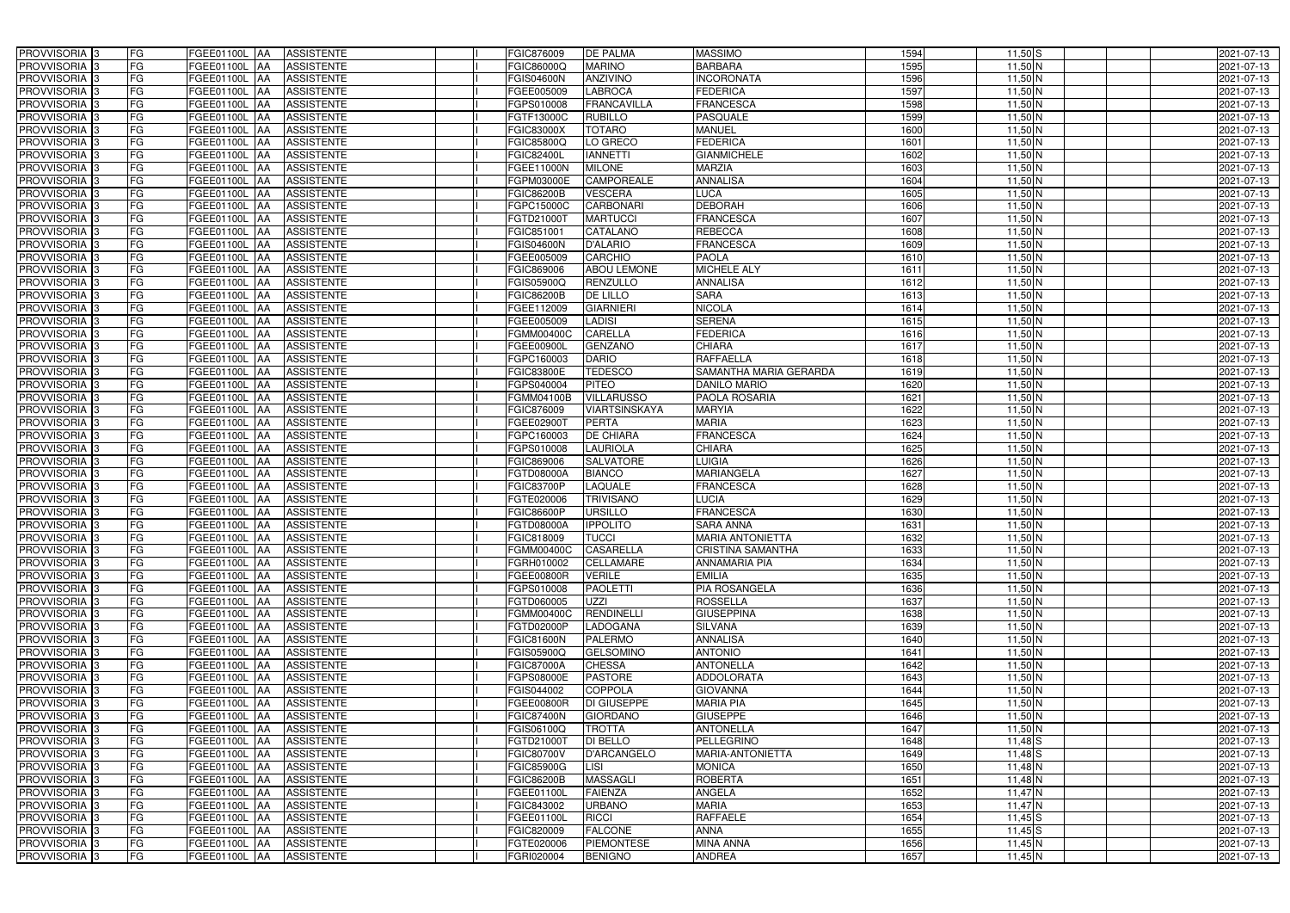| PROVVISORIA <sup>3</sup>                             | FG        | FGEE01100L AA<br><b>ASSISTENTE</b>               | FGIC876009               | <b>DE PALMA</b>               | <b>MASSIMO</b>           | 1594         | $11,50$ S                | 2021-07-13               |
|------------------------------------------------------|-----------|--------------------------------------------------|--------------------------|-------------------------------|--------------------------|--------------|--------------------------|--------------------------|
| PROVVISORIA 3                                        | FG        | <b>ASSISTENTE</b><br>FGEE01100L AA               | <b>GIC86000Q</b>         | <b>MARINO</b>                 | <b>BARBARA</b>           | 1595         | $11,50$ N                | 2021-07-13               |
| PROVVISORIA 3                                        | FG        | FGEE01100L AA<br><b>ASSISTENTE</b>               | <b>GIS04600N</b>         | ANZIVINO                      | <b>INCORONATA</b>        | 1596         | $11,50$ N                | 2021-07-13               |
| PROVVISORIA <sup>3</sup>                             | FG        | <b>FGEE01100L   AA</b><br><b>ASSISTENTE</b>      | FGEE005009               | <b>LABROCA</b>                | <b>FEDERICA</b>          | 1597         | $11,50$ N                | 2021-07-13               |
| PROVVISORIA 3                                        | FG        | <b>ASSISTENTE</b><br>FGEE01100L AA               | GPS010008                | <b>FRANCAVILLA</b>            | <b>FRANCESCA</b>         | 1598         | $11,50$ N                | 2021-07-13               |
| PROVVISORIA 3                                        | FG        | FGEE01100L<br><b>ASSISTENTE</b><br><b>IAA</b>    | FGTF13000C               | <b>RUBILLO</b>                | PASQUALE                 | 1599         | $11,50$ N                | 2021-07-13               |
| PROVVISORIA 3                                        | <b>FG</b> | FGEE01100L AA<br><b>ASSISTENTE</b>               | FGIC83000X               | <b>TOTARO</b>                 | <b>MANUEL</b>            | 1600         | $11,50$ N                | 2021-07-13               |
| <b>PROVVISORIA</b> 3                                 | <b>FG</b> | FGEE01100L<br><b>ASSISTENTE</b><br>IAA           | FGIC85800Q               | LO GRECO                      | <b>FEDERICA</b>          | 1601         | $11,50$ N                | 2021-07-13               |
| PROVVISORIA <sup>1</sup> 3                           | FG        | FGEE01100L<br><b>ASSISTENTE</b><br>IAA           | GIC82400L                | <b>IANNETTI</b>               | <b>GIANMICHELE</b>       | 1602         | $11,50$ N                | 2021-07-13               |
| PROVVISORIA <sup>1</sup> 3                           | FG        | FGEE01100L<br><b>ASSISTENTE</b><br>IAA           | <b>GEE11000N</b>         | <b>MILONE</b>                 | <b>MARZIA</b>            | 1603         | $11,50$ N                | 2021-07-13               |
| PROVVISORIA 3                                        | FG        | FGEE01100L<br><b>ASSISTENTE</b><br><b>JAA</b>    | <b>GPM03000E</b>         | <b>CAMPOREALE</b>             | <b>ANNALISA</b>          | 1604         | $11,50$ N                | 2021-07-13               |
| PROVVISORIA 3                                        | <b>FG</b> | FGEE01100L AA<br><b>ASSISTENTE</b>               | <b>FGIC86200B</b>        | <b>VESCERA</b>                | <b>LUCA</b>              | 1605         | $11,50$ N                | 2021-07-13               |
| PROVVISORIA <sup>3</sup>                             | FG        | FGEE01100L AA<br><b>ASSISTENTE</b>               | FGPC15000C               | <b>CARBONARI</b>              | <b>DEBORAH</b>           | 1606         | $11,50$ N                | 2021-07-13               |
| PROVVISORIA 3                                        | <b>FG</b> | FGEE01100L AA<br><b>ASSISTENTE</b>               | FGTD21000T               | <b>MARTUCCI</b>               | <b>FRANCESCA</b>         | 1607         | $11,50$ N                | 2021-07-13               |
| PROVVISORIA 3                                        | FG        | FGEE01100L AA<br><b>ASSISTENTE</b>               | FGIC851001               | <b>CATALANO</b>               | <b>REBECCA</b>           | 1608         | $11,50$ N                | 2021-07-13               |
| PROVVISORIA 3                                        | FG        | <b>FGEE01100L   AA</b><br><b>ASSISTENTE</b>      | FGIS04600N               | <b>D'ALARIO</b>               | <b>FRANCESCA</b>         | 1609         | $11,50$ N                | 2021-07-13               |
| PROVVISORIA 3                                        | <b>FG</b> | FGEE01100L<br><b>ASSISTENTE</b><br>IAA           | FGEE005009               | <b>CARCHIO</b>                | <b>PAOLA</b>             | 1610         | $11,50$ N                | 2021-07-13               |
| PROVVISORIA <sup>3</sup>                             | FG        | FGEE01100L AA<br><b>ASSISTENTE</b>               | FGIC869006               | <b>ABOU LEMONE</b>            | <b>MICHELE ALY</b>       | 1611         | $11,50$ N                | 2021-07-13               |
| PROVVISORIA 3                                        | FG        | FGEE01100L<br><b>ASSISTENTE</b><br><b>IAA</b>    | FGIS05900Q               | <b>RENZULLO</b>               | <b>ANNALISA</b>          | 1612         | $11,50$ N                | 2021-07-13               |
| <b>PROVVISORIA</b> 3                                 | FG        | FGEE01100L<br><b>ASSISTENTE</b><br>AA            | <b>FGIC86200B</b>        | <b>DE LILLO</b>               | <b>SARA</b>              | 1613         | $11,50$ N                | 2021-07-13               |
| PROVVISORIA <sup>1</sup> 3                           | FG        | <b>FGEE01100L</b><br><b>ASSISTENTE</b><br>IAA    | FGEE112009               | <b>GIARNIERI</b>              | <b>NICOLA</b>            | 1614         | $11,50$ N                | 2021-07-13               |
| PROVVISORIA <sup>3</sup>                             | FG        | FGEE01100L<br><b>ASSISTENTE</b><br>IAA           | FGEE005009               | <b>LADISI</b>                 | <b>SERENA</b>            | 1615         | $11,50$ N                | 2021-07-13               |
| PROVVISORIA <sup>3</sup>                             | FG        | FGEE01100L<br><b>ASSISTENTE</b><br>IAA           | FGMM00400C               | CARELLA                       | <b>FEDERICA</b>          | 1616         | $11,50$ N                | 2021-07-13               |
| <b>PROVVISORIA</b> 3                                 | FG        | FGEE01100L<br><b>ASSISTENTE</b>                  | GEE00900L                | <b>GENZANO</b>                | <b>CHIARA</b>            | 1617         | $11,50$ N                | 2021-07-13               |
| <b>PROVVISORIA</b> 3                                 | FG        | FGEE01100L<br><b>ASSISTENTE</b><br>IAA           | GPC160003                | <b>DARIO</b>                  | <b>RAFFAELLA</b>         | 1618         | 11,50 N                  | 2021-07-13               |
| PROVVISORIA <sup>3</sup>                             | <b>FG</b> | FGEE01100L<br><b>ASSISTENTE</b><br>IAA           | GIC83800E                | <b>TEDESCO</b>                | SAMANTHA MARIA GERARDA   | 1619         | $11,50$ N                | 2021-07-13               |
| PROVVISORIA 3                                        | <b>FG</b> | <b>FGEE01100L</b><br><b>ASSISTENTE</b>           | GPS040004                | <b>PITEO</b>                  | <b>DANILO MARIO</b>      | 1620         | $11,50$ N                | 2021-07-13               |
| PROVVISORIA <sup>3</sup>                             | FG        | FGEE01100L<br><b>ASSISTENTE</b><br>IAA           | GMM04100B                | <b>VILLARUSSO</b>             | PAOLA ROSARIA            | 1621         | $11,50$ N                | 2021-07-13               |
| PROVVISORIA 3                                        | FG        | FGEE01100L<br><b>ASSISTENTE</b>                  | GIC876009                | VIARTSINSKAYA                 | <b>MARYIA</b>            | 1622         | 11,50 N                  | 2021-07-13               |
| PROVVISORIA 3                                        | <b>FG</b> | FGEE01100L<br><b>ASSISTENTE</b><br>IAA           | FGEE02900T               | <b>PERTA</b>                  | <b>MARIA</b>             | 1623         | $11,50$ N                | 2021-07-13               |
| PROVVISORIA 3                                        | <b>FG</b> | FGEE01100L<br><b>ASSISTENTE</b><br>IAA           | FGPC160003               | <b>DE CHIARA</b>              | <b>FRANCESCA</b>         | 1624         | $11,50$ N                | 2021-07-13               |
| PROVVISORIA 3                                        | FG        | <b>FGEE01100L</b><br><b>ASSISTENTE</b><br>IAA    | FGPS010008               | <b>LAURIOLA</b>               | <b>CHIARA</b>            | 1625         | $11,50$ N                | 2021-07-13               |
| PROVVISORIA <sup>1</sup> 3                           | <b>FG</b> | FGEE01100L<br><b>ASSISTENTE</b><br>IAA           | FGIC869006               | SALVATORE                     | <b>LUIGIA</b>            | 1626         | $11,50$ N                | 2021-07-13               |
| PROVVISORIA <sup>1</sup> 3                           | FG        | FGEE01100L<br><b>ASSISTENTE</b><br>IAA           | FGTD08000A               | <b>BIANCO</b>                 | <b>MARIANGELA</b>        | 1627         | $11,50$ N                | 2021-07-13               |
| PROVVISORIA <sup>13</sup>                            | FG        | FGEE01100L<br><b>ASSISTENTE</b><br>IAA           | FGIC83700P               | <b>LAQUALE</b>                | <b>FRANCESCA</b>         | 1628         | $11,50$ N                | 2021-07-13               |
| PROVVISORIA 3                                        | FG        | FGEE01100L<br><b>ASSISTENTE</b><br><b>JAA</b>    | FGTE020006               | <b>TRIVISANO</b>              | <b>LUCIA</b>             | 1629         | $11,50$ N                | 2021-07-13               |
| PROVVISORIA 3                                        | <b>FG</b> | FGEE01100L AA<br><b>ASSISTENTE</b>               | FGIC86600P               | <b>URSILLO</b>                | <b>FRANCESCA</b>         | 1630         | $11,50$ N                | 2021-07-13               |
| PROVVISORIA <sup>3</sup>                             | <b>FG</b> | FGEE01100L AA<br><b>ASSISTENTE</b>               | FGTD08000A               | <b>IPPOLITO</b>               | <b>SARA ANNA</b>         | 1631         | $11,50$ N                | 2021-07-13               |
| PROVVISORIA <sup>3</sup>                             | <b>FG</b> | FGEE01100L AA ASSISTENTE                         | FGIC818009               | <b>TUCCI</b>                  | <b>MARIA ANTONIETTA</b>  | 1632         | $11,50$ N                | 2021-07-13               |
| <b>PROVVISORIA</b> 3                                 | <b>FG</b> | FGEE01100L AA<br><b>ASSISTENTE</b>               | FGMM00400C               | <b>CASARELLA</b>              | <b>CRISTINA SAMANTHA</b> | 1633         | $11,50$ N                | 2021-07-13               |
| PROVVISORIA <sup>3</sup>                             | FG        | FGEE01100L AA ASSISTENTE                         | FGRH010002               | <b>CELLAMARE</b>              | <b>ANNAMARIA PIA</b>     | 1634         | $11,50$ N                | 2021-07-13               |
| PROVVISORIA 3                                        | FG        | FGEE01100L AA ASSISTENTE                         | FGEE00800R               | <b>VERILE</b>                 | <b>EMILIA</b>            | 1635         | $11,50$ N                | 2021-07-13               |
| PROVVISORIA <sup>3</sup>                             | FG        | FGEE01100L AA<br><b>ASSISTENTE</b>               | FGPS010008               | <b>PAOLETTI</b>               | <b>PIA ROSANGELA</b>     | 1636         | $11,50$ N                | 2021-07-13               |
| PROVVISORIA <sup>3</sup>                             | FG        | FGEE01100L AA<br><b>ASSISTENTE</b>               | FGTD060005               | <b>UZZI</b>                   | <b>ROSSELLA</b>          | 1637         | $11,50$ N                | 2021-07-13               |
| PROVVISORIA <sup>3</sup>                             | FG        | FGEE01100L AA<br><b>ASSISTENTE</b>               | FGMM00400C               | RENDINELLI                    | <b>GIUSEPPINA</b>        | 1638         | $11,50$ N                | 2021-07-13               |
| PROVVISORIA 3                                        | <b>FG</b> | FGEE01100L AA<br><b>ASSISTENTE</b>               | FGTD02000P               | <b>LADOGANA</b>               | <b>SILVANA</b>           | 1639         | $11,50$ N                | 2021-07-13               |
| PROVVISORIA <sup>3</sup>                             | FG        | FGEE01100L AA<br>ASSISTENTE                      | FGIC81600N               | <b>PALERMO</b>                | <b>ANNALISA</b>          | 1640         | $11,50$ N                | 2021-07-13               |
| PROVVISORIA <sup>3</sup>                             | FG        | FGEE01100L AA<br><b>ASSISTENTE</b>               | FGIS05900Q               | <b>GELSOMINO</b>              | <b>ANTONIO</b>           | 1641         | $11,50$ N                | 2021-07-13               |
| PROVVISORIA <sup>3</sup>                             | FG        | FGEE01100L AA<br><b>ASSISTENTE</b>               | FGIC87000A               | <b>CHESSA</b>                 | <b>ANTONELLA</b>         | 1642         | $11,50$ N                | 2021-07-13               |
| PROVVISORIA <sup>3</sup>                             | FG        | FGEE01100L AA<br><b>ASSISTENTE</b>               | FGPS08000E               | <b>PASTORE</b>                | <b>ADDOLORATA</b>        | 1643         | $11,50$ N                | 2021-07-13               |
| PROVVISORIA <sup>3</sup>                             | <b>FG</b> | FGEE01100L AA<br><b>ASSISTENTE</b>               | FGIS044002               | <b>COPPOLA</b>                | <b>GIOVANNA</b>          | 1644         | $11,50$ N                | 2021-07-13               |
| PROVVISORIA <sup>3</sup>                             | FG        | FGEE01100L AA<br><b>ASSISTENTE</b>               | FGEE00800R               | <b>DI GIUSEPPE</b>            | <b>MARIA PIA</b>         | 1645         | $11,50$ N                | 2021-07-13               |
| PROVVISORIA <sup>3</sup>                             | FG        | FGEE01100L AA<br><b>ASSISTENTE</b>               | <b>FGIC87400N</b>        | <b>GIORDANO</b>               | <b>GIUSEPPE</b>          | 1646         | $11,50$ N                | 2021-07-13               |
| PROVVISORIA <sup>3</sup>                             | FG        | <b>FGEE01100L   AA</b><br><b>ASSISTENTE</b>      | FGIS06100Q               | <b>TROTTA</b>                 | <b>ANTONELLA</b>         | 1647         | $11,50$ N                | 2021-07-13               |
| PROVVISORIA <sup>3</sup>                             | FG        | <b>FGEE01100L   AA</b><br><b>ASSISTENTE</b>      | FGTD21000T               | <b>DI BELLO</b>               | <b>PELLEGRINO</b>        | 1648         | $11,48$ $S$              | 2021-07-13               |
| PROVVISORIA <sup>3</sup>                             | FG        | <b>ASSISTENTE</b><br>FGEE01100L AA               | FGIC80700V               | <b>D'ARCANGELO</b>            | MARIA-ANTONIETTA         | 1649         | $11,48$ $S$              | 2021-07-13               |
| PROVVISORIA <sup>3</sup>                             | FG        | FGEE01100L AA<br><b>ASSISTENTE</b>               | <b>FGIC85900G</b>        | <b>LISI</b>                   | <b>MONICA</b>            | 1650         | $11,48$ N                | 2021-07-13               |
| PROVVISORIA <sup>3</sup>                             | FG        | FGEE01100L AA<br><b>ASSISTENTE</b>               | FGIC86200B               | <b>MASSAGLI</b>               | <b>ROBERTA</b>           | 1651         | $11,48$ N                | 2021-07-13               |
| PROVVISORIA <sup>3</sup>                             | FG        | <b>ASSISTENTE</b><br>FGEE01100L AA               | FGEE01100L               | <b>FAIENZA</b>                | ANGELA<br><b>MARIA</b>   | 1652         | $11,47$ <sup>N</sup>     | 2021-07-13               |
| PROVVISORIA <sup>3</sup><br>PROVVISORIA <sup>3</sup> | FG<br>FG  | FGEE01100L AA<br><b>ASSISTENTE</b>               | FGIC843002               | <b>URBANO</b><br><b>RICCI</b> | <b>RAFFAELE</b>          | 1653<br>1654 | $11,47$ N                | 2021-07-13               |
| PROVVISORIA <sup>3</sup>                             | FG        | FGEE01100L AA<br>ASSISTENTE<br><b>ASSISTENTE</b> | FGEE01100L               | <b>FALCONE</b>                | <b>ANNA</b>              | 1655         | $11,45$ $S$              | 2021-07-13               |
| PROVVISORIA <sup>3</sup>                             | FG        | FGEE01100L AA<br>FGEE01100L AA                   | FGIC820009<br>FGTE020006 | <b>PIEMONTESE</b>             | <b>MINA ANNA</b>         | 1656         | $11,45$ $S$<br>$11,45$ N | 2021-07-13<br>2021-07-13 |
| PROVVISORIA 3                                        | FG        | ASSISTENTE<br><b>FGEE01100L AA</b><br>ASSISTENTE | FGRI020004               | <b>BENIGNO</b>                | <b>ANDREA</b>            | 1657         |                          |                          |
|                                                      |           |                                                  |                          |                               |                          |              | $11,45$ N                | 2021-07-13               |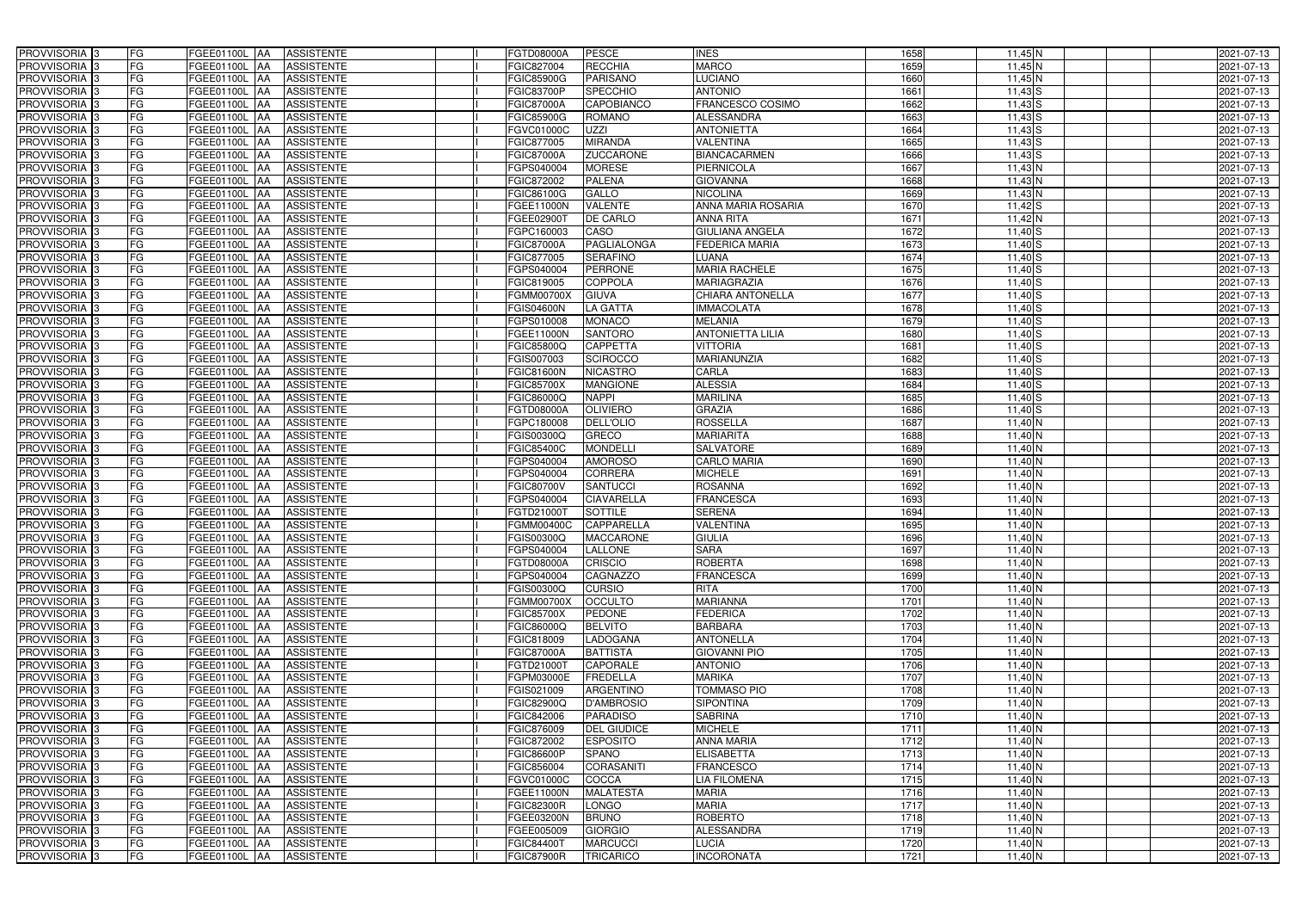| <b>PROVVISORIA</b> 3<br>FG                            | FGEE01100L AA<br><b>ASSISTENTE</b>                                | <b>FGTD08000A</b>        | <b>PESCE</b>                      | <b>INES</b>                        | 1658         | $11,45$ N              | 2021-07-13               |
|-------------------------------------------------------|-------------------------------------------------------------------|--------------------------|-----------------------------------|------------------------------------|--------------|------------------------|--------------------------|
| FG<br><b>PROVVISORIA</b> 3                            | FGEE01100L<br><b>AA</b><br><b>ASSISTENTE</b>                      | FGIC827004               | <b>RECCHIA</b>                    | <b>MARCO</b>                       | 1659         | $11,45$ N              | 2021-07-13               |
| FG<br><b>PROVVISORIA</b> 3                            | FGEE01100L<br><b>JAA</b><br><b>ASSISTENTE</b>                     | <b>FGIC85900G</b>        | <b>PARISANO</b>                   | LUCIANO                            | 1660         | $11,45$ N              | 2021-07-13               |
| FG<br><b>PROVVISORIA</b> 3                            | <b>AA</b><br><b>ASSISTENTE</b><br>FGEE01100L                      | <b>FGIC83700P</b>        | <b>SPECCHIO</b>                   | <b>ANTONIO</b>                     | 1661         | $11,43$ S              | 2021-07-13               |
| <b>PROVVISORIA</b><br>FG                              | <b>ASSISTENTE</b><br>FGEE01100L<br><b>AA</b>                      | <b>FGIC87000A</b>        | <b>CAPOBIANCO</b>                 | FRANCESCO COSIMO                   | 1662         | $11,43$ S              | 2021-07-13               |
| <b>PROVVISORIA</b> 3<br>FG                            | <b>ASSISTENTE</b><br>FGEE01100L<br><b>JAA</b>                     | FGIC85900G               | <b>ROMANO</b>                     | <b>ALESSANDRA</b>                  | 1663         | $11,43$ S              | 2021-07-13               |
| <b>PROVVISORIA</b> 3<br>FG                            | <b>ASSISTENTE</b><br>FGEE01100L<br><b>AA</b>                      | FGVC01000C               | <b>UZZI</b>                       | <b>ANTONIETTA</b>                  | 1664         | $11,43$ S              | 2021-07-13               |
| <b>PROVVISORIA</b><br>FG                              | <b>ASSISTENTE</b><br>FGEE01100L<br><b>JAA</b>                     | FGIC877005               | <b>MIRANDA</b>                    | <b>VALENTINA</b>                   | 1665         | $11,43$ $S$            | 2021-07-13               |
| PROVVISORIA <sub>3</sub><br>FG                        | <b>ASSISTENTE</b><br>FGEE01100L<br><b>AA</b>                      | <b>FGIC87000A</b>        | <b>ZUCCARONE</b>                  | <b>BIANCACARMEN</b>                | 1666         | $11,43$ S              | 2021-07-13               |
| <b>PROVVISORIA</b> 3<br>FG                            | FGEE01100L<br><b>ASSISTENTE</b><br>IAA                            | FGPS040004               | <b>MORESE</b>                     | <b>PIERNICOLA</b>                  | 1667         | $11,43$ N              | 2021-07-13               |
| <b>PROVVISORIA</b> 3<br>FG                            | FGEE01100L<br><b>ASSISTENTE</b><br><b>JAA</b>                     | <b>FGIC872002</b>        | <b>PALENA</b>                     | <b>GIOVANNA</b>                    | 1668         | $11,43$ N              | 2021-07-13               |
| PROVVISORIA <sup>3</sup><br>FG                        | FGEE01100L<br><b>ASSISTENTE</b><br><b>JAA</b>                     | FGIC86100G               | <b>GALLO</b>                      | <b>NICOLINA</b>                    | 1669         | $11,43$ N              | 2021-07-13               |
| PROVVISORIA 3<br><b>FG</b>                            | FGEE01100L<br><b>ASSISTENTE</b><br><b>AA</b>                      | FGEE11000N               | <b>VALENTE</b>                    | ANNA MARIA ROSARIA                 | 1670         | $11,42$ S              | 2021-07-13               |
| <b>PROVVISORIA</b> 3<br>FG                            | FGEE01100L<br><b>ASSISTENTE</b><br><b>AA</b>                      | FGEE029001               | <b>DE CARLO</b>                   | <b>ANNA RITA</b>                   | 1671         | $11,42$ N              | 2021-07-13               |
| <b>PROVVISORIA</b> 3<br>FG                            | FGEE01100L<br><b>ASSISTENTE</b><br><b>JAA</b>                     | FGPC160003               | CASO                              | <b>GIULIANA ANGELA</b>             | 1672         | $11,40$ S              | 2021-07-13               |
| <b>PROVVISORIA</b> 3<br>FG                            | FGEE01100L<br><b>ASSISTENTE</b><br><b>JAA</b>                     | <b>FGIC87000A</b>        | <b>PAGLIALONGA</b>                | <b>FEDERICA MARIA</b>              | 1673         | $11,40$ S              | 2021-07-13               |
| PROVVISORIA  <br>FG                                   | FGEE01100L<br><b>AA</b><br><b>ASSISTENTE</b>                      | FGIC877005               | <b>SERAFINO</b>                   | LUANA                              | 1674         | $11,40$ S              | 2021-07-13               |
| <b>PROVVISORIA</b> 3<br>FG                            | FGEE01100L<br><b>AA</b><br><b>ASSISTENTE</b>                      | FGPS040004               | <b>PERRONE</b>                    | <b>MARIA RACHELE</b>               | 1675         | $11,40$ S              | 2021-07-13               |
| <b>PROVVISORIA</b><br>FG                              | FGEE01100L<br><b>AA</b><br><b>ASSISTENTE</b>                      | FGIC819005               | <b>COPPOLA</b>                    | <b>MARIAGRAZIA</b>                 | 1676         | $11,40$ S              | 2021-07-13               |
| <b>PROVVISORIA</b><br>FG                              | FGEE01100L<br><b>ASSISTENTE</b><br><b>AA</b>                      | <b>FGMM00700X</b>        | <b>GIUVA</b>                      | <b>CHIARA ANTONELLA</b>            | 1677         | $11,40$ S              | 2021-07-13               |
| PROVVISORIA <sup>3</sup><br>FG                        | FGEE01100L<br><b>IAA</b><br><b>ASSISTENTE</b>                     | <b>FGIS04600N</b>        | LA GATTA                          | <b>IMMACOLATA</b>                  | 1678         | $11,40$ S              | 2021-07-13               |
| <b>PROVVISORIA</b> 3<br>FG                            | <b>IAA</b><br><b>ASSISTENTE</b><br>FGEE01100L                     | FGPS010008               | <b>MONACO</b>                     | <b>MELANIA</b>                     | 1679         | $11,40$ S              | 2021-07-13               |
| <b>PROVVISORIA</b> 3<br>FG                            | <b>IAA</b><br><b>ASSISTENTE</b><br>FGEE01100L                     | FGEE11000N               | <b>SANTORO</b>                    | <b>ANTONIETTA LILIA</b>            | 1680         | $11,40$ $S$            | 2021-07-13               |
| <b>PROVVISORIA</b> 3<br>FG                            | FGEE01100L<br><b>IAA</b><br><b>ASSISTENTE</b>                     | FGIC85800Q               | <b>CAPPETTA</b>                   | <b>VITTORIA</b>                    | 1681         | $11,40$ S              | 2021-07-13               |
| <b>PROVVISORIA</b> 3<br>FG                            | <b>ASSISTENTE</b><br>FGEE01100L<br><b>IAA</b>                     | FGIS007003               | <b>SCIROCCO</b>                   | MARIANUNZIA                        | 1682         | $11,40$ $S$            | 2021-07-13               |
| <b>PROVVISORIA</b> 3<br>FG                            | <b>ASSISTENTE</b><br>FGEE01100L<br><b>IAA</b>                     | <b>FGIC81600N</b>        | <b>NICASTRO</b>                   | CARLA                              | 1683         | $11,40$ S              | 2021-07-13               |
| <b>PROVVISORIA</b> 3<br>FG                            | FGEE01100L<br><b>ASSISTENTE</b><br><b>IAA</b>                     | <b>FGIC85700X</b>        | <b>MANGIONE</b>                   | <b>ALESSIA</b>                     | 1684         | $11,40$ $S$            | 2021-07-13               |
| FG<br>PROVVISORIA 3                                   | FGEE01100L<br><b>ASSISTENTE</b><br>IAA                            | FGIC86000Q               | <b>NAPPI</b>                      | <b>MARILINA</b>                    | 1685         | $11,40$ S              | 2021-07-13               |
| <b>FG</b><br>PROVVISORIA                              | FGEE01100L<br><b>ASSISTENTE</b><br>IAA                            | FGTD08000A               | <b>OLIVIERO</b>                   | <b>GRAZIA</b>                      | 1686         | $11,40$ S              | 2021-07-13               |
| FG<br>PROVVISORIA                                     | FGEE01100L<br><b>IAA</b><br><b>ASSISTENTE</b>                     | FGPC180008               | <b>DELL'OLIO</b>                  | <b>ROSSELLA</b>                    | 1687         | $11,40$ N              | 2021-07-13               |
| <b>PROVVISORIA</b><br>FG                              | <b>ASSISTENTE</b><br>FGEE01100L<br><b>IAA</b>                     | FGIS00300Q               | GRECO                             | <b>MARIARITA</b>                   | 1688         | $11,40$ N              | 2021-07-13               |
| PROVVISORIA  :<br>FG                                  | <b>ASSISTENTE</b><br>FGEE01100L<br><b>JAA</b>                     | <b>FGIC85400C</b>        | <b>MONDELLI</b>                   | <b>SALVATORE</b>                   | 1689         | $11,40$ N              | 2021-07-13               |
| PROVVISORIA  :<br>FG                                  | <b>ASSISTENTE</b><br>FGEE01100L<br><b>IAA</b>                     | FGPS040004               | <b>AMOROSO</b>                    | <b>CARLO MARIA</b>                 | 1690         | $11,40$ N              | 2021-07-13               |
| <b>PROVVISORIA</b> 3<br>FG                            | FGEE01100L<br><b>ASSISTENTE</b><br><b>JAA</b>                     | FGPS040004               | <b>CORRERA</b>                    | <b>MICHELE</b>                     | 1691         | 11,40 N                | 2021-07-13               |
| <b>PROVVISORIA</b> 3<br>FG                            | FGEE01100L<br><b>ASSISTENTE</b><br><b>AA</b>                      | <b>FGIC80700V</b>        | <b>SANTUCCI</b>                   | <b>ROSANNA</b>                     | 1692         | $11,40$ N              | 2021-07-13               |
| <b>PROVVISORIA</b><br>FG                              | FGEE01100L<br><b>ASSISTENTE</b><br><b>AA</b>                      | FGPS040004               | <b>CIAVARELLA</b>                 | <b>FRANCESCA</b>                   | 1693         | $11,40$ N              | 2021-07-13               |
| PROVVISORIA 3<br>FG                                   | FGEE01100L<br><b>ASSISTENTE</b><br><b>JAA</b>                     | FGTD21000T               | <b>SOTTILE</b>                    | <b>SERENA</b>                      | 1694         | $11,40$ N              | 2021-07-13               |
| PROVVISORIA 3<br>FG                                   | FGEE01100L AA<br><b>ASSISTENTE</b>                                | <b>FGMM00400C</b>        | CAPPARELLA                        | <b>VALENTINA</b>                   | 1695         | $11,40$ N              | 2021-07-13               |
| PROVVISORIA <sup>3</sup><br><b>FG</b>                 | FGEE01100L AA ASSISTENTE                                          | <b>FGIS00300Q</b>        | <b>MACCARONE</b>                  | <b>GIULIA</b>                      | 1696         | 11,40 N                | 2021-07-13               |
| PROVVISORIA <sup>3</sup><br>FG                        | FGEE01100L AA<br>ASSISTENTE                                       | FGPS040004               | <b>LALLONE</b>                    | <b>SARA</b>                        | 1697         | $11,40$ N              | 2021-07-13               |
| PROVVISORIA <sup>3</sup><br>FG<br>PROVVISORIA 3<br>FG | FGEE01100L AA<br><b>ASSISTENTE</b>                                | FGTD08000A               | <b>CRISCIO</b><br><b>CAGNAZZO</b> | <b>ROBERTA</b><br><b>FRANCESCA</b> | 1698         | $11,40$ N              | 2021-07-13               |
| PROVVISORIA <sup>3</sup><br>FG                        | FGEE01100L AA<br>ASSISTENTE<br>FGEE01100L AA<br><b>ASSISTENTE</b> | FGPS040004<br>FGIS00300Q | <b>CURSIO</b>                     | <b>RITA</b>                        | 1699<br>1700 | $11,40$ N              | 2021-07-13<br>2021-07-13 |
| PROVVISORIA 3<br>FG                                   | FGEE01100L AA<br>ASSISTENTE                                       | <b>FGMM00700X</b>        | <b>OCCULTO</b>                    | <b>MARIANNA</b>                    | 1701         | $11,40$ N<br>$11,40$ N | 2021-07-13               |
| PROVVISORIA <sup>3</sup><br>FG                        | FGEE01100L AA<br><b>ASSISTENTE</b>                                | <b>FGIC85700X</b>        | <b>PEDONE</b>                     | <b>FEDERICA</b>                    | 1702         | 11,40 N                | 2021-07-13               |
| PROVVISORIA <sup>3</sup><br>FG                        | FGEE01100L AA<br><b>ASSISTENTE</b>                                | FGIC86000Q               | <b>BELVITO</b>                    | <b>BARBARA</b>                     | 1703         | 11,40 N                | 2021-07-13               |
| <b>PROVVISORIA</b> 3<br>FG                            | FGEE01100L AA<br><b>ASSISTENTE</b>                                | FGIC818009               | LADOGANA                          | <b>ANTONELLA</b>                   | 1704         | 11,40 N                | 2021-07-13               |
| PROVVISORIA <sup>3</sup><br>FG                        | FGEE01100L<br><b>AA</b><br><b>ASSISTENTE</b>                      | <b>FGIC87000A</b>        | <b>BATTISTA</b>                   | <b>GIOVANNI PIO</b>                | 1705         | $11,40$ N              | 2021-07-13               |
| PROVVISORIA <sup>3</sup><br>FG                        | FGEE01100L AA<br><b>ASSISTENTE</b>                                | FGTD21000T               | <b>CAPORALE</b>                   | <b>ANTONIO</b>                     | 1706         | $11,40$ N              | 2021-07-13               |
| PROVVISORIA <sup>3</sup><br>FG                        | FGEE01100L AA<br><b>ASSISTENTE</b>                                | FGPM03000E               | <b>FREDELLA</b>                   | <b>MARIKA</b>                      | 1707         | $11,40$ N              | 2021-07-13               |
| FG<br>PROVVISORIA <sup>3</sup>                        | FGEE01100L AA<br><b>ASSISTENTE</b>                                | FGIS021009               | <b>ARGENTINO</b>                  | TOMMASO PIO                        | 1708         | $11,40$ N              | 2021-07-13               |
| PROVVISORIA <sup>3</sup><br>FG                        | <b>FGEE01100L AA</b><br><b>ASSISTENTE</b>                         | FGIC82900Q               | <b>D'AMBROSIO</b>                 | <b>SIPONTINA</b>                   | 1709         | $11,40$ N              | 2021-07-13               |
| FG<br>PROVVISORIA <sup>3</sup>                        | FGEE01100L AA<br><b>ASSISTENTE</b>                                | FGIC842006               | <b>PARADISO</b>                   | <b>SABRINA</b>                     | 1710         | $11,40$ N              | 2021-07-13               |
| FG<br>PROVVISORIA <sup>3</sup>                        | FGEE01100L AA<br><b>ASSISTENTE</b>                                | FGIC876009               | <b>DEL GIUDICE</b>                | <b>MICHELE</b>                     | 1711         | $11,40$ N              | 2021-07-13               |
| FG<br>PROVVISORIA <sup>3</sup>                        | <b>ASSISTENTE</b><br>FGEE01100L AA                                | FGIC872002               | <b>ESPOSITO</b>                   | <b>ANNA MARIA</b>                  | 1712         | 11,40 N                | 2021-07-13               |
| PROVVISORIA <sup>3</sup><br>FG                        | <b>ASSISTENTE</b><br>FGEE01100L AA                                | <b>FGIC86600P</b>        | <b>SPANO</b>                      | <b>ELISABETTA</b>                  | 1713         | $11,40$ N              | 2021-07-13               |
| PROVVISORIA <sup>3</sup><br>FG                        | <b>ASSISTENTE</b><br>FGEE01100L AA                                | FGIC856004               | <b>CORASANITI</b>                 | <b>FRANCESCO</b>                   | 1714         | 11,40 N                | 2021-07-13               |
| PROVVISORIA <sup>3</sup><br>FG                        | <b>ASSISTENTE</b><br>FGEE01100L AA                                | FGVC01000C               | COCCA                             | LIA FILOMENA                       | 1715         | $11,40$ N              | 2021-07-13               |
| PROVVISORIA <sup>3</sup><br>FG                        | <b>ASSISTENTE</b><br>FGEE01100L AA                                | <b>FGEE11000N</b>        | <b>MALATESTA</b>                  | <b>MARIA</b>                       | 1716         | $11,40$ N              | 2021-07-13               |
| PROVVISORIA <sup>3</sup><br>FG                        | <b>ASSISTENTE</b><br>FGEE01100L AA                                | <b>FGIC82300R</b>        | <b>LONGO</b>                      | <b>MARIA</b>                       | 1717         | $11,40$ N              | 2021-07-13               |
| PROVVISORIA <sup>3</sup><br>FG                        | <b>ASSISTENTE</b><br>FGEE01100L AA                                | FGEE03200N               | <b>BRUNO</b>                      | <b>ROBERTO</b>                     | 1718         | $11,40$ N              | 2021-07-13               |
| PROVVISORIA <sup>3</sup><br>FG                        | <b>ASSISTENTE</b><br>FGEE01100L<br><b>AA</b>                      | FGEE005009               | <b>GIORGIO</b>                    | <b>ALESSANDRA</b>                  | 1719         | $11,40$ N              | 2021-07-13               |
| PROVVISORIA <sup>3</sup><br>FG                        | FGEE01100L AA<br><b>ASSISTENTE</b>                                | <b>FGIC84400T</b>        | <b>MARCUCCI</b>                   | LUCIA                              | 1720         | $11,40$ N              | 2021-07-13               |
| PROVVISORIA <sup>3</sup><br>FG                        | <b>ASSISTENTE</b><br>FGEE01100L AA                                | FGIC87900R               | <b>TRICARICO</b>                  | <b>INCORONATA</b>                  | 1721         | $11,40$ N              | 2021-07-13               |
|                                                       |                                                                   |                          |                                   |                                    |              |                        |                          |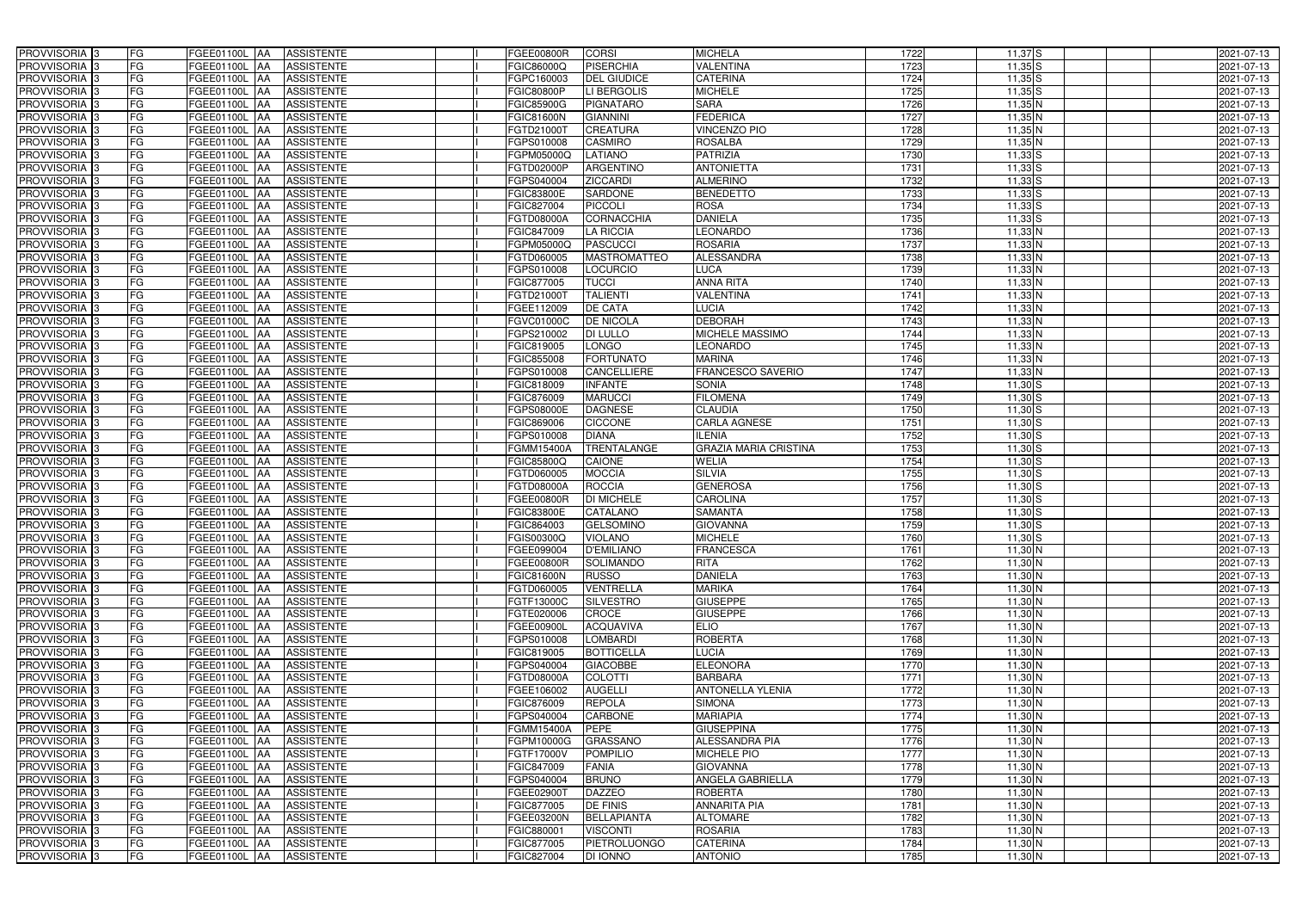| PROVVISORIA <sup>3</sup> | FG<br>FGEE01100L AA                              | <b>ASSISTENTE</b>               | <b>FGEE00800R</b>  | <b>CORSI</b>        | <b>MICHELA</b>               | 1722 | $11,37$ S   | 2021-07-13 |
|--------------------------|--------------------------------------------------|---------------------------------|--------------------|---------------------|------------------------------|------|-------------|------------|
| PROVVISORIA <sup>3</sup> | FG<br>FGEE01100L AA                              | <b>ASSISTENTE</b>               | FGIC86000Q         | <b>PISERCHIA</b>    | VALENTINA                    | 1723 | $11,35$ S   | 2021-07-13 |
| PROVVISORIA <sup>3</sup> | FG<br>FGEE01100L AA                              | <b>ASSISTENTE</b>               | FGPC160003         | <b>DEL GIUDICE</b>  | <b>CATERINA</b>              | 1724 | $11,35$ S   | 2021-07-13 |
| PROVVISORIA <sup>3</sup> | FG<br>FGEE01100L AA                              | <b>ASSISTENTE</b>               | <b>FGIC80800P</b>  | LI BERGOLIS         | <b>MICHELE</b>               | 1725 | $11,35$ S   | 2021-07-13 |
| PROVVISORIA 3            | FG<br>FGEE01100L AA                              | <b>ASSISTENTE</b>               | <b>FGIC85900G</b>  | <b>PIGNATARO</b>    | <b>SARA</b>                  | 1726 | $11,35$ N   | 2021-07-13 |
| PROVVISORIA <sup>3</sup> | FG<br>FGEE01100L AA                              | <b>ASSISTENTE</b>               | <b>FGIC81600N</b>  | <b>GIANNINI</b>     | <b>FEDERICA</b>              | 1727 | $11,35$ N   | 2021-07-13 |
| PROVVISORIA 3            | FG<br>FGEE01100L AA                              | <b>ASSISTENTE</b>               | FGTD21000T         | <b>CREATURA</b>     | <b>VINCENZO PIO</b>          | 1728 | $11,35$ N   | 2021-07-13 |
| PROVVISORIA 3            | FG<br>FGEE01100L AA                              | <b>ASSISTENTE</b>               | FGPS010008         | <b>CASMIRO</b>      | <b>ROSALBA</b>               | 1729 | $11,35$ N   | 2021-07-13 |
| PROVVISORIA <sup>3</sup> | FG<br><b>FGEE01100L   AA</b>                     | <b>ASSISTENTE</b>               | FGPM05000Q         | <b>LATIANO</b>      | <b>PATRIZIA</b>              | 1730 | $11,33$ S   | 2021-07-13 |
| PROVVISORIA <sup>3</sup> | FG<br>FGEE01100L                                 | <b>ASSISTENTE</b><br><b>JAA</b> | FGTD02000P         | <b>ARGENTINO</b>    | <b>ANTONIETTA</b>            | 1731 | $11,33$ S   | 2021-07-13 |
| PROVVISORIA 3            | FG<br>FGEE01100L AA                              | <b>ASSISTENTE</b>               | FGPS040004         | <b>ZICCARDI</b>     | <b>ALMERINO</b>              | 1732 | $11,33$ $S$ | 2021-07-13 |
| PROVVISORIA 3            | FG<br>FGEE01100L AA                              | <b>ASSISTENTE</b>               | <b>FGIC83800E</b>  | <b>SARDONE</b>      | <b>BENEDETTO</b>             | 1733 | $11,33$ $S$ | 2021-07-13 |
| PROVVISORIA 3            | FG<br>FGEE01100L AA                              | <b>ASSISTENTE</b>               | FGIC827004         | PICCOLI             | <b>ROSA</b>                  | 1734 | $11,33$ $S$ | 2021-07-13 |
| PROVVISORIA 3            | FG<br>FGEE01100L AA                              | <b>ASSISTENTE</b>               | FGTD08000A         | <b>CORNACCHIA</b>   | <b>DANIELA</b>               | 1735 | $11,33$ $S$ | 2021-07-13 |
| PROVVISORIA 3            | FG<br>FGEE01100L AA                              | <b>ASSISTENTE</b>               | FGIC847009         | <b>LA RICCIA</b>    | <b>LEONARDO</b>              | 1736 | $11,33$ N   | 2021-07-13 |
| PROVVISORIA 3            | $\overline{\mathsf{FG}}$<br><b>FGEE01100L AA</b> | <b>ASSISTENTE</b>               | FGPM05000Q         | <b>PASCUCCI</b>     | <b>ROSARIA</b>               | 1737 | $11,33$ N   | 2021-07-13 |
| PROVVISORIA 3            | FG<br>FGEE01100L AA                              | <b>ASSISTENTE</b>               | FGTD060005         | <b>MASTROMATTEO</b> | <b>ALESSANDRA</b>            | 1738 | $11,33$ N   | 2021-07-13 |
| PROVVISORIA 3            | FG<br>FGEE01100L AA                              | <b>ASSISTENTE</b>               | FGPS010008         | <b>LOCURCIO</b>     | <b>LUCA</b>                  | 1739 | $11,33$ N   | 2021-07-13 |
| PROVVISORIA 3            | FG<br>FGEE01100L AA                              | <b>ASSISTENTE</b>               | FGIC877005         | <b>TUCCI</b>        | <b>ANNA RITA</b>             | 1740 | $11,33$ N   | 2021-07-13 |
| PROVVISORIA 3            | FG<br>FGEE01100L AA                              | <b>ASSISTENTE</b>               | FGTD21000T         | <b>TALIENTI</b>     | <b>VALENTINA</b>             | 1741 | $11,33$ N   | 2021-07-13 |
| PROVVISORIA <sup>3</sup> | FG<br>FGEE01100L                                 | <b>ASSISTENTE</b><br><b>IAA</b> | FGEE112009         | <b>DE CATA</b>      | <b>LUCIA</b>                 | 1742 | $11,33$ N   | 2021-07-13 |
| PROVVISORIA 3            | FG<br>FGEE01100L                                 | <b>ASSISTENTE</b><br>IAA        | FGVC01000C         | <b>DE NICOLA</b>    | <b>DEBORAH</b>               | 1743 | $11,33$ N   | 2021-07-13 |
| PROVVISORIA 3            | FG<br>FGEE01100L                                 | <b>ASSISTENTE</b><br> AA        | FGPS210002         | DI LULLO            | MICHELE MASSIMO              | 1744 | $11,33$ N   | 2021-07-13 |
| PROVVISORIA <sup>3</sup> | FG<br><b>FGEE01100L</b>                          | <b>ASSISTENTE</b><br> AA        | FGIC819005         | LONGO               | <b>LEONARDO</b>              | 1745 | $11,33$ N   | 2021-07-13 |
| PROVVISORIA 3            | FG<br>FGEE01100L AA                              | <b>ASSISTENTE</b>               | FGIC855008         | <b>FORTUNATO</b>    | <b>MARINA</b>                | 1746 | $11,33$ N   | 2021-07-13 |
| PROVVISORIA 3            | $\overline{\mathsf{FG}}$<br>FGEE01100L AA        | <b>ASSISTENTE</b>               | FGPS010008         | CANCELLIERE         | <b>FRANCESCO SAVERIO</b>     | 1747 | $11,33$ N   | 2021-07-13 |
| PROVVISORIA 3            | FG<br>FGEE01100L                                 | <b>ASSISTENTE</b><br>IAA        | FGIC818009         | <b>INFANTE</b>      | <b>SONIA</b>                 | 1748 | $11,30$ $S$ | 2021-07-13 |
| PROVVISORIA <sup>3</sup> | FG<br>FGEE01100L                                 | <b>ASSISTENTE</b><br>IAA        | FGIC876009         | <b>MARUCCI</b>      | <b>FILOMENA</b>              | 1749 | $11,30$ S   | 2021-07-13 |
| PROVVISORIA <sup>3</sup> | FG<br>FGEE01100L                                 | <b>ASSISTENTE</b><br>IAA        | FGPS08000E         | <b>DAGNESE</b>      | <b>CLAUDIA</b>               | 1750 | $11,30$ S   | 2021-07-13 |
| PROVVISORIA <sup>3</sup> | FG<br>FGEE01100L AA                              | <b>ASSISTENTE</b>               | FGIC869006         | <b>CICCONE</b>      | <b>CARLA AGNESE</b>          | 1751 | $11,30$ $S$ | 2021-07-13 |
| PROVVISORIA <sup>3</sup> | FG<br><b>FGEE01100L AA</b>                       | <b>ASSISTENTE</b>               | FGPS010008         | <b>DIANA</b>        | <b>ILENIA</b>                | 1752 | $11,30$ S   | 2021-07-13 |
| PROVVISORIA <sup>3</sup> | FG<br>FGEE01100L                                 | <b>ASSISTENTE</b><br><b>AA</b>  | FGMM15400A         | <b>TRENTALANGE</b>  | <b>GRAZIA MARIA CRISTINA</b> | 1753 | $11,30$ S   | 2021-07-13 |
| PROVVISORIA <sup>3</sup> | FG<br>FGEE01100L                                 | <b>ASSISTENTE</b><br> AA        | FGIC85800Q         | CAIONE              | <b>WELIA</b>                 | 1754 | $11,30$ S   | 2021-07-13 |
| PROVVISORIA <sup>3</sup> | FG<br><b>FGEE01100L   AA</b>                     | <b>ASSISTENTE</b>               | FGTD060005         | <b>MOCCIA</b>       | <b>SILVIA</b>                | 1755 | $11,30$ S   | 2021-07-13 |
| PROVVISORIA 3            | FG<br>FGEE01100L AA                              | <b>ASSISTENTE</b>               | FGTD08000A         | ROCCIA              | <b>GENEROSA</b>              | 1756 | $11,30$ S   | 2021-07-13 |
| PROVVISORIA <sup>3</sup> | FG<br>FGEE01100L AA                              | <b>ASSISTENTE</b>               | FGEE00800R         | <b>DI MICHELE</b>   | <b>CAROLINA</b>              | 1757 | $11,30$ $S$ | 2021-07-13 |
| PROVVISORIA 3            | FG<br>FGEE01100L AA                              | <b>ASSISTENTE</b>               | <b>FGIC83800E</b>  | CATALANO            | <b>SAMANTA</b>               | 1758 | $11,30$ $S$ | 2021-07-13 |
| PROVVISORIA <sup>3</sup> | FG<br>FGEE01100L AA                              | <b>ASSISTENTE</b>               | FGIC864003         | <b>GELSOMINO</b>    | <b>GIOVANNA</b>              | 1759 | $11,30$ $S$ | 2021-07-13 |
| PROVVISORIA <sup>3</sup> | <b>FG</b>                                        | FGEE01100L AA ASSISTENTE        | <b>FGIS00300Q</b>  | <b>VIOLANO</b>      | <b>MICHELE</b>               | 1760 | $11,30$ S   | 2021-07-13 |
| <b>PROVVISORIA</b> 3     | FG<br>FGEE01100L AA                              | ASSISTENTE                      | FGEE099004         | <b>D'EMILIANO</b>   | <b>FRANCESCA</b>             | 1761 | $11,30$ N   | 2021-07-13 |
| PROVVISORIA <sup>3</sup> | FG<br>FGEE01100L AA                              | <b>ASSISTENTE</b>               | FGEE00800R         | SOLIMANDO           | <b>RITA</b>                  | 1762 | $11,30$ N   | 2021-07-13 |
| PROVVISORIA <sup>3</sup> | FG<br>FGEE01100L AA                              | ASSISTENTE                      | FGIC81600N         | <b>RUSSO</b>        | <b>DANIELA</b>               | 1763 | $11,30$ N   | 2021-07-13 |
| PROVVISORIA <sup>3</sup> | FG<br>FGEE01100L AA                              | ASSISTENTE                      | FGTD060005         | <b>VENTRELLA</b>    | <b>MARIKA</b>                | 1764 | $11,30$ N   | 2021-07-13 |
| PROVVISORIA <sup>3</sup> | FG<br>FGEE01100L AA                              | ASSISTENTE                      | FGTF13000C         | SILVESTRO           | <b>GIUSEPPE</b>              | 1765 | $11,30$ N   | 2021-07-13 |
| PROVVISORIA <sup>3</sup> | FG<br>FGEE01100L AA                              | ASSISTENTE                      | FGTE020006         | CROCE               | <b>GIUSEPPE</b>              | 1766 | $11,30$ N   | 2021-07-13 |
| PROVVISORIA <sup>3</sup> | FG<br>FGEE01100L AA                              | <b>ASSISTENTE</b>               | FGEE00900L         | <b>ACQUAVIVA</b>    | <b>ELIO</b>                  | 1767 | $11,30$ N   | 2021-07-13 |
| PROVVISORIA <sup>3</sup> | FG<br>FGEE01100L AA                              | <b>ASSISTENTE</b>               | FGPS010008         | <b>LOMBARDI</b>     | <b>ROBERTA</b>               | 1768 | $11,30$ N   | 2021-07-13 |
| PROVVISORIA <sup>3</sup> | FG<br>FGEE01100L AA                              | <b>ASSISTENTE</b>               | FGIC819005         | <b>BOTTICELLA</b>   | <b>LUCIA</b>                 | 1769 | $11,30$ N   | 2021-07-13 |
| PROVVISORIA <sup>3</sup> | FG<br>FGEE01100L AA                              | <b>ASSISTENTE</b>               | FGPS040004         | <b>GIACOBBE</b>     | <b>ELEONORA</b>              | 1770 | $11,30$ N   | 2021-07-13 |
| PROVVISORIA <sup>3</sup> | FG<br>FGEE01100L AA                              | <b>ASSISTENTE</b>               | FGTD08000A         | <b>COLOTTI</b>      | <b>BARBARA</b>               | 1771 | $11,30$ N   | 2021-07-13 |
| PROVVISORIA <sup>3</sup> | FG<br>FGEE01100L AA                              | <b>ASSISTENTE</b>               | FGEE106002         | <b>AUGELLI</b>      | <b>ANTONELLA YLENIA</b>      | 1772 | $11,30$ N   | 2021-07-13 |
| PROVVISORIA <sup>3</sup> | FG<br>FGEE01100L AA                              | <b>ASSISTENTE</b>               | FGIC876009         | <b>REPOLA</b>       | <b>SIMONA</b>                | 1773 | $11,30$ N   | 2021-07-13 |
| PROVVISORIA <sup>3</sup> | FG<br>FGEE01100L AA                              | <b>ASSISTENTE</b>               | FGPS040004         | CARBONE             | <b>MARIAPIA</b>              | 1774 | $11,30$ N   | 2021-07-13 |
| PROVVISORIA <sup>3</sup> | FG<br>FGEE01100L AA                              | <b>ASSISTENTE</b>               | PEPE<br>FGMM15400A |                     | <b>GIUSEPPINA</b>            | 1775 | $11,30$ N   | 2021-07-13 |
| PROVVISORIA <sup>3</sup> | FG<br>FGEE01100L AA                              | <b>ASSISTENTE</b>               | FGPM10000G         | <b>GRASSANO</b>     | <b>ALESSANDRA PIA</b>        | 1776 | $11,30$ N   | 2021-07-13 |
| PROVVISORIA <sup>3</sup> | FG<br>FGEE01100L AA                              | <b>ASSISTENTE</b>               | FGTF17000V         | <b>POMPILIO</b>     | MICHELE PIO                  | 1777 | $11,30$ N   | 2021-07-13 |
| PROVVISORIA <sup>3</sup> | FG<br>FGEE01100L AA                              | <b>ASSISTENTE</b>               | FGIC847009         | <b>FANIA</b>        | <b>GIOVANNA</b>              | 1778 | $11,30$ N   | 2021-07-13 |
| PROVVISORIA <sup>3</sup> | FG<br>FGEE01100L AA                              | <b>ASSISTENTE</b>               | FGPS040004         | <b>BRUNO</b>        | <b>ANGELA GABRIELLA</b>      | 1779 | $11,30$ N   | 2021-07-13 |
| PROVVISORIA <sup>3</sup> | FG<br>FGEE01100L AA                              | <b>ASSISTENTE</b>               | FGEE02900T         | <b>DAZZEO</b>       | <b>ROBERTA</b>               | 1780 | $11,30$ N   | 2021-07-13 |
| PROVVISORIA <sup>3</sup> | FG<br>FGEE01100L AA                              | <b>ASSISTENTE</b>               | FGIC877005         | <b>DE FINIS</b>     | <b>ANNARITA PIA</b>          | 1781 | $11,30$ N   | 2021-07-13 |
| PROVVISORIA <sup>3</sup> | FG<br>FGEE01100L AA                              | <b>ASSISTENTE</b>               | FGEE03200N         | BELLAPIANTA         | <b>ALTOMARE</b>              | 1782 | $11,30$ N   | 2021-07-13 |
| PROVVISORIA <sup>3</sup> | FG<br><b>FGEE01100L AA</b>                       | <b>ASSISTENTE</b>               | FGIC880001         | <b>VISCONTI</b>     | <b>ROSARIA</b>               | 1783 | $11,30$ N   | 2021-07-13 |
| PROVVISORIA <sup>3</sup> | FG<br>FGEE01100L AA                              | ASSISTENTE                      | FGIC877005         | <b>PIETROLUONGO</b> | <b>CATERINA</b>              | 1784 | $11,30$ N   | 2021-07-13 |
| PROVVISORIA 3            | FG<br>FGEE01100L AA                              | ASSISTENTE                      | FGIC827004         | <b>DI IONNO</b>     | <b>ANTONIO</b>               | 1785 | $11,30$ N   | 2021-07-13 |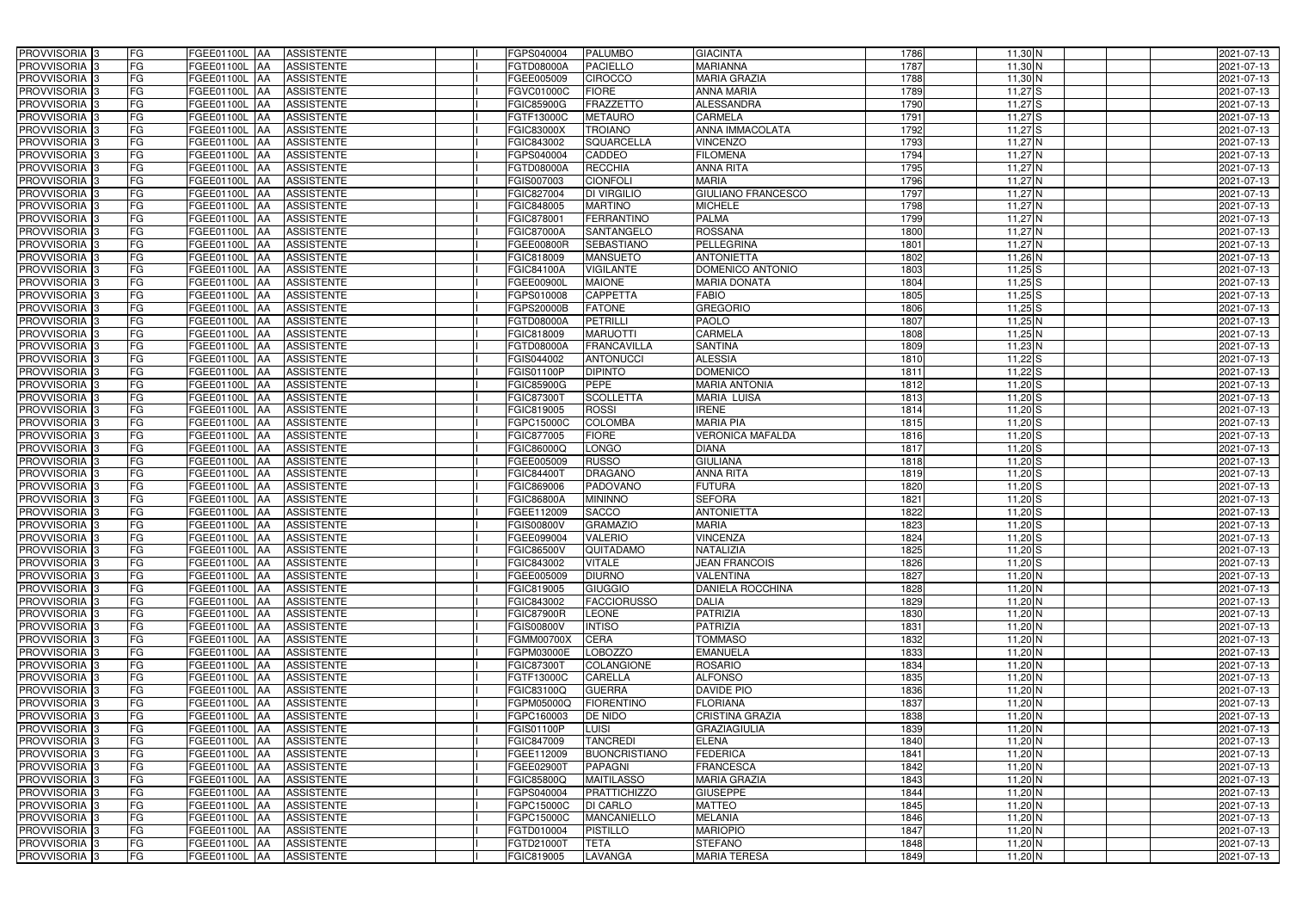| PROVVISORIA <sup>3</sup>                         | FG<br>FGEE01100L AA                              | <b>ASSISTENTE</b>               | FGPS040004               | <b>PALUMBO</b>           | <b>GIACINTA</b>                             | 1786         | $11,30$ N              | 2021-07-13               |
|--------------------------------------------------|--------------------------------------------------|---------------------------------|--------------------------|--------------------------|---------------------------------------------|--------------|------------------------|--------------------------|
| PROVVISORIA <sup>3</sup>                         | FG<br>FGEE01100L AA                              | <b>ASSISTENTE</b>               | FGTD08000A               | <b>PACIELLO</b>          | <b>MARIANNA</b>                             | 1787         | $11,30$ N              | 2021-07-13               |
| PROVVISORIA <sup>1</sup> 3                       | FG<br>FGEE01100L   AA                            | <b>ASSISTENTE</b>               | FGEE005009               | <b>CIROCCO</b>           | <b>MARIA GRAZIA</b>                         | 1788         | $11,30$ N              | 2021-07-13               |
| PROVVISORIA <sup>3</sup>                         | FG<br><b>FGEE01100L AA</b>                       | <b>ASSISTENTE</b>               | FGVC01000C               | <b>FIORE</b>             | <b>ANNA MARIA</b>                           | 1789         | $11,27$ $S$            | 2021-07-13               |
| PROVVISORIA <sup>3</sup>                         | FG<br>FGEE01100L AA                              | <b>ASSISTENTE</b>               | <b>FGIC85900G</b>        | <b>FRAZZETTO</b>         | <b>ALESSANDRA</b>                           | 1790         | $11,27$ S              | 2021-07-13               |
| PROVVISORIA <sup>3</sup>                         | FG<br>FGEE01100L AA                              | <b>ASSISTENTE</b>               | FGTF13000C               | <b>METAURO</b>           | CARMELA                                     | 1791         | $11,27$ S              | 2021-07-13               |
| PROVVISORIA <sup>3</sup>                         | FG<br>FGEE01100L AA                              | <b>ASSISTENTE</b>               | <b>FGIC83000X</b>        | <b>TROIANO</b>           | <b>ANNA IMMACOLATA</b>                      | 1792         | $11,27$ S              | 2021-07-13               |
| PROVVISORIA 3                                    | FG<br>FGEE01100L AA                              | <b>ASSISTENTE</b>               | FGIC843002               | <b>SQUARCELLA</b>        | <b>VINCENZO</b>                             | 1793         | $11,27$ N              | 2021-07-13               |
| PROVVISORIA <sup>3</sup>                         | FG<br><b>FGEE01100L   AA</b>                     | <b>ASSISTENTE</b>               | FGPS040004               | <b>CADDEO</b>            | <b>FILOMENA</b>                             | 1794         | 11,27 N                | 2021-07-13               |
| PROVVISORIA <sup>3</sup>                         | FG<br>FGEE01100L                                 | <b>ASSISTENTE</b><br><b>JAA</b> | FGTD08000A               | <b>RECCHIA</b>           | <b>ANNA RITA</b>                            | 1795         | $11,27$ N              | 2021-07-13               |
| PROVVISORIA 3                                    | FG<br>FGEE01100L AA                              | <b>ASSISTENTE</b>               | FGIS007003               | <b>CIONFOLI</b>          | <b>MARIA</b>                                | 1796         | $11,27$ N              | 2021-07-13               |
| PROVVISORIA 3                                    | FG<br>FGEE01100L AA                              | <b>ASSISTENTE</b>               | FGIC827004               | <b>DI VIRGILIO</b>       | <b>GIULIANO FRANCESCO</b>                   | 1797         | $11,27$ N              | 2021-07-13               |
| PROVVISORIA 3                                    | FG<br>FGEE01100L AA                              | <b>ASSISTENTE</b>               | FGIC848005               | <b>MARTINO</b>           | <b>MICHELE</b>                              | 1798         | $11,27$ N              | 2021-07-13               |
| PROVVISORIA 3                                    | FG<br>FGEE01100L AA                              | <b>ASSISTENTE</b>               | FGIC878001               | <b>FERRANTINO</b>        | <b>PALMA</b>                                | 1799         | $11,27$ N              | 2021-07-13               |
| PROVVISORIA 3                                    | FG<br><b>FGEE01100L   AA</b>                     | <b>ASSISTENTE</b>               | <b>FGIC87000A</b>        | SANTANGELO               | <b>ROSSANA</b>                              | 1800         | $11,27$ N              | 2021-07-13               |
| PROVVISORIA 3                                    | $\overline{\mathsf{FG}}$<br><b>FGEE01100L AA</b> | <b>ASSISTENTE</b>               | FGEE00800R               | <b>SEBASTIANO</b>        | PELLEGRINA                                  | 1801         | $11,27$ N              | 2021-07-13               |
| PROVVISORIA 3                                    | FG<br>FGEE01100L AA                              | <b>ASSISTENTE</b>               | FGIC818009               | <b>MANSUETO</b>          | <b>ANTONIETTA</b>                           | 1802         | $11,26$ N              | 2021-07-13               |
| PROVVISORIA 3                                    | FG<br>FGEE01100L AA                              | <b>ASSISTENTE</b>               | <b>FGIC84100A</b>        | <b>VIGILANTE</b>         | DOMENICO ANTONIO                            | 1803         | $11,25$ S              | 2021-07-13               |
| PROVVISORIA <sup>3</sup>                         | FG<br>FGEE01100L AA                              | <b>ASSISTENTE</b>               | FGEE00900L               | <b>MAIONE</b>            | <b>MARIA DONATA</b>                         | 1804         | $11,25$ S              | 2021-07-13               |
| PROVVISORIA 3                                    | FG<br>FGEE01100L AA                              | <b>ASSISTENTE</b>               | FGPS010008               | <b>CAPPETTA</b>          | <b>FABIO</b>                                | 1805         | $11,25$ S              | 2021-07-13               |
| PROVVISORIA <sup>3</sup>                         | FG<br>FGEE01100L                                 | <b>ASSISTENTE</b><br><b>IAA</b> | FGPS20000B               | <b>FATONE</b>            | <b>GREGORIO</b>                             | 1806         | $11,25$ S              | 2021-07-13               |
| PROVVISORIA 3                                    | FG<br>FGEE01100L                                 | AA<br><b>ASSISTENTE</b>         | FGTD08000A               | <b>PETRILLI</b>          | <b>PAOLO</b>                                | 1807         | $11,25$ N              | 2021-07-13               |
| PROVVISORIA 3                                    | FG<br>FGEE01100L                                 | <b>ASSISTENTE</b><br> AA        | FGIC818009               | <b>MARUOTTI</b>          | <b>CARMELA</b>                              | 1808         | $11,25$ N              | 2021-07-13               |
| PROVVISORIA <sup>3</sup>                         | FG<br>FGEE01100L                                 | <b>AA</b><br><b>ASSISTENTE</b>  | <b>FGTD08000A</b>        | <b>FRANCAVILLA</b>       | <b>SANTINA</b>                              | 1809         | $11,23$ N              | 2021-07-13               |
| PROVVISORIA 3                                    | FG<br><b>FGEE01100L AA</b>                       | <b>ASSISTENTE</b>               | FGIS044002               | <b>ANTONUCCI</b>         | <b>ALESSIA</b>                              | 1810         | $11,22$ S              | 2021-07-13               |
| PROVVISORIA 3                                    | $\overline{\mathsf{FG}}$<br>FGEE01100L AA        | <b>ASSISTENTE</b>               | FGIS01100P               | <b>DIPINTO</b>           | <b>DOMENICO</b>                             | 1811         | $11,22$ S              | 2021-07-13               |
| PROVVISORIA 3                                    | FG<br>FGEE01100L                                 | <b>ASSISTENTE</b><br>IAA        | <b>FGIC85900G</b>        | <b>PEPE</b>              | <b>MARIA ANTONIA</b>                        | 1812         | $11,20$ S              | 2021-07-13               |
| PROVVISORIA 3                                    | FG<br>FGEE01100L                                 | <b>ASSISTENTE</b><br>IAA        | FGIC873001               | <b>SCOLLETTA</b>         | <b>MARIA LUISA</b>                          | 1813         | $11,20$ S              | 2021-07-13               |
| PROVVISORIA <sup>3</sup>                         | FG<br>FGEE01100L                                 | <b>ASSISTENTE</b><br>IAA        | FGIC819005               | <b>ROSSI</b>             | <b>IRENE</b>                                | 1814         | $11,20$ S              | 2021-07-13               |
| PROVVISORIA <sup>3</sup>                         | FG<br><b>FGEE01100L AA</b>                       | <b>ASSISTENTE</b>               | FGPC15000C               | <b>COLOMBA</b>           | <b>MARIA PIA</b>                            | 1815         | $11,20$ S              | 2021-07-13               |
| PROVVISORIA <sup>3</sup>                         | FG<br><b>FGEE01100L AA</b>                       | <b>ASSISTENTE</b>               | FGIC877005               | <b>FIORE</b>             | <b>VERONICA MAFALDA</b>                     | 1816         | $11,20$ S              | 2021-07-13               |
| PROVVISORIA <sup>3</sup>                         | FG<br>FGEE01100L AA                              | <b>ASSISTENTE</b>               | FGIC86000Q               | <b>LONGO</b>             | <b>DIANA</b>                                | 1817         | $11,20$ S              | 2021-07-13               |
| PROVVISORIA <sup>3</sup>                         | FG<br>FGEE01100L                                 | <b>ASSISTENTE</b><br><b>JAA</b> | FGEE005009               | <b>RUSSO</b>             | <b>GIULIANA</b>                             | 1818         | $11,20$ S              | 2021-07-13               |
| PROVVISORIA <sup>3</sup>                         | FG<br><b>FGEE01100L   AA</b>                     | <b>ASSISTENTE</b>               | FGIC84400T               | <b>DRAGANO</b>           | <b>ANNA RITA</b>                            | 1819         | $11,20$ S              | 2021-07-13               |
| PROVVISORIA 3                                    | FG<br>FGEE01100L AA                              | <b>ASSISTENTE</b>               | FGIC869006               | PADOVANO                 | <b>FUTURA</b>                               | 1820         | $11,20$ S              | 2021-07-13               |
| PROVVISORIA <sup>3</sup>                         | FG<br>FGEE01100L AA                              | <b>ASSISTENTE</b>               | <b>FGIC86800A</b>        | <b>MININNO</b>           | <b>SEFORA</b>                               | 1821         | $11,20$ S              | 2021-07-13               |
| PROVVISORIA 3                                    | FG<br>FGEE01100L AA                              | <b>ASSISTENTE</b>               | FGEE112009               | <b>SACCO</b>             | <b>ANTONIETTA</b>                           | 1822         | $11,20$ S              | 2021-07-13               |
| PROVVISORIA <sup>3</sup>                         | FG<br>FGEE01100L AA                              | <b>ASSISTENTE</b>               | <b>FGIS00800V</b>        | <b>GRAMAZIO</b>          | <b>MARIA</b>                                | 1823         | $11,20$ S              | 2021-07-13               |
| PROVVISORIA <sup>3</sup>                         | <b>FG</b>                                        | FGEE01100L AA ASSISTENTE        | FGEE099004               | <b>VALERIO</b>           | <b>VINCENZA</b>                             | 1824         | $11,20$ S              | 2021-07-13               |
| <b>PROVVISORIA</b> 3                             | FG<br>FGEE01100L AA                              | ASSISTENTE                      | <b>FGIC86500V</b>        | QUITADAMO                | NATALIZIA                                   | 1825         | $11,20$ S              | 2021-07-13               |
| PROVVISORIA <sup>3</sup>                         | FG<br>FGEE01100L AA                              | <b>ASSISTENTE</b>               | FGIC843002               | <b>VITALE</b>            | <b>JEAN FRANCOIS</b>                        | 1826         | $11,20$ $S$            | 2021-07-13               |
| PROVVISORIA <sup>3</sup><br><b>PROVVISORIA</b> 3 | FG<br>FGEE01100L AA<br>FG<br>FGEE01100L AA       | <b>ASSISTENTE</b><br>ASSISTENTE | FGEE005009<br>FGIC819005 | <b>DIURNO</b><br>GIUGGIO | <b>VALENTINA</b><br><b>DANIELA ROCCHINA</b> | 1827<br>1828 | $11,20$ N<br>$11,20$ N | 2021-07-13<br>2021-07-13 |
| PROVVISORIA <sup>3</sup>                         | FG<br>FGEE01100L AA                              | ASSISTENTE                      | FGIC843002               | <b>FACCIORUSSO</b>       | <b>DALIA</b>                                | 1829         | $11,20$ N              | 2021-07-13               |
| PROVVISORIA <sup>3</sup>                         | FG<br>FGEE01100L AA                              | ASSISTENTE                      | <b>FGIC87900R</b>        | <b>LEONE</b>             | <b>PATRIZIA</b>                             | 1830         | $11,20$ N              | 2021-07-13               |
| PROVVISORIA <sup>3</sup>                         | FG<br>FGEE01100L AA                              | <b>ASSISTENTE</b>               | <b>FGIS00800V</b>        | <b>INTISO</b>            | <b>PATRIZIA</b>                             | 1831         | $11,20$ N              | 2021-07-13               |
| PROVVISORIA <sup>1</sup> 3                       | FG<br>FGEE01100L AA                              | <b>ASSISTENTE</b>               | <b>FGMM00700X</b>        | <b>CERA</b>              | <b>TOMMASO</b>                              | 1832         | 11,20 N                | 2021-07-13               |
| PROVVISORIA <sup>3</sup>                         | FG<br>FGEE01100L AA                              | <b>ASSISTENTE</b>               | FGPM03000E               | <b>LOBOZZO</b>           | <b>EMANUELA</b>                             | 1833         | $11,20$ N              | 2021-07-13               |
| PROVVISORIA <sup>3</sup>                         | FG<br>FGEE01100L AA                              | <b>ASSISTENTE</b>               | FGIC87300T               | <b>COLANGIONE</b>        | <b>ROSARIO</b>                              | 1834         | $11,20$ N              | 2021-07-13               |
| PROVVISORIA <sup>3</sup>                         | FG<br>FGEE01100L AA                              | <b>ASSISTENTE</b>               | FGTF13000C               | <b>CARELLA</b>           | <b>ALFONSO</b>                              | 1835         | $11,20$ N              | 2021-07-13               |
| PROVVISORIA <sup>3</sup>                         | FG<br>FGEE01100L AA                              | <b>ASSISTENTE</b>               | FGIC83100Q               | <b>GUERRA</b>            | <b>DAVIDE PIO</b>                           | 1836         | $11,20$ N              | 2021-07-13               |
| PROVVISORIA <sup>3</sup>                         | FG<br>FGEE01100L AA                              | <b>ASSISTENTE</b>               | FGPM05000Q               | <b>FIORENTINO</b>        | <b>FLORIANA</b>                             | 1837         | $11,20$ N              | 2021-07-13               |
| PROVVISORIA <sup>3</sup>                         | FG<br>FGEE01100L AA                              | <b>ASSISTENTE</b>               | FGPC160003               | <b>DE NIDO</b>           | <b>CRISTINA GRAZIA</b>                      | 1838         | $11,20$ N              | 2021-07-13               |
| PROVVISORIA <sup>3</sup>                         | FG<br>FGEE01100L AA                              | <b>ASSISTENTE</b>               | <b>FGIS01100P</b>        | <b>LUISI</b>             | <b>GRAZIAGIULIA</b>                         | 1839         | $11,20$ N              | 2021-07-13               |
| PROVVISORIA <sup>3</sup>                         | FG<br>FGEE01100L AA                              | <b>ASSISTENTE</b>               | FGIC847009               | <b>TANCREDI</b>          | <b>ELENA</b>                                | 1840         | $11,20$ N              | 2021-07-13               |
| PROVVISORIA <sup>3</sup>                         | FG<br>FGEE01100L AA                              | <b>ASSISTENTE</b>               | FGEE112009               | <b>BUONCRISTIANO</b>     | <b>FEDERICA</b>                             | 1841         | $11,20$ N              | 2021-07-13               |
| PROVVISORIA <sup>3</sup>                         | FG<br>FGEE01100L AA                              | <b>ASSISTENTE</b>               | FGEE02900T               | <b>PAPAGNI</b>           | <b>FRANCESCA</b>                            | 1842         | $11,20$ N              | 2021-07-13               |
| PROVVISORIA <sup>3</sup>                         | FG<br>FGEE01100L AA                              | <b>ASSISTENTE</b>               | <b>FGIC85800Q</b>        | <b>MAITILASSO</b>        | <b>MARIA GRAZIA</b>                         | 1843         | $11,20$ N              | 2021-07-13               |
| PROVVISORIA <sup>3</sup>                         | FGEE01100L AA<br>FG                              | <b>ASSISTENTE</b>               | FGPS040004               | <b>PRATTICHIZZO</b>      | <b>GIUSEPPE</b>                             | 1844         | $11,20$ N              | 2021-07-13               |
| PROVVISORIA <sup>3</sup>                         | FG<br>FGEE01100L AA                              | <b>ASSISTENTE</b>               | FGPC15000C               | <b>DI CARLO</b>          | <b>MATTEO</b>                               | 1845         | $11,20$ N              | 2021-07-13               |
| PROVVISORIA <sup>3</sup>                         | FG<br>FGEE01100L AA                              | <b>ASSISTENTE</b>               | FGPC15000C               | <b>MANCANIELLO</b>       | <b>MELANIA</b>                              | 1846         | $11,20$ N              | 2021-07-13               |
| PROVVISORIA <sup>3</sup>                         | FG<br>FGEE01100L AA                              | <b>ASSISTENTE</b>               | FGTD010004               | <b>PISTILLO</b>          | <b>MARIOPIO</b>                             | 1847         | $11,20$ N              | 2021-07-13               |
| PROVVISORIA <sup>3</sup>                         | FG<br>FGEE01100L AA                              | <b>ASSISTENTE</b>               | FGTD21000T               | <b>TETA</b>              | <b>STEFANO</b>                              | 1848         | $11,20$ N              | 2021-07-13               |
| PROVVISORIA 3                                    | FG<br>FGEE01100L AA                              | ASSISTENTE                      | FGIC819005               | LAVANGA                  | <b>MARIA TERESA</b>                         | 1849         | $11,20$ N              | 2021-07-13               |
|                                                  |                                                  |                                 |                          |                          |                                             |              |                        |                          |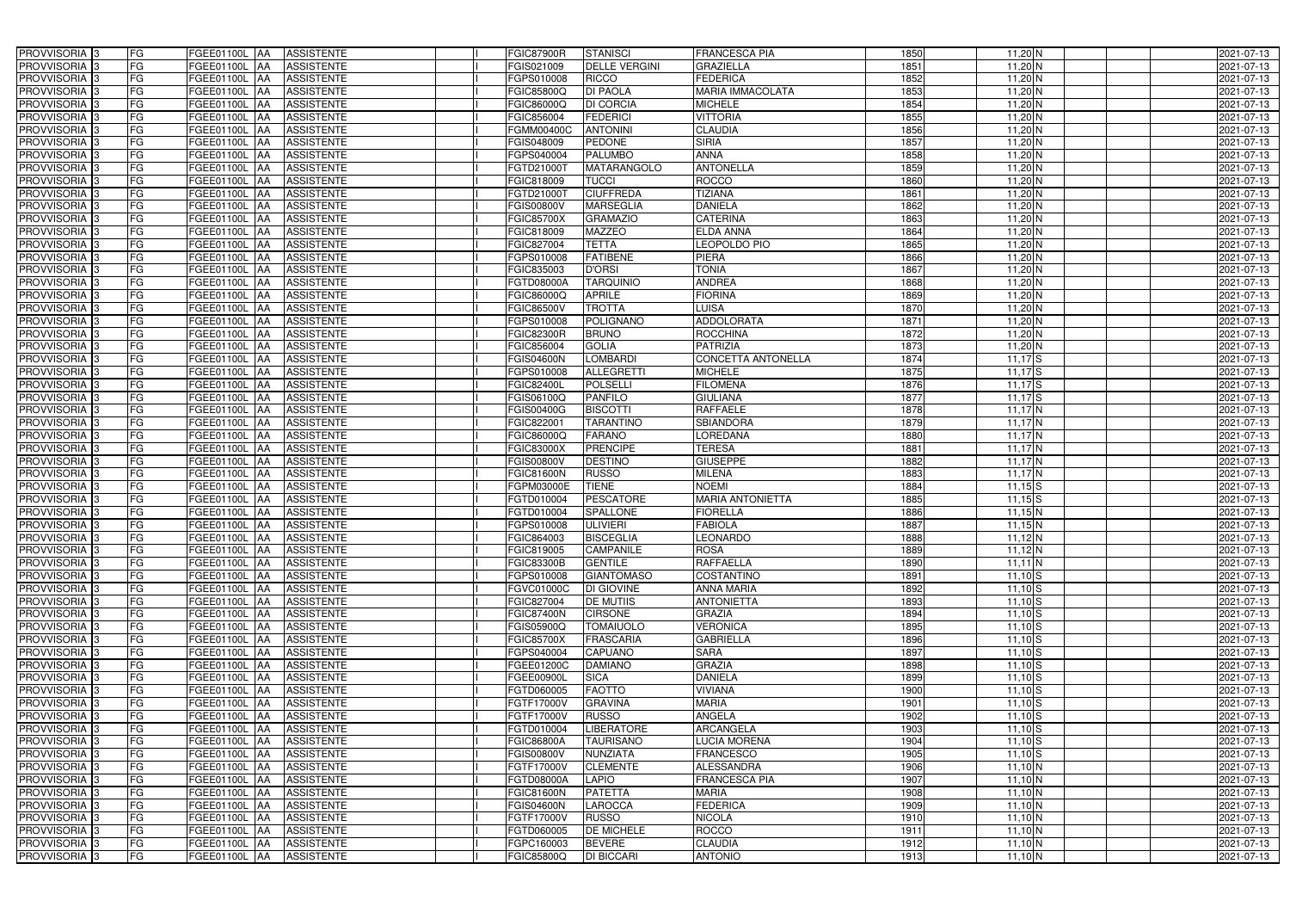| PROVVISORIA <sup>3</sup>   | FG<br>FGEE01100L AA                              | <b>ASSISTENTE</b>               | <b>FGIC87900R</b> | <b>STANISCI</b>      | <b>FRANCESCA PIA</b>    | 1850 | $11,20$ N   | 2021-07-13 |
|----------------------------|--------------------------------------------------|---------------------------------|-------------------|----------------------|-------------------------|------|-------------|------------|
| PROVVISORIA <sup>3</sup>   | FG<br>FGEE01100L AA                              | <b>ASSISTENTE</b>               | FGIS021009        | <b>DELLE VERGINI</b> | <b>GRAZIELLA</b>        | 1851 | $11,20$ N   | 2021-07-13 |
| PROVVISORIA <sup>1</sup> 3 | FG<br>FGEE01100L   AA                            | <b>ASSISTENTE</b>               | FGPS010008        | <b>RICCO</b>         | <b>FEDERICA</b>         | 1852 | $11,20$ N   | 2021-07-13 |
| PROVVISORIA <sup>3</sup>   | FG<br>FGEE01100L AA                              | <b>ASSISTENTE</b>               | FGIC85800Q        | <b>DI PAOLA</b>      | <b>MARIA IMMACOLATA</b> | 1853 | $11,20$ N   | 2021-07-13 |
| PROVVISORIA <sup>3</sup>   | FG<br>FGEE01100L AA                              | <b>ASSISTENTE</b>               | FGIC86000Q        | <b>DI CORCIA</b>     | <b>MICHELE</b>          | 1854 | $11,20$ N   | 2021-07-13 |
| PROVVISORIA <sup>3</sup>   | FG<br>FGEE01100L AA                              | <b>ASSISTENTE</b>               | FGIC856004        | <b>FEDERICI</b>      | <b>VITTORIA</b>         | 1855 | $11,20$ N   | 2021-07-13 |
| PROVVISORIA 3              | FG<br>FGEE01100L AA                              | <b>ASSISTENTE</b>               | FGMM00400C        | <b>ANTONINI</b>      | <b>CLAUDIA</b>          | 1856 | $11,20$ N   | 2021-07-13 |
| PROVVISORIA 3              | FG<br>FGEE01100L AA                              | <b>ASSISTENTE</b>               | FGIS048009        | <b>PEDONE</b>        | <b>SIRIA</b>            | 1857 | $11,20$ N   | 2021-07-13 |
| PROVVISORIA 3              | FG<br><b>FGEE01100L   AA</b>                     | <b>ASSISTENTE</b>               | FGPS040004        | <b>PALUMBO</b>       | <b>ANNA</b>             | 1858 | 11,20 N     | 2021-07-13 |
| PROVVISORIA <sup>3</sup>   | FG<br>FGEE01100L                                 | <b>ASSISTENTE</b><br><b>JAA</b> | FGTD21000T        | MATARANGOLO          | <b>ANTONELLA</b>        | 1859 | $11,20$ N   | 2021-07-13 |
| PROVVISORIA 3              | FG<br>FGEE01100L AA                              | <b>ASSISTENTE</b>               | FGIC818009        | <b>TUCCI</b>         | <b>ROCCO</b>            | 1860 | $11,20$ N   | 2021-07-13 |
| PROVVISORIA 3              | FG<br>FGEE01100L AA                              | <b>ASSISTENTE</b>               | FGTD21000T        | <b>CIUFFREDA</b>     | <b>TIZIANA</b>          | 1861 | $11,20$ N   | 2021-07-13 |
| PROVVISORIA 3              | FG<br>FGEE01100L AA                              | <b>ASSISTENTE</b>               | <b>FGIS00800V</b> | <b>MARSEGLIA</b>     | <b>DANIELA</b>          | 1862 | $11,20$ N   | 2021-07-13 |
| PROVVISORIA 3              | $\overline{\mathsf{FG}}$<br>FGEE01100L AA        | <b>ASSISTENTE</b>               | <b>FGIC85700X</b> | <b>GRAMAZIO</b>      | <b>CATERINA</b>         | 1863 | $11,20$ N   | 2021-07-13 |
| PROVVISORIA 3              | FG<br><b>FGEE01100L   AA</b>                     | <b>ASSISTENTE</b>               | FGIC818009        | <b>MAZZEO</b>        | <b>ELDA ANNA</b>        | 1864 | $11,20$ N   | 2021-07-13 |
| PROVVISORIA 3              | $\overline{\mathsf{FG}}$<br><b>FGEE01100L AA</b> | <b>ASSISTENTE</b>               | FGIC827004        | <b>TETTA</b>         | LEOPOLDO PIO            | 1865 | $11,20$ N   | 2021-07-13 |
| PROVVISORIA 3              | FG<br>FGEE01100L AA                              | <b>ASSISTENTE</b>               | FGPS010008        | <b>FATIBENE</b>      | <b>PIERA</b>            | 1866 | $11,20$ N   | 2021-07-13 |
| PROVVISORIA 3              | FG<br>FGEE01100L AA                              | <b>ASSISTENTE</b>               | FGIC835003        | <b>D'ORSI</b>        | <b>TONIA</b>            | 1867 | $11,20$ N   | 2021-07-13 |
| PROVVISORIA 3              | FG<br>FGEE01100L AA                              | <b>ASSISTENTE</b>               | FGTD08000A        | <b>TARQUINIO</b>     | <b>ANDREA</b>           | 1868 | $11,20$ N   | 2021-07-13 |
| PROVVISORIA 3              | FG<br>FGEE01100L AA                              | <b>ASSISTENTE</b>               | FGIC86000Q        | <b>APRILE</b>        | <b>FIORINA</b>          | 1869 | $11,20$ N   | 2021-07-13 |
| PROVVISORIA <sup>3</sup>   | FG<br>FGEE01100L                                 | <b>ASSISTENTE</b><br><b>JAA</b> | FGIC86500V        | <b>TROTTA</b>        | <b>LUISA</b>            | 1870 | $11,20$ N   | 2021-07-13 |
| PROVVISORIA 3              | FG<br>FGEE01100L                                 | AA<br><b>ASSISTENTE</b>         | FGPS010008        | <b>POLIGNANO</b>     | <b>ADDOLORATA</b>       | 1871 | $11,20$ N   | 2021-07-13 |
| PROVVISORIA 3              | FG<br>FGEE01100L                                 | <b>AA</b><br><b>ASSISTENTE</b>  | <b>FGIC82300R</b> | <b>BRUNO</b>         | <b>ROCCHINA</b>         | 1872 | $11,20$ N   | 2021-07-13 |
| PROVVISORIA <sup>3</sup>   | FG<br>FGEE01100L                                 | <b>AA</b><br><b>ASSISTENTE</b>  | FGIC856004        | <b>GOLIA</b>         | <b>PATRIZIA</b>         | 1873 | $11,20$ N   | 2021-07-13 |
| PROVVISORIA 3              | FG<br>FGEE01100L AA                              | <b>ASSISTENTE</b>               | <b>FGIS04600N</b> | <b>LOMBARDI</b>      | CONCETTA ANTONELLA      | 1874 | $11,17$ $S$ | 2021-07-13 |
| PROVVISORIA 3              | $\overline{\mathsf{FG}}$<br>FGEE01100L AA        | <b>ASSISTENTE</b>               | FGPS010008        | <b>ALLEGRETTI</b>    | <b>MICHELE</b>          | 1875 | $11,17$ $S$ | 2021-07-13 |
| PROVVISORIA 3              | FG<br>FGEE01100L                                 | <b>ASSISTENTE</b><br>IAA        | FGIC82400L        | <b>POLSELLI</b>      | <b>FILOMENA</b>         | 1876 | $11,17$ $S$ | 2021-07-13 |
| PROVVISORIA <sup>3</sup>   | FG<br>FGEE01100L                                 | <b>ASSISTENTE</b><br>IAA        | FGIS06100Q        | <b>PANFILO</b>       | <b>GIULIANA</b>         | 1877 | $11,17$ $S$ | 2021-07-13 |
| PROVVISORIA <sup>3</sup>   | FG<br>FGEE01100L                                 | <b>ASSISTENTE</b><br>IAA        | FGIS00400G        | <b>BISCOTTI</b>      | <b>RAFFAELE</b>         | 1878 | $11,17$ N   | 2021-07-13 |
| PROVVISORIA <sup>3</sup>   | FG<br><b>FGEE01100L AA</b>                       | <b>ASSISTENTE</b>               | FGIC82200         | <b>TARANTINO</b>     | <b>SBIANDORA</b>        | 1879 | $11,17$ N   | 2021-07-13 |
| PROVVISORIA <sup>3</sup>   | FG<br>FGEE01100L AA                              | <b>ASSISTENTE</b>               | FGIC86000Q        | <b>FARANO</b>        | <b>LOREDANA</b>         | 1880 | $11,17$ N   | 2021-07-13 |
| PROVVISORIA <sup>3</sup>   | FG<br>FGEE01100L AA                              | <b>ASSISTENTE</b>               | <b>FGIC83000X</b> | <b>PRENCIPE</b>      | <b>TERESA</b>           | 1881 | $11,17$ N   | 2021-07-13 |
| PROVVISORIA <sup>3</sup>   | FG<br>FGEE01100L AA                              | <b>ASSISTENTE</b>               | FGIS00800V        | <b>DESTINO</b>       | <b>GIUSEPPE</b>         | 1882 | $11,17$ N   | 2021-07-13 |
| PROVVISORIA <sup>3</sup>   | FG<br><b>FGEE01100L   AA</b>                     | <b>ASSISTENTE</b>               | <b>FGIC81600N</b> | <b>RUSSO</b>         | <b>MILENA</b>           | 1883 | $11,17$ N   | 2021-07-13 |
| PROVVISORIA <sup>3</sup>   | FG<br>FGEE01100L AA                              | <b>ASSISTENTE</b>               | FGPM03000E        | <b>TIENE</b>         | <b>NOEMI</b>            | 1884 | $11,15$ S   | 2021-07-13 |
| PROVVISORIA <sup>3</sup>   | FG<br>FGEE01100L AA                              | <b>ASSISTENTE</b>               | FGTD010004        | <b>PESCATORE</b>     | <b>MARIA ANTONIETTA</b> | 1885 | $11,15$ S   | 2021-07-13 |
| PROVVISORIA 3              | FG<br>FGEE01100L AA                              | <b>ASSISTENTE</b>               | FGTD010004        | SPALLONE             | <b>FIORELLA</b>         | 1886 | $11,15$ N   | 2021-07-13 |
| PROVVISORIA <sup>3</sup>   | FG<br>FGEE01100L AA                              | <b>ASSISTENTE</b>               | FGPS010008        | <b>ULIVIERI</b>      | <b>FABIOLA</b>          | 1887 | $11,15$ N   | 2021-07-13 |
| PROVVISORIA <sup>3</sup>   | <b>FG</b>                                        | FGEE01100L AA ASSISTENTE        | FGIC864003        | <b>BISCEGLIA</b>     | LEONARDO                | 1888 | $11,12$ N   | 2021-07-13 |
| <b>PROVVISORIA</b> 3       | FG<br>FGEE01100L AA                              | ASSISTENTE                      | FGIC819005        | <b>CAMPANILE</b>     | <b>ROSA</b>             | 1889 | $11,12$ N   | 2021-07-13 |
| PROVVISORIA <sup>3</sup>   | FG<br>FGEE01100L AA                              | <b>ASSISTENTE</b>               | <b>FGIC83300B</b> | <b>GENTILE</b>       | <b>RAFFAELLA</b>        | 1890 | $11,11$ N   | 2021-07-13 |
| PROVVISORIA <sup>3</sup>   | FG<br>FGEE01100L AA                              | ASSISTENTE                      | FGPS010008        | <b>GIANTOMASO</b>    | <b>COSTANTINO</b>       | 1891 | $11,10$ S   | 2021-07-13 |
| <b>PROVVISORIA</b> 3       | FG<br>FGEE01100L AA                              | ASSISTENTE                      | FGVC01000C        | DI GIOVINE           | <b>ANNA MARIA</b>       | 1892 | $11,10$ S   | 2021-07-13 |
| PROVVISORIA <sup>3</sup>   | FG<br>FGEE01100L AA                              | ASSISTENTE                      | FGIC827004        | <b>DE MUTIIS</b>     | <b>ANTONIETTA</b>       | 1893 | $11,10$ S   | 2021-07-13 |
| PROVVISORIA <sup>3</sup>   | FG<br>FGEE01100L AA                              | ASSISTENTE                      | <b>FGIC87400N</b> | <b>CIRSONE</b>       | <b>GRAZIA</b>           | 1894 | $11,10$ S   | 2021-07-13 |
| PROVVISORIA <sup>3</sup>   | FG<br>FGEE01100L AA                              | <b>ASSISTENTE</b>               | FGIS05900Q        | <b>TOMAIUOLO</b>     | <b>VERONICA</b>         | 1895 | $11,10$ S   | 2021-07-13 |
| PROVVISORIA <sup>3</sup>   | FG<br>FGEE01100L AA                              | <b>ASSISTENTE</b>               | <b>FGIC85700X</b> | <b>FRASCARIA</b>     | <b>GABRIELLA</b>        | 1896 | $11,10$ S   | 2021-07-13 |
| PROVVISORIA <sup>3</sup>   | FG<br>FGEE01100L AA                              | <b>ASSISTENTE</b>               | FGPS040004        | <b>CAPUANO</b>       | <b>SARA</b>             | 1897 | $11,10$ S   | 2021-07-13 |
| PROVVISORIA <sup>3</sup>   | FG<br>FGEE01100L AA                              | <b>ASSISTENTE</b>               | FGEE01200C        | <b>DAMIANO</b>       | <b>GRAZIA</b>           | 1898 | $11,10$ S   | 2021-07-13 |
| PROVVISORIA <sup>3</sup>   | FG<br>FGEE01100L AA                              | <b>ASSISTENTE</b>               | FGEE00900L        | <b>SICA</b>          | <b>DANIELA</b>          | 1899 | $11,10$ S   | 2021-07-13 |
| PROVVISORIA <sup>3</sup>   | FG<br>FGEE01100L AA                              | <b>ASSISTENTE</b>               | FGTD060005        | <b>FAOTTO</b>        | <b>VIVIANA</b>          | 1900 | $11,10$ S   | 2021-07-13 |
| PROVVISORIA <sup>3</sup>   | FG<br>FGEE01100L AA                              | <b>ASSISTENTE</b>               | FGTF17000V        | <b>GRAVINA</b>       | <b>MARIA</b>            | 1901 | $11,10$ S   | 2021-07-13 |
| PROVVISORIA <sup>3</sup>   | FG<br>FGEE01100L AA                              | <b>ASSISTENTE</b>               | FGTF17000V        | <b>RUSSO</b>         | ANGELA                  | 1902 | $11,10$ S   | 2021-07-13 |
| PROVVISORIA <sup>3</sup>   | FG<br>FGEE01100L AA                              | <b>ASSISTENTE</b>               | FGTD010004        | <b>LIBERATORE</b>    | <b>ARCANGELA</b>        | 1903 | $11,10$ S   | 2021-07-13 |
| PROVVISORIA <sup>3</sup>   | FG<br>FGEE01100L AA                              | <b>ASSISTENTE</b>               | <b>FGIC86800A</b> | <b>TAURISANO</b>     | <b>LUCIA MORENA</b>     | 1904 | $11,10$ S   | 2021-07-13 |
| PROVVISORIA <sup>3</sup>   | FG<br>FGEE01100L AA                              | <b>ASSISTENTE</b>               | <b>FGIS00800V</b> | NUNZIATA             | <b>FRANCESCO</b>        | 1905 | $11,10$ S   | 2021-07-13 |
| PROVVISORIA <sup>3</sup>   | FG<br>FGEE01100L AA                              | <b>ASSISTENTE</b>               | FGTF17000V        | <b>CLEMENTE</b>      | ALESSANDRA              | 1906 | $11,10$ N   | 2021-07-13 |
| PROVVISORIA <sup>3</sup>   | FG<br>FGEE01100L AA                              | <b>ASSISTENTE</b>               | FGTD08000A        | <b>LAPIO</b>         | <b>FRANCESCA PIA</b>    | 1907 | $11,10$ N   | 2021-07-13 |
| PROVVISORIA <sup>3</sup>   | FG<br>FGEE01100L AA                              | <b>ASSISTENTE</b>               | FGIC81600N        | <b>PATETTA</b>       | MARIA                   | 1908 | $11,10$ N   | 2021-07-13 |
| PROVVISORIA <sup>3</sup>   | FG<br>FGEE01100L AA                              | <b>ASSISTENTE</b>               | <b>FGIS04600N</b> | <b>LAROCCA</b>       | <b>FEDERICA</b>         | 1909 | $11,10$ N   | 2021-07-13 |
| PROVVISORIA <sup>3</sup>   | FG<br>FGEE01100L AA                              | <b>ASSISTENTE</b>               | FGTF17000V        | <b>RUSSO</b>         | <b>NICOLA</b>           | 1910 | $11,10$ N   | 2021-07-13 |
| PROVVISORIA <sup>3</sup>   | FG<br>FGEE01100L AA                              | <b>ASSISTENTE</b>               | FGTD060005        | <b>DE MICHELE</b>    | <b>ROCCO</b>            | 1911 | $11,10$ N   | 2021-07-13 |
| PROVVISORIA <sup>3</sup>   | FG<br>FGEE01100L AA                              | ASSISTENTE                      | FGPC160003        | <b>BEVERE</b>        | <b>CLAUDIA</b>          | 1912 | $11,10$ N   | 2021-07-13 |
| PROVVISORIA <sup>3</sup>   | FG<br>FGEE01100L AA                              | ASSISTENTE                      | <b>FGIC85800Q</b> | <b>DI BICCARI</b>    | <b>ANTONIO</b>          | 1913 | $11,10$ N   | 2021-07-13 |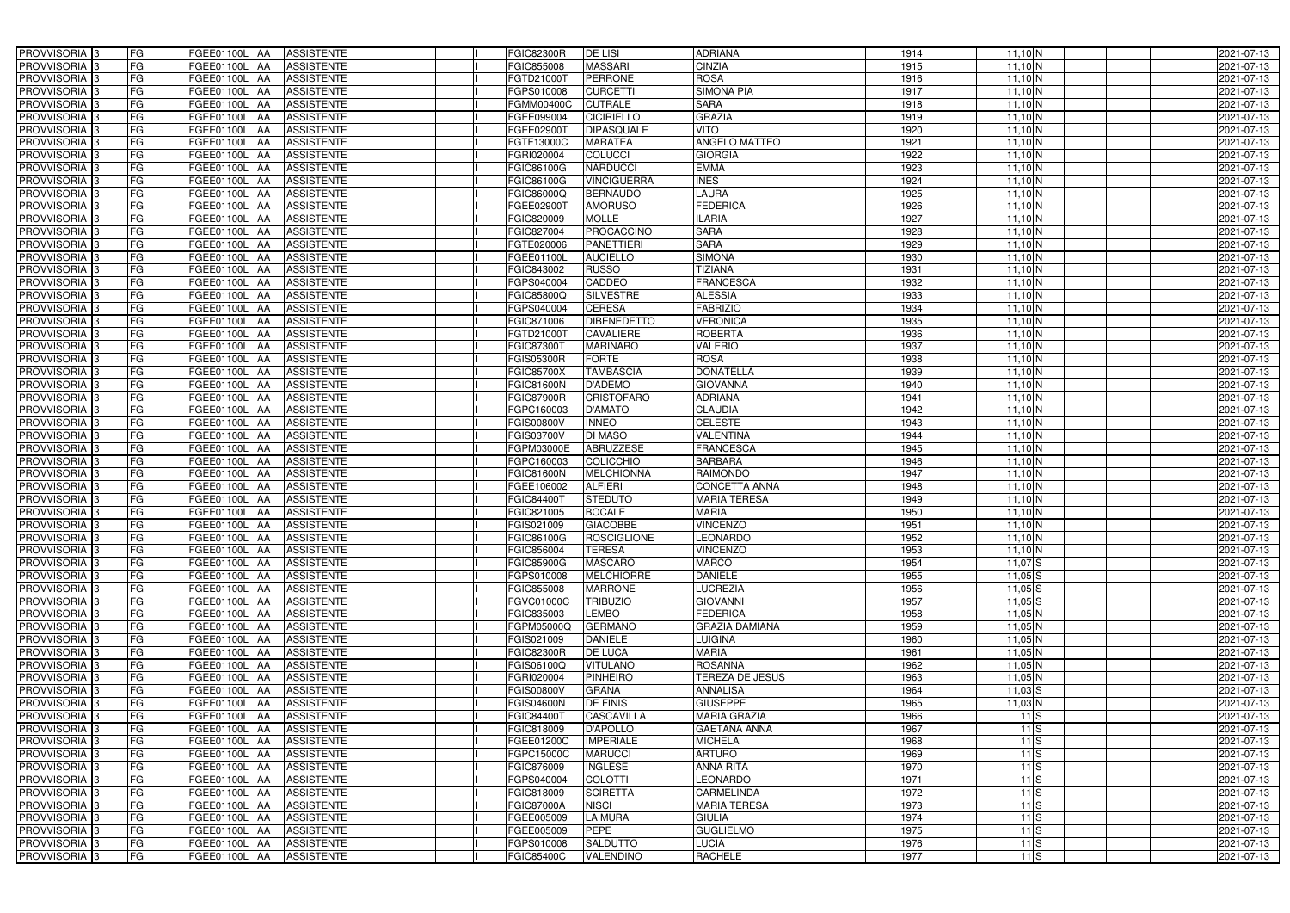| PROVVISORIA <sup>3</sup>   | FG        | FGEE01100L AA<br><b>ASSISTENTE</b>                   | <b>FGIC82300R</b> | <b>DE LISI</b>     | <b>ADRIANA</b>         | 1914 | $11,10$ N                  | 2021-07-13 |
|----------------------------|-----------|------------------------------------------------------|-------------------|--------------------|------------------------|------|----------------------------|------------|
| PROVVISORIA 3              | FG        | <b>ASSISTENTE</b><br>FGEE01100L AA                   | FGIC855008        | <b>MASSARI</b>     | <b>CINZIA</b>          | 1915 | $11,10\overline{\rm N}$    | 2021-07-13 |
| PROVVISORIA 3              | FG        | FGEE01100L AA<br><b>ASSISTENTE</b>                   | FGTD21000T        | <b>PERRONE</b>     | <b>ROSA</b>            | 1916 | $11,10$ N                  | 2021-07-13 |
| PROVVISORIA <sup>3</sup>   | FG        | <b>FGEE01100L   AA</b><br><b>ASSISTENTE</b>          | FGPS010008        | <b>CURCETTI</b>    | <b>SIMONA PIA</b>      | 1917 | $11,10$ N                  | 2021-07-13 |
| PROVVISORIA <sup>3</sup>   | FG        | <b>ASSISTENTE</b><br>FGEE01100L AA                   | FGMM00400C        | <b>CUTRALE</b>     | <b>SARA</b>            | 1918 | $11,10$ N                  | 2021-07-13 |
| PROVVISORIA 3              | FG        | FGEE01100L AA<br><b>ASSISTENTE</b>                   | FGEE099004        | <b>CICIRIELLO</b>  | <b>GRAZIA</b>          | 1919 | $11,10$ N                  | 2021-07-13 |
| PROVVISORIA 3              | <b>FG</b> | FGEE01100L AA<br><b>ASSISTENTE</b>                   | FGEE02900T        | <b>DIPASQUALE</b>  | <b>VITO</b>            | 1920 | $11,10$ N                  | 2021-07-13 |
| PROVVISORIA <sup>3</sup>   | <b>FG</b> | FGEE01100L<br><b>ASSISTENTE</b><br>IAA               | FGTF13000C        | <b>MARATEA</b>     | ANGELO MATTEO          | 1921 | $11,10$ N                  | 2021-07-13 |
| PROVVISORIA <sup>3</sup>   | FG        | FGEE01100L<br><b>ASSISTENTE</b><br>IAA               | GRI020004         | <b>COLUCCI</b>     | <b>GIORGIA</b>         | 1922 | 11,10N                     | 2021-07-13 |
| PROVVISORIA <sup>1</sup> 3 | FG        | FGEE01100L<br><b>ASSISTENTE</b><br>AA                | FGIC86100G        | <b>NARDUCCI</b>    | <b>EMMA</b>            | 1923 | $11,10$ N                  | 2021-07-13 |
| PROVVISORIA 3              | FG        | <b>ASSISTENTE</b><br>FGEE01100L AA                   | <b>GIC86100G</b>  | <b>VINCIGUERRA</b> | <b>INES</b>            | 1924 | $11,10$ N                  | 2021-07-13 |
| PROVVISORIA 3              | FG        | FGEE01100L AA<br><b>ASSISTENTE</b>                   | FGIC86000Q        | <b>BERNAUDO</b>    | <b>LAURA</b>           | 1925 | $11,10$ N                  | 2021-07-13 |
| PROVVISORIA <sup>3</sup>   | FG        | FGEE01100L AA<br><b>ASSISTENTE</b>                   | FGEE02900T        | <b>AMORUSO</b>     | <b>FEDERICA</b>        | 1926 | $11,10$ N                  | 2021-07-13 |
| PROVVISORIA <sup>3</sup>   | <b>FG</b> | FGEE01100L AA<br><b>ASSISTENTE</b>                   | FGIC820009        | <b>MOLLE</b>       | <b>ILARIA</b>          | 1927 | $11,10$ N                  | 2021-07-13 |
| PROVVISORIA 3              | FG        | FGEE01100L AA<br><b>ASSISTENTE</b>                   | FGIC827004        | PROCACCINO         | <b>SARA</b>            | 1928 | $11,10$ N                  | 2021-07-13 |
| PROVVISORIA 3              | FG        | FGEE01100L AA<br><b>ASSISTENTE</b>                   | FGTE020006        | <b>PANETTIERI</b>  | <b>SARA</b>            | 1929 | $11,10$ N                  | 2021-07-13 |
| PROVVISORIA 3              | <b>FG</b> | FGEE01100L AA<br><b>ASSISTENTE</b>                   | FGEE01100L        | <b>AUCIELLO</b>    | <b>SIMONA</b>          | 1930 | $11,10$ N                  | 2021-07-13 |
| PROVVISORIA 3              | FG        | FGEE01100L AA<br><b>ASSISTENTE</b>                   | FGIC843002        | <b>RUSSO</b>       | <b>TIZIANA</b>         | 1931 | $11,10$ N                  | 2021-07-13 |
| PROVVISORIA 3              | FG        | FGEE01100L AA<br><b>ASSISTENTE</b>                   | FGPS040004        | CADDEO             | <b>FRANCESCA</b>       | 1932 | $11,10$ N                  | 2021-07-13 |
| PROVVISORIA 3              | FG        | FGEE01100L<br><b>ASSISTENTE</b><br>IAA               | FGIC85800Q        | <b>SILVESTRE</b>   | <b>ALESSIA</b>         | 1933 | $11,10$ N                  | 2021-07-13 |
| PROVVISORIA <sup>1</sup> 3 | FG        | <b>FGEE01100L</b><br><b>ASSISTENTE</b><br>l AA       | FGPS040004        | <b>CERESA</b>      | <b>FABRIZIO</b>        | 1934 | $11,10\overline{\text{N}}$ | 2021-07-13 |
| PROVVISORIA <sup>3</sup>   | FG        | FGEE01100L<br><b>ASSISTENTE</b><br>IAA               | FGIC871006        | <b>DIBENEDETTO</b> | <b>VERONICA</b>        | 1935 | $11,10$ N                  | 2021-07-13 |
| PROVVISORIA <sup>3</sup>   | FG        | FGEE01100L<br><b>ASSISTENTE</b><br>IAA               | FGTD21000T        | <b>CAVALIERE</b>   | <b>ROBERTA</b>         | 1936 | $11,10$ N                  | 2021-07-13 |
| PROVVISORIA <sup>13</sup>  | FG        | FGEE01100L<br><b>ASSISTENTE</b><br>IAA               | GIC87300          | <b>MARINARO</b>    | <b>VALERIO</b>         | 1937 | $11,10$ N                  | 2021-07-13 |
| PROVVISORIA <sup>3</sup>   | FG        | FGEE01100L<br><b>ASSISTENTE</b><br>IAA               | GIS05300R         | <b>FORTE</b>       | <b>ROSA</b>            | 1938 | $11,10$ N                  | 2021-07-13 |
| PROVVISORIA <sup>3</sup>   | <b>FG</b> | <b>FGEE01100L</b><br><b>ASSISTENTE</b><br>IAA        | FGIC85700X        | <b>TAMBASCIA</b>   | <b>DONATELLA</b>       | 1939 | $11,10$ N                  | 2021-07-13 |
| PROVVISORIA 3              | <b>FG</b> | <b>FGEE01100L</b><br><b>ASSISTENTE</b>               | GIC81600N         | D'ADEMO            | <b>GIOVANNA</b>        | 1940 | $11,10$ N                  | 2021-07-13 |
| PROVVISORIA <sup>3</sup>   | FG        | FGEE01100L<br><b>ASSISTENTE</b><br>IAA               | <b>GIC87900R</b>  | <b>CRISTOFARO</b>  | <b>ADRIANA</b>         | 1941 | $11,10$ N                  | 2021-07-13 |
| PROVVISORIA 3              | FG        | FGEE01100L<br><b>ASSISTENTE</b>                      | GPC160003         | D'AMATO            | <b>CLAUDIA</b>         | 1942 | $11,10$ N                  | 2021-07-13 |
| PROVVISORIA 3              | <b>FG</b> | <b>FGEE01100L</b><br><b>ASSISTENTE</b><br>IAA        | FGIS00800V        | <b>INNEO</b>       | <b>CELESTE</b>         | 1943 | $11,10$ N                  | 2021-07-13 |
| PROVVISORIA 3              | <b>FG</b> | <b>FGEE01100L</b><br><b>ASSISTENTE</b><br>IAA        | FGIS03700V        | <b>DI MASO</b>     | <b>VALENTINA</b>       | 1944 | 11,10N                     | 2021-07-13 |
| PROVVISORIA 3              | FG        | <b>FGEE01100L</b><br><b>ASSISTENTE</b><br>IAA        | FGPM03000E        | <b>ABRUZZESE</b>   | <b>FRANCESCA</b>       | 1945 | $11,10$ N                  | 2021-07-13 |
| PROVVISORIA <sup>1</sup> 3 | <b>FG</b> | FGEE01100L<br><b>ASSISTENTE</b><br>IAA               | FGPC160003        | <b>COLICCHIO</b>   | <b>BARBARA</b>         | 1946 | $11,10$ N                  | 2021-07-13 |
| PROVVISORIA <sup>1</sup> 3 | FG        | <b>FGEE01100L</b><br><b>ASSISTENTE</b><br>IAA        | FGIC81600N        | <b>MELCHIONNA</b>  | <b>RAIMONDO</b>        | 1947 | $11,10$ <sub>N</sub>       | 2021-07-13 |
| PROVVISORIA <sup>3</sup>   | FG        | FGEE01100L<br><b>ASSISTENTE</b><br>IAA               | FGEE106002        | <b>ALFIERI</b>     | <b>CONCETTA ANNA</b>   | 1948 | $11,10$ N                  | 2021-07-13 |
| PROVVISORIA 3              | FG        | <b>FGEE01100L</b><br><b>ASSISTENTE</b><br><b>JAA</b> | FGIC84400T        | <b>STEDUTO</b>     | <b>MARIA TERESA</b>    | 1949 | $11,10$ N                  | 2021-07-13 |
| PROVVISORIA <sup>3</sup>   | <b>FG</b> | FGEE01100L AA<br><b>ASSISTENTE</b>                   | FGIC821005        | <b>BOCALE</b>      | <b>MARIA</b>           | 1950 | $11,10$ N                  | 2021-07-13 |
| PROVVISORIA <sup>3</sup>   | <b>FG</b> | FGEE01100L AA<br><b>ASSISTENTE</b>                   | FGIS021009        | <b>GIACOBBE</b>    | <b>VINCENZO</b>        | 1951 | $11,10$ N                  | 2021-07-13 |
| PROVVISORIA <sup>3</sup>   | <b>FG</b> | FGEE01100L AA ASSISTENTE                             | FGIC86100G        | ROSCIGLIONE        | <b>LEONARDO</b>        | 1952 | $11,10$ N                  | 2021-07-13 |
| <b>PROVVISORIA</b> 3       | <b>FG</b> | FGEE01100L AA<br><b>ASSISTENTE</b>                   | FGIC856004        | <b>TERESA</b>      | <b>VINCENZO</b>        | 1953 | 11,10 N                    | 2021-07-13 |
| PROVVISORIA <sup>3</sup>   | FG        | FGEE01100L AA<br><b>ASSISTENTE</b>                   | FGIC85900G        | <b>MASCARO</b>     | <b>MARCO</b>           | 1954 | $11,07$ $S$                | 2021-07-13 |
| PROVVISORIA <sup>3</sup>   | FG        | FGEE01100L AA ASSISTENTE                             | FGPS010008        | <b>MELCHIORRE</b>  | <b>DANIELE</b>         | 1955 | $11,05$ $S$                | 2021-07-13 |
| PROVVISORIA <sup>3</sup>   | FG        | FGEE01100L AA<br><b>ASSISTENTE</b>                   | FGIC855008        | <b>MARRONE</b>     | <b>LUCREZIA</b>        | 1956 | $11,05$ $S$                | 2021-07-13 |
| PROVVISORIA <sup>3</sup>   | FG        | FGEE01100L AA<br><b>ASSISTENTE</b>                   | FGVC01000C        | <b>TRIBUZIO</b>    | <b>GIOVANNI</b>        | 1957 | $11,05$ $S$                | 2021-07-13 |
| PROVVISORIA <sup>3</sup>   | FG        | FGEE01100L AA<br><b>ASSISTENTE</b>                   | FGIC835003        | <b>LEMBO</b>       | <b>FEDERICA</b>        | 1958 | $11,05$ N                  | 2021-07-13 |
| PROVVISORIA 3              | <b>FG</b> | FGEE01100L AA<br><b>ASSISTENTE</b>                   | FGPM05000Q        | <b>GERMANO</b>     | <b>GRAZIA DAMIANA</b>  | 1959 | $11,05$ <sub>N</sub>       | 2021-07-13 |
| PROVVISORIA <sup>3</sup>   | FG        | FGEE01100L AA<br>ASSISTENTE                          | FGIS021009        | <b>DANIELE</b>     | <b>LUIGINA</b>         | 1960 | $11,05$ N                  | 2021-07-13 |
| PROVVISORIA <sup>3</sup>   | FG        | FGEE01100L AA<br><b>ASSISTENTE</b>                   | FGIC82300R        | <b>DE LUCA</b>     | <b>MARIA</b>           | 1961 | $11,05$ N                  | 2021-07-13 |
| PROVVISORIA <sup>3</sup>   | FG        | FGEE01100L AA<br><b>ASSISTENTE</b>                   | FGIS06100Q        | <b>VITULANO</b>    | <b>ROSANNA</b>         | 1962 | $11,05$ N                  | 2021-07-13 |
| PROVVISORIA <sup>3</sup>   | FG        | FGEE01100L AA<br><b>ASSISTENTE</b>                   | FGRI020004        | <b>PINHEIRO</b>    | <b>TEREZA DE JESUS</b> | 1963 | $11,05$ N                  | 2021-07-13 |
| PROVVISORIA <sup>3</sup>   | FG        | FGEE01100L AA<br><b>ASSISTENTE</b>                   | FGIS00800V        | <b>GRANA</b>       | <b>ANNALISA</b>        | 1964 | $11,03$ $S$                | 2021-07-13 |
| PROVVISORIA <sup>3</sup>   | FG        | FGEE01100L AA<br><b>ASSISTENTE</b>                   | <b>FGIS04600N</b> | <b>DE FINIS</b>    | <b>GIUSEPPE</b>        | 1965 | $11,03$ N                  | 2021-07-13 |
| PROVVISORIA <sup>3</sup>   | FG        | FGEE01100L AA<br><b>ASSISTENTE</b>                   | FGIC84400T        | <b>CASCAVILLA</b>  | <b>MARIA GRAZIA</b>    | 1966 | 11S                        | 2021-07-13 |
| PROVVISORIA 3              | FG        | <b>FGEE01100L   AA</b><br><b>ASSISTENTE</b>          | FGIC818009        | <b>D'APOLLO</b>    | <b>GAETANA ANNA</b>    | 1967 | $11$ S                     | 2021-07-13 |
| PROVVISORIA <sup>3</sup>   | FG        | <b>FGEE01100L   AA</b><br><b>ASSISTENTE</b>          | FGEE01200C        | <b>IMPERIALE</b>   | <b>MICHELA</b>         | 1968 | $11$ S                     | 2021-07-13 |
| PROVVISORIA <sup>3</sup>   | FG        | <b>ASSISTENTE</b><br>FGEE01100L AA                   | FGPC15000C        | <b>MARUCCI</b>     | <b>ARTURO</b>          | 1969 | $11$ S                     | 2021-07-13 |
| PROVVISORIA <sup>3</sup>   | FG        | <b>ASSISTENTE</b><br>FGEE01100L AA                   | FGIC876009        | <b>INGLESE</b>     | <b>ANNA RITA</b>       | 1970 | 11S                        | 2021-07-13 |
| PROVVISORIA <sup>3</sup>   | FG        | FGEE01100L AA<br><b>ASSISTENTE</b>                   | FGPS040004        | <b>COLOTTI</b>     | <b>LEONARDO</b>        | 1971 | $11$ S                     | 2021-07-13 |
| PROVVISORIA <sup>3</sup>   | FG        | FGEE01100L AA<br><b>ASSISTENTE</b>                   | FGIC818009        | <b>SCIRETTA</b>    | <b>CARMELINDA</b>      | 1972 | $11$ S                     | 2021-07-13 |
| PROVVISORIA <sup>3</sup>   | FG        | FGEE01100L AA<br><b>ASSISTENTE</b>                   | <b>FGIC87000A</b> | <b>NISCI</b>       | <b>MARIA TERESA</b>    | 1973 | $11$ S                     | 2021-07-13 |
| PROVVISORIA <sup>3</sup>   | FG        | FGEE01100L AA<br><b>ASSISTENTE</b>                   | FGEE005009        | <b>LA MURA</b>     | <b>GIULIA</b>          | 1974 | $11$ S                     | 2021-07-13 |
| PROVVISORIA <sup>3</sup>   | FG        | <b>ASSISTENTE</b><br>FGEE01100L AA                   | FGEE005009        | <b>PEPE</b>        | <b>GUGLIELMO</b>       | 1975 | $11$ S                     | 2021-07-13 |
| PROVVISORIA <sup>3</sup>   | FG        | FGEE01100L AA<br><b>ASSISTENTE</b>                   | FGPS010008        | <b>SALDUTTO</b>    | <b>LUCIA</b>           | 1976 | $11$ S                     | 2021-07-13 |
| PROVVISORIA 3              | FG        | ASSISTENTE<br><b>FGEE01100L AA</b>                   | <b>FGIC85400C</b> | VALENDINO          | <b>RACHELE</b>         | 1977 | $11$ S                     | 2021-07-13 |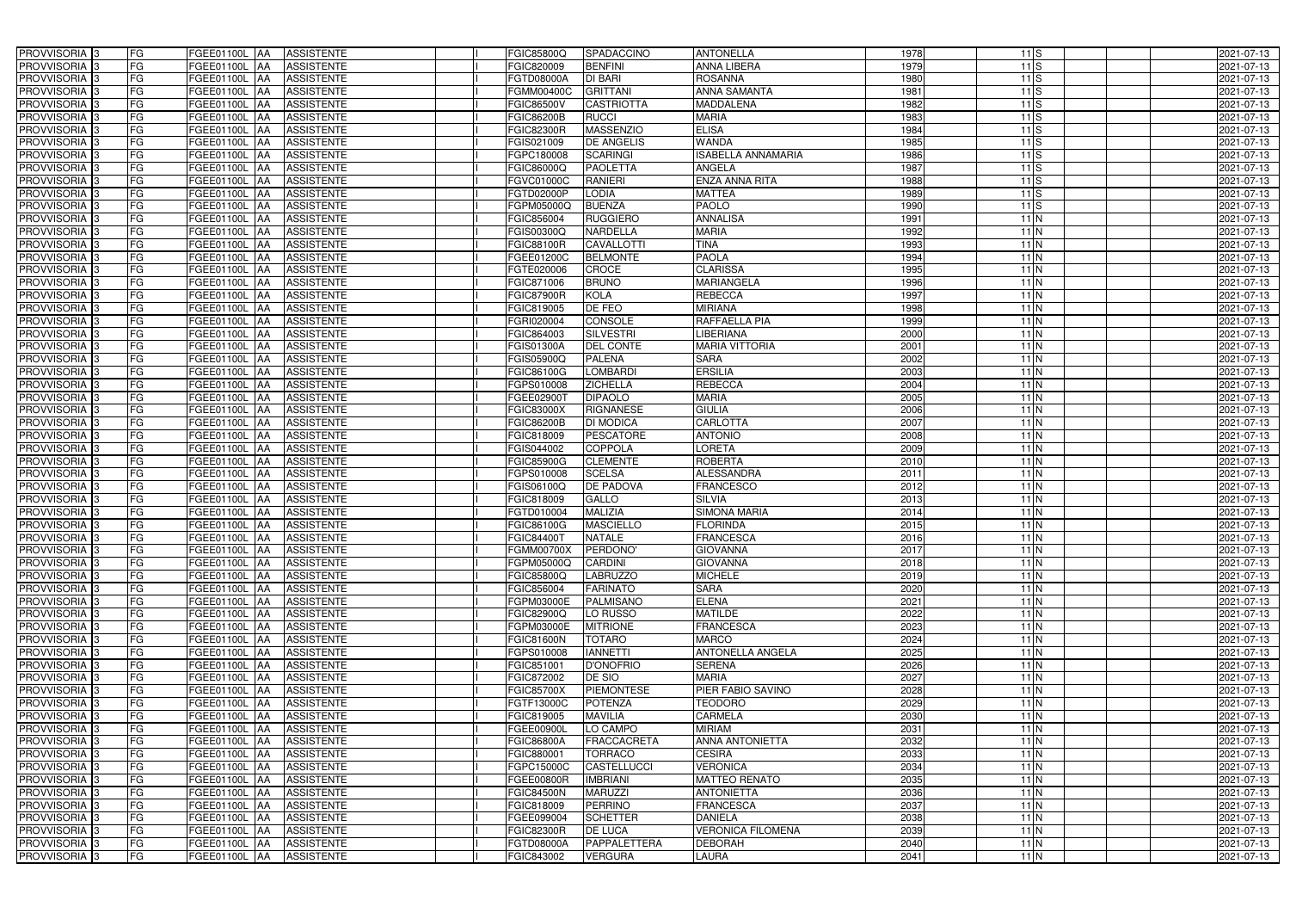| PROVVISORIA <sup>3</sup>                             | FG<br>FGEE01100L AA                        | <b>ASSISTENTE</b>               | <b>FGIC85800Q</b>        | SPADACCINO                        | <b>ANTONELLA</b>                  | 1978         |                 | $11$ S          | 2021-07-13               |
|------------------------------------------------------|--------------------------------------------|---------------------------------|--------------------------|-----------------------------------|-----------------------------------|--------------|-----------------|-----------------|--------------------------|
| PROVVISORIA <sup>3</sup>                             | FG<br>FGEE01100L AA                        | <b>ASSISTENTE</b>               | FGIC820009               | <b>BENFINI</b>                    | ANNA LIBERA                       | 1979         |                 | $11$ S          | 2021-07-13               |
| PROVVISORIA <sup>1</sup> 3                           | FG<br>FGEE01100L AA                        | <b>ASSISTENTE</b>               | FGTD08000A               | <b>DI BARI</b>                    | <b>ROSANNA</b>                    | 1980         |                 | $11$ S          | 2021-07-13               |
| PROVVISORIA 3                                        | FG<br>FGEE01100L AA                        | <b>ASSISTENTE</b>               | FGMM00400C               | <b>GRITTANI</b>                   | <b>ANNA SAMANTA</b>               | 1981         |                 | $11$ S          | 2021-07-13               |
| PROVVISORIA 3                                        | FG<br>FGEE01100L AA                        | <b>ASSISTENTE</b>               | FGIC86500V               | <b>CASTRIOTTA</b>                 | <b>MADDALENA</b>                  | 1982         |                 | $11$ S          | 2021-07-13               |
| PROVVISORIA <sup>3</sup>                             | FG<br>FGEE01100L AA                        | <b>ASSISTENTE</b>               | <b>FGIC86200B</b>        | <b>RUCCI</b>                      | <b>MARIA</b>                      | 1983         |                 | $11$ S          | 2021-07-13               |
| PROVVISORIA 3                                        | FG<br>FGEE01100L AA                        | <b>ASSISTENTE</b>               | <b>FGIC82300R</b>        | <b>MASSENZIO</b>                  | <b>ELISA</b>                      | 1984         |                 | 11S             | 2021-07-13               |
| PROVVISORIA 3                                        | FG<br>FGEE01100L AA                        | <b>ASSISTENTE</b>               | FGIS021009               | <b>DE ANGELIS</b>                 | <b>WANDA</b>                      | 1985         |                 | $11$ S          | 2021-07-13               |
| PROVVISORIA 3                                        | FG<br><b>FGEE01100L   AA</b>               | <b>ASSISTENTE</b>               | FGPC180008               | <b>SCARINGI</b>                   | <b>ISABELLA ANNAMARIA</b>         | 1986         |                 | $11$ S          | 2021-07-13               |
| PROVVISORIA <sup>3</sup>                             | FG<br>FGEE01100L                           | <b>ASSISTENTE</b><br><b>JAA</b> | FGIC86000Q               | <b>PAOLETTA</b>                   | <b>ANGELA</b>                     | 1987         |                 | $11$ S          | 2021-07-13               |
| PROVVISORIA 3                                        | FG<br>FGEE01100L AA                        | <b>ASSISTENTE</b>               | FGVC01000C               | <b>RANIERI</b>                    | <b>ENZA ANNA RITA</b>             | 1988         |                 | $11$ S          | 2021-07-13               |
| PROVVISORIA 3                                        | FG<br>FGEE01100L AA                        | <b>ASSISTENTE</b>               | <b>FGTD02000P</b>        | <b>LODIA</b>                      | <b>MATTEA</b>                     | 1989         |                 | $11$ S          | 2021-07-13               |
| PROVVISORIA <sup>3</sup>                             | FG<br>FGEE01100L AA                        | <b>ASSISTENTE</b>               | FGPM05000Q               | <b>BUENZA</b>                     | <b>PAOLO</b>                      | 1990         |                 | $11$ S          | 2021-07-13               |
| PROVVISORIA 3                                        | $\overline{\mathsf{FG}}$<br>FGEE01100L AA  | <b>ASSISTENTE</b>               | FGIC856004               | <b>RUGGIERO</b>                   | <b>ANNALISA</b>                   | 1991         |                 | $11$ N          | 2021-07-13               |
| PROVVISORIA 3                                        | FG<br><b>FGEE01100L   AA</b>               | <b>ASSISTENTE</b>               | FGIS00300Q               | NARDELLA                          | <b>MARIA</b>                      | 1992         |                 | $11$ N          | 2021-07-13               |
| PROVVISORIA <sup>3</sup>                             | $\overline{\mathsf{FG}}$<br>FGEE01100L AA  | <b>ASSISTENTE</b>               | <b>FGIC88100R</b>        | <b>CAVALLOTTI</b>                 | <b>TINA</b>                       | 1993         |                 | $11$ N          | 2021-07-13               |
| PROVVISORIA 3                                        | FG<br>FGEE01100L AA                        | <b>ASSISTENTE</b>               | FGEE01200C               | <b>BELMONTE</b>                   | <b>PAOLA</b>                      | 1994         | $11$ N          |                 | 2021-07-13               |
| PROVVISORIA <sup>3</sup>                             | FG<br>FGEE01100L AA                        | <b>ASSISTENTE</b>               | FGTE020006               | <b>CROCE</b>                      | <b>CLARISSA</b>                   | 1995         |                 | $11$ N          | 2021-07-13               |
| PROVVISORIA 3                                        | FG<br>FGEE01100L AA                        | <b>ASSISTENTE</b>               | FGIC871006               | <b>BRUNO</b>                      | <b>MARIANGELA</b>                 | 1996         |                 | $11$ N          | 2021-07-13               |
| PROVVISORIA 3                                        | FG<br>FGEE01100L AA                        | <b>ASSISTENTE</b>               | <b>FGIC87900R</b>        | KOLA                              | <b>REBECCA</b>                    | 1997         |                 | $11$ N          | 2021-07-13               |
| PROVVISORIA <sup>3</sup>                             | FG<br>FGEE01100L                           | <b>AA</b><br><b>ASSISTENTE</b>  | FGIC819005               | DE FEO                            | <b>MIRIANA</b>                    | 1998         |                 | $11$ N          | 2021-07-13               |
| PROVVISORIA 3                                        | FG<br>FGEE01100L AA                        | <b>ASSISTENTE</b>               | FGRI020004               | <b>CONSOLE</b>                    | RAFFAELLA PIA                     | 1999         |                 | $11$ N          | 2021-07-13               |
| PROVVISORIA 3                                        | FG<br>FGEE01100L AA                        | <b>ASSISTENTE</b>               | FGIC864003               | <b>SILVESTRI</b>                  | <b>LIBERIANA</b>                  | 2000         |                 | $11$ N          | 2021-07-13               |
| PROVVISORIA 3                                        | FG<br>FGEE01100L AA                        | <b>ASSISTENTE</b>               | FGIS01300A               | <b>DEL CONTE</b>                  | <b>MARIA VITTORIA</b>             | 2001         |                 | $11$ N          | 2021-07-13               |
| PROVVISORIA 3                                        | FG<br><b>FGEE01100L AA</b>                 | <b>ASSISTENTE</b>               | FGIS05900Q               | <b>PALENA</b>                     | <b>SARA</b>                       | 2002         | $11$ N          |                 | 2021-07-13               |
| PROVVISORIA 3                                        | $\overline{\mathsf{FG}}$<br>FGEE01100L AA  | <b>ASSISTENTE</b>               | FGIC86100G               | <b>LOMBARDI</b>                   | <b>ERSILIA</b>                    | 2003         | $11$ N          |                 | 2021-07-13               |
| PROVVISORIA 3                                        | FG<br>FGEE01100L                           | <b>ASSISTENTE</b><br>IAA        | FGPS010008               | <b>ZICHELLA</b>                   | <b>REBECCA</b>                    | 2004         | $11$ N          |                 | 2021-07-13               |
| PROVVISORIA <sup>3</sup>                             | FG<br>FGEE01100L                           | <b>ASSISTENTE</b><br>IAA        | FGEE02900T               | <b>DIPAOLO</b>                    | <b>MARIA</b>                      | 2005         | $11$ N          |                 | 2021-07-13               |
| PROVVISORIA <sup>3</sup>                             | FG<br>FGEE01100L                           | <b>ASSISTENTE</b><br>IAA        | <b>FGIC83000X</b>        | <b>RIGNANESE</b>                  | <b>GIULIA</b>                     | 2006         | $11$ N          |                 | 2021-07-13               |
| PROVVISORIA <sup>3</sup>                             | FG<br><b>FGEE01100L AA</b>                 | <b>ASSISTENTE</b>               | <b>FGIC86200B</b>        | <b>DI MODICA</b>                  | <b>CARLOTTA</b>                   | 2007         | $11$ N          |                 | 2021-07-13               |
| PROVVISORIA <sup>3</sup>                             | FG<br>FGEE01100L AA                        | <b>ASSISTENTE</b>               | FGIC818009               | <b>PESCATORE</b>                  | <b>ANTONIO</b>                    | 2008         |                 | $11$ N          | 2021-07-13               |
| PROVVISORIA <sup>3</sup>                             | FG<br><b>FGEE01100L AA</b>                 | <b>ASSISTENTE</b>               | FGIS044002               | COPPOLA                           | <b>LORETA</b>                     | 2009         |                 | 11 <sub>N</sub> | 2021-07-13               |
| PROVVISORIA <sup>3</sup>                             | FG<br><b>FGEE01100L AA</b>                 | <b>ASSISTENTE</b>               | <b>FGIC85900G</b>        | <b>CLEMENTE</b>                   | <b>ROBERTA</b>                    | 2010         |                 | 11N             | 2021-07-13               |
| PROVVISORIA <sup>3</sup>                             | FG<br><b>FGEE01100L   AA</b>               | <b>ASSISTENTE</b>               | FGPS010008               | <b>SCELSA</b>                     | <b>ALESSANDRA</b>                 | 2011         |                 | $11$ N          | 2021-07-13               |
| PROVVISORIA 3                                        | FG<br>FGEE01100L AA                        | <b>ASSISTENTE</b>               | FGIS06100Q               | <b>DE PADOVA</b>                  | <b>FRANCESCO</b>                  | 2012         |                 | $11$ N          | 2021-07-13               |
| PROVVISORIA <sup>3</sup>                             | FG<br>FGEE01100L AA                        | <b>ASSISTENTE</b>               | FGIC818009               | <b>GALLO</b>                      | <b>SILVIA</b>                     | 2013         |                 | $11$ N          | 2021-07-13               |
| PROVVISORIA <sup>3</sup>                             | FG<br>FGEE01100L AA                        | <b>ASSISTENTE</b>               | FGTD010004               | <b>MALIZIA</b>                    | <b>SIMONA MARIA</b>               | 2014         |                 | $11$ N          | 2021-07-13               |
| PROVVISORIA <sup>3</sup>                             | FG<br>FGEE01100L AA                        | <b>ASSISTENTE</b>               | FGIC86100G               | <b>MASCIELLO</b>                  | <b>FLORINDA</b>                   | 2015         |                 | 11 <sub>N</sub> | 2021-07-13               |
| PROVVISORIA <sup>3</sup><br><b>PROVVISORIA</b> 3     | <b>FG</b>                                  | FGEE01100L AA ASSISTENTE        | <b>FGIC84400T</b>        | <b>NATALE</b>                     | <b>FRANCESCA</b>                  | 2016         |                 | $11$ N          | 2021-07-13               |
|                                                      | FG<br>FGEE01100L AA                        | ASSISTENTE                      | <b>FGMM00700X</b>        | PERDONO'                          | <b>GIOVANNA</b>                   | 2017         |                 | $11$ N          | 2021-07-13               |
| PROVVISORIA <sup>3</sup><br>PROVVISORIA <sup>3</sup> | FG<br>FGEE01100L AA<br>FG<br>FGEE01100L AA | <b>ASSISTENTE</b><br>ASSISTENTE | FGPM05000Q<br>FGIC85800Q | <b>CARDINI</b><br><b>LABRUZZO</b> | <b>GIOVANNA</b><br><b>MICHELE</b> | 2018<br>2019 | 11 <sub>N</sub> | $11$ N          | 2021-07-13<br>2021-07-13 |
| <b>PROVVISORIA</b> 3                                 | FG<br>FGEE01100L AA                        | ASSISTENTE                      | FGIC856004               | <b>FARINATO</b>                   | <b>SARA</b>                       | 2020         |                 | $11$ N          | 2021-07-13               |
| PROVVISORIA <sup>3</sup>                             | FG<br>FGEE01100L AA                        | ASSISTENTE                      | FGPM03000E               | PALMISANO                         | <b>ELENA</b>                      | 2021         |                 | $11$ N          | 2021-07-13               |
| PROVVISORIA <sup>3</sup>                             | FG<br>FGEE01100L AA                        | ASSISTENTE                      | FGIC82900Q               | LO RUSSO                          | <b>MATILDE</b>                    | 2022         |                 | $11$ N          | 2021-07-13               |
| PROVVISORIA <sup>3</sup>                             | FG<br>FGEE01100L AA                        | <b>ASSISTENTE</b>               | FGPM03000E               | <b>MITRIONE</b>                   | <b>FRANCESCA</b>                  | 2023         |                 | $11$ N          | 2021-07-13               |
| PROVVISORIA <sup>3</sup>                             | FG<br>FGEE01100L AA                        | <b>ASSISTENTE</b>               | <b>FGIC81600N</b>        | <b>TOTARO</b>                     | <b>MARCO</b>                      | 2024         |                 | $11$ N          | 2021-07-13               |
| PROVVISORIA <sup>3</sup>                             | FG<br>FGEE01100L AA                        | <b>ASSISTENTE</b>               | FGPS010008               | <b>IANNETTI</b>                   | ANTONELLA ANGELA                  | 2025         |                 | $11$ N          | 2021-07-13               |
| PROVVISORIA <sup>3</sup>                             | FG<br>FGEE01100L AA                        | <b>ASSISTENTE</b>               | FGIC851001               | <b>D'ONOFRIO</b>                  | <b>SERENA</b>                     | 2026         |                 | $11$ N          | 2021-07-13               |
| PROVVISORIA <sup>3</sup>                             | FG<br>FGEE01100L AA                        | <b>ASSISTENTE</b>               | FGIC872002               | DE SIO                            | <b>MARIA</b>                      | 2027         |                 | $11$ N          | 2021-07-13               |
| PROVVISORIA <sup>3</sup>                             | FG<br>FGEE01100L AA                        | <b>ASSISTENTE</b>               | <b>FGIC85700X</b>        | <b>PIEMONTESE</b>                 | PIER FABIO SAVINO                 | 2028         |                 | $11$ N          | 2021-07-13               |
| PROVVISORIA <sup>3</sup>                             | FG<br>FGEE01100L AA                        | <b>ASSISTENTE</b>               | FGTF13000C               | <b>POTENZA</b>                    | <b>TEODORO</b>                    | 2029         |                 | $11$ N          | 2021-07-13               |
| PROVVISORIA <sup>3</sup>                             | FG<br>FGEE01100L AA                        | <b>ASSISTENTE</b>               | FGIC819005               | <b>MAVILIA</b>                    | CARMELA                           | 2030         |                 | $11$ N          | 2021-07-13               |
| PROVVISORIA <sup>3</sup>                             | FG<br>FGEE01100L AA                        | <b>ASSISTENTE</b>               | <b>FGEE00900L</b>        | LO CAMPO                          | <b>MIRIAM</b>                     | 2031         |                 | $11$ N          | 2021-07-13               |
| PROVVISORIA <sup>3</sup>                             | FG<br>FGEE01100L AA                        | <b>ASSISTENTE</b>               | <b>FGIC86800A</b>        | <b>FRACCACRETA</b>                | ANNA ANTONIETTA                   | 2032         |                 | $11$ N          | 2021-07-13               |
| PROVVISORIA <sup>3</sup>                             | FG<br>FGEE01100L AA                        | <b>ASSISTENTE</b>               | FGIC880001               | <b>TORRACO</b>                    | <b>CESIRA</b>                     | 2033         |                 | $11$ N          | 2021-07-13               |
| PROVVISORIA <sup>3</sup>                             | FG<br>FGEE01100L AA                        | <b>ASSISTENTE</b>               | FGPC15000C               | <b>CASTELLUCCI</b>                | <b>VERONICA</b>                   | 2034         |                 | $11$ N          | 2021-07-13               |
| PROVVISORIA <sup>3</sup>                             | FG<br>FGEE01100L AA                        | <b>ASSISTENTE</b>               | FGEE00800R               | <b>IMBRIANI</b>                   | <b>MATTEO RENATO</b>              | 2035         |                 | $11$ N          | 2021-07-13               |
| PROVVISORIA <sup>3</sup>                             | FGEE01100L AA<br>FG                        | <b>ASSISTENTE</b>               | <b>FGIC84500N</b>        | <b>MARUZZI</b>                    | <b>ANTONIETTA</b>                 | 2036         |                 | $11$ N          | 2021-07-13               |
| PROVVISORIA <sup>3</sup>                             | FG<br>FGEE01100L AA                        | <b>ASSISTENTE</b>               | FGIC818009               | <b>PERRINO</b>                    | <b>FRANCESCA</b>                  | 2037         | $11$ N          |                 | 2021-07-13               |
| PROVVISORIA <sup>3</sup>                             | FG<br>FGEE01100L AA                        | <b>ASSISTENTE</b>               | FGEE099004               | <b>SCHETTER</b>                   | <b>DANIELA</b>                    | 2038         |                 | $11$ N          | 2021-07-13               |
| PROVVISORIA <sup>3</sup>                             | FG<br><b>FGEE01100L AA</b>                 | <b>ASSISTENTE</b>               | <b>FGIC82300R</b>        | <b>DE LUCA</b>                    | <b>VERONICA FILOMENA</b>          | 2039         |                 | $11$ N          | 2021-07-13               |
| PROVVISORIA <sup>3</sup>                             | FG<br>FGEE01100L AA                        | <b>ASSISTENTE</b>               | <b>FGTD08000A</b>        | PAPPALETTERA                      | <b>DEBORAH</b>                    | 2040         |                 | $11$ N          | 2021-07-13               |
| PROVVISORIA 3                                        | FG<br>FGEE01100L AA                        | ASSISTENTE                      | FGIC843002               | <b>VERGURA</b>                    | LAURA                             | 2041         |                 | $11$ N          | 2021-07-13               |
|                                                      |                                            |                                 |                          |                                   |                                   |              |                 |                 |                          |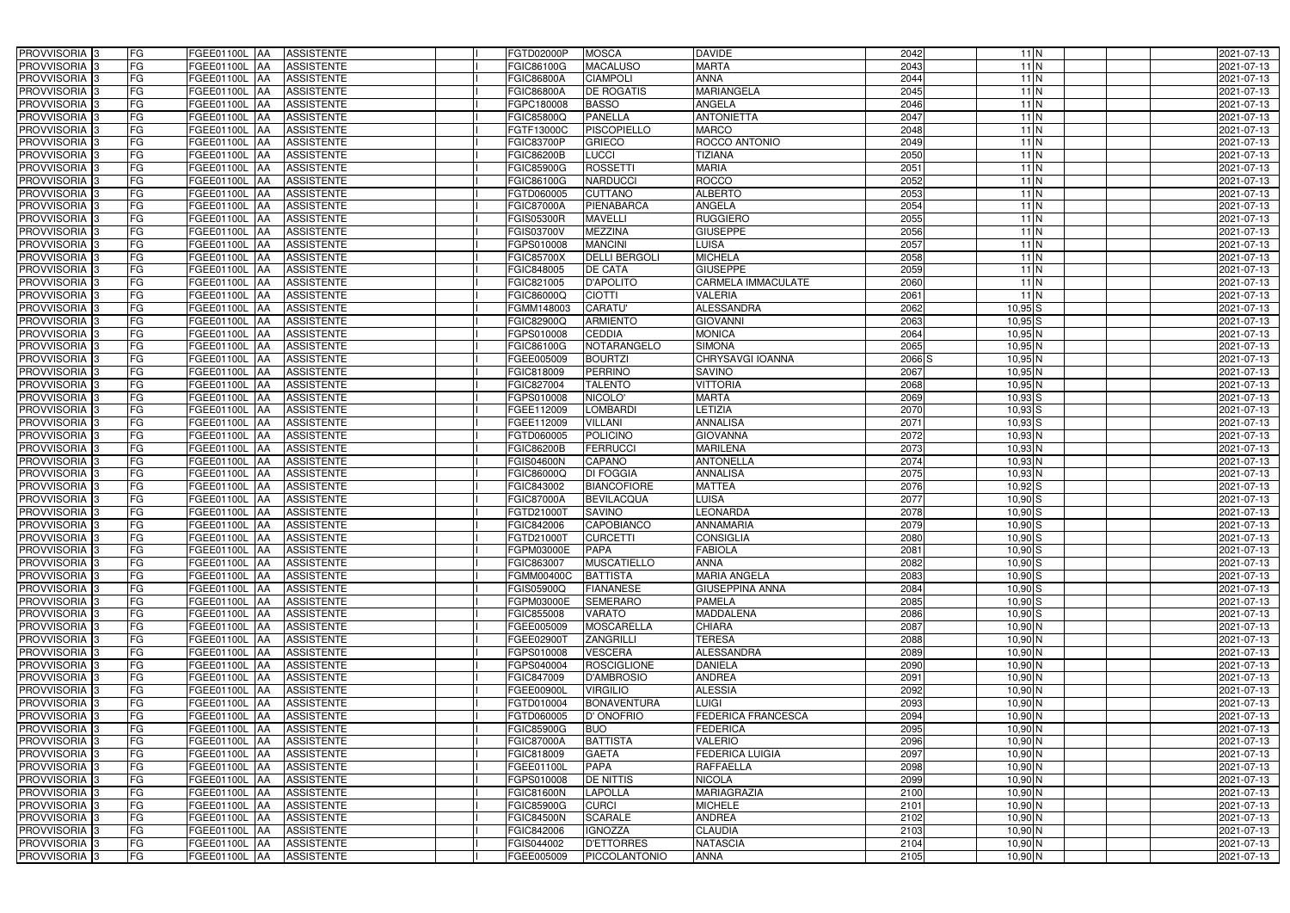| PROVVISORIA <sup>3</sup>                             | FG        | FGEE01100L AA        | <b>ASSISTENTE</b>                      | FGTD02000P               | <b>MOSCA</b>                        | <b>DAVIDE</b>                      | 2042         | $11$ N                   | 2021-07-13               |
|------------------------------------------------------|-----------|----------------------|----------------------------------------|--------------------------|-------------------------------------|------------------------------------|--------------|--------------------------|--------------------------|
| PROVVISORIA <sup>3</sup>                             | FG        | FGEE01100L AA        | <b>ASSISTENTE</b>                      | FGIC86100G               | <b>MACALUSO</b>                     | <b>MARTA</b>                       | 2043         | $11$ N                   | 2021-07-13               |
| PROVVISORIA <sup>1</sup> 3                           | FG        | FGEE01100L   AA      | <b>ASSISTENTE</b>                      | FGIC86800A               | <b>CIAMPOLI</b>                     | <b>ANNA</b>                        | 2044         | $11$ N                   | 2021-07-13               |
| PROVVISORIA <sup>3</sup>                             | FG        | FGEE01100L AA        | <b>ASSISTENTE</b>                      | FGIC86800A               | <b>DE ROGATIS</b>                   | <b>MARIANGELA</b>                  | 2045         | $11$ N                   | 2021-07-13               |
| PROVVISORIA <sup>3</sup>                             | FG        | FGEE01100L AA        | <b>ASSISTENTE</b>                      | FGPC180008               | <b>BASSO</b>                        | ANGELA                             | 2046         | $11$ N                   | 2021-07-13               |
| PROVVISORIA <sup>3</sup>                             | FG        | FGEE01100L AA        | <b>ASSISTENTE</b>                      | FGIC85800Q               | <b>PANELLA</b>                      | <b>ANTONIETTA</b>                  | 2047         | $11$ N                   | 2021-07-13               |
| PROVVISORIA <sup>3</sup>                             | FG        | FGEE01100L AA        | <b>ASSISTENTE</b>                      | FGTF13000C               | <b>PISCOPIELLO</b>                  | <b>MARCO</b>                       | 2048         | $11$ N                   | 2021-07-13               |
| PROVVISORIA 3                                        | FG        | FGEE01100L           | <b>ASSISTENTE</b><br><b>IAA</b>        | <b>FGIC83700P</b>        | <b>GRIECO</b>                       | ROCCO ANTONIO                      | 2049         | $11$ N                   | 2021-07-13               |
| PROVVISORIA <sup>3</sup>                             | FG        | FGEE01100L           | <b>ASSISTENTE</b><br><b>IAA</b>        | FGIC86200B               | <b>LUCCI</b>                        | TIZIANA                            | 2050         | $11$ N                   | 2021-07-13               |
| PROVVISORIA <sup>3</sup>                             | FG        | FGEE01100L           | <b>ASSISTENTE</b><br>IAA               | FGIC85900G               | <b>ROSSETTI</b>                     | <b>MARIA</b>                       | 2051         | $11$ N                   | 2021-07-13               |
| PROVVISORIA 3                                        | FG        | <b>FGEE01100L AA</b> | <b>ASSISTENTE</b>                      | FGIC86100G               | <b>NARDUCCI</b>                     | <b>ROCCO</b>                       | 2052         | $11$ N                   | 2021-07-13               |
| PROVVISORIA 3                                        | FG        | <b>FGEE01100L AA</b> | <b>ASSISTENTE</b>                      | FGTD060005               | <b>CUTTANO</b>                      | <b>ALBERTO</b>                     | 2053         | $11$ N                   | 2021-07-13               |
| PROVVISORIA 3                                        | FG        | FGEE01100L           | <b>ASSISTENTE</b><br><b>IAA</b>        | <b>FGIC87000A</b>        | PIENABARCA                          | <b>ANGELA</b>                      | 2054         | $11$ N                   | 2021-07-13               |
| PROVVISORIA 3                                        | FG        | <b>FGEE01100L</b>    | <b>ASSISTENTE</b><br><b>IAA</b>        | <b>FGIS05300R</b>        | <b>MAVELLI</b>                      | <b>RUGGIERO</b>                    | 2055         | $11$ N                   | 2021-07-13               |
| PROVVISORIA 3                                        | FG        | FGEE01100L           | <b>ASSISTENTE</b><br>IAA               | FGIS03700V               | <b>MEZZINA</b>                      | <b>GIUSEPPE</b>                    | 2056         | $11$ N                   | 2021-07-13               |
| PROVVISORIA 3                                        | FG        | <b>FGEE01100L AA</b> | <b>ASSISTENTE</b>                      | FGPS010008               | <b>MANCINI</b>                      | <b>LUISA</b>                       | 2057         | $11$ N                   | 2021-07-13               |
| PROVVISORIA 3                                        | FG        | FGEE01100L AA        | <b>ASSISTENTE</b>                      | FGIC85700X               | <b>DELLI BERGOLI</b>                | <b>MICHELA</b>                     | 2058         | $11$ N                   | 2021-07-13               |
| PROVVISORIA 3                                        | FG        | FGEE01100L AA        | <b>ASSISTENTE</b>                      | FGIC848005               | <b>DE CATA</b>                      | <b>GIUSEPPE</b>                    | 2059         | $11$ N                   | 2021-07-13               |
| PROVVISORIA 3                                        | FG        | FGEE01100L AA        | <b>ASSISTENTE</b>                      | FGIC821005               | <b>D'APOLITO</b>                    | <b>CARMELA IMMACULATE</b>          | 2060         | $11$ N                   | 2021-07-13               |
| PROVVISORIA 3                                        | FG        | FGEE01100L           | <b>ASSISTENTE</b><br>l AA              | FGIC86000Q               | <b>CIOTTI</b>                       | <b>VALERIA</b>                     | 2061         | $11$ N                   | 2021-07-13               |
| PROVVISORIA <sup>3</sup>                             | FG        | FGEE01100L           | <b>ASSISTENTE</b><br>ΙAΑ               | FGMM148003               | <b>CARATU'</b>                      | <b>ALESSANDRA</b>                  | 2062         | $10,95$ S                | 2021-07-13               |
| PROVVISORIA 3                                        | FG        | FGEE01100L           | <b>ASSISTENTE</b><br>IAA               | FGIC82900Q               | <b>ARMIENTO</b>                     | <b>GIOVANNI</b>                    | 2063         | $10,95$ S                | 2021-07-13               |
| PROVVISORIA 3                                        | FG        | FGEE01100L           | <b>ASSISTENTE</b><br>IAA               | GPS010008                | <b>CEDDIA</b>                       | <b>MONICA</b>                      | 2064         | $10,95$ N                | 2021-07-13               |
| PROVVISORIA <sup>3</sup>                             | FG        | <b>FGEE01100L</b>    | <b>ASSISTENTE</b><br>IAA               | FGIC86100G               | NOTARANGELO                         | <b>SIMONA</b>                      | 2065         | $10,95$ N                | 2021-07-13               |
| PROVVISORIA <sup>3</sup>                             | FG        | FGEE01100L           | <b>ASSISTENTE</b><br>۱AA               | FGEE005009               | <b>BOURTZI</b>                      | CHRYSAVGI IOANNA                   | 2066 S       | $10,95$ N                | 2021-07-13               |
| PROVVISORIA 3                                        | FG        | FGEE01100L           | <b>ASSISTENTE</b><br>IAA               | FGIC818009               | <b>PERRINO</b>                      | <b>SAVINO</b>                      | 2067         | $10,95$ N                | 2021-07-13               |
| PROVVISORIA 3                                        | FG        | <b>FGEE01100L</b>    | <b>ASSISTENTE</b>                      | FGIC827004               | <b>TALENTO</b>                      | <b>VITTORIA</b>                    | 2068         | $10,95$ N                | 2021-07-13               |
| PROVVISORIA <sup>3</sup>                             | FG        | FGEE01100L           | <b>ASSISTENTE</b><br>IAA               | GPS010008                | NICOLO'                             | <b>MARTA</b>                       | 2069         | $10,93$ S                | 2021-07-13               |
| PROVVISORIA <sup>3</sup>                             | FG        | FGEE01100L           | <b>ASSISTENTE</b>                      | FGEE112009               | <b>LOMBARDI</b>                     | LETIZIA                            | 2070         | $10,93$ S                | 2021-07-13               |
| PROVVISORIA <sup>3</sup>                             | FG        | FGEE01100L           | <b>ASSISTENTE</b><br><b>JAA</b>        | FGEE112009               | <b>VILLANI</b>                      | <b>ANNALISA</b>                    | 2071         | $10,93$ $S$              | 2021-07-13               |
| PROVVISORIA <sup>3</sup>                             | FG        | <b>FGEE01100L</b>    | <b>ASSISTENTE</b><br><b>IAA</b>        | FGTD060005               | <b>POLICINO</b>                     | <b>GIOVANNA</b>                    | 2072         | $10,93$ N                | 2021-07-13               |
| PROVVISORIA <sup>3</sup>                             | FG        | FGEE01100L           | <b>ASSISTENTE</b><br>IAA               | FGIC86200B               | <b>FERRUCCI</b>                     | <b>MARILENA</b>                    | 2073         | $10,93$ N                | 2021-07-13               |
| PROVVISORIA <sup>3</sup>                             | FG        | FGEE01100L           | <b>ASSISTENTE</b><br>IAA               | FGIS04600N               | CAPANO                              | <b>ANTONELLA</b>                   | 2074         | $10,93$ N                | 2021-07-13               |
| PROVVISORIA <sup>3</sup>                             | FG        | <b>FGEE01100L</b>    | <b>ASSISTENTE</b><br><b>IAA</b>        | FGIC86000Q               | <b>DI FOGGIA</b>                    | <b>ANNALISA</b>                    | 2075         | 10,93 N                  | 2021-07-13               |
| PROVVISORIA <sup>3</sup>                             | FG        | FGEE01100L           | <b>ASSISTENTE</b><br><b>AA</b>         | FGIC843002               | <b>BIANCOFIORE</b>                  | <b>MATTEA</b>                      | 2076         | $10,92$ $S$              | 2021-07-13               |
| PROVVISORIA <sup>3</sup>                             | FG        | FGEE01100L AA        | <b>ASSISTENTE</b>                      | FGIC87000A               | <b>BEVILACQUA</b>                   | LUISA                              | 2077         | $10,90$ $S$              | 2021-07-13               |
| PROVVISORIA 3                                        | FG        | FGEE01100L AA        | <b>ASSISTENTE</b>                      | FGTD21000T               | <b>SAVINO</b>                       | LEONARDA                           | 2078         | $10,90$ $S$              | 2021-07-13               |
| PROVVISORIA <sup>3</sup>                             | FG        | FGEE01100L AA        | <b>ASSISTENTE</b>                      | FGIC842006               | CAPOBIANCO                          | <b>ANNAMARIA</b>                   | 2079         | $10,90$ $S$              | 2021-07-13               |
| PROVVISORIA <sup>3</sup>                             | <b>FG</b> |                      | FGEE01100L AA ASSISTENTE               | FGTD21000T               | <b>CURCETTI</b>                     | <b>CONSIGLIA</b>                   | 2080         | $10,90$ S                | 2021-07-13               |
| <b>PROVVISORIA</b> 3                                 | FG        | FGEE01100L AA        | ASSISTENTE                             | FGPM03000E               | <b>PAPA</b>                         | <b>FABIOLA</b>                     | 2081         | $10,90$ S                | 2021-07-13               |
| PROVVISORIA <sup>3</sup><br>PROVVISORIA <sup>3</sup> | FG<br>FG  | FGEE01100L AA        | <b>ASSISTENTE</b>                      | FGIC863007               | <b>MUSCATIELLO</b>                  | <b>ANNA</b><br><b>MARIA ANGELA</b> | 2082         | $10,90$ S                | 2021-07-13               |
| PROVVISORIA <sup>3</sup>                             | FG        | <b>FGEE01100L AA</b> | FGEE01100L AA ASSISTENTE<br>ASSISTENTE | FGMM00400C<br>FGIS05900Q | <b>BATTISTA</b><br><b>FIANANESE</b> | <b>GIUSEPPINA ANNA</b>             | 2083<br>2084 | $10,90$ $S$<br>$10,90$ S | 2021-07-13<br>2021-07-13 |
| PROVVISORIA <sup>3</sup>                             | FG        | FGEE01100L AA        | <b>ASSISTENTE</b>                      | FGPM03000E               | <b>SEMERARO</b>                     | <b>PAMELA</b>                      | 2085         | $10,90$ S                | 2021-07-13               |
| PROVVISORIA <sup>3</sup>                             | FG        | FGEE01100L AA        | <b>ASSISTENTE</b>                      | FGIC855008               | <b>VARATO</b>                       | <b>MADDALENA</b>                   | 2086         | $10,90$ S                | 2021-07-13               |
| PROVVISORIA <sup>3</sup>                             | FG        | FGEE01100L AA        | <b>ASSISTENTE</b>                      | FGEE005009               | <b>MOSCARELLA</b>                   | <b>CHIARA</b>                      | 2087         | 10,90 N                  | 2021-07-13               |
| PROVVISORIA <sup>1</sup> 3                           | FG        | FGEE01100L AA        | <b>ASSISTENTE</b>                      | FGEE02900T               | <b>ZANGRILLI</b>                    | <b>TERESA</b>                      | 2088         | 10,90 N                  | 2021-07-13               |
| PROVVISORIA <sup>3</sup>                             | FG        | FGEE01100L AA        | <b>ASSISTENTE</b>                      | FGPS010008               | <b>VESCERA</b>                      | <b>ALESSANDRA</b>                  | 2089         | 10,90 N                  | 2021-07-13               |
| PROVVISORIA <sup>3</sup>                             | FG        | FGEE01100L AA        | <b>ASSISTENTE</b>                      | FGPS040004               | <b>ROSCIGLIONE</b>                  | <b>DANIELA</b>                     | 2090         | $10,90$ N                | 2021-07-13               |
| PROVVISORIA <sup>3</sup>                             | FG        | FGEE01100L AA        | <b>ASSISTENTE</b>                      | FGIC847009               | <b>D'AMBROSIO</b>                   | <b>ANDREA</b>                      | 2091         | 10,90 N                  | 2021-07-13               |
| PROVVISORIA <sup>3</sup>                             | FG        | FGEE01100L AA        | <b>ASSISTENTE</b>                      | FGEE00900L               | <b>VIRGILIO</b>                     | <b>ALESSIA</b>                     | 2092         | 10,90 N                  | 2021-07-13               |
| PROVVISORIA <sup>3</sup>                             | FG        | FGEE01100L AA        | <b>ASSISTENTE</b>                      | FGTD010004               | <b>BONAVENTURA</b>                  | <b>LUIGI</b>                       | 2093         | $10,90$ N                | 2021-07-13               |
| PROVVISORIA <sup>3</sup>                             | FG        | FGEE01100L AA        | <b>ASSISTENTE</b>                      | FGTD060005               | <b>D' ONOFRIO</b>                   | <b>FEDERICA FRANCESCA</b>          | 2094         | 10,90 N                  | 2021-07-13               |
| PROVVISORIA <sup>3</sup>                             | FG        | FGEE01100L AA        | <b>ASSISTENTE</b>                      | <b>FGIC85900G</b>        | <b>BUO</b>                          | <b>FEDERICA</b>                    | 2095         | 10,90 N                  | 2021-07-13               |
| PROVVISORIA <sup>3</sup>                             | FG        | FGEE01100L AA        | <b>ASSISTENTE</b>                      | <b>FGIC87000A</b>        | <b>BATTISTA</b>                     | <b>VALERIO</b>                     | 2096         | $10,90$ N                | 2021-07-13               |
| PROVVISORIA <sup>3</sup>                             | FG        | FGEE01100L AA        | <b>ASSISTENTE</b>                      | FGIC818009               | <b>GAETA</b>                        | <b>FEDERICA LUIGIA</b>             | 2097         | 10,90 N                  | 2021-07-13               |
| PROVVISORIA <sup>1</sup> 3                           | FG        | FGEE01100L AA        | <b>ASSISTENTE</b>                      | FGEE01100L               | <b>PAPA</b>                         | <b>RAFFAELLA</b>                   | 2098         | $10,90$ N                | 2021-07-13               |
| PROVVISORIA <sup>1</sup> 3                           | FG        | FGEE01100L AA        | <b>ASSISTENTE</b>                      | FGPS010008               | <b>DE NITTIS</b>                    | <b>NICOLA</b>                      | 2099         | 10,90 N                  | 2021-07-13               |
| PROVVISORIA <sup>3</sup>                             | FG        | FGEE01100L AA        | <b>ASSISTENTE</b>                      | FGIC81600N               | <b>LAPOLLA</b>                      | <b>MARIAGRAZIA</b>                 | 2100         | $10,90$ N                | 2021-07-13               |
| PROVVISORIA <sup>1</sup> 3                           | FG        | FGEE01100L AA        | <b>ASSISTENTE</b>                      | FGIC85900G               | <b>CURCI</b>                        | <b>MICHELE</b>                     | 2101         | $10,90$ N                | 2021-07-13               |
| PROVVISORIA <sup>3</sup>                             | FG        | FGEE01100L AA        | <b>ASSISTENTE</b>                      | <b>FGIC84500N</b>        | <b>SCARALE</b>                      | <b>ANDREA</b>                      | 2102         | 10,90 N                  | 2021-07-13               |
| PROVVISORIA <sup>3</sup>                             | FG        | FGEE01100L AA        | <b>ASSISTENTE</b>                      | FGIC842006               | <b>IGNOZZA</b>                      | <b>CLAUDIA</b>                     | 2103         | 10,90 N                  | 2021-07-13               |
| PROVVISORIA <sup>3</sup>                             | FG        | FGEE01100L AA        | ASSISTENTE                             | FGIS044002               | <b>D'ETTORRES</b>                   | <b>NATASCIA</b>                    | 2104         | 10,90 N                  | 2021-07-13               |
| PROVVISORIA 3                                        | FG        | FGEE01100L AA        | ASSISTENTE                             | FGEE005009               | PICCOLANTONIO                       | <b>ANNA</b>                        | 2105         | 10,90 N                  | 2021-07-13               |
|                                                      |           |                      |                                        |                          |                                     |                                    |              |                          |                          |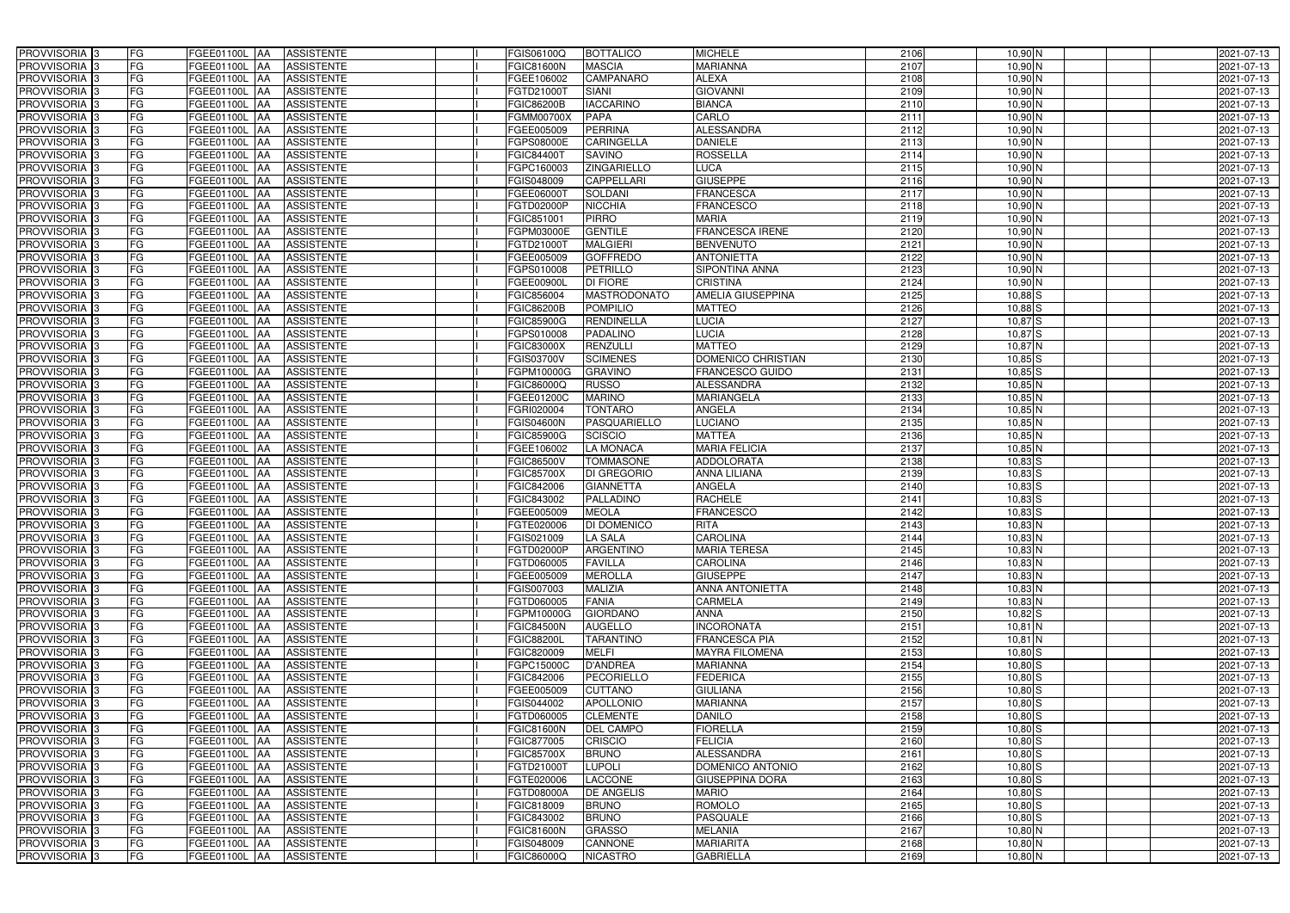| <b>PROVVISORIA</b> 3           | FG        | FGEE01100L AA                          | <b>ASSISTENTE</b>                      | FGIS06100Q               | <b>BOTTALICO</b>                     | <b>MICHELE</b>                  | 2106         | $10,90$ N                  | 2021-07-13               |
|--------------------------------|-----------|----------------------------------------|----------------------------------------|--------------------------|--------------------------------------|---------------------------------|--------------|----------------------------|--------------------------|
| PROVVISORIA 3                  | FG        | <b>FGEE01100L</b><br>IAA               | <b>ASSISTENTE</b>                      | <b>GIC81600N</b>         | <b>MASCIA</b>                        | <b>MARIANNA</b>                 | 2107         | 10,90 N                    | 2021-07-13               |
| PROVVISORIA 3                  | FG        | FGEE01100L AA                          | <b>ASSISTENTE</b>                      | GEE106002                | <b>CAMPANARO</b>                     | <b>ALEXA</b>                    | 2108         | $10,90$ N                  | 2021-07-13               |
| PROVVISORIA 3                  | FG        | <b>FGEE01100L   AA</b>                 | <b>ASSISTENTE</b>                      | FGTD21000T               | <b>SIANI</b>                         | <b>GIOVANNI</b>                 | 2109         | 10,90 N                    | 2021-07-13               |
| PROVVISORIA 3                  | FG        | FGEE01100L AA                          | <b>ASSISTENTE</b>                      | FGIC86200B               | <b>IACCARINO</b>                     | <b>BIANCA</b>                   | 2110         | 10,90 N                    | 2021-07-13               |
| PROVVISORIA 3                  | FG        | FGEE01100L<br><b>IAA</b>               | <b>ASSISTENTE</b>                      | FGMM00700X               | <b>PAPA</b>                          | CARLO                           | 2111         | 10,90 N                    | 2021-07-13               |
| PROVVISORIA 3                  | FG        | FGEE01100L AA                          | <b>ASSISTENTE</b>                      | FGEE005009               | <b>PERRINA</b>                       | <b>ALESSANDRA</b>               | 2112         | 10,90 N                    | 2021-07-13               |
| <b>PROVVISORIA</b> 3           | <b>FG</b> | FGEE01100L<br>IAA                      | <b>ASSISTENTE</b>                      | FGPS08000E               | <b>CARINGELLA</b>                    | <b>DANIELE</b>                  | 2113         | $10,90$ N                  | 2021-07-13               |
| PROVVISORIA <sup>1</sup> 3     | FG        | FGEE01100L<br>IAA                      | <b>ASSISTENTE</b>                      | GIC84400T                | <b>SAVINO</b>                        | <b>ROSSELLA</b>                 | 2114         | $10,90$ N                  | 2021-07-13               |
| PROVVISORIA <sup>1</sup> 3     | FG        | FGEE01100L<br>IAA                      | <b>ASSISTENTE</b>                      | GPC160003                | <b>ZINGARIELLO</b>                   | <b>LUCA</b>                     | 2115         | 10,90 N                    | 2021-07-13               |
| PROVVISORIA 3                  | FG        | FGEE01100L<br><b>JAA</b>               | <b>ASSISTENTE</b>                      | GIS048009                | <b>CAPPELLARI</b>                    | <b>GIUSEPPE</b>                 | 2116         | $10,90$ N                  | 2021-07-13               |
| PROVVISORIA 3                  | <b>FG</b> | FGEE01100L AA                          | <b>ASSISTENTE</b>                      | FGEE06000T               | <b>SOLDANI</b>                       | <b>FRANCESCA</b>                | 2117         | 10,90 N                    | 2021-07-13               |
| PROVVISORIA 3                  | FG        | FGEE01100L AA                          | <b>ASSISTENTE</b>                      | FGTD02000P               | <b>NICCHIA</b>                       | <b>FRANCESCO</b>                | 2118         | 10,90 N                    | 2021-07-13               |
| PROVVISORIA 3                  | <b>FG</b> | FGEE01100L AA                          | <b>ASSISTENTE</b>                      | FGIC851001               | <b>PIRRO</b>                         | <b>MARIA</b>                    | 2119         | $10,90$ N                  | 2021-07-13               |
| PROVVISORIA 3                  | FG        | FGEE01100L AA                          | <b>ASSISTENTE</b>                      | FGPM03000E               | <b>GENTILE</b>                       | <b>FRANCESCA IRENE</b>          | 2120         | $10,90$ N                  | 2021-07-13               |
| PROVVISORIA 3                  | <b>FG</b> | <b>FGEE01100L   AA</b>                 | <b>ASSISTENTE</b>                      | FGTD21000T               | <b>MALGIERI</b>                      | <b>BENVENUTO</b>                | 2121         | $10,90$ N                  | 2021-07-13               |
| PROVVISORIA 3                  | <b>FG</b> | FGEE01100L<br>IAA                      | <b>ASSISTENTE</b>                      | FGEE005009               | <b>GOFFREDO</b>                      | <b>ANTONIETTA</b>               | 2122         | $10,90$ N                  | 2021-07-13               |
| PROVVISORIA 3                  | <b>FG</b> | FGEE01100L AA                          | <b>ASSISTENTE</b>                      | FGPS010008               | <b>PETRILLO</b>                      | <b>SIPONTINA ANNA</b>           | 2123         | $10,90$ N                  | 2021-07-13               |
| PROVVISORIA 3                  | FG        | FGEE01100L AA                          | <b>ASSISTENTE</b>                      | FGEE00900L               | <b>DI FIORE</b>                      | <b>CRISTINA</b>                 | 2124         | 10,90 N                    | 2021-07-13               |
| <b>PROVVISORIA</b> 3           | FG        | FGEE01100L<br>IAA                      | <b>ASSISTENTE</b>                      | FGIC856004               | <b>MASTRODONATO</b>                  | <b>AMELIA GIUSEPPINA</b>        | 2125         | $10,88$ S                  | 2021-07-13               |
| PROVVISORIA <sup>1</sup> 3     | <b>FG</b> | FGEE01100L<br>l AA                     | <b>ASSISTENTE</b>                      | FGIC86200B               | <b>POMPILIO</b>                      | <b>MATTEO</b>                   | 2126         | $10,88$ S                  | 2021-07-13               |
| PROVVISORIA <sup>3</sup>       | FG        | <b>FGEE01100L</b><br>IAA               | <b>ASSISTENTE</b>                      | FGIC85900G               | <b>RENDINELLA</b>                    | <b>LUCIA</b>                    | 2127         | $10,87$ S                  | 2021-07-13               |
| PROVVISORIA <sup>3</sup>       | FG        | FGEE01100L<br>IAA                      | <b>ASSISTENTE</b>                      | GPS010008                | PADALINO                             | <b>LUCIA</b>                    | 2128         | $10,87$ S                  | 2021-07-13               |
| <b>PROVVISORIA</b> 3           | FG        | FGEE01100L<br>IAA                      | <b>ASSISTENTE</b>                      | GIC83000X                | <b>RENZULLI</b>                      | <b>MATTEO</b>                   | 2129         | $10,87$ N                  | 2021-07-13               |
| <b>PROVVISORIA</b> 3           | FG        | FGEE01100L<br>IAA                      | <b>ASSISTENTE</b>                      | GIS03700V                | <b>SCIMENES</b>                      | DOMENICO CHRISTIAN              | 2130         | $10,85$ S                  | 2021-07-13               |
| PROVVISORIA <sup>3</sup>       | <b>FG</b> | <b>FGEE01100L</b><br>IAA               | <b>ASSISTENTE</b>                      | FGPM10000G               | <b>GRAVINO</b>                       | <b>FRANCESCO GUIDO</b>          | 2131         | $10,85$ S                  | 2021-07-13               |
| PROVVISORIA 3                  | <b>FG</b> | FGEE01100L                             | <b>ASSISTENTE</b>                      | <b>GIC86000Q</b>         | <b>RUSSO</b>                         | <b>ALESSANDRA</b>               | 2132         | $10,85$ N                  | 2021-07-13               |
| PROVVISORIA <sup>3</sup>       | <b>FG</b> | FGEE01100L<br>IAA                      | <b>ASSISTENTE</b>                      | GEE01200C                | <b>MARINO</b>                        | <b>MARIANGELA</b>               | 2133         | $10,85$ N                  | 2021-07-13               |
| PROVVISORIA 3                  | FG        | FGEE01100L                             | <b>ASSISTENTE</b>                      | GRI020004                | <b>TONTARO</b>                       | ANGELA                          | 2134         | $10,85$ N                  | 2021-07-13               |
| PROVVISORIA 3                  | <b>FG</b> | FGEE01100L<br>IAA                      | <b>ASSISTENTE</b>                      | <b>GIS04600N</b>         | <b>PASQUARIELLO</b>                  | <b>LUCIANO</b>                  | 2135         | 10,85 N                    | 2021-07-13               |
| PROVVISORIA 3                  | <b>FG</b> | FGEE01100L<br>IAA                      | <b>ASSISTENTE</b>                      | FGIC85900G               | <b>SCISCIO</b>                       | <b>MATTEA</b>                   | 2136         | $10,85$ N                  | 2021-07-13               |
| PROVVISORIA 3                  | FG        | <b>FGEE01100L</b><br>IAA               | <b>ASSISTENTE</b>                      | FGEE106002               | <b>LA MONACA</b>                     | <b>MARIA FELICIA</b>            | 2137         | $10,85$ N                  | 2021-07-13               |
| PROVVISORIA <sup>1</sup> 3     | <b>FG</b> | FGEE01100L<br>IAA                      | <b>ASSISTENTE</b>                      | FGIC86500V               | <b>TOMMASONE</b>                     | <b>ADDOLORATA</b>               | 2138         | $10,83$ S                  | 2021-07-13               |
| PROVVISORIA <sup>1</sup> 3     | FG        | FGEE01100L<br>IAA                      | <b>ASSISTENTE</b>                      | FGIC85700X               | DI GREGORIO                          | <b>ANNA LILIANA</b>             | 2139         | $10,83$ S                  | 2021-07-13               |
| PROVVISORIA <sup>13</sup>      | FG<br>FG  | FGEE01100L<br>IAA<br><b>FGEE01100L</b> | <b>ASSISTENTE</b>                      | FGIC842006               | <b>GIANNETTA</b><br><b>PALLADINO</b> | <b>ANGELA</b><br><b>RACHELE</b> | 2140         | $10,83$ $S$                | 2021-07-13               |
| PROVVISORIA 3<br>PROVVISORIA 3 | <b>FG</b> | <b>JAA</b><br>FGEE01100L AA            | <b>ASSISTENTE</b><br><b>ASSISTENTE</b> | FGIC843002<br>FGEE005009 | <b>MEOLA</b>                         | <b>FRANCESCO</b>                | 2141<br>2142 | $10,83$ $S$<br>$10,83$ $S$ | 2021-07-13<br>2021-07-13 |
| PROVVISORIA <sup>3</sup>       | <b>FG</b> | FGEE01100L AA                          | <b>ASSISTENTE</b>                      | FGTE020006               | DI DOMENICO                          | <b>RITA</b>                     | 2143         | $10,83$ N                  | 2021-07-13               |
| PROVVISORIA <sup>3</sup>       | <b>FG</b> | FGEE01100L AA ASSISTENTE               |                                        | FGIS021009               | <b>LA SALA</b>                       | <b>CAROLINA</b>                 | 2144         | $10,83$ N                  | 2021-07-13               |
| <b>PROVVISORIA</b> 3           | <b>FG</b> | FGEE01100L AA                          | <b>ASSISTENTE</b>                      | FGTD02000P               | ARGENTINO                            | <b>MARIA TERESA</b>             | 2145         | $10,83$ N                  | 2021-07-13               |
| PROVVISORIA <sup>3</sup>       | FG        | FGEE01100L AA                          | <b>ASSISTENTE</b>                      | FGTD060005               | <b>FAVILLA</b>                       | <b>CAROLINA</b>                 | 2146         | $10,83$ N                  | 2021-07-13               |
| PROVVISORIA <sup>3</sup>       | FG        | FGEE01100L AA ASSISTENTE               |                                        | FGEE005009               | <b>MEROLLA</b>                       | <b>GIUSEPPE</b>                 | 2147         | $10,83$ N                  | 2021-07-13               |
| PROVVISORIA <sup>3</sup>       | FG        | FGEE01100L AA                          | <b>ASSISTENTE</b>                      | FGIS007003               | <b>MALIZIA</b>                       | <b>ANNA ANTONIETTA</b>          | 2148         | $10,83$ N                  | 2021-07-13               |
| PROVVISORIA <sup>3</sup>       | FG        | FGEE01100L AA                          | <b>ASSISTENTE</b>                      | FGTD060005               | <b>FANIA</b>                         | <b>CARMELA</b>                  | 2149         | $10,83$ N                  | 2021-07-13               |
| PROVVISORIA 3                  | FG        | FGEE01100L AA                          | <b>ASSISTENTE</b>                      | FGPM10000G               | <b>GIORDANO</b>                      | <b>ANNA</b>                     | 2150         | $10,82$ $S$                | 2021-07-13               |
| PROVVISORIA 3                  | <b>FG</b> | FGEE01100L AA                          | <b>ASSISTENTE</b>                      | <b>FGIC84500N</b>        | <b>AUGELLO</b>                       | <b>INCORONATA</b>               | 2151         | $10,81$ N                  | 2021-07-13               |
| PROVVISORIA 3                  | FG        | FGEE01100L AA                          | ASSISTENTE                             | FGIC88200L               | <b>TARANTINO</b>                     | <b>FRANCESCA PIA</b>            | 2152         | $10,81$ N                  | 2021-07-13               |
| PROVVISORIA 3                  | FG        | FGEE01100L AA                          | <b>ASSISTENTE</b>                      | FGIC820009               | <b>MELFI</b>                         | <b>MAYRA FILOMENA</b>           | 2153         | $10,80$ S                  | 2021-07-13               |
| PROVVISORIA <sup>3</sup>       | FG        | FGEE01100L AA                          | <b>ASSISTENTE</b>                      | FGPC15000C               | <b>D'ANDREA</b>                      | <b>MARIANNA</b>                 | 2154         | $10,80$ $S$                | 2021-07-13               |
| PROVVISORIA <sup>3</sup>       | FG        | FGEE01100L AA                          | <b>ASSISTENTE</b>                      | FGIC842006               | PECORIELLO                           | <b>FEDERICA</b>                 | 2155         | $10,80$ $S$                | 2021-07-13               |
| PROVVISORIA <sup>3</sup>       | FG        | FGEE01100L AA                          | <b>ASSISTENTE</b>                      | FGEE005009               | <b>CUTTANO</b>                       | <b>GIULIANA</b>                 | 2156         | $10,80$ $S$                | 2021-07-13               |
| PROVVISORIA <sup>3</sup>       | FG        | FGEE01100L AA                          | <b>ASSISTENTE</b>                      | FGIS044002               | <b>APOLLONIO</b>                     | <b>MARIANNA</b>                 | 2157         | $10,80$ S                  | 2021-07-13               |
| PROVVISORIA <sup>3</sup>       | FG        | FGEE01100L AA                          | <b>ASSISTENTE</b>                      | FGTD060005               | <b>CLEMENTE</b>                      | <b>DANILO</b>                   | 2158         | $10,80$ S                  | 2021-07-13               |
| PROVVISORIA 3                  | FG        | <b>FGEE01100L   AA</b>                 | <b>ASSISTENTE</b>                      | <b>FGIC81600N</b>        | <b>DEL CAMPO</b>                     | <b>FIORELLA</b>                 | 2159         | $10,80$ S                  | 2021-07-13               |
| PROVVISORIA <sup>3</sup>       | FG        | <b>FGEE01100L   AA</b>                 | <b>ASSISTENTE</b>                      | FGIC877005               | <b>CRISCIO</b>                       | <b>FELICIA</b>                  | 2160         | $10,80$ S                  | 2021-07-13               |
| PROVVISORIA <sup>3</sup>       | FG        | FGEE01100L AA                          | <b>ASSISTENTE</b>                      | FGIC85700X               | <b>BRUNO</b>                         | <b>ALESSANDRA</b>               | 2161         | $10,80$ S                  | 2021-07-13               |
| PROVVISORIA <sup>3</sup>       | FG        | FGEE01100L AA                          | <b>ASSISTENTE</b>                      | FGTD21000T               | <b>LUPOLI</b>                        | DOMENICO ANTONIO                | 2162         | $10,80$ S                  | 2021-07-13               |
| PROVVISORIA 3                  | FG        | FGEE01100L AA                          | <b>ASSISTENTE</b>                      | FGTE020006               | <b>LACCONE</b>                       | <b>GIUSEPPINA DORA</b>          | 2163         | $10,80$ S                  | 2021-07-13               |
| PROVVISORIA <sup>3</sup>       | FG        | FGEE01100L AA                          | <b>ASSISTENTE</b>                      | FGTD08000A               | <b>DE ANGELIS</b>                    | <b>MARIO</b>                    | 2164         | $10,80$ S                  | 2021-07-13               |
| PROVVISORIA <sup>3</sup>       | FG        | FGEE01100L AA                          | <b>ASSISTENTE</b>                      | FGIC818009               | <b>BRUNO</b>                         | <b>ROMOLO</b>                   | 2165         | $10,80$ S                  | 2021-07-13               |
| PROVVISORIA <sup>3</sup>       | FG        | FGEE01100L AA                          | <b>ASSISTENTE</b>                      | FGIC843002               | <b>BRUNO</b>                         | <b>PASQUALE</b>                 | 2166         | $10,80$ $S$                | 2021-07-13               |
| PROVVISORIA <sup>3</sup>       | FG        | FGEE01100L AA                          | <b>ASSISTENTE</b>                      | FGIC81600N               | <b>GRASSO</b>                        | <b>MELANIA</b>                  | 2167         | $10,80$ N                  | 2021-07-13               |
| PROVVISORIA <sup>3</sup>       | FG        | FGEE01100L AA                          | ASSISTENTE                             | FGIS048009               | <b>CANNONE</b>                       | <b>MARIARITA</b>                | 2168         | $10,80$ N                  | 2021-07-13               |
| PROVVISORIA 3                  | FG        | <b>FGEE01100L AA</b>                   | ASSISTENTE                             | FGIC86000Q               | NICASTRO                             | <b>GABRIELLA</b>                | 2169         | $10,80$ N                  | 2021-07-13               |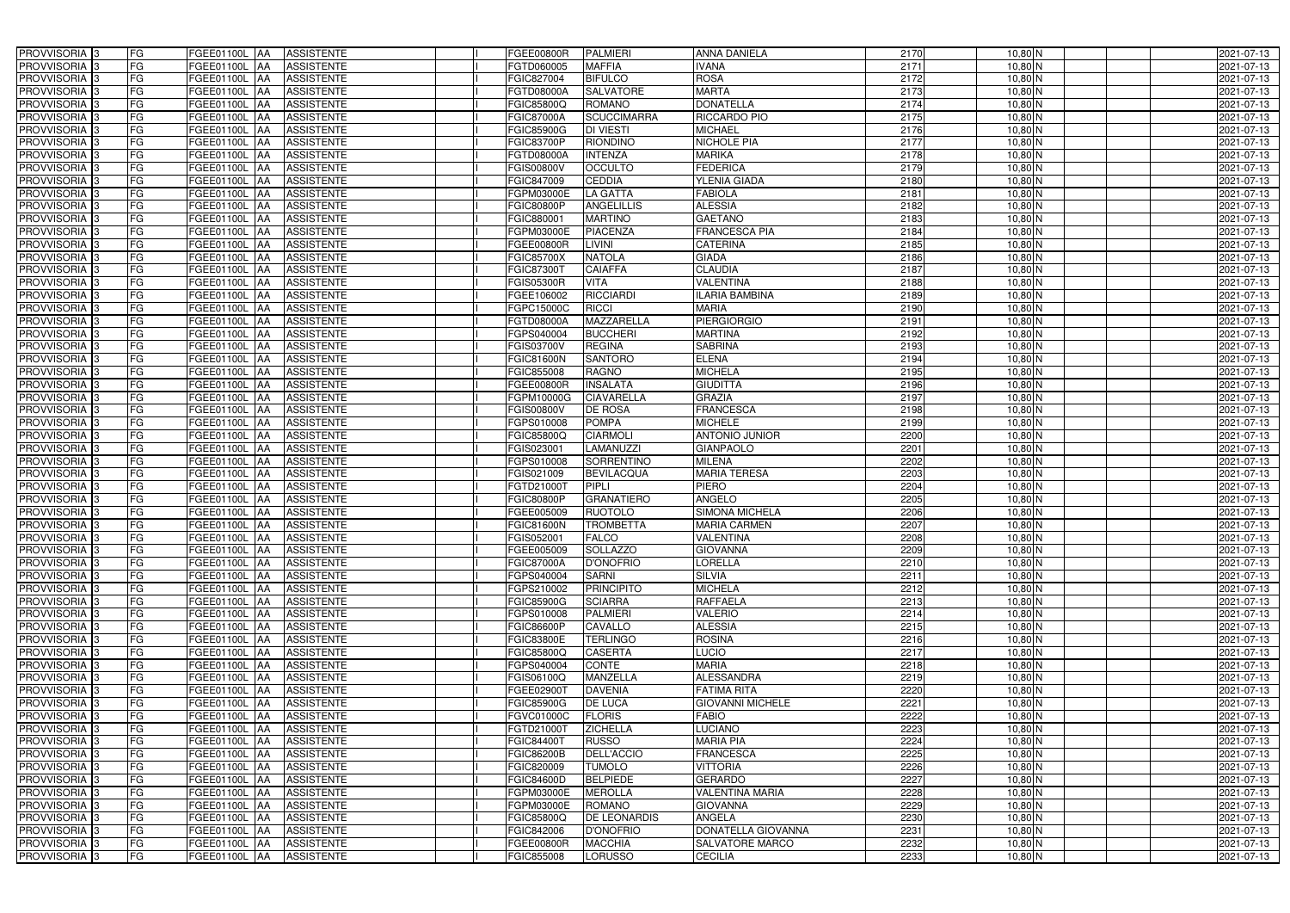| PROVVISORIA 3                                            | FG        | FGEE01100L AA                                 | <b>ASSISTENTE</b>                      | <b>FGEE00800R</b>       | <b>PALMIERI</b>                     | ANNA DANIELA            | 2170         | $10,80$ N              | 2021-07-13               |
|----------------------------------------------------------|-----------|-----------------------------------------------|----------------------------------------|-------------------------|-------------------------------------|-------------------------|--------------|------------------------|--------------------------|
| PROVVISORIA 3                                            | FG        | FGEE01100L<br>IAA                             | <b>ASSISTENTE</b>                      | FGTD060005              | <b>MAFFIA</b>                       | VANA                    | 2171         | $10,80$ N              | 2021-07-13               |
| PROVVISORIA 3                                            | <b>FG</b> | <b>FGEE01100L AA</b>                          | <b>ASSISTENTE</b>                      | FGIC827004              | <b>BIFULCO</b>                      | <b>ROSA</b>             | 2172         | $10,80$ N              | 2021-07-13               |
| PROVVISORIA 3                                            | FG        | FGEE01100L<br>IAA                             | <b>ASSISTENTE</b>                      | FGTD08000A              | <b>SALVATORE</b>                    | <b>MARTA</b>            | 2173         | $10,80$ N              | 2021-07-13               |
| PROVVISORIA <sup>3</sup>                                 | FG        | FGEE01100L<br>IAA                             | <b>ASSISTENTE</b>                      | FGIC85800Q              | <b>ROMANO</b>                       | <b>DONATELLA</b>        | 2174         | $10,80$ N              | 2021-07-13               |
| PROVVISORIA 3                                            | <b>FG</b> | <b>FGEE01100L AA</b>                          | <b>ASSISTENTE</b>                      | <b>FGIC87000A</b>       | <b>SCUCCIMARRA</b>                  | <b>RICCARDO PIO</b>     | 2175         | 10,80 N                | 2021-07-13               |
| PROVVISORIA 3                                            | FG        | FGEE01100L AA                                 | <b>ASSISTENTE</b>                      | <b>FGIC85900G</b>       | <b>DI VIESTI</b>                    | <b>MICHAEL</b>          | 2176         | $10,80$ N              | 2021-07-13               |
| PROVVISORIA 3                                            | FG        | FGEE01100L AA                                 | <b>ASSISTENTE</b>                      | <b>FGIC83700P</b>       | <b>RIONDINO</b>                     | <b>NICHOLE PIA</b>      | 2177         | $10,80$ N              | 2021-07-13               |
| PROVVISORIA 3                                            | <b>FG</b> | FGEE01100L AA                                 | <b>ASSISTENTE</b>                      | FGTD08000A              | <b>INTENZA</b>                      | <b>MARIKA</b>           | 2178         | $10,80$ N              | 2021-07-13               |
| PROVVISORIA 3                                            | FG        | FGEE01100L AA                                 | <b>ASSISTENTE</b>                      | <b>FGIS00800V</b>       | <b>OCCULTO</b>                      | <b>FEDERICA</b>         | 2179         | $10,80$ N              | 2021-07-13               |
| PROVVISORIA <sup>3</sup>                                 | FG        | FGEE01100L AA                                 | <b>ASSISTENTE</b>                      | FGIC847009              | <b>CEDDIA</b>                       | <b>YLENIA GIADA</b>     | 2180         | $10,80$ N              | 2021-07-13               |
| PROVVISORIA 3                                            | FG        | FGEE01100L AA                                 | <b>ASSISTENTE</b>                      | FGPM03000E              | <b>LA GATTA</b>                     | <b>FABIOLA</b>          | 2181         | $10,80$ N              | 2021-07-13               |
| PROVVISORIA <sup>3</sup>                                 | FG        | FGEE01100L AA                                 | <b>ASSISTENTE</b>                      | FGIC80800P              | <b>ANGELILLIS</b>                   | <b>ALESSIA</b>          | 2182         | $10,80$ N              | 2021-07-13               |
| PROVVISORIA 3                                            | FG        | FGEE01100L AA                                 | <b>ASSISTENTE</b>                      | FGIC880001              | <b>MARTINO</b>                      | <b>GAETANO</b>          | 2183         | $10,80$ N              | 2021-07-13               |
| PROVVISORIA 3                                            | <b>FG</b> | <b>FGEE01100L   AA</b>                        | <b>ASSISTENTE</b>                      | FGPM03000E              | <b>PIACENZA</b>                     | <b>FRANCESCA PIA</b>    | 2184         | $10,80$ N              | 2021-07-13               |
| PROVVISORIA 3                                            | <b>FG</b> | FGEE01100L<br>IAA                             | <b>ASSISTENTE</b>                      | FGEE00800R              | <b>LIVINI</b>                       | <b>CATERINA</b>         | 2185         | $10,80$ N              | 2021-07-13               |
| PROVVISORIA 3                                            | FG        | FGEE01100L<br>IAA                             | <b>ASSISTENTE</b>                      | <b>FGIC85700X</b>       | <b>NATOLA</b>                       | <b>GIADA</b>            | 2186         | $10,80$ N              | 2021-07-13               |
| PROVVISORIA 3                                            | FG        | <b>FGEE01100L</b><br>IAA                      | <b>ASSISTENTE</b>                      | FGIC873007              | <b>CAIAFFA</b>                      | <b>CLAUDIA</b>          | 2187         | $10,80$ N              | 2021-07-13               |
| PROVVISORIA 3                                            | FG        | <b>FGEE01100L</b><br>IAA                      | <b>ASSISTENTE</b>                      | <b>FGIS05300R</b>       | <b>VITA</b>                         | <b>VALENTINA</b>        | 2188         | $10,80$ N              | 2021-07-13               |
| PROVVISORIA 3                                            | FG        | FGEE01100L<br>IAA                             | <b>ASSISTENTE</b>                      | FGEE106002              | <b>RICCIARDI</b>                    | <b>ILARIA BAMBINA</b>   | 2189         | $10,80$ N              | 2021-07-13               |
| PROVVISORIA <sup>3</sup>                                 | FG        | FGEE01100L<br>IAA                             | <b>ASSISTENTE</b>                      | FGPC15000C              | <b>RICCI</b>                        | <b>MARIA</b>            | 2190         | $10,80$ N              | 2021-07-13               |
| <b>PROVVISORIA</b> 3                                     | FG        | <b>FGEE01100L</b><br>IAA                      | <b>ASSISTENTE</b>                      | FGTD08000A              | MAZZARELLA                          | <b>PIERGIORGIO</b>      | 2191         | $10,80$ N              | 2021-07-13               |
| PROVVISORIA <sup>3</sup>                                 | FG        | FGEE01100L<br>IAA                             | <b>ASSISTENTE</b>                      | FGPS040004              | <b>BUCCHERI</b>                     | <b>MARTINA</b>          | 2192         | $10,80$ N              | 2021-07-13               |
| PROVVISORIA <sup>3</sup>                                 | FG        | FGEE01100L<br>IAA                             | <b>ASSISTENTE</b>                      | FGIS03700V              | <b>REGINA</b>                       | <b>SABRINA</b>          | 2193         | $10,80$ N              | 2021-07-13               |
| <b>PROVVISORIA</b> 3                                     | FG        | FGEE01100L<br>IAA                             | <b>ASSISTENTE</b>                      | FGIC81600N              | <b>SANTORO</b>                      | <b>ELENA</b>            | 2194         | $10,80$ N              | 2021-07-13               |
| PROVVISORIA 3                                            | FG        | FGEE01100L<br>IAA                             | <b>ASSISTENTE</b>                      | FGIC855008              | <b>RAGNO</b>                        | <b>MICHELA</b>          | 2195         | $10,80$ N              | 2021-07-13               |
| PROVVISORIA 3                                            | <b>FG</b> | FGEE01100L AA                                 | <b>ASSISTENTE</b>                      | FGEE00800R              | <b>INSALATA</b>                     | <b>GIUDITTA</b>         | 2196         | $10,80$ N              | 2021-07-13               |
| PROVVISORIA 3                                            | <b>FG</b> | <b>FGEE01100L   AA</b>                        | <b>ASSISTENTE</b>                      | FGPM10000G              | <b>CIAVARELLA</b>                   | <b>GRAZIA</b>           | 2197         | $10,80$ N              | 2021-07-13               |
| PROVVISORIA 3                                            | FG        | FGEE01100L AA                                 | <b>ASSISTENTE</b>                      | <b>FGIS00800V</b>       | DE ROSA                             | <b>FRANCESCA</b>        | 2198         | $10,80$ N              | 2021-07-13               |
| PROVVISORIA 3                                            | <b>FG</b> | <b>FGEE01100L   AA</b>                        | <b>ASSISTENTE</b>                      | FGPS010008              | <b>POMPA</b>                        | <b>MICHELE</b>          | 2199         | $10,80$ N              | 2021-07-13               |
| PROVVISORIA 3                                            | FG        | <b>FGEE01100L AA</b>                          | <b>ASSISTENTE</b>                      | FGIC85800Q              | <b>CIARMOLI</b>                     | <b>ANTONIO JUNIOR</b>   | 2200         | $10,80$ N              | 2021-07-13               |
| PROVVISORIA 3                                            | FG        | FGEE01100L AA                                 | <b>ASSISTENTE</b>                      | FGIS023001              | LAMANUZZI                           | <b>GIANPAOLO</b>        | 2201         | $10,80$ N              | 2021-07-13               |
| PROVVISORIA 3                                            | FG        | FGEE01100L<br><b>IAA</b>                      | <b>ASSISTENTE</b>                      | FGPS010008              | <b>SORRENTINO</b>                   | <b>MILENA</b>           | 2202         | $10,80$ N              | 2021-07-13               |
| PROVVISORIA <sup>3</sup>                                 | FG        | FGEE01100L AA                                 | <b>ASSISTENTE</b>                      | FGIS021009              | <b>BEVILACQUA</b>                   | <b>MARIA TERESA</b>     | 2203         | $10,80$ N              | 2021-07-13               |
| <b>PROVVISORIA</b>                                       | <b>FG</b> | FGEE01100L<br>IAA                             | <b>ASSISTENTE</b>                      | FGTD21000T              | <b>PIPLI</b>                        | PIERO<br>ANGELO         | 2204         | $10,80$ N              | 2021-07-13               |
| PROVVISORIA <sup>1</sup> 3<br>PROVVISORIA <sup>1</sup> 3 | FG<br>FG  | <b>FGEE01100L</b><br>IAA<br><b>FGEE01100L</b> | <b>ASSISTENTE</b><br><b>ASSISTENTE</b> | FGIC80800P<br>GEE005009 | <b>GRANATIERO</b><br><b>RUOTOLO</b> | <b>SIMONA MICHELA</b>   | 2205<br>2206 | $10,80$ N              | 2021-07-13<br>2021-07-13 |
| PROVVISORIA <sup>3</sup>                                 | <b>FG</b> | IAA<br>FGEE01100L AA                          | <b>ASSISTENTE</b>                      | <b>FGIC81600N</b>       | <b>TROMBETTA</b>                    | <b>MARIA CARMEN</b>     | 2207         | $10,80$ N<br>$10,80$ N | 2021-07-13               |
| PROVVISORIA <sup>3</sup>                                 | FG        | FGEE01100L AA ASSISTENTE                      |                                        | FGIS052001              | <b>FALCO</b>                        | <b>VALENTINA</b>        | 2208         | $10,80$ N              | 2021-07-13               |
| PROVVISORIA <sup>3</sup>                                 | FG        | FGEE01100L AA                                 | <b>ASSISTENTE</b>                      | FGEE005009              | <b>SOLLAZZO</b>                     | <b>GIOVANNA</b>         | 2209         | $10,80$ N              | 2021-07-13               |
| PROVVISORIA <sup>3</sup>                                 | FG        | FGEE01100L AA                                 | <b>ASSISTENTE</b>                      | <b>FGIC87000A</b>       | D'ONOFRIO                           | <b>LORELLA</b>          | 2210         | $10,80$ N              | 2021-07-13               |
| PROVVISORIA <sup>3</sup>                                 | FG        | FGEE01100L AA                                 | <b>ASSISTENTE</b>                      | FGPS040004              | <b>SARNI</b>                        | <b>SILVIA</b>           | 2211         | 10,80 N                | 2021-07-13               |
| PROVVISORIA <sup>3</sup>                                 | FG        | FGEE01100L AA                                 | <b>ASSISTENTE</b>                      | FGPS210002              | <b>PRINCIPITO</b>                   | <b>MICHELA</b>          | 2212         | $10,80$ N              | 2021-07-13               |
| PROVVISORIA <sup>3</sup>                                 | FG        | <b>FGEE01100L AA</b>                          | <b>ASSISTENTE</b>                      | <b>FGIC85900G</b>       | <b>SCIARRA</b>                      | <b>RAFFAELA</b>         | 2213         | $10,80$ N              | 2021-07-13               |
| PROVVISORIA <sup>3</sup>                                 | FG        | FGEE01100L AA                                 | <b>ASSISTENTE</b>                      | FGPS010008              | <b>PALMIERI</b>                     | <b>VALERIO</b>          | 2214         | $10,80$ N              | 2021-07-13               |
| PROVVISORIA <sup>3</sup>                                 | FG        | FGEE01100L AA                                 | <b>ASSISTENTE</b>                      | <b>FGIC86600P</b>       | <b>CAVALLO</b>                      | <b>ALESSIA</b>          | 2215         | $10,80$ N              | 2021-07-13               |
| PROVVISORIA <sup>3</sup>                                 | FG        | <b>FGEE01100L AA</b>                          | <b>ASSISTENTE</b>                      | <b>FGIC83800E</b>       | <b>TERLINGO</b>                     | <b>ROSINA</b>           | 2216         | $10,80$ N              | 2021-07-13               |
| PROVVISORIA <sup>3</sup>                                 | FG        | FGEE01100L AA                                 | ASSISTENTE                             | FGIC85800Q              | <b>CASERTA</b>                      | <b>LUCIO</b>            | 2217         | $10,80$ N              | 2021-07-13               |
| PROVVISORIA 3                                            | FG        | FGEE01100L AA                                 | <b>ASSISTENTE</b>                      | FGPS040004              | <b>CONTE</b>                        | <b>MARIA</b>            | 2218         | $10,80$ N              | 2021-07-13               |
| PROVVISORIA 3                                            | FG        | FGEE01100L AA                                 | <b>ASSISTENTE</b>                      | FGIS06100Q              | <b>MANZELLA</b>                     | <b>ALESSANDRA</b>       | 2219         | $10,80$ N              | 2021-07-13               |
| PROVVISORIA 3                                            | FG        | FGEE01100L AA                                 | <b>ASSISTENTE</b>                      | FGEE02900T              | <b>DAVENIA</b>                      | <b>FATIMA RITA</b>      | 2220         | 10,80 N                | 2021-07-13               |
| PROVVISORIA <sup>3</sup>                                 | FG        | FGEE01100L AA                                 | <b>ASSISTENTE</b>                      | <b>FGIC85900G</b>       | <b>DE LUCA</b>                      | <b>GIOVANNI MICHELE</b> | 2221         | $10,80$ N              | 2021-07-13               |
| PROVVISORIA <sup>3</sup>                                 | FG        | FGEE01100L AA                                 | <b>ASSISTENTE</b>                      | <b>FGVC01000C</b>       | <b>FLORIS</b>                       | FABIO                   | 2222         | $10,80$ N              | 2021-07-13               |
| PROVVISORIA <sup>3</sup>                                 | FG        | FGEE01100L AA                                 | <b>ASSISTENTE</b>                      | FGTD21000T              | <b>ZICHELLA</b>                     | <b>LUCIANO</b>          | 2223         | $10,80$ N              | 2021-07-13               |
| PROVVISORIA <sup>13</sup>                                | FG        | FGEE01100L AA                                 | <b>ASSISTENTE</b>                      | FGIC844001              | <b>RUSSO</b>                        | <b>MARIA PIA</b>        | 2224         | 10,80 N                | 2021-07-13               |
| PROVVISORIA <sup>3</sup>                                 | FG        | FGEE01100L AA                                 | <b>ASSISTENTE</b>                      | <b>FGIC86200B</b>       | <b>DELL'ACCIO</b>                   | <b>FRANCESCA</b>        | 2225         | $10,80$ N              | 2021-07-13               |
| PROVVISORIA <sup>3</sup>                                 | FG        | FGEE01100L AA                                 | <b>ASSISTENTE</b>                      | FGIC820009              | <b>TUMOLO</b>                       | <b>VITTORIA</b>         | 2226         | 10,80 N                | 2021-07-13               |
| PROVVISORIA <sup>3</sup>                                 | FG        | FGEE01100L AA                                 | <b>ASSISTENTE</b>                      | FGIC84600D              | <b>BELPIEDE</b>                     | <b>GERARDO</b>          | 2227         | $10,80$ N              | 2021-07-13               |
| PROVVISORIA <sup>3</sup>                                 | FG        | FGEE01100L AA                                 | <b>ASSISTENTE</b>                      | FGPM03000E              | <b>MEROLLA</b>                      | <b>VALENTINA MARIA</b>  | 2228         | $10,80$ N              | 2021-07-13               |
| PROVVISORIA 3                                            | FG        | FGEE01100L AA                                 | <b>ASSISTENTE</b>                      | FGPM03000E              | <b>ROMANO</b>                       | <b>GIOVANNA</b>         | 2229         | $10,80$ N              | 2021-07-13               |
| PROVVISORIA 3                                            | FG        | FGEE01100L AA                                 | <b>ASSISTENTE</b>                      | FGIC85800Q              | <b>DE LEONARDIS</b>                 | ANGELA                  | 2230         | $10,80$ N              | 2021-07-13               |
| PROVVISORIA 3                                            | FG        | FGEE01100L AA                                 | <b>ASSISTENTE</b>                      | FGIC842006              | <b>D'ONOFRIO</b>                    | DONATELLA GIOVANNA      | 2231         | $10,80$ N              | 2021-07-13               |
| PROVVISORIA <sup>3</sup>                                 | FG        | <b>FGEE01100L AA</b>                          | <b>ASSISTENTE</b>                      | FGEE00800R              | <b>MACCHIA</b>                      | SALVATORE MARCO         | 2232         | $10,80$ N              | 2021-07-13               |
| PROVVISORIA 3                                            | FG        | FGEE01100L AA                                 | ASSISTENTE                             | FGIC855008              | <b>LORUSSO</b>                      | <b>CECILIA</b>          | 2233         | $10,80$ N              | 2021-07-13               |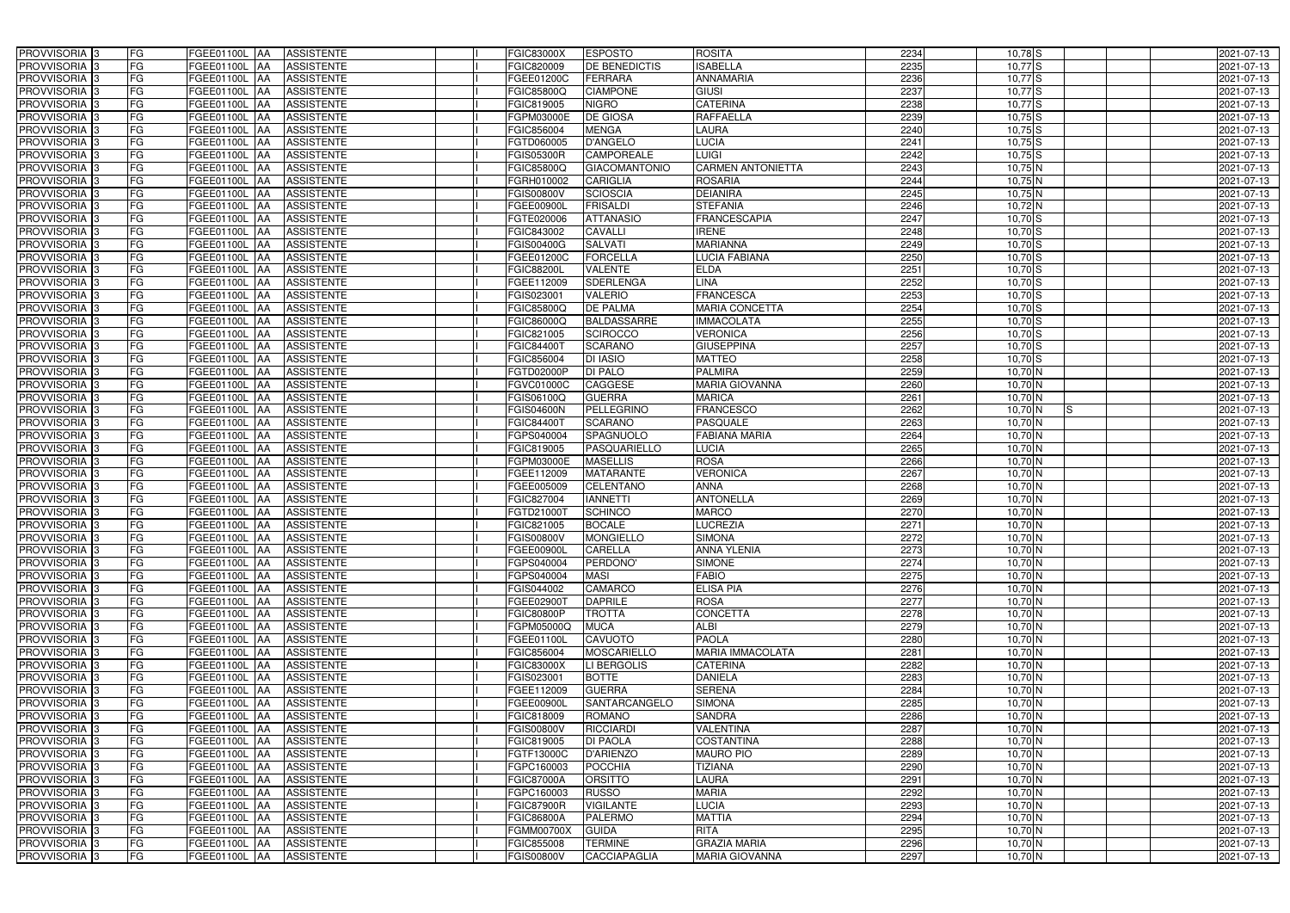| <b>PROVVISORIA</b> 3       | FG        | FGEE01100L AA            | <b>ASSISTENTE</b> | <b>FGIC83000X</b> | <b>ESPOSTO</b>       | <b>ROSITA</b>            | 2234 | $10,78$ S                  | 2021-07-13 |
|----------------------------|-----------|--------------------------|-------------------|-------------------|----------------------|--------------------------|------|----------------------------|------------|
| PROVVISORIA 3              | FG        | FGEE01100L AA            | <b>ASSISTENTE</b> | FGIC820009        | DE BENEDICTIS        | <b>SABELLA</b>           | 2235 | $10,77$ S                  | 2021-07-13 |
| PROVVISORIA 3              | FG        | FGEE01100L AA            | <b>ASSISTENTE</b> | FGEE01200C        | <b>FERRARA</b>       | <b>ANNAMARIA</b>         | 2236 | $10,77$ $S$                | 2021-07-13 |
| PROVVISORIA 3              | FG        | <b>FGEE01100L   AA</b>   | <b>ASSISTENTE</b> | FGIC85800Q        | <b>CIAMPONE</b>      | <b>GIUSI</b>             | 2237 | $10,77$ $S$                | 2021-07-13 |
| PROVVISORIA 3              | FG        | <b>FGEE01100L  AA</b>    | <b>ASSISTENTE</b> | FGIC819005        | <b>NIGRO</b>         | <b>CATERINA</b>          | 2238 | $10,77$ S                  | 2021-07-13 |
| PROVVISORIA 3              | FG        | FGEE01100L AA            | <b>ASSISTENTE</b> | FGPM03000E        | <b>DE GIOSA</b>      | <b>RAFFAELLA</b>         | 2239 | $10,75$ S                  | 2021-07-13 |
| PROVVISORIA 3              | <b>FG</b> | FGEE01100L AA            | <b>ASSISTENTE</b> | FGIC856004        | <b>MENGA</b>         | LAURA                    | 2240 | $10,75$ S                  | 2021-07-13 |
| <b>PROVVISORIA</b> 3       | <b>FG</b> | FGEE01100L<br>IAA        | <b>ASSISTENTE</b> | FGTD060005        | <b>D'ANGELO</b>      | <b>LUCIA</b>             | 2241 | $10,75$ S                  | 2021-07-13 |
| PROVVISORIA <sup>1</sup> 3 | FG        | FGEE01100L<br>IAA.       | <b>ASSISTENTE</b> | FGIS05300R        | <b>CAMPOREALE</b>    | LUIGI                    | 2242 | $10,75$ S                  | 2021-07-13 |
| PROVVISORIA 3              | FG        | FGEE01100L<br>IAA        | <b>ASSISTENTE</b> | FGIC85800Q        | <b>GIACOMANTONIO</b> | <b>CARMEN ANTONIETTA</b> | 2243 | 10,75 N                    | 2021-07-13 |
| PROVVISORIA 3              | FG        | FGEE01100L AA            | <b>ASSISTENTE</b> | <b>GRH010002</b>  | <b>CARIGLIA</b>      | <b>ROSARIA</b>           | 2244 | $10,75$ N                  | 2021-07-13 |
| PROVVISORIA 3              | <b>FG</b> | FGEE01100L AA            | <b>ASSISTENTE</b> | <b>FGIS00800V</b> | <b>SCIOSCIA</b>      | <b>DEIANIRA</b>          | 2245 | $10,75$ N                  | 2021-07-13 |
| PROVVISORIA 3              | FG        | FGEE01100L AA            | <b>ASSISTENTE</b> | FGEE00900L        | <b>FRISALDI</b>      | <b>STEFANIA</b>          | 2246 | 10,72 N                    | 2021-07-13 |
| PROVVISORIA 3              | <b>FG</b> | FGEE01100L AA            | <b>ASSISTENTE</b> | FGTE020006        | <b>ATTANASIO</b>     | <b>FRANCESCAPIA</b>      | 2247 | $10,70$ S                  | 2021-07-13 |
| PROVVISORIA <sup>3</sup>   | FG        | <b>FGEE01100L   AA</b>   | <b>ASSISTENTE</b> | FGIC843002        | CAVALLI              | <b>IRENE</b>             | 2248 | $10,70$ S                  | 2021-07-13 |
| PROVVISORIA 3              | <b>FG</b> | FGEE01100L AA            | <b>ASSISTENTE</b> | FGIS00400G        | <b>SALVATI</b>       | <b>MARIANNA</b>          | 2249 | $10,70$ S                  | 2021-07-13 |
| PROVVISORIA 3              | <b>FG</b> | FGEE01100L AA            | <b>ASSISTENTE</b> | FGEE01200C        | <b>FORCELLA</b>      | <b>LUCIA FABIANA</b>     | 2250 | $10,70$ S                  | 2021-07-13 |
| PROVVISORIA 3              | <b>FG</b> | FGEE01100L AA            | <b>ASSISTENTE</b> | <b>FGIC88200L</b> | <b>VALENTE</b>       | <b>ELDA</b>              | 2251 | $10,70$ S                  | 2021-07-13 |
| PROVVISORIA 3              | FG        | FGEE01100L AA            | <b>ASSISTENTE</b> | FGEE112009        | <b>SDERLENGA</b>     | <b>LINA</b>              | 2252 | $10,70$ S                  | 2021-07-13 |
| PROVVISORIA 3              | FG        | FGEE01100L<br>IAA        | <b>ASSISTENTE</b> | FGIS023001        | <b>VALERIO</b>       | <b>FRANCESCA</b>         | 2253 | $10,70$ S                  | 2021-07-13 |
| PROVVISORIA <sup>1</sup> 3 | FG        | <b>FGEE01100L</b><br>lAA | <b>ASSISTENTE</b> | FGIC85800Q        | DE PALMA             | MARIA CONCETTA           | 2254 | $10,70$ S                  | 2021-07-13 |
| PROVVISORIA <sup>3</sup>   | FG        | FGEE01100L<br>IAA        | <b>ASSISTENTE</b> | FGIC86000Q        | <b>BALDASSARRE</b>   | <b>IMMACOLATA</b>        | 2255 | $10,70$ S                  | 2021-07-13 |
| PROVVISORIA <sup>3</sup>   | FG        | <b>FGEE01100L</b><br>IAA | <b>ASSISTENTE</b> | FGIC821005        | <b>SCIROCCO</b>      | <b>VERONICA</b>          | 2256 | $10,70$ S                  | 2021-07-13 |
| <b>PROVVISORIA</b> 3       | FG        | FGEE01100L<br>IAA        | <b>ASSISTENTE</b> | FGIC844007        | <b>SCARANO</b>       | <b>GIUSEPPINA</b>        | 2257 | $10,70$ S                  | 2021-07-13 |
| <b>PROVVISORIA</b> 3       | FG        | FGEE01100L<br>IAA        | <b>ASSISTENTE</b> | FGIC856004        | <b>DI IASIO</b>      | <b>MATTEO</b>            | 2258 | $10,70$ S                  | 2021-07-13 |
| PROVVISORIA <sup>3</sup>   | <b>FG</b> | FGEE01100L<br>IAA        | <b>ASSISTENTE</b> | FGTD02000P        | <b>DI PALO</b>       | <b>PALMIRA</b>           | 2259 | $10,70$ N                  | 2021-07-13 |
| PROVVISORIA 3              | <b>FG</b> | <b>FGEE01100L</b><br>IAA | <b>ASSISTENTE</b> | FGVC01000C        | CAGGESE              | <b>MARIA GIOVANNA</b>    | 2260 | $10,70$ N                  | 2021-07-13 |
| PROVVISORIA <sup>3</sup>   | FG        | FGEE01100L<br>IAA        | <b>ASSISTENTE</b> | FGIS06100Q        | <b>GUERRA</b>        | <b>MARICA</b>            | 2261 | 10,70 N                    | 2021-07-13 |
| PROVVISORIA 3              | FG        | <b>FGEE01100L</b>        | <b>ASSISTENTE</b> | FGIS04600N        | PELLEGRINO           | <b>FRANCESCO</b>         | 2262 | $10,70$ N<br>IS            | 2021-07-13 |
| PROVVISORIA 3              | <b>FG</b> | FGEE01100L<br>IAA        | <b>ASSISTENTE</b> | FGIC844007        | <b>SCARANO</b>       | PASQUALE                 | 2263 | $10,70$ N                  | 2021-07-13 |
| PROVVISORIA 3              | <b>FG</b> | <b>FGEE01100L</b><br>IAA | <b>ASSISTENTE</b> | FGPS040004        | SPAGNUOLO            | <b>FABIANA MARIA</b>     | 2264 | $10,70\overline{\rm N}$    | 2021-07-13 |
| PROVVISORIA 3              | FG        | FGEE01100L<br>IAA        | <b>ASSISTENTE</b> | FGIC819005        | PASQUARIELLO         | LUCIA                    | 2265 | $10,70$ N                  | 2021-07-13 |
| <b>PROVVISORIA</b> 3       | <b>FG</b> | FGEE01100L<br>IAA        | <b>ASSISTENTE</b> | FGPM03000E        | <b>MASELLIS</b>      | <b>ROSA</b>              | 2266 | $10,70$ N                  | 2021-07-13 |
| PROVVISORIA <sup>1</sup> 3 | FG        | FGEE01100L AA            | <b>ASSISTENTE</b> | FGEE112009        | <b>MATARANTE</b>     | <b>VERONICA</b>          | 2267 | $10,70$ N                  | 2021-07-13 |
| PROVVISORIA <sup>13</sup>  | FG        | FGEE01100L<br>IAA        | <b>ASSISTENTE</b> | FGEE005009        | <b>CELENTANO</b>     | <b>ANNA</b>              | 2268 | 10,70 N                    | 2021-07-13 |
| PROVVISORIA 3              | FG        | FGEE01100L<br><b>AA</b>  | <b>ASSISTENTE</b> | FGIC827004        | <b>IANNETTI</b>      | <b>ANTONELLA</b>         | 2269 | $10,70$ N                  | 2021-07-13 |
| PROVVISORIA <sup>3</sup>   | <b>FG</b> | FGEE01100L AA            | <b>ASSISTENTE</b> | FGTD210001        | <b>SCHINCO</b>       | <b>MARCO</b>             | 2270 | $10,70$ N                  | 2021-07-13 |
| PROVVISORIA <sup>3</sup>   | FG        | FGEE01100L AA            | <b>ASSISTENTE</b> | FGIC821005        | <b>BOCALE</b>        | <b>LUCREZIA</b>          | 2271 | $10,70$ N                  | 2021-07-13 |
| PROVVISORIA <sup>3</sup>   | <b>FG</b> | FGEE01100L AA ASSISTENTE |                   | <b>FGIS00800V</b> | MONGIELLO            | <b>SIMONA</b>            | 2272 | $10,70$ N                  | 2021-07-13 |
| <b>PROVVISORIA</b> 3       | <b>FG</b> | FGEE01100L AA            | <b>ASSISTENTE</b> | FGEE00900L        | <b>CARELLA</b>       | <b>ANNA YLENIA</b>       | 2273 | 10,70 N                    | 2021-07-13 |
| <b>PROVVISORIA</b> 3       | FG        | FGEE01100L AA            | <b>ASSISTENTE</b> | FGPS040004        | PERDONO'             | <b>SIMONE</b>            | 2274 | $10,70$ N                  | 2021-07-13 |
| <b>PROVVISORIA</b> 3       | FG        | FGEE01100L AA ASSISTENTE |                   | FGPS040004        | <b>MASI</b>          | <b>FABIO</b>             | 2275 | 10,70 N                    | 2021-07-13 |
| PROVVISORIA <sup>3</sup>   | FG        | <b>FGEE01100L AA</b>     | <b>ASSISTENTE</b> | FGIS044002        | <b>CAMARCO</b>       | <b>ELISA PIA</b>         | 2276 | 10,70 N                    | 2021-07-13 |
| PROVVISORIA <sup>3</sup>   | FG        | <b>FGEE01100L AA</b>     | <b>ASSISTENTE</b> | FGEE02900T        | <b>DAPRILE</b>       | <b>ROSA</b>              | 2277 | 10,70 N                    | 2021-07-13 |
| PROVVISORIA 3              | FG        | FGEE01100L AA            | <b>ASSISTENTE</b> | <b>FGIC80800P</b> | <b>TROTTA</b>        | <b>CONCETTA</b>          | 2278 | 10,70 N                    | 2021-07-13 |
| PROVVISORIA 3              | <b>FG</b> | FGEE01100L AA            | <b>ASSISTENTE</b> | FGPM05000Q        | <b>MUCA</b>          | <b>ALBI</b>              | 2279 | $10,70$ N                  | 2021-07-13 |
| PROVVISORIA <sup>3</sup>   | FG        | FGEE01100L AA            | <b>ASSISTENTE</b> | FGEE01100L        | <b>CAVUOTO</b>       | <b>PAOLA</b>             | 2280 | $10,70$ N                  | 2021-07-13 |
| PROVVISORIA 3              | FG        | FGEE01100L AA            | <b>ASSISTENTE</b> | FGIC856004        | MOSCARIELLO          | <b>MARIA IMMACOLATA</b>  | 2281 | 10,70 N                    | 2021-07-13 |
| PROVVISORIA <sup>3</sup>   | FG        | FGEE01100L AA            | <b>ASSISTENTE</b> | <b>FGIC83000X</b> | LI BERGOLIS          | <b>CATERINA</b>          | 2282 | $10,70$ N                  | 2021-07-13 |
| PROVVISORIA <sup>3</sup>   | FG        | FGEE01100L AA            | <b>ASSISTENTE</b> | FGIS023001        | <b>BOTTE</b>         | <b>DANIELA</b>           | 2283 | $10,70$ N                  | 2021-07-13 |
| PROVVISORIA <sup>3</sup>   | <b>FG</b> | FGEE01100L AA            | <b>ASSISTENTE</b> | FGEE112009        | <b>GUERRA</b>        | <b>SERENA</b>            | 2284 | 10,70 N                    | 2021-07-13 |
| PROVVISORIA <sup>3</sup>   | FG        | FGEE01100L AA            | <b>ASSISTENTE</b> | <b>FGEE00900L</b> | <b>SANTARCANGELO</b> | <b>SIMONA</b>            | 2285 | $10,70$ N                  | 2021-07-13 |
| PROVVISORIA <sup>3</sup>   | FG        | FGEE01100L AA            | <b>ASSISTENTE</b> | FGIC818009        | <b>ROMANO</b>        | SANDRA                   | 2286 | 10,70 N                    | 2021-07-13 |
| PROVVISORIA <sup>3</sup>   | FG        | <b>FGEE01100L AA</b>     | <b>ASSISTENTE</b> | <b>FGIS00800V</b> | <b>RICCIARDI</b>     | <b>VALENTINA</b>         | 2287 | $10,70$ N                  | 2021-07-13 |
| PROVVISORIA <sup>3</sup>   | FG        | FGEE01100L AA            | <b>ASSISTENTE</b> | FGIC819005        | <b>DI PAOLA</b>      | <b>COSTANTINA</b>        | 2288 | 10,70 N                    | 2021-07-13 |
| PROVVISORIA <sup>3</sup>   | FG        | FGEE01100L AA            | <b>ASSISTENTE</b> | FGTF13000C        | <b>D'ARIENZO</b>     | <b>MAURO PIO</b>         | 2289 | $10,70$ N                  | 2021-07-13 |
| PROVVISORIA <sup>3</sup>   | FG        | FGEE01100L AA            | <b>ASSISTENTE</b> | FGPC160003        | <b>POCCHIA</b>       | <b>TIZIANA</b>           | 2290 | $10,70$ N                  | 2021-07-13 |
| PROVVISORIA <sup>3</sup>   | FG        | FGEE01100L AA            | <b>ASSISTENTE</b> | <b>FGIC87000A</b> | <b>ORSITTO</b>       | <b>LAURA</b>             | 2291 | $10,70$ N                  | 2021-07-13 |
| PROVVISORIA <sup>3</sup>   | FG        | FGEE01100L AA            | <b>ASSISTENTE</b> | FGPC160003        | <b>RUSSO</b>         | <b>MARIA</b>             | 2292 | $10,70\overline{\text{N}}$ | 2021-07-13 |
| PROVVISORIA <sup>3</sup>   | FG        | FGEE01100L AA            | <b>ASSISTENTE</b> | <b>FGIC87900R</b> | <b>VIGILANTE</b>     | <b>LUCIA</b>             | 2293 | $10,70$ N                  | 2021-07-13 |
| PROVVISORIA <sup>3</sup>   | FG        | FGEE01100L AA            | <b>ASSISTENTE</b> | FGIC86800A        | <b>PALERMO</b>       | <b>MATTIA</b>            | 2294 | $10,70$ N                  | 2021-07-13 |
| PROVVISORIA <sup>3</sup>   | FG        | FGEE01100L AA            | <b>ASSISTENTE</b> | <b>FGMM00700X</b> | <b>GUIDA</b>         | <b>RITA</b>              | 2295 | $10,70$ N                  | 2021-07-13 |
| PROVVISORIA <sup>3</sup>   | FG        | FGEE01100L AA            | ASSISTENTE        | FGIC855008        | <b>TERMINE</b>       | <b>GRAZIA MARIA</b>      | 2296 | $10,70$ N                  | 2021-07-13 |
| PROVVISORIA 3              | FG        | <b>FGEE01100L AA</b>     | <b>ASSISTENTE</b> | <b>FGIS00800V</b> | <b>CACCIAPAGLIA</b>  | <b>MARIA GIOVANNA</b>    | 2297 | $10,70$ N                  | 2021-07-13 |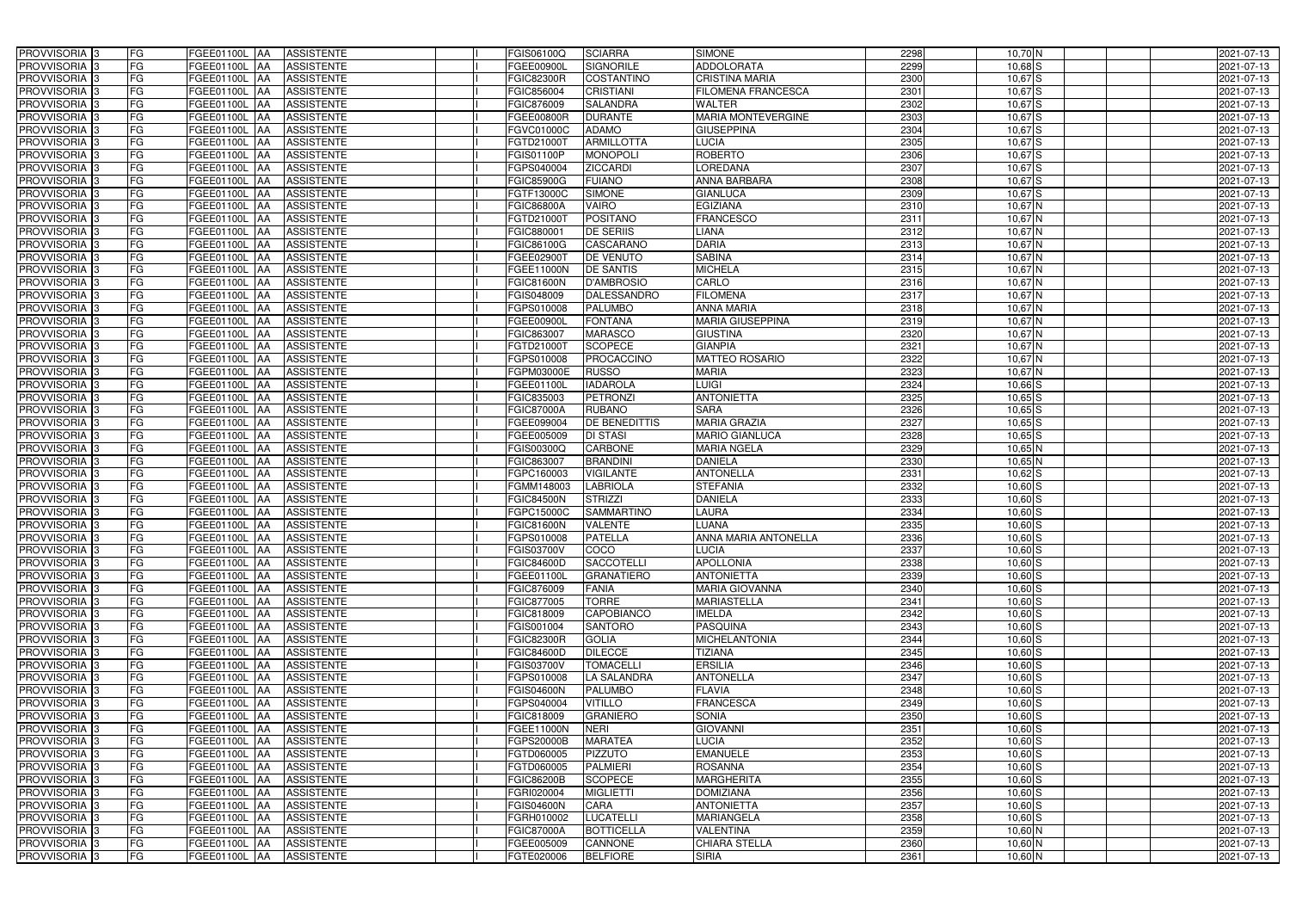| PROVVISORIA <sup>3</sup>                               | FG<br>FGEE01100L AA                        | <b>ASSISTENTE</b>               | FGIS06100Q               | <b>SCIARRA</b>               | <b>SIMONE</b>                               | 2298         | $10,70$ N              | 2021-07-13               |
|--------------------------------------------------------|--------------------------------------------|---------------------------------|--------------------------|------------------------------|---------------------------------------------|--------------|------------------------|--------------------------|
| PROVVISORIA <sup>3</sup>                               | FG<br>FGEE01100L AA                        | <b>ASSISTENTE</b>               | FGEE00900L               | <b>SIGNORILE</b>             | <b>ADDOLORATA</b>                           | 2299         | $10,68$ S              | 2021-07-13               |
| PROVVISORIA <sup>1</sup> 3                             | FG<br>FGEE01100L AA                        | <b>ASSISTENTE</b>               | <b>FGIC82300R</b>        | COSTANTINO                   | <b>CRISTINA MARIA</b>                       | 2300         | $10,67$ $S$            | 2021-07-13               |
| PROVVISORIA <sup>3</sup>                               | FG<br>FGEE01100L AA                        | <b>ASSISTENTE</b>               | FGIC856004               | <b>CRISTIANI</b>             | <b>FILOMENA FRANCESCA</b>                   | 2301         | $10,67$ $S$            | 2021-07-13               |
| PROVVISORIA <sup>3</sup>                               | FG<br>FGEE01100L AA                        | <b>ASSISTENTE</b>               | FGIC876009               | <b>SALANDRA</b>              | <b>WALTER</b>                               | 2302         | $10,67$ S              | 2021-07-13               |
| PROVVISORIA <sup>3</sup>                               | FG<br>FGEE01100L AA                        | <b>ASSISTENTE</b>               | FGEE00800R               | <b>DURANTE</b>               | <b>MARIA MONTEVERGINE</b>                   | 2303         | $10,67$ $S$            | 2021-07-13               |
| PROVVISORIA <sup>3</sup>                               | FG<br>FGEE01100L AA                        | <b>ASSISTENTE</b>               | FGVC01000C               | <b>ADAMO</b>                 | <b>GIUSEPPINA</b>                           | 2304         | $10,67$ $S$            | 2021-07-13               |
| PROVVISORIA 3                                          | FG<br>FGEE01100L AA                        | <b>ASSISTENTE</b>               | FGTD21000T               | <b>ARMILLOTTA</b>            | <b>LUCIA</b>                                | 2305         | $10,67$ $S$            | 2021-07-13               |
| PROVVISORIA <sup>3</sup>                               | FG<br>FGEE01100L                           | <b>ASSISTENTE</b><br><b>IAA</b> | $\overline{G}$ IS01100P  | <b>MONOPOLI</b>              | <b>ROBERTO</b>                              | 2306         | $10,67$ S              | 2021-07-13               |
| PROVVISORIA <sup>3</sup>                               | FG<br><b>FGEE01100L</b>                    | <b>ASSISTENTE</b><br>IAA        | GPS040004                | <b>ZICCARDI</b>              | LOREDANA                                    | 2307         | $10,67$ S              | 2021-07-13               |
| PROVVISORIA 3                                          | FG<br><b>FGEE01100L AA</b>                 | <b>ASSISTENTE</b>               | <b>FGIC85900G</b>        | <b>FUIANO</b>                | <b>ANNA BARBARA</b>                         | 2308         | $10,67$ $S$            | 2021-07-13               |
| PROVVISORIA 3                                          | FG<br><b>FGEE01100L AA</b>                 | <b>ASSISTENTE</b>               | FGTF13000C               | <b>SIMONE</b>                | <b>GIANLUCA</b>                             | 2309         | $10,67$ $S$            | 2021-07-13               |
| PROVVISORIA 3                                          | FG<br>FGEE01100L AA                        | <b>ASSISTENTE</b>               | <b>FGIC86800A</b>        | <b>VAIRO</b>                 | EGIZIANA                                    | 2310         | $10,67$ N              | 2021-07-13               |
| PROVVISORIA 3                                          | FG<br>FGEE01100L AA                        | <b>ASSISTENTE</b>               | FGTD21000T               | <b>POSITANO</b>              | <b>FRANCESCO</b>                            | 2311         | $10,67$ N              | 2021-07-13               |
| PROVVISORIA 3                                          | FG<br><b>FGEE01100L   AA</b>               | <b>ASSISTENTE</b>               | FGIC880001               | <b>DE SERIIS</b>             | LIANA                                       | 2312         | $10,67$ N              | 2021-07-13               |
| PROVVISORIA 3                                          | FG<br><b>FGEE01100L AA</b>                 | <b>ASSISTENTE</b>               | FGIC86100G               | <b>CASCARANO</b>             | <b>DARIA</b>                                | 2313         | $10,67$ N              | 2021-07-13               |
| PROVVISORIA 3                                          | FG<br>FGEE01100L AA                        | <b>ASSISTENTE</b>               | FGEE02900T               | <b>DE VENUTO</b>             | <b>SABINA</b>                               | 2314         | $10,67$ N              | 2021-07-13               |
| PROVVISORIA 3                                          | FG<br>FGEE01100L AA                        | <b>ASSISTENTE</b>               | FGEE11000N               | <b>DE SANTIS</b>             | <b>MICHELA</b>                              | 2315         | $10,67$ N              | 2021-07-13               |
| PROVVISORIA 3                                          | FG<br>FGEE01100L AA                        | <b>ASSISTENTE</b>               | <b>FGIC81600N</b>        | <b>D'AMBROSIO</b>            | CARLO                                       | 2316         | $10,67$ N              | 2021-07-13               |
| PROVVISORIA 3                                          | FG<br>FGEE01100L                           | <b>ASSISTENTE</b><br>l AA       | FGIS048009               | <b>DALESSANDRO</b>           | <b>FILOMENA</b>                             | 2317         | $10,67$ N              | 2021-07-13               |
| PROVVISORIA <sup>3</sup>                               | FG<br>FGEE01100L                           | <b>ASSISTENTE</b><br>ΙAΑ        | FGPS010008               | PALUMBO                      | <b>ANNA MARIA</b>                           | 2318         | $10,67$ N              | 2021-07-13               |
| PROVVISORIA 3                                          | FG<br>FGEE01100L                           | <b>ASSISTENTE</b><br>IAA        | FGEE00900L               | <b>FONTANA</b>               | <b>MARIA GIUSEPPINA</b>                     | 2319         | $10,67$ N              | 2021-07-13               |
| PROVVISORIA 3                                          | FG<br>FGEE01100L                           | <b>ASSISTENTE</b><br>IAA        | FGIC863007               | <b>MARASCO</b>               | <b>GIUSTINA</b>                             | 2320         | $10,67$ N              | 2021-07-13               |
| PROVVISORIA <sup>3</sup>                               | FG<br><b>FGEE01100L</b>                    | <b>ASSISTENTE</b><br>IAA        | FGTD210001               | <b>SCOPECE</b>               | <b>GIANPIA</b>                              | 2321         | $10,67$ N              | 2021-07-13               |
| PROVVISORIA <sup>3</sup>                               | FG<br>FGEE01100L AA                        | <b>ASSISTENTE</b>               | GPS010008                | PROCACCINO                   | <b>MATTEO ROSARIO</b>                       | 2322         | $10,67$ N              | 2021-07-13               |
| PROVVISORIA 3                                          | FG<br>FGEE01100L                           | <b>ASSISTENTE</b><br>IAA        | FGPM03000E               | <b>RUSSO</b>                 | <b>MARIA</b>                                | 2323         | $10,67$ N              | 2021-07-13               |
| PROVVISORIA 3                                          | FG<br><b>FGEE01100L</b>                    | <b>ASSISTENTE</b><br>IAA        | FGEE01100L               | <b>IADAROLA</b>              | <b>LUIGI</b>                                | 2324         | $10,66$ $S$            | 2021-07-13               |
| PROVVISORIA 3                                          | FG<br>FGEE01100L                           | <b>ASSISTENTE</b><br>IAA        | FGIC835003               | <b>PETRONZI</b>              | <b>ANTONIETTA</b>                           | 2325         | $10,65$ S              | 2021-07-13               |
| PROVVISORIA <sup>3</sup>                               | FG<br>FGEE01100L                           | <b>ASSISTENTE</b>               | FGIC87000A               | <b>RUBANO</b>                | <b>SARA</b>                                 | 2326         | $10,65$ S              | 2021-07-13               |
| PROVVISORIA <sup>3</sup>                               | FG<br><b>FGEE01100L</b>                    | <b>ASSISTENTE</b><br><b>JAA</b> | FGEE099004               | DE BENEDITTIS                | <b>MARIA GRAZIA</b>                         | 2327         | $10,65$ S              | 2021-07-13               |
| PROVVISORIA <sup>3</sup>                               | FG<br>FGEE01100L AA                        | <b>ASSISTENTE</b>               | FGEE005009               | <b>DI STASI</b>              | <b>MARIO GIANLUCA</b>                       | 2328         | $10,65$ S              | 2021-07-13               |
| PROVVISORIA <sup>3</sup>                               | FG<br>FGEE01100L                           | <b>ASSISTENTE</b><br>IAA        | FGIS00300Q               | <b>CARBONE</b>               | <b>MARIA NGELA</b>                          | 2329         | $10,65$ N              | 2021-07-13               |
| PROVVISORIA <sup>3</sup>                               | FG<br>FGEE01100L                           | <b>ASSISTENTE</b><br>IAA        | FGIC863007               | <b>BRANDINI</b>              | <b>DANIELA</b>                              | 2330         | $10,65$ N              | 2021-07-13               |
| PROVVISORIA <sup>3</sup>                               | FG<br>FGEE01100L AA                        | <b>ASSISTENTE</b>               | FGPC160003               | <b>VIGILANTE</b>             | <b>ANTONELLA</b>                            | 2331         | $10,62$ S              | 2021-07-13               |
| PROVVISORIA 3                                          | FG<br>FGEE01100L AA                        | <b>ASSISTENTE</b>               | FGMM148003               | <b>LABRIOLA</b>              | <b>STEFANIA</b>                             | 2332         | $10,60$ S              | 2021-07-13               |
| PROVVISORIA <sup>3</sup>                               | FG<br>FGEE01100L AA                        | <b>ASSISTENTE</b>               | <b>FGIC84500N</b>        | <b>STRIZZI</b>               | <b>DANIELA</b>                              | 2333         | $10,60$ $S$            | 2021-07-13               |
| PROVVISORIA 3                                          | FG<br>FGEE01100L AA                        | <b>ASSISTENTE</b>               | FGPC15000C               | <b>SAMMARTINO</b>            | LAURA                                       | 2334         | $10,60$ $S$            | 2021-07-13               |
| PROVVISORIA <sup>3</sup>                               | FG<br>FGEE01100L AA                        | <b>ASSISTENTE</b>               | FGIC81600N               | <b>VALENTE</b>               | <b>LUANA</b>                                | 2335         | $10,60$ $S$            | 2021-07-13               |
| PROVVISORIA <sup>3</sup>                               | <b>FG</b>                                  | FGEE01100L AA ASSISTENTE        | FGPS010008               | <b>PATELLA</b>               | <b>ANNA MARIA ANTONELLA</b>                 | 2336         | $10,60$ S              | 2021-07-13               |
| <b>PROVVISORIA</b> 3                                   | FG<br>FGEE01100L AA                        | ASSISTENTE                      | FGIS03700V               | COCO                         | <b>LUCIA</b>                                | 2337         | $10,60$ S              | 2021-07-13               |
| PROVVISORIA <sup>3</sup>                               | FG<br>FGEE01100L AA                        | <b>ASSISTENTE</b>               | FGIC84600D               | <b>SACCOTELLI</b>            | <b>APOLLONIA</b>                            | 2338         | $10,60$ S              | 2021-07-13               |
| PROVVISORIA <sup>3</sup><br><b>PROVVISORIA</b> 3       | FG                                         | FGEE01100L AA ASSISTENTE        | FGEE01100L               | <b>GRANATIERO</b>            | <b>ANTONIETTA</b>                           | 2339         | $10,60$ $S$            | 2021-07-13               |
| PROVVISORIA <sup>3</sup>                               | FG<br><b>FGEE01100L AA</b>                 | ASSISTENTE                      | FGIC876009               | <b>FANIA</b><br><b>TORRE</b> | <b>MARIA GIOVANNA</b><br><b>MARIASTELLA</b> | 2340         | $10,60$ S              | 2021-07-13<br>2021-07-13 |
|                                                        | FG<br><b>FGEE01100L AA</b>                 | <b>ASSISTENTE</b>               | FGIC877005               | <b>CAPOBIANCO</b>            |                                             | 2341         | $10,60$ S              |                          |
| PROVVISORIA <sup>1</sup> 3<br>PROVVISORIA <sup>3</sup> | FG<br>FGEE01100L AA<br>FG<br>FGEE01100L AA | <b>ASSISTENTE</b><br>ASSISTENTE | FGIC818009<br>FGIS001004 | <b>SANTORO</b>               | <b>IMELDA</b><br><b>PASQUINA</b>            | 2342<br>2343 | $10,60$ S<br>$10,60$ S | 2021-07-13<br>2021-07-13 |
| PROVVISORIA <sup>1</sup> 3                             | FG<br>FGEE01100L AA                        | <b>ASSISTENTE</b>               | <b>FGIC82300R</b>        | <b>GOLIA</b>                 | <b>MICHELANTONIA</b>                        | 2344         | $10,60$ S              | 2021-07-13               |
| PROVVISORIA <sup>3</sup>                               | FG<br>FGEE01100L AA                        | <b>ASSISTENTE</b>               | FGIC84600D               | <b>DILECCE</b>               | <b>TIZIANA</b>                              | 2345         | $10,60$ S              | 2021-07-13               |
| PROVVISORIA <sup>3</sup>                               | FG<br>FGEE01100L AA                        | <b>ASSISTENTE</b>               | FGIS03700V               | <b>TOMACELLI</b>             | <b>ERSILIA</b>                              | 2346         | $10,60$ S              | 2021-07-13               |
| PROVVISORIA <sup>3</sup>                               | FG<br>FGEE01100L AA                        | <b>ASSISTENTE</b>               | FGPS010008               | LA SALANDRA                  | <b>ANTONELLA</b>                            | 2347         | $10,60$ S              | 2021-07-13               |
| PROVVISORIA <sup>3</sup>                               | FG<br>FGEE01100L AA                        | <b>ASSISTENTE</b>               | <b>FGIS04600N</b>        | <b>PALUMBO</b>               | <b>FLAVIA</b>                               | 2348         | $10,60$ S              | 2021-07-13               |
| PROVVISORIA <sup>3</sup>                               | FG<br>FGEE01100L AA                        | <b>ASSISTENTE</b>               | FGPS040004               | <b>VITILLO</b>               | <b>FRANCESCA</b>                            | 2349         | $10,60$ S              | 2021-07-13               |
| PROVVISORIA <sup>3</sup>                               | FG<br>FGEE01100L AA                        | <b>ASSISTENTE</b>               | FGIC818009               | <b>GRANIERO</b>              | <b>SONIA</b>                                | 2350         | $10,60$ S              | 2021-07-13               |
| PROVVISORIA <sup>3</sup>                               | FG<br>FGEE01100L AA                        | <b>ASSISTENTE</b>               | FGEE11000N               | <b>NERI</b>                  | <b>GIOVANNI</b>                             | 2351         | $10,60$ S              | 2021-07-13               |
| PROVVISORIA <sup>3</sup>                               | FG<br>FGEE01100L AA                        | <b>ASSISTENTE</b>               | FGPS20000B               | <b>MARATEA</b>               | LUCIA                                       | 2352         | $10,60$ $S$            | 2021-07-13               |
| PROVVISORIA <sup>3</sup>                               | FG<br>FGEE01100L AA                        | <b>ASSISTENTE</b>               | FGTD060005               | <b>PIZZUTO</b>               | <b>EMANUELE</b>                             | 2353         | $10,60$ S              | 2021-07-13               |
| PROVVISORIA <sup>3</sup>                               | <b>FG</b><br>FGEE01100L AA                 | <b>ASSISTENTE</b>               | FGTD060005               | <b>PALMIERI</b>              | <b>ROSANNA</b>                              | 2354         | $10,60$ S              | 2021-07-13               |
| PROVVISORIA <sup>1</sup> 3                             | FG<br>FGEE01100L AA                        | <b>ASSISTENTE</b>               | FGIC86200B               | <b>SCOPECE</b>               | <b>MARGHERITA</b>                           | 2355         | $10,60$ S              | 2021-07-13               |
| PROVVISORIA <sup>3</sup>                               | FG<br>FGEE01100L AA                        | <b>ASSISTENTE</b>               | FGRI020004               | <b>MIGLIETTI</b>             | <b>DOMIZIANA</b>                            | 2356         | $10,60$ S              | 2021-07-13               |
| PROVVISORIA <sup>1</sup> 3                             | FG<br>FGEE01100L AA                        | <b>ASSISTENTE</b>               | FGIS04600N               | <b>CARA</b>                  | <b>ANTONIETTA</b>                           | 2357         | $10,60$ S              | 2021-07-13               |
| PROVVISORIA <sup>3</sup>                               | FG<br>FGEE01100L AA                        | <b>ASSISTENTE</b>               | FGRH010002               | <b>LUCATELLI</b>             | <b>MARIANGELA</b>                           | 2358         | $10,60$ $S$            | 2021-07-13               |
| PROVVISORIA <sup>3</sup>                               | FG<br>FGEE01100L AA                        | <b>ASSISTENTE</b>               | <b>FGIC87000A</b>        | <b>BOTTICELLA</b>            | <b>VALENTINA</b>                            | 2359         | 10,60 N                | 2021-07-13               |
| PROVVISORIA <sup>3</sup>                               | FG<br>FGEE01100L AA                        | ASSISTENTE                      | FGEE005009               | CANNONE                      | <b>CHIARA STELLA</b>                        | 2360         | 10,60 N                | 2021-07-13               |
| PROVVISORIA 3                                          | FG<br>FGEE01100L AA                        | ASSISTENTE                      | FGTE020006               | <b>BELFIORE</b>              | <b>SIRIA</b>                                | 2361         | 10,60 N                | 2021-07-13               |
|                                                        |                                            |                                 |                          |                              |                                             |              |                        |                          |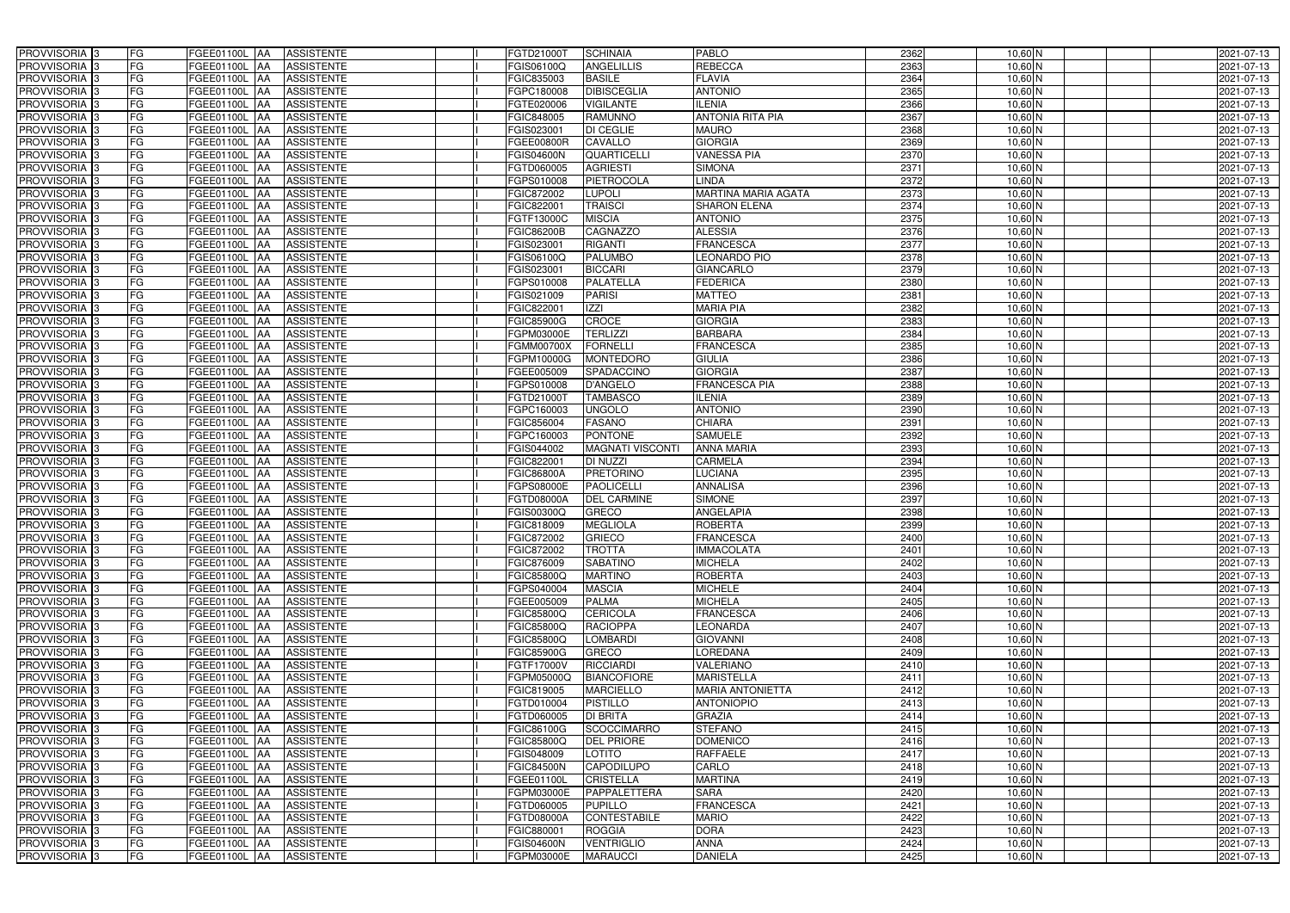| PROVVISORIA <sup>3</sup>   | FG<br>FGEE01100L AA                       | <b>ASSISTENTE</b>               | FGTD21000T        | <b>SCHINAIA</b>         | PABLO                      | 2362 | $10,60$ N | 2021-07-13 |
|----------------------------|-------------------------------------------|---------------------------------|-------------------|-------------------------|----------------------------|------|-----------|------------|
| PROVVISORIA <sup>3</sup>   | FG<br>FGEE01100L AA                       | <b>ASSISTENTE</b>               | FGIS06100Q        | <b>ANGELILLIS</b>       | <b>REBECCA</b>             | 2363 | $10,60$ N | 2021-07-13 |
| PROVVISORIA <sup>3</sup>   | FG<br>FGEE01100L AA                       | <b>ASSISTENTE</b>               | FGIC835003        | <b>BASILE</b>           | <b>FLAVIA</b>              | 2364 | $10,60$ N | 2021-07-13 |
| PROVVISORIA 3              | FG<br>FGEE01100L                          | <b>ASSISTENTE</b><br><b>IAA</b> | FGPC180008        | <b>DIBISCEGLIA</b>      | <b>ANTONIO</b>             | 2365 | $10,60$ N | 2021-07-13 |
| PROVVISORIA <sup>3</sup>   | FG<br>FGEE01100L                          | <b>ASSISTENTE</b><br><b>IAA</b> | FGTE020006        | <b>VIGILANTE</b>        | <b>ILENIA</b>              | 2366 | 10,60 N   | 2021-07-13 |
| PROVVISORIA 3              | FG<br>FGEE01100L AA                       | <b>ASSISTENTE</b>               | FGIC848005        | <b>RAMUNNO</b>          | <b>ANTONIA RITA PIA</b>    | 2367 | 10,60 N   | 2021-07-13 |
| PROVVISORIA 3              | FG<br>FGEE01100L AA                       | <b>ASSISTENTE</b>               | FGIS023001        | <b>DI CEGLIE</b>        | <b>MAURO</b>               | 2368 | $10,60$ N | 2021-07-13 |
| PROVVISORIA 3              | FG<br>FGEE01100L AA                       | <b>ASSISTENTE</b>               | FGEE00800R        | CAVALLO                 | <b>GIORGIA</b>             | 2369 | $10,60$ N | 2021-07-13 |
| PROVVISORIA 3              | FG<br>FGEE01100L AA                       | <b>ASSISTENTE</b>               | <b>FGIS04600N</b> | <b>QUARTICELLI</b>      | <b>VANESSA PIA</b>         | 2370 | $10,60$ N | 2021-07-13 |
| PROVVISORIA <sup>3</sup>   | FG<br><b>FGEE01100L AA</b>                | <b>ASSISTENTE</b>               | FGTD060005        | <b>AGRIESTI</b>         | <b>SIMONA</b>              | 2371 | $10,60$ N | 2021-07-13 |
| PROVVISORIA 3              | FG<br>FGEE01100L AA                       | <b>ASSISTENTE</b>               | FGPS010008        | PIETROCOLA              | <b>LINDA</b>               | 2372 | $10,60$ N | 2021-07-13 |
| PROVVISORIA 3              | FG<br>FGEE01100L AA                       | <b>ASSISTENTE</b>               | FGIC872002        | <b>LUPOLI</b>           | <b>MARTINA MARIA AGATA</b> | 2373 | $10,60$ N | 2021-07-13 |
| PROVVISORIA <sup>3</sup>   | FG<br>FGEE01100L AA                       | <b>ASSISTENTE</b>               | FGIC822001        | <b>TRAISCI</b>          | <b>SHARON ELENA</b>        | 2374 | 10,60 N   | 2021-07-13 |
| PROVVISORIA 3              | FG<br>FGEE01100L AA                       | <b>ASSISTENTE</b>               | FGTF13000C        | <b>MISCIA</b>           | <b>ANTONIO</b>             | 2375 | $10,60$ N | 2021-07-13 |
| PROVVISORIA 3              | $\overline{\mathsf{FG}}$<br>FGEE01100L AA | <b>ASSISTENTE</b>               | <b>FGIC86200B</b> | <b>CAGNAZZO</b>         | <b>ALESSIA</b>             | 2376 | $10,60$ N | 2021-07-13 |
| PROVVISORIA 3              | $\overline{\mathsf{FG}}$<br>FGEE01100L AA | <b>ASSISTENTE</b>               | FGIS023001        | <b>RIGANTI</b>          | <b>FRANCESCA</b>           | 2377 | $10,60$ N | 2021-07-13 |
| PROVVISORIA 3              | FG<br><b>FGEE01100L</b>                   | <b>ASSISTENTE</b><br><b>IAA</b> | FGIS06100Q        | <b>PALUMBO</b>          | <b>LEONARDO PIO</b>        | 2378 | $10,60$ N | 2021-07-13 |
| PROVVISORIA 3              | FG<br>FGEE01100L AA                       | <b>ASSISTENTE</b>               | FGIS023001        | <b>BICCARI</b>          | <b>GIANCARLO</b>           | 2379 | $10,60$ N | 2021-07-13 |
| PROVVISORIA 3              | FG<br><b>FGEE01100L</b>                   | <b>ASSISTENTE</b><br><b>JAA</b> | FGPS010008        | PALATELLA               | <b>FEDERICA</b>            | 2380 | $10,60$ N | 2021-07-13 |
| PROVVISORIA 3              | FG<br>FGEE01100L AA                       | <b>ASSISTENTE</b>               | FGIS021009        | <b>PARISI</b>           | <b>MATTEO</b>              | 2381 | $10,60$ N | 2021-07-13 |
| PROVVISORIA <sup>3</sup>   | FG<br>FGEE01100L                          | <b>JAA</b><br><b>ASSISTENTE</b> | FGIC822001        | <b>IZZI</b>             | <b>MARIA PIA</b>           | 2382 | 10,60 N   | 2021-07-13 |
| PROVVISORIA 3              | FG<br>FGEE01100L                          | <b>ASSISTENTE</b><br><b>JAA</b> | <b>FGIC85900G</b> | <b>CROCE</b>            | <b>GIORGIA</b>             | 2383 | $10,60$ N | 2021-07-13 |
| PROVVISORIA 3              | FG<br>FGEE01100L                          | <b>ASSISTENTE</b><br><b>JAA</b> | FGPM03000E        | <b>TERLIZZI</b>         | <b>BARBARA</b>             | 2384 | $10,60$ N | 2021-07-13 |
| PROVVISORIA 3              | FG<br>FGEE01100L AA                       | <b>ASSISTENTE</b>               | <b>FGMM00700X</b> | <b>FORNELLI</b>         | <b>FRANCESCA</b>           | 2385 | $10,60$ N | 2021-07-13 |
| PROVVISORIA <sup>3</sup>   | FG<br>FGEE01100L AA                       | <b>ASSISTENTE</b>               | FGPM10000G        | <b>MONTEDORO</b>        | <b>GIULIA</b>              | 2386 | $10,60$ N | 2021-07-13 |
| PROVVISORIA 3              | FG<br>FGEE01100L AA                       | <b>ASSISTENTE</b>               | FGEE005009        | SPADACCINO              | <b>GIORGIA</b>             | 2387 | $10,60$ N | 2021-07-13 |
| PROVVISORIA 3              | FG<br>FGEE01100L AA                       | <b>ASSISTENTE</b>               | FGPS010008        | <b>D'ANGELO</b>         | <b>FRANCESCA PIA</b>       | 2388 | $10,60$ N | 2021-07-13 |
| PROVVISORIA 3              | FG<br>FGEE01100L AA                       | <b>ASSISTENTE</b>               | FGTD21000T        | <b>TAMBASCO</b>         | <b>ILENIA</b>              | 2389 | $10,60$ N | 2021-07-13 |
| PROVVISORIA <sup>3</sup>   | FG<br>FGEE01100L AA                       | <b>ASSISTENTE</b>               | FGPC160003        | <b>UNGOLO</b>           | <b>ANTONIO</b>             | 2390 | 10,60 N   | 2021-07-13 |
| PROVVISORIA <sup>3</sup>   | FG<br>FGEE01100L AA                       | <b>ASSISTENTE</b>               | FGIC856004        | <b>FASANO</b>           | <b>CHIARA</b>              | 2391 | $10,60$ N | 2021-07-13 |
| PROVVISORIA <sup>3</sup>   | FG<br>FGEE01100L AA                       | <b>ASSISTENTE</b>               | FGPC160003        | <b>PONTONE</b>          | <b>SAMUELE</b>             | 2392 | 10,60 N   | 2021-07-13 |
| PROVVISORIA <sup>3</sup>   | FG<br><b>FGEE01100L AA</b>                | <b>ASSISTENTE</b>               | FGIS044002        | <b>MAGNATI VISCONTI</b> | <b>ANNA MARIA</b>          | 2393 | 10,60 N   | 2021-07-13 |
| PROVVISORIA <sup>3</sup>   | FG<br>FGEE01100L AA                       | <b>ASSISTENTE</b>               | FGIC822001        | DI NUZZI                | <b>CARMELA</b>             | 2394 | $10,60$ N | 2021-07-13 |
| PROVVISORIA <sup>3</sup>   | FG<br>FGEE01100L AA                       | <b>ASSISTENTE</b>               | <b>FGIC86800A</b> | <b>PRETORINO</b>        | <b>LUCIANA</b>             | 2395 | $10,60$ N | 2021-07-13 |
| PROVVISORIA 3              | FG<br>FGEE01100L                          | <b>ASSISTENTE</b><br><b>IAA</b> | FGPS08000E        | <b>PAOLICELLI</b>       | <b>ANNALISA</b>            | 2396 | $10,60$ N | 2021-07-13 |
| PROVVISORIA <sup>3</sup>   | FG<br>FGEE01100L                          | <b>ASSISTENTE</b><br><b>JAA</b> | FGTD08000A        | <b>DEL CARMINE</b>      | <b>SIMONE</b>              | 2397 | 10,60 N   | 2021-07-13 |
| PROVVISORIA <sup>3</sup>   | FG<br>FGEE01100L                          | <b>ASSISTENTE</b><br><b>JAA</b> | FGIS00300Q        | <b>GRECO</b>            | <b>ANGELAPIA</b>           | 2398 | 10,60 N   | 2021-07-13 |
| PROVVISORIA <sup>3</sup>   | FG<br>FGEE01100L AA                       | <b>ASSISTENTE</b>               | FGIC818009        | <b>MEGLIOLA</b>         | <b>ROBERTA</b>             | 2399 | 10,60 N   | 2021-07-13 |
| PROVVISORIA 3              | FG<br>FGEE01100L AA                       | ASSISTENTE                      | FGIC872002        | <b>GRIECO</b>           | <b>FRANCESCA</b>           | 2400 | 10,60 N   | 2021-07-13 |
| PROVVISORIA <sup>3</sup>   | FG<br>FGEE01100L AA                       | ASSISTENTE                      | <b>FGIC872002</b> | <b>TROTTA</b>           | <b>IMMACOLATA</b>          | 2401 | $10,60$ N | 2021-07-13 |
| PROVVISORIA <sup>3</sup>   | FG<br>FGEE01100L AA                       | ASSISTENTE                      | <b>FGIC876009</b> | <b>SABATINO</b>         | <b>MICHELA</b>             | 2402 | $10,60$ N | 2021-07-13 |
| PROVVISORIA <sup>3</sup>   | FG<br>FGEE01100L AA                       | ASSISTENTE                      | <b>FGIC85800Q</b> | <b>MARTINO</b>          | <b>ROBERTA</b>             | 2403 | $10,60$ N | 2021-07-13 |
| PROVVISORIA <sup>3</sup>   | FG<br>FGEE01100L AA                       | <b>ASSISTENTE</b>               | FGPS040004        | <b>MASCIA</b>           | <b>MICHELE</b>             | 2404 | $10,60$ N | 2021-07-13 |
| PROVVISORIA <sup>3</sup>   | FG<br>FGEE01100L AA                       | ASSISTENTE                      | FGEE005009        | <b>PALMA</b>            | <b>MICHELA</b>             | 2405 | $10,60$ N | 2021-07-13 |
| PROVVISORIA 3              | FG<br>FGEE01100L AA                       | ASSISTENTE                      | <b>FGIC85800Q</b> | <b>CERICOLA</b>         | <b>FRANCESCA</b>           | 2406 | 10,60 N   | 2021-07-13 |
| PROVVISORIA <sup>3</sup>   | FG<br>FGEE01100L AA                       | ASSISTENTE                      | <b>FGIC85800Q</b> | <b>RACIOPPA</b>         | <b>LEONARDA</b>            | 2407 | $10,60$ N | 2021-07-13 |
| PROVVISORIA <sup>3</sup>   | FG<br>FGEE01100L AA                       | ASSISTENTE                      | <b>FGIC85800Q</b> | <b>LOMBARDI</b>         | <b>GIOVANNI</b>            | 2408 | $10,60$ N | 2021-07-13 |
| PROVVISORIA <sup>3</sup>   | FG<br>FGEE01100L AA                       | ASSISTENTE                      | <b>FGIC85900G</b> | <b>GRECO</b>            | <b>LOREDANA</b>            | 2409 | $10,60$ N | 2021-07-13 |
| PROVVISORIA <sup>3</sup>   | FG<br>FGEE01100L AA                       | ASSISTENTE                      | FGTF17000V        | RICCIARDI               | <b>VALERIANO</b>           | 2410 | $10,60$ N | 2021-07-13 |
| PROVVISORIA <sup>3</sup>   | FG<br>FGEE01100L AA                       | ASSISTENTE                      | FGPM05000Q        | <b>BIANCOFIORE</b>      | <b>MARISTELLA</b>          | 2411 | $10,60$ N | 2021-07-13 |
| PROVVISORIA <sup>3</sup>   | FG<br>FGEE01100L AA                       | <b>ASSISTENTE</b>               | FGIC819005        | <b>MARCIELLO</b>        | <b>MARIA ANTONIETTA</b>    | 2412 | $10,60$ N | 2021-07-13 |
| PROVVISORIA <sup>3</sup>   | FG<br>FGEE01100L AA                       | <b>ASSISTENTE</b>               | FGTD010004        | <b>PISTILLO</b>         | <b>ANTONIOPIO</b>          | 2413 | $10,60$ N | 2021-07-13 |
| PROVVISORIA <sup>3</sup>   | FG<br>FGEE01100L AA                       | <b>ASSISTENTE</b>               | FGTD060005        | <b>DI BRITA</b>         | <b>GRAZIA</b>              | 2414 | $10,60$ N | 2021-07-13 |
| PROVVISORIA <sup>3</sup>   | FG<br>FGEE01100L AA                       | <b>ASSISTENTE</b>               | FGIC86100G        | <b>SCOCCIMARRO</b>      | <b>STEFANO</b>             | 2415 | $10,60$ N | 2021-07-13 |
| PROVVISORIA <sup>1</sup> 3 | FG<br>FGEE01100L AA                       | <b>ASSISTENTE</b>               | FGIC85800Q        | <b>DEL PRIORE</b>       | <b>DOMENICO</b>            | 2416 | $10,60$ N | 2021-07-13 |
| PROVVISORIA <sup>1</sup> 3 | FG<br>FGEE01100L AA                       | <b>ASSISTENTE</b>               | FGIS048009        | <b>LOTITO</b>           | <b>RAFFAELE</b>            | 2417 | 10,60 N   | 2021-07-13 |
| PROVVISORIA <sup>3</sup>   | FG<br>FGEE01100L AA                       | <b>ASSISTENTE</b>               | <b>FGIC84500N</b> | <b>CAPODILUPO</b>       | CARLO                      | 2418 | $10,60$ N | 2021-07-13 |
| <b>PROVVISORIA</b> 3       | FG<br>FGEE01100L AA                       | <b>ASSISTENTE</b>               | FGEE01100L        | <b>CRISTELLA</b>        | <b>MARTINA</b>             | 2419 | 10,60 N   | 2021-07-13 |
| PROVVISORIA <sup>3</sup>   | FG<br>FGEE01100L AA                       | <b>ASSISTENTE</b>               | FGPM03000E        | PAPPALETTERA            | <b>SARA</b>                | 2420 | 10,60 N   | 2021-07-13 |
| PROVVISORIA <sup>3</sup>   | FG<br><b>FGEE01100L AA</b>                | <b>ASSISTENTE</b>               | FGTD060005        | <b>PUPILLO</b>          | <b>FRANCESCA</b>           | 2421 | $10,60$ N | 2021-07-13 |
| PROVVISORIA <sup>3</sup>   | FG<br>FGEE01100L AA                       | <b>ASSISTENTE</b>               | FGTD08000A        | <b>CONTESTABILE</b>     | <b>MARIO</b>               | 2422 | $10,60$ N | 2021-07-13 |
| PROVVISORIA <sup>3</sup>   | FG<br>FGEE01100L AA                       | <b>ASSISTENTE</b>               | FGIC880001        | <b>ROGGIA</b>           | <b>DORA</b>                | 2423 | $10,60$ N | 2021-07-13 |
| PROVVISORIA <sup>3</sup>   | FG<br>FGEE01100L AA                       | <b>ASSISTENTE</b>               | <b>FGIS04600N</b> | <b>VENTRIGLIO</b>       | <b>ANNA</b>                | 2424 | $10,60$ N | 2021-07-13 |
| PROVVISORIA <sup>3</sup>   | FG<br>FGEE01100L AA                       | ASSISTENTE                      | <b>FGPM03000E</b> | <b>MARAUCCI</b>         | <b>DANIELA</b>             | 2425 | $10,60$ N | 2021-07-13 |
|                            |                                           |                                 |                   |                         |                            |      |           |            |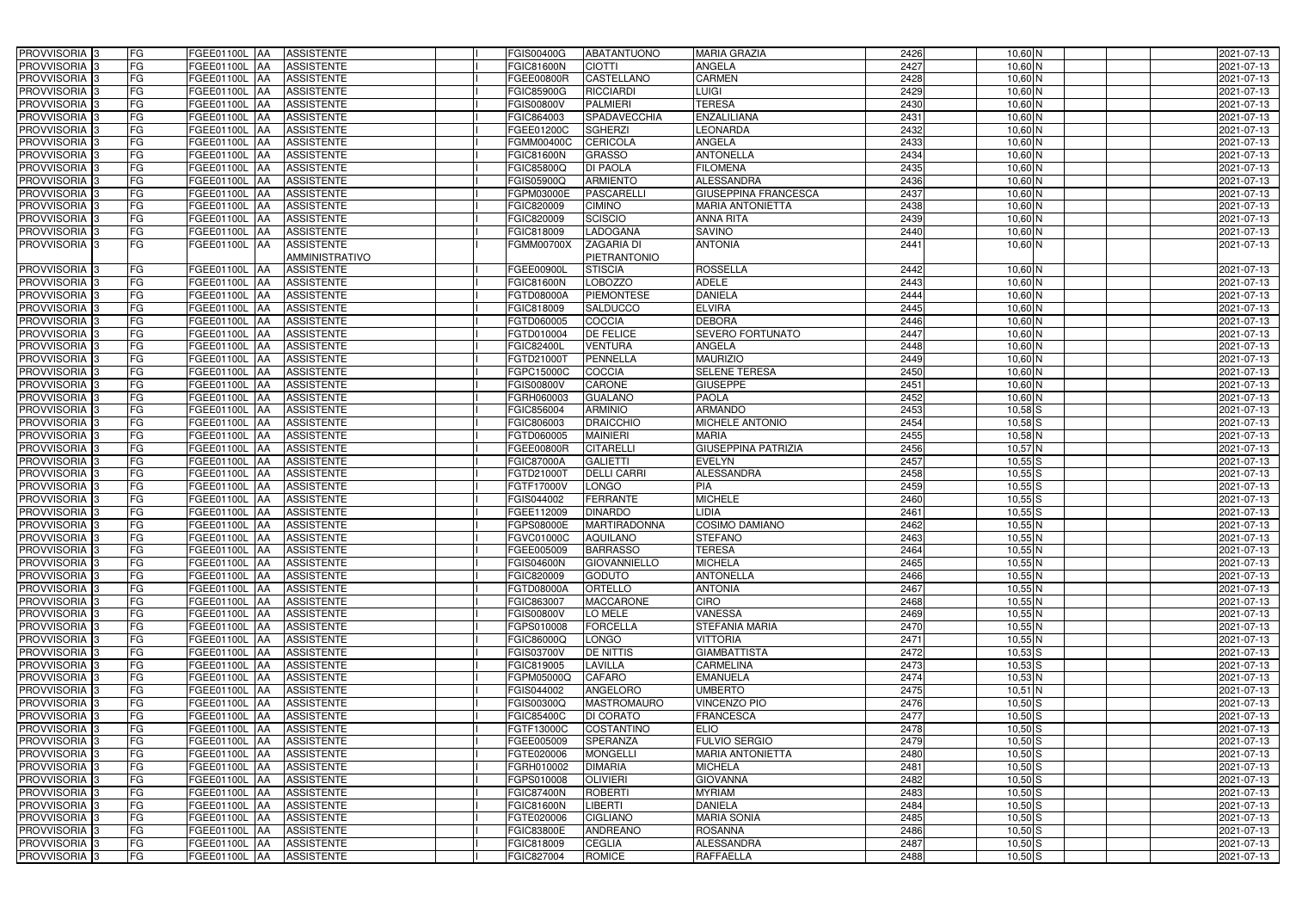| PROVVISORIA 3              | FG                       | FGEE01100L AA            | <b>ASSISTENTE</b> | <b>FGIS00400G</b> | <b>ABATANTUONO</b>  | <b>MARIA GRAZIA</b>         | 2426 | $10,60$ N   | 2021-07-13 |
|----------------------------|--------------------------|--------------------------|-------------------|-------------------|---------------------|-----------------------------|------|-------------|------------|
| PROVVISORIA <sup>3</sup>   | FG                       | FGEE01100L AA            | <b>ASSISTENTE</b> | <b>FGIC81600N</b> | <b>CIOTTI</b>       | <b>ANGELA</b>               | 2427 | $10,60$ N   | 2021-07-13 |
| PROVVISORIA <sup>3</sup>   | FG                       | FGEE01100L AA            | <b>ASSISTENTE</b> | <b>FGEE00800R</b> | CASTELLANO          | <b>CARMEN</b>               | 2428 | $10,60$ N   | 2021-07-13 |
| PROVVISORIA 3              | FG                       | FGEE01100L AA            | <b>ASSISTENTE</b> | <b>FGIC85900G</b> | <b>RICCIARDI</b>    | LUIGI                       | 2429 | $10,60$ N   | 2021-07-13 |
| PROVVISORIA <sup>3</sup>   | FG                       | FGEE01100L<br><b>IAA</b> | <b>ASSISTENTE</b> | <b>FGIS00800V</b> | <b>PALMIERI</b>     | <b>TERESA</b>               | 2430 | 10,60 N     | 2021-07-13 |
| PROVVISORIA <sup>3</sup>   | FG                       | FGEE01100L AA            | <b>ASSISTENTE</b> | FGIC864003        | <b>SPADAVECCHIA</b> | <b>ENZALILIANA</b>          | 2431 | 10,60 N     | 2021-07-13 |
| PROVVISORIA <sup>3</sup>   | FG                       | FGEE01100L AA            | <b>ASSISTENTE</b> | FGEE01200C        | <b>SGHERZI</b>      | <b>LEONARDA</b>             | 2432 | $10,60$ N   | 2021-07-13 |
| PROVVISORIA <sup>3</sup>   | FG                       | FGEE01100L AA            | <b>ASSISTENTE</b> | <b>FGMM00400C</b> | <b>CERICOLA</b>     | <b>ANGELA</b>               | 2433 | $10,60$ N   | 2021-07-13 |
| PROVVISORIA 3              | FG                       | FGEE01100L AA            | <b>ASSISTENTE</b> | FGIC81600N        | <b>GRASSO</b>       | <b>ANTONELLA</b>            | 2434 | $10,60$ N   | 2021-07-13 |
| PROVVISORIA <sup>3</sup>   | FG                       | FGEE01100L AA            | <b>ASSISTENTE</b> | FGIC85800Q        | <b>DI PAOLA</b>     | <b>FILOMENA</b>             | 2435 | $10,60$ N   | 2021-07-13 |
| PROVVISORIA 3              | FG                       | FGEE01100L AA            | <b>ASSISTENTE</b> | FGIS05900Q        | <b>ARMIENTO</b>     | <b>ALESSANDRA</b>           | 2436 | $10,60$ N   | 2021-07-13 |
| PROVVISORIA 3              | FG                       | FGEE01100L AA            | <b>ASSISTENTE</b> | FGPM03000E        | <b>PASCARELLI</b>   | <b>GIUSEPPINA FRANCESCA</b> | 2437 | $10,60$ N   | 2021-07-13 |
| PROVVISORIA <sup>3</sup>   | FG                       | FGEE01100L AA            | <b>ASSISTENTE</b> | FGIC820009        | <b>CIMINO</b>       | <b>MARIA ANTONIETTA</b>     | 2438 | 10,60 N     | 2021-07-13 |
| PROVVISORIA 3              | FG                       | FGEE01100L AA            | <b>ASSISTENTE</b> | FGIC820009        | <b>SCISCIO</b>      | <b>ANNA RITA</b>            | 2439 | $10,60$ N   | 2021-07-13 |
| PROVVISORIA 3              | $\overline{\mathsf{FG}}$ | FGEE01100L AA            | <b>ASSISTENTE</b> | FGIC818009        | <b>LADOGANA</b>     | <b>SAVINO</b>               | 2440 | $10,60$ N   | 2021-07-13 |
| PROVVISORIA 3              | $\overline{\mathsf{FG}}$ | FGEE01100L AA            | <b>ASSISTENTE</b> | <b>FGMM00700X</b> | <b>ZAGARIA DI</b>   | <b>ANTONIA</b>              | 2441 | $10,60$ N   | 2021-07-13 |
|                            |                          |                          | AMMINISTRATIVO    |                   | PIETRANTONIO        |                             |      |             |            |
| PROVVISORIA <sup>3</sup>   | FG                       | FGEE01100L AA            | <b>ASSISTENTE</b> | <b>FGEE00900L</b> | <b>STISCIA</b>      | <b>ROSSELLA</b>             | 2442 | $10,60$ N   | 2021-07-13 |
| PROVVISORIA 3              | FG                       | FGEE01100L AA            | <b>ASSISTENTE</b> | <b>FGIC81600N</b> | <b>LOBOZZO</b>      | <b>ADELE</b>                | 2443 | $10,60$ N   | 2021-07-13 |
| PROVVISORIA 3              | FG                       | <b>FGEE01100L AA</b>     | <b>ASSISTENTE</b> | FGTD08000A        | <b>PIEMONTESE</b>   | <b>DANIELA</b>              | 2444 | $10,60$ N   | 2021-07-13 |
| PROVVISORIA 3              | FG                       | FGEE01100L<br><b>AA</b>  | <b>ASSISTENTE</b> | FGIC818009        | SALDUCCO            | <b>ELVIRA</b>               | 2445 | 10,60 N     | 2021-07-13 |
| PROVVISORIA 3              | FG                       | FGEE01100L AA            | <b>ASSISTENTE</b> | FGTD060005        | COCCIA              | <b>DEBORA</b>               | 2446 | $10,60$ N   | 2021-07-13 |
| PROVVISORIA 3              | FG                       | FGEE01100L<br><b>JAA</b> | <b>ASSISTENTE</b> | FGTD010004        | <b>DE FELICE</b>    | <b>SEVERO FORTUNATO</b>     | 2447 | $10,60$ N   | 2021-07-13 |
| PROVVISORIA 3              | FG                       | FGEE01100L AA            | <b>ASSISTENTE</b> | FGIC82400L        | <b>VENTURA</b>      | <b>ANGELA</b>               | 2448 | $10,60$ N   | 2021-07-13 |
| PROVVISORIA 3              | FG                       | FGEE01100L AA            | <b>ASSISTENTE</b> | FGTD210001        | <b>PENNELLA</b>     | <b>MAURIZIO</b>             | 2449 | $10,60$ N   | 2021-07-13 |
| PROVVISORIA 3              | FG                       | FGEE01100L AA            | <b>ASSISTENTE</b> | FGPC15000C        | COCCIA              | <b>SELENE TERESA</b>        | 2450 | $10,60$ N   | 2021-07-13 |
| PROVVISORIA 3              | FG                       | FGEE01100L AA            | <b>ASSISTENTE</b> | <b>FGIS00800V</b> | <b>CARONE</b>       | <b>GIUSEPPE</b>             | 2451 | $10,60$ N   | 2021-07-13 |
| PROVVISORIA 3              | FG                       | FGEE01100L AA            | <b>ASSISTENTE</b> | FGRH060003        | <b>GUALANO</b>      | <b>PAOLA</b>                | 2452 | $10,60$ N   | 2021-07-13 |
| PROVVISORIA <sup>3</sup>   | FG                       | FGEE01100L AA            | <b>ASSISTENTE</b> | FGIC856004        | <b>ARMINIO</b>      | <b>ARMANDO</b>              | 2453 | $10,58$ S   | 2021-07-13 |
| PROVVISORIA <sup>3</sup>   | FG                       | FGEE01100L AA            | <b>ASSISTENTE</b> | FGIC806003        | <b>DRAICCHIO</b>    | MICHELE ANTONIO             | 2454 | $10,58$ $S$ | 2021-07-13 |
| PROVVISORIA <sup>3</sup>   | FG                       | FGEE01100L AA            | <b>ASSISTENTE</b> | FGTD060005        | <b>MAINIERI</b>     | <b>MARIA</b>                | 2455 | 10,58 N     | 2021-07-13 |
| PROVVISORIA <sup>3</sup>   | FG                       | FGEE01100L AA            | <b>ASSISTENTE</b> | FGEE00800R        | <b>CITARELLI</b>    | <b>GIUSEPPINA PATRIZIA</b>  | 2456 | $10,57$ N   | 2021-07-13 |
| PROVVISORIA <sup>3</sup>   | FG                       | FGEE01100L AA            | <b>ASSISTENTE</b> | <b>FGIC87000A</b> | <b>GALIETTI</b>     | <b>EVELYN</b>               | 2457 | $10,55$ S   | 2021-07-13 |
| PROVVISORIA <sup>3</sup>   | FG                       | FGEE01100L AA            | <b>ASSISTENTE</b> | FGTD21000T        | <b>DELLI CARRI</b>  | <b>ALESSANDRA</b>           | 2458 | $10,55$ S   | 2021-07-13 |
| PROVVISORIA <sup>3</sup>   | FG                       | FGEE01100L<br> AA        | <b>ASSISTENTE</b> | FGTF17000V        | <b>LONGO</b>        | PIA                         | 2459 | $10,55$ S   | 2021-07-13 |
| PROVVISORIA <sup>3</sup>   | FG                       | FGEE01100L<br><b>JAA</b> | <b>ASSISTENTE</b> | FGIS044002        | <b>FERRANTE</b>     | <b>MICHELE</b>              | 2460 | $10,55$ $S$ | 2021-07-13 |
| PROVVISORIA <sup>3</sup>   | FG                       | FGEE01100L<br><b>JAA</b> | <b>ASSISTENTE</b> | FGEE112009        | <b>DINARDO</b>      | IDIA.                       | 2461 | $10,55$ $S$ | 2021-07-13 |
| PROVVISORIA <sup>3</sup>   | FG                       | FGEE01100L AA            | <b>ASSISTENTE</b> | FGPS08000E        | <b>MARTIRADONNA</b> | <b>COSIMO DAMIANO</b>       | 2462 | $10,55$ N   | 2021-07-13 |
| PROVVISORIA 3              | FG                       | FGEE01100L AA            | <b>ASSISTENTE</b> | <b>FGVC01000C</b> | <b>AQUILANO</b>     | <b>STEFANO</b>              | 2463 | 10,55 N     | 2021-07-13 |
| PROVVISORIA <sup>3</sup>   | FG                       | FGEE01100L AA            | ASSISTENTE        | FGEE005009        | <b>BARRASSO</b>     | <b>TERESA</b>               | 2464 | $10,55$ N   | 2021-07-13 |
| PROVVISORIA <sup>3</sup>   | FG                       | FGEE01100L AA            | ASSISTENTE        | <b>FGIS04600N</b> | <b>GIOVANNIELLO</b> | <b>MICHELA</b>              | 2465 | $10,55$ N   | 2021-07-13 |
| PROVVISORIA 3              | FG                       | FGEE01100L AA            | ASSISTENTE        | FGIC820009        | <b>GODUTO</b>       | <b>ANTONELLA</b>            | 2466 | $10,55$ N   | 2021-07-13 |
| PROVVISORIA <sup>3</sup>   | FG                       | FGEE01100L AA            | <b>ASSISTENTE</b> | FGTD08000A        | ORTELLO             | <b>ANTONIA</b>              | 2467 | $10,55$ N   | 2021-07-13 |
| PROVVISORIA <sup>3</sup>   | FG                       | FGEE01100L AA            | ASSISTENTE        | FGIC863007        | <b>MACCARONE</b>    | <b>CIRO</b>                 | 2468 | $10,55$ N   | 2021-07-13 |
| PROVVISORIA 3              | FG                       | FGEE01100L AA            | <b>ASSISTENTE</b> | <b>FGIS00800V</b> | LO MELE             | <b>VANESSA</b>              | 2469 | $10,55$ N   | 2021-07-13 |
| PROVVISORIA <sup>3</sup>   | FG                       | FGEE01100L AA            | ASSISTENTE        | FGPS010008        | <b>FORCELLA</b>     | <b>STEFANIA MARIA</b>       | 2470 | $10,55$ N   | 2021-07-13 |
| PROVVISORIA <sup>3</sup>   | FG                       | FGEE01100L AA            | ASSISTENTE        | FGIC86000Q        | <b>LONGO</b>        | <b>VITTORIA</b>             | 2471 | $10,55$ N   | 2021-07-13 |
| PROVVISORIA <sup>3</sup>   | FG                       | FGEE01100L AA            | ASSISTENTE        | FGIS03700V        | <b>DE NITTIS</b>    | <b>GIAMBATTISTA</b>         | 2472 | $10,53$ S   | 2021-07-13 |
| PROVVISORIA <sup>3</sup>   | FG                       | FGEE01100L AA            | ASSISTENTE        | FGIC819005        | LAVILLA             | <b>CARMELINA</b>            | 2473 | $10,53$ $S$ | 2021-07-13 |
| PROVVISORIA <sup>3</sup>   | FG                       | FGEE01100L AA            | ASSISTENTE        | FGPM05000Q        | <b>CAFARO</b>       | <b>EMANUELA</b>             | 2474 | $10,53$ N   | 2021-07-13 |
| PROVVISORIA <sup>3</sup>   | FG                       | FGEE01100L AA            | <b>ASSISTENTE</b> | FGIS044002        | ANGELORO            | <b>UMBERTO</b>              | 2475 | $10,51$ N   | 2021-07-13 |
| PROVVISORIA <sup>3</sup>   | FG                       | FGEE01100L AA            | ASSISTENTE        | FGIS00300Q        | MASTROMAURO         | <b>VINCENZO PIO</b>         | 2476 | $10,50$ $S$ | 2021-07-13 |
| PROVVISORIA <sup>3</sup>   | FG                       | FGEE01100L AA            | ASSISTENTE        | <b>FGIC85400C</b> | DI CORATO           | <b>FRANCESCA</b>            | 2477 | $10,50$ S   | 2021-07-13 |
| PROVVISORIA <sup>3</sup>   | FG                       | FGEE01100L AA            | <b>ASSISTENTE</b> | FGTF13000C        | <b>COSTANTINO</b>   | <b>ELIO</b>                 | 2478 | $10,50$ $S$ | 2021-07-13 |
| PROVVISORIA <sup>13</sup>  | FG                       | FGEE01100L AA            | <b>ASSISTENTE</b> | FGEE005009        | SPERANZA            | <b>FULVIO SERGIO</b>        | 2479 | $10,50$ $S$ | 2021-07-13 |
| PROVVISORIA <sup>1</sup> 3 | FG                       | FGEE01100L AA            | <b>ASSISTENTE</b> | FGTE020006        | <b>MONGELLI</b>     | <b>MARIA ANTONIETTA</b>     | 2480 | $10,50$ S   | 2021-07-13 |
| PROVVISORIA <sup>3</sup>   | FG                       | FGEE01100L AA            | <b>ASSISTENTE</b> | FGRH010002        | <b>DIMARIA</b>      | <b>MICHELA</b>              | 2481 | $10,50$ $S$ | 2021-07-13 |
| <b>PROVVISORIA</b> 3       | FG                       | FGEE01100L AA            | <b>ASSISTENTE</b> | FGPS010008        | <b>OLIVIERI</b>     | <b>GIOVANNA</b>             | 2482 | $10,50$ $S$ | 2021-07-13 |
| PROVVISORIA <sup>3</sup>   | FG                       | FGEE01100L AA            | <b>ASSISTENTE</b> | <b>FGIC87400N</b> | <b>ROBERTI</b>      | <b>MYRIAM</b>               | 2483 | $10,50$ S   | 2021-07-13 |
| PROVVISORIA <sup>3</sup>   | FG                       | <b>FGEE01100L AA</b>     | <b>ASSISTENTE</b> | FGIC81600N        | <b>LIBERTI</b>      | <b>DANIELA</b>              | 2484 | $10,50$ $S$ | 2021-07-13 |
| PROVVISORIA <sup>3</sup>   | FG                       | FGEE01100L AA            | <b>ASSISTENTE</b> | FGTE020006        | <b>CIGLIANO</b>     | <b>MARIA SONIA</b>          | 2485 | $10,50$ S   | 2021-07-13 |
| PROVVISORIA <sup>3</sup>   | FG                       | FGEE01100L AA            | <b>ASSISTENTE</b> | <b>FGIC83800E</b> | <b>ANDREANO</b>     | <b>ROSANNA</b>              | 2486 | $10,50$ $S$ | 2021-07-13 |
| PROVVISORIA <sup>3</sup>   | FG                       | FGEE01100L AA            | ASSISTENTE        | FGIC818009        | <b>CEGLIA</b>       | ALESSANDRA                  | 2487 | $10,50$ $S$ | 2021-07-13 |
| PROVVISORIA <sup>3</sup>   | FG                       | FGEE01100L AA            | ASSISTENTE        | <b>FGIC827004</b> | ROMICE              | <b>RAFFAELLA</b>            | 2488 | $10,50$ $S$ | 2021-07-13 |
|                            |                          |                          |                   |                   |                     |                             |      |             |            |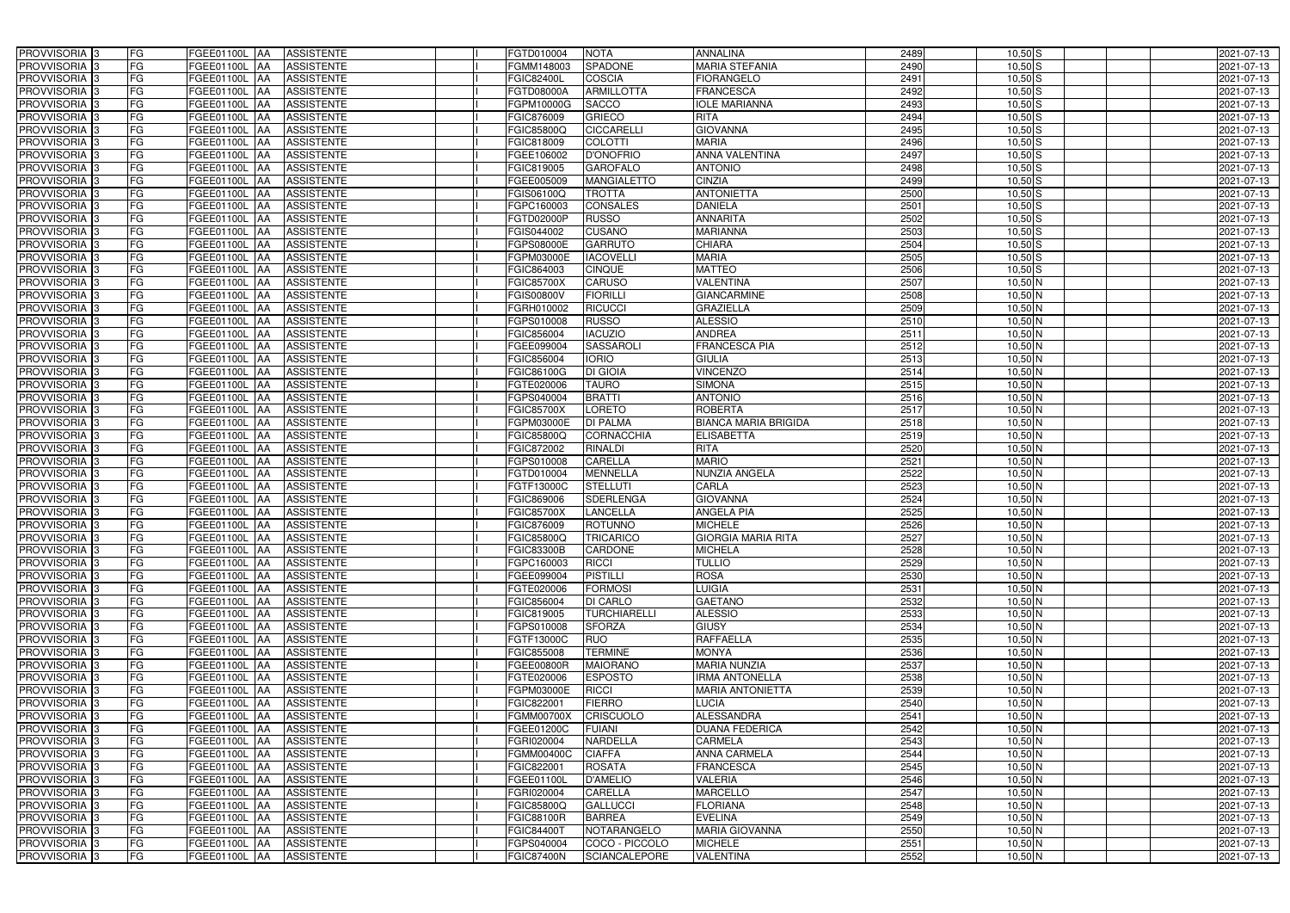| PROVVISORIA 3<br><b>FG</b>                | FGEE01100L AA<br><b>ASSISTENTE</b>                   | FGTD010004<br><b>NOTA</b>             | <b>ANNALINA</b>             | 2489 | $10,50$ S   | 2021-07-13 |
|-------------------------------------------|------------------------------------------------------|---------------------------------------|-----------------------------|------|-------------|------------|
| FG<br>PROVVISORIA <sup>3</sup>            | <b>ASSISTENTE</b><br>FGEE01100L AA                   | SPADONE<br>FGMM148003                 | <b>MARIA STEFANIA</b>       | 2490 | $10,50$ S   | 2021-07-13 |
| FG<br>PROVVISORIA <sup>3</sup>            | FGEE01100L AA<br><b>ASSISTENTE</b>                   | COSCIA<br><b>FGIC82400L</b>           | <b>FIORANGELO</b>           | 2491 | $10,50$ $S$ | 2021-07-13 |
| FG<br>PROVVISORIA 3                       | <b>ASSISTENTE</b><br>FGEE01100L<br>IAA               | <b>ARMILLOTTA</b><br>FGTD08000A       | <b>FRANCESCA</b>            | 2492 | $10,50$ $S$ | 2021-07-13 |
| FG<br>PROVVISORIA <sup>3</sup>            | FGEE01100L<br><b>ASSISTENTE</b><br><b>IAA</b>        | <b>SACCO</b><br>FGPM10000G            | <b>IOLE MARIANNA</b>        | 2493 | $10,50$ S   | 2021-07-13 |
| FG<br>PROVVISORIA 3                       | FGEE01100L AA<br><b>ASSISTENTE</b>                   | <b>GRIECO</b><br>FGIC876009           | <b>RITA</b>                 | 2494 | $10,50$ S   | 2021-07-13 |
| FG<br>PROVVISORIA 3                       | FGEE01100L AA<br><b>ASSISTENTE</b>                   | <b>CICCARELLI</b><br>FGIC85800Q       | <b>GIOVANNA</b>             | 2495 | $10,50$ $S$ | 2021-07-13 |
| FG<br>PROVVISORIA <sup>3</sup>            | <b>ASSISTENTE</b><br>FGEE01100L AA                   | <b>COLOTTI</b><br>FGIC818009          | <b>MARIA</b>                | 2496 | $10,50$ $S$ | 2021-07-13 |
| PROVVISORIA 3<br>FG                       | FGEE01100L AA<br><b>ASSISTENTE</b>                   | <b>D'ONOFRIO</b><br>FGEE106002        | <b>ANNA VALENTINA</b>       | 2497 | $10,50$ $S$ | 2021-07-13 |
| PROVVISORIA <sup>3</sup><br>FG            | <b>FGEE01100L AA</b><br><b>ASSISTENTE</b>            | <b>GAROFALO</b><br>FGIC819005         | <b>ANTONIO</b>              | 2498 | $10,50$ S   | 2021-07-13 |
| PROVVISORIA 3<br>FG                       | FGEE01100L AA<br><b>ASSISTENTE</b>                   | FGEE005009<br><b>MANGIALETTO</b>      | <b>CINZIA</b>               | 2499 | $10,50$ $S$ | 2021-07-13 |
| PROVVISORIA 3<br>FG                       | FGEE01100L AA<br><b>ASSISTENTE</b>                   | <b>FGIS06100Q</b><br><b>TROTTA</b>    | <b>ANTONIETTA</b>           | 2500 | $10,50$ $S$ | 2021-07-13 |
| FG<br>PROVVISORIA <sup>3</sup>            | FGEE01100L AA<br><b>ASSISTENTE</b>                   | FGPC160003<br><b>CONSALES</b>         | <b>DANIELA</b>              | 2501 | $10,50$ $S$ | 2021-07-13 |
| PROVVISORIA 3<br>FG                       | FGEE01100L AA<br><b>ASSISTENTE</b>                   | <b>FGTD02000P</b><br><b>RUSSO</b>     | <b>ANNARITA</b>             | 2502 | $10,50$ S   | 2021-07-13 |
| $\overline{\mathsf{FG}}$<br>PROVVISORIA 3 | FGEE01100L AA<br><b>ASSISTENTE</b>                   | <b>CUSANO</b><br>FGIS044002           | <b>MARIANNA</b>             | 2503 | $10,50$ S   | 2021-07-13 |
| $\overline{\mathsf{FG}}$<br>PROVVISORIA 3 | FGEE01100L AA<br><b>ASSISTENTE</b>                   | <b>GARRUTO</b><br>FGPS08000E          | <b>CHIARA</b>               | 2504 | $10,50$ S   | 2021-07-13 |
| PROVVISORIA 3<br>FG                       | <b>FGEE01100L</b><br><b>ASSISTENTE</b><br><b>IAA</b> | <b>IACOVELLI</b><br>FGPM03000E        | <b>MARIA</b>                | 2505 | $10,50$ S   | 2021-07-13 |
| PROVVISORIA 3<br>FG                       | FGEE01100L AA<br><b>ASSISTENTE</b>                   | <b>CINQUE</b><br>FGIC864003           | <b>MATTEO</b>               | 2506 | $10,50$ S   | 2021-07-13 |
| PROVVISORIA 3<br>FG                       | <b>FGEE01100L</b><br><b>ASSISTENTE</b><br><b>JAA</b> | <b>CARUSO</b><br><b>FGIC85700X</b>    | VALENTINA                   | 2507 | $10,50$ N   | 2021-07-13 |
| PROVVISORIA 3<br>FG                       | <b>FGEE01100L AA</b><br><b>ASSISTENTE</b>            | <b>FIORILL</b><br><b>FGIS00800V</b>   | <b>GIANCARMINE</b>          | 2508 | $10,50$ N   | 2021-07-13 |
| FG<br>PROVVISORIA <sup>3</sup>            | FGEE01100L<br><b>AA</b><br><b>ASSISTENTE</b>         | <b>RICUCCI</b><br>FGRH010002          | <b>GRAZIELLA</b>            | 2509 | $10,50$ N   | 2021-07-13 |
| PROVVISORIA 3<br>FG                       | FGEE01100L<br><b>ASSISTENTE</b><br><b>JAA</b>        | <b>RUSSO</b><br>FGPS010008            | <b>ALESSIO</b>              | 2510 | $10,50$ N   | 2021-07-13 |
| PROVVISORIA 3<br>FG                       | FGEE01100L<br><b>JAA</b><br><b>ASSISTENTE</b>        | <b>IACUZIO</b><br>FGIC856004          | <b>ANDREA</b>               | 2511 | $10,50$ N   | 2021-07-13 |
| PROVVISORIA 3<br>FG                       | FGEE01100L AA<br><b>ASSISTENTE</b>                   | <b>SASSAROLI</b><br>FGEE099004        | <b>FRANCESCA PIA</b>        | 2512 | $10,50$ N   | 2021-07-13 |
| PROVVISORIA <sup>3</sup><br>FG            | FGEE01100L AA<br><b>ASSISTENTE</b>                   | FGIC856004<br><b>IORIO</b>            | <b>GIULIA</b>               | 2513 | $10,50$ N   | 2021-07-13 |
| PROVVISORIA 3<br>FG                       | FGEE01100L AA<br><b>ASSISTENTE</b>                   | <b>DI GIOIA</b><br>FGIC86100G         | <b>VINCENZO</b>             | 2514 | $10,50$ N   | 2021-07-13 |
| PROVVISORIA 3<br>FG                       | FGEE01100L AA<br><b>ASSISTENTE</b>                   | <b>TAURO</b><br>FGTE020006            | <b>SIMONA</b>               | 2515 | $10,50$ N   | 2021-07-13 |
| FG<br>PROVVISORIA 3                       | FGEE01100L AA<br><b>ASSISTENTE</b>                   | <b>BRATTI</b><br>FGPS040004           | <b>ANTONIO</b>              | 2516 | $10,50$ N   | 2021-07-13 |
| FG<br>PROVVISORIA <sup>3</sup>            | FGEE01100L AA<br><b>ASSISTENTE</b>                   | LORETO<br><b>FGIC85700X</b>           | <b>ROBERTA</b>              | 2517 | $10,50$ N   | 2021-07-13 |
| FG<br>PROVVISORIA <sup>3</sup>            | FGEE01100L AA<br><b>ASSISTENTE</b>                   | <b>DI PALMA</b><br>FGPM03000E         | <b>BIANCA MARIA BRIGIDA</b> | 2518 | $10,50$ N   | 2021-07-13 |
| FG<br>PROVVISORIA <sup>3</sup>            | FGEE01100L AA<br><b>ASSISTENTE</b>                   | <b>CORNACCHIA</b><br>FGIC85800Q       | <b>ELISABETTA</b>           | 2519 | $10,50$ N   | 2021-07-13 |
| PROVVISORIA <sup>3</sup><br>FG            | <b>FGEE01100L AA</b><br><b>ASSISTENTE</b>            | <b>RINALDI</b><br>FGIC872002          | <b>RITA</b>                 | 2520 | $10,50$ N   | 2021-07-13 |
| FG<br>PROVVISORIA <sup>3</sup>            | FGEE01100L AA<br><b>ASSISTENTE</b>                   | <b>CARELLA</b><br>FGPS010008          | <b>MARIO</b>                | 2521 | $10,50$ N   | 2021-07-13 |
| FG<br>PROVVISORIA <sup>3</sup>            | FGEE01100L AA<br><b>ASSISTENTE</b>                   | <b>MENNELLA</b><br>FGTD010004         | <b>NUNZIA ANGELA</b>        | 2522 | $10,50$ N   | 2021-07-13 |
| PROVVISORIA 3<br>FG                       | <b>ASSISTENTE</b><br>FGEE01100L<br><b>IAA</b>        | <b>STELLUTI</b><br>FGTF13000C         | CARLA                       | 2523 | $10,50$ N   | 2021-07-13 |
| FG<br>PROVVISORIA <sup>3</sup>            | FGEE01100L<br><b>ASSISTENTE</b><br><b>JAA</b>        | <b>SDERLENGA</b><br>FGIC869006        | <b>GIOVANNA</b>             | 2524 | $10,50$ N   | 2021-07-13 |
| PROVVISORIA <sup>3</sup><br>FG            | FGEE01100L<br><b>ASSISTENTE</b><br><b>JAA</b>        | <b>LANCELLA</b><br><b>FGIC85700X</b>  | <b>ANGELA PIA</b>           | 2525 | $10,50$ N   | 2021-07-13 |
| PROVVISORIA <sup>3</sup><br>FG            | FGEE01100L AA<br><b>ASSISTENTE</b>                   | FGIC876009<br><b>ROTUNNO</b>          | <b>MICHELE</b>              | 2526 | $10,50$ N   | 2021-07-13 |
| PROVVISORIA <sup>3</sup><br>FG            | FGEE01100L AA<br><b>ASSISTENTE</b>                   | FGIC85800Q<br><b>TRICARICO</b>        | <b>GIORGIA MARIA RITA</b>   | 2527 | 10,50 N     | 2021-07-13 |
| PROVVISORIA <sup>3</sup><br>FG            | FGEE01100L AA<br>ASSISTENTE                          | <b>FGIC83300B</b><br>CARDONE          | <b>MICHELA</b>              | 2528 | $10,50$ N   | 2021-07-13 |
| PROVVISORIA <sup>3</sup><br>FG            | FGEE01100L AA<br>ASSISTENTE                          | FGPC160003<br><b>RICCI</b>            | <b>TULLIO</b>               | 2529 | $10,50$ N   | 2021-07-13 |
| PROVVISORIA <sup>3</sup><br>FG            | FGEE01100L AA<br>ASSISTENTE                          | FGEE099004<br><b>PISTILLI</b>         | <b>ROSA</b>                 | 2530 | $10,50$ N   | 2021-07-13 |
| PROVVISORIA <sup>3</sup><br>FG            | FGEE01100L AA<br><b>ASSISTENTE</b>                   | <b>FORMOSI</b><br>FGTE020006          | <b>LUIGIA</b>               | 2531 | $10,50$ N   | 2021-07-13 |
| PROVVISORIA <sup>3</sup><br>FG            | FGEE01100L AA<br>ASSISTENTE                          | <b>DI CARLO</b><br>FGIC856004         | <b>GAETANO</b>              | 2532 | $10,50$ N   | 2021-07-13 |
| PROVVISORIA 3<br>FG                       | FGEE01100L AA<br><b>ASSISTENTE</b>                   | <b>TURCHIARELLI</b><br>FGIC819005     | <b>ALESSIO</b>              | 2533 | $10,50$ N   | 2021-07-13 |
| PROVVISORIA <sup>3</sup><br>FG            | FGEE01100L AA<br>ASSISTENTE                          | FGPS010008<br><b>SFORZA</b>           | <b>GIUSY</b>                | 2534 | $10,50$ N   | 2021-07-13 |
| PROVVISORIA <sup>3</sup><br>FG            | FGEE01100L AA<br>ASSISTENTE                          | FGTF13000C<br><b>RUO</b>              | RAFFAELLA                   | 2535 | $10,50$ N   | 2021-07-13 |
| PROVVISORIA <sup>3</sup><br>FG            | FGEE01100L AA<br>ASSISTENTE                          | FGIC855008<br><b>TERMINE</b>          | <b>MONYA</b>                | 2536 | $10,50$ N   | 2021-07-13 |
| PROVVISORIA <sup>3</sup><br>FG            | <b>FGEE01100L AA</b><br>ASSISTENTE                   | <b>MAIORANO</b><br>FGEE00800R         | <b>MARIA NUNZIA</b>         | 2537 | $10,50$ N   | 2021-07-13 |
| PROVVISORIA <sup>3</sup><br>FG            | FGEE01100L AA<br>ASSISTENTE                          | FGTE020006<br><b>ESPOSTO</b>          | <b>IRMA ANTONELLA</b>       | 2538 | $10,50$ N   | 2021-07-13 |
| PROVVISORIA <sup>3</sup><br>FG            | FGEE01100L AA<br><b>ASSISTENTE</b>                   | FGPM03000E<br><b>RICCI</b>            | <b>MARIA ANTONIETTA</b>     | 2539 | $10,50$ N   | 2021-07-13 |
| PROVVISORIA <sup>3</sup><br>FG            | FGEE01100L AA<br>ASSISTENTE                          | <b>FIERRO</b><br>FGIC822001           | LUCIA                       | 2540 | $10,50$ N   | 2021-07-13 |
| PROVVISORIA <sup>3</sup><br>FG            | FGEE01100L AA<br>ASSISTENTE                          | <b>CRISCUOLO</b><br><b>FGMM00700X</b> | <b>ALESSANDRA</b>           | 2541 | $10,50$ N   | 2021-07-13 |
| PROVVISORIA <sup>3</sup><br>FG            | FGEE01100L AA<br><b>ASSISTENTE</b>                   | <b>FUIANI</b><br>FGEE01200C           | <b>DUANA FEDERICA</b>       | 2542 | $10,50$ N   | 2021-07-13 |
| FG<br>PROVVISORIA <sup>1</sup> 3          | FGEE01100L AA<br><b>ASSISTENTE</b>                   | NARDELLA<br>FGRI020004                | CARMELA                     | 2543 | $10,50$ N   | 2021-07-13 |
| FG<br>PROVVISORIA <sup>3</sup>            | FGEE01100L AA<br><b>ASSISTENTE</b>                   | <b>CIAFFA</b><br><b>FGMM00400C</b>    | ANNA CARMELA                | 2544 | $10,50$ N   | 2021-07-13 |
| FG<br>PROVVISORIA <sup>3</sup>            | FGEE01100L AA<br><b>ASSISTENTE</b>                   | <b>ROSATA</b><br>FGIC822001           | <b>FRANCESCA</b>            | 2545 | $10,50$ N   | 2021-07-13 |
| <b>PROVVISORIA</b> 3<br>FG                | FGEE01100L AA<br><b>ASSISTENTE</b>                   | <b>D'AMELIO</b><br>FGEE01100L         | VALERIA                     | 2546 | $10,50$ N   | 2021-07-13 |
| PROVVISORIA <sup>3</sup><br>FG            | <b>ASSISTENTE</b><br>FGEE01100L AA                   | <b>CARELLA</b><br>FGRI020004          | <b>MARCELLO</b>             | 2547 | $10,50$ N   | 2021-07-13 |
| FG<br>PROVVISORIA <sup>1</sup> 3          | <b>FGEE01100L AA</b><br><b>ASSISTENTE</b>            | <b>GALLUCCI</b><br>FGIC85800Q         | <b>FLORIANA</b>             | 2548 | $10,50$ N   | 2021-07-13 |
| PROVVISORIA <sup>3</sup><br>FG            | FGEE01100L AA<br><b>ASSISTENTE</b>                   | <b>BARREA</b><br>FGIC88100R           | <b>EVELINA</b>              | 2549 | $10,50$ N   | 2021-07-13 |
| PROVVISORIA <sup>3</sup><br>FG            | FGEE01100L AA<br><b>ASSISTENTE</b>                   | <b>FGIC84400T</b><br>NOTARANGELO      | <b>MARIA GIOVANNA</b>       | 2550 | $10,50$ N   | 2021-07-13 |
| PROVVISORIA <sup>3</sup><br>FG            | FGEE01100L AA<br>ASSISTENTE                          | FGPS040004<br>COCO - PICCOLO          | <b>MICHELE</b>              | 2551 | $10,50$ N   | 2021-07-13 |
| PROVVISORIA 3<br>FG                       | FGEE01100L AA<br>ASSISTENTE                          | SCIANCALEPORE<br><b>FGIC87400N</b>    | <b>VALENTINA</b>            | 2552 | $10,50$ N   | 2021-07-13 |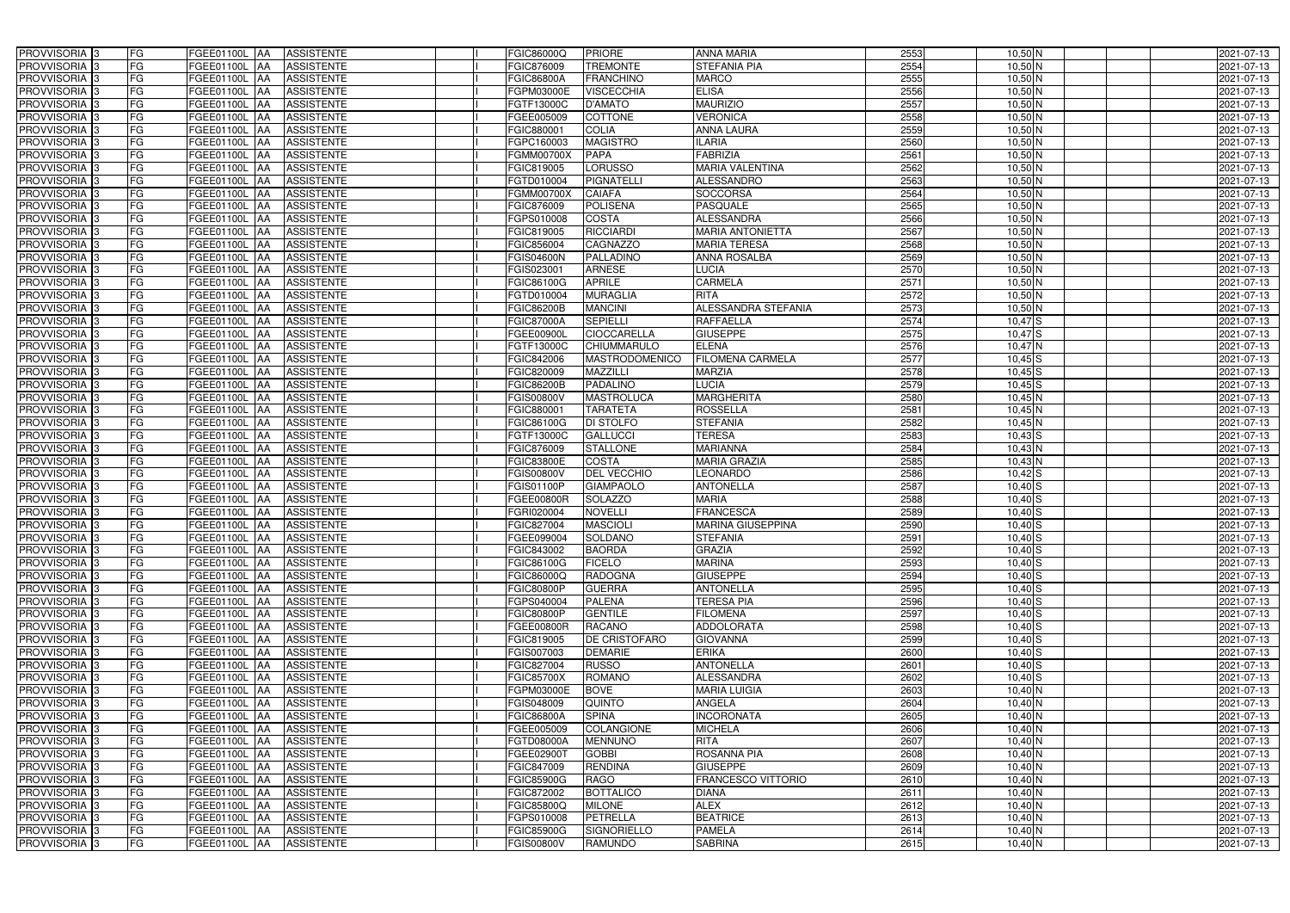| PROVVISORIA 3              | FG        | FGEE01100L AA                   | <b>ASSISTENTE</b> | FGIC86000Q        | <b>PRIORE</b>      | <b>ANNA MARIA</b>         | 2553 | 10,50 N     | 2021-07-13 |
|----------------------------|-----------|---------------------------------|-------------------|-------------------|--------------------|---------------------------|------|-------------|------------|
| PROVVISORIA <sup>1</sup> 3 | FG        | FGEE01100L<br><b>IAA</b>        | <b>ASSISTENTE</b> | FGIC876009        | <b>TREMONTE</b>    | STEFANIA PIA              | 2554 | $10,50$ N   | 2021-07-13 |
| PROVVISORIA <sup>3</sup>   | FG        | <b>FGEE01100L AA</b>            | <b>ASSISTENTE</b> | <b>FGIC86800A</b> | <b>FRANCHINO</b>   | <b>MARCO</b>              | 2555 | $10,50$ N   | 2021-07-13 |
| PROVVISORIA <sup>3</sup>   | FG        | FGEE01100L AA                   | <b>ASSISTENTE</b> | FGPM03000E        | <b>VISCECCHIA</b>  | <b>ELISA</b>              | 2556 | $10,50$ N   | 2021-07-13 |
| PROVVISORIA <sup>3</sup>   | FG        | FGEE01100L AA                   | <b>ASSISTENTE</b> | FGTF13000C        | <b>D'AMATO</b>     | <b>MAURIZIO</b>           | 2557 | $10,50$ N   | 2021-07-13 |
| PROVVISORIA <sup>3</sup>   | FG        | FGEE01100L AA                   | <b>ASSISTENTE</b> | FGEE005009        | <b>COTTONE</b>     | <b>VERONICA</b>           | 2558 | $10,50$ N   | 2021-07-13 |
| PROVVISORIA <sup>3</sup>   | FG        | FGEE01100L AA                   | <b>ASSISTENTE</b> | FGIC880001        | <b>COLIA</b>       | <b>ANNA LAURA</b>         | 2559 | 10,50 N     | 2021-07-13 |
| PROVVISORIA 3              | FG        | FGEE01100L AA                   | <b>ASSISTENTE</b> | FGPC160003        | <b>MAGISTRO</b>    | <b>ILARIA</b>             | 2560 | 10,50 N     | 2021-07-13 |
| PROVVISORIA 3              | FG        | FGEE01100L AA                   | <b>ASSISTENTE</b> | <b>EGMM00700X</b> | <b>PAPA</b>        | <b>FABRIZIA</b>           | 2561 | $10,50$ N   | 2021-07-13 |
| PROVVISORIA <sup>3</sup>   | FG        | FGEE01100L AA                   | <b>ASSISTENTE</b> | FGIC819005        | <b>LORUSSO</b>     | <b>MARIA VALENTINA</b>    | 2562 | $10,50$ N   | 2021-07-13 |
| PROVVISORIA 3              | FG        | FGEE01100L AA                   | <b>ASSISTENTE</b> | FGTD010004        | <b>PIGNATELL</b>   | <b>ALESSANDRO</b>         | 2563 | $10,50$ N   | 2021-07-13 |
| PROVVISORIA 3              | FG        | FGEE01100L AA                   | <b>ASSISTENTE</b> | FGMM00700X        | <b>CAIAFA</b>      | <b>SOCCORSA</b>           | 2564 | $10,50$ N   | 2021-07-13 |
| PROVVISORIA <sup>3</sup>   | FG        | <b>FGEE01100L</b><br>IAA        | <b>ASSISTENTE</b> | FGIC876009        | <b>POLISENA</b>    | <b>PASQUALE</b>           | 2565 | $10,50$ N   | 2021-07-13 |
| PROVVISORIA 3              | FG        | <b>FGEE01100L</b><br>IAA        | <b>ASSISTENTE</b> | FGPS010008        | <b>COSTA</b>       | <b>ALESSANDRA</b>         | 2566 | $10,50$ N   | 2021-07-13 |
| PROVVISORIA 3              | FG        | FGEE01100L<br>IAA               | <b>ASSISTENTE</b> | FGIC819005        | <b>RICCIARDI</b>   | <b>MARIA ANTONIETTA</b>   | 2567 | $10,50$ N   | 2021-07-13 |
| PROVVISORIA 3              | FG        | FGEE01100L<br>IAA               | <b>ASSISTENTE</b> | FGIC856004        | <b>CAGNAZZO</b>    | <b>MARIA TERESA</b>       | 2568 | $10,50$ N   | 2021-07-13 |
| PROVVISORIA 3              | FG        | FGEE01100L<br>l AA              | <b>ASSISTENTE</b> | FGIS04600N        | PALLADINO          | ANNA ROSALBA              | 2569 | $10,50$ N   | 2021-07-13 |
| PROVVISORIA 3              | FG        | FGEE01100L<br>IAA               | <b>ASSISTENTE</b> | FGIS023001        | <b>ARNESE</b>      | LUCIA                     | 2570 | $10,50$ N   | 2021-07-13 |
| PROVVISORIA 3              | FG        | FGEE01100L<br>IAA               | <b>ASSISTENTE</b> | FGIC86100G        | <b>APRILE</b>      | <b>CARMELA</b>            | 2571 | $10,50$ N   | 2021-07-13 |
| PROVVISORIA <sup>3</sup>   | FG        | <b>FGEE01100L</b><br>IAA        | <b>ASSISTENTE</b> | FGTD010004        | <b>MURAGLIA</b>    | <b>RITA</b>               | 2572 | $10,50$ N   | 2021-07-13 |
| PROVVISORIA 3              | FG        | FGEE01100L                      | <b>ASSISTENTE</b> | FGIC86200B        | <b>MANCINI</b>     | ALESSANDRA STEFANIA       | 2573 | $10,50$ N   | 2021-07-13 |
| PROVVISORIA <sup>3</sup>   | FG        | FGEE01100L<br> AA               | <b>ASSISTENTE</b> | <b>FGIC87000A</b> | <b>SEPIELLI</b>    | <b>RAFFAELLA</b>          | 2574 | $10,47$ $S$ | 2021-07-13 |
| PROVVISORIA 3              | FG        | FGEE01100L<br> AA               | <b>ASSISTENTE</b> | FGEE00900L        | <b>CIOCCARELLA</b> | <b>GIUSEPPE</b>           | 2575 | $10,47$ $S$ | 2021-07-13 |
| PROVVISORIA 3              | FG        | FGEE01100L AA                   | <b>ASSISTENTE</b> | FGTF13000C        | CHIUMMARULO        | <b>ELENA</b>              | 2576 | $10,47$ N   | 2021-07-13 |
| PROVVISORIA 3              | FG        | FGEE01100L AA                   | <b>ASSISTENTE</b> | FGIC842006        | MASTRODOMENICO     | <b>FILOMENA CARMELA</b>   | 2577 | $10,45$ S   | 2021-07-13 |
| PROVVISORIA 3              | FG        | <b>FGEE01100L AA</b>            | <b>ASSISTENTE</b> | FGIC820009        | MAZZILLI           | <b>MARZIA</b>             | 2578 | $10,45$ S   | 2021-07-13 |
| PROVVISORIA <sup>3</sup>   | FG        | <b>FGEE01100L AA</b>            | <b>ASSISTENTE</b> | FGIC86200B        | PADALINO           | <b>LUCIA</b>              | 2579 | $10,45$ S   | 2021-07-13 |
| PROVVISORIA <sup>3</sup>   | FG        | FGEE01100L AA                   | <b>ASSISTENTE</b> | FGIS00800V        | <b>MASTROLUCA</b>  | <b>MARGHERITA</b>         | 2580 | $10,45$ N   | 2021-07-13 |
| PROVVISORIA <sup>3</sup>   | FG        | FGEE01100L AA                   | <b>ASSISTENTE</b> | FGIC880001        | <b>TARATETA</b>    | <b>ROSSELLA</b>           | 2581 | $10,45$ N   | 2021-07-13 |
| PROVVISORIA <sup>3</sup>   | FG        | <b>FGEE01100L</b><br><b>AA</b>  | <b>ASSISTENTE</b> | <b>FGIC86100G</b> | <b>DI STOLFO</b>   | <b>STEFANIA</b>           | 2582 | $10,45$ N   | 2021-07-13 |
| PROVVISORIA <sup>3</sup>   | FG        | FGEE01100L AA                   | <b>ASSISTENTE</b> | FGTF13000C        | <b>GALLUCCI</b>    | <b>TERESA</b>             | 2583 | $10,43$ S   | 2021-07-13 |
| PROVVISORIA <sup>3</sup>   | FG        | FGEE01100L<br>IAA               | <b>ASSISTENTE</b> | FGIC876009        | <b>STALLONE</b>    | <b>MARIANNA</b>           | 2584 | 10,43 N     | 2021-07-13 |
| PROVVISORIA <sup>3</sup>   | FG        | <b>FGEE01100L</b><br>IAA        | <b>ASSISTENTE</b> | FGIC83800E        | <b>COSTA</b>       | <b>MARIA GRAZIA</b>       | 2585 | 10,43 N     | 2021-07-13 |
| PROVVISORIA <sup>3</sup>   | FG        | <b>FGEE01100L</b><br>IAA        | <b>ASSISTENTE</b> | GIS00800V         | <b>DEL VECCHIO</b> | <b>LEONARDO</b>           | 2586 | $10,42$ $S$ | 2021-07-13 |
| PROVVISORIA <sup>3</sup>   | FG        | <b>FGEE01100L</b><br>IAA        | <b>ASSISTENTE</b> | FGIS01100P        | <b>GIAMPAOLO</b>   | <b>ANTONELLA</b>          | 2587 | $10,40$ S   | 2021-07-13 |
| PROVVISORIA <sup>3</sup>   | FG        | <b>FGEE01100L</b><br><b>IAA</b> | <b>ASSISTENTE</b> | <b>FGEE00800R</b> | <b>SOLAZZO</b>     | <b>MARIA</b>              | 2588 | $10,40$ $S$ | 2021-07-13 |
| PROVVISORIA <sup>3</sup>   | FG        | <b>FGEE01100L</b><br>IAA        | <b>ASSISTENTE</b> | FGRI020004        | <b>NOVELLI</b>     | <b>FRANCESCA</b>          | 2589 | $10,40$ $S$ | 2021-07-13 |
| PROVVISORIA <sup>3</sup>   | FG        | FGEE01100L<br><b>IAA</b>        | <b>ASSISTENTE</b> | FGIC827004        | <b>MASCIOLI</b>    | <b>MARINA GIUSEPPINA</b>  | 2590 | $10,40$ S   | 2021-07-13 |
| PROVVISORIA <sup>3</sup>   | <b>FG</b> | FGEE01100L AA ASSISTENTE        |                   | FGEE099004        | SOLDANO            | STEFANIA                  | 2591 | $10,40$ S   | 2021-07-13 |
| <b>PROVVISORIA</b> 3       | FG        | <b>FGEE01100L</b> AA            | ASSISTENTE        | FGIC843002        | <b>BAORDA</b>      | <b>GRAZIA</b>             | 2592 | $10,40$ S   | 2021-07-13 |
| PROVVISORIA <sup>3</sup>   | FG        | FGEE01100L AA                   | <b>ASSISTENTE</b> | FGIC86100G        | <b>FICELO</b>      | <b>MARINA</b>             | 2593 | $10,40$ S   | 2021-07-13 |
| <b>PROVVISORIA</b> 3       | FG        | FGEE01100L AA ASSISTENTE        |                   | FGIC86000Q        | <b>RADOGNA</b>     | <b>GIUSEPPE</b>           | 2594 | $10,40$ S   | 2021-07-13 |
| PROVVISORIA <sup>3</sup>   | FG        | FGEE01100L AA ASSISTENTE        |                   | <b>FGIC80800P</b> | <b>GUERRA</b>      | <b>ANTONELLA</b>          | 2595 | $10,40$ S   | 2021-07-13 |
| PROVVISORIA <sup>3</sup>   | FG        | FGEE01100L AA                   | <b>ASSISTENTE</b> | FGPS040004        | <b>PALENA</b>      | <b>TERESA PIA</b>         | 2596 | $10,40$ S   | 2021-07-13 |
| PROVVISORIA <sup>1</sup> 3 | FG        | FGEE01100L AA                   | <b>ASSISTENTE</b> | <b>FGIC80800P</b> | <b>GENTILE</b>     | <b>FILOMENA</b>           | 2597 | $10,40$ S   | 2021-07-13 |
| PROVVISORIA <sup>3</sup>   | FG        | FGEE01100L AA                   | <b>ASSISTENTE</b> | FGEE00800R        | <b>RACANO</b>      | <b>ADDOLORATA</b>         | 2598 | $10,40$ S   | 2021-07-13 |
| PROVVISORIA <sup>3</sup>   | FG        | FGEE01100L AA                   | ASSISTENTE        | FGIC819005        | DE CRISTOFARO      | <b>GIOVANNA</b>           | 2599 | $10,40$ S   | 2021-07-13 |
| PROVVISORIA <sup>3</sup>   | FG        | FGEE01100L AA                   | ASSISTENTE        | FGIS007003        | <b>DEMARIE</b>     | <b>ERIKA</b>              | 2600 | $10,40$ S   | 2021-07-13 |
| PROVVISORIA <sup>3</sup>   | FG        | FGEE01100L AA                   | ASSISTENTE        | FGIC827004        | <b>RUSSO</b>       | <b>ANTONELLA</b>          | 2601 | $10,40$ S   | 2021-07-13 |
| PROVVISORIA <sup>3</sup>   | FG        | FGEE01100L AA                   | <b>ASSISTENTE</b> | FGIC85700X        | <b>ROMANO</b>      | <b>ALESSANDRA</b>         | 2602 | $10,40$ S   | 2021-07-13 |
| PROVVISORIA <sup>3</sup>   | FG        | FGEE01100L AA                   | <b>ASSISTENTE</b> | FGPM03000E        | <b>BOVE</b>        | <b>MARIA LUIGIA</b>       | 2603 | 10,40 N     | 2021-07-13 |
| <b>PROVVISORIA</b> 3       | FG        | FGEE01100L AA                   | <b>ASSISTENTE</b> | FGIS048009        | <b>QUINTO</b>      | ANGELA                    | 2604 | $10,40$ N   | 2021-07-13 |
| PROVVISORIA <sup>3</sup>   | FG        | FGEE01100L AA                   | <b>ASSISTENTE</b> | FGIC86800A        | <b>SPINA</b>       | <b>INCORONATA</b>         | 2605 | $10,40$ N   | 2021-07-13 |
| PROVVISORIA <sup>3</sup>   | FG        | FGEE01100L AA                   | <b>ASSISTENTE</b> | FGEE005009        | <b>COLANGIONE</b>  | <b>MICHELA</b>            | 2606 | 10,40 N     | 2021-07-13 |
| PROVVISORIA <sup>1</sup> 3 | <b>FG</b> | FGEE01100L AA                   | <b>ASSISTENTE</b> | FGTD08000A        | <b>MENNUNO</b>     | <b>RITA</b>               | 2607 | $10,40$ N   | 2021-07-13 |
| PROVVISORIA <sup>3</sup>   | FG        | FGEE01100L AA                   | <b>ASSISTENTE</b> | FGEE02900T        | <b>GOBBI</b>       | <b>ROSANNA PIA</b>        | 2608 | $10,40$ N   | 2021-07-13 |
| PROVVISORIA <sup>1</sup> 3 | FG        | FGEE01100L AA                   | <b>ASSISTENTE</b> | FGIC847009        | <b>RENDINA</b>     | <b>GIUSEPPE</b>           | 2609 | 10,40 N     | 2021-07-13 |
| PROVVISORIA <sup>3</sup>   | FG        | FGEE01100L AA                   | <b>ASSISTENTE</b> | FGIC85900G        | <b>RAGO</b>        | <b>FRANCESCO VITTORIO</b> | 2610 | $10,40$ N   | 2021-07-13 |
| PROVVISORIA <sup>3</sup>   | FG        | FGEE01100L AA                   | <b>ASSISTENTE</b> | FGIC872002        | <b>BOTTALICO</b>   | <b>DIANA</b>              | 2611 | 10,40 N     | 2021-07-13 |
| PROVVISORIA <sup>3</sup>   | FG        | FGEE01100L AA                   | ASSISTENTE        | FGIC85800Q        | <b>MILONE</b>      | <b>ALEX</b>               | 2612 | $10,40$ N   | 2021-07-13 |
| PROVVISORIA <sup>3</sup>   | FG        | FGEE01100L AA                   | ASSISTENTE        | FGPS010008        | <b>PETRELLA</b>    | <b>BEATRICE</b>           | 2613 | $10,40$ N   | 2021-07-13 |
| PROVVISORIA <sup>3</sup>   | FG        | FGEE01100L AA                   | ASSISTENTE        | <b>FGIC85900G</b> | SIGNORIELLO        | <b>PAMELA</b>             | 2614 | $10,40$ N   | 2021-07-13 |
| PROVVISORIA 3              | FG        | FGEE01100L AA                   | <b>ASSISTENTE</b> | <b>FGIS00800V</b> | <b>RAMUNDO</b>     | <b>SABRINA</b>            | 2615 | $10,40$ N   | 2021-07-13 |
|                            |           |                                 |                   |                   |                    |                           |      |             |            |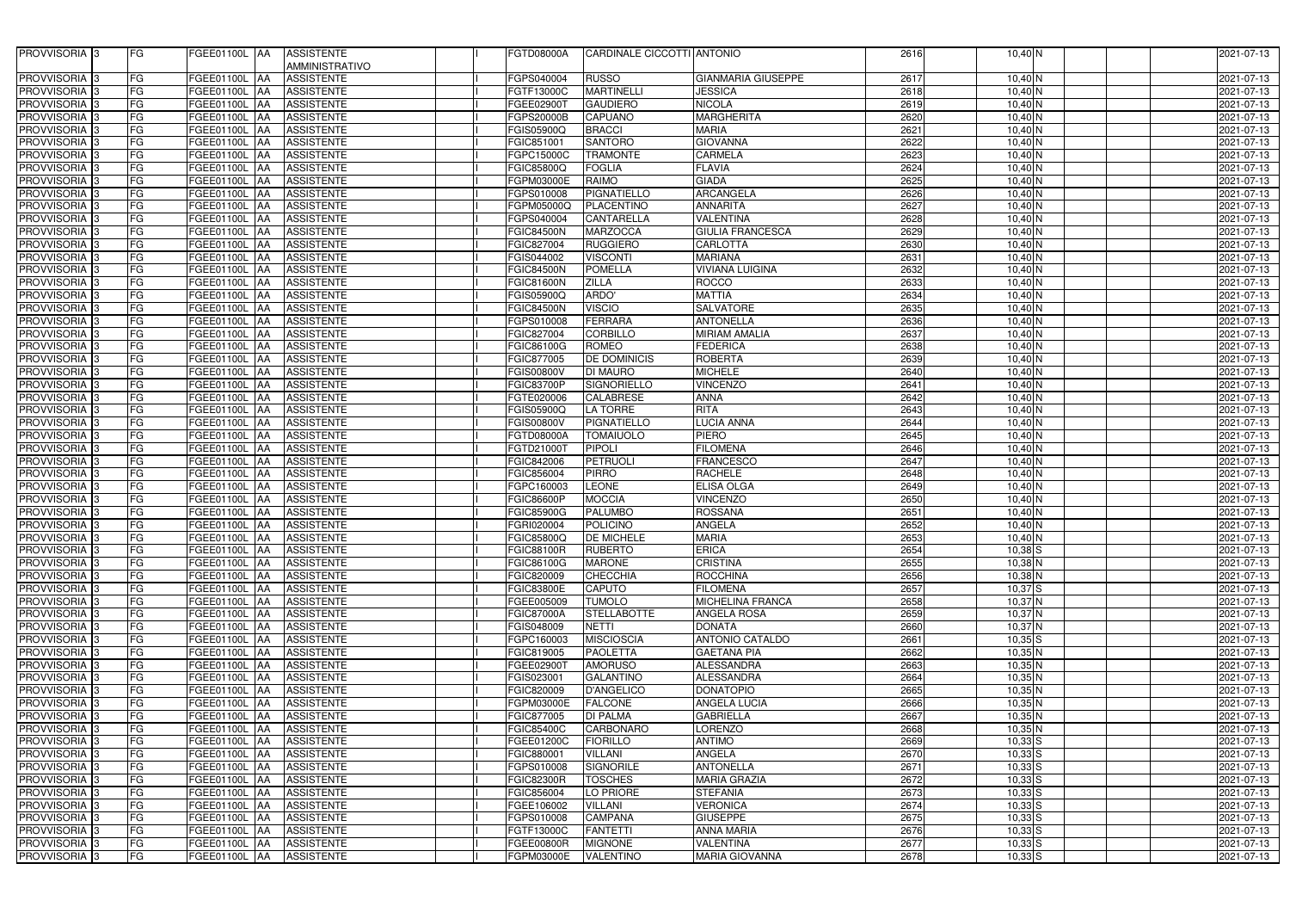| PROVVISORIA <sup>3</sup>  | FG                       | FGEE01100L  AA                  | <b>ASSISTENTE</b> | <b>FGTD08000A</b> | CARDINALE CICCOTTI ANTONIO |                           | 2616 | $10,40$ N   | 2021-07-13 |
|---------------------------|--------------------------|---------------------------------|-------------------|-------------------|----------------------------|---------------------------|------|-------------|------------|
|                           |                          |                                 | AMMINISTRATIVO    |                   |                            |                           |      |             |            |
|                           |                          |                                 |                   |                   |                            |                           |      |             |            |
| <b>PROVVISORIA</b>        | FG                       | FGEE01100L<br><b>JAA</b>        | <b>ASSISTENTE</b> | FGPS040004        | <b>RUSSO</b>               | <b>GIANMARIA GIUSEPPE</b> | 2617 | $10,40$ N   | 2021-07-13 |
| PROVVISORIA <sub>3</sub>  | FG                       | FGEE01100L<br><b>JAA</b>        | <b>ASSISTENTE</b> | FGTF13000C        | <b>MARTINELLI</b>          | <b>JESSICA</b>            | 2618 | $10,40$ N   | 2021-07-13 |
| PROVVISORIA <sup>3</sup>  | FG                       | FGEE01100L<br>IAA               | <b>ASSISTENTE</b> | FGEE029001        | <b>GAUDIERO</b>            | <b>NICOLA</b>             | 2619 | $10,40$ N   | 2021-07-13 |
| <b>PROVVISORIA</b> 3      | FG                       | FGEE01100L<br><b>IAA</b>        | <b>ASSISTENTE</b> | FGPS20000B        | <b>CAPUANO</b>             | <b>MARGHERITA</b>         | 2620 | $10,40$ N   | 2021-07-13 |
| <b>PROVVISORIA</b> 3      | FG                       | FGEE01100L<br><b>JAA</b>        | <b>ASSISTENTE</b> | FGIS05900Q        | <b>BRACCI</b>              | <b>MARIA</b>              | 2621 | $10,40$ N   | 2021-07-13 |
| PROVVISORIA <sub>3</sub>  | FG                       | FGEE01100L<br><b>IAA</b>        | <b>ASSISTENTE</b> | FGIC851001        | <b>SANTORO</b>             | <b>GIOVANNA</b>           | 2622 | $10,40$ N   | 2021-07-13 |
| PROVVISORIA <sub>3</sub>  | FG                       | FGEE01100L<br><b>IAA</b>        | <b>ASSISTENTE</b> | FGPC15000C        | <b>TRAMONTE</b>            | <b>CARMELA</b>            | 2623 | $10,40$ N   | 2021-07-13 |
| <b>PROVVISORIA</b> 3      | FG                       | FGEE01100L<br><b>IAA</b>        | <b>ASSISTENTE</b> | FGIC85800Q        | <b>FOGLIA</b>              | <b>FLAVIA</b>             | 2624 | $10,40$ N   | 2021-07-13 |
| PROVVISORIA 3             | FG                       | <b>AA</b><br>FGEE01100L         | <b>ASSISTENTE</b> | FGPM03000E        | RAIMO                      | <b>GIADA</b>              | 2625 | $10,40$ N   | 2021-07-13 |
|                           |                          |                                 |                   |                   |                            |                           |      |             |            |
| PROVVISORIA 3             | FG                       | FGEE01100L<br><b>AA</b>         | <b>ASSISTENTE</b> | FGPS010008        | <b>PIGNATIELLO</b>         | <b>ARCANGELA</b>          | 2626 | $10,40$ N   | 2021-07-13 |
| <b>PROVVISORIA</b> 3      | FG                       | FGEE01100L<br><b>AA</b>         | <b>ASSISTENTE</b> | FGPM05000Q        | PLACENTINO                 | <b>ANNARITA</b>           | 2627 | $10,40$ N   | 2021-07-13 |
| <b>PROVVISORIA</b> 3      | FG                       | FGEE01100L<br><b>AA</b>         | <b>ASSISTENTE</b> | FGPS040004        | <b>CANTARELLA</b>          | VALENTINA                 | 2628 | $10,40$ N   | 2021-07-13 |
| PROVVISORIA 3             | FG                       | FGEE01100L<br><b>AA</b>         | <b>ASSISTENTE</b> | <b>FGIC84500N</b> | <b>MARZOCCA</b>            | <b>GIULIA FRANCESCA</b>   | 2629 | $10,40$ N   | 2021-07-13 |
| <b>PROVVISORIA</b> 3      | FG                       | FGEE01100L<br><b>AA</b>         | <b>ASSISTENTE</b> | FGIC827004        | <b>RUGGIERO</b>            | <b>CARLOTTA</b>           | 2630 | $10,40$ N   | 2021-07-13 |
| PROVVISORIA <sup>3</sup>  | FG                       | <b>FGEE01100L</b><br><b>AA</b>  | <b>ASSISTENTE</b> | FGIS044002        | <b>VISCONTI</b>            | <b>MARIANA</b>            | 2631 | $10,40$ N   | 2021-07-13 |
| PROVVISORIA <sub>3</sub>  | FG                       | FGEE01100L<br><b>AA</b>         | <b>ASSISTENTE</b> | <b>FGIC84500N</b> | <b>POMELLA</b>             | <b>VIVIANA LUIGINA</b>    | 2632 | $10,40$ N   | 2021-07-13 |
| <b>PROVVISORIA</b> 3      | FG                       | <b>FGEE01100L</b><br><b>AA</b>  | <b>ASSISTENTE</b> | <b>FGIC81600N</b> | <b>ZILLA</b>               | <b>ROCCO</b>              | 2633 | $10,40$ N   | 2021-07-13 |
| PROVVISORIA <sup>3</sup>  | FG                       | FGEE01100L<br><b>AA</b>         | <b>ASSISTENTE</b> | <b>FGIS05900Q</b> | ARDO'                      | <b>MATTIA</b>             | 2634 | $10,40$ N   | 2021-07-13 |
|                           |                          |                                 |                   |                   |                            |                           |      |             |            |
| PROVVISORIA 3             | FG                       | FGEE01100L<br><b>AA</b>         | <b>ASSISTENTE</b> | <b>FGIC84500N</b> | <b>VISCIO</b>              | <b>SALVATORE</b>          | 2635 | $10,40$ N   | 2021-07-13 |
| <b>PROVVISORIA</b> 3      | $\overline{\mathsf{FG}}$ | <b>FGEE01100L</b><br><b>AA</b>  | <b>ASSISTENTE</b> | FGPS010008        | <b>FERRARA</b>             | <b>ANTONELLA</b>          | 2636 | $10,40$ N   | 2021-07-13 |
| <b>PROVVISORIA</b> 3      | FG                       | FGEE01100L<br><b>AA</b>         | <b>ASSISTENTE</b> | FGIC827004        | <b>CORBILLO</b>            | <b>MIRIAM AMALIA</b>      | 2637 | $10,40$ N   | 2021-07-13 |
| <b>PROVVISORIA</b> 3      | FG                       | <b>FGEE01100L</b><br><b>JAA</b> | <b>ASSISTENTE</b> | <b>FGIC86100G</b> | <b>ROMEO</b>               | <b>FEDERICA</b>           | 2638 | $10,40$ N   | 2021-07-13 |
| <b>PROVVISORIA</b>        | FG                       | FGEE01100L<br><b>AA</b>         | <b>ASSISTENTE</b> | FGIC877005        | <b>DE DOMINICIS</b>        | <b>ROBERTA</b>            | 2639 | $10,40$ N   | 2021-07-13 |
| <b>PROVVISORIA</b> 3      | FG                       | FGEE01100L<br><b>AA</b>         | <b>ASSISTENTE</b> | <b>FGIS00800V</b> | <b>DI MAURO</b>            | <b>MICHELE</b>            | 2640 | $10,40$ N   | 2021-07-13 |
| <b>PROVVISORIA</b> 3      | FG                       | FGEE01100L<br><b>AA</b>         | <b>ASSISTENTE</b> | <b>FGIC83700P</b> | <b>SIGNORIELLO</b>         | <b>VINCENZO</b>           | 2641 | $10,40$ N   | 2021-07-13 |
| <b>PROVVISORIA</b> 3      | FG                       | FGEE01100L<br><b>AA</b>         | <b>ASSISTENTE</b> | FGTE020006        | <b>CALABRESE</b>           | <b>ANNA</b>               | 2642 | $10,40$ N   | 2021-07-13 |
|                           |                          |                                 |                   |                   |                            |                           |      |             |            |
| <b>PROVVISORIA</b> 3      | FG                       | FGEE01100L<br><b>JAA</b>        | <b>ASSISTENTE</b> | FGIS05900Q        | LA TORRE                   | <b>RITA</b>               | 2643 | 10,40 N     | 2021-07-13 |
| PROVVISORIA 3             | FG                       | FGEE01100L<br><b>AA</b>         | <b>ASSISTENTE</b> | <b>FGIS00800V</b> | PIGNATIELLO                | LUCIA ANNA                | 2644 | $10,40$ N   | 2021-07-13 |
| <b>PROVVISORIA</b> 3      | FG                       | FGEE01100L<br><b>JAA</b>        | <b>ASSISTENTE</b> | <b>FGTD08000A</b> | <b>TOMAIUOLO</b>           | <b>PIERO</b>              | 2645 | $10,40$ N   | 2021-07-13 |
| <b>PROVVISORIA</b> 3      | FG                       | FGEE01100L<br><b>JAA</b>        | <b>ASSISTENTE</b> | FGTD21000T        | <b>PIPOLI</b>              | <b>FILOMENA</b>           | 2646 | $10,40$ N   | 2021-07-13 |
| PROVVISORIA <sub>3</sub>  | FG                       | FGEE01100L<br><b>IAA</b>        | <b>ASSISTENTE</b> | FGIC842006        | <b>PETRUOLI</b>            | <b>FRANCESCO</b>          | 2647 | $10,40$ N   | 2021-07-13 |
| PROVVISORIA <sub>3</sub>  | FG                       | FGEE01100L<br><b>IAA</b>        | <b>ASSISTENTE</b> | FGIC856004        | <b>PIRRO</b>               | <b>RACHELE</b>            | 2648 | $10,40$ N   | 2021-07-13 |
| <b>PROVVISORIA</b> 3      | FG                       | FGEE01100L<br><b>AA</b>         | <b>ASSISTENTE</b> | FGPC160003        | <b>LEONE</b>               | <b>ELISA OLGA</b>         | 2649 | $10,40$ N   | 2021-07-13 |
| PROVVISORIA 3             | FG                       | FGEE01100L<br><b>AA</b>         | <b>ASSISTENTE</b> | <b>FGIC86600P</b> | <b>MOCCIA</b>              | <b>VINCENZO</b>           | 2650 | $10,40$ N   | 2021-07-13 |
| <b>PROVVISORIA</b>        | FG                       | FGEE01100L<br><b>IAA</b>        | <b>ASSISTENTE</b> | <b>FGIC85900G</b> | <b>PALUMBO</b>             | <b>ROSSANA</b>            | 2651 | 10,40 N     | 2021-07-13 |
|                           |                          | <b>FGEE01100L</b> AA            |                   |                   | <b>POLICINO</b>            |                           |      |             |            |
| PROVVISORIA <sup>3</sup>  | FG                       |                                 | <b>ASSISTENTE</b> | FGRI020004        |                            | <b>ANGELA</b>             | 2652 | $10,40$ N   | 2021-07-13 |
| PROVVISORIA <sup>3</sup>  | FG                       | FGEE01100L AA                   | <b>ASSISTENTE</b> | <b>FGIC85800Q</b> | <b>DE MICHELE</b>          | <b>MARIA</b>              | 2653 | 10,40 N     | 2021-07-13 |
| PROVVISORIA <sup>3</sup>  | FG                       | FGEE01100L AA                   | <b>ASSISTENTE</b> | <b>FGIC88100R</b> | <b>RUBERTO</b>             | <b>ERICA</b>              | 2654 | $10,38$ S   | 2021-07-13 |
| <b>PROVVISORIA</b> 3      | FG                       | FGEE01100L AA                   | <b>ASSISTENTE</b> | FGIC86100G        | <b>MARONE</b>              | <b>CRISTINA</b>           | 2655 | 10,38 N     | 2021-07-13 |
| PROVVISORIA <sup>3</sup>  | FG                       | FGEE01100L AA                   | <b>ASSISTENTE</b> | FGIC820009        | <b>CHECCHIA</b>            | <b>ROCCHINA</b>           | 2656 | 10,38 N     | 2021-07-13 |
| PROVVISORIA <sup>3</sup>  | FG                       | FGEE01100L AA                   | <b>ASSISTENTE</b> | <b>FGIC83800E</b> | <b>CAPUTO</b>              | <b>FILOMENA</b>           | 2657 | $10,37$ $S$ | 2021-07-13 |
| PROVVISORIA <sup>3</sup>  | FG                       | FGEE01100L AA                   | <b>ASSISTENTE</b> | FGEE005009        | <b>TUMOLO</b>              | <b>MICHELINA FRANCA</b>   | 2658 | $10,37$ N   | 2021-07-13 |
| PROVVISORIA <sup>3</sup>  | FG                       | FGEE01100L AA                   | <b>ASSISTENTE</b> | <b>FGIC87000A</b> | <b>STELLABOTTE</b>         | <b>ANGELA ROSA</b>        | 2659 | $10,37$ N   | 2021-07-13 |
| PROVVISORIA <sup>13</sup> | FG                       | FGEE01100L AA                   | <b>ASSISTENTE</b> | FGIS048009        | <b>NETTI</b>               | <b>DONATA</b>             | 2660 | $10,37$ N   | 2021-07-13 |
|                           |                          |                                 |                   |                   |                            |                           |      |             |            |
| PROVVISORIA <sup>3</sup>  | FG                       | FGEE01100L AA                   | <b>ASSISTENTE</b> | FGPC160003        | <b>MISCIOSCIA</b>          | <b>ANTONIO CATALDO</b>    | 2661 | $10,35$ S   | 2021-07-13 |
| <b>PROVVISORIA</b> 3      | FG                       | FGEE01100L AA                   | <b>ASSISTENTE</b> | FGIC819005        | <b>PAOLETTA</b>            | <b>GAETANA PIA</b>        | 2662 | 10,35 N     | 2021-07-13 |
| PROVVISORIA <sup>3</sup>  | FG                       | FGEE01100L AA                   | <b>ASSISTENTE</b> | FGEE02900T        | <b>AMORUSO</b>             | ALESSANDRA                | 2663 | $10,35$ N   | 2021-07-13 |
| PROVVISORIA 3             | FG                       | FGEE01100L AA                   | <b>ASSISTENTE</b> | FGIS023001        | <b>GALANTINO</b>           | ALESSANDRA                | 2664 | $10,35$ N   | 2021-07-13 |
| PROVVISORIA 3             | FG                       | FGEE01100L AA                   | <b>ASSISTENTE</b> | FGIC820009        | <b>D'ANGELICO</b>          | <b>DONATOPIO</b>          | 2665 | $10,35$ N   | 2021-07-13 |
| <b>PROVVISORIA</b> 3      | FG                       | FGEE01100L AA                   | <b>ASSISTENTE</b> | FGPM03000E        | <b>FALCONE</b>             | <b>ANGELA LUCIA</b>       | 2666 | 10,35 N     | 2021-07-13 |
| PROVVISORIA <sup>3</sup>  | FG                       | FGEE01100L AA                   | <b>ASSISTENTE</b> | FGIC877005        | DI PALMA                   | <b>GABRIELLA</b>          | 2667 | $10,35$ N   | 2021-07-13 |
| PROVVISORIA 3             | FG                       | FGEE01100L AA                   | <b>ASSISTENTE</b> | <b>FGIC85400C</b> | <b>CARBONARO</b>           | <b>LORENZO</b>            | 2668 | $10,35$ N   | 2021-07-13 |
| PROVVISORIA <sup>3</sup>  | FG                       | FGEE01100L AA                   | <b>ASSISTENTE</b> | FGEE01200C        | <b>FIORILLO</b>            | <b>ANTIMO</b>             | 2669 | $10,33$ $S$ | 2021-07-13 |
|                           |                          |                                 |                   |                   |                            |                           |      |             |            |
| PROVVISORIA <sup>3</sup>  | FG                       | FGEE01100L<br><b>AA</b>         | <b>ASSISTENTE</b> | FGIC880001        | <b>VILLANI</b>             | <b>ANGELA</b>             | 2670 | $10,33$ $S$ | 2021-07-13 |
| PROVVISORIA 3             | FG                       | FGEE01100L AA                   | <b>ASSISTENTE</b> | FGPS010008        | <b>SIGNORILE</b>           | <b>ANTONELLA</b>          | 2671 | $10,33$ S   | 2021-07-13 |
| PROVVISORIA <sup>3</sup>  | FG                       | FGEE01100L AA                   | <b>ASSISTENTE</b> | <b>FGIC82300R</b> | <b>TOSCHES</b>             | <b>MARIA GRAZIA</b>       | 2672 | $10,33$ $S$ | 2021-07-13 |
| PROVVISORIA <sup>3</sup>  | FG                       | FGEE01100L AA                   | <b>ASSISTENTE</b> | FGIC856004        | LO PRIORE                  | <b>STEFANIA</b>           | 2673 | $10,33$ $S$ | 2021-07-13 |
| <b>PROVVISORIA</b> 3      | FG                       | FGEE01100L AA                   | <b>ASSISTENTE</b> | FGEE106002        | <b>VILLANI</b>             | <b>VERONICA</b>           | 2674 | $10,33$ $S$ | 2021-07-13 |
| PROVVISORIA 3             | FG                       | FGEE01100L AA                   | <b>ASSISTENTE</b> | FGPS010008        | <b>CAMPANA</b>             | <b>GIUSEPPE</b>           | 2675 | $10,33$ $S$ | 2021-07-13 |
| PROVVISORIA <sup>3</sup>  | FG                       | FGEE01100L AA                   | <b>ASSISTENTE</b> | FGTF13000C        | <b>FANTETTI</b>            | <b>ANNA MARIA</b>         | 2676 | $10,33$ S   | 2021-07-13 |
| PROVVISORIA <sup>3</sup>  | FG                       | FGEE01100L AA                   | <b>ASSISTENTE</b> | <b>FGEE00800R</b> | <b>MIGNONE</b>             | <b>VALENTINA</b>          | 2677 | $10,33$ $S$ | 2021-07-13 |
|                           |                          |                                 |                   |                   |                            |                           |      |             |            |
| PROVVISORIA <sup>3</sup>  | FG                       | <b>FGEE01100L</b> AA            | <b>ASSISTENTE</b> | FGPM03000E        | <b>VALENTINO</b>           | <b>MARIA GIOVANNA</b>     | 2678 | $10,33$ S   | 2021-07-13 |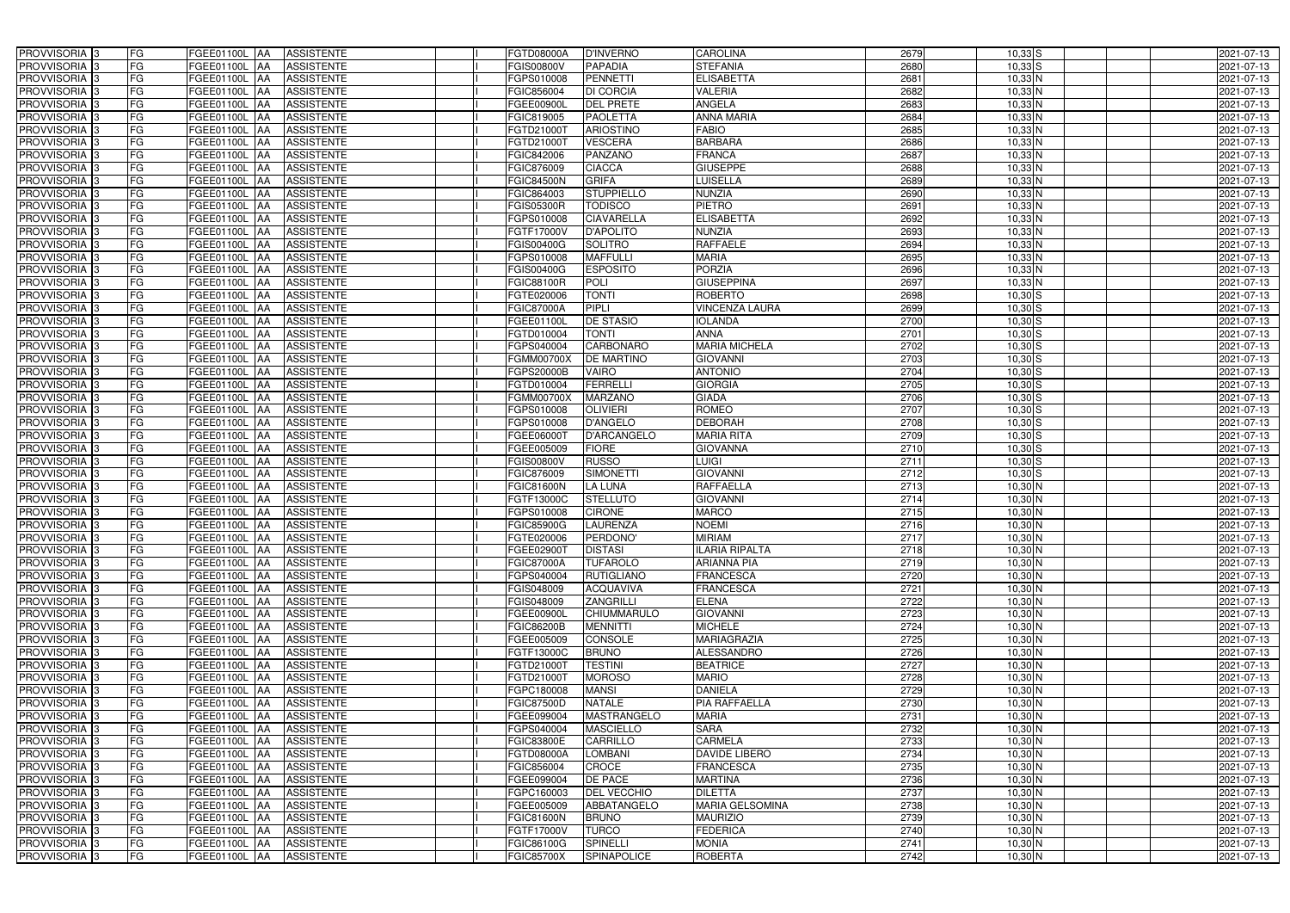| PROVVISORIA <sup>3</sup>   | FG        | FGEE01100L AA                   | <b>ASSISTENTE</b>        | FGTD08000A        | <b>D'INVERNO</b>   | <b>CAROLINA</b>        | 2679 | $10,33$ S                  | 2021-07-13 |
|----------------------------|-----------|---------------------------------|--------------------------|-------------------|--------------------|------------------------|------|----------------------------|------------|
| PROVVISORIA <sup>3</sup>   | FG        | FGEE01100L AA                   | <b>ASSISTENTE</b>        | FGIS00800V        | <b>PAPADIA</b>     | <b>STEFANIA</b>        | 2680 | $10,33$ S                  | 2021-07-13 |
| PROVVISORIA <sup>1</sup> 3 | FG        | FGEE01100L AA                   | <b>ASSISTENTE</b>        | FGPS010008        | <b>PENNETTI</b>    | <b>ELISABETTA</b>      | 2681 | $10,33$ N                  | 2021-07-13 |
| PROVVISORIA <sup>3</sup>   | FG        | FGEE01100L AA                   | <b>ASSISTENTE</b>        | FGIC856004        | <b>DI CORCIA</b>   | <b>VALERIA</b>         | 2682 | $10,33$ N                  | 2021-07-13 |
| PROVVISORIA <sup>3</sup>   | FG        | FGEE01100L AA                   | <b>ASSISTENTE</b>        | FGEE00900L        | <b>DEL PRETE</b>   | ANGELA                 | 2683 | $10,33$ N                  | 2021-07-13 |
| PROVVISORIA <sup>3</sup>   | FG        | <b>FGEE01100L AA</b>            | <b>ASSISTENTE</b>        | FGIC819005        | <b>PAOLETTA</b>    | <b>ANNA MARIA</b>      | 2684 | $10,33$ N                  | 2021-07-13 |
| PROVVISORIA 3              | FG        | FGEE01100L AA                   | <b>ASSISTENTE</b>        | FGTD21000T        | <b>ARIOSTINO</b>   | <b>FABIO</b>           | 2685 | $10,33$ N                  | 2021-07-13 |
| PROVVISORIA 3              | FG        | FGEE01100L AA                   | <b>ASSISTENTE</b>        | FGTD21000T        | <b>VESCERA</b>     | <b>BARBARA</b>         | 2686 | $10,33$ N                  | 2021-07-13 |
| PROVVISORIA 3              | FG        | FGEE01100L AA                   | <b>ASSISTENTE</b>        | FGIC842006        | <b>PANZANO</b>     | <b>FRANCA</b>          | 2687 | 10,33 N                    | 2021-07-13 |
| PROVVISORIA <sup>3</sup>   | FG        | <b>FGEE01100L</b><br>IAA        | <b>ASSISTENTE</b>        | FGIC876009        | <b>CIACCA</b>      | <b>GIUSEPPE</b>        | 2688 | $10,33$ N                  | 2021-07-13 |
| PROVVISORIA 3              | FG        | <b>FGEE01100L AA</b>            | <b>ASSISTENTE</b>        | <b>FGIC84500N</b> | <b>GRIFA</b>       | <b>LUISELLA</b>        | 2689 | $10,33$ N                  | 2021-07-13 |
| PROVVISORIA 3              | FG        | FGEE01100L AA                   | <b>ASSISTENTE</b>        | FGIC864003        | <b>STUPPIELLO</b>  | NUNZIA                 | 2690 | $10,33$ N                  | 2021-07-13 |
| PROVVISORIA 3              | FG        | FGEE01100L AA                   | <b>ASSISTENTE</b>        | <b>FGIS05300R</b> | <b>TODISCO</b>     | <b>PIETRO</b>          | 2691 | $10,33$ N                  | 2021-07-13 |
| PROVVISORIA 3              | FG        | FGEE01100L AA                   | <b>ASSISTENTE</b>        | FGPS010008        | <b>CIAVARELLA</b>  | <b>ELISABETTA</b>      | 2692 | $10,33$ N                  | 2021-07-13 |
| PROVVISORIA 3              | FG        | <b>FGEE01100L   AA</b>          | <b>ASSISTENTE</b>        | FGTF17000V        | <b>D'APOLITO</b>   | <b>NUNZIA</b>          | 2693 | $10,33$ N                  | 2021-07-13 |
| PROVVISORIA 3              | FG        | FGEE01100L AA                   | <b>ASSISTENTE</b>        | FGIS00400G        | <b>SOLITRO</b>     | <b>RAFFAELE</b>        | 2694 | $10,33$ N                  | 2021-07-13 |
| PROVVISORIA 3              | FG        | FGEE01100L AA                   | <b>ASSISTENTE</b>        | FGPS010008        | <b>MAFFULLI</b>    | <b>MARIA</b>           | 2695 | $10,33$ N                  | 2021-07-13 |
| PROVVISORIA 3              | FG        | FGEE01100L AA                   | <b>ASSISTENTE</b>        | FGIS00400G        | <b>ESPOSITO</b>    | <b>PORZIA</b>          | 2696 | $10,33$ N                  | 2021-07-13 |
| PROVVISORIA 3              | FG        | FGEE01100L AA                   | <b>ASSISTENTE</b>        | <b>FGIC88100R</b> | <b>POLI</b>        | <b>GIUSEPPINA</b>      | 2697 | $10,33$ N                  | 2021-07-13 |
| PROVVISORIA 3              | FG        | FGEE01100L<br><b>JAA</b>        | <b>ASSISTENTE</b>        | FGTE020006        | <b>TONTI</b>       | <b>ROBERTO</b>         | 2698 | $10,30$ $S$                | 2021-07-13 |
| PROVVISORIA <sup>3</sup>   | FG        | FGEE01100L<br>ΙAΑ               | <b>ASSISTENTE</b>        | <b>FGIC87000A</b> | <b>PIPLI</b>       | <b>VINCENZA LAURA</b>  | 2699 | $10,30$ S                  | 2021-07-13 |
| PROVVISORIA 3              | FG        | FGEE01100L<br>IAA               | <b>ASSISTENTE</b>        | FGEE01100L        | <b>DE STASIO</b>   | <b>IOLANDA</b>         | 2700 | $10,30$ S                  | 2021-07-13 |
| PROVVISORIA 3              | FG        | FGEE01100L<br><b>IAA</b>        | <b>ASSISTENTE</b>        | FGTD010004        | <b>TONTI</b>       | <b>ANNA</b>            | 2701 | $10,30$ $S$                | 2021-07-13 |
| PROVVISORIA 3              | FG        | <b>FGEE01100L</b><br><b>IAA</b> | <b>ASSISTENTE</b>        | GPS040004         | <b>CARBONARO</b>   | <b>MARIA MICHELA</b>   | 2702 | $10,30$ S                  | 2021-07-13 |
| PROVVISORIA 3              | FG        | FGEE01100L AA                   | <b>ASSISTENTE</b>        | FGMM00700X        | <b>DE MARTINO</b>  | <b>GIOVANNI</b>        | 2703 | $10,30$ $S$                | 2021-07-13 |
| PROVVISORIA 3              | FG        | FGEE01100L<br>IAA               | <b>ASSISTENTE</b>        | FGPS20000B        | <b>VAIRO</b>       | <b>ANTONIO</b>         | 2704 | $10,30$ $S$                | 2021-07-13 |
| PROVVISORIA 3              | FG        | <b>FGEE01100L</b><br>IAA        | <b>ASSISTENTE</b>        | FGTD010004        | <b>FERRELLI</b>    | <b>GIORGIA</b>         | 2705 | $10,30$ S                  | 2021-07-13 |
| PROVVISORIA 3              | FG        | FGEE01100L<br>IAA               | <b>ASSISTENTE</b>        | FGMM00700X        | <b>MARZANO</b>     | <b>GIADA</b>           | 2706 | $10,30$ S                  | 2021-07-13 |
| PROVVISORIA <sup>3</sup>   | FG        | FGEE01100L                      | <b>ASSISTENTE</b>        | GPS010008         | <b>OLIVIERI</b>    | <b>ROMEO</b>           | 2707 | $10,30$ S                  | 2021-07-13 |
| PROVVISORIA <sup>3</sup>   | FG        | <b>FGEE01100L</b><br><b>JAA</b> | <b>ASSISTENTE</b>        | FGPS010008        | <b>D'ANGELO</b>    | <b>DEBORAH</b>         | 2708 | $10,30$ $S$                | 2021-07-13 |
| PROVVISORIA <sup>3</sup>   | FG        | <b>FGEE01100L AA</b>            | <b>ASSISTENTE</b>        | FGEE06000T        | <b>D'ARCANGELO</b> | <b>MARIA RITA</b>      | 2709 | $10,30$ S                  | 2021-07-13 |
| PROVVISORIA <sup>3</sup>   | FG        | FGEE01100L<br>IAA               | <b>ASSISTENTE</b>        | FGEE005009        | <b>FIORE</b>       | <b>GIOVANNA</b>        | 2710 | $10,30$ S                  | 2021-07-13 |
| PROVVISORIA <sup>3</sup>   | FG        | FGEE01100L<br>IAA               | <b>ASSISTENTE</b>        | FGIS00800V        | <b>RUSSO</b>       | <b>LUIGI</b>           | 2711 | $10,30$ $S$                | 2021-07-13 |
| PROVVISORIA <sup>3</sup>   | FG        | <b>FGEE01100L   AA</b>          | <b>ASSISTENTE</b>        | FGIC876009        | <b>SIMONETTI</b>   | <b>GIOVANNI</b>        | 2712 | $10,30$ S                  | 2021-07-13 |
| PROVVISORIA 3              | FG        | FGEE01100L AA                   | <b>ASSISTENTE</b>        | <b>FGIC81600N</b> | <b>LA LUNA</b>     | <b>RAFFAELLA</b>       | 2713 | $10,30$ N                  | 2021-07-13 |
| PROVVISORIA <sup>3</sup>   | FG        | FGEE01100L AA                   | <b>ASSISTENTE</b>        | FGTF13000C        | <b>STELLUTO</b>    | <b>GIOVANNI</b>        | 2714 | $10,30$ N                  | 2021-07-13 |
| PROVVISORIA 3              | FG        | FGEE01100L AA                   | <b>ASSISTENTE</b>        | FGPS010008        | <b>CIRONE</b>      | <b>MARCO</b>           | 2715 | $10,30$ N                  | 2021-07-13 |
| PROVVISORIA <sup>3</sup>   | FG        | FGEE01100L AA                   | <b>ASSISTENTE</b>        | <b>FGIC85900G</b> | <b>LAURENZA</b>    | <b>NOEMI</b>           | 2716 | $10,30$ N                  | 2021-07-13 |
| PROVVISORIA <sup>3</sup>   | <b>FG</b> |                                 | FGEE01100L AA ASSISTENTE | FGTE020006        | PERDONO'           | <b>MIRIAM</b>          | 2717 | $10,30$ N                  | 2021-07-13 |
| <b>PROVVISORIA</b> 3       | FG        | FGEE01100L AA                   | ASSISTENTE               | FGEE02900T        | <b>DISTASI</b>     | <b>ILARIA RIPALTA</b>  | 2718 | 10,30 N                    | 2021-07-13 |
| PROVVISORIA <sup>3</sup>   | FG        | FGEE01100L AA                   | <b>ASSISTENTE</b>        | <b>FGIC87000A</b> | <b>TUFAROLO</b>    | <b>ARIANNA PIA</b>     | 2719 | $10,30$ N                  | 2021-07-13 |
| PROVVISORIA <sup>3</sup>   | FG        |                                 | FGEE01100L AA ASSISTENTE | FGPS040004        | <b>RUTIGLIANO</b>  | <b>FRANCESCA</b>       | 2720 | $10,30$ N                  | 2021-07-13 |
| <b>PROVVISORIA</b> 3       | FG        | <b>FGEE01100L AA</b>            | ASSISTENTE               | FGIS048009        | <b>ACQUAVIVA</b>   | <b>FRANCESCA</b>       | 2721 | $10,30$ N                  | 2021-07-13 |
| PROVVISORIA <sup>3</sup>   | FG        | FGEE01100L AA                   | <b>ASSISTENTE</b>        | FGIS048009        | <b>ZANGRILLI</b>   | <b>ELENA</b>           | 2722 | $10,30$ N                  | 2021-07-13 |
| PROVVISORIA <sup>3</sup>   | FG        | FGEE01100L AA                   | <b>ASSISTENTE</b>        | FGEE00900L        | <b>CHIUMMARULO</b> | <b>GIOVANNI</b>        | 2723 | 10,30 N                    | 2021-07-13 |
| PROVVISORIA <sup>3</sup>   | FG        | FGEE01100L AA                   | <b>ASSISTENTE</b>        | FGIC86200B        | <b>MENNITTI</b>    | <b>MICHELE</b>         | 2724 | $10,30$ N                  | 2021-07-13 |
| PROVVISORIA <sup>1</sup> 3 | FG        | FGEE01100L AA                   | <b>ASSISTENTE</b>        | FGEE005009        | CONSOLE            | <b>MARIAGRAZIA</b>     | 2725 | 10,30 N                    | 2021-07-13 |
| PROVVISORIA <sup>3</sup>   | FG        | FGEE01100L AA                   | <b>ASSISTENTE</b>        | FGTF13000C        | <b>BRUNO</b>       | ALESSANDRO             | 2726 | 10,30 N                    | 2021-07-13 |
| PROVVISORIA <sup>3</sup>   | FG        | FGEE01100L AA                   | <b>ASSISTENTE</b>        | FGTD21000T        | <b>TESTINI</b>     | <b>BEATRICE</b>        | 2727 | $10,30$ N                  | 2021-07-13 |
| PROVVISORIA <sup>3</sup>   | FG        | FGEE01100L AA                   | <b>ASSISTENTE</b>        | FGTD21000T        | <b>MOROSO</b>      | <b>MARIO</b>           | 2728 | $10,30$ N                  | 2021-07-13 |
| PROVVISORIA <sup>3</sup>   | FG        | FGEE01100L AA                   | <b>ASSISTENTE</b>        | FGPC180008        | <b>MANSI</b>       | <b>DANIELA</b>         | 2729 | $10,30$ N                  | 2021-07-13 |
| PROVVISORIA <sup>3</sup>   | FG        | FGEE01100L AA                   | <b>ASSISTENTE</b>        | <b>FGIC87500D</b> | <b>NATALE</b>      | <b>PIA RAFFAELLA</b>   | 2730 | $10,30$ N                  | 2021-07-13 |
| PROVVISORIA <sup>3</sup>   | FG        | FGEE01100L AA                   | <b>ASSISTENTE</b>        | FGEE099004        | MASTRANGELO        | <b>MARIA</b>           | 2731 | 10,30 N                    | 2021-07-13 |
| PROVVISORIA <sup>3</sup>   | FG        | FGEE01100L AA                   | <b>ASSISTENTE</b>        | FGPS040004        | <b>MASCIELLO</b>   | <b>SARA</b>            | 2732 | 10,30 N                    | 2021-07-13 |
| PROVVISORIA <sup>3</sup>   | FG        | FGEE01100L AA                   | <b>ASSISTENTE</b>        | <b>FGIC83800E</b> | <b>CARRILLO</b>    | <b>CARMELA</b>         | 2733 | $10,30$ N                  | 2021-07-13 |
| PROVVISORIA <sup>3</sup>   | FG        | FGEE01100L AA                   | <b>ASSISTENTE</b>        | FGTD08000A        | <b>LOMBANI</b>     | DAVIDE LIBERO          | 2734 | 10,30 N                    | 2021-07-13 |
| PROVVISORIA <sup>1</sup> 3 | FG        | FGEE01100L AA                   | <b>ASSISTENTE</b>        | FGIC856004        | CROCE              | <b>FRANCESCA</b>       | 2735 | $10,30$ N                  | 2021-07-13 |
| PROVVISORIA <sup>3</sup>   | FG        | FGEE01100L AA                   | <b>ASSISTENTE</b>        | FGEE099004        | <b>DE PACE</b>     | <b>MARTINA</b>         | 2736 | 10,30 N                    | 2021-07-13 |
| PROVVISORIA <sup>3</sup>   | FG        | FGEE01100L AA                   | <b>ASSISTENTE</b>        | FGPC160003        | <b>DEL VECCHIO</b> | <b>DILETTA</b>         | 2737 | $10,30\overline{\text{N}}$ | 2021-07-13 |
| PROVVISORIA <sup>3</sup>   | FG        | FGEE01100L AA                   | <b>ASSISTENTE</b>        | FGEE005009        | ABBATANGELO        | <b>MARIA GELSOMINA</b> | 2738 | $10,30$ N                  | 2021-07-13 |
| PROVVISORIA <sup>3</sup>   | FG        | FGEE01100L AA                   | <b>ASSISTENTE</b>        | <b>FGIC81600N</b> | <b>BRUNO</b>       | <b>MAURIZIO</b>        | 2739 | 10,30 N                    | 2021-07-13 |
| PROVVISORIA <sup>3</sup>   | FG        | FGEE01100L AA                   | <b>ASSISTENTE</b>        | FGTF17000V        | <b>TURCO</b>       | <b>FEDERICA</b>        | 2740 | 10,30 N                    | 2021-07-13 |
| PROVVISORIA <sup>3</sup>   | FG        | FGEE01100L AA                   | <b>ASSISTENTE</b>        | FGIC86100G        | <b>SPINELLI</b>    | <b>MONIA</b>           | 2741 | 10,30 N                    | 2021-07-13 |
| PROVVISORIA 3              | FG        | FGEE01100L AA                   | ASSISTENTE               | <b>FGIC85700X</b> | SPINAPOLICE        | <b>ROBERTA</b>         | 2742 | 10,30 N                    | 2021-07-13 |
|                            |           |                                 |                          |                   |                    |                        |      |                            |            |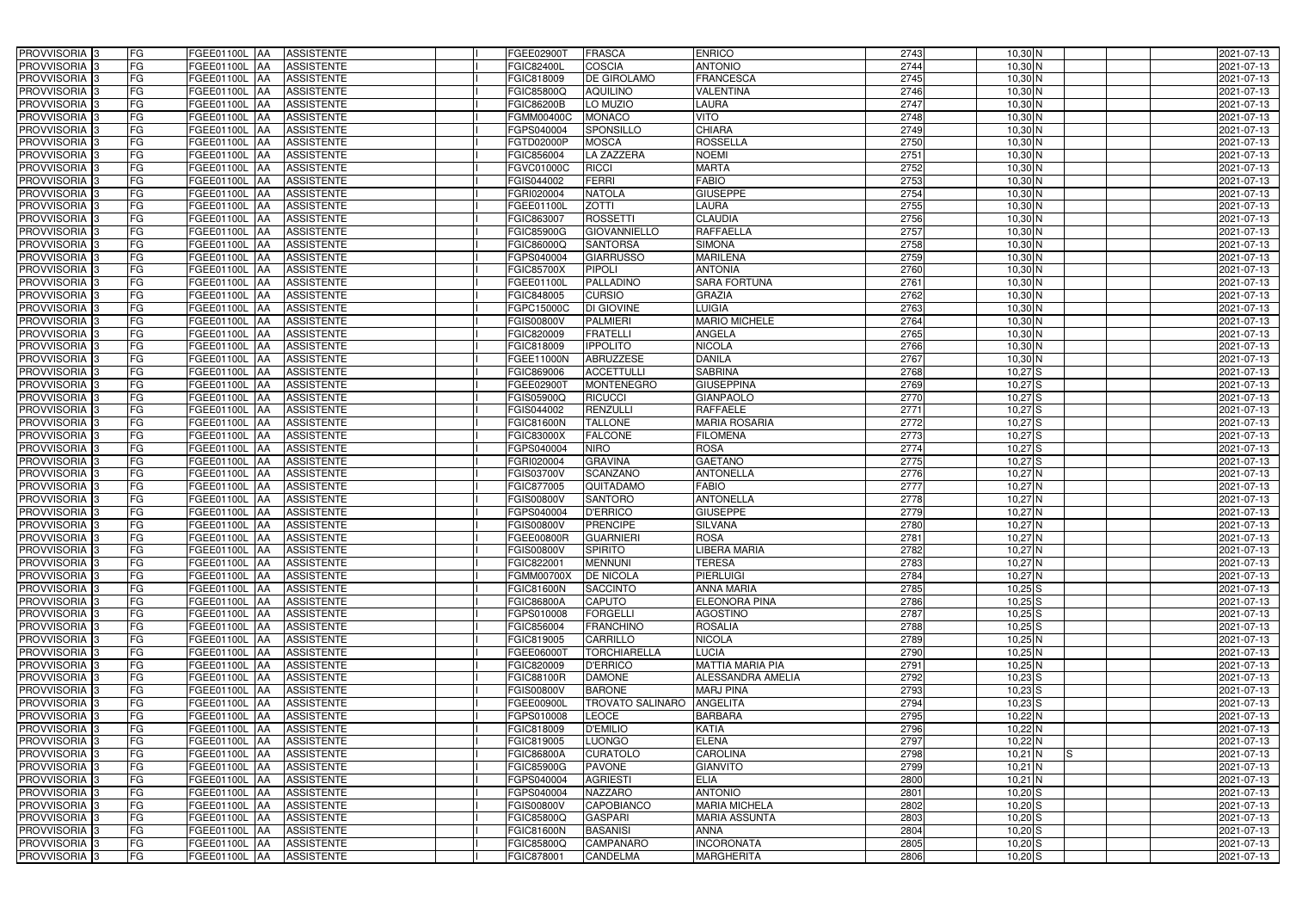| PROVVISORIA 3              | FG        | FGEE01100L AA                   | <b>ASSISTENTE</b> | FGEE02900T        | <b>FRASCA</b>           | <b>ENRICO</b>           | 2743 | $10,30$ N        | 2021-07-13 |
|----------------------------|-----------|---------------------------------|-------------------|-------------------|-------------------------|-------------------------|------|------------------|------------|
| PROVVISORIA 3              | FG        | FGEE01100L                      | <b>ASSISTENTE</b> | FGIC82400L        | COSCIA                  | <b>ANTONIO</b>          | 2744 | $10,30$ N        | 2021-07-13 |
| PROVVISORIA 3              | <b>FG</b> | FGEE01100L<br>IAA               | <b>ASSISTENTE</b> | FGIC818009        | <b>DE GIROLAMO</b>      | <b>FRANCESCA</b>        | 2745 | $10,30$ N        | 2021-07-13 |
| PROVVISORIA <sup>3</sup>   | FG        | FGEE01100L<br>IAA               | <b>ASSISTENTE</b> | FGIC85800Q        | <b>AQUILINO</b>         | <b>VALENTINA</b>        | 2746 | $10,30$ N        | 2021-07-13 |
| PROVVISORIA <sup>3</sup>   | FG        | FGEE01100L<br>IAA               | <b>ASSISTENTE</b> | FGIC86200B        | LO MUZIO                | LAURA                   | 2747 | $10,30$ N        | 2021-07-13 |
| PROVVISORIA 3              | <b>FG</b> | <b>FGEE01100L AA</b>            | <b>ASSISTENTE</b> | FGMM00400C        | <b>MONACO</b>           | <b>VITO</b>             | 2748 | 10,30 N          | 2021-07-13 |
| PROVVISORIA 3              | FG        | <b>FGEE01100L   AA</b>          | <b>ASSISTENTE</b> | FGPS040004        | <b>SPONSILLO</b>        | <b>CHIARA</b>           | 2749 | $10,30$ N        | 2021-07-13 |
| PROVVISORIA 3              | FG        | FGEE01100L AA                   | <b>ASSISTENTE</b> | FGTD02000P        | <b>MOSCA</b>            | <b>ROSSELLA</b>         | 2750 | $10,30$ N        | 2021-07-13 |
| PROVVISORIA 3              | <b>FG</b> | FGEE01100L AA                   | <b>ASSISTENTE</b> | FGIC856004        | <b>LA ZAZZERA</b>       | <b>NOEMI</b>            | 2751 | $10,30$ N        | 2021-07-13 |
| PROVVISORIA 3              | FG        | FGEE01100L AA                   | <b>ASSISTENTE</b> | FGVC01000C        | <b>RICCI</b>            | <b>MARTA</b>            | 2752 | $10,30$ N        | 2021-07-13 |
| PROVVISORIA <sup>3</sup>   | FG        | FGEE01100L AA                   | <b>ASSISTENTE</b> | GIS044002         | <b>FERRI</b>            | <b>FABIO</b>            | 2753 | $10,30$ N        | 2021-07-13 |
| PROVVISORIA 3              | FG        | FGEE01100L AA                   | <b>ASSISTENTE</b> | FGRI020004        | <b>NATOLA</b>           | <b>GIUSEPPE</b>         | 2754 | $10,30$ N        | 2021-07-13 |
| PROVVISORIA <sup>3</sup>   | FG        | FGEE01100L<br><b>IAA</b>        | <b>ASSISTENTE</b> | FGEE01100L        | <b>ZOTTI</b>            | LAURA                   | 2755 | 10,30 N          | 2021-07-13 |
| PROVVISORIA 3              | FG        | FGEE01100L AA                   | <b>ASSISTENTE</b> | FGIC863007        | <b>ROSSETTI</b>         | <b>CLAUDIA</b>          | 2756 | $10,30$ N        | 2021-07-13 |
| PROVVISORIA 3              | <b>FG</b> | FGEE01100L AA                   | <b>ASSISTENTE</b> | FGIC85900G        | <b>GIOVANNIELLO</b>     | <b>RAFFAELLA</b>        | 2757 | $10,30$ N        | 2021-07-13 |
| PROVVISORIA 3              | <b>FG</b> | FGEE01100L<br>IAA               | <b>ASSISTENTE</b> | FGIC86000Q        | <b>SANTORSA</b>         | <b>SIMONA</b>           | 2758 | $10,30$ N        | 2021-07-13 |
| PROVVISORIA 3              | FG        | <b>FGEE01100L</b><br>IAA        | <b>ASSISTENTE</b> | GPS040004         | <b>GIARRUSSO</b>        | <b>MARILENA</b>         | 2759 | $10,30$ N        | 2021-07-13 |
| PROVVISORIA 3              | FG        | <b>FGEE01100L</b><br>IAA        | <b>ASSISTENTE</b> | FGIC85700X        | <b>PIPOLI</b>           | <b>ANTONIA</b>          | 2760 | $10,30$ N        | 2021-07-13 |
| PROVVISORIA 3              | FG        | FGEE01100L<br>IAA               | <b>ASSISTENTE</b> | FGEE01100L        | <b>PALLADINO</b>        | <b>SARA FORTUNA</b>     | 2761 | $10,30$ N        | 2021-07-13 |
| PROVVISORIA 3              | FG        | FGEE01100L<br>IAA               | <b>ASSISTENTE</b> | FGIC848005        | <b>CURSIO</b>           | <b>GRAZIA</b>           | 2762 | $10,30$ N        | 2021-07-13 |
| PROVVISORIA <sup>3</sup>   | FG        | FGEE01100L                      | <b>ASSISTENTE</b> | FGPC15000C        | <b>DI GIOVINE</b>       | <b>LUIGIA</b>           | 2763 | $10,30$ N        | 2021-07-13 |
| <b>PROVVISORIA</b> 3       | FG        | FGEE01100L<br>IAA               | <b>ASSISTENTE</b> | FGIS00800V        | <b>PALMIERI</b>         | <b>MARIO MICHELE</b>    | 2764 | $10,30$ N        | 2021-07-13 |
| PROVVISORIA <sup>3</sup>   | FG        | FGEE01100L                      | <b>ASSISTENTE</b> | FGIC820009        | <b>FRATELLI</b>         | <b>ANGELA</b>           | 2765 | $10,30$ N        | 2021-07-13 |
| PROVVISORIA <sup>3</sup>   | <b>FG</b> | <b>FGEE01100L</b><br>AA         | <b>ASSISTENTE</b> | FGIC818009        | <b>IPPOLITO</b>         | <b>NICOLA</b>           | 2766 | $10,30$ N        | 2021-07-13 |
| <b>PROVVISORIA</b> 3       | FG        | FGEE01100L<br>IAA               | <b>ASSISTENTE</b> | FGEE11000N        | <b>ABRUZZESE</b>        | <b>DANILA</b>           | 2767 | $10,30$ N        | 2021-07-13 |
| PROVVISORIA 3              | FG        | FGEE01100L<br>IAA               | <b>ASSISTENTE</b> | FGIC869006        | <b>ACCETTULLI</b>       | <b>SABRINA</b>          | 2768 | $10,27$ S        | 2021-07-13 |
| PROVVISORIA 3              | <b>FG</b> | <b>FGEE01100L AA</b>            | <b>ASSISTENTE</b> | FGEE02900T        | <b>MONTENEGRO</b>       | <b>GIUSEPPINA</b>       | 2769 | $10,27$ S        | 2021-07-13 |
| PROVVISORIA 3              | <b>FG</b> | <b>FGEE01100L   AA</b>          | <b>ASSISTENTE</b> | FGIS05900Q        | <b>RICUCCI</b>          | <b>GIANPAOLO</b>        | 2770 | $10,27$ $S$      | 2021-07-13 |
| PROVVISORIA 3              | FG        | FGEE01100L AA                   | <b>ASSISTENTE</b> | FGIS044002        | RENZULLI                | <b>RAFFAELE</b>         | 2771 | $10,27$ $S$      | 2021-07-13 |
| PROVVISORIA <sup>3</sup>   | <b>FG</b> | <b>FGEE01100L   AA</b>          | <b>ASSISTENTE</b> | <b>FGIC81600N</b> | <b>TALLONE</b>          | <b>MARIA ROSARIA</b>    | 2772 | $10,27$ $S$      | 2021-07-13 |
| PROVVISORIA 3              | FG        | <b>FGEE01100L AA</b>            | <b>ASSISTENTE</b> | FGIC83000X        | <b>FALCONE</b>          | <b>FILOMENA</b>         | 2773 | $10,27$ $S$      | 2021-07-13 |
| PROVVISORIA 3              | FG        | FGEE01100L AA                   | <b>ASSISTENTE</b> | FGPS040004        | <b>NIRO</b>             | <b>ROSA</b>             | 2774 | $10,27$ S        | 2021-07-13 |
| PROVVISORIA 3              | FG        | <b>FGEE01100L</b><br><b>IAA</b> | <b>ASSISTENTE</b> | FGRI020004        | <b>GRAVINA</b>          | <b>GAETANO</b>          | 2775 | $10,27$ S        | 2021-07-13 |
| PROVVISORIA 3              | FG        | <b>FGEE01100L   AA</b>          | <b>ASSISTENTE</b> | FGIS03700V        | <b>SCANZANO</b>         | <b>ANTONELLA</b>        | 2776 | $10,27$ N        | 2021-07-13 |
| PROVVISORIA 3              | <b>FG</b> | FGEE01100L<br>IAA               | <b>ASSISTENTE</b> | FGIC877005        | QUITADAMO               | <b>FABIO</b>            | 2777 | $10,27$ N        | 2021-07-13 |
| PROVVISORIA <sup>1</sup> 3 | FG        | FGEE01100L<br>IAA               | <b>ASSISTENTE</b> | GIS00800V         | <b>SANTORO</b>          | <b>ANTONELLA</b>        | 2778 | $10,27$ N        | 2021-07-13 |
| PROVVISORIA <sup>1</sup> 3 | FG        | <b>FGEE01100L</b><br>IAA        | <b>ASSISTENTE</b> | GPS040004         | <b>D'ERRICO</b>         | <b>GIUSEPPE</b>         | 2779 | $10,27$ N        | 2021-07-13 |
| PROVVISORIA <sup>3</sup>   | <b>FG</b> | FGEE01100L AA                   | <b>ASSISTENTE</b> | FGIS00800V        | <b>PRENCIPE</b>         | <b>SILVANA</b>          | 2780 | $10,27$ N        | 2021-07-13 |
| PROVVISORIA <sup>3</sup>   | FG        | FGEE01100L AA ASSISTENTE        |                   | <b>FGEE00800R</b> | <b>GUARNIERI</b>        | <b>ROSA</b>             | 2781 | 10,27 N          | 2021-07-13 |
| PROVVISORIA <sup>3</sup>   | FG        | FGEE01100L AA                   | ASSISTENTE        | FGIS00800V        | <b>SPIRITO</b>          | <b>LIBERA MARIA</b>     | 2782 | $10,27$ N        | 2021-07-13 |
| PROVVISORIA <sup>3</sup>   | FG        | FGEE01100L AA                   | ASSISTENTE        | FGIC822001        | <b>MENNUNI</b>          | <b>TERESA</b>           | 2783 | $10,27$ N        | 2021-07-13 |
| PROVVISORIA <sup>3</sup>   | FG        | FGEE01100L AA                   | <b>ASSISTENTE</b> | FGMM00700X        | <b>DE NICOLA</b>        | <b>PIERLUIGI</b>        | 2784 | $10,27$ N        | 2021-07-13 |
| PROVVISORIA <sup>3</sup>   | FG        | FGEE01100L AA                   | <b>ASSISTENTE</b> | <b>FGIC81600N</b> | <b>SACCINTO</b>         | <b>ANNA MARIA</b>       | 2785 | $10,25$ S        | 2021-07-13 |
| PROVVISORIA <sup>3</sup>   | FG        | FGEE01100L AA                   | <b>ASSISTENTE</b> | FGIC86800A        | <b>CAPUTO</b>           | <b>ELEONORA PINA</b>    | 2786 | $10,25$ S        | 2021-07-13 |
| PROVVISORIA <sup>3</sup>   | <b>FG</b> | FGEE01100L AA                   | <b>ASSISTENTE</b> | FGPS010008        | FORGELLI                | <b>AGOSTINO</b>         | 2787 | $10,25$ S        | 2021-07-13 |
| PROVVISORIA <sup>3</sup>   | FG        | FGEE01100L AA                   | <b>ASSISTENTE</b> | FGIC856004        | <b>FRANCHINO</b>        | <b>ROSALIA</b>          | 2788 | $10,25$ S        | 2021-07-13 |
| PROVVISORIA <sup>3</sup>   | FG        | FGEE01100L AA                   | <b>ASSISTENTE</b> | FGIC819005        | <b>CARRILLO</b>         | <b>NICOLA</b>           | 2789 | $10,25$ N        | 2021-07-13 |
| PROVVISORIA <sup>3</sup>   | FG        | FGEE01100L AA                   | <b>ASSISTENTE</b> | FGEE06000T        | <b>TORCHIARELLA</b>     | <b>LUCIA</b>            | 2790 | $10,25$ N        | 2021-07-13 |
| PROVVISORIA <sup>3</sup>   | FG        | FGEE01100L AA                   | <b>ASSISTENTE</b> | FGIC820009        | <b>D'ERRICO</b>         | <b>MATTIA MARIA PIA</b> | 2791 | $10,25$ N        | 2021-07-13 |
| PROVVISORIA <sup>3</sup>   | FG        | FGEE01100L AA                   | <b>ASSISTENTE</b> | <b>FGIC88100R</b> | <b>DAMONE</b>           | ALESSANDRA AMELIA       | 2792 | $10,23$ $S$      | 2021-07-13 |
| PROVVISORIA 3              | FG        | FGEE01100L AA                   | <b>ASSISTENTE</b> | FGIS00800V        | <b>BARONE</b>           | <b>MARJ PINA</b>        | 2793 | $10,23$ S        | 2021-07-13 |
| PROVVISORIA <sup>3</sup>   | FG        | FGEE01100L AA                   | <b>ASSISTENTE</b> | FGEE00900L        | <b>TROVATO SALINARO</b> | <b>ANGELITA</b>         | 2794 | $10,23$ S        | 2021-07-13 |
| PROVVISORIA <sup>3</sup>   | FG        | FGEE01100L AA                   | <b>ASSISTENTE</b> | FGPS010008        | <b>LEOCE</b>            | <b>BARBARA</b>          | 2795 | $10,22$ N        | 2021-07-13 |
| PROVVISORIA <sup>3</sup>   | FG        | FGEE01100L AA                   | <b>ASSISTENTE</b> | FGIC818009        | <b>D'EMILIO</b>         | <b>KATIA</b>            | 2796 | $10,22$ N        | 2021-07-13 |
| PROVVISORIA <sup>13</sup>  | FG        | FGEE01100L AA                   | <b>ASSISTENTE</b> | FGIC819005        | <b>LUONGO</b>           | <b>ELENA</b>            | 2797 | $10,22$ N        | 2021-07-13 |
| PROVVISORIA <sup>3</sup>   | FG        | FGEE01100L AA                   | <b>ASSISTENTE</b> | FGIC86800A        | <b>CURATOLO</b>         | CAROLINA                | 2798 | $10,21$ N<br>IS. | 2021-07-13 |
| PROVVISORIA <sup>3</sup>   | FG        | FGEE01100L AA                   | <b>ASSISTENTE</b> | FGIC85900G        | <b>PAVONE</b>           | <b>GIANVITO</b>         | 2799 | $10,21$ N        | 2021-07-13 |
| PROVVISORIA <sup>3</sup>   | FG        | <b>FGEE01100L   AA</b>          | <b>ASSISTENTE</b> | FGPS040004        | <b>AGRIESTI</b>         | <b>ELIA</b>             | 2800 | $10,21$ N        | 2021-07-13 |
| PROVVISORIA <sup>3</sup>   | FG        | FGEE01100L AA                   | <b>ASSISTENTE</b> | FGPS040004        | <b>NAZZARO</b>          | <b>ANTONIO</b>          | 2801 | $10,20$ S        | 2021-07-13 |
| PROVVISORIA <sup>3</sup>   | FG        | FGEE01100L AA                   | <b>ASSISTENTE</b> | <b>FGIS00800V</b> | CAPOBIANCO              | <b>MARIA MICHELA</b>    | 2802 | $10,20$ S        | 2021-07-13 |
| PROVVISORIA <sup>3</sup>   | FG        | FGEE01100L AA                   | <b>ASSISTENTE</b> | FGIC85800Q        | <b>GASPARI</b>          | <b>MARIA ASSUNTA</b>    | 2803 | $10,20$ S        | 2021-07-13 |
| PROVVISORIA <sup>3</sup>   | FG        | FGEE01100L AA                   | <b>ASSISTENTE</b> | <b>FGIC81600N</b> | <b>BASANISI</b>         | <b>ANNA</b>             | 2804 | $10,20$ S        | 2021-07-13 |
| PROVVISORIA <sup>3</sup>   | FG        | FGEE01100L AA                   | <b>ASSISTENTE</b> | FGIC85800Q        | <b>CAMPANARO</b>        | <b>INCORONATA</b>       | 2805 | $10,20$ S        | 2021-07-13 |
| PROVVISORIA 3              | FG        | FGEE01100L AA                   | <b>ASSISTENTE</b> | FGIC878001        | CANDELMA                | <b>MARGHERITA</b>       | 2806 | $10,20$ $S$      | 2021-07-13 |
|                            |           |                                 |                   |                   |                         |                         |      |                  |            |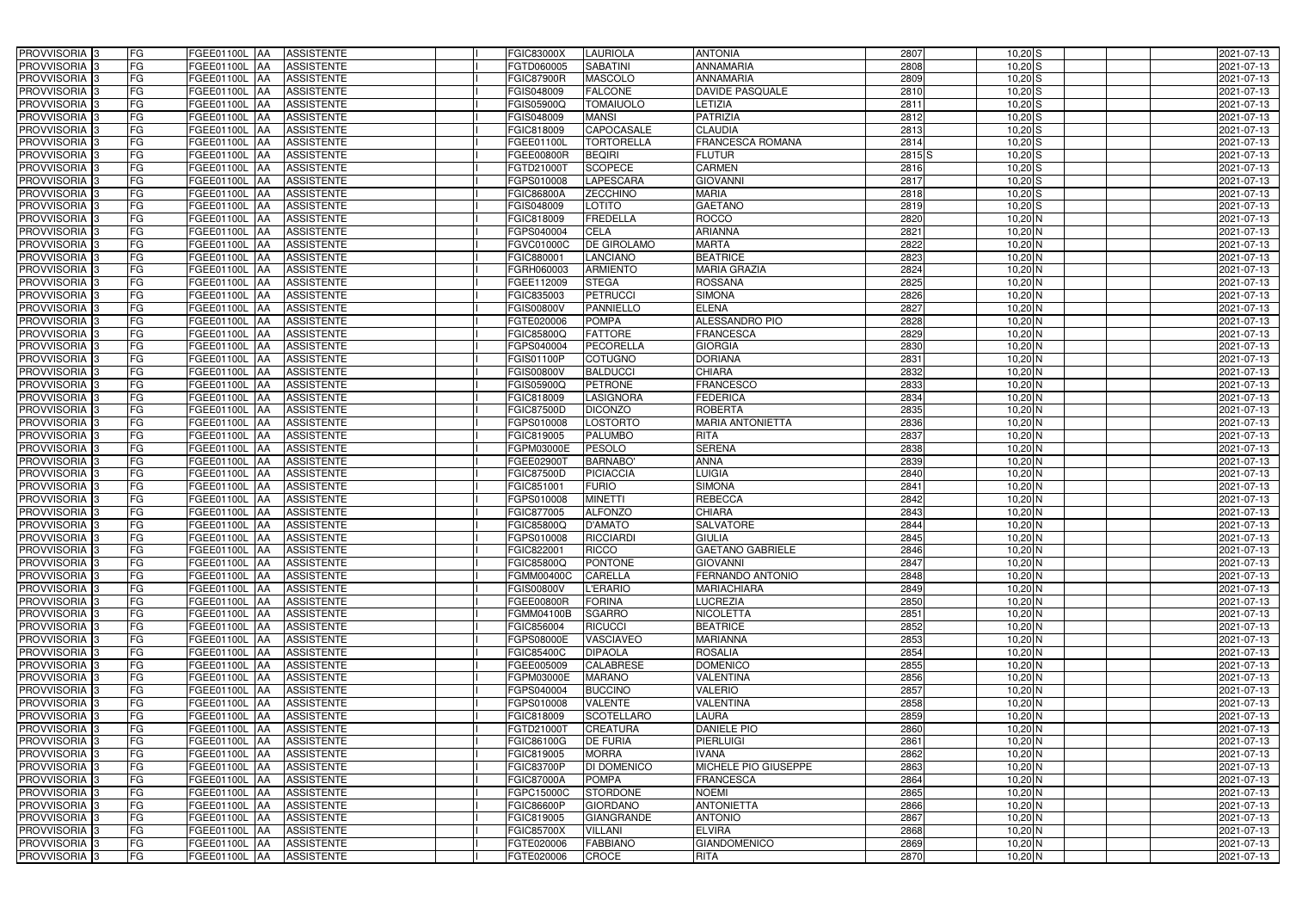| PROVVISORIA <sup>3</sup>                             | FG              | FGEE01100L AA                             | <b>ASSISTENTE</b>                      | <b>FGIC83000X</b>        | <b>LAURIOLA</b>                  | <b>ANTONIA</b>                  | 2807              | $10,20$ $S$            | 2021-07-13               |
|------------------------------------------------------|-----------------|-------------------------------------------|----------------------------------------|--------------------------|----------------------------------|---------------------------------|-------------------|------------------------|--------------------------|
| PROVVISORIA 3                                        | FG              | FGEE01100L<br>IAA                         | <b>ASSISTENTE</b>                      | FGTD060005               | <b>SABATINI</b>                  | <b>ANNAMARIA</b>                | 2808              | $10,20$ S              | 2021-07-13               |
| PROVVISORIA 3                                        | FG              | FGEE01100L AA                             | <b>ASSISTENTE</b>                      | <b>GIC87900R</b>         | <b>MASCOLO</b>                   | <b>ANNAMARIA</b>                | 2809              | $10,20$ S              | 2021-07-13               |
| PROVVISORIA 3                                        | FG              | <b>FGEE01100L   AA</b>                    | <b>ASSISTENTE</b>                      | FGIS048009               | <b>FALCONE</b>                   | <b>DAVIDE PASQUALE</b>          | 2810              | $10,20$ $S$            | 2021-07-13               |
| PROVVISORIA 3                                        | FG              | FGEE01100L AA                             | <b>ASSISTENTE</b>                      | <b>GIS05900Q</b>         | <b>TOMAIUOLO</b>                 | LETIZIA                         | 2811              | $10,20$ S              | 2021-07-13               |
| PROVVISORIA 3                                        | FG              | FGEE01100L<br><b>IAA</b>                  | <b>ASSISTENTE</b>                      | FGIS048009               | <b>MANSI</b>                     | <b>PATRIZIA</b>                 | 2812              | $10,20$ S              | 2021-07-13               |
| PROVVISORIA 3                                        | FG              | FGEE01100L AA                             | <b>ASSISTENTE</b>                      | FGIC818009               | CAPOCASALE                       | <b>CLAUDIA</b>                  | 2813              | $10,20$ S              | 2021-07-13               |
| <b>PROVVISORIA</b> 3                                 | <b>FG</b>       | FGEE01100L<br>IAA                         | <b>ASSISTENTE</b>                      | FGEE01100L               | <b>TORTORELLA</b>                | FRANCESCA ROMANA                | 2814              | $10,20$ S              | 2021-07-13               |
| PROVVISORIA <sup>3</sup>                             | FG              | FGEE01100L<br>IAA                         | <b>ASSISTENTE</b>                      | FGEE00800R               | <b>BEQIRI</b>                    | <b>FLUTUR</b>                   | 2815 <sup>S</sup> | $10,20$ S              | 2021-07-13               |
| PROVVISORIA <sup>1</sup> 3                           | FG              | FGEE01100L<br>AA                          | <b>ASSISTENTE</b>                      | FGTD21000T               | <b>SCOPECE</b>                   | <b>CARMEN</b>                   | 2816              | $10,20$ S              | 2021-07-13               |
| PROVVISORIA 3                                        | FG              | <b>FGEE01100L</b><br><b>JAA</b>           | <b>ASSISTENTE</b>                      | GPS010008                | <b>LAPESCARA</b>                 | <b>GIOVANNI</b>                 | 2817              | $10,20$ S              | 2021-07-13               |
| PROVVISORIA 3                                        | <b>FG</b>       | FGEE01100L AA                             | <b>ASSISTENTE</b>                      | <b>FGIC86800A</b>        | <b>ZECCHINO</b>                  | <b>MARIA</b>                    | 2818              | $10,20$ S              | 2021-07-13               |
| PROVVISORIA 3                                        | FG              | FGEE01100L AA                             | <b>ASSISTENTE</b>                      | FGIS048009               | LOTITO                           | <b>GAETANO</b>                  | 2819              | 10,20 S                | 2021-07-13               |
| PROVVISORIA 3                                        | <b>FG</b>       | FGEE01100L AA                             | <b>ASSISTENTE</b>                      | FGIC818009               | <b>FREDELLA</b>                  | <b>ROCCO</b>                    | 2820              | $10,20$ N              | 2021-07-13               |
| PROVVISORIA <sup>3</sup>                             | FG              | FGEE01100L AA                             | <b>ASSISTENTE</b>                      | FGPS040004               | <b>CELA</b>                      | <b>ARIANNA</b>                  | 2821              | $10,20$ N              | 2021-07-13               |
| PROVVISORIA 3                                        | <b>FG</b>       | <b>FGEE01100L   AA</b>                    | <b>ASSISTENTE</b>                      | FGVC01000C               | <b>DE GIROLAMO</b>               | <b>MARTA</b>                    | 2822              | $10,20$ N              | 2021-07-13               |
| PROVVISORIA 3                                        | <b>FG</b>       | FGEE01100L<br>IAA                         | <b>ASSISTENTE</b>                      | FGIC880001               | <b>LANCIANO</b>                  | <b>BEATRICE</b>                 | 2823              | $10,20$ N              | 2021-07-13               |
| PROVVISORIA 3                                        | <b>FG</b>       | FGEE01100L AA                             | <b>ASSISTENTE</b>                      | FGRH060003               | <b>ARMIENTO</b>                  | <b>MARIA GRAZIA</b>             | 2824              | $10,20$ N              | 2021-07-13               |
| PROVVISORIA 3                                        | FG              | FGEE01100L<br><b>IAA</b>                  | <b>ASSISTENTE</b>                      | FGEE112009               | <b>STEGA</b>                     | <b>ROSSANA</b>                  | 2825              | $10,20$ N              | 2021-07-13               |
| <b>PROVVISORIA</b> 3                                 | FG              | FGEE01100L<br>AA                          | <b>ASSISTENTE</b>                      | FGIC835003               | <b>PETRUCCI</b>                  | <b>SIMONA</b>                   | 2826              | $10,20$ N              | 2021-07-13               |
| PROVVISORIA <sup>1</sup> 3                           | FG              | <b>FGEE01100L</b><br>l AA                 | <b>ASSISTENTE</b>                      | FGIS00800V               | PANNIELLO                        | <b>ELENA</b>                    | 2827              | 10,20 N                | 2021-07-13               |
| PROVVISORIA <sup>13</sup>                            | FG              | FGEE01100L<br>IAA                         | <b>ASSISTENTE</b>                      | FGTE020006               | <b>POMPA</b>                     | <b>ALESSANDRO PIO</b>           | 2828              | $10,20$ N              | 2021-07-13               |
| PROVVISORIA <sup>3</sup>                             | FG              | FGEE01100L<br>IAA                         | <b>ASSISTENTE</b>                      | FGIC85800Q               | <b>FATTORE</b>                   | <b>FRANCESCA</b>                | 2829              | $10,20$ N              | 2021-07-13               |
| <b>PROVVISORIA</b> 3                                 | FG              | FGEE01100L<br>IAA                         | <b>ASSISTENTE</b>                      | GPS040004                | PECORELLA                        | <b>GIORGIA</b>                  | 2830              | $10,20$ N              | 2021-07-13               |
| <b>PROVVISORIA</b> 3                                 | <b>FG</b>       | <b>FGEE01100L</b><br>IAA                  | <b>ASSISTENTE</b>                      | GIS01100P                | COTUGNO                          | <b>DORIANA</b>                  | 2831              | $10,20$ N              | 2021-07-13               |
| PROVVISORIA <sup>3</sup>                             | <b>FG</b>       | FGEE01100L<br>IAA                         | <b>ASSISTENTE</b>                      | GIS00800V                | <b>BALDUCCI</b>                  | <b>CHIARA</b>                   | 2832              | $10,20$ N              | 2021-07-13               |
| PROVVISORIA 3                                        | <b>FG</b>       | FGEE01100L                                | <b>ASSISTENTE</b>                      | GIS05900Q                | <b>PETRONE</b>                   | <b>FRANCESCO</b>                | 2833              | $10,20$ N              | 2021-07-13               |
| PROVVISORIA <sup>3</sup>                             | <b>FG</b>       | FGEE01100L<br>IAA                         | <b>ASSISTENTE</b>                      | GIC818009                | LASIGNORA                        | <b>FEDERICA</b>                 | 2834              | $10,20$ N              | 2021-07-13               |
| PROVVISORIA 3                                        | FG              | FGEE01100L                                | <b>ASSISTENTE</b>                      | GIC87500D                | <b>DICONZO</b>                   | <b>ROBERTA</b>                  | 2835              | 10,20 N                | 2021-07-13               |
| PROVVISORIA 3                                        | <b>FG</b>       | FGEE01100L<br>IAA                         | <b>ASSISTENTE</b>                      | GPS010008                | <b>LOSTORTO</b>                  | <b>MARIA ANTONIETTA</b>         | 2836              | $10,20$ N              | 2021-07-13               |
| PROVVISORIA 3                                        | <b>FG</b>       | <b>FGEE01100L</b><br>IAA                  | <b>ASSISTENTE</b>                      | FGIC819005               | <b>PALUMBO</b>                   | <b>RITA</b>                     | 2837              | $10,20$ N              | 2021-07-13               |
| PROVVISORIA 3                                        | FG              | <b>FGEE01100L</b><br>IAA                  | <b>ASSISTENTE</b>                      | FGPM03000E               | <b>PESOLO</b>                    | <b>SERENA</b>                   | 2838              | $10,20$ N              | 2021-07-13               |
| PROVVISORIA <sup>1</sup> 3                           | <b>FG</b>       | FGEE01100L<br>IAA                         | <b>ASSISTENTE</b>                      | FGEE02900T               | <b>BARNABO</b>                   | <b>ANNA</b>                     | 2839              | $10,20$ N              | 2021-07-13               |
| PROVVISORIA <sup>1</sup> 3                           | FG              | FGEE01100L<br>IAA                         | <b>ASSISTENTE</b>                      | FGIC87500D               | <b>PICIACCIA</b>                 | <b>LUIGIA</b>                   | 2840              | $10,20$ N              | 2021-07-13               |
| PROVVISORIA 3                                        | FG              | FGEE01100L<br>IAA                         | <b>ASSISTENTE</b>                      | FGIC851001               | <b>FURIO</b>                     | <b>SIMONA</b><br><b>REBECCA</b> | 2841<br>2842      | $10,20$ N              | 2021-07-13               |
| PROVVISORIA 3<br>PROVVISORIA <sup>3</sup>            | FG<br><b>FG</b> | FGEE01100L<br><b>JAA</b><br>FGEE01100L AA | <b>ASSISTENTE</b><br><b>ASSISTENTE</b> | GPS010008<br>FGIC877005  | <b>MINETTI</b><br><b>ALFONZO</b> | <b>CHIARA</b>                   | 2843              | $10,20$ N<br>$10,20$ N | 2021-07-13<br>2021-07-13 |
|                                                      | <b>FG</b>       | FGEE01100L AA                             |                                        |                          | <b>D'AMATO</b>                   | <b>SALVATORE</b>                | 2844              |                        | 2021-07-13               |
| PROVVISORIA <sup>3</sup><br>PROVVISORIA <sup>3</sup> | <b>FG</b>       | FGEE01100L AA ASSISTENTE                  | <b>ASSISTENTE</b>                      | FGIC85800Q<br>FGPS010008 | RICCIARDI                        | <b>GIULIA</b>                   | 2845              | $10,20$ N<br>$10,20$ N | 2021-07-13               |
| <b>PROVVISORIA</b> 3                                 | <b>FG</b>       | FGEE01100L AA                             | <b>ASSISTENTE</b>                      | FGIC822001               | <b>RICCO</b>                     | <b>GAETANO GABRIELE</b>         | 2846              | $10,20$ N              | 2021-07-13               |
| PROVVISORIA <sup>3</sup>                             | FG              | FGEE01100L AA                             | <b>ASSISTENTE</b>                      | FGIC85800Q               | <b>PONTONE</b>                   | <b>GIOVANNI</b>                 | 2847              | $10,20$ N              | 2021-07-13               |
| PROVVISORIA <sup>3</sup>                             | FG              | FGEE01100L AA ASSISTENTE                  |                                        | FGMM00400C               | <b>CARELLA</b>                   | <b>FERNANDO ANTONIO</b>         | 2848              | $10,20$ N              | 2021-07-13               |
| PROVVISORIA <sup>3</sup>                             | FG              | FGEE01100L AA                             | <b>ASSISTENTE</b>                      | <b>FGIS00800V</b>        | <b>L'ERARIO</b>                  | <b>MARIACHIARA</b>              | 2849              | $10,20$ N              | 2021-07-13               |
| PROVVISORIA <sup>3</sup>                             | FG              | FGEE01100L AA                             | <b>ASSISTENTE</b>                      | FGEE00800R               | <b>FORINA</b>                    | <b>LUCREZIA</b>                 | 2850              | $10,20$ N              | 2021-07-13               |
| PROVVISORIA 3                                        | FG              | FGEE01100L AA                             | <b>ASSISTENTE</b>                      | FGMM04100B               | <b>SGARRO</b>                    | <b>NICOLETTA</b>                | 2851              | $10,20$ N              | 2021-07-13               |
| PROVVISORIA 3                                        | <b>FG</b>       | FGEE01100L AA                             | <b>ASSISTENTE</b>                      | FGIC856004               | <b>RICUCCI</b>                   | <b>BEATRICE</b>                 | 2852              | $10,20$ N              | 2021-07-13               |
| PROVVISORIA <sup>3</sup>                             | FG              | FGEE01100L AA                             | <b>ASSISTENTE</b>                      | FGPS08000E               | VASCIAVEO                        | <b>MARIANNA</b>                 | 2853              | $10,20$ N              | 2021-07-13               |
| PROVVISORIA 3                                        | FG              | FGEE01100L AA                             | <b>ASSISTENTE</b>                      | FGIC85400C               | <b>DIPAOLA</b>                   | <b>ROSALIA</b>                  | 2854              | $10,20$ N              | 2021-07-13               |
| PROVVISORIA 3                                        | FG              | FGEE01100L AA                             | <b>ASSISTENTE</b>                      | FGEE005009               | <b>CALABRESE</b>                 | <b>DOMENICO</b>                 | 2855              | $10,20$ N              | 2021-07-13               |
| PROVVISORIA <sup>3</sup>                             | FG              | FGEE01100L AA                             | <b>ASSISTENTE</b>                      | FGPM03000E               | <b>MARANO</b>                    | VALENTINA                       | 2856              | $10,20$ N              | 2021-07-13               |
| PROVVISORIA <sup>3</sup>                             | FG              | FGEE01100L AA                             | <b>ASSISTENTE</b>                      | FGPS040004               | <b>BUCCINO</b>                   | <b>VALERIO</b>                  | 2857              | $10,20$ N              | 2021-07-13               |
| PROVVISORIA <sup>3</sup>                             | FG              | <b>FGEE01100L   AA</b>                    | <b>ASSISTENTE</b>                      | FGPS010008               | <b>VALENTE</b>                   | VALENTINA                       | 2858              | $10,20$ N              | 2021-07-13               |
| PROVVISORIA <sup>3</sup>                             | FG              | FGEE01100L AA                             | <b>ASSISTENTE</b>                      | FGIC818009               | <b>SCOTELLARO</b>                | LAURA                           | 2859              | $10,20$ N              | 2021-07-13               |
| PROVVISORIA <sup>3</sup>                             | FG              | <b>FGEE01100L   AA</b>                    | <b>ASSISTENTE</b>                      | FGTD21000T               | <b>CREATURA</b>                  | <b>DANIELE PIO</b>              | 2860              | $10,20$ N              | 2021-07-13               |
| PROVVISORIA <sup>3</sup>                             | FG              | FGEE01100L AA                             | <b>ASSISTENTE</b>                      | FGIC86100G               | <b>DE FURIA</b>                  | PIERLUIGI                       | 2861              | $10,20$ N              | 2021-07-13               |
| PROVVISORIA <sup>3</sup>                             | FG              | FGEE01100L AA                             | <b>ASSISTENTE</b>                      | FGIC819005               | <b>MORRA</b>                     | IVANA                           | 2862              | $10,20$ N              | 2021-07-13               |
| PROVVISORIA <sup>3</sup>                             | FG              | FGEE01100L AA                             | <b>ASSISTENTE</b>                      | FGIC83700P               | DI DOMENICO                      | MICHELE PIO GIUSEPPE            | 2863              | $10,20$ N              | 2021-07-13               |
| PROVVISORIA <sup>3</sup>                             | FG              | FGEE01100L AA                             | <b>ASSISTENTE</b>                      | <b>FGIC87000A</b>        | <b>POMPA</b>                     | <b>FRANCESCA</b>                | 2864              | $10,20$ N              | 2021-07-13               |
| PROVVISORIA <sup>3</sup>                             | FG              | FGEE01100L AA                             | <b>ASSISTENTE</b>                      | FGPC15000C               | <b>STORDONE</b>                  | <b>NOEMI</b>                    | 2865              | $10,20$ N              | 2021-07-13               |
| PROVVISORIA <sup>3</sup>                             | FG              | FGEE01100L AA                             | <b>ASSISTENTE</b>                      | FGIC86600P               | <b>GIORDANO</b>                  | <b>ANTONIETTA</b>               | 2866              | $10,20$ N              | 2021-07-13               |
| PROVVISORIA <sup>3</sup>                             | FG              | FGEE01100L AA                             | <b>ASSISTENTE</b>                      | FGIC819005               | <b>GIANGRANDE</b>                | <b>ANTONIO</b>                  | 2867              | $10,20$ N              | 2021-07-13               |
| PROVVISORIA <sup>3</sup>                             | FG              | FGEE01100L AA                             | <b>ASSISTENTE</b>                      | FGIC85700X               | <b>VILLANI</b>                   | <b>ELVIRA</b>                   | 2868              | $10,20$ N              | 2021-07-13               |
| PROVVISORIA <sup>3</sup>                             | FG              | FGEE01100L AA                             | <b>ASSISTENTE</b>                      | FGTE020006               | <b>FABBIANO</b>                  | <b>GIANDOMENICO</b>             | 2869              | $10,20$ N              | 2021-07-13               |
| PROVVISORIA <sup>3</sup>                             | FG              | <b>FGEE01100L AA</b>                      | ASSISTENTE                             | FGTE020006               | <b>CROCE</b>                     | <b>RITA</b>                     | 2870              | $10,20$ N              | 2021-07-13               |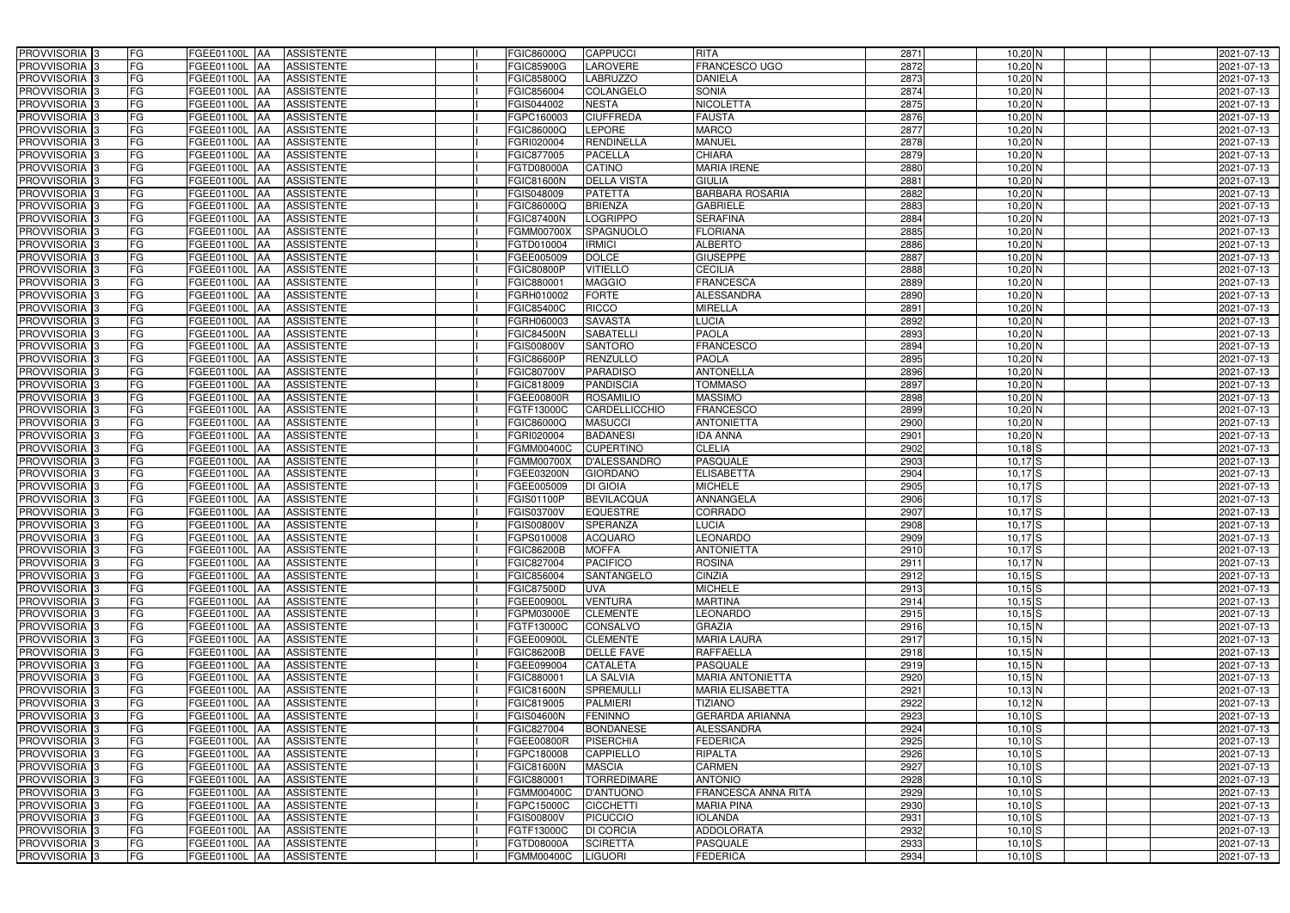| PROVVISORIA <sup>3</sup>                             | FG        | FGEE01100L AA<br><b>ASSISTENTE</b>                                                | FGIC86000Q               | <b>CAPPUCCI</b>                      | <b>RITA</b>                          | 2871         | $10,20$ N              | 2021-07-13               |
|------------------------------------------------------|-----------|-----------------------------------------------------------------------------------|--------------------------|--------------------------------------|--------------------------------------|--------------|------------------------|--------------------------|
| PROVVISORIA 3                                        | FG        | FGEE01100L AA<br><b>ASSISTENTE</b>                                                | <b>GIC85900G</b>         | LAROVERE                             | FRANCESCO UGO                        | 2872         | $10,20$ N              | 2021-07-13               |
| PROVVISORIA 3                                        | FG        | FGEE01100L AA<br><b>ASSISTENTE</b>                                                | <b>GIC85800Q</b>         | <b>LABRUZZO</b>                      | <b>DANIELA</b>                       | 2873         | $10,20$ N              | 2021-07-13               |
| PROVVISORIA 3                                        | FG        | <b>FGEE01100L   AA</b><br><b>ASSISTENTE</b>                                       | FGIC856004               | COLANGELO                            | <b>SONIA</b>                         | 2874         | $10,20$ N              | 2021-07-13               |
| PROVVISORIA 3                                        | FG        | <b>ASSISTENTE</b><br>FGEE01100L AA                                                | GIS044002                | <b>NESTA</b>                         | <b>NICOLETTA</b>                     | 2875         | $10,20$ N              | 2021-07-13               |
| PROVVISORIA 3                                        | FG        | FGEE01100L AA<br><b>ASSISTENTE</b>                                                | FGPC160003               | <b>CIUFFREDA</b>                     | <b>FAUSTA</b>                        | 2876         | $10,20$ N              | 2021-07-13               |
| PROVVISORIA 3                                        | <b>FG</b> | FGEE01100L AA<br><b>ASSISTENTE</b>                                                | FGIC86000Q               | <b>LEPORE</b>                        | <b>MARCO</b>                         | 2877         | $10,20$ N              | 2021-07-13               |
| <b>PROVVISORIA</b> 3                                 | <b>FG</b> | FGEE01100L<br><b>ASSISTENTE</b><br>IAA                                            | FGRI020004               | RENDINELLA                           | <b>MANUEL</b>                        | 2878         | $10,20$ N              | 2021-07-13               |
| PROVVISORIA <sup>1</sup> 3                           | FG        | FGEE01100L<br><b>ASSISTENTE</b><br>IAA                                            | GIC877005                | <b>PACELLA</b>                       | <b>CHIARA</b>                        | 2879         | $10,20$ N              | 2021-07-13               |
| PROVVISORIA <sup>1</sup> 3                           | FG        | FGEE01100L<br><b>ASSISTENTE</b><br>IAA                                            | FGTD08000A               | <b>CATINO</b>                        | <b>MARIA IRENE</b>                   | 2880         | $10,20$ N              | 2021-07-13               |
| PROVVISORIA 3                                        | FG        | FGEE01100L<br><b>ASSISTENTE</b><br><b>JAA</b>                                     | FGIC81600N               | <b>DELLA VISTA</b>                   | <b>GIULIA</b>                        | 2881         | $10,20$ N              | 2021-07-13               |
| PROVVISORIA 3                                        | <b>FG</b> | FGEE01100L AA<br><b>ASSISTENTE</b>                                                | <b>GIS048009</b>         | <b>PATETTA</b>                       | <b>BARBARA ROSARIA</b>               | 2882         | $10,20$ N              | 2021-07-13               |
| PROVVISORIA 3                                        | FG        | FGEE01100L AA<br><b>ASSISTENTE</b>                                                | FGIC86000Q               | <b>BRIENZA</b>                       | <b>GABRIELE</b>                      | 2883         | 10,20 N                | 2021-07-13               |
| PROVVISORIA 3                                        | <b>FG</b> | FGEE01100L AA<br><b>ASSISTENTE</b>                                                | <b>FGIC87400N</b>        | <b>LOGRIPPO</b>                      | <b>SERAFINA</b>                      | 2884         | $10,20$ N              | 2021-07-13               |
| PROVVISORIA 3                                        | FG        | FGEE01100L AA<br><b>ASSISTENTE</b>                                                | FGMM00700X               | SPAGNUOLO                            | <b>FLORIANA</b>                      | 2885         | $10,20$ N              | 2021-07-13               |
| PROVVISORIA 3                                        | <b>FG</b> | FGEE01100L AA<br><b>ASSISTENTE</b>                                                | FGTD010004               | <b>IRMICI</b>                        | <b>ALBERTO</b>                       | 2886         | $10,20$ N              | 2021-07-13               |
| PROVVISORIA 3                                        | <b>FG</b> | FGEE01100L<br><b>ASSISTENTE</b><br>IAA                                            | FGEE005009               | <b>DOLCE</b>                         | <b>GIUSEPPE</b>                      | 2887         | $10,20$ N              | 2021-07-13               |
| PROVVISORIA 3                                        | <b>FG</b> | FGEE01100L AA<br><b>ASSISTENTE</b>                                                | <b>FGIC80800P</b>        | <b>VITIELLO</b>                      | <b>CECILIA</b>                       | 2888         | $10,20$ N              | 2021-07-13               |
| PROVVISORIA 3                                        | FG        | FGEE01100L AA<br><b>ASSISTENTE</b>                                                | FGIC88000                | <b>MAGGIO</b>                        | <b>FRANCESCA</b>                     | 2889         | $10,20$ N              | 2021-07-13               |
| <b>PROVVISORIA</b> 3                                 | FG        | FGEE01100L<br><b>ASSISTENTE</b><br>AA                                             | FGRH010002               | <b>FORTE</b>                         | <b>ALESSANDRA</b>                    | 2890         | $10,20$ N              | 2021-07-13               |
| PROVVISORIA <sup>1</sup> 3                           | FG        | <b>FGEE01100L</b><br><b>ASSISTENTE</b><br>l AA                                    | FGIC85400C               | <b>RICCO</b>                         | <b>MIRELLA</b>                       | 2891         | $10,20$ N              | 2021-07-13               |
| PROVVISORIA <sup>3</sup>                             | FG        | <b>FGEE01100L</b><br><b>ASSISTENTE</b><br>IAA                                     | GRH060003                | <b>SAVASTA</b>                       | <b>LUCIA</b>                         | 2892         | $10,20$ N              | 2021-07-13               |
| PROVVISORIA <sup>3</sup>                             | FG        | <b>FGEE01100L</b><br><b>ASSISTENTE</b><br>IAA                                     | GIC84500N                | <b>SABATELLI</b>                     | <b>PAOLA</b>                         | 2893         | $10,20$ N              | 2021-07-13               |
| <b>PROVVISORIA</b> 3                                 | FG        | FGEE01100L<br><b>ASSISTENTE</b><br>IAA                                            | $\overline{G}$ IS00800V  | <b>SANTORO</b>                       | <b>FRANCESCO</b>                     | 2894         | $10,20$ N              | 2021-07-13               |
| <b>PROVVISORIA</b> 3                                 | <b>FG</b> | <b>FGEE01100L</b><br><b>ASSISTENTE</b><br>IAA                                     | <b>GIC86600P</b>         | <b>RENZULLO</b>                      | <b>PAOLA</b>                         | 2895         | $10,20$ N              | 2021-07-13               |
| PROVVISORIA <sup>3</sup>                             | <b>FG</b> | FGEE01100L<br><b>ASSISTENTE</b><br>IAA                                            | FGIC80700V               | <b>PARADISO</b>                      | <b>ANTONELLA</b>                     | 2896         | $10,20$ N              | 2021-07-13               |
| PROVVISORIA 3                                        | <b>FG</b> | FGEE01100L<br><b>ASSISTENTE</b>                                                   | FGIC818009               | <b>PANDISCIA</b>                     | <b>TOMMASO</b>                       | 2897         | $10,20$ N              | 2021-07-13               |
| PROVVISORIA <sup>3</sup>                             | <b>FG</b> | FGEE01100L<br><b>ASSISTENTE</b><br>IAA                                            | <b>GEE00800R</b>         | <b>ROSAMILIO</b>                     | <b>MASSIMO</b>                       | 2898         | $10,20$ N              | 2021-07-13               |
| PROVVISORIA 3                                        | FG        | FGEE01100L<br><b>ASSISTENTE</b>                                                   | FGTF13000C               | CARDELLICCHIO                        | <b>FRANCESCO</b>                     | 2899         | 10,20 N                | 2021-07-13               |
| PROVVISORIA 3                                        | <b>FG</b> | FGEE01100L<br><b>ASSISTENTE</b><br>IAA                                            | FGIC86000Q               | <b>MASUCCI</b>                       | <b>ANTONIETTA</b>                    | 2900         | $10,20$ N              | 2021-07-13               |
| PROVVISORIA 3                                        | <b>FG</b> | <b>FGEE01100L</b><br><b>ASSISTENTE</b><br>IAA                                     | FGRI020004               | <b>BADANESI</b>                      | <b>IDA ANNA</b>                      | 2901         | $10,20$ N              | 2021-07-13               |
| PROVVISORIA 3                                        | FG        | <b>FGEE01100L</b><br><b>ASSISTENTE</b><br>IAA                                     | FGMM00400C               | <b>CUPERTINO</b>                     | <b>CLELIA</b>                        | 2902         | $10,18$ $S$            | 2021-07-13               |
| PROVVISORIA <sup>1</sup> 3                           | <b>FG</b> | FGEE01100L<br><b>ASSISTENTE</b><br>IAA                                            | FGMM00700X               | D'ALESSANDRO                         | <b>PASQUALE</b>                      | 2903         | $10,17$ $S$            | 2021-07-13               |
| PROVVISORIA <sup>1</sup> 3                           | FG        | FGEE01100L<br><b>ASSISTENTE</b><br>IAA                                            | FGEE03200N               | <b>GIORDANO</b>                      | <b>ELISABETTA</b>                    | 2904         | $10,17$ $S$            | 2021-07-13               |
| PROVVISORIA <sup>13</sup>                            | FG        | FGEE01100L<br><b>ASSISTENTE</b><br>IAA                                            | FGEE005009               | <b>DI GIOIA</b>                      | <b>MICHELE</b>                       | 2905         | $10,17$ $S$            | 2021-07-13               |
| PROVVISORIA 3                                        | FG        | FGEE01100L<br><b>ASSISTENTE</b><br><b>JAA</b>                                     | GIS01100P                | <b>BEVILACQUA</b>                    | ANNANGELA                            | 2906         | $10,17$ $S$            | 2021-07-13               |
| PROVVISORIA 3                                        | <b>FG</b> | FGEE01100L AA<br><b>ASSISTENTE</b>                                                | FGIS03700V               | <b>EQUESTRE</b>                      | <b>CORRADO</b>                       | 2907         | $10,17$ $S$            | 2021-07-13               |
| PROVVISORIA <sup>3</sup>                             | <b>FG</b> | FGEE01100L AA<br><b>ASSISTENTE</b>                                                | <b>FGIS00800V</b>        | <b>SPERANZA</b>                      | <b>LUCIA</b>                         | 2908         | $10,17$ $S$            | 2021-07-13               |
| PROVVISORIA <sup>3</sup>                             | <b>FG</b> | FGEE01100L AA ASSISTENTE                                                          | FGPS010008               | <b>ACQUARO</b>                       | <b>LEONARDO</b>                      | 2909         | $10,17$ $S$            | 2021-07-13               |
| <b>PROVVISORIA</b> 3                                 | <b>FG</b> | FGEE01100L AA<br><b>ASSISTENTE</b>                                                | FGIC86200B               | <b>MOFFA</b>                         | <b>ANTONIETTA</b>                    | 2910         | $10,17$ S              | 2021-07-13               |
| <b>PROVVISORIA</b> 3                                 | FG        | FGEE01100L AA ASSISTENTE                                                          | FGIC827004               | <b>PACIFICO</b>                      | <b>ROSINA</b>                        | 2911         | $10,17$ N              | 2021-07-13               |
| PROVVISORIA <sup>3</sup>                             | FG        | FGEE01100L AA ASSISTENTE                                                          | FGIC856004               | <b>SANTANGELO</b>                    | <b>CINZIA</b>                        | 2912         | $10,15$ S              | 2021-07-13               |
| <b>PROVVISORIA</b> 3                                 | FG        | FGEE01100L AA<br><b>ASSISTENTE</b>                                                | <b>FGIC87500D</b>        | UVA                                  | <b>MICHELE</b>                       | 2913         | $10,15$ S              | 2021-07-13               |
| PROVVISORIA <sup>3</sup>                             | FG        | FGEE01100L AA<br><b>ASSISTENTE</b>                                                | FGEE00900L               | <b>VENTURA</b>                       | <b>MARTINA</b>                       | 2914         | $10,15$ S              | 2021-07-13               |
| PROVVISORIA 3                                        | FG        | FGEE01100L AA<br><b>ASSISTENTE</b>                                                | FGPM03000E               | <b>CLEMENTE</b>                      | <b>LEONARDO</b>                      | 2915         | $10,15$ $S$            | 2021-07-13               |
| PROVVISORIA 3                                        | <b>FG</b> | FGEE01100L AA<br><b>ASSISTENTE</b>                                                | FGTF13000C               | CONSALVO                             | <b>GRAZIA</b>                        | 2916         | $10,15$ N              | 2021-07-13               |
| PROVVISORIA <sup>3</sup>                             | FG        | FGEE01100L AA<br>ASSISTENTE                                                       | FGEE00900L               | <b>CLEMENTE</b>                      | <b>MARIA LAURA</b>                   | 2917         | $10,15$ N              | 2021-07-13               |
| PROVVISORIA 3                                        | FG        | FGEE01100L AA<br><b>ASSISTENTE</b>                                                | FGIC86200B               | <b>DELLE FAVE</b>                    | <b>RAFFAELLA</b>                     | 2918         | $10,15$ N              | 2021-07-13               |
| PROVVISORIA <sup>3</sup>                             | FG        | FGEE01100L AA<br><b>ASSISTENTE</b>                                                | FGEE099004               | CATALETA                             | <b>PASQUALE</b>                      | 2919         | $10,15$ N              | 2021-07-13               |
| PROVVISORIA <sup>3</sup>                             | FG        | FGEE01100L AA<br><b>ASSISTENTE</b>                                                | FGIC880001               | <b>LA SALVIA</b>                     | <b>MARIA ANTONIETTA</b>              | 2920         | $10,15$ N              | 2021-07-13               |
| PROVVISORIA <sup>3</sup>                             | <b>FG</b> | FGEE01100L AA<br><b>ASSISTENTE</b>                                                | <b>FGIC81600N</b>        | SPREMULLI                            | <b>MARIA ELISABETTA</b>              | 2921         | $10,13$ N              | 2021-07-13               |
| PROVVISORIA <sup>3</sup>                             | FG        | FGEE01100L AA<br><b>ASSISTENTE</b>                                                | FGIC819005               | <b>PALMIERI</b>                      | <b>TIZIANO</b>                       | 2922         | $10,12$ N              | 2021-07-13               |
| PROVVISORIA <sup>3</sup>                             | FG        | FGEE01100L AA<br><b>ASSISTENTE</b>                                                | <b>FGIS04600N</b>        | <b>FENINNO</b>                       | <b>GERARDA ARIANNA</b>               | 2923         | $10,10$ S              | 2021-07-13               |
| PROVVISORIA <sup>3</sup>                             | FG<br>FG  | <b>FGEE01100L   AA</b><br><b>ASSISTENTE</b>                                       | FGIC827004               | <b>BONDANESE</b><br><b>PISERCHIA</b> | <b>ALESSANDRA</b><br><b>FEDERICA</b> | 2924<br>2925 | $10,10$ S              | 2021-07-13               |
| PROVVISORIA <sup>3</sup><br>PROVVISORIA <sup>3</sup> | FG        | <b>FGEE01100L   AA</b><br><b>ASSISTENTE</b><br><b>ASSISTENTE</b><br>FGEE01100L AA | FGEE00800R<br>FGPC180008 | <b>CAPPIELLO</b>                     | RIPALTA                              | 2926         | $10,10$ S<br>$10,10$ S | 2021-07-13<br>2021-07-13 |
| PROVVISORIA <sup>3</sup>                             | FG        | FGEE01100L AA<br><b>ASSISTENTE</b>                                                | <b>FGIC81600N</b>        | <b>MASCIA</b>                        | <b>CARMEN</b>                        | 2927         | $10,10$ S              | 2021-07-13               |
| PROVVISORIA <sup>3</sup>                             | FG        | FGEE01100L AA<br><b>ASSISTENTE</b>                                                | FGIC880001               | <b>TORREDIMARE</b>                   | <b>ANTONIO</b>                       | 2928         | $10,10$ S              | 2021-07-13               |
| PROVVISORIA <sup>3</sup>                             | FG        | FGEE01100L AA<br><b>ASSISTENTE</b>                                                | FGMM00400C               | <b>D'ANTUONO</b>                     | <b>FRANCESCA ANNA RITA</b>           | 2929         | $10,10$ S              | 2021-07-13               |
| PROVVISORIA <sup>3</sup>                             | FG        | FGEE01100L AA<br><b>ASSISTENTE</b>                                                | FGPC15000C               | <b>CICCHETTI</b>                     | <b>MARIA PINA</b>                    | 2930         | $10,10$ S              | 2021-07-13               |
| PROVVISORIA <sup>3</sup>                             | FG        | FGEE01100L AA<br>ASSISTENTE                                                       | FGIS00800V               | <b>PICUCCIO</b>                      | <b>IOLANDA</b>                       | 2931         | $10,10$ S              | 2021-07-13               |
| PROVVISORIA <sup>3</sup>                             | FG        | <b>ASSISTENTE</b><br>FGEE01100L AA                                                | FGTF13000C               | <b>DI CORCIA</b>                     | <b>ADDOLORATA</b>                    | 2932         | $10,10$ S              | 2021-07-13               |
| PROVVISORIA <sup>3</sup>                             | FG        | FGEE01100L AA<br>ASSISTENTE                                                       | FGTD08000A               | <b>SCIRETTA</b>                      | <b>PASQUALE</b>                      | 2933         | $10,10$ S              | 2021-07-13               |
| PROVVISORIA 3                                        | FG        | ASSISTENTE<br><b>FGEE01100L AA</b>                                                | FGMM00400C               | <b>LIGUORI</b>                       | <b>FEDERICA</b>                      | 2934         | $10,10$ S              | 2021-07-13               |
|                                                      |           |                                                                                   |                          |                                      |                                      |              |                        |                          |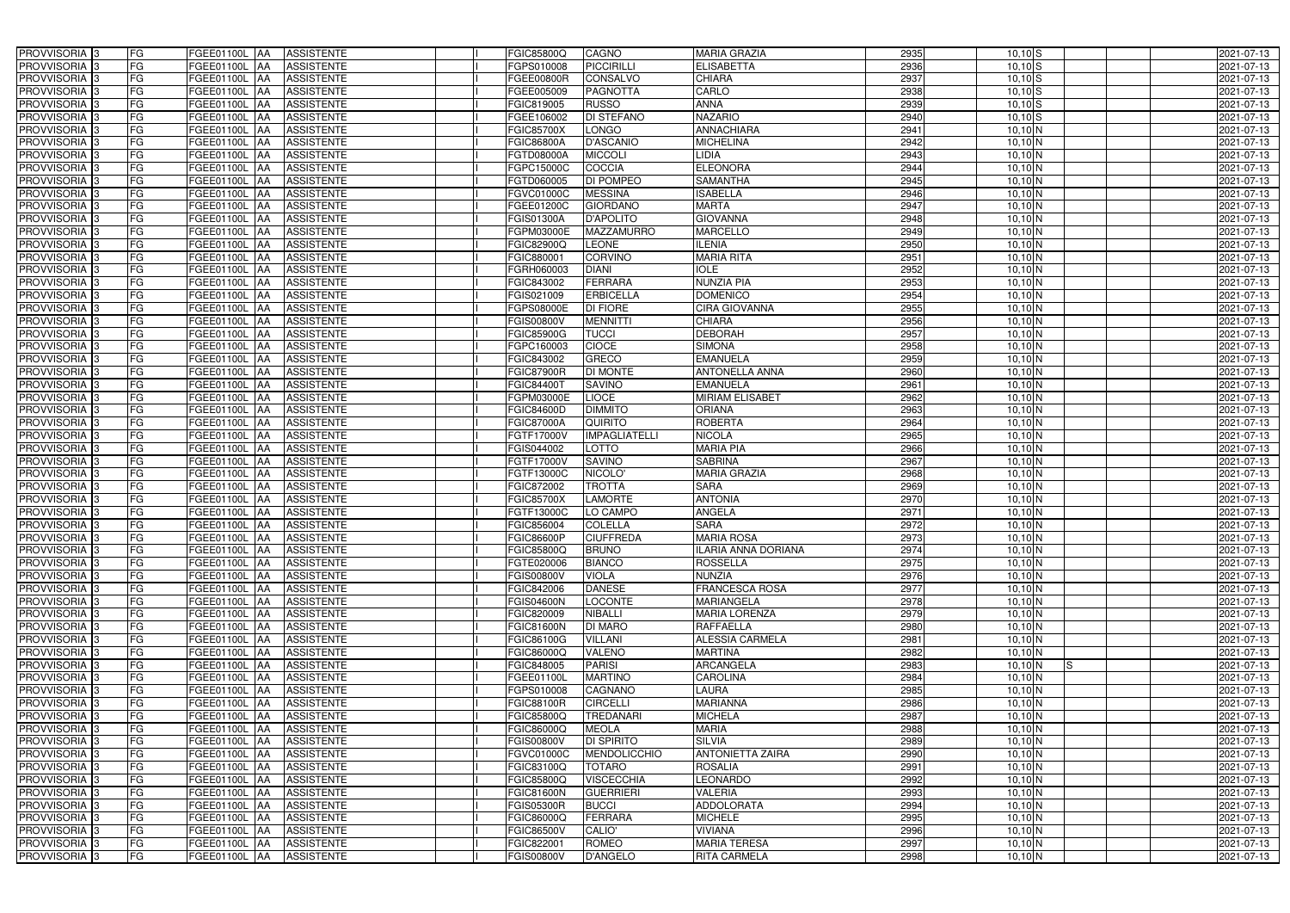| PROVVISORIA <sup>3</sup>   | FG        | FGEE01100L AA            | <b>ASSISTENTE</b> | <b>FGIC85800Q</b> | CAGNO                | <b>MARIA GRAZIA</b>     | 2935 | $10,10$ S                    | 2021-07-13 |
|----------------------------|-----------|--------------------------|-------------------|-------------------|----------------------|-------------------------|------|------------------------------|------------|
| PROVVISORIA 3              | FG        | FGEE01100L AA            | <b>ASSISTENTE</b> | FGPS010008        | <b>PICCIRILLI</b>    | <b>ELISABETTA</b>       | 2936 | $10,10$ S                    | 2021-07-13 |
| PROVVISORIA 3              | FG        | FGEE01100L AA            | <b>ASSISTENTE</b> | FGEE00800R        | CONSALVO             | CHIARA                  | 2937 | $10,10$ S                    | 2021-07-13 |
| PROVVISORIA <sup>3</sup>   | FG        | <b>FGEE01100L   AA</b>   | <b>ASSISTENTE</b> | FGEE005009        | <b>PAGNOTTA</b>      | CARLO                   | 2938 | $10,10$ S                    | 2021-07-13 |
| PROVVISORIA <sup>3</sup>   | FG        | FGEE01100L AA            | <b>ASSISTENTE</b> | FGIC819005        | <b>RUSSO</b>         | <b>ANNA</b>             | 2939 | $10,10$ S                    | 2021-07-13 |
| PROVVISORIA 3              | FG        | FGEE01100L AA            | <b>ASSISTENTE</b> | FGEE106002        | <b>DI STEFANO</b>    | <b>NAZARIO</b>          | 2940 | $10,10$ S                    | 2021-07-13 |
| PROVVISORIA 3              | <b>FG</b> | FGEE01100L AA            | <b>ASSISTENTE</b> | <b>FGIC85700X</b> | <b>LONGO</b>         | <b>ANNACHIARA</b>       | 2941 | 10,10 N                      | 2021-07-13 |
| <b>PROVVISORIA</b> 3       | <b>FG</b> | FGEE01100L<br>IAA        | <b>ASSISTENTE</b> | <b>FGIC86800A</b> | <b>D'ASCANIO</b>     | <b>MICHELINA</b>        | 2942 | $10,10$ N                    | 2021-07-13 |
| PROVVISORIA <sup>1</sup> 3 | FG        | FGEE01100L<br>IAA        | <b>ASSISTENTE</b> | FGTD08000A        | <b>MICCOLI</b>       | <b>IDIA</b>             | 2943 | $10,10\overline{\rm N}$      | 2021-07-13 |
| PROVVISORIA <sup>1</sup> 3 | FG        | FGEE01100L<br>IAA        | <b>ASSISTENTE</b> | FGPC15000C        | COCCIA               | <b>ELEONORA</b>         | 2944 | 10,10 N                      | 2021-07-13 |
| PROVVISORIA 3              | FG        | FGEE01100L AA            | <b>ASSISTENTE</b> | FGTD060005        | <b>DI POMPEO</b>     | <b>SAMANTHA</b>         | 2945 | $10,10$ N                    | 2021-07-13 |
| PROVVISORIA 3              | <b>FG</b> | FGEE01100L AA            | <b>ASSISTENTE</b> | FGVC01000C        | <b>MESSINA</b>       | <b>ISABELLA</b>         | 2946 | 10,10 N                      | 2021-07-13 |
| PROVVISORIA <sup>3</sup>   | FG        | FGEE01100L AA            | <b>ASSISTENTE</b> | FGEE01200C        | <b>GIORDANO</b>      | <b>MARTA</b>            | 2947 | 10,10 N                      | 2021-07-13 |
| PROVVISORIA 3              | <b>FG</b> | FGEE01100L AA            | <b>ASSISTENTE</b> | FGIS01300A        | <b>D'APOLITO</b>     | <b>GIOVANNA</b>         | 2948 | 10,10 N                      | 2021-07-13 |
| PROVVISORIA 3              | FG        | <b>FGEE01100L   AA</b>   | <b>ASSISTENTE</b> | FGPM03000E        | <b>MAZZAMURRO</b>    | <b>MARCELLO</b>         | 2949 | 10,10 N                      | 2021-07-13 |
| PROVVISORIA 3              | <b>FG</b> | FGEE01100L AA            | <b>ASSISTENTE</b> | FGIC82900Q        | <b>LEONE</b>         | <b>LENIA</b>            | 2950 | 10,10 N                      | 2021-07-13 |
| PROVVISORIA 3              | <b>FG</b> | FGEE01100L AA            | <b>ASSISTENTE</b> | FGIC88000         | <b>CORVINO</b>       | <b>MARIA RITA</b>       | 2951 | $10,10$ N                    | 2021-07-13 |
| PROVVISORIA 3              | <b>FG</b> | FGEE01100L AA            | <b>ASSISTENTE</b> | FGRH060003        | <b>DIANI</b>         | <b>IOLE</b>             | 2952 | 10,10 N                      | 2021-07-13 |
| PROVVISORIA 3              | FG        | FGEE01100L AA            | <b>ASSISTENTE</b> | FGIC843002        | <b>FERRARA</b>       | <b>NUNZIA PIA</b>       | 2953 | $10,10$ N                    | 2021-07-13 |
| <b>PROVVISORIA</b> 3       | FG        | FGEE01100L<br>IAA        | <b>ASSISTENTE</b> | FGIS021009        | <b>ERBICELLA</b>     | <b>DOMENICO</b>         | 2954 | 10,10 N                      | 2021-07-13 |
| PROVVISORIA <sup>1</sup> 3 | <b>FG</b> | <b>FGEE01100L</b><br>lAA | <b>ASSISTENTE</b> | FGPS08000E        | DI FIORE             | <b>CIRA GIOVANNA</b>    | 2955 | 10,10 N                      | 2021-07-13 |
| PROVVISORIA <sup>13</sup>  | FG        | FGEE01100L<br>IAA        | <b>ASSISTENTE</b> | FGIS00800V        | <b>MENNITTI</b>      | <b>CHIARA</b>           | 2956 | 10,10 N                      | 2021-07-13 |
| PROVVISORIA <sup>3</sup>   | FG        | <b>FGEE01100L</b><br>IAA | <b>ASSISTENTE</b> | FGIC85900G        | <b>TUCCI</b>         | <b>DEBORAH</b>          | 2957 | $10,10$ N                    | 2021-07-13 |
| <b>PROVVISORIA</b> 3       | FG        | FGEE01100L<br>IAA        | <b>ASSISTENTE</b> | GPC160003         | <b>CIOCE</b>         | <b>SIMONA</b>           | 2958 | $10,10$ N                    | 2021-07-13 |
| <b>PROVVISORIA</b> 3       | FG        | FGEE01100L<br>IAA        | <b>ASSISTENTE</b> | FGIC843002        | <b>GRECO</b>         | <b>EMANUELA</b>         | 2959 | $10,10$ N                    | 2021-07-13 |
| PROVVISORIA <sup>3</sup>   | <b>FG</b> | FGEE01100L<br>IAA        | <b>ASSISTENTE</b> | <b>FGIC87900R</b> | <b>DI MONTE</b>      | <b>ANTONELLA ANNA</b>   | 2960 | $10,10$ N                    | 2021-07-13 |
| PROVVISORIA 3              | <b>FG</b> | <b>FGEE01100L</b><br>IAA | <b>ASSISTENTE</b> | FGIC844007        | <b>SAVINO</b>        | <b>EMANUELA</b>         | 2961 | 10,10 N                      | 2021-07-13 |
| PROVVISORIA <sup>3</sup>   | FG        | FGEE01100L<br>IAA        | <b>ASSISTENTE</b> | FGPM03000E        | <b>LIOCE</b>         | <b>MIRIAM ELISABET</b>  | 2962 | $10,10$ N                    | 2021-07-13 |
| PROVVISORIA 3              | FG        | FGEE01100L               | <b>ASSISTENTE</b> | FGIC84600D        | <b>DIMMITO</b>       | <b>ORIANA</b>           | 2963 | $10,10$ N                    | 2021-07-13 |
| PROVVISORIA 3              | <b>FG</b> | FGEE01100L<br>IAA        | <b>ASSISTENTE</b> | <b>FGIC87000A</b> | <b>QUIRITO</b>       | <b>ROBERTA</b>          | 2964 | $10,10$ N                    | 2021-07-13 |
| PROVVISORIA 3              | <b>FG</b> | <b>FGEE01100L</b><br>IAA | <b>ASSISTENTE</b> | FGTF17000V        | <b>IMPAGLIATELLI</b> | <b>NICOLA</b>           | 2965 | $10,10$ N                    | 2021-07-13 |
| PROVVISORIA 3              | FG        | FGEE01100L<br>IAA        | <b>ASSISTENTE</b> | FGIS044002        | LOTTO                | <b>MARIA PIA</b>        | 2966 | $10,10$ N                    | 2021-07-13 |
| <b>PROVVISORIA</b> 3       | <b>FG</b> | FGEE01100L<br>IAA        | <b>ASSISTENTE</b> | FGTF17000V        | <b>SAVINO</b>        | <b>SABRINA</b>          | 2967 | $10,10$ N                    | 2021-07-13 |
| PROVVISORIA <sup>1</sup> 3 | FG        | FGEE01100L AA            | <b>ASSISTENTE</b> | FGTF13000C        | NICOLO'              | <b>MARIA GRAZIA</b>     | 2968 | $10,10$ N                    | 2021-07-13 |
| PROVVISORIA <sup>1</sup> 3 | FG        | FGEE01100L<br>IAA        | <b>ASSISTENTE</b> | FGIC872002        | <b>TROTTA</b>        | <b>SARA</b>             | 2969 | 10,10 N                      | 2021-07-13 |
| PROVVISORIA 3              | FG        | FGEE01100L<br><b>AA</b>  | <b>ASSISTENTE</b> | <b>FGIC85700X</b> | <b>LAMORTE</b>       | <b>ANTONIA</b>          | 2970 | 10,10 N                      | 2021-07-13 |
| PROVVISORIA <sup>3</sup>   | <b>FG</b> | FGEE01100L AA            | <b>ASSISTENTE</b> | FGTF13000C        | LO CAMPO             | ANGELA                  | 2971 | $10,10$ N                    | 2021-07-13 |
| PROVVISORIA <sup>3</sup>   | FG        | FGEE01100L AA            | <b>ASSISTENTE</b> | FGIC856004        | <b>COLELLA</b>       | <b>SARA</b>             | 2972 | $10,10$ N                    | 2021-07-13 |
| PROVVISORIA <sup>3</sup>   | <b>FG</b> | FGEE01100L AA ASSISTENTE |                   | <b>FGIC86600P</b> | <b>CIUFFREDA</b>     | <b>MARIA ROSA</b>       | 2973 | $10,10$ N                    | 2021-07-13 |
| <b>PROVVISORIA</b> 3       | <b>FG</b> | FGEE01100L AA            | ASSISTENTE        | FGIC85800Q        | <b>BRUNO</b>         | ILARIA ANNA DORIANA     | 2974 | 10,10 N                      | 2021-07-13 |
| PROVVISORIA <sup>3</sup>   | FG        | FGEE01100L AA ASSISTENTE |                   | FGTE020006        | <b>BIANCO</b>        | <b>ROSSELLA</b>         | 2975 | $10,10$ N                    | 2021-07-13 |
| PROVVISORIA 3              | FG        | FGEE01100L AA ASSISTENTE |                   | FGIS00800V        | <b>VIOLA</b>         | <b>NUNZIA</b>           | 2976 | $10,10$ N                    | 2021-07-13 |
| <b>PROVVISORIA</b> 3       | FG        | <b>FGEE01100L AA</b>     | <b>ASSISTENTE</b> | FGIC842006        | <b>DANESE</b>        | <b>FRANCESCA ROSA</b>   | 2977 | 10,10 N                      | 2021-07-13 |
| PROVVISORIA <sup>3</sup>   | FG        | <b>FGEE01100L AA</b>     | <b>ASSISTENTE</b> | <b>FGIS04600N</b> | <b>LOCONTE</b>       | <b>MARIANGELA</b>       | 2978 | $10,10\overline{\rm N}$      | 2021-07-13 |
| PROVVISORIA 3              | FG        | FGEE01100L AA            | <b>ASSISTENTE</b> | FGIC820009        | <b>NIBALLI</b>       | <b>MARIA LORENZA</b>    | 2979 | 10,10 N                      | 2021-07-13 |
| PROVVISORIA 3              | <b>FG</b> | FGEE01100L AA            | <b>ASSISTENTE</b> | FGIC81600N        | <b>DI MARO</b>       | RAFFAELLA               | 2980 | 10,10 N                      | 2021-07-13 |
| PROVVISORIA <sup>3</sup>   | FG        | FGEE01100L AA            | ASSISTENTE        | FGIC86100G        | <b>VILLANI</b>       | ALESSIA CARMELA         | 2981 | $10,10\overline{\mathrm{N}}$ | 2021-07-13 |
| PROVVISORIA 3              | FG        | FGEE01100L AA            | <b>ASSISTENTE</b> | FGIC86000Q        | <b>VALENO</b>        | <b>MARTINA</b>          | 2982 | $10,10\overline{\text{N}}$   | 2021-07-13 |
| PROVVISORIA <sup>3</sup>   | FG        | FGEE01100L AA            | <b>ASSISTENTE</b> | FGIC848005        | <b>PARISI</b>        | <b>ARCANGELA</b>        | 2983 | $10,10$ N<br>IS.             | 2021-07-13 |
| PROVVISORIA <sup>3</sup>   | FG        | FGEE01100L AA            | <b>ASSISTENTE</b> | FGEE01100L        | <b>MARTINO</b>       | <b>CAROLINA</b>         | 2984 | 10,10 N                      | 2021-07-13 |
| PROVVISORIA <sup>3</sup>   | <b>FG</b> | FGEE01100L AA            | <b>ASSISTENTE</b> | FGPS010008        | CAGNANO              | LAURA                   | 2985 | $10,10\overline{\rm N}$      | 2021-07-13 |
| PROVVISORIA <sup>3</sup>   | FG        | FGEE01100L AA            | <b>ASSISTENTE</b> | <b>FGIC88100R</b> | <b>CIRCELLI</b>      | <b>MARIANNA</b>         | 2986 | 10,10 N                      | 2021-07-13 |
| PROVVISORIA <sup>3</sup>   | FG        | FGEE01100L AA            | <b>ASSISTENTE</b> | FGIC85800Q        | <b>TREDANARI</b>     | <b>MICHELA</b>          | 2987 | $10,10$ N                    | 2021-07-13 |
| PROVVISORIA <sup>3</sup>   | FG        | <b>FGEE01100L AA</b>     | <b>ASSISTENTE</b> | FGIC86000Q        | <b>MEOLA</b>         | <b>MARIA</b>            | 2988 | $10,10\overline{\text{N}}$   | 2021-07-13 |
| PROVVISORIA <sup>3</sup>   | FG        | FGEE01100L AA            | <b>ASSISTENTE</b> | FGIS00800V        | <b>DI SPIRITO</b>    | <b>SILVIA</b>           | 2989 | $10,10\overline{\rm N}$      | 2021-07-13 |
| PROVVISORIA <sup>3</sup>   | FG        | FGEE01100L AA            | <b>ASSISTENTE</b> | FGVC01000C        | MENDOLICCHIO         | <b>ANTONIETTA ZAIRA</b> | 2990 | $10,10$ N                    | 2021-07-13 |
| PROVVISORIA <sup>3</sup>   | FG        | FGEE01100L AA            | <b>ASSISTENTE</b> | FGIC83100Q        | <b>TOTARO</b>        | <b>ROSALIA</b>          | 2991 | $10,10\overline{\text{N}}$   | 2021-07-13 |
| PROVVISORIA <sup>3</sup>   | FG        | FGEE01100L AA            | <b>ASSISTENTE</b> | FGIC85800Q        | <b>VISCECCHIA</b>    | <b>EONARDO</b>          | 2992 | $10,10$ N                    | 2021-07-13 |
| PROVVISORIA <sup>3</sup>   | FG        | FGEE01100L AA            | <b>ASSISTENTE</b> | <b>FGIC81600N</b> | <b>GUERRIERI</b>     | VALERIA                 | 2993 | $10,10$ N                    | 2021-07-13 |
| PROVVISORIA <sup>3</sup>   | FG        | FGEE01100L AA            | <b>ASSISTENTE</b> | <b>FGIS05300R</b> | <b>BUCCI</b>         | <b>ADDOLORATA</b>       | 2994 | $10,10\overline{\mathrm{N}}$ | 2021-07-13 |
| PROVVISORIA <sup>3</sup>   | FG        | FGEE01100L AA            | ASSISTENTE        | FGIC86000Q        | <b>FERRARA</b>       | <b>MICHELE</b>          | 2995 | $10,10$ N                    | 2021-07-13 |
| PROVVISORIA <sup>3</sup>   | FG        | FGEE01100L AA            | <b>ASSISTENTE</b> | FGIC86500V        | CALIO'               | <b>VIVIANA</b>          | 2996 | $10,10$ N                    | 2021-07-13 |
| PROVVISORIA <sup>3</sup>   | FG        | FGEE01100L AA            | ASSISTENTE        | FGIC822001        | <b>ROMEO</b>         | <b>MARIA TERESA</b>     | 2997 | $10,10$ N                    | 2021-07-13 |
| PROVVISORIA 3              | FG        | FGEE01100L AA            | <b>ASSISTENTE</b> | <b>FGIS00800V</b> | <b>D'ANGELO</b>      | <b>RITA CARMELA</b>     | 2998 | $10,10$ N                    | 2021-07-13 |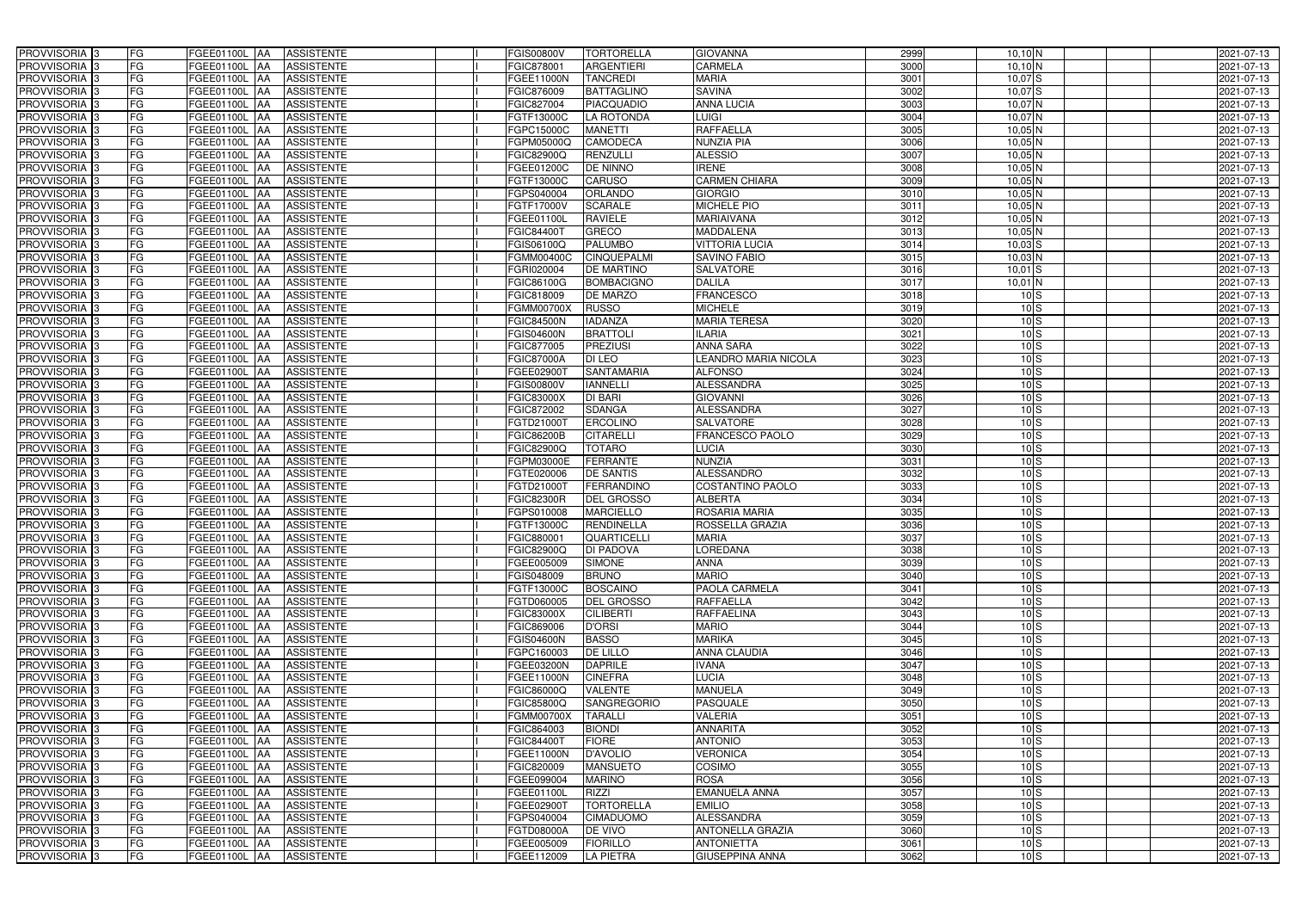| PROVVISORIA 3              | <b>FG</b><br>FGEE01100L AA<br><b>ASSISTENTE</b>                | <b>FGIS00800V</b><br><b>TORTORELLA</b>  | <b>GIOVANNA</b>             | 2999 | $10,10$ N       | 2021-07-13 |
|----------------------------|----------------------------------------------------------------|-----------------------------------------|-----------------------------|------|-----------------|------------|
| PROVVISORIA <sup>3</sup>   | FG<br><b>ASSISTENTE</b><br>FGEE01100L AA                       | FGIC878001<br><b>ARGENTIERI</b>         | CARMELA                     | 3000 | $10,10$ N       | 2021-07-13 |
| PROVVISORIA <sup>3</sup>   | FG<br>FGEE01100L AA<br><b>ASSISTENTE</b>                       | FGEE11000N<br><b>TANCREDI</b>           | <b>MARIA</b>                | 3001 | $10,07$ S       | 2021-07-13 |
| PROVVISORIA 3              | FG<br><b>ASSISTENTE</b><br>FGEE01100L AA                       | <b>BATTAGLINO</b><br>FGIC876009         | <b>SAVINA</b>               | 3002 | $10,07$ $S$     | 2021-07-13 |
| PROVVISORIA <sup>3</sup>   | FG<br>FGEE01100L<br><b>ASSISTENTE</b><br><b>IAA</b>            | <b>PIACQUADIO</b><br>FGIC827004         | <b>ANNA LUCIA</b>           | 3003 | $10,07$ N       | 2021-07-13 |
| PROVVISORIA <sup>3</sup>   | FG<br>FGEE01100L AA<br><b>ASSISTENTE</b>                       | FGTF13000C<br>LA ROTONDA                | <b>LUIGI</b>                | 3004 | $10,07$ N       | 2021-07-13 |
| PROVVISORIA <sup>3</sup>   | FG<br>FGEE01100L AA<br><b>ASSISTENTE</b>                       | FGPC15000C<br><b>MANETTI</b>            | <b>RAFFAELLA</b>            | 3005 | $10,05$ N       | 2021-07-13 |
| PROVVISORIA <sup>3</sup>   | FG<br><b>ASSISTENTE</b><br>FGEE01100L AA                       | <b>CAMODECA</b><br>FGPM05000Q           | <b>NUNZIA PIA</b>           | 3006 | $10,05$ N       | 2021-07-13 |
| PROVVISORIA <sup>3</sup>   | FG<br>FGEE01100L AA<br><b>ASSISTENTE</b>                       | <b>RENZULLI</b><br>FGIC82900Q           | <b>ALESSIO</b>              | 3007 | $10,05$ N       | 2021-07-13 |
| PROVVISORIA <sup>3</sup>   | FG<br>FGEE01100L AA<br><b>ASSISTENTE</b>                       | <b>DE NINNO</b><br>FGEE01200C           | <b>IRENE</b>                | 3008 | $10,05$ N       | 2021-07-13 |
| PROVVISORIA 3              | FG<br>FGEE01100L AA<br><b>ASSISTENTE</b>                       | <b>CARUSO</b><br>FGTF13000C             | <b>CARMEN CHIARA</b>        | 3009 | $10,05$ N       | 2021-07-13 |
| PROVVISORIA 3              | FG<br>FGEE01100L AA<br><b>ASSISTENTE</b>                       | ORLANDO<br>FGPS040004                   | <b>GIORGIO</b>              | 3010 | $10,05$ N       | 2021-07-13 |
| PROVVISORIA <sup>3</sup>   | FG<br>FGEE01100L AA<br><b>ASSISTENTE</b>                       | <b>SCARALE</b><br>FGTF17000V            | <b>MICHELE PIO</b>          | 3011 | $10,05$ N       | 2021-07-13 |
| PROVVISORIA 3              | FG<br>FGEE01100L AA<br><b>ASSISTENTE</b>                       | <b>RAVIELE</b><br>FGEE01100L            | <b>MARIAIVANA</b>           | 3012 | $10,05$ N       | 2021-07-13 |
| PROVVISORIA 3              | $\overline{\mathsf{FG}}$<br>FGEE01100L AA<br><b>ASSISTENTE</b> | <b>GRECO</b><br>FGIC84400T              | <b>MADDALENA</b>            | 3013 | $10,05$ N       | 2021-07-13 |
| PROVVISORIA 3              | $\overline{\mathsf{FG}}$<br>FGEE01100L AA<br><b>ASSISTENTE</b> | <b>PALUMBO</b><br>FGIS06100Q            | <b>VITTORIA LUCIA</b>       | 3014 | $10,03$ S       | 2021-07-13 |
| PROVVISORIA 3              | FG<br><b>FGEE01100L</b><br><b>ASSISTENTE</b><br><b>IAA</b>     | <b>CINQUEPALMI</b><br><b>FGMM00400C</b> | <b>SAVINO FABIO</b>         | 3015 | $10,03$ N       | 2021-07-13 |
| PROVVISORIA <sup>3</sup>   | FG<br>FGEE01100L AA<br><b>ASSISTENTE</b>                       | <b>DE MARTINO</b><br>FGRI020004         | <b>SALVATORE</b>            | 3016 | $10,01$ S       | 2021-07-13 |
| PROVVISORIA 3              | FG<br>FGEE01100L<br><b>ASSISTENTE</b><br><b>JAA</b>            | FGIC86100G<br><b>BOMBACIGNO</b>         | <b>DALILA</b>               | 3017 | $10,01$ N       | 2021-07-13 |
| PROVVISORIA 3              | FG<br><b>FGEE01100L AA</b><br><b>ASSISTENTE</b>                | FGIC818009<br><b>DE MARZO</b>           | <b>FRANCESCO</b>            | 3018 | $10\text{S}$    | 2021-07-13 |
| PROVVISORIA <sup>3</sup>   | FG<br>FGEE01100L<br><b>AA</b><br><b>ASSISTENTE</b>             | <b>FGMM00700X</b><br><b>RUSSO</b>       | <b>MICHELE</b>              | 3019 | 10S             | 2021-07-13 |
| PROVVISORIA 3              | FG<br>FGEE01100L AA<br><b>ASSISTENTE</b>                       | <b>IADANZA</b><br><b>FGIC84500N</b>     | <b>MARIA TERESA</b>         | 3020 | 10 <sub>S</sub> | 2021-07-13 |
| PROVVISORIA 3              | FG<br>FGEE01100L AA<br><b>ASSISTENTE</b>                       | <b>BRATTOLI</b><br><b>FGIS04600N</b>    | <b>ILARIA</b>               | 3021 | 10 <sub>S</sub> | 2021-07-13 |
| PROVVISORIA 3              | FG<br>FGEE01100L AA<br><b>ASSISTENTE</b>                       | <b>PREZIUSI</b><br>FGIC877005           | <b>ANNA SARA</b>            | 3022 | 10S             | 2021-07-13 |
| PROVVISORIA <sup>3</sup>   | FG<br>FGEE01100L AA<br><b>ASSISTENTE</b>                       | <b>FGIC87000A</b><br><b>DI LEO</b>      | <b>LEANDRO MARIA NICOLA</b> | 3023 | 10 <sub>S</sub> | 2021-07-13 |
| PROVVISORIA 3              | FG<br>FGEE01100L AA<br><b>ASSISTENTE</b>                       | <b>SANTAMARIA</b><br>FGEE029001         | <b>ALFONSO</b>              | 3024 | $10 \,$ S       | 2021-07-13 |
| PROVVISORIA 3              | FG<br>FGEE01100L AA<br><b>ASSISTENTE</b>                       | <b>FGIS00800V</b><br><b>IANNELLI</b>    | <b>ALESSANDRA</b>           | 3025 | 10S             | 2021-07-13 |
| PROVVISORIA 3              | FG<br>FGEE01100L AA<br><b>ASSISTENTE</b>                       | <b>DI BARI</b><br><b>FGIC83000X</b>     | <b>GIOVANNI</b>             | 3026 | 10S             | 2021-07-13 |
| PROVVISORIA <sup>3</sup>   | FG<br>FGEE01100L AA<br><b>ASSISTENTE</b>                       | <b>SDANGA</b><br>FGIC872002             | <b>ALESSANDRA</b>           | 3027 | 10S             | 2021-07-13 |
| PROVVISORIA <sup>3</sup>   | FG<br>FGEE01100L AA<br><b>ASSISTENTE</b>                       | <b>ERCOLINO</b><br>FGTD21000T           | <b>SALVATORE</b>            | 3028 | 10 <sub>S</sub> | 2021-07-13 |
| PROVVISORIA <sup>3</sup>   | FG<br>FGEE01100L AA<br><b>ASSISTENTE</b>                       | <b>CITARELLI</b><br><b>FGIC86200B</b>   | <b>FRANCESCO PAOLO</b>      | 3029 | 10 <sub>S</sub> | 2021-07-13 |
| PROVVISORIA <sup>3</sup>   | FG<br><b>ASSISTENTE</b><br>FGEE01100L AA                       | <b>TOTARO</b><br>FGIC82900Q             | <b>LUCIA</b>                | 3030 | 10S             | 2021-07-13 |
| PROVVISORIA <sup>3</sup>   | FG<br>FGEE01100L AA<br><b>ASSISTENTE</b>                       | <b>FERRANTE</b><br>FGPM03000E           | <b>NUNZIA</b>               | 3031 | 10 <sub>S</sub> | 2021-07-13 |
| PROVVISORIA <sup>3</sup>   | FG<br>FGEE01100L AA<br><b>ASSISTENTE</b>                       | <b>DE SANTIS</b><br>FGTE020006          | <b>ALESSANDRO</b>           | 3032 | 10 <sub>S</sub> | 2021-07-13 |
| PROVVISORIA <sup>3</sup>   | FG<br><b>ASSISTENTE</b><br>FGEE01100L<br> AA                   | FGTD21000T<br><b>FERRANDINO</b>         | <b>COSTANTINO PAOLO</b>     | 3033 | 10 <sub>S</sub> | 2021-07-13 |
| PROVVISORIA <sup>3</sup>   | FG<br>FGEE01100L<br><b>ASSISTENTE</b><br><b>JAA</b>            | <b>DEL GROSSO</b><br><b>FGIC82300R</b>  | <b>ALBERTA</b>              | 3034 | 10S             | 2021-07-13 |
| PROVVISORIA <sup>3</sup>   | FG<br>FGEE01100L<br><b>ASSISTENTE</b><br><b>JAA</b>            | <b>MARCIELLO</b><br>FGPS010008          | <b>ROSARIA MARIA</b>        | 3035 | 10S             | 2021-07-13 |
| PROVVISORIA <sup>3</sup>   | FG<br>FGEE01100L AA<br><b>ASSISTENTE</b>                       | FGTF13000C<br>RENDINELLA                | <b>ROSSELLA GRAZIA</b>      | 3036 | 10S             | 2021-07-13 |
| PROVVISORIA 3              | FG<br>FGEE01100L AA<br>ASSISTENTE                              | <b>QUARTICELLI</b><br>FGIC880001        | <b>MARIA</b>                | 3037 | $10\text{S}$    | 2021-07-13 |
| PROVVISORIA <sup>3</sup>   | FG<br>FGEE01100L AA<br><b>ASSISTENTE</b>                       | FGIC82900Q<br><b>DI PADOVA</b>          | <b>LOREDANA</b>             | 3038 | 10 <sub>S</sub> | 2021-07-13 |
| PROVVISORIA <sup>3</sup>   | FG<br>FGEE01100L AA<br>ASSISTENTE                              | FGEE005009<br><b>SIMONE</b>             | <b>ANNA</b>                 | 3039 | 10S             | 2021-07-13 |
| PROVVISORIA <sup>3</sup>   | FG<br>FGEE01100L AA<br>ASSISTENTE                              | <b>BRUNO</b><br>FGIS048009              | <b>MARIO</b>                | 3040 | 10S             | 2021-07-13 |
| PROVVISORIA <sup>3</sup>   | FG<br>FGEE01100L AA<br><b>ASSISTENTE</b>                       | FGTF13000C<br><b>BOSCAINO</b>           | <b>PAOLA CARMELA</b>        | 3041 | 10S             | 2021-07-13 |
| PROVVISORIA <sup>3</sup>   | FG<br>FGEE01100L AA<br><b>ASSISTENTE</b>                       | <b>DEL GROSSO</b><br>FGTD060005         | RAFFAELLA                   | 3042 | 10 <sub>S</sub> | 2021-07-13 |
| PROVVISORIA 3              | FG<br>FGEE01100L AA<br>ASSISTENTE                              | <b>FGIC83000X</b><br><b>CILIBERTI</b>   | RAFFAELINA                  | 3043 | 10 <sub>S</sub> | 2021-07-13 |
| PROVVISORIA <sup>3</sup>   | FG<br>FGEE01100L AA<br>ASSISTENTE                              | FGIC869006<br><b>D'ORSI</b>             | <b>MARIO</b>                | 3044 | 10 <sub>S</sub> | 2021-07-13 |
| PROVVISORIA <sup>3</sup>   | FG<br>FGEE01100L AA<br>ASSISTENTE                              | <b>FGIS04600N</b><br><b>BASSO</b>       | <b>MARIKA</b>               | 3045 | 10 <sub>S</sub> | 2021-07-13 |
| PROVVISORIA <sup>3</sup>   | FG<br>FGEE01100L AA<br>ASSISTENTE                              | FGPC160003<br><b>DE LILLO</b>           | ANNA CLAUDIA                | 3046 | 10 <sub>S</sub> | 2021-07-13 |
| PROVVISORIA <sup>3</sup>   | FG<br>FGEE01100L AA<br>ASSISTENTE                              | <b>DAPRILE</b><br>FGEE03200N            | <b>IVANA</b>                | 3047 | 10S             | 2021-07-13 |
| PROVVISORIA <sup>3</sup>   | FG<br>FGEE01100L AA<br>ASSISTENTE                              | FGEE11000N<br><b>CINEFRA</b>            | <b>LUCIA</b>                | 3048 | $10 \,$ S       | 2021-07-13 |
| PROVVISORIA <sup>3</sup>   | FG<br>FGEE01100L AA<br><b>ASSISTENTE</b>                       | <b>VALENTE</b><br>FGIC86000Q            | <b>MANUELA</b>              | 3049 | 10S             | 2021-07-13 |
| PROVVISORIA <sup>3</sup>   | FG<br>FGEE01100L AA<br>ASSISTENTE                              | FGIC85800Q<br><b>SANGREGORIO</b>        | <b>PASQUALE</b>             | 3050 | $10 \,$ S       | 2021-07-13 |
| PROVVISORIA <sup>3</sup>   | FG<br>FGEE01100L AA<br>ASSISTENTE                              | <b>FGMM00700X</b><br><b>TARALLI</b>     | <b>VALERIA</b>              | 3051 | $10 \,$ S       | 2021-07-13 |
| PROVVISORIA <sup>3</sup>   | FG<br>FGEE01100L AA<br><b>ASSISTENTE</b>                       | FGIC864003<br><b>BIONDI</b>             | <b>ANNARITA</b>             | 3052 | 10S             | 2021-07-13 |
| <b>PROVVISORIA</b> 3       | FG<br>FGEE01100L AA<br><b>ASSISTENTE</b>                       | <b>FIORE</b><br>FGIC84400T              | <b>ANTONIO</b>              | 3053 | 10S             | 2021-07-13 |
| PROVVISORIA <sup>1</sup> 3 | FG<br>FGEE01100L AA<br><b>ASSISTENTE</b>                       | <b>D'AVOLIO</b><br>FGEE11000N           | <b>VERONICA</b>             | 3054 | 10S             | 2021-07-13 |
| PROVVISORIA <sup>3</sup>   | FG<br>FGEE01100L AA<br><b>ASSISTENTE</b>                       | <b>MANSUETO</b><br>FGIC820009           | <b>COSIMO</b>               | 3055 | 10 <sub>S</sub> | 2021-07-13 |
| <b>PROVVISORIA</b> 3       | FG<br>FGEE01100L AA<br><b>ASSISTENTE</b>                       | FGEE099004<br><b>MARINO</b>             | <b>ROSA</b>                 | 3056 | 10 <sub>S</sub> | 2021-07-13 |
| PROVVISORIA <sup>3</sup>   | FG<br><b>ASSISTENTE</b><br>FGEE01100L AA                       | <b>RIZZI</b><br>FGEE01100L              | <b>EMANUELA ANNA</b>        | 3057 | 10 <sub>S</sub> | 2021-07-13 |
| PROVVISORIA <sup>1</sup> 3 | FG<br><b>ASSISTENTE</b><br>FGEE01100L AA                       | <b>TORTORELLA</b><br>FGEE02900T         | <b>EMILIO</b>               | 3058 | 10S             | 2021-07-13 |
| PROVVISORIA <sup>3</sup>   | FG<br>FGEE01100L AA<br><b>ASSISTENTE</b>                       | <b>CIMADUOMO</b><br>FGPS040004          | ALESSANDRA                  | 3059 | 10S             | 2021-07-13 |
| PROVVISORIA <sup>3</sup>   | FG<br>FGEE01100L AA<br><b>ASSISTENTE</b>                       | FGTD08000A<br>DE VIVO                   | <b>ANTONELLA GRAZIA</b>     | 3060 | 10S             | 2021-07-13 |
| PROVVISORIA <sup>3</sup>   | <b>ASSISTENTE</b><br>FG<br>FGEE01100L AA                       | FGEE005009<br><b>FIORILLO</b>           | <b>ANTONIETTA</b>           | 3061 | $10\text{S}$    | 2021-07-13 |
| PROVVISORIA <sup>3</sup>   | FG<br><b>FGEE01100L AA</b><br>ASSISTENTE                       | FGEE112009<br>LA PIETRA                 | <b>GIUSEPPINA ANNA</b>      | 3062 | $10 \,$ S       | 2021-07-13 |
|                            |                                                                |                                         |                             |      |                 |            |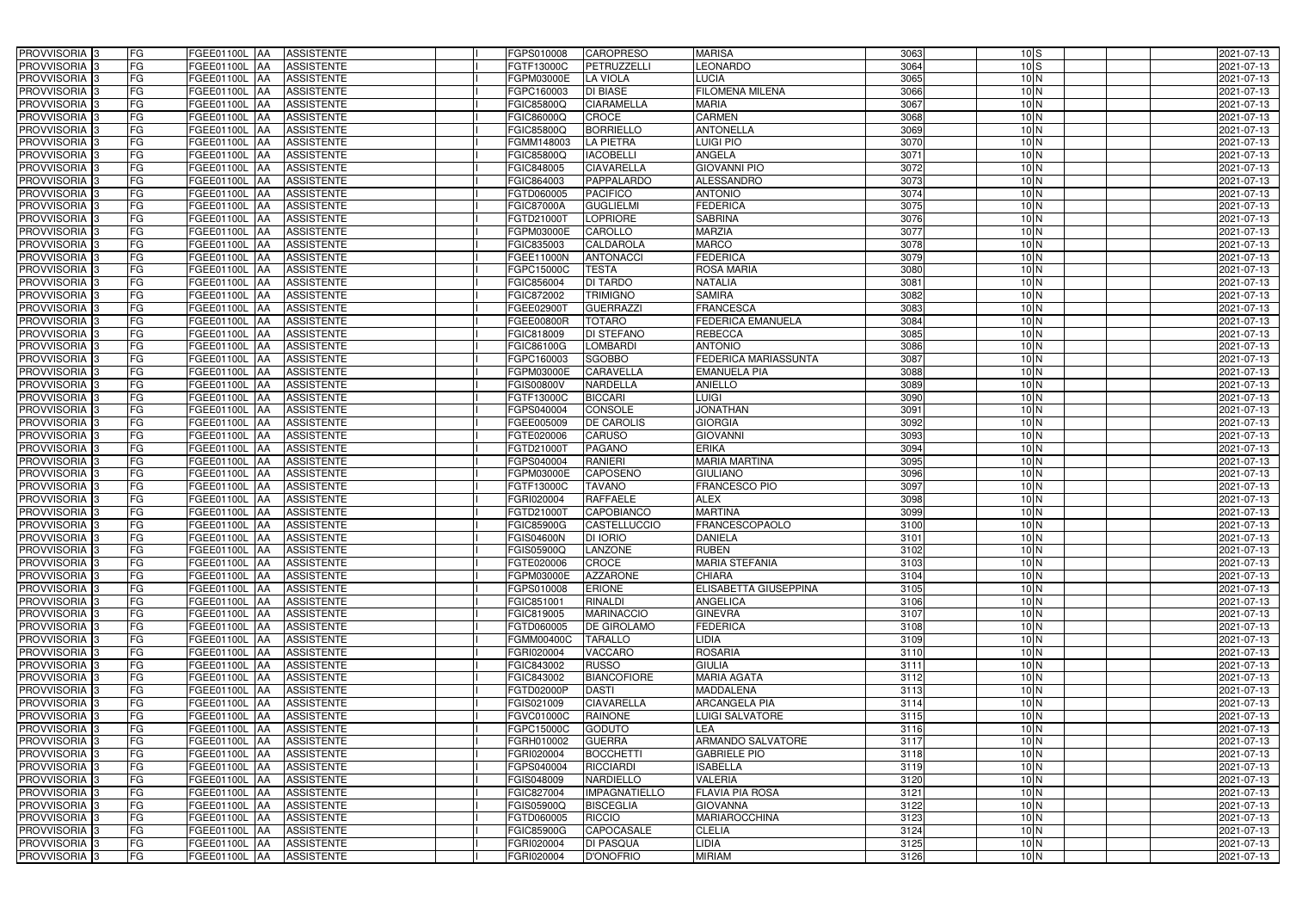| PROVVISORIA <sup>3</sup><br>FG                             | FGEE01100L AA<br><b>ASSISTENTE</b>                             | FGPS010008                      | <b>CAROPRESO</b>              | <b>MARISA</b>                 | 3063         | $10\,$ S                           | 2021-07-13               |
|------------------------------------------------------------|----------------------------------------------------------------|---------------------------------|-------------------------------|-------------------------------|--------------|------------------------------------|--------------------------|
| FG<br>PROVVISORIA 3                                        | <b>ASSISTENTE</b><br>FGEE01100L                                | FGTF13000C                      | PETRUZZELL                    | <b>EONARDO</b>                | 3064         | 10S                                | 2021-07-13               |
| PROVVISORIA 3<br>FG                                        | <b>ASSISTENTE</b><br>FGEE01100L<br>IAA                         | FGPM03000E                      | <b>LA VIOLA</b>               | <b>LUCIA</b>                  | 3065         | 10 <sub>N</sub>                    | 2021-07-13               |
| <b>FG</b><br>PROVVISORIA <sup>3</sup>                      | FGEE01100L<br><b>ASSISTENTE</b><br>IAA                         | FGPC160003                      | <b>DI BIASE</b>               | <b>FILOMENA MILENA</b>        | 3066         | 10 <sub>N</sub>                    | 2021-07-13               |
| FG<br>PROVVISORIA 3                                        | FGEE01100L<br><b>ASSISTENTE</b><br>IAA                         | FGIC85800Q                      | <b>CIARAMELLA</b>             | <b>MARIA</b>                  | 3067         | 10 <sub>N</sub>                    | 2021-07-13               |
| <b>FG</b><br>PROVVISORIA 3                                 | <b>FGEE01100L AA</b><br><b>ASSISTENTE</b>                      | FGIC86000Q                      | <b>CROCE</b>                  | <b>CARMEN</b>                 | 3068         | 10 <sub>N</sub>                    | 2021-07-13               |
| FG<br>PROVVISORIA 3                                        | FGEE01100L AA<br><b>ASSISTENTE</b>                             | FGIC85800Q                      | <b>BORRIELLO</b>              | <b>ANTONELLA</b>              | 3069         | 10 <sub>N</sub>                    | 2021-07-13               |
| FG<br>PROVVISORIA 3                                        | <b>ASSISTENTE</b><br>FGEE01100L AA                             | FGMM148003                      | <b>LA PIETRA</b>              | <b>Luigi Pio</b>              | 3070         | 10 <sub>N</sub>                    | 2021-07-13               |
| <b>FG</b><br>PROVVISORIA 3                                 | FGEE01100L AA<br><b>ASSISTENTE</b>                             | FGIC85800Q                      | <b>IACOBELLI</b>              | <b>ANGELA</b>                 | 3071         | 10 <sub>N</sub>                    | 2021-07-13               |
| PROVVISORIA 3<br>FG                                        | <b>FGEE01100L</b> AA<br><b>ASSISTENTE</b>                      | FGIC848005                      | <b>CIAVARELLA</b>             | <b>GIOVANNI PIO</b>           | 3072         | 10 <sub>N</sub>                    | 2021-07-13               |
| PROVVISORIA 3<br>FG                                        | FGEE01100L AA<br><b>ASSISTENTE</b>                             | FGIC864003                      | PAPPALARDO                    | <b>ALESSANDRO</b>             | 3073         | 10 <sub>N</sub>                    | 2021-07-13               |
| PROVVISORIA 3<br>FG                                        | FGEE01100L AA<br><b>ASSISTENTE</b>                             | FGTD060005                      | <b>PACIFICO</b>               | <b>ANTONIO</b>                | 3074         | 10 <sub>N</sub>                    | 2021-07-13               |
| PROVVISORIA <sup>3</sup><br>FG                             | FGEE01100L<br><b>ASSISTENTE</b><br>IAA                         | <b>FGIC87000A</b>               | <b>GUGLIELMI</b>              | <b>FEDERICA</b>               | 3075         | 10 <sub>N</sub>                    | 2021-07-13               |
| PROVVISORIA 3<br>FG                                        | FGEE01100L AA<br><b>ASSISTENTE</b>                             | FGTD210001                      | <b>LOPRIORE</b>               | <b>SABRINA</b>                | 3076         | 10 <sub>N</sub>                    | 2021-07-13               |
| PROVVISORIA 3<br><b>FG</b>                                 | <b>FGEE01100L   AA</b><br><b>ASSISTENTE</b>                    | FGPM03000E                      | CAROLLO                       | <b>MARZIA</b>                 | 3077         | 10 <sub>N</sub>                    | 2021-07-13               |
| <b>FG</b><br>PROVVISORIA 3                                 | FGEE01100L<br><b>ASSISTENTE</b><br>IAA.                        | FGIC835003                      | <b>CALDAROLA</b>              | <b>MARCO</b>                  | 3078         | 10 <sub>N</sub>                    | 2021-07-13               |
| PROVVISORIA 3<br>FG                                        | FGEE01100L<br><b>ASSISTENTE</b><br>IAA                         | FGEE11000N                      | <b>ANTONACCI</b>              | <b>FEDERICA</b>               | 3079         | 10 <sub>N</sub>                    | 2021-07-13               |
| PROVVISORIA 3<br>FG                                        | <b>FGEE01100L</b><br><b>ASSISTENTE</b><br>IAA                  | FGPC15000C                      | <b>TESTA</b>                  | <b>ROSA MARIA</b>             | 3080         | 10 <sub>N</sub>                    | 2021-07-13               |
| PROVVISORIA 3<br>FG                                        | FGEE01100L<br><b>ASSISTENTE</b><br>IAA                         | FGIC856004                      | <b>DI TARDO</b>               | <b>NATALIA</b>                | 3081         | 10 <sub>N</sub>                    | 2021-07-13               |
| FG<br>PROVVISORIA 3                                        | FGEE01100L<br><b>ASSISTENTE</b><br>IAA                         | FGIC872002                      | <b>TRIMIGNO</b>               | <b>SAMIRA</b>                 | 3082         | 10 <sub>N</sub>                    | 2021-07-13               |
| FG<br>PROVVISORIA <sup>3</sup>                             | FGEE01100L<br><b>ASSISTENTE</b>                                | FGEE029001                      | <b>GUERRAZZI</b>              | <b>FRANCESCA</b>              | 3083         | 10 <sub>N</sub>                    | 2021-07-13               |
| <b>PROVVISORIA</b> 3<br>FG                                 | FGEE01100L<br><b>ASSISTENTE</b><br>IAA                         | FGEE00800R                      | <b>TOTARO</b>                 | <b>FEDERICA EMANUELA</b>      | 3084         | 10 <sub>N</sub>                    | 2021-07-13               |
| PROVVISORIA <sup>3</sup><br>FG                             | FGEE01100L<br><b>ASSISTENTE</b>                                | FGIC818009                      | DI STEFANO                    | <b>REBECCA</b>                | 3085         | 10 <sub>N</sub>                    | 2021-07-13               |
| PROVVISORIA <sup>3</sup><br><b>FG</b>                      | FGEE01100L<br><b>ASSISTENTE</b><br>IAA                         | FGIC86100G                      | <b>LOMBARDI</b>               | <b>ANTONIO</b>                | 3086         | 10 <sub>N</sub>                    | 2021-07-13               |
| <b>PROVVISORIA</b> 3<br>FG                                 | FGEE01100L<br><b>ASSISTENTE</b><br>IAA                         | FGPC160003                      | <b>SGOBBO</b>                 | FEDERICA MARIASSUNTA          | 3087         | 10 <sub>N</sub>                    | 2021-07-13               |
| PROVVISORIA 3<br>FG                                        | <b>ASSISTENTE</b><br>FGEE01100L<br>IAA                         | FGPM03000E                      | <b>CARAVELLA</b>              | <b>EMANUELA PIA</b>           | 3088         | 10 <sub>N</sub>                    | 2021-07-13               |
| <b>FG</b><br>PROVVISORIA 3                                 | FGEE01100L AA<br><b>ASSISTENTE</b>                             | FGIS00800V                      | <b>NARDELLA</b>               | <b>ANIELLO</b>                | 3089         | 10 <sub>N</sub>                    | 2021-07-13               |
| <b>FG</b><br>PROVVISORIA 3                                 | <b>ASSISTENTE</b><br><b>FGEE01100L   AA</b>                    | FGTF13000C                      | <b>BICCARI</b>                | <b>LUIGI</b>                  | 3090         | 10 <sub>N</sub>                    | 2021-07-13               |
| FG<br>PROVVISORIA <sup>3</sup>                             | FGEE01100L AA<br><b>ASSISTENTE</b>                             | FGPS040004                      | CONSOLE                       | <b>JONATHAN</b>               | 3091         | 10 <sub>N</sub>                    | 2021-07-13               |
| <b>FG</b><br>PROVVISORIA 3                                 | <b>FGEE01100L   AA</b><br><b>ASSISTENTE</b>                    | FGEE005009                      | <b>DE CAROLIS</b>             | <b>GIORGIA</b>                | 3092         | 10 <sub>N</sub>                    | 2021-07-13               |
| FG<br>PROVVISORIA 3                                        | <b>FGEE01100L AA</b><br><b>ASSISTENTE</b>                      | FGTE020006                      | <b>CARUSO</b>                 | <b>GIOVANNI</b>               | 3093         | 10 <sub>N</sub>                    | 2021-07-13               |
| FG<br>PROVVISORIA 3                                        | <b>ASSISTENTE</b><br>FGEE01100L AA                             | FGTD21000T                      | <b>PAGANO</b>                 | <b>ERIKA</b>                  | 3094         | 10 <sub>N</sub>                    | 2021-07-13               |
| FG<br>PROVVISORIA 3                                        | FGEE01100L<br><b>ASSISTENTE</b><br>IAA                         | FGPS040004                      | <b>RANIERI</b>                | <b>MARIA MARTINA</b>          | 3095         | 10 <sub>N</sub>                    | 2021-07-13               |
| <b>FG</b><br>PROVVISORIA 3                                 | FGEE01100L AA<br><b>ASSISTENTE</b>                             | FGPM03000E                      | <b>CAPOSENO</b>               | <b>GIULIANO</b>               | 3096         | 10 <sub>N</sub>                    | 2021-07-13               |
| <b>FG</b><br>PROVVISORIA                                   | FGEE01100L<br><b>ASSISTENTE</b><br>IAA                         | FGTF13000C                      | <b>TAVANO</b>                 | <b>FRANCESCO PIO</b>          | 3097         | 10 <sub>N</sub>                    | $2021 - 07 - 13$         |
| FG<br>PROVVISORIA <sup>1</sup> 3                           | FGEE01100L<br><b>ASSISTENTE</b><br>IAA<br>FGEE01100L           | GRI020004 <sup>-</sup>          | <b>RAFFAELE</b><br>CAPOBIANCO | <b>ALEX</b><br><b>MARTINA</b> | 3098         | 10 <sub>N</sub><br>10 <sub>N</sub> | 2021-07-13               |
| FG<br>PROVVISORIA <sup>1</sup> 3<br><b>FG</b>              | <b>ASSISTENTE</b><br>IAA                                       | EGTD210001                      | <b>CASTELLUCCIO</b>           | <b>FRANCESCOPAOLO</b>         | 3099<br>3100 |                                    | 2021-07-13               |
| PROVVISORIA <sup>3</sup><br>FG<br>PROVVISORIA <sup>3</sup> | FGEE01100L AA<br><b>ASSISTENTE</b><br>FGEE01100L AA ASSISTENTE | FGIC85900G<br><b>FGIS04600N</b> | <b>DI IORIO</b>               | <b>DANIELA</b>                | 3101         | 10 <sub>N</sub><br>10 N            | 2021-07-13<br>2021-07-13 |
| PROVVISORIA <sup>3</sup><br>FG                             | FGEE01100L AA<br><b>ASSISTENTE</b>                             | FGIS05900Q                      | LANZONE                       | <b>RUBEN</b>                  | 3102         | 10 <sub>N</sub>                    | 2021-07-13               |
| PROVVISORIA <sup>3</sup><br>FG                             | <b>ASSISTENTE</b><br>FGEE01100L AA                             | FGTE020006                      | CROCE                         | <b>MARIA STEFANIA</b>         | 3103         | 10 <sub>N</sub>                    | 2021-07-13               |
| PROVVISORIA <sup>3</sup><br>FG                             | FGEE01100L AA<br><b>ASSISTENTE</b>                             | FGPM03000E                      | <b>AZZARONE</b>               | <b>CHIARA</b>                 | 3104         | 10 <sub>N</sub>                    | 2021-07-13               |
| PROVVISORIA <sup>3</sup><br>FG                             | FGEE01100L AA<br><b>ASSISTENTE</b>                             | FGPS010008                      | <b>ERIONE</b>                 | ELISABETTA GIUSEPPINA         | 3105         | 10 <sub>N</sub>                    | 2021-07-13               |
| PROVVISORIA <sup>3</sup><br>FG                             | FGEE01100L AA<br><b>ASSISTENTE</b>                             | FGIC851001                      | <b>RINALDI</b>                | <b>ANGELICA</b>               | 3106         | 10 <sub>N</sub>                    | 2021-07-13               |
| FG<br>PROVVISORIA <sup>3</sup>                             | FGEE01100L AA<br><b>ASSISTENTE</b>                             | FGIC819005                      | <b>MARINACCIO</b>             | <b>GINEVRA</b>                | 3107         | 10 <sub>N</sub>                    | 2021-07-13               |
| PROVVISORIA <sup>3</sup><br>FG                             | FGEE01100L AA<br><b>ASSISTENTE</b>                             | FGTD060005                      | <b>DE GIROLAMO</b>            | <b>FEDERICA</b>               | 3108         | 10 <sub>N</sub>                    | 2021-07-13               |
| PROVVISORIA <sup>3</sup><br>FG                             | <b>FGEE01100L AA</b><br><b>ASSISTENTE</b>                      | <b>FGMM00400C</b>               | <b>TARALLO</b>                | LIDIA                         | 3109         | 10 <sub>N</sub>                    | 2021-07-13               |
| PROVVISORIA <sup>3</sup><br>FG                             | FGEE01100L AA<br><b>ASSISTENTE</b>                             | FGRI020004                      | VACCARO                       | <b>ROSARIA</b>                | 3110         | 10 <sub>N</sub>                    | 2021-07-13               |
| FG<br>PROVVISORIA <sup>3</sup>                             | FGEE01100L AA<br><b>ASSISTENTE</b>                             | FGIC843002                      | <b>RUSSO</b>                  | <b>GIULIA</b>                 | 3111         | 10 <sub>N</sub>                    | 2021-07-13               |
| PROVVISORIA 3<br>FG                                        | FGEE01100L AA<br><b>ASSISTENTE</b>                             | FGIC843002                      | <b>BIANCOFIORE</b>            | <b>MARIA AGATA</b>            | 3112         | 10 <sub>N</sub>                    | 2021-07-13               |
| PROVVISORIA <sup>3</sup><br>FG                             | <b>ASSISTENTE</b><br>FGEE01100L AA                             | FGTD02000P                      | <b>DASTI</b>                  | <b>MADDALENA</b>              | 3113         | 10 <sub>N</sub>                    | 2021-07-13               |
| PROVVISORIA <sup>3</sup><br>FG                             | FGEE01100L AA<br><b>ASSISTENTE</b>                             | FGIS021009                      | <b>CIAVARELLA</b>             | ARCANGELA PIA                 | 3114         | 10 <sub>N</sub>                    | 2021-07-13               |
| PROVVISORIA <sup>3</sup><br>FG                             | <b>FGEE01100L   AA</b><br><b>ASSISTENTE</b>                    | <b>FGVC01000C</b>               | <b>RAINONE</b>                | LUIGI SALVATORE               | 3115         | 10 <sub>N</sub>                    | 2021-07-13               |
| PROVVISORIA <sup>3</sup><br>FG                             | FGEE01100L AA<br><b>ASSISTENTE</b>                             | FGPC15000C                      | <b>GODUTO</b>                 | LEA                           | 3116         | 10 <sub>N</sub>                    | 2021-07-13               |
| FG<br>PROVVISORIA <sup>13</sup>                            | FGEE01100L AA<br><b>ASSISTENTE</b>                             | FGRH010002                      | <b>GUERRA</b>                 | ARMANDO SALVATORE             | 3117         | $10\,N$                            | 2021-07-13               |
| FG<br>PROVVISORIA <sup>3</sup>                             | FGEE01100L AA<br><b>ASSISTENTE</b>                             | FGRI020004                      | <b>BOCCHETTI</b>              | <b>GABRIELE PIO</b>           | 3118         | 10 <sub>N</sub>                    | 2021-07-13               |
| FG<br>PROVVISORIA <sup>3</sup>                             | <b>ASSISTENTE</b><br>FGEE01100L AA                             | FGPS040004                      | RICCIARDI                     | <b>ISABELLA</b>               | 3119         | 10 <sub>N</sub>                    | 2021-07-13               |
| FG<br>PROVVISORIA <sup>3</sup>                             | <b>ASSISTENTE</b><br>FGEE01100L AA                             | FGIS048009                      | NARDIELLO                     | VALERIA                       | 3120         | 10 <sub>N</sub>                    | 2021-07-13               |
| FG<br>PROVVISORIA <sup>3</sup>                             | <b>ASSISTENTE</b><br>FGEE01100L AA                             | FGIC827004                      | <b>IMPAGNATIELLO</b>          | FLAVIA PIA ROSA               | 3121         | 10 <sub>N</sub>                    | 2021-07-13               |
| FG<br>PROVVISORIA <sup>3</sup>                             | <b>ASSISTENTE</b><br>FGEE01100L AA                             | FGIS05900Q                      | <b>BISCEGLIA</b>              | <b>GIOVANNA</b>               | 3122         | 10 <sub>N</sub>                    | 2021-07-13               |
| FG<br>PROVVISORIA <sup>3</sup>                             | FGEE01100L AA<br><b>ASSISTENTE</b>                             | FGTD060005                      | <b>RICCIO</b>                 | <b>MARIAROCCHINA</b>          | 3123         | 10 <sub>N</sub>                    | 2021-07-13               |
| FG<br>PROVVISORIA <sup>3</sup>                             | FGEE01100L AA<br><b>ASSISTENTE</b>                             | <b>FGIC85900G</b>               | <b>CAPOCASALE</b>             | <b>CLELIA</b>                 | 3124         | 10 <sub>N</sub>                    | 2021-07-13               |
| FG<br>PROVVISORIA <sup>3</sup>                             | FGEE01100L AA<br><b>ASSISTENTE</b>                             | FGRI020004                      | <b>DI PASQUA</b>              | <b>LIDIA</b>                  | 3125         | 10 <sub>N</sub>                    | 2021-07-13               |
| PROVVISORIA 3<br>FG                                        | ASSISTENTE<br>FGEE01100L AA                                    | FGRI020004                      | D'ONOFRIO                     | <b>MIRIAM</b>                 | 3126         | 10 <sub>N</sub>                    | 2021-07-13               |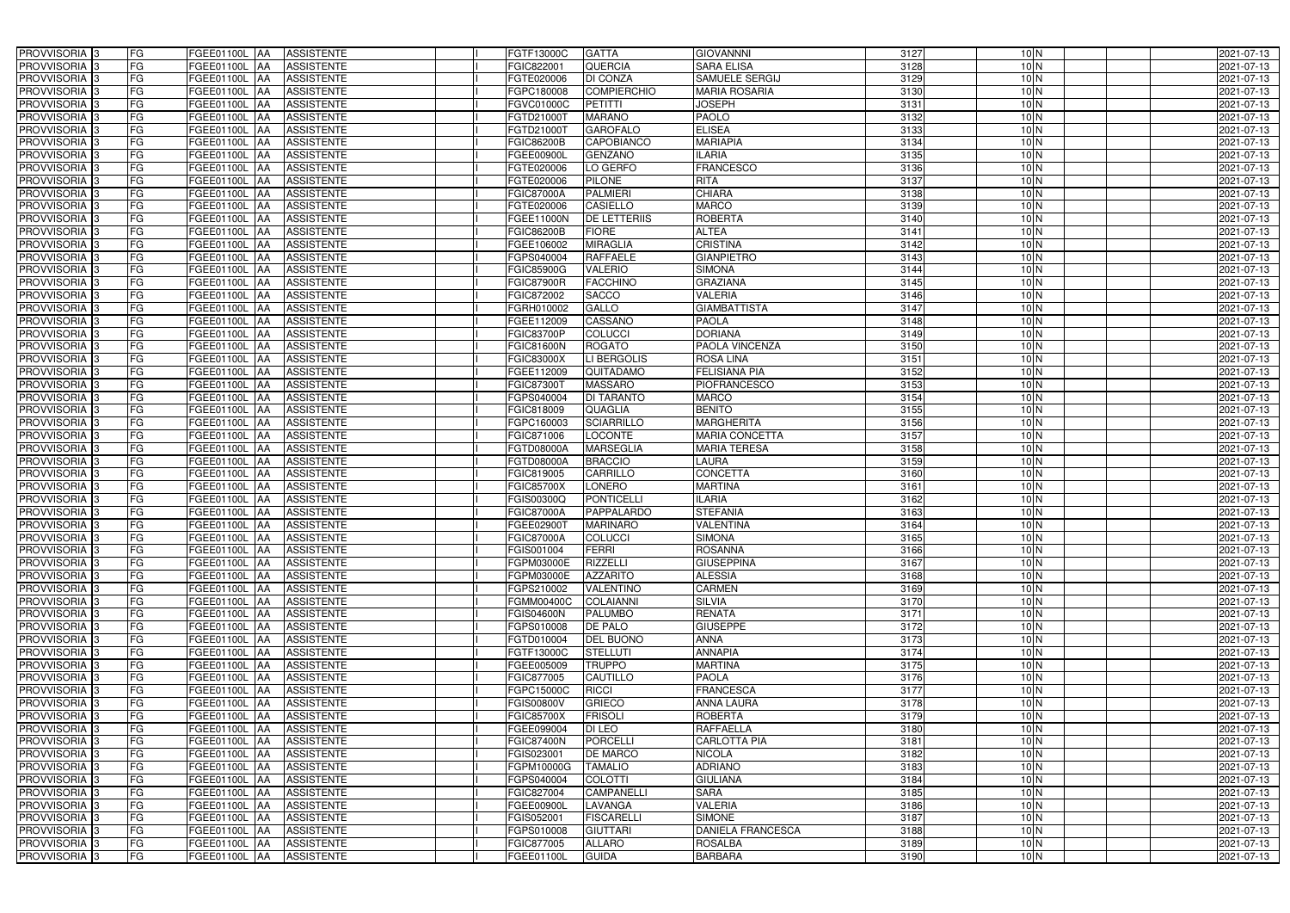| PROVVISORIA 3<br><b>FG</b><br>FGEE01100L AA<br><b>ASSISTENTE</b>                                                    | FGTF13000C<br><b>GATTA</b>                                 | <b>GIOVANNNI</b>                | 3127             | 10 <sub>N</sub>                    | 2021-07-13               |
|---------------------------------------------------------------------------------------------------------------------|------------------------------------------------------------|---------------------------------|------------------|------------------------------------|--------------------------|
| FG<br>PROVVISORIA <sup>3</sup><br><b>ASSISTENTE</b><br>FGEE01100L<br>IAA                                            | QUERCIA<br>FGIC822001                                      | <b>SARA ELISA</b>               | 3128             | 10 <sub>N</sub>                    | 2021-07-13               |
| FG<br>PROVVISORIA <sup>3</sup><br>FGEE01100L<br><b>ASSISTENTE</b><br>IAA                                            | <b>DI CONZA</b><br>FGTE020006                              | SAMUELE SERGIJ                  | 3129             | 10 <sub>N</sub>                    | 2021-07-13               |
| FG<br>PROVVISORIA 3<br>FGEE01100L<br><b>ASSISTENTE</b><br>IAA                                                       | <b>COMPIERCHIO</b><br>FGPC180008                           | <b>MARIA ROSARIA</b>            | 3130             | 10 <sub>N</sub>                    | 2021-07-13               |
| FG<br>FGEE01100L<br>PROVVISORIA <sup>3</sup><br><b>ASSISTENTE</b><br>IAA                                            | <b>PETITTI</b><br>FGVC01000C                               | <b>JOSEPH</b>                   | $\frac{1}{3131}$ | 10 <sub>N</sub>                    | 2021-07-13               |
| FG<br>PROVVISORIA <sup>3</sup><br><b>FGEE01100L AA</b><br><b>ASSISTENTE</b>                                         | <b>MARANO</b><br>FGTD21000T                                | <b>PAOLO</b>                    | 3132             | 10 <sub>N</sub>                    | 2021-07-13               |
| FG<br>PROVVISORIA <sup>1</sup> 3<br>FGEE01100L AA<br><b>ASSISTENTE</b>                                              | <b>GAROFALO</b><br>FGTD21000T                              | <b>ELISEA</b>                   | 3133             | 10 <sub>N</sub>                    | 2021-07-13               |
| FG<br><b>ASSISTENTE</b><br>PROVVISORIA <sup>3</sup><br>FGEE01100L AA                                                | <b>CAPOBIANCO</b><br>FGIC86200B                            | <b>MARIAPIA</b>                 | 3134             | 10 <sub>N</sub>                    | 2021-07-13               |
| PROVVISORIA 3<br>FG<br>FGEE01100L AA<br><b>ASSISTENTE</b>                                                           | <b>GENZANO</b><br>FGEE00900L                               | <b>ILARIA</b>                   | 3135             | 10 <sub>N</sub>                    | 2021-07-13               |
| PROVVISORIA <sup>3</sup><br>FG<br>FGEE01100L AA<br><b>ASSISTENTE</b>                                                | LO GERFO<br>FGTE020006                                     | <b>FRANCESCO</b>                | 3136             | 10 <sub>N</sub>                    | 2021-07-13               |
| PROVVISORIA 3<br>FG<br>FGEE01100L AA<br><b>ASSISTENTE</b>                                                           | <b>PILONE</b><br>FGTE020006                                | <b>RITA</b>                     | 3137             | 10 <sub>N</sub>                    | 2021-07-13               |
| PROVVISORIA 3<br>FG<br>FGEE01100L AA<br><b>ASSISTENTE</b>                                                           | <b>FGIC87000A</b><br><b>PALMIERI</b>                       | <b>CHIARA</b>                   | 3138             | 10 <sub>N</sub>                    | 2021-07-13               |
| PROVVISORIA 3<br>FG<br>FGEE01100L AA<br><b>ASSISTENTE</b>                                                           | <b>CASIELLO</b><br>FGTE020006                              | <b>MARCO</b>                    | 3139             | 10 <sub>N</sub>                    | 2021-07-13               |
| PROVVISORIA 3<br>FG<br>FGEE01100L AA<br><b>ASSISTENTE</b>                                                           | <b>DE LETTERIIS</b><br>FGEE11000N                          | <b>ROBERTA</b>                  | 3140             | 10 <sub>N</sub>                    | 2021-07-13               |
| FG<br>PROVVISORIA 3<br>FGEE01100L AA<br><b>ASSISTENTE</b>                                                           | <b>FIORE</b><br>FGIC86200B                                 | <b>ALTEA</b>                    | 3141             | 10 <sub>N</sub>                    | 2021-07-13               |
| PROVVISORIA 3<br>FG<br><b>FGEE01100L</b><br><b>ASSISTENTE</b><br>IAA                                                | <b>MIRAGLIA</b><br>FGEE106002                              | <b>CRISTINA</b>                 | 3142             | 10 <sub>N</sub>                    | 2021-07-13               |
| PROVVISORIA 3<br>FG<br><b>FGEE01100L</b><br><b>ASSISTENTE</b><br>IAA                                                | <b>RAFFAELE</b><br>FGPS040004                              | <b>GIANPIETRO</b>               | 3143             | 10 <sub>N</sub>                    | 2021-07-13               |
| PROVVISORIA <sup>3</sup><br>FG<br>FGEE01100L AA<br><b>ASSISTENTE</b>                                                | <b>VALERIO</b><br><b>FGIC85900G</b>                        | <b>SIMONA</b>                   | 3144             | 10 <sub>N</sub>                    | 2021-07-13               |
| PROVVISORIA 3<br>FG<br>FGEE01100L<br><b>ASSISTENTE</b><br><b>JAA</b>                                                | <b>FACCHINO</b><br><b>FGIC87900R</b>                       | <b>GRAZIANA</b>                 | 3145             | 10 <sub>N</sub>                    | 2021-07-13               |
| PROVVISORIA 3<br>FG<br>FGEE01100L<br><b>JAA</b><br><b>ASSISTENTE</b>                                                | <b>SACCO</b><br>FGIC872002                                 | <b>VALERIA</b>                  | 3146             | 10 <sub>N</sub>                    | 2021-07-13               |
| FG<br>PROVVISORIA <sup>3</sup><br>FGEE01100L<br><b>ASSISTENTE</b><br>ΙAΑ                                            | FGRH010002<br>GALLO                                        | <b>GIAMBATTISTA</b>             | 3147             | 10 <sub>N</sub>                    | 2021-07-13               |
| PROVVISORIA 3<br>FG<br><b>FGEE01100L</b><br><b>ASSISTENTE</b><br>IAA                                                | CASSANO<br>FGEE112009                                      | <b>PAOLA</b>                    | 3148             | 10 <sub>N</sub>                    | 2021-07-13               |
| PROVVISORIA 3<br>FG<br>FGEE01100L<br><b>ASSISTENTE</b><br>IAA                                                       | <b>COLUCCI</b><br>FGIC83700P                               | <b>DORIANA</b>                  | 3149             | 10 <sub>N</sub>                    | 2021-07-13               |
| PROVVISORIA 3<br>FG<br>FGEE01100L AA<br><b>ASSISTENTE</b>                                                           | <b>ROGATO</b><br><b>FGIC81600N</b>                         | PAOLA VINCENZA                  | 3150             | 10 <sub>N</sub>                    | 2021-07-13               |
| PROVVISORIA 3<br>FG<br>FGEE01100L<br><b>ASSISTENTE</b><br> AA                                                       | LI BERGOLIS<br>FGIC83000X                                  | <b>ROSA LINA</b>                | 3151             | 10 <sub>N</sub>                    | 2021-07-13               |
| PROVVISORIA 3<br>FG<br>FGEE01100L<br><b>ASSISTENTE</b><br><b>JAA</b>                                                | FGEE112009<br>QUITADAMO                                    | <b>FELISIANA PIA</b>            | 3152             | 10 <sub>N</sub>                    | 2021-07-13               |
| PROVVISORIA 3<br>FG<br>FGEE01100L AA<br><b>ASSISTENTE</b>                                                           | <b>MASSARO</b><br>FGIC873007                               | <b>PIOFRANCESCO</b>             | 3153             | 10 <sub>N</sub>                    | 2021-07-13               |
| FG<br>PROVVISORIA 3<br>FGEE01100L<br><b>ASSISTENTE</b><br>IAA                                                       | FGPS040004<br>DI TARANTO                                   | <b>MARCO</b>                    | 3154             | 10 <sub>N</sub>                    | 2021-07-13               |
| FG<br>PROVVISORIA <sup>3</sup><br>FGEE01100L AA<br><b>ASSISTENTE</b>                                                | QUAGLIA<br>FGIC818009                                      | <b>BENITO</b>                   | 3155             | 10 <sub>N</sub>                    | 2021-07-13               |
| FG<br>PROVVISORIA <sup>3</sup><br>FGEE01100L AA<br><b>ASSISTENTE</b>                                                | <b>SCIARRILLO</b><br>FGPC160003                            | <b>MARGHERITA</b>               | 3156             | 10 <sub>N</sub>                    | 2021-07-13               |
| FG<br>PROVVISORIA <sup>3</sup><br>FGEE01100L AA<br><b>ASSISTENTE</b>                                                | <b>LOCONTE</b><br>FGIC871006                               | MARIA CONCETTA                  | 3157             | 10 <sub>N</sub>                    | 2021-07-13               |
| PROVVISORIA <sup>3</sup><br>FG<br>FGEE01100L AA<br><b>ASSISTENTE</b>                                                | <b>MARSEGLIA</b><br>FGTD08000A                             | <b>MARIA TERESA</b>             | 3158             | 10 <sub>N</sub>                    | 2021-07-13               |
| FG<br>PROVVISORIA <sup>3</sup><br><b>FGEE01100L AA</b><br><b>ASSISTENTE</b>                                         | <b>BRACCIO</b><br>FGTD08000A                               | <b>LAURA</b>                    | 3159             | 10 <sub>N</sub>                    | 2021-07-13               |
| FG<br>PROVVISORIA <sup>3</sup><br>FGEE01100L AA<br><b>ASSISTENTE</b>                                                | <b>CARRILLO</b><br>FGIC819005                              | <b>CONCETTA</b>                 | 3160             | 10 <sub>N</sub>                    | 2021-07-13               |
| FG<br><b>ASSISTENTE</b><br>PROVVISORIA <sup>3</sup><br>FGEE01100L<br>IAA                                            | <b>LONERO</b><br>FGIC85700X                                | <b>MARTINA</b>                  | 3161             | 10 <sub>N</sub>                    | $2021 - 07 - 13$         |
| PROVVISORIA <sup>3</sup><br>FG<br><b>FGEE01100L</b><br><b>ASSISTENTE</b><br>IAA                                     | <b>PONTICELLI</b><br>FGIS00300Q                            | <b>ILARIA</b>                   | 3162             | 10 <sub>N</sub>                    | 2021-07-13               |
| PROVVISORIA <sup>3</sup><br>FG<br><b>FGEE01100L</b><br><b>ASSISTENTE</b><br>IAA                                     | <b>PAPPALARDO</b><br>FGIC87000A                            | <b>STEFANIA</b>                 | 3163             | 10 <sub>N</sub>                    | 2021-07-13               |
| PROVVISORIA <sup>3</sup><br>FG<br><b>ASSISTENTE</b><br>FGEE01100L AA                                                | FGEE02900T<br><b>MARINARO</b>                              | <b>VALENTINA</b>                | 3164             | 10 <sub>N</sub>                    | 2021-07-13               |
| PROVVISORIA 3<br>FG<br><b>FGEE01100L</b> AA<br><b>ASSISTENTE</b><br>PROVVISORIA <sup>3</sup><br>FG<br>FGEE01100L AA | <b>FGIC87000A</b><br>COLUCCI<br>FGIS001004<br><b>FERRI</b> | <b>SIMONA</b><br><b>ROSANNA</b> | 3165<br>3166     | 10 <sub>N</sub><br>10 <sub>N</sub> | 2021-07-13               |
| <b>ASSISTENTE</b><br>PROVVISORIA <sup>3</sup><br>FG<br>FGEE01100L AA<br>ASSISTENTE                                  | FGPM03000E<br><b>RIZZELLI</b>                              | <b>GIUSEPPINA</b>               | 3167             | 10 <sub>N</sub>                    | 2021-07-13<br>2021-07-13 |
| PROVVISORIA <sup>3</sup><br>FG<br>FGEE01100L AA<br>ASSISTENTE                                                       | FGPM03000E<br><b>AZZARITO</b>                              | <b>ALESSIA</b>                  | 3168             | 10 <sub>N</sub>                    | 2021-07-13               |
| PROVVISORIA <sup>3</sup><br>FG<br><b>FGEE01100L AA</b><br><b>ASSISTENTE</b>                                         | FGPS210002<br><b>VALENTINO</b>                             | <b>CARMEN</b>                   | 3169             | 10 <sub>N</sub>                    | 2021-07-13               |
| PROVVISORIA <sup>3</sup><br>FG<br>FGEE01100L AA<br>ASSISTENTE                                                       | FGMM00400C<br><b>COLAIANNI</b>                             | <b>SILVIA</b>                   | 3170             | 10 <sub>N</sub>                    | 2021-07-13               |
| PROVVISORIA 3<br>FG<br>FGEE01100L AA<br><b>ASSISTENTE</b>                                                           | <b>FGIS04600N</b><br><b>PALUMBO</b>                        | <b>RENATA</b>                   | 3171             | 10 <sub>N</sub>                    | 2021-07-13               |
| PROVVISORIA <sup>3</sup><br>FG<br><b>FGEE01100L AA</b><br><b>ASSISTENTE</b>                                         | <b>DE PALO</b><br>FGPS010008                               | <b>GIUSEPPE</b>                 | 3172             | 10 <sub>N</sub>                    | 2021-07-13               |
| <b>PROVVISORIA</b> 3<br>FG<br>FGEE01100L AA<br>ASSISTENTE                                                           | FGTD010004<br><b>DEL BUONO</b>                             | <b>ANNA</b>                     | 3173             | 10 <sub>N</sub>                    | 2021-07-13               |
| PROVVISORIA <sup>3</sup><br>FG<br>FGEE01100L AA<br>ASSISTENTE                                                       | FGTF13000C<br><b>STELLUTI</b>                              | <b>ANNAPIA</b>                  | 3174             | 10 <sub>N</sub>                    | 2021-07-13               |
| PROVVISORIA <sup>3</sup><br>FG<br>FGEE01100L AA<br>ASSISTENTE                                                       | FGEE005009<br><b>TRUPPO</b>                                | <b>MARTINA</b>                  | 3175             | 10 <sub>N</sub>                    | 2021-07-13               |
| PROVVISORIA <sup>3</sup><br>FG<br>FGEE01100L AA<br>ASSISTENTE                                                       | CAUTILLO<br>FGIC877005                                     | <b>PAOLA</b>                    | 3176             | 10 <sub>N</sub>                    | 2021-07-13               |
| PROVVISORIA <sup>3</sup><br>FG<br>FGEE01100L AA<br><b>ASSISTENTE</b>                                                | <b>RICCI</b><br>FGPC15000C                                 | <b>FRANCESCA</b>                | 3177             | 10 <sub>N</sub>                    | 2021-07-13               |
| PROVVISORIA <sup>3</sup><br>FG<br>FGEE01100L AA<br><b>ASSISTENTE</b>                                                | <b>GRIECO</b><br>FGIS00800V                                | <b>ANNA LAURA</b>               | 3178             | 10 <sub>N</sub>                    | 2021-07-13               |
| PROVVISORIA <sup>3</sup><br>FG<br>FGEE01100L AA<br><b>ASSISTENTE</b>                                                | <b>FRISOLI</b><br>FGIC85700X                               | <b>ROBERTA</b>                  | 3179             | 10 <sub>N</sub>                    | 2021-07-13               |
| PROVVISORIA <sup>3</sup><br>FG<br>FGEE01100L AA<br><b>ASSISTENTE</b>                                                | DI LEO<br>FGEE099004                                       | <b>RAFFAELLA</b>                | 3180             | 10 <sub>N</sub>                    | 2021-07-13               |
| FG<br>FGEE01100L AA<br>PROVVISORIA <sup>13</sup><br><b>ASSISTENTE</b>                                               | <b>PORCELLI</b><br><b>FGIC87400N</b>                       | CARLOTTA PIA                    | 3181             | 10 <sub>N</sub>                    | 2021-07-13               |
| FG<br>PROVVISORIA <sup>1</sup> 3<br>FGEE01100L AA<br><b>ASSISTENTE</b>                                              | <b>DE MARCO</b><br>FGIS023001                              | <b>NICOLA</b>                   | 3182             | 10 <sub>N</sub>                    | 2021-07-13               |
| FG<br>PROVVISORIA <sup>3</sup><br>FGEE01100L AA<br><b>ASSISTENTE</b>                                                | <b>TAMALIO</b><br>FGPM10000G                               | <b>ADRIANO</b>                  | 3183             | 10 <sub>N</sub>                    | 2021-07-13               |
| PROVVISORIA <sup>1</sup> 3<br>FG<br>FGEE01100L AA<br><b>ASSISTENTE</b>                                              | <b>COLOTTI</b><br>FGPS040004                               | <b>GIULIANA</b>                 | 3184             | 10 <sub>N</sub>                    | 2021-07-13               |
| PROVVISORIA <sup>3</sup><br>FG<br><b>ASSISTENTE</b><br>FGEE01100L AA                                                | <b>CAMPANELLI</b><br>FGIC827004                            | <b>SARA</b>                     | 3185             | 10 <sub>N</sub>                    | 2021-07-13               |
| FG<br><b>FGEE01100L AA</b><br><b>ASSISTENTE</b><br>PROVVISORIA <sup>1</sup> 3                                       | <b>LAVANGA</b><br>FGEE00900L                               | <b>VALERIA</b>                  | 3186             | 10 <sub>N</sub>                    | 2021-07-13               |
| FG<br><b>ASSISTENTE</b><br>PROVVISORIA <sup>3</sup><br>FGEE01100L AA                                                | FGIS052001<br><b>FISCARELLI</b>                            | <b>SIMONE</b>                   | 3187             | 10 <sub>N</sub>                    | 2021-07-13               |
| PROVVISORIA <sup>3</sup><br>FG<br>FGEE01100L AA<br><b>ASSISTENTE</b>                                                | FGPS010008<br><b>GIUTTARI</b>                              | <b>DANIELA FRANCESCA</b>        | 3188             | 10 <sub>N</sub>                    | 2021-07-13               |
| PROVVISORIA <sup>3</sup><br>FG<br>FGEE01100L AA<br><b>ASSISTENTE</b>                                                | <b>ALLARO</b><br>FGIC877005                                | <b>ROSALBA</b>                  | 3189             | 10 <sub>N</sub>                    | 2021-07-13               |
| PROVVISORIA <sup>3</sup><br>FG<br>FGEE01100L AA<br>ASSISTENTE                                                       | FGEE01100L<br><b>GUIDA</b>                                 | <b>BARBARA</b>                  | 3190             | 10 <sub>N</sub>                    | 2021-07-13               |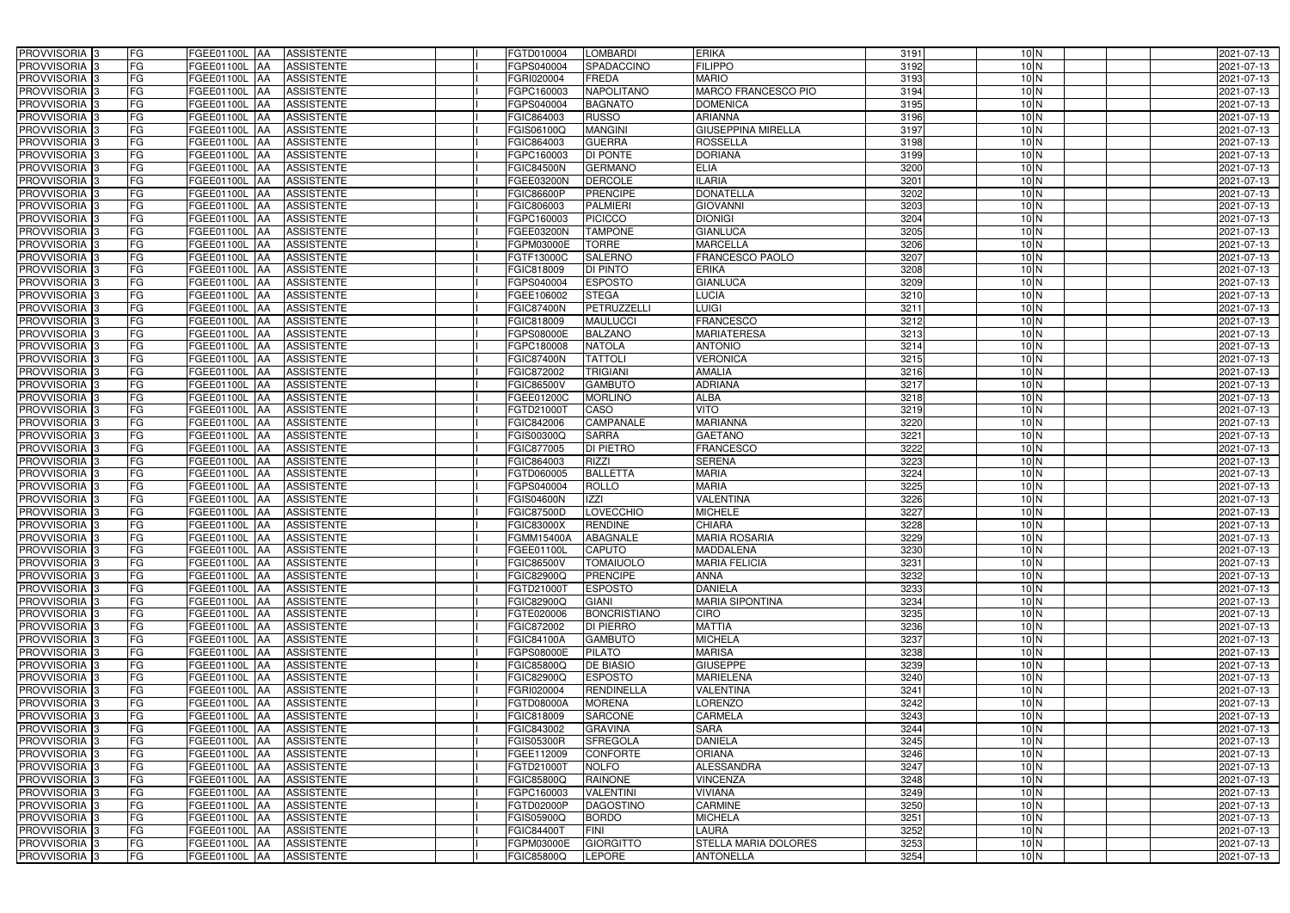| PROVVISORIA <sup>3</sup><br><b>FG</b> | FGEE01100L AA<br><b>ASSISTENTE</b>            | FGTD010004<br><b>LOMBARDI</b>        | <b>ERIKA</b>                | 3191 | 10 <sub>N</sub> | 2021-07-13       |
|---------------------------------------|-----------------------------------------------|--------------------------------------|-----------------------------|------|-----------------|------------------|
| FG<br>PROVVISORIA <sup>3</sup>        | <b>ASSISTENTE</b><br>FGEE01100L<br>IAA        | FGPS040004<br>SPADACCINO             | <b>FILIPPO</b>              | 3192 | 10 <sub>N</sub> | 2021-07-13       |
| FG<br>PROVVISORIA <sup>3</sup>        | FGEE01100L<br><b>ASSISTENTE</b><br>IAA        | FGRI020004<br><b>FREDA</b>           | <b>MARIO</b>                | 3193 | 10 <sub>N</sub> | 2021-07-13       |
| FG<br>PROVVISORIA <sup>3</sup>        | <b>FGEE01100L</b><br><b>ASSISTENTE</b><br>IAA | <b>NAPOLITANO</b><br>FGPC160003      | <b>MARCO FRANCESCO PIO</b>  | 3194 | 10 <sub>N</sub> | 2021-07-13       |
| FG<br>PROVVISORIA <sup>3</sup>        | FGEE01100L<br><b>ASSISTENTE</b><br>IAA        | <b>BAGNATO</b><br>FGPS040004         | <b>DOMENICA</b>             | 3195 | 10 <sub>N</sub> | 2021-07-13       |
| FG<br>PROVVISORIA <sup>3</sup>        | <b>FGEE01100L AA</b><br><b>ASSISTENTE</b>     | <b>RUSSO</b><br>FGIC864003           | <b>ARIANNA</b>              | 3196 | 10 <sub>N</sub> | 2021-07-13       |
| FG<br>PROVVISORIA <sup>1</sup> 3      | FGEE01100L AA<br><b>ASSISTENTE</b>            | <b>MANGINI</b><br>FGIS06100Q         | <b>GIUSEPPINA MIRELLA</b>   | 3197 | 10 <sub>N</sub> | 2021-07-13       |
| FG<br>PROVVISORIA <sup>3</sup>        | <b>ASSISTENTE</b><br>FGEE01100L AA            | <b>GUERRA</b><br>FGIC864003          | <b>ROSSELLA</b>             | 3198 | 10 <sub>N</sub> | 2021-07-13       |
| PROVVISORIA 3<br>FG                   | FGEE01100L AA<br><b>ASSISTENTE</b>            | <b>DI PONTE</b><br>FGPC160003        | <b>DORIANA</b>              | 3199 | 10 <sub>N</sub> | 2021-07-13       |
| PROVVISORIA <sup>3</sup><br>FG        | FGEE01100L AA<br><b>ASSISTENTE</b>            | <b>GERMANO</b><br><b>FGIC84500N</b>  | <b>ELIA</b>                 | 3200 | $10\text{N}$    | 2021-07-13       |
| PROVVISORIA 3<br>FG                   | FGEE01100L AA<br><b>ASSISTENTE</b>            | <b>DERCOLE</b><br>FGEE03200N         | <b>ILARIA</b>               | 3201 | 10 <sub>N</sub> | 2021-07-13       |
| PROVVISORIA 3<br>FG                   | FGEE01100L AA<br><b>ASSISTENTE</b>            | <b>FGIC86600P</b><br><b>PRENCIPE</b> | <b>DONATELLA</b>            | 3202 | 10 <sub>N</sub> | 2021-07-13       |
| PROVVISORIA <sup>3</sup><br>FG        | FGEE01100L AA<br><b>ASSISTENTE</b>            | <b>PALMIERI</b><br>FGIC806003        | <b>GIOVANNI</b>             | 3203 | 10 <sub>N</sub> | 2021-07-13       |
| PROVVISORIA 3<br>FG                   | FGEE01100L AA<br><b>ASSISTENTE</b>            | <b>PICICCO</b><br>FGPC160003         | <b>DIONIGI</b>              | 3204 | 10 <sub>N</sub> | 2021-07-13       |
| FG<br>PROVVISORIA 3                   | FGEE01100L AA<br><b>ASSISTENTE</b>            | <b>TAMPONE</b><br>FGEE03200N         | <b>GIANLUCA</b>             | 3205 | 10 <sub>N</sub> | 2021-07-13       |
| FG<br>PROVVISORIA 3                   | FGEE01100L<br><b>ASSISTENTE</b><br><b>IAA</b> | <b>TORRE</b><br>FGPM03000E           | <b>MARCELLA</b>             | 3206 | 10 <sub>N</sub> | 2021-07-13       |
| PROVVISORIA 3<br>FG                   | <b>FGEE01100L</b><br><b>ASSISTENTE</b><br>IAA | <b>SALERNO</b><br>FGTF13000C         | FRANCESCO PAOLO             | 3207 | 10 <sub>N</sub> | 2021-07-13       |
| PROVVISORIA <sup>3</sup><br>FG        | FGEE01100L AA<br><b>ASSISTENTE</b>            | <b>DI PINTO</b><br>FGIC818009        | <b>ERIKA</b>                | 3208 | 10 <sub>N</sub> | 2021-07-13       |
| PROVVISORIA 3<br>FG                   | FGEE01100L<br><b>ASSISTENTE</b><br><b>JAA</b> | <b>ESPOSTO</b><br>FGPS040004         | <b>GIANLUCA</b>             | 3209 | 10 <sub>N</sub> | 2021-07-13       |
| PROVVISORIA 3<br>FG                   | FGEE01100L<br><b>JAA</b><br><b>ASSISTENTE</b> | FGEE106002<br><b>STEGA</b>           | <b>LUCIA</b>                | 3210 | $10$ N          | 2021-07-13       |
| FG<br>PROVVISORIA 3                   | FGEE01100L<br><b>ASSISTENTE</b><br>ΙAΑ        | PETRUZZELLI<br><b>FGIC87400N</b>     | <b>LUIGI</b>                | 3211 | 10 <sub>N</sub> | 2021-07-13       |
| PROVVISORIA 3<br>FG                   | <b>FGEE01100L</b><br><b>ASSISTENTE</b><br>IAA | <b>MAULUCCI</b><br>FGIC818009        | <b>FRANCESCO</b>            | 3212 | 10 <sub>N</sub> | 2021-07-13       |
| PROVVISORIA 3<br>FG                   | FGEE01100L<br><b>ASSISTENTE</b><br>IAA        | <b>BALZANO</b><br>FGPS08000E         | <b>MARIATERESA</b>          | 3213 | 10 <sub>N</sub> | 2021-07-13       |
| PROVVISORIA 3<br>FG                   | FGEE01100L AA<br><b>ASSISTENTE</b>            | <b>NATOLA</b><br>FGPC180008          | <b>ANTONIO</b>              | 3214 | 10 <sub>N</sub> | 2021-07-13       |
| PROVVISORIA 3<br>FG                   | FGEE01100L<br><b>ASSISTENTE</b><br> AA        | <b>TATTOLI</b><br>FGIC87400N         | <b>VERONICA</b>             | 3215 | 10 <sub>N</sub> | 2021-07-13       |
| PROVVISORIA 3<br>FG                   | FGEE01100L<br><b>ASSISTENTE</b><br><b>JAA</b> | <b>TRIGIANI</b><br>FGIC872002        | <b>AMALIA</b>               | 3216 | 10 <sub>N</sub> | 2021-07-13       |
| PROVVISORIA 3<br>FG                   | FGEE01100L AA<br><b>ASSISTENTE</b>            | <b>GAMBUTO</b><br>FGIC86500V         | <b>ADRIANA</b>              | 3217 | 10 <sub>N</sub> | 2021-07-13       |
| FG<br>PROVVISORIA 3                   | FGEE01100L<br><b>ASSISTENTE</b><br>IAA        | FGEE01200C<br><b>MORLINO</b>         | <b>ALBA</b>                 | 3218 | 10 <sub>N</sub> | 2021-07-13       |
| PROVVISORIA <sup>3</sup><br>FG        | FGEE01100L AA<br><b>ASSISTENTE</b>            | CASO<br>FGTD21000T                   | <b>VITO</b>                 | 3219 | 10 <sub>N</sub> | 2021-07-13       |
| FG<br>PROVVISORIA <sup>3</sup>        | FGEE01100L AA<br><b>ASSISTENTE</b>            | <b>CAMPANALE</b><br>FGIC842006       | <b>MARIANNA</b>             | 3220 | 10 <sub>N</sub> | 2021-07-13       |
| FG<br>PROVVISORIA <sup>3</sup>        | FGEE01100L AA<br><b>ASSISTENTE</b>            | <b>SARRA</b><br>FGIS00300Q           | <b>GAETANO</b>              | 3221 | 10 <sub>N</sub> | 2021-07-13       |
| PROVVISORIA <sup>3</sup><br>FG        | FGEE01100L AA<br><b>ASSISTENTE</b>            | DI PIETRO<br>FGIC877005              | <b>FRANCESCO</b>            | 3222 | 10 <sub>N</sub> | 2021-07-13       |
| FG<br>PROVVISORIA <sup>3</sup>        | <b>FGEE01100L AA</b><br><b>ASSISTENTE</b>     | <b>RIZZI</b><br>FGIC864003           | <b>SERENA</b>               | 3223 | 10 <sub>N</sub> | 2021-07-13       |
| PROVVISORIA <sup>3</sup><br>FG        | FGEE01100L AA<br><b>ASSISTENTE</b>            | <b>BALLETTA</b><br>FGTD060005        | <b>MARIA</b>                | 3224 | 10 <sub>N</sub> | 2021-07-13       |
| FG<br>PROVVISORIA <sup>3</sup>        | <b>ASSISTENTE</b><br>FGEE01100L<br>IAA        | <b>ROLLO</b><br>FGPS040004           | <b>MARIA</b>                | 3225 | 10 <sub>N</sub> | $2021 - 07 - 13$ |
| PROVVISORIA <sup>3</sup><br>FG        | <b>FGEE01100L</b><br><b>ASSISTENTE</b><br>IAA | ZZ <br><b>GIS04600N</b>              | VALENTINA                   | 3226 | 10 <sub>N</sub> | 2021-07-13       |
| PROVVISORIA <sup>3</sup><br>FG        | FGEE01100L<br><b>ASSISTENTE</b><br><b>IAA</b> | <b>LOVECCHIO</b><br>GIC87500D        | <b>MICHELE</b>              | 3227 | 10 <sub>N</sub> | 2021-07-13       |
| FG<br>PROVVISORIA <sup>1</sup> 3      | FGEE01100L AA<br><b>ASSISTENTE</b>            | <b>RENDINE</b><br>FGIC83000X         | <b>CHIARA</b>               | 3228 | 10 <sub>N</sub> | 2021-07-13       |
| PROVVISORIA 3<br>FG                   | <b>FGEE01100L</b> AA<br><b>ASSISTENTE</b>     | <b>ABAGNALE</b><br>FGMM15400A        | <b>MARIA ROSARIA</b>        | 3229 | 10 <sub>N</sub> | 2021-07-13       |
| PROVVISORIA <sup>3</sup><br>FG        | FGEE01100L AA<br><b>ASSISTENTE</b>            | FGEE01100L<br><b>CAPUTO</b>          | <b>MADDALENA</b>            | 3230 | 10 <sub>N</sub> | 2021-07-13       |
| PROVVISORIA <sup>3</sup><br>FG        | FGEE01100L AA<br>ASSISTENTE                   | <b>TOMAIUOLO</b><br>FGIC86500V       | <b>MARIA FELICIA</b>        | 3231 | 10 <sub>N</sub> | 2021-07-13       |
| PROVVISORIA <sup>3</sup><br>FG        | FGEE01100L AA<br>ASSISTENTE                   | <b>PRENCIPE</b><br>FGIC82900Q        | <b>ANNA</b>                 | 3232 | 10 <sub>N</sub> | 2021-07-13       |
| PROVVISORIA <sup>3</sup><br>FG        | <b>FGEE01100L AA</b><br><b>ASSISTENTE</b>     | FGTD21000T<br><b>ESPOSTO</b>         | <b>DANIELA</b>              | 3233 | 10 <sub>N</sub> | 2021-07-13       |
| PROVVISORIA <sup>3</sup><br>FG        | FGEE01100L AA<br>ASSISTENTE                   | FGIC82900Q<br><b>GIANI</b>           | <b>MARIA SIPONTINA</b>      | 3234 | 10 <sub>N</sub> | 2021-07-13       |
| PROVVISORIA 3<br>FG                   | <b>FGEE01100L AA</b><br><b>ASSISTENTE</b>     | <b>BONCRISTIANO</b><br>FGTE020006    | <b>CIRO</b>                 | 3235 | 10 <sub>N</sub> | 2021-07-13       |
| PROVVISORIA <sup>3</sup><br>FG        | FGEE01100L AA<br><b>ASSISTENTE</b>            | <b>DI PIERRO</b><br>FGIC872002       | <b>MATTIA</b>               | 3236 | 10 <sub>N</sub> | 2021-07-13       |
| PROVVISORIA <sup>3</sup><br>FG        | FGEE01100L AA<br>ASSISTENTE                   | FGIC84100A<br><b>GAMBUTO</b>         | <b>MICHELA</b>              | 3237 | 10 <sub>N</sub> | 2021-07-13       |
| PROVVISORIA <sup>3</sup><br>FG        | FGEE01100L AA<br>ASSISTENTE                   | <b>PILATO</b><br>FGPS08000E          | <b>MARISA</b>               | 3238 | 10 <sub>N</sub> | 2021-07-13       |
| PROVVISORIA <sup>3</sup><br>FG        | FGEE01100L AA<br>ASSISTENTE                   | <b>DE BIASIO</b><br>FGIC85800Q       | <b>GIUSEPPE</b>             | 3239 | 10 <sub>N</sub> | 2021-07-13       |
| PROVVISORIA <sup>3</sup><br>FG        | FGEE01100L AA<br>ASSISTENTE                   | <b>ESPOSTO</b><br>FGIC82900Q         | <b>MARIELENA</b>            | 3240 | 10 <sub>N</sub> | 2021-07-13       |
| PROVVISORIA <sup>3</sup><br>FG        | FGEE01100L AA<br><b>ASSISTENTE</b>            | <b>RENDINELLA</b><br>FGRI020004      | <b>VALENTINA</b>            | 3241 | 10 <sub>N</sub> | 2021-07-13       |
| PROVVISORIA <sup>3</sup><br>FG        | FGEE01100L AA<br><b>ASSISTENTE</b>            | FGTD08000A<br><b>MORENA</b>          | <b>LORENZO</b>              | 3242 | 10 <sub>N</sub> | 2021-07-13       |
| PROVVISORIA <sup>3</sup><br>FG        | FGEE01100L AA<br><b>ASSISTENTE</b>            | <b>SARCONE</b><br>FGIC818009         | <b>CARMELA</b>              | 3243 | 10 <sub>N</sub> | 2021-07-13       |
| PROVVISORIA <sup>3</sup><br>FG        | FGEE01100L AA<br><b>ASSISTENTE</b>            | FGIC843002<br><b>GRAVINA</b>         | <b>SARA</b>                 | 3244 | 10 <sub>N</sub> | 2021-07-13       |
| FG<br>PROVVISORIA <sup>13</sup>       | FGEE01100L AA<br><b>ASSISTENTE</b>            | <b>SFREGOLA</b><br>FGIS05300R        | <b>DANIELA</b>              | 3245 | 10 <sub>N</sub> | 2021-07-13       |
| FG<br>PROVVISORIA <sup>3</sup>        | FGEE01100L AA<br><b>ASSISTENTE</b>            | <b>CONFORTE</b><br>FGEE112009        | <b>ORIANA</b>               | 3246 | 10 <sub>N</sub> | 2021-07-13       |
| FG<br>PROVVISORIA <sup>3</sup>        | FGEE01100L AA<br><b>ASSISTENTE</b>            | <b>NOLFO</b><br>FGTD21000T           | <b>ALESSANDRA</b>           | 3247 | 10 <sub>N</sub> | 2021-07-13       |
| <b>PROVVISORIA</b> 3<br>FG            | FGEE01100L AA<br><b>ASSISTENTE</b>            | <b>RAINONE</b><br>FGIC85800Q         | <b>VINCENZA</b>             | 3248 | 10 <sub>N</sub> | 2021-07-13       |
| PROVVISORIA <sup>3</sup><br>FG        | <b>ASSISTENTE</b><br>FGEE01100L AA            | <b>VALENTINI</b><br>FGPC160003       | <b>VIVIANA</b>              | 3249 | 10 <sub>N</sub> | 2021-07-13       |
| FG<br>PROVVISORIA <sup>1</sup> 3      | <b>FGEE01100L AA</b><br><b>ASSISTENTE</b>     | <b>DAGOSTINO</b><br>FGTD02000P       | <b>CARMINE</b>              | 3250 | 10 <sub>N</sub> | 2021-07-13       |
| PROVVISORIA <sup>3</sup><br>FG        | FGEE01100L AA<br><b>ASSISTENTE</b>            | FGIS05900Q<br><b>BORDO</b>           | <b>MICHELA</b>              | 3251 | 10 <sub>N</sub> | 2021-07-13       |
| PROVVISORIA <sup>3</sup><br>FG        | FGEE01100L AA<br><b>ASSISTENTE</b>            | FGIC84400T<br><b>FINI</b>            | <b>LAURA</b>                | 3252 | 10 <sub>N</sub> | 2021-07-13       |
| PROVVISORIA <sup>3</sup><br>FG        | <b>ASSISTENTE</b><br>FGEE01100L AA            | <b>GIORGITTO</b><br>FGPM03000E       | <b>STELLA MARIA DOLORES</b> | 3253 | 10 <sub>N</sub> | 2021-07-13       |
| PROVVISORIA <sup>3</sup><br>FG        | FGEE01100L AA<br>ASSISTENTE                   | <b>LEPORE</b><br>FGIC85800Q          | <b>ANTONELLA</b>            | 3254 | 10 <sub>N</sub> | 2021-07-13       |
|                                       |                                               |                                      |                             |      |                 |                  |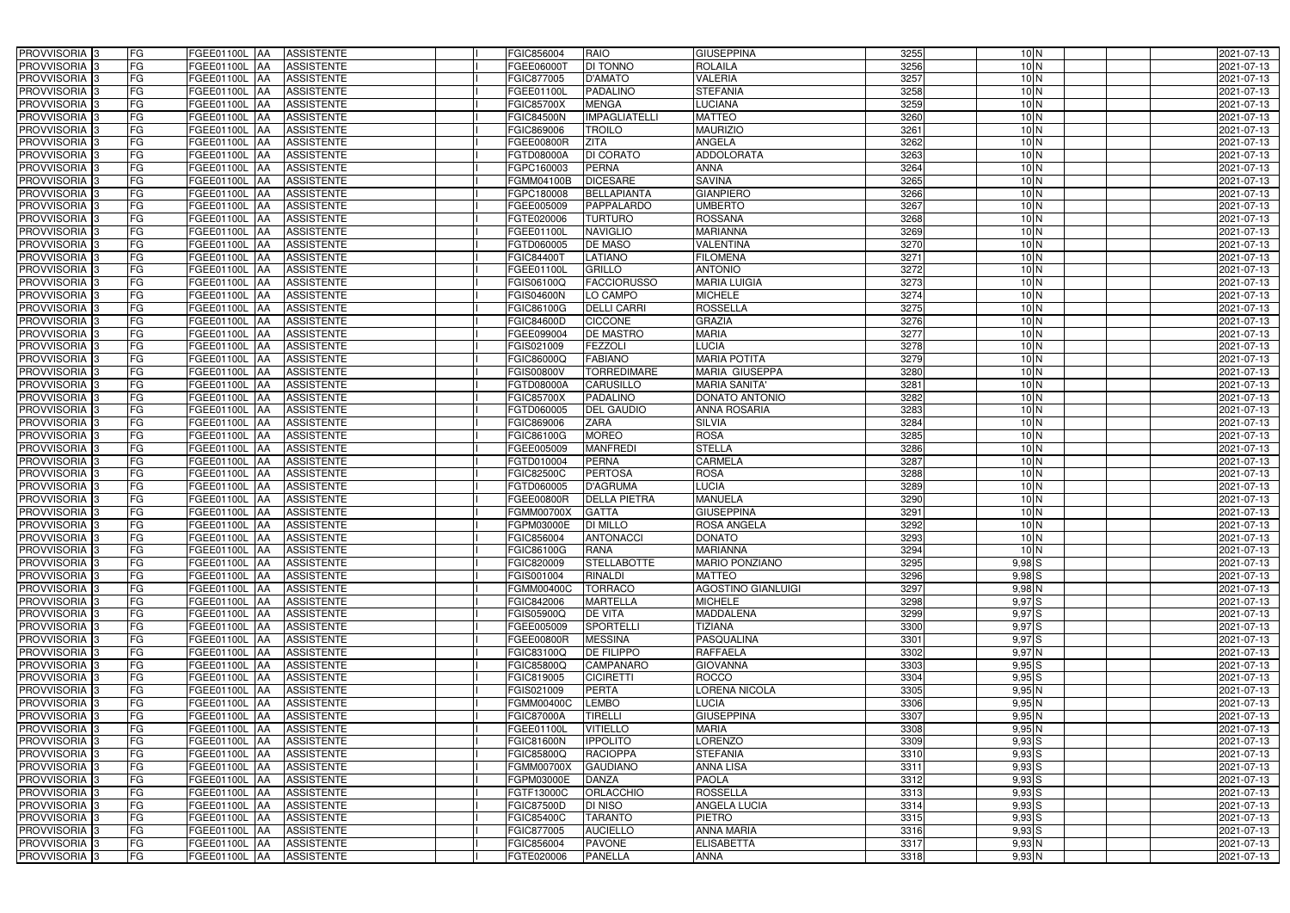| PROVVISORIA <sup>3</sup>                               | FG        | FGEE01100L AA                   | <b>ASSISTENTE</b>                      | FGIC856004               | <b>RAIO</b>                  | <b>GIUSEPPINA</b>            | 3255         | 10 <sub>N</sub> | 2021-07-13               |
|--------------------------------------------------------|-----------|---------------------------------|----------------------------------------|--------------------------|------------------------------|------------------------------|--------------|-----------------|--------------------------|
| PROVVISORIA <sup>3</sup>                               | FG        | FGEE01100L AA                   | <b>ASSISTENTE</b>                      | FGEE06000T               | DI TONNO                     | <b>ROLAILA</b>               | 3256         | 10 <sub>N</sub> | 2021-07-13               |
| PROVVISORIA <sup>1</sup> 3                             | FG        | FGEE01100L AA                   | <b>ASSISTENTE</b>                      | FGIC877005               | <b>D'AMATO</b>               | <b>VALERIA</b>               | 3257         | 10 <sub>N</sub> | 2021-07-13               |
| PROVVISORIA <sup>3</sup>                               | FG        | FGEE01100L AA                   | <b>ASSISTENTE</b>                      | FGEE01100L               | <b>PADALINO</b>              | <b>STEFANIA</b>              | 3258         | 10 <sub>N</sub> | 2021-07-13               |
| PROVVISORIA <sup>3</sup>                               | FG        | FGEE01100L AA                   | <b>ASSISTENTE</b>                      | FGIC85700X               | <b>MENGA</b>                 | LUCIANA                      | 3259         | 10 <sub>N</sub> | 2021-07-13               |
| PROVVISORIA <sup>3</sup>                               | FG        | <b>FGEE01100L AA</b>            | <b>ASSISTENTE</b>                      | <b>FGIC84500N</b>        | <b>IMPAGLIATELLI</b>         | <b>MATTEO</b>                | 3260         | 10 <sub>N</sub> | 2021-07-13               |
| PROVVISORIA 3                                          | FG        | FGEE01100L AA                   | <b>ASSISTENTE</b>                      | FGIC869006               | <b>TROILO</b>                | <b>MAURIZIO</b>              | 3261         | 10 <sub>N</sub> | 2021-07-13               |
| PROVVISORIA 3                                          | FG        | FGEE01100L AA                   | <b>ASSISTENTE</b>                      | FGEE00800R               | <b>ZITA</b>                  | <b>ANGELA</b>                | 3262         | 10 <sub>N</sub> | 2021-07-13               |
| PROVVISORIA 3                                          | FG        | FGEE01100L AA                   | <b>ASSISTENTE</b>                      | FGTD08000A               | <b>DI CORATO</b>             | <b>ADDOLORATA</b>            | 3263         | 10 <sub>N</sub> | 2021-07-13               |
| PROVVISORIA <sup>3</sup>                               | FG        | FGEE01100L<br>IAA               | <b>ASSISTENTE</b>                      | FGPC160003               | <b>PERNA</b>                 | <b>ANNA</b>                  | 3264         | 10 <sub>N</sub> | 2021-07-13               |
| PROVVISORIA 3                                          | FG        | <b>FGEE01100L AA</b>            | <b>ASSISTENTE</b>                      | <b>EGMM04100B</b>        | <b>DICESARE</b>              | <b>SAVINA</b>                | 3265         | 10 <sub>N</sub> | 2021-07-13               |
| PROVVISORIA 3                                          | FG        | FGEE01100L AA                   | <b>ASSISTENTE</b>                      | FGPC180008               | <b>BELLAPIANTA</b>           | <b>GIANPIERO</b>             | 3266         | 10 <sub>N</sub> | 2021-07-13               |
| PROVVISORIA 3                                          | FG        | FGEE01100L AA                   | <b>ASSISTENTE</b>                      | FGEE005009               | PAPPALARDO                   | <b>UMBERTO</b>               | 3267         | 10 <sub>N</sub> | 2021-07-13               |
| PROVVISORIA 3                                          | FG        | FGEE01100L AA                   | <b>ASSISTENTE</b>                      | FGTE020006               | <b>TURTURO</b>               | <b>ROSSANA</b>               | 3268         | 10 <sub>N</sub> | 2021-07-13               |
| PROVVISORIA 3                                          | FG        | <b>FGEE01100L   AA</b>          | <b>ASSISTENTE</b>                      | FGEE01100L               | <b>NAVIGLIO</b>              | <b>MARIANNA</b>              | 3269         | 10 <sub>N</sub> | 2021-07-13               |
| PROVVISORIA 3                                          | FG        | FGEE01100L AA                   | <b>ASSISTENTE</b>                      | FGTD060005               | <b>DE MASO</b>               | VALENTINA                    | 3270         | 10 <sub>N</sub> | 2021-07-13               |
| PROVVISORIA 3                                          | FG        | FGEE01100L AA                   | <b>ASSISTENTE</b>                      | FGIC844001               | <b>LATIANO</b>               | <b>FILOMENA</b>              | 3271         | 10 <sub>N</sub> | 2021-07-13               |
| PROVVISORIA 3                                          | FG        | FGEE01100L AA                   | <b>ASSISTENTE</b>                      | FGEE01100L               | <b>GRILLO</b>                | <b>ANTONIO</b>               | 3272         | 10 <sub>N</sub> | 2021-07-13               |
| PROVVISORIA 3                                          | FG        | FGEE01100L AA                   | <b>ASSISTENTE</b>                      | FGIS06100Q               | <b>FACCIORUSSO</b>           | <b>MARIA LUIGIA</b>          | 3273         | 10 <sub>N</sub> | 2021-07-13               |
| PROVVISORIA 3                                          | FG        | FGEE01100L AA                   | <b>ASSISTENTE</b>                      | <b>FGIS04600N</b>        | LO CAMPO                     | <b>MICHELE</b>               | 3274         | 10 <sub>N</sub> | 2021-07-13               |
| PROVVISORIA <sup>3</sup>                               | FG        | FGEE01100L<br>IAA               | <b>ASSISTENTE</b>                      | FGIC86100G               | <b>DELLI CARRI</b>           | <b>ROSSELLA</b>              | 3275         | 10 <sub>N</sub> | 2021-07-13               |
| PROVVISORIA 3                                          | FG        | FGEE01100L<br>IAA               | <b>ASSISTENTE</b>                      | FGIC84600D               | <b>CICCONE</b>               | <b>GRAZIA</b>                | 3276         | 10 <sub>N</sub> | 2021-07-13               |
| PROVVISORIA 3                                          | FG        | FGEE01100L<br><b>IAA</b>        | <b>ASSISTENTE</b>                      | FGEE099004               | <b>DE MASTRO</b>             | <b>MARIA</b>                 | 3277         | 10 <sub>N</sub> | 2021-07-13               |
| PROVVISORIA <sup>3</sup>                               | FG        | <b>FGEE01100L</b><br><b>IAA</b> | <b>ASSISTENTE</b>                      | FGIS021009               | <b>EZZOLI</b>                | <b>LUCIA</b>                 | 3278         | 10 <sub>N</sub> | 2021-07-13               |
| PROVVISORIA 3                                          | FG        | FGEE01100L AA                   | <b>ASSISTENTE</b>                      | FGIC86000Q               | <b>FABIANO</b>               | <b>MARIA POTITA</b>          | 3279         | 10 <sub>N</sub> | 2021-07-13               |
| PROVVISORIA 3                                          | FG        | FGEE01100L<br>IAA               | <b>ASSISTENTE</b>                      | FGIS00800V               | <b>TORREDIMARE</b>           | MARIA GIUSEPPA               | 3280         | 10 <sub>N</sub> | 2021-07-13               |
| PROVVISORIA 3                                          | FG        | FGEE01100L<br>IAA               | <b>ASSISTENTE</b>                      | FGTD08000A               | CARUSILLO                    | <b>MARIA SANITA'</b>         | 3281         | 10 <sub>N</sub> | 2021-07-13               |
| PROVVISORIA 3                                          | FG        | FGEE01100L<br>IAA               | <b>ASSISTENTE</b>                      | <b>FGIC85700X</b>        | PADALINO                     | DONATO ANTONIO               | 3282         | 10 <sub>N</sub> | 2021-07-13               |
| PROVVISORIA <sup>3</sup>                               | FG        | FGEE01100L                      | <b>ASSISTENTE</b>                      | FGTD060005               | <b>DEL GAUDIO</b>            | <b>ANNA ROSARIA</b>          | 3283         | 10 <sub>N</sub> | 2021-07-13               |
| PROVVISORIA <sup>3</sup>                               | FG        | <b>FGEE01100L</b><br><b>AA</b>  | <b>ASSISTENTE</b>                      | FGIC869006               | <b>ZARA</b>                  | <b>SILVIA</b>                | 3284         | 10 <sub>N</sub> | 2021-07-13               |
| PROVVISORIA <sup>3</sup>                               | FG        | <b>FGEE01100L AA</b>            | <b>ASSISTENTE</b>                      | FGIC86100G               | <b>MOREO</b>                 | <b>ROSA</b>                  | 3285         | 10 <sub>N</sub> | 2021-07-13               |
| PROVVISORIA <sup>3</sup>                               | FG        | <b>FGEE01100L</b><br>IAA        | <b>ASSISTENTE</b>                      | FGEE005009               | <b>MANFREDI</b>              | <b>STELLA</b>                | 3286         | 10 <sub>N</sub> | 2021-07-13               |
| PROVVISORIA <sup>3</sup>                               | FG        | FGEE01100L<br>IAA               | <b>ASSISTENTE</b>                      | FGTD010004               | <b>PERNA</b>                 | <b>CARMELA</b>               | 3287         | 10 <sub>N</sub> | 2021-07-13               |
| PROVVISORIA <sup>3</sup>                               | FG        | <b>FGEE01100L   AA</b>          | <b>ASSISTENTE</b>                      | FGIC82500C               | <b>PERTOSA</b>               | <b>ROSA</b>                  | 3288         | 10 <sub>N</sub> | 2021-07-13               |
| PROVVISORIA 3                                          | FG        | FGEE01100L AA                   | <b>ASSISTENTE</b>                      | FGTD060005               | <b>D'AGRUMA</b>              | <b>LUCIA</b>                 | 3289         | 10 <sub>N</sub> | 2021-07-13               |
| PROVVISORIA <sup>3</sup>                               | FG        | FGEE01100L AA                   | <b>ASSISTENTE</b>                      | FGEE00800R               | <b>DELLA PIETRA</b>          | <b>MANUELA</b>               | 3290         | 10 <sub>N</sub> | 2021-07-13               |
| PROVVISORIA <sup>3</sup>                               | FG        | FGEE01100L AA                   | <b>ASSISTENTE</b>                      | <b>FGMM00700X</b>        | <b>GATTA</b>                 | <b>GIUSEPPINA</b>            | 3291         | 10 <sub>N</sub> | 2021-07-13               |
| PROVVISORIA <sup>3</sup>                               | FG        | FGEE01100L AA                   | <b>ASSISTENTE</b>                      | FGPM03000E               | <b>DI MILLO</b>              | <b>ROSA ANGELA</b>           | 3292         | 10 <sub>N</sub> | 2021-07-13               |
| PROVVISORIA <sup>3</sup>                               | <b>FG</b> | FGEE01100L AA ASSISTENTE        |                                        | FGIC856004               | <b>ANTONACCI</b>             | <b>DONATO</b>                | 3293         | 10 N            | 2021-07-13               |
| <b>PROVVISORIA</b> 3                                   | FG        | FGEE01100L AA                   | ASSISTENTE                             | FGIC86100G               | <b>RANA</b>                  | <b>MARIANNA</b>              | 3294         | 10 <sub>N</sub> | 2021-07-13               |
| PROVVISORIA <sup>3</sup>                               | FG        | FGEE01100L AA                   | ASSISTENTE                             | FGIC820009               | <b>STELLABOTTE</b>           | <b>MARIO PONZIANO</b>        | 3295         | $9,98$ S        | 2021-07-13               |
| PROVVISORIA <sup>3</sup>                               | FG        | FGEE01100L AA                   | <b>ASSISTENTE</b>                      | FGIS001004               | <b>RINALDI</b>               | <b>MATTEO</b>                | 3296         | $9,98$ $S$      | 2021-07-13               |
| <b>PROVVISORIA</b> 3                                   | FG        | <b>FGEE01100L AA</b>            | ASSISTENTE                             | FGMM00400C               | <b>TORRACO</b>               | <b>AGOSTINO GIANLUIGI</b>    | 3297         | $9,98$ N        | 2021-07-13               |
| PROVVISORIA <sup>3</sup>                               | FG        | FGEE01100L AA                   | <b>ASSISTENTE</b>                      | FGIC842006               | <b>MARTELLA</b>              | <b>MICHELE</b>               | 3298         | $9,97$ $S$      | 2021-07-13               |
| PROVVISORIA <sup>1</sup> 3                             | FG        | FGEE01100L AA                   | <b>ASSISTENTE</b>                      | FGIS05900Q               | <b>DE VITA</b>               | <b>MADDALENA</b>             | 3299         | 9,97S           | 2021-07-13               |
| PROVVISORIA <sup>3</sup>                               | FG        | FGEE01100L AA                   | <b>ASSISTENTE</b>                      | FGEE005009               | <b>SPORTELLI</b>             | <b>TIZIANA</b><br>PASQUALINA | 3300<br>3301 | 9,97S           | 2021-07-13               |
| PROVVISORIA <sup>1</sup> 3<br>PROVVISORIA <sup>3</sup> | FG<br>FG  | FGEE01100L AA<br>FGEE01100L AA  | <b>ASSISTENTE</b><br><b>ASSISTENTE</b> | FGEE00800R<br>FGIC83100Q | <b>MESSINA</b><br>DE FILIPPO | RAFFAELA                     | 3302         | 9,97S<br>9,97N  | 2021-07-13<br>2021-07-13 |
| PROVVISORIA <sup>3</sup>                               | FG        | FGEE01100L AA                   | <b>ASSISTENTE</b>                      | FGIC85800Q               | <b>CAMPANARO</b>             | <b>GIOVANNA</b>              | 3303         | $9,95$ S        | 2021-07-13               |
| PROVVISORIA <sup>3</sup>                               | FG        | FGEE01100L AA                   | <b>ASSISTENTE</b>                      | FGIC819005               | <b>CICIRETTI</b>             | <b>ROCCO</b>                 | 3304         | 9,95S           | 2021-07-13               |
| <b>PROVVISORIA</b> 3                                   | FG        | FGEE01100L AA                   | <b>ASSISTENTE</b>                      | FGIS021009               | <b>PERTA</b>                 | LORENA NICOLA                | 3305         | 9,95N           | 2021-07-13               |
| PROVVISORIA <sup>3</sup>                               | FG        | FGEE01100L AA                   | <b>ASSISTENTE</b>                      | FGMM00400C               | <b>LEMBO</b>                 | <b>LUCIA</b>                 | 3306         | 9,95N           | 2021-07-13               |
| PROVVISORIA <sup>3</sup>                               | FG        | FGEE01100L AA                   | <b>ASSISTENTE</b>                      | <b>FGIC87000A</b>        | <b>TIRELLI</b>               | <b>GIUSEPPINA</b>            | 3307         | 9,95N           | 2021-07-13               |
| PROVVISORIA <sup>3</sup>                               | FG        | FGEE01100L AA                   | <b>ASSISTENTE</b>                      | FGEE01100L               | <b>VITIELLO</b>              | <b>MARIA</b>                 | 3308         | 9,95N           | 2021-07-13               |
| PROVVISORIA <sup>3</sup>                               | FG        | FGEE01100L AA                   | <b>ASSISTENTE</b>                      | FGIC81600N               | <b>IPPOLITO</b>              | <b>LORENZO</b>               | 3309         | $9,93$ S        | 2021-07-13               |
| PROVVISORIA <sup>3</sup>                               | FG        | FGEE01100L AA                   | <b>ASSISTENTE</b>                      | FGIC85800Q               | <b>RACIOPPA</b>              | <b>STEFANIA</b>              | 3310         | $9,93$ S        | 2021-07-13               |
| PROVVISORIA <sup>3</sup>                               | FG        | FGEE01100L AA                   | <b>ASSISTENTE</b>                      | FGMM00700X               | <b>GAUDIANO</b>              | <b>ANNA LISA</b>             | 3311         | $9,93$ $S$      | 2021-07-13               |
| PROVVISORIA <sup>1</sup> 3                             | FG        | FGEE01100L AA                   | <b>ASSISTENTE</b>                      | FGPM03000E               | <b>DANZA</b>                 | <b>PAOLA</b>                 | 3312         | $9,93$ $S$      | 2021-07-13               |
| PROVVISORIA <sup>3</sup>                               | FG        | FGEE01100L AA                   | <b>ASSISTENTE</b>                      | FGTF13000C               | <b>ORLACCHIO</b>             | <b>ROSSELLA</b>              | 3313         | $9,93$ S        | 2021-07-13               |
| PROVVISORIA <sup>1</sup> 3                             | FG        | FGEE01100L AA                   | <b>ASSISTENTE</b>                      | <b>FGIC87500D</b>        | <b>DI NISO</b>               | ANGELA LUCIA                 | 3314         | $9,93$ $S$      | 2021-07-13               |
| PROVVISORIA <sup>3</sup>                               | FG        | FGEE01100L AA                   | ASSISTENTE                             | FGIC85400C               | <b>TARANTO</b>               | <b>PIETRO</b>                | 3315         | $9,93$ S        | 2021-07-13               |
| PROVVISORIA <sup>3</sup>                               | FG        | FGEE01100L AA                   | <b>ASSISTENTE</b>                      | FGIC877005               | <b>AUCIELLO</b>              | <b>ANNA MARIA</b>            | 3316         | $9,93$ S        | 2021-07-13               |
| PROVVISORIA <sup>3</sup>                               | FG        | FGEE01100L AA                   | ASSISTENTE                             | FGIC856004               | <b>PAVONE</b>                | <b>ELISABETTA</b>            | 3317         | $9,93$ N        | 2021-07-13               |
| PROVVISORIA 3                                          | FG        | FGEE01100L AA                   | <b>ASSISTENTE</b>                      | FGTE020006               | <b>PANELLA</b>               | <b>ANNA</b>                  | 3318         | $9,93$ N        | 2021-07-13               |
|                                                        |           |                                 |                                        |                          |                              |                              |              |                 |                          |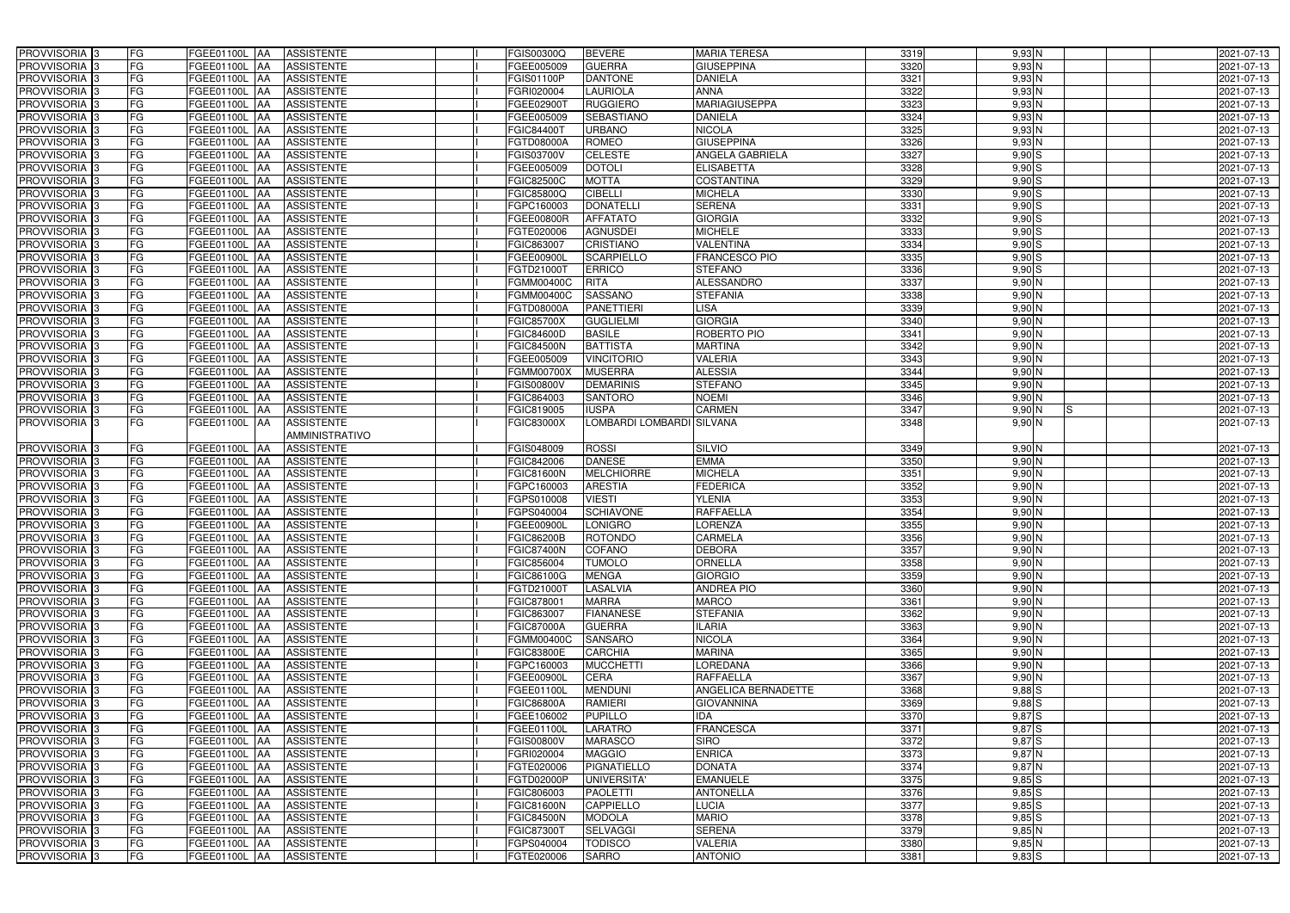| PROVVISORIA <sup>3</sup>                             | FG        | FGEE01100L AA                         | <b>ASSISTENTE</b>        | FGIS00300Q               | <b>BEVERE</b>                  | <b>MARIA TERESA</b>              | 3319         | 9,93N                | 2021-07-13               |
|------------------------------------------------------|-----------|---------------------------------------|--------------------------|--------------------------|--------------------------------|----------------------------------|--------------|----------------------|--------------------------|
| PROVVISORIA 3                                        | FG        | FGEE01100L AA                         | <b>ASSISTENTE</b>        | FGEE005009               | <b>GUERRA</b>                  | <b>GIUSEPPINA</b>                | 3320         | $9,93$ N             | 2021-07-13               |
| PROVVISORIA 3                                        | FG        | FGEE01100L AA                         | <b>ASSISTENTE</b>        | GIS01100P                | <b>DANTONE</b>                 | <b>DANIELA</b>                   | 3321         | 9,93N                | 2021-07-13               |
| PROVVISORIA <sup>3</sup>                             | FG        | <b>FGEE01100L   AA</b>                | <b>ASSISTENTE</b>        | FGRI020004               | <b>LAURIOLA</b>                | <b>ANNA</b>                      | 3322         | $9,93$ N             | 2021-07-13               |
| PROVVISORIA <sup>3</sup>                             | FG        | FGEE01100L AA                         | <b>ASSISTENTE</b>        | FGEE02900T               | <b>RUGGIERO</b>                | <b>MARIAGIUSEPPA</b>             | 3323         | $9,93$ N             | 2021-07-13               |
| PROVVISORIA 3                                        | FG        | FGEE01100L AA                         | <b>ASSISTENTE</b>        | FGEE005009               | <b>SEBASTIANO</b>              | <b>DANIELA</b>                   | 3324         | $9,93$ N             | 2021-07-13               |
| PROVVISORIA 3                                        | <b>FG</b> | FGEE01100L AA                         | <b>ASSISTENTE</b>        | FGIC84400T               | <b>URBANO</b>                  | <b>NICOLA</b>                    | 3325         | $9,93$ N             | 2021-07-13               |
| PROVVISORIA 3                                        | <b>FG</b> | <b>FGEE01100L</b><br>IAA              | <b>ASSISTENTE</b>        | FGTD08000A               | <b>ROMEO</b>                   | <b>GIUSEPPINA</b>                | 3326         | $9,93$ N             | 2021-07-13               |
| PROVVISORIA <sup>3</sup>                             | FG        | FGEE01100L<br>IAA                     | <b>ASSISTENTE</b>        | <b>GIS03700V</b>         | <b>CELESTE</b>                 | ANGELA GABRIELA                  | 3327         | $9,90$ S             | 2021-07-13               |
| PROVVISORIA 3                                        | FG        | FGEE01100L<br>AA                      | <b>ASSISTENTE</b>        | GEE005009                | <b>DOTOLI</b>                  | <b>ELISABETTA</b>                | 3328         | $9,90$ S             | 2021-07-13               |
| PROVVISORIA 3                                        | FG        | FGEE01100L AA                         | <b>ASSISTENTE</b>        | FGIC82500C               | <b>MOTTA</b>                   | <b>COSTANTINA</b>                | 3329         | $9,90$ S             | 2021-07-13               |
| PROVVISORIA 3                                        | <b>FG</b> | FGEE01100L AA                         | <b>ASSISTENTE</b>        | FGIC85800Q               | <b>CIBELLI</b>                 | <b>MICHELA</b>                   | 3330         | $9,90$ S             | 2021-07-13               |
| PROVVISORIA 3                                        | FG        | FGEE01100L AA                         | <b>ASSISTENTE</b>        | FGPC160003               | <b>DONATELLI</b>               | <b>SERENA</b>                    | 3331         | $9,90$ S             | 2021-07-13               |
| PROVVISORIA <sup>3</sup>                             | <b>FG</b> | FGEE01100L AA                         | <b>ASSISTENTE</b>        | FGEE00800R               | <b>AFFATATO</b>                | <b>GIORGIA</b>                   | 3332         | $9,90$ S             | 2021-07-13               |
| PROVVISORIA 3                                        | FG        | FGEE01100L AA                         | <b>ASSISTENTE</b>        | FGTE020006               | <b>AGNUSDEI</b>                | <b>MICHELE</b>                   | 3333         | $9,90$ S             | 2021-07-13               |
| PROVVISORIA <sup>3</sup>                             | <b>FG</b> | <b>FGEE01100L   AA</b>                | <b>ASSISTENTE</b>        | FGIC863007               | <b>CRISTIANO</b>               | VALENTINA                        | 3334         | $9,90$ S             | 2021-07-13               |
| PROVVISORIA 3                                        | <b>FG</b> | FGEE01100L AA                         | <b>ASSISTENTE</b>        | FGEE00900L               | <b>SCARPIELLO</b>              | <b>FRANCESCO PIO</b>             | 3335         | $9,90$ S             | 2021-07-13               |
| PROVVISORIA <sup>3</sup>                             | <b>FG</b> | FGEE01100L AA                         | <b>ASSISTENTE</b>        | FGTD21000T               | <b>ERRICO</b>                  | <b>STEFANO</b>                   | 3336         | $9,90$ S             | 2021-07-13               |
| PROVVISORIA 3                                        | FG        | FGEE01100L AA                         | <b>ASSISTENTE</b>        | FGMM00400C               | <b>RITA</b>                    | <b>ALESSANDRO</b>                | 3337         | $9,90$ N             | 2021-07-13               |
| PROVVISORIA 3                                        | FG        | FGEE01100L<br>IAA                     | <b>ASSISTENTE</b>        | FGMM00400C               | <b>SASSANO</b>                 | <b>STEFANIA</b>                  | 3338         | $9,90$ N             | 2021-07-13               |
| PROVVISORIA 3                                        | FG        | <b>FGEE01100L</b><br>l AA             | <b>ASSISTENTE</b>        | FGTD08000A               | <b>PANETTIERI</b>              | <b>LISA</b>                      | 3339         | $9,90$ N             | 2021-07-13               |
| PROVVISORIA <sup>3</sup>                             | FG        | FGEE01100L<br>IAA                     | <b>ASSISTENTE</b>        | FGIC85700X               | <b>GUGLIELMI</b>               | <b>GIORGIA</b>                   | 3340         | $9,90$ N             | 2021-07-13               |
| PROVVISORIA <sup>3</sup>                             | FG        | FGEE01100L<br>IAA                     | <b>ASSISTENTE</b>        | FGIC84600D               | <b>BASILE</b>                  | ROBERTO PIO                      | 3341         | $9,90$ N             | 2021-07-13               |
| PROVVISORIA <sup>13</sup>                            | FG        | FGEE01100L<br>IAA                     | <b>ASSISTENTE</b>        | <b>FGIC84500N</b>        | <b>BATTISTA</b>                | <b>MARTINA</b>                   | 3342         | $9,90$ N             | 2021-07-13               |
| PROVVISORIA 3                                        | FG        | FGEE01100L<br>IAA                     | <b>ASSISTENTE</b>        | GEE005009                | <b>VINCITORIO</b>              | <b>VALERIA</b>                   | 3343         | $9,90$ N             | 2021-07-13               |
| PROVVISORIA 3                                        | <b>FG</b> | <b>FGEE01100L</b><br>IAA              | <b>ASSISTENTE</b>        | FGMM00700X               | <b>MUSERRA</b>                 | <b>ALESSIA</b>                   | 3344         | $9,90$ N             | 2021-07-13               |
| PROVVISORIA 3                                        | <b>FG</b> | FGEE01100L                            | <b>ASSISTENTE</b>        | GIS00800V                | <b>DEMARINIS</b>               | <b>STEFANO</b>                   | 3345         | $9,90$ N             | 2021-07-13               |
| PROVVISORIA <sup>3</sup>                             | FG        | FGEE01100L<br>IAA                     | <b>ASSISTENTE</b>        | GIC864003                | SANTORO                        | <b>NOEMI</b>                     | 3346         | $9,90$ N             | 2021-07-13               |
| PROVVISORIA 3                                        | FG        | FGEE01100L<br>IAA                     | <b>ASSISTENTE</b>        | FGIC819005               | <b>IUSPA</b>                   | <b>CARMEN</b>                    | 3347         | $9,90$ N<br>IS.      | 2021-07-13               |
| PROVVISORIA 3                                        | FG        | <b>FGEE01100L   AA</b>                | <b>ASSISTENTE</b>        | FGIC83000X               | LOMBARDI LOMBARDI SILVANA      |                                  | 3348         | $9,90$ N             | 2021-07-13               |
|                                                      |           |                                       | AMMINISTRATIVO           |                          |                                |                                  |              |                      |                          |
| PROVVISORIA <sup>3</sup>                             | FG        | FGEE01100L AA                         | <b>ASSISTENTE</b>        | FGIS048009               | <b>ROSSI</b>                   | <b>SILVIO</b>                    | 3349         | $9,90$ N             | 2021-07-13               |
| PROVVISORIA 3                                        | <b>FG</b> | FGEE01100L<br>IAA                     | <b>ASSISTENTE</b>        | FGIC842006               | <b>DANESE</b>                  | <b>EMMA</b>                      | 3350         | $9,90$ N             | 2021-07-13               |
| PROVVISORIA 3                                        | FG        | FGEE01100L AA                         | <b>ASSISTENTE</b>        | FGIC81600N               | <b>MELCHIORRE</b>              | <b>MICHELA</b>                   | 3351         | $9,90$ N             | 2021-07-13               |
| PROVVISORIA 3                                        | FG        | FGEE01100L<br>IAA                     | <b>ASSISTENTE</b>        | FGPC160003               | <b>ARESTIA</b>                 | <b>FEDERICA</b>                  | 3352         | 9,90N                | 2021-07-13               |
| PROVVISORIA 3                                        | FG        | <b>FGEE01100L   AA</b>                | <b>ASSISTENTE</b>        | FGPS010008               | <b>VIESTI</b>                  | <b>YLENIA</b>                    | 3353         | 9,90N                | 2021-07-13               |
| PROVVISORIA <sup>3</sup>                             | <b>FG</b> | FGEE01100L AA                         | <b>ASSISTENTE</b>        | FGPS040004               | <b>SCHIAVONE</b>               | <b>RAFFAELLA</b>                 | 3354         | $9,90$ N             | 2021-07-13               |
| PROVVISORIA <sup>3</sup>                             | <b>FG</b> | FGEE01100L AA                         | <b>ASSISTENTE</b>        | FGEE00900L               | <b>LONIGRO</b>                 | <b>LORENZA</b>                   | 3355         | $9,90$ N             | 2021-07-13               |
| PROVVISORIA <sup>3</sup>                             | <b>FG</b> | FGEE01100L AA ASSISTENTE              |                          | <b>FGIC86200B</b>        | <b>ROTONDO</b>                 | <b>CARMELA</b>                   | 3356         | $9,90$ N             | 2021-07-13               |
| <b>PROVVISORIA</b> 3                                 | <b>FG</b> | FGEE01100L AA                         | <b>ASSISTENTE</b>        | <b>FGIC87400N</b>        | <b>COFANO</b>                  | <b>DEBORA</b>                    | 3357         | $9,90$ N             | 2021-07-13               |
| PROVVISORIA <sup>3</sup>                             | FG        | FGEE01100L AA                         | <b>ASSISTENTE</b>        | FGIC856004               | <b>TUMOLO</b>                  | <b>ORNELLA</b>                   | 3358         | $9,90$ N             | 2021-07-13               |
| PROVVISORIA 3                                        | FG        | FGEE01100L AA ASSISTENTE              |                          | FGIC86100G               | <b>MENGA</b>                   | <b>GIORGIO</b>                   | 3359         | $9,90$ N             | 2021-07-13               |
| PROVVISORIA <sup>3</sup>                             | FG        | FGEE01100L AA                         | <b>ASSISTENTE</b>        | FGTD21000T               | LASALVIA                       | <b>ANDREA PIO</b>                | 3360         | $9,90$ N             | 2021-07-13               |
| PROVVISORIA <sup>3</sup>                             | FG        | FGEE01100L AA                         | <b>ASSISTENTE</b>        | FGIC878001               | <b>MARRA</b>                   | <b>MARCO</b>                     | 3361         | $9,90$ N             | 2021-07-13               |
| PROVVISORIA 3                                        | FG        | FGEE01100L AA                         | <b>ASSISTENTE</b>        | FGIC863007               | <b>FIANANESE</b>               | <b>STEFANIA</b>                  | 3362         | $9,90$ N             | 2021-07-13               |
| PROVVISORIA 3                                        | <b>FG</b> | FGEE01100L AA                         | <b>ASSISTENTE</b>        | FGIC87000A               | <b>GUERRA</b>                  | <b>ILARIA</b>                    | 3363         | 9,90N                | 2021-07-13               |
| PROVVISORIA <sup>3</sup>                             | FG        | FGEE01100L AA                         | <b>ASSISTENTE</b>        | FGMM00400C               | <b>SANSARO</b>                 | <b>NICOLA</b>                    | 3364         | $9,90$ N             | 2021-07-13               |
| PROVVISORIA <sup>3</sup>                             | FG        | FGEE01100L AA                         | <b>ASSISTENTE</b>        | FGIC83800E               | <b>CARCHIA</b>                 | <b>MARINA</b>                    | 3365         | $9,90$ N             | 2021-07-13               |
| PROVVISORIA <sup>3</sup>                             | FG        | FGEE01100L AA                         | <b>ASSISTENTE</b>        | GPC160003                | <b>MUCCHETTI</b>               | <b>LOREDANA</b>                  | 3366         | $9,90$ N             | 2021-07-13               |
| PROVVISORIA <sup>3</sup>                             | FG        | FGEE01100L AA                         | <b>ASSISTENTE</b>        | FGEE00900L               | <b>CERA</b>                    | <b>RAFFAELLA</b>                 | 3367         | $9,90$ N             | 2021-07-13               |
| PROVVISORIA <sup>3</sup>                             | FG        | FGEE01100L AA                         | <b>ASSISTENTE</b>        | FGEE01100L               | <b>MENDUNI</b>                 | ANGELICA BERNADETTE              | 3368         | $9,88$ S             | 2021-07-13               |
| PROVVISORIA <sup>3</sup>                             | FG        | FGEE01100L AA                         | <b>ASSISTENTE</b>        | FGIC86800A               | <b>RAMIERI</b>                 | <b>GIOVANNINA</b>                | 3369         | $9,88$ $S$           | 2021-07-13               |
| PROVVISORIA <sup>3</sup>                             | FG        | FGEE01100L AA                         | <b>ASSISTENTE</b>        | FGEE106002               | <b>PUPILLO</b>                 | <b>IDA</b>                       | 3370         | $9,87$ S             | 2021-07-13               |
| PROVVISORIA <sup>3</sup>                             | FG        | <b>FGEE01100L   AA</b>                | <b>ASSISTENTE</b>        | FGEE01100L               | <b>LARATRO</b>                 | <b>FRANCESCA</b>                 | 3371         | $9,87$ S             | 2021-07-13               |
| PROVVISORIA <sup>3</sup>                             | FG        | <b>FGEE01100L   AA</b>                | <b>ASSISTENTE</b>        | FGIS00800V               | <b>MARASCO</b>                 | <b>SIRO</b>                      | 3372         | $9,87$ S             | 2021-07-13               |
| PROVVISORIA <sup>3</sup>                             | FG        | FGEE01100L AA                         | <b>ASSISTENTE</b>        | FGRI020004               | <b>MAGGIO</b>                  | <b>ENRICA</b>                    | 3373         | 9,87 N               | 2021-07-13               |
| PROVVISORIA <sup>3</sup>                             | FG        | FGEE01100L AA                         | <b>ASSISTENTE</b>        | FGTE020006               | PIGNATIELLO                    | <b>DONATA</b>                    | 3374         | 9,87N                | 2021-07-13               |
| PROVVISORIA <sup>3</sup>                             | FG        | FGEE01100L AA                         | <b>ASSISTENTE</b>        | FGTD02000P               | <b>UNIVERSITA'</b>             | <b>EMANUELE</b>                  | 3375         | $9,85$ $S$           | 2021-07-13               |
| PROVVISORIA <sup>3</sup>                             | FG        | FGEE01100L AA                         | <b>ASSISTENTE</b>        | FGIC806003               | <b>PAOLETTI</b>                | <b>ANTONELLA</b>                 | 3376         | $9,85$ $S$           | 2021-07-13               |
| PROVVISORIA <sup>3</sup>                             | FG        | FGEE01100L AA                         | <b>ASSISTENTE</b>        | <b>FGIC81600N</b>        | <b>CAPPIELLO</b>               | <b>LUCIA</b>                     | 3377         | $9,85$ S             | 2021-07-13               |
| PROVVISORIA <sup>3</sup>                             | FG        | FGEE01100L AA                         | <b>ASSISTENTE</b>        | <b>FGIC84500N</b>        | <b>MODOLA</b>                  | <b>MARIO</b>                     | 3378         | $9,85$ S             | 2021-07-13               |
| PROVVISORIA <sup>3</sup>                             | FG        | FGEE01100L AA                         | <b>ASSISTENTE</b>        | FGIC87300T               | <b>SELVAGGI</b>                | <b>SERENA</b>                    | 3379         | $9,85$ N             | 2021-07-13               |
|                                                      |           |                                       |                          |                          |                                |                                  |              |                      |                          |
| PROVVISORIA <sup>3</sup><br>PROVVISORIA <sup>3</sup> | FG<br>FG  | FGEE01100L AA<br><b>FGEE01100L AA</b> | ASSISTENTE<br>ASSISTENTE | FGPS040004<br>FGTE020006 | <b>TODISCO</b><br><b>SARRO</b> | <b>VALERIA</b><br><b>ANTONIO</b> | 3380<br>3381 | $9,85$ N<br>$9,83$ S | 2021-07-13<br>2021-07-13 |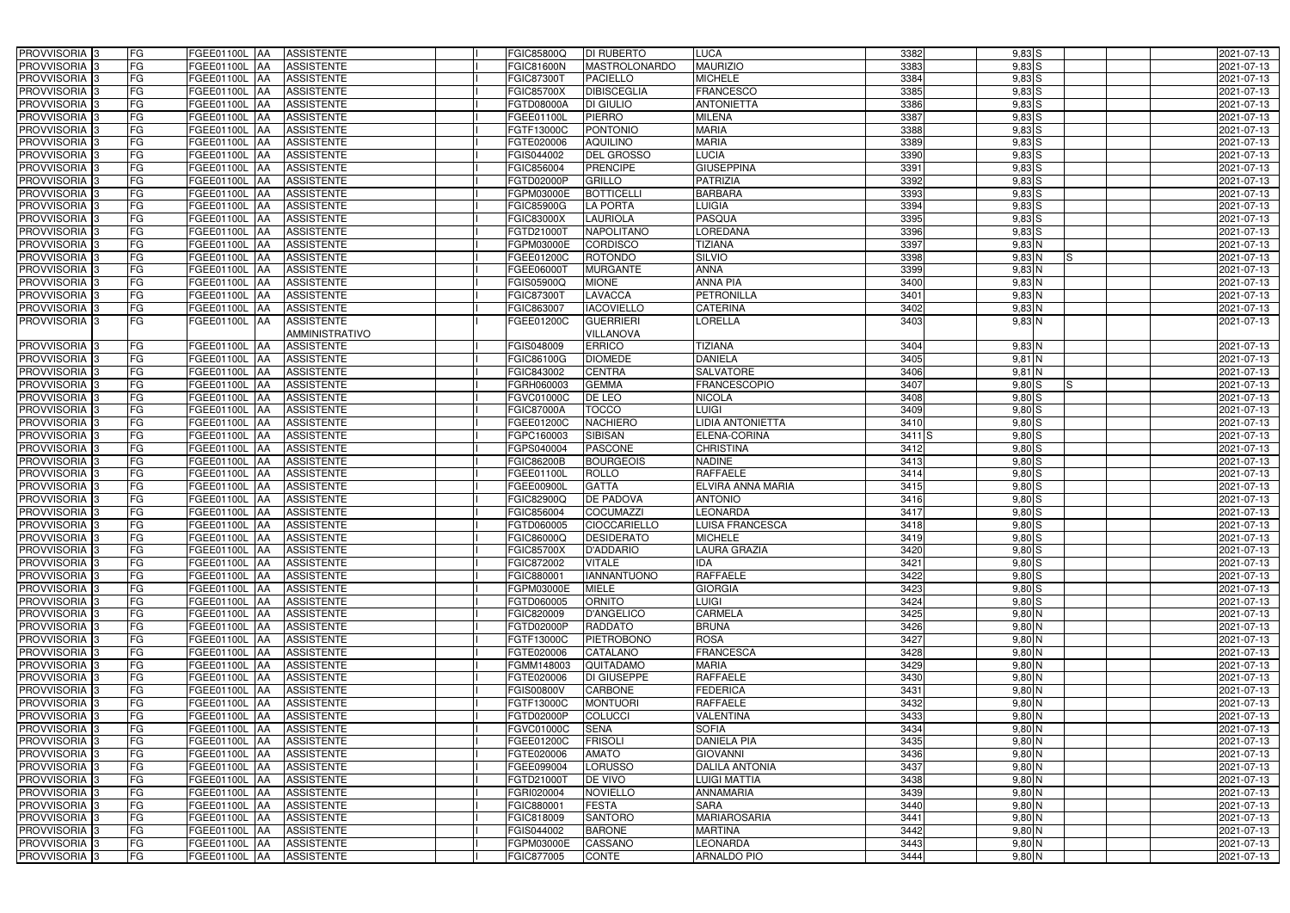| PROVVISORIA <sup>3</sup>   | <b>FG</b><br>FGEE01100L AA                | <b>ASSISTENTE</b>               | FGIC85800Q        | <b>DI RUBERTO</b>    | LUCA                   | 3382       | $9,83$ S        | 2021-07-13 |
|----------------------------|-------------------------------------------|---------------------------------|-------------------|----------------------|------------------------|------------|-----------------|------------|
| PROVVISORIA <sup>3</sup>   | FG<br><b>FGEE01100L AA</b>                | <b>ASSISTENTE</b>               | <b>FGIC81600N</b> | <b>MASTROLONARDO</b> | <b>MAURIZIO</b>        | 3383       | $9,83$ $S$      | 2021-07-13 |
| PROVVISORIA <sup>3</sup>   | FG<br>FGEE01100L AA                       | <b>ASSISTENTE</b>               | FGIC873001        | <b>PACIELLO</b>      | <b>MICHELE</b>         | 3384       | $9,83$ S        | 2021-07-13 |
| PROVVISORIA 3              | FG<br>FGEE01100L AA                       | <b>ASSISTENTE</b>               | <b>FGIC85700X</b> | <b>DIBISCEGLIA</b>   | <b>FRANCESCO</b>       | 3385       | $9,83$ $S$      | 2021-07-13 |
| PROVVISORIA <sup>3</sup>   | FG<br>FGEE01100L                          | <b>ASSISTENTE</b><br><b>JAA</b> | FGTD08000A        | DI GIULIO            | <b>ANTONIETTA</b>      | 3386       | $9,83$ $S$      | 2021-07-13 |
| PROVVISORIA 3              | FG<br>FGEE01100L AA                       | <b>ASSISTENTE</b>               | FGEE01100L        | <b>PIERRO</b>        | <b>MILENA</b>          | 3387       | $9,83$ $S$      | 2021-07-13 |
| PROVVISORIA <sup>1</sup> 3 | FG<br>FGEE01100L AA                       | <b>ASSISTENTE</b>               | FGTF13000C        | <b>PONTONIO</b>      | <b>MARIA</b>           | 3388       | $9,83$ $S$      | 2021-07-13 |
| PROVVISORIA <sup>3</sup>   | FG<br>FGEE01100L AA                       | <b>ASSISTENTE</b>               | FGTE020006        | <b>AQUILINO</b>      | <b>MARIA</b>           | 3389       | $9,83$ $S$      | 2021-07-13 |
| PROVVISORIA 3              | FG<br>FGEE01100L AA                       | <b>ASSISTENTE</b>               | FGIS044002        | <b>DEL GROSSO</b>    | <b>LUCIA</b>           | 3390       | $9,83$ $S$      | 2021-07-13 |
| PROVVISORIA <sup>3</sup>   | FG<br><b>FGEE01100L AA</b>                | <b>ASSISTENTE</b>               | FGIC856004        | <b>PRENCIPE</b>      | <b>GIUSEPPINA</b>      | 3391       | $9,83$ $S$      | 2021-07-13 |
| PROVVISORIA 3              | FG<br>FGEE01100L AA                       | <b>ASSISTENTE</b>               | FGTD02000P        | GRILLO               | <b>PATRIZIA</b>        | 3392       | $9,83$ $S$      | 2021-07-13 |
| PROVVISORIA 3              | FG<br>FGEE01100L AA                       | <b>ASSISTENTE</b>               | FGPM03000E        | <b>BOTTICELLI</b>    | <b>BARBARA</b>         | 3393       | $9,83$ $S$      | 2021-07-13 |
| PROVVISORIA 3              | FG<br>FGEE01100L AA                       | <b>ASSISTENTE</b>               | FGIC85900G        | <b>LA PORTA</b>      | <b>LUIGIA</b>          | 3394       | $9,83$ $S$      | 2021-07-13 |
| PROVVISORIA 3              | FG<br>FGEE01100L AA                       | <b>ASSISTENTE</b>               | <b>FGIC83000X</b> | <b>LAURIOLA</b>      | <b>PASQUA</b>          | 3395       | $9,83$ $S$      | 2021-07-13 |
| PROVVISORIA 3              | $\overline{\mathsf{FG}}$<br>FGEE01100L AA | <b>ASSISTENTE</b>               | FGTD21000T        | <b>NAPOLITANO</b>    | <b>LOREDANA</b>        | 3396       | $9,83$ S        | 2021-07-13 |
| PROVVISORIA <sup>3</sup>   | $\overline{\mathsf{FG}}$<br>FGEE01100L AA | <b>ASSISTENTE</b>               | FGPM03000E        | <b>CORDISCO</b>      | <b>TIZIANA</b>         | 3397       | $9,83$ N        | 2021-07-13 |
| PROVVISORIA 3              | FG<br><b>FGEE01100L</b>                   | <b>ASSISTENTE</b><br><b>IAA</b> | FGEE01200C        | <b>ROTONDO</b>       | <b>SILVIO</b>          | 3398       | $9,83$ N<br>IS. | 2021-07-13 |
| PROVVISORIA 3              | FG<br>FGEE01100L AA                       | <b>ASSISTENTE</b>               | FGEE06000T        | <b>MURGANTE</b>      | <b>ANNA</b>            | 3399       | 9,83 N          | 2021-07-13 |
| PROVVISORIA 3              | FG<br>FGEE01100L AA                       | <b>ASSISTENTE</b>               | FGIS05900Q        | <b>MIONE</b>         | <b>ANNA PIA</b>        | 3400       | $9,83$ N        | 2021-07-13 |
| PROVVISORIA 3              | FG<br>FGEE01100L AA                       | <b>ASSISTENTE</b>               | FGIC873001        | <b>LAVACCA</b>       | <b>PETRONILLA</b>      | 3401       | 9,83 N          | 2021-07-13 |
| PROVVISORIA <sup>3</sup>   | FG<br>FGEE01100L AA                       | <b>ASSISTENTE</b>               | FGIC863007        | <b>IACOVIELLO</b>    | CATERINA               | 3402       | 9,83 N          | 2021-07-13 |
| PROVVISORIA <sup>3</sup>   | FG<br>FGEE01100L AA                       | <b>ASSISTENTE</b>               | FGEE01200C        | <b>GUERRIERI</b>     | LORELLA                | 3403       | $9,83$ N        | 2021-07-13 |
|                            |                                           | AMMINISTRATIVO                  |                   | <b>VILLANOVA</b>     |                        |            |                 |            |
| PROVVISORIA 3              | FGEE01100L AA<br>FG                       | <b>ASSISTENTE</b>               | FGIS048009        | <b>ERRICO</b>        | <b>TIZIANA</b>         | 3404       | $9,83$ N        | 2021-07-13 |
| PROVVISORIA 3              | FG<br>FGEE01100L AA                       | <b>ASSISTENTE</b>               | FGIC86100G        | <b>DIOMEDE</b>       | <b>DANIELA</b>         | 3405       | $9,81$ N        | 2021-07-13 |
| PROVVISORIA 3              | FG<br>FGEE01100L AA                       | <b>ASSISTENTE</b>               | FGIC843002        | <b>CENTRA</b>        | <b>SALVATORE</b>       | 3406       | $9,81$ N        | 2021-07-13 |
| PROVVISORIA 3              | FG<br>FGEE01100L AA                       | <b>ASSISTENTE</b>               | FGRH060003        | <b>GEMMA</b>         | <b>FRANCESCOPIO</b>    | 3407       | 9,80S<br>IS.    | 2021-07-13 |
| PROVVISORIA 3              | FG<br>FGEE01100L AA                       | <b>ASSISTENTE</b>               | FGVC01000C        | DE LEO               | <b>NICOLA</b>          | 3408       | 9,80S           | 2021-07-13 |
| PROVVISORIA <sup>3</sup>   | FG<br>FGEE01100L AA                       | <b>ASSISTENTE</b>               | <b>FGIC87000A</b> | <b>TOCCO</b>         | <b>LUIGI</b>           | 3409       | $9,80$ S        | 2021-07-13 |
| PROVVISORIA <sup>3</sup>   | FG<br>FGEE01100L AA                       | <b>ASSISTENTE</b>               | FGEE01200C        | <b>NACHIERO</b>      | LIDIA ANTONIETTA       | 3410       | $9,80$ S        | 2021-07-13 |
| PROVVISORIA <sup>3</sup>   | FG<br>FGEE01100L AA                       | <b>ASSISTENTE</b>               | FGPC160003        | <b>SIBISAN</b>       | ELENA-CORINA           | $3411$ $S$ | $9,80$ $S$      | 2021-07-13 |
| PROVVISORIA <sup>3</sup>   | FG<br><b>FGEE01100L AA</b>                | <b>ASSISTENTE</b>               | FGPS040004        | <b>PASCONE</b>       | <b>CHRISTINA</b>       | 3412       | $9,80$ S        | 2021-07-13 |
| PROVVISORIA <sup>3</sup>   | FG<br>FGEE01100L AA                       | <b>ASSISTENTE</b>               | <b>FGIC86200B</b> | <b>BOURGEOIS</b>     | <b>NADINE</b>          | 3413       | $9,80$ S        | 2021-07-13 |
| PROVVISORIA <sup>3</sup>   | FG<br><b>FGEE01100L   AA</b>              | <b>ASSISTENTE</b>               | FGEE01100L        | <b>ROLLO</b>         | <b>RAFFAELE</b>        | 3414       | $9,80$ S        | 2021-07-13 |
| PROVVISORIA 3              | FG<br>FGEE01100L AA                       | <b>ASSISTENTE</b>               | FGEE00900L        | <b>GATTA</b>         | ELVIRA ANNA MARIA      | 3415       | $9,80$ S        | 2021-07-13 |
| PROVVISORIA <sup>3</sup>   | FG<br>FGEE01100L                          | <b>ASSISTENTE</b><br><b>JAA</b> | FGIC82900Q        | <b>DE PADOVA</b>     | <b>ANTONIO</b>         | 3416       | $9,80$ S        | 2021-07-13 |
| PROVVISORIA <sup>3</sup>   | FG<br>FGEE01100L                          | <b>ASSISTENTE</b><br><b>JAA</b> | FGIC856004        | <b>COCUMAZZI</b>     | <b>EONARDA</b>         | 3417       | $9,80$ S        | 2021-07-13 |
| PROVVISORIA <sup>3</sup>   | FG<br>FGEE01100L AA                       | <b>ASSISTENTE</b>               | FGTD060005        | <b>CIOCCARIELLO</b>  | <b>LUISA FRANCESCA</b> | 3418       | $9,80$ S        | 2021-07-13 |
| PROVVISORIA 3              | FG<br>FGEE01100L AA                       | ASSISTENTE                      | FGIC86000Q        | <b>DESIDERATO</b>    | <b>MICHELE</b>         | 3419       | $9,80$ S        | 2021-07-13 |
| PROVVISORIA <sup>3</sup>   | FG<br>FGEE01100L AA                       | ASSISTENTE                      | <b>FGIC85700X</b> | <b>D'ADDARIO</b>     | <b>LAURA GRAZIA</b>    | 3420       | $9,80$ S        | 2021-07-13 |
| PROVVISORIA <sup>3</sup>   | FG<br>FGEE01100L AA                       | ASSISTENTE                      | FGIC872002        | <b>VITALE</b>        | <b>IDA</b>             | 3421       | $9,80$ S        | 2021-07-13 |
| PROVVISORIA 3              | FG<br>FGEE01100L AA                       | ASSISTENTE                      | FGIC880001        | <b>IANNANTUONO</b>   | <b>RAFFAELE</b>        | 3422       | $9,80$ S        | 2021-07-13 |
| PROVVISORIA <sup>3</sup>   | FG<br>FGEE01100L AA                       | <b>ASSISTENTE</b>               | <b>FGPM03000E</b> | <b>MIELE</b>         | <b>GIORGIA</b>         | 3423       | $9,80$ S        | 2021-07-13 |
| PROVVISORIA <sup>3</sup>   | FG<br>FGEE01100L AA                       | ASSISTENTE                      | FGTD060005        | <b>ORNITO</b>        | <b>LUIGI</b>           | 3424       | $9,80$ S        | 2021-07-13 |
| PROVVISORIA 3              | FG<br>FGEE01100L AA                       | <b>ASSISTENTE</b>               | FGIC820009        | <b>D'ANGELICO</b>    | <b>CARMELA</b>         | 3425       | $9,80$ N        | 2021-07-13 |
| PROVVISORIA <sup>3</sup>   | FG<br>FGEE01100L AA                       | ASSISTENTE                      | FGTD02000P        | <b>RADDATO</b>       | <b>BRUNA</b>           | 3426       | $9,80$ N        | 2021-07-13 |
| PROVVISORIA <sup>3</sup>   | FG<br>FGEE01100L AA                       | ASSISTENTE                      | FGTF13000C        | <b>PIETROBONO</b>    | <b>ROSA</b>            | 3427       | $9,80$ N        | 2021-07-13 |
| PROVVISORIA <sup>3</sup>   | FG<br>FGEE01100L AA                       | ASSISTENTE                      | FGTE020006        | CATALANO             | <b>FRANCESCA</b>       | 3428       | $9,80$ N        | 2021-07-13 |
| PROVVISORIA <sup>3</sup>   | FG<br><b>FGEE01100L AA</b>                | ASSISTENTE                      | FGMM148003        | QUITADAMO            | <b>MARIA</b>           | 3429       | $9,80$ N        | 2021-07-13 |
| PROVVISORIA <sup>3</sup>   | FG<br>FGEE01100L AA                       | ASSISTENTE                      | FGTE020006        | DI GIUSEPPE          | <b>RAFFAELE</b>        | 3430       | $9,80$ N        | 2021-07-13 |
| PROVVISORIA <sup>3</sup>   | FG<br>FGEE01100L AA                       | <b>ASSISTENTE</b>               | <b>FGIS00800V</b> | CARBONE              | <b>FEDERICA</b>        | 3431       | $9,80$ N        | 2021-07-13 |
| PROVVISORIA <sup>3</sup>   | FG<br>FGEE01100L AA                       | ASSISTENTE                      | FGTF13000C        | <b>MONTUORI</b>      | <b>RAFFAELE</b>        | 3432       | $9,80$ N        | 2021-07-13 |
| PROVVISORIA <sup>3</sup>   | FG<br>FGEE01100L AA                       | ASSISTENTE                      | FGTD02000P        | <b>COLUCCI</b>       | VALENTINA              | 3433       | $9,80$ N        | 2021-07-13 |
| PROVVISORIA <sup>3</sup>   | FG<br>FGEE01100L AA                       | <b>ASSISTENTE</b>               | FGVC01000C        | <b>SENA</b>          | <b>SOFIA</b>           | 3434       | $9,80$ N        | 2021-07-13 |
| PROVVISORIA <sup>13</sup>  | FG<br>FGEE01100L AA                       | <b>ASSISTENTE</b>               | FGEE01200C        | <b>FRISOLI</b>       | <b>DANIELA PIA</b>     | 3435       | $9,80$ N        | 2021-07-13 |
| PROVVISORIA <sup>1</sup> 3 | FG<br>FGEE01100L AA                       | <b>ASSISTENTE</b>               | FGTE020006        | <b>AMATO</b>         | <b>GIOVANNI</b>        | 3436       | $9,80$ N        | 2021-07-13 |
| PROVVISORIA <sup>3</sup>   | FG<br>FGEE01100L AA                       | <b>ASSISTENTE</b>               | FGEE099004        | <b>LORUSSO</b>       | <b>DALILA ANTONIA</b>  | 3437       | $9,80$ N        | 2021-07-13 |
| <b>PROVVISORIA</b> 3       | FG<br>FGEE01100L AA                       | <b>ASSISTENTE</b>               | FGTD21000T        | DE VIVO              | <b>LUIGI MATTIA</b>    | 3438       | $9,80$ N        | 2021-07-13 |
| PROVVISORIA <sup>3</sup>   | FG<br>FGEE01100L AA                       | <b>ASSISTENTE</b>               | FGRI020004        | <b>NOVIELLO</b>      | <b>ANNAMARIA</b>       | 3439       | $9,80$ N        | 2021-07-13 |
| PROVVISORIA <sup>1</sup> 3 | FG<br><b>FGEE01100L AA</b>                | <b>ASSISTENTE</b>               | FGIC880001        | <b>FESTA</b>         | <b>SARA</b>            | 3440       | $9,80$ N        | 2021-07-13 |
| PROVVISORIA <sup>3</sup>   | FG<br>FGEE01100L AA                       | <b>ASSISTENTE</b>               | FGIC818009        | <b>SANTORO</b>       | <b>MARIAROSARIA</b>    | 3441       | $9,80$ N        | 2021-07-13 |
| PROVVISORIA <sup>3</sup>   | FG<br>FGEE01100L AA                       | <b>ASSISTENTE</b>               | FGIS044002        | <b>BARONE</b>        | <b>MARTINA</b>         | 3442       | $9,80$ N        | 2021-07-13 |
| PROVVISORIA <sup>3</sup>   | FG<br>FGEE01100L AA                       | ASSISTENTE                      | FGPM03000E        | CASSANO              | <b>LEONARDA</b>        | 3443       | $9,80$ N        | 2021-07-13 |
| PROVVISORIA 3              | FG<br>FGEE01100L AA                       | ASSISTENTE                      | FGIC877005        | <b>CONTE</b>         | <b>ARNALDO PIO</b>     | 3444       | $9,80$ N        | 2021-07-13 |
|                            |                                           |                                 |                   |                      |                        |            |                 |            |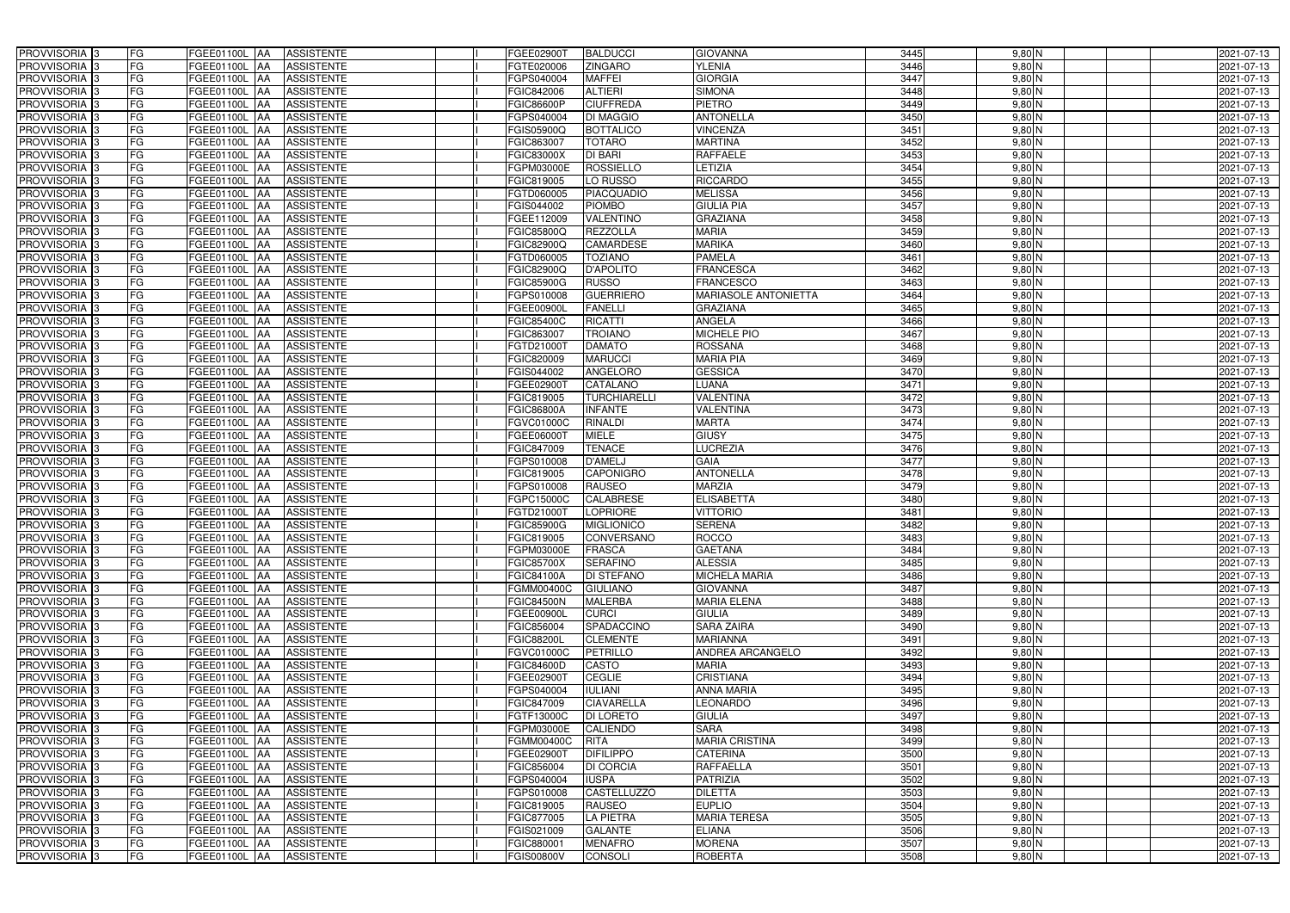| PROVVISORIA 3<br>FG                                                  | FGEE01100L AA<br><b>ASSISTENTE</b>                                               | FGEE02900T<br><b>BALDUCCI</b>                                  | <b>GIOVANNA</b>                      | 3445         | $9,80$ N             | 2021-07-13               |
|----------------------------------------------------------------------|----------------------------------------------------------------------------------|----------------------------------------------------------------|--------------------------------------|--------------|----------------------|--------------------------|
| FG<br>PROVVISORIA 3                                                  | <b>ASSISTENTE</b><br>FGEE01100L                                                  | <b>ZINGARO</b><br>FGTE020006                                   | <b>YLENIA</b>                        | 3446         | $9,80$ N             | 2021-07-13               |
| <b>FG</b><br>PROVVISORIA 3                                           | FGEE01100L<br><b>ASSISTENTE</b><br>IAA                                           | <b>MAFFEI</b><br>FGPS040004                                    | <b>GIORGIA</b>                       | 3447         | $9,80$ N             | 2021-07-13               |
| <b>FG</b><br>PROVVISORIA <sup>3</sup>                                | FGEE01100L<br><b>ASSISTENTE</b><br>IAA                                           | <b>ALTIERI</b><br>FGIC842006                                   | <b>SIMONA</b>                        | 3448         | $9,80$ N             | 2021-07-13               |
| FG<br>PROVVISORIA 3                                                  | FGEE01100L<br><b>ASSISTENTE</b><br>IAA                                           | <b>CIUFFREDA</b><br>FGIC86600P                                 | <b>PIETRO</b>                        | 3449         | $9,80$ N             | 2021-07-13               |
| <b>FG</b><br>PROVVISORIA 3                                           | <b>FGEE01100L AA</b><br><b>ASSISTENTE</b>                                        | FGPS040004<br><b>DI MAGGIO</b>                                 | <b>ANTONELLA</b>                     | 3450         | $9,80$ N             | 2021-07-13               |
| FG<br>PROVVISORIA 3                                                  | FGEE01100L AA<br><b>ASSISTENTE</b>                                               | FGIS05900Q<br><b>BOTTALICO</b>                                 | <b>VINCENZA</b>                      | 3451         | $9,80$ N             | 2021-07-13               |
| FG<br>PROVVISORIA 3                                                  | <b>ASSISTENTE</b><br>FGEE01100L AA                                               | <b>TOTARO</b><br>FGIC863007                                    | <b>MARTINA</b>                       | 3452         | $9,80$ N             | 2021-07-13               |
| PROVVISORIA 3<br><b>FG</b>                                           | FGEE01100L AA<br><b>ASSISTENTE</b>                                               | <b>DI BARI</b><br>FGIC83000X                                   | <b>RAFFAELE</b>                      | 3453         | $9,80$ N             | 2021-07-13               |
| PROVVISORIA 3<br>FG                                                  | FGEE01100L AA<br><b>ASSISTENTE</b>                                               | <b>ROSSIELLO</b><br>FGPM03000E                                 | LETIZIA                              | 3454         | $9,80$ N             | 2021-07-13               |
| PROVVISORIA 3<br>FG                                                  | <b>ASSISTENTE</b><br>FGEE01100L AA                                               | LO RUSSO<br>FGIC819005                                         | <b>RICCARDO</b>                      | 3455         | $9,80$ N             | 2021-07-13               |
| PROVVISORIA 3<br>FG                                                  | FGEE01100L AA<br><b>ASSISTENTE</b>                                               | <b>PIACQUADIO</b><br>FGTD060005                                | <b>MELISSA</b>                       | 3456         | $9,80$ N             | 2021-07-13               |
| FG<br>PROVVISORIA <sup>3</sup>                                       | FGEE01100L<br><b>ASSISTENTE</b><br><b>IAA</b>                                    | <b>PIOMBO</b><br>GIS044002                                     | <b>GIULIA PIA</b>                    | 3457         | $9,80$ N             | 2021-07-13               |
| PROVVISORIA 3<br>FG                                                  | FGEE01100L AA<br><b>ASSISTENTE</b>                                               | VALENTINO<br>FGEE112009                                        | <b>GRAZIANA</b>                      | 3458         | $9,80$ N             | 2021-07-13               |
| PROVVISORIA 3<br><b>FG</b>                                           | FGEE01100L AA<br><b>ASSISTENTE</b>                                               | <b>REZZOLLA</b><br>FGIC85800Q                                  | <b>MARIA</b>                         | 3459         | $9,80$ N             | 2021-07-13               |
| <b>FG</b><br>PROVVISORIA 3                                           | FGEE01100L<br><b>ASSISTENTE</b><br>IAA                                           | <b>CAMARDESE</b><br>FGIC82900Q                                 | <b>MARIKA</b>                        | 3460         | $9,80$ N             | 2021-07-13               |
| PROVVISORIA 3<br>FG                                                  | <b>FGEE01100L</b><br><b>ASSISTENTE</b><br>IAA                                    | <b>TOZIANO</b><br>FGTD060005                                   | <b>PAMELA</b>                        | 3461         | $9,80$ N             | 2021-07-13               |
| PROVVISORIA 3<br>FG                                                  | FGEE01100L<br><b>ASSISTENTE</b><br>IAA                                           | <b>D'APOLITO</b><br>FGIC82900Q                                 | <b>FRANCESCA</b>                     | 3462         | $9,80$ N             | 2021-07-13               |
| PROVVISORIA 3<br>FG                                                  | FGEE01100L<br><b>ASSISTENTE</b><br>IAA                                           | <b>RUSSO</b><br>FGIC85900G                                     | <b>FRANCESCO</b>                     | 3463         | $9,80$ N             | 2021-07-13               |
| PROVVISORIA 3<br>FG                                                  | FGEE01100L<br><b>ASSISTENTE</b><br>IAA                                           | <b>GUERRIERO</b><br>FGPS010008                                 | <b>MARIASOLE ANTONIETTA</b>          | 3464         | 9,80 N               | 2021-07-13               |
| PROVVISORIA <sup>3</sup><br>FG                                       | FGEE01100L<br><b>ASSISTENTE</b>                                                  | FGEE00900L<br><b>FANELLI</b>                                   | <b>GRAZIANA</b>                      | 3465         | 9,80 N               | 2021-07-13               |
| <b>PROVVISORIA</b> 3<br>FG                                           | <b>FGEE01100L</b><br><b>ASSISTENTE</b>                                           | <b>RICATTI</b><br>FGIC85400C                                   | <b>ANGELA</b>                        | 3466         | $9,80$ N             | 2021-07-13               |
| PROVVISORIA <sup>3</sup><br>FG                                       | FGEE01100L<br><b>ASSISTENTE</b>                                                  | <b>TROIANO</b><br>FGIC863007                                   | <b>MICHELE PIO</b>                   | 3467         | $9,80$ N             | 2021-07-13               |
| PROVVISORIA <sup>3</sup><br><b>FG</b>                                | FGEE01100L<br><b>ASSISTENTE</b><br>ΙAΑ                                           | <b>DAMATO</b><br>FGTD21000T                                    | <b>ROSSANA</b>                       | 3468         | $9,80$ N             | 2021-07-13               |
| <b>PROVVISORIA</b> 3<br>FG                                           | <b>FGEE01100L</b><br><b>ASSISTENTE</b><br>IAA                                    | <b>MARUCCI</b><br>FGIC820009                                   | <b>MARIA PIA</b>                     | 3469         | $9,80$ N             | 2021-07-13               |
| PROVVISORIA 3<br>FG                                                  | FGEE01100L<br><b>ASSISTENTE</b><br>IAA                                           | ANGELORO<br>FGIS044002                                         | <b>GESSICA</b>                       | 3470         | $9,80$ N             | 2021-07-13               |
| <b>FG</b><br>PROVVISORIA 3                                           | <b>FGEE01100L AA</b><br><b>ASSISTENTE</b>                                        | FGEE02900T<br>CATALANO                                         | <b>LUANA</b>                         | 3471         | $9,80$ N             | 2021-07-13               |
| <b>FG</b><br>PROVVISORIA 3                                           | <b>FGEE01100L   AA</b><br><b>ASSISTENTE</b>                                      | FGIC819005<br><b>TURCHIARELLI</b>                              | <b>VALENTINA</b>                     | 3472         | $9,80$ N             | 2021-07-13               |
| FG<br>PROVVISORIA 3                                                  | FGEE01100L AA<br><b>ASSISTENTE</b>                                               | <b>INFANTE</b><br>FGIC86800A                                   | <b>VALENTINA</b>                     | 3473         | $9,80$ N             | 2021-07-13               |
| <b>FG</b><br>PROVVISORIA <sup>3</sup>                                | <b>FGEE01100L   AA</b><br><b>ASSISTENTE</b>                                      | RINALDI<br>FGVC01000C                                          | <b>MARTA</b>                         | 3474         | $9,80$ N             | 2021-07-13               |
| FG<br>PROVVISORIA 3                                                  | <b>FGEE01100L AA</b><br><b>ASSISTENTE</b>                                        | FGEE06000T<br><b>MIELE</b>                                     | <b>GIUSY</b>                         | 3475         | $9,80$ N             | 2021-07-13               |
| FG<br>PROVVISORIA 3                                                  | <b>ASSISTENTE</b><br>FGEE01100L AA                                               | <b>TENACE</b><br>FGIC847009                                    | <b>LUCREZIA</b>                      | 3476         | $9,80$ N             | 2021-07-13               |
| FG<br>PROVVISORIA 3                                                  | <b>FGEE01100L</b><br><b>ASSISTENTE</b><br>IAA                                    | <b>D'AMELJ</b><br>FGPS010008                                   | <b>GAIA</b>                          | 3477         | $9,80$ N             | 2021-07-13               |
| <b>FG</b><br>PROVVISORIA 3                                           | FGEE01100L AA<br><b>ASSISTENTE</b>                                               | <b>CAPONIGRO</b><br>FGIC819005                                 | <b>ANTONELLA</b>                     | 3478         | $9,80$ N             | 2021-07-13               |
| <b>FG</b><br><b>PROVVISORIA</b> 3                                    | FGEE01100L<br><b>ASSISTENTE</b><br>IAA                                           | <b>RAUSEO</b><br>FGPS010008                                    | <b>MARZIA</b>                        | 3479         | $9,80$ N             | 2021-07-13               |
| FG<br>PROVVISORIA <sup>1</sup> 3<br>FG<br>PROVVISORIA <sup>1</sup> 3 | FGEE01100L<br><b>ASSISTENTE</b><br>IAA<br><b>FGEE01100L</b><br><b>ASSISTENTE</b> | <b>CALABRESE</b><br>GPC15000C<br><b>LOPRIORE</b><br>FGTD21000T | <b>ELISABETTA</b><br><b>VITTORIO</b> | 3480<br>3481 | $9,80$ N             | 2021-07-13<br>2021-07-13 |
| <b>FG</b><br>PROVVISORIA <sup>3</sup>                                | IAA<br>FGEE01100L AA<br><b>ASSISTENTE</b>                                        | FGIC85900G<br><b>MIGLIONICO</b>                                | <b>SERENA</b>                        | 3482         | $9,80$ N<br>$9,80$ N | 2021-07-13               |
| FG<br>PROVVISORIA <sup>3</sup>                                       | FGEE01100L AA ASSISTENTE                                                         | FGIC819005<br>CONVERSANO                                       | <b>ROCCO</b>                         | 3483         | $9,80$ N             | 2021-07-13               |
| PROVVISORIA <sup>3</sup><br>FG                                       | FGEE01100L AA<br>ASSISTENTE                                                      | FGPM03000E<br><b>FRASCA</b>                                    | <b>GAETANA</b>                       | 3484         | $9,80$ N             | 2021-07-13               |
| PROVVISORIA <sup>3</sup><br>FG                                       | <b>ASSISTENTE</b><br><b>FGEE01100L AA</b>                                        | <b>SERAFINO</b><br>FGIC85700X                                  | <b>ALESSIA</b>                       | 3485         | $9,80$ N             | 2021-07-13               |
| PROVVISORIA 3<br>FG                                                  | FGEE01100L AA<br><b>ASSISTENTE</b>                                               | <b>DI STEFANO</b><br>FGIC84100A                                | <b>MICHELA MARIA</b>                 | 3486         | $9,80$ N             | 2021-07-13               |
| PROVVISORIA <sup>3</sup><br>FG                                       | FGEE01100L AA<br><b>ASSISTENTE</b>                                               | FGMM00400C<br><b>GIULIANO</b>                                  | <b>GIOVANNA</b>                      | 3487         | $9,80$ N             | 2021-07-13               |
| PROVVISORIA <sup>3</sup><br>FG                                       | FGEE01100L AA<br><b>ASSISTENTE</b>                                               | <b>MALERBA</b><br><b>FGIC84500N</b>                            | <b>MARIA ELENA</b>                   | 3488         | $9,80$ N             | 2021-07-13               |
| PROVVISORIA <sup>3</sup><br><b>FG</b>                                | FGEE01100L AA<br><b>ASSISTENTE</b>                                               | FGEE00900L<br><b>CURCI</b>                                     | <b>GIULIA</b>                        | 3489         | $9,80$ N             | 2021-07-13               |
| PROVVISORIA <sup>3</sup><br>FG                                       | FGEE01100L AA<br><b>ASSISTENTE</b>                                               | FGIC856004<br>SPADACCINO                                       | <b>SARA ZAIRA</b>                    | 3490         | $9,80$ N             | 2021-07-13               |
| PROVVISORIA <sup>3</sup><br>FG                                       | FGEE01100L AA<br><b>ASSISTENTE</b>                                               | <b>CLEMENTE</b><br>FGIC88200L                                  | <b>MARIANNA</b>                      | 3491         | $9,80$ N             | 2021-07-13               |
| PROVVISORIA <sup>3</sup><br>FG                                       | FGEE01100L AA<br><b>ASSISTENTE</b>                                               | FGVC01000C<br>PETRILLO                                         | ANDREA ARCANGELO                     | 3492         | $9,80$ N             | 2021-07-13               |
| PROVVISORIA 3<br>FG                                                  | FGEE01100L AA<br><b>ASSISTENTE</b>                                               | FGIC84600D<br><b>CASTO</b>                                     | <b>MARIA</b>                         | 3493         | $9,80$ N             | 2021-07-13               |
| PROVVISORIA 3<br>FG                                                  | FGEE01100L AA<br><b>ASSISTENTE</b>                                               | <b>CEGLIE</b><br>FGEE02900T                                    | <b>CRISTIANA</b>                     | 3494         | $9,80$ N             | 2021-07-13               |
| PROVVISORIA <sup>3</sup><br>FG                                       | FGEE01100L AA<br><b>ASSISTENTE</b>                                               | <b>IULIANI</b><br>FGPS040004                                   | <b>ANNA MARIA</b>                    | 3495         | $9,80$ N             | 2021-07-13               |
| PROVVISORIA <sup>3</sup><br>FG                                       | FGEE01100L AA<br><b>ASSISTENTE</b>                                               | <b>CIAVARELLA</b><br>FGIC847009                                | <b>LEONARDO</b>                      | 3496         | $9,80$ N             | 2021-07-13               |
| PROVVISORIA <sup>3</sup><br>FG                                       | FGEE01100L AA<br><b>ASSISTENTE</b>                                               | <b>DI LORETO</b><br>FGTF13000C                                 | <b>GIULIA</b>                        | 3497         | $9,80$ N             | 2021-07-13               |
| PROVVISORIA <sup>3</sup><br>FG                                       | FGEE01100L AA<br><b>ASSISTENTE</b>                                               | <b>CALIENDO</b><br>FGPM03000E                                  | <b>SARA</b>                          | 3498         | $9,80$ N             | 2021-07-13               |
| FG<br>PROVVISORIA <sup>13</sup>                                      | FGEE01100L AA<br><b>ASSISTENTE</b>                                               | <b>RITA</b><br>FGMM00400C                                      | <b>MARIA CRISTINA</b>                | 3499         | $9,80$ N             | 2021-07-13               |
| FG<br>PROVVISORIA <sup>3</sup>                                       | FGEE01100L AA<br><b>ASSISTENTE</b>                                               | <b>DIFILIPPO</b><br>FGEE02900T                                 | CATERINA                             | 3500         | $9,80$ N             | 2021-07-13               |
| FG<br>PROVVISORIA <sup>3</sup>                                       | FGEE01100L AA<br><b>ASSISTENTE</b>                                               | <b>DI CORCIA</b><br>FGIC856004                                 | <b>RAFFAELLA</b>                     | 3501         | $9,80$ N             | 2021-07-13               |
| FG<br>PROVVISORIA <sup>3</sup>                                       | <b>FGEE01100L   AA</b><br><b>ASSISTENTE</b>                                      | <b>IUSPA</b><br>FGPS040004                                     | <b>PATRIZIA</b>                      | 3502         | $9,80$ N             | 2021-07-13               |
| FG<br>PROVVISORIA <sup>3</sup>                                       | <b>ASSISTENTE</b><br>FGEE01100L AA                                               | <b>CASTELLUZZO</b><br>FGPS010008                               | <b>DILETTA</b>                       | 3503         | $9,80$ N             | 2021-07-13               |
| FG<br>PROVVISORIA <sup>3</sup>                                       | <b>ASSISTENTE</b><br>FGEE01100L AA                                               | FGIC819005<br><b>RAUSEO</b>                                    | <b>EUPLIO</b>                        | 3504         | $9,80$ N             | 2021-07-13               |
| FG<br>PROVVISORIA <sup>3</sup>                                       | FGEE01100L AA<br><b>ASSISTENTE</b>                                               | <b>LA PIETRA</b><br>FGIC877005                                 | <b>MARIA TERESA</b>                  | 3505         | $9,80$ N             | 2021-07-13               |
| FG<br>PROVVISORIA <sup>3</sup>                                       | <b>ASSISTENTE</b><br>FGEE01100L AA                                               | <b>GALANTE</b><br>FGIS021009                                   | <b>ELIANA</b>                        | 3506         | $9,80$ N             | 2021-07-13               |
| FG<br>PROVVISORIA <sup>3</sup>                                       | ASSISTENTE<br>FGEE01100L AA                                                      | FGIC880001<br><b>MENAFRO</b>                                   | <b>MORENA</b>                        | 3507         | $9,80$ N             | 2021-07-13               |
| PROVVISORIA 3<br>FG                                                  | <b>ASSISTENTE</b><br><b>FGEE01100L AA</b>                                        | <b>FGIS00800V</b><br><b>CONSOLI</b>                            | <b>ROBERTA</b>                       | 3508         | $9,80$ N             | 2021-07-13               |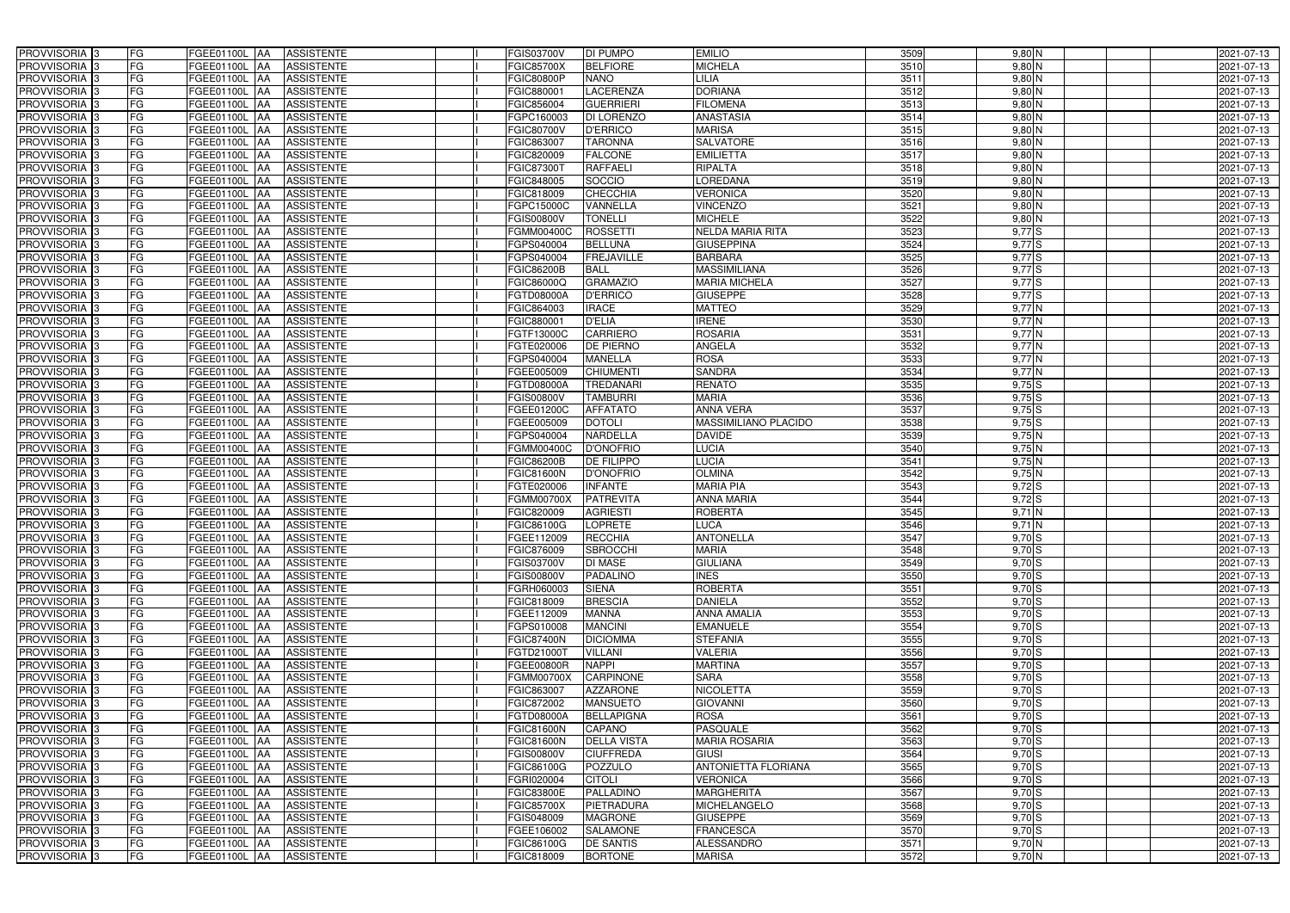| PROVVISORIA 3              | FG        | FGEE01100L AA<br><b>ASSISTENTE</b>            | FGIS03700V<br>DI PUMPO                  | <b>EMILIO</b>              | 3509 | $9,80$ N   | 2021-07-13 |
|----------------------------|-----------|-----------------------------------------------|-----------------------------------------|----------------------------|------|------------|------------|
| PROVVISORIA 3              | FG        | <b>ASSISTENTE</b><br>FGEE01100L               | <b>BELFIORE</b><br>FGIC85700X           | <b>MICHELA</b>             | 3510 | $9,80$ N   | 2021-07-13 |
| PROVVISORIA 3              | <b>FG</b> | <b>FGEE01100L</b><br><b>ASSISTENTE</b><br>IAA | <b>NANO</b><br>FGIC80800P               | LILIA                      | 3511 | $9,80$ N   | 2021-07-13 |
| PROVVISORIA <sup>3</sup>   | FG        | FGEE01100L<br><b>ASSISTENTE</b><br>IAA        | <b>LACERENZA</b><br>FGIC880001          | <b>DORIANA</b>             | 3512 | $9,80$ N   | 2021-07-13 |
| PROVVISORIA 3              | FG        | FGEE01100L<br><b>ASSISTENTE</b>               | <b>GUERRIERI</b><br>FGIC856004          | <b>FILOMENA</b>            | 3513 | $9,80$ N   | 2021-07-13 |
| PROVVISORIA 3              | <b>FG</b> | <b>FGEE01100L AA</b><br><b>ASSISTENTE</b>     | <b>DI LORENZO</b><br>FGPC160003         | <b>ANASTASIA</b>           | 3514 | $9,80$ N   | 2021-07-13 |
| PROVVISORIA 3              | FG        | FGEE01100L AA<br><b>ASSISTENTE</b>            | <b>D'ERRICO</b><br>FGIC80700V           | <b>MARISA</b>              | 3515 | $9,80$ N   | 2021-07-13 |
| PROVVISORIA 3              | FG        | <b>ASSISTENTE</b><br>FGEE01100L AA            | <b>TARONNA</b><br>FGIC863007            | <b>SALVATORE</b>           | 3516 | $9,80$ N   | 2021-07-13 |
| PROVVISORIA 3              | <b>FG</b> | FGEE01100L AA<br><b>ASSISTENTE</b>            | <b>FALCONE</b><br>FGIC820009            | <b>EMILIETTA</b>           | 3517 | $9,80$ N   | 2021-07-13 |
| PROVVISORIA 3              | FG        | FGEE01100L AA<br><b>ASSISTENTE</b>            | <b>RAFFAELI</b><br>FGIC87300T           | RIPALTA                    | 3518 | $9,80$ N   | 2021-07-13 |
| PROVVISORIA 3              | FG        | <b>ASSISTENTE</b><br>FGEE01100L AA            | SOCCIO<br>FGIC848005                    | LOREDANA                   | 3519 | $9,80$ N   | 2021-07-13 |
| PROVVISORIA 3              | FG        | FGEE01100L AA<br><b>ASSISTENTE</b>            | <b>CHECCHIA</b><br>FGIC818009           | <b>VERONICA</b>            | 3520 | $9,80$ N   | 2021-07-13 |
| PROVVISORIA <sup>3</sup>   | FG        | FGEE01100L<br><b>ASSISTENTE</b><br>IAA        | GPC15000C<br>VANNELLA                   | <b>VINCENZO</b>            | 3521 | $9,80$ N   | 2021-07-13 |
| PROVVISORIA 3              | FG        | FGEE01100L AA<br><b>ASSISTENTE</b>            | FGIS00800V<br><b>TONELLI</b>            | <b>MICHELE</b>             | 3522 | $9,80$ N   | 2021-07-13 |
| PROVVISORIA 3              | <b>FG</b> | FGEE01100L AA<br><b>ASSISTENTE</b>            | <b>ROSSETTI</b><br>FGMM00400C           | <b>NELDA MARIA RITA</b>    | 3523 | $9,77$ S   | 2021-07-13 |
| PROVVISORIA 3              | <b>FG</b> | FGEE01100L<br><b>ASSISTENTE</b><br>IAA        | <b>BELLUNA</b><br>GPS040004             | <b>GIUSEPPINA</b>          | 3524 | $9,77$ S   | 2021-07-13 |
| PROVVISORIA 3              | FG        | FGEE01100L<br><b>ASSISTENTE</b><br>IAA        | <b>FREJAVILLE</b><br>GPS040004          | <b>BARBARA</b>             | 3525 | $9,77$ S   | 2021-07-13 |
| PROVVISORIA 3              | FG        | FGEE01100L<br><b>ASSISTENTE</b><br>IAA        | <b>BALL</b><br>FGIC86200B               | <b>MASSIMILIANA</b>        | 3526 | $9,77$ $S$ | 2021-07-13 |
| PROVVISORIA 3              | FG        | FGEE01100L<br><b>ASSISTENTE</b><br>IAA        | <b>GRAMAZIO</b><br>FGIC86000Q           | <b>MARIA MICHELA</b>       | 3527 | $9,77$ S   | 2021-07-13 |
| PROVVISORIA 3              | FG        | FGEE01100L<br><b>ASSISTENTE</b><br>IAA        | <b>D'ERRICO</b><br>FGTD08000A           | <b>GIUSEPPE</b>            | 3528 | $9,77$ S   | 2021-07-13 |
| PROVVISORIA <sup>3</sup>   | FG        | FGEE01100L<br><b>ASSISTENTE</b>               | FGIC864003<br><b>IRACE</b>              | <b>MATTEO</b>              | 3529 | $9,77$ N   | 2021-07-13 |
| <b>PROVVISORIA</b> 3       | FG        | FGEE01100L<br><b>ASSISTENTE</b>               | <b>D'ELIA</b><br>FGIC88000              | <b>IRENE</b>               | 3530 | 9,77 N     | 2021-07-13 |
| PROVVISORIA <sup>3</sup>   | FG        | FGEE01100L<br><b>ASSISTENTE</b>               | <b>CARRIERO</b><br>FGTF13000C           | <b>ROSARIA</b>             | 3531 | $9,77$ N   | 2021-07-13 |
| PROVVISORIA <sup>13</sup>  | <b>FG</b> | <b>FGEE01100L</b><br><b>ASSISTENTE</b><br>ΙAΑ | <b>DE PIERNO</b><br>FGTE020006          | ANGELA                     | 3532 | 9,77N      | 2021-07-13 |
| <b>PROVVISORIA</b> 3       | FG        | FGEE01100L<br><b>ASSISTENTE</b><br>IAA        | GPS040004<br><b>MANELLA</b>             | <b>ROSA</b>                | 3533 | $9,77$ N   | 2021-07-13 |
| PROVVISORIA 3              | FG        | FGEE01100L<br><b>ASSISTENTE</b><br>IAA        | FGEE005009<br><b>CHIUMENT</b>           | <b>SANDRA</b>              | 3534 | 9,77N      | 2021-07-13 |
| PROVVISORIA 3              | <b>FG</b> | <b>FGEE01100L AA</b><br><b>ASSISTENTE</b>     | FGTD08000A<br><b>TREDANARI</b>          | <b>RENATO</b>              | 3535 | $9,75$ S   | 2021-07-13 |
| PROVVISORIA 3              | <b>FG</b> | FGEE01100L<br><b>ASSISTENTE</b><br>IAA        | FGIS00800V<br><b>TAMBURRI</b>           | <b>MARIA</b>               | 3536 | $9,75$ S   | 2021-07-13 |
| PROVVISORIA 3              | FG        | FGEE01100L<br><b>ASSISTENTE</b><br>IAA        | <b>AFFATATO</b><br>FGEE01200C           | ANNA VERA                  | 3537 | $9,75$ S   | 2021-07-13 |
| PROVVISORIA 3              | <b>FG</b> | <b>FGEE01100L   AA</b><br><b>ASSISTENTE</b>   | <b>DOTOLI</b><br>FGEE005009             | MASSIMILIANO PLACIDO       | 3538 | $9,75$ S   | 2021-07-13 |
| PROVVISORIA 3              | FG        | <b>FGEE01100L AA</b><br><b>ASSISTENTE</b>     | <b>NARDELLA</b><br>FGPS040004           | <b>DAVIDE</b>              | 3539 | $9,75$ N   | 2021-07-13 |
| PROVVISORIA 3              | FG        | FGEE01100L<br><b>ASSISTENTE</b><br><b>IAA</b> | <b>D'ONOFRIO</b><br>FGMM00400C          | LUCIA                      | 3540 | $9,75$ N   | 2021-07-13 |
| PROVVISORIA 3              | FG        | <b>FGEE01100L</b><br><b>ASSISTENTE</b><br>IAA | <b>DE FILIPPO</b><br>FGIC86200B         | <b>LUCIA</b>               | 3541 | $9,75$ N   | 2021-07-13 |
| PROVVISORIA 3              | <b>FG</b> | FGEE01100L AA<br><b>ASSISTENTE</b>            | FGIC81600N<br><b>D'ONOFRIO</b>          | <b>OLMINA</b>              | 3542 | $9,75$ N   | 2021-07-13 |
| <b>PROVVISORIA</b> 3       | <b>FG</b> | FGEE01100L<br><b>ASSISTENTE</b><br>IAA        | <b>INFANTE</b><br>FGTE020006            | <b>MARIA PIA</b>           | 3543 | $9,72$ S   | 2021-07-13 |
| <b>PROVVISORIA</b> 3       | FG        | FGEE01100L<br><b>ASSISTENTE</b><br>IAA        | <b>PATREVITA</b><br>FGMM00700X          | <b>ANNA MARIA</b>          | 3544 | $9,72$ S   | 2021-07-13 |
| PROVVISORIA <sup>1</sup> 3 | FG        | <b>FGEE01100L</b><br><b>ASSISTENTE</b><br>IAA | <b>AGRIESTI</b><br><b>GIC820009</b>     | <b>ROBERTA</b>             | 3545 | $9,71$ N   | 2021-07-13 |
| PROVVISORIA <sup>3</sup>   | <b>FG</b> | FGEE01100L AA<br><b>ASSISTENTE</b>            | <b>LOPRETE</b><br>FGIC86100G            | <b>LUCA</b>                | 3546 | $9,71$ N   | 2021-07-13 |
| PROVVISORIA 3              | FG        | FGEE01100L AA ASSISTENTE                      | RECCHIA<br>FGEE112009                   | <b>ANTONELLA</b>           | 3547 | $9,70$ S   | 2021-07-13 |
| PROVVISORIA <sup>3</sup>   | FG        | FGEE01100L AA<br>ASSISTENTE                   | FGIC876009<br><b>SBROCCHI</b>           | <b>MARIA</b>               | 3548 | $9,70$ S   | 2021-07-13 |
| PROVVISORIA <sup>3</sup>   | FG        | ASSISTENTE<br>FGEE01100L AA                   | <b>DI MASE</b><br>FGIS03700V            | <b>GIULIANA</b>            | 3549 | $9,70$ S   | 2021-07-13 |
| PROVVISORIA 3              | FG        | FGEE01100L AA<br><b>ASSISTENTE</b>            | <b>PADALINO</b><br>FGIS00800V           | <b>INES</b>                | 3550 | $9,70$ S   | 2021-07-13 |
| PROVVISORIA <sup>3</sup>   | FG        | FGEE01100L AA<br><b>ASSISTENTE</b>            | FGRH060003<br><b>SIENA</b>              | <b>ROBERTA</b>             | 3551 | $9,70$ S   | 2021-07-13 |
| PROVVISORIA <sup>3</sup>   | FG        | FGEE01100L AA<br><b>ASSISTENTE</b>            | <b>BRESCIA</b><br>FGIC818009            | <b>DANIELA</b>             | 3552 | $9,70$ S   | 2021-07-13 |
| PROVVISORIA <sup>3</sup>   | FG        | FGEE01100L AA<br><b>ASSISTENTE</b>            | FGEE112009<br><b>MANNA</b>              | <b>ANNA AMALIA</b>         | 3553 | $9,70$ S   | 2021-07-13 |
| PROVVISORIA <sup>3</sup>   | FG        | FGEE01100L AA ASSISTENTE                      | <b>MANCINI</b><br>FGPS010008            | <b>EMANUELE</b>            | 3554 | $9,70$ S   | 2021-07-13 |
| PROVVISORIA <sup>3</sup>   | FG        | FGEE01100L AA<br><b>ASSISTENTE</b>            | <b>FGIC87400N</b><br><b>DICIOMMA</b>    | <b>STEFANIA</b>            | 3555 | $9,70$ S   | 2021-07-13 |
| PROVVISORIA <sup>3</sup>   | FG        | FGEE01100L AA<br><b>ASSISTENTE</b>            | FGTD21000T<br><b>VILLANI</b>            | <b>VALERIA</b>             | 3556 | $9,70$ S   | 2021-07-13 |
| PROVVISORIA 3              | FG        | FGEE01100L AA<br><b>ASSISTENTE</b>            | FGEE00800R<br><b>NAPPI</b>              | <b>MARTINA</b>             | 3557 | $9,70$ S   | 2021-07-13 |
| PROVVISORIA <sup>3</sup>   | FG        | FGEE01100L AA<br><b>ASSISTENTE</b>            | <b>CARPINONE</b><br>FGMM00700X          | <b>SARA</b>                | 3558 | $9,70$ S   | 2021-07-13 |
| PROVVISORIA <sup>3</sup>   | FG        | FGEE01100L AA<br>ASSISTENTE                   | <b>AZZARONE</b><br>FGIC863007           | <b>NICOLETTA</b>           | 3559 | $9,70$ S   | 2021-07-13 |
| PROVVISORIA <sup>3</sup>   | FG        | FGEE01100L AA<br><b>ASSISTENTE</b>            | FGIC872002<br><b>MANSUETO</b>           | <b>GIOVANNI</b>            | 3560 | $9,70$ S   | 2021-07-13 |
| PROVVISORIA <sup>3</sup>   | FG        | FGEE01100L AA<br><b>ASSISTENTE</b>            | FGTD08000A<br><b>BELLAPIGNA</b>         | <b>ROSA</b>                | 3561 | $9,70$ S   | 2021-07-13 |
| PROVVISORIA <sup>3</sup>   | FG        | FGEE01100L AA<br><b>ASSISTENTE</b>            | <b>CAPANO</b><br><b>FGIC81600N</b>      | <b>PASQUALE</b>            | 3562 | $9,70$ S   | 2021-07-13 |
| PROVVISORIA 3              | FG        | FGEE01100L AA<br><b>ASSISTENTE</b>            | <b>DELLA VISTA</b><br><b>FGIC81600N</b> | <b>MARIA ROSARIA</b>       | 3563 | $9,70$ S   | 2021-07-13 |
| PROVVISORIA <sup>3</sup>   | FG        | FGEE01100L AA<br><b>ASSISTENTE</b>            | <b>CIUFFREDA</b><br>FGIS00800V          | <b>GIUSI</b>               | 3564 | $9,70$ S   | 2021-07-13 |
| PROVVISORIA <sup>3</sup>   | FG        | FGEE01100L AA<br><b>ASSISTENTE</b>            | <b>POZZULO</b><br>FGIC86100G            | <b>ANTONIETTA FLORIANA</b> | 3565 | $9,70$ S   | 2021-07-13 |
| PROVVISORIA <sup>3</sup>   | FG        | FGEE01100L AA<br><b>ASSISTENTE</b>            | <b>CITOLI</b><br>FGRI020004             | <b>VERONICA</b>            | 3566 | $9,70$ S   | 2021-07-13 |
| PROVVISORIA <sup>3</sup>   | FG        | <b>ASSISTENTE</b><br>FGEE01100L AA            | PALLADINO<br>FGIC83800E                 | <b>MARGHERITA</b>          | 3567 | $9,70$ S   | 2021-07-13 |
| PROVVISORIA 3              | FG        | <b>ASSISTENTE</b><br>FGEE01100L AA            | <b>PIETRADURA</b><br>FGIC85700X         | MICHELANGELO               | 3568 | $9,70$ S   | 2021-07-13 |
| PROVVISORIA 3              | FG        | FGEE01100L AA<br><b>ASSISTENTE</b>            | <b>MAGRONE</b><br>FGIS048009            | <b>GIUSEPPE</b>            | 3569 | $9,70$ S   | 2021-07-13 |
| PROVVISORIA 3              | FG        | FGEE01100L AA<br><b>ASSISTENTE</b>            | <b>SALAMONE</b><br>FGEE106002           | <b>FRANCESCA</b>           | 3570 | $9,70$ S   | 2021-07-13 |
| PROVVISORIA <sup>3</sup>   | FG        | ASSISTENTE<br>FGEE01100L AA                   | <b>DE SANTIS</b><br>FGIC86100G          | <b>ALESSANDRO</b>          | 3571 | $9,70$ N   | 2021-07-13 |
| PROVVISORIA 3              | FG        | ASSISTENTE<br>FGEE01100L AA                   | FGIC818009<br>BORTONE                   | <b>MARISA</b>              | 3572 | $9,70$ N   | 2021-07-13 |
|                            |           |                                               |                                         |                            |      |            |            |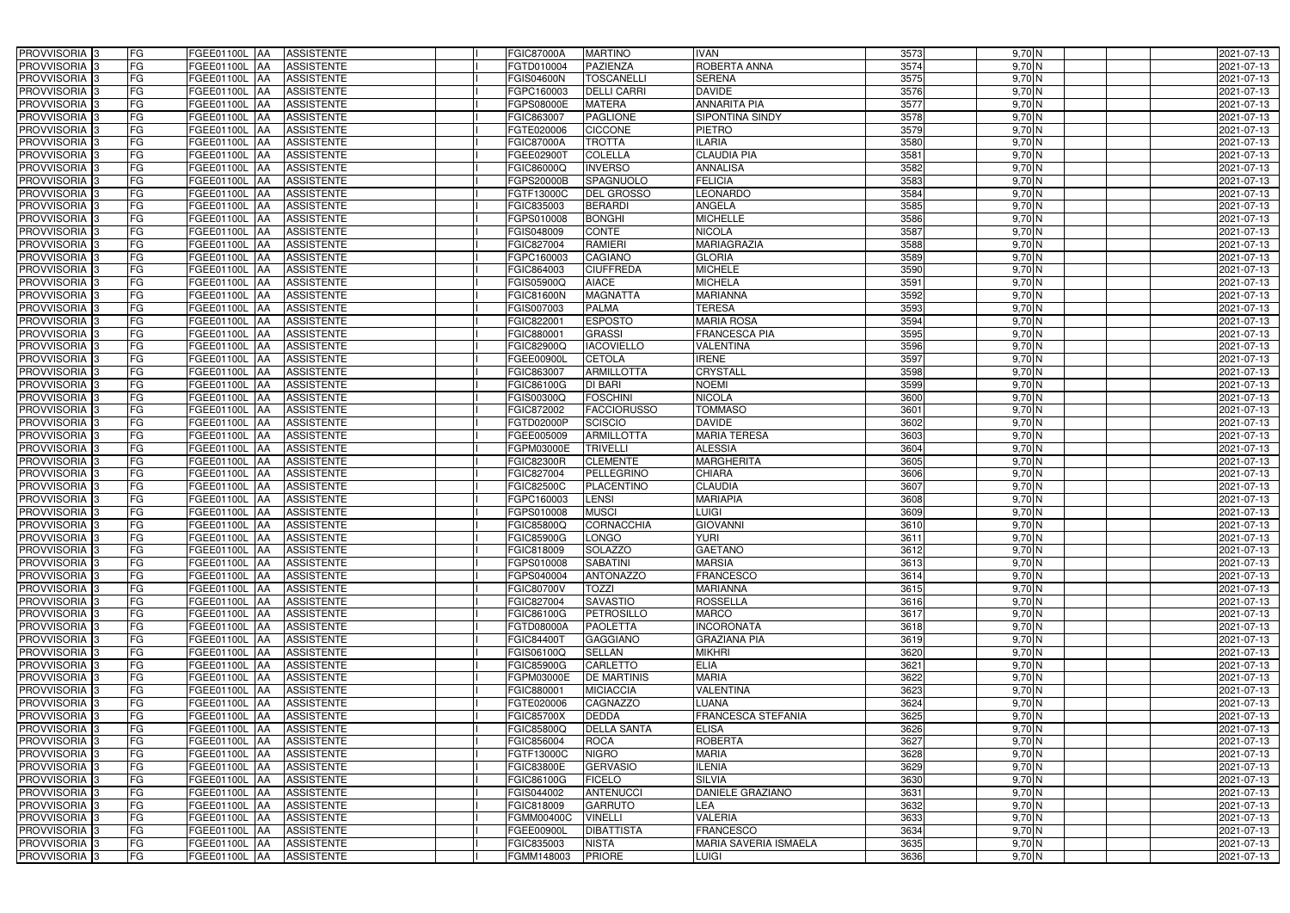| PROVVISORIA 3              | FG        | FGEE01100L AA<br><b>ASSISTENTE</b>            | FGIC87000A        | <b>MARTINO</b>     | <b>IVAN</b>               | 3573 | $9,70$ N               | 2021-07-13 |
|----------------------------|-----------|-----------------------------------------------|-------------------|--------------------|---------------------------|------|------------------------|------------|
| PROVVISORIA 3              | FG        | <b>ASSISTENTE</b><br>FGEE01100L               | FGTD010004        | <b>PAZIENZA</b>    | ROBERTA ANNA              | 3574 | $9,70$ N               | 2021-07-13 |
| PROVVISORIA 3              | FG        | FGEE01100L<br><b>ASSISTENTE</b><br>IAA        | <b>GIS04600N</b>  | <b>TOSCANELLI</b>  | <b>SERENA</b>             | 3575 | 9,70N                  | 2021-07-13 |
| PROVVISORIA <sup>3</sup>   | FG        | FGEE01100L<br><b>ASSISTENTE</b><br>IAA        | GPC160003         | <b>DELLI CARRI</b> | <b>DAVIDE</b>             | 3576 | $9,70$ N               | 2021-07-13 |
| PROVVISORIA 3              | FG        | FGEE01100L<br><b>ASSISTENTE</b><br>IAA        | GPS08000E         | <b>MATERA</b>      | <b>ANNARITA PIA</b>       | 3577 | $9,70$ N               | 2021-07-13 |
| PROVVISORIA 3              | <b>FG</b> | <b>FGEE01100L AA</b><br><b>ASSISTENTE</b>     | FGIC863007        | <b>PAGLIONE</b>    | SIPONTINA SINDY           | 3578 | $9,70$ N               | 2021-07-13 |
| PROVVISORIA 3              | FG        | <b>FGEE01100L   AA</b><br><b>ASSISTENTE</b>   | FGTE020006        | <b>CICCONE</b>     | <b>PIETRO</b>             | 3579 | $9,70\overline{\rm N}$ | 2021-07-13 |
| PROVVISORIA 3              | FG        | <b>ASSISTENTE</b><br>FGEE01100L AA            | FGIC87000A        | <b>TROTTA</b>      | <b>ILARIA</b>             | 3580 | 9,70 N                 | 2021-07-13 |
| PROVVISORIA 3              | <b>FG</b> | FGEE01100L AA<br><b>ASSISTENTE</b>            | FGEE02900T        | <b>COLELLA</b>     | <b>CLAUDIA PIA</b>        | 3581 | 9,70 N                 | 2021-07-13 |
| PROVVISORIA 3              | FG        | FGEE01100L AA<br><b>ASSISTENTE</b>            | FGIC86000Q        | <b>INVERSO</b>     | <b>ANNALISA</b>           | 3582 | 9,70 N                 | 2021-07-13 |
| PROVVISORIA 3              | FG        | <b>ASSISTENTE</b><br>FGEE01100L AA            | GPS20000B         | SPAGNUOLO          | <b>FELICIA</b>            | 3583 | 9,70 N                 | 2021-07-13 |
| PROVVISORIA 3              | FG        | FGEE01100L AA<br><b>ASSISTENTE</b>            | FGTF13000C        | <b>DEL GROSSO</b>  | <b>LEONARDO</b>           | 3584 | 9,70 N                 | 2021-07-13 |
| PROVVISORIA <sup>3</sup>   | FG        | FGEE01100L<br><b>ASSISTENTE</b><br><b>JAA</b> | FGIC835003        | <b>BERARDI</b>     | <b>ANGELA</b>             | 3585 | $9,70$ N               | 2021-07-13 |
| PROVVISORIA 3              | FG        | FGEE01100L AA<br><b>ASSISTENTE</b>            | GPS010008         | <b>BONGHI</b>      | <b>MICHELLE</b>           | 3586 | $9,70$ N               | 2021-07-13 |
| PROVVISORIA 3              | <b>FG</b> | FGEE01100L AA<br><b>ASSISTENTE</b>            | FGIS048009        | <b>CONTE</b>       | <b>NICOLA</b>             | 3587 | $9,70$ N               | 2021-07-13 |
| PROVVISORIA 3              | <b>FG</b> | FGEE01100L<br><b>ASSISTENTE</b><br>IAA        | FGIC827004        | <b>RAMIERI</b>     | <b>MARIAGRAZIA</b>        | 3588 | $9,70$ N               | 2021-07-13 |
| PROVVISORIA 3              | FG        | <b>FGEE01100L</b><br><b>ASSISTENTE</b><br>IAA | FGPC160003        | <b>CAGIANO</b>     | <b>GLORIA</b>             | 3589 | $9,70$ N               | 2021-07-13 |
| PROVVISORIA 3              | FG        | <b>FGEE01100L</b><br><b>ASSISTENTE</b><br>IAA | FGIC864003        | <b>CIUFFREDA</b>   | <b>MICHELE</b>            | 3590 | $9,70$ N               | 2021-07-13 |
| PROVVISORIA 3              | FG        | FGEE01100L<br><b>ASSISTENTE</b><br>IAA        | FGIS05900Q        | <b>AIACE</b>       | <b>MICHELA</b>            | 3591 | $9,70$ N               | 2021-07-13 |
| PROVVISORIA 3              | FG        | FGEE01100L<br><b>ASSISTENTE</b><br>IAA        | FGIC81600N        | <b>MAGNATTA</b>    | <b>MARIANNA</b>           | 3592 | 9,70 N                 | 2021-07-13 |
| PROVVISORIA <sup>3</sup>   | FG        | FGEE01100L<br><b>ASSISTENTE</b>               | FGIS007003        | <b>PALMA</b>       | <b>TERESA</b>             | 3593 | $9,70$ N               | 2021-07-13 |
| <b>PROVVISORIA</b> 3       | FG        | FGEE01100L<br><b>ASSISTENTE</b><br>IAA        | FGIC82200         | <b>ESPOSTO</b>     | <b>MARIA ROSA</b>         | 3594 | $9,70$ N               | 2021-07-13 |
| PROVVISORIA <sup>3</sup>   | FG        | FGEE01100L<br><b>ASSISTENTE</b>               | FGIC88000         | <b>GRASSI</b>      | <b>FRANCESCA PIA</b>      | 3595 | $9,70$ N               | 2021-07-13 |
| PROVVISORIA <sup>3</sup>   | <b>FG</b> | <b>FGEE01100L</b><br><b>ASSISTENTE</b><br>AA  | FGIC82900Q        | <b>IACOVIELLO</b>  | <b>VALENTINA</b>          | 3596 | 9,70 N                 | 2021-07-13 |
| <b>PROVVISORIA</b> 3       | FG        | FGEE01100L<br><b>ASSISTENTE</b><br>IAA        | FGEE00900L        | <b>CETOLA</b>      | <b>IRENE</b>              | 3597 | $9,70$ N               | 2021-07-13 |
| PROVVISORIA 3              | FG        | FGEE01100L<br><b>ASSISTENTE</b><br>IAA        | FGIC863007        | <b>ARMILLOTTA</b>  | <b>CRYSTALL</b>           | 3598 | $9,70$ N               | 2021-07-13 |
| PROVVISORIA 3              | <b>FG</b> | FGEE01100L AA<br><b>ASSISTENTE</b>            | FGIC86100G        | <b>DI BARI</b>     | <b>NOEMI</b>              | 3599 | $9,70$ N               | 2021-07-13 |
| PROVVISORIA 3              | <b>FG</b> | FGEE01100L AA<br><b>ASSISTENTE</b>            | FGIS00300Q        | <b>FOSCHINI</b>    | <b>NICOLA</b>             | 3600 | $9,70$ N               | 2021-07-13 |
| PROVVISORIA 3              | FG        | FGEE01100L AA<br><b>ASSISTENTE</b>            | FGIC872002        | <b>FACCIORUSSO</b> | <b>TOMMASO</b>            | 3601 | $9,70$ N               | 2021-07-13 |
| PROVVISORIA 3              | <b>FG</b> | <b>FGEE01100L   AA</b><br><b>ASSISTENTE</b>   | FGTD02000P        | <b>SCISCIO</b>     | <b>DAVIDE</b>             | 3602 | $9,70$ N               | 2021-07-13 |
| PROVVISORIA 3              | FG        | <b>FGEE01100L AA</b><br><b>ASSISTENTE</b>     | FGEE005009        | <b>ARMILLOTTA</b>  | <b>MARIA TERESA</b>       | 3603 | $9,70$ N               | 2021-07-13 |
| PROVVISORIA 3              | FG        | <b>ASSISTENTE</b><br>FGEE01100L AA            | FGPM03000E        | <b>TRIVELLI</b>    | <b>ALESSIA</b>            | 3604 | $9,70$ N               | 2021-07-13 |
| PROVVISORIA 3              | FG        | FGEE01100L<br><b>ASSISTENTE</b><br><b>IAA</b> | <b>FGIC82300R</b> | <b>CLEMENTE</b>    | <b>MARGHERITA</b>         | 3605 | 9,70 N                 | 2021-07-13 |
| PROVVISORIA 3              | <b>FG</b> | <b>FGEE01100L   AA</b><br><b>ASSISTENTE</b>   | FGIC827004        | <b>PELLEGRINO</b>  | <b>CHIARA</b>             | 3606 | 9,70 N                 | 2021-07-13 |
| PROVVISORIA 3              | <b>FG</b> | FGEE01100L<br><b>ASSISTENTE</b><br>IAA        | FGIC82500C        | <b>PLACENTINO</b>  | <b>CLAUDIA</b>            | 3607 | 9,70 N                 | 2021-07-13 |
| PROVVISORIA <sup>3</sup>   | FG        | FGEE01100L<br><b>ASSISTENTE</b><br>IAA        | GPC160003         | <b>LENSI</b>       | <b>MARIAPIA</b>           | 3608 | 9,70 N                 | 2021-07-13 |
| PROVVISORIA <sup>1</sup> 3 | FG        | <b>FGEE01100L</b><br><b>ASSISTENTE</b><br>IAA | GPS010008         | <b>MUSCI</b>       | LUIGI                     | 3609 | $9,70$ N               | 2021-07-13 |
| PROVVISORIA <sup>3</sup>   | <b>FG</b> | FGEE01100L AA<br><b>ASSISTENTE</b>            | FGIC85800Q        | <b>CORNACCHIA</b>  | <b>GIOVANNI</b>           | 3610 | 9,70 N                 | 2021-07-13 |
| PROVVISORIA <sup>3</sup>   | FG        | FGEE01100L AA ASSISTENTE                      | <b>FGIC85900G</b> | <b>LONGO</b>       | <b>YURI</b>               | 3611 | 9,70 N                 | 2021-07-13 |
| PROVVISORIA <sup>3</sup>   | FG        | FGEE01100L AA<br>ASSISTENTE                   | FGIC818009        | <b>SOLAZZO</b>     | <b>GAETANO</b>            | 3612 | $9,70$ N               | 2021-07-13 |
| PROVVISORIA <sup>3</sup>   | FG        | <b>ASSISTENTE</b><br><b>FGEE01100L AA</b>     | FGPS010008        | <b>SABATINI</b>    | <b>MARSIA</b>             | 3613 | $9,70$ N               | 2021-07-13 |
| PROVVISORIA <sup>3</sup>   | FG        | FGEE01100L AA<br><b>ASSISTENTE</b>            | FGPS040004        | <b>ANTONAZZO</b>   | <b>FRANCESCO</b>          | 3614 | $9,70$ N               | 2021-07-13 |
| PROVVISORIA <sup>3</sup>   | FG        | FGEE01100L AA<br><b>ASSISTENTE</b>            | FGIC80700V        | <b>TOZZI</b>       | <b>MARIANNA</b>           | 3615 | 9,70 N                 | 2021-07-13 |
| PROVVISORIA <sup>3</sup>   | FG        | FGEE01100L AA<br><b>ASSISTENTE</b>            | FGIC827004        | <b>SAVASTIO</b>    | <b>ROSSELLA</b>           | 3616 | 9,70 N                 | 2021-07-13 |
| <b>PROVVISORIA</b> 3       | FG        | FGEE01100L AA<br><b>ASSISTENTE</b>            | FGIC86100G        | PETROSILLO         | <b>MARCO</b>              | 3617 | 9,70 N                 | 2021-07-13 |
| PROVVISORIA <sup>3</sup>   | FG        | FGEE01100L AA<br><b>ASSISTENTE</b>            | <b>FGTD08000A</b> | <b>PAOLETTA</b>    | <b>INCORONATA</b>         | 3618 | 9,70 N                 | 2021-07-13 |
| PROVVISORIA <sup>3</sup>   | FG        | FGEE01100L AA<br><b>ASSISTENTE</b>            | FGIC84400T        | <b>GAGGIANO</b>    | <b>GRAZIANA PIA</b>       | 3619 | 9,70 N                 | 2021-07-13 |
| PROVVISORIA <sup>3</sup>   | FG        | FGEE01100L AA<br><b>ASSISTENTE</b>            | FGIS06100Q        | <b>SELLAN</b>      | <b>MIKHRI</b>             | 3620 | $9,70$ N               | 2021-07-13 |
| PROVVISORIA 3              | FG        | FGEE01100L AA<br><b>ASSISTENTE</b>            | <b>FGIC85900G</b> | <b>CARLETTO</b>    | <b>ELIA</b>               | 3621 | 9,70 N                 | 2021-07-13 |
| PROVVISORIA <sup>3</sup>   | FG        | FGEE01100L AA<br><b>ASSISTENTE</b>            | FGPM03000E        | <b>DE MARTINIS</b> | <b>MARIA</b>              | 3622 | $9,70$ N               | 2021-07-13 |
| PROVVISORIA <sup>3</sup>   | FG        | FGEE01100L AA<br><b>ASSISTENTE</b>            | FGIC880001        | <b>MICIACCIA</b>   | <b>VALENTINA</b>          | 3623 | $9,70$ N               | 2021-07-13 |
| PROVVISORIA <sup>3</sup>   | FG        | FGEE01100L AA<br><b>ASSISTENTE</b>            | FGTE020006        | <b>CAGNAZZO</b>    | LUANA                     | 3624 | $9,70$ N               | 2021-07-13 |
| PROVVISORIA <sup>3</sup>   | FG        | FGEE01100L AA<br><b>ASSISTENTE</b>            | FGIC85700X        | <b>DEDDA</b>       | <b>FRANCESCA STEFANIA</b> | 3625 | $9,70$ N               | 2021-07-13 |
| PROVVISORIA <sup>3</sup>   | FG        | FGEE01100L AA<br><b>ASSISTENTE</b>            | FGIC85800Q        | <b>DELLA SANTA</b> | <b>ELISA</b>              | 3626 | 9,70 N                 | 2021-07-13 |
| PROVVISORIA <sup>13</sup>  | FG        | FGEE01100L AA<br><b>ASSISTENTE</b>            | FGIC856004        | <b>ROCA</b>        | <b>ROBERTA</b>            | 3627 | 9,70 N                 | 2021-07-13 |
| PROVVISORIA <sup>3</sup>   | FG        | FGEE01100L<br><b>ASSISTENTE</b><br>IAA        | FGTF13000C        | <b>NIGRO</b>       | <b>MARIA</b>              | 3628 | 9,70 N                 | 2021-07-13 |
| PROVVISORIA <sup>3</sup>   | FG        | FGEE01100L AA<br><b>ASSISTENTE</b>            | FGIC83800E        | <b>GERVASIO</b>    | <b>ILENIA</b>             | 3629 | 9,70 N                 | 2021-07-13 |
| PROVVISORIA <sup>3</sup>   | FG        | FGEE01100L AA<br><b>ASSISTENTE</b>            | FGIC86100G        | <b>FICELO</b>      | <b>SILVIA</b>             | 3630 | 9,70 N                 | 2021-07-13 |
| PROVVISORIA <sup>3</sup>   | FG        | <b>ASSISTENTE</b><br>FGEE01100L AA            | FGIS044002        | ANTENUCCI          | <b>DANIELE GRAZIANO</b>   | 3631 | 9,70 N                 | 2021-07-13 |
| PROVVISORIA <sup>3</sup>   | FG        | <b>ASSISTENTE</b><br>FGEE01100L AA            | FGIC818009        | <b>GARRUTO</b>     | LEA                       | 3632 | 9,70 N                 | 2021-07-13 |
| PROVVISORIA <sup>3</sup>   | FG        | FGEE01100L AA<br><b>ASSISTENTE</b>            | FGMM00400C        | <b>VINELLI</b>     | <b>VALERIA</b>            | 3633 | 9,70 N                 | 2021-07-13 |
| PROVVISORIA <sup>3</sup>   | FG        | <b>ASSISTENTE</b><br>FGEE01100L AA            | FGEE00900L        | <b>DIBATTISTA</b>  | <b>FRANCESCO</b>          | 3634 | $9,70$ N               | 2021-07-13 |
| PROVVISORIA <sup>3</sup>   | FG        | ASSISTENTE<br>FGEE01100L AA                   | FGIC835003        | <b>NISTA</b>       | MARIA SAVERIA ISMAELA     | 3635 | $9,70$ N               | 2021-07-13 |
| PROVVISORIA 3              | FG        | <b>ASSISTENTE</b><br><b>FGEE01100L AA</b>     | FGMM148003        | <b>PRIORE</b>      | <b>LUIGI</b>              | 3636 | $9,70$ N               | 2021-07-13 |
|                            |           |                                               |                   |                    |                           |      |                        |            |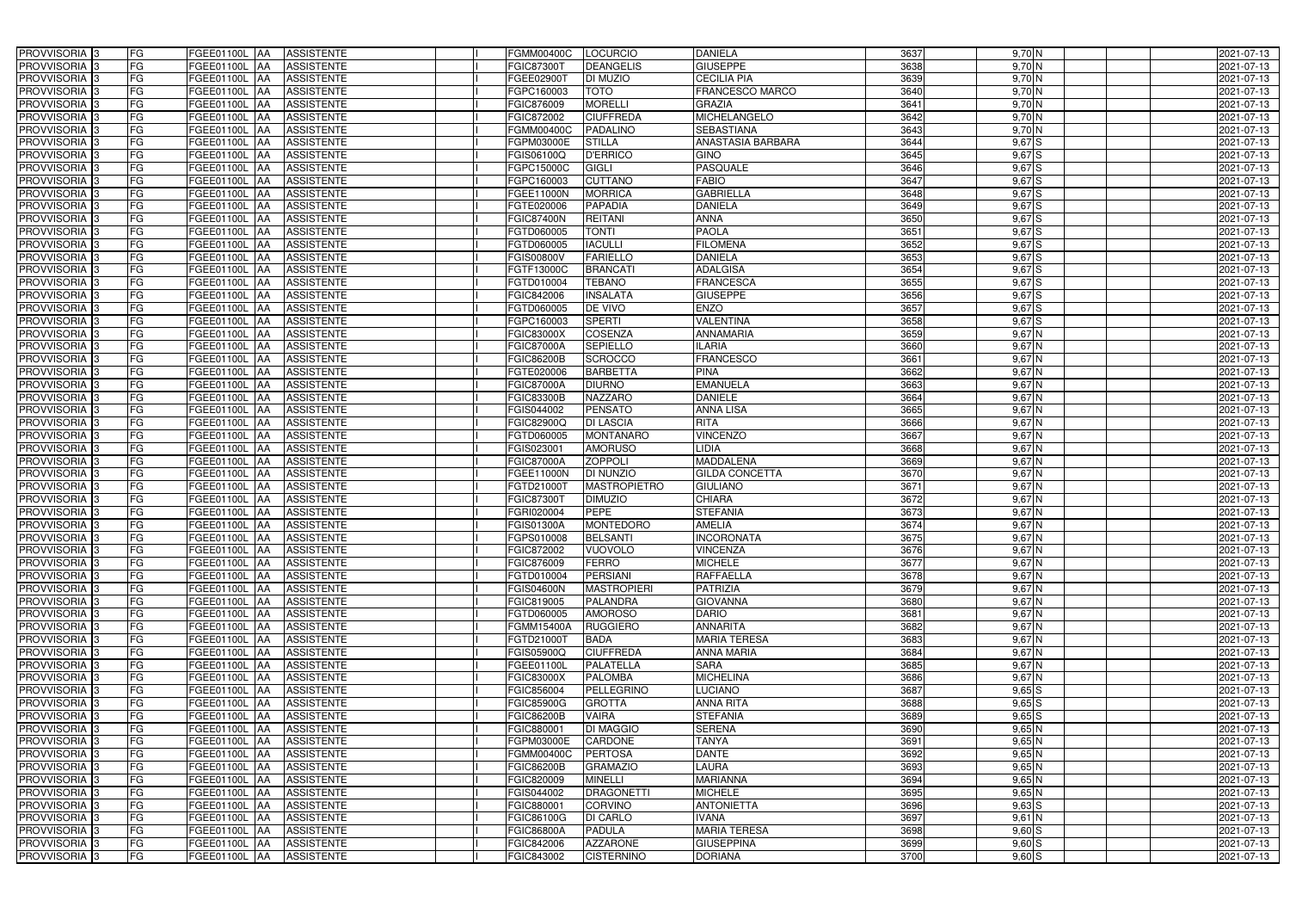| PROVVISORIA <sup>3</sup>                             | <b>FG</b> | FGEE01100L AA                  | <b>ASSISTENTE</b>                      | <b>FGMM00400C</b>               | <b>LOCURCIO</b>                     | <b>DANIELA</b>                         | 3637         | 9,70 N               | 2021-07-13               |
|------------------------------------------------------|-----------|--------------------------------|----------------------------------------|---------------------------------|-------------------------------------|----------------------------------------|--------------|----------------------|--------------------------|
| PROVVISORIA <sup>3</sup>                             | FG        | FGEE01100L                     | <b>ASSISTENTE</b><br>IAA               | FGIC873001                      | <b>DEANGELIS</b>                    | <b>GIUSEPPE</b>                        | 3638         | $9,70$ N             | 2021-07-13               |
| PROVVISORIA <sup>3</sup>                             | FG        | FGEE01100L                     | <b>ASSISTENTE</b><br>IAA               | FGEE02900T                      | DI MUZIO                            | <b>CECILIA PIA</b>                     | 3639         | 9,70 N               | 2021-07-13               |
| PROVVISORIA <sup>3</sup>                             | FG        | FGEE01100L                     | <b>ASSISTENTE</b><br>IAA               | FGPC160003                      | <b>TOTO</b>                         | FRANCESCO MARCO                        | 3640         | $9,70$ N             | 2021-07-13               |
| PROVVISORIA <sup>3</sup>                             | FG        | FGEE01100L                     | <b>ASSISTENTE</b><br>IAA               | FGIC876009                      | <b>MORELLI</b>                      | <b>GRAZIA</b>                          | 3641         | $9,70$ N             | 2021-07-13               |
| PROVVISORIA <sup>3</sup>                             | FG        | <b>FGEE01100L AA</b>           | <b>ASSISTENTE</b>                      | FGIC872002                      | <b>CIUFFREDA</b>                    | <b>MICHELANGELO</b>                    | 3642         | $9,70$ N             | 2021-07-13               |
| PROVVISORIA <sup>1</sup> 3                           | FG        | FGEE01100L AA                  | <b>ASSISTENTE</b>                      | FGMM00400C                      | <b>PADALINO</b>                     | <b>SEBASTIANA</b>                      | 3643         | 9,70 N               | 2021-07-13               |
| PROVVISORIA <sup>1</sup> 3                           | FG        | FGEE01100L AA                  | <b>ASSISTENTE</b>                      | FGPM03000E                      | <b>STILLA</b>                       | <b>ANASTASIA BARBARA</b>               | 3644         | $9,67$ $S$           | 2021-07-13               |
| PROVVISORIA 3                                        | FG        | FGEE01100L AA                  | <b>ASSISTENTE</b>                      | FGIS06100Q                      | <b>D'ERRICO</b>                     | <b>GINO</b>                            | 3645         | $9,67$ $S$           | 2021-07-13               |
| PROVVISORIA <sup>3</sup>                             | FG        | FGEE01100L AA                  | <b>ASSISTENTE</b>                      | FGPC15000C                      | <b>GIGLI</b>                        | <b>PASQUALE</b>                        | 3646         | $9,67$ S             | 2021-07-13               |
| PROVVISORIA 3                                        | FG        | FGEE01100L AA                  | <b>ASSISTENTE</b>                      | FGPC160003                      | <b>CUTTANO</b>                      | <b>FABIO</b>                           | 3647         | $9,67$ $S$           | 2021-07-13               |
| PROVVISORIA 3                                        | FG        | FGEE01100L AA                  | <b>ASSISTENTE</b>                      | <b>FGEE11000N</b>               | <b>MORRICA</b>                      | <b>GABRIELLA</b>                       | 3648         | $9,67$ $S$           | 2021-07-13               |
| PROVVISORIA <sup>3</sup>                             | FG        | FGEE01100L AA                  | <b>ASSISTENTE</b>                      | FGTE020006                      | <b>PAPADIA</b>                      | <b>DANIELA</b>                         | 3649         | 9,67S                | 2021-07-13               |
| PROVVISORIA 3                                        | FG        | FGEE01100L AA                  | <b>ASSISTENTE</b>                      | <b>FGIC87400N</b>               | <b>REITANI</b>                      | <b>ANNA</b>                            | 3650         | 9,67S                | 2021-07-13               |
| PROVVISORIA 3                                        | FG        | FGEE01100L AA                  | <b>ASSISTENTE</b>                      | FGTD060005                      | <b>TONTI</b>                        | <b>PAOLA</b>                           | 3651         | $9,67$ S             | 2021-07-13               |
| PROVVISORIA 3                                        | FG        | <b>FGEE01100L</b>              | <b>ASSISTENTE</b><br><b>IAA</b>        | FGTD060005                      | <b>IACULLI</b>                      | <b>FILOMENA</b>                        | 3652         | 9,67S                | 2021-07-13               |
| PROVVISORIA 3                                        | FG        | FGEE01100L                     | <b>ASSISTENTE</b><br>IAA               | FGIS00800V                      | <b>FARIELLO</b>                     | <b>DANIELA</b>                         | 3653         | $9,67$ S             | 2021-07-13               |
| PROVVISORIA 3                                        | FG        | FGEE01100L AA                  | <b>ASSISTENTE</b>                      | FGTF13000C                      | <b>BRANCATI</b>                     | <b>ADALGISA</b>                        | 3654         | $9,67$ S             | 2021-07-13               |
| PROVVISORIA <sup>3</sup>                             | FG        | FGEE01100L                     | <b>ASSISTENTE</b><br><b>JAA</b>        | FGTD010004                      | <b>TEBANO</b>                       | <b>FRANCESCA</b>                       | 3655         | $9,67$ S             | 2021-07-13               |
| PROVVISORIA 3                                        | FG        | FGEE01100L                     | <b>JAA</b><br><b>ASSISTENTE</b>        | FGIC842006                      | <b>INSALATA</b>                     | <b>GIUSEPPE</b>                        | 3656         | 9,67 S               | 2021-07-13               |
| PROVVISORIA <sup>3</sup>                             | FG        | FGEE01100L                     | <b>ASSISTENTE</b><br>IAA               | FGTD060005                      | DE VIVO                             | <b>ENZO</b>                            | 3657         | 9,67 S               | 2021-07-13               |
| PROVVISORIA 3                                        | FG        | FGEE01100L                     | <b>ASSISTENTE</b><br>IAA               | FGPC160003                      | <b>SPERTI</b>                       | <b>VALENTINA</b>                       | 3658         | $9,67$ S             | 2021-07-13               |
| PROVVISORIA 3                                        | FG        | FGEE01100L                     | <b>ASSISTENTE</b><br>IAA               | FGIC83000X                      | <b>COSENZA</b>                      | <b>ANNAMARIA</b>                       | 3659         | $9,67$ N             | 2021-07-13               |
| PROVVISORIA 3                                        | FG        | FGEE01100L AA                  | <b>ASSISTENTE</b>                      | <b>FGIC87000A</b>               | <b>SEPIELLO</b>                     | <b>ILARIA</b>                          | 3660         | $9,67$ N             | 2021-07-13               |
| PROVVISORIA <sup>3</sup>                             | FG        | FGEE01100L AA                  | <b>ASSISTENTE</b>                      | FGIC86200B                      | <b>SCROCCO</b>                      | <b>FRANCESCO</b>                       | 3661         | $9,67$ N             | 2021-07-13               |
| PROVVISORIA 3                                        | FG        | FGEE01100L                     | <b>ASSISTENTE</b><br> AA               | FGTE020006                      | <b>BARBETTA</b>                     | <b>PINA</b>                            | 3662         | $9,67$ N             | 2021-07-13               |
| PROVVISORIA 3                                        | FG        | FGEE01100L AA                  | <b>ASSISTENTE</b>                      | <b>FGIC87000A</b>               | <b>DIURNO</b>                       | <b>EMANUELA</b>                        | 3663         | $9,67$ N             | 2021-07-13               |
| PROVVISORIA 3                                        | FG        | FGEE01100L                     | <b>ASSISTENTE</b><br>IAA               | <b>FGIC83300B</b>               | <b>NAZZARO</b>                      | <b>DANIELE</b>                         | 3664         | $9,67$ N             | 2021-07-13               |
| PROVVISORIA <sup>3</sup>                             | FG        | FGEE01100L AA                  | <b>ASSISTENTE</b>                      | FGIS044002                      | <b>PENSATO</b>                      | <b>ANNA LISA</b>                       | 3665         | $9,67$ N             | 2021-07-13               |
| PROVVISORIA <sup>3</sup>                             | FG        | FGEE01100L AA                  | <b>ASSISTENTE</b>                      | FGIC82900Q                      | <b>DI LASCIA</b>                    | <b>RITA</b>                            | 3666         | $9,67$ N             | 2021-07-13               |
| PROVVISORIA <sup>3</sup>                             | FG        | FGEE01100L AA                  | <b>ASSISTENTE</b>                      | FGTD060005                      | <b>MONTANARO</b>                    | <b>VINCENZO</b>                        | 3667         | $9,67$ N             | 2021-07-13               |
| PROVVISORIA <sup>3</sup>                             | FG        | FGEE01100L AA                  | <b>ASSISTENTE</b>                      | FGIS023001                      | <b>AMORUSO</b>                      | LIDIA                                  | 3668         | $9,67$ N             | 2021-07-13               |
| PROVVISORIA <sup>3</sup>                             | FG        | FGEE01100L AA                  | <b>ASSISTENTE</b>                      | <b>FGIC87000A</b>               | <b>ZOPPOLI</b>                      | <b>MADDALENA</b>                       | 3669         | 9,67 N               | 2021-07-13               |
| PROVVISORIA <sup>3</sup>                             | FG        | FGEE01100L AA                  | <b>ASSISTENTE</b>                      | FGEE11000N                      | <b>DI NUNZIO</b>                    | <b>GILDA CONCETTA</b>                  | 3670         | $9,67$ N             | 2021-07-13               |
| PROVVISORIA <sup>3</sup>                             | FG        | FGEE01100L                     | <b>ASSISTENTE</b><br>IAA               | FGTD21000T                      | <b>MASTROPIETRO</b>                 | <b>GIULIANO</b>                        | 3671         | $9,67$ N             | 2021-07-13               |
| PROVVISORIA <sup>3</sup>                             | FG        | <b>FGEE01100L</b>              | <b>ASSISTENTE</b><br>IAA               | FGIC87300T                      | <b>DIMUZIO</b>                      | <b>CHIARA</b>                          | 3672         | 9,67 N               | 2021-07-13               |
| PROVVISORIA <sup>3</sup>                             | FG        | FGEE01100L                     | <b>ASSISTENTE</b><br>IAA               | <b>GRI020004</b>                | <b>PEPE</b>                         | <b>STEFANIA</b>                        | 3673         | 9,67 N               | 2021-07-13               |
| PROVVISORIA <sup>3</sup>                             | FG        | FGEE01100L AA                  | <b>ASSISTENTE</b>                      | FGIS01300A                      | <b>MONTEDORO</b>                    | <b>AMELIA</b>                          | 3674         | $9,67$ N             | 2021-07-13               |
| PROVVISORIA <sup>3</sup>                             | FG        | FGEE01100L AA                  | <b>ASSISTENTE</b>                      | FGPS010008                      | <b>BELSANTI</b>                     | <b>INCORONATA</b>                      | 3675         | $9,67$ N             | 2021-07-13               |
| PROVVISORIA <sup>3</sup>                             | FG        | FGEE01100L AA                  | <b>ASSISTENTE</b>                      | FGIC872002                      | <b>VUOVOLO</b>                      | <b>VINCENZA</b>                        | 3676         | $9,67$ N             | 2021-07-13               |
| PROVVISORIA <sup>3</sup>                             | FG        | FGEE01100L AA                  | ASSISTENTE                             | FGIC876009                      | <b>FERRO</b>                        | <b>MICHELE</b>                         | 3677         | $9,67$ N             | 2021-07-13               |
| PROVVISORIA <sup>3</sup>                             | FG        | FGEE01100L AA                  | <b>ASSISTENTE</b>                      | FGTD010004                      | <b>PERSIANI</b>                     | <b>RAFFAELLA</b>                       | 3678         | $9,67$ N             | 2021-07-13               |
| PROVVISORIA <sup>3</sup>                             | FG        | FGEE01100L AA                  | <b>ASSISTENTE</b>                      | <b>FGIS04600N</b>               | <b>MASTROPIERI</b>                  | <b>PATRIZIA</b>                        | 3679         | $9,67$ N             | 2021-07-13               |
| PROVVISORIA <sup>3</sup>                             | FG        | FGEE01100L AA                  | <b>ASSISTENTE</b>                      | FGIC819005                      | <b>PALANDRA</b>                     | <b>GIOVANNA</b>                        | 3680         | $9,67$ N             | 2021-07-13               |
| PROVVISORIA <sup>3</sup>                             | FG        | FGEE01100L AA                  | <b>ASSISTENTE</b>                      | FGTD060005                      | <b>AMOROSO</b>                      | <b>DARIO</b>                           | 3681         | 9,67 N               | 2021-07-13               |
| PROVVISORIA <sup>3</sup>                             | FG        | FGEE01100L AA                  | <b>ASSISTENTE</b>                      | FGMM15400A                      | <b>RUGGIERO</b>                     | <b>ANNARITA</b><br><b>MARIA TERESA</b> | 3682         | 9,67 N               | 2021-07-13               |
| PROVVISORIA <sup>3</sup>                             | FG        | FGEE01100L AA                  | <b>ASSISTENTE</b>                      | FGTD21000T                      | <b>BADA</b>                         |                                        | 3683         | $9,67$ N             | 2021-07-13               |
| PROVVISORIA <sup>3</sup><br>PROVVISORIA <sup>3</sup> | FG<br>FG  | FGEE01100L AA<br>FGEE01100L AA | <b>ASSISTENTE</b>                      | FGIS05900Q<br>FGEE01100L        | <b>CIUFFREDA</b><br>PALATELLA       | <b>ANNA MARIA</b><br><b>SARA</b>       | 3684<br>3685 | $9,67$ N<br>$9,67$ N | 2021-07-13               |
|                                                      |           |                                | <b>ASSISTENTE</b>                      |                                 |                                     |                                        |              |                      | 2021-07-13               |
| PROVVISORIA <sup>3</sup><br>PROVVISORIA <sup>3</sup> | FG<br>FG  | FGEE01100L AA<br>FGEE01100L AA | ASSISTENTE<br><b>ASSISTENTE</b>        | <b>FGIC83000X</b><br>FGIC856004 | <b>PALOMBA</b><br><b>PELLEGRINO</b> | <b>MICHELINA</b><br><b>LUCIANO</b>     | 3686<br>3687 | $9,67$ N<br>$9,65$ S | 2021-07-13<br>2021-07-13 |
| PROVVISORIA <sup>3</sup>                             | FG        | FGEE01100L AA                  |                                        | <b>FGIC85900G</b>               | <b>GROTTA</b>                       | <b>ANNA RITA</b>                       | 3688         | $9,65$ S             | 2021-07-13               |
| PROVVISORIA <sup>3</sup>                             | FG        | FGEE01100L AA                  | <b>ASSISTENTE</b>                      | FGIC86200B                      | <b>VAIRA</b>                        | <b>STEFANIA</b>                        | 3689         | $9,65$ S             | 2021-07-13               |
| PROVVISORIA <sup>3</sup>                             | FG        | FGEE01100L AA                  | <b>ASSISTENTE</b><br><b>ASSISTENTE</b> | FGIC880001                      | <b>DI MAGGIO</b>                    | <b>SERENA</b>                          | 3690         | $9,65$ N             | 2021-07-13               |
| PROVVISORIA <sup>13</sup>                            | FG        | FGEE01100L AA                  | <b>ASSISTENTE</b>                      | FGPM03000E                      | <b>CARDONE</b>                      | <b>TANYA</b>                           | 3691         | $9,65$ N             | 2021-07-13               |
| PROVVISORIA <sup>1</sup> 3                           | FG        | FGEE01100L AA                  | <b>ASSISTENTE</b>                      | FGMM00400C                      | <b>PERTOSA</b>                      | <b>DANTE</b>                           | 3692         | $9,65$ N             | 2021-07-13               |
| PROVVISORIA <sup>3</sup>                             | FG        | FGEE01100L AA                  | <b>ASSISTENTE</b>                      | FGIC86200B                      | <b>GRAMAZIO</b>                     | <b>LAURA</b>                           | 3693         | $9,65$ N             | 2021-07-13               |
| <b>PROVVISORIA</b> 3                                 | FG        | FGEE01100L AA                  | <b>ASSISTENTE</b>                      | FGIC820009                      | <b>MINELLI</b>                      | <b>MARIANNA</b>                        | 3694         | $9,65$ N             | 2021-07-13               |
| PROVVISORIA <sup>3</sup>                             | FG        | FGEE01100L AA                  | <b>ASSISTENTE</b>                      | FGIS044002                      | <b>DRAGONETTI</b>                   | <b>MICHELE</b>                         | 3695         | $9,65$ N             | 2021-07-13               |
| PROVVISORIA <sup>1</sup> 3                           | FG        | FGEE01100L AA                  | <b>ASSISTENTE</b>                      | FGIC880001                      | <b>CORVINO</b>                      | <b>ANTONIETTA</b>                      | 3696         | $9,63$ $S$           | 2021-07-13               |
| PROVVISORIA <sup>3</sup>                             | FG        | FGEE01100L AA                  | <b>ASSISTENTE</b>                      | FGIC86100G                      | <b>DI CARLO</b>                     | <b>IVANA</b>                           | 3697         | $9,61$ N             | 2021-07-13               |
| PROVVISORIA <sup>3</sup>                             | FG        | FGEE01100L AA                  | <b>ASSISTENTE</b>                      | <b>FGIC86800A</b>               | <b>PADULA</b>                       | <b>MARIA TERESA</b>                    | 3698         | $9,60$ S             | 2021-07-13               |
| PROVVISORIA <sup>3</sup>                             | FG        | FGEE01100L AA                  | <b>ASSISTENTE</b>                      | FGIC842006                      | <b>AZZARONE</b>                     | <b>GIUSEPPINA</b>                      | 3699         | $9,60$ S             | 2021-07-13               |
| PROVVISORIA <sup>3</sup>                             | FG        | FGEE01100L AA                  | ASSISTENTE                             | FGIC843002                      | <b>CISTERNINO</b>                   | <b>DORIANA</b>                         | 3700         | $9,60$ S             | 2021-07-13               |
|                                                      |           |                                |                                        |                                 |                                     |                                        |              |                      |                          |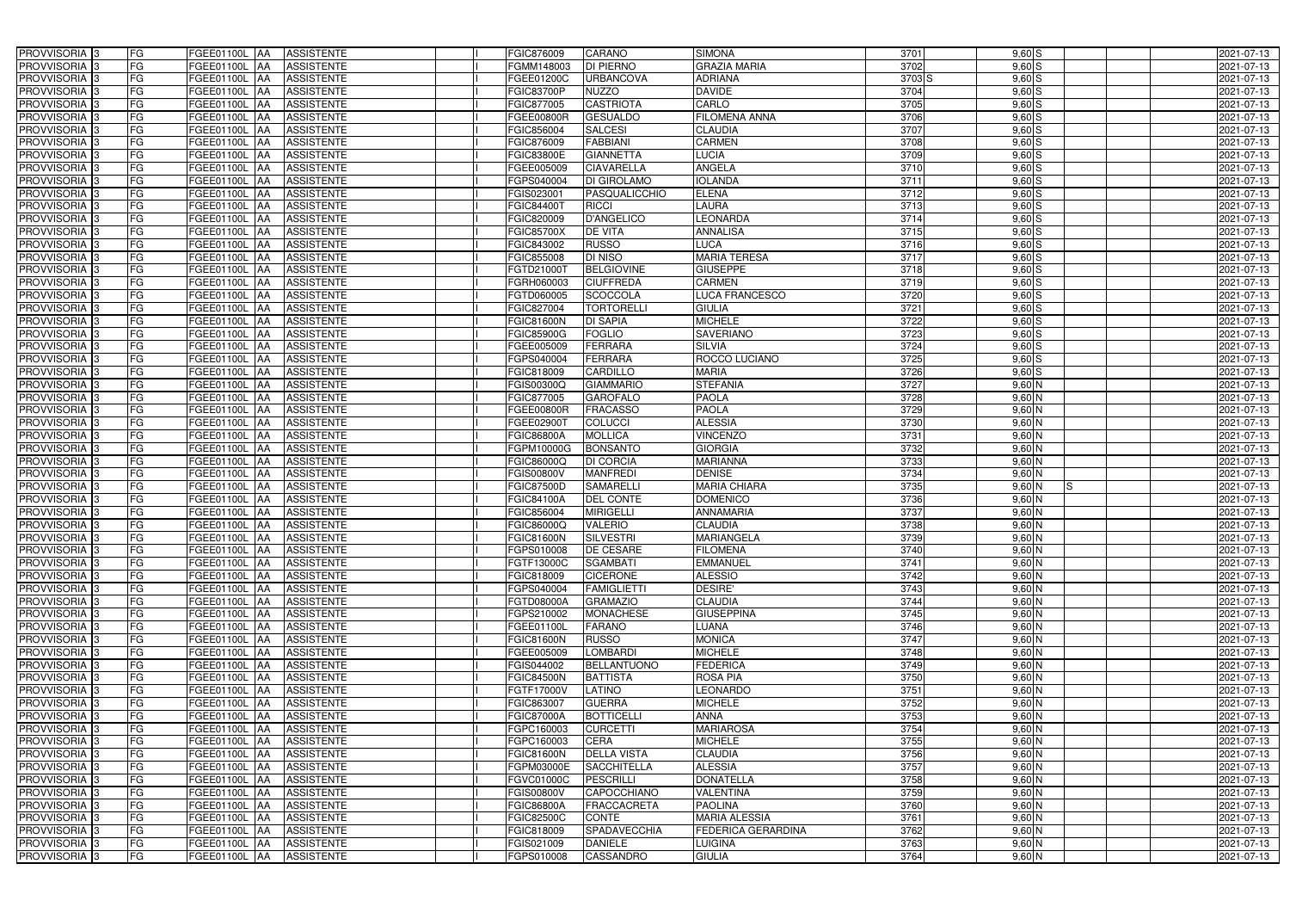| PROVVISORIA 3                                        | FG        | FGEE01100L AA                  | <b>ASSISTENTE</b>                      | FGIC876009                      | CARANO                        | <b>SIMONA</b>                     | 3701              | $9,60$ S             | 2021-07-13               |
|------------------------------------------------------|-----------|--------------------------------|----------------------------------------|---------------------------------|-------------------------------|-----------------------------------|-------------------|----------------------|--------------------------|
| PROVVISORIA 3                                        | FG        | FGEE01100L                     | <b>ASSISTENTE</b>                      | FGMM148003                      | <b>DI PIERNO</b>              | <b>GRAZIA MARIA</b>               | 3702              | $9,60$ S             | 2021-07-13               |
| PROVVISORIA 3                                        | <b>FG</b> | <b>FGEE01100L</b><br>IAA       | <b>ASSISTENTE</b>                      | FGEE01200C                      | <b>URBANCOVA</b>              | <b>ADRIANA</b>                    | 3703 <sub>S</sub> | 9,60S                | 2021-07-13               |
| PROVVISORIA <sup>3</sup>                             | FG        | FGEE01100L<br>IAA              | <b>ASSISTENTE</b>                      | <b>FGIC83700P</b>               | <b>NUZZO</b>                  | <b>DAVIDE</b>                     | 3704              | $9,60$ S             | 2021-07-13               |
| PROVVISORIA <sup>3</sup>                             | FG        | FGEE01100L<br>IAA              | <b>ASSISTENTE</b>                      | FGIC877005                      | <b>CASTRIOTA</b>              | CARLO                             | 3705              | $9,60$ S             | 2021-07-13               |
| PROVVISORIA 3                                        | <b>FG</b> | <b>FGEE01100L AA</b>           | <b>ASSISTENTE</b>                      | FGEE00800R                      | <b>GESUALDO</b>               | <b>FILOMENA ANNA</b>              | 3706              | $9,60$ S             | 2021-07-13               |
| PROVVISORIA 3                                        | FG        | FGEE01100L AA                  | <b>ASSISTENTE</b>                      | FGIC856004                      | <b>SALCESI</b>                | <b>CLAUDIA</b>                    | 3707              | $9,60$ S             | 2021-07-13               |
| PROVVISORIA 3                                        | FG        | FGEE01100L AA                  | <b>ASSISTENTE</b>                      | FGIC876009                      | <b>FABBIANI</b>               | <b>CARMEN</b>                     | 3708              | $9,60$ S             | 2021-07-13               |
| PROVVISORIA 3                                        | <b>FG</b> | FGEE01100L AA                  | <b>ASSISTENTE</b>                      | <b>FGIC83800E</b>               | <b>GIANNETTA</b>              | <b>LUCIA</b>                      | 3709              | $9,60$ S             | 2021-07-13               |
| PROVVISORIA 3                                        | FG        | FGEE01100L AA                  | <b>ASSISTENTE</b>                      | FGEE005009                      | <b>CIAVARELLA</b>             | <b>ANGELA</b>                     | 3710              | $9,60$ S             | 2021-07-13               |
| PROVVISORIA 3                                        | FG        | FGEE01100L AA                  | <b>ASSISTENTE</b>                      | FGPS040004                      | <b>DI GIROLAMO</b>            | <b>IOLANDA</b>                    | 3711              | $9,60$ S             | 2021-07-13               |
| PROVVISORIA 3                                        | FG        | FGEE01100L AA                  | <b>ASSISTENTE</b>                      | FGIS023001                      | PASQUALICCHIO                 | <b>ELENA</b>                      | 3712              | $9,60$ S             | 2021-07-13               |
| PROVVISORIA <sup>3</sup>                             | FG        | FGEE01100L<br><b>IAA</b>       | <b>ASSISTENTE</b>                      | FGIC844001                      | <b>RICCI</b>                  | <b>LAURA</b>                      | 3713              | $9,60$ S             | 2021-07-13               |
| PROVVISORIA 3                                        | FG        | FGEE01100L AA                  | <b>ASSISTENTE</b>                      | FGIC820009                      | <b>D'ANGELICO</b>             | <b>EONARDA</b>                    | 3714              | $9,60$ S             | 2021-07-13               |
| PROVVISORIA 3                                        | <b>FG</b> | <b>FGEE01100L   AA</b>         | <b>ASSISTENTE</b>                      | <b>FGIC85700X</b>               | <b>DE VITA</b>                | <b>ANNALISA</b>                   | 3715              | $9,60$ S             | 2021-07-13               |
| PROVVISORIA 3                                        | <b>FG</b> | FGEE01100L<br>IAA.             | <b>ASSISTENTE</b>                      | FGIC843002                      | <b>RUSSO</b>                  | <b>LUCA</b>                       | 3716              | $9,60$ S             | 2021-07-13               |
| PROVVISORIA 3                                        | FG        | <b>FGEE01100L</b><br>IAA       | <b>ASSISTENTE</b>                      | FGIC855008                      | <b>DI NISO</b>                | <b>MARIA TERESA</b>               | 3717              | $9,60$ S             | 2021-07-13               |
| PROVVISORIA 3                                        | FG        | <b>FGEE01100L</b><br>IAA       | <b>ASSISTENTE</b>                      | FGTD210001                      | <b>BELGIOVINE</b>             | <b>GIUSEPPE</b>                   | 3718              | $9,60$ S             | 2021-07-13               |
| PROVVISORIA 3                                        | FG        | <b>FGEE01100L</b><br>IAA       | <b>ASSISTENTE</b>                      | FGRH060003                      | <b>CIUFFREDA</b>              | <b>CARMEN</b>                     | 3719              | $9,60$ S             | 2021-07-13               |
| PROVVISORIA 3                                        | FG        | FGEE01100L<br>IAA              | <b>ASSISTENTE</b>                      | FGTD060005                      | <b>SCOCCOLA</b>               | <b>LUCA FRANCESCO</b>             | 3720              | $9,60$ S             | 2021-07-13               |
| PROVVISORIA <sup>3</sup>                             | FG        | FGEE01100L                     | <b>ASSISTENTE</b>                      | FGIC827004                      | <b>TORTORELLI</b>             | <b>GIULIA</b>                     | $\frac{1}{3721}$  | $9,60$ S             | 2021-07-13               |
| <b>PROVVISORIA</b> 3                                 | FG        | FGEE01100L<br>IAA              | <b>ASSISTENTE</b>                      | <b>FGIC81600N</b>               | <b>DI SAPIA</b>               | <b>MICHELE</b>                    | 3722              | $9,60$ S             | 2021-07-13               |
| PROVVISORIA <sup>3</sup>                             | FG        | FGEE01100L<br>IAA              | <b>ASSISTENTE</b>                      | <b>FGIC85900G</b>               | <b>FOGLIO</b>                 | <b>SAVERIANO</b>                  | 3723              | $9,60$ S             | 2021-07-13               |
| PROVVISORIA <sup>13</sup>                            | <b>FG</b> | FGEE01100L<br>IAA              | <b>ASSISTENTE</b>                      | FGEE005009                      | <b>FERRARA</b>                | <b>SILVIA</b>                     | 3724              | 9,60S                | 2021-07-13               |
| <b>PROVVISORIA</b> 3                                 | FG        | FGEE01100L<br>IAA              | <b>ASSISTENTE</b>                      | FGPS040004                      | <b>FERRARA</b>                | ROCCO LUCIANO                     | 3725              | $9,60$ S             | 2021-07-13               |
| PROVVISORIA 3                                        | FG        | FGEE01100L<br>IAA              | <b>ASSISTENTE</b>                      | FGIC818009                      | <b>CARDILLO</b>               | <b>MARIA</b>                      | 3726              | 9,60S                | 2021-07-13               |
| PROVVISORIA 3                                        | <b>FG</b> | FGEE01100L AA                  | <b>ASSISTENTE</b>                      | FGIS00300Q                      | <b>GIAMMARIO</b>              | <b>STEFANIA</b>                   | 3727              | $9,60$ N             | 2021-07-13               |
| PROVVISORIA 3                                        | <b>FG</b> | FGEE01100L AA                  | <b>ASSISTENTE</b>                      | FGIC877005                      | <b>GAROFALO</b>               | <b>PAOLA</b>                      | 3728              | $9,60$ N             | 2021-07-13               |
| PROVVISORIA 3                                        | FG        | FGEE01100L AA                  | <b>ASSISTENTE</b>                      | FGEE00800R                      | <b>FRACASSO</b>               | <b>PAOLA</b>                      | 3729              | $9,60$ N             | 2021-07-13               |
| PROVVISORIA 3                                        | <b>FG</b> | FGEE01100L AA                  | <b>ASSISTENTE</b>                      | FGEE029001                      | <b>COLUCCI</b>                | <b>ALESSIA</b>                    | 3730              | $9,60$ N             | 2021-07-13               |
| PROVVISORIA 3                                        | FG        | FGEE01100L AA                  | <b>ASSISTENTE</b>                      | <b>FGIC86800A</b>               | <b>MOLLICA</b>                | <b>VINCENZO</b>                   | 3731              | $9,60$ N             | 2021-07-13               |
| PROVVISORIA 3                                        | FG        | FGEE01100L AA                  | <b>ASSISTENTE</b>                      | FGPM10000G                      | <b>BONSANTO</b>               | <b>GIORGIA</b>                    | 3732              | $9,60$ N             | 2021-07-13               |
| PROVVISORIA 3                                        | FG        | FGEE01100L<br><b>IAA</b>       | <b>ASSISTENTE</b>                      | FGIC86000Q                      | <b>DI CORCIA</b>              | <b>MARIANNA</b>                   | 3733              | $9,60$ N             | 2021-07-13               |
| PROVVISORIA 3                                        | <b>FG</b> | FGEE01100L AA                  | <b>ASSISTENTE</b>                      | <b>FGIS00800V</b>               | <b>MANFREDI</b>               | <b>DENISE</b>                     | 3734              | $9,60$ N             | 2021-07-13               |
| <b>PROVVISORIA</b>                                   | <b>FG</b> | FGEE01100L<br>IAA              | <b>ASSISTENTE</b>                      | <b>FGIC87500D</b>               | <b>SAMARELL</b>               | <b>MARIA CHIARA</b>               | 3735              | $9,60$ N<br>IS       | 2021-07-13               |
| <b>PROVVISORIA</b> 3                                 | FG        | FGEE01100L<br>IAA              | <b>ASSISTENTE</b>                      | FGIC84100A                      | <b>DEL CONTE</b>              | <b>DOMENICO</b>                   | 3736              | $9,60$ N             | 2021-07-13               |
| PROVVISORIA <sup>1</sup> 3                           | FG        | FGEE01100L<br>IAA              | <b>ASSISTENTE</b>                      | FGIC856004                      | <b>MIRIGELLI</b>              | <b>ANNAMARIA</b>                  | 3737              | $9,60$ N             | 2021-07-13               |
| PROVVISORIA <sup>3</sup>                             | <b>FG</b> | FGEE01100L AA                  | <b>ASSISTENTE</b>                      | FGIC86000Q                      | <b>VALERIO</b>                | <b>CLAUDIA</b>                    | 3738              | $9,60$ N             | 2021-07-13               |
| PROVVISORIA <sup>3</sup>                             | FG        | FGEE01100L AA ASSISTENTE       |                                        | <b>FGIC81600N</b>               | SILVESTRI                     | <b>MARIANGELA</b>                 | 3739              | $9,60$ N             | 2021-07-13               |
| PROVVISORIA <sup>3</sup>                             | FG        | FGEE01100L AA                  | <b>ASSISTENTE</b>                      | FGPS010008                      | <b>DE CESARE</b>              | <b>FILOMENA</b>                   | 3740              | $9,60$ N             | 2021-07-13               |
| PROVVISORIA <sup>3</sup>                             | FG        | FGEE01100L AA                  | <b>ASSISTENTE</b>                      | FGTF13000C                      | <b>SGAMBATI</b>               | <b>EMMANUEL</b>                   | 3741              | $9,60$ N             | 2021-07-13               |
| PROVVISORIA <sup>3</sup>                             | FG        | FGEE01100L AA                  | <b>ASSISTENTE</b>                      | FGIC818009                      | <b>CICERONE</b>               | <b>ALESSIO</b>                    | 3742              | $9,60$ N             | 2021-07-13               |
| PROVVISORIA <sup>3</sup>                             | FG        | FGEE01100L AA                  | <b>ASSISTENTE</b>                      | FGPS040004                      | <b>FAMIGLIETTI</b>            | <b>DESIRE'</b>                    | 3743              | $9,60$ N             | 2021-07-13               |
| PROVVISORIA <sup>3</sup>                             | FG        | <b>FGEE01100L AA</b>           | <b>ASSISTENTE</b>                      | FGTD08000A                      | <b>GRAMAZIO</b>               | <b>CLAUDIA</b>                    | 3744              | $9,60$ N             | 2021-07-13               |
| PROVVISORIA <sup>3</sup>                             | FG<br>FG  | FGEE01100L AA                  | <b>ASSISTENTE</b>                      | FGPS210002                      | <b>MONACHESE</b>              | <b>GIUSEPPINA</b><br><b>LUANA</b> | 3745              | $9,60$ N             | 2021-07-13               |
| PROVVISORIA <sup>3</sup><br>PROVVISORIA <sup>3</sup> | FG        | FGEE01100L AA<br>FGEE01100L AA | <b>ASSISTENTE</b><br><b>ASSISTENTE</b> | FGEE01100L<br><b>FGIC81600N</b> | <b>FARANO</b><br><b>RUSSO</b> | <b>MONICA</b>                     | 3746<br>3747      | $9,60$ N<br>$9,60$ N | 2021-07-13<br>2021-07-13 |
| PROVVISORIA <sup>3</sup>                             | FG        | FGEE01100L AA                  | <b>ASSISTENTE</b>                      | FGEE005009                      | <b>LOMBARDI</b>               | <b>MICHELE</b>                    | 3748              | $9,60$ N             |                          |
| PROVVISORIA <sup>3</sup>                             | FG        | FGEE01100L AA                  | <b>ASSISTENTE</b>                      | FGIS044002                      | <b>BELLANTUONO</b>            | <b>FEDERICA</b>                   | 3749              | $9,60$ N             | 2021-07-13<br>2021-07-13 |
| PROVVISORIA <sup>3</sup>                             | FG        | FGEE01100L AA                  | <b>ASSISTENTE</b>                      | <b>FGIC84500N</b>               | <b>BATTISTA</b>               | <b>ROSA PIA</b>                   | 3750              | $9,60$ N             | 2021-07-13               |
| PROVVISORIA 3                                        | FG        | FGEE01100L AA                  | ASSISTENTE                             | FGTF17000V                      | LATINO                        | <b>EONARDO</b>                    | 3751              | $9,60$ N             | 2021-07-13               |
| PROVVISORIA <sup>3</sup>                             | FG        | FGEE01100L AA                  | <b>ASSISTENTE</b>                      | FGIC863007                      | <b>GUERRA</b>                 | <b>MICHELE</b>                    | 3752              | $9,60$ N             | 2021-07-13               |
| PROVVISORIA <sup>3</sup>                             | FG        | <b>FGEE01100L   AA</b>         | <b>ASSISTENTE</b>                      | <b>FGIC87000A</b>               | <b>BOTTICELLI</b>             | <b>ANNA</b>                       | 3753              | $9,60$ N             |                          |
| PROVVISORIA <sup>3</sup>                             | FG        | FGEE01100L AA                  | <b>ASSISTENTE</b>                      | FGPC160003                      | <b>CURCETTI</b>               | <b>MARIAROSA</b>                  | 3754              | $9,60$ N             | 2021-07-13<br>2021-07-13 |
| PROVVISORIA <sup>13</sup>                            | FG        | FGEE01100L AA                  | <b>ASSISTENTE</b>                      | FGPC160003                      | <b>CERA</b>                   | <b>MICHELE</b>                    | 3755              | $9,60$ N             | 2021-07-13               |
| PROVVISORIA <sup>3</sup>                             | FG        | FGEE01100L AA                  | <b>ASSISTENTE</b>                      | <b>FGIC81600N</b>               | <b>DELLA VISTA</b>            | <b>CLAUDIA</b>                    | 3756              | $9,60$ N             | 2021-07-13               |
| PROVVISORIA <sup>3</sup>                             | FG        | FGEE01100L AA                  | <b>ASSISTENTE</b>                      | FGPM03000E                      | <b>SACCHITELLA</b>            | <b>ALESSIA</b>                    | 3757              | $9,60$ N             | 2021-07-13               |
| PROVVISORIA <sup>3</sup>                             | FG        | FGEE01100L AA                  | <b>ASSISTENTE</b>                      | FGVC01000C                      | PESCRILLI                     | <b>DONATELLA</b>                  | 3758              | $9,60$ N             | 2021-07-13               |
| PROVVISORIA <sup>3</sup>                             | FG        | FGEE01100L AA                  | <b>ASSISTENTE</b>                      | <b>FGIS00800V</b>               | CAPOCCHIANO                   | <b>VALENTINA</b>                  | 3759              | $9,60$ N             | 2021-07-13               |
| PROVVISORIA <sup>3</sup>                             | FG        | FGEE01100L AA                  | <b>ASSISTENTE</b>                      | <b>FGIC86800A</b>               | FRACCACRETA                   | <b>PAOLINA</b>                    | 3760              | $9,60$ N             | 2021-07-13               |
| PROVVISORIA <sup>3</sup>                             | FG        | FGEE01100L AA                  | <b>ASSISTENTE</b>                      | FGIC82500C                      | <b>CONTE</b>                  | <b>MARIA ALESSIA</b>              | 3761              | $9,60$ N             | 2021-07-13               |
| PROVVISORIA <sup>3</sup>                             | FG        | FGEE01100L AA                  | <b>ASSISTENTE</b>                      | FGIC818009                      | SPADAVECCHIA                  | <b>FEDERICA GERARDINA</b>         | 3762              | $9,60$ N             | 2021-07-13               |
| PROVVISORIA <sup>3</sup>                             | FG        | <b>FGEE01100L AA</b>           | <b>ASSISTENTE</b>                      | FGIS021009                      | <b>DANIELE</b>                | <b>LUIGINA</b>                    | 3763              | $9,60$ N             | 2021-07-13               |
| PROVVISORIA 3                                        | FG        | FGEE01100L AA                  | ASSISTENTE                             | FGPS010008                      | <b>CASSANDRO</b>              | <b>GIULIA</b>                     | 3764              | $9,60$ N             | 2021-07-13               |
|                                                      |           |                                |                                        |                                 |                               |                                   |                   |                      |                          |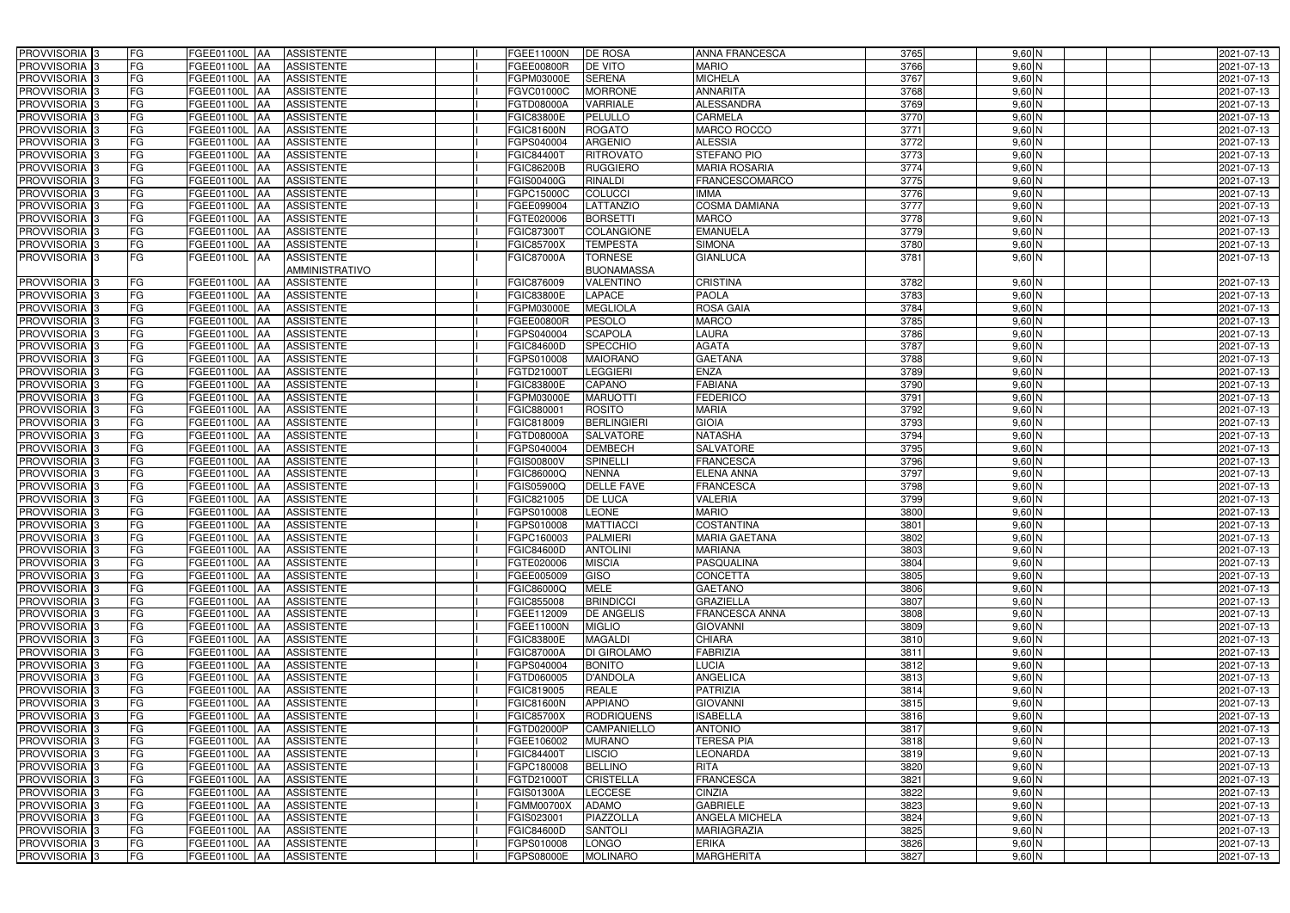| PROVVISORIA <sup>3</sup>   | <b>FG</b><br>FGEE01100L AA                | <b>ASSISTENTE</b>               | FGEE11000N<br><b>DE ROSA</b>           | <b>ANNA FRANCESCA</b> | 3765             | $9,60$ N | 2021-07-13 |
|----------------------------|-------------------------------------------|---------------------------------|----------------------------------------|-----------------------|------------------|----------|------------|
| PROVVISORIA <sup>3</sup>   | FG<br><b>FGEE01100L AA</b>                | <b>ASSISTENTE</b>               | DE VITO<br>FGEE00800R                  | <b>MARIO</b>          | 3766             | $9,60$ N | 2021-07-13 |
| PROVVISORIA 3              | FG<br>FGEE01100L AA                       | <b>ASSISTENTE</b>               | <b>SERENA</b><br>FGPM03000E            | <b>MICHELA</b>        | 3767             | $9,60$ N | 2021-07-13 |
| PROVVISORIA <sup>3</sup>   | FG<br>FGEE01100L AA                       | <b>ASSISTENTE</b>               | <b>MORRONE</b><br>FGVC01000C           | <b>ANNARITA</b>       | 3768             | $9,60$ N | 2021-07-13 |
| PROVVISORIA <sup>3</sup>   | FG<br><b>FGEE01100L</b>                   | <b>ASSISTENTE</b><br><b>JAA</b> | <b>VARRIALE</b><br>FGTD08000A          | <b>ALESSANDRA</b>     | 3769             | $9,60$ N | 2021-07-13 |
| PROVVISORIA 3              | FG<br>FGEE01100L AA                       | <b>ASSISTENTE</b>               | <b>FGIC83800E</b><br>PELULLO           | <b>CARMELA</b>        | 3770             | $9,60$ N | 2021-07-13 |
| PROVVISORIA <sup>3</sup>   | FG<br>FGEE01100L AA                       | <b>ASSISTENTE</b>               | <b>ROGATO</b><br>FGIC81600N            | <b>MARCO ROCCO</b>    | 3771             | $9,60$ N | 2021-07-13 |
| PROVVISORIA 3              | FG<br>FGEE01100L AA                       | <b>ASSISTENTE</b>               | <b>ARGENIO</b><br>FGPS040004           | <b>ALESSIA</b>        | 3772             | $9,60$ N | 2021-07-13 |
| PROVVISORIA 3              | FG<br>FGEE01100L AA                       | <b>ASSISTENTE</b>               | <b>RITROVATO</b><br>FGIC84400T         | <b>STEFANO PIO</b>    | 3773             | $9,60$ N | 2021-07-13 |
| PROVVISORIA <sup>3</sup>   | FG<br><b>FGEE01100L AA</b>                | <b>ASSISTENTE</b>               | <b>RUGGIERO</b><br><b>FGIC86200B</b>   | <b>MARIA ROSARIA</b>  | 3774             | $9,60$ N | 2021-07-13 |
| PROVVISORIA 3              | FG<br>FGEE01100L AA                       | <b>ASSISTENTE</b>               | <b>RINALDI</b><br>FGIS00400G           | <b>FRANCESCOMARCO</b> | 3775             | $9,60$ N | 2021-07-13 |
| PROVVISORIA 3              | FG<br>FGEE01100L AA                       | <b>ASSISTENTE</b>               | <b>COLUCCI</b><br>FGPC15000C           | <b>IMMA</b>           | 3776             | $9,60$ N | 2021-07-13 |
| PROVVISORIA 3              | FG<br>FGEE01100L AA                       | <b>ASSISTENTE</b>               | <b>LATTANZIO</b><br>FGEE099004         | <b>COSMA DAMIANA</b>  | 3777             | $9,60$ N | 2021-07-13 |
| PROVVISORIA 3              | FG<br>FGEE01100L AA                       | <b>ASSISTENTE</b>               | FGTE020006<br><b>BORSETTI</b>          | <b>MARCO</b>          | 3778             | $9,60$ N | 2021-07-13 |
| PROVVISORIA 3              | $\overline{\mathsf{FG}}$<br>FGEE01100L AA | <b>ASSISTENTE</b>               | <b>COLANGIONE</b><br>FGIC873001        | <b>EMANUELA</b>       | 3779             | $9,60$ N | 2021-07-13 |
| PROVVISORIA <sup>3</sup>   | FG<br>FGEE01100L AA                       | <b>ASSISTENTE</b>               | <b>TEMPESTA</b><br><b>FGIC85700X</b>   | <b>SIMONA</b>         | 3780             | $9,60$ N | 2021-07-13 |
| PROVVISORIA 3              | FG<br>FGEE01100L AA                       | <b>ASSISTENTE</b>               | <b>TORNESE</b><br><b>FGIC87000A</b>    | <b>GIANLUCA</b>       | 3781             | $9,60$ N | 2021-07-13 |
|                            |                                           | AMMINISTRATIVO                  | <b>BUONAMASSA</b>                      |                       |                  |          |            |
| PROVVISORIA <sup>3</sup>   | FG<br>FGEE01100L AA                       | <b>ASSISTENTE</b>               | FGIC876009<br><b>VALENTINO</b>         | <b>CRISTINA</b>       | 3782             | $9,60$ N | 2021-07-13 |
| PROVVISORIA 3              | FG<br>FGEE01100L AA                       | <b>ASSISTENTE</b>               | <b>FGIC83800E</b><br>LAPACE            | <b>PAOLA</b>          | 3783             | $9,60$ N | 2021-07-13 |
| PROVVISORIA 3              | FG<br>FGEE01100L AA                       | <b>ASSISTENTE</b>               | FGPM03000E<br><b>MEGLIOLA</b>          | <b>ROSA GAIA</b>      | 3784             | 9,60 N   | 2021-07-13 |
| PROVVISORIA 3              | FG<br>FGEE01100L AA                       | <b>ASSISTENTE</b>               | <b>PESOLO</b><br>FGEE00800R            | <b>MARCO</b>          | 3785             | $9,60$ N | 2021-07-13 |
| PROVVISORIA 3              | FG<br>FGEE01100L AA                       | <b>ASSISTENTE</b>               | <b>SCAPOLA</b><br>FGPS040004           | LAURA                 | 3786             | $9,60$ N | 2021-07-13 |
| PROVVISORIA 3              | FG<br>FGEE01100L AA                       | <b>ASSISTENTE</b>               | <b>SPECCHIO</b><br><b>FGIC84600D</b>   | <b>AGATA</b>          | 3787             | $9,60$ N | 2021-07-13 |
| PROVVISORIA 3              | FG<br>FGEE01100L AA                       | <b>ASSISTENTE</b>               | <b>MAIORANO</b><br>FGPS010008          | <b>GAETANA</b>        | 3788             | $9,60$ N | 2021-07-13 |
| PROVVISORIA 3              | FG<br>FGEE01100L AA                       | <b>ASSISTENTE</b>               | <b>LEGGIERI</b><br>FGTD21000T          | <b>ENZA</b>           | 3789             | $9,60$ N | 2021-07-13 |
| PROVVISORIA 3              | FG<br>FGEE01100L AA                       | <b>ASSISTENTE</b>               | CAPANO<br><b>FGIC83800E</b>            | <b>FABIANA</b>        | 3790             | $9,60$ N | 2021-07-13 |
| PROVVISORIA 3              | FG<br>FGEE01100L AA                       | <b>ASSISTENTE</b>               | <b>MARUOTTI</b><br>FGPM03000E          | <b>FEDERICO</b>       | 3791             | $9,60$ N | 2021-07-13 |
| PROVVISORIA <sup>3</sup>   | FG<br>FGEE01100L AA                       | <b>ASSISTENTE</b>               | <b>ROSITO</b><br>FGIC880001            | <b>MARIA</b>          | 3792             | $9,60$ N | 2021-07-13 |
| PROVVISORIA 3              | FG<br>FGEE01100L AA                       | <b>ASSISTENTE</b>               | <b>BERLINGIERI</b><br>FGIC818009       | <b>GIOIA</b>          | 3793             | $9,60$ N | 2021-07-13 |
| PROVVISORIA 3              | FG<br>FGEE01100L AA                       | <b>ASSISTENTE</b>               | <b>SALVATORE</b><br>FGTD08000A         | <b>NATASHA</b>        | 3794             | $9,60$ N | 2021-07-13 |
| PROVVISORIA <sup>3</sup>   | FG<br><b>FGEE01100L AA</b>                | <b>ASSISTENTE</b>               | <b>DEMBECH</b><br>FGPS040004           | <b>SALVATORE</b>      | 3795             | $9,60$ N | 2021-07-13 |
| PROVVISORIA <sup>3</sup>   | FG<br>FGEE01100L AA                       | <b>ASSISTENTE</b>               | <b>SPINELLI</b><br><b>FGIS00800V</b>   | <b>FRANCESCA</b>      | 3796             | $9,60$ N | 2021-07-13 |
| PROVVISORIA <sup>3</sup>   | FG<br>FGEE01100L AA                       | <b>ASSISTENTE</b>               | <b>NENNA</b><br>FGIC86000Q             | <b>ELENA ANNA</b>     | 3797             | $9,60$ N | 2021-07-13 |
| PROVVISORIA 3              | FG<br>FGEE01100L AA                       | <b>ASSISTENTE</b>               | <b>DELLE FAVE</b><br>FGIS05900Q        | <b>FRANCESCA</b>      | 3798             | $9,60$ N | 2021-07-13 |
| PROVVISORIA <sup>3</sup>   | FG<br><b>FGEE01100L AA</b>                | <b>ASSISTENTE</b>               | DE LUCA<br>FGIC821005                  | <b>VALERIA</b>        | 3799             | $9,60$ N | 2021-07-13 |
| PROVVISORIA <sup>3</sup>   | FG<br>FGEE01100L                          | <b>ASSISTENTE</b><br><b>JAA</b> | <b>LEONE</b><br>FGPS010008             | <b>MARIO</b>          | 3800             | $9,60$ N | 2021-07-13 |
| PROVVISORIA <sup>3</sup>   | FG<br>FGEE01100L AA                       | <b>ASSISTENTE</b>               | <b>MATTIACCI</b><br>FGPS010008         | <b>COSTANTINA</b>     | 3801             | $9,60$ N | 2021-07-13 |
| PROVVISORIA 3              | FG<br>FGEE01100L AA                       | ASSISTENTE                      | <b>PALMIERI</b><br>FGPC160003          | <b>MARIA GAETANA</b>  | 3802             | $9,60$ N | 2021-07-13 |
| PROVVISORIA <sup>3</sup>   | FG<br>FGEE01100L AA                       | <b>ASSISTENTE</b>               | <b>FGIC84600D</b><br><b>ANTOLINI</b>   | <b>MARIANA</b>        | 3803             | $9,60$ N | 2021-07-13 |
| PROVVISORIA <sup>3</sup>   | FG<br>FGEE01100L AA                       | ASSISTENTE                      | FGTE020006<br><b>MISCIA</b>            | <b>PASQUALINA</b>     | 3804             | $9,60$ N | 2021-07-13 |
| PROVVISORIA <sup>3</sup>   | FG<br>FGEE01100L AA                       | <b>ASSISTENTE</b>               | <b>GISO</b><br>FGEE005009              | <b>CONCETTA</b>       | 3805             | $9,60$ N | 2021-07-13 |
| PROVVISORIA <sup>3</sup>   | FG<br>FGEE01100L AA                       | <b>ASSISTENTE</b>               | <b>MELE</b><br>FGIC86000Q              | <b>GAETANO</b>        | 3806             | $9,60$ N | 2021-07-13 |
| PROVVISORIA <sup>3</sup>   | FG<br><b>FGEE01100L</b> AA                | <b>ASSISTENTE</b>               | <b>BRINDICCI</b><br>FGIC855008         | <b>GRAZIELLA</b>      | 3807             | $9,60$ N | 2021-07-13 |
| PROVVISORIA 3              | FG<br>FGEE01100L AA                       | <b>ASSISTENTE</b>               | <b>DE ANGELIS</b><br>FGEE112009        | <b>FRANCESCA ANNA</b> | 3808             | $9,60$ N | 2021-07-13 |
| PROVVISORIA <sup>3</sup>   | FG<br>FGEE01100L AA                       | <b>ASSISTENTE</b>               | <b>FGEE11000N</b><br><b>MIGLIO</b>     | <b>GIOVANNI</b>       | 3809             | $9,60$ N | 2021-07-13 |
| PROVVISORIA <sup>3</sup>   | FG<br>FGEE01100L AA                       | <b>ASSISTENTE</b>               | <b>MAGALDI</b><br><b>FGIC83800E</b>    | <b>CHIARA</b>         | 3810             | $9,60$ N | 2021-07-13 |
| PROVVISORIA <sup>3</sup>   | FG<br>FGEE01100L AA                       | <b>ASSISTENTE</b>               | DI GIROLAMO<br><b>FGIC87000A</b>       | <b>FABRIZIA</b>       | $\frac{1}{3811}$ | $9,60$ N | 2021-07-13 |
| PROVVISORIA <sup>3</sup>   | FG<br><b>FGEE01100L AA</b>                | <b>ASSISTENTE</b>               | FGPS040004<br><b>BONITO</b>            | <b>LUCIA</b>          | 3812             | $9,60$ N | 2021-07-13 |
| PROVVISORIA <sup>3</sup>   | FG<br>FGEE01100L AA                       | <b>ASSISTENTE</b>               | FGTD060005<br><b>D'ANDOLA</b>          | <b>ANGELICA</b>       | 3813             | $9,60$ N | 2021-07-13 |
| PROVVISORIA <sup>3</sup>   | FG<br>FGEE01100L AA                       | <b>ASSISTENTE</b>               | <b>REALE</b><br>FGIC819005             | PATRIZIA              | 3814             | $9,60$ N | 2021-07-13 |
| PROVVISORIA <sup>3</sup>   | FG<br>FGEE01100L AA                       | <b>ASSISTENTE</b>               | <b>APPIANO</b><br><b>FGIC81600N</b>    | <b>GIOVANNI</b>       | 3815             | $9,60$ N | 2021-07-13 |
| PROVVISORIA <sup>3</sup>   | FG<br>FGEE01100L AA                       | <b>ASSISTENTE</b>               | <b>FGIC85700X</b><br><b>RODRIQUENS</b> | <b>ISABELLA</b>       | 3816             | $9,60$ N | 2021-07-13 |
| PROVVISORIA <sup>3</sup>   | FG<br>FGEE01100L AA                       | <b>ASSISTENTE</b>               | FGTD02000P<br>CAMPANIELLO              | <b>ANTONIO</b>        | 3817             | $9,60$ N | 2021-07-13 |
| PROVVISORIA <sup>13</sup>  | FG<br>FGEE01100L AA                       | <b>ASSISTENTE</b>               | FGEE106002<br><b>MURANO</b>            | <b>TERESA PIA</b>     | 3818             | $9,60$ N | 2021-07-13 |
| PROVVISORIA <sup>1</sup> 3 | FG<br>FGEE01100L AA                       | <b>ASSISTENTE</b>               | FGIC84400T<br><b>LISCIO</b>            | LEONARDA              | 3819             | $9,60$ N | 2021-07-13 |
| PROVVISORIA <sup>3</sup>   | FG<br>FGEE01100L AA                       | <b>ASSISTENTE</b>               | <b>BELLINO</b><br>FGPC180008           | <b>RITA</b>           | 3820             | $9,60$ N | 2021-07-13 |
| <b>PROVVISORIA</b> 3       | FG<br>FGEE01100L AA                       | <b>ASSISTENTE</b>               | <b>CRISTELLA</b><br>FGTD21000T         | <b>FRANCESCA</b>      | 3821             | $9,60$ N | 2021-07-13 |
| PROVVISORIA <sup>3</sup>   | FG<br>FGEE01100L AA                       | <b>ASSISTENTE</b>               | <b>LECCESE</b><br>FGIS01300A           | <b>CINZIA</b>         | 3822             | $9,60$ N | 2021-07-13 |
| PROVVISORIA <sup>1</sup> 3 | FG<br>FGEE01100L AA                       | <b>ASSISTENTE</b>               | <b>FGMM00700X</b><br><b>ADAMO</b>      | <b>GABRIELE</b>       | 3823             | $9,60$ N | 2021-07-13 |
| PROVVISORIA <sup>3</sup>   | FG<br>FGEE01100L AA                       | <b>ASSISTENTE</b>               | FGIS023001<br>PIAZZOLLA                | ANGELA MICHELA        | 3824             | $9,60$ N | 2021-07-13 |
| PROVVISORIA <sup>3</sup>   | FG<br>FGEE01100L AA                       | <b>ASSISTENTE</b>               | <b>SANTOLI</b><br>FGIC84600D           | <b>MARIAGRAZIA</b>    | 3825             | $9,60$ N | 2021-07-13 |
| PROVVISORIA <sup>3</sup>   | FG<br>FGEE01100L AA                       | <b>ASSISTENTE</b>               | <b>LONGO</b><br>FGPS010008             | <b>ERIKA</b>          | 3826             | $9,60$ N | 2021-07-13 |
| PROVVISORIA <sup>3</sup>   | FG<br>FGEE01100L AA                       | ASSISTENTE                      | <b>FGPS08000E</b><br><b>MOLINARO</b>   | <b>MARGHERITA</b>     | 3827             | $9,60$ N | 2021-07-13 |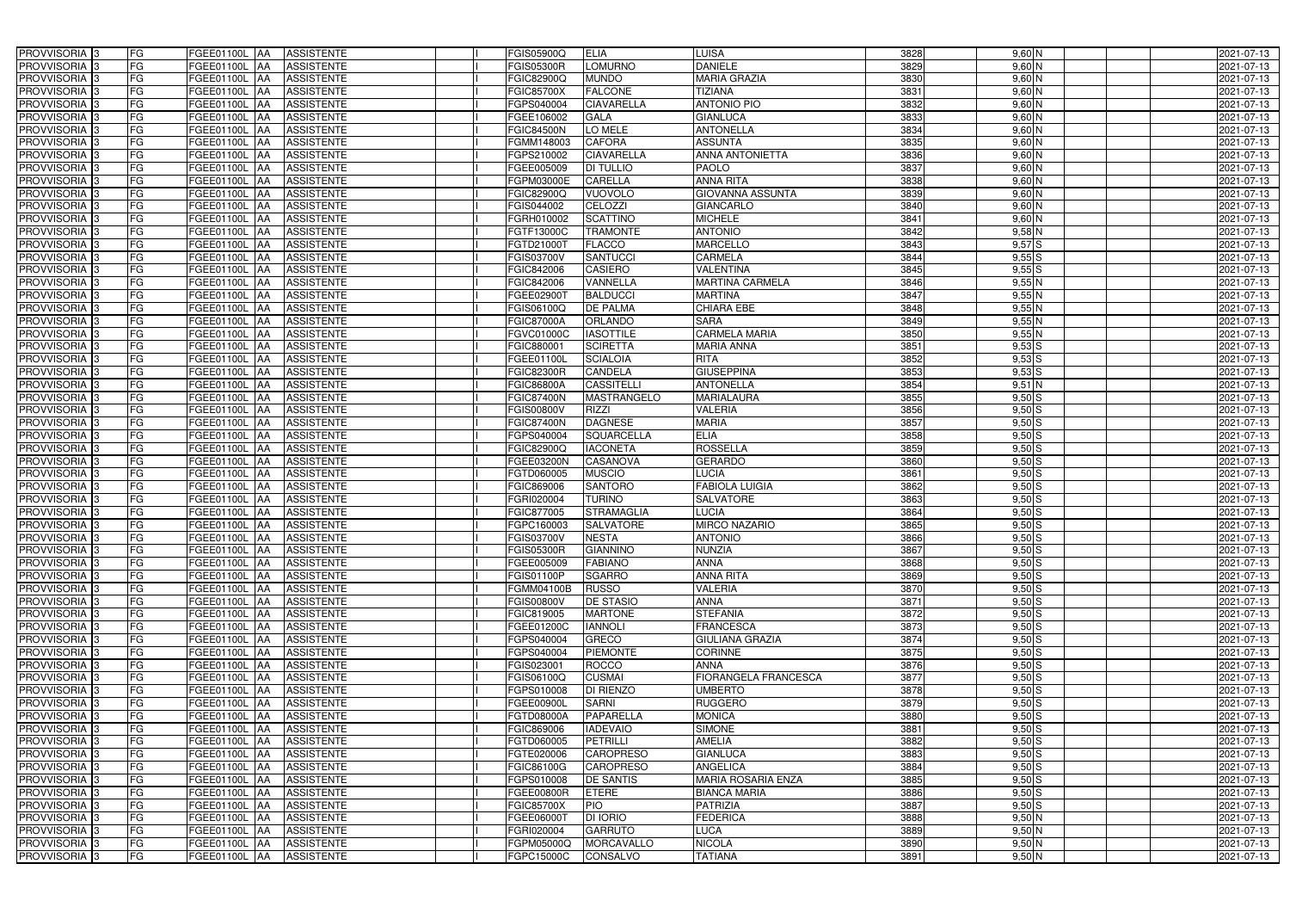| PROVVISORIA <sup>3</sup>   | <b>FG</b><br>FGEE01100L AA                | <b>ASSISTENTE</b>               | FGIS05900Q        | <b>ELIA</b>       | <b>LUISA</b>              | 3828 | $9,60$ N   | 2021-07-13 |
|----------------------------|-------------------------------------------|---------------------------------|-------------------|-------------------|---------------------------|------|------------|------------|
| PROVVISORIA <sup>3</sup>   | FG<br>FGEE01100L AA                       | <b>ASSISTENTE</b>               | <b>FGIS05300R</b> | LOMURNO           | <b>DANIELE</b>            | 3829 | $9,60$ N   | 2021-07-13 |
| PROVVISORIA <sup>3</sup>   | FG<br>FGEE01100L AA                       | <b>ASSISTENTE</b>               | FGIC82900Q        | <b>MUNDO</b>      | <b>MARIA GRAZIA</b>       | 3830 | $9,60$ N   | 2021-07-13 |
| PROVVISORIA 3              | FG<br>FGEE01100L AA                       | <b>ASSISTENTE</b>               | <b>FGIC85700X</b> | <b>FALCONE</b>    | <b>TIZIANA</b>            | 3831 | $9,60$ N   | 2021-07-13 |
| PROVVISORIA <sup>3</sup>   | FG<br>FGEE01100L                          | <b>ASSISTENTE</b><br><b>IAA</b> | FGPS040004        | CIAVARELLA        | <b>ANTONIO PIO</b>        | 3832 | $9,60$ N   | 2021-07-13 |
| PROVVISORIA 3              | FG<br>FGEE01100L AA                       | <b>ASSISTENTE</b>               | FGEE106002        | <b>GALA</b>       | <b>GIANLUCA</b>           | 3833 | $9,60$ N   | 2021-07-13 |
| PROVVISORIA <sup>1</sup> 3 | FG<br>FGEE01100L AA                       | <b>ASSISTENTE</b>               | <b>FGIC84500N</b> | LO MELE           | <b>ANTONELLA</b>          | 3834 | $9,60$ N   | 2021-07-13 |
| PROVVISORIA <sup>3</sup>   | FG<br>FGEE01100L AA                       | <b>ASSISTENTE</b>               | FGMM148003        | <b>CAFORA</b>     | <b>ASSUNTA</b>            | 3835 | $9,60$ N   | 2021-07-13 |
| PROVVISORIA 3              | FG<br>FGEE01100L AA                       | <b>ASSISTENTE</b>               | FGPS210002        | <b>CIAVARELLA</b> | <b>ANNA ANTONIETTA</b>    | 3836 | $9,60$ N   | 2021-07-13 |
| PROVVISORIA <sup>3</sup>   | FG<br>FGEE01100L AA                       | <b>ASSISTENTE</b>               | FGEE005009        | <b>DI TULLIO</b>  | <b>PAOLO</b>              | 3837 | $9,60$ N   | 2021-07-13 |
| PROVVISORIA 3              | FG<br>FGEE01100L AA                       | <b>ASSISTENTE</b>               | FGPM03000E        | <b>CARELLA</b>    | <b>ANNA RITA</b>          | 3838 | $9,60$ N   | 2021-07-13 |
| PROVVISORIA 3              | FG<br>FGEE01100L AA                       | <b>ASSISTENTE</b>               | FGIC82900Q        | <b>VUOVOLO</b>    | <b>GIOVANNA ASSUNTA</b>   | 3839 | $9,60$ N   | 2021-07-13 |
| PROVVISORIA <sup>3</sup>   | FG<br>FGEE01100L AA                       | <b>ASSISTENTE</b>               | FGIS044002        | CELOZZI           | <b>GIANCARLO</b>          | 3840 | $9,60$ N   | 2021-07-13 |
| PROVVISORIA 3              | FG<br>FGEE01100L AA                       | <b>ASSISTENTE</b>               | FGRH010002        | <b>SCATTINO</b>   | <b>MICHELE</b>            | 3841 | $9,60$ N   | 2021-07-13 |
| PROVVISORIA 3              | $\overline{\mathsf{FG}}$<br>FGEE01100L AA | <b>ASSISTENTE</b>               | FGTF13000C        | <b>TRAMONTE</b>   | <b>ANTONIO</b>            | 3842 | $9,58$ N   | 2021-07-13 |
| PROVVISORIA 3              | $\overline{\mathsf{FG}}$<br>FGEE01100L AA | <b>ASSISTENTE</b>               | FGTD21000T        | <b>FLACCO</b>     | <b>MARCELLO</b>           | 3843 | 9,57S      | 2021-07-13 |
| PROVVISORIA 3              | FG<br><b>FGEE01100L</b>                   | <b>ASSISTENTE</b><br><b>IAA</b> | FGIS03700V        | <b>SANTUCCI</b>   | <b>CARMELA</b>            | 3844 | 9,55S      | 2021-07-13 |
| PROVVISORIA 3              | FG<br>FGEE01100L AA                       | <b>ASSISTENTE</b>               | FGIC842006        | <b>CASIERO</b>    | <b>VALENTINA</b>          | 3845 | 9,55S      | 2021-07-13 |
| PROVVISORIA 3              | FG<br>FGEE01100L                          | <b>ASSISTENTE</b><br><b>JAA</b> | FGIC842006        | VANNELLA          | <b>MARTINA CARMELA</b>    | 3846 | 9,55N      | 2021-07-13 |
| PROVVISORIA 3              | FG<br>FGEE01100L AA                       | <b>ASSISTENTE</b>               | FGEE029001        | <b>BALDUCCI</b>   | <b>MARTINA</b>            | 3847 | 9,55N      | 2021-07-13 |
| PROVVISORIA <sup>3</sup>   | FG<br>FGEE01100L                          | <b>AA</b><br><b>ASSISTENTE</b>  | FGIS06100Q        | <b>DE PALMA</b>   | CHIARA EBE                | 3848 | $9,55$ N   | 2021-07-13 |
| PROVVISORIA 3              | FG<br>FGEE01100L AA                       | <b>ASSISTENTE</b>               | <b>FGIC87000A</b> | <b>ORLANDO</b>    | <b>SARA</b>               | 3849 | 9,55N      | 2021-07-13 |
| PROVVISORIA 3              | FG<br>FGEE01100L AA                       | <b>ASSISTENTE</b>               | FGVC01000C        | <b>IASOTTILE</b>  | <b>CARMELA MARIA</b>      | 3850 | 9,55N      | 2021-07-13 |
| PROVVISORIA 3              | FG<br>FGEE01100L AA                       | <b>ASSISTENTE</b>               | FGIC88000         | <b>SCIRETTA</b>   | <b>MARIA ANNA</b>         | 3851 | $9,53$ $S$ | 2021-07-13 |
| PROVVISORIA <sup>3</sup>   | FG<br>FGEE01100L AA                       | <b>ASSISTENTE</b>               | FGEE01100L        | <b>SCIALOIA</b>   | <b>RITA</b>               | 3852 | $9,53$ S   | 2021-07-13 |
| PROVVISORIA 3              | FG<br>FGEE01100L AA                       | <b>ASSISTENTE</b>               | <b>FGIC82300R</b> | CANDELA           | <b>GIUSEPPINA</b>         | 3853 | $9,53$ S   | 2021-07-13 |
| PROVVISORIA 3              | FG<br>FGEE01100L AA                       | <b>ASSISTENTE</b>               | <b>FGIC86800A</b> | <b>CASSITELLI</b> | <b>ANTONELLA</b>          | 3854 | $9,51$ N   | 2021-07-13 |
| PROVVISORIA 3              | FG<br>FGEE01100L AA                       | <b>ASSISTENTE</b>               | <b>FGIC87400N</b> | MASTRANGELO       | <b>MARIALAURA</b>         | 3855 | $9,50$ S   | 2021-07-13 |
| PROVVISORIA <sup>3</sup>   | FG<br>FGEE01100L AA                       | <b>ASSISTENTE</b>               | <b>FGIS00800V</b> | <b>RIZZI</b>      | <b>VALERIA</b>            | 3856 | $9,50$ S   | 2021-07-13 |
| PROVVISORIA <sup>3</sup>   | FG<br><b>FGEE01100L AA</b>                | <b>ASSISTENTE</b>               | <b>FGIC87400N</b> | <b>DAGNESE</b>    | <b>MARIA</b>              | 3857 | $9,50$ S   | 2021-07-13 |
| PROVVISORIA <sup>3</sup>   | FG<br>FGEE01100L AA                       | <b>ASSISTENTE</b>               | FGPS040004        | <b>SQUARCELLA</b> | <b>ELIA</b>               | 3858 | $9,50$ $S$ | 2021-07-13 |
| PROVVISORIA <sup>3</sup>   | FG<br>FGEE01100L AA                       | <b>ASSISTENTE</b>               | FGIC82900Q        | <b>IACONETA</b>   | <b>ROSSELLA</b>           | 3859 | $9,50$ S   | 2021-07-13 |
| PROVVISORIA <sup>3</sup>   | FG<br>FGEE01100L AA                       | <b>ASSISTENTE</b>               | FGEE03200N        | <b>CASANOVA</b>   | <b>GERARDO</b>            | 3860 | $9,50$ S   | 2021-07-13 |
| PROVVISORIA <sup>3</sup>   | FG<br><b>FGEE01100L AA</b>                | <b>ASSISTENTE</b>               | FGTD060005        | <b>MUSCIO</b>     | LUCIA                     | 3861 | $9,50$ S   | 2021-07-13 |
| PROVVISORIA <sup>3</sup>   | FG<br><b>FGEE01100L</b>                   | <b>ASSISTENTE</b><br> AA        | FGIC869006        | <b>SANTORO</b>    | <b>FABIOLA LUIGIA</b>     | 3862 | $9,50$ S   | 2021-07-13 |
| PROVVISORIA <sup>3</sup>   | FG<br>FGEE01100L                          | <b>ASSISTENTE</b><br><b>JAA</b> | FGRI020004        | <b>TURINO</b>     | <b>SALVATORE</b>          | 3863 | $9,50$ S   | 2021-07-13 |
| PROVVISORIA <sup>3</sup>   | FG<br>FGEE01100L                          | <b>ASSISTENTE</b><br><b>JAA</b> | FGIC877005        | <b>STRAMAGLIA</b> | LUCIA                     | 3864 | $9,50$ S   | 2021-07-13 |
| PROVVISORIA <sup>1</sup> 3 | FG<br>FGEE01100L AA                       | <b>ASSISTENTE</b>               | FGPC160003        | <b>SALVATORE</b>  | <b>MIRCO NAZARIO</b>      | 3865 | $9,50$ S   | 2021-07-13 |
| PROVVISORIA 3              | FG<br>FGEE01100L AA                       | ASSISTENTE                      | <b>FGIS03700V</b> | <b>NESTA</b>      | <b>ANTONIO</b>            | 3866 | $9,50$ S   | 2021-07-13 |
| PROVVISORIA <sup>3</sup>   | FG<br>FGEE01100L AA                       | <b>ASSISTENTE</b>               | <b>FGIS05300R</b> | <b>GIANNINO</b>   | <b>NUNZIA</b>             | 3867 | $9,50$ S   | 2021-07-13 |
| PROVVISORIA <sup>3</sup>   | FG<br>FGEE01100L AA                       | ASSISTENTE                      | FGEE005009        | <b>FABIANO</b>    | <b>ANNA</b>               | 3868 | $9,50$ S   | 2021-07-13 |
| PROVVISORIA <sup>3</sup>   | FG<br>FGEE01100L AA                       | <b>ASSISTENTE</b>               | <b>FGIS01100P</b> | <b>SGARRO</b>     | <b>ANNA RITA</b>          | 3869 | $9,50$ S   | 2021-07-13 |
| PROVVISORIA <sup>3</sup>   | FG<br>FGEE01100L AA                       | <b>ASSISTENTE</b>               | <b>FGMM04100B</b> | <b>RUSSO</b>      | <b>VALERIA</b>            | 3870 | $9,50$ S   | 2021-07-13 |
| PROVVISORIA <sup>3</sup>   | FG<br><b>FGEE01100L</b> AA                | <b>ASSISTENTE</b>               | <b>FGIS00800V</b> | <b>DE STASIO</b>  | <b>ANNA</b>               | 3871 | $9,50$ S   | 2021-07-13 |
| PROVVISORIA 3              | FG<br>FGEE01100L AA                       | <b>ASSISTENTE</b>               | FGIC819005        | <b>MARTONE</b>    | <b>STEFANIA</b>           | 3872 | $9,50$ S   | 2021-07-13 |
| PROVVISORIA <sup>3</sup>   | FG<br>FGEE01100L AA                       | <b>ASSISTENTE</b>               | FGEE01200C        | <b>IANNOLI</b>    | <b>FRANCESCA</b>          | 3873 | $9,50$ S   | 2021-07-13 |
| PROVVISORIA <sup>3</sup>   | FG<br>FGEE01100L AA                       | <b>ASSISTENTE</b>               | FGPS040004        | <b>GRECO</b>      | <b>GIULIANA GRAZIA</b>    | 3874 | $9,50$ S   | 2021-07-13 |
| PROVVISORIA <sup>3</sup>   | FG<br>FGEE01100L AA                       | <b>ASSISTENTE</b>               | FGPS040004        | <b>PIEMONTE</b>   | <b>CORINNE</b>            | 3875 | $9,50$ S   | 2021-07-13 |
| PROVVISORIA <sup>3</sup>   | FG<br>FGEE01100L AA                       | <b>ASSISTENTE</b>               | FGIS023001        | <b>ROCCO</b>      | <b>ANNA</b>               | 3876 | $9,50$ S   | 2021-07-13 |
| PROVVISORIA <sup>3</sup>   | FG<br>FGEE01100L AA                       | <b>ASSISTENTE</b>               | FGIS06100Q        | <b>CUSMAI</b>     | FIORANGELA FRANCESCA      | 3877 | $9,50$ S   | 2021-07-13 |
| PROVVISORIA <sup>3</sup>   | FG<br>FGEE01100L AA                       | <b>ASSISTENTE</b>               | FGPS010008        | DI RIENZO         | <b>UMBERTO</b>            | 3878 | $9,50$ S   | 2021-07-13 |
| PROVVISORIA <sup>3</sup>   | FG<br>FGEE01100L AA                       | ASSISTENTE                      | <b>FGEE00900L</b> | <b>SARNI</b>      | <b>RUGGERO</b>            | 3879 | $9,50$ S   | 2021-07-13 |
| PROVVISORIA <sup>3</sup>   | FG<br>FGEE01100L AA                       | ASSISTENTE                      | <b>FGTD08000A</b> | PAPARELLA         | <b>MONICA</b>             | 3880 | $9,50$ S   | 2021-07-13 |
| PROVVISORIA <sup>3</sup>   | FG<br>FGEE01100L AA                       | <b>ASSISTENTE</b>               | FGIC869006        | <b>IADEVAIO</b>   | <b>SIMONE</b>             | 3881 | $9,50$ S   | 2021-07-13 |
| PROVVISORIA <sup>13</sup>  | FG<br>FGEE01100L AA                       | <b>ASSISTENTE</b>               | FGTD060005        | <b>PETRILLI</b>   | <b>AMELIA</b>             | 3882 | $9,50$ S   | 2021-07-13 |
| PROVVISORIA <sup>1</sup> 3 | FG<br>FGEE01100L AA                       | <b>ASSISTENTE</b>               | FGTE020006        | <b>CAROPRESO</b>  | <b>GIANLUCA</b>           | 3883 | $9,50$ S   | 2021-07-13 |
| PROVVISORIA <sup>3</sup>   | FG<br>FGEE01100L AA                       | <b>ASSISTENTE</b>               | FGIC86100G        | <b>CAROPRESO</b>  | <b>ANGELICA</b>           | 3884 | $9,50$ S   | 2021-07-13 |
| <b>PROVVISORIA</b> 3       | FG<br>FGEE01100L AA                       | <b>ASSISTENTE</b>               | FGPS010008        | <b>DE SANTIS</b>  | <b>MARIA ROSARIA ENZA</b> | 3885 | $9,50$ S   | 2021-07-13 |
| PROVVISORIA <sup>3</sup>   | FG<br>FGEE01100L AA                       | <b>ASSISTENTE</b>               | FGEE00800R        | <b>ETERE</b>      | <b>BIANCA MARIA</b>       | 3886 | $9,50$ S   | 2021-07-13 |
| PROVVISORIA <sup>1</sup> 3 | FG<br><b>FGEE01100L AA</b>                | <b>ASSISTENTE</b>               | <b>FGIC85700X</b> | <b>PIO</b>        | <b>PATRIZIA</b>           | 3887 | $9,50$ S   | 2021-07-13 |
| PROVVISORIA <sup>3</sup>   | FG<br>FGEE01100L AA                       | <b>ASSISTENTE</b>               | FGEE06000T        | <b>DI IORIO</b>   | <b>FEDERICA</b>           | 3888 | $9,50$ N   | 2021-07-13 |
| PROVVISORIA <sup>3</sup>   | FG<br>FGEE01100L AA                       | <b>ASSISTENTE</b>               | FGRI020004        | <b>GARRUTO</b>    | <b>LUCA</b>               | 3889 | $9,50$ N   | 2021-07-13 |
| PROVVISORIA <sup>3</sup>   | FG<br>FGEE01100L AA                       | <b>ASSISTENTE</b>               | FGPM05000Q        | <b>MORCAVALLO</b> | <b>NICOLA</b>             | 3890 | $9,50$ N   | 2021-07-13 |
| PROVVISORIA <sup>3</sup>   | FG<br>FGEE01100L AA                       | ASSISTENTE                      | FGPC15000C        | CONSALVO          | <b>TATIANA</b>            | 3891 | $9,50$ N   | 2021-07-13 |
|                            |                                           |                                 |                   |                   |                           |      |            |            |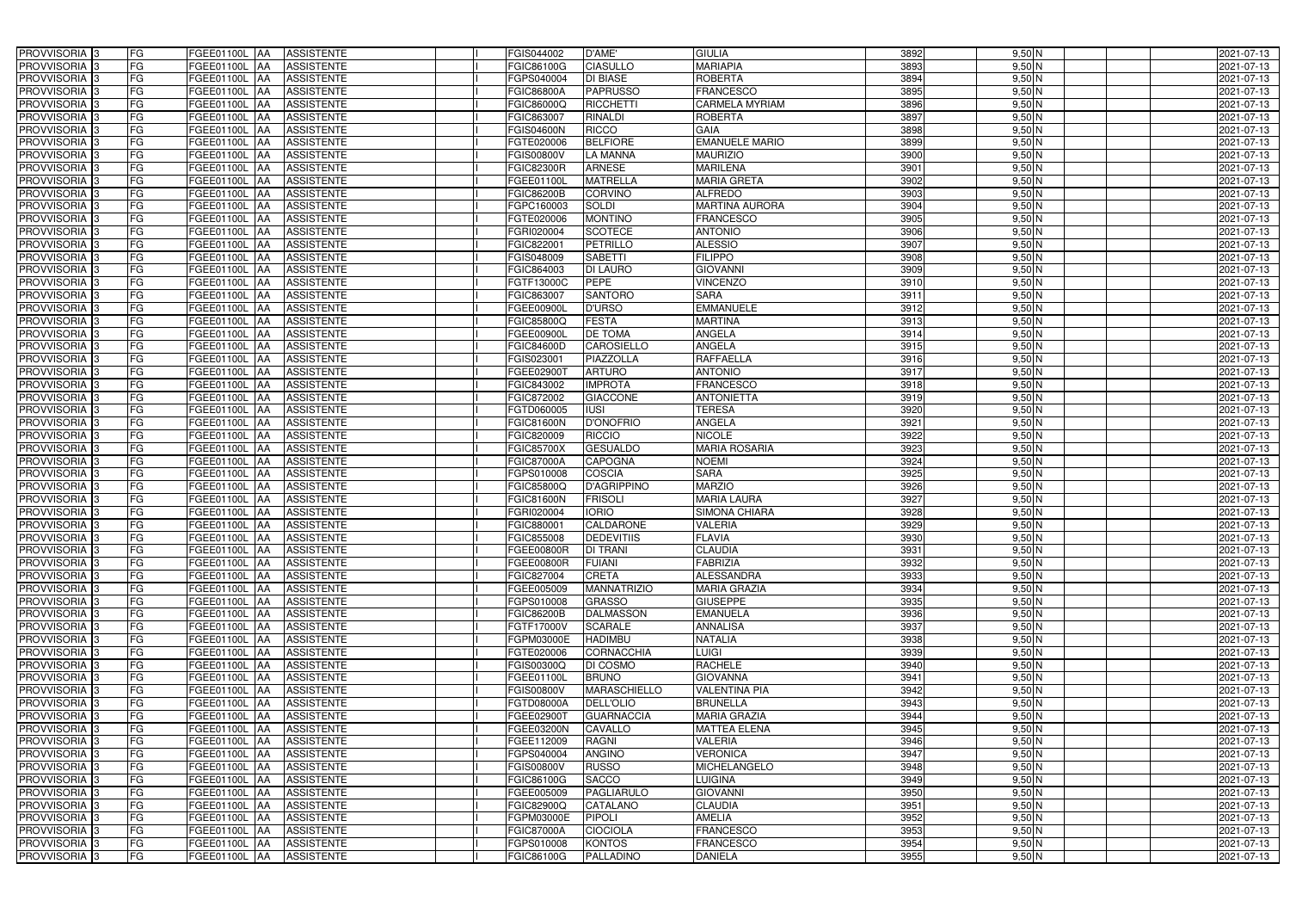| PROVVISORIA 3              | FG<br>FGEE01100L AA<br><b>ASSISTENTE</b>                                         | FGIS044002<br>D'AME'                     | <b>GIULIA</b>         | 3892<br>$9,50$ N | 2021-07-13 |
|----------------------------|----------------------------------------------------------------------------------|------------------------------------------|-----------------------|------------------|------------|
| PROVVISORIA <sup>3</sup>   | FG<br><b>ASSISTENTE</b><br>FGEE01100L AA                                         | <b>CIASULLO</b><br>FGIC86100G            | <b>MARIAPIA</b>       | 3893<br>$9,50$ N | 2021-07-13 |
| PROVVISORIA <sup>3</sup>   | FG<br>FGEE01100L AA<br><b>ASSISTENTE</b>                                         | <b>DI BIASE</b><br>FGPS040004            | <b>ROBERTA</b>        | 3894<br>$9,50$ N | 2021-07-13 |
| PROVVISORIA 3              | FG<br><b>ASSISTENTE</b><br>FGEE01100L<br>IAA                                     | <b>PAPRUSSO</b><br><b>FGIC86800A</b>     | <b>FRANCESCO</b>      | 3895<br>$9,50$ N | 2021-07-13 |
| PROVVISORIA <sup>3</sup>   | FG<br>FGEE01100L<br><b>ASSISTENTE</b><br><b>IAA</b>                              | <b>RICCHETTI</b><br>FGIC86000Q           | CARMELA MYRIAM        | 3896<br>$9,50$ N | 2021-07-13 |
| PROVVISORIA 3              | FG<br>FGEE01100L AA<br><b>ASSISTENTE</b>                                         | <b>RINALDI</b><br>FGIC863007             | <b>ROBERTA</b>        | 3897<br>$9,50$ N | 2021-07-13 |
| PROVVISORIA 3              | FG<br>FGEE01100L AA<br><b>ASSISTENTE</b>                                         | <b>RICCO</b><br><b>FGIS04600N</b>        | <b>GAIA</b>           | 3898<br>$9,50$ N | 2021-07-13 |
| PROVVISORIA <sup>3</sup>   | FG<br><b>ASSISTENTE</b><br>FGEE01100L AA                                         | <b>BELFIORE</b><br>FGTE020006            | <b>EMANUELE MARIO</b> | 3899<br>$9,50$ N | 2021-07-13 |
| PROVVISORIA 3              | FG<br>FGEE01100L AA<br><b>ASSISTENTE</b>                                         | <b>LA MANNA</b><br><b>FGIS00800V</b>     | <b>MAURIZIO</b>       | 3900<br>$9,50$ N | 2021-07-13 |
| PROVVISORIA <sup>3</sup>   | FG<br>FGEE01100L AA<br><b>ASSISTENTE</b>                                         | <b>ARNESE</b><br><b>FGIC82300R</b>       | <b>MARILENA</b>       | $9,50$ N<br>3901 | 2021-07-13 |
| PROVVISORIA 3              | FG<br>FGEE01100L AA<br><b>ASSISTENTE</b>                                         | <b>MATRELLA</b><br>FGEE01100L            | <b>MARIA GRETA</b>    | 3902<br>$9,50$ N | 2021-07-13 |
| PROVVISORIA 3              | FG<br>FGEE01100L AA<br><b>ASSISTENTE</b>                                         | <b>FGIC86200B</b><br><b>CORVINO</b>      | <b>ALFREDO</b>        | 3903<br>$9,50$ N | 2021-07-13 |
| PROVVISORIA <sup>3</sup>   | FG<br>FGEE01100L AA<br><b>ASSISTENTE</b>                                         | <b>SOLDI</b><br>FGPC160003               | <b>MARTINA AURORA</b> | $9,50$ N<br>3904 | 2021-07-13 |
| PROVVISORIA 3              | FG<br>FGEE01100L AA<br><b>ASSISTENTE</b>                                         | <b>MONTINO</b><br>FGTE020006             | <b>FRANCESCO</b>      | 3905<br>$9,50$ N | 2021-07-13 |
| PROVVISORIA 3              | $\overline{\mathsf{FG}}$<br>FGEE01100L AA<br><b>ASSISTENTE</b>                   | <b>SCOTECE</b><br>FGRI020004             | <b>ANTONIO</b>        | 3906<br>$9,50$ N | 2021-07-13 |
| PROVVISORIA 3              | $\overline{\mathsf{FG}}$<br><b>FGEE01100L</b><br><b>ASSISTENTE</b><br><b>JAA</b> | <b>PETRILLO</b><br>FGIC82200             | <b>ALESSIO</b>        | 3907<br>$9,50$ N | 2021-07-13 |
| PROVVISORIA 3              | FG<br><b>FGEE01100L</b><br><b>ASSISTENTE</b><br><b>IAA</b>                       | <b>SABETTI</b><br>FGIS048009             | <b>FILIPPO</b>        | 3908<br>$9,50$ N | 2021-07-13 |
| PROVVISORIA 3              | FG<br>FGEE01100L AA<br><b>ASSISTENTE</b>                                         | FGIC864003<br><b>DI LAURO</b>            | <b>GIOVANNI</b>       | 3909<br>$9,50$ N | 2021-07-13 |
| PROVVISORIA 3              | FG<br><b>FGEE01100L</b><br><b>ASSISTENTE</b><br><b>JAA</b>                       | <b>PEPE</b><br>FGTF13000C                | <b>VINCENZO</b>       | 3910<br>$9,50$ N | 2021-07-13 |
| PROVVISORIA 3              | FG<br><b>FGEE01100L</b><br><b>JAA</b><br><b>ASSISTENTE</b>                       | <b>SANTORO</b><br>FGIC863007             | <b>SARA</b>           | 3911<br>$9,50$ N | 2021-07-13 |
| PROVVISORIA <sup>3</sup>   | FG<br>FGEE01100L<br><b>JAA</b><br><b>ASSISTENTE</b>                              | FGEE00900L<br><b>D'URSO</b>              | <b>EMMANUELE</b>      | 3912<br>9,50 N   | 2021-07-13 |
| PROVVISORIA 3              | FG<br>FGEE01100L<br><b>ASSISTENTE</b><br> AA                                     | <b>FESTA</b><br>FGIC85800Q               | <b>MARTINA</b>        | 3913<br>$9,50$ N | 2021-07-13 |
| PROVVISORIA 3              | FG<br>FGEE01100L<br><b>JAA</b><br><b>ASSISTENTE</b>                              | <b>DE TOMA</b><br>FGEE00900L             | ANGELA                | 3914<br>$9,50$ N | 2021-07-13 |
| PROVVISORIA 3              | FG<br>FGEE01100L AA<br><b>ASSISTENTE</b>                                         | <b>CAROSIELLO</b><br><b>FGIC84600D</b>   | <b>ANGELA</b>         | 3915<br>$9,50$ N | 2021-07-13 |
| PROVVISORIA <sup>3</sup>   | FG<br>FGEE01100L AA<br><b>ASSISTENTE</b>                                         | FGIS023001<br><b>PIAZZOLLA</b>           | <b>RAFFAELLA</b>      | $9,50$ N<br>3916 | 2021-07-13 |
| PROVVISORIA 3              | FG<br>FGEE01100L AA<br><b>ASSISTENTE</b>                                         | <b>ARTURO</b><br>FGEE029001              | <b>ANTONIO</b>        | 3917<br>$9,50$ N | 2021-07-13 |
| PROVVISORIA 3              | FG<br>FGEE01100L AA<br><b>ASSISTENTE</b>                                         | <b>IMPROTA</b><br>FGIC843002             | <b>FRANCESCO</b>      | 3918<br>$9,50$ N | 2021-07-13 |
| PROVVISORIA 3              | FG<br>FGEE01100L AA<br><b>ASSISTENTE</b>                                         | FGIC872002<br><b>GIACCONE</b>            | <b>ANTONIETTA</b>     | 3919<br>$9,50$ N | 2021-07-13 |
| PROVVISORIA <sup>3</sup>   | FG<br>FGEE01100L AA<br><b>ASSISTENTE</b>                                         | <b>IUSI</b><br>FGTD060005                | <b>TERESA</b>         | 3920<br>$9,50$ N | 2021-07-13 |
| PROVVISORIA <sup>3</sup>   | FG<br>FGEE01100L AA<br><b>ASSISTENTE</b>                                         | <b>D'ONOFRIO</b><br><b>FGIC81600N</b>    | ANGELA                | 3921<br>$9,50$ N | 2021-07-13 |
| PROVVISORIA <sup>3</sup>   | FG<br>FGEE01100L AA<br><b>ASSISTENTE</b>                                         | <b>RICCIO</b><br>FGIC820009              | <b>NICOLE</b>         | 3922<br>$9,50$ N | 2021-07-13 |
| PROVVISORIA <sup>3</sup>   | FG<br><b>ASSISTENTE</b><br>FGEE01100L AA                                         | <b>GESUALDO</b><br><b>FGIC85700X</b>     | <b>MARIA ROSARIA</b>  | 3923<br>$9,50$ N | 2021-07-13 |
| PROVVISORIA <sup>3</sup>   | FG<br>FGEE01100L AA<br><b>ASSISTENTE</b>                                         | <b>CAPOGNA</b><br><b>FGIC87000A</b>      | <b>NOEMI</b>          | 3924<br>$9,50$ N | 2021-07-13 |
| PROVVISORIA <sup>3</sup>   | FG<br>FGEE01100L AA<br><b>ASSISTENTE</b>                                         | COSCIA<br>FGPS010008                     | <b>SARA</b>           | 3925<br>$9,50$ N | 2021-07-13 |
| PROVVISORIA <sup>3</sup>   | FG<br><b>ASSISTENTE</b><br>FGEE01100L<br><b>IAA</b>                              | <b>D'AGRIPPINO</b><br>FGIC85800Q         | <b>MARZIO</b>         | 3926<br>$9,50$ N | 2021-07-13 |
| PROVVISORIA <sup>3</sup>   | FG<br>FGEE01100L<br><b>ASSISTENTE</b><br><b>JAA</b>                              | <b>FRISOL</b><br><b>FGIC81600N</b>       | <b>MARIA LAURA</b>    | 3927<br>$9,50$ N | 2021-07-13 |
| PROVVISORIA <sup>3</sup>   | FG<br>FGEE01100L<br><b>ASSISTENTE</b><br><b>JAA</b>                              | <b>IORIO</b><br>FGRI020004               | <b>SIMONA CHIARA</b>  | 3928<br>$9,50$ N | 2021-07-13 |
| PROVVISORIA <sup>3</sup>   | FG<br>FGEE01100L AA<br><b>ASSISTENTE</b>                                         | <b>CALDARONE</b><br>FGIC880001           | VALERIA               | 3929<br>$9,50$ N | 2021-07-13 |
| PROVVISORIA 3              | FG<br>FGEE01100L AA<br>ASSISTENTE                                                | FGIC855008<br><b>DEDEVITIIS</b>          | <b>FLAVIA</b>         | 3930<br>$9,50$ N | 2021-07-13 |
| PROVVISORIA <sup>3</sup>   | FG<br>FGEE01100L AA<br>ASSISTENTE                                                | <b>FGEE00800R</b><br><b>DI TRANI</b>     | <b>CLAUDIA</b>        | 3931<br>$9,50$ N | 2021-07-13 |
| PROVVISORIA <sup>3</sup>   | FG<br>FGEE01100L AA<br>ASSISTENTE                                                | <b>FUIANI</b><br>FGEE00800R              | <b>FABRIZIA</b>       | 3932<br>$9,50$ N | 2021-07-13 |
| PROVVISORIA <sup>3</sup>   | FG<br>FGEE01100L AA<br><b>ASSISTENTE</b>                                         | <b>CRETA</b><br>FGIC827004               | <b>ALESSANDRA</b>     | 3933<br>$9,50$ N | 2021-07-13 |
| PROVVISORIA <sup>3</sup>   | FG<br>FGEE01100L AA<br><b>ASSISTENTE</b>                                         | <b>MANNATRIZIO</b><br>FGEE005009         | <b>MARIA GRAZIA</b>   | 3934<br>$9,50$ N | 2021-07-13 |
| PROVVISORIA <sup>3</sup>   | FG<br>FGEE01100L AA<br><b>ASSISTENTE</b>                                         | <b>GRASSO</b><br>FGPS010008              | <b>GIUSEPPE</b>       | 3935<br>$9,50$ N | 2021-07-13 |
| PROVVISORIA 3              | FG<br>FGEE01100L AA<br><b>ASSISTENTE</b>                                         | <b>FGIC86200B</b><br><b>DALMASSON</b>    | <b>EMANUELA</b>       | 3936<br>$9,50$ N | 2021-07-13 |
| PROVVISORIA <sup>3</sup>   | FG<br>FGEE01100L AA<br><b>ASSISTENTE</b>                                         | <b>SCARALE</b><br>FGTF17000V             | <b>ANNALISA</b>       | 3937<br>$9,50$ N | 2021-07-13 |
| PROVVISORIA <sup>3</sup>   | FG<br>FGEE01100L AA<br><b>ASSISTENTE</b>                                         | FGPM03000E<br><b>HADIMBU</b>             | <b>NATALIA</b>        | 3938<br>$9,50$ N | 2021-07-13 |
| PROVVISORIA <sup>3</sup>   | FG<br>FGEE01100L AA<br><b>ASSISTENTE</b>                                         | <b>CORNACCHIA</b><br>FGTE020006          | <b>LUIGI</b>          | 3939<br>$9,50$ N | 2021-07-13 |
| PROVVISORIA <sup>3</sup>   | FG<br>FGEE01100L AA<br><b>ASSISTENTE</b>                                         | FGIS00300Q<br>DI COSMO                   | <b>RACHELE</b>        | 3940<br>$9,50$ N | 2021-07-13 |
| PROVVISORIA <sup>3</sup>   | FG<br>FGEE01100L AA<br><b>ASSISTENTE</b>                                         | FGEE01100L<br><b>BRUNO</b>               | <b>GIOVANNA</b>       | 3941<br>$9,50$ N | 2021-07-13 |
| PROVVISORIA <sup>3</sup>   | FG<br>FGEE01100L AA<br><b>ASSISTENTE</b>                                         | <b>MARASCHIELLO</b><br><b>FGIS00800V</b> | <b>VALENTINA PIA</b>  | 3942<br>$9,50$ N | 2021-07-13 |
| PROVVISORIA <sup>3</sup>   | FG<br>FGEE01100L AA<br>ASSISTENTE                                                | <b>FGTD08000A</b><br><b>DELL'OLIO</b>    | <b>BRUNELLA</b>       | 3943<br>$9,50$ N | 2021-07-13 |
| PROVVISORIA <sup>3</sup>   | FG<br>FGEE01100L AA<br>ASSISTENTE                                                | FGEE02900T<br><b>GUARNACCIA</b>          | <b>MARIA GRAZIA</b>   | 3944<br>$9,50$ N | 2021-07-13 |
| PROVVISORIA <sup>3</sup>   | FG<br>FGEE01100L AA<br><b>ASSISTENTE</b>                                         | FGEE03200N<br><b>CAVALLO</b>             | <b>MATTEA ELENA</b>   | 3945<br>$9,50$ N | 2021-07-13 |
| PROVVISORIA <sup>13</sup>  | FG<br>FGEE01100L AA<br><b>ASSISTENTE</b>                                         | FGEE112009<br><b>RAGNI</b>               | VALERIA               | 3946<br>$9,50$ N | 2021-07-13 |
| PROVVISORIA <sup>1</sup> 3 | FG<br>FGEE01100L AA<br><b>ASSISTENTE</b>                                         | FGPS040004<br><b>ANGINO</b>              | <b>VERONICA</b>       | 3947<br>$9,50$ N | 2021-07-13 |
| PROVVISORIA <sup>3</sup>   | FG<br>FGEE01100L AA<br><b>ASSISTENTE</b>                                         | <b>RUSSO</b><br><b>FGIS00800V</b>        | <b>MICHELANGELO</b>   | 3948<br>$9,50$ N | 2021-07-13 |
| PROVVISORIA <sup>1</sup> 3 | FG<br>FGEE01100L AA<br><b>ASSISTENTE</b>                                         | <b>SACCO</b><br>FGIC86100G               | <b>LUIGINA</b>        | 3949<br>$9,50$ N | 2021-07-13 |
| PROVVISORIA <sup>3</sup>   | FG<br><b>ASSISTENTE</b><br>FGEE01100L AA                                         | PAGLIARULO<br>FGEE005009                 | <b>GIOVANNI</b>       | 3950<br>$9,50$ N | 2021-07-13 |
| PROVVISORIA <sup>3</sup>   | FG<br><b>FGEE01100L AA</b><br><b>ASSISTENTE</b>                                  | <b>CATALANO</b><br>FGIC82900Q            | <b>CLAUDIA</b>        | 3951<br>$9,50$ N | 2021-07-13 |
| PROVVISORIA <sup>3</sup>   | FG<br>FGEE01100L AA<br><b>ASSISTENTE</b>                                         | <b>PIPOLI</b><br>FGPM03000E              | AMELIA                | 3952<br>$9,50$ N | 2021-07-13 |
| PROVVISORIA <sup>3</sup>   | FG<br>FGEE01100L AA<br><b>ASSISTENTE</b>                                         | <b>CIOCIOLA</b><br><b>FGIC87000A</b>     | <b>FRANCESCO</b>      | 3953<br>$9,50$ N | 2021-07-13 |
| PROVVISORIA <sup>3</sup>   | FG<br><b>ASSISTENTE</b><br>FGEE01100L AA                                         | <b>KONTOS</b><br>FGPS010008              | <b>FRANCESCO</b>      | 3954<br>$9,50$ N | 2021-07-13 |
| PROVVISORIA <sup>3</sup>   | FG<br>FGEE01100L AA<br>ASSISTENTE                                                | FGIC86100G<br>PALLADINO                  | <b>DANIELA</b>        | 3955<br>$9,50$ N | 2021-07-13 |
|                            |                                                                                  |                                          |                       |                  |            |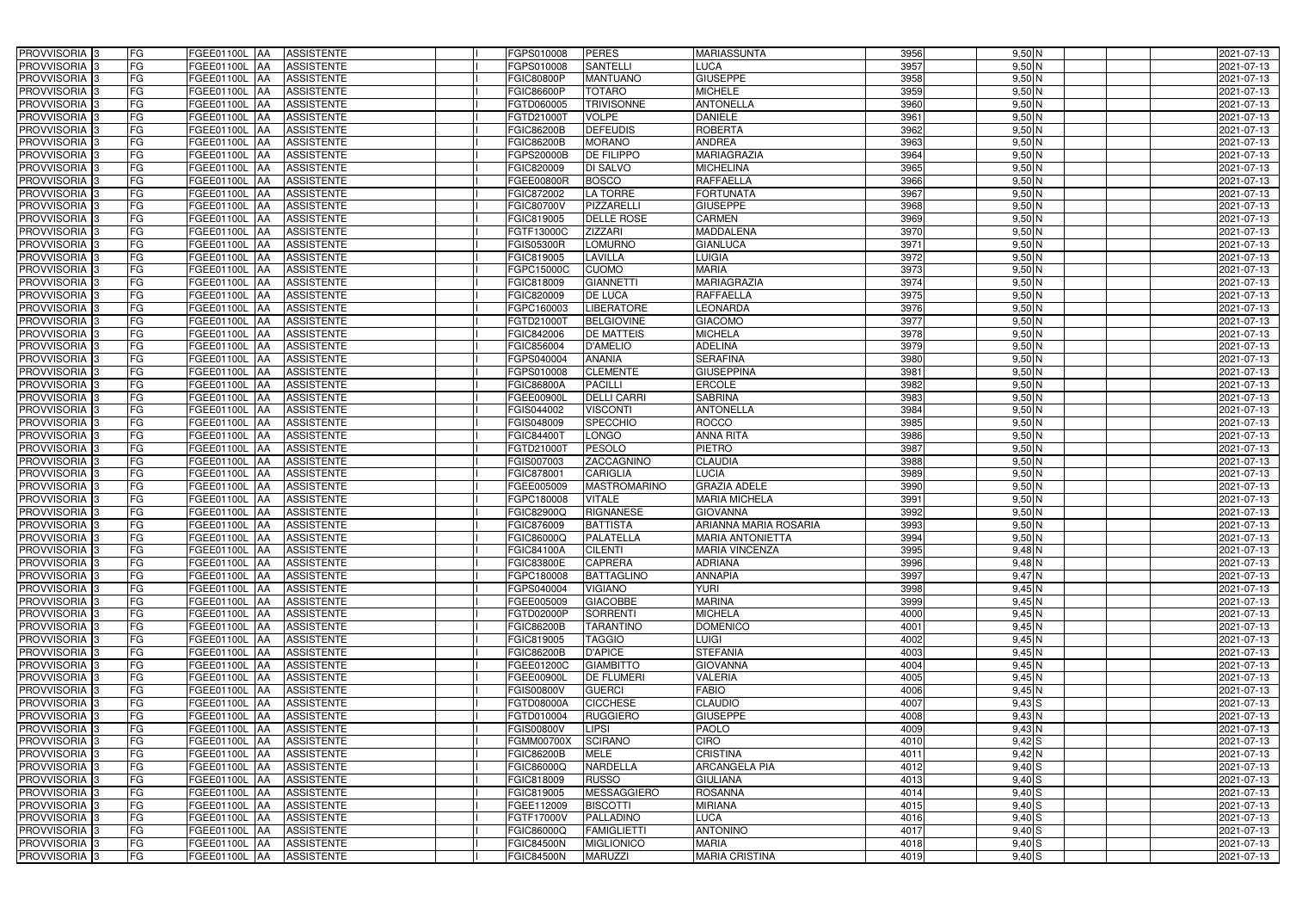| PROVVISORIA 3              | FG        | FGEE01100L AA<br><b>ASSISTENTE</b>            | FGPS010008        | <b>PERES</b>        | <b>MARIASSUNTA</b>           | 3956 | $9,50$ N                  | 2021-07-13 |
|----------------------------|-----------|-----------------------------------------------|-------------------|---------------------|------------------------------|------|---------------------------|------------|
| PROVVISORIA 3              | FG        | <b>ASSISTENTE</b><br>FGEE01100L               | FGPS010008        | <b>SANTELLI</b>     | LUCA                         | 3957 | $9,50$ N                  | 2021-07-13 |
| PROVVISORIA 3              | <b>FG</b> | <b>FGEE01100L</b><br><b>ASSISTENTE</b><br>IAA | FGIC80800P        | <b>MANTUANO</b>     | <b>GIUSEPPE</b>              | 3958 | $9,50$ N                  | 2021-07-13 |
| PROVVISORIA <sup>3</sup>   | <b>FG</b> | FGEE01100L<br><b>ASSISTENTE</b><br>IAA        | GIC86600P         | <b>TOTARO</b>       | <b>MICHELE</b>               | 3959 | $9,50$ N                  | 2021-07-13 |
| PROVVISORIA 3              | FG        | FGEE01100L<br><b>ASSISTENTE</b>               | FGTD060005        | <b>TRIVISONNE</b>   | <b>ANTONELLA</b>             | 3960 | $9,50$ N                  | 2021-07-13 |
| PROVVISORIA 3              | <b>FG</b> | <b>FGEE01100L AA</b><br><b>ASSISTENTE</b>     | FGTD210001        | <b>VOLPE</b>        | <b>DANIELE</b>               | 3961 | $9,50$ N                  | 2021-07-13 |
| PROVVISORIA 3              | FG        | <b>FGEE01100L   AA</b><br><b>ASSISTENTE</b>   | FGIC86200B        | <b>DEFEUDIS</b>     | <b>ROBERTA</b>               | 3962 | $9,50$ N                  | 2021-07-13 |
| PROVVISORIA 3              | FG        | <b>ASSISTENTE</b><br>FGEE01100L AA            | FGIC86200B        | <b>MORANO</b>       | <b>ANDREA</b>                | 3963 | $9,50$ N                  | 2021-07-13 |
| PROVVISORIA 3              | <b>FG</b> | FGEE01100L AA<br><b>ASSISTENTE</b>            | FGPS20000B        | <b>DE FILIPPO</b>   | <b>MARIAGRAZIA</b>           | 3964 | $9,50$ N                  | 2021-07-13 |
| PROVVISORIA 3              | FG        | FGEE01100L AA<br><b>ASSISTENTE</b>            | FGIC820009        | DI SALVO            | <b>MICHELINA</b>             | 3965 | $9,50$ N                  | 2021-07-13 |
| PROVVISORIA <sup>13</sup>  | FG        | <b>ASSISTENTE</b><br>FGEE01100L AA            | FGEE00800R        | <b>BOSCO</b>        | <b>RAFFAELLA</b>             | 3966 | $9,50$ N                  | 2021-07-13 |
| PROVVISORIA 3              | FG        | FGEE01100L AA<br><b>ASSISTENTE</b>            | FGIC872002        | <b>LA TORRE</b>     | <b>FORTUNATA</b>             | 3967 | $9,50$ N                  | 2021-07-13 |
| PROVVISORIA <sup>3</sup>   | FG        | FGEE01100L<br><b>ASSISTENTE</b><br>IAA        | FGIC80700V        | PIZZARELL           | <b>GIUSEPPE</b>              | 3968 | $9,50$ N                  | 2021-07-13 |
| PROVVISORIA 3              | FG        | <b>ASSISTENTE</b><br>FGEE01100L AA            | FGIC819005        | <b>DELLE ROSE</b>   | <b>CARMEN</b>                | 3969 | $9,50$ N                  | 2021-07-13 |
| PROVVISORIA 3              | <b>FG</b> | FGEE01100L AA<br><b>ASSISTENTE</b>            | FGTF13000C        | <b>ZIZZARI</b>      | <b>MADDALENA</b>             | 3970 | $9,50$ N                  | 2021-07-13 |
| PROVVISORIA 3              | <b>FG</b> | FGEE01100L<br><b>ASSISTENTE</b><br>IAA        | FGIS05300R        | <b>LOMURNO</b>      | <b>GIANLUCA</b>              | 3971 | $9,50$ N                  | 2021-07-13 |
| PROVVISORIA 3              | FG        | FGEE01100L<br><b>ASSISTENTE</b><br>IAA        | FGIC819005        | <b>LAVILLA</b>      | <b>LUIGIA</b>                | 3972 | $9,50$ N                  | 2021-07-13 |
| PROVVISORIA 3              | FG        | FGEE01100L<br><b>ASSISTENTE</b><br>IAA        | FGPC15000C        | <b>CUOMO</b>        | <b>MARIA</b>                 | 3973 | $9,50$ N                  | 2021-07-13 |
| PROVVISORIA 3              | FG        | FGEE01100L<br><b>ASSISTENTE</b><br>IAA        | FGIC818009        | <b>GIANNETTI</b>    | <b>MARIAGRAZIA</b>           | 3974 | $9,50$ N                  | 2021-07-13 |
| PROVVISORIA 3              | FG        | FGEE01100L<br><b>ASSISTENTE</b><br>IAA        | FGIC820009        | <b>DE LUCA</b>      | <b>RAFFAELLA</b>             | 3975 | $9,50$ N                  | 2021-07-13 |
| PROVVISORIA <sup>3</sup>   | FG        | FGEE01100L<br><b>ASSISTENTE</b>               | FGPC160003        | <b>LIBERATORE</b>   | <b>LEONARDA</b>              | 3976 | 9,50 N                    | 2021-07-13 |
| <b>PROVVISORIA</b> 3       | FG        | <b>FGEE01100L</b><br><b>ASSISTENTE</b>        | FGTD21000T        | <b>BELGIOVINE</b>   | <b>GIACOMO</b>               | 3977 | $9,50$ N                  | 2021-07-13 |
| PROVVISORIA <sup>3</sup>   | FG        | FGEE01100L<br><b>ASSISTENTE</b>               | FGIC842006        | <b>DE MATTEIS</b>   | <b>MICHELA</b>               | 3978 | $9,50$ N                  | 2021-07-13 |
| PROVVISORIA <sup>13</sup>  | <b>FG</b> | FGEE01100L<br><b>ASSISTENTE</b><br>ΙAΑ        | FGIC856004        | <b>D'AMELIO</b>     | <b>ADELINA</b>               | 3979 | $9,50$ N                  | 2021-07-13 |
| <b>PROVVISORIA</b> 3       | FG        | <b>FGEE01100L</b><br><b>ASSISTENTE</b><br>IAA | GPS040004         | <b>ANANIA</b>       | <b>SERAFINA</b>              | 3980 | $9,50$ N                  | 2021-07-13 |
| PROVVISORIA 3              | FG        | FGEE01100L<br><b>ASSISTENTE</b><br>IAA        | GPS010008         | <b>CLEMENTE</b>     | <b>GIUSEPPINA</b>            | 3981 | $9,50$ N                  | 2021-07-13 |
| PROVVISORIA 3              | <b>FG</b> | <b>FGEE01100L AA</b><br><b>ASSISTENTE</b>     | FGIC86800A        | <b>PACILLI</b>      | <b>ERCOLE</b>                | 3982 | $9,50$ N                  | 2021-07-13 |
| PROVVISORIA 3              | <b>FG</b> | <b>FGEE01100L AA</b><br><b>ASSISTENTE</b>     | FGEE00900L        | <b>DELLI CARRI</b>  | <b>SABRINA</b>               | 3983 | $9,50$ N                  | 2021-07-13 |
| PROVVISORIA <sup>3</sup>   | FG        | FGEE01100L<br><b>ASSISTENTE</b><br>IAA        | FGIS044002        | <b>VISCONTI</b>     | <b>ANTONELLA</b>             | 3984 | $9,50$ N                  | 2021-07-13 |
| PROVVISORIA 3              | <b>FG</b> | <b>FGEE01100L   AA</b><br><b>ASSISTENTE</b>   | FGIS048009        | <b>SPECCHIO</b>     | <b>ROCCO</b>                 | 3985 | $9,50$ N                  | 2021-07-13 |
| PROVVISORIA 3              | FG        | <b>FGEE01100L AA</b><br><b>ASSISTENTE</b>     | FGIC844007        | LONGO               | <b>ANNA RITA</b>             | 3986 | $9,50$ N                  | 2021-07-13 |
| PROVVISORIA 3              | FG        | <b>ASSISTENTE</b><br>FGEE01100L AA            | FGTD21000T        | <b>PESOLO</b>       | <b>PIETRO</b>                | 3987 | $9,50$ N                  | 2021-07-13 |
| PROVVISORIA 3              | FG        | FGEE01100L<br><b>ASSISTENTE</b><br>IAA        | FGIS007003        | ZACCAGNINO          | <b>CLAUDIA</b>               | 3988 | $9,50$ N                  | 2021-07-13 |
| PROVVISORIA 3              | <b>FG</b> | FGEE01100L AA<br><b>ASSISTENTE</b>            | FGIC878001        | <b>CARIGLIA</b>     | <b>LUCIA</b>                 | 3989 | $9,50$ N                  | 2021-07-13 |
| <b>PROVVISORIA</b> 3       | <b>FG</b> | FGEE01100L<br><b>ASSISTENTE</b><br>IAA        | FGEE005009        | <b>MASTROMARINO</b> | <b>GRAZIA ADELE</b>          | 3990 | $9,50$ N                  | 2021-07-13 |
| PROVVISORIA <sup>3</sup>   | FG        | FGEE01100L<br><b>ASSISTENTE</b><br>IAA        | GPC180008         | <b>VITALE</b>       | <b>MARIA MICHELA</b>         | 3991 | $9,50$ N                  | 2021-07-13 |
| PROVVISORIA <sup>1</sup> 3 | FG        | <b>FGEE01100L</b><br><b>ASSISTENTE</b><br>IAA | <b>GIC82900Q</b>  | <b>RIGNANESE</b>    | <b>GIOVANNA</b>              | 3992 | $9,50$ N                  | 2021-07-13 |
| PROVVISORIA <sup>3</sup>   | <b>FG</b> | FGEE01100L AA<br><b>ASSISTENTE</b>            | FGIC876009        | <b>BATTISTA</b>     | <b>ARIANNA MARIA ROSARIA</b> | 3993 | $9,50$ N                  | 2021-07-13 |
| PROVVISORIA <sup>3</sup>   | FG        | FGEE01100L AA ASSISTENTE                      | FGIC86000Q        | <b>PALATELLA</b>    | <b>MARIA ANTONIETTA</b>      | 3994 | $9,50$ N                  | 2021-07-13 |
| PROVVISORIA <sup>3</sup>   | FG        | FGEE01100L AA<br>ASSISTENTE                   | FGIC84100A        | <b>CILENTI</b>      | <b>MARIA VINCENZA</b>        | 3995 | $9,48$ N                  | 2021-07-13 |
| PROVVISORIA <sup>3</sup>   | FG        | ASSISTENTE<br>FGEE01100L AA                   | FGIC83800E        | <b>CAPRERA</b>      | <b>ADRIANA</b>               | 3996 | $9,48$ N                  | 2021-07-13 |
| PROVVISORIA <sup>3</sup>   | FG        | FGEE01100L AA<br><b>ASSISTENTE</b>            | FGPC180008        | <b>BATTAGLINO</b>   | <b>ANNAPIA</b>               | 3997 | $9,47$ N                  | 2021-07-13 |
| PROVVISORIA <sup>3</sup>   | FG        | FGEE01100L AA<br><b>ASSISTENTE</b>            | FGPS040004        | <b>VIGIANO</b>      | <b>YURI</b>                  | 3998 | 9,45N                     | 2021-07-13 |
| PROVVISORIA <sup>3</sup>   | FG        | FGEE01100L AA<br><b>ASSISTENTE</b>            | FGEE005009        | <b>GIACOBBE</b>     | <b>MARINA</b>                | 3999 | $9,45$ N                  | 2021-07-13 |
| PROVVISORIA <sup>3</sup>   | <b>FG</b> | FGEE01100L AA<br><b>ASSISTENTE</b>            | FGTD02000P        | <b>SORRENTI</b>     | <b>MICHELA</b>               | 4000 | $9,45$ N                  | 2021-07-13 |
| PROVVISORIA <sup>3</sup>   | FG        | FGEE01100L AA<br><b>ASSISTENTE</b>            | <b>FGIC86200B</b> | <b>TARANTINO</b>    | <b>DOMENICO</b>              | 4001 | $9,45$ N                  | 2021-07-13 |
| PROVVISORIA <sup>3</sup>   | FG        | FGEE01100L AA<br><b>ASSISTENTE</b>            | FGIC819005        | <b>TAGGIO</b>       | <b>LUIGI</b>                 | 4002 | $9,45\overline{\text{N}}$ | 2021-07-13 |
| PROVVISORIA <sup>3</sup>   | FG        | FGEE01100L AA<br><b>ASSISTENTE</b>            | FGIC86200B        | <b>D'APICE</b>      | <b>STEFANIA</b>              | 4003 | $9,45$ N                  | 2021-07-13 |
| PROVVISORIA <sup>3</sup>   | FG        | FGEE01100L AA<br><b>ASSISTENTE</b>            | FGEE01200C        | <b>GIAMBITTO</b>    | <b>GIOVANNA</b>              | 4004 | 9,45N                     | 2021-07-13 |
| PROVVISORIA <sup>3</sup>   | FG        | FGEE01100L AA<br><b>ASSISTENTE</b>            | FGEE00900L        | <b>DE FLUMERI</b>   | <b>VALERIA</b>               | 4005 | 9,45N                     | 2021-07-13 |
| PROVVISORIA <sup>3</sup>   | FG        | FGEE01100L AA<br>ASSISTENTE                   | <b>FGIS00800V</b> | <b>GUERCI</b>       | <b>FABIO</b>                 | 4006 | $9,45$ N                  | 2021-07-13 |
| PROVVISORIA <sup>3</sup>   | FG        | FGEE01100L AA<br><b>ASSISTENTE</b>            | FGTD08000A        | <b>CICCHESE</b>     | <b>CLAUDIO</b>               | 4007 | $9,43$ S                  | 2021-07-13 |
| PROVVISORIA <sup>3</sup>   | FG        | FGEE01100L AA<br><b>ASSISTENTE</b>            | FGTD010004        | <b>RUGGIERO</b>     | <b>GIUSEPPE</b>              | 4008 | $9,43$ N                  | 2021-07-13 |
| PROVVISORIA <sup>3</sup>   | FG        | FGEE01100L AA<br><b>ASSISTENTE</b>            | FGIS00800V        | <b>LIPSI</b>        | <b>PAOLO</b>                 | 4009 | 9,43N                     | 2021-07-13 |
| PROVVISORIA <sup>13</sup>  | FG        | FGEE01100L AA<br><b>ASSISTENTE</b>            | FGMM00700X        | <b>SCIRANO</b>      | <b>CIRO</b>                  | 4010 | $9,42$ S                  | 2021-07-13 |
| PROVVISORIA <sup>3</sup>   | FG        | FGEE01100L AA<br><b>ASSISTENTE</b>            | FGIC86200B        | MELE                | <b>CRISTINA</b>              | 4011 | $9,42$ N                  | 2021-07-13 |
| PROVVISORIA <sup>3</sup>   | FG        | FGEE01100L AA<br><b>ASSISTENTE</b>            | FGIC86000Q        | <b>NARDELLA</b>     | <b>ARCANGELA PIA</b>         | 4012 | $9,40$ S                  | 2021-07-13 |
| PROVVISORIA <sup>3</sup>   | FG        | <b>FGEE01100L   AA</b><br><b>ASSISTENTE</b>   | FGIC818009        | <b>RUSSO</b>        | <b>GIULIANA</b>              | 4013 | $9,40$ S                  | 2021-07-13 |
| PROVVISORIA <sup>3</sup>   | FG        | <b>ASSISTENTE</b><br>FGEE01100L AA            | FGIC819005        | <b>MESSAGGIERO</b>  | <b>ROSANNA</b>               | 4014 | $9,40$ S                  | 2021-07-13 |
| PROVVISORIA <sup>3</sup>   | FG        | <b>ASSISTENTE</b><br>FGEE01100L AA            | FGEE112009        | <b>BISCOTTI</b>     | <b>MIRIANA</b>               | 4015 | $9,40$ S                  | 2021-07-13 |
| PROVVISORIA <sup>3</sup>   | FG        | FGEE01100L AA<br><b>ASSISTENTE</b>            | FGTF17000V        | PALLADINO           | <b>LUCA</b>                  | 4016 | $9,40$ S                  | 2021-07-13 |
| PROVVISORIA <sup>3</sup>   | FG        | <b>ASSISTENTE</b><br>FGEE01100L AA            | FGIC86000Q        | <b>FAMIGLIETTI</b>  | <b>ANTONINO</b>              | 4017 | $9,40$ S                  | 2021-07-13 |
| PROVVISORIA <sup>3</sup>   | FG        | FGEE01100L AA<br>ASSISTENTE                   | <b>FGIC84500N</b> | <b>MIGLIONICO</b>   | <b>MARIA</b>                 | 4018 | $9,40$ S                  | 2021-07-13 |
| PROVVISORIA 3              | FG        | <b>ASSISTENTE</b><br>FGEE01100L AA            | <b>FGIC84500N</b> | <b>MARUZZI</b>      | <b>MARIA CRISTINA</b>        | 4019 | $9,40$ S                  | 2021-07-13 |
|                            |           |                                               |                   |                     |                              |      |                           |            |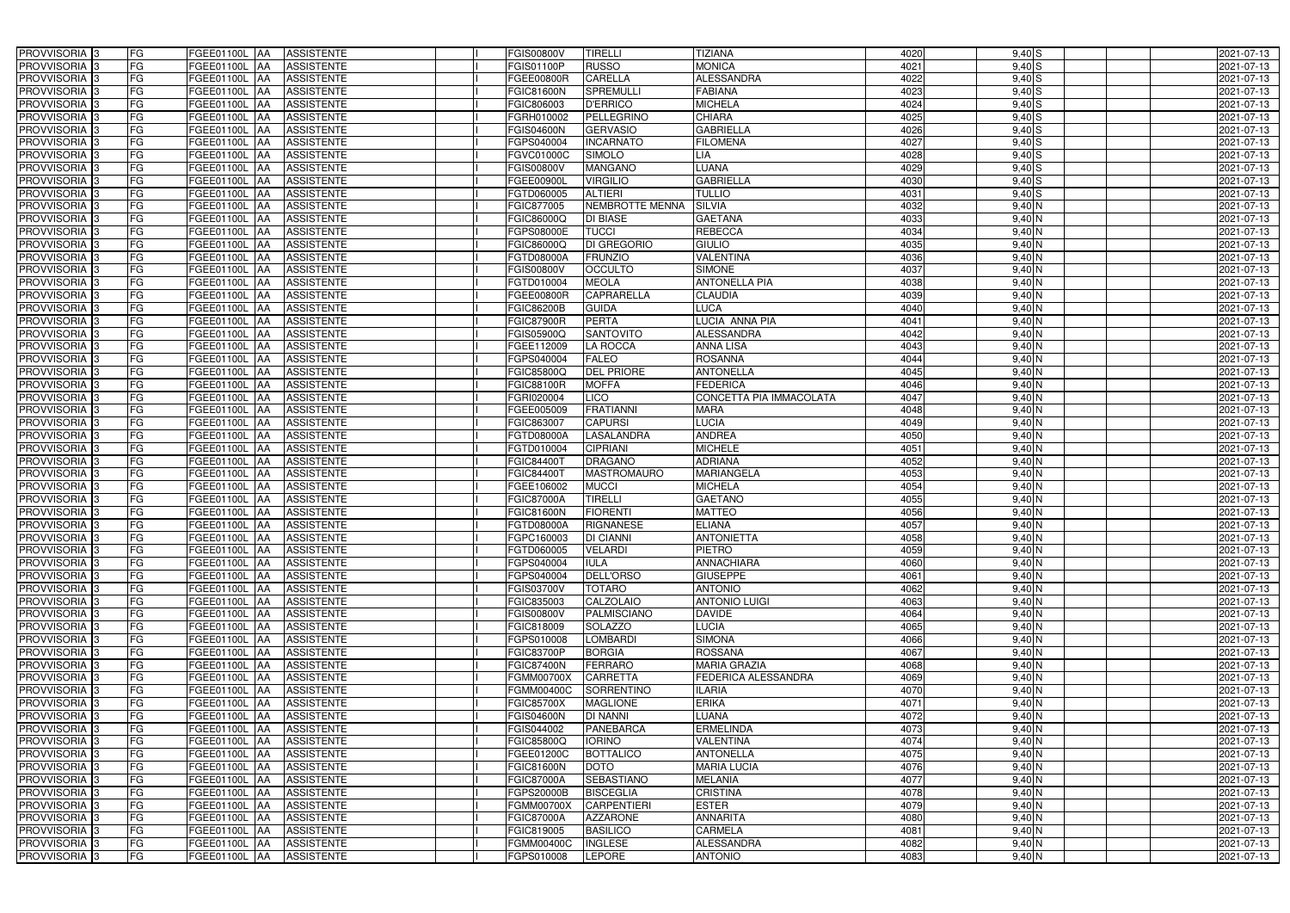| PROVVISORIA 3                                        | FG              | <b>FGEE01100L AA</b><br><b>ASSISTENTE</b>                                | FGIS00800V                      | <b>TIRELLI</b>                  | <b>TIZIANA</b>                | 4020         | $9,40$ S           | 2021-07-13               |
|------------------------------------------------------|-----------------|--------------------------------------------------------------------------|---------------------------------|---------------------------------|-------------------------------|--------------|--------------------|--------------------------|
| PROVVISORIA 3                                        | FG              | <b>ASSISTENTE</b><br>FGEE01100L                                          | FGIS01100P                      | <b>RUSSO</b>                    | <b>MONICA</b>                 | 4021         | $9,40$ S           | 2021-07-13               |
| PROVVISORIA 3                                        | <b>FG</b>       | <b>FGEE01100L</b><br><b>ASSISTENTE</b><br>IAA                            | FGEE00800R                      | <b>CARELLA</b>                  | <b>ALESSANDRA</b>             | 4022         | 9,40S              | 2021-07-13               |
| PROVVISORIA <sup>3</sup>                             | <b>FG</b>       | FGEE01100L<br><b>ASSISTENTE</b><br>IAA                                   | GIC81600N                       | <b>SPREMULL</b>                 | <b>FABIANA</b>                | 4023         | $9,40$ S           | 2021-07-13               |
| PROVVISORIA <sup>3</sup>                             | FG              | FGEE01100L<br><b>ASSISTENTE</b>                                          | FGIC806003                      | <b>D'ERRICO</b>                 | <b>MICHELA</b>                | 4024         | $9,40$ S           | 2021-07-13               |
| PROVVISORIA 3                                        | <b>FG</b>       | <b>FGEE01100L AA</b><br><b>ASSISTENTE</b>                                | FGRH010002                      | <b>PELLEGRINO</b>               | <b>CHIARA</b>                 | 4025         | $9,40$ S           | 2021-07-13               |
| PROVVISORIA 3                                        | FG              | FGEE01100L AA<br><b>ASSISTENTE</b>                                       | <b>FGIS04600N</b>               | <b>GERVASIO</b>                 | <b>GABRIELLA</b>              | 4026         | $9,40$ S           | 2021-07-13               |
| PROVVISORIA 3                                        | FG              | <b>ASSISTENTE</b><br>FGEE01100L AA                                       | FGPS040004                      | <b>INCARNATO</b>                | <b>FILOMENA</b>               | 4027         | $9,40$ S           | 2021-07-13               |
| PROVVISORIA 3                                        | <b>FG</b>       | FGEE01100L AA<br><b>ASSISTENTE</b>                                       | FGVC01000C                      | <b>SIMOLO</b>                   | LIA                           | 4028         | $9,40$ S           | 2021-07-13               |
| PROVVISORIA 3                                        | FG              | FGEE01100L AA<br><b>ASSISTENTE</b>                                       | FGIS00800V                      | <b>MANGANO</b>                  | <b>LUANA</b>                  | 4029         | $9,40$ S           | 2021-07-13               |
| PROVVISORIA 3                                        | FG              | <b>ASSISTENTE</b><br>FGEE01100L AA                                       | FGEE00900L                      | <b>VIRGILIO</b>                 | <b>GABRIELLA</b>              | 4030         | $9,40$ S           | 2021-07-13               |
| PROVVISORIA 3                                        | FG              | FGEE01100L AA<br><b>ASSISTENTE</b>                                       | FGTD060005                      | <b>ALTIERI</b>                  | <b>TULLIO</b>                 | 4031         | $9,40$ S           | 2021-07-13               |
| PROVVISORIA <sup>3</sup>                             | FG              | FGEE01100L<br><b>ASSISTENTE</b><br>IAA                                   | FGIC877005                      | NEMBROTTE MENNA                 | <b>SILVIA</b>                 | 4032         | $9,40$ N           | 2021-07-13               |
| PROVVISORIA 3                                        | FG              | FGEE01100L AA<br><b>ASSISTENTE</b>                                       | FGIC86000Q                      | <b>DI BIASE</b>                 | <b>GAETANA</b>                | 4033         | $9,40$ N           | 2021-07-13               |
| PROVVISORIA 3                                        | <b>FG</b>       | FGEE01100L AA<br><b>ASSISTENTE</b>                                       | FGPS08000E                      | <b>TUCCI</b>                    | <b>REBECCA</b>                | 4034         | $9,40$ N           | 2021-07-13               |
| PROVVISORIA 3                                        | <b>FG</b>       | <b>FGEE01100L</b><br><b>ASSISTENTE</b><br>IAA                            | FGIC86000Q                      | <b>DI GREGORIO</b>              | <b>GIULIO</b>                 | 4035         | $9,40$ N           | 2021-07-13               |
| PROVVISORIA 3                                        | FG              | FGEE01100L<br><b>ASSISTENTE</b><br>IAA                                   | FGTD08000A                      | <b>FRUNZIO</b>                  | VALENTINA                     | 4036         | $9,40$ N           | 2021-07-13               |
| PROVVISORIA 3                                        | FG              | FGEE01100L<br><b>ASSISTENTE</b><br>IAA                                   | FGIS00800V                      | <b>OCCULTO</b>                  | <b>SIMONE</b>                 | 4037         | 9,40 N             | 2021-07-13               |
| <b>PROVVISORIA</b> 3                                 | FG              | FGEE01100L<br><b>ASSISTENTE</b><br>IAA                                   | FGTD010004                      | <b>MEOLA</b>                    | <b>ANTONELLA PIA</b>          | 4038         | $9,40$ N           | 2021-07-13               |
| PROVVISORIA 3                                        | FG              | FGEE01100L<br><b>ASSISTENTE</b><br>IAA                                   | FGEE00800R                      | <b>CAPRARELLA</b>               | <b>CLAUDIA</b>                | 4039         | $9,40$ N           | 2021-07-13               |
| <b>PROVVISORIA</b> 3                                 | FG              | FGEE01100L<br><b>ASSISTENTE</b>                                          | FGIC86200B                      | <b>GUIDA</b>                    | <b>LUCA</b>                   | 4040         | $9,40$ N           | 2021-07-13               |
| <b>PROVVISORIA</b> 3                                 | FG              | FGEE01100L<br><b>ASSISTENTE</b>                                          | <b>FGIC87900R</b>               | <b>PERTA</b>                    | LUCIA ANNA PIA                | 4041         | $9,40$ N           | 2021-07-13               |
| PROVVISORIA <sup>3</sup>                             | FG              | FGEE01100L<br><b>ASSISTENTE</b>                                          | GIS05900Q                       | <b>SANTOVITO</b>                | <b>ALESSANDRA</b>             | 4042         | $9,40\,N$          | 2021-07-13               |
| PROVVISORIA <sup>3</sup>                             | <b>FG</b>       | <b>FGEE01100L</b><br><b>ASSISTENTE</b><br>ΙAΑ                            | GEE112009                       | LA ROCCA                        | <b>ANNA LISA</b>              | 4043         | 9,40 N             | 2021-07-13               |
| <b>PROVVISORIA</b> 3                                 | <b>FG</b>       | FGEE01100L<br><b>ASSISTENTE</b><br>IAA                                   | GPS040004                       | <b>FALEO</b>                    | <b>ROSANNA</b>                | 4044         | $9,40$ N           | 2021-07-13               |
| PROVVISORIA 3                                        | FG              | FGEE01100L<br><b>ASSISTENTE</b><br>IAA                                   | FGIC85800Q                      | <b>DEL PRIORE</b>               | <b>ANTONELLA</b>              | 4045         | $9,40$ N           | 2021-07-13               |
| PROVVISORIA 3                                        | <b>FG</b>       | FGEE01100L AA<br><b>ASSISTENTE</b>                                       | FGIC88100R                      | <b>MOFFA</b>                    | <b>FEDERICA</b>               | 4046         | $9,40$ N           | 2021-07-13               |
| PROVVISORIA 3                                        | <b>FG</b>       | FGEE01100L<br><b>ASSISTENTE</b><br>IAA                                   | FGRI020004                      | LIO                             | CONCETTA PIA IMMACOLATA       | 4047         | $9,40$ N           | 2021-07-13               |
| PROVVISORIA <sup>3</sup>                             | FG              | FGEE01100L<br><b>ASSISTENTE</b><br>IAA                                   | FGEE005009                      | <b>FRATIANNI</b>                | <b>MARA</b>                   | 4048         | $9,40$ N           | 2021-07-13               |
| PROVVISORIA 3                                        | <b>FG</b>       | <b>FGEE01100L   AA</b><br><b>ASSISTENTE</b>                              | FGIC863007                      | <b>CAPURSI</b>                  | <b>LUCIA</b>                  | 4049         | 9,40 N             | 2021-07-13               |
| PROVVISORIA 3                                        | FG              | <b>FGEE01100L</b><br><b>ASSISTENTE</b><br>IAA                            | FGTD08000A                      | <b>LASALANDRA</b>               | <b>ANDREA</b>                 | 4050         | $9,40$ N           | 2021-07-13               |
| PROVVISORIA 3                                        | FG              | <b>ASSISTENTE</b><br>FGEE01100L<br><b>IAA</b>                            | FGTD010004                      | <b>CIPRIANI</b>                 | <b>MICHELE</b>                | 4051         | $9,40$ N           | 2021-07-13               |
| PROVVISORIA 3                                        | FG              | <b>FGEE01100L</b><br><b>ASSISTENTE</b><br>IAA                            | FGIC844001                      | <b>DRAGANO</b>                  | <b>ADRIANA</b>                | 4052         | $9,40$ N           | 2021-07-13               |
| PROVVISORIA 3                                        | <b>FG</b>       | FGEE01100L AA<br><b>ASSISTENTE</b>                                       | FGIC84400T                      | <b>MASTROMAURO</b>              | <b>MARIANGELA</b>             | 4053         | $9,40$ N           | 2021-07-13               |
| PROVVISORIA :                                        | <b>FG</b>       | <b>ASSISTENTE</b><br>FGEE01100L<br>IAA                                   | FGEE106002                      | <b>MUCCI</b>                    | <b>MICHELA</b>                | 4054         | $9,40$ N           | 2021-07-13               |
| PROVVISORIA <sup>1</sup> 3                           | FG              | FGEE01100L<br><b>ASSISTENTE</b><br>IAA                                   | <b>FGIC87000A</b>               | <b>TIRELLI</b>                  | <b>GAETANO</b>                | 4055         | $9,40$ N           | 2021-07-13               |
| PROVVISORIA <sup>1</sup> 3                           | FG              | <b>FGEE01100L</b><br><b>ASSISTENTE</b><br>IAA                            | GIC81600N                       | <b>FIORENTI</b>                 | <b>MATTEO</b>                 | 4056         | $9,40$ N           | 2021-07-13               |
| PROVVISORIA <sup>3</sup>                             | <b>FG</b>       | FGEE01100L AA<br><b>ASSISTENTE</b>                                       | <b>FGTD08000A</b>               | <b>RIGNANESE</b>                | <b>ELIANA</b>                 | 4057         | 9,40 N             | 2021-07-13               |
| PROVVISORIA <sup>3</sup>                             | FG              | FGEE01100L AA ASSISTENTE                                                 | FGPC160003                      | <b>DI CIANNI</b>                | <b>ANTONIETTA</b>             | 4058         | $9,40$ N           | 2021-07-13               |
| PROVVISORIA <sup>3</sup>                             | FG              | FGEE01100L AA<br>ASSISTENTE                                              | FGTD060005                      | <b>VELARDI</b>                  | <b>PIETRO</b>                 | 4059         | $9,40$ N           | 2021-07-13               |
| PROVVISORIA <sup>3</sup>                             | FG              | ASSISTENTE<br>FGEE01100L AA                                              | FGPS040004                      | <b>IULA</b>                     | <b>ANNACHIARA</b>             | 4060         | 9,40 N             | 2021-07-13               |
| PROVVISORIA 3                                        | FG              | FGEE01100L AA<br><b>ASSISTENTE</b>                                       | FGPS040004                      | <b>DELL'ORSO</b>                | <b>GIUSEPPE</b>               | 4061         | $9,40$ N           | 2021-07-13               |
| PROVVISORIA <sup>3</sup>                             | FG              | FGEE01100L AA<br><b>ASSISTENTE</b>                                       | FGIS03700V                      | <b>TOTARO</b>                   | <b>ANTONIO</b>                | 4062         | 9,40 N             | 2021-07-13               |
| PROVVISORIA <sup>3</sup>                             | FG              | FGEE01100L AA<br><b>ASSISTENTE</b>                                       | FGIC835003                      | <b>CALZOLAIO</b>                | <b>ANTONIO LUIGI</b>          | 4063         | $9,40$ N           | 2021-07-13               |
| PROVVISORIA <sup>3</sup>                             | <b>FG</b>       | FGEE01100L AA<br><b>ASSISTENTE</b>                                       | FGIS00800V                      | PALMISCIANO                     | <b>DAVIDE</b>                 | 4064         | $9,40$ N           | 2021-07-13               |
| PROVVISORIA <sup>3</sup>                             | FG              | FGEE01100L AA<br><b>ASSISTENTE</b>                                       | FGIC818009                      | <b>SOLAZZO</b>                  | <b>LUCIA</b><br><b>SIMONA</b> | 4065         | $9,40$ N           | 2021-07-13               |
| PROVVISORIA <sup>3</sup>                             | FG<br><b>FG</b> | FGEE01100L AA<br><b>ASSISTENTE</b><br>FGEE01100L AA<br><b>ASSISTENTE</b> | FGPS010008                      | <b>LOMBARDI</b>                 | <b>ROSSANA</b>                | 4066         | $9,40$ N           | 2021-07-13               |
| PROVVISORIA <sup>3</sup><br>PROVVISORIA <sup>3</sup> | FG              | FGEE01100L AA<br><b>ASSISTENTE</b>                                       | <b>FGIC83700P</b><br>FGIC87400N | <b>BORGIA</b><br><b>FERRARO</b> | <b>MARIA GRAZIA</b>           | 4067<br>4068 | $9,40$ N<br>9,40 N | 2021-07-13<br>2021-07-13 |
| PROVVISORIA <sup>3</sup>                             | FG              | FGEE01100L AA<br><b>ASSISTENTE</b>                                       | FGMM00700X                      | <b>CARRETTA</b>                 | FEDERICA ALESSANDRA           | 4069         | 9,40 N             | 2021-07-13               |
| PROVVISORIA 3                                        | FG              | FGEE01100L AA<br>ASSISTENTE                                              | FGMM00400C                      | <b>SORRENTINO</b>               | <b>ILARIA</b>                 | 4070         | $9,40$ N           | 2021-07-13               |
| PROVVISORIA <sup>3</sup>                             | FG              | FGEE01100L AA<br><b>ASSISTENTE</b>                                       | FGIC85700X                      | <b>MAGLIONE</b>                 | <b>ERIKA</b>                  | 4071         | $9,40$ N           | 2021-07-13               |
| PROVVISORIA <sup>3</sup>                             | FG              | FGEE01100L AA<br><b>ASSISTENTE</b>                                       | <b>FGIS04600N</b>               | <b>DI NANNI</b>                 | <b>LUANA</b>                  | 4072         | $9,40$ N           | 2021-07-13               |
| PROVVISORIA <sup>3</sup>                             | FG              | FGEE01100L AA<br><b>ASSISTENTE</b>                                       | FGIS044002                      | <b>PANEBARCA</b>                | <b>ERMELINDA</b>              | 4073         | 9,40 N             | 2021-07-13               |
| PROVVISORIA <sup>13</sup>                            | FG              | FGEE01100L AA<br><b>ASSISTENTE</b>                                       | FGIC85800Q                      | <b>IORINO</b>                   | <b>VALENTINA</b>              | 4074         | 9,40 N             | 2021-07-13               |
| PROVVISORIA <sup>3</sup>                             | FG              | FGEE01100L AA<br><b>ASSISTENTE</b>                                       | FGEE01200C                      | <b>BOTTALICO</b>                | <b>ANTONELLA</b>              | 4075         | $9,40$ N           | 2021-07-13               |
| PROVVISORIA <sup>3</sup>                             | FG              | FGEE01100L AA<br><b>ASSISTENTE</b>                                       | <b>FGIC81600N</b>               | <b>DOTO</b>                     | <b>MARIA LUCIA</b>            | 4076         | $9,40$ N           | 2021-07-13               |
| PROVVISORIA <sup>3</sup>                             | FG              | <b>FGEE01100L   AA</b><br><b>ASSISTENTE</b>                              | <b>FGIC87000A</b>               | <b>SEBASTIANO</b>               | <b>MELANIA</b>                | 4077         | $9,40$ N           | 2021-07-13               |
| PROVVISORIA <sup>3</sup>                             | FG              | <b>ASSISTENTE</b><br>FGEE01100L AA                                       | FGPS20000B                      | <b>BISCEGLIA</b>                | <b>CRISTINA</b>               | 4078         | $9,40$ N           | 2021-07-13               |
| PROVVISORIA <sup>3</sup>                             | FG              | <b>ASSISTENTE</b><br>FGEE01100L AA                                       | FGMM00700X                      | <b>CARPENTIERI</b>              | <b>ESTER</b>                  | 4079         | $9,40$ N           | 2021-07-13               |
| PROVVISORIA <sup>3</sup>                             | FG              | FGEE01100L AA<br><b>ASSISTENTE</b>                                       | FGIC87000A                      | <b>AZZARONE</b>                 | <b>ANNARITA</b>               | 4080         | $9,40$ N           | 2021-07-13               |
| PROVVISORIA <sup>3</sup>                             | FG              | <b>ASSISTENTE</b><br>FGEE01100L AA                                       | FGIC819005                      | <b>BASILICO</b>                 | <b>CARMELA</b>                | 4081         | $9,40$ N           | 2021-07-13               |
| PROVVISORIA <sup>3</sup>                             | FG              | ASSISTENTE<br>FGEE01100L AA                                              | FGMM00400C                      | <b>INGLESE</b>                  | <b>ALESSANDRA</b>             | 4082         | $9,40$ N           | 2021-07-13               |
| PROVVISORIA 3                                        | FG              | <b>ASSISTENTE</b><br><b>FGEE01100L AA</b>                                | FGPS010008                      | <b>LEPORE</b>                   | <b>ANTONIO</b>                | 4083         | $9,40$ N           | 2021-07-13               |
|                                                      |                 |                                                                          |                                 |                                 |                               |              |                    |                          |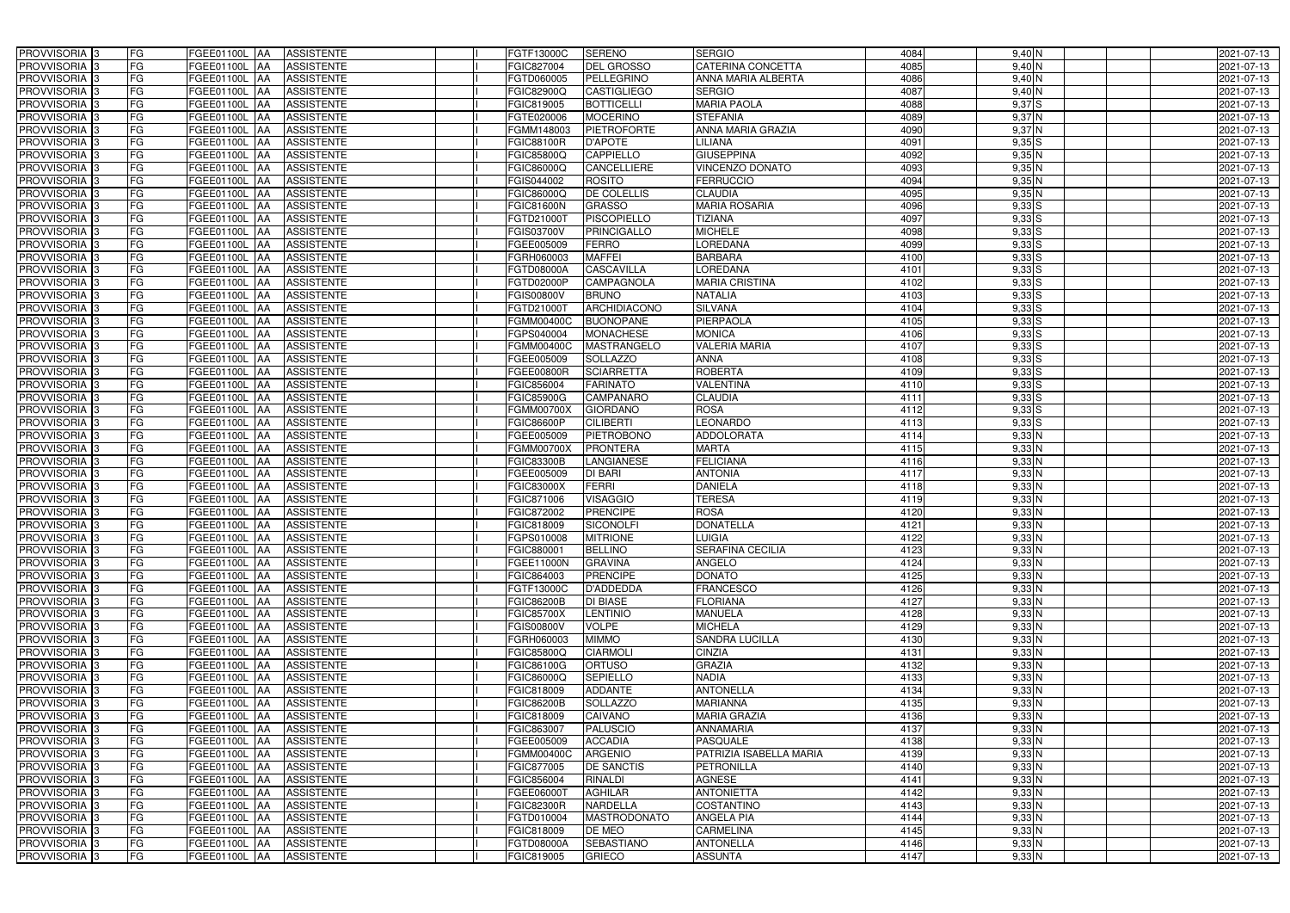| PROVVISORIA 3              | FG        | FGEE01100L AA<br><b>ASSISTENTE</b>            | FGTF13000C        | <b>SERENO</b>       | <b>SERGIO</b>            | 4084 | $9,40$ N   | 2021-07-13 |
|----------------------------|-----------|-----------------------------------------------|-------------------|---------------------|--------------------------|------|------------|------------|
| PROVVISORIA 3              | FG        | <b>ASSISTENTE</b><br>FGEE01100L               | FGIC827004        | DEL GROSSO          | CATERINA CONCETTA        | 4085 | $9,40$ N   | 2021-07-13 |
| PROVVISORIA 3              | FG        | FGEE01100L<br><b>ASSISTENTE</b><br>IAA        | FGTD060005        | PELLEGRINO          | ANNA MARIA ALBERTA       | 4086 | $9,40$ N   | 2021-07-13 |
| PROVVISORIA 3              | <b>FG</b> | FGEE01100L<br><b>ASSISTENTE</b><br>IAA        | FGIC82900Q        | <b>CASTIGLIEGO</b>  | <b>SERGIO</b>            | 4087 | $9,40$ N   | 2021-07-13 |
| PROVVISORIA <sup>3</sup>   | FG        | FGEE01100L<br><b>ASSISTENTE</b><br>IAA        | FGIC819005        | <b>BOTTICELLI</b>   | <b>MARIA PAOLA</b>       | 4088 | $9,37$ S   | 2021-07-13 |
| PROVVISORIA 3              | <b>FG</b> | <b>FGEE01100L AA</b><br><b>ASSISTENTE</b>     | FGTE020006        | <b>MOCERINO</b>     | <b>STEFANIA</b>          | 4089 | 9,37N      | 2021-07-13 |
| PROVVISORIA 3              | FG        | <b>FGEE01100L   AA</b><br><b>ASSISTENTE</b>   | FGMM148003        | <b>PIETROFORTE</b>  | <b>ANNA MARIA GRAZIA</b> | 4090 | $9,37$ N   | 2021-07-13 |
| PROVVISORIA 3              | FG        | <b>ASSISTENTE</b><br>FGEE01100L AA            | <b>FGIC88100R</b> | <b>D'APOTE</b>      | <b>LILIANA</b>           | 4091 | $9,35$ $S$ | 2021-07-13 |
| PROVVISORIA 3              | <b>FG</b> | FGEE01100L AA<br><b>ASSISTENTE</b>            | FGIC85800Q        | <b>CAPPIELLO</b>    | <b>GIUSEPPINA</b>        | 4092 | 9,35N      | 2021-07-13 |
| PROVVISORIA 3              | FG        | FGEE01100L AA<br><b>ASSISTENTE</b>            | FGIC86000Q        | CANCELLIERE         | <b>VINCENZO DONATO</b>   | 4093 | $9,35$ N   | 2021-07-13 |
| PROVVISORIA 3              | FG        | <b>ASSISTENTE</b><br>FGEE01100L AA            | GIS044002         | <b>ROSITO</b>       | <b>FERRUCCIO</b>         | 4094 | 9,35N      | 2021-07-13 |
| PROVVISORIA 3              | FG        | FGEE01100L AA<br><b>ASSISTENTE</b>            | FGIC86000Q        | DE COLELLIS         | <b>CLAUDIA</b>           | 4095 | 9,35N      | 2021-07-13 |
| PROVVISORIA <sup>3</sup>   | FG        | FGEE01100L<br><b>ASSISTENTE</b><br><b>IAA</b> | FGIC81600N        | <b>GRASSO</b>       | <b>MARIA ROSARIA</b>     | 4096 | $9,33$ S   | 2021-07-13 |
| PROVVISORIA 3              | FG        | FGEE01100L AA<br><b>ASSISTENTE</b>            | FGTD21000T        | <b>PISCOPIELLO</b>  | <b>TIZIANA</b>           | 4097 | $9,33$ $S$ | 2021-07-13 |
| PROVVISORIA 3              | <b>FG</b> | FGEE01100L AA<br><b>ASSISTENTE</b>            | FGIS03700V        | <b>PRINCIGALLO</b>  | <b>MICHELE</b>           | 4098 | $9,33$ S   | 2021-07-13 |
| PROVVISORIA 3              | <b>FG</b> | <b>FGEE01100L</b><br><b>ASSISTENTE</b><br>IAA | FGEE005009        | <b>FERRO</b>        | <b>LOREDANA</b>          | 4099 | $9,33$ $S$ | 2021-07-13 |
| PROVVISORIA 3              | FG        | <b>FGEE01100L</b><br><b>ASSISTENTE</b><br>IAA | FGRH060003        | <b>MAFFEI</b>       | <b>BARBARA</b>           | 4100 | $9,33$ $S$ | 2021-07-13 |
| PROVVISORIA 3              | FG        | <b>FGEE01100L</b><br><b>ASSISTENTE</b><br>IAA | FGTD08000A        | <b>CASCAVILLA</b>   | LOREDANA                 | 4101 | $9,33$ $S$ | 2021-07-13 |
| PROVVISORIA 3              | FG        | FGEE01100L<br><b>ASSISTENTE</b><br>IAA        | FGTD02000P        | <b>CAMPAGNOLA</b>   | <b>MARIA CRISTINA</b>    | 4102 | $9,33$ $S$ | 2021-07-13 |
| PROVVISORIA 3              | FG        | FGEE01100L<br><b>ASSISTENTE</b><br>IAA        | FGIS00800V        | <b>BRUNO</b>        | <b>NATALIA</b>           | 4103 | 9,33 S     | 2021-07-13 |
| PROVVISORIA <sup>3</sup>   | FG        | FGEE01100L<br><b>ASSISTENTE</b>               | FGTD21000T        | ARCHIDIACONO        | <b>SILVANA</b>           | 4104 | $9,33$ S   | 2021-07-13 |
| <b>PROVVISORIA</b> 3       | FG        | FGEE01100L<br><b>ASSISTENTE</b><br>IAA        | FGMM00400C        | <b>BUONOPANE</b>    | <b>PIERPAOLA</b>         | 4105 | $9,33$ $S$ | 2021-07-13 |
| PROVVISORIA <sup>3</sup>   | FG        | FGEE01100L<br><b>ASSISTENTE</b>               | <b>GPS040004</b>  | <b>MONACHESE</b>    | <b>MONICA</b>            | 4106 | $9,33$ $S$ | 2021-07-13 |
| PROVVISORIA <sup>3</sup>   | <b>FG</b> | FGEE01100L<br><b>ASSISTENTE</b><br>AA         | FGMM00400C        | <b>MASTRANGELO</b>  | <b>VALERIA MARIA</b>     | 4107 | $9,33$ $S$ | 2021-07-13 |
| <b>PROVVISORIA</b> 3       | FG        | FGEE01100L<br><b>ASSISTENTE</b>               | FGEE005009        | <b>SOLLAZZO</b>     | <b>ANNA</b>              | 4108 | $9,33$ $S$ | 2021-07-13 |
| PROVVISORIA 3              | FG        | IAA<br>FGEE01100L                             |                   | <b>SCIARRETTA</b>   | <b>ROBERTA</b>           | 4109 | $9,33$ $S$ |            |
|                            | <b>FG</b> | <b>ASSISTENTE</b><br>IAA                      | FGEE00800R        |                     |                          |      |            | 2021-07-13 |
| PROVVISORIA 3              |           | FGEE01100L AA<br><b>ASSISTENTE</b>            | FGIC856004        | <b>FARINATO</b>     | <b>VALENTINA</b>         | 4110 | $9,33$ $S$ | 2021-07-13 |
| PROVVISORIA 3              | <b>FG</b> | FGEE01100L AA<br><b>ASSISTENTE</b>            | FGIC85900G        | CAMPANARO           | <b>CLAUDIA</b>           | 4111 | $9,33$ S   | 2021-07-13 |
| PROVVISORIA 3              | FG        | <b>FGEE01100L</b><br><b>ASSISTENTE</b><br>IAA | FGMM00700X        | <b>GIORDANO</b>     | <b>ROSA</b>              | 4112 | $9,33$ $S$ | 2021-07-13 |
| PROVVISORIA 3              | <b>FG</b> | <b>FGEE01100L   AA</b><br><b>ASSISTENTE</b>   | FGIC86600P        | <b>CILIBERTI</b>    | <b>LEONARDO</b>          | 4113 | $9,33$ $S$ | 2021-07-13 |
| PROVVISORIA 3              | FG        | <b>FGEE01100L AA</b><br><b>ASSISTENTE</b>     | FGEE005009        | <b>PIETROBONO</b>   | <b>ADDOLORATA</b>        | 4114 | $9,33$ N   | 2021-07-13 |
| PROVVISORIA 3              | FG        | <b>ASSISTENTE</b><br>FGEE01100L AA            | FGMM00700X        | <b>PRONTERA</b>     | <b>MARTA</b>             | 4115 | $9,33$ N   | 2021-07-13 |
| PROVVISORIA 3              | FG        | FGEE01100L<br><b>ASSISTENTE</b><br>IAA        | FGIC83300B        | LANGIANESE          | <b>FELICIANA</b>         | 4116 | $9,33$ N   | 2021-07-13 |
| PROVVISORIA 3              | <b>FG</b> | FGEE01100L AA<br><b>ASSISTENTE</b>            | FGEE005009        | <b>DI BARI</b>      | <b>ANTONIA</b>           | 4117 | $9,33$ N   | 2021-07-13 |
| <b>PROVVISORIA</b> 3       | <b>FG</b> | FGEE01100L<br><b>ASSISTENTE</b><br>IAA        | FGIC83000X        | <b>FERRI</b>        | <b>DANIELA</b>           | 4118 | $9,33$ N   | 2021-07-13 |
| PROVVISORIA <sup>3</sup>   | FG        | FGEE01100L<br><b>ASSISTENTE</b><br>IAA        | GIC871006         | <b>VISAGGIO</b>     | <b>TERESA</b>            | 4119 | $9,33$ N   | 2021-07-13 |
| PROVVISORIA <sup>1</sup> 3 | FG        | <b>FGEE01100L</b><br><b>ASSISTENTE</b><br>IAA | GIC872002         | <b>PRENCIPE</b>     | <b>ROSA</b>              | 4120 | $9,33$ N   | 2021-07-13 |
| PROVVISORIA <sup>3</sup>   | <b>FG</b> | FGEE01100L AA<br><b>ASSISTENTE</b>            | FGIC818009        | <b>SICONOLFI</b>    | <b>DONATELLA</b>         | 4121 | 9,33N      | 2021-07-13 |
| PROVVISORIA 3              | FG        | FGEE01100L AA ASSISTENTE                      | FGPS010008        | <b>MITRIONE</b>     | <b>LUIGIA</b>            | 4122 | $9,33$ N   | 2021-07-13 |
| PROVVISORIA <sup>3</sup>   | FG        | FGEE01100L AA<br>ASSISTENTE                   | FGIC880001        | <b>BELLINO</b>      | <b>SERAFINA CECILIA</b>  | 4123 | $9,33$ N   | 2021-07-13 |
| PROVVISORIA <sup>3</sup>   | FG        | <b>ASSISTENTE</b><br>FGEE01100L AA            | <b>FGEE11000N</b> | <b>GRAVINA</b>      | ANGELO                   | 4124 | $9,33$ N   | 2021-07-13 |
| PROVVISORIA <sup>3</sup>   | FG        | <b>FGEE01100L AA</b><br><b>ASSISTENTE</b>     | FGIC864003        | <b>PRENCIPE</b>     | <b>DONATO</b>            | 4125 | $9,33$ N   | 2021-07-13 |
| PROVVISORIA <sup>3</sup>   | FG        | FGEE01100L AA<br><b>ASSISTENTE</b>            | FGTF13000C        | <b>D'ADDEDDA</b>    | <b>FRANCESCO</b>         | 4126 | $9,33$ N   | 2021-07-13 |
| PROVVISORIA <sup>3</sup>   | FG        | FGEE01100L AA<br><b>ASSISTENTE</b>            | FGIC86200B        | <b>DI BIASE</b>     | <b>FLORIANA</b>          | 4127 | $9,33$ N   | 2021-07-13 |
| PROVVISORIA <sup>3</sup>   | FG        | FGEE01100L AA<br><b>ASSISTENTE</b>            | FGIC85700X        | <b>LENTINIO</b>     | <b>MANUELA</b>           | 4128 | $9,33$ N   | 2021-07-13 |
| PROVVISORIA <sup>3</sup>   | FG        | FGEE01100L AA<br><b>ASSISTENTE</b>            | <b>FGIS00800V</b> | <b>VOLPE</b>        | <b>MICHELA</b>           | 4129 | 9,33N      | 2021-07-13 |
| PROVVISORIA <sup>3</sup>   | FG        | FGEE01100L AA<br><b>ASSISTENTE</b>            | FGRH060003        | <b>MIMMO</b>        | <b>SANDRA LUCILLA</b>    | 4130 | 9,33N      | 2021-07-13 |
| PROVVISORIA <sup>3</sup>   | FG        | FGEE01100L AA<br>ASSISTENTE                   | FGIC85800Q        | <b>CIARMOLI</b>     | <b>CINZIA</b>            | 4131 | $9,33$ N   | 2021-07-13 |
| PROVVISORIA 3              | FG        | FGEE01100L AA<br><b>ASSISTENTE</b>            | FGIC86100G        | <b>ORTUSO</b>       | <b>GRAZIA</b>            | 4132 | 9,33N      | 2021-07-13 |
| PROVVISORIA <sup>3</sup>   | FG        | FGEE01100L AA<br><b>ASSISTENTE</b>            | FGIC86000Q        | <b>SEPIELLO</b>     | <b>NADIA</b>             | 4133 | $9,33$ N   | 2021-07-13 |
| PROVVISORIA 3              | FG        | FGEE01100L AA<br>ASSISTENTE                   | FGIC818009        | <b>ADDANTE</b>      | <b>ANTONELLA</b>         | 4134 | $9,33$ N   | 2021-07-13 |
| PROVVISORIA <sup>3</sup>   | FG        | FGEE01100L AA<br><b>ASSISTENTE</b>            | FGIC86200B        | <b>SOLLAZZO</b>     | <b>MARIANNA</b>          | 4135 | $9,33$ N   | 2021-07-13 |
| PROVVISORIA <sup>3</sup>   | FG        | FGEE01100L AA<br><b>ASSISTENTE</b>            | FGIC818009        | <b>CAIVANO</b>      | <b>MARIA GRAZIA</b>      | 4136 | $9,33$ N   | 2021-07-13 |
| PROVVISORIA <sup>3</sup>   | FG        | FGEE01100L AA<br><b>ASSISTENTE</b>            | FGIC863007        | <b>PALUSCIO</b>     | <b>ANNAMARIA</b>         | 4137 | $9,33$ N   | 2021-07-13 |
| PROVVISORIA <sup>3</sup>   | FG        | FGEE01100L AA<br><b>ASSISTENTE</b>            | FGEE005009        | <b>ACCADIA</b>      | <b>PASQUALE</b>          | 4138 | $9,33$ N   | 2021-07-13 |
| PROVVISORIA <sup>3</sup>   | FG        | FGEE01100L AA<br><b>ASSISTENTE</b>            | FGMM00400C        | <b>ARGENIO</b>      | PATRIZIA ISABELLA MARIA  | 4139 | $9,33$ N   | 2021-07-13 |
| PROVVISORIA <sup>3</sup>   | FG        | FGEE01100L AA<br><b>ASSISTENTE</b>            | FGIC877005        | <b>DE SANCTIS</b>   | <b>PETRONILLA</b>        | 4140 | $9,33$ N   | 2021-07-13 |
| PROVVISORIA <sup>3</sup>   | FG        | FGEE01100L AA<br><b>ASSISTENTE</b>            | FGIC856004        | <b>RINALDI</b>      | <b>AGNESE</b>            | 4141 | $9,33$ N   | 2021-07-13 |
| PROVVISORIA <sup>3</sup>   | FG        | <b>ASSISTENTE</b><br>FGEE01100L AA            | FGEE06000T        | <b>AGHILAR</b>      | <b>ANTONIETTA</b>        | 4142 | $9,33$ N   | 2021-07-13 |
| PROVVISORIA 3              | FG        | <b>ASSISTENTE</b><br>FGEE01100L AA            | <b>FGIC82300R</b> | <b>NARDELLA</b>     | <b>COSTANTINO</b>        | 4143 | 9,33N      | 2021-07-13 |
| PROVVISORIA <sup>3</sup>   | FG        | FGEE01100L AA<br><b>ASSISTENTE</b>            | FGTD010004        | <b>MASTRODONATO</b> | <b>ANGELA PIA</b>        | 4144 | $9,33$ N   | 2021-07-13 |
| PROVVISORIA 3              | FG        | <b>ASSISTENTE</b><br>FGEE01100L AA            | FGIC818009        | DE MEO              | <b>CARMELINA</b>         | 4145 | $9,33$ N   | 2021-07-13 |
| PROVVISORIA <sup>3</sup>   | FG        | ASSISTENTE<br>FGEE01100L AA                   | FGTD08000A        | <b>SEBASTIANO</b>   | <b>ANTONELLA</b>         | 4146 | $9,33$ N   | 2021-07-13 |
| PROVVISORIA 3              | FG        | <b>ASSISTENTE</b><br><b>FGEE01100L AA</b>     | FGIC819005        | <b>GRIECO</b>       | <b>ASSUNTA</b>           | 4147 | $9,33$ N   | 2021-07-13 |
|                            |           |                                               |                   |                     |                          |      |            |            |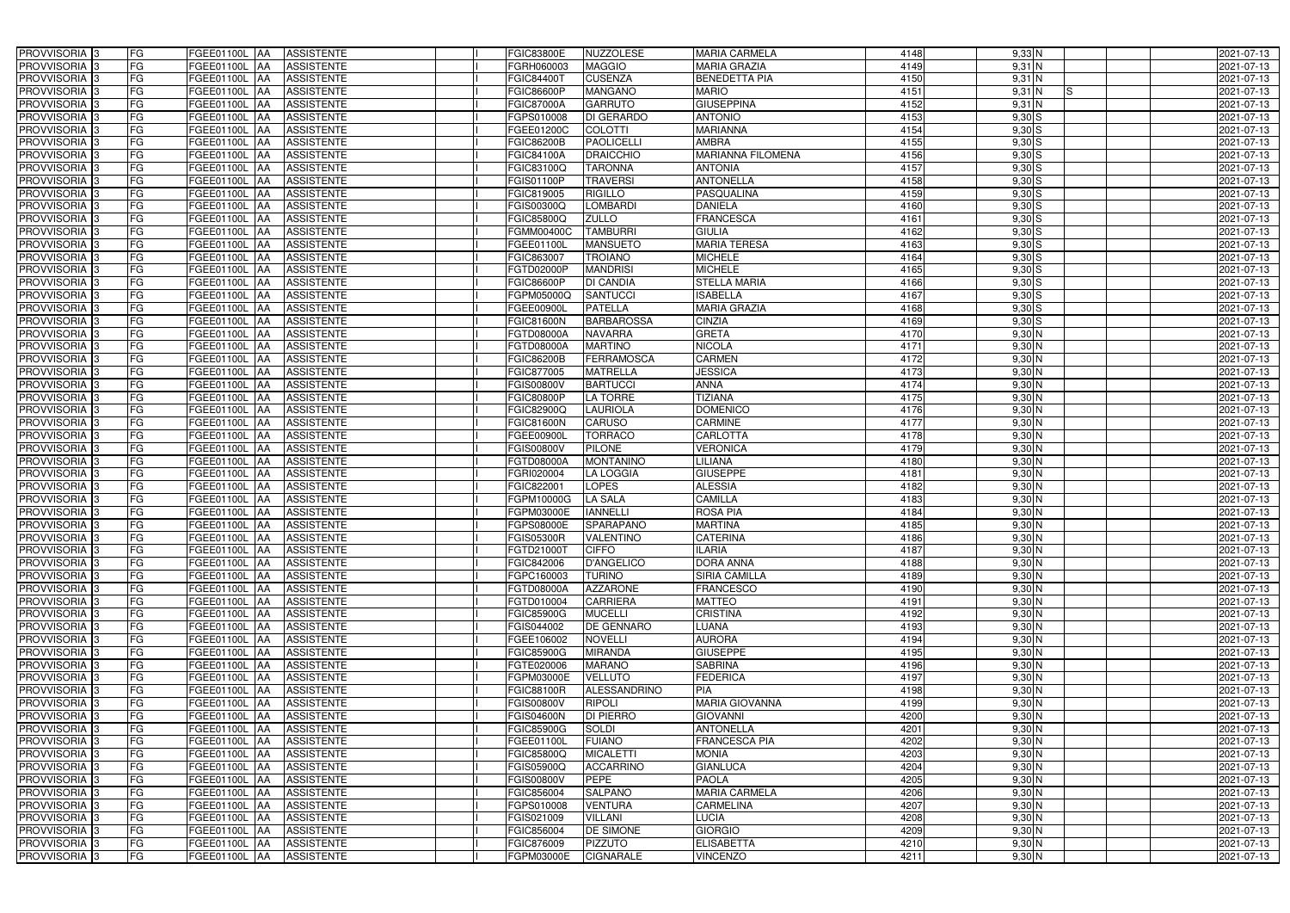| PROVVISORIA 3                                        | FG        | FGEE01100L AA<br><b>ASSISTENTE</b>                      | FGIC83800E<br><b>NUZZOLESE</b>                                      | <b>MARIA CARMELA</b>             | 4148         | 9,33 N                                | 2021-07-13               |
|------------------------------------------------------|-----------|---------------------------------------------------------|---------------------------------------------------------------------|----------------------------------|--------------|---------------------------------------|--------------------------|
| PROVVISORIA 3                                        | FG        | <b>ASSISTENTE</b><br>FGEE01100L                         | FGRH060003<br><b>MAGGIO</b>                                         | <b>MARIA GRAZIA</b>              | 4149         | $9,31$ N                              | 2021-07-13               |
| PROVVISORIA 3                                        | FG        | FGEE01100L<br><b>ASSISTENTE</b><br>IAA                  | <b>CUSENZA</b><br>FGIC844007                                        | <b>BENEDETTA PIA</b>             | 4150         | $9,31$ N                              | 2021-07-13               |
| PROVVISORIA <sup>3</sup>                             | FG        | FGEE01100L<br><b>ASSISTENTE</b><br>IAA                  | <b>MANGANO</b><br>GIC86600P                                         | <b>MARIO</b>                     | 4151         | $9,31$ N<br>IS.                       | 2021-07-13               |
| PROVVISORIA 3                                        | FG        | <b>FGEE01100L</b><br><b>ASSISTENTE</b><br>IAA           | <b>GARRUTO</b><br>FGIC87000A                                        | <b>GIUSEPPINA</b>                | 4152         | $9,31$ N                              | 2021-07-13               |
| PROVVISORIA 3                                        | <b>FG</b> | <b>FGEE01100L AA</b><br><b>ASSISTENTE</b>               | <b>DI GERARDO</b><br>FGPS010008                                     | <b>ANTONIO</b>                   | 4153         | $9,30$ S                              | 2021-07-13               |
| PROVVISORIA 3                                        | FG        | <b>FGEE01100L   AA</b><br><b>ASSISTENTE</b>             | <b>COLOTTI</b><br>FGEE01200C                                        | <b>MARIANNA</b>                  | 4154         | $9,30$ S                              | 2021-07-13               |
| PROVVISORIA 3                                        | FG        | <b>ASSISTENTE</b><br>FGEE01100L AA                      | <b>PAOLICELLI</b><br>FGIC86200B                                     | <b>AMBRA</b>                     | 4155         | $9,30$ S                              | 2021-07-13               |
| PROVVISORIA 3                                        | <b>FG</b> | FGEE01100L AA<br><b>ASSISTENTE</b>                      | <b>DRAICCHIO</b><br>FGIC84100A                                      | <b>MARIANNA FILOMENA</b>         | 4156         | $9,30$ S                              | 2021-07-13               |
| PROVVISORIA 3                                        | FG        | FGEE01100L AA<br><b>ASSISTENTE</b>                      | <b>TARONNA</b><br>FGIC83100Q                                        | <b>ANTONIA</b>                   | 4157         | $9,30$ S                              | 2021-07-13               |
| PROVVISORIA 3                                        | FG        | <b>ASSISTENTE</b><br>FGEE01100L AA                      | <b>TRAVERSI</b><br>GIS01100P                                        | <b>ANTONELLA</b>                 | 4158         | $9,30$ S                              | 2021-07-13               |
| PROVVISORIA 3                                        | FG        | FGEE01100L AA<br><b>ASSISTENTE</b>                      | FGIC819005<br><b>RIGILLO</b>                                        | <b>PASQUALINA</b>                | 4159         | $9,30$ S                              | 2021-07-13               |
| PROVVISORIA 3                                        | FG        | FGEE01100L<br><b>ASSISTENTE</b><br><b>IAA</b>           | <b>GIS00300Q</b><br><b>LOMBARDI</b>                                 | <b>DANIELA</b>                   | 4160         | $9,30$ S                              | 2021-07-13               |
| PROVVISORIA 3                                        | FG        | FGEE01100L AA<br><b>ASSISTENTE</b>                      | FGIC85800Q<br><b>ZULLO</b>                                          | <b>FRANCESCA</b>                 | 4161         | $9,30$ S                              | 2021-07-13               |
| PROVVISORIA 3                                        | <b>FG</b> | FGEE01100L AA<br><b>ASSISTENTE</b>                      | <b>TAMBURRI</b><br>FGMM00400C                                       | <b>GIULIA</b>                    | 4162         | $9,30$ S                              | 2021-07-13               |
| PROVVISORIA 3                                        | <b>FG</b> | FGEE01100L<br><b>ASSISTENTE</b><br>IAA                  | <b>MANSUETO</b><br>FGEE01100L                                       | <b>MARIA TERESA</b>              | 4163         | $9,30$ S                              | 2021-07-13               |
| PROVVISORIA 3                                        | FG        | <b>FGEE01100L</b><br><b>ASSISTENTE</b><br>IAA           | <b>TROIANO</b><br>FGIC863007                                        | <b>MICHELE</b>                   | 4164         | $9,30$ S                              | 2021-07-13               |
| PROVVISORIA 3                                        | FG        | <b>FGEE01100L</b><br><b>ASSISTENTE</b><br>IAA           | <b>MANDRISI</b><br>FGTD02000P                                       | <b>MICHELE</b>                   | 4165         | $9,30$ S                              | 2021-07-13               |
| PROVVISORIA 3                                        | FG        | FGEE01100L<br><b>ASSISTENTE</b><br>IAA                  | <b>DI CANDIA</b><br>FGIC86600P                                      | <b>STELLA MARIA</b>              | 4166         | $9,30$ S                              | 2021-07-13               |
| PROVVISORIA 3                                        | FG        | FGEE01100L<br><b>ASSISTENTE</b><br>IAA                  | <b>SANTUCCI</b><br>FGPM05000Q                                       | <b>ISABELLA</b>                  | 4167         | $9,30$ S                              | 2021-07-13               |
| PROVVISORIA <sup>3</sup>                             | FG        | FGEE01100L<br><b>ASSISTENTE</b>                         | <b>PATELLA</b><br>FGEE00900L                                        | <b>MARIA GRAZIA</b>              | 4168         | $9,30$ S                              | 2021-07-13               |
| PROVVISORIA <sup>3</sup>                             | FG        | FGEE01100L<br><b>ASSISTENTE</b><br>IAA                  | <b>BARBAROSSA</b><br><b>FGIC81600N</b>                              | <b>CINZIA</b>                    | 4169         | $9,30$ S                              | 2021-07-13               |
| PROVVISORIA <sup>3</sup>                             | FG        | FGEE01100L<br><b>ASSISTENTE</b>                         | <b>NAVARRA</b><br>FGTD08000A                                        | <b>GRETA</b>                     | 4170         | $9,30$ N                              | 2021-07-13               |
| PROVVISORIA <sup>3</sup>                             | <b>FG</b> | <b>FGEE01100L</b><br><b>ASSISTENTE</b><br>AA            | <b>MARTINO</b><br>FGTD08000A                                        | <b>NICOLA</b>                    | 4171         | $9,30$ N                              | 2021-07-13               |
| <b>PROVVISORIA</b> 3                                 | FG        | FGEE01100L<br><b>ASSISTENTE</b><br>IAA                  | <b>FGIC86200B</b><br><b>FERRAMOSCA</b>                              | <b>CARMEN</b>                    | 4172         | $9,30$ N                              | 2021-07-13               |
| PROVVISORIA 3                                        | FG        | FGEE01100L<br><b>ASSISTENTE</b><br>IAA                  | FGIC877005<br><b>MATRELLA</b>                                       | <b>JESSICA</b>                   | 4173         | $9,30$ N                              | 2021-07-13               |
| PROVVISORIA 3                                        | <b>FG</b> | FGEE01100L AA<br><b>ASSISTENTE</b>                      | FGIS00800V<br><b>BARTUCCI</b>                                       | <b>ANNA</b>                      | 4174         | $9,30$ N                              | 2021-07-13               |
| PROVVISORIA 3                                        | <b>FG</b> | FGEE01100L AA<br><b>ASSISTENTE</b>                      | <b>LA TORRE</b><br>FGIC80800P                                       | <b>TIZIANA</b>                   | 4175         | $9,30$ N                              | 2021-07-13               |
| PROVVISORIA 3                                        | FG        | FGEE01100L AA<br><b>ASSISTENTE</b>                      | <b>LAURIOLA</b><br>FGIC82900Q                                       | <b>DOMENICO</b>                  | 4176         | $9,30$ N                              | 2021-07-13               |
| PROVVISORIA 3                                        | <b>FG</b> | <b>FGEE01100L   AA</b><br><b>ASSISTENTE</b>             | <b>CARUSO</b><br><b>FGIC81600N</b>                                  | <b>CARMINE</b>                   | 4177         | $9,30$ N                              | 2021-07-13               |
| PROVVISORIA 3                                        | FG        | <b>FGEE01100L AA</b><br><b>ASSISTENTE</b>               | <b>TORRACO</b><br>FGEE00900L                                        | <b>CARLOTTA</b>                  | 4178         | $9,30$ N                              | 2021-07-13               |
| PROVVISORIA 3                                        | FG        | <b>ASSISTENTE</b><br>FGEE01100L AA                      | <b>PILONE</b><br>FGIS00800V                                         | <b>VERONICA</b>                  | 4179         | $9,30\overline{\text{N}}$             | 2021-07-13               |
| PROVVISORIA 3                                        | FG        | FGEE01100L<br><b>ASSISTENTE</b><br><b>IAA</b>           | FGTD08000A<br><b>MONTANINO</b>                                      | <b>LILIANA</b>                   | 4180         | $9,30$ N                              | 2021-07-13               |
| PROVVISORIA 3                                        | FG        | FGEE01100L AA<br><b>ASSISTENTE</b>                      | FGRI020004<br><b>LA LOGGIA</b>                                      | <b>GIUSEPPE</b>                  | 4181         | $9,30$ N                              | 2021-07-13               |
| PROVVISORIA 3                                        | <b>FG</b> | FGEE01100L<br><b>ASSISTENTE</b><br>IAA                  | <b>LOPES</b><br>FGIC822001                                          | <b>ALESSIA</b>                   | 4182         | $9,30$ N                              | 2021-07-13               |
| PROVVISORIA <sup>3</sup>                             | FG        | FGEE01100L<br><b>ASSISTENTE</b><br>IAA                  | <b>LA SALA</b><br>FGPM10000G                                        | <b>CAMILLA</b>                   | 4183         | $9,30$ N                              | 2021-07-13               |
| PROVVISORIA <sup>1</sup> 3                           | FG        | <b>FGEE01100L</b><br><b>ASSISTENTE</b><br>IAA           | <b>IANNELLI</b><br>FGPM03000E<br><b>SPARAPANO</b>                   | <b>ROSA PIA</b>                  | 4184         | $9,30$ N                              | 2021-07-13               |
| PROVVISORIA <sup>3</sup>                             | <b>FG</b> | FGEE01100L AA<br><b>ASSISTENTE</b>                      | GPS08000E                                                           | <b>MARTINA</b>                   | 4185         | 9,30 N                                | 2021-07-13               |
| PROVVISORIA <sup>3</sup><br>PROVVISORIA <sup>3</sup> | FG<br>FG  | FGEE01100L AA ASSISTENTE<br>FGEE01100L AA<br>ASSISTENTE | <b>VALENTINO</b><br><b>FGIS05300R</b><br>FGTD21000T<br><b>CIFFO</b> | <b>CATERINA</b><br><b>ILARIA</b> | 4186<br>4187 | $9,30\overline{\text{N}}$<br>$9,30$ N | 2021-07-13<br>2021-07-13 |
| PROVVISORIA <sup>3</sup>                             | FG        | ASSISTENTE<br>FGEE01100L AA                             | <b>D'ANGELICO</b><br>FGIC842006                                     | <b>DORA ANNA</b>                 | 4188         | $9,30$ N                              | 2021-07-13               |
| PROVVISORIA 3                                        | FG        | FGEE01100L AA<br><b>ASSISTENTE</b>                      | <b>TURINO</b><br>FGPC160003                                         | <b>SIRIA CAMILLA</b>             | 4189         | $9,30$ N                              | 2021-07-13               |
| PROVVISORIA <sup>3</sup>                             | FG        | FGEE01100L AA<br><b>ASSISTENTE</b>                      | FGTD08000A<br><b>AZZARONE</b>                                       | <b>FRANCESCO</b>                 | 4190         | $9,30$ N                              | 2021-07-13               |
| PROVVISORIA <sup>3</sup>                             | FG        | FGEE01100L AA<br><b>ASSISTENTE</b>                      | <b>CARRIERA</b><br>FGTD010004                                       | <b>MATTEO</b>                    | 4191         | $9,30$ N                              | 2021-07-13               |
| <b>PROVVISORIA</b> 3                                 | FG        | FGEE01100L AA<br><b>ASSISTENTE</b>                      | <b>FGIC85900G</b><br><b>MUCELLI</b>                                 | <b>CRISTINA</b>                  | 4192         | $9,30$ N                              | 2021-07-13               |
| PROVVISORIA <sup>3</sup>                             | FG        | FGEE01100L AA<br><b>ASSISTENTE</b>                      | <b>DE GENNARO</b><br>FGIS044002                                     | <b>LUANA</b>                     | 4193         | $9,30$ N                              | 2021-07-13               |
| PROVVISORIA <sup>3</sup>                             | FG        | FGEE01100L AA<br><b>ASSISTENTE</b>                      | FGEE106002<br><b>NOVELLI</b>                                        | <b>AURORA</b>                    | 4194         | 9,30 N                                | 2021-07-13               |
| PROVVISORIA <sup>3</sup>                             | FG        | FGEE01100L AA<br>ASSISTENTE                             | <b>FGIC85900G</b><br><b>MIRANDA</b>                                 | <b>GIUSEPPE</b>                  | 4195         | $9,30$ N                              | 2021-07-13               |
| PROVVISORIA 3                                        | FG        | FGEE01100L AA<br><b>ASSISTENTE</b>                      | <b>MARANO</b><br>FGTE020006                                         | <b>SABRINA</b>                   | 4196         | 9,30 N                                | 2021-07-13               |
| PROVVISORIA <sup>3</sup>                             | FG        | FGEE01100L AA<br><b>ASSISTENTE</b>                      | <b>VELLUTO</b><br>FGPM03000E                                        | <b>FEDERICA</b>                  | 4197         | $9,30$ N                              | 2021-07-13               |
| PROVVISORIA <sup>3</sup>                             | FG        | FGEE01100L AA<br>ASSISTENTE                             | ALESSANDRINO<br>FGIC88100R                                          | <b>PIA</b>                       | 4198         | $9,30$ N                              | 2021-07-13               |
| PROVVISORIA <sup>3</sup>                             | FG        | FGEE01100L AA<br><b>ASSISTENTE</b>                      | FGIS00800V<br><b>RIPOLI</b>                                         | <b>MARIA GIOVANNA</b>            | 4199         | $9,30$ N                              | 2021-07-13               |
| PROVVISORIA <sup>3</sup>                             | FG        | FGEE01100L AA<br><b>ASSISTENTE</b>                      | <b>DI PIERRO</b><br><b>FGIS04600N</b>                               | <b>GIOVANNI</b>                  | 4200         | $9,30$ N                              | 2021-07-13               |
| PROVVISORIA <sup>3</sup>                             | FG        | FGEE01100L AA<br><b>ASSISTENTE</b>                      | <b>SOLDI</b><br>FGIC85900G                                          | <b>ANTONELLA</b>                 | 4201         | $9,30$ N                              | 2021-07-13               |
| PROVVISORIA <sup>13</sup>                            | FG        | FGEE01100L AA<br><b>ASSISTENTE</b>                      | <b>FUIANO</b><br>FGEE01100L                                         | <b>FRANCESCA PIA</b>             | 4202         | $9,30$ N                              | 2021-07-13               |
| PROVVISORIA <sup>3</sup>                             | FG        | FGEE01100L AA<br><b>ASSISTENTE</b>                      | <b>MICALETTI</b><br>FGIC85800Q                                      | <b>MONIA</b>                     | 4203         | $9,30$ N                              | 2021-07-13               |
| PROVVISORIA <sup>3</sup>                             | FG        | FGEE01100L AA<br><b>ASSISTENTE</b>                      | <b>ACCARRINO</b><br>FGIS05900Q                                      | <b>GIANLUCA</b>                  | 4204         | $9,30$ N                              | 2021-07-13               |
| PROVVISORIA <sup>3</sup>                             | FG        | FGEE01100L AA<br><b>ASSISTENTE</b>                      | <b>PEPE</b><br>FGIS00800V                                           | <b>PAOLA</b>                     | 4205         | $9,30$ N                              | 2021-07-13               |
| PROVVISORIA <sup>3</sup>                             | FG        | <b>ASSISTENTE</b><br>FGEE01100L AA                      | <b>SALPANO</b><br>FGIC856004                                        | <b>MARIA CARMELA</b>             | 4206         | $9,30$ N                              | 2021-07-13               |
| PROVVISORIA <sup>3</sup>                             | FG        | <b>ASSISTENTE</b><br>FGEE01100L AA                      | <b>VENTURA</b><br>FGPS010008                                        | <b>CARMELINA</b>                 | 4207         | 9,30 N                                | 2021-07-13               |
| PROVVISORIA 3                                        | FG        | FGEE01100L AA<br><b>ASSISTENTE</b>                      | <b>VILLANI</b><br>FGIS021009                                        | <b>LUCIA</b>                     | 4208         | $9,30$ N                              | 2021-07-13               |
| PROVVISORIA <sup>3</sup>                             | FG        | <b>ASSISTENTE</b><br>FGEE01100L AA                      | FGIC856004<br>DE SIMONE                                             | <b>GIORGIO</b>                   | 4209         | $9,30$ N                              | 2021-07-13               |
| PROVVISORIA <sup>3</sup>                             | FG        | FGEE01100L AA<br>ASSISTENTE                             | <b>PIZZUTO</b><br>FGIC876009                                        | <b>ELISABETTA</b>                | 4210         | $9,30$ N                              | 2021-07-13               |
| PROVVISORIA 3                                        | FG        | <b>ASSISTENTE</b><br><b>FGEE01100L AA</b>               | <b>CIGNARALE</b><br>FGPM03000E                                      | <b>VINCENZO</b>                  | 4211         | $9,30$ N                              | 2021-07-13               |
|                                                      |           |                                                         |                                                                     |                                  |              |                                       |                          |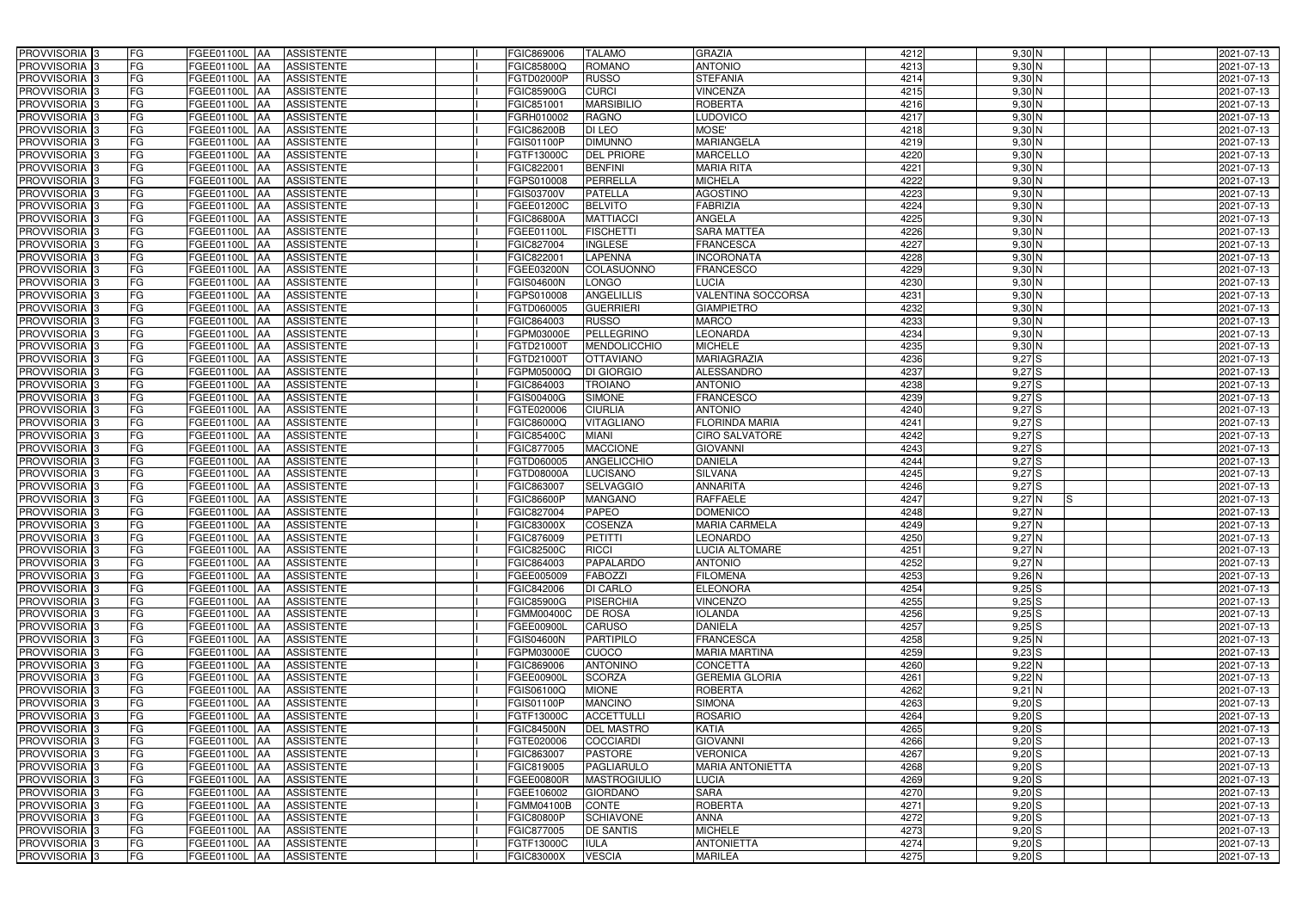| PROVVISORIA 3              | FG        | FGEE01100L AA<br><b>ASSISTENTE</b>               | FGIC869006        | <b>TALAMO</b>       | <b>GRAZIA</b>                    | 4212 | 9,30 N          | 2021-07-13 |
|----------------------------|-----------|--------------------------------------------------|-------------------|---------------------|----------------------------------|------|-----------------|------------|
| PROVVISORIA 3              | FG        | <b>ASSISTENTE</b><br>FGEE01100L                  | FGIC85800Q        | <b>ROMANO</b>       | <b>ANTONIO</b>                   | 4213 | $9,30$ N        | 2021-07-13 |
| PROVVISORIA 3              | <b>FG</b> | <b>FGEE01100L</b><br><b>ASSISTENTE</b><br>IAA    | FGTD02000P        | <b>RUSSO</b>        | <b>STEFANIA</b>                  | 4214 | $9,30$ N        | 2021-07-13 |
| PROVVISORIA <sup>3</sup>   | <b>FG</b> | FGEE01100L<br><b>ASSISTENTE</b><br>IAA           | <b>FGIC85900G</b> | <b>CURCI</b>        | <b>VINCENZA</b>                  | 4215 | $9,30$ N        | 2021-07-13 |
| PROVVISORIA 3              | FG        | FGEE01100L<br><b>ASSISTENTE</b>                  | FGIC851001        | <b>MARSIBILIO</b>   | <b>ROBERTA</b>                   | 4216 | $9,30$ N        | 2021-07-13 |
| PROVVISORIA 3              | <b>FG</b> | <b>FGEE01100L AA</b><br><b>ASSISTENTE</b>        | FGRH010002        | <b>RAGNO</b>        | <b>LUDOVICO</b>                  | 4217 | $9,30$ N        | 2021-07-13 |
| PROVVISORIA 3              | FG        | FGEE01100L AA<br><b>ASSISTENTE</b>               | FGIC86200B        | DI LEO              | MOSE'                            | 4218 | $9,30$ N        | 2021-07-13 |
| PROVVISORIA 3              | FG        | <b>ASSISTENTE</b><br>FGEE01100L AA               | FGIS01100P        | <b>DIMUNNO</b>      | <b>MARIANGELA</b>                | 4219 | $9,30$ N        | 2021-07-13 |
| PROVVISORIA 3              | <b>FG</b> | FGEE01100L AA<br><b>ASSISTENTE</b>               | FGTF13000C        | <b>DEL PRIORE</b>   | <b>MARCELLO</b>                  | 4220 | 9,30 N          | 2021-07-13 |
| PROVVISORIA 3              | FG        | FGEE01100L AA<br><b>ASSISTENTE</b>               | FGIC822001        | <b>BENFINI</b>      | <b>MARIA RITA</b>                | 4221 | $9,30$ N        | 2021-07-13 |
| PROVVISORIA 3              | FG        | FGEE01100L AA<br><b>ASSISTENTE</b>               | <b>GPS010008</b>  | PERRELLA            | <b>MICHELA</b>                   | 4222 | 9,30 N          | 2021-07-13 |
| PROVVISORIA 3              | FG        | FGEE01100L AA<br><b>ASSISTENTE</b>               | FGIS03700V        | <b>PATELLA</b>      | <b>AGOSTINO</b>                  | 4223 | $9,30$ N        | 2021-07-13 |
| PROVVISORIA <sup>3</sup>   | FG        | FGEE01100L<br><b>ASSISTENTE</b><br>IAA           | FGEE01200C        | <b>BELVITO</b>      | <b>FABRIZIA</b>                  | 4224 | $9,30$ N        | 2021-07-13 |
| PROVVISORIA 3              | FG        | FGEE01100L AA<br><b>ASSISTENTE</b>               | FGIC86800A        | <b>MATTIACCI</b>    | <b>ANGELA</b>                    | 4225 | $9,30$ N        | 2021-07-13 |
| PROVVISORIA 3              | <b>FG</b> | FGEE01100L AA<br><b>ASSISTENTE</b>               | FGEE01100L        | <b>FISCHETTI</b>    | <b>SARA MATTEA</b>               | 4226 | $9,30$ N        | 2021-07-13 |
| PROVVISORIA 3              | <b>FG</b> | FGEE01100L<br><b>ASSISTENTE</b><br>IAA           | FGIC827004        | <b>INGLESE</b>      | <b>FRANCESCA</b>                 | 4227 | $9,30$ N        | 2021-07-13 |
| PROVVISORIA 3              | FG        | FGEE01100L<br><b>ASSISTENTE</b><br>IAA           | FGIC82200         | <b>LAPENNA</b>      | <b>INCORONATA</b>                | 4228 | $9,30$ N        | 2021-07-13 |
| PROVVISORIA 3              | FG        | <b>FGEE01100L</b><br><b>ASSISTENTE</b><br>IAA    | FGEE03200N        | COLASUONNO          | <b>FRANCESCO</b>                 | 4229 | $9,30$ N        | 2021-07-13 |
| PROVVISORIA 3              | FG        | FGEE01100L<br><b>ASSISTENTE</b><br>IAA           | FGIS04600N        | <b>LONGO</b>        | LUCIA                            | 4230 | $9,30$ N        | 2021-07-13 |
| PROVVISORIA 3              | FG        | FGEE01100L<br><b>ASSISTENTE</b><br>IAA           | FGPS010008        | <b>ANGELILLIS</b>   | <b>VALENTINA SOCCORSA</b>        | 4231 | 9,30 N          | 2021-07-13 |
| <b>PROVVISORIA</b> 3       | FG        | FGEE01100L<br><b>ASSISTENTE</b>                  | FGTD060005        | <b>GUERRIERI</b>    | <b>GIAMPIETRO</b>                | 4232 | 9,30 N          | 2021-07-13 |
| <b>PROVVISORIA</b> 3       | FG        | FGEE01100L<br><b>ASSISTENTE</b>                  | FGIC864003        | <b>RUSSO</b>        | <b>MARCO</b>                     | 4233 | $9,30$ N        | 2021-07-13 |
| PROVVISORIA <sup>3</sup>   | FG        | FGEE01100L<br><b>ASSISTENTE</b>                  | <b>GPM03000E</b>  | <b>PELLEGRINO</b>   | <b>LEONARDA</b>                  | 4234 | $9,30$ N        | 2021-07-13 |
| PROVVISORIA <sup>3</sup>   | <b>FG</b> | FGEE01100L<br><b>ASSISTENTE</b><br>ΙAΑ           | FGTD21000T        | <b>MENDOLICCHIO</b> | <b>MICHELE</b>                   | 4235 | $9,30$ N        | 2021-07-13 |
| <b>PROVVISORIA</b> 3       | <b>FG</b> | FGEE01100L<br><b>ASSISTENTE</b><br>IAA           | FGTD21000T        | <b>OTTAVIANO</b>    | <b>MARIAGRAZIA</b>               | 4236 | $9,27$ S        | 2021-07-13 |
| PROVVISORIA 3              | FG        | FGEE01100L<br><b>ASSISTENTE</b><br>IAA           | <b>GPM05000Q</b>  | <b>DI GIORGIO</b>   | <b>ALESSANDRO</b>                | 4237 | 9,27S           | 2021-07-13 |
| PROVVISORIA 3              | <b>FG</b> | FGEE01100L AA<br><b>ASSISTENTE</b>               | FGIC864003        | <b>TROIANO</b>      | <b>ANTONIO</b>                   | 4238 | 9,27S           | 2021-07-13 |
| PROVVISORIA 3              | <b>FG</b> | FGEE01100L AA<br><b>ASSISTENTE</b>               | FGIS00400G        | <b>SIMONE</b>       | <b>FRANCESCO</b>                 | 4239 | 9,27S           | 2021-07-13 |
| PROVVISORIA 3              | FG        | FGEE01100L<br><b>ASSISTENTE</b><br>IAA           | FGTE020006        | <b>CIURLIA</b>      | <b>ANTONIO</b>                   | 4240 | $9,27$ S        | 2021-07-13 |
| PROVVISORIA 3              | <b>FG</b> | <b>FGEE01100L   AA</b><br><b>ASSISTENTE</b>      | FGIC86000Q        | VITAGLIANO          | <b>FLORINDA MARIA</b>            | 4241 | 9,27S           | 2021-07-13 |
| PROVVISORIA 3              | FG        | <b>FGEE01100L AA</b><br><b>ASSISTENTE</b>        | FGIC85400C        | <b>MIANI</b>        | <b>CIRO SALVATORE</b>            | 4242 | $9,27$ $S$      | 2021-07-13 |
| PROVVISORIA 3              | FG        |                                                  |                   | <b>MACCIONE</b>     | <b>GIOVANNI</b>                  | 4243 | $9,27$ S        |            |
|                            | FG        | FGEE01100L AA<br><b>ASSISTENTE</b><br>FGEE01100L | FGIC877005        | <b>ANGELICCHIO</b>  |                                  | 4244 | $9,27$ S        | 2021-07-13 |
| PROVVISORIA 3              | <b>FG</b> | <b>ASSISTENTE</b><br>IAA                         | FGTD060005        |                     | <b>DANIELA</b><br><b>SILVANA</b> | 4245 |                 | 2021-07-13 |
| PROVVISORIA 3              | <b>FG</b> | FGEE01100L AA<br><b>ASSISTENTE</b>               | FGTD08000A        | <b>LUCISANO</b>     | <b>ANNARITA</b>                  | 4246 | $9,27$ S        | 2021-07-13 |
| <b>PROVVISORIA</b> 3       |           | FGEE01100L<br><b>ASSISTENTE</b><br>IAA           | FGIC863007        | <b>SELVAGGIO</b>    | <b>RAFFAELE</b>                  | 4247 | $9,27$ S        | 2021-07-13 |
| PROVVISORIA <sup>1</sup> 3 | FG        | FGEE01100L<br><b>ASSISTENTE</b><br>IAA           | GIC86600P         | <b>MANGANO</b>      |                                  |      | $9,27$ N<br>IS. | 2021-07-13 |
| PROVVISORIA <sup>1</sup> 3 | FG        | <b>FGEE01100L</b><br><b>ASSISTENTE</b><br>IAA    | GIC827004         | <b>PAPEO</b>        | <b>DOMENICO</b>                  | 4248 | $9,27$ N        | 2021-07-13 |
| PROVVISORIA <sup>3</sup>   | <b>FG</b> | FGEE01100L AA<br><b>ASSISTENTE</b>               | FGIC83000X        | <b>COSENZA</b>      | <b>MARIA CARMELA</b>             | 4249 | 9,27N           | 2021-07-13 |
| PROVVISORIA <sup>3</sup>   | FG        | FGEE01100L AA ASSISTENTE                         | FGIC876009        | PETITTI             | <b>LEONARDO</b>                  | 4250 | $9,27$ N        | 2021-07-13 |
| PROVVISORIA <sup>3</sup>   | FG        | FGEE01100L AA<br>ASSISTENTE                      | FGIC82500C        | <b>RICCI</b>        | <b>LUCIA ALTOMARE</b>            | 4251 | $9,27$ N        | 2021-07-13 |
| PROVVISORIA <sup>3</sup>   | FG        | ASSISTENTE<br>FGEE01100L AA                      | FGIC864003        | <b>PAPALARDO</b>    | <b>ANTONIO</b>                   | 4252 | 9,27N           | 2021-07-13 |
| PROVVISORIA <sup>3</sup>   | FG        | FGEE01100L AA<br><b>ASSISTENTE</b>               | FGEE005009        | <b>FABOZZI</b>      | <b>FILOMENA</b>                  | 4253 | $9,26$ N        | 2021-07-13 |
| PROVVISORIA <sup>3</sup>   | FG        | FGEE01100L AA<br><b>ASSISTENTE</b>               | FGIC842006        | <b>DI CARLO</b>     | <b>ELEONORA</b>                  | 4254 | $9,25$ S        | 2021-07-13 |
| PROVVISORIA <sup>3</sup>   | FG        | FGEE01100L AA<br><b>ASSISTENTE</b>               | FGIC85900G        | PISERCHIA           | <b>VINCENZO</b>                  | 4255 | $9,25$ $S$      | 2021-07-13 |
| PROVVISORIA <sup>3</sup>   | FG        | FGEE01100L AA<br><b>ASSISTENTE</b>               | FGMM00400C        | <b>DE ROSA</b>      | <b>IOLANDA</b>                   | 4256 | $9,25$ S        | 2021-07-13 |
| PROVVISORIA <sup>3</sup>   | FG        | FGEE01100L AA<br><b>ASSISTENTE</b>               | FGEE00900L        | <b>CARUSO</b>       | <b>DANIELA</b>                   | 4257 | $9,25$ S        | 2021-07-13 |
| PROVVISORIA <sup>3</sup>   | FG        | FGEE01100L AA<br><b>ASSISTENTE</b>               | <b>FGIS04600N</b> | PARTIPILO           | <b>FRANCESCA</b>                 | 4258 | 9,25N           | 2021-07-13 |
| PROVVISORIA <sup>3</sup>   | FG        | FGEE01100L AA<br>ASSISTENTE                      | FGPM03000E        | <b>CUOCO</b>        | <b>MARIA MARTINA</b>             | 4259 | $9,23$ S        | 2021-07-13 |
| PROVVISORIA 3              | FG        | FGEE01100L AA<br><b>ASSISTENTE</b>               | FGIC869006        | <b>ANTONINO</b>     | <b>CONCETTA</b>                  | 4260 | $9,22$ N        | 2021-07-13 |
| PROVVISORIA <sup>3</sup>   | FG        | FGEE01100L AA<br><b>ASSISTENTE</b>               | FGEE00900L        | <b>SCORZA</b>       | <b>GEREMIA GLORIA</b>            | 4261 | 9,22N           | 2021-07-13 |
| PROVVISORIA <sup>3</sup>   | FG        | FGEE01100L AA<br>ASSISTENTE                      | FGIS06100Q        | <b>MIONE</b>        | <b>ROBERTA</b>                   | 4262 | $9,21$ N        | 2021-07-13 |
| PROVVISORIA <sup>3</sup>   | FG        | FGEE01100L AA<br><b>ASSISTENTE</b>               | FGIS01100P        | <b>MANCINO</b>      | <b>SIMONA</b>                    | 4263 | $9,20$ S        | 2021-07-13 |
| PROVVISORIA <sup>3</sup>   | FG        | FGEE01100L AA<br><b>ASSISTENTE</b>               | FGTF13000C        | <b>ACCETTULLI</b>   | <b>ROSARIO</b>                   | 4264 | $9,20$ S        | 2021-07-13 |
| PROVVISORIA <sup>3</sup>   | FG        | FGEE01100L AA<br><b>ASSISTENTE</b>               | <b>FGIC84500N</b> | <b>DEL MASTRO</b>   | <b>KATIA</b>                     | 4265 | $9,20$ S        | 2021-07-13 |
| PROVVISORIA <sup>13</sup>  | FG        | FGEE01100L AA<br><b>ASSISTENTE</b>               | FGTE020006        | <b>COCCIARDI</b>    | <b>GIOVANNI</b>                  | 4266 | $9,20$ S        | 2021-07-13 |
| PROVVISORIA <sup>3</sup>   | FG        | FGEE01100L AA<br><b>ASSISTENTE</b>               | FGIC863007        | <b>PASTORE</b>      | <b>VERONICA</b>                  | 4267 | $9,20$ S        | 2021-07-13 |
| PROVVISORIA <sup>3</sup>   | FG        | FGEE01100L AA<br><b>ASSISTENTE</b>               | FGIC819005        | <b>PAGLIARULO</b>   | <b>MARIA ANTONIETTA</b>          | 4268 | $9,20$ S        | 2021-07-13 |
| PROVVISORIA <sup>3</sup>   | FG        | FGEE01100L AA<br><b>ASSISTENTE</b>               | FGEE00800R        | <b>MASTROGIULIO</b> | <b>LUCIA</b>                     | 4269 | $9,20$ S        | 2021-07-13 |
| PROVVISORIA <sup>3</sup>   | FG        | <b>ASSISTENTE</b><br>FGEE01100L AA               | FGEE106002        | <b>GIORDANO</b>     | <b>SARA</b>                      | 4270 | $9,20$ S        | 2021-07-13 |
| PROVVISORIA <sup>3</sup>   | FG        | <b>ASSISTENTE</b><br>FGEE01100L AA               | FGMM04100B        | <b>CONTE</b>        | <b>ROBERTA</b>                   | 4271 | $9,20$ S        | 2021-07-13 |
| PROVVISORIA <sup>3</sup>   | FG        | FGEE01100L AA<br><b>ASSISTENTE</b>               | <b>FGIC80800P</b> | <b>SCHIAVONE</b>    | <b>ANNA</b>                      | 4272 | $9,20$ S        | 2021-07-13 |
| PROVVISORIA <sup>3</sup>   | FG        | <b>ASSISTENTE</b><br>FGEE01100L AA               | FGIC877005        | <b>DE SANTIS</b>    | <b>MICHELE</b>                   | 4273 | $9,20$ S        | 2021-07-13 |
| PROVVISORIA <sup>3</sup>   | FG        | ASSISTENTE<br>FGEE01100L AA                      | FGTF13000C        | <b>IULA</b>         | <b>ANTONIETTA</b>                | 4274 | $9,20$ S        | 2021-07-13 |
| PROVVISORIA 3              | FG        | <b>ASSISTENTE</b><br>FGEE01100L AA               | <b>FGIC83000X</b> | <b>VESCIA</b>       | <b>MARILEA</b>                   | 4275 | $9,20$ S        | 2021-07-13 |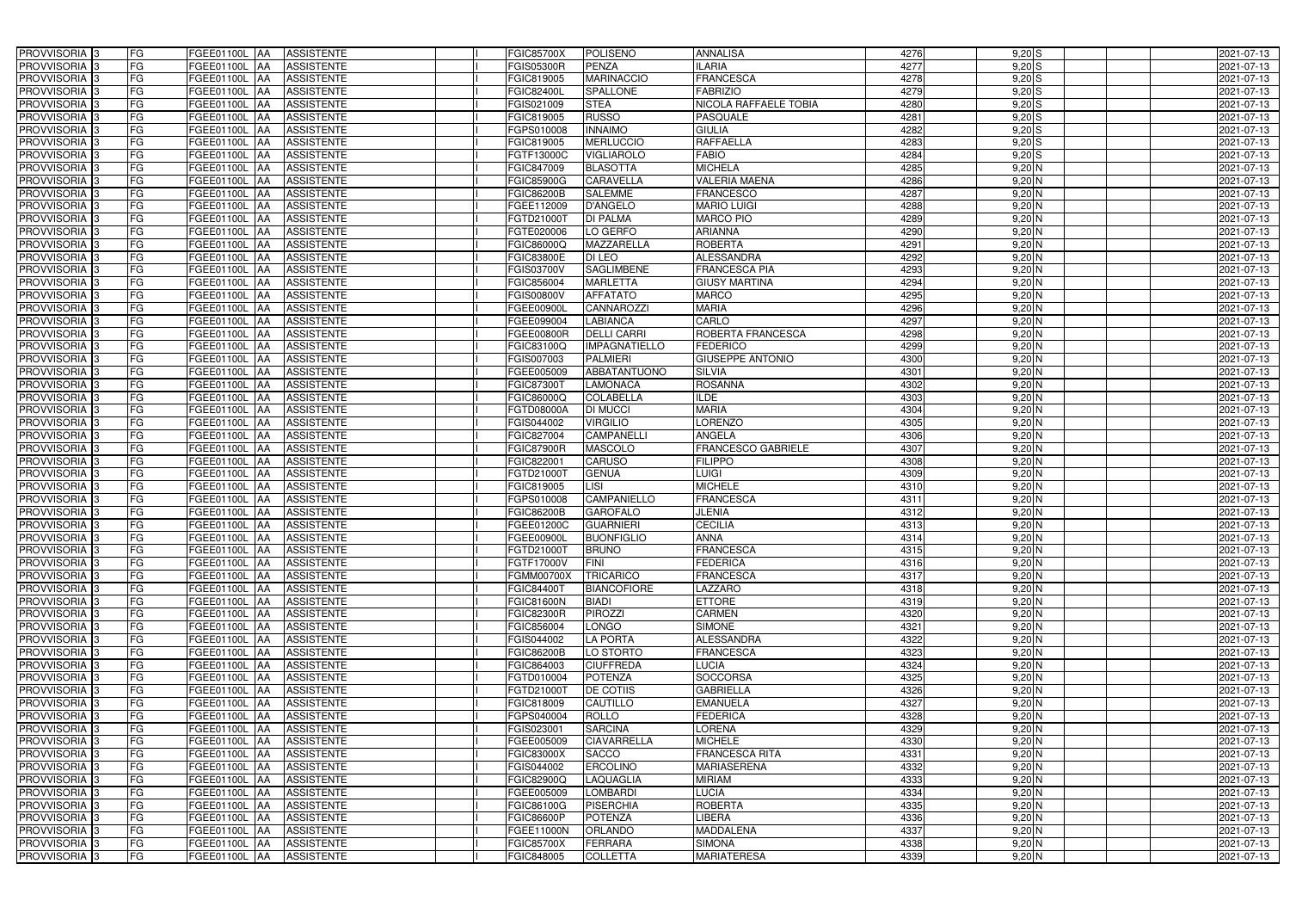| PROVVISORIA <sup>3</sup>   | FG<br>FGEE01100L AA        | <b>ASSISTENTE</b>               | <b>FGIC85700X</b> | <b>POLISENO</b>                      | <b>ANNALISA</b>           | 4276 | $9,20$ S   | 2021-07-13       |
|----------------------------|----------------------------|---------------------------------|-------------------|--------------------------------------|---------------------------|------|------------|------------------|
| PROVVISORIA <sup>3</sup>   | FG<br>FGEE01100L           | <b>ASSISTENTE</b><br>IAA        | <b>FGIS05300R</b> | <b>PENZA</b>                         | <b>ILARIA</b>             | 4277 | $9,20$ S   | 2021-07-13       |
| PROVVISORIA <sup>3</sup>   | FG<br>FGEE01100L           | <b>ASSISTENTE</b><br>IAA        | FGIC819005        | <b>MARINACCIO</b>                    | <b>FRANCESCA</b>          | 4278 | 9,20S      | 2021-07-13       |
| PROVVISORIA 3              | FG<br><b>FGEE01100L</b>    | <b>ASSISTENTE</b><br>IAA        | FGIC82400L        | <b>SPALLONE</b>                      | <b>FABRIZIO</b>           | 4279 | $9,20$ S   | 2021-07-13       |
| PROVVISORIA <sup>3</sup>   | FG<br>FGEE01100L           | <b>ASSISTENTE</b><br>IAA        | FGIS021009        | <b>STEA</b>                          | NICOLA RAFFAELE TOBIA     | 4280 | $9,20$ $S$ | 2021-07-13       |
| PROVVISORIA <sup>3</sup>   | FG<br>FGEE01100L AA        | <b>ASSISTENTE</b>               | FGIC819005        | <b>RUSSO</b>                         | PASQUALE                  | 4281 | $9,20$ S   | 2021-07-13       |
| PROVVISORIA <sup>1</sup> 3 | FG<br>FGEE01100L AA        | <b>ASSISTENTE</b>               | FGPS010008        | <b>INNAIMO</b>                       | <b>GIULIA</b>             | 4282 | $9,20$ S   | 2021-07-13       |
| PROVVISORIA <sup>3</sup>   | FG<br>FGEE01100L AA        | <b>ASSISTENTE</b>               | FGIC819005        | <b>MERLUCCIO</b>                     | <b>RAFFAELLA</b>          | 4283 | $9,20$ S   | 2021-07-13       |
| PROVVISORIA 3              | FG<br>FGEE01100L AA        | <b>ASSISTENTE</b>               | FGTF13000C        | <b>VIGLIAROLO</b>                    | <b>FABIO</b>              | 4284 | $9,20$ S   | 2021-07-13       |
| PROVVISORIA <sup>3</sup>   | FG<br>FGEE01100L AA        | <b>ASSISTENTE</b>               | FGIC847009        | <b>BLASOTTA</b>                      | <b>MICHELA</b>            | 4285 | $9,20$ N   | 2021-07-13       |
| PROVVISORIA 3              | FG<br>FGEE01100L AA        | <b>ASSISTENTE</b>               | FGIC85900G        | <b>CARAVELLA</b>                     | <b>VALERIA MAENA</b>      | 4286 | $9,20$ N   | 2021-07-13       |
| PROVVISORIA 3              | FG<br>FGEE01100L AA        | <b>ASSISTENTE</b>               | <b>FGIC86200B</b> | <b>SALEMME</b>                       | <b>FRANCESCO</b>          | 4287 | $9,20$ N   | 2021-07-13       |
| PROVVISORIA <sup>3</sup>   | FG<br>FGEE01100L AA        | <b>ASSISTENTE</b>               | FGEE112009        | <b>D'ANGELO</b>                      | <b>MARIO LUIGI</b>        | 4288 | $9,20$ N   | 2021-07-13       |
| PROVVISORIA 3              | FG<br>FGEE01100L AA        | <b>ASSISTENTE</b>               | FGTD21000T        | <b>DI PALMA</b>                      | <b>MARCO PIO</b>          | 4289 | $9,20$ N   | 2021-07-13       |
| PROVVISORIA 3              | FG<br>FGEE01100L AA        | <b>ASSISTENTE</b>               | FGTE020006        | LO GERFO                             | <b>ARIANNA</b>            | 4290 | $9,20$ N   | 2021-07-13       |
| PROVVISORIA 3              | FG<br><b>FGEE01100L</b>    | <b>ASSISTENTE</b><br>IAA        | FGIC86000Q        | <b>MAZZARELLA</b>                    | <b>ROBERTA</b>            | 4291 | $9,20$ N   | 2021-07-13       |
| PROVVISORIA 3              | FG<br>FGEE01100L           | <b>ASSISTENTE</b><br>IAA        | FGIC83800E        | DI LEO                               | <b>ALESSANDRA</b>         | 4292 | $9,20$ N   | 2021-07-13       |
| PROVVISORIA 3              | FG<br>FGEE01100L AA        | <b>ASSISTENTE</b>               | FGIS03700V        | <b>SAGLIMBENE</b>                    | <b>FRANCESCA PIA</b>      | 4293 | $9,20$ N   | 2021-07-13       |
| PROVVISORIA 3              | FG<br>FGEE01100L           | <b>ASSISTENTE</b><br><b>JAA</b> | FGIC856004        | <b>MARLETTA</b>                      | <b>GIUSY MARTINA</b>      | 4294 | $9,20$ N   | 2021-07-13       |
| PROVVISORIA 3              | FG<br>FGEE01100L           | <b>JAA</b><br><b>ASSISTENTE</b> | FGIS00800V        | <b>AFFATATO</b>                      | <b>MARCO</b>              | 4295 | $9,20$ N   | 2021-07-13       |
| PROVVISORIA 3              | FG<br>FGEE01100L           | <b>ASSISTENTE</b><br>ΙAΑ        | FGEE00900L        | <b>CANNAROZZI</b>                    | <b>MARIA</b>              | 4296 | $9,20$ N   | 2021-07-13       |
| PROVVISORIA 3              | FG<br><b>FGEE01100L</b>    | <b>ASSISTENTE</b><br>IAA        | FGEE099004        | <b>LABIANCA</b>                      | CARLO                     | 4297 | $9,20$ N   | 2021-07-13       |
| PROVVISORIA 3              | FG<br>FGEE01100L           | <b>ASSISTENTE</b><br>IAA        | FGEE00800R        | <b>DELLI CARRI</b>                   | ROBERTA FRANCESCA         | 4298 | $9,20$ N   | 2021-07-13       |
| PROVVISORIA 3              | FG<br>FGEE01100L AA        | <b>ASSISTENTE</b>               | FGIC83100Q        | <b>IMPAGNATIELLO</b>                 | <b>FEDERICO</b>           | 4299 | $9,20$ N   | 2021-07-13       |
| PROVVISORIA 3              | FG<br>FGEE01100L           | <b>ASSISTENTE</b><br> AA        | FGIS007003        | <b>PALMIERI</b>                      | <b>GIUSEPPE ANTONIO</b>   | 4300 | $9,20$ N   | 2021-07-13       |
| PROVVISORIA 3              | FG<br>FGEE01100L           | <b>ASSISTENTE</b><br> AA        | FGEE005009        | ABBATANTUONO                         | <b>SILVIA</b>             | 4301 | $9,20$ N   | 2021-07-13       |
| PROVVISORIA 3              | FG<br>FGEE01100L AA        | <b>ASSISTENTE</b>               | FGIC873007        | LAMONACA                             | <b>ROSANNA</b>            | 4302 | $9,20$ N   | 2021-07-13       |
| PROVVISORIA 3              | FG<br>FGEE01100L           | <b>ASSISTENTE</b><br>IAA        | FGIC86000Q        | COLABELLA                            | <b>ILDE</b>               | 4303 | 9,20 N     | 2021-07-13       |
| PROVVISORIA <sup>3</sup>   | FG<br>FGEE01100L AA        | <b>ASSISTENTE</b>               | FGTD08000A        | DI MUCCI                             | <b>MARIA</b>              | 4304 | $9,20$ N   | 2021-07-13       |
| PROVVISORIA <sup>3</sup>   | FG<br>FGEE01100L AA        | <b>ASSISTENTE</b>               | FGIS044002        | <b>VIRGILIO</b>                      | <b>LORENZO</b>            | 4305 | $9,20$ N   | 2021-07-13       |
| PROVVISORIA <sup>3</sup>   | FG<br>FGEE01100L AA        | <b>ASSISTENTE</b>               | FGIC827004        | <b>CAMPANELLI</b>                    | <b>ANGELA</b>             | 4306 | $9,20$ N   | 2021-07-13       |
| PROVVISORIA <sup>3</sup>   | FG<br>FGEE01100L AA        | <b>ASSISTENTE</b>               | <b>FGIC87900R</b> | <b>MASCOLO</b>                       | <b>FRANCESCO GABRIELE</b> | 4307 | $9,20$ N   | 2021-07-13       |
| PROVVISORIA <sup>3</sup>   | FG<br>FGEE01100L AA        | <b>ASSISTENTE</b>               | FGIC82200         | <b>CARUSO</b>                        | <b>FILIPPO</b>            | 4308 | $9,20$ N   | 2021-07-13       |
| PROVVISORIA <sup>3</sup>   | FG<br>FGEE01100L AA        | <b>ASSISTENTE</b>               | FGTD21000T        | <b>GENUA</b>                         | <b>LUIGI</b>              | 4309 | $9,20$ N   | 2021-07-13       |
| PROVVISORIA <sup>3</sup>   | FG<br>FGEE01100L           | <b>ASSISTENTE</b><br>IAA        | FGIC819005        | $\overline{\overline{\mathsf{LSI}}}$ | <b>MICHELE</b>            | 4310 | $9,20$ N   | $2021 - 07 - 13$ |
| PROVVISORIA <sup>3</sup>   | FG<br><b>FGEE01100L</b>    | <b>ASSISTENTE</b><br>IAA        | GPS010008         | <b>CAMPANIELLO</b>                   | <b>FRANCESCA</b>          | 4311 | $9,20$ N   | 2021-07-13       |
| PROVVISORIA <sup>3</sup>   | FG<br>FGEE01100L           | <b>ASSISTENTE</b><br><b>JAA</b> | FGIC86200B        | <b>GAROFALO</b>                      | <b>JLENIA</b>             | 4312 | $9,20$ N   | 2021-07-13       |
| PROVVISORIA <sup>3</sup>   | FG<br>FGEE01100L AA        | <b>ASSISTENTE</b>               | FGEE01200C        | <b>GUARNIERI</b>                     | <b>CECILIA</b>            | 4313 | $9,20$ N   | 2021-07-13       |
| PROVVISORIA 3              | FG<br>FGEE01100L AA        | <b>ASSISTENTE</b>               | FGEE00900L        | <b>BUONFIGLIO</b>                    | <b>ANNA</b>               | 4314 | $9,20$ N   | 2021-07-13       |
| PROVVISORIA <sup>3</sup>   | FG<br>FGEE01100L AA        | <b>ASSISTENTE</b>               | FGTD21000T        | <b>BRUNO</b>                         | <b>FRANCESCA</b>          | 4315 | $9,20$ N   | 2021-07-13       |
| PROVVISORIA <sup>3</sup>   | FG<br>FGEE01100L AA        | ASSISTENTE                      | FGTF17000V        | <b>FINI</b>                          | <b>FEDERICA</b>           | 4316 | $9,20$ N   | 2021-07-13       |
| PROVVISORIA <sup>3</sup>   | FG<br>FGEE01100L AA        | ASSISTENTE                      | FGMM00700X        | <b>TRICARICO</b>                     | <b>FRANCESCA</b>          | 4317 | $9,20$ N   | 2021-07-13       |
| PROVVISORIA <sup>3</sup>   | FG<br><b>FGEE01100L AA</b> | <b>ASSISTENTE</b>               | FGIC84400T        | <b>BIANCOFIORE</b>                   | <b>LAZZARO</b>            | 4318 | $9,20$ N   | 2021-07-13       |
| PROVVISORIA <sup>3</sup>   | FG<br>FGEE01100L AA        | ASSISTENTE                      | <b>FGIC81600N</b> | <b>BIADI</b>                         | <b>ETTORE</b>             | 4319 | $9,20$ N   | 2021-07-13       |
| PROVVISORIA <sup>3</sup>   | FG<br>FGEE01100L AA        | <b>ASSISTENTE</b>               | <b>FGIC82300R</b> | <b>PIROZZI</b>                       | <b>CARMEN</b>             | 4320 | $9,20$ N   | 2021-07-13       |
| PROVVISORIA <sup>3</sup>   | FG<br>FGEE01100L AA        | <b>ASSISTENTE</b>               | FGIC856004        | <b>LONGO</b>                         | <b>SIMONE</b>             | 4321 | $9,20$ N   | 2021-07-13       |
| PROVVISORIA <sup>3</sup>   | FG<br>FGEE01100L AA        | ASSISTENTE                      | FGIS044002        | <b>LA PORTA</b>                      | <b>ALESSANDRA</b>         | 4322 | $9,20$ N   | 2021-07-13       |
| PROVVISORIA <sup>3</sup>   | FG<br>FGEE01100L AA        | ASSISTENTE                      | <b>FGIC86200B</b> | LO STORTO                            | <b>FRANCESCA</b>          | 4323 | $9,20$ N   | 2021-07-13       |
| PROVVISORIA <sup>3</sup>   | FG<br>FGEE01100L AA        | ASSISTENTE                      | FGIC864003        | <b>CIUFFREDA</b>                     | LUCIA                     | 4324 | $9,20$ N   | 2021-07-13       |
| PROVVISORIA <sup>3</sup>   | FG<br>FGEE01100L AA        | ASSISTENTE                      | FGTD010004        | <b>POTENZA</b>                       | <b>SOCCORSA</b>           | 4325 | $9,20$ N   | 2021-07-13       |
| PROVVISORIA <sup>3</sup>   | FG<br>FGEE01100L AA        | <b>ASSISTENTE</b>               | FGTD21000T        | DE COTIIS                            | <b>GABRIELLA</b>          | 4326 | $9,20$ N   | 2021-07-13       |
| PROVVISORIA <sup>3</sup>   | FG<br>FGEE01100L AA        | <b>ASSISTENTE</b>               | FGIC818009        | CAUTILLO                             | <b>EMANUELA</b>           | 4327 | $9,20$ N   | 2021-07-13       |
| PROVVISORIA <sup>3</sup>   | FG<br>FGEE01100L AA        | <b>ASSISTENTE</b>               | FGPS040004        | <b>ROLLO</b>                         | <b>FEDERICA</b>           | 4328 | $9,20$ N   | 2021-07-13       |
| PROVVISORIA <sup>3</sup>   | FG<br>FGEE01100L AA        | <b>ASSISTENTE</b>               | FGIS023001        | <b>SARCINA</b>                       | <b>LORENA</b>             | 4329 | 9,20 N     | 2021-07-13       |
| PROVVISORIA <sup>13</sup>  | FG<br>FGEE01100L AA        | <b>ASSISTENTE</b>               | FGEE005009        | <b>CIAVARRELLA</b>                   | <b>MICHELE</b>            | 4330 | $9,20$ N   | 2021-07-13       |
| PROVVISORIA <sup>1</sup> 3 | FG<br>FGEE01100L AA        | <b>ASSISTENTE</b>               | FGIC83000X        | <b>SACCO</b>                         | <b>FRANCESCA RITA</b>     | 4331 | $9,20$ N   | 2021-07-13       |
| PROVVISORIA <sup>3</sup>   | FG<br>FGEE01100L AA        | <b>ASSISTENTE</b>               | FGIS044002        | <b>ERCOLINO</b>                      | <b>MARIASERENA</b>        | 4332 | $9,20$ N   | 2021-07-13       |
| PROVVISORIA <sup>1</sup> 3 | FG<br>FGEE01100L AA        | <b>ASSISTENTE</b>               | FGIC82900Q        | LAQUAGLIA                            | <b>MIRIAM</b>             | 4333 | $9,20$ N   | 2021-07-13       |
| PROVVISORIA <sup>3</sup>   | FG<br>FGEE01100L AA        | <b>ASSISTENTE</b>               | FGEE005009        | <b>LOMBARDI</b>                      | <b>LUCIA</b>              | 4334 | $9,20$ N   | 2021-07-13       |
| PROVVISORIA <sup>1</sup> 3 | FG<br>FGEE01100L AA        | <b>ASSISTENTE</b>               | FGIC86100G        | <b>PISERCHIA</b>                     | <b>ROBERTA</b>            | 4335 | $9,20$ N   | 2021-07-13       |
| PROVVISORIA <sup>3</sup>   | FG<br>FGEE01100L AA        | <b>ASSISTENTE</b>               | FGIC86600P        | <b>POTENZA</b>                       | <b>LIBERA</b>             | 4336 | $9,20$ N   | 2021-07-13       |
| PROVVISORIA <sup>3</sup>   | FG<br>FGEE01100L AA        | <b>ASSISTENTE</b>               | FGEE11000N        | ORLANDO                              | <b>MADDALENA</b>          | 4337 | $9,20$ N   | 2021-07-13       |
| PROVVISORIA <sup>3</sup>   | FG<br>FGEE01100L AA        | <b>ASSISTENTE</b>               | FGIC85700X        | <b>FERRARA</b>                       | <b>SIMONA</b>             | 4338 | $9,20$ N   | 2021-07-13       |
| PROVVISORIA <sup>3</sup>   | FG<br>FGEE01100L AA        | ASSISTENTE                      | FGIC848005        | <b>COLLETTA</b>                      | <b>MARIATERESA</b>        | 4339 | $9,20$ N   | 2021-07-13       |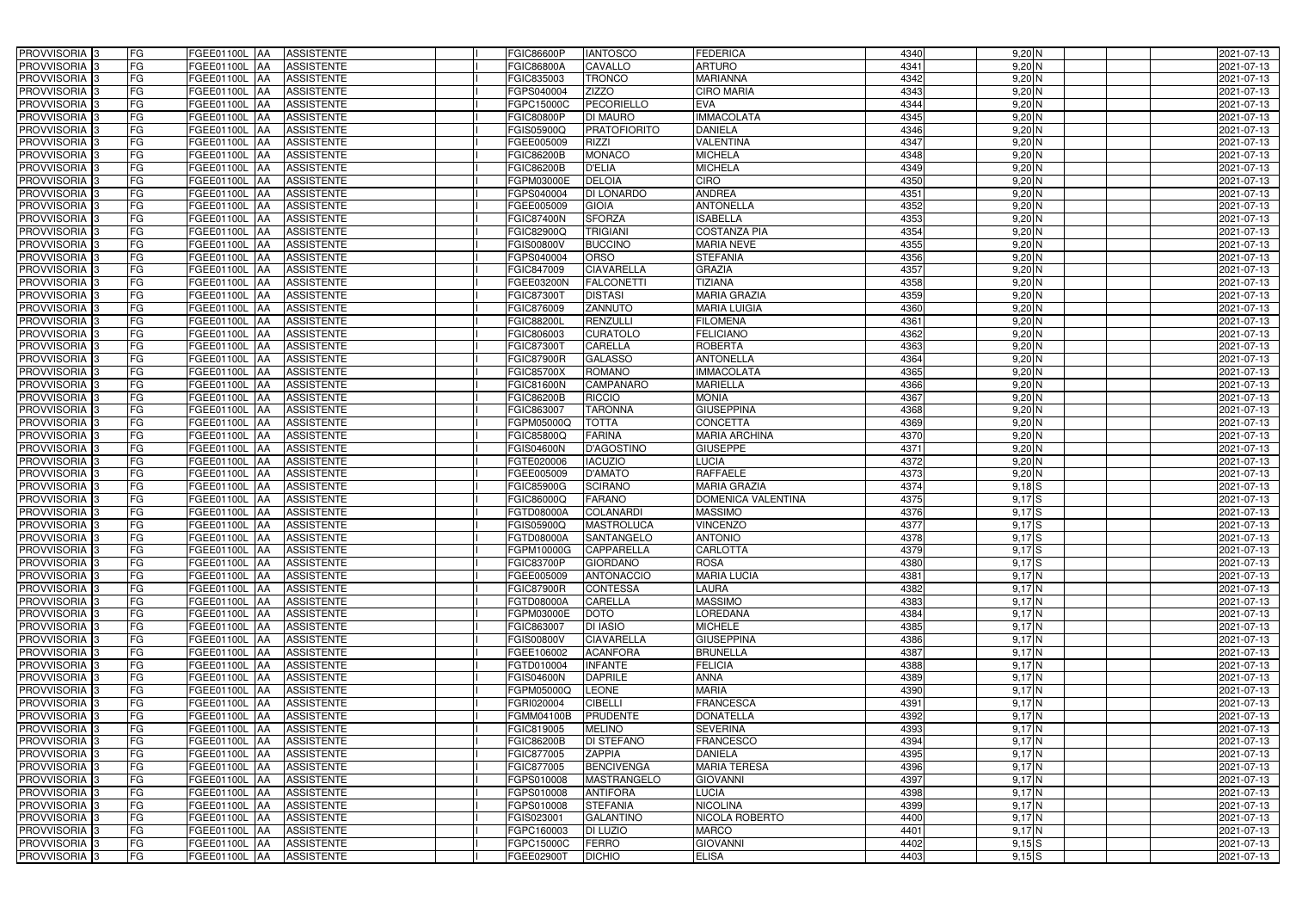| PROVVISORIA 3              | FG        | FGEE01100L AA<br><b>ASSISTENTE</b>            | FGIC86600P        | <b>IANTOSCO</b>     | <b>FEDERICA</b>      | 4340 | $9,20$ N                  | 2021-07-13 |
|----------------------------|-----------|-----------------------------------------------|-------------------|---------------------|----------------------|------|---------------------------|------------|
| PROVVISORIA 3              | FG        | <b>ASSISTENTE</b><br>FGEE01100L               | FGIC86800A        | CAVALLO             | ARTURO               | 4341 | $9,20$ N                  | 2021-07-13 |
| PROVVISORIA 3              | <b>FG</b> | <b>FGEE01100L</b><br><b>ASSISTENTE</b><br>IAA | FGIC835003        | <b>TRONCO</b>       | <b>MARIANNA</b>      | 4342 | $9,20$ N                  | 2021-07-13 |
| PROVVISORIA <sup>3</sup>   | <b>FG</b> | FGEE01100L<br><b>ASSISTENTE</b><br>IAA        | GPS040004         | <b>ZIZZO</b>        | <b>CIRO MARIA</b>    | 4343 | $9,20$ N                  | 2021-07-13 |
| PROVVISORIA 3              | FG        | FGEE01100L<br><b>ASSISTENTE</b><br>IAA        | FGPC15000C        | <b>PECORIELLO</b>   | <b>EVA</b>           | 4344 | $9,20$ N                  | 2021-07-13 |
| PROVVISORIA 3              | <b>FG</b> | <b>FGEE01100L AA</b><br><b>ASSISTENTE</b>     | FGIC80800P        | <b>DI MAURO</b>     | <b>IMMACOLATA</b>    | 4345 | $9,20$ N                  | 2021-07-13 |
| PROVVISORIA 3              | FG        | <b>FGEE01100L   AA</b><br><b>ASSISTENTE</b>   | FGIS05900Q        | <b>PRATOFIORITO</b> | <b>DANIELA</b>       | 4346 | 9,20 N                    | 2021-07-13 |
| PROVVISORIA 3              | FG        | <b>ASSISTENTE</b><br>FGEE01100L AA            | FGEE005009        | <b>RIZZI</b>        | <b>VALENTINA</b>     | 4347 | $9,20$ N                  | 2021-07-13 |
| PROVVISORIA 3              | <b>FG</b> | FGEE01100L AA<br><b>ASSISTENTE</b>            | FGIC86200B        | <b>MONACO</b>       | <b>MICHELA</b>       | 4348 | 9,20 N                    | 2021-07-13 |
| PROVVISORIA 3              | FG        | FGEE01100L AA<br><b>ASSISTENTE</b>            | FGIC86200B        | <b>D'ELIA</b>       | <b>MICHELA</b>       | 4349 | $9,20$ N                  | 2021-07-13 |
| PROVVISORIA 3              | FG        | <b>ASSISTENTE</b><br>FGEE01100L AA            | <b>GPM03000E</b>  | <b>DELOIA</b>       | <b>CIRO</b>          | 4350 | 9,20 N                    | 2021-07-13 |
| PROVVISORIA 3              | FG        | FGEE01100L AA<br><b>ASSISTENTE</b>            | GPS040004         | <b>DI LONARDO</b>   | <b>ANDREA</b>        | 4351 | 9,20 N                    | 2021-07-13 |
| PROVVISORIA <sup>3</sup>   | FG        | FGEE01100L AA<br><b>ASSISTENTE</b>            | FGEE005009        | <b>GIOIA</b>        | <b>ANTONELLA</b>     | 4352 | $9,20$ N                  | 2021-07-13 |
| PROVVISORIA 3              | FG        | <b>ASSISTENTE</b><br>FGEE01100L AA            | FGIC87400N        | <b>SFORZA</b>       | <b>ISABELLA</b>      | 4353 | $9,20$ N                  | 2021-07-13 |
| PROVVISORIA 3              | <b>FG</b> | FGEE01100L AA<br><b>ASSISTENTE</b>            | FGIC82900Q        | <b>TRIGIANI</b>     | <b>COSTANZA PIA</b>  | 4354 | $9,20$ N                  | 2021-07-13 |
| PROVVISORIA 3              | <b>FG</b> | FGEE01100L<br><b>ASSISTENTE</b><br>IAA        | GIS00800V         | <b>BUCCINO</b>      | <b>MARIA NEVE</b>    | 4355 | $9,20$ N                  | 2021-07-13 |
| PROVVISORIA 3              | FG        | <b>FGEE01100L</b><br><b>ASSISTENTE</b><br>IAA | GPS040004         | ORSO                | <b>STEFANIA</b>      | 4356 | $9,20$ N                  | 2021-07-13 |
| PROVVISORIA 3              | FG        | <b>FGEE01100L</b><br><b>ASSISTENTE</b><br>IAA | FGIC847009        | <b>CIAVARELLA</b>   | <b>GRAZIA</b>        | 4357 | $9,20$ N                  | 2021-07-13 |
| PROVVISORIA 3              | FG        | FGEE01100L<br><b>ASSISTENTE</b><br>IAA        | FGEE03200N        | <b>FALCONETTI</b>   | <b>TIZIANA</b>       | 4358 | $9,20$ N                  | 2021-07-13 |
| PROVVISORIA 3              | FG        | FGEE01100L<br><b>ASSISTENTE</b><br>IAA        | FGIC87300         | <b>DISTASI</b>      | <b>MARIA GRAZIA</b>  | 4359 | 9,20 N                    | 2021-07-13 |
| PROVVISORIA <sup>3</sup>   | FG        | FGEE01100L<br><b>ASSISTENTE</b>               | FGIC876009        | <b>ZANNUTO</b>      | <b>MARIA LUIGIA</b>  | 4360 | 9,20 N                    | 2021-07-13 |
| PROVVISORIA <sup>3</sup>   | FG        | <b>FGEE01100L</b><br><b>ASSISTENTE</b><br>IAA | FGIC88200L        | <b>RENZULLI</b>     | <b>FILOMENA</b>      | 4361 | $9,20$ N                  | 2021-07-13 |
| PROVVISORIA <sup>3</sup>   | FG        | FGEE01100L<br><b>ASSISTENTE</b>               | FGIC806003        | <b>CURATOLO</b>     | <b>FELICIANO</b>     | 4362 | $9,20$ N                  | 2021-07-13 |
| PROVVISORIA <sup>3</sup>   | <b>FG</b> | FGEE01100L<br><b>ASSISTENTE</b><br>AA         | FGIC873007        | <b>CARELLA</b>      | <b>ROBERTA</b>       | 4363 | $9,20$ N                  | 2021-07-13 |
| <b>PROVVISORIA</b> 3       | FG        | FGEE01100L<br><b>ASSISTENTE</b><br>IAA        | <b>FGIC87900R</b> | <b>GALASSO</b>      | <b>ANTONELLA</b>     | 4364 | $9,20$ N                  | 2021-07-13 |
| PROVVISORIA 3              | FG        | FGEE01100L<br><b>ASSISTENTE</b><br>IAA        | FGIC85700X        | <b>ROMANO</b>       | <b>IMMACOLATA</b>    | 4365 | $9,20$ N                  | 2021-07-13 |
| PROVVISORIA 3              | <b>FG</b> | <b>FGEE01100L AA</b><br><b>ASSISTENTE</b>     | FGIC81600N        | <b>CAMPANARO</b>    | <b>MARIELLA</b>      | 4366 | $9,20$ N                  | 2021-07-13 |
| PROVVISORIA 3              | <b>FG</b> | <b>FGEE01100L AA</b><br><b>ASSISTENTE</b>     | FGIC86200B        | <b>RICCIO</b>       | <b>MONIA</b>         | 4367 | $9,20$ N                  | 2021-07-13 |
| PROVVISORIA 3              | FG        | FGEE01100L AA<br><b>ASSISTENTE</b>            | FGIC863007        | <b>TARONNA</b>      | <b>GIUSEPPINA</b>    | 4368 | $9,20$ N                  | 2021-07-13 |
| PROVVISORIA 3              | <b>FG</b> | <b>FGEE01100L   AA</b><br><b>ASSISTENTE</b>   | FGPM05000Q        | <b>TOTTA</b>        | <b>CONCETTA</b>      | 4369 | $9,20$ N                  | 2021-07-13 |
| PROVVISORIA 3              | FG        | <b>FGEE01100L AA</b><br><b>ASSISTENTE</b>     | FGIC85800Q        | <b>FARINA</b>       | <b>MARIA ARCHINA</b> | 4370 | $9,20$ N                  | 2021-07-13 |
| PROVVISORIA 3              | FG        | <b>ASSISTENTE</b><br>FGEE01100L AA            | GIS04600N         | <b>D'AGOSTINO</b>   | <b>GIUSEPPE</b>      | 4371 | $9,20$ N                  | 2021-07-13 |
| PROVVISORIA 3              | FG        | FGEE01100L<br><b>ASSISTENTE</b><br><b>IAA</b> | FGTE020006        | <b>IACUZIO</b>      | <b>LUCIA</b>         | 4372 | $9,20$ N                  | 2021-07-13 |
| PROVVISORIA <sup>3</sup>   | <b>FG</b> | FGEE01100L AA<br><b>ASSISTENTE</b>            | FGEE005009        | <b>D'AMATO</b>      | <b>RAFFAELE</b>      | 4373 | $9,20$ N                  | 2021-07-13 |
| PROVVISORIA 3              | <b>FG</b> | FGEE01100L<br><b>ASSISTENTE</b><br>IAA        | FGIC85900G        | <b>SCIRANO</b>      | <b>MARIA GRAZIA</b>  | 4374 | $9,18$ S                  | 2021-07-13 |
| PROVVISORIA <sup>3</sup>   | FG        | FGEE01100L<br><b>ASSISTENTE</b><br>IAA        | FGIC86000Q        | <b>FARANO</b>       | DOMENICA VALENTINA   | 4375 | $9,17$ S                  | 2021-07-13 |
| PROVVISORIA <sup>1</sup> 3 | FG        | <b>FGEE01100L</b><br><b>ASSISTENTE</b><br>IAA | FGTD08000A        | <b>COLANARDI</b>    | <b>MASSIMO</b>       | 4376 | $9,17$ S                  | 2021-07-13 |
| PROVVISORIA <sup>3</sup>   | <b>FG</b> | FGEE01100L AA<br><b>ASSISTENTE</b>            | FGIS05900Q        | <b>MASTROLUCA</b>   | <b>VINCENZO</b>      | 4377 | $9,17$ S                  | 2021-07-13 |
| PROVVISORIA 3              | FG        | FGEE01100L AA ASSISTENTE                      | FGTD08000A        | SANTANGELO          | <b>ANTONIO</b>       | 4378 | $9,17$ S                  | 2021-07-13 |
| PROVVISORIA <sup>3</sup>   | FG        | FGEE01100L AA<br>ASSISTENTE                   | FGPM10000G        | <b>CAPPARELLA</b>   | <b>CARLOTTA</b>      | 4379 | $9,17$ S                  | 2021-07-13 |
| PROVVISORIA <sup>3</sup>   | FG        | <b>ASSISTENTE</b><br>FGEE01100L AA            | FGIC83700P        | <b>GIORDANO</b>     | <b>ROSA</b>          | 4380 | $9,17$ S                  | 2021-07-13 |
| PROVVISORIA 3              | FG        | FGEE01100L AA<br><b>ASSISTENTE</b>            | FGEE005009        | <b>ANTONACCIO</b>   | <b>MARIA LUCIA</b>   | 4381 | $9,17$ N                  | 2021-07-13 |
| PROVVISORIA <sup>3</sup>   | FG        | FGEE01100L AA ASSISTENTE                      | <b>FGIC87900R</b> | <b>CONTESSA</b>     | LAURA                | 4382 | 9,17N                     | 2021-07-13 |
| PROVVISORIA <sup>3</sup>   | FG        | FGEE01100L AA<br><b>ASSISTENTE</b>            | FGTD08000A        | <b>CARELLA</b>      | <b>MASSIMO</b>       | 4383 | 9,17N                     | 2021-07-13 |
| PROVVISORIA <sup>3</sup>   | FG        | FGEE01100L AA ASSISTENTE                      | FGPM03000E        | <b>DOTO</b>         | <b>LOREDANA</b>      | 4384 | 9,17N                     | 2021-07-13 |
| PROVVISORIA <sup>3</sup>   | FG        | FGEE01100L AA ASSISTENTE                      | FGIC863007        | <b>DI IASIO</b>     | <b>MICHELE</b>       | 4385 | 9,17N                     | 2021-07-13 |
| PROVVISORIA <sup>3</sup>   | FG        | FGEE01100L AA<br><b>ASSISTENTE</b>            | <b>FGIS00800V</b> | <b>CIAVARELLA</b>   | <b>GIUSEPPINA</b>    | 4386 | 9,17N                     | 2021-07-13 |
| PROVVISORIA <sup>3</sup>   | FG        | FGEE01100L AA<br><b>ASSISTENTE</b>            | FGEE106002        | <b>ACANFORA</b>     | <b>BRUNELLA</b>      | 4387 | $9,17$ N                  | 2021-07-13 |
| PROVVISORIA <sup>3</sup>   | FG        | FGEE01100L AA<br><b>ASSISTENTE</b>            | FGTD010004        | <b>INFANTE</b>      | <b>FELICIA</b>       | 4388 | 9,17N                     | 2021-07-13 |
| PROVVISORIA <sup>3</sup>   | FG        | FGEE01100L AA<br><b>ASSISTENTE</b>            | <b>FGIS04600N</b> | <b>DAPRILE</b>      | <b>ANNA</b>          | 4389 | $9,17$ N                  | 2021-07-13 |
| PROVVISORIA <sup>3</sup>   | FG        | FGEE01100L AA<br>ASSISTENTE                   | FGPM05000Q        | <b>LEONE</b>        | <b>MARIA</b>         | 4390 | $9,17$ N                  | 2021-07-13 |
| PROVVISORIA <sup>3</sup>   | FG        | FGEE01100L AA<br>ASSISTENTE                   | FGRI020004        | <b>CIBELLI</b>      | <b>FRANCESCA</b>     | 4391 | $9,17$ N                  | 2021-07-13 |
| PROVVISORIA <sup>3</sup>   | FG        | FGEE01100L AA<br><b>ASSISTENTE</b>            | FGMM04100B        | <b>PRUDENTE</b>     | <b>DONATELLA</b>     | 4392 | $9,17$ N                  | 2021-07-13 |
| PROVVISORIA <sup>3</sup>   | FG        | FGEE01100L AA<br><b>ASSISTENTE</b>            | FGIC819005        | <b>MELINO</b>       | <b>SEVERINA</b>      | 4393 | 9,17N                     | 2021-07-13 |
| PROVVISORIA 3              | FG        | FGEE01100L AA<br><b>ASSISTENTE</b>            | FGIC86200B        | <b>DI STEFANO</b>   | <b>FRANCESCO</b>     | 4394 | 9,17N                     | 2021-07-13 |
| PROVVISORIA <sup>3</sup>   | FG        | FGEE01100L AA<br><b>ASSISTENTE</b>            | FGIC877005        | <b>ZAPPIA</b>       | <b>DANIELA</b>       | 4395 | 9,17N                     | 2021-07-13 |
| PROVVISORIA <sup>3</sup>   | FG        | FGEE01100L AA<br><b>ASSISTENTE</b>            | FGIC877005        | <b>BENCIVENGA</b>   | <b>MARIA TERESA</b>  | 4396 | 9,17N                     | 2021-07-13 |
| PROVVISORIA <sup>3</sup>   | FG        | FGEE01100L AA<br><b>ASSISTENTE</b>            | FGPS010008        | <b>MASTRANGELO</b>  | <b>GIOVANNI</b>      | 4397 | 9,17N                     | 2021-07-13 |
| PROVVISORIA <sup>3</sup>   | FG        | <b>ASSISTENTE</b><br>FGEE01100L AA            | FGPS010008        | <b>ANTIFORA</b>     | <b>LUCIA</b>         | 4398 | $9,17\overline{\text{N}}$ | 2021-07-13 |
| PROVVISORIA <sup>3</sup>   | FG        | <b>ASSISTENTE</b><br>FGEE01100L AA            | FGPS010008        | <b>STEFANIA</b>     | <b>NICOLINA</b>      | 4399 | 9,17N                     | 2021-07-13 |
| PROVVISORIA <sup>3</sup>   | FG        | FGEE01100L AA<br><b>ASSISTENTE</b>            | FGIS023001        | <b>GALANTINO</b>    | NICOLA ROBERTO       | 4400 | $9,17$ N                  | 2021-07-13 |
| PROVVISORIA <sup>3</sup>   | FG        | <b>ASSISTENTE</b><br>FGEE01100L AA            | FGPC160003        | <b>DI LUZIO</b>     | <b>MARCO</b>         | 4401 | $9,17$ N                  | 2021-07-13 |
| PROVVISORIA <sup>3</sup>   | FG        | FGEE01100L AA<br>ASSISTENTE                   | FGPC15000C        | <b>FERRO</b>        | <b>GIOVANNI</b>      | 4402 | $9,15$ S                  | 2021-07-13 |
| PROVVISORIA 3              | FG        | ASSISTENTE<br>FGEE01100L AA                   | FGEE02900T        | <b>DICHIO</b>       | <b>ELISA</b>         | 4403 | $9,15$ $S$                | 2021-07-13 |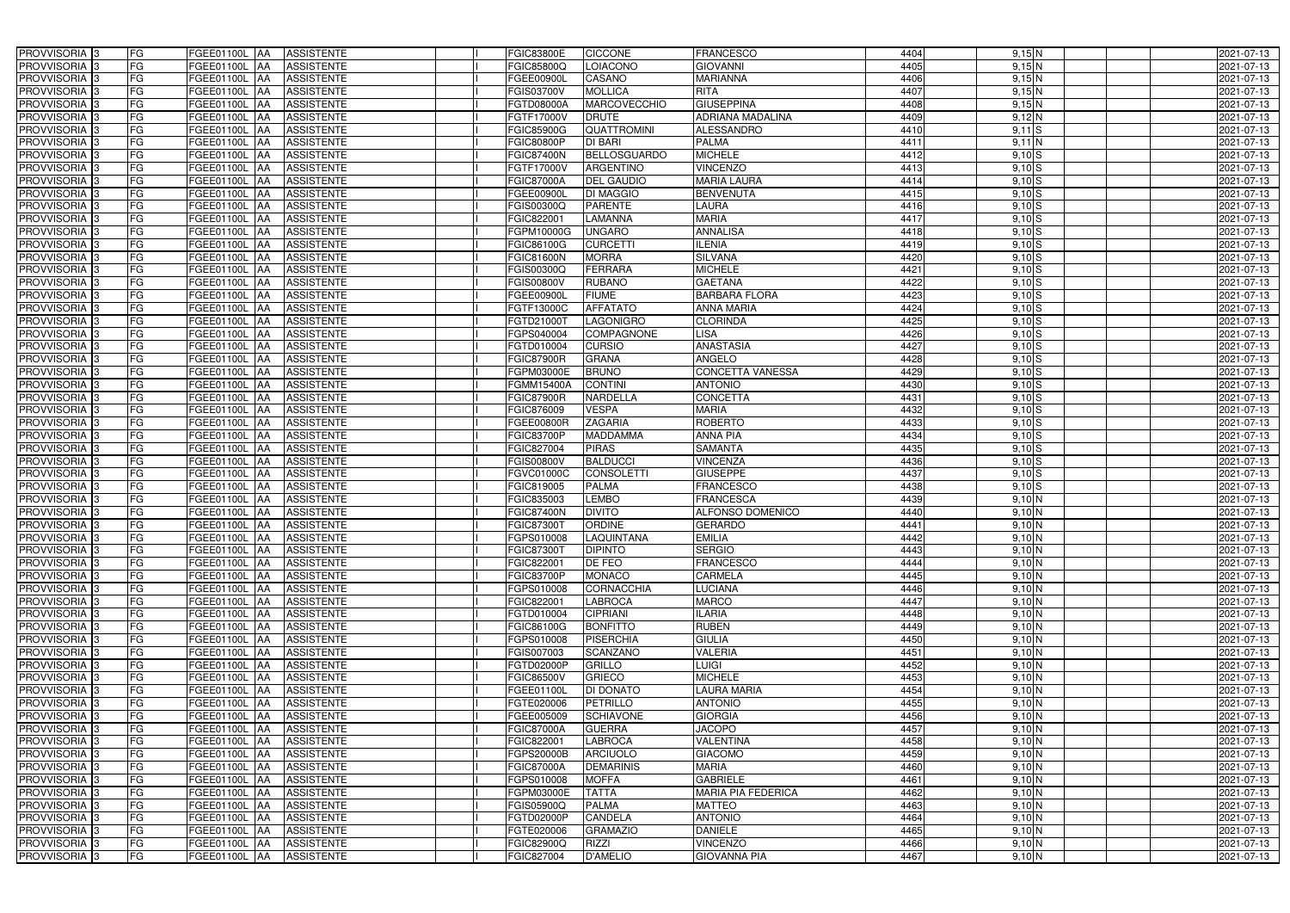| PROVVISORIA <sup>3</sup>                             | FG<br>FGEE01100L AA<br><b>ASSISTENTE</b>                               | <b>FGIC83800E</b><br><b>CICCONE</b>                               | <b>FRANCESCO</b>               | 4404         | $9,15$ N                     | 2021-07-13               |
|------------------------------------------------------|------------------------------------------------------------------------|-------------------------------------------------------------------|--------------------------------|--------------|------------------------------|--------------------------|
| PROVVISORIA <sup>3</sup>                             | FG<br><b>ASSISTENTE</b><br><b>FGEE01100L AA</b>                        | FGIC85800Q<br>LOIACONO                                            | <b>GIOVANNI</b>                | 4405         | 9,15N                        | 2021-07-13               |
| PROVVISORIA <sup>3</sup>                             | FG<br>FGEE01100L AA<br><b>ASSISTENTE</b>                               | CASANO<br>FGEE00900L                                              | <b>MARIANNA</b>                | 4406         | 9,15N                        | 2021-07-13               |
| PROVVISORIA 3                                        | FG<br><b>ASSISTENTE</b><br>FGEE01100L AA                               | <b>MOLLICA</b><br>FGIS03700V                                      | <b>RITA</b>                    | 4407         | $9,15$ N                     | 2021-07-13               |
| PROVVISORIA <sup>3</sup>                             | FG<br>FGEE01100L<br><b>ASSISTENTE</b><br><b>IAA</b>                    | MARCOVECCHIO<br>FGTD08000A                                        | <b>GIUSEPPINA</b>              | 4408         | 9,15N                        | 2021-07-13               |
| PROVVISORIA 3                                        | FG<br>FGEE01100L AA<br><b>ASSISTENTE</b>                               | FGTF17000V<br><b>DRUTE</b>                                        | <b>ADRIANA MADALINA</b>        | 4409         | $9,12$ N                     | 2021-07-13               |
| PROVVISORIA <sup>1</sup> 3                           | FG<br>FGEE01100L AA<br><b>ASSISTENTE</b>                               | <b>FGIC85900G</b><br>QUATTROMINI                                  | <b>ALESSANDRO</b>              | 4410         | $9,11$ S                     | 2021-07-13               |
| PROVVISORIA <sup>3</sup>                             | FG<br><b>ASSISTENTE</b><br>FGEE01100L AA                               | <b>DI BARI</b><br><b>FGIC80800P</b>                               | <b>PALMA</b>                   | 4411         | $9,11$ N                     | 2021-07-13               |
| PROVVISORIA 3                                        | FG<br>FGEE01100L AA<br><b>ASSISTENTE</b>                               | <b>BELLOSGUARDO</b><br><b>FGIC87400N</b>                          | <b>MICHELE</b>                 | 4412         | $9,10$ S                     | 2021-07-13               |
| PROVVISORIA <sup>3</sup>                             | FG<br><b>FGEE01100L AA</b><br><b>ASSISTENTE</b>                        | <b>ARGENTINO</b><br>FGTF17000V                                    | <b>VINCENZO</b>                | 4413         | $9,10$ S                     | 2021-07-13               |
| PROVVISORIA 3                                        | FG<br>FGEE01100L AA<br><b>ASSISTENTE</b>                               | <b>DEL GAUDIO</b><br><b>FGIC87000A</b>                            | <b>MARIA LAURA</b>             | 4414         | $9,10$ S                     | 2021-07-13               |
| PROVVISORIA 3                                        | FG<br>FGEE01100L AA<br><b>ASSISTENTE</b>                               | <b>DI MAGGIO</b><br>FGEE00900L                                    | <b>BENVENUTA</b>               | 4415         | $9,10$ S                     | 2021-07-13               |
| PROVVISORIA <sup>3</sup>                             | FG<br>FGEE01100L AA<br><b>ASSISTENTE</b>                               | <b>PARENTE</b><br>FGIS00300Q                                      | LAURA                          | 4416         | $9,10$ S                     | 2021-07-13               |
| PROVVISORIA 3                                        | FG<br>FGEE01100L AA<br><b>ASSISTENTE</b>                               | FGIC822001<br><b>LAMANNA</b>                                      | <b>MARIA</b>                   | 4417         | $9,10$ S                     | 2021-07-13               |
| PROVVISORIA 3                                        | $\overline{\mathsf{FG}}$<br>FGEE01100L AA<br><b>ASSISTENTE</b>         | <b>UNGARO</b><br>FGPM10000G                                       | <b>ANNALISA</b>                | 4418         | $9,10$ S                     | 2021-07-13               |
| PROVVISORIA 3                                        | $\overline{\mathsf{FG}}$<br>FGEE01100L AA<br><b>ASSISTENTE</b>         | <b>CURCETTI</b><br>FGIC86100G                                     | <b>ILENIA</b>                  | 4419         | $9,10$ S                     | 2021-07-13               |
| PROVVISORIA 3                                        | FG<br><b>FGEE01100L</b><br><b>ASSISTENTE</b><br><b>IAA</b>             | <b>MORRA</b><br><b>FGIC81600N</b>                                 | <b>SILVANA</b>                 | 4420         | $9,10$ S                     | 2021-07-13               |
| PROVVISORIA <sup>3</sup>                             | FG<br>FGEE01100L AA<br><b>ASSISTENTE</b>                               | <b>FERRARA</b><br>FGIS00300Q                                      | <b>MICHELE</b>                 | 4421         | $9,10$ S                     | 2021-07-13               |
| PROVVISORIA 3                                        | FG<br><b>FGEE01100L</b><br><b>ASSISTENTE</b><br><b>JAA</b>             | <b>RUBANO</b><br><b>FGIS00800V</b>                                | <b>GAETANA</b>                 | 4422         | $9,10$ S                     | 2021-07-13               |
| PROVVISORIA 3                                        | FG<br>FGEE01100L AA<br><b>ASSISTENTE</b>                               | <b>FIUME</b><br><b>FGEE00900L</b>                                 | <b>BARBARA FLORA</b>           | 4423         | $9,10$ S                     | 2021-07-13               |
| PROVVISORIA <sup>3</sup>                             | FG<br>FGEE01100L<br><b>AA</b><br><b>ASSISTENTE</b>                     | <b>AFFATATO</b><br>FGTF13000C                                     | <b>ANNA MARIA</b>              | 4424         | $9,10$ S                     | 2021-07-13               |
| PROVVISORIA 3                                        | FG<br>FGEE01100L AA<br><b>ASSISTENTE</b>                               | <b>LAGONIGRO</b><br>FGTD21000T                                    | <b>CLORINDA</b>                | 4425         | $9,10$ S                     | 2021-07-13               |
| PROVVISORIA 3                                        | FG<br>FGEE01100L AA<br><b>ASSISTENTE</b>                               | FGPS040004<br><b>COMPAGNONE</b>                                   | <b>LISA</b>                    | 4426         | $9,10$ S                     | 2021-07-13               |
| PROVVISORIA 3                                        | FG<br>FGEE01100L AA<br><b>ASSISTENTE</b>                               | FGTD010004<br><b>CURSIO</b>                                       | <b>ANASTASIA</b>               | 4427         | $9,10$ S                     | 2021-07-13               |
| PROVVISORIA <sup>3</sup>                             | FG<br>FGEE01100L AA<br><b>ASSISTENTE</b>                               | <b>FGIC87900R</b><br><b>GRANA</b>                                 | <b>ANGELO</b>                  | 4428         | $9,10$ S                     | 2021-07-13               |
| PROVVISORIA 3                                        | FG<br>FGEE01100L AA<br><b>ASSISTENTE</b>                               | <b>BRUNO</b><br>FGPM03000E                                        | <b>CONCETTA VANESSA</b>        | 4429         | $9,10$ S                     | 2021-07-13               |
| PROVVISORIA 3                                        | FG<br>FGEE01100L AA<br><b>ASSISTENTE</b>                               | <b>CONTINI</b><br>FGMM15400A                                      | <b>ANTONIO</b>                 | 4430         | $9,10$ S                     | 2021-07-13               |
| PROVVISORIA 3                                        | FG<br>FGEE01100L AA<br><b>ASSISTENTE</b>                               | <b>FGIC87900R</b><br>NARDELLA                                     | <b>CONCETTA</b>                | 4431         | $9,10$ S                     | 2021-07-13               |
| PROVVISORIA <sup>3</sup>                             | FG<br>FGEE01100L AA<br><b>ASSISTENTE</b>                               | <b>VESPA</b><br>FGIC876009                                        | <b>MARIA</b>                   | 4432         | $9,10$ S                     | 2021-07-13               |
| PROVVISORIA <sup>3</sup>                             | FG<br>FGEE01100L AA<br><b>ASSISTENTE</b>                               | <b>ZAGARIA</b><br>FGEE00800R                                      | <b>ROBERTO</b>                 | 4433         | $9,10$ S                     | 2021-07-13               |
| PROVVISORIA <sup>3</sup>                             | FG<br>FGEE01100L AA<br><b>ASSISTENTE</b>                               | <b>MADDAMMA</b><br><b>FGIC83700P</b>                              | <b>ANNA PIA</b>                | 4434         | $9,10$ S                     | 2021-07-13               |
| PROVVISORIA <sup>3</sup>                             | FG<br>FGEE01100L AA<br><b>ASSISTENTE</b>                               | <b>PIRAS</b><br>FGIC827004                                        | <b>SAMANTA</b>                 | 4435         | $9,10$ S                     | 2021-07-13               |
| PROVVISORIA <sup>3</sup>                             | FG<br>FGEE01100L AA<br><b>ASSISTENTE</b>                               | <b>BALDUCCI</b><br>FGIS00800V                                     | <b>VINCENZA</b>                | 4436         | $9,10$ S                     | 2021-07-13               |
| PROVVISORIA <sup>3</sup>                             | FG<br>FGEE01100L AA<br><b>ASSISTENTE</b>                               | <b>CONSOLETTI</b><br>FGVC01000C                                   | <b>GIUSEPPE</b>                | 4437         | $9,10$ S                     | 2021-07-13               |
| PROVVISORIA 3                                        | FG<br><b>ASSISTENTE</b><br>FGEE01100L<br> AA                           | <b>PALMA</b><br>FGIC819005                                        | <b>FRANCESCO</b>               | 4438         | $9,10$ S                     | 2021-07-13               |
| PROVVISORIA <sup>3</sup>                             | FG<br>FGEE01100L<br><b>ASSISTENTE</b><br><b>JAA</b>                    | <b>LEMBO</b><br>FGIC835003                                        | <b>FRANCESCA</b>               | 4439         | 9,10 N                       | 2021-07-13               |
| PROVVISORIA <sup>3</sup>                             | FG<br>FGEE01100L<br><b>ASSISTENTE</b><br><b>JAA</b>                    | <b>DIVITO</b><br><b>FGIC87400N</b>                                | <b>ALFONSO DOMENICO</b>        | 4440         | 9,10 N                       | 2021-07-13               |
| PROVVISORIA <sup>3</sup>                             | FG<br>FGEE01100L AA<br><b>ASSISTENTE</b>                               | FGIC87300T<br>ORDINE                                              | <b>GERARDO</b>                 | 4441         | 9,10 N                       | 2021-07-13               |
| PROVVISORIA <sup>3</sup>                             | FG<br>FGEE01100L AA<br>ASSISTENTE                                      | LAQUINTANA<br>FGPS010008                                          | <b>EMILIA</b>                  | 4442         | 9,10 N                       | 2021-07-13               |
| PROVVISORIA <sup>3</sup>                             | FG<br>FGEE01100L AA<br><b>ASSISTENTE</b>                               | FGIC87300T<br><b>DIPINTO</b>                                      | <b>SERGIO</b>                  | 4443         | 9,10 N                       | 2021-07-13               |
| PROVVISORIA <sup>3</sup>                             | FG<br>FGEE01100L AA<br>ASSISTENTE                                      | DE FEO<br>FGIC822001                                              | <b>FRANCESCO</b>               | 4444         | 9,10 N                       | 2021-07-13               |
| PROVVISORIA <sup>3</sup>                             | FG<br>FGEE01100L AA<br>ASSISTENTE                                      | <b>MONACO</b><br><b>FGIC83700P</b>                                | CARMELA                        | 4445         | 9,10 N                       | 2021-07-13               |
| PROVVISORIA <sup>3</sup>                             | FG<br>FGEE01100L AA<br><b>ASSISTENTE</b>                               | <b>CORNACCHIA</b><br>FGPS010008                                   | <b>LUCIANA</b>                 | 4446         | 9,10 N                       | 2021-07-13               |
| PROVVISORIA <sup>3</sup>                             | FG<br><b>FGEE01100L</b> AA<br>ASSISTENTE                               | <b>LABROCA</b><br>FGIC822001                                      | <b>MARCO</b>                   | 4447         | 9,10 N                       | 2021-07-13               |
| PROVVISORIA <sup>3</sup>                             | FG<br>FGEE01100L AA<br>ASSISTENTE                                      | FGTD010004<br><b>CIPRIANI</b>                                     | <b>ILARIA</b>                  | 4448         | 9,10 N                       | 2021-07-13               |
| PROVVISORIA <sup>3</sup>                             | FG<br>FGEE01100L AA<br>ASSISTENTE                                      | <b>BONFITTO</b><br>FGIC86100G                                     | <b>RUBEN</b>                   | 4449         | 9,10 N                       | 2021-07-13               |
| PROVVISORIA <sup>3</sup>                             | FG<br>FGEE01100L AA<br>ASSISTENTE                                      | <b>PISERCHIA</b><br>FGPS010008                                    | <b>GIULIA</b>                  | 4450         | 9,10 N                       | 2021-07-13               |
| PROVVISORIA <sup>3</sup>                             | FG<br>FGEE01100L AA<br>ASSISTENTE                                      | FGIS007003<br><b>SCANZANO</b>                                     | VALERIA                        | 4451         | $9,10\overline{N}$<br>9,10 N | 2021-07-13               |
| PROVVISORIA <sup>3</sup><br>PROVVISORIA <sup>3</sup> | FG<br>FGEE01100L AA<br>ASSISTENTE<br>FG<br>FGEE01100L AA<br>ASSISTENTE | FGTD02000P<br><b>GRILLO</b><br><b>GRIECO</b><br><b>FGIC86500V</b> | <b>LUIGI</b><br><b>MICHELE</b> | 4452<br>4453 | 9,10 N                       | 2021-07-13<br>2021-07-13 |
| PROVVISORIA <sup>3</sup>                             | FG<br>FGEE01100L AA<br><b>ASSISTENTE</b>                               | DI DONATO<br>FGEE01100L                                           | <b>LAURA MARIA</b>             | 4454         | 9,10 N                       | 2021-07-13               |
| PROVVISORIA <sup>3</sup>                             | FG<br>FGEE01100L AA<br><b>ASSISTENTE</b>                               | <b>PETRILLO</b><br>FGTE020006                                     | <b>ANTONIO</b>                 | 4455         | 9,10 N                       | 2021-07-13               |
| PROVVISORIA <sup>3</sup>                             | FG<br>FGEE01100L AA<br>ASSISTENTE                                      | FGEE005009<br><b>SCHIAVONE</b>                                    | <b>GIORGIA</b>                 | 4456         | 9,10 N                       | 2021-07-13               |
| PROVVISORIA <sup>3</sup>                             | FG<br>FGEE01100L AA<br><b>ASSISTENTE</b>                               | <b>GUERRA</b><br><b>FGIC87000A</b>                                | <b>JACOPO</b>                  | 4457         | 9,10 N                       | 2021-07-13               |
| PROVVISORIA <sup>13</sup>                            | FG<br>FGEE01100L AA<br><b>ASSISTENTE</b>                               | <b>LABROCA</b><br>FGIC822001                                      | <b>VALENTINA</b>               | 4458         | 9,10 N                       | 2021-07-13               |
| PROVVISORIA <sup>1</sup> 3                           | FG<br>FGEE01100L AA<br><b>ASSISTENTE</b>                               | <b>ARCIUOLO</b><br>FGPS20000B                                     | <b>GIACOMO</b>                 | 4459         | 9,10 N                       | 2021-07-13               |
| PROVVISORIA <sup>3</sup>                             | FG<br>FGEE01100L AA<br><b>ASSISTENTE</b>                               | <b>DEMARINIS</b><br><b>FGIC87000A</b>                             | <b>MARIA</b>                   | 4460         | 9,10 N                       | 2021-07-13               |
| PROVVISORIA <sup>1</sup> 3                           | FG<br>FGEE01100L AA<br><b>ASSISTENTE</b>                               | FGPS010008<br><b>MOFFA</b>                                        | <b>GABRIELE</b>                | 4461         | 9,10 N                       | 2021-07-13               |
| PROVVISORIA <sup>3</sup>                             | FG<br><b>ASSISTENTE</b><br>FGEE01100L AA                               | <b>TATTA</b><br>FGPM03000E                                        | MARIA PIA FEDERICA             | 4462         | $9,10\overline{\rm N}$       | 2021-07-13               |
| PROVVISORIA <sup>3</sup>                             | FG<br><b>FGEE01100L AA</b><br><b>ASSISTENTE</b>                        | <b>PALMA</b><br>FGIS05900Q                                        | <b>MATTEO</b>                  | 4463         | 9,10 N                       | 2021-07-13               |
| PROVVISORIA <sup>3</sup>                             | FG<br>FGEE01100L AA<br><b>ASSISTENTE</b>                               | <b>CANDELA</b><br>FGTD02000P                                      | <b>ANTONIO</b>                 | 4464         | 9,10 N                       | 2021-07-13               |
| PROVVISORIA <sup>3</sup>                             | FG<br>FGEE01100L AA<br><b>ASSISTENTE</b>                               | FGTE020006<br><b>GRAMAZIO</b>                                     | <b>DANIELE</b>                 | 4465         | 9,10 N                       | 2021-07-13               |
| PROVVISORIA <sup>3</sup>                             | FG<br>FGEE01100L AA<br><b>ASSISTENTE</b>                               | FGIC82900Q<br><b>RIZZI</b>                                        | <b>VINCENZO</b>                | 4466         | 9,10 N                       | 2021-07-13               |
| PROVVISORIA <sup>3</sup>                             | FG<br>FGEE01100L AA<br>ASSISTENTE                                      | FGIC827004<br><b>D'AMELIO</b>                                     | <b>GIOVANNA PIA</b>            | 4467         | 9,10 N                       | 2021-07-13               |
|                                                      |                                                                        |                                                                   |                                |              |                              |                          |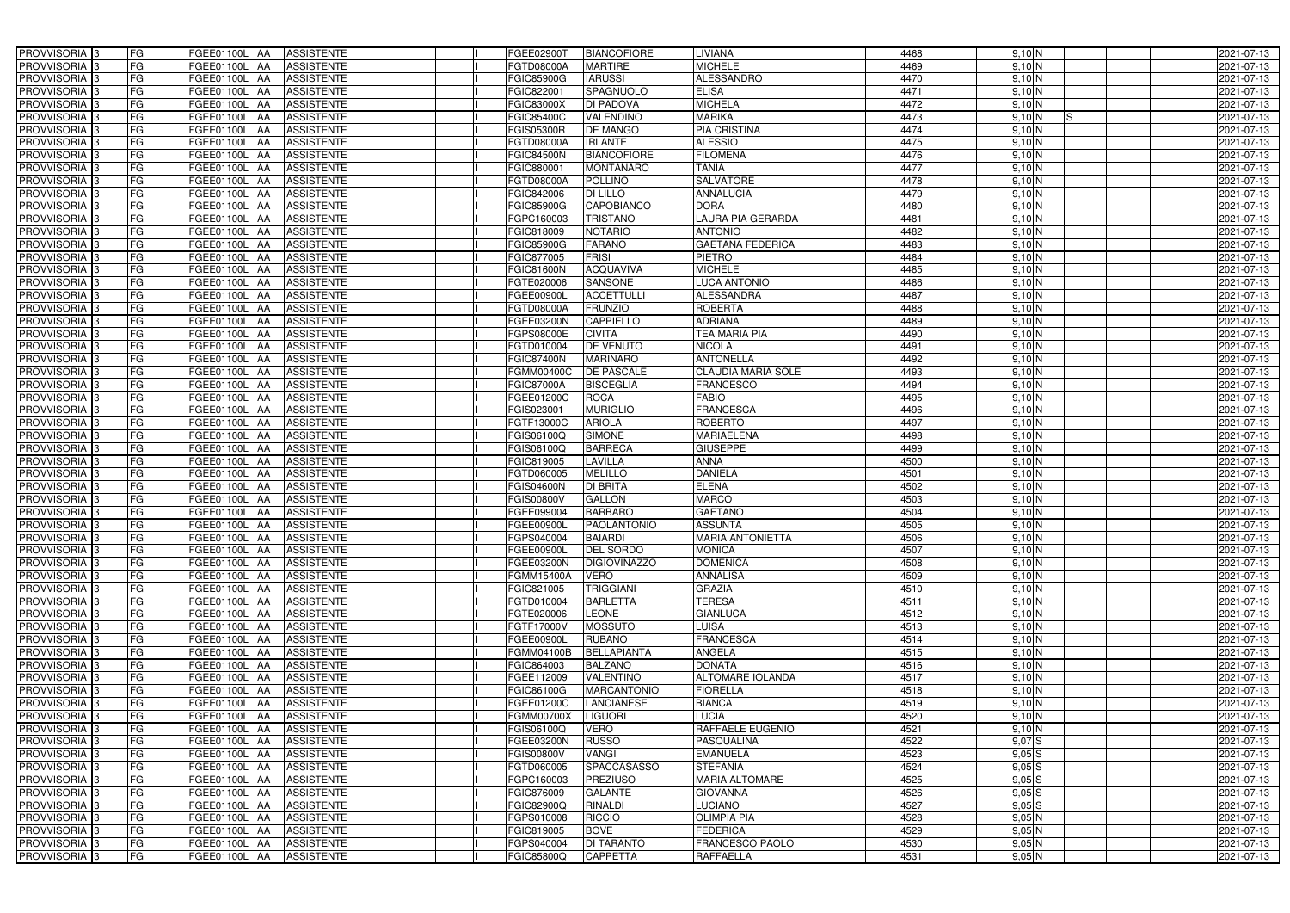| PROVVISORIA 3              | FG<br>FGEE01100L AA                       | <b>ASSISTENTE</b>               | <b>FGEE02900T</b> | <b>BIANCOFIORE</b>  | LIVIANA                   | 4468 | $9,10$ N               | 2021-07-13 |
|----------------------------|-------------------------------------------|---------------------------------|-------------------|---------------------|---------------------------|------|------------------------|------------|
| PROVVISORIA <sup>3</sup>   | FG<br>FGEE01100L AA                       | <b>ASSISTENTE</b>               | FGTD08000A        | <b>MARTIRE</b>      | <b>MICHELE</b>            | 4469 | 9,10 N                 | 2021-07-13 |
| PROVVISORIA <sup>3</sup>   | FG<br>FGEE01100L AA                       | <b>ASSISTENTE</b>               | <b>FGIC85900G</b> | <b>IARUSSI</b>      | <b>ALESSANDRO</b>         | 4470 | 9,10 N                 | 2021-07-13 |
| PROVVISORIA 3              | FG<br>FGEE01100L AA                       | <b>ASSISTENTE</b>               | FGIC822001        | SPAGNUOLO           | <b>ELISA</b>              | 4471 | $9,10$ N               | 2021-07-13 |
| PROVVISORIA <sup>3</sup>   | FG<br>FGEE01100L                          | <b>ASSISTENTE</b><br><b>IAA</b> | <b>FGIC83000X</b> | DI PADOVA           | <b>MICHELA</b>            | 4472 | 9,10 N                 | 2021-07-13 |
| PROVVISORIA <sup>3</sup>   | FG<br>FGEE01100L AA                       | <b>ASSISTENTE</b>               | FGIC85400C        | VALENDINO           | <b>MARIKA</b>             | 4473 | 9,10 N<br>IS.          | 2021-07-13 |
| PROVVISORIA <sup>3</sup>   | FG<br>FGEE01100L AA                       | <b>ASSISTENTE</b>               | <b>FGIS05300R</b> | <b>DE MANGO</b>     | <b>PIA CRISTINA</b>       | 4474 | 9,10 N                 | 2021-07-13 |
| PROVVISORIA <sup>3</sup>   | FG<br>FGEE01100L AA                       | <b>ASSISTENTE</b>               | FGTD08000A        | <b>IRLANTE</b>      | <b>ALESSIO</b>            | 4475 | 9,10 N                 | 2021-07-13 |
| PROVVISORIA 3              | FG<br>FGEE01100L AA                       | <b>ASSISTENTE</b>               | <b>FGIC84500N</b> | <b>BIANCOFIORE</b>  | <b>FILOMENA</b>           | 4476 | 9,10 N                 | 2021-07-13 |
| PROVVISORIA <sup>3</sup>   | FG<br>FGEE01100L AA                       | <b>ASSISTENTE</b>               | FGIC880001        | <b>MONTANARO</b>    | <b>TANIA</b>              | 4477 | $9,10\overline{\rm N}$ | 2021-07-13 |
| PROVVISORIA 3              | FG<br>FGEE01100L AA                       | <b>ASSISTENTE</b>               | FGTD08000A        | <b>POLLINO</b>      | <b>SALVATORE</b>          | 4478 | 9,10 N                 | 2021-07-13 |
| PROVVISORIA 3              | FG<br>FGEE01100L AA                       | <b>ASSISTENTE</b>               | FGIC842006        | <b>DI LILLO</b>     | <b>ANNALUCIA</b>          | 4479 | 9,10 N                 | 2021-07-13 |
| PROVVISORIA <sup>3</sup>   | FG<br>FGEE01100L AA                       | <b>ASSISTENTE</b>               | <b>FGIC85900G</b> | CAPOBIANCO          | <b>DORA</b>               | 4480 | 9,10 N                 | 2021-07-13 |
| PROVVISORIA 3              | FG<br>FGEE01100L AA                       | <b>ASSISTENTE</b>               | FGPC160003        | <b>TRISTANO</b>     | LAURA PIA GERARDA         | 4481 | 9,10 N                 | 2021-07-13 |
| PROVVISORIA 3              | $\overline{\mathsf{FG}}$<br>FGEE01100L AA | <b>ASSISTENTE</b>               | FGIC818009        | <b>NOTARIO</b>      | <b>ANTONIO</b>            | 4482 | 9,10 N                 | 2021-07-13 |
| PROVVISORIA 3              | $\overline{\mathsf{FG}}$<br>FGEE01100L AA | <b>ASSISTENTE</b>               | <b>FGIC85900G</b> | <b>FARANO</b>       | <b>GAETANA FEDERICA</b>   | 4483 | 9,10 N                 | 2021-07-13 |
| PROVVISORIA 3              | FG<br><b>FGEE01100L</b>                   | <b>ASSISTENTE</b><br><b>IAA</b> | FGIC877005        | <b>FRISI</b>        | PIETRO                    | 4484 | 9,10 N                 | 2021-07-13 |
| PROVVISORIA 3              | FG<br>FGEE01100L AA                       | <b>ASSISTENTE</b>               | <b>FGIC81600N</b> | <b>ACQUAVIVA</b>    | <b>MICHELE</b>            | 4485 | $9,10$ N               | 2021-07-13 |
| PROVVISORIA 3              | FG<br><b>FGEE01100L</b>                   | <b>ASSISTENTE</b><br><b>JAA</b> | FGTE020006        | <b>SANSONE</b>      | <b>LUCA ANTONIO</b>       | 4486 | 9,10 N                 | 2021-07-13 |
| PROVVISORIA 3              | FG<br>FGEE01100L AA                       | <b>ASSISTENTE</b>               | FGEE00900L        | <b>ACCETTULLI</b>   | <b>ALESSANDRA</b>         | 4487 | 9,10 N                 | 2021-07-13 |
| PROVVISORIA <sup>3</sup>   | FG<br>FGEE01100L                          | <b>AA</b><br><b>ASSISTENTE</b>  | <b>FGTD08000A</b> | <b>FRUNZIO</b>      | <b>ROBERTA</b>            | 4488 | $9,10\overline{N}$     | 2021-07-13 |
| PROVVISORIA 3              | FG<br>FGEE01100L AA                       | <b>ASSISTENTE</b>               | FGEE03200N        | <b>CAPPIELLO</b>    | <b>ADRIANA</b>            | 4489 | 9,10 N                 | 2021-07-13 |
| PROVVISORIA 3              | FG<br>FGEE01100L AA                       | <b>ASSISTENTE</b>               | FGPS08000E        | <b>CIVITA</b>       | TEA MARIA PIA             | 4490 | 9,10 N                 | 2021-07-13 |
| PROVVISORIA 3              | FG<br>FGEE01100L AA                       | <b>ASSISTENTE</b>               | FGTD010004        | DE VENUTO           | <b>NICOLA</b>             | 4491 | $9,10$ N               | 2021-07-13 |
| PROVVISORIA <sup>3</sup>   | FG<br>FGEE01100L AA                       | <b>ASSISTENTE</b>               | <b>FGIC87400N</b> | <b>MARINARO</b>     | <b>ANTONELLA</b>          | 4492 | 9,10 N                 | 2021-07-13 |
| PROVVISORIA 3              | FG<br>FGEE01100L AA                       | <b>ASSISTENTE</b>               | FGMM00400C        | <b>DE PASCALE</b>   | <b>CLAUDIA MARIA SOLE</b> | 4493 | 9,10 N                 | 2021-07-13 |
| PROVVISORIA 3              | FG<br>FGEE01100L AA                       | <b>ASSISTENTE</b>               | <b>FGIC87000A</b> | <b>BISCEGLIA</b>    | <b>FRANCESCO</b>          | 4494 | 9,10 N                 | 2021-07-13 |
| PROVVISORIA 3              | FG<br>FGEE01100L AA                       | <b>ASSISTENTE</b>               | FGEE01200C        | <b>ROCA</b>         | <b>FABIO</b>              | 4495 | 9,10 N                 | 2021-07-13 |
| PROVVISORIA <sup>3</sup>   | FG<br>FGEE01100L AA                       | <b>ASSISTENTE</b>               | FGIS023001        | <b>MURIGLIO</b>     | <b>FRANCESCA</b>          | 4496 | 9,10 N                 | 2021-07-13 |
| PROVVISORIA <sup>3</sup>   | FG<br>FGEE01100L AA                       | <b>ASSISTENTE</b>               | FGTF13000C        | <b>ARIOLA</b>       | <b>ROBERTO</b>            | 4497 | 9,10 N                 | 2021-07-13 |
| PROVVISORIA <sup>3</sup>   | FG<br>FGEE01100L AA                       | <b>ASSISTENTE</b>               | FGIS06100Q        | <b>SIMONE</b>       | <b>MARIAELENA</b>         | 4498 | 9,10 N                 | 2021-07-13 |
| PROVVISORIA <sup>3</sup>   | FG<br>FGEE01100L AA                       | <b>ASSISTENTE</b>               | FGIS06100Q        | <b>BARRECA</b>      | <b>GIUSEPPE</b>           | 4499 | $9,10$ N               | 2021-07-13 |
| PROVVISORIA <sup>3</sup>   | FG<br>FGEE01100L AA                       | <b>ASSISTENTE</b>               | FGIC819005        | LAVILLA             | <b>ANNA</b>               | 4500 | 9,10 N                 | 2021-07-13 |
| PROVVISORIA <sup>3</sup>   | FG<br>FGEE01100L AA                       | <b>ASSISTENTE</b>               | FGTD060005        | <b>MELILLO</b>      | <b>DANIELA</b>            | 4501 | 9,10 N                 | 2021-07-13 |
| PROVVISORIA <sup>3</sup>   | FG<br><b>FGEE01100L</b>                   | <b>ASSISTENTE</b><br> AA        | <b>FGIS04600N</b> | <b>DI BRITA</b>     | <b>ELENA</b>              | 4502 | 9,10 N                 | 2021-07-13 |
| PROVVISORIA <sup>3</sup>   | FG<br>FGEE01100L                          | <b>ASSISTENTE</b><br><b>JAA</b> | <b>FGIS00800V</b> | <b>GALLON</b>       | <b>MARCO</b>              | 4503 | 9,10 N                 | 2021-07-13 |
| PROVVISORIA <sup>3</sup>   | FG<br>FGEE01100L                          | <b>ASSISTENTE</b><br><b>JAA</b> | FGEE099004        | <b>BARBARO</b>      | <b>GAETANO</b>            | 4504 | 9,10 N                 | 2021-07-13 |
| PROVVISORIA <sup>3</sup>   | FG<br>FGEE01100L AA                       | <b>ASSISTENTE</b>               | FGEE00900L        | <b>PAOLANTONIO</b>  | <b>ASSUNTA</b>            | 4505 | 9,10 N                 | 2021-07-13 |
| PROVVISORIA <sup>3</sup>   | FG<br>FGEE01100L AA                       | ASSISTENTE                      | FGPS040004        | <b>BAIARDI</b>      | <b>MARIA ANTONIETTA</b>   | 4506 | 9,10 N                 | 2021-07-13 |
| PROVVISORIA <sup>3</sup>   | FG<br>FGEE01100L AA                       | <b>ASSISTENTE</b>               | FGEE00900L        | <b>DEL SORDO</b>    | <b>MONICA</b>             | 4507 | 9,10 N                 | 2021-07-13 |
| PROVVISORIA <sup>3</sup>   | FG<br>FGEE01100L AA                       | ASSISTENTE                      | <b>FGEE03200N</b> | <b>DIGIOVINAZZO</b> | <b>DOMENICA</b>           | 4508 | 9,10 N                 | 2021-07-13 |
| PROVVISORIA <sup>3</sup>   | FG<br>FGEE01100L AA                       | ASSISTENTE                      | FGMM15400A        | <b>VERO</b>         | <b>ANNALISA</b>           | 4509 | 9,10 N                 | 2021-07-13 |
| PROVVISORIA <sup>3</sup>   | FG<br>FGEE01100L AA                       | <b>ASSISTENTE</b>               | FGIC821005        | <b>TRIGGIANI</b>    | <b>GRAZIA</b>             | 4510 | 9,10 N                 | 2021-07-13 |
| PROVVISORIA <sup>3</sup>   | FG<br>FGEE01100L AA                       | ASSISTENTE                      | FGTD010004        | <b>BARLETTA</b>     | <b>TERESA</b>             | 4511 | 9,10 N                 | 2021-07-13 |
| PROVVISORIA <sup>3</sup>   | FG<br>FGEE01100L AA                       | ASSISTENTE                      | FGTE020006        | <b>LEONE</b>        | <b>GIANLUCA</b>           | 4512 | 9,10 N                 | 2021-07-13 |
| PROVVISORIA <sup>3</sup>   | FG<br>FGEE01100L AA                       | ASSISTENTE                      | FGTF17000V        | <b>MOSSUTO</b>      | <b>LUISA</b>              | 4513 | 9,10 N                 | 2021-07-13 |
| PROVVISORIA <sup>3</sup>   | FG<br>FGEE01100L AA                       | ASSISTENTE                      | FGEE00900L        | <b>RUBANO</b>       | <b>FRANCESCA</b>          | 4514 | 9,10 N                 | 2021-07-13 |
| PROVVISORIA <sup>3</sup>   | FG<br>FGEE01100L AA                       | ASSISTENTE                      | FGMM04100B        | <b>BELLAPIANTA</b>  | ANGELA                    | 4515 | $9,10\overline{N}$     | 2021-07-13 |
| PROVVISORIA <sup>3</sup>   | FG<br>FGEE01100L AA                       | ASSISTENTE                      | FGIC864003        | <b>BALZANO</b>      | <b>DONATA</b>             | 4516 | 9,10 N                 | 2021-07-13 |
| PROVVISORIA <sup>3</sup>   | FG<br>FGEE01100L AA                       | ASSISTENTE                      | FGEE112009        | <b>VALENTINO</b>    | <b>ALTOMARE IOLANDA</b>   | 4517 | 9,10 N                 | 2021-07-13 |
| PROVVISORIA <sup>3</sup>   | FG<br>FGEE01100L AA                       | <b>ASSISTENTE</b>               | FGIC86100G        | <b>MARCANTONIO</b>  | <b>FIORELLA</b>           | 4518 | 9,10 N                 | 2021-07-13 |
| PROVVISORIA <sup>3</sup>   | FG<br>FGEE01100L AA                       | ASSISTENTE                      | FGEE01200C        | <b>LANCIANESE</b>   | <b>BIANCA</b>             | 4519 | 9,10 N                 | 2021-07-13 |
| PROVVISORIA <sup>3</sup>   | FG<br>FGEE01100L AA                       | ASSISTENTE                      | <b>FGMM00700X</b> | <b>LIGUORI</b>      | <b>LUCIA</b>              | 4520 | 9,10 N                 | 2021-07-13 |
| PROVVISORIA <sup>3</sup>   | FG<br>FGEE01100L AA                       | <b>ASSISTENTE</b>               | FGIS06100Q        | VERO                | RAFFAELE EUGENIO          | 4521 | 9,10 N                 | 2021-07-13 |
| PROVVISORIA <sup>13</sup>  | FG<br>FGEE01100L AA                       | <b>ASSISTENTE</b>               | FGEE03200N        | <b>RUSSO</b>        | PASQUALINA                | 4522 | $9,07$ S               | 2021-07-13 |
| PROVVISORIA <sup>1</sup> 3 | FG<br>FGEE01100L AA                       | <b>ASSISTENTE</b>               | <b>FGIS00800V</b> | VANGI               | <b>EMANUELA</b>           | 4523 | $9,05$ S               | 2021-07-13 |
| PROVVISORIA <sup>3</sup>   | FG<br>FGEE01100L AA                       | <b>ASSISTENTE</b>               | FGTD060005        | <b>SPACCASASSO</b>  | <b>STEFANIA</b>           | 4524 | $9,05$ S               | 2021-07-13 |
| <b>PROVVISORIA</b> 3       | FG<br>FGEE01100L AA                       | <b>ASSISTENTE</b>               | FGPC160003        | <b>PREZIUSO</b>     | <b>MARIA ALTOMARE</b>     | 4525 | $9,05$ S               | 2021-07-13 |
| PROVVISORIA <sup>3</sup>   | FG<br>FGEE01100L AA                       | <b>ASSISTENTE</b>               | FGIC876009        | <b>GALANTE</b>      | <b>GIOVANNA</b>           | 4526 | $9,05$ S               | 2021-07-13 |
| PROVVISORIA <sup>1</sup> 3 | FG<br>FGEE01100L AA                       | <b>ASSISTENTE</b>               | FGIC82900Q        | <b>RINALDI</b>      | <b>LUCIANO</b>            | 4527 | $9,05$ S               | 2021-07-13 |
| PROVVISORIA <sup>3</sup>   | FG<br>FGEE01100L AA                       | <b>ASSISTENTE</b>               | FGPS010008        | <b>RICCIO</b>       | <b>OLIMPIA PIA</b>        | 4528 | 9,05N                  | 2021-07-13 |
| PROVVISORIA <sup>3</sup>   | FG<br>FGEE01100L AA                       | <b>ASSISTENTE</b>               | FGIC819005        | <b>BOVE</b>         | <b>FEDERICA</b>           | 4529 | 9,05N                  | 2021-07-13 |
| PROVVISORIA <sup>3</sup>   | FG<br>FGEE01100L AA                       | <b>ASSISTENTE</b>               | FGPS040004        | <b>DI TARANTO</b>   | <b>FRANCESCO PAOLO</b>    | 4530 | 9,05N                  | 2021-07-13 |
| PROVVISORIA <sup>3</sup>   | FG<br>FGEE01100L AA                       | ASSISTENTE                      | <b>FGIC85800Q</b> | <b>CAPPETTA</b>     | <b>RAFFAELLA</b>          | 4531 | 9,05N                  | 2021-07-13 |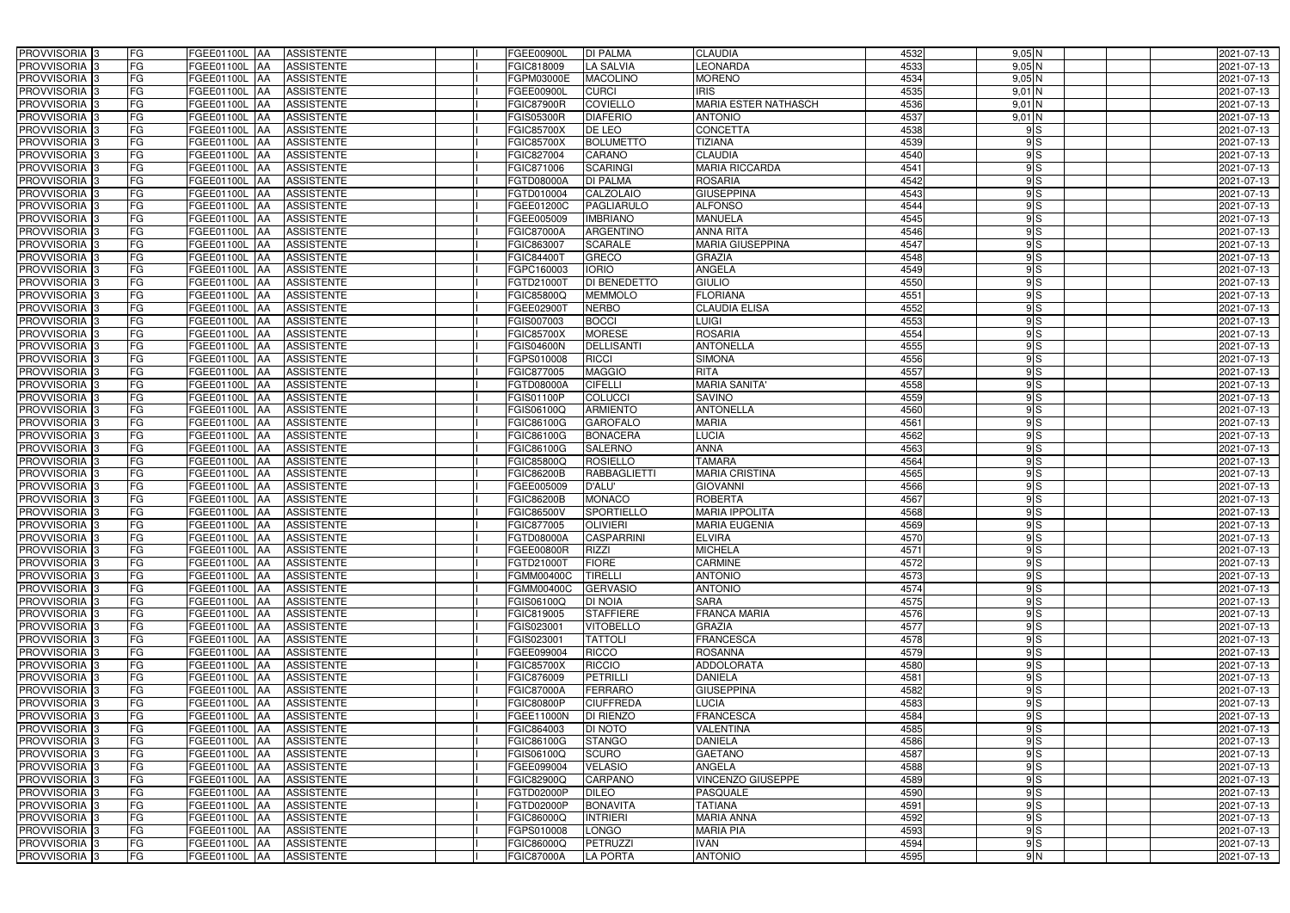| PROVVISORIA 3                                        | FG              | FGEE01100L AA                                    | <b>ASSISTENTE</b> | FGEE00900L               | <b>DI PALMA</b>               | <b>CLAUDIA</b>                                | 4532         | $9,05$ N | 2021-07-13               |
|------------------------------------------------------|-----------------|--------------------------------------------------|-------------------|--------------------------|-------------------------------|-----------------------------------------------|--------------|----------|--------------------------|
| PROVVISORIA 3                                        | FG              | FGEE01100L<br>IAA                                | <b>ASSISTENTE</b> | FGIC818009               | <b>LA SALVIA</b>              | <b>EONARDA</b>                                | 4533         | $9,05$ N | 2021-07-13               |
| PROVVISORIA 3                                        | FG              | <b>FGEE01100L   AA</b>                           | <b>ASSISTENTE</b> | <b>FGPM03000E</b>        | <b>MACOLINO</b>               | <b>MORENO</b>                                 | 4534         | 9,05N    | 2021-07-13               |
| PROVVISORIA <sup>3</sup>                             | <b>FG</b>       | FGEE01100L<br>IAA                                | <b>ASSISTENTE</b> | FGEE00900L               | <b>CURCI</b>                  | <b>IRIS</b>                                   | 4535         | $9,01$ N | 2021-07-13               |
| PROVVISORIA 3                                        | FG              | FGEE01100L<br>IAA                                | <b>ASSISTENTE</b> | <b>FGIC87900R</b>        | <b>COVIELLO</b>               | MARIA ESTER NATHASCH                          | 4536         | $9,01$ N | 2021-07-13               |
| PROVVISORIA 3                                        | <b>FG</b>       | <b>FGEE01100L AA</b>                             | <b>ASSISTENTE</b> | <b>FGIS05300R</b>        | <b>DIAFERIO</b>               | <b>ANTONIO</b>                                | 4537         | $9,01$ N | 2021-07-13               |
| PROVVISORIA 3                                        | FG              | <b>FGEE01100L   AA</b>                           | <b>ASSISTENTE</b> | <b>FGIC85700X</b>        | DE LEO                        | <b>CONCETTA</b>                               | 4538         | 9S       | 2021-07-13               |
| PROVVISORIA 3                                        | FG              | FGEE01100L AA                                    | <b>ASSISTENTE</b> | <b>FGIC85700X</b>        | <b>BOLUMETTO</b>              | <b>TIZIANA</b>                                | 4539         | 9S       | 2021-07-13               |
| PROVVISORIA 3                                        | <b>FG</b>       | FGEE01100L AA                                    | <b>ASSISTENTE</b> | FGIC827004               | CARANO                        | <b>CLAUDIA</b>                                | 4540         | 9S       | 2021-07-13               |
| PROVVISORIA 3                                        | FG              | FGEE01100L AA                                    | <b>ASSISTENTE</b> | FGIC871006               | <b>SCARINGI</b>               | <b>MARIA RICCARDA</b>                         | 4541         | 9S       | 2021-07-13               |
| PROVVISORIA 3                                        | FG              | FGEE01100L AA                                    | <b>ASSISTENTE</b> | <b>FGTD08000A</b>        | <b>DI PALMA</b>               | <b>ROSARIA</b>                                | 4542         | 9S       | 2021-07-13               |
| PROVVISORIA 3                                        | FG              | FGEE01100L AA                                    | <b>ASSISTENTE</b> | FGTD010004               | <b>CALZOLAIO</b>              | <b>GIUSEPPINA</b>                             | 4543         | 9S       | 2021-07-13               |
| PROVVISORIA <sup>3</sup>                             | FG              | FGEE01100L AA                                    | <b>ASSISTENTE</b> | FGEE01200C               | PAGLIARULO                    | <b>ALFONSO</b>                                | 4544         | 9S       | 2021-07-13               |
| PROVVISORIA 3                                        | FG              | FGEE01100L AA                                    | <b>ASSISTENTE</b> | FGEE005009               | <b>IMBRIANO</b>               | <b>MANUELA</b>                                | 4545         | 9S       | 2021-07-13               |
| PROVVISORIA 3                                        | <b>FG</b>       | FGEE01100L AA                                    | <b>ASSISTENTE</b> | <b>FGIC87000A</b>        | <b>ARGENTINO</b>              | <b>ANNA RITA</b>                              | 4546         | 9S       | 2021-07-13               |
| PROVVISORIA 3                                        | <b>FG</b>       | FGEE01100L<br>IAA                                | <b>ASSISTENTE</b> | FGIC863007               | <b>SCARALE</b>                | <b>MARIA GIUSEPPINA</b>                       | 4547         | 9S       | 2021-07-13               |
| PROVVISORIA 3                                        | FG              | FGEE01100L<br>IAA                                | <b>ASSISTENTE</b> | FGIC84400                | <b>GRECO</b>                  | <b>GRAZIA</b>                                 | 4548         | 9S       | 2021-07-13               |
| PROVVISORIA 3                                        | FG              | <b>FGEE01100L</b><br>IAA                         | <b>ASSISTENTE</b> | FGPC160003               | <b>IORIO</b>                  | ANGELA                                        | 4549         | 9S       | 2021-07-13               |
| PROVVISORIA 3                                        | FG              | <b>FGEE01100L</b><br>IAA                         | <b>ASSISTENTE</b> | FGTD210001               | DI BENEDETTO                  | GIULIO                                        | 4550         | 9S       | 2021-07-13               |
| PROVVISORIA 3                                        | FG              | FGEE01100L<br>IAA                                | <b>ASSISTENTE</b> | FGIC85800Q               | <b>MEMMOLO</b>                | <b>FLORIANA</b>                               | 4551         | 9S       | 2021-07-13               |
| PROVVISORIA <sup>3</sup>                             | FG              | FGEE01100L                                       | <b>ASSISTENTE</b> | FGEE029001               | <b>NERBO</b>                  | <b>CLAUDIA ELISA</b>                          | 4552         | 9S       | 2021-07-13               |
| <b>PROVVISORIA</b> 3                                 | FG              | <b>FGEE01100L</b><br>IAA                         | <b>ASSISTENTE</b> | FGIS007003               | <b>BOCCI</b>                  | LUIGI                                         | 4553         | 9S       | 2021-07-13               |
| PROVVISORIA <sup>3</sup>                             | FG              | FGEE01100L<br>IAA                                | <b>ASSISTENTE</b> | FGIC85700X               | <b>MORESE</b>                 | <b>ROSARIA</b>                                | 4554         | 9S       | 2021-07-13               |
| PROVVISORIA <sup>3</sup>                             | <b>FG</b>       | FGEE01100L<br>IAA                                | <b>ASSISTENTE</b> | FGIS04600N               | <b>DELLISANTI</b>             | <b>ANTONELLA</b>                              | 4555         | 9S       | 2021-07-13               |
| <b>PROVVISORIA</b> 3                                 | FG              | FGEE01100L<br>IAA                                | <b>ASSISTENTE</b> | GPS010008                | <b>RICCI</b>                  | <b>SIMONA</b>                                 | 4556         | 9S       | 2021-07-13               |
| PROVVISORIA 3                                        | FG              | FGEE01100L<br>IAA                                | <b>ASSISTENTE</b> | FGIC877005               | <b>MAGGIO</b>                 | <b>RITA</b>                                   | 4557         | 9S       | 2021-07-13               |
| PROVVISORIA 3                                        | <b>FG</b>       | FGEE01100L AA                                    | <b>ASSISTENTE</b> | FGTD08000A               | <b>CIFELLI</b>                | <b>MARIA SANITA'</b>                          | 4558         | 9S       | 2021-07-13               |
| PROVVISORIA 3                                        | <b>FG</b>       | <b>FGEE01100L   AA</b>                           | <b>ASSISTENTE</b> | FGIS01100P               | <b>COLUCCI</b>                | <b>SAVINO</b>                                 | 4559         | 9S       | 2021-07-13               |
| PROVVISORIA 3                                        | FG              | FGEE01100L AA                                    | <b>ASSISTENTE</b> | FGIS06100Q               | <b>ARMIENTO</b>               | <b>ANTONELLA</b>                              | 4560         | 9S       | 2021-07-13               |
| PROVVISORIA 3                                        | <b>FG</b>       | <b>FGEE01100L   AA</b>                           | <b>ASSISTENTE</b> | FGIC86100G               | <b>GAROFALO</b>               | <b>MARIA</b>                                  | 4561         | 9S       | 2021-07-13               |
| PROVVISORIA 3                                        | FG              | <b>FGEE01100L AA</b>                             | <b>ASSISTENTE</b> | FGIC86100G               | <b>BONACERA</b>               | <b>LUCIA</b>                                  | 4562         | 9S       | 2021-07-13               |
| PROVVISORIA 3                                        | FG              | FGEE01100L AA                                    | <b>ASSISTENTE</b> | FGIC86100G               | <b>SALERNO</b>                | <b>ANNA</b>                                   | 4563         | 9S       | 2021-07-13               |
| PROVVISORIA 3                                        | FG              | FGEE01100L AA                                    | <b>ASSISTENTE</b> | FGIC85800Q               | <b>ROSIELLO</b>               | <b>TAMARA</b>                                 | 4564         | 9S       | 2021-07-13               |
| PROVVISORIA <sup>3</sup>                             | FG              | FGEE01100L AA                                    | <b>ASSISTENTE</b> | <b>FGIC86200B</b>        | <b>RABBAGLIETTI</b>           | <b>MARIA CRISTINA</b>                         | 4565         | 9S       | 2021-07-13               |
| PROVVISORIA 3                                        | <b>FG</b>       | FGEE01100L<br>IAA                                | <b>ASSISTENTE</b> | FGEE005009               | <b>D'ALU'</b>                 | <b>GIOVANNI</b>                               | 4566         | 9S       | $2021 - 07 - 13$         |
| PROVVISORIA <sup>3</sup>                             | FG              | FGEE01100L<br>IAA                                | <b>ASSISTENTE</b> | FGIC86200B               | <b>MONACO</b>                 | ROBERTA                                       | 4567         | 9S       | 2021-07-13               |
| PROVVISORIA <sup>1</sup> 3                           | FG              | <b>FGEE01100L</b><br>IAA                         | <b>ASSISTENTE</b> | <b>GIC86500V</b>         | <b>SPORTIELLO</b>             | <b>MARIA IPPOLITA</b><br><b>MARIA EUGENIA</b> | 4568<br>4569 | 9S       | 2021-07-13               |
| PROVVISORIA <sup>3</sup>                             | <b>FG</b><br>FG | FGEE01100L AA                                    | <b>ASSISTENTE</b> | FGIC877005               | <b>OLIVIERI</b><br>CASPARRINI | <b>ELVIRA</b>                                 |              | 9S       | 2021-07-13               |
| PROVVISORIA <sup>3</sup><br>PROVVISORIA <sup>3</sup> | FG              | FGEE01100L AA ASSISTENTE<br><b>FGEE01100L</b> AA | <b>ASSISTENTE</b> | FGTD08000A<br>FGEE00800R | <b>RIZZI</b>                  | <b>MICHELA</b>                                | 4570<br>4571 | 9S<br>9S | 2021-07-13<br>2021-07-13 |
| <b>PROVVISORIA</b> 3                                 | FG              | FGEE01100L AA                                    | ASSISTENTE        | FGTD21000T               | <b>FIORE</b>                  | <b>CARMINE</b>                                | 4572         | 9S       | 2021-07-13               |
| PROVVISORIA <sup>3</sup>                             | FG              | FGEE01100L AA                                    | <b>ASSISTENTE</b> | FGMM00400C               | TIRELLI                       | <b>ANTONIO</b>                                | 4573         | 9S       | 2021-07-13               |
| PROVVISORIA <sup>3</sup>                             | FG              | FGEE01100L AA                                    | <b>ASSISTENTE</b> | <b>FGMM00400C</b>        | <b>GERVASIO</b>               | <b>ANTONIO</b>                                | 4574         | 9S       | 2021-07-13               |
| PROVVISORIA <sup>3</sup>                             | FG              | <b>FGEE01100L AA</b>                             | <b>ASSISTENTE</b> | FGIS06100Q               | <b>DI NOIA</b>                | <b>SARA</b>                                   | 4575         | 9S       | 2021-07-13               |
| PROVVISORIA <sup>3</sup>                             | <b>FG</b>       | FGEE01100L AA                                    | <b>ASSISTENTE</b> | FGIC819005               | <b>STAFFIERE</b>              | <b>FRANCA MARIA</b>                           | 4576         | 9S       | 2021-07-13               |
| PROVVISORIA <sup>3</sup>                             | FG              | FGEE01100L AA                                    | <b>ASSISTENTE</b> | FGIS023001               | <b>VITOBELLO</b>              | <b>GRAZIA</b>                                 | 4577         | 9S       | 2021-07-13               |
| PROVVISORIA <sup>3</sup>                             | FG              | FGEE01100L AA                                    | <b>ASSISTENTE</b> | FGIS023001               | <b>TATTOLI</b>                | <b>FRANCESCA</b>                              | 4578         | 9S       | 2021-07-13               |
| PROVVISORIA <sup>3</sup>                             | FG              | FGEE01100L AA                                    | <b>ASSISTENTE</b> | FGEE099004               | <b>RICCO</b>                  | <b>ROSANNA</b>                                | 4579         | 9S       | 2021-07-13               |
| PROVVISORIA <sup>3</sup>                             | FG              | FGEE01100L AA                                    | <b>ASSISTENTE</b> | <b>FGIC85700X</b>        | <b>RICCIO</b>                 | <b>ADDOLORATA</b>                             | 4580         | 9S       | 2021-07-13               |
| PROVVISORIA <sup>3</sup>                             | FG              | FGEE01100L AA                                    | <b>ASSISTENTE</b> | FGIC876009               | <b>PETRILLI</b>               | <b>DANIELA</b>                                | 4581         | 9S       | 2021-07-13               |
| PROVVISORIA <sup>3</sup>                             | FG              | FGEE01100L AA                                    | ASSISTENTE        | <b>FGIC87000A</b>        | <b>FERRARO</b>                | <b>GIUSEPPINA</b>                             | 4582         | 9S       | 2021-07-13               |
| PROVVISORIA <sup>3</sup>                             | FG              | FGEE01100L AA                                    | <b>ASSISTENTE</b> | <b>FGIC80800P</b>        | <b>CIUFFREDA</b>              | <b>LUCIA</b>                                  | 4583         | 9S       | 2021-07-13               |
| PROVVISORIA <sup>3</sup>                             | FG              | FGEE01100L AA                                    | <b>ASSISTENTE</b> | FGEE11000N               | <b>DI RIENZO</b>              | <b>FRANCESCA</b>                              | 4584         | 9S       | 2021-07-13               |
| PROVVISORIA <sup>3</sup>                             | FG              | <b>FGEE01100L AA</b>                             | <b>ASSISTENTE</b> | FGIC864003               | <b>DI NOTO</b>                | <b>VALENTINA</b>                              | 4585         | 9S       | 2021-07-13               |
| PROVVISORIA <sup>13</sup>                            | FG              | FGEE01100L AA                                    | <b>ASSISTENTE</b> | FGIC86100G               | <b>STANGO</b>                 | <b>DANIELA</b>                                | 4586         | 9S       | 2021-07-13               |
| PROVVISORIA <sup>3</sup>                             | FG              | FGEE01100L AA                                    | <b>ASSISTENTE</b> | FGIS06100Q               | <b>SCURO</b>                  | <b>GAETANO</b>                                | 4587         | 9S       | 2021-07-13               |
| PROVVISORIA <sup>3</sup>                             | FG              | FGEE01100L AA                                    | <b>ASSISTENTE</b> | FGEE099004               | <b>VELASIO</b>                | <b>ANGELA</b>                                 | 4588         | 9S       | 2021-07-13               |
| PROVVISORIA <sup>3</sup>                             | FG              | FGEE01100L AA                                    | <b>ASSISTENTE</b> | FGIC82900Q               | <b>CARPANO</b>                | VINCENZO GIUSEPPE                             | 4589         | 9S       | 2021-07-13               |
| PROVVISORIA <sup>3</sup>                             | FG              | FGEE01100L AA                                    | <b>ASSISTENTE</b> | FGTD02000P               | <b>DILEO</b>                  | PASQUALE                                      | 4590         | 9S       | 2021-07-13               |
| PROVVISORIA <sup>3</sup>                             | FG              | FGEE01100L AA                                    | <b>ASSISTENTE</b> | FGTD02000P               | <b>BONAVITA</b>               | <b>TATIANA</b>                                | 4591         | 9S       | 2021-07-13               |
| PROVVISORIA <sup>3</sup>                             | FG              | <b>FGEE01100L AA</b>                             | <b>ASSISTENTE</b> | FGIC86000Q               | <b>INTRIERI</b>               | <b>MARIA ANNA</b>                             | 4592         | 9S       | 2021-07-13               |
| PROVVISORIA <sup>3</sup>                             | FG              | <b>FGEE01100L AA</b>                             | <b>ASSISTENTE</b> | FGPS010008               | <b>LONGO</b>                  | <b>MARIA PIA</b>                              | 4593         | 9S       | 2021-07-13               |
| PROVVISORIA <sup>3</sup>                             | FG              | <b>FGEE01100L AA</b>                             | <b>ASSISTENTE</b> | FGIC86000Q               | <b>PETRUZZI</b>               | <b>IVAN</b>                                   | 4594         | 9S       | 2021-07-13               |
| PROVVISORIA 3                                        | FG              | FGEE01100L AA                                    | ASSISTENTE        | <b>FGIC87000A</b>        | <b>LA PORTA</b>               | <b>ANTONIO</b>                                | 4595         | 9N       | 2021-07-13               |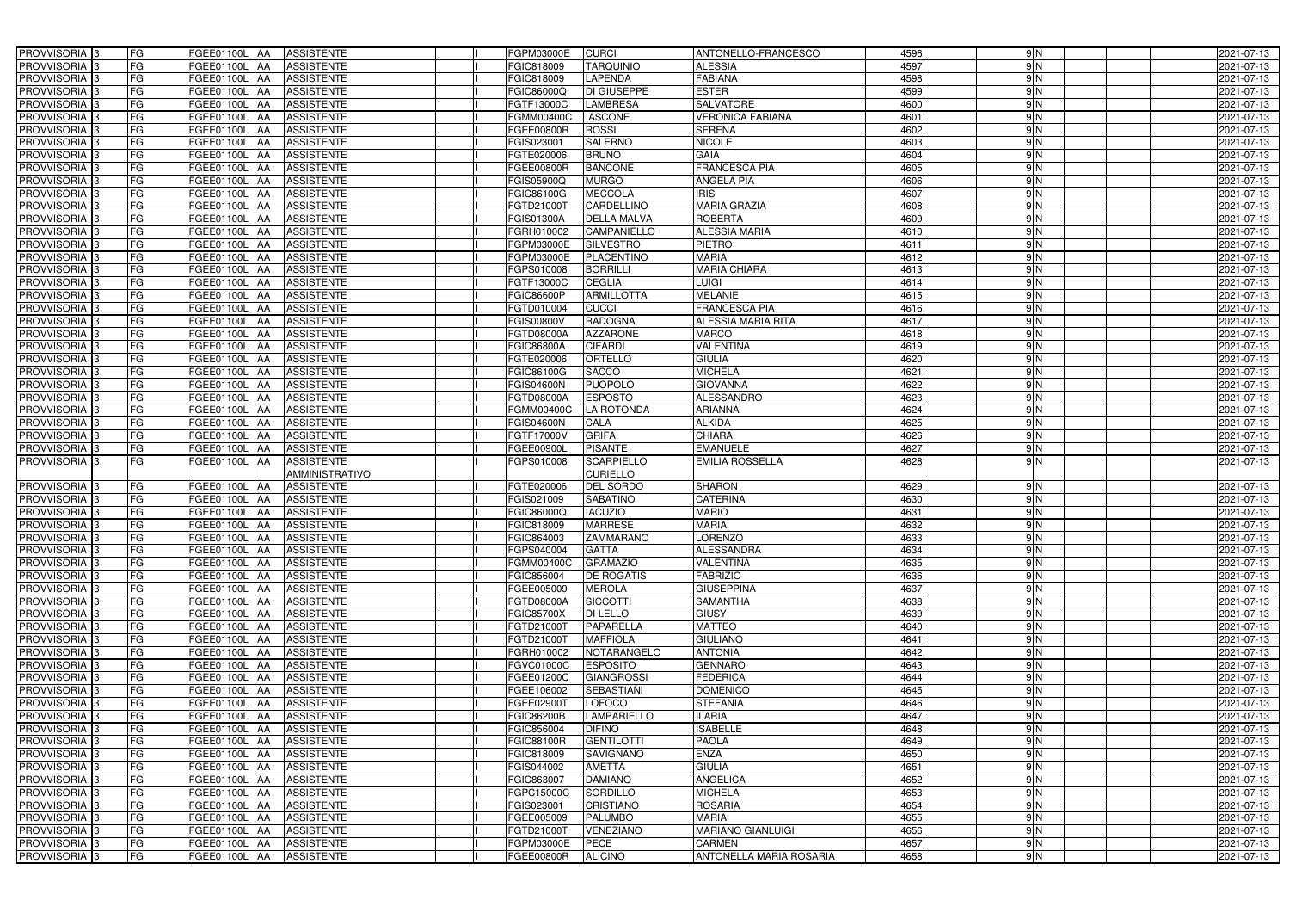| PROVVISORIA <sup>3</sup><br>FG                                   | FGEE01100L AA          |           | <b>ASSISTENTE</b>                             | FGPM03000E               | <b>CURCI</b>                     | ANTONELLO-FRANCESCO            | 4596         | 9N            | 2021-07-13               |
|------------------------------------------------------------------|------------------------|-----------|-----------------------------------------------|--------------------------|----------------------------------|--------------------------------|--------------|---------------|--------------------------|
| FG<br>PROVVISORIA 3                                              | FGEE01100L AA          |           | <b>ASSISTENTE</b>                             | FGIC818009               | <b>TARQUINIO</b>                 | <b>ALESSIA</b>                 | 4597         | 9N            | 2021-07-13               |
| FG<br>PROVVISORIA 3                                              | <b>FGEE01100L   AA</b> |           | <b>ASSISTENTE</b>                             | FGIC818009               | LAPENDA                          | FABIANA                        | 4598         | 9N            | 2021-07-13               |
| FG<br>PROVVISORIA 3                                              | <b>FGEE01100L   AA</b> |           | <b>ASSISTENTE</b>                             | FGIC86000Q               | <b>DI GIUSEPPE</b>               | <b>ESTER</b>                   | 4599         | $\frac{9}{N}$ | 2021-07-13               |
| FG<br>PROVVISORIA <sup>3</sup>                                   | FGEE01100L AA          |           | <b>ASSISTENTE</b>                             | FGTF13000C               | <b>LAMBRESA</b>                  | SALVATORE                      | 4600         | 9N            | 2021-07-13               |
| FG<br>PROVVISORIA 3                                              | <b>FGEE01100L   AA</b> |           | <b>ASSISTENTE</b>                             | FGMM00400C               | <b>IASCONE</b>                   | <b>VERONICA FABIANA</b>        | 4601         | $\frac{9}{N}$ | 2021-07-13               |
| <b>FG</b><br>PROVVISORIA 3                                       | FGEE01100L AA          |           | <b>ASSISTENTE</b>                             | FGEE00800R               | <b>ROSSI</b>                     | <b>SERENA</b>                  | 4602         | 9N            | 2021-07-13               |
| <b>FG</b><br>PROVVISORIA 3                                       | FGEE01100L AA          |           | <b>ASSISTENTE</b>                             | FGIS023001               | <b>SALERNO</b>                   | <b>NICOLE</b>                  | 4603         | 9N            | 2021-07-13               |
| PROVVISORIA 3<br>FG                                              | FGEE01100L             | IAA.      | <b>ASSISTENTE</b>                             | FGTE020006               | <b>BRUNO</b>                     | <b>GAIA</b>                    | 4604         | $\frac{9}{2}$ | 2021-07-13               |
| FG<br>PROVVISORIA 3                                              | FGEE01100L             | <b>AA</b> | <b>ASSISTENTE</b>                             | FGEE00800R               | <b>BANCONE</b>                   | <b>FRANCESCA PIA</b>           | 4605         | $\frac{9}{N}$ | 2021-07-13               |
| PROVVISORIA 3<br><b>FG</b>                                       | FGEE01100L AA          |           | <b>ASSISTENTE</b>                             | FGIS05900Q               | <b>MURGO</b>                     | <b>ANGELA PIA</b>              | 4606         | 9N            | 2021-07-13               |
| PROVVISORIA 3<br><b>FG</b>                                       | FGEE01100L AA          |           | <b>ASSISTENTE</b>                             | FGIC86100G               | <b>MECCOLA</b>                   | $\overline{IRIS}$              | 4607         | 9N            | 2021-07-13               |
| PROVVISORIA 3<br>FG                                              | FGEE01100L AA          |           | <b>ASSISTENTE</b>                             | FGTD21000T               | <b>CARDELLINO</b>                | <b>MARIA GRAZIA</b>            | 4608         | 9N            | 2021-07-13               |
| PROVVISORIA <sup>3</sup><br><b>FG</b>                            | FGEE01100L AA          |           | <b>ASSISTENTE</b>                             | FGIS01300A               | <b>DELLA MALVA</b>               | <b>ROBERTA</b>                 | 4609         | 9N            | 2021-07-13               |
| PROVVISORIA <sup>3</sup><br>FG                                   | <b>FGEE01100L   AA</b> |           | <b>ASSISTENTE</b>                             | FGRH010002               | <b>CAMPANIELLO</b>               | <b>ALESSIA MARIA</b>           | 4610         | 9N            | 2021-07-13               |
| PROVVISORIA <sup>3</sup><br>FG                                   | FGEE01100L AA          |           | <b>ASSISTENTE</b>                             | FGPM03000E               | <b>SILVESTRO</b>                 | <b>PIETRO</b>                  | 4611         | $\frac{9}{N}$ | 2021-07-13               |
| PROVVISORIA 3<br><b>FG</b>                                       | FGEE01100L AA          |           | <b>ASSISTENTE</b>                             | FGPM03000E               | PLACENTINO                       | <b>MARIA</b>                   | 4612         | $\frac{9}{N}$ | 2021-07-13               |
| PROVVISORIA 3<br><b>FG</b>                                       | FGEE01100L AA          |           | <b>ASSISTENTE</b>                             | FGPS010008               | <b>BORRILLI</b>                  | <b>MARIA CHIARA</b>            | 4613         | $\frac{9}{N}$ | 2021-07-13               |
| PROVVISORIA 3<br>FG                                              | FGEE01100L AA          |           | <b>ASSISTENTE</b>                             | FGTF13000C               | <b>CEGLIA</b>                    | <b>LUIGI</b>                   | 4614         | $\frac{9}{N}$ | 2021-07-13               |
| PROVVISORIA 3<br>FG                                              | FGEE01100L AA          |           | <b>ASSISTENTE</b>                             | <b>FGIC86600P</b>        | <b>ARMILLOTTA</b>                | <b>MELANIE</b>                 | 4615         | 9N            | 2021-07-13               |
| FG<br>PROVVISORIA 3                                              | <b>FGEE01100L</b>      | IAA       | <b>ASSISTENTE</b>                             | FGTD010004               | <b>CUCCI</b>                     | <b>FRANCESCA PIA</b>           | 4616         | $\frac{9}{N}$ | 2021-07-13               |
| PROVVISORIA <sup>3</sup><br>FG                                   | FGEE01100L             | IAA       | <b>ASSISTENTE</b>                             | FGIS00800V               | <b>RADOGNA</b>                   | ALESSIA MARIA RITA             | 4617         | $\frac{9}{2}$ | 2021-07-13               |
| PROVVISORIA <sup>3</sup><br>FG                                   | FGEE01100L             | IAA       | <b>ASSISTENTE</b>                             | FGTD08000A               | <b>AZZARONE</b>                  | <b>MARCO</b>                   | 4618         | 9N            | 2021-07-13               |
| <b>PROVVISORIA</b> 3<br>FG                                       | FGEE01100L             | IAA       | <b>ASSISTENTE</b>                             | <b>FGIC86800A</b>        | <b>CIFARDI</b>                   | <b>VALENTINA</b>               | 4619         | 9N            | 2021-07-13               |
| PROVVISORIA 3<br>FG                                              | FGEE01100L             | IAA       | <b>ASSISTENTE</b>                             | FGTE020006               | ORTELLO                          | <b>GIULIA</b>                  | 4620         | 9N            | 2021-07-13               |
| <b>FG</b><br>PROVVISORIA 3                                       | FGEE01100L             | IAA       | <b>ASSISTENTE</b>                             | <b>FGIC86100G</b>        | <b>SACCO</b>                     | <b>MICHELA</b>                 | 4621         | 9N            | 2021-07-13               |
| <b>FG</b><br>PROVVISORIA 3                                       | FGEE01100L             | IAA       | <b>ASSISTENTE</b>                             | FGIS04600N               | <b>PUOPOLO</b>                   | <b>GIOVANNA</b>                | 4622         | 9N            | 2021-07-13               |
| <b>FG</b><br>PROVVISORIA <sup>3</sup>                            | FGEE01100L             | IAA       | <b>ASSISTENTE</b>                             | FGTD08000A               | <b>ESPOSTO</b>                   | ALESSANDRO                     | 4623         | 9N            | 2021-07-13               |
| FG<br>PROVVISORIA 3                                              | FGEE01100L             |           | <b>ASSISTENTE</b>                             | FGMM00400C               | LA ROTONDA                       | <b>ARIANNA</b>                 | 4624         | $\frac{9}{N}$ | 2021-07-13               |
| <b>FG</b><br>PROVVISORIA 3                                       | FGEE01100L             | IAA       | <b>ASSISTENTE</b>                             | <b>FGIS04600N</b>        | CALA                             | <b>ALKIDA</b>                  | 4625         | $\frac{9}{N}$ | 2021-07-13               |
| <b>FG</b><br>PROVVISORIA 3                                       | FGEE01100L AA          |           | <b>ASSISTENTE</b>                             | FGTF17000V               | <b>GRIFA</b>                     | <b>CHIARA</b>                  | 4626         | 9N            | 2021-07-13               |
| FG<br>PROVVISORIA 3                                              | FGEE01100L AA          |           | <b>ASSISTENTE</b>                             | FGEE00900L               | <b>PISANTE</b>                   | <b>EMANUELE</b>                | 4627         | $\frac{9}{N}$ | 2021-07-13               |
| FG<br>PROVVISORIA 3                                              | FGEE01100L AA          |           | <b>ASSISTENTE</b>                             | FGPS010008               | <b>SCARPIELLO</b>                | <b>EMILIA ROSSELLA</b>         | 4628         | $\frac{9}{N}$ | 2021-07-13               |
|                                                                  |                        |           | AMMINISTRATIVO                                |                          | <b>CURIELLO</b>                  |                                |              |               |                          |
| PROVVISORIA 3<br>FG                                              | FGEE01100L AA          |           | <b>ASSISTENTE</b>                             | FGTE020006               | <b>DEL SORDO</b>                 | <b>SHARON</b>                  | 4629         | $\frac{9}{2}$ | 2021-07-13               |
| FG<br>PROVVISORIA 3                                              | FGEE01100L AA          |           | <b>ASSISTENTE</b>                             | FGIS021009               | <b>SABATINO</b>                  | <b>CATERINA</b>                | 4630         | $\frac{9}{2}$ | 2021-07-13               |
| <b>FG</b><br>PROVVISORIA <sup>3</sup>                            | FGEE01100L AA          |           | <b>ASSISTENTE</b>                             | FGIC86000Q               | <b>IACUZIO</b>                   | <b>MARIO</b>                   | 4631         | 9 N           | 2021-07-13               |
| FG<br>PROVVISORIA <sup>3</sup><br>PROVVISORIA <sup>3</sup><br>FG | FGEE01100L AA          |           | <b>ASSISTENTE</b><br>FGEE01100L AA ASSISTENTE | FGIC818009               | <b>MARRESE</b>                   | <b>MARIA</b><br><b>LORENZO</b> | 4632<br>4633 | $\frac{9}{2}$ | 2021-07-13               |
| <b>PROVVISORIA</b> 3<br><b>FG</b>                                | FGEE01100L AA          |           | <b>ASSISTENTE</b>                             | FGIC864003<br>FGPS040004 | <b>ZAMMARANO</b><br><b>GATTA</b> | <b>ALESSANDRA</b>              | 4634         | 9 N<br>9N     | 2021-07-13<br>2021-07-13 |
| PROVVISORIA <sup>3</sup><br>FG                                   | FGEE01100L AA          |           | <b>ASSISTENTE</b>                             | FGMM00400C               | <b>GRAMAZIO</b>                  | <b>VALENTINA</b>               | 4635         | 9 N           | 2021-07-13               |
| PROVVISORIA <sup>3</sup><br>FG                                   |                        |           | FGEE01100L AA ASSISTENTE                      | FGIC856004               | <b>DE ROGATIS</b>                | <b>FABRIZIO</b>                | 4636         | 9 N           | 2021-07-13               |
| PROVVISORIA <sup>3</sup><br>FG                                   | <b>FGEE01100L AA</b>   |           | <b>ASSISTENTE</b>                             | FGEE005009               | <b>MEROLA</b>                    | <b>GIUSEPPINA</b>              | 4637         | 9N            | 2021-07-13               |
| FG<br>PROVVISORIA <sup>3</sup>                                   | <b>FGEE01100L AA</b>   |           | <b>ASSISTENTE</b>                             | FGTD08000A               | <b>SICCOTTI</b>                  | <b>SAMANTHA</b>                | 4638         | 9N            | 2021-07-13               |
| PROVVISORIA 3<br>FG                                              | FGEE01100L AA          |           | <b>ASSISTENTE</b>                             | <b>FGIC85700X</b>        | <b>DI LELLO</b>                  | <b>GIUSY</b>                   | 4639         | 9N            | 2021-07-13               |
| <b>FG</b><br>PROVVISORIA 3                                       | FGEE01100L AA          |           | <b>ASSISTENTE</b>                             | FGTD21000T               | PAPARELLA                        | <b>MATTEO</b>                  | 4640         | 9N            | 2021-07-13               |
| FG<br>PROVVISORIA <sup>3</sup>                                   | FGEE01100L AA          |           | <b>ASSISTENTE</b>                             | FGTD21000T               | <b>MAFFIOLA</b>                  | <b>GIULIANO</b>                | 4641         | $\frac{9}{2}$ | 2021-07-13               |
| FG<br>PROVVISORIA <sup>3</sup>                                   | FGEE01100L AA          |           | <b>ASSISTENTE</b>                             | FGRH010002               | NOTARANGELO                      | <b>ANTONIA</b>                 | 4642         | $\frac{9}{2}$ | 2021-07-13               |
| PROVVISORIA <sup>3</sup><br>FG                                   | FGEE01100L AA          |           | <b>ASSISTENTE</b>                             | <b>FGVC01000C</b>        | <b>ESPOSITO</b>                  | <b>GENNARO</b>                 | 4643         | $\frac{9}{2}$ | 2021-07-13               |
| PROVVISORIA <sup>3</sup><br>FG                                   | FGEE01100L AA          |           | <b>ASSISTENTE</b>                             | FGEE01200C               | <b>GIANGROSSI</b>                | <b>FEDERICA</b>                | 4644         | 9N            | 2021-07-13               |
| FG<br>PROVVISORIA <sup>3</sup>                                   | FGEE01100L AA          |           | <b>ASSISTENTE</b>                             | FGEE106002               | <b>SEBASTIANI</b>                | <b>DOMENICO</b>                | 4645         | 9N            | 2021-07-13               |
| FG<br>PROVVISORIA <sup>3</sup>                                   | FGEE01100L AA          |           | <b>ASSISTENTE</b>                             | FGEE02900T               | <b>LOFOCO</b>                    | <b>STEFANIA</b>                | 4646         | $\frac{9}{2}$ | 2021-07-13               |
| FG<br>PROVVISORIA <sup>3</sup>                                   | FGEE01100L AA          |           | <b>ASSISTENTE</b>                             | <b>FGIC86200B</b>        | <b>LAMPARIELLO</b>               | ILARIA                         | 4647         | $\frac{9}{2}$ | 2021-07-13               |
| FG<br>PROVVISORIA <sup>3</sup>                                   | FGEE01100L AA          |           | <b>ASSISTENTE</b>                             | FGIC856004               | <b>DIFINO</b>                    | <b>ISABELLE</b>                | 4648         | $\frac{9}{2}$ | 2021-07-13               |
| FG<br>PROVVISORIA <sup>3</sup>                                   | FGEE01100L AA          |           | <b>ASSISTENTE</b>                             | FGIC88100R               | <b>GENTILOTTI</b>                | <b>PAOLA</b>                   | 4649         | 9N            | 2021-07-13               |
| FG<br>PROVVISORIA <sup>3</sup>                                   | FGEE01100L AA          |           | <b>ASSISTENTE</b>                             | FGIC818009               | <b>SAVIGNANO</b>                 | <b>ENZA</b>                    | 4650         | $\frac{9}{2}$ | 2021-07-13               |
| FG<br>PROVVISORIA <sup>3</sup>                                   | FGEE01100L AA          |           | <b>ASSISTENTE</b>                             | FGIS044002               | <b>AMETTA</b>                    | <b>GIULIA</b>                  | 4651         | 9N            | 2021-07-13               |
| FG<br>PROVVISORIA <sup>3</sup>                                   | FGEE01100L AA          |           | <b>ASSISTENTE</b>                             | FGIC863007               | <b>DAMIANO</b>                   | <b>ANGELICA</b>                | 4652         | 9N            | 2021-07-13               |
| PROVVISORIA <sup>3</sup><br>FG                                   | FGEE01100L AA          |           | <b>ASSISTENTE</b>                             | FGPC15000C               | SORDILLO                         | <b>MICHELA</b>                 | 4653         | $\frac{9}{N}$ | 2021-07-13               |
| FG<br>PROVVISORIA <sup>3</sup>                                   | FGEE01100L AA          |           | <b>ASSISTENTE</b>                             | FGIS023001               | <b>CRISTIANO</b>                 | <b>ROSARIA</b>                 | 4654         | $\frac{9}{2}$ | 2021-07-13               |
| PROVVISORIA <sup>3</sup><br>FG                                   | FGEE01100L AA          |           | <b>ASSISTENTE</b>                             | FGEE005009               | <b>PALUMBO</b>                   | <b>MARIA</b>                   | 4655         | 9N            | 2021-07-13               |
| PROVVISORIA <sup>3</sup><br>FG                                   | FGEE01100L AA          |           | <b>ASSISTENTE</b>                             | FGTD21000T               | <b>VENEZIANO</b>                 | <b>MARIANO GIANLUIGI</b>       | 4656         | $\frac{9}{2}$ | 2021-07-13               |
| PROVVISORIA <sup>3</sup><br>FG                                   | FGEE01100L AA          |           | ASSISTENTE                                    | FGPM03000E               | <b>PECE</b>                      | <b>CARMEN</b>                  | 4657         | 9 N           | 2021-07-13               |
| PROVVISORIA 3<br>FG                                              | <b>FGEE01100L AA</b>   |           | <b>ASSISTENTE</b>                             | FGEE00800R               | <b>ALICINO</b>                   | <b>ANTONELLA MARIA ROSARIA</b> | 4658         | 9 N           | 2021-07-13               |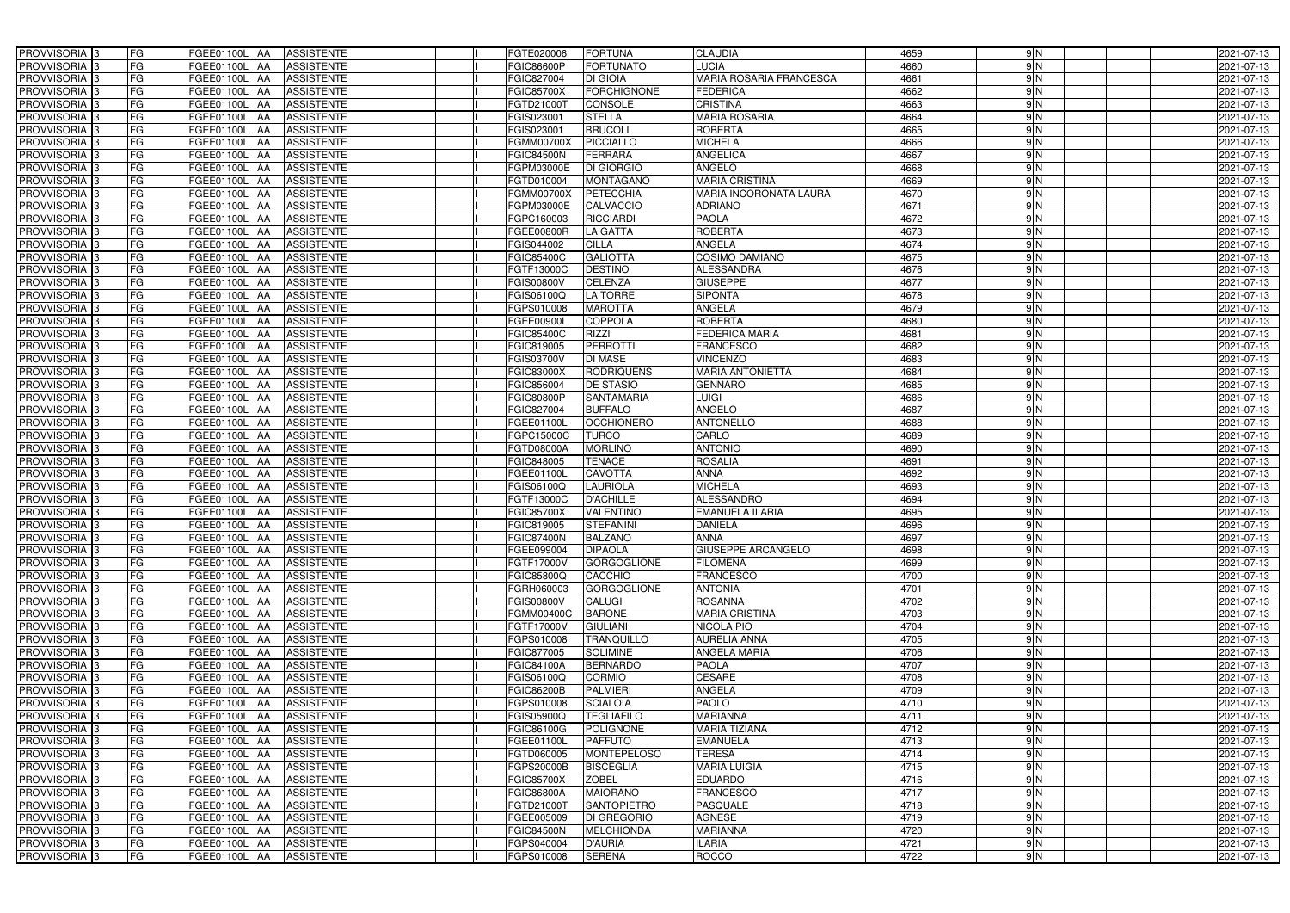| PROVVISORIA <sup>3</sup><br><b>FG</b><br>FGEE01100L AA<br><b>ASSISTENTE</b>                                                | FGTE020006<br><b>FORTUNA</b>                                        | <b>CLAUDIA</b>                           | 4659<br>9N                | 2021-07-13               |
|----------------------------------------------------------------------------------------------------------------------------|---------------------------------------------------------------------|------------------------------------------|---------------------------|--------------------------|
| FG<br>PROVVISORIA <sup>3</sup><br><b>ASSISTENTE</b><br>FGEE01100L<br>IAA                                                   | <b>FORTUNATO</b><br>FGIC86600P                                      | LUCIA                                    | 9N<br>4660                | 2021-07-13               |
| FG<br>PROVVISORIA <sup>3</sup><br>FGEE01100L<br><b>ASSISTENTE</b><br>IAA                                                   | FGIC827004<br>DI GIOIA                                              | MARIA ROSARIA FRANCESCA                  | 9N<br>4661                | 2021-07-13               |
| FG<br>PROVVISORIA <sup>3</sup><br>FGEE01100L<br><b>ASSISTENTE</b><br>IAA                                                   | <b>FORCHIGNONE</b><br><b>FGIC85700X</b>                             | <b>FEDERICA</b>                          | 4662<br>9N                | 2021-07-13               |
| FG<br>FGEE01100L<br>PROVVISORIA <sup>3</sup><br><b>ASSISTENTE</b><br>IAA                                                   | CONSOLE<br>FGTD21000T                                               | <b>CRISTINA</b>                          | 4663<br>9N                | 2021-07-13               |
| FG<br>PROVVISORIA <sup>3</sup><br>FGEE01100L AA<br><b>ASSISTENTE</b>                                                       | FGIS023001<br><b>STELLA</b>                                         | <b>MARIA ROSARIA</b>                     | 4664<br>$\frac{9}{N}$     | 2021-07-13               |
| FG<br>PROVVISORIA <sup>3</sup><br>FGEE01100L AA<br><b>ASSISTENTE</b>                                                       | <b>BRUCOLI</b><br>FGIS023001                                        | <b>ROBERTA</b>                           | 4665<br>9N                | 2021-07-13               |
| FG<br>PROVVISORIA <sup>3</sup><br>FGEE01100L AA<br><b>ASSISTENTE</b>                                                       | <b>PICCIALLO</b><br><b>FGMM00700X</b>                               | <b>MICHELA</b>                           | 4666<br>$\frac{9}{N}$     | 2021-07-13               |
| FG<br>PROVVISORIA <sup>3</sup><br>FGEE01100L AA<br><b>ASSISTENTE</b>                                                       | <b>FERRARA</b><br><b>FGIC84500N</b>                                 | <b>ANGELICA</b>                          | 9N<br>4667                | 2021-07-13               |
| PROVVISORIA <sup>3</sup><br>FG<br><b>ASSISTENTE</b><br>FGEE01100L AA                                                       | <b>DI GIORGIO</b><br>FGPM03000E                                     | <b>ANGELO</b>                            | $\frac{9}{N}$<br>4668     | 2021-07-13               |
| PROVVISORIA 3<br>FG<br>FGEE01100L AA<br><b>ASSISTENTE</b>                                                                  | FGTD010004<br><b>MONTAGANO</b>                                      | <b>MARIA CRISTINA</b>                    | 4669<br>$\frac{9}{N}$     | 2021-07-13               |
| PROVVISORIA 3<br>FG<br>FGEE01100L AA<br><b>ASSISTENTE</b>                                                                  | <b>PETECCHIA</b><br><b>FGMM00700X</b>                               | MARIA INCORONATA LAURA                   | 4670<br>9N                | 2021-07-13               |
| PROVVISORIA <sup>3</sup><br>FG<br>FGEE01100L AA<br><b>ASSISTENTE</b>                                                       | <b>CALVACCIO</b><br>FGPM03000E                                      | <b>ADRIANO</b>                           | 9N<br>4671                | 2021-07-13               |
| PROVVISORIA 3<br>FG<br>FGEE01100L AA<br><b>ASSISTENTE</b>                                                                  | <b>RICCIARDI</b><br>FGPC160003                                      | <b>PAOLA</b>                             | 4672<br>9N                | 2021-07-13               |
| PROVVISORIA 3<br>FG<br><b>FGEE01100L AA</b><br><b>ASSISTENTE</b>                                                           | <b>LA GATTA</b><br>FGEE00800R                                       | <b>ROBERTA</b>                           | 4673<br>9N                | 2021-07-13               |
| PROVVISORIA 3<br>FG<br><b>FGEE01100L</b><br><b>ASSISTENTE</b><br>IAA                                                       | <b>CILLA</b><br>FGIS044002                                          | <b>ANGELA</b>                            | 4674<br>9N                | 2021-07-13               |
| FG<br>PROVVISORIA <sup>3</sup><br>FGEE01100L<br><b>ASSISTENTE</b><br>IAA                                                   | <b>GALIOTTA</b><br>FGIC85400C                                       | COSIMO DAMIANO                           | 4675<br>9N                | 2021-07-13               |
| PROVVISORIA 3<br>FG<br>FGEE01100L<br><b>ASSISTENTE</b><br><b>JAA</b>                                                       | <b>DESTINO</b><br>FGTF13000C                                        | <b>ALESSANDRA</b>                        | 4676<br>$\frac{9}{N}$     | 2021-07-13               |
| PROVVISORIA 3<br>FG<br><b>FGEE01100L</b><br><b>ASSISTENTE</b><br>IAA                                                       | <b>CELENZA</b><br>FGIS00800V                                        | <b>GIUSEPPE</b>                          | 4677<br>$\frac{9}{N}$     | 2021-07-13               |
| PROVVISORIA 3<br>FG<br>FGEE01100L<br>IAA<br><b>ASSISTENTE</b>                                                              | <b>LA TORRE</b><br>FGIS06100Q                                       | <b>SIPONTA</b>                           | 9N<br>4678                | 2021-07-13               |
| PROVVISORIA <sup>3</sup><br>FG<br><b>FGEE01100L</b><br><b>ASSISTENTE</b><br>ΙAΑ                                            | <b>MAROTTA</b><br>FGPS010008                                        | <b>ANGELA</b>                            | $\frac{9}{N}$<br>4679     | 2021-07-13               |
| PROVVISORIA 3<br>FG<br>FGEE01100L<br><b>ASSISTENTE</b><br>IAA                                                              | <b>COPPOLA</b><br>FGEE00900L                                        | <b>ROBERTA</b>                           | 9N<br>4680                | 2021-07-13               |
| PROVVISORIA 3<br>FG<br>FGEE01100L<br><b>ASSISTENTE</b><br>IAA                                                              | FGIC85400C<br><b>RIZZI</b>                                          | <b>FEDERICA MARIA</b>                    | 4681<br>9N                | 2021-07-13               |
| PROVVISORIA <sup>3</sup><br>FG<br>FGEE01100L AA<br><b>ASSISTENTE</b>                                                       | <b>PERROTTI</b><br>FGIC819005                                       | <b>FRANCESCO</b>                         | 9N<br>4682                | 2021-07-13               |
| PROVVISORIA 3<br>FG<br>FGEE01100L<br> AA<br><b>ASSISTENTE</b>                                                              | <b>DI MASE</b><br>FGIS03700V                                        | <b>VINCENZO</b>                          | 9N<br>4683                | 2021-07-13               |
| PROVVISORIA 3<br>FG<br>FGEE01100L<br><b>ASSISTENTE</b><br><b>IAA</b>                                                       | <b>RODRIQUENS</b><br>FGIC83000X                                     | <b>MARIA ANTONIETTA</b>                  | 4684<br>9N                | 2021-07-13               |
| PROVVISORIA 3<br>FG<br>FGEE01100L AA<br><b>ASSISTENTE</b>                                                                  | FGIC856004<br>DE STASIO                                             | <b>GENNARO</b>                           | 9N<br>4685                | 2021-07-13               |
| PROVVISORIA 3<br>FG<br>FGEE01100L<br><b>ASSISTENTE</b><br>IAA                                                              | <b>FGIC80800P</b><br><b>SANTAMARIA</b>                              | <b>LUIGI</b>                             | 9N<br>4686                | 2021-07-13               |
| PROVVISORIA <sup>3</sup><br>FG<br>FGEE01100L AA<br><b>ASSISTENTE</b>                                                       | FGIC827004<br><b>BUFFALO</b>                                        | ANGELO                                   | 9N<br>4687                | 2021-07-13               |
| FG<br>PROVVISORIA <sup>3</sup><br>FGEE01100L AA<br><b>ASSISTENTE</b>                                                       | <b>OCCHIONERO</b><br>FGEE01100L                                     | <b>ANTONELLO</b>                         | 4688<br>9N                | 2021-07-13               |
| FG<br>PROVVISORIA <sup>3</sup><br>FGEE01100L AA<br><b>ASSISTENTE</b>                                                       | <b>TURCO</b><br>FGPC15000C                                          | CARLO                                    | 4689<br>$\frac{9}{N}$     | 2021-07-13               |
| FG<br>PROVVISORIA <sup>3</sup><br>FGEE01100L AA<br><b>ASSISTENTE</b>                                                       | <b>MORLINO</b><br>FGTD08000A                                        | <b>ANTONIO</b>                           | 4690<br>9N                | 2021-07-13               |
| FG<br>PROVVISORIA <sup>3</sup><br>FGEE01100L AA<br><b>ASSISTENTE</b>                                                       | <b>TENACE</b><br>FGIC848005                                         | <b>ROSALIA</b>                           | $\frac{9}{N}$<br>4691     | 2021-07-13               |
| PROVVISORIA <sup>3</sup><br>FG<br>FGEE01100L AA<br><b>ASSISTENTE</b>                                                       | <b>CAVOTTA</b><br>FGEE01100L                                        | <b>ANNA</b>                              | 4692<br>$\frac{9}{N}$     | 2021-07-13               |
| FG<br>PROVVISORIA <sup>3</sup><br>FGEE01100L<br><b>ASSISTENTE</b><br>IAA                                                   | <b>LAURIOLA</b><br>FGIS06100Q                                       | <b>MICHELA</b>                           | 9N<br>4693                | 2021-07-13               |
| PROVVISORIA <sup>3</sup><br>FG<br>FGEE01100L<br><b>ASSISTENTE</b><br>IAA                                                   | <b>D'ACHILLE</b><br>FGTF13000C                                      | <b>ALESSANDRO</b>                        | 4694<br>9 N               | 2021-07-13               |
| PROVVISORIA <sup>3</sup><br>FG<br>FGEE01100L<br><b>ASSISTENTE</b><br>IAA                                                   | FGIC85700X<br>VALENTINO                                             | <b>EMANUELA ILARIA</b>                   | 4695<br>9N                | 2021-07-13               |
| FG<br>PROVVISORIA <sup>1</sup> 3<br>FGEE01100L AA<br><b>ASSISTENTE</b>                                                     | FGIC819005<br><b>STEFANINI</b>                                      | <b>DANIELA</b>                           | 4696<br>9N                | 2021-07-13               |
| PROVVISORIA 3<br>FG<br><b>ASSISTENTE</b><br>FGEE01100L AA<br>PROVVISORIA <sup>3</sup><br>FG<br>FGEE01100L AA<br>ASSISTENTE | <b>FGIC87400N</b><br><b>BALZANO</b><br>FGEE099004<br><b>DIPAOLA</b> | <b>ANNA</b><br><b>GIUSEPPE ARCANGELO</b> | 4697<br>9 N<br>4698<br>9N | 2021-07-13<br>2021-07-13 |
| <b>PROVVISORIA</b> 3<br>FG<br>FGEE01100L AA<br>ASSISTENTE                                                                  | <b>GORGOGLIONE</b><br>FGTF17000V                                    | <b>FILOMENA</b>                          | 4699<br>9N                | 2021-07-13               |
| PROVVISORIA <sup>3</sup><br>FG<br><b>FGEE01100L AA</b><br><b>ASSISTENTE</b>                                                | CACCHIO<br>FGIC85800Q                                               | <b>FRANCESCO</b>                         | 4700<br>9N                | 2021-07-13               |
| PROVVISORIA <sup>3</sup><br>FG<br>FGEE01100L AA<br><b>ASSISTENTE</b>                                                       | FGRH060003<br><b>GORGOGLIONE</b>                                    | <b>ANTONIA</b>                           | 9N<br>4701                | 2021-07-13               |
| PROVVISORIA <sup>3</sup><br>FG<br>FGEE01100L AA<br>ASSISTENTE                                                              | <b>FGIS00800V</b><br><b>CALUGI</b>                                  | <b>ROSANNA</b>                           | 9N<br>4702                | 2021-07-13               |
| PROVVISORIA <sup>3</sup><br>FG<br>FGEE01100L AA<br>ASSISTENTE                                                              | <b>FGMM00400C</b><br><b>BARONE</b>                                  | <b>MARIA CRISTINA</b>                    | 9N<br>4703                | 2021-07-13               |
| PROVVISORIA <sup>3</sup><br>FG<br>FGEE01100L AA<br>ASSISTENTE                                                              | FGTF17000V<br><b>GIULIANI</b>                                       | <b>NICOLA PIO</b>                        | 9N<br>4704                | 2021-07-13               |
| PROVVISORIA <sup>3</sup><br>FG<br>FGEE01100L AA<br><b>ASSISTENTE</b>                                                       | <b>TRANQUILLO</b><br>FGPS010008                                     | <b>AURELIA ANNA</b>                      | 9N<br>4705                | 2021-07-13               |
| PROVVISORIA <sup>3</sup><br>FG<br>FGEE01100L AA<br>ASSISTENTE                                                              | FGIC877005<br><b>SOLIMINE</b>                                       | <b>ANGELA MARIA</b>                      | $\frac{9}{N}$<br>4706     | 2021-07-13               |
| FG<br>PROVVISORIA <sup>1</sup> 3<br>FGEE01100L AA<br><b>ASSISTENTE</b>                                                     | FGIC84100A<br><b>BERNARDO</b>                                       | <b>PAOLA</b>                             | 9N<br>4707                | 2021-07-13               |
| PROVVISORIA <sup>3</sup><br>FG<br>FGEE01100L AA<br>ASSISTENTE                                                              | FGIS06100Q<br><b>CORMIO</b>                                         | <b>CESARE</b>                            | 9N<br>4708                | 2021-07-13               |
| PROVVISORIA <sup>3</sup><br>FG<br>FGEE01100L AA<br>ASSISTENTE                                                              | FGIC86200B<br><b>PALMIERI</b>                                       | ANGELA                                   | 9N<br>4709                | 2021-07-13               |
| PROVVISORIA <sup>3</sup><br>FG<br>FGEE01100L AA<br><b>ASSISTENTE</b>                                                       | <b>SCIALOIA</b><br>FGPS010008                                       | <b>PAOLO</b>                             | 9N<br>4710                | 2021-07-13               |
| PROVVISORIA <sup>3</sup><br>FG<br>FGEE01100L AA<br><b>ASSISTENTE</b>                                                       | FGIS05900Q<br><b>TEGLIAFILO</b>                                     | <b>MARIANNA</b>                          | 9N<br>4711                | 2021-07-13               |
| PROVVISORIA <sup>3</sup><br>FG<br>FGEE01100L AA<br><b>ASSISTENTE</b>                                                       | <b>POLIGNONE</b><br>FGIC86100G                                      | <b>MARIA TIZIANA</b>                     | 4712<br>9N                | 2021-07-13               |
| FG<br>PROVVISORIA <sup>13</sup><br>FGEE01100L AA<br><b>ASSISTENTE</b>                                                      | FGEE01100L<br><b>PAFFUTO</b>                                        | <b>EMANUELA</b>                          | 9N<br>4713                | 2021-07-13               |
| FG<br>PROVVISORIA <sup>1</sup> 3<br>FGEE01100L AA<br><b>ASSISTENTE</b>                                                     | <b>MONTEPELOSO</b><br>FGTD060005                                    | <b>TERESA</b>                            | 9N<br>4714                | 2021-07-13               |
| FG<br>PROVVISORIA <sup>1</sup> 3<br>FGEE01100L AA<br><b>ASSISTENTE</b>                                                     | FGPS20000B<br><b>BISCEGLIA</b>                                      | <b>MARIA LUIGIA</b>                      | 4715<br>9N                | 2021-07-13               |
| PROVVISORIA <sup>1</sup> 3<br>FG<br>FGEE01100L AA<br><b>ASSISTENTE</b>                                                     | <b>FGIC85700X</b><br><b>ZOBEL</b>                                   | <b>EDUARDO</b>                           | 9N<br>4716                | 2021-07-13               |
| PROVVISORIA <sup>3</sup><br>FG<br><b>ASSISTENTE</b><br>FGEE01100L AA                                                       | <b>MAIORANO</b><br>FGIC86800A                                       | <b>FRANCESCO</b>                         | 9N<br>4717                | 2021-07-13               |
| FG<br><b>ASSISTENTE</b><br>PROVVISORIA <sup>1</sup> 3<br>FGEE01100L AA                                                     | <b>SANTOPIETRO</b><br>FGTD21000T                                    | <b>PASQUALE</b>                          | 9N<br>4718                | 2021-07-13               |
| PROVVISORIA <sup>1</sup> 3<br>FG<br>FGEE01100L AA<br><b>ASSISTENTE</b>                                                     | <b>DI GREGORIO</b><br>FGEE005009                                    | <b>AGNESE</b>                            | 4719<br>9N                | 2021-07-13               |
| FG<br>FGEE01100L AA<br>ASSISTENTE<br>PROVVISORIA <sup>1</sup> 3                                                            | <b>FGIC84500N</b><br><b>MELCHIONDA</b>                              | <b>MARIANNA</b>                          | 4720<br>9N                | 2021-07-13               |
| PROVVISORIA <sup>3</sup><br>FG<br>FGEE01100L AA<br>ASSISTENTE                                                              | FGPS040004<br><b>D'AURIA</b>                                        | <b>ILARIA</b>                            | 4721<br>9N                | 2021-07-13               |
| PROVVISORIA <sup>3</sup><br>FG<br>FGEE01100L AA<br>ASSISTENTE                                                              | FGPS010008<br><b>SERENA</b>                                         | ROCCO                                    | 4722<br>9N                | 2021-07-13               |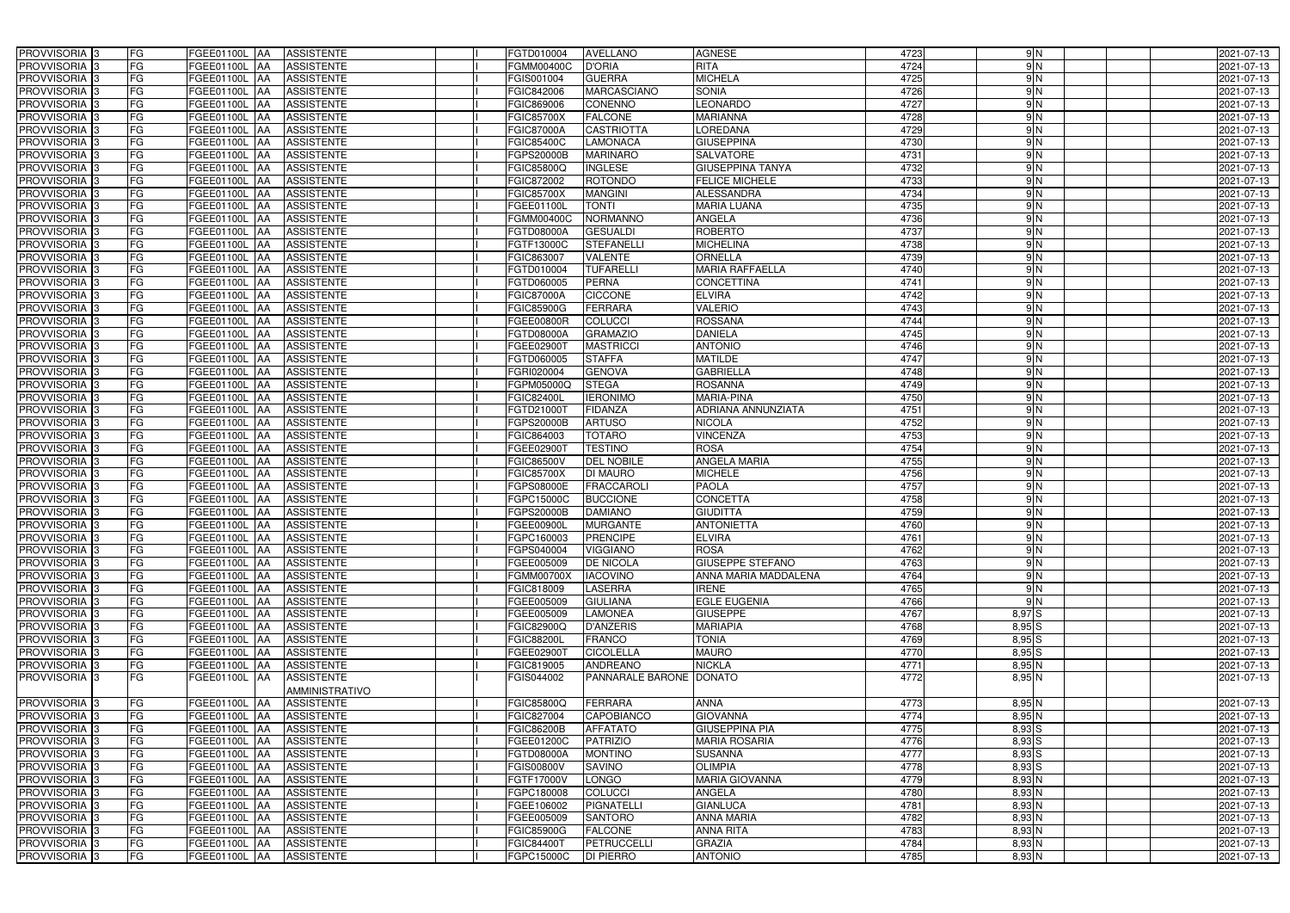| PROVVISORIA <sup>3</sup>                             | FG        | FGEE01100L AA                         | <b>ASSISTENTE</b>                      | FGTD010004                      | <b>AVELLANO</b>                   | <b>AGNESE</b>                   | 4723         | 9N                   | 2021-07-13               |
|------------------------------------------------------|-----------|---------------------------------------|----------------------------------------|---------------------------------|-----------------------------------|---------------------------------|--------------|----------------------|--------------------------|
| PROVVISORIA 3                                        | FG        | FGEE01100L<br>IAA                     | <b>ASSISTENTE</b>                      | FGMM00400C                      | <b>D'ORIA</b>                     | <b>RITA</b>                     | 4724         | $\frac{9}{N}$        | 2021-07-13               |
| PROVVISORIA 3                                        | FG        | FGEE01100L<br>IAA                     | <b>ASSISTENTE</b>                      | FGIS001004                      | <b>GUERRA</b>                     | <b>MICHELA</b>                  | 4725         | 9N                   | 2021-07-13               |
| PROVVISORIA <sup>3</sup>                             | <b>FG</b> | FGEE01100L<br>IAA                     | <b>ASSISTENTE</b>                      | FGIC842006                      | <b>MARCASCIANO</b>                | SONIA                           | 4726         | 9N                   | 2021-07-13               |
| PROVVISORIA 3                                        | FG        | FGEE01100L<br>IAA                     | <b>ASSISTENTE</b>                      | FGIC869006                      | CONENNO                           | <b>EONARDO</b>                  | 4727         | $\frac{9}{N}$        | 2021-07-13               |
| PROVVISORIA 3                                        | <b>FG</b> | FGEE01100L AA                         | <b>ASSISTENTE</b>                      | <b>FGIC85700X</b>               | <b>FALCONE</b>                    | <b>MARIANNA</b>                 | 4728         | $\frac{9}{N}$        | 2021-07-13               |
| PROVVISORIA 3                                        | FG        | FGEE01100L AA                         | <b>ASSISTENTE</b>                      | <b>FGIC87000A</b>               | <b>CASTRIOTTA</b>                 | <b>LOREDANA</b>                 | 4729         | $\frac{9}{N}$        | 2021-07-13               |
| PROVVISORIA 3                                        | FG        | FGEE01100L AA                         | <b>ASSISTENTE</b>                      | FGIC85400C                      | <b>LAMONACA</b>                   | <b>GIUSEPPINA</b>               | 4730         | $\frac{9}{N}$        | 2021-07-13               |
| PROVVISORIA 3                                        | <b>FG</b> | FGEE01100L AA                         | <b>ASSISTENTE</b>                      | FGPS20000B                      | <b>MARINARO</b>                   | <b>SALVATORE</b>                | 4731         | 9N                   | 2021-07-13               |
| PROVVISORIA 3                                        | FG        | FGEE01100L AA                         | <b>ASSISTENTE</b>                      | FGIC85800Q                      | <b>INGLESE</b>                    | <b>GIUSEPPINA TANYA</b>         | 4732         | $\frac{9}{2}$        | 2021-07-13               |
| PROVVISORIA 3                                        | FG        | FGEE01100L AA                         | <b>ASSISTENTE</b>                      | FGIC872002                      | <b>ROTONDO</b>                    | <b>FELICE MICHELE</b>           | 4733         | $\frac{9}{2}$        | 2021-07-13               |
| PROVVISORIA 3                                        | FG        | FGEE01100L AA                         | <b>ASSISTENTE</b>                      | FGIC85700X                      | <b>MANGINI</b>                    | <b>ALESSANDRA</b>               | 4734         | 9N                   | 2021-07-13               |
| PROVVISORIA <sup>3</sup>                             | FG        | FGEE01100L<br><b>IAA</b>              | <b>ASSISTENTE</b>                      | FGEE01100L                      | <b>TONTI</b>                      | <b>MARIA LUANA</b>              | 4735         | 9N                   | 2021-07-13               |
| PROVVISORIA 3                                        | FG        | FGEE01100L AA                         | <b>ASSISTENTE</b>                      | FGMM00400C                      | <b>NORMANNO</b>                   | <b>ANGELA</b>                   | 4736         | 9N                   | 2021-07-13               |
| PROVVISORIA 3                                        | <b>FG</b> | <b>FGEE01100L   AA</b>                | <b>ASSISTENTE</b>                      | FGTD08000A                      | <b>GESUALDI</b>                   | <b>ROBERTO</b>                  | 4737         | 9N                   | 2021-07-13               |
| PROVVISORIA 3                                        | <b>FG</b> | FGEE01100L<br>IAA.                    | <b>ASSISTENTE</b>                      | FGTF13000C                      | <b>STEFANELLI</b>                 | <b>MICHELINA</b>                | 4738         | 9N                   | 2021-07-13               |
| PROVVISORIA 3                                        | FG        | FGEE01100L<br>IAA                     | <b>ASSISTENTE</b>                      | FGIC863007                      | <b>VALENTE</b>                    | ORNELLA                         | 4739         | 9N                   | 2021-07-13               |
| PROVVISORIA 3                                        | FG        | <b>FGEE01100L</b><br>IAA              | <b>ASSISTENTE</b>                      | FGTD010004                      | <b>TUFARELLI</b>                  | <b>MARIA RAFFAELLA</b>          | 4740         | $\frac{9}{N}$        | 2021-07-13               |
| PROVVISORIA 3                                        | FG        | <b>FGEE01100L</b><br>IAA              | <b>ASSISTENTE</b>                      | FGTD060005                      | <b>PERNA</b>                      | <b>CONCETTINA</b>               | 4741         | $\frac{9}{N}$        | 2021-07-13               |
| PROVVISORIA 3                                        | FG        | FGEE01100L<br>IAA                     | <b>ASSISTENTE</b>                      | <b>FGIC87000A</b>               | <b>CICCONE</b>                    | <b>ELVIRA</b>                   | 4742         | 9N                   | 2021-07-13               |
| <b>PROVVISORIA</b> 3                                 | FG        | FGEE01100L                            | <b>ASSISTENTE</b>                      | FGIC85900G                      | <b>FERRARA</b>                    | <b>VALERIO</b>                  | 4743         | $\frac{9}{N}$        | 2021-07-13               |
| <b>PROVVISORIA</b> 3                                 | FG        | FGEE01100L<br>IAA                     | <b>ASSISTENTE</b>                      | FGEE00800R                      | <b>COLUCCI</b>                    | <b>ROSSANA</b>                  | 4744         | $\frac{9}{N}$        | 2021-07-13               |
| PROVVISORIA <sup>3</sup>                             | FG        | FGEE01100L<br>IAA                     | <b>ASSISTENTE</b>                      | FGTD08000A                      | <b>GRAMAZIO</b>                   | <b>DANIELA</b>                  | 4745         | $\frac{9}{2}$        | 2021-07-13               |
| PROVVISORIA <sup>3</sup>                             | <b>FG</b> | FGEE01100L<br>IAA                     | <b>ASSISTENTE</b>                      | FGEE029001                      | <b>MASTRICCI</b>                  | <b>ANTONIO</b>                  | 4746         | 9N                   | 2021-07-13               |
| <b>PROVVISORIA</b> 3                                 | <b>FG</b> | FGEE01100L<br>IAA                     | <b>ASSISTENTE</b>                      | FGTD060005                      | <b>STAFFA</b>                     | <b>MATILDE</b>                  | 4747         | 9N                   | 2021-07-13               |
| PROVVISORIA 3                                        | FG        | FGEE01100L<br>IAA                     | <b>ASSISTENTE</b>                      | FGRI020004                      | <b>GENOVA</b>                     | <b>GABRIELLA</b>                | 4748         | 9N                   | 2021-07-13               |
| PROVVISORIA 3                                        | <b>FG</b> | <b>FGEE01100L   AA</b>                | <b>ASSISTENTE</b>                      | FGPM05000Q                      | <b>STEGA</b>                      | <b>ROSANNA</b>                  | 4749         | 9N                   | 2021-07-13               |
| PROVVISORIA 3                                        | <b>FG</b> | <b>FGEE01100L   AA</b>                | <b>ASSISTENTE</b>                      | <b>FGIC82400L</b>               | <b>IERONIMO</b>                   | MARIA-PINA                      | 4750         | 9N                   | 2021-07-13               |
| PROVVISORIA <sup>3</sup>                             | FG        | FGEE01100L AA                         | <b>ASSISTENTE</b>                      | FGTD210001                      | <b>FIDANZA</b>                    | ADRIANA ANNUNZIATA              | 4751         | 9N                   | 2021-07-13               |
| PROVVISORIA 3                                        | <b>FG</b> | <b>FGEE01100L   AA</b>                | <b>ASSISTENTE</b>                      | FGPS20000B                      | <b>ARTUSO</b>                     | <b>NICOLA</b>                   | 4752         | $\frac{9}{N}$        | 2021-07-13               |
| PROVVISORIA 3                                        | FG        | FGEE01100L AA                         | <b>ASSISTENTE</b>                      | FGIC864003                      | <b>TOTARO</b>                     | <b>VINCENZA</b>                 | 4753         | $\frac{9}{N}$        | 2021-07-13               |
| PROVVISORIA 3                                        | FG        | <b>FGEE01100L AA</b>                  | <b>ASSISTENTE</b>                      | FGEE029001                      | <b>TESTINO</b>                    | <b>ROSA</b>                     | 4754         | 9N                   | 2021-07-13               |
| PROVVISORIA 3                                        | FG        | FGEE01100L<br>IAA                     | <b>ASSISTENTE</b>                      | FGIC86500V                      | <b>DEL NOBILE</b>                 | <b>ANGELA MARIA</b>             | 4755         | 9N                   | 2021-07-13               |
| PROVVISORIA 3                                        | <b>FG</b> | FGEE01100L AA                         | <b>ASSISTENTE</b>                      | <b>FGIC85700X</b>               | <b>DI MAURO</b>                   | <b>MICHELE</b>                  | 4756         | $\frac{9}{N}$        | 2021-07-13               |
| PROVVISORIA                                          | <b>FG</b> | FGEE01100L<br>IAA                     | <b>ASSISTENTE</b>                      | FGPS08000E                      | <b>FRACCAROLI</b>                 | <b>PAOLA</b>                    | 4757         | $\frac{9}{2}$        | 2021-07-13               |
| PROVVISORIA <sup>1</sup> 3                           | FG        | FGEE01100L<br>IAA                     | <b>ASSISTENTE</b>                      | GPC15000C                       | <b>BUCCIONE</b>                   | <b>CONCETTA</b>                 | 4758         | 9N                   | 2021-07-13               |
| PROVVISORIA <sup>1</sup> 3                           | FG        | <b>FGEE01100L</b><br>IAA              | <b>ASSISTENTE</b>                      | FGPS20000B                      | <b>DAMIANO</b>                    | <b>GIUDITTA</b>                 | 4759         | 9N                   | 2021-07-13               |
| PROVVISORIA <sup>3</sup>                             | <b>FG</b> | FGEE01100L AA                         | <b>ASSISTENTE</b>                      | FGEE00900L                      | <b>MURGANTE</b>                   | <b>ANTONIETTA</b>               | 4760         | $\frac{9}{2}$        | 2021-07-13               |
| PROVVISORIA <sup>3</sup>                             | FG        | FGEE01100L AA ASSISTENTE              |                                        | FGPC160003                      | <b>PRENCIPE</b>                   | <b>ELVIRA</b>                   | 4761         | 9 N                  | 2021-07-13               |
| PROVVISORIA <sup>3</sup>                             | FG        | FGEE01100L AA                         | <b>ASSISTENTE</b>                      | FGPS040004                      | <b>VIGGIANO</b>                   | <b>ROSA</b>                     | 4762         | 9N                   | 2021-07-13               |
| PROVVISORIA <sup>3</sup>                             | FG        | FGEE01100L AA                         | <b>ASSISTENTE</b>                      | FGEE005009                      | <b>DE NICOLA</b>                  | <b>GIUSEPPE STEFANO</b>         | 4763         | 9N                   | 2021-07-13               |
| PROVVISORIA <sup>3</sup>                             | FG        | FGEE01100L AA                         | <b>ASSISTENTE</b>                      | <b>FGMM00700X</b>               | <b>IACOVINO</b>                   | ANNA MARIA MADDALENA            | 4764         | 9 N                  | 2021-07-13               |
| PROVVISORIA <sup>3</sup>                             | FG        | FGEE01100L AA                         | <b>ASSISTENTE</b>                      | FGIC818009                      | <b>LASERRA</b>                    | <b>IRENE</b>                    | 4765         | $\frac{9}{2}$        | 2021-07-13               |
| PROVVISORIA <sup>3</sup>                             | FG        | FGEE01100L AA                         | <b>ASSISTENTE</b>                      | FGEE005009                      | <b>GIULIANA</b>                   | <b>EGLE EUGENIA</b>             | 4766         | $\frac{9}{N}$        | 2021-07-13               |
| PROVVISORIA <sup>3</sup>                             | FG        | <b>FGEE01100L AA</b>                  | <b>ASSISTENTE</b>                      | FGEE005009                      | <b>LAMONEA</b>                    | <b>GIUSEPPE</b>                 | 4767         | $8,97$ $S$           | 2021-07-13               |
| PROVVISORIA <sup>3</sup>                             | FG<br>FG  | <b>FGEE01100L AA</b>                  | <b>ASSISTENTE</b>                      | <b>FGIC82900Q</b>               | <b>D'ANZERIS</b><br><b>FRANCO</b> | <b>MARIAPIA</b><br><b>TONIA</b> | 4768         | 8,95S                | 2021-07-13<br>2021-07-13 |
| PROVVISORIA <sup>3</sup><br>PROVVISORIA <sup>3</sup> | FG        | <b>FGEE01100L AA</b><br>FGEE01100L AA | <b>ASSISTENTE</b>                      | <b>FGIC88200L</b><br>FGEE02900T | <b>CICOLELLA</b>                  | <b>MAURO</b>                    | 4769<br>4770 | 8,95S                |                          |
| PROVVISORIA <sup>3</sup>                             | FG        | FGEE01100L AA                         | <b>ASSISTENTE</b><br><b>ASSISTENTE</b> | FGIC819005                      | <b>ANDREANO</b>                   | <b>NICKLA</b>                   | 4771         | $8,95$ S<br>$8,95$ N | 2021-07-13<br>2021-07-13 |
| PROVVISORIA 3                                        | FG        | FGEE01100L  AA                        | <b>ASSISTENTE</b>                      | FGIS044002                      | PANNARALE BARONE DONATO           |                                 | 4772         | $8,95$ N             | 2021-07-13               |
|                                                      |           |                                       | AMMINISTRATIVO                         |                                 |                                   |                                 |              |                      |                          |
| PROVVISORIA <sup>3</sup>                             | FG        | FGEE01100L AA                         | <b>ASSISTENTE</b>                      | <b>FGIC85800Q</b>               | <b>FERRARA</b>                    | <b>ANNA</b>                     | 4773         | $8,95$ N             | 2021-07-13               |
| PROVVISORIA <sup>3</sup>                             | FG        | <b>FGEE01100L   AA</b>                | <b>ASSISTENTE</b>                      | FGIC827004                      | CAPOBIANCO                        | <b>GIOVANNA</b>                 | 4774         | $8,95$ N             | 2021-07-13               |
| PROVVISORIA <sup>3</sup>                             | FG        | FGEE01100L AA                         | <b>ASSISTENTE</b>                      | <b>FGIC86200B</b>               | <b>AFFATATO</b>                   | <b>GIUSEPPINA PIA</b>           | 4775         | 8,93 S               | 2021-07-13               |
| PROVVISORIA <sup>13</sup>                            | FG        | FGEE01100L AA                         | <b>ASSISTENTE</b>                      | FGEE01200C                      | <b>PATRIZIO</b>                   | <b>MARIA ROSARIA</b>            | 4776         | $8,93$ $S$           | 2021-07-13               |
| PROVVISORIA <sup>3</sup>                             | FG        | FGEE01100L AA                         | <b>ASSISTENTE</b>                      | FGTD08000A                      | <b>MONTINO</b>                    | <b>SUSANNA</b>                  | 4777         | $8,93$ $S$           | 2021-07-13               |
| PROVVISORIA <sup>3</sup>                             | FG        | FGEE01100L AA                         | <b>ASSISTENTE</b>                      | <b>FGIS00800V</b>               | <b>SAVINO</b>                     | <b>OLIMPIA</b>                  | 4778         | $8,93$ $S$           | 2021-07-13               |
| PROVVISORIA <sup>3</sup>                             | FG        | FGEE01100L AA                         | <b>ASSISTENTE</b>                      | FGTF17000V                      | <b>LONGO</b>                      | <b>MARIA GIOVANNA</b>           | 4779         | 8,93 N               | 2021-07-13               |
| PROVVISORIA <sup>3</sup>                             | FG        | FGEE01100L AA                         | <b>ASSISTENTE</b>                      | FGPC180008                      | <b>COLUCCI</b>                    | ANGELA                          | 4780         | $8,93$ N             | 2021-07-13               |
| PROVVISORIA <sup>3</sup>                             | FG        | FGEE01100L AA                         | <b>ASSISTENTE</b>                      | FGEE106002                      | <b>PIGNATELLI</b>                 | <b>GIANLUCA</b>                 | 4781         | $8,93$ N             | 2021-07-13               |
| PROVVISORIA <sup>3</sup>                             | FG        | FGEE01100L AA                         | <b>ASSISTENTE</b>                      | FGEE005009                      | <b>SANTORO</b>                    | <b>ANNA MARIA</b>               | 4782         | $8,93$ N             | 2021-07-13               |
| PROVVISORIA <sup>3</sup>                             | FG        | FGEE01100L AA                         | <b>ASSISTENTE</b>                      | <b>FGIC85900G</b>               | <b>FALCONE</b>                    | <b>ANNA RITA</b>                | 4783         | $8,93$ N             | 2021-07-13               |
| PROVVISORIA <sup>3</sup>                             | FG        | <b>FGEE01100L AA</b>                  | <b>ASSISTENTE</b>                      | <b>FGIC84400T</b>               | <b>PETRUCCELLI</b>                | <b>GRAZIA</b>                   | 4784         | $8,93$ N             | 2021-07-13               |
| PROVVISORIA 3                                        | FG        | FGEE01100L AA                         | ASSISTENTE                             | FGPC15000C                      | <b>DI PIERRO</b>                  | <b>ANTONIO</b>                  | 4785         | 8,93 N               | 2021-07-13               |
|                                                      |           |                                       |                                        |                                 |                                   |                                 |              |                      |                          |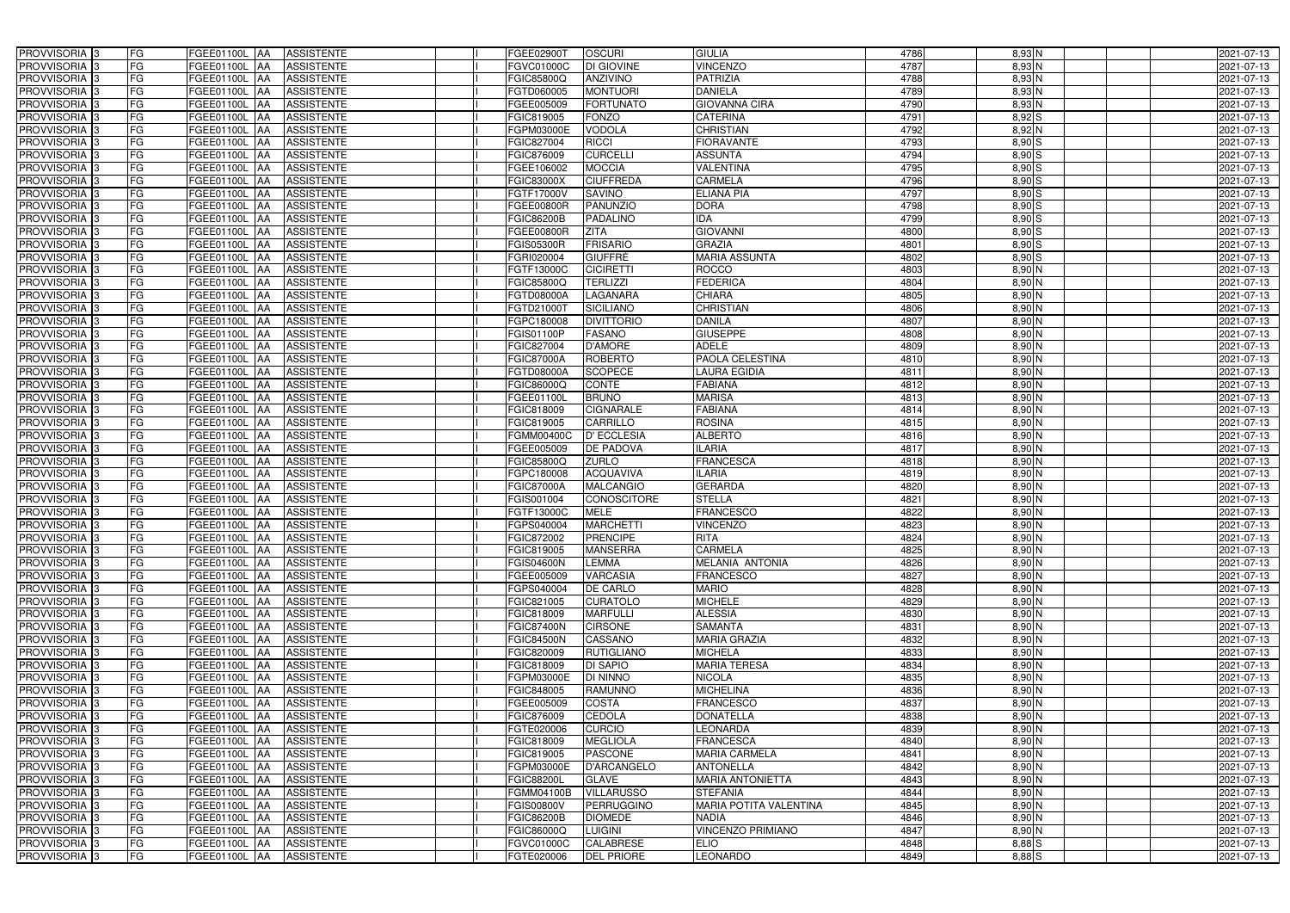| PROVVISORIA <sup>3</sup>                             | FG        | FGEE01100L AA                  | <b>ASSISTENTE</b>                      | FGEE02900T                             | <b>OSCURI</b>                      | <b>GIULIA</b>                    | 4786         | 8,93 N             | 2021-07-13               |
|------------------------------------------------------|-----------|--------------------------------|----------------------------------------|----------------------------------------|------------------------------------|----------------------------------|--------------|--------------------|--------------------------|
| PROVVISORIA <sup>3</sup>                             | FG        | FGEE01100L AA                  | <b>ASSISTENTE</b>                      | FGVC01000C                             | DI GIOVINE                         | <b>VINCENZO</b>                  | 4787         | $8,93$ N           | 2021-07-13               |
| PROVVISORIA <sup>1</sup> 3                           | FG        | FGEE01100L AA                  | <b>ASSISTENTE</b>                      | FGIC85800Q                             | ANZIVINO                           | <b>PATRIZIA</b>                  | 4788         | $8,93$ N           | 2021-07-13               |
| PROVVISORIA <sup>3</sup>                             | FG        | FGEE01100L AA                  | <b>ASSISTENTE</b>                      | FGTD060005                             | <b>MONTUORI</b>                    | <b>DANIELA</b>                   | 4789         | $8,93$ N           | 2021-07-13               |
| PROVVISORIA <sup>3</sup>                             | FG        | FGEE01100L AA                  | <b>ASSISTENTE</b>                      | FGEE005009                             | <b>FORTUNATO</b>                   | <b>GIOVANNA CIRA</b>             | 4790         | $8,93$ N           | 2021-07-13               |
| PROVVISORIA <sup>3</sup>                             | FG        | FGEE01100L AA                  | <b>ASSISTENTE</b>                      | FGIC819005                             | <b>FONZO</b>                       | <b>CATERINA</b>                  | 4791         | $8,92$ $S$         | 2021-07-13               |
| PROVVISORIA <sup>3</sup>                             | FG        | FGEE01100L AA                  | <b>ASSISTENTE</b>                      | FGPM03000E                             | VODOLA                             | <b>CHRISTIAN</b>                 | 4792         | $8,92$ N           | 2021-07-13               |
| PROVVISORIA 3                                        | FG        | FGEE01100L AA                  | <b>ASSISTENTE</b>                      | FGIC827004                             | <b>RICCI</b>                       | <b>FIORAVANTE</b>                | 4793         | $8,90$ S           | 2021-07-13               |
| PROVVISORIA 3                                        | FG        | FGEE01100L AA                  | <b>ASSISTENTE</b>                      | FGIC876009                             | <b>CURCELLI</b>                    | <b>ASSUNTA</b>                   | 4794         | $8,90$ S           | 2021-07-13               |
| PROVVISORIA <sup>3</sup>                             | FG        | <b>FGEE01100L</b>              | <b>ASSISTENTE</b><br>IAA               | FGEE106002                             | <b>MOCCIA</b>                      | VALENTINA                        | 4795         | 8,90 S             | 2021-07-13               |
| PROVVISORIA 3                                        | FG        | <b>FGEE01100L AA</b>           | <b>ASSISTENTE</b>                      | FGIC83000X                             | <b>CIUFFREDA</b>                   | <b>CARMELA</b>                   | 4796         | $8,90$ S           | 2021-07-13               |
| PROVVISORIA 3                                        | FG        | <b>FGEE01100L AA</b>           | <b>ASSISTENTE</b>                      | FGTF17000V                             | <b>SAVINO</b>                      | <b>ELIANA PIA</b>                | 4797         | 8,90 S             | 2021-07-13               |
| PROVVISORIA 3                                        | FG        | FGEE01100L                     | <b>ASSISTENTE</b><br><b>IAA</b>        | FGEE00800R                             | <b>PANUNZIO</b>                    | <b>DORA</b>                      | 4798         | 8,90 S             | 2021-07-13               |
| PROVVISORIA 3                                        | FG        | <b>FGEE01100L</b>              | <b>ASSISTENTE</b><br><b>IAA</b>        | <b>FGIC86200B</b>                      | <b>PADALINO</b>                    | <b>IDA</b>                       | 4799         | 8,90S              | 2021-07-13               |
| PROVVISORIA 3                                        | FG        | <b>FGEE01100L   AA</b>         | <b>ASSISTENTE</b>                      | FGEE00800R                             | <b>ZITA</b>                        | <b>GIOVANNI</b>                  | 4800         | $8,90$ S           | 2021-07-13               |
| PROVVISORIA 3                                        | FG        | FGEE01100L AA                  | <b>ASSISTENTE</b>                      | <b>FGIS05300R</b>                      | <b>FRISARIO</b>                    | <b>GRAZIA</b>                    | 4801         | $8,90$ S           | 2021-07-13               |
| PROVVISORIA 3                                        | FG        | FGEE01100L AA                  | <b>ASSISTENTE</b>                      | FGRI020004                             | <b>GIUFFRÈ</b>                     | <b>MARIA ASSUNTA</b>             | 4802         | $8,90$ S           | 2021-07-13               |
| PROVVISORIA 3                                        | FG        | FGEE01100L AA                  | <b>ASSISTENTE</b>                      | FGTF13000C                             | <b>CICIRETTI</b>                   | <b>ROCCO</b>                     | 4803         | $8,90$ N           | 2021-07-13               |
| PROVVISORIA 3                                        | FG        | FGEE01100L AA                  | <b>ASSISTENTE</b>                      | FGIC85800Q                             | <b>TERLIZZI</b>                    | <b>FEDERICA</b>                  | 4804         | 8,90 N             | 2021-07-13               |
| PROVVISORIA 3                                        | FG        | FGEE01100L                     | <b>ASSISTENTE</b><br>l AA              | FGTD08000A                             | <b>LAGANARA</b>                    | <b>CHIARA</b>                    | 4805         | $8,90$ N           | 2021-07-13               |
| PROVVISORIA <sup>3</sup>                             | FG        | FGEE01100L                     | <b>ASSISTENTE</b><br>ΙAΑ               | FGTD21000T                             | <b>SICILIANO</b>                   | <b>CHRISTIAN</b>                 | 4806         | 8,90 N             | 2021-07-13               |
| PROVVISORIA 3                                        | FG        | FGEE01100L                     | <b>ASSISTENTE</b><br>IAA               | FGPC180008                             | <b>DIVITTORIO</b>                  | <b>DANILA</b>                    | 4807         | 8,90 N             | 2021-07-13               |
| PROVVISORIA 3                                        | FG        | FGEE01100L                     | <b>ASSISTENTE</b><br>IAA               | FGIS01100P                             | <b>FASANO</b>                      | <b>GIUSEPPE</b>                  | 4808         | $8,90$ N           | 2021-07-13               |
| PROVVISORIA <sup>3</sup>                             | FG        | <b>FGEE01100L</b>              | <b>ASSISTENTE</b><br>IAA               | FGIC827004                             | <b>D'AMORE</b>                     | <b>ADELE</b>                     | 4809         | $8,90$ N           | 2021-07-13               |
| PROVVISORIA 3                                        | FG        | FGEE01100L AA                  | <b>ASSISTENTE</b>                      | <b>FGIC87000A</b>                      | <b>ROBERTO</b>                     | PAOLA CELESTINA                  | 4810         | $8,90$ N           | 2021-07-13               |
| PROVVISORIA 3                                        | FG        | FGEE01100L                     | <b>ASSISTENTE</b><br>IAA               | FGTD08000A                             | <b>SCOPECE</b>                     | <b>LAURA EGIDIA</b>              | 4811         | $8,90$ N           | 2021-07-13               |
| PROVVISORIA 3                                        | FG        | <b>FGEE01100L</b>              | <b>ASSISTENTE</b>                      | FGIC86000Q                             | <b>CONTE</b>                       | <b>FABIANA</b>                   | 4812         | $8,90$ N           | 2021-07-13               |
| PROVVISORIA 3                                        | FG        | FGEE01100L                     | <b>ASSISTENTE</b><br>IAA               | FGEE01100L                             | <b>BRUNO</b>                       | <b>MARISA</b>                    | 4813         | $8,90$ N           | 2021-07-13               |
| PROVVISORIA <sup>3</sup>                             | FG        | FGEE01100L                     | <b>ASSISTENTE</b>                      | FGIC818009                             | <b>CIGNARALE</b>                   | <b>FABIANA</b>                   | 4814         | 8,90 N             | 2021-07-13               |
| PROVVISORIA <sup>3</sup>                             | FG        | <b>FGEE01100L</b>              | <b>ASSISTENTE</b><br><b>JAA</b>        | FGIC819005                             | <b>CARRILLO</b>                    | <b>ROSINA</b>                    | 4815         | $8,90$ N           | 2021-07-13               |
| PROVVISORIA <sup>3</sup>                             | FG        | FGEE01100L AA                  | <b>ASSISTENTE</b>                      | FGMM00400C                             | <b>D' ECCLESIA</b>                 | <b>ALBERTO</b>                   | 4816         | 8,90 N             | 2021-07-13               |
| PROVVISORIA <sup>3</sup>                             | FG        | FGEE01100L                     | <b>ASSISTENTE</b><br>IAA               | FGEE005009                             | <b>DE PADOVA</b>                   | <b>ILARIA</b>                    | 4817         | 8,90 N             | 2021-07-13               |
| PROVVISORIA <sup>3</sup>                             | FG        | FGEE01100L                     | <b>ASSISTENTE</b><br>IAA               | FGIC85800Q                             | <b>ZURLO</b>                       | <b>FRANCESCA</b>                 | 4818         | $8,90$ N           | 2021-07-13               |
| PROVVISORIA <sup>3</sup>                             | FG        | FGEE01100L AA                  | <b>ASSISTENTE</b>                      | FGPC180008                             | <b>ACQUAVIVA</b>                   | <b>ILARIA</b>                    | 4819         | $8,90$ N           | 2021-07-13               |
| PROVVISORIA <sup>3</sup>                             | FG        | FGEE01100L AA                  | <b>ASSISTENTE</b>                      | <b>FGIC87000A</b>                      | <b>MALCANGIO</b>                   | <b>GERARDA</b>                   | 4820         | $8,90$ N           | 2021-07-13               |
| PROVVISORIA <sup>3</sup>                             | FG        | FGEE01100L AA                  | <b>ASSISTENTE</b>                      | FGIS001004                             | CONOSCITORE                        | <b>STELLA</b>                    | 4821         | $8,90$ N           | 2021-07-13               |
| PROVVISORIA 3                                        | FG        | FGEE01100L AA                  | <b>ASSISTENTE</b>                      | FGTF13000C                             | <b>MELE</b>                        | <b>FRANCESCO</b>                 | 4822         | $8,90$ N           | 2021-07-13               |
| PROVVISORIA <sup>3</sup>                             | FG        | FGEE01100L AA                  | <b>ASSISTENTE</b>                      | FGPS040004                             | <b>MARCHETTI</b>                   | <b>VINCENZO</b>                  | 4823         | $8,90$ N           | 2021-07-13               |
| PROVVISORIA <sup>3</sup>                             | <b>FG</b> |                                | FGEE01100L AA ASSISTENTE               | FGIC872002                             | <b>PRENCIPE</b>                    | <b>RITA</b>                      | 4824         | $8,90$ N           | 2021-07-13               |
| <b>PROVVISORIA</b> 3                                 | FG        | FGEE01100L AA                  | ASSISTENTE                             | FGIC819005                             | <b>MANSERRA</b>                    | <b>CARMELA</b>                   | 4825         | 8,90 N             | 2021-07-13               |
| PROVVISORIA <sup>3</sup>                             | FG        | FGEE01100L AA                  | <b>ASSISTENTE</b>                      | <b>FGIS04600N</b>                      | <b>LEMMA</b>                       | MELANIA ANTONIA                  | 4826         | $8,90$ N           | 2021-07-13               |
| PROVVISORIA <sup>3</sup>                             | FG        | FGEE01100L AA                  | <b>ASSISTENTE</b>                      | FGEE005009                             | <b>VARCASIA</b>                    | <b>FRANCESCO</b>                 | 4827         | 8,90 N             | 2021-07-13               |
| <b>PROVVISORIA</b> 3                                 | FG        | FGEE01100L AA                  | ASSISTENTE                             | FGPS040004                             | <b>DE CARLO</b>                    | <b>MARIO</b>                     | 4828         | $8,90$ N           | 2021-07-13               |
| PROVVISORIA <sup>3</sup><br>PROVVISORIA <sup>3</sup> | FG        | FGEE01100L AA<br>FGEE01100L AA | <b>ASSISTENTE</b><br><b>ASSISTENTE</b> | FGIC821005<br>FGIC818009               | <b>CURATOLO</b><br><b>MARFULLI</b> | <b>MICHELE</b><br><b>ALESSIA</b> | 4829<br>4830 | 8,90 N             | 2021-07-13<br>2021-07-13 |
| PROVVISORIA <sup>3</sup>                             | FG<br>FG  |                                |                                        |                                        | <b>CIRSONE</b>                     | <b>SAMANTA</b>                   | 4831         | 8,90 N<br>$8,90$ N |                          |
| PROVVISORIA <sup>1</sup> 3                           | FG        | FGEE01100L AA<br>FGEE01100L AA | <b>ASSISTENTE</b><br><b>ASSISTENTE</b> | <b>FGIC87400N</b><br><b>FGIC84500N</b> | CASSANO                            | <b>MARIA GRAZIA</b>              | 4832         | 8,90 N             | 2021-07-13<br>2021-07-13 |
| PROVVISORIA <sup>3</sup>                             | FG        | FGEE01100L AA                  | <b>ASSISTENTE</b>                      | FGIC820009                             | <b>RUTIGLIANO</b>                  | <b>MICHELA</b>                   | 4833         | 8,90 N             | 2021-07-13               |
| PROVVISORIA <sup>3</sup>                             | FG        | FGEE01100L AA                  | <b>ASSISTENTE</b>                      | FGIC818009                             | DI SAPIO                           | <b>MARIA TERESA</b>              | 4834         | $8,90$ N           | 2021-07-13               |
| PROVVISORIA <sup>3</sup>                             | FG        | FGEE01100L AA                  | <b>ASSISTENTE</b>                      | FGPM03000E                             | <b>DI NINNO</b>                    | <b>NICOLA</b>                    | 4835         | $8,90$ N           | 2021-07-13               |
| PROVVISORIA <sup>3</sup>                             | FG        | FGEE01100L AA                  | <b>ASSISTENTE</b>                      | FGIC848005                             | <b>RAMUNNO</b>                     | <b>MICHELINA</b>                 | 4836         | 8,90 N             | 2021-07-13               |
| PROVVISORIA <sup>3</sup>                             | FG        | FGEE01100L AA                  | <b>ASSISTENTE</b>                      | FGEE005009                             | <b>COSTA</b>                       | <b>FRANCESCO</b>                 | 4837         | $8,90$ N           | 2021-07-13               |
| PROVVISORIA <sup>3</sup>                             | FG        | FGEE01100L AA                  | <b>ASSISTENTE</b>                      | FGIC876009                             | <b>CEDOLA</b>                      | <b>DONATELLA</b>                 | 4838         | $8,90$ N           | 2021-07-13               |
| PROVVISORIA <sup>3</sup>                             | FG        | FGEE01100L AA                  | <b>ASSISTENTE</b>                      | FGTE020006                             | <b>CURCIO</b>                      | LEONARDA                         | 4839         | $8,90$ N           | 2021-07-13               |
| PROVVISORIA <sup>3</sup>                             | FG        | FGEE01100L AA                  | <b>ASSISTENTE</b>                      | FGIC818009                             | <b>MEGLIOLA</b>                    | <b>FRANCESCA</b>                 | 4840         | $8,90$ N           | 2021-07-13               |
| PROVVISORIA <sup>3</sup>                             | FG        | FGEE01100L AA                  | <b>ASSISTENTE</b>                      | FGIC819005                             | <b>PASCONE</b>                     | <b>MARIA CARMELA</b>             | 4841         | 8,90 N             | 2021-07-13               |
| PROVVISORIA <sup>1</sup> 3                           | FG        | FGEE01100L AA                  | <b>ASSISTENTE</b>                      | FGPM03000E                             | <b>D'ARCANGELO</b>                 | <b>ANTONELLA</b>                 | 4842         | 8,90 N             | 2021-07-13               |
| PROVVISORIA <sup>1</sup> 3                           | FG        | FGEE01100L AA                  | <b>ASSISTENTE</b>                      | <b>FGIC88200L</b>                      | <b>GLAVE</b>                       | <b>MARIA ANTONIETTA</b>          | 4843         | $8,90$ N           | 2021-07-13               |
| PROVVISORIA <sup>3</sup>                             | FG        | FGEE01100L AA                  | <b>ASSISTENTE</b>                      | FGMM04100B                             | <b>VILLARUSSO</b>                  | <b>STEFANIA</b>                  | 4844         | $8,90$ N           | 2021-07-13               |
| PROVVISORIA <sup>1</sup> 3                           | FG        | FGEE01100L AA                  | <b>ASSISTENTE</b>                      | FGIS00800V                             | PERRUGGINO                         | <b>MARIA POTITA VALENTINA</b>    | 4845         | $8,90$ N           | 2021-07-13               |
| PROVVISORIA <sup>3</sup>                             | FG        | FGEE01100L AA                  | ASSISTENTE                             | <b>FGIC86200B</b>                      | <b>DIOMEDE</b>                     | <b>NADIA</b>                     | 4846         | $8,90$ N           | 2021-07-13               |
| PROVVISORIA <sup>3</sup>                             | FG        | <b>FGEE01100L AA</b>           | <b>ASSISTENTE</b>                      | FGIC86000Q                             | <b>LUIGINI</b>                     | <b>VINCENZO PRIMIANO</b>         | 4847         | $8,90$ N           | 2021-07-13               |
| PROVVISORIA <sup>3</sup>                             | FG        | FGEE01100L AA                  | ASSISTENTE                             | FGVC01000C                             | CALABRESE                          | <b>ELIO</b>                      | 4848         | 8,88 S             | 2021-07-13               |
| PROVVISORIA 3                                        | FG        | FGEE01100L AA                  | ASSISTENTE                             | FGTE020006                             | <b>DEL PRIORE</b>                  | <b>LEONARDO</b>                  | 4849         | 8,88 S             | 2021-07-13               |
|                                                      |           |                                |                                        |                                        |                                    |                                  |              |                    |                          |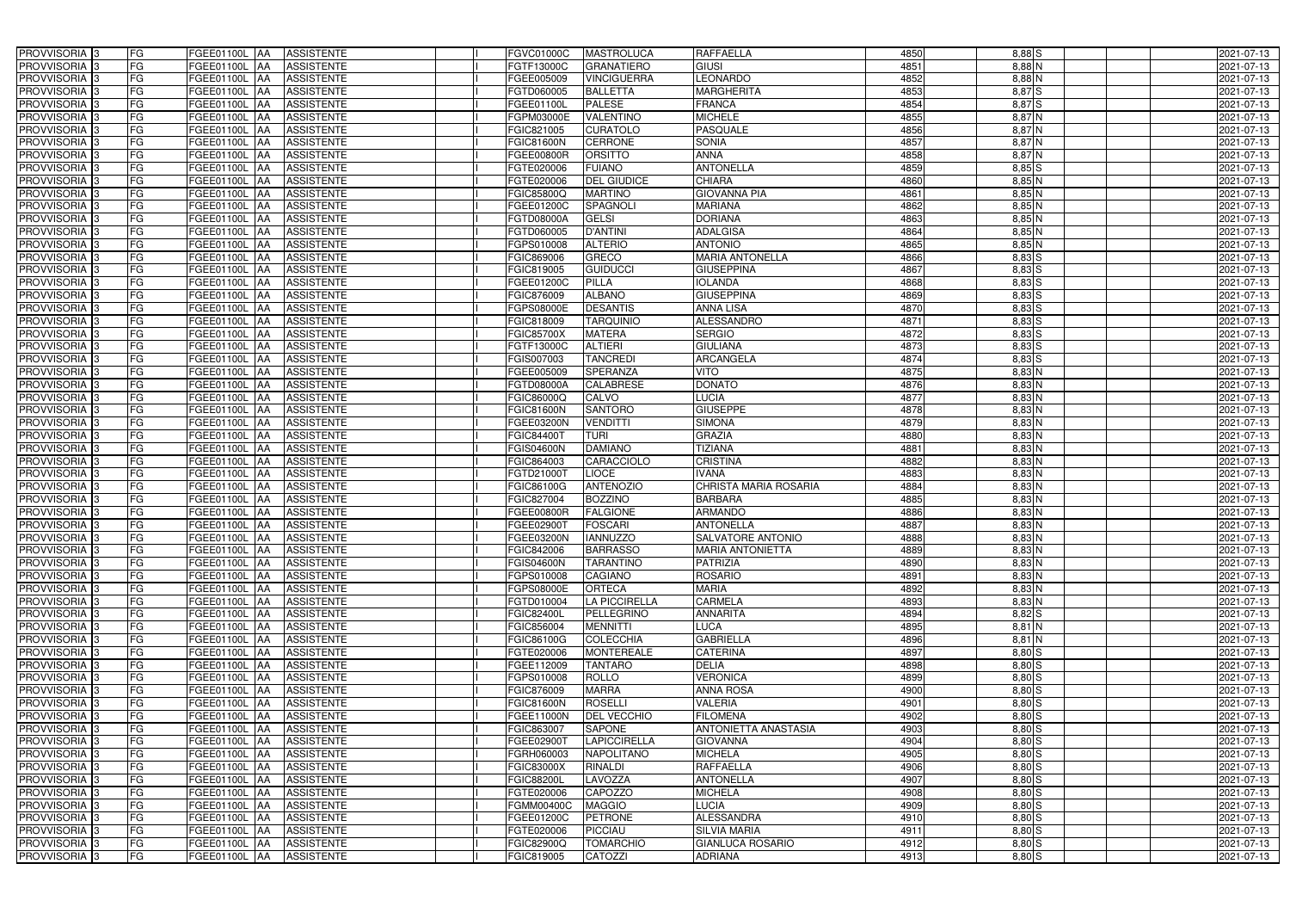| FG<br>4851<br>$8,88$ N<br>PROVVISORIA 3<br><b>ASSISTENTE</b><br>FGEE01100L<br>FGTF13000C<br><b>GRANATIERO</b><br><b>GIUSI</b><br>2021-07-13<br>IAA<br><b>FG</b><br>4852<br>PROVVISORIA 3<br><b>LEONARDO</b><br>$8,88$ N<br><b>FGEE01100L</b><br><b>ASSISTENTE</b><br>FGEE005009<br><b>VINCIGUERRA</b><br>2021-07-13<br>IAA<br>FG<br>4853<br>$8,87$ $S$<br>PROVVISORIA <sup>3</sup><br><b>BALLETTA</b><br><b>MARGHERITA</b><br>FGEE01100L<br><b>ASSISTENTE</b><br>FGTD060005<br>2021-07-13<br>IAA<br>FG<br><b>PALESE</b><br>4854<br>8,87 S<br>PROVVISORIA <sup>3</sup><br>FRANCA<br>FGEE01100L<br><b>ASSISTENTE</b><br>FGEE01100L<br>2021-07-13<br>IAA<br><b>FG</b><br><b>VALENTINO</b><br><b>MICHELE</b><br>4855<br>$8,87$ N<br>PROVVISORIA 3<br><b>FGEE01100L AA</b><br><b>ASSISTENTE</b><br>FGPM03000E<br>2021-07-13<br>FG<br><b>CURATOLO</b><br><b>PASQUALE</b><br>4856<br>PROVVISORIA 3<br>FGEE01100L AA<br><b>ASSISTENTE</b><br>FGIC821005<br>8,87 N<br>2021-07-13<br>PROVVISORIA 3<br>FG<br><b>ASSISTENTE</b><br><b>CERRONE</b><br><b>SONIA</b><br>4857<br>$8,87$ N<br>FGEE01100L AA<br>FGIC81600N<br>2021-07-13<br><b>ANNA</b><br>4858<br>PROVVISORIA 3<br><b>FG</b><br><b>ORSITTO</b><br>$8,87$ N<br>FGEE01100L AA<br><b>ASSISTENTE</b><br>FGEE00800R<br>2021-07-13<br>FG<br><b>ANTONELLA</b><br>4859<br>PROVVISORIA 3<br>FGEE01100L AA<br><b>ASSISTENTE</b><br><b>FUIANO</b><br>$8,85$ S<br>FGTE020006<br>2021-07-13<br><b>CHIARA</b><br>4860<br>PROVVISORIA 3<br>FG<br><b>ASSISTENTE</b><br><b>DEL GIUDICE</b><br>$8,85$ N<br>FGEE01100L AA<br>FGTE020006<br>2021-07-13<br>PROVVISORIA 3<br>FG<br>FGEE01100L AA<br><b>ASSISTENTE</b><br><b>FGIC85800Q</b><br><b>MARTINO</b><br><b>GIOVANNA PIA</b><br>4861<br>$8,85$ N<br>2021-07-13<br>PROVVISORIA 3<br>FG<br>SPAGNOLI<br><b>MARIANA</b><br>4862<br>FGEE01100L AA<br><b>ASSISTENTE</b><br>8,85 N<br>2021-07-13<br>FGEE01200C<br><b>DORIANA</b><br>PROVVISORIA 3<br>FG<br>FGEE01100L AA<br><b>ASSISTENTE</b><br><b>GELSI</b><br>4863<br>$8,85$ N<br>2021-07-13<br>FGTD08000A<br><b>ADALGISA</b><br>4864<br>PROVVISORIA 3<br><b>FG</b><br><b>FGEE01100L   AA</b><br><b>D'ANTINI</b><br>$8,85$ N<br>2021-07-13<br><b>ASSISTENTE</b><br>FGTD060005<br>PROVVISORIA 3<br><b>FG</b><br><b>ALTERIO</b><br><b>ANTONIO</b><br>4865<br>FGEE01100L<br>$8,85$ N<br><b>ASSISTENTE</b><br>FGPS010008<br>2021-07-13<br>IAA<br>PROVVISORIA 3<br>FG<br><b>GRECO</b><br><b>MARIA ANTONELLA</b><br>$8,83$ $S$<br><b>FGEE01100L</b><br><b>ASSISTENTE</b><br>FGIC869006<br>4866<br>2021-07-13<br>IAA<br>PROVVISORIA 3<br>FG<br><b>GUIDUCCI</b><br><b>GIUSEPPINA</b><br>4867<br>$8,83$ $S$<br><b>FGEE01100L</b><br><b>ASSISTENTE</b><br>FGIC819005<br>2021-07-13<br>IAA<br>PROVVISORIA 3<br>FG<br><b>PILLA</b><br><b>IOLANDA</b><br>4868<br>8,83 S<br><b>FGEE01100L</b><br><b>ASSISTENTE</b><br>FGEE01200C<br>2021-07-13<br>IAA<br>PROVVISORIA 3<br>FG<br><b>ALBANO</b><br><b>GIUSEPPINA</b><br><b>ASSISTENTE</b><br>FGIC876009<br>4869<br>8,83 S<br>2021-07-13<br>FGEE01100L<br>IAA<br>PROVVISORIA <sup>3</sup><br>FG<br><b>DESANTIS</b><br><b>ANNA LISA</b><br>4870<br>FGPS08000E<br>8,83 S<br>2021-07-13<br>FGEE01100L<br><b>ASSISTENTE</b><br>FG<br><b>PROVVISORIA</b> 3<br><b>TARQUINIO</b><br><b>ALESSANDRO</b><br>4871<br>8,83 S<br>FGEE01100L<br><b>ASSISTENTE</b><br>FGIC818009<br>2021-07-13<br>IAA<br>PROVVISORIA <sup>3</sup><br>FG<br><b>SERGIO</b><br>4872<br>$8,83$ $S$<br>FGEE01100L<br><b>FGIC85700X</b><br><b>MATERA</b><br>2021-07-13<br><b>ASSISTENTE</b><br>IAA<br>$8,83$ S<br>PROVVISORIA <sup>3</sup><br>FG<br><b>ALTIERI</b><br><b>GIULIANA</b><br>4873<br>2021-07-13<br><b>FGEE01100L</b><br><b>ASSISTENTE</b><br>FGTF13000C<br>IAA<br><b>PROVVISORIA</b> 3<br>FG<br><b>TANCREDI</b><br><b>ARCANGELA</b><br>4874<br>$8,83$ $S$<br>FGEE01100L<br><b>ASSISTENTE</b><br>FGIS007003<br>2021-07-13<br>IAA<br>4875<br>$8,83$ N<br>PROVVISORIA 3<br>FG<br>FGEE005009<br><b>SPERANZA</b><br>FGEE01100L<br><b>ASSISTENTE</b><br><b>VITO</b><br>2021-07-13<br>IAA<br><b>FG</b><br>4876<br>PROVVISORIA 3<br><b>CALABRESE</b><br><b>DONATO</b><br>$8,83$ N<br>FGEE01100L AA<br><b>ASSISTENTE</b><br>FGTD08000A<br>2021-07-13<br><b>FG</b><br>4877<br>$8,83$ N<br>PROVVISORIA 3<br>CALVO<br><b>LUCIA</b><br>FGEE01100L AA<br><b>ASSISTENTE</b><br>FGIC86000Q<br>2021-07-13<br>FG<br>4878<br>PROVVISORIA <sup>3</sup><br><b>SANTORO</b><br><b>GIUSEPPE</b><br>$8,83$ N<br>FGEE01100L AA<br><b>ASSISTENTE</b><br><b>FGIC81600N</b><br>2021-07-13<br><b>FG</b><br><b>VENDITTI</b><br><b>SIMONA</b><br>4879<br>$8,83$ N<br>PROVVISORIA 3<br>FGEE01100L AA<br><b>ASSISTENTE</b><br>2021-07-13<br>FGEE03200N<br><b>GRAZIA</b><br>FG<br><b>TURI</b><br>4880<br>$8,83$ N<br>PROVVISORIA 3<br>FGEE01100L AA<br><b>ASSISTENTE</b><br>FGIC844007<br>2021-07-13<br>FG<br><b>DAMIANO</b><br><b>TIZIANA</b><br>PROVVISORIA 3<br><b>ASSISTENTE</b><br>4881<br>$8,83$ N<br>FGEE01100L AA<br>FGIS04600N<br>2021-07-13<br>FG<br><b>CARACCIOLO</b><br><b>CRISTINA</b><br>4882<br>PROVVISORIA 3<br>FGEE01100L<br><b>ASSISTENTE</b><br>FGIC864003<br>8,83 N<br>2021-07-13<br><b>IAA</b><br><b>FG</b><br><b>LIOCE</b><br><b>VANA</b><br>4883<br>PROVVISORIA 3<br>FGEE01100L  AA<br><b>ASSISTENTE</b><br>FGTD210001<br>8,83 N<br>2021-07-13<br><b>FG</b><br>4884<br><b>PROVVISORIA</b><br><b>ASSISTENTE</b><br><b>ANTENOZIO</b><br><b>CHRISTA MARIA ROSARIA</b><br>$8,83$ N<br>FGEE01100L<br>FGIC86100G<br>2021-07-13<br>IAA<br>FG<br><b>BOZZINO</b><br><b>BARBARA</b><br>4885<br>PROVVISORIA <sup>1</sup> 3<br>FGEE01100L<br><b>ASSISTENTE</b><br>FGIC827004<br>8,83 N<br>2021-07-13<br>IAA<br>FG<br><b>FALGIONE</b><br><b>ARMANDO</b><br>PROVVISORIA <sup>1</sup> 3<br>FGEE01100L<br><b>ASSISTENTE</b><br>FGEE00800R<br>4886<br>8,83 N<br>2021-07-13<br>IAA<br><b>FG</b><br><b>FOSCARI</b><br><b>ANTONELLA</b><br>4887<br>$8,83$ N<br>PROVVISORIA <sup>3</sup><br>FGEE01100L AA<br><b>ASSISTENTE</b><br>FGEE02900T<br>2021-07-13<br>FG<br>PROVVISORIA <sup>3</sup><br>FGEE01100L AA ASSISTENTE<br>FGEE03200N<br><b>IANNUZZO</b><br><b>SALVATORE ANTONIO</b><br>4888<br>$8,83$ N<br>2021-07-13<br>PROVVISORIA <sup>3</sup><br>4889<br>8,83 N<br><b>FG</b><br>FGEE01100L AA<br><b>ASSISTENTE</b><br>FGIC842006<br><b>BARRASSO</b><br><b>MARIA ANTONIETTA</b><br>2021-07-13<br>PROVVISORIA <sup>3</sup><br>FG<br>ASSISTENTE<br><b>TARANTINO</b><br><b>PATRIZIA</b><br>4890<br>$8,83$ N<br>FGEE01100L AA<br><b>FGIS04600N</b><br>2021-07-13<br>PROVVISORIA <sup>3</sup><br>FG<br>FGEE01100L AA<br><b>ASSISTENTE</b><br><b>CAGIANO</b><br><b>ROSARIO</b><br>4891<br>8,83 N<br>FGPS010008<br>2021-07-13<br>PROVVISORIA <sup>3</sup><br>FG<br><b>MARIA</b><br>4892<br>$8,83$ N<br>FGEE01100L AA<br><b>ASSISTENTE</b><br>FGPS08000E<br><b>ORTECA</b><br>2021-07-13<br>PROVVISORIA <sup>3</sup><br>FG<br>LA PICCIRELLA<br><b>CARMELA</b><br><b>FGEE01100L AA</b><br><b>ASSISTENTE</b><br>FGTD010004<br>4893<br>8,83 N<br>2021-07-13<br>PROVVISORIA <sup>3</sup><br>FG<br>FGEE01100L AA<br><b>ASSISTENTE</b><br><b>FGIC82400L</b><br>PELLEGRINO<br><b>ANNARITA</b><br>4894<br>$8,82$ $S$<br>2021-07-13<br>PROVVISORIA <sup>3</sup><br>FG<br><b>LUCA</b><br>4895<br>$8,81$ N<br>FGEE01100L AA<br><b>ASSISTENTE</b><br>FGIC856004<br><b>MENNITTI</b><br>2021-07-13<br>PROVVISORIA <sup>3</sup><br>FG<br><b>COLECCHIA</b><br><b>GABRIELLA</b><br>4896<br>FGEE01100L AA<br><b>ASSISTENTE</b><br>FGIC86100G<br>8,81 N<br>2021-07-13<br>PROVVISORIA <sup>3</sup><br>FG<br>FGEE01100L AA<br><b>MONTEREALE</b><br>CATERINA<br>4897<br>$8,80$ S<br><b>ASSISTENTE</b><br>FGTE020006<br>2021-07-13<br>FG<br><b>DELIA</b><br>4898<br>$8,80$ S<br>PROVVISORIA <sup>3</sup><br>FGEE01100L AA<br><b>ASSISTENTE</b><br>FGEE112009<br><b>TANTARO</b><br>2021-07-13<br>PROVVISORIA <sup>3</sup><br>FG<br><b>VERONICA</b><br>4899<br>$8,80$ S<br>FGEE01100L AA<br><b>ASSISTENTE</b><br>FGPS010008<br><b>ROLLO</b><br>2021-07-13<br>8,80 S<br>PROVVISORIA <sup>3</sup><br>FG<br><b>MARRA</b><br><b>ANNA ROSA</b><br>4900<br>FGEE01100L AA<br>ASSISTENTE<br>FGIC876009<br>2021-07-13<br>PROVVISORIA <sup>3</sup><br>FG<br>4901<br>$8,80$ S<br>FGEE01100L AA<br><b>ASSISTENTE</b><br><b>FGIC81600N</b><br><b>ROSELLI</b><br>VALERIA<br>2021-07-13<br>PROVVISORIA <sup>3</sup><br>FG<br>4902<br>$8,80$ S<br>FGEE01100L AA<br><b>ASSISTENTE</b><br><b>DEL VECCHIO</b><br><b>FILOMENA</b><br>FGEE11000N<br>2021-07-13<br>8,80S<br>FG<br><b>ANTONIETTA ANASTASIA</b><br>4903<br>PROVVISORIA <sup>3</sup><br>FGEE01100L AA<br><b>ASSISTENTE</b><br>FGIC863007<br><b>SAPONE</b><br>2021-07-13<br>FG<br>$8,80$ $S$<br>LAPICCIRELLA<br>4904<br>PROVVISORIA <sup>13</sup><br>FGEE01100L AA<br><b>ASSISTENTE</b><br>FGEE029001<br><b>GIOVANNA</b><br>2021-07-13<br>FG<br>$8,80$ S<br>PROVVISORIA <sup>3</sup><br>FGEE01100L AA<br><b>ASSISTENTE</b><br><b>NAPOLITANO</b><br><b>MICHELA</b><br>4905<br>FGRH060003<br>2021-07-13<br>FG<br><b>RAFFAELLA</b><br>4906<br>$8,80$ S<br>PROVVISORIA <sup>3</sup><br>FGEE01100L AA<br><b>ASSISTENTE</b><br>FGIC83000X<br><b>RINALDI</b><br>2021-07-13<br>FG<br><b>LAVOZZA</b><br><b>ANTONELLA</b><br>4907<br><b>ASSISTENTE</b><br><b>FGIC88200L</b><br>$8,80$ S<br>FGEE01100L AA<br>2021-07-13<br>FG<br>4908<br><b>ASSISTENTE</b><br><b>CAPOZZO</b><br><b>MICHELA</b><br>$8,80$ S<br>FGEE01100L AA<br>FGTE020006<br>2021-07-13<br>FG<br><b>ASSISTENTE</b><br><b>MAGGIO</b><br><b>LUCIA</b><br>4909<br>$8,80$ $S$<br>PROVVISORIA <sup>3</sup><br>FGEE01100L AA<br><b>FGMM00400C</b><br>2021-07-13<br>FG<br><b>ALESSANDRA</b><br>PROVVISORIA <sup>3</sup><br><b>FGEE01100L AA</b><br><b>ASSISTENTE</b><br><b>PETRONE</b><br>4910<br>$8,80$ S<br>FGEE01200C<br>2021-07-13<br>FG<br>$8,80$ $S$<br>PROVVISORIA <sup>3</sup><br><b>FGEE01100L AA</b><br><b>ASSISTENTE</b><br>FGTE020006<br><b>PICCIAU</b><br><b>SILVIA MARIA</b><br>4911<br>2021-07-13<br>FG<br><b>GIANLUCA ROSARIO</b><br>$8,80$ S<br><b>FGEE01100L AA</b><br><b>ASSISTENTE</b><br>FGIC82900Q<br><b>TOMARCHIO</b><br>4912<br>2021-07-13<br>FG<br>ASSISTENTE<br>4913<br>8,80 S<br>FGEE01100L AA<br>FGIC819005<br><b>CATOZZI</b><br><b>ADRIANA</b><br>2021-07-13 | PROVVISORIA 3            | FG | FGEE01100L AA | <b>ASSISTENTE</b> | FGVC01000C | <b>MASTROLUCA</b> | RAFFAELLA | 4850 | $8,88$ $S$ | 2021-07-13 |
|---------------------------------------------------------------------------------------------------------------------------------------------------------------------------------------------------------------------------------------------------------------------------------------------------------------------------------------------------------------------------------------------------------------------------------------------------------------------------------------------------------------------------------------------------------------------------------------------------------------------------------------------------------------------------------------------------------------------------------------------------------------------------------------------------------------------------------------------------------------------------------------------------------------------------------------------------------------------------------------------------------------------------------------------------------------------------------------------------------------------------------------------------------------------------------------------------------------------------------------------------------------------------------------------------------------------------------------------------------------------------------------------------------------------------------------------------------------------------------------------------------------------------------------------------------------------------------------------------------------------------------------------------------------------------------------------------------------------------------------------------------------------------------------------------------------------------------------------------------------------------------------------------------------------------------------------------------------------------------------------------------------------------------------------------------------------------------------------------------------------------------------------------------------------------------------------------------------------------------------------------------------------------------------------------------------------------------------------------------------------------------------------------------------------------------------------------------------------------------------------------------------------------------------------------------------------------------------------------------------------------------------------------------------------------------------------------------------------------------------------------------------------------------------------------------------------------------------------------------------------------------------------------------------------------------------------------------------------------------------------------------------------------------------------------------------------------------------------------------------------------------------------------------------------------------------------------------------------------------------------------------------------------------------------------------------------------------------------------------------------------------------------------------------------------------------------------------------------------------------------------------------------------------------------------------------------------------------------------------------------------------------------------------------------------------------------------------------------------------------------------------------------------------------------------------------------------------------------------------------------------------------------------------------------------------------------------------------------------------------------------------------------------------------------------------------------------------------------------------------------------------------------------------------------------------------------------------------------------------------------------------------------------------------------------------------------------------------------------------------------------------------------------------------------------------------------------------------------------------------------------------------------------------------------------------------------------------------------------------------------------------------------------------------------------------------------------------------------------------------------------------------------------------------------------------------------------------------------------------------------------------------------------------------------------------------------------------------------------------------------------------------------------------------------------------------------------------------------------------------------------------------------------------------------------------------------------------------------------------------------------------------------------------------------------------------------------------------------------------------------------------------------------------------------------------------------------------------------------------------------------------------------------------------------------------------------------------------------------------------------------------------------------------------------------------------------------------------------------------------------------------------------------------------------------------------------------------------------------------------------------------------------------------------------------------------------------------------------------------------------------------------------------------------------------------------------------------------------------------------------------------------------------------------------------------------------------------------------------------------------------------------------------------------------------------------------------------------------------------------------------------------------------------------------------------------------------------------------------------------------------------------------------------------------------------------------------------------------------------------------------------------------------------------------------------------------------------------------------------------------------------------------------------------------------------------------------------------------------------------------------------------------------------------------------------------------------------------------------------------------------------------------------------------------------------------------------------------------------------------------------------------------------------------------------------------------------------------------------------------------------------------------------------------------------------------------------------------------------------------------------------------------------------------------------------------------------------------------------------------------------------------------------------------------------------------------------------------------------------------------------------------------------------------------------------------------------------------------------------------------------------------------------------------------------------------------------------------------------------------------------------------------------------------------------------------------------------------------------------------------------------------------------------------------------------------------------------------------------------------------------------------------------------------------------------------------------------------------------------------------------------------------------------------------------------------------------------------------------------------------------------------------------------------------------------------------------------------------------------------------------------------------------------------------------------------------------------------------------------------------------------------------------------------------------------------------------------------------------------------------------------------------------------------------------------------------------------------------------------------------------------------------------------------------------------------------------------------------------------------------------------------------------------------------------------------------------------------------------------------------------------------------------------------------------------------------------------------------------------------------------------------------------------------------------------------------------------------------------------------------------------------------------------------------------------------------------------------------------------------------------------------------------------------------------------------------------------------------------------------------------------------------------------------------------------------------------------------------------------------------------------------------------------------------------------------------------------------------------------------------------------------------------------------------------------------------------------------------------------------------------------------------------------------------------------------------------------------------------------------------------------------------------|--------------------------|----|---------------|-------------------|------------|-------------------|-----------|------|------------|------------|
|                                                                                                                                                                                                                                                                                                                                                                                                                                                                                                                                                                                                                                                                                                                                                                                                                                                                                                                                                                                                                                                                                                                                                                                                                                                                                                                                                                                                                                                                                                                                                                                                                                                                                                                                                                                                                                                                                                                                                                                                                                                                                                                                                                                                                                                                                                                                                                                                                                                                                                                                                                                                                                                                                                                                                                                                                                                                                                                                                                                                                                                                                                                                                                                                                                                                                                                                                                                                                                                                                                                                                                                                                                                                                                                                                                                                                                                                                                                                                                                                                                                                                                                                                                                                                                                                                                                                                                                                                                                                                                                                                                                                                                                                                                                                                                                                                                                                                                                                                                                                                                                                                                                                                                                                                                                                                                                                                                                                                                                                                                                                                                                                                                                                                                                                                                                                                                                                                                                                                                                                                                                                                                                                                                                                                                                                                                                                                                                                                                                                                                                                                                                                                                                                                                                                                                                                                                                                                                                                                                                                                                                                                                                                                                                                                                                                                                                                                                                                                                                                                                                                                                                                                                                                                                                                                                                                                                                                                                                                                                                                                                                                                                                                                                                                                                                                                                                                                                                                                                                                                                                                                                                                                                                                                                                                                                                                                                                                                                                                                                                                                                                                                                                                                                                                                                                                                                                                                                                                                                                                                                                                                                                                                                                                                                                                                                                                                                                                                                                                                                                                                                                                                                                                                   |                          |    |               |                   |            |                   |           |      |            |            |
|                                                                                                                                                                                                                                                                                                                                                                                                                                                                                                                                                                                                                                                                                                                                                                                                                                                                                                                                                                                                                                                                                                                                                                                                                                                                                                                                                                                                                                                                                                                                                                                                                                                                                                                                                                                                                                                                                                                                                                                                                                                                                                                                                                                                                                                                                                                                                                                                                                                                                                                                                                                                                                                                                                                                                                                                                                                                                                                                                                                                                                                                                                                                                                                                                                                                                                                                                                                                                                                                                                                                                                                                                                                                                                                                                                                                                                                                                                                                                                                                                                                                                                                                                                                                                                                                                                                                                                                                                                                                                                                                                                                                                                                                                                                                                                                                                                                                                                                                                                                                                                                                                                                                                                                                                                                                                                                                                                                                                                                                                                                                                                                                                                                                                                                                                                                                                                                                                                                                                                                                                                                                                                                                                                                                                                                                                                                                                                                                                                                                                                                                                                                                                                                                                                                                                                                                                                                                                                                                                                                                                                                                                                                                                                                                                                                                                                                                                                                                                                                                                                                                                                                                                                                                                                                                                                                                                                                                                                                                                                                                                                                                                                                                                                                                                                                                                                                                                                                                                                                                                                                                                                                                                                                                                                                                                                                                                                                                                                                                                                                                                                                                                                                                                                                                                                                                                                                                                                                                                                                                                                                                                                                                                                                                                                                                                                                                                                                                                                                                                                                                                                                                                                                                                   |                          |    |               |                   |            |                   |           |      |            |            |
|                                                                                                                                                                                                                                                                                                                                                                                                                                                                                                                                                                                                                                                                                                                                                                                                                                                                                                                                                                                                                                                                                                                                                                                                                                                                                                                                                                                                                                                                                                                                                                                                                                                                                                                                                                                                                                                                                                                                                                                                                                                                                                                                                                                                                                                                                                                                                                                                                                                                                                                                                                                                                                                                                                                                                                                                                                                                                                                                                                                                                                                                                                                                                                                                                                                                                                                                                                                                                                                                                                                                                                                                                                                                                                                                                                                                                                                                                                                                                                                                                                                                                                                                                                                                                                                                                                                                                                                                                                                                                                                                                                                                                                                                                                                                                                                                                                                                                                                                                                                                                                                                                                                                                                                                                                                                                                                                                                                                                                                                                                                                                                                                                                                                                                                                                                                                                                                                                                                                                                                                                                                                                                                                                                                                                                                                                                                                                                                                                                                                                                                                                                                                                                                                                                                                                                                                                                                                                                                                                                                                                                                                                                                                                                                                                                                                                                                                                                                                                                                                                                                                                                                                                                                                                                                                                                                                                                                                                                                                                                                                                                                                                                                                                                                                                                                                                                                                                                                                                                                                                                                                                                                                                                                                                                                                                                                                                                                                                                                                                                                                                                                                                                                                                                                                                                                                                                                                                                                                                                                                                                                                                                                                                                                                                                                                                                                                                                                                                                                                                                                                                                                                                                                                                   |                          |    |               |                   |            |                   |           |      |            |            |
|                                                                                                                                                                                                                                                                                                                                                                                                                                                                                                                                                                                                                                                                                                                                                                                                                                                                                                                                                                                                                                                                                                                                                                                                                                                                                                                                                                                                                                                                                                                                                                                                                                                                                                                                                                                                                                                                                                                                                                                                                                                                                                                                                                                                                                                                                                                                                                                                                                                                                                                                                                                                                                                                                                                                                                                                                                                                                                                                                                                                                                                                                                                                                                                                                                                                                                                                                                                                                                                                                                                                                                                                                                                                                                                                                                                                                                                                                                                                                                                                                                                                                                                                                                                                                                                                                                                                                                                                                                                                                                                                                                                                                                                                                                                                                                                                                                                                                                                                                                                                                                                                                                                                                                                                                                                                                                                                                                                                                                                                                                                                                                                                                                                                                                                                                                                                                                                                                                                                                                                                                                                                                                                                                                                                                                                                                                                                                                                                                                                                                                                                                                                                                                                                                                                                                                                                                                                                                                                                                                                                                                                                                                                                                                                                                                                                                                                                                                                                                                                                                                                                                                                                                                                                                                                                                                                                                                                                                                                                                                                                                                                                                                                                                                                                                                                                                                                                                                                                                                                                                                                                                                                                                                                                                                                                                                                                                                                                                                                                                                                                                                                                                                                                                                                                                                                                                                                                                                                                                                                                                                                                                                                                                                                                                                                                                                                                                                                                                                                                                                                                                                                                                                                                                   |                          |    |               |                   |            |                   |           |      |            |            |
|                                                                                                                                                                                                                                                                                                                                                                                                                                                                                                                                                                                                                                                                                                                                                                                                                                                                                                                                                                                                                                                                                                                                                                                                                                                                                                                                                                                                                                                                                                                                                                                                                                                                                                                                                                                                                                                                                                                                                                                                                                                                                                                                                                                                                                                                                                                                                                                                                                                                                                                                                                                                                                                                                                                                                                                                                                                                                                                                                                                                                                                                                                                                                                                                                                                                                                                                                                                                                                                                                                                                                                                                                                                                                                                                                                                                                                                                                                                                                                                                                                                                                                                                                                                                                                                                                                                                                                                                                                                                                                                                                                                                                                                                                                                                                                                                                                                                                                                                                                                                                                                                                                                                                                                                                                                                                                                                                                                                                                                                                                                                                                                                                                                                                                                                                                                                                                                                                                                                                                                                                                                                                                                                                                                                                                                                                                                                                                                                                                                                                                                                                                                                                                                                                                                                                                                                                                                                                                                                                                                                                                                                                                                                                                                                                                                                                                                                                                                                                                                                                                                                                                                                                                                                                                                                                                                                                                                                                                                                                                                                                                                                                                                                                                                                                                                                                                                                                                                                                                                                                                                                                                                                                                                                                                                                                                                                                                                                                                                                                                                                                                                                                                                                                                                                                                                                                                                                                                                                                                                                                                                                                                                                                                                                                                                                                                                                                                                                                                                                                                                                                                                                                                                                                   |                          |    |               |                   |            |                   |           |      |            |            |
|                                                                                                                                                                                                                                                                                                                                                                                                                                                                                                                                                                                                                                                                                                                                                                                                                                                                                                                                                                                                                                                                                                                                                                                                                                                                                                                                                                                                                                                                                                                                                                                                                                                                                                                                                                                                                                                                                                                                                                                                                                                                                                                                                                                                                                                                                                                                                                                                                                                                                                                                                                                                                                                                                                                                                                                                                                                                                                                                                                                                                                                                                                                                                                                                                                                                                                                                                                                                                                                                                                                                                                                                                                                                                                                                                                                                                                                                                                                                                                                                                                                                                                                                                                                                                                                                                                                                                                                                                                                                                                                                                                                                                                                                                                                                                                                                                                                                                                                                                                                                                                                                                                                                                                                                                                                                                                                                                                                                                                                                                                                                                                                                                                                                                                                                                                                                                                                                                                                                                                                                                                                                                                                                                                                                                                                                                                                                                                                                                                                                                                                                                                                                                                                                                                                                                                                                                                                                                                                                                                                                                                                                                                                                                                                                                                                                                                                                                                                                                                                                                                                                                                                                                                                                                                                                                                                                                                                                                                                                                                                                                                                                                                                                                                                                                                                                                                                                                                                                                                                                                                                                                                                                                                                                                                                                                                                                                                                                                                                                                                                                                                                                                                                                                                                                                                                                                                                                                                                                                                                                                                                                                                                                                                                                                                                                                                                                                                                                                                                                                                                                                                                                                                                                                   |                          |    |               |                   |            |                   |           |      |            |            |
|                                                                                                                                                                                                                                                                                                                                                                                                                                                                                                                                                                                                                                                                                                                                                                                                                                                                                                                                                                                                                                                                                                                                                                                                                                                                                                                                                                                                                                                                                                                                                                                                                                                                                                                                                                                                                                                                                                                                                                                                                                                                                                                                                                                                                                                                                                                                                                                                                                                                                                                                                                                                                                                                                                                                                                                                                                                                                                                                                                                                                                                                                                                                                                                                                                                                                                                                                                                                                                                                                                                                                                                                                                                                                                                                                                                                                                                                                                                                                                                                                                                                                                                                                                                                                                                                                                                                                                                                                                                                                                                                                                                                                                                                                                                                                                                                                                                                                                                                                                                                                                                                                                                                                                                                                                                                                                                                                                                                                                                                                                                                                                                                                                                                                                                                                                                                                                                                                                                                                                                                                                                                                                                                                                                                                                                                                                                                                                                                                                                                                                                                                                                                                                                                                                                                                                                                                                                                                                                                                                                                                                                                                                                                                                                                                                                                                                                                                                                                                                                                                                                                                                                                                                                                                                                                                                                                                                                                                                                                                                                                                                                                                                                                                                                                                                                                                                                                                                                                                                                                                                                                                                                                                                                                                                                                                                                                                                                                                                                                                                                                                                                                                                                                                                                                                                                                                                                                                                                                                                                                                                                                                                                                                                                                                                                                                                                                                                                                                                                                                                                                                                                                                                                                                   |                          |    |               |                   |            |                   |           |      |            |            |
|                                                                                                                                                                                                                                                                                                                                                                                                                                                                                                                                                                                                                                                                                                                                                                                                                                                                                                                                                                                                                                                                                                                                                                                                                                                                                                                                                                                                                                                                                                                                                                                                                                                                                                                                                                                                                                                                                                                                                                                                                                                                                                                                                                                                                                                                                                                                                                                                                                                                                                                                                                                                                                                                                                                                                                                                                                                                                                                                                                                                                                                                                                                                                                                                                                                                                                                                                                                                                                                                                                                                                                                                                                                                                                                                                                                                                                                                                                                                                                                                                                                                                                                                                                                                                                                                                                                                                                                                                                                                                                                                                                                                                                                                                                                                                                                                                                                                                                                                                                                                                                                                                                                                                                                                                                                                                                                                                                                                                                                                                                                                                                                                                                                                                                                                                                                                                                                                                                                                                                                                                                                                                                                                                                                                                                                                                                                                                                                                                                                                                                                                                                                                                                                                                                                                                                                                                                                                                                                                                                                                                                                                                                                                                                                                                                                                                                                                                                                                                                                                                                                                                                                                                                                                                                                                                                                                                                                                                                                                                                                                                                                                                                                                                                                                                                                                                                                                                                                                                                                                                                                                                                                                                                                                                                                                                                                                                                                                                                                                                                                                                                                                                                                                                                                                                                                                                                                                                                                                                                                                                                                                                                                                                                                                                                                                                                                                                                                                                                                                                                                                                                                                                                                                                   |                          |    |               |                   |            |                   |           |      |            |            |
|                                                                                                                                                                                                                                                                                                                                                                                                                                                                                                                                                                                                                                                                                                                                                                                                                                                                                                                                                                                                                                                                                                                                                                                                                                                                                                                                                                                                                                                                                                                                                                                                                                                                                                                                                                                                                                                                                                                                                                                                                                                                                                                                                                                                                                                                                                                                                                                                                                                                                                                                                                                                                                                                                                                                                                                                                                                                                                                                                                                                                                                                                                                                                                                                                                                                                                                                                                                                                                                                                                                                                                                                                                                                                                                                                                                                                                                                                                                                                                                                                                                                                                                                                                                                                                                                                                                                                                                                                                                                                                                                                                                                                                                                                                                                                                                                                                                                                                                                                                                                                                                                                                                                                                                                                                                                                                                                                                                                                                                                                                                                                                                                                                                                                                                                                                                                                                                                                                                                                                                                                                                                                                                                                                                                                                                                                                                                                                                                                                                                                                                                                                                                                                                                                                                                                                                                                                                                                                                                                                                                                                                                                                                                                                                                                                                                                                                                                                                                                                                                                                                                                                                                                                                                                                                                                                                                                                                                                                                                                                                                                                                                                                                                                                                                                                                                                                                                                                                                                                                                                                                                                                                                                                                                                                                                                                                                                                                                                                                                                                                                                                                                                                                                                                                                                                                                                                                                                                                                                                                                                                                                                                                                                                                                                                                                                                                                                                                                                                                                                                                                                                                                                                                                                   |                          |    |               |                   |            |                   |           |      |            |            |
|                                                                                                                                                                                                                                                                                                                                                                                                                                                                                                                                                                                                                                                                                                                                                                                                                                                                                                                                                                                                                                                                                                                                                                                                                                                                                                                                                                                                                                                                                                                                                                                                                                                                                                                                                                                                                                                                                                                                                                                                                                                                                                                                                                                                                                                                                                                                                                                                                                                                                                                                                                                                                                                                                                                                                                                                                                                                                                                                                                                                                                                                                                                                                                                                                                                                                                                                                                                                                                                                                                                                                                                                                                                                                                                                                                                                                                                                                                                                                                                                                                                                                                                                                                                                                                                                                                                                                                                                                                                                                                                                                                                                                                                                                                                                                                                                                                                                                                                                                                                                                                                                                                                                                                                                                                                                                                                                                                                                                                                                                                                                                                                                                                                                                                                                                                                                                                                                                                                                                                                                                                                                                                                                                                                                                                                                                                                                                                                                                                                                                                                                                                                                                                                                                                                                                                                                                                                                                                                                                                                                                                                                                                                                                                                                                                                                                                                                                                                                                                                                                                                                                                                                                                                                                                                                                                                                                                                                                                                                                                                                                                                                                                                                                                                                                                                                                                                                                                                                                                                                                                                                                                                                                                                                                                                                                                                                                                                                                                                                                                                                                                                                                                                                                                                                                                                                                                                                                                                                                                                                                                                                                                                                                                                                                                                                                                                                                                                                                                                                                                                                                                                                                                                                                   |                          |    |               |                   |            |                   |           |      |            |            |
|                                                                                                                                                                                                                                                                                                                                                                                                                                                                                                                                                                                                                                                                                                                                                                                                                                                                                                                                                                                                                                                                                                                                                                                                                                                                                                                                                                                                                                                                                                                                                                                                                                                                                                                                                                                                                                                                                                                                                                                                                                                                                                                                                                                                                                                                                                                                                                                                                                                                                                                                                                                                                                                                                                                                                                                                                                                                                                                                                                                                                                                                                                                                                                                                                                                                                                                                                                                                                                                                                                                                                                                                                                                                                                                                                                                                                                                                                                                                                                                                                                                                                                                                                                                                                                                                                                                                                                                                                                                                                                                                                                                                                                                                                                                                                                                                                                                                                                                                                                                                                                                                                                                                                                                                                                                                                                                                                                                                                                                                                                                                                                                                                                                                                                                                                                                                                                                                                                                                                                                                                                                                                                                                                                                                                                                                                                                                                                                                                                                                                                                                                                                                                                                                                                                                                                                                                                                                                                                                                                                                                                                                                                                                                                                                                                                                                                                                                                                                                                                                                                                                                                                                                                                                                                                                                                                                                                                                                                                                                                                                                                                                                                                                                                                                                                                                                                                                                                                                                                                                                                                                                                                                                                                                                                                                                                                                                                                                                                                                                                                                                                                                                                                                                                                                                                                                                                                                                                                                                                                                                                                                                                                                                                                                                                                                                                                                                                                                                                                                                                                                                                                                                                                                                   |                          |    |               |                   |            |                   |           |      |            |            |
|                                                                                                                                                                                                                                                                                                                                                                                                                                                                                                                                                                                                                                                                                                                                                                                                                                                                                                                                                                                                                                                                                                                                                                                                                                                                                                                                                                                                                                                                                                                                                                                                                                                                                                                                                                                                                                                                                                                                                                                                                                                                                                                                                                                                                                                                                                                                                                                                                                                                                                                                                                                                                                                                                                                                                                                                                                                                                                                                                                                                                                                                                                                                                                                                                                                                                                                                                                                                                                                                                                                                                                                                                                                                                                                                                                                                                                                                                                                                                                                                                                                                                                                                                                                                                                                                                                                                                                                                                                                                                                                                                                                                                                                                                                                                                                                                                                                                                                                                                                                                                                                                                                                                                                                                                                                                                                                                                                                                                                                                                                                                                                                                                                                                                                                                                                                                                                                                                                                                                                                                                                                                                                                                                                                                                                                                                                                                                                                                                                                                                                                                                                                                                                                                                                                                                                                                                                                                                                                                                                                                                                                                                                                                                                                                                                                                                                                                                                                                                                                                                                                                                                                                                                                                                                                                                                                                                                                                                                                                                                                                                                                                                                                                                                                                                                                                                                                                                                                                                                                                                                                                                                                                                                                                                                                                                                                                                                                                                                                                                                                                                                                                                                                                                                                                                                                                                                                                                                                                                                                                                                                                                                                                                                                                                                                                                                                                                                                                                                                                                                                                                                                                                                                                                   |                          |    |               |                   |            |                   |           |      |            |            |
|                                                                                                                                                                                                                                                                                                                                                                                                                                                                                                                                                                                                                                                                                                                                                                                                                                                                                                                                                                                                                                                                                                                                                                                                                                                                                                                                                                                                                                                                                                                                                                                                                                                                                                                                                                                                                                                                                                                                                                                                                                                                                                                                                                                                                                                                                                                                                                                                                                                                                                                                                                                                                                                                                                                                                                                                                                                                                                                                                                                                                                                                                                                                                                                                                                                                                                                                                                                                                                                                                                                                                                                                                                                                                                                                                                                                                                                                                                                                                                                                                                                                                                                                                                                                                                                                                                                                                                                                                                                                                                                                                                                                                                                                                                                                                                                                                                                                                                                                                                                                                                                                                                                                                                                                                                                                                                                                                                                                                                                                                                                                                                                                                                                                                                                                                                                                                                                                                                                                                                                                                                                                                                                                                                                                                                                                                                                                                                                                                                                                                                                                                                                                                                                                                                                                                                                                                                                                                                                                                                                                                                                                                                                                                                                                                                                                                                                                                                                                                                                                                                                                                                                                                                                                                                                                                                                                                                                                                                                                                                                                                                                                                                                                                                                                                                                                                                                                                                                                                                                                                                                                                                                                                                                                                                                                                                                                                                                                                                                                                                                                                                                                                                                                                                                                                                                                                                                                                                                                                                                                                                                                                                                                                                                                                                                                                                                                                                                                                                                                                                                                                                                                                                                                                   |                          |    |               |                   |            |                   |           |      |            |            |
|                                                                                                                                                                                                                                                                                                                                                                                                                                                                                                                                                                                                                                                                                                                                                                                                                                                                                                                                                                                                                                                                                                                                                                                                                                                                                                                                                                                                                                                                                                                                                                                                                                                                                                                                                                                                                                                                                                                                                                                                                                                                                                                                                                                                                                                                                                                                                                                                                                                                                                                                                                                                                                                                                                                                                                                                                                                                                                                                                                                                                                                                                                                                                                                                                                                                                                                                                                                                                                                                                                                                                                                                                                                                                                                                                                                                                                                                                                                                                                                                                                                                                                                                                                                                                                                                                                                                                                                                                                                                                                                                                                                                                                                                                                                                                                                                                                                                                                                                                                                                                                                                                                                                                                                                                                                                                                                                                                                                                                                                                                                                                                                                                                                                                                                                                                                                                                                                                                                                                                                                                                                                                                                                                                                                                                                                                                                                                                                                                                                                                                                                                                                                                                                                                                                                                                                                                                                                                                                                                                                                                                                                                                                                                                                                                                                                                                                                                                                                                                                                                                                                                                                                                                                                                                                                                                                                                                                                                                                                                                                                                                                                                                                                                                                                                                                                                                                                                                                                                                                                                                                                                                                                                                                                                                                                                                                                                                                                                                                                                                                                                                                                                                                                                                                                                                                                                                                                                                                                                                                                                                                                                                                                                                                                                                                                                                                                                                                                                                                                                                                                                                                                                                                                                   |                          |    |               |                   |            |                   |           |      |            |            |
|                                                                                                                                                                                                                                                                                                                                                                                                                                                                                                                                                                                                                                                                                                                                                                                                                                                                                                                                                                                                                                                                                                                                                                                                                                                                                                                                                                                                                                                                                                                                                                                                                                                                                                                                                                                                                                                                                                                                                                                                                                                                                                                                                                                                                                                                                                                                                                                                                                                                                                                                                                                                                                                                                                                                                                                                                                                                                                                                                                                                                                                                                                                                                                                                                                                                                                                                                                                                                                                                                                                                                                                                                                                                                                                                                                                                                                                                                                                                                                                                                                                                                                                                                                                                                                                                                                                                                                                                                                                                                                                                                                                                                                                                                                                                                                                                                                                                                                                                                                                                                                                                                                                                                                                                                                                                                                                                                                                                                                                                                                                                                                                                                                                                                                                                                                                                                                                                                                                                                                                                                                                                                                                                                                                                                                                                                                                                                                                                                                                                                                                                                                                                                                                                                                                                                                                                                                                                                                                                                                                                                                                                                                                                                                                                                                                                                                                                                                                                                                                                                                                                                                                                                                                                                                                                                                                                                                                                                                                                                                                                                                                                                                                                                                                                                                                                                                                                                                                                                                                                                                                                                                                                                                                                                                                                                                                                                                                                                                                                                                                                                                                                                                                                                                                                                                                                                                                                                                                                                                                                                                                                                                                                                                                                                                                                                                                                                                                                                                                                                                                                                                                                                                                                                   |                          |    |               |                   |            |                   |           |      |            |            |
|                                                                                                                                                                                                                                                                                                                                                                                                                                                                                                                                                                                                                                                                                                                                                                                                                                                                                                                                                                                                                                                                                                                                                                                                                                                                                                                                                                                                                                                                                                                                                                                                                                                                                                                                                                                                                                                                                                                                                                                                                                                                                                                                                                                                                                                                                                                                                                                                                                                                                                                                                                                                                                                                                                                                                                                                                                                                                                                                                                                                                                                                                                                                                                                                                                                                                                                                                                                                                                                                                                                                                                                                                                                                                                                                                                                                                                                                                                                                                                                                                                                                                                                                                                                                                                                                                                                                                                                                                                                                                                                                                                                                                                                                                                                                                                                                                                                                                                                                                                                                                                                                                                                                                                                                                                                                                                                                                                                                                                                                                                                                                                                                                                                                                                                                                                                                                                                                                                                                                                                                                                                                                                                                                                                                                                                                                                                                                                                                                                                                                                                                                                                                                                                                                                                                                                                                                                                                                                                                                                                                                                                                                                                                                                                                                                                                                                                                                                                                                                                                                                                                                                                                                                                                                                                                                                                                                                                                                                                                                                                                                                                                                                                                                                                                                                                                                                                                                                                                                                                                                                                                                                                                                                                                                                                                                                                                                                                                                                                                                                                                                                                                                                                                                                                                                                                                                                                                                                                                                                                                                                                                                                                                                                                                                                                                                                                                                                                                                                                                                                                                                                                                                                                                                   |                          |    |               |                   |            |                   |           |      |            |            |
|                                                                                                                                                                                                                                                                                                                                                                                                                                                                                                                                                                                                                                                                                                                                                                                                                                                                                                                                                                                                                                                                                                                                                                                                                                                                                                                                                                                                                                                                                                                                                                                                                                                                                                                                                                                                                                                                                                                                                                                                                                                                                                                                                                                                                                                                                                                                                                                                                                                                                                                                                                                                                                                                                                                                                                                                                                                                                                                                                                                                                                                                                                                                                                                                                                                                                                                                                                                                                                                                                                                                                                                                                                                                                                                                                                                                                                                                                                                                                                                                                                                                                                                                                                                                                                                                                                                                                                                                                                                                                                                                                                                                                                                                                                                                                                                                                                                                                                                                                                                                                                                                                                                                                                                                                                                                                                                                                                                                                                                                                                                                                                                                                                                                                                                                                                                                                                                                                                                                                                                                                                                                                                                                                                                                                                                                                                                                                                                                                                                                                                                                                                                                                                                                                                                                                                                                                                                                                                                                                                                                                                                                                                                                                                                                                                                                                                                                                                                                                                                                                                                                                                                                                                                                                                                                                                                                                                                                                                                                                                                                                                                                                                                                                                                                                                                                                                                                                                                                                                                                                                                                                                                                                                                                                                                                                                                                                                                                                                                                                                                                                                                                                                                                                                                                                                                                                                                                                                                                                                                                                                                                                                                                                                                                                                                                                                                                                                                                                                                                                                                                                                                                                                                                                   |                          |    |               |                   |            |                   |           |      |            |            |
|                                                                                                                                                                                                                                                                                                                                                                                                                                                                                                                                                                                                                                                                                                                                                                                                                                                                                                                                                                                                                                                                                                                                                                                                                                                                                                                                                                                                                                                                                                                                                                                                                                                                                                                                                                                                                                                                                                                                                                                                                                                                                                                                                                                                                                                                                                                                                                                                                                                                                                                                                                                                                                                                                                                                                                                                                                                                                                                                                                                                                                                                                                                                                                                                                                                                                                                                                                                                                                                                                                                                                                                                                                                                                                                                                                                                                                                                                                                                                                                                                                                                                                                                                                                                                                                                                                                                                                                                                                                                                                                                                                                                                                                                                                                                                                                                                                                                                                                                                                                                                                                                                                                                                                                                                                                                                                                                                                                                                                                                                                                                                                                                                                                                                                                                                                                                                                                                                                                                                                                                                                                                                                                                                                                                                                                                                                                                                                                                                                                                                                                                                                                                                                                                                                                                                                                                                                                                                                                                                                                                                                                                                                                                                                                                                                                                                                                                                                                                                                                                                                                                                                                                                                                                                                                                                                                                                                                                                                                                                                                                                                                                                                                                                                                                                                                                                                                                                                                                                                                                                                                                                                                                                                                                                                                                                                                                                                                                                                                                                                                                                                                                                                                                                                                                                                                                                                                                                                                                                                                                                                                                                                                                                                                                                                                                                                                                                                                                                                                                                                                                                                                                                                                                                   |                          |    |               |                   |            |                   |           |      |            |            |
|                                                                                                                                                                                                                                                                                                                                                                                                                                                                                                                                                                                                                                                                                                                                                                                                                                                                                                                                                                                                                                                                                                                                                                                                                                                                                                                                                                                                                                                                                                                                                                                                                                                                                                                                                                                                                                                                                                                                                                                                                                                                                                                                                                                                                                                                                                                                                                                                                                                                                                                                                                                                                                                                                                                                                                                                                                                                                                                                                                                                                                                                                                                                                                                                                                                                                                                                                                                                                                                                                                                                                                                                                                                                                                                                                                                                                                                                                                                                                                                                                                                                                                                                                                                                                                                                                                                                                                                                                                                                                                                                                                                                                                                                                                                                                                                                                                                                                                                                                                                                                                                                                                                                                                                                                                                                                                                                                                                                                                                                                                                                                                                                                                                                                                                                                                                                                                                                                                                                                                                                                                                                                                                                                                                                                                                                                                                                                                                                                                                                                                                                                                                                                                                                                                                                                                                                                                                                                                                                                                                                                                                                                                                                                                                                                                                                                                                                                                                                                                                                                                                                                                                                                                                                                                                                                                                                                                                                                                                                                                                                                                                                                                                                                                                                                                                                                                                                                                                                                                                                                                                                                                                                                                                                                                                                                                                                                                                                                                                                                                                                                                                                                                                                                                                                                                                                                                                                                                                                                                                                                                                                                                                                                                                                                                                                                                                                                                                                                                                                                                                                                                                                                                                                                   |                          |    |               |                   |            |                   |           |      |            |            |
|                                                                                                                                                                                                                                                                                                                                                                                                                                                                                                                                                                                                                                                                                                                                                                                                                                                                                                                                                                                                                                                                                                                                                                                                                                                                                                                                                                                                                                                                                                                                                                                                                                                                                                                                                                                                                                                                                                                                                                                                                                                                                                                                                                                                                                                                                                                                                                                                                                                                                                                                                                                                                                                                                                                                                                                                                                                                                                                                                                                                                                                                                                                                                                                                                                                                                                                                                                                                                                                                                                                                                                                                                                                                                                                                                                                                                                                                                                                                                                                                                                                                                                                                                                                                                                                                                                                                                                                                                                                                                                                                                                                                                                                                                                                                                                                                                                                                                                                                                                                                                                                                                                                                                                                                                                                                                                                                                                                                                                                                                                                                                                                                                                                                                                                                                                                                                                                                                                                                                                                                                                                                                                                                                                                                                                                                                                                                                                                                                                                                                                                                                                                                                                                                                                                                                                                                                                                                                                                                                                                                                                                                                                                                                                                                                                                                                                                                                                                                                                                                                                                                                                                                                                                                                                                                                                                                                                                                                                                                                                                                                                                                                                                                                                                                                                                                                                                                                                                                                                                                                                                                                                                                                                                                                                                                                                                                                                                                                                                                                                                                                                                                                                                                                                                                                                                                                                                                                                                                                                                                                                                                                                                                                                                                                                                                                                                                                                                                                                                                                                                                                                                                                                                                                   |                          |    |               |                   |            |                   |           |      |            |            |
|                                                                                                                                                                                                                                                                                                                                                                                                                                                                                                                                                                                                                                                                                                                                                                                                                                                                                                                                                                                                                                                                                                                                                                                                                                                                                                                                                                                                                                                                                                                                                                                                                                                                                                                                                                                                                                                                                                                                                                                                                                                                                                                                                                                                                                                                                                                                                                                                                                                                                                                                                                                                                                                                                                                                                                                                                                                                                                                                                                                                                                                                                                                                                                                                                                                                                                                                                                                                                                                                                                                                                                                                                                                                                                                                                                                                                                                                                                                                                                                                                                                                                                                                                                                                                                                                                                                                                                                                                                                                                                                                                                                                                                                                                                                                                                                                                                                                                                                                                                                                                                                                                                                                                                                                                                                                                                                                                                                                                                                                                                                                                                                                                                                                                                                                                                                                                                                                                                                                                                                                                                                                                                                                                                                                                                                                                                                                                                                                                                                                                                                                                                                                                                                                                                                                                                                                                                                                                                                                                                                                                                                                                                                                                                                                                                                                                                                                                                                                                                                                                                                                                                                                                                                                                                                                                                                                                                                                                                                                                                                                                                                                                                                                                                                                                                                                                                                                                                                                                                                                                                                                                                                                                                                                                                                                                                                                                                                                                                                                                                                                                                                                                                                                                                                                                                                                                                                                                                                                                                                                                                                                                                                                                                                                                                                                                                                                                                                                                                                                                                                                                                                                                                                                                   |                          |    |               |                   |            |                   |           |      |            |            |
|                                                                                                                                                                                                                                                                                                                                                                                                                                                                                                                                                                                                                                                                                                                                                                                                                                                                                                                                                                                                                                                                                                                                                                                                                                                                                                                                                                                                                                                                                                                                                                                                                                                                                                                                                                                                                                                                                                                                                                                                                                                                                                                                                                                                                                                                                                                                                                                                                                                                                                                                                                                                                                                                                                                                                                                                                                                                                                                                                                                                                                                                                                                                                                                                                                                                                                                                                                                                                                                                                                                                                                                                                                                                                                                                                                                                                                                                                                                                                                                                                                                                                                                                                                                                                                                                                                                                                                                                                                                                                                                                                                                                                                                                                                                                                                                                                                                                                                                                                                                                                                                                                                                                                                                                                                                                                                                                                                                                                                                                                                                                                                                                                                                                                                                                                                                                                                                                                                                                                                                                                                                                                                                                                                                                                                                                                                                                                                                                                                                                                                                                                                                                                                                                                                                                                                                                                                                                                                                                                                                                                                                                                                                                                                                                                                                                                                                                                                                                                                                                                                                                                                                                                                                                                                                                                                                                                                                                                                                                                                                                                                                                                                                                                                                                                                                                                                                                                                                                                                                                                                                                                                                                                                                                                                                                                                                                                                                                                                                                                                                                                                                                                                                                                                                                                                                                                                                                                                                                                                                                                                                                                                                                                                                                                                                                                                                                                                                                                                                                                                                                                                                                                                                                                   |                          |    |               |                   |            |                   |           |      |            |            |
|                                                                                                                                                                                                                                                                                                                                                                                                                                                                                                                                                                                                                                                                                                                                                                                                                                                                                                                                                                                                                                                                                                                                                                                                                                                                                                                                                                                                                                                                                                                                                                                                                                                                                                                                                                                                                                                                                                                                                                                                                                                                                                                                                                                                                                                                                                                                                                                                                                                                                                                                                                                                                                                                                                                                                                                                                                                                                                                                                                                                                                                                                                                                                                                                                                                                                                                                                                                                                                                                                                                                                                                                                                                                                                                                                                                                                                                                                                                                                                                                                                                                                                                                                                                                                                                                                                                                                                                                                                                                                                                                                                                                                                                                                                                                                                                                                                                                                                                                                                                                                                                                                                                                                                                                                                                                                                                                                                                                                                                                                                                                                                                                                                                                                                                                                                                                                                                                                                                                                                                                                                                                                                                                                                                                                                                                                                                                                                                                                                                                                                                                                                                                                                                                                                                                                                                                                                                                                                                                                                                                                                                                                                                                                                                                                                                                                                                                                                                                                                                                                                                                                                                                                                                                                                                                                                                                                                                                                                                                                                                                                                                                                                                                                                                                                                                                                                                                                                                                                                                                                                                                                                                                                                                                                                                                                                                                                                                                                                                                                                                                                                                                                                                                                                                                                                                                                                                                                                                                                                                                                                                                                                                                                                                                                                                                                                                                                                                                                                                                                                                                                                                                                                                                                   |                          |    |               |                   |            |                   |           |      |            |            |
|                                                                                                                                                                                                                                                                                                                                                                                                                                                                                                                                                                                                                                                                                                                                                                                                                                                                                                                                                                                                                                                                                                                                                                                                                                                                                                                                                                                                                                                                                                                                                                                                                                                                                                                                                                                                                                                                                                                                                                                                                                                                                                                                                                                                                                                                                                                                                                                                                                                                                                                                                                                                                                                                                                                                                                                                                                                                                                                                                                                                                                                                                                                                                                                                                                                                                                                                                                                                                                                                                                                                                                                                                                                                                                                                                                                                                                                                                                                                                                                                                                                                                                                                                                                                                                                                                                                                                                                                                                                                                                                                                                                                                                                                                                                                                                                                                                                                                                                                                                                                                                                                                                                                                                                                                                                                                                                                                                                                                                                                                                                                                                                                                                                                                                                                                                                                                                                                                                                                                                                                                                                                                                                                                                                                                                                                                                                                                                                                                                                                                                                                                                                                                                                                                                                                                                                                                                                                                                                                                                                                                                                                                                                                                                                                                                                                                                                                                                                                                                                                                                                                                                                                                                                                                                                                                                                                                                                                                                                                                                                                                                                                                                                                                                                                                                                                                                                                                                                                                                                                                                                                                                                                                                                                                                                                                                                                                                                                                                                                                                                                                                                                                                                                                                                                                                                                                                                                                                                                                                                                                                                                                                                                                                                                                                                                                                                                                                                                                                                                                                                                                                                                                                                                                   |                          |    |               |                   |            |                   |           |      |            |            |
|                                                                                                                                                                                                                                                                                                                                                                                                                                                                                                                                                                                                                                                                                                                                                                                                                                                                                                                                                                                                                                                                                                                                                                                                                                                                                                                                                                                                                                                                                                                                                                                                                                                                                                                                                                                                                                                                                                                                                                                                                                                                                                                                                                                                                                                                                                                                                                                                                                                                                                                                                                                                                                                                                                                                                                                                                                                                                                                                                                                                                                                                                                                                                                                                                                                                                                                                                                                                                                                                                                                                                                                                                                                                                                                                                                                                                                                                                                                                                                                                                                                                                                                                                                                                                                                                                                                                                                                                                                                                                                                                                                                                                                                                                                                                                                                                                                                                                                                                                                                                                                                                                                                                                                                                                                                                                                                                                                                                                                                                                                                                                                                                                                                                                                                                                                                                                                                                                                                                                                                                                                                                                                                                                                                                                                                                                                                                                                                                                                                                                                                                                                                                                                                                                                                                                                                                                                                                                                                                                                                                                                                                                                                                                                                                                                                                                                                                                                                                                                                                                                                                                                                                                                                                                                                                                                                                                                                                                                                                                                                                                                                                                                                                                                                                                                                                                                                                                                                                                                                                                                                                                                                                                                                                                                                                                                                                                                                                                                                                                                                                                                                                                                                                                                                                                                                                                                                                                                                                                                                                                                                                                                                                                                                                                                                                                                                                                                                                                                                                                                                                                                                                                                                                                   |                          |    |               |                   |            |                   |           |      |            |            |
|                                                                                                                                                                                                                                                                                                                                                                                                                                                                                                                                                                                                                                                                                                                                                                                                                                                                                                                                                                                                                                                                                                                                                                                                                                                                                                                                                                                                                                                                                                                                                                                                                                                                                                                                                                                                                                                                                                                                                                                                                                                                                                                                                                                                                                                                                                                                                                                                                                                                                                                                                                                                                                                                                                                                                                                                                                                                                                                                                                                                                                                                                                                                                                                                                                                                                                                                                                                                                                                                                                                                                                                                                                                                                                                                                                                                                                                                                                                                                                                                                                                                                                                                                                                                                                                                                                                                                                                                                                                                                                                                                                                                                                                                                                                                                                                                                                                                                                                                                                                                                                                                                                                                                                                                                                                                                                                                                                                                                                                                                                                                                                                                                                                                                                                                                                                                                                                                                                                                                                                                                                                                                                                                                                                                                                                                                                                                                                                                                                                                                                                                                                                                                                                                                                                                                                                                                                                                                                                                                                                                                                                                                                                                                                                                                                                                                                                                                                                                                                                                                                                                                                                                                                                                                                                                                                                                                                                                                                                                                                                                                                                                                                                                                                                                                                                                                                                                                                                                                                                                                                                                                                                                                                                                                                                                                                                                                                                                                                                                                                                                                                                                                                                                                                                                                                                                                                                                                                                                                                                                                                                                                                                                                                                                                                                                                                                                                                                                                                                                                                                                                                                                                                                                                   |                          |    |               |                   |            |                   |           |      |            |            |
|                                                                                                                                                                                                                                                                                                                                                                                                                                                                                                                                                                                                                                                                                                                                                                                                                                                                                                                                                                                                                                                                                                                                                                                                                                                                                                                                                                                                                                                                                                                                                                                                                                                                                                                                                                                                                                                                                                                                                                                                                                                                                                                                                                                                                                                                                                                                                                                                                                                                                                                                                                                                                                                                                                                                                                                                                                                                                                                                                                                                                                                                                                                                                                                                                                                                                                                                                                                                                                                                                                                                                                                                                                                                                                                                                                                                                                                                                                                                                                                                                                                                                                                                                                                                                                                                                                                                                                                                                                                                                                                                                                                                                                                                                                                                                                                                                                                                                                                                                                                                                                                                                                                                                                                                                                                                                                                                                                                                                                                                                                                                                                                                                                                                                                                                                                                                                                                                                                                                                                                                                                                                                                                                                                                                                                                                                                                                                                                                                                                                                                                                                                                                                                                                                                                                                                                                                                                                                                                                                                                                                                                                                                                                                                                                                                                                                                                                                                                                                                                                                                                                                                                                                                                                                                                                                                                                                                                                                                                                                                                                                                                                                                                                                                                                                                                                                                                                                                                                                                                                                                                                                                                                                                                                                                                                                                                                                                                                                                                                                                                                                                                                                                                                                                                                                                                                                                                                                                                                                                                                                                                                                                                                                                                                                                                                                                                                                                                                                                                                                                                                                                                                                                                                                   |                          |    |               |                   |            |                   |           |      |            |            |
|                                                                                                                                                                                                                                                                                                                                                                                                                                                                                                                                                                                                                                                                                                                                                                                                                                                                                                                                                                                                                                                                                                                                                                                                                                                                                                                                                                                                                                                                                                                                                                                                                                                                                                                                                                                                                                                                                                                                                                                                                                                                                                                                                                                                                                                                                                                                                                                                                                                                                                                                                                                                                                                                                                                                                                                                                                                                                                                                                                                                                                                                                                                                                                                                                                                                                                                                                                                                                                                                                                                                                                                                                                                                                                                                                                                                                                                                                                                                                                                                                                                                                                                                                                                                                                                                                                                                                                                                                                                                                                                                                                                                                                                                                                                                                                                                                                                                                                                                                                                                                                                                                                                                                                                                                                                                                                                                                                                                                                                                                                                                                                                                                                                                                                                                                                                                                                                                                                                                                                                                                                                                                                                                                                                                                                                                                                                                                                                                                                                                                                                                                                                                                                                                                                                                                                                                                                                                                                                                                                                                                                                                                                                                                                                                                                                                                                                                                                                                                                                                                                                                                                                                                                                                                                                                                                                                                                                                                                                                                                                                                                                                                                                                                                                                                                                                                                                                                                                                                                                                                                                                                                                                                                                                                                                                                                                                                                                                                                                                                                                                                                                                                                                                                                                                                                                                                                                                                                                                                                                                                                                                                                                                                                                                                                                                                                                                                                                                                                                                                                                                                                                                                                                                                   |                          |    |               |                   |            |                   |           |      |            |            |
|                                                                                                                                                                                                                                                                                                                                                                                                                                                                                                                                                                                                                                                                                                                                                                                                                                                                                                                                                                                                                                                                                                                                                                                                                                                                                                                                                                                                                                                                                                                                                                                                                                                                                                                                                                                                                                                                                                                                                                                                                                                                                                                                                                                                                                                                                                                                                                                                                                                                                                                                                                                                                                                                                                                                                                                                                                                                                                                                                                                                                                                                                                                                                                                                                                                                                                                                                                                                                                                                                                                                                                                                                                                                                                                                                                                                                                                                                                                                                                                                                                                                                                                                                                                                                                                                                                                                                                                                                                                                                                                                                                                                                                                                                                                                                                                                                                                                                                                                                                                                                                                                                                                                                                                                                                                                                                                                                                                                                                                                                                                                                                                                                                                                                                                                                                                                                                                                                                                                                                                                                                                                                                                                                                                                                                                                                                                                                                                                                                                                                                                                                                                                                                                                                                                                                                                                                                                                                                                                                                                                                                                                                                                                                                                                                                                                                                                                                                                                                                                                                                                                                                                                                                                                                                                                                                                                                                                                                                                                                                                                                                                                                                                                                                                                                                                                                                                                                                                                                                                                                                                                                                                                                                                                                                                                                                                                                                                                                                                                                                                                                                                                                                                                                                                                                                                                                                                                                                                                                                                                                                                                                                                                                                                                                                                                                                                                                                                                                                                                                                                                                                                                                                                                                   |                          |    |               |                   |            |                   |           |      |            |            |
|                                                                                                                                                                                                                                                                                                                                                                                                                                                                                                                                                                                                                                                                                                                                                                                                                                                                                                                                                                                                                                                                                                                                                                                                                                                                                                                                                                                                                                                                                                                                                                                                                                                                                                                                                                                                                                                                                                                                                                                                                                                                                                                                                                                                                                                                                                                                                                                                                                                                                                                                                                                                                                                                                                                                                                                                                                                                                                                                                                                                                                                                                                                                                                                                                                                                                                                                                                                                                                                                                                                                                                                                                                                                                                                                                                                                                                                                                                                                                                                                                                                                                                                                                                                                                                                                                                                                                                                                                                                                                                                                                                                                                                                                                                                                                                                                                                                                                                                                                                                                                                                                                                                                                                                                                                                                                                                                                                                                                                                                                                                                                                                                                                                                                                                                                                                                                                                                                                                                                                                                                                                                                                                                                                                                                                                                                                                                                                                                                                                                                                                                                                                                                                                                                                                                                                                                                                                                                                                                                                                                                                                                                                                                                                                                                                                                                                                                                                                                                                                                                                                                                                                                                                                                                                                                                                                                                                                                                                                                                                                                                                                                                                                                                                                                                                                                                                                                                                                                                                                                                                                                                                                                                                                                                                                                                                                                                                                                                                                                                                                                                                                                                                                                                                                                                                                                                                                                                                                                                                                                                                                                                                                                                                                                                                                                                                                                                                                                                                                                                                                                                                                                                                                                                   |                          |    |               |                   |            |                   |           |      |            |            |
|                                                                                                                                                                                                                                                                                                                                                                                                                                                                                                                                                                                                                                                                                                                                                                                                                                                                                                                                                                                                                                                                                                                                                                                                                                                                                                                                                                                                                                                                                                                                                                                                                                                                                                                                                                                                                                                                                                                                                                                                                                                                                                                                                                                                                                                                                                                                                                                                                                                                                                                                                                                                                                                                                                                                                                                                                                                                                                                                                                                                                                                                                                                                                                                                                                                                                                                                                                                                                                                                                                                                                                                                                                                                                                                                                                                                                                                                                                                                                                                                                                                                                                                                                                                                                                                                                                                                                                                                                                                                                                                                                                                                                                                                                                                                                                                                                                                                                                                                                                                                                                                                                                                                                                                                                                                                                                                                                                                                                                                                                                                                                                                                                                                                                                                                                                                                                                                                                                                                                                                                                                                                                                                                                                                                                                                                                                                                                                                                                                                                                                                                                                                                                                                                                                                                                                                                                                                                                                                                                                                                                                                                                                                                                                                                                                                                                                                                                                                                                                                                                                                                                                                                                                                                                                                                                                                                                                                                                                                                                                                                                                                                                                                                                                                                                                                                                                                                                                                                                                                                                                                                                                                                                                                                                                                                                                                                                                                                                                                                                                                                                                                                                                                                                                                                                                                                                                                                                                                                                                                                                                                                                                                                                                                                                                                                                                                                                                                                                                                                                                                                                                                                                                                                                   |                          |    |               |                   |            |                   |           |      |            |            |
|                                                                                                                                                                                                                                                                                                                                                                                                                                                                                                                                                                                                                                                                                                                                                                                                                                                                                                                                                                                                                                                                                                                                                                                                                                                                                                                                                                                                                                                                                                                                                                                                                                                                                                                                                                                                                                                                                                                                                                                                                                                                                                                                                                                                                                                                                                                                                                                                                                                                                                                                                                                                                                                                                                                                                                                                                                                                                                                                                                                                                                                                                                                                                                                                                                                                                                                                                                                                                                                                                                                                                                                                                                                                                                                                                                                                                                                                                                                                                                                                                                                                                                                                                                                                                                                                                                                                                                                                                                                                                                                                                                                                                                                                                                                                                                                                                                                                                                                                                                                                                                                                                                                                                                                                                                                                                                                                                                                                                                                                                                                                                                                                                                                                                                                                                                                                                                                                                                                                                                                                                                                                                                                                                                                                                                                                                                                                                                                                                                                                                                                                                                                                                                                                                                                                                                                                                                                                                                                                                                                                                                                                                                                                                                                                                                                                                                                                                                                                                                                                                                                                                                                                                                                                                                                                                                                                                                                                                                                                                                                                                                                                                                                                                                                                                                                                                                                                                                                                                                                                                                                                                                                                                                                                                                                                                                                                                                                                                                                                                                                                                                                                                                                                                                                                                                                                                                                                                                                                                                                                                                                                                                                                                                                                                                                                                                                                                                                                                                                                                                                                                                                                                                                                                   |                          |    |               |                   |            |                   |           |      |            |            |
|                                                                                                                                                                                                                                                                                                                                                                                                                                                                                                                                                                                                                                                                                                                                                                                                                                                                                                                                                                                                                                                                                                                                                                                                                                                                                                                                                                                                                                                                                                                                                                                                                                                                                                                                                                                                                                                                                                                                                                                                                                                                                                                                                                                                                                                                                                                                                                                                                                                                                                                                                                                                                                                                                                                                                                                                                                                                                                                                                                                                                                                                                                                                                                                                                                                                                                                                                                                                                                                                                                                                                                                                                                                                                                                                                                                                                                                                                                                                                                                                                                                                                                                                                                                                                                                                                                                                                                                                                                                                                                                                                                                                                                                                                                                                                                                                                                                                                                                                                                                                                                                                                                                                                                                                                                                                                                                                                                                                                                                                                                                                                                                                                                                                                                                                                                                                                                                                                                                                                                                                                                                                                                                                                                                                                                                                                                                                                                                                                                                                                                                                                                                                                                                                                                                                                                                                                                                                                                                                                                                                                                                                                                                                                                                                                                                                                                                                                                                                                                                                                                                                                                                                                                                                                                                                                                                                                                                                                                                                                                                                                                                                                                                                                                                                                                                                                                                                                                                                                                                                                                                                                                                                                                                                                                                                                                                                                                                                                                                                                                                                                                                                                                                                                                                                                                                                                                                                                                                                                                                                                                                                                                                                                                                                                                                                                                                                                                                                                                                                                                                                                                                                                                                                                   |                          |    |               |                   |            |                   |           |      |            |            |
|                                                                                                                                                                                                                                                                                                                                                                                                                                                                                                                                                                                                                                                                                                                                                                                                                                                                                                                                                                                                                                                                                                                                                                                                                                                                                                                                                                                                                                                                                                                                                                                                                                                                                                                                                                                                                                                                                                                                                                                                                                                                                                                                                                                                                                                                                                                                                                                                                                                                                                                                                                                                                                                                                                                                                                                                                                                                                                                                                                                                                                                                                                                                                                                                                                                                                                                                                                                                                                                                                                                                                                                                                                                                                                                                                                                                                                                                                                                                                                                                                                                                                                                                                                                                                                                                                                                                                                                                                                                                                                                                                                                                                                                                                                                                                                                                                                                                                                                                                                                                                                                                                                                                                                                                                                                                                                                                                                                                                                                                                                                                                                                                                                                                                                                                                                                                                                                                                                                                                                                                                                                                                                                                                                                                                                                                                                                                                                                                                                                                                                                                                                                                                                                                                                                                                                                                                                                                                                                                                                                                                                                                                                                                                                                                                                                                                                                                                                                                                                                                                                                                                                                                                                                                                                                                                                                                                                                                                                                                                                                                                                                                                                                                                                                                                                                                                                                                                                                                                                                                                                                                                                                                                                                                                                                                                                                                                                                                                                                                                                                                                                                                                                                                                                                                                                                                                                                                                                                                                                                                                                                                                                                                                                                                                                                                                                                                                                                                                                                                                                                                                                                                                                                                                   |                          |    |               |                   |            |                   |           |      |            |            |
|                                                                                                                                                                                                                                                                                                                                                                                                                                                                                                                                                                                                                                                                                                                                                                                                                                                                                                                                                                                                                                                                                                                                                                                                                                                                                                                                                                                                                                                                                                                                                                                                                                                                                                                                                                                                                                                                                                                                                                                                                                                                                                                                                                                                                                                                                                                                                                                                                                                                                                                                                                                                                                                                                                                                                                                                                                                                                                                                                                                                                                                                                                                                                                                                                                                                                                                                                                                                                                                                                                                                                                                                                                                                                                                                                                                                                                                                                                                                                                                                                                                                                                                                                                                                                                                                                                                                                                                                                                                                                                                                                                                                                                                                                                                                                                                                                                                                                                                                                                                                                                                                                                                                                                                                                                                                                                                                                                                                                                                                                                                                                                                                                                                                                                                                                                                                                                                                                                                                                                                                                                                                                                                                                                                                                                                                                                                                                                                                                                                                                                                                                                                                                                                                                                                                                                                                                                                                                                                                                                                                                                                                                                                                                                                                                                                                                                                                                                                                                                                                                                                                                                                                                                                                                                                                                                                                                                                                                                                                                                                                                                                                                                                                                                                                                                                                                                                                                                                                                                                                                                                                                                                                                                                                                                                                                                                                                                                                                                                                                                                                                                                                                                                                                                                                                                                                                                                                                                                                                                                                                                                                                                                                                                                                                                                                                                                                                                                                                                                                                                                                                                                                                                                                                   |                          |    |               |                   |            |                   |           |      |            |            |
|                                                                                                                                                                                                                                                                                                                                                                                                                                                                                                                                                                                                                                                                                                                                                                                                                                                                                                                                                                                                                                                                                                                                                                                                                                                                                                                                                                                                                                                                                                                                                                                                                                                                                                                                                                                                                                                                                                                                                                                                                                                                                                                                                                                                                                                                                                                                                                                                                                                                                                                                                                                                                                                                                                                                                                                                                                                                                                                                                                                                                                                                                                                                                                                                                                                                                                                                                                                                                                                                                                                                                                                                                                                                                                                                                                                                                                                                                                                                                                                                                                                                                                                                                                                                                                                                                                                                                                                                                                                                                                                                                                                                                                                                                                                                                                                                                                                                                                                                                                                                                                                                                                                                                                                                                                                                                                                                                                                                                                                                                                                                                                                                                                                                                                                                                                                                                                                                                                                                                                                                                                                                                                                                                                                                                                                                                                                                                                                                                                                                                                                                                                                                                                                                                                                                                                                                                                                                                                                                                                                                                                                                                                                                                                                                                                                                                                                                                                                                                                                                                                                                                                                                                                                                                                                                                                                                                                                                                                                                                                                                                                                                                                                                                                                                                                                                                                                                                                                                                                                                                                                                                                                                                                                                                                                                                                                                                                                                                                                                                                                                                                                                                                                                                                                                                                                                                                                                                                                                                                                                                                                                                                                                                                                                                                                                                                                                                                                                                                                                                                                                                                                                                                                                                   |                          |    |               |                   |            |                   |           |      |            |            |
|                                                                                                                                                                                                                                                                                                                                                                                                                                                                                                                                                                                                                                                                                                                                                                                                                                                                                                                                                                                                                                                                                                                                                                                                                                                                                                                                                                                                                                                                                                                                                                                                                                                                                                                                                                                                                                                                                                                                                                                                                                                                                                                                                                                                                                                                                                                                                                                                                                                                                                                                                                                                                                                                                                                                                                                                                                                                                                                                                                                                                                                                                                                                                                                                                                                                                                                                                                                                                                                                                                                                                                                                                                                                                                                                                                                                                                                                                                                                                                                                                                                                                                                                                                                                                                                                                                                                                                                                                                                                                                                                                                                                                                                                                                                                                                                                                                                                                                                                                                                                                                                                                                                                                                                                                                                                                                                                                                                                                                                                                                                                                                                                                                                                                                                                                                                                                                                                                                                                                                                                                                                                                                                                                                                                                                                                                                                                                                                                                                                                                                                                                                                                                                                                                                                                                                                                                                                                                                                                                                                                                                                                                                                                                                                                                                                                                                                                                                                                                                                                                                                                                                                                                                                                                                                                                                                                                                                                                                                                                                                                                                                                                                                                                                                                                                                                                                                                                                                                                                                                                                                                                                                                                                                                                                                                                                                                                                                                                                                                                                                                                                                                                                                                                                                                                                                                                                                                                                                                                                                                                                                                                                                                                                                                                                                                                                                                                                                                                                                                                                                                                                                                                                                                                   |                          |    |               |                   |            |                   |           |      |            |            |
|                                                                                                                                                                                                                                                                                                                                                                                                                                                                                                                                                                                                                                                                                                                                                                                                                                                                                                                                                                                                                                                                                                                                                                                                                                                                                                                                                                                                                                                                                                                                                                                                                                                                                                                                                                                                                                                                                                                                                                                                                                                                                                                                                                                                                                                                                                                                                                                                                                                                                                                                                                                                                                                                                                                                                                                                                                                                                                                                                                                                                                                                                                                                                                                                                                                                                                                                                                                                                                                                                                                                                                                                                                                                                                                                                                                                                                                                                                                                                                                                                                                                                                                                                                                                                                                                                                                                                                                                                                                                                                                                                                                                                                                                                                                                                                                                                                                                                                                                                                                                                                                                                                                                                                                                                                                                                                                                                                                                                                                                                                                                                                                                                                                                                                                                                                                                                                                                                                                                                                                                                                                                                                                                                                                                                                                                                                                                                                                                                                                                                                                                                                                                                                                                                                                                                                                                                                                                                                                                                                                                                                                                                                                                                                                                                                                                                                                                                                                                                                                                                                                                                                                                                                                                                                                                                                                                                                                                                                                                                                                                                                                                                                                                                                                                                                                                                                                                                                                                                                                                                                                                                                                                                                                                                                                                                                                                                                                                                                                                                                                                                                                                                                                                                                                                                                                                                                                                                                                                                                                                                                                                                                                                                                                                                                                                                                                                                                                                                                                                                                                                                                                                                                                                                   |                          |    |               |                   |            |                   |           |      |            |            |
|                                                                                                                                                                                                                                                                                                                                                                                                                                                                                                                                                                                                                                                                                                                                                                                                                                                                                                                                                                                                                                                                                                                                                                                                                                                                                                                                                                                                                                                                                                                                                                                                                                                                                                                                                                                                                                                                                                                                                                                                                                                                                                                                                                                                                                                                                                                                                                                                                                                                                                                                                                                                                                                                                                                                                                                                                                                                                                                                                                                                                                                                                                                                                                                                                                                                                                                                                                                                                                                                                                                                                                                                                                                                                                                                                                                                                                                                                                                                                                                                                                                                                                                                                                                                                                                                                                                                                                                                                                                                                                                                                                                                                                                                                                                                                                                                                                                                                                                                                                                                                                                                                                                                                                                                                                                                                                                                                                                                                                                                                                                                                                                                                                                                                                                                                                                                                                                                                                                                                                                                                                                                                                                                                                                                                                                                                                                                                                                                                                                                                                                                                                                                                                                                                                                                                                                                                                                                                                                                                                                                                                                                                                                                                                                                                                                                                                                                                                                                                                                                                                                                                                                                                                                                                                                                                                                                                                                                                                                                                                                                                                                                                                                                                                                                                                                                                                                                                                                                                                                                                                                                                                                                                                                                                                                                                                                                                                                                                                                                                                                                                                                                                                                                                                                                                                                                                                                                                                                                                                                                                                                                                                                                                                                                                                                                                                                                                                                                                                                                                                                                                                                                                                                                                   |                          |    |               |                   |            |                   |           |      |            |            |
|                                                                                                                                                                                                                                                                                                                                                                                                                                                                                                                                                                                                                                                                                                                                                                                                                                                                                                                                                                                                                                                                                                                                                                                                                                                                                                                                                                                                                                                                                                                                                                                                                                                                                                                                                                                                                                                                                                                                                                                                                                                                                                                                                                                                                                                                                                                                                                                                                                                                                                                                                                                                                                                                                                                                                                                                                                                                                                                                                                                                                                                                                                                                                                                                                                                                                                                                                                                                                                                                                                                                                                                                                                                                                                                                                                                                                                                                                                                                                                                                                                                                                                                                                                                                                                                                                                                                                                                                                                                                                                                                                                                                                                                                                                                                                                                                                                                                                                                                                                                                                                                                                                                                                                                                                                                                                                                                                                                                                                                                                                                                                                                                                                                                                                                                                                                                                                                                                                                                                                                                                                                                                                                                                                                                                                                                                                                                                                                                                                                                                                                                                                                                                                                                                                                                                                                                                                                                                                                                                                                                                                                                                                                                                                                                                                                                                                                                                                                                                                                                                                                                                                                                                                                                                                                                                                                                                                                                                                                                                                                                                                                                                                                                                                                                                                                                                                                                                                                                                                                                                                                                                                                                                                                                                                                                                                                                                                                                                                                                                                                                                                                                                                                                                                                                                                                                                                                                                                                                                                                                                                                                                                                                                                                                                                                                                                                                                                                                                                                                                                                                                                                                                                                                                   |                          |    |               |                   |            |                   |           |      |            |            |
|                                                                                                                                                                                                                                                                                                                                                                                                                                                                                                                                                                                                                                                                                                                                                                                                                                                                                                                                                                                                                                                                                                                                                                                                                                                                                                                                                                                                                                                                                                                                                                                                                                                                                                                                                                                                                                                                                                                                                                                                                                                                                                                                                                                                                                                                                                                                                                                                                                                                                                                                                                                                                                                                                                                                                                                                                                                                                                                                                                                                                                                                                                                                                                                                                                                                                                                                                                                                                                                                                                                                                                                                                                                                                                                                                                                                                                                                                                                                                                                                                                                                                                                                                                                                                                                                                                                                                                                                                                                                                                                                                                                                                                                                                                                                                                                                                                                                                                                                                                                                                                                                                                                                                                                                                                                                                                                                                                                                                                                                                                                                                                                                                                                                                                                                                                                                                                                                                                                                                                                                                                                                                                                                                                                                                                                                                                                                                                                                                                                                                                                                                                                                                                                                                                                                                                                                                                                                                                                                                                                                                                                                                                                                                                                                                                                                                                                                                                                                                                                                                                                                                                                                                                                                                                                                                                                                                                                                                                                                                                                                                                                                                                                                                                                                                                                                                                                                                                                                                                                                                                                                                                                                                                                                                                                                                                                                                                                                                                                                                                                                                                                                                                                                                                                                                                                                                                                                                                                                                                                                                                                                                                                                                                                                                                                                                                                                                                                                                                                                                                                                                                                                                                                                                   |                          |    |               |                   |            |                   |           |      |            |            |
|                                                                                                                                                                                                                                                                                                                                                                                                                                                                                                                                                                                                                                                                                                                                                                                                                                                                                                                                                                                                                                                                                                                                                                                                                                                                                                                                                                                                                                                                                                                                                                                                                                                                                                                                                                                                                                                                                                                                                                                                                                                                                                                                                                                                                                                                                                                                                                                                                                                                                                                                                                                                                                                                                                                                                                                                                                                                                                                                                                                                                                                                                                                                                                                                                                                                                                                                                                                                                                                                                                                                                                                                                                                                                                                                                                                                                                                                                                                                                                                                                                                                                                                                                                                                                                                                                                                                                                                                                                                                                                                                                                                                                                                                                                                                                                                                                                                                                                                                                                                                                                                                                                                                                                                                                                                                                                                                                                                                                                                                                                                                                                                                                                                                                                                                                                                                                                                                                                                                                                                                                                                                                                                                                                                                                                                                                                                                                                                                                                                                                                                                                                                                                                                                                                                                                                                                                                                                                                                                                                                                                                                                                                                                                                                                                                                                                                                                                                                                                                                                                                                                                                                                                                                                                                                                                                                                                                                                                                                                                                                                                                                                                                                                                                                                                                                                                                                                                                                                                                                                                                                                                                                                                                                                                                                                                                                                                                                                                                                                                                                                                                                                                                                                                                                                                                                                                                                                                                                                                                                                                                                                                                                                                                                                                                                                                                                                                                                                                                                                                                                                                                                                                                                                                   |                          |    |               |                   |            |                   |           |      |            |            |
|                                                                                                                                                                                                                                                                                                                                                                                                                                                                                                                                                                                                                                                                                                                                                                                                                                                                                                                                                                                                                                                                                                                                                                                                                                                                                                                                                                                                                                                                                                                                                                                                                                                                                                                                                                                                                                                                                                                                                                                                                                                                                                                                                                                                                                                                                                                                                                                                                                                                                                                                                                                                                                                                                                                                                                                                                                                                                                                                                                                                                                                                                                                                                                                                                                                                                                                                                                                                                                                                                                                                                                                                                                                                                                                                                                                                                                                                                                                                                                                                                                                                                                                                                                                                                                                                                                                                                                                                                                                                                                                                                                                                                                                                                                                                                                                                                                                                                                                                                                                                                                                                                                                                                                                                                                                                                                                                                                                                                                                                                                                                                                                                                                                                                                                                                                                                                                                                                                                                                                                                                                                                                                                                                                                                                                                                                                                                                                                                                                                                                                                                                                                                                                                                                                                                                                                                                                                                                                                                                                                                                                                                                                                                                                                                                                                                                                                                                                                                                                                                                                                                                                                                                                                                                                                                                                                                                                                                                                                                                                                                                                                                                                                                                                                                                                                                                                                                                                                                                                                                                                                                                                                                                                                                                                                                                                                                                                                                                                                                                                                                                                                                                                                                                                                                                                                                                                                                                                                                                                                                                                                                                                                                                                                                                                                                                                                                                                                                                                                                                                                                                                                                                                                                                   |                          |    |               |                   |            |                   |           |      |            |            |
|                                                                                                                                                                                                                                                                                                                                                                                                                                                                                                                                                                                                                                                                                                                                                                                                                                                                                                                                                                                                                                                                                                                                                                                                                                                                                                                                                                                                                                                                                                                                                                                                                                                                                                                                                                                                                                                                                                                                                                                                                                                                                                                                                                                                                                                                                                                                                                                                                                                                                                                                                                                                                                                                                                                                                                                                                                                                                                                                                                                                                                                                                                                                                                                                                                                                                                                                                                                                                                                                                                                                                                                                                                                                                                                                                                                                                                                                                                                                                                                                                                                                                                                                                                                                                                                                                                                                                                                                                                                                                                                                                                                                                                                                                                                                                                                                                                                                                                                                                                                                                                                                                                                                                                                                                                                                                                                                                                                                                                                                                                                                                                                                                                                                                                                                                                                                                                                                                                                                                                                                                                                                                                                                                                                                                                                                                                                                                                                                                                                                                                                                                                                                                                                                                                                                                                                                                                                                                                                                                                                                                                                                                                                                                                                                                                                                                                                                                                                                                                                                                                                                                                                                                                                                                                                                                                                                                                                                                                                                                                                                                                                                                                                                                                                                                                                                                                                                                                                                                                                                                                                                                                                                                                                                                                                                                                                                                                                                                                                                                                                                                                                                                                                                                                                                                                                                                                                                                                                                                                                                                                                                                                                                                                                                                                                                                                                                                                                                                                                                                                                                                                                                                                                                                   |                          |    |               |                   |            |                   |           |      |            |            |
|                                                                                                                                                                                                                                                                                                                                                                                                                                                                                                                                                                                                                                                                                                                                                                                                                                                                                                                                                                                                                                                                                                                                                                                                                                                                                                                                                                                                                                                                                                                                                                                                                                                                                                                                                                                                                                                                                                                                                                                                                                                                                                                                                                                                                                                                                                                                                                                                                                                                                                                                                                                                                                                                                                                                                                                                                                                                                                                                                                                                                                                                                                                                                                                                                                                                                                                                                                                                                                                                                                                                                                                                                                                                                                                                                                                                                                                                                                                                                                                                                                                                                                                                                                                                                                                                                                                                                                                                                                                                                                                                                                                                                                                                                                                                                                                                                                                                                                                                                                                                                                                                                                                                                                                                                                                                                                                                                                                                                                                                                                                                                                                                                                                                                                                                                                                                                                                                                                                                                                                                                                                                                                                                                                                                                                                                                                                                                                                                                                                                                                                                                                                                                                                                                                                                                                                                                                                                                                                                                                                                                                                                                                                                                                                                                                                                                                                                                                                                                                                                                                                                                                                                                                                                                                                                                                                                                                                                                                                                                                                                                                                                                                                                                                                                                                                                                                                                                                                                                                                                                                                                                                                                                                                                                                                                                                                                                                                                                                                                                                                                                                                                                                                                                                                                                                                                                                                                                                                                                                                                                                                                                                                                                                                                                                                                                                                                                                                                                                                                                                                                                                                                                                                                                   |                          |    |               |                   |            |                   |           |      |            |            |
|                                                                                                                                                                                                                                                                                                                                                                                                                                                                                                                                                                                                                                                                                                                                                                                                                                                                                                                                                                                                                                                                                                                                                                                                                                                                                                                                                                                                                                                                                                                                                                                                                                                                                                                                                                                                                                                                                                                                                                                                                                                                                                                                                                                                                                                                                                                                                                                                                                                                                                                                                                                                                                                                                                                                                                                                                                                                                                                                                                                                                                                                                                                                                                                                                                                                                                                                                                                                                                                                                                                                                                                                                                                                                                                                                                                                                                                                                                                                                                                                                                                                                                                                                                                                                                                                                                                                                                                                                                                                                                                                                                                                                                                                                                                                                                                                                                                                                                                                                                                                                                                                                                                                                                                                                                                                                                                                                                                                                                                                                                                                                                                                                                                                                                                                                                                                                                                                                                                                                                                                                                                                                                                                                                                                                                                                                                                                                                                                                                                                                                                                                                                                                                                                                                                                                                                                                                                                                                                                                                                                                                                                                                                                                                                                                                                                                                                                                                                                                                                                                                                                                                                                                                                                                                                                                                                                                                                                                                                                                                                                                                                                                                                                                                                                                                                                                                                                                                                                                                                                                                                                                                                                                                                                                                                                                                                                                                                                                                                                                                                                                                                                                                                                                                                                                                                                                                                                                                                                                                                                                                                                                                                                                                                                                                                                                                                                                                                                                                                                                                                                                                                                                                                                                   |                          |    |               |                   |            |                   |           |      |            |            |
|                                                                                                                                                                                                                                                                                                                                                                                                                                                                                                                                                                                                                                                                                                                                                                                                                                                                                                                                                                                                                                                                                                                                                                                                                                                                                                                                                                                                                                                                                                                                                                                                                                                                                                                                                                                                                                                                                                                                                                                                                                                                                                                                                                                                                                                                                                                                                                                                                                                                                                                                                                                                                                                                                                                                                                                                                                                                                                                                                                                                                                                                                                                                                                                                                                                                                                                                                                                                                                                                                                                                                                                                                                                                                                                                                                                                                                                                                                                                                                                                                                                                                                                                                                                                                                                                                                                                                                                                                                                                                                                                                                                                                                                                                                                                                                                                                                                                                                                                                                                                                                                                                                                                                                                                                                                                                                                                                                                                                                                                                                                                                                                                                                                                                                                                                                                                                                                                                                                                                                                                                                                                                                                                                                                                                                                                                                                                                                                                                                                                                                                                                                                                                                                                                                                                                                                                                                                                                                                                                                                                                                                                                                                                                                                                                                                                                                                                                                                                                                                                                                                                                                                                                                                                                                                                                                                                                                                                                                                                                                                                                                                                                                                                                                                                                                                                                                                                                                                                                                                                                                                                                                                                                                                                                                                                                                                                                                                                                                                                                                                                                                                                                                                                                                                                                                                                                                                                                                                                                                                                                                                                                                                                                                                                                                                                                                                                                                                                                                                                                                                                                                                                                                                                                   |                          |    |               |                   |            |                   |           |      |            |            |
|                                                                                                                                                                                                                                                                                                                                                                                                                                                                                                                                                                                                                                                                                                                                                                                                                                                                                                                                                                                                                                                                                                                                                                                                                                                                                                                                                                                                                                                                                                                                                                                                                                                                                                                                                                                                                                                                                                                                                                                                                                                                                                                                                                                                                                                                                                                                                                                                                                                                                                                                                                                                                                                                                                                                                                                                                                                                                                                                                                                                                                                                                                                                                                                                                                                                                                                                                                                                                                                                                                                                                                                                                                                                                                                                                                                                                                                                                                                                                                                                                                                                                                                                                                                                                                                                                                                                                                                                                                                                                                                                                                                                                                                                                                                                                                                                                                                                                                                                                                                                                                                                                                                                                                                                                                                                                                                                                                                                                                                                                                                                                                                                                                                                                                                                                                                                                                                                                                                                                                                                                                                                                                                                                                                                                                                                                                                                                                                                                                                                                                                                                                                                                                                                                                                                                                                                                                                                                                                                                                                                                                                                                                                                                                                                                                                                                                                                                                                                                                                                                                                                                                                                                                                                                                                                                                                                                                                                                                                                                                                                                                                                                                                                                                                                                                                                                                                                                                                                                                                                                                                                                                                                                                                                                                                                                                                                                                                                                                                                                                                                                                                                                                                                                                                                                                                                                                                                                                                                                                                                                                                                                                                                                                                                                                                                                                                                                                                                                                                                                                                                                                                                                                                                                   |                          |    |               |                   |            |                   |           |      |            |            |
|                                                                                                                                                                                                                                                                                                                                                                                                                                                                                                                                                                                                                                                                                                                                                                                                                                                                                                                                                                                                                                                                                                                                                                                                                                                                                                                                                                                                                                                                                                                                                                                                                                                                                                                                                                                                                                                                                                                                                                                                                                                                                                                                                                                                                                                                                                                                                                                                                                                                                                                                                                                                                                                                                                                                                                                                                                                                                                                                                                                                                                                                                                                                                                                                                                                                                                                                                                                                                                                                                                                                                                                                                                                                                                                                                                                                                                                                                                                                                                                                                                                                                                                                                                                                                                                                                                                                                                                                                                                                                                                                                                                                                                                                                                                                                                                                                                                                                                                                                                                                                                                                                                                                                                                                                                                                                                                                                                                                                                                                                                                                                                                                                                                                                                                                                                                                                                                                                                                                                                                                                                                                                                                                                                                                                                                                                                                                                                                                                                                                                                                                                                                                                                                                                                                                                                                                                                                                                                                                                                                                                                                                                                                                                                                                                                                                                                                                                                                                                                                                                                                                                                                                                                                                                                                                                                                                                                                                                                                                                                                                                                                                                                                                                                                                                                                                                                                                                                                                                                                                                                                                                                                                                                                                                                                                                                                                                                                                                                                                                                                                                                                                                                                                                                                                                                                                                                                                                                                                                                                                                                                                                                                                                                                                                                                                                                                                                                                                                                                                                                                                                                                                                                                                                   |                          |    |               |                   |            |                   |           |      |            |            |
|                                                                                                                                                                                                                                                                                                                                                                                                                                                                                                                                                                                                                                                                                                                                                                                                                                                                                                                                                                                                                                                                                                                                                                                                                                                                                                                                                                                                                                                                                                                                                                                                                                                                                                                                                                                                                                                                                                                                                                                                                                                                                                                                                                                                                                                                                                                                                                                                                                                                                                                                                                                                                                                                                                                                                                                                                                                                                                                                                                                                                                                                                                                                                                                                                                                                                                                                                                                                                                                                                                                                                                                                                                                                                                                                                                                                                                                                                                                                                                                                                                                                                                                                                                                                                                                                                                                                                                                                                                                                                                                                                                                                                                                                                                                                                                                                                                                                                                                                                                                                                                                                                                                                                                                                                                                                                                                                                                                                                                                                                                                                                                                                                                                                                                                                                                                                                                                                                                                                                                                                                                                                                                                                                                                                                                                                                                                                                                                                                                                                                                                                                                                                                                                                                                                                                                                                                                                                                                                                                                                                                                                                                                                                                                                                                                                                                                                                                                                                                                                                                                                                                                                                                                                                                                                                                                                                                                                                                                                                                                                                                                                                                                                                                                                                                                                                                                                                                                                                                                                                                                                                                                                                                                                                                                                                                                                                                                                                                                                                                                                                                                                                                                                                                                                                                                                                                                                                                                                                                                                                                                                                                                                                                                                                                                                                                                                                                                                                                                                                                                                                                                                                                                                                                   |                          |    |               |                   |            |                   |           |      |            |            |
|                                                                                                                                                                                                                                                                                                                                                                                                                                                                                                                                                                                                                                                                                                                                                                                                                                                                                                                                                                                                                                                                                                                                                                                                                                                                                                                                                                                                                                                                                                                                                                                                                                                                                                                                                                                                                                                                                                                                                                                                                                                                                                                                                                                                                                                                                                                                                                                                                                                                                                                                                                                                                                                                                                                                                                                                                                                                                                                                                                                                                                                                                                                                                                                                                                                                                                                                                                                                                                                                                                                                                                                                                                                                                                                                                                                                                                                                                                                                                                                                                                                                                                                                                                                                                                                                                                                                                                                                                                                                                                                                                                                                                                                                                                                                                                                                                                                                                                                                                                                                                                                                                                                                                                                                                                                                                                                                                                                                                                                                                                                                                                                                                                                                                                                                                                                                                                                                                                                                                                                                                                                                                                                                                                                                                                                                                                                                                                                                                                                                                                                                                                                                                                                                                                                                                                                                                                                                                                                                                                                                                                                                                                                                                                                                                                                                                                                                                                                                                                                                                                                                                                                                                                                                                                                                                                                                                                                                                                                                                                                                                                                                                                                                                                                                                                                                                                                                                                                                                                                                                                                                                                                                                                                                                                                                                                                                                                                                                                                                                                                                                                                                                                                                                                                                                                                                                                                                                                                                                                                                                                                                                                                                                                                                                                                                                                                                                                                                                                                                                                                                                                                                                                                                                   |                          |    |               |                   |            |                   |           |      |            |            |
|                                                                                                                                                                                                                                                                                                                                                                                                                                                                                                                                                                                                                                                                                                                                                                                                                                                                                                                                                                                                                                                                                                                                                                                                                                                                                                                                                                                                                                                                                                                                                                                                                                                                                                                                                                                                                                                                                                                                                                                                                                                                                                                                                                                                                                                                                                                                                                                                                                                                                                                                                                                                                                                                                                                                                                                                                                                                                                                                                                                                                                                                                                                                                                                                                                                                                                                                                                                                                                                                                                                                                                                                                                                                                                                                                                                                                                                                                                                                                                                                                                                                                                                                                                                                                                                                                                                                                                                                                                                                                                                                                                                                                                                                                                                                                                                                                                                                                                                                                                                                                                                                                                                                                                                                                                                                                                                                                                                                                                                                                                                                                                                                                                                                                                                                                                                                                                                                                                                                                                                                                                                                                                                                                                                                                                                                                                                                                                                                                                                                                                                                                                                                                                                                                                                                                                                                                                                                                                                                                                                                                                                                                                                                                                                                                                                                                                                                                                                                                                                                                                                                                                                                                                                                                                                                                                                                                                                                                                                                                                                                                                                                                                                                                                                                                                                                                                                                                                                                                                                                                                                                                                                                                                                                                                                                                                                                                                                                                                                                                                                                                                                                                                                                                                                                                                                                                                                                                                                                                                                                                                                                                                                                                                                                                                                                                                                                                                                                                                                                                                                                                                                                                                                                                   |                          |    |               |                   |            |                   |           |      |            |            |
|                                                                                                                                                                                                                                                                                                                                                                                                                                                                                                                                                                                                                                                                                                                                                                                                                                                                                                                                                                                                                                                                                                                                                                                                                                                                                                                                                                                                                                                                                                                                                                                                                                                                                                                                                                                                                                                                                                                                                                                                                                                                                                                                                                                                                                                                                                                                                                                                                                                                                                                                                                                                                                                                                                                                                                                                                                                                                                                                                                                                                                                                                                                                                                                                                                                                                                                                                                                                                                                                                                                                                                                                                                                                                                                                                                                                                                                                                                                                                                                                                                                                                                                                                                                                                                                                                                                                                                                                                                                                                                                                                                                                                                                                                                                                                                                                                                                                                                                                                                                                                                                                                                                                                                                                                                                                                                                                                                                                                                                                                                                                                                                                                                                                                                                                                                                                                                                                                                                                                                                                                                                                                                                                                                                                                                                                                                                                                                                                                                                                                                                                                                                                                                                                                                                                                                                                                                                                                                                                                                                                                                                                                                                                                                                                                                                                                                                                                                                                                                                                                                                                                                                                                                                                                                                                                                                                                                                                                                                                                                                                                                                                                                                                                                                                                                                                                                                                                                                                                                                                                                                                                                                                                                                                                                                                                                                                                                                                                                                                                                                                                                                                                                                                                                                                                                                                                                                                                                                                                                                                                                                                                                                                                                                                                                                                                                                                                                                                                                                                                                                                                                                                                                                                                   |                          |    |               |                   |            |                   |           |      |            |            |
|                                                                                                                                                                                                                                                                                                                                                                                                                                                                                                                                                                                                                                                                                                                                                                                                                                                                                                                                                                                                                                                                                                                                                                                                                                                                                                                                                                                                                                                                                                                                                                                                                                                                                                                                                                                                                                                                                                                                                                                                                                                                                                                                                                                                                                                                                                                                                                                                                                                                                                                                                                                                                                                                                                                                                                                                                                                                                                                                                                                                                                                                                                                                                                                                                                                                                                                                                                                                                                                                                                                                                                                                                                                                                                                                                                                                                                                                                                                                                                                                                                                                                                                                                                                                                                                                                                                                                                                                                                                                                                                                                                                                                                                                                                                                                                                                                                                                                                                                                                                                                                                                                                                                                                                                                                                                                                                                                                                                                                                                                                                                                                                                                                                                                                                                                                                                                                                                                                                                                                                                                                                                                                                                                                                                                                                                                                                                                                                                                                                                                                                                                                                                                                                                                                                                                                                                                                                                                                                                                                                                                                                                                                                                                                                                                                                                                                                                                                                                                                                                                                                                                                                                                                                                                                                                                                                                                                                                                                                                                                                                                                                                                                                                                                                                                                                                                                                                                                                                                                                                                                                                                                                                                                                                                                                                                                                                                                                                                                                                                                                                                                                                                                                                                                                                                                                                                                                                                                                                                                                                                                                                                                                                                                                                                                                                                                                                                                                                                                                                                                                                                                                                                                                                                   |                          |    |               |                   |            |                   |           |      |            |            |
|                                                                                                                                                                                                                                                                                                                                                                                                                                                                                                                                                                                                                                                                                                                                                                                                                                                                                                                                                                                                                                                                                                                                                                                                                                                                                                                                                                                                                                                                                                                                                                                                                                                                                                                                                                                                                                                                                                                                                                                                                                                                                                                                                                                                                                                                                                                                                                                                                                                                                                                                                                                                                                                                                                                                                                                                                                                                                                                                                                                                                                                                                                                                                                                                                                                                                                                                                                                                                                                                                                                                                                                                                                                                                                                                                                                                                                                                                                                                                                                                                                                                                                                                                                                                                                                                                                                                                                                                                                                                                                                                                                                                                                                                                                                                                                                                                                                                                                                                                                                                                                                                                                                                                                                                                                                                                                                                                                                                                                                                                                                                                                                                                                                                                                                                                                                                                                                                                                                                                                                                                                                                                                                                                                                                                                                                                                                                                                                                                                                                                                                                                                                                                                                                                                                                                                                                                                                                                                                                                                                                                                                                                                                                                                                                                                                                                                                                                                                                                                                                                                                                                                                                                                                                                                                                                                                                                                                                                                                                                                                                                                                                                                                                                                                                                                                                                                                                                                                                                                                                                                                                                                                                                                                                                                                                                                                                                                                                                                                                                                                                                                                                                                                                                                                                                                                                                                                                                                                                                                                                                                                                                                                                                                                                                                                                                                                                                                                                                                                                                                                                                                                                                                                                                   |                          |    |               |                   |            |                   |           |      |            |            |
|                                                                                                                                                                                                                                                                                                                                                                                                                                                                                                                                                                                                                                                                                                                                                                                                                                                                                                                                                                                                                                                                                                                                                                                                                                                                                                                                                                                                                                                                                                                                                                                                                                                                                                                                                                                                                                                                                                                                                                                                                                                                                                                                                                                                                                                                                                                                                                                                                                                                                                                                                                                                                                                                                                                                                                                                                                                                                                                                                                                                                                                                                                                                                                                                                                                                                                                                                                                                                                                                                                                                                                                                                                                                                                                                                                                                                                                                                                                                                                                                                                                                                                                                                                                                                                                                                                                                                                                                                                                                                                                                                                                                                                                                                                                                                                                                                                                                                                                                                                                                                                                                                                                                                                                                                                                                                                                                                                                                                                                                                                                                                                                                                                                                                                                                                                                                                                                                                                                                                                                                                                                                                                                                                                                                                                                                                                                                                                                                                                                                                                                                                                                                                                                                                                                                                                                                                                                                                                                                                                                                                                                                                                                                                                                                                                                                                                                                                                                                                                                                                                                                                                                                                                                                                                                                                                                                                                                                                                                                                                                                                                                                                                                                                                                                                                                                                                                                                                                                                                                                                                                                                                                                                                                                                                                                                                                                                                                                                                                                                                                                                                                                                                                                                                                                                                                                                                                                                                                                                                                                                                                                                                                                                                                                                                                                                                                                                                                                                                                                                                                                                                                                                                                                                   | PROVVISORIA <sup>3</sup> |    |               |                   |            |                   |           |      |            |            |
|                                                                                                                                                                                                                                                                                                                                                                                                                                                                                                                                                                                                                                                                                                                                                                                                                                                                                                                                                                                                                                                                                                                                                                                                                                                                                                                                                                                                                                                                                                                                                                                                                                                                                                                                                                                                                                                                                                                                                                                                                                                                                                                                                                                                                                                                                                                                                                                                                                                                                                                                                                                                                                                                                                                                                                                                                                                                                                                                                                                                                                                                                                                                                                                                                                                                                                                                                                                                                                                                                                                                                                                                                                                                                                                                                                                                                                                                                                                                                                                                                                                                                                                                                                                                                                                                                                                                                                                                                                                                                                                                                                                                                                                                                                                                                                                                                                                                                                                                                                                                                                                                                                                                                                                                                                                                                                                                                                                                                                                                                                                                                                                                                                                                                                                                                                                                                                                                                                                                                                                                                                                                                                                                                                                                                                                                                                                                                                                                                                                                                                                                                                                                                                                                                                                                                                                                                                                                                                                                                                                                                                                                                                                                                                                                                                                                                                                                                                                                                                                                                                                                                                                                                                                                                                                                                                                                                                                                                                                                                                                                                                                                                                                                                                                                                                                                                                                                                                                                                                                                                                                                                                                                                                                                                                                                                                                                                                                                                                                                                                                                                                                                                                                                                                                                                                                                                                                                                                                                                                                                                                                                                                                                                                                                                                                                                                                                                                                                                                                                                                                                                                                                                                                                                   | PROVVISORIA <sup>3</sup> |    |               |                   |            |                   |           |      |            |            |
|                                                                                                                                                                                                                                                                                                                                                                                                                                                                                                                                                                                                                                                                                                                                                                                                                                                                                                                                                                                                                                                                                                                                                                                                                                                                                                                                                                                                                                                                                                                                                                                                                                                                                                                                                                                                                                                                                                                                                                                                                                                                                                                                                                                                                                                                                                                                                                                                                                                                                                                                                                                                                                                                                                                                                                                                                                                                                                                                                                                                                                                                                                                                                                                                                                                                                                                                                                                                                                                                                                                                                                                                                                                                                                                                                                                                                                                                                                                                                                                                                                                                                                                                                                                                                                                                                                                                                                                                                                                                                                                                                                                                                                                                                                                                                                                                                                                                                                                                                                                                                                                                                                                                                                                                                                                                                                                                                                                                                                                                                                                                                                                                                                                                                                                                                                                                                                                                                                                                                                                                                                                                                                                                                                                                                                                                                                                                                                                                                                                                                                                                                                                                                                                                                                                                                                                                                                                                                                                                                                                                                                                                                                                                                                                                                                                                                                                                                                                                                                                                                                                                                                                                                                                                                                                                                                                                                                                                                                                                                                                                                                                                                                                                                                                                                                                                                                                                                                                                                                                                                                                                                                                                                                                                                                                                                                                                                                                                                                                                                                                                                                                                                                                                                                                                                                                                                                                                                                                                                                                                                                                                                                                                                                                                                                                                                                                                                                                                                                                                                                                                                                                                                                                                                   |                          |    |               |                   |            |                   |           |      |            |            |
|                                                                                                                                                                                                                                                                                                                                                                                                                                                                                                                                                                                                                                                                                                                                                                                                                                                                                                                                                                                                                                                                                                                                                                                                                                                                                                                                                                                                                                                                                                                                                                                                                                                                                                                                                                                                                                                                                                                                                                                                                                                                                                                                                                                                                                                                                                                                                                                                                                                                                                                                                                                                                                                                                                                                                                                                                                                                                                                                                                                                                                                                                                                                                                                                                                                                                                                                                                                                                                                                                                                                                                                                                                                                                                                                                                                                                                                                                                                                                                                                                                                                                                                                                                                                                                                                                                                                                                                                                                                                                                                                                                                                                                                                                                                                                                                                                                                                                                                                                                                                                                                                                                                                                                                                                                                                                                                                                                                                                                                                                                                                                                                                                                                                                                                                                                                                                                                                                                                                                                                                                                                                                                                                                                                                                                                                                                                                                                                                                                                                                                                                                                                                                                                                                                                                                                                                                                                                                                                                                                                                                                                                                                                                                                                                                                                                                                                                                                                                                                                                                                                                                                                                                                                                                                                                                                                                                                                                                                                                                                                                                                                                                                                                                                                                                                                                                                                                                                                                                                                                                                                                                                                                                                                                                                                                                                                                                                                                                                                                                                                                                                                                                                                                                                                                                                                                                                                                                                                                                                                                                                                                                                                                                                                                                                                                                                                                                                                                                                                                                                                                                                                                                                                                                   |                          |    |               |                   |            |                   |           |      |            |            |
|                                                                                                                                                                                                                                                                                                                                                                                                                                                                                                                                                                                                                                                                                                                                                                                                                                                                                                                                                                                                                                                                                                                                                                                                                                                                                                                                                                                                                                                                                                                                                                                                                                                                                                                                                                                                                                                                                                                                                                                                                                                                                                                                                                                                                                                                                                                                                                                                                                                                                                                                                                                                                                                                                                                                                                                                                                                                                                                                                                                                                                                                                                                                                                                                                                                                                                                                                                                                                                                                                                                                                                                                                                                                                                                                                                                                                                                                                                                                                                                                                                                                                                                                                                                                                                                                                                                                                                                                                                                                                                                                                                                                                                                                                                                                                                                                                                                                                                                                                                                                                                                                                                                                                                                                                                                                                                                                                                                                                                                                                                                                                                                                                                                                                                                                                                                                                                                                                                                                                                                                                                                                                                                                                                                                                                                                                                                                                                                                                                                                                                                                                                                                                                                                                                                                                                                                                                                                                                                                                                                                                                                                                                                                                                                                                                                                                                                                                                                                                                                                                                                                                                                                                                                                                                                                                                                                                                                                                                                                                                                                                                                                                                                                                                                                                                                                                                                                                                                                                                                                                                                                                                                                                                                                                                                                                                                                                                                                                                                                                                                                                                                                                                                                                                                                                                                                                                                                                                                                                                                                                                                                                                                                                                                                                                                                                                                                                                                                                                                                                                                                                                                                                                                                                   |                          |    |               |                   |            |                   |           |      |            |            |
|                                                                                                                                                                                                                                                                                                                                                                                                                                                                                                                                                                                                                                                                                                                                                                                                                                                                                                                                                                                                                                                                                                                                                                                                                                                                                                                                                                                                                                                                                                                                                                                                                                                                                                                                                                                                                                                                                                                                                                                                                                                                                                                                                                                                                                                                                                                                                                                                                                                                                                                                                                                                                                                                                                                                                                                                                                                                                                                                                                                                                                                                                                                                                                                                                                                                                                                                                                                                                                                                                                                                                                                                                                                                                                                                                                                                                                                                                                                                                                                                                                                                                                                                                                                                                                                                                                                                                                                                                                                                                                                                                                                                                                                                                                                                                                                                                                                                                                                                                                                                                                                                                                                                                                                                                                                                                                                                                                                                                                                                                                                                                                                                                                                                                                                                                                                                                                                                                                                                                                                                                                                                                                                                                                                                                                                                                                                                                                                                                                                                                                                                                                                                                                                                                                                                                                                                                                                                                                                                                                                                                                                                                                                                                                                                                                                                                                                                                                                                                                                                                                                                                                                                                                                                                                                                                                                                                                                                                                                                                                                                                                                                                                                                                                                                                                                                                                                                                                                                                                                                                                                                                                                                                                                                                                                                                                                                                                                                                                                                                                                                                                                                                                                                                                                                                                                                                                                                                                                                                                                                                                                                                                                                                                                                                                                                                                                                                                                                                                                                                                                                                                                                                                                                                   | PROVVISORIA <sup>3</sup> |    |               |                   |            |                   |           |      |            |            |
|                                                                                                                                                                                                                                                                                                                                                                                                                                                                                                                                                                                                                                                                                                                                                                                                                                                                                                                                                                                                                                                                                                                                                                                                                                                                                                                                                                                                                                                                                                                                                                                                                                                                                                                                                                                                                                                                                                                                                                                                                                                                                                                                                                                                                                                                                                                                                                                                                                                                                                                                                                                                                                                                                                                                                                                                                                                                                                                                                                                                                                                                                                                                                                                                                                                                                                                                                                                                                                                                                                                                                                                                                                                                                                                                                                                                                                                                                                                                                                                                                                                                                                                                                                                                                                                                                                                                                                                                                                                                                                                                                                                                                                                                                                                                                                                                                                                                                                                                                                                                                                                                                                                                                                                                                                                                                                                                                                                                                                                                                                                                                                                                                                                                                                                                                                                                                                                                                                                                                                                                                                                                                                                                                                                                                                                                                                                                                                                                                                                                                                                                                                                                                                                                                                                                                                                                                                                                                                                                                                                                                                                                                                                                                                                                                                                                                                                                                                                                                                                                                                                                                                                                                                                                                                                                                                                                                                                                                                                                                                                                                                                                                                                                                                                                                                                                                                                                                                                                                                                                                                                                                                                                                                                                                                                                                                                                                                                                                                                                                                                                                                                                                                                                                                                                                                                                                                                                                                                                                                                                                                                                                                                                                                                                                                                                                                                                                                                                                                                                                                                                                                                                                                                                                   | PROVVISORIA 3            |    |               |                   |            |                   |           |      |            |            |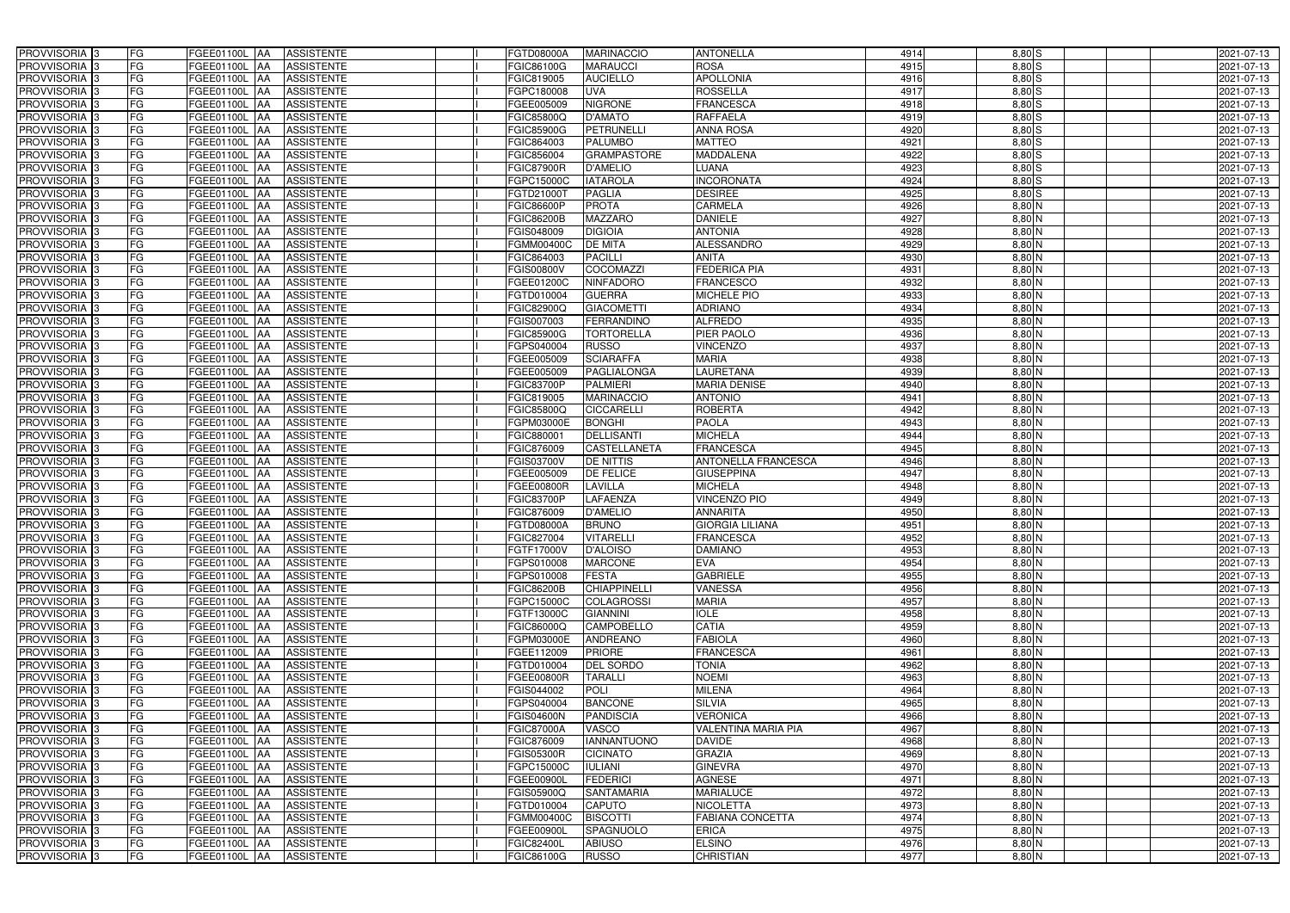| PROVVISORIA 3                             | FG        | FGEE01100L AA<br><b>ASSISTENTE</b>                                | FGTD08000A<br><b>MARINACCIO</b>                           | <b>ANTONELLA</b>                  | 4914         | $8,80$ S                  | 2021-07-13               |
|-------------------------------------------|-----------|-------------------------------------------------------------------|-----------------------------------------------------------|-----------------------------------|--------------|---------------------------|--------------------------|
| PROVVISORIA 3                             | FG        | <b>ASSISTENTE</b><br>FGEE01100L                                   | FGIC86100G<br><b>MARAUCCI</b>                             | <b>ROSA</b>                       | 4915         | $8,80$ S                  | 2021-07-13               |
| PROVVISORIA 3                             | <b>FG</b> | FGEE01100L<br><b>ASSISTENTE</b><br>IAA                            | FGIC819005<br><b>AUCIELLO</b>                             | <b>APOLLONIA</b>                  | 4916         | $8,80$ S                  | 2021-07-13               |
| PROVVISORIA <sup>3</sup>                  | FG        | FGEE01100L<br><b>ASSISTENTE</b><br>IAA                            | <b>UVA</b><br>GPC180008                                   | <b>ROSSELLA</b>                   | 4917         | $8,80$ S                  | 2021-07-13               |
| PROVVISORIA 3                             | FG        | FGEE01100L<br><b>ASSISTENTE</b><br>IAA                            | <b>NIGRONE</b><br>FGEE005009                              | <b>FRANCESCA</b>                  | 4918         | $8,80$ S                  | 2021-07-13               |
| PROVVISORIA 3                             | <b>FG</b> | <b>FGEE01100L AA</b><br><b>ASSISTENTE</b>                         | <b>D'AMATO</b><br>FGIC85800Q                              | <b>RAFFAELA</b>                   | 4919         | $8,80$ $S$                | 2021-07-13               |
| PROVVISORIA 3                             | FG        | <b>FGEE01100L   AA</b><br><b>ASSISTENTE</b>                       | <b>FGIC85900G</b><br><b>PETRUNELLI</b>                    | <b>ANNA ROSA</b>                  | 4920         | $8,80$ S                  | 2021-07-13               |
| PROVVISORIA 3                             | FG        | <b>ASSISTENTE</b><br>FGEE01100L AA                                | <b>PALUMBO</b><br>FGIC864003                              | <b>MATTEO</b>                     | 4921         | $8,80$ S                  | 2021-07-13               |
| PROVVISORIA 3                             | <b>FG</b> | FGEE01100L AA<br><b>ASSISTENTE</b>                                | <b>GRAMPASTORE</b><br>FGIC856004                          | <b>MADDALENA</b>                  | 4922         | $8,80$ S                  | 2021-07-13               |
| PROVVISORIA 3                             | FG        | FGEE01100L AA<br><b>ASSISTENTE</b>                                | <b>D'AMELIO</b><br><b>FGIC87900R</b>                      | <b>LUANA</b>                      | 4923         | $8,80$ S                  | 2021-07-13               |
| PROVVISORIA 3                             | FG        | <b>ASSISTENTE</b><br>FGEE01100L AA                                | <b>IATAROLA</b><br>FGPC15000C                             | <b>INCORONATA</b>                 | 4924         | $8,80$ S                  | 2021-07-13               |
| PROVVISORIA 3                             | FG        | FGEE01100L AA<br><b>ASSISTENTE</b>                                | <b>PAGLIA</b><br>FGTD21000T                               | <b>DESIREE</b>                    | 4925         | $8,80$ S                  | 2021-07-13               |
| PROVVISORIA <sup>3</sup>                  | FG        | FGEE01100L AA<br><b>ASSISTENTE</b>                                | <b>PROTA</b><br>FGIC86600P                                | <b>CARMELA</b>                    | 4926         | 8,80 N                    | 2021-07-13               |
| PROVVISORIA 3                             | FG        | <b>ASSISTENTE</b><br>FGEE01100L AA                                | <b>FGIC86200B</b><br><b>MAZZARO</b>                       | <b>DANIELE</b>                    | 4927         | $8,80$ N                  | 2021-07-13               |
| PROVVISORIA 3                             | <b>FG</b> | <b>FGEE01100L   AA</b><br><b>ASSISTENTE</b>                       | FGIS048009<br><b>DIGIOIA</b>                              | <b>ANTONIA</b>                    | 4928         | $8,80$ N                  | 2021-07-13               |
| PROVVISORIA 3                             | <b>FG</b> | FGEE01100L<br><b>ASSISTENTE</b><br>IAA                            | <b>DE MITA</b><br>FGMM00400C                              | <b>ALESSANDRO</b>                 | 4929         | $8,80$ N                  | 2021-07-13               |
| PROVVISORIA 3                             | FG        | <b>FGEE01100L</b><br><b>ASSISTENTE</b><br>IAA                     | <b>PACILLI</b><br>FGIC864003                              | ANITA                             | 4930         | $8,80$ N                  | 2021-07-13               |
| PROVVISORIA 3                             | FG        | <b>FGEE01100L</b><br><b>ASSISTENTE</b><br>IAA                     | <b>COCOMAZZI</b><br>FGIS00800V                            | <b>FEDERICA PIA</b>               | 4931         | 8,80 N                    | 2021-07-13               |
| PROVVISORIA 3                             | FG        | FGEE01100L<br><b>ASSISTENTE</b><br>IAA                            | <b>NINFADORO</b><br>FGEE01200C                            | <b>FRANCESCO</b>                  | 4932         | 8,80 N                    | 2021-07-13               |
| PROVVISORIA 3                             | FG        | FGEE01100L<br><b>ASSISTENTE</b><br>IAA                            | FGTD010004<br><b>GUERRA</b>                               | <b>MICHELE PIO</b>                | 4933         | 8,80 N                    | 2021-07-13               |
| PROVVISORIA <sup>3</sup>                  | FG        | FGEE01100L<br><b>ASSISTENTE</b>                                   | FGIC82900Q<br><b>GIACOMETTI</b>                           | <b>ADRIANO</b>                    | 4934         | 8,80 N                    | 2021-07-13               |
| PROVVISORIA <sup>3</sup>                  | FG        | FGEE01100L<br><b>ASSISTENTE</b><br>IAA                            | FGIS007003<br><b>FERRANDINO</b>                           | <b>ALFREDO</b>                    | 4935         | $8,80$ N                  | 2021-07-13               |
| PROVVISORIA <sup>3</sup>                  | FG        | FGEE01100L<br><b>ASSISTENTE</b>                                   | FGIC85900G<br><b>TORTORELLA</b>                           | PIER PAOLO                        | 4936         | $8,80$ N                  | 2021-07-13               |
| PROVVISORIA <sup>3</sup>                  | <b>FG</b> | FGEE01100L<br><b>ASSISTENTE</b><br>AA                             | GPS040004<br><b>RUSSO</b>                                 | <b>VINCENZO</b>                   | 4937         | $8,80$ N                  | 2021-07-13               |
| PROVVISORIA <sup>3</sup>                  | FG        | FGEE01100L<br><b>ASSISTENTE</b><br>IAA                            | FGEE005009<br><b>SCIARAFFA</b>                            | <b>MARIA</b>                      | 4938         | $8,80$ N                  | 2021-07-13               |
| PROVVISORIA 3                             | FG        | FGEE01100L<br><b>ASSISTENTE</b><br>IAA                            | FGEE005009<br>PAGLIALONGA                                 | <b>LAURETANA</b>                  | 4939         | $8,80$ N                  | 2021-07-13               |
| PROVVISORIA 3                             | <b>FG</b> | FGEE01100L AA<br><b>ASSISTENTE</b>                                | <b>FGIC83700P</b><br><b>PALMIERI</b>                      | <b>MARIA DENISE</b>               | 4940         | $8,80$ N                  | 2021-07-13               |
| PROVVISORIA 3                             | <b>FG</b> | <b>FGEE01100L   AA</b><br><b>ASSISTENTE</b>                       | <b>MARINACCIO</b><br>FGIC819005                           | <b>ANTONIO</b>                    | 4941         | $8,80$ N                  | 2021-07-13               |
| PROVVISORIA 3                             | FG        | FGEE01100L AA<br><b>ASSISTENTE</b>                                | FGIC85800Q<br><b>CICCARELLI</b>                           | <b>ROBERTA</b>                    | 4942         | $8,80$ N                  | 2021-07-13               |
| PROVVISORIA 3                             | <b>FG</b> | <b>FGEE01100L   AA</b><br><b>ASSISTENTE</b>                       | <b>BONGHI</b><br>FGPM03000E                               | <b>PAOLA</b>                      | 4943         | $8,80$ N                  | 2021-07-13               |
| PROVVISORIA 3                             | FG        | <b>FGEE01100L   AA</b><br><b>ASSISTENTE</b>                       | <b>DELLISANTI</b><br>FGIC880001                           | <b>MICHELA</b>                    | 4944         | $8,80$ N                  | 2021-07-13               |
| PROVVISORIA 3                             | FG        | <b>ASSISTENTE</b><br>FGEE01100L AA                                | <b>CASTELLANETA</b><br>FGIC876009                         | <b>FRANCESCA</b>                  | 4945         | 8,80 N                    | 2021-07-13               |
| PROVVISORIA 3                             | FG        | FGEE01100L<br><b>ASSISTENTE</b><br><b>IAA</b>                     | FGIS03700V<br><b>DE NITTIS</b>                            | ANTONELLA FRANCESCA               | 4946         | 8,80 N                    | 2021-07-13               |
| PROVVISORIA 3                             | <b>FG</b> | FGEE01100L AA<br><b>ASSISTENTE</b>                                | <b>DE FELICE</b><br>FGEE005009                            | <b>GIUSEPPINA</b>                 | 4947         | 8,80 N                    | 2021-07-13               |
| PROVVISORIA 3                             | <b>FG</b> | FGEE01100L<br><b>ASSISTENTE</b><br>IAA                            | <b>LAVILLA</b><br>FGEE00800R                              | <b>MICHELA</b>                    | 4948         | $8,80$ N                  | 2021-07-13               |
| PROVVISORIA <sup>1</sup> 3                | FG        | FGEE01100L<br><b>ASSISTENTE</b><br>IAA                            | <b>LAFAENZA</b><br>FGIC83700P                             | <b>VINCENZO PIO</b>               | 4949         | 8,80 N                    | 2021-07-13               |
| PROVVISORIA <sup>1</sup> 3                | FG        | <b>FGEE01100L</b><br><b>ASSISTENTE</b><br>IAA                     | <b>D'AMELIO</b><br>GIC876009                              | <b>ANNARITA</b>                   | 4950         | 8,80 N                    | 2021-07-13               |
| PROVVISORIA <sup>3</sup>                  | <b>FG</b> | FGEE01100L AA<br><b>ASSISTENTE</b>                                | FGTD08000A<br><b>BRUNO</b>                                | <b>GIORGIA LILIANA</b>            | 4951         | $8,80$ N                  | 2021-07-13               |
| PROVVISORIA <sup>3</sup>                  | FG        | FGEE01100L AA ASSISTENTE                                          | <b>VITARELLI</b><br>FGIC827004                            | <b>FRANCESCA</b>                  | 4952         | $8,80\overline{\text{N}}$ | 2021-07-13               |
| PROVVISORIA <sup>3</sup>                  | FG        | FGEE01100L AA<br>ASSISTENTE                                       | FGTF17000V<br><b>D'ALOISO</b>                             | <b>DAMIANO</b>                    | 4953         | $8,80$ N                  | 2021-07-13               |
| PROVVISORIA <sup>3</sup>                  | FG        | ASSISTENTE<br>FGEE01100L AA                                       | <b>MARCONE</b><br>FGPS010008                              | <b>EVA</b>                        | 4954         | $8,80$ N                  | 2021-07-13               |
| PROVVISORIA 3                             | FG        | FGEE01100L AA<br><b>ASSISTENTE</b>                                | <b>FESTA</b><br>FGPS010008                                | <b>GABRIELE</b>                   | 4955         | 8,80 N                    | 2021-07-13               |
| PROVVISORIA <sup>3</sup>                  | FG        | FGEE01100L AA<br><b>ASSISTENTE</b>                                | <b>CHIAPPINELLI</b><br><b>FGIC86200B</b>                  | <b>VANESSA</b>                    | 4956         | $8,80$ N                  | 2021-07-13               |
| PROVVISORIA <sup>3</sup>                  | FG        |                                                                   |                                                           |                                   |              |                           |                          |
|                                           |           | FGEE01100L AA<br><b>ASSISTENTE</b>                                | COLAGROSSI<br>FGPC15000C                                  | <b>MARIA</b>                      | 4957         | 8,80 N                    | 2021-07-13               |
| <b>PROVVISORIA</b> 3                      | FG        | FGEE01100L AA<br><b>ASSISTENTE</b>                                | FGTF13000C<br><b>GIANNINI</b>                             | <b>IOLE</b>                       | 4958         | 8,80 N                    | 2021-07-13               |
| PROVVISORIA <sup>3</sup>                  | FG        | FGEE01100L AA<br><b>ASSISTENTE</b>                                | <b>CAMPOBELLO</b><br>FGIC86000Q                           | <b>CATIA</b>                      | 4959         | $8,80$ N                  | 2021-07-13               |
| PROVVISORIA <sup>3</sup>                  | FG        | FGEE01100L AA<br><b>ASSISTENTE</b>                                | FGPM03000E<br><b>ANDREANO</b>                             | <b>FABIOLA</b>                    | 4960         | $8,80$ N                  | 2021-07-13               |
| PROVVISORIA <sup>3</sup>                  | FG        | FGEE01100L AA<br>ASSISTENTE                                       | <b>PRIORE</b><br>FGEE112009                               | <b>FRANCESCA</b>                  | 4961         | 8,80 N                    | 2021-07-13               |
| PROVVISORIA 3                             | FG        | FGEE01100L AA<br><b>ASSISTENTE</b>                                | FGTD010004<br><b>DEL SORDO</b>                            | <b>TONIA</b>                      | 4962         | $8,80$ N                  | 2021-07-13               |
| PROVVISORIA <sup>3</sup>                  | FG        | FGEE01100L AA<br><b>ASSISTENTE</b>                                | FGEE00800R<br><b>TARALLI</b>                              | <b>NOEMI</b>                      | 4963         | $8,80$ N                  | 2021-07-13               |
| PROVVISORIA <sup>3</sup>                  | FG        | FGEE01100L AA<br><b>ASSISTENTE</b>                                | POLI<br>FGIS044002                                        | <b>MILENA</b>                     | 4964         | $8,80$ N                  | 2021-07-13               |
| PROVVISORIA <sup>3</sup>                  | FG        | FGEE01100L AA<br><b>ASSISTENTE</b>                                | <b>BANCONE</b><br>FGPS040004                              | <b>SILVIA</b>                     | 4965         | $8,80$ N                  | 2021-07-13               |
| PROVVISORIA <sup>3</sup>                  | FG        | FGEE01100L AA<br><b>ASSISTENTE</b>                                | <b>PANDISCIA</b><br><b>FGIS04600N</b>                     | <b>VERONICA</b>                   | 4966         | $8,80$ N                  | 2021-07-13               |
| PROVVISORIA <sup>3</sup>                  | FG        | FGEE01100L AA<br><b>ASSISTENTE</b>                                | FGIC87000A<br>VASCO                                       | <b>VALENTINA MARIA PIA</b>        | 4967         | $8,80$ N                  | 2021-07-13               |
| PROVVISORIA <sup>13</sup>                 | FG        | FGEE01100L AA<br><b>ASSISTENTE</b>                                | <b>IANNANTUONO</b><br>FGIC876009                          | <b>DAVIDE</b>                     | 4968         | $8,80$ N                  | 2021-07-13               |
| PROVVISORIA <sup>3</sup>                  | FG        | FGEE01100L AA<br><b>ASSISTENTE</b>                                | <b>CICINATO</b><br>FGIS05300R                             | <b>GRAZIA</b>                     | 4969         | 8,80 N                    | 2021-07-13               |
| PROVVISORIA <sup>3</sup>                  | FG        | FGEE01100L AA<br><b>ASSISTENTE</b>                                | FGPC15000C<br><b>IULIANI</b>                              | <b>GINEVRA</b>                    | 4970         | $8,80$ N                  | 2021-07-13               |
| PROVVISORIA <sup>3</sup>                  | FG        | FGEE01100L AA<br><b>ASSISTENTE</b>                                | <b>FEDERICI</b><br>FGEE00900L                             | <b>AGNESE</b>                     | 4971         | 8,80 N                    | 2021-07-13               |
| PROVVISORIA <sup>3</sup>                  | FG        | <b>ASSISTENTE</b><br>FGEE01100L AA                                | <b>SANTAMARIA</b><br>FGIS05900Q                           | <b>MARIALUCE</b>                  | 4972         | 8,80 N                    | 2021-07-13               |
| PROVVISORIA <sup>3</sup>                  | FG        | <b>ASSISTENTE</b><br>FGEE01100L AA                                | <b>CAPUTO</b><br>FGTD010004                               | <b>NICOLETTA</b>                  | 4973         | $8,80$ N                  | 2021-07-13               |
| PROVVISORIA <sup>3</sup>                  | FG        | FGEE01100L AA<br><b>ASSISTENTE</b>                                | <b>BISCOTTI</b><br>FGMM00400C                             | <b>FABIANA CONCETTA</b>           | 4974         | 8,80 N                    | 2021-07-13               |
| PROVVISORIA <sup>3</sup>                  | FG        | <b>ASSISTENTE</b><br>FGEE01100L AA                                | FGEE00900L<br>SPAGNUOLO                                   | <b>ERICA</b>                      | 4975         | $8,80$ N                  | 2021-07-13               |
| PROVVISORIA <sup>3</sup><br>PROVVISORIA 3 | FG<br>FG  | ASSISTENTE<br>FGEE01100L AA<br>ASSISTENTE<br><b>FGEE01100L AA</b> | FGIC82400L<br><b>ABIUSO</b><br>FGIC86100G<br><b>RUSSO</b> | <b>ELSINO</b><br><b>CHRISTIAN</b> | 4976<br>4977 | $8,80$ N<br>$8,80$ N      | 2021-07-13<br>2021-07-13 |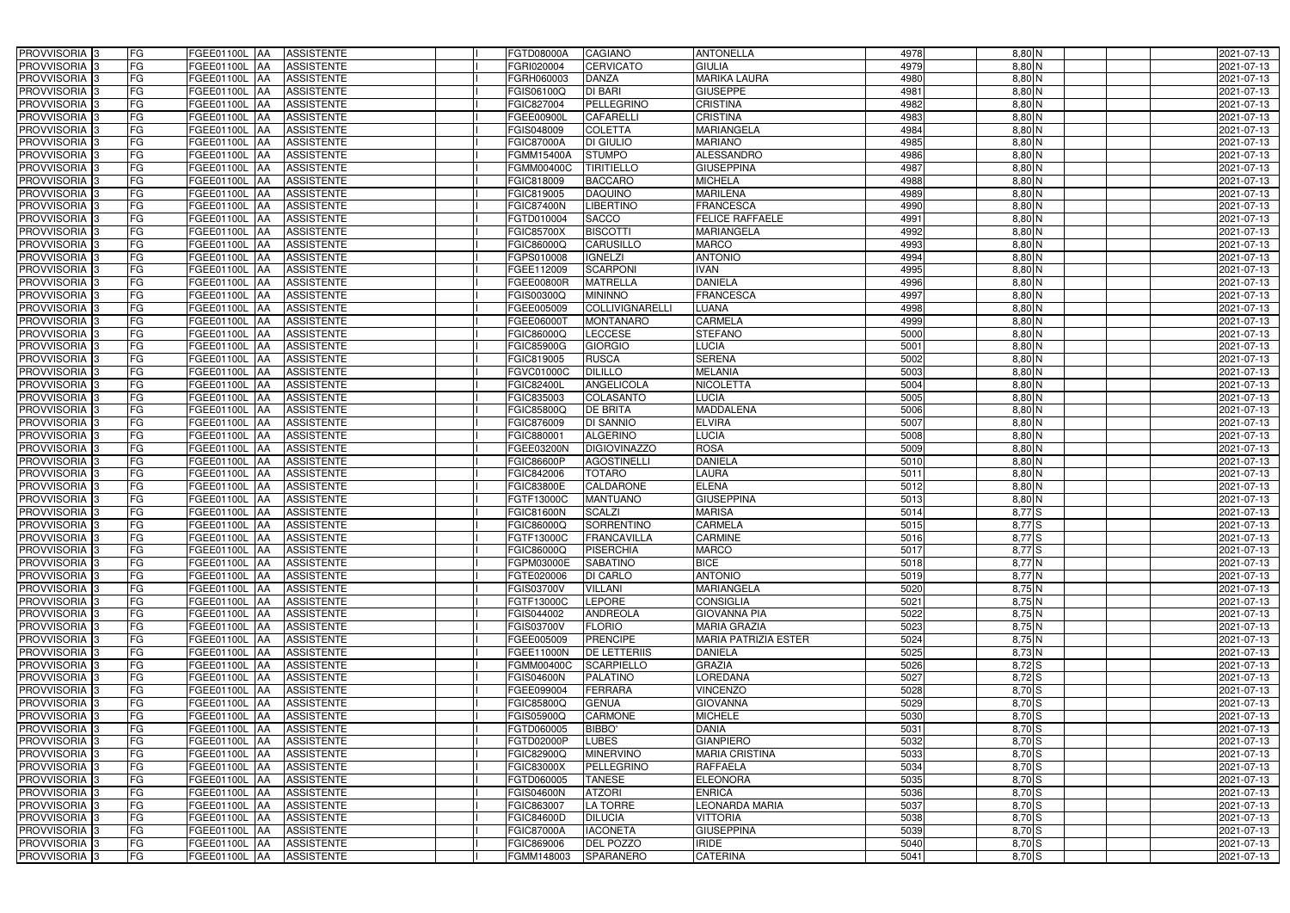| PROVVISORIA <sup>3</sup>   | FG<br>FGEE01100L AA<br><b>ASSISTENTE</b>                       | FGTD08000A<br><b>CAGIANO</b>           | <b>ANTONELLA</b>            | 4978 | 8,80 N   | 2021-07-13 |
|----------------------------|----------------------------------------------------------------|----------------------------------------|-----------------------------|------|----------|------------|
| PROVVISORIA <sup>3</sup>   | FG<br><b>ASSISTENTE</b><br>FGEE01100L AA                       | <b>CERVICATO</b><br>FGRI020004         | <b>GIULIA</b>               | 4979 | $8,80$ N | 2021-07-13 |
| PROVVISORIA <sup>3</sup>   | FG<br>FGEE01100L AA<br><b>ASSISTENTE</b>                       | FGRH060003<br><b>DANZA</b>             | <b>MARIKA LAURA</b>         | 4980 | $8,80$ N | 2021-07-13 |
| PROVVISORIA <sup>3</sup>   | FG<br><b>ASSISTENTE</b><br>FGEE01100L AA                       | <b>DI BARI</b><br>FGIS06100Q           | <b>GIUSEPPE</b>             | 4981 | $8,80$ N | 2021-07-13 |
| PROVVISORIA <sup>3</sup>   | FG<br><b>FGEE01100L</b><br><b>ASSISTENTE</b><br><b>IAA</b>     | PELLEGRINO<br>FGIC827004               | CRISTINA                    | 4982 | $8,80$ N | 2021-07-13 |
| PROVVISORIA <sup>3</sup>   | FG<br>FGEE01100L AA<br><b>ASSISTENTE</b>                       | <b>CAFARELLI</b><br>FGEE00900L         | <b>CRISTINA</b>             | 4983 | $8,80$ N | 2021-07-13 |
| PROVVISORIA 3              | FG<br>FGEE01100L AA<br><b>ASSISTENTE</b>                       | <b>COLETTA</b><br>FGIS048009           | <b>MARIANGELA</b>           | 4984 | $8,80$ N | 2021-07-13 |
| PROVVISORIA 3              | FG<br><b>ASSISTENTE</b><br>FGEE01100L AA                       | <b>DI GIULIO</b><br><b>FGIC87000A</b>  | <b>MARIANO</b>              | 4985 | $8,80$ N | 2021-07-13 |
| PROVVISORIA 3              | FG<br>FGEE01100L AA<br><b>ASSISTENTE</b>                       | <b>STUMPO</b><br><b>FGMM15400A</b>     | <b>ALESSANDRO</b>           | 4986 | $8,80$ N | 2021-07-13 |
| PROVVISORIA <sup>3</sup>   | FG<br><b>FGEE01100L AA</b><br><b>ASSISTENTE</b>                | <b>TIRITIELLO</b><br>FGMM00400C        | <b>GIUSEPPINA</b>           | 4987 | 8,80 N   | 2021-07-13 |
| PROVVISORIA 3              | FG<br>FGEE01100L AA<br><b>ASSISTENTE</b>                       | <b>BACCARO</b><br>FGIC818009           | <b>MICHELA</b>              | 4988 | $8,80$ N | 2021-07-13 |
| PROVVISORIA 3              | FG<br>FGEE01100L AA<br><b>ASSISTENTE</b>                       | <b>DAQUINO</b><br>FGIC819005           | <b>MARILENA</b>             | 4989 | $8,80$ N | 2021-07-13 |
| PROVVISORIA 3              | FG<br>FGEE01100L AA<br><b>ASSISTENTE</b>                       | <b>LIBERTINO</b><br><b>FGIC87400N</b>  | <b>FRANCESCA</b>            | 4990 | 8,80 N   | 2021-07-13 |
| PROVVISORIA 3              | FG<br>FGEE01100L AA<br><b>ASSISTENTE</b>                       | <b>SACCO</b><br>FGTD010004             | <b>FELICE RAFFAELE</b>      | 4991 | $8,80$ N | 2021-07-13 |
| PROVVISORIA 3              | $\overline{\mathsf{FG}}$<br>FGEE01100L AA<br><b>ASSISTENTE</b> | <b>BISCOTTI</b><br><b>FGIC85700X</b>   | <b>MARIANGELA</b>           | 4992 | $8,80$ N | 2021-07-13 |
| PROVVISORIA <sup>3</sup>   | $\overline{\mathsf{FG}}$<br>FGEE01100L AA<br><b>ASSISTENTE</b> | <b>CARUSILLO</b><br>FGIC86000Q         | <b>MARCO</b>                | 4993 | $8,80$ N | 2021-07-13 |
| PROVVISORIA 3              | FG<br><b>FGEE01100L</b><br><b>ASSISTENTE</b><br><b>IAA</b>     | <b>IGNELZI</b><br>FGPS010008           | <b>ANTONIO</b>              | 4994 | $8,80$ N | 2021-07-13 |
| PROVVISORIA 3              | FG<br>FGEE01100L AA<br><b>ASSISTENTE</b>                       | <b>SCARPONI</b><br>FGEE112009          | <b>IVAN</b>                 | 4995 | 8,80 N   | 2021-07-13 |
| PROVVISORIA 3              | FG<br>FGEE01100L<br><b>ASSISTENTE</b><br><b>JAA</b>            | <b>MATRELLA</b><br>FGEE00800R          | <b>DANIELA</b>              | 4996 | 8,80 N   | 2021-07-13 |
| PROVVISORIA 3              | FG<br>FGEE01100L AA<br><b>ASSISTENTE</b>                       | <b>MININNO</b><br>FGIS00300Q           | <b>FRANCESCA</b>            | 4997 | 8,80 N   | 2021-07-13 |
| PROVVISORIA <sup>3</sup>   | FG<br>FGEE01100L<br><b>AA</b><br><b>ASSISTENTE</b>             | <b>COLLIVIGNARELLI</b><br>FGEE005009   | LUANA                       | 4998 | 8,80 N   | 2021-07-13 |
| PROVVISORIA 3              | FG<br>FGEE01100L AA<br><b>ASSISTENTE</b>                       | FGEE06000T<br><b>MONTANARO</b>         | <b>CARMELA</b>              | 4999 | $8,80$ N | 2021-07-13 |
| PROVVISORIA 3              | FG<br>FGEE01100L AA<br><b>ASSISTENTE</b>                       | <b>LECCESE</b><br>FGIC86000Q           | <b>STEFANO</b>              | 5000 | $8,80$ N | 2021-07-13 |
| PROVVISORIA 3              | FG<br>FGEE01100L AA<br><b>ASSISTENTE</b>                       | <b>GIORGIO</b><br><b>FGIC85900G</b>    | <b>LUCIA</b>                | 5001 | $8,80$ N | 2021-07-13 |
| PROVVISORIA <sup>3</sup>   | FG<br>FGEE01100L AA<br><b>ASSISTENTE</b>                       | <b>RUSCA</b><br>FGIC819005             | <b>SERENA</b>               | 5002 | $8,80$ N | 2021-07-13 |
| PROVVISORIA 3              | FG<br>FGEE01100L AA<br><b>ASSISTENTE</b>                       | <b>DILILLO</b><br>FGVC01000C           | <b>MELANIA</b>              | 5003 | $8,80$ N | 2021-07-13 |
| PROVVISORIA 3              | FG<br>FGEE01100L AA<br><b>ASSISTENTE</b>                       | <b>ANGELICOLA</b><br><b>FGIC82400L</b> | <b>NICOLETTA</b>            | 5004 | $8,80$ N | 2021-07-13 |
| PROVVISORIA 3              | FG<br>FGEE01100L AA<br><b>ASSISTENTE</b>                       | FGIC835003<br>COLASANTO                | <b>LUCIA</b>                | 5005 | $8,80$ N | 2021-07-13 |
| PROVVISORIA <sup>3</sup>   | FG<br>FGEE01100L AA<br><b>ASSISTENTE</b>                       | <b>DE BRITA</b><br>FGIC85800Q          | <b>MADDALENA</b>            | 5006 | $8,80$ N | 2021-07-13 |
| PROVVISORIA 3              | FG<br><b>FGEE01100L AA</b><br><b>ASSISTENTE</b>                | DI SANNIO<br>FGIC876009                | <b>ELVIRA</b>               | 5007 | $8,80$ N | 2021-07-13 |
| PROVVISORIA <sup>3</sup>   | FG<br>FGEE01100L AA<br><b>ASSISTENTE</b>                       | <b>ALGERINO</b><br>FGIC880001          | <b>LUCIA</b>                | 5008 | $8,80$ N | 2021-07-13 |
| PROVVISORIA <sup>3</sup>   | FG<br><b>FGEE01100L AA</b><br><b>ASSISTENTE</b>                | <b>DIGIOVINAZZO</b><br>FGEE03200N      | <b>ROSA</b>                 | 5009 | 8,80 N   | 2021-07-13 |
| PROVVISORIA <sup>3</sup>   | FG<br>FGEE01100L AA<br><b>ASSISTENTE</b>                       | FGIC86600P<br><b>AGOSTINELLI</b>       | <b>DANIELA</b>              | 5010 | 8,80 N   | 2021-07-13 |
| PROVVISORIA <sup>3</sup>   | FG<br>FGEE01100L AA<br><b>ASSISTENTE</b>                       | FGIC842006<br><b>TOTARO</b>            | LAURA                       | 5011 | 8,80 N   | 2021-07-13 |
| PROVVISORIA 3              | FG<br><b>ASSISTENTE</b><br>FGEE01100L<br> AA                   | <b>CALDARONE</b><br><b>FGIC83800E</b>  | <b>ELENA</b>                | 5012 | $8,80$ N | 2021-07-13 |
| PROVVISORIA <sup>3</sup>   | FG<br>FGEE01100L<br><b>ASSISTENTE</b><br><b>JAA</b>            | <b>MANTUANO</b><br>FGTF13000C          | <b>GIUSEPPINA</b>           | 5013 | 8,80 N   | 2021-07-13 |
| PROVVISORIA <sup>3</sup>   | FG<br>FGEE01100L<br><b>ASSISTENTE</b><br><b>JAA</b>            | <b>SCALZI</b><br><b>FGIC81600N</b>     | <b>MARISA</b>               | 5014 | 8,77 S   | 2021-07-13 |
| PROVVISORIA <sup>3</sup>   | FG<br>FGEE01100L AA<br><b>ASSISTENTE</b>                       | SORRENTINO<br>FGIC86000Q               | <b>CARMELA</b>              | 5015 | $8,77$ S | 2021-07-13 |
| PROVVISORIA <sup>3</sup>   | FG<br>FGEE01100L AA<br>ASSISTENTE                              | <b>FRANCAVILLA</b><br>FGTF13000C       | <b>CARMINE</b>              | 5016 | $8,77$ S | 2021-07-13 |
| PROVVISORIA <sup>3</sup>   | FG<br>FGEE01100L AA<br>ASSISTENTE                              | FGIC86000Q<br><b>PISERCHIA</b>         | <b>MARCO</b>                | 5017 | $8,77$ S | 2021-07-13 |
| PROVVISORIA <sup>3</sup>   | FG<br>FGEE01100L AA<br>ASSISTENTE                              | <b>FGPM03000E</b><br><b>SABATINO</b>   | <b>BICE</b>                 | 5018 | 8,77N    | 2021-07-13 |
| PROVVISORIA <sup>3</sup>   | FG<br>FGEE01100L AA<br>ASSISTENTE                              | FGTE020006<br><b>DI CARLO</b>          | <b>ANTONIO</b>              | 5019 | $8,77$ N | 2021-07-13 |
| PROVVISORIA <sup>3</sup>   | FG<br>FGEE01100L AA<br><b>ASSISTENTE</b>                       | <b>FGIS03700V</b><br><b>VILLANI</b>    | <b>MARIANGELA</b>           | 5020 | 8,75N    | 2021-07-13 |
| PROVVISORIA <sup>3</sup>   | FG<br>FGEE01100L AA<br>ASSISTENTE                              | <b>LEPORE</b><br>FGTF13000C            | <b>CONSIGLIA</b>            | 5021 | 8,75N    | 2021-07-13 |
| PROVVISORIA <sup>3</sup>   | FG<br>FGEE01100L AA<br><b>ASSISTENTE</b>                       | FGIS044002<br><b>ANDREOLA</b>          | <b>GIOVANNA PIA</b>         | 5022 | 8,75 N   | 2021-07-13 |
| PROVVISORIA <sup>3</sup>   | FG<br>FGEE01100L AA<br>ASSISTENTE                              | <b>FLORIO</b><br><b>FGIS03700V</b>     | <b>MARIA GRAZIA</b>         | 5023 | 8,75N    | 2021-07-13 |
| PROVVISORIA <sup>3</sup>   | FG<br>FGEE01100L AA<br>ASSISTENTE                              | <b>PRENCIPE</b><br>FGEE005009          | <b>MARIA PATRIZIA ESTER</b> | 5024 | 8,75N    | 2021-07-13 |
| PROVVISORIA <sup>3</sup>   | FG<br>FGEE01100L AA<br>ASSISTENTE                              | <b>DE LETTERIIS</b><br>FGEE11000N      | <b>DANIELA</b>              | 5025 | 8,73 N   | 2021-07-13 |
| PROVVISORIA <sup>3</sup>   | FG<br>FGEE01100L AA<br>ASSISTENTE                              | FGMM00400C<br><b>SCARPIELLO</b>        | <b>GRAZIA</b>               | 5026 | $8,72$ S | 2021-07-13 |
| PROVVISORIA <sup>3</sup>   | FG<br>FGEE01100L AA<br>ASSISTENTE                              | <b>FGIS04600N</b><br><b>PALATINO</b>   | <b>LOREDANA</b>             | 5027 | $8,72$ S | 2021-07-13 |
| PROVVISORIA 3              | FG<br>FGEE01100L AA<br><b>ASSISTENTE</b>                       | <b>FERRARA</b><br>FGEE099004           | <b>VINCENZO</b>             | 5028 | $8,70$ S | 2021-07-13 |
| PROVVISORIA <sup>3</sup>   | FG<br>FGEE01100L AA<br>ASSISTENTE                              | <b>FGIC85800Q</b><br><b>GENUA</b>      | <b>GIOVANNA</b>             | 5029 | $8,70$ S | 2021-07-13 |
| PROVVISORIA <sup>3</sup>   | FG<br>FGEE01100L AA<br>ASSISTENTE                              | <b>CARMONE</b><br>FGIS05900Q           | <b>MICHELE</b>              | 5030 | $8,70$ S | 2021-07-13 |
| PROVVISORIA <sup>3</sup>   | FG<br>FGEE01100L AA<br><b>ASSISTENTE</b>                       | <b>BIBBO'</b><br>FGTD060005            | <b>DANIA</b>                | 5031 | $8,70$ S | 2021-07-13 |
| <b>PROVVISORIA</b> 3       | FG<br>FGEE01100L AA<br><b>ASSISTENTE</b>                       | <b>LUBES</b><br>FGTD02000P             | <b>GIANPIERO</b>            | 5032 | $8,70$ S | 2021-07-13 |
| PROVVISORIA <sup>1</sup> 3 | FG<br>FGEE01100L AA<br><b>ASSISTENTE</b>                       | <b>MINERVINO</b><br>FGIC82900Q         | <b>MARIA CRISTINA</b>       | 5033 | $8,70$ S | 2021-07-13 |
| PROVVISORIA <sup>3</sup>   | FG<br>FGEE01100L AA<br><b>ASSISTENTE</b>                       | <b>PELLEGRINO</b><br><b>FGIC83000X</b> | <b>RAFFAELA</b>             | 5034 | $8,70$ S | 2021-07-13 |
| PROVVISORIA <sup>1</sup> 3 | FG<br>FGEE01100L AA<br><b>ASSISTENTE</b>                       | FGTD060005<br><b>TANESE</b>            | <b>ELEONORA</b>             | 5035 | $8,70$ S | 2021-07-13 |
| PROVVISORIA <sup>3</sup>   | FG<br><b>ASSISTENTE</b><br>FGEE01100L AA                       | <b>ATZORI</b><br><b>FGIS04600N</b>     | <b>ENRICA</b>               | 5036 | $8,70$ S | 2021-07-13 |
| PROVVISORIA <sup>1</sup> 3 | FG<br><b>ASSISTENTE</b><br>FGEE01100L AA                       | <b>LA TORRE</b><br>FGIC863007          | <b>LEONARDA MARIA</b>       | 5037 | $8,70$ S | 2021-07-13 |
| PROVVISORIA <sup>3</sup>   | FG<br>FGEE01100L AA<br><b>ASSISTENTE</b>                       | <b>DILUCIA</b><br><b>FGIC84600D</b>    | <b>VITTORIA</b>             | 5038 | $8,70$ S | 2021-07-13 |
| PROVVISORIA <sup>3</sup>   | FG<br>FGEE01100L AA<br><b>ASSISTENTE</b>                       | <b>FGIC87000A</b><br><b>IACONETA</b>   | <b>GIUSEPPINA</b>           | 5039 | $8,70$ S | 2021-07-13 |
| PROVVISORIA <sup>3</sup>   | FG<br>ASSISTENTE<br>FGEE01100L AA                              | <b>DEL POZZO</b><br>FGIC869006         | <b>IRIDE</b>                | 5040 | $8,70$ S | 2021-07-13 |
| PROVVISORIA <sup>3</sup>   | FG<br>FGEE01100L AA<br>ASSISTENTE                              | FGMM148003<br><b>SPARANERO</b>         | <b>CATERINA</b>             | 5041 | $8,70$ S | 2021-07-13 |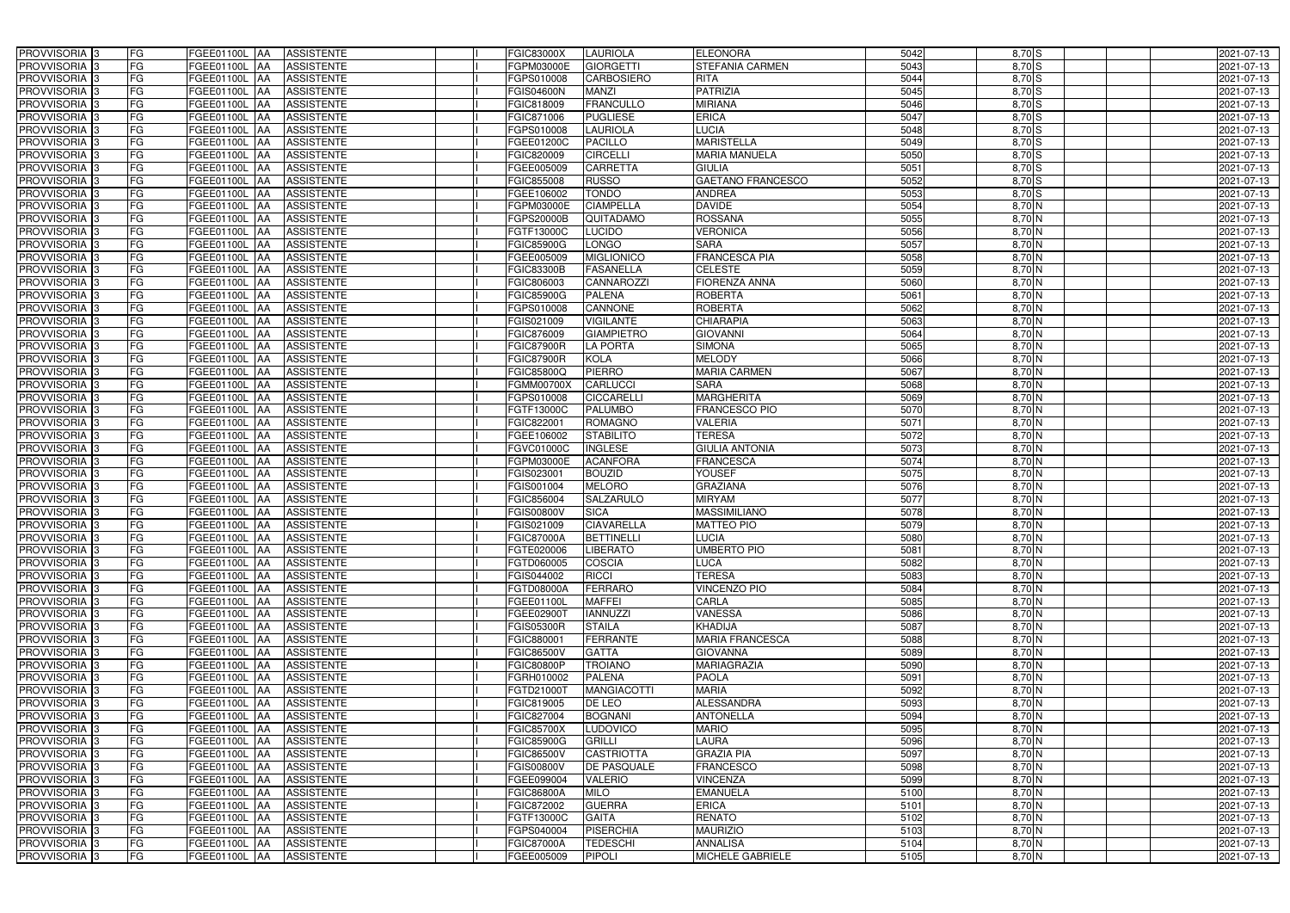| PROVVISORIA 3                                        | FG        | FGEE01100L AA                             | <b>ASSISTENTE</b>                      | <b>FGIC83000X</b>               | <b>LAURIOLA</b>                    | <b>ELEONORA</b>            | 5042         | $8,70$ S             | 2021-07-13               |
|------------------------------------------------------|-----------|-------------------------------------------|----------------------------------------|---------------------------------|------------------------------------|----------------------------|--------------|----------------------|--------------------------|
| PROVVISORIA 3                                        | FG        | FGEE01100L<br>IAA                         | <b>ASSISTENTE</b>                      | FGPM03000E                      | <b>GIORGETTI</b>                   | STEFANIA CARMEN            | 5043         | 8,70 S               | 2021-07-13               |
| PROVVISORIA 3                                        | FG        | FGEE01100L<br>IAA                         | <b>ASSISTENTE</b>                      | FGPS010008                      | <b>CARBOSIERO</b>                  | <b>RITA</b>                | 5044         | 8,70S                | 2021-07-13               |
| PROVVISORIA <sup>3</sup>                             | FG        | FGEE01100L<br>IAA                         | <b>ASSISTENTE</b>                      | <b>FGIS04600N</b>               | <b>MANZI</b>                       | <b>PATRIZIA</b>            | 5045         | $8,70$ S             | 2021-07-13               |
| PROVVISORIA 3                                        | FG        | FGEE01100L<br>IAA                         | <b>ASSISTENTE</b>                      | FGIC818009                      | <b>FRANCULLO</b>                   | <b>MIRIANA</b>             | 5046         | 8,70 S               | 2021-07-13               |
| PROVVISORIA 3                                        | <b>FG</b> | <b>FGEE01100L AA</b>                      | <b>ASSISTENTE</b>                      | FGIC871006                      | <b>PUGLIESE</b>                    | <b>ERICA</b>               | 5047         | $8,70$ S             | 2021-07-13               |
| PROVVISORIA 3                                        | FG        | FGEE01100L AA                             | <b>ASSISTENTE</b>                      | FGPS010008                      | <b>LAURIOLA</b>                    | <b>LUCIA</b>               | 5048         | $8,70$ S             | 2021-07-13               |
| PROVVISORIA 3                                        | FG        | FGEE01100L AA                             | <b>ASSISTENTE</b>                      | FGEE01200C                      | <b>PACILLO</b>                     | <b>MARISTELLA</b>          | 5049         | 8,70 S               | 2021-07-13               |
| PROVVISORIA 3                                        | <b>FG</b> | FGEE01100L AA                             | <b>ASSISTENTE</b>                      | FGIC820009                      | <b>CIRCELLI</b>                    | <b>MARIA MANUELA</b>       | 5050         | 8,70 S               | 2021-07-13               |
| PROVVISORIA 3                                        | FG        | FGEE01100L AA                             | <b>ASSISTENTE</b>                      | FGEE005009                      | <b>CARRETTA</b>                    | <b>GIULIA</b>              | 5051         | 8,70 S               | 2021-07-13               |
| PROVVISORIA 3                                        | FG        | FGEE01100L AA                             | <b>ASSISTENTE</b>                      | FGIC855008                      | <b>RUSSO</b>                       | <b>GAETANO FRANCESCO</b>   | 5052         | $8,70$ S             | 2021-07-13               |
| PROVVISORIA 3                                        | FG        | FGEE01100L AA                             | <b>ASSISTENTE</b>                      | FGEE106002                      | <b>TONDO</b>                       | <b>ANDREA</b>              | 5053         | $8,70$ S             | 2021-07-13               |
| PROVVISORIA <sup>3</sup>                             | FG        | FGEE01100L AA                             | <b>ASSISTENTE</b>                      | FGPM03000E                      | <b>CIAMPELLA</b>                   | <b>DAVIDE</b>              | 5054         | 8,70 N               | 2021-07-13               |
| PROVVISORIA 3                                        | FG        | FGEE01100L AA                             | <b>ASSISTENTE</b>                      | FGPS20000B                      | QUITADAMO                          | <b>ROSSANA</b>             | 5055         | $8,70$ N             | 2021-07-13               |
| PROVVISORIA 3                                        | <b>FG</b> | <b>FGEE01100L   AA</b>                    | <b>ASSISTENTE</b>                      | FGTF13000C                      | <b>LUCIDO</b>                      | <b>VERONICA</b>            | 5056         | $8,70$ N             | 2021-07-13               |
| PROVVISORIA 3                                        | <b>FG</b> | <b>FGEE01100L</b><br>IAA                  | <b>ASSISTENTE</b>                      | <b>FGIC85900G</b>               | <b>LONGO</b>                       | <b>SARA</b>                | 5057         | $8,70$ N             | 2021-07-13               |
| PROVVISORIA 3                                        | FG        | FGEE01100L<br>IAA                         | <b>ASSISTENTE</b>                      | FGEE005009                      | <b>MIGLIONICO</b>                  | <b>FRANCESCA PIA</b>       | 5058         | $8,70$ N             | 2021-07-13               |
| PROVVISORIA 3                                        | FG        | <b>FGEE01100L</b><br>IAA                  | <b>ASSISTENTE</b>                      | <b>FGIC83300B</b>               | <b>FASANELLA</b>                   | <b>CELESTE</b>             | 5059         | $8,70$ N             | 2021-07-13               |
| PROVVISORIA 3                                        | <b>FG</b> | <b>FGEE01100L</b><br>IAA                  | <b>ASSISTENTE</b>                      | FGIC806003                      | <b>CANNAROZZI</b>                  | <b>FIORENZA ANNA</b>       | 5060         | $8,70$ N             | 2021-07-13               |
| PROVVISORIA 3                                        | FG        | FGEE01100L<br>IAA                         | <b>ASSISTENTE</b>                      | <b>FGIC85900G</b>               | <b>PALENA</b>                      | <b>ROBERTA</b>             | 5061         | 8,70 N               | 2021-07-13               |
| PROVVISORIA <sup>3</sup>                             | FG        | FGEE01100L                                | <b>ASSISTENTE</b>                      | FGPS010008                      | CANNONE                            | <b>ROBERTA</b>             | 5062         | 8,70 N               | 2021-07-13               |
| <b>PROVVISORIA</b> 3                                 | FG        | <b>FGEE01100L</b><br>IAA                  | <b>ASSISTENTE</b>                      | FGIS021009                      | <b>VIGILANTE</b>                   | <b>CHIARAPIA</b>           | 5063         | 8,70 N               | 2021-07-13               |
| PROVVISORIA <sup>3</sup>                             | FG        | FGEE01100L<br>IAA                         | <b>ASSISTENTE</b>                      | FGIC876009                      | <b>GIAMPIETRO</b>                  | <b>GIOVANNI</b>            | 5064         | 8,70 N               | 2021-07-13               |
| PROVVISORIA <sup>3</sup>                             | FG        | FGEE01100L<br>IAA                         | <b>ASSISTENTE</b>                      | <b>FGIC87900R</b>               | <b>LA PORTA</b>                    | <b>SIMONA</b>              | 5065         | $8,70$ N             | 2021-07-13               |
| <b>PROVVISORIA</b> 3                                 | FG        | FGEE01100L<br>IAA                         | <b>ASSISTENTE</b>                      | <b>FGIC87900R</b>               | <b>KOLA</b>                        | <b>MELODY</b>              | 5066         | $8,70$ N             | 2021-07-13               |
| PROVVISORIA 3                                        | FG        | FGEE01100L<br>IAA                         | <b>ASSISTENTE</b>                      | FGIC85800Q                      | <b>PIERRO</b>                      | <b>MARIA CARMEN</b>        | 5067         | $8,70$ N             | 2021-07-13               |
| PROVVISORIA 3                                        | <b>FG</b> | FGEE01100L AA                             | <b>ASSISTENTE</b>                      | <b>FGMM00700X</b>               | <b>CARLUCCI</b>                    | <b>SARA</b>                | 5068         | $8,70$ N             | 2021-07-13               |
| PROVVISORIA 3                                        | <b>FG</b> | FGEE01100L AA                             | <b>ASSISTENTE</b>                      | FGPS010008                      | <b>CICCARELLI</b>                  | <b>MARGHERITA</b>          | 5069         | $8,70$ N             | 2021-07-13               |
| PROVVISORIA <sup>3</sup>                             | FG        | FGEE01100L AA                             | <b>ASSISTENTE</b>                      | FGTF13000C                      | <b>PALUMBO</b>                     | FRANCESCO PIO              | 5070         | $8,70$ N             | 2021-07-13               |
| PROVVISORIA 3                                        | <b>FG</b> | FGEE01100L AA                             | <b>ASSISTENTE</b>                      | FGIC822001                      | <b>ROMAGNO</b>                     | <b>VALERIA</b>             | 5071         | $8,70$ N             | 2021-07-13               |
| PROVVISORIA 3                                        | FG        | FGEE01100L AA                             | <b>ASSISTENTE</b>                      | FGEE106002                      | <b>STABILITO</b>                   | <b>TERESA</b>              | 5072         | $8,70$ N             | 2021-07-13               |
| PROVVISORIA 3                                        | FG        | FGEE01100L AA                             | <b>ASSISTENTE</b>                      | FGVC01000C                      | <b>INGLESE</b>                     | <b>GIULIA ANTONIA</b>      | 5073         | 8,70 N               | 2021-07-13               |
| PROVVISORIA 3                                        | FG        | FGEE01100L<br><b>IAA</b>                  | <b>ASSISTENTE</b>                      | FGPM03000E                      | <b>ACANFORA</b>                    | <b>FRANCESCA</b>           | 5074         | 8,70 N               | 2021-07-13               |
| PROVVISORIA <sup>3</sup>                             | FG        | FGEE01100L AA                             | <b>ASSISTENTE</b>                      | FGIS023001                      | <b>BOUZID</b>                      | YOUSEF                     | 5075         | 8,70 N               | 2021-07-13               |
| <b>PROVVISORIA</b>                                   | <b>FG</b> | FGEE01100L<br>IAA                         | <b>ASSISTENTE</b>                      | FGIS001004                      | <b>MELORO</b>                      | <b>GRAZIANA</b>            | 5076         | $8,70$ N             | $2021 - 07 - 13$         |
| PROVVISORIA <sup>3</sup>                             | FG        | FGEE01100L<br>IAA                         | <b>ASSISTENTE</b>                      | FGIC856004                      | <b>SALZARULO</b>                   | <b>MIRYAM</b>              | 5077         | 8,70 N               | 2021-07-13               |
| PROVVISORIA <sup>1</sup> 3                           | FG        | <b>FGEE01100L</b><br>IAA                  | <b>ASSISTENTE</b>                      | GIS00800V                       | <b>SICA</b>                        | <b>MASSIMILIANO</b>        | 5078         | $8,70$ N             | 2021-07-13               |
| PROVVISORIA <sup>3</sup>                             | <b>FG</b> | FGEE01100L AA                             | <b>ASSISTENTE</b>                      | FGIS021009                      | <b>CIAVARELLA</b>                  | <b>MATTEO PIO</b>          | 5079         | 8,70 N               | 2021-07-13               |
| PROVVISORIA <sup>3</sup>                             | FG        | FGEE01100L AA ASSISTENTE                  |                                        | <b>FGIC87000A</b>               | BETTINELLI                         | <b>LUCIA</b>               | 5080         | 8,70 N               | 2021-07-13               |
| PROVVISORIA <sup>3</sup>                             | FG        | FGEE01100L AA                             | ASSISTENTE                             | FGTE020006                      | <b>LIBERATO</b>                    | <b>UMBERTO PIO</b>         | 5081         | 8,70 N               | 2021-07-13               |
| PROVVISORIA <sup>3</sup>                             | FG        | FGEE01100L AA                             | <b>ASSISTENTE</b>                      | FGTD060005                      | <b>COSCIA</b>                      | <b>LUCA</b>                | 5082         | $8,70$ N             | 2021-07-13               |
| PROVVISORIA <sup>3</sup>                             | FG        | FGEE01100L AA                             | <b>ASSISTENTE</b>                      | FGIS044002                      | <b>RICCI</b>                       | <b>TERESA</b>              | 5083         | $8,70$ N             | 2021-07-13               |
| PROVVISORIA <sup>3</sup>                             | FG        | FGEE01100L AA                             | <b>ASSISTENTE</b>                      | FGTD08000A                      | <b>FERRARO</b>                     | <b>VINCENZO PIO</b>        | 5084         | $8,70$ N             | 2021-07-13               |
| PROVVISORIA <sup>3</sup>                             | FG        | FGEE01100L AA                             | <b>ASSISTENTE</b>                      | FGEE01100L                      | <b>MAFFEI</b>                      | <b>CARLA</b>               | 5085         | 8,70 N               | 2021-07-13               |
| PROVVISORIA <sup>3</sup>                             | FG        | FGEE01100L AA                             | <b>ASSISTENTE</b>                      | FGEE02900T                      | <b>IANNUZZI</b>                    | <b>VANESSA</b>             | 5086         | 8,70 N               | 2021-07-13               |
| PROVVISORIA <sup>3</sup>                             | FG        | FGEE01100L AA                             | <b>ASSISTENTE</b>                      | <b>FGIS05300R</b>               | <b>STAILA</b>                      | KHADIJA                    | 5087         | 8,70 N               | 2021-07-13               |
| PROVVISORIA <sup>3</sup>                             | FG        | <b>FGEE01100L AA</b>                      | <b>ASSISTENTE</b>                      | FGIC880001                      | <b>FERRANTE</b>                    | <b>MARIA FRANCESCA</b>     | 5088         | 8,70 N               | 2021-07-13               |
| PROVVISORIA <sup>3</sup>                             | FG        | FGEE01100L AA                             | <b>ASSISTENTE</b>                      | <b>FGIC86500V</b>               | <b>GATTA</b>                       | <b>GIOVANNA</b>            | 5089         | 8,70 N               | 2021-07-13               |
| PROVVISORIA <sup>3</sup>                             | FG        | FGEE01100L AA                             | <b>ASSISTENTE</b>                      | <b>FGIC80800P</b>               | <b>TROIANO</b>                     | MARIAGRAZIA                | 5090         | $8,70$ N             | 2021-07-13               |
| PROVVISORIA <sup>3</sup>                             | FG        | FGEE01100L AA                             | ASSISTENTE                             | FGRH010002                      | <b>PALENA</b>                      | PAOLA<br><b>MARIA</b>      | 5091         | $8,70$ N             | 2021-07-13               |
| PROVVISORIA <sup>3</sup>                             | FG        | FGEE01100L AA                             | <b>ASSISTENTE</b>                      | FGTD21000T                      | <b>MANGIACOTTI</b>                 | <b>ALESSANDRA</b>          | 5092<br>5093 | 8,70 N               | 2021-07-13               |
| PROVVISORIA <sup>3</sup>                             | FG<br>FG  | FGEE01100L AA                             | <b>ASSISTENTE</b>                      | FGIC819005                      | DE LEO                             | <b>ANTONELLA</b>           | 5094         | $8,70$ N             | 2021-07-13               |
| PROVVISORIA <sup>3</sup><br>PROVVISORIA <sup>3</sup> | FG        | FGEE01100L AA<br>FGEE01100L AA            | <b>ASSISTENTE</b><br><b>ASSISTENTE</b> | FGIC827004<br><b>FGIC85700X</b> | <b>BOGNANI</b><br><b>LUDOVICO</b>  | <b>MARIO</b>               | 5095         | $8,70$ N<br>$8,70$ N | 2021-07-13               |
|                                                      |           |                                           |                                        |                                 |                                    |                            |              |                      | 2021-07-13               |
| PROVVISORIA <sup>13</sup>                            | FG<br>FG  | FGEE01100L AA                             | <b>ASSISTENTE</b>                      | <b>FGIC85900G</b>               | <b>GRILLI</b><br><b>CASTRIOTTA</b> | LAURA<br><b>GRAZIA PIA</b> | 5096<br>5097 | $8,70$ N<br>8,70 N   | 2021-07-13               |
| PROVVISORIA <sup>3</sup>                             | FG        | FGEE01100L<br><b>IAA</b><br>FGEE01100L AA | <b>ASSISTENTE</b><br><b>ASSISTENTE</b> | <b>FGIC86500V</b>               | <b>DE PASQUALE</b>                 | <b>FRANCESCO</b>           | 5098         | $8,70$ N             | 2021-07-13               |
| PROVVISORIA <sup>3</sup><br>PROVVISORIA <sup>3</sup> | FG        | FGEE01100L AA                             | <b>ASSISTENTE</b>                      | <b>FGIS00800V</b><br>FGEE099004 | <b>VALERIO</b>                     | <b>VINCENZA</b>            | 5099         | 8,70 N               | 2021-07-13<br>2021-07-13 |
| PROVVISORIA <sup>3</sup>                             | FG        | FGEE01100L AA                             | <b>ASSISTENTE</b>                      | FGIC86800A                      | <b>MILO</b>                        | <b>EMANUELA</b>            | 5100         | 8,70 N               | 2021-07-13               |
| PROVVISORIA <sup>3</sup>                             | FG        | FGEE01100L AA                             | <b>ASSISTENTE</b>                      | FGIC872002                      | <b>GUERRA</b>                      | <b>ERICA</b>               | 5101         | 8,70 N               | 2021-07-13               |
| PROVVISORIA <sup>3</sup>                             | FG        | FGEE01100L AA                             | <b>ASSISTENTE</b>                      | FGTF13000C                      | <b>GAITA</b>                       | <b>RENATO</b>              | 5102         | 8,70 N               | 2021-07-13               |
| PROVVISORIA <sup>3</sup>                             | FG        | FGEE01100L AA                             | <b>ASSISTENTE</b>                      | FGPS040004                      | <b>PISERCHIA</b>                   | <b>MAURIZIO</b>            | 5103         | 8,70 N               | 2021-07-13               |
| PROVVISORIA <sup>3</sup>                             | FG        | FGEE01100L AA                             | <b>ASSISTENTE</b>                      | <b>FGIC87000A</b>               | <b>TEDESCHI</b>                    | <b>ANNALISA</b>            | 5104         | $8,70$ N             | 2021-07-13               |
| PROVVISORIA 3                                        | FG        | FGEE01100L AA                             | ASSISTENTE                             | FGEE005009                      | PIPOLI                             | <b>MICHELE GABRIELE</b>    | 5105         | 8,70 N               | 2021-07-13               |
|                                                      |           |                                           |                                        |                                 |                                    |                            |              |                      |                          |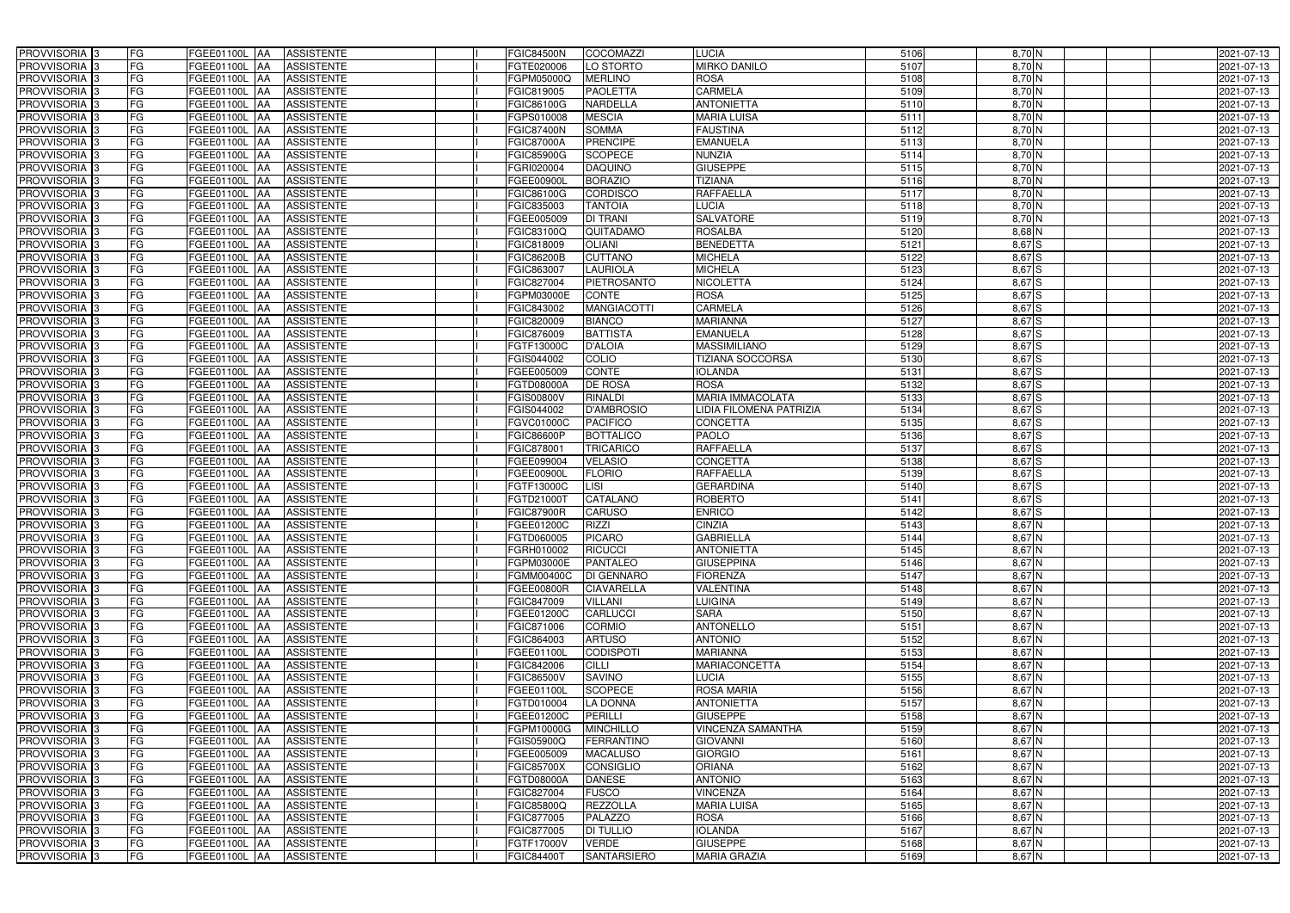| PROVVISORIA <sup>3</sup>   | <b>FG</b><br>FGEE01100L AA | <b>ASSISTENTE</b>               | <b>FGIC84500N</b> | <b>COCOMAZZI</b>                     | <b>LUCIA</b>             | 5106 | 8,70 N     | 2021-07-13       |
|----------------------------|----------------------------|---------------------------------|-------------------|--------------------------------------|--------------------------|------|------------|------------------|
| PROVVISORIA <sup>3</sup>   | FG<br>FGEE01100L           | <b>ASSISTENTE</b><br>IAA        | FGTE020006        | LO STORTO                            | <b>MIRKO DANILO</b>      | 5107 | 8,70 N     | 2021-07-13       |
| PROVVISORIA <sup>3</sup>   | FG<br>FGEE01100L           | <b>ASSISTENTE</b><br>IAA        | FGPM05000Q        | <b>MERLINO</b>                       | <b>ROSA</b>              | 5108 | $8,70$ N   | 2021-07-13       |
| PROVVISORIA 3              | FG<br><b>FGEE01100L</b>    | <b>ASSISTENTE</b><br>IAA        | FGIC819005        | <b>PAOLETTA</b>                      | <b>CARMELA</b>           | 5109 | $8,70$ N   | 2021-07-13       |
| PROVVISORIA <sup>3</sup>   | FG<br>FGEE01100L           | <b>ASSISTENTE</b><br>IAA        | FGIC86100G        | NARDELLA                             | <b>ANTONIETTA</b>        | 5110 | $8,70$ N   | 2021-07-13       |
| PROVVISORIA <sup>3</sup>   | FG<br><b>FGEE01100L AA</b> | <b>ASSISTENTE</b>               | FGPS010008        | <b>MESCIA</b>                        | <b>MARIA LUISA</b>       | 5111 | $8,70$ N   | 2021-07-13       |
| PROVVISORIA <sup>3</sup>   | FG<br>FGEE01100L AA        | <b>ASSISTENTE</b>               | <b>FGIC87400N</b> | <b>SOMMA</b>                         | <b>FAUSTINA</b>          | 5112 | 8,70 N     | 2021-07-13       |
| PROVVISORIA <sup>3</sup>   | FG<br>FGEE01100L AA        | <b>ASSISTENTE</b>               | <b>FGIC87000A</b> | <b>PRENCIPE</b>                      | <b>EMANUELA</b>          | 5113 | 8,70 N     | 2021-07-13       |
| PROVVISORIA <sup>3</sup>   | FG<br>FGEE01100L AA        | <b>ASSISTENTE</b>               | <b>FGIC85900G</b> | <b>SCOPECE</b>                       | <b>NUNZIA</b>            | 5114 | 8,70 N     | 2021-07-13       |
| PROVVISORIA 3              | FG<br>FGEE01100L AA        | <b>ASSISTENTE</b>               | FGRI020004        | <b>DAQUINO</b>                       | <b>GIUSEPPE</b>          | 5115 | 8,70 N     | 2021-07-13       |
| PROVVISORIA 3              | FG<br>FGEE01100L AA        | <b>ASSISTENTE</b>               | FGEE00900L        | <b>BORAZIO</b>                       | <b>TIZIANA</b>           | 5116 | $8,70$ N   | 2021-07-13       |
| PROVVISORIA 3              | FG<br>FGEE01100L AA        | <b>ASSISTENTE</b>               | FGIC86100G        | <b>CORDISCO</b>                      | <b>RAFFAELLA</b>         | 5117 | $8,70$ N   | 2021-07-13       |
| PROVVISORIA <sup>3</sup>   | FG<br>FGEE01100L AA        | <b>ASSISTENTE</b>               | FGIC835003        | <b>TANTOIA</b>                       | <b>LUCIA</b>             | 5118 | 8,70 N     | 2021-07-13       |
| PROVVISORIA 3              | FG<br>FGEE01100L AA        | <b>ASSISTENTE</b>               | FGEE005009        | <b>DI TRANI</b>                      | <b>SALVATORE</b>         | 5119 | $8,70$ N   | 2021-07-13       |
| PROVVISORIA 3              | FG<br>FGEE01100L AA        | <b>ASSISTENTE</b>               | FGIC83100Q        | QUITADAMO                            | <b>ROSALBA</b>           | 5120 | $8,68$ N   | 2021-07-13       |
| PROVVISORIA 3              | FG<br><b>FGEE01100L</b>    | <b>ASSISTENTE</b><br><b>IAA</b> | FGIC818009        | <b>OLIANI</b>                        | <b>BENEDETTA</b>         | 5121 | $8,67$ $S$ | 2021-07-13       |
| PROVVISORIA 3              | FG<br>FGEE01100L           | <b>ASSISTENTE</b><br>IAA        | <b>FGIC86200B</b> | <b>CUTTANO</b>                       | <b>MICHELA</b>           | 5122 | $8,67$ $S$ | 2021-07-13       |
| PROVVISORIA 3              | FG<br>FGEE01100L           | <b>ASSISTENTE</b><br><b>JAA</b> | FGIC863007        | <b>LAURIOLA</b>                      | <b>MICHELA</b>           | 5123 | $8,67$ S   | 2021-07-13       |
| PROVVISORIA 3              | FG<br>FGEE01100L           | <b>ASSISTENTE</b><br><b>JAA</b> | FGIC827004        | <b>PIETROSANTO</b>                   | <b>NICOLETTA</b>         | 5124 | $8,67$ $S$ | 2021-07-13       |
| PROVVISORIA 3              | FG<br>FGEE01100L           | <b>JAA</b><br><b>ASSISTENTE</b> | FGPM03000E        | <b>CONTE</b>                         | <b>ROSA</b>              | 5125 | 8,67 S     | 2021-07-13       |
| PROVVISORIA <sup>3</sup>   | FG<br>FGEE01100L           | <b>ASSISTENTE</b><br>ΙAΑ        | FGIC843002        | <b>MANGIACOTTI</b>                   | <b>CARMELA</b>           | 5126 | 8,67 S     | 2021-07-13       |
| PROVVISORIA 3              | FG<br><b>FGEE01100L</b>    | <b>ASSISTENTE</b><br>IAA        | FGIC820009        | <b>BIANCO</b>                        | <b>MARIANNA</b>          | 5127 | 8,67 S     | 2021-07-13       |
| PROVVISORIA 3              | FG<br>FGEE01100L           | <b>ASSISTENTE</b><br>IAA        | FGIC876009        | <b>BATTISTA</b>                      | <b>EMANUELA</b>          | 5128 | 8,67 S     | 2021-07-13       |
| PROVVISORIA <sup>3</sup>   | FG<br>FGEE01100L AA        | <b>ASSISTENTE</b>               | FGTF13000C        | <b>D'ALOIA</b>                       | <b>MASSIMILIANO</b>      | 5129 | 8,67 S     | 2021-07-13       |
| PROVVISORIA 3              | FG<br>FGEE01100L           | <b>ASSISTENTE</b><br> AA        | FGIS044002        | COLIO                                | <b>TIZIANA SOCCORSA</b>  | 5130 | $8,67$ $S$ | 2021-07-13       |
| PROVVISORIA 3              | FG<br>FGEE01100L           | <b>ASSISTENTE</b><br><b>JAA</b> | FGEE005009        | <b>CONTE</b>                         | <b>IOLANDA</b>           | 5131 | 8,67 S     | 2021-07-13       |
| PROVVISORIA 3              | FG<br>FGEE01100L AA        | <b>ASSISTENTE</b>               | FGTD08000A        | <b>DE ROSA</b>                       | <b>ROSA</b>              | 5132 | 8,67 S     | 2021-07-13       |
| PROVVISORIA 3              | FG<br>FGEE01100L           | <b>ASSISTENTE</b><br>IAA        | FGIS00800V        | <b>RINALDI</b>                       | <b>MARIA IMMACOLATA</b>  | 5133 | 8,67 S     | 2021-07-13       |
| PROVVISORIA <sup>3</sup>   | FG<br>FGEE01100L           | <b>ASSISTENTE</b><br>IAA        | FGIS044002        | <b>D'AMBROSIO</b>                    | LIDIA FILOMENA PATRIZIA  | 5134 | $8,67$ $S$ | 2021-07-13       |
| PROVVISORIA <sup>3</sup>   | FG<br>FGEE01100L AA        | <b>ASSISTENTE</b>               | FGVC01000C        | <b>PACIFICO</b>                      | <b>CONCETTA</b>          | 5135 | 8,67S      | 2021-07-13       |
| PROVVISORIA <sup>3</sup>   | FG<br><b>FGEE01100L AA</b> | <b>ASSISTENTE</b>               | FGIC86600P        | <b>BOTTALICO</b>                     | <b>PAOLO</b>             | 5136 | $8,67$ $S$ | 2021-07-13       |
| PROVVISORIA <sup>3</sup>   | FG<br>FGEE01100L AA        | <b>ASSISTENTE</b>               | FGIC878001        | <b>TRICARICO</b>                     | <b>RAFFAELLA</b>         | 5137 | $8,67$ $S$ | 2021-07-13       |
| PROVVISORIA <sup>3</sup>   | FG<br><b>FGEE01100L AA</b> | <b>ASSISTENTE</b>               | FGEE099004        | <b>VELASIO</b>                       | <b>CONCETTA</b>          | 5138 | $8,67$ $S$ | 2021-07-13       |
| PROVVISORIA <sup>3</sup>   | FG<br>FGEE01100L AA        | <b>ASSISTENTE</b>               | FGEE00900L        | <b>FLORIO</b>                        | <b>RAFFAELLA</b>         | 5139 | $8,67$ $S$ | 2021-07-13       |
| PROVVISORIA <sup>3</sup>   | FG<br>FGEE01100L           | <b>ASSISTENTE</b><br>IAA        | FGTF13000C        | $\overline{\overline{\mathsf{LSI}}}$ | <b>GERARDINA</b>         | 5140 | $8,67$ $S$ | $2021 - 07 - 13$ |
| PROVVISORIA <sup>3</sup>   | FG<br><b>FGEE01100L</b>    | <b>ASSISTENTE</b><br>IAA        | FGTD21000T        | CATALANO                             | <b>ROBERTO</b>           | 5141 | $8,67$ $S$ | 2021-07-13       |
| PROVVISORIA <sup>3</sup>   | FG<br>FGEE01100L           | <b>ASSISTENTE</b><br>IAA        | <b>FGIC87900R</b> | <b>CARUSO</b>                        | <b>ENRICO</b>            | 5142 | 8,67 S     | 2021-07-13       |
| PROVVISORIA <sup>3</sup>   | FG<br>FGEE01100L AA        | <b>ASSISTENTE</b>               | FGEE01200C        | <b>RIZZI</b>                         | <b>CINZIA</b>            | 5143 | $8,67$ N   | 2021-07-13       |
| <b>PROVVISORIA</b> 3       | FG<br><b>FGEE01100L</b> AA | <b>ASSISTENTE</b>               | FGTD060005        | <b>PICARO</b>                        | <b>GABRIELLA</b>         | 5144 | $8,67$ N   | 2021-07-13       |
| PROVVISORIA <sup>3</sup>   | FG<br>FGEE01100L AA        | <b>ASSISTENTE</b>               | FGRH010002        | <b>RICUCCI</b>                       | <b>ANTONIETTA</b>        | 5145 | 8,67 N     | 2021-07-13       |
| PROVVISORIA <sup>3</sup>   | FG<br>FGEE01100L AA        | ASSISTENTE                      | FGPM03000E        | <b>PANTALEO</b>                      | <b>GIUSEPPINA</b>        | 5146 | $8,67$ N   | 2021-07-13       |
| PROVVISORIA <sup>3</sup>   | FG<br>FGEE01100L AA        | ASSISTENTE                      | FGMM00400C        | <b>DI GENNARO</b>                    | <b>FIORENZA</b>          | 5147 | $8,67$ N   | 2021-07-13       |
| PROVVISORIA <sup>3</sup>   | FG<br><b>FGEE01100L AA</b> | <b>ASSISTENTE</b>               | FGEE00800R        | <b>CIAVARELLA</b>                    | <b>VALENTINA</b>         | 5148 | $8,67$ N   | 2021-07-13       |
| PROVVISORIA <sup>3</sup>   | FG<br>FGEE01100L AA        | ASSISTENTE                      | FGIC847009        | <b>VILLANI</b>                       | <b>LUIGINA</b>           | 5149 | $8,67$ N   | 2021-07-13       |
| PROVVISORIA <sup>3</sup>   | FG<br>FGEE01100L AA        | <b>ASSISTENTE</b>               | FGEE01200C        | <b>CARLUCCI</b>                      | <b>SARA</b>              | 5150 | 8,67 N     | 2021-07-13       |
| PROVVISORIA <sup>3</sup>   | FG<br>FGEE01100L AA        | <b>ASSISTENTE</b>               | FGIC871006        | <b>CORMIO</b>                        | <b>ANTONELLO</b>         | 5151 | $8,67$ N   | 2021-07-13       |
| PROVVISORIA <sup>3</sup>   | FG<br>FGEE01100L AA        | ASSISTENTE                      | FGIC864003        | <b>ARTUSO</b>                        | <b>ANTONIO</b>           | 5152 | $8,67$ N   | 2021-07-13       |
| PROVVISORIA <sup>3</sup>   | FG<br>FGEE01100L AA        | ASSISTENTE                      | FGEE01100L        | <b>CODISPOTI</b>                     | <b>MARIANNA</b>          | 5153 | $8,67$ N   | 2021-07-13       |
| PROVVISORIA <sup>3</sup>   | FG<br>FGEE01100L AA        | ASSISTENTE                      | FGIC842006        | <b>CILLI</b>                         | <b>MARIACONCETTA</b>     | 5154 | $8,67$ N   | 2021-07-13       |
| PROVVISORIA <sup>3</sup>   | FG<br>FGEE01100L AA        | ASSISTENTE                      | FGIC86500V        | <b>SAVINO</b>                        | LUCIA                    | 5155 | $8,67$ N   | 2021-07-13       |
| PROVVISORIA <sup>3</sup>   | FG<br>FGEE01100L AA        | <b>ASSISTENTE</b>               | FGEE01100L        | <b>SCOPECE</b>                       | <b>ROSA MARIA</b>        | 5156 | 8,67 N     | 2021-07-13       |
| PROVVISORIA <sup>3</sup>   | FG<br>FGEE01100L AA        | ASSISTENTE                      | FGTD010004        | <b>LA DONNA</b>                      | <b>ANTONIETTA</b>        | 5157 | $8,67$ N   | 2021-07-13       |
| PROVVISORIA <sup>3</sup>   | FG<br>FGEE01100L AA        | ASSISTENTE                      | FGEE01200C        | <b>PERILLI</b>                       | <b>GIUSEPPE</b>          | 5158 | $8,67$ N   | 2021-07-13       |
| PROVVISORIA <sup>3</sup>   | FG<br>FGEE01100L AA        | <b>ASSISTENTE</b>               | FGPM10000G        | <b>MINCHILLO</b>                     | <b>VINCENZA SAMANTHA</b> | 5159 | $8,67$ N   | 2021-07-13       |
| PROVVISORIA <sup>1</sup> 3 | FG<br>FGEE01100L AA        | <b>ASSISTENTE</b>               | FGIS05900Q        | <b>FERRANTINO</b>                    | <b>GIOVANNI</b>          | 5160 | $8,67$ N   | 2021-07-13       |
| PROVVISORIA <sup>3</sup>   | FG<br>FGEE01100L AA        | <b>ASSISTENTE</b>               | FGEE005009        | <b>MACALUSO</b>                      | <b>GIORGIO</b>           | 5161 | 8,67 N     | 2021-07-13       |
| PROVVISORIA <sup>3</sup>   | FG<br>FGEE01100L AA        | <b>ASSISTENTE</b>               | FGIC85700X        | <b>CONSIGLIO</b>                     | <b>ORIANA</b>            | 5162 | $8,67$ N   | 2021-07-13       |
| PROVVISORIA <sup>3</sup>   | FG<br>FGEE01100L AA        | <b>ASSISTENTE</b>               | FGTD08000A        | <b>DANESE</b>                        | <b>ANTONIO</b>           | 5163 | 8,67 N     | 2021-07-13       |
| PROVVISORIA <sup>3</sup>   | FG<br>FGEE01100L AA        | <b>ASSISTENTE</b>               | FGIC827004        | <b>FUSCO</b>                         | <b>VINCENZA</b>          | 5164 | 8,67 N     | 2021-07-13       |
| PROVVISORIA <sup>3</sup>   | FG<br><b>FGEE01100L AA</b> | <b>ASSISTENTE</b>               | FGIC85800Q        | <b>REZZOLLA</b>                      | <b>MARIA LUISA</b>       | 5165 | $8,67$ N   | 2021-07-13       |
| PROVVISORIA <sup>3</sup>   | FG<br>FGEE01100L AA        | <b>ASSISTENTE</b>               | FGIC877005        | <b>PALAZZO</b>                       | <b>ROSA</b>              | 5166 | $8,67$ N   | 2021-07-13       |
| PROVVISORIA <sup>3</sup>   | FG<br>FGEE01100L AA        | <b>ASSISTENTE</b>               | FGIC877005        | <b>DI TULLIO</b>                     | <b>IOLANDA</b>           | 5167 | $8,67$ N   | 2021-07-13       |
| PROVVISORIA <sup>3</sup>   | FG<br>FGEE01100L AA        | <b>ASSISTENTE</b>               | FGTF17000V        | <b>VERDE</b>                         | <b>GIUSEPPE</b>          | 5168 | $8,67$ N   | 2021-07-13       |
| PROVVISORIA <sup>3</sup>   | FG<br>FGEE01100L AA        | ASSISTENTE                      | <b>FGIC84400T</b> | SANTARSIERO                          | <b>MARIA GRAZIA</b>      | 5169 | $8,67$ N   | 2021-07-13       |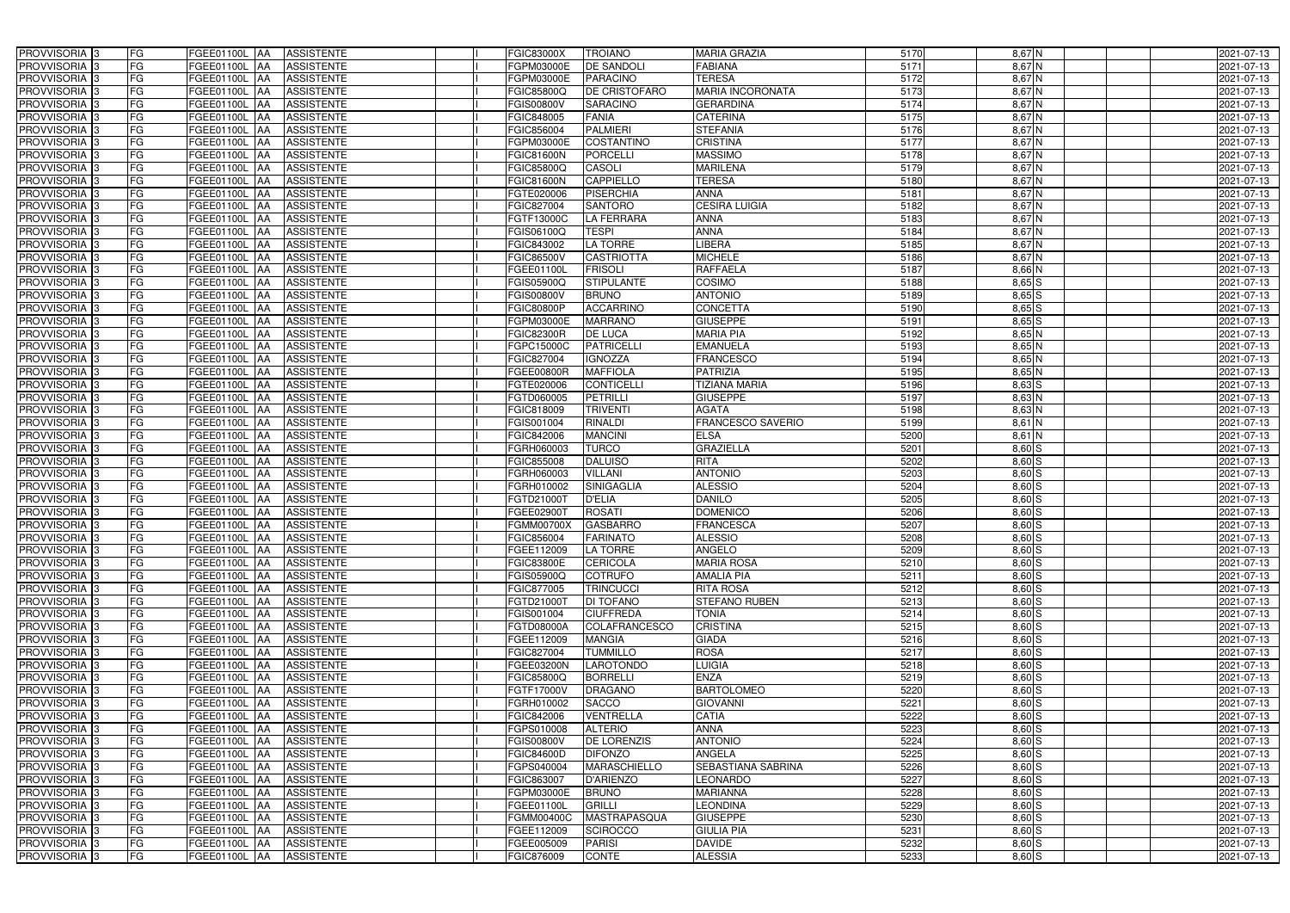| PROVVISORIA 3                                        | FG        | FGEE01100L AA                         | <b>ASSISTENTE</b>                      | <b>FGIC83000X</b>               | <b>TROIANO</b>                      | <b>MARIA GRAZIA</b>          | 5170         | 8,67 N               | 2021-07-13               |
|------------------------------------------------------|-----------|---------------------------------------|----------------------------------------|---------------------------------|-------------------------------------|------------------------------|--------------|----------------------|--------------------------|
| PROVVISORIA 3                                        | FG        | FGEE01100L                            | <b>ASSISTENTE</b>                      | FGPM03000E                      | DE SANDOLI                          | FABIANA                      | 5171         | $8,67$ N             | 2021-07-13               |
| PROVVISORIA 3                                        | FG        | FGEE01100L<br>IAA                     | <b>ASSISTENTE</b>                      | FGPM03000E                      | <b>PARACINO</b>                     | <b>TERESA</b>                | 5172         | $8,67$ N             | 2021-07-13               |
| PROVVISORIA <sup>3</sup>                             | FG        | FGEE01100L<br>IAA                     | <b>ASSISTENTE</b>                      | FGIC85800Q                      | DE CRISTOFARO                       | <b>MARIA INCORONATA</b>      | 5173         | $8,67$ N             | 2021-07-13               |
| PROVVISORIA <sup>3</sup>                             | FG        | FGEE01100L<br>IAA                     | <b>ASSISTENTE</b>                      | FGIS00800V                      | <b>SARACINO</b>                     | <b>GERARDINA</b>             | 5174         | $8,67$ N             | 2021-07-13               |
| PROVVISORIA 3                                        | <b>FG</b> | <b>FGEE01100L AA</b>                  | <b>ASSISTENTE</b>                      | FGIC848005                      | <b>FANIA</b>                        | <b>CATERINA</b>              | 5175         | $8,67$ N             | 2021-07-13               |
| PROVVISORIA 3                                        | FG        | FGEE01100L AA                         | <b>ASSISTENTE</b>                      | FGIC856004                      | <b>PALMIERI</b>                     | <b>STEFANIA</b>              | 5176         | 8,67 N               | 2021-07-13               |
| PROVVISORIA 3                                        | FG        | FGEE01100L AA                         | <b>ASSISTENTE</b>                      | FGPM03000E                      | <b>COSTANTINO</b>                   | <b>CRISTINA</b>              | 5177         | $8,67$ N             | 2021-07-13               |
| PROVVISORIA 3                                        | FG        | FGEE01100L AA                         | <b>ASSISTENTE</b>                      | <b>FGIC81600N</b>               | <b>PORCELLI</b>                     | <b>MASSIMO</b>               | 5178         | $8,67$ N             | 2021-07-13               |
| PROVVISORIA 3                                        | FG        | <b>FGEE01100L</b> AA                  | <b>ASSISTENTE</b>                      | FGIC85800Q                      | CASOLI                              | <b>MARILENA</b>              | 5179         | 8,67 N               | 2021-07-13               |
| PROVVISORIA 3                                        | FG        | FGEE01100L AA                         | <b>ASSISTENTE</b>                      | <b>FGIC81600N</b>               | <b>CAPPIELLO</b>                    | <b>TERESA</b>                | 5180         | $8,67$ N             | 2021-07-13               |
| PROVVISORIA 3                                        | FG        | FGEE01100L AA                         | <b>ASSISTENTE</b>                      | FGTE020006                      | <b>PISERCHIA</b>                    | <b>ANNA</b>                  | 5181         | $8,67$ N             | 2021-07-13               |
| PROVVISORIA <sup>3</sup>                             | FG        | FGEE01100L<br><b>IAA</b>              | <b>ASSISTENTE</b>                      | FGIC827004                      | <b>SANTORO</b>                      | <b>CESIRA LUIGIA</b>         | 5182         | $8,67$ N             | 2021-07-13               |
| PROVVISORIA 3                                        | FG        | FGEE01100L AA                         | <b>ASSISTENTE</b>                      | FGTF13000C                      | <b>LA FERRARA</b>                   | <b>ANNA</b>                  | 5183         | $8,67$ N             | 2021-07-13               |
| PROVVISORIA 3                                        | <b>FG</b> | <b>FGEE01100L   AA</b>                | <b>ASSISTENTE</b>                      | FGIS06100Q                      | <b>TESPI</b>                        | <b>ANNA</b>                  | 5184         | $8,67$ N             | 2021-07-13               |
| PROVVISORIA 3                                        | <b>FG</b> | FGEE01100L<br>IAA.                    | <b>ASSISTENTE</b>                      | FGIC843002                      | LA TORRE                            | LIBERA                       | 5185         | $8,67$ N             | 2021-07-13               |
| PROVVISORIA 3                                        | FG        | <b>FGEE01100L</b><br>IAA              | <b>ASSISTENTE</b>                      | FGIC86500V                      | <b>CASTRIOTTA</b>                   | <b>MICHELE</b>               | 5186         | $8,67$ N             | 2021-07-13               |
| PROVVISORIA 3                                        | FG        | <b>FGEE01100L</b><br>IAA              | <b>ASSISTENTE</b>                      | FGEE01100L                      | <b>FRISOLI</b>                      | <b>RAFFAELA</b>              | 5187         | $8,66$ N             | 2021-07-13               |
| PROVVISORIA 3                                        | <b>FG</b> | <b>FGEE01100L</b><br>IAA              | <b>ASSISTENTE</b>                      | FGIS05900C                      | <b>STIPULANTE</b>                   | <b>COSIMO</b>                | 5188         | $8,65$ $S$           | 2021-07-13               |
| PROVVISORIA 3                                        | FG        | <b>FGEE01100L</b><br>IAA              | <b>ASSISTENTE</b>                      | <b>FGIS00800V</b>               | <b>BRUNO</b>                        | <b>ANTONIO</b>               | 5189         | 8,65 S               | 2021-07-13               |
| PROVVISORIA <sup>3</sup>                             | FG        | FGEE01100L                            | <b>ASSISTENTE</b>                      | <b>FGIC80800P</b>               | <b>ACCARRINO</b>                    | <b>CONCETTA</b>              | 5190         | 8,65 S               | 2021-07-13               |
| <b>PROVVISORIA</b> 3                                 | FG        | FGEE01100L<br>IAA                     | <b>ASSISTENTE</b>                      | FGPM03000E                      | <b>MARRANO</b>                      | <b>GIUSEPPE</b>              | 5191         | $8,65$ $S$           | 2021-07-13               |
| PROVVISORIA <sup>3</sup>                             | FG        | FGEE01100L<br>IAA                     | <b>ASSISTENTE</b>                      | FGIC82300R                      | <b>DE LUCA</b>                      | <b>MARIA PIA</b>             | 5192         | 8,65 N               | 2021-07-13               |
| PROVVISORIA <sup>3</sup>                             | FG        | FGEE01100L<br>IAA                     | <b>ASSISTENTE</b>                      | FGPC15000C                      | <b>PATRICELLI</b>                   | <b>EMANUELA</b>              | 5193         | $8,65$ N             | 2021-07-13               |
| <b>PROVVISORIA</b> 3                                 | FG        | FGEE01100L<br>IAA                     | <b>ASSISTENTE</b>                      | FGIC827004                      | <b>IGNOZZA</b>                      | <b>FRANCESCO</b>             | 5194         | $8,65$ N             | 2021-07-13               |
| PROVVISORIA 3                                        | FG        | FGEE01100L<br>IAA                     | <b>ASSISTENTE</b>                      | FGEE00800R                      | <b>MAFFIOLA</b>                     | <b>PATRIZIA</b>              | 5195         | $8,65$ N             | 2021-07-13               |
| PROVVISORIA 3                                        | <b>FG</b> | FGEE01100L AA                         | <b>ASSISTENTE</b>                      | FGTE020006                      | <b>CONTICELLI</b>                   | <b>TIZIANA MARIA</b>         | 5196         | $8,63$ $S$           | 2021-07-13               |
| PROVVISORIA 3                                        | <b>FG</b> | FGEE01100L AA                         | <b>ASSISTENTE</b>                      | FGTD060005                      | <b>PETRILLI</b>                     | <b>GIUSEPPE</b>              | 5197         | $8,63$ N             | 2021-07-13               |
| PROVVISORIA 3                                        | FG        | FGEE01100L AA                         | <b>ASSISTENTE</b>                      | FGIC818009                      | <b>TRIVENTI</b>                     | <b>AGATA</b>                 | 5198         | $8,63$ N             | 2021-07-13               |
| PROVVISORIA 3                                        | <b>FG</b> | FGEE01100L AA                         | <b>ASSISTENTE</b>                      | FGIS001004                      | <b>RINALDI</b>                      | FRANCESCO SAVERIO            | 5199         | $8,61$ N             | 2021-07-13               |
| PROVVISORIA 3                                        | FG        | FGEE01100L AA                         | <b>ASSISTENTE</b>                      | FGIC842006                      | <b>MANCINI</b>                      | <b>ELSA</b>                  | 5200         | $8,61$ N             | 2021-07-13               |
| PROVVISORIA 3                                        | FG        | FGEE01100L AA                         | <b>ASSISTENTE</b>                      | FGRH060003                      | <b>TURCO</b>                        | <b>GRAZIELLA</b>             | 5201         | $8,60$ S             | 2021-07-13               |
| PROVVISORIA 3                                        | FG        | FGEE01100L<br>IAA                     | <b>ASSISTENTE</b>                      | FGIC855008                      | <b>DALUISO</b>                      | <b>RITA</b>                  | 5202         | 8,60 S               | 2021-07-13               |
| PROVVISORIA 3                                        | FG        | FGEE01100L AA                         | <b>ASSISTENTE</b>                      | FGRH060003                      | <b>VILLANI</b>                      | <b>ANTONIO</b>               | 5203         | $8,60$ S             | 2021-07-13               |
| <b>PROVVISORIA</b>                                   | <b>FG</b> | FGEE01100L<br>IAA                     | <b>ASSISTENTE</b>                      | FGRH010002                      | <b>SINIGAGLIA</b>                   | <b>ALESSIO</b>               | 5204         | $8,60$ S             | $2021 - 07 - 13$         |
| PROVVISORIA <sup>1</sup> 3                           | FG        | FGEE01100L<br>IAA                     | <b>ASSISTENTE</b>                      | FGTD21000T                      | <b>D'ELIA</b>                       | <b>DANILO</b>                | 5205         | $8,60$ S             | 2021-07-13               |
| PROVVISORIA <sup>1</sup> 3                           | FG        | <b>FGEE01100L</b><br>IAA              | <b>ASSISTENTE</b>                      | FGEE029001                      | <b>ROSATI</b>                       | <b>DOMENICO</b>              | 5206         | $8,60$ S             | 2021-07-13               |
| PROVVISORIA <sup>3</sup>                             | <b>FG</b> | FGEE01100L AA                         | <b>ASSISTENTE</b>                      | <b>FGMM00700X</b>               | <b>GASBARRO</b>                     | <b>FRANCESCA</b>             | 5207         | $8,60$ S             | 2021-07-13               |
| PROVVISORIA <sup>3</sup>                             | FG        | FGEE01100L AA ASSISTENTE              |                                        | FGIC856004                      | <b>FARINATO</b>                     | <b>ALESSIO</b>               | 5208         | $8,60$ S             | 2021-07-13               |
| PROVVISORIA <sup>3</sup>                             | FG        | FGEE01100L AA                         | <b>ASSISTENTE</b>                      | FGEE112009                      | LA TORRE                            | ANGELO                       | 5209         | 8,60 S               | 2021-07-13               |
| PROVVISORIA <sup>3</sup>                             | FG        | FGEE01100L AA                         | <b>ASSISTENTE</b>                      | <b>FGIC83800E</b>               | <b>CERICOLA</b>                     | <b>MARIA ROSA</b>            | 5210         | $8,60$ $S$           | 2021-07-13               |
| PROVVISORIA <sup>3</sup>                             | FG        | FGEE01100L AA                         | <b>ASSISTENTE</b>                      | FGIS05900Q                      | <b>COTRUFO</b>                      | <b>AMALIA PIA</b>            | 5211         | $8,60$ S             | 2021-07-13               |
| PROVVISORIA <sup>3</sup>                             | FG        | FGEE01100L AA                         | <b>ASSISTENTE</b>                      | FGIC877005                      | <b>TRINCUCCI</b>                    | <b>RITA ROSA</b>             | 5212         | $8,60$ S             | 2021-07-13               |
| PROVVISORIA <sup>3</sup>                             | FG        | <b>FGEE01100L AA</b>                  | <b>ASSISTENTE</b>                      | FGTD21000T                      | <b>DI TOFANO</b>                    | <b>STEFANO RUBEN</b>         | 5213         | $8,60$ S             | 2021-07-13               |
| PROVVISORIA <sup>3</sup>                             | <b>FG</b> | FGEE01100L AA                         | <b>ASSISTENTE</b>                      | FGIS001004                      | <b>CIUFFREDA</b>                    | <b>TONIA</b>                 | 5214         | $8,60$ S             | 2021-07-13               |
| PROVVISORIA <sup>3</sup>                             | FG        | FGEE01100L AA                         | <b>ASSISTENTE</b>                      | FGTD08000A                      | COLAFRANCESCO                       | <b>CRISTINA</b>              | 5215         | $8,60$ S             | 2021-07-13               |
| PROVVISORIA <sup>3</sup>                             | FG        | <b>FGEE01100L AA</b>                  | <b>ASSISTENTE</b>                      | FGEE112009                      | <b>MANGIA</b>                       | <b>GIADA</b>                 | 5216         | $8,60$ S             | 2021-07-13               |
| PROVVISORIA <sup>3</sup>                             | FG        | FGEE01100L AA                         | <b>ASSISTENTE</b>                      | FGIC827004<br><b>FGEE03200N</b> | <b>TUMMILLO</b><br><b>LAROTONDO</b> | <b>ROSA</b>                  | 5217         | $8,60$ S             | 2021-07-13               |
| PROVVISORIA <sup>3</sup><br>PROVVISORIA <sup>3</sup> | FG<br>FG  | FGEE01100L AA<br>FGEE01100L AA        | <b>ASSISTENTE</b><br><b>ASSISTENTE</b> | FGIC85800Q                      | <b>BORRELLI</b>                     | <b>LUIGIA</b><br><b>ENZA</b> | 5218<br>5219 | $8,60$ S<br>$8,60$ S | 2021-07-13<br>2021-07-13 |
| PROVVISORIA <sup>3</sup>                             | FG        | FGEE01100L AA                         | <b>ASSISTENTE</b>                      | FGTF17000V                      | <b>DRAGANO</b>                      | <b>BARTOLOMEO</b>            | 5220         | 8,60 S               | 2021-07-13               |
| PROVVISORIA <sup>3</sup>                             | FG        | FGEE01100L AA                         |                                        | FGRH010002                      |                                     | <b>GIOVANNI</b>              | 5221         | $8,60$ S             | 2021-07-13               |
| PROVVISORIA <sup>3</sup>                             | FG        |                                       | <b>ASSISTENTE</b>                      |                                 | <b>SACCO</b><br><b>VENTRELLA</b>    | <b>CATIA</b>                 | 5222         | $8,60$ S             |                          |
| PROVVISORIA <sup>3</sup>                             | FG        | <b>FGEE01100L AA</b><br>FGEE01100L AA | <b>ASSISTENTE</b><br><b>ASSISTENTE</b> | FGIC842006                      | <b>ALTERIO</b>                      | <b>ANNA</b>                  | 5223         | 8,60S                | 2021-07-13               |
| PROVVISORIA <sup>13</sup>                            | FG        | FGEE01100L AA                         | <b>ASSISTENTE</b>                      | FGPS010008<br><b>FGIS00800V</b> | <b>DE LORENZIS</b>                  | <b>ANTONIO</b>               | 5224         | $8,60$ $S$           | 2021-07-13<br>2021-07-13 |
| PROVVISORIA <sup>3</sup>                             | FG        | FGEE01100L AA                         | <b>ASSISTENTE</b>                      | <b>FGIC84600D</b>               | <b>DIFONZO</b>                      | ANGELA                       | 5225         | $8,60$ S             | 2021-07-13               |
| PROVVISORIA <sup>3</sup>                             | FG        | FGEE01100L AA                         | <b>ASSISTENTE</b>                      | FGPS040004                      | <b>MARASCHIELLO</b>                 | <b>SEBASTIANA SABRINA</b>    | 5226         | $8,60$ S             | 2021-07-13               |
| PROVVISORIA <sup>3</sup>                             | FG        | FGEE01100L AA                         | <b>ASSISTENTE</b>                      | FGIC863007                      | <b>D'ARIENZO</b>                    | <b>LEONARDO</b>              | 5227         | $8,60$ S             | 2021-07-13               |
| PROVVISORIA <sup>3</sup>                             | FG        | FGEE01100L AA                         | <b>ASSISTENTE</b>                      | FGPM03000E                      | <b>BRUNO</b>                        | <b>MARIANNA</b>              | 5228         | $8,60$ S             | 2021-07-13               |
| PROVVISORIA <sup>3</sup>                             | FG        | FGEE01100L AA                         | <b>ASSISTENTE</b>                      | FGEE01100L                      | <b>GRILLI</b>                       | <b>LEONDINA</b>              | 5229         | $8,60$ S             | 2021-07-13               |
| PROVVISORIA <sup>3</sup>                             | FG        | FGEE01100L AA                         | <b>ASSISTENTE</b>                      | FGMM00400C                      | MASTRAPASQUA                        | <b>GIUSEPPE</b>              | 5230         | $8,60$ S             | 2021-07-13               |
| PROVVISORIA <sup>3</sup>                             | FG        | FGEE01100L AA                         | <b>ASSISTENTE</b>                      | FGEE112009                      | <b>SCIROCCO</b>                     | <b>GIULIA PIA</b>            | 5231         | $8,60$ $S$           | 2021-07-13               |
| PROVVISORIA <sup>3</sup>                             | FG        | <b>FGEE01100L AA</b>                  | <b>ASSISTENTE</b>                      | FGEE005009                      | <b>PARISI</b>                       | <b>DAVIDE</b>                | 5232         | $8,60$ S             | 2021-07-13               |
| PROVVISORIA 3                                        | FG        | FGEE01100L AA                         | ASSISTENTE                             | FGIC876009                      | <b>CONTE</b>                        | <b>ALESSIA</b>               | 5233         | 8,60 S               | 2021-07-13               |
|                                                      |           |                                       |                                        |                                 |                                     |                              |              |                      |                          |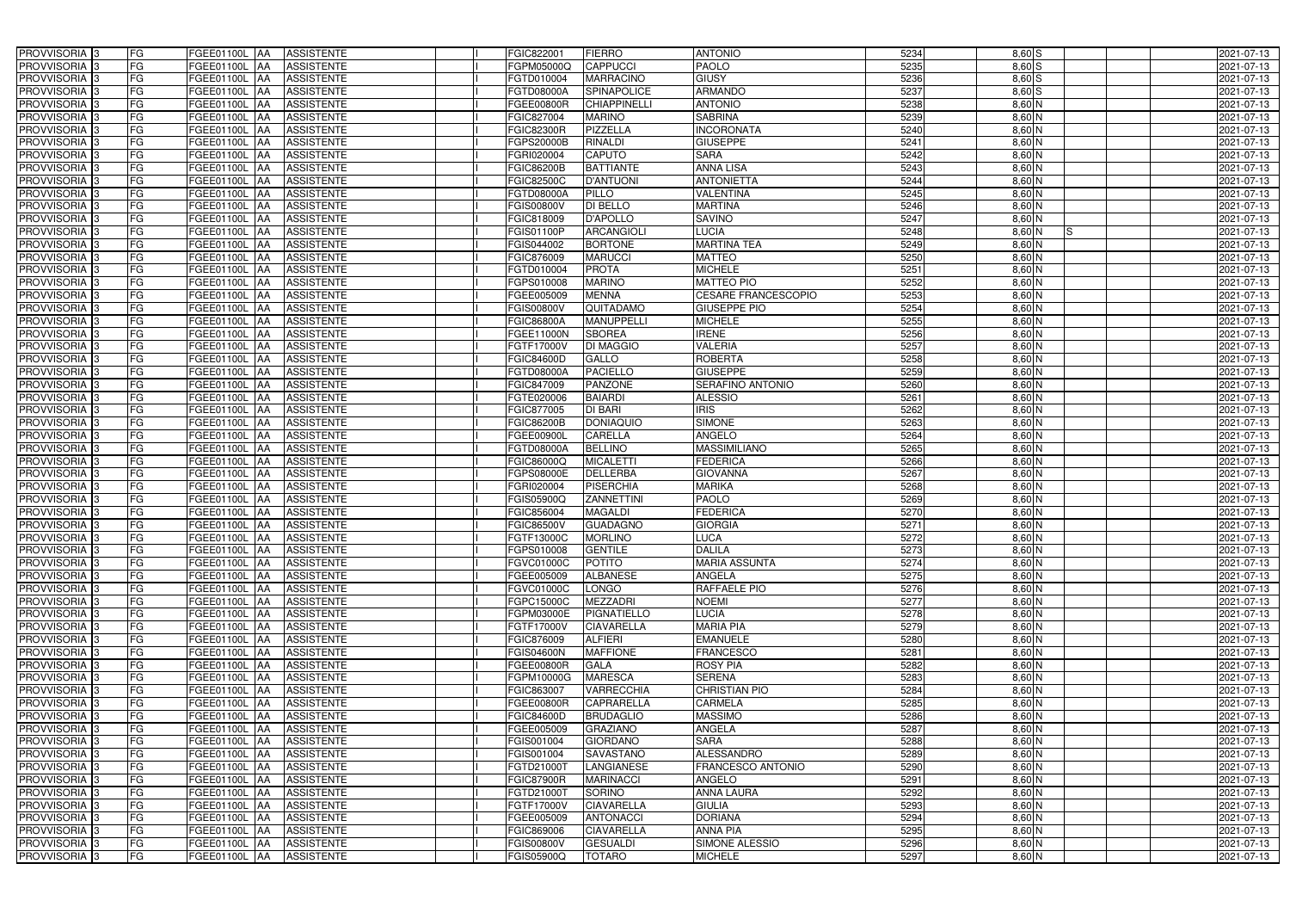| PROVVISORIA <sup>3</sup>   | <b>FG</b><br>FGEE01100L AA | <b>ASSISTENTE</b>               | FGIC822001        | <b>FIERRO</b>       | <b>ANTONIO</b>             | 5234 | $8,60$ S        | 2021-07-13 |
|----------------------------|----------------------------|---------------------------------|-------------------|---------------------|----------------------------|------|-----------------|------------|
| PROVVISORIA <sup>3</sup>   | FG<br><b>FGEE01100L</b>    | <b>ASSISTENTE</b><br>I A A      | FGPM05000Q        | <b>CAPPUCCI</b>     | <b>PAOLO</b>               | 5235 | 8,60 S          | 2021-07-13 |
| PROVVISORIA <sup>3</sup>   | FG<br>FGEE01100L           | <b>ASSISTENTE</b><br>IAA        | FGTD010004        | <b>MARRACINO</b>    | <b>GIUSY</b>               | 5236 | 8,60S           | 2021-07-13 |
| PROVVISORIA 3              | FG<br><b>FGEE01100L</b>    | <b>ASSISTENTE</b><br>IAA        | FGTD08000A        | SPINAPOLICE         | <b>ARMANDO</b>             | 5237 | $8,60$ $S$      | 2021-07-13 |
| PROVVISORIA <sup>3</sup>   | FG<br>FGEE01100L           | <b>ASSISTENTE</b>               | FGEE00800R        | <b>CHIAPPINELLI</b> | <b>ANTONIO</b>             | 5238 | $8,60$ N        | 2021-07-13 |
| PROVVISORIA <sup>3</sup>   | FG<br>FGEE01100L AA        | <b>ASSISTENTE</b>               | FGIC827004        | <b>MARINO</b>       | <b>SABRINA</b>             | 5239 | $8,60$ N        | 2021-07-13 |
| PROVVISORIA <sup>3</sup>   | FG<br>FGEE01100L AA        | <b>ASSISTENTE</b>               | <b>FGIC82300R</b> | <b>PIZZELLA</b>     | <b>INCORONATA</b>          | 5240 | 8,60 N          | 2021-07-13 |
| PROVVISORIA <sup>3</sup>   | FG<br>FGEE01100L AA        | <b>ASSISTENTE</b>               | FGPS20000B        | <b>RINALDI</b>      | <b>GIUSEPPE</b>            | 5241 | $8,60$ N        | 2021-07-13 |
| PROVVISORIA 3              | FG<br>FGEE01100L AA        | <b>ASSISTENTE</b>               | FGRI020004        | <b>CAPUTO</b>       | <b>SARA</b>                | 5242 | 8,60 N          | 2021-07-13 |
| PROVVISORIA <sup>3</sup>   | FG<br>FGEE01100L AA        | <b>ASSISTENTE</b>               | FGIC86200B        | <b>BATTIANTE</b>    | <b>ANNA LISA</b>           | 5243 | 8,60 N          | 2021-07-13 |
| PROVVISORIA 3              | FG<br>FGEE01100L AA        | <b>ASSISTENTE</b>               | FGIC82500C        | <b>D'ANTUONI</b>    | <b>ANTONIETTA</b>          | 5244 | $8,60$ N        | 2021-07-13 |
| PROVVISORIA 3              | FG<br>FGEE01100L AA        | <b>ASSISTENTE</b>               | FGTD08000A        | PILLO               | VALENTINA                  | 5245 | $8,60$ N        | 2021-07-13 |
| PROVVISORIA <sup>3</sup>   | FG<br><b>FGEE01100L</b>    | <b>ASSISTENTE</b><br><b>AA</b>  | FGIS00800V        | <b>DI BELLO</b>     | <b>MARTINA</b>             | 5246 | 8,60 N          | 2021-07-13 |
| PROVVISORIA 3              | FG<br>FGEE01100L AA        | <b>ASSISTENTE</b>               | FGIC818009        | <b>D'APOLLO</b>     | <b>SAVINO</b>              | 5247 | $8,60$ N        | 2021-07-13 |
| PROVVISORIA 3              | FG<br><b>FGEE01100L</b>    | <b>ASSISTENTE</b><br><b>IAA</b> | FGIS01100P        | <b>ARCANGIOLI</b>   | <b>LUCIA</b>               | 5248 | $8,60$ N<br>IS. | 2021-07-13 |
| PROVVISORIA 3              | FG<br><b>FGEE01100L</b>    | <b>ASSISTENTE</b><br>IAA        | FGIS044002        | <b>BORTONE</b>      | <b>MARTINA TEA</b>         | 5249 | $8,60$ N        | 2021-07-13 |
| PROVVISORIA <sup>3</sup>   | FG<br><b>FGEE01100L</b>    | <b>ASSISTENTE</b><br>IAA        | FGIC876009        | <b>MARUCCI</b>      | <b>MATTEO</b>              | 5250 | 8,60 N          | 2021-07-13 |
| PROVVISORIA 3              | FG<br>FGEE01100L           | <b>ASSISTENTE</b><br><b>IAA</b> | FGTD010004        | <b>PROTA</b>        | <b>MICHELE</b>             | 5251 | $8,60$ N        | 2021-07-13 |
| PROVVISORIA 3              | FG<br>FGEE01100L           | <b>ASSISTENTE</b><br>IAA        | FGPS010008        | <b>MARINO</b>       | <b>MATTEO PIO</b>          | 5252 | $8,60$ N        | 2021-07-13 |
| PROVVISORIA 3              | FG<br>FGEE01100L           | IAA<br><b>ASSISTENTE</b>        | FGEE005009        | <b>MENNA</b>        | <b>CESARE FRANCESCOPIO</b> | 5253 | 8,60 N          | 2021-07-13 |
| PROVVISORIA <sup>3</sup>   | FG<br>FGEE01100L           | <b>ASSISTENTE</b>               | FGIS00800V        | QUITADAMO           | <b>GIUSEPPE PIO</b>        | 5254 | 8,60 N          | 2021-07-13 |
| PROVVISORIA 3              | FG<br><b>FGEE01100L</b>    | <b>ASSISTENTE</b><br>IAA        | <b>FGIC86800A</b> | <b>MANUPPELLI</b>   | <b>MICHELE</b>             | 5255 | 8,60 N          | 2021-07-13 |
| PROVVISORIA 3              | FG<br>FGEE01100L           | <b>ASSISTENTE</b><br>IAA        | FGEE11000N        | <b>SBOREA</b>       | <b>IRENE</b>               | 5256 | 8,60 N          | 2021-07-13 |
| PROVVISORIA 3              | FG<br>FGEE01100L           | <b>ASSISTENTE</b><br><b>IAA</b> | FGTF17000V        | <b>DI MAGGIO</b>    | <b>VALERIA</b>             | 5257 | $8,60$ N        | 2021-07-13 |
| PROVVISORIA <sup>3</sup>   | FG<br>FGEE01100L           | <b>ASSISTENTE</b><br><b>JAA</b> | FGIC84600D        | GALLO               | <b>ROBERTA</b>             | 5258 | $8,60$ N        | 2021-07-13 |
| PROVVISORIA 3              | FG<br>FGEE01100L           | <b>ASSISTENTE</b><br>IAA        | FGTD08000A        | <b>PACIELLO</b>     | <b>GIUSEPPE</b>            | 5259 | $8,60$ N        | 2021-07-13 |
| PROVVISORIA 3              | FG<br>FGEE01100L AA        | <b>ASSISTENTE</b>               | FGIC847009        | <b>PANZONE</b>      | SERAFINO ANTONIO           | 5260 | $8,60$ N        | 2021-07-13 |
| PROVVISORIA 3              | FG<br>FGEE01100L           | <b>ASSISTENTE</b><br>IAA        | FGTE020006        | <b>BAIARDI</b>      | <b>ALESSIO</b>             | 5261 | $8,60$ N        | 2021-07-13 |
| PROVVISORIA <sup>3</sup>   | FG<br>FGEE01100L           | <b>ASSISTENTE</b><br>IAA        | FGIC877005        | DI BARI             | <b>IRIS</b>                | 5262 | $8,60$ N        | 2021-07-13 |
| PROVVISORIA <sup>3</sup>   | FG<br>FGEE01100L AA        | <b>ASSISTENTE</b>               | FGIC86200B        | <b>DONIAQUIO</b>    | <b>SIMONE</b>              | 5263 | $8,60$ N        | 2021-07-13 |
| PROVVISORIA <sup>3</sup>   | FG<br>FGEE01100L AA        | <b>ASSISTENTE</b>               | FGEE00900L        | CARELLA             | <b>ANGELO</b>              | 5264 | $8,60$ N        | 2021-07-13 |
| PROVVISORIA <sup>3</sup>   | FG<br>FGEE01100L AA        | <b>ASSISTENTE</b>               | FGTD08000A        | <b>BELLINO</b>      | <b>MASSIMILIANO</b>        | 5265 | $8,60$ N        | 2021-07-13 |
| PROVVISORIA <sup>3</sup>   | FG<br><b>FGEE01100L</b>    | <b>ASSISTENTE</b><br><b>IAA</b> | FGIC86000Q        | <b>MICALETTI</b>    | <b>FEDERICA</b>            | 5266 | 8,60 N          | 2021-07-13 |
| PROVVISORIA <sup>3</sup>   | FG<br>FGEE01100L AA        | <b>ASSISTENTE</b>               | FGPS08000E        | <b>DELLERBA</b>     | <b>GIOVANNA</b>            | 5267 | 8,60 N          | 2021-07-13 |
| PROVVISORIA <sup>3</sup>   | FG<br><b>FGEE01100L</b>    | <b>ASSISTENTE</b><br>IAA        | FGRI020004        | <b>PISERCHIA</b>    | <b>MARIKA</b>              | 5268 | 8,60 N          | 2021-07-13 |
| PROVVISORIA <sup>3</sup>   | FG<br><b>FGEE01100L</b>    | <b>ASSISTENTE</b><br>IAA        | <b>GIS05900Q</b>  | <b>ZANNETTINI</b>   | <b>PAOLO</b>               | 5269 | 8,60 N          | 2021-07-13 |
| PROVVISORIA <sup>3</sup>   | FG<br>FGEE01100L           | <b>ASSISTENTE</b><br>IAA        | FGIC856004        | <b>MAGALDI</b>      | <b>EDERICA</b>             | 5270 | 8,60 N          | 2021-07-13 |
| PROVVISORIA <sup>3</sup>   | FG<br>FGEE01100L AA        | <b>ASSISTENTE</b>               | FGIC86500V        | <b>GUADAGNO</b>     | <b>GIORGIA</b>             | 5271 | $8,60$ N        | 2021-07-13 |
| PROVVISORIA <sup>3</sup>   | FG<br>FGEE01100L AA        | <b>ASSISTENTE</b>               | FGTF13000C        | <b>MORLINO</b>      | <b>LUCA</b>                | 5272 | $8,60$ N        | 2021-07-13 |
| PROVVISORIA <sup>3</sup>   | FG<br>FGEE01100L AA        | <b>ASSISTENTE</b>               | FGPS010008        | <b>GENTILE</b>      | <b>DALILA</b>              | 5273 | $8,60$ N        | 2021-07-13 |
| PROVVISORIA <sup>3</sup>   | FG<br>FGEE01100L AA        | ASSISTENTE                      | FGVC01000C        | <b>POTITO</b>       | <b>MARIA ASSUNTA</b>       | 5274 | $8,60$ N        | 2021-07-13 |
| PROVVISORIA <sup>3</sup>   | FG<br><b>FGEE01100L AA</b> | ASSISTENTE                      | FGEE005009        | <b>ALBANESE</b>     | <b>ANGELA</b>              | 5275 | 8,60 N          | 2021-07-13 |
| PROVVISORIA <sup>3</sup>   | FG<br>FGEE01100L AA        | <b>ASSISTENTE</b>               | FGVC01000C        | <b>LONGO</b>        | RAFFAELE PIO               | 5276 | $8,60$ N        | 2021-07-13 |
| PROVVISORIA <sup>3</sup>   | FG<br>FGEE01100L AA        | ASSISTENTE                      | FGPC15000C        | <b>MEZZADRI</b>     | <b>NOEMI</b>               | 5277 | $8,60$ N        | 2021-07-13 |
| PROVVISORIA <sup>3</sup>   | FG<br>FGEE01100L AA        | <b>ASSISTENTE</b>               | FGPM03000E        | PIGNATIELLO         | <b>LUCIA</b>               | 5278 | 8,60 N          | 2021-07-13 |
| PROVVISORIA <sup>3</sup>   | FG<br>FGEE01100L AA        | <b>ASSISTENTE</b>               | FGTF17000V        | <b>CIAVARELLA</b>   | <b>MARIA PIA</b>           | 5279 | $8,60$ N        | 2021-07-13 |
| PROVVISORIA <sup>3</sup>   | FG<br>FGEE01100L AA        | ASSISTENTE                      | FGIC876009        | <b>ALFIERI</b>      | <b>EMANUELE</b>            | 5280 | $8,60$ N        | 2021-07-13 |
| PROVVISORIA <sup>3</sup>   | FG<br>FGEE01100L AA        | ASSISTENTE                      | FGIS04600N        | <b>MAFFIONE</b>     | <b>FRANCESCO</b>           | 5281 | $8,60$ N        | 2021-07-13 |
| PROVVISORIA <sup>3</sup>   | FG<br>FGEE01100L AA        | ASSISTENTE                      | FGEE00800R        | <b>GALA</b>         | <b>ROSY PIA</b>            | 5282 | $8,60$ N        | 2021-07-13 |
| PROVVISORIA <sup>3</sup>   | FG<br>FGEE01100L AA        | ASSISTENTE                      | FGPM10000G        | <b>MARESCA</b>      | <b>SERENA</b>              | 5283 | $8,60$ N        | 2021-07-13 |
| PROVVISORIA <sup>3</sup>   | FG<br>FGEE01100L AA        | <b>ASSISTENTE</b>               | FGIC863007        | <b>VARRECCHIA</b>   | CHRISTIAN PIO              | 5284 | $8,60$ N        | 2021-07-13 |
| PROVVISORIA <sup>3</sup>   | FG<br>FGEE01100L AA        | <b>ASSISTENTE</b>               | FGEE00800R        | <b>CAPRARELLA</b>   | CARMELA                    | 5285 | $8,60$ N        | 2021-07-13 |
| PROVVISORIA <sup>3</sup>   | FG<br>FGEE01100L AA        | <b>ASSISTENTE</b>               | FGIC84600D        | <b>BRUDAGLIO</b>    | <b>MASSIMO</b>             | 5286 | $8,60$ N        | 2021-07-13 |
| PROVVISORIA <sup>3</sup>   | FG<br>FGEE01100L AA        | <b>ASSISTENTE</b>               | FGEE005009        | <b>GRAZIANO</b>     | <b>ANGELA</b>              | 5287 | $8,60$ N        | 2021-07-13 |
| PROVVISORIA <sup>13</sup>  | FG<br>FGEE01100L AA        | <b>ASSISTENTE</b>               | FGIS001004        | <b>GIORDANO</b>     | <b>SARA</b>                | 5288 | $8,60$ N        | 2021-07-13 |
| PROVVISORIA <sup>1</sup> 3 | FG<br>FGEE01100L AA        | <b>ASSISTENTE</b>               | FGIS001004        | SAVASTANO           | ALESSANDRO                 | 5289 | 8,60 N          | 2021-07-13 |
| PROVVISORIA <sup>3</sup>   | FG<br>FGEE01100L AA        | <b>ASSISTENTE</b>               | FGTD21000T        | LANGIANESE          | FRANCESCO ANTONIO          | 5290 | $8,60$ N        | 2021-07-13 |
| PROVVISORIA <sup>1</sup> 3 | FG<br>FGEE01100L AA        | <b>ASSISTENTE</b>               | <b>FGIC87900R</b> | <b>MARINACCI</b>    | ANGELO                     | 5291 | $8,60$ N        | 2021-07-13 |
| PROVVISORIA <sup>3</sup>   | FG<br>FGEE01100L AA        | <b>ASSISTENTE</b>               | FGTD21000T        | SORINO              | <b>ANNA LAURA</b>          | 5292 | 8,60 N          | 2021-07-13 |
| PROVVISORIA <sup>1</sup> 3 | FG<br>FGEE01100L AA        | <b>ASSISTENTE</b>               | FGTF17000V        | <b>CIAVARELLA</b>   | <b>GIULIA</b>              | 5293 | $8,60$ N        | 2021-07-13 |
| PROVVISORIA <sup>3</sup>   | FG<br>FGEE01100L AA        | <b>ASSISTENTE</b>               | FGEE005009        | <b>ANTONACCI</b>    | <b>DORIANA</b>             | 5294 | $8,60$ N        | 2021-07-13 |
| PROVVISORIA <sup>3</sup>   | FG<br>FGEE01100L AA        | <b>ASSISTENTE</b>               | FGIC869006        | <b>CIAVARELLA</b>   | <b>ANNA PIA</b>            | 5295 | $8,60$ N        | 2021-07-13 |
| PROVVISORIA <sup>3</sup>   | FG<br>FGEE01100L AA        | <b>ASSISTENTE</b>               | <b>FGIS00800V</b> | <b>GESUALDI</b>     | SIMONE ALESSIO             | 5296 | $8,60$ N        | 2021-07-13 |
| PROVVISORIA 3              | FG<br>FGEE01100L AA        | ASSISTENTE                      | FGIS05900Q        | <b>TOTARO</b>       | <b>MICHELE</b>             | 5297 | $8,60$ N        | 2021-07-13 |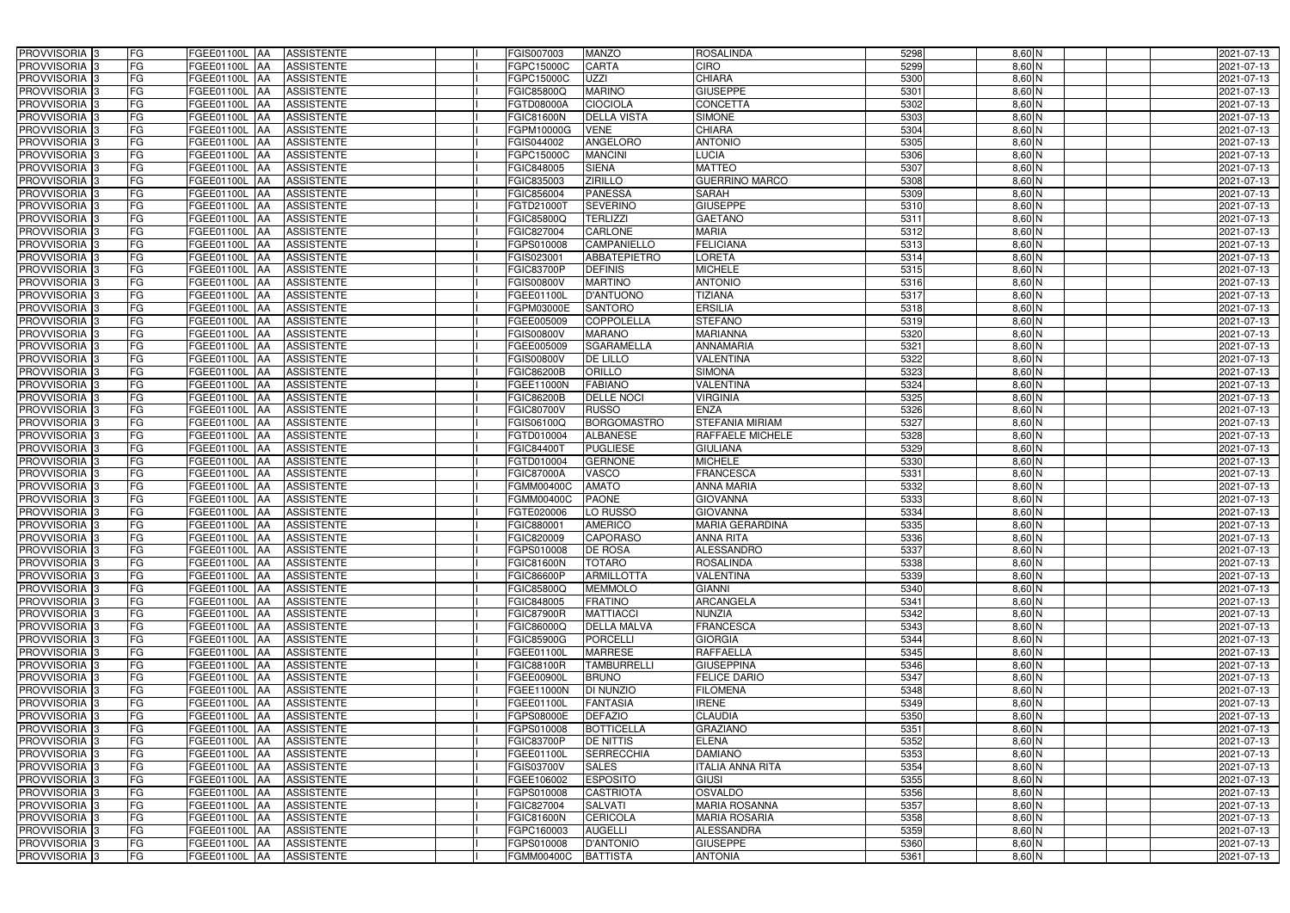| PROVVISORIA <sup>3</sup><br><b>FG</b> | FGEE01100L AA<br><b>ASSISTENTE</b>                   | FGIS007003<br>MANZO                           | <b>ROSALINDA</b>        | 5298 | $8,60$ N | 2021-07-13 |
|---------------------------------------|------------------------------------------------------|-----------------------------------------------|-------------------------|------|----------|------------|
| FG<br>PROVVISORIA <sup>3</sup>        | <b>ASSISTENTE</b><br>FGEE01100L<br>IAA               | CARTA<br>FGPC15000C                           | <b>CIRO</b>             | 5299 | $8,60$ N | 2021-07-13 |
| FG<br>PROVVISORIA <sup>3</sup>        | FGEE01100L<br><b>ASSISTENTE</b><br>IAA               | UZZI<br>FGPC15000C                            | <b>CHIARA</b>           | 5300 | $8,60$ N | 2021-07-13 |
| FG<br>PROVVISORIA 3                   | FGEE01100L<br><b>ASSISTENTE</b><br>IAA               | <b>MARINO</b><br>FGIC85800Q                   | <b>GIUSEPPE</b>         | 5301 | $8,60$ N | 2021-07-13 |
| FG<br>PROVVISORIA <sup>3</sup>        | FGEE01100L<br><b>ASSISTENTE</b><br>IAA               | <b>CIOCIOLA</b><br>FGTD08000A                 | <b>CONCETTA</b>         | 5302 | $8,60$ N | 2021-07-13 |
| FG<br>PROVVISORIA 3                   | <b>FGEE01100L AA</b><br><b>ASSISTENTE</b>            | <b>DELLA VISTA</b><br><b>FGIC81600N</b>       | <b>SIMONE</b>           | 5303 | $8,60$ N | 2021-07-13 |
| FG<br>PROVVISORIA <sup>1</sup> 3      | FGEE01100L AA<br><b>ASSISTENTE</b>                   | <b>VENE</b><br>FGPM10000G                     | <b>CHIARA</b>           | 5304 | 8,60 N   | 2021-07-13 |
| FG<br>PROVVISORIA <sup>3</sup>        | <b>ASSISTENTE</b><br>FGEE01100L AA                   | <b>ANGELORO</b><br>FGIS044002                 | <b>ANTONIO</b>          | 5305 | $8,60$ N | 2021-07-13 |
| PROVVISORIA 3<br>FG                   | FGEE01100L AA<br><b>ASSISTENTE</b>                   | <b>MANCINI</b><br>FGPC15000C                  | <b>LUCIA</b>            | 5306 | $8,60$ N | 2021-07-13 |
| PROVVISORIA <sup>3</sup><br>FG        | FGEE01100L AA<br><b>ASSISTENTE</b>                   | <b>SIENA</b><br>FGIC848005                    | <b>MATTEO</b>           | 5307 | 8,60 N   | 2021-07-13 |
| PROVVISORIA 3<br>FG                   | FGEE01100L AA<br><b>ASSISTENTE</b>                   | <b>ZIRILLO</b><br>FGIC835003                  | <b>GUERRINO MARCO</b>   | 5308 | $8,60$ N | 2021-07-13 |
| PROVVISORIA 3<br>FG                   | FGEE01100L AA<br><b>ASSISTENTE</b>                   | FGIC856004<br><b>PANESSA</b>                  | <b>SARAH</b>            | 5309 | $8,60$ N | 2021-07-13 |
| PROVVISORIA <sup>3</sup><br>FG        | FGEE01100L AA<br><b>ASSISTENTE</b>                   | FGTD21000T<br><b>SEVERINO</b>                 | <b>GIUSEPPE</b>         | 5310 | 8,60 N   | 2021-07-13 |
| PROVVISORIA 3<br>FG                   | FGEE01100L AA<br><b>ASSISTENTE</b>                   | FGIC85800Q<br><b>TERLIZZI</b>                 | <b>GAETANO</b>          | 5311 | $8,60$ N | 2021-07-13 |
| FG<br>PROVVISORIA 3                   | FGEE01100L AA<br><b>ASSISTENTE</b>                   | <b>CARLONE</b><br>FGIC827004                  | <b>MARIA</b>            | 5312 | $8,60$ N | 2021-07-13 |
| FG<br>PROVVISORIA 3                   | <b>FGEE01100L</b><br><b>ASSISTENTE</b><br><b>IAA</b> | <b>CAMPANIELLO</b><br>FGPS010008              | <b>FELICIANA</b>        | 5313 | $8,60$ N | 2021-07-13 |
| PROVVISORIA 3<br>FG                   | FGEE01100L<br><b>ASSISTENTE</b><br>IAA               | <b>ABBATEPIETRO</b><br>FGIS02300 <sup>-</sup> | <b>LORETA</b>           | 5314 | $8,60$ N | 2021-07-13 |
| PROVVISORIA 3<br>FG                   | FGEE01100L AA<br><b>ASSISTENTE</b>                   | <b>DEFINIS</b><br><b>FGIC83700P</b>           | <b>MICHELE</b>          | 5315 | $8,60$ N | 2021-07-13 |
| PROVVISORIA 3<br>FG                   | FGEE01100L<br><b>ASSISTENTE</b><br><b>JAA</b>        | <b>MARTINO</b><br>FGIS00800V                  | <b>ANTONIO</b>          | 5316 | $8,60$ N | 2021-07-13 |
| PROVVISORIA 3<br>FG                   | FGEE01100L<br><b>JAA</b><br><b>ASSISTENTE</b>        | <b>D'ANTUONO</b><br>FGEE01100L                | <b>TIZIANA</b>          | 5317 | 8,60 N   | 2021-07-13 |
| FG<br>PROVVISORIA <sup>3</sup>        | FGEE01100L<br><b>ASSISTENTE</b><br>ΙAΑ               | FGPM03000E<br><b>SANTORO</b>                  | <b>ERSILIA</b>          | 5318 | $8,60$ N | 2021-07-13 |
| PROVVISORIA 3<br>FG                   | FGEE01100L<br><b>ASSISTENTE</b><br>IAA               | FGEE005009<br><b>COPPOLELLA</b>               | <b>STEFANO</b>          | 5319 | 8,60 N   | 2021-07-13 |
| PROVVISORIA 3<br>FG                   | FGEE01100L<br><b>ASSISTENTE</b><br>IAA               | FGIS00800V<br><b>MARANO</b>                   | <b>MARIANNA</b>         | 5320 | $8,60$ N | 2021-07-13 |
| PROVVISORIA 3<br>FG                   | FGEE01100L AA<br><b>ASSISTENTE</b>                   | <b>SGARAMELLA</b><br>FGEE005009               | <b>ANNAMARIA</b>        | 5321 | $8,60$ N | 2021-07-13 |
| PROVVISORIA <sup>3</sup><br>FG        | FGEE01100L<br><b>ASSISTENTE</b><br> AA               | FGIS00800V<br>DE LILLO                        | <b>VALENTINA</b>        | 5322 | $8,60$ N | 2021-07-13 |
| PROVVISORIA 3<br>FG                   | FGEE01100L<br><b>ASSISTENTE</b><br> AA               | ORILLO<br>FGIC86200B                          | <b>SIMONA</b>           | 5323 | $8,60$ N | 2021-07-13 |
| PROVVISORIA 3<br>FG                   | FGEE01100L AA<br><b>ASSISTENTE</b>                   | <b>FABIANO</b><br>FGEE11000N                  | VALENTINA               | 5324 | $8,60$ N | 2021-07-13 |
| FG<br>PROVVISORIA 3                   | FGEE01100L<br><b>ASSISTENTE</b><br>IAA               | <b>FGIC86200B</b><br><b>DELLE NOCI</b>        | <b>VIRGINIA</b>         | 5325 | $8,60$ N | 2021-07-13 |
| PROVVISORIA <sup>3</sup><br>FG        | FGEE01100L AA<br><b>ASSISTENTE</b>                   | FGIC80700V<br><b>RUSSO</b>                    | <b>ENZA</b>             | 5326 | 8,60 N   | 2021-07-13 |
| FG<br>PROVVISORIA <sup>3</sup>        | FGEE01100L AA<br><b>ASSISTENTE</b>                   | <b>BORGOMASTRO</b><br>FGIS06100Q              | <b>STEFANIA MIRIAM</b>  | 5327 | $8,60$ N | 2021-07-13 |
| FG<br>PROVVISORIA <sup>3</sup>        | FGEE01100L AA<br><b>ASSISTENTE</b>                   | <b>ALBANESE</b><br>FGTD010004                 | RAFFAELE MICHELE        | 5328 | $8,60$ N | 2021-07-13 |
| PROVVISORIA <sup>3</sup><br>FG        | FGEE01100L AA<br><b>ASSISTENTE</b>                   | <b>PUGLIESE</b><br>FGIC84400T                 | <b>GIULIANA</b>         | 5329 | $8,60$ N | 2021-07-13 |
| FG<br>PROVVISORIA <sup>3</sup>        | <b>FGEE01100L AA</b><br><b>ASSISTENTE</b>            | <b>GERNONE</b><br>FGTD010004                  | <b>MICHELE</b>          | 5330 | 8,60 N   | 2021-07-13 |
| FG<br>PROVVISORIA <sup>3</sup>        | <b>FGEE01100L AA</b><br><b>ASSISTENTE</b>            | VASCO<br><b>FGIC87000A</b>                    | <b>FRANCESCA</b>        | 5331 | 8,60 N   | 2021-07-13 |
| PROVVISORIA 3<br>FG                   | <b>ASSISTENTE</b><br>FGEE01100L<br>IAA               | <b>AMATO</b><br>FGMM00400C                    | <b>ANNA MARIA</b>       | 5332 | $8,60$ N | 2021-07-13 |
| PROVVISORIA <sup>3</sup><br>FG        | <b>FGEE01100L</b><br><b>ASSISTENTE</b><br>IAA        | <b>PAONE</b><br>FGMM00400C                    | <b>GIOVANNA</b>         | 5333 | $8,60$ N | 2021-07-13 |
| PROVVISORIA <sup>3</sup><br>FG        | FGEE01100L<br><b>ASSISTENTE</b><br>IAA               | LO RUSSO<br>FGTE020006                        | <b>GIOVANNA</b>         | 5334 | 8,60 N   | 2021-07-13 |
| PROVVISORIA <sup>3</sup><br>FG        | FGEE01100L AA<br><b>ASSISTENTE</b>                   | <b>AMERICO</b><br>FGIC880001                  | MARIA GERARDINA         | 5335 | $8,60$ N | 2021-07-13 |
| PROVVISORIA <sup>3</sup><br>FG        | FGEE01100L AA<br><b>ASSISTENTE</b>                   | FGIC820009<br><b>CAPORASO</b>                 | <b>ANNA RITA</b>        | 5336 | $8,60$ N | 2021-07-13 |
| PROVVISORIA <sup>3</sup><br>FG        | FGEE01100L AA<br>ASSISTENTE                          | FGPS010008<br><b>DE ROSA</b>                  | <b>ALESSANDRO</b>       | 5337 | 8,60 N   | 2021-07-13 |
| PROVVISORIA <sup>3</sup><br>FG        | FGEE01100L AA<br>ASSISTENTE                          | <b>TOTARO</b><br>FGIC81600N                   | ROSALINDA               | 5338 | $8,60$ N | 2021-07-13 |
| PROVVISORIA <sup>3</sup><br>FG        | FGEE01100L AA<br><b>ASSISTENTE</b>                   | <b>ARMILLOTTA</b><br>FGIC86600P               | <b>VALENTINA</b>        | 5339 | 8,60 N   | 2021-07-13 |
| PROVVISORIA <sup>3</sup><br>FG        | FGEE01100L AA<br>ASSISTENTE                          | FGIC85800Q<br><b>MEMMOLO</b>                  | <b>GIANNI</b>           | 5340 | $8,60$ N | 2021-07-13 |
| PROVVISORIA <sup>3</sup><br>FG        | FGEE01100L AA<br>ASSISTENTE                          | <b>FRATINO</b><br>FGIC848005                  | <b>ARCANGELA</b>        | 5341 | $8,60$ N | 2021-07-13 |
| PROVVISORIA 3<br>FG                   | FGEE01100L AA<br><b>ASSISTENTE</b>                   | <b>FGIC87900R</b><br><b>MATTIACCI</b>         | <b>NUNZIA</b>           | 5342 | 8,60 N   | 2021-07-13 |
| PROVVISORIA <sup>3</sup><br>FG        | FGEE01100L AA<br>ASSISTENTE                          | FGIC86000Q<br><b>DELLA MALVA</b>              | <b>FRANCESCA</b>        | 5343 | $8,60$ N | 2021-07-13 |
| PROVVISORIA <sup>3</sup><br>FG        | FGEE01100L AA<br>ASSISTENTE                          | PORCELLI<br><b>FGIC85900G</b>                 | <b>GIORGIA</b>          | 5344 | $8,60$ N | 2021-07-13 |
| PROVVISORIA <sup>3</sup><br>FG        | FGEE01100L AA<br>ASSISTENTE                          | <b>MARRESE</b><br>FGEE01100L                  | <b>RAFFAELLA</b>        | 5345 | 8,60 N   | 2021-07-13 |
| PROVVISORIA <sup>3</sup><br>FG        | FGEE01100L AA<br><b>ASSISTENTE</b>                   | <b>FGIC88100R</b><br><b>TAMBURRELLI</b>       | <b>GIUSEPPINA</b>       | 5346 | $8,60$ N | 2021-07-13 |
| PROVVISORIA <sup>3</sup><br>FG        | FGEE01100L AA<br>ASSISTENTE                          | FGEE00900L<br><b>BRUNO</b>                    | <b>FELICE DARIO</b>     | 5347 | $8,60$ N | 2021-07-13 |
| PROVVISORIA <sup>3</sup><br>FG        | FGEE01100L AA<br><b>ASSISTENTE</b>                   | DI NUNZIO<br>FGEE11000N                       | <b>FILOMENA</b>         | 5348 | $8,60$ N | 2021-07-13 |
| PROVVISORIA <sup>3</sup><br>FG        | FGEE01100L AA<br><b>ASSISTENTE</b>                   | FGEE01100L<br><b>FANTASIA</b>                 | <b>IRENE</b>            | 5349 | $8,60$ N | 2021-07-13 |
| PROVVISORIA <sup>3</sup><br>FG        | FGEE01100L AA<br><b>ASSISTENTE</b>                   | <b>DEFAZIO</b><br>FGPS08000E                  | <b>CLAUDIA</b>          | 5350 | $8,60$ N | 2021-07-13 |
| PROVVISORIA <sup>3</sup><br>FG        | FGEE01100L AA<br><b>ASSISTENTE</b>                   | <b>BOTTICELLA</b><br>FGPS010008               | <b>GRAZIANO</b>         | 5351 | $8,60$ N | 2021-07-13 |
| FG<br>PROVVISORIA <sup>13</sup>       | FGEE01100L AA<br><b>ASSISTENTE</b>                   | <b>DE NITTIS</b><br>FGIC83700P                | <b>ELENA</b>            | 5352 | $8,60$ N | 2021-07-13 |
| FG<br>PROVVISORIA <sup>1</sup> 3      | FGEE01100L AA<br><b>ASSISTENTE</b>                   | <b>SERRECCHIA</b><br>FGEE01100L               | <b>DAMIANO</b>          | 5353 | 8,60 N   | 2021-07-13 |
| FG<br>PROVVISORIA <sup>3</sup>        | FGEE01100L AA<br><b>ASSISTENTE</b>                   | <b>SALES</b><br>FGIS03700V                    | <b>ITALIA ANNA RITA</b> | 5354 | $8,60$ N | 2021-07-13 |
| <b>PROVVISORIA</b> 3<br>FG            | FGEE01100L AA<br><b>ASSISTENTE</b>                   | <b>ESPOSITO</b><br>FGEE106002                 | <b>GIUSI</b>            | 5355 | $8,60$ N | 2021-07-13 |
| PROVVISORIA <sup>3</sup><br>FG        | <b>ASSISTENTE</b><br>FGEE01100L AA                   | <b>CASTRIOTA</b><br>FGPS010008                | OSVALDO                 | 5356 | 8,60 N   | 2021-07-13 |
| FG<br>PROVVISORIA <sup>1</sup> 3      | <b>ASSISTENTE</b><br>FGEE01100L AA                   | FGIC827004<br><b>SALVATI</b>                  | <b>MARIA ROSANNA</b>    | 5357 | 8,60 N   | 2021-07-13 |
| FG<br>PROVVISORIA <sup>3</sup>        | FGEE01100L AA<br><b>ASSISTENTE</b>                   | <b>CERICOLA</b><br><b>FGIC81600N</b>          | <b>MARIA ROSARIA</b>    | 5358 | $8,60$ N | 2021-07-13 |
| PROVVISORIA <sup>3</sup><br>FG        | FGEE01100L AA<br><b>ASSISTENTE</b>                   | FGPC160003<br><b>AUGELLI</b>                  | <b>ALESSANDRA</b>       | 5359 | $8,60$ N | 2021-07-13 |
| PROVVISORIA <sup>3</sup><br>FG        | FGEE01100L AA<br>ASSISTENTE                          | FGPS010008<br><b>D'ANTONIO</b>                | <b>GIUSEPPE</b>         | 5360 | $8,60$ N | 2021-07-13 |
| PROVVISORIA 3<br>FG                   | FGEE01100L AA<br>ASSISTENTE                          | FGMM00400C<br><b>BATTISTA</b>                 | <b>ANTONIA</b>          | 5361 | $8,60$ N | 2021-07-13 |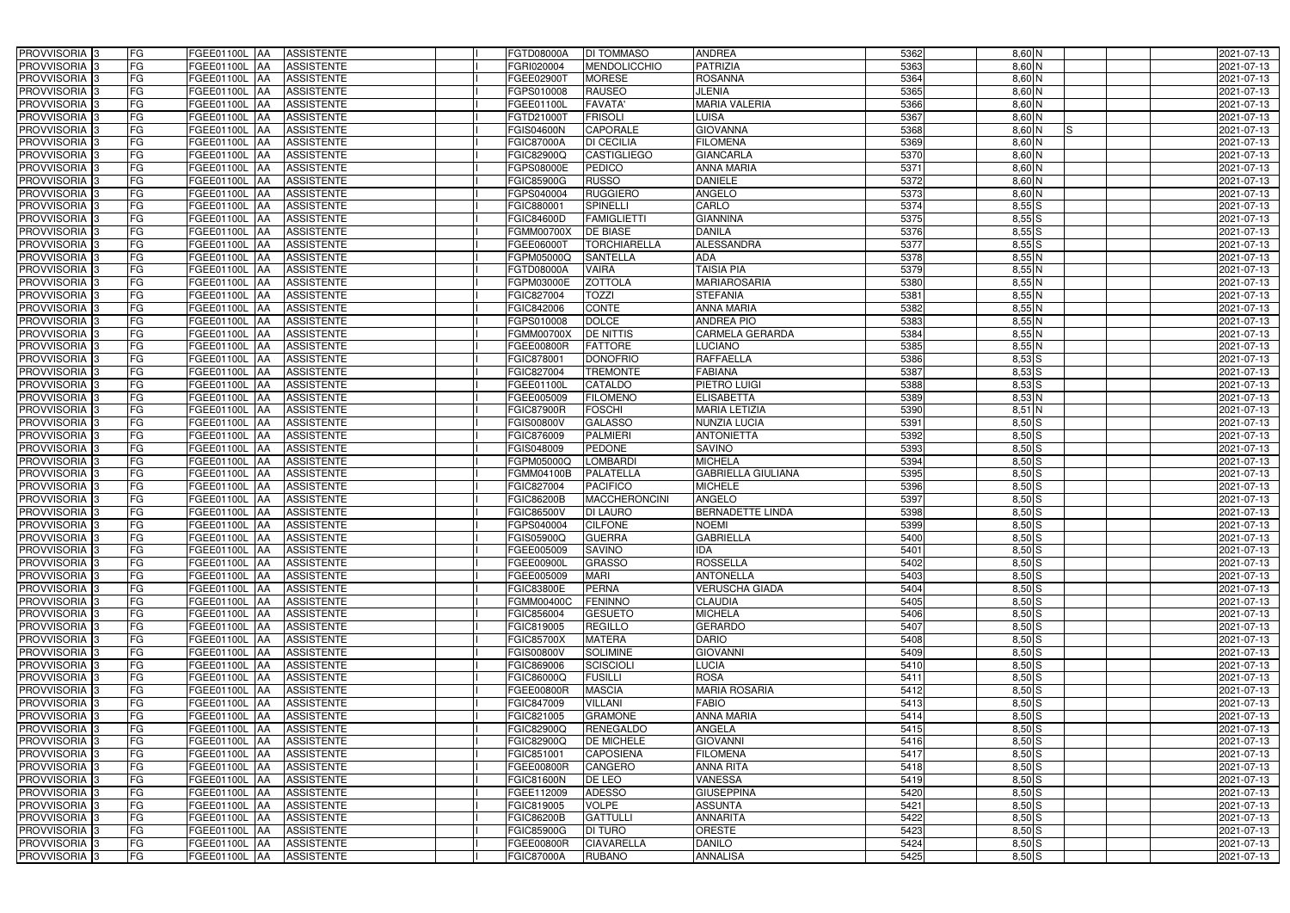| PROVVISORIA <sup>3</sup>                             | FG        | FGEE01100L AA                   | <b>ASSISTENTE</b>                      | FGTD08000A               | DI TOMMASO                            | <b>ANDREA</b>                       | 5362         | 8,60 N                   | 2021-07-13               |
|------------------------------------------------------|-----------|---------------------------------|----------------------------------------|--------------------------|---------------------------------------|-------------------------------------|--------------|--------------------------|--------------------------|
| PROVVISORIA <sup>3</sup>                             | FG        | FGEE01100L AA                   | <b>ASSISTENTE</b>                      | FGRI020004               | <b>MENDOLICCHIO</b>                   | <b>PATRIZIA</b>                     | 5363         | $8,60$ N                 | 2021-07-13               |
| PROVVISORIA <sup>1</sup> 3                           | FG        | FGEE01100L AA                   | <b>ASSISTENTE</b>                      | FGEE02900T               | <b>MORESE</b>                         | <b>ROSANNA</b>                      | 5364         | $8,60$ N                 | 2021-07-13               |
| PROVVISORIA <sup>3</sup>                             | FG        | FGEE01100L AA                   | <b>ASSISTENTE</b>                      | FGPS010008               | <b>RAUSEO</b>                         | <b>JLENIA</b>                       | 5365         | $8,60$ N                 | 2021-07-13               |
| PROVVISORIA <sup>3</sup>                             | FG        | FGEE01100L AA                   | <b>ASSISTENTE</b>                      | FGEE01100L               | <b>FAVATA</b>                         | <b>MARIA VALERIA</b>                | 5366         | $8,60$ N                 | 2021-07-13               |
| PROVVISORIA <sup>3</sup>                             | FG        | <b>FGEE01100L AA</b>            | <b>ASSISTENTE</b>                      | FGTD21000T               | <b>FRISOLI</b>                        | LUISA                               | 5367         | 8,60 N                   | 2021-07-13               |
| PROVVISORIA <sup>3</sup>                             | FG        | FGEE01100L AA                   | <b>ASSISTENTE</b>                      | FGIS04600N               | <b>CAPORALE</b>                       | <b>GIOVANNA</b>                     | 5368         | 8,60 N<br>IS             | 2021-07-13               |
| PROVVISORIA <sup>3</sup>                             | FG        | FGEE01100L AA                   | <b>ASSISTENTE</b>                      | <b>FGIC87000A</b>        | <b>DI CECILIA</b>                     | <b>FILOMENA</b>                     | 5369         | $8,60$ N                 | 2021-07-13               |
| PROVVISORIA <sup>3</sup>                             | FG        | <b>FGEE01100L   AA</b>          | <b>ASSISTENTE</b>                      | FGIC82900Q               | <b>CASTIGLIEGO</b>                    | <b>GIANCARLA</b>                    | 5370         | 8,60 N                   | 2021-07-13               |
| PROVVISORIA <sup>3</sup>                             | FG        | <b>FGEE01100L</b><br>IAA        | <b>ASSISTENTE</b>                      | GPS08000E                | <b>PEDICO</b>                         | <b>ANNA MARIA</b>                   | 5371         | 8,60 N                   | 2021-07-13               |
| PROVVISORIA 3                                        | FG        | <b>FGEE01100L AA</b>            | <b>ASSISTENTE</b>                      | <b>FGIC85900G</b>        | <b>RUSSO</b>                          | <b>DANIELE</b>                      | 5372         | $8,60$ N                 | 2021-07-13               |
| PROVVISORIA <sup>3</sup>                             | FG        | <b>FGEE01100L AA</b>            | <b>ASSISTENTE</b>                      | FGPS040004               | <b>RUGGIERO</b>                       | <b>ANGELO</b>                       | 5373         | $8,60$ N                 | 2021-07-13               |
| PROVVISORIA 3                                        | FG        | FGEE01100L AA                   | <b>ASSISTENTE</b>                      | FGIC880001               | <b>SPINELLI</b>                       | CARLO                               | 5374         | 8,55S                    | 2021-07-13               |
| PROVVISORIA 3                                        | FG        | <b>FGEE01100L</b><br><b>IAA</b> | <b>ASSISTENTE</b>                      | <b>FGIC84600D</b>        | <b>FAMIGLIETTI</b>                    | <b>GIANNINA</b>                     | 5375         | 8,55S                    | 2021-07-13               |
| PROVVISORIA 3                                        | FG        | <b>FGEE01100L</b><br>IAA        | <b>ASSISTENTE</b>                      | FGMM00700X               | <b>DE BIASE</b>                       | <b>DANILA</b>                       | 5376         | $8,55$ $S$               | 2021-07-13               |
| PROVVISORIA 3                                        | FG        | FGEE01100L AA                   | <b>ASSISTENTE</b>                      | FGEE06000T               | <b>TORCHIARELLA</b>                   | <b>ALESSANDRA</b>                   | 5377         | 8,55S                    | 2021-07-13               |
| PROVVISORIA 3                                        | FG        | FGEE01100L AA                   | <b>ASSISTENTE</b>                      | FGPM05000Q               | <b>SANTELLA</b>                       | <b>ADA</b>                          | 5378         | $8,55$ N                 | 2021-07-13               |
| PROVVISORIA 3                                        | FG        | FGEE01100L AA                   | <b>ASSISTENTE</b>                      | FGTD08000A               | <b>VAIRA</b>                          | <b>TAISIA PIA</b>                   | 5379         | $8,55$ N                 | 2021-07-13               |
| PROVVISORIA 3                                        | FG        | FGEE01100L AA                   | <b>ASSISTENTE</b>                      | FGPM03000E               | <b>ZOTTOLA</b>                        | <b>MARIAROSARIA</b>                 | 5380         | $8,55$ N                 | 2021-07-13               |
| PROVVISORIA 3                                        | FG        | FGEE01100L<br>l AA              | <b>ASSISTENTE</b>                      | FGIC827004               | <b>TOZZI</b>                          | <b>STEFANIA</b>                     | 5381         | $8,55$ N                 | 2021-07-13               |
| PROVVISORIA <sup>3</sup>                             | FG        | FGEE01100L<br>ΙAΑ               | <b>ASSISTENTE</b>                      | FGIC842006               | CONTE                                 | <b>ANNA MARIA</b>                   | 5382         | $8,55$ N                 | 2021-07-13               |
| PROVVISORIA 3                                        | FG        | FGEE01100L<br>IAA               | <b>ASSISTENTE</b>                      | GPS010008                | <b>DOLCE</b>                          | <b>ANDREA PIO</b>                   | 5383         | $8,55$ N                 | 2021-07-13               |
| PROVVISORIA 3                                        | FG        | FGEE01100L<br>IAA               | <b>ASSISTENTE</b>                      | FGMM00700X               | DE NITTIS                             | <b>CARMELA GERARDA</b>              | 5384         | $8,55$ N                 | 2021-07-13               |
| PROVVISORIA <sup>3</sup>                             | FG        | <b>FGEE01100L</b><br>IAA        | <b>ASSISTENTE</b>                      | FGEE00800R               | <b>FATTORE</b>                        | <b>LUCIANO</b>                      | 5385         | $8,55$ N                 | 2021-07-13               |
| PROVVISORIA <sup>3</sup>                             | FG        | FGEE01100L AA                   | <b>ASSISTENTE</b>                      | FGIC87800                | <b>DONOFRIO</b>                       | <b>RAFFAELLA</b>                    | 5386         | $8,53$ S                 | 2021-07-13               |
| PROVVISORIA 3                                        | FG        | FGEE01100L<br>IAA               | <b>ASSISTENTE</b>                      | FGIC827004               | <b>TREMONTE</b>                       | <b>FABIANA</b>                      | 5387         | $8,53$ S                 | 2021-07-13               |
| PROVVISORIA 3                                        | FG        | <b>FGEE01100L</b>               | <b>ASSISTENTE</b>                      | FGEE01100L               | <b>CATALDO</b>                        | <b>PIETRO LUIGI</b>                 | 5388         | $8,53$ S                 | 2021-07-13               |
| PROVVISORIA <sup>3</sup>                             | FG        | FGEE01100L<br>IAA               | <b>ASSISTENTE</b>                      | FGEE005009               | <b>FILOMENO</b>                       | <b>ELISABETTA</b>                   | 5389         | $8,53$ N                 | 2021-07-13               |
| PROVVISORIA <sup>3</sup>                             | FG        | FGEE01100L                      | <b>ASSISTENTE</b>                      | <b>FGIC87900R</b>        | <b>FOSCHI</b>                         | <b>MARIA LETIZIA</b>                | 5390         | $8,51$ N                 | 2021-07-13               |
| PROVVISORIA <sup>3</sup>                             | FG        | FGEE01100L<br><b>JAA</b>        | <b>ASSISTENTE</b>                      | FGIS00800V               | <b>GALASSO</b>                        | NUNZIA LUCIA                        | 5391         | $8,50$ $S$               | 2021-07-13               |
| PROVVISORIA <sup>3</sup>                             | FG        | <b>FGEE01100L AA</b>            | <b>ASSISTENTE</b>                      | FGIC876009               | <b>PALMIERI</b>                       | <b>ANTONIETTA</b>                   | 5392         | $8,50$ S                 | 2021-07-13               |
| PROVVISORIA <sup>3</sup>                             | FG        | FGEE01100L<br>IAA               | <b>ASSISTENTE</b>                      | FGIS048009               | <b>PEDONE</b>                         | <b>SAVINO</b>                       | 5393         | 8,50 S                   | 2021-07-13               |
| PROVVISORIA <sup>3</sup>                             | FG        | FGEE01100L<br>IAA               | <b>ASSISTENTE</b>                      | FGPM05000Q               | <b>LOMBARDI</b>                       | <b>MICHELA</b>                      | 5394         | $8,50$ S                 | 2021-07-13               |
| PROVVISORIA <sup>3</sup>                             | FG        | FGEE01100L AA                   | <b>ASSISTENTE</b>                      | FGMM04100B               | <b>PALATELLA</b>                      | <b>GABRIELLA GIULIANA</b>           | 5395         | $8,50$ S                 | 2021-07-13               |
| PROVVISORIA <sup>3</sup>                             | FG        | FGEE01100L AA                   | <b>ASSISTENTE</b>                      | FGIC827004               | <b>PACIFICO</b>                       | <b>MICHELE</b>                      | 5396         | 8,50S                    | 2021-07-13               |
| PROVVISORIA <sup>3</sup>                             | FG        | FGEE01100L AA                   | <b>ASSISTENTE</b>                      | FGIC86200B               | <b>MACCHERONCINI</b>                  | <b>ANGELO</b>                       | 5397         | $8,50$ S                 | 2021-07-13               |
| PROVVISORIA 3                                        | FG        | FGEE01100L AA                   | <b>ASSISTENTE</b>                      | FGIC86500V               | <b>DI LAURO</b>                       | <b>BERNADETTE LINDA</b>             | 5398         | $8,50$ S                 | 2021-07-13               |
| PROVVISORIA <sup>3</sup>                             | FG        | FGEE01100L AA                   | <b>ASSISTENTE</b>                      | FGPS040004               | <b>CILFONE</b>                        | <b>NOEMI</b>                        | 5399         | $8,50$ S                 | 2021-07-13               |
| PROVVISORIA <sup>3</sup>                             | <b>FG</b> | FGEE01100L AA ASSISTENTE        |                                        | <b>FGIS05900Q</b>        | <b>GUERRA</b>                         | <b>GABRIELLA</b>                    | 5400         | $8,50$ S                 | 2021-07-13               |
| <b>PROVVISORIA</b> 3                                 | FG        | FGEE01100L AA                   | ASSISTENTE                             | FGEE005009               | <b>SAVINO</b>                         | <b>IDA</b>                          | 5401         | $8,50$ S                 | 2021-07-13               |
| PROVVISORIA <sup>3</sup>                             | FG        | FGEE01100L AA                   | <b>ASSISTENTE</b>                      | FGEE00900L               | <b>GRASSO</b>                         | <b>ROSSELLA</b>                     | 5402         | $8,50$ S                 | 2021-07-13               |
| PROVVISORIA <sup>3</sup>                             | FG        | FGEE01100L AA                   | <b>ASSISTENTE</b>                      | FGEE005009               | <b>MARI</b>                           | <b>ANTONELLA</b>                    | 5403         | $8,50$ S                 | 2021-07-13               |
| <b>PROVVISORIA</b> 3                                 | FG        | <b>FGEE01100L AA</b>            | ASSISTENTE                             | FGIC83800E               | <b>PERNA</b>                          | <b>VERUSCHA GIADA</b>               | 5404         | $8,50$ S                 | 2021-07-13               |
| PROVVISORIA <sup>3</sup>                             | FG        | FGEE01100L AA                   | <b>ASSISTENTE</b>                      | FGMM00400C               | <b>FENINNO</b>                        | <b>CLAUDIA</b>                      | 5405         | $8,50$ S                 | 2021-07-13               |
| PROVVISORIA <sup>3</sup>                             | FG        | FGEE01100L AA                   | ASSISTENTE                             | FGIC856004               | <b>GESUETO</b>                        | <b>MICHELA</b>                      | 5406         | $8,50$ S                 | 2021-07-13               |
| PROVVISORIA <sup>3</sup>                             | FG        | FGEE01100L AA                   | <b>ASSISTENTE</b>                      | FGIC819005               | <b>REGILLO</b>                        | <b>GERARDO</b>                      | 5407         | $8,50$ S                 | 2021-07-13               |
| PROVVISORIA <sup>1</sup> 3                           | FG        | FGEE01100L AA                   | <b>ASSISTENTE</b>                      | FGIC85700X               | <b>MATERA</b>                         | <b>DARIO</b>                        | 5408         | $8,50$ S                 | 2021-07-13               |
| PROVVISORIA <sup>3</sup>                             | FG        | FGEE01100L AA                   | <b>ASSISTENTE</b>                      | FGIS00800V               | <b>SOLIMINE</b>                       | <b>GIOVANNI</b>                     | 5409         | $8,50$ S                 | 2021-07-13               |
| PROVVISORIA <sup>3</sup>                             | FG        | FGEE01100L AA                   | <b>ASSISTENTE</b>                      | FGIC869006               | SCISCIOLI                             | <b>LUCIA</b>                        | 5410         | $8,50$ S                 | 2021-07-13               |
| PROVVISORIA <sup>3</sup>                             | FG<br>FG  | FGEE01100L AA<br>FGEE01100L AA  | <b>ASSISTENTE</b>                      | FGIC86000Q               | <b>FUSILLI</b>                        | <b>ROSA</b><br><b>MARIA ROSARIA</b> | 5411<br>5412 | $8,50$ S<br>8,50S        | 2021-07-13               |
| PROVVISORIA <sup>3</sup>                             |           |                                 | <b>ASSISTENTE</b>                      | FGEE00800R               | <b>MASCIA</b>                         |                                     |              |                          | 2021-07-13               |
| PROVVISORIA <sup>3</sup><br>PROVVISORIA <sup>3</sup> | FG<br>FG  | FGEE01100L AA                   | <b>ASSISTENTE</b>                      | FGIC847009               | <b>VILLANI</b><br><b>GRAMONE</b>      | <b>FABIO</b><br>ANNA MARIA          | 5413<br>5414 | 8,50S<br>$8,50$ S        | 2021-07-13               |
|                                                      |           | FGEE01100L AA                   | <b>ASSISTENTE</b>                      | FGIC821005               |                                       |                                     |              |                          | 2021-07-13               |
| PROVVISORIA <sup>3</sup>                             | FG<br>FG  | FGEE01100L AA<br>FGEE01100L AA  | <b>ASSISTENTE</b><br><b>ASSISTENTE</b> | FGIC82900Q<br>FGIC82900Q | <b>RENEGALDO</b><br><b>DE MICHELE</b> | <b>ANGELA</b><br><b>GIOVANNI</b>    | 5415<br>5416 | $8,50$ $S$<br>$8,50$ $S$ | 2021-07-13<br>2021-07-13 |
| PROVVISORIA <sup>3</sup><br>PROVVISORIA <sup>3</sup> | FG        | FGEE01100L AA                   | <b>ASSISTENTE</b>                      | FGIC851001               | <b>CAPOSIENA</b>                      | <b>FILOMENA</b>                     | 5417         | $8,50$ S                 | 2021-07-13               |
| PROVVISORIA <sup>3</sup>                             | FG        | FGEE01100L AA                   | <b>ASSISTENTE</b>                      | FGEE00800R               | <b>CANGERO</b>                        | <b>ANNA RITA</b>                    | 5418         | $8,50$ S                 | 2021-07-13               |
| PROVVISORIA <sup>3</sup>                             | FG        | FGEE01100L AA                   | <b>ASSISTENTE</b>                      | FGIC81600N               | DE LEO                                | <b>VANESSA</b>                      | 5419         | $8,50$ S                 | 2021-07-13               |
| PROVVISORIA <sup>3</sup>                             | FG        | FGEE01100L AA                   | <b>ASSISTENTE</b>                      | FGEE112009               | <b>ADESSO</b>                         | <b>GIUSEPPINA</b>                   | 5420         | $8,50$ S                 | 2021-07-13               |
| PROVVISORIA <sup>1</sup> 3                           | FG        | FGEE01100L AA                   | <b>ASSISTENTE</b>                      | FGIC819005               | <b>VOLPE</b>                          | <b>ASSUNTA</b>                      | 5421         | $8,50$ S                 | 2021-07-13               |
| PROVVISORIA <sup>3</sup>                             | FG        | FGEE01100L AA                   | <b>ASSISTENTE</b>                      | <b>FGIC86200B</b>        | <b>GATTULLI</b>                       | <b>ANNARITA</b>                     | 5422         | $8,50$ S                 | 2021-07-13               |
| PROVVISORIA <sup>3</sup>                             | FG        | FGEE01100L AA                   | <b>ASSISTENTE</b>                      | <b>FGIC85900G</b>        | <b>DI TURO</b>                        | <b>ORESTE</b>                       | 5423         | $8,50$ S                 | 2021-07-13               |
| PROVVISORIA <sup>3</sup>                             | FG        | FGEE01100L AA                   | <b>ASSISTENTE</b>                      | FGEE00800R               | <b>CIAVARELLA</b>                     | <b>DANILO</b>                       | 5424         | $8,50$ S                 | 2021-07-13               |
| PROVVISORIA 3                                        | FG        | FGEE01100L AA                   | ASSISTENTE                             | <b>FGIC87000A</b>        | <b>RUBANO</b>                         | <b>ANNALISA</b>                     | 5425         | $8,50$ S                 | 2021-07-13               |
|                                                      |           |                                 |                                        |                          |                                       |                                     |              |                          |                          |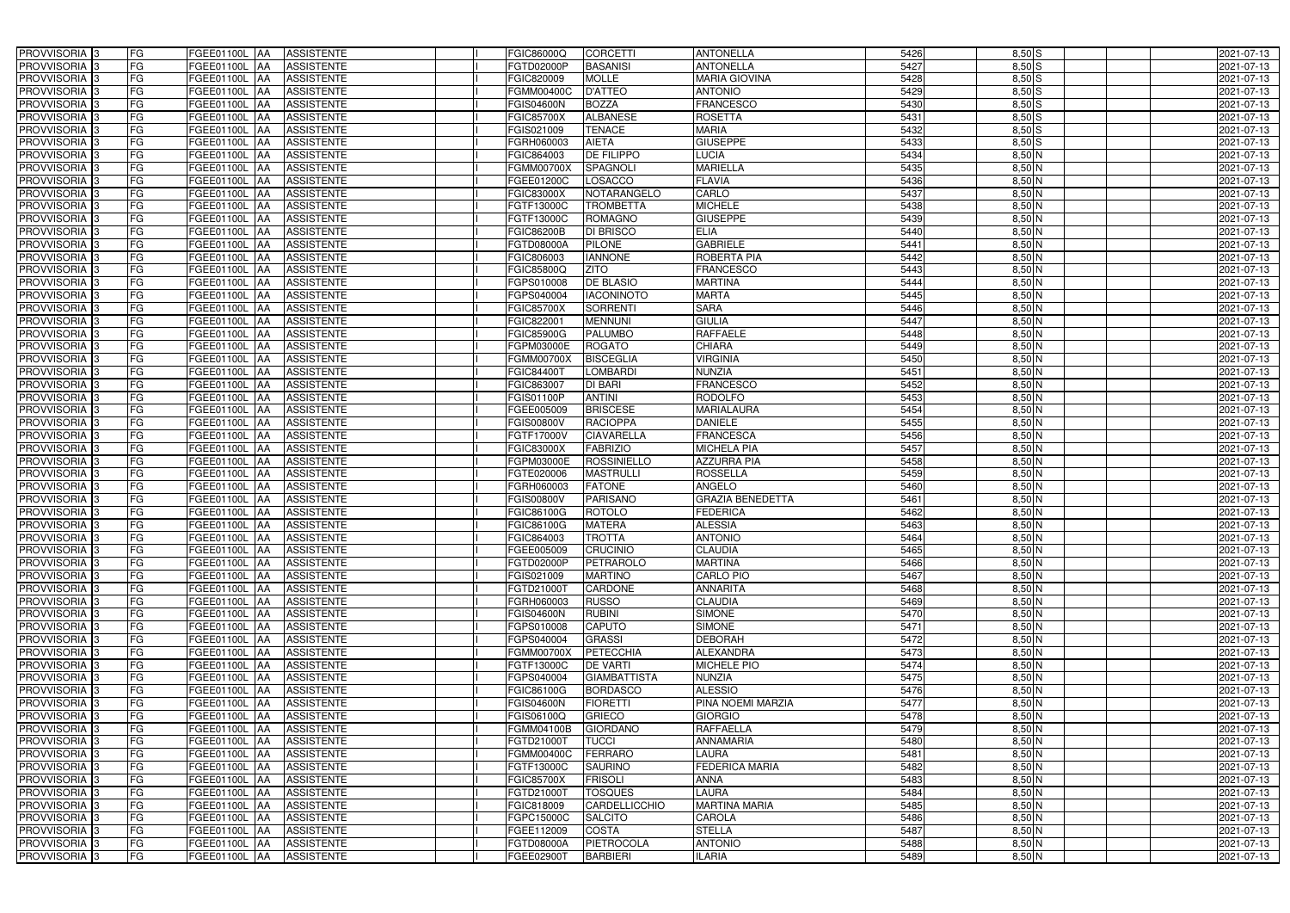| PROVVISORIA 3                                        | FG        | FGEE01100L AA                           | <b>ASSISTENTE</b>                      | FGIC86000Q               | <b>CORCETTI</b>                  | <b>ANTONELLA</b>                    | 5426         | $8,50$ S             | 2021-07-13               |
|------------------------------------------------------|-----------|-----------------------------------------|----------------------------------------|--------------------------|----------------------------------|-------------------------------------|--------------|----------------------|--------------------------|
| PROVVISORIA 3                                        | FG        | FGEE01100L<br>IAA                       | <b>ASSISTENTE</b>                      | FGTD02000P               | <b>BASANISI</b>                  | <b>ANTONELLA</b>                    | 5427         | $8,50$ S             | 2021-07-13               |
| PROVVISORIA 3                                        | FG        | <b>FGEE01100L AA</b>                    | <b>ASSISTENTE</b>                      | FGIC820009               | <b>MOLLE</b>                     | <b>MARIA GIOVINA</b>                | 5428         | $8,50$ S             | 2021-07-13               |
| PROVVISORIA <sup>3</sup>                             | FG        | FGEE01100L<br>IAA                       | <b>ASSISTENTE</b>                      | FGMM00400C               | <b>D'ATTEO</b>                   | <b>ANTONIO</b>                      | 5429         | $8,50$ S             | 2021-07-13               |
| PROVVISORIA 3                                        | FG        | FGEE01100L<br>IAA                       | <b>ASSISTENTE</b>                      | <b>FGIS04600N</b>        | <b>BOZZA</b>                     | <b>FRANCESCO</b>                    | 5430         | $8,50$ S             | 2021-07-13               |
| PROVVISORIA 3                                        | <b>FG</b> | <b>FGEE01100L AA</b>                    | <b>ASSISTENTE</b>                      | <b>FGIC85700X</b>        | <b>ALBANESE</b>                  | <b>ROSETTA</b>                      | 5431         | $8,50$ $S$           | 2021-07-13               |
| PROVVISORIA 3                                        | FG        | FGEE01100L AA                           | <b>ASSISTENTE</b>                      | FGIS021009               | <b>TENACE</b>                    | <b>MARIA</b>                        | 5432         | $8,50$ S             | 2021-07-13               |
| PROVVISORIA 3                                        | FG        | FGEE01100L AA                           | <b>ASSISTENTE</b>                      | FGRH060003               | <b>AIETA</b>                     | <b>GIUSEPPE</b>                     | 5433         | $8,50$ $S$           | 2021-07-13               |
| PROVVISORIA 3                                        | <b>FG</b> | FGEE01100L AA                           | <b>ASSISTENTE</b>                      | FGIC864003               | <b>DE FILIPPO</b>                | <b>LUCIA</b>                        | 5434         | $8,50$ N             | 2021-07-13               |
| PROVVISORIA 3                                        | FG        | FGEE01100L AA                           | <b>ASSISTENTE</b>                      | <b>FGMM00700X</b>        | SPAGNOLI                         | <b>MARIELLA</b>                     | 5435         | $8,50$ N             | 2021-07-13               |
| PROVVISORIA 3                                        | FG        | FGEE01100L AA                           | <b>ASSISTENTE</b>                      | FGEE01200C               | <b>LOSACCO</b>                   | <b>FLAVIA</b>                       | 5436         | $8,50$ N             | 2021-07-13               |
| PROVVISORIA 3                                        | FG        | FGEE01100L AA                           | <b>ASSISTENTE</b>                      | FGIC83000X               | NOTARANGELO                      | CARLO                               | 5437         | $8,50$ N             | 2021-07-13               |
| PROVVISORIA <sup>3</sup>                             | FG        | FGEE01100L AA                           | <b>ASSISTENTE</b>                      | FGTF13000C               | <b>TROMBETTA</b>                 | <b>MICHELE</b>                      | 5438         | $8,50$ N             | 2021-07-13               |
| PROVVISORIA 3                                        | FG        | FGEE01100L AA                           | <b>ASSISTENTE</b>                      | FGTF13000C               | <b>ROMAGNO</b>                   | <b>GIUSEPPE</b>                     | 5439         | $8,50$ N             | 2021-07-13               |
| PROVVISORIA 3                                        | <b>FG</b> | <b>FGEE01100L   AA</b>                  | <b>ASSISTENTE</b>                      | <b>FGIC86200B</b>        | <b>DI BRISCO</b>                 | <b>ELIA</b>                         | 5440         | $8,50$ N             | 2021-07-13               |
| PROVVISORIA 3                                        | <b>FG</b> | FGEE01100L<br>IAA                       | <b>ASSISTENTE</b>                      | FGTD08000A               | <b>PILONE</b>                    | <b>GABRIELE</b>                     | 5441         | $8,50$ N             | 2021-07-13               |
| PROVVISORIA 3                                        | FG        | FGEE01100L<br>IAA                       | <b>ASSISTENTE</b>                      | FGIC806003               | <b>IANNONE</b>                   | <b>ROBERTA PIA</b>                  | 5442         | $8,50$ N             | 2021-07-13               |
| PROVVISORIA 3                                        | FG        | <b>FGEE01100L</b><br>IAA                | <b>ASSISTENTE</b>                      | FGIC85800Q               | <b>ZITO</b>                      | <b>FRANCESCO</b>                    | 5443         | $8,50$ N             | 2021-07-13               |
| PROVVISORIA 3                                        | <b>FG</b> | <b>FGEE01100L</b><br>IAA                | <b>ASSISTENTE</b>                      | FGPS010008               | <b>DE BLASIO</b>                 | <b>MARTINA</b>                      | 5444         | $8,50$ N             | 2021-07-13               |
| PROVVISORIA 3                                        | FG        | FGEE01100L<br>IAA                       | <b>ASSISTENTE</b>                      | FGPS040004               | <b>IACONINOTO</b>                | <b>MARTA</b>                        | 5445         | 8,50 N               | 2021-07-13               |
| PROVVISORIA <sup>3</sup>                             | FG        | FGEE01100L                              | <b>ASSISTENTE</b>                      | <b>FGIC85700X</b>        | <b>SORRENTI</b>                  | <b>SARA</b>                         | 5446         | $8,50$ N             | 2021-07-13               |
| <b>PROVVISORIA</b> 3                                 | FG        | <b>FGEE01100L</b><br>IAA                | <b>ASSISTENTE</b>                      | FGIC822001               | <b>MENNUNI</b>                   | <b>GIULIA</b>                       | 5447         | $8,50$ N             | 2021-07-13               |
| PROVVISORIA <sup>3</sup>                             | FG        | FGEE01100L<br>IAA                       | <b>ASSISTENTE</b>                      | FGIC85900G               | <b>PALUMBO</b>                   | <b>RAFFAELE</b>                     | 5448         | $8,50$ N             | 2021-07-13               |
| PROVVISORIA <sup>13</sup>                            | FG        | FGEE01100L<br>IAA                       | <b>ASSISTENTE</b>                      | FGPM03000E               | <b>ROGATO</b>                    | <b>CHIARA</b>                       | 5449         | $8,50$ N             | 2021-07-13               |
| <b>PROVVISORIA</b> 3                                 | FG        | FGEE01100L<br>IAA                       | <b>ASSISTENTE</b>                      | FGMM00700X               | <b>BISCEGLIA</b>                 | <b>VIRGINIA</b>                     | 5450         | $8,50$ N             | 2021-07-13               |
| PROVVISORIA 3                                        | FG        | FGEE01100L<br>IAA                       | <b>ASSISTENTE</b>                      | FGIC844007               | LOMBARDI                         | <b>NUNZIA</b>                       | 5451         | $8,50$ N             | 2021-07-13               |
| PROVVISORIA 3                                        | <b>FG</b> | FGEE01100L AA                           | <b>ASSISTENTE</b>                      | FGIC863007               | <b>DI BARI</b>                   | <b>FRANCESCO</b>                    | 5452         | $8,50$ N             | 2021-07-13               |
| PROVVISORIA 3                                        | <b>FG</b> | <b>FGEE01100L   AA</b>                  | <b>ASSISTENTE</b>                      | FGIS01100P               | <b>ANTINI</b>                    | <b>RODOLFO</b>                      | 5453         | $8,50$ N             | 2021-07-13               |
| PROVVISORIA <sup>3</sup>                             | FG        | FGEE01100L AA                           | <b>ASSISTENTE</b>                      | FGEE005009               | <b>BRISCESE</b>                  | <b>MARIALAURA</b>                   | 5454         | $8,50$ N             | 2021-07-13               |
| PROVVISORIA 3                                        | <b>FG</b> | FGEE01100L AA                           | <b>ASSISTENTE</b>                      | <b>FGIS00800V</b>        | <b>RACIOPPA</b>                  | <b>DANIELE</b>                      | 5455         | $8,50$ N             | 2021-07-13               |
| PROVVISORIA 3                                        | FG        | <b>FGEE01100L AA</b>                    | <b>ASSISTENTE</b>                      | FGTF17000V               | <b>CIAVARELLA</b>                | <b>FRANCESCA</b>                    | 5456         | $8,50$ N             | 2021-07-13               |
| PROVVISORIA 3                                        | FG        | FGEE01100L AA                           | <b>ASSISTENTE</b>                      | FGIC83000X               | <b>FABRIZIO</b>                  | MICHELA PIA                         | 5457         | $8,50$ N             | 2021-07-13               |
| PROVVISORIA 3                                        | FG        | <b>FGEE01100L</b><br><b>IAA</b>         | <b>ASSISTENTE</b>                      | FGPM03000E               | <b>ROSSINIELLO</b>               | <b>AZZURRA PIA</b>                  | 5458         | $8,50$ N             | 2021-07-13               |
| PROVVISORIA 3                                        | FG        | FGEE01100L AA                           | <b>ASSISTENTE</b>                      | FGTE020006               | <b>MASTRULLI</b>                 | <b>ROSSELLA</b>                     | 5459         | $8,50$ N             | 2021-07-13               |
| <b>PROVVISORIA</b>                                   | <b>FG</b> | FGEE01100L<br>IAA                       | <b>ASSISTENTE</b>                      | FGRH060003               | <b>FATONE</b>                    | ANGELO                              | 5460         | $8,50$ N             | $2021 - 07 - 13$         |
| PROVVISORIA <sup>1</sup> 3                           | FG        | FGEE01100L<br>IAA                       | <b>ASSISTENTE</b>                      | GIS00800V                | <b>PARISANO</b>                  | <b>GRAZIA BENEDETTA</b>             | 5461         | 8,50 N               | 2021-07-13               |
| PROVVISORIA <sup>1</sup> 3                           | FG        | <b>FGEE01100L</b><br>IAA                | <b>ASSISTENTE</b>                      | FGIC86100G               | <b>ROTOLO</b>                    | <b>EDERICA</b>                      | 5462         | $8,50$ N             | 2021-07-13               |
| PROVVISORIA <sup>3</sup>                             | <b>FG</b> | FGEE01100L AA                           | <b>ASSISTENTE</b>                      | FGIC86100G               | <b>MATERA</b>                    | <b>ALESSIA</b>                      | 5463         | $8,50$ N             | 2021-07-13               |
| PROVVISORIA <sup>3</sup>                             | FG        | FGEE01100L AA ASSISTENTE                |                                        | FGIC864003               | <b>TROTTA</b>                    | <b>ANTONIO</b>                      | 5464         | $8,50$ N             | 2021-07-13               |
| PROVVISORIA <sup>3</sup>                             | <b>FG</b> | FGEE01100L AA                           | <b>ASSISTENTE</b>                      | FGEE005009               | <b>CRUCINIO</b>                  | <b>CLAUDIA</b>                      | 5465         | $8,50$ N             | 2021-07-13               |
| PROVVISORIA <sup>3</sup>                             | FG        | FGEE01100L AA                           | <b>ASSISTENTE</b>                      | FGTD02000P               | PETRAROLO                        | <b>MARTINA</b>                      | 5466         | $8,50$ N             | 2021-07-13               |
| PROVVISORIA <sup>3</sup>                             | FG        | FGEE01100L AA                           | <b>ASSISTENTE</b>                      | FGIS021009               | <b>MARTINO</b>                   | <b>CARLO PIO</b>                    | 5467         | $8,50$ N             | 2021-07-13               |
| PROVVISORIA <sup>3</sup>                             | FG        | FGEE01100L AA                           | <b>ASSISTENTE</b>                      | FGTD21000T               | <b>CARDONE</b>                   | <b>ANNARITA</b>                     | 5468         | $8,50$ N             | 2021-07-13               |
| PROVVISORIA <sup>3</sup>                             | FG        | <b>FGEE01100L AA</b>                    | <b>ASSISTENTE</b>                      | FGRH060003               | <b>RUSSO</b>                     | <b>CLAUDIA</b>                      | 5469         | $8,50$ N             | 2021-07-13               |
| PROVVISORIA <sup>3</sup>                             | FG        | FGEE01100L AA                           | <b>ASSISTENTE</b>                      | <b>FGIS04600N</b>        | <b>RUBINI</b>                    | <b>SIMONE</b>                       | 5470         | 8,50 N               | 2021-07-13               |
| PROVVISORIA <sup>3</sup>                             | FG        | FGEE01100L AA                           | <b>ASSISTENTE</b>                      | FGPS010008               | <b>CAPUTO</b>                    | <b>SIMONE</b>                       | 5471         | $8,50$ N             | 2021-07-13               |
| PROVVISORIA <sup>3</sup>                             | FG        | <b>FGEE01100L AA</b>                    | <b>ASSISTENTE</b>                      | FGPS040004               | <b>GRASSI</b>                    | <b>DEBORAH</b>                      | 5472         | $8,50$ N             | 2021-07-13               |
| PROVVISORIA <sup>3</sup>                             | FG        | FGEE01100L AA                           | ASSISTENTE                             | <b>FGMM00700X</b>        | PETECCHIA                        | <b>ALEXANDRA</b>                    | 5473         | $8,50$ N             | 2021-07-13               |
| PROVVISORIA 3                                        | FG        | FGEE01100L AA                           | <b>ASSISTENTE</b>                      | FGTF13000C               | <b>DE VARTI</b>                  | <b>MICHELE PIO</b>                  | 5474         | $8,50$ N             | 2021-07-13               |
| PROVVISORIA <sup>3</sup>                             | FG        | FGEE01100L AA                           | <b>ASSISTENTE</b>                      | FGPS040004               | <b>GIAMBATTISTA</b>              | <b>NUNZIA</b>                       | 5475         | $8,50$ N             | 2021-07-13               |
| PROVVISORIA 3                                        | FG        | FGEE01100L AA                           | <b>ASSISTENTE</b>                      | FGIC86100G               | <b>BORDASCO</b>                  | <b>ALESSIO</b><br>PINA NOEMI MARZIA | 5476         | $8,50$ N             | 2021-07-13               |
| PROVVISORIA <sup>3</sup><br>PROVVISORIA <sup>3</sup> | FG<br>FG  | FGEE01100L AA                           | <b>ASSISTENTE</b>                      | <b>FGIS04600N</b>        | <b>FIORETTI</b>                  |                                     | 5477<br>5478 | $8,50$ N<br>$8,50$ N | 2021-07-13               |
| PROVVISORIA <sup>3</sup>                             | FG        | <b>FGEE01100L   AA</b><br>FGEE01100L AA | <b>ASSISTENTE</b><br><b>ASSISTENTE</b> | FGIS06100Q<br>FGMM04100B | <b>GRIECO</b><br><b>GIORDANO</b> | <b>GIORGIO</b><br><b>RAFFAELLA</b>  | 5479         | $8,50$ N             | 2021-07-13<br>2021-07-13 |
|                                                      |           |                                         |                                        |                          |                                  |                                     |              |                      |                          |
| PROVVISORIA <sup>13</sup>                            | FG<br>FG  | FGEE01100L AA                           | <b>ASSISTENTE</b>                      | FGTD21000T               | <b>TUCCI</b><br><b>FERRARO</b>   | ANNAMARIA                           | 5480         | $8,50$ N<br>$8,50$ N | 2021-07-13               |
| PROVVISORIA <sup>3</sup>                             | FG        | FGEE01100L AA<br>FGEE01100L AA          | <b>ASSISTENTE</b><br><b>ASSISTENTE</b> | FGMM00400C<br>FGTF13000C | <b>SAURINO</b>                   | LAURA<br><b>FEDERICA MARIA</b>      | 5481<br>5482 | $8,50$ N             | 2021-07-13               |
| PROVVISORIA <sup>3</sup><br>PROVVISORIA <sup>3</sup> | FG        | <b>FGEE01100L   AA</b>                  | <b>ASSISTENTE</b>                      | <b>FGIC85700X</b>        | <b>FRISOLI</b>                   | <b>ANNA</b>                         | 5483         | 8,50 N               | 2021-07-13<br>2021-07-13 |
| PROVVISORIA <sup>3</sup>                             | FG        | FGEE01100L AA                           | <b>ASSISTENTE</b>                      | FGTD21000T               | <b>TOSQUES</b>                   | <b>LAURA</b>                        | 5484         | $8,50$ N             | 2021-07-13               |
| PROVVISORIA <sup>3</sup>                             | FG        | FGEE01100L AA                           | <b>ASSISTENTE</b>                      | FGIC818009               | CARDELLICCHIO                    | <b>MARTINA MARIA</b>                | 5485         | $8,50$ N             | 2021-07-13               |
| PROVVISORIA <sup>3</sup>                             | FG        | FGEE01100L AA                           | <b>ASSISTENTE</b>                      | FGPC15000C               | <b>SALCITO</b>                   | <b>CAROLA</b>                       | 5486         | $8,50$ N             | 2021-07-13               |
| PROVVISORIA <sup>3</sup>                             | FG        | FGEE01100L AA                           | <b>ASSISTENTE</b>                      | FGEE112009               | <b>COSTA</b>                     | <b>STELLA</b>                       | 5487         | $8,50$ N             | 2021-07-13               |
| PROVVISORIA <sup>3</sup>                             | FG        | <b>FGEE01100L AA</b>                    | <b>ASSISTENTE</b>                      | FGTD08000A               | PIETROCOLA                       | <b>ANTONIO</b>                      | 5488         | $8,50$ N             | 2021-07-13               |
| PROVVISORIA 3                                        | FG        | FGEE01100L AA                           | ASSISTENTE                             | FGEE02900T               | <b>BARBIERI</b>                  | <b>ILARIA</b>                       | 5489         | $8,50$ N             | 2021-07-13               |
|                                                      |           |                                         |                                        |                          |                                  |                                     |              |                      |                          |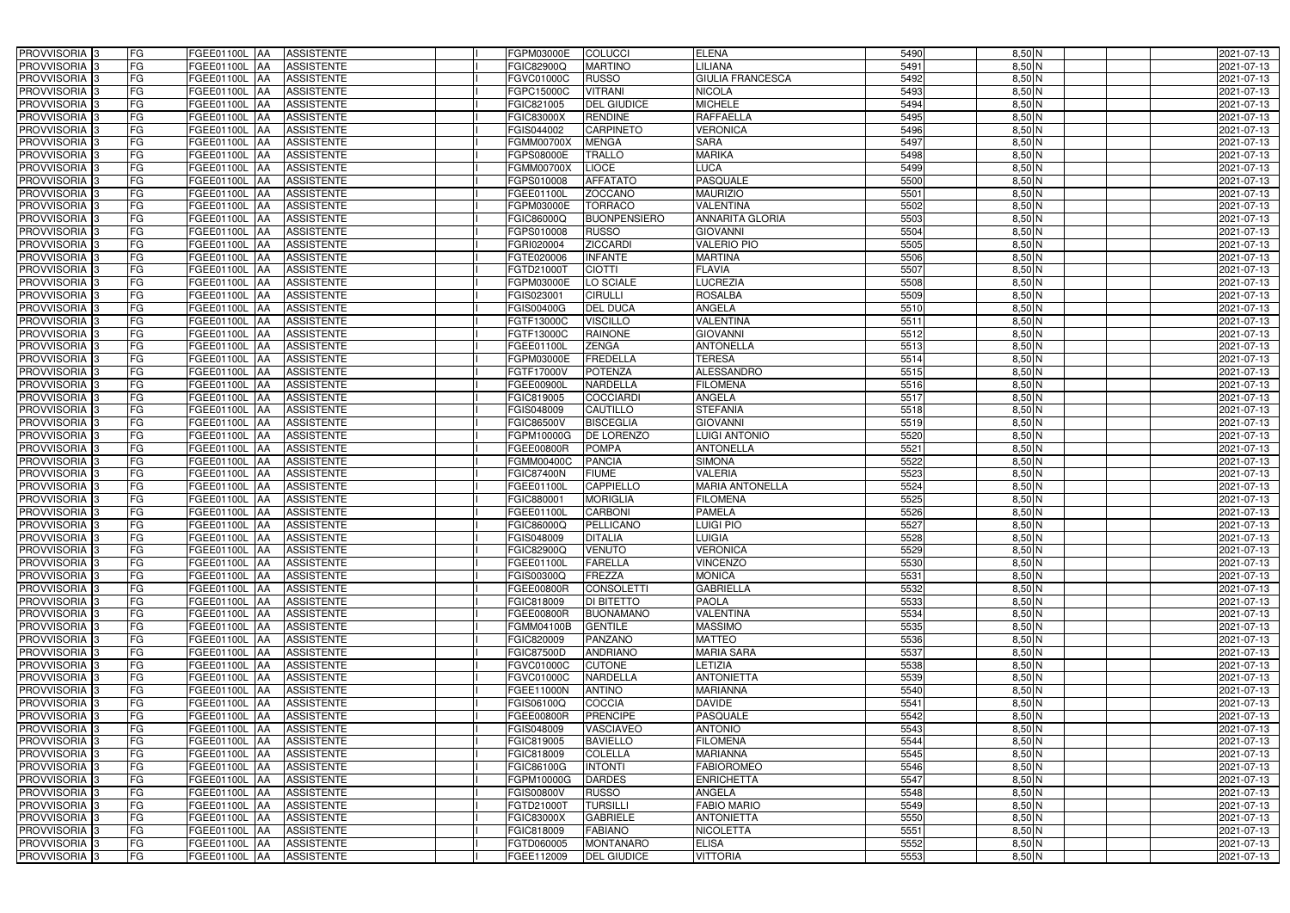| PROVVISORIA 3                  | <b>FG</b><br>FGEE01100L AA<br><b>ASSISTENTE</b>                | FGPM03000E<br><b>COLUCCI</b>           | <b>ELENA</b>            | 5490 | $8,50$ N | 2021-07-13 |
|--------------------------------|----------------------------------------------------------------|----------------------------------------|-------------------------|------|----------|------------|
| PROVVISORIA <sup>3</sup>       | FG<br><b>ASSISTENTE</b><br><b>FGEE01100L AA</b>                | <b>MARTINO</b><br>FGIC82900Q           | LILIANA                 | 5491 | $8,50$ N | 2021-07-13 |
| PROVVISORIA <sup>3</sup>       | FG<br>FGEE01100L AA<br><b>ASSISTENTE</b>                       | FGVC01000C<br><b>RUSSO</b>             | <b>GIULIA FRANCESCA</b> | 5492 | $8,50$ N | 2021-07-13 |
| PROVVISORIA 3                  | FG<br><b>ASSISTENTE</b><br>FGEE01100L AA                       | <b>VITRANI</b><br>FGPC15000C           | <b>NICOLA</b>           | 5493 | $8,50$ N | 2021-07-13 |
| PROVVISORIA <sup>3</sup>       | FG<br>FGEE01100L<br><b>ASSISTENTE</b><br><b>IAA</b>            | <b>DEL GIUDICE</b><br>FGIC821005       | <b>MICHELE</b>          | 5494 | $8,50$ N | 2021-07-13 |
| PROVVISORIA 3                  | FG<br>FGEE01100L AA<br><b>ASSISTENTE</b>                       | <b>RENDINE</b><br><b>FGIC83000X</b>    | <b>RAFFAELLA</b>        | 5495 | $8,50$ N | 2021-07-13 |
| PROVVISORIA <sup>1</sup> 3     | FG<br>FGEE01100L AA<br><b>ASSISTENTE</b>                       | <b>CARPINETO</b><br>FGIS044002         | <b>VERONICA</b>         | 5496 | $8,50$ N | 2021-07-13 |
| PROVVISORIA <sup>3</sup>       | FG<br><b>ASSISTENTE</b><br>FGEE01100L AA                       | <b>MENGA</b><br><b>FGMM00700X</b>      | <b>SARA</b>             | 5497 | $8,50$ N | 2021-07-13 |
| PROVVISORIA 3                  | FG<br>FGEE01100L AA<br><b>ASSISTENTE</b>                       | <b>TRALLO</b><br>FGPS08000E            | <b>MARIKA</b>           | 5498 | $8,50$ N | 2021-07-13 |
| PROVVISORIA <sup>3</sup>       | FG<br><b>FGEE01100L AA</b><br><b>ASSISTENTE</b>                | <b>LIOCE</b><br><b>FGMM00700X</b>      | <b>LUCA</b>             | 5499 | $8,50$ N | 2021-07-13 |
| PROVVISORIA 3                  | FG<br>FGEE01100L AA<br><b>ASSISTENTE</b>                       | <b>AFFATATO</b><br>FGPS010008          | <b>PASQUALE</b>         | 5500 | $8,50$ N | 2021-07-13 |
| PROVVISORIA 3                  | FG<br>FGEE01100L AA<br><b>ASSISTENTE</b>                       | <b>ZOCCANO</b><br>FGEE01100L           | <b>MAURIZIO</b>         | 5501 | $8,50$ N | 2021-07-13 |
| PROVVISORIA <sup>3</sup>       | FG<br>FGEE01100L AA<br><b>ASSISTENTE</b>                       | <b>TORRACO</b><br>FGPM03000E           | <b>VALENTINA</b>        | 5502 | $8,50$ N | 2021-07-13 |
| PROVVISORIA 3                  | FG<br>FGEE01100L AA<br><b>ASSISTENTE</b>                       | <b>BUONPENSIERO</b><br>FGIC86000Q      | <b>ANNARITA GLORIA</b>  | 5503 | $8,50$ N | 2021-07-13 |
| PROVVISORIA 3                  | $\overline{\mathsf{FG}}$<br>FGEE01100L AA<br><b>ASSISTENTE</b> | <b>RUSSO</b><br>FGPS010008             | <b>GIOVANNI</b>         | 5504 | $8,50$ N | 2021-07-13 |
| PROVVISORIA 3                  | $\overline{\mathsf{FG}}$<br>FGEE01100L AA<br><b>ASSISTENTE</b> | <b>ZICCARDI</b><br>FGRI020004          | <b>VALERIO PIO</b>      | 5505 | $8,50$ N | 2021-07-13 |
| PROVVISORIA 3                  | FG<br><b>FGEE01100L</b><br><b>ASSISTENTE</b><br><b>IAA</b>     | <b>INFANTE</b><br>FGTE020006           | <b>MARTINA</b>          | 5506 | $8,50$ N | 2021-07-13 |
| PROVVISORIA 3                  | FG<br>FGEE01100L AA<br><b>ASSISTENTE</b>                       | <b>CIOTTI</b><br>FGTD21000T            | <b>FLAVIA</b>           | 5507 | $8,50$ N | 2021-07-13 |
| PROVVISORIA 3                  | FG<br>FGEE01100L<br><b>ASSISTENTE</b><br><b>JAA</b>            | LO SCIALE<br>FGPM03000E                | <b>LUCREZIA</b>         | 5508 | $8,50$ N | 2021-07-13 |
| PROVVISORIA 3                  | FG<br>FGEE01100L AA<br><b>ASSISTENTE</b>                       | <b>CIRULLI</b><br>FGIS023001           | <b>ROSALBA</b>          | 5509 | $8,50$ N | 2021-07-13 |
| PROVVISORIA <sup>3</sup>       | FG<br>FGEE01100L<br><b>AA</b><br><b>ASSISTENTE</b>             | <b>DEL DUCA</b><br>FGIS00400G          | <b>ANGELA</b>           | 5510 | 8,50 N   | 2021-07-13 |
| PROVVISORIA 3                  | FG<br>FGEE01100L AA<br><b>ASSISTENTE</b>                       | <b>VISCILLO</b><br>FGTF13000C          | <b>VALENTINA</b>        | 5511 | $8,50$ N | 2021-07-13 |
| PROVVISORIA 3                  | FG<br>FGEE01100L<br><b>JAA</b><br><b>ASSISTENTE</b>            | <b>RAINONE</b><br>FGTF13000C           | <b>GIOVANNI</b>         | 5512 | $8,50$ N | 2021-07-13 |
| PROVVISORIA 3                  | FG<br>FGEE01100L AA<br><b>ASSISTENTE</b>                       | FGEE01100L<br><b>ZENGA</b>             | <b>ANTONELLA</b>        | 5513 | $8,50$ N | 2021-07-13 |
| PROVVISORIA 3                  | FG<br>FGEE01100L AA<br><b>ASSISTENTE</b>                       | <b>FREDELLA</b><br>FGPM03000E          | <b>TERESA</b>           | 5514 | $8,50$ N | 2021-07-13 |
| PROVVISORIA 3                  | FG<br>FGEE01100L AA<br><b>ASSISTENTE</b>                       | <b>POTENZA</b><br>FGTF17000V           | <b>ALESSANDRO</b>       | 5515 | $8,50$ N | 2021-07-13 |
| PROVVISORIA 3                  | FG<br>FGEE01100L AA<br><b>ASSISTENTE</b>                       | NARDELLA<br>FGEE00900L                 | <b>FILOMENA</b>         | 5516 | $8,50$ N | 2021-07-13 |
| PROVVISORIA 3                  | FG<br>FGEE01100L AA<br><b>ASSISTENTE</b>                       | FGIC819005<br><b>COCCIARDI</b>         | ANGELA                  | 5517 | $8,50$ N | 2021-07-13 |
| PROVVISORIA <sup>3</sup>       | FG<br>FGEE01100L AA<br><b>ASSISTENTE</b>                       | CAUTILLO<br>FGIS048009                 | <b>STEFANIA</b>         | 5518 | $8,50$ N | 2021-07-13 |
| PROVVISORIA <sup>3</sup>       | FG<br><b>FGEE01100L AA</b><br><b>ASSISTENTE</b>                | <b>BISCEGLIA</b><br><b>FGIC86500V</b>  | <b>GIOVANNI</b>         | 5519 | $8,50$ N | 2021-07-13 |
| PROVVISORIA <sup>3</sup>       | FG<br>FGEE01100L AA<br><b>ASSISTENTE</b>                       | <b>DE LORENZO</b><br>FGPM10000G        | <b>LUIGI ANTONIO</b>    | 5520 | $8,50$ N | 2021-07-13 |
| PROVVISORIA <sup>3</sup>       | FG<br><b>FGEE01100L AA</b><br><b>ASSISTENTE</b>                | <b>POMPA</b><br>FGEE00800R             | <b>ANTONELLA</b>        | 5521 | 8,50 N   | 2021-07-13 |
| PROVVISORIA <sup>3</sup>       | FG<br>FGEE01100L AA<br><b>ASSISTENTE</b>                       | <b>PANCIA</b><br>FGMM00400C            | <b>SIMONA</b>           | 5522 | $8,50$ N | 2021-07-13 |
| PROVVISORIA <sup>3</sup>       | FG<br><b>FGEE01100L AA</b><br><b>ASSISTENTE</b>                | <b>FIUME</b><br><b>FGIC87400N</b>      | <b>VALERIA</b>          | 5523 | $8,50$ N | 2021-07-13 |
| PROVVISORIA <sup>3</sup>       | FG<br><b>ASSISTENTE</b><br>FGEE01100L<br> AA                   | <b>CAPPIELLO</b><br>FGEE01100L         | <b>MARIA ANTONELLA</b>  | 5524 | $8,50$ N | 2021-07-13 |
| PROVVISORIA <sup>3</sup>       | FG<br>FGEE01100L<br><b>ASSISTENTE</b><br><b>JAA</b>            | <b>MORIGLIA</b><br>FGIC880001          | <b>FILOMENA</b>         | 5525 | $8,50$ N | 2021-07-13 |
| PROVVISORIA <sup>3</sup>       | FG<br>FGEE01100L<br><b>ASSISTENTE</b><br><b>JAA</b>            | <b>CARBONI</b><br>FGEE01100L           | <b>PAMELA</b>           | 5526 | $8,50$ N | 2021-07-13 |
| PROVVISORIA <sup>3</sup>       | FG<br>FGEE01100L AA<br><b>ASSISTENTE</b>                       | PELLICANO<br>FGIC86000Q                | <b>LUIGI PIO</b>        | 5527 | $8,50$ N | 2021-07-13 |
| PROVVISORIA <sup>3</sup><br>FG | FGEE01100L AA<br><b>ASSISTENTE</b>                             | FGIS048009<br><b>DITALIA</b>           | <b>LUIGIA</b>           | 5528 | $8,50$ N | 2021-07-13 |
| PROVVISORIA <sup>3</sup>       | FG<br>FGEE01100L AA<br>ASSISTENTE                              | FGIC82900Q<br><b>VENUTO</b>            | <b>VERONICA</b>         | 5529 | $8,50$ N | 2021-07-13 |
| PROVVISORIA <sup>3</sup>       | FG<br>FGEE01100L AA<br>ASSISTENTE                              | <b>FARELLA</b><br>FGEE01100L           | <b>VINCENZO</b>         | 5530 | $8,50$ N | 2021-07-13 |
| PROVVISORIA <sup>3</sup>       | FG<br>FGEE01100L AA<br>ASSISTENTE                              | FREZZA<br>FGIS00300Q                   | <b>MONICA</b>           | 5531 | $8,50$ N | 2021-07-13 |
| PROVVISORIA <sup>3</sup>       | FG<br>FGEE01100L AA<br><b>ASSISTENTE</b>                       | <b>FGEE00800R</b><br><b>CONSOLETTI</b> | <b>GABRIELLA</b>        | 5532 | $8,50$ N | 2021-07-13 |
| PROVVISORIA <sup>3</sup>       | FG<br>FGEE01100L AA<br>ASSISTENTE                              | FGIC818009<br><b>DI BITETTO</b>        | <b>PAOLA</b>            | 5533 | $8,50$ N | 2021-07-13 |
| PROVVISORIA <sup>3</sup>       | FG<br>FGEE01100L AA<br><b>ASSISTENTE</b>                       | FGEE00800R<br><b>BUONAMANO</b>         | <b>VALENTINA</b>        | 5534 | $8,50$ N | 2021-07-13 |
| PROVVISORIA <sup>3</sup>       | FG<br>FGEE01100L AA<br>ASSISTENTE                              | <b>GENTILE</b><br><b>FGMM04100B</b>    | <b>MASSIMO</b>          | 5535 | $8,50$ N | 2021-07-13 |
| PROVVISORIA <sup>3</sup>       | FG<br>FGEE01100L AA<br>ASSISTENTE                              | FGIC820009<br>PANZANO                  | <b>MATTEO</b>           | 5536 | $8,50$ N | 2021-07-13 |
| PROVVISORIA <sup>3</sup>       | FG<br>FGEE01100L AA<br>ASSISTENTE                              | <b>FGIC87500D</b><br><b>ANDRIANO</b>   | <b>MARIA SARA</b>       | 5537 | $8,50$ N | 2021-07-13 |
| PROVVISORIA <sup>3</sup>       | FG<br><b>FGEE01100L AA</b><br>ASSISTENTE                       | <b>CUTONE</b><br>FGVC01000C            | <b>LETIZIA</b>          | 5538 | $8,50$ N | 2021-07-13 |
| PROVVISORIA <sup>3</sup>       | FG<br>FGEE01100L AA<br>ASSISTENTE                              | NARDELLA<br>FGVC01000C                 | <b>ANTONIETTA</b>       | 5539 | $8,50$ N | 2021-07-13 |
| PROVVISORIA <sup>3</sup>       | FG<br>FGEE01100L AA<br><b>ASSISTENTE</b>                       | <b>ANTINO</b><br>FGEE11000N            | <b>MARIANNA</b>         | 5540 | $8,50$ N | 2021-07-13 |
| PROVVISORIA <sup>3</sup>       | FG<br>FGEE01100L AA<br><b>ASSISTENTE</b>                       | FGIS06100Q<br><b>COCCIA</b>            | <b>DAVIDE</b>           | 5541 | $8,50$ N | 2021-07-13 |
| PROVVISORIA <sup>3</sup>       | FG<br>FGEE01100L AA<br><b>ASSISTENTE</b>                       | <b>PRENCIPE</b><br>FGEE00800R          | <b>PASQUALE</b>         | 5542 | $8,50$ N | 2021-07-13 |
| PROVVISORIA <sup>3</sup>       | FG<br>FGEE01100L AA<br><b>ASSISTENTE</b>                       | <b>VASCIAVEO</b><br>FGIS048009         | <b>ANTONIO</b>          | 5543 | $8,50$ N | 2021-07-13 |
| PROVVISORIA <sup>3</sup>       | FG<br>FGEE01100L AA<br><b>ASSISTENTE</b>                       | <b>BAVIELLO</b><br>FGIC819005          | <b>FILOMENA</b>         | 5544 | $8,50$ N | 2021-07-13 |
| PROVVISORIA <sup>1</sup> 3     | FG<br>FGEE01100L AA<br><b>ASSISTENTE</b>                       | <b>COLELLA</b><br>FGIC818009           | <b>MARIANNA</b>         | 5545 | 8,50 N   | 2021-07-13 |
| PROVVISORIA <sup>3</sup>       | FG<br>FGEE01100L AA<br><b>ASSISTENTE</b>                       | <b>INTONTI</b><br>FGIC86100G           | <b>FABIOROMEO</b>       | 5546 | $8,50$ N | 2021-07-13 |
| <b>PROVVISORIA</b> 3           | FG<br>FGEE01100L AA<br><b>ASSISTENTE</b>                       | <b>DARDES</b><br>FGPM10000G            | <b>ENRICHETTA</b>       | 5547 | $8,50$ N | 2021-07-13 |
| PROVVISORIA <sup>3</sup>       | FG<br><b>ASSISTENTE</b><br>FGEE01100L AA                       | <b>RUSSO</b><br><b>FGIS00800V</b>      | ANGELA                  | 5548 | 8,50 N   | 2021-07-13 |
| PROVVISORIA <sup>1</sup> 3     | FG<br><b>FGEE01100L AA</b><br><b>ASSISTENTE</b>                | <b>TURSILLI</b><br>FGTD21000T          | <b>FABIO MARIO</b>      | 5549 | $8,50$ N | 2021-07-13 |
| PROVVISORIA <sup>3</sup>       | FG<br>FGEE01100L AA<br><b>ASSISTENTE</b>                       | <b>GABRIELE</b><br><b>FGIC83000X</b>   | <b>ANTONIETTA</b>       | 5550 | $8,50$ N | 2021-07-13 |
| PROVVISORIA <sup>3</sup>       | FG<br>FGEE01100L AA<br><b>ASSISTENTE</b>                       | FGIC818009<br><b>FABIANO</b>           | <b>NICOLETTA</b>        | 5551 | $8,50$ N | 2021-07-13 |
| PROVVISORIA <sup>3</sup>       | FG<br>FGEE01100L AA<br>ASSISTENTE                              | FGTD060005<br><b>MONTANARO</b>         | <b>ELISA</b>            | 5552 | $8,50$ N | 2021-07-13 |
| PROVVISORIA 3                  | FG<br>FGEE01100L AA<br>ASSISTENTE                              | FGEE112009<br><b>DEL GIUDICE</b>       | <b>VITTORIA</b>         | 5553 | $8,50$ N | 2021-07-13 |
|                                |                                                                |                                        |                         |      |          |            |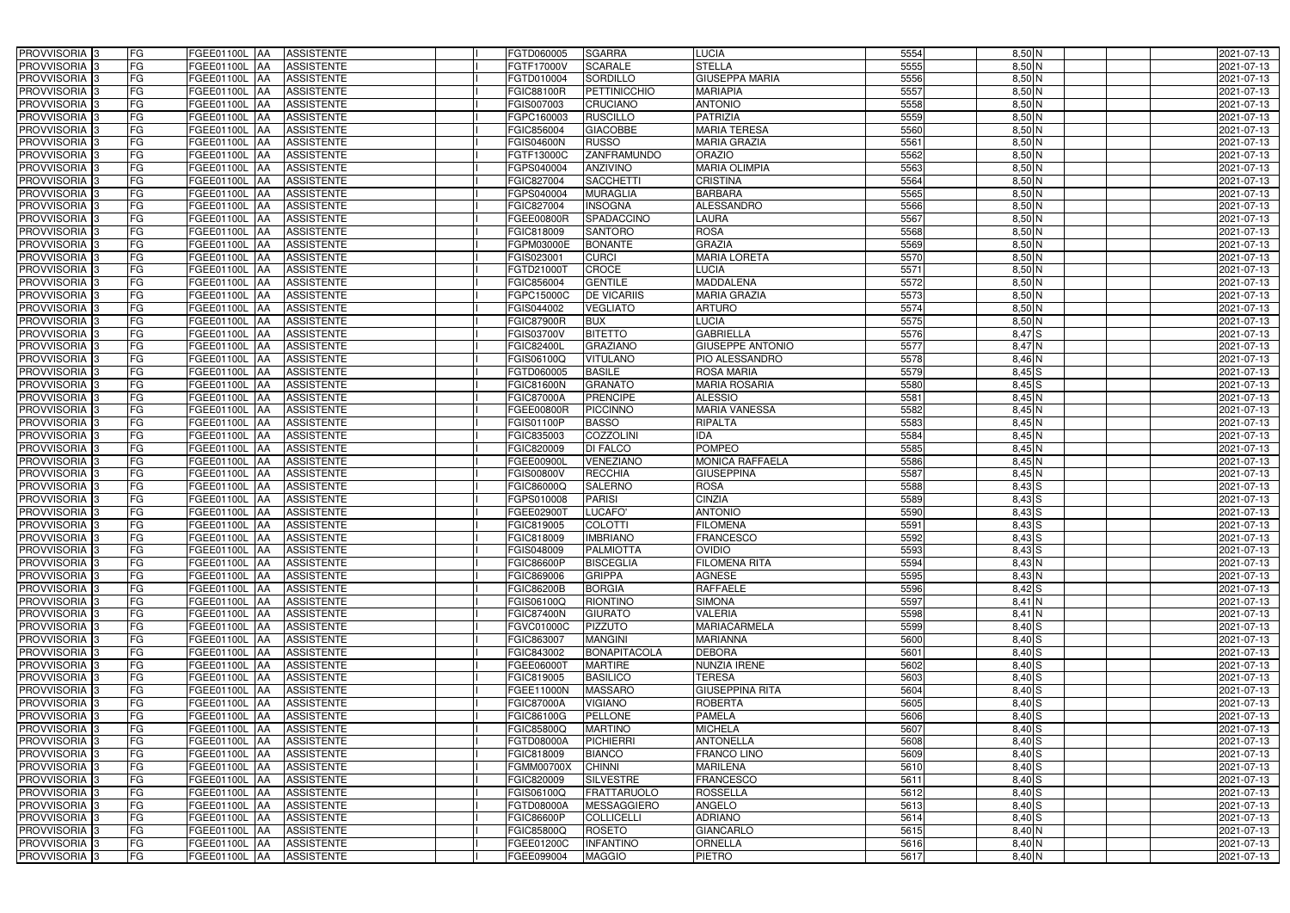| PROVVISORIA <sup>3</sup><br><b>FG</b>                            | FGEE01100L AA<br><b>ASSISTENTE</b>                                       | FGTD060005<br><b>SGARRA</b>                              | <b>LUCIA</b>                      | 5554         | $8,50$ N           | 2021-07-13               |
|------------------------------------------------------------------|--------------------------------------------------------------------------|----------------------------------------------------------|-----------------------------------|--------------|--------------------|--------------------------|
| FG<br>PROVVISORIA <sup>3</sup>                                   | <b>ASSISTENTE</b><br>FGEE01100L<br>IAA                                   | <b>SCARALE</b><br>FGTF17000V                             | <b>STELLA</b>                     | 5555         | $8,50$ N           | 2021-07-13               |
| FG<br>PROVVISORIA <sup>3</sup>                                   | FGEE01100L<br><b>ASSISTENTE</b><br>IAA                                   | <b>SORDILLO</b><br>FGTD010004                            | <b>GIUSEPPA MARIA</b>             | 5556         | $8,50$ N           | 2021-07-13               |
| FG<br>PROVVISORIA 3                                              | <b>FGEE01100L</b><br><b>ASSISTENTE</b><br>IAA                            | <b>PETTINICCHIO</b><br>FGIC88100R                        | <b>MARIAPIA</b>                   | 5557         | $8,50$ N           | 2021-07-13               |
| FG<br>PROVVISORIA <sup>3</sup>                                   | FGEE01100L<br><b>ASSISTENTE</b><br>IAA                                   | CRUCIANO<br>FGIS007003                                   | <b>ANTONIO</b>                    | 5558         | $8,50$ N           | 2021-07-13               |
| FG<br>PROVVISORIA <sup>3</sup>                                   | <b>FGEE01100L AA</b><br><b>ASSISTENTE</b>                                | <b>RUSCILLO</b><br>FGPC160003                            | <b>PATRIZIA</b>                   | 5559         | $8,50$ N           | 2021-07-13               |
| FG<br>PROVVISORIA <sup>1</sup> 3                                 | FGEE01100L AA<br><b>ASSISTENTE</b>                                       | <b>GIACOBBE</b><br>FGIC856004                            | <b>MARIA TERESA</b>               | 5560         | $8,50$ N           | 2021-07-13               |
| FG<br>PROVVISORIA <sup>3</sup>                                   | FGEE01100L AA<br><b>ASSISTENTE</b>                                       | <b>RUSSO</b><br><b>FGIS04600N</b>                        | <b>MARIA GRAZIA</b>               | 5561         | $8,50$ N           | 2021-07-13               |
| PROVVISORIA 3<br>FG                                              | FGEE01100L AA<br><b>ASSISTENTE</b>                                       | <b>ZANFRAMUNDO</b><br>FGTF13000C                         | <b>ORAZIO</b>                     | 5562         | $8,50$ N           | 2021-07-13               |
| PROVVISORIA <sup>3</sup><br>FG                                   | FGEE01100L AA<br><b>ASSISTENTE</b>                                       | <b>ANZIVINO</b><br>FGPS040004                            | <b>MARIA OLIMPIA</b>              | 5563         | 8,50 N             | 2021-07-13               |
| PROVVISORIA 3<br>FG                                              | FGEE01100L AA<br><b>ASSISTENTE</b>                                       | <b>SACCHETTI</b><br>FGIC827004                           | <b>CRISTINA</b>                   | 5564         | $8,50$ N           | 2021-07-13               |
| PROVVISORIA 3<br>FG                                              | FGEE01100L AA<br><b>ASSISTENTE</b>                                       | <b>MURAGLIA</b><br>FGPS040004                            | <b>BARBARA</b>                    | 5565         | $8,50$ N           | 2021-07-13               |
| PROVVISORIA <sup>3</sup><br>FG                                   | FGEE01100L AA<br><b>ASSISTENTE</b>                                       | <b>INSOGNA</b><br>FGIC827004                             | <b>ALESSANDRO</b>                 | 5566         | $8,50$ N           | 2021-07-13               |
| PROVVISORIA 3<br>FG                                              | FGEE01100L AA<br><b>ASSISTENTE</b>                                       | SPADACCINO<br>FGEE00800R                                 | LAURA                             | 5567         | $8,50$ N           | 2021-07-13               |
| FG<br>PROVVISORIA 3                                              | FGEE01100L AA<br><b>ASSISTENTE</b>                                       | <b>SANTORO</b><br>FGIC818009                             | <b>ROSA</b>                       | 5568         | $8,50$ N           | 2021-07-13               |
| FG<br>PROVVISORIA 3                                              | FGEE01100L<br><b>ASSISTENTE</b><br>IAA                                   | <b>BONANTE</b><br>FGPM03000E                             | <b>GRAZIA</b>                     | 5569         | $8,50$ N           | 2021-07-13               |
| PROVVISORIA 3<br>FG                                              | FGEE01100L<br><b>ASSISTENTE</b><br>IAA                                   | <b>CURCI</b><br>FGIS02300 <sup>-</sup>                   | <b>MARIA LORETA</b>               | 5570         | $8,50$ N           | 2021-07-13               |
| PROVVISORIA 3<br>FG                                              | FGEE01100L<br><b>ASSISTENTE</b><br><b>JAA</b>                            | <b>CROCE</b><br>FGTD210001                               | <b>LUCIA</b>                      | 5571         | $8,50$ N           | 2021-07-13               |
| PROVVISORIA 3<br>FG                                              | FGEE01100L<br><b>ASSISTENTE</b><br><b>JAA</b>                            | <b>GENTILE</b><br>FGIC856004                             | <b>MADDALENA</b>                  | 5572         | $8,50$ N           | 2021-07-13               |
| PROVVISORIA 3<br>FG                                              | FGEE01100L<br>IAA<br><b>ASSISTENTE</b>                                   | <b>DE VICARIIS</b><br>FGPC15000C                         | <b>MARIA GRAZIA</b>               | 5573         | 8,50 N             | 2021-07-13               |
| FG<br>PROVVISORIA 3                                              | FGEE01100L<br><b>ASSISTENTE</b><br>ΙAΑ                                   | <b>VEGLIATO</b><br>FGIS044002                            | <b>ARTURO</b>                     | 5574         | $8,50$ N           | 2021-07-13               |
| PROVVISORIA 3<br>FG                                              | <b>FGEE01100L</b><br><b>ASSISTENTE</b><br>IAA                            | <b>BUX</b><br><b>FGIC87900R</b>                          | <b>LUCIA</b>                      | 5575         | $8,50$ N           | 2021-07-13               |
| PROVVISORIA 3<br>FG                                              | FGEE01100L<br><b>ASSISTENTE</b><br>IAA                                   | <b>BITETTO</b><br>FGIS03700V                             | <b>GABRIELLA</b>                  | 5576         | $8,47$ $S$         | 2021-07-13               |
| PROVVISORIA 3<br>FG                                              | FGEE01100L AA<br><b>ASSISTENTE</b>                                       | <b>GRAZIANO</b><br>FGIC82400L                            | <b>GIUSEPPE ANTONIO</b>           | 5577         | $8,47$ N           | 2021-07-13               |
| PROVVISORIA <sup>3</sup><br>FG                                   | FGEE01100L<br><b>ASSISTENTE</b><br> AA                                   | FGIS06100Q<br><b>VITULANO</b>                            | PIO ALESSANDRO                    | 5578         | $8,46$ N           | 2021-07-13               |
| PROVVISORIA 3<br>FG                                              | FGEE01100L<br><b>ASSISTENTE</b><br><b>IAA</b>                            | <b>BASILE</b><br>FGTD060005                              | <b>ROSA MARIA</b>                 | 5579         | $8,45$ $S$         | 2021-07-13               |
| PROVVISORIA 3<br>FG                                              | FGEE01100L AA<br><b>ASSISTENTE</b>                                       | <b>GRANATO</b><br><b>FGIC81600N</b>                      | <b>MARIA ROSARIA</b>              | 5580         | $8,45$ $S$         | 2021-07-13               |
| FG<br>PROVVISORIA 3                                              | FGEE01100L<br><b>ASSISTENTE</b><br>IAA                                   | <b>PRENCIPE</b><br><b>FGIC87000A</b>                     | <b>ALESSIO</b>                    | 5581         | $8,45$ N           | 2021-07-13               |
| PROVVISORIA <sup>3</sup><br>FG                                   | FGEE01100L AA<br><b>ASSISTENTE</b>                                       | <b>PICCINNO</b><br>FGEE00800R                            | <b>MARIA VANESSA</b>              | 5582         | 8,45 N             | 2021-07-13               |
| FG<br>PROVVISORIA <sup>3</sup>                                   | FGEE01100L AA<br><b>ASSISTENTE</b>                                       | <b>BASSO</b><br>FGIS01100P                               | RIPALTA                           | 5583         | $8,45$ N           | 2021-07-13               |
| FG<br>PROVVISORIA <sup>3</sup>                                   | FGEE01100L AA<br><b>ASSISTENTE</b>                                       | <b>COZZOLINI</b><br>FGIC835003                           | <b>IDA</b>                        | 5584         | 8,45 N             | 2021-07-13               |
| PROVVISORIA <sup>3</sup><br>FG                                   | FGEE01100L AA<br><b>ASSISTENTE</b>                                       | <b>DI FALCO</b><br>FGIC820009                            | <b>POMPEO</b>                     | 5585         | $8,45$ N           | 2021-07-13               |
| FG<br>PROVVISORIA <sup>3</sup>                                   | <b>FGEE01100L AA</b><br><b>ASSISTENTE</b>                                | <b>VENEZIANO</b><br>FGEE00900L                           | <b>MONICA RAFFAELA</b>            | 5586         | 8,45 N             | 2021-07-13               |
| PROVVISORIA <sup>3</sup><br>FG                                   | <b>FGEE01100L AA</b><br><b>ASSISTENTE</b>                                | <b>RECCHIA</b><br><b>FGIS00800V</b>                      | <b>GIUSEPPINA</b>                 | 5587         | 8,45 N             | 2021-07-13               |
| FG<br>PROVVISORIA <sup>3</sup>                                   | <b>ASSISTENTE</b><br>FGEE01100L<br>IAA                                   | <b>SALERNO</b><br>FGIC86000Q                             | <b>ROSA</b>                       | 5588         | $8,43$ $S$         | 2021-07-13               |
| PROVVISORIA <sup>3</sup><br>FG                                   | <b>FGEE01100L</b><br><b>ASSISTENTE</b><br>IAA                            | <b>PARISI</b><br>FGPS010008                              | <b>CINZIA</b>                     | 5589         | $8,43$ $S$         | 2021-07-13               |
| PROVVISORIA <sup>3</sup><br>FG                                   | FGEE01100L<br><b>ASSISTENTE</b><br>IAA                                   | LUCAFO'<br>FGEE02900T                                    | <b>ANTONIO</b>                    | 5590         | $8,43$ S           | 2021-07-13               |
| FG<br>PROVVISORIA <sup>1</sup> 3                                 | FGEE01100L AA<br><b>ASSISTENTE</b>                                       | <b>COLOTTI</b><br>FGIC819005                             | <b>FILOMENA</b>                   | 5591         | $8,43$ S           | 2021-07-13               |
| PROVVISORIA <sup>3</sup><br>FG<br>PROVVISORIA <sup>3</sup><br>FG | FGEE01100L AA<br><b>ASSISTENTE</b><br>FGEE01100L AA<br><b>ASSISTENTE</b> | FGIC818009<br><b>IMBRIANO</b><br>FGIS048009<br>PALMIOTTA | <b>FRANCESCO</b><br><b>OVIDIO</b> | 5592<br>5593 | $8,43$ S<br>8,43 S | 2021-07-13<br>2021-07-13 |
| PROVVISORIA <sup>3</sup><br>FG                                   | FGEE01100L AA<br>ASSISTENTE                                              | <b>FGIC86600P</b><br><b>BISCEGLIA</b>                    | <b>FILOMENA RITA</b>              | 5594         | $8,43$ N           | 2021-07-13               |
| PROVVISORIA <sup>3</sup><br>FG                                   | <b>FGEE01100L AA</b><br><b>ASSISTENTE</b>                                | <b>GRIPPA</b><br>FGIC869006                              | <b>AGNESE</b>                     | 5595         | 8,43 N             | 2021-07-13               |
| PROVVISORIA <sup>3</sup><br>FG                                   | FGEE01100L AA<br>ASSISTENTE                                              | <b>FGIC86200B</b><br><b>BORGIA</b>                       | <b>RAFFAELE</b>                   | 5596         | $8,42$ $S$         | 2021-07-13               |
| PROVVISORIA <sup>3</sup><br>FG                                   | FGEE01100L AA<br>ASSISTENTE                                              | <b>RIONTINO</b><br>FGIS06100Q                            | <b>SIMONA</b>                     | 5597         | 8,41 N             | 2021-07-13               |
| PROVVISORIA <sup>3</sup><br>FG                                   | FGEE01100L AA<br><b>ASSISTENTE</b>                                       | <b>FGIC87400N</b><br><b>GIURATO</b>                      | <b>VALERIA</b>                    | 5598         | $8,41$ N           | 2021-07-13               |
| PROVVISORIA <sup>3</sup><br>FG                                   | FGEE01100L AA<br><b>ASSISTENTE</b>                                       | FGVC01000C<br><b>PIZZUTO</b>                             | <b>MARIACARMELA</b>               | 5599         | $8,40$ S           | 2021-07-13               |
| PROVVISORIA <sup>3</sup><br>FG                                   | FGEE01100L AA<br>ASSISTENTE                                              | <b>MANGINI</b><br>FGIC863007                             | <b>MARIANNA</b>                   | 5600         | $8,40$ S           | 2021-07-13               |
| PROVVISORIA <sup>3</sup><br>FG                                   | FGEE01100L AA<br>ASSISTENTE                                              | <b>BONAPITACOLA</b><br>FGIC843002                        | <b>DEBORA</b>                     | 5601         | $8,40$ S           | 2021-07-13               |
| PROVVISORIA <sup>3</sup><br>FG                                   | FGEE01100L AA<br><b>ASSISTENTE</b>                                       | FGEE06000T<br><b>MARTIRE</b>                             | <b>NUNZIA IRENE</b>               | 5602         | $8,40$ S           | 2021-07-13               |
| PROVVISORIA <sup>3</sup><br>FG                                   | FGEE01100L AA<br>ASSISTENTE                                              | FGIC819005<br><b>BASILICO</b>                            | <b>TERESA</b>                     | 5603         | $8,40$ S           | 2021-07-13               |
| PROVVISORIA <sup>3</sup><br>FG                                   | FGEE01100L AA<br><b>ASSISTENTE</b>                                       | <b>MASSARO</b><br>FGEE11000N                             | <b>GIUSEPPINA RITA</b>            | 5604         | $8,40$ S           | 2021-07-13               |
| PROVVISORIA <sup>3</sup><br>FG                                   | FGEE01100L AA<br><b>ASSISTENTE</b>                                       | <b>FGIC87000A</b><br><b>VIGIANO</b>                      | <b>ROBERTA</b>                    | 5605         | 8,40 S             | 2021-07-13               |
| PROVVISORIA <sup>3</sup><br>FG                                   | FGEE01100L AA<br><b>ASSISTENTE</b>                                       | <b>PELLONE</b><br>FGIC86100G                             | <b>PAMELA</b>                     | 5606         | 8,40 S             | 2021-07-13               |
| PROVVISORIA <sup>3</sup><br>FG                                   | FGEE01100L AA<br><b>ASSISTENTE</b>                                       | <b>MARTINO</b><br>FGIC85800Q                             | <b>MICHELA</b>                    | 5607         | $8,40$ S           | 2021-07-13               |
| FG<br>PROVVISORIA <sup>13</sup>                                  | FGEE01100L AA<br><b>ASSISTENTE</b>                                       | <b>PICHIERRI</b><br>FGTD08000A                           | <b>ANTONELLA</b>                  | 5608         | $8,40$ S           | 2021-07-13               |
| FG<br>PROVVISORIA <sup>1</sup> 3                                 | FGEE01100L AA<br><b>ASSISTENTE</b>                                       | <b>BIANCO</b><br>FGIC818009                              | FRANCO LINO                       | 5609         | $8,40$ S           | 2021-07-13               |
| FG<br>PROVVISORIA <sup>3</sup>                                   | FGEE01100L AA<br><b>ASSISTENTE</b>                                       | <b>CHINNI</b><br>FGMM00700X                              | <b>MARILENA</b>                   | 5610         | $8,40$ S           | 2021-07-13               |
| PROVVISORIA <sup>1</sup> 3<br>FG                                 | FGEE01100L AA<br><b>ASSISTENTE</b>                                       | <b>SILVESTRE</b><br>FGIC820009                           | <b>FRANCESCO</b>                  | 5611         | $8,40$ S           | 2021-07-13               |
| PROVVISORIA <sup>3</sup><br>FG                                   | <b>ASSISTENTE</b><br>FGEE01100L AA                                       | FRATTARUOLO<br>FGIS06100Q                                | <b>ROSSELLA</b>                   | 5612         | $8,40$ S           | 2021-07-13               |
| FG<br>PROVVISORIA <sup>1</sup> 3                                 | <b>ASSISTENTE</b><br>FGEE01100L AA                                       | <b>MESSAGGIERO</b><br>FGTD08000A                         | ANGELO                            | 5613         | $8,40$ S           | 2021-07-13               |
| PROVVISORIA <sup>3</sup><br>FG                                   | FGEE01100L AA<br><b>ASSISTENTE</b>                                       | FGIC86600P<br><b>COLLICELLI</b>                          | <b>ADRIANO</b>                    | 5614         | $8,40$ S           | 2021-07-13               |
| PROVVISORIA <sup>3</sup><br>FG                                   | FGEE01100L AA<br><b>ASSISTENTE</b>                                       | FGIC85800Q<br>ROSETO                                     | <b>GIANCARLO</b>                  | 5615         | $8,40$ N           | 2021-07-13               |
| PROVVISORIA <sup>3</sup><br>FG                                   | ASSISTENTE<br>FGEE01100L AA                                              | <b>INFANTINO</b><br>FGEE01200C                           | <b>ORNELLA</b>                    | 5616         | $8,40$ N           | 2021-07-13               |
| PROVVISORIA <sup>3</sup><br>FG                                   | FGEE01100L AA<br>ASSISTENTE                                              | FGEE099004<br><b>MAGGIO</b>                              | PIETRO                            | 5617         | $8,40$ N           | 2021-07-13               |
|                                                                  |                                                                          |                                                          |                                   |              |                    |                          |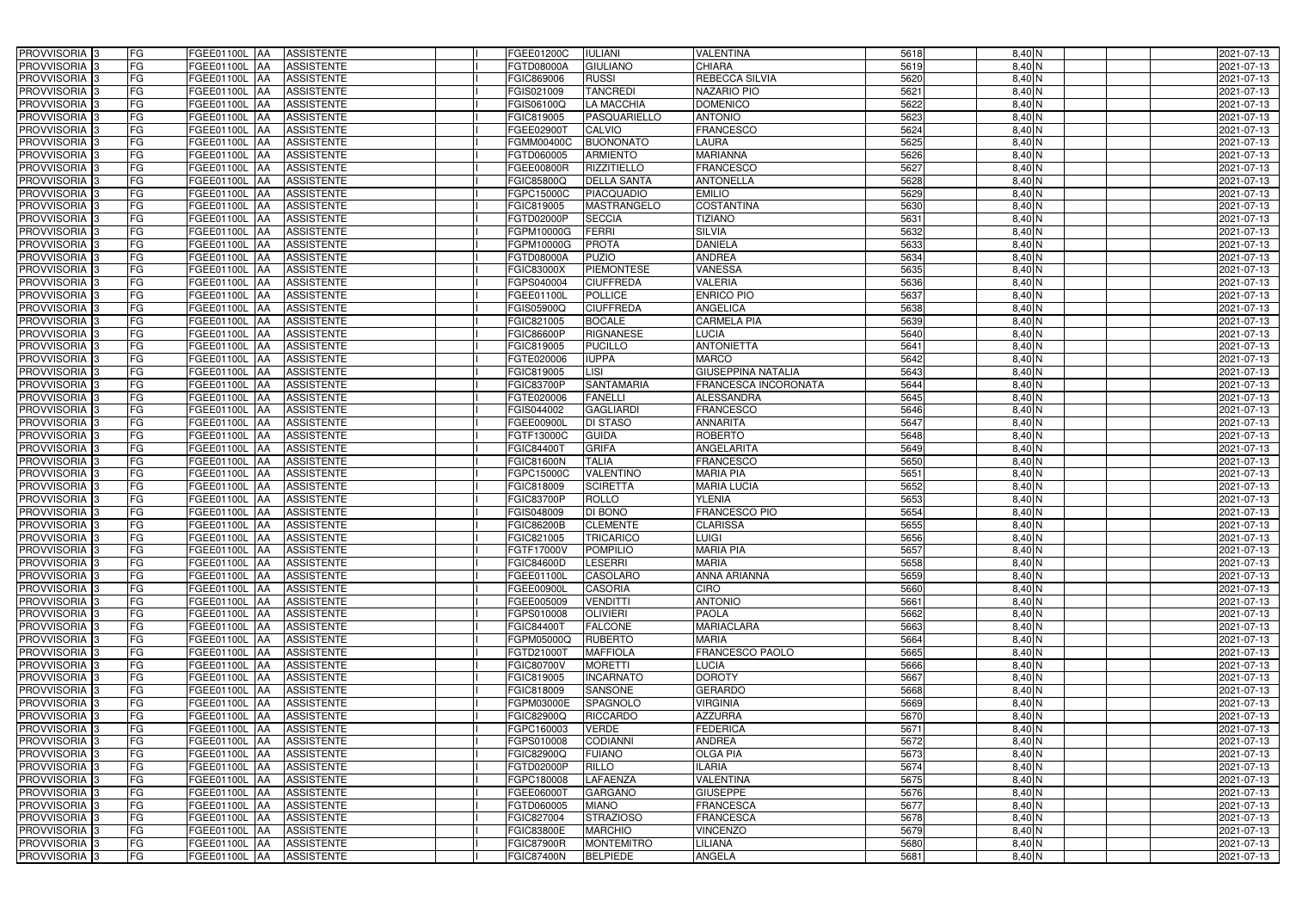| PROVVISORIA 3              | FG        | FGEE01100L AA<br><b>ASSISTENTE</b>            | FGEE01200C<br><b>IULIANI</b>           | <b>VALENTINA</b>          | 5618 | 8,40 N                    | 2021-07-13 |
|----------------------------|-----------|-----------------------------------------------|----------------------------------------|---------------------------|------|---------------------------|------------|
| PROVVISORIA 3              | FG        | <b>ASSISTENTE</b><br>FGEE01100L               | <b>GIULIANO</b><br>FGTD08000A          | <b>CHIARA</b>             | 5619 | 8,40 N                    | 2021-07-13 |
| PROVVISORIA 3              | <b>FG</b> | FGEE01100L<br><b>ASSISTENTE</b><br>IAA        | <b>RUSSI</b><br>FGIC869006             | REBECCA SILVIA            | 5620 | $8,40$ N                  | 2021-07-13 |
| PROVVISORIA <sup>3</sup>   | FG        | FGEE01100L<br><b>ASSISTENTE</b><br>IAA        | <b>TANCREDI</b><br>GIS021009           | NAZARIO PIO               | 5621 | $8,40$ N                  | 2021-07-13 |
| PROVVISORIA 3              | FG        | FGEE01100L<br><b>ASSISTENTE</b>               | <b>LA MACCHIA</b><br><b>GIS06100Q</b>  | <b>DOMENICO</b>           | 5622 | 8,40 N                    | 2021-07-13 |
| PROVVISORIA 3              | <b>FG</b> | <b>FGEE01100L AA</b><br><b>ASSISTENTE</b>     | PASQUARIELLO<br>FGIC819005             | <b>ANTONIO</b>            | 5623 | $8,40$ N                  | 2021-07-13 |
| PROVVISORIA 3              | FG        | <b>FGEE01100L   AA</b><br><b>ASSISTENTE</b>   | FGEE02900T<br>CALVIO                   | <b>FRANCESCO</b>          | 5624 | 8,40 N                    | 2021-07-13 |
| PROVVISORIA 3              | FG        | <b>ASSISTENTE</b><br>FGEE01100L AA            | <b>BUONONATO</b><br>FGMM00400C         | <b>LAURA</b>              | 5625 | 8,40 N                    | 2021-07-13 |
| PROVVISORIA 3              | <b>FG</b> | FGEE01100L AA<br><b>ASSISTENTE</b>            | <b>ARMIENTO</b><br>FGTD060005          | <b>MARIANNA</b>           | 5626 | 8,40 N                    | 2021-07-13 |
| PROVVISORIA 3              | <b>FG</b> | FGEE01100L AA<br><b>ASSISTENTE</b>            | <b>RIZZITIELLO</b><br>FGEE00800R       | <b>FRANCESCO</b>          | 5627 | 8,40 N                    | 2021-07-13 |
| PROVVISORIA 3              | FG        | FGEE01100L AA<br><b>ASSISTENTE</b>            | <b>DELLA SANTA</b><br>FGIC85800Q       | <b>ANTONELLA</b>          | 5628 | 8,40 N                    | 2021-07-13 |
| PROVVISORIA 3              | FG        | FGEE01100L AA<br><b>ASSISTENTE</b>            | FGPC15000C<br><b>PIACQUADIO</b>        | <b>EMILIO</b>             | 5629 | 8,40 N                    | 2021-07-13 |
| PROVVISORIA <sup>3</sup>   | FG        | FGEE01100L<br><b>ASSISTENTE</b><br>IAA        | MASTRANGELO<br>FGIC819005              | <b>COSTANTINA</b>         | 5630 | 8,40 N                    | 2021-07-13 |
| PROVVISORIA 3              | FG        | <b>ASSISTENTE</b><br>FGEE01100L AA            | <b>SECCIA</b><br>FGTD02000P            | <b>TIZIANO</b>            | 5631 | $8,40$ N                  | 2021-07-13 |
| PROVVISORIA 3              | <b>FG</b> | FGEE01100L AA<br><b>ASSISTENTE</b>            | <b>FERRI</b><br>FGPM10000G             | <b>SILVIA</b>             | 5632 | $8,40$ N                  | 2021-07-13 |
| PROVVISORIA 3              | <b>FG</b> | <b>FGEE01100L</b><br><b>ASSISTENTE</b><br>IAA | <b>PROTA</b><br>FGPM10000G             | <b>DANIELA</b>            | 5633 | $8,40$ N                  | 2021-07-13 |
| PROVVISORIA 3              | FG        | <b>FGEE01100L</b><br><b>ASSISTENTE</b><br>IAA | <b>PUZIO</b><br>FGTD08000A             | <b>ANDREA</b>             | 5634 | 8,40 N                    | 2021-07-13 |
| PROVVISORIA 3              | FG        | <b>FGEE01100L</b><br><b>ASSISTENTE</b><br>IAA | <b>PIEMONTESE</b><br>FGIC83000X        | <b>VANESSA</b>            | 5635 | 8,40 N                    | 2021-07-13 |
| PROVVISORIA 3              | FG        | FGEE01100L<br><b>ASSISTENTE</b><br>IAA        | <b>CIUFFREDA</b><br>GPS040004          | <b>VALERIA</b>            | 5636 | 8,40 N                    | 2021-07-13 |
| PROVVISORIA 3              | FG        | FGEE01100L<br><b>ASSISTENTE</b><br>IAA        | <b>POLLICE</b><br>FGEE01100L           | <b>ENRICO PIO</b>         | 5637 | 8,40 N                    | 2021-07-13 |
| <b>PROVVISORIA</b> 3       | FG        | FGEE01100L<br><b>ASSISTENTE</b>               | FGIS05900Q<br><b>CIUFFREDA</b>         | <b>ANGELICA</b>           | 5638 | $8,40$ N                  | 2021-07-13 |
| <b>PROVVISORIA</b> 3       | FG        | FGEE01100L<br><b>ASSISTENTE</b>               | <b>BOCALE</b><br>FGIC821005            | <b>CARMELA PIA</b>        | 5639 | 8,40 N                    | 2021-07-13 |
| PROVVISORIA <sup>3</sup>   | FG        | FGEE01100L<br><b>ASSISTENTE</b>               | FGIC86600P<br><b>RIGNANESE</b>         | <b>LUCIA</b>              | 5640 | 8,40 N                    | 2021-07-13 |
| PROVVISORIA <sup>3</sup>   | <b>FG</b> | FGEE01100L<br><b>ASSISTENTE</b><br>AA         | FGIC819005<br><b>PUCILLO</b>           | <b>ANTONIETTA</b>         | 5641 | 8,40 N                    | 2021-07-13 |
| <b>PROVVISORIA</b> 3       | <b>FG</b> | FGEE01100L<br><b>ASSISTENTE</b><br>IAA        | <b>IUPPA</b><br>FGTE020006             | <b>MARCO</b>              | 5642 | $8,40$ N                  | 2021-07-13 |
| PROVVISORIA 3              | FG        | FGEE01100L<br><b>ASSISTENTE</b><br>IAA        | FGIC819005<br>LISI                     | <b>GIUSEPPINA NATALIA</b> | 5643 | $8,40$ N                  | 2021-07-13 |
| PROVVISORIA 3              | <b>FG</b> | <b>FGEE01100L AA</b><br><b>ASSISTENTE</b>     | <b>SANTAMARIA</b><br>FGIC83700P        | FRANCESCA INCORONATA      | 5644 | $8,40$ N                  | 2021-07-13 |
| PROVVISORIA 3              | <b>FG</b> | <b>FGEE01100L AA</b><br><b>ASSISTENTE</b>     | <b>FANELLI</b><br>FGTE020006           | <b>ALESSANDRA</b>         | 5645 | $8,40$ N                  | 2021-07-13 |
| PROVVISORIA <sup>3</sup>   | FG        | FGEE01100L<br><b>ASSISTENTE</b><br>IAA        | GIS044002<br><b>GAGLIARDI</b>          | <b>FRANCESCO</b>          | 5646 | $8,40$ N                  | 2021-07-13 |
| PROVVISORIA 3              | <b>FG</b> | <b>FGEE01100L   AA</b><br><b>ASSISTENTE</b>   | <b>DI STASO</b><br>FGEE00900L          | <b>ANNARITA</b>           | 5647 | 8,40 N                    | 2021-07-13 |
| PROVVISORIA 3              | <b>FG</b> | <b>FGEE01100L AA</b><br><b>ASSISTENTE</b>     | FGTF13000C<br><b>GUIDA</b>             | <b>ROBERTO</b>            | 5648 | $8,40$ N                  | 2021-07-13 |
| PROVVISORIA 3              | FG        | <b>ASSISTENTE</b><br>FGEE01100L AA            | <b>GRIFA</b><br>FGIC84400T             | ANGELARITA                | 5649 | $8,40$ N                  | 2021-07-13 |
| PROVVISORIA 3              | FG        | FGEE01100L<br><b>ASSISTENTE</b><br>IAA        | <b>TALIA</b><br><b>FGIC81600N</b>      | <b>FRANCESCO</b>          | 5650 | 8,40 N                    | 2021-07-13 |
| PROVVISORIA <sup>3</sup>   | <b>FG</b> | FGEE01100L AA<br><b>ASSISTENTE</b>            | <b>VALENTINO</b><br>FGPC15000C         | <b>MARIA PIA</b>          | 5651 | 8,40 N                    | 2021-07-13 |
| PROVVISORIA                | <b>FG</b> | FGEE01100L<br><b>ASSISTENTE</b><br>IAA        | <b>SCIRETTA</b><br>FGIC818009          | <b>MARIA LUCIA</b>        | 5652 | 8,40 N                    | 2021-07-13 |
| PROVVISORIA <sup>1</sup> 3 | FG        | FGEE01100L<br><b>ASSISTENTE</b><br>IAA        | ROLLO<br>GIC83700P                     | <b>YLENIA</b>             | 5653 | 8,40 N                    | 2021-07-13 |
| PROVVISORIA <sup>1</sup> 3 | FG        | <b>FGEE01100L</b><br><b>ASSISTENTE</b><br>IAA | <b>DI BONO</b><br>GIS048009            | <b>FRANCESCO PIO</b>      | 5654 | 8,40 N                    | 2021-07-13 |
| PROVVISORIA <sup>3</sup>   | <b>FG</b> | FGEE01100L AA<br><b>ASSISTENTE</b>            | FGIC86200B<br><b>CLEMENTE</b>          | <b>CLARISSA</b>           | 5655 | 8,40 N                    | 2021-07-13 |
| PROVVISORIA <sup>3</sup>   | FG        | FGEE01100L AA ASSISTENTE                      | TRICARICO<br>FGIC821005                | <b>LUIGI</b>              | 5656 | 8,40 N                    | 2021-07-13 |
| PROVVISORIA <sup>3</sup>   | FG        | FGEE01100L AA<br>ASSISTENTE                   | FGTF17000V<br><b>POMPILIO</b>          | <b>MARIA PIA</b>          | 5657 | 8,40 N                    | 2021-07-13 |
| PROVVISORIA <sup>3</sup>   | FG        | <b>ASSISTENTE</b><br><b>FGEE01100L AA</b>     | <b>LESERRI</b><br>FGIC84600D           | <b>MARIA</b>              | 5658 | 8,40 N                    | 2021-07-13 |
| PROVVISORIA <sup>3</sup>   | FG        | FGEE01100L AA<br><b>ASSISTENTE</b>            | <b>CASOLARO</b><br>FGEE01100L          | <b>ANNA ARIANNA</b>       | 5659 | 8,40 N                    | 2021-07-13 |
| PROVVISORIA <sup>3</sup>   | FG        | FGEE01100L AA<br><b>ASSISTENTE</b>            | <b>CASORIA</b><br>FGEE00900L           | <b>CIRO</b>               | 5660 | 8,40 N                    | 2021-07-13 |
| PROVVISORIA <sup>3</sup>   | FG        | FGEE01100L AA<br><b>ASSISTENTE</b>            | FGEE005009<br><b>VENDITTI</b>          | <b>ANTONIO</b>            | 5661 | 8,40 N                    | 2021-07-13 |
| PROVVISORIA <sup>3</sup>   | FG        | FGEE01100L AA<br><b>ASSISTENTE</b>            | FGPS010008<br><b>OLIVIERI</b>          | <b>PAOLA</b>              | 5662 | 8,40 N                    | 2021-07-13 |
| PROVVISORIA <sup>3</sup>   | FG        | FGEE01100L AA<br><b>ASSISTENTE</b>            | <b>FALCONE</b><br><b>FGIC84400T</b>    | <b>MARIACLARA</b>         | 5663 | 8,40 N                    | 2021-07-13 |
| PROVVISORIA <sup>3</sup>   | FG        | FGEE01100L AA<br><b>ASSISTENTE</b>            | <b>RUBERTO</b><br>FGPM05000Q           | <b>MARIA</b>              | 5664 | $8,40\overline{\text{N}}$ | 2021-07-13 |
| PROVVISORIA <sup>3</sup>   | FG        | FGEE01100L AA<br><b>ASSISTENTE</b>            | <b>MAFFIOLA</b><br>FGTD21000T          | <b>FRANCESCO PAOLO</b>    | 5665 | 8,40 N                    | 2021-07-13 |
| PROVVISORIA <sup>3</sup>   | FG        | FGEE01100L AA<br><b>ASSISTENTE</b>            | <b>FGIC80700V</b><br><b>MORETTI</b>    | <b>LUCIA</b>              | 5666 | 8,40 N                    | 2021-07-13 |
| PROVVISORIA <sup>3</sup>   | FG        | FGEE01100L AA<br><b>ASSISTENTE</b>            | <b>INCARNATO</b><br>FGIC819005         | <b>DOROTY</b>             | 5667 | 8,40 N                    | 2021-07-13 |
| PROVVISORIA 3              | FG        | FGEE01100L AA<br>ASSISTENTE                   | <b>SANSONE</b><br>FGIC818009           | <b>GERARDO</b>            | 5668 | $8,40$ N                  | 2021-07-13 |
| PROVVISORIA <sup>3</sup>   | FG        | FGEE01100L AA<br><b>ASSISTENTE</b>            | FGPM03000E<br>SPAGNOLO                 | <b>VIRGINIA</b>           | 5669 | 8,40 N                    | 2021-07-13 |
| PROVVISORIA <sup>3</sup>   | FG        | FGEE01100L AA<br><b>ASSISTENTE</b>            | FGIC82900Q<br><b>RICCARDO</b>          | <b>AZZURRA</b>            | 5670 | $8,40$ N                  | 2021-07-13 |
| PROVVISORIA <sup>3</sup>   | FG        | FGEE01100L AA<br><b>ASSISTENTE</b>            | <b>VERDE</b><br>FGPC160003             | <b>FEDERICA</b>           | 5671 | 8,40 N                    | 2021-07-13 |
| PROVVISORIA <sup>13</sup>  | FG        | FGEE01100L AA<br><b>ASSISTENTE</b>            | <b>CODIANNI</b><br>FGPS010008          | <b>ANDREA</b>             | 5672 | 8,40 N                    | 2021-07-13 |
| PROVVISORIA <sup>3</sup>   | FG        | FGEE01100L AA<br><b>ASSISTENTE</b>            | FGIC82900Q<br><b>FUIANO</b>            | <b>OLGA PIA</b>           | 5673 | 8,40 N                    | 2021-07-13 |
| PROVVISORIA <sup>3</sup>   | FG        | FGEE01100L AA<br><b>ASSISTENTE</b>            | <b>RILLO</b><br>FGTD02000P             | <b>ILARIA</b>             | 5674 | 8,40 N                    | 2021-07-13 |
| PROVVISORIA <sup>3</sup>   | FG        | <b>FGEE01100L   AA</b><br><b>ASSISTENTE</b>   | <b>LAFAENZA</b><br>FGPC180008          | <b>VALENTINA</b>          | 5675 | 8,40 N                    | 2021-07-13 |
| PROVVISORIA <sup>3</sup>   | FG        | <b>ASSISTENTE</b><br>FGEE01100L AA            | <b>GARGANO</b><br>FGEE06000T           | <b>GIUSEPPE</b>           | 5676 | 8,40 N                    | 2021-07-13 |
| PROVVISORIA <sup>3</sup>   | FG        | FGEE01100L AA<br><b>ASSISTENTE</b>            | <b>MIANO</b><br>FGTD060005             | <b>FRANCESCA</b>          | 5677 | 8,40 N                    | 2021-07-13 |
| PROVVISORIA <sup>3</sup>   | FG        | FGEE01100L AA<br><b>ASSISTENTE</b>            | <b>STRAZIOSO</b><br>FGIC827004         | <b>FRANCESCA</b>          | 5678 | 8,40 N                    | 2021-07-13 |
| PROVVISORIA <sup>3</sup>   | FG        | <b>ASSISTENTE</b><br>FGEE01100L AA            | FGIC83800E<br><b>MARCHIO</b>           | <b>VINCENZO</b>           | 5679 | 8,40 N                    | 2021-07-13 |
| PROVVISORIA <sup>3</sup>   | FG        | ASSISTENTE<br>FGEE01100L AA                   | <b>FGIC87900R</b><br><b>MONTEMITRO</b> | LILIANA                   | 5680 | 8,40 N                    | 2021-07-13 |
| PROVVISORIA 3              | FG        | <b>ASSISTENTE</b><br><b>FGEE01100L AA</b>     | <b>FGIC87400N</b><br><b>BELPIEDE</b>   | <b>ANGELA</b>             | 5681 | $8,40$ N                  | 2021-07-13 |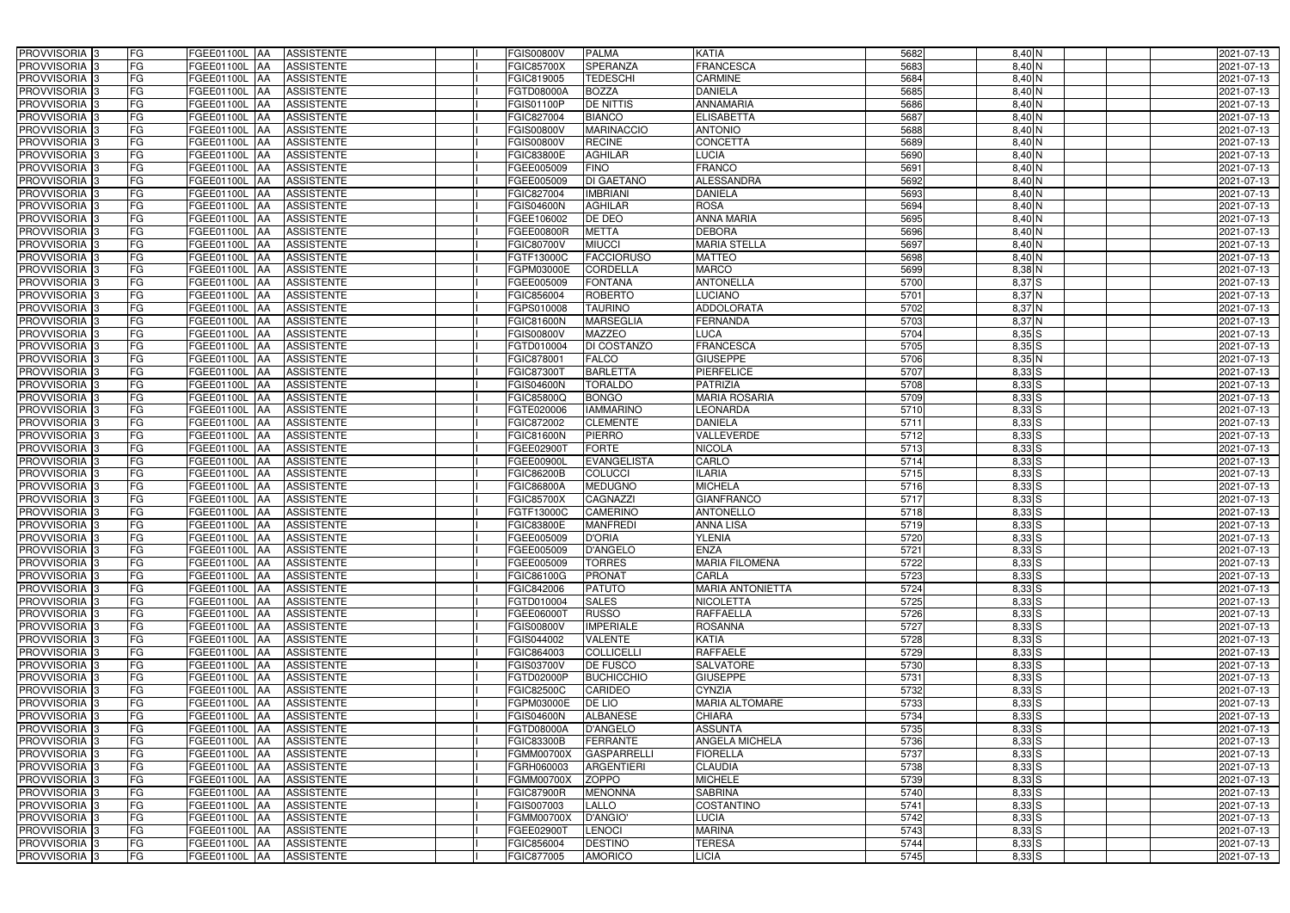| PROVVISORIA 3              | <b>FG</b><br>FGEE01100L AA                | <b>ASSISTENTE</b>               | <b>FGIS00800V</b> | <b>PALMA</b>       | <b>KATIA</b>            | 5682 | 8,40 N     | 2021-07-13 |
|----------------------------|-------------------------------------------|---------------------------------|-------------------|--------------------|-------------------------|------|------------|------------|
| PROVVISORIA <sup>3</sup>   | FG<br>FGEE01100L AA                       | <b>ASSISTENTE</b>               | <b>FGIC85700X</b> | SPERANZA           | <b>FRANCESCA</b>        | 5683 | $8,40$ N   | 2021-07-13 |
| PROVVISORIA <sup>3</sup>   | FG<br>FGEE01100L AA                       | <b>ASSISTENTE</b>               | FGIC819005        | <b>TEDESCHI</b>    | <b>CARMINE</b>          | 5684 | $8,40$ N   | 2021-07-13 |
| PROVVISORIA 3              | FG<br>FGEE01100L AA                       | <b>ASSISTENTE</b>               | FGTD08000A        | <b>BOZZA</b>       | <b>DANIELA</b>          | 5685 | $8,40$ N   | 2021-07-13 |
| PROVVISORIA <sup>3</sup>   | FG<br>FGEE01100L                          | <b>ASSISTENTE</b><br><b>IAA</b> | FGIS01100P        | DE NITTIS          | <b>ANNAMARIA</b>        | 5686 | $8,40$ N   | 2021-07-13 |
| PROVVISORIA 3              | FG<br>FGEE01100L AA                       | <b>ASSISTENTE</b>               | FGIC827004        | <b>BIANCO</b>      | <b>ELISABETTA</b>       | 5687 | $8,40$ N   | 2021-07-13 |
| PROVVISORIA <sup>3</sup>   | FG<br>FGEE01100L AA                       | <b>ASSISTENTE</b>               | FGIS00800V        | <b>MARINACCIO</b>  | <b>ANTONIO</b>          | 5688 | 8,40 N     | 2021-07-13 |
| PROVVISORIA <sup>3</sup>   | FG<br>FGEE01100L AA                       | <b>ASSISTENTE</b>               | <b>FGIS00800V</b> | <b>RECINE</b>      | <b>CONCETTA</b>         | 5689 | 8,40 N     | 2021-07-13 |
| PROVVISORIA 3              | FG<br>FGEE01100L AA                       | <b>ASSISTENTE</b>               | <b>FGIC83800E</b> | <b>AGHILAR</b>     | <b>LUCIA</b>            | 5690 | 8,40 N     | 2021-07-13 |
| PROVVISORIA <sup>3</sup>   | FG<br>FGEE01100L AA                       | <b>ASSISTENTE</b>               | FGEE005009        | <b>FINO</b>        | <b>FRANCO</b>           | 5691 | 8,40 N     | 2021-07-13 |
| PROVVISORIA 3              | FG<br>FGEE01100L AA                       | <b>ASSISTENTE</b>               | FGEE005009        | <b>DI GAETANO</b>  | <b>ALESSANDRA</b>       | 5692 | 8,40 N     | 2021-07-13 |
| PROVVISORIA 3              | FG<br>FGEE01100L AA                       | <b>ASSISTENTE</b>               | FGIC827004        | <b>IMBRIANI</b>    | <b>DANIELA</b>          | 5693 | $8,40$ N   | 2021-07-13 |
| PROVVISORIA <sup>3</sup>   | FG<br>FGEE01100L AA                       | <b>ASSISTENTE</b>               | <b>FGIS04600N</b> | <b>AGHILAR</b>     | <b>ROSA</b>             | 5694 | 8,40 N     | 2021-07-13 |
| PROVVISORIA 3              | FG<br>FGEE01100L AA                       | <b>ASSISTENTE</b>               | FGEE106002        | DE DEO             | <b>ANNA MARIA</b>       | 5695 | $8,40$ N   | 2021-07-13 |
| PROVVISORIA 3              | $\overline{\mathsf{FG}}$<br>FGEE01100L AA | <b>ASSISTENTE</b>               | FGEE00800R        | <b>METTA</b>       | <b>DEBORA</b>           | 5696 | $8,40$ N   | 2021-07-13 |
| PROVVISORIA 3              | $\overline{\mathsf{FG}}$<br>FGEE01100L AA | <b>ASSISTENTE</b>               | <b>FGIC80700V</b> | <b>MIUCCI</b>      | <b>MARIA STELLA</b>     | 5697 | $8,40$ N   | 2021-07-13 |
| PROVVISORIA 3              | FG<br><b>FGEE01100L</b>                   | <b>ASSISTENTE</b><br><b>IAA</b> | FGTF13000C        | <b>FACCIORUSO</b>  | <b>MATTEO</b>           | 5698 | $8,40$ N   | 2021-07-13 |
| PROVVISORIA 3              | FG<br>FGEE01100L AA                       | <b>ASSISTENTE</b>               | FGPM03000E        | <b>CORDELLA</b>    | <b>MARCO</b>            | 5699 | 8,38 N     | 2021-07-13 |
| PROVVISORIA 3              | FG<br>FGEE01100L                          | <b>ASSISTENTE</b><br><b>JAA</b> | FGEE005009        | <b>FONTANA</b>     | <b>ANTONELLA</b>        | 5700 | 8,37 S     | 2021-07-13 |
| PROVVISORIA 3              | FG<br><b>FGEE01100L AA</b>                | <b>ASSISTENTE</b>               | FGIC856004        | <b>ROBERTO</b>     | <b>LUCIANO</b>          | 5701 | 8,37 N     | 2021-07-13 |
| PROVVISORIA <sup>3</sup>   | FG<br>FGEE01100L                          | <b>AA</b><br><b>ASSISTENTE</b>  | FGPS010008        | <b>TAURINO</b>     | <b>ADDOLORATA</b>       | 5702 | 8,37 N     | 2021-07-13 |
| PROVVISORIA 3              | FG<br>FGEE01100L AA                       | <b>ASSISTENTE</b>               | <b>FGIC81600N</b> | <b>MARSEGLIA</b>   | FERNANDA                | 5703 | $8,37$ N   | 2021-07-13 |
| PROVVISORIA 3              | FG<br>FGEE01100L                          | <b>JAA</b><br><b>ASSISTENTE</b> | <b>FGIS00800V</b> | <b>MAZZEO</b>      | <b>LUCA</b>             | 5704 | $8,35$ S   | 2021-07-13 |
| PROVVISORIA 3              | FG<br>FGEE01100L AA                       | <b>ASSISTENTE</b>               | FGTD010004        | DI COSTANZO        | <b>FRANCESCA</b>        | 5705 | $8,35$ S   | 2021-07-13 |
| PROVVISORIA 3              | FG<br>FGEE01100L AA                       | <b>ASSISTENTE</b>               | FGIC878001        | <b>FALCO</b>       | <b>GIUSEPPE</b>         | 5706 | $8,35$ N   | 2021-07-13 |
| PROVVISORIA 3              | FG<br>FGEE01100L AA                       | <b>ASSISTENTE</b>               | FGIC87300         | <b>BARLETTA</b>    | <b>PIERFELICE</b>       | 5707 | $8,33$ $S$ | 2021-07-13 |
| PROVVISORIA 3              | FG<br>FGEE01100L AA                       | <b>ASSISTENTE</b>               | <b>FGIS04600N</b> | <b>TORALDO</b>     | <b>PATRIZIA</b>         | 5708 | $8,33$ $S$ | 2021-07-13 |
| PROVVISORIA 3              | FG<br>FGEE01100L AA                       | <b>ASSISTENTE</b>               | FGIC85800Q        | <b>BONGO</b>       | <b>MARIA ROSARIA</b>    | 5709 | $8,33$ S   | 2021-07-13 |
| PROVVISORIA <sup>3</sup>   | FG<br>FGEE01100L AA                       | <b>ASSISTENTE</b>               | FGTE020006        | <b>IAMMARINO</b>   | LEONARDA                | 5710 | $8,33$ $S$ | 2021-07-13 |
| PROVVISORIA <sup>3</sup>   | FG<br><b>FGEE01100L AA</b>                | <b>ASSISTENTE</b>               | FGIC872002        | <b>CLEMENTE</b>    | <b>DANIELA</b>          | 5711 | 8,33S      | 2021-07-13 |
| PROVVISORIA <sup>3</sup>   | FG<br>FGEE01100L AA                       | <b>ASSISTENTE</b>               | <b>FGIC81600N</b> | <b>PIERRO</b>      | <b>VALLEVERDE</b>       | 5712 | $8,33$ $S$ | 2021-07-13 |
| PROVVISORIA <sup>3</sup>   | FG<br>FGEE01100L AA                       | <b>ASSISTENTE</b>               | FGEE02900T        | <b>FORTE</b>       | <b>NICOLA</b>           | 5713 | $8,33$ S   | 2021-07-13 |
| PROVVISORIA <sup>3</sup>   | FG<br>FGEE01100L AA                       | <b>ASSISTENTE</b>               | FGEE00900L        | <b>EVANGELISTA</b> | CARLO                   | 5714 | $8,33$ $S$ | 2021-07-13 |
| PROVVISORIA <sup>3</sup>   | FG<br>FGEE01100L AA                       | <b>ASSISTENTE</b>               | <b>FGIC86200B</b> | <b>COLUCCI</b>     | <b>ILARIA</b>           | 5715 | $8,33$ $S$ | 2021-07-13 |
| PROVVISORIA <sup>3</sup>   | FG<br><b>FGEE01100L</b>                   | <b>ASSISTENTE</b><br><b>IAA</b> | <b>FGIC86800A</b> | <b>MEDUGNO</b>     | <b>MICHELA</b>          | 5716 | $8,33$ $S$ | 2021-07-13 |
| PROVVISORIA <sup>3</sup>   | FG<br>FGEE01100L                          | <b>ASSISTENTE</b><br><b>JAA</b> | <b>FGIC85700X</b> | <b>CAGNAZZI</b>    | <b>GIANFRANCO</b>       | 5717 | $8,33$ S   | 2021-07-13 |
| PROVVISORIA <sup>3</sup>   | FG<br>FGEE01100L                          | <b>ASSISTENTE</b><br><b>JAA</b> | FGTF13000C        | <b>CAMERINO</b>    | <b>ANTONELLO</b>        | 5718 | $8,33$ S   | 2021-07-13 |
| PROVVISORIA <sup>3</sup>   | FG<br>FGEE01100L AA                       | <b>ASSISTENTE</b>               | <b>FGIC83800E</b> | <b>MANFREDI</b>    | <b>ANNA LISA</b>        | 5719 | $8,33$ S   | 2021-07-13 |
| <b>PROVVISORIA</b> 3       | FG<br>FGEE01100L AA                       | <b>ASSISTENTE</b>               | FGEE005009        | <b>D'ORIA</b>      | <b>YLENIA</b>           | 5720 | $8,33$ S   | 2021-07-13 |
| PROVVISORIA <sup>3</sup>   | FG<br>FGEE01100L AA                       | ASSISTENTE                      | FGEE005009        | <b>D'ANGELO</b>    | <b>ENZA</b>             | 5721 | $8,33$ $S$ | 2021-07-13 |
| PROVVISORIA <sup>3</sup>   | FG<br>FGEE01100L AA                       | ASSISTENTE                      | FGEE005009        | <b>TORRES</b>      | <b>MARIA FILOMENA</b>   | 5722 | $8,33$ S   | 2021-07-13 |
| PROVVISORIA <sup>3</sup>   | FG<br>FGEE01100L AA                       | ASSISTENTE                      | FGIC86100G        | <b>PRONAT</b>      | CARLA                   | 5723 | $8,33$ S   | 2021-07-13 |
| PROVVISORIA <sup>3</sup>   | FG<br>FGEE01100L AA                       | <b>ASSISTENTE</b>               | FGIC842006        | <b>PATUTO</b>      | <b>MARIA ANTONIETTA</b> | 5724 | $8,33$ S   | 2021-07-13 |
| PROVVISORIA <sup>3</sup>   | FG<br>FGEE01100L AA                       | ASSISTENTE                      | FGTD010004        | <b>SALES</b>       | <b>NICOLETTA</b>        | 5725 | $8,33$ $S$ | 2021-07-13 |
| PROVVISORIA <sup>3</sup>   | FG<br>FGEE01100L AA                       | <b>ASSISTENTE</b>               | FGEE06000T        | <b>RUSSO</b>       | <b>RAFFAELLA</b>        | 5726 | $8,33$ S   | 2021-07-13 |
| PROVVISORIA <sup>3</sup>   | FG<br>FGEE01100L AA                       | ASSISTENTE                      | <b>FGIS00800V</b> | <b>IMPERIALE</b>   | <b>ROSANNA</b>          | 5727 | $8,33$ S   | 2021-07-13 |
| PROVVISORIA <sup>3</sup>   | FG<br>FGEE01100L AA                       | ASSISTENTE                      | FGIS044002        | <b>VALENTE</b>     | <b>KATIA</b>            | 5728 | $8,33$ S   | 2021-07-13 |
| PROVVISORIA <sup>3</sup>   | FG<br>FGEE01100L AA                       | ASSISTENTE                      | FGIC864003        | <b>COLLICELLI</b>  | <b>RAFFAELE</b>         | 5729 | $8,33$ $S$ | 2021-07-13 |
| PROVVISORIA <sup>3</sup>   | FG<br>FGEE01100L AA                       | ASSISTENTE                      | FGIS03700V        | <b>DE FUSCO</b>    | <b>SALVATORE</b>        | 5730 | $8,33$ $S$ | 2021-07-13 |
| PROVVISORIA <sup>3</sup>   | FG<br>FGEE01100L AA                       | ASSISTENTE                      | <b>FGTD02000P</b> | <b>BUCHICCHIO</b>  | <b>GIUSEPPE</b>         | 5731 | $8,33$ S   | 2021-07-13 |
| PROVVISORIA 3              | FG<br>FGEE01100L AA                       | <b>ASSISTENTE</b>               | <b>FGIC82500C</b> | <b>CARIDEO</b>     | CYNZIA                  | 5732 | $8,33$ S   | 2021-07-13 |
| PROVVISORIA <sup>3</sup>   | FG<br>FGEE01100L AA                       | <b>ASSISTENTE</b>               | FGPM03000E        | DE LIO             | <b>MARIA ALTOMARE</b>   | 5733 | $8,33$ S   | 2021-07-13 |
| PROVVISORIA <sup>3</sup>   | FG<br>FGEE01100L AA                       | <b>ASSISTENTE</b>               | <b>FGIS04600N</b> | <b>ALBANESE</b>    | <b>CHIARA</b>           | 5734 | $8,33$ $S$ | 2021-07-13 |
| PROVVISORIA <sup>3</sup>   | FG<br>FGEE01100L AA                       | <b>ASSISTENTE</b>               | FGTD08000A        | <b>D'ANGELO</b>    | <b>ASSUNTA</b>          | 5735 | $8,33$ $S$ | 2021-07-13 |
| PROVVISORIA <sup>13</sup>  | FG<br>FGEE01100L AA                       | <b>ASSISTENTE</b>               | <b>FGIC83300B</b> | <b>FERRANTE</b>    | ANGELA MICHELA          | 5736 | $8,33$ $S$ | 2021-07-13 |
| PROVVISORIA <sup>1</sup> 3 | FG<br>FGEE01100L AA                       | <b>ASSISTENTE</b>               | <b>FGMM00700X</b> | <b>GASPARRELLI</b> | <b>FIORELLA</b>         | 5737 | $8,33$ S   | 2021-07-13 |
| PROVVISORIA <sup>3</sup>   | FG<br>FGEE01100L AA                       | <b>ASSISTENTE</b>               | FGRH060003        | <b>ARGENTIERI</b>  | <b>CLAUDIA</b>          | 5738 | $8,33$ S   | 2021-07-13 |
| PROVVISORIA <sup>3</sup>   | FG<br>FGEE01100L AA                       | <b>ASSISTENTE</b>               | <b>FGMM00700X</b> | <b>ZOPPO</b>       | <b>MICHELE</b>          | 5739 | $8,33$ S   | 2021-07-13 |
| PROVVISORIA <sup>3</sup>   | FG<br>FGEE01100L AA                       | <b>ASSISTENTE</b>               | <b>FGIC87900R</b> | <b>MENONNA</b>     | <b>SABRINA</b>          | 5740 | $8,33$ $S$ | 2021-07-13 |
| PROVVISORIA <sup>3</sup>   | FG<br><b>FGEE01100L AA</b>                | <b>ASSISTENTE</b>               | FGIS007003        | <b>LALLO</b>       | <b>COSTANTINO</b>       | 5741 | $8,33$ $S$ | 2021-07-13 |
| PROVVISORIA <sup>3</sup>   | FG<br>FGEE01100L AA                       | <b>ASSISTENTE</b>               | <b>FGMM00700X</b> | D'ANGIO'           | LUCIA                   | 5742 | $8,33$ S   | 2021-07-13 |
| PROVVISORIA <sup>3</sup>   | FG<br>FGEE01100L AA                       | <b>ASSISTENTE</b>               | FGEE02900T        | <b>LENOCI</b>      | <b>MARINA</b>           | 5743 | $8,33$ S   | 2021-07-13 |
| PROVVISORIA <sup>3</sup>   | FG<br>FGEE01100L AA                       | ASSISTENTE                      | FGIC856004        | <b>DESTINO</b>     | <b>TERESA</b>           | 5744 | $8,33$ S   | 2021-07-13 |
| PROVVISORIA <sup>3</sup>   | FG<br>FGEE01100L AA                       | ASSISTENTE                      | FGIC877005        | <b>AMORICO</b>     | <b>LICIA</b>            | 5745 | $8,33$ S   | 2021-07-13 |
|                            |                                           |                                 |                   |                    |                         |      |            |            |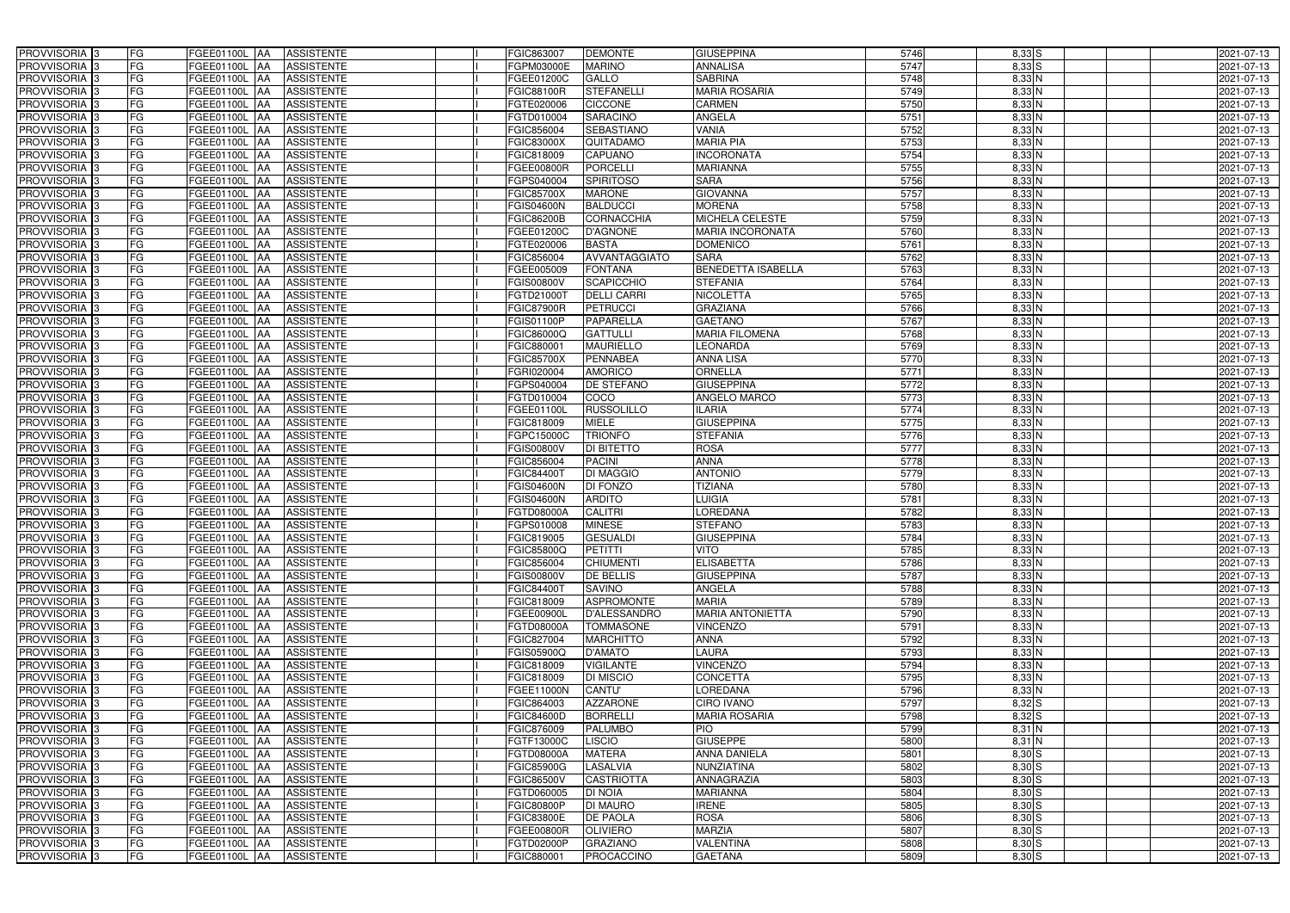| PROVVISORIA 3                                         | FG        | FGEE01100L AA                  | <b>ASSISTENTE</b>                      | FGIC863007               | <b>DEMONTE</b>                       | <b>GIUSEPPINA</b>                  | 5746         | $8,33$ S             | 2021-07-13               |
|-------------------------------------------------------|-----------|--------------------------------|----------------------------------------|--------------------------|--------------------------------------|------------------------------------|--------------|----------------------|--------------------------|
| PROVVISORIA 3                                         | FG        | FGEE01100L                     | <b>ASSISTENTE</b>                      | FGPM03000E               | <b>MARINO</b>                        | <b>ANNALISA</b>                    | 5747         | 8,33 S               | 2021-07-13               |
| PROVVISORIA 3                                         | FG        | FGEE01100L<br>IAA              | <b>ASSISTENTE</b>                      | FGEE01200C               | GALLO                                | <b>SABRINA</b>                     | 5748         | $8,33$ N             | 2021-07-13               |
| PROVVISORIA <sup>3</sup>                              | FG        | FGEE01100L<br>IAA              | <b>ASSISTENTE</b>                      | <b>FGIC88100R</b>        | <b>STEFANELLI</b>                    | <b>MARIA ROSARIA</b>               | 5749         | $8,33$ N             | 2021-07-13               |
| PROVVISORIA 3                                         | FG        | <b>FGEE01100L</b><br>IAA       | <b>ASSISTENTE</b>                      | FGTE020006               | CICCONE                              | CARMEN                             | 5750         | $8,33$ N             | 2021-07-13               |
| PROVVISORIA 3                                         | <b>FG</b> | FGEE01100L AA                  | <b>ASSISTENTE</b>                      | FGTD010004               | <b>SARACINO</b>                      | ANGELA                             | 5751         | $8,33$ N             | 2021-07-13               |
| PROVVISORIA 3                                         | FG        | FGEE01100L AA                  | <b>ASSISTENTE</b>                      | FGIC856004               | <b>SEBASTIANO</b>                    | <b>VANIA</b>                       | 5752         | 8,33 N               | 2021-07-13               |
| PROVVISORIA 3                                         | FG        | FGEE01100L AA                  | <b>ASSISTENTE</b>                      | <b>FGIC83000X</b>        | QUITADAMO                            | <b>MARIA PIA</b>                   | 5753         | $8,33$ N             | 2021-07-13               |
| PROVVISORIA 3                                         | <b>FG</b> | FGEE01100L AA                  | <b>ASSISTENTE</b>                      | FGIC818009               | <b>CAPUANO</b>                       | <b>INCORONATA</b>                  | 5754         | $8,33$ N             | 2021-07-13               |
| PROVVISORIA 3                                         | FG        | <b>FGEE01100L</b> AA           | <b>ASSISTENTE</b>                      | FGEE00800R               | <b>PORCELLI</b>                      | <b>MARIANNA</b>                    | 5755         | $8,33$ N             | 2021-07-13               |
| PROVVISORIA <sup>13</sup>                             | FG        | FGEE01100L AA                  | <b>ASSISTENTE</b>                      | FGPS040004               | <b>SPIRITOSO</b>                     | <b>SARA</b>                        | 5756         | $8,33$ N             | 2021-07-13               |
| PROVVISORIA 3                                         | FG        | FGEE01100L AA                  | <b>ASSISTENTE</b>                      | <b>FGIC85700X</b>        | <b>MARONE</b>                        | <b>GIOVANNA</b>                    | 5757         | $8,33$ N             | 2021-07-13               |
| PROVVISORIA <sup>3</sup>                              | FG        | FGEE01100L<br>IAA              | <b>ASSISTENTE</b>                      | FGIS04600N               | <b>BALDUCCI</b>                      | <b>MORENA</b>                      | 5758         | $8,33$ N             | 2021-07-13               |
| PROVVISORIA 3                                         | FG        | FGEE01100L AA                  | <b>ASSISTENTE</b>                      | <b>FGIC86200B</b>        | <b>CORNACCHIA</b>                    | <b>MICHELA CELESTE</b>             | 5759         | $8,33$ N             | 2021-07-13               |
| PROVVISORIA 3                                         | <b>FG</b> | FGEE01100L AA                  | <b>ASSISTENTE</b>                      | FGEE01200C               | <b>D'AGNONE</b>                      | <b>MARIA INCORONATA</b>            | 5760         | $8,33$ N             | 2021-07-13               |
| PROVVISORIA 3                                         | <b>FG</b> | FGEE01100L<br>IAA              | <b>ASSISTENTE</b>                      | FGTE020006               | <b>BASTA</b>                         | <b>DOMENICO</b>                    | 5761         | $8,33$ N             | 2021-07-13               |
| PROVVISORIA 3                                         | FG        | FGEE01100L<br>IAA              | <b>ASSISTENTE</b>                      | FGIC856004               | AVVANTAGGIATO                        | <b>SARA</b>                        | 5762         | $8,33$ N             | 2021-07-13               |
| PROVVISORIA 3                                         | FG        | <b>FGEE01100L</b><br>IAA       | <b>ASSISTENTE</b>                      | FGEE005009               | <b>FONTANA</b>                       | <b>BENEDETTA ISABELLA</b>          | 5763         | $8,33$ N             | 2021-07-13               |
| PROVVISORIA 3                                         | FG        | <b>FGEE01100L</b><br>IAA       | <b>ASSISTENTE</b>                      | FGIS00800V               | <b>SCAPICCHIO</b>                    | <b>STEFANIA</b>                    | 5764         | $8,33$ N             | 2021-07-13               |
| PROVVISORIA 3                                         | FG        | FGEE01100L<br>IAA              | <b>ASSISTENTE</b>                      | FGTD210001               | <b>DELLI CARRI</b>                   | <b>NICOLETTA</b>                   | 5765         | 8,33 N               | 2021-07-13               |
| PROVVISORIA <sup>3</sup>                              | FG        | FGEE01100L                     | <b>ASSISTENTE</b>                      | <b>FGIC87900R</b>        | <b>PETRUCCI</b>                      | <b>GRAZIANA</b>                    | 5766         | $8,33$ N             | 2021-07-13               |
| <b>PROVVISORIA</b> 3                                  | FG        | FGEE01100L<br>IAA              | <b>ASSISTENTE</b>                      | FGIS01100P               | PAPARELLA                            | <b>GAETANO</b>                     | 5767         | $8,33$ N             | 2021-07-13               |
| PROVVISORIA <sup>3</sup>                              | FG        | FGEE01100L<br>IAA              | <b>ASSISTENTE</b>                      | FGIC86000Q               | <b>GATTULLI</b>                      | <b>MARIA FILOMENA</b>              | 5768         | $8,33$ N             | 2021-07-13               |
| PROVVISORIA <sup>13</sup>                             | <b>FG</b> | FGEE01100L<br>IAA              | <b>ASSISTENTE</b>                      | FGIC880001               | <b>MAURIELLO</b>                     | <b>EONARDA</b>                     | 5769         | $8,33$ N             | 2021-07-13               |
| <b>PROVVISORIA</b> 3                                  | FG        | FGEE01100L<br>IAA              | <b>ASSISTENTE</b>                      | FGIC85700X               | <b>PENNABEA</b>                      | ANNA LISA                          | 5770         | $8,33$ N             | 2021-07-13               |
| PROVVISORIA 3                                         | FG        | FGEE01100L<br>IAA              | <b>ASSISTENTE</b>                      | FGRI020004               | <b>AMORICO</b>                       | ORNELLA                            | 5771         | $8,33$ N             | 2021-07-13               |
| PROVVISORIA 3                                         | <b>FG</b> | <b>FGEE01100L AA</b>           | <b>ASSISTENTE</b>                      | FGPS040004               | <b>DE STEFANO</b>                    | <b>GIUSEPPINA</b>                  | 5772         | $8,33$ N             | 2021-07-13               |
| PROVVISORIA 3                                         | <b>FG</b> | FGEE01100L AA                  | <b>ASSISTENTE</b>                      | FGTD010004               | <b>COCO</b>                          | ANGELO MARCO                       | 5773         | $8,33$ N             | 2021-07-13               |
| PROVVISORIA 3                                         | FG        | FGEE01100L<br><b>IAA</b>       | <b>ASSISTENTE</b>                      | FGEE01100L               | <b>RUSSOLILLO</b>                    | LARIA                              | 5774         | $8,33$ N             | 2021-07-13               |
| PROVVISORIA 3                                         | <b>FG</b> | FGEE01100L AA                  | <b>ASSISTENTE</b>                      | FGIC818009               | <b>MIELE</b>                         | <b>GIUSEPPINA</b>                  | 5775         | $8,33$ N             | 2021-07-13               |
| PROVVISORIA 3                                         | FG        | FGEE01100L AA                  | <b>ASSISTENTE</b>                      | FGPC15000C               | <b>TRIONFO</b>                       | <b>STEFANIA</b>                    | 5776         | $8,33$ N             | 2021-07-13               |
| PROVVISORIA 3                                         | FG        | FGEE01100L AA                  | <b>ASSISTENTE</b>                      | FGIS00800V               | <b>DI BITETTO</b>                    | <b>ROSA</b>                        | 5777         | $8,33$ N             | 2021-07-13               |
| PROVVISORIA 3                                         | FG        | FGEE01100L<br>IAA              | <b>ASSISTENTE</b>                      | FGIC856004               | <b>PACINI</b>                        | <b>ANNA</b>                        | 5778         | 8,33 N               | 2021-07-13               |
| PROVVISORIA 3                                         | FG        | FGEE01100L AA                  | <b>ASSISTENTE</b>                      | FGIC844007               | <b>DI MAGGIO</b>                     | <b>ANTONIO</b>                     | 5779         | 8,33 N               | 2021-07-13               |
| <b>PROVVISORIA</b>                                    | <b>FG</b> | FGEE01100L<br>IAA              | <b>ASSISTENTE</b>                      | <b>FGIS04600N</b>        | <b>DI FONZO</b>                      | <b>TIZIANA</b>                     | 5780         | $8,33$ N             | 2021-07-13               |
| PROVVISORIA <sup>3</sup>                              | FG        | FGEE01100L<br>IAA              | <b>ASSISTENTE</b>                      | <b>GIS04600N</b>         | <b>ARDITO</b>                        | <b>UIGIA</b>                       | 5781         | $8,33$ N             | 2021-07-13               |
| PROVVISORIA <sup>1</sup> 3                            | FG        | FGEE01100L<br>IAA              | <b>ASSISTENTE</b>                      | GTD08000A                | <b>CALITRI</b>                       | <b>OREDANA</b>                     | 5782         | $8,33$ N             | 2021-07-13               |
| PROVVISORIA <sup>3</sup>                              | <b>FG</b> | FGEE01100L AA                  | <b>ASSISTENTE</b>                      | FGPS010008               | <b>MINESE</b>                        | <b>STEFANO</b>                     | 5783         | $8,33$ N             | 2021-07-13               |
| PROVVISORIA <sup>3</sup>                              | FG        | FGEE01100L AA ASSISTENTE       |                                        | FGIC819005               | <b>GESUALDI</b>                      | <b>GIUSEPPINA</b>                  | 5784         | $8,33$ N             | 2021-07-13               |
| PROVVISORIA <sup>3</sup>                              | FG        | FGEE01100L AA                  | <b>ASSISTENTE</b>                      | FGIC85800Q               | <b>PETITTI</b>                       | <b>VITO</b>                        | 5785         | 8,33 N               | 2021-07-13               |
| PROVVISORIA <sup>3</sup>                              | FG        | FGEE01100L AA                  | <b>ASSISTENTE</b>                      | FGIC856004               | <b>CHIUMENTI</b>                     | <b>ELISABETTA</b>                  | 5786         | $8,33$ N             | 2021-07-13               |
| PROVVISORIA <sup>3</sup>                              | FG        | FGEE01100L AA                  | <b>ASSISTENTE</b>                      | <b>FGIS00800V</b>        | <b>DE BELLIS</b>                     | <b>GIUSEPPINA</b>                  | 5787         | $8,33$ N             | 2021-07-13               |
| PROVVISORIA <sup>3</sup>                              | FG        | FGEE01100L AA                  | <b>ASSISTENTE</b>                      | FGIC844001               | <b>SAVINO</b>                        | <b>ANGELA</b>                      | 5788         | $8,33$ N             | 2021-07-13               |
| PROVVISORIA <sup>3</sup>                              | FG        | <b>FGEE01100L AA</b>           | <b>ASSISTENTE</b>                      | FGIC818009               | <b>ASPROMONTE</b>                    | <b>MARIA</b>                       | 5789         | $8,33$ N             | 2021-07-13               |
| <b>PROVVISORIA</b> 3                                  | FG        | FGEE01100L AA                  | <b>ASSISTENTE</b>                      | FGEE00900L               | <b>D'ALESSANDRO</b>                  | <b>MARIA ANTONIETTA</b>            | 5790         | 8,33 N               | 2021-07-13               |
| PROVVISORIA <sup>3</sup>                              | FG        | FGEE01100L AA                  | <b>ASSISTENTE</b>                      | FGTD08000A               | <b>TOMMASONE</b>                     | <b>VINCENZO</b>                    | 5791         | $8,33$ N             | 2021-07-13               |
| PROVVISORIA <sup>3</sup>                              | FG        | <b>FGEE01100L AA</b>           | <b>ASSISTENTE</b>                      | FGIC827004               | <b>MARCHITTO</b>                     | <b>ANNA</b>                        | 5792         | $8,33$ N             | 2021-07-13               |
| PROVVISORIA <sup>3</sup>                              | FG        | FGEE01100L AA                  | ASSISTENTE                             | FGIS05900Q               | <b>D'AMATO</b>                       | LAURA                              | 5793         | $8,33$ N             | 2021-07-13               |
| PROVVISORIA <sup>3</sup><br>PROVVISORIA <sup>3</sup>  | FG<br>FG  | FGEE01100L AA                  | <b>ASSISTENTE</b>                      | FGIC818009               | <b>VIGILANTE</b><br><b>DI MISCIO</b> | <b>VINCENZO</b><br><b>CONCETTA</b> | 5794<br>5795 | 8,33N                | 2021-07-13               |
| PROVVISORIA 3                                         | FG        | FGEE01100L AA<br>FGEE01100L AA | <b>ASSISTENTE</b><br><b>ASSISTENTE</b> | FGIC818009<br>FGEE11000N | CANTU'                               | LOREDANA                           | 5796         | $8,33$ N<br>$8,33$ N | 2021-07-13<br>2021-07-13 |
| PROVVISORIA <sup>3</sup>                              | FG        | FGEE01100L AA                  |                                        | FGIC864003               | <b>AZZARONE</b>                      | <b>CIRO IVANO</b>                  | 5797         | $8,32$ $S$           | 2021-07-13               |
| PROVVISORIA <sup>3</sup>                              | FG        | <b>FGEE01100L   AA</b>         | <b>ASSISTENTE</b><br><b>ASSISTENTE</b> | <b>FGIC84600D</b>        | <b>BORRELLI</b>                      | <b>MARIA ROSARIA</b>               | 5798         | $8,32$ S             | 2021-07-13               |
| PROVVISORIA <sup>3</sup>                              | FG        | FGEE01100L AA                  | <b>ASSISTENTE</b>                      | FGIC876009               | <b>PALUMBO</b>                       | PIO                                | 5799         | $8,31$ N             | 2021-07-13               |
|                                                       | FG        |                                |                                        |                          |                                      | <b>GIUSEPPE</b>                    | 5800         | 8,31 N               |                          |
| PROVVISORIA <sup>13</sup><br>PROVVISORIA <sup>3</sup> | FG        | FGEE01100L AA<br>FGEE01100L AA | <b>ASSISTENTE</b><br><b>ASSISTENTE</b> | FGTF13000C<br>FGTD08000A | <b>LISCIO</b><br><b>MATERA</b>       | ANNA DANIELA                       | 5801         | $8,30$ S             | 2021-07-13<br>2021-07-13 |
| PROVVISORIA <sup>3</sup>                              | FG        | FGEE01100L AA                  | <b>ASSISTENTE</b>                      | FGIC85900G               | <b>LASALVIA</b>                      | <b>NUNZIATINA</b>                  | 5802         | $8,30$ S             | 2021-07-13               |
| PROVVISORIA <sup>3</sup>                              | FG        | FGEE01100L AA                  | <b>ASSISTENTE</b>                      | FGIC86500V               | <b>CASTRIOTTA</b>                    | <b>ANNAGRAZIA</b>                  | 5803         | $8,30$ S             | 2021-07-13               |
| PROVVISORIA <sup>3</sup>                              | FG        | FGEE01100L AA                  | <b>ASSISTENTE</b>                      | FGTD060005               | <b>DI NOIA</b>                       | <b>MARIANNA</b>                    | 5804         | $8,30$ S             | 2021-07-13               |
| PROVVISORIA <sup>3</sup>                              | FG        | FGEE01100L AA                  | <b>ASSISTENTE</b>                      | <b>FGIC80800P</b>        | <b>DI MAURO</b>                      | <b>IRENE</b>                       | 5805         | $8,30$ S             | 2021-07-13               |
| PROVVISORIA <sup>3</sup>                              | FG        | FGEE01100L AA                  | <b>ASSISTENTE</b>                      | <b>FGIC83800E</b>        | <b>DE PAOLA</b>                      | <b>ROSA</b>                        | 5806         | 8,30 S               | 2021-07-13               |
| PROVVISORIA <sup>3</sup>                              | FG        | FGEE01100L AA                  | <b>ASSISTENTE</b>                      | FGEE00800R               | <b>OLIVIERO</b>                      | <b>MARZIA</b>                      | 5807         | $8,30$ S             | 2021-07-13               |
| PROVVISORIA <sup>3</sup>                              | FG        | FGEE01100L AA                  | <b>ASSISTENTE</b>                      | FGTD02000P               | <b>GRAZIANO</b>                      | <b>VALENTINA</b>                   | 5808         | $8,30$ S             | 2021-07-13               |
| PROVVISORIA 3                                         | FG        | FGEE01100L AA                  | ASSISTENTE                             | FGIC880001               | PROCACCINO                           | <b>GAETANA</b>                     | 5809         | 8,30 S               | 2021-07-13               |
|                                                       |           |                                |                                        |                          |                                      |                                    |              |                      |                          |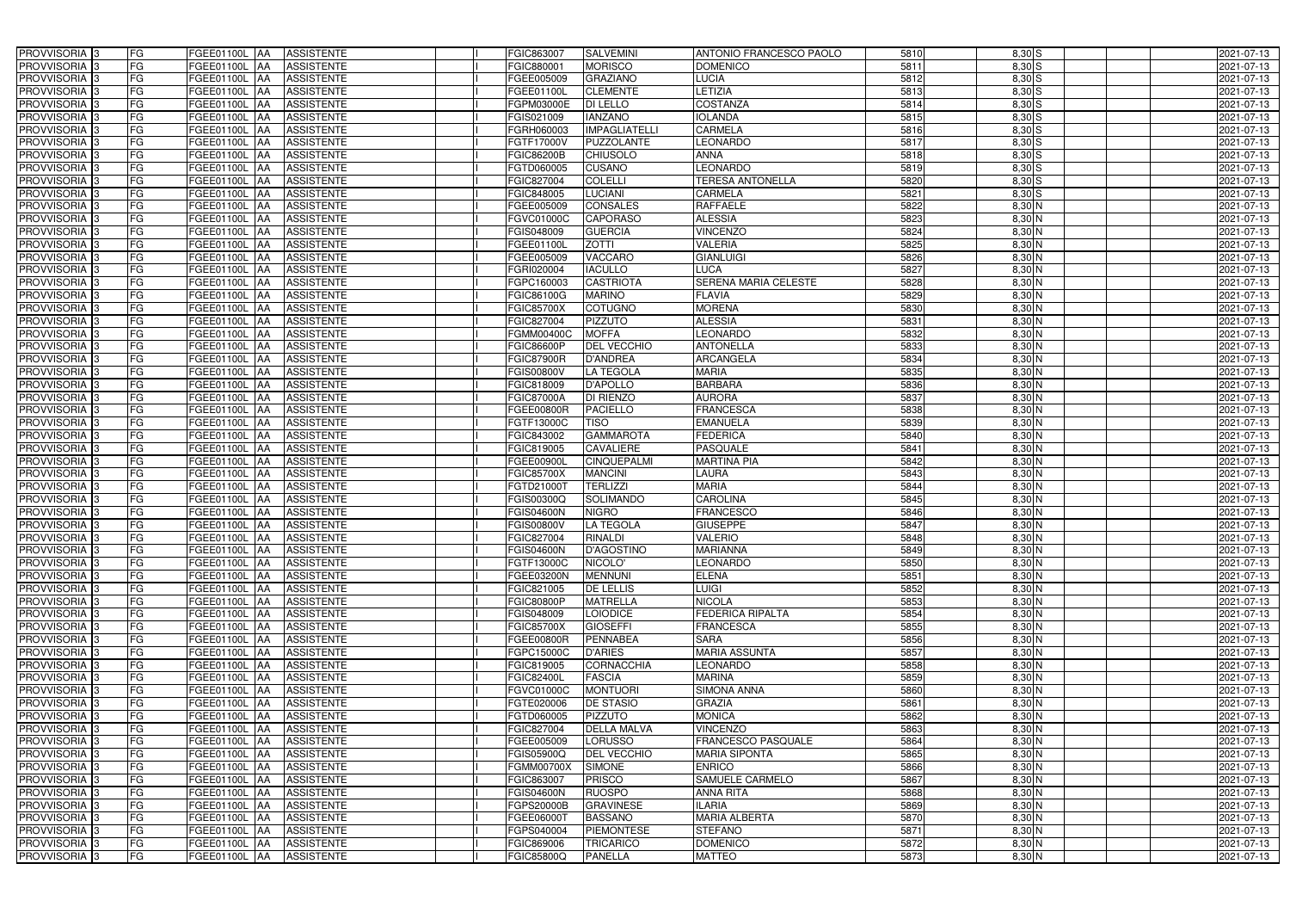| PROVVISORIA 3                                        | FG              | FGEE01100L AA<br><b>ASSISTENTE</b>                      | FGIC863007               | <b>SALVEMINI</b>             | ANTONIO FRANCESCO PAOLO            | 5810         | $8,30$ S           | 2021-07-13               |
|------------------------------------------------------|-----------------|---------------------------------------------------------|--------------------------|------------------------------|------------------------------------|--------------|--------------------|--------------------------|
| PROVVISORIA 3                                        | FG              | FGEE01100L<br><b>ASSISTENTE</b><br>IAA                  | FGIC880001               | <b>MORISCO</b>               | <b>DOMENICO</b>                    | 5811         | 8,30 S             | 2021-07-13               |
| PROVVISORIA 3                                        | FG              | <b>ASSISTENTE</b><br>FGEE01100L<br>IAA                  | FGEE005009               | <b>GRAZIANO</b>              | LUCIA                              | 5812         | 8,30S              | 2021-07-13               |
| PROVVISORIA <sup>3</sup>                             | FG              | FGEE01100L<br><b>ASSISTENTE</b><br>IAA                  | FGEE01100L               | <b>CLEMENTE</b>              | <b>ETIZIA</b>                      | 5813         | $8,30$ S           | 2021-07-13               |
| PROVVISORIA 3                                        | FG              | FGEE01100L<br><b>ASSISTENTE</b><br>IAA                  | FGPM03000E               | <b>DI LELLO</b>              | COSTANZA                           | 5814         | $8,30$ S           | 2021-07-13               |
| PROVVISORIA 3                                        | <b>FG</b>       | <b>FGEE01100L AA</b><br><b>ASSISTENTE</b>               | FGIS021009               | <b>IANZANO</b>               | <b>IOLANDA</b>                     | 5815         | $8,30$ S           | 2021-07-13               |
| PROVVISORIA 3                                        | FG              | FGEE01100L AA<br><b>ASSISTENTE</b>                      | FGRH060003               | <b>IMPAGLIATELLI</b>         | <b>CARMELA</b>                     | 5816         | $8,30$ S           | 2021-07-13               |
| PROVVISORIA 3                                        | FG              | <b>ASSISTENTE</b><br>FGEE01100L AA                      | FGTF17000V               | PUZZOLANTE                   | <b>LEONARDO</b>                    | 5817         | $8,30$ S           | 2021-07-13               |
| PROVVISORIA 3                                        | <b>FG</b>       | FGEE01100L AA<br><b>ASSISTENTE</b>                      | <b>FGIC86200B</b>        | <b>CHIUSOLO</b>              | <b>ANNA</b>                        | 5818         | $8,30$ S           | 2021-07-13               |
| PROVVISORIA 3                                        | FG              | FGEE01100L AA<br><b>ASSISTENTE</b>                      | FGTD060005               | <b>CUSANO</b>                | <b>EONARDO</b>                     | 5819         | $8,30$ S           | 2021-07-13               |
| PROVVISORIA 3                                        | FG              | FGEE01100L AA<br><b>ASSISTENTE</b>                      | FGIC827004               | <b>COLELLI</b>               | <b>TERESA ANTONELLA</b>            | 5820         | $8,30$ S           | 2021-07-13               |
| PROVVISORIA 3                                        | FG              | FGEE01100L AA<br><b>ASSISTENTE</b>                      | FGIC848005               | <b>LUCIANI</b>               | <b>CARMELA</b>                     | 5821         | $8,30$ S           | 2021-07-13               |
| PROVVISORIA <sup>3</sup>                             | FG              | <b>FGEE01100L</b><br><b>ASSISTENTE</b><br><b>IAA</b>    | FGEE005009               | CONSALES                     | <b>RAFFAELE</b>                    | 5822         | 8,30 N             | 2021-07-13               |
| PROVVISORIA 3                                        | FG              | FGEE01100L AA<br><b>ASSISTENTE</b>                      | FGVC01000C               | <b>CAPORASO</b>              | <b>ALESSIA</b>                     | 5823         | $8,30$ N           | 2021-07-13               |
| PROVVISORIA 3                                        | <b>FG</b>       | <b>FGEE01100L   AA</b><br><b>ASSISTENTE</b>             | FGIS048009               | <b>GUERCIA</b>               | <b>VINCENZO</b>                    | 5824         | $8,30$ N           | 2021-07-13               |
| PROVVISORIA 3                                        | <b>FG</b>       | FGEE01100L<br><b>ASSISTENTE</b><br>IAA.                 | FGEE01100L               | <b>ZOTTI</b>                 | <b>VALERIA</b>                     | 5825         | $8,30$ N           | 2021-07-13               |
| PROVVISORIA 3                                        | FG              | FGEE01100L<br><b>ASSISTENTE</b><br>IAA                  | FGEE005009               | VACCARO                      | <b>GIANLUIGI</b>                   | 5826         | 8,30 N             | 2021-07-13               |
| PROVVISORIA 3                                        | FG              | <b>FGEE01100L</b><br><b>ASSISTENTE</b><br>IAA           | FGRI020004               | <b>IACULLO</b>               | <b>LUCA</b>                        | 5827         | $8,30$ N           | 2021-07-13               |
| PROVVISORIA 3                                        | <b>FG</b>       | <b>FGEE01100L</b><br><b>ASSISTENTE</b><br>IAA           | FGPC160003               | <b>CASTRIOTA</b>             | <b>SERENA MARIA CELESTE</b>        | 5828         | $8,30$ N           | 2021-07-13               |
| PROVVISORIA 3                                        | FG              | FGEE01100L<br><b>ASSISTENTE</b><br>IAA                  | FGIC86100G               | <b>MARINO</b>                | <b>FLAVIA</b>                      | 5829         | 8,30 N             | 2021-07-13               |
| PROVVISORIA <sup>3</sup>                             | FG              | FGEE01100L<br><b>ASSISTENTE</b>                         | <b>FGIC85700X</b>        | COTUGNO                      | <b>MORENA</b>                      | 5830         | 8,30 N             | 2021-07-13               |
| <b>PROVVISORIA</b> 3                                 | FG              | FGEE01100L<br><b>ASSISTENTE</b><br>IAA                  | FGIC827004               | <b>PIZZUTO</b>               | <b>ALESSIA</b>                     | 5831         | 8,30 N             | 2021-07-13               |
| PROVVISORIA <sup>3</sup>                             | FG              | FGEE01100L<br><b>ASSISTENTE</b><br>IAA                  | FGMM00400C               | <b>MOFFA</b>                 | <b>LEONARDO</b>                    | 5832         | $8,30$ N           | 2021-07-13               |
| PROVVISORIA <sup>3</sup>                             | <b>FG</b>       | FGEE01100L<br><b>ASSISTENTE</b><br>IAA                  | <b>FGIC86600P</b>        | <b>DEL VECCHIO</b>           | <b>ANTONELLA</b>                   | 5833         | $8,30$ N           | 2021-07-13               |
| <b>PROVVISORIA</b> 3                                 | FG              | FGEE01100L<br><b>ASSISTENTE</b><br>IAA                  | <b>FGIC87900R</b>        | <b>D'ANDREA</b>              | <b>ARCANGELA</b>                   | 5834         | $8,30$ N           | 2021-07-13               |
| PROVVISORIA 3                                        | FG              | <b>ASSISTENTE</b><br>FGEE01100L<br>IAA                  | FGIS00800V               | <b>LA TEGOLA</b>             | <b>MARIA</b>                       | 5835         | $8,30$ N           | 2021-07-13               |
| PROVVISORIA 3                                        | <b>FG</b>       | FGEE01100L AA<br><b>ASSISTENTE</b>                      | FGIC818009               | <b>D'APOLLO</b>              | <b>BARBARA</b>                     | 5836         | $8,30$ N           | 2021-07-13               |
| PROVVISORIA 3                                        | <b>FG</b>       | FGEE01100L AA<br><b>ASSISTENTE</b>                      | <b>FGIC87000A</b>        | <b>DI RIENZO</b>             | <b>AURORA</b>                      | 5837         | $8,30$ N           | 2021-07-13               |
| PROVVISORIA 3                                        | FG              | FGEE01100L AA<br><b>ASSISTENTE</b>                      | FGEE00800R               | <b>PACIELLO</b>              | FRANCESCA                          | 5838         | 8,30 N             | 2021-07-13               |
| PROVVISORIA 3                                        | <b>FG</b>       | <b>FGEE01100L   AA</b><br><b>ASSISTENTE</b>             | FGTF13000C               | <b>TISO</b>                  | <b>EMANUELA</b>                    | 5839         | $8,30$ N           | 2021-07-13               |
| PROVVISORIA 3                                        | FG              | FGEE01100L AA<br><b>ASSISTENTE</b>                      | FGIC843002               | <b>GAMMAROTA</b>             | <b>FEDERICA</b>                    | 5840         | $8,30$ N           | 2021-07-13               |
| PROVVISORIA 3                                        | FG              | <b>ASSISTENTE</b><br>FGEE01100L AA                      | FGIC819005               | <b>CAVALIERE</b>             | PASQUALE                           | 5841         | 8,30 N             | 2021-07-13               |
| PROVVISORIA 3                                        | FG              | FGEE01100L<br><b>ASSISTENTE</b><br>IAA                  | FGEE00900L               | CINQUEPALMI                  | <b>MARTINA PIA</b>                 | 5842         | 8,30 N             | 2021-07-13               |
| PROVVISORIA 3                                        | FG              | FGEE01100L AA<br><b>ASSISTENTE</b>                      | <b>FGIC85700X</b>        | <b>MANCINI</b>               | LAURA                              | 5843         | 8,30 N             | 2021-07-13               |
| <b>PROVVISORIA</b> 3                                 | <b>FG</b>       | FGEE01100L<br><b>ASSISTENTE</b><br>IAA                  | FGTD210001               | <b>TERLIZZI</b>              | <b>MARIA</b>                       | 5844         | 8,30 N             | 2021-07-13               |
| PROVVISORIA <sup>3</sup>                             | FG              | FGEE01100L<br><b>ASSISTENTE</b><br>IAA                  | FGIS00300Q               | <b>SOLIMANDO</b>             | <b>CAROLINA</b>                    | 5845         | 8,30 N             | 2021-07-13               |
| PROVVISORIA <sup>1</sup> 3                           | FG              | FGEE01100L<br><b>ASSISTENTE</b><br>IAA                  | GIS04600N                | <b>NIGRO</b>                 | <b>FRANCESCO</b>                   | 5846         | 8,30 N             | 2021-07-13               |
| PROVVISORIA <sup>3</sup>                             | <b>FG</b>       | FGEE01100L AA<br><b>ASSISTENTE</b>                      | <b>FGIS00800V</b>        | <b>LA TEGOLA</b>             | <b>GIUSEPPE</b>                    | 5847         | $8,30$ N           | 2021-07-13               |
| PROVVISORIA <sup>3</sup>                             | FG              | FGEE01100L AA ASSISTENTE                                | FGIC827004               | <b>RINALDI</b>               | <b>VALERIO</b>                     | 5848         | $8,30$ N           | 2021-07-13               |
| PROVVISORIA <sup>3</sup><br>PROVVISORIA <sup>3</sup> | <b>FG</b><br>FG | FGEE01100L AA<br><b>ASSISTENTE</b><br><b>ASSISTENTE</b> | <b>FGIS04600N</b>        | <b>D'AGOSTINO</b><br>NICOLO' | <b>MARIANNA</b><br><b>LEONARDO</b> | 5849<br>5850 | 8,30 N<br>$8,30$ N | 2021-07-13               |
| PROVVISORIA <sup>3</sup>                             | FG              | FGEE01100L AA<br>FGEE01100L AA<br><b>ASSISTENTE</b>     | FGTF13000C<br>FGEE03200N | <b>MENNUNI</b>               | <b>ELENA</b>                       | 5851         | 8,30 N             | 2021-07-13<br>2021-07-13 |
| PROVVISORIA <sup>3</sup>                             | FG              | FGEE01100L AA<br><b>ASSISTENTE</b>                      | FGIC821005               | <b>DE LELLIS</b>             | <b>LUIGI</b>                       | 5852         | $8,30$ N           | 2021-07-13               |
| PROVVISORIA <sup>3</sup>                             | FG              | <b>FGEE01100L AA</b><br><b>ASSISTENTE</b>               | <b>FGIC80800P</b>        | <b>MATRELLA</b>              | <b>NICOLA</b>                      | 5853         | 8,30 N             | 2021-07-13               |
| PROVVISORIA <sup>3</sup>                             | <b>FG</b>       | FGEE01100L AA<br><b>ASSISTENTE</b>                      | FGIS048009               | <b>LOIODICE</b>              | <b>FEDERICA RIPALTA</b>            | 5854         | 8,30 N             | 2021-07-13               |
| PROVVISORIA <sup>3</sup>                             | FG              | FGEE01100L AA<br><b>ASSISTENTE</b>                      | <b>FGIC85700X</b>        | <b>GIOSEFFI</b>              | <b>FRANCESCA</b>                   | 5855         | $8,30$ N           | 2021-07-13               |
| PROVVISORIA <sup>3</sup>                             | FG              | FGEE01100L AA<br><b>ASSISTENTE</b>                      | FGEE00800R               | PENNABEA                     | <b>SARA</b>                        | 5856         | $8,30$ N           | 2021-07-13               |
| PROVVISORIA <sup>3</sup>                             | FG              | FGEE01100L AA<br><b>ASSISTENTE</b>                      | FGPC15000C               | <b>D'ARIES</b>               | <b>MARIA ASSUNTA</b>               | 5857         | $8,30$ N           | 2021-07-13               |
| PROVVISORIA <sup>3</sup>                             | FG              | FGEE01100L AA<br><b>ASSISTENTE</b>                      | FGIC819005               | <b>CORNACCHIA</b>            | <b>EONARDO</b>                     | 5858         | $8,30$ N           | 2021-07-13               |
| PROVVISORIA <sup>3</sup>                             | FG              | FGEE01100L AA<br><b>ASSISTENTE</b>                      | FGIC82400L               | <b>FASCIA</b>                | <b>MARINA</b>                      | 5859         | $8,30$ N           | 2021-07-13               |
| PROVVISORIA 3                                        | FG              | FGEE01100L AA<br>ASSISTENTE                             | FGVC01000C               | <b>MONTUORI</b>              | SIMONA ANNA                        | 5860         | 8,30 N             | 2021-07-13               |
| PROVVISORIA <sup>3</sup>                             | FG              | FGEE01100L AA<br><b>ASSISTENTE</b>                      | FGTE020006               | <b>DE STASIO</b>             | <b>GRAZIA</b>                      | 5861         | $8,30$ N           | 2021-07-13               |
| PROVVISORIA <sup>3</sup>                             | FG              | <b>FGEE01100L   AA</b><br><b>ASSISTENTE</b>             | FGTD060005               | <b>PIZZUTO</b>               | <b>MONICA</b>                      | 5862         | $8,30$ N           | 2021-07-13               |
| PROVVISORIA <sup>3</sup>                             | FG              | FGEE01100L AA<br><b>ASSISTENTE</b>                      | FGIC827004               | <b>DELLA MALVA</b>           | <b>VINCENZO</b>                    | 5863         | $8,30$ N           | 2021-07-13               |
| PROVVISORIA <sup>13</sup>                            | FG              | FGEE01100L AA<br><b>ASSISTENTE</b>                      | FGEE005009               | <b>LORUSSO</b>               | FRANCESCO PASQUALE                 | 5864         | $8,30$ N           | 2021-07-13               |
| PROVVISORIA <sup>3</sup>                             | FG              | FGEE01100L AA<br><b>ASSISTENTE</b>                      | FGIS05900Q               | <b>DEL VECCHIO</b>           | <b>MARIA SIPONTA</b>               | 5865         | 8,30 N             | 2021-07-13               |
| PROVVISORIA <sup>3</sup>                             | FG              | <b>ASSISTENTE</b><br>FGEE01100L AA                      | FGMM00700X               | <b>SIMONE</b>                | <b>ENRICO</b>                      | 5866         | $8,30$ N           | 2021-07-13               |
| PROVVISORIA <sup>3</sup>                             | FG              | <b>ASSISTENTE</b><br>FGEE01100L AA                      | FGIC863007               | PRISCO                       | <b>SAMUELE CARMELO</b>             | 5867         | 8,30 N             | 2021-07-13               |
| PROVVISORIA <sup>3</sup>                             | FG              | <b>ASSISTENTE</b><br>FGEE01100L AA                      | <b>FGIS04600N</b>        | <b>RUOSPO</b>                | <b>ANNA RITA</b>                   | 5868         | 8,30 N             | 2021-07-13               |
| PROVVISORIA <sup>3</sup>                             | FG              | <b>ASSISTENTE</b><br>FGEE01100L AA                      | FGPS20000B               | <b>GRAVINESE</b>             | ILARIA                             | 5869         | $8,30$ N           | 2021-07-13               |
| PROVVISORIA <sup>3</sup>                             | FG              | FGEE01100L AA<br><b>ASSISTENTE</b>                      | FGEE06000T               | <b>BASSANO</b>               | <b>MARIA ALBERTA</b>               | 5870         | 8,30 N             | 2021-07-13               |
| PROVVISORIA <sup>3</sup>                             | FG              | FGEE01100L AA<br><b>ASSISTENTE</b>                      | FGPS040004               | <b>PIEMONTESE</b>            | <b>STEFANO</b>                     | 5871         | $8,30$ N           | 2021-07-13               |
| PROVVISORIA <sup>3</sup>                             | FG              | <b>FGEE01100L AA</b><br><b>ASSISTENTE</b>               | FGIC869006               | <b>TRICARICO</b>             | <b>DOMENICO</b>                    | 5872         | $8,30$ N           | 2021-07-13               |
| PROVVISORIA 3                                        | FG              | ASSISTENTE<br>FGEE01100L AA                             | <b>FGIC85800Q</b>        | <b>PANELLA</b>               | <b>MATTEO</b>                      | 5873         | $8,30$ N           | 2021-07-13               |
|                                                      |                 |                                                         |                          |                              |                                    |              |                    |                          |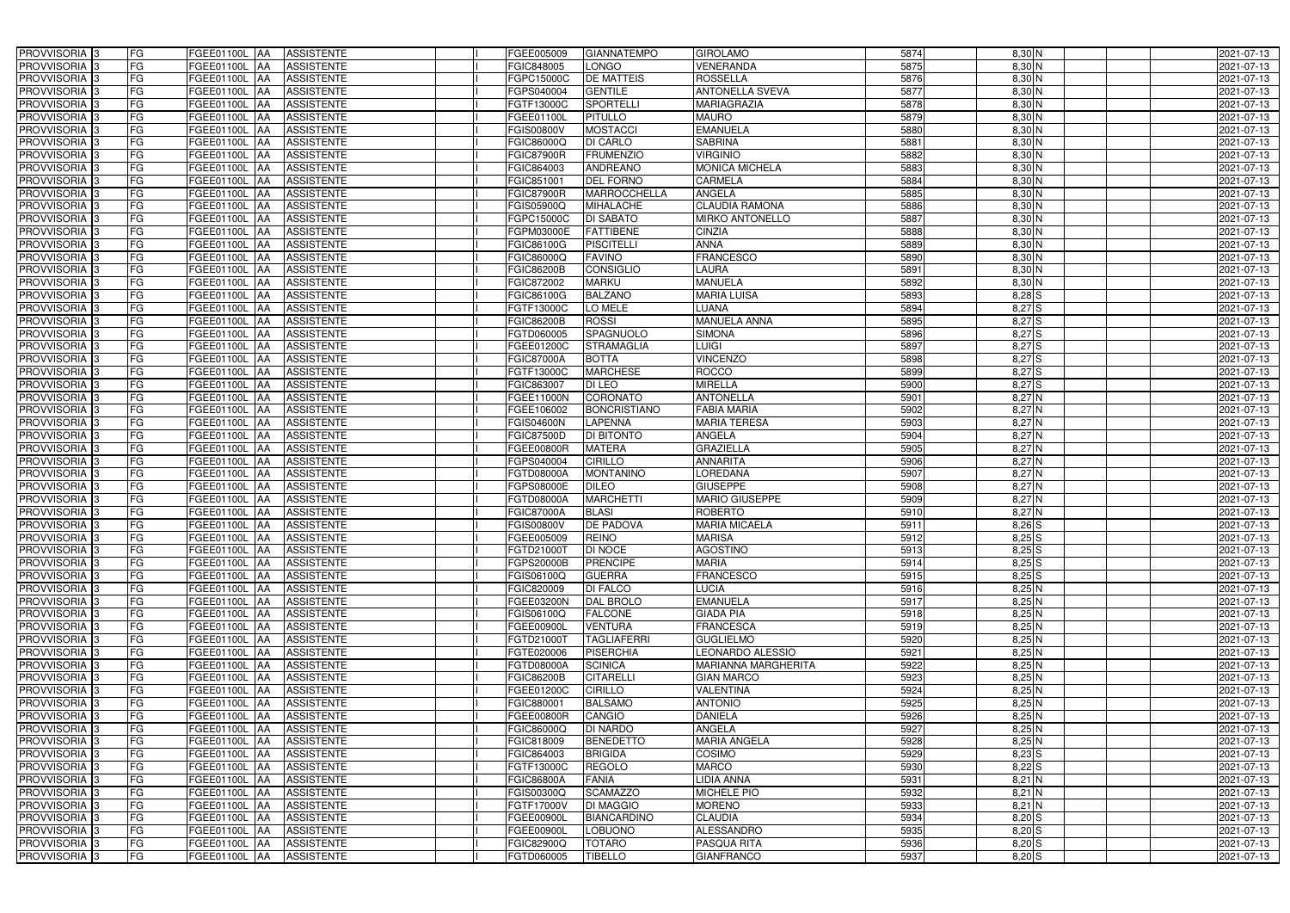| PROVVISORIA <sup>3</sup>   | <b>FG</b> | FGEE01100L AA        | <b>ASSISTENTE</b>               | FGEE005009        | <b>GIANNATEMPO</b>  | <b>GIROLAMO</b>            | 5874 | 8,30 N   | 2021-07-13 |
|----------------------------|-----------|----------------------|---------------------------------|-------------------|---------------------|----------------------------|------|----------|------------|
| PROVVISORIA <sup>3</sup>   | FG        | FGEE01100L           | <b>ASSISTENTE</b><br>IAA        | FGIC848005        | LONGO               | VENERANDA                  | 5875 | 8,30 N   | 2021-07-13 |
| PROVVISORIA <sup>3</sup>   | FG        | FGEE01100L AA        | <b>ASSISTENTE</b>               | FGPC15000C        | <b>DE MATTEIS</b>   | <b>ROSSELLA</b>            | 5876 | $8,30$ N | 2021-07-13 |
| PROVVISORIA <sup>3</sup>   | FG        | <b>FGEE01100L</b>    | <b>ASSISTENTE</b><br>IAA        | FGPS040004        | <b>GENTILE</b>      | <b>ANTONELLA SVEVA</b>     | 5877 | $8,30$ N | 2021-07-13 |
| PROVVISORIA <sup>3</sup>   | FG        | FGEE01100L           | <b>ASSISTENTE</b><br>IAA        | FGTF13000C        | <b>SPORTELLI</b>    | MARIAGRAZIA                | 5878 | $8,30$ N | 2021-07-13 |
| PROVVISORIA <sup>3</sup>   | FG        | <b>FGEE01100L AA</b> | <b>ASSISTENTE</b>               | FGEE01100L        | <b>PITULLO</b>      | <b>MAURO</b>               | 5879 | $8,30$ N | 2021-07-13 |
| PROVVISORIA <sup>1</sup> 3 | FG        | FGEE01100L AA        | <b>ASSISTENTE</b>               | FGIS00800V        | <b>MOSTACCI</b>     | <b>EMANUELA</b>            | 5880 | 8,30 N   | 2021-07-13 |
| PROVVISORIA <sup>3</sup>   | FG        | FGEE01100L AA        | <b>ASSISTENTE</b>               | FGIC86000Q        | <b>DI CARLO</b>     | <b>SABRINA</b>             | 5881 | $8,30$ N | 2021-07-13 |
| PROVVISORIA 3              | FG        | FGEE01100L AA        | <b>ASSISTENTE</b>               | <b>FGIC87900R</b> | <b>FRUMENZIO</b>    | <b>VIRGINIO</b>            | 5882 | $8,30$ N | 2021-07-13 |
| PROVVISORIA <sup>3</sup>   | FG        | <b>FGEE01100L AA</b> | <b>ASSISTENTE</b>               | FGIC864003        | <b>ANDREANO</b>     | <b>MONICA MICHELA</b>      | 5883 | 8,30 N   | 2021-07-13 |
| PROVVISORIA 3              | FG        | FGEE01100L AA        | <b>ASSISTENTE</b>               | FGIC851001        | <b>DEL FORNO</b>    | CARMELA                    | 5884 | $8,30$ N | 2021-07-13 |
| PROVVISORIA 3              | FG        | FGEE01100L AA        | <b>ASSISTENTE</b>               | FGIC87900R        | MARROCCHELLA        | <b>ANGELA</b>              | 5885 | $8,30$ N | 2021-07-13 |
| PROVVISORIA <sup>3</sup>   | FG        | FGEE01100L AA        | <b>ASSISTENTE</b>               | FGIS05900Q        | <b>MIHALACHE</b>    | <b>CLAUDIA RAMONA</b>      | 5886 | 8,30 N   | 2021-07-13 |
| PROVVISORIA 3              | FG        | FGEE01100L AA        | <b>ASSISTENTE</b>               | FGPC15000C        | <b>DI SABATO</b>    | <b>MIRKO ANTONELLO</b>     | 5887 | $8,30$ N | 2021-07-13 |
| PROVVISORIA 3              | FG        | FGEE01100L AA        | <b>ASSISTENTE</b>               | FGPM03000E        | <b>FATTIBENE</b>    | <b>CINZIA</b>              | 5888 | $8,30$ N | 2021-07-13 |
| PROVVISORIA 3              | FG        | FGEE01100L           | <b>ASSISTENTE</b><br><b>IAA</b> | FGIC86100G        | <b>PISCITELLI</b>   | <b>ANNA</b>                | 5889 | $8,30$ N | 2021-07-13 |
| PROVVISORIA 3              | FG        | FGEE01100L           | <b>ASSISTENTE</b><br>IAA        | FGIC86000Q        | <b>FAVINO</b>       | <b>FRANCESCO</b>           | 5890 | $8,30$ N | 2021-07-13 |
| PROVVISORIA <sup>3</sup>   | FG        | FGEE01100L AA        | <b>ASSISTENTE</b>               | <b>FGIC86200B</b> | <b>CONSIGLIO</b>    | <b>LAURA</b>               | 5891 | $8,30$ N | 2021-07-13 |
| PROVVISORIA 3              | FG        | FGEE01100L           | <b>ASSISTENTE</b><br><b>JAA</b> | FGIC872002        | <b>MARKU</b>        | <b>MANUELA</b>             | 5892 | 8,30 N   | 2021-07-13 |
| PROVVISORIA 3              | FG        | FGEE01100L           | <b>JAA</b><br><b>ASSISTENTE</b> | FGIC86100G        | <b>BALZANO</b>      | <b>MARIA LUISA</b>         | 5893 | 8,28 S   | 2021-07-13 |
| PROVVISORIA <sup>3</sup>   | FG        | FGEE01100L           | <b>ASSISTENTE</b><br>IAA        | FGTF13000C        | LO MELE             | LUANA                      | 5894 | 8,27 S   | 2021-07-13 |
| PROVVISORIA 3              | FG        | <b>FGEE01100L</b>    | <b>ASSISTENTE</b><br>IAA        | <b>FGIC86200B</b> | <b>ROSSI</b>        | <b>MANUELA ANNA</b>        | 5895 | 8,27S    | 2021-07-13 |
| PROVVISORIA 3              | FG        | FGEE01100L           | <b>ASSISTENTE</b><br>IAA        | FGTD060005        | <b>SPAGNUOLO</b>    | <b>SIMONA</b>              | 5896 | 8,27S    | 2021-07-13 |
| PROVVISORIA 3              | FG        | FGEE01100L AA        | <b>ASSISTENTE</b>               | FGEE01200C        | <b>STRAMAGLIA</b>   | <b>LUIGI</b>               | 5897 | 8,27S    | 2021-07-13 |
| PROVVISORIA <sup>3</sup>   | FG        | FGEE01100L AA        | <b>ASSISTENTE</b>               | FGIC87000A        | <b>BOTTA</b>        | <b>VINCENZO</b>            | 5898 | 8,27S    | 2021-07-13 |
| PROVVISORIA 3              | FG        | FGEE01100L AA        | <b>ASSISTENTE</b>               | FGTF13000C        | <b>MARCHESE</b>     | <b>ROCCO</b>               | 5899 | 8,27S    | 2021-07-13 |
| PROVVISORIA 3              | FG        | FGEE01100L AA        | <b>ASSISTENTE</b>               | FGIC863007        | DI LEO              | <b>MIRELLA</b>             | 5900 | 8,27S    | 2021-07-13 |
| PROVVISORIA 3              | FG        | FGEE01100L AA        | <b>ASSISTENTE</b>               | FGEE11000N        | <b>CORONATO</b>     | <b>ANTONELLA</b>           | 5901 | $8,27$ N | 2021-07-13 |
| PROVVISORIA <sup>3</sup>   | FG        | FGEE01100L AA        | <b>ASSISTENTE</b>               | FGEE106002        | <b>BONCRISTIANO</b> | <b>FABIA MARIA</b>         | 5902 | $8,27$ N | 2021-07-13 |
| PROVVISORIA <sup>3</sup>   | FG        | FGEE01100L AA        | <b>ASSISTENTE</b>               | FGIS04600N        | <b>LAPENNA</b>      | <b>MARIA TERESA</b>        | 5903 | $8,27$ N | 2021-07-13 |
| PROVVISORIA <sup>3</sup>   | FG        | FGEE01100L AA        | <b>ASSISTENTE</b>               | <b>FGIC87500D</b> | <b>DI BITONTO</b>   | <b>ANGELA</b>              | 5904 | $8,27$ N | 2021-07-13 |
| PROVVISORIA <sup>3</sup>   | FG        | FGEE01100L AA        | <b>ASSISTENTE</b>               | FGEE00800R        | <b>MATERA</b>       | <b>GRAZIELLA</b>           | 5905 | $8,27$ N | 2021-07-13 |
| PROVVISORIA <sup>3</sup>   | FG        | <b>FGEE01100L AA</b> | <b>ASSISTENTE</b>               | FGPS040004        | <b>CIRILLO</b>      | <b>ANNARITA</b>            | 5906 | 8,27 N   | 2021-07-13 |
| PROVVISORIA <sup>3</sup>   | FG        | <b>FGEE01100L AA</b> | <b>ASSISTENTE</b>               | FGTD08000A        | <b>MONTANINO</b>    | <b>LOREDANA</b>            | 5907 | $8,27$ N | 2021-07-13 |
| PROVVISORIA <sup>3</sup>   | FG        | FGEE01100L           | <b>ASSISTENTE</b><br>IAA        | FGPS08000E        | <b>DILEO</b>        | <b>GIUSEPPE</b>            | 5908 | 8,27N    | 2021-07-13 |
| PROVVISORIA <sup>3</sup>   | FG        | <b>FGEE01100L</b>    | <b>ASSISTENTE</b><br>IAA        | FGTD08000A        | <b>MARCHETTI</b>    | <b>MARIO GIUSEPPE</b>      | 5909 | 8,27N    | 2021-07-13 |
| PROVVISORIA <sup>3</sup>   | FG        | FGEE01100L           | <b>ASSISTENTE</b><br><b>IAA</b> | FGIC87000A        | <b>BLASI</b>        | <b>ROBERTO</b>             | 5910 | $8,27$ N | 2021-07-13 |
| PROVVISORIA <sup>3</sup>   | FG        | FGEE01100L AA        | <b>ASSISTENTE</b>               | <b>EGIS00800V</b> | DE PADOVA           | <b>MARIA MICAELA</b>       | 5911 | $8,26$ S | 2021-07-13 |
| PROVVISORIA <sup>3</sup>   | FG        | FGEE01100L AA        | <b>ASSISTENTE</b>               | FGEE005009        | <b>REINO</b>        | <b>MARISA</b>              | 5912 | $8,25$ S | 2021-07-13 |
| PROVVISORIA <sup>3</sup>   | FG        | FGEE01100L AA        | <b>ASSISTENTE</b>               | FGTD21000T        | <b>DI NOCE</b>      | <b>AGOSTINO</b>            | 5913 | $8,25$ S | 2021-07-13 |
| PROVVISORIA <sup>3</sup>   | FG        | FGEE01100L AA        | ASSISTENTE                      | FGPS20000B        | <b>PRENCIPE</b>     | <b>MARIA</b>               | 5914 | $8,25$ S | 2021-07-13 |
| PROVVISORIA <sup>3</sup>   | FG        | <b>FGEE01100L AA</b> | ASSISTENTE                      | FGIS06100Q        | <b>GUERRA</b>       | <b>FRANCESCO</b>           | 5915 | $8,25$ S | 2021-07-13 |
| PROVVISORIA <sup>3</sup>   | FG        | FGEE01100L AA        | <b>ASSISTENTE</b>               | FGIC820009        | <b>DI FALCO</b>     | <b>LUCIA</b>               | 5916 | 8,25N    | 2021-07-13 |
| PROVVISORIA <sup>3</sup>   | FG        | FGEE01100L AA        | ASSISTENTE                      | FGEE03200N        | <b>DAL BROLO</b>    | <b>EMANUELA</b>            | 5917 | 8,25N    | 2021-07-13 |
| PROVVISORIA <sup>3</sup>   | FG        | FGEE01100L AA        | <b>ASSISTENTE</b>               | FGIS06100Q        | <b>FALCONE</b>      | <b>GIADA PIA</b>           | 5918 | $8,25$ N | 2021-07-13 |
| PROVVISORIA <sup>3</sup>   | FG        | FGEE01100L AA        | <b>ASSISTENTE</b>               | FGEE00900L        | <b>VENTURA</b>      | <b>FRANCESCA</b>           | 5919 | 8,25N    | 2021-07-13 |
| PROVVISORIA <sup>3</sup>   | FG        | FGEE01100L AA        | ASSISTENTE                      | FGTD21000T        | <b>TAGLIAFERRI</b>  | <b>GUGLIELMO</b>           | 5920 | 8,25N    | 2021-07-13 |
| PROVVISORIA <sup>3</sup>   | FG        | FGEE01100L AA        | ASSISTENTE                      | FGTE020006        | <b>PISERCHIA</b>    | LEONARDO ALESSIO           | 5921 | $8,25$ N | 2021-07-13 |
| PROVVISORIA <sup>3</sup>   | FG        | FGEE01100L AA        | ASSISTENTE                      | FGTD08000A        | <b>SCINICA</b>      | <b>MARIANNA MARGHERITA</b> | 5922 | 8,25N    | 2021-07-13 |
| PROVVISORIA <sup>3</sup>   | FG        | FGEE01100L AA        | ASSISTENTE                      | <b>FGIC86200B</b> | <b>CITARELLI</b>    | <b>GIAN MARCO</b>          | 5923 | 8,25N    | 2021-07-13 |
| PROVVISORIA <sup>3</sup>   | FG        | FGEE01100L AA        | <b>ASSISTENTE</b>               | FGEE01200C        | <b>CIRILLO</b>      | <b>VALENTINA</b>           | 5924 | $8,25$ N | 2021-07-13 |
| PROVVISORIA <sup>3</sup>   | FG        | FGEE01100L AA        | <b>ASSISTENTE</b>               | FGIC880001        | <b>BALSAMO</b>      | <b>ANTONIO</b>             | 5925 | 8,25N    | 2021-07-13 |
| PROVVISORIA <sup>3</sup>   | FG        | FGEE01100L AA        | <b>ASSISTENTE</b>               | FGEE00800R        | <b>CANGIO</b>       | <b>DANIELA</b>             | 5926 | $8,25$ N | 2021-07-13 |
| PROVVISORIA <sup>3</sup>   | FG        | FGEE01100L AA        | <b>ASSISTENTE</b>               | FGIC86000Q        | <b>DI NARDO</b>     | <b>ANGELA</b>              | 5927 | 8,25N    | 2021-07-13 |
| PROVVISORIA <sup>13</sup>  | FG        | FGEE01100L AA        | <b>ASSISTENTE</b>               | FGIC818009        | <b>BENEDETTO</b>    | <b>MARIA ANGELA</b>        | 5928 | $8,25$ N | 2021-07-13 |
| PROVVISORIA <sup>1</sup> 3 | FG        | FGEE01100L AA        | <b>ASSISTENTE</b>               | FGIC864003        | <b>BRIGIDA</b>      | COSIMO                     | 5929 | $8,23$ S | 2021-07-13 |
| PROVVISORIA <sup>3</sup>   | FG        | FGEE01100L AA        | <b>ASSISTENTE</b>               | FGTF13000C        | <b>REGOLO</b>       | <b>MARCO</b>               | 5930 | 8,22S    | 2021-07-13 |
| PROVVISORIA <sup>1</sup> 3 | FG        | FGEE01100L AA        | <b>ASSISTENTE</b>               | FGIC86800A        | <b>FANIA</b>        | LIDIA ANNA                 | 5931 | $8,21$ N | 2021-07-13 |
| PROVVISORIA <sup>3</sup>   | FG        | FGEE01100L AA        | <b>ASSISTENTE</b>               | FGIS00300Q        | <b>SCAMAZZO</b>     | MICHELE PIO                | 5932 | $8,21$ N | 2021-07-13 |
| PROVVISORIA <sup>1</sup> 3 | FG        | FGEE01100L AA        | <b>ASSISTENTE</b>               | FGTF17000V        | <b>DI MAGGIO</b>    | <b>MORENO</b>              | 5933 | $8,21$ N | 2021-07-13 |
| PROVVISORIA <sup>3</sup>   | FG        | FGEE01100L AA        | <b>ASSISTENTE</b>               | FGEE00900L        | <b>BIANCARDINO</b>  | <b>CLAUDIA</b>             | 5934 | $8,20$ S | 2021-07-13 |
| PROVVISORIA <sup>3</sup>   | FG        | FGEE01100L AA        | <b>ASSISTENTE</b>               | FGEE00900L        | <b>LOBUONO</b>      | <b>ALESSANDRO</b>          | 5935 | $8,20$ S | 2021-07-13 |
| PROVVISORIA <sup>3</sup>   | FG        | FGEE01100L AA        | <b>ASSISTENTE</b>               | FGIC82900Q        | <b>TOTARO</b>       | <b>PASQUA RITA</b>         | 5936 | $8,20$ S | 2021-07-13 |
| PROVVISORIA <sup>3</sup>   | FG        | FGEE01100L AA        | ASSISTENTE                      | FGTD060005        | <b>TIBELLO</b>      | <b>GIANFRANCO</b>          | 5937 | 8,20S    | 2021-07-13 |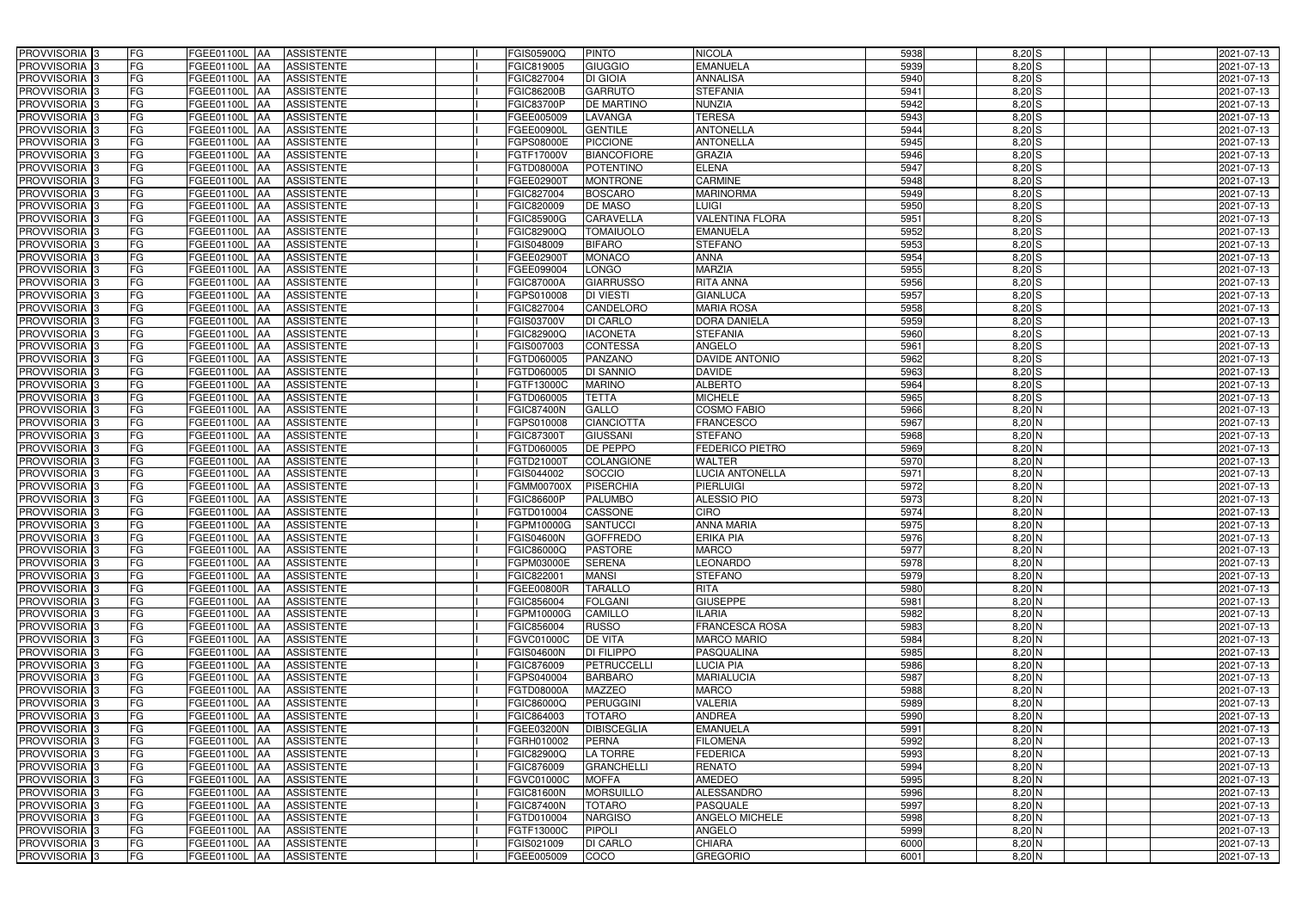| PROVVISORIA <sup>3</sup>                  | FG              | FGEE01100L AA                             | <b>ASSISTENTE</b>                      | FGIS05900Q                      | <b>PINTO</b>                     | <b>NICOLA</b>                     | 5938         | $8,20$ S             | 2021-07-13               |
|-------------------------------------------|-----------------|-------------------------------------------|----------------------------------------|---------------------------------|----------------------------------|-----------------------------------|--------------|----------------------|--------------------------|
| PROVVISORIA 3                             | FG              | FGEE01100L<br>-IAA                        | <b>ASSISTENTE</b>                      | FGIC819005                      | GIUGGIO                          | <b>EMANUELA</b>                   | 5939         | $8,20$ S             | 2021-07-13               |
| PROVVISORIA 3                             | FG              | FGEE01100L AA                             | <b>ASSISTENTE</b>                      | FGIC827004                      | DI GIOIA                         | <b>ANNALISA</b>                   | 5940         | $8,20$ $S$           | 2021-07-13               |
| PROVVISORIA 3                             | FG              | <b>FGEE01100L   AA</b>                    | <b>ASSISTENTE</b>                      | <b>FGIC86200B</b>               | <b>GARRUTO</b>                   | <b>STEFANIA</b>                   | 5941         | $8,20$ $S$           | 2021-07-13               |
| PROVVISORIA 3                             | FG              | <b>FGEE01100L  AA</b>                     | <b>ASSISTENTE</b>                      | FGIC83700P                      | <b>DE MARTINO</b>                | <b>NUNZIA</b>                     | 5942         | $8,20$ S             | 2021-07-13               |
| PROVVISORIA 3                             | FG              | FGEE01100L<br>IAA                         | <b>ASSISTENTE</b>                      | FGEE005009                      | LAVANGA                          | <b>TERESA</b>                     | 5943         | 8,20 S               | 2021-07-13               |
| PROVVISORIA 3                             | <b>FG</b>       | FGEE01100L AA                             | <b>ASSISTENTE</b>                      | FGEE00900L                      | <b>GENTILE</b>                   | <b>ANTONELLA</b>                  | 5944         | $8,20$ S             | 2021-07-13               |
| <b>PROVVISORIA</b> 3                      | <b>FG</b>       | FGEE01100L<br>IAA                         | <b>ASSISTENTE</b>                      | FGPS08000E                      | <b>PICCIONE</b>                  | <b>ANTONELLA</b>                  | 5945         | $8,20$ $S$           | 2021-07-13               |
| PROVVISORIA <sup>1</sup> 3                | FG              | FGEE01100L<br>IAA                         | <b>ASSISTENTE</b>                      | FGTF17000V                      | <b>BIANCOFIORE</b>               | <b>GRAZIA</b>                     | 5946         | $8,20$ S             | 2021-07-13               |
| PROVVISORIA 3                             | FG              | FGEE01100L<br>IAA                         | <b>ASSISTENTE</b>                      | FGTD08000A                      | POTENTINO                        | <b>ELENA</b>                      | 5947         | $8,20$ $S$           | 2021-07-13               |
| PROVVISORIA 3                             | FG              | <b>FGEE01100L</b><br><b>JAA</b>           | <b>ASSISTENTE</b>                      | FGEE02900T                      | <b>MONTRONE</b>                  | <b>CARMINE</b>                    | 5948         | $8,20$ S             | 2021-07-13               |
| PROVVISORIA 3                             | FG              | FGEE01100L AA                             | <b>ASSISTENTE</b>                      | FGIC827004                      | <b>BOSCARO</b>                   | <b>MARINORMA</b>                  | 5949         | $8,20$ S             | 2021-07-13               |
| PROVVISORIA <sup>3</sup>                  | FG              | FGEE01100L AA                             | <b>ASSISTENTE</b>                      | FGIC820009                      | <b>DE MASO</b>                   | <b>LUIGI</b>                      | 5950         | $8,20$ S             | 2021-07-13               |
| PROVVISORIA 3                             | <b>FG</b>       | FGEE01100L AA                             | <b>ASSISTENTE</b>                      | <b>FGIC85900G</b>               | <b>CARAVELLA</b>                 | <b>VALENTINA FLORA</b>            | 5951         | $8,20$ S             | 2021-07-13               |
| PROVVISORIA 3                             | FG              | FGEE01100L AA                             | <b>ASSISTENTE</b>                      | FGIC82900Q                      | <b>TOMAIUOLO</b>                 | <b>EMANUELA</b>                   | 5952         | 8,20S                | 2021-07-13               |
| PROVVISORIA 3                             | <b>FG</b>       | <b>FGEE01100L   AA</b>                    | <b>ASSISTENTE</b>                      | FGIS048009                      | <b>BIFARO</b>                    | <b>STEFANO</b>                    | 5953         | 8,20S                | 2021-07-13               |
| PROVVISORIA 3                             | <b>FG</b>       | FGEE01100L AA                             | <b>ASSISTENTE</b>                      | FGEE029001                      | <b>MONACO</b>                    | <b>ANNA</b>                       | 5954         | 8,20S                | 2021-07-13               |
| PROVVISORIA 3                             | <b>FG</b>       | FGEE01100L AA                             | <b>ASSISTENTE</b>                      | FGEE099004                      | <b>LONGO</b>                     | <b>MARZIA</b>                     | 5955         | 8,20S                | 2021-07-13               |
| PROVVISORIA 3                             | FG              | FGEE01100L<br><b>IAA</b>                  | <b>ASSISTENTE</b>                      | <b>FGIC87000A</b>               | <b>GIARRUSSO</b>                 | <b>RITA ANNA</b>                  | 5956         | 8,20S                | 2021-07-13               |
| PROVVISORIA 3                             | FG              | FGEE01100L<br>IAA                         | <b>ASSISTENTE</b>                      | FGPS010008                      | <b>DI VIESTI</b>                 | <b>GIANLUCA</b>                   | 5957         | 8,20S                | 2021-07-13               |
| PROVVISORIA <sup>1</sup> 3                | FG              | <b>FGEE01100L</b><br>IAA                  | <b>ASSISTENTE</b>                      | FGIC827004                      | CANDELORO                        | <b>MARIA ROSA</b>                 | 5958         | $8,20$ S             | 2021-07-13               |
| PROVVISORIA <sup>3</sup>                  | FG              | FGEE01100L<br>IAA                         | <b>ASSISTENTE</b>                      | FGIS03700V                      | <b>DI CARLO</b>                  | DORA DANIELA                      | 5959         | $8,20$ S             | 2021-07-13               |
| PROVVISORIA <sup>3</sup>                  | FG              | FGEE01100L<br>IAA                         | <b>ASSISTENTE</b>                      | FGIC82900Q                      | <b>IACONETA</b>                  | <b>STEFANIA</b>                   | 5960         | $8,20$ S             | 2021-07-13               |
| <b>PROVVISORIA</b> 3                      | FG              | FGEE01100L<br>IAA                         | <b>ASSISTENTE</b>                      | GIS007003                       | <b>CONTESSA</b>                  | ANGELO                            | 5961         | $8,20$ S             | 2021-07-13               |
| <b>PROVVISORIA</b> 3                      | FG              | FGEE01100L<br>IAA                         | <b>ASSISTENTE</b>                      | FGTD060005                      | PANZANO                          | DAVIDE ANTONIO                    | 5962         | $8,20$ S             | 2021-07-13               |
| PROVVISORIA <sup>3</sup>                  | <b>FG</b>       | <b>FGEE01100L</b><br>IAA                  | <b>ASSISTENTE</b>                      | FGTD060005                      | DI SANNIO                        | <b>DAVIDE</b>                     | 5963         | 8,20S                | 2021-07-13               |
| PROVVISORIA 3                             | <b>FG</b>       | <b>FGEE01100L</b>                         | <b>ASSISTENTE</b>                      | FGTF13000C                      | <b>MARINO</b>                    | <b>ALBERTO</b>                    | 5964         | 8,20S                | 2021-07-13               |
| PROVVISORIA <sup>3</sup>                  | FG              | FGEE01100L<br>IAA                         | <b>ASSISTENTE</b>                      | FGTD060005                      | <b>TETTA</b>                     | <b>MICHELE</b>                    | 5965         | $8,20$ S             | 2021-07-13               |
| PROVVISORIA 3                             | FG              | <b>FGEE01100L</b>                         | <b>ASSISTENTE</b>                      | <b>FGIC87400N</b>               | GALLO                            | COSMO FABIO                       | 5966         | $8,20$ N             | 2021-07-13               |
| PROVVISORIA 3                             | <b>FG</b>       | FGEE01100L<br>IAA                         | <b>ASSISTENTE</b>                      | FGPS010008                      | <b>CIANCIOTTA</b>                | FRANCESCO                         | 5967         | $8,20$ N             | 2021-07-13               |
| PROVVISORIA 3                             | FG              | <b>FGEE01100L</b><br>IAA                  | <b>ASSISTENTE</b>                      | FGIC873001                      | <b>GIUSSANI</b>                  | <b>STEFANO</b>                    | 5968         | 8,20 N               | 2021-07-13               |
| PROVVISORIA 3                             | FG              | FGEE01100L<br>IAA                         | <b>ASSISTENTE</b>                      | FGTD060005                      | DE PEPPO                         | <b>FEDERICO PIETRO</b>            | 5969         | 8,20 N               | 2021-07-13               |
| <b>PROVVISORIA</b> 3                      | <b>FG</b>       | FGEE01100L<br>IAA                         | <b>ASSISTENTE</b>                      | FGTD21000T                      | <b>COLANGIONE</b>                | <b>WALTER</b>                     | 5970         | $8,20$ N             | 2021-07-13               |
| PROVVISORIA <sup>1</sup> 3                | FG              | <b>FGEE01100L</b><br>IAA                  | <b>ASSISTENTE</b>                      | FGIS044002                      | SOCCIO<br><b>PISERCHIA</b>       | <b>LUCIA ANTONELLA</b>            | 5971         | $8,20$ N             | 2021-07-13               |
| PROVVISORIA <sup>3</sup>                  | FG              | FGEE01100L<br>IAA                         | <b>ASSISTENTE</b>                      | <b>FGMM00700X</b>               |                                  | <b>PIERLUIGI</b>                  | 5972         | $8,20$ N             | 2021-07-13               |
| PROVVISORIA 3<br>PROVVISORIA <sup>3</sup> | FG<br><b>FG</b> | FGEE01100L<br><b>JAA</b><br>FGEE01100L AA | <b>ASSISTENTE</b><br><b>ASSISTENTE</b> | <b>FGIC86600P</b><br>FGTD010004 | <b>PALUMBO</b><br><b>CASSONE</b> | <b>ALESSIO PIO</b><br><b>CIRO</b> | 5973<br>5974 | $8,20$ N<br>$8,20$ N | 2021-07-13<br>2021-07-13 |
| PROVVISORIA <sup>3</sup>                  | <b>FG</b>       | FGEE01100L AA                             | <b>ASSISTENTE</b>                      | FGPM10000G                      | <b>SANTUCCI</b>                  | <b>ANNA MARIA</b>                 | 5975         | $8,20$ N             | 2021-07-13               |
| PROVVISORIA <sup>3</sup>                  | <b>FG</b>       | FGEE01100L AA ASSISTENTE                  |                                        | <b>FGIS04600N</b>               | <b>GOFFREDO</b>                  | <b>ERIKA PIA</b>                  | 5976         | $8,20$ N             | 2021-07-13               |
| <b>PROVVISORIA</b> 3                      | <b>FG</b>       | FGEE01100L AA                             | <b>ASSISTENTE</b>                      | FGIC86000Q                      | <b>PASTORE</b>                   | <b>MARCO</b>                      | 5977         | $8,20$ N             | 2021-07-13               |
| PROVVISORIA <sup>3</sup>                  | FG              | FGEE01100L AA                             | <b>ASSISTENTE</b>                      | FGPM03000E                      | <b>SERENA</b>                    | <b>LEONARDO</b>                   | 5978         | $8,20$ N             | 2021-07-13               |
| PROVVISORIA <sup>3</sup>                  | FG              | FGEE01100L AA ASSISTENTE                  |                                        | FGIC822001                      | <b>MANSI</b>                     | <b>STEFANO</b>                    | 5979         | 8,20 N               | 2021-07-13               |
| PROVVISORIA <sup>3</sup>                  | FG              | <b>FGEE01100L AA</b>                      | <b>ASSISTENTE</b>                      | FGEE00800R                      | <b>TARALLO</b>                   | <b>RITA</b>                       | 5980         | $8,20$ N             | 2021-07-13               |
| PROVVISORIA <sup>3</sup>                  | FG              | <b>FGEE01100L AA</b>                      | <b>ASSISTENTE</b>                      | FGIC856004                      | <b>FOLGANI</b>                   | <b>GIUSEPPE</b>                   | 5981         | 8,20 N               | 2021-07-13               |
| PROVVISORIA 3                             | FG              | FGEE01100L AA                             | <b>ASSISTENTE</b>                      | FGPM10000G                      | <b>CAMILLO</b>                   | ILARIA                            | 5982         | 8,20 N               | 2021-07-13               |
| PROVVISORIA 3                             | <b>FG</b>       | FGEE01100L AA                             | <b>ASSISTENTE</b>                      | FGIC856004                      | <b>RUSSO</b>                     | <b>FRANCESCA ROSA</b>             | 5983         | $8,20$ N             | 2021-07-13               |
| PROVVISORIA <sup>3</sup>                  | FG              | FGEE01100L AA                             | <b>ASSISTENTE</b>                      | FGVC01000C                      | <b>DE VITA</b>                   | <b>MARCO MARIO</b>                | 5984         | 8,20 N               | 2021-07-13               |
| PROVVISORIA <sup>3</sup>                  | FG              | FGEE01100L AA                             | <b>ASSISTENTE</b>                      | <b>FGIS04600N</b>               | <b>DI FILIPPO</b>                | PASQUALINA                        | 5985         | $8,20$ N             | 2021-07-13               |
| PROVVISORIA <sup>3</sup>                  | FG              | FGEE01100L AA                             | <b>ASSISTENTE</b>                      | FGIC876009                      | <b>PETRUCCELLI</b>               | <b>LUCIA PIA</b>                  | 5986         | $8,20$ N             | 2021-07-13               |
| PROVVISORIA <sup>3</sup>                  | FG              | FGEE01100L AA                             | <b>ASSISTENTE</b>                      | FGPS040004                      | <b>BARBARO</b>                   | <b>MARIALUCIA</b>                 | 5987         | $8,20$ N             | 2021-07-13               |
| PROVVISORIA <sup>3</sup>                  | <b>FG</b>       | FGEE01100L AA                             | <b>ASSISTENTE</b>                      | FGTD08000A                      | <b>MAZZEO</b>                    | <b>MARCO</b>                      | 5988         | $8,20$ N             | 2021-07-13               |
| PROVVISORIA <sup>3</sup>                  | FG              | FGEE01100L AA                             | <b>ASSISTENTE</b>                      | FGIC86000Q                      | <b>PERUGGINI</b>                 | VALERIA                           | 5989         | $8,20$ N             | 2021-07-13               |
| PROVVISORIA <sup>3</sup>                  | FG              | FGEE01100L AA                             | <b>ASSISTENTE</b>                      | FGIC864003                      | <b>TOTARO</b>                    | ANDREA                            | 5990         | $8,20$ N             | 2021-07-13               |
| PROVVISORIA <sup>3</sup>                  | FG              | FGEE01100L AA                             | <b>ASSISTENTE</b>                      | FGEE03200N                      | <b>DIBISCEGLIA</b>               | <b>EMANUELA</b>                   | 5991         | $8,20$ N             | 2021-07-13               |
| PROVVISORIA <sup>3</sup>                  | FG              | FGEE01100L AA                             | <b>ASSISTENTE</b>                      | FGRH010002                      | <b>PERNA</b>                     | <b>FILOMENA</b>                   | 5992         | $8,20$ N             | 2021-07-13               |
| PROVVISORIA <sup>3</sup>                  | FG              | FGEE01100L AA                             | <b>ASSISTENTE</b>                      | FGIC82900Q                      | LA TORRE                         | <b>FEDERICA</b>                   | 5993         | 8,20 N               | 2021-07-13               |
| PROVVISORIA <sup>3</sup>                  | FG              | FGEE01100L AA                             | <b>ASSISTENTE</b>                      | FGIC876009                      | <b>GRANCHELLI</b>                | <b>RENATO</b>                     | 5994         | 8,20 N               | 2021-07-13               |
| PROVVISORIA <sup>3</sup>                  | FG              | FGEE01100L AA                             | <b>ASSISTENTE</b>                      | FGVC01000C                      | <b>MOFFA</b>                     | <b>AMEDEO</b>                     | 5995         | $8,20$ N             | 2021-07-13               |
| PROVVISORIA <sup>3</sup>                  | FG              | FGEE01100L AA                             | <b>ASSISTENTE</b>                      | <b>FGIC81600N</b>               | <b>MORSUILLO</b>                 | ALESSANDRO                        | 5996         | $8,20$ N             | 2021-07-13               |
| PROVVISORIA <sup>3</sup>                  | FG              | FGEE01100L AA                             | <b>ASSISTENTE</b>                      | <b>FGIC87400N</b>               | <b>TOTARO</b>                    | <b>PASQUALE</b>                   | 5997         | $8,20$ N             | 2021-07-13               |
| PROVVISORIA <sup>3</sup>                  | FG              | FGEE01100L AA                             | <b>ASSISTENTE</b>                      | FGTD010004                      | <b>NARGISO</b>                   | <b>ANGELO MICHELE</b>             | 5998         | $8,20$ N             | 2021-07-13               |
| PROVVISORIA <sup>3</sup>                  | FG              | FGEE01100L AA                             | <b>ASSISTENTE</b>                      | FGTF13000C                      | PIPOLI                           | ANGELO                            | 5999         | $8,20$ N             | 2021-07-13               |
| PROVVISORIA <sup>3</sup>                  | FG              | FGEE01100L AA                             | ASSISTENTE                             | FGIS021009                      | <b>DI CARLO</b>                  | <b>CHIARA</b>                     | 6000         | $8,20$ N             | 2021-07-13               |
| PROVVISORIA 3                             | FG              | <b>FGEE01100L AA</b>                      | <b>ASSISTENTE</b>                      | FGEE005009                      | COCO                             | <b>GREGORIO</b>                   | 6001         | $8,20$ N             | 2021-07-13               |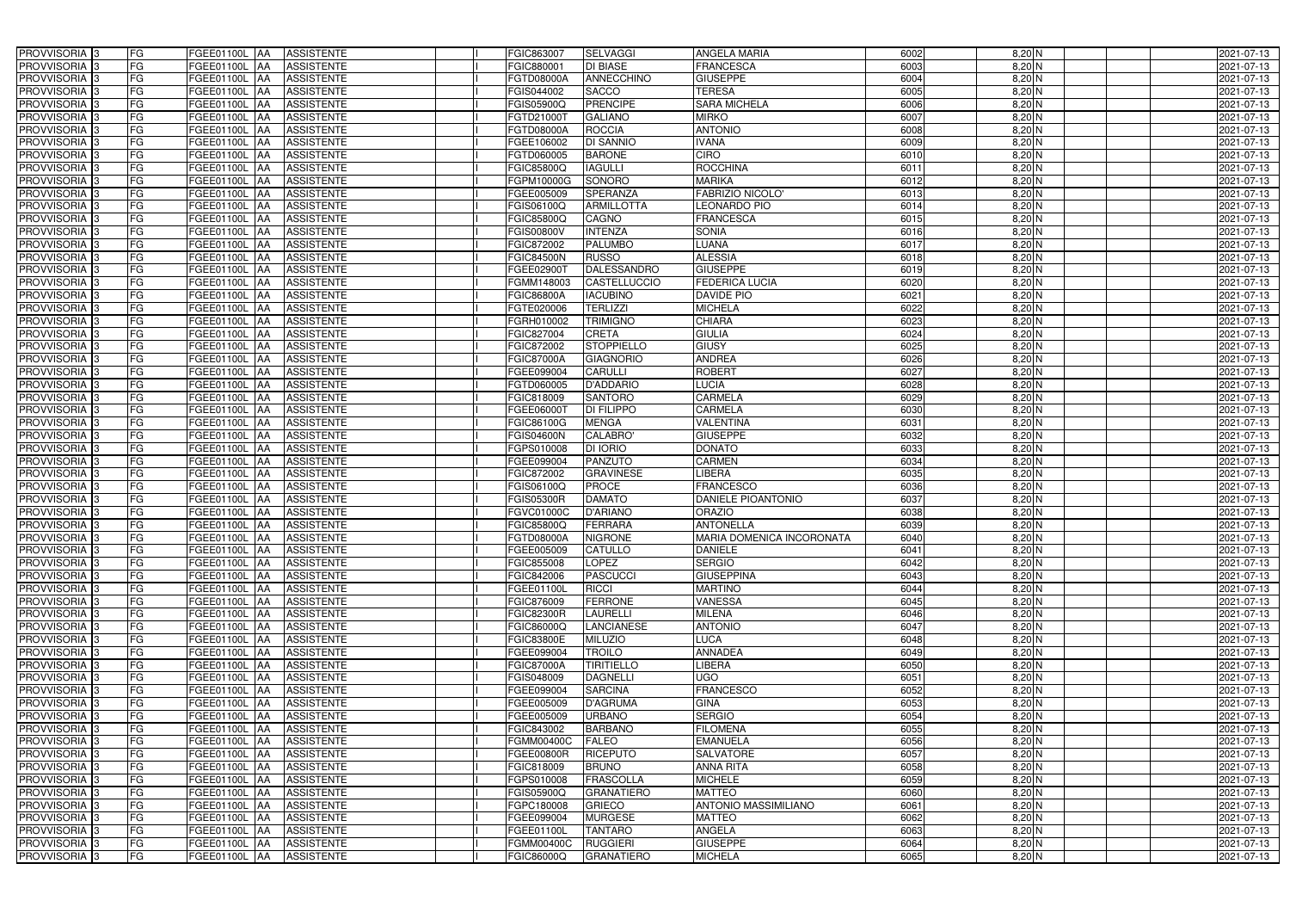| PROVVISORIA 3                                        | FG        | FGEE01100L AA                   | <b>ASSISTENTE</b>                      | FGIC863007               | <b>SELVAGGI</b>                | ANGELA MARIA                 | 6002         | 8,20 N               | 2021-07-13               |
|------------------------------------------------------|-----------|---------------------------------|----------------------------------------|--------------------------|--------------------------------|------------------------------|--------------|----------------------|--------------------------|
| PROVVISORIA 3                                        | FG        | FGEE01100L<br>IAA               | <b>ASSISTENTE</b>                      | FGIC880001               | <b>DI BIASE</b>                | <b>FRANCESCA</b>             | 6003         | $8,20$ N             | 2021-07-13               |
| PROVVISORIA 3                                        | FG        | FGEE01100L AA                   | <b>ASSISTENTE</b>                      | FGTD08000A               | <b>ANNECCHINO</b>              | <b>GIUSEPPE</b>              | 6004         | $8,20$ N             | 2021-07-13               |
| PROVVISORIA <sup>3</sup>                             | FG        | FGEE01100L<br>IAA               | <b>ASSISTENTE</b>                      | FGIS044002               | <b>SACCO</b>                   | <b>TERESA</b>                | 6005         | $8,20$ N             | 2021-07-13               |
| PROVVISORIA 3                                        | FG        | FGEE01100L<br>IAA               | <b>ASSISTENTE</b>                      | FGIS05900Q               | <b>PRENCIPE</b>                | <b>SARA MICHELA</b>          | 6006         | $8,20$ N             | 2021-07-13               |
| PROVVISORIA 3                                        | <b>FG</b> | <b>FGEE01100L AA</b>            | <b>ASSISTENTE</b>                      | FGTD210001               | <b>GALIANO</b>                 | <b>MIRKO</b>                 | 6007         | $8,20$ N             | 2021-07-13               |
| PROVVISORIA 3                                        | FG        | FGEE01100L AA                   | <b>ASSISTENTE</b>                      | FGTD08000A               | <b>ROCCIA</b>                  | <b>ANTONIO</b>               | 6008         | 8,20 N               | 2021-07-13               |
| PROVVISORIA 3                                        | FG        | FGEE01100L AA                   | <b>ASSISTENTE</b>                      | FGEE106002               | <b>DI SANNIO</b>               | <b>VANA</b>                  | 6009         | $8,20$ N             | 2021-07-13               |
| PROVVISORIA 3                                        | <b>FG</b> | FGEE01100L AA                   | <b>ASSISTENTE</b>                      | FGTD060005               | <b>BARONE</b>                  | <b>CIRO</b>                  | 6010         | $8,20$ N             | 2021-07-13               |
| PROVVISORIA 3                                        | FG        | FGEE01100L AA                   | <b>ASSISTENTE</b>                      | FGIC85800Q               | <b>IAGULLI</b>                 | <b>ROCCHINA</b>              | 6011         | $8,20$ N             | 2021-07-13               |
| PROVVISORIA 3                                        | FG        | FGEE01100L AA                   | <b>ASSISTENTE</b>                      | FGPM10000G               | SONORO                         | <b>MARIKA</b>                | 6012         | $8,20$ N             | 2021-07-13               |
| PROVVISORIA 3                                        | FG        | FGEE01100L AA                   | <b>ASSISTENTE</b>                      | FGEE005009               | <b>SPERANZA</b>                | <b>FABRIZIO NICOLO'</b>      | 6013         | $8,20$ N             | 2021-07-13               |
| PROVVISORIA <sup>3</sup>                             | FG        | FGEE01100L AA                   | <b>ASSISTENTE</b>                      | FGIS06100Q               | <b>ARMILLOTTA</b>              | <b>LEONARDO PIO</b>          | 6014         | $8,20$ N             | 2021-07-13               |
| PROVVISORIA 3                                        | FG        | FGEE01100L AA                   | <b>ASSISTENTE</b>                      | <b>FGIC85800Q</b>        | CAGNO                          | <b>FRANCESCA</b>             | 6015         | $8,20$ N             | 2021-07-13               |
| PROVVISORIA 3                                        | <b>FG</b> | <b>FGEE01100L   AA</b>          | <b>ASSISTENTE</b>                      | FGIS00800V               | <b>INTENZA</b>                 | <b>SONIA</b>                 | 6016         | $8,20$ N             | 2021-07-13               |
| PROVVISORIA 3                                        | <b>FG</b> | FGEE01100L<br>IAA               | <b>ASSISTENTE</b>                      | FGIC872002               | <b>PALUMBO</b>                 | LUANA                        | 6017         | $8,20$ N             | 2021-07-13               |
| PROVVISORIA 3                                        | FG        | <b>FGEE01100L</b><br>IAA        | <b>ASSISTENTE</b>                      | <b>FGIC84500N</b>        | <b>RUSSO</b>                   | <b>ALESSIA</b>               | 6018         | $8,20$ N             | 2021-07-13               |
| PROVVISORIA 3                                        | FG        | <b>FGEE01100L</b><br>IAA        | <b>ASSISTENTE</b>                      | FGEE029001               | <b>DALESSANDRO</b>             | <b>GIUSEPPE</b>              | 6019         | $8,20$ N             | 2021-07-13               |
| PROVVISORIA 3                                        | FG        | <b>FGEE01100L</b><br>IAA        | <b>ASSISTENTE</b>                      | FGMM148003               | <b>CASTELLUCCIO</b>            | <b>FEDERICA LUCIA</b>        | 6020         | $8,20$ N             | 2021-07-13               |
| PROVVISORIA 3                                        | FG        | FGEE01100L<br>IAA               | <b>ASSISTENTE</b>                      | <b>FGIC86800A</b>        | <b>IACUBINO</b>                | <b>DAVIDE PIO</b>            | 6021         | 8,20 N               | 2021-07-13               |
| PROVVISORIA <sup>3</sup>                             | FG        | FGEE01100L                      | <b>ASSISTENTE</b>                      | FGTE020006               | <b>TERLIZZI</b>                | <b>MICHELA</b>               | 6022         | $8,20$ N             | 2021-07-13               |
| <b>PROVVISORIA</b> 3                                 | FG        | <b>FGEE01100L</b><br>IAA        | <b>ASSISTENTE</b>                      | FGRH010002               | <b>TRIMIGNO</b>                | <b>CHIARA</b>                | 6023         | $8,20$ N             | 2021-07-13               |
| PROVVISORIA <sup>3</sup>                             | FG        | FGEE01100L<br>IAA               | <b>ASSISTENTE</b>                      | FGIC827004               | CRETA                          | <b>GIULIA</b>                | 6024         | $8,20$ N             | 2021-07-13               |
| PROVVISORIA <sup>3</sup>                             | <b>FG</b> | FGEE01100L<br>IAA               | <b>ASSISTENTE</b>                      | FGIC872002               | <b>STOPPIELLO</b>              | <b>GIUSY</b>                 | 6025         | $8,20$ N             | 2021-07-13               |
| <b>PROVVISORIA</b> 3                                 | FG        | FGEE01100L<br>IAA               | <b>ASSISTENTE</b>                      | FGIC87000A               | <b>GIAGNORIO</b>               | <b>ANDREA</b>                | 6026         | $8,20$ N             | 2021-07-13               |
| PROVVISORIA 3                                        | FG        | FGEE01100L<br>IAA               | <b>ASSISTENTE</b>                      | FGEE099004               | <b>CARULLI</b>                 | <b>ROBERT</b>                | 6027         | $8,20$ N             | 2021-07-13               |
| PROVVISORIA 3                                        | <b>FG</b> | FGEE01100L AA                   | <b>ASSISTENTE</b>                      | FGTD060005               | <b>D'ADDARIO</b>               | <b>LUCIA</b>                 | 6028         | $8,20$ N             | 2021-07-13               |
| PROVVISORIA 3                                        | <b>FG</b> | <b>FGEE01100L   AA</b>          | <b>ASSISTENTE</b>                      | FGIC818009               | <b>SANTORO</b>                 | <b>CARMELA</b>               | 6029         | $8,20$ N             | 2021-07-13               |
| PROVVISORIA 3                                        | FG        | FGEE01100L AA                   | <b>ASSISTENTE</b>                      | FGEE060001               | <b>DI FILIPPO</b>              | CARMELA                      | 6030         | 8,20 N               | 2021-07-13               |
| PROVVISORIA 3                                        | <b>FG</b> | FGEE01100L AA                   | <b>ASSISTENTE</b>                      | FGIC86100G               | <b>MENGA</b>                   | <b>VALENTINA</b>             | 6031         | $8,20$ N             | 2021-07-13               |
| PROVVISORIA 3                                        | FG        | FGEE01100L AA                   | <b>ASSISTENTE</b>                      | <b>FGIS04600N</b>        | <b>CALABRO</b>                 | <b>GIUSEPPE</b>              | 6032         | $8,20$ N             | 2021-07-13               |
| PROVVISORIA 3                                        | FG        | FGEE01100L AA                   | <b>ASSISTENTE</b>                      | FGPS010008               | <b>DI IORIO</b>                | <b>DONATO</b>                | 6033         | $8,20$ N             | 2021-07-13               |
| PROVVISORIA 3                                        | FG        | <b>FGEE01100L</b><br><b>IAA</b> | <b>ASSISTENTE</b>                      | FGEE099004               | <b>PANZUTO</b>                 | <b>CARMEN</b>                | 6034         | 8,20 N               | 2021-07-13               |
| PROVVISORIA 3                                        | FG        | FGEE01100L AA                   | <b>ASSISTENTE</b>                      | FGIC872002               | <b>GRAVINESE</b>               | <b>LIBERA</b>                | 6035         | 8,20 N               | 2021-07-13               |
| PROVVISORIA 3                                        | <b>FG</b> | FGEE01100L<br>IAA               | <b>ASSISTENTE</b>                      | FGIS06100Q               | <b>PROCE</b>                   | <b>FRANCESCO</b>             | 6036         | $8,20$ N             | $2021 - 07 - 13$         |
| PROVVISORIA <sup>1</sup> 3                           | FG        | FGEE01100L<br>IAA               | <b>ASSISTENTE</b>                      | <b>GIS05300R</b>         | <b>DAMATO</b>                  | <b>DANIELE PIOANTONIO</b>    | 6037         | 8,20 N               | 2021-07-13               |
| PROVVISORIA <sup>1</sup> 3                           | FG        | <b>FGEE01100L</b><br>IAA        | <b>ASSISTENTE</b>                      | FGVC01000C               | <b>D'ARIANO</b>                | <b>ORAZIO</b>                | 6038         | 8,20 N               | 2021-07-13               |
| PROVVISORIA <sup>3</sup>                             | <b>FG</b> | FGEE01100L AA                   | <b>ASSISTENTE</b>                      | FGIC85800Q               | <b>FERRARA</b>                 | <b>ANTONELLA</b>             | 6039         | $8,20$ N             | 2021-07-13               |
| PROVVISORIA <sup>3</sup>                             | FG        | FGEE01100L AA ASSISTENTE        |                                        | FGTD08000A               | <b>NIGRONE</b>                 | MARIA DOMENICA INCORONATA    | 6040         | $8,20$ N             | 2021-07-13               |
| PROVVISORIA <sup>3</sup>                             | <b>FG</b> | FGEE01100L AA                   | <b>ASSISTENTE</b>                      | FGEE005009               | <b>CATULLO</b>                 | <b>DANIELE</b>               | 6041         | $8,20$ N             | 2021-07-13               |
| PROVVISORIA <sup>3</sup>                             | FG        | FGEE01100L AA                   | <b>ASSISTENTE</b>                      | <b>FGIC855008</b>        | <b>LOPEZ</b>                   | <b>SERGIO</b>                | 6042         | $8,20$ N             | 2021-07-13               |
| PROVVISORIA <sup>3</sup>                             | FG        | FGEE01100L AA                   | <b>ASSISTENTE</b>                      | FGIC842006               | <b>PASCUCCI</b>                | <b>GIUSEPPINA</b>            | 6043         | 8,20 N               | 2021-07-13               |
| PROVVISORIA <sup>3</sup>                             | FG        | FGEE01100L AA                   | <b>ASSISTENTE</b>                      | FGEE01100L               | <b>RICCI</b>                   | <b>MARTINO</b>               | 6044         | $8,20$ N             | 2021-07-13               |
| PROVVISORIA <sup>3</sup>                             | FG        | <b>FGEE01100L AA</b>            | <b>ASSISTENTE</b>                      | FGIC876009               | <b>FERRONE</b>                 | <b>VANESSA</b>               | 6045         | 8,20 N               | 2021-07-13               |
| PROVVISORIA <sup>3</sup>                             | FG        | FGEE01100L AA                   | <b>ASSISTENTE</b>                      | <b>FGIC82300R</b>        | <b>LAURELLI</b>                | <b>MILENA</b>                | 6046         | 8,20 N               | 2021-07-13               |
| PROVVISORIA <sup>3</sup>                             | FG        | FGEE01100L AA                   | <b>ASSISTENTE</b>                      | FGIC86000Q               | <b>LANCIANESE</b>              | <b>ANTONIO</b>               | 6047         | 8,20 N               | 2021-07-13               |
| PROVVISORIA <sup>3</sup>                             | FG        | FGEE01100L AA                   | <b>ASSISTENTE</b>                      | <b>FGIC83800E</b>        | <b>MILUZIO</b>                 | <b>LUCA</b>                  | 6048         | $8,20$ N             | 2021-07-13               |
| PROVVISORIA <sup>3</sup>                             | FG        | FGEE01100L AA                   | <b>ASSISTENTE</b>                      | FGEE099004               | <b>TROILO</b>                  | <b>ANNADEA</b>               | 6049         | $8,20$ N             | 2021-07-13               |
| PROVVISORIA <sup>3</sup>                             | FG        | FGEE01100L AA                   | <b>ASSISTENTE</b>                      | <b>FGIC87000A</b>        | <b>TIRITIELLO</b>              | <b>LIBERA</b><br>UGO         | 6050         | $8,20$ N             | 2021-07-13               |
| PROVVISORIA <sup>3</sup>                             | FG        | FGEE01100L AA                   | <b>ASSISTENTE</b>                      | FGIS048009               | <b>DAGNELLI</b>                |                              | 6051         | $8,20$ N             | 2021-07-13               |
| PROVVISORIA <sup>3</sup>                             | FG        | FGEE01100L AA                   | <b>ASSISTENTE</b>                      | FGEE099004               | <b>SARCINA</b>                 | FRANCESCO                    | 6052         | $8,20$ N             | 2021-07-13               |
| PROVVISORIA <sup>3</sup>                             | FG        | FGEE01100L AA                   | <b>ASSISTENTE</b>                      | FGEE005009               | <b>D'AGRUMA</b>                | <b>GINA</b><br><b>SERGIO</b> | 6053         | $8,20$ N             | 2021-07-13               |
| PROVVISORIA <sup>3</sup>                             | FG<br>FG  | <b>FGEE01100L   AA</b>          | <b>ASSISTENTE</b>                      | FGEE005009               | <b>URBANO</b>                  | <b>FILOMENA</b>              | 6054<br>6055 | $8,20$ N<br>$8,20$ N | 2021-07-13               |
| PROVVISORIA <sup>3</sup>                             | FG        | FGEE01100L AA                   | <b>ASSISTENTE</b>                      | FGIC843002               | <b>BARBANO</b><br><b>FALEO</b> |                              | 6056         | 8,20 N               | 2021-07-13               |
| PROVVISORIA <sup>13</sup>                            | FG        | FGEE01100L AA                   | <b>ASSISTENTE</b>                      | FGMM00400C               | <b>RICEPUTO</b>                | <b>EMANUELA</b><br>SALVATORE |              | 8,20 N               | 2021-07-13               |
| PROVVISORIA <sup>3</sup>                             | FG        | FGEE01100L AA<br>FGEE01100L AA  | <b>ASSISTENTE</b><br><b>ASSISTENTE</b> | FGEE00800R               | <b>BRUNO</b>                   | <b>ANNA RITA</b>             | 6057<br>6058 | $8,20$ N             | 2021-07-13               |
| PROVVISORIA <sup>3</sup><br>PROVVISORIA <sup>3</sup> | FG        | FGEE01100L AA                   | <b>ASSISTENTE</b>                      | FGIC818009<br>FGPS010008 | <b>FRASCOLLA</b>               | <b>MICHELE</b>               | 6059         | 8,20 N               | 2021-07-13<br>2021-07-13 |
| PROVVISORIA <sup>3</sup>                             | FG        | FGEE01100L AA                   | <b>ASSISTENTE</b>                      | FGIS05900Q               | <b>GRANATIERO</b>              | <b>MATTEO</b>                | 6060         | 8,20 N               | 2021-07-13               |
| PROVVISORIA <sup>3</sup>                             | FG        | FGEE01100L AA                   | <b>ASSISTENTE</b>                      | FGPC180008               | <b>GRIECO</b>                  | ANTONIO MASSIMILIANO         | 6061         | $8,20$ N             | 2021-07-13               |
| PROVVISORIA <sup>3</sup>                             | FG        | FGEE01100L AA                   | <b>ASSISTENTE</b>                      | FGEE099004               | <b>MURGESE</b>                 | <b>MATTEO</b>                | 6062         | $8,20$ N             | 2021-07-13               |
| PROVVISORIA <sup>3</sup>                             | FG        | FGEE01100L AA                   | <b>ASSISTENTE</b>                      | FGEE01100L               | <b>TANTARO</b>                 | <b>ANGELA</b>                | 6063         | $8,20$ N             | 2021-07-13               |
| PROVVISORIA <sup>3</sup>                             | FG        | <b>FGEE01100L AA</b>            | <b>ASSISTENTE</b>                      | <b>FGMM00400C</b>        | <b>RUGGIERI</b>                | <b>GIUSEPPE</b>              | 6064         | $8,20$ N             | 2021-07-13               |
| PROVVISORIA 3                                        | FG        | FGEE01100L AA                   | ASSISTENTE                             | FGIC86000Q               | <b>GRANATIERO</b>              | <b>MICHELA</b>               | 6065         | $8,20$ N             | 2021-07-13               |
|                                                      |           |                                 |                                        |                          |                                |                              |              |                      |                          |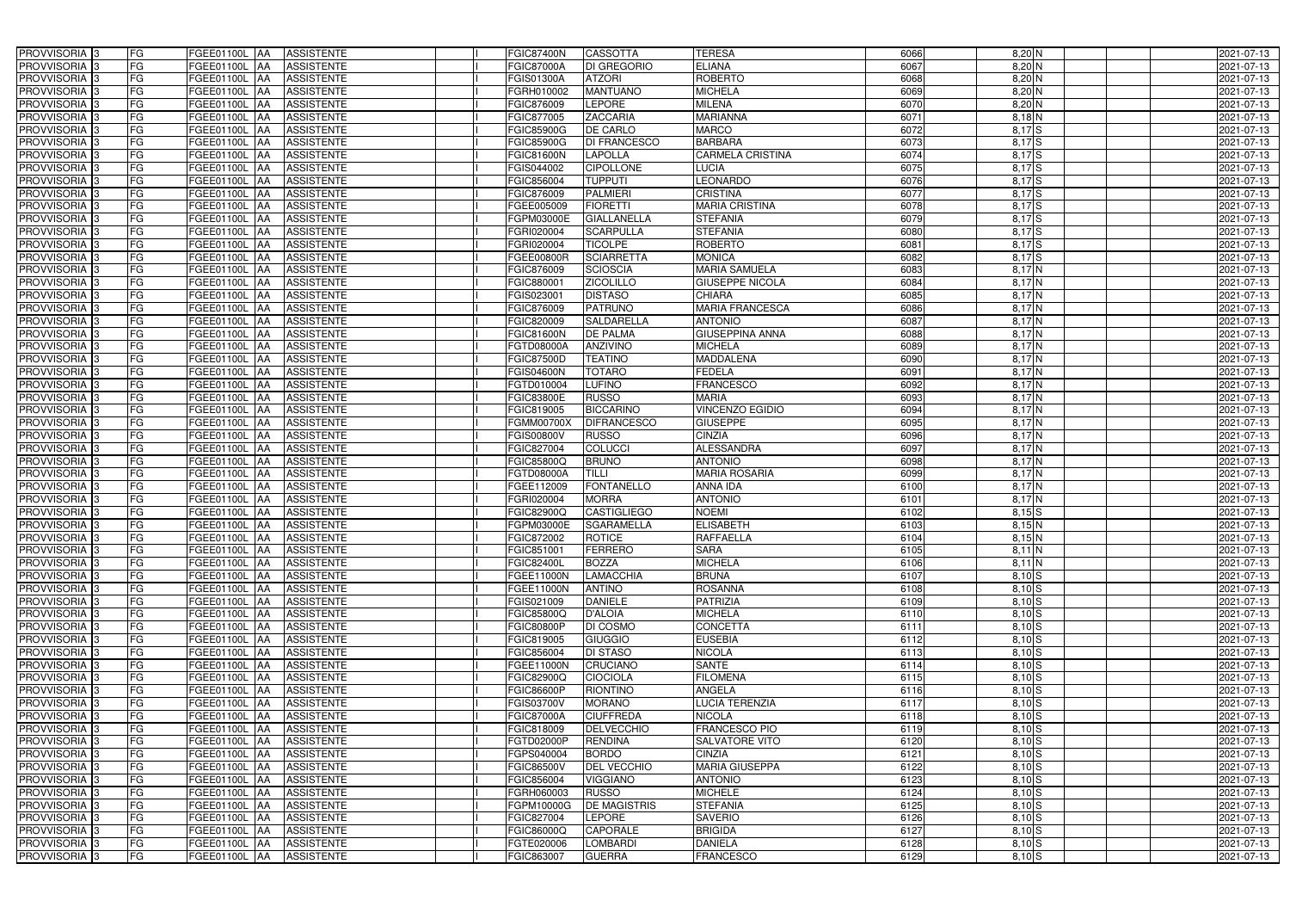| PROVVISORIA <sup>3</sup>   | <b>FG</b> | FGEE01100L AA        | <b>ASSISTENTE</b>               | <b>FGIC87400N</b>      | <b>CASSOTTA</b>     | <b>TERESA</b>           | 6066 | $8,20$ N                  | 2021-07-13       |
|----------------------------|-----------|----------------------|---------------------------------|------------------------|---------------------|-------------------------|------|---------------------------|------------------|
| PROVVISORIA <sup>3</sup>   | FG        | FGEE01100L           | <b>ASSISTENTE</b><br>IAA        | <b>FGIC87000A</b>      | DI GREGORIO         | <b>ELIANA</b>           | 6067 | $8,20$ N                  | 2021-07-13       |
| PROVVISORIA <sup>3</sup>   | FG        | FGEE01100L           | <b>ASSISTENTE</b><br>IAA        | FGIS01300A             | <b>ATZORI</b>       | <b>ROBERTO</b>          | 6068 | $8,20$ N                  | 2021-07-13       |
| PROVVISORIA <sup>3</sup>   | FG        | <b>FGEE01100L</b>    | <b>ASSISTENTE</b><br>IAA        | GRH010002              | <b>MANTUANO</b>     | <b>MICHELA</b>          | 6069 | $8,20$ N                  | 2021-07-13       |
| PROVVISORIA <sup>3</sup>   | FG        | FGEE01100L           | <b>ASSISTENTE</b><br>IAA        | FGIC876009             | LEPORE              | <b>MILENA</b>           | 6070 | $8,20$ N                  | 2021-07-13       |
| PROVVISORIA <sup>3</sup>   | FG        | <b>FGEE01100L AA</b> | <b>ASSISTENTE</b>               | FGIC877005             | <b>ZACCARIA</b>     | <b>MARIANNA</b>         | 6071 | $8,18$ N                  | 2021-07-13       |
| PROVVISORIA <sup>1</sup> 3 | FG        | FGEE01100L AA        | <b>ASSISTENTE</b>               | <b>FGIC85900G</b>      | <b>DE CARLO</b>     | <b>MARCO</b>            | 6072 | $8,17$ S                  | 2021-07-13       |
| PROVVISORIA <sup>3</sup>   | FG        | FGEE01100L AA        | <b>ASSISTENTE</b>               | <b>FGIC85900G</b>      | <b>DI FRANCESCO</b> | <b>BARBARA</b>          | 6073 | $8,17$ $S$                | 2021-07-13       |
| PROVVISORIA 3              | FG        | FGEE01100L AA        | <b>ASSISTENTE</b>               | <b>FGIC81600N</b>      | <b>LAPOLLA</b>      | <b>CARMELA CRISTINA</b> | 6074 | $8,17$ $S$                | 2021-07-13       |
| PROVVISORIA 3              | FG        | FGEE01100L AA        | <b>ASSISTENTE</b>               | FGIS044002             | <b>CIPOLLONE</b>    | <b>LUCIA</b>            | 6075 | $8,17$ $S$                | 2021-07-13       |
| PROVVISORIA 3              | FG        | FGEE01100L AA        | <b>ASSISTENTE</b>               | FGIC856004             | <b>TUPPUTI</b>      | <b>EONARDO</b>          | 6076 | $8,17$ $S$                | 2021-07-13       |
| PROVVISORIA 3              | FG        | FGEE01100L AA        | <b>ASSISTENTE</b>               | FGIC876009             | <b>PALMIERI</b>     | <b>CRISTINA</b>         | 6077 | $8,17$ $S$                | 2021-07-13       |
| PROVVISORIA <sup>3</sup>   | FG        | FGEE01100L AA        | <b>ASSISTENTE</b>               | FGEE005009             | <b>FIORETTI</b>     | <b>MARIA CRISTINA</b>   | 6078 | $8,17$ S                  | 2021-07-13       |
| PROVVISORIA 3              | FG        | FGEE01100L AA        | <b>ASSISTENTE</b>               | FGPM03000E             | <b>GIALLANELLA</b>  | <b>STEFANIA</b>         | 6079 | $8,17$ $S$                | 2021-07-13       |
| PROVVISORIA 3              | FG        | FGEE01100L AA        | <b>ASSISTENTE</b>               | FGRI020004             | <b>SCARPULLA</b>    | <b>STEFANIA</b>         | 6080 | $8,17$ $S$                | 2021-07-13       |
| PROVVISORIA 3              | FG        | <b>FGEE01100L</b>    | <b>ASSISTENTE</b><br>IAA        | FGRI020004             | <b>TICOLPE</b>      | <b>ROBERTO</b>          | 6081 | $8,17$ $S$                | 2021-07-13       |
| PROVVISORIA 3              | FG        | FGEE01100L           | <b>ASSISTENTE</b><br>IAA        | FGEE00800R             | <b>SCIARRETTA</b>   | <b>MONICA</b>           | 6082 | $8,17$ S                  | 2021-07-13       |
| PROVVISORIA 3              | FG        | FGEE01100L           | <b>ASSISTENTE</b><br><b>JAA</b> | FGIC876009             | <b>SCIOSCIA</b>     | <b>MARIA SAMUELA</b>    | 6083 | 8,17 N                    | 2021-07-13       |
| PROVVISORIA 3              | FG        | FGEE01100L           | <b>ASSISTENTE</b><br><b>JAA</b> | FGIC88000              | <b>ZICOLILLO</b>    | <b>GIUSEPPE NICOLA</b>  | 6084 | 8,17 N                    | 2021-07-13       |
| PROVVISORIA 3              | FG        | FGEE01100L           | <b>JAA</b><br><b>ASSISTENTE</b> | FGIS02300 <sup>-</sup> | <b>DISTASO</b>      | <b>CHIARA</b>           | 6085 | 8,17 <sup>N</sup>         | 2021-07-13       |
| PROVVISORIA <sup>3</sup>   | FG        | FGEE01100L           | <b>ASSISTENTE</b><br>ΙAΑ        | FGIC876009             | <b>PATRUNO</b>      | <b>MARIA FRANCESCA</b>  | 6086 | $8,17\overline{\text{N}}$ | 2021-07-13       |
| PROVVISORIA 3              | FG        | <b>FGEE01100L</b>    | <b>ASSISTENTE</b><br>IAA        | FGIC820009             | <b>SALDARELLA</b>   | <b>ANTONIO</b>          | 6087 | 8,17 <sup>N</sup>         | 2021-07-13       |
| PROVVISORIA 3              | FG        | FGEE01100L           | <b>ASSISTENTE</b><br>IAA        | FGIC81600N             | <b>DE PALMA</b>     | <b>GIUSEPPINA ANNA</b>  | 6088 | 8,17 <sup>N</sup>         | 2021-07-13       |
| PROVVISORIA 3              | FG        | FGEE01100L AA        | <b>ASSISTENTE</b>               | FGTD08000A             | <b>ANZIVINO</b>     | <b>MICHELA</b>          | 6089 | 8,17N                     | 2021-07-13       |
| PROVVISORIA <sup>3</sup>   | FG        | FGEE01100L           | <b>ASSISTENTE</b><br> AA        | <b>FGIC87500D</b>      | <b>TEATINO</b>      | <b>MADDALENA</b>        | 6090 | 8,17N                     | 2021-07-13       |
| PROVVISORIA 3              | FG        | FGEE01100L           | <b>ASSISTENTE</b><br><b>IAA</b> | FGIS04600N             | <b>TOTARO</b>       | <b>FEDELA</b>           | 6091 | 8,17N                     | 2021-07-13       |
| PROVVISORIA 3              | FG        | FGEE01100L AA        | <b>ASSISTENTE</b>               | FGTD010004             | <b>LUFINO</b>       | <b>FRANCESCO</b>        | 6092 | 8,17N                     | 2021-07-13       |
| PROVVISORIA 3              | FG        | FGEE01100L           | <b>ASSISTENTE</b><br>IAA        | FGIC83800E             | <b>RUSSO</b>        | <b>MARIA</b>            | 6093 | 8,17N                     | 2021-07-13       |
| PROVVISORIA <sup>3</sup>   | FG        | FGEE01100L AA        | <b>ASSISTENTE</b>               | FGIC819005             | <b>BICCARINO</b>    | <b>VINCENZO EGIDIO</b>  | 6094 | 8,17 N                    | 2021-07-13       |
| PROVVISORIA <sup>3</sup>   | FG        | <b>FGEE01100L AA</b> | <b>ASSISTENTE</b>               | FGMM00700X             | <b>DIFRANCESCO</b>  | <b>GIUSEPPE</b>         | 6095 | 8,17 <sup>N</sup>         | 2021-07-13       |
| PROVVISORIA <sup>3</sup>   | FG        | FGEE01100L AA        | <b>ASSISTENTE</b>               | FGIS00800V             | <b>RUSSO</b>        | <b>CINZIA</b>           | 6096 | 8,17 N                    | 2021-07-13       |
| PROVVISORIA <sup>3</sup>   | FG        | FGEE01100L AA        | <b>ASSISTENTE</b>               | FGIC827004             | COLUCCI             | <b>ALESSANDRA</b>       | 6097 | 8,17 N                    | 2021-07-13       |
| PROVVISORIA <sup>3</sup>   | FG        | <b>FGEE01100L</b>    | <b>ASSISTENTE</b><br><b>AA</b>  | FGIC85800Q             | <b>BRUNO</b>        | <b>ANTONIO</b>          | 6098 | 8,17 <sup>N</sup>         | 2021-07-13       |
| PROVVISORIA <sup>3</sup>   | FG        | FGEE01100L AA        | <b>ASSISTENTE</b>               | FGTD08000A             | <b>TILLI</b>        | <b>MARIA ROSARIA</b>    | 6099 | 8,17 N                    | 2021-07-13       |
| PROVVISORIA <sup>3</sup>   | FG        | FGEE01100L           | <b>ASSISTENTE</b><br>IAA        | FGEE112009             | <b>FONTANELLO</b>   | <b>ANNA IDA</b>         | 6100 | 8,17 <sup>N</sup>         | $2021 - 07 - 13$ |
| PROVVISORIA <sup>3</sup>   | FG        | <b>FGEE01100L</b>    | <b>ASSISTENTE</b><br>IAA        | FGRI020004             | <b>MORRA</b>        | <b>ANTONIO</b>          | 6101 | 8,17 N                    | 2021-07-13       |
| PROVVISORIA <sup>3</sup>   | FG        | FGEE01100L           | <b>ASSISTENTE</b><br>IAA        | FGIC82900Q             | <b>CASTIGLIEGO</b>  | <b>NOEMI</b>            | 6102 | $8,15$ S                  | 2021-07-13       |
| PROVVISORIA <sup>3</sup>   | FG        | FGEE01100L AA        | <b>ASSISTENTE</b>               | FGPM03000E             | <b>SGARAMELLA</b>   | <b>ELISABETH</b>        | 6103 | $8,15$ N                  | 2021-07-13       |
| PROVVISORIA <sup>3</sup>   | FG        | FGEE01100L AA        | <b>ASSISTENTE</b>               | FGIC872002             | <b>ROTICE</b>       | RAFFAELLA               | 6104 | $8,15$ N                  | 2021-07-13       |
| PROVVISORIA <sup>3</sup>   | FG        | FGEE01100L AA        | <b>ASSISTENTE</b>               | FGIC851001             | <b>FERRERO</b>      | <b>SARA</b>             | 6105 | 8,11 N                    | 2021-07-13       |
| PROVVISORIA <sup>3</sup>   | FG        | FGEE01100L AA        | ASSISTENTE                      | FGIC82400L             | <b>BOZZA</b>        | <b>MICHELA</b>          | 6106 | $8,11$ N                  | 2021-07-13       |
| PROVVISORIA <sup>3</sup>   | FG        | FGEE01100L AA        | ASSISTENTE                      | FGEE11000N             | LAMACCHIA           | <b>BRUNA</b>            | 6107 | $8,10$ S                  | 2021-07-13       |
| PROVVISORIA <sup>3</sup>   | FG        | <b>FGEE01100L AA</b> | <b>ASSISTENTE</b>               | FGEE11000N             | <b>ANTINO</b>       | <b>ROSANNA</b>          | 6108 | $8,10$ S                  | 2021-07-13       |
| PROVVISORIA <sup>3</sup>   | FG        | FGEE01100L AA        | ASSISTENTE                      | FGIS021009             | <b>DANIELE</b>      | <b>PATRIZIA</b>         | 6109 | $8,10$ S                  | 2021-07-13       |
| PROVVISORIA <sup>3</sup>   | FG        | FGEE01100L AA        | <b>ASSISTENTE</b>               | FGIC85800Q             | <b>D'ALOIA</b>      | <b>MICHELA</b>          | 6110 | $8,10$ S                  | 2021-07-13       |
| PROVVISORIA <sup>3</sup>   | FG        | FGEE01100L AA        | <b>ASSISTENTE</b>               | <b>FGIC80800P</b>      | DI COSMO            | <b>CONCETTA</b>         | 6111 | $8,10$ S                  | 2021-07-13       |
| PROVVISORIA <sup>3</sup>   | FG        | FGEE01100L AA        | ASSISTENTE                      | FGIC819005             | <b>GIUGGIO</b>      | <b>EUSEBIA</b>          | 6112 | $8,10$ S                  | 2021-07-13       |
| PROVVISORIA <sup>3</sup>   | FG        | FGEE01100L AA        | ASSISTENTE                      | FGIC856004             | <b>DI STASO</b>     | <b>NICOLA</b>           | 6113 | $8,10\overline{S}$        | 2021-07-13       |
| PROVVISORIA <sup>3</sup>   | FG        | FGEE01100L AA        | ASSISTENTE                      | <b>FGEE11000N</b>      | <b>CRUCIANO</b>     | <b>SANTE</b>            | 6114 | $8,10$ S                  | 2021-07-13       |
| PROVVISORIA <sup>3</sup>   | FG        | FGEE01100L AA        | ASSISTENTE                      | FGIC82900Q             | <b>CIOCIOLA</b>     | <b>FILOMENA</b>         | 6115 | $8,10$ S                  | 2021-07-13       |
| PROVVISORIA <sup>3</sup>   | FG        | FGEE01100L AA        | <b>ASSISTENTE</b>               | FGIC86600P             | <b>RIONTINO</b>     | ANGELA                  | 6116 | $8,10$ S                  | 2021-07-13       |
| PROVVISORIA <sup>3</sup>   | FG        | FGEE01100L AA        | <b>ASSISTENTE</b>               | FGIS03700V             | <b>MORANO</b>       | <b>LUCIA TERENZIA</b>   | 6117 | 8,10S                     | 2021-07-13       |
| PROVVISORIA <sup>3</sup>   | FG        | FGEE01100L AA        | <b>ASSISTENTE</b>               | <b>FGIC87000A</b>      | <b>CIUFFREDA</b>    | <b>NICOLA</b>           | 6118 | 8,10S                     | 2021-07-13       |
| PROVVISORIA <sup>3</sup>   | FG        | FGEE01100L AA        | <b>ASSISTENTE</b>               | FGIC818009             | <b>DELVECCHIO</b>   | <b>FRANCESCO PIO</b>    | 6119 | $8,10$ S                  | 2021-07-13       |
| <b>PROVVISORIA</b> 3       | FG        | FGEE01100L AA        | <b>ASSISTENTE</b>               | FGTD02000P             | <b>RENDINA</b>      | SALVATORE VITO          | 6120 | $8,10$ S                  | 2021-07-13       |
| PROVVISORIA <sup>1</sup> 3 | FG        | FGEE01100L AA        | <b>ASSISTENTE</b>               | FGPS040004             | <b>BORDO</b>        | <b>CINZIA</b>           | 6121 | $8,10$ S                  | 2021-07-13       |
| PROVVISORIA <sup>3</sup>   | FG        | FGEE01100L AA        | <b>ASSISTENTE</b>               | FGIC86500V             | <b>DEL VECCHIO</b>  | <b>MARIA GIUSEPPA</b>   | 6122 | $8,10$ S                  | 2021-07-13       |
| PROVVISORIA <sup>1</sup> 3 | <b>FG</b> | FGEE01100L AA        | <b>ASSISTENTE</b>               | FGIC856004             | <b>VIGGIANO</b>     | <b>ANTONIO</b>          | 6123 | $8,10$ S                  | 2021-07-13       |
| PROVVISORIA <sup>3</sup>   | FG        | FGEE01100L AA        | <b>ASSISTENTE</b>               | FGRH060003             | <b>RUSSO</b>        | <b>MICHELE</b>          | 6124 | $8,10$ S                  | 2021-07-13       |
| PROVVISORIA <sup>1</sup> 3 | FG        | FGEE01100L AA        | <b>ASSISTENTE</b>               | FGPM10000G             | <b>DE MAGISTRIS</b> | <b>STEFANIA</b>         | 6125 | $8,10$ S                  | 2021-07-13       |
| PROVVISORIA <sup>3</sup>   | FG        | FGEE01100L AA        | <b>ASSISTENTE</b>               | FGIC827004             | <b>LEPORE</b>       | <b>SAVERIO</b>          | 6126 | $8,10$ S                  | 2021-07-13       |
| PROVVISORIA <sup>3</sup>   | FG        | FGEE01100L AA        | <b>ASSISTENTE</b>               | FGIC86000Q             | <b>CAPORALE</b>     | <b>BRIGIDA</b>          | 6127 | $8,10$ S                  | 2021-07-13       |
| PROVVISORIA <sup>3</sup>   | FG        | FGEE01100L AA        | <b>ASSISTENTE</b>               | FGTE020006             | <b>LOMBARDI</b>     | <b>DANIELA</b>          | 6128 | $8,10$ S                  | 2021-07-13       |
| PROVVISORIA <sup>3</sup>   | FG        | FGEE01100L AA        | ASSISTENTE                      | FGIC863007             | <b>GUERRA</b>       | <b>FRANCESCO</b>        | 6129 | 8,10S                     | 2021-07-13       |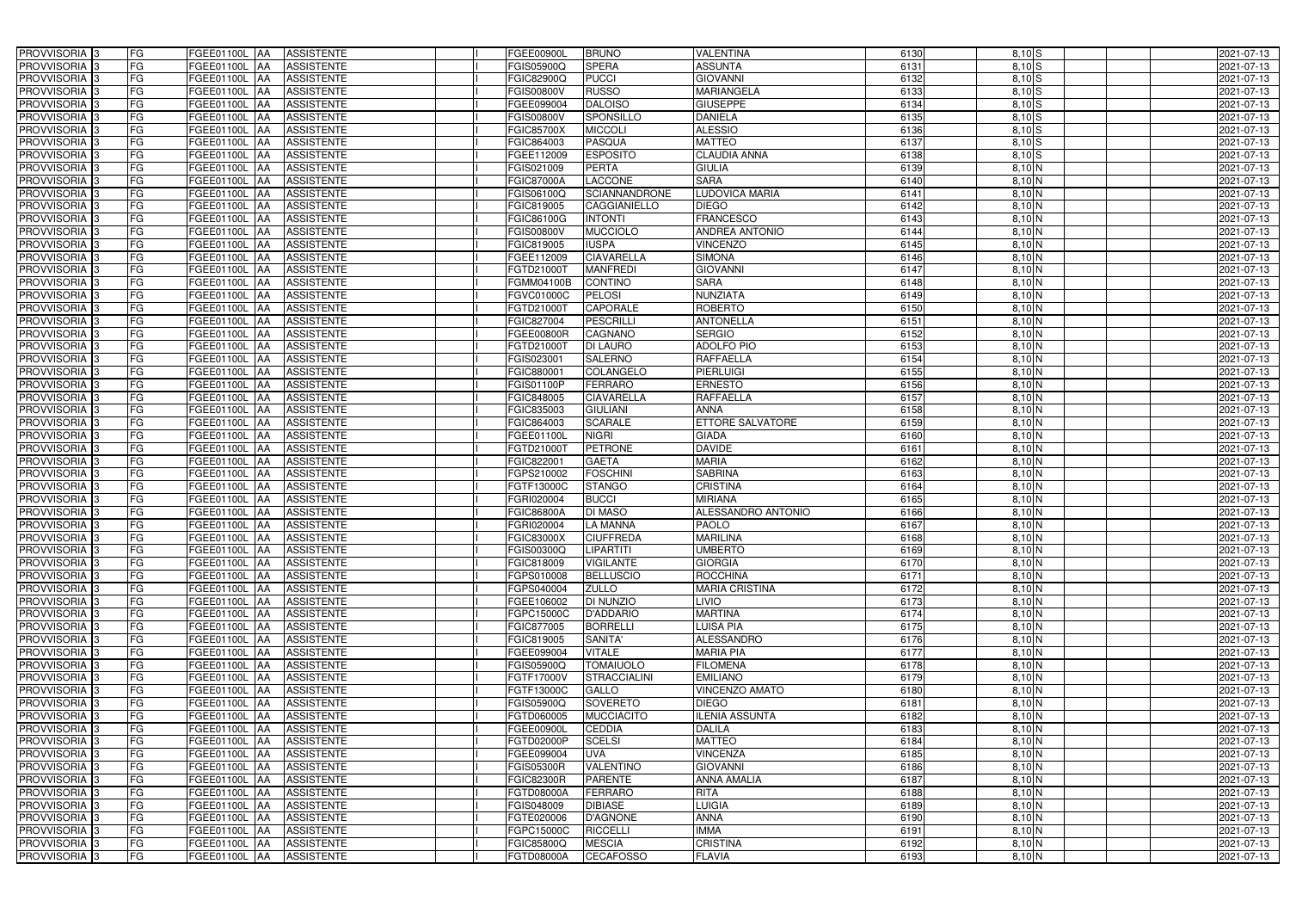| PROVVISORIA 3              | FG        | FGEE01100L AA            | <b>ASSISTENTE</b> | <b>FGEE00900L</b>      | <b>BRUNO</b>         | <b>VALENTINA</b>        | 6130 | $8,10$ S               | 2021-07-13 |
|----------------------------|-----------|--------------------------|-------------------|------------------------|----------------------|-------------------------|------|------------------------|------------|
| PROVVISORIA 3              | FG        | FGEE01100L               | <b>ASSISTENTE</b> | FGIS05900Q             | <b>SPERA</b>         | <b>ASSUNTA</b>          | 6131 | $8,10$ S               | 2021-07-13 |
| PROVVISORIA 3              | <b>FG</b> | FGEE01100L<br>IAA        | <b>ASSISTENTE</b> | FGIC82900Q             | <b>PUCCI</b>         | <b>GIOVANNI</b>         | 6132 | $8,10$ $S$             | 2021-07-13 |
| PROVVISORIA <sup>3</sup>   | FG        | FGEE01100L<br>IAA        | <b>ASSISTENTE</b> | <b>FGIS00800V</b>      | <b>RUSSO</b>         | <b>MARIANGELA</b>       | 6133 | $8,10$ S               | 2021-07-13 |
| PROVVISORIA <sup>3</sup>   | FG        | <b>FGEE01100L</b><br>IAA | <b>ASSISTENTE</b> | FGEE099004             | <b>DALOISO</b>       | <b>GIUSEPPE</b>         | 6134 | $8,10$ S               | 2021-07-13 |
| PROVVISORIA 3              | <b>FG</b> | <b>FGEE01100L AA</b>     | <b>ASSISTENTE</b> | FGIS00800V             | SPONSILLO            | <b>DANIELA</b>          | 6135 | $8,10$ S               | 2021-07-13 |
| PROVVISORIA 3              | FG        | FGEE01100L AA            | <b>ASSISTENTE</b> | <b>FGIC85700X</b>      | <b>MICCOLI</b>       | <b>ALESSIO</b>          | 6136 | $8,10$ S               | 2021-07-13 |
| PROVVISORIA 3              | FG        | FGEE01100L AA            | <b>ASSISTENTE</b> | FGIC864003             | <b>PASQUA</b>        | <b>MATTEO</b>           | 6137 | $8,10$ S               | 2021-07-13 |
| PROVVISORIA 3              | <b>FG</b> | FGEE01100L AA            | <b>ASSISTENTE</b> | FGEE112009             | <b>ESPOSITO</b>      | <b>CLAUDIA ANNA</b>     | 6138 | $8,10$ S               | 2021-07-13 |
| PROVVISORIA 3              | FG        | FGEE01100L AA            | <b>ASSISTENTE</b> | FGIS021009             | <b>PERTA</b>         | <b>GIULIA</b>           | 6139 | $8,10$ N               | 2021-07-13 |
| PROVVISORIA <sup>3</sup>   | FG        | FGEE01100L AA            | <b>ASSISTENTE</b> | <b>FGIC87000A</b>      | <b>LACCONE</b>       | <b>SARA</b>             | 6140 | $8,10$ N               | 2021-07-13 |
| PROVVISORIA 3              | FG        | FGEE01100L AA            | <b>ASSISTENTE</b> | FGIS06100Q             | <b>SCIANNANDRONE</b> | <b>LUDOVICA MARIA</b>   | 6141 | 8,10 N                 | 2021-07-13 |
| PROVVISORIA <sup>3</sup>   | FG        | FGEE01100L<br>IAA        | <b>ASSISTENTE</b> | FGIC819005             | CAGGIANIELLO         | <b>DIEGO</b>            | 6142 | 8,10 N                 | 2021-07-13 |
| PROVVISORIA 3              | FG        | FGEE01100L AA            | <b>ASSISTENTE</b> | FGIC86100G             | <b>INTONTI</b>       | <b>FRANCESCO</b>        | 6143 | $8,10$ N               | 2021-07-13 |
| PROVVISORIA 3              | <b>FG</b> | <b>FGEE01100L   AA</b>   | <b>ASSISTENTE</b> | FGIS00800V             | <b>MUCCIOLO</b>      | <b>ANDREA ANTONIO</b>   | 6144 | $8,10$ N               | 2021-07-13 |
| PROVVISORIA 3              | <b>FG</b> | FGEE01100L<br>IAA        | <b>ASSISTENTE</b> | FGIC819005             | <b>IUSPA</b>         | <b>VINCENZO</b>         | 6145 | 8,10 N                 | 2021-07-13 |
| PROVVISORIA 3              | FG        | FGEE01100L<br>IAA        | <b>ASSISTENTE</b> | FGEE112009             | <b>CIAVARELLA</b>    | <b>SIMONA</b>           | 6146 | $8,10$ N               | 2021-07-13 |
| PROVVISORIA 3              | FG        | <b>FGEE01100L</b><br>IAA | <b>ASSISTENTE</b> | FGTD210001             | <b>MANFREDI</b>      | <b>GIOVANNI</b>         | 6147 | 8,10 N                 | 2021-07-13 |
| PROVVISORIA 3              | FG        | <b>FGEE01100L</b><br>IAA | <b>ASSISTENTE</b> | FGMM04100B             | <b>CONTINO</b>       | <b>SARA</b>             | 6148 | 8,10 N                 | 2021-07-13 |
| PROVVISORIA 3              | FG        | FGEE01100L<br>IAA        | <b>ASSISTENTE</b> | FGVC01000C             | <b>PELOSI</b>        | NUNZIATA                | 6149 | $8,10\overline{\rm N}$ | 2021-07-13 |
| PROVVISORIA <sup>3</sup>   | FG        | FGEE01100L               | <b>ASSISTENTE</b> | FGTD21000T             | <b>CAPORALE</b>      | <b>ROBERTO</b>          | 6150 | 8,10 N                 | 2021-07-13 |
| <b>PROVVISORIA</b> 3       | FG        | <b>FGEE01100L</b><br>IAA | <b>ASSISTENTE</b> | FGIC827004             | <b>PESCRILLI</b>     | <b>ANTONELLA</b>        | 6151 | $8,10$ N               | 2021-07-13 |
| PROVVISORIA <sup>3</sup>   | FG        | FGEE01100L               | <b>ASSISTENTE</b> | FGEE00800R             | CAGNANO              | <b>SERGIO</b>           | 6152 | $8,10\overline{\rm N}$ | 2021-07-13 |
| PROVVISORIA <sup>3</sup>   | <b>FG</b> | FGEE01100L<br>IAA        | <b>ASSISTENTE</b> | FGTD21000T             | <b>DI LAURO</b>      | <b>ADOLFO PIO</b>       | 6153 | $8,10$ N               | 2021-07-13 |
| <b>PROVVISORIA</b> 3       | FG        | <b>FGEE01100L</b><br>IAA | <b>ASSISTENTE</b> | FGIS02300 <sup>-</sup> | <b>SALERNO</b>       | RAFFAELLA               | 6154 | $8,10$ N               | 2021-07-13 |
| PROVVISORIA 3              | FG        | FGEE01100L<br>IAA        | <b>ASSISTENTE</b> | FGIC88000              | COLANGELO            | <b>PIERLUIGI</b>        | 6155 | 8,10 N                 | 2021-07-13 |
| PROVVISORIA 3              | <b>FG</b> | FGEE01100L AA            | <b>ASSISTENTE</b> | FGIS01100P             | <b>FERRARO</b>       | <b>ERNESTO</b>          | 6156 | 8,10 N                 | 2021-07-13 |
| PROVVISORIA 3              | <b>FG</b> | <b>FGEE01100L   AA</b>   | <b>ASSISTENTE</b> | FGIC848005             | <b>CIAVARELLA</b>    | <b>RAFFAELLA</b>        | 6157 | 8,10 N                 | 2021-07-13 |
| PROVVISORIA <sup>3</sup>   | FG        | FGEE01100L<br>IAA        | <b>ASSISTENTE</b> | FGIC835003             | <b>GIULIANI</b>      | <b>ANNA</b>             | 6158 | 8,10 N                 | 2021-07-13 |
| PROVVISORIA 3              | <b>FG</b> | FGEE01100L AA            | <b>ASSISTENTE</b> | FGIC864003             | <b>SCARALE</b>       | <b>ETTORE SALVATORE</b> | 6159 | 8,10 N                 | 2021-07-13 |
| PROVVISORIA 3              | FG        | FGEE01100L AA            | <b>ASSISTENTE</b> | FGEE01100L             | <b>NIGRI</b>         | <b>GIADA</b>            | 6160 | $8,10$ N               | 2021-07-13 |
| PROVVISORIA 3              | FG        | FGEE01100L AA            | <b>ASSISTENTE</b> | FGTD210001             | <b>PETRONE</b>       | <b>DAVIDE</b>           | 6161 | 8,10 N                 | 2021-07-13 |
| PROVVISORIA 3              | FG        | FGEE01100L<br>IAA        | <b>ASSISTENTE</b> | FGIC822001             | <b>GAETA</b>         | <b>MARIA</b>            | 6162 | $8,10$ N               | 2021-07-13 |
| PROVVISORIA <sup>1</sup> 3 | <b>FG</b> | FGEE01100L AA            | <b>ASSISTENTE</b> | FGPS210002             | <b>FOSCHINI</b>      | <b>SABRINA</b>          | 6163 | $8,10$ N               | 2021-07-13 |
| <b>PROVVISORIA</b>         | <b>FG</b> | FGEE01100L<br>IAA        | <b>ASSISTENTE</b> | FGTF13000C             | <b>STANGO</b>        | <b>CRISTINA</b>         | 6164 | 8,10 N                 | 2021-07-13 |
| PROVVISORIA <sup>1</sup> 3 | FG        | FGEE01100L<br>IAA        | <b>ASSISTENTE</b> | FGRI020004             | <b>BUCCI</b>         | <b>MIRIANA</b>          | 6165 | $8,10\overline{\rm N}$ | 2021-07-13 |
| PROVVISORIA <sup>1</sup> 3 | FG        | FGEE01100L<br>IAA        | <b>ASSISTENTE</b> | FGIC86800A             | <b>DI MASO</b>       | ALESSANDRO ANTONIO      | 6166 | $8,10$ N               | 2021-07-13 |
| PROVVISORIA <sup>3</sup>   | <b>FG</b> | FGEE01100L AA            | <b>ASSISTENTE</b> | FGRI020004             | <b>LA MANNA</b>      | <b>PAOLO</b>            | 6167 | $8,10$ N               | 2021-07-13 |
| PROVVISORIA <sup>3</sup>   | FG        | FGEE01100L AA ASSISTENTE |                   | <b>FGIC83000X</b>      | <b>CIUFFREDA</b>     | <b>MARILINA</b>         | 6168 | $8,10$ N               | 2021-07-13 |
| PROVVISORIA <sup>3</sup>   | FG        | FGEE01100L AA            | <b>ASSISTENTE</b> | FGIS00300Q             | <b>LIPARTITI</b>     | <b>UMBERTO</b>          | 6169 | 8,10 N                 | 2021-07-13 |
| PROVVISORIA <sup>3</sup>   | FG        | FGEE01100L AA            | <b>ASSISTENTE</b> | FGIC818009             | <b>VIGILANTE</b>     | <b>GIORGIA</b>          | 6170 | 8,10 N                 | 2021-07-13 |
| PROVVISORIA 3              | FG        | FGEE01100L AA            | <b>ASSISTENTE</b> | FGPS010008             | <b>BELLUSCIO</b>     | <b>ROCCHINA</b>         | 6171 | $8,10$ N               | 2021-07-13 |
| PROVVISORIA <sup>3</sup>   | FG        | FGEE01100L AA            | <b>ASSISTENTE</b> | FGPS040004             | <b>ZULLO</b>         | <b>MARIA CRISTINA</b>   | 6172 | $8,10$ N               | 2021-07-13 |
| PROVVISORIA <sup>3</sup>   | FG        | <b>FGEE01100L AA</b>     | <b>ASSISTENTE</b> | FGEE106002             | <b>DI NUNZIO</b>     | <b>LIVIO</b>            | 6173 | 8,10 N                 | 2021-07-13 |
| <b>PROVVISORIA</b> 3       | FG        | FGEE01100L AA            | <b>ASSISTENTE</b> | FGPC15000C             | <b>D'ADDARIO</b>     | <b>MARTINA</b>          | 6174 | $8,10$ N               | 2021-07-13 |
| PROVVISORIA <sup>3</sup>   | FG        | FGEE01100L AA            | <b>ASSISTENTE</b> | FGIC877005             | <b>BORRELLI</b>      | <b>LUISA PIA</b>        | 6175 | $8,10$ N               | 2021-07-13 |
| PROVVISORIA <sup>3</sup>   | FG        | <b>FGEE01100L AA</b>     | <b>ASSISTENTE</b> | FGIC819005             | <b>SANITA'</b>       | <b>ALESSANDRO</b>       | 6176 | $8,10$ N               | 2021-07-13 |
| PROVVISORIA <sup>3</sup>   | FG        | FGEE01100L AA            | ASSISTENTE        | FGEE099004             | <b>VITALE</b>        | <b>MARIA PIA</b>        | 6177 | $8,10\overline{\rm N}$ | 2021-07-13 |
| PROVVISORIA <sup>3</sup>   | FG        | FGEE01100L AA            | <b>ASSISTENTE</b> | FGIS05900Q             | <b>TOMAIUOLO</b>     | <b>FILOMENA</b>         | 6178 | $8,10\overline{N}$     | 2021-07-13 |
| PROVVISORIA <sup>3</sup>   | FG        | FGEE01100L AA            | <b>ASSISTENTE</b> | FGTF17000V             | <b>STRACCIALINI</b>  | <b>EMILIANO</b>         | 6179 | $8,10$ N               | 2021-07-13 |
| PROVVISORIA 3              | FG        | FGEE01100L AA            | <b>ASSISTENTE</b> | FGTF13000C             | GALLO                | VINCENZO AMATO          | 6180 | 8,10 N                 | 2021-07-13 |
| PROVVISORIA <sup>3</sup>   | FG        | FGEE01100L AA            | <b>ASSISTENTE</b> | FGIS05900Q             | <b>SOVERETO</b>      | <b>DIEGO</b>            | 6181 | $8,10$ N               | 2021-07-13 |
| PROVVISORIA <sup>3</sup>   | FG        | FGEE01100L AA            | <b>ASSISTENTE</b> | FGTD060005             | <b>MUCCIACITO</b>    | <b>LENIA ASSUNTA</b>    | 6182 | $8,10$ N               | 2021-07-13 |
| PROVVISORIA <sup>3</sup>   | FG        | FGEE01100L AA            | <b>ASSISTENTE</b> | FGEE00900L             | <b>CEDDIA</b>        | <b>DALILA</b>           | 6183 | 8,10 N                 | 2021-07-13 |
| PROVVISORIA <sup>13</sup>  | FG        | FGEE01100L AA            | <b>ASSISTENTE</b> | FGTD02000P             | <b>SCELSI</b>        | <b>MATTEO</b>           | 6184 | $8,10$ N               | 2021-07-13 |
| PROVVISORIA <sup>3</sup>   | FG        | FGEE01100L AA            | <b>ASSISTENTE</b> | FGEE099004             | <b>UVA</b>           | <b>VINCENZA</b>         | 6185 | 8,10 N                 | 2021-07-13 |
| PROVVISORIA <sup>3</sup>   | FG        | FGEE01100L AA            | <b>ASSISTENTE</b> | <b>FGIS05300R</b>      | <b>VALENTINO</b>     | <b>GIOVANNI</b>         | 6186 | $8,10$ N               | 2021-07-13 |
| PROVVISORIA <sup>3</sup>   | FG        | FGEE01100L AA            | <b>ASSISTENTE</b> | <b>FGIC82300R</b>      | <b>PARENTE</b>       | <b>ANNA AMALIA</b>      | 6187 | $8,10\overline{\rm N}$ | 2021-07-13 |
| PROVVISORIA <sup>3</sup>   | FG        | FGEE01100L AA            | <b>ASSISTENTE</b> | FGTD08000A             | <b>FERRARO</b>       | <b>RITA</b>             | 6188 | 8,10 N                 | 2021-07-13 |
| PROVVISORIA <sup>3</sup>   | FG        | FGEE01100L AA            | <b>ASSISTENTE</b> | FGIS048009             | <b>DIBIASE</b>       | <b>LUIGIA</b>           | 6189 | $8,10$ N               | 2021-07-13 |
| PROVVISORIA <sup>3</sup>   | FG        | FGEE01100L AA            | <b>ASSISTENTE</b> | FGTE020006             | <b>D'AGNONE</b>      | <b>ANNA</b>             | 6190 | $8,10$ N               | 2021-07-13 |
| PROVVISORIA <sup>3</sup>   | FG        | FGEE01100L AA            | <b>ASSISTENTE</b> | FGPC15000C             | <b>RICCELLI</b>      | <b>IMMA</b>             | 6191 | $8,10$ N               | 2021-07-13 |
| PROVVISORIA <sup>3</sup>   | FG        | <b>FGEE01100L AA</b>     | <b>ASSISTENTE</b> | FGIC85800Q             | <b>MESCIA</b>        | <b>CRISTINA</b>         | 6192 | $8,10$ N               | 2021-07-13 |
| PROVVISORIA 3              | FG        | FGEE01100L AA            | ASSISTENTE        | FGTD08000A             | <b>CECAFOSSO</b>     | <b>FLAVIA</b>           | 6193 | $8,10$ N               | 2021-07-13 |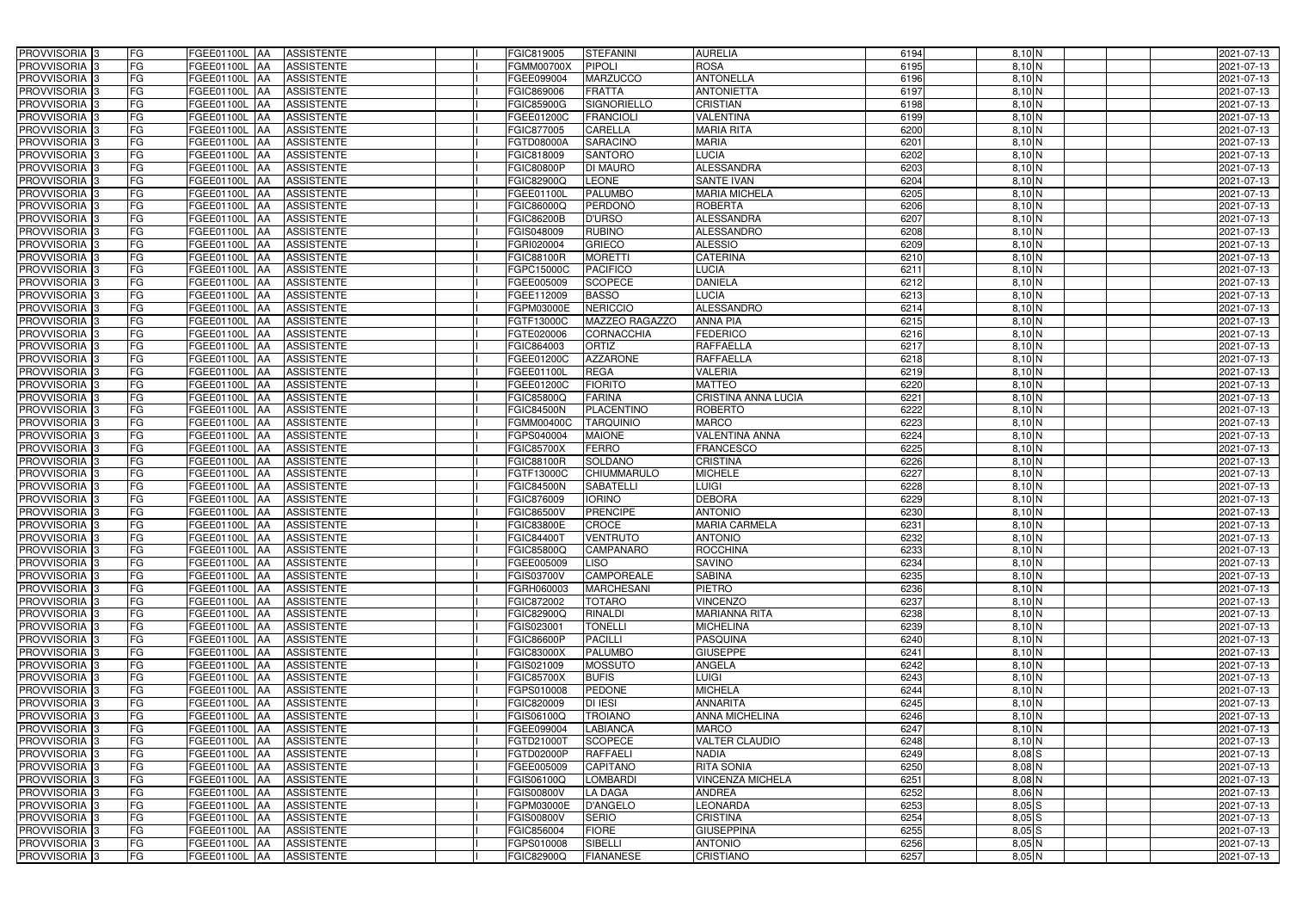| PROVVISORIA <sup>3</sup>   | <b>FG</b> | FGEE01100L AA        | <b>ASSISTENTE</b>               | FGIC819005        | <b>STEFANINI</b>   | <b>AURELIA</b>             | 6194 | $8,10$ N               | 2021-07-13 |
|----------------------------|-----------|----------------------|---------------------------------|-------------------|--------------------|----------------------------|------|------------------------|------------|
| PROVVISORIA <sup>3</sup>   | FG        | FGEE01100L           | <b>ASSISTENTE</b><br>IAA        | FGMM00700X        | <b>PIPOLI</b>      | <b>ROSA</b>                | 6195 | $8,10$ N               | 2021-07-13 |
| PROVVISORIA <sup>3</sup>   | FG        | FGEE01100L           | <b>ASSISTENTE</b><br>IAA        | FGEE099004        | <b>MARZUCCO</b>    | <b>ANTONELLA</b>           | 6196 | $8,10$ N               | 2021-07-13 |
| PROVVISORIA <sup>3</sup>   | FG        | FGEE01100L           | <b>ASSISTENTE</b><br>IAA        | FGIC869006        | <b>FRATTA</b>      | <b>ANTONIETTA</b>          | 6197 | 8,10 N                 | 2021-07-13 |
| PROVVISORIA <sup>3</sup>   | FG        | FGEE01100L           | <b>ASSISTENTE</b><br>IAA        | FGIC85900G        | <b>SIGNORIELLO</b> | <b>CRISTIAN</b>            | 6198 | 8,10 N                 | 2021-07-13 |
| PROVVISORIA <sup>3</sup>   | FG        | <b>FGEE01100L AA</b> | <b>ASSISTENTE</b>               | FGEE01200C        | <b>FRANCIOLI</b>   | VALENTINA                  | 6199 | $8,10$ N               | 2021-07-13 |
| PROVVISORIA <sup>1</sup> 3 | FG        | FGEE01100L AA        | <b>ASSISTENTE</b>               | FGIC877005        | <b>CARELLA</b>     | <b>MARIA RITA</b>          | 6200 | $8,10$ N               | 2021-07-13 |
| PROVVISORIA 3              | FG        | FGEE01100L AA        | <b>ASSISTENTE</b>               | FGTD08000A        | <b>SARACINO</b>    | <b>MARIA</b>               | 6201 | $8,10$ N               | 2021-07-13 |
| PROVVISORIA 3              | FG        | FGEE01100L AA        | <b>ASSISTENTE</b>               | FGIC818009        | <b>SANTORO</b>     | <b>LUCIA</b>               | 6202 | $8,10$ N               | 2021-07-13 |
| PROVVISORIA <sup>3</sup>   | FG        | FGEE01100L AA        | <b>ASSISTENTE</b>               | <b>FGIC80800P</b> | <b>DI MAURO</b>    | <b>ALESSANDRA</b>          | 6203 | 8,10 N                 | 2021-07-13 |
| PROVVISORIA 3              | FG        | FGEE01100L AA        | <b>ASSISTENTE</b>               | FGIC82900Q        | <b>LEONE</b>       | <b>SANTE IVAN</b>          | 6204 | 8,10 N                 | 2021-07-13 |
| PROVVISORIA 3              | FG        | FGEE01100L AA        | <b>ASSISTENTE</b>               | FGEE01100L        | <b>PALUMBO</b>     | <b>MARIA MICHELA</b>       | 6205 | $8,10$ N               | 2021-07-13 |
| PROVVISORIA 3              | FG        | FGEE01100L AA        | <b>ASSISTENTE</b>               | FGIC86000Q        | <b>PERDONÓ</b>     | <b>ROBERTA</b>             | 6206 | 8,10 N                 | 2021-07-13 |
| PROVVISORIA 3              | FG        | FGEE01100L AA        | <b>ASSISTENTE</b>               | <b>FGIC86200B</b> | <b>D'URSO</b>      | <b>ALESSANDRA</b>          | 6207 | $8,10$ N               | 2021-07-13 |
| PROVVISORIA 3              | FG        | FGEE01100L AA        | <b>ASSISTENTE</b>               | FGIS048009        | <b>RUBINO</b>      | <b>ALESSANDRO</b>          | 6208 | $8,10$ N               | 2021-07-13 |
| PROVVISORIA <sup>3</sup>   | FG        | FGEE01100L           | <b>ASSISTENTE</b><br><b>IAA</b> | FGRI020004        | <b>GRIECO</b>      | <b>ALESSIO</b>             | 6209 | $8,10$ N               | 2021-07-13 |
| PROVVISORIA 3              | FG        | FGEE01100L           | <b>ASSISTENTE</b><br>IAA        | FGIC88100R        | <b>MORETTI</b>     | <b>CATERINA</b>            | 6210 | $8,10$ N               | 2021-07-13 |
| PROVVISORIA <sup>3</sup>   | FG        | FGEE01100L AA        | <b>ASSISTENTE</b>               | FGPC15000C        | <b>PACIFICO</b>    | <b>LUCIA</b>               | 6211 | $8,10$ N               | 2021-07-13 |
| PROVVISORIA 3              | FG        | FGEE01100L           | <b>ASSISTENTE</b><br><b>JAA</b> | FGEE005009        | <b>SCOPECE</b>     | <b>DANIELA</b>             | 6212 | 8,10 N                 | 2021-07-13 |
| PROVVISORIA 3              | FG        | FGEE01100L           | <b>JAA</b><br><b>ASSISTENTE</b> | FGEE112009        | <b>BASSO</b>       | <b>LUCIA</b>               | 6213 | $8,10\overline{\rm N}$ | 2021-07-13 |
| PROVVISORIA 3              | FG        | FGEE01100L           | <b>ASSISTENTE</b><br>IAA        | FGPM03000E        | <b>NERICCIO</b>    | <b>ALESSANDRO</b>          | 6214 | $8,10\overline{\rm N}$ | 2021-07-13 |
| PROVVISORIA 3              | FG        | <b>FGEE01100L</b>    | <b>ASSISTENTE</b><br>IAA        | FGTF13000C        | MAZZEO RAGAZZO     | <b>ANNA PIA</b>            | 6215 | $8,10$ N               | 2021-07-13 |
| PROVVISORIA 3              | FG        | FGEE01100L           | <b>ASSISTENTE</b><br>IAA        | FGTE020006        | CORNACCHIA         | <b>FEDERICO</b>            | 6216 | $8,10$ N               | 2021-07-13 |
| PROVVISORIA 3              | FG        | FGEE01100L AA        | <b>ASSISTENTE</b>               | FGIC864003        | ORTIZ              | <b>RAFFAELLA</b>           | 6217 | $8,10$ N               | 2021-07-13 |
| PROVVISORIA <sup>3</sup>   | FG        | FGEE01100L AA        | <b>ASSISTENTE</b>               | <b>FGEE01200C</b> | <b>AZZARONE</b>    | <b>RAFFAELLA</b>           | 6218 | $8,10$ N               | 2021-07-13 |
| PROVVISORIA 3              | FG        | FGEE01100L AA        | <b>ASSISTENTE</b>               | FGEE01100L        | <b>REGA</b>        | VALERIA                    | 6219 | 8,10 N                 | 2021-07-13 |
| PROVVISORIA 3              | FG        | FGEE01100L AA        | <b>ASSISTENTE</b>               | FGEE01200C        | <b>FIORITO</b>     | <b>MATTEO</b>              | 6220 | 8,10 N                 | 2021-07-13 |
| PROVVISORIA 3              | FG        | FGEE01100L AA        | <b>ASSISTENTE</b>               | FGIC85800Q        | <b>FARINA</b>      | <b>CRISTINA ANNA LUCIA</b> | 6221 | 8,10 N                 | 2021-07-13 |
| PROVVISORIA <sup>3</sup>   | FG        | FGEE01100L AA        | <b>ASSISTENTE</b>               | FGIC84500N        | <b>PLACENTINO</b>  | <b>ROBERTO</b>             | 6222 | 8,10 N                 | 2021-07-13 |
| PROVVISORIA <sup>3</sup>   | FG        | FGEE01100L AA        | <b>ASSISTENTE</b>               | FGMM00400C        | <b>TARQUINIO</b>   | <b>MARCO</b>               | 6223 | 8,10 N                 | 2021-07-13 |
| PROVVISORIA <sup>3</sup>   | FG        | FGEE01100L AA        | <b>ASSISTENTE</b>               | FGPS040004        | <b>MAIONE</b>      | <b>VALENTINA ANNA</b>      | 6224 | $8,10$ N               | 2021-07-13 |
| PROVVISORIA <sup>3</sup>   | FG        | <b>FGEE01100L AA</b> | <b>ASSISTENTE</b>               | FGIC85700X        | <b>FERRO</b>       | <b>FRANCESCO</b>           | 6225 | $8,10$ N               | 2021-07-13 |
| PROVVISORIA <sup>3</sup>   | FG        | <b>FGEE01100L AA</b> | <b>ASSISTENTE</b>               | FGIC88100R        | <b>SOLDANO</b>     | <b>CRISTINA</b>            | 6226 | $8,10$ N               | 2021-07-13 |
| PROVVISORIA <sup>3</sup>   | FG        | FGEE01100L AA        | <b>ASSISTENTE</b>               | FGTF13000C        | <b>CHIUMMARULO</b> | <b>MICHELE</b>             | 6227 | $8,10$ N               | 2021-07-13 |
| PROVVISORIA <sup>3</sup>   | FG        | FGEE01100L           | <b>ASSISTENTE</b><br>IAA        | <b>FGIC84500N</b> | <b>SABATELLI</b>   | <b>LUIGI</b>               | 6228 | 8,10 N                 | 2021-07-13 |
| PROVVISORIA <sup>3</sup>   | FG        | <b>FGEE01100L</b>    | <b>ASSISTENTE</b><br>IAA        | FGIC876009        | <b>IORINO</b>      | <b>DEBORA</b>              | 6229 | $8,10$ N               | 2021-07-13 |
| PROVVISORIA <sup>3</sup>   | FG        | FGEE01100L           | <b>ASSISTENTE</b><br><b>IAA</b> | <b>GIC86500V</b>  | <b>PRENCIPE</b>    | <b>ANTONIO</b>             | 6230 | $8,10$ N               | 2021-07-13 |
| PROVVISORIA <sup>3</sup>   | FG        | FGEE01100L AA        | <b>ASSISTENTE</b>               | FGIC83800E        | <b>CROCE</b>       | <b>MARIA CARMELA</b>       | 6231 | $8,10$ N               | 2021-07-13 |
| PROVVISORIA 3              | FG        | FGEE01100L AA        | <b>ASSISTENTE</b>               | <b>FGIC84400T</b> | <b>VENTRUTO</b>    | <b>ANTONIO</b>             | 6232 | $8,10$ N               | 2021-07-13 |
| PROVVISORIA <sup>3</sup>   | FG        | FGEE01100L AA        | <b>ASSISTENTE</b>               | FGIC85800Q        | <b>CAMPANARO</b>   | ROCCHINA                   | 6233 | 8,10 N                 | 2021-07-13 |
| PROVVISORIA <sup>3</sup>   | FG        | FGEE01100L AA        | ASSISTENTE                      | FGEE005009        | <b>LISO</b>        | <b>SAVINO</b>              | 6234 | 8,10 N                 | 2021-07-13 |
| PROVVISORIA <sup>3</sup>   | FG        | <b>FGEE01100L AA</b> | ASSISTENTE                      | FGIS03700V        | <b>CAMPOREALE</b>  | <b>SABINA</b>              | 6235 | $8,10$ N               | 2021-07-13 |
| PROVVISORIA <sup>3</sup>   | FG        | FGEE01100L AA        | <b>ASSISTENTE</b>               | FGRH060003        | <b>MARCHESANI</b>  | <b>PIETRO</b>              | 6236 | $8,10$ N               | 2021-07-13 |
| PROVVISORIA <sup>3</sup>   | FG        | FGEE01100L AA        | ASSISTENTE                      | FGIC872002        | <b>TOTARO</b>      | <b>VINCENZO</b>            | 6237 | $8,10$ N               | 2021-07-13 |
| PROVVISORIA <sup>3</sup>   | FG        | FGEE01100L AA        | <b>ASSISTENTE</b>               | FGIC82900Q        | <b>RINALDI</b>     | <b>MARIANNA RITA</b>       | 6238 | $8,10$ N               | 2021-07-13 |
| PROVVISORIA <sup>3</sup>   | FG        | FGEE01100L AA        | <b>ASSISTENTE</b>               | FGIS023001        | <b>TONELLI</b>     | <b>MICHELINA</b>           | 6239 | $8,10$ N               | 2021-07-13 |
| PROVVISORIA <sup>3</sup>   | FG        | FGEE01100L AA        | ASSISTENTE                      | FGIC86600P        | <b>PACILLI</b>     | <b>PASQUINA</b>            | 6240 | $8,10$ N               | 2021-07-13 |
| PROVVISORIA <sup>3</sup>   | FG        | FGEE01100L AA        | ASSISTENTE                      | FGIC83000X        | <b>PALUMBO</b>     | <b>GIUSEPPE</b>            | 6241 | $8,10\overline{\rm N}$ | 2021-07-13 |
| PROVVISORIA <sup>3</sup>   | FG        | FGEE01100L AA        | ASSISTENTE                      | FGIS021009        | <b>MOSSUTO</b>     | ANGELA                     | 6242 | $8,10$ N               | 2021-07-13 |
| PROVVISORIA <sup>3</sup>   | FG        | FGEE01100L AA        | ASSISTENTE                      | <b>FGIC85700X</b> | <b>BUFIS</b>       | <b>LUIGI</b>               | 6243 | 8,10 N                 | 2021-07-13 |
| PROVVISORIA <sup>3</sup>   | FG        | FGEE01100L AA        | <b>ASSISTENTE</b>               | FGPS010008        | <b>PEDONE</b>      | <b>MICHELA</b>             | 6244 | 8,10 N                 | 2021-07-13 |
| PROVVISORIA <sup>3</sup>   | FG        | FGEE01100L AA        | <b>ASSISTENTE</b>               | FGIC820009        | <b>DI IESI</b>     | <b>ANNARITA</b>            | 6245 | 8,10 N                 | 2021-07-13 |
| PROVVISORIA <sup>3</sup>   | FG        | FGEE01100L AA        | <b>ASSISTENTE</b>               | FGIS06100Q        | <b>TROIANO</b>     | ANNA MICHELINA             | 6246 | $8,10$ N               | 2021-07-13 |
| PROVVISORIA <sup>3</sup>   | FG        | FGEE01100L AA        | <b>ASSISTENTE</b>               | FGEE099004        | <b>LABIANCA</b>    | <b>MARCO</b>               | 6247 | 8,10 N                 | 2021-07-13 |
| PROVVISORIA <sup>13</sup>  | FG        | FGEE01100L AA        | <b>ASSISTENTE</b>               | FGTD21000T        | <b>SCOPECE</b>     | <b>VALTER CLAUDIO</b>      | 6248 | 8,10 N                 | 2021-07-13 |
| PROVVISORIA <sup>1</sup> 3 | FG        | FGEE01100L AA        | <b>ASSISTENTE</b>               | FGTD02000P        | <b>RAFFAELI</b>    | <b>NADIA</b>               | 6249 | $8,08$ S               | 2021-07-13 |
| PROVVISORIA <sup>3</sup>   | FG        | FGEE01100L AA        | <b>ASSISTENTE</b>               | FGEE005009        | <b>CAPITANO</b>    | <b>RITA SONIA</b>          | 6250 | $8,08$ N               | 2021-07-13 |
| <b>PROVVISORIA</b> 3       | FG        | FGEE01100L AA        | <b>ASSISTENTE</b>               | FGIS06100Q        | <b>LOMBARDI</b>    | <b>VINCENZA MICHELA</b>    | 6251 | 8,08 N                 | 2021-07-13 |
| PROVVISORIA <sup>3</sup>   | FG        | FGEE01100L AA        | <b>ASSISTENTE</b>               | FGIS00800V        | <b>LA DAGA</b>     | <b>ANDREA</b>              | 6252 | 8,06 N                 | 2021-07-13 |
| PROVVISORIA <sup>3</sup>   | FG        | <b>FGEE01100L AA</b> | <b>ASSISTENTE</b>               | FGPM03000E        | <b>D'ANGELO</b>    | <b>LEONARDA</b>            | 6253 | $8,05$ $S$             | 2021-07-13 |
| PROVVISORIA <sup>3</sup>   | FG        | FGEE01100L AA        | <b>ASSISTENTE</b>               | FGIS00800V        | <b>SERIO</b>       | <b>CRISTINA</b>            | 6254 | 8,05S                  | 2021-07-13 |
| PROVVISORIA <sup>3</sup>   | FG        | FGEE01100L AA        | <b>ASSISTENTE</b>               | FGIC856004        | <b>FIORE</b>       | <b>GIUSEPPINA</b>          | 6255 | $8,05$ $S$             | 2021-07-13 |
| PROVVISORIA <sup>3</sup>   | FG        | FGEE01100L AA        | <b>ASSISTENTE</b>               | FGPS010008        | SIBELLI            | <b>ANTONIO</b>             | 6256 | $8,05$ N               | 2021-07-13 |
| PROVVISORIA 3              | FG        | FGEE01100L AA        | ASSISTENTE                      | FGIC82900Q        | <b>FIANANESE</b>   | <b>CRISTIANO</b>           | 6257 | $8,05$ N               | 2021-07-13 |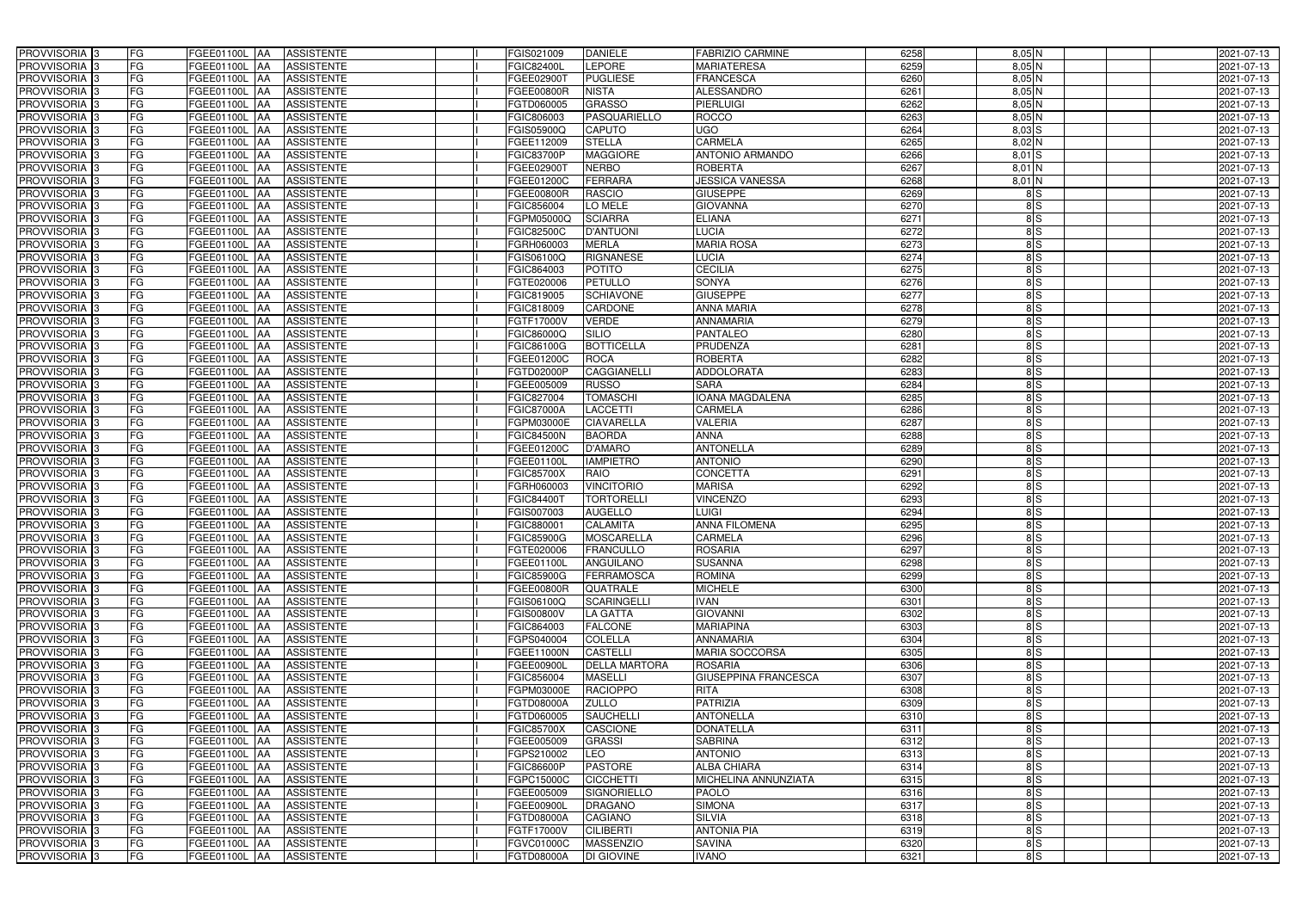| PROVVISORIA <sup>13</sup>                            | FG              | FGEE01100L AA<br><b>ASSISTENTE</b>                             | FGIS021009                      | <b>DANIELE</b>                | <b>FABRIZIO CARMINE</b>              | 6258         | $8,05$ N            | 2021-07-13               |
|------------------------------------------------------|-----------------|----------------------------------------------------------------|---------------------------------|-------------------------------|--------------------------------------|--------------|---------------------|--------------------------|
| PROVVISORIA 3                                        | FG              | <b>ASSISTENTE</b><br>FGEE01100L<br>IAA                         | <b>FGIC82400L</b>               | LEPORE                        | <b>MARIATERESA</b>                   | 6259         | $8,05$ N            | 2021-07-13               |
| PROVVISORIA 3                                        | FG              | <b>ASSISTENTE</b><br><b>FGEE01100L   AA</b>                    | FGEE02900 <sup>-</sup>          | <b>PUGLIESE</b>               | <b>FRANCESCA</b>                     | 6260         | 8,05N               | 2021-07-13               |
| PROVVISORIA <sup>3</sup>                             | <b>FG</b>       | FGEE01100L<br><b>ASSISTENTE</b><br>IAA                         | FGEE00800R                      | <b>NISTA</b>                  | ALESSANDRO                           | 6261         | $8,05$ N            | 2021-07-13               |
| PROVVISORIA 3                                        | FG              | FGEE01100L<br><b>ASSISTENTE</b><br>IAA                         | FGTD060005                      | <b>GRASSO</b>                 | <b>PIERLUIGI</b>                     | 6262         | $8,05$ N            | 2021-07-13               |
| PROVVISORIA 3                                        | <b>FG</b>       | <b>FGEE01100L   AA</b><br><b>ASSISTENTE</b>                    | FGIC806003                      | <b>PASQUARIELLO</b>           | <b>ROCCO</b>                         | 6263         | $8,05$ N            | 2021-07-13               |
| PROVVISORIA 3                                        | FG              | <b>FGEE01100L   AA</b><br><b>ASSISTENTE</b>                    | FGIS05900Q                      | <b>CAPUTO</b>                 | UGO                                  | 6264         | $8,03$ $S$          | 2021-07-13               |
| PROVVISORIA 3                                        | FG              | <b>ASSISTENTE</b><br>FGEE01100L AA                             | FGEE112009                      | <b>STELLA</b>                 | <b>CARMELA</b>                       | 6265         | 8,02 N              | 2021-07-13               |
| PROVVISORIA 3                                        | <b>FG</b>       | FGEE01100L AA<br><b>ASSISTENTE</b>                             | <b>FGIC83700P</b>               | <b>MAGGIORE</b>               | <b>ANTONIO ARMANDO</b>               | 6266         | $8,01$ S            | 2021-07-13               |
| PROVVISORIA 3                                        | FG              | FGEE01100L AA<br><b>ASSISTENTE</b>                             | FGEE02900T                      | <b>NERBO</b>                  | <b>ROBERTA</b>                       | 6267         | 8,01 N              | 2021-07-13               |
| PROVVISORIA 3                                        | FG              | FGEE01100L AA<br><b>ASSISTENTE</b>                             | FGEE01200C                      | <b>FERRARA</b>                | <b>JESSICA VANESSA</b>               | 6268         | 8,01 N              | 2021-07-13               |
| PROVVISORIA 3                                        | FG              | FGEE01100L AA<br><b>ASSISTENTE</b>                             | FGEE00800R                      | <b>RASCIO</b>                 | <b>GIUSEPPE</b>                      | 6269         | $\frac{8}{5}$       | 2021-07-13               |
| PROVVISORIA <sup>3</sup>                             | FG              | FGEE01100L AA<br><b>ASSISTENTE</b>                             | FGIC856004                      | LO MELE                       | <b>GIOVANNA</b>                      | 6270         | 8S                  | 2021-07-13               |
| PROVVISORIA 3                                        | FG              | FGEE01100L AA<br><b>ASSISTENTE</b>                             | FGPM05000Q                      | <b>SCIARRA</b>                | <b>ELIANA</b>                        | 6271         | 8S                  | 2021-07-13               |
| PROVVISORIA 3                                        | <b>FG</b>       | FGEE01100L AA<br><b>ASSISTENTE</b>                             | FGIC82500C                      | <b>D'ANTUONI</b>              | <b>LUCIA</b>                         | 6272         | 8S                  | 2021-07-13               |
| PROVVISORIA 3                                        | <b>FG</b>       | FGEE01100L<br><b>ASSISTENTE</b><br><b>IAA</b>                  | FGRH060003                      | <b>MERLA</b>                  | <b>MARIA ROSA</b>                    | 6273         | 8S                  | 2021-07-13               |
| PROVVISORIA 3                                        | FG              | FGEE01100L<br><b>ASSISTENTE</b><br>IAA                         | FGIS06100C                      | <b>RIGNANESE</b>              | <b>LUCIA</b>                         | 6274         | 8S                  | 2021-07-13               |
| PROVVISORIA 3                                        | FG              | <b>FGEE01100L</b><br><b>ASSISTENTE</b><br>IAA                  | FGIC864003                      | <b>POTITO</b>                 | <b>CECILIA</b>                       | 6275         | $\frac{8}{5}$       | 2021-07-13               |
| PROVVISORIA 3                                        | FG              | FGEE01100L<br><b>ASSISTENTE</b><br>IAA                         | FGTE020006                      | <b>PETULLO</b>                | <b>SONYA</b>                         | 6276         | $\frac{8}{5}$       | 2021-07-13               |
| PROVVISORIA 3                                        | FG              | FGEE01100L<br><b>ASSISTENTE</b><br>IAA                         | FGIC819005                      | <b>SCHIAVONE</b>              | <b>GIUSEPPE</b>                      | 6277         | 8S                  | 2021-07-13               |
| PROVVISORIA <sup>3</sup>                             | FG              | FGEE01100L<br><b>ASSISTENTE</b><br>lAA                         | FGIC818009                      | <b>CARDONE</b>                | <b>ANNA MARIA</b>                    | 6278         | $\frac{8}{5}$       | 2021-07-13               |
| <b>PROVVISORIA</b> 3                                 | FG              | <b>FGEE01100L</b><br><b>ASSISTENTE</b><br>IAA                  | FGTF17000V                      | <b>VERDE</b>                  | <b>ANNAMARIA</b>                     | 6279         | $\frac{8}{5}$       | 2021-07-13               |
| PROVVISORIA <sup>3</sup>                             | FG              | FGEE01100L<br><b>ASSISTENTE</b><br>IAA                         | FGIC86000Q                      | <b>SILIO</b>                  | <b>PANTALEO</b>                      | 6280         | $\frac{8}{5}$       | 2021-07-13               |
| PROVVISORIA <sup>3</sup>                             | FG              | FGEE01100L<br><b>ASSISTENTE</b><br>IAA                         | FGIC86100G                      | <b>BOTTICELLA</b>             | <b>PRUDENZA</b>                      | 6281         | 8S                  | 2021-07-13               |
| <b>PROVVISORIA</b> 3                                 | FG              | FGEE01100L<br><b>ASSISTENTE</b><br>IAA                         | FGEE01200C                      | <b>ROCA</b>                   | <b>ROBERTA</b>                       | 6282         | $\frac{8}{5}$       | 2021-07-13               |
| PROVVISORIA 3                                        | FG              | FGEE01100L<br><b>ASSISTENTE</b><br>IAA                         | FGTD02000P                      | CAGGIANELLI                   | <b>ADDOLORATA</b>                    | 6283         | $\frac{8}{5}$       | 2021-07-13               |
| PROVVISORIA 3                                        | <b>FG</b>       | FGEE01100L AA<br><b>ASSISTENTE</b>                             | FGEE005009                      | <b>RUSSO</b>                  | <b>SARA</b>                          | 6284         | $\frac{8}{5}$       | 2021-07-13               |
| PROVVISORIA 3                                        | <b>FG</b>       | <b>ASSISTENTE</b><br><b>FGEE01100L   AA</b>                    | FGIC827004                      | <b>TOMASCHI</b>               | <b>IOANA MAGDALENA</b>               | 6285         | $\frac{8}{5}$       | 2021-07-13               |
| PROVVISORIA <sup>3</sup>                             | FG              | FGEE01100L AA<br><b>ASSISTENTE</b>                             | <b>FGIC87000A</b>               | LACCETTI                      | CARMELA                              | 6286         | 8S                  | 2021-07-13               |
| PROVVISORIA 3                                        | <b>FG</b>       | <b>FGEE01100L   AA</b><br><b>ASSISTENTE</b>                    | FGPM03000E                      | <b>CIAVARELLA</b>             | <b>VALERIA</b>                       | 6287         | 8S                  | 2021-07-13               |
| PROVVISORIA 3                                        | FG              | <b>FGEE01100L   AA</b><br><b>ASSISTENTE</b>                    | <b>FGIC84500N</b>               | <b>BAORDA</b>                 | <b>ANNA</b>                          | 6288         | $\frac{8}{5}$       | 2021-07-13               |
| PROVVISORIA 3                                        | FG              | <b>ASSISTENTE</b><br>FGEE01100L AA                             | FGEE01200C                      | <b>D'AMARO</b>                | <b>ANTONELLA</b>                     | 6289         | 8S                  | 2021-07-13               |
| PROVVISORIA 3                                        | FG              | <b>FGEE01100L   AA</b><br><b>ASSISTENTE</b>                    | FGEE01100L                      | <b>IAMPIETRO</b>              | <b>ANTONIO</b>                       | 6290         | 8S                  | 2021-07-13               |
| PROVVISORIA 3                                        | FG              | FGEE01100L AA<br><b>ASSISTENTE</b>                             | <b>FGIC85700X</b>               | <b>RAIO</b>                   | <b>CONCETTA</b>                      | 6291         | $\frac{8}{5}$       | 2021-07-13               |
| <b>PROVVISORIA</b>                                   | <b>FG</b>       | FGEE01100L<br><b>ASSISTENTE</b><br>IAA                         | FGRH060003                      | <b>VINCITORIO</b>             | <b>MARISA</b>                        | 6292         | $\frac{8}{5}$       | 2021-07-13               |
| PROVVISORIA <sup>1</sup> 3                           | FG              | FGEE01100L<br><b>ASSISTENTE</b><br>IAA                         | FGIC844001                      | <b>TORTORELLI</b>             | <b>VINCENZO</b>                      | 6293         | 8S                  | 2021-07-13               |
| PROVVISORIA <sup>1</sup> 3                           | FG              | <b>FGEE01100L</b><br><b>ASSISTENTE</b><br>IAA                  | GIS007003                       | <b>AUGELLO</b>                | <b>LUIGI</b><br><b>ANNA FILOMENA</b> | 6294         | $\frac{8}{5}$       | 2021-07-13               |
| PROVVISORIA <sup>3</sup>                             | <b>FG</b><br>FG | FGEE01100L AA<br><b>ASSISTENTE</b>                             | FGIC880001                      | <b>CALAMITA</b><br>MOSCARELLA | <b>CARMELA</b>                       | 6295         | $\frac{8}{5}$       | 2021-07-13               |
| PROVVISORIA <sup>3</sup><br>PROVVISORIA <sup>3</sup> | <b>FG</b>       | FGEE01100L AA ASSISTENTE<br>FGEE01100L AA<br><b>ASSISTENTE</b> | <b>FGIC85900G</b><br>FGTE020006 | <b>FRANCULLO</b>              | <b>ROSARIA</b>                       | 6296<br>6297 | 8S<br>$\frac{8}{5}$ | 2021-07-13<br>2021-07-13 |
| <b>PROVVISORIA</b> 3                                 | FG              | ASSISTENTE<br>FGEE01100L AA                                    | FGEE01100L                      | <b>ANGUILANO</b>              | <b>SUSANNA</b>                       | 6298         | 8S                  | 2021-07-13               |
| PROVVISORIA <sup>3</sup>                             | FG              | FGEE01100L AA<br><b>ASSISTENTE</b>                             | <b>FGIC85900G</b>               | FERRAMOSCA                    | <b>ROMINA</b>                        | 6299         | 8S                  | 2021-07-13               |
| PROVVISORIA <sup>3</sup>                             | FG              | FGEE01100L AA<br><b>ASSISTENTE</b>                             | FGEE00800R                      | <b>QUATRALE</b>               | <b>MICHELE</b>                       | 6300         | $\frac{8}{5}$       | 2021-07-13               |
| PROVVISORIA <sup>3</sup>                             | FG              | <b>FGEE01100L AA</b><br><b>ASSISTENTE</b>                      | FGIS06100Q                      | SCARINGELLI                   | <b>IVAN</b>                          | 6301         | $\frac{8}{5}$       | 2021-07-13               |
| PROVVISORIA <sup>3</sup>                             | FG              | FGEE01100L AA<br><b>ASSISTENTE</b>                             | FGIS00800V                      | <b>LA GATTA</b>               | <b>GIOVANNI</b>                      | 6302         | $\frac{8}{5}$       | 2021-07-13               |
| PROVVISORIA <sup>3</sup>                             | FG              | FGEE01100L AA<br><b>ASSISTENTE</b>                             | FGIC864003                      | <b>FALCONE</b>                | <b>MARIAPINA</b>                     | 6303         | $\frac{8}{5}$       | 2021-07-13               |
| PROVVISORIA <sup>3</sup>                             | FG              | FGEE01100L AA<br><b>ASSISTENTE</b>                             | FGPS040004                      | <b>COLELLA</b>                | <b>ANNAMARIA</b>                     | 6304         | $\frac{8}{5}$       | 2021-07-13               |
| PROVVISORIA <sup>3</sup>                             | <b>FG</b>       | FGEE01100L AA<br><b>ASSISTENTE</b>                             | FGEE11000N                      | <b>CASTELLI</b>               | <b>MARIA SOCCORSA</b>                | 6305         | $\frac{8}{5}$       | 2021-07-13               |
| PROVVISORIA <sup>3</sup>                             | FG              | FGEE01100L AA<br><b>ASSISTENTE</b>                             | FGEE00900L                      | <b>DELLA MARTORA</b>          | <b>ROSARIA</b>                       | 6306         | $\frac{8}{5}$       | 2021-07-13               |
| PROVVISORIA <sup>3</sup>                             | FG              | FGEE01100L AA<br><b>ASSISTENTE</b>                             | FGIC856004                      | <b>MASELLI</b>                | <b>GIUSEPPINA FRANCESCA</b>          | 6307         | 8S                  | 2021-07-13               |
| PROVVISORIA <sup>3</sup>                             | FG              | FGEE01100L AA<br><b>ASSISTENTE</b>                             | FGPM03000E                      | <b>RACIOPPO</b>               | <b>RITA</b>                          | 6308         | 8S                  | 2021-07-13               |
| PROVVISORIA <sup>3</sup>                             | FG              | FGEE01100L AA<br><b>ASSISTENTE</b>                             | FGTD08000A                      | <b>ZULLO</b>                  | <b>PATRIZIA</b>                      | 6309         | $\frac{8}{5}$       | 2021-07-13               |
| PROVVISORIA <sup>3</sup>                             | FG              | <b>ASSISTENTE</b><br>FGEE01100L AA                             | FGTD060005                      | <b>SAUCHELLI</b>              | <b>ANTONELLA</b>                     | 6310         | 8S                  | 2021-07-13               |
| PROVVISORIA <sup>3</sup>                             | FG              | FGEE01100L AA<br><b>ASSISTENTE</b>                             | <b>FGIC85700X</b>               | <b>CASCIONE</b>               | <b>DONATELLA</b>                     | 6311         | 8S                  | 2021-07-13               |
| PROVVISORIA <sup>13</sup>                            | FG              | FGEE01100L AA<br><b>ASSISTENTE</b>                             | FGEE005009                      | <b>GRASSI</b>                 | <b>SABRINA</b>                       | 6312         | 8S                  | 2021-07-13               |
| PROVVISORIA <sup>3</sup>                             | FG              | FGEE01100L AA<br><b>ASSISTENTE</b>                             | FGPS210002                      | LEO                           | <b>ANTONIO</b>                       | 6313         | 8S                  | 2021-07-13               |
| PROVVISORIA <sup>3</sup>                             | FG              | <b>ASSISTENTE</b><br>FGEE01100L AA                             | <b>FGIC86600P</b>               | <b>PASTORE</b>                | ALBA CHIARA                          | 6314         | $\frac{8}{5}$       | 2021-07-13               |
| PROVVISORIA <sup>3</sup>                             | FG              | <b>ASSISTENTE</b><br>FGEE01100L AA                             | FGPC15000C                      | <b>CICCHETTI</b>              | MICHELINA ANNUNZIATA                 | 6315         | 8S                  | 2021-07-13               |
| PROVVISORIA <sup>3</sup>                             | FG              | <b>ASSISTENTE</b><br>FGEE01100L AA                             | FGEE005009                      | SIGNORIELLO                   | PAOLO                                | 6316         | 8S                  | 2021-07-13               |
| PROVVISORIA <sup>3</sup>                             | FG              | <b>ASSISTENTE</b><br>FGEE01100L AA                             | FGEE00900L                      | <b>DRAGANO</b>                | <b>SIMONA</b>                        | 6317         | 8S                  | 2021-07-13               |
| PROVVISORIA <sup>3</sup>                             | FG              | <b>FGEE01100L AA</b><br><b>ASSISTENTE</b>                      | FGTD08000A                      | <b>CAGIANO</b>                | <b>SILVIA</b>                        | 6318         | $\frac{8}{5}$       | 2021-07-13               |
| PROVVISORIA <sup>3</sup>                             | FG              | <b>FGEE01100L AA</b><br><b>ASSISTENTE</b>                      | FGTF17000V                      | <b>CILIBERTI</b>              | <b>ANTONIA PIA</b>                   | 6319         | $\frac{8}{5}$       | 2021-07-13               |
| PROVVISORIA <sup>3</sup>                             | FG              | FGEE01100L AA<br><b>ASSISTENTE</b>                             | FGVC01000C                      | <b>MASSENZIO</b>              | <b>SAVINA</b>                        | 6320         | 8S                  | 2021-07-13               |
| PROVVISORIA 3                                        | FG              | ASSISTENTE<br>FGEE01100L AA                                    | FGTD08000A                      | DI GIOVINE                    | <b>IVANO</b>                         | 6321         | $\frac{8}{5}$       | 2021-07-13               |
|                                                      |                 |                                                                |                                 |                               |                                      |              |                     |                          |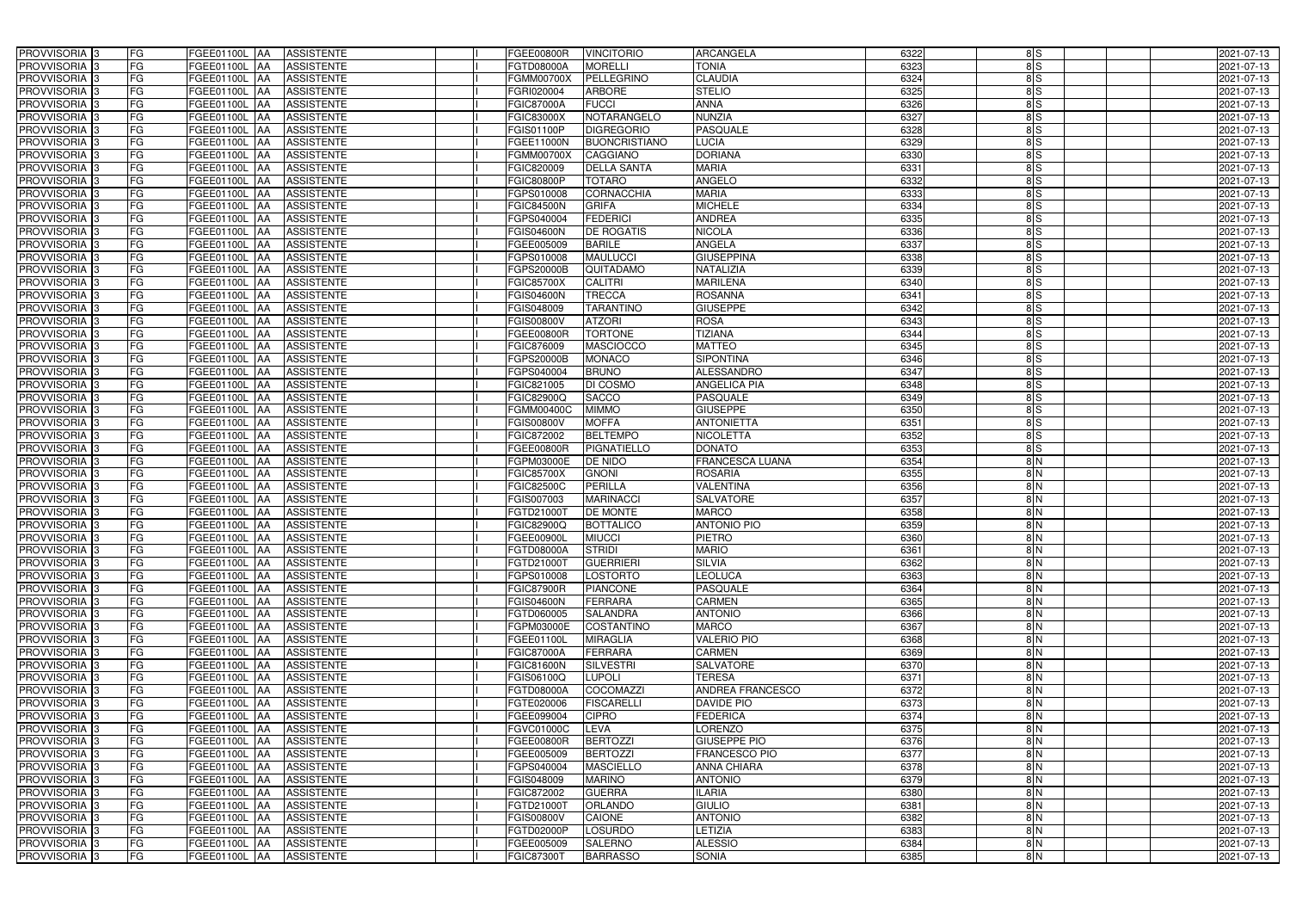| PROVVISORIA <sup>3</sup>                  | FG        | FGEE01100L AA                             | <b>ASSISTENTE</b>                      | <b>FGEE00800R</b>                      | <b>VINCITORIO</b>                  | <b>ARCANGELA</b>                     | 6322         | 8S                             | 2021-07-13               |
|-------------------------------------------|-----------|-------------------------------------------|----------------------------------------|----------------------------------------|------------------------------------|--------------------------------------|--------------|--------------------------------|--------------------------|
| PROVVISORIA 3                             | FG        | FGEE01100L AA                             | <b>ASSISTENTE</b>                      | FGTD08000A                             | <b>MORELLI</b>                     | <b>TONIA</b>                         | 6323         | 8S                             | 2021-07-13               |
| PROVVISORIA 3                             | FG        | FGEE01100L AA                             | <b>ASSISTENTE</b>                      | FGMM00700X                             | <b>PELLEGRINO</b>                  | <b>CLAUDIA</b>                       | 6324         | $\frac{8}{5}$                  | 2021-07-13               |
| PROVVISORIA 3                             | FG        | <b>FGEE01100L   AA</b>                    | <b>ASSISTENTE</b>                      | FGRI020004                             | <b>ARBORE</b>                      | <b>STELIO</b>                        | 6325         | $\frac{8}{5}$                  | 2021-07-13               |
| PROVVISORIA 3                             | <b>FG</b> | <b>FGEE01100L  AA</b>                     | <b>ASSISTENTE</b>                      | <b>FGIC87000A</b>                      | <b>FUCCI</b>                       | <b>ANNA</b>                          | 6326         | 8S                             | 2021-07-13               |
| PROVVISORIA 3                             | FG        | FGEE01100L AA                             | <b>ASSISTENTE</b>                      | <b>FGIC83000X</b>                      | NOTARANGELO                        | <b>NUNZIA</b>                        | 6327         | 8S                             | 2021-07-13               |
| PROVVISORIA 3                             | <b>FG</b> | FGEE01100L AA                             | <b>ASSISTENTE</b>                      | FGIS01100P                             | <b>DIGREGORIO</b>                  | <b>PASQUALE</b>                      | 6328         | $\frac{8}{5}$                  | 2021-07-13               |
| <b>PROVVISORIA</b> 3                      | <b>FG</b> | FGEE01100L<br><b>IAA</b>                  | <b>ASSISTENTE</b>                      | FGEE11000N                             | <b>BUONCRISTIANO</b>               | <b>LUCIA</b>                         | 6329         | $\frac{8}{5}$                  | 2021-07-13               |
| PROVVISORIA <sup>1</sup> 3                | FG        | FGEE01100L<br>IAA.                        | <b>ASSISTENTE</b>                      | FGMM00700X                             | <b>CAGGIANO</b>                    | <b>DORIANA</b>                       | 6330         | 8S                             | 2021-07-13               |
| PROVVISORIA 3                             | FG        | FGEE01100L<br>IAA                         | <b>ASSISTENTE</b>                      | FGIC820009                             | <b>DELLA SANTA</b>                 | <b>MARIA</b>                         | 6331         | 8S                             | 2021-07-13               |
| PROVVISORIA 3                             | FG        | FGEE01100L AA                             | <b>ASSISTENTE</b>                      | <b>FGIC80800P</b>                      | <b>TOTARO</b>                      | <b>ANGELO</b>                        | 6332         | $\frac{8}{5}$                  | 2021-07-13               |
| PROVVISORIA 3                             | <b>FG</b> | FGEE01100L AA                             | <b>ASSISTENTE</b>                      | FGPS010008                             | <b>CORNACCHIA</b>                  | <b>MARIA</b>                         | 6333         | 8S                             | 2021-07-13               |
| PROVVISORIA 3                             | FG        | FGEE01100L AA                             | <b>ASSISTENTE</b>                      | <b>FGIC84500N</b>                      | <b>GRIFA</b>                       | <b>MICHELE</b>                       | 6334         | 8S                             | 2021-07-13               |
| PROVVISORIA 3                             | <b>FG</b> | FGEE01100L AA                             | <b>ASSISTENTE</b>                      | FGPS040004                             | <b>FEDERICI</b>                    | <b>ANDREA</b>                        | 6335         | 8S                             | 2021-07-13               |
| PROVVISORIA <sup>3</sup>                  | <b>FG</b> | <b>FGEE01100L   AA</b>                    | <b>ASSISTENTE</b>                      | <b>FGIS04600N</b>                      | <b>DE ROGATIS</b>                  | <b>NICOLA</b>                        | 6336         | 8S                             | 2021-07-13               |
| PROVVISORIA 3                             | <b>FG</b> | FGEE01100L AA                             | <b>ASSISTENTE</b>                      | FGEE005009                             | <b>BARILE</b>                      | <b>ANGELA</b>                        | 6337         | $\frac{8}{5}$                  | 2021-07-13               |
| PROVVISORIA 3                             | <b>FG</b> | FGEE01100L AA                             | <b>ASSISTENTE</b>                      | FGPS010008                             | <b>MAULUCCI</b>                    | <b>GIUSEPPINA</b>                    | 6338         | $\frac{8}{5}$                  | 2021-07-13               |
| PROVVISORIA 3                             | <b>FG</b> | FGEE01100L AA                             | <b>ASSISTENTE</b>                      | FGPS20000B                             | QUITADAMO                          | NATALIZIA                            | 6339         | $\frac{8}{5}$                  | 2021-07-13               |
| PROVVISORIA 3                             | FG        | FGEE01100L AA                             | <b>ASSISTENTE</b>                      | <b>FGIC85700X</b>                      | <b>CALITRI</b>                     | <b>MARILENA</b>                      | 6340         | $\frac{8}{5}$                  | 2021-07-13               |
| PROVVISORIA 3                             | FG        | FGEE01100L<br>IAA                         | <b>ASSISTENTE</b>                      | <b>FGIS04600N</b>                      | <b>TRECCA</b>                      | <b>ROSANNA</b>                       | 6341         | 8S                             | 2021-07-13               |
| PROVVISORIA 3                             | FG        | FGEE01100L<br>IAA                         | <b>ASSISTENTE</b>                      | FGIS048009                             | <b>TARANTINO</b>                   | <b>GIUSEPPE</b>                      | 6342         | $\frac{8}{5}$                  | 2021-07-13               |
| PROVVISORIA <sup>3</sup>                  | FG        | FGEE01100L<br>IAA                         | <b>ASSISTENTE</b>                      | FGIS00800V                             | <b>ATZORI</b>                      | <b>ROSA</b>                          | 6343         | $\frac{8}{5}$                  | 2021-07-13               |
| PROVVISORIA <sup>3</sup>                  | FG        | FGEE01100L<br>IAA                         | <b>ASSISTENTE</b>                      | FGEE00800R                             | <b>TORTONE</b>                     | <b>TIZIANA</b>                       | 6344         | 8S                             | 2021-07-13               |
| <b>PROVVISORIA</b> 3                      | FG        | FGEE01100L<br>IAA                         | <b>ASSISTENTE</b>                      | FGIC876009                             | <b>MASCIOCCO</b>                   | <b>MATTEO</b>                        | 6345         | $\frac{8}{5}$                  | 2021-07-13               |
| <b>PROVVISORIA</b> 3                      | FG        | FGEE01100L<br>IAA                         | <b>ASSISTENTE</b>                      | <b>GPS20000B</b>                       | <b>MONACO</b>                      | <b>SIPONTINA</b>                     | 6346         | $\frac{8}{5}$                  | 2021-07-13               |
| PROVVISORIA 3                             | <b>FG</b> | FGEE01100L<br>IAA                         | <b>ASSISTENTE</b>                      | FGPS040004                             | <b>BRUNO</b>                       | <b>ALESSANDRO</b>                    | 6347         | $\frac{8}{5}$                  | 2021-07-13               |
| PROVVISORIA 3                             | <b>FG</b> | FGEE01100L<br>IAA                         | <b>ASSISTENTE</b>                      | FGIC821005                             | DI COSMO                           | ANGELICA PIA                         | 6348         | $\frac{8}{5}$                  | 2021-07-13               |
| PROVVISORIA <sup>3</sup>                  | <b>FG</b> | FGEE01100L<br>IAA                         | <b>ASSISTENTE</b>                      | FGIC82900Q                             | <b>SACCO</b>                       | PASQUALE                             | 6349         | 8S                             | 2021-07-13               |
| PROVVISORIA 3                             | FG        | FGEE01100L                                | <b>ASSISTENTE</b>                      | FGMM00400C                             | <b>MIMMO</b>                       | <b>GIUSEPPE</b>                      | 6350         | 8S                             | 2021-07-13               |
| PROVVISORIA 3                             | <b>FG</b> | FGEE01100L<br>IAA                         | <b>ASSISTENTE</b>                      | FGIS00800V                             | <b>MOFFA</b>                       | <b>ANTONIETTA</b>                    | 6351         | $\frac{8}{5}$                  | 2021-07-13               |
| PROVVISORIA 3                             | <b>FG</b> | FGEE01100L<br>IAA                         | <b>ASSISTENTE</b>                      | FGIC872002                             | <b>BELTEMPO</b>                    | <b>NICOLETTA</b>                     | 6352         | 8S                             | 2021-07-13               |
| PROVVISORIA 3                             | FG        | FGEE01100L<br>IAA                         | <b>ASSISTENTE</b>                      | FGEE00800R                             | PIGNATIELLO                        | <b>DONATO</b>                        | 6353         | $\frac{8}{5}$                  | 2021-07-13               |
| <b>PROVVISORIA</b> 3                      | <b>FG</b> | FGEE01100L<br>IAA                         | <b>ASSISTENTE</b>                      | FGPM03000E                             | <b>DE NIDO</b>                     | <b>FRANCESCA LUANA</b>               | 6354         | $\frac{8}{2}$                  | 2021-07-13               |
| PROVVISORIA <sup>1</sup> 3                | FG        | FGEE01100L AA                             | <b>ASSISTENTE</b>                      | <b>FGIC85700X</b><br><b>FGIC82500C</b> | <b>GNONI</b>                       | <b>ROSARIA</b>                       | 6355         | $\frac{8}{2}$                  | 2021-07-13               |
| PROVVISORIA 3                             | FG<br>FG  | FGEE01100L<br><b>JAA</b><br>FGEE01100L AA | <b>ASSISTENTE</b>                      |                                        | <b>PERILLA</b><br><b>MARINACCI</b> | <b>VALENTINA</b><br><b>SALVATORE</b> | 6356<br>6357 | $\frac{8}{2}$<br>$\frac{8}{2}$ | 2021-07-13               |
| PROVVISORIA 3<br>PROVVISORIA <sup>3</sup> | <b>FG</b> | FGEE01100L AA                             | <b>ASSISTENTE</b><br><b>ASSISTENTE</b> | FGIS007003<br>FGTD21000T               | <b>DE MONTE</b>                    | <b>MARCO</b>                         | 6358         | 8 N                            | 2021-07-13<br>2021-07-13 |
| PROVVISORIA <sup>3</sup>                  | FG        | FGEE01100L AA                             | <b>ASSISTENTE</b>                      | FGIC82900Q                             | BOTTALICO                          | <b>ANTONIO PIO</b>                   | 6359         | $\frac{8}{2}$                  | 2021-07-13               |
| PROVVISORIA <sup>3</sup>                  | FG        | FGEE01100L AA ASSISTENTE                  |                                        | FGEE00900L                             | <b>MIUCCI</b>                      | PIETRO                               | 6360         | 8 N                            | 2021-07-13               |
| <b>PROVVISORIA</b> 3                      | <b>FG</b> | FGEE01100L AA                             | <b>ASSISTENTE</b>                      | FGTD08000A                             | <b>STRIDI</b>                      | <b>MARIO</b>                         | 6361         | 8 N                            | 2021-07-13               |
| PROVVISORIA <sup>3</sup>                  | FG        | FGEE01100L AA ASSISTENTE                  |                                        | FGTD21000T                             | <b>GUERRIERI</b>                   | <b>SILVIA</b>                        | 6362         | 8 N                            | 2021-07-13               |
| PROVVISORIA <sup>3</sup>                  | FG        | FGEE01100L AA ASSISTENTE                  |                                        | FGPS010008                             | <b>LOSTORTO</b>                    | <b>LEOLUCA</b>                       | 6363         | 8 N                            | 2021-07-13               |
| <b>PROVVISORIA</b> 3                      | FG        | <b>FGEE01100L AA</b>                      | <b>ASSISTENTE</b>                      | <b>FGIC87900R</b>                      | <b>PIANCONE</b>                    | <b>PASQUALE</b>                      | 6364         | $\frac{8}{2}$                  | 2021-07-13               |
| PROVVISORIA <sup>3</sup>                  | FG        | <b>FGEE01100L AA</b>                      | <b>ASSISTENTE</b>                      | <b>FGIS04600N</b>                      | FERRARA                            | CARMEN                               | 6365         | 8 N                            | 2021-07-13               |
| PROVVISORIA <sup>3</sup>                  | FG        | FGEE01100L AA                             | <b>ASSISTENTE</b>                      | FGTD060005                             | <b>SALANDRA</b>                    | <b>ANTONIO</b>                       | 6366         | $\frac{8}{2}$                  | 2021-07-13               |
| PROVVISORIA 3                             | <b>FG</b> | FGEE01100L AA                             | <b>ASSISTENTE</b>                      | FGPM03000E                             | <b>COSTANTINO</b>                  | <b>MARCO</b>                         | 6367         | 8N                             | 2021-07-13               |
| PROVVISORIA <sup>3</sup>                  | FG        | FGEE01100L AA                             | <b>ASSISTENTE</b>                      | FGEE01100L                             | <b>MIRAGLIA</b>                    | <b>VALERIO PIO</b>                   | 6368         | $\frac{8}{2}$                  | 2021-07-13               |
| PROVVISORIA <sup>3</sup>                  | FG        | FGEE01100L AA                             | <b>ASSISTENTE</b>                      | <b>FGIC87000A</b>                      | <b>FERRARA</b>                     | CARMEN                               | 6369         | $\frac{8}{N}$                  | 2021-07-13               |
| PROVVISORIA <sup>3</sup>                  | FG        | FGEE01100L AA                             | ASSISTENTE                             | <b>FGIC81600N</b>                      | SILVESTRI                          | SALVATORE                            | 6370         | 8N                             | 2021-07-13               |
| PROVVISORIA <sup>3</sup>                  | FG        | FGEE01100L AA                             | <b>ASSISTENTE</b>                      | FGIS06100Q                             | <b>LUPOLI</b>                      | <b>TERESA</b>                        | 6371         | $\frac{8}{2}$                  | 2021-07-13               |
| PROVVISORIA <sup>3</sup>                  | <b>FG</b> | FGEE01100L AA                             | <b>ASSISTENTE</b>                      | FGTD08000A                             | <b>COCOMAZZI</b>                   | ANDREA FRANCESCO                     | 6372         | 8N                             | 2021-07-13               |
| PROVVISORIA <sup>3</sup>                  | FG        | FGEE01100L AA                             | <b>ASSISTENTE</b>                      | FGTE020006                             | <b>FISCARELLI</b>                  | DAVIDE PIO                           | 6373         | 8N                             | 2021-07-13               |
| PROVVISORIA <sup>3</sup>                  | FG        | FGEE01100L AA                             | <b>ASSISTENTE</b>                      | FGEE099004                             | <b>CIPRO</b>                       | <b>FEDERICA</b>                      | 6374         | $\frac{8}{2}$                  | 2021-07-13               |
| PROVVISORIA <sup>3</sup>                  | FG        | FGEE01100L AA                             | <b>ASSISTENTE</b>                      | <b>FGVC01000C</b>                      | <b>LEVA</b>                        | LORENZO                              | 6375         | $\frac{8}{2}$                  | 2021-07-13               |
| PROVVISORIA <sup>3</sup>                  | FG        | FGEE01100L AA                             | <b>ASSISTENTE</b>                      | FGEE00800R                             | <b>BERTOZZI</b>                    | <b>GIUSEPPE PIO</b>                  | 6376         | $\frac{8}{2}$                  | 2021-07-13               |
| PROVVISORIA <sup>3</sup>                  | FG        | FGEE01100L AA                             | <b>ASSISTENTE</b>                      | FGEE005009                             | <b>BERTOZZI</b>                    | FRANCESCO PIO                        | 6377         | $\frac{8}{2}$                  | 2021-07-13               |
| PROVVISORIA <sup>3</sup>                  | FG        | FGEE01100L AA                             | <b>ASSISTENTE</b>                      | FGPS040004                             | <b>MASCIELLO</b>                   | <b>ANNA CHIARA</b>                   | 6378         | $\frac{8}{2}$                  | 2021-07-13               |
| PROVVISORIA <sup>3</sup>                  | FG        | FGEE01100L AA                             | <b>ASSISTENTE</b>                      | FGIS048009                             | <b>MARINO</b>                      | <b>ANTONIO</b>                       | 6379         | 8N                             | 2021-07-13               |
| PROVVISORIA <sup>3</sup>                  | FG        | FGEE01100L AA                             | <b>ASSISTENTE</b>                      | FGIC872002                             | <b>GUERRA</b>                      | <b>ILARIA</b>                        | 6380         | $\frac{8}{2}$                  | 2021-07-13               |
| PROVVISORIA <sup>3</sup>                  | FG        | FGEE01100L AA                             | <b>ASSISTENTE</b>                      | FGTD21000T                             | <b>ORLANDO</b>                     | <b>GIULIO</b>                        | 6381         | $\frac{8}{2}$                  | 2021-07-13               |
| PROVVISORIA <sup>3</sup>                  | FG        | FGEE01100L AA                             | ASSISTENTE                             | <b>FGIS00800V</b>                      | <b>CAIONE</b>                      | <b>ANTONIO</b>                       | 6382         | $\frac{8}{2}$                  | 2021-07-13               |
| PROVVISORIA <sup>3</sup>                  | FG        | FGEE01100L AA                             | <b>ASSISTENTE</b>                      | FGTD02000P                             | <b>LOSURDO</b>                     | <b>ETIZIA</b>                        | 6383         | $\frac{8}{2}$                  | 2021-07-13               |
| PROVVISORIA <sup>3</sup>                  | FG        | FGEE01100L AA                             | ASSISTENTE                             | FGEE005009                             | <b>SALERNO</b>                     | <b>ALESSIO</b>                       | 6384         | 8 N                            | 2021-07-13               |
| PROVVISORIA 3                             | FG        | FGEE01100L AA                             | ASSISTENTE                             | <b>FGIC87300T</b>                      | <b>BARRASSO</b>                    | <b>SONIA</b>                         | 6385         | 8 N                            | 2021-07-13               |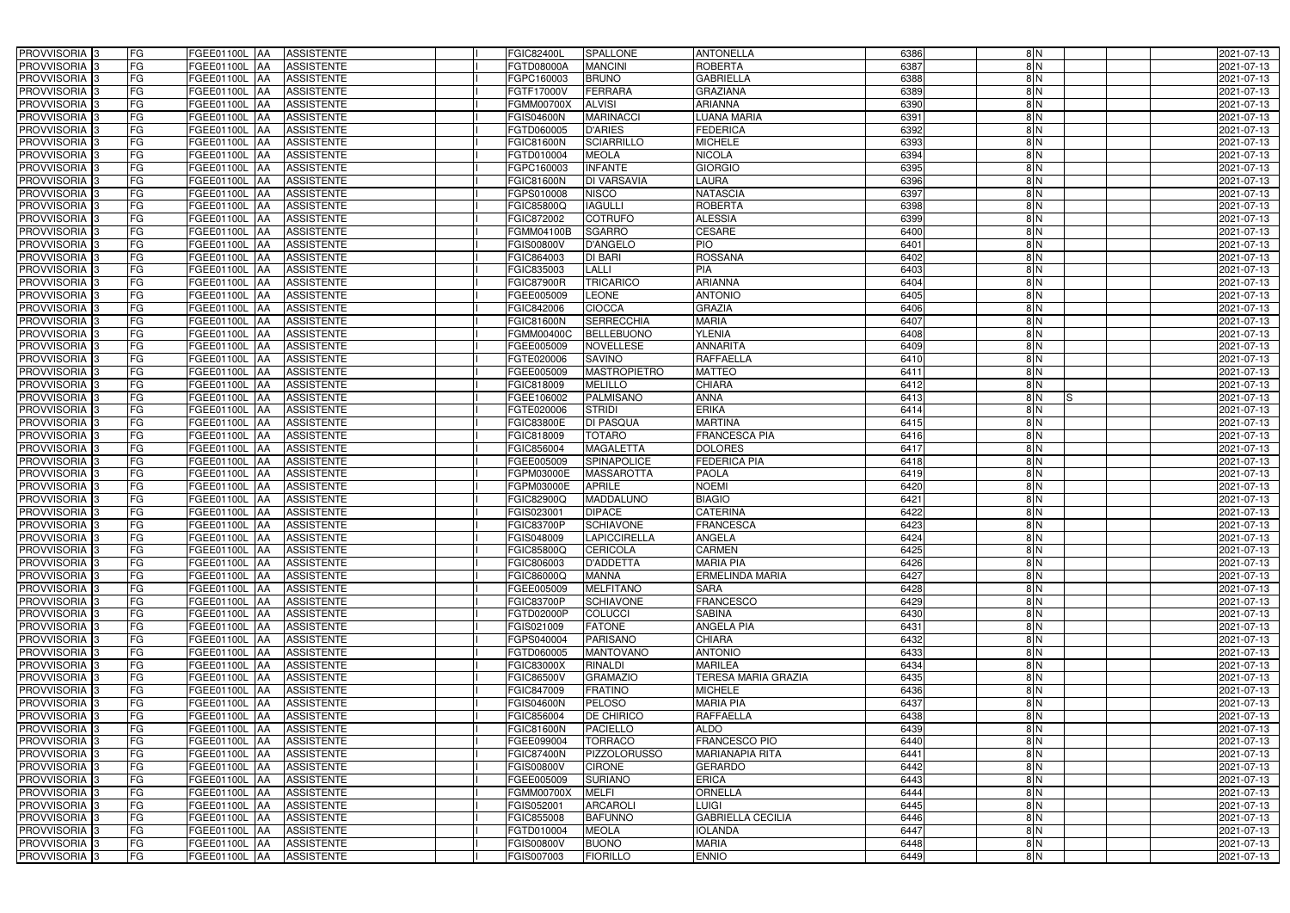| PROVVISORIA <sup>3</sup><br><b>FG</b><br>FGEE01100L AA                                            | <b>ASSISTENTE</b>                      | FGIC82400L                     | <b>SPALLONE</b>            | <b>ANTONELLA</b>                 | 6386         | 8N                             | 2021-07-13               |
|---------------------------------------------------------------------------------------------------|----------------------------------------|--------------------------------|----------------------------|----------------------------------|--------------|--------------------------------|--------------------------|
| FG<br>PROVVISORIA <sup>3</sup><br>FGEE01100L<br>IAA                                               | <b>ASSISTENTE</b>                      | FGTD08000A                     | <b>MANCINI</b>             | <b>ROBERTA</b>                   | 6387         | 8N                             | 2021-07-13               |
| FG<br>PROVVISORIA <sup>3</sup><br>FGEE01100L AA                                                   | <b>ASSISTENTE</b>                      | FGPC160003                     | <b>BRUNO</b>               | <b>GABRIELLA</b>                 | 6388         | 8N                             | 2021-07-13               |
| FG<br>PROVVISORIA 3<br>FGEE01100L<br>IAA                                                          | <b>ASSISTENTE</b>                      | FGTF17000V                     | <b>FERRARA</b>             | <b>GRAZIANA</b>                  | 6389         | 8N                             | 2021-07-13               |
| FG<br>FGEE01100L<br>PROVVISORIA <sup>3</sup><br>IAA                                               | <b>ASSISTENTE</b>                      | FGMM00700X                     | <b>ALVISI</b>              | <b>ARIANNA</b>                   | 6390         | $\frac{8}{N}$                  | 2021-07-13               |
| FG<br>PROVVISORIA <sup>3</sup><br>FGEE01100L AA                                                   | <b>ASSISTENTE</b>                      | <b>FGIS04600N</b>              | <b>MARINACCI</b>           | LUANA MARIA                      | 6391         | $\frac{8}{N}$                  | 2021-07-13               |
| FG<br>PROVVISORIA <sup>3</sup><br>FGEE01100L AA                                                   | <b>ASSISTENTE</b>                      | FGTD060005                     | <b>D'ARIES</b>             | <b>FEDERICA</b>                  | 6392         | 8N                             | 2021-07-13               |
| FG<br>PROVVISORIA <sup>3</sup><br>FGEE01100L AA                                                   | <b>ASSISTENTE</b>                      | <b>FGIC81600N</b>              | <b>SCIARRILLO</b>          | <b>MICHELE</b>                   | 6393         | $\frac{8}{N}$                  | 2021-07-13               |
| PROVVISORIA <sup>3</sup><br>FG<br>FGEE01100L AA                                                   | <b>ASSISTENTE</b>                      | FGTD010004                     | <b>MEOLA</b>               | <b>NICOLA</b>                    | 6394         | 8N                             | 2021-07-13               |
| PROVVISORIA 3<br>FG<br><b>FGEE01100L AA</b>                                                       | <b>ASSISTENTE</b>                      | FGPC160003                     | <b>INFANTE</b>             | <b>GIORGIO</b>                   | 6395         | $\frac{8}{N}$                  | 2021-07-13               |
| PROVVISORIA 3<br>FG<br>FGEE01100L AA                                                              | <b>ASSISTENTE</b>                      | <b>FGIC81600N</b>              | <b>DI VARSAVIA</b>         | <b>LAURA</b>                     | 6396         | $\frac{8}{N}$                  | 2021-07-13               |
| PROVVISORIA 3<br>FG<br>FGEE01100L AA                                                              | <b>ASSISTENTE</b>                      | FGPS010008                     | <b>NISCO</b>               | <b>NATASCIA</b>                  | 6397         | $\frac{8}{N}$                  | 2021-07-13               |
| PROVVISORIA <sup>3</sup><br>FG<br>FGEE01100L AA                                                   | <b>ASSISTENTE</b>                      | FGIC85800Q                     | <b>IAGULLI</b>             | <b>ROBERTA</b>                   | 6398         | $\frac{8}{N}$                  | 2021-07-13               |
| PROVVISORIA 3<br>FG<br>FGEE01100L AA                                                              | <b>ASSISTENTE</b>                      | FGIC872002                     | <b>COTRUFO</b>             | <b>ALESSIA</b>                   | 6399         | $\frac{8}{N}$                  | 2021-07-13               |
| PROVVISORIA 3<br>FG<br>FGEE01100L AA                                                              | <b>ASSISTENTE</b>                      | FGMM04100B                     | <b>SGARRO</b>              | <b>CESARE</b>                    | 6400         | $\frac{8}{N}$                  | 2021-07-13               |
| FG<br>PROVVISORIA 3<br><b>FGEE01100L</b><br><b>IAA</b>                                            | <b>ASSISTENTE</b>                      | FGIS00800V                     | <b>D'ANGELO</b>            | <b>PIO</b>                       | 6401         | 8N                             | 2021-07-13               |
| FG<br>PROVVISORIA <sup>3</sup><br><b>FGEE01100L</b><br>IAA                                        | <b>ASSISTENTE</b>                      | FGIC864003                     | <b>DI BARI</b>             | <b>ROSSANA</b>                   | 6402         | 8N                             | 2021-07-13               |
| PROVVISORIA <sup>3</sup><br>FG<br>FGEE01100L AA                                                   | <b>ASSISTENTE</b>                      | FGIC835003                     | <b>LALLI</b>               | PIA                              | 6403         | $\frac{8}{N}$                  | 2021-07-13               |
| PROVVISORIA 3<br>FG<br>FGEE01100L<br><b>AA</b>                                                    | <b>ASSISTENTE</b>                      | <b>FGIC87900R</b>              | <b>TRICARICO</b>           | <b>ARIANNA</b>                   | 6404         | $\frac{8}{N}$                  | 2021-07-13               |
| PROVVISORIA 3<br>FG<br>FGEE01100L<br><b>JAA</b>                                                   | <b>ASSISTENTE</b>                      | FGEE005009                     | <b>LEONE</b>               | <b>ANTONIO</b>                   | 6405         | $\frac{8}{N}$                  | 2021-07-13               |
| FG<br>PROVVISORIA 3<br>FGEE01100L<br>IAA                                                          | <b>ASSISTENTE</b>                      | FGIC842006                     | <b>CIOCCA</b>              | <b>GRAZIA</b>                    | 6406         | $\frac{8}{N}$                  | 2021-07-13               |
| PROVVISORIA 3<br>FG<br>FGEE01100L<br>IAA                                                          | <b>ASSISTENTE</b>                      | <b>FGIC81600N</b>              | <b>SERRECCHIA</b>          | <b>MARIA</b>                     | 6407         | 8N                             | 2021-07-13               |
| PROVVISORIA 3<br>FG<br>FGEE01100L<br><b>IAA</b>                                                   | <b>ASSISTENTE</b>                      | FGMM00400C                     | <b>BELLEBUONO</b>          | <b>YLENIA</b>                    | 6408         | 8N                             | 2021-07-13               |
| PROVVISORIA 3<br>FG<br>FGEE01100L AA                                                              | <b>ASSISTENTE</b>                      | FGEE005009                     | <b>NOVELLESE</b>           | <b>ANNARITA</b>                  | 6409         | 8N                             | 2021-07-13               |
| PROVVISORIA 3<br>FG<br>FGEE01100L AA                                                              | <b>ASSISTENTE</b>                      | FGTE020006                     | <b>SAVINO</b>              | <b>RAFFAELLA</b>                 | 6410         | 8N                             | 2021-07-13               |
| PROVVISORIA 3<br>FG<br>FGEE01100L AA                                                              | <b>ASSISTENTE</b>                      | FGEE005009                     | <b>MASTROPIETRO</b>        | <b>MATTEO</b>                    | 6411         | 8N                             | 2021-07-13               |
| PROVVISORIA 3<br>FG<br>FGEE01100L AA                                                              | <b>ASSISTENTE</b>                      | FGIC818009                     | <b>MELILLO</b>             | <b>CHIARA</b>                    | 6412         | 8N                             | 2021-07-13               |
| PROVVISORIA 3<br>FG<br>FGEE01100L AA                                                              | <b>ASSISTENTE</b>                      | FGEE106002                     | <b>PALMISANO</b>           | <b>ANNA</b>                      | 6413         | 8N                             | 2021-07-13               |
| PROVVISORIA <sup>3</sup><br>FG<br>FGEE01100L AA                                                   | <b>ASSISTENTE</b>                      | FGTE020006                     | <b>STRIDI</b>              | <b>ERIKA</b>                     | 6414         | 8N                             | 2021-07-13               |
| FG<br>PROVVISORIA <sup>3</sup><br>FGEE01100L AA                                                   | <b>ASSISTENTE</b>                      | FGIC83800E                     | <b>DI PASQUA</b>           | <b>MARTINA</b>                   | 6415         | 8N                             | 2021-07-13               |
| FG<br>PROVVISORIA <sup>3</sup><br>FGEE01100L AA                                                   | <b>ASSISTENTE</b>                      | FGIC818009                     | <b>TOTARO</b>              | <b>FRANCESCA PIA</b>             | 6416         | $\frac{8}{N}$                  | 2021-07-13               |
| PROVVISORIA <sup>3</sup><br>FG<br>FGEE01100L AA                                                   | <b>ASSISTENTE</b>                      | FGIC856004                     | <b>MAGALETTA</b>           | <b>DOLORES</b>                   | 6417         | 8N                             | 2021-07-13               |
| FG<br>PROVVISORIA <sup>3</sup><br>FGEE01100L AA                                                   | <b>ASSISTENTE</b>                      | FGEE005009                     | SPINAPOLICE                | <b>FEDERICA PIA</b>              | 6418         | $\frac{8}{N}$                  | 2021-07-13               |
| PROVVISORIA <sup>3</sup><br>FG<br>FGEE01100L AA                                                   | <b>ASSISTENTE</b>                      | FGPM03000E                     | <b>MASSAROTTA</b>          | <b>PAOLA</b>                     | 6419         | $\frac{8}{2}$                  | 2021-07-13               |
| FG<br>PROVVISORIA <sup>3</sup><br>FGEE01100L<br>IAA                                               | <b>ASSISTENTE</b>                      | FGPM03000E                     | <b>APRILE</b>              | <b>NOEMI</b>                     | 6420         | 8N                             | 2021-07-13               |
| PROVVISORIA <sup>3</sup><br>FG<br><b>FGEE01100L</b><br><b>JAA</b><br><b>FGEE01100L</b>            | <b>ASSISTENTE</b>                      | FGIC82900Q                     | MADDALUNO<br><b>DIPACE</b> | <b>BIAGIO</b><br><b>CATERINA</b> | 6421<br>6422 | $\frac{8}{N}$<br>$\frac{8}{N}$ | 2021-07-13               |
| PROVVISORIA <sup>3</sup><br>FG<br><b>JAA</b><br>FG<br>PROVVISORIA <sup>1</sup> 3<br>FGEE01100L AA | <b>ASSISTENTE</b><br><b>ASSISTENTE</b> | <b>GIS023001</b><br>FGIC83700P | <b>SCHIAVONE</b>           | <b>FRANCESCA</b>                 | 6423         | $\frac{8}{N}$                  | 2021-07-13<br>2021-07-13 |
| PROVVISORIA <sup>3</sup><br>FG<br>FGEE01100L AA                                                   | <b>ASSISTENTE</b>                      | FGIS048009                     | LAPICCIRELLA               | <b>ANGELA</b>                    | 6424         | 8 N                            | 2021-07-13               |
| PROVVISORIA <sup>3</sup><br>FG<br>FGEE01100L AA                                                   | <b>ASSISTENTE</b>                      | FGIC85800Q                     | <b>CERICOLA</b>            | <b>CARMEN</b>                    | 6425         | 8N                             | 2021-07-13               |
| PROVVISORIA <sup>3</sup><br>FG<br>FGEE01100L AA                                                   | ASSISTENTE                             | FGIC806003                     | <b>D'ADDETTA</b>           | <b>MARIA PIA</b>                 | 6426         | 8N                             | 2021-07-13               |
| PROVVISORIA <sup>3</sup><br>FG<br><b>FGEE01100L AA</b>                                            | <b>ASSISTENTE</b>                      | FGIC86000Q                     | <b>MANNA</b>               | <b>ERMELINDA MARIA</b>           | 6427         | 8 N                            | 2021-07-13               |
| PROVVISORIA <sup>3</sup><br>FG<br>FGEE01100L AA                                                   | ASSISTENTE                             | FGEE005009                     | <b>MELFITANO</b>           | <b>SARA</b>                      | 6428         | $\frac{8}{N}$                  | 2021-07-13               |
| PROVVISORIA <sup>3</sup><br>FG<br>FGEE01100L AA                                                   | ASSISTENTE                             | <b>FGIC83700P</b>              | <b>SCHIAVONE</b>           | <b>FRANCESCO</b>                 | 6429         | $\frac{8}{N}$                  | 2021-07-13               |
| PROVVISORIA 3<br>FG<br>FGEE01100L AA                                                              | <b>ASSISTENTE</b>                      | FGTD02000P                     | <b>COLUCCI</b>             | <b>SABINA</b>                    | 6430         | $\frac{8}{2}$                  | 2021-07-13               |
| PROVVISORIA <sup>3</sup><br>FG<br>FGEE01100L AA                                                   | <b>ASSISTENTE</b>                      | FGIS021009                     | <b>FATONE</b>              | <b>ANGELA PIA</b>                | 6431         | $\frac{8}{N}$                  | 2021-07-13               |
| PROVVISORIA <sup>3</sup><br>FG<br>FGEE01100L AA                                                   | ASSISTENTE                             | FGPS040004                     | <b>PARISANO</b>            | <b>CHIARA</b>                    | 6432         | $\frac{8}{N}$                  | 2021-07-13               |
| PROVVISORIA <sup>3</sup><br>FG<br>FGEE01100L AA                                                   | ASSISTENTE                             | FGTD060005                     | <b>MANTOVANO</b>           | <b>ANTONIO</b>                   | 6433         | $\frac{8}{N}$                  | 2021-07-13               |
| PROVVISORIA <sup>3</sup><br>FG<br>FGEE01100L AA                                                   | <b>ASSISTENTE</b>                      | FGIC83000X                     | <b>RINALDI</b>             | <b>MARILEA</b>                   | 6434         | 8N                             | 2021-07-13               |
| PROVVISORIA <sup>3</sup><br>FG<br>FGEE01100L AA                                                   | ASSISTENTE                             | <b>FGIC86500V</b>              | <b>GRAMAZIO</b>            | <b>TERESA MARIA GRAZIA</b>       | 6435         | 8N                             | 2021-07-13               |
| PROVVISORIA <sup>3</sup><br>FG<br>FGEE01100L AA                                                   | <b>ASSISTENTE</b>                      | FGIC847009                     | <b>FRATINO</b>             | <b>MICHELE</b>                   | 6436         | 8N                             | 2021-07-13               |
| PROVVISORIA <sup>3</sup><br>FG<br>FGEE01100L AA                                                   | <b>ASSISTENTE</b>                      | <b>FGIS04600N</b>              | PELOSO                     | <b>MARIA PIA</b>                 | 6437         | 8N                             | 2021-07-13               |
| PROVVISORIA <sup>3</sup><br>FG<br>FGEE01100L AA                                                   | <b>ASSISTENTE</b>                      | FGIC856004                     | <b>DE CHIRICO</b>          | <b>RAFFAELLA</b>                 | 6438         | 8N                             | 2021-07-13               |
| PROVVISORIA <sup>3</sup><br>FG<br>FGEE01100L AA                                                   | <b>ASSISTENTE</b>                      | <b>FGIC81600N</b>              | <b>PACIELLO</b>            | <b>ALDO</b>                      | 6439         | 8N                             | 2021-07-13               |
| FG<br>PROVVISORIA <sup>13</sup><br>FGEE01100L AA                                                  | <b>ASSISTENTE</b>                      | FGEE099004                     | <b>TORRACO</b>             | FRANCESCO PIO                    | 6440         | $\frac{8}{N}$                  | 2021-07-13               |
| FG<br>PROVVISORIA <sup>1</sup> 3<br>FGEE01100L AA                                                 | <b>ASSISTENTE</b>                      | FGIC87400N                     | <b>PIZZOLORUSSO</b>        | <b>MARIANAPIA RITA</b>           | 6441         | 8N                             | 2021-07-13               |
| FG<br>PROVVISORIA <sup>1</sup> 3<br>FGEE01100L AA                                                 | <b>ASSISTENTE</b>                      | FGIS00800V                     | <b>CIRONE</b>              | <b>GERARDO</b>                   | 6442         | $\frac{8}{N}$                  | 2021-07-13               |
| <b>PROVVISORIA</b> 3<br>FG<br>FGEE01100L AA                                                       | <b>ASSISTENTE</b>                      | FGEE005009                     | <b>SURIANO</b>             | <b>ERICA</b>                     | 6443         | $\frac{8}{N}$                  | 2021-07-13               |
| PROVVISORIA <sup>3</sup><br>FG<br>FGEE01100L AA                                                   | <b>ASSISTENTE</b>                      | <b>FGMM00700X</b>              | <b>MELFI</b>               | <b>ORNELLA</b>                   | 6444         | $\frac{8}{N}$                  | 2021-07-13               |
| FG<br>PROVVISORIA <sup>1</sup> 3<br>FGEE01100L AA                                                 | <b>ASSISTENTE</b>                      | FGIS052001                     | <b>ARCAROLI</b>            | LUIGI                            | 6445         | $\frac{8}{N}$                  | 2021-07-13               |
| FG<br>PROVVISORIA <sup>1</sup> 3<br>FGEE01100L AA                                                 | <b>ASSISTENTE</b>                      | FGIC855008                     | <b>BAFUNNO</b>             | <b>GABRIELLA CECILIA</b>         | 6446         | $\frac{8}{N}$                  | 2021-07-13               |
| PROVVISORIA <sup>3</sup><br>FG<br>FGEE01100L AA                                                   | <b>ASSISTENTE</b>                      | FGTD010004                     | <b>MEOLA</b>               | <b>IOLANDA</b>                   | 6447         | $\frac{8}{N}$                  | 2021-07-13               |
| PROVVISORIA <sup>3</sup><br>FG<br>FGEE01100L AA                                                   | ASSISTENTE                             | <b>FGIS00800V</b>              | <b>BUONO</b>               | <b>MARIA</b>                     | 6448         | $\frac{8}{2}$                  | 2021-07-13               |
| PROVVISORIA <sup>3</sup><br>FG<br>FGEE01100L AA                                                   | ASSISTENTE                             | FGIS007003                     | <b>FIORILLO</b>            | <b>ENNIO</b>                     | 6449         | $\frac{8}{2}$                  | 2021-07-13               |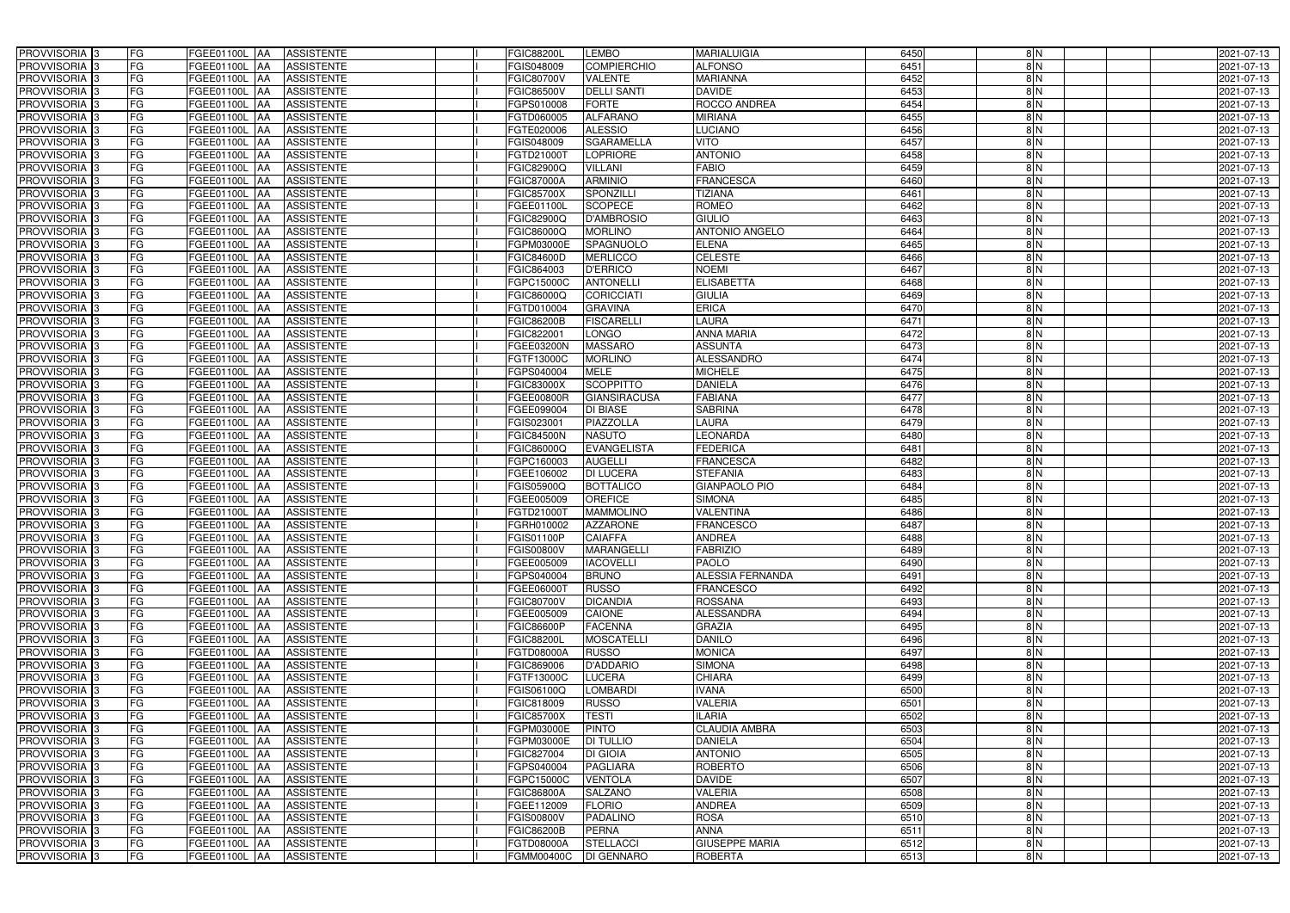| PROVVISORIA <sup>3</sup><br><b>FG</b> | FGEE01100L AA<br><b>ASSISTENTE</b>            | <b>FGIC88200L</b><br>LEMBO             | <b>MARIALUIGIA</b>      | 6450 | 8N            | 2021-07-13       |
|---------------------------------------|-----------------------------------------------|----------------------------------------|-------------------------|------|---------------|------------------|
| FG<br>PROVVISORIA <sup>3</sup>        | <b>ASSISTENTE</b><br>FGEE01100L<br>IAA        | <b>COMPIERCHIO</b><br>FGIS048009       | <b>ALFONSO</b>          | 6451 | 8N            | 2021-07-13       |
| FG<br>PROVVISORIA <sup>3</sup>        | FGEE01100L<br><b>ASSISTENTE</b><br>IAA        | FGIC80700V<br>VALENTE                  | <b>MARIANNA</b>         | 6452 | 8N            | 2021-07-13       |
| FG<br>PROVVISORIA 3                   | FGEE01100L<br><b>ASSISTENTE</b><br>IAA        | <b>DELLI SANTI</b><br>FGIC86500V       | <b>DAVIDE</b>           | 6453 | 8N            | 2021-07-13       |
| FG<br>PROVVISORIA <sup>3</sup>        | FGEE01100L<br><b>ASSISTENTE</b><br>IAA        | <b>FORTE</b><br>FGPS010008             | ROCCO ANDREA            | 6454 | $\frac{8}{N}$ | 2021-07-13       |
| FG<br>PROVVISORIA <sup>3</sup>        | FGEE01100L AA<br><b>ASSISTENTE</b>            | <b>ALFARANO</b><br>FGTD060005          | <b>MIRIANA</b>          | 6455 | $\frac{8}{N}$ | 2021-07-13       |
| FG<br>PROVVISORIA <sup>1</sup> 3      | FGEE01100L AA<br><b>ASSISTENTE</b>            | <b>ALESSIO</b><br>FGTE020006           | <b>LUCIANO</b>          | 6456 | 8N            | 2021-07-13       |
| FG<br>PROVVISORIA <sup>3</sup>        | FGEE01100L AA<br><b>ASSISTENTE</b>            | <b>SGARAMELLA</b><br>FGIS048009        | <b>VITO</b>             | 6457 | $\frac{8}{N}$ | 2021-07-13       |
| PROVVISORIA 3<br>FG                   | FGEE01100L AA<br><b>ASSISTENTE</b>            | FGTD21000T<br><b>LOPRIORE</b>          | <b>ANTONIO</b>          | 6458 | $\frac{8}{N}$ | 2021-07-13       |
| PROVVISORIA 3<br>FG                   | <b>FGEE01100L AA</b><br><b>ASSISTENTE</b>     | <b>VILLANI</b><br>FGIC82900Q           | <b>FABIO</b>            | 6459 | $\frac{8}{N}$ | 2021-07-13       |
| PROVVISORIA 3<br>FG                   | FGEE01100L AA<br><b>ASSISTENTE</b>            | <b>ARMINIO</b><br>FGIC87000A           | <b>FRANCESCA</b>        | 6460 | $\frac{8}{N}$ | 2021-07-13       |
| PROVVISORIA 3<br>FG                   | FGEE01100L AA<br><b>ASSISTENTE</b>            | <b>FGIC85700X</b><br><b>SPONZILLI</b>  | <b>TIZIANA</b>          | 6461 | $\frac{8}{N}$ | 2021-07-13       |
| PROVVISORIA <sup>3</sup><br>FG        | FGEE01100L AA<br><b>ASSISTENTE</b>            | <b>SCOPECE</b><br>FGEE01100L           | <b>ROMEO</b>            | 6462 | $\frac{8}{N}$ | 2021-07-13       |
| PROVVISORIA 3<br>FG                   | FGEE01100L AA<br><b>ASSISTENTE</b>            | <b>D'AMBROSIO</b><br>FGIC82900Q        | <b>GIULIO</b>           | 6463 | $\frac{8}{N}$ | 2021-07-13       |
| FG<br>PROVVISORIA 3                   | FGEE01100L AA<br><b>ASSISTENTE</b>            | <b>MORLINO</b><br>FGIC86000Q           | <b>ANTONIO ANGELO</b>   | 6464 | $\frac{8}{N}$ | 2021-07-13       |
| FG<br>PROVVISORIA 3                   | FGEE01100L<br><b>ASSISTENTE</b><br><b>IAA</b> | <b>SPAGNUOLO</b><br>FGPM03000E         | <b>ELENA</b>            | 6465 | 8N            | 2021-07-13       |
| PROVVISORIA 3<br>FG                   | FGEE01100L<br><b>ASSISTENTE</b><br>IAA        | <b>MERLICCO</b><br>FGIC84600D          | <b>CELESTE</b>          | 6466 | 8N            | 2021-07-13       |
| PROVVISORIA 3<br>FG                   | FGEE01100L AA<br><b>ASSISTENTE</b>            | <b>D'ERRICO</b><br>FGIC864003          | <b>NOEMI</b>            | 6467 | $\frac{8}{N}$ | 2021-07-13       |
| PROVVISORIA 3<br>FG                   | FGEE01100L<br><b>ASSISTENTE</b><br><b>AA</b>  | <b>ANTONELLI</b><br>FGPC15000C         | <b>ELISABETTA</b>       | 6468 | $\frac{8}{N}$ | 2021-07-13       |
| PROVVISORIA 3<br>FG                   | FGEE01100L<br><b>JAA</b><br><b>ASSISTENTE</b> | FGIC86000Q<br><b>CORICCIATI</b>        | <b>GIULIA</b>           | 6469 | $\frac{8}{N}$ | 2021-07-13       |
| FG<br>PROVVISORIA 3                   | FGEE01100L<br><b>ASSISTENTE</b><br>IAA        | <b>GRAVINA</b><br>FGTD010004           | ERICA                   | 6470 | 8N            | 2021-07-13       |
| PROVVISORIA <sup>3</sup><br>FG        | FGEE01100L<br><b>ASSISTENTE</b><br>IAA        | <b>FISCARELLI</b><br><b>FGIC86200B</b> | <b>LAURA</b>            | 6471 | 8N            | 2021-07-13       |
| PROVVISORIA 3<br>FG                   | FGEE01100L<br><b>ASSISTENTE</b><br>IAA        | <b>LONGO</b><br>FGIC82200              | <b>ANNA MARIA</b>       | 6472 | 8N            | 2021-07-13       |
| PROVVISORIA 3<br>FG                   | FGEE01100L AA<br><b>ASSISTENTE</b>            | <b>MASSARO</b><br>FGEE03200N           | <b>ASSUNTA</b>          | 6473 | 8N            | 2021-07-13       |
| PROVVISORIA <sup>3</sup><br>FG        | FGEE01100L AA<br><b>ASSISTENTE</b>            | FGTF13000C<br><b>MORLINO</b>           | <b>ALESSANDRO</b>       | 6474 | 8N            | 2021-07-13       |
| PROVVISORIA 3<br>FG                   | FGEE01100L AA<br><b>ASSISTENTE</b>            | FGPS040004<br><b>MELE</b>              | <b>MICHELE</b>          | 6475 | 8N            | 2021-07-13       |
| PROVVISORIA 3<br>FG                   | FGEE01100L AA<br><b>ASSISTENTE</b>            | <b>SCOPPITTO</b><br>FGIC83000X         | <b>DANIELA</b>          | 6476 | 8N            | 2021-07-13       |
| FG<br>PROVVISORIA 3                   | FGEE01100L AA<br><b>ASSISTENTE</b>            | <b>GIANSIRACUSA</b><br>FGEE00800R      | <b>FABIANA</b>          | 6477 | 8N            | 2021-07-13       |
| PROVVISORIA <sup>3</sup><br>FG        | FGEE01100L AA<br><b>ASSISTENTE</b>            | DI BIASE<br>FGEE099004                 | <b>SABRINA</b>          | 6478 | 8N            | 2021-07-13       |
| FG<br>PROVVISORIA <sup>3</sup>        | FGEE01100L AA<br><b>ASSISTENTE</b>            | PIAZZOLLA<br>FGIS023001                | <b>LAURA</b>            | 6479 | 8N            | 2021-07-13       |
| FG<br>PROVVISORIA <sup>3</sup>        | FGEE01100L AA<br><b>ASSISTENTE</b>            | <b>NASUTO</b><br><b>FGIC84500N</b>     | LEONARDA                | 6480 | $\frac{8}{N}$ | 2021-07-13       |
| PROVVISORIA <sup>3</sup><br>FG        | FGEE01100L AA<br><b>ASSISTENTE</b>            | <b>EVANGELISTA</b><br>FGIC86000Q       | <b>FEDERICA</b>         | 6481 | 8N            | 2021-07-13       |
| FG<br>PROVVISORIA <sup>3</sup>        | FGEE01100L AA<br><b>ASSISTENTE</b>            | <b>AUGELLI</b><br>FGPC160003           | <b>FRANCESCA</b>        | 6482 | 8N            | 2021-07-13       |
| FG<br>PROVVISORIA <sup>3</sup>        | FGEE01100L AA<br><b>ASSISTENTE</b>            | <b>DI LUCERA</b><br>FGEE106002         | <b>STEFANIA</b>         | 6483 | $\frac{8}{N}$ | 2021-07-13       |
| FG<br>PROVVISORIA <sup>3</sup>        | <b>ASSISTENTE</b><br>FGEE01100L<br>IAA        | FGIS05900Q<br><b>BOTTALICO</b>         | <b>GIANPAOLO PIO</b>    | 6484 | 8N            | $2021 - 07 - 13$ |
| PROVVISORIA <sup>3</sup><br>FG        | <b>FGEE01100L</b><br><b>ASSISTENTE</b><br>IAA | <b>OREFICE</b><br>FGEE005009           | <b>SIMONA</b>           | 6485 | 8 N           | 2021-07-13       |
| PROVVISORIA <sup>3</sup><br>FG        | FGEE01100L<br><b>ASSISTENTE</b><br>IAA        | <b>MAMMOLINO</b><br>FGTD21000T         | <b>VALENTINA</b>        | 6486 | $\frac{8}{N}$ | 2021-07-13       |
| FG<br>PROVVISORIA <sup>1</sup> 3      | FGEE01100L AA<br><b>ASSISTENTE</b>            | FGRH010002<br><b>AZZARONE</b>          | <b>FRANCESCO</b>        | 6487 | $\frac{8}{N}$ | 2021-07-13       |
| PROVVISORIA <sup>3</sup><br>FG        | FGEE01100L AA<br><b>ASSISTENTE</b>            | <b>CAIAFFA</b><br>FGIS01100P           | <b>ANDREA</b>           | 6488 | 8 N           | 2021-07-13       |
| PROVVISORIA <sup>3</sup><br>FG        | FGEE01100L AA<br><b>ASSISTENTE</b>            | FGIS00800V<br>MARANGELLI               | <b>FABRIZIO</b>         | 6489 | 8N            | 2021-07-13       |
| PROVVISORIA <sup>3</sup><br>FG        | FGEE01100L AA<br>ASSISTENTE                   | FGEE005009<br><b>IACOVELLI</b>         | <b>PAOLO</b>            | 6490 | 8N            | 2021-07-13       |
| PROVVISORIA <sup>3</sup><br>FG        | FGEE01100L AA<br>ASSISTENTE                   | <b>BRUNO</b><br>FGPS040004             | <b>ALESSIA FERNANDA</b> | 6491 | 8 N           | 2021-07-13       |
| PROVVISORIA <sup>3</sup><br>FG        | <b>FGEE01100L AA</b><br><b>ASSISTENTE</b>     | FGEE06000T<br><b>RUSSO</b>             | <b>FRANCESCO</b>        | 6492 | $\frac{8}{N}$ | 2021-07-13       |
| PROVVISORIA <sup>3</sup><br>FG        | FGEE01100L AA<br>ASSISTENTE                   | <b>DICANDIA</b><br>FGIC80700V          | <b>ROSSANA</b>          | 6493 | $\frac{8}{N}$ | 2021-07-13       |
| PROVVISORIA <sup>3</sup><br>FG        | FGEE01100L AA<br><b>ASSISTENTE</b>            | FGEE005009<br><b>CAIONE</b>            | <b>ALESSANDRA</b>       | 6494 | $\frac{8}{2}$ | 2021-07-13       |
| PROVVISORIA <sup>3</sup><br>FG        | FGEE01100L AA<br><b>ASSISTENTE</b>            | <b>FACENNA</b><br><b>FGIC86600P</b>    | <b>GRAZIA</b>           | 6495 | $\frac{8}{N}$ | 2021-07-13       |
| PROVVISORIA <sup>3</sup><br>FG        | FGEE01100L AA<br>ASSISTENTE                   | <b>MOSCATELLI</b><br><b>FGIC88200L</b> | <b>DANILO</b>           | 6496 | $\frac{8}{N}$ | 2021-07-13       |
| PROVVISORIA <sup>3</sup><br>FG        | FGEE01100L AA<br>ASSISTENTE                   | FGTD08000A<br><b>RUSSO</b>             | <b>MONICA</b>           | 6497 | $\frac{8}{N}$ | 2021-07-13       |
| PROVVISORIA <sup>3</sup><br>FG        | FGEE01100L AA<br>ASSISTENTE                   | FGIC869006<br><b>D'ADDARIO</b>         | <b>SIMONA</b>           | 6498 | 8N            | 2021-07-13       |
| PROVVISORIA <sup>3</sup><br>FG        | FGEE01100L AA<br>ASSISTENTE                   | <b>LUCERA</b><br>FGTF13000C            | <b>CHIARA</b>           | 6499 | 8N            | 2021-07-13       |
| FG<br>PROVVISORIA <sup>3</sup>        | FGEE01100L AA<br><b>ASSISTENTE</b>            | <b>LOMBARDI</b><br>FGIS06100Q          | <b>IVANA</b>            | 6500 | 8N            | 2021-07-13       |
| PROVVISORIA <sup>3</sup><br>FG        | FGEE01100L AA<br><b>ASSISTENTE</b>            | FGIC818009<br><b>RUSSO</b>             | <b>VALERIA</b>          | 6501 | 8N            | 2021-07-13       |
| PROVVISORIA <sup>3</sup><br>FG        | FGEE01100L AA<br><b>ASSISTENTE</b>            | <b>TESTI</b><br>FGIC85700X             | <b>ILARIA</b>           | 6502 | 8N            | 2021-07-13       |
| PROVVISORIA <sup>3</sup><br>FG        | FGEE01100L AA<br><b>ASSISTENTE</b>            | <b>PINTO</b><br>FGPM03000E             | <b>CLAUDIA AMBRA</b>    | 6503 | 8N            | 2021-07-13       |
| FG<br>PROVVISORIA <sup>13</sup>       | FGEE01100L AA<br><b>ASSISTENTE</b>            | <b>DI TULLIO</b><br>FGPM03000E         | <b>DANIELA</b>          | 6504 | $\frac{8}{N}$ | 2021-07-13       |
| FG<br>PROVVISORIA <sup>1</sup> 3      | FGEE01100L AA<br><b>ASSISTENTE</b>            | <b>DI GIOIA</b><br>FGIC827004          | <b>ANTONIO</b>          | 6505 | 8N            | 2021-07-13       |
| FG<br>PROVVISORIA <sup>3</sup>        | FGEE01100L AA<br><b>ASSISTENTE</b>            | <b>PAGLIARA</b><br>FGPS040004          | <b>ROBERTO</b>          | 6506 | $\frac{8}{N}$ | 2021-07-13       |
| <b>PROVVISORIA</b> 3<br>FG            | FGEE01100L AA<br><b>ASSISTENTE</b>            | FGPC15000C<br><b>VENTOLA</b>           | <b>DAVIDE</b>           | 6507 | $\frac{8}{N}$ | 2021-07-13       |
| PROVVISORIA <sup>3</sup><br>FG        | <b>ASSISTENTE</b><br>FGEE01100L AA            | <b>SALZANO</b><br>FGIC86800A           | <b>VALERIA</b>          | 6508 | $\frac{8}{N}$ | 2021-07-13       |
| FG<br>PROVVISORIA <sup>1</sup> 3      | <b>ASSISTENTE</b><br>FGEE01100L AA            | <b>FLORIO</b><br>FGEE112009            | <b>ANDREA</b>           | 6509 | 8N            | 2021-07-13       |
| FG<br>PROVVISORIA <sup>3</sup>        | FGEE01100L AA<br><b>ASSISTENTE</b>            | <b>PADALINO</b><br>FGIS00800V          | <b>ROSA</b>             | 6510 | $\frac{8}{N}$ | 2021-07-13       |
| PROVVISORIA <sup>3</sup><br>FG        | FGEE01100L AA<br><b>ASSISTENTE</b>            | PERNA<br>FGIC86200B                    | <b>ANNA</b>             | 6511 | $\frac{8}{N}$ | 2021-07-13       |
| PROVVISORIA <sup>3</sup><br>FG        | <b>ASSISTENTE</b><br>FGEE01100L AA            | FGTD08000A<br><b>STELLACCI</b>         | <b>GIUSEPPE MARIA</b>   | 6512 | $\frac{8}{2}$ | 2021-07-13       |
| PROVVISORIA <sup>3</sup><br>FG        | FGEE01100L AA<br>ASSISTENTE                   | FGMM00400C<br><b>DI GENNARO</b>        | <b>ROBERTA</b>          | 6513 | $\frac{8}{2}$ | 2021-07-13       |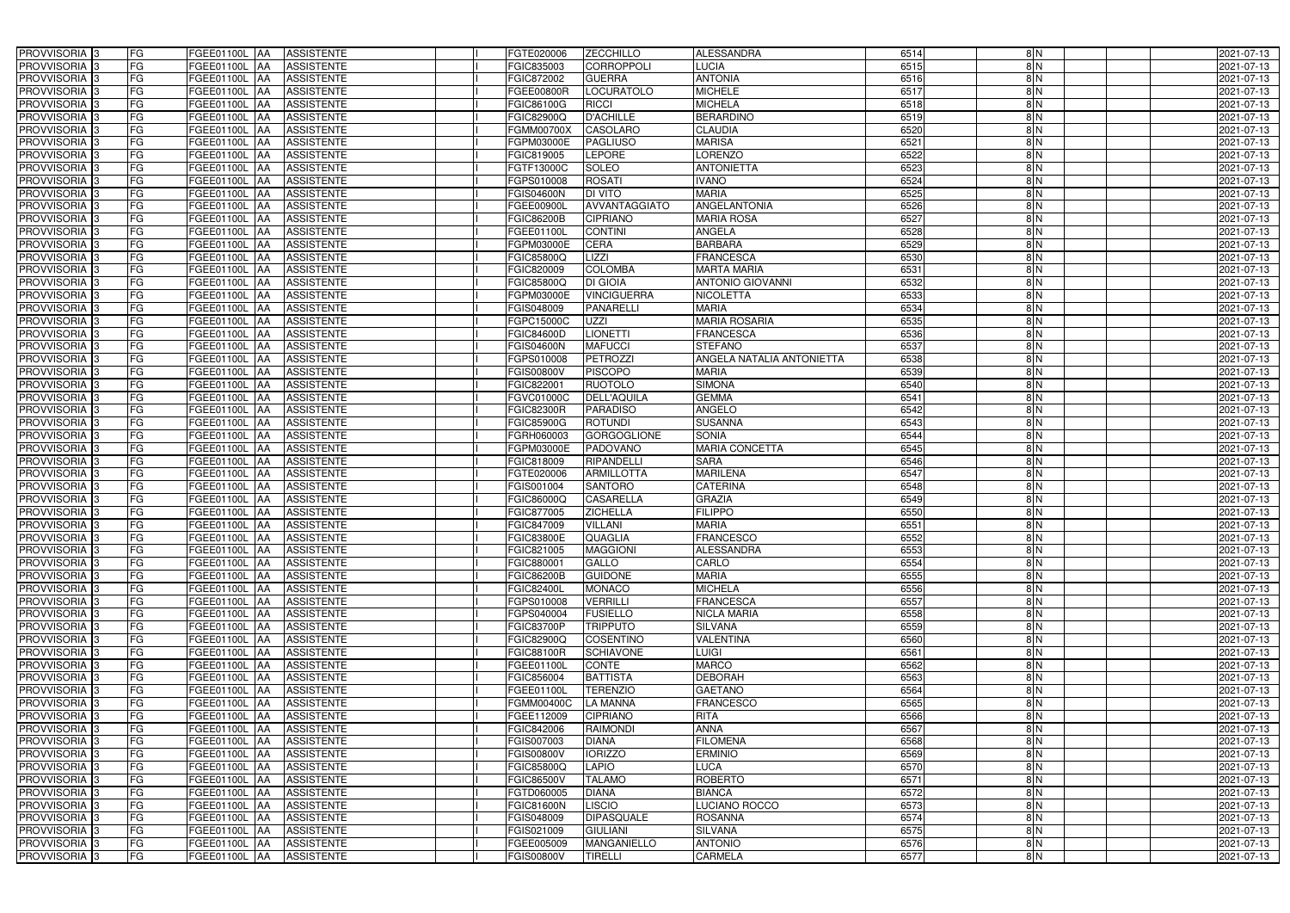| PROVVISORIA <sup>3</sup><br><b>FG</b>                            | FGEE01100L AA<br><b>ASSISTENTE</b>                  | FGTE020006<br><b>ZECCHILLO</b>                                       | <b>ALESSANDRA</b>                     | 6514         | 8N            | 2021-07-13               |
|------------------------------------------------------------------|-----------------------------------------------------|----------------------------------------------------------------------|---------------------------------------|--------------|---------------|--------------------------|
| FG<br>PROVVISORIA <sup>3</sup>                                   | <b>ASSISTENTE</b><br>FGEE01100L<br>IAA              | <b>CORROPPOLI</b><br>FGIC835003                                      | LUCIA                                 | 6515         | 8N            | 2021-07-13               |
| FG<br>PROVVISORIA <sup>3</sup>                                   | FGEE01100L<br><b>ASSISTENTE</b><br>IAA              | FGIC872002<br><b>GUERRA</b>                                          | <b>ANTONIA</b>                        | 6516         | 8N            | 2021-07-13               |
| FG<br>PROVVISORIA 3                                              | FGEE01100L<br><b>ASSISTENTE</b><br>IAA              | LOCURATOLO<br>FGEE00800R                                             | <b>MICHELE</b>                        | 6517         | 8N            | 2021-07-13               |
| FG<br>PROVVISORIA <sup>3</sup>                                   | FGEE01100L<br><b>ASSISTENTE</b><br>IAA              | <b>RICCI</b><br>FGIC86100G                                           | <b>MICHELA</b>                        | 6518         | $\frac{8}{N}$ | 2021-07-13               |
| FG<br>PROVVISORIA <sup>3</sup>                                   | FGEE01100L AA<br><b>ASSISTENTE</b>                  | <b>D'ACHILLE</b><br>FGIC82900Q                                       | <b>BERARDINO</b>                      | 6519         | $\frac{8}{N}$ | 2021-07-13               |
| FG<br>PROVVISORIA <sup>3</sup>                                   | FGEE01100L AA<br><b>ASSISTENTE</b>                  | <b>CASOLARO</b><br>FGMM00700X                                        | <b>CLAUDIA</b>                        | 6520         | 8N            | 2021-07-13               |
| FG<br>PROVVISORIA <sup>3</sup>                                   | FGEE01100L AA<br><b>ASSISTENTE</b>                  | <b>PAGLIUSO</b><br>FGPM03000E                                        | <b>MARISA</b>                         | 6521         | $\frac{8}{N}$ | 2021-07-13               |
| PROVVISORIA 3<br>FG                                              | FGEE01100L AA<br><b>ASSISTENTE</b>                  | <b>LEPORE</b><br>FGIC819005                                          | <b>LORENZO</b>                        | 6522         | $\frac{8}{N}$ | 2021-07-13               |
| PROVVISORIA <sup>3</sup><br>FG                                   | FGEE01100L AA<br><b>ASSISTENTE</b>                  | <b>SOLEO</b><br>FGTF13000C                                           | <b>ANTONIETTA</b>                     | 6523         | $\frac{8}{N}$ | 2021-07-13               |
| PROVVISORIA 3<br>FG                                              | FGEE01100L AA<br><b>ASSISTENTE</b>                  | <b>ROSATI</b><br><b>EGPS010008</b>                                   | <b>IVANO</b>                          | 6524         | $\frac{8}{N}$ | 2021-07-13               |
| PROVVISORIA 3<br>FG                                              | FGEE01100L AA<br><b>ASSISTENTE</b>                  | <b>DI VITO</b><br>FGIS04600N                                         | <b>MARIA</b>                          | 6525         | $\frac{8}{N}$ | 2021-07-13               |
| PROVVISORIA <sup>3</sup><br>FG                                   | FGEE01100L AA<br><b>ASSISTENTE</b>                  | AVVANTAGGIATO<br>FGEE00900L                                          | <b>ANGELANTONIA</b>                   | 6526         | $\frac{8}{N}$ | 2021-07-13               |
| PROVVISORIA 3<br>FG                                              | FGEE01100L AA<br><b>ASSISTENTE</b>                  | <b>FGIC86200B</b><br><b>CIPRIANO</b>                                 | <b>MARIA ROSA</b>                     | 6527         | $\frac{8}{N}$ | 2021-07-13               |
| PROVVISORIA 3<br>FG                                              | FGEE01100L AA<br><b>ASSISTENTE</b>                  | <b>CONTINI</b><br>FGEE01100L                                         | <b>ANGELA</b>                         | 6528         | $\frac{8}{N}$ | 2021-07-13               |
| FG<br>PROVVISORIA 3                                              | <b>FGEE01100L</b><br><b>ASSISTENTE</b><br>IAA       | <b>CERA</b><br>FGPM03000E                                            | <b>BARBARA</b>                        | 6529         | 8N            | 2021-07-13               |
| FG<br>PROVVISORIA <sup>3</sup>                                   | FGEE01100L<br><b>ASSISTENTE</b><br>IAA              | $L$ $Z$ $Z$<br>FGIC85800Q                                            | <b>FRANCESCA</b>                      | 6530         | 8N            | 2021-07-13               |
| PROVVISORIA 3<br>FG                                              | FGEE01100L AA<br><b>ASSISTENTE</b>                  | <b>COLOMBA</b><br>FGIC820009                                         | <b>MARTA MARIA</b>                    | 6531         | $\frac{8}{N}$ | 2021-07-13               |
| PROVVISORIA 3<br>FG                                              | FGEE01100L<br><b>ASSISTENTE</b><br><b>JAA</b>       | <b>DI GIOIA</b><br>FGIC85800Q                                        | <b>ANTONIO GIOVANNI</b>               | 6532         | $\frac{8}{N}$ | 2021-07-13               |
| PROVVISORIA 3<br>FG                                              | FGEE01100L<br>IAA<br><b>ASSISTENTE</b>              | FGPM03000E<br><b>VINCIGUERRA</b>                                     | <b>NICOLETTA</b>                      | 6533         | 8 N           | 2021-07-13               |
| FG<br>PROVVISORIA <sup>3</sup>                                   | FGEE01100L<br><b>ASSISTENTE</b><br>ΙAΑ              | <b>PANARELLI</b><br>FGIS048009                                       | <b>MARIA</b>                          | 6534         | $\frac{8}{N}$ | 2021-07-13               |
| PROVVISORIA 3<br>FG                                              | FGEE01100L<br><b>ASSISTENTE</b><br>IAA              | UZZI<br>FGPC15000C                                                   | <b>MARIA ROSARIA</b>                  | 6535         | 8N            | 2021-07-13               |
| PROVVISORIA 3<br>FG                                              | FGEE01100L<br><b>ASSISTENTE</b><br>IAA              | FGIC84600D<br><b>LIONETTI</b>                                        | <b>FRANCESCA</b>                      | 6536         | 8N            | 2021-07-13               |
| PROVVISORIA 3<br>FG                                              | FGEE01100L AA<br><b>ASSISTENTE</b>                  | <b>MAFUCCI</b><br>FGIS04600N                                         | <b>STEFANO</b>                        | 6537         | 8N            | 2021-07-13               |
| PROVVISORIA 3<br>FG                                              | FGEE01100L<br><b>ASSISTENTE</b><br> AA              | <b>PETROZZI</b><br>GPS010008                                         | ANGELA NATALIA ANTONIETTA             | 6538         | 8N            | 2021-07-13               |
| PROVVISORIA 3<br>FG                                              | FGEE01100L<br><b>ASSISTENTE</b><br><b>IAA</b>       | <b>PISCOPO</b><br>FGIS00800V                                         | <b>MARIA</b>                          | 6539         | 8N            | 2021-07-13               |
| PROVVISORIA 3<br>FG                                              | FGEE01100L AA<br><b>ASSISTENTE</b>                  | <b>RUOTOLO</b><br>FGIC822001                                         | <b>SIMONA</b>                         | 6540         | 8N            | 2021-07-13               |
| FG<br>PROVVISORIA 3                                              | FGEE01100L<br><b>ASSISTENTE</b><br>IAA              | FGVC01000C<br>DELL'AQUILA                                            | <b>GEMMA</b>                          | 6541         | 8N            | 2021-07-13               |
| PROVVISORIA <sup>3</sup><br>FG                                   | FGEE01100L AA<br><b>ASSISTENTE</b>                  | FGIC82300R<br><b>PARADISO</b>                                        | ANGELO                                | 6542         | 8N            | 2021-07-13               |
| FG<br>PROVVISORIA <sup>3</sup>                                   | FGEE01100L AA<br><b>ASSISTENTE</b>                  | <b>ROTUNDI</b><br>FGIC85900G                                         | <b>SUSANNA</b>                        | 6543         | 8N            | 2021-07-13               |
| FG<br>PROVVISORIA <sup>3</sup>                                   | FGEE01100L AA<br><b>ASSISTENTE</b>                  | <b>GORGOGLIONE</b><br>FGRH060003                                     | <b>SONIA</b>                          | 6544         | $\frac{8}{N}$ | 2021-07-13               |
| PROVVISORIA <sup>3</sup><br>FG                                   | <b>ASSISTENTE</b><br>FGEE01100L AA                  | <b>PADOVANO</b><br>FGPM03000E                                        | <b>MARIA CONCETTA</b>                 | 6545         | 8N            | 2021-07-13               |
| FG<br>PROVVISORIA <sup>3</sup>                                   | FGEE01100L AA<br><b>ASSISTENTE</b>                  | RIPANDELLI<br>FGIC818009                                             | <b>SARA</b>                           | 6546         | 8N            | 2021-07-13               |
| PROVVISORIA <sup>3</sup><br>FG                                   | FGEE01100L AA<br><b>ASSISTENTE</b>                  | FGTE020006<br><b>ARMILLOTTA</b>                                      | <b>MARILENA</b>                       | 6547         | $\frac{8}{N}$ | 2021-07-13               |
| FG<br>PROVVISORIA <sup>3</sup>                                   | <b>ASSISTENTE</b><br>FGEE01100L<br>IAA              | <b>SANTORO</b><br>FGIS001004                                         | <b>CATERINA</b>                       | 6548         | 8N            | 2021-07-13               |
| PROVVISORIA <sup>3</sup><br>FG                                   | <b>FGEE01100L</b><br><b>ASSISTENTE</b><br>IAA       | <b>CASARELLA</b><br>FGIC86000Q                                       | <b>GRAZIA</b>                         | 6549         | 8 N           | 2021-07-13               |
| PROVVISORIA <sup>3</sup><br>FG                                   | FGEE01100L<br><b>ASSISTENTE</b><br>IAA              | <b>ZICHELLA</b><br>EGIC877005                                        | <b>FILIPPO</b>                        | 6550         | $\frac{8}{N}$ | 2021-07-13               |
| FG<br>PROVVISORIA <sup>1</sup> 3                                 | FGEE01100L AA<br><b>ASSISTENTE</b>                  | <b>VILLANI</b><br>FGIC847009                                         | <b>MARIA</b>                          | 6551         | $\frac{8}{N}$ | 2021-07-13               |
| PROVVISORIA <sup>3</sup><br>FG<br>PROVVISORIA <sup>3</sup><br>FG | FGEE01100L AA<br><b>ASSISTENTE</b><br>FGEE01100L AA | <b>FGIC83800E</b><br><b>QUAGLIA</b><br>FGIC821005<br><b>MAGGIONI</b> | <b>FRANCESCO</b><br><b>ALESSANDRA</b> | 6552<br>6553 | 8 N<br>8N     | 2021-07-13               |
| PROVVISORIA <sup>3</sup><br>FG                                   | <b>ASSISTENTE</b><br>FGEE01100L AA<br>ASSISTENTE    | GALLO<br>FGIC880001                                                  | CARLO                                 | 6554         | 8N            | 2021-07-13<br>2021-07-13 |
| PROVVISORIA <sup>3</sup><br>FG                                   | <b>FGEE01100L AA</b><br><b>ASSISTENTE</b>           | <b>GUIDONE</b><br><b>FGIC86200B</b>                                  | <b>MARIA</b>                          | 6555         | 8 N           | 2021-07-13               |
| PROVVISORIA <sup>3</sup><br>FG                                   | FGEE01100L AA<br>ASSISTENTE                         | <b>MONACO</b><br>FGIC82400L                                          | <b>MICHELA</b>                        | 6556         | $\frac{8}{N}$ | 2021-07-13               |
| PROVVISORIA <sup>3</sup><br>FG                                   | FGEE01100L AA<br>ASSISTENTE                         | <b>VERRILLI</b><br>FGPS010008                                        | <b>FRANCESCA</b>                      | 6557         | $\frac{8}{N}$ | 2021-07-13               |
| PROVVISORIA 3<br>FG                                              | FGEE01100L AA<br><b>ASSISTENTE</b>                  | <b>FUSIELLO</b><br>FGPS040004                                        | <b>NICLA MARIA</b>                    | 6558         | $\frac{8}{2}$ | 2021-07-13               |
| PROVVISORIA <sup>3</sup><br>FG                                   | FGEE01100L AA<br><b>ASSISTENTE</b>                  | <b>TRIPPUTO</b><br><b>FGIC83700P</b>                                 | <b>SILVANA</b>                        | 6559         | $\frac{8}{N}$ | 2021-07-13               |
| PROVVISORIA <sup>3</sup><br>FG                                   | FGEE01100L AA<br>ASSISTENTE                         | FGIC82900Q<br><b>COSENTINO</b>                                       | <b>VALENTINA</b>                      | 6560         | 8N            | 2021-07-13               |
| PROVVISORIA <sup>3</sup><br>FG                                   | FGEE01100L AA<br>ASSISTENTE                         | <b>FGIC88100R</b><br><b>SCHIAVONE</b>                                | <b>LUIGI</b>                          | 6561         | $\frac{8}{N}$ | 2021-07-13               |
| PROVVISORIA <sup>3</sup><br>FG                                   | FGEE01100L AA<br><b>ASSISTENTE</b>                  | FGEE01100L<br><b>CONTE</b>                                           | <b>MARCO</b>                          | 6562         | 8N            | 2021-07-13               |
| PROVVISORIA <sup>3</sup><br>FG                                   | FGEE01100L AA<br><b>ASSISTENTE</b>                  | <b>BATTISTA</b><br>FGIC856004                                        | <b>DEBORAH</b>                        | 6563         | 8N            | 2021-07-13               |
| FG<br>PROVVISORIA <sup>3</sup>                                   | FGEE01100L AA<br><b>ASSISTENTE</b>                  | <b>TERENZIO</b><br>FGEE01100L                                        | <b>GAETANO</b>                        | 6564         | 8N            | 2021-07-13               |
| PROVVISORIA <sup>3</sup><br>FG                                   | FGEE01100L AA<br><b>ASSISTENTE</b>                  | FGMM00400C<br><b>LA MANNA</b>                                        | <b>FRANCESCO</b>                      | 6565         | 8N            | 2021-07-13               |
| PROVVISORIA <sup>3</sup><br>FG                                   | FGEE01100L AA<br><b>ASSISTENTE</b>                  | <b>CIPRIANO</b><br>FGEE112009                                        | <b>RITA</b>                           | 6566         | 8N            | 2021-07-13               |
| PROVVISORIA <sup>3</sup><br>FG                                   | FGEE01100L AA<br><b>ASSISTENTE</b>                  | FGIC842006<br><b>RAIMONDI</b>                                        | <b>ANNA</b>                           | 6567         | 8N            | 2021-07-13               |
| FG<br>PROVVISORIA <sup>13</sup>                                  | FGEE01100L AA<br><b>ASSISTENTE</b>                  | <b>DIANA</b><br>FGIS007003                                           | <b>FILOMENA</b>                       | 6568         | $\frac{8}{N}$ | 2021-07-13               |
| FG<br>PROVVISORIA <sup>1</sup> 3                                 | FGEE01100L AA<br><b>ASSISTENTE</b>                  | <b>IORIZZO</b><br>FGIS00800V                                         | <b>ERMINIO</b>                        | 6569         | $\frac{8}{N}$ | 2021-07-13               |
| FG<br>PROVVISORIA <sup>3</sup>                                   | FGEE01100L AA<br><b>ASSISTENTE</b>                  | <b>LAPIO</b><br>FGIC85800Q                                           | <b>LUCA</b>                           | 6570         | $\frac{8}{N}$ | 2021-07-13               |
| PROVVISORIA <sup>1</sup> 3<br>FG                                 | FGEE01100L AA<br><b>ASSISTENTE</b>                  | FGIC86500V<br><b>TALAMO</b>                                          | <b>ROBERTO</b>                        | 6571         | $\frac{8}{N}$ | 2021-07-13               |
| PROVVISORIA <sup>3</sup><br>FG                                   | <b>ASSISTENTE</b><br>FGEE01100L AA                  | <b>DIANA</b><br>FGTD060005                                           | <b>BIANCA</b>                         | 6572         | $\frac{8}{N}$ | 2021-07-13               |
| FG<br>PROVVISORIA <sup>1</sup> 3                                 | <b>ASSISTENTE</b><br>FGEE01100L AA                  | <b>LISCIO</b><br>FGIC81600N                                          | LUCIANO ROCCO                         | 6573         | 8N            | 2021-07-13               |
| FG<br>PROVVISORIA <sup>3</sup>                                   | FGEE01100L AA<br><b>ASSISTENTE</b>                  | <b>DIPASQUALE</b><br>FGIS048009                                      | <b>ROSANNA</b>                        | 6574         | $\frac{8}{N}$ | 2021-07-13               |
| PROVVISORIA <sup>3</sup><br>FG                                   | FGEE01100L AA<br><b>ASSISTENTE</b>                  | FGIS021009<br><b>GIULIANI</b>                                        | <b>SILVANA</b>                        | 6575         | $\frac{8}{N}$ | 2021-07-13               |
| PROVVISORIA <sup>3</sup><br>FG                                   | FGEE01100L AA<br>ASSISTENTE                         | FGEE005009<br><b>MANGANIELLO</b>                                     | <b>ANTONIO</b>                        | 6576         | $\frac{8}{2}$ | 2021-07-13               |
| PROVVISORIA <sup>3</sup><br>FG                                   | FGEE01100L AA<br>ASSISTENTE                         | TIRELLI<br><b>FGIS00800V</b>                                         | <b>CARMELA</b>                        | 6577         | $\frac{8}{2}$ | 2021-07-13               |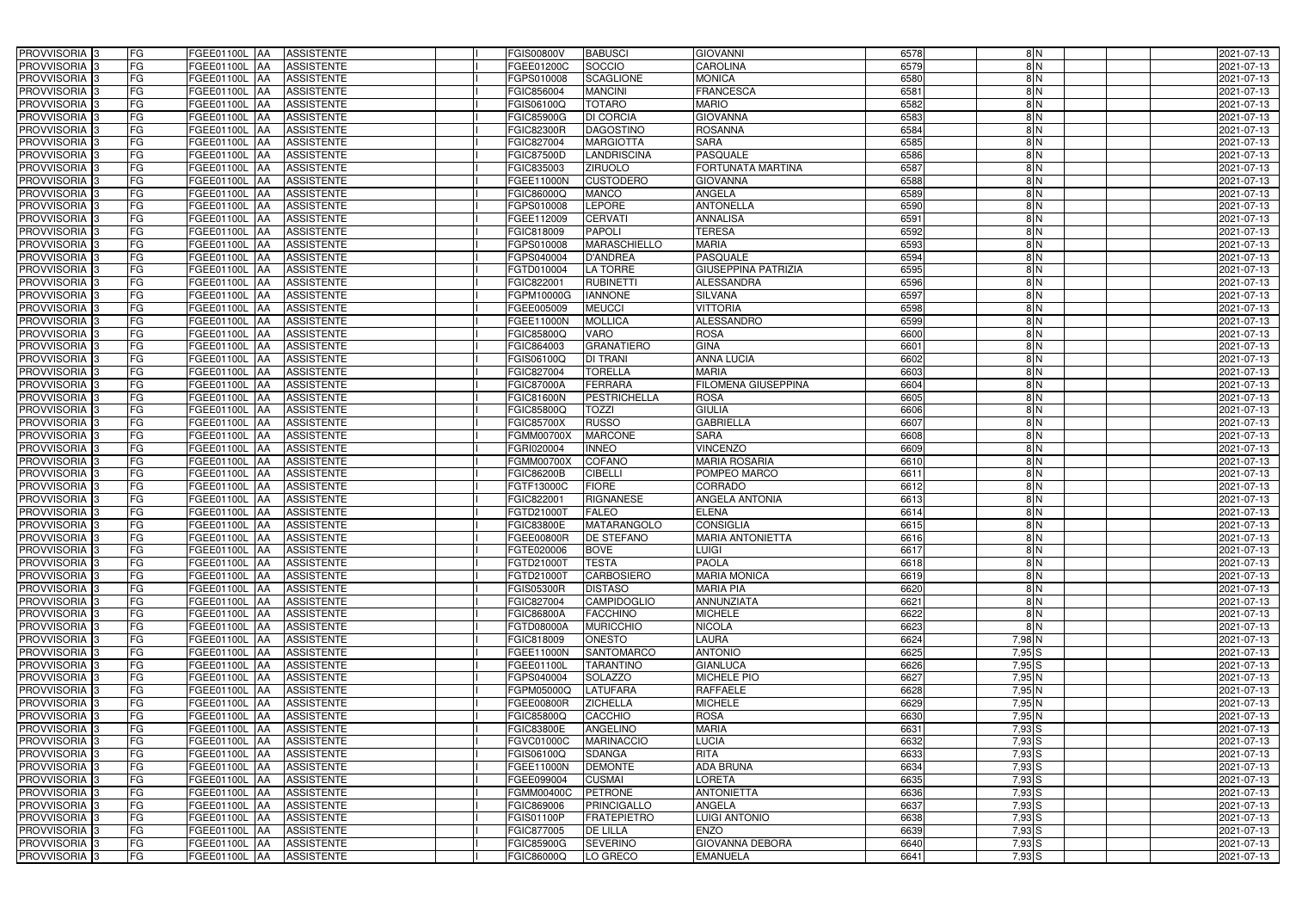| PROVVISORIA <sup>3</sup><br>FG                                      | FGEE01100L AA<br><b>ASSISTENTE</b>                   | FGIS00800V<br><b>BABUSCI</b>                            | <b>GIOVANNI</b>                         | 6578         | 8N            | 2021-07-13               |
|---------------------------------------------------------------------|------------------------------------------------------|---------------------------------------------------------|-----------------------------------------|--------------|---------------|--------------------------|
| FG<br>PROVVISORIA <sup>3</sup>                                      | FGEE01100L AA<br><b>ASSISTENTE</b>                   | SOCCIO<br>FGEE01200C                                    | <b>CAROLINA</b>                         | 6579         | 8N            | 2021-07-13               |
| FG<br>PROVVISORIA <sup>1</sup> 3                                    | FGEE01100L   AA<br><b>ASSISTENTE</b>                 | <b>SCAGLIONE</b><br>FGPS010008                          | <b>MONICA</b>                           | 6580         | 8N            | 2021-07-13               |
| FG<br>PROVVISORIA <sup>3</sup>                                      | FGEE01100L AA<br><b>ASSISTENTE</b>                   | <b>MANCINI</b><br>FGIC856004                            | <b>FRANCESCA</b>                        | 6581         | $\frac{8}{N}$ | 2021-07-13               |
| FG<br>PROVVISORIA <sup>3</sup>                                      | FGEE01100L AA<br><b>ASSISTENTE</b>                   | <b>TOTARO</b><br>FGIS06100Q                             | <b>MARIO</b>                            | 6582         | 8N            | 2021-07-13               |
| FG<br>PROVVISORIA <sup>3</sup>                                      | FGEE01100L AA<br><b>ASSISTENTE</b>                   | <b>DI CORCIA</b><br><b>FGIC85900G</b>                   | <b>GIOVANNA</b>                         | 6583         | $\frac{8}{N}$ | 2021-07-13               |
| FG<br>PROVVISORIA <sup>3</sup>                                      | FGEE01100L AA<br><b>ASSISTENTE</b>                   | <b>FGIC82300R</b><br><b>DAGOSTINO</b>                   | <b>ROSANNA</b>                          | 6584         | 8N            | 2021-07-13               |
| FG<br>PROVVISORIA <sup>3</sup>                                      | <b>ASSISTENTE</b><br>FGEE01100L AA                   | FGIC827004<br><b>MARGIOTTA</b>                          | <b>SARA</b>                             | 6585         | 8N            | 2021-07-13               |
| FG<br>PROVVISORIA <sup>3</sup>                                      | <b>FGEE01100L</b><br><b>ASSISTENTE</b><br><b>IAA</b> | <b>LANDRISCINA</b><br>FGIC87500D                        | <b>PASQUALE</b>                         | 6586         | $\frac{8}{N}$ | 2021-07-13               |
| PROVVISORIA <sup>3</sup><br>FG                                      | FGEE01100L<br><b>ASSISTENTE</b><br>IAA               | <b>ZIRUOLO</b><br>FGIC835003                            | FORTUNATA MARTINA                       | 6587         | $\frac{8}{N}$ | 2021-07-13               |
| FG<br>PROVVISORIA <sup>3</sup>                                      | <b>FGEE01100L AA</b><br><b>ASSISTENTE</b>            | <b>CUSTODERO</b><br>FGEE11000N                          | <b>GIOVANNA</b>                         | 6588         | $\frac{8}{N}$ | 2021-07-13               |
| PROVVISORIA 3<br>FG                                                 | <b>FGEE01100L AA</b><br><b>ASSISTENTE</b>            | <b>MANCO</b><br>FGIC86000Q                              | <b>ANGELA</b>                           | 6589         | $\frac{8}{N}$ | 2021-07-13               |
| PROVVISORIA <sup>3</sup><br>FG                                      | FGEE01100L AA<br><b>ASSISTENTE</b>                   | <b>LEPORE</b><br>FGPS010008                             | <b>ANTONELLA</b>                        | 6590         | $\frac{8}{N}$ | 2021-07-13               |
| PROVVISORIA 3<br>FG                                                 | FGEE01100L AA<br><b>ASSISTENTE</b>                   | <b>CERVATI</b><br>FGEE112009                            | <b>ANNALISA</b>                         | 6591         | 8N            | 2021-07-13               |
| PROVVISORIA 3<br>FG                                                 | <b>FGEE01100L   AA</b><br><b>ASSISTENTE</b>          | <b>PAPOLI</b><br>FGIC818009                             | <b>TERESA</b>                           | 6592         | 8N            | 2021-07-13               |
| FG<br>PROVVISORIA 3                                                 | <b>FGEE01100L AA</b><br><b>ASSISTENTE</b>            | <b>MARASCHIELLO</b><br>FGPS010008                       | <b>MARIA</b>                            | 6593         | 8N            | 2021-07-13               |
| PROVVISORIA 3<br>FG                                                 | FGEE01100L AA<br><b>ASSISTENTE</b>                   | <b>D'ANDREA</b><br>FGPS040004                           | <b>PASQUALE</b>                         | 6594         | $\frac{8}{N}$ | 2021-07-13               |
| PROVVISORIA 3<br>FG                                                 | FGEE01100L AA<br><b>ASSISTENTE</b>                   | <b>LA TORRE</b><br>FGTD010004                           | <b>GIUSEPPINA PATRIZIA</b>              | 6595         | $\frac{8}{N}$ | 2021-07-13               |
| PROVVISORIA 3<br>FG                                                 | FGEE01100L AA<br><b>ASSISTENTE</b>                   | FGIC82200<br><b>RUBINETTI</b>                           | <b>ALESSANDRA</b>                       | 6596         | $\frac{8}{N}$ | 2021-07-13               |
| PROVVISORIA 3<br>FG                                                 | FGEE01100L<br><b>ASSISTENTE</b><br>l AA              | <b>IANNONE</b><br>FGPM10000G                            | <b>SILVANA</b>                          | 6597         | 8N            | 2021-07-13               |
| PROVVISORIA <sup>3</sup><br>FG                                      | FGEE01100L<br><b>ASSISTENTE</b><br>ΙAΑ               | <b>MEUCCI</b><br>FGEE005009                             | <b>VITTORIA</b>                         | 6598         | $\frac{8}{N}$ | 2021-07-13               |
| FG<br>PROVVISORIA <sup>3</sup>                                      | FGEE01100L<br><b>ASSISTENTE</b><br>IAA               | <b>MOLLICA</b><br>FGEE11000N                            | ALESSANDRO                              | 6599         | 8N            | 2021-07-13               |
| PROVVISORIA 3<br>FG                                                 | <b>FGEE01100L</b><br><b>ASSISTENTE</b><br>IAA        | VARO<br>FGIC85800Q                                      | <b>ROSA</b>                             | 6600         | 8N            | 2021-07-13               |
| PROVVISORIA <sup>3</sup><br>FG                                      | <b>FGEE01100L</b><br><b>ASSISTENTE</b><br>IAA        | <b>GRANATIERO</b><br>FGIC864003                         | <b>GINA</b>                             | 6601         | 8N            | 2021-07-13               |
| PROVVISORIA 3<br>FG                                                 | FGEE01100L AA<br><b>ASSISTENTE</b>                   | <b>GIS06100Q</b><br><b>DI TRANI</b>                     | <b>ANNA LUCIA</b>                       | 6602         | 8N            | 2021-07-13               |
| PROVVISORIA 3<br>FG                                                 | FGEE01100L<br><b>ASSISTENTE</b><br>IAA               | <b>TORELLA</b><br>FGIC827004                            | <b>MARIA</b>                            | 6603         | 8N            | 2021-07-13               |
| PROVVISORIA 3<br>FG                                                 | <b>FGEE01100L</b><br><b>ASSISTENTE</b>               | <b>FERRARA</b><br>FGIC87000A                            | FILOMENA GIUSEPPINA                     | 6604         | 8N            | 2021-07-13               |
| FG<br>PROVVISORIA 3                                                 | FGEE01100L<br><b>ASSISTENTE</b><br>IAA               | <b>PESTRICHELLA</b><br><b>GIC81600N</b>                 | <b>ROSA</b>                             | 6605         | 8N            | 2021-07-13               |
| FG<br>PROVVISORIA <sup>3</sup>                                      | FGEE01100L<br><b>ASSISTENTE</b>                      | <b>TOZZI</b><br>FGIC85800Q                              | <b>GIULIA</b>                           | 6606         | $\frac{8}{N}$ | 2021-07-13               |
| FG<br>PROVVISORIA <sup>3</sup>                                      | <b>FGEE01100L</b><br><b>ASSISTENTE</b><br><b>JAA</b> | <b>RUSSO</b><br><b>FGIC85700X</b>                       | <b>GABRIELLA</b>                        | 6607         | $\frac{8}{N}$ | 2021-07-13               |
| FG<br>PROVVISORIA <sup>3</sup>                                      | FGEE01100L AA<br><b>ASSISTENTE</b>                   | <b>MARCONE</b><br>FGMM00700X                            | <b>SARA</b>                             | 6608         | $\frac{8}{N}$ | 2021-07-13               |
| FG<br>PROVVISORIA <sup>3</sup>                                      | FGEE01100L<br><b>ASSISTENTE</b><br>IAA               | <b>INNEO</b><br>FGRI020004                              | <b>VINCENZO</b>                         | 6609         | $\frac{8}{N}$ | 2021-07-13               |
| PROVVISORIA <sup>3</sup><br>FG                                      | FGEE01100L<br><b>ASSISTENTE</b><br>IAA               | <b>COFANO</b><br><b>FGMM00700X</b>                      | <b>MARIA ROSARIA</b>                    | 6610         | $\frac{8}{N}$ | 2021-07-13               |
| PROVVISORIA <sup>3</sup><br>FG                                      | FGEE01100L AA<br><b>ASSISTENTE</b>                   | FGIC86200B<br><b>CIBELLI</b>                            | POMPEO MARCO                            | 6611         | $\frac{8}{N}$ | 2021-07-13               |
| FG<br>PROVVISORIA <sup>13</sup>                                     | FGEE01100L AA<br><b>ASSISTENTE</b>                   | <b>FIORE</b><br>FGTF13000C                              | <b>CORRADO</b>                          | 6612         | $\frac{8}{N}$ | 2021-07-13               |
| FG<br>PROVVISORIA <sup>3</sup>                                      | FGEE01100L AA<br><b>ASSISTENTE</b>                   | <b>RIGNANESE</b><br>FGIC822001                          | <b>ANGELA ANTONIA</b>                   | 6613         | $\frac{8}{N}$ | 2021-07-13               |
| FG<br>PROVVISORIA <sup>1</sup> 3                                    | FGEE01100L AA<br><b>ASSISTENTE</b>                   | <b>FALEO</b><br>FGTD21000T                              | <b>ELENA</b>                            | 6614         | $\frac{8}{N}$ | 2021-07-13               |
| PROVVISORIA <sup>3</sup><br>FG                                      | FGEE01100L AA<br><b>ASSISTENTE</b>                   | <b>FGIC83800E</b><br>MATARANGOLO                        | <b>CONSIGLIA</b>                        | 6615         | $\frac{8}{N}$ | 2021-07-13               |
| PROVVISORIA <sup>3</sup><br><b>FG</b><br>FG<br><b>PROVVISORIA</b> 3 | FGEE01100L AA ASSISTENTE<br>FGEE01100L AA            | <b>FGEE00800R</b><br><b>DE STEFANO</b>                  | <b>MARIA ANTONIETTA</b><br><b>LUIGI</b> | 6616         | 8 N           | 2021-07-13<br>2021-07-13 |
| PROVVISORIA <sup>3</sup><br>FG                                      | ASSISTENTE<br>FGEE01100L AA<br><b>ASSISTENTE</b>     | FGTE020006<br><b>BOVE</b><br>FGTD21000T<br><b>TESTA</b> | <b>PAOLA</b>                            | 6617<br>6618 | 8 N<br>8 N    | 2021-07-13               |
| PROVVISORIA <sup>3</sup><br>FG                                      | FGEE01100L AA ASSISTENTE                             | <b>CARBOSIERO</b><br>FGTD21000T                         | <b>MARIA MONICA</b>                     | 6619         | 8 N           | 2021-07-13               |
| <b>PROVVISORIA</b> 3<br>FG                                          | <b>FGEE01100L AA</b><br>ASSISTENTE                   | <b>DISTASO</b><br><b>FGIS05300R</b>                     | <b>MARIA PIA</b>                        | 6620         | $\frac{8}{N}$ | 2021-07-13               |
| PROVVISORIA <sup>3</sup><br>FG                                      | FGEE01100L AA<br><b>ASSISTENTE</b>                   | FGIC827004<br><b>CAMPIDOGLIO</b>                        | <b>ANNUNZIATA</b>                       | 6621         | 8 N           | 2021-07-13               |
| PROVVISORIA <sup>1</sup> 3<br>FG                                    | FGEE01100L AA<br><b>ASSISTENTE</b>                   | FGIC86800A<br><b>FACCHINO</b>                           | <b>MICHELE</b>                          | 6622         | $\frac{8}{2}$ | 2021-07-13               |
| PROVVISORIA <sup>3</sup><br>FG                                      | FGEE01100L AA<br>ASSISTENTE                          | <b>MURICCHIO</b><br>FGTD08000A                          | <b>NICOLA</b>                           | 6623         | 8N            | 2021-07-13               |
| FG<br>PROVVISORIA <sup>1</sup> 3                                    | FGEE01100L AA<br>ASSISTENTE                          | FGIC818009<br><b>ONESTO</b>                             | <b>LAURA</b>                            | 6624         | $7,98$ N      | 2021-07-13               |
| PROVVISORIA <sup>3</sup><br>FG                                      | FGEE01100L AA<br><b>ASSISTENTE</b>                   | FGEE11000N<br><b>SANTOMARCO</b>                         | <b>ANTONIO</b>                          | 6625         | $7,95$ S      | 2021-07-13               |
| PROVVISORIA <sup>3</sup><br>FG                                      | FGEE01100L AA<br><b>ASSISTENTE</b>                   | <b>TARANTINO</b><br>FGEE01100L                          | <b>GIANLUCA</b>                         | 6626         | $7,95$ S      | 2021-07-13               |
| PROVVISORIA <sup>3</sup><br>FG                                      | FGEE01100L AA<br><b>ASSISTENTE</b>                   | FGPS040004<br><b>SOLAZZO</b>                            | <b>MICHELE PIO</b>                      | 6627         | $7,95$ N      | 2021-07-13               |
| PROVVISORIA <sup>3</sup><br>FG                                      | FGEE01100L AA<br><b>ASSISTENTE</b>                   | <b>LATUFARA</b><br>FGPM05000Q                           | <b>RAFFAELE</b>                         | 6628         | $7,95$ N      | 2021-07-13               |
| FG<br>PROVVISORIA <sup>3</sup>                                      | FGEE01100L AA<br><b>ASSISTENTE</b>                   | <b>ZICHELLA</b><br>FGEE00800R                           | <b>MICHELE</b>                          | 6629         | 7,95N         | 2021-07-13               |
| FG<br>PROVVISORIA <sup>3</sup>                                      | FGEE01100L AA<br><b>ASSISTENTE</b>                   | <b>CACCHIO</b><br>FGIC85800Q                            | <b>ROSA</b>                             | 6630         | 7,95N         | 2021-07-13               |
| FG<br>PROVVISORIA <sup>3</sup>                                      | FGEE01100L AA<br><b>ASSISTENTE</b>                   | ANGELINO<br><b>FGIC83800E</b>                           | <b>MARIA</b>                            | 6631         | $7,93$ S      | 2021-07-13               |
| FG<br>PROVVISORIA <sup>3</sup>                                      | FGEE01100L AA<br><b>ASSISTENTE</b>                   | <b>MARINACCIO</b><br>FGVC01000C                         | <b>LUCIA</b>                            | 6632         | $7,93$ S      | 2021-07-13               |
| PROVVISORIA <sup>3</sup><br>FG                                      | <b>ASSISTENTE</b><br>FGEE01100L AA                   | <b>SDANGA</b><br>FGIS06100Q                             | <b>RITA</b>                             | 6633         | $7,93$ S      | 2021-07-13               |
| PROVVISORIA <sup>3</sup><br>FG                                      | FGEE01100L AA<br><b>ASSISTENTE</b>                   | <b>DEMONTE</b><br>FGEE11000N                            | <b>ADA BRUNA</b>                        | 6634         | $7,93$ S      | 2021-07-13               |
| FG<br>PROVVISORIA <sup>1</sup> 3                                    | FGEE01100L AA<br><b>ASSISTENTE</b>                   | <b>CUSMAI</b><br>FGEE099004                             | <b>LORETA</b>                           | 6635         | $7,93$ S      | 2021-07-13               |
| PROVVISORIA <sup>3</sup><br>FG                                      | <b>ASSISTENTE</b><br>FGEE01100L AA                   | <b>PETRONE</b><br>FGMM00400C                            | <b>ANTONIETTA</b>                       | 6636         | $7,93$ S      | 2021-07-13               |
| FG<br>PROVVISORIA <sup>1</sup> 3                                    | FGEE01100L AA<br><b>ASSISTENTE</b>                   | FGIC869006<br><b>PRINCIGALLO</b>                        | <b>ANGELA</b>                           | 6637         | $7,93$ S      | 2021-07-13               |
| PROVVISORIA <sup>3</sup><br>FG                                      | FGEE01100L AA<br><b>ASSISTENTE</b>                   | <b>FRATEPIETRO</b><br>FGIS01100P                        | <b>LUIGI ANTONIO</b>                    | 6638         | $7,93$ S      | 2021-07-13               |
| PROVVISORIA <sup>3</sup><br>FG                                      | <b>ASSISTENTE</b><br>FGEE01100L AA                   | <b>DE LILLA</b><br>FGIC877005                           | <b>ENZO</b>                             | 6639         | $7,93$ S      | 2021-07-13               |
| PROVVISORIA <sup>3</sup><br>FG                                      | FGEE01100L AA<br><b>ASSISTENTE</b>                   | <b>SEVERINO</b><br><b>FGIC85900G</b>                    | <b>GIOVANNA DEBORA</b>                  | 6640         | $7,93$ S      | 2021-07-13               |
| FG<br>PROVVISORIA 3                                                 | ASSISTENTE<br>FGEE01100L AA                          | LO GRECO<br>FGIC86000Q                                  | <b>EMANUELA</b>                         | 6641         | 7,93 S        | 2021-07-13               |
|                                                                     |                                                      |                                                         |                                         |              |               |                          |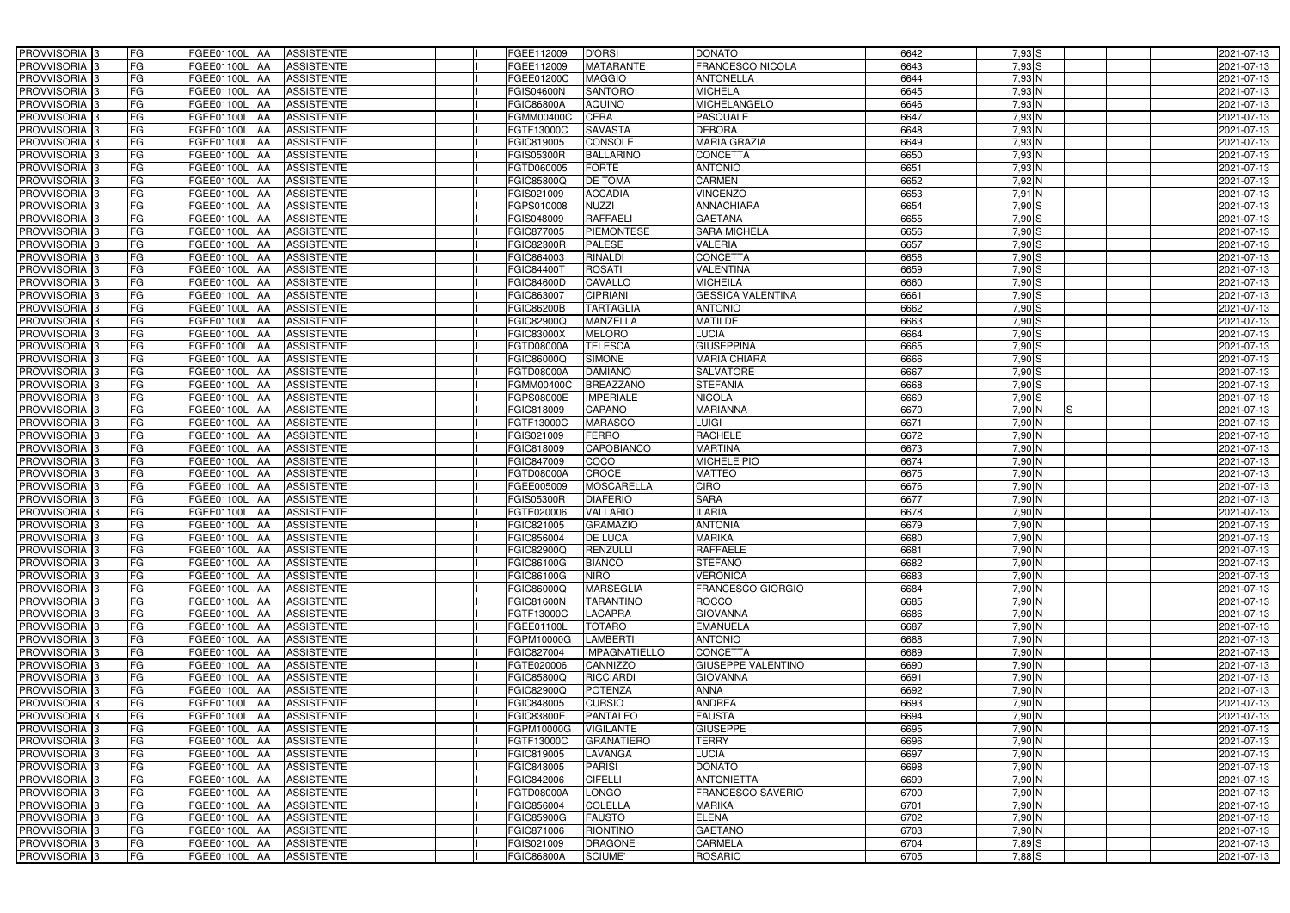| PROVVISORIA <sup>3</sup>                               | <b>FG</b>                  | FGEE01100L AA                  | <b>ASSISTENTE</b>                      | FGEE112009               | <b>D'ORSI</b>           | <b>DONATO</b>                      | 6642         | 7,93 S             | 2021-07-13               |
|--------------------------------------------------------|----------------------------|--------------------------------|----------------------------------------|--------------------------|-------------------------|------------------------------------|--------------|--------------------|--------------------------|
| PROVVISORIA <sup>3</sup>                               | FG<br>FGEE01100L           | IAA                            | <b>ASSISTENTE</b>                      | FGEE112009               | <b>MATARANTE</b>        | <b>FRANCESCO NICOLA</b>            | 6643         | $7,93$ S           | 2021-07-13               |
| PROVVISORIA <sup>3</sup>                               | FG<br>FGEE01100L           | IAA                            | <b>ASSISTENTE</b>                      | FGEE01200C               | <b>MAGGIO</b>           | <b>ANTONELLA</b>                   | 6644         | $7,93$ N           | 2021-07-13               |
| PROVVISORIA 3                                          | FG<br>FGEE01100L           | IAA                            | <b>ASSISTENTE</b>                      | FGIS04600N               | <b>SANTORO</b>          | <b>MICHELA</b>                     | 6645         | 7,93 N             | 2021-07-13               |
| PROVVISORIA <sup>3</sup>                               | FG<br><b>FGEE01100L</b>    | IAA                            | <b>ASSISTENTE</b>                      | FGIC86800A               | <b>AQUINO</b>           | MICHELANGELO                       | 6646         | $7,93$ N           | 2021-07-13               |
| PROVVISORIA <sup>3</sup>                               | FG                         | FGEE01100L AA                  | <b>ASSISTENTE</b>                      | FGMM00400C               | <b>CERA</b>             | <b>PASQUALE</b>                    | 6647         | $7,93$ N           | 2021-07-13               |
| PROVVISORIA <sup>1</sup> 3                             | FG                         | FGEE01100L AA                  | <b>ASSISTENTE</b>                      | FGTF13000C               | <b>SAVASTA</b>          | <b>DEBORA</b>                      | 6648         | $7,93$ N           | 2021-07-13               |
| PROVVISORIA <sup>3</sup>                               | FG                         | FGEE01100L AA                  | <b>ASSISTENTE</b>                      | FGIC819005               | <b>CONSOLE</b>          | <b>MARIA GRAZIA</b>                | 6649         | $7,93$ N           | 2021-07-13               |
| PROVVISORIA <sup>3</sup>                               | FG                         | FGEE01100L AA                  | <b>ASSISTENTE</b>                      | <b>FGIS05300R</b>        | <b>BALLARINO</b>        | <b>CONCETTA</b>                    | 6650         | $7,93$ N           | 2021-07-13               |
| PROVVISORIA <sup>3</sup>                               | FG                         | FGEE01100L AA                  | <b>ASSISTENTE</b>                      | FGTD060005               | <b>FORTE</b>            | <b>ANTONIO</b>                     | 6651         | 7,93 N             | 2021-07-13               |
| PROVVISORIA 3                                          | FG                         | FGEE01100L AA                  | <b>ASSISTENTE</b>                      | FGIC85800Q               | <b>DE TOMA</b>          | <b>CARMEN</b>                      | 6652         | $7,92$ N           | 2021-07-13               |
| PROVVISORIA 3                                          | FG                         | FGEE01100L AA                  | <b>ASSISTENTE</b>                      | FGIS021009               | <b>ACCADIA</b>          | <b>VINCENZO</b>                    | 6653         | $7,91$ N           | 2021-07-13               |
| PROVVISORIA <sup>3</sup>                               | FG                         | FGEE01100L AA                  | <b>ASSISTENTE</b>                      | FGPS010008               | <b>NUZZI</b>            | <b>ANNACHIARA</b>                  | 6654         | $7,90$ S           | 2021-07-13               |
| PROVVISORIA 3                                          | FG                         | FGEE01100L AA                  | <b>ASSISTENTE</b>                      | FGIS048009               | <b>RAFFAEL</b>          | <b>GAETANA</b>                     | 6655         | $7,90$ S           | 2021-07-13               |
| PROVVISORIA 3                                          | FG                         | FGEE01100L AA                  | <b>ASSISTENTE</b>                      | FGIC877005               | <b>PIEMONTESE</b>       | <b>SARA MICHELA</b>                | 6656         | $7,90$ S           | 2021-07-13               |
| PROVVISORIA 3                                          | FG<br>FGEE01100L           | <b>JAA</b>                     | <b>ASSISTENTE</b>                      | <b>FGIC82300R</b>        | <b>PALESE</b>           | <b>VALERIA</b>                     | 6657         | $7,90$ S           | 2021-07-13               |
| PROVVISORIA 3                                          | FG<br>FGEE01100L           | IAA                            | <b>ASSISTENTE</b>                      | FGIC864003               | <b>RINALDI</b>          | <b>CONCETTA</b>                    | 6658         | 7,90 S             | 2021-07-13               |
| PROVVISORIA 3                                          | FG                         | FGEE01100L AA                  | <b>ASSISTENTE</b>                      | FGIC84400                | <b>ROSATI</b>           | <b>VALENTINA</b>                   | 6659         | 7,90 S             | 2021-07-13               |
| PROVVISORIA 3                                          | FG<br>FGEE01100L           | <b>JAA</b>                     | <b>ASSISTENTE</b>                      | <b>FGIC84600D</b>        | CAVALLO                 | <b>MICHEILA</b>                    | 6660         | 7,90 S             | 2021-07-13               |
| PROVVISORIA 3                                          | FG<br>FGEE01100L           | <b>JAA</b>                     | <b>ASSISTENTE</b>                      | FGIC863007               | <b>CIPRIANI</b>         | <b>GESSICA VALENTINA</b>           | 6661         | 7,90 S             | 2021-07-13               |
| PROVVISORIA <sup>3</sup>                               | FG<br>FGEE01100L           | ΙAΑ                            | <b>ASSISTENTE</b>                      | FGIC86200B               | <b>TARTAGLIA</b>        | <b>ANTONIO</b>                     | 6662         | 7,90 S             | 2021-07-13               |
| PROVVISORIA 3                                          | FG<br>FGEE01100L           | l AA                           | <b>ASSISTENTE</b>                      | FGIC82900Q               | <b>MANZELLA</b>         | <b>MATILDE</b>                     | 6663         | 7,90 S             | 2021-07-13               |
| PROVVISORIA 3                                          | FG<br>FGEE01100L           | IAA                            | <b>ASSISTENTE</b>                      | FGIC83000X               | <b>MELORO</b>           | <b>LUCIA</b>                       | 6664         | 7,90 S             | 2021-07-13               |
| PROVVISORIA 3                                          | FG                         | FGEE01100L AA                  | <b>ASSISTENTE</b>                      | FGTD08000A               | <b>TELESCA</b>          | <b>GIUSEPPINA</b>                  | 6665         | $7,90$ S           | 2021-07-13               |
| PROVVISORIA <sup>3</sup>                               | FG<br>FGEE01100L           | AA                             | <b>ASSISTENTE</b>                      | FGIC86000Q               | <b>SIMONE</b>           | <b>MARIA CHIARA</b>                | 6666         | $7,90$ S           | 2021-07-13               |
| PROVVISORIA 3                                          | FG<br>FGEE01100L           | AA                             | <b>ASSISTENTE</b>                      | FGTD08000A               | <b>DAMIANO</b>          | <b>SALVATORE</b>                   | 6667         | $7,90$ S           | 2021-07-13               |
| PROVVISORIA 3                                          | FG                         | FGEE01100L AA                  | <b>ASSISTENTE</b>                      | FGMM00400C               | <b>BREAZZANO</b>        | <b>STEFANIA</b>                    | 6668         | $7,90$ S           | 2021-07-13               |
| PROVVISORIA 3                                          | FG                         | FGEE01100L AA                  | <b>ASSISTENTE</b>                      | FGPS08000E               | <b>IMPERIALE</b>        | <b>NICOLA</b>                      | 6669         | 7,90S              | 2021-07-13               |
| PROVVISORIA <sup>3</sup>                               | FG                         | FGEE01100L AA                  | <b>ASSISTENTE</b>                      | FGIC818009               | CAPANO                  | <b>MARIANNA</b>                    | 6670         | 7,90 N<br>IS       | 2021-07-13               |
| PROVVISORIA <sup>3</sup>                               | FG                         | FGEE01100L AA                  | <b>ASSISTENTE</b>                      | FGTF13000C               | <b>MARASCO</b>          | LUIGI                              | 6671         | $7,90$ N           | 2021-07-13               |
| PROVVISORIA <sup>3</sup>                               | FG                         | FGEE01100L AA                  | <b>ASSISTENTE</b>                      | FGIS021009               | <b>FERRO</b>            | <b>RACHELE</b>                     | 6672         | $7,90$ N           | 2021-07-13               |
| PROVVISORIA <sup>3</sup>                               | FG                         | FGEE01100L AA                  | <b>ASSISTENTE</b>                      | FGIC818009               | CAPOBIANCO              | <b>MARTINA</b>                     | 6673         | 7,90 N             | 2021-07-13               |
| PROVVISORIA <sup>3</sup>                               | FG                         | FGEE01100L AA                  | <b>ASSISTENTE</b>                      | FGIC847009               | COCO                    | <b>MICHELE PIO</b>                 | 6674         | $7,90$ N           | 2021-07-13               |
| PROVVISORIA <sup>3</sup>                               | FG                         | FGEE01100L AA                  | <b>ASSISTENTE</b>                      | FGTD08000A               | <b>CROCE</b>            | <b>MATTEO</b>                      | 6675         | $7,90$ N           | 2021-07-13               |
| PROVVISORIA <sup>3</sup>                               | FG<br>FGEE01100L           | IAA                            | <b>ASSISTENTE</b>                      | FGEE005009               | <b>MOSCARELLA</b>       | <b>CIRO</b>                        | 6676         | $7,90$ N           | $2021 - 07 - 13$         |
| PROVVISORIA <sup>3</sup>                               | FG<br><b>FGEE01100L</b>    | IAA                            | <b>ASSISTENTE</b>                      | FGIS05300R               | <b>DIAFERIO</b>         | <b>SARA</b>                        | 6677         | 7,90 N             | 2021-07-13               |
| PROVVISORIA <sup>3</sup>                               | FG<br>FGEE01100L           | IAA                            | <b>ASSISTENTE</b>                      | FGTE020006               | <b>VALLARIO</b>         | <b>ILARIA</b>                      | 6678         | 7,90 N             | 2021-07-13               |
| PROVVISORIA <sup>1</sup> 3                             | FG                         | FGEE01100L AA                  | <b>ASSISTENTE</b>                      | FGIC821005               | <b>GRAMAZIO</b>         | <b>ANTONIA</b>                     | 6679         | 7,90 N             | 2021-07-13               |
| PROVVISORIA <sup>3</sup>                               | FG<br>FGEE01100L AA        |                                | <b>ASSISTENTE</b>                      | FGIC856004               | <b>DE LUCA</b>          | <b>MARIKA</b>                      | 6680         | 7,90 N             | 2021-07-13               |
| PROVVISORIA <sup>3</sup>                               | FG<br>FGEE01100L AA        |                                | <b>ASSISTENTE</b>                      | FGIC82900Q               | <b>RENZULLI</b>         | <b>RAFFAELE</b>                    | 6681         | $7,90$ N           | 2021-07-13               |
| PROVVISORIA <sup>3</sup>                               | FG<br>FGEE01100L AA        |                                | ASSISTENTE                             | FGIC86100G               | <b>BIANCO</b>           | <b>STEFANO</b>                     | 6682         | 7,90 N             | 2021-07-13               |
| PROVVISORIA <sup>3</sup>                               | FG<br>FGEE01100L AA        |                                | ASSISTENTE                             | FGIC86100G               | <b>NIRO</b>             | <b>VERONICA</b>                    | 6683         | 7,90 N             | 2021-07-13               |
| PROVVISORIA <sup>3</sup>                               | FG<br><b>FGEE01100L AA</b> |                                | <b>ASSISTENTE</b>                      | FGIC86000Q               | <b>MARSEGLIA</b>        | <b>FRANCESCO GIORGIO</b>           | 6684         | 7,90 N             | 2021-07-13               |
| PROVVISORIA <sup>3</sup>                               | FG                         | FGEE01100L AA                  | ASSISTENTE                             | FGIC81600N               | <b>TARANTINO</b>        | <b>ROCCO</b>                       | 6685         | 7,90 N             | 2021-07-13               |
| PROVVISORIA <sup>3</sup>                               | FG<br><b>FGEE01100L AA</b> |                                | <b>ASSISTENTE</b>                      | FGTF13000C               | LACAPRA                 | <b>GIOVANNA</b>                    | 6686         | 7,90 N             | 2021-07-13               |
| PROVVISORIA <sup>3</sup>                               | FG                         | FGEE01100L AA                  | <b>ASSISTENTE</b>                      | FGEE01100L               | <b>TOTARO</b>           | <b>EMANUELA</b>                    | 6687         | $7,90$ N           | 2021-07-13               |
| PROVVISORIA <sup>3</sup>                               | FG                         | FGEE01100L AA                  | ASSISTENTE                             | FGPM10000G               | <b>LAMBERTI</b>         | <b>ANTONIO</b>                     | 6688         | $7,90$ N           | 2021-07-13               |
| PROVVISORIA <sup>3</sup>                               | FG                         | FGEE01100L AA                  | ASSISTENTE                             | FGIC827004               | <b>IMPAGNATIELLO</b>    | <b>CONCETTA</b>                    | 6689         | 7,90 N             | 2021-07-13               |
| PROVVISORIA <sup>3</sup>                               | FG                         | FGEE01100L AA                  | ASSISTENTE                             | FGTE020006               | CANNIZZO                | <b>GIUSEPPE VALENTINO</b>          | 6690         | $7,90$ N           | 2021-07-13               |
| PROVVISORIA <sup>3</sup>                               | FG                         | FGEE01100L AA                  | ASSISTENTE                             | FGIC85800Q               | <b>RICCIARDI</b>        | <b>GIOVANNA</b>                    | 6691         | $7,90$ N           | 2021-07-13               |
| PROVVISORIA <sup>3</sup>                               | FG                         | FGEE01100L AA                  | <b>ASSISTENTE</b>                      | FGIC82900Q               | <b>POTENZA</b>          | <b>ANNA</b>                        | 6692         | 7,90 N             | 2021-07-13               |
| PROVVISORIA <sup>3</sup>                               | FG                         | FGEE01100L AA                  | <b>ASSISTENTE</b>                      | FGIC848005               | <b>CURSIO</b>           | <b>ANDREA</b>                      | 6693         | $7,90$ N           | 2021-07-13               |
| PROVVISORIA <sup>3</sup>                               | FG                         | FGEE01100L AA                  | <b>ASSISTENTE</b>                      | FGIC83800E               | <b>PANTALEO</b>         | <b>FAUSTA</b>                      | 6694         | $7,90$ N           | 2021-07-13               |
| PROVVISORIA <sup>3</sup>                               | FG                         | FGEE01100L AA                  | <b>ASSISTENTE</b>                      | FGPM10000G               | <b>VIGILANTE</b>        | <b>GIUSEPPE</b>                    | 6695         | $7,90$ N           | 2021-07-13               |
| PROVVISORIA <sup>13</sup>                              | FG                         | FGEE01100L AA                  | <b>ASSISTENTE</b>                      | FGTF13000C               | <b>GRANATIERO</b>       | <b>TERRY</b>                       | 6696         | 7,90 N             | 2021-07-13               |
| PROVVISORIA <sup>1</sup> 3                             | FG                         | FGEE01100L AA                  | <b>ASSISTENTE</b>                      | FGIC819005               | LAVANGA                 | <b>LUCIA</b>                       | 6697         | 7,90 N             | 2021-07-13               |
| PROVVISORIA <sup>1</sup> 3                             | FG                         | FGEE01100L AA                  | <b>ASSISTENTE</b>                      | FGIC848005               | <b>PARISI</b>           | <b>DONATO</b>                      | 6698         | $7,90$ N           | 2021-07-13               |
| PROVVISORIA <sup>1</sup> 3                             | FG                         | FGEE01100L AA                  | <b>ASSISTENTE</b>                      | FGIC842006               | <b>CIFELLI</b>          | <b>ANTONIETTA</b>                  | 6699<br>6700 | 7,90 N             | 2021-07-13               |
| PROVVISORIA <sup>3</sup><br>PROVVISORIA <sup>1</sup> 3 | FG<br>FG                   | FGEE01100L AA<br>FGEE01100L AA | <b>ASSISTENTE</b><br><b>ASSISTENTE</b> | FGTD08000A<br>FGIC856004 | LONGO<br><b>COLELLA</b> | FRANCESCO SAVERIO<br><b>MARIKA</b> | 6701         | 7,90 N<br>$7,90$ N | 2021-07-13               |
| PROVVISORIA <sup>1</sup> 3                             | FG                         | FGEE01100L AA                  | <b>ASSISTENTE</b>                      | <b>FGIC85900G</b>        | <b>FAUSTO</b>           | <b>ELENA</b>                       | 6702         | 7,90 N             | 2021-07-13<br>2021-07-13 |
| PROVVISORIA <sup>3</sup>                               | FG                         | FGEE01100L AA                  | <b>ASSISTENTE</b>                      | FGIC871006               | <b>RIONTINO</b>         | <b>GAETANO</b>                     | 6703         | 7,90 N             | 2021-07-13               |
| PROVVISORIA <sup>3</sup>                               | FG                         | FGEE01100L AA                  | <b>ASSISTENTE</b>                      | FGIS021009               | <b>DRAGONE</b>          | <b>CARMELA</b>                     | 6704         | $7,89$ S           | 2021-07-13               |
| PROVVISORIA <sup>3</sup>                               | FG<br>FGEE01100L AA        |                                | ASSISTENTE                             | FGIC86800A               | <b>SCIUME</b>           | <b>ROSARIO</b>                     | 6705         | $7,88$ S           | 2021-07-13               |
|                                                        |                            |                                |                                        |                          |                         |                                    |              |                    |                          |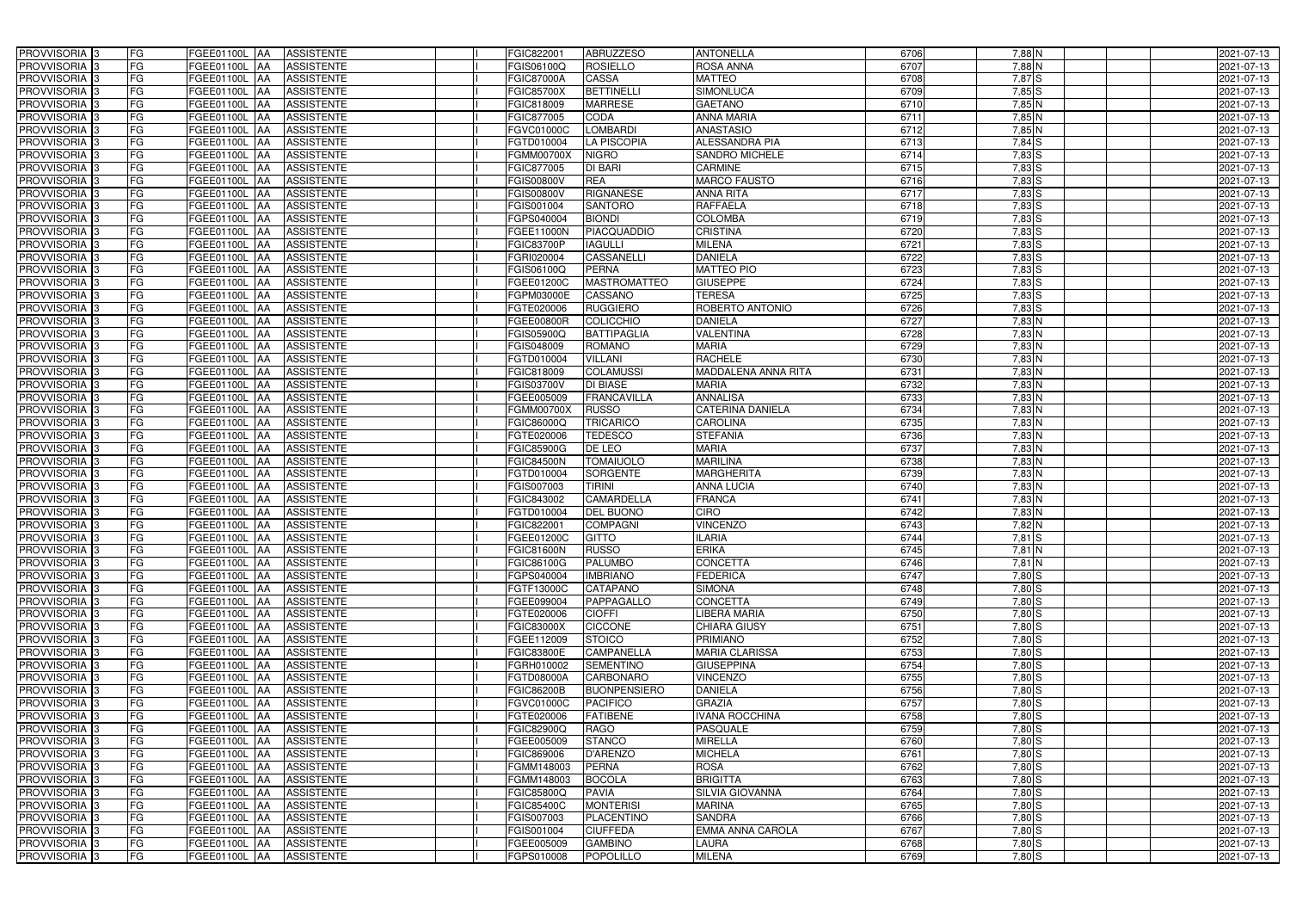| PROVVISORIA <sup>3</sup>   | <b>FG</b> | FGEE01100L AA            | <b>ASSISTENTE</b> | FGIC822001        | <b>ABRUZZESO</b>    | <b>ANTONELLA</b>        | 6706 | 7,88 N     | 2021-07-13 |
|----------------------------|-----------|--------------------------|-------------------|-------------------|---------------------|-------------------------|------|------------|------------|
| PROVVISORIA <sup>3</sup>   | FG        | FGEE01100L<br>IAA        | <b>ASSISTENTE</b> | FGIS06100Q        | <b>ROSIELLO</b>     | <b>ROSA ANNA</b>        | 6707 | $7,88$ N   | 2021-07-13 |
| PROVVISORIA <sup>3</sup>   | FG        | FGEE01100L<br>IAA        | <b>ASSISTENTE</b> | FGIC87000A        | CASSA               | <b>MATTEO</b>           | 6708 | 7,87 S     | 2021-07-13 |
| PROVVISORIA <sup>3</sup>   | FG        | FGEE01100L<br>IAA        | <b>ASSISTENTE</b> | <b>FGIC85700X</b> | <b>BETTINELLI</b>   | SIMONLUCA               | 6709 | $7,85$ S   | 2021-07-13 |
| PROVVISORIA <sup>3</sup>   | FG        | FGEE01100L<br>IAA        | <b>ASSISTENTE</b> | FGIC818009        | <b>MARRESE</b>      | <b>GAETANO</b>          | 6710 | $7,85$ N   | 2021-07-13 |
| PROVVISORIA <sup>3</sup>   | FG        | FGEE01100L AA            | <b>ASSISTENTE</b> | FGIC877005        | CODA                | <b>ANNA MARIA</b>       | 6711 | $7,85$ N   | 2021-07-13 |
| PROVVISORIA <sup>1</sup> 3 | FG        | FGEE01100L AA            | <b>ASSISTENTE</b> | FGVC01000C        | <b>LOMBARDI</b>     | <b>ANASTASIO</b>        | 6712 | $7,85$ N   | 2021-07-13 |
| PROVVISORIA <sup>1</sup> 3 | FG        | FGEE01100L AA            | <b>ASSISTENTE</b> | FGTD010004        | <b>LA PISCOPIA</b>  | <b>ALESSANDRA PIA</b>   | 6713 | $7,84$ $S$ | 2021-07-13 |
| PROVVISORIA 3              | FG        | FGEE01100L AA            | <b>ASSISTENTE</b> | <b>FGMM00700X</b> | <b>NIGRO</b>        | <b>SANDRO MICHELE</b>   | 6714 | $7,83$ $S$ | 2021-07-13 |
| PROVVISORIA <sup>3</sup>   | FG        | FGEE01100L AA            | <b>ASSISTENTE</b> | FGIC877005        | DI BARI             | <b>CARMINE</b>          | 6715 | $7,83$ S   | 2021-07-13 |
| PROVVISORIA 3              | FG        | FGEE01100L AA            | <b>ASSISTENTE</b> | FGIS00800V        | <b>REA</b>          | <b>MARCO FAUSTO</b>     | 6716 | $7,83$ S   | 2021-07-13 |
| PROVVISORIA 3              | FG        | FGEE01100L AA            | <b>ASSISTENTE</b> | FGIS00800V        | <b>RIGNANESE</b>    | <b>ANNA RITA</b>        | 6717 | $7,83$ $S$ | 2021-07-13 |
| PROVVISORIA <sup>3</sup>   | FG        | FGEE01100L AA            | <b>ASSISTENTE</b> | FGIS001004        | <b>SANTORO</b>      | <b>RAFFAELA</b>         | 6718 | $7,83$ S   | 2021-07-13 |
| PROVVISORIA 3              | FG        | FGEE01100L AA            | <b>ASSISTENTE</b> | FGPS040004        | <b>BIONDI</b>       | <b>COLOMBA</b>          | 6719 | $7,83$ S   | 2021-07-13 |
| PROVVISORIA 3              | FG        | FGEE01100L AA            | <b>ASSISTENTE</b> | FGEE11000N        | <b>PIACQUADDIO</b>  | <b>CRISTINA</b>         | 6720 | $7,83$ $S$ | 2021-07-13 |
| PROVVISORIA <sup>3</sup>   | FG        | <b>FGEE01100L</b><br>IAA | <b>ASSISTENTE</b> | <b>FGIC83700P</b> | <b>IAGULLI</b>      | <b>MILENA</b>           | 6721 | $7,83$ S   | 2021-07-13 |
| PROVVISORIA 3              | FG        | FGEE01100L<br>IAA        | <b>ASSISTENTE</b> | FGRI020004        | CASSANELLI          | <b>DANIELA</b>          | 6722 | $7,83$ S   | 2021-07-13 |
| PROVVISORIA <sup>3</sup>   | FG        | FGEE01100L AA            | <b>ASSISTENTE</b> | FGIS06100Q        | <b>PERNA</b>        | <b>MATTEO PIO</b>       | 6723 | $7,83$ $S$ | 2021-07-13 |
| PROVVISORIA 3              | FG        | FGEE01100L<br><b>JAA</b> | <b>ASSISTENTE</b> | FGEE01200C        | <b>MASTROMATTEO</b> | <b>GIUSEPPE</b>         | 6724 | $7,83$ S   | 2021-07-13 |
| PROVVISORIA 3              | FG        | FGEE01100L<br><b>JAA</b> | <b>ASSISTENTE</b> | FGPM03000E        | CASSANO             | <b>TERESA</b>           | 6725 | 7,83 S     | 2021-07-13 |
| PROVVISORIA <sup>3</sup>   | FG        | FGEE01100L<br>ΙAΑ        | <b>ASSISTENTE</b> | FGTE020006        | <b>RUGGIERO</b>     | ROBERTO ANTONIO         | 6726 | 7,83 S     | 2021-07-13 |
| PROVVISORIA 3              | FG        | <b>FGEE01100L</b><br>IAA | <b>ASSISTENTE</b> | FGEE00800R        | <b>COLICCHIO</b>    | <b>DANIELA</b>          | 6727 | $7,83$ N   | 2021-07-13 |
| PROVVISORIA 3              | FG        | FGEE01100L<br>IAA        | <b>ASSISTENTE</b> | FGIS05900Q        | <b>BATTIPAGLIA</b>  | <b>VALENTINA</b>        | 6728 | $7,83$ N   | 2021-07-13 |
| PROVVISORIA 3              | FG        | FGEE01100L AA            | <b>ASSISTENTE</b> | FGIS048009        | <b>ROMANO</b>       | <b>MARIA</b>            | 6729 | $7,83$ N   | 2021-07-13 |
| PROVVISORIA <sup>3</sup>   | FG        | FGEE01100L<br> AA        | <b>ASSISTENTE</b> | FGTD010004        | <b>VILLANI</b>      | <b>RACHELE</b>          | 6730 | $7,83$ N   | 2021-07-13 |
| PROVVISORIA 3              | FG        | FGEE01100L<br><b>IAA</b> | <b>ASSISTENTE</b> | FGIC818009        | <b>COLAMUSSI</b>    | MADDALENA ANNA RITA     | 6731 | $7,83$ N   | 2021-07-13 |
| PROVVISORIA 3              | FG        | FGEE01100L AA            | <b>ASSISTENTE</b> | FGIS03700V        | <b>DI BIASE</b>     | <b>MARIA</b>            | 6732 | $7,83$ N   | 2021-07-13 |
| PROVVISORIA 3              | FG        | FGEE01100L<br>IAA        | <b>ASSISTENTE</b> | FGEE005009        | <b>FRANCAVILLA</b>  | <b>ANNALISA</b>         | 6733 | $7,83$ N   | 2021-07-13 |
| PROVVISORIA <sup>3</sup>   | FG        | FGEE01100L AA            | <b>ASSISTENTE</b> | FGMM00700X        | <b>RUSSO</b>        | <b>CATERINA DANIELA</b> | 6734 | $7,83$ N   | 2021-07-13 |
| PROVVISORIA <sup>3</sup>   | FG        | FGEE01100L AA            | <b>ASSISTENTE</b> | FGIC86000Q        | <b>TRICARICO</b>    | <b>CAROLINA</b>         | 6735 | $7,83$ N   | 2021-07-13 |
| PROVVISORIA <sup>3</sup>   | FG        | FGEE01100L AA            | <b>ASSISTENTE</b> | FGTE020006        | <b>TEDESCO</b>      | <b>STEFANIA</b>         | 6736 | $7,83$ N   | 2021-07-13 |
| PROVVISORIA <sup>3</sup>   | FG        | FGEE01100L AA            | <b>ASSISTENTE</b> | FGIC85900G        | DE LEO              | <b>MARIA</b>            | 6737 | $7,83$ N   | 2021-07-13 |
| PROVVISORIA <sup>3</sup>   | FG        | FGEE01100L AA            | <b>ASSISTENTE</b> | <b>FGIC84500N</b> | <b>TOMAIUOLO</b>    | <b>MARILINA</b>         | 6738 | 7,83 N     | 2021-07-13 |
| PROVVISORIA <sup>3</sup>   | FG        | FGEE01100L AA            | <b>ASSISTENTE</b> | FGTD010004        | <b>SORGENTE</b>     | <b>MARGHERITA</b>       | 6739 | 7,83 N     | 2021-07-13 |
| PROVVISORIA <sup>3</sup>   | FG        | FGEE01100L<br>IAA        | <b>ASSISTENTE</b> | FGIS007003        | <b>TIRINI</b>       | <b>ANNA LUCIA</b>       | 6740 | $7,83$ N   | 2021-07-13 |
| PROVVISORIA <sup>3</sup>   | FG        | <b>FGEE01100L</b><br>IAA | <b>ASSISTENTE</b> | FGIC843002        | <b>CAMARDELLA</b>   | <b>FRANCA</b>           | 6741 | 7,83 N     | 2021-07-13 |
| PROVVISORIA <sup>3</sup>   | FG        | FGEE01100L<br>IAA        | <b>ASSISTENTE</b> | FGTD010004        | DEL BUONO           | <b>CIRO</b>             | 6742 | 7,83 N     | 2021-07-13 |
| PROVVISORIA <sup>3</sup>   | FG        | FGEE01100L AA            | <b>ASSISTENTE</b> | FGIC822001        | <b>COMPAGNI</b>     | <b>VINCENZO</b>         | 6743 | $7,82$ N   | 2021-07-13 |
| PROVVISORIA <sup>3</sup>   | FG        | FGEE01100L AA            | <b>ASSISTENTE</b> | FGEE01200C        | <b>GITTO</b>        | <b>ILARIA</b>           | 6744 | $7,81$ S   | 2021-07-13 |
| PROVVISORIA <sup>3</sup>   | FG        | FGEE01100L AA            | <b>ASSISTENTE</b> | FGIC81600N        | <b>RUSSO</b>        | <b>ERIKA</b>            | 6745 | $7,81$ N   | 2021-07-13 |
| PROVVISORIA <sup>3</sup>   | FG        | FGEE01100L AA            | ASSISTENTE        | FGIC86100G        | <b>PALUMBO</b>      | <b>CONCETTA</b>         | 6746 | $7,81$ N   | 2021-07-13 |
| PROVVISORIA <sup>3</sup>   | FG        | <b>FGEE01100L AA</b>     | <b>ASSISTENTE</b> | FGPS040004        | <b>IMBRIANO</b>     | <b>FEDERICA</b>         | 6747 | 7,80 S     | 2021-07-13 |
| PROVVISORIA <sup>3</sup>   | FG        | FGEE01100L AA            | ASSISTENTE        | FGTF13000C        | <b>CATAPANO</b>     | <b>SIMONA</b>           | 6748 | 7,80 S     | 2021-07-13 |
| PROVVISORIA <sup>3</sup>   | FG        | FGEE01100L AA            | ASSISTENTE        | FGEE099004        | PAPPAGALLO          | <b>CONCETTA</b>         | 6749 | 7,80 S     | 2021-07-13 |
| PROVVISORIA 3              | FG        | FGEE01100L AA            | <b>ASSISTENTE</b> | FGTE020006        | <b>CIOFFI</b>       | <b>LIBERA MARIA</b>     | 6750 | 7,80 S     | 2021-07-13 |
| PROVVISORIA <sup>3</sup>   | FG        | FGEE01100L AA            | <b>ASSISTENTE</b> | <b>FGIC83000X</b> | <b>CICCONE</b>      | <b>CHIARA GIUSY</b>     | 6751 | $7,80$ S   | 2021-07-13 |
| PROVVISORIA <sup>3</sup>   | FG        | FGEE01100L AA            | ASSISTENTE        | FGEE112009        | <b>STOICO</b>       | <b>PRIMIANO</b>         | 6752 | $7,80$ S   | 2021-07-13 |
| PROVVISORIA <sup>3</sup>   | FG        | FGEE01100L AA            | ASSISTENTE        | <b>FGIC83800E</b> | <b>CAMPANELLA</b>   | <b>MARIA CLARISSA</b>   | 6753 | 7,80 S     | 2021-07-13 |
| PROVVISORIA <sup>3</sup>   | FG        | FGEE01100L AA            | ASSISTENTE        | <b>GRH010002</b>  | <b>SEMENTINO</b>    | <b>GIUSEPPINA</b>       | 6754 | $7,80$ S   | 2021-07-13 |
| PROVVISORIA <sup>3</sup>   | FG        | FGEE01100L AA            | ASSISTENTE        | FGTD08000A        | <b>CARBONARO</b>    | <b>VINCENZO</b>         | 6755 | $7,80$ S   | 2021-07-13 |
| PROVVISORIA <sup>3</sup>   | FG        | FGEE01100L AA            | <b>ASSISTENTE</b> | FGIC86200B        | <b>BUONPENSIERO</b> | <b>DANIELA</b>          | 6756 | $7,80$ S   | 2021-07-13 |
| PROVVISORIA <sup>3</sup>   | FG        | FGEE01100L AA            | <b>ASSISTENTE</b> | FGVC01000C        | <b>PACIFICO</b>     | <b>GRAZIA</b>           | 6757 | $7,80$ S   | 2021-07-13 |
| PROVVISORIA <sup>3</sup>   | FG        | FGEE01100L AA            | <b>ASSISTENTE</b> | FGTE020006        | <b>FATIBENE</b>     | <b>IVANA ROCCHINA</b>   | 6758 | $7,80$ S   | 2021-07-13 |
| PROVVISORIA <sup>3</sup>   | FG        | FGEE01100L AA            | <b>ASSISTENTE</b> | FGIC82900Q        | <b>RAGO</b>         | <b>PASQUALE</b>         | 6759 | $7,80$ S   | 2021-07-13 |
| PROVVISORIA <sup>13</sup>  | FG        | FGEE01100L AA            | <b>ASSISTENTE</b> | FGEE005009        | <b>STANCO</b>       | <b>MIRELLA</b>          | 6760 | $7,80$ S   | 2021-07-13 |
| PROVVISORIA <sup>1</sup> 3 | FG        | FGEE01100L AA            | <b>ASSISTENTE</b> | FGIC869006        | D'ARENZO            | <b>MICHELA</b>          | 6761 | $7,80$ S   | 2021-07-13 |
| PROVVISORIA <sup>3</sup>   | FG        | FGEE01100L AA            | <b>ASSISTENTE</b> | FGMM148003        | <b>PERNA</b>        | <b>ROSA</b>             | 6762 | $7,80$ S   | 2021-07-13 |
| <b>PROVVISORIA</b> 3       | FG        | FGEE01100L AA            | <b>ASSISTENTE</b> | FGMM148003        | <b>BOCOLA</b>       | <b>BRIGITTA</b>         | 6763 | $7,80$ S   | 2021-07-13 |
| PROVVISORIA <sup>3</sup>   | FG        | FGEE01100L AA            | <b>ASSISTENTE</b> | FGIC85800Q        | <b>PAVIA</b>        | <b>SILVIA GIOVANNA</b>  | 6764 | $7,80$ S   | 2021-07-13 |
| PROVVISORIA <sup>3</sup>   | FG        | <b>FGEE01100L AA</b>     | <b>ASSISTENTE</b> | FGIC85400C        | <b>MONTERISI</b>    | <b>MARINA</b>           | 6765 | $7,80$ S   | 2021-07-13 |
| PROVVISORIA <sup>3</sup>   | FG        | FGEE01100L AA            | <b>ASSISTENTE</b> | FGIS007003        | PLACENTINO          | <b>SANDRA</b>           | 6766 | 7,80 S     | 2021-07-13 |
| PROVVISORIA <sup>3</sup>   | FG        | FGEE01100L AA            | <b>ASSISTENTE</b> | FGIS001004        | <b>CIUFFEDA</b>     | <b>EMMA ANNA CAROLA</b> | 6767 | 7,80 S     | 2021-07-13 |
| PROVVISORIA <sup>3</sup>   | FG        | FGEE01100L AA            | ASSISTENTE        | FGEE005009        | <b>GAMBINO</b>      | LAURA                   | 6768 | 7,80 S     | 2021-07-13 |
| PROVVISORIA <sup>3</sup>   | FG        | FGEE01100L AA            | ASSISTENTE        | FGPS010008        | POPOLILLO           | <b>MILENA</b>           | 6769 | 7,80 S     | 2021-07-13 |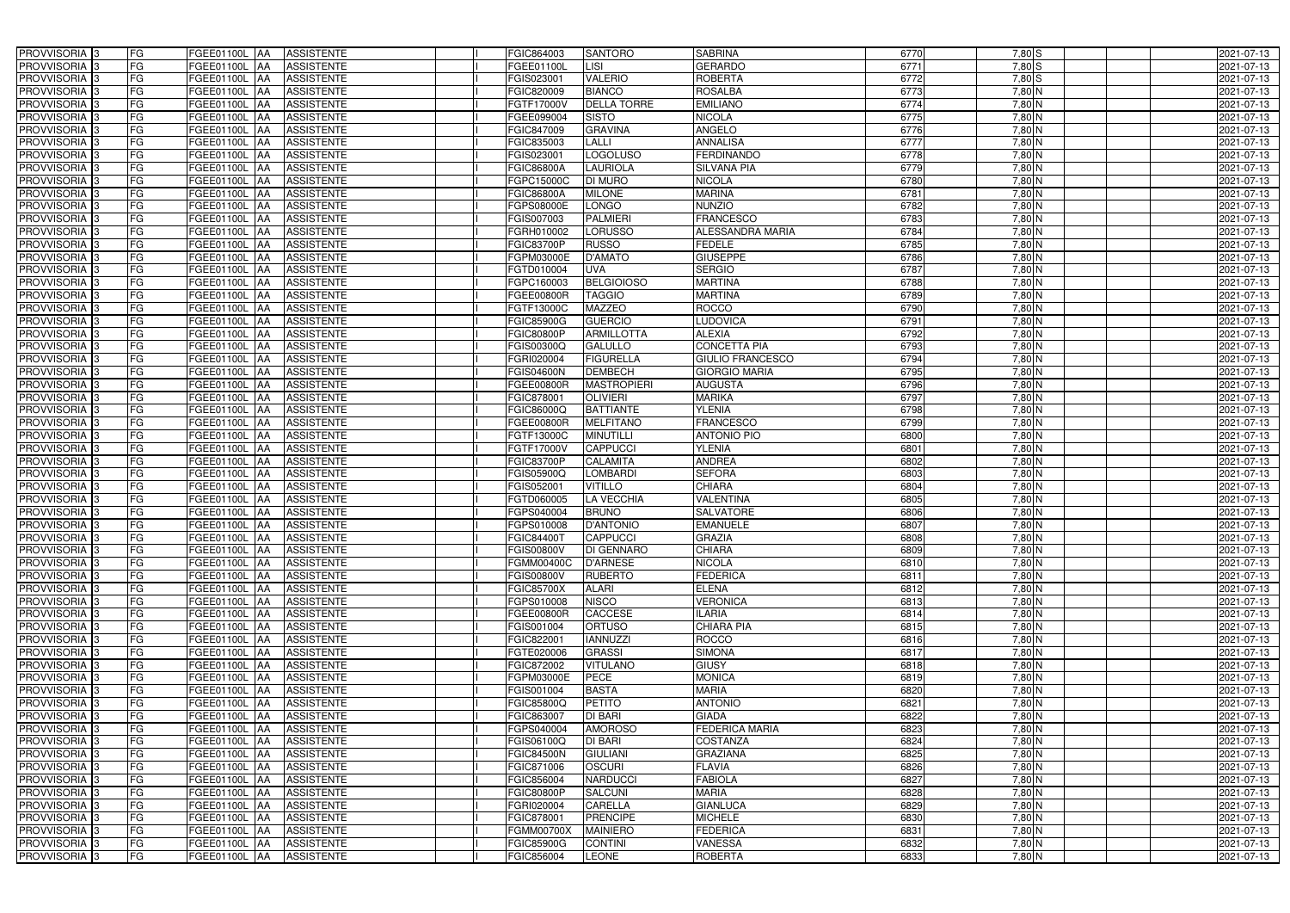| PROVVISORIA <sup>3</sup>   | FG<br>FGEE01100L AA                       | <b>ASSISTENTE</b> | FGIC864003        | <b>SANTORO</b>     | <b>SABRINA</b>          | 6770 | $7,80$ S | 2021-07-13 |
|----------------------------|-------------------------------------------|-------------------|-------------------|--------------------|-------------------------|------|----------|------------|
| PROVVISORIA <sup>3</sup>   | FG<br><b>FGEE01100L AA</b>                | <b>ASSISTENTE</b> | FGEE01100L        | <b>LISI</b>        | <b>GERARDO</b>          | 6771 | $7,80$ S | 2021-07-13 |
| PROVVISORIA <sup>3</sup>   | FG<br>FGEE01100L AA                       | <b>ASSISTENTE</b> | FGIS023001        | <b>VALERIO</b>     | <b>ROBERTA</b>          | 6772 | $7,80$ S | 2021-07-13 |
| PROVVISORIA <sup>3</sup>   | FG<br>FGEE01100L AA                       | <b>ASSISTENTE</b> | FGIC820009        | <b>BIANCO</b>      | <b>ROSALBA</b>          | 6773 | $7,80$ N | 2021-07-13 |
| PROVVISORIA <sup>3</sup>   | FG<br><b>FGEE01100L</b><br> AA            | <b>ASSISTENTE</b> | FGTF17000V        | <b>DELLA TORRE</b> | <b>EMILIANO</b>         | 6774 | 7,80 N   | 2021-07-13 |
| PROVVISORIA <sup>3</sup>   | FG<br>FGEE01100L AA                       | <b>ASSISTENTE</b> | FGEE099004        | <b>SISTO</b>       | <b>NICOLA</b>           | 6775 | 7,80 N   | 2021-07-13 |
| PROVVISORIA <sup>1</sup> 3 | FG<br>FGEE01100L AA                       | <b>ASSISTENTE</b> | FGIC847009        | <b>GRAVINA</b>     | <b>ANGELO</b>           | 6776 | $7,80$ N | 2021-07-13 |
| PROVVISORIA 3              | FG<br>FGEE01100L AA                       | <b>ASSISTENTE</b> | FGIC835003        | <b>LALLI</b>       | <b>ANNALISA</b>         | 6777 | 7,80 N   | 2021-07-13 |
| PROVVISORIA 3              | FG<br>FGEE01100L AA                       | <b>ASSISTENTE</b> | FGIS023001        | <b>LOGOLUSO</b>    | <b>FERDINANDO</b>       | 6778 | 7,80 N   | 2021-07-13 |
| PROVVISORIA <sup>3</sup>   | FG<br><b>FGEE01100L AA</b>                | <b>ASSISTENTE</b> | <b>FGIC86800A</b> | <b>LAURIOLA</b>    | <b>SILVANA PIA</b>      | 6779 | 7,80 N   | 2021-07-13 |
| PROVVISORIA 3              | FG<br>FGEE01100L AA                       | <b>ASSISTENTE</b> | FGPC15000C        | <b>DI MURO</b>     | <b>NICOLA</b>           | 6780 | 7,80 N   | 2021-07-13 |
| PROVVISORIA 3              | FG<br>FGEE01100L AA                       | <b>ASSISTENTE</b> | <b>FGIC86800A</b> | <b>MILONE</b>      | <b>MARINA</b>           | 6781 | $7,80$ N | 2021-07-13 |
| PROVVISORIA <sup>3</sup>   | FG<br>FGEE01100L AA                       | <b>ASSISTENTE</b> | FGPS08000E        | <b>LONGO</b>       | <b>NUNZIO</b>           | 6782 | 7,80 N   | 2021-07-13 |
| PROVVISORIA 3              | FG<br>FGEE01100L AA                       | <b>ASSISTENTE</b> | FGIS007003        | <b>PALMIERI</b>    | <b>FRANCESCO</b>        | 6783 | 7,80 N   | 2021-07-13 |
| PROVVISORIA 3              | $\overline{\mathsf{FG}}$<br>FGEE01100L AA | <b>ASSISTENTE</b> | FGRH010002        | <b>LORUSSO</b>     | <b>ALESSANDRA MARIA</b> | 6784 | $7,80$ N | 2021-07-13 |
| PROVVISORIA <sup>3</sup>   | $\overline{\mathsf{FG}}$<br>FGEE01100L AA | <b>ASSISTENTE</b> | <b>FGIC83700P</b> | <b>RUSSO</b>       | <b>FEDELE</b>           | 6785 | $7,80$ N | 2021-07-13 |
| PROVVISORIA 3              | FG<br><b>FGEE01100L</b><br><b>IAA</b>     | <b>ASSISTENTE</b> | FGPM03000E        | <b>D'AMATO</b>     | <b>GIUSEPPE</b>         | 6786 | $7,80$ N | 2021-07-13 |
| PROVVISORIA 3              | FG<br>FGEE01100L AA                       | <b>ASSISTENTE</b> | FGTD010004        | <b>UVA</b>         | <b>SERGIO</b>           | 678  | 7,80 N   | 2021-07-13 |
| PROVVISORIA 3              | FG<br>FGEE01100L AA                       | <b>ASSISTENTE</b> | FGPC160003        | <b>BELGIOIOSO</b>  | <b>MARTINA</b>          | 6788 | 7,80 N   | 2021-07-13 |
| PROVVISORIA 3              | FG<br>FGEE01100L AA                       | <b>ASSISTENTE</b> | FGEE00800R        | <b>TAGGIO</b>      | <b>MARTINA</b>          | 6789 | 7,80 N   | 2021-07-13 |
| PROVVISORIA <sup>3</sup>   | FG<br>FGEE01100L<br><b>AA</b>             | <b>ASSISTENTE</b> | FGTF13000C        | <b>MAZZEO</b>      | <b>ROCCO</b>            | 6790 | 7,80 N   | 2021-07-13 |
| PROVVISORIA 3              | FG<br>FGEE01100L AA                       | <b>ASSISTENTE</b> | <b>FGIC85900G</b> | <b>GUERCIO</b>     | <b>LUDOVICA</b>         | 6791 | 7,80 N   | 2021-07-13 |
| PROVVISORIA 3              | FG<br>FGEE01100L AA                       | <b>ASSISTENTE</b> | <b>FGIC80800P</b> | <b>ARMILLOTTA</b>  | <b>ALEXIA</b>           | 6792 | $7,80$ N | 2021-07-13 |
| PROVVISORIA 3              | FG<br>FGEE01100L AA                       | <b>ASSISTENTE</b> | FGIS00300Q        | <b>GALULLO</b>     | <b>CONCETTA PIA</b>     | 6793 | $7,80$ N | 2021-07-13 |
| PROVVISORIA 3              | FG<br>FGEE01100L AA                       | <b>ASSISTENTE</b> | FGRI020004        | <b>FIGURELLA</b>   | <b>GIULIO FRANCESCO</b> | 6794 | $7,80$ N | 2021-07-13 |
| PROVVISORIA 3              | FG<br>FGEE01100L AA                       | <b>ASSISTENTE</b> | <b>FGIS04600N</b> | <b>DEMBECH</b>     | <b>GIORGIO MARIA</b>    | 6795 | $7,80$ N | 2021-07-13 |
| PROVVISORIA 3              | FG<br>FGEE01100L AA                       | <b>ASSISTENTE</b> | FGEE00800R        | <b>MASTROPIERI</b> | <b>AUGUSTA</b>          | 6796 | $7,80$ N | 2021-07-13 |
| PROVVISORIA 3              | FG<br>FGEE01100L AA                       | <b>ASSISTENTE</b> | FGIC878001        | <b>OLIVIERI</b>    | <b>MARIKA</b>           | 6797 | $7,80$ N | 2021-07-13 |
| PROVVISORIA <sup>3</sup>   | FG<br>FGEE01100L AA                       | <b>ASSISTENTE</b> | FGIC86000Q        | <b>BATTIANTE</b>   | <b>YLENIA</b>           | 6798 | $7,80$ N | 2021-07-13 |
| PROVVISORIA <sup>3</sup>   | FG<br><b>FGEE01100L AA</b>                | <b>ASSISTENTE</b> | FGEE00800R        | <b>MELFITANO</b>   | <b>FRANCESCO</b>        | 6799 | 7,80 N   | 2021-07-13 |
| PROVVISORIA <sup>3</sup>   | FG<br>FGEE01100L AA                       | <b>ASSISTENTE</b> | FGTF13000C        | <b>MINUTILLI</b>   | <b>ANTONIO PIO</b>      | 6800 | 7,80 N   | 2021-07-13 |
| PROVVISORIA <sup>3</sup>   | FG<br>FGEE01100L AA                       | <b>ASSISTENTE</b> | FGTF17000V        | <b>CAPPUCCI</b>    | <b>YLENIA</b>           | 6801 | 7,80 N   | 2021-07-13 |
| PROVVISORIA <sup>3</sup>   | FG<br>FGEE01100L AA                       | <b>ASSISTENTE</b> | <b>FGIC83700P</b> | CALAMITA           | <b>ANDREA</b>           | 6802 | 7,80 N   | 2021-07-13 |
| PROVVISORIA <sup>3</sup>   | FG<br><b>FGEE01100L AA</b>                | <b>ASSISTENTE</b> | FGIS05900Q        | <b>LOMBARDI</b>    | <b>SEFORA</b>           | 6803 | 7,80 N   | 2021-07-13 |
| PROVVISORIA 3              | FG<br>FGEE01100L<br><b>JAA</b>            | <b>ASSISTENTE</b> | FGIS052001        | <b>VITILLO</b>     | <b>CHIARA</b>           | 6804 | 7,80 N   | 2021-07-13 |
| PROVVISORIA <sup>3</sup>   | FG<br><b>FGEE01100L AA</b>                | <b>ASSISTENTE</b> | FGTD060005        | <b>LA VECCHIA</b>  | VALENTINA               | 6805 | 7,80 N   | 2021-07-13 |
| PROVVISORIA <sup>3</sup>   | FG<br>FGEE01100L<br><b>JAA</b>            | <b>ASSISTENTE</b> | FGPS040004        | <b>BRUNO</b>       | <b>SALVATORE</b>        | 6806 | 7,80 N   | 2021-07-13 |
| PROVVISORIA <sup>3</sup>   | FG<br>FGEE01100L AA                       | <b>ASSISTENTE</b> | FGPS010008        | <b>D'ANTONIO</b>   | <b>EMANUELE</b>         | 6807 | 7,80 N   | 2021-07-13 |
| PROVVISORIA 3              | FG<br>FGEE01100L AA                       | ASSISTENTE        | <b>FGIC84400T</b> | <b>CAPPUCCI</b>    | <b>GRAZIA</b>           | 6808 | 7,80 N   | 2021-07-13 |
| PROVVISORIA <sup>3</sup>   | FG<br>FGEE01100L AA                       | <b>ASSISTENTE</b> | <b>FGIS00800V</b> | <b>DI GENNARO</b>  | <b>CHIARA</b>           | 6809 | $7,80$ N | 2021-07-13 |
| PROVVISORIA <sup>3</sup>   | FG<br>FGEE01100L AA                       | ASSISTENTE        | <b>FGMM00400C</b> | <b>D'ARNESE</b>    | <b>NICOLA</b>           | 6810 | 7,80 N   | 2021-07-13 |
| PROVVISORIA 3              | FG<br>FGEE01100L AA                       | ASSISTENTE        | <b>FGIS00800V</b> | <b>RUBERTO</b>     | <b>FEDERICA</b>         | 6811 | 7,80 N   | 2021-07-13 |
| PROVVISORIA <sup>3</sup>   | FG<br>FGEE01100L AA                       | <b>ASSISTENTE</b> | <b>FGIC85700X</b> | <b>ALARI</b>       | <b>ELENA</b>            | 6812 | 7,80 N   | 2021-07-13 |
| PROVVISORIA <sup>3</sup>   | FG<br>FGEE01100L AA                       | ASSISTENTE        | FGPS010008        | <b>NISCO</b>       | <b>VERONICA</b>         | 6813 | 7,80 N   | 2021-07-13 |
| PROVVISORIA <sup>3</sup>   | FG<br>FGEE01100L AA                       | ASSISTENTE        | FGEE00800R        | <b>CACCESE</b>     | <b>ILARIA</b>           | 6814 | $7,80$ N | 2021-07-13 |
| PROVVISORIA <sup>3</sup>   | FG<br>FGEE01100L AA                       | ASSISTENTE        | FGIS001004        | <b>ORTUSO</b>      | <b>CHIARA PIA</b>       | 6815 | 7,80 N   | 2021-07-13 |
| PROVVISORIA <sup>3</sup>   | FG<br>FGEE01100L AA                       | ASSISTENTE        | FGIC822001        | <b>IANNUZZI</b>    | <b>ROCCO</b>            | 6816 | 7,80 N   | 2021-07-13 |
| PROVVISORIA <sup>3</sup>   | FG<br>FGEE01100L AA                       | ASSISTENTE        | FGTE020006        | <b>GRASSI</b>      | <b>SIMONA</b>           | 6817 | 7,80 N   | 2021-07-13 |
| PROVVISORIA <sup>3</sup>   | FG<br>FGEE01100L AA                       | ASSISTENTE        | FGIC872002        | <b>VITULANO</b>    | <b>GIUSY</b>            | 6818 | 7,80 N   | 2021-07-13 |
| PROVVISORIA <sup>3</sup>   | FG<br>FGEE01100L AA                       | ASSISTENTE        | FGPM03000E        | <b>PECE</b>        | <b>MONICA</b>           | 6819 | $7,80$ N | 2021-07-13 |
| PROVVISORIA <sup>3</sup>   | FG<br>FGEE01100L AA                       | <b>ASSISTENTE</b> | FGIS001004        | <b>BASTA</b>       | <b>MARIA</b>            | 6820 | 7,80 N   | 2021-07-13 |
| PROVVISORIA <sup>3</sup>   | FG<br>FGEE01100L AA                       | <b>ASSISTENTE</b> | <b>FGIC85800Q</b> | <b>PETITO</b>      | <b>ANTONIO</b>          | 6821 | $7,80$ N | 2021-07-13 |
| PROVVISORIA <sup>3</sup>   | FG<br>FGEE01100L AA                       | <b>ASSISTENTE</b> | FGIC863007        | <b>DI BARI</b>     | <b>GIADA</b>            | 6822 | $7,80$ N | 2021-07-13 |
| PROVVISORIA <sup>3</sup>   | FG<br>FGEE01100L AA                       | <b>ASSISTENTE</b> | FGPS040004        | <b>AMOROSO</b>     | <b>FEDERICA MARIA</b>   | 6823 | $7,80$ N | 2021-07-13 |
| PROVVISORIA <sup>13</sup>  | FG<br>FGEE01100L AA                       | <b>ASSISTENTE</b> | FGIS06100Q        | <b>DI BARI</b>     | COSTANZA                | 6824 | 7,80 N   | 2021-07-13 |
| PROVVISORIA <sup>1</sup> 3 | FG<br>FGEE01100L AA                       | <b>ASSISTENTE</b> | <b>FGIC84500N</b> | <b>GIULIANI</b>    | <b>GRAZIANA</b>         | 6825 | 7,80 N   | 2021-07-13 |
| PROVVISORIA <sup>3</sup>   | FG<br>FGEE01100L AA                       | <b>ASSISTENTE</b> | FGIC871006        | <b>OSCURI</b>      | <b>FLAVIA</b>           | 6826 | 7,80 N   | 2021-07-13 |
| <b>PROVVISORIA</b> 3       | FG<br>FGEE01100L AA                       | <b>ASSISTENTE</b> | FGIC856004        | <b>NARDUCCI</b>    | <b>FABIOLA</b>          | 6827 | $7,80$ N | 2021-07-13 |
| PROVVISORIA <sup>3</sup>   | FG<br>FGEE01100L AA                       | <b>ASSISTENTE</b> | <b>FGIC80800P</b> | SALCUNI            | <b>MARIA</b>            | 6828 | 7,80 N   | 2021-07-13 |
| PROVVISORIA <sup>3</sup>   | FG<br><b>FGEE01100L AA</b>                | <b>ASSISTENTE</b> | FGRI020004        | <b>CARELLA</b>     | <b>GIANLUCA</b>         | 6829 | 7,80 N   | 2021-07-13 |
| PROVVISORIA <sup>3</sup>   | FG<br>FGEE01100L AA                       | <b>ASSISTENTE</b> | FGIC878001        | <b>PRENCIPE</b>    | <b>MICHELE</b>          | 6830 | 7,80 N   | 2021-07-13 |
| PROVVISORIA <sup>3</sup>   | FG<br>FGEE01100L AA                       | <b>ASSISTENTE</b> | <b>FGMM00700X</b> | <b>MAINIERO</b>    | <b>FEDERICA</b>         | 6831 | 7,80 N   | 2021-07-13 |
| PROVVISORIA <sup>3</sup>   | FG<br>FGEE01100L AA                       | <b>ASSISTENTE</b> | <b>FGIC85900G</b> | <b>CONTINI</b>     | <b>VANESSA</b>          | 6832 | $7,80$ N | 2021-07-13 |
| PROVVISORIA <sup>3</sup>   | FG<br>FGEE01100L AA                       | ASSISTENTE        | FGIC856004        | <b>LEONE</b>       | <b>ROBERTA</b>          | 6833 | 7,80 N   | 2021-07-13 |
|                            |                                           |                   |                   |                    |                         |      |          |            |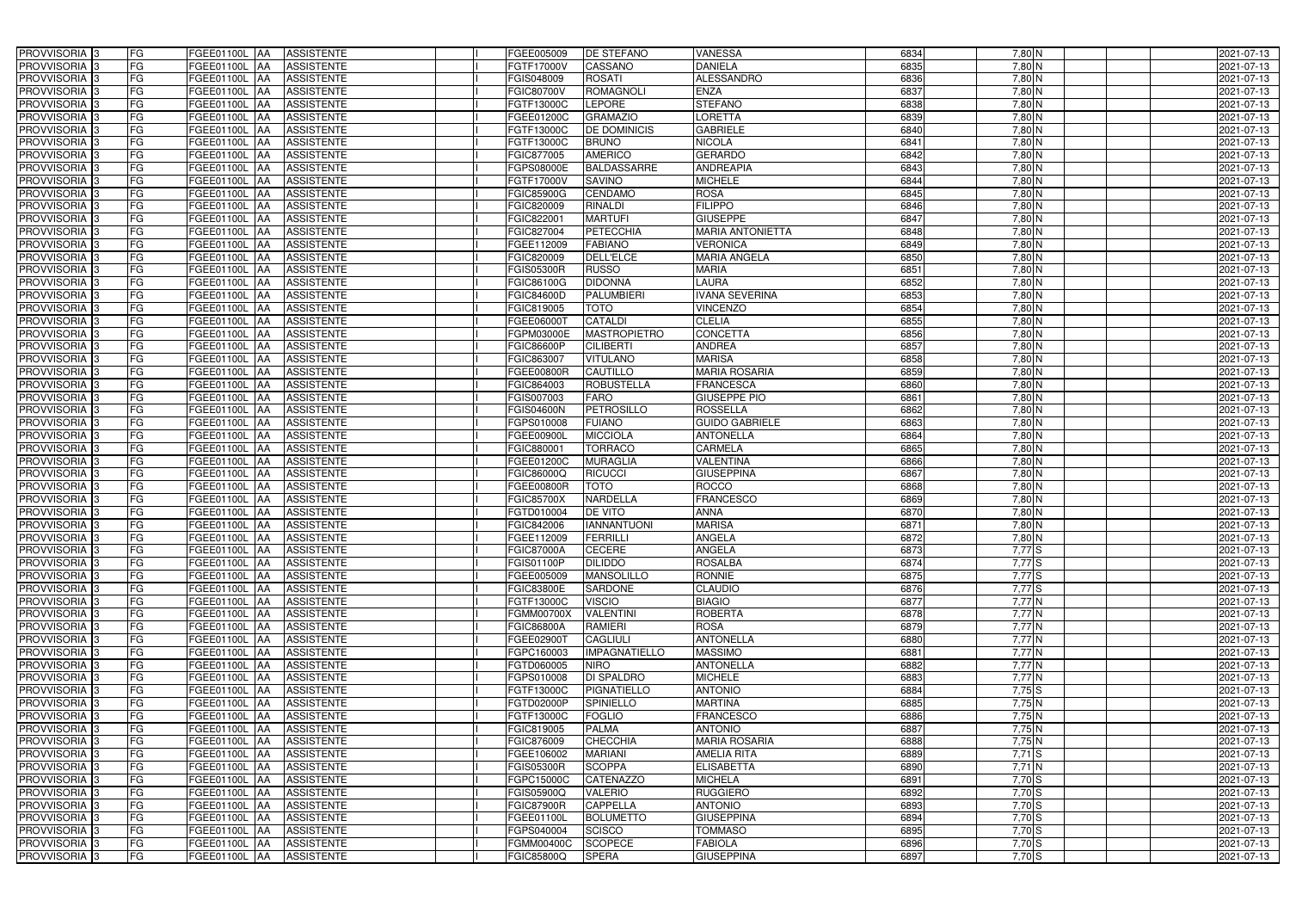| PROVVISORIA 3              | FG        | FGEE01100L AA<br><b>ASSISTENTE</b>            | FGEE005009        | DE STEFANO           | <b>VANESSA</b>          | 6834 | 7,80 N                 | 2021-07-13 |
|----------------------------|-----------|-----------------------------------------------|-------------------|----------------------|-------------------------|------|------------------------|------------|
| PROVVISORIA 3              | FG        | <b>ASSISTENTE</b><br>FGEE01100L               | FGTF17000V        | CASSANO              | <b>DANIELA</b>          | 6835 | 7,80 N                 | 2021-07-13 |
| PROVVISORIA 3              | FG        | FGEE01100L<br><b>ASSISTENTE</b><br>IAA        | FGIS048009        | <b>ROSATI</b>        | <b>ALESSANDRO</b>       | 6836 | $7,80$ N               | 2021-07-13 |
| PROVVISORIA 3              | FG        | FGEE01100L<br><b>ASSISTENTE</b><br>IAA        | FGIC80700V        | <b>ROMAGNOLI</b>     | <b>ENZA</b>             | 6837 | $7,80$ N               | 2021-07-13 |
| PROVVISORIA 3              | FG        | FGEE01100L<br><b>ASSISTENTE</b><br>IAA        | FGTF13000C        | <b>LEPORE</b>        | <b>STEFANO</b>          | 6838 | 7,80 N                 | 2021-07-13 |
| PROVVISORIA 3              | <b>FG</b> | <b>FGEE01100L   AA</b><br><b>ASSISTENTE</b>   | FGEE01200C        | <b>GRAMAZIO</b>      | LORETTA                 | 6839 | 7,80 N                 | 2021-07-13 |
| PROVVISORIA 3              | FG        | <b>FGEE01100L   AA</b><br><b>ASSISTENTE</b>   | FGTF13000C        | <b>DE DOMINICIS</b>  | <b>GABRIELE</b>         | 6840 | 7,80 N                 | 2021-07-13 |
| PROVVISORIA 3              | FG        | <b>ASSISTENTE</b><br>FGEE01100L AA            | FGTF13000C        | <b>BRUNO</b>         | <b>NICOLA</b>           | 6841 | 7,80 N                 | 2021-07-13 |
| PROVVISORIA 3              | <b>FG</b> | FGEE01100L AA<br><b>ASSISTENTE</b>            | FGIC877005        | <b>AMERICO</b>       | <b>GERARDO</b>          | 6842 | $7,80$ N               | 2021-07-13 |
| PROVVISORIA 3              | FG        | FGEE01100L AA<br><b>ASSISTENTE</b>            | FGPS08000E        | <b>BALDASSARRE</b>   | <b>ANDREAPIA</b>        | 6843 | 7,80 N                 | 2021-07-13 |
| PROVVISORIA 3              | FG        | <b>ASSISTENTE</b><br>FGEE01100L AA            | FGTF17000V        | <b>SAVINO</b>        | <b>MICHELE</b>          | 6844 | 7,80 N                 | 2021-07-13 |
| PROVVISORIA 3              | FG        | FGEE01100L AA<br><b>ASSISTENTE</b>            | FGIC85900G        | <b>CENDAMO</b>       | <b>ROSA</b>             | 6845 | 7,80 N                 | 2021-07-13 |
| PROVVISORIA <sup>3</sup>   | FG        | FGEE01100L AA<br><b>ASSISTENTE</b>            | FGIC820009        | RINALDI              | <b>FILIPPO</b>          | 6846 | 7,80 N                 | 2021-07-13 |
| PROVVISORIA 3              | FG        | <b>ASSISTENTE</b><br>FGEE01100L AA            | FGIC822001        | <b>MARTUFI</b>       | <b>GIUSEPPE</b>         | 6847 | $7,80$ N               | 2021-07-13 |
| PROVVISORIA 3              | <b>FG</b> | <b>FGEE01100L   AA</b><br><b>ASSISTENTE</b>   | FGIC827004        | <b>PETECCHIA</b>     | <b>MARIA ANTONIETTA</b> | 6848 | 7,80 N                 | 2021-07-13 |
| PROVVISORIA 3              | <b>FG</b> | FGEE01100L<br><b>ASSISTENTE</b><br><b>IAA</b> | FGEE112009        | <b>FABIANO</b>       | <b>VERONICA</b>         | 6849 | $7,80$ N               | 2021-07-13 |
| PROVVISORIA 3              | FG        | <b>FGEE01100L</b><br><b>ASSISTENTE</b><br>IAA | FGIC820009        | DELL'ELCE            | <b>MARIA ANGELA</b>     | 6850 | $7,80$ N               | 2021-07-13 |
| PROVVISORIA 3              | FG        | <b>FGEE01100L</b><br><b>ASSISTENTE</b><br>IAA | FGIS05300R        | <b>RUSSO</b>         | <b>MARIA</b>            | 6851 | 7,80 N                 | 2021-07-13 |
| PROVVISORIA 3              | FG        | FGEE01100L<br><b>ASSISTENTE</b><br>IAA        | FGIC86100G        | <b>DIDONNA</b>       | <b>LAURA</b>            | 6852 | 7,80 N                 | 2021-07-13 |
| PROVVISORIA 3              | FG        | FGEE01100L<br><b>ASSISTENTE</b><br>IAA        | <b>FGIC84600D</b> | <b>PALUMBIERI</b>    | <b>IVANA SEVERINA</b>   | 6853 | 7,80 N                 | 2021-07-13 |
| PROVVISORIA <sup>3</sup>   | FG        | FGEE01100L<br><b>ASSISTENTE</b>               | FGIC819005        | <b>TOTO</b>          | <b>VINCENZO</b>         | 6854 | 7,80 N                 | 2021-07-13 |
| <b>PROVVISORIA</b> 3       | FG        | <b>FGEE01100L</b><br><b>ASSISTENTE</b><br>IAA | FGEE06000T        | <b>CATALDI</b>       | <b>CLELIA</b>           | 6855 | 7,80 N                 | 2021-07-13 |
| PROVVISORIA <sup>3</sup>   | FG        | FGEE01100L<br><b>ASSISTENTE</b><br>IAA        | <b>GPM03000E</b>  | <b>MASTROPIETRO</b>  | <b>CONCETTA</b>         | 6856 | $7,80$ N               | 2021-07-13 |
| PROVVISORIA <sup>13</sup>  | <b>FG</b> | FGEE01100L<br><b>ASSISTENTE</b><br>AA         | FGIC86600P        | <b>CILIBERTI</b>     | <b>ANDREA</b>           | 6857 | 7,80 N                 | 2021-07-13 |
| <b>PROVVISORIA</b> 3       | FG        | FGEE01100L<br><b>ASSISTENTE</b><br>IAA        | FGIC863007        | <b>VITULANO</b>      | <b>MARISA</b>           | 6858 | $7,80$ N               | 2021-07-13 |
| PROVVISORIA 3              | FG        | FGEE01100L<br><b>ASSISTENTE</b><br>IAA        | FGEE00800R        | <b>CAUTILLO</b>      | <b>MARIA ROSARIA</b>    | 6859 | $7,80$ N               | 2021-07-13 |
| PROVVISORIA 3              | <b>FG</b> | FGEE01100L AA<br><b>ASSISTENTE</b>            | FGIC864003        | <b>ROBUSTELLA</b>    | <b>FRANCESCA</b>        | 6860 | $7,80$ N               | 2021-07-13 |
| PROVVISORIA 3              | <b>FG</b> | FGEE01100L AA<br><b>ASSISTENTE</b>            | FGIS007003        | <b>FARO</b>          | <b>GIUSEPPE PIO</b>     | 6861 | $7,80$ N               | 2021-07-13 |
| PROVVISORIA 3              | FG        | FGEE01100L AA<br><b>ASSISTENTE</b>            | <b>GIS04600N</b>  | PETROSILLO           | <b>ROSSELLA</b>         | 6862 | $7,80$ N               | 2021-07-13 |
| PROVVISORIA 3              | <b>FG</b> | <b>FGEE01100L   AA</b><br><b>ASSISTENTE</b>   | FGPS010008        | <b>FUIANO</b>        | <b>GUIDO GABRIELE</b>   | 6863 | 7,80 N                 | 2021-07-13 |
| PROVVISORIA 3              | FG        | <b>FGEE01100L AA</b><br><b>ASSISTENTE</b>     | FGEE00900L        | <b>MICCIOLA</b>      | <b>ANTONELLA</b>        | 6864 | 7,80 N                 | 2021-07-13 |
| PROVVISORIA 3              | FG        | <b>ASSISTENTE</b><br>FGEE01100L AA            | FGIC880001        | <b>TORRACO</b>       | CARMELA                 | 6865 | 7,80 N                 | 2021-07-13 |
| PROVVISORIA 3              | FG        | FGEE01100L<br><b>ASSISTENTE</b><br><b>IAA</b> | FGEE01200C        | <b>MURAGLIA</b>      | <b>VALENTINA</b>        | 6866 | 7,80 N                 | 2021-07-13 |
| PROVVISORIA 3              | <b>FG</b> | <b>FGEE01100L   AA</b><br><b>ASSISTENTE</b>   | FGIC86000Q        | <b>RICUCCI</b>       | <b>GIUSEPPINA</b>       | 6867 | $7,80$ N               | 2021-07-13 |
| <b>PROVVISORIA</b> 3       | <b>FG</b> | FGEE01100L<br><b>ASSISTENTE</b><br>IAA        | FGEE00800R        | <b>TOTO</b>          | <b>ROCCO</b>            | 6868 | $7,80$ N               | 2021-07-13 |
| PROVVISORIA <sup>3</sup>   | FG        | FGEE01100L<br><b>ASSISTENTE</b><br>IAA        | FGIC85700X        | <b>NARDELLA</b>      | <b>FRANCESCO</b>        | 6869 | 7,80 N                 | 2021-07-13 |
| PROVVISORIA <sup>1</sup> 3 | FG        | <b>FGEE01100L</b><br><b>ASSISTENTE</b><br>IAA | FGTD010004        | <b>DE VITO</b>       | <b>ANNA</b>             | 6870 | 7,80 N                 | 2021-07-13 |
| PROVVISORIA <sup>3</sup>   | <b>FG</b> | FGEE01100L AA<br><b>ASSISTENTE</b>            | FGIC842006        | <b>IANNANTUONI</b>   | <b>MARISA</b>           | 6871 | 7,80 N                 | 2021-07-13 |
| PROVVISORIA <sup>3</sup>   | FG        | FGEE01100L AA ASSISTENTE                      | FGEE112009        | FERRILLI             | <b>ANGELA</b>           | 6872 | $7,80\overline{\rm N}$ | 2021-07-13 |
| PROVVISORIA <sup>3</sup>   | FG        | FGEE01100L AA<br>ASSISTENTE                   | <b>FGIC87000A</b> | <b>CECERE</b>        | <b>ANGELA</b>           | 6873 | $7,77$ S               | 2021-07-13 |
| PROVVISORIA <sup>3</sup>   | FG        | ASSISTENTE<br>FGEE01100L AA                   | FGIS01100P        | <b>DILIDDO</b>       | <b>ROSALBA</b>          | 6874 | $7,77$ S               | 2021-07-13 |
| PROVVISORIA <sup>3</sup>   | FG        | FGEE01100L AA<br><b>ASSISTENTE</b>            | FGEE005009        | <b>MANSOLILLO</b>    | <b>RONNIE</b>           | 6875 | $7,77$ S               | 2021-07-13 |
| PROVVISORIA <sup>3</sup>   | FG        | FGEE01100L AA<br><b>ASSISTENTE</b>            | <b>FGIC83800E</b> | SARDONE              | <b>CLAUDIO</b>          | 6876 | $7,77$ S               | 2021-07-13 |
| PROVVISORIA <sup>3</sup>   | FG        | FGEE01100L AA<br><b>ASSISTENTE</b>            | FGTF13000C        | <b>VISCIO</b>        | <b>BIAGIO</b>           | 6877 | $7,77$ N               | 2021-07-13 |
| PROVVISORIA <sup>3</sup>   | <b>FG</b> | FGEE01100L AA<br><b>ASSISTENTE</b>            | FGMM00700X        | <b>VALENTINI</b>     | <b>ROBERTA</b>          | 6878 | $7,77$ N               | 2021-07-13 |
| PROVVISORIA <sup>3</sup>   | FG        | FGEE01100L AA<br><b>ASSISTENTE</b>            | FGIC86800A        | <b>RAMIERI</b>       | <b>ROSA</b>             | 6879 | $7,77$ N               | 2021-07-13 |
| PROVVISORIA <sup>3</sup>   | FG        | FGEE01100L AA<br><b>ASSISTENTE</b>            | FGEE02900T        | <b>CAGLIULI</b>      | <b>ANTONELLA</b>        | 6880 | $7,77$ N               | 2021-07-13 |
| PROVVISORIA <sup>3</sup>   | FG        | FGEE01100L AA<br><b>ASSISTENTE</b>            | FGPC160003        | <b>IMPAGNATIELLO</b> | <b>MASSIMO</b>          | 6881 | $7,77$ N               | 2021-07-13 |
| PROVVISORIA 3              | FG        | FGEE01100L AA<br><b>ASSISTENTE</b>            | FGTD060005        | <b>NIRO</b>          | <b>ANTONELLA</b>        | 6882 | 7,77N                  | 2021-07-13 |
| PROVVISORIA 3              | FG        | FGEE01100L AA<br><b>ASSISTENTE</b>            | FGPS010008        | <b>DI SPALDRO</b>    | <b>MICHELE</b>          | 6883 | $7,77$ N               | 2021-07-13 |
| PROVVISORIA 3              | FG        | FGEE01100L AA<br><b>ASSISTENTE</b>            | FGTF13000C        | <b>PIGNATIELLO</b>   | <b>ANTONIO</b>          | 6884 | $7,75$ S               | 2021-07-13 |
| PROVVISORIA <sup>3</sup>   | FG        | FGEE01100L AA<br><b>ASSISTENTE</b>            | FGTD02000P        | <b>SPINIELLO</b>     | <b>MARTINA</b>          | 6885 | $7,75$ N               | 2021-07-13 |
| PROVVISORIA <sup>3</sup>   | FG        | FGEE01100L AA<br><b>ASSISTENTE</b>            | FGTF13000C        | <b>FOGLIO</b>        | <b>FRANCESCO</b>        | 6886 | $7,75$ N               | 2021-07-13 |
| PROVVISORIA <sup>3</sup>   | FG        | FGEE01100L AA<br><b>ASSISTENTE</b>            | FGIC819005        | <b>PALMA</b>         | <b>ANTONIO</b>          | 6887 | 7,75N                  | 2021-07-13 |
| PROVVISORIA <sup>13</sup>  | FG        | FGEE01100L AA<br><b>ASSISTENTE</b>            | FGIC876009        | <b>CHECCHIA</b>      | <b>MARIA ROSARIA</b>    | 6888 | 7,75N                  | 2021-07-13 |
| PROVVISORIA <sup>3</sup>   | FG        | FGEE01100L AA<br><b>ASSISTENTE</b>            | FGEE106002        | <b>MARIANI</b>       | <b>AMELIA RITA</b>      | 6889 | $7,71$ S               | 2021-07-13 |
| PROVVISORIA <sup>3</sup>   | FG        | FGEE01100L AA<br><b>ASSISTENTE</b>            | <b>FGIS05300R</b> | <b>SCOPPA</b>        | <b>ELISABETTA</b>       | 6890 | $7,71$ N               | 2021-07-13 |
| PROVVISORIA <sup>3</sup>   | FG        | <b>FGEE01100L   AA</b><br><b>ASSISTENTE</b>   | FGPC15000C        | <b>CATENAZZO</b>     | <b>MICHELA</b>          | 6891 | $7,70$ S               | 2021-07-13 |
| PROVVISORIA <sup>3</sup>   | FG        | <b>ASSISTENTE</b><br>FGEE01100L AA            | FGIS05900Q        | <b>VALERIO</b>       | <b>RUGGIERO</b>         | 6892 | $7,70$ S               | 2021-07-13 |
| PROVVISORIA <sup>3</sup>   | FG        | <b>ASSISTENTE</b><br>FGEE01100L AA            | <b>FGIC87900R</b> | <b>CAPPELLA</b>      | <b>ANTONIO</b>          | 6893 | $7,70$ S               | 2021-07-13 |
| PROVVISORIA <sup>3</sup>   | FG        | FGEE01100L AA<br><b>ASSISTENTE</b>            | FGEE01100L        | <b>BOLUMETTO</b>     | <b>GIUSEPPINA</b>       | 6894 | 7,70 S                 | 2021-07-13 |
| PROVVISORIA <sup>3</sup>   | FG        | <b>ASSISTENTE</b><br>FGEE01100L AA            | FGPS040004        | <b>SCISCO</b>        | <b>TOMMASO</b>          | 6895 | $7,70$ S               | 2021-07-13 |
| PROVVISORIA <sup>3</sup>   | FG        | ASSISTENTE<br>FGEE01100L AA                   | FGMM00400C        | <b>SCOPECE</b>       | <b>FABIOLA</b>          | 6896 | $7,70$ S               | 2021-07-13 |
| PROVVISORIA 3              | FG        | <b>ASSISTENTE</b><br>FGEE01100L AA            | FGIC85800Q        | <b>SPERA</b>         | <b>GIUSEPPINA</b>       | 6897 | $7,70$ S               | 2021-07-13 |
|                            |           |                                               |                   |                      |                         |      |                        |            |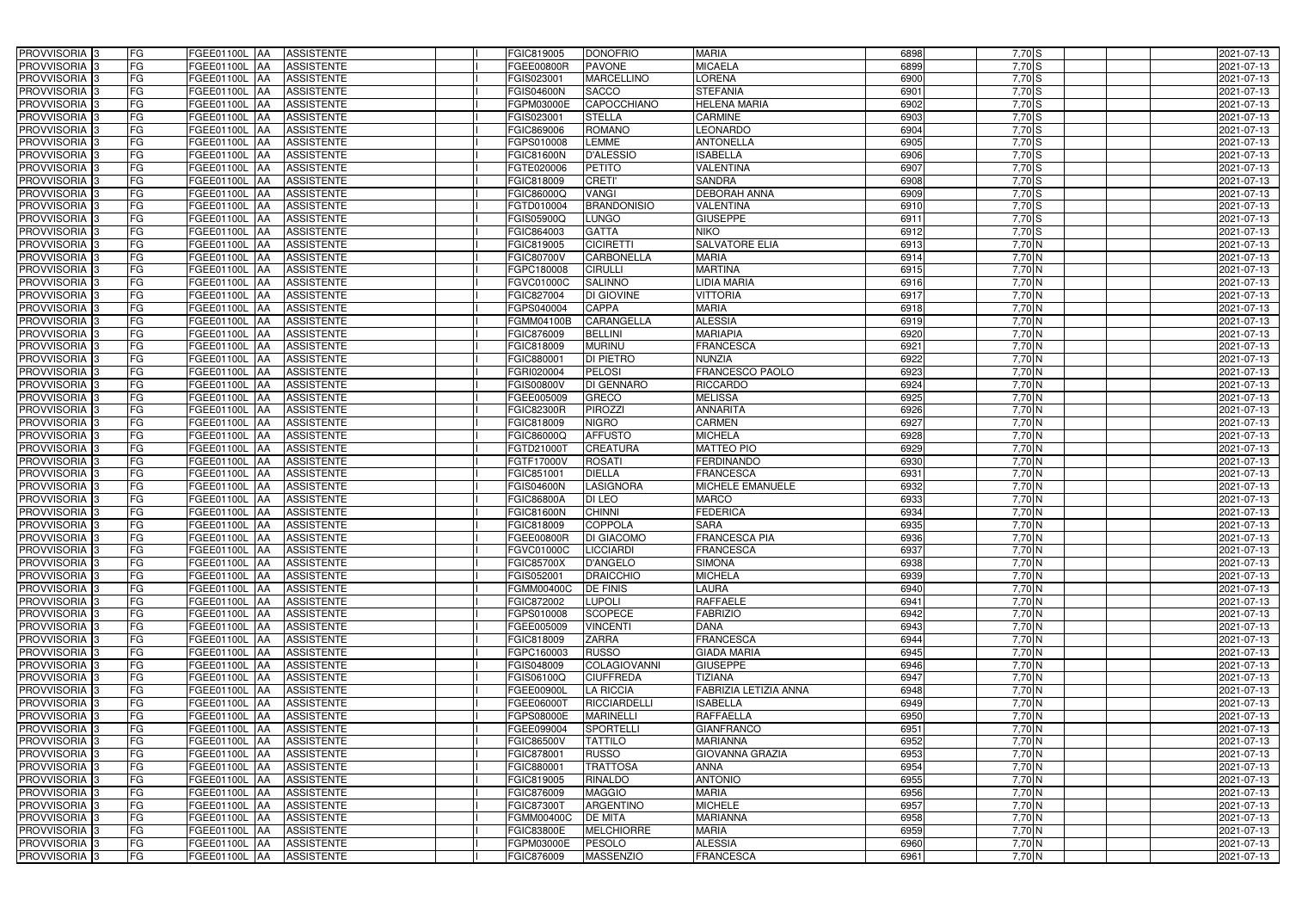| PROVVISORIA 3              | FG<br>FGEE01100L AA                       | <b>ASSISTENTE</b>               | FGIC819005        | <b>DONOFRIO</b>     | <b>MARIA</b>            | 6898 | 7,70 S   | 2021-07-13 |
|----------------------------|-------------------------------------------|---------------------------------|-------------------|---------------------|-------------------------|------|----------|------------|
| PROVVISORIA <sup>3</sup>   | FG<br>FGEE01100L AA                       | <b>ASSISTENTE</b>               | FGEE00800R        | <b>PAVONE</b>       | <b>MICAELA</b>          | 6899 | $7,70$ S | 2021-07-13 |
| PROVVISORIA <sup>3</sup>   | FG<br>FGEE01100L AA                       | <b>ASSISTENTE</b>               | FGIS023001        | <b>MARCELLINO</b>   | <b>LORENA</b>           | 6900 | 7,70S    | 2021-07-13 |
| PROVVISORIA 3              | FG<br>FGEE01100L AA                       | <b>ASSISTENTE</b>               | <b>FGIS04600N</b> | <b>SACCO</b>        | <b>STEFANIA</b>         | 6901 | $7,70$ S | 2021-07-13 |
| PROVVISORIA <sup>3</sup>   | FG<br>FGEE01100L                          | <b>ASSISTENTE</b><br><b>IAA</b> | FGPM03000E        | CAPOCCHIANO         | <b>HELENA MARIA</b>     | 6902 | $7,70$ S | 2021-07-13 |
| PROVVISORIA <sup>3</sup>   | FG<br>FGEE01100L AA                       | <b>ASSISTENTE</b>               | FGIS023001        | <b>STELLA</b>       | <b>CARMINE</b>          | 6903 | $7,70$ S | 2021-07-13 |
| PROVVISORIA <sup>3</sup>   | FG<br>FGEE01100L AA                       | <b>ASSISTENTE</b>               | FGIC869006        | <b>ROMANO</b>       | <b>LEONARDO</b>         | 6904 | $7,70$ S | 2021-07-13 |
| PROVVISORIA <sup>3</sup>   | FG<br>FGEE01100L AA                       | <b>ASSISTENTE</b>               | FGPS010008        | <b>LEMME</b>        | <b>ANTONELLA</b>        | 6905 | 7,70 S   | 2021-07-13 |
| PROVVISORIA <sup>3</sup>   | FG<br>FGEE01100L AA                       | <b>ASSISTENTE</b>               | FGIC81600N        | <b>D'ALESSIO</b>    | <b>ISABELLA</b>         | 6906 | $7,70$ S | 2021-07-13 |
| PROVVISORIA 3              | FG<br>FGEE01100L AA                       | <b>ASSISTENTE</b>               | FGTE020006        | <b>PETITO</b>       | <b>VALENTINA</b>        | 6907 | $7,70$ S | 2021-07-13 |
| PROVVISORIA 3              | FG<br>FGEE01100L AA                       | <b>ASSISTENTE</b>               | FGIC818009        | <b>CRETI'</b>       | <b>SANDRA</b>           | 6908 | $7,70$ S | 2021-07-13 |
| PROVVISORIA 3              | FG<br>FGEE01100L AA                       | <b>ASSISTENTE</b>               | FGIC86000Q        | <b>VANGI</b>        | <b>DEBORAH ANNA</b>     | 6909 | $7,70$ S | 2021-07-13 |
| PROVVISORIA <sup>3</sup>   | FG<br><b>FGEE01100L AA</b>                | <b>ASSISTENTE</b>               | FGTD010004        | <b>BRANDONISIO</b>  | VALENTINA               | 6910 | $7,70$ S | 2021-07-13 |
| PROVVISORIA 3              | FG<br>FGEE01100L AA                       | <b>ASSISTENTE</b>               | <b>FGIS05900Q</b> | <b>LUNGO</b>        | <b>GIUSEPPE</b>         | 6911 | $7,70$ S | 2021-07-13 |
| PROVVISORIA 3              | $\overline{\mathsf{FG}}$<br>FGEE01100L AA | <b>ASSISTENTE</b>               | FGIC864003        | <b>GATTA</b>        | <b>NIKO</b>             | 6912 | $7,70$ S | 2021-07-13 |
| PROVVISORIA 3              | $\overline{\mathsf{FG}}$<br>FGEE01100L AA | <b>ASSISTENTE</b>               | FGIC819005        | <b>CICIRETTI</b>    | <b>SALVATORE ELIA</b>   | 6913 | $7,70$ N | 2021-07-13 |
| PROVVISORIA <sup>3</sup>   | FG<br><b>FGEE01100L</b>                   | <b>ASSISTENTE</b><br><b>IAA</b> | FGIC80700V        | <b>CARBONELLA</b>   | <b>MARIA</b>            | 6914 | $7,70$ N | 2021-07-13 |
| PROVVISORIA 3              | FG<br>FGEE01100L AA                       | <b>ASSISTENTE</b>               | FGPC180008        | <b>CIRULLI</b>      | <b>MARTINA</b>          | 6915 | 7,70 N   | 2021-07-13 |
| PROVVISORIA 3              | FG<br><b>FGEE01100L</b>                   | <b>ASSISTENTE</b><br><b>JAA</b> | FGVC01000C        | <b>SALINNO</b>      | <b>LIDIA MARIA</b>      | 6916 | 7,70 N   | 2021-07-13 |
| PROVVISORIA 3              | FG<br><b>FGEE01100L AA</b>                | <b>ASSISTENTE</b>               | FGIC827004        | DI GIOVINE          | <b>VITTORIA</b>         | 6917 | 7,70 N   | 2021-07-13 |
| PROVVISORIA 3              | FG<br><b>FGEE01100L</b>                   | <b>AA</b><br><b>ASSISTENTE</b>  | FGPS040004        | CAPPA               | <b>MARIA</b>            | 6918 | 7,70 N   | 2021-07-13 |
| PROVVISORIA 3              | FG<br>FGEE01100L AA                       | <b>ASSISTENTE</b>               | FGMM04100B        | CARANGELLA          | <b>ALESSIA</b>          | 6919 | 7,70 N   | 2021-07-13 |
| PROVVISORIA 3              | FG<br>FGEE01100L                          | <b>JAA</b><br><b>ASSISTENTE</b> | FGIC876009        | <b>BELLINI</b>      | <b>MARIAPIA</b>         | 6920 | 7,70 N   | 2021-07-13 |
| PROVVISORIA 3              | FG<br>FGEE01100L AA                       | <b>ASSISTENTE</b>               | FGIC818009        | Murinu              | <b>FRANCESCA</b>        | 6921 | $7,70$ N | 2021-07-13 |
| PROVVISORIA 3              | FG<br>FGEE01100L AA                       | <b>ASSISTENTE</b>               | FGIC88000         | <b>DI PIETRO</b>    | <b>NUNZIA</b>           | 6922 | $7,70$ N | 2021-07-13 |
| PROVVISORIA 3              | FG<br>FGEE01100L AA                       | <b>ASSISTENTE</b>               | FGRI020004        | <b>PELOSI</b>       | <b>FRANCESCO PAOLO</b>  | 6923 | $7,70$ N | 2021-07-13 |
| PROVVISORIA 3              | FG<br>FGEE01100L AA                       | <b>ASSISTENTE</b>               | FGIS00800V        | <b>DI GENNARO</b>   | <b>RICCARDO</b>         | 6924 | $7,70$ N | 2021-07-13 |
| PROVVISORIA 3              | FG<br>FGEE01100L AA                       | <b>ASSISTENTE</b>               | FGEE005009        | <b>GRECO</b>        | <b>MELISSA</b>          | 6925 | $7,70$ N | 2021-07-13 |
| PROVVISORIA <sup>3</sup>   | FG<br>FGEE01100L AA                       | <b>ASSISTENTE</b>               | <b>FGIC82300R</b> | <b>PIROZZI</b>      | <b>ANNARITA</b>         | 6926 | $7,70$ N | 2021-07-13 |
| PROVVISORIA <sup>3</sup>   | FG<br>FGEE01100L AA                       | <b>ASSISTENTE</b>               | FGIC818009        | <b>NIGRO</b>        | <b>CARMEN</b>           | 6927 | 7,70 N   | 2021-07-13 |
| PROVVISORIA <sup>3</sup>   | FG<br>FGEE01100L AA                       | <b>ASSISTENTE</b>               | FGIC86000Q        | <b>AFFUSTO</b>      | <b>MICHELA</b>          | 6928 | 7,70 N   | 2021-07-13 |
| PROVVISORIA <sup>3</sup>   | FG<br>FGEE01100L AA                       | <b>ASSISTENTE</b>               | FGTD21000T        | CREATURA            | <b>MATTEO PIO</b>       | 6929 | $7,70$ N | 2021-07-13 |
| PROVVISORIA <sup>3</sup>   | FG<br>FGEE01100L AA                       | <b>ASSISTENTE</b>               | FGTF17000V        | <b>ROSATI</b>       | <b>FERDINANDO</b>       | 6930 | $7,70$ N | 2021-07-13 |
| PROVVISORIA <sup>3</sup>   | FG<br>FGEE01100L AA                       | <b>ASSISTENTE</b>               | FGIC851001        | <b>DIELLA</b>       | <b>FRANCESCA</b>        | 6931 | 7,70 N   | 2021-07-13 |
| PROVVISORIA <sup>3</sup>   | FG<br>FGEE01100L                          | <b>ASSISTENTE</b><br><b>IAA</b> | <b>FGIS04600N</b> | <b>LASIGNORA</b>    | <b>MICHELE EMANUELE</b> | 6932 | $7,70$ N | 2021-07-13 |
| PROVVISORIA <sup>3</sup>   | FG<br>FGEE01100L                          | <b>ASSISTENTE</b><br><b>JAA</b> | <b>FGIC86800A</b> | <b>DI LEO</b>       | <b>MARCO</b>            | 6933 | 7,70 N   | 2021-07-13 |
| PROVVISORIA <sup>3</sup>   | FG<br>FGEE01100L                          | <b>ASSISTENTE</b><br><b>JAA</b> | <b>FGIC81600N</b> | <b>CHINNI</b>       | <b>EDERICA</b>          | 6934 | 7,70 N   | 2021-07-13 |
| PROVVISORIA <sup>3</sup>   | FG<br>FGEE01100L AA                       | <b>ASSISTENTE</b>               | FGIC818009        | <b>COPPOLA</b>      | <b>SARA</b>             | 6935 | 7,70N    | 2021-07-13 |
| <b>PROVVISORIA</b> 3       | FG<br><b>FGEE01100L</b> AA                | ASSISTENTE                      | <b>FGEE00800R</b> | <b>DI GIACOMO</b>   | FRANCESCA PIA           | 6936 | 7,70 N   | 2021-07-13 |
| PROVVISORIA <sup>3</sup>   | FG<br>FGEE01100L AA                       | ASSISTENTE                      | FGVC01000C        | <b>LICCIARDI</b>    | <b>FRANCESCA</b>        | 6937 | $7,70$ N | 2021-07-13 |
| PROVVISORIA <sup>3</sup>   | FG<br>FGEE01100L AA                       | ASSISTENTE                      | <b>FGIC85700X</b> | <b>D'ANGELO</b>     | <b>SIMONA</b>           | 6938 | $7,70$ N | 2021-07-13 |
| PROVVISORIA <sup>3</sup>   | FG<br>FGEE01100L AA                       | ASSISTENTE                      | FGIS052001        | <b>DRAICCHIO</b>    | <b>MICHELA</b>          | 6939 | $7,70$ N | 2021-07-13 |
| PROVVISORIA <sup>3</sup>   | FG<br>FGEE01100L AA                       | <b>ASSISTENTE</b>               | <b>FGMM00400C</b> | <b>DE FINIS</b>     | <b>LAURA</b>            | 6940 | 7,70N    | 2021-07-13 |
| PROVVISORIA <sup>3</sup>   | FG<br><b>FGEE01100L AA</b>                | ASSISTENTE                      | <b>FGIC872002</b> | <b>LUPOLI</b>       | <b>RAFFAELE</b>         | 6941 | $7,70$ N | 2021-07-13 |
| PROVVISORIA 3              | FG<br>FGEE01100L AA                       | ASSISTENTE                      | FGPS010008        | <b>SCOPECE</b>      | <b>FABRIZIO</b>         | 6942 | $7,70$ N | 2021-07-13 |
| PROVVISORIA <sup>3</sup>   | FG<br>FGEE01100L AA                       | ASSISTENTE                      | FGEE005009        | <b>VINCENTI</b>     | <b>DANA</b>             | 6943 | $7,70$ N | 2021-07-13 |
| PROVVISORIA <sup>3</sup>   | FG<br>FGEE01100L AA                       | ASSISTENTE                      | FGIC818009        | <b>ZARRA</b>        | <b>FRANCESCA</b>        | 6944 | 7,70N    | 2021-07-13 |
| PROVVISORIA <sup>3</sup>   | FG<br>FGEE01100L AA                       | ASSISTENTE                      | FGPC160003        | <b>RUSSO</b>        | <b>GIADA MARIA</b>      | 6945 | 7,70 N   | 2021-07-13 |
| PROVVISORIA <sup>3</sup>   | FG<br><b>FGEE01100L AA</b>                | ASSISTENTE                      | FGIS048009        | <b>COLAGIOVANNI</b> | <b>GIUSEPPE</b>         | 6946 | 7,70 N   | 2021-07-13 |
| PROVVISORIA <sup>3</sup>   | FG<br>FGEE01100L AA                       | ASSISTENTE                      | FGIS06100Q        | <b>CIUFFREDA</b>    | <b>TIZIANA</b>          | 6947 | $7,70$ N | 2021-07-13 |
| PROVVISORIA <sup>3</sup>   | FG<br>FGEE01100L AA                       | <b>ASSISTENTE</b>               | FGEE00900L        | <b>LA RICCIA</b>    | FABRIZIA LETIZIA ANNA   | 6948 | $7,70$ N | 2021-07-13 |
| PROVVISORIA <sup>3</sup>   | FG<br>FGEE01100L AA                       | <b>ASSISTENTE</b>               | FGEE06000T        | RICCIARDELLI        | <b>ISABELLA</b>         | 6949 | $7,70$ N | 2021-07-13 |
| PROVVISORIA <sup>3</sup>   | FG<br>FGEE01100L AA                       | <b>ASSISTENTE</b>               | FGPS08000E        | <b>MARINELLI</b>    | <b>RAFFAELLA</b>        | 6950 | $7,70$ N | 2021-07-13 |
| PROVVISORIA <sup>3</sup>   | FG<br>FGEE01100L AA                       | <b>ASSISTENTE</b>               | FGEE099004        | <b>SPORTELLI</b>    | <b>GIANFRANCO</b>       | 6951 | $7,70$ N | 2021-07-13 |
| PROVVISORIA <sup>13</sup>  | FG<br>FGEE01100L AA                       | <b>ASSISTENTE</b>               | <b>FGIC86500V</b> | <b>TATTILO</b>      | <b>MARIANNA</b>         | 6952 | 7,70N    | 2021-07-13 |
| PROVVISORIA <sup>1</sup> 3 | FG<br>FGEE01100L AA                       | <b>ASSISTENTE</b>               | FGIC878001        | <b>RUSSO</b>        | <b>GIOVANNA GRAZIA</b>  | 6953 | 7,70 N   | 2021-07-13 |
| PROVVISORIA <sup>3</sup>   | FG<br>FGEE01100L AA                       | <b>ASSISTENTE</b>               | FGIC880001        | <b>TRATTOSA</b>     | <b>ANNA</b>             | 6954 | 7,70 N   | 2021-07-13 |
| <b>PROVVISORIA</b> 3       | FG<br>FGEE01100L AA                       | <b>ASSISTENTE</b>               | FGIC819005        | <b>RINALDO</b>      | <b>ANTONIO</b>          | 6955 | $7,70$ N | 2021-07-13 |
| PROVVISORIA <sup>3</sup>   | FG<br>FGEE01100L AA                       | <b>ASSISTENTE</b>               | FGIC876009        | <b>MAGGIO</b>       | <b>MARIA</b>            | 6956 | 7,70 N   | 2021-07-13 |
| PROVVISORIA <sup>1</sup> 3 | FG<br><b>FGEE01100L AA</b>                | <b>ASSISTENTE</b>               | <b>FGIC87300T</b> | <b>ARGENTINO</b>    | <b>MICHELE</b>          | 6957 | 7,70N    | 2021-07-13 |
| PROVVISORIA <sup>3</sup>   | FG<br>FGEE01100L AA                       | <b>ASSISTENTE</b>               | FGMM00400C        | <b>DE MITA</b>      | <b>MARIANNA</b>         | 6958 | 7,70 N   | 2021-07-13 |
| PROVVISORIA <sup>3</sup>   | FG<br>FGEE01100L AA                       | <b>ASSISTENTE</b>               | <b>FGIC83800E</b> | <b>MELCHIORRE</b>   | <b>MARIA</b>            | 6959 | 7,70 N   | 2021-07-13 |
| PROVVISORIA <sup>3</sup>   | FG<br>FGEE01100L AA                       | <b>ASSISTENTE</b>               | FGPM03000E        | <b>PESOLO</b>       | <b>ALESSIA</b>          | 6960 | $7,70$ N | 2021-07-13 |
| PROVVISORIA <sup>3</sup>   | FG<br>FGEE01100L AA                       | ASSISTENTE                      | FGIC876009        | <b>MASSENZIO</b>    | <b>FRANCESCA</b>        | 6961 | 7,70 N   | 2021-07-13 |
|                            |                                           |                                 |                   |                     |                         |      |          |            |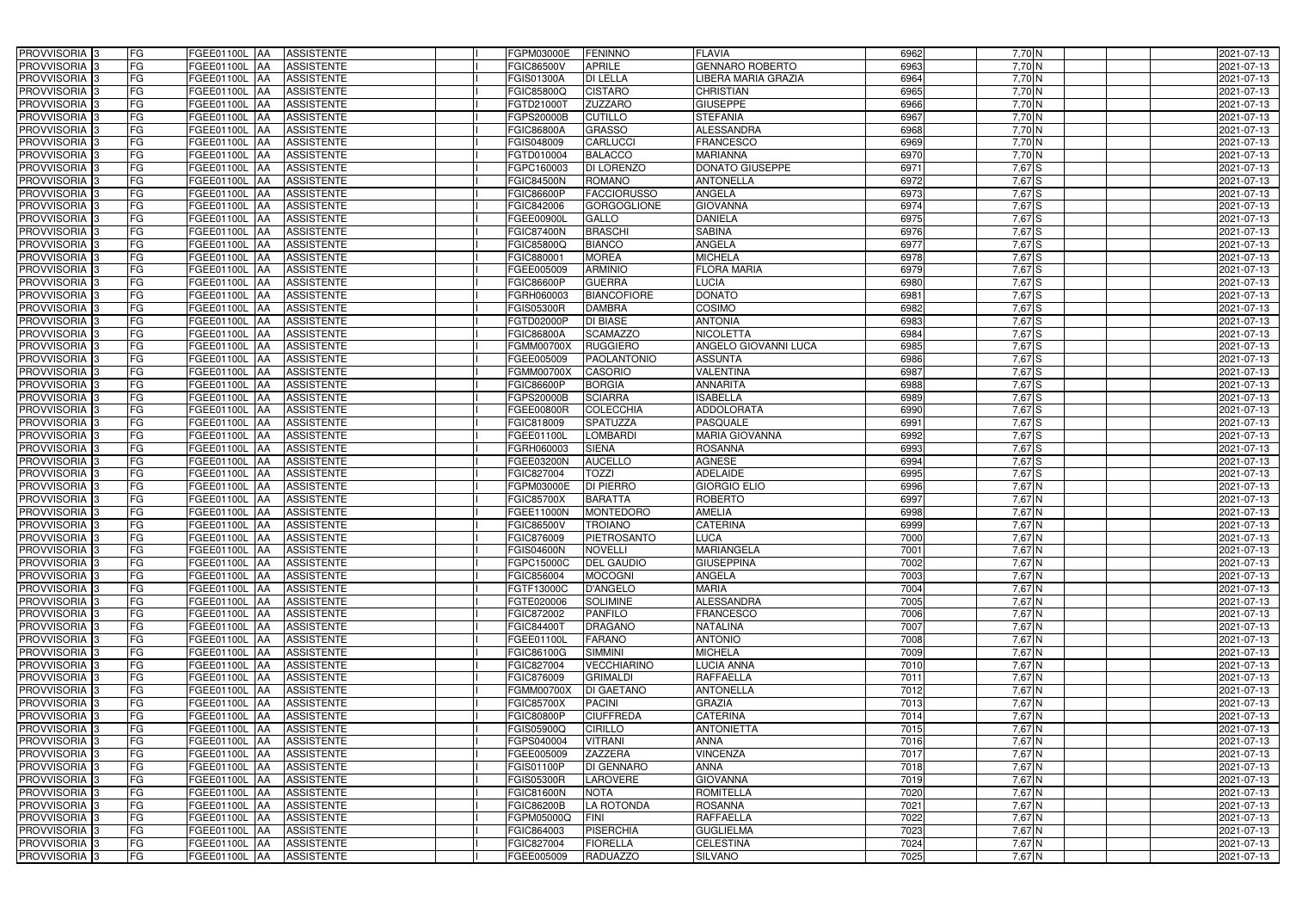| PROVVISORIA 3                                        | FG        | FGEE01100L AA                  | <b>ASSISTENTE</b>                      | FGPM03000E                             | <b>FENINNO</b>                        | <b>FLAVIA</b>                         | 6962         | $7,70$ N             | 2021-07-13               |
|------------------------------------------------------|-----------|--------------------------------|----------------------------------------|----------------------------------------|---------------------------------------|---------------------------------------|--------------|----------------------|--------------------------|
| PROVVISORIA <sup>1</sup> 3                           | FG        | FGEE01100L<br>IAA              | <b>ASSISTENTE</b>                      | FGIC86500V                             | <b>APRILE</b>                         | <b>GENNARO ROBERTO</b>                | 6963         | $7,70$ N             | 2021-07-13               |
| PROVVISORIA 3                                        | FG        | FGEE01100L AA                  | <b>ASSISTENTE</b>                      | FGIS01300A                             | <b>DI LELLA</b>                       | <b>IBERA MARIA GRAZIA</b>             | 6964         | $7,70$ N             | 2021-07-13               |
| PROVVISORIA 3                                        | <b>FG</b> | FGEE01100L AA                  | <b>ASSISTENTE</b>                      | FGIC85800Q                             | <b>CISTARO</b>                        | <b>CHRISTIAN</b>                      | 6965         | $7,70$ N             | 2021-07-13               |
| PROVVISORIA 3                                        | FG        | FGEE01100L<br>IAA              | <b>ASSISTENTE</b>                      | FGTD210001                             | ZUZZARO                               | <b>GIUSEPPE</b>                       | 6966         | $7,70$ N             | 2021-07-13               |
| PROVVISORIA 3                                        | <b>FG</b> | FGEE01100L AA                  | <b>ASSISTENTE</b>                      | FGPS20000B                             | <b>CUTILLO</b>                        | <b>STEFANIA</b>                       | 6967         | $7,70$ N             | 2021-07-13               |
| PROVVISORIA <sup>3</sup>                             | FG        | FGEE01100L<br>IAA              | <b>ASSISTENTE</b>                      | FGIC86800A                             | <b>GRASSO</b>                         | <b>ALESSANDRA</b>                     | 6968         | $7,70$ N             | 2021-07-13               |
| PROVVISORIA 3                                        | FG        | FGEE01100L<br>IAA              | <b>ASSISTENTE</b>                      | FGIS048009                             | <b>CARLUCCI</b>                       | FRANCESCO                             | 6969         | $7,70$ N             | 2021-07-13               |
| PROVVISORIA 3                                        | FG        | <b>FGEE01100L</b><br>IAA       | <b>ASSISTENTE</b>                      | FGTD010004                             | <b>BALACCO</b>                        | <b>MARIANNA</b>                       | 6970         | 7,70 N               | 2021-07-13               |
| PROVVISORIA 3                                        | FG        | FGEE01100L<br>IAA              | <b>ASSISTENTE</b>                      | FGPC160003                             | DI LORENZO                            | <b>DONATO GIUSEPPE</b>                | 6971         | 7,67 S               | 2021-07-13               |
| <b>PROVVISORIA</b>                                   | <b>FG</b> | FGEE01100L<br>IAA              | <b>ASSISTENTE</b>                      | <b>FGIC84500N</b>                      | <b>ROMANO</b>                         | <b>ANTONELLA</b>                      | 6972         | $7,67$ $S$           | 2021-07-13               |
| PROVVISORIA <sup>1</sup> 3                           | FG        | FGEE01100L<br>IAA              | <b>ASSISTENTE</b>                      | FGIC86600P                             | <b>FACCIORUSSO</b>                    | ANGELA                                | 6973         | 7,67 S               | 2021-07-13               |
| PROVVISORIA  :                                       | FG        | <b>FGEE01100L</b><br>IAA       | <b>ASSISTENTE</b>                      | FGIC842006                             | <b>GORGOGLIONE</b>                    | <b>GIOVANNA</b>                       | 6974         | $7,67$ S             | 2021-07-13               |
| PROVVISORIA 3                                        | FG        | FGEE01100L<br>IAA              | <b>ASSISTENTE</b>                      | FGEE00900L                             | GALLO                                 | <b>DANIELA</b>                        | 6975         | $7,67$ $S$           | 2021-07-13               |
| PROVVISORIA 3                                        | FG        | FGEE01100L<br><b>JAA</b>       | <b>ASSISTENTE</b>                      | FGIC87400N                             | <b>BRASCHI</b>                        | <b>SABINA</b>                         | 6976         | 7,67 S               | 2021-07-13               |
| PROVVISORIA 3                                        | <b>FG</b> | FGEE01100L AA                  | <b>ASSISTENTE</b>                      | <b>FGIC85800Q</b>                      | <b>BIANCO</b>                         | <b>ANGELA</b>                         | 6977         | $7,67$ S             | 2021-07-13               |
| PROVVISORIA 3                                        | <b>FG</b> | FGEE01100L<br>IAA              | <b>ASSISTENTE</b>                      | FGIC880001                             | <b>MOREA</b>                          | <b>MICHELA</b>                        | 6978         | 7,67 S               | 2021-07-13               |
| PROVVISORIA 3                                        | FG        | FGEE01100L<br>IAA              | <b>ASSISTENTE</b>                      | FGEE005009                             | <b>ARMINIO</b>                        | <b>FLORA MARIA</b>                    | 6979         | 7,67 S               | 2021-07-13               |
| PROVVISORIA 3                                        | <b>FG</b> | FGEE01100L AA                  | <b>ASSISTENTE</b>                      | <b>FGIC86600P</b>                      | <b>GUERRA</b>                         | <b>LUCIA</b>                          | 6980         | 7,67 S               | 2021-07-13               |
| PROVVISORIA 3                                        | <b>FG</b> | FGEE01100L<br>IAA              | <b>ASSISTENTE</b>                      | FGRH060003                             | <b>BIANCOFIORE</b>                    | <b>DONATO</b>                         | 6981         | 7,67 S               | 2021-07-13               |
| PROVVISORIA <sup>3</sup>                             | FG        | FGEE01100L<br><b>JAA</b>       | <b>ASSISTENTE</b>                      | <b>FGIS05300R</b>                      | <b>DAMBRA</b>                         | COSIMO                                | 6982         | 7,67 S               | 2021-07-13               |
| PROVVISORIA 3                                        | FG        | <b>FGEE01100L</b><br>IAA       | <b>ASSISTENTE</b>                      | FGTD02000P                             | <b>DI BIASE</b>                       | <b>ANTONIA</b>                        | 6983         | $7,67$ S             | 2021-07-13               |
| <b>PROVVISORIA</b> 3                                 | FG        | <b>FGEE01100L AA</b>           | <b>ASSISTENTE</b>                      | <b>FGIC86800A</b>                      | <b>SCAMAZZO</b>                       | <b>NICOLETTA</b>                      | 6984         | $7,67$ S             | 2021-07-13               |
| <b>PROVVISORIA</b>                                   | FG        | FGEE01100L<br>lAA              | <b>ASSISTENTE</b>                      | FGMM00700X                             | <b>RUGGIERO</b>                       | <b>ANGELO GIOVANNI LUCA</b>           | 6985         | 7,67 S               | 2021-07-13               |
| PROVVISORIA <sup>3</sup>                             | FG        | FGEE01100L<br>lAA              | <b>ASSISTENTE</b>                      | FGEE005009                             | <b>PAOLANTONIO</b>                    | <b>ASSUNTA</b>                        | 6986         | $7,67$ S             | 2021-07-13               |
| PROVVISORIA <sup>3</sup>                             | FG        | FGEE01100L<br>IAA              | <b>ASSISTENTE</b>                      | FGMM00700X                             | <b>CASORIO</b>                        | VALENTINA                             | 6987         | $7,67$ S             | 2021-07-13               |
| <b>PROVVISORIA</b>                                   | FG        | FGEE01100L<br>IAA              | <b>ASSISTENTE</b>                      | FGIC86600P                             | <b>BORGIA</b>                         | <b>ANNARITA</b>                       | 6988         | $7,67$ S             | 2021-07-13               |
| <b>PROVVISORIA</b> 3                                 | FG        | FGEE01100L<br>IAA              | <b>ASSISTENTE</b>                      | FGPS20000B                             | <b>SCIARRA</b>                        | <b>ISABELLA</b>                       | 6989         | $7,67$ S             | 2021-07-13               |
| PROVVISORIA <sup>1</sup> 3                           | FG        | FGEE01100L<br>IAA              | <b>ASSISTENTE</b>                      | FGEE00800R                             | <b>COLECCHIA</b>                      | <b>ADDOLORATA</b>                     | 6990         | $7,67$ S             | 2021-07-13               |
| PROVVISORIA 3                                        | <b>FG</b> | <b>FGEE01100L</b>              | <b>ASSISTENTE</b>                      | FGIC818009                             | <b>SPATUZZA</b>                       | <b>PASQUALE</b>                       | 6991         | $7,67$ S             | 2021-07-13               |
| PROVVISORIA <sup>1</sup> 3                           | FG        | FGEE01100L<br>IAA              | <b>ASSISTENTE</b>                      | GEE01100L                              | LOMBARDI                              | <b>MARIA GIOVANNA</b>                 | 6992         | 7,67 S               | 2021-07-13               |
| PROVVISORIA 3                                        | FG        | FGEE01100L                     | <b>ASSISTENTE</b>                      | GRH060003                              | <b>SIENA</b>                          | <b>ROSANNA</b>                        | 6993         | 7,67 S               | 2021-07-13               |
| PROVVISORIA 3                                        | <b>FG</b> | FGEE01100L                     | <b>ASSISTENTE</b>                      | FGEE03200N                             | <b>AUCELLO</b>                        | <b>AGNESE</b>                         | 6994         | $7,67$ $S$           | 2021-07-13               |
| PROVVISORIA 3                                        | FG        | FGEE01100L<br>IAA              | <b>ASSISTENTE</b>                      | FGIC827004                             | <b>TOZZI</b>                          | <b>ADELAIDE</b>                       | 6995         | 7,67 S               | 2021-07-13               |
| PROVVISORIA 3                                        | <b>FG</b> | FGEE01100L<br>IAA              | <b>ASSISTENTE</b>                      | FGPM03000E                             | <b>DI PIERRO</b>                      | <b>GIORGIO ELIO</b>                   | 6996         | 7,67 N               | 2021-07-13               |
| <b>PROVVISORIA</b> 3                                 | <b>FG</b> | FGEE01100L<br>IAA              | <b>ASSISTENTE</b>                      | <b>FGIC85700X</b>                      | <b>BARATTA</b>                        | <b>ROBERTO</b>                        | 6997         | 7,67 N               | 2021-07-13               |
| PROVVISORIA 3                                        | FG        | FGEE01100L<br>IAA              | <b>ASSISTENTE</b>                      | FGEE11000N                             | <b>MONTEDORO</b>                      | <b>AMELIA</b>                         | 6998         | 7,67 N               | 2021-07-13               |
| PROVVISORIA <sup>3</sup>                             | <b>FG</b> | FGEE01100L AA                  | <b>ASSISTENTE</b>                      | FGIC86500V                             | <b>TROIANO</b>                        | <b>CATERINA</b>                       | 6999         | 7,67 N               | 2021-07-13               |
| <b>PROVVISORIA</b> 3                                 | FG        | FGEE01100L AA ASSISTENTE       |                                        | FGIC876009                             | PIETROSANTO                           | <b>LUCA</b>                           | 7000         | 7,67 N               | 2021-07-13               |
| PROVVISORIA <sup>3</sup>                             | FG        | <b>FGEE01100L</b> AA           | <b>ASSISTENTE</b>                      | <b>FGIS04600N</b>                      | <b>NOVELLI</b>                        | <b>MARIANGELA</b>                     | 7001         | $7,67$ N             | 2021-07-13               |
| PROVVISORIA <sup>3</sup>                             | FG        | FGEE01100L AA                  | <b>ASSISTENTE</b>                      | FGPC15000C                             | <b>DEL GAUDIO</b>                     | <b>GIUSEPPINA</b>                     | 7002         | $7,67$ N             | 2021-07-13               |
| PROVVISORIA <sup>3</sup>                             | FG        | FGEE01100L AA                  | <b>ASSISTENTE</b>                      | FGIC856004                             | <b>MOCOGNI</b>                        | <b>ANGELA</b>                         | 7003         | $7,67$ N             | 2021-07-13               |
| PROVVISORIA <sup>3</sup>                             | FG        | FGEE01100L AA                  | <b>ASSISTENTE</b>                      | FGTF13000C                             | <b>D'ANGELO</b>                       | <b>MARIA</b>                          | 7004         | $7,67$ N             | 2021-07-13               |
| PROVVISORIA <sup>3</sup>                             | FG        | FGEE01100L AA                  | <b>ASSISTENTE</b>                      | FGTE020006                             | <b>SOLIMINE</b>                       | <b>ALESSANDRA</b>                     | 7005         | 7,67 N               | 2021-07-13               |
| PROVVISORIA <sup>3</sup>                             | FG        | FGEE01100L AA                  | <b>ASSISTENTE</b>                      | FGIC872002                             | <b>PANFILO</b>                        | <b>FRANCESCO</b>                      | 7006         | 7,67 N               | 2021-07-13               |
| PROVVISORIA <sup>3</sup>                             | FG        | <b>FGEE01100L AA</b>           | <b>ASSISTENTE</b>                      | FGIC844001                             | <b>DRAGANO</b>                        | <b>NATALINA</b>                       | 7007         | 7,67 N               | 2021-07-13               |
| PROVVISORIA <sup>3</sup>                             | FG        | <b>FGEE01100L AA</b>           | <b>ASSISTENTE</b>                      | FGEE01100L                             | <b>FARANO</b>                         | <b>ANTONIO</b>                        | 7008         | 7,67 N               | 2021-07-13               |
| PROVVISORIA <sup>3</sup>                             | FG        | FGEE01100L AA                  | <b>ASSISTENTE</b>                      | FGIC86100G                             | <b>SIMMINI</b>                        | <b>MICHELA</b>                        | 7009         | 7,67 N               | 2021-07-13               |
| PROVVISORIA 3                                        | FG<br>FG  | FGEE01100L AA                  | <b>ASSISTENTE</b>                      | FGIC827004                             | <b>VECCHIARINO</b><br><b>GRIMALDI</b> | <b>LUCIA ANNA</b><br><b>RAFFAELLA</b> | 7010         | 7,67 N               | 2021-07-13               |
| PROVVISORIA <sup>3</sup>                             | FG        | FGEE01100L AA                  | ASSISTENTE                             | FGIC876009                             |                                       | <b>ANTONELLA</b>                      | 7011         | 7,67 N               | 2021-07-13               |
| PROVVISORIA <sup>3</sup><br>PROVVISORIA 3            | FG        | FGEE01100L AA<br>FGEE01100L AA | <b>ASSISTENTE</b><br><b>ASSISTENTE</b> | <b>FGMM00700X</b><br><b>FGIC85700X</b> | <b>DI GAETANO</b><br><b>PACINI</b>    | <b>GRAZIA</b>                         | 7012<br>7013 | 7,67 N<br>7,67 N     | 2021-07-13<br>2021-07-13 |
|                                                      |           |                                |                                        |                                        |                                       | <b>CATERINA</b>                       | 7014         |                      |                          |
| PROVVISORIA <sup>3</sup><br>PROVVISORIA <sup>3</sup> | FG<br>FG  | FGEE01100L AA<br>FGEE01100L AA | <b>ASSISTENTE</b><br><b>ASSISTENTE</b> | <b>FGIC80800P</b><br>FGIS05900Q        | <b>CIUFFREDA</b><br><b>CIRILLO</b>    | <b>ANTONIETTA</b>                     | 7015         | $7,67$ N<br>$7,67$ N | 2021-07-13<br>2021-07-13 |
|                                                      | FG        |                                |                                        |                                        |                                       |                                       | 7016         | $7,67$ N             |                          |
| PROVVISORIA <sup>3</sup><br>PROVVISORIA <sup>3</sup> | FG        | FGEE01100L AA<br>FGEE01100L AA | <b>ASSISTENTE</b><br><b>ASSISTENTE</b> | FGPS040004<br>FGEE005009               | <b>VITRANI</b><br><b>ZAZZERA</b>      | <b>ANNA</b><br><b>VINCENZA</b>        | 7017         | 7,67 N               | 2021-07-13<br>2021-07-13 |
| PROVVISORIA <sup>3</sup>                             | FG        | <b>FGEE01100L   AA</b>         | <b>ASSISTENTE</b>                      | <b>FGIS01100P</b>                      | <b>DI GENNARO</b>                     | <b>ANNA</b>                           | 7018         | 7,67 N               | 2021-07-13               |
| PROVVISORIA <sup>3</sup>                             | FG        | <b>FGEE01100L   AA</b>         | <b>ASSISTENTE</b>                      | <b>FGIS05300R</b>                      | <b>LAROVERE</b>                       | <b>GIOVANNA</b>                       | 7019         | $7,67$ N             | 2021-07-13               |
| PROVVISORIA <sup>3</sup>                             | FG        | FGEE01100L AA                  | <b>ASSISTENTE</b>                      | <b>FGIC81600N</b>                      | <b>NOTA</b>                           | <b>ROMITELLA</b>                      | 7020         | 7,67 N               | 2021-07-13               |
| PROVVISORIA <sup>3</sup>                             | FG        | FGEE01100L AA                  | <b>ASSISTENTE</b>                      | <b>FGIC86200B</b>                      | LA ROTONDA                            | <b>ROSANNA</b>                        | 7021         | 7,67 N               | 2021-07-13               |
| PROVVISORIA <sup>3</sup>                             | FG        | FGEE01100L AA                  | <b>ASSISTENTE</b>                      | FGPM05000Q                             | <b>FINI</b>                           | <b>RAFFAELLA</b>                      | 7022         | 7,67 N               | 2021-07-13               |
| PROVVISORIA <sup>3</sup>                             | FG        | FGEE01100L AA                  | <b>ASSISTENTE</b>                      | FGIC864003                             | <b>PISERCHIA</b>                      | <b>GUGLIELMA</b>                      | 7023         | 7,67 N               | 2021-07-13               |
| PROVVISORIA 3                                        | FG        | <b>FGEE01100L AA</b>           | ASSISTENTE                             | FGIC827004                             | <b>FIORELLA</b>                       | <b>CELESTINA</b>                      | 7024         | 7,67 N               | 2021-07-13               |
| PROVVISORIA 3                                        | FG        | <b>FGEE01100L AA</b>           | ASSISTENTE                             | FGEE005009                             | <b>RADUAZZO</b>                       | <b>SILVANO</b>                        | 7025         | 7,67 N               | 2021-07-13               |
|                                                      |           |                                |                                        |                                        |                                       |                                       |              |                      |                          |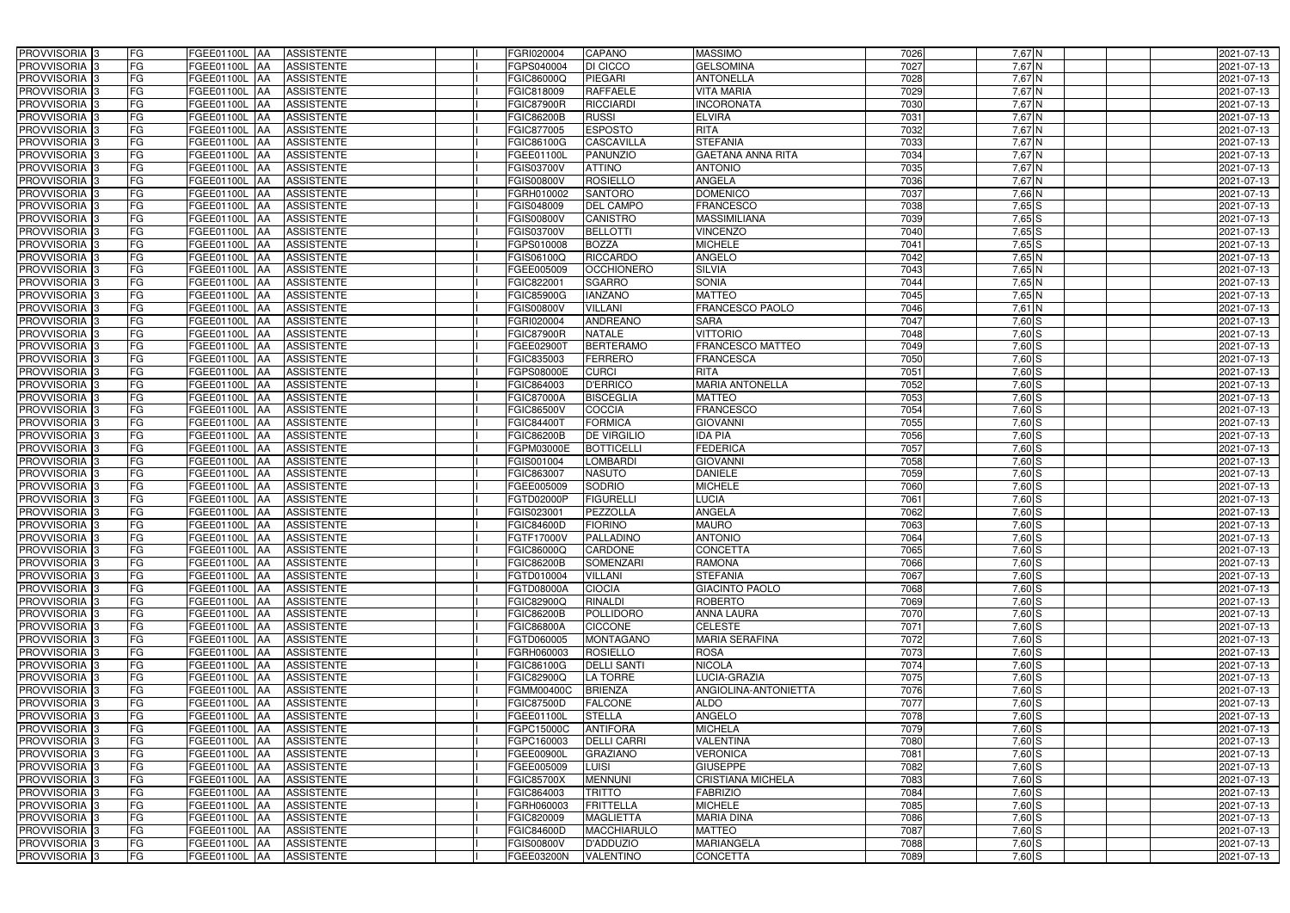| PROVVISORIA <sup>3</sup>                             | <b>FG</b>               | FGEE01100L AA                  | <b>ASSISTENTE</b>               | FGRI020004               | CAPANO                      | <b>MASSIMO</b>                      | 7026         | 7,67 N               | 2021-07-13               |
|------------------------------------------------------|-------------------------|--------------------------------|---------------------------------|--------------------------|-----------------------------|-------------------------------------|--------------|----------------------|--------------------------|
| PROVVISORIA <sup>3</sup>                             | FG<br>FGEE01100L        | IAA                            | <b>ASSISTENTE</b>               | FGPS040004               | DI CICCO                    | <b>GELSOMINA</b>                    | 7027         | $7,67$ N             | 2021-07-13               |
| PROVVISORIA <sup>3</sup>                             | FG<br>FGEE01100L        | IAA                            | <b>ASSISTENTE</b>               | FGIC86000Q               | PIEGARI                     | <b>ANTONELLA</b>                    | 7028         | $7,67$ N             | 2021-07-13               |
| PROVVISORIA 3                                        | FG<br><b>FGEE01100L</b> | IAA                            | <b>ASSISTENTE</b>               | FGIC818009               | <b>RAFFAELE</b>             | <b>VITA MARIA</b>                   | 7029         | 7,67 N               | 2021-07-13               |
| PROVVISORIA <sup>3</sup>                             | FG<br><b>FGEE01100L</b> | IAA                            | <b>ASSISTENTE</b>               | <b>FGIC87900R</b>        | <b>RICCIARDI</b>            | <b>INCORONATA</b>                   | 7030         | 7,67 N               | 2021-07-13               |
| PROVVISORIA <sup>3</sup>                             | FG                      | <b>FGEE01100L AA</b>           | <b>ASSISTENTE</b>               | <b>FGIC86200B</b>        | <b>RUSSI</b>                | <b>ELVIRA</b>                       | 7031         | $7,67$ N             | 2021-07-13               |
| PROVVISORIA <sup>1</sup> 3                           | FG                      | FGEE01100L AA                  | <b>ASSISTENTE</b>               | FGIC877005               | <b>ESPOSTO</b>              | <b>RITA</b>                         | 7032         | 7,67 N               | 2021-07-13               |
| PROVVISORIA <sup>3</sup>                             | FG                      | FGEE01100L AA                  | <b>ASSISTENTE</b>               | FGIC86100G               | <b>CASCAVILLA</b>           | <b>STEFANIA</b>                     | 7033         | $7,67$ N             | 2021-07-13               |
| PROVVISORIA 3                                        | FG                      | FGEE01100L AA                  | <b>ASSISTENTE</b>               | FGEE01100L               | <b>PANUNZIO</b>             | <b>GAETANA ANNA RITA</b>            | 7034         | $7,67$ N             | 2021-07-13               |
| PROVVISORIA <sup>3</sup>                             | FG                      | FGEE01100L AA                  | <b>ASSISTENTE</b>               | FGIS03700V               | <b>ATTINO</b>               | <b>ANTONIO</b>                      | 7035         | 7,67 N               | 2021-07-13               |
| PROVVISORIA 3                                        | FG                      | FGEE01100L AA                  | <b>ASSISTENTE</b>               | FGIS00800V               | <b>ROSIELLO</b>             | <b>ANGELA</b>                       | 7036         | $7,67$ N             | 2021-07-13               |
| PROVVISORIA 3                                        | FG                      | FGEE01100L AA                  | <b>ASSISTENTE</b>               | <b>GRH010002</b>         | <b>SANTORO</b>              | <b>DOMENICO</b>                     | 7037         | $7,66$ N             | 2021-07-13               |
| PROVVISORIA <sup>3</sup>                             | FG                      | FGEE01100L AA                  | <b>ASSISTENTE</b>               | FGIS048009               | <b>DEL CAMPO</b>            | <b>FRANCESCO</b>                    | 7038         | $7,65$ $S$           | 2021-07-13               |
| PROVVISORIA 3                                        | FG                      | FGEE01100L AA                  | <b>ASSISTENTE</b>               | FGIS00800V               | <b>CANISTRO</b>             | <b>MASSIMILIANA</b>                 | 7039         | $7,65$ $S$           | 2021-07-13               |
| PROVVISORIA 3                                        | FG                      | FGEE01100L AA                  | <b>ASSISTENTE</b>               | FGIS03700V               | <b>BELLOTTI</b>             | <b>VINCENZO</b>                     | 7040         | $7,65$ $S$           | 2021-07-13               |
| PROVVISORIA 3                                        | FG<br>FGEE01100L        | IAA                            | <b>ASSISTENTE</b>               | FGPS010008               | <b>BOZZA</b>                | <b>MICHELE</b>                      | 7041         | $7,65$ S             | 2021-07-13               |
| PROVVISORIA 3                                        | FG<br>FGEE01100L        | IAA                            | <b>ASSISTENTE</b>               | FGIS06100Q               | <b>RICCARDO</b>             | <b>ANGELO</b>                       | 7042         | $7,65$ N             | 2021-07-13               |
| PROVVISORIA <sup>3</sup>                             | FG<br>FGEE01100L        | <b>AA</b>                      | <b>ASSISTENTE</b>               | FGEE005009               | <b>OCCHIONERO</b>           | <b>SILVIA</b>                       | 7043         | $7,65$ N             | 2021-07-13               |
| PROVVISORIA 3                                        | FG<br>FGEE01100L        | <b>JAA</b>                     | <b>ASSISTENTE</b>               | FGIC82200                | <b>SGARRO</b>               | <b>SONIA</b>                        | 7044         | $7,65$ N             | 2021-07-13               |
| PROVVISORIA 3                                        | FG<br>FGEE01100L        | IAA                            | <b>ASSISTENTE</b>               | <b>FGIC85900G</b>        | <b>IANZANO</b>              | <b>MATTEO</b>                       | 7045         | 7,65 N               | 2021-07-13               |
| PROVVISORIA 3                                        | FG<br>FGEE01100L        |                                | <b>ASSISTENTE</b>               | FGIS00800V               | <b>VILLANI</b>              | FRANCESCO PAOLO                     | 7046         | $7,61$ N             | 2021-07-13               |
| PROVVISORIA <sup>3</sup>                             | FG<br><b>FGEE01100L</b> | IAA                            | <b>ASSISTENTE</b>               | FGRI020004               | <b>ANDREANO</b>             | <b>SARA</b>                         | 7047         | $7,60$ S             | 2021-07-13               |
| PROVVISORIA 3                                        | FG<br>FGEE01100L        | IAA                            | <b>ASSISTENTE</b>               | <b>FGIC87900R</b>        | <b>NATALE</b>               | <b>VITTORIO</b>                     | 7048         | $7,60$ S             | 2021-07-13               |
| PROVVISORIA 3                                        | FG                      | FGEE01100L AA                  | <b>ASSISTENTE</b>               | FGEE02900T               | <b>BERTERAMO</b>            | <b>FRANCESCO MATTEO</b>             | 7049         | $7,60$ S             | 2021-07-13               |
| PROVVISORIA <sup>3</sup>                             | FG<br>FGEE01100L        | <b>JAA</b>                     | <b>ASSISTENTE</b>               | FGIC835003               | <b>FERRERO</b>              | <b>FRANCESCA</b>                    | 7050         | $7,60$ S             | 2021-07-13               |
| PROVVISORIA 3                                        | FG<br>FGEE01100L        | <b>IAA</b>                     | <b>ASSISTENTE</b>               | FGPS08000E               | <b>CURCI</b>                | <b>RITA</b>                         | 7051         | $7,60$ S             | 2021-07-13               |
| PROVVISORIA 3                                        | FG                      | FGEE01100L AA                  | <b>ASSISTENTE</b>               | FGIC864003               | <b>D'ERRICO</b>             | <b>MARIA ANTONELLA</b>              | 7052         | $7,60$ S             | 2021-07-13               |
| PROVVISORIA 3                                        | FG<br>FGEE01100L        | <b>IAA</b>                     | <b>ASSISTENTE</b>               | <b>FGIC87000A</b>        | <b>BISCEGLIA</b>            | <b>MATTEO</b>                       | 7053         | $7,60$ S             | 2021-07-13               |
| PROVVISORIA <sup>3</sup>                             | FG                      | FGEE01100L<br>IAA              | <b>ASSISTENTE</b>               | FGIC86500V               | COCCIA                      | <b>FRANCESCO</b>                    | 7054         | $7,60$ S             | 2021-07-13               |
| PROVVISORIA <sup>3</sup>                             | FG                      | FGEE01100L AA                  | <b>ASSISTENTE</b>               | FGIC84400 <sup>-</sup>   | <b>FORMICA</b>              | <b>GIOVANNI</b>                     | 7055         | $7,60$ S             | 2021-07-13               |
| PROVVISORIA <sup>3</sup>                             | FG                      | FGEE01100L AA                  | <b>ASSISTENTE</b>               | <b>FGIC86200B</b>        | <b>DE VIRGILIO</b>          | <b>IDA PIA</b>                      | 7056         | $7,60$ $S$           | 2021-07-13               |
| PROVVISORIA <sup>3</sup>                             | FG                      | FGEE01100L AA                  | <b>ASSISTENTE</b>               | FGPM03000E               | <b>BOTTICELLI</b>           | <b>FEDERICA</b>                     | 7057         | $7,60$ S             | 2021-07-13               |
| PROVVISORIA <sup>3</sup>                             | FG<br><b>FGEE01100L</b> | <b>AA</b>                      | <b>ASSISTENTE</b>               | FGIS001004               | <b>LOMBARDI</b>             | <b>GIOVANN</b>                      | 7058         | $7,60$ S             | 2021-07-13               |
| PROVVISORIA <sup>3</sup>                             | FG                      | FGEE01100L AA                  | <b>ASSISTENTE</b>               | FGIC863007               | <b>NASUTO</b>               | <b>DANIELE</b>                      | 7059         | $7,60$ S             | 2021-07-13               |
| PROVVISORIA <sup>3</sup>                             | FG<br>FGEE01100L        | IAA                            | <b>ASSISTENTE</b>               | FGEE005009               | <b>SODRIO</b>               | <b>MICHELE</b>                      | 7060         | $7,60$ S             | 2021-07-13               |
| PROVVISORIA <sup>3</sup>                             | FG<br><b>FGEE01100L</b> | IAA                            | <b>ASSISTENTE</b>               | FGTD02000P               | <b>FIGURELLI</b>            | <b>LUCIA</b>                        | 7061         | 7,60 S               | 2021-07-13               |
| PROVVISORIA <sup>3</sup>                             | FG<br>FGEE01100L        | IAA                            | <b>ASSISTENTE</b>               | GIS023001                | PEZZOLLA                    | ANGELA                              | 7062         | $7,60$ S             | 2021-07-13               |
| PROVVISORIA <sup>1</sup> 3                           | FG                      | FGEE01100L AA                  | <b>ASSISTENTE</b>               | FGIC84600D               | <b>FIORINO</b>              | <b>MAURO</b>                        | 7063         | $7,60$ S             | 2021-07-13               |
| PROVVISORIA <sup>3</sup>                             | FG                      | FGEE01100L AA                  | <b>ASSISTENTE</b>               | FGTF17000V               | <b>PALLADINO</b>            | <b>ANTONIO</b>                      | 7064         | $7,60$ S             | 2021-07-13               |
| PROVVISORIA <sup>3</sup>                             | FG                      | FGEE01100L AA                  | <b>ASSISTENTE</b>               | FGIC86000Q               | CARDONE                     | <b>CONCETTA</b>                     | 7065         | $7,60$ S             | 2021-07-13               |
| PROVVISORIA <sup>3</sup>                             | FG                      | FGEE01100L AA                  | ASSISTENTE                      | <b>FGIC86200B</b>        | <b>SOMENZARI</b>            | <b>RAMONA</b>                       | 7066         | 7,60S                | 2021-07-13               |
| PROVVISORIA <sup>3</sup>                             | FG                      | <b>FGEE01100L AA</b>           | ASSISTENTE                      | FGTD010004               | <b>VILLANI</b>              | <b>STEFANIA</b>                     | 7067         | 7,60 S               | 2021-07-13               |
| PROVVISORIA <sup>3</sup>                             | FG                      | FGEE01100L AA                  | <b>ASSISTENTE</b>               | FGTD08000A               | <b>CIOCIA</b>               | <b>GIACINTO PAOLO</b>               | 7068         | 7,60 S               | 2021-07-13               |
| PROVVISORIA <sup>3</sup>                             | FG                      | FGEE01100L AA                  | ASSISTENTE                      | FGIC82900Q               | <b>RINALDI</b>              | <b>ROBERTO</b>                      | 7069         | $7,60$ S             | 2021-07-13               |
| PROVVISORIA <sup>3</sup>                             | FG                      | FGEE01100L AA                  | <b>ASSISTENTE</b>               | <b>FGIC86200B</b>        | POLLIDORO<br><b>CICCONE</b> | <b>ANNA LAURA</b><br><b>CELESTE</b> | 7070         | 7,60 S               | 2021-07-13               |
| PROVVISORIA <sup>3</sup><br>PROVVISORIA <sup>3</sup> | FG<br>FG                | FGEE01100L AA<br>FGEE01100L AA | <b>ASSISTENTE</b><br>ASSISTENTE | FGIC86800A<br>FGTD060005 | <b>MONTAGANO</b>            | <b>MARIA SERAFINA</b>               | 7071<br>7072 | $7,60$ S<br>$7,60$ S | 2021-07-13<br>2021-07-13 |
| PROVVISORIA <sup>3</sup>                             | FG                      | FGEE01100L AA                  | ASSISTENTE                      | FGRH060003               | <b>ROSIELLO</b>             | <b>ROSA</b>                         | 7073         | 7,60 S               | 2021-07-13               |
| PROVVISORIA <sup>3</sup>                             | FG                      | FGEE01100L AA                  | ASSISTENTE                      | FGIC86100G               | <b>DELLI SANTI</b>          | <b>NICOLA</b>                       | 7074         | $7,60$ S             | 2021-07-13               |
| PROVVISORIA <sup>3</sup>                             | FG                      | FGEE01100L AA                  | ASSISTENTE                      | FGIC82900Q               | LA TORRE                    | LUCIA-GRAZIA                        | 7075         | $7,60$ S             | 2021-07-13               |
| PROVVISORIA <sup>3</sup>                             | FG                      | FGEE01100L AA                  | <b>ASSISTENTE</b>               | FGMM00400C               | <b>BRIENZA</b>              | ANGIOLINA-ANTONIETTA                | 7076         | $7,60$ S             | 2021-07-13               |
| PROVVISORIA <sup>3</sup>                             | FG                      | FGEE01100L AA                  | <b>ASSISTENTE</b>               | <b>FGIC87500D</b>        | <b>FALCONE</b>              | <b>ALDO</b>                         | 7077         | 7,60S                | 2021-07-13               |
| PROVVISORIA <sup>3</sup>                             | FG                      | FGEE01100L AA                  | <b>ASSISTENTE</b>               | FGEE01100L               | <b>STELLA</b>               | ANGELO                              | 7078         | $7,60$ S             | 2021-07-13               |
| PROVVISORIA <sup>3</sup>                             | FG                      | FGEE01100L AA                  | <b>ASSISTENTE</b>               | FGPC15000C               | <b>ANTIFORA</b>             | <b>MICHELA</b>                      | 7079         | $7,60$ S             | 2021-07-13               |
| PROVVISORIA <sup>13</sup>                            | FG                      | FGEE01100L AA                  | <b>ASSISTENTE</b>               | FGPC160003               | <b>DELLI CARRI</b>          | <b>VALENTINA</b>                    | 7080         | $7,60$ S             | 2021-07-13               |
| PROVVISORIA <sup>1</sup> 3                           | FG                      | FGEE01100L AA                  | <b>ASSISTENTE</b>               | FGEE00900L               | <b>GRAZIANO</b>             | <b>VERONICA</b>                     | 7081         | 7,60 S               | 2021-07-13               |
| PROVVISORIA <sup>3</sup>                             | FG                      | FGEE01100L AA                  | <b>ASSISTENTE</b>               | FGEE005009               | <b>LUISI</b>                | <b>GIUSEPPE</b>                     | 7082         | $7,60$ S             | 2021-07-13               |
| <b>PROVVISORIA</b> 3                                 | FG                      | FGEE01100L AA                  | <b>ASSISTENTE</b>               | <b>FGIC85700X</b>        | <b>MENNUNI</b>              | <b>CRISTIANA MICHELA</b>            | 7083         | 7,60 S               | 2021-07-13               |
| PROVVISORIA <sup>3</sup>                             | FG                      | FGEE01100L AA                  | <b>ASSISTENTE</b>               | FGIC864003               | <b>TRITTO</b>               | <b>FABRIZIO</b>                     | 7084         | $7,60$ S             | 2021-07-13               |
| PROVVISORIA <sup>1</sup> 3                           | FG                      | FGEE01100L AA                  | <b>ASSISTENTE</b>               | FGRH060003               | <b>FRITTELLA</b>            | <b>MICHELE</b>                      | 7085         | $7,60$ S             | 2021-07-13               |
| PROVVISORIA <sup>3</sup>                             | FG                      | FGEE01100L AA                  | <b>ASSISTENTE</b>               | FGIC820009               | <b>MAGLIETTA</b>            | <b>MARIA DINA</b>                   | 7086         | 7,60 S               | 2021-07-13               |
| PROVVISORIA <sup>3</sup>                             | FG                      | FGEE01100L AA                  | <b>ASSISTENTE</b>               | FGIC84600D               | <b>MACCHIARULO</b>          | <b>MATTEO</b>                       | 7087         | 7,60 S               | 2021-07-13               |
| PROVVISORIA <sup>3</sup>                             | FG                      | FGEE01100L AA                  | <b>ASSISTENTE</b>               | <b>FGIS00800V</b>        | <b>D'ADDUZIO</b>            | <b>MARIANGELA</b>                   | 7088         | 7,60 S               | 2021-07-13               |
| PROVVISORIA <sup>3</sup>                             | FG                      | FGEE01100L AA                  | ASSISTENTE                      | FGEE03200N               | VALENTINO                   | <b>CONCETTA</b>                     | 7089         | $7,60$ S             | 2021-07-13               |
|                                                      |                         |                                |                                 |                          |                             |                                     |              |                      |                          |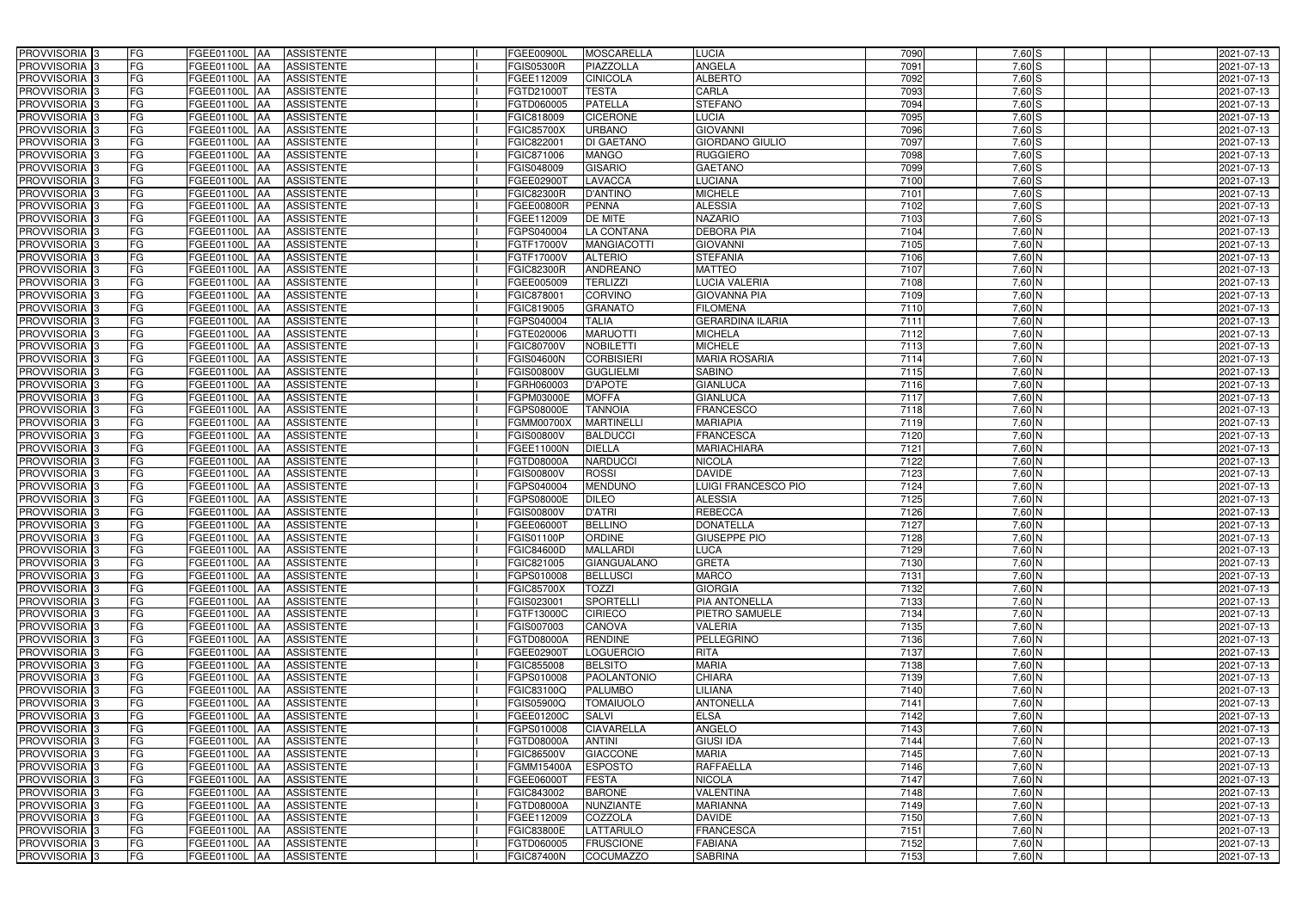| PROVVISORIA <sup>3</sup><br><b>FG</b>                            | FGEE01100L AA                  | <b>ASSISTENTE</b>               | FGEE00900L                      | <b>MOSCARELLA</b>             | <b>LUCIA</b>                     | 7090         | 7,60 S             | 2021-07-13               |
|------------------------------------------------------------------|--------------------------------|---------------------------------|---------------------------------|-------------------------------|----------------------------------|--------------|--------------------|--------------------------|
| FG<br>PROVVISORIA <sup>3</sup>                                   | FGEE01100L<br>IAA              | <b>ASSISTENTE</b>               | <b>FGIS05300R</b>               | PIAZZOLLA                     | <b>ANGELA</b>                    | 7091         | 7,60 S             | 2021-07-13               |
| FG<br>PROVVISORIA <sup>3</sup>                                   | FGEE01100L<br>IAA              | <b>ASSISTENTE</b>               | FGEE112009                      | <b>CINICOLA</b>               | <b>ALBERTO</b>                   | 7092         | $7,60$ S           | 2021-07-13               |
| FG<br>PROVVISORIA <sup>3</sup>                                   | <b>FGEE01100L</b><br>IAA       | <b>ASSISTENTE</b>               | FGTD21000T                      | <b>TESTA</b>                  | CARLA                            | 7093         | 7,60S              | 2021-07-13               |
| FG<br>PROVVISORIA <sup>3</sup>                                   | FGEE01100L<br>IAA              | <b>ASSISTENTE</b>               | FGTD060005                      | <b>PATELLA</b>                | <b>STEFANO</b>                   | 7094         | $7,60$ S           | 2021-07-13               |
| FG<br>PROVVISORIA <sup>3</sup>                                   | <b>FGEE01100L AA</b>           | <b>ASSISTENTE</b>               | FGIC818009                      | <b>CICERONE</b>               | LUCIA                            | 7095         | $7,60$ S           | 2021-07-13               |
| FG<br>PROVVISORIA <sup>1</sup> 3                                 | FGEE01100L AA                  | <b>ASSISTENTE</b>               | FGIC85700X                      | <b>URBANO</b>                 | <b>GIOVANNI</b>                  | 7096         | $7,60$ S           | 2021-07-13               |
| FG<br>PROVVISORIA <sup>3</sup>                                   | FGEE01100L AA                  | <b>ASSISTENTE</b>               | FGIC822001                      | <b>DI GAETANO</b>             | <b>GIORDANO GIULIO</b>           | 7097         | $7,60$ S           | 2021-07-13               |
| PROVVISORIA 3<br>FG                                              | FGEE01100L AA                  | <b>ASSISTENTE</b>               | FGIC871006                      | <b>MANGO</b>                  | <b>RUGGIERO</b>                  | 7098         | $7,60$ S           | 2021-07-13               |
| PROVVISORIA <sup>3</sup><br>FG                                   | FGEE01100L AA                  | <b>ASSISTENTE</b>               | FGIS048009                      | <b>GISARIO</b>                | <b>GAETANO</b>                   | 7099         | $7,60$ S           | 2021-07-13               |
| PROVVISORIA 3<br>FG                                              | FGEE01100L AA                  | <b>ASSISTENTE</b>               | FGEE02900T                      | <b>LAVACCA</b>                | <b>LUCIANA</b>                   | 7100         | $7,60$ S           | 2021-07-13               |
| PROVVISORIA 3<br>FG                                              | FGEE01100L AA                  | <b>ASSISTENTE</b>               | <b>FGIC82300R</b>               | <b>D'ANTINO</b>               | <b>MICHELE</b>                   | 7101         | $7,60$ S           | 2021-07-13               |
| PROVVISORIA <sup>3</sup><br>FG                                   | FGEE01100L AA                  | <b>ASSISTENTE</b>               | FGEE00800R                      | <b>PENNA</b>                  | <b>ALESSIA</b>                   | 7102         | $7,60$ S           | 2021-07-13               |
| PROVVISORIA 3<br>FG                                              | FGEE01100L AA                  | <b>ASSISTENTE</b>               | FGEE112009                      | <b>DE MITE</b>                | <b>NAZARIO</b>                   | 7103         | $7,60$ S           | 2021-07-13               |
| FG<br>PROVVISORIA 3                                              | FGEE01100L AA                  | <b>ASSISTENTE</b>               | FGPS040004                      | <b>LA CONTANA</b>             | <b>DEBORA PIA</b>                | 7104         | $7,60$ N           | 2021-07-13               |
| FG<br>PROVVISORIA 3                                              | FGEE01100L<br>IAA              | <b>ASSISTENTE</b>               | FGTF17000V                      | <b>MANGIACOTTI</b>            | <b>GIOVANNI</b>                  | 7105         | $7,60$ N           | 2021-07-13               |
| PROVVISORIA 3<br>FG                                              | <b>FGEE01100L</b><br>IAA       | <b>ASSISTENTE</b>               | FGTF17000V                      | <b>ALTERIO</b>                | <b>STEFANIA</b>                  | 7106         | 7,60 N             | 2021-07-13               |
| PROVVISORIA 3<br>FG                                              | FGEE01100L<br><b>JAA</b>       | <b>ASSISTENTE</b>               | <b>FGIC82300R</b>               | <b>ANDREANO</b>               | <b>MATTEO</b>                    | 7107         | $7,60$ N           | 2021-07-13               |
| PROVVISORIA 3<br>FG                                              | FGEE01100L<br><b>JAA</b>       | <b>ASSISTENTE</b>               | FGEE005009                      | <b>TERLIZZI</b>               | <b>LUCIA VALERIA</b>             | 7108         | 7,60 N             | 2021-07-13               |
| PROVVISORIA 3<br>FG                                              | FGEE01100L<br>IAA              | <b>ASSISTENTE</b>               | FGIC87800                       | <b>CORVINO</b>                | <b>GIOVANNA PIA</b>              | 7109         | 7,60 N             | 2021-07-13               |
| FG<br>PROVVISORIA 3                                              | FGEE01100L<br>ΙAΑ              | <b>ASSISTENTE</b>               | FGIC819005                      | <b>GRANATO</b>                | <b>FILOMENA</b>                  | 7110         | 7,60 N             | 2021-07-13               |
| PROVVISORIA 3<br>FG                                              | <b>FGEE01100L</b><br>IAA       | <b>ASSISTENTE</b>               | FGPS040004                      | <b>TALIA</b>                  | <b>GERARDINA ILARIA</b>          | 7111         | $7,60$ N           | 2021-07-13               |
| PROVVISORIA 3<br>FG                                              | FGEE01100L<br>IAA              | <b>ASSISTENTE</b>               | FGTE020006                      | <b>MARUOTTI</b>               | <b>MICHELA</b>                   | 7112         | 7,60 N             | 2021-07-13               |
| PROVVISORIA 3<br>FG                                              | FGEE01100L AA                  | <b>ASSISTENTE</b>               | FGIC80700V                      | <b>NOBILETTI</b>              | <b>MICHELE</b>                   | 7113         | $7,60$ N           | 2021-07-13               |
| PROVVISORIA <sup>3</sup><br>FG                                   | FGEE01100L<br><b>JAA</b>       | <b>ASSISTENTE</b>               | FGIS04600N                      | <b>CORBISIERI</b>             | <b>MARIA ROSARIA</b>             | 7114         | $7,60$ N           | 2021-07-13               |
| PROVVISORIA 3<br>FG                                              | FGEE01100L<br><b>IAA</b>       | <b>ASSISTENTE</b>               | FGIS00800V                      | <b>GUGLIELMI</b>              | <b>SABINO</b>                    | 7115         | $7,60$ N           | 2021-07-13               |
| PROVVISORIA 3<br>FG                                              | FGEE01100L AA                  | <b>ASSISTENTE</b>               | FGRH060003                      | <b>D'APOTE</b>                | <b>GIANLUCA</b>                  | 7116         | $7,60$ N           | 2021-07-13               |
| FG<br>PROVVISORIA 3                                              | FGEE01100L<br><b>IAA</b>       | <b>ASSISTENTE</b>               | FGPM03000E                      | <b>MOFFA</b>                  | <b>GIANLUCA</b>                  | 7117         | $7,60$ N           | 2021-07-13               |
| PROVVISORIA <sup>3</sup><br>FG                                   | FGEE01100L<br>IAA              | <b>ASSISTENTE</b>               | FGPS08000E                      | <b>TANNOIA</b>                | <b>FRANCESCO</b>                 | 7118         | $7,60$ N           | 2021-07-13               |
| FG<br>PROVVISORIA <sup>3</sup>                                   | FGEE01100L AA                  | <b>ASSISTENTE</b>               | FGMM00700X                      | <b>MARTINELLI</b>             | <b>MARIAPIA</b>                  | 7119         | $7,60$ N           | 2021-07-13               |
| FG<br>PROVVISORIA <sup>3</sup>                                   | FGEE01100L AA                  | <b>ASSISTENTE</b>               | FGIS00800V                      | <b>BALDUCCI</b>               | <b>FRANCESCA</b>                 | 7120         | $7,60$ N           | 2021-07-13               |
| PROVVISORIA <sup>3</sup><br>FG                                   | FGEE01100L AA                  | <b>ASSISTENTE</b>               | FGEE11000N                      | <b>DIELLA</b>                 | <b>MARIACHIARA</b>               | 7121         | 7,60 N             | 2021-07-13               |
| FG<br>PROVVISORIA <sup>3</sup>                                   | <b>FGEE01100L AA</b>           | <b>ASSISTENTE</b>               | FGTD08000A                      | <b>NARDUCCI</b>               | <b>NICOLA</b>                    | 7122         | 7,60 N             | 2021-07-13               |
| PROVVISORIA <sup>3</sup><br>FG                                   | FGEE01100L AA                  | <b>ASSISTENTE</b>               | FGIS00800V                      | <b>ROSSI</b>                  | <b>DAVIDE</b>                    | 7123         | 7,60 N             | 2021-07-13               |
| FG<br>PROVVISORIA <sup>3</sup>                                   | FGEE01100L<br>IAA              | <b>ASSISTENTE</b>               | FGPS040004                      | <b>MENDUNO</b>                | <b>LUIGI FRANCESCO PIO</b>       | 7124         | $7,60$ N           | $2021 - 07 - 13$         |
| PROVVISORIA <sup>3</sup><br>FG                                   | <b>FGEE01100L</b><br>IAA       | <b>ASSISTENTE</b>               | GPS08000E                       | <b>DILEO</b>                  | <b>ALESSIA</b>                   | 7125         | 7,60 N             | 2021-07-13               |
| PROVVISORIA <sup>3</sup><br>FG                                   | FGEE01100L<br>IAA              | <b>ASSISTENTE</b>               | GIS00800V                       | <b>D'ATRI</b>                 | <b>REBECCA</b>                   | 7126         | 7,60 N             | 2021-07-13               |
| PROVVISORIA <sup>3</sup><br>FG                                   | FGEE01100L AA                  | <b>ASSISTENTE</b>               | FGEE06000T                      | <b>BELLINO</b>                | <b>DONATELLA</b>                 | 7127         | $7,60$ N           | 2021-07-13               |
| PROVVISORIA 3<br>FG                                              | FGEE01100L AA                  | <b>ASSISTENTE</b>               | FGIS01100P                      | <b>ORDINE</b>                 | <b>GIUSEPPE PIO</b>              | 7128         | 7,60 N             | 2021-07-13               |
| PROVVISORIA <sup>3</sup><br>FG                                   | FGEE01100L AA                  | <b>ASSISTENTE</b>               | FGIC84600D                      | <b>MALLARDI</b>               | <b>LUCA</b>                      | 7129         | $7,60$ N           | 2021-07-13               |
| PROVVISORIA <sup>3</sup><br>FG                                   | FGEE01100L AA                  | ASSISTENTE                      | FGIC821005                      | <b>GIANGUALANO</b>            | <b>GRETA</b>                     | 7130         | 7,60 N             | 2021-07-13               |
| PROVVISORIA <sup>3</sup><br>FG                                   | FGEE01100L AA                  | ASSISTENTE                      | FGPS010008                      | <b>BELLUSCI</b>               | <b>MARCO</b>                     | 7131         | 7,60 N             | 2021-07-13               |
| PROVVISORIA <sup>3</sup><br>FG                                   | <b>FGEE01100L AA</b>           | <b>ASSISTENTE</b>               | <b>FGIC85700X</b>               | <b>TOZZI</b>                  | <b>GIORGIA</b>                   | 7132         | 7,60 N             | 2021-07-13               |
| PROVVISORIA <sup>3</sup><br>FG                                   | FGEE01100L AA                  | ASSISTENTE                      | FGIS023001                      | <b>SPORTELLI</b>              | <b>PIA ANTONELLA</b>             | 7133         | 7,60 N             | 2021-07-13               |
| PROVVISORIA 3<br>FG                                              | FGEE01100L AA                  | <b>ASSISTENTE</b>               | FGTF13000C                      | <b>CIRIECO</b>                | <b>PIETRO SAMUELE</b>            | 7134         | 7,60 N             | 2021-07-13               |
| PROVVISORIA <sup>3</sup><br>FG                                   | FGEE01100L AA                  | <b>ASSISTENTE</b>               | FGIS007003                      | <b>CANOVA</b>                 | <b>VALERIA</b>                   | 7135         | $7,60$ N           | 2021-07-13               |
| PROVVISORIA <sup>3</sup><br>FG                                   | FGEE01100L AA                  | ASSISTENTE                      | FGTD08000A                      | <b>RENDINE</b>                | PELLEGRINO                       | 7136         | $7,60$ N           | 2021-07-13               |
| PROVVISORIA <sup>3</sup><br>FG                                   | FGEE01100L AA                  | ASSISTENTE                      | FGEE02900T                      | <b>LOGUERCIO</b>              | <b>RITA</b>                      | 7137         | 7,60 N             | 2021-07-13               |
| PROVVISORIA <sup>3</sup><br>FG                                   | FGEE01100L AA                  | ASSISTENTE                      | FGIC855008                      | <b>BELSITO</b>                | <b>MARIA</b>                     | 7138         | 7,60 N             | 2021-07-13               |
| PROVVISORIA <sup>3</sup><br>FG                                   | FGEE01100L AA                  | ASSISTENTE                      | FGPS010008                      | PAOLANTONIO                   | <b>CHIARA</b>                    | 7139         | $7,60$ N           | 2021-07-13               |
| PROVVISORIA <sup>3</sup><br>FG                                   | FGEE01100L AA                  | <b>ASSISTENTE</b>               | FGIC83100Q                      | <b>PALUMBO</b>                | LILIANA                          | 7140         | 7,60 N             | 2021-07-13               |
| PROVVISORIA <sup>3</sup><br>FG                                   | FGEE01100L AA                  | <b>ASSISTENTE</b>               | FGIS05900Q                      | <b>TOMAIUOLO</b>              | <b>ANTONELLA</b>                 | 7141         | $7,60$ N           | 2021-07-13               |
| PROVVISORIA <sup>3</sup><br>FG                                   | FGEE01100L AA                  | <b>ASSISTENTE</b>               | FGEE01200C                      | <b>SALVI</b>                  | <b>ELSA</b>                      | 7142         | $7,60$ N           | 2021-07-13               |
| PROVVISORIA <sup>3</sup><br>FG                                   | FGEE01100L AA                  | <b>ASSISTENTE</b>               | FGPS010008                      | <b>CIAVARELLA</b>             | <b>ANGELO</b>                    | 7143         | $7,60$ N           | 2021-07-13               |
| FG<br>PROVVISORIA <sup>13</sup>                                  | FGEE01100L AA                  | <b>ASSISTENTE</b>               | FGTD08000A                      | <b>ANTINI</b>                 | <b>GIUSI IDA</b>                 | 7144         | 7,60 N             | 2021-07-13               |
| FG<br>PROVVISORIA <sup>1</sup> 3                                 | FGEE01100L AA                  | <b>ASSISTENTE</b>               | FGIC86500V                      | <b>GIACCONE</b>               | <b>MARIA</b>                     | 7145         | 7,60 N             | 2021-07-13               |
|                                                                  |                                |                                 |                                 |                               | <b>RAFFAELLA</b>                 |              |                    |                          |
| FG<br>PROVVISORIA <sup>3</sup>                                   | FGEE01100L AA                  | <b>ASSISTENTE</b>               | FGMM15400A                      | <b>ESPOSTO</b>                |                                  | 7146         | $7,60$ N           | 2021-07-13               |
| <b>PROVVISORIA</b> 3<br>FG                                       | FGEE01100L AA                  | <b>ASSISTENTE</b>               | FGEE06000T                      | <b>FESTA</b>                  | <b>NICOLA</b>                    | 7147         | 7,60 N             | 2021-07-13               |
| PROVVISORIA <sup>3</sup><br>FG                                   | FGEE01100L AA                  | <b>ASSISTENTE</b>               | FGIC843002                      | <b>BARONE</b>                 | <b>VALENTINA</b>                 | 7148         | 7,60 N             | 2021-07-13               |
| FG<br>PROVVISORIA <sup>1</sup> 3                                 | FGEE01100L AA                  | <b>ASSISTENTE</b>               | FGTD08000A                      | <b>NUNZIANTE</b>              | <b>MARIANNA</b>                  | 7149         | $7,60$ N           | 2021-07-13               |
| PROVVISORIA <sup>3</sup><br>FG                                   | FGEE01100L AA                  | <b>ASSISTENTE</b>               | FGEE112009                      | COZZOLA                       | <b>DAVIDE</b>                    | 7150         | 7,60 N             | 2021-07-13               |
| PROVVISORIA <sup>3</sup><br>FG                                   | FGEE01100L AA                  | <b>ASSISTENTE</b>               | FGIC83800E                      | LATTARULO                     | <b>FRANCESCA</b>                 | 7151         | 7,60 N             | 2021-07-13               |
| PROVVISORIA <sup>3</sup><br>FG<br>PROVVISORIA <sup>3</sup><br>FG | FGEE01100L AA<br>FGEE01100L AA | <b>ASSISTENTE</b><br>ASSISTENTE | FGTD060005<br><b>FGIC87400N</b> | <b>FRUSCIONE</b><br>COCUMAZZO | <b>FABIANA</b><br><b>SABRINA</b> | 7152<br>7153 | 7,60 N<br>$7,60$ N | 2021-07-13<br>2021-07-13 |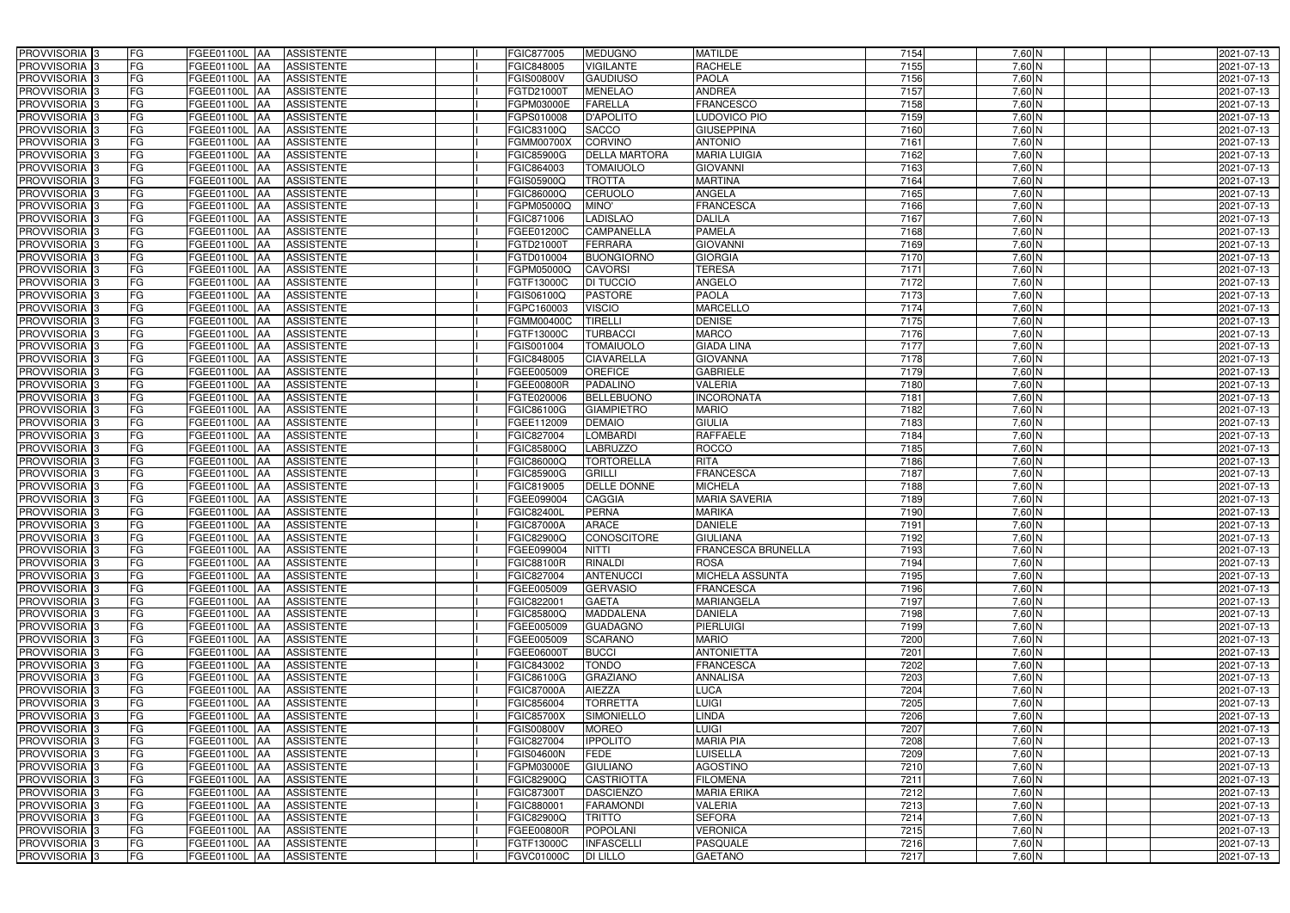| PROVVISORIA 3                                        | FG        | FGEE01100L AA<br><b>ASSISTENTE</b>                      | FGIC877005               | <b>MEDUGNO</b>               | <b>MATILDE</b>                        | 7154         | $7,60$ N           | 2021-07-13               |
|------------------------------------------------------|-----------|---------------------------------------------------------|--------------------------|------------------------------|---------------------------------------|--------------|--------------------|--------------------------|
| PROVVISORIA 3                                        | FG        | <b>ASSISTENTE</b><br>FGEE01100L                         | FGIC848005               | <b>VIGILANTE</b>             | <b>RACHELE</b>                        | 7155         | 7,60 N             | 2021-07-13               |
| PROVVISORIA 3                                        | <b>FG</b> | FGEE01100L<br><b>ASSISTENTE</b><br>IAA                  | FGIS00800V               | <b>GAUDIUSO</b>              | <b>PAOLA</b>                          | 7156         | $7,60$ N           | 2021-07-13               |
| PROVVISORIA 3                                        | FG        | FGEE01100L<br><b>ASSISTENTE</b><br>IAA                  | FGTD21000T               | <b>MENELAO</b>               | <b>ANDREA</b>                         | 7157         | $7,60$ N           | 2021-07-13               |
| PROVVISORIA <sup>3</sup>                             | FG        | <b>FGEE01100L</b><br><b>ASSISTENTE</b><br>IAA           | <b>GPM03000E</b>         | <b>FARELLA</b>               | <b>FRANCESCO</b>                      | 7158         | 7,60 N             | 2021-07-13               |
| PROVVISORIA 3                                        | <b>FG</b> | <b>FGEE01100L AA</b><br><b>ASSISTENTE</b>               | FGPS010008               | <b>D'APOLITO</b>             | LUDOVICO PIO                          | 7159         | 7,60 N             | 2021-07-13               |
| PROVVISORIA 3                                        | FG        | <b>FGEE01100L   AA</b><br><b>ASSISTENTE</b>             | FGIC83100Q               | <b>SACCO</b>                 | <b>GIUSEPPINA</b>                     | 7160         | $7,60$ N           | 2021-07-13               |
| PROVVISORIA 3                                        | FG        | <b>ASSISTENTE</b><br>FGEE01100L AA                      | FGMM00700X               | <b>CORVINO</b>               | <b>ANTONIO</b>                        | 7161         | 7,60 N             | 2021-07-13               |
| PROVVISORIA 3                                        | <b>FG</b> | FGEE01100L AA<br><b>ASSISTENTE</b>                      | FGIC85900G               | <b>DELLA MARTORA</b>         | <b>MARIA LUIGIA</b>                   | 7162         | $7,60$ N           | 2021-07-13               |
| PROVVISORIA 3                                        | FG        | FGEE01100L AA<br><b>ASSISTENTE</b>                      | FGIC864003               | <b>TOMAIUOLO</b>             | <b>GIOVANNI</b>                       | 7163         | 7,60 N             | 2021-07-13               |
| PROVVISORIA 3                                        | FG        | <b>ASSISTENTE</b><br>FGEE01100L AA                      | <b>GIS05900Q</b>         | <b>TROTTA</b>                | <b>MARTINA</b>                        | 7164         | $7,60$ N           | 2021-07-13               |
| PROVVISORIA 3                                        | FG        | FGEE01100L AA<br><b>ASSISTENTE</b>                      | FGIC86000Q               | CERUOLO                      | <b>ANGELA</b>                         | 7165         | $7,60$ N           | 2021-07-13               |
| PROVVISORIA <sup>3</sup>                             | FG        | FGEE01100L AA<br><b>ASSISTENTE</b>                      | FGPM05000Q               | MINO'                        | <b>FRANCESCA</b>                      | 7166         | $7,60$ N           | 2021-07-13               |
| PROVVISORIA 3                                        | FG        | FGEE01100L AA<br><b>ASSISTENTE</b>                      | FGIC871006               | <b>LADISLAO</b>              | <b>DALILA</b>                         | 7167         | $7,60$ N           | 2021-07-13               |
| PROVVISORIA 3                                        | <b>FG</b> | FGEE01100L AA<br><b>ASSISTENTE</b>                      | FGEE01200C               | <b>CAMPANELLA</b>            | <b>PAMELA</b>                         | 7168         | $7,60$ N           | 2021-07-13               |
| PROVVISORIA 3                                        | <b>FG</b> | FGEE01100L<br><b>ASSISTENTE</b><br>IAA                  | FGTD21000T               | <b>FERRARA</b>               | <b>GIOVANN</b>                        | 7169         | $7,60$ N           | 2021-07-13               |
| PROVVISORIA 3                                        | FG        | FGEE01100L<br><b>ASSISTENTE</b><br>IAA                  | FGTD010004               | <b>BUONGIORNO</b>            | <b>GIORGIA</b>                        | 7170         | $7,60$ N           | 2021-07-13               |
| PROVVISORIA 3                                        | FG        | FGEE01100L<br><b>ASSISTENTE</b><br>IAA                  | FGPM05000Q               | <b>CAVORSI</b>               | <b>TERESA</b>                         | 7171         | 7,60 N             | 2021-07-13               |
| PROVVISORIA 3                                        | FG        | FGEE01100L<br><b>ASSISTENTE</b><br>IAA                  | FGTF13000C               | <b>DI TUCCIO</b>             | <b>ANGELO</b>                         | 7172         | 7,60 N             | 2021-07-13               |
| PROVVISORIA 3                                        | FG        | FGEE01100L<br><b>ASSISTENTE</b><br>IAA                  | FGIS06100Q               | <b>PASTORE</b>               | <b>PAOLA</b>                          | 7173         | 7,60 N             | 2021-07-13               |
| PROVVISORIA <sup>3</sup>                             | FG        | FGEE01100L<br><b>ASSISTENTE</b>                         | FGPC160003               | <b>VISCIO</b>                | <b>MARCELLO</b>                       | 7174         | 7,60 N             | 2021-07-13               |
| PROVVISORIA <sup>3</sup>                             | FG        | <b>FGEE01100L</b><br><b>ASSISTENTE</b><br>IAA           | FGMM00400C               | <b>TIRELLI</b>               | <b>DENISE</b>                         | 7175         | 7,60 N             | 2021-07-13               |
| PROVVISORIA <sup>3</sup>                             | FG        | FGEE01100L<br><b>ASSISTENTE</b>                         | FGTF13000C               | <b>TURBACCI</b>              | <b>MARCO</b>                          | 7176         | $7,60$ N           | 2021-07-13               |
| PROVVISORIA <sup>13</sup>                            | <b>FG</b> | <b>FGEE01100L</b><br><b>ASSISTENTE</b><br>AA            | FGIS001004               | <b>TOMAIUOLO</b>             | <b>GIADA LINA</b>                     | 7177         | $7,60$ N           | 2021-07-13               |
| <b>PROVVISORIA</b> 3                                 | FG        | <b>FGEE01100L</b><br><b>ASSISTENTE</b><br>IAA           | FGIC848005               | <b>CIAVARELLA</b>            | <b>GIOVANNA</b>                       | 7178         | $7,60$ N           | 2021-07-13               |
| PROVVISORIA 3                                        | FG        | FGEE01100L<br><b>ASSISTENTE</b><br>IAA                  | FGEE005009               | <b>OREFICE</b>               | <b>GABRIELE</b>                       | 7179         | $7,60$ N           | 2021-07-13               |
| PROVVISORIA 3                                        | <b>FG</b> | FGEE01100L AA<br><b>ASSISTENTE</b>                      | FGEE00800R               | <b>PADALINO</b>              | <b>VALERIA</b>                        | 7180         | $7,60$ N           | 2021-07-13               |
| PROVVISORIA 3                                        | <b>FG</b> | <b>FGEE01100L AA</b><br><b>ASSISTENTE</b>               | FGTE020006               | <b>BELLEBUONO</b>            | <b>INCORONATA</b>                     | 7181         | $7,60$ N           | 2021-07-13               |
| PROVVISORIA 3                                        | FG        | FGEE01100L AA<br><b>ASSISTENTE</b>                      | FGIC86100G               | <b>GIAMPIETRO</b>            | <b>MARIO</b>                          | 7182         | $7,60$ N           | 2021-07-13               |
| PROVVISORIA 3                                        | <b>FG</b> | <b>FGEE01100L   AA</b><br><b>ASSISTENTE</b>             | FGEE112009               | <b>DEMAIO</b>                | <b>GIULIA</b>                         | 7183         | 7,60 N             | 2021-07-13               |
| PROVVISORIA 3                                        | FG        | <b>FGEE01100L AA</b><br><b>ASSISTENTE</b>               | FGIC827004               | <b>LOMBARDI</b>              | <b>RAFFAELE</b>                       | 7184         | 7,60 N             | 2021-07-13               |
| PROVVISORIA 3                                        | FG        | <b>ASSISTENTE</b><br>FGEE01100L AA                      | FGIC85800Q               | <b>LABRUZZO</b>              | <b>ROCCO</b>                          | 7185         | 7,60 N             | 2021-07-13               |
| PROVVISORIA 3                                        | FG        | FGEE01100L<br><b>ASSISTENTE</b><br><b>IAA</b>           | FGIC86000Q               | <b>TORTORELLA</b>            | <b>RITA</b>                           | 7186         | 7,60 N             | 2021-07-13               |
| PROVVISORIA 3                                        | <b>FG</b> | <b>FGEE01100L   AA</b><br><b>ASSISTENTE</b>             | FGIC85900G               | <b>GRILLI</b>                | <b>FRANCESCA</b>                      | 7187         | $7,60$ N           | 2021-07-13               |
| PROVVISORIA 3                                        | <b>FG</b> | FGEE01100L<br><b>ASSISTENTE</b><br>IAA                  | FGIC819005               | <b>DELLE DONNE</b>           | <b>MICHELA</b>                        | 7188         | $7,60$ N           | 2021-07-13               |
| PROVVISORIA <sup>1</sup> 3                           | FG        | FGEE01100L<br><b>ASSISTENTE</b><br>IAA                  | GEE099004                | <b>CAGGIA</b>                | <b>MARIA SAVERIA</b>                  | 7189         | 7,60 N             | 2021-07-13               |
| PROVVISORIA <sup>1</sup> 3                           | FG        | <b>FGEE01100L</b><br><b>ASSISTENTE</b><br>IAA           | GIC82400L                | <b>PERNA</b>                 | <b>MARIKA</b>                         | 7190         | 7,60 N             | 2021-07-13               |
| PROVVISORIA <sup>3</sup>                             | <b>FG</b> | FGEE01100L AA<br><b>ASSISTENTE</b>                      | FGIC87000A               | <b>ARACE</b>                 | <b>DANIELE</b>                        | 7191         | $7,60$ N           | 2021-07-13               |
| PROVVISORIA <sup>3</sup>                             | FG        | FGEE01100L AA ASSISTENTE                                | FGIC82900Q               | CONOSCITORE                  | <b>GIULIANA</b>                       | 7192         | 7,60 N             | 2021-07-13               |
| PROVVISORIA <sup>3</sup>                             | FG        | FGEE01100L AA<br>ASSISTENTE                             | FGEE099004               | <b>NITTI</b>                 | <b>FRANCESCA BRUNELLA</b>             | 7193         | $7,60$ N           | 2021-07-13               |
| PROVVISORIA <sup>3</sup>                             | FG        | ASSISTENTE<br>FGEE01100L AA                             | <b>FGIC88100R</b>        | <b>RINALDI</b>               | <b>ROSA</b>                           | 7194         | $7,60$ N           | 2021-07-13               |
| PROVVISORIA 3                                        | FG        | FGEE01100L AA<br><b>ASSISTENTE</b>                      | FGIC827004               | <b>ANTENUCCI</b>             | <b>MICHELA ASSUNTA</b>                | 7195         | $7,60$ N           | 2021-07-13               |
| PROVVISORIA <sup>3</sup>                             | FG        | FGEE01100L AA<br><b>ASSISTENTE</b>                      | FGEE005009               | <b>GERVASIO</b>              | <b>FRANCESCA</b>                      | 7196         | $7,60$ N           | 2021-07-13               |
| PROVVISORIA <sup>3</sup>                             | FG        | FGEE01100L AA<br><b>ASSISTENTE</b>                      | FGIC822001               | <b>GAETA</b>                 | <b>MARIANGELA</b>                     | 7197         | $7,60$ N           | 2021-07-13               |
| PROVVISORIA <sup>3</sup>                             | FG        | FGEE01100L AA<br><b>ASSISTENTE</b>                      | FGIC85800Q               | <b>MADDALENA</b>             | <b>DANIELA</b>                        | 7198         | $7,60$ N           | 2021-07-13               |
| PROVVISORIA <sup>3</sup>                             | FG        | FGEE01100L AA<br><b>ASSISTENTE</b>                      | FGEE005009               | <b>GUADAGNO</b>              | <b>PIERLUIGI</b>                      | 7199         | $7,60$ N           | 2021-07-13               |
| PROVVISORIA <sup>3</sup>                             | FG        | FGEE01100L AA<br><b>ASSISTENTE</b>                      | FGEE005009               | <b>SCARANO</b>               | <b>MARIO</b>                          | 7200         | $7,60$ N           | 2021-07-13               |
| PROVVISORIA <sup>3</sup>                             | FG<br>FG  | FGEE01100L AA<br><b>ASSISTENTE</b><br>FGEE01100L AA     | FGEE06000T               | <b>BUCCI</b><br><b>TONDO</b> | <b>ANTONIETTA</b><br><b>FRANCESCA</b> | 7201<br>7202 | 7,60 N<br>$7,60$ N | 2021-07-13               |
| PROVVISORIA <sup>3</sup><br>PROVVISORIA <sup>3</sup> | FG        | <b>ASSISTENTE</b><br>FGEE01100L AA<br><b>ASSISTENTE</b> | FGIC843002<br>FGIC86100G | <b>GRAZIANO</b>              | <b>ANNALISA</b>                       | 7203         | $7,60$ N           | 2021-07-13<br>2021-07-13 |
| PROVVISORIA 3                                        | FG        | FGEE01100L AA<br>ASSISTENTE                             | FGIC87000A               | AIEZZA                       | <b>LUCA</b>                           | 7204         | $7,60$ N           | 2021-07-13               |
| PROVVISORIA <sup>3</sup>                             | FG        | FGEE01100L AA<br><b>ASSISTENTE</b>                      | FGIC856004               | <b>TORRETTA</b>              | <b>LUIGI</b>                          | 7205         | $7,60$ N           | 2021-07-13               |
| PROVVISORIA <sup>3</sup>                             | FG        | FGEE01100L AA<br><b>ASSISTENTE</b>                      | FGIC85700X               | <b>SIMONIELLO</b>            | <b>LINDA</b>                          | 7206         | $7,60$ N           | 2021-07-13               |
| PROVVISORIA <sup>3</sup>                             | FG        | FGEE01100L AA<br><b>ASSISTENTE</b>                      | FGIS00800V               | <b>MOREO</b>                 | <b>LUIGI</b>                          | 7207         | $7,60$ N           | 2021-07-13               |
| PROVVISORIA 3                                        | FG        | FGEE01100L AA<br><b>ASSISTENTE</b>                      | FGIC827004               | <b>IPPOLITO</b>              | <b>MARIA PIA</b>                      | 7208         | $7,60$ N           | 2021-07-13               |
| PROVVISORIA <sup>3</sup>                             | FG        | FGEE01100L AA<br><b>ASSISTENTE</b>                      | <b>GIS04600N</b>         | <b>FEDE</b>                  | LUISELLA                              | 7209         | 7,60 N             | 2021-07-13               |
| PROVVISORIA <sup>3</sup>                             | FG        | FGEE01100L AA<br><b>ASSISTENTE</b>                      | FGPM03000E               | <b>GIULIANO</b>              | <b>AGOSTINO</b>                       | 7210         | $7,60$ N           | 2021-07-13               |
| PROVVISORIA <sup>3</sup>                             | FG        | FGEE01100L AA<br><b>ASSISTENTE</b>                      | FGIC82900Q               | <b>CASTRIOTTA</b>            | <b>FILOMENA</b>                       | 7211         | $7,60$ N           | 2021-07-13               |
| PROVVISORIA <sup>3</sup>                             | FG        | <b>ASSISTENTE</b><br>FGEE01100L AA                      | <b>FGIC87300T</b>        | <b>DASCIENZO</b>             | <b>MARIA ERIKA</b>                    | 7212         | 7,60 N             | 2021-07-13               |
| PROVVISORIA <sup>3</sup>                             | FG        | FGEE01100L AA<br><b>ASSISTENTE</b>                      | FGIC880001               | <b>FARAMONDI</b>             | <b>VALERIA</b>                        | 7213         | $7,60$ N           | 2021-07-13               |
| PROVVISORIA <sup>3</sup>                             | FG        | FGEE01100L AA<br><b>ASSISTENTE</b>                      | FGIC82900Q               | <b>TRITTO</b>                | <b>SEFORA</b>                         | 7214         | 7,60 N             | 2021-07-13               |
| PROVVISORIA <sup>3</sup>                             | FG        | <b>ASSISTENTE</b><br>FGEE01100L AA                      | FGEE00800R               | <b>POPOLANI</b>              | <b>VERONICA</b>                       | 7215         | 7,60 N             | 2021-07-13               |
| PROVVISORIA <sup>3</sup>                             | FG        | FGEE01100L AA<br>ASSISTENTE                             | FGTF13000C               | <b>INFASCELLI</b>            | <b>PASQUALE</b>                       | 7216         | $7,60$ N           | 2021-07-13               |
| PROVVISORIA 3                                        | FG        | <b>ASSISTENTE</b><br><b>FGEE01100L AA</b>               | FGVC01000C               | <b>DI LILLO</b>              | <b>GAETANO</b>                        | 7217         | $7,60$ N           | 2021-07-13               |
|                                                      |           |                                                         |                          |                              |                                       |              |                    |                          |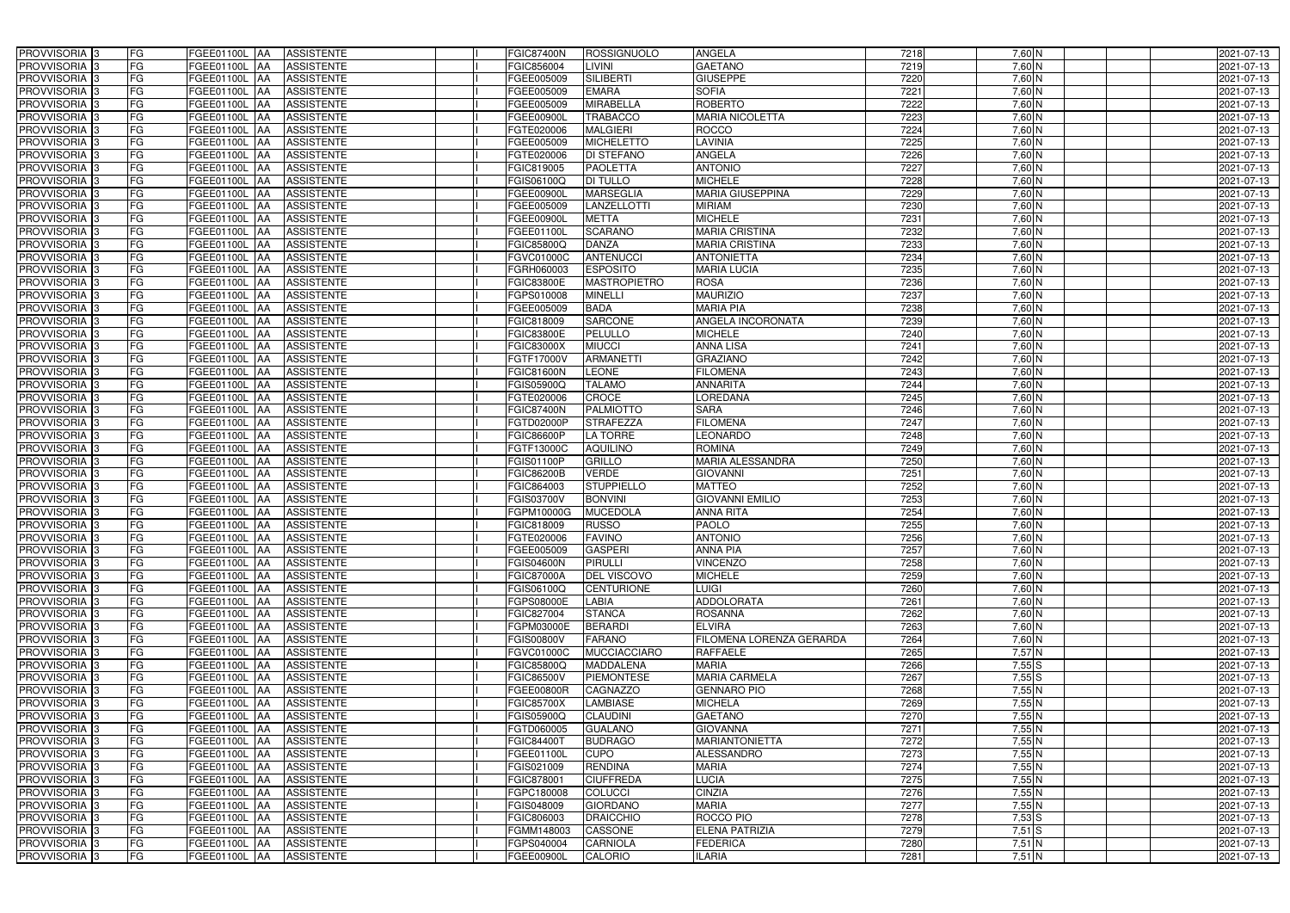| PROVVISORIA 3                             | FG<br>FGEE01100L AA                       | <b>ASSISTENTE</b>                             | <b>FGIC87400N</b>        | <b>ROSSIGNUOLO</b>  | <b>ANGELA</b>            | 7218 | $7,60$ N         | 2021-07-13 |
|-------------------------------------------|-------------------------------------------|-----------------------------------------------|--------------------------|---------------------|--------------------------|------|------------------|------------|
| PROVVISORIA <sup>3</sup>                  | FG<br>FGEE01100L AA                       | <b>ASSISTENTE</b>                             | FGIC856004               | LIVINI              | <b>GAETANO</b>           | 7219 | $7,60$ N         | 2021-07-13 |
| PROVVISORIA <sup>3</sup>                  | FG<br>FGEE01100L AA                       | <b>ASSISTENTE</b>                             | FGEE005009               | <b>SILIBERTI</b>    | <b>GIUSEPPE</b>          | 7220 | $7,60$ N         | 2021-07-13 |
| PROVVISORIA 3                             | FG<br>FGEE01100L                          | <b>ASSISTENTE</b><br>IAA                      | FGEE005009               | <b>EMARA</b>        | <b>SOFIA</b>             | 7221 | $7,60$ N         | 2021-07-13 |
| PROVVISORIA <sup>3</sup>                  | FG<br>FGEE01100L                          | <b>ASSISTENTE</b><br><b>IAA</b>               | FGEE005009               | <b>MIRABELLA</b>    | <b>ROBERTO</b>           | 7222 | $7,60$ N         | 2021-07-13 |
| PROVVISORIA <sup>3</sup>                  | FG<br>FGEE01100L AA                       | <b>ASSISTENTE</b>                             | FGEE00900L               | <b>TRABACCO</b>     | <b>MARIA NICOLETTA</b>   | 7223 | 7,60 N           | 2021-07-13 |
| PROVVISORIA <sup>1</sup> 3                | FG<br>FGEE01100L AA                       | <b>ASSISTENTE</b>                             | FGTE020006               | <b>MALGIERI</b>     | <b>ROCCO</b>             | 7224 | $7,60$ N         | 2021-07-13 |
| PROVVISORIA <sup>3</sup>                  | FG<br>FGEE01100L AA                       | <b>ASSISTENTE</b>                             | FGEE005009               | <b>MICHELETTO</b>   | <b>LAVINIA</b>           | 7225 | 7,60 N           | 2021-07-13 |
| PROVVISORIA <sup>3</sup>                  | FG<br>FGEE01100L AA                       | <b>ASSISTENTE</b>                             | FGTE020006               | DI STEFANO          | <b>ANGELA</b>            | 7226 | 7,60 N           | 2021-07-13 |
| PROVVISORIA <sup>3</sup>                  | FG<br><b>FGEE01100L AA</b>                | <b>ASSISTENTE</b>                             | FGIC819005               | <b>PAOLETTA</b>     | <b>ANTONIO</b>           | 7227 | 7,60 N           | 2021-07-13 |
| PROVVISORIA 3                             | FG<br>FGEE01100L AA                       | <b>ASSISTENTE</b>                             | FGIS06100Q               | <b>DI TULLO</b>     | <b>MICHELE</b>           | 7228 | $7,60$ N         | 2021-07-13 |
| PROVVISORIA 3                             | FG<br>FGEE01100L AA                       | <b>ASSISTENTE</b>                             | FGEE00900L               | <b>MARSEGLIA</b>    | <b>MARIA GIUSEPPINA</b>  | 7229 | $7,60$ N         | 2021-07-13 |
| PROVVISORIA <sup>3</sup>                  | FG<br>FGEE01100L AA                       | <b>ASSISTENTE</b>                             | FGEE005009               | <b>LANZELLOTTI</b>  | <b>MIRIAM</b>            | 7230 | $7,60$ N         | 2021-07-13 |
| PROVVISORIA 3                             | FG<br>FGEE01100L AA                       | <b>ASSISTENTE</b>                             | <b>FGEE00900L</b>        | <b>METTA</b>        | <b>MICHELE</b>           | 7231 | $7,60$ N         | 2021-07-13 |
| PROVVISORIA 3                             | $\overline{\mathsf{FG}}$<br>FGEE01100L AA | <b>ASSISTENTE</b>                             | FGEE01100L               | <b>SCARANO</b>      | <b>MARIA CRISTINA</b>    | 7232 | $7,60$ N         | 2021-07-13 |
| PROVVISORIA 3                             | $\overline{\mathsf{FG}}$<br>FGEE01100L AA | <b>ASSISTENTE</b>                             | FGIC85800Q               | <b>DANZA</b>        | <b>MARIA CRISTINA</b>    | 7233 | $7,60$ N         | 2021-07-13 |
| PROVVISORIA 3                             | FG<br><b>FGEE01100L</b>                   | <b>ASSISTENTE</b><br><b>IAA</b>               | FGVC01000C               | <b>ANTENUCCI</b>    | <b>ANTONIETTA</b>        | 7234 | $7,60$ N         | 2021-07-13 |
| PROVVISORIA <sup>3</sup>                  | FG<br>FGEE01100L AA                       | <b>ASSISTENTE</b>                             | FGRH060003               | <b>ESPOSITO</b>     | <b>MARIA LUCIA</b>       | 7235 | 7,60 N           | 2021-07-13 |
| PROVVISORIA 3                             | FG<br><b>FGEE01100L</b>                   | <b>ASSISTENTE</b><br><b>JAA</b>               | FGIC83800E               | <b>MASTROPIETRO</b> | <b>ROSA</b>              | 7236 | 7,60 N           | 2021-07-13 |
| PROVVISORIA 3                             | FG<br>FGEE01100L AA                       | <b>ASSISTENTE</b>                             | FGPS010008               | <b>MINELLI</b>      | <b>MAURIZIO</b>          | 7237 | 7,60 N           | 2021-07-13 |
| PROVVISORIA 3                             | FG<br><b>FGEE01100L</b>                   | <b>AA</b><br><b>ASSISTENTE</b>                | FGEE005009               | <b>BADA</b>         | <b>MARIA PIA</b>         | 7238 | 7,60 N           | 2021-07-13 |
| PROVVISORIA 3                             | FG<br>FGEE01100L                          | <b>ASSISTENTE</b><br><b>JAA</b>               | FGIC818009               | <b>SARCONE</b>      | ANGELA INCORONATA        | 7239 | 7,60 N           | 2021-07-13 |
| PROVVISORIA 3                             | FG<br>FGEE01100L                          | <b>ASSISTENTE</b><br><b>JAA</b>               | <b>FGIC83800E</b>        | <b>PELULLO</b>      | <b>MICHELE</b>           | 7240 | $7,60$ N         | 2021-07-13 |
| PROVVISORIA 3                             | FG<br>FGEE01100L AA                       | <b>ASSISTENTE</b>                             | <b>FGIC83000X</b>        | <b>MIUCCI</b>       | <b>ANNA LISA</b>         | 7241 | $7,60$ N         | 2021-07-13 |
| PROVVISORIA <sup>3</sup>                  | FG<br>FGEE01100L AA                       | <b>ASSISTENTE</b>                             | FGTF17000V               | <b>ARMANETTI</b>    | <b>GRAZIANO</b>          | 7242 | $7,60$ N         | 2021-07-13 |
| PROVVISORIA 3                             | FG<br>FGEE01100L AA                       | <b>ASSISTENTE</b>                             | <b>FGIC81600N</b>        | <b>LEONE</b>        | <b>FILOMENA</b>          | 7243 | $7,60$ N         | 2021-07-13 |
| PROVVISORIA 3                             | FG<br>FGEE01100L AA                       | <b>ASSISTENTE</b>                             | <b>FGIS05900Q</b>        | <b>TALAMO</b>       | <b>ANNARITA</b>          | 7244 | $7,60$ N         | 2021-07-13 |
| PROVVISORIA 3                             | FG<br>FGEE01100L AA                       | <b>ASSISTENTE</b>                             | FGTE020006               | <b>CROCE</b>        | LOREDANA                 | 7245 | $7,60$ N         | 2021-07-13 |
| PROVVISORIA <sup>3</sup>                  | FG<br>FGEE01100L AA                       | <b>ASSISTENTE</b>                             | <b>FGIC87400N</b>        | <b>PALMIOTTO</b>    | <b>SARA</b>              | 7246 | $7,60$ N         | 2021-07-13 |
| PROVVISORIA <sup>3</sup>                  | FG<br><b>FGEE01100L AA</b>                | <b>ASSISTENTE</b>                             | FGTD02000P               | <b>STRAFEZZA</b>    | <b>FILOMENA</b>          | 7247 | 7,60 N           | 2021-07-13 |
| PROVVISORIA <sup>3</sup>                  | FG<br>FGEE01100L AA                       | <b>ASSISTENTE</b>                             | FGIC86600P               | <b>LA TORRE</b>     | <b>LEONARDO</b>          | 7248 | 7,60 N           | 2021-07-13 |
| PROVVISORIA <sup>3</sup>                  | FG<br>FGEE01100L AA                       | <b>ASSISTENTE</b>                             | FGTF13000C               | <b>AQUILINO</b>     | <b>ROMINA</b>            | 7249 | 7,60 N           | 2021-07-13 |
| PROVVISORIA <sup>3</sup>                  | FG<br>FGEE01100L AA                       | <b>ASSISTENTE</b>                             | FGIS01100P               | <b>GRILLO</b>       | <b>MARIA ALESSANDRA</b>  | 7250 | 7,60 N           | 2021-07-13 |
| PROVVISORIA <sup>3</sup>                  | FG<br><b>FGEE01100L AA</b>                | <b>ASSISTENTE</b>                             | <b>FGIC86200B</b>        | <b>VERDE</b>        | <b>GIOVANNI</b>          | 7251 | 7,60 N           | 2021-07-13 |
| PROVVISORIA 3                             | FG<br>FGEE01100L                          | <b>ASSISTENTE</b>                             | FGIC864003               | <b>STUPPIELLO</b>   | <b>MATTEO</b>            | 7252 | 7,60 N           | 2021-07-13 |
| PROVVISORIA <sup>3</sup>                  | FGEE01100L                                | <b>IAA</b><br><b>ASSISTENTE</b>               |                          | <b>BONVINI</b>      | <b>GIOVANNI EMILIO</b>   | 7253 |                  | 2021-07-13 |
| PROVVISORIA <sup>3</sup>                  | FG<br>FG<br>FGEE01100L                    | <b>JAA</b><br><b>ASSISTENTE</b><br><b>JAA</b> | FGIS03700V<br>FGPM10000G | <b>MUCEDOLA</b>     | <b>ANNA RITA</b>         | 7254 | 7,60 N<br>7,60 N | 2021-07-13 |
| PROVVISORIA <sup>3</sup>                  | FG                                        | <b>ASSISTENTE</b>                             |                          | <b>RUSSO</b>        | <b>PAOLO</b>             | 7255 | $7,60$ N         | 2021-07-13 |
|                                           | FGEE01100L AA<br>FGEE01100L AA            |                                               | FGIC818009               |                     | <b>ANTONIO</b>           |      |                  |            |
| PROVVISORIA 3<br>PROVVISORIA <sup>3</sup> | FG<br>FGEE01100L AA                       | <b>ASSISTENTE</b>                             | FGTE020006               | <b>FAVINO</b>       | <b>ANNA PIA</b>          | 7256 | 7,60 N           | 2021-07-13 |
|                                           | FG                                        | <b>ASSISTENTE</b>                             | FGEE005009               | <b>GASPERI</b>      |                          | 7257 | $7,60$ N         | 2021-07-13 |
| PROVVISORIA <sup>3</sup>                  | FG<br>FGEE01100L AA                       | ASSISTENTE                                    | <b>FGIS04600N</b>        | PIRULLI             | <b>VINCENZO</b>          | 7258 | $7,60$ N         | 2021-07-13 |
| PROVVISORIA <sup>3</sup>                  | FG<br>FGEE01100L AA                       | ASSISTENTE                                    | <b>FGIC87000A</b>        | DEL VISCOVO         | <b>MICHELE</b>           | 7259 | $7,60$ N         | 2021-07-13 |
| PROVVISORIA <sup>3</sup>                  | FG<br>FGEE01100L AA                       | <b>ASSISTENTE</b>                             | FGIS06100Q               | <b>CENTURIONE</b>   | <b>LUIGI</b>             | 7260 | $7,60$ N         | 2021-07-13 |
| PROVVISORIA <sup>3</sup>                  | FG<br><b>FGEE01100L AA</b>                | ASSISTENTE                                    | FGPS08000E               | <b>LABIA</b>        | <b>ADDOLORATA</b>        | 7261 | $7,60$ N         | 2021-07-13 |
| PROVVISORIA 3                             | FG<br>FGEE01100L AA                       | ASSISTENTE                                    | FGIC827004               | <b>STANCA</b>       | <b>ROSANNA</b>           | 7262 | $7,60$ N         | 2021-07-13 |
| PROVVISORIA <sup>3</sup>                  | FG<br>FGEE01100L AA                       | ASSISTENTE                                    | FGPM03000E               | <b>BERARDI</b>      | <b>ELVIRA</b>            | 7263 | $7,60$ N         | 2021-07-13 |
| PROVVISORIA <sup>3</sup>                  | FG<br>FGEE01100L AA                       | ASSISTENTE                                    | <b>FGIS00800V</b>        | <b>FARANO</b>       | FILOMENA LORENZA GERARDA | 7264 | $7,60$ N         | 2021-07-13 |
| PROVVISORIA <sup>3</sup>                  | FG<br>FGEE01100L AA                       | ASSISTENTE                                    | FGVC01000C               | <b>MUCCIACCIARO</b> | <b>RAFFAELE</b>          | 7265 | $7,57$ N         | 2021-07-13 |
| PROVVISORIA <sup>3</sup>                  | FG<br>FGEE01100L AA                       | ASSISTENTE                                    | FGIC85800Q               | <b>MADDALENA</b>    | <b>MARIA</b>             | 7266 | 7,55S            | 2021-07-13 |
| PROVVISORIA <sup>3</sup>                  | FG<br>FGEE01100L AA                       | ASSISTENTE                                    | <b>FGIC86500V</b>        | <b>PIEMONTESE</b>   | <b>MARIA CARMELA</b>     | 7267 | 7,55S            | 2021-07-13 |
| PROVVISORIA <sup>3</sup>                  | FG<br>FGEE01100L AA                       | <b>ASSISTENTE</b>                             | FGEE00800R               | CAGNAZZO            | <b>GENNARO PIO</b>       | 7268 | 7,55N            | 2021-07-13 |
| PROVVISORIA <sup>3</sup>                  | FG<br>FGEE01100L AA                       | ASSISTENTE                                    | <b>FGIC85700X</b>        | <b>LAMBIASE</b>     | <b>MICHELA</b>           | 7269 | $7,55$ N         | 2021-07-13 |
| PROVVISORIA <sup>3</sup>                  | FG<br>FGEE01100L AA                       | ASSISTENTE                                    | FGIS05900Q               | <b>CLAUDINI</b>     | <b>GAETANO</b>           | 7270 | $7,55$ N         | 2021-07-13 |
| PROVVISORIA <sup>3</sup>                  | FG<br>FGEE01100L AA                       | <b>ASSISTENTE</b>                             | FGTD060005               | <b>GUALANO</b>      | <b>GIOVANNA</b>          | 7271 | $7,55$ N         | 2021-07-13 |
| PROVVISORIA <sup>13</sup>                 | FG<br>FGEE01100L AA                       | <b>ASSISTENTE</b>                             | FGIC84400T               | <b>BUDRAGO</b>      | <b>MARIANTONIETTA</b>    | 7272 | 7,55N            | 2021-07-13 |
| PROVVISORIA <sup>1</sup> 3                | FG<br>FGEE01100L AA                       | <b>ASSISTENTE</b>                             | FGEE01100L               | <b>CUPO</b>         | <b>ALESSANDRO</b>        | 7273 | $7,55$ N         | 2021-07-13 |
| PROVVISORIA <sup>3</sup>                  | FG<br>FGEE01100L AA                       | <b>ASSISTENTE</b>                             | FGIS021009               | <b>RENDINA</b>      | <b>MARIA</b>             | 7274 | 7,55N            | 2021-07-13 |
| PROVVISORIA <sup>1</sup> 3                | FG<br>FGEE01100L AA                       | <b>ASSISTENTE</b>                             | FGIC878001               | <b>CIUFFREDA</b>    | <b>LUCIA</b>             | 7275 | 7,55N            | 2021-07-13 |
| PROVVISORIA <sup>3</sup>                  | FG<br>FGEE01100L AA                       | <b>ASSISTENTE</b>                             | FGPC180008               | <b>COLUCCI</b>      | <b>CINZIA</b>            | 7276 | 7,55N            | 2021-07-13 |
| PROVVISORIA <sup>1</sup> 3                | FG<br>FGEE01100L AA                       | <b>ASSISTENTE</b>                             | FGIS048009               | <b>GIORDANO</b>     | <b>MARIA</b>             | 7277 | 7,55N            | 2021-07-13 |
| PROVVISORIA <sup>3</sup>                  | FG<br>FGEE01100L AA                       | <b>ASSISTENTE</b>                             | FGIC806003               | <b>DRAICCHIO</b>    | ROCCO PIO                | 7278 | $7,53$ S         | 2021-07-13 |
| PROVVISORIA <sup>3</sup>                  | FG<br>FGEE01100L AA                       | <b>ASSISTENTE</b>                             | FGMM148003               | <b>CASSONE</b>      | <b>ELENA PATRIZIA</b>    | 7279 | $7,51$ S         | 2021-07-13 |
| PROVVISORIA <sup>3</sup>                  | FG<br>FGEE01100L AA                       | <b>ASSISTENTE</b>                             | FGPS040004               | <b>CARNIOLA</b>     | <b>FEDERICA</b>          | 7280 | $7,51$ N         | 2021-07-13 |
| PROVVISORIA <sup>3</sup>                  | FG<br><b>FGEE01100L AA</b>                | ASSISTENTE                                    | <b>FGEE00900L</b>        | CALORIO             | <b>ILARIA</b>            | 7281 | $7,51$ N         | 2021-07-13 |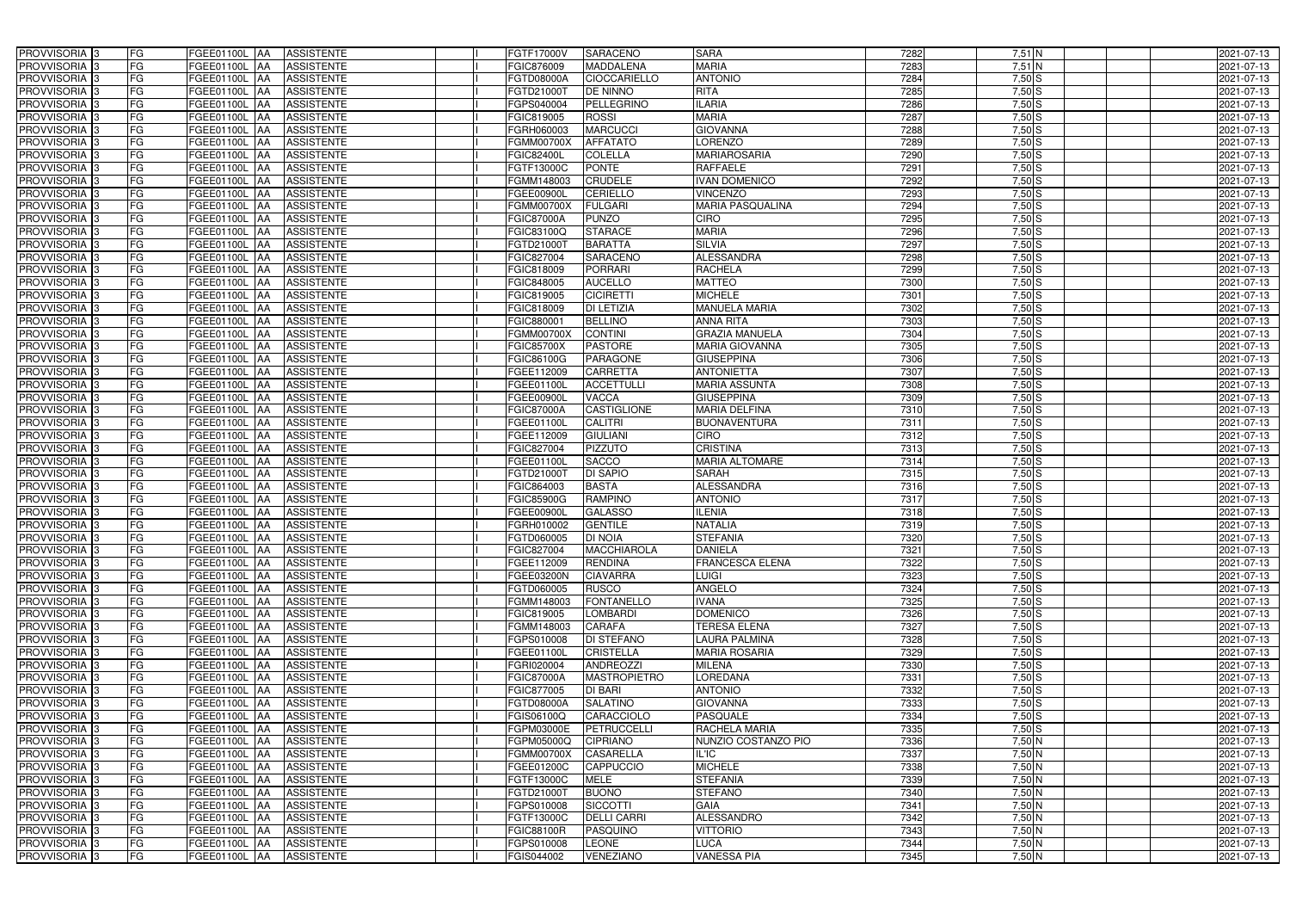| PROVVISORIA 3              | FG<br>FGEE01100L AA                       | <b>ASSISTENTE</b>               | FGTF17000V<br><b>SARACENO</b>            | <b>SARA</b>             | 7282 | $7,51$ N   | 2021-07-13 |
|----------------------------|-------------------------------------------|---------------------------------|------------------------------------------|-------------------------|------|------------|------------|
| PROVVISORIA <sup>3</sup>   | FG<br><b>FGEE01100L AA</b>                | <b>ASSISTENTE</b>               | FGIC876009<br><b>MADDALENA</b>           | <b>MARIA</b>            | 7283 | $7,51$ N   | 2021-07-13 |
| PROVVISORIA <sup>3</sup>   | FG<br>FGEE01100L AA                       | <b>ASSISTENTE</b>               | FGTD08000A<br><b>CIOCCARIELLO</b>        | <b>ANTONIO</b>          | 7284 | $7,50$ S   | 2021-07-13 |
| PROVVISORIA 3              | FG<br>FGEE01100L AA                       | <b>ASSISTENTE</b>               | <b>DE NINNO</b><br>FGTD21000T            | <b>RITA</b>             | 7285 | $7,50$ S   | 2021-07-13 |
| PROVVISORIA <sup>3</sup>   | FG<br>FGEE01100L                          | <b>ASSISTENTE</b><br><b>IAA</b> | PELLEGRINO<br>FGPS040004                 | <b>ILARIA</b>           | 7286 | $7,50$ S   | 2021-07-13 |
| PROVVISORIA <sup>3</sup>   | FG<br>FGEE01100L AA                       | <b>ASSISTENTE</b>               | <b>ROSSI</b><br>FGIC819005               | <b>MARIA</b>            | 7287 | $7,50$ $S$ | 2021-07-13 |
| PROVVISORIA <sup>1</sup> 3 | FG<br>FGEE01100L AA                       | <b>ASSISTENTE</b>               | <b>MARCUCCI</b><br>FGRH060003            | <b>GIOVANNA</b>         | 7288 | $7,50$ S   | 2021-07-13 |
| PROVVISORIA <sup>3</sup>   | FG<br>FGEE01100L AA                       | <b>ASSISTENTE</b>               | <b>AFFATATO</b><br><b>FGMM00700X</b>     | <b>LORENZO</b>          | 7289 | $7,50$ S   | 2021-07-13 |
| PROVVISORIA 3              | FG<br>FGEE01100L AA                       | <b>ASSISTENTE</b>               | <b>COLELLA</b><br><b>FGIC82400L</b>      | <b>MARIAROSARIA</b>     | 7290 | $7,50$ S   | 2021-07-13 |
| PROVVISORIA <sup>3</sup>   | FG<br>FGEE01100L AA                       | <b>ASSISTENTE</b>               | <b>PONTE</b><br>FGTF13000C               | <b>RAFFAELE</b>         | 7291 | $7,50$ S   | 2021-07-13 |
| PROVVISORIA 3              | FG<br>FGEE01100L AA                       | <b>ASSISTENTE</b>               | <b>CRUDELE</b><br>FGMM148003             | <b>IVAN DOMENICO</b>    | 7292 | $7,50$ S   | 2021-07-13 |
| PROVVISORIA 3              | FG<br>FGEE01100L AA                       | <b>ASSISTENTE</b>               | <b>CERIELLO</b><br>FGEE00900L            | <b>VINCENZO</b>         | 7293 | $7,50$ S   | 2021-07-13 |
| PROVVISORIA <sup>3</sup>   | FG<br>FGEE01100L AA                       | <b>ASSISTENTE</b>               | <b>FULGARI</b><br><b>FGMM00700X</b>      | <b>MARIA PASQUALINA</b> | 7294 | $7,50$ S   | 2021-07-13 |
| PROVVISORIA 3              | FG<br>FGEE01100L AA                       | <b>ASSISTENTE</b>               | <b>PUNZO</b><br><b>FGIC87000A</b>        | <b>CIRO</b>             | 7295 | $7,50$ S   | 2021-07-13 |
| PROVVISORIA 3              | $\overline{\mathsf{FG}}$<br>FGEE01100L AA | <b>ASSISTENTE</b>               | <b>STARACE</b><br>FGIC83100Q             | <b>MARIA</b>            | 7296 | $7,50$ S   | 2021-07-13 |
| PROVVISORIA 3              | $\overline{\mathsf{FG}}$<br>FGEE01100L AA | <b>ASSISTENTE</b>               | <b>BARATTA</b><br>FGTD21000T             | <b>SILVIA</b>           | 7297 | $7,50$ S   | 2021-07-13 |
| PROVVISORIA 3              | FG<br><b>FGEE01100L</b>                   | <b>ASSISTENTE</b><br><b>IAA</b> | <b>SARACENO</b><br>FGIC827004            | <b>ALESSANDRA</b>       | 7298 | $7,50$ S   | 2021-07-13 |
| PROVVISORIA <sup>3</sup>   | FG<br>FGEE01100L AA                       | <b>ASSISTENTE</b>               | <b>PORRARI</b><br>FGIC818009             | <b>RACHELA</b>          | 7299 | $7,50$ S   | 2021-07-13 |
| PROVVISORIA 3              | FG<br>FGEE01100L                          | <b>ASSISTENTE</b><br><b>JAA</b> | <b>AUCELLO</b><br>FGIC848005             | <b>MATTEO</b>           | 7300 | $7,50$ S   | 2021-07-13 |
| PROVVISORIA 3              | FG<br><b>FGEE01100L AA</b>                | <b>ASSISTENTE</b>               | <b>CICIRETTI</b><br>FGIC819005           | <b>MICHELE</b>          | 7301 | $7,50$ S   | 2021-07-13 |
| PROVVISORIA <sup>3</sup>   | FG<br>FGEE01100L                          | <b>AA</b><br><b>ASSISTENTE</b>  | DI LETIZIA<br>FGIC818009                 | <b>MANUELA MARIA</b>    | 7302 | $7,50$ S   | 2021-07-13 |
| PROVVISORIA 3              | FG<br>FGEE01100L AA                       | <b>ASSISTENTE</b>               | <b>BELLINO</b><br>FGIC880001             | <b>ANNA RITA</b>        | 7303 | $7,50$ S   | 2021-07-13 |
| PROVVISORIA 3              | FG<br>FGEE01100L AA                       | <b>ASSISTENTE</b>               | <b>CONTINI</b><br>FGMM00700X             | <b>GRAZIA MANUELA</b>   | 7304 | $7,50$ S   | 2021-07-13 |
| PROVVISORIA 3              | FG<br>FGEE01100L AA                       | <b>ASSISTENTE</b>               | <b>PASTORE</b><br><b>FGIC85700X</b>      | <b>MARIA GIOVANNA</b>   | 7305 | $7,50$ S   | 2021-07-13 |
| PROVVISORIA 3              | FG<br>FGEE01100L AA                       | <b>ASSISTENTE</b>               | FGIC86100G<br><b>PARAGONE</b>            | <b>GIUSEPPINA</b>       | 7306 | $7,50$ S   | 2021-07-13 |
| PROVVISORIA 3              | FG<br>FGEE01100L AA                       | <b>ASSISTENTE</b>               | FGEE112009<br>CARRETTA                   | <b>ANTONIETTA</b>       | 7307 | $7,50$ S   | 2021-07-13 |
| PROVVISORIA 3              | FG<br>FGEE01100L AA                       | <b>ASSISTENTE</b>               | <b>ACCETTULLI</b><br>FGEE01100L          | <b>MARIA ASSUNTA</b>    | 7308 | $7,50$ S   | 2021-07-13 |
| PROVVISORIA 3              | FG<br>FGEE01100L AA                       | <b>ASSISTENTE</b>               | VACCA<br>FGEE00900L                      | <b>GIUSEPPINA</b>       | 7309 | $7,50$ S   | 2021-07-13 |
| PROVVISORIA <sup>3</sup>   | FG<br>FGEE01100L AA                       | <b>ASSISTENTE</b>               | <b>FGIC87000A</b><br>CASTIGLIONE         | <b>MARIA DELFINA</b>    | 7310 | $7,50$ S   | 2021-07-13 |
| PROVVISORIA <sup>3</sup>   | FG<br><b>FGEE01100L AA</b>                | <b>ASSISTENTE</b>               | <b>CALITRI</b><br>FGEE01100L             | <b>BUONAVENTURA</b>     | 7311 | $7,50$ S   | 2021-07-13 |
| PROVVISORIA <sup>3</sup>   | FG<br>FGEE01100L AA                       | <b>ASSISTENTE</b>               | <b>GIULIANI</b><br>FGEE112009            | <b>CIRO</b>             | 7312 | $7,50$ $S$ | 2021-07-13 |
| PROVVISORIA <sup>3</sup>   | FG<br>FGEE01100L AA                       | <b>ASSISTENTE</b>               | <b>PIZZUTO</b><br>FGIC827004             | <b>CRISTINA</b>         | 7313 | $7,50$ S   | 2021-07-13 |
| PROVVISORIA <sup>3</sup>   | FG<br>FGEE01100L AA                       | <b>ASSISTENTE</b>               | <b>SACCO</b><br>FGEE01100L               | <b>MARIA ALTOMARE</b>   | 7314 | $7,50$ S   | 2021-07-13 |
| PROVVISORIA <sup>3</sup>   | FG<br><b>FGEE01100L AA</b>                | <b>ASSISTENTE</b>               | <b>DI SAPIO</b><br>FGTD21000T            | <b>SARAH</b>            | 7315 | $7,50$ S   | 2021-07-13 |
| PROVVISORIA <sup>3</sup>   | FG<br>FGEE01100L                          | <b>ASSISTENTE</b><br> AA        | <b>BASTA</b><br>FGIC864003               | <b>ALESSANDRA</b>       | 7316 | $7,50$ S   | 2021-07-13 |
| PROVVISORIA <sup>3</sup>   | FG<br>FGEE01100L                          | <b>ASSISTENTE</b><br><b>JAA</b> | <b>RAMPINO</b><br><b>FGIC85900G</b>      | <b>ANTONIO</b>          | 7317 | $7,50$ S   | 2021-07-13 |
| PROVVISORIA <sup>3</sup>   | FG<br>FGEE01100L                          | <b>ASSISTENTE</b><br><b>JAA</b> | <b>GALASSO</b><br>FGEE00900L             | <b>ILENIA</b>           | 7318 | $7,50$ S   | 2021-07-13 |
| PROVVISORIA <sup>1</sup> 3 | FG<br>FGEE01100L AA                       | <b>ASSISTENTE</b>               | <b>GENTILE</b><br>FGRH010002             | <b>NATALIA</b>          | 7319 | $7,50$ S   | 2021-07-13 |
| PROVVISORIA 3              | FG<br>FGEE01100L AA                       | <b>ASSISTENTE</b>               | <b>DI NOIA</b><br>FGTD060005             | <b>STEFANIA</b>         | 7320 | $7,50$ S   | 2021-07-13 |
| PROVVISORIA <sup>3</sup>   | FG<br>FGEE01100L AA                       | <b>ASSISTENTE</b>               | FGIC827004<br><b>MACCHIAROLA</b>         | <b>DANIELA</b>          | 7321 | $7,50$ S   | 2021-07-13 |
| PROVVISORIA <sup>3</sup>   | FG<br>FGEE01100L AA                       | ASSISTENTE                      | <b>RENDINA</b><br>FGEE112009             | <b>FRANCESCA ELENA</b>  | 7322 | $7,50$ S   | 2021-07-13 |
| PROVVISORIA <sup>3</sup>   | FG<br>FGEE01100L AA                       | ASSISTENTE                      | <b>CIAVARRA</b><br>FGEE03200N            | <b>LUIGI</b>            | 7323 | $7,50$ S   | 2021-07-13 |
| PROVVISORIA <sup>3</sup>   | FG<br>FGEE01100L AA                       | ASSISTENTE                      | FGTD060005<br><b>RUSCO</b>               | ANGELO                  | 7324 | $7,50$ S   | 2021-07-13 |
| PROVVISORIA <sup>3</sup>   | FG<br><b>FGEE01100L AA</b>                | ASSISTENTE                      | <b>FONTANELLO</b><br>FGMM148003          | <b>IVANA</b>            | 7325 | $7,50$ S   | 2021-07-13 |
| PROVVISORIA 3              | FG<br>FGEE01100L AA                       | ASSISTENTE                      | FGIC819005<br><b>LOMBARDI</b>            | <b>DOMENICO</b>         | 7326 | $7,50$ S   | 2021-07-13 |
| PROVVISORIA <sup>3</sup>   | FG<br>FGEE01100L AA                       | ASSISTENTE                      | <b>CARAFA</b><br>FGMM148003              | <b>TERESA ELENA</b>     | 7327 | $7,50$ S   | 2021-07-13 |
| PROVVISORIA <sup>3</sup>   | FG<br>FGEE01100L AA                       | ASSISTENTE                      | FGPS010008<br><b>DI STEFANO</b>          | <b>LAURA PALMINA</b>    | 7328 | $7,50$ S   | 2021-07-13 |
| PROVVISORIA <sup>3</sup>   | FG<br>FGEE01100L AA                       | ASSISTENTE                      | <b>CRISTELLA</b><br>FGEE01100L           | <b>MARIA ROSARIA</b>    | 7329 | $7,50$ S   | 2021-07-13 |
| PROVVISORIA <sup>3</sup>   | FG<br><b>FGEE01100L AA</b>                | ASSISTENTE                      | FGRI020004<br><b>ANDREOZZI</b>           | <b>MILENA</b>           | 7330 | $7,50$ S   | 2021-07-13 |
| PROVVISORIA <sup>3</sup>   | FG<br>FGEE01100L AA                       | ASSISTENTE                      | <b>FGIC87000A</b><br><b>MASTROPIETRO</b> | <b>LOREDANA</b>         | 7331 | $7,50$ S   | 2021-07-13 |
| PROVVISORIA <sup>3</sup>   | FG<br>FGEE01100L AA                       | <b>ASSISTENTE</b>               | FGIC877005<br>DI BARI                    | <b>ANTONIO</b>          | 7332 | $7,50$ S   | 2021-07-13 |
| PROVVISORIA <sup>3</sup>   | FG<br>FGEE01100L AA                       | ASSISTENTE                      | <b>FGTD08000A</b><br><b>SALATINO</b>     | <b>GIOVANNA</b>         | 7333 | $7,50$ S   | 2021-07-13 |
| PROVVISORIA <sup>3</sup>   | FG<br>FGEE01100L AA                       | ASSISTENTE                      | CARACCIOLO<br>FGIS06100Q                 | <b>PASQUALE</b>         | 7334 | $7,50$ S   | 2021-07-13 |
| PROVVISORIA <sup>3</sup>   | FG<br>FGEE01100L AA                       | <b>ASSISTENTE</b>               | FGPM03000E<br><b>PETRUCCELLI</b>         | RACHELA MARIA           | 7335 | $7,50$ S   | 2021-07-13 |
| PROVVISORIA <sup>13</sup>  | FG<br>FGEE01100L AA                       | <b>ASSISTENTE</b>               | <b>CIPRIANO</b><br>FGPM05000Q            | NUNZIO COSTANZO PIO     | 7336 | $7,50$ N   | 2021-07-13 |
| PROVVISORIA <sup>1</sup> 3 | FG<br>FGEE01100L AA                       | <b>ASSISTENTE</b>               | <b>CASARELLA</b><br><b>FGMM00700X</b>    | IL'IC                   | 7337 | $7,50$ N   | 2021-07-13 |
| PROVVISORIA <sup>3</sup>   | FG<br>FGEE01100L AA                       | <b>ASSISTENTE</b>               | <b>CAPPUCCIO</b><br>FGEE01200C           | <b>MICHELE</b>          | 7338 | $7,50$ N   | 2021-07-13 |
| <b>PROVVISORIA</b> 3       | FG<br>FGEE01100L AA                       | ASSISTENTE                      | FGTF13000C<br><b>MELE</b>                | <b>STEFANIA</b>         | 7339 | $7,50$ N   | 2021-07-13 |
| PROVVISORIA <sup>3</sup>   | FG<br>FGEE01100L AA                       | <b>ASSISTENTE</b>               | <b>BUONO</b><br>FGTD21000T               | <b>STEFANO</b>          | 7340 | 7,50 N     | 2021-07-13 |
| PROVVISORIA <sup>1</sup> 3 | FG<br>FGEE01100L AA                       | <b>ASSISTENTE</b>               | <b>SICCOTTI</b><br>FGPS010008            | <b>GAIA</b>             | 7341 | $7,50$ N   | 2021-07-13 |
| PROVVISORIA <sup>3</sup>   | FG<br>FGEE01100L AA                       | <b>ASSISTENTE</b>               | FGTF13000C<br><b>DELLI CARRI</b>         | <b>ALESSANDRO</b>       | 7342 | $7,50$ N   | 2021-07-13 |
| PROVVISORIA <sup>3</sup>   | FG<br>FGEE01100L AA                       | <b>ASSISTENTE</b>               | FGIC88100R<br><b>PASQUINO</b>            | <b>VITTORIO</b>         | 7343 | $7,50$ N   | 2021-07-13 |
| PROVVISORIA <sup>3</sup>   | FG<br>FGEE01100L AA                       | <b>ASSISTENTE</b>               | <b>LEONE</b><br>FGPS010008               | <b>LUCA</b>             | 7344 | $7,50$ N   | 2021-07-13 |
| PROVVISORIA <sup>3</sup>   | FG<br><b>FGEE01100L AA</b>                | ASSISTENTE                      | FGIS044002<br><b>VENEZIANO</b>           | <b>VANESSA PIA</b>      | 7345 | $7,50$ N   | 2021-07-13 |
|                            |                                           |                                 |                                          |                         |      |            |            |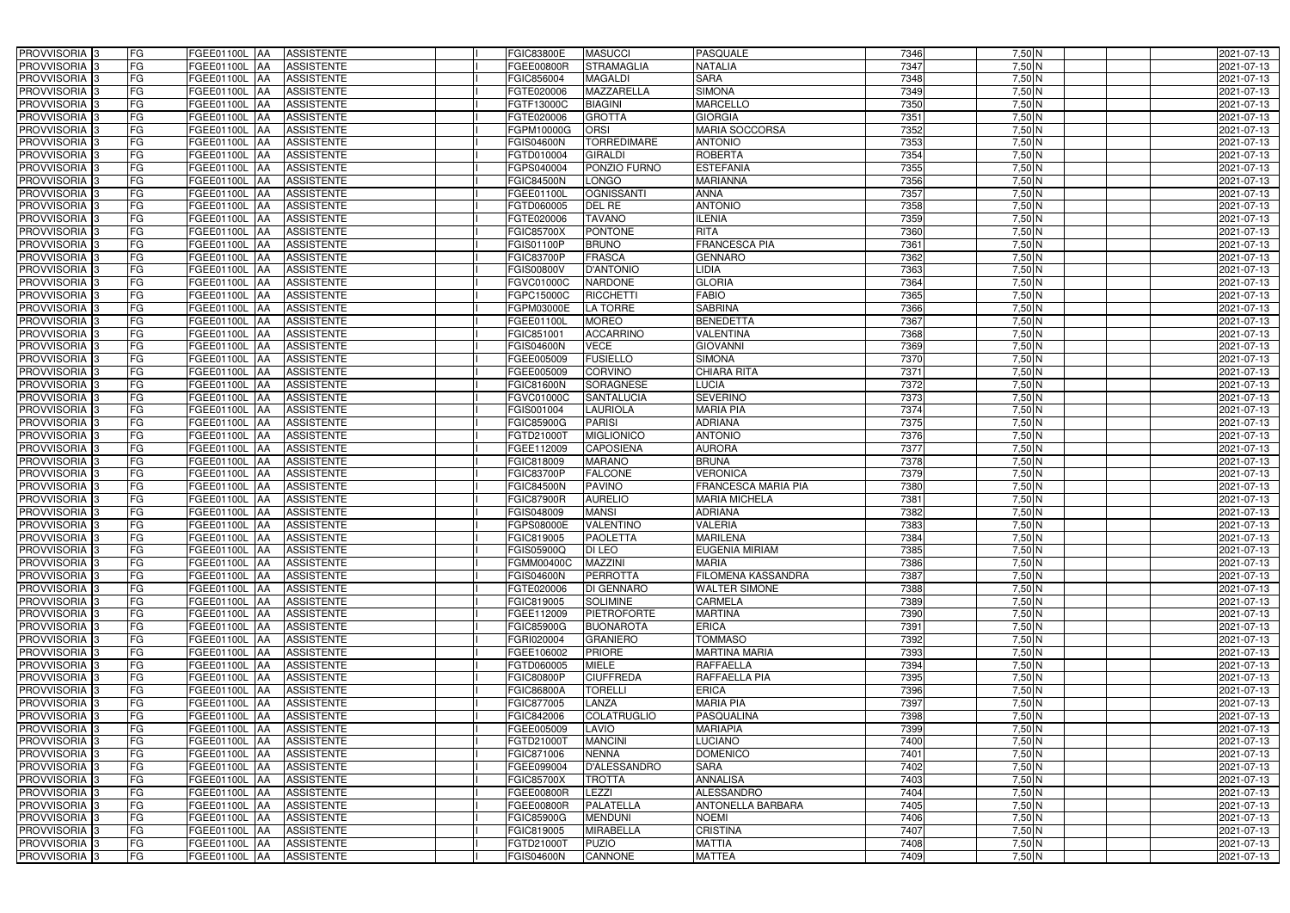| PROVVISORIA 3                                          | FG              | FGEE01100L AA                             | <b>ASSISTENTE</b> | FGIC83800E              | <b>MASUCCI</b>                 | <b>PASQUALE</b>                        | 7346         | $7,50$ N           | 2021-07-13               |
|--------------------------------------------------------|-----------------|-------------------------------------------|-------------------|-------------------------|--------------------------------|----------------------------------------|--------------|--------------------|--------------------------|
| PROVVISORIA 3                                          | FG              | FGEE01100L                                | <b>ASSISTENTE</b> | FGEE00800R              | <b>STRAMAGLIA</b>              | <b>NATALIA</b>                         | 7347         | 7,50 N             | 2021-07-13               |
| PROVVISORIA 3                                          | <b>FG</b>       | <b>FGEE01100L</b><br>IAA                  | <b>ASSISTENTE</b> | FGIC856004              | <b>MAGALDI</b>                 | <b>SARA</b>                            | 7348         | $7,50$ N           | 2021-07-13               |
| PROVVISORIA <sup>3</sup>                               | FG              | FGEE01100L<br>IAA                         | <b>ASSISTENTE</b> | FGTE020006              | MAZZARELLA                     | <b>SIMONA</b>                          | 7349         | $7,50$ N           | 2021-07-13               |
| PROVVISORIA <sup>3</sup>                               | FG              | FGEE01100L<br>IAA                         | <b>ASSISTENTE</b> | FGTF13000C              | <b>BIAGINI</b>                 | <b>MARCELLO</b>                        | 7350         | 7,50 N             | 2021-07-13               |
| PROVVISORIA 3                                          | <b>FG</b>       | <b>FGEE01100L AA</b>                      | <b>ASSISTENTE</b> | FGTE020006              | <b>GROTTA</b>                  | <b>GIORGIA</b>                         | 7351         | $7,50$ N           | 2021-07-13               |
| PROVVISORIA 3                                          | FG              | <b>FGEE01100L   AA</b>                    | <b>ASSISTENTE</b> | FGPM10000G              | <b>ORSI</b>                    | <b>MARIA SOCCORSA</b>                  | 7352         | $7,50$ N           | 2021-07-13               |
| PROVVISORIA 3                                          | FG              | FGEE01100L AA                             | <b>ASSISTENTE</b> | <b>FGIS04600N</b>       | <b>TORREDIMARE</b>             | <b>ANTONIO</b>                         | 7353         | $7,50$ N           | 2021-07-13               |
| PROVVISORIA 3                                          | <b>FG</b>       | FGEE01100L AA                             | <b>ASSISTENTE</b> | FGTD010004              | <b>GIRALDI</b>                 | <b>ROBERTA</b>                         | 7354         | $7,50$ N           | 2021-07-13               |
| PROVVISORIA 3                                          | FG              | FGEE01100L AA                             | <b>ASSISTENTE</b> | FGPS040004              | PONZIO FURNO                   | <b>ESTEFANIA</b>                       | 7355         | $7,50$ N           | 2021-07-13               |
| PROVVISORIA 3                                          | FG              | FGEE01100L AA                             | <b>ASSISTENTE</b> | FGIC84500N              | <b>LONGO</b>                   | <b>MARIANNA</b>                        | 7356         | $7,50$ N           | 2021-07-13               |
| PROVVISORIA 3                                          | FG              | FGEE01100L AA                             | <b>ASSISTENTE</b> | FGEE01100L              | <b>OGNISSANTI</b>              | <b>ANNA</b>                            | 7357         | $7,50$ N           | 2021-07-13               |
| PROVVISORIA <sup>3</sup>                               | FG              | FGEE01100L<br><b>IAA</b>                  | <b>ASSISTENTE</b> | FGTD060005              | DEL RE                         | <b>ANTONIO</b>                         | 7358         | $7,50$ N           | 2021-07-13               |
| PROVVISORIA 3                                          | FG              | FGEE01100L AA                             | <b>ASSISTENTE</b> | FGTE020006              | <b>TAVANO</b>                  | <b>ILENIA</b>                          | 7359         | $7,50$ N           | 2021-07-13               |
| PROVVISORIA 3                                          | <b>FG</b>       | FGEE01100L AA                             | <b>ASSISTENTE</b> | <b>FGIC85700X</b>       | <b>PONTONE</b>                 | <b>RITA</b>                            | 7360         | $7,50$ N           | 2021-07-13               |
| PROVVISORIA 3                                          | <b>FG</b>       | FGEE01100L<br>IAA                         | <b>ASSISTENTE</b> | GIS01100P               | <b>BRUNO</b>                   | <b>FRANCESCA PIA</b>                   | 7361         | $7,50$ N           | 2021-07-13               |
| PROVVISORIA 3                                          | FG              | <b>FGEE01100L</b><br>IAA                  | <b>ASSISTENTE</b> | FGIC83700P              | <b>FRASCA</b>                  | <b>GENNARO</b>                         | 7362         | $7,50$ N           | 2021-07-13               |
| PROVVISORIA 3                                          | FG              | FGEE01100L<br>IAA                         | <b>ASSISTENTE</b> | FGIS00800V              | <b>D'ANTONIO</b>               | <b>LIDIA</b>                           | 7363         | 7,50 N             | 2021-07-13               |
| PROVVISORIA 3                                          | FG              | FGEE01100L<br>IAA                         | <b>ASSISTENTE</b> | FGVC01000C              | <b>NARDONE</b>                 | <b>GLORIA</b>                          | 7364         | 7,50 N             | 2021-07-13               |
| PROVVISORIA 3                                          | FG              | <b>FGEE01100L</b><br>IAA                  | <b>ASSISTENTE</b> | FGPC15000C              | <b>RICCHETTI</b>               | <b>FABIO</b>                           | 7365         | 7,50 N             | 2021-07-13               |
| PROVVISORIA <sup>3</sup>                               | FG              | FGEE01100L                                | <b>ASSISTENTE</b> | FGPM03000E              | LA TORRE                       | <b>SABRINA</b>                         | 7366         | 7,50 N             | 2021-07-13               |
| <b>PROVVISORIA</b> 3                                   | FG              | FGEE01100L                                | <b>ASSISTENTE</b> | FGEE01100L              | <b>MOREO</b>                   | <b>BENEDETTA</b>                       | 7367         | $7,50$ N           | 2021-07-13               |
| PROVVISORIA <sup>3</sup>                               | FG              | FGEE01100L                                | <b>ASSISTENTE</b> | FGIC851001              | <b>ACCARRINO</b>               | <b>VALENTINA</b>                       | 7368         | $7,50$ N           | 2021-07-13               |
| PROVVISORIA <sup>13</sup>                              | <b>FG</b>       | <b>FGEE01100L</b><br>AA                   | <b>ASSISTENTE</b> | FGIS04600N              | <b>VECE</b>                    | <b>GIOVANNI</b>                        | 7369         | $7,50$ N           | 2021-07-13               |
| <b>PROVVISORIA</b> 3                                   | FG              | FGEE01100L<br>IAA                         | <b>ASSISTENTE</b> | FGEE005009              | <b>FUSIELLO</b>                | <b>SIMONA</b>                          | 7370         | $7,50$ N           | 2021-07-13               |
| PROVVISORIA 3                                          | FG              | FGEE01100L<br>IAA                         | <b>ASSISTENTE</b> | FGEE005009              | <b>CORVINO</b>                 | <b>CHIARA RITA</b>                     | 7371         | $7,50$ N           | 2021-07-13               |
| PROVVISORIA 3                                          | <b>FG</b>       | FGEE01100L AA                             | <b>ASSISTENTE</b> | FGIC81600N              | <b>SORAGNESE</b>               | <b>LUCIA</b>                           | 7372         | $7,50$ N           | 2021-07-13               |
| PROVVISORIA 3                                          | <b>FG</b>       | FGEE01100L AA                             | <b>ASSISTENTE</b> | FGVC01000C              | SANTALUCIA                     | <b>SEVERINO</b>                        | 7373         | $7,50$ N           | 2021-07-13               |
| PROVVISORIA 3                                          | FG              | FGEE01100L AA                             | <b>ASSISTENTE</b> | FGIS001004              | <b>LAURIOLA</b>                | <b>MARIA PIA</b>                       | 7374         | $7,50$ N           | 2021-07-13               |
| PROVVISORIA 3                                          | <b>FG</b>       | <b>FGEE01100L   AA</b>                    | <b>ASSISTENTE</b> | FGIC85900G              | <b>PARISI</b>                  | <b>ADRIANA</b>                         | 7375         | $7,50$ N           | 2021-07-13               |
| PROVVISORIA 3                                          | FG              | <b>FGEE01100L AA</b>                      | <b>ASSISTENTE</b> | FGTD210001              | <b>MIGLIONICO</b>              | <b>ANTONIO</b>                         | 7376         | $7,50$ N           | 2021-07-13               |
| PROVVISORIA 3                                          | FG              | FGEE01100L AA                             | <b>ASSISTENTE</b> | FGEE112009              | <b>CAPOSIENA</b>               | <b>AURORA</b>                          | 7377         | $7,50$ N           | 2021-07-13               |
| PROVVISORIA 3                                          | FG              | <b>FGEE01100L</b><br>IAA                  | <b>ASSISTENTE</b> | FGIC818009              | <b>MARANO</b>                  | <b>BRUNA</b>                           | 7378         | $7,50$ N           | 2021-07-13               |
| PROVVISORIA 3                                          | <b>FG</b>       | <b>FGEE01100L   AA</b>                    | <b>ASSISTENTE</b> | FGIC83700P              | <b>FALCONE</b>                 | <b>VERONICA</b>                        | 7379         | $7,50$ N           | 2021-07-13               |
| PROVVISORIA 3                                          | <b>FG</b>       | FGEE01100L<br>IAA                         | <b>ASSISTENTE</b> | FGIC84500N              | <b>PAVINO</b>                  | <b>FRANCESCA MARIA PIA</b>             | 7380         | $7,50$ N           | 2021-07-13               |
| PROVVISORIA <sup>3</sup>                               | FG              | FGEE01100L<br>IAA<br><b>FGEE01100L</b>    | <b>ASSISTENTE</b> | <b>GIC87900R</b>        | <b>AURELIO</b><br><b>MANSI</b> | <b>MARIA MICHELA</b><br><b>ADRIANA</b> | 7381<br>7382 | $7,50$ N           | 2021-07-13               |
| PROVVISORIA <sup>1</sup> 3<br>PROVVISORIA <sup>3</sup> | FG<br><b>FG</b> | IAA                                       | <b>ASSISTENTE</b> | GIS048009               | <b>VALENTINO</b>               | <b>VALERIA</b>                         |              | $7,50$ N           | 2021-07-13               |
| PROVVISORIA <sup>3</sup>                               | FG              | FGEE01100L AA<br>FGEE01100L AA ASSISTENTE | <b>ASSISTENTE</b> | GPS08000E<br>FGIC819005 | <b>PAOLETTA</b>                | <b>MARILENA</b>                        | 7383<br>7384 | $7,50$ N           | 2021-07-13               |
| PROVVISORIA <sup>3</sup>                               | FG              | FGEE01100L AA                             | ASSISTENTE        | FGIS05900Q              | DI LEO                         | <b>EUGENIA MIRIAM</b>                  | 7385         | 7,50 N<br>$7,50$ N | 2021-07-13<br>2021-07-13 |
| PROVVISORIA <sup>3</sup>                               | FG              | FGEE01100L AA                             | ASSISTENTE        | <b>FGMM00400C</b>       | <b>MAZZINI</b>                 | <b>MARIA</b>                           | 7386         | $7,50$ N           | 2021-07-13               |
| PROVVISORIA <sup>3</sup>                               | FG              | FGEE01100L AA                             | <b>ASSISTENTE</b> | <b>FGIS04600N</b>       | <b>PERROTTA</b>                | <b>FILOMENA KASSANDRA</b>              | 7387         | $7,50$ N           | 2021-07-13               |
| PROVVISORIA <sup>3</sup>                               | FG              | FGEE01100L AA                             | <b>ASSISTENTE</b> | FGTE020006              | <b>DI GENNARO</b>              | <b>WALTER SIMONE</b>                   | 7388         | $7,50$ N           | 2021-07-13               |
| PROVVISORIA <sup>3</sup>                               | FG              | FGEE01100L AA                             | <b>ASSISTENTE</b> | FGIC819005              | <b>SOLIMINE</b>                | <b>CARMELA</b>                         | 7389         | $7,50$ N           | 2021-07-13               |
| PROVVISORIA <sup>3</sup>                               | FG              | FGEE01100L AA                             | <b>ASSISTENTE</b> | FGEE112009              | <b>PIETROFORTE</b>             | <b>MARTINA</b>                         | 7390         | $7,50$ N           | 2021-07-13               |
| PROVVISORIA <sup>3</sup>                               | FG              | FGEE01100L AA                             | <b>ASSISTENTE</b> | <b>FGIC85900G</b>       | <b>BUONAROTA</b>               | <b>ERICA</b>                           | 7391         | $7,50$ N           | 2021-07-13               |
| PROVVISORIA <sup>3</sup>                               | FG              | FGEE01100L AA                             | <b>ASSISTENTE</b> | FGRI020004              | <b>GRANIERO</b>                | <b>TOMMASO</b>                         | 7392         | $7,50$ N           | 2021-07-13               |
| PROVVISORIA <sup>3</sup>                               | FG              | FGEE01100L AA                             | <b>ASSISTENTE</b> | FGEE106002              | <b>PRIORE</b>                  | <b>MARTINA MARIA</b>                   | 7393         | $7,50$ N           | 2021-07-13               |
| PROVVISORIA <sup>3</sup>                               | FG              | FGEE01100L AA                             | <b>ASSISTENTE</b> | FGTD060005              | <b>MIELE</b>                   | <b>RAFFAELLA</b>                       | 7394         | $7,50$ N           | 2021-07-13               |
| PROVVISORIA 3                                          | FG              | FGEE01100L AA                             | <b>ASSISTENTE</b> | <b>FGIC80800P</b>       | <b>CIUFFREDA</b>               | RAFFAELLA PIA                          | 7395         | $7,50$ N           | 2021-07-13               |
| PROVVISORIA 3                                          | FG              | FGEE01100L AA                             | ASSISTENTE        | FGIC86800A              | <b>TORELLI</b>                 | <b>ERICA</b>                           | 7396         | $7,50$ N           | 2021-07-13               |
| PROVVISORIA <sup>3</sup>                               | FG              | FGEE01100L AA                             | <b>ASSISTENTE</b> | FGIC877005              | LANZA                          | <b>MARIA PIA</b>                       | 7397         | $7,50$ N           | 2021-07-13               |
| PROVVISORIA <sup>3</sup>                               | FG              | FGEE01100L AA                             | <b>ASSISTENTE</b> | FGIC842006              | <b>COLATRUGLIO</b>             | PASQUALINA                             | 7398         | $7,50$ N           | 2021-07-13               |
| PROVVISORIA <sup>3</sup>                               | FG              | <b>FGEE01100L   AA</b>                    | <b>ASSISTENTE</b> | FGEE005009              | LAVIO                          | <b>MARIAPIA</b>                        | 7399         | $7,50$ N           | 2021-07-13               |
| PROVVISORIA <sup>13</sup>                              | FG              | FGEE01100L AA                             | <b>ASSISTENTE</b> | FGTD21000T              | <b>MANCINI</b>                 | <b>LUCIANO</b>                         | 7400         | $7,50$ N           | 2021-07-13               |
| PROVVISORIA <sup>3</sup>                               | FG              | FGEE01100L AA                             | <b>ASSISTENTE</b> | FGIC871006              | <b>NENNA</b>                   | <b>DOMENICO</b>                        | 7401         | 7,50 N             | 2021-07-13               |
| PROVVISORIA <sup>3</sup>                               | FG              | FGEE01100L AA                             | <b>ASSISTENTE</b> | FGEE099004              | <b>D'ALESSANDRO</b>            | <b>SARA</b>                            | 7402         | $7,50$ N           | 2021-07-13               |
| PROVVISORIA <sup>3</sup>                               | FG              | <b>FGEE01100L   AA</b>                    | <b>ASSISTENTE</b> | FGIC85700X              | <b>TROTTA</b>                  | <b>ANNALISA</b>                        | 7403         | $7,50$ N           | 2021-07-13               |
| PROVVISORIA <sup>3</sup>                               | FG              | FGEE01100L AA                             | <b>ASSISTENTE</b> | FGEE00800R              | <b>LEZZI</b>                   | <b>ALESSANDRO</b>                      | 7404         | 7,50 N             | 2021-07-13               |
| PROVVISORIA <sup>3</sup>                               | FG              | FGEE01100L AA                             | <b>ASSISTENTE</b> | FGEE00800R              | <b>PALATELLA</b>               | <b>ANTONELLA BARBARA</b>               | 7405         | $7,50$ N           | 2021-07-13               |
| PROVVISORIA <sup>3</sup>                               | FG              | FGEE01100L AA                             | <b>ASSISTENTE</b> | FGIC85900G              | <b>MENDUNI</b>                 | <b>NOEMI</b>                           | 7406         | $7,50$ N           | 2021-07-13               |
| PROVVISORIA <sup>3</sup>                               | FG              | FGEE01100L AA                             | <b>ASSISTENTE</b> | FGIC819005              | <b>MIRABELLA</b>               | <b>CRISTINA</b>                        | 7407         | $7,50$ N           | 2021-07-13               |
| PROVVISORIA <sup>3</sup>                               | FG              | FGEE01100L AA                             | ASSISTENTE        | FGTD21000T              | <b>PUZIO</b>                   | <b>MATTIA</b>                          | 7408         | $7,50$ N           | 2021-07-13               |
| PROVVISORIA 3                                          | FG              | <b>FGEE01100L AA</b>                      | <b>ASSISTENTE</b> | <b>FGIS04600N</b>       | CANNONE                        | <b>MATTEA</b>                          | 7409         | $7,50$ N           | 2021-07-13               |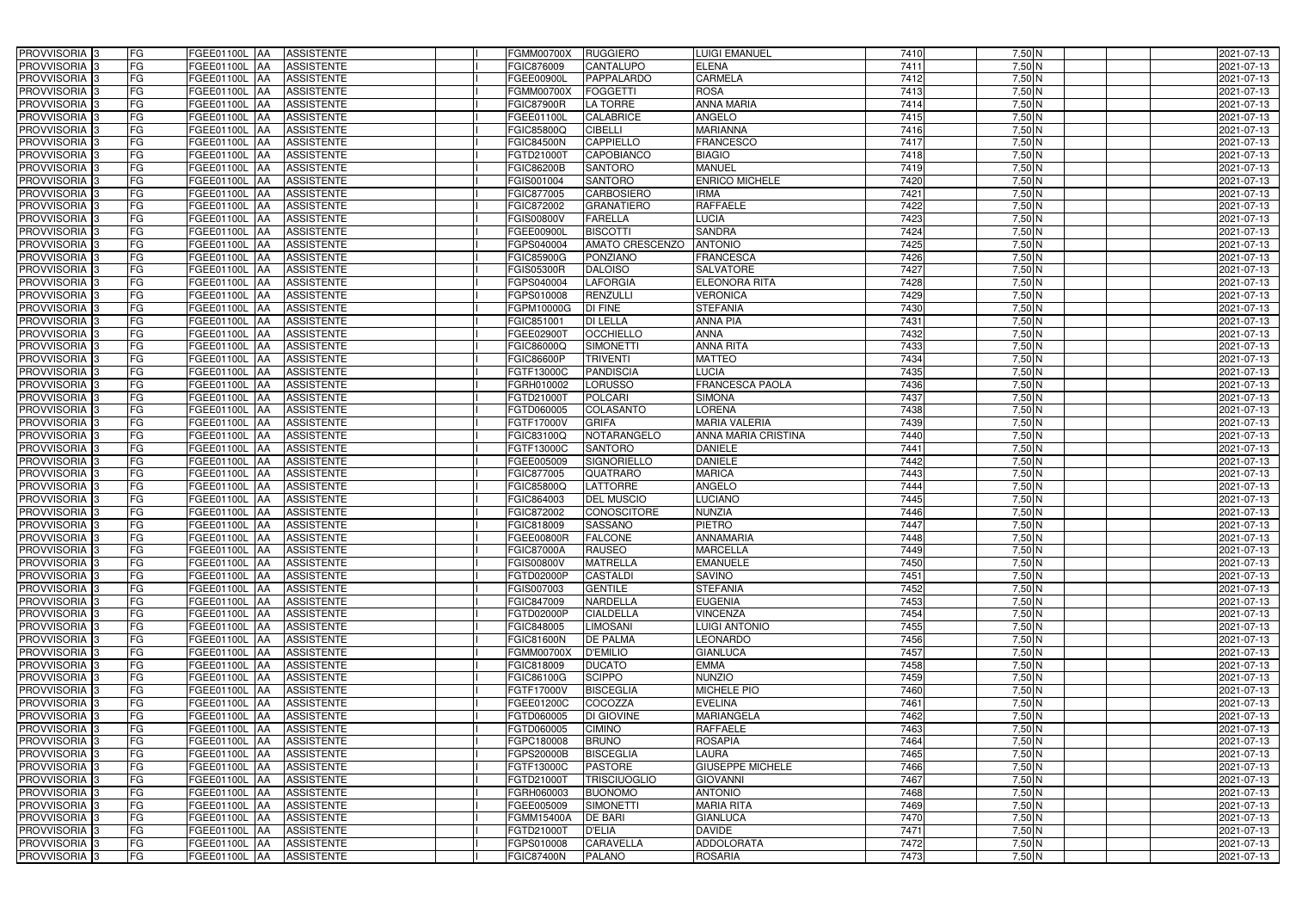| PROVVISORIA 3              | FG        | FGEE01100L AA            | <b>ASSISTENTE</b> | FGMM00700X        | <b>RUGGIERO</b>        | <b>LUIGI EMANUEL</b>          | 7410 | $7,50$ N | 2021-07-13 |
|----------------------------|-----------|--------------------------|-------------------|-------------------|------------------------|-------------------------------|------|----------|------------|
| PROVVISORIA 3              | FG        | FGEE01100L               | <b>ASSISTENTE</b> | FGIC876009        | CANTALUPO              | <b>ELENA</b>                  | 7411 | 7,50 N   | 2021-07-13 |
| PROVVISORIA 3              | FG        | FGEE01100L<br>IAA        | <b>ASSISTENTE</b> | FGEE00900L        | PAPPALARDO             | <b>CARMELA</b>                | 7412 | $7,50$ N | 2021-07-13 |
| PROVVISORIA <sup>3</sup>   | FG        | FGEE01100L<br>IAA        | <b>ASSISTENTE</b> | FGMM00700X        | <b>FOGGETTI</b>        | <b>ROSA</b>                   | 7413 | $7,50$ N | 2021-07-13 |
| PROVVISORIA 3              | FG        | FGEE01100L<br>IAA        | <b>ASSISTENTE</b> | <b>FGIC87900R</b> | LA TORRE               | <b>ANNA MARIA</b>             | 7414 | 7,50 N   | 2021-07-13 |
| PROVVISORIA 3              | <b>FG</b> | <b>FGEE01100L AA</b>     | <b>ASSISTENTE</b> | FGEE01100L        | <b>CALABRICE</b>       | <b>ANGELO</b>                 | 7415 | $7,50$ N | 2021-07-13 |
| PROVVISORIA 3              | FG        | <b>FGEE01100L   AA</b>   | <b>ASSISTENTE</b> | FGIC85800Q        | <b>CIBELLI</b>         | <b>MARIANNA</b>               | 7416 | $7,50$ N | 2021-07-13 |
| PROVVISORIA 3              | FG        | FGEE01100L AA            | <b>ASSISTENTE</b> | <b>FGIC84500N</b> | <b>CAPPIELLO</b>       | <b>FRANCESCO</b>              | 7417 | $7,50$ N | 2021-07-13 |
| PROVVISORIA 3              | <b>FG</b> | <b>FGEE01100L AA</b>     | <b>ASSISTENTE</b> | FGTD21000T        | <b>CAPOBIANCO</b>      | <b>BIAGIO</b>                 | 7418 | $7,50$ N | 2021-07-13 |
| PROVVISORIA 3              | FG        | FGEE01100L AA            | <b>ASSISTENTE</b> | FGIC86200B        | <b>SANTORO</b>         | <b>MANUEL</b>                 | 7419 | $7,50$ N | 2021-07-13 |
| PROVVISORIA 3              | FG        | FGEE01100L AA            | <b>ASSISTENTE</b> | GIS001004         | <b>SANTORO</b>         | <b>ENRICO MICHELE</b>         | 7420 | $7,50$ N | 2021-07-13 |
| PROVVISORIA 3              | FG        | FGEE01100L AA            | <b>ASSISTENTE</b> | FGIC877005        | <b>CARBOSIERO</b>      | <b>IRMA</b>                   | 7421 | $7,50$ N | 2021-07-13 |
| PROVVISORIA <sup>3</sup>   | FG        | FGEE01100L               | <b>ASSISTENTE</b> | FGIC872002        | <b>GRANATIERO</b>      | <b>RAFFAELE</b>               | 7422 | $7,50$ N | 2021-07-13 |
|                            |           | <b>IAA</b>               |                   |                   |                        |                               | 7423 |          |            |
| PROVVISORIA 3              | FG        | FGEE01100L AA            | <b>ASSISTENTE</b> | <b>GIS00800V</b>  | <b>FARELLA</b>         | <b>LUCIA</b><br><b>SANDRA</b> |      | $7,50$ N | 2021-07-13 |
| PROVVISORIA 3              | <b>FG</b> | FGEE01100L AA            | <b>ASSISTENTE</b> | FGEE00900L        | <b>BISCOTTI</b>        |                               | 7424 | $7,50$ N | 2021-07-13 |
| PROVVISORIA 3              | <b>FG</b> | <b>FGEE01100L</b><br>IAA | <b>ASSISTENTE</b> | GPS040004         | <b>AMATO CRESCENZO</b> | <b>ANTONIO</b>                | 7425 | $7,50$ N | 2021-07-13 |
| PROVVISORIA 3              | FG        | <b>FGEE01100L</b><br>IAA | <b>ASSISTENTE</b> | FGIC85900G        | <b>PONZIANO</b>        | <b>FRANCESCA</b>              | 7426 | $7,50$ N | 2021-07-13 |
| PROVVISORIA 3              | FG        | FGEE01100L<br>IAA        | <b>ASSISTENTE</b> | <b>FGIS05300R</b> | <b>DALOISO</b>         | <b>SALVATORE</b>              | 7427 | 7,50 N   | 2021-07-13 |
| PROVVISORIA 3              | FG        | FGEE01100L<br>IAA        | <b>ASSISTENTE</b> | GPS040004         | <b>LAFORGIA</b>        | <b>ELEONORA RITA</b>          | 7428 | 7,50 N   | 2021-07-13 |
| PROVVISORIA 3              | FG        | FGEE01100L<br>IAA        | <b>ASSISTENTE</b> | FGPS010008        | <b>RENZULLI</b>        | <b>VERONICA</b>               | 7429 | 7,50 N   | 2021-07-13 |
| PROVVISORIA <sup>3</sup>   | FG        | FGEE01100L               | <b>ASSISTENTE</b> | FGPM10000G        | <b>DI FINE</b>         | <b>STEFANIA</b>               | 7430 | 7,50 N   | 2021-07-13 |
| <b>PROVVISORIA</b> 3       | FG        | FGEE01100L<br>IAA        | <b>ASSISTENTE</b> | FGIC851001        | <b>DI LELLA</b>        | <b>ANNA PIA</b>               | 7431 | $7,50$ N | 2021-07-13 |
| PROVVISORIA <sup>3</sup>   | FG        | FGEE01100L               | <b>ASSISTENTE</b> | FGEE02900T        | <b>OCCHIELLO</b>       | <b>ANNA</b>                   | 7432 | $7,50$ N | 2021-07-13 |
| PROVVISORIA <sup>3</sup>   | <b>FG</b> | FGEE01100L<br>AA         | <b>ASSISTENTE</b> | FGIC86000Q        | <b>SIMONETTI</b>       | <b>ANNA RITA</b>              | 7433 | $7,50$ N | 2021-07-13 |
| <b>PROVVISORIA</b> 3       | FG        | FGEE01100L<br>IAA        | <b>ASSISTENTE</b> | <b>FGIC86600P</b> | <b>TRIVENTI</b>        | <b>MATTEO</b>                 | 7434 | $7,50$ N | 2021-07-13 |
| PROVVISORIA 3              | FG        | FGEE01100L<br>IAA        | <b>ASSISTENTE</b> | FGTF13000C        | <b>PANDISCIA</b>       | <b>LUCIA</b>                  | 7435 | $7,50$ N | 2021-07-13 |
| PROVVISORIA 3              | <b>FG</b> | FGEE01100L AA            | <b>ASSISTENTE</b> | FGRH010002        | <b>LORUSSO</b>         | <b>FRANCESCA PAOLA</b>        | 7436 | $7,50$ N | 2021-07-13 |
| PROVVISORIA 3              | <b>FG</b> | FGEE01100L AA            | <b>ASSISTENTE</b> | FGTD21000T        | <b>POLCARI</b>         | <b>SIMONA</b>                 | 7437 | $7,50$ N | 2021-07-13 |
| PROVVISORIA 3              | FG        | FGEE01100L AA            | <b>ASSISTENTE</b> | FGTD060005        | COLASANTO              | LORENA                        | 7438 | $7,50$ N | 2021-07-13 |
| PROVVISORIA 3              | <b>FG</b> | <b>FGEE01100L   AA</b>   | <b>ASSISTENTE</b> | FGTF17000V        | <b>GRIFA</b>           | <b>MARIA VALERIA</b>          | 7439 | $7,50$ N | 2021-07-13 |
| PROVVISORIA 3              | FG        | <b>FGEE01100L AA</b>     | <b>ASSISTENTE</b> | FGIC83100Q        | NOTARANGELO            | ANNA MARIA CRISTINA           | 7440 | $7,50$ N | 2021-07-13 |
| PROVVISORIA 3              | FG        | FGEE01100L AA            | <b>ASSISTENTE</b> | FGTF13000C        | <b>SANTORO</b>         | <b>DANIELE</b>                | 7441 | $7,50$ N | 2021-07-13 |
| PROVVISORIA 3              | FG        | FGEE01100L<br>IAA        | <b>ASSISTENTE</b> | FGEE005009        | <b>SIGNORIELLO</b>     | <b>DANIELE</b>                | 7442 | $7,50$ N | 2021-07-13 |
| PROVVISORIA 3              | <b>FG</b> | FGEE01100L AA            | <b>ASSISTENTE</b> | FGIC877005        | <b>QUATRARO</b>        | <b>MARICA</b>                 | 7443 | 7,50 N   | 2021-07-13 |
| <b>PROVVISORIA</b> 3       | <b>FG</b> | FGEE01100L<br>IAA        | <b>ASSISTENTE</b> | FGIC85800Q        | <b>LATTORRE</b>        | <b>ANGELO</b>                 | 7444 | $7,50$ N | 2021-07-13 |
| PROVVISORIA <sup>1</sup> 3 | FG        | FGEE01100L<br>IAA        | <b>ASSISTENTE</b> | GIC864003         | <b>DEL MUSCIO</b>      | <b>LUCIANO</b>                | 7445 | $7,50$ N | 2021-07-13 |
| PROVVISORIA <sup>1</sup> 3 | FG        | <b>FGEE01100L</b><br>IAA | <b>ASSISTENTE</b> | GIC872002         | <b>CONOSCITORE</b>     | <b>NUNZIA</b>                 | 7446 | $7,50$ N | 2021-07-13 |
| PROVVISORIA <sup>3</sup>   | <b>FG</b> | FGEE01100L AA            | <b>ASSISTENTE</b> | FGIC818009        | <b>SASSANO</b>         | <b>PIETRO</b>                 | 7447 | $7,50$ N | 2021-07-13 |
| PROVVISORIA <sup>3</sup>   | FG        | FGEE01100L AA ASSISTENTE |                   | FGEE00800R        | <b>FALCONE</b>         | <b>ANNAMARIA</b>              | 7448 | 7,50 N   | 2021-07-13 |
| PROVVISORIA <sup>3</sup>   | FG        | FGEE01100L AA            | ASSISTENTE        | <b>FGIC87000A</b> | <b>RAUSEO</b>          | <b>MARCELLA</b>               | 7449 | $7,50$ N | 2021-07-13 |
| PROVVISORIA <sup>3</sup>   | FG        |                          | ASSISTENTE        |                   | <b>MATRELLA</b>        | <b>EMANUELE</b>               | 7450 | $7,50$ N | 2021-07-13 |
|                            | FG        | FGEE01100L AA            |                   | FGIS00800V        |                        |                               | 7451 |          |            |
| PROVVISORIA <sup>3</sup>   |           | FGEE01100L AA            | <b>ASSISTENTE</b> | FGTD02000P        | <b>CASTALDI</b>        | <b>SAVINO</b>                 |      | $7,50$ N | 2021-07-13 |
| PROVVISORIA <sup>3</sup>   | FG        | FGEE01100L AA            | <b>ASSISTENTE</b> | FGIS007003        | <b>GENTILE</b>         | <b>STEFANIA</b>               | 7452 | $7,50$ N | 2021-07-13 |
| PROVVISORIA <sup>3</sup>   | FG        | FGEE01100L AA            | <b>ASSISTENTE</b> | FGIC847009        | <b>NARDELLA</b>        | <b>EUGENIA</b>                | 7453 | $7,50$ N | 2021-07-13 |
| PROVVISORIA <sup>3</sup>   | FG        | FGEE01100L AA            | <b>ASSISTENTE</b> | FGTD02000P        | <b>CIALDELLA</b>       | <b>VINCENZA</b>               | 7454 | $7,50$ N | 2021-07-13 |
| PROVVISORIA <sup>3</sup>   | FG        | FGEE01100L AA            | <b>ASSISTENTE</b> | FGIC848005        | <b>LIMOSANI</b>        | <b>LUIGI ANTONIO</b>          | 7455 | $7,50$ N | 2021-07-13 |
| PROVVISORIA <sup>3</sup>   | FG        | FGEE01100L AA            | <b>ASSISTENTE</b> | FGIC81600N        | <b>DE PALMA</b>        | <b>LEONARDO</b>               | 7456 | $7,50$ N | 2021-07-13 |
| PROVVISORIA <sup>3</sup>   | FG        | FGEE01100L AA            | ASSISTENTE        | FGMM00700X        | <b>D'EMILIO</b>        | <b>GIANLUCA</b>               | 7457 | $7,50$ N | 2021-07-13 |
| PROVVISORIA 3              | FG        | FGEE01100L AA            | <b>ASSISTENTE</b> | FGIC818009        | <b>DUCATO</b>          | <b>EMMA</b>                   | 7458 | $7,50$ N | 2021-07-13 |
| PROVVISORIA <sup>3</sup>   | FG        | FGEE01100L AA            | <b>ASSISTENTE</b> | FGIC86100G        | <b>SCIPPO</b>          | <b>NUNZIO</b>                 | 7459 | $7,50$ N | 2021-07-13 |
| PROVVISORIA <sup>3</sup>   | FG        | FGEE01100L AA            | ASSISTENTE        | FGTF17000V        | <b>BISCEGLIA</b>       | <b>MICHELE PIO</b>            | 7460 | $7,50$ N | 2021-07-13 |
| PROVVISORIA <sup>3</sup>   | FG        | FGEE01100L AA            | <b>ASSISTENTE</b> | FGEE01200C        | COCOZZA                | <b>EVELINA</b>                | 7461 | $7,50$ N | 2021-07-13 |
| PROVVISORIA <sup>3</sup>   | FG        | FGEE01100L AA            | <b>ASSISTENTE</b> | FGTD060005        | <b>DI GIOVINE</b>      | <b>MARIANGELA</b>             | 7462 | $7,50$ N | 2021-07-13 |
| PROVVISORIA <sup>3</sup>   | FG        | FGEE01100L AA            | <b>ASSISTENTE</b> | FGTD060005        | <b>CIMINO</b>          | <b>RAFFAELE</b>               | 7463 | $7,50$ N | 2021-07-13 |
| PROVVISORIA <sup>13</sup>  | FG        | FGEE01100L AA            | <b>ASSISTENTE</b> | FGPC180008        | <b>BRUNO</b>           | <b>ROSAPIA</b>                | 7464 | $7,50$ N | 2021-07-13 |
| PROVVISORIA <sup>3</sup>   | FG        | FGEE01100L AA            | <b>ASSISTENTE</b> | FGPS20000B        | <b>BISCEGLIA</b>       | LAURA                         | 7465 | 7,50 N   | 2021-07-13 |
| PROVVISORIA <sup>3</sup>   | FG        | FGEE01100L AA            | <b>ASSISTENTE</b> | FGTF13000C        | <b>PASTORE</b>         | <b>GIUSEPPE MICHELE</b>       | 7466 | $7,50$ N | 2021-07-13 |
| PROVVISORIA <sup>3</sup>   | FG        | FGEE01100L AA            | <b>ASSISTENTE</b> | FGTD21000T        | <b>TRISCIUOGLIO</b>    | <b>GIOVANNI</b>               | 7467 | $7,50$ N | 2021-07-13 |
| PROVVISORIA <sup>3</sup>   | FG        | FGEE01100L AA            | <b>ASSISTENTE</b> | FGRH060003        | <b>BUONOMO</b>         | <b>ANTONIO</b>                | 7468 | 7,50 N   | 2021-07-13 |
| PROVVISORIA 3              | FG        | FGEE01100L AA            | <b>ASSISTENTE</b> | FGEE005009        | <b>SIMONETTI</b>       | <b>MARIA RITA</b>             | 7469 | $7,50$ N | 2021-07-13 |
| PROVVISORIA <sup>3</sup>   | FG        | FGEE01100L AA            | <b>ASSISTENTE</b> | FGMM15400A        | <b>DE BARI</b>         | <b>GIANLUCA</b>               | 7470 | $7,50$ N | 2021-07-13 |
| PROVVISORIA 3              | FG        | FGEE01100L AA            | <b>ASSISTENTE</b> | FGTD21000T        | <b>D'ELIA</b>          | <b>DAVIDE</b>                 | 7471 | $7,50$ N | 2021-07-13 |
| PROVVISORIA <sup>3</sup>   | FG        | FGEE01100L AA            | ASSISTENTE        | FGPS010008        | <b>CARAVELLA</b>       | <b>ADDOLORATA</b>             | 7472 | $7,50$ N | 2021-07-13 |
| PROVVISORIA 3              | FG        | <b>FGEE01100L AA</b>     | ASSISTENTE        | <b>FGIC87400N</b> | <b>PALANO</b>          | <b>ROSARIA</b>                | 7473 | $7,50$ N | 2021-07-13 |
|                            |           |                          |                   |                   |                        |                               |      |          |            |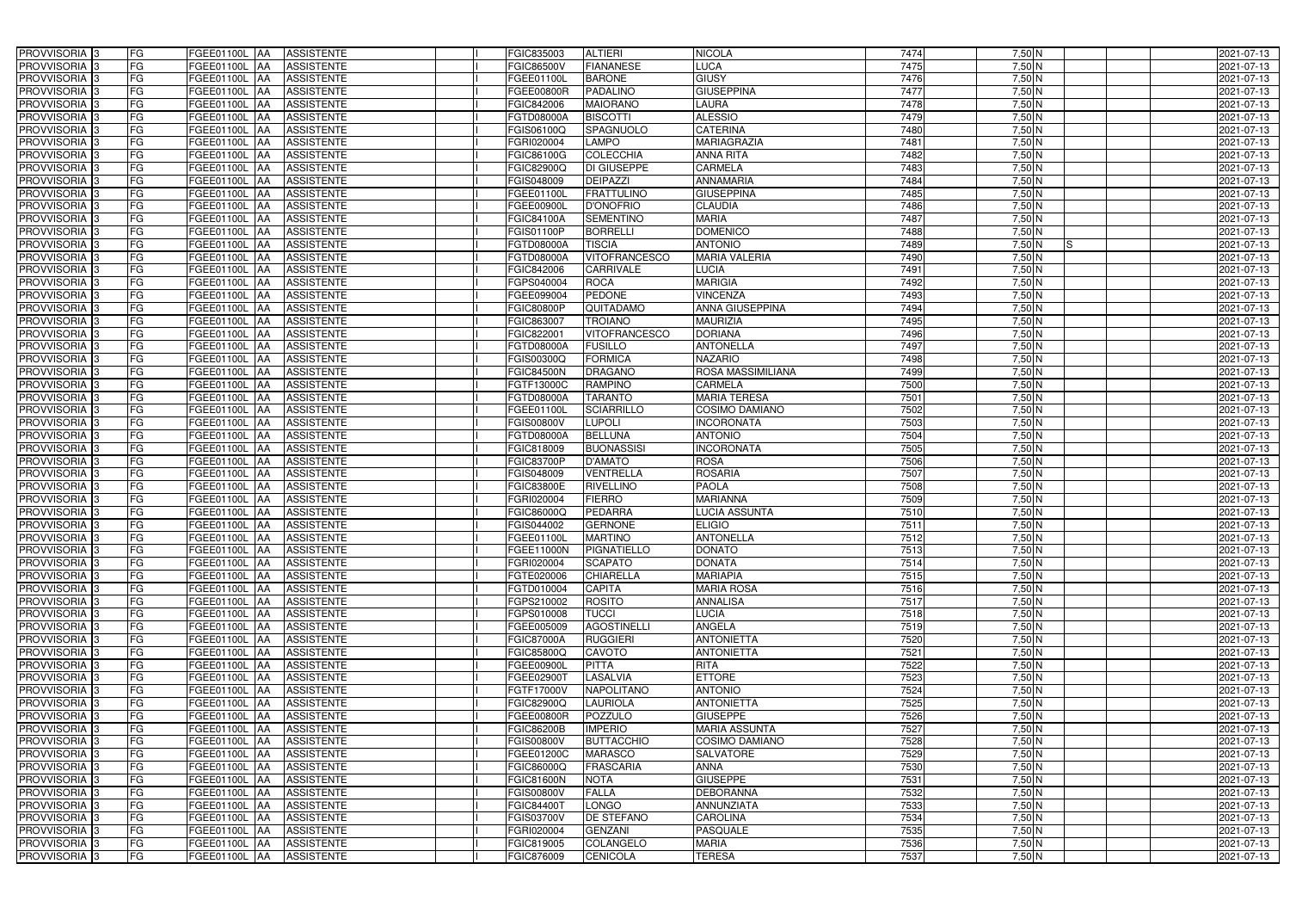| PROVVISORIA <sup>3</sup><br>FG    | FGEE01100L<br><b>AA</b><br><b>ASSISTENTE</b>    | FGIC835003        | <b>ALTIERI</b>       | <b>NICOLA</b>         | 7474 | $7,50$ N       | 2021-07-13 |
|-----------------------------------|-------------------------------------------------|-------------------|----------------------|-----------------------|------|----------------|------------|
| <b>FG</b><br>PROVVISORIA 3        | FGEE01100L<br><b>ASSISTENTE</b><br>IAA          | <b>FGIC86500V</b> | <b>FIANANESE</b>     | LUCA                  | 7475 | $7,50$ N       | 2021-07-13 |
| FG<br><b>PROVVISORIA</b> 3        | <b>ASSISTENTE</b><br>FGEE01100L<br><b>IAA</b>   | FGEE01100L        | <b>BARONE</b>        | <b>GIUSY</b>          | 7476 | $7,50$ N       | 2021-07-13 |
| FG<br><b>PROVVISORIA</b> 3        | FGEE01100L<br><b>IAA</b><br><b>ASSISTENTE</b>   | <b>FGEE00800R</b> | <b>PADALINO</b>      | <b>GIUSEPPINA</b>     | 7477 | $7,50$ N       | 2021-07-13 |
| <b>FG</b><br><b>PROVVISORIA</b> 3 | FGEE01100L<br><b>ASSISTENTE</b><br>IAA          | FGIC842006        | <b>MAIORANO</b>      | LAURA                 | 7478 | $7,50$ N       | 2021-07-13 |
| FG<br>PROVVISORIA                 | <b>AA</b><br><b>ASSISTENTE</b><br>FGEE01100L    | FGTD08000A        | <b>BISCOTTI</b>      | <b>ALESSIO</b>        | 7479 | $7,50$ N       | 2021-07-13 |
| FG<br>PROVVISORIA 3               | <b>AA</b><br><b>ASSISTENTE</b><br>FGEE01100L    | FGIS06100Q        | SPAGNUOLO            | <b>CATERINA</b>       | 7480 | $7,50$ N       | 2021-07-13 |
| <b>PROVVISORIA</b><br>FG          | FGEE01100L<br><b>AA</b><br><b>ASSISTENTE</b>    | FGRI020004        | <b>LAMPO</b>         | <b>MARIAGRAZIA</b>    | 7481 | $7,50$ N       | 2021-07-13 |
| <b>PROVVISORIA</b><br>FG          | FGEE01100L<br><b>ASSISTENTE</b><br><b>JAA</b>   | FGIC86100G        | <b>COLECCHIA</b>     | <b>ANNA RITA</b>      | 7482 | $7,50$ N       | 2021-07-13 |
| <b>PROVVISORIA</b> 3<br>FG        | <b>ASSISTENTE</b><br>FGEE01100L<br><b>JAA</b>   | FGIC82900Q        | <b>DI GIUSEPPE</b>   | <b>CARMELA</b>        | 7483 | $7,50$ N       | 2021-07-13 |
| <b>PROVVISORIA</b> 3<br>FG        | FGEE01100L<br><b>ASSISTENTE</b><br><b>JAA</b>   | FGIS048009        | <b>DEIPAZZI</b>      | <b>ANNAMARIA</b>      | 7484 | $7,50$ N       | 2021-07-13 |
| <b>PROVVISORIA</b> 3<br>FG        | FGEE01100L<br><b>ASSISTENTE</b><br><b>JAA</b>   | FGEE01100L        | <b>FRATTULINO</b>    | <b>GIUSEPPINA</b>     | 7485 | $7,50$ N       | 2021-07-13 |
| <b>PROVVISORIA</b> 3<br>FG        | <b>ASSISTENTE</b><br>FGEE01100L<br><b>AA</b>    | FGEE00900L        | <b>D'ONOFRIO</b>     | <b>CLAUDIA</b>        | 7486 | $7,50$ N       | 2021-07-13 |
| PROVVISORIA <sup>3</sup><br>FG    | <b>ASSISTENTE</b><br>FGEE01100L<br><b>JAA</b>   | <b>FGIC84100A</b> | <b>SEMENTINO</b>     | <b>MARIA</b>          | 7487 | $7,50$ N       | 2021-07-13 |
| <b>PROVVISORIA</b> 3<br>FG        | FGEE01100L<br><b>ASSISTENTE</b><br><b>JAA</b>   | <b>FGIS01100P</b> | <b>BORRELLI</b>      | <b>DOMENICO</b>       | 7488 | $7,50$ N       | 2021-07-13 |
| <b>PROVVISORIA</b><br>FG          | FGEE01100L<br><b>ASSISTENTE</b><br><b>AA</b>    | FGTD08000A        | <b>TISCIA</b>        | <b>ANTONIO</b>        | 7489 | $7,50$ N<br>Is | 2021-07-13 |
| FG<br><b>PROVVISORIA</b> 3        | FGEE01100L<br><b>ASSISTENTE</b><br><b>JAA</b>   | FGTD08000A        | <b>VITOFRANCESCO</b> | <b>MARIA VALERIA</b>  | 7490 | 7,50 N         | 2021-07-13 |
| PROVVISORIA  <br>FG               | FGEE01100L<br><b>AA</b><br><b>ASSISTENTE</b>    | FGIC842006        | <b>CARRIVALE</b>     | <b>LUCIA</b>          | 7491 | 7,50 N         | 2021-07-13 |
| PROVVISORIA  <br>FG               | FGEE01100L<br><b>AA</b><br><b>ASSISTENTE</b>    | FGPS040004        | <b>ROCA</b>          | <b>MARIGIA</b>        | 7492 | 7,50 N         | 2021-07-13 |
| <b>PROVVISORIA</b><br>FG          | <b>ASSISTENTE</b><br>FGEE01100L<br><b>AA</b>    | FGEE099004        | <b>PEDONE</b>        | <b>VINCENZA</b>       | 7493 | 7,50 N         | 2021-07-13 |
| <b>PROVVISORIA</b><br>FG          | FGEE01100L<br><b>JAA</b><br><b>ASSISTENTE</b>   | <b>FGIC80800P</b> | QUITADAMO            | ANNA GIUSEPPINA       | 7494 | 7,50 N         | 2021-07-13 |
| <b>PROVVISORIA</b> 3<br>FG        | FGEE01100L<br><b>ASSISTENTE</b><br><b>AA</b>    | FGIC863007        | <b>TROIANO</b>       | <b>MAURIZIA</b>       | 7495 | $7,50$ N       | 2021-07-13 |
| <b>PROVVISORIA</b> 3<br>FG        | <b>ASSISTENTE</b><br>FGEE01100L<br><b>AA</b>    | FGIC82200         | <b>VITOFRANCESCO</b> | <b>DORIANA</b>        | 7496 | $7,50$ N       | 2021-07-13 |
| <b>PROVVISORIA</b> 3<br>FG        | FGEE01100L<br><b>AA</b><br><b>ASSISTENTE</b>    | FGTD08000A        | <b>FUSILLO</b>       | <b>ANTONELLA</b>      | 7497 | $7,50$ N       | 2021-07-13 |
| <b>PROVVISORIA</b><br>FG          | <b>JAA</b><br><b>ASSISTENTE</b><br>FGEE01100L   | FGIS00300Q        | <b>FORMICA</b>       | <b>NAZARIO</b>        | 7498 | $7,50$ N       | 2021-07-13 |
| <b>PROVVISORIA</b> 3<br>FG        | $-GEE01100L$<br><b>ASSISTENTE</b><br><b>JAA</b> | <b>FGIC84500N</b> | <b>DRAGANO</b>       | ROSA MASSIMILIANA     | 7499 | $7,50$ N       | 2021-07-13 |
| <b>PROVVISORIA</b> 3<br>FG        | $-GEE01100L$<br><b>AA</b><br><b>ASSISTENTE</b>  | FGTF13000C        | <b>RAMPINO</b>       | <b>CARMELA</b>        | 7500 | $7,50$ N       | 2021-07-13 |
| <b>PROVVISORIA</b><br>FG          | FGEE01100L<br><b>ASSISTENTE</b><br><b>IAA</b>   | <b>FGTD08000A</b> | <b>TARANTO</b>       | <b>MARIA TERESA</b>   | 7501 | $7,50$ N       | 2021-07-13 |
| PROVVISORIA  <br>FG               | FGEE01100L<br><b>IAA</b><br><b>ASSISTENTE</b>   | FGEE01100L        | <b>SCIARRILLO</b>    | COSIMO DAMIANO        | 7502 | $7,50$ N       | 2021-07-13 |
| FG<br><b>PROVVISORIA</b> 3        | <b>AA</b><br>FGEE01100L<br><b>ASSISTENTE</b>    | <b>FGIS00800V</b> | <b>LUPOLI</b>        | <b>INCORONATA</b>     | 7503 | $7,50$ N       | 2021-07-13 |
| FG<br>PROVVISORIA                 | <b>AA</b><br><b>ASSISTENTE</b><br>FGEE01100L    | <b>FGTD08000A</b> | <b>BELLUNA</b>       | <b>ANTONIO</b>        | 7504 | $7,50$ N       | 2021-07-13 |
| PROVVISORIA  :<br>FG              | <b>ASSISTENTE</b><br>FGEE01100L<br><b>IAA</b>   | FGIC818009        | <b>BUONASSISI</b>    | <b>INCORONATA</b>     | 7505 | $7,50$ N       | 2021-07-13 |
| PROVVISORIA  <br>FG               | FGEE01100L<br><b>ASSISTENTE</b><br><b>IAA</b>   | <b>FGIC83700P</b> | <b>D'AMATO</b>       | <b>ROSA</b>           | 7506 | 7,50 N         | 2021-07-13 |
| <b>PROVVISORIA</b><br>FG          | <b>ASSISTENTE</b><br>FGEE01100L<br><b>IAA</b>   | FGIS048009        | VENTRELLA            | <b>ROSARIA</b>        | 7507 | 7,50 N         | 2021-07-13 |
| <b>PROVVISORIA</b><br>FG          | FGEE01100L<br><b>ASSISTENTE</b><br><b>IAA</b>   | <b>FGIC83800E</b> | <b>RIVELLINO</b>     | <b>PAOLA</b>          | 7508 | $7,50$ N       | 2021-07-13 |
| <b>PROVVISORIA</b><br>FG          | <b>ASSISTENTE</b><br>FGEE01100L<br><b>JAA</b>   | FGRI020004        | <b>FIERRO</b>        | <b>MARIANNA</b>       | 7509 | $7,50$ N       | 2021-07-13 |
| <b>PROVVISORIA</b><br>FG          | <b>ASSISTENTE</b><br>FGEE01100L<br><b>IAA</b>   | FGIC86000Q        | <b>PEDARRA</b>       | <b>LUCIA ASSUNTA</b>  | 7510 | $7,50$ N       | 2021-07-13 |
| PROVVISORIA <sup>3</sup><br>FG    | FGEE01100L<br><b>AA</b><br><b>ASSISTENTE</b>    | FGIS044002        | <b>GERNONE</b>       | <b>ELIGIO</b>         | 7511 | $7,50$ N       | 2021-07-13 |
| PROVVISORIA 3<br>FG               | FGEE01100L AA ASSISTENTE                        | FGEE01100L        | <b>MARTINO</b>       | <b>ANTONELLA</b>      | 7512 | 7,50 N         | 2021-07-13 |
| PROVVISORIA <sup>3</sup><br>FG    | <b>ASSISTENTE</b><br>FGEE01100L AA              | FGEE11000N        | PIGNATIELLO          | <b>DONATO</b>         | 7513 | $7,50$ N       | 2021-07-13 |
| <b>PROVVISORIA</b> 3<br>FG        | <b>ASSISTENTE</b><br>FGEE01100L AA              | FGRI020004        | <b>SCAPATO</b>       | <b>DONATA</b>         | 7514 | $7,50$ N       | 2021-07-13 |
| PROVVISORIA <sup>3</sup><br>FG    | <b>ASSISTENTE</b><br>FGEE01100L AA              | FGTE020006        | <b>CHIARELLA</b>     | <b>MARIAPIA</b>       | 7515 | $7,50$ N       | 2021-07-13 |
| PROVVISORIA <sup>3</sup><br>FG    | FGEE01100L AA<br><b>ASSISTENTE</b>              | FGTD010004        | <b>CAPITA</b>        | <b>MARIA ROSA</b>     | 7516 | $7,50$ N       | 2021-07-13 |
| PROVVISORIA 3<br>FG               | FGEE01100L AA<br><b>ASSISTENTE</b>              | FGPS210002        | <b>ROSITO</b>        | <b>ANNALISA</b>       | 7517 | $7,50$ N       | 2021-07-13 |
| <b>PROVVISORIA</b> 3<br>FG        | FGEE01100L AA<br><b>ASSISTENTE</b>              | FGPS010008        | <b>TUCCI</b>         | <b>LUCIA</b>          | 7518 | $7,50$ N       | 2021-07-13 |
| PROVVISORIA <sup>3</sup><br>FG    | FGEE01100L AA<br><b>ASSISTENTE</b>              | FGEE005009        | <b>AGOSTINELLI</b>   | <b>ANGELA</b>         | 7519 | $7,50$ N       | 2021-07-13 |
| PROVVISORIA <sup>3</sup><br>FG    | <b>ASSISTENTE</b><br><b>FGEE01100L AA</b>       | <b>FGIC87000A</b> | <b>RUGGIERI</b>      | <b>ANTONIETTA</b>     | 7520 | $7,50$ N       | 2021-07-13 |
| PROVVISORIA 3<br>FG               | FGEE01100L AA<br><b>ASSISTENTE</b>              | <b>FGIC85800Q</b> | <b>CAVOTO</b>        | <b>ANTONIETTA</b>     | 7521 | $7,50$ N       | 2021-07-13 |
| PROVVISORIA 3<br>FG               | <b>FGEE01100L AA</b><br><b>ASSISTENTE</b>       | <b>FGEE00900L</b> | <b>PITTA</b>         | <b>RITA</b>           | 7522 | $7,50$ N       | 2021-07-13 |
| PROVVISORIA <sup>3</sup><br>FG    | FGEE01100L AA<br><b>ASSISTENTE</b>              | FGEE02900         | LASALVIA             | <b>ETTORE</b>         | 7523 | $7,50$ N       | 2021-07-13 |
| PROVVISORIA <sup>3</sup><br>FG    | FGEE01100L AA<br><b>ASSISTENTE</b>              | FGTF17000V        | <b>NAPOLITANO</b>    | <b>ANTONIO</b>        | 7524 | $7,50$ N       | 2021-07-13 |
| PROVVISORIA <sup>3</sup><br>FG    | FGEE01100L AA<br><b>ASSISTENTE</b>              | FGIC82900Q        | <b>LAURIOLA</b>      | <b>ANTONIETTA</b>     | 7525 | $7,50$ N       | 2021-07-13 |
| PROVVISORIA <sup>3</sup><br>FG    | FGEE01100L AA<br><b>ASSISTENTE</b>              | <b>FGEE00800R</b> | <b>POZZULO</b>       | <b>GIUSEPPE</b>       | 7526 | $7,50$ N       | 2021-07-13 |
| PROVVISORIA <sup>3</sup><br>FG    | FGEE01100L AA<br><b>ASSISTENTE</b>              | <b>FGIC86200B</b> | <b>IMPERIO</b>       | <b>MARIA ASSUNTA</b>  | 7527 | $7,50$ N       | 2021-07-13 |
| PROVVISORIA <sup>13</sup><br>FG   | FGEE01100L AA<br><b>ASSISTENTE</b>              | <b>FGIS00800V</b> | <b>BUTTACCHIO</b>    | <b>COSIMO DAMIANO</b> | 7528 | $7,50$ N       | 2021-07-13 |
| FG<br>PROVVISORIA 3               | <b>ASSISTENTE</b><br>FGEE01100L<br><b>JAA</b>   | FGEE01200C        | <b>MARASCO</b>       | SALVATORE             | 7529 | $7,50$ N       | 2021-07-13 |
| FG<br>PROVVISORIA <sup>3</sup>    | <b>ASSISTENTE</b><br>FGEE01100L AA              | FGIC86000Q        | <b>FRASCARIA</b>     | <b>ANNA</b>           | 7530 | $7,50$ N       | 2021-07-13 |
| PROVVISORIA <sup>3</sup><br>FG    | <b>ASSISTENTE</b><br>FGEE01100L AA              | <b>FGIC81600N</b> | <b>NOTA</b>          | <b>GIUSEPPE</b>       | 7531 | $7,50$ N       | 2021-07-13 |
| PROVVISORIA <sup>3</sup><br>FG    | <b>ASSISTENTE</b><br>FGEE01100L AA              | <b>FGIS00800V</b> | <b>FALLA</b>         | <b>DEBORANNA</b>      | 7532 | 7,50 N         | 2021-07-13 |
| PROVVISORIA 3<br>FG               | <b>ASSISTENTE</b><br>FGEE01100L AA              | <b>FGIC84400T</b> | <b>LONGO</b>         | <b>ANNUNZIATA</b>     | 7533 | $7,50$ N       | 2021-07-13 |
| PROVVISORIA <sup>3</sup><br>FG    | <b>ASSISTENTE</b><br>FGEE01100L AA              | <b>FGIS03700V</b> | <b>DE STEFANO</b>    | <b>CAROLINA</b>       | 7534 | $7,50$ N       | 2021-07-13 |
| PROVVISORIA <sup>3</sup><br>FG    | <b>ASSISTENTE</b><br>FGEE01100L AA              | FGRI020004        | <b>GENZANI</b>       | <b>PASQUALE</b>       | 7535 | $7,50$ N       | 2021-07-13 |
| PROVVISORIA <sup>3</sup><br>FG    | <b>ASSISTENTE</b><br>FGEE01100L AA              | FGIC819005        | COLANGELO            | <b>MARIA</b>          | 7536 | $7,50$ N       | 2021-07-13 |
| PROVVISORIA <sup>3</sup><br>FG    | FGEE01100L AA<br><b>ASSISTENTE</b>              | FGIC876009        | <b>CENICOLA</b>      | <b>TERESA</b>         | 7537 | $7,50$ N       | 2021-07-13 |
|                                   |                                                 |                   |                      |                       |      |                |            |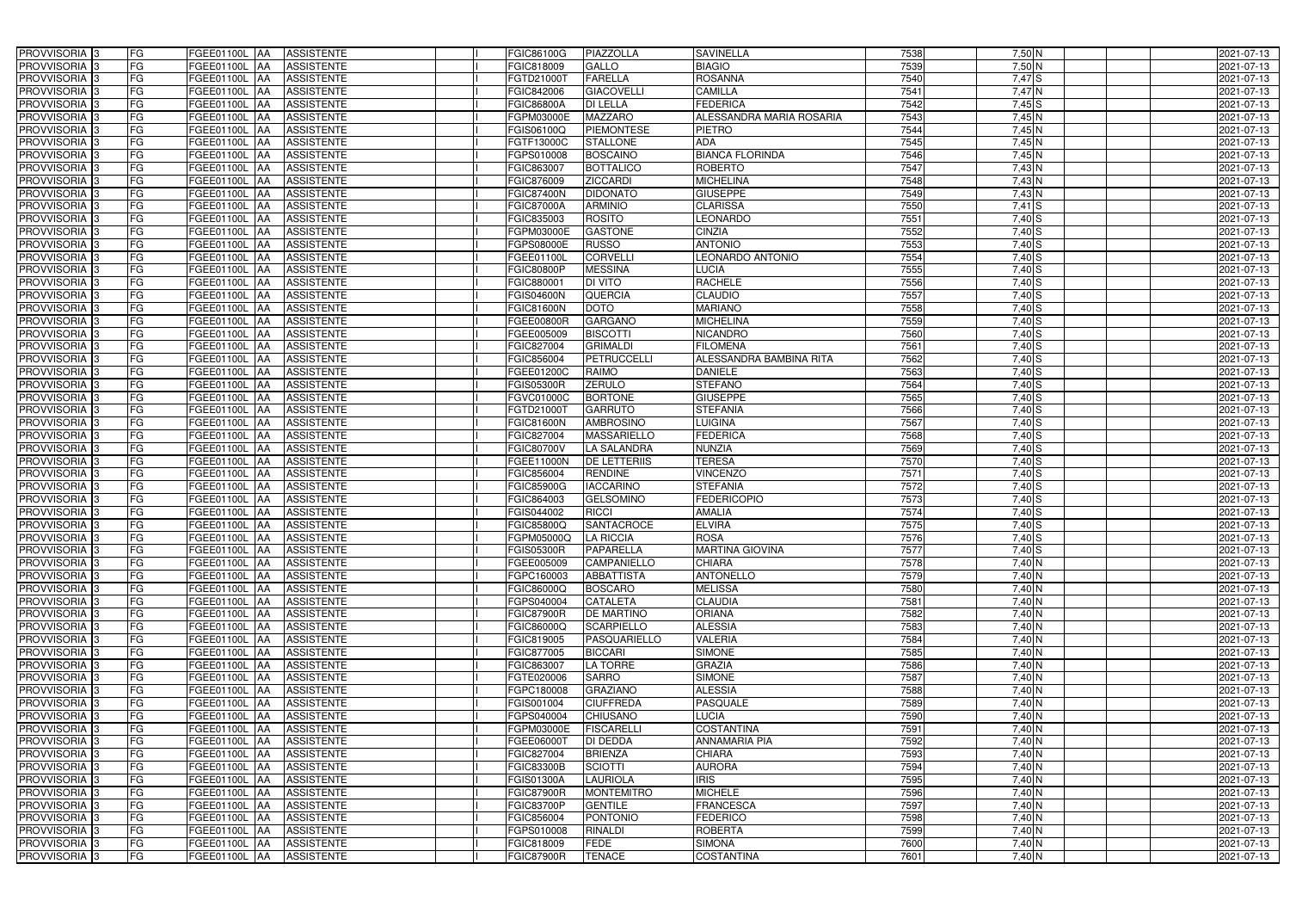| PROVVISORIA 3              | FG<br>FGEE01100L AA                           | <b>ASSISTENTE</b>               | FGIC86100G        | PIAZZOLLA           | <b>SAVINELLA</b>         | 7538 | $7,50$ N                  | 2021-07-13 |
|----------------------------|-----------------------------------------------|---------------------------------|-------------------|---------------------|--------------------------|------|---------------------------|------------|
| PROVVISORIA <sup>3</sup>   | FG<br>FGEE01100L                              | <b>ASSISTENTE</b><br>IAA        | FGIC818009        | GALLO               | <b>BIAGIO</b>            | 7539 | $7,50$ N                  | 2021-07-13 |
| PROVVISORIA <sup>3</sup>   | FG<br>FGEE01100L AA                           | <b>ASSISTENTE</b>               | FGTD21000T        | <b>FARELLA</b>      | <b>ROSANNA</b>           | 7540 | 7,47S                     | 2021-07-13 |
| PROVVISORIA 3              | FG<br>FGEE01100L                              | <b>ASSISTENTE</b><br>IAA        | FGIC842006        | <b>GIACOVELLI</b>   | <b>CAMILLA</b>           | 7541 | $7,47$ N                  | 2021-07-13 |
| PROVVISORIA <sup>3</sup>   | FG<br>FGEE01100L                              | <b>ASSISTENTE</b><br>IAA        | <b>FGIC86800A</b> | <b>DI LELLA</b>     | <b>FEDERICA</b>          | 7542 | $7,45$ S                  | 2021-07-13 |
| PROVVISORIA <sup>3</sup>   | FG<br>FGEE01100L AA                           | <b>ASSISTENTE</b>               | FGPM03000E        | <b>MAZZARO</b>      | ALESSANDRA MARIA ROSARIA | 7543 | 7,45N                     | 2021-07-13 |
| PROVVISORIA <sup>3</sup>   | FG<br>FGEE01100L AA                           | <b>ASSISTENTE</b>               | FGIS06100Q        | <b>PIEMONTESE</b>   | <b>PIETRO</b>            | 7544 | $7,45$ N                  | 2021-07-13 |
| PROVVISORIA <sup>3</sup>   | FG<br>FGEE01100L AA                           | <b>ASSISTENTE</b>               | FGTF13000C        | <b>STALLONE</b>     | <b>ADA</b>               | 7545 | $7,45$ N                  | 2021-07-13 |
| PROVVISORIA <sup>3</sup>   | FG<br>FGEE01100L AA                           | <b>ASSISTENTE</b>               | FGPS010008        | <b>BOSCAINO</b>     | <b>BIANCA FLORINDA</b>   | 7546 | 7,45N                     | 2021-07-13 |
| PROVVISORIA <sup>3</sup>   | FG<br>FGEE01100L AA                           | <b>ASSISTENTE</b>               | FGIC863007        | <b>BOTTALICO</b>    | <b>ROBERTO</b>           | 7547 | $7,43\overline{\text{N}}$ | 2021-07-13 |
| PROVVISORIA 3              | FG<br>FGEE01100L AA                           | <b>ASSISTENTE</b>               | FGIC876009        | <b>ZICCARDI</b>     | <b>MICHELINA</b>         | 7548 | 7,43 N                    | 2021-07-13 |
| PROVVISORIA 3              | FG<br>FGEE01100L AA                           | <b>ASSISTENTE</b>               | <b>FGIC87400N</b> | <b>DIDONATO</b>     | <b>GIUSEPPE</b>          | 7549 | $7,43$ N                  | 2021-07-13 |
| PROVVISORIA <sup>3</sup>   | FG<br><b>FGEE01100L AA</b>                    | <b>ASSISTENTE</b>               | <b>FGIC87000A</b> | <b>ARMINIO</b>      | <b>CLARISSA</b>          | 7550 | $7,41$ S                  | 2021-07-13 |
| PROVVISORIA 3              | FG<br>FGEE01100L AA                           | <b>ASSISTENTE</b>               | FGIC835003        | <b>ROSITO</b>       | <b>LEONARDO</b>          | 7551 | $7,40$ S                  | 2021-07-13 |
| PROVVISORIA 3              | $\overline{\mathsf{FG}}$<br>FGEE01100L AA     | <b>ASSISTENTE</b>               | FGPM03000E        | <b>GASTONE</b>      | <b>CINZIA</b>            | 7552 | $7,40$ S                  | 2021-07-13 |
| PROVVISORIA 3              | $\overline{\mathsf{FG}}$<br><b>FGEE01100L</b> | <b>ASSISTENTE</b><br><b>JAA</b> | FGPS08000E        | <b>RUSSO</b>        | <b>ANTONIO</b>           | 7553 | 7,40S                     | 2021-07-13 |
| PROVVISORIA <sup>3</sup>   | FG<br><b>FGEE01100L</b>                       | <b>ASSISTENTE</b><br><b>IAA</b> | FGEE01100L        | <b>CORVELL</b>      | <b>LEONARDO ANTONIO</b>  | 7554 | $7,40$ S                  | 2021-07-13 |
| PROVVISORIA 3              | FG<br>FGEE01100L AA                           | <b>ASSISTENTE</b>               | <b>FGIC80800P</b> | <b>MESSINA</b>      | <b>LUCIA</b>             | 7555 | 7,40 S                    | 2021-07-13 |
| PROVVISORIA 3              | FG<br><b>FGEE01100L</b>                       | <b>ASSISTENTE</b><br><b>JAA</b> | FGIC88000         | <b>DI VITO</b>      | <b>RACHELE</b>           | 7556 | 7,40S                     | 2021-07-13 |
| PROVVISORIA 3              | FG<br><b>FGEE01100L</b>                       | <b>JAA</b><br><b>ASSISTENTE</b> | <b>FGIS04600N</b> | QUERCIA             | <b>CLAUDIO</b>           | 7557 | 7,40 S                    | 2021-07-13 |
| PROVVISORIA <sup>3</sup>   | FG<br><b>FGEE01100L</b>                       | <b>JAA</b><br><b>ASSISTENTE</b> | <b>FGIC81600N</b> | <b>DOTO</b>         | <b>MARIANO</b>           | 7558 | $7,40$ S                  | 2021-07-13 |
| PROVVISORIA 3              | FG<br>FGEE01100L                              | <b>ASSISTENTE</b><br> AA        | FGEE00800R        | <b>GARGANO</b>      | <b>MICHELINA</b>         | 7559 | $7,40$ S                  | 2021-07-13 |
| PROVVISORIA 3              | FG<br>FGEE01100L                              | <b>JAA</b><br><b>ASSISTENTE</b> | FGEE005009        | <b>BISCOTTI</b>     | <b>NICANDRO</b>          | 7560 | 7,40 S                    | 2021-07-13 |
| PROVVISORIA 3              | FG<br>FGEE01100L AA                           | <b>ASSISTENTE</b>               | FGIC827004        | <b>GRIMALDI</b>     | <b>FILOMENA</b>          | 7561 | $7,40$ S                  | 2021-07-13 |
| PROVVISORIA <sup>3</sup>   | FG<br>FGEE01100L AA                           | <b>ASSISTENTE</b>               | FGIC856004        | <b>PETRUCCELLI</b>  | ALESSANDRA BAMBINA RITA  | 7562 | $7,40$ S                  | 2021-07-13 |
| PROVVISORIA 3              | FG<br>FGEE01100L AA                           | <b>ASSISTENTE</b>               | FGEE01200C        | <b>RAIMO</b>        | <b>DANIELE</b>           | 7563 | $7,40$ S                  | 2021-07-13 |
| PROVVISORIA 3              | FG<br>FGEE01100L AA                           | <b>ASSISTENTE</b>               | <b>FGIS05300R</b> | <b>ZERULO</b>       | <b>STEFANO</b>           | 7564 | 7,40S                     | 2021-07-13 |
| PROVVISORIA 3              | FG<br>FGEE01100L AA                           | <b>ASSISTENTE</b>               | FGVC01000C        | <b>BORTONE</b>      | <b>GIUSEPPE</b>          | 7565 | 7,40S                     | 2021-07-13 |
| PROVVISORIA <sup>3</sup>   | FG<br>FGEE01100L AA                           | <b>ASSISTENTE</b>               | FGTD21000T        | <b>GARRUTO</b>      | <b>STEFANIA</b>          | 7566 | 7,40 S                    | 2021-07-13 |
| PROVVISORIA <sup>3</sup>   | FG<br>FGEE01100L AA                           | <b>ASSISTENTE</b>               | <b>FGIC81600N</b> | <b>AMBROSINO</b>    | LUIGINA                  | 7567 | $7,40$ S                  | 2021-07-13 |
| PROVVISORIA <sup>3</sup>   | FG<br><b>FGEE01100L AA</b>                    | <b>ASSISTENTE</b>               | FGIC827004        | <b>MASSARIELLO</b>  | <b>FEDERICA</b>          | 7568 | $7,40$ $S$                | 2021-07-13 |
| PROVVISORIA <sup>3</sup>   | FG<br>FGEE01100L AA                           | <b>ASSISTENTE</b>               | FGIC80700V        | <b>LA SALANDRA</b>  | <b>NUNZIA</b>            | 7569 | $7,40$ S                  | 2021-07-13 |
| PROVVISORIA <sup>3</sup>   | FG<br>FGEE01100L AA                           | <b>ASSISTENTE</b>               | FGEE11000N        | <b>DE LETTERIIS</b> | <b>TERESA</b>            | 7570 | $7,40$ S                  | 2021-07-13 |
| PROVVISORIA <sup>3</sup>   | FG<br>FGEE01100L AA                           | <b>ASSISTENTE</b>               | FGIC856004        | <b>RENDINE</b>      | <b>VINCENZO</b>          | 7571 | $7,40$ S                  | 2021-07-13 |
| PROVVISORIA <sup>3</sup>   | FG<br>FGEE01100L                              | <b>ASSISTENTE</b><br><b>IAA</b> | <b>FGIC85900G</b> | <b>IACCARINO</b>    | <b>STEFANIA</b>          | 7572 | $7,40$ S                  | 2021-07-13 |
| PROVVISORIA <sup>3</sup>   | FG<br>FGEE01100L                              | <b>ASSISTENTE</b><br><b>JAA</b> | FGIC864003        | <b>GELSOMINO</b>    | <b>FEDERICOPIO</b>       | 7573 | 7,40 S                    | 2021-07-13 |
| PROVVISORIA <sup>3</sup>   | FG<br>FGEE01100L                              | <b>ASSISTENTE</b><br><b>IAA</b> | FGIS044002        | <b>RICCI</b>        | <b>AMALIA</b>            | 7574 | 7,40 S                    | 2021-07-13 |
| PROVVISORIA <sup>3</sup>   | FG<br>FGEE01100L AA                           | <b>ASSISTENTE</b>               | FGIC85800Q        | <b>SANTACROCE</b>   | <b>ELVIRA</b>            | 7575 | $7,40$ S                  | 2021-07-13 |
| PROVVISORIA 3              | FG<br><b>FGEE01100L</b> AA                    | ASSISTENTE                      | FGPM05000Q        | <b>LA RICCIA</b>    | <b>ROSA</b>              | 7576 | 7,40 S                    | 2021-07-13 |
| PROVVISORIA <sup>3</sup>   | FG<br>FGEE01100L AA                           | <b>ASSISTENTE</b>               | <b>FGIS05300R</b> | PAPARELLA           | <b>MARTINA GIOVINA</b>   | 7577 | $7,40$ S                  | 2021-07-13 |
| PROVVISORIA <sup>3</sup>   | FG<br>FGEE01100L AA                           | ASSISTENTE                      | FGEE005009        | <b>CAMPANIELLO</b>  | <b>CHIARA</b>            | 7578 | $7,40$ N                  | 2021-07-13 |
| PROVVISORIA <sup>3</sup>   | FG<br>FGEE01100L AA                           | ASSISTENTE                      | FGPC160003        | <b>ABBATTISTA</b>   | <b>ANTONELLO</b>         | 7579 | 7,40 N                    | 2021-07-13 |
| PROVVISORIA <sup>3</sup>   | FG<br>FGEE01100L AA                           | <b>ASSISTENTE</b>               | FGIC86000Q        | <b>BOSCARO</b>      | <b>MELISSA</b>           | 7580 | $7,40$ N                  | 2021-07-13 |
| PROVVISORIA <sup>3</sup>   | FG<br><b>FGEE01100L</b> AA                    | ASSISTENTE                      | FGPS040004        | <b>CATALETA</b>     | <b>CLAUDIA</b>           | 7581 | 7,40 N                    | 2021-07-13 |
| PROVVISORIA 3              | FG<br>FGEE01100L AA                           | ASSISTENTE                      | <b>FGIC87900R</b> | <b>DE MARTINO</b>   | <b>ORIANA</b>            | 7582 | 7,40 N                    | 2021-07-13 |
| PROVVISORIA <sup>3</sup>   | FG<br>FGEE01100L AA                           | ASSISTENTE                      | FGIC86000Q        | <b>SCARPIELLO</b>   | <b>ALESSIA</b>           | 7583 | $7,40$ N                  | 2021-07-13 |
| PROVVISORIA <sup>3</sup>   | FG<br>FGEE01100L AA                           | ASSISTENTE                      | FGIC819005        | PASQUARIELLO        | <b>VALERIA</b>           | 7584 | 7,40 N                    | 2021-07-13 |
| PROVVISORIA <sup>3</sup>   | FG<br>FGEE01100L AA                           | ASSISTENTE                      | FGIC877005        | <b>BICCARI</b>      | <b>SIMONE</b>            | 7585 | 7,40 $\overline{N}$       | 2021-07-13 |
| PROVVISORIA <sup>3</sup>   | FG<br>FGEE01100L AA                           | ASSISTENTE                      | FGIC863007        | LA TORRE            | <b>GRAZIA</b>            | 7586 | $7,40$ N                  | 2021-07-13 |
| PROVVISORIA <sup>3</sup>   | FG<br>FGEE01100L AA                           | ASSISTENTE                      | FGTE020006        | <b>SARRO</b>        | <b>SIMONE</b>            | 7587 | $7,40$ N                  | 2021-07-13 |
| PROVVISORIA <sup>3</sup>   | FG<br>FGEE01100L AA                           | <b>ASSISTENTE</b>               | FGPC180008        | <b>GRAZIANO</b>     | <b>ALESSIA</b>           | 7588 | 7,40 N                    | 2021-07-13 |
| PROVVISORIA <sup>3</sup>   | FG<br>FGEE01100L AA                           | <b>ASSISTENTE</b>               | FGIS001004        | <b>CIUFFREDA</b>    | <b>PASQUALE</b>          | 7589 | $7,40$ N                  | 2021-07-13 |
| PROVVISORIA <sup>3</sup>   | FG<br>FGEE01100L AA                           | <b>ASSISTENTE</b>               | FGPS040004        | <b>CHIUSANO</b>     | LUCIA                    | 7590 | $7,40$ N                  | 2021-07-13 |
| PROVVISORIA <sup>3</sup>   | FG<br>FGEE01100L AA                           | <b>ASSISTENTE</b>               | FGPM03000E        | <b>FISCARELLI</b>   | <b>COSTANTINA</b>        | 7591 | $7,40$ N                  | 2021-07-13 |
| PROVVISORIA <sup>13</sup>  | FG<br>FGEE01100L AA                           | <b>ASSISTENTE</b>               | FGEE06000T        | DI DEDDA            | ANNAMARIA PIA            | 7592 | 7,40 N                    | 2021-07-13 |
| PROVVISORIA <sup>1</sup> 3 | FG<br>FGEE01100L AA                           | <b>ASSISTENTE</b>               | FGIC827004        | <b>BRIENZA</b>      | CHIARA                   | 7593 | 7,40 N                    | 2021-07-13 |
| PROVVISORIA <sup>3</sup>   | FG<br>FGEE01100L AA                           | <b>ASSISTENTE</b>               | <b>FGIC83300B</b> | <b>SCIOTTI</b>      | <b>AURORA</b>            | 7594 | $7,40$ N                  | 2021-07-13 |
| <b>PROVVISORIA</b> 3       | FG<br>FGEE01100L AA                           | <b>ASSISTENTE</b>               | FGIS01300A        | <b>LAURIOLA</b>     | <b>IRIS</b>              | 7595 | 7,40 N                    | 2021-07-13 |
| PROVVISORIA <sup>3</sup>   | FG<br>FGEE01100L AA                           | <b>ASSISTENTE</b>               | <b>FGIC87900R</b> | <b>MONTEMITRO</b>   | <b>MICHELE</b>           | 7596 | 7,40 N                    | 2021-07-13 |
| PROVVISORIA <sup>1</sup> 3 | FG<br><b>FGEE01100L AA</b>                    | <b>ASSISTENTE</b>               | <b>FGIC83700P</b> | <b>GENTILE</b>      | <b>FRANCESCA</b>         | 7597 | 7,40 N                    | 2021-07-13 |
| PROVVISORIA <sup>3</sup>   | FG<br>FGEE01100L AA                           | <b>ASSISTENTE</b>               | FGIC856004        | <b>PONTONIO</b>     | <b>FEDERICO</b>          | 7598 | 7,40 N                    | 2021-07-13 |
| PROVVISORIA <sup>3</sup>   | FG<br>FGEE01100L AA                           | <b>ASSISTENTE</b>               | FGPS010008        | <b>RINALDI</b>      | <b>ROBERTA</b>           | 7599 | 7,40 N                    | 2021-07-13 |
| PROVVISORIA <sup>3</sup>   | FG<br>FGEE01100L AA                           | <b>ASSISTENTE</b>               | FGIC818009        | <b>FEDE</b>         | <b>SIMONA</b>            | 7600 | 7,40 N                    | 2021-07-13 |
| PROVVISORIA <sup>3</sup>   | FG<br>FGEE01100L AA                           | ASSISTENTE                      | <b>FGIC87900R</b> | <b>TENACE</b>       | <b>COSTANTINA</b>        | 7601 | 7,40 N                    | 2021-07-13 |
|                            |                                               |                                 |                   |                     |                          |      |                           |            |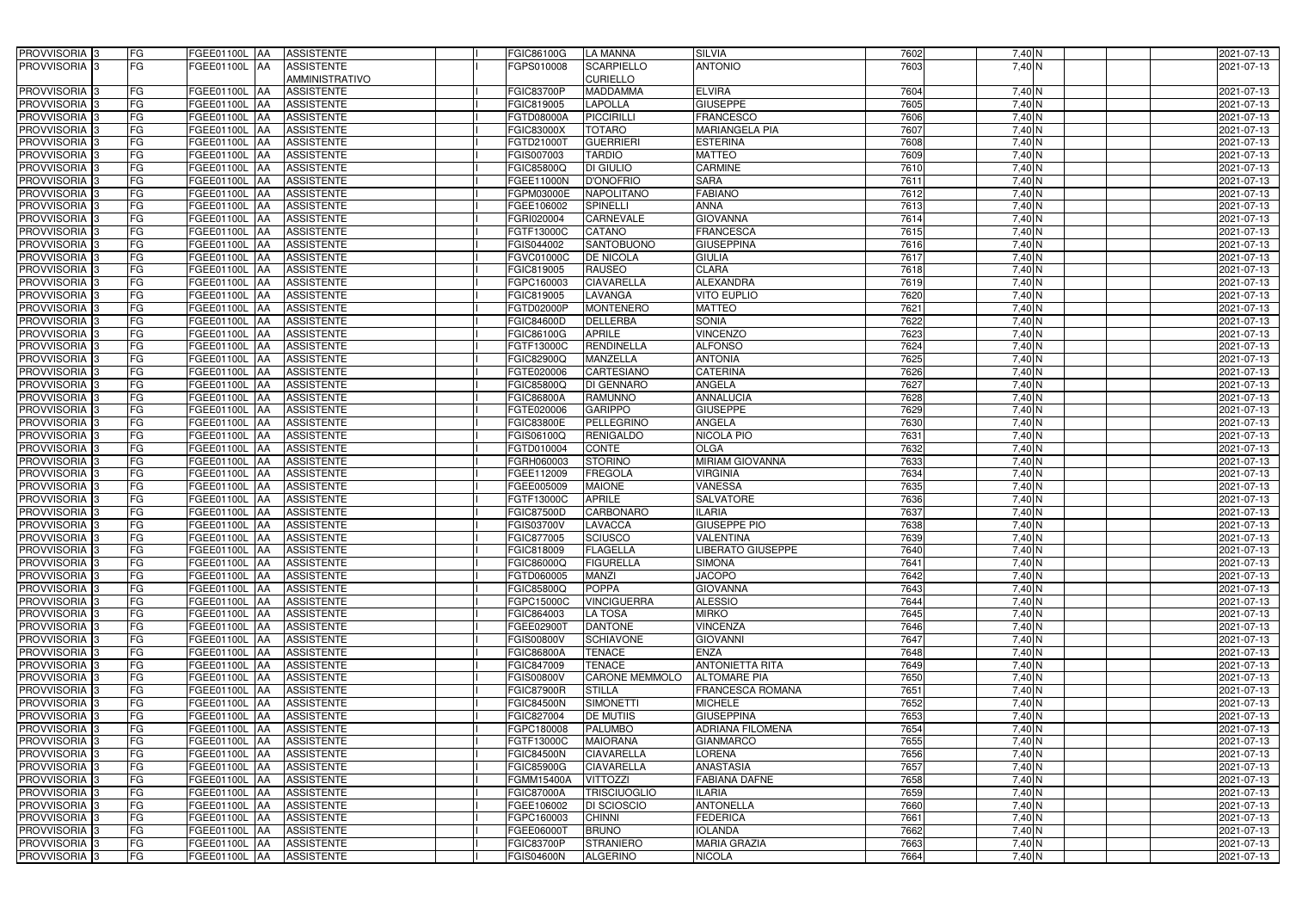| PROVVISORIA <sup>3</sup>                             | FG        | FGEE01100L AA                   | <b>ASSISTENTE</b>                                    | FGIC86100G               | LA MANNA                       | <b>SILVIA</b>                             | 7602         | 7,40 N                 | 2021-07-13               |
|------------------------------------------------------|-----------|---------------------------------|------------------------------------------------------|--------------------------|--------------------------------|-------------------------------------------|--------------|------------------------|--------------------------|
| PROVVISORIA <sup>3</sup>                             | FG        | FGEE01100L AA                   | <b>ASSISTENTE</b>                                    | FGPS010008               | <b>SCARPIELLO</b>              | <b>ANTONIO</b>                            | 7603         | 7,40 N                 | 2021-07-13               |
|                                                      |           |                                 | <b>AMMINISTRATIVO</b>                                |                          | <b>CURIELLO</b>                |                                           |              |                        |                          |
| PROVVISORIA <sup>3</sup>                             | FG        | FGEE01100L AA                   | <b>ASSISTENTE</b>                                    | <b>FGIC83700P</b>        | <b>MADDAMMA</b>                | <b>ELVIRA</b>                             | 7604         | 7,40 N                 | 2021-07-13               |
| PROVVISORIA 3                                        | FG        | FGEE01100L AA                   | <b>ASSISTENTE</b>                                    | FGIC819005               | <b>LAPOLLA</b>                 | <b>GIUSEPPE</b>                           | 7605         | 7,40 N                 | 2021-07-13               |
| PROVVISORIA <sup>1</sup> 3                           | FG        | FGEE01100L AA                   | <b>ASSISTENTE</b>                                    | FGTD08000A               | <b>PICCIRILLI</b>              | <b>FRANCESCO</b>                          | 7606         | $7,40$ N               | 2021-07-13               |
| PROVVISORIA 3                                        | FG        | FGEE01100L AA                   | <b>ASSISTENTE</b>                                    | FGIC83000X               | <b>TOTARO</b>                  | <b>MARIANGELA PIA</b>                     | 7607         | 7,40 N                 | 2021-07-13               |
| PROVVISORIA <sup>3</sup>                             | FG        | FGEE01100L AA                   | <b>ASSISTENTE</b>                                    | FGTD21000T               | <b>GUERRIERI</b>               | <b>ESTERINA</b>                           | 7608         | $7,40$ N               | 2021-07-13               |
| PROVVISORIA <sup>3</sup>                             | FG        | <b>FGEE01100L AA</b>            | <b>ASSISTENTE</b>                                    | FGIS007003               | <b>TARDIO</b>                  | <b>MATTEO</b>                             | 7609         | 7,40 N                 | 2021-07-13               |
| PROVVISORIA <sup>3</sup>                             | FG        | FGEE01100L AA                   | <b>ASSISTENTE</b>                                    | FGIC85800Q               | DI GIULIO                      | <b>CARMINE</b>                            | 7610         | 7,40 N                 | 2021-07-13               |
| PROVVISORIA 3                                        | FG        | FGEE01100L                      | <b>ASSISTENTE</b><br>IAA                             | FGEE11000N               | <b>D'ONOFRIO</b>               | <b>SARA</b>                               | 7611         | $7,40$ N               | 2021-07-13               |
| PROVVISORIA 3                                        | FG        | FGEE01100L                      | <b>ASSISTENTE</b><br><b>IAA</b>                      | FGPM03000E               | <b>NAPOLITANO</b>              | <b>FABIANO</b>                            | 7612         | 7,40 N                 | 2021-07-13               |
| PROVVISORIA <sup>3</sup>                             | FG        | FGEE01100L                      | <b>ASSISTENTE</b><br>IAA                             | FGEE106002               | <b>SPINELLI</b>                | <b>ANNA</b>                               | 7613         | 7,40 N                 | 2021-07-13               |
| PROVVISORIA 3                                        | FG        | <b>FGEE01100L AA</b>            | <b>ASSISTENTE</b>                                    | FGRI020004               | <b>CARNEVALE</b>               | <b>GIOVANNA</b>                           | 7614         | 7,40 N                 | 2021-07-13               |
| PROVVISORIA 3                                        | FG        | FGEE01100L AA                   | <b>ASSISTENTE</b>                                    | FGTF13000C               | CATANO                         | <b>FRANCESCA</b>                          | 7615         | $7,40$ N               | 2021-07-13               |
| PROVVISORIA <sup>3</sup>                             | FG        | FGEE01100L AA                   | <b>ASSISTENTE</b>                                    | FGIS044002               | <b>SANTOBUONO</b>              | <b>GIUSEPPINA</b>                         | 7616         | $7,40$ N               | 2021-07-13               |
| PROVVISORIA 3                                        | FG        | FGEE01100L                      | <b>ASSISTENTE</b><br>IAA                             | FGVC01000C               | <b>DE NICOLA</b>               | <b>GIULIA</b>                             | 7617         | $7,40$ N               | 2021-07-13               |
| PROVVISORIA 3                                        | FG        | FGEE01100L                      | <b>ASSISTENTE</b><br>IAA                             | FGIC819005               | <b>RAUSEO</b>                  | <b>CLARA</b>                              | 7618         | 7,40 N                 | 2021-07-13               |
| PROVVISORIA 3                                        | FG        | FGEE01100L AA                   | <b>ASSISTENTE</b>                                    | FGPC160003               | <b>CIAVARELLA</b>              | <b>ALEXANDRA</b>                          | 7619         | $7,40$ N               | 2021-07-13               |
| PROVVISORIA 3                                        | FG        | <b>FGEE01100L</b>               | <b>ASSISTENTE</b><br><b>AA</b>                       | FGIC819005               | <b>LAVANGA</b>                 | <b>VITO EUPLIO</b>                        | 7620         | 7,40 N                 | 2021-07-13               |
| PROVVISORIA <sup>3</sup>                             | FG        | FGEE01100L AA                   | <b>ASSISTENTE</b>                                    | FGTD02000P               | <b>MONTENERO</b>               | <b>MATTEO</b>                             | 7621         | 7,40 N                 | 2021-07-13               |
| PROVVISORIA 3                                        | FG        | <b>FGEE01100L AA</b>            | <b>ASSISTENTE</b>                                    | <b>FGIC84600D</b>        | <b>DELLERBA</b>                | <b>SONIA</b>                              | 7622         | $7,40$ N               | 2021-07-13               |
| PROVVISORIA 3                                        | FG        | FGEE01100L AA                   | <b>ASSISTENTE</b>                                    | FGIC86100G               | <b>APRILE</b>                  | <b>VINCENZO</b>                           | 7623         | $7,40$ N               | 2021-07-13               |
| PROVVISORIA 3                                        | FG        | FGEE01100L                      | <b>ASSISTENTE</b><br>IAA                             | FGTF13000C               | <b>RENDINELLA</b>              | <b>ALFONSO</b>                            | 7624         | $7,40$ N               | 2021-07-13               |
| PROVVISORIA 3                                        | FG        | FGEE01100L                      | <b>ASSISTENTE</b><br><b>IAA</b>                      | FGIC82900Q               | <b>MANZELLA</b>                | <b>ANTONIA</b>                            | 7625         | 7,40 N                 | 2021-07-13               |
| PROVVISORIA 3                                        | FG        | FGEE01100L                      | <b>ASSISTENTE</b><br><b>IAA</b>                      | FGTE020006               | <b>CARTESIANO</b>              | <b>CATERINA</b>                           | 7626         | $7,40$ N               | 2021-07-13               |
| PROVVISORIA 3                                        | FG        | FGEE01100L                      | <b>ASSISTENTE</b><br>IAA                             | <b>FGIC85800Q</b>        | DI GENNARO                     | ANGELA                                    | 7627         | $7,40$ N               | 2021-07-13               |
| PROVVISORIA 3                                        | FG        | FGEE01100L AA                   | <b>ASSISTENTE</b>                                    | FGIC86800A               | RAMUNNO                        | <b>ANNALUCIA</b>                          | 7628         | $7,40$ N               | 2021-07-13               |
| PROVVISORIA <sup>3</sup>                             | FG        | <b>FGEE01100L</b>               | <b>ASSISTENTE</b><br>IAA                             | FGTE020006               | <b>GARIPPO</b>                 | <b>GIUSEPPE</b>                           | 7629         | $7,40$ N               | 2021-07-13               |
| PROVVISORIA 3                                        | FG        | <b>FGEE01100L</b>               | <b>ASSISTENTE</b><br>IAA                             | FGIC83800E               | <b>PELLEGRINO</b>              | ANGELA                                    | 7630         | $7,40$ N               | 2021-07-13               |
| PROVVISORIA 3                                        | FG        | FGEE01100L                      | <b>ASSISTENTE</b><br>IAA                             | FGIS06100Q               | <b>RENIGALDO</b>               | NICOLA PIO                                | 7631         | $7,40$ N               | 2021-07-13               |
| PROVVISORIA <sup>3</sup>                             | FG        | FGEE01100L                      | <b>ASSISTENTE</b>                                    | FGTD010004               | CONTE                          | <b>OLGA</b>                               | 7632         | 7,40 N                 | 2021-07-13               |
| PROVVISORIA <sup>3</sup>                             | FG        | <b>FGEE01100L</b>               | <b>ASSISTENTE</b><br>IAA                             | FGRH060003               | <b>STORINO</b>                 | <b>MIRIAM GIOVANNA</b><br><b>VIRGINIA</b> | 7633         | $7,40$ N               | 2021-07-13               |
| PROVVISORIA <sup>3</sup>                             | FG        | <b>FGEE01100L AA</b>            | <b>ASSISTENTE</b>                                    | FGEE112009               | <b>FREGOLA</b>                 |                                           | 7634         | 7,40 N                 | 2021-07-13               |
| PROVVISORIA <sup>3</sup><br>PROVVISORIA <sup>3</sup> | FG<br>FG  | <b>FGEE01100L</b><br>FGEE01100L | <b>ASSISTENTE</b><br><b>IAA</b><br><b>ASSISTENTE</b> | FGEE005009<br>FGTF13000C | <b>MAIONE</b><br><b>APRILE</b> | <b>VANESSA</b><br><b>SALVATORE</b>        | 7635<br>7636 | 7,40 N<br>7,40 N       | 2021-07-13<br>2021-07-13 |
| PROVVISORIA 3                                        | FG        | FGEE01100L                      | IAA<br><b>ASSISTENTE</b><br><b>IAA</b>               | FGIC87500D               | CARBONARO                      | <b>ILARIA</b>                             | 7637         | 7,40 $\overline{N}$    | 2021-07-13               |
| PROVVISORIA <sup>1</sup> 3                           | FG        | FGEE01100L AA                   | <b>ASSISTENTE</b>                                    | FGIS03700V               | <b>LAVACCA</b>                 | <b>GIUSEPPE PIO</b>                       | 7638         | $7,40$ N               | 2021-07-13               |
| PROVVISORIA <sup>3</sup>                             | <b>FG</b> | FGEE01100L AA                   | ASSISTENTE                                           | FGIC877005               | SCIUSCO                        | <b>VALENTINA</b>                          | 7639         | 7,40 N                 | 2021-07-13               |
| <b>PROVVISORIA</b> 3                                 | FG        | FGEE01100L AA                   | ASSISTENTE                                           | FGIC818009               | <b>FLAGELLA</b>                | <b>LIBERATO GIUSEPPE</b>                  | 7640         | 7,40 N                 | 2021-07-13               |
| PROVVISORIA <sup>3</sup>                             | FG        | FGEE01100L AA                   | <b>ASSISTENTE</b>                                    | <b>FGIC86000Q</b>        | <b>FIGURELLA</b>               | <b>SIMONA</b>                             | 7641         | $7,40$ N               | 2021-07-13               |
| PROVVISORIA <sup>3</sup>                             | FG        | FGEE01100L AA                   | <b>ASSISTENTE</b>                                    | FGTD060005               | <b>MANZI</b>                   | <b>JACOPO</b>                             | 7642         | $7,40$ N               | 2021-07-13               |
| <b>PROVVISORIA</b> 3                                 | FG        | FGEE01100L AA                   | <b>ASSISTENTE</b>                                    | FGIC85800Q               | <b>POPPA</b>                   | <b>GIOVANNA</b>                           | 7643         | $7,40$ N               | 2021-07-13               |
| PROVVISORIA <sup>3</sup>                             | FG        | <b>FGEE01100L AA</b>            | <b>ASSISTENTE</b>                                    | FGPC15000C               | <b>VINCIGUERRA</b>             | <b>ALESSIO</b>                            | 7644         | 7,40 N                 | 2021-07-13               |
| PROVVISORIA <sup>3</sup>                             | FG        | FGEE01100L AA                   | ASSISTENTE                                           | FGIC864003               | <b>LA TOSA</b>                 | <b>MIRKO</b>                              | 7645         | 7,40 N                 | 2021-07-13               |
| PROVVISORIA <sup>3</sup>                             | FG        | FGEE01100L AA                   | ASSISTENTE                                           | FGEE02900T               | <b>DANTONE</b>                 | <b>VINCENZA</b>                           | 7646         | 7,40 N                 | 2021-07-13               |
| PROVVISORIA <sup>3</sup>                             | FG        | FGEE01100L AA                   | ASSISTENTE                                           | FGIS00800V               | <b>SCHIAVONE</b>               | <b>GIOVANNI</b>                           | 7647         | 7,40 N                 | 2021-07-13               |
| PROVVISORIA <sup>3</sup>                             | FG        | FGEE01100L AA                   | ASSISTENTE                                           | <b>FGIC86800A</b>        | <b>TENACE</b>                  | <b>ENZA</b>                               | 7648         | 7,40 N                 | 2021-07-13               |
| PROVVISORIA <sup>3</sup>                             | FG        | FGEE01100L AA                   | <b>ASSISTENTE</b>                                    | FGIC847009               | <b>TENACE</b>                  | <b>ANTONIETTA RITA</b>                    | 7649         | 7,40 N                 | 2021-07-13               |
| PROVVISORIA <sup>1</sup> 3                           | FG        | FGEE01100L AA                   | <b>ASSISTENTE</b>                                    | FGIS00800V               | <b>CARONE MEMMOLO</b>          | <b>ALTOMARE PIA</b>                       | 7650         | 7,40 N                 | 2021-07-13               |
| PROVVISORIA <sup>3</sup>                             | FG        | FGEE01100L AA                   | <b>ASSISTENTE</b>                                    | <b>FGIC87900R</b>        | <b>STILLA</b>                  | FRANCESCA ROMANA                          | 7651         | $7,40\overline{\rm N}$ | 2021-07-13               |
| PROVVISORIA <sup>3</sup>                             | FG        | FGEE01100L AA                   | <b>ASSISTENTE</b>                                    | FGIC84500N               | <b>SIMONETTI</b>               | <b>MICHELE</b>                            | 7652         | 7,40 N                 | 2021-07-13               |
| PROVVISORIA <sup>3</sup>                             | FG        | FGEE01100L AA                   | <b>ASSISTENTE</b>                                    | FGIC827004               | <b>DE MUTIIS</b>               | <b>GIUSEPPINA</b>                         | 7653         | 7,40 N                 | 2021-07-13               |
| PROVVISORIA <sup>3</sup>                             | FG        | FGEE01100L AA                   | <b>ASSISTENTE</b>                                    | FGPC180008               | <b>PALUMBO</b>                 | ADRIANA FILOMENA                          | 7654         | $7,40$ N               | 2021-07-13               |
| PROVVISORIA <sup>3</sup>                             | FG        | FGEE01100L AA                   | <b>ASSISTENTE</b>                                    | FGTF13000C               | <b>MAIORANA</b>                | <b>GIANMARCO</b>                          | 7655         | $7,40$ N               | 2021-07-13               |
| PROVVISORIA <sup>3</sup>                             | FG        | FGEE01100L AA                   | <b>ASSISTENTE</b>                                    | <b>FGIC84500N</b>        | <b>CIAVARELLA</b>              | LORENA                                    | 7656         | 7,40 N                 | 2021-07-13               |
| PROVVISORIA <sup>3</sup>                             | FG        | <b>FGEE01100L   AA</b>          | <b>ASSISTENTE</b>                                    | FGIC85900G               | <b>CIAVARELLA</b>              | ANASTASIA                                 | 7657         | $7,40$ N               | 2021-07-13               |
| PROVVISORIA <sup>3</sup>                             | FG        | FGEE01100L AA                   | <b>ASSISTENTE</b>                                    | FGMM15400A               | <b>VITTOZZI</b>                | <b>FABIANA DAFNE</b>                      | 7658         | 7,40 N                 | 2021-07-13               |
| PROVVISORIA <sup>1</sup> 3                           | FG        | FGEE01100L AA                   | <b>ASSISTENTE</b>                                    | <b>FGIC87000A</b>        | <b>TRISCIUOGLIO</b>            | <b>ILARIA</b>                             | 7659         | 7,40 N                 | 2021-07-13               |
| PROVVISORIA <sup>1</sup> 3                           | FG        | FGEE01100L AA                   | <b>ASSISTENTE</b>                                    | FGEE106002               | <b>DI SCIOSCIO</b>             | <b>ANTONELLA</b>                          | 7660         | 7,40 N                 | 2021-07-13               |
| PROVVISORIA <sup>1</sup> 3                           | FG        | FGEE01100L AA                   | <b>ASSISTENTE</b>                                    | FGPC160003               | <b>CHINNI</b>                  | <b>FEDERICA</b>                           | 7661         | 7,40 N                 | 2021-07-13               |
| PROVVISORIA <sup>1</sup> 3                           | FG        | FGEE01100L AA                   | <b>ASSISTENTE</b>                                    | FGEE06000T               | <b>BRUNO</b>                   | <b>IOLANDA</b>                            | 7662         | 7,40 N                 | 2021-07-13               |
| PROVVISORIA <sup>1</sup> 3                           | FG        | FGEE01100L AA                   | ASSISTENTE                                           | FGIC83700P               | <b>STRANIERO</b>               | <b>MARIA GRAZIA</b>                       | 7663         | 7,40 N                 | 2021-07-13               |
| PROVVISORIA <sup>3</sup>                             | FG        | FGEE01100L AA                   | ASSISTENTE                                           | <b>FGIS04600N</b>        | <b>ALGERINO</b>                | <b>NICOLA</b>                             | 7664         | 7,40 N                 | 2021-07-13               |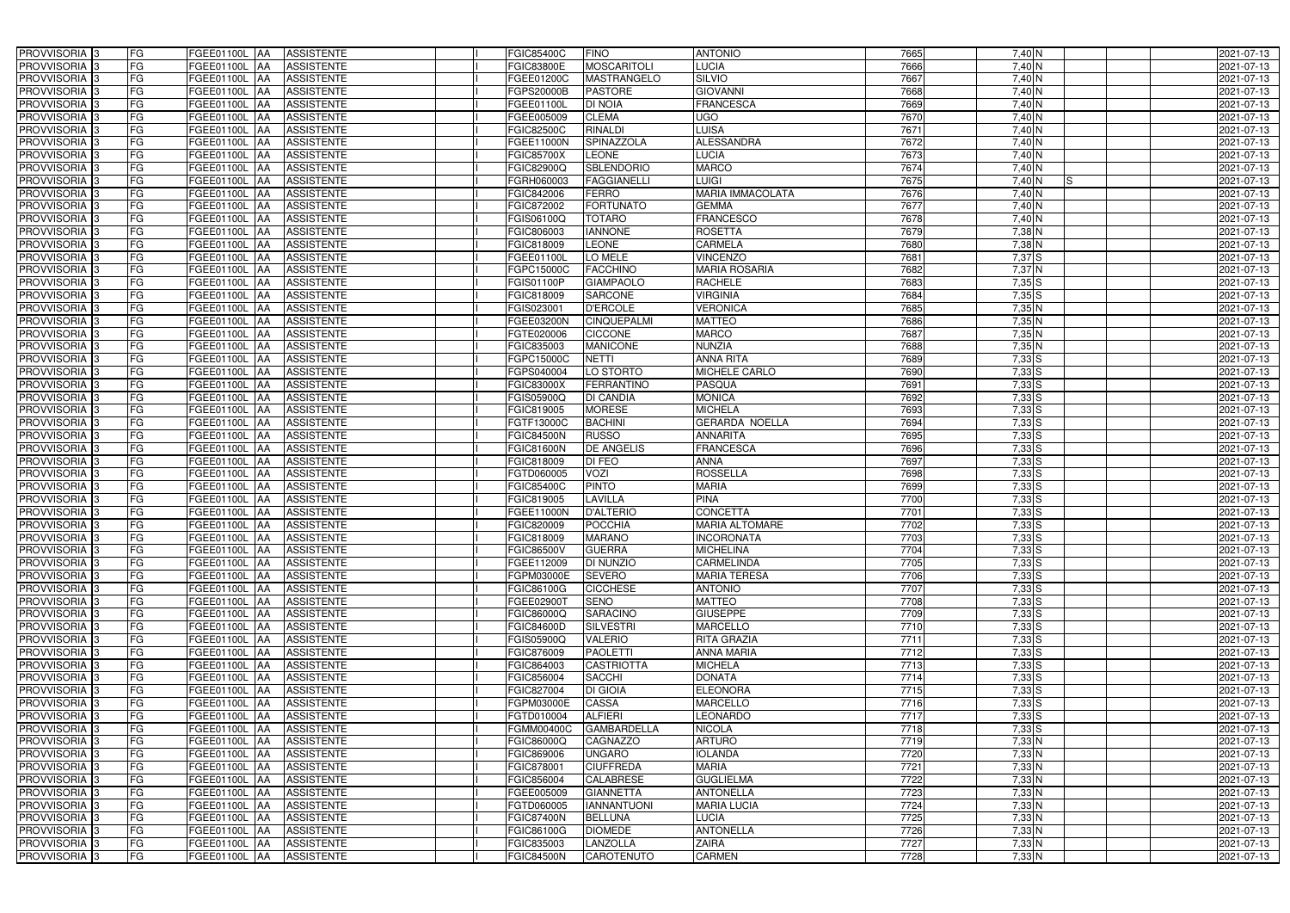| PROVVISORIA 3              | FG        | FGEE01100L AA<br><b>ASSISTENTE</b>            | FGIC85400C             | <b>FINO</b>        | <b>ANTONIO</b>          | 7665 | 7,40 N              | 2021-07-13 |
|----------------------------|-----------|-----------------------------------------------|------------------------|--------------------|-------------------------|------|---------------------|------------|
| PROVVISORIA 3              | FG        | <b>ASSISTENTE</b><br>FGEE01100L               | FGIC83800E             | <b>MOSCARITOLI</b> | LUCIA                   | 7666 | 7,40 N              | 2021-07-13 |
| PROVVISORIA 3              | <b>FG</b> | FGEE01100L<br><b>ASSISTENTE</b><br>IAA        | FGEE01200C             | MASTRANGELO        | <b>SILVIO</b>           | 7667 | $7,40$ N            | 2021-07-13 |
| PROVVISORIA <sup>3</sup>   | <b>FG</b> | FGEE01100L<br><b>ASSISTENTE</b><br>IAA        | GPS20000B              | <b>PASTORE</b>     | <b>GIOVANNI</b>         | 7668 | $7,40$ N            | 2021-07-13 |
| PROVVISORIA <sup>3</sup>   | FG        | FGEE01100L<br><b>ASSISTENTE</b><br>IAA        | FGEE01100L             | <b>DI NOIA</b>     | <b>FRANCESCA</b>        | 7669 | 7,40 N              | 2021-07-13 |
| PROVVISORIA 3              | <b>FG</b> | <b>FGEE01100L AA</b><br><b>ASSISTENTE</b>     | FGEE005009             | <b>CLEMA</b>       | UGO                     | 7670 | $7,40$ N            | 2021-07-13 |
| PROVVISORIA 3              | FG        | <b>FGEE01100L   AA</b><br><b>ASSISTENTE</b>   | FGIC82500C             | <b>RINALDI</b>     | LUISA                   | 7671 | 7,40 N              | 2021-07-13 |
| PROVVISORIA 3              | FG        | <b>ASSISTENTE</b><br>FGEE01100L AA            | FGEE11000N             | <b>SPINAZZOLA</b>  | <b>ALESSANDRA</b>       | 7672 | 7,40 N              | 2021-07-13 |
| PROVVISORIA 3              | <b>FG</b> | FGEE01100L AA<br><b>ASSISTENTE</b>            | FGIC85700X             | <b>LEONE</b>       | <b>LUCIA</b>            | 7673 | 7,40 N              | 2021-07-13 |
| PROVVISORIA 3              | FG        | FGEE01100L AA<br><b>ASSISTENTE</b>            | FGIC82900Q             | <b>SBLENDORIO</b>  | <b>MARCO</b>            | 7674 | 7,40 $\overline{N}$ | 2021-07-13 |
| PROVVISORIA <sup>3</sup>   | FG        | <b>ASSISTENTE</b><br>FGEE01100L AA            | GRH060003              | <b>FAGGIANELLI</b> | <b>LUIGI</b>            | 7675 | 7,40 N<br>IS.       | 2021-07-13 |
| PROVVISORIA 3              | FG        | FGEE01100L AA<br><b>ASSISTENTE</b>            | FGIC842006             | <b>FERRO</b>       | <b>MARIA IMMACOLATA</b> | 7676 | 7,40 N              | 2021-07-13 |
| PROVVISORIA <sup>3</sup>   | FG        | FGEE01100L<br><b>ASSISTENTE</b><br><b>IAA</b> | FGIC872002             | <b>FORTUNATO</b>   | <b>GEMMA</b>            | 7677 | 7,40 N              | 2021-07-13 |
| PROVVISORIA 3              | FG        | <b>ASSISTENTE</b><br>FGEE01100L AA            | <b>GIS06100Q</b>       | <b>TOTARO</b>      | <b>FRANCESCO</b>        | 7678 | $7,40$ N            | 2021-07-13 |
| PROVVISORIA 3              | <b>FG</b> | FGEE01100L AA<br><b>ASSISTENTE</b>            | FGIC806003             | <b>IANNONE</b>     | <b>ROSETTA</b>          | 7679 | $7,38$ N            | 2021-07-13 |
| PROVVISORIA 3              | <b>FG</b> | <b>FGEE01100L</b><br><b>ASSISTENTE</b><br>IAA | FGIC818009             | <b>LEONE</b>       | <b>CARMELA</b>          | 7680 | $7,38$ N            | 2021-07-13 |
| PROVVISORIA 3              | FG        | FGEE01100L<br><b>ASSISTENTE</b><br>IAA        | FGEE01100L             | LO MELE            | <b>VINCENZO</b>         | 7681 | 7,37 S              | 2021-07-13 |
| PROVVISORIA 3              | FG        | <b>FGEE01100L</b><br><b>ASSISTENTE</b><br>IAA | FGPC15000C             | <b>FACCHINO</b>    | <b>MARIA ROSARIA</b>    | 7682 | 7,37 N              | 2021-07-13 |
| PROVVISORIA 3              | FG        | FGEE01100L<br><b>ASSISTENTE</b><br>IAA        | GIS01100P              | <b>GIAMPAOLO</b>   | <b>RACHELE</b>          | 7683 | 7,35S               | 2021-07-13 |
| PROVVISORIA 3              | FG        | FGEE01100L<br><b>ASSISTENTE</b><br>IAA        | FGIC818009             | <b>SARCONE</b>     | <b>VIRGINIA</b>         | 7684 | 7,35S               | 2021-07-13 |
| PROVVISORIA <sup>3</sup>   | FG        | FGEE01100L<br><b>ASSISTENTE</b>               | FGIS02300              | <b>D'ERCOLE</b>    | <b>VERONICA</b>         | 7685 | 7,35 N              | 2021-07-13 |
| <b>PROVVISORIA</b> 3       | FG        | <b>FGEE01100L</b><br><b>ASSISTENTE</b>        | FGEE03200N             | <b>CINQUEPALMI</b> | <b>MATTEO</b>           | 7686 | 7,35 N              | 2021-07-13 |
| PROVVISORIA <sup>3</sup>   | FG        | FGEE01100L<br><b>ASSISTENTE</b>               | FGTE020006             | <b>CICCONE</b>     | <b>MARCO</b>            | 7687 | $7,35$ N            | 2021-07-13 |
| PROVVISORIA <sup>3</sup>   | <b>FG</b> | FGEE01100L<br><b>ASSISTENTE</b><br>AA         | FGIC835003             | <b>MANICONE</b>    | <b>NUNZIA</b>           | 7688 | $7,35$ N            | 2021-07-13 |
| <b>PROVVISORIA</b> 3       | FG        | FGEE01100L<br><b>ASSISTENTE</b><br>IAA        | <b>GPC15000C</b>       | <b>NETTI</b>       | <b>ANNA RITA</b>        | 7689 | $7,33$ S            | 2021-07-13 |
| PROVVISORIA 3              | FG        | FGEE01100L<br><b>ASSISTENTE</b><br>IAA        | GPS040004              | LO STORTO          | <b>MICHELE CARLO</b>    | 7690 | $7,33$ S            | 2021-07-13 |
| PROVVISORIA 3              | <b>FG</b> | FGEE01100L AA<br><b>ASSISTENTE</b>            | FGIC83000X             | <b>FERRANTINO</b>  | <b>PASQUA</b>           | 7691 | $7,33$ S            | 2021-07-13 |
| PROVVISORIA 3              | <b>FG</b> | FGEE01100L AA<br><b>ASSISTENTE</b>            | FGIS05900Q             | DI CANDIA          | <b>MONICA</b>           | 7692 | $7,33$ S            | 2021-07-13 |
| PROVVISORIA 3              | FG        | FGEE01100L<br><b>ASSISTENTE</b><br>IAA        | FGIC819005             | <b>MORESE</b>      | <b>MICHELA</b>          | 7693 | $7,33$ $S$          | 2021-07-13 |
| PROVVISORIA 3              | <b>FG</b> | <b>FGEE01100L AA</b><br><b>ASSISTENTE</b>     | FGTF13000C             | <b>BACHINI</b>     | <b>GERARDA NOELLA</b>   | 7694 | 7,33S               | 2021-07-13 |
| PROVVISORIA 3              | FG        | <b>FGEE01100L AA</b><br><b>ASSISTENTE</b>     | FGIC84500N             | <b>RUSSO</b>       | <b>ANNARITA</b>         | 7695 | $7,33$ $S$          | 2021-07-13 |
| PROVVISORIA 3              | FG        | FGEE01100L AA<br><b>ASSISTENTE</b>            | FGIC81600N             | DE ANGELIS         | <b>FRANCESCA</b>        | 7696 | $7,33$ S            | 2021-07-13 |
| PROVVISORIA 3              | FG        | FGEE01100L<br><b>ASSISTENTE</b><br>IAA        | FGIC818009             | DI FEO             | <b>ANNA</b>             | 7697 | $7,33$ S            | 2021-07-13 |
| PROVVISORIA <sup>3</sup>   | <b>FG</b> | FGEE01100L AA<br><b>ASSISTENTE</b>            | FGTD060005             | VOZI               | <b>ROSSELLA</b>         | 7698 | $7,33$ S            | 2021-07-13 |
| <b>PROVVISORIA</b> 3       | <b>FG</b> | FGEE01100L<br><b>ASSISTENTE</b><br>IAA        | FGIC85400C             | <b>PINTO</b>       | <b>MARIA</b>            | 7699 | 7,33S               | 2021-07-13 |
| PROVVISORIA <sup>1</sup> 3 | FG        | FGEE01100L<br><b>ASSISTENTE</b><br>IAA        | GIC819005 <sup>-</sup> | <b>LAVILLA</b>     | <b>PINA</b>             | 7700 | $7,33$ S            | 2021-07-13 |
| PROVVISORIA <sup>1</sup> 3 | FG        | <b>FGEE01100L</b><br><b>ASSISTENTE</b><br>IAA | <b>GEE11000N</b>       | <b>D'ALTERIO</b>   | <b>CONCETTA</b>         | 7701 | $7,33$ $S$          | 2021-07-13 |
| PROVVISORIA <sup>3</sup>   | <b>FG</b> | FGEE01100L AA<br><b>ASSISTENTE</b>            | FGIC820009             | POCCHIA            | <b>MARIA ALTOMARE</b>   | 7702 | $7,33$ $S$          | 2021-07-13 |
| PROVVISORIA <sup>3</sup>   | FG        | FGEE01100L AA ASSISTENTE                      | FGIC818009             | <b>MARANO</b>      | <b>INCORONATA</b>       | 7703 | $7,33$ S            | 2021-07-13 |
| PROVVISORIA <sup>3</sup>   | FG        | FGEE01100L AA<br>ASSISTENTE                   | FGIC86500V             | <b>GUERRA</b>      | <b>MICHELINA</b>        | 7704 | $7,33$ $S$          | 2021-07-13 |
| PROVVISORIA <sup>3</sup>   | FG        | ASSISTENTE<br>FGEE01100L AA                   | FGEE112009             | <b>DI NUNZIO</b>   | <b>CARMELINDA</b>       | 7705 | $7,33$ S            | 2021-07-13 |
| PROVVISORIA 3              | FG        | FGEE01100L AA<br><b>ASSISTENTE</b>            | FGPM03000E             | <b>SEVERO</b>      | <b>MARIA TERESA</b>     | 7706 | $7,33$ S            | 2021-07-13 |
| PROVVISORIA <sup>3</sup>   | FG        | FGEE01100L AA<br><b>ASSISTENTE</b>            | FGIC86100G             | <b>CICCHESE</b>    | <b>ANTONIO</b>          | 7707 | $7,33$ S            | 2021-07-13 |
| PROVVISORIA <sup>3</sup>   | FG        | FGEE01100L AA<br><b>ASSISTENTE</b>            | FGEE02900T             | <b>SENO</b>        | <b>MATTEO</b>           | 7708 | $7,33$ $S$          | 2021-07-13 |
| PROVVISORIA <sup>3</sup>   | <b>FG</b> | FGEE01100L AA<br><b>ASSISTENTE</b>            | FGIC86000Q             | <b>SARACINO</b>    | <b>GIUSEPPE</b>         | 7709 | $7,33$ S            | 2021-07-13 |
| PROVVISORIA <sup>3</sup>   | FG        | FGEE01100L AA<br><b>ASSISTENTE</b>            | FGIC84600D             | <b>SILVESTRI</b>   | <b>MARCELLO</b>         | 7710 | $7,33$ $S$          | 2021-07-13 |
| PROVVISORIA <sup>3</sup>   | FG        | FGEE01100L AA<br><b>ASSISTENTE</b>            | FGIS05900Q             | <b>VALERIO</b>     | <b>RITA GRAZIA</b>      | 7711 | $7,33$ S            | 2021-07-13 |
| PROVVISORIA <sup>3</sup>   | FG        | FGEE01100L AA<br>ASSISTENTE                   | FGIC876009             | <b>PAOLETTI</b>    | <b>ANNA MARIA</b>       | 7712 | $7,33$ S            | 2021-07-13 |
| PROVVISORIA 3              | FG        | FGEE01100L AA<br><b>ASSISTENTE</b>            | FGIC864003             | <b>CASTRIOTTA</b>  | <b>MICHELA</b>          | 7713 | $7,33$ S            | 2021-07-13 |
| PROVVISORIA <sup>3</sup>   | FG        | FGEE01100L AA<br><b>ASSISTENTE</b>            | FGIC856004             | <b>SACCHI</b>      | <b>DONATA</b>           | 7714 | $7,33$ S            | 2021-07-13 |
| PROVVISORIA <sup>3</sup>   | FG        | FGEE01100L AA<br>ASSISTENTE                   | FGIC827004             | <b>DI GIOIA</b>    | <b>ELEONORA</b>         | 7715 | $7,33$ S            | 2021-07-13 |
| PROVVISORIA <sup>3</sup>   | FG        | FGEE01100L AA<br><b>ASSISTENTE</b>            | FGPM03000E             | CASSA              | <b>MARCELLO</b>         | 7716 | $7,33$ S            | 2021-07-13 |
| PROVVISORIA <sup>3</sup>   | FG        | FGEE01100L AA<br><b>ASSISTENTE</b>            | FGTD010004             | <b>ALFIERI</b>     | <b>LEONARDO</b>         | 7717 | $7,33$ $S$          | 2021-07-13 |
| PROVVISORIA <sup>3</sup>   | FG        | FGEE01100L AA<br><b>ASSISTENTE</b>            | FGMM00400C             | <b>GAMBARDELLA</b> | <b>NICOLA</b>           | 7718 | $7,33$ S            | 2021-07-13 |
| PROVVISORIA <sup>13</sup>  | FG        | FGEE01100L AA<br><b>ASSISTENTE</b>            | FGIC86000Q             | CAGNAZZO           | <b>ARTURO</b>           | 7719 | $7,33$ N            | 2021-07-13 |
| PROVVISORIA <sup>3</sup>   | FG        | FGEE01100L AA<br><b>ASSISTENTE</b>            | FGIC869006             | <b>UNGARO</b>      | <b>IOLANDA</b>          | 7720 | 7,33 N              | 2021-07-13 |
| PROVVISORIA <sup>3</sup>   | FG        | FGEE01100L AA<br><b>ASSISTENTE</b>            | FGIC878001             | <b>CIUFFREDA</b>   | <b>MARIA</b>            | 7721 | $7,33$ N            | 2021-07-13 |
| PROVVISORIA <sup>3</sup>   | FG        | <b>FGEE01100L   AA</b><br><b>ASSISTENTE</b>   | FGIC856004             | <b>CALABRESE</b>   | <b>GUGLIELMA</b>        | 7722 | $7,33$ N            | 2021-07-13 |
| PROVVISORIA <sup>3</sup>   | FG        | <b>ASSISTENTE</b><br>FGEE01100L AA            | FGEE005009             | <b>GIANNETTA</b>   | <b>ANTONELLA</b>        | 7723 | $7,33$ N            | 2021-07-13 |
| PROVVISORIA <sup>3</sup>   | FG        | <b>ASSISTENTE</b><br>FGEE01100L AA            | FGTD060005             | <b>IANNANTUONI</b> | <b>MARIA LUCIA</b>      | 7724 | 7,33 N              | 2021-07-13 |
| PROVVISORIA <sup>3</sup>   | FG        | FGEE01100L AA<br><b>ASSISTENTE</b>            | <b>FGIC87400N</b>      | <b>BELLUNA</b>     | <b>LUCIA</b>            | 7725 | 7,33 N              | 2021-07-13 |
| PROVVISORIA <sup>3</sup>   | FG        | <b>ASSISTENTE</b><br>FGEE01100L AA            | FGIC86100G             | <b>DIOMEDE</b>     | <b>ANTONELLA</b>        | 7726 | 7,33 N              | 2021-07-13 |
| PROVVISORIA <sup>3</sup>   | FG        | ASSISTENTE<br>FGEE01100L AA                   | FGIC835003             | <b>LANZOLLA</b>    | <b>ZAIRA</b>            | 7727 | $7,33$ N            | 2021-07-13 |
| PROVVISORIA 3              | FG        | <b>ASSISTENTE</b><br><b>FGEE01100L AA</b>     | <b>FGIC84500N</b>      | <b>CAROTENUTO</b>  | <b>CARMEN</b>           | 7728 | $7,33$ N            | 2021-07-13 |
|                            |           |                                               |                        |                    |                         |      |                     |            |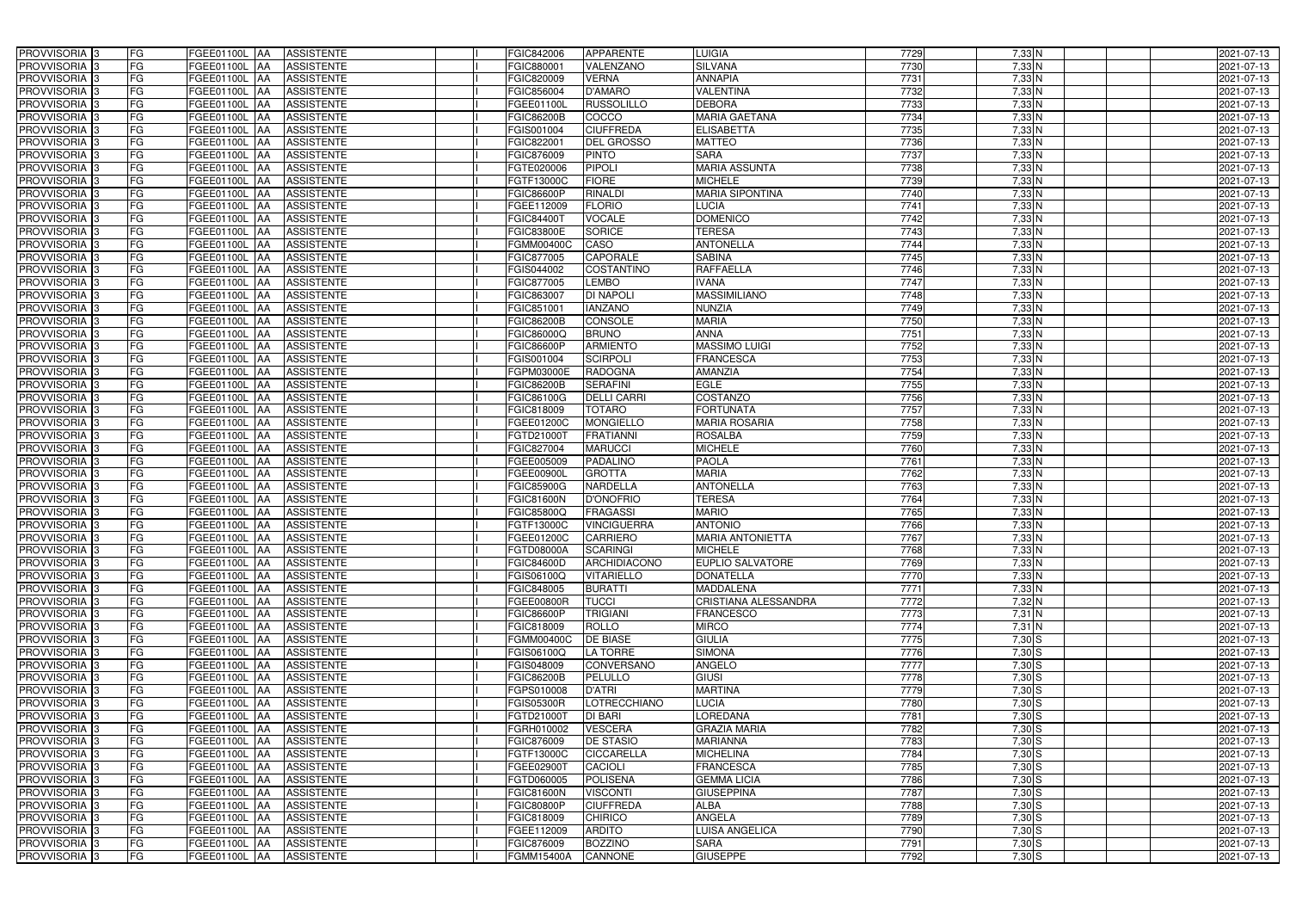| PROVVISORIA <sup>3</sup>   | <b>FG</b> | FGEE01100L AA        | <b>ASSISTENTE</b>               | FGIC842006        | <b>APPARENTE</b>   | <b>LUIGIA</b>               | 7729 | 7,33 N   | 2021-07-13 |
|----------------------------|-----------|----------------------|---------------------------------|-------------------|--------------------|-----------------------------|------|----------|------------|
| PROVVISORIA <sup>3</sup>   | FG        | FGEE01100L           | <b>ASSISTENTE</b><br>IAA        | FGIC880001        | VALENZANO          | <b>SILVANA</b>              | 7730 | $7,33$ N | 2021-07-13 |
| PROVVISORIA <sup>3</sup>   | FG        | FGEE01100L<br>IAA    | <b>ASSISTENTE</b>               | FGIC820009        | <b>VERNA</b>       | <b>ANNAPIA</b>              | 7731 | $7,33$ N | 2021-07-13 |
| PROVVISORIA <sup>3</sup>   | FG        | FGEE01100L           | <b>ASSISTENTE</b><br>IAA        | FGIC856004        | <b>D'AMARO</b>     | VALENTINA                   | 7732 | $7,33$ N | 2021-07-13 |
| PROVVISORIA <sup>3</sup>   | FG        | FGEE01100L           | <b>ASSISTENTE</b><br>IAA        | FGEE01100L        | <b>RUSSOLILLO</b>  | <b>DEBORA</b>               | 7733 | $7,33$ N | 2021-07-13 |
| PROVVISORIA <sup>3</sup>   | FG        | <b>FGEE01100L AA</b> | <b>ASSISTENTE</b>               | <b>FGIC86200B</b> | COCCO              | <b>MARIA GAETANA</b>        | 7734 | $7,33$ N | 2021-07-13 |
| PROVVISORIA <sup>1</sup> 3 | FG        | FGEE01100L AA        | <b>ASSISTENTE</b>               | FGIS001004        | <b>CIUFFREDA</b>   | <b>ELISABETTA</b>           | 7735 | $7,33$ N | 2021-07-13 |
| PROVVISORIA <sup>1</sup> 3 | FG        | FGEE01100L AA        | <b>ASSISTENTE</b>               | FGIC822001        | <b>DEL GROSSO</b>  | <b>MATTEO</b>               | 7736 | $7,33$ N | 2021-07-13 |
| PROVVISORIA 3              | FG        | FGEE01100L AA        | <b>ASSISTENTE</b>               | FGIC876009        | <b>PINTO</b>       | <b>SARA</b>                 | 7737 | $7,33$ N | 2021-07-13 |
| PROVVISORIA <sup>3</sup>   | FG        | FGEE01100L AA        | <b>ASSISTENTE</b>               | FGTE020006        | <b>PIPOLI</b>      | <b>MARIA ASSUNTA</b>        | 7738 | $7,33$ N | 2021-07-13 |
| PROVVISORIA 3              | FG        | FGEE01100L AA        | <b>ASSISTENTE</b>               | FGTF13000C        | <b>FIORE</b>       | <b>MICHELE</b>              | 7739 | $7,33$ N | 2021-07-13 |
| PROVVISORIA 3              | FG        | FGEE01100L AA        | <b>ASSISTENTE</b>               | <b>FGIC86600P</b> | <b>RINALDI</b>     | <b>MARIA SIPONTINA</b>      | 7740 | $7,33$ N | 2021-07-13 |
| PROVVISORIA <sup>3</sup>   | FG        | FGEE01100L AA        | <b>ASSISTENTE</b>               | FGEE112009        | <b>FLORIO</b>      | <b>LUCIA</b>                | 7741 | $7,33$ N | 2021-07-13 |
| PROVVISORIA 3              | FG        | FGEE01100L AA        | <b>ASSISTENTE</b>               | FGIC844001        | <b>VOCALE</b>      | <b>DOMENICO</b>             | 7742 | $7,33$ N | 2021-07-13 |
| PROVVISORIA 3              | FG        | FGEE01100L AA        | <b>ASSISTENTE</b>               | FGIC83800E        | <b>SORICE</b>      | <b>TERESA</b>               | 7743 | $7,33$ N | 2021-07-13 |
| PROVVISORIA 3              | FG        | FGEE01100L           | <b>ASSISTENTE</b><br><b>IAA</b> | FGMM00400C        | CASO               | <b>ANTONELLA</b>            | 7744 | $7,33$ N | 2021-07-13 |
| PROVVISORIA 3              | FG        | FGEE01100L           | <b>ASSISTENTE</b><br>IAA        | FGIC877005        | <b>CAPORALE</b>    | <b>SABINA</b>               | 7745 | $7,33$ N | 2021-07-13 |
| PROVVISORIA 3              | FG        | FGEE01100L AA        | <b>ASSISTENTE</b>               | FGIS044002        | <b>COSTANTINO</b>  | <b>RAFFAELLA</b>            | 7746 | $7,33$ N | 2021-07-13 |
| PROVVISORIA 3              | FG        | FGEE01100L           | <b>ASSISTENTE</b><br><b>JAA</b> | FGIC877005        | <b>LEMBO</b>       | <b>IVANA</b>                | 7747 | 7,33 N   | 2021-07-13 |
| PROVVISORIA 3              | FG        | FGEE01100L           | <b>JAA</b><br><b>ASSISTENTE</b> | FGIC863007        | <b>DI NAPOLI</b>   | <b>MASSIMILIANO</b>         | 7748 | $7,33$ N | 2021-07-13 |
| PROVVISORIA <sup>3</sup>   | FG        | FGEE01100L           | <b>ASSISTENTE</b><br>ΙAΑ        | FGIC85100         | <b>IANZANO</b>     | <b>NUNZIA</b>               | 7749 | $7,33$ N | 2021-07-13 |
| PROVVISORIA 3              | FG        | <b>FGEE01100L</b>    | <b>ASSISTENTE</b><br>IAA        | <b>FGIC86200B</b> | <b>CONSOLE</b>     | <b>MARIA</b>                | 7750 | $7,33$ N | 2021-07-13 |
| PROVVISORIA 3              | FG        | FGEE01100L           | <b>ASSISTENTE</b><br>IAA        | FGIC86000Q        | <b>BRUNO</b>       | <b>ANNA</b>                 | 7751 | $7,33$ N | 2021-07-13 |
| PROVVISORIA 3              | FG        | FGEE01100L AA        | <b>ASSISTENTE</b>               | FGIC86600P        | <b>ARMIENTO</b>    | <b>MASSIMO LUIGI</b>        | 7752 | $7,33$ N | 2021-07-13 |
| PROVVISORIA <sup>3</sup>   | FG        | FGEE01100L<br> AA    | <b>ASSISTENTE</b>               | FGIS001004        | <b>SCIRPOLI</b>    | <b>FRANCESCA</b>            | 7753 | $7,33$ N | 2021-07-13 |
| PROVVISORIA 3              | FG        | FGEE01100L<br> AA    | <b>ASSISTENTE</b>               | <b>GPM03000E</b>  | <b>RADOGNA</b>     | AMANZIA                     | 7754 | $7,33$ N | 2021-07-13 |
| PROVVISORIA 3              | FG        | FGEE01100L AA        | <b>ASSISTENTE</b>               | <b>FGIC86200B</b> | <b>SERAFINI</b>    | <b>EGLE</b>                 | 7755 | $7,33$ N | 2021-07-13 |
| PROVVISORIA 3              | FG        | FGEE01100L<br>IAA    | <b>ASSISTENTE</b>               | FGIC86100G        | <b>DELLI CARRI</b> | <b>COSTANZO</b>             | 7756 | $7,33$ N | 2021-07-13 |
| PROVVISORIA <sup>3</sup>   | FG        | FGEE01100L AA        | <b>ASSISTENTE</b>               | FGIC818009        | <b>TOTARO</b>      | <b>FORTUNATA</b>            | 7757 | $7,33$ N | 2021-07-13 |
| PROVVISORIA <sup>3</sup>   | FG        | FGEE01100L AA        | <b>ASSISTENTE</b>               | FGEE01200C        | <b>MONGIELLO</b>   | <b>MARIA ROSARIA</b>        | 7758 | $7,33$ N | 2021-07-13 |
| PROVVISORIA <sup>3</sup>   | FG        | FGEE01100L AA        | <b>ASSISTENTE</b>               | FGTD21000T        | <b>FRATIANNI</b>   | <b>ROSALBA</b>              | 7759 | $7,33$ N | 2021-07-13 |
| PROVVISORIA <sup>3</sup>   | FG        | FGEE01100L AA        | <b>ASSISTENTE</b>               | FGIC827004        | <b>MARUCCI</b>     | <b>MICHELE</b>              | 7760 | $7,33$ N | 2021-07-13 |
| PROVVISORIA <sup>3</sup>   | FG        | <b>FGEE01100L AA</b> | <b>ASSISTENTE</b>               | FGEE005009        | <b>PADALINO</b>    | <b>PAOLA</b>                | 7761 | $7,33$ N | 2021-07-13 |
| PROVVISORIA <sup>3</sup>   | FG        | FGEE01100L AA        | <b>ASSISTENTE</b>               | FGEE00900L        | <b>GROTTA</b>      | <b>MARIA</b>                | 7762 | $7,33$ N | 2021-07-13 |
| PROVVISORIA <sup>3</sup>   | FG        | FGEE01100L           | <b>ASSISTENTE</b><br>IAA        | <b>FGIC85900G</b> | <b>NARDELLA</b>    | <b>ANTONELLA</b>            | 7763 | $7,33$ N | 2021-07-13 |
| PROVVISORIA <sup>3</sup>   | FG        | <b>FGEE01100L</b>    | <b>ASSISTENTE</b><br>IAA        | <b>FGIC81600N</b> | <b>D'ONOFRIO</b>   | <b>TERESA</b>               | 7764 | $7,33$ N | 2021-07-13 |
| PROVVISORIA <sup>3</sup>   | FG        | FGEE01100L           | <b>ASSISTENTE</b><br><b>JAA</b> | FGIC85800Q        | <b>FRAGASSI</b>    | <b>MARIO</b>                | 7765 | $7,33$ N | 2021-07-13 |
| PROVVISORIA <sup>3</sup>   | FG        | FGEE01100L AA        | <b>ASSISTENTE</b>               | FGTF13000C        | <b>VINCIGUERRA</b> | <b>ANTONIO</b>              | 7766 | $7,33$ N | 2021-07-13 |
| PROVVISORIA 3              | FG        | FGEE01100L AA        | <b>ASSISTENTE</b>               | FGEE01200C        | <b>CARRIERO</b>    | <b>MARIA ANTONIETTA</b>     | 7767 | 7,33 N   | 2021-07-13 |
| PROVVISORIA <sup>3</sup>   | FG        | FGEE01100L AA        | <b>ASSISTENTE</b>               | FGTD08000A        | <b>SCARINGI</b>    | <b>MICHELE</b>              | 7768 | $7,33$ N | 2021-07-13 |
| PROVVISORIA <sup>3</sup>   | FG        | FGEE01100L AA        | ASSISTENTE                      | FGIC84600D        | ARCHIDIACONO       | <b>EUPLIO SALVATORE</b>     | 7769 | $7,33$ N | 2021-07-13 |
| PROVVISORIA <sup>3</sup>   | FG        | <b>FGEE01100L AA</b> | <b>ASSISTENTE</b>               | FGIS06100Q        | <b>VITARIELLO</b>  | <b>DONATELLA</b>            | 7770 | $7,33$ N | 2021-07-13 |
| PROVVISORIA <sup>3</sup>   | FG        | FGEE01100L AA        | <b>ASSISTENTE</b>               | FGIC848005        | <b>BURATTI</b>     | <b>MADDALENA</b>            | 7771 | $7,33$ N | 2021-07-13 |
| PROVVISORIA <sup>3</sup>   | FG        | FGEE01100L AA        | ASSISTENTE                      | FGEE00800R        | <b>TUCCI</b>       | <b>CRISTIANA ALESSANDRA</b> | 7772 | $7,32$ N | 2021-07-13 |
| PROVVISORIA 3              | FG        | FGEE01100L AA        | <b>ASSISTENTE</b>               | <b>FGIC86600P</b> | <b>TRIGIANI</b>    | <b>FRANCESCO</b>            | 7773 | $7,31$ N | 2021-07-13 |
| PROVVISORIA <sup>3</sup>   | FG        | FGEE01100L AA        | <b>ASSISTENTE</b>               | FGIC818009        | <b>ROLLO</b>       | <b>MIRCO</b>                | 7774 | $7,31$ N | 2021-07-13 |
| PROVVISORIA <sup>3</sup>   | FG        | FGEE01100L AA        | ASSISTENTE                      | <b>FGMM00400C</b> | <b>DE BIASE</b>    | <b>GIULIA</b>               | 7775 | $7,30$ S | 2021-07-13 |
| PROVVISORIA <sup>3</sup>   | FG        | FGEE01100L AA        | ASSISTENTE                      | FGIS06100Q        | <b>LA TORRE</b>    | <b>SIMONA</b>               | 7776 | $7,30$ S | 2021-07-13 |
| PROVVISORIA <sup>3</sup>   | FG        | FGEE01100L AA        | ASSISTENTE                      | FGIS048009        | CONVERSANO         | ANGELO                      | 7777 | 7,30S    | 2021-07-13 |
| PROVVISORIA <sup>3</sup>   | FG        | FGEE01100L AA        | ASSISTENTE                      | <b>FGIC86200B</b> | PELULLO            | <b>GIUSI</b>                | 7778 | $7,30$ S | 2021-07-13 |
| PROVVISORIA <sup>3</sup>   | FG        | FGEE01100L AA        | <b>ASSISTENTE</b>               | FGPS010008        | <b>D'ATRI</b>      | <b>MARTINA</b>              | 7779 | $7,30$ S | 2021-07-13 |
| PROVVISORIA <sup>3</sup>   | FG        | FGEE01100L AA        | ASSISTENTE                      | <b>FGIS05300R</b> | LOTRECCHIANO       | <b>LUCIA</b>                | 7780 | $7,30$ S | 2021-07-13 |
| PROVVISORIA <sup>3</sup>   | FG        | FGEE01100L AA        | ASSISTENTE                      | FGTD21000T        | DI BARI            | <b>LOREDANA</b>             | 7781 | $7,30$ S | 2021-07-13 |
| PROVVISORIA <sup>3</sup>   | FG        | FGEE01100L AA        | <b>ASSISTENTE</b>               | FGRH010002        | <b>VESCERA</b>     | <b>GRAZIA MARIA</b>         | 7782 | $7,30$ S | 2021-07-13 |
| PROVVISORIA <sup>13</sup>  | FG        | FGEE01100L AA        | <b>ASSISTENTE</b>               | FGIC876009        | <b>DE STASIO</b>   | <b>MARIANNA</b>             | 7783 | $7,30$ S | 2021-07-13 |
| PROVVISORIA <sup>1</sup> 3 | FG        | FGEE01100L AA        | <b>ASSISTENTE</b>               | FGTF13000C        | <b>CICCARELLA</b>  | <b>MICHELINA</b>            | 7784 | $7,30$ S | 2021-07-13 |
| PROVVISORIA <sup>1</sup> 3 | FG        | FGEE01100L AA        | <b>ASSISTENTE</b>               | FGEE02900T        | <b>CACIOLI</b>     | <b>FRANCESCA</b>            | 7785 | $7,30$ S | 2021-07-13 |
| PROVVISORIA <sup>1</sup> 3 | FG        | FGEE01100L AA        | <b>ASSISTENTE</b>               | FGTD060005        | <b>POLISENA</b>    | <b>GEMMA LICIA</b>          | 7786 | $7,30$ S | 2021-07-13 |
| PROVVISORIA <sup>3</sup>   | FG        | FGEE01100L AA        | <b>ASSISTENTE</b>               | FGIC81600N        | <b>VISCONTI</b>    | <b>GIUSEPPINA</b>           | 7787 | $7,30$ S | 2021-07-13 |
| PROVVISORIA <sup>1</sup> 3 | FG        | FGEE01100L AA        | <b>ASSISTENTE</b>               | <b>FGIC80800P</b> | <b>CIUFFREDA</b>   | <b>ALBA</b>                 | 7788 | $7,30$ S | 2021-07-13 |
| PROVVISORIA <sup>3</sup>   | FG        | FGEE01100L AA        | <b>ASSISTENTE</b>               | FGIC818009        | <b>CHIRICO</b>     | <b>ANGELA</b>               | 7789 | $7,30$ S | 2021-07-13 |
| PROVVISORIA <sup>3</sup>   | FG        | FGEE01100L AA        | <b>ASSISTENTE</b>               | FGEE112009        | <b>ARDITO</b>      | LUISA ANGELICA              | 7790 | $7,30$ S | 2021-07-13 |
| PROVVISORIA <sup>3</sup>   | FG        | FGEE01100L AA        | <b>ASSISTENTE</b>               | FGIC876009        | <b>BOZZINO</b>     | <b>SARA</b>                 | 7791 | $7,30$ S | 2021-07-13 |
| PROVVISORIA <sup>3</sup>   | FG        | FGEE01100L AA        | <b>ASSISTENTE</b>               | FGMM15400A        | CANNONE            | <b>GIUSEPPE</b>             | 7792 | $7,30$ S | 2021-07-13 |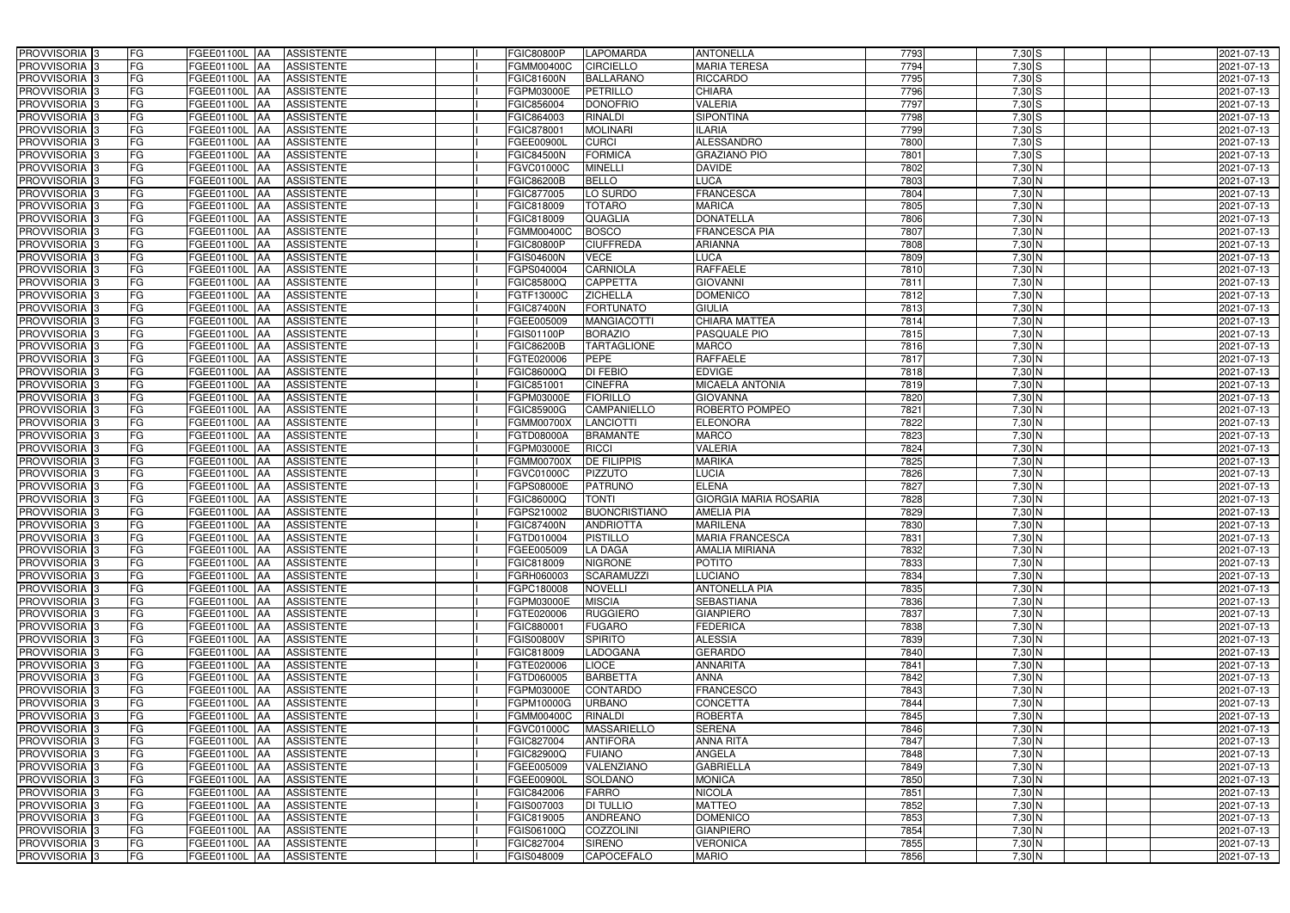| PROVVISORIA 3                             | FG        | FGEE01100L AA<br><b>ASSISTENTE</b>                                       | <b>FGIC80800P</b>        | <b>LAPOMARDA</b>            | <b>ANTONELLA</b>                | 7793         | $7,30$ S           | 2021-07-13               |
|-------------------------------------------|-----------|--------------------------------------------------------------------------|--------------------------|-----------------------------|---------------------------------|--------------|--------------------|--------------------------|
| PROVVISORIA 3                             | FG        | <b>ASSISTENTE</b><br>FGEE01100L                                          | FGMM00400C               | <b>CIRCIELLO</b>            | <b>MARIA TERESA</b>             | 7794         | $7,30$ S           | 2021-07-13               |
| PROVVISORIA 3                             | FG        | FGEE01100L<br><b>ASSISTENTE</b><br>IAA                                   | <b>FGIC81600N</b>        | <b>BALLARANO</b>            | <b>RICCARDO</b>                 | 7795         | 7,30S              | 2021-07-13               |
| PROVVISORIA <sup>3</sup>                  | FG        | FGEE01100L<br><b>ASSISTENTE</b><br>IAA                                   | FGPM03000E               | <b>PETRILLO</b>             | <b>CHIARA</b>                   | 7796         | $7,30$ S           | 2021-07-13               |
| PROVVISORIA 3                             | FG        | FGEE01100L<br><b>ASSISTENTE</b><br>IAA                                   | FGIC856004               | <b>DONOFRIO</b>             | VALERIA                         | 7797         | $7,30$ S           | 2021-07-13               |
| PROVVISORIA 3                             | <b>FG</b> | <b>FGEE01100L AA</b><br><b>ASSISTENTE</b>                                | FGIC864003               | RINALDI                     | <b>SIPONTINA</b>                | 7798         | $7,30$ S           | 2021-07-13               |
| PROVVISORIA 3                             | FG        | FGEE01100L AA<br><b>ASSISTENTE</b>                                       | FGIC878001               | <b>MOLINARI</b>             | <b>LARIA</b>                    | 7799         | $7,30$ S           | 2021-07-13               |
| PROVVISORIA 3                             | FG        | <b>ASSISTENTE</b><br>FGEE01100L AA                                       | FGEE00900L               | <b>CURCI</b>                | <b>ALESSANDRO</b>               | 7800         | $7,30$ S           | 2021-07-13               |
| PROVVISORIA 3                             | <b>FG</b> | FGEE01100L AA<br><b>ASSISTENTE</b>                                       | <b>FGIC84500N</b>        | <b>FORMICA</b>              | <b>GRAZIANO PIO</b>             | 7801         | $7,30$ S           | 2021-07-13               |
| PROVVISORIA 3                             | FG        | <b>FGEE01100L</b> AA<br><b>ASSISTENTE</b>                                | FGVC01000C               | <b>MINELLI</b>              | <b>DAVIDE</b>                   | 7802         | 7,30 N             | 2021-07-13               |
| PROVVISORIA 3                             | FG        | FGEE01100L AA<br><b>ASSISTENTE</b>                                       | <b>FGIC86200B</b>        | <b>BELLO</b>                | <b>LUCA</b>                     | 7803         | $7,30$ N           | 2021-07-13               |
| PROVVISORIA 3                             | FG        | FGEE01100L AA<br><b>ASSISTENTE</b>                                       | FGIC877005               | LO SURDO                    | <b>FRANCESCA</b>                | 7804         | $7,30$ N           | 2021-07-13               |
| PROVVISORIA <sup>3</sup>                  | FG        | FGEE01100L<br><b>ASSISTENTE</b><br>IAA                                   | FGIC818009               | <b>TOTARO</b>               | <b>MARICA</b>                   | 7805         | 7,30 N             | 2021-07-13               |
| PROVVISORIA 3                             | FG        | FGEE01100L AA<br><b>ASSISTENTE</b>                                       | FGIC818009               | <b>QUAGLIA</b>              | <b>DONATELLA</b>                | 7806         | $7,30$ N           | 2021-07-13               |
| PROVVISORIA 3                             | <b>FG</b> | <b>FGEE01100L   AA</b><br><b>ASSISTENTE</b>                              | FGMM00400C               | <b>BOSCO</b>                | <b>FRANCESCA PIA</b>            | 7807         | $7,30$ N           | 2021-07-13               |
| PROVVISORIA 3                             | <b>FG</b> | <b>FGEE01100L</b><br><b>ASSISTENTE</b><br>IAA                            | <b>FGIC80800P</b>        | <b>CIUFFREDA</b>            | <b>ARIANNA</b>                  | 7808         | $7,30$ N           | 2021-07-13               |
| PROVVISORIA 3                             | FG        | FGEE01100L<br><b>ASSISTENTE</b><br>IAA                                   | FGIS04600N               | <b>VECE</b>                 | LUCA                            | 7809         | $7,30$ N           | 2021-07-13               |
| PROVVISORIA 3                             | FG        | <b>FGEE01100L</b><br><b>ASSISTENTE</b><br>IAA                            | FGPS040004               | <b>CARNIOLA</b>             | <b>RAFFAELE</b>                 | 7810         | $7,30$ N           | 2021-07-13               |
| PROVVISORIA 3                             | FG        | <b>FGEE01100L</b><br><b>ASSISTENTE</b><br>IAA                            | FGIC85800Q               | <b>CAPPETTA</b>             | <b>GIOVANNI</b>                 | 7811         | $7,30$ N           | 2021-07-13               |
| PROVVISORIA 3                             | FG        | FGEE01100L<br><b>ASSISTENTE</b><br>IAA                                   | FGTF13000C               | <b>ZICHELLA</b>             | <b>DOMENICO</b>                 | 7812         | 7,30 N             | 2021-07-13               |
| <b>PROVVISORIA</b>                        | FG        | FGEE01100L<br><b>ASSISTENTE</b>                                          | <b>FGIC87400N</b>        | <b>FORTUNATO</b>            | <b>GIULIA</b>                   | 7813         | 7,30 N             | 2021-07-13               |
| <b>PROVVISORIA</b> 3                      | FG        | <b>FGEE01100L</b><br><b>ASSISTENTE</b><br>IAA                            | FGEE005009               | <b>MANGIACOTTI</b>          | <b>CHIARA MATTEA</b>            | 7814         | $7,30$ N           | 2021-07-13               |
| PROVVISORIA <sup>3</sup>                  | FG        | FGEE01100L<br><b>ASSISTENTE</b>                                          | FGIS01100P               | <b>BORAZIO</b>              | PASQUALE PIO                    | 7815         | $7,30$ N           | 2021-07-13               |
| PROVVISORIA <sup>3</sup>                  | <b>FG</b> | FGEE01100L<br><b>ASSISTENTE</b><br>IAA                                   | <b>FGIC86200B</b>        | <b>TARTAGLIONE</b>          | <b>MARCO</b>                    | 7816         | $7,30$ N           | 2021-07-13               |
| <b>PROVVISORIA</b> 3                      | <b>FG</b> | FGEE01100L<br><b>ASSISTENTE</b><br>IAA                                   | FGTE020006               | <b>PEPE</b>                 | <b>RAFFAELE</b>                 | 7817         | $7,30$ N           | 2021-07-13               |
| PROVVISORIA 3                             | FG        | <b>ASSISTENTE</b><br>FGEE01100L<br>IAA                                   | FGIC86000Q               | <b>DI FEBIO</b>             | <b>EDVIGE</b>                   | 7818         | $7,30$ N           | 2021-07-13               |
| PROVVISORIA 3                             | <b>FG</b> | <b>FGEE01100L AA</b><br><b>ASSISTENTE</b>                                | FGIC851001               | <b>CINEFRA</b>              | <b>MICAELA ANTONIA</b>          | 7819         | $7,30$ N           | 2021-07-13               |
| PROVVISORIA 3                             | <b>FG</b> | FGEE01100L AA<br><b>ASSISTENTE</b>                                       | FGPM03000E               | <b>FIORILLO</b>             | <b>GIOVANNA</b>                 | 7820         | $7,30$ N           | 2021-07-13               |
| PROVVISORIA <sup>3</sup>                  | FG        | FGEE01100L<br><b>ASSISTENTE</b><br><b>IAA</b>                            | <b>FGIC85900G</b>        | CAMPANIELLO                 | ROBERTO POMPEO                  | 7821         | $7,30$ N           | 2021-07-13               |
| PROVVISORIA 3                             | <b>FG</b> | FGEE01100L AA<br><b>ASSISTENTE</b>                                       | FGMM00700X               | LANCIOTTI                   | <b>ELEONORA</b>                 | 7822         | $7,30$ N           | 2021-07-13               |
| PROVVISORIA 3                             | FG        | FGEE01100L AA<br><b>ASSISTENTE</b>                                       | FGTD08000A               | <b>BRAMANTE</b>             | <b>MARCO</b>                    | 7823         | $7,30$ N           | 2021-07-13               |
| PROVVISORIA 3                             | FG        | <b>ASSISTENTE</b><br>FGEE01100L AA                                       | FGPM03000E               | <b>RICCI</b>                | <b>VALERIA</b>                  | 7824         | 7,30 N             | 2021-07-13               |
| PROVVISORIA 3                             | FG        | FGEE01100L<br><b>ASSISTENTE</b><br>IAA                                   | <b>FGMM00700X</b>        | <b>DE FILIPPIS</b>          | <b>MARIKA</b>                   | 7825         | $7,30$ N           | 2021-07-13               |
| PROVVISORIA <sup>3</sup>                  | <b>FG</b> | FGEE01100L AA<br><b>ASSISTENTE</b>                                       | FGVC01000C               | <b>PIZZUTO</b>              | <b>LUCIA</b>                    | 7826         | $7,30$ N           | 2021-07-13               |
| PROVVISORIA                               | <b>FG</b> | FGEE01100L<br><b>ASSISTENTE</b><br>IAA                                   | FGPS08000E               | <b>PATRUNO</b>              | <b>ELENA</b>                    | 7827         | $7,30$ N           | $2021 - 07 - 13$         |
| <b>PROVVISORIA</b> 3                      | FG        | FGEE01100L<br><b>ASSISTENTE</b><br>IAA                                   | FGIC86000Q               | <b>TONTI</b>                | <b>GIORGIA MARIA ROSARIA</b>    | 7828         | 7,30 N             | 2021-07-13               |
| PROVVISORIA <sup>1</sup> 3                | FG        | FGEE01100L<br><b>ASSISTENTE</b><br>IAA                                   | GPS210002                | <b>BUONCRISTIANO</b>        | <b>AMELIA PIA</b>               | 7829         | 7,30 N             | 2021-07-13               |
| PROVVISORIA <sup>3</sup>                  | <b>FG</b> | FGEE01100L AA<br><b>ASSISTENTE</b>                                       | <b>FGIC87400N</b>        | <b>ANDRIOTTA</b>            | <b>MARILENA</b>                 | 7830         | $7,30$ N           | 2021-07-13               |
| PROVVISORIA <sup>3</sup>                  | FG        | FGEE01100L AA ASSISTENTE                                                 | FGTD010004               | <b>PISTILLO</b>             | MARIA FRANCESCA                 | 7831         | 7,30 N             | 2021-07-13               |
| PROVVISORIA <sup>3</sup>                  | <b>FG</b> |                                                                          | FGEE005009               | <b>LA DAGA</b>              | <b>AMALIA MIRIANA</b>           |              | $7,30$ N           |                          |
| PROVVISORIA <sup>3</sup>                  | FG        | FGEE01100L AA<br><b>ASSISTENTE</b>                                       |                          |                             |                                 | 7832         |                    | 2021-07-13               |
| PROVVISORIA <sup>3</sup>                  |           | <b>ASSISTENTE</b><br>FGEE01100L AA                                       | FGIC818009               | <b>NIGRONE</b>              | <b>POTITO</b>                   | 7833         | $7,30$ N           | 2021-07-13               |
|                                           | FG        | FGEE01100L AA<br><b>ASSISTENTE</b>                                       | FGRH060003               | SCARAMUZZI                  | <b>LUCIANO</b>                  | 7834         | $7,30$ N           | 2021-07-13               |
| PROVVISORIA <sup>3</sup>                  | FG        | FGEE01100L AA<br><b>ASSISTENTE</b>                                       | FGPC180008               | <b>NOVELLI</b>              | <b>ANTONELLA PIA</b>            | 7835         | $7,30$ N           | 2021-07-13               |
| PROVVISORIA <sup>3</sup>                  | FG        | <b>FGEE01100L AA</b><br><b>ASSISTENTE</b>                                | FGPM03000E               | <b>MISCIA</b>               | <b>SEBASTIANA</b>               | 7836         | $7,30$ N           | 2021-07-13               |
| PROVVISORIA <sup>3</sup>                  | <b>FG</b> | FGEE01100L AA<br><b>ASSISTENTE</b>                                       | FGTE020006               | <b>RUGGIERO</b>             | <b>GIANPIERO</b>                | 7837         | 7,30 N             | 2021-07-13               |
| PROVVISORIA <sup>3</sup>                  | FG        | FGEE01100L AA<br><b>ASSISTENTE</b>                                       | FGIC880001               | <b>FUGARO</b>               | <b>FEDERICA</b>                 | 7838         | $7,30$ N           | 2021-07-13               |
| PROVVISORIA <sup>3</sup>                  | FG        | FGEE01100L AA<br><b>ASSISTENTE</b>                                       | <b>FGIS00800V</b>        | <b>SPIRITO</b>              | <b>ALESSIA</b>                  | 7839         | $7,30$ N           | 2021-07-13               |
| PROVVISORIA <sup>3</sup>                  | FG        | FGEE01100L AA<br><b>ASSISTENTE</b>                                       | FGIC818009               | LADOGANA                    | <b>GERARDO</b>                  | 7840         | 7,30 N             | 2021-07-13               |
| PROVVISORIA <sup>3</sup>                  | FG        | FGEE01100L AA<br><b>ASSISTENTE</b>                                       | FGTE020006               | <b>LIOCE</b>                | <b>ANNARITA</b>                 | 7841         | $7,30$ N           | 2021-07-13               |
| PROVVISORIA <sup>3</sup>                  | FG        | FGEE01100L AA<br><b>ASSISTENTE</b>                                       | FGTD060005               | <b>BARBETTA</b>             | <b>ANNA</b>                     | 7842         | $7,30$ N           | 2021-07-13               |
| PROVVISORIA 3                             | FG        | FGEE01100L AA<br>ASSISTENTE                                              | FGPM03000E               | <b>CONTARDO</b>             | FRANCESCO                       | 7843         | 7,30 N             | 2021-07-13               |
| PROVVISORIA <sup>3</sup>                  | FG        | FGEE01100L AA<br><b>ASSISTENTE</b>                                       | FGPM10000G               | <b>URBANO</b>               | <b>CONCETTA</b>                 | 7844         | $7,30$ N           | 2021-07-13               |
| PROVVISORIA <sup>3</sup>                  | FG        | <b>FGEE01100L   AA</b><br><b>ASSISTENTE</b>                              | <b>FGMM00400C</b>        | RINALDI                     | <b>ROBERTA</b>                  | 7845         | $7,30$ N           | 2021-07-13               |
| PROVVISORIA <sup>3</sup>                  | FG        | FGEE01100L AA<br><b>ASSISTENTE</b>                                       | FGVC01000C               | <b>MASSARIELLO</b>          | <b>SERENA</b>                   | 7846         | $7,30$ N           | 2021-07-13               |
| PROVVISORIA <sup>13</sup>                 | FG        | FGEE01100L AA<br><b>ASSISTENTE</b>                                       | FGIC827004               | <b>ANTIFORA</b>             | <b>ANNA RITA</b>                | 7847         | $7,30$ N           | 2021-07-13               |
| PROVVISORIA <sup>3</sup>                  | FG        | FGEE01100L AA<br><b>ASSISTENTE</b>                                       | FGIC82900Q               | <b>FUIANO</b>               | ANGELA                          | 7848         | 7,30 N             | 2021-07-13               |
| PROVVISORIA <sup>3</sup>                  | FG        | <b>ASSISTENTE</b><br>FGEE01100L AA                                       | FGEE005009               | VALENZIANO                  | <b>GABRIELLA</b>                | 7849         | $7,30$ N           | 2021-07-13               |
| PROVVISORIA <sup>3</sup>                  | FG        | <b>ASSISTENTE</b><br>FGEE01100L AA                                       | FGEE00900L               | SOLDANO                     | <b>MONICA</b>                   | 7850         | $7,30$ N           | 2021-07-13               |
| PROVVISORIA <sup>3</sup>                  | FG        | <b>ASSISTENTE</b><br>FGEE01100L AA                                       | FGIC842006               | <b>FARRO</b>                | <b>NICOLA</b>                   | 7851         | 7,30 N             | 2021-07-13               |
| PROVVISORIA <sup>3</sup>                  | FG        | <b>ASSISTENTE</b><br>FGEE01100L AA                                       | FGIS007003               | <b>DI TULLIO</b>            | <b>MATTEO</b>                   | 7852         | $7,30$ N           | 2021-07-13               |
| PROVVISORIA <sup>3</sup>                  | FG        | FGEE01100L AA<br><b>ASSISTENTE</b>                                       | FGIC819005               | <b>ANDREANO</b>             | <b>DOMENICO</b>                 | 7853         | 7,30 N             | 2021-07-13               |
| PROVVISORIA <sup>3</sup>                  | FG        | <b>ASSISTENTE</b><br>FGEE01100L AA                                       | FGIS06100Q               | COZZOLINI                   | <b>GIANPIERO</b>                | 7854         | $7,30$ N           | 2021-07-13               |
| PROVVISORIA <sup>3</sup><br>PROVVISORIA 3 | FG<br>FG  | <b>FGEE01100L AA</b><br><b>ASSISTENTE</b><br>ASSISTENTE<br>FGEE01100L AA | FGIC827004<br>FGIS048009 | <b>SIRENO</b><br>CAPOCEFALO | <b>VERONICA</b><br><b>MARIO</b> | 7855<br>7856 | $7,30$ N<br>7,30 N | 2021-07-13<br>2021-07-13 |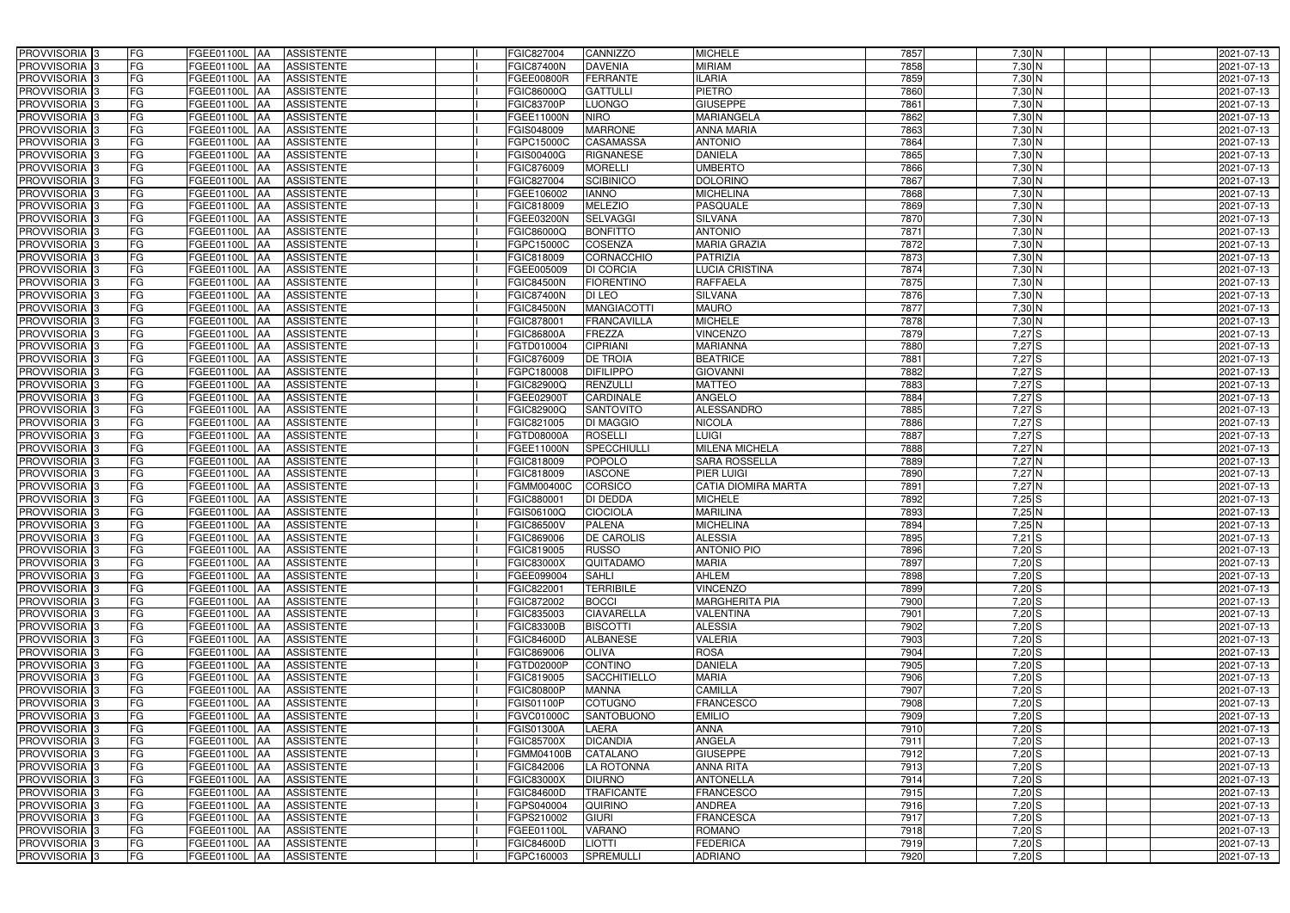| PROVVISORIA 3                             | FG        | FGEE01100L AA<br><b>ASSISTENTE</b>                                       | FGIC827004<br>CANNIZZO                                 | <b>MICHELE</b>                    | 7857         | $7,30$ N             | 2021-07-13               |
|-------------------------------------------|-----------|--------------------------------------------------------------------------|--------------------------------------------------------|-----------------------------------|--------------|----------------------|--------------------------|
| PROVVISORIA 3                             | FG        | <b>ASSISTENTE</b><br>FGEE01100L                                          | <b>DAVENIA</b><br><b>FGIC87400N</b>                    | <b>MIRIAM</b>                     | 7858         | 7,30 N               | 2021-07-13               |
| PROVVISORIA 3                             | <b>FG</b> | <b>FGEE01100L</b><br><b>ASSISTENTE</b><br>IAA                            | <b>FERRANTE</b><br>FGEE00800R                          | <b>ILARIA</b>                     | 7859         | $7,30$ N             | 2021-07-13               |
| PROVVISORIA <sup>3</sup>                  | FG        | FGEE01100L<br><b>ASSISTENTE</b><br>IAA                                   | <b>GATTULLI</b><br>FGIC86000Q                          | <b>PIETRO</b>                     | 7860         | $7,30$ N             | 2021-07-13               |
| PROVVISORIA <sup>3</sup>                  | FG        | FGEE01100L<br><b>ASSISTENTE</b>                                          | <b>LUONGO</b><br>FGIC83700P                            | <b>GIUSEPPE</b>                   | 7861         | 7,30 N               | 2021-07-13               |
| PROVVISORIA 3                             | <b>FG</b> | <b>FGEE01100L AA</b><br><b>ASSISTENTE</b>                                | <b>NIRO</b><br>FGEE11000N                              | <b>MARIANGELA</b>                 | 7862         | 7,30 N               | 2021-07-13               |
| PROVVISORIA 3                             | FG        | <b>FGEE01100L   AA</b><br><b>ASSISTENTE</b>                              | <b>MARRONE</b><br>FGIS048009                           | <b>ANNA MARIA</b>                 | 7863         | $7,30$ N             | 2021-07-13               |
| PROVVISORIA 3                             | FG        | <b>ASSISTENTE</b><br>FGEE01100L AA                                       | <b>CASAMASSA</b><br>FGPC15000C                         | <b>ANTONIO</b>                    | 7864         | 7,30 N               | 2021-07-13               |
| PROVVISORIA 3                             | <b>FG</b> | FGEE01100L AA<br><b>ASSISTENTE</b>                                       | <b>RIGNANESE</b><br>FGIS00400G                         | <b>DANIELA</b>                    | 7865         | $7,30$ N             | 2021-07-13               |
| PROVVISORIA 3                             | FG        | FGEE01100L AA<br><b>ASSISTENTE</b>                                       | <b>MORELLI</b><br>FGIC876009                           | <b>UMBERTO</b>                    | 7866         | 7,30 N               | 2021-07-13               |
| PROVVISORIA 3                             | FG        | <b>ASSISTENTE</b><br>FGEE01100L AA                                       | <b>SCIBINICO</b><br>FGIC827004                         | <b>DOLORINO</b>                   | 7867         | $7,30$ N             | 2021-07-13               |
| PROVVISORIA 3                             | FG        | FGEE01100L AA<br><b>ASSISTENTE</b>                                       | <b>IANNO</b><br>FGEE106002                             | <b>MICHELINA</b>                  | 7868         | $7,30$ N             | 2021-07-13               |
| PROVVISORIA <sup>3</sup>                  | FG        | FGEE01100L<br><b>ASSISTENTE</b><br><b>IAA</b>                            | <b>MELEZIO</b><br>FGIC818009                           | <b>PASQUALE</b>                   | 7869         | $7,30$ N             | 2021-07-13               |
| PROVVISORIA 3                             | FG        | <b>ASSISTENTE</b><br>FGEE01100L AA                                       | <b>SELVAGGI</b><br>FGEE03200N                          | <b>SILVANA</b>                    | 7870         | $7,30$ N             | 2021-07-13               |
| PROVVISORIA 3                             | <b>FG</b> | FGEE01100L AA<br><b>ASSISTENTE</b>                                       | <b>BONFITTO</b><br>FGIC86000Q                          | <b>ANTONIO</b>                    | 7871         | $7,30$ N             | 2021-07-13               |
| PROVVISORIA 3                             | <b>FG</b> | FGEE01100L<br><b>ASSISTENTE</b><br>IAA                                   | <b>COSENZA</b><br>FGPC15000C                           | <b>MARIA GRAZIA</b>               | 7872         | $7,30$ N             | 2021-07-13               |
| PROVVISORIA 3                             | FG        | FGEE01100L<br><b>ASSISTENTE</b><br>IAA                                   | CORNACCHIO<br>FGIC818009                               | <b>PATRIZIA</b>                   | 7873         | $7,30$ N             | 2021-07-13               |
| PROVVISORIA 3                             | FG        | <b>FGEE01100L</b><br><b>ASSISTENTE</b><br>IAA                            | <b>DI CORCIA</b><br>FGEE005009                         | <b>LUCIA CRISTINA</b>             | 7874         | 7,30 N               | 2021-07-13               |
| PROVVISORIA 3                             | FG        | FGEE01100L<br><b>ASSISTENTE</b><br>IAA                                   | <b>FIORENTINO</b><br><b>FGIC84500N</b>                 | <b>RAFFAELA</b>                   | 7875         | 7,30 N               | 2021-07-13               |
| PROVVISORIA 3                             | FG        | FGEE01100L<br><b>ASSISTENTE</b><br>IAA                                   | <b>FGIC87400N</b><br>DI LEO                            | <b>SILVANA</b>                    | 7876         | 7,30 N               | 2021-07-13               |
| PROVVISORIA <sup>3</sup>                  | FG        | FGEE01100L<br><b>ASSISTENTE</b>                                          | <b>FGIC84500N</b><br><b>MANGIACOTTI</b>                | <b>MAURO</b>                      | 7877         | 7,30 N               | 2021-07-13               |
| <b>PROVVISORIA</b> 3                      | FG        | FGEE01100L<br><b>ASSISTENTE</b>                                          | FGIC878001<br><b>FRANCAVILLA</b>                       | <b>MICHELE</b>                    | 7878         | $7,30$ N             | 2021-07-13               |
| PROVVISORIA <sup>3</sup>                  | FG        | FGEE01100L<br><b>ASSISTENTE</b>                                          | FGIC86800A<br>FREZZA                                   | <b>VINCENZO</b>                   | 7879         | 7,27S                | 2021-07-13               |
| PROVVISORIA <sup>13</sup>                 | <b>FG</b> | <b>FGEE01100L</b><br><b>ASSISTENTE</b><br>ΙAΑ                            | <b>CIPRIANI</b><br>FGTD010004                          | <b>MARIANNA</b>                   | 7880         | 7,27S                | 2021-07-13               |
| <b>PROVVISORIA</b> 3                      | FG        | FGEE01100L<br><b>ASSISTENTE</b><br>IAA                                   | <b>DE TROIA</b><br>FGIC876009                          | <b>BEATRICE</b>                   | 7881         | 7,27S                | 2021-07-13               |
| PROVVISORIA 3                             | FG        | FGEE01100L<br><b>ASSISTENTE</b><br>IAA                                   | <b>DIFILIPPO</b><br>FGPC180008                         | <b>GIOVANNI</b>                   | 7882         | 7,27S                | 2021-07-13               |
| PROVVISORIA 3                             | <b>FG</b> | <b>FGEE01100L AA</b><br><b>ASSISTENTE</b>                                | <b>RENZULLI</b><br>FGIC82900Q                          | <b>MATTEO</b>                     | 7883         | 7,27S                | 2021-07-13               |
| PROVVISORIA 3                             | <b>FG</b> | <b>FGEE01100L   AA</b><br><b>ASSISTENTE</b>                              | CARDINALE<br>FGEE02900T                                | <b>ANGELO</b>                     | 7884         | $7,27$ S             | 2021-07-13               |
| PROVVISORIA 3                             | FG        | FGEE01100L<br><b>ASSISTENTE</b><br>IAA                                   | SANTOVITO<br>FGIC82900Q                                | <b>ALESSANDRO</b>                 | 7885         | $7,27$ S             | 2021-07-13               |
| PROVVISORIA 3                             | <b>FG</b> | <b>FGEE01100L   AA</b><br><b>ASSISTENTE</b>                              | <b>DI MAGGIO</b><br>FGIC821005                         | <b>NICOLA</b>                     | 7886         | $7,27$ S             | 2021-07-13               |
| PROVVISORIA 3                             | FG        | <b>FGEE01100L AA</b><br><b>ASSISTENTE</b>                                | <b>ROSELLI</b><br>FGTD08000A                           | <b>LUIGI</b>                      | 7887         | $7,27$ $S$           | 2021-07-13               |
| PROVVISORIA 3                             | FG        | <b>ASSISTENTE</b><br>FGEE01100L AA                                       | SPECCHIULLI<br>FGEE11000N                              | <b>MILENA MICHELA</b>             | 7888         | 7,27 N               | 2021-07-13               |
| PROVVISORIA 3                             | FG        | FGEE01100L<br><b>ASSISTENTE</b><br>IAA                                   | <b>POPOLO</b><br>FGIC818009                            | <b>SARA ROSSELLA</b>              | 7889         | $7,27$ N             | 2021-07-13               |
| PROVVISORIA 3                             | <b>FG</b> | FGEE01100L AA<br><b>ASSISTENTE</b>                                       | <b>IASCONE</b><br>FGIC818009                           | <b>PIER LUIGI</b>                 | 7890         | 7,27 N               | 2021-07-13               |
| PROVVISORIA 3                             | <b>FG</b> | FGEE01100L<br><b>ASSISTENTE</b><br>IAA                                   | <b>CORSICO</b><br>FGMM00400C                           | <b>CATIA DIOMIRA MARTA</b>        | 7891         | 7,27N                | 2021-07-13               |
| PROVVISORIA <sup>3</sup>                  | FG        |                                                                          |                                                        | <b>MICHELE</b>                    | 7892         | $7,25$ S             | 2021-07-13               |
|                                           |           | FGEE01100L<br><b>ASSISTENTE</b><br>IAA                                   | <b>DI DEDDA</b><br>GIC880001                           |                                   |              |                      |                          |
| PROVVISORIA <sup>1</sup> 3                | FG        | <b>FGEE01100L</b><br><b>ASSISTENTE</b><br>IAA                            | <b>CIOCIOLA</b><br>GIS06100Q                           | <b>MARILINA</b>                   | 7893         | 7,25N                | 2021-07-13               |
| PROVVISORIA <sup>3</sup>                  | <b>FG</b> | FGEE01100L AA<br><b>ASSISTENTE</b>                                       | <b>PALENA</b><br>FGIC86500V                            | <b>MICHELINA</b>                  | 7894         | $7,25$ N             | 2021-07-13               |
| PROVVISORIA <sup>3</sup>                  | FG        | FGEE01100L AA ASSISTENTE                                                 | <b>DE CAROLIS</b><br>FGIC869006                        | <b>ALESSIA</b>                    | 7895         | $7,21$ S             |                          |
| PROVVISORIA <sup>3</sup>                  | FG        | FGEE01100L AA<br>ASSISTENTE                                              | FGIC819005<br><b>RUSSO</b>                             | <b>ANTONIO PIO</b>                | 7896         | $7,20$ S             | 2021-07-13<br>2021-07-13 |
| PROVVISORIA <sup>3</sup>                  | FG        | ASSISTENTE<br>FGEE01100L AA                                              | FGIC83000X<br>QUITADAMO                                | <b>MARIA</b>                      | 7897         | $7,20$ S             | 2021-07-13               |
| PROVVISORIA <sup>3</sup>                  | FG        | FGEE01100L AA<br><b>ASSISTENTE</b>                                       | <b>SAHLI</b><br>FGEE099004                             | AHLEM                             | 7898         | $7,20$ S             | 2021-07-13               |
| PROVVISORIA <sup>3</sup>                  | FG        | FGEE01100L AA<br><b>ASSISTENTE</b>                                       | <b>TERRIBILE</b><br>FGIC822001                         | <b>VINCENZO</b>                   | 7899         | $7,20$ S             | 2021-07-13               |
| PROVVISORIA <sup>3</sup>                  | FG        | FGEE01100L AA<br><b>ASSISTENTE</b>                                       | FGIC872002<br><b>BOCCI</b>                             | <b>MARGHERITA PIA</b>             | 7900         | $7,20$ $S$           | 2021-07-13               |
| PROVVISORIA <sup>3</sup>                  | FG        | FGEE01100L AA<br><b>ASSISTENTE</b>                                       | <b>CIAVARELLA</b><br>FGIC835003                        | <b>VALENTINA</b>                  | 7901         | $7,20$ S             | 2021-07-13               |
| PROVVISORIA <sup>3</sup>                  | FG        | FGEE01100L AA<br><b>ASSISTENTE</b>                                       | <b>FGIC83300B</b><br><b>BISCOTTI</b>                   | <b>ALESSIA</b>                    | 7902         | $7,20$ S             | 2021-07-13               |
| PROVVISORIA <sup>3</sup>                  | FG        | FGEE01100L AA<br><b>ASSISTENTE</b>                                       | FGIC84600D<br><b>ALBANESE</b>                          | <b>VALERIA</b>                    | 7903         | $7,20$ S             | 2021-07-13               |
| PROVVISORIA <sup>3</sup>                  | FG        | FGEE01100L AA<br><b>ASSISTENTE</b>                                       | FGIC869006<br><b>OLIVA</b>                             | <b>ROSA</b>                       | 7904         | $7,20$ S             | 2021-07-13               |
| PROVVISORIA 3                             | FG        | FGEE01100L AA<br><b>ASSISTENTE</b>                                       | <b>CONTINO</b><br>FGTD02000P                           | <b>DANIELA</b>                    | 7905         | $7,20$ S             | 2021-07-13               |
| PROVVISORIA <sup>3</sup>                  | FG        | FGEE01100L AA<br><b>ASSISTENTE</b>                                       | FGIC819005<br><b>SACCHITIELLO</b>                      | <b>MARIA</b>                      | 7906         | $7,20$ S             | 2021-07-13               |
| PROVVISORIA 3                             | FG        | FGEE01100L AA<br><b>ASSISTENTE</b>                                       | <b>FGIC80800P</b><br><b>MANNA</b>                      | <b>CAMILLA</b>                    | 7907         | $7,20$ S             | 2021-07-13               |
| PROVVISORIA <sup>3</sup>                  | FG        | FGEE01100L AA<br><b>ASSISTENTE</b>                                       | <b>COTUGNO</b><br>FGIS01100P                           | <b>FRANCESCO</b>                  | 7908         | $7,20$ S             | 2021-07-13               |
| PROVVISORIA <sup>3</sup>                  | FG        | FGEE01100L AA<br><b>ASSISTENTE</b>                                       | <b>SANTOBUONO</b><br>FGVC01000C                        | <b>EMILIO</b>                     | 7909         | $7,20$ S             | 2021-07-13               |
| PROVVISORIA <sup>3</sup>                  | FG        | FGEE01100L AA<br><b>ASSISTENTE</b>                                       | LAERA<br>FGIS01300A                                    | <b>ANNA</b>                       | 7910         | $7,20$ S             | 2021-07-13               |
| PROVVISORIA <sup>13</sup>                 | FG        | FGEE01100L AA<br><b>ASSISTENTE</b>                                       | <b>DICANDIA</b><br>FGIC85700X                          | ANGELA                            | 7911         | $7,20$ S             | 2021-07-13               |
| PROVVISORIA <sup>3</sup>                  | FG        | FGEE01100L AA<br><b>ASSISTENTE</b>                                       | CATALANO<br>FGMM04100B                                 | <b>GIUSEPPE</b>                   | 7912         | $7,20$ S             | 2021-07-13               |
| PROVVISORIA <sup>3</sup>                  | FG        | FGEE01100L AA<br><b>ASSISTENTE</b>                                       | LA ROTONNA<br>FGIC842006                               | ANNA RITA                         | 7913         | $7,20$ S             | 2021-07-13               |
| PROVVISORIA <sup>3</sup>                  | FG        | <b>FGEE01100L   AA</b><br><b>ASSISTENTE</b>                              | FGIC83000X<br><b>DIURNO</b>                            | <b>ANTONELLA</b>                  | 7914         | $7,20$ S             | 2021-07-13               |
| PROVVISORIA <sup>3</sup>                  | FG        | <b>ASSISTENTE</b><br>FGEE01100L AA                                       | <b>TRAFICANTE</b><br>FGIC84600D                        | <b>FRANCESCO</b>                  | 7915         | $7,20$ S             | 2021-07-13               |
| PROVVISORIA <sup>3</sup>                  | FG        | <b>ASSISTENTE</b><br>FGEE01100L AA                                       | FGPS040004<br>QUIRINO                                  | <b>ANDREA</b>                     | 7916         | $7,20$ S             | 2021-07-13               |
| PROVVISORIA <sup>3</sup>                  | FG        | FGEE01100L AA<br><b>ASSISTENTE</b>                                       | <b>GIURI</b><br>FGPS210002                             | <b>FRANCESCA</b>                  | 7917         | $7,20$ S             | 2021-07-13               |
| PROVVISORIA <sup>3</sup>                  | FG        | <b>ASSISTENTE</b><br>FGEE01100L AA                                       | <b>VARANO</b><br>FGEE01100L                            | <b>ROMANO</b>                     | 7918         | $7,20$ S             | 2021-07-13               |
| PROVVISORIA <sup>3</sup><br>PROVVISORIA 3 | FG<br>FG  | ASSISTENTE<br>FGEE01100L AA<br><b>ASSISTENTE</b><br><b>FGEE01100L AA</b> | FGIC84600D<br><b>LIOTTI</b><br>SPREMULLI<br>FGPC160003 | <b>FEDERICA</b><br><b>ADRIANO</b> | 7919<br>7920 | $7,20$ S<br>$7,20$ S | 2021-07-13<br>2021-07-13 |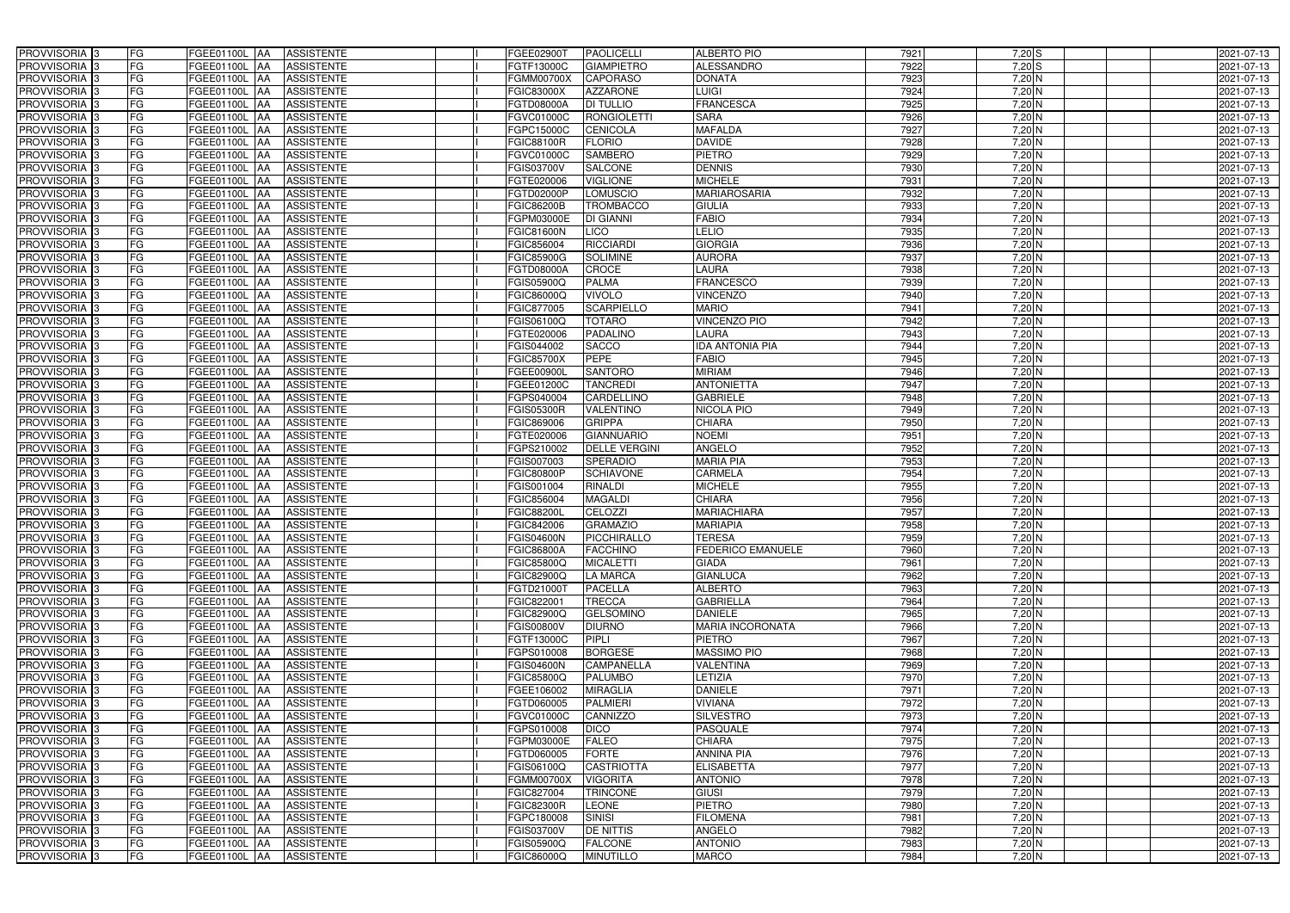| PROVVISORIA 3<br>FG                                              | FGEE01100L AA<br><b>ASSISTENTE</b>                         | FGEE02900T                             | <b>PAOLICELLI</b>              | <b>ALBERTO PIO</b>                        | 7921         | $7,20$ S           | 2021-07-13               |
|------------------------------------------------------------------|------------------------------------------------------------|----------------------------------------|--------------------------------|-------------------------------------------|--------------|--------------------|--------------------------|
| FG<br>PROVVISORIA 3                                              | <b>ASSISTENTE</b><br>FGEE01100L                            | FGTF13000C                             | <b>GIAMPIETRO</b>              | ALESSANDRO                                | 7922         | $7,20$ S           | 2021-07-13               |
| PROVVISORIA 3<br>FG                                              | FGEE01100L<br><b>ASSISTENTE</b><br>IAA                     | FGMM00700X                             | <b>CAPORASO</b>                | <b>DONATA</b>                             | 7923         | $7,20$ N           | 2021-07-13               |
| FG<br>PROVVISORIA <sup>3</sup>                                   | FGEE01100L<br><b>ASSISTENTE</b><br>IAA                     | <b>GIC83000X</b>                       | <b>AZZARONE</b>                | <b>LUIGI</b>                              | 7924         | $7,20$ N           | 2021-07-13               |
| FG<br>PROVVISORIA 3                                              | FGEE01100L<br><b>ASSISTENTE</b><br>IAA                     | FGTD08000A                             | <b>DI TULLIO</b>               | <b>FRANCESCA</b>                          | 7925         | 7,20 N             | 2021-07-13               |
| <b>FG</b><br>PROVVISORIA 3                                       | <b>FGEE01100L   AA</b><br><b>ASSISTENTE</b>                | FGVC01000C                             | <b>RONGIOLETTI</b>             | <b>SARA</b>                               | 7926         | $7,20$ N           | 2021-07-13               |
| FG<br>PROVVISORIA 3                                              | <b>FGEE01100L   AA</b><br><b>ASSISTENTE</b>                | FGPC15000C                             | <b>CENICOLA</b>                | <b>MAFALDA</b>                            | 7927         | $7,20$ N           | 2021-07-13               |
| FG<br>PROVVISORIA 3                                              | <b>ASSISTENTE</b><br>FGEE01100L AA                         | <b>FGIC88100R</b>                      | <b>FLORIO</b>                  | <b>DAVIDE</b>                             | 7928         | $7,20$ N           | 2021-07-13               |
| PROVVISORIA 3<br><b>FG</b>                                       | FGEE01100L AA<br><b>ASSISTENTE</b>                         | FGVC01000C                             | <b>SAMBERO</b>                 | <b>PIETRO</b>                             | 7929         | $7,20$ N           | 2021-07-13               |
| PROVVISORIA 3<br>FG                                              | FGEE01100L AA<br><b>ASSISTENTE</b>                         | FGIS03700V                             | <b>SALCONE</b>                 | <b>DENNIS</b>                             | 7930         | 7,20 N             | 2021-07-13               |
| PROVVISORIA 3<br>FG                                              | <b>ASSISTENTE</b><br>FGEE01100L AA                         | FGTE020006                             | <b>VIGLIONE</b>                | <b>MICHELE</b>                            | 7931         | $7,20$ N           | 2021-07-13               |
| PROVVISORIA 3<br>FG                                              | FGEE01100L AA<br><b>ASSISTENTE</b>                         | <b>FGTD02000P</b>                      | <b>LOMUSCIO</b>                | <b>MARIAROSARIA</b>                       | 7932         | $7,20$ N           | 2021-07-13               |
| PROVVISORIA <sup>3</sup><br>FG                                   | FGEE01100L<br><b>ASSISTENTE</b><br><b>JAA</b>              | FGIC86200B                             | TROMBACCO                      | <b>GIULIA</b>                             | 7933         | $7,20$ N           | 2021-07-13               |
| PROVVISORIA 3<br>FG                                              | <b>ASSISTENTE</b><br>FGEE01100L AA                         | <b>GPM03000E</b>                       | <b>DI GIANNI</b>               | <b>FABIO</b>                              | 7934         | 7,20 N             | 2021-07-13               |
| PROVVISORIA 3<br><b>FG</b>                                       | FGEE01100L AA<br><b>ASSISTENTE</b>                         | FGIC81600N                             | <b>LICO</b>                    | LELIO                                     | 7935         | $7,20$ N           | 2021-07-13               |
| <b>FG</b><br>PROVVISORIA 3                                       | FGEE01100L<br><b>ASSISTENTE</b><br>IAA                     | FGIC856004                             | <b>RICCIARDI</b>               | <b>GIORGIA</b>                            | 7936         | $7,20$ N           | 2021-07-13               |
| PROVVISORIA 3<br>FG                                              | <b>FGEE01100L</b><br><b>ASSISTENTE</b><br>IAA              | FGIC85900G                             | <b>SOLIMINE</b>                | <b>AURORA</b>                             | 7937         | $7,20$ N           | 2021-07-13               |
| PROVVISORIA 3<br>FG                                              | <b>FGEE01100L</b><br><b>ASSISTENTE</b><br>IAA              | FGTD08000A                             | <b>CROCE</b>                   | <b>LAURA</b>                              | 7938         | 7,20 N             | 2021-07-13               |
| PROVVISORIA 3<br>FG                                              | FGEE01100L<br><b>ASSISTENTE</b><br>IAA                     | FGIS05900Q                             | <b>PALMA</b>                   | <b>FRANCESCO</b>                          | 7939         | 7,20 N             | 2021-07-13               |
| FG<br>PROVVISORIA 3                                              | FGEE01100L<br><b>ASSISTENTE</b><br>IAA                     | FGIC86000Q                             | <b>VIVOLO</b>                  | <b>VINCENZO</b>                           | 7940         | 7,20 N             | 2021-07-13               |
| PROVVISORIA <sup>3</sup><br>FG                                   | FGEE01100L<br><b>ASSISTENTE</b>                            | FGIC877005                             | <b>SCARPIELLO</b>              | <b>MARIO</b>                              | 7941         | 7,20 N             | 2021-07-13               |
| <b>PROVVISORIA</b> 3<br>FG                                       | FGEE01100L<br><b>ASSISTENTE</b><br>IAA                     | FGIS06100Q                             | <b>TOTARO</b>                  | <b>VINCENZO PIO</b>                       | 7942         | $7,20$ N           | 2021-07-13               |
| PROVVISORIA <sup>3</sup><br>FG                                   | FGEE01100L<br><b>ASSISTENTE</b>                            | FGTE020006                             | PADALINO                       | <b>LAURA</b>                              | 7943         | $7,20$ N           | 2021-07-13               |
| PROVVISORIA <sup>13</sup><br><b>FG</b>                           | FGEE01100L<br><b>ASSISTENTE</b><br>AA                      | FGIS044002                             | <b>SACCO</b>                   | <b>IDA ANTONIA PIA</b>                    | 7944         | $7,20$ N           | 2021-07-13               |
| <b>PROVVISORIA</b> 3<br>FG                                       | FGEE01100L<br><b>ASSISTENTE</b><br>IAA                     | FGIC85700X                             | <b>PEPE</b>                    | <b>FABIO</b>                              | 7945         | $7,20$ N           | 2021-07-13               |
| PROVVISORIA 3<br>FG                                              | FGEE01100L<br><b>ASSISTENTE</b><br>IAA                     | FGEE00900L                             | <b>SANTORO</b>                 | <b>MIRIAM</b>                             | 7946         | $7,20$ N           | 2021-07-13               |
| <b>FG</b><br>PROVVISORIA 3                                       | FGEE01100L AA<br><b>ASSISTENTE</b>                         | FGEE01200C                             | <b>TANCREDI</b>                | <b>ANTONIETTA</b>                         | 7947         | $7,20$ N           | 2021-07-13               |
| <b>FG</b><br>PROVVISORIA 3                                       | FGEE01100L AA<br><b>ASSISTENTE</b>                         | FGPS040004                             | CARDELLINO                     | <b>GABRIELE</b>                           | 7948         | $7,20$ N           | 2021-07-13               |
| FG<br>PROVVISORIA 3                                              | FGEE01100L AA<br><b>ASSISTENTE</b>                         | FGIS05300R                             | VALENTINO                      | NICOLA PIO                                | 7949         | $7,20$ N           | 2021-07-13               |
| <b>FG</b><br>PROVVISORIA 3                                       | <b>FGEE01100L   AA</b><br><b>ASSISTENTE</b>                | FGIC869006                             | <b>GRIPPA</b>                  | <b>CHIARA</b>                             | 7950         | $7,20$ N           | 2021-07-13               |
| FG<br>PROVVISORIA 3                                              | <b>FGEE01100L AA</b><br><b>ASSISTENTE</b>                  | FGTE020006                             | <b>GIANNUARIO</b>              | <b>NOEMI</b>                              | 7951         | $7,20$ N           | 2021-07-13               |
| FG<br>PROVVISORIA 3                                              | <b>ASSISTENTE</b><br>FGEE01100L AA                         | FGPS210002                             | <b>DELLE VERGINI</b>           | ANGELO                                    | 7952         | 7,20 N             | 2021-07-13               |
| FG<br>PROVVISORIA 3                                              | FGEE01100L<br><b>ASSISTENTE</b><br><b>IAA</b>              | FGIS007003                             | <b>SPERADIO</b>                | <b>MARIA PIA</b>                          | 7953         | $7,20$ N           | 2021-07-13               |
| <b>FG</b><br>PROVVISORIA 3                                       | <b>FGEE01100L   AA</b><br><b>ASSISTENTE</b>                | FGIC80800P                             | <b>SCHIAVONE</b>               | <b>CARMELA</b>                            | 7954         | 7,20 N             | 2021-07-13               |
| <b>FG</b><br>PROVVISORIA 3                                       | FGEE01100L<br><b>ASSISTENTE</b><br>IAA                     | FGIS001004                             | <b>RINALDI</b>                 | <b>MICHELE</b>                            | 7955         | $7,20$ N           | 2021-07-13               |
| FG<br>PROVVISORIA <sup>3</sup>                                   | FGEE01100L<br><b>ASSISTENTE</b><br>IAA                     | <b>GIC856004</b>                       | <b>MAGALDI</b>                 | <b>CHIARA</b>                             | 7956         | 7,20 N             | 2021-07-13               |
| FG<br>PROVVISORIA <sup>1</sup> 3                                 | <b>FGEE01100L</b><br><b>ASSISTENTE</b><br>IAA              | <b>GIC88200L</b>                       | <b>CELOZZI</b>                 | <b>MARIACHIARA</b>                        | 7957         | $7,20$ N           | 2021-07-13               |
| <b>FG</b><br>PROVVISORIA <sup>3</sup>                            | FGEE01100L AA<br><b>ASSISTENTE</b>                         | FGIC842006                             | <b>GRAMAZIO</b>                | <b>MARIAPIA</b>                           | 7958         | $7,20$ N           | 2021-07-13               |
| FG<br>PROVVISORIA <sup>3</sup><br>PROVVISORIA <sup>3</sup><br>FG | FGEE01100L AA ASSISTENTE                                   | <b>FGIS04600N</b><br><b>FGIC86800A</b> | PICCHIRALLO<br><b>FACCHINO</b> | <b>TERESA</b><br><b>FEDERICO EMANUELE</b> | 7959<br>7960 | 7,20 N<br>$7,20$ N | 2021-07-13<br>2021-07-13 |
| PROVVISORIA <sup>3</sup><br>FG                                   | FGEE01100L AA<br>ASSISTENTE<br>ASSISTENTE<br>FGEE01100L AA | FGIC85800Q                             | <b>MICALETTI</b>               | <b>GIADA</b>                              | 7961         | $7,20$ N           | 2021-07-13               |
| PROVVISORIA <sup>3</sup><br>FG                                   | FGEE01100L AA<br><b>ASSISTENTE</b>                         | FGIC82900Q                             | <b>LA MARCA</b>                | <b>GIANLUCA</b>                           | 7962         | $7,20$ N           | 2021-07-13               |
| PROVVISORIA <sup>3</sup><br>FG                                   | FGEE01100L AA<br><b>ASSISTENTE</b>                         | FGTD21000T                             | <b>PACELLA</b>                 | <b>ALBERTO</b>                            | 7963         | $7,20$ N           | 2021-07-13               |
| PROVVISORIA <sup>3</sup><br>FG                                   | FGEE01100L AA<br><b>ASSISTENTE</b>                         | FGIC822001                             | <b>TRECCA</b>                  | <b>GABRIELLA</b>                          | 7964         | $7,20$ N           | 2021-07-13               |
| PROVVISORIA <sup>3</sup><br><b>FG</b>                            | FGEE01100L AA<br><b>ASSISTENTE</b>                         | FGIC82900Q                             | <b>GELSOMINO</b>               | <b>DANIELE</b>                            | 7965         | $7,20$ N           | 2021-07-13               |
| PROVVISORIA <sup>3</sup><br>FG                                   | FGEE01100L AA<br><b>ASSISTENTE</b>                         | <b>FGIS00800V</b>                      | <b>DIURNO</b>                  | <b>MARIA INCORONATA</b>                   | 7966         | $7,20$ N           | 2021-07-13               |
| PROVVISORIA <sup>3</sup><br>FG                                   | FGEE01100L AA<br><b>ASSISTENTE</b>                         | FGTF13000C                             | <b>PIPLI</b>                   | <b>PIETRO</b>                             | 7967         | $7,20$ N           | 2021-07-13               |
| PROVVISORIA <sup>3</sup><br>FG                                   | FGEE01100L AA<br><b>ASSISTENTE</b>                         | FGPS010008                             | <b>BORGESE</b>                 | <b>MASSIMO PIO</b>                        | 7968         | 7,20 N             | 2021-07-13               |
| FG<br>PROVVISORIA <sup>3</sup>                                   | FGEE01100L AA<br><b>ASSISTENTE</b>                         | FGIS04600N                             | <b>CAMPANELLA</b>              | <b>VALENTINA</b>                          | 7969         | $7,20$ N           | 2021-07-13               |
| PROVVISORIA <sup>3</sup><br>FG                                   | FGEE01100L AA<br><b>ASSISTENTE</b>                         | FGIC85800Q                             | <b>PALUMBO</b>                 | <b>LETIZIA</b>                            | 7970         | $7,20$ N           | 2021-07-13               |
| PROVVISORIA 3<br>FG                                              | FGEE01100L AA<br><b>ASSISTENTE</b>                         | FGEE106002                             | <b>MIRAGLIA</b>                | <b>DANIELE</b>                            | 7971         | $7,20$ N           | 2021-07-13               |
| PROVVISORIA <sup>3</sup><br>FG                                   | FGEE01100L AA<br><b>ASSISTENTE</b>                         | FGTD060005                             | <b>PALMIERI</b>                | <b>VIVIANA</b>                            | 7972         | $7,20$ N           | 2021-07-13               |
| PROVVISORIA <sup>3</sup><br>FG                                   | FGEE01100L AA<br><b>ASSISTENTE</b>                         | FGVC01000C                             | CANNIZZO                       | <b>SILVESTRO</b>                          | 7973         | $7,20$ N           | 2021-07-13               |
| PROVVISORIA <sup>3</sup><br>FG                                   | FGEE01100L AA<br><b>ASSISTENTE</b>                         | FGPS010008                             | <b>DICO</b>                    | <b>PASQUALE</b>                           | 7974         | $7,20$ N           | 2021-07-13               |
| FG<br>PROVVISORIA <sup>13</sup>                                  | FGEE01100L AA<br><b>ASSISTENTE</b>                         | FGPM03000E                             | <b>FALEO</b>                   | <b>CHIARA</b>                             | 7975         | $7,20$ N           | 2021-07-13               |
| FG<br>PROVVISORIA <sup>3</sup>                                   | FGEE01100L AA<br><b>ASSISTENTE</b>                         | FGTD060005                             | <b>FORTE</b>                   | <b>ANNINA PIA</b>                         | 7976         | 7,20 N             | 2021-07-13               |
| FG<br>PROVVISORIA <sup>3</sup>                                   | FGEE01100L AA<br><b>ASSISTENTE</b>                         | FGIS06100Q                             | <b>CASTRIOTTA</b>              | <b>ELISABETTA</b>                         | 7977         | $7,20$ N           | 2021-07-13               |
| FG<br>PROVVISORIA <sup>3</sup>                                   | <b>FGEE01100L   AA</b><br><b>ASSISTENTE</b>                | FGMM00700X                             | <b>VIGORITA</b>                | <b>ANTONIO</b>                            | 7978         | $7,20$ N           | 2021-07-13               |
| FG<br>PROVVISORIA <sup>3</sup>                                   | <b>ASSISTENTE</b><br>FGEE01100L AA                         | FGIC827004                             | <b>TRINCONE</b>                | <b>GIUSI</b>                              | 7979         | 7,20 N             | 2021-07-13               |
| FG<br>PROVVISORIA <sup>3</sup>                                   | FGEE01100L AA<br><b>ASSISTENTE</b>                         | <b>FGIC82300R</b>                      | <b>LEONE</b>                   | <b>PIETRO</b>                             | 7980         | $7,20$ N           | 2021-07-13               |
| FG<br>PROVVISORIA <sup>3</sup>                                   | FGEE01100L AA<br><b>ASSISTENTE</b>                         | FGPC180008                             | <b>SINISI</b>                  | <b>FILOMENA</b>                           | 7981         | 7,20 N             | 2021-07-13               |
| FG<br>PROVVISORIA <sup>3</sup>                                   | <b>ASSISTENTE</b><br>FGEE01100L AA                         | FGIS03700V                             | <b>DE NITTIS</b>               | ANGELO                                    | 7982         | 7,20 N             | 2021-07-13               |
| FG<br>PROVVISORIA <sup>3</sup>                                   | FGEE01100L AA<br><b>ASSISTENTE</b>                         | FGIS05900Q                             | <b>FALCONE</b>                 | <b>ANTONIO</b>                            | 7983         | $7,20$ N           | 2021-07-13               |
| PROVVISORIA 3<br>FG                                              | <b>ASSISTENTE</b><br><b>FGEE01100L AA</b>                  | FGIC86000Q                             | <b>MINUTILLO</b>               | <b>MARCO</b>                              | 7984         | $7,20$ N           | 2021-07-13               |
|                                                                  |                                                            |                                        |                                |                                           |              |                    |                          |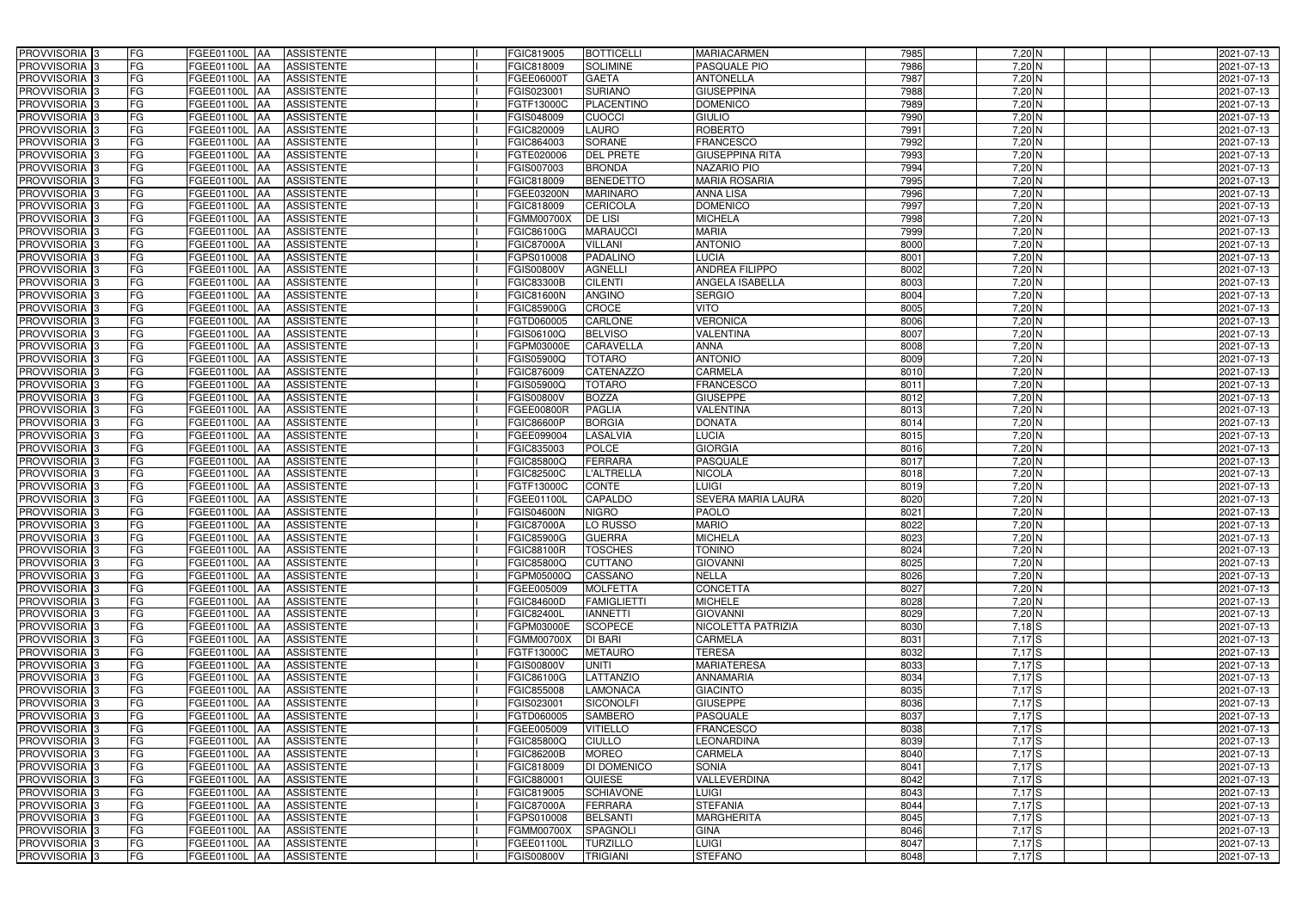| PROVVISORIA <sup>3</sup>                             | <b>FG</b><br>FGEE01100L AA                 | <b>ASSISTENTE</b>               | FGIC819005               | <b>BOTTICELLI</b>                | <b>MARIACARMEN</b>                     | 7985         | 7,20 N            | 2021-07-13               |
|------------------------------------------------------|--------------------------------------------|---------------------------------|--------------------------|----------------------------------|----------------------------------------|--------------|-------------------|--------------------------|
| PROVVISORIA <sup>3</sup>                             | FG<br>FGEE01100L AA                        | <b>ASSISTENTE</b>               | FGIC818009               | <b>SOLIMINE</b>                  | PASQUALE PIO                           | 7986         | 7,20 N            | 2021-07-13               |
| PROVVISORIA <sup>3</sup>                             | FG<br>FGEE01100L AA                        | <b>ASSISTENTE</b>               | FGEE06000T               | <b>GAETA</b>                     | <b>ANTONELLA</b>                       | 7987         | $7,20$ N          | 2021-07-13               |
| PROVVISORIA <sup>3</sup>                             | FG<br>FGEE01100L AA                        | <b>ASSISTENTE</b>               | FGIS023001               | <b>SURIANO</b>                   | <b>GIUSEPPINA</b>                      | 7988         | $7,20$ N          | 2021-07-13               |
| PROVVISORIA <sup>3</sup>                             | FG<br>FGEE01100L                           | <b>ASSISTENTE</b><br><b>IAA</b> | FGTF13000C               | PLACENTINO                       | <b>DOMENICO</b>                        | 7989         | 7,20 N            | 2021-07-13               |
| PROVVISORIA <sup>3</sup>                             | FG<br>FGEE01100L AA                        | <b>ASSISTENTE</b>               | FGIS048009               | <b>CUOCCI</b>                    | <b>GIULIO</b>                          | 7990         | $7,20$ N          | 2021-07-13               |
| PROVVISORIA <sup>1</sup> 3                           | FG<br>FGEE01100L AA                        | <b>ASSISTENTE</b>               | FGIC820009               | <b>LAURO</b>                     | <b>ROBERTO</b>                         | 7991         | $7,20$ N          | 2021-07-13               |
| PROVVISORIA 3                                        | FG<br>FGEE01100L AA                        | <b>ASSISTENTE</b>               | FGIC864003               | <b>SORANE</b>                    | <b>FRANCESCO</b>                       | 7992         | $7,20$ N          | 2021-07-13               |
| PROVVISORIA 3                                        | FG<br>FGEE01100L AA                        | <b>ASSISTENTE</b>               | FGTE020006               | <b>DEL PRETE</b>                 | <b>GIUSEPPINA RITA</b>                 | 7993         | $7,20$ N          | 2021-07-13               |
| PROVVISORIA <sup>3</sup>                             | FG<br><b>FGEE01100L AA</b>                 | <b>ASSISTENTE</b>               | FGIS007003               | <b>BRONDA</b>                    | <b>NAZARIO PIO</b>                     | 7994         | 7,20 N            | 2021-07-13               |
| PROVVISORIA 3                                        | FG<br>FGEE01100L AA                        | <b>ASSISTENTE</b>               | FGIC818009               | <b>BENEDETTO</b>                 | <b>MARIA ROSARIA</b>                   | 7995         | $7,20$ N          | 2021-07-13               |
| PROVVISORIA 3                                        | FG<br>FGEE01100L AA                        | <b>ASSISTENTE</b>               | FGEE03200N               | <b>MARINARO</b>                  | <b>ANNA LISA</b>                       | 7996         | $7,20$ N          | 2021-07-13               |
| PROVVISORIA <sup>3</sup>                             | FG<br>FGEE01100L AA                        | <b>ASSISTENTE</b>               | FGIC818009               | <b>CERICOLA</b>                  | <b>DOMENICO</b>                        | 7997         | $7,20$ N          | 2021-07-13               |
| PROVVISORIA 3                                        | FG<br>FGEE01100L AA                        | <b>ASSISTENTE</b>               | <b>FGMM00700X</b>        | <b>DE LISI</b>                   | <b>MICHELA</b>                         | 7998         | 7,20 N            | 2021-07-13               |
| PROVVISORIA 3                                        | $\overline{\mathsf{FG}}$<br>FGEE01100L AA  | <b>ASSISTENTE</b>               | FGIC86100G               | <b>MARAUCCI</b>                  | <b>MARIA</b>                           | 7999         | $7,20$ N          | 2021-07-13               |
| PROVVISORIA 3                                        | $\overline{\mathsf{FG}}$<br>FGEE01100L AA  | <b>ASSISTENTE</b>               | <b>FGIC87000A</b>        | <b>VILLANI</b>                   | <b>ANTONIO</b>                         | 8000         | $7,20$ N          | 2021-07-13               |
| PROVVISORIA 3                                        | FG<br><b>FGEE01100L</b>                    | <b>ASSISTENTE</b><br><b>IAA</b> | FGPS010008               | <b>PADALINO</b>                  | <b>LUCIA</b>                           | 8001         | $7,20$ N          | 2021-07-13               |
| PROVVISORIA 3                                        | FG<br>FGEE01100L AA                        | <b>ASSISTENTE</b>               | FGIS00800V               | <b>AGNELLI</b>                   | <b>ANDREA FILIPPO</b>                  | 8002         | 7,20 N            | 2021-07-13               |
| PROVVISORIA 3                                        | FG<br>FGEE01100L                           | <b>ASSISTENTE</b><br><b>JAA</b> | <b>FGIC83300B</b>        | <b>CILENTI</b>                   | <b>ANGELA ISABELLA</b>                 | 8003         | 7,20 N            | 2021-07-13               |
| PROVVISORIA 3                                        | FG<br>FGEE01100L AA                        | <b>ASSISTENTE</b>               | <b>FGIC81600N</b>        | <b>ANGINO</b>                    | <b>SERGIO</b>                          | 8004         | 7,20 N            | 2021-07-13               |
| PROVVISORIA <sup>3</sup>                             | FG<br>FGEE01100L                           | <b>AA</b><br><b>ASSISTENTE</b>  | <b>FGIC85900G</b>        | CROCE                            | VITO                                   | 8005         | 7,20 N            | 2021-07-13               |
| PROVVISORIA 3                                        | FG<br>FGEE01100L AA                        | <b>ASSISTENTE</b>               | FGTD060005               | <b>CARLONE</b>                   | <b>VERONICA</b>                        | 8006         | $7,20$ N          | 2021-07-13               |
| PROVVISORIA 3                                        | FG<br>FGEE01100L                           | <b>JAA</b><br><b>ASSISTENTE</b> | FGIS06100Q               | <b>BELVISO</b>                   | <b>VALENTINA</b>                       | 8007         | $7,20$ N          | 2021-07-13               |
| PROVVISORIA 3                                        | FG<br>FGEE01100L AA                        | <b>ASSISTENTE</b>               | FGPM03000E               | <b>CARAVELLA</b>                 | <b>ANNA</b>                            | 8008         | $7,20$ N          | 2021-07-13               |
| PROVVISORIA <sup>3</sup>                             | FG<br>FGEE01100L AA                        | <b>ASSISTENTE</b>               | FGIS05900Q               | <b>TOTARO</b>                    | <b>ANTONIO</b>                         | 8009         | $7,20$ N          | 2021-07-13               |
| PROVVISORIA 3                                        | FG<br>FGEE01100L AA                        | <b>ASSISTENTE</b>               | FGIC876009               | <b>CATENAZZO</b>                 | <b>CARMELA</b>                         | 8010         | $7,20$ N          | 2021-07-13               |
| PROVVISORIA 3                                        | FG<br>FGEE01100L AA                        | <b>ASSISTENTE</b>               | <b>FGIS05900Q</b>        | <b>TOTARO</b>                    | <b>FRANCESCO</b>                       | 8011         | $7,20$ N          | 2021-07-13               |
| PROVVISORIA 3                                        | FG<br>FGEE01100L AA                        | <b>ASSISTENTE</b>               | <b>FGIS00800V</b>        | <b>BOZZA</b>                     | <b>GIUSEPPE</b>                        | 8012         | $7,20$ N          | 2021-07-13               |
| PROVVISORIA <sup>3</sup>                             | FG<br>FGEE01100L AA                        | <b>ASSISTENTE</b>               | FGEE00800R               | <b>PAGLIA</b>                    | <b>VALENTINA</b>                       | 8013         | $7,20$ N          | 2021-07-13               |
| PROVVISORIA <sup>3</sup>                             | FG<br><b>FGEE01100L AA</b>                 | <b>ASSISTENTE</b>               | FGIC86600P               | <b>BORGIA</b>                    | <b>DONATA</b>                          | 8014         | $7,20$ N          | 2021-07-13               |
| PROVVISORIA <sup>3</sup>                             | FG<br>FGEE01100L AA                        | <b>ASSISTENTE</b>               | FGEE099004               | <b>LASALVIA</b>                  | <b>LUCIA</b>                           | 8015         | $7,20$ N          | 2021-07-13               |
| PROVVISORIA <sup>3</sup>                             | FG<br><b>FGEE01100L AA</b>                 | <b>ASSISTENTE</b>               | FGIC835003               | <b>POLCE</b>                     | <b>GIORGIA</b>                         | 8016         | $7,20$ N          | 2021-07-13               |
| PROVVISORIA <sup>3</sup>                             | FG<br>FGEE01100L AA                        | <b>ASSISTENTE</b>               | FGIC85800Q               | <b>FERRARA</b>                   | <b>PASQUALE</b>                        | 8017         | $7,20$ N          | 2021-07-13               |
| PROVVISORIA <sup>3</sup>                             | FG<br>FGEE01100L AA                        | <b>ASSISTENTE</b>               | <b>FGIC82500C</b>        | <b>L'ALTRELLA</b>                | <b>NICOLA</b>                          | 8018         | 7,20 N            | 2021-07-13               |
| PROVVISORIA <sup>3</sup>                             | FG<br>FGEE01100L                           | <b>ASSISTENTE</b><br> AA        | FGTF13000C               | <b>CONTE</b>                     | <b>LUIGI</b>                           | 8019         | $7,20$ N          | 2021-07-13               |
| PROVVISORIA <sup>3</sup>                             | FG<br>FGEE01100L                           | <b>ASSISTENTE</b><br><b>JAA</b> | FGEE01100L               | <b>CAPALDO</b>                   | <b>SEVERA MARIA LAURA</b>              | 8020         | 7,20 N            | 2021-07-13               |
| PROVVISORIA <sup>3</sup>                             | FG<br>FGEE01100L                           | <b>ASSISTENTE</b><br><b>JAA</b> | <b>FGIS04600N</b>        | <b>NIGRO</b>                     | <b>PAOLO</b>                           | 8021         | $7,20$ N          | 2021-07-13               |
| PROVVISORIA <sup>3</sup>                             | FG<br>FGEE01100L AA                        | <b>ASSISTENTE</b>               | <b>FGIC87000A</b>        | LO RUSSO                         | <b>MARIO</b>                           | 8022         | $7,20$ N          | 2021-07-13               |
| PROVVISORIA 3                                        | FG<br><b>FGEE01100L</b> AA                 | ASSISTENTE                      | <b>FGIC85900G</b>        | <b>GUERRA</b>                    | <b>MICHELA</b>                         | 8023         | 7,20 N            | 2021-07-13               |
| PROVVISORIA <sup>3</sup>                             | FG<br>FGEE01100L AA                        | ASSISTENTE                      | <b>FGIC88100R</b>        | <b>TOSCHES</b>                   | <b>TONINO</b>                          | 8024         | $7,20$ N          | 2021-07-13               |
| PROVVISORIA <sup>3</sup>                             | FG<br>FGEE01100L AA                        | ASSISTENTE                      | <b>FGIC85800Q</b>        | <b>CUTTANO</b>                   | <b>GIOVANNI</b>                        | 8025         | $7,20$ N          | 2021-07-13               |
| PROVVISORIA <sup>3</sup>                             | FG<br>FGEE01100L AA                        | ASSISTENTE                      | FGPM05000Q               | CASSANO                          | <b>NELLA</b>                           | 8026         | $7,20$ N          | 2021-07-13               |
| PROVVISORIA <sup>3</sup>                             | FG<br>FGEE01100L AA                        | <b>ASSISTENTE</b>               | FGEE005009               | <b>MOLFETTA</b>                  | <b>CONCETTA</b>                        | 8027         | $7,20$ N          | 2021-07-13               |
| PROVVISORIA <sup>3</sup>                             | FG<br>FGEE01100L AA                        | ASSISTENTE                      | <b>FGIC84600D</b>        | <b>FAMIGLIETTI</b>               | <b>MICHELE</b>                         | 8028         | $7,20$ N          | 2021-07-13               |
| PROVVISORIA 3                                        | FG<br>FGEE01100L AA                        | ASSISTENTE                      | <b>FGIC82400L</b>        | <b>IANNETTI</b>                  | <b>GIOVANNI</b>                        | 8029         | $7,20$ N          | 2021-07-13               |
| PROVVISORIA <sup>3</sup>                             | FG<br>FGEE01100L AA                        | ASSISTENTE                      | FGPM03000E               | <b>SCOPECE</b>                   | NICOLETTA PATRIZIA                     | 8030         | $7,18$ S          | 2021-07-13               |
| PROVVISORIA <sup>3</sup>                             | FG<br>FGEE01100L AA                        | ASSISTENTE                      | <b>FGMM00700X</b>        | <b>DI BARI</b>                   | CARMELA<br><b>TERESA</b>               | 8031         | 7,17S             | 2021-07-13               |
| PROVVISORIA <sup>3</sup>                             | FG<br>FGEE01100L AA                        | ASSISTENTE                      | FGTF13000C               | <b>METAURO</b>                   |                                        | 8032         | $7,17$ S          | 2021-07-13               |
| PROVVISORIA <sup>3</sup><br>PROVVISORIA <sup>3</sup> | FG<br>FGEE01100L AA                        | ASSISTENTE                      | <b>FGIS00800V</b>        | <b>UNITI</b><br><b>LATTANZIO</b> | <b>MARIATERESA</b><br><b>ANNAMARIA</b> | 8033         | $7,17$ S<br>7,17S | 2021-07-13               |
| PROVVISORIA <sup>3</sup>                             | FG<br>FGEE01100L AA                        | ASSISTENTE                      | FGIC86100G               |                                  |                                        | 8034<br>8035 | 7,17S             | 2021-07-13               |
| PROVVISORIA <sup>3</sup>                             | FG<br>FGEE01100L AA<br>FG<br>FGEE01100L AA | <b>ASSISTENTE</b><br>ASSISTENTE | FGIC855008<br>FGIS023001 | LAMONACA<br><b>SICONOLFI</b>     | <b>GIACINTO</b><br><b>GIUSEPPE</b>     | 8036         | 7,17S             | 2021-07-13<br>2021-07-13 |
| PROVVISORIA <sup>3</sup>                             |                                            |                                 |                          | <b>SAMBERO</b>                   | <b>PASQUALE</b>                        | 8037         | 7,17S             |                          |
| PROVVISORIA <sup>3</sup>                             | FG<br>FGEE01100L AA<br>FG<br>FGEE01100L AA | ASSISTENTE<br><b>ASSISTENTE</b> | FGTD060005<br>FGEE005009 | <b>VITIELLO</b>                  | <b>FRANCESCO</b>                       | 8038         | 7,17S             | 2021-07-13<br>2021-07-13 |
| PROVVISORIA <sup>13</sup>                            | FG<br>FGEE01100L AA                        | <b>ASSISTENTE</b>               | FGIC85800Q               | <b>CIULLO</b>                    | LEONARDINA                             | 8039         | $7,17$ S          | 2021-07-13               |
| PROVVISORIA <sup>1</sup> 3                           | FG<br>FGEE01100L AA                        | <b>ASSISTENTE</b>               | <b>FGIC86200B</b>        | <b>MOREO</b>                     | CARMELA                                | 8040         | $7,17$ S          | 2021-07-13               |
| PROVVISORIA <sup>3</sup>                             | FG<br>FGEE01100L AA                        | <b>ASSISTENTE</b>               | FGIC818009               | <b>DI DOMENICO</b>               | <b>SONIA</b>                           | 8041         | $7,17$ S          | 2021-07-13               |
| <b>PROVVISORIA</b> 3                                 | FG<br>FGEE01100L AA                        | <b>ASSISTENTE</b>               | FGIC880001               | QUIESE                           | VALLEVERDINA                           | 8042         | 7,17S             | 2021-07-13               |
| PROVVISORIA <sup>3</sup>                             | FG<br>FGEE01100L AA                        | <b>ASSISTENTE</b>               | FGIC819005               | <b>SCHIAVONE</b>                 | <b>LUIGI</b>                           | 8043         | $7,17$ $S$        | 2021-07-13               |
| PROVVISORIA <sup>3</sup>                             | FG<br><b>FGEE01100L AA</b>                 | <b>ASSISTENTE</b>               | <b>FGIC87000A</b>        | <b>FERRARA</b>                   | <b>STEFANIA</b>                        | 8044         | 7,17S             | 2021-07-13               |
| PROVVISORIA <sup>3</sup>                             | FG<br>FGEE01100L AA                        | <b>ASSISTENTE</b>               | FGPS010008               | <b>BELSANTI</b>                  | <b>MARGHERITA</b>                      | 8045         | $7,17$ S          | 2021-07-13               |
| PROVVISORIA <sup>3</sup>                             | FG<br>FGEE01100L AA                        | <b>ASSISTENTE</b>               | <b>FGMM00700X</b>        | SPAGNOLI                         | <b>GINA</b>                            | 8046         | $7,17$ S          | 2021-07-13               |
| PROVVISORIA <sup>3</sup>                             | FG<br>FGEE01100L AA                        | ASSISTENTE                      | FGEE01100L               | <b>TURZILLO</b>                  | <b>LUIGI</b>                           | 8047         | $7,17$ S          | 2021-07-13               |
| PROVVISORIA <sup>3</sup>                             | FG<br>FGEE01100L AA                        | ASSISTENTE                      | <b>FGIS00800V</b>        | <b>TRIGIANI</b>                  | <b>STEFANO</b>                         | 8048         | 7,17S             | 2021-07-13               |
|                                                      |                                            |                                 |                          |                                  |                                        |              |                   |                          |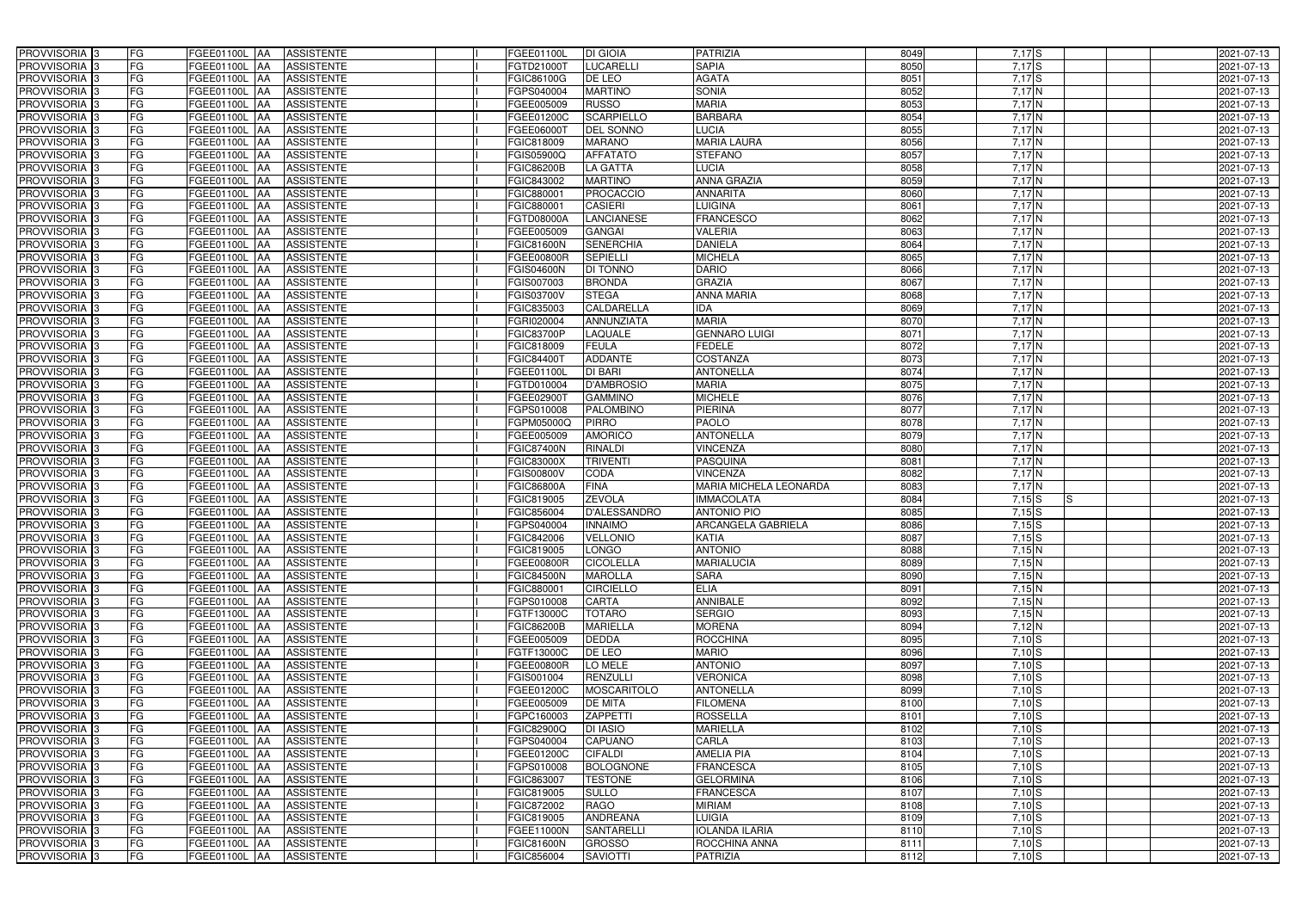| PROVVISORIA <sup>3</sup>                             | <b>FG</b><br>FGEE01100L AA                 | <b>ASSISTENTE</b>               | FGEE01100L               | <b>DI GIOIA</b>     | <b>PATRIZIA</b>               | 8049         | $7,17$ S          | 2021-07-13               |
|------------------------------------------------------|--------------------------------------------|---------------------------------|--------------------------|---------------------|-------------------------------|--------------|-------------------|--------------------------|
| PROVVISORIA <sup>3</sup>                             | FG<br>FGEE01100L AA                        | <b>ASSISTENTE</b>               | FGTD21000T               | LUCARELLI           | <b>SAPIA</b>                  | 8050         | 7,17S             | 2021-07-13               |
| PROVVISORIA <sup>3</sup>                             | FG<br>FGEE01100L AA                        | <b>ASSISTENTE</b>               | FGIC86100G               | DE LEO              | <b>AGATA</b>                  | 8051         | 7,17S             | 2021-07-13               |
| PROVVISORIA 3                                        | FG<br>FGEE01100L AA                        | <b>ASSISTENTE</b>               | FGPS040004               | <b>MARTINO</b>      | <b>SONIA</b>                  | 8052         | 7,17N             | 2021-07-13               |
| PROVVISORIA <sup>3</sup>                             | FG<br>FGEE01100L                           | <b>ASSISTENTE</b><br><b>IAA</b> | FGEE005009               | <b>RUSSO</b>        | <b>MARIA</b>                  | 8053         | 7,17N             | 2021-07-13               |
| PROVVISORIA 3                                        | FG<br>FGEE01100L AA                        | <b>ASSISTENTE</b>               | FGEE01200C               | <b>SCARPIELLO</b>   | <b>BARBARA</b>                | 8054         | 7,17N             | 2021-07-13               |
| PROVVISORIA 3                                        | FG<br>FGEE01100L AA                        | <b>ASSISTENTE</b>               | FGEE06000T               | <b>DEL SONNO</b>    | LUCIA                         | 8055         | $7,17$ N          | 2021-07-13               |
| PROVVISORIA <sup>3</sup>                             | FG<br>FGEE01100L AA                        | <b>ASSISTENTE</b>               | FGIC818009               | <b>MARANO</b>       | <b>MARIA LAURA</b>            | 8056         | 7,17N             | 2021-07-13               |
| PROVVISORIA 3                                        | FG<br>FGEE01100L AA                        | <b>ASSISTENTE</b>               | FGIS05900Q               | <b>AFFATATO</b>     | <b>STEFANO</b>                | 8057         | 7,17N             | 2021-07-13               |
| PROVVISORIA <sup>3</sup>                             | FG<br><b>FGEE01100L AA</b>                 | <b>ASSISTENTE</b>               | <b>FGIC86200B</b>        | LA GATTA            | <b>LUCIA</b>                  | 8058         | $7,17$ N          | 2021-07-13               |
| PROVVISORIA 3                                        | FG<br>FGEE01100L AA                        | <b>ASSISTENTE</b>               | FGIC843002               | <b>MARTINO</b>      | <b>ANNA GRAZIA</b>            | 8059         | 7,17N             | 2021-07-13               |
| PROVVISORIA 3                                        | FG<br>FGEE01100L AA                        | <b>ASSISTENTE</b>               | FGIC880001               | <b>PROCACCIO</b>    | <b>ANNARITA</b>               | 8060         | $7,17$ N          | 2021-07-13               |
| PROVVISORIA <sup>3</sup>                             | FG<br>FGEE01100L AA                        | <b>ASSISTENTE</b>               | FGIC880001               | <b>CASIERI</b>      | <b>LUIGINA</b>                | 8061         | $7,17$ N          | 2021-07-13               |
| PROVVISORIA 3                                        | FG<br>FGEE01100L AA                        | <b>ASSISTENTE</b>               | FGTD08000A               | <b>LANCIANESE</b>   | <b>FRANCESCO</b>              | 8062         | 7,17N             | 2021-07-13               |
| PROVVISORIA 3                                        | $\overline{\mathsf{FG}}$<br>FGEE01100L AA  | <b>ASSISTENTE</b>               | FGEE005009               | <b>GANGAI</b>       | <b>VALERIA</b>                | 8063         | 7,17N             | 2021-07-13               |
| PROVVISORIA 3                                        | $\overline{\mathsf{FG}}$<br>FGEE01100L AA  | <b>ASSISTENTE</b>               | <b>FGIC81600N</b>        | <b>SENERCHIA</b>    | <b>DANIELA</b>                | 8064         | 7,17N             | 2021-07-13               |
| PROVVISORIA 3                                        | FG<br><b>FGEE01100L</b>                    | <b>ASSISTENTE</b><br><b>IAA</b> | FGEE00800R               | <b>SEPIELLI</b>     | <b>MICHELA</b>                | 8065         | 7,17N             | 2021-07-13               |
| PROVVISORIA <sup>3</sup>                             | FG<br>FGEE01100L AA                        | <b>ASSISTENTE</b>               | <b>FGIS04600N</b>        | <b>DI TONNO</b>     | <b>DARIO</b>                  | 8066         | 7,17N             | 2021-07-13               |
| PROVVISORIA 3                                        | FG<br>FGEE01100L                           | <b>ASSISTENTE</b><br><b>JAA</b> | FGIS007003               | <b>BRONDA</b>       | <b>GRAZIA</b>                 | 8067         | 7,17N             | 2021-07-13               |
| PROVVISORIA 3                                        | FG<br>FGEE01100L AA                        | <b>ASSISTENTE</b>               | FGIS03700V               | <b>STEGA</b>        | <b>ANNA MARIA</b>             | 8068         | $7,17$ N          | 2021-07-13               |
| PROVVISORIA <sup>3</sup>                             | FG<br>FGEE01100L                           | <b>AA</b><br><b>ASSISTENTE</b>  | FGIC835003               | CALDARELLA          | <b>IDA</b>                    | 8069         | $7,17$ N          | 2021-07-13               |
| PROVVISORIA 3                                        | FG<br>FGEE01100L AA                        | <b>ASSISTENTE</b>               | FGRI020004               | <b>ANNUNZIATA</b>   | <b>MARIA</b>                  | 8070         | $7,17$ N          | 2021-07-13               |
| PROVVISORIA 3                                        | FG<br>FGEE01100L                           | <b>JAA</b><br><b>ASSISTENTE</b> | <b>FGIC83700P</b>        | LAQUALE             | <b>GENNARO LUIGI</b>          | 8071         | 7,17 N            | 2021-07-13               |
| PROVVISORIA 3                                        | FG<br>FGEE01100L AA                        | <b>ASSISTENTE</b>               | FGIC818009               | <b>FEULA</b>        | <b>FEDELE</b>                 | 8072         | 7,17N             | 2021-07-13               |
| PROVVISORIA <sup>3</sup>                             | FG<br>FGEE01100L AA                        | <b>ASSISTENTE</b>               | FGIC84400                | <b>ADDANTE</b>      | COSTANZA                      | 8073         | 7,17N             | 2021-07-13               |
| PROVVISORIA 3                                        | FG<br>FGEE01100L AA                        | <b>ASSISTENTE</b>               | FGEE01100L               | <b>DI BARI</b>      | <b>ANTONELLA</b>              | 8074         | 7,17N             | 2021-07-13               |
| PROVVISORIA 3                                        | FG<br>FGEE01100L AA                        | <b>ASSISTENTE</b>               | FGTD010004               | <b>D'AMBROSIO</b>   | <b>MARIA</b>                  | 8075         | 7,17N             | 2021-07-13               |
| PROVVISORIA 3                                        | FG<br>FGEE01100L AA                        | <b>ASSISTENTE</b>               | FGEE02900T               | <b>GAMMINO</b>      | <b>MICHELE</b>                | 8076         | 7,17N             | 2021-07-13               |
| PROVVISORIA <sup>3</sup>                             | FG<br>FGEE01100L AA                        | <b>ASSISTENTE</b>               | FGPS010008               | PALOMBINO           | <b>PIERINA</b>                | 8077         | 7,17N             | 2021-07-13               |
| PROVVISORIA 3                                        | FG<br><b>FGEE01100L AA</b>                 | <b>ASSISTENTE</b>               | FGPM05000Q               | <b>PIRRO</b>        | <b>PAOLO</b>                  | 8078         | 7,17N             | 2021-07-13               |
| PROVVISORIA <sup>3</sup>                             | FG<br>FGEE01100L AA                        | <b>ASSISTENTE</b>               | FGEE005009               | <b>AMORICO</b>      | <b>ANTONELLA</b>              | 8079         | 7,17N             | 2021-07-13               |
| PROVVISORIA <sup>3</sup>                             | FG<br>FGEE01100L AA                        | <b>ASSISTENTE</b>               | <b>FGIC87400N</b>        | <b>RINALDI</b>      | <b>VINCENZA</b>               | 8080         | $7,17$ N          | 2021-07-13               |
| PROVVISORIA <sup>3</sup>                             | FG<br>FGEE01100L AA                        | <b>ASSISTENTE</b>               | <b>FGIC83000X</b>        | <b>TRIVENTI</b>     | PASQUINA                      | 8081         | $7,17$ N          | 2021-07-13               |
| PROVVISORIA <sup>3</sup>                             | FG<br>FGEE01100L AA                        | <b>ASSISTENTE</b>               | <b>FGIS00800V</b>        | CODA                | <b>VINCENZA</b>               | 8082         | 7,17 N            | 2021-07-13               |
| PROVVISORIA 3                                        | FG<br>FGEE01100L                           | <b>ASSISTENTE</b><br><b>IAA</b> | <b>FGIC86800A</b>        | <b>FINA</b>         | <b>MARIA MICHELA LEONARDA</b> | 8083         | 7,17N             | 2021-07-13               |
| PROVVISORIA <sup>3</sup>                             | FG<br>FGEE01100L                           | <b>ASSISTENTE</b><br><b>JAA</b> | FGIC819005               | <b>ZEVOLA</b>       | <b>IMMACOLATA</b>             | 8084         | $7,15$ S<br>IS.   | 2021-07-13               |
| PROVVISORIA <sup>3</sup>                             | FG<br>FGEE01100L                           | <b>ASSISTENTE</b><br><b>JAA</b> | FGIC856004               | <b>D'ALESSANDRO</b> | <b>ANTONIO PIO</b>            | 8085         | $7,15$ S          | 2021-07-13               |
| PROVVISORIA <sup>3</sup>                             | FG<br>FGEE01100L AA                        | <b>ASSISTENTE</b>               | FGPS040004               | <b>INNAIMO</b>      | <b>ARCANGELA GABRIELA</b>     | 8086         | $7,15$ S          | 2021-07-13               |
| PROVVISORIA 3                                        | FG<br><b>FGEE01100L</b> AA                 | <b>ASSISTENTE</b>               | FGIC842006               | <b>VELLONIO</b>     | <b>KATIA</b>                  | 8087         | $7,15$ S          | 2021-07-13               |
| PROVVISORIA <sup>3</sup>                             | FG<br>FGEE01100L AA                        | ASSISTENTE                      | FGIC819005               | <b>LONGO</b>        | <b>ANTONIO</b>                | 8088         | 7,15N             | 2021-07-13               |
| PROVVISORIA <sup>3</sup>                             | FG<br>FGEE01100L AA                        | ASSISTENTE                      | <b>FGEE00800R</b>        | <b>CICOLELLA</b>    | <b>MARIALUCIA</b>             | 8089         | 7,15N             | 2021-07-13               |
| PROVVISORIA <sup>3</sup>                             | FG<br>FGEE01100L AA                        | ASSISTENTE                      | <b>FGIC84500N</b>        | <b>MAROLLA</b>      | <b>SARA</b>                   | 8090         | $7,15$ N          | 2021-07-13               |
| PROVVISORIA <sup>3</sup>                             | FG<br>FGEE01100L AA                        | <b>ASSISTENTE</b>               | FGIC880001               | <b>CIRCIELLO</b>    | <b>ELIA</b>                   | 8091         | 7,15N             | 2021-07-13               |
| PROVVISORIA <sup>3</sup>                             | FG<br>FGEE01100L AA                        | ASSISTENTE                      | FGPS010008               | <b>CARTA</b>        | <b>ANNIBALE</b>               | 8092         | 7,15N             | 2021-07-13               |
| PROVVISORIA 3                                        | FG<br>FGEE01100L AA                        | ASSISTENTE                      | FGTF13000C               | <b>TOTARO</b>       | <b>SERGIO</b>                 | 8093         | $7,15$ N          | 2021-07-13               |
| PROVVISORIA <sup>3</sup>                             | FG<br>FGEE01100L AA                        | ASSISTENTE                      | <b>FGIC86200B</b>        | <b>MARIELLA</b>     | <b>MORENA</b>                 | 8094         | 7,12 N            | 2021-07-13               |
| PROVVISORIA <sup>3</sup>                             | FG<br>FGEE01100L AA                        | ASSISTENTE                      | FGEE005009               | <b>DEDDA</b>        | <b>ROCCHINA</b>               | 8095         | $7,10$ S          | 2021-07-13               |
| PROVVISORIA <sup>3</sup>                             | FG<br>FGEE01100L AA                        | ASSISTENTE                      | FGTF13000C               | DE LEO              | <b>MARIO</b>                  | 8096         | $7,10$ S          | 2021-07-13               |
| PROVVISORIA <sup>3</sup>                             | FG<br>FGEE01100L AA                        | ASSISTENTE                      | FGEE00800R               | LO MELE             | <b>ANTONIO</b>                | 8097         | $7,10$ S          | 2021-07-13               |
| PROVVISORIA <sup>3</sup>                             | FG<br>FGEE01100L AA                        | ASSISTENTE                      | FGIS001004               | <b>RENZULLI</b>     | <b>VERONICA</b>               | 8098         | $7,10$ S          | 2021-07-13               |
| PROVVISORIA <sup>3</sup>                             | FG<br>FGEE01100L AA                        | <b>ASSISTENTE</b>               | FGEE01200C               | <b>MOSCARITOLO</b>  | <b>ANTONELLA</b>              | 8099         | $7,10$ S          | 2021-07-13               |
| PROVVISORIA <sup>3</sup>                             | FG<br>FGEE01100L AA                        | ASSISTENTE                      | FGEE005009               | <b>DE MITA</b>      | <b>FILOMENA</b>               | 8100         | $7,10$ S          | 2021-07-13               |
| PROVVISORIA <sup>3</sup>                             |                                            |                                 |                          | <b>ZAPPETTI</b>     | <b>ROSSELLA</b>               |              |                   |                          |
| PROVVISORIA <sup>3</sup>                             | FG<br>FGEE01100L AA<br>FG<br>FGEE01100L AA | ASSISTENTE<br><b>ASSISTENTE</b> | FGPC160003<br>FGIC82900Q | DI IASIO            | <b>MARIELLA</b>               | 8101<br>8102 | $7,10$ S<br>7,10S | 2021-07-13<br>2021-07-13 |
|                                                      |                                            |                                 |                          |                     |                               |              |                   |                          |
| PROVVISORIA <sup>13</sup>                            | FG<br>FGEE01100L AA                        | <b>ASSISTENTE</b>               | FGPS040004               | <b>CAPUANO</b>      | CARLA                         | 8103         | $7,10$ S          | 2021-07-13               |
| PROVVISORIA <sup>1</sup> 3                           | FG<br>FGEE01100L AA                        | <b>ASSISTENTE</b>               | FGEE01200C               | <b>CIFALDI</b>      | <b>AMELIA PIA</b>             | 8104         | $7,10$ S          | 2021-07-13               |
| PROVVISORIA <sup>3</sup>                             | FG<br>FGEE01100L AA                        | <b>ASSISTENTE</b>               | FGPS010008               | <b>BOLOGNONE</b>    | <b>FRANCESCA</b>              | 8105         | $7,10$ S          | 2021-07-13               |
| PROVVISORIA <sup>1</sup> 3                           | FG<br>FGEE01100L AA                        | <b>ASSISTENTE</b>               | FGIC863007               | <b>TESTONE</b>      | <b>GELORMINA</b>              | 8106         | $7,10$ S          | 2021-07-13               |
| PROVVISORIA <sup>3</sup>                             | FG<br>FGEE01100L AA                        | <b>ASSISTENTE</b>               | FGIC819005               | <b>SULLO</b>        | <b>FRANCESCA</b>              | 8107         | $7,10$ S          | 2021-07-13               |
| PROVVISORIA <sup>3</sup>                             | FG<br><b>FGEE01100L AA</b>                 | <b>ASSISTENTE</b>               | FGIC872002               | <b>RAGO</b>         | <b>MIRIAM</b>                 | 8108         | $7,10$ S          | 2021-07-13               |
| PROVVISORIA <sup>3</sup>                             | FG<br>FGEE01100L AA                        | <b>ASSISTENTE</b>               | FGIC819005               | <b>ANDREANA</b>     | <b>LUIGIA</b>                 | 8109         | $7,10$ S          | 2021-07-13               |
| PROVVISORIA <sup>3</sup>                             | FG<br>FGEE01100L AA                        | <b>ASSISTENTE</b>               | FGEE11000N               | <b>SANTARELLI</b>   | <b>IOLANDA ILARIA</b>         | 8110         | $7,10$ S          | 2021-07-13               |
| PROVVISORIA <sup>3</sup><br>PROVVISORIA <sup>3</sup> | FG<br>FGEE01100L AA                        | <b>ASSISTENTE</b>               | FGIC81600N               | <b>GROSSO</b>       | ROCCHINA ANNA                 | 8111         | $7,10$ S          | 2021-07-13               |
|                                                      | FG<br><b>FGEE01100L</b> AA                 | ASSISTENTE                      | FGIC856004               | SAVIOTTI            | <b>PATRIZIA</b>               | 8112         | $7,10$ S          | 2021-07-13               |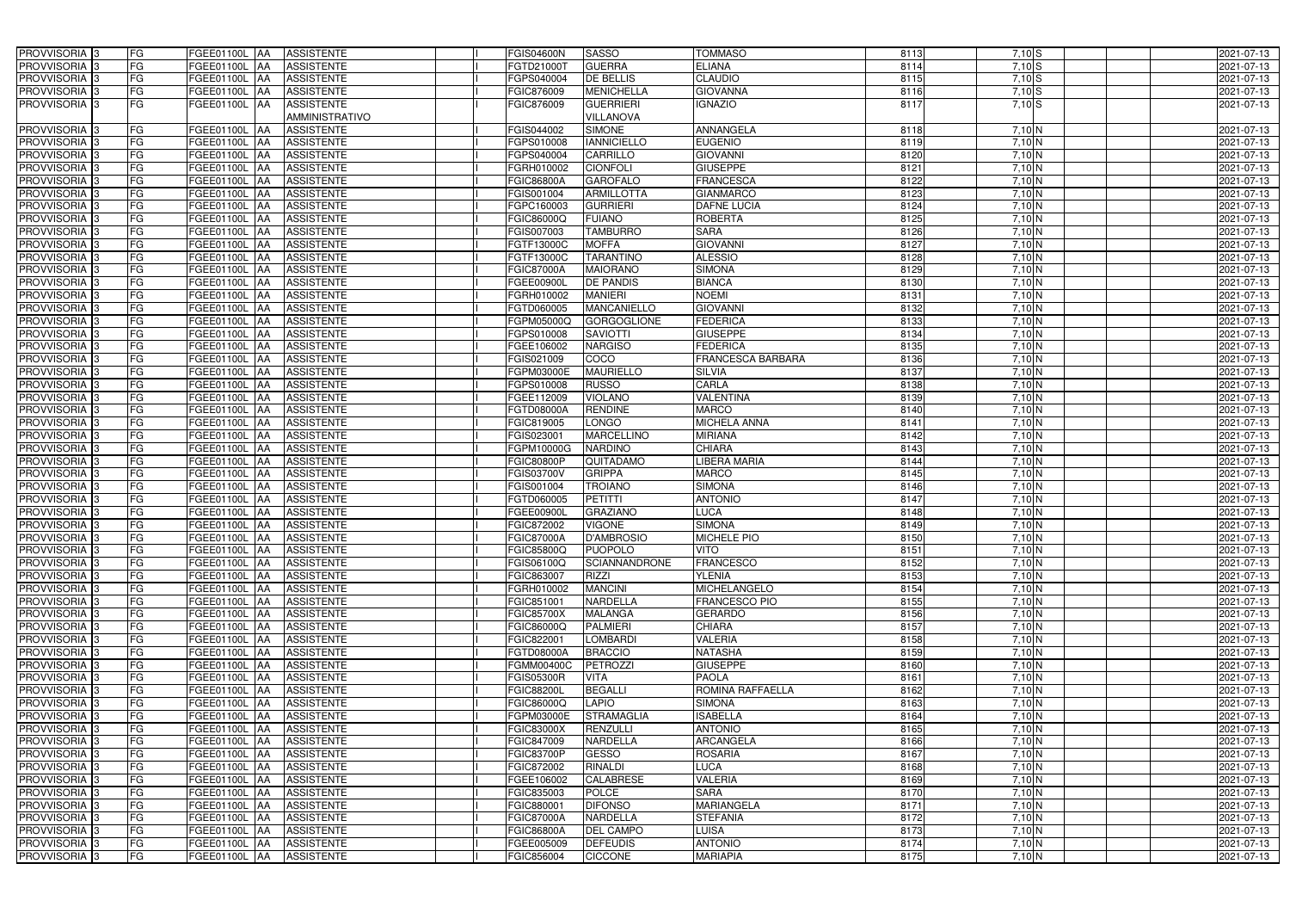| <b>PROVVISORIA</b> 3<br>FG                            | FGEE01100L AA<br><b>ASSISTENTE</b>                                                 | <b>FGIS04600N</b>        | <b>SASSO</b>                         | <b>TOMMASO</b>               | 8113         | $7,10$ S                      | 2021-07-13               |
|-------------------------------------------------------|------------------------------------------------------------------------------------|--------------------------|--------------------------------------|------------------------------|--------------|-------------------------------|--------------------------|
| <b>PROVVISORIA</b> 3<br>FG                            | FGEE01100L<br><b>JAA</b><br><b>ASSISTENTE</b>                                      | FGTD21000T               | <b>GUERRA</b>                        | <b>ELIANA</b>                | 8114         | $7,10$ S                      | 2021-07-13               |
| PROVVISORIA <sub>3</sub><br>FG                        | FGEE01100L AA<br><b>ASSISTENTE</b>                                                 | FGPS040004               | <b>DE BELLIS</b>                     | <b>CLAUDIO</b>               | 8115         | 7,10S                         | 2021-07-13               |
| PROVVISORIA <sub>3</sub><br>FG                        | FGEE01100L AA<br><b>ASSISTENTE</b>                                                 | FGIC876009               | <b>MENICHELLA</b>                    | <b>GIOVANNA</b>              | 8116         | 7,10S                         | 2021-07-13               |
| FG<br>PROVVISORIA 3                                   | GEE01100L AA<br><b>ASSISTENTE</b><br>AMMINISTRATIVO                                | FGIC876009               | <b>GUERRIERI</b><br><b>VILLANOVA</b> | <b>IGNAZIO</b>               | 8117         | $7,10$ S                      | 2021-07-13               |
| <b>PROVVISORIA</b> 3<br>FG                            | FGEE01100L AA<br><b>ASSISTENTE</b>                                                 | FGIS044002               | <b>SIMONE</b>                        | ANNANGELA                    | 8118         | 7,10 N                        | 2021-07-13               |
| FG<br><b>PROVVISORIA</b> 3                            | <b>AA</b><br><b>ASSISTENTE</b><br>FGEE01100L                                       | FGPS010008               | <b>IANNICIELLO</b>                   | <b>EUGENIO</b>               | 8119         | 7,10 N                        | 2021-07-13               |
| PROVVISORIA 3<br>FG                                   | <b>AA</b><br><b>ASSISTENTE</b><br>FGEE01100L                                       | FGPS040004               | <b>CARRILLO</b>                      | <b>GIOVANNI</b>              | 8120         | 7,10 N                        | 2021-07-13               |
| PROVVISORIA <sup>3</sup><br>FG                        | <b>ASSISTENTE</b><br>FGEE01100L<br><b>AA</b>                                       | FGRH010002               | <b>CIONFOLI</b>                      | <b>GIUSEPPE</b>              | 8121         | 7,10 N                        | 2021-07-13               |
| <b>PROVVISORIA</b> 3<br>FG                            | <b>ASSISTENTE</b><br>FGEE01100L<br><b>AA</b>                                       | <b>FGIC86800A</b>        | <b>GAROFALO</b>                      | <b>FRANCESCA</b>             | 8122         | 7,10 N                        | 2021-07-13               |
| PROVVISORIA <sub>3</sub><br>FG                        | <b>ASSISTENTE</b><br>FGEE01100L<br><b>AA</b>                                       | FGIS001004               | <b>ARMILLOTTA</b>                    | <b>GIANMARCO</b>             | 8123         | 7,10 N                        | 2021-07-13               |
| FG<br>PROVVISORIA <sup>3</sup>                        | FGEE01100L<br><b>ASSISTENTE</b><br><b>JAA</b>                                      | FGPC160003               | <b>GURRIERI</b>                      | <b>DAFNE LUCIA</b>           | 8124         | 7,10 N                        | 2021-07-13               |
| <b>PROVVISORIA</b> 3<br>FG                            | <b>ASSISTENTE</b><br>FGEE01100L<br><b>JAA</b>                                      | FGIC86000Q               | <b>FUIANO</b>                        | <b>ROBERTA</b>               | 8125         | 7,10 N                        | 2021-07-13               |
| PROVVISORIA <sup>3</sup><br>FG                        | FGEE01100L<br><b>ASSISTENTE</b><br><b>AA</b>                                       | FGIS007003               | <b>TAMBURRO</b>                      | <b>SARA</b>                  | 8126         | 7,10 N                        | 2021-07-13               |
| PROVVISORIA <sup>3</sup><br>FG                        | <b>ASSISTENTE</b><br>FGEE01100L<br><b>JAA</b>                                      | FGTF13000C               | <b>MOFFA</b>                         | <b>GIOVANNI</b>              | 8127         | 7,10 N                        | 2021-07-13               |
| FG<br>PROVVISORIA 3                                   | FGEE01100L<br><b>ASSISTENTE</b><br><b>JAA</b>                                      | FGTF13000C               | <b>TARANTINO</b>                     | <b>ALESSIO</b>               | 8128         | 7,10 N                        | 2021-07-13               |
| PROVVISORIA 3<br>FG                                   | FGEE01100L<br><b>ASSISTENTE</b><br><b>JAA</b>                                      | <b>FGIC87000A</b>        | <b>MAIORANO</b>                      | <b>SIMONA</b>                | 8129         | 7,10 N                        | 2021-07-13               |
| <b>PROVVISORIA</b> 3<br>FG                            | FGEE01100L<br><b>ASSISTENTE</b><br><b>JAA</b>                                      | <b>FGEE00900L</b>        | <b>DE PANDIS</b>                     | <b>BIANCA</b>                | 8130         | 7,10 N                        | 2021-07-13               |
| <b>PROVVISORIA</b> 3<br>FG                            | FGEE01100L<br><b>AA</b><br><b>ASSISTENTE</b>                                       | FGRH010002               | <b>MANIERI</b>                       | <b>NOEMI</b>                 | 8131         | 7,10 N                        | 2021-07-13               |
| FG<br><b>PROVVISORIA</b> 3                            | FGEE01100L<br><b>AA</b><br><b>ASSISTENTE</b>                                       | FGTD060005               | <b>MANCANIELLO</b>                   | <b>GIOVANNI</b>              | 8132         | 7,10 N                        | 2021-07-13               |
| <b>PROVVISORIA</b> 3<br>FG                            | FGEE01100L<br><b>AA</b><br><b>ASSISTENTE</b>                                       | FGPM05000Q               | <b>GORGOGLIONE</b>                   | <b>FEDERICA</b>              | 8133         | 7,10 N                        | 2021-07-13               |
| <b>PROVVISORIA</b> 3<br>FG                            | FGEE01100L<br><b>ASSISTENTE</b><br><b>AA</b>                                       | FGPS010008               | <b>SAVIOTTI</b>                      | <b>GIUSEPPE</b>              | 8134         | 7,10 N                        | 2021-07-13               |
| <b>PROVVISORIA</b> 3<br>FG                            | FGEE01100L<br><b>AA</b><br><b>ASSISTENTE</b>                                       | FGEE106002               | <b>NARGISO</b>                       | <b>FEDERICA</b>              | 8135         | $7,10$ N                      | 2021-07-13               |
| PROVVISORIA <sub>3</sub><br>FG                        | FGEE01100L<br><b>AA</b><br><b>ASSISTENTE</b>                                       | FGIS021009               | COCO                                 | <b>FRANCESCA BARBARA</b>     | 8136         | 7,10 N                        | 2021-07-13               |
| <b>PROVVISORIA</b> 3<br>FG                            | <b>IAA</b><br><b>ASSISTENTE</b><br>FGEE01100L                                      | FGPM03000E               | <b>MAURIELLO</b>                     | <b>SILVIA</b>                | 8137         | 7,10 N                        | 2021-07-13               |
| <b>PROVVISORIA</b> 3<br>FG                            | FGEE01100L<br><b>IAA</b><br><b>ASSISTENTE</b>                                      | FGPS010008               | <b>RUSSO</b>                         | CARLA                        | 8138         | 7,10 N                        | 2021-07-13               |
| <b>PROVVISORIA</b> 3<br>FG                            | FGEE01100L<br><b>ASSISTENTE</b><br><b>JAA</b>                                      | FGEE112009               | <b>VIOLANO</b>                       | <b>VALENTINA</b>             | 8139         | 7,10 N                        | 2021-07-13               |
| FG<br>PROVVISORIA <sup>3</sup>                        | <b>ASSISTENTE</b><br>FGEE01100L<br><b>IAA</b>                                      | FGTD08000A               | <b>RENDINE</b>                       | <b>MARCO</b>                 | 8140         | $7,10$ N                      | 2021-07-13               |
| <b>PROVVISORIA</b> 3<br>FG                            | FGEE01100L<br><b>ASSISTENTE</b><br><b>IAA</b>                                      | FGIC819005               | <b>LONGO</b>                         | <b>MICHELA ANNA</b>          | 8141         | 7,10 N                        | 2021-07-13               |
| FG<br><b>PROVVISORIA</b> 3                            | FGEE01100L<br><b>ASSISTENTE</b><br>IAA                                             | FGIS023001               | <b>MARCELLINO</b>                    | <b>MIRIANA</b>               | 8142         | 7,10 N                        | 2021-07-13               |
| FG<br>PROVVISORIA                                     | FGEE01100L<br><b>ASSISTENTE</b><br>IAA                                             | FGPM10000G               | <b>NARDINO</b>                       | <b>CHIARA</b>                | 8143         | $7,10$ N                      | 2021-07-13               |
| FG<br>PROVVISORIA                                     | FGEE01100L<br><b>JAA</b><br><b>ASSISTENTE</b>                                      | <b>FGIC80800P</b>        | QUITADAMO                            | LIBERA MARIA                 | 8144         | 7,10 N                        | 2021-07-13               |
| PROVVISORIA 3<br>FG                                   | <b>AA</b><br><b>ASSISTENTE</b><br>FGEE01100L                                       | <b>FGIS03700V</b>        | <b>GRIPPA</b>                        | <b>MARCO</b>                 | 8145         | 7,10 N                        | 2021-07-13               |
| <b>PROVVISORIA</b><br>FG                              | <b>AA</b><br><b>ASSISTENTE</b><br>FGEE01100L                                       | FGIS001004               | <b>TROIANO</b>                       | <b>SIMONA</b>                | 8146         | 7,10 N                        | 2021-07-13               |
| <b>PROVVISORIA</b> 3<br>FG                            | <b>ASSISTENTE</b><br>FGEE01100L<br><b>AA</b>                                       | FGTD060005               | <b>PETITTI</b><br><b>GRAZIANO</b>    | <b>ANTONIO</b>               | 8147         | 7,10 N                        | 2021-07-13               |
| PROVVISORIA 3<br>FG<br>FG<br>PROVVISORIA <sup>3</sup> | <b>ASSISTENTE</b><br>FGEE01100L<br><b>AA</b><br>FGEE01100L AA<br><b>ASSISTENTE</b> | FGEE00900L<br>FGIC872002 | <b>VIGONE</b>                        | <b>LUCA</b><br><b>SIMONA</b> | 8148<br>8149 | 7,10 $\overline{N}$<br>7,10 N | 2021-07-13<br>2021-07-13 |
| PROVVISORIA <sup>3</sup><br>FG                        | <b>ASSISTENTE</b><br>FGEE01100L AA                                                 | <b>FGIC87000A</b>        | <b>D'AMBROSIO</b>                    | <b>MICHELE PIO</b>           | 8150         | 7,10 N                        | 2021-07-13               |
| PROVVISORIA <sup>3</sup><br>FG                        | FGEE01100L AA<br><b>ASSISTENTE</b>                                                 | <b>FGIC85800Q</b>        | PUOPOLO                              | <b>VITO</b>                  | 8151         | $7,10$ N                      | 2021-07-13               |
| <b>PROVVISORIA</b> 3<br>FG                            | <b>ASSISTENTE</b><br>FGEE01100L AA                                                 | <b>FGIS06100Q</b>        | SCIANNANDRONE                        | <b>FRANCESCO</b>             | 8152         | 7,10 N                        | 2021-07-13               |
| PROVVISORIA <sup>3</sup><br>FG                        | FGEE01100L AA<br><b>ASSISTENTE</b>                                                 | FGIC863007               | <b>RIZZI</b>                         | <b>YLENIA</b>                | 8153         | 7,10 N                        | 2021-07-13               |
| PROVVISORIA <sup>3</sup><br>FG                        | <b>ASSISTENTE</b><br>FGEE01100L AA                                                 | FGRH010002               | <b>MANCINI</b>                       | MICHELANGELO                 | 8154         | 7,10 N                        | 2021-07-13               |
| PROVVISORIA <sup>3</sup><br>FG                        | FGEE01100L AA<br><b>ASSISTENTE</b>                                                 | FGIC851001               | <b>NARDELLA</b>                      | <b>FRANCESCO PIO</b>         | 8155         | 7,10 N                        | 2021-07-13               |
| PROVVISORIA 3<br>FG                                   | FGEE01100L AA<br><b>ASSISTENTE</b>                                                 | <b>FGIC85700X</b>        | <b>MALANGA</b>                       | <b>GERARDO</b>               | 8156         | 7,10 N                        | 2021-07-13               |
| PROVVISORIA 3<br>FG                                   | FGEE01100L AA<br><b>ASSISTENTE</b>                                                 | <b>FGIC86000Q</b>        | <b>PALMIERI</b>                      | <b>CHIARA</b>                | 8157         | 7,10 N                        | 2021-07-13               |
| PROVVISORIA <sup>3</sup><br>FG                        | FGEE01100L AA<br><b>ASSISTENTE</b>                                                 | FGIC822001               | <b>LOMBARDI</b>                      | <b>VALERIA</b>               | 8158         | 7,10 N                        | 2021-07-13               |
| <b>PROVVISORIA</b> 3<br>FG                            | <b>ASSISTENTE</b><br>FGEE01100L AA                                                 | <b>FGTD08000A</b>        | <b>BRACCIO</b>                       | <b>NATASHA</b>               | 8159         | $7,10$ N                      | 2021-07-13               |
| PROVVISORIA <sup>3</sup><br>FG                        | <b>FGEE01100L AA</b><br><b>ASSISTENTE</b>                                          | <b>FGMM00400C</b>        | <b>PETROZZI</b>                      | <b>GIUSEPPE</b>              | 8160         | 7,10 N                        | 2021-07-13               |
| PROVVISORIA <sup>3</sup><br>FG                        | FGEE01100L AA<br><b>ASSISTENTE</b>                                                 | <b>FGIS05300R</b>        | <b>VITA</b>                          | <b>PAOLA</b>                 | 8161         | 7,10 N                        | 2021-07-13               |
| PROVVISORIA <sup>3</sup><br>FG                        | FGEE01100L<br><b>AA</b><br><b>ASSISTENTE</b>                                       | <b>FGIC88200L</b>        | <b>BEGALLI</b>                       | ROMINA RAFFAELLA             | 8162         | 7,10 N                        | 2021-07-13               |
| PROVVISORIA <sup>3</sup><br>FG                        | FGEE01100L AA<br><b>ASSISTENTE</b>                                                 | FGIC86000Q               | <b>LAPIO</b>                         | <b>SIMONA</b>                | 8163         | 7,10 N                        | 2021-07-13               |
| PROVVISORIA <sup>3</sup><br>FG                        | <b>FGEE01100L AA</b><br><b>ASSISTENTE</b>                                          | FGPM03000E               | <b>STRAMAGLIA</b>                    | <b>ISABELLA</b>              | 8164         | 7,10 N                        | 2021-07-13               |
| PROVVISORIA <sup>3</sup><br>FG                        | FGEE01100L AA<br><b>ASSISTENTE</b>                                                 | <b>FGIC83000X</b>        | <b>RENZULLI</b>                      | <b>ANTONIO</b>               | 8165         | 7,10 N                        | 2021-07-13               |
| PROVVISORIA <sup>3</sup><br>FG                        | FGEE01100L AA<br><b>ASSISTENTE</b>                                                 | FGIC847009               | <b>NARDELLA</b>                      | <b>ARCANGELA</b>             | 8166         | 7,10 N                        | 2021-07-13               |
| FG<br>PROVVISORIA <sup>3</sup>                        | FGEE01100L AA<br><b>ASSISTENTE</b>                                                 | <b>FGIC83700P</b>        | <b>GESSO</b>                         | <b>ROSARIA</b>               | 8167         | 7,10 N                        | 2021-07-13               |
| FG<br>PROVVISORIA <sup>3</sup>                        | FGEE01100L AA<br><b>ASSISTENTE</b>                                                 | FGIC872002               | RINALDI                              | <b>LUCA</b>                  | 8168         | 7,10 N                        | 2021-07-13               |
| FG<br>PROVVISORIA 3                                   | <b>ASSISTENTE</b><br>FGEE01100L AA                                                 | FGEE106002               | <b>CALABRESE</b>                     | <b>VALERIA</b>               | 8169         | 7,10 N                        | 2021-07-13               |
| PROVVISORIA <sup>3</sup><br>FG                        | <b>ASSISTENTE</b><br>FGEE01100L AA                                                 | FGIC835003               | <b>POLCE</b>                         | <b>SARA</b>                  | 8170         | 7,10 N                        | 2021-07-13               |
| PROVVISORIA <sup>3</sup><br>FG                        | <b>ASSISTENTE</b><br>FGEE01100L AA                                                 | FGIC880001               | <b>DIFONSO</b>                       | <b>MARIANGELA</b>            | 8171         | 7,10 N                        | 2021-07-13               |
| PROVVISORIA <sup>3</sup><br>FG                        | <b>ASSISTENTE</b><br>FGEE01100L AA                                                 | <b>FGIC87000A</b>        | <b>NARDELLA</b>                      | <b>STEFANIA</b>              | 8172         | 7,10 N                        | 2021-07-13               |
| PROVVISORIA <sup>3</sup><br>FG                        | <b>ASSISTENTE</b><br>FGEE01100L AA                                                 | <b>FGIC86800A</b>        | <b>DEL CAMPO</b>                     | <b>LUISA</b>                 | 8173         | 7,10 N                        | 2021-07-13               |
| PROVVISORIA <sup>3</sup><br>FG                        | <b>ASSISTENTE</b><br>FGEE01100L AA                                                 | FGEE005009               | <b>DEFEUDIS</b>                      | <b>ANTONIO</b>               | 8174         | 7,10 N                        | 2021-07-13               |
| PROVVISORIA <sup>3</sup><br>FG                        | <b>ASSISTENTE</b><br>FGEE01100L AA                                                 | FGIC856004               | <b>CICCONE</b>                       | <b>MARIAPIA</b>              | 8175         | 7,10 N                        | 2021-07-13               |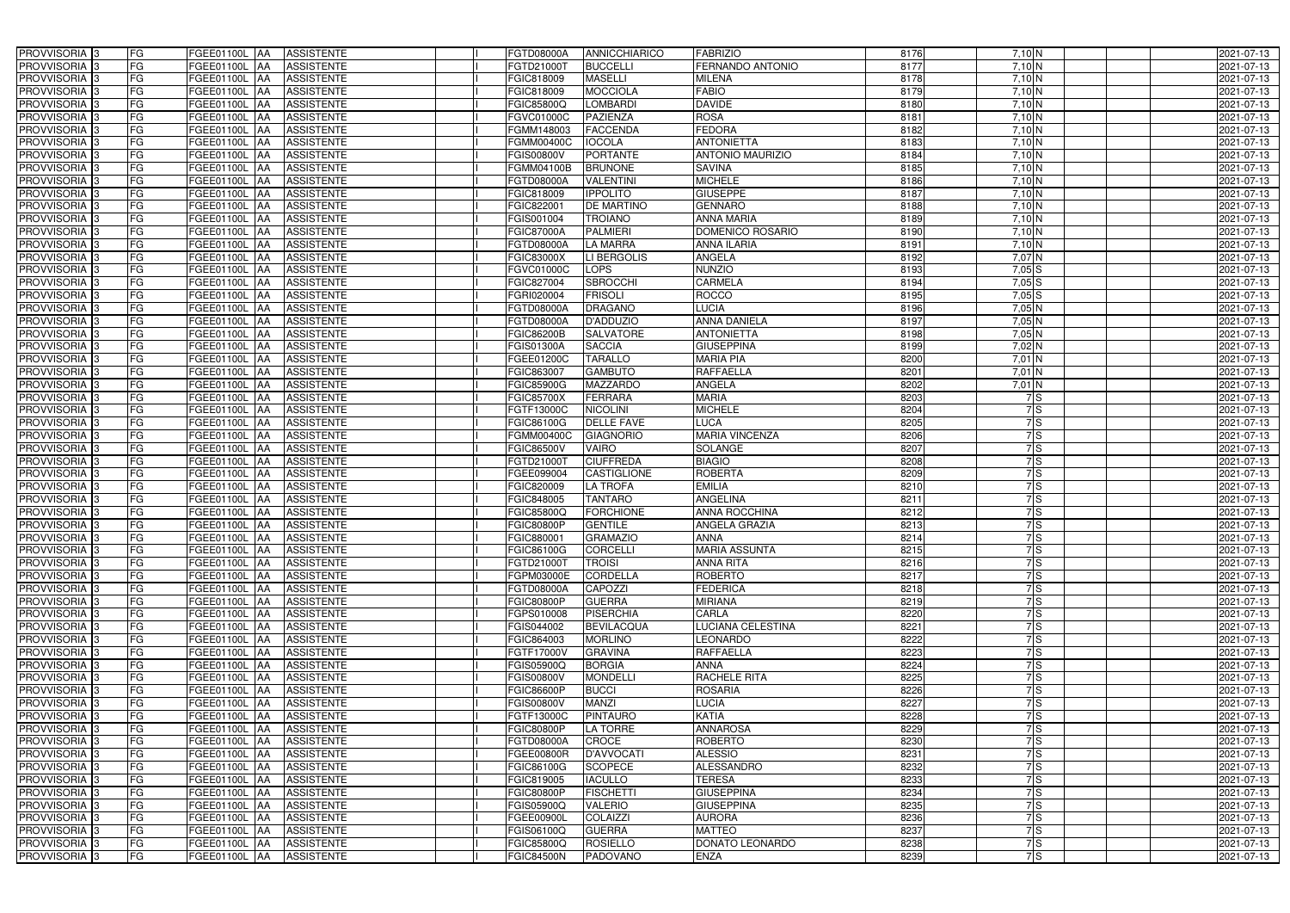| PROVVISORIA 3<br><b>FG</b>                | FGEE01100L AA<br><b>ASSISTENTE</b>                   | FGTD08000A<br><b>ANNICCHIARICO</b>    | <b>FABRIZIO</b>          | 8176 | 7,10 N                 | 2021-07-13 |
|-------------------------------------------|------------------------------------------------------|---------------------------------------|--------------------------|------|------------------------|------------|
| FG<br>PROVVISORIA <sup>3</sup>            | <b>ASSISTENTE</b><br><b>FGEE01100L AA</b>            | FGTD21000T<br><b>BUCCELLI</b>         | FERNANDO ANTONIO         | 8177 | 7,10 N                 | 2021-07-13 |
| FG<br>PROVVISORIA <sup>3</sup>            | FGEE01100L AA<br><b>ASSISTENTE</b>                   | <b>MASELLI</b><br>FGIC818009          | <b>MILENA</b>            | 8178 | 7,10 N                 | 2021-07-13 |
| FG<br>PROVVISORIA 3                       | FGEE01100L AA<br><b>ASSISTENTE</b>                   | <b>MOCCIOLA</b><br>FGIC818009         | <b>FABIO</b>             | 8179 | 7,10 N                 | 2021-07-13 |
| FG<br>PROVVISORIA <sup>3</sup>            | FGEE01100L<br><b>ASSISTENTE</b><br><b>JAA</b>        | <b>LOMBARDI</b><br>FGIC85800Q         | <b>DAVIDE</b>            | 8180 | 7,10 N                 | 2021-07-13 |
| FG<br>PROVVISORIA 3                       | FGEE01100L AA<br><b>ASSISTENTE</b>                   | <b>PAZIENZA</b><br>FGVC01000C         | <b>ROSA</b>              | 8181 | 7,10 N                 | 2021-07-13 |
| FG<br>PROVVISORIA <sup>1</sup> 3          | FGEE01100L AA<br><b>ASSISTENTE</b>                   | <b>FACCENDA</b><br>FGMM148003         | <b>FEDORA</b>            | 8182 | $7,10$ N               | 2021-07-13 |
| FG<br>PROVVISORIA <sup>1</sup> 3          | <b>ASSISTENTE</b><br>FGEE01100L AA                   | <b>IOCOLA</b><br><b>FGMM00400C</b>    | <b>ANTONIETTA</b>        | 8183 | 7,10 N                 | 2021-07-13 |
| PROVVISORIA 3<br>FG                       | FGEE01100L AA<br><b>ASSISTENTE</b>                   | <b>PORTANTE</b><br><b>FGIS00800V</b>  | <b>ANTONIO MAURIZIO</b>  | 8184 | 7,10 N                 | 2021-07-13 |
| PROVVISORIA 3<br>FG                       | <b>FGEE01100L AA</b><br><b>ASSISTENTE</b>            | <b>BRUNONE</b><br>FGMM04100B          | <b>SAVINA</b>            | 8185 | $7,10\overline{\rm N}$ | 2021-07-13 |
| PROVVISORIA 3<br>FG                       | FGEE01100L AA<br><b>ASSISTENTE</b>                   | <b>VALENTINI</b><br>FGTD08000A        | <b>MICHELE</b>           | 8186 | $7,10$ N               | 2021-07-13 |
| PROVVISORIA 3<br>FG                       | FGEE01100L AA<br><b>ASSISTENTE</b>                   | <b>IPPOLITO</b><br>FGIC818009         | <b>GIUSEPPE</b>          | 8187 | 7,10 N                 | 2021-07-13 |
| FG<br>PROVVISORIA <sup>3</sup>            | FGEE01100L AA<br><b>ASSISTENTE</b>                   | <b>DE MARTINO</b><br>FGIC822001       | <b>GENNARO</b>           | 8188 | $7,10$ N               | 2021-07-13 |
| PROVVISORIA 3<br>FG                       | FGEE01100L AA<br><b>ASSISTENTE</b>                   | <b>TROIANO</b><br>FGIS001004          | <b>ANNA MARIA</b>        | 8189 | 7,10 N                 | 2021-07-13 |
| $\overline{\mathsf{FG}}$<br>PROVVISORIA 3 | FGEE01100L AA<br><b>ASSISTENTE</b>                   | <b>PALMIERI</b><br><b>FGIC87000A</b>  | DOMENICO ROSARIO         | 8190 | $7,10$ N               | 2021-07-13 |
| $\overline{\mathsf{FG}}$<br>PROVVISORIA 3 | FGEE01100L AA<br><b>ASSISTENTE</b>                   | <b>LA MARRA</b><br>FGTD08000A         | <b>ANNA ILARIA</b>       | 8191 | 7,10 N                 | 2021-07-13 |
| PROVVISORIA 3<br>FG                       | <b>FGEE01100L</b><br><b>ASSISTENTE</b><br><b>IAA</b> | LI BERGOLIS<br><b>FGIC83000X</b>      | <b>ANGELA</b>            | 8192 | 7,07N                  | 2021-07-13 |
| PROVVISORIA 3<br>FG                       | FGEE01100L AA<br><b>ASSISTENTE</b>                   | <b>LOPS</b><br>FGVC01000C             | <b>NUNZIO</b>            | 8193 | 7,05S                  | 2021-07-13 |
| PROVVISORIA 3<br>FG                       | FGEE01100L<br><b>ASSISTENTE</b><br><b>JAA</b>        | <b>SBROCCHI</b><br>FGIC827004         | <b>CARMELA</b>           | 8194 | 7,05S                  | 2021-07-13 |
| PROVVISORIA 3<br>FG                       | FGEE01100L AA<br><b>ASSISTENTE</b>                   | <b>FRISOLI</b><br>FGRI020004          | <b>ROCCO</b>             | 8195 | 7,05S                  | 2021-07-13 |
| FG<br>PROVVISORIA <sup>3</sup>            | FGEE01100L<br><b>AA</b><br><b>ASSISTENTE</b>         | FGTD08000A<br><b>DRAGANO</b>          | <b>LUCIA</b>             | 8196 | 7,05 N                 | 2021-07-13 |
| PROVVISORIA 3<br>FG                       | FGEE01100L AA<br><b>ASSISTENTE</b>                   | <b>D'ADDUZIO</b><br>FGTD08000A        | <b>ANNA DANIELA</b>      | 8197 | $7,05$ N               | 2021-07-13 |
| PROVVISORIA 3<br>FG                       | FGEE01100L AA<br><b>ASSISTENTE</b>                   | <b>FGIC86200B</b><br><b>SALVATORE</b> | <b>ANTONIETTA</b>        | 8198 | $7,05$ N               | 2021-07-13 |
| PROVVISORIA 3<br>FG                       | FGEE01100L AA<br><b>ASSISTENTE</b>                   | <b>FGIS01300A</b><br><b>SACCIA</b>    | <b>GIUSEPPINA</b>        | 8199 | $7,02$ N               | 2021-07-13 |
| PROVVISORIA 3<br>FG                       | FGEE01100L AA<br><b>ASSISTENTE</b>                   | FGEE01200C<br><b>TARALLO</b>          | <b>MARIA PIA</b>         | 8200 | $7,01$ N               | 2021-07-13 |
| PROVVISORIA 3<br>FG                       | FGEE01100L AA<br><b>ASSISTENTE</b>                   | <b>GAMBUTO</b><br>FGIC863007          | <b>RAFFAELLA</b>         | 8201 | $7,01$ N               | 2021-07-13 |
| PROVVISORIA 3<br>FG                       | FGEE01100L AA<br><b>ASSISTENTE</b>                   | <b>MAZZARDO</b><br><b>FGIC85900G</b>  | ANGELA                   | 8202 | $7,01$ N               | 2021-07-13 |
| FG<br>PROVVISORIA 3                       | FGEE01100L AA<br><b>ASSISTENTE</b>                   | <b>FGIC85700X</b><br><b>FERRARA</b>   | <b>MARIA</b>             | 8203 | 7S                     | 2021-07-13 |
| FG<br>PROVVISORIA <sup>3</sup>            | FGEE01100L AA<br><b>ASSISTENTE</b>                   | FGTF13000C<br><b>NICOLINI</b>         | <b>MICHELE</b>           | 8204 | 7S                     | 2021-07-13 |
| FG<br>PROVVISORIA <sup>3</sup>            | FGEE01100L AA<br><b>ASSISTENTE</b>                   | <b>DELLE FAVE</b><br>FGIC86100G       | <b>LUCA</b>              | 8205 | 7S                     | 2021-07-13 |
| FG<br>PROVVISORIA <sup>3</sup>            | FGEE01100L AA<br><b>ASSISTENTE</b>                   | FGMM00400C<br><b>GIAGNORIO</b>        | <b>MARIA VINCENZA</b>    | 8206 | 7S                     | 2021-07-13 |
| PROVVISORIA <sup>3</sup><br>FG            | <b>ASSISTENTE</b><br>FGEE01100L AA                   | <b>VAIRO</b><br>FGIC86500V            | <b>SOLANGE</b>           | 8207 | 7S                     | 2021-07-13 |
| FG<br>PROVVISORIA <sup>3</sup>            | FGEE01100L AA<br><b>ASSISTENTE</b>                   | <b>CIUFFREDA</b><br>FGTD21000T        | <b>BIAGIO</b>            | 8208 | 7S                     | 2021-07-13 |
| PROVVISORIA <sup>3</sup><br>FG            | <b>FGEE01100L AA</b><br><b>ASSISTENTE</b>            | CASTIGLIONE<br>FGEE099004             | <b>ROBERTA</b>           | 8209 | 7S                     | 2021-07-13 |
| FG<br>PROVVISORIA <sup>3</sup>            | <b>ASSISTENTE</b><br>FGEE01100L<br><b>JAA</b>        | <b>LA TROFA</b><br>FGIC820009         | <b>EMILIA</b>            | 8210 | 7S                     | 2021-07-13 |
| PROVVISORIA <sup>3</sup><br>FG            | <b>FGEE01100L AA</b><br><b>ASSISTENTE</b>            | <b>TANTARO</b><br>FGIC848005          | <b>ANGELINA</b>          | 8211 | 7S                     | 2021-07-13 |
| PROVVISORIA <sup>3</sup><br>FG            | FGEE01100L<br><b>ASSISTENTE</b><br><b>JAA</b>        | <b>FORCHIONE</b><br>FGIC85800Q        | <b>ANNA ROCCHINA</b>     | 8212 | 7S                     | 2021-07-13 |
| PROVVISORIA <sup>3</sup><br>FG            | FGEE01100L AA<br><b>ASSISTENTE</b>                   | <b>FGIC80800P</b><br><b>GENTILE</b>   | <b>ANGELA GRAZIA</b>     | 8213 | 7S                     | 2021-07-13 |
| PROVVISORIA <sup>3</sup><br>FG            | <b>FGEE01100L</b> AA<br>ASSISTENTE                   | FGIC880001<br><b>GRAMAZIO</b>         | <b>ANNA</b>              | 8214 | 7S                     | 2021-07-13 |
| PROVVISORIA <sup>3</sup><br>FG            | FGEE01100L AA<br>ASSISTENTE                          | FGIC86100G<br><b>CORCELLI</b>         | <b>MARIA ASSUNTA</b>     | 8215 | 7S                     | 2021-07-13 |
| PROVVISORIA <sup>3</sup><br>FG            | FGEE01100L AA<br>ASSISTENTE                          | <b>TROISI</b><br>FGTD21000T           | <b>ANNA RITA</b>         | 8216 | 7S                     | 2021-07-13 |
| PROVVISORIA <sup>3</sup><br>FG            | FGEE01100L AA<br><b>ASSISTENTE</b>                   | FGPM03000E<br><b>CORDELLA</b>         | <b>ROBERTO</b>           | 8217 | 7S                     | 2021-07-13 |
| PROVVISORIA <sup>3</sup><br>FG            | FGEE01100L AA<br><b>ASSISTENTE</b>                   | <b>CAPOZZI</b><br><b>FGTD08000A</b>   | <b>FEDERICA</b>          | 8218 | 7S                     | 2021-07-13 |
| PROVVISORIA <sup>3</sup><br>FG            | FGEE01100L AA<br>ASSISTENTE                          | <b>GUERRA</b><br><b>FGIC80800P</b>    | <b>MIRIANA</b>           | 8219 | 7S                     | 2021-07-13 |
| PROVVISORIA <sup>3</sup><br>FG            | FGEE01100L AA<br><b>ASSISTENTE</b>                   | FGPS010008<br>PISERCHIA               | CARLA                    | 8220 | 7S                     | 2021-07-13 |
| PROVVISORIA <sup>3</sup><br>FG            | FGEE01100L AA<br><b>ASSISTENTE</b>                   | FGIS044002<br><b>BEVILACQUA</b>       | <b>LUCIANA CELESTINA</b> | 8221 | 7S                     | 2021-07-13 |
| PROVVISORIA <sup>3</sup><br>FG            | FGEE01100L AA<br>ASSISTENTE                          | FGIC864003<br><b>MORLINO</b>          | <b>LEONARDO</b>          | 8222 | 7S                     | 2021-07-13 |
| PROVVISORIA <sup>3</sup><br>FG            | FGEE01100L AA<br>ASSISTENTE                          | FGTF17000V<br><b>GRAVINA</b>          | <b>RAFFAELLA</b>         | 8223 | 7S                     | 2021-07-13 |
| PROVVISORIA <sup>3</sup><br>FG            | FGEE01100L AA<br>ASSISTENTE                          | FGIS05900Q<br><b>BORGIA</b>           | <b>ANNA</b>              | 8224 | 7S                     | 2021-07-13 |
| PROVVISORIA <sup>3</sup><br>FG            | FGEE01100L AA<br>ASSISTENTE                          | <b>MONDELLI</b><br><b>FGIS00800V</b>  | RACHELE RITA             | 8225 | 7S                     | 2021-07-13 |
| PROVVISORIA <sup>3</sup><br>FG            | FGEE01100L AA<br><b>ASSISTENTE</b>                   | <b>BUCCI</b><br><b>FGIC86600P</b>     | <b>ROSARIA</b>           | 8226 | 7S                     | 2021-07-13 |
| PROVVISORIA <sup>3</sup><br>FG            | FGEE01100L AA<br><b>ASSISTENTE</b>                   | <b>FGIS00800V</b><br><b>MANZI</b>     | <b>LUCIA</b>             | 8227 | 7S                     | 2021-07-13 |
| PROVVISORIA <sup>3</sup><br>FG            | FGEE01100L AA<br><b>ASSISTENTE</b>                   | <b>PINTAURO</b><br>FGTF13000C         | <b>KATIA</b>             | 8228 | 7S                     | 2021-07-13 |
| PROVVISORIA <sup>3</sup><br>FG            | FGEE01100L AA<br><b>ASSISTENTE</b>                   | LA TORRE<br><b>FGIC80800P</b>         | <b>ANNAROSA</b>          | 8229 | 7S                     | 2021-07-13 |
| FG<br><b>PROVVISORIA</b> 3                | FGEE01100L AA<br><b>ASSISTENTE</b>                   | CROCE<br>FGTD08000A                   | <b>ROBERTO</b>           | 8230 | 7S                     | 2021-07-13 |
| FG<br>PROVVISORIA <sup>1</sup> 3          | FGEE01100L AA<br><b>ASSISTENTE</b>                   | D'AVVOCATI<br>FGEE00800R              | <b>ALESSIO</b>           | 8231 | 7S                     | 2021-07-13 |
| FG<br>PROVVISORIA <sup>3</sup>            | FGEE01100L AA<br><b>ASSISTENTE</b>                   | <b>SCOPECE</b><br>FGIC86100G          | <b>ALESSANDRO</b>        | 8232 | 7S                     | 2021-07-13 |
| <b>PROVVISORIA</b> 3<br>FG                | FGEE01100L AA<br><b>ASSISTENTE</b>                   | <b>IACULLO</b><br>FGIC819005          | <b>TERESA</b>            | 8233 | 7S                     | 2021-07-13 |
| PROVVISORIA <sup>3</sup><br>FG            | <b>ASSISTENTE</b><br>FGEE01100L AA                   | <b>FISCHETTI</b><br><b>FGIC80800P</b> | <b>GIUSEPPINA</b>        | 8234 | 7S                     | 2021-07-13 |
| FG<br>PROVVISORIA <sup>1</sup> 3          | <b>ASSISTENTE</b><br>FGEE01100L AA                   | <b>VALERIO</b><br>FGIS05900Q          | <b>GIUSEPPINA</b>        | 8235 | 7S                     | 2021-07-13 |
| FG<br>PROVVISORIA <sup>3</sup>            | FGEE01100L AA<br><b>ASSISTENTE</b>                   | <b>COLAIZZI</b><br>FGEE00900L         | <b>AURORA</b>            | 8236 | 7S                     | 2021-07-13 |
| PROVVISORIA <sup>3</sup><br>FG            | FGEE01100L AA<br>ASSISTENTE                          | <b>GUERRA</b><br>FGIS06100Q           | <b>MATTEO</b>            | 8237 | 7S                     | 2021-07-13 |
| PROVVISORIA <sup>3</sup><br>FG            | ASSISTENTE<br>FGEE01100L AA                          | ROSIELLO<br>FGIC85800Q                | DONATO LEONARDO          | 8238 | 7S                     | 2021-07-13 |
| PROVVISORIA <sup>3</sup><br>FG            | FGEE01100L AA<br>ASSISTENTE                          | <b>FGIC84500N</b><br><b>PADOVANO</b>  | <b>ENZA</b>              | 8239 | 7S                     | 2021-07-13 |
|                                           |                                                      |                                       |                          |      |                        |            |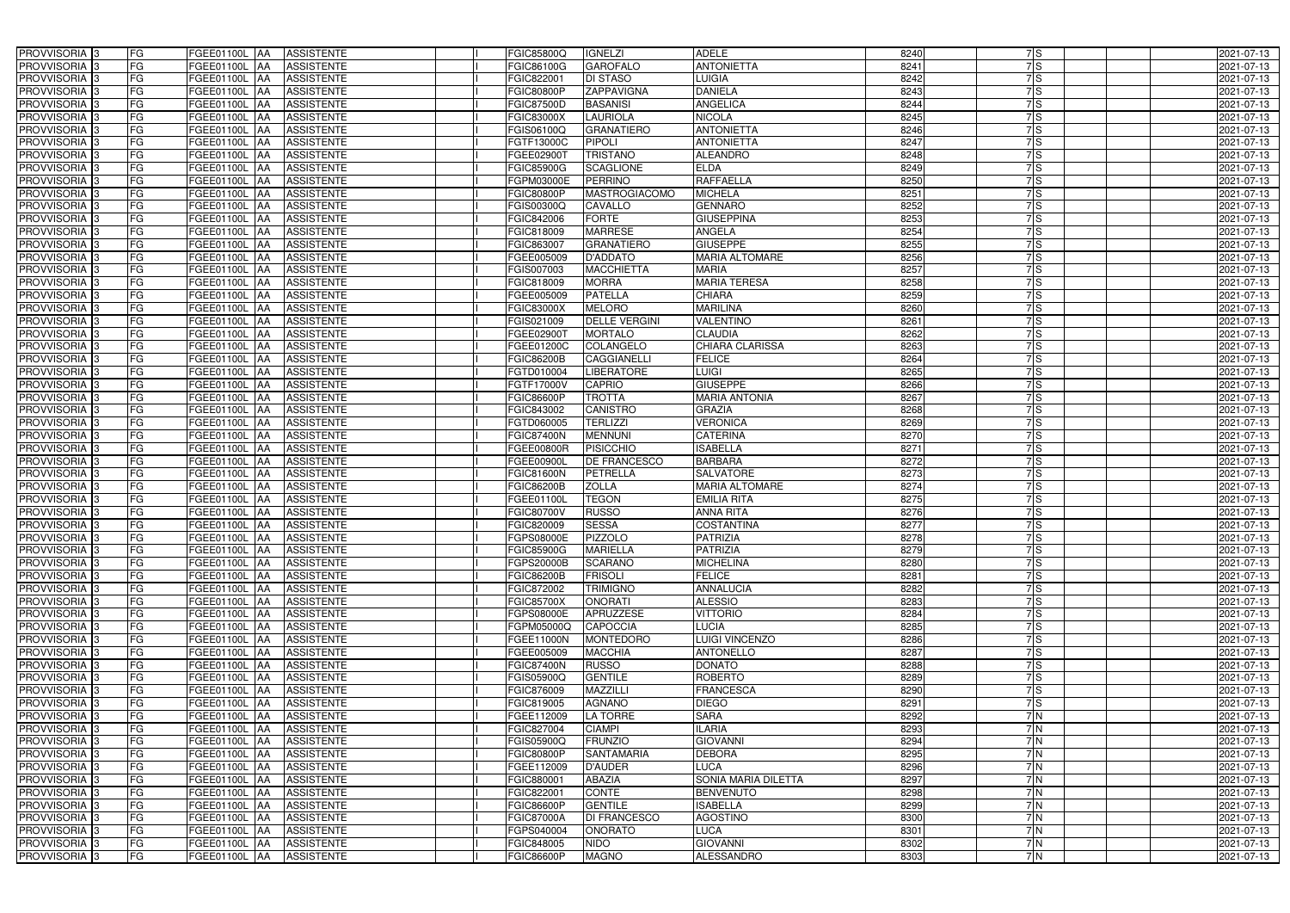| PROVVISORIA <sup>3</sup>   | <b>FG</b> | FGEE01100L AA            | <b>ASSISTENTE</b> | FGIC85800Q        | <b>IGNELZI</b>       | <b>ADELE</b>           | 8240 | 7S               | 2021-07-13 |
|----------------------------|-----------|--------------------------|-------------------|-------------------|----------------------|------------------------|------|------------------|------------|
| PROVVISORIA <sup>3</sup>   | FG        | FGEE01100L<br>IAA        | <b>ASSISTENTE</b> | FGIC86100G        | <b>GAROFALO</b>      | <b>ANTONIETTA</b>      | 8241 | 7S               | 2021-07-13 |
| PROVVISORIA <sup>3</sup>   | FG        | FGEE01100L AA            | <b>ASSISTENTE</b> | FGIC82200         | <b>DI STASO</b>      | LUIGIA                 | 8242 | $\overline{7}$ S | 2021-07-13 |
| PROVVISORIA 3              | FG        | FGEE01100L<br>IAA        | <b>ASSISTENTE</b> | FGIC80800P        | ZAPPAVIGNA           | <b>DANIELA</b>         | 8243 | $\overline{7}$ S | 2021-07-13 |
| PROVVISORIA <sup>3</sup>   | FG        | FGEE01100L<br>IAA        | <b>ASSISTENTE</b> | FGIC87500D        | <b>BASANISI</b>      | ANGELICA               | 8244 | 7S               | 2021-07-13 |
| PROVVISORIA <sup>3</sup>   | FG        | <b>FGEE01100L AA</b>     | <b>ASSISTENTE</b> | <b>FGIC83000X</b> | <b>LAURIOLA</b>      | <b>NICOLA</b>          | 8245 | $\overline{7}$ S | 2021-07-13 |
| PROVVISORIA <sup>1</sup> 3 | FG        | FGEE01100L AA            | <b>ASSISTENTE</b> | FGIS06100Q        | <b>GRANATIERO</b>    | <b>ANTONIETTA</b>      | 8246 | 7S               | 2021-07-13 |
| PROVVISORIA <sup>3</sup>   | FG        | FGEE01100L AA            | <b>ASSISTENTE</b> | FGTF13000C        | PIPOLI               | <b>ANTONIETTA</b>      | 8247 | 7S               | 2021-07-13 |
| PROVVISORIA 3              | FG        | FGEE01100L AA            | <b>ASSISTENTE</b> | FGEE02900T        | <b>TRISTANO</b>      | <b>ALEANDRO</b>        | 8248 | $\overline{7}$ S | 2021-07-13 |
| PROVVISORIA <sup>3</sup>   | FG        | <b>FGEE01100L AA</b>     | <b>ASSISTENTE</b> | <b>FGIC85900G</b> | <b>SCAGLIONE</b>     | <b>ELDA</b>            | 8249 | 7S               | 2021-07-13 |
| PROVVISORIA 3              | FG        | FGEE01100L AA            | <b>ASSISTENTE</b> | <b>EGPM03000E</b> | <b>PERRINO</b>       | <b>RAFFAELLA</b>       | 8250 | $\overline{7}$ S | 2021-07-13 |
| PROVVISORIA 3              | FG        | FGEE01100L AA            | <b>ASSISTENTE</b> | <b>FGIC80800P</b> | <b>MASTROGIACOMO</b> | <b>MICHELA</b>         | 8251 | 7ls              | 2021-07-13 |
| PROVVISORIA <sup>3</sup>   | FG        | FGEE01100L AA            | <b>ASSISTENTE</b> | FGIS00300Q        | CAVALLO              | <b>GENNARO</b>         | 8252 | 7S               | 2021-07-13 |
| PROVVISORIA 3              | FG        | FGEE01100L AA            | <b>ASSISTENTE</b> | FGIC842006        | <b>FORTE</b>         | <b>GIUSEPPINA</b>      | 8253 | 7S               | 2021-07-13 |
| PROVVISORIA 3              | FG        | FGEE01100L AA            | <b>ASSISTENTE</b> | FGIC818009        | <b>MARRESE</b>       | <b>ANGELA</b>          | 8254 | 7lS              | 2021-07-13 |
| PROVVISORIA 3              | FG        | FGEE01100L<br><b>IAA</b> | <b>ASSISTENTE</b> | FGIC863007        | <b>GRANATIERO</b>    | <b>GIUSEPPE</b>        | 8255 | 7S               | 2021-07-13 |
| PROVVISORIA <sup>3</sup>   | FG        | FGEE01100L<br>IAA        | <b>ASSISTENTE</b> | FGEE005009        | <b>D'ADDATO</b>      | <b>MARIA ALTOMARE</b>  | 8256 | 7S               | 2021-07-13 |
| PROVVISORIA 3              | FG        | FGEE01100L AA            | <b>ASSISTENTE</b> | FGIS007003        | <b>MACCHIETTA</b>    | <b>MARIA</b>           | 8257 | 7ls              | 2021-07-13 |
| PROVVISORIA 3              | FG        | FGEE01100L<br><b>JAA</b> | <b>ASSISTENTE</b> | FGIC818009        | <b>MORRA</b>         | <b>MARIA TERESA</b>    | 8258 | 7ls              | 2021-07-13 |
| PROVVISORIA 3              | FG        | FGEE01100L<br><b>JAA</b> | <b>ASSISTENTE</b> | FGEE005009        | <b>PATELLA</b>       | <b>CHIARA</b>          | 8259 | 7S               | 2021-07-13 |
| PROVVISORIA <sup>3</sup>   | FG        | FGEE01100L<br>IAA        | <b>ASSISTENTE</b> | FGIC83000X        | <b>MELORO</b>        | <b>MARILINA</b>        | 8260 | 7S               | 2021-07-13 |
| PROVVISORIA 3              | FG        | FGEE01100L<br>IAA        | <b>ASSISTENTE</b> | FGIS021009        | <b>DELLE VERGINI</b> | <b>VALENTINO</b>       | 8261 | $\overline{7}$ S | 2021-07-13 |
| PROVVISORIA 3              | FG        | FGEE01100L<br>IAA        | <b>ASSISTENTE</b> | <b>FGEE02900T</b> | <b>MORTALO</b>       | <b>CLAUDIA</b>         | 8262 | 7S               | 2021-07-13 |
| PROVVISORIA <sup>3</sup>   | FG        | FGEE01100L AA            | <b>ASSISTENTE</b> | FGEE01200C        | <b>COLANGELO</b>     | <b>CHIARA CLARISSA</b> | 8263 | 7S               | 2021-07-13 |
| PROVVISORIA 3              | FG        | FGEE01100L AA            | <b>ASSISTENTE</b> | FGIC86200B        | CAGGIANELLI          | <b>FELICE</b>          | 8264 | 7S               | 2021-07-13 |
| PROVVISORIA 3              | FG        | FGEE01100L AA            | <b>ASSISTENTE</b> | FGTD010004        | <b>LIBERATORE</b>    | <b>LUIGI</b>           | 8265 | 7S               | 2021-07-13 |
| PROVVISORIA 3              | FG        | FGEE01100L AA            | <b>ASSISTENTE</b> | FGTF17000V        | <b>CAPRIO</b>        | <b>GIUSEPPE</b>        | 8266 | 7S               | 2021-07-13 |
| PROVVISORIA 3              | FG        | FGEE01100L AA            | <b>ASSISTENTE</b> | FGIC86600P        | <b>TROTTA</b>        | <b>MARIA ANTONIA</b>   | 8267 | $\overline{7}$ S | 2021-07-13 |
| PROVVISORIA <sup>3</sup>   | FG        | FGEE01100L AA            | <b>ASSISTENTE</b> | FGIC843002        | CANISTRO             | <b>GRAZIA</b>          | 8268 | 7S               | 2021-07-13 |
| PROVVISORIA <sup>3</sup>   | FG        | FGEE01100L AA            | <b>ASSISTENTE</b> | FGTD060005        | <b>TERLIZZI</b>      | <b>VERONICA</b>        | 8269 | $\overline{7}$ S | 2021-07-13 |
| PROVVISORIA <sup>3</sup>   | FG        | <b>FGEE01100L AA</b>     | <b>ASSISTENTE</b> | <b>FGIC87400N</b> | <b>MENNUNI</b>       | <b>CATERINA</b>        | 8270 | $\overline{7}$ S | 2021-07-13 |
| PROVVISORIA <sup>3</sup>   | FG        | FGEE01100L AA            | <b>ASSISTENTE</b> | FGEE00800R        | <b>PISICCHIO</b>     | <b>ISABELLA</b>        | 8271 | 7S               | 2021-07-13 |
| PROVVISORIA <sup>3</sup>   | FG        | <b>FGEE01100L AA</b>     | <b>ASSISTENTE</b> | FGEE00900L        | <b>DE FRANCESCO</b>  | <b>BARBARA</b>         | 8272 | 7S               | 2021-07-13 |
| PROVVISORIA <sup>3</sup>   | FG        | FGEE01100L AA            | <b>ASSISTENTE</b> | <b>FGIC81600N</b> | PETRELLA             | <b>SALVATORE</b>       | 8273 | 7ls              | 2021-07-13 |
| PROVVISORIA <sup>3</sup>   | FG        | FGEE01100L<br>IAA        | <b>ASSISTENTE</b> | <b>FGIC86200B</b> | <b>ZOLLA</b>         | <b>MARIA ALTOMARE</b>  | 8274 | $\overline{7}$ S | 2021-07-13 |
| PROVVISORIA <sup>3</sup>   | FG        | <b>FGEE01100L</b><br>IAA | <b>ASSISTENTE</b> | FGEE01100L        | <b>TEGON</b>         | <b>EMILIA RITA</b>     | 8275 | 7S               | 2021-07-13 |
| PROVVISORIA <sup>3</sup>   | FG        | FGEE01100L<br><b>JAA</b> | <b>ASSISTENTE</b> | FGIC80700V        | <b>RUSSO</b>         | <b>ANNA RITA</b>       | 8276 | 7ls              | 2021-07-13 |
| PROVVISORIA <sup>1</sup> 3 | FG        | FGEE01100L AA            | <b>ASSISTENTE</b> | FGIC820009        | <b>SESSA</b>         | <b>COSTANTINA</b>      | 8277 | 7S               | 2021-07-13 |
| PROVVISORIA 3              | FG        | <b>FGEE01100L AA</b>     | <b>ASSISTENTE</b> | FGPS08000E        | <b>PIZZOLO</b>       | <b>PATRIZIA</b>        | 8278 | 7S               | 2021-07-13 |
| PROVVISORIA <sup>3</sup>   | FG        | FGEE01100L AA            | <b>ASSISTENTE</b> | <b>FGIC85900G</b> | <b>MARIELLA</b>      | <b>PATRIZIA</b>        | 8279 | 7S               | 2021-07-13 |
| PROVVISORIA <sup>3</sup>   | FG        | FGEE01100L AA            | ASSISTENTE        | FGPS20000B        | <b>SCARANO</b>       | <b>MICHELINA</b>       | 8280 | 7S               | 2021-07-13 |
| PROVVISORIA <sup>3</sup>   | FG        | <b>FGEE01100L AA</b>     | <b>ASSISTENTE</b> | <b>FGIC86200B</b> | <b>FRISOLI</b>       | <b>FELICE</b>          | 8281 | 7S               | 2021-07-13 |
| PROVVISORIA <sup>3</sup>   | FG        | FGEE01100L AA            | ASSISTENTE        | FGIC872002        | <b>TRIMIGNO</b>      | <b>ANNALUCIA</b>       | 8282 | 7S               | 2021-07-13 |
| PROVVISORIA <sup>3</sup>   | FG        | FGEE01100L AA            | ASSISTENTE        | <b>FGIC85700X</b> | <b>ONORATI</b>       | <b>ALESSIO</b>         | 8283 | 7S               | 2021-07-13 |
| PROVVISORIA 3              | FG        | FGEE01100L AA            | <b>ASSISTENTE</b> | FGPS08000E        | APRUZZESE            | <b>VITTORIO</b>        | 8284 | 7S               | 2021-07-13 |
| PROVVISORIA <sup>3</sup>   | FG        | FGEE01100L AA            | <b>ASSISTENTE</b> | FGPM05000Q        | <b>CAPOCCIA</b>      | <b>LUCIA</b>           | 8285 | 7S               | 2021-07-13 |
| PROVVISORIA <sup>3</sup>   | FG        | FGEE01100L AA            | ASSISTENTE        | FGEE11000N        | <b>MONTEDORO</b>     | <b>LUIGI VINCENZO</b>  | 8286 | 7S               | 2021-07-13 |
| PROVVISORIA <sup>3</sup>   | FG        | FGEE01100L AA            | ASSISTENTE        | FGEE005009        | <b>MACCHIA</b>       | <b>ANTONELLO</b>       | 8287 | 7S               | 2021-07-13 |
| PROVVISORIA <sup>3</sup>   | FG        | FGEE01100L AA            | <b>ASSISTENTE</b> | <b>FGIC87400N</b> | <b>RUSSO</b>         | <b>DONATO</b>          | 8288 | 7S               | 2021-07-13 |
| PROVVISORIA <sup>3</sup>   | FG        | FGEE01100L AA            | ASSISTENTE        | FGIS05900Q        | <b>GENTILE</b>       | <b>ROBERTO</b>         | 8289 | 7S               | 2021-07-13 |
| PROVVISORIA <sup>3</sup>   | FG        | FGEE01100L AA            | <b>ASSISTENTE</b> | FGIC876009        | MAZZILLI             | <b>FRANCESCA</b>       | 8290 | 7S               | 2021-07-13 |
| PROVVISORIA <sup>3</sup>   | FG        | FGEE01100L AA            | <b>ASSISTENTE</b> | FGIC819005        | <b>AGNANO</b>        | <b>DIEGO</b>           | 8291 | 7S               | 2021-07-13 |
| PROVVISORIA <sup>3</sup>   | FG        | FGEE01100L AA            | <b>ASSISTENTE</b> | FGEE112009        | LA TORRE             | <b>SARA</b>            | 8292 | 7 N              | 2021-07-13 |
| PROVVISORIA <sup>3</sup>   | FG        | FGEE01100L AA            | <b>ASSISTENTE</b> | FGIC827004        | <b>CIAMPI</b>        | <b>ILARIA</b>          | 8293 | 7 N              | 2021-07-13 |
| PROVVISORIA <sup>13</sup>  | FG        | FGEE01100L AA            | <b>ASSISTENTE</b> | FGIS05900Q        | <b>FRUNZIO</b>       | <b>GIOVANNI</b>        | 8294 | 7N               | 2021-07-13 |
| PROVVISORIA <sup>1</sup> 3 | FG        | FGEE01100L AA            | <b>ASSISTENTE</b> | FGIC80800P        | <b>SANTAMARIA</b>    | <b>DEBORA</b>          | 8295 | 7N               | 2021-07-13 |
| PROVVISORIA <sup>3</sup>   | FG        | FGEE01100L AA            | <b>ASSISTENTE</b> | FGEE112009        | <b>D'AUDER</b>       | <b>LUCA</b>            | 8296 | 7N               | 2021-07-13 |
| <b>PROVVISORIA</b> 3       | FG        | FGEE01100L AA            | <b>ASSISTENTE</b> | FGIC880001        | <b>ABAZIA</b>        | SONIA MARIA DILETTA    | 8297 | 7N               | 2021-07-13 |
| PROVVISORIA <sup>3</sup>   | FG        | FGEE01100L AA            | <b>ASSISTENTE</b> | FGIC822001        | <b>CONTE</b>         | <b>BENVENUTO</b>       | 8298 | 7N               | 2021-07-13 |
| PROVVISORIA <sup>1</sup> 3 | FG        | FGEE01100L AA            | <b>ASSISTENTE</b> | FGIC86600P        | <b>GENTILE</b>       | <b>ISABELLA</b>        | 8299 | $\overline{7}$ N | 2021-07-13 |
| PROVVISORIA <sup>3</sup>   | FG        | FGEE01100L AA            | <b>ASSISTENTE</b> | <b>FGIC87000A</b> | <b>DI FRANCESCO</b>  | <b>AGOSTINO</b>        | 8300 | 7N               | 2021-07-13 |
| PROVVISORIA <sup>3</sup>   | FG        | FGEE01100L AA            | <b>ASSISTENTE</b> | FGPS040004        | <b>ONORATO</b>       | <b>LUCA</b>            | 8301 | 7N               | 2021-07-13 |
| PROVVISORIA <sup>3</sup>   | FG        | FGEE01100L AA            | ASSISTENTE        | FGIC848005        | <b>NIDO</b>          | <b>GIOVANNI</b>        | 8302 | 7 N              | 2021-07-13 |
| PROVVISORIA <sup>3</sup>   | FG        | FGEE01100L AA            | ASSISTENTE        | <b>FGIC86600P</b> | <b>MAGNO</b>         | ALESSANDRO             | 8303 | 7N               | 2021-07-13 |
|                            |           |                          |                   |                   |                      |                        |      |                  |            |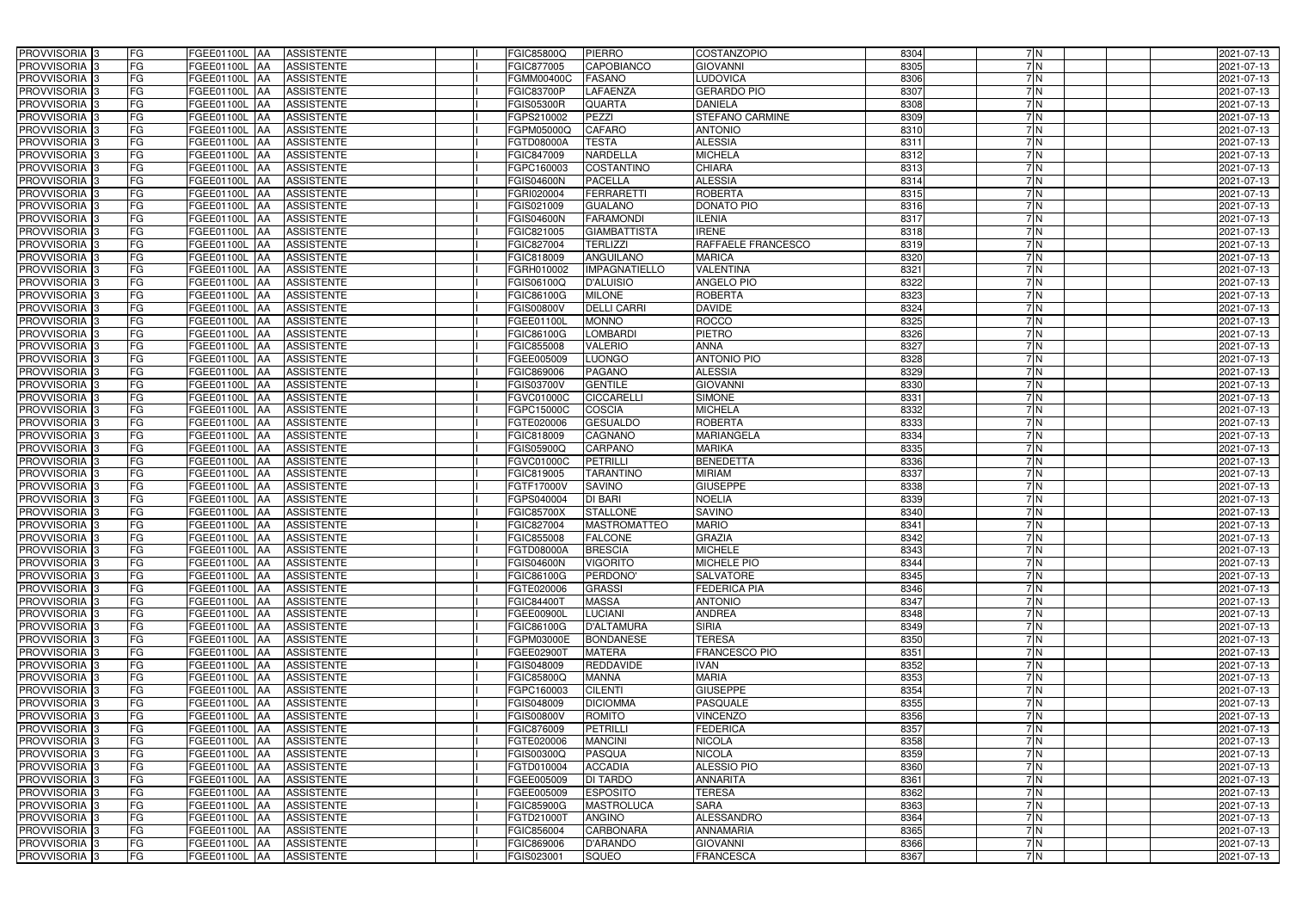| PROVVISORIA 3                                        | FG        | FGEE01100L AA                  | <b>ASSISTENTE</b>                      | FGIC85800Q               | <b>PIERRO</b>                    | <b>COSTANZOPIO</b>     | 8304         | 7N         | 2021-07-13               |
|------------------------------------------------------|-----------|--------------------------------|----------------------------------------|--------------------------|----------------------------------|------------------------|--------------|------------|--------------------------|
| PROVVISORIA <sup>3</sup>                             | FG        | FGEE01100L<br>IAA              | <b>ASSISTENTE</b>                      | FGIC877005               | CAPOBIANCO                       | <b>GIOVANNI</b>        | 8305         | 7N         | 2021-07-13               |
| PROVVISORIA 3                                        | FG        | <b>FGEE01100L   AA</b>         | <b>ASSISTENTE</b>                      | FGMM00400C               | <b>FASANO</b>                    | LUDOVICA               | 8306         | 7N         | 2021-07-13               |
| PROVVISORIA <sup>3</sup>                             | FG        | FGEE01100L<br>IAA              | <b>ASSISTENTE</b>                      | <b>FGIC83700P</b>        | <b>LAFAENZA</b>                  | <b>GERARDO PIO</b>     | 8307         | 7N         | 2021-07-13               |
| PROVVISORIA 3                                        | FG        | FGEE01100L<br>IAA              | <b>ASSISTENTE</b>                      | <b>FGIS05300R</b>        | QUARTA                           | <b>DANIELA</b>         | 8308         | 7N         | 2021-07-13               |
| PROVVISORIA 3                                        | <b>FG</b> | <b>FGEE01100L AA</b>           | <b>ASSISTENTE</b>                      | FGPS210002               | PEZZI                            | <b>STEFANO CARMINE</b> | 8309         | 7N         | 2021-07-13               |
| PROVVISORIA 3                                        | FG        | <b>FGEE01100L   AA</b>         | <b>ASSISTENTE</b>                      | FGPM05000Q               | <b>CAFARO</b>                    | <b>ANTONIO</b>         | 8310         | 7N         | 2021-07-13               |
| PROVVISORIA 3                                        | FG        | FGEE01100L AA                  | <b>ASSISTENTE</b>                      | FGTD08000A               | <b>TESTA</b>                     | <b>ALESSIA</b>         | 8311         | 7N         | 2021-07-13               |
| PROVVISORIA 3                                        | <b>FG</b> | FGEE01100L AA                  | <b>ASSISTENTE</b>                      | FGIC847009               | <b>NARDELLA</b>                  | <b>MICHELA</b>         | 8312         | 7N         | 2021-07-13               |
| PROVVISORIA 3                                        | FG        | <b>FGEE01100L AA</b>           | <b>ASSISTENTE</b>                      | FGPC160003               | <b>COSTANTINO</b>                | <b>CHIARA</b>          | 8313         | 7N         | 2021-07-13               |
| PROVVISORIA 3                                        | FG        | FGEE01100L AA                  | <b>ASSISTENTE</b>                      | FGIS04600N               | <b>PACELLA</b>                   | <b>ALESSIA</b>         | 8314         | 7N         | 2021-07-13               |
| PROVVISORIA 3                                        | FG        | FGEE01100L AA                  | <b>ASSISTENTE</b>                      | FGRI020004               | <b>FERRARETTI</b>                | <b>ROBERTA</b>         | 8315         | 7N         | 2021-07-13               |
| PROVVISORIA <sup>3</sup>                             | FG        | FGEE01100L AA                  | <b>ASSISTENTE</b>                      | FGIS021009               | <b>GUALANO</b>                   | <b>DONATO PIO</b>      | 8316         | 7 N        | 2021-07-13               |
| PROVVISORIA 3                                        | FG        | FGEE01100L AA                  | <b>ASSISTENTE</b>                      | FGIS04600N               | <b>FARAMONDI</b>                 | <b>LENIA</b>           | 8317         | 7N         | 2021-07-13               |
| PROVVISORIA 3                                        | <b>FG</b> | FGEE01100L AA                  | <b>ASSISTENTE</b>                      | FGIC821005               | <b>GIAMBATTISTA</b>              | <b>IRENE</b>           | 8318         | 7N         | 2021-07-13               |
| PROVVISORIA 3                                        | <b>FG</b> | FGEE01100L<br>IAA              | <b>ASSISTENTE</b>                      | FGIC827004               | <b>TERLIZZI</b>                  | RAFFAELE FRANCESCO     | 8319         | 7N         | 2021-07-13               |
| PROVVISORIA 3                                        | FG        | FGEE01100L<br>IAA              | <b>ASSISTENTE</b>                      | FGIC818009               | <b>ANGUILANO</b>                 | <b>MARICA</b>          | 8320         | 7N         | 2021-07-13               |
| PROVVISORIA 3                                        | FG        | <b>FGEE01100L</b><br>IAA       | <b>ASSISTENTE</b>                      | FGRH010002               | <b>IMPAGNATIELLO</b>             | <b>VALENTINA</b>       | 8321         | 7 N        | 2021-07-13               |
| PROVVISORIA 3                                        | <b>FG</b> | <b>FGEE01100L</b><br>IAA       | <b>ASSISTENTE</b>                      | FGIS06100Q               | <b>D'ALUISIO</b>                 | <b>ANGELO PIO</b>      | 8322         | 7 N        | 2021-07-13               |
| PROVVISORIA 3                                        | FG        | FGEE01100L<br>IAA              | <b>ASSISTENTE</b>                      | FGIC86100G               | <b>MILONE</b>                    | <b>ROBERTA</b>         | 8323         | 7N         | 2021-07-13               |
| PROVVISORIA <sup>3</sup>                             | FG        | FGEE01100L                     | <b>ASSISTENTE</b>                      | <b>FGIS00800V</b>        | <b>DELLI CARRI</b>               | <b>DAVIDE</b>          | 8324         | 7N         | 2021-07-13               |
| <b>PROVVISORIA</b> 3                                 | FG        | FGEE01100L<br>IAA              | <b>ASSISTENTE</b>                      | FGEE01100L               | <b>MONNO</b>                     | <b>ROCCO</b>           | 8325         | 7N         | 2021-07-13               |
| PROVVISORIA <sup>3</sup>                             | FG        | FGEE01100L<br>IAA              | <b>ASSISTENTE</b>                      | FGIC86100G               | <b>LOMBARDI</b>                  | <b>PIETRO</b>          | 8326         | 7N         | 2021-07-13               |
| PROVVISORIA <sup>3</sup>                             | <b>FG</b> | FGEE01100L<br>IAA              | <b>ASSISTENTE</b>                      | FGIC855008               | <b>VALERIO</b>                   | <b>ANNA</b>            | 8327         | 7N         | 2021-07-13               |
| <b>PROVVISORIA</b> 3                                 | <b>FG</b> | FGEE01100L<br>IAA              | <b>ASSISTENTE</b>                      | FGEE005009               | <b>LUONGO</b>                    | <b>ANTONIO PIO</b>     | 8328         | 7N         | 2021-07-13               |
| PROVVISORIA 3                                        | FG        | FGEE01100L<br>IAA              | <b>ASSISTENTE</b>                      | FGIC869006               | <b>PAGANO</b>                    | <b>ALESSIA</b>         | 8329         | 7N         | 2021-07-13               |
| PROVVISORIA 3                                        | <b>FG</b> | FGEE01100L AA                  | <b>ASSISTENTE</b>                      | FGIS03700V               | <b>GENTILE</b>                   | <b>GIOVANNI</b>        | 8330         | 7N         | 2021-07-13               |
| PROVVISORIA 3                                        | <b>FG</b> | <b>FGEE01100L   AA</b>         | <b>ASSISTENTE</b>                      | FGVC01000C               | <b>CICCARELLI</b>                | <b>SIMONE</b>          | 8331         | 7N         | 2021-07-13               |
| PROVVISORIA <sup>3</sup>                             | FG        | FGEE01100L AA                  | <b>ASSISTENTE</b>                      | FGPC15000C               | <b>COSCIA</b>                    | <b>MICHELA</b>         | 8332         | 7N         | 2021-07-13               |
| PROVVISORIA 3                                        | <b>FG</b> | <b>FGEE01100L   AA</b>         | <b>ASSISTENTE</b>                      | FGTE020006               | <b>GESUALDO</b>                  | ROBERTA                | 8333         | 7N         | 2021-07-13               |
| PROVVISORIA 3                                        | FG        | <b>FGEE01100L AA</b>           | <b>ASSISTENTE</b>                      | FGIC818009               | CAGNANO                          | <b>MARIANGELA</b>      | 8334         | 7 N        | 2021-07-13               |
| PROVVISORIA 3                                        | FG        | FGEE01100L AA                  | <b>ASSISTENTE</b>                      | FGIS05900Q               | <b>CARPANO</b>                   | <b>MARIKA</b>          | 8335         | 7N         | 2021-07-13               |
| PROVVISORIA 3                                        | FG        | FGEE01100L<br><b>IAA</b>       | <b>ASSISTENTE</b>                      | FGVC01000C               | <b>PETRILLI</b>                  | <b>BENEDETTA</b>       | 8336         | 7N         | 2021-07-13               |
| PROVVISORIA 3                                        | FG        | FGEE01100L AA                  | <b>ASSISTENTE</b>                      | FGIC819005               | <b>TARANTINO</b>                 | <b>MIRIAM</b>          | 8337         | 7N         | 2021-07-13               |
| <b>PROVVISORIA</b> 3                                 | <b>FG</b> | FGEE01100L<br>IAA              | <b>ASSISTENTE</b>                      | FGTF17000V               | <b>SAVINO</b>                    | <b>GIUSEPPE</b>        | 8338         | 7N         | 2021-07-13               |
| PROVVISORIA <sup>3</sup>                             | FG        | FGEE01100L<br>IAA              | <b>ASSISTENTE</b>                      | FGPS040004               | <b>DI BARI</b>                   | <b>NOELIA</b>          | 8339         | 7 N        | 2021-07-13               |
| PROVVISORIA <sup>1</sup> 3                           | FG        | FGEE01100L<br>IAA              | <b>ASSISTENTE</b>                      | FGIC85700X               | <b>STALLONE</b>                  | <b>SAVINO</b>          | 8340         | 7N         | 2021-07-13               |
| PROVVISORIA <sup>3</sup>                             | <b>FG</b> | FGEE01100L AA                  | <b>ASSISTENTE</b>                      | FGIC827004               | <b>MASTROMATTEO</b>              | <b>MARIO</b>           | 8341         | 7N         | 2021-07-13               |
| PROVVISORIA <sup>3</sup>                             | FG        | FGEE01100L AA ASSISTENTE       |                                        | FGIC855008               | <b>FALCONE</b>                   | <b>GRAZIA</b>          | 8342         | 7 N        | 2021-07-13               |
| PROVVISORIA <sup>3</sup>                             | FG        | FGEE01100L AA                  | <b>ASSISTENTE</b>                      | FGTD08000A               | <b>BRESCIA</b>                   | <b>MICHELE</b>         | 8343         | 7N         | 2021-07-13               |
| PROVVISORIA <sup>3</sup>                             | FG        | FGEE01100L AA                  | <b>ASSISTENTE</b>                      | <b>FGIS04600N</b>        | <b>VIGORITO</b>                  | <b>MICHELE PIO</b>     | 8344         | 7 N        | 2021-07-13               |
| PROVVISORIA <sup>3</sup>                             | FG        | FGEE01100L AA                  | <b>ASSISTENTE</b>                      | FGIC86100G               | PERDONO'                         | <b>SALVATORE</b>       | 8345         | 7 N        | 2021-07-13               |
| PROVVISORIA <sup>3</sup>                             | FG        | FGEE01100L AA                  | <b>ASSISTENTE</b>                      | FGTE020006               | <b>GRASSI</b>                    | <b>FEDERICA PIA</b>    | 8346         | 7 N        | 2021-07-13               |
| PROVVISORIA <sup>3</sup>                             | FG        | <b>FGEE01100L AA</b>           | <b>ASSISTENTE</b>                      | FGIC844001               | <b>MASSA</b>                     | <b>ANTONIO</b>         | 8347         | 7 N        | 2021-07-13               |
| PROVVISORIA <sup>3</sup>                             | FG        | FGEE01100L AA                  | <b>ASSISTENTE</b>                      | FGEE00900L               | <b>LUCIANI</b>                   | <b>ANDREA</b>          | 8348         | 7 N        | 2021-07-13               |
| PROVVISORIA <sup>3</sup>                             | FG        | FGEE01100L AA                  | <b>ASSISTENTE</b>                      | <b>FGIC86100G</b>        | <b>D'ALTAMURA</b>                | <b>SIRIA</b>           | 8349         | 7N         | 2021-07-13               |
| PROVVISORIA <sup>3</sup>                             | FG        | FGEE01100L AA                  | <b>ASSISTENTE</b>                      | FGPM03000E               | <b>BONDANESE</b>                 | <b>TERESA</b>          | 8350         | 7N         | 2021-07-13               |
| PROVVISORIA <sup>3</sup>                             | FG        | FGEE01100L AA                  | ASSISTENTE                             | FGEE02900T               | <b>MATERA</b>                    | FRANCESCO PIO          | 8351         | 7N         | 2021-07-13               |
| PROVVISORIA <sup>3</sup><br>PROVVISORIA <sup>3</sup> | FG<br>FG  | FGEE01100L AA<br>FGEE01100L AA | <b>ASSISTENTE</b><br><b>ASSISTENTE</b> | FGIS048009<br>FGIC85800Q | <b>REDDAVIDE</b><br><b>MANNA</b> | IVAN<br><b>MARIA</b>   | 8352<br>8353 | 7 N<br>7 N | 2021-07-13<br>2021-07-13 |
| PROVVISORIA <sup>3</sup>                             | FG        | FGEE01100L AA                  | ASSISTENTE                             | FGPC160003               | <b>CILENTI</b>                   | <b>GIUSEPPE</b>        | 8354         | 7N         | 2021-07-13               |
| PROVVISORIA <sup>3</sup>                             | FG        | FGEE01100L AA                  | <b>ASSISTENTE</b>                      | FGIS048009               | <b>DICIOMMA</b>                  | <b>PASQUALE</b>        | 8355         | 7 N        | 2021-07-13               |
| PROVVISORIA <sup>3</sup>                             | FG        | <b>FGEE01100L   AA</b>         | <b>ASSISTENTE</b>                      | FGIS00800V               | ROMITO                           | <b>VINCENZO</b>        | 8356         | 7 N        |                          |
| PROVVISORIA <sup>3</sup>                             | FG        | FGEE01100L AA                  | <b>ASSISTENTE</b>                      | FGIC876009               | <b>PETRILLI</b>                  | <b>FEDERICA</b>        | 8357         | 7 N        | 2021-07-13<br>2021-07-13 |
| PROVVISORIA <sup>13</sup>                            | FG        | FGEE01100L AA                  | <b>ASSISTENTE</b>                      | FGTE020006               | <b>MANCINI</b>                   | NICOLA                 | 8358         | 7N         | 2021-07-13               |
| PROVVISORIA <sup>3</sup>                             | FG        | FGEE01100L AA                  | <b>ASSISTENTE</b>                      | FGIS00300Q               | <b>PASQUA</b>                    | <b>NICOLA</b>          | 8359         | 7 N        | 2021-07-13               |
| PROVVISORIA <sup>3</sup>                             | FG        | FGEE01100L AA                  | <b>ASSISTENTE</b>                      | FGTD010004               | <b>ACCADIA</b>                   | <b>ALESSIO PIO</b>     | 8360         | 7N         | 2021-07-13               |
| PROVVISORIA <sup>3</sup>                             | FG        | FGEE01100L AA                  | <b>ASSISTENTE</b>                      | FGEE005009               | <b>DI TARDO</b>                  | <b>ANNARITA</b>        | 8361         | 7N         | 2021-07-13               |
| PROVVISORIA <sup>3</sup>                             | FG        | FGEE01100L AA                  | <b>ASSISTENTE</b>                      | FGEE005009               | <b>ESPOSITO</b>                  | <b>TERESA</b>          | 8362         | 7N         | 2021-07-13               |
| PROVVISORIA <sup>3</sup>                             | FG        | FGEE01100L AA                  | <b>ASSISTENTE</b>                      | <b>FGIC85900G</b>        | <b>MASTROLUCA</b>                | <b>SARA</b>            | 8363         | 7N         | 2021-07-13               |
| PROVVISORIA <sup>3</sup>                             | FG        | <b>FGEE01100L AA</b>           | <b>ASSISTENTE</b>                      | FGTD21000T               | <b>ANGINO</b>                    | <b>ALESSANDRO</b>      | 8364         | 7N         | 2021-07-13               |
| PROVVISORIA <sup>3</sup>                             | FG        | <b>FGEE01100L AA</b>           | <b>ASSISTENTE</b>                      | FGIC856004               | <b>CARBONARA</b>                 | ANNAMARIA              | 8365         | 7N         | 2021-07-13               |
| PROVVISORIA <sup>3</sup>                             | FG        | <b>FGEE01100L AA</b>           | <b>ASSISTENTE</b>                      | FGIC869006               | <b>D'ARANDO</b>                  | <b>GIOVANNI</b>        | 8366         | 7 N        | 2021-07-13               |
| PROVVISORIA 3                                        | FG        | FGEE01100L AA                  | ASSISTENTE                             | FGIS023001               | SQUEO                            | <b>FRANCESCA</b>       | 8367         | 7N         | 2021-07-13               |
|                                                      |           |                                |                                        |                          |                                  |                        |              |            |                          |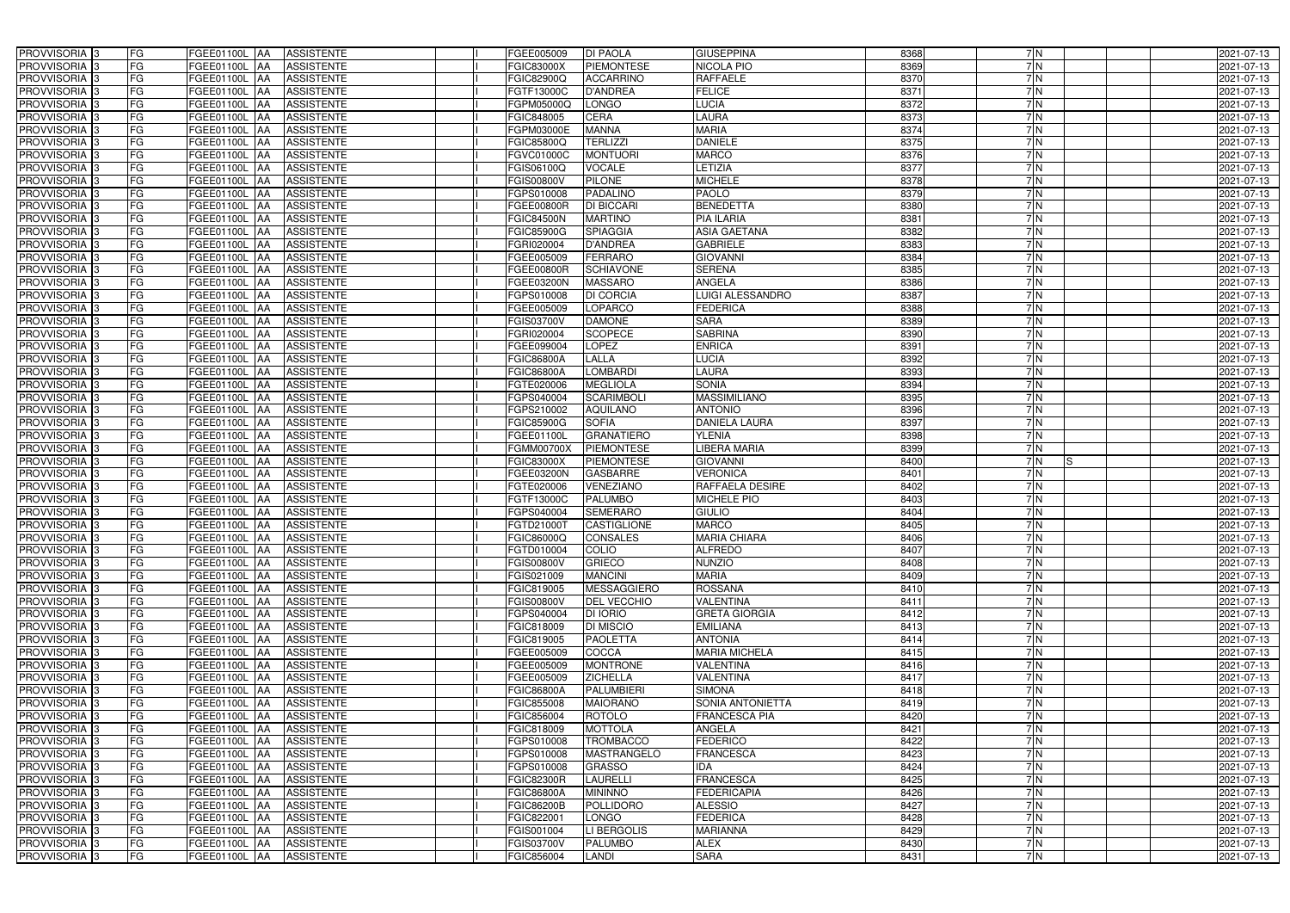| PROVVISORIA 3                             | FG        | FGEE01100L AA                         | <b>ASSISTENTE</b>               | FGEE005009                      | <b>DI PAOLA</b>         | <b>GIUSEPPINA</b>          | 8368         | 7N         | 2021-07-13               |
|-------------------------------------------|-----------|---------------------------------------|---------------------------------|---------------------------------|-------------------------|----------------------------|--------------|------------|--------------------------|
| PROVVISORIA 3                             | FG        | FGEE01100L<br>IAA                     | <b>ASSISTENTE</b>               | <b>FGIC83000X</b>               | <b>PIEMONTESE</b>       | NICOLA PIO                 | 8369         | 7N         | 2021-07-13               |
| PROVVISORIA 3                             | <b>FG</b> | <b>FGEE01100L   AA</b>                | <b>ASSISTENTE</b>               | FGIC82900Q                      | <b>ACCARRINO</b>        | <b>RAFFAELE</b>            | 8370         | 7N         | 2021-07-13               |
| PROVVISORIA <sup>3</sup>                  | <b>FG</b> | FGEE01100L<br>IAA                     | <b>ASSISTENTE</b>               | FGTF13000C                      | <b>D'ANDREA</b>         | <b>FELICE</b>              | 8371         | 7N         | 2021-07-13               |
| PROVVISORIA 3                             | FG        | FGEE01100L<br>IAA                     | <b>ASSISTENTE</b>               | FGPM05000Q                      | <b>LONGO</b>            | <b>LUCIA</b>               | 8372         | 7N         | 2021-07-13               |
| PROVVISORIA 3                             | <b>FG</b> | <b>FGEE01100L AA</b>                  | <b>ASSISTENTE</b>               | FGIC848005                      | <b>CERA</b>             | <b>AURA</b>                | 8373         | 7N         | 2021-07-13               |
| PROVVISORIA 3                             | FG        | <b>FGEE01100L   AA</b>                | <b>ASSISTENTE</b>               | FGPM03000E                      | <b>MANNA</b>            | <b>MARIA</b>               | 8374         | 7N         | 2021-07-13               |
| PROVVISORIA 3                             | FG        | FGEE01100L AA                         | <b>ASSISTENTE</b>               | FGIC85800Q                      | <b>TERLIZZI</b>         | <b>DANIELE</b>             | 8375         | 7N         | 2021-07-13               |
| PROVVISORIA 3                             | <b>FG</b> | FGEE01100L AA                         | <b>ASSISTENTE</b>               | FGVC01000C                      | <b>MONTUORI</b>         | <b>MARCO</b>               | 8376         | 7N         | 2021-07-13               |
| PROVVISORIA 3                             | FG        | FGEE01100L AA                         | <b>ASSISTENTE</b>               | FGIS06100Q                      | <b>VOCALE</b>           | <b>ETIZIA</b>              | 8377         | 7N         | 2021-07-13               |
| PROVVISORIA 3                             | FG        | FGEE01100L AA                         | <b>ASSISTENTE</b>               | FGIS00800V                      | <b>PILONE</b>           | <b>MICHELE</b>             | 8378         | 7N         | 2021-07-13               |
| PROVVISORIA 3                             | FG        | FGEE01100L AA                         | <b>ASSISTENTE</b>               | FGPS010008                      | <b>PADALINO</b>         | <b>PAOLO</b>               | 8379         | 7N         | 2021-07-13               |
| PROVVISORIA <sup>3</sup>                  | FG        | FGEE01100L AA                         | <b>ASSISTENTE</b>               | FGEE00800R                      | <b>DI BICCARI</b>       | <b>BENEDETTA</b>           | 8380         | 7 N        | 2021-07-13               |
| PROVVISORIA 3                             | FG        | FGEE01100L AA                         | <b>ASSISTENTE</b>               | <b>FGIC84500N</b>               | <b>MARTINO</b>          | <b>PIA ILARIA</b>          | 8381         | 7N         | 2021-07-13               |
| PROVVISORIA 3                             | <b>FG</b> | FGEE01100L AA                         | <b>ASSISTENTE</b>               | <b>FGIC85900G</b>               | <b>SPIAGGIA</b>         | <b>ASIA GAETANA</b>        | 8382         | 7 N        | 2021-07-13               |
| PROVVISORIA 3                             | <b>FG</b> | FGEE01100L<br><b>IAA</b>              | <b>ASSISTENTE</b>               | FGRI020004                      | <b>D'ANDREA</b>         | <b>GABRIELE</b>            | 8383         | 7N         | 2021-07-13               |
| PROVVISORIA 3                             | FG        | FGEE01100L<br>IAA                     | <b>ASSISTENTE</b>               | FGEE005009                      | <b>FERRARO</b>          | <b>GIOVANNI</b>            | 8384         | 7N         | 2021-07-13               |
| PROVVISORIA 3                             | FG        | <b>FGEE01100L</b><br>IAA              | <b>ASSISTENTE</b>               | FGEE00800R                      | <b>SCHIAVONE</b>        | <b>SERENA</b>              | 8385         | 7 N        | 2021-07-13               |
| PROVVISORIA 3                             | <b>FG</b> | FGEE01100L<br>IAA                     | <b>ASSISTENTE</b>               | FGEE03200N                      | <b>MASSARO</b>          | <b>ANGELA</b>              | 8386         | 7 N        | 2021-07-13               |
| PROVVISORIA 3                             | FG        | FGEE01100L<br>IAA                     | <b>ASSISTENTE</b>               | FGPS010008                      | <b>DI CORCIA</b>        | LUIGI ALESSANDRO           | 8387         | 7N         | 2021-07-13               |
| PROVVISORIA <sup>3</sup>                  | FG        | FGEE01100L                            | <b>ASSISTENTE</b>               | FGEE005009                      | LOPARCO                 | <b>FEDERICA</b>            | 8388         | 7N         | 2021-07-13               |
| <b>PROVVISORIA</b> 3                      | FG        | FGEE01100L<br>IAA                     | <b>ASSISTENTE</b>               | FGIS03700V                      | <b>DAMONE</b>           | <b>SARA</b>                | 8389         | 7N         | 2021-07-13               |
| PROVVISORIA <sup>3</sup>                  | FG        | FGEE01100L<br>IAA                     | <b>ASSISTENTE</b>               | FGRI020004                      | <b>SCOPECE</b>          | <b>SABRINA</b>             | 8390         | 7N         | 2021-07-13               |
| PROVVISORIA <sup>13</sup>                 | <b>FG</b> | FGEE01100L<br>IAA                     | <b>ASSISTENTE</b>               | FGEE099004                      | <b>LOPEZ</b>            | <b>ENRICA</b>              | 8391         | 7 N        | 2021-07-13               |
| <b>PROVVISORIA</b> 3                      | FG        | FGEE01100L<br>IAA                     | <b>ASSISTENTE</b>               | FGIC86800A                      | LALLA                   | <b>LUCIA</b>               | 8392         | 7N         | 2021-07-13               |
| PROVVISORIA 3                             | FG        | FGEE01100L<br>IAA                     | <b>ASSISTENTE</b>               | <b>FGIC86800A</b>               | <b>LOMBARDI</b>         | LAURA                      | 8393         | 7N         | 2021-07-13               |
| PROVVISORIA 3                             | <b>FG</b> | <b>FGEE01100L   AA</b>                | <b>ASSISTENTE</b>               | FGTE020006                      | <b>MEGLIOLA</b>         | <b>SONIA</b>               | 8394         | 7N         | 2021-07-13               |
| PROVVISORIA 3                             | <b>FG</b> | <b>FGEE01100L   AA</b>                | <b>ASSISTENTE</b>               | FGPS040004                      | <b>SCARIMBOLI</b>       | <b>MASSIMILIANO</b>        | 8395         | 7N         | 2021-07-13               |
| PROVVISORIA <sup>3</sup>                  | FG        | FGEE01100L AA                         | <b>ASSISTENTE</b>               | FGPS210002                      | <b>AQUILANO</b>         | <b>ANTONIO</b>             | 8396         | 7N         | 2021-07-13               |
| PROVVISORIA 3                             | <b>FG</b> | <b>FGEE01100L   AA</b>                | <b>ASSISTENTE</b>               | <b>FGIC85900G</b>               | <b>SOFIA</b>            | <b>DANIELA LAURA</b>       | 8397         | 7N         | 2021-07-13               |
| PROVVISORIA 3                             | FG        | <b>FGEE01100L AA</b>                  | <b>ASSISTENTE</b>               | FGEE01100L                      | <b>GRANATIERO</b>       | <b>YLENIA</b>              | 8398         | 7 N        | 2021-07-13               |
| PROVVISORIA 3                             | FG        | FGEE01100L AA                         | <b>ASSISTENTE</b>               | FGMM00700X                      | <b>PIEMONTESE</b>       | LIBERA MARIA               | 8399         | 7N         | 2021-07-13               |
| PROVVISORIA 3                             | FG        | FGEE01100L<br><b>IAA</b>              | <b>ASSISTENTE</b>               | FGIC83000X                      | <b>PIEMONTESE</b>       | <b>GIOVANNI</b>            | 8400         | 7N         | 2021-07-13               |
| PROVVISORIA 3                             | FG        | FGEE01100L AA                         | <b>ASSISTENTE</b>               | FGEE03200N                      | <b>GASBARRE</b>         | <b>VERONICA</b>            | 8401         | 7 N        | 2021-07-13               |
| <b>PROVVISORIA</b>                        | <b>FG</b> | FGEE01100L<br>IAA                     | <b>ASSISTENTE</b>               | FGTE020006                      | <b>VENEZIANO</b>        | <b>RAFFAELA DESIRE</b>     | 8402         | 7N         | 2021-07-13               |
| PROVVISORIA <sup>3</sup>                  | FG        | FGEE01100L<br>IAA                     | <b>ASSISTENTE</b>               | FGTF13000C                      | <b>PALUMBO</b>          | <b>MICHELE PIO</b>         | 8403         | 7 N        | 2021-07-13               |
| PROVVISORIA <sup>1</sup> 3                | FG        | FGEE01100L<br>IAA                     | <b>ASSISTENTE</b>               | FGPS040004                      | <b>SEMERARO</b>         | GIULIO                     | 8404         | 7N         | 2021-07-13               |
| PROVVISORIA <sup>3</sup>                  | <b>FG</b> |                                       |                                 |                                 |                         |                            |              |            |                          |
| PROVVISORIA <sup>3</sup>                  |           | FGEE01100L AA                         | <b>ASSISTENTE</b>               | FGTD21000T                      | <b>CASTIGLIONE</b>      | <b>MARCO</b>               | 8405         | 7N         | 2021-07-13               |
|                                           | FG        | FGEE01100L AA ASSISTENTE              |                                 | FGIC86000Q                      | <b>CONSALES</b>         | <b>MARIA CHIARA</b>        | 8406         | 7 N        | 2021-07-13               |
| PROVVISORIA <sup>3</sup>                  | <b>FG</b> | FGEE01100L AA                         | <b>ASSISTENTE</b>               | FGTD010004                      | <b>COLIO</b>            | <b>ALFREDO</b>             | 8407         | 7N         | 2021-07-13               |
| PROVVISORIA <sup>3</sup>                  | FG        | FGEE01100L AA                         | ASSISTENTE                      | <b>FGIS00800V</b>               | <b>GRIECO</b>           | <b>NUNZIO</b>              | 8408         | 7 N        | 2021-07-13               |
| <b>PROVVISORIA</b> 3                      | FG        | FGEE01100L AA                         | <b>ASSISTENTE</b>               | FGIS021009                      | <b>MANCINI</b>          | <b>MARIA</b>               | 8409         | 7 N        | 2021-07-13               |
| PROVVISORIA <sup>3</sup>                  | FG        | FGEE01100L AA                         | <b>ASSISTENTE</b>               | FGIC819005                      | MESSAGGIERO             | <b>ROSSANA</b>             | 8410         | 7 N        | 2021-07-13               |
| PROVVISORIA <sup>3</sup>                  | FG        | <b>FGEE01100L AA</b>                  | <b>ASSISTENTE</b>               | <b>FGIS00800V</b>               | <b>DEL VECCHIO</b>      | <b>VALENTINA</b>           | 8411         | 7 N        | 2021-07-13               |
| PROVVISORIA <sup>3</sup>                  | FG        | FGEE01100L AA                         | <b>ASSISTENTE</b>               | FGPS040004                      | <b>DI IORIO</b>         | <b>GRETA GIORGIA</b>       | 8412         | 7 N        | 2021-07-13               |
| PROVVISORIA <sup>3</sup>                  | FG        | FGEE01100L AA                         | <b>ASSISTENTE</b>               | FGIC818009                      | <b>DI MISCIO</b>        | <b>EMILIANA</b>            | 8413         | 7N         | 2021-07-13               |
| PROVVISORIA <sup>3</sup>                  | FG        | FGEE01100L AA                         | <b>ASSISTENTE</b>               | FGIC819005                      | <b>PAOLETTA</b>         | <b>ANTONIA</b>             | 8414         | 7N         | 2021-07-13               |
| PROVVISORIA <sup>3</sup>                  | FG        | FGEE01100L AA                         | <b>ASSISTENTE</b>               | FGEE005009                      | COCCA                   | <b>MARIA MICHELA</b>       | 8415         | 7N         | 2021-07-13               |
| PROVVISORIA <sup>3</sup>                  | FG        | FGEE01100L AA                         | <b>ASSISTENTE</b>               | FGEE005009                      | <b>MONTRONE</b>         | <b>VALENTINA</b>           | 8416         | 7N         | 2021-07-13               |
| PROVVISORIA <sup>3</sup>                  | FG        | FGEE01100L AA                         | <b>ASSISTENTE</b>               | FGEE005009                      | <b>ZICHELLA</b>         | <b>VALENTINA</b>           | 8417         | 7 N        | 2021-07-13               |
| PROVVISORIA 3                             | FG        | FGEE01100L AA                         | <b>ASSISTENTE</b>               | FGIC86800A                      | PALUMBIERI              | <b>SIMONA</b>              | 8418         | 7N         | 2021-07-13               |
| PROVVISORIA <sup>3</sup>                  | FG        | FGEE01100L AA                         | <b>ASSISTENTE</b>               | FGIC855008                      | <b>MAIORANO</b>         | SONIA ANTONIETTA           | 8419         | 7N         | 2021-07-13               |
| PROVVISORIA <sup>3</sup>                  | FG        | FGEE01100L AA                         | <b>ASSISTENTE</b>               | FGIC856004                      | ROTOLO                  | <b>FRANCESCA PIA</b>       | 8420         | 7 N        | 2021-07-13               |
| PROVVISORIA <sup>3</sup>                  | FG        | <b>FGEE01100L   AA</b>                | <b>ASSISTENTE</b>               | FGIC818009                      | <b>MOTTOLA</b>          | ANGELA                     | 8421         | 7 N        | 2021-07-13               |
| PROVVISORIA <sup>13</sup>                 | FG        | FGEE01100L AA                         | <b>ASSISTENTE</b>               | FGPS010008                      | <b>TROMBACCO</b>        | <b>FEDERICO</b>            | 8422         | 7N         | 2021-07-13               |
| PROVVISORIA <sup>3</sup>                  | FG        | FGEE01100L AA                         | <b>ASSISTENTE</b>               | FGPS010008                      | MASTRANGELO             | <b>FRANCESCA</b>           | 8423         | 7 N        | 2021-07-13               |
| PROVVISORIA <sup>3</sup>                  | FG        | FGEE01100L AA                         | <b>ASSISTENTE</b>               | FGPS010008                      | <b>GRASSO</b>           | IDA                        | 8424         | 7N         | 2021-07-13               |
| PROVVISORIA <sup>3</sup>                  | FG        | FGEE01100L AA                         | <b>ASSISTENTE</b>               | <b>FGIC82300R</b>               | <b>LAURELLI</b>         | <b>FRANCESCA</b>           | 8425         | 7N         | 2021-07-13               |
| PROVVISORIA <sup>3</sup>                  | FG        | FGEE01100L AA                         | <b>ASSISTENTE</b>               | FGIC86800A                      | <b>MININNO</b>          | <b>FEDERICAPIA</b>         | 8426         | 7 N        | 2021-07-13               |
| PROVVISORIA <sup>3</sup>                  | FG        | FGEE01100L AA                         | <b>ASSISTENTE</b>               | <b>FGIC86200B</b>               | POLLIDORO               | <b>ALESSIO</b>             | 8427         | 7N         | 2021-07-13               |
| PROVVISORIA <sup>3</sup>                  | FG        | <b>FGEE01100L AA</b>                  | <b>ASSISTENTE</b>               | FGIC822001                      | <b>LONGO</b>            | <b>FEDERICA</b>            | 8428         | 7N         | 2021-07-13               |
| PROVVISORIA <sup>3</sup>                  | FG        | <b>FGEE01100L AA</b>                  | <b>ASSISTENTE</b>               | FGIS001004                      | LI BERGOLIS             | <b>MARIANNA</b>            | 8429         | 7N         | 2021-07-13               |
| PROVVISORIA <sup>3</sup><br>PROVVISORIA 3 | FG<br>FG  | <b>FGEE01100L AA</b><br>FGEE01100L AA | <b>ASSISTENTE</b><br>ASSISTENTE | <b>FGIS03700V</b><br>FGIC856004 | <b>PALUMBO</b><br>LANDI | <b>ALEX</b><br><b>SARA</b> | 8430<br>8431 | 7 N<br>7 N | 2021-07-13<br>2021-07-13 |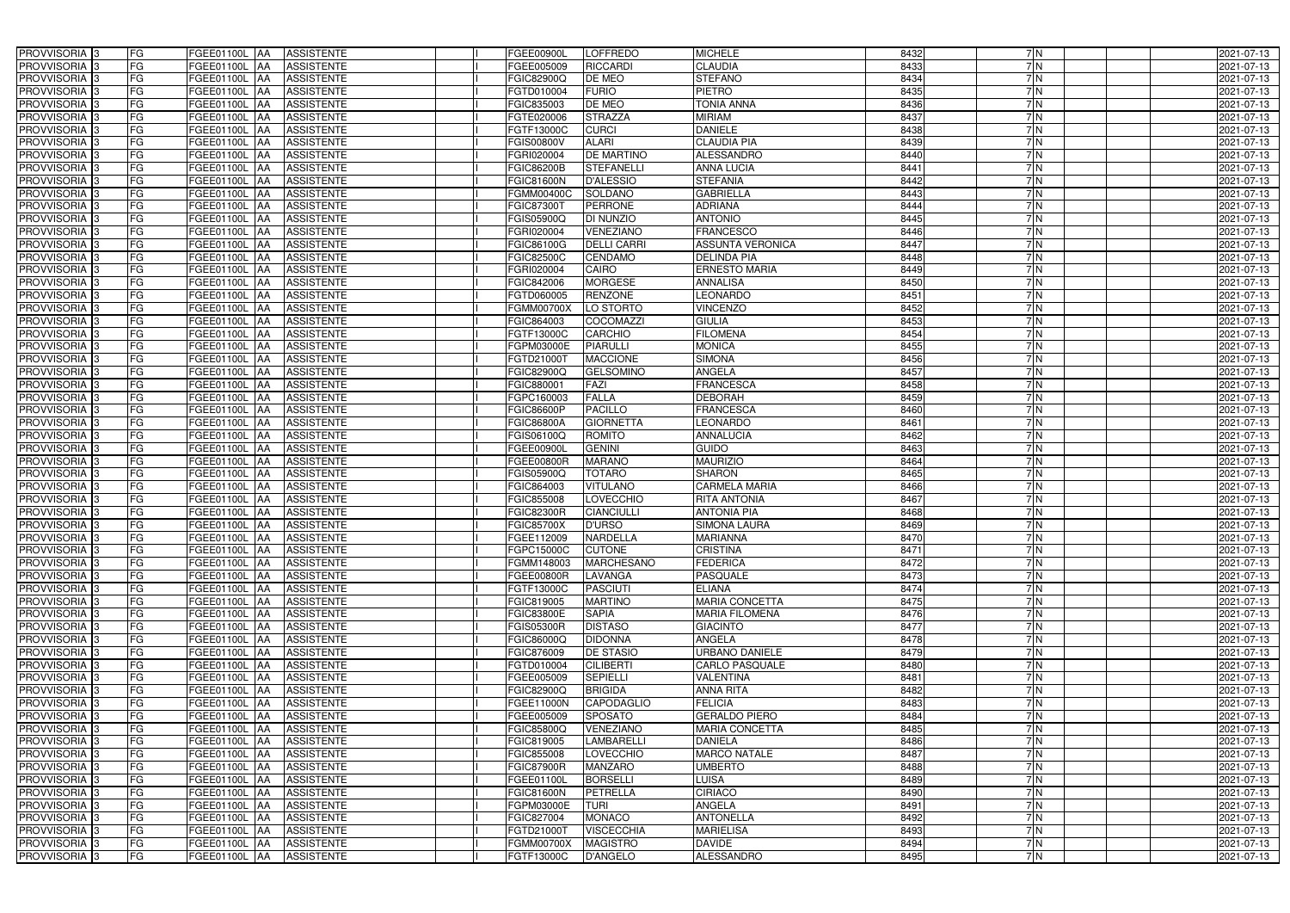| PROVVISORIA 3                                        | FG        | FGEE01100L AA                  | <b>ASSISTENTE</b>                      | FGEE00900L                      | LOFFREDO                            | <b>MICHELE</b>                         | 8432         | 7N         | 2021-07-13               |
|------------------------------------------------------|-----------|--------------------------------|----------------------------------------|---------------------------------|-------------------------------------|----------------------------------------|--------------|------------|--------------------------|
| PROVVISORIA 3                                        | FG        | FGEE01100L<br>IAA              | <b>ASSISTENTE</b>                      | FGEE005009                      | <b>RICCARDI</b>                     | <b>CLAUDIA</b>                         | 8433         | 7N         | 2021-07-13               |
| PROVVISORIA 3                                        | <b>FG</b> | <b>FGEE01100L   AA</b>         | <b>ASSISTENTE</b>                      | FGIC82900Q                      | DE MEO                              | <b>STEFANO</b>                         | 8434         | 7N         | 2021-07-13               |
| PROVVISORIA <sup>3</sup>                             | FG        | FGEE01100L<br>IAA              | <b>ASSISTENTE</b>                      | FGTD010004                      | <b>FURIO</b>                        | <b>PIETRO</b>                          | 8435         | 7N         | 2021-07-13               |
| PROVVISORIA 3                                        | FG        | FGEE01100L<br>IAA              | <b>ASSISTENTE</b>                      | FGIC835003                      | DE MEO                              | <b>TONIA ANNA</b>                      | 8436         | 7N         | 2021-07-13               |
| PROVVISORIA 3                                        | <b>FG</b> | <b>FGEE01100L AA</b>           | <b>ASSISTENTE</b>                      | FGTE020006                      | <b>STRAZZA</b>                      | <b>MIRIAM</b>                          | 8437         | 7N         | 2021-07-13               |
| PROVVISORIA 3                                        | FG        | <b>FGEE01100L   AA</b>         | <b>ASSISTENTE</b>                      | FGTF13000C                      | <b>CURCI</b>                        | <b>DANIELE</b>                         | 8438         | 7N         | 2021-07-13               |
| PROVVISORIA 3                                        | FG        | FGEE01100L AA                  | <b>ASSISTENTE</b>                      | <b>FGIS00800V</b>               | <b>ALARI</b>                        | <b>CLAUDIA PIA</b>                     | 8439         | 7N         | 2021-07-13               |
| PROVVISORIA 3                                        | <b>FG</b> | FGEE01100L AA                  | <b>ASSISTENTE</b>                      | FGRI020004                      | <b>DE MARTINO</b>                   | <b>ALESSANDRO</b>                      | 8440         | 7N         | 2021-07-13               |
| PROVVISORIA 3                                        | FG        | <b>FGEE01100L AA</b>           | <b>ASSISTENTE</b>                      | <b>FGIC86200B</b>               | <b>STEFANELLI</b>                   | <b>ANNA LUCIA</b>                      | 8441         | 7N         | 2021-07-13               |
| PROVVISORIA 3                                        | FG        | FGEE01100L AA                  | <b>ASSISTENTE</b>                      | <b>FGIC81600N</b>               | <b>D'ALESSIO</b>                    | <b>STEFANIA</b>                        | 8442         | 7N         | 2021-07-13               |
| PROVVISORIA 3                                        | FG        | FGEE01100L AA                  | <b>ASSISTENTE</b>                      | <b>FGMM00400C</b>               | <b>SOLDANO</b>                      | <b>GABRIELLA</b>                       | 8443         | 7N         | 2021-07-13               |
| PROVVISORIA <sup>3</sup>                             | FG        | FGEE01100L AA                  | <b>ASSISTENTE</b>                      | FGIC873001                      | <b>PERRONE</b>                      | <b>ADRIANA</b>                         | 8444         | 7 N        | 2021-07-13               |
| PROVVISORIA 3                                        | FG        | FGEE01100L AA                  | <b>ASSISTENTE</b>                      | FGIS05900Q                      | <b>DI NUNZIO</b>                    | <b>ANTONIO</b>                         | 8445         | 7N         | 2021-07-13               |
| PROVVISORIA 3                                        | <b>FG</b> | FGEE01100L AA                  | <b>ASSISTENTE</b>                      | FGRI020004                      | <b>VENEZIANO</b>                    | <b>FRANCESCO</b>                       | 8446         | 7N         | 2021-07-13               |
| PROVVISORIA 3                                        | <b>FG</b> | FGEE01100L<br><b>IAA</b>       | <b>ASSISTENTE</b>                      | FGIC86100G                      | <b>DELLI CARRI</b>                  | <b>ASSUNTA VERONICA</b>                | 8447         | 7N         | 2021-07-13               |
| PROVVISORIA 3                                        | FG        | FGEE01100L<br>IAA              | <b>ASSISTENTE</b>                      | FGIC82500C                      | <b>CENDAMO</b>                      | <b>DELINDA PIA</b>                     | 8448         | 7N         | 2021-07-13               |
| PROVVISORIA 3                                        | FG        | <b>FGEE01100L</b><br>IAA       | <b>ASSISTENTE</b>                      | FGRI020004                      | CAIRO                               | <b>ERNESTO MARIA</b>                   | 8449         | 7 N        | 2021-07-13               |
| PROVVISORIA 3                                        | <b>FG</b> | FGEE01100L<br>IAA              | <b>ASSISTENTE</b>                      | FGIC842006                      | <b>MORGESE</b>                      | <b>ANNALISA</b>                        | 8450         | 7 N        | 2021-07-13               |
| PROVVISORIA 3                                        | FG        | FGEE01100L<br>IAA              | <b>ASSISTENTE</b>                      | FGTD060005                      | <b>RENZONE</b>                      | <b>LEONARDO</b>                        | 8451         | 7N         | 2021-07-13               |
| PROVVISORIA <sup>3</sup>                             | FG        | FGEE01100L                     | <b>ASSISTENTE</b>                      | <b>FGMM00700X</b>               | LO STORTO                           | <b>VINCENZO</b>                        | 8452         | 7N         | 2021-07-13               |
| <b>PROVVISORIA</b> 3                                 | FG        | FGEE01100L<br>IAA              | <b>ASSISTENTE</b>                      | FGIC864003                      | <b>COCOMAZZI</b>                    | <b>GIULIA</b>                          | 8453         | 7N         | 2021-07-13               |
| PROVVISORIA <sup>3</sup>                             | FG        | FGEE01100L<br>IAA              | <b>ASSISTENTE</b>                      | FGTF13000C                      | <b>CARCHIO</b>                      | <b>FILOMENA</b>                        | 8454         | 7N         | 2021-07-13               |
| PROVVISORIA <sup>3</sup>                             | <b>FG</b> | FGEE01100L<br>IAA              | <b>ASSISTENTE</b>                      | FGPM03000E                      | <b>PIARULLI</b>                     | <b>MONICA</b>                          | 8455         | 7N         | 2021-07-13               |
| <b>PROVVISORIA</b> 3                                 | FG        | FGEE01100L<br>IAA              | <b>ASSISTENTE</b>                      | FGTD21000T                      | <b>MACCIONE</b>                     | <b>SIMONA</b>                          | 8456         | 7N         | 2021-07-13               |
| PROVVISORIA 3                                        | FG        | FGEE01100L<br>IAA              | <b>ASSISTENTE</b>                      | FGIC82900Q                      | <b>GELSOMINO</b>                    | ANGELA                                 | 8457         | 7N         | 2021-07-13               |
| PROVVISORIA 3                                        | <b>FG</b> | FGEE01100L AA                  | <b>ASSISTENTE</b>                      | FGIC880001                      | <b>FAZI</b>                         | <b>FRANCESCA</b>                       | 8458         | 7N         | 2021-07-13               |
| PROVVISORIA 3                                        | <b>FG</b> | <b>FGEE01100L   AA</b>         | <b>ASSISTENTE</b>                      | FGPC160003                      | <b>FALLA</b>                        | <b>DEBORAH</b>                         | 8459         | 7N         | 2021-07-13               |
| PROVVISORIA <sup>3</sup>                             | FG        | FGEE01100L AA                  | <b>ASSISTENTE</b>                      | <b>FGIC86600P</b>               | <b>PACILLO</b>                      | FRANCESCA                              | 8460         | 7N         | 2021-07-13               |
| PROVVISORIA 3                                        | <b>FG</b> | <b>FGEE01100L   AA</b>         | <b>ASSISTENTE</b>                      | FGIC86800A                      | <b>GIORNETTA</b>                    | LEONARDO                               | 8461         | 7N         | 2021-07-13               |
| PROVVISORIA 3                                        | FG        | <b>FGEE01100L AA</b>           | <b>ASSISTENTE</b>                      | FGIS06100Q                      | <b>ROMITO</b>                       | <b>ANNALUCIA</b>                       | 8462         | 7 N        | 2021-07-13               |
| PROVVISORIA 3                                        | FG        | FGEE01100L AA                  | <b>ASSISTENTE</b>                      | FGEE00900L                      | <b>GENINI</b>                       | <b>GUIDO</b>                           | 8463         | 7N         | 2021-07-13               |
| PROVVISORIA 3                                        | FG        | FGEE01100L AA                  | <b>ASSISTENTE</b>                      | FGEE00800R                      | <b>MARANO</b>                       | <b>MAURIZIO</b>                        | 8464         | 7N         | 2021-07-13               |
| PROVVISORIA <sup>3</sup>                             | FG        | FGEE01100L AA                  | <b>ASSISTENTE</b>                      | FGIS05900Q                      | <b>TOTARO</b>                       | <b>SHARON</b>                          | 8465         | 7N         | 2021-07-13               |
| <b>PROVVISORIA</b>                                   | <b>FG</b> | FGEE01100L<br>IAA              | <b>ASSISTENTE</b>                      | FGIC864003                      | <b>VITULANO</b>                     | <b>CARMELA MARIA</b>                   | 8466         | 7N         | 2021-07-13               |
| PROVVISORIA <sup>3</sup>                             | FG        | FGEE01100L<br>IAA              | <b>ASSISTENTE</b>                      | FGIC855008                      | <b>LOVECCHIO</b>                    | <b>RITA ANTONIA</b>                    | 8467         | 7 N        | 2021-07-13               |
| PROVVISORIA <sup>1</sup> 3                           | FG        | FGEE01100L<br>IAA              | <b>ASSISTENTE</b>                      | GIC82300R                       | <b>CIANCIULLI</b>                   | <b>ANTONIA PIA</b>                     | 8468         | 7N         | 2021-07-13               |
| PROVVISORIA <sup>3</sup>                             | <b>FG</b> | FGEE01100L AA                  | <b>ASSISTENTE</b>                      | <b>FGIC85700X</b>               | <b>D'URSO</b>                       | <b>SIMONA LAURA</b>                    | 8469         | 7N         | 2021-07-13               |
| PROVVISORIA <sup>3</sup>                             | FG        | FGEE01100L AA ASSISTENTE       |                                        | FGEE112009                      | <b>NARDELLA</b>                     | <b>MARIANNA</b>                        | 8470         | 7 N        | 2021-07-13               |
| PROVVISORIA <sup>3</sup>                             | FG        | FGEE01100L AA                  | <b>ASSISTENTE</b>                      | FGPC15000C                      | <b>CUTONE</b>                       | <b>CRISTINA</b>                        | 8471         | 7N         | 2021-07-13               |
| PROVVISORIA <sup>3</sup>                             | FG        | FGEE01100L AA                  | ASSISTENTE                             | FGMM148003                      | <b>MARCHESANO</b>                   | <b>FEDERICA</b>                        | 8472         | 7 N        | 2021-07-13               |
| PROVVISORIA <sup>3</sup>                             | FG        | FGEE01100L AA                  | <b>ASSISTENTE</b>                      | FGEE00800R                      | <b>LAVANGA</b>                      | <b>PASQUALE</b>                        | 8473         | 7 N        | 2021-07-13               |
| PROVVISORIA <sup>3</sup>                             | FG        | FGEE01100L AA                  | <b>ASSISTENTE</b>                      | FGTF13000C                      | <b>PASCIUTI</b>                     | <b>ELIANA</b>                          | 8474         | 7 N        | 2021-07-13               |
| PROVVISORIA <sup>3</sup>                             | FG        | <b>FGEE01100L AA</b>           | <b>ASSISTENTE</b>                      | FGIC819005                      | <b>MARTINO</b>                      | <b>MARIA CONCETTA</b>                  | 8475         | 7N         | 2021-07-13               |
| PROVVISORIA <sup>3</sup>                             | FG        | FGEE01100L AA                  | <b>ASSISTENTE</b>                      | <b>FGIC83800E</b>               | <b>SAPIA</b>                        | <b>MARIA FILOMENA</b>                  | 8476         | 7N         | 2021-07-13               |
| PROVVISORIA <sup>3</sup>                             | FG        | FGEE01100L AA                  | <b>ASSISTENTE</b>                      | <b>FGIS05300R</b>               | <b>DISTASO</b>                      | <b>GIACINTO</b>                        | 8477         | 7N         | 2021-07-13               |
| PROVVISORIA <sup>3</sup>                             | FG        | FGEE01100L AA                  | <b>ASSISTENTE</b>                      | FGIC86000Q                      | <b>DIDONNA</b>                      | ANGELA                                 | 8478         | 7N         | 2021-07-13               |
| PROVVISORIA <sup>3</sup>                             | FG        | FGEE01100L AA                  | <b>ASSISTENTE</b>                      | FGIC876009                      | <b>DE STASIO</b>                    | URBANO DANIELE                         | 8479         | 7N         | 2021-07-13               |
| PROVVISORIA <sup>3</sup>                             | FG        | FGEE01100L AA                  | <b>ASSISTENTE</b>                      | FGTD010004                      | <b>CILIBERTI</b>                    | CARLO PASQUALE                         | 8480         | 7 N        | 2021-07-13               |
| PROVVISORIA <sup>3</sup><br>PROVVISORIA <sup>3</sup> | FG<br>FG  | FGEE01100L AA                  | <b>ASSISTENTE</b>                      | FGEE005009                      | <b>SEPIELLI</b><br><b>BRIGIDA</b>   | <b>VALENTINA</b><br>ANNA RITA          | 8481<br>8482 | 7 N<br>7N  | 2021-07-13               |
|                                                      |           | FGEE01100L AA                  | ASSISTENTE                             | FGIC82900Q                      |                                     |                                        |              |            | 2021-07-13               |
| PROVVISORIA <sup>3</sup><br>PROVVISORIA <sup>3</sup> | FG<br>FG  | FGEE01100L AA                  | <b>ASSISTENTE</b>                      | FGEE11000N                      | <b>CAPODAGLIO</b><br><b>SPOSATO</b> | <b>FELICIA</b><br><b>GERALDO PIERO</b> | 8483         | 7 N<br>7 N | 2021-07-13               |
|                                                      |           | <b>FGEE01100L   AA</b>         | <b>ASSISTENTE</b>                      | FGEE005009                      |                                     |                                        | 8484         |            | 2021-07-13               |
| PROVVISORIA <sup>3</sup>                             | FG<br>FG  | FGEE01100L AA                  | <b>ASSISTENTE</b>                      | FGIC85800Q                      | <b>VENEZIANO</b>                    | <b>MARIA CONCETTA</b>                  | 8485<br>8486 | 7 N<br>7N  | 2021-07-13               |
| PROVVISORIA <sup>13</sup>                            | FG        | FGEE01100L AA                  | <b>ASSISTENTE</b>                      | FGIC819005                      | <b>LAMBARELLI</b><br>LOVECCHIO      | <b>DANIELA</b><br><b>MARCO NATALE</b>  |              | 7 N        | 2021-07-13               |
| PROVVISORIA <sup>3</sup>                             | FG        | FGEE01100L AA                  | <b>ASSISTENTE</b><br><b>ASSISTENTE</b> | FGIC855008                      | <b>MANZARO</b>                      | <b>JMBERTO</b>                         | 8487<br>8488 | 7N         | 2021-07-13               |
| PROVVISORIA <sup>3</sup><br>PROVVISORIA <sup>3</sup> | FG        | FGEE01100L AA                  |                                        | <b>FGIC87900R</b>               | <b>BORSELLI</b>                     | <b>LUISA</b>                           | 8489         | 7N         | 2021-07-13               |
| PROVVISORIA <sup>3</sup>                             | FG        | FGEE01100L AA<br>FGEE01100L AA | <b>ASSISTENTE</b><br><b>ASSISTENTE</b> | FGEE01100L<br><b>FGIC81600N</b> | PETRELLA                            | <b>CIRIACO</b>                         | 8490         | 7N         | 2021-07-13<br>2021-07-13 |
| PROVVISORIA <sup>3</sup>                             | FG        | FGEE01100L AA                  | <b>ASSISTENTE</b>                      | FGPM03000E                      | <b>TURI</b>                         | <b>ANGELA</b>                          | 8491         | 7N         | 2021-07-13               |
| PROVVISORIA <sup>3</sup>                             | FG        | <b>FGEE01100L AA</b>           | <b>ASSISTENTE</b>                      | FGIC827004                      | <b>MONACO</b>                       | <b>ANTONELLA</b>                       | 8492         | 7N         | 2021-07-13               |
| PROVVISORIA <sup>3</sup>                             | FG        | <b>FGEE01100L AA</b>           | <b>ASSISTENTE</b>                      | FGTD21000T                      | <b>VISCECCHIA</b>                   | <b>MARIELISA</b>                       | 8493         | 7N         | 2021-07-13               |
| PROVVISORIA <sup>3</sup>                             | FG        | <b>FGEE01100L AA</b>           | <b>ASSISTENTE</b>                      | <b>FGMM00700X</b>               | <b>MAGISTRO</b>                     | <b>DAVIDE</b>                          | 8494         | 7 N        | 2021-07-13               |
| PROVVISORIA 3                                        | FG        | FGEE01100L AA                  | ASSISTENTE                             | FGTF13000C                      | <b>D'ANGELO</b>                     | <b>ALESSANDRO</b>                      | 8495         | 7N         | 2021-07-13               |
|                                                      |           |                                |                                        |                                 |                                     |                                        |              |            |                          |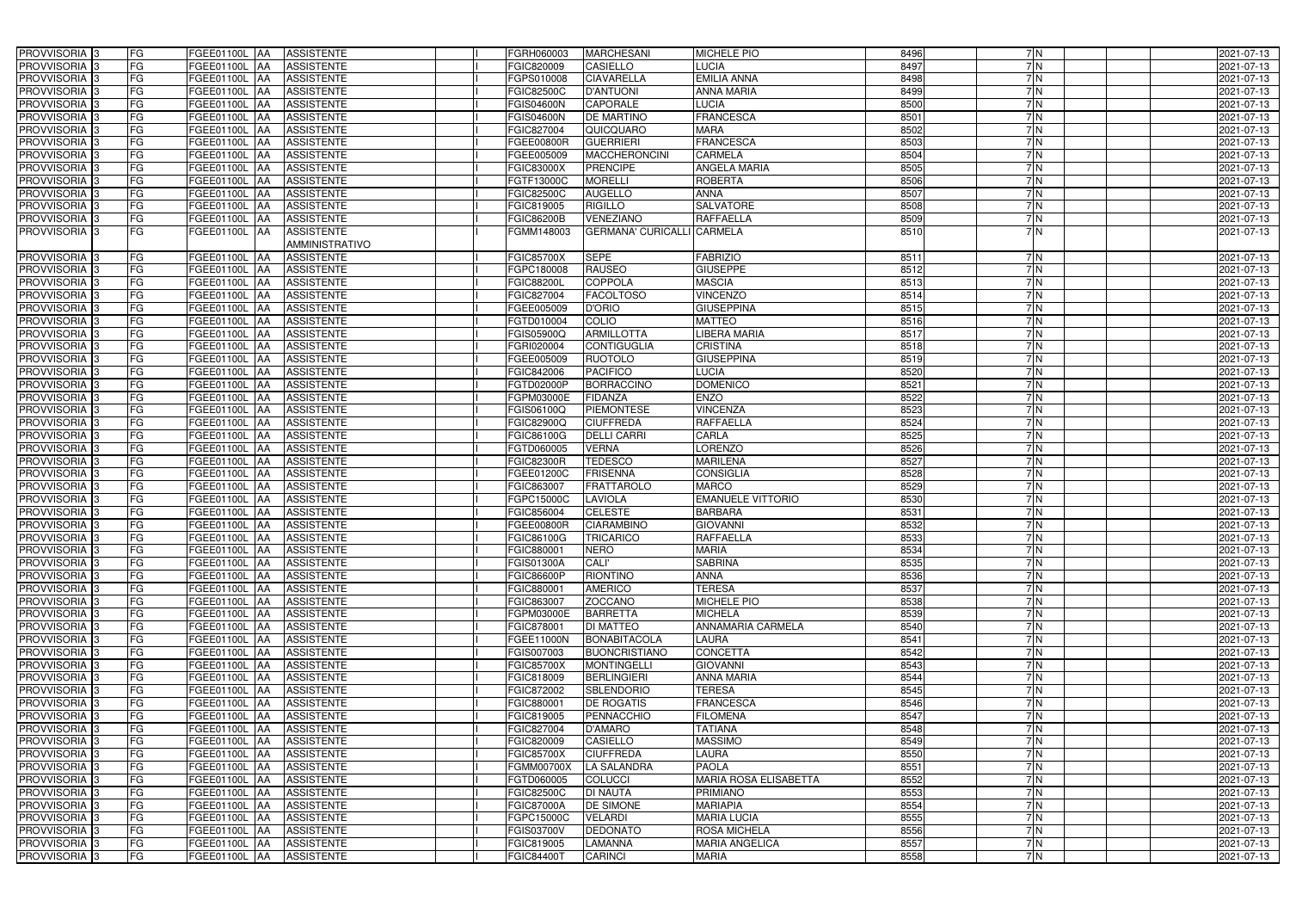| PROVVISORIA 3                                        | FG        | FGEE01100L AA                         | <b>ASSISTENTE</b>                      | FGRH060003        | <b>MARCHESANI</b>                  | <b>MICHELE PIO</b>                    | 8496         | 7 N      | 2021-07-13 |
|------------------------------------------------------|-----------|---------------------------------------|----------------------------------------|-------------------|------------------------------------|---------------------------------------|--------------|----------|------------|
| PROVVISORIA 3                                        | FG        | FGEE01100L AA                         | <b>ASSISTENTE</b>                      | FGIC820009        | CASIELLO                           | <b>UCIA</b>                           | 8497         | 7N       | 2021-07-13 |
| PROVVISORIA 3                                        | FG        | FGEE01100L AA                         | <b>ASSISTENTE</b>                      | FGPS010008        | <b>CIAVARELLA</b>                  | <b>EMILIA ANNA</b>                    | 8498         | 7N       | 2021-07-13 |
| PROVVISORIA 3                                        | <b>FG</b> | FGEE01100L AA                         | <b>ASSISTENTE</b>                      | FGIC82500C        | <b>D'ANTUONI</b>                   | <b>ANNA MARIA</b>                     | 8499         | 7N       | 2021-07-13 |
| PROVVISORIA 3                                        | FG        | FGEE01100L AA                         | <b>ASSISTENTE</b>                      | FGIS04600N        | CAPORALE                           | LUCIA                                 | 8500         | 7N       | 2021-07-13 |
| PROVVISORIA 3                                        | <b>FG</b> | <b>FGEE01100L   AA</b>                | <b>ASSISTENTE</b>                      | FGIS04600N        | <b>DE MARTINO</b>                  | <b>FRANCESCA</b>                      | 8501         | 7N       | 2021-07-13 |
| PROVVISORIA <sup>3</sup>                             | FG        | <b>FGEE01100L   AA</b>                | <b>ASSISTENTE</b>                      | FGIC827004        | QUICQUARO                          | <b>MARA</b>                           | 8502         | 7 N      | 2021-07-13 |
| PROVVISORIA 3                                        | FG        | FGEE01100L AA                         | <b>ASSISTENTE</b>                      | FGEE00800R        | <b>GUERRIERI</b>                   | <b>FRANCESCA</b>                      | 8503         | 7N       | 2021-07-13 |
| PROVVISORIA 3                                        | FG        | FGEE01100L AA                         | <b>ASSISTENTE</b>                      | FGEE005009        | <b>MACCHERONCINI</b>               | <b>CARMELA</b>                        | 8504         | 7N       | 2021-07-13 |
| PROVVISORIA 3                                        | FG        | FGEE01100L AA                         | <b>ASSISTENTE</b>                      | FGIC83000X        | <b>PRENCIPE</b>                    | ANGELA MARIA                          | 8505         | 7N       | 2021-07-13 |
| PROVVISORIA 3                                        | <b>FG</b> | FGEE01100L<br>IAA                     | <b>ASSISTENTE</b>                      | FGTF13000C        | <b>MORELLI</b>                     | <b>ROBERTA</b>                        | 8506         | 7N       | 2021-07-13 |
| PROVVISORIA <sup>1</sup> 3                           | FG        | FGEE01100L<br>IAA                     | <b>ASSISTENTE</b>                      | FGIC82500C        | <b>AUGELLO</b>                     | <b>ANNA</b>                           | 8507         | 7N       | 2021-07-13 |
| PROVVISORIA <sup>3</sup>                             | FG        | FGEE01100L<br>IAA                     | <b>ASSISTENTE</b>                      | FGIC819005        | <b>RIGILLO</b>                     | <b>SALVATORE</b>                      | 8508         | 7N       | 2021-07-13 |
| PROVVISORIA 3                                        | FG        | FGEE01100L AA                         | <b>ASSISTENTE</b>                      | <b>FGIC86200B</b> | <b>VENEZIANO</b>                   | <b>RAFFAELLA</b>                      | 8509         | 7N       | 2021-07-13 |
| PROVVISORIA 3                                        | <b>FG</b> | FGEE01100L AA                         | <b>ASSISTENTE</b>                      | FGMM148003        | <b>GERMANA' CURICALLI CARMELA</b>  |                                       | 8510         | 7 N      | 2021-07-13 |
|                                                      |           |                                       | AMMINISTRATIVO                         |                   |                                    |                                       |              |          |            |
| <b>PROVVISORIA</b>                                   | <b>FG</b> | FGEE01100L AA                         | <b>ASSISTENTE</b>                      | <b>FGIC85700X</b> | <b>SEPE</b>                        | <b>FABRIZIO</b>                       | 8511         | 7N       | 2021-07-13 |
| PROVVISORIA <sup>3</sup>                             | <b>FG</b> | FGEE01100L AA                         | <b>ASSISTENTE</b>                      | FGPC180008        | <b>RAUSEO</b>                      | <b>GIUSEPPE</b>                       | 8512         | 7N       | 2021-07-13 |
| PROVVISORIA <sup>3</sup>                             | <b>FG</b> | FGEE01100L AA                         | <b>ASSISTENTE</b>                      | <b>FGIC88200L</b> | <b>COPPOLA</b>                     | <b>MASCIA</b>                         | 8513         | 7N       | 2021-07-13 |
| PROVVISORIA 3                                        | <b>FG</b> | FGEE01100L AA                         | <b>ASSISTENTE</b>                      | FGIC827004        | <b>FACOLTOSO</b>                   | <b>VINCENZO</b>                       | 8514         | 7 N      | 2021-07-13 |
| PROVVISORIA <sup>3</sup>                             | FG        | FGEE01100L AA                         | <b>ASSISTENTE</b>                      | FGEE005009        | <b>D'ORIO</b>                      | <b>GIUSEPPINA</b>                     | 8515         | 7N       | 2021-07-13 |
| PROVVISORIA 3                                        | FG        | <b>FGEE01100L   AA</b>                | <b>ASSISTENTE</b>                      | FGTD010004        | COLIO                              | <b>MATTEO</b>                         | 8516         | 7N       | 2021-07-13 |
| PROVVISORIA 3                                        | FG        | FGEE01100L AA                         | <b>ASSISTENTE</b>                      | FGIS05900Q        | <b>ARMILLOTTA</b>                  | LIBERA MARIA                          | 8517         | 7N       | 2021-07-13 |
| PROVVISORIA 3                                        | FG        | FGEE01100L<br>IAA                     | <b>ASSISTENTE</b>                      | FGRI020004        | <b>CONTIGUGLIA</b>                 | <b>CRISTINA</b>                       | 8518         | 7N       | 2021-07-13 |
| PROVVISORIA <sup>3</sup>                             | FG        | FGEE01100L<br>IAA                     | <b>ASSISTENTE</b>                      | FGEE005009        | <b>RUOTOLO</b>                     | <b>GIUSEPPINA</b>                     | 8519         | 7N       | 2021-07-13 |
| PROVVISORIA <sup>3</sup>                             | FG        | FGEE01100L<br>IAA                     | <b>ASSISTENTE</b>                      | FGIC842006        | <b>PACIFICO</b>                    | <b>LUCIA</b>                          | 8520         | 7 N      | 2021-07-13 |
| <b>PROVVISORIA</b> 3                                 | FG        | FGEE01100L<br>lAA                     | <b>ASSISTENTE</b>                      | FGTD02000P        | <b>BORRACCINO</b>                  | <b>DOMENICO</b>                       | 8521         | 7 N      | 2021-07-13 |
| PROVVISORIA 3                                        | <b>FG</b> | FGEE01100L<br><b>IAA</b>              | <b>ASSISTENTE</b>                      | FGPM03000E        | <b>FIDANZA</b>                     | <b>ENZO</b>                           | 8522         | 7N       | 2021-07-13 |
| PROVVISORIA 3                                        | FG        | FGEE01100L<br>IAA                     | <b>ASSISTENTE</b>                      | FGIS06100Q        | <b>PIEMONTESE</b>                  | <b>VINCENZA</b>                       | 8523         | 7N       | 2021-07-13 |
| PROVVISORIA 3                                        | <b>FG</b> | FGEE01100L<br>IAA                     | <b>ASSISTENTE</b>                      | FGIC82900Q        | <b>CIUFFREDA</b>                   | RAFFAELLA                             | 8524         | 7N       | 2021-07-13 |
| PROVVISORIA <sup>3</sup>                             | FG        | FGEE01100L<br>IAA                     | <b>ASSISTENTE</b>                      | FGIC86100G        | <b>DELLI CARRI</b>                 | CARLA                                 | 8525         | 7N       | 2021-07-13 |
| PROVVISORIA 3                                        | FG        | FGEE01100L                            | <b>ASSISTENTE</b>                      | FGTD060005        | <b>VERNA</b>                       | <b>ORENZO</b>                         | 8526         | 7N       | 2021-07-13 |
| PROVVISORIA 3                                        | <b>FG</b> | FGEE01100L<br>IAA                     | <b>ASSISTENTE</b>                      | <b>FGIC82300R</b> | <b>TEDESCO</b>                     | <b>MARILENA</b>                       | 8527         | 7N       | 2021-07-13 |
| PROVVISORIA 3                                        | FG        | FGEE01100L<br>IAA                     | <b>ASSISTENTE</b>                      | FGEE01200C        | <b>FRISENNA</b>                    | <b>CONSIGLIA</b>                      | 8528         | 7N       | 2021-07-13 |
| PROVVISORIA 3                                        | <b>FG</b> | FGEE01100L<br>IAA                     | <b>ASSISTENTE</b>                      | FGIC863007        | <b>FRATTAROLO</b>                  | <b>MARCO</b>                          | 8529         | 7N       | 2021-07-13 |
| PROVVISORIA 3                                        | <b>FG</b> | FGEE01100L<br>IAA                     | <b>ASSISTENTE</b>                      | FGPC15000C        | <b>LAVIOLA</b>                     | <b>EMANUELE VITTORIO</b>              | 8530         | 7N       | 2021-07-13 |
| PROVVISORIA 3                                        | FG        | FGEE01100L<br>IAA                     | <b>ASSISTENTE</b>                      | FGIC856004        | <b>CELESTE</b>                     | <b>BARBARA</b>                        | 8531         | 7 N      | 2021-07-13 |
| PROVVISORIA <sup>3</sup>                             | <b>FG</b> | <b>FGEE01100L AA</b>                  | <b>ASSISTENTE</b>                      | FGEE00800R        | <b>CIARAMBINO</b>                  | <b>GIOVANNI</b>                       | 8532         | 7N       | 2021-07-13 |
| PROVVISORIA <sup>3</sup>                             | FG        | FGEE01100L AA ASSISTENTE              |                                        | FGIC86100G        | TRICARICO                          | RAFFAELLA                             | 8533         | 7 N      | 2021-07-13 |
| PROVVISORIA <sup>3</sup>                             | FG        | FGEE01100L AA                         | <b>ASSISTENTE</b>                      | FGIC880001        | <b>NERO</b>                        | <b>MARIA</b>                          | 8534         | 7N       | 2021-07-13 |
| <b>PROVVISORIA</b> 3                                 | FG        | FGEE01100L AA                         | ASSISTENTE                             | <b>FGIS01300A</b> | <b>CALI'</b>                       | <b>SABRINA</b>                        | 8535         | 7 N      | 2021-07-13 |
| PROVVISORIA <sup>3</sup>                             | FG        | FGEE01100L AA                         | <b>ASSISTENTE</b>                      | <b>FGIC86600P</b> | <b>RIONTINO</b>                    | <b>ANNA</b>                           | 8536         | 7N       | 2021-07-13 |
| PROVVISORIA <sup>3</sup>                             | FG        | FGEE01100L AA                         | <b>ASSISTENTE</b>                      | FGIC880001        | <b>AMERICO</b>                     | <b>TERESA</b>                         | 8537         | 7N       | 2021-07-13 |
| PROVVISORIA <sup>3</sup>                             | FG        | FGEE01100L AA                         | <b>ASSISTENTE</b>                      | FGIC863007        | <b>ZOCCANO</b>                     | MICHELE PIO                           | 8538         | 7 N      | 2021-07-13 |
| PROVVISORIA <sup>3</sup>                             | FG        | FGEE01100L AA                         | <b>ASSISTENTE</b>                      | FGPM03000E        | <b>BARRETTA</b>                    | <b>MICHELA</b>                        | 8539         | 7N       | 2021-07-13 |
| PROVVISORIA <sup>3</sup>                             | FG        | <b>FGEE01100L AA</b>                  | <b>ASSISTENTE</b>                      | FGIC878001        | <b>DI MATTEO</b>                   | <b>ANNAMARIA CARMELA</b>              | 8540         | 7N       | 2021-07-13 |
| PROVVISORIA <sup>3</sup>                             | FG        | <b>FGEE01100L AA</b>                  | <b>ASSISTENTE</b>                      | FGEE11000N        | BONABITACOLA                       | LAURA                                 | 8541         | 7 N      | 2021-07-13 |
| PROVVISORIA <sup>3</sup>                             | FG        | <b>FGEE01100L AA</b>                  | <b>ASSISTENTE</b>                      | FGIS007003        | <b>BUONCRISTIANO</b>               | <b>CONCETTA</b>                       | 8542         | 7 N      | 2021-07-13 |
| PROVVISORIA 3                                        | FG        | FGEE01100L AA                         | <b>ASSISTENTE</b>                      | <b>FGIC85700X</b> | <b>MONTINGELLI</b>                 | <b>GIOVANNI</b>                       | 8543         | 7N       | 2021-07-13 |
| PROVVISORIA <sup>3</sup>                             | FG        | FGEE01100L AA                         | <b>ASSISTENTE</b>                      | FGIC818009        | <b>BERLINGIERI</b>                 | <b>ANNA MARIA</b>                     | 8544         | 7N       | 2021-07-13 |
| PROVVISORIA <sup>3</sup>                             | FG        | FGEE01100L AA                         | <b>ASSISTENTE</b>                      | FGIC872002        | <b>SBLENDORIO</b>                  | <b>TERESA</b>                         | 8545         | 7N       | 2021-07-13 |
| PROVVISORIA <sup>3</sup>                             | FG        | FGEE01100L AA                         | <b>ASSISTENTE</b>                      | FGIC880001        | <b>DE ROGATIS</b>                  | <b>FRANCESCA</b>                      | 8546         | 7N       | 2021-07-13 |
| PROVVISORIA <sup>3</sup>                             | FG        | FGEE01100L AA                         | <b>ASSISTENTE</b>                      | FGIC819005        | <b>PENNACCHIO</b>                  | <b>FILOMENA</b>                       | 8547         | 7N       | 2021-07-13 |
| PROVVISORIA <sup>3</sup>                             | FG        | FGEE01100L AA                         | <b>ASSISTENTE</b>                      | FGIC827004        | <b>D'AMARO</b>                     | <b>TATIANA</b>                        | 8548         | 7N       | 2021-07-13 |
| PROVVISORIA <sup>3</sup>                             | FG        | FGEE01100L AA                         | <b>ASSISTENTE</b>                      | FGIC820009        | <b>CASIELLO</b>                    | <b>MASSIMO</b>                        | 8549         | 7 N      | 2021-07-13 |
| PROVVISORIA <sup>3</sup>                             | FG        | FGEE01100L  AA                        | <b>ASSISTENTE</b>                      | <b>FGIC85700X</b> | <b>CIUFFREDA</b>                   | LAURA                                 | 8550         | 7N       | 2021-07-13 |
| PROVVISORIA <sup>3</sup>                             | FG        | FGEE01100L AA                         | <b>ASSISTENTE</b>                      | <b>FGMM00700X</b> | LA SALANDRA                        | <b>PAOLA</b>                          | 8551         | 7N       | 2021-07-13 |
| PROVVISORIA <sup>3</sup>                             | FG        | <b>FGEE01100L   AA</b>                | <b>ASSISTENTE</b>                      | FGTD060005        | <b>COLUCCI</b>                     | MARIA ROSA ELISABETTA                 | 8552         | 7N       | 2021-07-13 |
| PROVVISORIA <sup>3</sup>                             | FG<br>FG  | FGEE01100L AA                         | <b>ASSISTENTE</b>                      | <b>FGIC82500C</b> | <b>DI NAUTA</b>                    | <b>PRIMIANO</b>                       | 8553<br>8554 | 7N       | 2021-07-13 |
| PROVVISORIA <sup>13</sup>                            | FG        | FGEE01100L AA                         | <b>ASSISTENTE</b><br><b>ASSISTENTE</b> | <b>FGIC87000A</b> | <b>DE SIMONE</b><br><b>VELARDI</b> | <b>MARIAPIA</b><br><b>MARIA LUCIA</b> | 8555         | 7N<br>7N | 2021-07-13 |
| PROVVISORIA <sup>3</sup>                             | FG        | FGEE01100L AA                         |                                        | FGPC15000C        | <b>DEDONATO</b>                    | <b>ROSA MICHELA</b>                   | 8556         | 7N       | 2021-07-13 |
| PROVVISORIA <sup>3</sup><br>PROVVISORIA <sup>3</sup> | FG        | FGEE01100L AA<br><b>FGEE01100L AA</b> | <b>ASSISTENTE</b><br><b>ASSISTENTE</b> | FGIS03700V        | <b>LAMANNA</b>                     | <b>MARIA ANGELICA</b>                 | 8557         | 7 N      | 2021-07-13 |
|                                                      | FG        |                                       | ASSISTENTE                             | FGIC819005        |                                    | <b>MARIA</b>                          | 8558         | 7N       | 2021-07-13 |
| PROVVISORIA <sup>3</sup>                             |           | <b>FGEE01100L AA</b>                  |                                        | <b>FGIC84400T</b> | <b>CARINCI</b>                     |                                       |              |          | 2021-07-13 |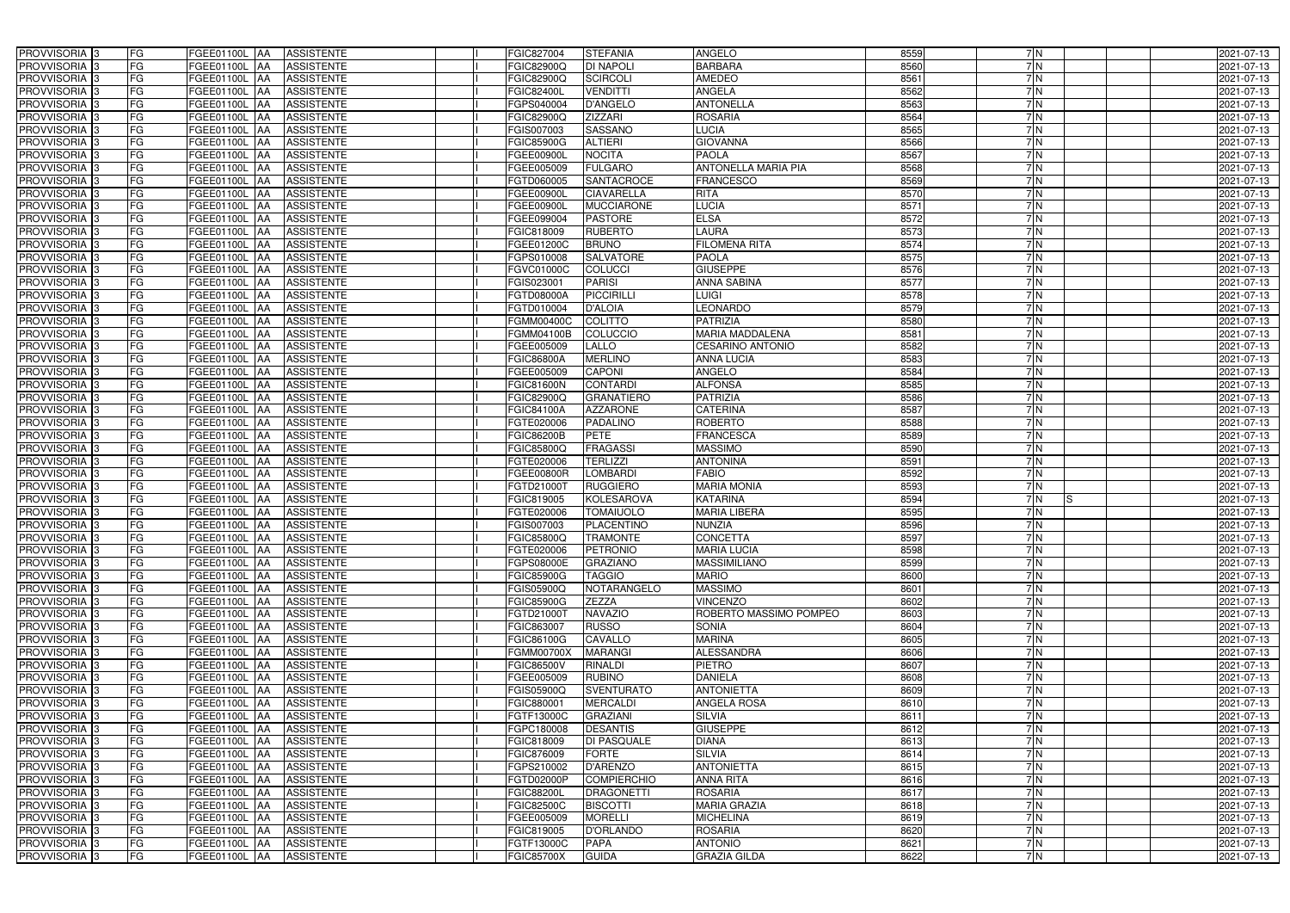| FG<br><b>BARBARA</b><br>8560<br>7N<br><b>DI NAPOLI</b><br>PROVVISORIA 3<br>FGEE01100L<br><b>ASSISTENTE</b><br>FGIC82900Q<br>2021-07-13<br>IAA<br><b>AMEDEO</b><br>8561<br>7N<br>FG<br><b>SCIRCOLI</b><br>PROVVISORIA 3<br><b>ASSISTENTE</b><br>FGIC82900Q<br>FGEE01100L<br>2021-07-13<br>IAA<br><b>FG</b><br>ANGELA<br>8562<br>7N<br>PROVVISORIA <sup>3</sup><br><b>VENDITTI</b><br>FGEE01100L<br><b>ASSISTENTE</b><br><b>FGIC82400L</b><br>2021-07-13<br>IAA<br>FG<br><b>ANTONELLA</b><br>8563<br>7N<br><b>D'ANGELO</b><br>PROVVISORIA 3<br>FGEE01100L<br><b>ASSISTENTE</b><br>FGPS040004<br>2021-07-13<br>IAA<br><b>FG</b><br><b>ZIZZARI</b><br><b>ROSARIA</b><br>8564<br>7N<br>PROVVISORIA 3<br>FGEE01100L AA<br><b>ASSISTENTE</b><br>FGIC82900Q<br>2021-07-13<br>8565<br>FG<br><b>SASSANO</b><br><b>LUCIA</b><br>7N<br>PROVVISORIA 3<br><b>ASSISTENTE</b><br>FGIS007003<br>FGEE01100L AA<br>2021-07-13<br>8566<br>FG<br><b>ASSISTENTE</b><br><b>ALTIERI</b><br><b>GIOVANNA</b><br>7N<br>PROVVISORIA 3<br>FGEE01100L AA<br><b>FGIC85900G</b><br>2021-07-13<br>8567<br><b>FG</b><br><b>NOCITA</b><br><b>PAOLA</b><br>7N<br>PROVVISORIA 3<br>FGEE01100L AA<br><b>ASSISTENTE</b><br>FGEE00900L<br>2021-07-13<br>8568<br>7N<br>PROVVISORIA 3<br>FG<br><b>ASSISTENTE</b><br><b>FULGARO</b><br><b>ANTONELLA MARIA PIA</b><br>FGEE01100L AA<br>FGEE005009<br>2021-07-13<br>8569<br>PROVVISORIA 3<br>FG<br><b>SANTACROCE</b><br><b>FRANCESCO</b><br>7N<br>FGEE01100L AA<br><b>ASSISTENTE</b><br>FGTD060005<br>2021-07-13<br>PROVVISORIA 3<br>FG<br><b>CIAVARELLA</b><br>8570<br>7N<br>FGEE01100L AA<br><b>ASSISTENTE</b><br>FGEE00900L<br><b>RITA</b><br>2021-07-13<br><b>LUCIA</b><br>8571<br>PROVVISORIA <sup>3</sup><br>FG<br>FGEE01100L<br><b>ASSISTENTE</b><br>FGEE00900L<br><b>MUCCIARONE</b><br>7 N<br>2021-07-13<br><b>IAA</b><br><b>ELSA</b><br>PROVVISORIA 3<br>FG<br>FGEE099004<br><b>PASTORE</b><br>8572<br>FGEE01100L AA<br><b>ASSISTENTE</b><br>7N<br>2021-07-13<br>LAURA<br>PROVVISORIA 3<br><b>FG</b><br><b>RUBERTO</b><br>8573<br>7 N<br><b>FGEE01100L   AA</b><br><b>ASSISTENTE</b><br>FGIC818009<br>2021-07-13<br><b>FG</b><br><b>BRUNO</b><br>8574<br>PROVVISORIA 3<br><b>FILOMENA RITA</b><br>7N<br>FGEE01100L<br><b>ASSISTENTE</b><br>FGEE01200C<br>2021-07-13<br>IAA.<br>PROVVISORIA 3<br>FG<br>8575<br>FGEE01100L<br><b>SALVATORE</b><br><b>PAOLA</b><br>7N<br>2021-07-13<br><b>ASSISTENTE</b><br>FGPS010008<br>IAA<br>PROVVISORIA 3<br>FG<br><b>COLUCCI</b><br><b>GIUSEPPE</b><br>8576<br>7 N<br><b>FGEE01100L</b><br><b>ASSISTENTE</b><br>FGVC01000C<br>2021-07-13<br>IAA<br>PROVVISORIA 3<br>FG<br><b>PARISI</b><br><b>ANNA SABINA</b><br>8577<br>7 N<br><b>FGEE01100L</b><br><b>ASSISTENTE</b><br>FGIS023001<br>2021-07-13<br>IAA<br>FG<br><b>PICCIRILLI</b><br>PROVVISORIA 3<br>FGTD08000A<br>LUIGI<br>8578<br>7N<br>2021-07-13<br>FGEE01100L<br><b>ASSISTENTE</b><br>IAA<br>FG<br><b>LEONARDO</b><br>8579<br><b>PROVVISORIA</b> 3<br><b>D'ALOIA</b><br>7N<br>2021-07-13<br>FGEE01100L<br><b>ASSISTENTE</b><br>FGTD010004<br>8580<br><b>PROVVISORIA</b> 3<br>FG<br><b>COLITTO</b><br><b>PATRIZIA</b><br>7N<br>FGEE01100L<br><b>ASSISTENTE</b><br>FGMM00400C<br>2021-07-13<br>IAA<br>PROVVISORIA <sup>3</sup><br>FG<br><b>MARIA MADDALENA</b><br>8581<br>7N<br><b>FGEE01100L</b><br><b>COLUCCIO</b><br>2021-07-13<br><b>ASSISTENTE</b><br>FGMM04100B<br>IAA<br>8582<br>7N<br>PROVVISORIA <sup>3</sup><br><b>FG</b><br><b>CESARINO ANTONIO</b><br>FGEE01100L<br><b>ASSISTENTE</b><br>FGEE005009<br>LALLO<br>2021-07-13<br>IAA<br>8583<br><b>PROVVISORIA</b> 3<br><b>FG</b><br><b>MERLINO</b><br>7N<br>FGEE01100L<br>FGIC86800A<br><b>ANNA LUCIA</b><br>2021-07-13<br><b>ASSISTENTE</b><br>IAA<br>8584<br>PROVVISORIA 3<br>FG<br><b>CAPONI</b><br>ANGELO<br>7N<br><b>ASSISTENTE</b><br>FGEE005009<br>2021-07-13<br>FGEE01100L<br>IAA<br><b>ALFONSA</b><br>8585<br>PROVVISORIA 3<br><b>FG</b><br><b>CONTARDI</b><br>7N<br><b>ASSISTENTE</b><br><b>FGIC81600N</b><br>2021-07-13<br><b>FGEE01100L   AA</b><br><b>FG</b><br><b>PATRIZIA</b><br>8586<br>7N<br>PROVVISORIA 3<br><b>ASSISTENTE</b><br>FGIC82900Q<br><b>GRANATIERO</b><br><b>FGEE01100L   AA</b><br>2021-07-13<br>FG<br><b>CATERINA</b><br>8587<br>7N<br>PROVVISORIA <sup>3</sup><br>FGEE01100L AA<br><b>ASSISTENTE</b><br>FGIC84100A<br><b>AZZARONE</b><br>2021-07-13<br><b>FG</b><br>ROBERTO<br>8588<br>7N<br>PROVVISORIA 3<br><b>FGEE01100L   AA</b><br><b>PADALINO</b><br><b>ASSISTENTE</b><br>FGTE020006<br>2021-07-13<br>FG<br><b>PETE</b><br><b>FRANCESCA</b><br>8589<br>7 N<br>PROVVISORIA 3<br><b>FGEE01100L AA</b><br><b>ASSISTENTE</b><br><b>FGIC86200B</b><br>2021-07-13<br>FG<br>PROVVISORIA 3<br><b>ASSISTENTE</b><br><b>FRAGASSI</b><br><b>MASSIMO</b><br>8590<br>7N<br>FGEE01100L AA<br>FGIC85800Q<br>2021-07-13<br>FG<br><b>TERLIZZI</b><br><b>ANTONINA</b><br>8591<br>PROVVISORIA 3<br>FGEE01100L<br><b>ASSISTENTE</b><br>FGTE020006<br>7N<br>2021-07-13<br><b>IAA</b><br>FG<br><b>LOMBARDI</b><br><b>FABIO</b><br>8592<br>7N<br>PROVVISORIA 3<br>FGEE01100L AA<br><b>ASSISTENTE</b><br>FGEE00800R<br>2021-07-13<br><b>FG</b><br>8593<br><b>RUGGIERO</b><br><b>MARIA MONIA</b><br>7N<br>PROVVISORIA  <br>FGEE01100L<br><b>ASSISTENTE</b><br>2021-07-13<br>FGTD21000T<br>IAA<br>FG<br><b>KATARINA</b><br>8594<br>PROVVISORIA <sup>1</sup> 3<br>FGEE01100L<br><b>ASSISTENTE</b><br><b>KOLESAROVA</b><br>7 N<br>FGIC819005<br>2021-07-13<br>IAA<br>IS<br>FG<br><b>MARIA LIBERA</b><br>8595<br>PROVVISORIA <sup>1</sup> 3<br>FGEE01100L<br><b>ASSISTENTE</b><br><b>TOMAIUOLO</b><br>7N<br>GTE020006<br>2021-07-13<br>IAA<br><b>FG</b><br>8596<br>7N<br>PROVVISORIA <sup>3</sup><br>FGEE01100L AA<br><b>ASSISTENTE</b><br>FGIS007003<br>PLACENTINO<br><b>NUNZIA</b><br>2021-07-13<br>FG<br><b>CONCETTA</b><br>PROVVISORIA <sup>3</sup><br>FGEE01100L AA ASSISTENTE<br><b>FGIC85800Q</b><br><b>TRAMONTE</b><br>8597<br>7 N<br>2021-07-13<br>PROVVISORIA <sup>3</sup><br>FG<br>8598<br>7N<br>FGEE01100L AA<br><b>ASSISTENTE</b><br>FGTE020006<br>PETRONIO<br><b>MARIA LUCIA</b><br>2021-07-13<br>PROVVISORIA <sup>3</sup><br>FG<br><b>ASSISTENTE</b><br><b>GRAZIANO</b><br><b>MASSIMILIANO</b><br>8599<br>FGEE01100L AA<br>FGPS08000E<br>7 N<br>2021-07-13<br>PROVVISORIA <sup>3</sup><br>FG<br>FGEE01100L AA<br><b>ASSISTENTE</b><br><b>FGIC85900G</b><br><b>TAGGIO</b><br><b>MARIO</b><br>8600<br>7 N<br>2021-07-13<br>PROVVISORIA <sup>3</sup><br>FG<br><b>MASSIMO</b><br>FGEE01100L AA<br><b>ASSISTENTE</b><br>FGIS05900Q<br>NOTARANGELO<br>8601<br>7 N<br>2021-07-13<br>PROVVISORIA <sup>3</sup><br>FG<br><b>ZEZZA</b><br><b>VINCENZO</b><br>FGEE01100L AA<br><b>ASSISTENTE</b><br><b>FGIC85900G</b><br>8602<br>7 N<br>2021-07-13<br>PROVVISORIA <sup>3</sup><br><b>FG</b><br>FGEE01100L AA<br><b>ASSISTENTE</b><br>FGTD21000T<br><b>NAVAZIO</b><br>ROBERTO MASSIMO POMPEO<br>8603<br>7 N<br>2021-07-13<br>PROVVISORIA <sup>3</sup><br>FG<br><b>RUSSO</b><br>8604<br>7N<br>FGEE01100L AA<br><b>ASSISTENTE</b><br>FGIC863007<br><b>SONIA</b><br>2021-07-13<br>PROVVISORIA <sup>3</sup><br>FG<br>CAVALLO<br><b>MARINA</b><br>8605<br>7N<br><b>FGEE01100L AA</b><br><b>ASSISTENTE</b><br>FGIC86100G<br>2021-07-13<br>7N<br>PROVVISORIA <sup>3</sup><br>FG<br><b>ALESSANDRA</b><br>8606<br><b>FGEE01100L AA</b><br><b>ASSISTENTE</b><br><b>FGMM00700X</b><br><b>MARANGI</b><br>2021-07-13<br>7 N<br>FG<br>8607<br>PROVVISORIA <sup>3</sup><br>FGEE01100L AA<br><b>ASSISTENTE</b><br>FGIC86500V<br>RINALDI<br><b>PIETRO</b><br>2021-07-13<br>7 N<br>PROVVISORIA <sup>3</sup><br>FG<br><b>RUBINO</b><br><b>DANIELA</b><br>8608<br>FGEE01100L AA<br><b>ASSISTENTE</b><br>FGEE005009<br>2021-07-13<br>7N<br>PROVVISORIA <sup>3</sup><br>FG<br><b>SVENTURATO</b><br><b>ANTONIETTA</b><br>8609<br>FGEE01100L AA<br><b>ASSISTENTE</b><br>FGIS05900Q<br>2021-07-13<br>PROVVISORIA <sup>3</sup><br>FG<br>8610<br>7N<br>FGEE01100L AA<br><b>ASSISTENTE</b><br>FGIC880001<br><b>MERCALDI</b><br>ANGELA ROSA<br>2021-07-13<br>7 N<br>PROVVISORIA <sup>3</sup><br>FG<br><b>GRAZIANI</b><br>8611<br><b>ASSISTENTE</b><br><b>SILVIA</b><br>FGEE01100L AA<br>FGTF13000C<br>2021-07-13<br>8612<br>7N<br>FG<br><b>DESANTIS</b><br><b>GIUSEPPE</b><br>PROVVISORIA <sup>3</sup><br>FGEE01100L AA<br><b>ASSISTENTE</b><br>FGPC180008<br>2021-07-13<br>FG<br>7N<br><b>DIANA</b><br>8613<br>PROVVISORIA <sup>13</sup><br>FGEE01100L AA<br><b>ASSISTENTE</b><br>FGIC818009<br>DI PASQUALE<br>2021-07-13<br>FG<br><b>FORTE</b><br><b>SILVIA</b><br>7 N<br>PROVVISORIA <sup>3</sup><br>FGEE01100L AA<br><b>ASSISTENTE</b><br>8614<br>FGIC876009<br>2021-07-13<br>FG<br><b>ASSISTENTE</b><br><b>D'ARENZO</b><br><b>ANTONIETTA</b><br>8615<br>7N<br>PROVVISORIA <sup>3</sup><br>FGEE01100L AA<br>FGPS210002<br>2021-07-13<br>FG<br>7N<br>PROVVISORIA <sup>3</sup><br><b>ASSISTENTE</b><br>FGTD02000P<br><b>COMPIERCHIO</b><br><b>ANNA RITA</b><br>8616<br>FGEE01100L AA<br>2021-07-13 |
|----------------------------------------------------------------------------------------------------------------------------------------------------------------------------------------------------------------------------------------------------------------------------------------------------------------------------------------------------------------------------------------------------------------------------------------------------------------------------------------------------------------------------------------------------------------------------------------------------------------------------------------------------------------------------------------------------------------------------------------------------------------------------------------------------------------------------------------------------------------------------------------------------------------------------------------------------------------------------------------------------------------------------------------------------------------------------------------------------------------------------------------------------------------------------------------------------------------------------------------------------------------------------------------------------------------------------------------------------------------------------------------------------------------------------------------------------------------------------------------------------------------------------------------------------------------------------------------------------------------------------------------------------------------------------------------------------------------------------------------------------------------------------------------------------------------------------------------------------------------------------------------------------------------------------------------------------------------------------------------------------------------------------------------------------------------------------------------------------------------------------------------------------------------------------------------------------------------------------------------------------------------------------------------------------------------------------------------------------------------------------------------------------------------------------------------------------------------------------------------------------------------------------------------------------------------------------------------------------------------------------------------------------------------------------------------------------------------------------------------------------------------------------------------------------------------------------------------------------------------------------------------------------------------------------------------------------------------------------------------------------------------------------------------------------------------------------------------------------------------------------------------------------------------------------------------------------------------------------------------------------------------------------------------------------------------------------------------------------------------------------------------------------------------------------------------------------------------------------------------------------------------------------------------------------------------------------------------------------------------------------------------------------------------------------------------------------------------------------------------------------------------------------------------------------------------------------------------------------------------------------------------------------------------------------------------------------------------------------------------------------------------------------------------------------------------------------------------------------------------------------------------------------------------------------------------------------------------------------------------------------------------------------------------------------------------------------------------------------------------------------------------------------------------------------------------------------------------------------------------------------------------------------------------------------------------------------------------------------------------------------------------------------------------------------------------------------------------------------------------------------------------------------------------------------------------------------------------------------------------------------------------------------------------------------------------------------------------------------------------------------------------------------------------------------------------------------------------------------------------------------------------------------------------------------------------------------------------------------------------------------------------------------------------------------------------------------------------------------------------------------------------------------------------------------------------------------------------------------------------------------------------------------------------------------------------------------------------------------------------------------------------------------------------------------------------------------------------------------------------------------------------------------------------------------------------------------------------------------------------------------------------------------------------------------------------------------------------------------------------------------------------------------------------------------------------------------------------------------------------------------------------------------------------------------------------------------------------------------------------------------------------------------------------------------------------------------------------------------------------------------------------------------------------------------------------------------------------------------------------------------------------------------------------------------------------------------------------------------------------------------------------------------------------------------------------------------------------------------------------------------------------------------------------------------------------------------------------------------------------------------------------------------------------------------------------------------------------------------------------------------------------------------------------------------------------------------------------------------------------------------------------------------------------------------------------------------------------------------------------------------------------------------------------------------------------------------------------------------------------------------------------------------------------------------------------------------------------------------------------------------------------------------------------------------------------------------------------------------------------------------------------------------------------------------------------------------------------------------------------------------------------------------------------------------------------------------------------------------------------------------------------------------------------------------------------------------------------------------------------------------------------------------------------------------------------------------------------------------------------------------------------------------------------------------------------------------------------------------------------------------------------------------------------------------------------------------------------------------------------------------------------------------------------------------------------------------------------------------------------------------------------------------------------------------------------------------------------------------------------------------------------------------------------------------------------------------------------------------------------------------------------------------------------------------------------------------------------------------------------------------------------------------------------------------------------------------|
|                                                                                                                                                                                                                                                                                                                                                                                                                                                                                                                                                                                                                                                                                                                                                                                                                                                                                                                                                                                                                                                                                                                                                                                                                                                                                                                                                                                                                                                                                                                                                                                                                                                                                                                                                                                                                                                                                                                                                                                                                                                                                                                                                                                                                                                                                                                                                                                                                                                                                                                                                                                                                                                                                                                                                                                                                                                                                                                                                                                                                                                                                                                                                                                                                                                                                                                                                                                                                                                                                                                                                                                                                                                                                                                                                                                                                                                                                                                                                                                                                                                                                                                                                                                                                                                                                                                                                                                                                                                                                                                                                                                                                                                                                                                                                                                                                                                                                                                                                                                                                                                                                                                                                                                                                                                                                                                                                                                                                                                                                                                                                                                                                                                                                                                                                                                                                                                                                                                                                                                                                                                                                                                                                                                                                                                                                                                                                                                                                                                                                                                                                                                                                                                                                                                                                                                                                                                                                                                                                                                                                                                                                                                                                                                                                                                                                                                                                                                                                                                                                                                                                                                                                                                                                                                                                                                                                                                                                                                                                                                                                                                                                                                                                                                                                                                                                                                                                                                                                                                                                                                                                                                                                                                                                                                                                                                                                                                                                                                                                    |
|                                                                                                                                                                                                                                                                                                                                                                                                                                                                                                                                                                                                                                                                                                                                                                                                                                                                                                                                                                                                                                                                                                                                                                                                                                                                                                                                                                                                                                                                                                                                                                                                                                                                                                                                                                                                                                                                                                                                                                                                                                                                                                                                                                                                                                                                                                                                                                                                                                                                                                                                                                                                                                                                                                                                                                                                                                                                                                                                                                                                                                                                                                                                                                                                                                                                                                                                                                                                                                                                                                                                                                                                                                                                                                                                                                                                                                                                                                                                                                                                                                                                                                                                                                                                                                                                                                                                                                                                                                                                                                                                                                                                                                                                                                                                                                                                                                                                                                                                                                                                                                                                                                                                                                                                                                                                                                                                                                                                                                                                                                                                                                                                                                                                                                                                                                                                                                                                                                                                                                                                                                                                                                                                                                                                                                                                                                                                                                                                                                                                                                                                                                                                                                                                                                                                                                                                                                                                                                                                                                                                                                                                                                                                                                                                                                                                                                                                                                                                                                                                                                                                                                                                                                                                                                                                                                                                                                                                                                                                                                                                                                                                                                                                                                                                                                                                                                                                                                                                                                                                                                                                                                                                                                                                                                                                                                                                                                                                                                                                                    |
|                                                                                                                                                                                                                                                                                                                                                                                                                                                                                                                                                                                                                                                                                                                                                                                                                                                                                                                                                                                                                                                                                                                                                                                                                                                                                                                                                                                                                                                                                                                                                                                                                                                                                                                                                                                                                                                                                                                                                                                                                                                                                                                                                                                                                                                                                                                                                                                                                                                                                                                                                                                                                                                                                                                                                                                                                                                                                                                                                                                                                                                                                                                                                                                                                                                                                                                                                                                                                                                                                                                                                                                                                                                                                                                                                                                                                                                                                                                                                                                                                                                                                                                                                                                                                                                                                                                                                                                                                                                                                                                                                                                                                                                                                                                                                                                                                                                                                                                                                                                                                                                                                                                                                                                                                                                                                                                                                                                                                                                                                                                                                                                                                                                                                                                                                                                                                                                                                                                                                                                                                                                                                                                                                                                                                                                                                                                                                                                                                                                                                                                                                                                                                                                                                                                                                                                                                                                                                                                                                                                                                                                                                                                                                                                                                                                                                                                                                                                                                                                                                                                                                                                                                                                                                                                                                                                                                                                                                                                                                                                                                                                                                                                                                                                                                                                                                                                                                                                                                                                                                                                                                                                                                                                                                                                                                                                                                                                                                                                                                    |
|                                                                                                                                                                                                                                                                                                                                                                                                                                                                                                                                                                                                                                                                                                                                                                                                                                                                                                                                                                                                                                                                                                                                                                                                                                                                                                                                                                                                                                                                                                                                                                                                                                                                                                                                                                                                                                                                                                                                                                                                                                                                                                                                                                                                                                                                                                                                                                                                                                                                                                                                                                                                                                                                                                                                                                                                                                                                                                                                                                                                                                                                                                                                                                                                                                                                                                                                                                                                                                                                                                                                                                                                                                                                                                                                                                                                                                                                                                                                                                                                                                                                                                                                                                                                                                                                                                                                                                                                                                                                                                                                                                                                                                                                                                                                                                                                                                                                                                                                                                                                                                                                                                                                                                                                                                                                                                                                                                                                                                                                                                                                                                                                                                                                                                                                                                                                                                                                                                                                                                                                                                                                                                                                                                                                                                                                                                                                                                                                                                                                                                                                                                                                                                                                                                                                                                                                                                                                                                                                                                                                                                                                                                                                                                                                                                                                                                                                                                                                                                                                                                                                                                                                                                                                                                                                                                                                                                                                                                                                                                                                                                                                                                                                                                                                                                                                                                                                                                                                                                                                                                                                                                                                                                                                                                                                                                                                                                                                                                                                                    |
|                                                                                                                                                                                                                                                                                                                                                                                                                                                                                                                                                                                                                                                                                                                                                                                                                                                                                                                                                                                                                                                                                                                                                                                                                                                                                                                                                                                                                                                                                                                                                                                                                                                                                                                                                                                                                                                                                                                                                                                                                                                                                                                                                                                                                                                                                                                                                                                                                                                                                                                                                                                                                                                                                                                                                                                                                                                                                                                                                                                                                                                                                                                                                                                                                                                                                                                                                                                                                                                                                                                                                                                                                                                                                                                                                                                                                                                                                                                                                                                                                                                                                                                                                                                                                                                                                                                                                                                                                                                                                                                                                                                                                                                                                                                                                                                                                                                                                                                                                                                                                                                                                                                                                                                                                                                                                                                                                                                                                                                                                                                                                                                                                                                                                                                                                                                                                                                                                                                                                                                                                                                                                                                                                                                                                                                                                                                                                                                                                                                                                                                                                                                                                                                                                                                                                                                                                                                                                                                                                                                                                                                                                                                                                                                                                                                                                                                                                                                                                                                                                                                                                                                                                                                                                                                                                                                                                                                                                                                                                                                                                                                                                                                                                                                                                                                                                                                                                                                                                                                                                                                                                                                                                                                                                                                                                                                                                                                                                                                                                    |
|                                                                                                                                                                                                                                                                                                                                                                                                                                                                                                                                                                                                                                                                                                                                                                                                                                                                                                                                                                                                                                                                                                                                                                                                                                                                                                                                                                                                                                                                                                                                                                                                                                                                                                                                                                                                                                                                                                                                                                                                                                                                                                                                                                                                                                                                                                                                                                                                                                                                                                                                                                                                                                                                                                                                                                                                                                                                                                                                                                                                                                                                                                                                                                                                                                                                                                                                                                                                                                                                                                                                                                                                                                                                                                                                                                                                                                                                                                                                                                                                                                                                                                                                                                                                                                                                                                                                                                                                                                                                                                                                                                                                                                                                                                                                                                                                                                                                                                                                                                                                                                                                                                                                                                                                                                                                                                                                                                                                                                                                                                                                                                                                                                                                                                                                                                                                                                                                                                                                                                                                                                                                                                                                                                                                                                                                                                                                                                                                                                                                                                                                                                                                                                                                                                                                                                                                                                                                                                                                                                                                                                                                                                                                                                                                                                                                                                                                                                                                                                                                                                                                                                                                                                                                                                                                                                                                                                                                                                                                                                                                                                                                                                                                                                                                                                                                                                                                                                                                                                                                                                                                                                                                                                                                                                                                                                                                                                                                                                                                                    |
|                                                                                                                                                                                                                                                                                                                                                                                                                                                                                                                                                                                                                                                                                                                                                                                                                                                                                                                                                                                                                                                                                                                                                                                                                                                                                                                                                                                                                                                                                                                                                                                                                                                                                                                                                                                                                                                                                                                                                                                                                                                                                                                                                                                                                                                                                                                                                                                                                                                                                                                                                                                                                                                                                                                                                                                                                                                                                                                                                                                                                                                                                                                                                                                                                                                                                                                                                                                                                                                                                                                                                                                                                                                                                                                                                                                                                                                                                                                                                                                                                                                                                                                                                                                                                                                                                                                                                                                                                                                                                                                                                                                                                                                                                                                                                                                                                                                                                                                                                                                                                                                                                                                                                                                                                                                                                                                                                                                                                                                                                                                                                                                                                                                                                                                                                                                                                                                                                                                                                                                                                                                                                                                                                                                                                                                                                                                                                                                                                                                                                                                                                                                                                                                                                                                                                                                                                                                                                                                                                                                                                                                                                                                                                                                                                                                                                                                                                                                                                                                                                                                                                                                                                                                                                                                                                                                                                                                                                                                                                                                                                                                                                                                                                                                                                                                                                                                                                                                                                                                                                                                                                                                                                                                                                                                                                                                                                                                                                                                                                    |
|                                                                                                                                                                                                                                                                                                                                                                                                                                                                                                                                                                                                                                                                                                                                                                                                                                                                                                                                                                                                                                                                                                                                                                                                                                                                                                                                                                                                                                                                                                                                                                                                                                                                                                                                                                                                                                                                                                                                                                                                                                                                                                                                                                                                                                                                                                                                                                                                                                                                                                                                                                                                                                                                                                                                                                                                                                                                                                                                                                                                                                                                                                                                                                                                                                                                                                                                                                                                                                                                                                                                                                                                                                                                                                                                                                                                                                                                                                                                                                                                                                                                                                                                                                                                                                                                                                                                                                                                                                                                                                                                                                                                                                                                                                                                                                                                                                                                                                                                                                                                                                                                                                                                                                                                                                                                                                                                                                                                                                                                                                                                                                                                                                                                                                                                                                                                                                                                                                                                                                                                                                                                                                                                                                                                                                                                                                                                                                                                                                                                                                                                                                                                                                                                                                                                                                                                                                                                                                                                                                                                                                                                                                                                                                                                                                                                                                                                                                                                                                                                                                                                                                                                                                                                                                                                                                                                                                                                                                                                                                                                                                                                                                                                                                                                                                                                                                                                                                                                                                                                                                                                                                                                                                                                                                                                                                                                                                                                                                                                                    |
|                                                                                                                                                                                                                                                                                                                                                                                                                                                                                                                                                                                                                                                                                                                                                                                                                                                                                                                                                                                                                                                                                                                                                                                                                                                                                                                                                                                                                                                                                                                                                                                                                                                                                                                                                                                                                                                                                                                                                                                                                                                                                                                                                                                                                                                                                                                                                                                                                                                                                                                                                                                                                                                                                                                                                                                                                                                                                                                                                                                                                                                                                                                                                                                                                                                                                                                                                                                                                                                                                                                                                                                                                                                                                                                                                                                                                                                                                                                                                                                                                                                                                                                                                                                                                                                                                                                                                                                                                                                                                                                                                                                                                                                                                                                                                                                                                                                                                                                                                                                                                                                                                                                                                                                                                                                                                                                                                                                                                                                                                                                                                                                                                                                                                                                                                                                                                                                                                                                                                                                                                                                                                                                                                                                                                                                                                                                                                                                                                                                                                                                                                                                                                                                                                                                                                                                                                                                                                                                                                                                                                                                                                                                                                                                                                                                                                                                                                                                                                                                                                                                                                                                                                                                                                                                                                                                                                                                                                                                                                                                                                                                                                                                                                                                                                                                                                                                                                                                                                                                                                                                                                                                                                                                                                                                                                                                                                                                                                                                                                    |
|                                                                                                                                                                                                                                                                                                                                                                                                                                                                                                                                                                                                                                                                                                                                                                                                                                                                                                                                                                                                                                                                                                                                                                                                                                                                                                                                                                                                                                                                                                                                                                                                                                                                                                                                                                                                                                                                                                                                                                                                                                                                                                                                                                                                                                                                                                                                                                                                                                                                                                                                                                                                                                                                                                                                                                                                                                                                                                                                                                                                                                                                                                                                                                                                                                                                                                                                                                                                                                                                                                                                                                                                                                                                                                                                                                                                                                                                                                                                                                                                                                                                                                                                                                                                                                                                                                                                                                                                                                                                                                                                                                                                                                                                                                                                                                                                                                                                                                                                                                                                                                                                                                                                                                                                                                                                                                                                                                                                                                                                                                                                                                                                                                                                                                                                                                                                                                                                                                                                                                                                                                                                                                                                                                                                                                                                                                                                                                                                                                                                                                                                                                                                                                                                                                                                                                                                                                                                                                                                                                                                                                                                                                                                                                                                                                                                                                                                                                                                                                                                                                                                                                                                                                                                                                                                                                                                                                                                                                                                                                                                                                                                                                                                                                                                                                                                                                                                                                                                                                                                                                                                                                                                                                                                                                                                                                                                                                                                                                                                                    |
|                                                                                                                                                                                                                                                                                                                                                                                                                                                                                                                                                                                                                                                                                                                                                                                                                                                                                                                                                                                                                                                                                                                                                                                                                                                                                                                                                                                                                                                                                                                                                                                                                                                                                                                                                                                                                                                                                                                                                                                                                                                                                                                                                                                                                                                                                                                                                                                                                                                                                                                                                                                                                                                                                                                                                                                                                                                                                                                                                                                                                                                                                                                                                                                                                                                                                                                                                                                                                                                                                                                                                                                                                                                                                                                                                                                                                                                                                                                                                                                                                                                                                                                                                                                                                                                                                                                                                                                                                                                                                                                                                                                                                                                                                                                                                                                                                                                                                                                                                                                                                                                                                                                                                                                                                                                                                                                                                                                                                                                                                                                                                                                                                                                                                                                                                                                                                                                                                                                                                                                                                                                                                                                                                                                                                                                                                                                                                                                                                                                                                                                                                                                                                                                                                                                                                                                                                                                                                                                                                                                                                                                                                                                                                                                                                                                                                                                                                                                                                                                                                                                                                                                                                                                                                                                                                                                                                                                                                                                                                                                                                                                                                                                                                                                                                                                                                                                                                                                                                                                                                                                                                                                                                                                                                                                                                                                                                                                                                                                                                    |
|                                                                                                                                                                                                                                                                                                                                                                                                                                                                                                                                                                                                                                                                                                                                                                                                                                                                                                                                                                                                                                                                                                                                                                                                                                                                                                                                                                                                                                                                                                                                                                                                                                                                                                                                                                                                                                                                                                                                                                                                                                                                                                                                                                                                                                                                                                                                                                                                                                                                                                                                                                                                                                                                                                                                                                                                                                                                                                                                                                                                                                                                                                                                                                                                                                                                                                                                                                                                                                                                                                                                                                                                                                                                                                                                                                                                                                                                                                                                                                                                                                                                                                                                                                                                                                                                                                                                                                                                                                                                                                                                                                                                                                                                                                                                                                                                                                                                                                                                                                                                                                                                                                                                                                                                                                                                                                                                                                                                                                                                                                                                                                                                                                                                                                                                                                                                                                                                                                                                                                                                                                                                                                                                                                                                                                                                                                                                                                                                                                                                                                                                                                                                                                                                                                                                                                                                                                                                                                                                                                                                                                                                                                                                                                                                                                                                                                                                                                                                                                                                                                                                                                                                                                                                                                                                                                                                                                                                                                                                                                                                                                                                                                                                                                                                                                                                                                                                                                                                                                                                                                                                                                                                                                                                                                                                                                                                                                                                                                                                                    |
|                                                                                                                                                                                                                                                                                                                                                                                                                                                                                                                                                                                                                                                                                                                                                                                                                                                                                                                                                                                                                                                                                                                                                                                                                                                                                                                                                                                                                                                                                                                                                                                                                                                                                                                                                                                                                                                                                                                                                                                                                                                                                                                                                                                                                                                                                                                                                                                                                                                                                                                                                                                                                                                                                                                                                                                                                                                                                                                                                                                                                                                                                                                                                                                                                                                                                                                                                                                                                                                                                                                                                                                                                                                                                                                                                                                                                                                                                                                                                                                                                                                                                                                                                                                                                                                                                                                                                                                                                                                                                                                                                                                                                                                                                                                                                                                                                                                                                                                                                                                                                                                                                                                                                                                                                                                                                                                                                                                                                                                                                                                                                                                                                                                                                                                                                                                                                                                                                                                                                                                                                                                                                                                                                                                                                                                                                                                                                                                                                                                                                                                                                                                                                                                                                                                                                                                                                                                                                                                                                                                                                                                                                                                                                                                                                                                                                                                                                                                                                                                                                                                                                                                                                                                                                                                                                                                                                                                                                                                                                                                                                                                                                                                                                                                                                                                                                                                                                                                                                                                                                                                                                                                                                                                                                                                                                                                                                                                                                                                                                    |
|                                                                                                                                                                                                                                                                                                                                                                                                                                                                                                                                                                                                                                                                                                                                                                                                                                                                                                                                                                                                                                                                                                                                                                                                                                                                                                                                                                                                                                                                                                                                                                                                                                                                                                                                                                                                                                                                                                                                                                                                                                                                                                                                                                                                                                                                                                                                                                                                                                                                                                                                                                                                                                                                                                                                                                                                                                                                                                                                                                                                                                                                                                                                                                                                                                                                                                                                                                                                                                                                                                                                                                                                                                                                                                                                                                                                                                                                                                                                                                                                                                                                                                                                                                                                                                                                                                                                                                                                                                                                                                                                                                                                                                                                                                                                                                                                                                                                                                                                                                                                                                                                                                                                                                                                                                                                                                                                                                                                                                                                                                                                                                                                                                                                                                                                                                                                                                                                                                                                                                                                                                                                                                                                                                                                                                                                                                                                                                                                                                                                                                                                                                                                                                                                                                                                                                                                                                                                                                                                                                                                                                                                                                                                                                                                                                                                                                                                                                                                                                                                                                                                                                                                                                                                                                                                                                                                                                                                                                                                                                                                                                                                                                                                                                                                                                                                                                                                                                                                                                                                                                                                                                                                                                                                                                                                                                                                                                                                                                                                                    |
|                                                                                                                                                                                                                                                                                                                                                                                                                                                                                                                                                                                                                                                                                                                                                                                                                                                                                                                                                                                                                                                                                                                                                                                                                                                                                                                                                                                                                                                                                                                                                                                                                                                                                                                                                                                                                                                                                                                                                                                                                                                                                                                                                                                                                                                                                                                                                                                                                                                                                                                                                                                                                                                                                                                                                                                                                                                                                                                                                                                                                                                                                                                                                                                                                                                                                                                                                                                                                                                                                                                                                                                                                                                                                                                                                                                                                                                                                                                                                                                                                                                                                                                                                                                                                                                                                                                                                                                                                                                                                                                                                                                                                                                                                                                                                                                                                                                                                                                                                                                                                                                                                                                                                                                                                                                                                                                                                                                                                                                                                                                                                                                                                                                                                                                                                                                                                                                                                                                                                                                                                                                                                                                                                                                                                                                                                                                                                                                                                                                                                                                                                                                                                                                                                                                                                                                                                                                                                                                                                                                                                                                                                                                                                                                                                                                                                                                                                                                                                                                                                                                                                                                                                                                                                                                                                                                                                                                                                                                                                                                                                                                                                                                                                                                                                                                                                                                                                                                                                                                                                                                                                                                                                                                                                                                                                                                                                                                                                                                                                    |
|                                                                                                                                                                                                                                                                                                                                                                                                                                                                                                                                                                                                                                                                                                                                                                                                                                                                                                                                                                                                                                                                                                                                                                                                                                                                                                                                                                                                                                                                                                                                                                                                                                                                                                                                                                                                                                                                                                                                                                                                                                                                                                                                                                                                                                                                                                                                                                                                                                                                                                                                                                                                                                                                                                                                                                                                                                                                                                                                                                                                                                                                                                                                                                                                                                                                                                                                                                                                                                                                                                                                                                                                                                                                                                                                                                                                                                                                                                                                                                                                                                                                                                                                                                                                                                                                                                                                                                                                                                                                                                                                                                                                                                                                                                                                                                                                                                                                                                                                                                                                                                                                                                                                                                                                                                                                                                                                                                                                                                                                                                                                                                                                                                                                                                                                                                                                                                                                                                                                                                                                                                                                                                                                                                                                                                                                                                                                                                                                                                                                                                                                                                                                                                                                                                                                                                                                                                                                                                                                                                                                                                                                                                                                                                                                                                                                                                                                                                                                                                                                                                                                                                                                                                                                                                                                                                                                                                                                                                                                                                                                                                                                                                                                                                                                                                                                                                                                                                                                                                                                                                                                                                                                                                                                                                                                                                                                                                                                                                                                                    |
|                                                                                                                                                                                                                                                                                                                                                                                                                                                                                                                                                                                                                                                                                                                                                                                                                                                                                                                                                                                                                                                                                                                                                                                                                                                                                                                                                                                                                                                                                                                                                                                                                                                                                                                                                                                                                                                                                                                                                                                                                                                                                                                                                                                                                                                                                                                                                                                                                                                                                                                                                                                                                                                                                                                                                                                                                                                                                                                                                                                                                                                                                                                                                                                                                                                                                                                                                                                                                                                                                                                                                                                                                                                                                                                                                                                                                                                                                                                                                                                                                                                                                                                                                                                                                                                                                                                                                                                                                                                                                                                                                                                                                                                                                                                                                                                                                                                                                                                                                                                                                                                                                                                                                                                                                                                                                                                                                                                                                                                                                                                                                                                                                                                                                                                                                                                                                                                                                                                                                                                                                                                                                                                                                                                                                                                                                                                                                                                                                                                                                                                                                                                                                                                                                                                                                                                                                                                                                                                                                                                                                                                                                                                                                                                                                                                                                                                                                                                                                                                                                                                                                                                                                                                                                                                                                                                                                                                                                                                                                                                                                                                                                                                                                                                                                                                                                                                                                                                                                                                                                                                                                                                                                                                                                                                                                                                                                                                                                                                                                    |
|                                                                                                                                                                                                                                                                                                                                                                                                                                                                                                                                                                                                                                                                                                                                                                                                                                                                                                                                                                                                                                                                                                                                                                                                                                                                                                                                                                                                                                                                                                                                                                                                                                                                                                                                                                                                                                                                                                                                                                                                                                                                                                                                                                                                                                                                                                                                                                                                                                                                                                                                                                                                                                                                                                                                                                                                                                                                                                                                                                                                                                                                                                                                                                                                                                                                                                                                                                                                                                                                                                                                                                                                                                                                                                                                                                                                                                                                                                                                                                                                                                                                                                                                                                                                                                                                                                                                                                                                                                                                                                                                                                                                                                                                                                                                                                                                                                                                                                                                                                                                                                                                                                                                                                                                                                                                                                                                                                                                                                                                                                                                                                                                                                                                                                                                                                                                                                                                                                                                                                                                                                                                                                                                                                                                                                                                                                                                                                                                                                                                                                                                                                                                                                                                                                                                                                                                                                                                                                                                                                                                                                                                                                                                                                                                                                                                                                                                                                                                                                                                                                                                                                                                                                                                                                                                                                                                                                                                                                                                                                                                                                                                                                                                                                                                                                                                                                                                                                                                                                                                                                                                                                                                                                                                                                                                                                                                                                                                                                                                                    |
|                                                                                                                                                                                                                                                                                                                                                                                                                                                                                                                                                                                                                                                                                                                                                                                                                                                                                                                                                                                                                                                                                                                                                                                                                                                                                                                                                                                                                                                                                                                                                                                                                                                                                                                                                                                                                                                                                                                                                                                                                                                                                                                                                                                                                                                                                                                                                                                                                                                                                                                                                                                                                                                                                                                                                                                                                                                                                                                                                                                                                                                                                                                                                                                                                                                                                                                                                                                                                                                                                                                                                                                                                                                                                                                                                                                                                                                                                                                                                                                                                                                                                                                                                                                                                                                                                                                                                                                                                                                                                                                                                                                                                                                                                                                                                                                                                                                                                                                                                                                                                                                                                                                                                                                                                                                                                                                                                                                                                                                                                                                                                                                                                                                                                                                                                                                                                                                                                                                                                                                                                                                                                                                                                                                                                                                                                                                                                                                                                                                                                                                                                                                                                                                                                                                                                                                                                                                                                                                                                                                                                                                                                                                                                                                                                                                                                                                                                                                                                                                                                                                                                                                                                                                                                                                                                                                                                                                                                                                                                                                                                                                                                                                                                                                                                                                                                                                                                                                                                                                                                                                                                                                                                                                                                                                                                                                                                                                                                                                                                    |
|                                                                                                                                                                                                                                                                                                                                                                                                                                                                                                                                                                                                                                                                                                                                                                                                                                                                                                                                                                                                                                                                                                                                                                                                                                                                                                                                                                                                                                                                                                                                                                                                                                                                                                                                                                                                                                                                                                                                                                                                                                                                                                                                                                                                                                                                                                                                                                                                                                                                                                                                                                                                                                                                                                                                                                                                                                                                                                                                                                                                                                                                                                                                                                                                                                                                                                                                                                                                                                                                                                                                                                                                                                                                                                                                                                                                                                                                                                                                                                                                                                                                                                                                                                                                                                                                                                                                                                                                                                                                                                                                                                                                                                                                                                                                                                                                                                                                                                                                                                                                                                                                                                                                                                                                                                                                                                                                                                                                                                                                                                                                                                                                                                                                                                                                                                                                                                                                                                                                                                                                                                                                                                                                                                                                                                                                                                                                                                                                                                                                                                                                                                                                                                                                                                                                                                                                                                                                                                                                                                                                                                                                                                                                                                                                                                                                                                                                                                                                                                                                                                                                                                                                                                                                                                                                                                                                                                                                                                                                                                                                                                                                                                                                                                                                                                                                                                                                                                                                                                                                                                                                                                                                                                                                                                                                                                                                                                                                                                                                                    |
|                                                                                                                                                                                                                                                                                                                                                                                                                                                                                                                                                                                                                                                                                                                                                                                                                                                                                                                                                                                                                                                                                                                                                                                                                                                                                                                                                                                                                                                                                                                                                                                                                                                                                                                                                                                                                                                                                                                                                                                                                                                                                                                                                                                                                                                                                                                                                                                                                                                                                                                                                                                                                                                                                                                                                                                                                                                                                                                                                                                                                                                                                                                                                                                                                                                                                                                                                                                                                                                                                                                                                                                                                                                                                                                                                                                                                                                                                                                                                                                                                                                                                                                                                                                                                                                                                                                                                                                                                                                                                                                                                                                                                                                                                                                                                                                                                                                                                                                                                                                                                                                                                                                                                                                                                                                                                                                                                                                                                                                                                                                                                                                                                                                                                                                                                                                                                                                                                                                                                                                                                                                                                                                                                                                                                                                                                                                                                                                                                                                                                                                                                                                                                                                                                                                                                                                                                                                                                                                                                                                                                                                                                                                                                                                                                                                                                                                                                                                                                                                                                                                                                                                                                                                                                                                                                                                                                                                                                                                                                                                                                                                                                                                                                                                                                                                                                                                                                                                                                                                                                                                                                                                                                                                                                                                                                                                                                                                                                                                                                    |
|                                                                                                                                                                                                                                                                                                                                                                                                                                                                                                                                                                                                                                                                                                                                                                                                                                                                                                                                                                                                                                                                                                                                                                                                                                                                                                                                                                                                                                                                                                                                                                                                                                                                                                                                                                                                                                                                                                                                                                                                                                                                                                                                                                                                                                                                                                                                                                                                                                                                                                                                                                                                                                                                                                                                                                                                                                                                                                                                                                                                                                                                                                                                                                                                                                                                                                                                                                                                                                                                                                                                                                                                                                                                                                                                                                                                                                                                                                                                                                                                                                                                                                                                                                                                                                                                                                                                                                                                                                                                                                                                                                                                                                                                                                                                                                                                                                                                                                                                                                                                                                                                                                                                                                                                                                                                                                                                                                                                                                                                                                                                                                                                                                                                                                                                                                                                                                                                                                                                                                                                                                                                                                                                                                                                                                                                                                                                                                                                                                                                                                                                                                                                                                                                                                                                                                                                                                                                                                                                                                                                                                                                                                                                                                                                                                                                                                                                                                                                                                                                                                                                                                                                                                                                                                                                                                                                                                                                                                                                                                                                                                                                                                                                                                                                                                                                                                                                                                                                                                                                                                                                                                                                                                                                                                                                                                                                                                                                                                                                                    |
|                                                                                                                                                                                                                                                                                                                                                                                                                                                                                                                                                                                                                                                                                                                                                                                                                                                                                                                                                                                                                                                                                                                                                                                                                                                                                                                                                                                                                                                                                                                                                                                                                                                                                                                                                                                                                                                                                                                                                                                                                                                                                                                                                                                                                                                                                                                                                                                                                                                                                                                                                                                                                                                                                                                                                                                                                                                                                                                                                                                                                                                                                                                                                                                                                                                                                                                                                                                                                                                                                                                                                                                                                                                                                                                                                                                                                                                                                                                                                                                                                                                                                                                                                                                                                                                                                                                                                                                                                                                                                                                                                                                                                                                                                                                                                                                                                                                                                                                                                                                                                                                                                                                                                                                                                                                                                                                                                                                                                                                                                                                                                                                                                                                                                                                                                                                                                                                                                                                                                                                                                                                                                                                                                                                                                                                                                                                                                                                                                                                                                                                                                                                                                                                                                                                                                                                                                                                                                                                                                                                                                                                                                                                                                                                                                                                                                                                                                                                                                                                                                                                                                                                                                                                                                                                                                                                                                                                                                                                                                                                                                                                                                                                                                                                                                                                                                                                                                                                                                                                                                                                                                                                                                                                                                                                                                                                                                                                                                                                                                    |
|                                                                                                                                                                                                                                                                                                                                                                                                                                                                                                                                                                                                                                                                                                                                                                                                                                                                                                                                                                                                                                                                                                                                                                                                                                                                                                                                                                                                                                                                                                                                                                                                                                                                                                                                                                                                                                                                                                                                                                                                                                                                                                                                                                                                                                                                                                                                                                                                                                                                                                                                                                                                                                                                                                                                                                                                                                                                                                                                                                                                                                                                                                                                                                                                                                                                                                                                                                                                                                                                                                                                                                                                                                                                                                                                                                                                                                                                                                                                                                                                                                                                                                                                                                                                                                                                                                                                                                                                                                                                                                                                                                                                                                                                                                                                                                                                                                                                                                                                                                                                                                                                                                                                                                                                                                                                                                                                                                                                                                                                                                                                                                                                                                                                                                                                                                                                                                                                                                                                                                                                                                                                                                                                                                                                                                                                                                                                                                                                                                                                                                                                                                                                                                                                                                                                                                                                                                                                                                                                                                                                                                                                                                                                                                                                                                                                                                                                                                                                                                                                                                                                                                                                                                                                                                                                                                                                                                                                                                                                                                                                                                                                                                                                                                                                                                                                                                                                                                                                                                                                                                                                                                                                                                                                                                                                                                                                                                                                                                                                                    |
|                                                                                                                                                                                                                                                                                                                                                                                                                                                                                                                                                                                                                                                                                                                                                                                                                                                                                                                                                                                                                                                                                                                                                                                                                                                                                                                                                                                                                                                                                                                                                                                                                                                                                                                                                                                                                                                                                                                                                                                                                                                                                                                                                                                                                                                                                                                                                                                                                                                                                                                                                                                                                                                                                                                                                                                                                                                                                                                                                                                                                                                                                                                                                                                                                                                                                                                                                                                                                                                                                                                                                                                                                                                                                                                                                                                                                                                                                                                                                                                                                                                                                                                                                                                                                                                                                                                                                                                                                                                                                                                                                                                                                                                                                                                                                                                                                                                                                                                                                                                                                                                                                                                                                                                                                                                                                                                                                                                                                                                                                                                                                                                                                                                                                                                                                                                                                                                                                                                                                                                                                                                                                                                                                                                                                                                                                                                                                                                                                                                                                                                                                                                                                                                                                                                                                                                                                                                                                                                                                                                                                                                                                                                                                                                                                                                                                                                                                                                                                                                                                                                                                                                                                                                                                                                                                                                                                                                                                                                                                                                                                                                                                                                                                                                                                                                                                                                                                                                                                                                                                                                                                                                                                                                                                                                                                                                                                                                                                                                                                    |
|                                                                                                                                                                                                                                                                                                                                                                                                                                                                                                                                                                                                                                                                                                                                                                                                                                                                                                                                                                                                                                                                                                                                                                                                                                                                                                                                                                                                                                                                                                                                                                                                                                                                                                                                                                                                                                                                                                                                                                                                                                                                                                                                                                                                                                                                                                                                                                                                                                                                                                                                                                                                                                                                                                                                                                                                                                                                                                                                                                                                                                                                                                                                                                                                                                                                                                                                                                                                                                                                                                                                                                                                                                                                                                                                                                                                                                                                                                                                                                                                                                                                                                                                                                                                                                                                                                                                                                                                                                                                                                                                                                                                                                                                                                                                                                                                                                                                                                                                                                                                                                                                                                                                                                                                                                                                                                                                                                                                                                                                                                                                                                                                                                                                                                                                                                                                                                                                                                                                                                                                                                                                                                                                                                                                                                                                                                                                                                                                                                                                                                                                                                                                                                                                                                                                                                                                                                                                                                                                                                                                                                                                                                                                                                                                                                                                                                                                                                                                                                                                                                                                                                                                                                                                                                                                                                                                                                                                                                                                                                                                                                                                                                                                                                                                                                                                                                                                                                                                                                                                                                                                                                                                                                                                                                                                                                                                                                                                                                                                                    |
|                                                                                                                                                                                                                                                                                                                                                                                                                                                                                                                                                                                                                                                                                                                                                                                                                                                                                                                                                                                                                                                                                                                                                                                                                                                                                                                                                                                                                                                                                                                                                                                                                                                                                                                                                                                                                                                                                                                                                                                                                                                                                                                                                                                                                                                                                                                                                                                                                                                                                                                                                                                                                                                                                                                                                                                                                                                                                                                                                                                                                                                                                                                                                                                                                                                                                                                                                                                                                                                                                                                                                                                                                                                                                                                                                                                                                                                                                                                                                                                                                                                                                                                                                                                                                                                                                                                                                                                                                                                                                                                                                                                                                                                                                                                                                                                                                                                                                                                                                                                                                                                                                                                                                                                                                                                                                                                                                                                                                                                                                                                                                                                                                                                                                                                                                                                                                                                                                                                                                                                                                                                                                                                                                                                                                                                                                                                                                                                                                                                                                                                                                                                                                                                                                                                                                                                                                                                                                                                                                                                                                                                                                                                                                                                                                                                                                                                                                                                                                                                                                                                                                                                                                                                                                                                                                                                                                                                                                                                                                                                                                                                                                                                                                                                                                                                                                                                                                                                                                                                                                                                                                                                                                                                                                                                                                                                                                                                                                                                                                    |
|                                                                                                                                                                                                                                                                                                                                                                                                                                                                                                                                                                                                                                                                                                                                                                                                                                                                                                                                                                                                                                                                                                                                                                                                                                                                                                                                                                                                                                                                                                                                                                                                                                                                                                                                                                                                                                                                                                                                                                                                                                                                                                                                                                                                                                                                                                                                                                                                                                                                                                                                                                                                                                                                                                                                                                                                                                                                                                                                                                                                                                                                                                                                                                                                                                                                                                                                                                                                                                                                                                                                                                                                                                                                                                                                                                                                                                                                                                                                                                                                                                                                                                                                                                                                                                                                                                                                                                                                                                                                                                                                                                                                                                                                                                                                                                                                                                                                                                                                                                                                                                                                                                                                                                                                                                                                                                                                                                                                                                                                                                                                                                                                                                                                                                                                                                                                                                                                                                                                                                                                                                                                                                                                                                                                                                                                                                                                                                                                                                                                                                                                                                                                                                                                                                                                                                                                                                                                                                                                                                                                                                                                                                                                                                                                                                                                                                                                                                                                                                                                                                                                                                                                                                                                                                                                                                                                                                                                                                                                                                                                                                                                                                                                                                                                                                                                                                                                                                                                                                                                                                                                                                                                                                                                                                                                                                                                                                                                                                                                                    |
|                                                                                                                                                                                                                                                                                                                                                                                                                                                                                                                                                                                                                                                                                                                                                                                                                                                                                                                                                                                                                                                                                                                                                                                                                                                                                                                                                                                                                                                                                                                                                                                                                                                                                                                                                                                                                                                                                                                                                                                                                                                                                                                                                                                                                                                                                                                                                                                                                                                                                                                                                                                                                                                                                                                                                                                                                                                                                                                                                                                                                                                                                                                                                                                                                                                                                                                                                                                                                                                                                                                                                                                                                                                                                                                                                                                                                                                                                                                                                                                                                                                                                                                                                                                                                                                                                                                                                                                                                                                                                                                                                                                                                                                                                                                                                                                                                                                                                                                                                                                                                                                                                                                                                                                                                                                                                                                                                                                                                                                                                                                                                                                                                                                                                                                                                                                                                                                                                                                                                                                                                                                                                                                                                                                                                                                                                                                                                                                                                                                                                                                                                                                                                                                                                                                                                                                                                                                                                                                                                                                                                                                                                                                                                                                                                                                                                                                                                                                                                                                                                                                                                                                                                                                                                                                                                                                                                                                                                                                                                                                                                                                                                                                                                                                                                                                                                                                                                                                                                                                                                                                                                                                                                                                                                                                                                                                                                                                                                                                                                    |
|                                                                                                                                                                                                                                                                                                                                                                                                                                                                                                                                                                                                                                                                                                                                                                                                                                                                                                                                                                                                                                                                                                                                                                                                                                                                                                                                                                                                                                                                                                                                                                                                                                                                                                                                                                                                                                                                                                                                                                                                                                                                                                                                                                                                                                                                                                                                                                                                                                                                                                                                                                                                                                                                                                                                                                                                                                                                                                                                                                                                                                                                                                                                                                                                                                                                                                                                                                                                                                                                                                                                                                                                                                                                                                                                                                                                                                                                                                                                                                                                                                                                                                                                                                                                                                                                                                                                                                                                                                                                                                                                                                                                                                                                                                                                                                                                                                                                                                                                                                                                                                                                                                                                                                                                                                                                                                                                                                                                                                                                                                                                                                                                                                                                                                                                                                                                                                                                                                                                                                                                                                                                                                                                                                                                                                                                                                                                                                                                                                                                                                                                                                                                                                                                                                                                                                                                                                                                                                                                                                                                                                                                                                                                                                                                                                                                                                                                                                                                                                                                                                                                                                                                                                                                                                                                                                                                                                                                                                                                                                                                                                                                                                                                                                                                                                                                                                                                                                                                                                                                                                                                                                                                                                                                                                                                                                                                                                                                                                                                                    |
|                                                                                                                                                                                                                                                                                                                                                                                                                                                                                                                                                                                                                                                                                                                                                                                                                                                                                                                                                                                                                                                                                                                                                                                                                                                                                                                                                                                                                                                                                                                                                                                                                                                                                                                                                                                                                                                                                                                                                                                                                                                                                                                                                                                                                                                                                                                                                                                                                                                                                                                                                                                                                                                                                                                                                                                                                                                                                                                                                                                                                                                                                                                                                                                                                                                                                                                                                                                                                                                                                                                                                                                                                                                                                                                                                                                                                                                                                                                                                                                                                                                                                                                                                                                                                                                                                                                                                                                                                                                                                                                                                                                                                                                                                                                                                                                                                                                                                                                                                                                                                                                                                                                                                                                                                                                                                                                                                                                                                                                                                                                                                                                                                                                                                                                                                                                                                                                                                                                                                                                                                                                                                                                                                                                                                                                                                                                                                                                                                                                                                                                                                                                                                                                                                                                                                                                                                                                                                                                                                                                                                                                                                                                                                                                                                                                                                                                                                                                                                                                                                                                                                                                                                                                                                                                                                                                                                                                                                                                                                                                                                                                                                                                                                                                                                                                                                                                                                                                                                                                                                                                                                                                                                                                                                                                                                                                                                                                                                                                                                    |
|                                                                                                                                                                                                                                                                                                                                                                                                                                                                                                                                                                                                                                                                                                                                                                                                                                                                                                                                                                                                                                                                                                                                                                                                                                                                                                                                                                                                                                                                                                                                                                                                                                                                                                                                                                                                                                                                                                                                                                                                                                                                                                                                                                                                                                                                                                                                                                                                                                                                                                                                                                                                                                                                                                                                                                                                                                                                                                                                                                                                                                                                                                                                                                                                                                                                                                                                                                                                                                                                                                                                                                                                                                                                                                                                                                                                                                                                                                                                                                                                                                                                                                                                                                                                                                                                                                                                                                                                                                                                                                                                                                                                                                                                                                                                                                                                                                                                                                                                                                                                                                                                                                                                                                                                                                                                                                                                                                                                                                                                                                                                                                                                                                                                                                                                                                                                                                                                                                                                                                                                                                                                                                                                                                                                                                                                                                                                                                                                                                                                                                                                                                                                                                                                                                                                                                                                                                                                                                                                                                                                                                                                                                                                                                                                                                                                                                                                                                                                                                                                                                                                                                                                                                                                                                                                                                                                                                                                                                                                                                                                                                                                                                                                                                                                                                                                                                                                                                                                                                                                                                                                                                                                                                                                                                                                                                                                                                                                                                                                                    |
|                                                                                                                                                                                                                                                                                                                                                                                                                                                                                                                                                                                                                                                                                                                                                                                                                                                                                                                                                                                                                                                                                                                                                                                                                                                                                                                                                                                                                                                                                                                                                                                                                                                                                                                                                                                                                                                                                                                                                                                                                                                                                                                                                                                                                                                                                                                                                                                                                                                                                                                                                                                                                                                                                                                                                                                                                                                                                                                                                                                                                                                                                                                                                                                                                                                                                                                                                                                                                                                                                                                                                                                                                                                                                                                                                                                                                                                                                                                                                                                                                                                                                                                                                                                                                                                                                                                                                                                                                                                                                                                                                                                                                                                                                                                                                                                                                                                                                                                                                                                                                                                                                                                                                                                                                                                                                                                                                                                                                                                                                                                                                                                                                                                                                                                                                                                                                                                                                                                                                                                                                                                                                                                                                                                                                                                                                                                                                                                                                                                                                                                                                                                                                                                                                                                                                                                                                                                                                                                                                                                                                                                                                                                                                                                                                                                                                                                                                                                                                                                                                                                                                                                                                                                                                                                                                                                                                                                                                                                                                                                                                                                                                                                                                                                                                                                                                                                                                                                                                                                                                                                                                                                                                                                                                                                                                                                                                                                                                                                                                    |
|                                                                                                                                                                                                                                                                                                                                                                                                                                                                                                                                                                                                                                                                                                                                                                                                                                                                                                                                                                                                                                                                                                                                                                                                                                                                                                                                                                                                                                                                                                                                                                                                                                                                                                                                                                                                                                                                                                                                                                                                                                                                                                                                                                                                                                                                                                                                                                                                                                                                                                                                                                                                                                                                                                                                                                                                                                                                                                                                                                                                                                                                                                                                                                                                                                                                                                                                                                                                                                                                                                                                                                                                                                                                                                                                                                                                                                                                                                                                                                                                                                                                                                                                                                                                                                                                                                                                                                                                                                                                                                                                                                                                                                                                                                                                                                                                                                                                                                                                                                                                                                                                                                                                                                                                                                                                                                                                                                                                                                                                                                                                                                                                                                                                                                                                                                                                                                                                                                                                                                                                                                                                                                                                                                                                                                                                                                                                                                                                                                                                                                                                                                                                                                                                                                                                                                                                                                                                                                                                                                                                                                                                                                                                                                                                                                                                                                                                                                                                                                                                                                                                                                                                                                                                                                                                                                                                                                                                                                                                                                                                                                                                                                                                                                                                                                                                                                                                                                                                                                                                                                                                                                                                                                                                                                                                                                                                                                                                                                                                                    |
|                                                                                                                                                                                                                                                                                                                                                                                                                                                                                                                                                                                                                                                                                                                                                                                                                                                                                                                                                                                                                                                                                                                                                                                                                                                                                                                                                                                                                                                                                                                                                                                                                                                                                                                                                                                                                                                                                                                                                                                                                                                                                                                                                                                                                                                                                                                                                                                                                                                                                                                                                                                                                                                                                                                                                                                                                                                                                                                                                                                                                                                                                                                                                                                                                                                                                                                                                                                                                                                                                                                                                                                                                                                                                                                                                                                                                                                                                                                                                                                                                                                                                                                                                                                                                                                                                                                                                                                                                                                                                                                                                                                                                                                                                                                                                                                                                                                                                                                                                                                                                                                                                                                                                                                                                                                                                                                                                                                                                                                                                                                                                                                                                                                                                                                                                                                                                                                                                                                                                                                                                                                                                                                                                                                                                                                                                                                                                                                                                                                                                                                                                                                                                                                                                                                                                                                                                                                                                                                                                                                                                                                                                                                                                                                                                                                                                                                                                                                                                                                                                                                                                                                                                                                                                                                                                                                                                                                                                                                                                                                                                                                                                                                                                                                                                                                                                                                                                                                                                                                                                                                                                                                                                                                                                                                                                                                                                                                                                                                                                    |
|                                                                                                                                                                                                                                                                                                                                                                                                                                                                                                                                                                                                                                                                                                                                                                                                                                                                                                                                                                                                                                                                                                                                                                                                                                                                                                                                                                                                                                                                                                                                                                                                                                                                                                                                                                                                                                                                                                                                                                                                                                                                                                                                                                                                                                                                                                                                                                                                                                                                                                                                                                                                                                                                                                                                                                                                                                                                                                                                                                                                                                                                                                                                                                                                                                                                                                                                                                                                                                                                                                                                                                                                                                                                                                                                                                                                                                                                                                                                                                                                                                                                                                                                                                                                                                                                                                                                                                                                                                                                                                                                                                                                                                                                                                                                                                                                                                                                                                                                                                                                                                                                                                                                                                                                                                                                                                                                                                                                                                                                                                                                                                                                                                                                                                                                                                                                                                                                                                                                                                                                                                                                                                                                                                                                                                                                                                                                                                                                                                                                                                                                                                                                                                                                                                                                                                                                                                                                                                                                                                                                                                                                                                                                                                                                                                                                                                                                                                                                                                                                                                                                                                                                                                                                                                                                                                                                                                                                                                                                                                                                                                                                                                                                                                                                                                                                                                                                                                                                                                                                                                                                                                                                                                                                                                                                                                                                                                                                                                                                                    |
|                                                                                                                                                                                                                                                                                                                                                                                                                                                                                                                                                                                                                                                                                                                                                                                                                                                                                                                                                                                                                                                                                                                                                                                                                                                                                                                                                                                                                                                                                                                                                                                                                                                                                                                                                                                                                                                                                                                                                                                                                                                                                                                                                                                                                                                                                                                                                                                                                                                                                                                                                                                                                                                                                                                                                                                                                                                                                                                                                                                                                                                                                                                                                                                                                                                                                                                                                                                                                                                                                                                                                                                                                                                                                                                                                                                                                                                                                                                                                                                                                                                                                                                                                                                                                                                                                                                                                                                                                                                                                                                                                                                                                                                                                                                                                                                                                                                                                                                                                                                                                                                                                                                                                                                                                                                                                                                                                                                                                                                                                                                                                                                                                                                                                                                                                                                                                                                                                                                                                                                                                                                                                                                                                                                                                                                                                                                                                                                                                                                                                                                                                                                                                                                                                                                                                                                                                                                                                                                                                                                                                                                                                                                                                                                                                                                                                                                                                                                                                                                                                                                                                                                                                                                                                                                                                                                                                                                                                                                                                                                                                                                                                                                                                                                                                                                                                                                                                                                                                                                                                                                                                                                                                                                                                                                                                                                                                                                                                                                                                    |
|                                                                                                                                                                                                                                                                                                                                                                                                                                                                                                                                                                                                                                                                                                                                                                                                                                                                                                                                                                                                                                                                                                                                                                                                                                                                                                                                                                                                                                                                                                                                                                                                                                                                                                                                                                                                                                                                                                                                                                                                                                                                                                                                                                                                                                                                                                                                                                                                                                                                                                                                                                                                                                                                                                                                                                                                                                                                                                                                                                                                                                                                                                                                                                                                                                                                                                                                                                                                                                                                                                                                                                                                                                                                                                                                                                                                                                                                                                                                                                                                                                                                                                                                                                                                                                                                                                                                                                                                                                                                                                                                                                                                                                                                                                                                                                                                                                                                                                                                                                                                                                                                                                                                                                                                                                                                                                                                                                                                                                                                                                                                                                                                                                                                                                                                                                                                                                                                                                                                                                                                                                                                                                                                                                                                                                                                                                                                                                                                                                                                                                                                                                                                                                                                                                                                                                                                                                                                                                                                                                                                                                                                                                                                                                                                                                                                                                                                                                                                                                                                                                                                                                                                                                                                                                                                                                                                                                                                                                                                                                                                                                                                                                                                                                                                                                                                                                                                                                                                                                                                                                                                                                                                                                                                                                                                                                                                                                                                                                                                                    |
|                                                                                                                                                                                                                                                                                                                                                                                                                                                                                                                                                                                                                                                                                                                                                                                                                                                                                                                                                                                                                                                                                                                                                                                                                                                                                                                                                                                                                                                                                                                                                                                                                                                                                                                                                                                                                                                                                                                                                                                                                                                                                                                                                                                                                                                                                                                                                                                                                                                                                                                                                                                                                                                                                                                                                                                                                                                                                                                                                                                                                                                                                                                                                                                                                                                                                                                                                                                                                                                                                                                                                                                                                                                                                                                                                                                                                                                                                                                                                                                                                                                                                                                                                                                                                                                                                                                                                                                                                                                                                                                                                                                                                                                                                                                                                                                                                                                                                                                                                                                                                                                                                                                                                                                                                                                                                                                                                                                                                                                                                                                                                                                                                                                                                                                                                                                                                                                                                                                                                                                                                                                                                                                                                                                                                                                                                                                                                                                                                                                                                                                                                                                                                                                                                                                                                                                                                                                                                                                                                                                                                                                                                                                                                                                                                                                                                                                                                                                                                                                                                                                                                                                                                                                                                                                                                                                                                                                                                                                                                                                                                                                                                                                                                                                                                                                                                                                                                                                                                                                                                                                                                                                                                                                                                                                                                                                                                                                                                                                                                    |
|                                                                                                                                                                                                                                                                                                                                                                                                                                                                                                                                                                                                                                                                                                                                                                                                                                                                                                                                                                                                                                                                                                                                                                                                                                                                                                                                                                                                                                                                                                                                                                                                                                                                                                                                                                                                                                                                                                                                                                                                                                                                                                                                                                                                                                                                                                                                                                                                                                                                                                                                                                                                                                                                                                                                                                                                                                                                                                                                                                                                                                                                                                                                                                                                                                                                                                                                                                                                                                                                                                                                                                                                                                                                                                                                                                                                                                                                                                                                                                                                                                                                                                                                                                                                                                                                                                                                                                                                                                                                                                                                                                                                                                                                                                                                                                                                                                                                                                                                                                                                                                                                                                                                                                                                                                                                                                                                                                                                                                                                                                                                                                                                                                                                                                                                                                                                                                                                                                                                                                                                                                                                                                                                                                                                                                                                                                                                                                                                                                                                                                                                                                                                                                                                                                                                                                                                                                                                                                                                                                                                                                                                                                                                                                                                                                                                                                                                                                                                                                                                                                                                                                                                                                                                                                                                                                                                                                                                                                                                                                                                                                                                                                                                                                                                                                                                                                                                                                                                                                                                                                                                                                                                                                                                                                                                                                                                                                                                                                                                                    |
|                                                                                                                                                                                                                                                                                                                                                                                                                                                                                                                                                                                                                                                                                                                                                                                                                                                                                                                                                                                                                                                                                                                                                                                                                                                                                                                                                                                                                                                                                                                                                                                                                                                                                                                                                                                                                                                                                                                                                                                                                                                                                                                                                                                                                                                                                                                                                                                                                                                                                                                                                                                                                                                                                                                                                                                                                                                                                                                                                                                                                                                                                                                                                                                                                                                                                                                                                                                                                                                                                                                                                                                                                                                                                                                                                                                                                                                                                                                                                                                                                                                                                                                                                                                                                                                                                                                                                                                                                                                                                                                                                                                                                                                                                                                                                                                                                                                                                                                                                                                                                                                                                                                                                                                                                                                                                                                                                                                                                                                                                                                                                                                                                                                                                                                                                                                                                                                                                                                                                                                                                                                                                                                                                                                                                                                                                                                                                                                                                                                                                                                                                                                                                                                                                                                                                                                                                                                                                                                                                                                                                                                                                                                                                                                                                                                                                                                                                                                                                                                                                                                                                                                                                                                                                                                                                                                                                                                                                                                                                                                                                                                                                                                                                                                                                                                                                                                                                                                                                                                                                                                                                                                                                                                                                                                                                                                                                                                                                                                                                    |
|                                                                                                                                                                                                                                                                                                                                                                                                                                                                                                                                                                                                                                                                                                                                                                                                                                                                                                                                                                                                                                                                                                                                                                                                                                                                                                                                                                                                                                                                                                                                                                                                                                                                                                                                                                                                                                                                                                                                                                                                                                                                                                                                                                                                                                                                                                                                                                                                                                                                                                                                                                                                                                                                                                                                                                                                                                                                                                                                                                                                                                                                                                                                                                                                                                                                                                                                                                                                                                                                                                                                                                                                                                                                                                                                                                                                                                                                                                                                                                                                                                                                                                                                                                                                                                                                                                                                                                                                                                                                                                                                                                                                                                                                                                                                                                                                                                                                                                                                                                                                                                                                                                                                                                                                                                                                                                                                                                                                                                                                                                                                                                                                                                                                                                                                                                                                                                                                                                                                                                                                                                                                                                                                                                                                                                                                                                                                                                                                                                                                                                                                                                                                                                                                                                                                                                                                                                                                                                                                                                                                                                                                                                                                                                                                                                                                                                                                                                                                                                                                                                                                                                                                                                                                                                                                                                                                                                                                                                                                                                                                                                                                                                                                                                                                                                                                                                                                                                                                                                                                                                                                                                                                                                                                                                                                                                                                                                                                                                                                                    |
|                                                                                                                                                                                                                                                                                                                                                                                                                                                                                                                                                                                                                                                                                                                                                                                                                                                                                                                                                                                                                                                                                                                                                                                                                                                                                                                                                                                                                                                                                                                                                                                                                                                                                                                                                                                                                                                                                                                                                                                                                                                                                                                                                                                                                                                                                                                                                                                                                                                                                                                                                                                                                                                                                                                                                                                                                                                                                                                                                                                                                                                                                                                                                                                                                                                                                                                                                                                                                                                                                                                                                                                                                                                                                                                                                                                                                                                                                                                                                                                                                                                                                                                                                                                                                                                                                                                                                                                                                                                                                                                                                                                                                                                                                                                                                                                                                                                                                                                                                                                                                                                                                                                                                                                                                                                                                                                                                                                                                                                                                                                                                                                                                                                                                                                                                                                                                                                                                                                                                                                                                                                                                                                                                                                                                                                                                                                                                                                                                                                                                                                                                                                                                                                                                                                                                                                                                                                                                                                                                                                                                                                                                                                                                                                                                                                                                                                                                                                                                                                                                                                                                                                                                                                                                                                                                                                                                                                                                                                                                                                                                                                                                                                                                                                                                                                                                                                                                                                                                                                                                                                                                                                                                                                                                                                                                                                                                                                                                                                                                    |
|                                                                                                                                                                                                                                                                                                                                                                                                                                                                                                                                                                                                                                                                                                                                                                                                                                                                                                                                                                                                                                                                                                                                                                                                                                                                                                                                                                                                                                                                                                                                                                                                                                                                                                                                                                                                                                                                                                                                                                                                                                                                                                                                                                                                                                                                                                                                                                                                                                                                                                                                                                                                                                                                                                                                                                                                                                                                                                                                                                                                                                                                                                                                                                                                                                                                                                                                                                                                                                                                                                                                                                                                                                                                                                                                                                                                                                                                                                                                                                                                                                                                                                                                                                                                                                                                                                                                                                                                                                                                                                                                                                                                                                                                                                                                                                                                                                                                                                                                                                                                                                                                                                                                                                                                                                                                                                                                                                                                                                                                                                                                                                                                                                                                                                                                                                                                                                                                                                                                                                                                                                                                                                                                                                                                                                                                                                                                                                                                                                                                                                                                                                                                                                                                                                                                                                                                                                                                                                                                                                                                                                                                                                                                                                                                                                                                                                                                                                                                                                                                                                                                                                                                                                                                                                                                                                                                                                                                                                                                                                                                                                                                                                                                                                                                                                                                                                                                                                                                                                                                                                                                                                                                                                                                                                                                                                                                                                                                                                                                                    |
|                                                                                                                                                                                                                                                                                                                                                                                                                                                                                                                                                                                                                                                                                                                                                                                                                                                                                                                                                                                                                                                                                                                                                                                                                                                                                                                                                                                                                                                                                                                                                                                                                                                                                                                                                                                                                                                                                                                                                                                                                                                                                                                                                                                                                                                                                                                                                                                                                                                                                                                                                                                                                                                                                                                                                                                                                                                                                                                                                                                                                                                                                                                                                                                                                                                                                                                                                                                                                                                                                                                                                                                                                                                                                                                                                                                                                                                                                                                                                                                                                                                                                                                                                                                                                                                                                                                                                                                                                                                                                                                                                                                                                                                                                                                                                                                                                                                                                                                                                                                                                                                                                                                                                                                                                                                                                                                                                                                                                                                                                                                                                                                                                                                                                                                                                                                                                                                                                                                                                                                                                                                                                                                                                                                                                                                                                                                                                                                                                                                                                                                                                                                                                                                                                                                                                                                                                                                                                                                                                                                                                                                                                                                                                                                                                                                                                                                                                                                                                                                                                                                                                                                                                                                                                                                                                                                                                                                                                                                                                                                                                                                                                                                                                                                                                                                                                                                                                                                                                                                                                                                                                                                                                                                                                                                                                                                                                                                                                                                                                    |
|                                                                                                                                                                                                                                                                                                                                                                                                                                                                                                                                                                                                                                                                                                                                                                                                                                                                                                                                                                                                                                                                                                                                                                                                                                                                                                                                                                                                                                                                                                                                                                                                                                                                                                                                                                                                                                                                                                                                                                                                                                                                                                                                                                                                                                                                                                                                                                                                                                                                                                                                                                                                                                                                                                                                                                                                                                                                                                                                                                                                                                                                                                                                                                                                                                                                                                                                                                                                                                                                                                                                                                                                                                                                                                                                                                                                                                                                                                                                                                                                                                                                                                                                                                                                                                                                                                                                                                                                                                                                                                                                                                                                                                                                                                                                                                                                                                                                                                                                                                                                                                                                                                                                                                                                                                                                                                                                                                                                                                                                                                                                                                                                                                                                                                                                                                                                                                                                                                                                                                                                                                                                                                                                                                                                                                                                                                                                                                                                                                                                                                                                                                                                                                                                                                                                                                                                                                                                                                                                                                                                                                                                                                                                                                                                                                                                                                                                                                                                                                                                                                                                                                                                                                                                                                                                                                                                                                                                                                                                                                                                                                                                                                                                                                                                                                                                                                                                                                                                                                                                                                                                                                                                                                                                                                                                                                                                                                                                                                                                                    |
|                                                                                                                                                                                                                                                                                                                                                                                                                                                                                                                                                                                                                                                                                                                                                                                                                                                                                                                                                                                                                                                                                                                                                                                                                                                                                                                                                                                                                                                                                                                                                                                                                                                                                                                                                                                                                                                                                                                                                                                                                                                                                                                                                                                                                                                                                                                                                                                                                                                                                                                                                                                                                                                                                                                                                                                                                                                                                                                                                                                                                                                                                                                                                                                                                                                                                                                                                                                                                                                                                                                                                                                                                                                                                                                                                                                                                                                                                                                                                                                                                                                                                                                                                                                                                                                                                                                                                                                                                                                                                                                                                                                                                                                                                                                                                                                                                                                                                                                                                                                                                                                                                                                                                                                                                                                                                                                                                                                                                                                                                                                                                                                                                                                                                                                                                                                                                                                                                                                                                                                                                                                                                                                                                                                                                                                                                                                                                                                                                                                                                                                                                                                                                                                                                                                                                                                                                                                                                                                                                                                                                                                                                                                                                                                                                                                                                                                                                                                                                                                                                                                                                                                                                                                                                                                                                                                                                                                                                                                                                                                                                                                                                                                                                                                                                                                                                                                                                                                                                                                                                                                                                                                                                                                                                                                                                                                                                                                                                                                                                    |
|                                                                                                                                                                                                                                                                                                                                                                                                                                                                                                                                                                                                                                                                                                                                                                                                                                                                                                                                                                                                                                                                                                                                                                                                                                                                                                                                                                                                                                                                                                                                                                                                                                                                                                                                                                                                                                                                                                                                                                                                                                                                                                                                                                                                                                                                                                                                                                                                                                                                                                                                                                                                                                                                                                                                                                                                                                                                                                                                                                                                                                                                                                                                                                                                                                                                                                                                                                                                                                                                                                                                                                                                                                                                                                                                                                                                                                                                                                                                                                                                                                                                                                                                                                                                                                                                                                                                                                                                                                                                                                                                                                                                                                                                                                                                                                                                                                                                                                                                                                                                                                                                                                                                                                                                                                                                                                                                                                                                                                                                                                                                                                                                                                                                                                                                                                                                                                                                                                                                                                                                                                                                                                                                                                                                                                                                                                                                                                                                                                                                                                                                                                                                                                                                                                                                                                                                                                                                                                                                                                                                                                                                                                                                                                                                                                                                                                                                                                                                                                                                                                                                                                                                                                                                                                                                                                                                                                                                                                                                                                                                                                                                                                                                                                                                                                                                                                                                                                                                                                                                                                                                                                                                                                                                                                                                                                                                                                                                                                                                                    |
|                                                                                                                                                                                                                                                                                                                                                                                                                                                                                                                                                                                                                                                                                                                                                                                                                                                                                                                                                                                                                                                                                                                                                                                                                                                                                                                                                                                                                                                                                                                                                                                                                                                                                                                                                                                                                                                                                                                                                                                                                                                                                                                                                                                                                                                                                                                                                                                                                                                                                                                                                                                                                                                                                                                                                                                                                                                                                                                                                                                                                                                                                                                                                                                                                                                                                                                                                                                                                                                                                                                                                                                                                                                                                                                                                                                                                                                                                                                                                                                                                                                                                                                                                                                                                                                                                                                                                                                                                                                                                                                                                                                                                                                                                                                                                                                                                                                                                                                                                                                                                                                                                                                                                                                                                                                                                                                                                                                                                                                                                                                                                                                                                                                                                                                                                                                                                                                                                                                                                                                                                                                                                                                                                                                                                                                                                                                                                                                                                                                                                                                                                                                                                                                                                                                                                                                                                                                                                                                                                                                                                                                                                                                                                                                                                                                                                                                                                                                                                                                                                                                                                                                                                                                                                                                                                                                                                                                                                                                                                                                                                                                                                                                                                                                                                                                                                                                                                                                                                                                                                                                                                                                                                                                                                                                                                                                                                                                                                                                                                    |
|                                                                                                                                                                                                                                                                                                                                                                                                                                                                                                                                                                                                                                                                                                                                                                                                                                                                                                                                                                                                                                                                                                                                                                                                                                                                                                                                                                                                                                                                                                                                                                                                                                                                                                                                                                                                                                                                                                                                                                                                                                                                                                                                                                                                                                                                                                                                                                                                                                                                                                                                                                                                                                                                                                                                                                                                                                                                                                                                                                                                                                                                                                                                                                                                                                                                                                                                                                                                                                                                                                                                                                                                                                                                                                                                                                                                                                                                                                                                                                                                                                                                                                                                                                                                                                                                                                                                                                                                                                                                                                                                                                                                                                                                                                                                                                                                                                                                                                                                                                                                                                                                                                                                                                                                                                                                                                                                                                                                                                                                                                                                                                                                                                                                                                                                                                                                                                                                                                                                                                                                                                                                                                                                                                                                                                                                                                                                                                                                                                                                                                                                                                                                                                                                                                                                                                                                                                                                                                                                                                                                                                                                                                                                                                                                                                                                                                                                                                                                                                                                                                                                                                                                                                                                                                                                                                                                                                                                                                                                                                                                                                                                                                                                                                                                                                                                                                                                                                                                                                                                                                                                                                                                                                                                                                                                                                                                                                                                                                                                                    |
|                                                                                                                                                                                                                                                                                                                                                                                                                                                                                                                                                                                                                                                                                                                                                                                                                                                                                                                                                                                                                                                                                                                                                                                                                                                                                                                                                                                                                                                                                                                                                                                                                                                                                                                                                                                                                                                                                                                                                                                                                                                                                                                                                                                                                                                                                                                                                                                                                                                                                                                                                                                                                                                                                                                                                                                                                                                                                                                                                                                                                                                                                                                                                                                                                                                                                                                                                                                                                                                                                                                                                                                                                                                                                                                                                                                                                                                                                                                                                                                                                                                                                                                                                                                                                                                                                                                                                                                                                                                                                                                                                                                                                                                                                                                                                                                                                                                                                                                                                                                                                                                                                                                                                                                                                                                                                                                                                                                                                                                                                                                                                                                                                                                                                                                                                                                                                                                                                                                                                                                                                                                                                                                                                                                                                                                                                                                                                                                                                                                                                                                                                                                                                                                                                                                                                                                                                                                                                                                                                                                                                                                                                                                                                                                                                                                                                                                                                                                                                                                                                                                                                                                                                                                                                                                                                                                                                                                                                                                                                                                                                                                                                                                                                                                                                                                                                                                                                                                                                                                                                                                                                                                                                                                                                                                                                                                                                                                                                                                                                    |
|                                                                                                                                                                                                                                                                                                                                                                                                                                                                                                                                                                                                                                                                                                                                                                                                                                                                                                                                                                                                                                                                                                                                                                                                                                                                                                                                                                                                                                                                                                                                                                                                                                                                                                                                                                                                                                                                                                                                                                                                                                                                                                                                                                                                                                                                                                                                                                                                                                                                                                                                                                                                                                                                                                                                                                                                                                                                                                                                                                                                                                                                                                                                                                                                                                                                                                                                                                                                                                                                                                                                                                                                                                                                                                                                                                                                                                                                                                                                                                                                                                                                                                                                                                                                                                                                                                                                                                                                                                                                                                                                                                                                                                                                                                                                                                                                                                                                                                                                                                                                                                                                                                                                                                                                                                                                                                                                                                                                                                                                                                                                                                                                                                                                                                                                                                                                                                                                                                                                                                                                                                                                                                                                                                                                                                                                                                                                                                                                                                                                                                                                                                                                                                                                                                                                                                                                                                                                                                                                                                                                                                                                                                                                                                                                                                                                                                                                                                                                                                                                                                                                                                                                                                                                                                                                                                                                                                                                                                                                                                                                                                                                                                                                                                                                                                                                                                                                                                                                                                                                                                                                                                                                                                                                                                                                                                                                                                                                                                                                                    |
|                                                                                                                                                                                                                                                                                                                                                                                                                                                                                                                                                                                                                                                                                                                                                                                                                                                                                                                                                                                                                                                                                                                                                                                                                                                                                                                                                                                                                                                                                                                                                                                                                                                                                                                                                                                                                                                                                                                                                                                                                                                                                                                                                                                                                                                                                                                                                                                                                                                                                                                                                                                                                                                                                                                                                                                                                                                                                                                                                                                                                                                                                                                                                                                                                                                                                                                                                                                                                                                                                                                                                                                                                                                                                                                                                                                                                                                                                                                                                                                                                                                                                                                                                                                                                                                                                                                                                                                                                                                                                                                                                                                                                                                                                                                                                                                                                                                                                                                                                                                                                                                                                                                                                                                                                                                                                                                                                                                                                                                                                                                                                                                                                                                                                                                                                                                                                                                                                                                                                                                                                                                                                                                                                                                                                                                                                                                                                                                                                                                                                                                                                                                                                                                                                                                                                                                                                                                                                                                                                                                                                                                                                                                                                                                                                                                                                                                                                                                                                                                                                                                                                                                                                                                                                                                                                                                                                                                                                                                                                                                                                                                                                                                                                                                                                                                                                                                                                                                                                                                                                                                                                                                                                                                                                                                                                                                                                                                                                                                                                    |
|                                                                                                                                                                                                                                                                                                                                                                                                                                                                                                                                                                                                                                                                                                                                                                                                                                                                                                                                                                                                                                                                                                                                                                                                                                                                                                                                                                                                                                                                                                                                                                                                                                                                                                                                                                                                                                                                                                                                                                                                                                                                                                                                                                                                                                                                                                                                                                                                                                                                                                                                                                                                                                                                                                                                                                                                                                                                                                                                                                                                                                                                                                                                                                                                                                                                                                                                                                                                                                                                                                                                                                                                                                                                                                                                                                                                                                                                                                                                                                                                                                                                                                                                                                                                                                                                                                                                                                                                                                                                                                                                                                                                                                                                                                                                                                                                                                                                                                                                                                                                                                                                                                                                                                                                                                                                                                                                                                                                                                                                                                                                                                                                                                                                                                                                                                                                                                                                                                                                                                                                                                                                                                                                                                                                                                                                                                                                                                                                                                                                                                                                                                                                                                                                                                                                                                                                                                                                                                                                                                                                                                                                                                                                                                                                                                                                                                                                                                                                                                                                                                                                                                                                                                                                                                                                                                                                                                                                                                                                                                                                                                                                                                                                                                                                                                                                                                                                                                                                                                                                                                                                                                                                                                                                                                                                                                                                                                                                                                                                                    |
|                                                                                                                                                                                                                                                                                                                                                                                                                                                                                                                                                                                                                                                                                                                                                                                                                                                                                                                                                                                                                                                                                                                                                                                                                                                                                                                                                                                                                                                                                                                                                                                                                                                                                                                                                                                                                                                                                                                                                                                                                                                                                                                                                                                                                                                                                                                                                                                                                                                                                                                                                                                                                                                                                                                                                                                                                                                                                                                                                                                                                                                                                                                                                                                                                                                                                                                                                                                                                                                                                                                                                                                                                                                                                                                                                                                                                                                                                                                                                                                                                                                                                                                                                                                                                                                                                                                                                                                                                                                                                                                                                                                                                                                                                                                                                                                                                                                                                                                                                                                                                                                                                                                                                                                                                                                                                                                                                                                                                                                                                                                                                                                                                                                                                                                                                                                                                                                                                                                                                                                                                                                                                                                                                                                                                                                                                                                                                                                                                                                                                                                                                                                                                                                                                                                                                                                                                                                                                                                                                                                                                                                                                                                                                                                                                                                                                                                                                                                                                                                                                                                                                                                                                                                                                                                                                                                                                                                                                                                                                                                                                                                                                                                                                                                                                                                                                                                                                                                                                                                                                                                                                                                                                                                                                                                                                                                                                                                                                                                                                    |
|                                                                                                                                                                                                                                                                                                                                                                                                                                                                                                                                                                                                                                                                                                                                                                                                                                                                                                                                                                                                                                                                                                                                                                                                                                                                                                                                                                                                                                                                                                                                                                                                                                                                                                                                                                                                                                                                                                                                                                                                                                                                                                                                                                                                                                                                                                                                                                                                                                                                                                                                                                                                                                                                                                                                                                                                                                                                                                                                                                                                                                                                                                                                                                                                                                                                                                                                                                                                                                                                                                                                                                                                                                                                                                                                                                                                                                                                                                                                                                                                                                                                                                                                                                                                                                                                                                                                                                                                                                                                                                                                                                                                                                                                                                                                                                                                                                                                                                                                                                                                                                                                                                                                                                                                                                                                                                                                                                                                                                                                                                                                                                                                                                                                                                                                                                                                                                                                                                                                                                                                                                                                                                                                                                                                                                                                                                                                                                                                                                                                                                                                                                                                                                                                                                                                                                                                                                                                                                                                                                                                                                                                                                                                                                                                                                                                                                                                                                                                                                                                                                                                                                                                                                                                                                                                                                                                                                                                                                                                                                                                                                                                                                                                                                                                                                                                                                                                                                                                                                                                                                                                                                                                                                                                                                                                                                                                                                                                                                                                                    |
| FG<br>PROVVISORIA <sup>3</sup><br><b>ASSISTENTE</b><br><b>DRAGONETTI</b><br><b>ROSARIA</b><br>8617<br>7 N<br>FGEE01100L AA<br><b>FGIC88200L</b><br>2021-07-13                                                                                                                                                                                                                                                                                                                                                                                                                                                                                                                                                                                                                                                                                                                                                                                                                                                                                                                                                                                                                                                                                                                                                                                                                                                                                                                                                                                                                                                                                                                                                                                                                                                                                                                                                                                                                                                                                                                                                                                                                                                                                                                                                                                                                                                                                                                                                                                                                                                                                                                                                                                                                                                                                                                                                                                                                                                                                                                                                                                                                                                                                                                                                                                                                                                                                                                                                                                                                                                                                                                                                                                                                                                                                                                                                                                                                                                                                                                                                                                                                                                                                                                                                                                                                                                                                                                                                                                                                                                                                                                                                                                                                                                                                                                                                                                                                                                                                                                                                                                                                                                                                                                                                                                                                                                                                                                                                                                                                                                                                                                                                                                                                                                                                                                                                                                                                                                                                                                                                                                                                                                                                                                                                                                                                                                                                                                                                                                                                                                                                                                                                                                                                                                                                                                                                                                                                                                                                                                                                                                                                                                                                                                                                                                                                                                                                                                                                                                                                                                                                                                                                                                                                                                                                                                                                                                                                                                                                                                                                                                                                                                                                                                                                                                                                                                                                                                                                                                                                                                                                                                                                                                                                                                                                                                                                                                      |
| FG<br><b>ASSISTENTE</b><br><b>BISCOTTI</b><br><b>MARIA GRAZIA</b><br>8618<br>7N<br>PROVVISORIA <sup>3</sup><br>FGEE01100L AA<br><b>FGIC82500C</b><br>2021-07-13                                                                                                                                                                                                                                                                                                                                                                                                                                                                                                                                                                                                                                                                                                                                                                                                                                                                                                                                                                                                                                                                                                                                                                                                                                                                                                                                                                                                                                                                                                                                                                                                                                                                                                                                                                                                                                                                                                                                                                                                                                                                                                                                                                                                                                                                                                                                                                                                                                                                                                                                                                                                                                                                                                                                                                                                                                                                                                                                                                                                                                                                                                                                                                                                                                                                                                                                                                                                                                                                                                                                                                                                                                                                                                                                                                                                                                                                                                                                                                                                                                                                                                                                                                                                                                                                                                                                                                                                                                                                                                                                                                                                                                                                                                                                                                                                                                                                                                                                                                                                                                                                                                                                                                                                                                                                                                                                                                                                                                                                                                                                                                                                                                                                                                                                                                                                                                                                                                                                                                                                                                                                                                                                                                                                                                                                                                                                                                                                                                                                                                                                                                                                                                                                                                                                                                                                                                                                                                                                                                                                                                                                                                                                                                                                                                                                                                                                                                                                                                                                                                                                                                                                                                                                                                                                                                                                                                                                                                                                                                                                                                                                                                                                                                                                                                                                                                                                                                                                                                                                                                                                                                                                                                                                                                                                                                                    |
| FG<br><b>MICHELINA</b><br>8619<br>7N<br>PROVVISORIA <sup>3</sup><br>FGEE01100L AA<br><b>ASSISTENTE</b><br><b>MORELLI</b><br>FGEE005009<br>2021-07-13                                                                                                                                                                                                                                                                                                                                                                                                                                                                                                                                                                                                                                                                                                                                                                                                                                                                                                                                                                                                                                                                                                                                                                                                                                                                                                                                                                                                                                                                                                                                                                                                                                                                                                                                                                                                                                                                                                                                                                                                                                                                                                                                                                                                                                                                                                                                                                                                                                                                                                                                                                                                                                                                                                                                                                                                                                                                                                                                                                                                                                                                                                                                                                                                                                                                                                                                                                                                                                                                                                                                                                                                                                                                                                                                                                                                                                                                                                                                                                                                                                                                                                                                                                                                                                                                                                                                                                                                                                                                                                                                                                                                                                                                                                                                                                                                                                                                                                                                                                                                                                                                                                                                                                                                                                                                                                                                                                                                                                                                                                                                                                                                                                                                                                                                                                                                                                                                                                                                                                                                                                                                                                                                                                                                                                                                                                                                                                                                                                                                                                                                                                                                                                                                                                                                                                                                                                                                                                                                                                                                                                                                                                                                                                                                                                                                                                                                                                                                                                                                                                                                                                                                                                                                                                                                                                                                                                                                                                                                                                                                                                                                                                                                                                                                                                                                                                                                                                                                                                                                                                                                                                                                                                                                                                                                                                                               |
| FG<br><b>ROSARIA</b><br>8620<br>7N<br>PROVVISORIA <sup>3</sup><br>FGEE01100L AA<br><b>ASSISTENTE</b><br>FGIC819005<br><b>D'ORLANDO</b><br>2021-07-13                                                                                                                                                                                                                                                                                                                                                                                                                                                                                                                                                                                                                                                                                                                                                                                                                                                                                                                                                                                                                                                                                                                                                                                                                                                                                                                                                                                                                                                                                                                                                                                                                                                                                                                                                                                                                                                                                                                                                                                                                                                                                                                                                                                                                                                                                                                                                                                                                                                                                                                                                                                                                                                                                                                                                                                                                                                                                                                                                                                                                                                                                                                                                                                                                                                                                                                                                                                                                                                                                                                                                                                                                                                                                                                                                                                                                                                                                                                                                                                                                                                                                                                                                                                                                                                                                                                                                                                                                                                                                                                                                                                                                                                                                                                                                                                                                                                                                                                                                                                                                                                                                                                                                                                                                                                                                                                                                                                                                                                                                                                                                                                                                                                                                                                                                                                                                                                                                                                                                                                                                                                                                                                                                                                                                                                                                                                                                                                                                                                                                                                                                                                                                                                                                                                                                                                                                                                                                                                                                                                                                                                                                                                                                                                                                                                                                                                                                                                                                                                                                                                                                                                                                                                                                                                                                                                                                                                                                                                                                                                                                                                                                                                                                                                                                                                                                                                                                                                                                                                                                                                                                                                                                                                                                                                                                                                               |
| FG<br><b>ANTONIO</b><br>8621<br>FGEE01100L AA                                                                                                                                                                                                                                                                                                                                                                                                                                                                                                                                                                                                                                                                                                                                                                                                                                                                                                                                                                                                                                                                                                                                                                                                                                                                                                                                                                                                                                                                                                                                                                                                                                                                                                                                                                                                                                                                                                                                                                                                                                                                                                                                                                                                                                                                                                                                                                                                                                                                                                                                                                                                                                                                                                                                                                                                                                                                                                                                                                                                                                                                                                                                                                                                                                                                                                                                                                                                                                                                                                                                                                                                                                                                                                                                                                                                                                                                                                                                                                                                                                                                                                                                                                                                                                                                                                                                                                                                                                                                                                                                                                                                                                                                                                                                                                                                                                                                                                                                                                                                                                                                                                                                                                                                                                                                                                                                                                                                                                                                                                                                                                                                                                                                                                                                                                                                                                                                                                                                                                                                                                                                                                                                                                                                                                                                                                                                                                                                                                                                                                                                                                                                                                                                                                                                                                                                                                                                                                                                                                                                                                                                                                                                                                                                                                                                                                                                                                                                                                                                                                                                                                                                                                                                                                                                                                                                                                                                                                                                                                                                                                                                                                                                                                                                                                                                                                                                                                                                                                                                                                                                                                                                                                                                                                                                                                                                                                                                                                      |
| PROVVISORIA <sup>3</sup><br><b>ASSISTENTE</b><br>FGTF13000C<br><b>PAPA</b><br>7 N<br>2021-07-13<br>PROVVISORIA 3<br>FG<br>ASSISTENTE<br><b>GRAZIA GILDA</b><br>8622<br>7N<br>FGEE01100L AA<br><b>FGIC85700X</b><br><b>GUIDA</b><br>$\sqrt{2021-07-13}$                                                                                                                                                                                                                                                                                                                                                                                                                                                                                                                                                                                                                                                                                                                                                                                                                                                                                                                                                                                                                                                                                                                                                                                                                                                                                                                                                                                                                                                                                                                                                                                                                                                                                                                                                                                                                                                                                                                                                                                                                                                                                                                                                                                                                                                                                                                                                                                                                                                                                                                                                                                                                                                                                                                                                                                                                                                                                                                                                                                                                                                                                                                                                                                                                                                                                                                                                                                                                                                                                                                                                                                                                                                                                                                                                                                                                                                                                                                                                                                                                                                                                                                                                                                                                                                                                                                                                                                                                                                                                                                                                                                                                                                                                                                                                                                                                                                                                                                                                                                                                                                                                                                                                                                                                                                                                                                                                                                                                                                                                                                                                                                                                                                                                                                                                                                                                                                                                                                                                                                                                                                                                                                                                                                                                                                                                                                                                                                                                                                                                                                                                                                                                                                                                                                                                                                                                                                                                                                                                                                                                                                                                                                                                                                                                                                                                                                                                                                                                                                                                                                                                                                                                                                                                                                                                                                                                                                                                                                                                                                                                                                                                                                                                                                                                                                                                                                                                                                                                                                                                                                                                                                                                                                                                             |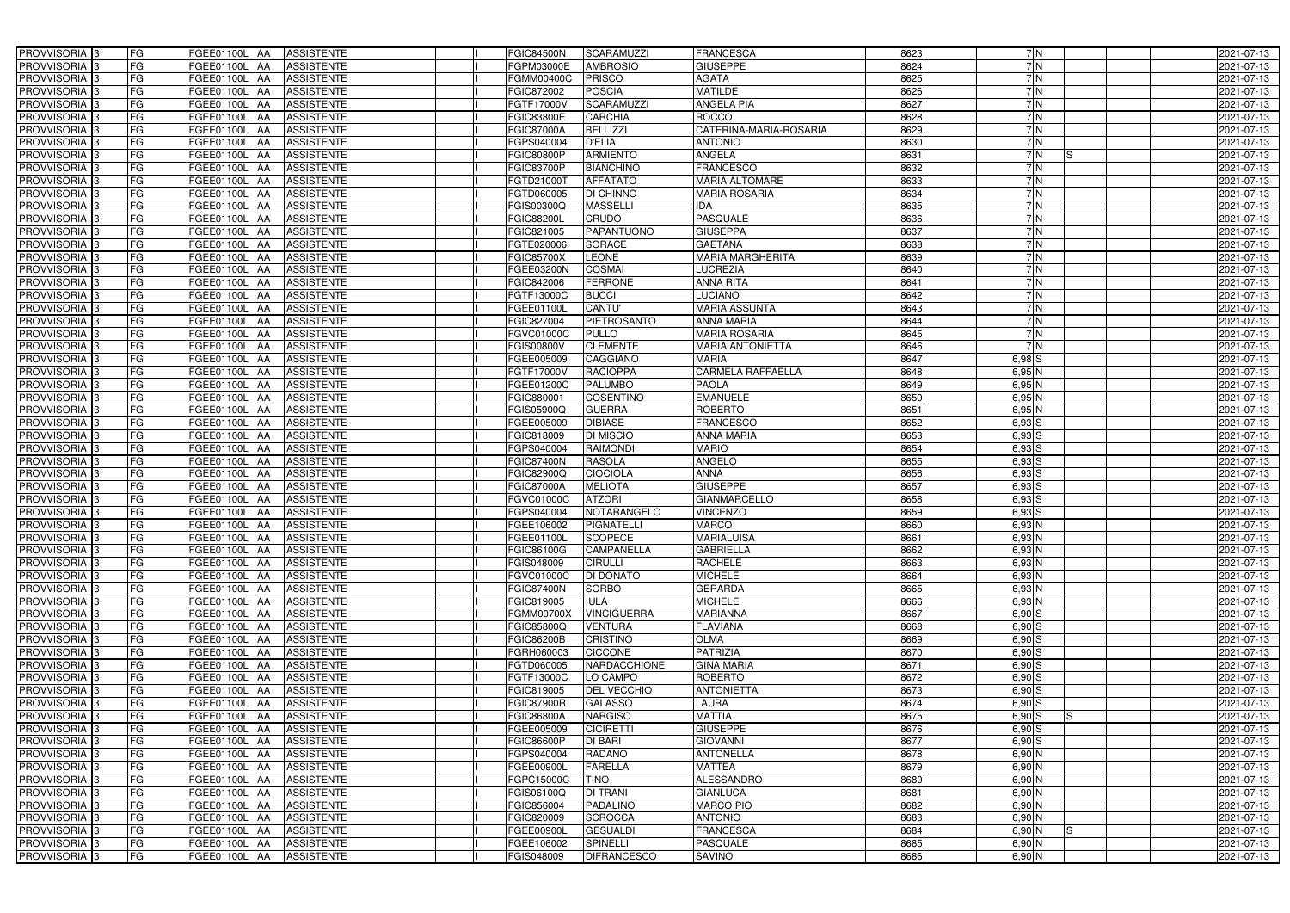| PROVVISORIA 3                                        | FG<br>FGEE01100L AA<br><b>ASSISTENTE</b>                                      | <b>FGIC84500N</b><br><b>SCARAMUZZI</b>                               | <b>FRANCESCA</b>               | 8623<br>7N                           | 2021-07-13               |
|------------------------------------------------------|-------------------------------------------------------------------------------|----------------------------------------------------------------------|--------------------------------|--------------------------------------|--------------------------|
| PROVVISORIA <sup>3</sup>                             | FG<br>FGEE01100L AA<br><b>ASSISTENTE</b>                                      | <b>AMBROSIO</b><br>FGPM03000E                                        | <b>GIUSEPPE</b>                | 7 N<br>8624                          | 2021-07-13               |
| PROVVISORIA 3                                        | FG<br>FGEE01100L AA<br><b>ASSISTENTE</b>                                      | FGMM00400C<br><b>PRISCO</b>                                          | <b>AGATA</b>                   | 7 N<br>8625                          | 2021-07-13               |
| PROVVISORIA 3                                        | FG<br>FGEE01100L AA<br><b>ASSISTENTE</b>                                      | <b>POSCIA</b><br>FGIC872002                                          | <b>MATILDE</b>                 | 7 N<br>8626                          | 2021-07-13               |
| PROVVISORIA <sup>3</sup>                             | FG<br>FGEE01100L AA<br><b>ASSISTENTE</b>                                      | <b>SCARAMUZZI</b><br>FGTF17000V                                      | ANGELA PIA                     | 7N<br>8627                           | 2021-07-13               |
| PROVVISORIA <sup>3</sup>                             | FG<br>FGEE01100L AA<br><b>ASSISTENTE</b>                                      | <b>CARCHIA</b><br><b>FGIC83800E</b>                                  | <b>ROCCO</b>                   | 7N<br>8628                           | 2021-07-13               |
| PROVVISORIA 3                                        | FG<br><b>FGEE01100L AA</b><br><b>ASSISTENTE</b>                               | <b>BELLIZZI</b><br><b>FGIC87000A</b>                                 | CATERINA-MARIA-ROSARIA         | 8629<br>7N                           | 2021-07-13               |
| PROVVISORIA <sup>3</sup>                             | FG<br>FGEE01100L AA<br><b>ASSISTENTE</b>                                      | <b>D'ELIA</b><br>FGPS040004                                          | <b>ANTONIO</b>                 | 7N<br>8630                           | 2021-07-13               |
| PROVVISORIA <sup>3</sup>                             | FG<br>FGEE01100L AA<br><b>ASSISTENTE</b>                                      | <b>ARMIENTO</b><br><b>FGIC80800P</b>                                 | <b>ANGELA</b>                  | 8631<br>7N                           | IS<br>2021-07-13         |
| PROVVISORIA <sup>3</sup>                             | FG<br><b>ASSISTENTE</b><br>FGEE01100L AA                                      | <b>BIANCHINO</b><br><b>FGIC83700P</b>                                | <b>FRANCESCO</b>               | 8632<br>$\overline{7}$ N             | 2021-07-13               |
| PROVVISORIA <sup>3</sup>                             | FG<br><b>ASSISTENTE</b><br>FGEE01100L AA                                      | <b>AFFATATO</b><br>FGTD21000T                                        | <b>MARIA ALTOMARE</b>          | 8633<br>7N                           | 2021-07-13               |
| PROVVISORIA <sup>3</sup>                             | FG<br><b>ASSISTENTE</b><br>FGEE01100L AA                                      | <b>DI CHINNO</b><br>FGTD060005                                       | <b>MARIA ROSARIA</b>           | 8634<br>7N                           | 2021-07-13               |
| PROVVISORIA <sup>3</sup>                             | FG<br>FGEE01100L<br><b>ASSISTENTE</b><br><b>IAA</b>                           | <b>MASSELLI</b><br>FGIS00300Q                                        | IDA                            | 8635<br>$\overline{7}$ N             | 2021-07-13               |
| PROVVISORIA 3                                        | FG<br><b>ASSISTENTE</b><br>FGEE01100L AA                                      | <b>CRUDO</b><br><b>FGIC88200L</b>                                    | <b>PASQUALE</b>                | 8636<br>7N                           | 2021-07-13               |
| PROVVISORIA 3                                        | FG<br>FGEE01100L AA<br><b>ASSISTENTE</b>                                      | <b>PAPANTUONO</b><br>FGIC821005                                      | <b>GIUSEPPA</b>                | 8637<br>7N                           | 2021-07-13               |
| PROVVISORIA 3                                        | FG<br>FGEE01100L AA<br><b>ASSISTENTE</b>                                      | FGTE020006<br><b>SORACE</b>                                          | <b>GAETANA</b>                 | 7N<br>8638                           | 2021-07-13               |
| PROVVISORIA 3                                        | FG<br>FGEE01100L AA<br><b>ASSISTENTE</b>                                      | <b>LEONE</b><br><b>FGIC85700X</b>                                    | <b>MARIA MARGHERITA</b>        | 7N<br>8639                           | 2021-07-13               |
| PROVVISORIA 3                                        | FG<br>FGEE01100L<br><b>ASSISTENTE</b><br><b>IAA</b>                           | <b>COSMAI</b><br>FGEE03200N                                          | <b>LUCREZIA</b>                | 7N<br>8640                           | 2021-07-13               |
| PROVVISORIA 3                                        | $\overline{\mathsf{FG}}$<br><b>FGEE01100L AA</b><br><b>ASSISTENTE</b>         | <b>FERRONE</b><br>FGIC842006                                         | <b>ANNA RITA</b>               | 7N<br>8641                           | 2021-07-13               |
| PROVVISORIA <sup>3</sup>                             | FG<br>FGEE01100L<br><b>ASSISTENTE</b><br><b>JAA</b>                           | <b>BUCCI</b><br>FGTF13000C                                           | <b>LUCIANO</b>                 | 7N<br>8642                           | 2021-07-13               |
| PROVVISORIA <sup>3</sup>                             | FG<br>FGEE01100L AA<br><b>ASSISTENTE</b>                                      | CANTU'<br>FGEE01100L                                                 | <b>MARIA ASSUNTA</b>           | 7N<br>8643                           | 2021-07-13               |
| PROVVISORIA <sup>3</sup>                             | FG<br>FGEE01100L AA<br><b>ASSISTENTE</b>                                      | PIETROSANTO<br>FGIC827004                                            | <b>ANNA MARIA</b>              | 8644<br>7N                           | 2021-07-13               |
| PROVVISORIA <sup>3</sup>                             | FG<br>FGEE01100L AA<br><b>ASSISTENTE</b>                                      | FGVC01000C<br><b>PULLO</b>                                           | <b>MARIA ROSARIA</b>           | 7N<br>8645                           | 2021-07-13               |
| PROVVISORIA 3                                        | FG<br>FGEE01100L<br><b>AA</b><br><b>ASSISTENTE</b>                            | <b>CLEMENTE</b><br><b>FGIS00800V</b>                                 | <b>MARIA ANTONIETTA</b>        | 7N<br>8646                           | 2021-07-13               |
| PROVVISORIA <sup>3</sup>                             | FG<br>FGEE01100L AA<br><b>ASSISTENTE</b>                                      | FGEE005009<br>CAGGIANO                                               | <b>MARIA</b>                   | 8647<br>$6,98$ S                     | 2021-07-13               |
| PROVVISORIA 3                                        | FG<br>FGEE01100L AA<br><b>ASSISTENTE</b>                                      | <b>RACIOPPA</b><br>FGTF17000V                                        | <b>CARMELA RAFFAELLA</b>       | 8648<br>$6,95$ N                     | 2021-07-13               |
| PROVVISORIA 3                                        | FG<br><b>FGEE01100L</b><br><b>AA</b><br><b>ASSISTENTE</b>                     | <b>PALUMBO</b><br>FGEE01200C                                         | <b>PAOLA</b>                   | 8649<br>$6,95$ N                     | 2021-07-13               |
| PROVVISORIA 3                                        | FG<br>FGEE01100L AA<br><b>ASSISTENTE</b>                                      | <b>COSENTINO</b><br>FGIC88000                                        | <b>EMANUELE</b>                | 8650<br>$6,95$ N                     | 2021-07-13               |
| PROVVISORIA <sup>3</sup>                             | FG<br>FGEE01100L<br><b>ASSISTENTE</b><br>۱AA                                  | FGIS05900Q<br><b>GUERRA</b>                                          | <b>ROBERTO</b>                 | 8651<br>$6,95$ N                     | 2021-07-13               |
| PROVVISORIA 3                                        | FG<br>FGEE01100L<br><b>ASSISTENTE</b><br>IAA                                  | <b>DIBIASE</b><br>FGEE005009                                         | <b>FRANCESCO</b>               | 8652<br>$6,93$ $S$                   | 2021-07-13               |
| PROVVISORIA 3                                        | FG<br>FGEE01100L<br><b>ASSISTENTE</b><br>IAA                                  | DI MISCIO<br>FGIC818009                                              | <b>ANNA MARIA</b>              | 8653<br>$6,93$ S                     | 2021-07-13               |
| PROVVISORIA <sup>3</sup>                             | FG<br>FGEE01100L<br><b>ASSISTENTE</b><br><b>IAA</b>                           | <b>RAIMONDI</b><br>FGPS040004                                        | <b>MARIO</b>                   | 8654<br>6,93 S                       | 2021-07-13               |
| PROVVISORIA <sup>3</sup>                             | FG<br>FGEE01100L<br><b>ASSISTENTE</b><br> AA                                  | <b>RASOLA</b><br><b>FGIC87400N</b>                                   | <b>ANGELO</b>                  | 8655<br>$6,93$ S                     | 2021-07-13               |
| PROVVISORIA <sup>3</sup>                             | FG<br><b>FGEE01100L AA</b><br><b>ASSISTENTE</b>                               | FGIC82900Q<br>CIOCIOLA                                               | <b>ANNA</b>                    | 8656<br>$6,93$ S                     | 2021-07-13               |
| PROVVISORIA <sup>3</sup>                             | FG<br><b>FGEE01100L AA</b><br><b>ASSISTENTE</b>                               | <b>MELIOTA</b><br><b>FGIC87000A</b>                                  | <b>GIUSEPPE</b>                | 8657<br>$6,93$ S                     | 2021-07-13               |
| PROVVISORIA <sup>3</sup>                             | FG<br>FGEE01100L AA<br><b>ASSISTENTE</b>                                      | <b>ATZORI</b><br>FGVC01000C                                          | <b>GIANMARCELLO</b>            | 8658<br>$6,93$ $S$                   | 2021-07-13               |
| PROVVISORIA <sup>3</sup>                             | FG<br><b>ASSISTENTE</b><br>FGEE01100L<br><b>JAA</b>                           | NOTARANGELO<br>FGPS040004                                            | <b>VINCENZO</b>                | 8659<br>$6,93$ S                     | 2021-07-13               |
| PROVVISORIA <sup>1</sup> 3                           | FG<br>FGEE01100L AA<br><b>ASSISTENTE</b>                                      | FGEE106002<br><b>PIGNATELLI</b>                                      | <b>MARCO</b>                   | 8660<br>$6,93$ N                     | 2021-07-13               |
| PROVVISORIA <sup>3</sup>                             | FG<br>FGEE01100L AA<br><b>ASSISTENTE</b>                                      | SCOPECE<br>FGEE01100L                                                | <b>MARIALUISA</b>              | 8661<br>6,93 N                       | 2021-07-13               |
| <b>PROVVISORIA</b> 3                                 | FG<br>FGEE01100L AA<br>ASSISTENTE                                             | <b>CAMPANELLA</b><br>FGIC86100G                                      | <b>GABRIELLA</b>               | 8662<br>6,93 N                       | 2021-07-13               |
| PROVVISORIA <sup>3</sup>                             | FG<br>FGEE01100L AA<br><b>ASSISTENTE</b>                                      | FGIS048009<br><b>CIRULLI</b>                                         | <b>RACHELE</b>                 | 8663<br>$6,93$ N                     | 2021-07-13               |
| PROVVISORIA <sup>3</sup>                             | FG<br>FGEE01100L AA<br>ASSISTENTE                                             | <b>FGVC01000C</b><br><b>DI DONATO</b>                                | <b>MICHELE</b>                 | 8664<br>$6,93$ N                     | 2021-07-13               |
| PROVVISORIA <sup>3</sup>                             | FG<br>FGEE01100L AA<br>ASSISTENTE                                             | <b>SORBO</b><br><b>FGIC87400N</b>                                    | <b>GERARDA</b>                 | 8665<br>$6,93$ N                     | 2021-07-13               |
| PROVVISORIA <sup>3</sup>                             | FG<br>FGEE01100L AA<br>ASSISTENTE                                             | FGIC819005<br><b>IULA</b>                                            | <b>MICHELE</b>                 | 6,93N<br>8666                        | 2021-07-13               |
| <b>PROVVISORIA</b> 3                                 | FG<br>FGEE01100L AA<br>ASSISTENTE                                             | <b>VINCIGUERRA</b><br><b>FGMM00700X</b>                              | <b>MARIANNA</b>                | 8667<br>$6,90$ S                     | 2021-07-13               |
| PROVVISORIA <sup>3</sup><br>PROVVISORIA <sup>3</sup> | FG<br>FGEE01100L AA<br>ASSISTENTE<br>FGEE01100L AA<br>ASSISTENTE              | FGIC85800Q<br><b>VENTURA</b><br><b>FGIC86200B</b><br><b>CRISTINO</b> | <b>FLAVIANA</b><br><b>OLMA</b> | 8668<br>$6,90$ S<br>8669             | 2021-07-13<br>2021-07-13 |
|                                                      | FG                                                                            |                                                                      |                                | $6,90$ S                             |                          |
| PROVVISORIA <sup>3</sup><br>PROVVISORIA <sup>3</sup> | FG<br>FGEE01100L AA<br>ASSISTENTE<br>FG<br>FGEE01100L AA<br><b>ASSISTENTE</b> | <b>CICCONE</b><br>FGRH060003<br>FGTD060005<br>NARDACCHIONE           | PATRIZIA<br><b>GINA MARIA</b>  | 8670<br>$6,90$ S<br>8671<br>$6,90$ S | 2021-07-13<br>2021-07-13 |
| PROVVISORIA <sup>1</sup> 3                           | FG<br>FGEE01100L AA<br><b>ASSISTENTE</b>                                      | FGTF13000C<br>LO CAMPO                                               | <b>ROBERTO</b>                 | 8672<br>$6,90$ S                     |                          |
| PROVVISORIA <sup>3</sup>                             | FG<br>FGEE01100L AA<br><b>ASSISTENTE</b>                                      | FGIC819005<br>DEL VECCHIO                                            | <b>ANTONIETTA</b>              | 8673<br>$6,90$ S                     | 2021-07-13<br>2021-07-13 |
| PROVVISORIA <sup>3</sup>                             | FG<br>FGEE01100L AA<br><b>ASSISTENTE</b>                                      | <b>FGIC87900R</b><br><b>GALASSO</b>                                  | LAURA                          | 8674<br>$6,90$ S                     | 2021-07-13               |
| PROVVISORIA <sup>3</sup>                             | FG<br>FGEE01100L AA<br><b>ASSISTENTE</b>                                      | <b>FGIC86800A</b><br><b>NARGISO</b>                                  | <b>MATTIA</b>                  | 8675<br>$6,90$ S                     | 2021-07-13<br>IS.        |
| PROVVISORIA <sup>3</sup>                             | FG<br>FGEE01100L AA<br><b>ASSISTENTE</b>                                      | FGEE005009<br><b>CICIRETTI</b>                                       | <b>GIUSEPPE</b>                | 8676<br>$6,90$ S                     | 2021-07-13               |
| PROVVISORIA <sup>3</sup>                             | FG<br>FGEE01100L AA<br><b>ASSISTENTE</b>                                      | <b>FGIC86600P</b><br>DI BARI                                         | <b>GIOVANNI</b>                | $6,90$ S<br>8677                     | 2021-07-13               |
| PROVVISORIA <sup>3</sup>                             | FG<br>FGEE01100L AA<br><b>ASSISTENTE</b>                                      | <b>RADANO</b><br>FGPS040004                                          | <b>ANTONELLA</b>               | 8678<br>6,90 N                       | 2021-07-13               |
| PROVVISORIA <sup>3</sup>                             | FG<br>FGEE01100L AA<br><b>ASSISTENTE</b>                                      | <b>FARELLA</b><br>FGEE00900L                                         | <b>MATTEA</b>                  | 8679<br>6,90N                        | 2021-07-13               |
| PROVVISORIA <sup>3</sup>                             | FG<br><b>ASSISTENTE</b><br>FGEE01100L AA                                      | FGPC15000C<br><b>TINO</b>                                            | <b>ALESSANDRO</b>              | 8680<br>$6,90$ N                     | 2021-07-13               |
| PROVVISORIA <sup>3</sup>                             | FG<br><b>ASSISTENTE</b><br>FGEE01100L AA                                      | <b>DI TRANI</b><br>FGIS06100Q                                        | <b>GIANLUCA</b>                | 8681<br>6,90 N                       | 2021-07-13               |
| PROVVISORIA <sup>1</sup> 3                           | FG<br><b>ASSISTENTE</b><br>FGEE01100L AA                                      | FGIC856004<br>PADALINO                                               | <b>MARCO PIO</b>               | 8682<br>6,90N                        | 2021-07-13               |
| PROVVISORIA <sup>1</sup> 3                           | <b>ASSISTENTE</b><br>FG<br>FGEE01100L AA                                      | <b>SCROCCA</b><br>FGIC820009                                         | <b>ANTONIO</b>                 | 8683<br>6,90N                        | 2021-07-13               |
| PROVVISORIA <sup>1</sup> 3                           | FG<br>FGEE01100L AA<br><b>ASSISTENTE</b>                                      | <b>GESUALDI</b><br>FGEE00900L                                        | <b>FRANCESCA</b>               | 8684<br>$6,90$ N                     | IS.<br>2021-07-13        |
| PROVVISORIA <sup>1</sup> 3                           | FG<br>FGEE01100L AA<br>ASSISTENTE                                             | <b>SPINELLI</b><br>FGEE106002                                        | <b>PASQUALE</b>                | 8685<br>6,90 N                       | 2021-07-13               |
| PROVVISORIA <sup>3</sup>                             | FG<br>FGEE01100L AA<br>ASSISTENTE                                             | <b>DIFRANCESCO</b><br>FGIS048009                                     | <b>SAVINO</b>                  | $6,90$ N<br>8686                     | 2021-07-13               |
|                                                      |                                                                               |                                                                      |                                |                                      |                          |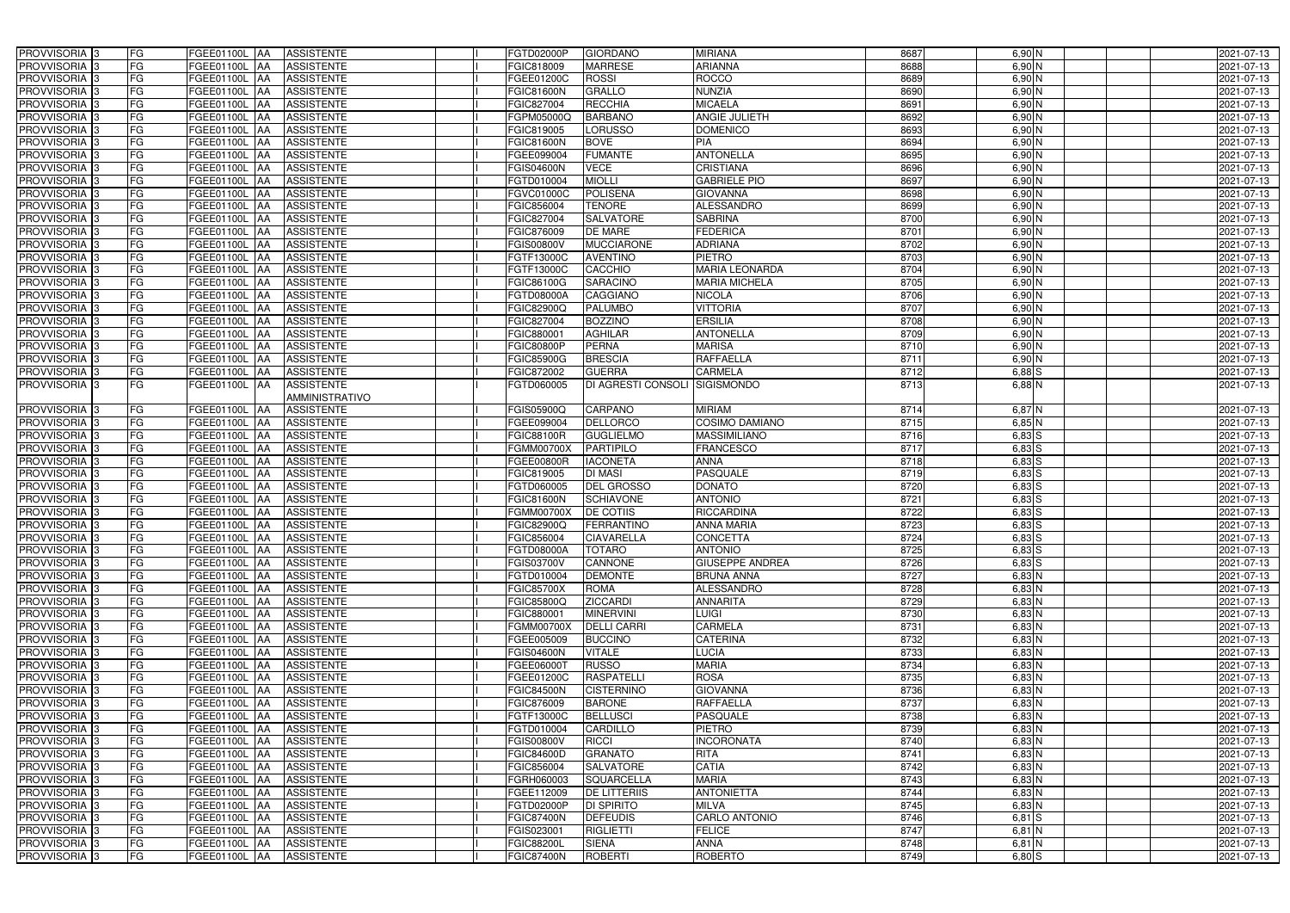| PROVVISORIA <sup>3</sup>                             | FG                       | FGEE01100L AA                  | <b>ASSISTENTE</b>                      | FGTD02000P               | <b>GIORDANO</b>                       | <b>MIRIANA</b>              | 8687         | 6,90 N               | 2021-07-13               |
|------------------------------------------------------|--------------------------|--------------------------------|----------------------------------------|--------------------------|---------------------------------------|-----------------------------|--------------|----------------------|--------------------------|
| PROVVISORIA <sup>3</sup>                             | FG                       | FGEE01100L AA                  | <b>ASSISTENTE</b>                      | FGIC818009               | <b>MARRESE</b>                        | <b>ARIANNA</b>              | 8688         | 6,90 N               | 2021-07-13               |
| PROVVISORIA <sup>3</sup>                             | FG                       | FGEE01100L AA                  | <b>ASSISTENTE</b>                      | FGEE01200C               | <b>ROSSI</b>                          | <b>ROCCO</b>                | 8689         | 6,90N                | 2021-07-13               |
| PROVVISORIA <sup>3</sup>                             | FG                       | FGEE01100L AA                  | <b>ASSISTENTE</b>                      | <b>FGIC81600N</b>        | <b>GRALLO</b>                         | <b>NUNZIA</b>               | 8690         | $6,90$ N             | 2021-07-13               |
| PROVVISORIA <sup>3</sup>                             | FG                       | FGEE01100L AA                  | <b>ASSISTENTE</b>                      | FGIC827004               | <b>RECCHIA</b>                        | <b>MICAELA</b>              | 8691         | 6,90 N               | 2021-07-13               |
| PROVVISORIA <sup>3</sup>                             | FG                       | FGEE01100L AA                  | <b>ASSISTENTE</b>                      | FGPM05000Q               | <b>BARBANO</b>                        | <b>ANGIE JULIETH</b>        | 8692         | 6,90 N               | 2021-07-13               |
| PROVVISORIA 3                                        | FG                       | FGEE01100L AA                  | <b>ASSISTENTE</b>                      | FGIC819005               | <b>LORUSSO</b>                        | <b>DOMENICO</b>             | 8693         | 6,90 N               | 2021-07-13               |
| PROVVISORIA 3                                        | FG                       | FGEE01100L AA                  | <b>ASSISTENTE</b>                      | <b>FGIC81600N</b>        | <b>BOVE</b>                           | PIA                         | 8694         | $6,90$ N             | 2021-07-13               |
| PROVVISORIA 3                                        | FG                       | FGEE01100L AA                  | <b>ASSISTENTE</b>                      | FGEE099004               | <b>FUMANTE</b>                        | <b>ANTONELLA</b>            | 8695         | $6,90$ N             | 2021-07-13               |
| PROVVISORIA <sup>3</sup>                             | FG<br>FGEE01100L         | <b>JAA</b>                     | <b>ASSISTENTE</b>                      | <b>FGIS04600N</b>        | <b>VECE</b>                           | <b>CRISTIANA</b>            | 8696         | $6,90$ N             | 2021-07-13               |
| PROVVISORIA 3                                        | FG                       | FGEE01100L AA                  | <b>ASSISTENTE</b>                      | FGTD010004               | <b>MIOLLI</b>                         | <b>GABRIELE PIO</b>         | 8697         | 6,90N                | 2021-07-13               |
| PROVVISORIA 3                                        | FG                       | FGEE01100L AA                  | <b>ASSISTENTE</b>                      | FGVC01000C               | <b>POLISENA</b>                       | <b>GIOVANNA</b>             | 8698         | $6,90$ N             | 2021-07-13               |
| PROVVISORIA <sup>3</sup>                             | FG                       | FGEE01100L AA                  | <b>ASSISTENTE</b>                      | FGIC856004               | <b>TENORE</b>                         | <b>ALESSANDRO</b>           | 8699         | $6,90$ N             | 2021-07-13               |
| PROVVISORIA 3                                        | $\overline{\mathsf{FG}}$ | FGEE01100L AA                  | <b>ASSISTENTE</b>                      | FGIC827004               | <b>SALVATORE</b>                      | <b>SABRINA</b>              | 8700         | 6,90N                | 2021-07-13               |
| PROVVISORIA 3                                        | FG                       | <b>FGEE01100L   AA</b>         | <b>ASSISTENTE</b>                      | FGIC876009               | <b>DE MARE</b>                        | <b>FEDERICA</b>             | 8701         | $6,90$ N             | 2021-07-13               |
| PROVVISORIA <sup>3</sup>                             | $\overline{\mathsf{FG}}$ | FGEE01100L AA                  | <b>ASSISTENTE</b>                      | <b>FGIS00800V</b>        | <b>MUCCIARONE</b>                     | <b>ADRIANA</b>              | 8702         | $6,90$ N             | 2021-07-13               |
| PROVVISORIA 3                                        | FG                       | FGEE01100L AA                  | <b>ASSISTENTE</b>                      | FGTF13000C               | <b>AVENTINO</b>                       | <b>PIETRO</b>               | 8703         | $6,90$ N             | 2021-07-13               |
| PROVVISORIA <sup>3</sup>                             | FG                       | FGEE01100L AA                  | <b>ASSISTENTE</b>                      | FGTF13000C               | CACCHIO                               | <b>MARIA LEONARDA</b>       | 8704         | $6,90$ N             | 2021-07-13               |
| PROVVISORIA 3                                        | FG                       | FGEE01100L AA                  | <b>ASSISTENTE</b>                      | FGIC86100G               | <b>SARACINO</b>                       | <b>MARIA MICHELA</b>        | 8705         | 6,90 N               | 2021-07-13               |
| PROVVISORIA 3                                        | FG                       | FGEE01100L AA                  | <b>ASSISTENTE</b>                      | FGTD08000A               | <b>CAGGIANO</b>                       | <b>NICOLA</b>               | 8706         | $6,90$ N             | 2021-07-13               |
| PROVVISORIA <sup>3</sup>                             | FG<br>FGEE01100L         | <b>JAA</b>                     | <b>ASSISTENTE</b>                      | FGIC82900Q               | <b>PALUMBO</b>                        | <b>VITTORIA</b>             | 8707         | 6,90 N               | 2021-07-13               |
| PROVVISORIA 3                                        | FG                       | FGEE01100L AA                  | <b>ASSISTENTE</b>                      | FGIC827004               | <b>BOZZINO</b>                        | <b>ERSILIA</b>              | 8708         | $6,90$ N             | 2021-07-13               |
| PROVVISORIA 3                                        | FG                       | FGEE01100L AA                  | <b>ASSISTENTE</b>                      | FGIC88000                | <b>AGHILAR</b>                        | <b>ANTONELLA</b>            | 8709         | $6,90$ N             | 2021-07-13               |
| PROVVISORIA <sup>3</sup>                             | FG                       | FGEE01100L AA                  | <b>ASSISTENTE</b>                      | <b>FGIC80800P</b>        | <b>PERNA</b>                          | <b>MARISA</b>               | 8710         | $6,90$ N             | 2021-07-13               |
| PROVVISORIA 3                                        | FG                       | FGEE01100L AA                  | <b>ASSISTENTE</b>                      | <b>FGIC85900G</b>        | <b>BRESCIA</b>                        | <b>RAFFAELLA</b>            | 8711         | $6,90$ N             | 2021-07-13               |
| PROVVISORIA 3                                        | FG                       | FGEE01100L AA                  | <b>ASSISTENTE</b>                      | FGIC872002               | <b>GUERRA</b>                         | <b>CARMELA</b>              | 8712         | $6,88$ $S$           | 2021-07-13               |
| PROVVISORIA <sup>1</sup> 3                           | FG                       | FGEE01100L AA                  | <b>ASSISTENTE</b>                      | FGTD060005               | DI AGRESTI CONSOLI                    | <b>SIGISMONDO</b>           | 8713         | $6,88$ N             | 2021-07-13               |
|                                                      |                          |                                | AMMINISTRATIVO                         |                          |                                       |                             |              |                      |                          |
| PROVVISORIA <sup>3</sup>                             | FG                       | <b>FGEE01100L AA</b>           | <b>ASSISTENTE</b>                      | FGIS05900Q               | CARPANO                               | <b>MIRIAM</b>               | 8714         | 6,87 N               | 2021-07-13               |
| PROVVISORIA <sup>3</sup>                             | FG                       | <b>FGEE01100L AA</b>           | <b>ASSISTENTE</b>                      | FGEE099004               | <b>DELLORCO</b>                       | <b>COSIMO DAMIANO</b>       | 8715         | $6,85$ N             | 2021-07-13               |
| PROVVISORIA <sup>3</sup>                             | FG                       | <b>FGEE01100L AA</b>           | <b>ASSISTENTE</b>                      | FGIC88100R               | <b>GUGLIELMO</b>                      | <b>MASSIMILIANO</b>         | 8716         | $6,83$ $S$           | 2021-07-13               |
| PROVVISORIA <sup>3</sup>                             | FG                       | FGEE01100L AA                  | <b>ASSISTENTE</b>                      | <b>FGMM00700X</b>        | <b>PARTIPILO</b>                      | <b>FRANCESCO</b>            | 8717         | $6,83$ S             | 2021-07-13               |
| PROVVISORIA 3                                        | FG                       | FGEE01100L AA                  | <b>ASSISTENTE</b>                      | FGEE00800R               | <b>IACONETA</b>                       | <b>ANNA</b>                 | 8718         | $6,83$ $S$           | 2021-07-13               |
| PROVVISORIA 3                                        | FG                       | <b>FGEE01100L   AA</b>         | <b>ASSISTENTE</b>                      | FGIC819005               | <b>DI MASI</b>                        | <b>PASQUALE</b>             | 8719         | $6,83$ $S$           | 2021-07-13               |
| PROVVISORIA 3                                        | FG                       | FGEE01100L AA                  | <b>ASSISTENTE</b>                      | FGTD060005               | <b>DEL GROSSO</b>                     | <b>DONATO</b>               | 8720         | $6,83$ S             | 2021-07-13               |
| PROVVISORIA <sup>3</sup>                             | FG                       | FGEE01100L AA                  | <b>ASSISTENTE</b>                      | <b>FGIC81600N</b>        | <b>SCHIAVONE</b>                      | <b>ANTONIO</b>              | 8721         | $6,83$ $S$           | 2021-07-13               |
| PROVVISORIA <sup>3</sup>                             | FG                       | FGEE01100L AA                  | <b>ASSISTENTE</b>                      | <b>FGMM00700X</b>        | <b>DE COTIIS</b>                      | <b>RICCARDINA</b>           | 8722         | $6,83$ S             | 2021-07-13               |
| PROVVISORIA <sup>3</sup>                             | FG                       | FGEE01100L AA                  | <b>ASSISTENTE</b>                      | <b>FGIC82900Q</b>        | FERRANTINO                            | <b>ANNA MARIA</b>           | 8723         | $6,83$ $S$           | 2021-07-13               |
| PROVVISORIA <sup>3</sup>                             | <b>FG</b>                |                                | FGEE01100L AA ASSISTENTE               | FGIC856004               | <b>CIAVARELLA</b>                     | <b>CONCETTA</b>             | 8724         | $6,83$ S             | 2021-07-13               |
| <b>PROVVISORIA</b> 3                                 | FG<br>FGEE01100L AA      |                                | ASSISTENTE                             | <b>FGTD08000A</b>        | <b>TOTARO</b>                         | <b>ANTONIO</b>              | 8725         | $6,83$ $S$           | 2021-07-13               |
| PROVVISORIA <sup>3</sup>                             | FG<br>FGEE01100L AA      |                                | <b>ASSISTENTE</b>                      | <b>FGIS03700V</b>        | CANNONE                               | <b>GIUSEPPE ANDREA</b>      | 8726         | $6,83$ $S$           | 2021-07-13               |
| PROVVISORIA <sup>3</sup>                             | FG<br>FGEE01100L AA      |                                | ASSISTENTE                             | FGTD010004               | <b>DEMONTE</b>                        | <b>BRUNA ANNA</b>           | 8727         | 6,83 N               | 2021-07-13               |
| PROVVISORIA <sup>3</sup>                             | FG                       | FGEE01100L AA                  | ASSISTENTE                             | <b>FGIC85700X</b>        | <b>ROMA</b>                           | ALESSANDRO                  | 8728         | $6,83$ N             | 2021-07-13               |
| PROVVISORIA <sup>3</sup>                             | FG                       | FGEE01100L AA                  | ASSISTENTE                             | FGIC85800Q               | <b>ZICCARDI</b>                       | <b>ANNARITA</b>             | 8729         | $6,83$ N             | 2021-07-13               |
| PROVVISORIA <sup>3</sup>                             | FG                       | FGEE01100L AA                  | ASSISTENTE                             | FGIC880001               | <b>MINERVINI</b>                      | <b>LUIGI</b>                | 8730         | $6,83$ N             | 2021-07-13               |
| PROVVISORIA <sup>3</sup>                             | FG                       | FGEE01100L AA                  | <b>ASSISTENTE</b>                      | <b>FGMM00700X</b>        | <b>DELLI CARRI</b>                    | <b>CARMELA</b>              | 8731         | $6,83$ N             | 2021-07-13               |
| PROVVISORIA <sup>1</sup> 3                           | FG                       | FGEE01100L AA                  | <b>ASSISTENTE</b>                      | FGEE005009               | <b>BUCCINO</b>                        | <b>CATERINA</b>             | 8732         | $6,83$ N             | 2021-07-13               |
| PROVVISORIA <sup>3</sup>                             | FG                       | FGEE01100L AA                  | <b>ASSISTENTE</b>                      | <b>FGIS04600N</b>        | <b>VITALE</b>                         | <b>LUCIA</b>                | 8733         | $6,83$ N             | 2021-07-13               |
| PROVVISORIA <sup>3</sup>                             | FG                       | FGEE01100L AA                  | <b>ASSISTENTE</b>                      | FGEE06000T               | <b>RUSSO</b>                          | <b>MARIA</b>                | 8734         | $6,83$ N             | 2021-07-13               |
| PROVVISORIA <sup>3</sup>                             | FG                       | FGEE01100L AA                  | <b>ASSISTENTE</b>                      | FGEE01200C               | <b>RASPATELLI</b>                     | <b>ROSA</b>                 | 8735         | $6,83$ N             | 2021-07-13               |
| PROVVISORIA <sup>3</sup>                             | FG                       | FGEE01100L AA                  | <b>ASSISTENTE</b>                      | <b>FGIC84500N</b>        | <b>CISTERNINO</b>                     | <b>GIOVANNA</b>             | 8736         | $6,83$ N             | 2021-07-13               |
| PROVVISORIA <sup>3</sup>                             | FG<br>FG                 | FGEE01100L AA                  | <b>ASSISTENTE</b>                      | FGIC876009               | <b>BARONE</b>                         | <b>RAFFAELLA</b>            | 8737<br>8738 | $6,83$ N<br>$6,83$ N | 2021-07-13               |
| PROVVISORIA <sup>3</sup>                             |                          | FGEE01100L AA                  | <b>ASSISTENTE</b>                      | FGTF13000C               | <b>BELLUSCI</b>                       | <b>PASQUALE</b>             |              |                      | 2021-07-13               |
| PROVVISORIA <sup>3</sup>                             | FG                       | FGEE01100L AA                  | <b>ASSISTENTE</b>                      | FGTD010004               | <b>CARDILLO</b>                       | <b>PIETRO</b>               | 8739         | $6,83$ N             | 2021-07-13               |
| PROVVISORIA <sup>3</sup>                             | FG                       | FGEE01100L AA                  | <b>ASSISTENTE</b>                      | <b>FGIS00800V</b>        | <b>RICCI</b>                          | <b>INCORONATA</b>           | 8740         | $6,83$ N             | 2021-07-13               |
| PROVVISORIA <sup>3</sup>                             | FG                       | FGEE01100L AA                  | <b>ASSISTENTE</b>                      | <b>FGIC84600D</b>        | <b>GRANATO</b>                        | <b>RITA</b><br><b>CATIA</b> | 8741<br>8742 | 6,83 N               | 2021-07-13               |
| PROVVISORIA <sup>3</sup><br>PROVVISORIA <sup>3</sup> | FG<br>FG                 | FGEE01100L AA<br>FGEE01100L AA | <b>ASSISTENTE</b><br><b>ASSISTENTE</b> | FGIC856004<br>FGRH060003 | <b>SALVATORE</b><br><b>SQUARCELLA</b> | <b>MARIA</b>                | 8743         | $6,83$ N<br>$6,83$ N | 2021-07-13<br>2021-07-13 |
| PROVVISORIA <sup>3</sup>                             |                          | FGEE01100L AA                  | <b>ASSISTENTE</b>                      | FGEE112009               | <b>DE LITTERIIS</b>                   | <b>ANTONIETTA</b>           | 8744         | 6,83 N               |                          |
| PROVVISORIA <sup>3</sup>                             | FG<br>FG                 | FGEE01100L AA                  | <b>ASSISTENTE</b>                      | FGTD02000P               | <b>DI SPIRITO</b>                     | <b>MILVA</b>                | 8745         | $6,83$ N             | 2021-07-13               |
| PROVVISORIA <sup>3</sup>                             | FG                       | FGEE01100L AA                  | <b>ASSISTENTE</b>                      | <b>FGIC87400N</b>        | <b>DEFEUDIS</b>                       | <b>CARLO ANTONIO</b>        | 8746         | $6,81$ S             | 2021-07-13<br>2021-07-13 |
| PROVVISORIA <sup>3</sup>                             | FG                       | FGEE01100L AA                  | <b>ASSISTENTE</b>                      | FGIS023001               | <b>RIGLIETTI</b>                      | <b>FELICE</b>               | 8747         | $6,81$ N             | 2021-07-13               |
| PROVVISORIA <sup>3</sup>                             | FG                       | FGEE01100L AA                  | ASSISTENTE                             | <b>FGIC88200L</b>        | <b>SIENA</b>                          | <b>ANNA</b>                 | 8748         | $6,81$ N             | 2021-07-13               |
| PROVVISORIA <sup>3</sup>                             | FG<br>FGEE01100L AA      |                                | ASSISTENTE                             | <b>FGIC87400N</b>        | <b>ROBERTI</b>                        | <b>ROBERTO</b>              | 8749         | $6,80$ S             | 2021-07-13               |
|                                                      |                          |                                |                                        |                          |                                       |                             |              |                      |                          |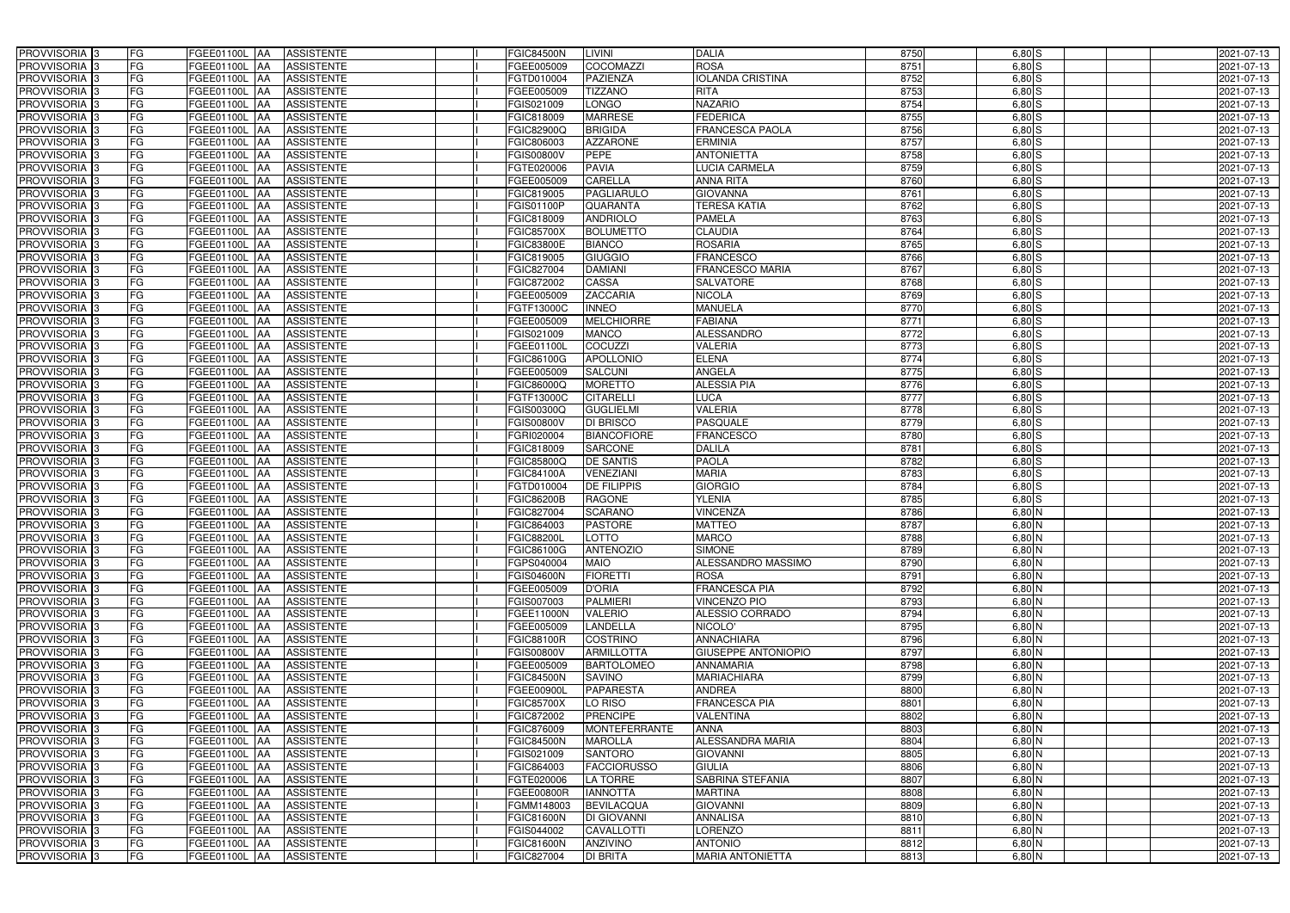| PROVVISORIA <sup>3</sup>   | FG<br>FGEE01100L AA        |            | <b>ASSISTENTE</b> | <b>FGIC84500N</b> | LIVINI               | <b>DALIA</b>               | 8750 | $6,80$ S   | 2021-07-13 |
|----------------------------|----------------------------|------------|-------------------|-------------------|----------------------|----------------------------|------|------------|------------|
| PROVVISORIA <sup>3</sup>   | FG<br>FGEE01100L           | IAA        | <b>ASSISTENTE</b> | FGEE005009        | <b>COCOMAZZI</b>     | <b>ROSA</b>                | 8751 | $6,80$ S   | 2021-07-13 |
| PROVVISORIA <sup>3</sup>   | FG<br>FGEE01100L           | IAA        | <b>ASSISTENTE</b> | FGTD010004        | <b>PAZIENZA</b>      | <b>IOLANDA CRISTINA</b>    | 8752 | 6,80S      | 2021-07-13 |
| PROVVISORIA 3              | FG<br>FGEE01100L           | IAA        | <b>ASSISTENTE</b> | FGEE005009        | <b>TIZZANO</b>       | <b>RITA</b>                | 8753 | $6,80$ S   | 2021-07-13 |
| PROVVISORIA <sup>3</sup>   | FG<br>FGEE01100L           | IAA        | <b>ASSISTENTE</b> | FGIS021009        | LONGO                | <b>NAZARIO</b>             | 8754 | $6,80$ S   | 2021-07-13 |
| PROVVISORIA 3              | FG<br><b>FGEE01100L AA</b> |            | <b>ASSISTENTE</b> | FGIC818009        | <b>MARRESE</b>       | <b>FEDERICA</b>            | 8755 | $6,80$ $S$ | 2021-07-13 |
| PROVVISORIA <sup>1</sup> 3 | FG<br>FGEE01100L AA        |            | <b>ASSISTENTE</b> | FGIC82900Q        | <b>BRIGIDA</b>       | <b>FRANCESCA PAOLA</b>     | 8756 | $6,80$ S   | 2021-07-13 |
| PROVVISORIA <sup>1</sup> 3 | FG<br>FGEE01100L AA        |            | <b>ASSISTENTE</b> | FGIC806003        | <b>AZZARONE</b>      | <b>ERMINIA</b>             | 8757 | $6,80$ S   | 2021-07-13 |
| PROVVISORIA 3              | FG<br>FGEE01100L AA        |            | <b>ASSISTENTE</b> | FGIS00800V        | <b>PEPE</b>          | <b>ANTONIETTA</b>          | 8758 | $6,80$ $S$ | 2021-07-13 |
| PROVVISORIA <sup>3</sup>   | FG<br><b>FGEE01100L AA</b> |            | <b>ASSISTENTE</b> | FGTE020006        | <b>PAVIA</b>         | <b>LUCIA CARMELA</b>       | 8759 | $6,80$ S   | 2021-07-13 |
| PROVVISORIA 3              | FG<br>FGEE01100L AA        |            | <b>ASSISTENTE</b> | FGEE005009        | <b>CARELLA</b>       | <b>ANNA RITA</b>           | 8760 | $6,80$ $S$ | 2021-07-13 |
| PROVVISORIA 3              | FG<br>FGEE01100L AA        |            | <b>ASSISTENTE</b> | FGIC819005        | <b>PAGLIARULO</b>    | <b>GIOVANNA</b>            | 8761 | $6,80$ $S$ | 2021-07-13 |
| PROVVISORIA 3              | FG<br>FGEE01100L AA        |            | <b>ASSISTENTE</b> | FGIS01100P        | <b>QUARANTA</b>      | <b>TERESA KATIA</b>        | 8762 | $6,80$ S   | 2021-07-13 |
| PROVVISORIA 3              | FG<br>FGEE01100L AA        |            | <b>ASSISTENTE</b> | FGIC818009        | <b>ANDRIOLO</b>      | <b>PAMELA</b>              | 8763 | $6,80$ S   | 2021-07-13 |
| PROVVISORIA 3              | FG<br>FGEE01100L AA        |            | <b>ASSISTENTE</b> | <b>FGIC85700X</b> | <b>BOLUMETTO</b>     | <b>CLAUDIA</b>             | 8764 | $6,80$ S   | 2021-07-13 |
| PROVVISORIA 3              | FG<br><b>FGEE01100L</b>    | <b>JAA</b> | <b>ASSISTENTE</b> | FGIC83800E        | <b>BIANCO</b>        | <b>ROSARIA</b>             | 8765 | $6,80$ S   | 2021-07-13 |
| PROVVISORIA 3              | FG<br><b>FGEE01100L</b>    | IAA        | <b>ASSISTENTE</b> | FGIC819005        | <b>GIUGGIO</b>       | <b>FRANCESCO</b>           | 8766 | $6,80$ S   | 2021-07-13 |
| PROVVISORIA 3              | FG<br>FGEE01100L AA        |            | <b>ASSISTENTE</b> | FGIC827004        | <b>DAMIANI</b>       | <b>FRANCESCO MARIA</b>     | 8767 | $6,80$ S   | 2021-07-13 |
| PROVVISORIA 3              | FG<br>FGEE01100L           | <b>JAA</b> | <b>ASSISTENTE</b> | FGIC872002        | <b>CASSA</b>         | <b>SALVATORE</b>           | 8768 | $6,80$ S   | 2021-07-13 |
| PROVVISORIA 3              | FG<br>FGEE01100L           | <b>JAA</b> | <b>ASSISTENTE</b> | FGEE005009        | <b>ZACCARIA</b>      | <b>NICOLA</b>              | 8769 | 6,80 S     | 2021-07-13 |
| PROVVISORIA <sup>3</sup>   | FG<br>FGEE01100L           | ΙAΑ        | <b>ASSISTENTE</b> | FGTF13000C        | <b>INNEO</b>         | <b>MANUELA</b>             | 8770 | 6,80 S     | 2021-07-13 |
| PROVVISORIA 3              | FG<br><b>FGEE01100L</b>    | IAA        | <b>ASSISTENTE</b> | FGEE005009        | <b>MELCHIORRE</b>    | <b>FABIANA</b>             | 8771 | $6,80$ S   | 2021-07-13 |
| PROVVISORIA 3              | FG<br>FGEE01100L           | IAA        | <b>ASSISTENTE</b> | FGIS021009        | <b>MANCO</b>         | <b>ALESSANDRO</b>          | 8772 | $6,80$ S   | 2021-07-13 |
| PROVVISORIA 3              | FG<br>FGEE01100L AA        |            | <b>ASSISTENTE</b> | FGEE01100L        | <b>COCUZZI</b>       | <b>VALERIA</b>             | 8773 | 6,80S      | 2021-07-13 |
| PROVVISORIA 3              | FG<br>FGEE01100L           | AA         | <b>ASSISTENTE</b> | FGIC86100G        | <b>APOLLONIO</b>     | <b>ELENA</b>               | 8774 | $6,80$ S   | 2021-07-13 |
| PROVVISORIA 3              | FG<br>FGEE01100L           | <b>JAA</b> | <b>ASSISTENTE</b> | FGEE005009        | <b>SALCUNI</b>       | ANGELA                     | 8775 | 6,80S      | 2021-07-13 |
| PROVVISORIA 3              | FG<br>FGEE01100L AA        |            | <b>ASSISTENTE</b> | FGIC86000Q        | <b>MORETTO</b>       | <b>ALESSIA PIA</b>         | 8776 | 6,80S      | 2021-07-13 |
| PROVVISORIA 3              | FG<br>FGEE01100L           | IAA        | <b>ASSISTENTE</b> | FGTF13000C        | <b>CITARELLI</b>     | <b>LUCA</b>                | 8777 | 6,80S      | 2021-07-13 |
| PROVVISORIA <sup>3</sup>   | FG<br>FGEE01100L AA        |            | <b>ASSISTENTE</b> | FGIS00300Q        | <b>GUGLIELMI</b>     | <b>VALERIA</b>             | 8778 | $6,80$ S   | 2021-07-13 |
| PROVVISORIA <sup>3</sup>   | FG<br>FGEE01100L AA        |            | <b>ASSISTENTE</b> | FGIS00800V        | <b>DI BRISCO</b>     | <b>PASQUALE</b>            | 8779 | $6,80$ S   | 2021-07-13 |
| PROVVISORIA <sup>3</sup>   | FG<br>FGEE01100L AA        |            | <b>ASSISTENTE</b> | FGRI020004        | <b>BIANCOFIORE</b>   | <b>FRANCESCO</b>           | 8780 | $6,80$ $S$ | 2021-07-13 |
| PROVVISORIA <sup>3</sup>   | FG<br>FGEE01100L AA        |            | <b>ASSISTENTE</b> | FGIC818009        | <b>SARCONE</b>       | <b>DALILA</b>              | 8781 | $6,80$ S   | 2021-07-13 |
| PROVVISORIA <sup>3</sup>   | FG<br><b>FGEE01100L AA</b> |            | <b>ASSISTENTE</b> | FGIC85800Q        | <b>DE SANTIS</b>     | <b>PAOLA</b>               | 8782 | $6,80$ S   | 2021-07-13 |
| PROVVISORIA <sup>3</sup>   | FG<br>FGEE01100L AA        |            | <b>ASSISTENTE</b> | FGIC84100A        | <b>VENEZIANI</b>     | <b>MARIA</b>               | 8783 | $6,80$ S   | 2021-07-13 |
| PROVVISORIA 3              | FG<br>FGEE01100L           | IAA        | <b>ASSISTENTE</b> | FGTD010004        | <b>DE FILIPPIS</b>   | <b>GIORGIO</b>             | 8784 | $6,80$ $S$ | 2021-07-13 |
| PROVVISORIA <sup>3</sup>   | FG<br><b>FGEE01100L</b>    | IAA        | <b>ASSISTENTE</b> | FGIC86200B        | <b>RAGONE</b>        | <b>YLENIA</b>              | 8785 | $6,80$ S   | 2021-07-13 |
| PROVVISORIA <sup>3</sup>   | FG<br>FGEE01100L           | IAA        | <b>ASSISTENTE</b> | FGIC827004        | <b>SCARANO</b>       | <b>VINCENZA</b>            | 8786 | $6,80$ N   | 2021-07-13 |
| PROVVISORIA <sup>3</sup>   | FG<br>FGEE01100L AA        |            | <b>ASSISTENTE</b> | FGIC864003        | <b>PASTORE</b>       | <b>MATTEO</b>              | 8787 | $6,80$ N   | 2021-07-13 |
| PROVVISORIA 3              | FG<br>FGEE01100L AA        |            | <b>ASSISTENTE</b> | <b>FGIC88200L</b> | LOTTO                | <b>MARCO</b>               | 8788 | $6,80$ N   | 2021-07-13 |
| PROVVISORIA <sup>3</sup>   | FG<br>FGEE01100L AA        |            | <b>ASSISTENTE</b> | FGIC86100G        | <b>ANTENOZIO</b>     | <b>SIMONE</b>              | 8789 | $6,80$ N   | 2021-07-13 |
| PROVVISORIA <sup>3</sup>   | FG<br>FGEE01100L AA        |            | ASSISTENTE        | FGPS040004        | <b>MAIO</b>          | ALESSANDRO MASSIMO         | 8790 | $6,80$ N   | 2021-07-13 |
| PROVVISORIA <sup>3</sup>   | FG<br>FGEE01100L AA        |            | ASSISTENTE        | <b>FGIS04600N</b> | <b>FIORETTI</b>      | <b>ROSA</b>                | 8791 | $6,80$ N   | 2021-07-13 |
| PROVVISORIA <sup>3</sup>   | FG<br><b>FGEE01100L AA</b> |            | <b>ASSISTENTE</b> | FGEE005009        | <b>D'ORIA</b>        | <b>FRANCESCA PIA</b>       | 8792 | $6,80$ N   | 2021-07-13 |
| PROVVISORIA <sup>3</sup>   | FG<br>FGEE01100L AA        |            | ASSISTENTE        | FGIS007003        | <b>PALMIERI</b>      | <b>VINCENZO PIO</b>        | 8793 | $6,80$ N   | 2021-07-13 |
| PROVVISORIA <sup>3</sup>   | FG<br>FGEE01100L AA        |            | ASSISTENTE        | FGEE11000N        | <b>VALERIO</b>       | ALESSIO CORRADO            | 8794 | $6,80$ N   | 2021-07-13 |
| PROVVISORIA <sup>3</sup>   | FG<br>FGEE01100L AA        |            | ASSISTENTE        | FGEE005009        | <b>LANDELLA</b>      | NICOLO'                    | 8795 | $6,80$ N   | 2021-07-13 |
| PROVVISORIA <sup>3</sup>   | FG<br>FGEE01100L AA        |            | ASSISTENTE        | FGIC88100R        | <b>COSTRINO</b>      | <b>ANNACHIARA</b>          | 8796 | $6,80$ N   | 2021-07-13 |
| PROVVISORIA <sup>3</sup>   | FG<br>FGEE01100L AA        |            | ASSISTENTE        | <b>FGIS00800V</b> | <b>ARMILLOTTA</b>    | <b>GIUSEPPE ANTONIOPIO</b> | 8797 | 6,80 N     | 2021-07-13 |
| PROVVISORIA <sup>3</sup>   | FG<br>FGEE01100L AA        |            | ASSISTENTE        | FGEE005009        | <b>BARTOLOMEO</b>    | <b>ANNAMARIA</b>           | 8798 | $6,80$ N   | 2021-07-13 |
| PROVVISORIA <sup>3</sup>   | FG<br>FGEE01100L AA        |            | ASSISTENTE        | <b>FGIC84500N</b> | SAVINO               | <b>MARIACHIARA</b>         | 8799 | $6,80$ N   | 2021-07-13 |
| PROVVISORIA <sup>3</sup>   | FG<br>FGEE01100L AA        |            | <b>ASSISTENTE</b> | FGEE00900L        | <b>PAPARESTA</b>     | <b>ANDREA</b>              | 8800 | 6,80 N     | 2021-07-13 |
| PROVVISORIA <sup>3</sup>   | FG<br>FGEE01100L AA        |            | <b>ASSISTENTE</b> | <b>FGIC85700X</b> | LO RISO              | <b>FRANCESCA PIA</b>       | 8801 | $6,80$ N   | 2021-07-13 |
| PROVVISORIA <sup>3</sup>   | FG<br>FGEE01100L AA        |            | <b>ASSISTENTE</b> | FGIC872002        | <b>PRENCIPE</b>      | <b>VALENTINA</b>           | 8802 | $6,80$ N   | 2021-07-13 |
| PROVVISORIA <sup>3</sup>   | FG<br>FGEE01100L AA        |            | <b>ASSISTENTE</b> | FGIC876009        | <b>MONTEFERRANTE</b> | <b>ANNA</b>                | 8803 | $6,80$ N   | 2021-07-13 |
| PROVVISORIA <sup>13</sup>  | FG<br>FGEE01100L AA        |            | <b>ASSISTENTE</b> | <b>FGIC84500N</b> | <b>MAROLLA</b>       | ALESSANDRA MARIA           | 8804 | 6,80 N     | 2021-07-13 |
| PROVVISORIA <sup>1</sup> 3 | FG<br>FGEE01100L AA        |            | <b>ASSISTENTE</b> | FGIS021009        | <b>SANTORO</b>       | <b>GIOVANNI</b>            | 8805 | 6,80 N     | 2021-07-13 |
| PROVVISORIA <sup>3</sup>   | FG<br>FGEE01100L AA        |            | <b>ASSISTENTE</b> | FGIC864003        | <b>FACCIORUSSO</b>   | <b>GIULIA</b>              | 8806 | $6,80$ N   | 2021-07-13 |
| <b>PROVVISORIA</b> 3       | FG<br>FGEE01100L AA        |            | <b>ASSISTENTE</b> | FGTE020006        | <b>LA TORRE</b>      | <b>SABRINA STEFANIA</b>    | 8807 | 6,80 N     | 2021-07-13 |
| PROVVISORIA <sup>3</sup>   | FG<br>FGEE01100L AA        |            | <b>ASSISTENTE</b> | FGEE00800R        | <b>IANNOTTA</b>      | <b>MARTINA</b>             | 8808 | 6,80 N     | 2021-07-13 |
| PROVVISORIA <sup>1</sup> 3 | FG<br>FGEE01100L AA        |            | <b>ASSISTENTE</b> | FGMM148003        | <b>BEVILACQUA</b>    | <b>GIOVANNI</b>            | 8809 | 6,80 N     | 2021-07-13 |
| PROVVISORIA <sup>3</sup>   | FG<br>FGEE01100L AA        |            | <b>ASSISTENTE</b> | <b>FGIC81600N</b> | <b>DI GIOVANNI</b>   | <b>ANNALISA</b>            | 8810 | 6,80 N     | 2021-07-13 |
| PROVVISORIA <sup>1</sup> 3 | FG<br>FGEE01100L AA        |            | <b>ASSISTENTE</b> | FGIS044002        | CAVALLOTTI           | <b>LORENZO</b>             | 8811 | $6,80$ N   | 2021-07-13 |
| PROVVISORIA <sup>3</sup>   | FG<br>FGEE01100L AA        |            | <b>ASSISTENTE</b> | <b>FGIC81600N</b> | <b>ANZIVINO</b>      | <b>ANTONIO</b>             | 8812 | $6,80$ N   | 2021-07-13 |
| PROVVISORIA <sup>3</sup>   | FG<br>FGEE01100L AA        |            | ASSISTENTE        | FGIC827004        | <b>DI BRITA</b>      | <b>MARIA ANTONIETTA</b>    | 8813 | $6,80$ N   | 2021-07-13 |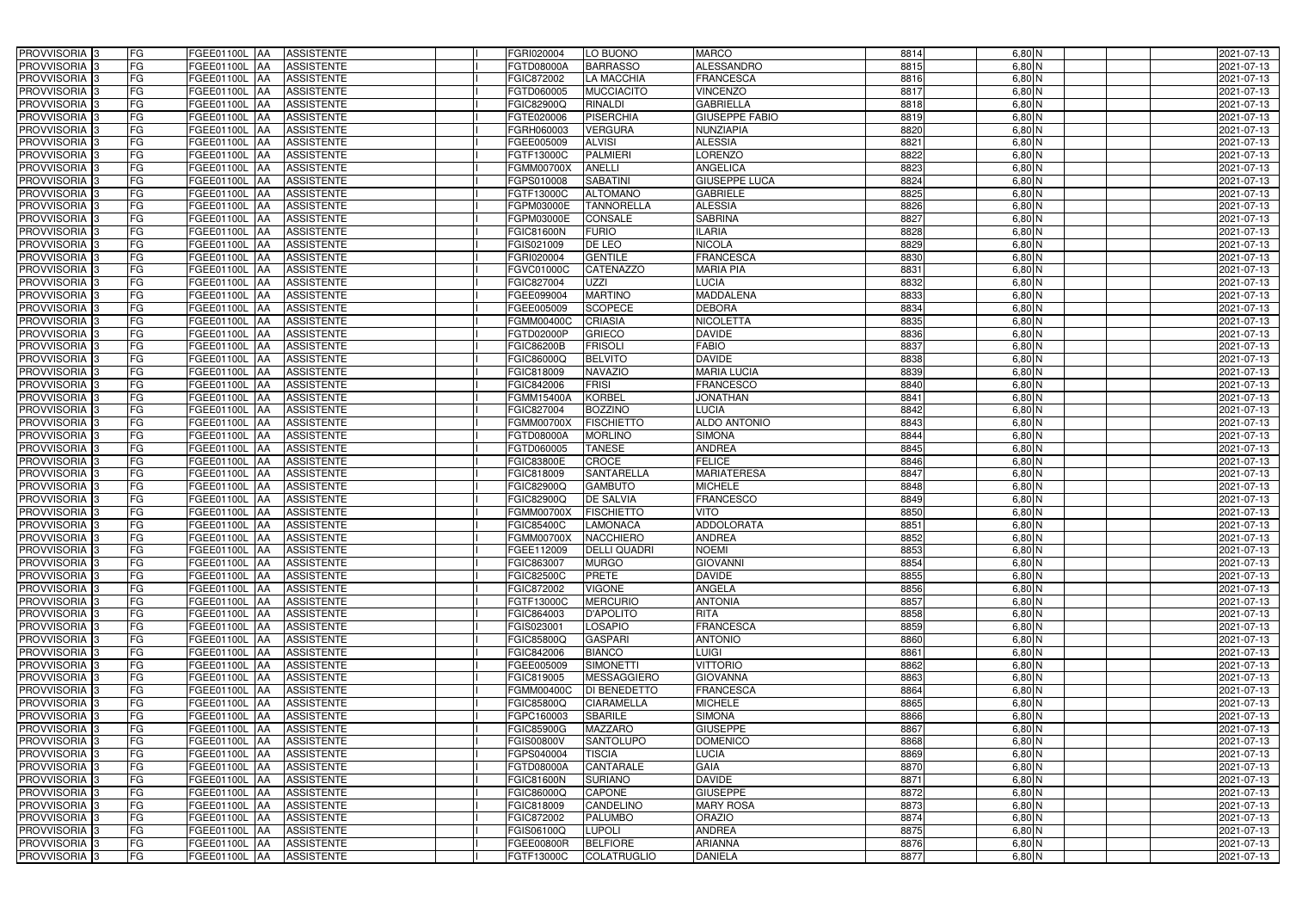| PROVVISORIA <sup>3</sup><br>FG            | FGEE01100L AA<br><b>ASSISTENTE</b>                   | FGRI020004<br>LO BUONO                 | <b>MARCO</b>          | 8814 | 6,80 N                    | 2021-07-13 |
|-------------------------------------------|------------------------------------------------------|----------------------------------------|-----------------------|------|---------------------------|------------|
| FG<br>PROVVISORIA <sup>3</sup>            | <b>ASSISTENTE</b><br><b>FGEE01100L AA</b>            | <b>BARRASSO</b><br>FGTD08000A          | <b>ALESSANDRO</b>     | 8815 | $6,80$ N                  | 2021-07-13 |
| FG<br>PROVVISORIA <sup>3</sup>            | FGEE01100L AA<br><b>ASSISTENTE</b>                   | FGIC872002<br>LA MACCHIA               | <b>FRANCESCA</b>      | 8816 | $6,80$ N                  | 2021-07-13 |
| FG<br>PROVVISORIA <sup>3</sup>            | <b>ASSISTENTE</b><br>FGEE01100L AA                   | <b>MUCCIACITO</b><br>FGTD060005        | <b>VINCENZO</b>       | 8817 | $6,80$ N                  | 2021-07-13 |
| FG<br>PROVVISORIA <sup>3</sup>            | <b>FGEE01100L</b><br><b>ASSISTENTE</b><br><b>IAA</b> | <b>RINALDI</b><br>FGIC82900Q           | <b>GABRIELLA</b>      | 8818 | $6,80$ N                  | 2021-07-13 |
| FG<br>PROVVISORIA <sup>3</sup>            | FGEE01100L AA<br><b>ASSISTENTE</b>                   | <b>PISERCHIA</b><br>FGTE020006         | <b>GIUSEPPE FABIO</b> | 8819 | $6,80$ N                  | 2021-07-13 |
| FG<br>PROVVISORIA 3                       | FGEE01100L AA<br><b>ASSISTENTE</b>                   | <b>VERGURA</b><br>FGRH060003           | NUNZIAPIA             | 8820 | $6,80$ N                  | 2021-07-13 |
| PROVVISORIA 3<br>FG                       | <b>ASSISTENTE</b><br>FGEE01100L AA                   | <b>ALVISI</b><br>FGEE005009            | <b>ALESSIA</b>        | 8821 | $6,80$ N                  | 2021-07-13 |
| PROVVISORIA 3<br>FG                       | FGEE01100L AA<br><b>ASSISTENTE</b>                   | <b>PALMIERI</b><br>FGTF13000C          | <b>LORENZO</b>        | 8822 | $6,80$ N                  | 2021-07-13 |
| PROVVISORIA <sup>3</sup><br>FG            | <b>FGEE01100L AA</b><br><b>ASSISTENTE</b>            | ANELLI<br><b>FGMM00700X</b>            | <b>ANGELICA</b>       | 8823 | 6,80 N                    | 2021-07-13 |
| PROVVISORIA 3<br>FG                       | FGEE01100L AA<br><b>ASSISTENTE</b>                   | <b>SABATINI</b><br>FGPS010008          | <b>GIUSEPPE LUCA</b>  | 8824 | $6,80$ N                  | 2021-07-13 |
| PROVVISORIA 3<br>FG                       | FGEE01100L AA<br><b>ASSISTENTE</b>                   | <b>ALTOMANO</b><br>FGTF13000C          | <b>GABRIELE</b>       | 8825 | $6,80$ N                  | 2021-07-13 |
| PROVVISORIA 3<br>FG                       | FGEE01100L AA<br><b>ASSISTENTE</b>                   | <b>TANNORELLA</b><br>FGPM03000E        | <b>ALESSIA</b>        | 8826 | $6,80$ N                  | 2021-07-13 |
| PROVVISORIA 3<br>FG                       | FGEE01100L AA<br><b>ASSISTENTE</b>                   | <b>FGPM03000E</b><br><b>CONSALE</b>    | <b>SABRINA</b>        | 8827 | $6,80$ N                  | 2021-07-13 |
| $\overline{\mathsf{FG}}$<br>PROVVISORIA 3 | FGEE01100L AA<br><b>ASSISTENTE</b>                   | <b>FURIO</b><br><b>FGIC81600N</b>      | <b>ILARIA</b>         | 8828 | $6,80$ N                  | 2021-07-13 |
| $\overline{\mathsf{FG}}$<br>PROVVISORIA 3 | FGEE01100L AA<br><b>ASSISTENTE</b>                   | DE LEO<br>FGIS021009                   | <b>NICOLA</b>         | 8829 | $6,80$ N                  | 2021-07-13 |
| PROVVISORIA 3<br>FG                       | <b>FGEE01100L</b><br><b>ASSISTENTE</b><br><b>IAA</b> | <b>GENTILE</b><br>FGRI020004           | <b>FRANCESCA</b>      | 8830 | $6,80$ N                  | 2021-07-13 |
| PROVVISORIA 3<br>FG                       | FGEE01100L AA<br><b>ASSISTENTE</b>                   | <b>CATENAZZO</b><br>FGVC01000C         | <b>MARIA PIA</b>      | 8831 | 6,80 N                    | 2021-07-13 |
| PROVVISORIA 3<br>FG                       | FGEE01100L<br><b>ASSISTENTE</b><br><b>JAA</b>        | <b>UZZI</b><br>FGIC827004              | <b>LUCIA</b>          | 8832 | $6,80$ N                  | 2021-07-13 |
| PROVVISORIA 3<br>FG                       | FGEE01100L AA<br><b>ASSISTENTE</b>                   | <b>MARTINO</b><br>FGEE099004           | <b>MADDALENA</b>      | 8833 | 6,80 N                    | 2021-07-13 |
| FG<br>PROVVISORIA <sup>3</sup>            | FGEE01100L<br><b>AA</b><br><b>ASSISTENTE</b>         | <b>SCOPECE</b><br>FGEE005009           | <b>DEBORA</b>         | 8834 | 6,80 N                    | 2021-07-13 |
| PROVVISORIA 3<br>FG                       | FGEE01100L AA<br><b>ASSISTENTE</b>                   | <b>CRIASIA</b><br>FGMM00400C           | <b>NICOLETTA</b>      | 8835 | $6,80$ N                  | 2021-07-13 |
| PROVVISORIA 3<br>FG                       | FGEE01100L AA<br><b>ASSISTENTE</b>                   | <b>GRIECO</b><br>FGTD02000P            | <b>DAVIDE</b>         | 8836 | $6,80$ N                  | 2021-07-13 |
| PROVVISORIA 3<br>FG                       | FGEE01100L AA<br><b>ASSISTENTE</b>                   | <b>FRISOLI</b><br><b>FGIC86200B</b>    | <b>FABIO</b>          | 8837 | $6,80$ N                  | 2021-07-13 |
| PROVVISORIA 3<br>FG                       | FGEE01100L AA<br><b>ASSISTENTE</b>                   | <b>BELVITO</b><br>FGIC86000Q           | <b>DAVIDE</b>         | 8838 | $6,80$ N                  | 2021-07-13 |
| PROVVISORIA 3<br>FG                       | FGEE01100L AA<br><b>ASSISTENTE</b>                   | <b>NAVAZIO</b><br>FGIC818009           | <b>MARIA LUCIA</b>    | 8839 | $6,80$ N                  | 2021-07-13 |
| PROVVISORIA 3<br>FG                       | FGEE01100L AA<br><b>ASSISTENTE</b>                   | <b>FRISI</b><br>FGIC842006             | <b>FRANCESCO</b>      | 8840 | $6,80$ N                  | 2021-07-13 |
| FG<br>PROVVISORIA 3                       | FGEE01100L AA<br><b>ASSISTENTE</b>                   | <b>KORBEL</b><br>FGMM15400A            | <b>JONATHAN</b>       | 8841 | $6,80$ N                  | 2021-07-13 |
| FG<br>PROVVISORIA <sup>3</sup>            | FGEE01100L AA<br><b>ASSISTENTE</b>                   | <b>BOZZINO</b><br>FGIC827004           | LUCIA                 | 8842 | $6,80$ N                  | 2021-07-13 |
| FG<br>PROVVISORIA 3                       | <b>FGEE01100L AA</b><br><b>ASSISTENTE</b>            | <b>FISCHIETTO</b><br><b>FGMM00700X</b> | <b>ALDO ANTONIO</b>   | 8843 | $6,80$ N                  | 2021-07-13 |
| FG<br>PROVVISORIA <sup>3</sup>            | FGEE01100L AA<br><b>ASSISTENTE</b>                   | <b>MORLINO</b><br>FGTD08000A           | <b>SIMONA</b>         | 8844 | $6,80$ N                  | 2021-07-13 |
| PROVVISORIA <sup>3</sup><br>FG            | <b>FGEE01100L AA</b><br><b>ASSISTENTE</b>            | <b>TANESE</b><br>FGTD060005            | <b>ANDREA</b>         | 8845 | 6,80 N                    | 2021-07-13 |
| FG<br>PROVVISORIA <sup>3</sup>            | FGEE01100L AA<br><b>ASSISTENTE</b>                   | <b>CROCE</b><br><b>FGIC83800E</b>      | <b>FELICE</b>         | 8846 | $6,80$ N                  | 2021-07-13 |
| PROVVISORIA <sup>3</sup><br>FG            | <b>FGEE01100L AA</b><br><b>ASSISTENTE</b>            | <b>SANTARELLA</b><br>FGIC818009        | <b>MARIATERESA</b>    | 8847 | $6,80$ N                  | 2021-07-13 |
| PROVVISORIA 3<br>FG                       | <b>ASSISTENTE</b><br>FGEE01100L<br> AA               | <b>GAMBUTO</b><br>FGIC82900Q           | <b>MICHELE</b>        | 8848 | $6,80$ N                  | 2021-07-13 |
| PROVVISORIA <sup>3</sup><br>FG            | FGEE01100L<br><b>ASSISTENTE</b><br><b>JAA</b>        | <b>DE SALVIA</b><br>FGIC82900Q         | <b>FRANCESCO</b>      | 8849 | 6,80 N                    | 2021-07-13 |
| PROVVISORIA <sup>3</sup><br>FG            | FGEE01100L<br><b>ASSISTENTE</b><br><b>JAA</b>        | <b>FISCHIETTO</b><br>FGMM00700X        | <b>VITO</b>           | 8850 | 6,80 N                    | 2021-07-13 |
| PROVVISORIA <sup>3</sup><br>FG            | FGEE01100L AA<br><b>ASSISTENTE</b>                   | FGIC85400C<br><b>LAMONACA</b>          | <b>ADDOLORATA</b>     | 8851 | $6,80$ N                  | 2021-07-13 |
| PROVVISORIA 3<br>FG                       | <b>FGEE01100L</b> AA<br>ASSISTENTE                   | <b>NACCHIERO</b><br><b>FGMM00700X</b>  | <b>ANDREA</b>         | 8852 | $6,80\overline{\text{N}}$ | 2021-07-13 |
| PROVVISORIA <sup>3</sup><br>FG            | FGEE01100L AA<br><b>ASSISTENTE</b>                   | FGEE112009<br><b>DELLI QUADRI</b>      | <b>NOEMI</b>          | 8853 | $6,80$ N                  | 2021-07-13 |
| PROVVISORIA <sup>3</sup><br>FG            | FGEE01100L AA<br>ASSISTENTE                          | FGIC863007<br><b>MURGO</b>             | <b>GIOVANNI</b>       | 8854 | $6,80$ N                  | 2021-07-13 |
| PROVVISORIA <sup>3</sup><br>FG            | FGEE01100L AA<br>ASSISTENTE                          | <b>FGIC82500C</b><br>PRETE             | <b>DAVIDE</b>         | 8855 | 6,80 N                    | 2021-07-13 |
| PROVVISORIA <sup>3</sup><br>FG            | FGEE01100L AA<br><b>ASSISTENTE</b>                   | FGIC872002<br><b>VIGONE</b>            | <b>ANGELA</b>         | 8856 | $6,80$ N                  | 2021-07-13 |
| PROVVISORIA <sup>3</sup><br>FG            | FGEE01100L AA<br>ASSISTENTE                          | <b>MERCURIO</b><br>FGTF13000C          | <b>ANTONIA</b>        | 8857 | 6,80 N                    | 2021-07-13 |
| PROVVISORIA 3<br>FG                       | FGEE01100L AA<br>ASSISTENTE                          | FGIC864003<br><b>D'APOLITO</b>         | <b>RITA</b>           | 8858 | 6,80 N                    | 2021-07-13 |
| PROVVISORIA <sup>3</sup><br>FG            | FGEE01100L AA<br>ASSISTENTE                          | <b>LOSAPIO</b><br>FGIS023001           | <b>FRANCESCA</b>      | 8859 | $6,80$ N                  | 2021-07-13 |
| PROVVISORIA <sup>3</sup><br>FG            | FGEE01100L AA<br>ASSISTENTE                          | <b>FGIC85800Q</b><br><b>GASPARI</b>    | <b>ANTONIO</b>        | 8860 | $6,80$ N                  | 2021-07-13 |
| PROVVISORIA <sup>3</sup><br>FG            | FGEE01100L AA<br>ASSISTENTE                          | FGIC842006<br><b>BIANCO</b>            | <b>LUIGI</b>          | 8861 | 6,80 N                    | 2021-07-13 |
| PROVVISORIA <sup>3</sup><br>FG            | FGEE01100L AA<br>ASSISTENTE                          | <b>SIMONETTI</b><br>FGEE005009         | <b>VITTORIO</b>       | 8862 | $6,80$ N                  | 2021-07-13 |
| PROVVISORIA <sup>3</sup><br>FG            | FGEE01100L AA<br>ASSISTENTE                          | FGIC819005<br>MESSAGGIERO              | <b>GIOVANNA</b>       | 8863 | $6,80$ N                  | 2021-07-13 |
| PROVVISORIA <sup>3</sup><br>FG            | FGEE01100L AA<br><b>ASSISTENTE</b>                   | DI BENEDETTO<br>FGMM00400C             | <b>FRANCESCA</b>      | 8864 | $6,80$ N                  | 2021-07-13 |
| PROVVISORIA <sup>3</sup><br>FG            | FGEE01100L AA<br><b>ASSISTENTE</b>                   | <b>FGIC85800Q</b><br><b>CIARAMELLA</b> | <b>MICHELE</b>        | 8865 | $6,80$ N                  | 2021-07-13 |
| PROVVISORIA <sup>3</sup><br>FG            | FGEE01100L AA<br><b>ASSISTENTE</b>                   | <b>SBARILE</b><br>FGPC160003           | <b>SIMONA</b>         | 8866 | $6,80$ N                  | 2021-07-13 |
| PROVVISORIA <sup>3</sup><br>FG            | FGEE01100L AA<br><b>ASSISTENTE</b>                   | <b>MAZZARO</b><br><b>FGIC85900G</b>    | <b>GIUSEPPE</b>       | 8867 | $6,80$ N                  | 2021-07-13 |
| FG<br><b>PROVVISORIA</b> 3                | FGEE01100L AA<br><b>ASSISTENTE</b>                   | <b>SANTOLUPO</b><br><b>FGIS00800V</b>  | <b>DOMENICO</b>       | 8868 | $6,80$ N                  | 2021-07-13 |
| FG<br>PROVVISORIA <sup>1</sup> 3          | FGEE01100L AA<br><b>ASSISTENTE</b>                   | FGPS040004<br><b>TISCIA</b>            | <b>LUCIA</b>          | 8869 | 6,80 N                    | 2021-07-13 |
| FG<br>PROVVISORIA <sup>3</sup>            | FGEE01100L AA<br><b>ASSISTENTE</b>                   | CANTARALE<br>FGTD08000A                | <b>GAIA</b>           | 8870 | $6,80$ N                  | 2021-07-13 |
| PROVVISORIA <sup>1</sup> 3<br>FG          | FGEE01100L AA<br><b>ASSISTENTE</b>                   | FGIC81600N<br><b>SURIANO</b>           | <b>DAVIDE</b>         | 8871 | 6,80 N                    | 2021-07-13 |
| PROVVISORIA <sup>3</sup><br>FG            | <b>ASSISTENTE</b><br>FGEE01100L AA                   | CAPONE<br>FGIC86000Q                   | <b>GIUSEPPE</b>       | 8872 | 6,80 N                    | 2021-07-13 |
| PROVVISORIA <sup>3</sup><br>FG            | <b>FGEE01100L AA</b><br><b>ASSISTENTE</b>            | CANDELINO<br>FGIC818009                | <b>MARY ROSA</b>      | 8873 | $6,80$ N                  | 2021-07-13 |
| PROVVISORIA <sup>3</sup><br>FG            | FGEE01100L AA<br><b>ASSISTENTE</b>                   | <b>PALUMBO</b><br>FGIC872002           | <b>ORAZIO</b>         | 8874 | 6,80 N                    | 2021-07-13 |
| PROVVISORIA <sup>3</sup><br>FG            | FGEE01100L AA<br><b>ASSISTENTE</b>                   | <b>LUPOLI</b><br>FGIS06100Q            | <b>ANDREA</b>         | 8875 | 6,80 N                    | 2021-07-13 |
| PROVVISORIA <sup>3</sup><br>FG            | FGEE01100L AA<br><b>ASSISTENTE</b>                   | <b>BELFIORE</b><br>FGEE00800R          | <b>ARIANNA</b>        | 8876 | $6,80$ N                  | 2021-07-13 |
| PROVVISORIA <sup>3</sup><br>FG            | FGEE01100L AA<br>ASSISTENTE                          | COLATRUGLIO<br>FGTF13000C              | <b>DANIELA</b>        | 8877 | $6,80$ N                  | 2021-07-13 |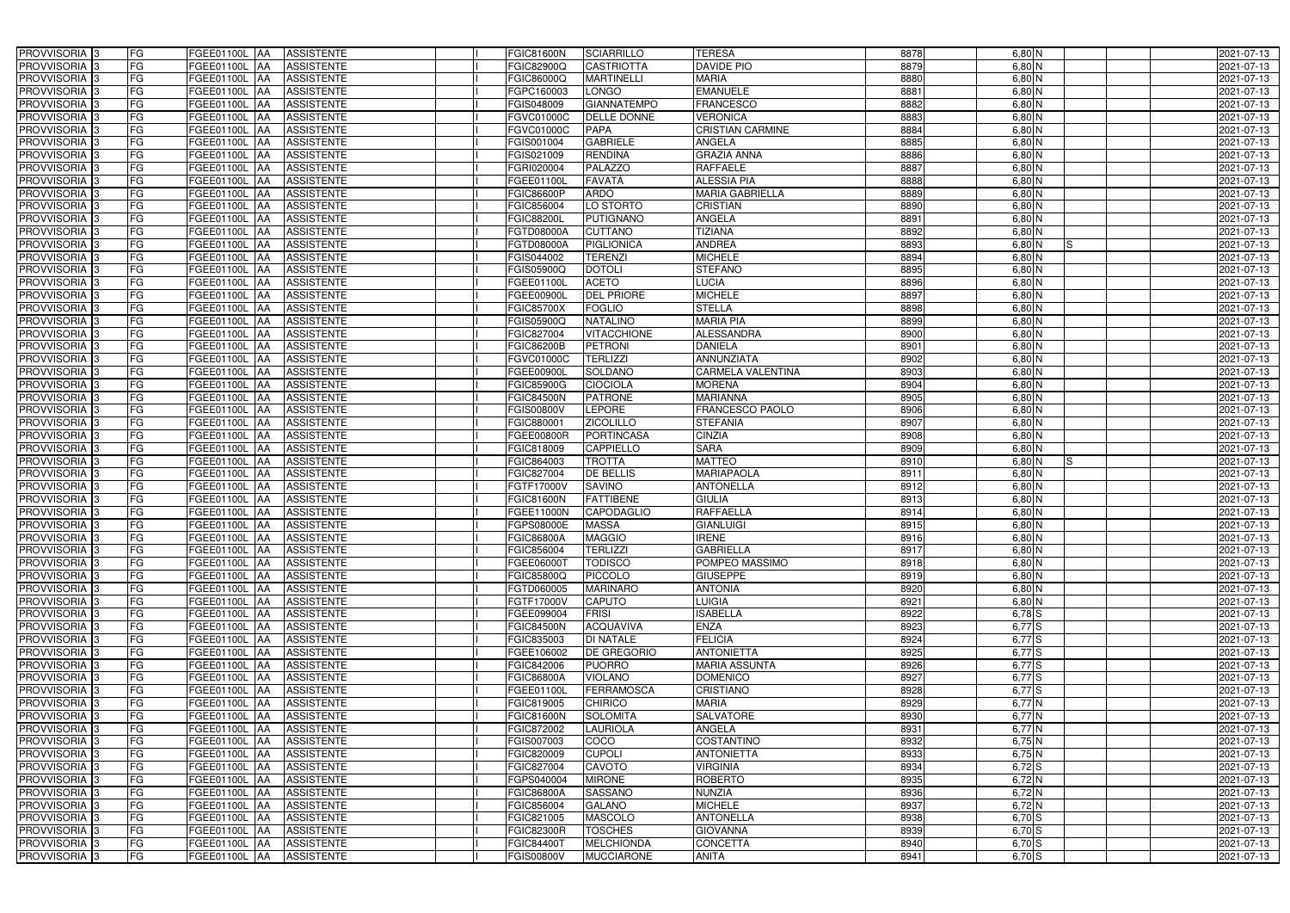| PROVVISORIA 3                             | FG        | FGEE01100L AA<br><b>ASSISTENTE</b>                                | FGIC81600N                      | <b>SCIARRILLO</b>               | <b>TERESA</b>                   | 8878         | 6,80 N                    | 2021-07-13               |
|-------------------------------------------|-----------|-------------------------------------------------------------------|---------------------------------|---------------------------------|---------------------------------|--------------|---------------------------|--------------------------|
| PROVVISORIA 3                             | FG        | <b>ASSISTENTE</b><br>FGEE01100L                                   | FGIC82900Q                      | <b>CASTRIOTTA</b>               | DAVIDE PIO                      | 8879         | $6,80$ N                  | 2021-07-13               |
| PROVVISORIA 3                             | <b>FG</b> | FGEE01100L<br><b>ASSISTENTE</b><br>IAA                            | FGIC86000Q                      | <b>MARTINELLI</b>               | <b>MARIA</b>                    | 8880         | $6,80$ N                  | 2021-07-13               |
| PROVVISORIA <sup>3</sup>                  | <b>FG</b> | FGEE01100L<br><b>ASSISTENTE</b><br>IAA                            | GPC160003                       | <b>LONGO</b>                    | <b>EMANUELE</b>                 | 8881         | $6,80$ N                  | 2021-07-13               |
| PROVVISORIA 3                             | FG        | FGEE01100L<br><b>ASSISTENTE</b>                                   | GIS048009                       | <b>GIANNATEMPO</b>              | <b>FRANCESCO</b>                | 8882         | $6,80$ N                  | 2021-07-13               |
| PROVVISORIA 3                             | <b>FG</b> | <b>FGEE01100L AA</b><br><b>ASSISTENTE</b>                         | FGVC01000C                      | DELLE DONNE                     | <b>VERONICA</b>                 | 8883         | $6,80$ N                  | 2021-07-13               |
| PROVVISORIA 3                             | FG        | <b>FGEE01100L   AA</b><br><b>ASSISTENTE</b>                       | FGVC01000C                      | <b>PAPA</b>                     | <b>CRISTIAN CARMINE</b>         | 8884         | $6,80$ N                  | 2021-07-13               |
| PROVVISORIA 3                             | FG        | <b>ASSISTENTE</b><br>FGEE01100L AA                                | FGIS001004                      | <b>GABRIELE</b>                 | <b>ANGELA</b>                   | 8885         | $6,80$ N                  | 2021-07-13               |
| PROVVISORIA 3                             | <b>FG</b> | FGEE01100L AA<br><b>ASSISTENTE</b>                                | FGIS021009                      | <b>RENDINA</b>                  | <b>GRAZIA ANNA</b>              | 8886         | $6,80$ N                  | 2021-07-13               |
| PROVVISORIA 3                             | <b>FG</b> | FGEE01100L AA<br><b>ASSISTENTE</b>                                | FGRI020004                      | <b>PALAZZO</b>                  | <b>RAFFAELE</b>                 | 8887         | 6,80 N                    | 2021-07-13               |
| PROVVISORIA 3                             | FG        | FGEE01100L AA<br><b>ASSISTENTE</b>                                | FGEE01100L                      | <b>FAVATÀ</b>                   | <b>ALESSIA PIA</b>              | 8888         | $6,80$ N                  | 2021-07-13               |
| PROVVISORIA 3                             | FG        | FGEE01100L AA<br><b>ASSISTENTE</b>                                | <b>FGIC86600P</b>               | <b>ARDÒ</b>                     | <b>MARIA GABRIELLA</b>          | 8889         | $6,80$ N                  | 2021-07-13               |
| PROVVISORIA <sup>3</sup>                  | FG        | FGEE01100L<br><b>ASSISTENTE</b><br>IAA                            | FGIC856004                      | LO STORTO                       | <b>CRISTIAN</b>                 | 8890         | $6,80$ N                  | 2021-07-13               |
| PROVVISORIA 3                             | FG        | <b>ASSISTENTE</b><br>FGEE01100L AA                                | FGIC88200L                      | <b>PUTIGNANO</b>                | ANGELA                          | 8891         | $6,80$ N                  | 2021-07-13               |
| PROVVISORIA 3                             | <b>FG</b> | FGEE01100L AA<br><b>ASSISTENTE</b>                                | FGTD08000A                      | <b>CUTTANO</b>                  | <b>TIZIANA</b>                  | 8892         | $6,80$ N                  | 2021-07-13               |
| PROVVISORIA 3                             | <b>FG</b> | <b>FGEE01100L</b><br><b>ASSISTENTE</b><br>IAA                     | FGTD08000A                      | <b>PIGLIONICA</b>               | <b>ANDREA</b>                   | 8893         | $6,80$ N<br>IS.           | 2021-07-13               |
| PROVVISORIA 3                             | FG        | FGEE01100L<br><b>ASSISTENTE</b><br>IAA                            | GIS044002                       | <b>TERENZI</b>                  | <b>MICHELE</b>                  | 8894         | 6,80 N                    | 2021-07-13               |
| PROVVISORIA 3                             | FG        | <b>FGEE01100L</b><br><b>ASSISTENTE</b><br>IAA                     | FGIS05900Q                      | <b>DOTOLI</b>                   | <b>STEFANO</b>                  | 8895         | 6,80 N                    | 2021-07-13               |
| PROVVISORIA 3                             | FG        | FGEE01100L<br><b>ASSISTENTE</b><br>IAA                            | FGEE01100L                      | <b>ACETO</b>                    | <b>LUCIA</b>                    | 8896         | $6,80$ N                  | 2021-07-13               |
| PROVVISORIA 3                             | FG        | FGEE01100L<br><b>ASSISTENTE</b><br>IAA                            | FGEE00900L                      | <b>DEL PRIORE</b>               | <b>MICHELE</b>                  | 8897         | 6,80 N                    | 2021-07-13               |
| <b>PROVVISORIA</b> 3                      | FG        | FGEE01100L<br><b>ASSISTENTE</b>                                   | <b>FGIC85700X</b>               | <b>FOGLIO</b>                   | <b>STELLA</b>                   | 8898         | 6,80 N                    | 2021-07-13               |
| <b>PROVVISORIA</b> 3                      | FG        | FGEE01100L<br><b>ASSISTENTE</b>                                   | FGIS05900Q                      | <b>NATALINO</b>                 | <b>MARIA PIA</b>                | 8899         | $6,80$ N                  | 2021-07-13               |
| PROVVISORIA <sup>3</sup>                  | FG        | FGEE01100L<br><b>ASSISTENTE</b>                                   | FGIC827004                      | <b>VITACCHIONE</b>              | <b>ALESSANDRA</b>               | 8900         | $6,80$ N                  | 2021-07-13               |
| PROVVISORIA <sup>3</sup>                  | <b>FG</b> | FGEE01100L<br><b>ASSISTENTE</b><br>AA                             | FGIC86200B                      | <b>PETRONI</b>                  | <b>DANIELA</b>                  | 8901         | $6,80$ N                  | 2021-07-13               |
| <b>PROVVISORIA</b> 3                      | <b>FG</b> | FGEE01100L<br><b>ASSISTENTE</b><br>IAA                            | FGVC01000C                      | <b>TERLIZZI</b>                 | <b>ANNUNZIATA</b>               | 8902         | $6,80$ N                  | 2021-07-13               |
| PROVVISORIA 3                             | FG        | FGEE01100L<br><b>ASSISTENTE</b><br>IAA                            | FGEE00900L                      | <b>SOLDANO</b>                  | <b>CARMELA VALENTINA</b>        | 8903         | $6,80$ N                  | 2021-07-13               |
| PROVVISORIA 3                             | <b>FG</b> | FGEE01100L AA<br><b>ASSISTENTE</b>                                | <b>FGIC85900G</b>               | <b>CIOCIOLA</b>                 | <b>MORENA</b>                   | 8904         | $6,80$ N                  | 2021-07-13               |
| PROVVISORIA 3                             | <b>FG</b> | FGEE01100L AA<br><b>ASSISTENTE</b>                                | <b>FGIC84500N</b>               | <b>PATRONE</b>                  | <b>MARIANNA</b>                 | 8905         | $6,80$ N                  | 2021-07-13               |
| PROVVISORIA <sup>3</sup>                  | FG        | FGEE01100L<br><b>ASSISTENTE</b><br>IAA                            | FGIS00800V                      | LEPORE                          | FRANCESCO PAOLO                 | 8906         | $6,80$ N                  | 2021-07-13               |
| PROVVISORIA 3                             | <b>FG</b> | <b>FGEE01100L   AA</b><br><b>ASSISTENTE</b>                       | FGIC880001                      | <b>ZICOLILLO</b>                | <b>STEFANIA</b>                 | 8907         | $6,80$ N                  | 2021-07-13               |
| PROVVISORIA 3                             | FG        | <b>FGEE01100L AA</b><br><b>ASSISTENTE</b>                         | FGEE00800R                      | <b>PORTINCASA</b>               | <b>CINZIA</b>                   | 8908         | $6,80$ N                  | 2021-07-13               |
| PROVVISORIA 3                             | FG        | FGEE01100L AA<br><b>ASSISTENTE</b>                                | FGIC818009                      | CAPPIELLO                       | <b>SARA</b>                     | 8909         | 6,80 N                    | 2021-07-13               |
| PROVVISORIA 3                             | FG        | FGEE01100L<br><b>ASSISTENTE</b><br>IAA                            | FGIC864003                      | <b>TROTTA</b>                   | <b>MATTEO</b>                   | 8910         | $6,80$ N<br>IS            | 2021-07-13               |
|                                           |           |                                                                   |                                 |                                 |                                 |              |                           |                          |
| PROVVISORIA <sup>3</sup>                  | <b>FG</b> | FGEE01100L AA<br><b>ASSISTENTE</b>                                | FGIC827004                      | <b>DE BELLIS</b>                | <b>MARIAPAOLA</b>               | 8911         | 6,80 N                    | 2021-07-13               |
| <b>PROVVISORIA</b> 3                      | <b>FG</b> | FGEE01100L<br><b>ASSISTENTE</b><br>IAA                            | FGTF17000V                      | <b>SAVINO</b>                   | <b>ANTONELLA</b>                | 8912         | 6,80 N                    | 2021-07-13               |
| PROVVISORIA <sup>1</sup> 3                | FG        | FGEE01100L<br><b>ASSISTENTE</b><br>IAA                            | <b>GIC81600N</b>                | <b>FATTIBENE</b>                | <b>GIULIA</b>                   | 8913         | 6,80 N                    | 2021-07-13               |
| PROVVISORIA <sup>1</sup> 3                | FG        | <b>FGEE01100L</b><br><b>ASSISTENTE</b><br>IAA                     | <b>GEE11000N</b>                | <b>CAPODAGLIO</b>               | <b>RAFFAELLA</b>                | 8914         | 6,80 N                    | 2021-07-13               |
| PROVVISORIA <sup>3</sup>                  | <b>FG</b> | FGEE01100L AA<br><b>ASSISTENTE</b>                                | FGPS08000E                      | <b>MASSA</b>                    | <b>GIANLUIGI</b>                | 8915         | $6,80$ N                  | 2021-07-13               |
| PROVVISORIA <sup>3</sup>                  | FG        | FGEE01100L AA ASSISTENTE                                          | <b>FGIC86800A</b>               | <b>MAGGIO</b>                   | <b>IRENE</b>                    | 8916         | $6,80\overline{\text{N}}$ | 2021-07-13               |
| PROVVISORIA <sup>3</sup>                  | FG        | FGEE01100L AA<br>ASSISTENTE                                       | FGIC856004                      | <b>TERLIZZI</b>                 | <b>GABRIELLA</b>                | 8917         | $6,80$ N                  | 2021-07-13               |
| PROVVISORIA <sup>3</sup>                  | FG        | ASSISTENTE<br>FGEE01100L AA                                       | FGEE06000T                      | <b>TODISCO</b>                  | POMPEO MASSIMO                  | 8918         | $6,80$ N                  | 2021-07-13               |
| PROVVISORIA <sup>3</sup>                  | FG        | FGEE01100L AA<br><b>ASSISTENTE</b>                                | FGIC85800Q                      | PICCOLO                         | <b>GIUSEPPE</b>                 | 8919         | $6,80$ N                  | 2021-07-13               |
| PROVVISORIA <sup>3</sup>                  | FG        | FGEE01100L AA<br><b>ASSISTENTE</b>                                | FGTD060005                      | <b>MARINARO</b>                 | <b>ANTONIA</b>                  | 8920         | $6,80$ N                  | 2021-07-13               |
| PROVVISORIA <sup>3</sup>                  | FG        | FGEE01100L AA<br><b>ASSISTENTE</b>                                | FGTF17000V                      | <b>CAPUTO</b>                   | <b>LUIGIA</b>                   | 8921         | 6,80 N                    | 2021-07-13               |
| PROVVISORIA <sup>3</sup>                  | FG        | FGEE01100L AA<br><b>ASSISTENTE</b>                                | FGEE099004                      | <b>FRISI</b>                    | <b>ISABELLA</b>                 | 8922         | $6,78$ $S$                | 2021-07-13               |
| PROVVISORIA <sup>3</sup>                  | FG        | FGEE01100L AA<br><b>ASSISTENTE</b>                                | <b>FGIC84500N</b>               | <b>ACQUAVIVA</b>                | <b>ENZA</b>                     | 8923         | $6,77$ S                  | 2021-07-13               |
| PROVVISORIA <sup>3</sup>                  | FG        | FGEE01100L AA<br><b>ASSISTENTE</b>                                | FGIC835003                      | <b>DI NATALE</b>                | <b>FELICIA</b>                  | 8924         | $6,77$ S                  | 2021-07-13               |
| PROVVISORIA <sup>3</sup>                  | FG        | FGEE01100L AA<br><b>ASSISTENTE</b>                                | FGEE106002                      | <b>DE GREGORIO</b>              | <b>ANTONIETTA</b>               | 8925         | $6,77$ S                  | 2021-07-13               |
| PROVVISORIA <sup>3</sup>                  | FG        | FGEE01100L AA<br><b>ASSISTENTE</b>                                | FGIC842006                      | <b>PUORRO</b>                   | <b>MARIA ASSUNTA</b>            | 8926         | $6,77$ S                  | 2021-07-13               |
| PROVVISORIA <sup>3</sup>                  | FG        | FGEE01100L AA<br><b>ASSISTENTE</b>                                | <b>FGIC86800A</b>               | <b>VIOLANO</b>                  | <b>DOMENICO</b>                 | 8927         | $6,77$ S                  | 2021-07-13               |
| PROVVISORIA <sup>3</sup>                  | FG        | FGEE01100L AA<br><b>ASSISTENTE</b>                                | FGEE01100L                      | <b>FERRAMOSCA</b>               | CRISTIANO                       | 8928         | $6,77$ S                  | 2021-07-13               |
| PROVVISORIA <sup>3</sup>                  | FG        | FGEE01100L AA<br><b>ASSISTENTE</b>                                | FGIC819005                      | <b>CHIRICO</b>                  | <b>MARIA</b>                    | 8929         | $6,77$ N                  | 2021-07-13               |
| PROVVISORIA <sup>3</sup>                  | FG        | FGEE01100L AA<br><b>ASSISTENTE</b>                                | <b>FGIC81600N</b>               | <b>SOLOMITA</b>                 | <b>SALVATORE</b>                | 8930         | $6,77$ N                  | 2021-07-13               |
| PROVVISORIA <sup>3</sup>                  | FG        | FGEE01100L AA<br><b>ASSISTENTE</b>                                | FGIC872002                      | <b>LAURIOLA</b>                 | ANGELA                          | 8931         | $6,77$ N                  | 2021-07-13               |
| PROVVISORIA 3                             | FG        | FGEE01100L AA<br><b>ASSISTENTE</b>                                | FGIS007003                      | COCO                            | COSTANTINO                      | 8932         | 6,75N                     | 2021-07-13               |
| PROVVISORIA <sup>3</sup>                  | FG        | FGEE01100L AA<br><b>ASSISTENTE</b>                                | FGIC820009                      | <b>CUPOLI</b>                   | <b>ANTONIETTA</b>               | 8933         | 6,75 N                    | 2021-07-13               |
| PROVVISORIA <sup>3</sup>                  | FG        | FGEE01100L AA<br><b>ASSISTENTE</b>                                | FGIC827004                      | CAVOTO                          | <b>VIRGINIA</b>                 | 8934         | $6,72$ S                  | 2021-07-13               |
| PROVVISORIA <sup>3</sup>                  | FG        | <b>FGEE01100L   AA</b><br><b>ASSISTENTE</b>                       | FGPS040004                      | <b>MIRONE</b>                   | <b>ROBERTO</b>                  | 8935         | $6,72$ N                  | 2021-07-13               |
| PROVVISORIA <sup>3</sup>                  | FG        | <b>ASSISTENTE</b><br>FGEE01100L AA                                | FGIC86800A                      | SASSANO                         | <b>NUNZIA</b>                   | 8936         | 6,72 N                    | 2021-07-13               |
| PROVVISORIA <sup>3</sup>                  | FG        | <b>ASSISTENTE</b><br>FGEE01100L AA                                | FGIC856004                      | <b>GALANO</b>                   | <b>MICHELE</b>                  | 8937         | 6,72N                     | 2021-07-13               |
| PROVVISORIA <sup>3</sup>                  | FG        | FGEE01100L AA<br><b>ASSISTENTE</b>                                | FGIC821005                      | <b>MASCOLO</b>                  | <b>ANTONELLA</b>                | 8938         | $6,70$ S                  | 2021-07-13               |
| PROVVISORIA <sup>3</sup>                  | FG        | <b>ASSISTENTE</b><br>FGEE01100L AA                                | <b>FGIC82300R</b>               | <b>TOSCHES</b>                  | <b>GIOVANNA</b>                 | 8939         | $6,70$ S                  | 2021-07-13               |
| PROVVISORIA <sup>3</sup><br>PROVVISORIA 3 | FG<br>FG  | ASSISTENTE<br>FGEE01100L AA<br><b>ASSISTENTE</b><br>FGEE01100L AA | FGIC84400T<br><b>FGIS00800V</b> | <b>MELCHIONDA</b><br>MUCCIARONE | <b>CONCETTA</b><br><b>ANITA</b> | 8940<br>8941 | $6,70$ S<br>$6,70$ S      | 2021-07-13<br>2021-07-13 |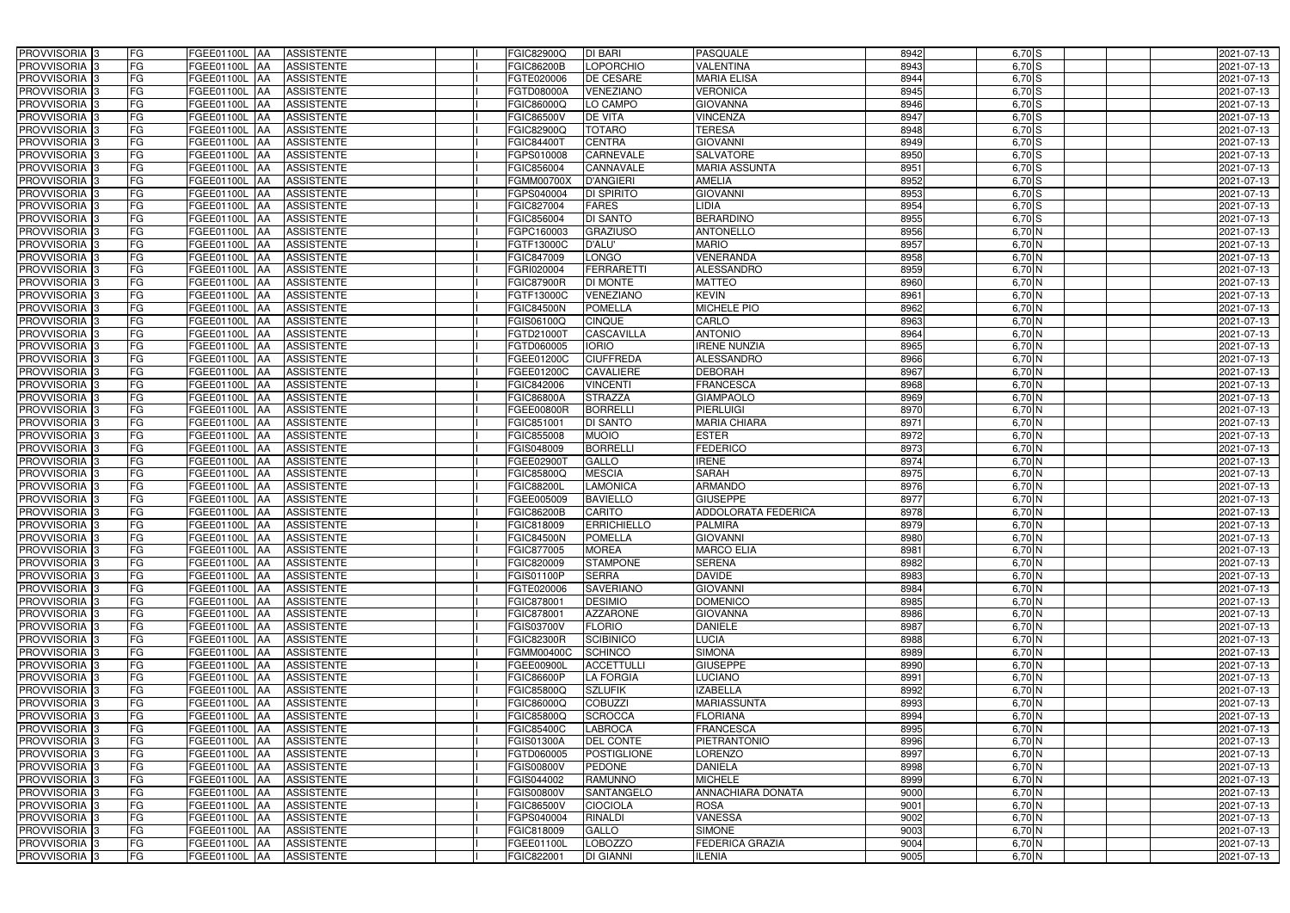| PROVVISORIA <sup>3</sup>                             | FG               | FGEE01100L AA                   | <b>ASSISTENTE</b>        | FGIC82900Q                      | DI BARI                               | <b>PASQUALE</b>                   | 8942         | $6,70$ S             | 2021-07-13               |
|------------------------------------------------------|------------------|---------------------------------|--------------------------|---------------------------------|---------------------------------------|-----------------------------------|--------------|----------------------|--------------------------|
| PROVVISORIA <sup>3</sup>                             | FG               | FGEE01100L<br>IAA               | <b>ASSISTENTE</b>        | FGIC86200B                      | <b>LOPORCHIO</b>                      | VALENTINA                         | 8943         | 6,70 S               | 2021-07-13               |
| PROVVISORIA 3                                        | FG               | FGEE01100L<br>IAA               | <b>ASSISTENTE</b>        | FGTE020006                      | <b>DE CESARE</b>                      | <b>MARIA ELISA</b>                | 8944         | 6,70S                | 2021-07-13               |
| PROVVISORIA 3                                        | FG               | FGEE01100L<br>IAA               | <b>ASSISTENTE</b>        | FGTD08000A                      | VENEZIANO                             | <b>VERONICA</b>                   | 8945         | $6,70$ S             | 2021-07-13               |
| PROVVISORIA <sup>3</sup>                             | FG<br>FGEE01100L | IAA                             | <b>ASSISTENTE</b>        | FGIC86000Q                      | LO CAMPO                              | <b>GIOVANNA</b>                   | 8946         | 6,70 S               | 2021-07-13               |
| PROVVISORIA 3                                        | FG               | <b>FGEE01100L AA</b>            | <b>ASSISTENTE</b>        | FGIC86500V                      | <b>DE VITA</b>                        | <b>VINCENZA</b>                   | 8947         | $6,70$ S             | 2021-07-13               |
| PROVVISORIA 3                                        | FG               | FGEE01100L AA                   | <b>ASSISTENTE</b>        | FGIC82900Q                      | <b>TOTARO</b>                         | <b>TERESA</b>                     | 8948         | $6,70$ S             | 2021-07-13               |
| PROVVISORIA 3                                        | FG               | FGEE01100L AA                   | <b>ASSISTENTE</b>        | FGIC84400T                      | <b>CENTRA</b>                         | <b>GIOVANNI</b>                   | 8949         | $6,70$ S             | 2021-07-13               |
| PROVVISORIA 3                                        | FG               | FGEE01100L AA                   | <b>ASSISTENTE</b>        | FGPS010008                      | <b>CARNEVALE</b>                      | <b>SALVATORE</b>                  | 8950         | $6,70$ S             | 2021-07-13               |
| PROVVISORIA <sup>3</sup>                             | FG               | <b>FGEE01100L AA</b>            | <b>ASSISTENTE</b>        | FGIC856004                      | CANNAVALE                             | <b>MARIA ASSUNTA</b>              | 8951         | $6,70$ S             | 2021-07-13               |
| PROVVISORIA 3                                        | FG               | FGEE01100L AA                   | <b>ASSISTENTE</b>        | <b>FGMM00700X</b>               | <b>D'ANGIERI</b>                      | <b>AMELIA</b>                     | 8952         | $6,70$ S             | 2021-07-13               |
| PROVVISORIA 3                                        | FG               | FGEE01100L AA                   | <b>ASSISTENTE</b>        | FGPS040004                      | <b>DI SPIRITO</b>                     | <b>GIOVANNI</b>                   | 8953         | $6,70$ S             | 2021-07-13               |
| PROVVISORIA 3                                        | FG               | FGEE01100L AA                   | <b>ASSISTENTE</b>        | FGIC827004                      | <b>FARES</b>                          | <b>LIDIA</b>                      | 8954         | $6,70$ S             | 2021-07-13               |
| PROVVISORIA 3                                        | FG               | FGEE01100L AA                   | <b>ASSISTENTE</b>        | FGIC856004                      | <b>DI SANTO</b>                       | <b>BERARDINO</b>                  | 8955         | $6,70$ S             | 2021-07-13               |
| PROVVISORIA 3                                        | FG               | FGEE01100L AA                   | <b>ASSISTENTE</b>        | FGPC160003                      | <b>GRAZIUSO</b>                       | <b>ANTONELLO</b>                  | 8956         | $6,70$ N             | 2021-07-13               |
| PROVVISORIA 3                                        | FG               | <b>FGEE01100L</b><br><b>IAA</b> | <b>ASSISTENTE</b>        | FGTF13000C                      | <b>D'ALU'</b>                         | <b>MARIO</b>                      | 8957         | $6,70$ N             | 2021-07-13               |
| PROVVISORIA 3                                        | FG               | <b>FGEE01100L</b><br>IAA        | <b>ASSISTENTE</b>        | FGIC847009                      | <b>LONGO</b>                          | <b>VENERANDA</b>                  | 8958         | $6,70$ N             | 2021-07-13               |
| PROVVISORIA 3                                        | FG               | FGEE01100L AA                   | <b>ASSISTENTE</b>        | FGRI020004                      | <b>FERRARETTI</b>                     | <b>ALESSANDRO</b>                 | 8959         | $6,70$ N             | 2021-07-13               |
| PROVVISORIA <sup>3</sup>                             | FG               | FGEE01100L<br><b>JAA</b>        | <b>ASSISTENTE</b>        | <b>FGIC87900R</b>               | <b>DI MONTE</b>                       | <b>MATTEO</b>                     | 8960         | $6,70$ N             | 2021-07-13               |
| PROVVISORIA 3                                        | FG               | FGEE01100L<br><b>JAA</b>        | <b>ASSISTENTE</b>        | FGTF13000C                      | <b>VENEZIANO</b>                      | <b>KEVIN</b>                      | 8961         | 6,70 N               | 2021-07-13               |
| PROVVISORIA <sup>3</sup>                             | FG               | FGEE01100L<br>IAA               | <b>ASSISTENTE</b>        | <b>FGIC84500N</b>               | <b>POMELLA</b>                        | <b>MICHELE PIO</b>                | 8962         | 6,70 N               | 2021-07-13               |
| PROVVISORIA 3                                        | FG               | <b>FGEE01100L</b><br>IAA        | <b>ASSISTENTE</b>        | FGIS06100Q                      | <b>CINQUE</b>                         | CARLO                             | 8963         | 6,70 N               | 2021-07-13               |
| PROVVISORIA 3                                        | FG               | FGEE01100L<br>IAA               | <b>ASSISTENTE</b>        | FGTD21000T                      | <b>CASCAVILLA</b>                     | <b>ANTONIO</b>                    | 8964         | $6,70$ N             | 2021-07-13               |
| PROVVISORIA 3                                        | FG               | FGEE01100L AA                   | <b>ASSISTENTE</b>        | FGTD060005                      | <b>IORIO</b>                          | <b>IRENE NUNZIA</b>               | 8965         | $6,70$ N             | 2021-07-13               |
| PROVVISORIA <sup>3</sup>                             | FG               | FGEE01100L<br> AA               | <b>ASSISTENTE</b>        | FGEE01200C                      | <b>CIUFFREDA</b>                      | <b>ALESSANDRO</b>                 | 8966         | $6,70$ N             | 2021-07-13               |
| PROVVISORIA 3                                        | FG               | FGEE01100L<br> AA               | <b>ASSISTENTE</b>        | FGEE01200C                      | <b>CAVALIERE</b>                      | <b>DEBORAH</b>                    | 8967         | $6,70$ N             | 2021-07-13               |
| PROVVISORIA 3                                        | FG               | FGEE01100L AA                   | <b>ASSISTENTE</b>        | FGIC842006                      | <b>VINCENTI</b>                       | <b>FRANCESCA</b>                  | 8968         | $6,70$ N             | 2021-07-13               |
| PROVVISORIA 3                                        | FG               | FGEE01100L<br>IAA               | <b>ASSISTENTE</b>        | <b>FGIC86800A</b>               | <b>STRAZZA</b>                        | <b>GIAMPAOLO</b>                  | 8969         | $6,70$ N             | 2021-07-13               |
| PROVVISORIA <sup>3</sup>                             | FG               | FGEE01100L AA                   | <b>ASSISTENTE</b>        | FGEE00800R                      | <b>BORRELLI</b>                       | PIERLUIGI                         | 8970         | $6,70$ N             | 2021-07-13               |
| PROVVISORIA 3                                        | FG               | FGEE01100L AA                   | <b>ASSISTENTE</b>        | FGIC851001                      | DI SANTO                              | <b>MARIA CHIARA</b>               | 8971         | $6,70$ N             | 2021-07-13               |
| PROVVISORIA <sup>3</sup>                             | FG               | FGEE01100L AA                   | <b>ASSISTENTE</b>        | FGIC855008                      | <b>MUOIO</b>                          | <b>ESTER</b>                      | 8972         | $6,70$ N             | 2021-07-13               |
| PROVVISORIA <sup>3</sup>                             | FG               | FGEE01100L AA                   | <b>ASSISTENTE</b>        | FGIS048009                      | <b>BORRELLI</b>                       | <b>FEDERICO</b>                   | 8973         | 6,70 N               | 2021-07-13               |
| PROVVISORIA <sup>3</sup>                             | FG               | <b>FGEE01100L AA</b>            | <b>ASSISTENTE</b>        | FGEE02900T                      | <b>GALLO</b>                          | <b>IRENE</b>                      | 8974         | 6,70 N               | 2021-07-13               |
| PROVVISORIA <sup>3</sup>                             | FG               | FGEE01100L AA                   | <b>ASSISTENTE</b>        | FGIC85800Q                      | <b>MESCIA</b>                         | <b>SARAH</b>                      | 8975         | 6,70 N               | 2021-07-13               |
| PROVVISORIA 3                                        | FG               | FGEE01100L<br>IAA               | <b>ASSISTENTE</b>        | <b>FGIC88200L</b>               | <b>LAMONICA</b>                       | <b>ARMANDO</b>                    | 8976         | $6,70$ N             | 2021-07-13               |
| PROVVISORIA <sup>3</sup>                             | FG               | FGEE01100L<br>IAA               | <b>ASSISTENTE</b>        | FGEE005009                      | <b>BAVIELLO</b>                       | <b>GIUSEPPE</b>                   | 8977         | 6,70 N               | 2021-07-13               |
| PROVVISORIA <sup>3</sup>                             | FG               | FGEE01100L<br><b>JAA</b>        | <b>ASSISTENTE</b>        | FGIC86200B                      | CARITO                                | <b>ADDOLORATA FEDERICA</b>        | 8978         | $6,70$ N             | 2021-07-13               |
| PROVVISORIA <sup>3</sup>                             | FG               | FGEE01100L AA                   | <b>ASSISTENTE</b>        | FGIC818009                      | <b>ERRICHIELLO</b>                    | <b>PALMIRA</b>                    | 8979         | $6,70$ N             | 2021-07-13               |
| PROVVISORIA 3                                        | FG               | FGEE01100L AA                   | <b>ASSISTENTE</b>        | <b>FGIC84500N</b>               | <b>POMELLA</b>                        | <b>GIOVANNI</b>                   | 8980         | $6,70$ N             | 2021-07-13               |
| <b>PROVVISORIA</b> 3                                 | FG               | FGEE01100L AA                   | <b>ASSISTENTE</b>        | FGIC877005                      | <b>MOREA</b>                          | <b>MARCO ELIA</b>                 | 8981         | $6,70$ N             | 2021-07-13               |
| PROVVISORIA <sup>3</sup>                             | FG               | FGEE01100L AA                   | ASSISTENTE               | FGIC820009                      | <b>STAMPONE</b>                       | <b>SERENA</b>                     | 8982         | $6,70$ N             | 2021-07-13               |
| PROVVISORIA <sup>3</sup>                             | FG               | <b>FGEE01100L AA</b>            | ASSISTENTE               | FGIS01100P                      | <b>SERRA</b>                          | <b>DAVIDE</b>                     | 8983         | $6,70$ N             | 2021-07-13               |
| PROVVISORIA <sup>3</sup>                             | FG               | FGEE01100L AA                   | <b>ASSISTENTE</b>        | FGTE020006                      | <b>SAVERIANO</b>                      | <b>GIOVANNI</b>                   | 8984         | $6,70$ N             | 2021-07-13               |
| PROVVISORIA <sup>3</sup>                             | FG               | FGEE01100L AA                   | ASSISTENTE               | FGIC878001                      | <b>DESIMIO</b>                        | <b>DOMENICO</b>                   | 8985         | $6,70$ N             | 2021-07-13               |
| PROVVISORIA <sup>3</sup>                             | FG               | FGEE01100L AA                   | <b>ASSISTENTE</b>        | FGIC878001                      | <b>AZZARONE</b>                       | <b>GIOVANNA</b>                   | 8986         | 6,70 N               | 2021-07-13               |
| PROVVISORIA <sup>3</sup>                             | FG               | FGEE01100L AA                   | <b>ASSISTENTE</b>        | <b>FGIS03700V</b>               | <b>FLORIO</b>                         | <b>DANIELE</b>                    | 8987         | 6,70 N               | 2021-07-13               |
| PROVVISORIA <sup>3</sup>                             | FG               | FGEE01100L AA                   | ASSISTENTE               | <b>FGIC82300R</b>               | <b>SCIBINICO</b>                      | <b>LUCIA</b><br><b>SIMONA</b>     | 8988         | 6,70 N               | 2021-07-13<br>2021-07-13 |
| PROVVISORIA <sup>3</sup>                             | FG               | FGEE01100L AA                   | ASSISTENTE               | FGMM00400C                      | <b>SCHINCO</b>                        |                                   | 8989         | 6,70 N               |                          |
| PROVVISORIA <sup>3</sup><br>PROVVISORIA <sup>3</sup> | FG<br>FG         | FGEE01100L AA<br>FGEE01100L AA  | ASSISTENTE<br>ASSISTENTE | FGEE00900L<br><b>FGIC86600P</b> | <b>ACCETTULLI</b><br><b>LA FORGIA</b> | <b>GIUSEPPE</b><br><b>LUCIANO</b> | 8990<br>8991 | $6,70$ N<br>$6,70$ N | 2021-07-13<br>2021-07-13 |
| PROVVISORIA <sup>3</sup>                             | FG               | FGEE01100L AA                   | <b>ASSISTENTE</b>        | FGIC85800Q                      | <b>SZLUFIK</b>                        | <b>IZABELLA</b>                   | 8992         | $6,70$ N             | 2021-07-13               |
| PROVVISORIA <sup>3</sup>                             | FG               | FGEE01100L AA                   | <b>ASSISTENTE</b>        | FGIC86000Q                      | <b>COBUZZI</b>                        | <b>MARIASSUNTA</b>                | 8993         | $6,70$ N             | 2021-07-13               |
| PROVVISORIA <sup>3</sup>                             | FG               | FGEE01100L AA                   | <b>ASSISTENTE</b>        | FGIC85800Q                      | <b>SCROCCA</b>                        | <b>FLORIANA</b>                   | 8994         | $6,70$ N             | 2021-07-13               |
| PROVVISORIA <sup>3</sup>                             | FG               | FGEE01100L AA                   | <b>ASSISTENTE</b>        | FGIC85400C                      | <b>LABROCA</b>                        | <b>FRANCESCA</b>                  | 8995         | $6,70$ N             | 2021-07-13               |
| PROVVISORIA <sup>13</sup>                            | FG               | FGEE01100L AA                   | <b>ASSISTENTE</b>        |                                 | <b>DEL CONTE</b>                      | PIETRANTONIO                      | 8996         | $6,70$ N             | 2021-07-13               |
| PROVVISORIA <sup>1</sup> 3                           | FG               | FGEE01100L AA                   | <b>ASSISTENTE</b>        | FGIS01300A<br>FGTD060005        | <b>POSTIGLIONE</b>                    | LORENZO                           | 8997         | 6,70 N               | 2021-07-13               |
| PROVVISORIA <sup>3</sup>                             | FG               | FGEE01100L AA                   | <b>ASSISTENTE</b>        | FGIS00800V                      | <b>PEDONE</b>                         | <b>DANIELA</b>                    | 8998         | $6,70$ N             | 2021-07-13               |
| <b>PROVVISORIA</b> 3                                 | FG               | FGEE01100L AA                   | <b>ASSISTENTE</b>        | FGIS044002                      | RAMUNNO                               | <b>MICHELE</b>                    | 8999         | 6,70 N               | 2021-07-13               |
| PROVVISORIA <sup>3</sup>                             | FG               | FGEE01100L AA                   | <b>ASSISTENTE</b>        | FGIS00800V                      | SANTANGELO                            | ANNACHIARA DONATA                 | 9000         | 6,70 N               | 2021-07-13               |
| PROVVISORIA <sup>3</sup>                             | FG               | <b>FGEE01100L AA</b>            | <b>ASSISTENTE</b>        | FGIC86500V                      | <b>CIOCIOLA</b>                       | <b>ROSA</b>                       | 9001         | 6,70 N               | 2021-07-13               |
| PROVVISORIA <sup>3</sup>                             | FG               | FGEE01100L AA                   | <b>ASSISTENTE</b>        | FGPS040004                      | RINALDI                               | <b>VANESSA</b>                    | 9002         | $6,70$ N             | 2021-07-13               |
| PROVVISORIA <sup>3</sup>                             | FG               | FGEE01100L AA                   | <b>ASSISTENTE</b>        | FGIC818009                      | <b>GALLO</b>                          | <b>SIMONE</b>                     | 9003         | $6,70$ N             | 2021-07-13               |
| PROVVISORIA <sup>3</sup>                             | FG               | FGEE01100L AA                   | <b>ASSISTENTE</b>        | FGEE01100L                      | <b>LOBOZZO</b>                        | <b>FEDERICA GRAZIA</b>            | 9004         | $6,70$ N             | 2021-07-13               |
| PROVVISORIA <sup>3</sup>                             | FG               | FGEE01100L AA                   | ASSISTENTE               | FGIC822001                      | <b>DI GIANNI</b>                      | <b>ILENIA</b>                     | 9005         | $6,70$ N             | 2021-07-13               |
|                                                      |                  |                                 |                          |                                 |                                       |                                   |              |                      |                          |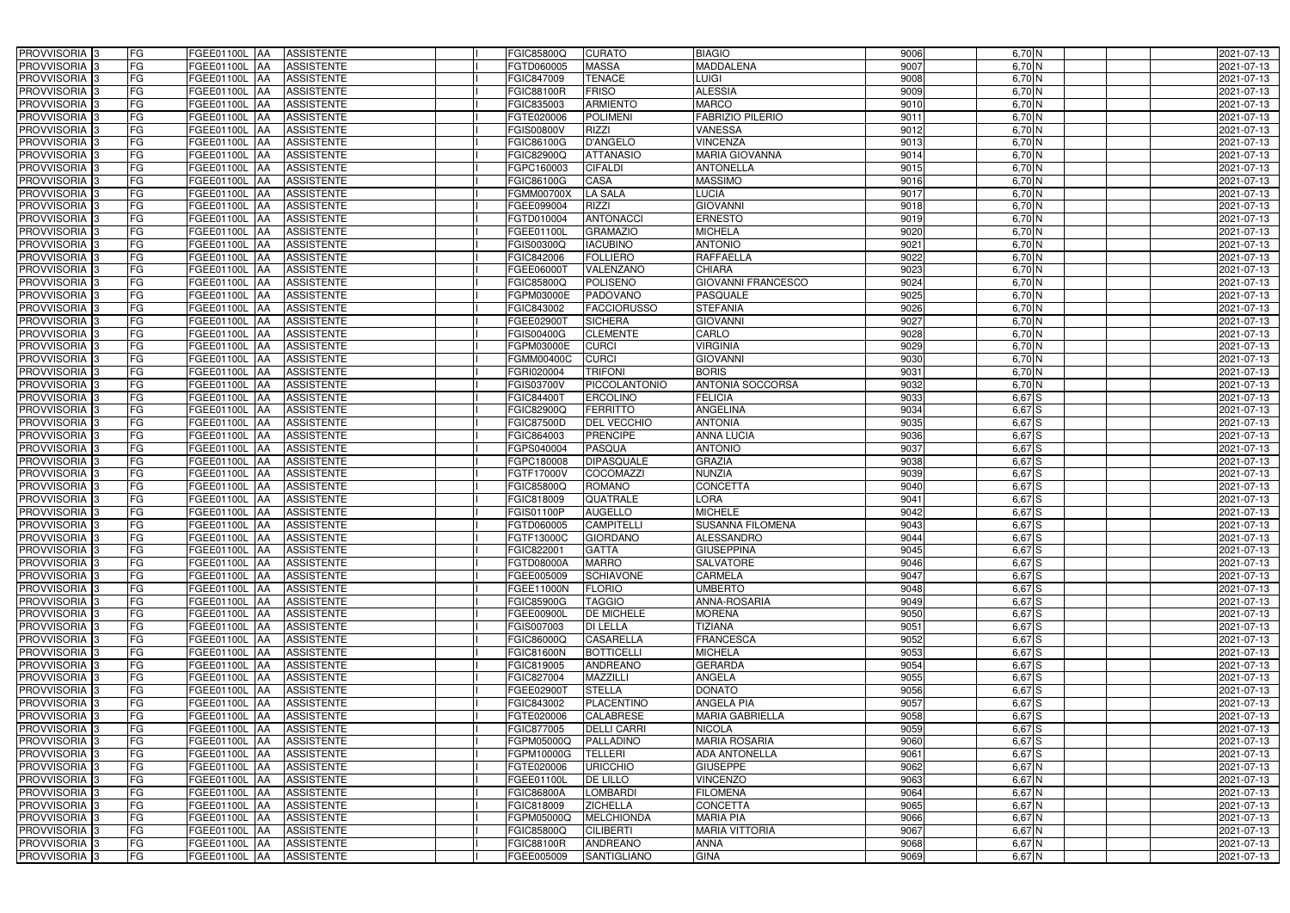| PROVVISORIA 3<br>FG<br>FGEE01100L AA<br><b>ASSISTENTE</b>                                         | FGIC85800Q<br><b>CURATO</b>           | 9006<br><b>BIAGIO</b>             | $6,70$ N         | 2021-07-13 |
|---------------------------------------------------------------------------------------------------|---------------------------------------|-----------------------------------|------------------|------------|
| FG<br>PROVVISORIA <sup>3</sup><br><b>ASSISTENTE</b><br>FGEE01100L<br>-IAA                         | <b>MASSA</b><br>FGTD060005            | 9007<br>MADDALENA                 | 6,70 N           | 2021-07-13 |
| FG<br>PROVVISORIA <sup>3</sup><br>FGEE01100L AA<br><b>ASSISTENTE</b>                              | <b>TENACE</b><br>FGIC847009           | 9008<br>LUIGI                     | $6,70$ N         | 2021-07-13 |
| FG<br>PROVVISORIA <sup>3</sup><br><b>ASSISTENTE</b><br>FGEE01100L<br>IAA                          | <b>FRISO</b><br><b>FGIC88100R</b>     | <b>ALESSIA</b><br>9009            | $6,70$ N         | 2021-07-13 |
| FG<br>FGEE01100L<br>PROVVISORIA <sup>3</sup><br><b>ASSISTENTE</b><br><b>IAA</b>                   | <b>ARMIENTO</b><br>FGIC835003         | <b>MARCO</b><br>901               | 6,70 N           | 2021-07-13 |
| FG<br>PROVVISORIA <sup>3</sup><br>FGEE01100L AA<br><b>ASSISTENTE</b>                              | <b>POLIMENI</b><br>FGTE020006         | <b>FABRIZIO PILERIO</b><br>9011   | $6,70$ N         | 2021-07-13 |
| FG<br>PROVVISORIA <sup>3</sup><br>FGEE01100L AA<br><b>ASSISTENTE</b>                              | <b>RIZZI</b><br><b>FGIS00800V</b>     | <b>VANESSA</b>                    | 9012<br>$6,70$ N | 2021-07-13 |
| FG<br><b>ASSISTENTE</b><br>PROVVISORIA <sup>3</sup><br>FGEE01100L AA                              | <b>D'ANGELO</b><br>FGIC86100G         | <b>VINCENZA</b><br>9013           | $6,70$ N         | 2021-07-13 |
| PROVVISORIA <sup>3</sup><br>FG<br>FGEE01100L AA<br><b>ASSISTENTE</b>                              | <b>ATTANASIO</b><br>FGIC82900Q        | <b>MARIA GIOVANNA</b><br>9014     | 6,70 N           | 2021-07-13 |
| PROVVISORIA <sup>3</sup><br>FG<br>FGEE01100L AA<br><b>ASSISTENTE</b>                              | <b>CIFALDI</b><br>FGPC160003          | <b>ANTONELLA</b><br>9015          | 6,70 N           | 2021-07-13 |
| PROVVISORIA 3<br>FG<br>FGEE01100L AA<br><b>ASSISTENTE</b>                                         | <b>CASA</b><br>FGIC86100G             | <b>MASSIMO</b><br>9016            | $6,70$ N         | 2021-07-13 |
| PROVVISORIA 3<br>FG<br>FGEE01100L AA<br><b>ASSISTENTE</b>                                         | <b>LA SALA</b><br><b>FGMM00700X</b>   | <b>LUCIA</b><br>9017              | $6,70$ N         | 2021-07-13 |
| PROVVISORIA <sup>3</sup><br>FG<br><b>FGEE01100L AA</b><br><b>ASSISTENTE</b>                       | <b>RIZZI</b><br>FGEE099004            | <b>GIOVANNI</b><br>9018           | $6,70$ N         | 2021-07-13 |
| PROVVISORIA 3<br>FG<br>FGEE01100L AA<br><b>ASSISTENTE</b>                                         | <b>ANTONACCI</b><br>FGTD010004        | <b>ERNESTO</b><br>9019            | 6,70 N           | 2021-07-13 |
| $\overline{\mathsf{FG}}$<br>PROVVISORIA 3<br>FGEE01100L AA<br><b>ASSISTENTE</b>                   | <b>GRAMAZIO</b><br>FGEE01100L         | <b>MICHELA</b><br>9020            | $6,70$ N         | 2021-07-13 |
| $\overline{\mathsf{FG}}$<br>PROVVISORIA 3<br><b>FGEE01100L</b><br><b>ASSISTENTE</b><br><b>JAA</b> | <b>IACUBINO</b><br>FGIS00300Q         | <b>ANTONIO</b><br>9021            | $6,70$ N         | 2021-07-13 |
| FG<br>PROVVISORIA <sup>3</sup><br><b>FGEE01100L</b><br><b>ASSISTENTE</b><br><b>IAA</b>            | <b>FOLLIERO</b><br>FGIC842006         | <b>RAFFAELLA</b><br>9022          | $6,70$ N         | 2021-07-13 |
| PROVVISORIA <sup>3</sup><br>FG<br>FGEE01100L AA<br><b>ASSISTENTE</b>                              | VALENZANO<br>FGEE060001               | <b>CHIARA</b><br>9023             | $6,70$ N         | 2021-07-13 |
| PROVVISORIA 3<br>FG<br><b>FGEE01100L</b><br><b>ASSISTENTE</b><br><b>JAA</b>                       | <b>POLISENO</b><br><b>FGIC85800C</b>  | <b>GIOVANNI FRANCESCO</b><br>9024 | $6,70$ N         | 2021-07-13 |
| PROVVISORIA 3<br>FG<br><b>FGEE01100L</b><br><b>JAA</b><br><b>ASSISTENTE</b>                       | FGPM03000E<br><b>PADOVANO</b>         | 9025<br>PASQUALE                  | 6,70 N           | 2021-07-13 |
| FG<br>PROVVISORIA <sup>3</sup><br><b>FGEE01100L</b><br><b>JAA</b><br><b>ASSISTENTE</b>            | FGIC843002<br><b>FACCIORUSSO</b>      | <b>STEFANIA</b><br>9026           | 6,70 N           | 2021-07-13 |
| PROVVISORIA 3<br>FG<br>FGEE01100L<br><b>ASSISTENTE</b><br><b>JAA</b>                              | <b>SICHERA</b><br>FGEE02900T          | 9027<br><b>GIOVANNI</b>           | 6,70 N           | 2021-07-13 |
| PROVVISORIA 3<br>FG<br>FGEE01100L<br><b>JAA</b><br><b>ASSISTENTE</b>                              | FGIS00400G<br><b>CLEMENTE</b>         | CARLO<br>9028                     | $6,70$ N         | 2021-07-13 |
| PROVVISORIA 3<br>FG<br>FGEE01100L AA<br><b>ASSISTENTE</b>                                         | FGPM03000E<br><b>CURCI</b>            | <b>VIRGINIA</b><br>9029           | $6,70$ N         | 2021-07-13 |
| PROVVISORIA <sup>3</sup><br>FG<br>FGEE01100L AA<br><b>ASSISTENTE</b>                              | <b>CURCI</b><br>FGMM00400C            | <b>GIOVANNI</b><br>9030           | $6,70$ N         | 2021-07-13 |
| PROVVISORIA 3<br>FG<br>FGEE01100L AA<br><b>ASSISTENTE</b>                                         | <b>TRIFONI</b><br>FGRI020004          | 9031<br><b>BORIS</b>              | $6,70$ N         | 2021-07-13 |
| PROVVISORIA 3<br>FG<br>FGEE01100L AA<br><b>ASSISTENTE</b>                                         | <b>PICCOLANTONIO</b><br>FGIS03700V    | <b>ANTONIA SOCCORSA</b>           | 9032<br>6,70N    | 2021-07-13 |
| FG<br>PROVVISORIA 3<br>FGEE01100L AA<br><b>ASSISTENTE</b>                                         | FGIC84400T<br><b>ERCOLINO</b>         | 9033<br><b>FELICIA</b>            | $6,67$ S         | 2021-07-13 |
| PROVVISORIA <sup>3</sup><br>FG<br>FGEE01100L AA<br><b>ASSISTENTE</b>                              | <b>FERRITTO</b><br>FGIC82900Q         | <b>ANGELINA</b><br>9034           | $6,67$ S         | 2021-07-13 |
| FG<br>PROVVISORIA <sup>3</sup><br>FGEE01100L AA<br><b>ASSISTENTE</b>                              | DEL VECCHIO<br><b>FGIC87500D</b>      | <b>ANTONIA</b><br>9035            | $6,67$ $S$       | 2021-07-13 |
| FG<br>PROVVISORIA <sup>3</sup><br>FGEE01100L AA<br><b>ASSISTENTE</b>                              | <b>PRENCIPE</b><br>FGIC864003         | <b>ANNA LUCIA</b><br>9036         | $6,67$ $S$       | 2021-07-13 |
| PROVVISORIA <sup>3</sup><br>FG<br>FGEE01100L AA<br><b>ASSISTENTE</b>                              | <b>PASQUA</b><br>FGPS040004           | <b>ANTONIO</b><br>9037            | $6,67$ S         | 2021-07-13 |
| FG<br>PROVVISORIA <sup>3</sup><br>FGEE01100L AA<br><b>ASSISTENTE</b>                              | <b>DIPASQUALE</b><br>FGPC180008       | <b>GRAZIA</b><br>9038             | $6,67$ S         | 2021-07-13 |
| PROVVISORIA <sup>3</sup><br>FG<br>FGEE01100L AA<br><b>ASSISTENTE</b>                              | <b>COCOMAZZI</b><br>FGTF17000V        | <b>NUNZIA</b><br>9039             | $6,67$ S         | 2021-07-13 |
| FG<br><b>ASSISTENTE</b><br>PROVVISORIA <sup>3</sup><br>FGEE01100L<br><b>IAA</b>                   | <b>ROMANO</b><br>FGIC85800Q           | <b>CONCETTA</b><br>9040           | $6,67$ S         | 2021-07-13 |
| PROVVISORIA <sup>3</sup><br>FG<br>FGEE01100L<br><b>ASSISTENTE</b><br><b>JAA</b>                   | QUATRALE<br>FGIC818009                | LORA<br>9041                      | 6,67 S           | 2021-07-13 |
| PROVVISORIA <sup>3</sup><br>FG<br>FGEE01100L<br><b>ASSISTENTE</b><br><b>JAA</b>                   | <b>AUGELLO</b><br>FGIS01100P          | <b>MICHELE</b><br>9042            | $6,67$ S         | 2021-07-13 |
| PROVVISORIA <sup>3</sup><br>FG<br>FGEE01100L AA<br><b>ASSISTENTE</b>                              | <b>CAMPITELL</b><br>FGTD060005        | <b>SUSANNA FILOMENA</b>           | 9043<br>$6,67$ S | 2021-07-13 |
| PROVVISORIA <sup>3</sup><br>FG<br><b>FGEE01100L</b> AA<br>ASSISTENTE                              | <b>GIORDANO</b><br>FGTF13000C         | <b>ALESSANDRO</b>                 | 9044<br>$6,67$ S | 2021-07-13 |
| PROVVISORIA <sup>3</sup><br>FG<br>FGEE01100L AA<br><b>ASSISTENTE</b>                              | FGIC822001<br><b>GATTA</b>            | <b>GIUSEPPINA</b>                 | 9045<br>$6,67$ S | 2021-07-13 |
| PROVVISORIA <sup>3</sup><br>FG<br>FGEE01100L AA<br>ASSISTENTE                                     | <b>MARRO</b><br>FGTD08000A            | <b>SALVATORE</b><br>9046          | $6,67$ S         | 2021-07-13 |
| PROVVISORIA <sup>3</sup><br>FG<br>FGEE01100L AA<br>ASSISTENTE                                     | FGEE005009<br><b>SCHIAVONE</b>        | <b>CARMELA</b><br>9047            | $6,67$ S         | 2021-07-13 |
| PROVVISORIA <sup>3</sup><br>FG<br>FGEE01100L AA<br><b>ASSISTENTE</b>                              | FGEE11000N<br><b>FLORIO</b>           | <b>UMBERTO</b>                    | 9048<br>$6,67$ S | 2021-07-13 |
| PROVVISORIA <sup>3</sup><br>FG<br>FGEE01100L AA<br>ASSISTENTE                                     | <b>TAGGIO</b><br><b>FGIC85900G</b>    | <b>ANNA-ROSARIA</b><br>9049       | $6,67$ S         | 2021-07-13 |
| PROVVISORIA <sup>3</sup><br>FG<br>FGEE01100L AA<br>ASSISTENTE                                     | FGEE00900L<br><b>DE MICHELE</b>       | 9050<br><b>MORENA</b>             | 6,67 S           | 2021-07-13 |
| PROVVISORIA <sup>3</sup><br>FG<br>FGEE01100L AA<br>ASSISTENTE                                     | <b>DI LELLA</b><br>FGIS007003         | <b>TIZIANA</b><br>9051            | $6,67$ S         | 2021-07-13 |
| PROVVISORIA <sup>3</sup><br>FG<br>FGEE01100L AA<br>ASSISTENTE                                     | <b>CASARELLA</b><br>FGIC86000Q        | <b>FRANCESCA</b>                  | 9052<br>$6,67$ S | 2021-07-13 |
| PROVVISORIA <sup>3</sup><br>FG<br>FGEE01100L AA<br>ASSISTENTE                                     | <b>BOTTICELLI</b><br>FGIC81600N       | 9053<br><b>MICHELA</b>            | $6,67$ S         | 2021-07-13 |
| PROVVISORIA <sup>3</sup><br>FG<br>FGEE01100L AA<br>ASSISTENTE                                     | FGIC819005<br><b>ANDREANO</b>         | 9054<br><b>GERARDA</b>            | $6,67$ S         | 2021-07-13 |
| PROVVISORIA <sup>3</sup><br>FG<br>FGEE01100L AA<br>ASSISTENTE                                     | FGIC827004<br>MAZZILLI                | <b>ANGELA</b>                     | 9055<br>$6,67$ S | 2021-07-13 |
| PROVVISORIA <sup>3</sup><br>FG<br>FGEE01100L AA<br><b>ASSISTENTE</b>                              | FGEE02900T<br><b>STELLA</b>           | <b>DONATO</b>                     | 9056<br>$6,67$ S | 2021-07-13 |
| PROVVISORIA <sup>3</sup><br>FG<br>FGEE01100L AA<br>ASSISTENTE                                     | FGIC843002<br><b>PLACENTINO</b>       | 9057<br><b>ANGELA PIA</b>         | $6,67$ S         | 2021-07-13 |
| PROVVISORIA <sup>3</sup><br>FG<br>FGEE01100L AA<br>ASSISTENTE                                     | FGTE020006<br>CALABRESE               | <b>MARIA GABRIELLA</b>            | 9058<br>$6,67$ S | 2021-07-13 |
| PROVVISORIA <sup>3</sup><br>FG<br>FGEE01100L AA<br><b>ASSISTENTE</b>                              | <b>DELLI CARRI</b><br>FGIC877005      | <b>NICOLA</b>                     | 9059<br>$6,67$ S | 2021-07-13 |
| FG<br>PROVVISORIA <sup>3</sup><br>FGEE01100L AA<br><b>ASSISTENTE</b>                              | PALLADINO<br>FGPM05000Q               | 9060<br><b>MARIA ROSARIA</b>      | $6,67$ S         | 2021-07-13 |
| FG<br>PROVVISORIA <sup>1</sup> 3<br>FGEE01100L AA<br><b>ASSISTENTE</b>                            | <b>TELLERI</b><br>FGPM10000G          | 9061<br>ADA ANTONELLA             | $6,67$ S         | 2021-07-13 |
| FG<br><b>ASSISTENTE</b><br>PROVVISORIA <sup>3</sup><br>FGEE01100L AA                              | <b>URICCHIO</b><br>FGTE020006         | <b>GIUSEPPE</b><br>9062           | $6,67$ N         | 2021-07-13 |
| PROVVISORIA <sup>1</sup> 3<br>FG<br>FGEE01100L AA<br><b>ASSISTENTE</b>                            | <b>DE LILLO</b><br>FGEE01100L         | 9063<br><b>VINCENZO</b>           | 6,67 N           | 2021-07-13 |
| PROVVISORIA <sup>3</sup><br>FG<br>FGEE01100L AA<br><b>ASSISTENTE</b>                              | <b>LOMBARDI</b><br><b>FGIC86800A</b>  | 9064<br><b>FILOMENA</b>           | 6,67 N           | 2021-07-13 |
| PROVVISORIA <sup>3</sup><br>FG<br><b>FGEE01100L AA</b><br><b>ASSISTENTE</b>                       | <b>ZICHELLA</b><br>FGIC818009         | <b>CONCETTA</b>                   | 9065<br>$6,67$ N | 2021-07-13 |
| PROVVISORIA <sup>3</sup><br>FG<br>FGEE01100L AA<br><b>ASSISTENTE</b>                              | <b>MELCHIONDA</b><br>FGPM05000Q       | <b>MARIA PIA</b>                  | 9066<br>6,67 N   | 2021-07-13 |
| PROVVISORIA <sup>3</sup><br>FG<br>FGEE01100L AA<br><b>ASSISTENTE</b>                              | <b>CILIBERTI</b><br><b>FGIC85800Q</b> | <b>MARIA VITTORIA</b><br>9067     | $6,67$ N         | 2021-07-13 |
| PROVVISORIA <sup>3</sup><br>FG<br>FGEE01100L AA<br><b>ASSISTENTE</b>                              | FGIC88100R<br>ANDREANO                | <b>ANNA</b>                       | 9068<br>$6,67$ N | 2021-07-13 |
| PROVVISORIA 3<br>FG<br>FGEE01100L AA<br>ASSISTENTE                                                | FGEE005009<br>SANTIGLIANO             | <b>GINA</b>                       | 9069<br>$6,67$ N | 2021-07-13 |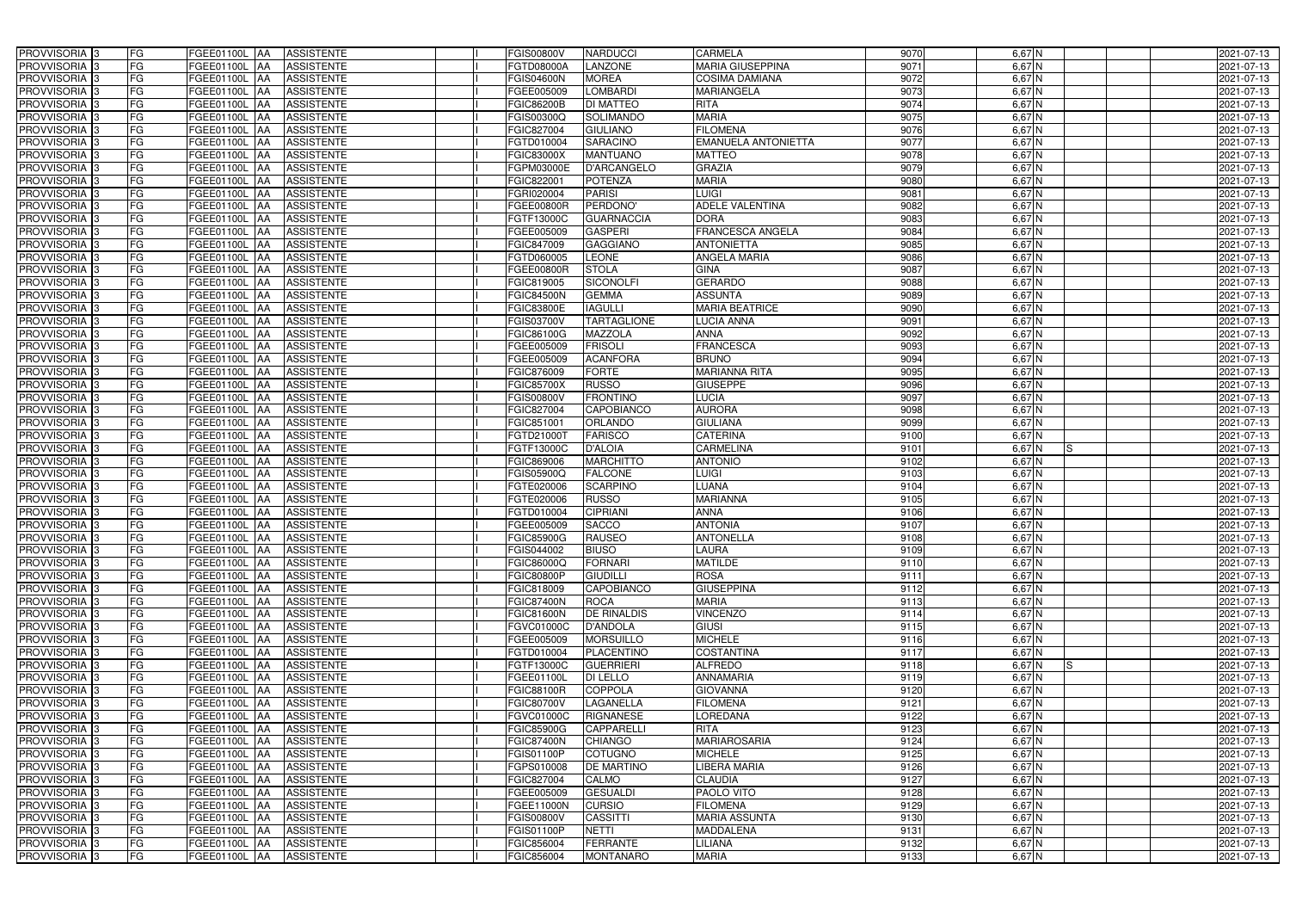| PROVVISORIA 3                             | FG<br>FGEE01100L AA<br><b>ASSISTENTE</b>                                      | <b>FGIS00800V</b><br><b>NARDUCCI</b>                            | 9070<br>CARMELA                         | 6,67 N               | 2021-07-13               |
|-------------------------------------------|-------------------------------------------------------------------------------|-----------------------------------------------------------------|-----------------------------------------|----------------------|--------------------------|
| PROVVISORIA <sup>3</sup>                  | FG<br><b>ASSISTENTE</b><br>FGEE01100L<br>∣AA                                  | LANZONE<br>FGTD08000A                                           | <b>MARIA GIUSEPPINA</b><br>9071         | 6,67 N               | 2021-07-13               |
| PROVVISORIA <sup>3</sup>                  | FG<br>FGEE01100L AA<br><b>ASSISTENTE</b>                                      | <b>MOREA</b><br><b>FGIS04600N</b>                               | 9072<br><b>COSIMA DAMIANA</b>           | $6,67$ N             | 2021-07-13               |
| PROVVISORIA 3                             | FG<br><b>ASSISTENTE</b><br>FGEE01100L<br>IAA                                  | <b>LOMBARDI</b><br>FGEE005009                                   | 9073<br><b>MARIANGELA</b>               | $6,67$ N             | 2021-07-13               |
| PROVVISORIA <sup>3</sup>                  | FG<br>FGEE01100L<br><b>ASSISTENTE</b><br><b>IAA</b>                           | DI MATTEO<br><b>FGIC86200B</b>                                  | 9074<br><b>RITA</b>                     | 6,67 N               | 2021-07-13               |
| PROVVISORIA <sup>3</sup>                  | FG<br>FGEE01100L AA<br><b>ASSISTENTE</b>                                      | FGIS00300Q<br><b>SOLIMANDO</b>                                  | <b>MARIA</b><br>9075                    | $6,67$ N             | 2021-07-13               |
| PROVVISORIA <sup>3</sup>                  | FG<br>FGEE01100L AA<br><b>ASSISTENTE</b>                                      | FGIC827004<br><b>GIULIANO</b>                                   | <b>FILOMENA</b><br>9076                 | $6,67$ N             | 2021-07-13               |
| PROVVISORIA <sup>3</sup>                  | FG<br><b>ASSISTENTE</b><br>FGEE01100L AA                                      | <b>SARACINO</b><br>FGTD010004                                   | 9077<br><b>EMANUELA ANTONIETTA</b>      | $6,67$ N             | 2021-07-13               |
| PROVVISORIA <sup>3</sup>                  | FG<br>FGEE01100L AA<br><b>ASSISTENTE</b>                                      | <b>FGIC83000X</b><br><b>MANTUANO</b>                            | 9078<br><b>MATTEO</b>                   | $6,67$ N             | 2021-07-13               |
| PROVVISORIA <sup>3</sup>                  | FG<br>FGEE01100L AA<br><b>ASSISTENTE</b>                                      | <b>D'ARCANGELO</b><br>FGPM03000E                                | <b>GRAZIA</b><br>9079                   | 6,67 N               | 2021-07-13               |
| PROVVISORIA 3                             | FG<br>FGEE01100L AA<br><b>ASSISTENTE</b>                                      | FGIC822001<br><b>POTENZA</b>                                    | <b>MARIA</b><br>9080                    | $6,67$ N             | 2021-07-13               |
| PROVVISORIA 3                             | FG<br>FGEE01100L AA<br><b>ASSISTENTE</b>                                      | <b>PARISI</b><br>FGRI020004                                     | <b>LUIGI</b><br>9081                    | $6,67$ N             | 2021-07-13               |
| PROVVISORIA <sup>3</sup>                  | FG<br>FGEE01100L AA<br><b>ASSISTENTE</b>                                      | PERDONO'<br>FGEE00800R                                          | <b>ADELE VALENTINA</b><br>9082          | $6,67$ N             | 2021-07-13               |
| PROVVISORIA 3                             | FG<br>FGEE01100L AA<br><b>ASSISTENTE</b>                                      | <b>GUARNACCIA</b><br>FGTF13000C                                 | <b>DORA</b><br>9083                     | $6,67$ N             | 2021-07-13               |
| PROVVISORIA 3                             | $\overline{\mathsf{FG}}$<br>FGEE01100L AA<br><b>ASSISTENTE</b>                | <b>GASPERI</b><br>FGEE005009                                    | <b>FRANCESCA ANGELA</b><br>9084         | $6,67$ N             | 2021-07-13               |
| PROVVISORIA 3                             | $\overline{\mathsf{FG}}$<br>FGEE01100L AA<br><b>ASSISTENTE</b>                | <b>GAGGIANO</b><br>FGIC847009                                   | 9085<br><b>ANTONIETTA</b>               | $6,67$ N             | 2021-07-13               |
| PROVVISORIA 3                             | FG<br><b>FGEE01100L</b><br><b>ASSISTENTE</b><br><b>IAA</b>                    | <b>LEONE</b><br>FGTD060005                                      | 9086<br><b>ANGELA MARIA</b>             | $6,67$ N             | 2021-07-13               |
| PROVVISORIA <sup>3</sup>                  | FG<br>FGEE01100L AA<br><b>ASSISTENTE</b>                                      | <b>STOLA</b><br>FGEE00800R                                      | 908<br><b>GINA</b>                      | 6,67 N               | 2021-07-13               |
| PROVVISORIA 3                             | FG<br><b>FGEE01100L</b><br><b>ASSISTENTE</b><br><b>JAA</b>                    | <b>SICONOLFI</b><br>FGIC819005                                  | <b>GERARDO</b><br>9088                  | $6,67$ N             | 2021-07-13               |
| PROVVISORIA 3                             | FG<br>FGEE01100L AA<br><b>ASSISTENTE</b>                                      | <b>GEMMA</b><br><b>FGIC84500N</b>                               | <b>ASSUNTA</b><br>9089                  | 6,67 N               | 2021-07-13               |
| PROVVISORIA <sup>3</sup>                  | FG<br><b>FGEE01100L</b><br><b>JAA</b><br><b>ASSISTENTE</b>                    | <b>FGIC83800E</b><br><b>IAGULLI</b>                             | 9090<br><b>MARIA BEATRICE</b>           | 6,67 N               | 2021-07-13               |
| PROVVISORIA <sup>3</sup>                  | FG<br>FGEE01100L<br><b>ASSISTENTE</b><br><b>JAA</b>                           | <b>TARTAGLIONE</b><br>FGIS03700V                                | 9091<br><b>LUCIA ANNA</b>               | 6,67 N               | 2021-07-13               |
| PROVVISORIA 3                             | FG<br>FGEE01100L<br><b>JAA</b><br><b>ASSISTENTE</b>                           | FGIC86100G<br>MAZZOLA                                           | <b>ANNA</b><br>9092                     | $6,67$ N             | 2021-07-13               |
| PROVVISORIA 3                             | FG<br>FGEE01100L AA<br><b>ASSISTENTE</b>                                      | <b>FRISOLI</b><br>FGEE005009                                    | <b>FRANCESCA</b><br>9093                | $6,67$ N             | 2021-07-13               |
| PROVVISORIA <sup>3</sup>                  | FG<br>FGEE01100L AA<br><b>ASSISTENTE</b>                                      | <b>ACANFORA</b><br>FGEE005009                                   | <b>BRUNO</b><br>9094                    | $6,67$ N             | 2021-07-13               |
| PROVVISORIA 3                             | FG<br>FGEE01100L AA<br><b>ASSISTENTE</b>                                      | FGIC876009<br><b>FORTE</b>                                      | 9095<br><b>MARIANNA RITA</b>            | $6,67$ N             | 2021-07-13               |
| PROVVISORIA 3                             | FG<br>FGEE01100L AA<br><b>ASSISTENTE</b>                                      | <b>RUSSO</b><br><b>FGIC85700X</b>                               | <b>GIUSEPPE</b><br>9096                 | $6,67$ N             | 2021-07-13               |
| PROVVISORIA 3                             | FG<br>FGEE01100L AA<br><b>ASSISTENTE</b>                                      | <b>FRONTINO</b><br><b>FGIS00800V</b>                            | 9097<br><b>LUCIA</b>                    | $6,67$ N             | 2021-07-13               |
| PROVVISORIA <sup>3</sup>                  | FG<br>FGEE01100L AA<br><b>ASSISTENTE</b>                                      | FGIC827004<br>CAPOBIANCO                                        | <b>AURORA</b><br>9098                   | $6,67$ N             | 2021-07-13               |
| PROVVISORIA <sup>3</sup>                  | FG<br>FGEE01100L AA<br><b>ASSISTENTE</b>                                      | ORLANDO<br>FGIC851001                                           | 9099<br><b>GIULIANA</b>                 | $6,67$ N             | 2021-07-13               |
| PROVVISORIA <sup>3</sup>                  | FG<br>FGEE01100L AA<br><b>ASSISTENTE</b>                                      | <b>FARISCO</b><br>FGTD21000T                                    | <b>CATERINA</b><br>9100                 | $6,67$ N             | 2021-07-13               |
| PROVVISORIA <sup>3</sup>                  | FG<br><b>ASSISTENTE</b><br>FGEE01100L AA                                      | <b>D'ALOIA</b><br>FGTF13000C                                    | CARMELINA<br>9101                       | 6,67 N<br>IS.        | 2021-07-13               |
| PROVVISORIA <sup>3</sup>                  | FG<br>FGEE01100L AA<br><b>ASSISTENTE</b>                                      | <b>MARCHITTO</b><br>FGIC869006                                  | <b>ANTONIO</b><br>9102                  | 6,67 N               | 2021-07-13               |
| PROVVISORIA <sup>3</sup>                  | FG<br>FGEE01100L AA<br><b>ASSISTENTE</b>                                      | <b>FALCONE</b><br>FGIS05900Q                                    | <b>LUIGI</b><br>9103                    | 6,67 N               | 2021-07-13               |
| PROVVISORIA <sup>3</sup>                  | FG<br><b>ASSISTENTE</b><br>FGEE01100L<br><b>IAA</b>                           | <b>SCARPINO</b><br>FGTE020006                                   | LUANA<br>9104                           | $6,67$ N             | 2021-07-13               |
| PROVVISORIA <sup>3</sup>                  | FG<br>FGEE01100L<br><b>ASSISTENTE</b><br><b>JAA</b>                           | <b>RUSSO</b><br>FGTE020006                                      | <b>MARIANNA</b><br>9105                 | 6,67 N               | 2021-07-13               |
| PROVVISORIA <sup>3</sup>                  | FG<br>FGEE01100L<br><b>ASSISTENTE</b><br><b>JAA</b>                           | <b>CIPRIANI</b><br>FGTD010004                                   | <b>ANNA</b><br>9106                     | 6,67 N               | 2021-07-13               |
|                                           |                                                                               |                                                                 |                                         | $6,67$ N             |                          |
|                                           |                                                                               |                                                                 |                                         |                      |                          |
| PROVVISORIA <sup>3</sup>                  | FG<br>FGEE01100L AA<br><b>ASSISTENTE</b>                                      | <b>SACCO</b><br>FGEE005009                                      | <b>ANTONIA</b><br>9107                  |                      | 2021-07-13               |
| PROVVISORIA 3                             | FG<br><b>FGEE01100L</b> AA<br>ASSISTENTE                                      | <b>FGIC85900G</b><br><b>RAUSEO</b>                              | 9108<br><b>ANTONELLA</b>                | 6,67 N               | 2021-07-13               |
| PROVVISORIA <sup>3</sup>                  | FG<br>FGEE01100L AA<br><b>ASSISTENTE</b>                                      | FGIS044002<br><b>BIUSO</b>                                      | 9109<br><b>LAURA</b>                    | $6,67$ N             | 2021-07-13               |
| PROVVISORIA <sup>3</sup>                  | FG<br>FGEE01100L AA<br>ASSISTENTE                                             | <b>FORNARI</b><br>FGIC86000Q                                    | <b>MATILDE</b><br>9110                  | $6,67$ N             | 2021-07-13               |
| PROVVISORIA 3                             | FG<br>FGEE01100L AA<br>ASSISTENTE                                             | <b>GIUDILLI</b><br><b>FGIC80800P</b>                            | <b>ROSA</b><br>9111                     | $6,67$ N             | 2021-07-13               |
| PROVVISORIA <sup>3</sup>                  | FG<br>FGEE01100L AA<br><b>ASSISTENTE</b>                                      | FGIC818009<br><b>CAPOBIANCO</b>                                 | <b>GIUSEPPINA</b><br>9112               | $6,67$ N             | 2021-07-13               |
| PROVVISORIA <sup>3</sup>                  | FG<br>FGEE01100L AA<br><b>ASSISTENTE</b>                                      | <b>FGIC87400N</b><br><b>ROCA</b>                                | <b>MARIA</b><br>9113                    | 6,67 N               | 2021-07-13               |
| PROVVISORIA 3                             | FG<br>FGEE01100L AA<br><b>ASSISTENTE</b>                                      | <b>FGIC81600N</b><br><b>DE RINALDIS</b>                         | <b>VINCENZO</b><br>9114                 | 6,67 N               | 2021-07-13               |
| PROVVISORIA <sup>3</sup>                  | FG<br>FGEE01100L AA<br><b>ASSISTENTE</b>                                      | <b>D'ANDOLA</b><br><b>FGVC01000C</b>                            | <b>GIUSI</b><br>9115                    | $6,67$ N             | 2021-07-13               |
| PROVVISORIA <sup>3</sup>                  | FG<br>FGEE01100L AA<br><b>ASSISTENTE</b>                                      | FGEE005009<br><b>MORSUILLO</b>                                  | <b>MICHELE</b><br>9116                  | $6,67$ N             | 2021-07-13               |
| PROVVISORIA <sup>3</sup>                  | FG<br>FGEE01100L AA<br><b>ASSISTENTE</b>                                      | <b>PLACENTINO</b><br>FGTD010004                                 | <b>COSTANTINA</b><br>9117               | $6,67$ N             | 2021-07-13               |
| PROVVISORIA <sup>3</sup>                  | FG<br>FGEE01100L AA<br><b>ASSISTENTE</b>                                      | FGTF13000C<br><b>GUERRIERI</b>                                  | 9118<br><b>ALFREDO</b>                  | $6,67$ N<br><b>S</b> | 2021-07-13               |
| PROVVISORIA <sup>3</sup>                  | FG<br>FGEE01100L AA<br><b>ASSISTENTE</b>                                      | FGEE01100L<br><b>DI LELLO</b>                                   | <b>ANNAMARIA</b><br>9119                | $6,67$ N             | 2021-07-13               |
| PROVVISORIA <sup>3</sup>                  | FG<br>FGEE01100L AA<br><b>ASSISTENTE</b>                                      | <b>COPPOLA</b><br>FGIC88100R                                    | <b>GIOVANNA</b><br>9120                 | $6,67$ N             | 2021-07-13               |
| PROVVISORIA <sup>3</sup>                  | FG<br>FGEE01100L AA<br>ASSISTENTE                                             | <b>LAGANELLA</b><br><b>FGIC80700V</b>                           | 9121<br><b>FILOMENA</b>                 | $6,67$ N             | 2021-07-13               |
| PROVVISORIA <sup>3</sup>                  | FG<br>FGEE01100L AA<br>ASSISTENTE                                             | <b>RIGNANESE</b><br><b>FGVC01000C</b>                           | <b>LOREDANA</b><br>9122                 | $6,67$ N             | 2021-07-13               |
| PROVVISORIA <sup>3</sup>                  | FG<br>FGEE01100L AA<br><b>ASSISTENTE</b>                                      | <b>CAPPARELLI</b><br><b>FGIC85900G</b>                          | <b>RITA</b><br>9123                     | $6,67$ N             | 2021-07-13               |
| PROVVISORIA <sup>1</sup> 3                | FG<br>FGEE01100L AA<br><b>ASSISTENTE</b>                                      | <b>FGIC87400N</b><br><b>CHIANGO</b>                             | MARIAROSARIA<br>9124                    | $6,67$ N             | 2021-07-13               |
| PROVVISORIA <sup>1</sup> 3                | FG<br>FGEE01100L AA<br><b>ASSISTENTE</b>                                      | <b>COTUGNO</b><br>FGIS01100P                                    | <b>MICHELE</b><br>9125                  | $6,67$ N             | 2021-07-13               |
| PROVVISORIA <sup>3</sup>                  | FG<br><b>ASSISTENTE</b><br>FGEE01100L AA                                      | <b>DE MARTINO</b><br>FGPS010008                                 | <b>LIBERA MARIA</b><br>9126             | $6,67$ N             | 2021-07-13               |
| <b>PROVVISORIA</b> 3                      | FG<br>FGEE01100L AA<br>ASSISTENTE                                             | FGIC827004<br><b>CALMO</b>                                      | <b>CLAUDIA</b><br>9127                  | 6,67 N               | 2021-07-13               |
| PROVVISORIA <sup>3</sup>                  | FG<br><b>ASSISTENTE</b><br>FGEE01100L AA                                      | <b>GESUALDI</b><br>FGEE005009                                   | PAOLO VITO<br>9128                      | 6,67 N               | 2021-07-13               |
| PROVVISORIA <sup>3</sup>                  | FG<br><b>FGEE01100L AA</b><br><b>ASSISTENTE</b>                               | <b>CURSIO</b><br>FGEE11000N                                     | <b>FILOMENA</b><br>9129                 | $6,67$ N             | 2021-07-13               |
| PROVVISORIA <sup>3</sup>                  | FG<br>FGEE01100L AA<br><b>ASSISTENTE</b>                                      | <b>CASSITTI</b><br><b>FGIS00800V</b>                            | 9130<br><b>MARIA ASSUNTA</b>            | 6,67 N               | 2021-07-13               |
| PROVVISORIA <sup>3</sup>                  | FG<br>FGEE01100L AA<br><b>ASSISTENTE</b>                                      | FGIS01100P<br><b>NETTI</b>                                      | <b>MADDALENA</b><br>9131                | $6,67$ N             | 2021-07-13               |
| PROVVISORIA <sup>3</sup><br>PROVVISORIA 3 | FG<br>FGEE01100L AA<br><b>ASSISTENTE</b><br>FG<br>FGEE01100L AA<br>ASSISTENTE | FGIC856004<br><b>FERRANTE</b><br>FGIC856004<br><b>MONTANARO</b> | 9132<br>LILIANA<br><b>MARIA</b><br>9133 | $6,67$ N<br>$6,67$ N | 2021-07-13<br>2021-07-13 |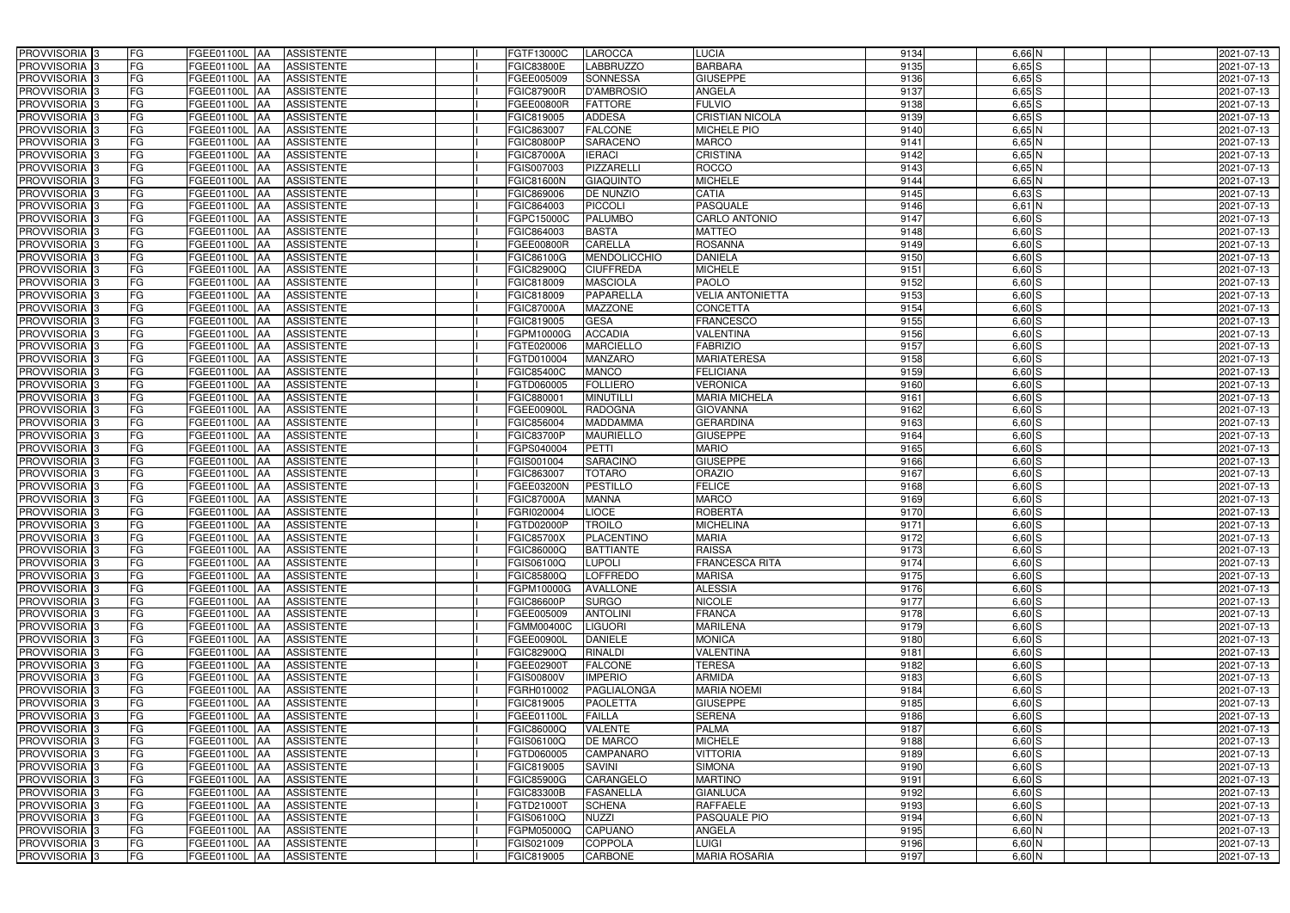| PROVVISORIA <sup>3</sup>   | FG<br>FGEE01100L AA        | <b>ASSISTENTE</b>               | FGTF13000C        | LAROCCA            | <b>LUCIA</b>            | 9134 | 6,66 N     | 2021-07-13 |
|----------------------------|----------------------------|---------------------------------|-------------------|--------------------|-------------------------|------|------------|------------|
| PROVVISORIA <sup>3</sup>   | FG<br>FGEE01100L           | <b>ASSISTENTE</b><br>IAA        | FGIC83800E        | LABBRUZZO          | <b>BARBARA</b>          | 9135 | $6,65$ $S$ | 2021-07-13 |
| PROVVISORIA <sup>3</sup>   | FG<br>FGEE01100L           | <b>ASSISTENTE</b><br>IAA        | FGEE005009        | <b>SONNESSA</b>    | <b>GIUSEPPE</b>         | 9136 | $6,65$ S   | 2021-07-13 |
| PROVVISORIA 3              | FG<br>FGEE01100L           | <b>ASSISTENTE</b><br>IAA        | <b>FGIC87900R</b> | D'AMBROSIO         | <b>ANGELA</b>           | 9137 | $6,65$ $S$ | 2021-07-13 |
| PROVVISORIA <sup>3</sup>   | FG<br>FGEE01100L           | <b>ASSISTENTE</b><br>IAA        | FGEE00800R        | <b>FATTORE</b>     | <b>FULVIO</b>           | 9138 | $6,65$ $S$ | 2021-07-13 |
| PROVVISORIA <sup>3</sup>   | FG<br><b>FGEE01100L AA</b> | <b>ASSISTENTE</b>               | FGIC819005        | <b>ADDESA</b>      | <b>CRISTIAN NICOLA</b>  | 9139 | $6,65$ $S$ | 2021-07-13 |
| PROVVISORIA 3              | FG<br>FGEE01100L AA        | <b>ASSISTENTE</b>               | FGIC863007        | <b>FALCONE</b>     | MICHELE PIO             | 9140 | $6,65$ N   | 2021-07-13 |
| PROVVISORIA 3              | FG<br>FGEE01100L AA        | <b>ASSISTENTE</b>               | <b>FGIC80800P</b> | <b>SARACENO</b>    | <b>MARCO</b>            | 9141 | $6,65$ N   | 2021-07-13 |
| PROVVISORIA 3              | FG<br>FGEE01100L AA        | <b>ASSISTENTE</b>               | <b>FGIC87000A</b> | <b>IERACI</b>      | <b>CRISTINA</b>         | 9142 | $6,65$ N   | 2021-07-13 |
| PROVVISORIA <sup>3</sup>   | FG<br><b>FGEE01100L AA</b> | <b>ASSISTENTE</b>               | FGIS007003        | PIZZARELL          | <b>ROCCO</b>            | 9143 | $6,65$ N   | 2021-07-13 |
| PROVVISORIA 3              | FG<br>FGEE01100L AA        | <b>ASSISTENTE</b>               | FGIC81600N        | <b>GIAQUINTO</b>   | <b>MICHELE</b>          | 9144 | $6,65$ N   | 2021-07-13 |
| PROVVISORIA 3              | FG<br>FGEE01100L AA        | <b>ASSISTENTE</b>               | FGIC869006        | <b>DE NUNZIO</b>   | <b>CATIA</b>            | 9145 | $6,63$ $S$ | 2021-07-13 |
| PROVVISORIA 3              | FG<br>FGEE01100L AA        | <b>ASSISTENTE</b>               | FGIC864003        | PICCOLI            | <b>PASQUALE</b>         | 9146 | $6,61$ N   | 2021-07-13 |
| PROVVISORIA 3              | FG<br>FGEE01100L AA        | <b>ASSISTENTE</b>               | FGPC15000C        | <b>PALUMBO</b>     | <b>CARLO ANTONIO</b>    | 9147 | $6,60$ S   | 2021-07-13 |
| PROVVISORIA 3              | FG<br>FGEE01100L AA        | <b>ASSISTENTE</b>               | FGIC864003        | <b>BASTA</b>       | <b>MATTEO</b>           | 9148 | $6,60$ S   | 2021-07-13 |
| PROVVISORIA <sup>3</sup>   | FG<br><b>FGEE01100L</b>    | <b>ASSISTENTE</b><br>IAA        | FGEE00800R        | <b>CARELLA</b>     | <b>ROSANNA</b>          | 9149 | $6,60$ S   | 2021-07-13 |
| PROVVISORIA 3              | FG<br>FGEE01100L           | <b>ASSISTENTE</b><br>IAA        | FGIC86100G        | MENDOLICCHIO       | <b>DANIELA</b>          | 9150 | $6,60$ S   | 2021-07-13 |
| PROVVISORIA 3              | FG<br>FGEE01100L AA        | <b>ASSISTENTE</b>               | FGIC82900Q        | <b>CIUFFREDA</b>   | <b>MICHELE</b>          | 9151 | $6,60$ S   | 2021-07-13 |
| PROVVISORIA 3              | FG<br>FGEE01100L           | <b>ASSISTENTE</b><br><b>JAA</b> | FGIC818009        | <b>MASCIOLA</b>    | <b>PAOLO</b>            | 9152 | $6,60$ S   | 2021-07-13 |
| PROVVISORIA 3              | FG<br>FGEE01100L           | l AA<br><b>ASSISTENTE</b>       | FGIC818009        | <b>PAPARELLA</b>   | <b>VELIA ANTONIETTA</b> | 9153 | 6,60 S     | 2021-07-13 |
| PROVVISORIA <sup>3</sup>   | FG<br>FGEE01100L           | <b>ASSISTENTE</b><br>ΙAΑ        | <b>FGIC87000A</b> | <b>MAZZONE</b>     | CONCETTA                | 9154 | $6,60$ S   | 2021-07-13 |
| PROVVISORIA 3              | FG<br><b>FGEE01100L</b>    | <b>ASSISTENTE</b><br>IAA        | FGIC819005        | <b>GESA</b>        | <b>FRANCESCO</b>        | 9155 | $6,60$ S   | 2021-07-13 |
| PROVVISORIA 3              | FG<br>FGEE01100L           | <b>ASSISTENTE</b><br>IAA        | FGPM10000G        | <b>ACCADIA</b>     | <b>VALENTINA</b>        | 9156 | $6,60$ S   | 2021-07-13 |
| PROVVISORIA 3              | FG<br>FGEE01100L AA        | <b>ASSISTENTE</b>               | FGTE020006        | <b>MARCIELLO</b>   | <b>FABRIZIO</b>         | 9157 | 6,60S      | 2021-07-13 |
| PROVVISORIA 3              | FG<br>FGEE01100L           | <b>ASSISTENTE</b><br> AA        | FGTD010004        | MANZARO            | <b>MARIATERESA</b>      | 9158 | $6,60$ $S$ | 2021-07-13 |
| PROVVISORIA 3              | FG<br>FGEE01100L           | <b>ASSISTENTE</b><br><b>JAA</b> | FGIC85400C        | <b>MANCO</b>       | <b>FELICIANA</b>        | 9159 | 6,60S      | 2021-07-13 |
| PROVVISORIA 3              | FG<br>FGEE01100L AA        | <b>ASSISTENTE</b>               | FGTD060005        | <b>FOLLIERO</b>    | <b>VERONICA</b>         | 9160 | 6,60S      | 2021-07-13 |
| PROVVISORIA 3              | FG<br>FGEE01100L           | <b>ASSISTENTE</b><br>IAA        | FGIC880001        | <b>MINUTILLI</b>   | <b>MARIA MICHELA</b>    | 9161 | 6,60S      | 2021-07-13 |
| PROVVISORIA <sup>3</sup>   | FG<br>FGEE01100L           | <b>ASSISTENTE</b><br>IAA        | FGEE00900L        | <b>RADOGNA</b>     | <b>GIOVANNA</b>         | 9162 | $6,60$ S   | 2021-07-13 |
| PROVVISORIA 3              | FG<br>FGEE01100L AA        | <b>ASSISTENTE</b>               | FGIC856004        | <b>MADDAMMA</b>    | <b>GERARDINA</b>        | 9163 | $6,60$ S   | 2021-07-13 |
| PROVVISORIA <sup>3</sup>   | FG<br>FGEE01100L AA        | <b>ASSISTENTE</b>               | <b>FGIC83700P</b> | <b>MAURIELLO</b>   | <b>GIUSEPPE</b>         | 9164 | $6,60$ S   | 2021-07-13 |
| PROVVISORIA <sup>3</sup>   | FG<br>FGEE01100L AA        | <b>ASSISTENTE</b>               | FGPS040004        | <b>PETTI</b>       | <b>MARIO</b>            | 9165 | $6,60$ S   | 2021-07-13 |
| PROVVISORIA <sup>3</sup>   | FG<br><b>FGEE01100L AA</b> | <b>ASSISTENTE</b>               | FGIS001004        | <b>SARACINO</b>    | <b>GIUSEPPE</b>         | 9166 | $6,60$ S   | 2021-07-13 |
| PROVVISORIA <sup>3</sup>   | FG<br>FGEE01100L AA        | <b>ASSISTENTE</b>               | FGIC863007        | <b>TOTARO</b>      | <b>ORAZIO</b>           | 9167 | $6,60$ S   | 2021-07-13 |
| PROVVISORIA 3              | FG<br>FGEE01100L           | <b>ASSISTENTE</b><br>IAA        | FGEE03200N        | <b>PESTILLO</b>    | <b>FELICE</b>           | 9168 | $6,60$ $S$ | 2021-07-13 |
| PROVVISORIA <sup>3</sup>   | FG<br><b>FGEE01100L</b>    | <b>ASSISTENTE</b><br>IAA        | <b>FGIC87000A</b> | <b>MANNA</b>       | <b>MARCO</b>            | 9169 | $6,60$ S   | 2021-07-13 |
| PROVVISORIA <sup>3</sup>   | FG<br>FGEE01100L           | <b>ASSISTENTE</b><br>IAA        | <b>GRI020004</b>  | <b>LIOCE</b>       | ROBERTA                 | 9170 | $6,60$ S   | 2021-07-13 |
| PROVVISORIA <sup>3</sup>   | FG<br>FGEE01100L AA        | <b>ASSISTENTE</b>               | FGTD02000P        | <b>TROILO</b>      | <b>MICHELINA</b>        | 9171 | $6,60$ $S$ | 2021-07-13 |
| PROVVISORIA 3              | FG<br>FGEE01100L AA        | <b>ASSISTENTE</b>               | <b>FGIC85700X</b> | PLACENTINO         | <b>MARIA</b>            | 9172 | $6,60$ S   | 2021-07-13 |
| PROVVISORIA <sup>3</sup>   | FG<br>FGEE01100L AA        | <b>ASSISTENTE</b>               | FGIC86000Q        | <b>BATTIANTE</b>   | <b>RAISSA</b>           | 9173 | $6,60$ S   | 2021-07-13 |
| PROVVISORIA <sup>3</sup>   | FG<br>FGEE01100L AA        | ASSISTENTE                      | FGIS06100Q        | <b>LUPOLI</b>      | <b>FRANCESCA RITA</b>   | 9174 | $6,60$ S   | 2021-07-13 |
| PROVVISORIA 3              | FG<br>FGEE01100L AA        | <b>ASSISTENTE</b>               | FGIC85800Q        | <b>LOFFREDO</b>    | <b>MARISA</b>           | 9175 | $6,60$ S   | 2021-07-13 |
| PROVVISORIA <sup>3</sup>   | FG<br><b>FGEE01100L AA</b> | <b>ASSISTENTE</b>               | FGPM10000G        | <b>AVALLONE</b>    | <b>ALESSIA</b>          | 9176 | $6,60$ S   | 2021-07-13 |
| PROVVISORIA <sup>3</sup>   | FG<br>FGEE01100L AA        | <b>ASSISTENTE</b>               | <b>FGIC86600P</b> | <b>SURGO</b>       | <b>NICOLE</b>           | 9177 | $6,60$ S   | 2021-07-13 |
| PROVVISORIA 3              | FG<br><b>FGEE01100L AA</b> | <b>ASSISTENTE</b>               | FGEE005009        | <b>ANTOLINI</b>    | <b>FRANCA</b>           | 9178 | $6,60$ S   | 2021-07-13 |
| PROVVISORIA <sup>3</sup>   | FG<br><b>FGEE01100L AA</b> | <b>ASSISTENTE</b>               | <b>FGMM00400C</b> | <b>LIGUORI</b>     | <b>MARILENA</b>         | 9179 | $6,60$ S   | 2021-07-13 |
| PROVVISORIA <sup>3</sup>   | FG<br>FGEE01100L AA        | <b>ASSISTENTE</b>               | FGEE00900L        | <b>DANIELE</b>     | <b>MONICA</b>           | 9180 | $6,60$ S   | 2021-07-13 |
| PROVVISORIA <sup>3</sup>   | FG<br>FGEE01100L AA        | <b>ASSISTENTE</b>               | FGIC82900Q        | <b>RINALDI</b>     | <b>VALENTINA</b>        | 9181 | $6,60$ S   | 2021-07-13 |
| PROVVISORIA <sup>3</sup>   | FG<br>FGEE01100L AA        | <b>ASSISTENTE</b>               | FGEE02900T        | <b>FALCONE</b>     | <b>TERESA</b>           | 9182 | $6,60$ S   | 2021-07-13 |
| PROVVISORIA <sup>3</sup>   | FG<br>FGEE01100L AA        | <b>ASSISTENTE</b>               | FGIS00800V        | <b>IMPERIO</b>     | <b>ARMIDA</b>           | 9183 | 6,60S      | 2021-07-13 |
| PROVVISORIA <sup>3</sup>   | FG<br>FGEE01100L AA        | <b>ASSISTENTE</b>               | FGRH010002        | <b>PAGLIALONGA</b> | <b>MARIA NOEMI</b>      | 9184 | $6,60$ S   | 2021-07-13 |
| PROVVISORIA <sup>3</sup>   | FG<br>FGEE01100L AA        | <b>ASSISTENTE</b>               | FGIC819005        | <b>PAOLETTA</b>    | <b>GIUSEPPE</b>         | 9185 | 6,60S      | 2021-07-13 |
| PROVVISORIA <sup>3</sup>   | FG<br>FGEE01100L AA        | <b>ASSISTENTE</b>               | FGEE01100L        | <b>FAILLA</b>      | <b>SERENA</b>           | 9186 | $6,60$ S   | 2021-07-13 |
| PROVVISORIA <sup>3</sup>   | FG<br>FGEE01100L AA        | <b>ASSISTENTE</b>               | FGIC86000Q        | <b>VALENTE</b>     | <b>PALMA</b>            | 9187 | 6,60S      | 2021-07-13 |
| PROVVISORIA <sup>13</sup>  | FG<br>FGEE01100L AA        | <b>ASSISTENTE</b>               | FGIS06100Q        | <b>DE MARCO</b>    | <b>MICHELE</b>          | 9188 | $6,60$ S   | 2021-07-13 |
| PROVVISORIA <sup>1</sup> 3 | FG<br>FGEE01100L AA        | <b>ASSISTENTE</b>               | FGTD060005        | <b>CAMPANARO</b>   | <b>VITTORIA</b>         | 9189 | $6,60$ S   | 2021-07-13 |
| PROVVISORIA <sup>3</sup>   | FG<br>FGEE01100L AA        | <b>ASSISTENTE</b>               | FGIC819005        | <b>SAVINI</b>      | <b>SIMONA</b>           | 9190 | $6,60$ S   | 2021-07-13 |
| PROVVISORIA <sup>1</sup> 3 | FG<br>FGEE01100L AA        | <b>ASSISTENTE</b>               | FGIC85900G        | CARANGELO          | <b>MARTINO</b>          | 9191 | $6,60$ S   | 2021-07-13 |
| PROVVISORIA <sup>3</sup>   | FG<br>FGEE01100L AA        | <b>ASSISTENTE</b>               | <b>FGIC83300B</b> | <b>FASANELLA</b>   | <b>GIANLUCA</b>         | 9192 | $6,60$ S   | 2021-07-13 |
| PROVVISORIA <sup>1</sup> 3 | FG<br>FGEE01100L AA        | <b>ASSISTENTE</b>               | FGTD21000T        | <b>SCHENA</b>      | <b>RAFFAELE</b>         | 9193 | $6,60$ S   | 2021-07-13 |
| PROVVISORIA <sup>3</sup>   | FG<br>FGEE01100L AA        | <b>ASSISTENTE</b>               | FGIS06100Q        | <b>NUZZI</b>       | PASQUALE PIO            | 9194 | $6,60$ N   | 2021-07-13 |
| PROVVISORIA <sup>3</sup>   | FG<br>FGEE01100L AA        | <b>ASSISTENTE</b>               | FGPM05000Q        | <b>CAPUANO</b>     | ANGELA                  | 9195 | $6,60$ N   | 2021-07-13 |
| PROVVISORIA <sup>3</sup>   | FG<br>FGEE01100L AA        | <b>ASSISTENTE</b>               | FGIS021009        | <b>COPPOLA</b>     | <b>LUIGI</b>            | 9196 | $6,60$ N   | 2021-07-13 |
| PROVVISORIA <sup>3</sup>   | FG<br>FGEE01100L AA        | ASSISTENTE                      | FGIC819005        | CARBONE            | <b>MARIA ROSARIA</b>    | 9197 | $6,60$ N   | 2021-07-13 |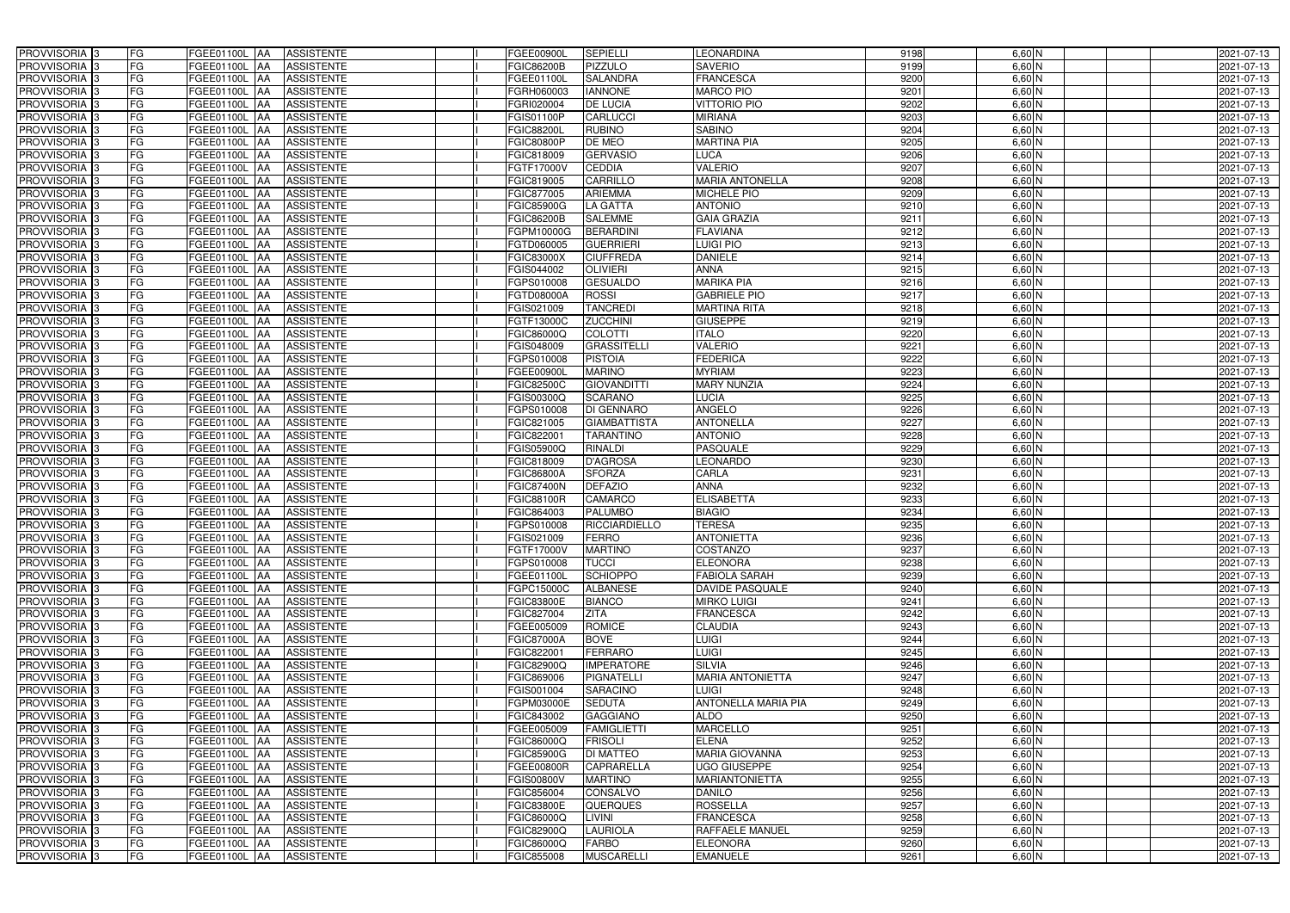| PROVVISORIA 3              | FG        | FGEE01100L AA<br><b>ASSISTENTE</b>            | FGEE00900L        | <b>SEPIELLI</b>     | <b>LEONARDINA</b>       | 9198 | $6,60$ N | 2021-07-13 |
|----------------------------|-----------|-----------------------------------------------|-------------------|---------------------|-------------------------|------|----------|------------|
| PROVVISORIA 3              | FG        | <b>ASSISTENTE</b><br>FGEE01100L               | FGIC86200B        | PIZZULO             | <b>SAVERIO</b>          | 9199 | $6,60$ N | 2021-07-13 |
| PROVVISORIA 3              | <b>FG</b> | FGEE01100L<br><b>ASSISTENTE</b><br>IAA        | FGEE01100L        | <b>SALANDRA</b>     | <b>FRANCESCA</b>        | 9200 | $6,60$ N | 2021-07-13 |
| PROVVISORIA 3              | FG        | FGEE01100L<br><b>ASSISTENTE</b><br>IAA        | GRH060003         | <b>IANNONE</b>      | <b>MARCO PIO</b>        | 9201 | $6,60$ N | 2021-07-13 |
| PROVVISORIA <sup>3</sup>   | FG        | FGEE01100L<br><b>ASSISTENTE</b>               | GRI020004         | <b>DE LUCIA</b>     | <b>VITTORIO PIO</b>     | 9202 | $6,60$ N | 2021-07-13 |
| PROVVISORIA 3              | <b>FG</b> | <b>FGEE01100L AA</b><br><b>ASSISTENTE</b>     | FGIS01100P        | <b>CARLUCCI</b>     | <b>MIRIANA</b>          | 9203 | $6,60$ N | 2021-07-13 |
| PROVVISORIA 3              | FG        | FGEE01100L AA<br><b>ASSISTENTE</b>            | <b>FGIC88200L</b> | <b>RUBINO</b>       | <b>SABINO</b>           | 9204 | $6,60$ N | 2021-07-13 |
| PROVVISORIA 3              | FG        | <b>ASSISTENTE</b><br>FGEE01100L AA            | <b>FGIC80800P</b> | DE MEO              | <b>MARTINA PIA</b>      | 9205 | $6,60$ N | 2021-07-13 |
| PROVVISORIA 3              | <b>FG</b> | FGEE01100L AA<br><b>ASSISTENTE</b>            | FGIC818009        | <b>GERVASIO</b>     | <b>LUCA</b>             | 9206 | $6,60$ N | 2021-07-13 |
| PROVVISORIA 3              | FG        | FGEE01100L AA<br><b>ASSISTENTE</b>            | FGTF17000V        | <b>CEDDIA</b>       | <b>VALERIO</b>          | 9207 | $6,60$ N | 2021-07-13 |
| PROVVISORIA <sup>3</sup>   | FG        | <b>ASSISTENTE</b><br>FGEE01100L AA            | FGIC819005        | <b>CARRILLO</b>     | <b>MARIA ANTONELLA</b>  | 9208 | $6,60$ N | 2021-07-13 |
| PROVVISORIA 3              | FG        | FGEE01100L AA<br><b>ASSISTENTE</b>            | FGIC877005        | <b>ARIEMMA</b>      | <b>MICHELE PIO</b>      | 9209 | $6,60$ N | 2021-07-13 |
| PROVVISORIA <sup>3</sup>   | FG        | FGEE01100L<br><b>ASSISTENTE</b><br><b>IAA</b> | FGIC85900G        | LA GATTA            | <b>ANTONIO</b>          | 9210 | $6,60$ N | 2021-07-13 |
| PROVVISORIA 3              | FG        | FGEE01100L AA<br><b>ASSISTENTE</b>            | <b>FGIC86200B</b> | <b>SALEMME</b>      | <b>GAIA GRAZIA</b>      | 9211 | $6,60$ N | 2021-07-13 |
| PROVVISORIA 3              | <b>FG</b> | FGEE01100L AA<br><b>ASSISTENTE</b>            | FGPM10000G        | <b>BERARDINI</b>    | <b>FLAVIANA</b>         | 9212 | $6,60$ N | 2021-07-13 |
| PROVVISORIA 3              | <b>FG</b> | FGEE01100L<br><b>ASSISTENTE</b><br>IAA        | FGTD060005        | <b>GUERRIERI</b>    | <b>LUIGI PIO</b>        | 9213 | $6,60$ N | 2021-07-13 |
| PROVVISORIA 3              | FG        | <b>FGEE01100L</b><br><b>ASSISTENTE</b><br>IAA | FGIC83000X        | <b>CIUFFREDA</b>    | <b>DANIELE</b>          | 9214 | $6,60$ N | 2021-07-13 |
| PROVVISORIA 3              | FG        | FGEE01100L<br><b>ASSISTENTE</b><br>IAA        | GIS044002         | <b>OLIVIERI</b>     | <b>ANNA</b>             | 9215 | $6,60$ N | 2021-07-13 |
| PROVVISORIA 3              | FG        | FGEE01100L<br><b>ASSISTENTE</b><br>IAA        | GPS010008         | <b>GESUALDO</b>     | <b>MARIKA PIA</b>       | 9216 | $6,60$ N | 2021-07-13 |
| PROVVISORIA 3              | FG        | FGEE01100L<br><b>ASSISTENTE</b><br>IAA        | FGTD08000A        | <b>ROSSI</b>        | <b>GABRIELE PIO</b>     | 9217 | 6,60 N   | 2021-07-13 |
| PROVVISORIA <sup>3</sup>   | FG        | FGEE01100L<br><b>ASSISTENTE</b>               | FGIS021009        | <b>TANCREDI</b>     | <b>MARTINA RITA</b>     | 9218 | 6,60 N   | 2021-07-13 |
| <b>PROVVISORIA</b> 3       | FG        | <b>FGEE01100L</b><br><b>ASSISTENTE</b>        | FGTF13000C        | <b>ZUCCHINI</b>     | <b>GIUSEPPE</b>         | 9219 | $6,60$ N | 2021-07-13 |
| PROVVISORIA <sup>3</sup>   | FG        | FGEE01100L<br><b>ASSISTENTE</b>               | FGIC86000Q        | <b>COLOTTI</b>      | <b>ITALO</b>            | 9220 | $6,60$ N | 2021-07-13 |
| PROVVISORIA <sup>3</sup>   | <b>FG</b> | FGEE01100L<br><b>ASSISTENTE</b><br>ΙAΑ        | GIS048009         | <b>GRASSITELLI</b>  | <b>VALERIO</b>          | 9221 | $6,60$ N | 2021-07-13 |
| <b>PROVVISORIA</b> 3       | FG        | <b>FGEE01100L</b><br><b>ASSISTENTE</b><br>IAA | GPS010008         | <b>PISTOIA</b>      | <b>FEDERICA</b>         | 9222 | $6,60$ N | 2021-07-13 |
| PROVVISORIA 3              | FG        | FGEE01100L<br><b>ASSISTENTE</b><br>IAA        | FGEE00900L        | <b>MARINO</b>       | <b>MYRIAM</b>           | 9223 | $6,60$ N | 2021-07-13 |
| PROVVISORIA 3              | <b>FG</b> | FGEE01100L AA<br><b>ASSISTENTE</b>            | FGIC82500C        | <b>GIOVANDITTI</b>  | <b>MARY NUNZIA</b>      | 9224 | $6,60$ N | 2021-07-13 |
| PROVVISORIA 3              | <b>FG</b> | <b>FGEE01100L   AA</b><br><b>ASSISTENTE</b>   | FGIS00300Q        | <b>SCARANO</b>      | LUCIA                   | 9225 | $6,60$ N | 2021-07-13 |
| PROVVISORIA 3              | FG        | <b>FGEE01100L</b><br><b>ASSISTENTE</b><br>IAA | GPS010008         | <b>DI GENNARO</b>   | ANGELO                  | 9226 | $6,60$ N | 2021-07-13 |
| PROVVISORIA 3              | <b>FG</b> | <b>FGEE01100L   AA</b><br><b>ASSISTENTE</b>   | FGIC821005        | <b>GIAMBATTISTA</b> | <b>ANTONELLA</b>        | 9227 | $6,60$ N | 2021-07-13 |
| PROVVISORIA 3              | FG        | <b>FGEE01100L AA</b><br><b>ASSISTENTE</b>     | FGIC822001        | <b>TARANTINO</b>    | <b>ANTONIO</b>          | 9228 | $6,60$ N | 2021-07-13 |
| PROVVISORIA 3              | FG        | <b>ASSISTENTE</b><br>FGEE01100L AA            | FGIS05900Q        | RINALDI             | PASQUALE                | 9229 | 6,60 N   | 2021-07-13 |
| PROVVISORIA 3              | FG        | FGEE01100L<br><b>ASSISTENTE</b><br>IAA        | FGIC818009        | <b>D'AGROSA</b>     | <b>LEONARDO</b>         | 9230 | 6,60 N   | 2021-07-13 |
| PROVVISORIA 3              | <b>FG</b> | FGEE01100L AA<br><b>ASSISTENTE</b>            | FGIC86800A        | <b>SFORZA</b>       | CARLA                   | 9231 | 6,60 N   | 2021-07-13 |
| PROVVISORIA 3              | <b>FG</b> | FGEE01100L<br><b>ASSISTENTE</b><br>IAA        | FGIC87400N        | <b>DEFAZIO</b>      | <b>ANNA</b>             | 9232 | $6,60$ N | 2021-07-13 |
| PROVVISORIA <sup>1</sup> 3 | FG        | FGEE01100L<br><b>ASSISTENTE</b><br>IAA        | <b>GIC88100R</b>  | <b>CAMARCO</b>      | <b>ELISABETTA</b>       | 9233 | 6,60 N   | 2021-07-13 |
| PROVVISORIA <sup>1</sup> 3 | FG        | <b>FGEE01100L</b><br><b>ASSISTENTE</b><br>IAA | GIC864003         | <b>PALUMBO</b>      | <b>BIAGIO</b>           | 9234 | 6,60 N   | 2021-07-13 |
| PROVVISORIA <sup>3</sup>   | <b>FG</b> | FGEE01100L AA<br><b>ASSISTENTE</b>            | GPS010008         | RICCIARDIELLO       | <b>TERESA</b>           | 9235 | $6,60$ N | 2021-07-13 |
| PROVVISORIA <sup>3</sup>   | FG        | FGEE01100L AA ASSISTENTE                      | FGIS021009        | <b>FERRO</b>        | <b>ANTONIETTA</b>       | 9236 | 6,60 N   | 2021-07-13 |
| PROVVISORIA <sup>3</sup>   | FG        | FGEE01100L AA<br>ASSISTENTE                   | FGTF17000V        | <b>MARTINO</b>      | <b>COSTANZO</b>         | 9237 | $6,60$ N | 2021-07-13 |
| PROVVISORIA <sup>3</sup>   | FG        | <b>ASSISTENTE</b><br><b>FGEE01100L AA</b>     | FGPS010008        | <b>TUCCI</b>        | <b>ELEONORA</b>         | 9238 | $6,60$ N | 2021-07-13 |
| PROVVISORIA 3              | FG        | FGEE01100L AA<br><b>ASSISTENTE</b>            | FGEE01100L        | <b>SCHIOPPO</b>     | <b>FABIOLA SARAH</b>    | 9239 | $6,60$ N | 2021-07-13 |
| PROVVISORIA <sup>3</sup>   | FG        | FGEE01100L AA<br><b>ASSISTENTE</b>            | FGPC15000C        | <b>ALBANESE</b>     | <b>DAVIDE PASQUALE</b>  | 9240 | $6,60$ N | 2021-07-13 |
| PROVVISORIA <sup>3</sup>   | FG        | FGEE01100L AA<br><b>ASSISTENTE</b>            | FGIC83800E        | <b>BIANCO</b>       | <b>MIRKO LUIGI</b>      | 9241 | $6,60$ N | 2021-07-13 |
| PROVVISORIA <sup>3</sup>   | FG        | FGEE01100L AA<br><b>ASSISTENTE</b>            | FGIC827004        | <b>ZITA</b>         | <b>FRANCESCA</b>        | 9242 | 6,60 N   | 2021-07-13 |
| PROVVISORIA <sup>3</sup>   | FG        | FGEE01100L AA<br><b>ASSISTENTE</b>            | FGEE005009        | <b>ROMICE</b>       | <b>CLAUDIA</b>          | 9243 | $6,60$ N | 2021-07-13 |
| PROVVISORIA <sup>3</sup>   | FG        | FGEE01100L AA<br><b>ASSISTENTE</b>            | FGIC87000A        | <b>BOVE</b>         | <b>LUIGI</b>            | 9244 | $6,60$ N | 2021-07-13 |
| PROVVISORIA <sup>3</sup>   | FG        | FGEE01100L AA<br><b>ASSISTENTE</b>            | FGIC822001        | <b>FERRARO</b>      | <b>LUIGI</b>            | 9245 | $6,60$ N | 2021-07-13 |
| PROVVISORIA 3              | FG        | FGEE01100L AA<br><b>ASSISTENTE</b>            | FGIC82900Q        | <b>IMPERATORE</b>   | <b>SILVIA</b>           | 9246 | $6,60$ N | 2021-07-13 |
| PROVVISORIA 3              | FG        | FGEE01100L AA<br>ASSISTENTE                   | FGIC869006        | PIGNATELLI          | <b>MARIA ANTONIETTA</b> | 9247 | $6,60$ N | 2021-07-13 |
| PROVVISORIA 3              | FG        | FGEE01100L AA<br><b>ASSISTENTE</b>            | FGIS001004        | <b>SARACINO</b>     | <b>LUIGI</b>            | 9248 | $6,60$ N | 2021-07-13 |
| PROVVISORIA <sup>3</sup>   | FG        | FGEE01100L AA<br><b>ASSISTENTE</b>            | FGPM03000E        | <b>SEDUTA</b>       | ANTONELLA MARIA PIA     | 9249 | $6,60$ N | 2021-07-13 |
| PROVVISORIA <sup>3</sup>   | FG        | FGEE01100L AA<br><b>ASSISTENTE</b>            | FGIC843002        | <b>GAGGIANO</b>     | <b>ALDO</b>             | 9250 | $6,60$ N | 2021-07-13 |
| PROVVISORIA <sup>3</sup>   | FG        | FGEE01100L AA<br><b>ASSISTENTE</b>            | FGEE005009        | <b>FAMIGLIETTI</b>  | <b>MARCELLO</b>         | 9251 | $6,60$ N | 2021-07-13 |
| PROVVISORIA <sup>13</sup>  | FG        | FGEE01100L AA<br><b>ASSISTENTE</b>            | FGIC86000Q        | <b>FRISOLI</b>      | <b>ELENA</b>            | 9252 | $6,60$ N | 2021-07-13 |
| PROVVISORIA <sup>3</sup>   | FG        | FGEE01100L<br><b>ASSISTENTE</b><br>IAA        | FGIC85900G        | <b>DI MATTEO</b>    | <b>MARIA GIOVANNA</b>   | 9253 | $6,60$ N | 2021-07-13 |
| PROVVISORIA <sup>3</sup>   | FG        | <b>ASSISTENTE</b><br>FGEE01100L AA            | FGEE00800R        | <b>CAPRARELLA</b>   | <b>UGO GIUSEPPE</b>     | 9254 | $6,60$ N | 2021-07-13 |
| PROVVISORIA <sup>3</sup>   | FG        | FGEE01100L AA<br><b>ASSISTENTE</b>            | FGIS00800V        | <b>MARTINO</b>      | <b>MARIANTONIETTA</b>   | 9255 | 6,60 N   | 2021-07-13 |
| PROVVISORIA <sup>3</sup>   | FG        | <b>ASSISTENTE</b><br>FGEE01100L AA            | FGIC856004        | CONSALVO            | <b>DANILO</b>           | 9256 | $6,60$ N | 2021-07-13 |
| PROVVISORIA 3              | FG        | <b>ASSISTENTE</b><br>FGEE01100L AA            | FGIC83800E        | <b>QUERQUES</b>     | <b>ROSSELLA</b>         | 9257 | $6,60$ N | 2021-07-13 |
| PROVVISORIA <sup>3</sup>   | FG        | FGEE01100L AA<br><b>ASSISTENTE</b>            | FGIC86000Q        | LIVINI              | <b>FRANCESCA</b>        | 9258 | 6,60 N   | 2021-07-13 |
| PROVVISORIA <sup>3</sup>   | FG        | <b>ASSISTENTE</b><br>FGEE01100L AA            | FGIC82900Q        | <b>LAURIOLA</b>     | <b>RAFFAELE MANUEL</b>  | 9259 | 6,60 N   | 2021-07-13 |
| PROVVISORIA <sup>3</sup>   | FG        | ASSISTENTE<br>FGEE01100L AA                   | FGIC86000Q        | <b>FARBO</b>        | <b>ELEONORA</b>         | 9260 | $6,60$ N | 2021-07-13 |
| PROVVISORIA 3              | FG        | ASSISTENTE<br><b>FGEE01100L AA</b>            | FGIC855008        | <b>MUSCARELLI</b>   | <b>EMANUELE</b>         | 9261 | $6,60$ N | 2021-07-13 |
|                            |           |                                               |                   |                     |                         |      |          |            |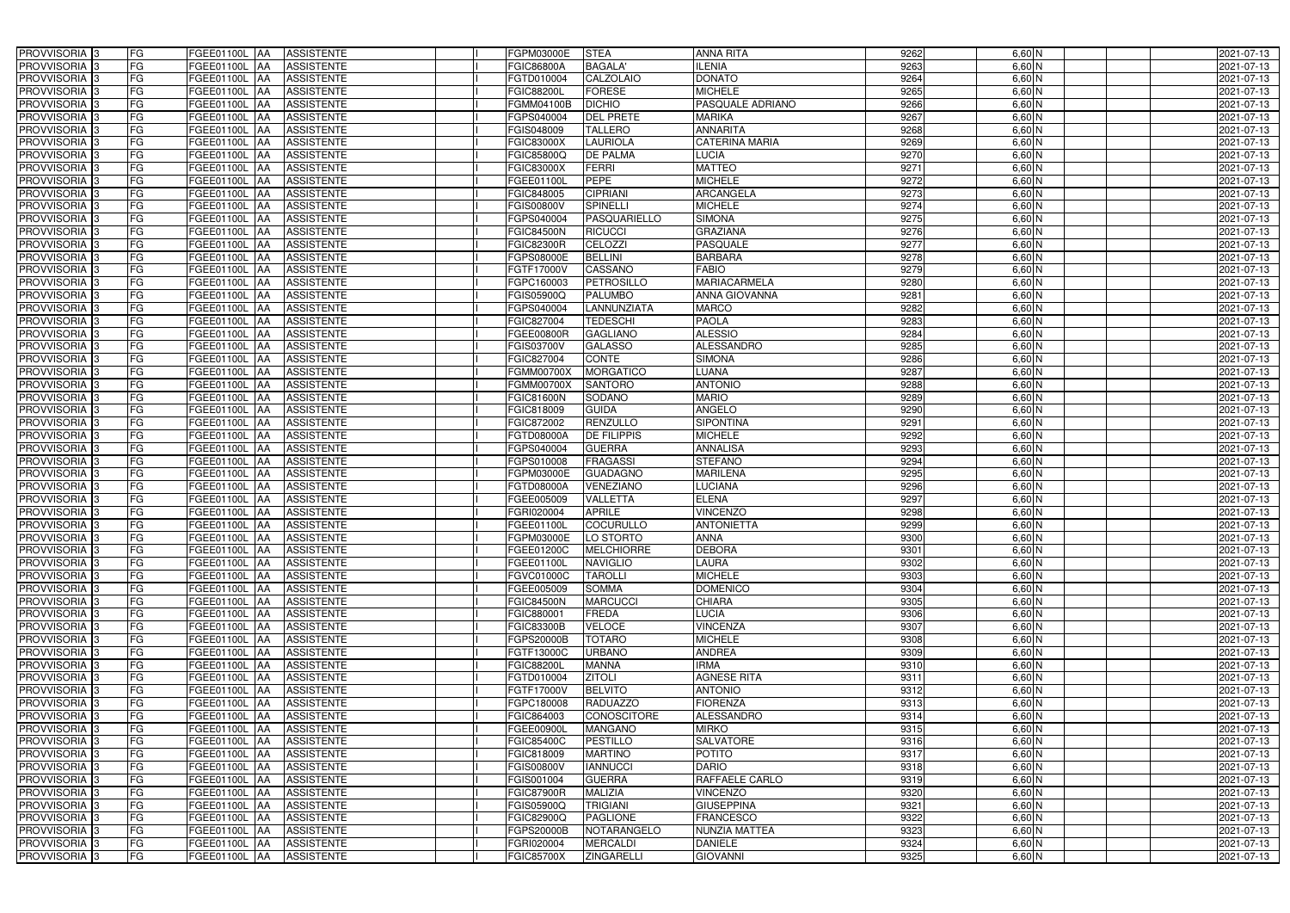| PROVVISORIA <sup>3</sup><br><b>FG</b><br>FGEE01100L AA<br><b>ASSISTENTE</b>            | FGPM03000E<br><b>STEA</b>              | <b>ANNA RITA</b>      | 9262 | 6,60 N   | 2021-07-13 |
|----------------------------------------------------------------------------------------|----------------------------------------|-----------------------|------|----------|------------|
| FG<br>PROVVISORIA <sup>3</sup><br><b>ASSISTENTE</b><br><b>FGEE01100L AA</b>            | <b>BAGALA</b><br><b>FGIC86800A</b>     | <b>ILENIA</b>         | 9263 | $6,60$ N | 2021-07-13 |
| FG<br>PROVVISORIA <sup>3</sup><br>FGEE01100L AA<br><b>ASSISTENTE</b>                   | <b>CALZOLAIO</b><br>FGTD010004         | <b>DONATO</b>         | 9264 | $6,60$ N | 2021-07-13 |
| FG<br>PROVVISORIA 3<br><b>ASSISTENTE</b><br>FGEE01100L AA                              | <b>FORESE</b><br><b>FGIC88200L</b>     | <b>MICHELE</b>        | 9265 | $6,60$ N | 2021-07-13 |
| FG<br><b>FGEE01100L</b><br>PROVVISORIA <sup>3</sup><br><b>ASSISTENTE</b><br><b>IAA</b> | <b>DICHIO</b><br>FGMM04100B            | PASQUALE ADRIANO      | 9266 | $6,60$ N | 2021-07-13 |
| FG<br>PROVVISORIA 3<br>FGEE01100L AA<br><b>ASSISTENTE</b>                              | <b>DEL PRETE</b><br>FGPS040004         | <b>MARIKA</b>         | 9267 | $6,60$ N | 2021-07-13 |
| FG<br>PROVVISORIA <sup>3</sup><br>FGEE01100L AA<br><b>ASSISTENTE</b>                   | <b>TALLERO</b><br>FGIS048009           | <b>ANNARITA</b>       | 9268 | $6,60$ N | 2021-07-13 |
| FG<br><b>ASSISTENTE</b><br>PROVVISORIA <sup>3</sup><br>FGEE01100L AA                   | <b>LAURIOLA</b><br><b>FGIC83000X</b>   | <b>CATERINA MARIA</b> | 9269 | $6,60$ N | 2021-07-13 |
| PROVVISORIA 3<br>FG<br>FGEE01100L AA<br><b>ASSISTENTE</b>                              | <b>DE PALMA</b><br>FGIC85800Q          | LUCIA                 | 9270 | $6,60$ N | 2021-07-13 |
| PROVVISORIA <sup>3</sup><br>FG<br><b>FGEE01100L AA</b><br><b>ASSISTENTE</b>            | <b>FERRI</b><br><b>FGIC83000X</b>      | <b>MATTEO</b>         | 9271 | $6,60$ N | 2021-07-13 |
| PROVVISORIA 3<br>FG<br>FGEE01100L AA<br><b>ASSISTENTE</b>                              | <b>PEPE</b><br>FGEE01100L              | <b>MICHELE</b>        | 9272 | $6,60$ N | 2021-07-13 |
| PROVVISORIA 3<br>FG<br>FGEE01100L AA<br><b>ASSISTENTE</b>                              | FGIC848005<br><b>CIPRIANI</b>          | <b>ARCANGELA</b>      | 9273 | $6,60$ N | 2021-07-13 |
| FG<br>PROVVISORIA <sup>3</sup><br>FGEE01100L AA<br><b>ASSISTENTE</b>                   | <b>SPINELLI</b><br>FGIS00800V          | <b>MICHELE</b>        | 9274 | $6,60$ N | 2021-07-13 |
| PROVVISORIA 3<br>FG<br>FGEE01100L AA<br><b>ASSISTENTE</b>                              | PASQUARIELLO<br>FGPS040004             | <b>SIMONA</b>         | 9275 | $6,60$ N | 2021-07-13 |
| $\overline{\mathsf{FG}}$<br>PROVVISORIA 3<br>FGEE01100L AA<br><b>ASSISTENTE</b>        | <b>FGIC84500N</b><br><b>RICUCCI</b>    | <b>GRAZIANA</b>       | 9276 | $6,60$ N | 2021-07-13 |
| $\overline{\mathsf{FG}}$<br>PROVVISORIA 3<br>FGEE01100L AA<br><b>ASSISTENTE</b>        | CELOZZI<br><b>FGIC82300R</b>           | <b>PASQUALE</b>       | 9277 | $6,60$ N | 2021-07-13 |
| PROVVISORIA 3<br>FG<br><b>FGEE01100L</b><br><b>ASSISTENTE</b><br><b>IAA</b>            | <b>BELLINI</b><br>FGPS08000E           | <b>BARBARA</b>        | 9278 | $6,60$ N | 2021-07-13 |
| PROVVISORIA 3<br>FG<br>FGEE01100L AA<br><b>ASSISTENTE</b>                              | CASSANO<br><b>FGTF17000V</b>           | <b>FABIO</b>          | 9279 | $6,60$ N | 2021-07-13 |
| PROVVISORIA 3<br>FG<br>FGEE01100L<br><b>ASSISTENTE</b><br><b>JAA</b>                   | <b>PETROSILLO</b><br>FGPC160003        | MARIACARMELA          | 9280 | $6,60$ N | 2021-07-13 |
| PROVVISORIA 3<br>FG<br>FGEE01100L AA<br><b>ASSISTENTE</b>                              | FGIS05900Q<br><b>PALUMBO</b>           | <b>ANNA GIOVANNA</b>  | 9281 | 6,60 N   | 2021-07-13 |
| FG<br>PROVVISORIA <sup>3</sup><br>FGEE01100L<br><b>AA</b><br><b>ASSISTENTE</b>         | LANNUNZIATA<br>FGPS040004              | <b>MARCO</b>          | 9282 | 6,60 N   | 2021-07-13 |
| PROVVISORIA 3<br>FG<br>FGEE01100L AA<br><b>ASSISTENTE</b>                              | <b>TEDESCHI</b><br>FGIC827004          | <b>PAOLA</b>          | 9283 | $6,60$ N | 2021-07-13 |
| PROVVISORIA 3<br>FG<br>FGEE01100L<br><b>JAA</b><br><b>ASSISTENTE</b>                   | FGEE00800R<br><b>GAGLIANO</b>          | <b>ALESSIO</b>        | 9284 | $6,60$ N | 2021-07-13 |
| PROVVISORIA 3<br>FG<br>FGEE01100L AA<br><b>ASSISTENTE</b>                              | <b>GALASSO</b><br>FGIS03700V           | <b>ALESSANDRO</b>     | 9285 | $6,60$ N | 2021-07-13 |
| PROVVISORIA <sup>3</sup><br>FG<br>FGEE01100L AA<br><b>ASSISTENTE</b>                   | FGIC827004<br><b>CONTE</b>             | <b>SIMONA</b>         | 9286 | $6,60$ N | 2021-07-13 |
| PROVVISORIA 3<br>FG<br>FGEE01100L AA<br><b>ASSISTENTE</b>                              | <b>MORGATICO</b><br>FGMM00700X         | LUANA                 | 9287 | $6,60$ N | 2021-07-13 |
| PROVVISORIA 3<br>FG<br>FGEE01100L AA<br><b>ASSISTENTE</b>                              | <b>SANTORO</b><br><b>FGMM00700X</b>    | <b>ANTONIO</b>        | 9288 | $6,60$ N | 2021-07-13 |
| FG<br>PROVVISORIA 3<br>FGEE01100L AA<br><b>ASSISTENTE</b>                              | <b>FGIC81600N</b><br>SODANO            | <b>MARIO</b>          | 9289 | $6,60$ N | 2021-07-13 |
| FG<br>PROVVISORIA <sup>3</sup><br>FGEE01100L AA<br><b>ASSISTENTE</b>                   | <b>GUIDA</b><br>FGIC818009             | <b>ANGELO</b>         | 9290 | $6,60$ N | 2021-07-13 |
| FG<br>PROVVISORIA <sup>3</sup><br><b>FGEE01100L AA</b><br><b>ASSISTENTE</b>            | <b>RENZULLO</b><br>FGIC872002          | <b>SIPONTINA</b>      | 9291 | $6,60$ N | 2021-07-13 |
| FG<br>PROVVISORIA <sup>3</sup><br>FGEE01100L AA<br><b>ASSISTENTE</b>                   | <b>DE FILIPPIS</b><br>FGTD08000A       | <b>MICHELE</b>        | 9292 | $6,60$ N | 2021-07-13 |
| PROVVISORIA <sup>3</sup><br>FG<br><b>FGEE01100L AA</b><br><b>ASSISTENTE</b>            | <b>GUERRA</b><br>FGPS040004            | <b>ANNALISA</b>       | 9293 | 6,60 N   | 2021-07-13 |
| FG<br>PROVVISORIA <sup>3</sup><br>FGEE01100L AA<br><b>ASSISTENTE</b>                   | <b>FRAGASSI</b><br>FGPS010008          | <b>STEFANO</b>        | 9294 | 6,60 N   | 2021-07-13 |
| FG<br>PROVVISORIA <sup>3</sup><br><b>FGEE01100L AA</b><br><b>ASSISTENTE</b>            | FGPM03000E<br><b>GUADAGNO</b>          | <b>MARILENA</b>       | 9295 | 6,60 N   | 2021-07-13 |
| PROVVISORIA 3<br>FG<br><b>ASSISTENTE</b><br>FGEE01100L<br> AA                          | <b>VENEZIANO</b><br>FGTD08000A         | <b>LUCIANA</b>        | 9296 | $6,60$ N | 2021-07-13 |
| PROVVISORIA <sup>3</sup><br>FG<br>FGEE01100L<br><b>ASSISTENTE</b><br><b>JAA</b>        | <b>VALLETTA</b><br>FGEE005009          | <b>ELENA</b>          | 9297 | 6,60 N   | 2021-07-13 |
| PROVVISORIA <sup>3</sup><br>FG<br>FGEE01100L<br><b>ASSISTENTE</b><br><b>JAA</b>        | <b>APRILE</b><br>FGRI020004            | <b>VINCENZO</b>       | 9298 | 6,60 N   | 2021-07-13 |
| PROVVISORIA <sup>3</sup><br>FG<br><b>ASSISTENTE</b><br>FGEE01100L AA                   | <b>COCURULLO</b><br>FGEE01100L         | <b>ANTONIETTA</b>     | 9299 | $6,60$ N | 2021-07-13 |
| PROVVISORIA 3<br>FG<br><b>FGEE01100L</b> AA<br><b>ASSISTENTE</b>                       | FGPM03000E<br>LO STORTO                | <b>ANNA</b>           | 9300 | 6,60 N   | 2021-07-13 |
| PROVVISORIA <sup>3</sup><br>FG<br>FGEE01100L AA<br><b>ASSISTENTE</b>                   | FGEE01200C<br><b>MELCHIORRE</b>        | <b>DEBORA</b>         | 9301 | $6,60$ N | 2021-07-13 |
| PROVVISORIA <sup>3</sup><br>FG<br>FGEE01100L AA<br>ASSISTENTE                          | FGEE01100L<br><b>NAVIGLIO</b>          | <b>LAURA</b>          | 9302 | $6,60$ N | 2021-07-13 |
| PROVVISORIA <sup>3</sup><br>FG<br>FGEE01100L AA<br><b>ASSISTENTE</b>                   | <b>TAROLLI</b><br><b>FGVC01000C</b>    | <b>MICHELE</b>        | 9303 | $6,60$ N | 2021-07-13 |
| PROVVISORIA <sup>3</sup><br>FG<br>FGEE01100L AA<br><b>ASSISTENTE</b>                   | FGEE005009<br><b>SOMMA</b>             | <b>DOMENICO</b>       | 9304 | $6,60$ N | 2021-07-13 |
| PROVVISORIA <sup>3</sup><br>FG<br>FGEE01100L AA<br><b>ASSISTENTE</b>                   | <b>MARCUCCI</b><br><b>FGIC84500N</b>   | <b>CHIARA</b>         | 9305 | 6,60 N   | 2021-07-13 |
| PROVVISORIA 3<br>FG<br>FGEE01100L AA<br><b>ASSISTENTE</b>                              | FGIC880001<br><b>FREDA</b>             | <b>LUCIA</b>          | 9306 | 6,60 N   | 2021-07-13 |
| PROVVISORIA <sup>3</sup><br>FG<br>FGEE01100L AA<br><b>ASSISTENTE</b>                   | <b>VELOCE</b><br><b>FGIC83300B</b>     | <b>VINCENZA</b>       | 9307 | $6,60$ N | 2021-07-13 |
| PROVVISORIA <sup>3</sup><br>FG<br>FGEE01100L AA<br><b>ASSISTENTE</b>                   | <b>TOTARO</b><br><b>FGPS20000B</b>     | <b>MICHELE</b>        | 9308 | $6,60$ N | 2021-07-13 |
| PROVVISORIA <sup>3</sup><br>FG<br>FGEE01100L AA<br><b>ASSISTENTE</b>                   | FGTF13000C<br><b>URBANO</b>            | <b>ANDREA</b>         | 9309 | $6,60$ N | 2021-07-13 |
| PROVVISORIA <sup>3</sup><br>FG<br>FGEE01100L AA<br><b>ASSISTENTE</b>                   | <b>FGIC88200L</b><br><b>MANNA</b>      | <b>IRMA</b>           | 9310 | $6,60$ N | 2021-07-13 |
| PROVVISORIA <sup>3</sup><br>FG<br>FGEE01100L AA<br><b>ASSISTENTE</b>                   | FGTD010004<br><b>ZITOLI</b>            | <b>AGNESE RITA</b>    | 9311 | $6,60$ N | 2021-07-13 |
| PROVVISORIA <sup>3</sup><br>FG<br>FGEE01100L AA<br><b>ASSISTENTE</b>                   | FGTF17000V<br><b>BELVITO</b>           | <b>ANTONIO</b>        | 9312 | $6,60$ N | 2021-07-13 |
| PROVVISORIA <sup>3</sup><br>FG<br>FGEE01100L AA<br><b>ASSISTENTE</b>                   | <b>RADUAZZO</b><br>FGPC180008          | <b>FIORENZA</b>       | 9313 | $6,60$ N | 2021-07-13 |
| PROVVISORIA <sup>3</sup><br>FG<br>FGEE01100L AA<br><b>ASSISTENTE</b>                   | FGIC864003<br>CONOSCITORE              | <b>ALESSANDRO</b>     | 9314 | $6,60$ N | 2021-07-13 |
| PROVVISORIA <sup>3</sup><br>FG<br>FGEE01100L AA<br><b>ASSISTENTE</b>                   | <b>MANGANO</b><br>FGEE00900L           | <b>MIRKO</b>          | 9315 | $6,60$ N | 2021-07-13 |
| FG<br><b>PROVVISORIA</b> 3<br>FGEE01100L AA<br><b>ASSISTENTE</b>                       | <b>PESTILLO</b><br><b>FGIC85400C</b>   | <b>SALVATORE</b>      | 9316 | $6,60$ N | 2021-07-13 |
| FG<br>PROVVISORIA <sup>1</sup> 3<br>FGEE01100L AA<br><b>ASSISTENTE</b>                 | <b>MARTINO</b><br>FGIC818009           | <b>POTITO</b>         | 9317 | 6,60 N   | 2021-07-13 |
| FG<br>PROVVISORIA <sup>3</sup><br>FGEE01100L AA<br><b>ASSISTENTE</b>                   | <b>IANNUCCI</b><br><b>FGIS00800V</b>   | <b>DARIO</b>          | 9318 | $6,60$ N | 2021-07-13 |
| PROVVISORIA <sup>1</sup> 3<br>FG<br>FGEE01100L AA<br><b>ASSISTENTE</b>                 | <b>GUERRA</b><br>FGIS001004            | RAFFAELE CARLO        | 9319 | 6,60 N   | 2021-07-13 |
| PROVVISORIA <sup>3</sup><br>FG<br><b>ASSISTENTE</b><br>FGEE01100L AA                   | <b>MALIZIA</b><br><b>FGIC87900R</b>    | <b>VINCENZO</b>       | 9320 | $6,60$ N | 2021-07-13 |
| PROVVISORIA <sup>3</sup><br>FG<br><b>FGEE01100L AA</b><br><b>ASSISTENTE</b>            | <b>TRIGIANI</b><br>FGIS05900Q          | <b>GIUSEPPINA</b>     | 9321 | $6,60$ N | 2021-07-13 |
| PROVVISORIA <sup>3</sup><br>FG<br>FGEE01100L AA<br><b>ASSISTENTE</b>                   | <b>PAGLIONE</b><br>FGIC82900Q          | <b>FRANCESCO</b>      | 9322 | 6,60 N   | 2021-07-13 |
| PROVVISORIA <sup>3</sup><br>FG<br>FGEE01100L AA<br><b>ASSISTENTE</b>                   | FGPS20000B<br>NOTARANGELO              | <b>NUNZIA MATTEA</b>  | 9323 | 6,60 N   | 2021-07-13 |
| PROVVISORIA <sup>3</sup><br>FG<br>FGEE01100L AA<br><b>ASSISTENTE</b>                   | <b>MERCALDI</b><br>FGRI020004          | <b>DANIELE</b>        | 9324 | $6,60$ N | 2021-07-13 |
| PROVVISORIA <sup>3</sup><br>FG<br>FGEE01100L AA<br>ASSISTENTE                          | <b>ZINGARELLI</b><br><b>FGIC85700X</b> | <b>GIOVANNI</b>       | 9325 | $6,60$ N | 2021-07-13 |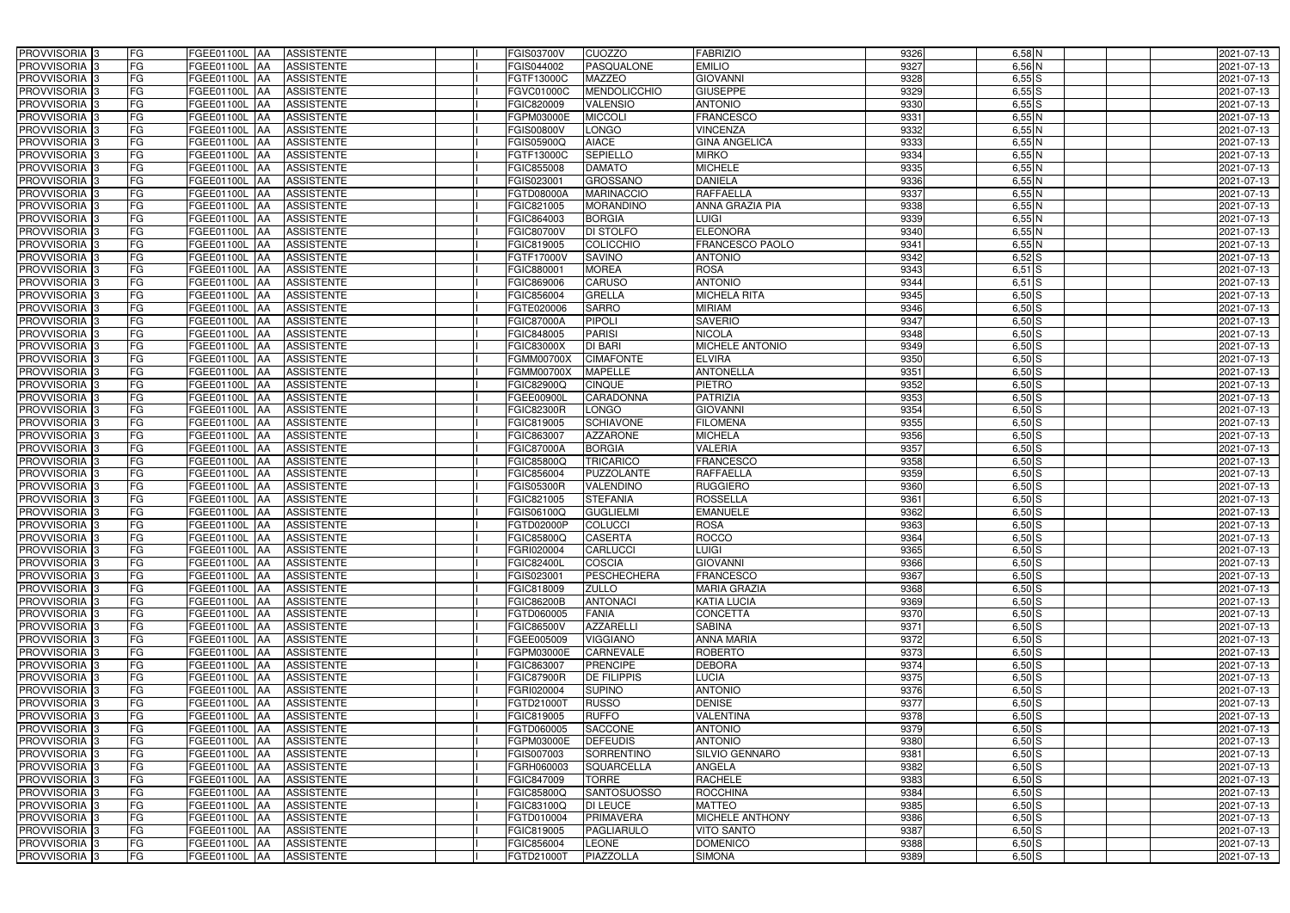| PROVVISORIA 3              | <b>FG</b><br>FGEE01100L AA                | <b>ASSISTENTE</b>               | <b>FGIS03700V</b> | <b>CUOZZO</b>       | <b>FABRIZIO</b>        | 9326 | $6,58$ N   | 2021-07-13 |
|----------------------------|-------------------------------------------|---------------------------------|-------------------|---------------------|------------------------|------|------------|------------|
| PROVVISORIA <sup>3</sup>   | FG<br>FGEE01100L                          | <b>ASSISTENTE</b><br>IAA        | FGIS044002        | PASQUALONE          | <b>EMILIO</b>          | 9327 | $6,56$ N   | 2021-07-13 |
| PROVVISORIA <sup>3</sup>   | FG<br>FGEE01100L AA                       | <b>ASSISTENTE</b>               | FGTF13000C        | <b>MAZZEO</b>       | <b>GIOVANNI</b>        | 9328 | $6,55$ $S$ | 2021-07-13 |
| PROVVISORIA 3              | FG<br>FGEE01100L                          | <b>ASSISTENTE</b><br>IAA        | FGVC01000C        | <b>MENDOLICCHIO</b> | <b>GIUSEPPE</b>        | 9329 | $6,55$ $S$ | 2021-07-13 |
| PROVVISORIA <sup>3</sup>   | FG<br>FGEE01100L                          | <b>ASSISTENTE</b><br><b>IAA</b> | FGIC820009        | <b>VALENSIO</b>     | <b>ANTONIO</b>         | 9330 | $6,55$ $S$ | 2021-07-13 |
| PROVVISORIA <sup>3</sup>   | FG<br>FGEE01100L AA                       | <b>ASSISTENTE</b>               | FGPM03000E        | <b>MICCOLI</b>      | <b>FRANCESCO</b>       | 9331 | 6,55N      | 2021-07-13 |
| PROVVISORIA <sup>3</sup>   | FG<br>FGEE01100L AA                       | <b>ASSISTENTE</b>               | <b>FGIS00800V</b> | <b>LONGO</b>        | <b>VINCENZA</b>        | 9332 | 6,55N      | 2021-07-13 |
| PROVVISORIA <sup>3</sup>   | FG<br>FGEE01100L AA                       | <b>ASSISTENTE</b>               | FGIS05900Q        | <b>AIACE</b>        | <b>GINA ANGELICA</b>   | 9333 | 6,55N      | 2021-07-13 |
| PROVVISORIA <sup>3</sup>   | FG<br>FGEE01100L AA                       | <b>ASSISTENTE</b>               | FGTF13000C        | <b>SEPIELLO</b>     | <b>MIRKO</b>           | 9334 | 6,55N      | 2021-07-13 |
| PROVVISORIA <sup>3</sup>   | FG<br><b>FGEE01100L AA</b>                | <b>ASSISTENTE</b>               | FGIC855008        | <b>DAMATO</b>       | <b>MICHELE</b>         | 9335 | 6,55N      | 2021-07-13 |
| PROVVISORIA 3              | FG<br>FGEE01100L AA                       | <b>ASSISTENTE</b>               | FGIS023001        | <b>GROSSANO</b>     | <b>DANIELA</b>         | 9336 | 6,55N      | 2021-07-13 |
| PROVVISORIA 3              | FG<br>FGEE01100L AA                       | <b>ASSISTENTE</b>               | FGTD08000A        | <b>MARINACCIO</b>   | <b>RAFFAELLA</b>       | 9337 | 6,55N      | 2021-07-13 |
| PROVVISORIA <sup>3</sup>   | FG<br>FGEE01100L AA                       | <b>ASSISTENTE</b>               | FGIC821005        | <b>MORANDINO</b>    | ANNA GRAZIA PIA        | 9338 | 6,55N      | 2021-07-13 |
| PROVVISORIA 3              | FG<br>FGEE01100L AA                       | <b>ASSISTENTE</b>               | FGIC864003        | <b>BORGIA</b>       | <b>LUIGI</b>           | 9339 | 6,55N      | 2021-07-13 |
| PROVVISORIA 3              | $\overline{\mathsf{FG}}$<br>FGEE01100L AA | <b>ASSISTENTE</b>               | <b>FGIC80700V</b> | <b>DI STOLFO</b>    | <b>ELEONORA</b>        | 9340 | 6,55N      | 2021-07-13 |
| PROVVISORIA 3              | $\overline{\mathsf{FG}}$<br>FGEE01100L AA | <b>ASSISTENTE</b>               | FGIC819005        | <b>COLICCHIO</b>    | <b>FRANCESCO PAOLO</b> | 9341 | $6,55$ N   | 2021-07-13 |
| PROVVISORIA 3              | FG<br><b>FGEE01100L</b>                   | <b>ASSISTENTE</b><br><b>IAA</b> | FGTF17000V        | <b>SAVINO</b>       | <b>ANTONIO</b>         | 9342 | 6,52S      | 2021-07-13 |
| PROVVISORIA 3              | FG<br>FGEE01100L AA                       | <b>ASSISTENTE</b>               | FGIC88000         | <b>MOREA</b>        | <b>ROSA</b>            | 9343 | $6,51$ $S$ | 2021-07-13 |
| PROVVISORIA 3              | FG<br><b>FGEE01100L</b>                   | <b>ASSISTENTE</b><br><b>JAA</b> | FGIC869006        | <b>CARUSO</b>       | <b>ANTONIO</b>         | 9344 | $6,51$ S   | 2021-07-13 |
| PROVVISORIA 3              | FG<br>FGEE01100L                          | <b>JAA</b><br><b>ASSISTENTE</b> | FGIC856004        | <b>GRELLA</b>       | <b>MICHELA RITA</b>    | 9345 | $6,50$ S   | 2021-07-13 |
| PROVVISORIA 3              | FG<br>FGEE01100L                          | <b>JAA</b><br><b>ASSISTENTE</b> | FGTE020006        | <b>SARRO</b>        | <b>MIRIAM</b>          | 9346 | $6,50$ S   | 2021-07-13 |
| PROVVISORIA 3              | FG<br>FGEE01100L                          | <b>ASSISTENTE</b><br><b>JAA</b> | <b>FGIC87000A</b> | <b>PIPOLI</b>       | <b>SAVERIO</b>         | 9347 | 6,50S      | 2021-07-13 |
| PROVVISORIA 3              | FG<br>FGEE01100L                          | <b>ASSISTENTE</b><br><b>JAA</b> | FGIC848005        | <b>PARISI</b>       | <b>NICOLA</b>          | 9348 | $6,50$ S   | 2021-07-13 |
| PROVVISORIA 3              | FG<br>FGEE01100L AA                       | <b>ASSISTENTE</b>               | FGIC83000X        | <b>DI BARI</b>      | MICHELE ANTONIO        | 9349 | $6,50$ S   | 2021-07-13 |
| PROVVISORIA <sup>3</sup>   | FG<br>FGEE01100L AA                       | <b>ASSISTENTE</b>               | <b>FGMM00700X</b> | <b>CIMAFONTE</b>    | <b>ELVIRA</b>          | 9350 | $6,50$ S   | 2021-07-13 |
| PROVVISORIA 3              | FG<br>FGEE01100L AA                       | <b>ASSISTENTE</b>               | FGMM00700X        | <b>MAPELLE</b>      | <b>ANTONELLA</b>       | 9351 | $6,50$ S   | 2021-07-13 |
| PROVVISORIA 3              | FG<br>FGEE01100L AA                       | <b>ASSISTENTE</b>               | FGIC82900Q        | <b>CINQUE</b>       | <b>PIETRO</b>          | 9352 | $6,50$ S   | 2021-07-13 |
| PROVVISORIA 3              | FG<br>FGEE01100L AA                       | <b>ASSISTENTE</b>               | <b>FGEE00900L</b> | CARADONNA           | <b>PATRIZIA</b>        | 9353 | $6,50$ S   | 2021-07-13 |
| PROVVISORIA <sup>3</sup>   | FG<br>FGEE01100L AA                       | <b>ASSISTENTE</b>               | <b>FGIC82300R</b> | LONGO               | <b>GIOVANNI</b>        | 9354 | $6,50$ S   | 2021-07-13 |
| PROVVISORIA <sup>3</sup>   | FG<br><b>FGEE01100L AA</b>                | <b>ASSISTENTE</b>               | FGIC819005        | <b>SCHIAVONE</b>    | <b>FILOMENA</b>        | 9355 | $6,50$ $S$ | 2021-07-13 |
| PROVVISORIA <sup>3</sup>   | FG<br>FGEE01100L AA                       | <b>ASSISTENTE</b>               | FGIC863007        | <b>AZZARONE</b>     | <b>MICHELA</b>         | 9356 | $6,50$ $S$ | 2021-07-13 |
| PROVVISORIA <sup>3</sup>   | FG<br><b>FGEE01100L AA</b>                | <b>ASSISTENTE</b>               | <b>FGIC87000A</b> | <b>BORGIA</b>       | <b>VALERIA</b>         | 9357 | $6,50$ S   | 2021-07-13 |
| PROVVISORIA <sup>3</sup>   | FG<br>FGEE01100L AA                       | <b>ASSISTENTE</b>               | FGIC85800Q        | <b>TRICARICO</b>    | <b>FRANCESCO</b>       | 9358 | $6,50$ S   | 2021-07-13 |
| PROVVISORIA <sup>3</sup>   | FG<br><b>FGEE01100L AA</b>                | <b>ASSISTENTE</b>               | FGIC856004        | <b>PUZZOLANTE</b>   | <b>RAFFAELLA</b>       | 9359 | $6,50$ S   | 2021-07-13 |
| PROVVISORIA <sup>3</sup>   | FG<br>FGEE01100L                          | <b>ASSISTENTE</b><br><b>IAA</b> | <b>FGIS05300R</b> | VALENDINO           | <b>RUGGIERO</b>        | 9360 | $6,50$ S   | 2021-07-13 |
| PROVVISORIA <sup>3</sup>   | FG<br>FGEE01100L                          | <b>ASSISTENTE</b><br><b>JAA</b> | FGIC821005        | <b>STEFANIA</b>     | <b>ROSSELLA</b>        | 9361 | $6,50$ S   | 2021-07-13 |
| PROVVISORIA <sup>3</sup>   | FG<br>FGEE01100L                          | <b>ASSISTENTE</b><br><b>JAA</b> | FGIS06100Q        | <b>GUGLIELMI</b>    | <b>EMANUELE</b>        | 9362 | $6,50$ S   | 2021-07-13 |
| PROVVISORIA <sup>3</sup>   | FG<br>FGEE01100L AA                       | <b>ASSISTENTE</b>               | FGTD02000P        | <b>COLUCCI</b>      | <b>ROSA</b>            | 9363 | $6,50$ S   | 2021-07-13 |
| PROVVISORIA <sup>3</sup>   | FG<br><b>FGEE01100L</b> AA                | <b>ASSISTENTE</b>               | FGIC85800Q        | <b>CASERTA</b>      | <b>ROCCO</b>           | 9364 | $6,50$ S   | 2021-07-13 |
| PROVVISORIA <sup>3</sup>   | FG<br>FGEE01100L AA                       | ASSISTENTE                      | FGRI020004        | <b>CARLUCCI</b>     | <b>LUIGI</b>           | 9365 | $6,50$ S   | 2021-07-13 |
| PROVVISORIA <sup>3</sup>   | FG<br>FGEE01100L AA                       | ASSISTENTE                      | <b>FGIC82400L</b> | <b>COSCIA</b>       | <b>GIOVANNI</b>        | 9366 | $6,50$ S   | 2021-07-13 |
| PROVVISORIA <sup>3</sup>   | FG<br>FGEE01100L AA                       | <b>ASSISTENTE</b>               | FGIS023001        | <b>PESCHECHERA</b>  | <b>FRANCESCO</b>       | 9367 | $6,50$ S   | 2021-07-13 |
| PROVVISORIA <sup>3</sup>   | FG<br>FGEE01100L AA                       | <b>ASSISTENTE</b>               | FGIC818009        | <b>ZULLO</b>        | <b>MARIA GRAZIA</b>    | 9368 | $6,50$ S   | 2021-07-13 |
| PROVVISORIA <sup>3</sup>   | FG<br>FGEE01100L AA                       | <b>ASSISTENTE</b>               | <b>FGIC86200B</b> | <b>ANTONACI</b>     | <b>KATIA LUCIA</b>     | 9369 | $6,50$ S   | 2021-07-13 |
| PROVVISORIA <sup>3</sup>   | FG<br>FGEE01100L AA                       | <b>ASSISTENTE</b>               | FGTD060005        | <b>FANIA</b>        | <b>CONCETTA</b>        | 9370 | $6,50$ S   | 2021-07-13 |
| PROVVISORIA <sup>3</sup>   | FG<br>FGEE01100L AA                       | <b>ASSISTENTE</b>               | <b>FGIC86500V</b> | <b>AZZARELLI</b>    | <b>SABINA</b>          | 9371 | $6,50$ S   | 2021-07-13 |
| PROVVISORIA <sup>3</sup>   | FG<br>FGEE01100L AA                       | <b>ASSISTENTE</b>               | FGEE005009        | <b>VIGGIANO</b>     | <b>ANNA MARIA</b>      | 9372 | $6,50$ S   | 2021-07-13 |
| PROVVISORIA <sup>3</sup>   | FG<br>FGEE01100L AA                       | ASSISTENTE                      | FGPM03000E        | <b>CARNEVALE</b>    | <b>ROBERTO</b>         | 9373 | $6,50$ S   | 2021-07-13 |
| PROVVISORIA <sup>3</sup>   | FG<br>FGEE01100L AA                       | <b>ASSISTENTE</b>               | FGIC863007        | <b>PRENCIPE</b>     | <b>DEBORA</b>          | 9374 | $6,50$ S   | 2021-07-13 |
| PROVVISORIA <sup>3</sup>   | FG<br>FGEE01100L AA                       | <b>ASSISTENTE</b>               | <b>FGIC87900R</b> | <b>DE FILIPPIS</b>  | <b>LUCIA</b>           | 9375 | $6,50$ S   | 2021-07-13 |
| PROVVISORIA <sup>3</sup>   | FG<br>FGEE01100L AA                       | <b>ASSISTENTE</b>               | FGRI020004        | <b>SUPINO</b>       | <b>ANTONIO</b>         | 9376 | $6,50$ S   | 2021-07-13 |
| PROVVISORIA <sup>3</sup>   | FG<br>FGEE01100L AA                       | <b>ASSISTENTE</b>               | FGTD21000T        | <b>RUSSO</b>        | <b>DENISE</b>          | 9377 | $6,50$ S   | 2021-07-13 |
| PROVVISORIA <sup>3</sup>   | FG<br>FGEE01100L AA                       | <b>ASSISTENTE</b>               | FGIC819005        | <b>RUFFO</b>        | <b>VALENTINA</b>       | 9378 | $6,50$ S   | 2021-07-13 |
| PROVVISORIA <sup>3</sup>   | FG<br>FGEE01100L AA                       | <b>ASSISTENTE</b>               | FGTD060005        | <b>SACCONE</b>      | <b>ANTONIO</b>         | 9379 | $6,50$ S   | 2021-07-13 |
| <b>PROVVISORIA</b> 3       | FG<br>FGEE01100L AA                       | <b>ASSISTENTE</b>               | FGPM03000E        | <b>DEFEUDIS</b>     | <b>ANTONIO</b>         | 9380 | $6,50$ S   | 2021-07-13 |
| PROVVISORIA <sup>1</sup> 3 | FG<br>FGEE01100L AA                       | <b>ASSISTENTE</b>               | FGIS007003        | SORRENTINO          | SILVIO GENNARO         | 9381 | $6,50$ S   | 2021-07-13 |
| PROVVISORIA <sup>3</sup>   | FG<br>FGEE01100L AA                       | <b>ASSISTENTE</b>               | FGRH060003        | <b>SQUARCELLA</b>   | <b>ANGELA</b>          | 9382 | $6,50$ S   | 2021-07-13 |
| PROVVISORIA <sup>1</sup> 3 | FG<br>FGEE01100L AA                       | <b>ASSISTENTE</b>               | FGIC847009        | <b>TORRE</b>        | <b>RACHELE</b>         | 9383 | $6,50$ S   | 2021-07-13 |
| PROVVISORIA <sup>3</sup>   | FG<br>FGEE01100L AA                       | <b>ASSISTENTE</b>               | <b>FGIC85800Q</b> | <b>SANTOSUOSSO</b>  | <b>ROCCHINA</b>        | 9384 | $6,50$ S   | 2021-07-13 |
| PROVVISORIA <sup>3</sup>   | FG<br><b>FGEE01100L AA</b>                | <b>ASSISTENTE</b>               | FGIC83100Q        | <b>DI LEUCE</b>     | <b>MATTEO</b>          | 9385 | $6,50$ S   | 2021-07-13 |
| PROVVISORIA <sup>3</sup>   | FG<br>FGEE01100L AA                       | <b>ASSISTENTE</b>               | FGTD010004        | <b>PRIMAVERA</b>    | MICHELE ANTHONY        | 9386 | $6,50$ S   | 2021-07-13 |
| PROVVISORIA <sup>3</sup>   | FG<br>FGEE01100L AA                       | <b>ASSISTENTE</b>               | FGIC819005        | <b>PAGLIARULO</b>   | <b>VITO SANTO</b>      | 9387 | $6,50$ S   | 2021-07-13 |
| PROVVISORIA <sup>3</sup>   | FG<br>FGEE01100L AA                       | ASSISTENTE                      | FGIC856004        | <b>LEONE</b>        | <b>DOMENICO</b>        | 9388 | $6,50$ S   | 2021-07-13 |
| PROVVISORIA <sup>3</sup>   | FG<br>FGEE01100L AA                       | ASSISTENTE                      | FGTD21000T        | PIAZZOLLA           | <b>SIMONA</b>          | 9389 | $6,50$ S   | 2021-07-13 |
|                            |                                           |                                 |                   |                     |                        |      |            |            |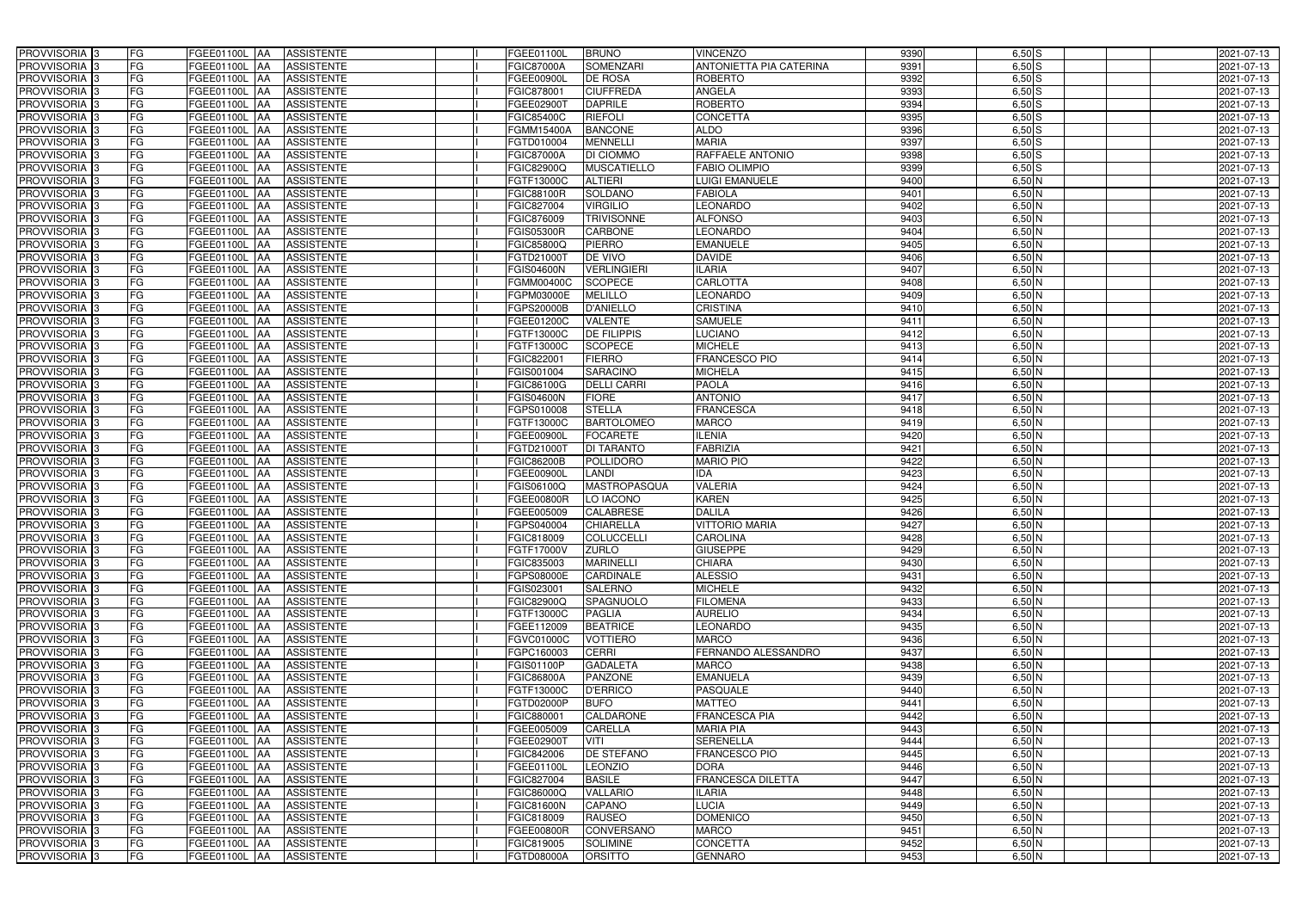| PROVVISORIA 3                                          | FG              | FGEE01100L AA<br><b>ASSISTENTE</b>                                | FGEE01100L              | <b>BRUNO</b>                         | <b>VINCENZO</b>                        | 9390         | $6,50$ S             | 2021-07-13               |
|--------------------------------------------------------|-----------------|-------------------------------------------------------------------|-------------------------|--------------------------------------|----------------------------------------|--------------|----------------------|--------------------------|
| PROVVISORIA 3                                          | FG              | <b>ASSISTENTE</b><br>FGEE01100L                                   | <b>FGIC87000A</b>       | SOMENZARI                            | <b>ANTONIETTA PIA CATERINA</b>         | 9391         | $6,50$ S             | 2021-07-13               |
| PROVVISORIA 3                                          | FG              | FGEE01100L<br><b>ASSISTENTE</b><br>IAA                            | FGEE00900L              | <b>DE ROSA</b>                       | <b>ROBERTO</b>                         | 9392         | $6,50$ S             | 2021-07-13               |
| PROVVISORIA <sup>3</sup>                               | <b>FG</b>       | FGEE01100L<br><b>ASSISTENTE</b><br>IAA                            | GIC878001               | <b>CIUFFREDA</b>                     | ANGELA                                 | 9393         | $6,50$ S             | 2021-07-13               |
| PROVVISORIA <sup>3</sup>                               | FG              | FGEE01100L<br><b>ASSISTENTE</b><br>IAA                            | FGEE02900T              | <b>DAPRILE</b>                       | <b>ROBERTO</b>                         | 9394         | $6,50$ $S$           | 2021-07-13               |
| PROVVISORIA 3                                          | <b>FG</b>       | <b>FGEE01100L AA</b><br><b>ASSISTENTE</b>                         | FGIC85400C              | <b>RIEFOLI</b>                       | <b>CONCETTA</b>                        | 9395         | $6,50$ $S$           | 2021-07-13               |
| PROVVISORIA 3                                          | FG              | <b>FGEE01100L   AA</b><br><b>ASSISTENTE</b>                       | FGMM15400A              | <b>BANCONE</b>                       | <b>ALDO</b>                            | 9396         | $6,50$ S             | 2021-07-13               |
| PROVVISORIA 3                                          | FG              | <b>ASSISTENTE</b><br>FGEE01100L AA                                | FGTD010004              | <b>MENNELLI</b>                      | <b>MARIA</b>                           | 9397         | $6,50$ S             | 2021-07-13               |
| PROVVISORIA 3                                          | <b>FG</b>       | FGEE01100L AA<br><b>ASSISTENTE</b>                                | <b>FGIC87000A</b>       | <b>DI CIOMMO</b>                     | RAFFAELE ANTONIO                       | 9398         | $6,50$ S             | 2021-07-13               |
| PROVVISORIA 3                                          | FG              | FGEE01100L AA<br><b>ASSISTENTE</b>                                | FGIC82900Q              | <b>MUSCATIELLO</b>                   | <b>FABIO OLIMPIO</b>                   | 9399         | $6,50$ S             | 2021-07-13               |
| PROVVISORIA 3                                          | FG              | FGEE01100L AA<br><b>ASSISTENTE</b>                                | FGTF13000C              | <b>ALTIERI</b>                       | <b>LUIGI EMANUELE</b>                  | 9400         | $6,50$ N             | 2021-07-13               |
| PROVVISORIA 3                                          | FG              | FGEE01100L AA<br><b>ASSISTENTE</b>                                | FGIC88100R              | <b>SOLDANO</b>                       | <b>FABIOLA</b>                         | 9401         | $6,50$ N             | 2021-07-13               |
| PROVVISORIA <sup>3</sup>                               | FG              | FGEE01100L<br><b>ASSISTENTE</b><br><b>IAA</b>                     | FGIC827004              | <b>VIRGILIO</b>                      | LEONARDO                               | 9402         | $6,50$ N             | 2021-07-13               |
| PROVVISORIA 3                                          | FG              | FGEE01100L AA<br><b>ASSISTENTE</b>                                | FGIC876009              | <b>TRIVISONNE</b>                    | <b>ALFONSO</b>                         | 9403         | $6,50$ N             | 2021-07-13               |
| PROVVISORIA 3                                          | <b>FG</b>       | FGEE01100L AA<br><b>ASSISTENTE</b>                                | FGIS05300R              | <b>CARBONE</b>                       | <b>LEONARDO</b>                        | 9404         | $6,50$ N             | 2021-07-13               |
| PROVVISORIA 3                                          | <b>FG</b>       | FGEE01100L<br><b>ASSISTENTE</b><br>IAA                            | FGIC85800Q              | <b>PIERRO</b>                        | <b>EMANUELE</b>                        | 9405         | $6,50$ N             | 2021-07-13               |
| PROVVISORIA 3                                          | FG              | <b>FGEE01100L</b><br><b>ASSISTENTE</b><br>IAA                     | FGTD21000T              | <b>DE VIVO</b>                       | <b>DAVIDE</b>                          | 9406         | $6,50$ N             | 2021-07-13               |
| PROVVISORIA 3                                          | FG              | <b>FGEE01100L</b><br><b>ASSISTENTE</b><br>IAA                     | FGIS04600N              | <b>VERLINGIERI</b>                   | <b>ILARIA</b>                          | 9407         | $6,50$ N             | 2021-07-13               |
| PROVVISORIA 3                                          | FG              | FGEE01100L<br><b>ASSISTENTE</b><br>IAA                            | FGMM00400C              | <b>SCOPECE</b>                       | <b>CARLOTTA</b>                        | 9408         | $6,50$ N             | 2021-07-13               |
| PROVVISORIA 3                                          | FG              | FGEE01100L<br><b>ASSISTENTE</b><br>IAA                            | FGPM03000E              | <b>MELILLO</b>                       | <b>LEONARDO</b>                        | 9409         | $6,50$ N             | 2021-07-13               |
| PROVVISORIA <sup>3</sup>                               | FG              | FGEE01100L<br><b>ASSISTENTE</b>                                   | FGPS20000B              | <b>D'ANIELLO</b>                     | <b>CRISTINA</b>                        | 9410         | 6,50 N               | 2021-07-13               |
| <b>PROVVISORIA</b> 3                                   | FG              | FGEE01100L<br><b>ASSISTENTE</b>                                   | FGEE01200C              | <b>VALENTE</b>                       | <b>SAMUELE</b>                         | 9411         | $6,50$ N             | 2021-07-13               |
| PROVVISORIA <sup>3</sup>                               | FG              | FGEE01100L<br><b>ASSISTENTE</b>                                   | FGTF13000C              | <b>DE FILIPPIS</b>                   | <b>LUCIANO</b>                         | 9412         | $6,50$ N             | 2021-07-13               |
| PROVVISORIA <sup>3</sup>                               | <b>FG</b>       | FGEE01100L<br><b>ASSISTENTE</b><br>ΙAΑ                            | FGTF13000C              | <b>SCOPECE</b>                       | <b>MICHELE</b>                         | 9413         | $6,50$ N             | 2021-07-13               |
| <b>PROVVISORIA</b> 3                                   | FG              | FGEE01100L<br><b>ASSISTENTE</b><br>IAA                            | FGIC822001              | <b>FIERRO</b>                        | <b>FRANCESCO PIO</b>                   | 9414         | $6,50$ N             | 2021-07-13               |
| PROVVISORIA 3                                          | FG              | FGEE01100L<br><b>ASSISTENTE</b><br>IAA                            | FGIS001004              | <b>SARACINO</b>                      | <b>MICHELA</b>                         | 9415         | $6,50$ N             | 2021-07-13               |
| PROVVISORIA 3                                          | <b>FG</b>       | FGEE01100L AA<br><b>ASSISTENTE</b>                                | FGIC86100G              | <b>DELLI CARRI</b>                   | <b>PAOLA</b>                           | 9416         | $6,50$ N             | 2021-07-13               |
| PROVVISORIA 3                                          | <b>FG</b>       | FGEE01100L AA<br><b>ASSISTENTE</b>                                | FGIS04600N              | <b>FIORE</b>                         | <b>ANTONIO</b>                         | 9417         | $6,50$ N             | 2021-07-13               |
| PROVVISORIA 3                                          | FG              | FGEE01100L AA<br><b>ASSISTENTE</b>                                | GPS010008               | <b>STELLA</b>                        | <b>FRANCESCA</b>                       | 9418         | $6,50$ N             | 2021-07-13               |
| PROVVISORIA 3                                          | <b>FG</b>       | <b>FGEE01100L   AA</b><br><b>ASSISTENTE</b>                       | FGTF13000C              | <b>BARTOLOMEO</b>                    | <b>MARCO</b>                           | 9419         | $6,50$ N             | 2021-07-13               |
| PROVVISORIA 3                                          | FG              | <b>FGEE01100L AA</b><br><b>ASSISTENTE</b>                         | FGEE00900L              | <b>FOCARETE</b>                      | <b>ILENIA</b>                          | 9420         | $6,50$ N             | 2021-07-13               |
| PROVVISORIA 3                                          | FG              | <b>ASSISTENTE</b><br>FGEE01100L AA                                | FGTD21000T              | DI TARANTO                           | <b>FABRIZIA</b>                        | 9421         | $6,50$ N             | 2021-07-13               |
| PROVVISORIA 3                                          | FG              | FGEE01100L<br><b>ASSISTENTE</b><br><b>IAA</b>                     | FGIC86200B              | <b>POLLIDORO</b>                     | <b>MARIO PIO</b>                       | 9422         | $6,50$ N             | 2021-07-13               |
| PROVVISORIA 3                                          | <b>FG</b>       | <b>FGEE01100L   AA</b><br><b>ASSISTENTE</b>                       | FGEE00900L              | <b>LANDI</b>                         | <b>IDA</b>                             | 9423         | $6,50$ N             | 2021-07-13               |
| PROVVISORIA 3                                          | <b>FG</b>       | FGEE01100L<br><b>ASSISTENTE</b><br>IAA                            | FGIS06100Q              | <b>MASTROPASQUA</b>                  | <b>VALERIA</b>                         | 9424         | $6,50$ N             | 2021-07-13               |
| PROVVISORIA <sup>3</sup>                               | FG              | FGEE01100L<br><b>ASSISTENTE</b><br>IAA                            | <b>GEE00800R</b>        | LO IACONO                            | <b>KAREN</b>                           | 9425         | $6,50$ N             | 2021-07-13               |
| PROVVISORIA <sup>1</sup> 3<br>PROVVISORIA <sup>3</sup> | FG<br><b>FG</b> | <b>FGEE01100L</b><br><b>ASSISTENTE</b><br>IAA                     | GEE005009               | <b>CALABRESE</b><br><b>CHIARELLA</b> | <b>DALILA</b><br><b>VITTORIO MARIA</b> | 9426<br>9427 | $6,50$ N             | 2021-07-13               |
|                                                        | FG              | FGEE01100L AA<br><b>ASSISTENTE</b>                                | GPS040004<br>FGIC818009 | COLUCCELLI                           | <b>CAROLINA</b>                        | 9428         | $6,50$ N             | 2021-07-13               |
| PROVVISORIA <sup>3</sup><br>PROVVISORIA <sup>3</sup>   | FG              | FGEE01100L AA<br><b>ASSISTENTE</b><br>FGEE01100L AA<br>ASSISTENTE | FGTF17000V              | <b>ZURLO</b>                         | <b>GIUSEPPE</b>                        | 9429         | $6,50$ N<br>$6,50$ N | 2021-07-13<br>2021-07-13 |
| PROVVISORIA <sup>3</sup>                               | FG              | <b>ASSISTENTE</b><br><b>FGEE01100L AA</b>                         | FGIC835003              | <b>MARINELLI</b>                     | <b>CHIARA</b>                          | 9430         | $6,50$ N             | 2021-07-13               |
| PROVVISORIA <sup>3</sup>                               | FG              | FGEE01100L AA<br><b>ASSISTENTE</b>                                | FGPS08000E              | <b>CARDINALE</b>                     | <b>ALESSIO</b>                         | 9431         | $6,50$ N             | 2021-07-13               |
| PROVVISORIA <sup>3</sup>                               | FG              | FGEE01100L AA<br><b>ASSISTENTE</b>                                | FGIS023001              | <b>SALERNO</b>                       | <b>MICHELE</b>                         | 9432         | $6,50$ N             | 2021-07-13               |
| PROVVISORIA <sup>3</sup>                               | FG              | FGEE01100L AA<br><b>ASSISTENTE</b>                                | FGIC82900Q              | SPAGNUOLO                            | <b>FILOMENA</b>                        | 9433         | $6,50$ N             | 2021-07-13               |
| PROVVISORIA <sup>3</sup>                               | FG              | FGEE01100L AA<br><b>ASSISTENTE</b>                                | FGTF13000C              | <b>PAGLIA</b>                        | <b>AURELIO</b>                         | 9434         | $6,50$ N             | 2021-07-13               |
| PROVVISORIA <sup>3</sup>                               | FG              | FGEE01100L AA<br><b>ASSISTENTE</b>                                | FGEE112009              | <b>BEATRICE</b>                      | <b>LEONARDO</b>                        | 9435         | $6,50$ N             | 2021-07-13               |
| PROVVISORIA <sup>3</sup>                               | FG              | FGEE01100L AA<br><b>ASSISTENTE</b>                                | FGVC01000C              | <b>VOTTIERO</b>                      | <b>MARCO</b>                           | 9436         | $6,50$ N             | 2021-07-13               |
| PROVVISORIA <sup>3</sup>                               | FG              | FGEE01100L AA<br><b>ASSISTENTE</b>                                | FGPC160003              | <b>CERRI</b>                         | FERNANDO ALESSANDRO                    | 9437         | $6,50$ N             | 2021-07-13               |
| PROVVISORIA 3                                          | FG              | FGEE01100L AA<br><b>ASSISTENTE</b>                                | FGIS01100P              | <b>GADALETA</b>                      | <b>MARCO</b>                           | 9438         | $6,50$ N             | 2021-07-13               |
| PROVVISORIA 3                                          | FG              | FGEE01100L AA<br>ASSISTENTE                                       | <b>FGIC86800A</b>       | <b>PANZONE</b>                       | <b>EMANUELA</b>                        | 9439         | $6,50$ N             | 2021-07-13               |
| PROVVISORIA 3                                          | FG              | FGEE01100L AA<br><b>ASSISTENTE</b>                                | FGTF13000C              | <b>D'ERRICO</b>                      | <b>PASQUALE</b>                        | 9440         | $6,50$ N             | 2021-07-13               |
| PROVVISORIA <sup>3</sup>                               | FG              | FGEE01100L AA<br><b>ASSISTENTE</b>                                | FGTD02000P              | <b>BUFO</b>                          | <b>MATTEO</b>                          | 9441         | $6,50$ N             | 2021-07-13               |
| PROVVISORIA <sup>3</sup>                               | FG              | FGEE01100L AA<br><b>ASSISTENTE</b>                                | FGIC880001              | CALDARONE                            | <b>FRANCESCA PIA</b>                   | 9442         | $6,50$ N             | 2021-07-13               |
| PROVVISORIA <sup>3</sup>                               | FG              | FGEE01100L AA<br><b>ASSISTENTE</b>                                | FGEE005009              | <b>CARELLA</b>                       | <b>MARIA PIA</b>                       | 9443         | $6,50$ N             | 2021-07-13               |
| PROVVISORIA <sup>13</sup>                              | FG              | FGEE01100L AA<br><b>ASSISTENTE</b>                                | FGEE02900T              | VITI                                 | <b>SERENELLA</b>                       | 9444         | $6,50$ N             | 2021-07-13               |
| PROVVISORIA <sup>3</sup>                               | FG              | FGEE01100L AA<br><b>ASSISTENTE</b>                                | FGIC842006              | DE STEFANO                           | FRANCESCO PIO                          | 9445         | $6,50$ N             | 2021-07-13               |
| PROVVISORIA <sup>3</sup>                               | FG              | FGEE01100L AA<br><b>ASSISTENTE</b>                                | FGEE01100L              | <b>LEONZIO</b>                       | <b>DORA</b>                            | 9446         | $6,50$ N             | 2021-07-13               |
| PROVVISORIA <sup>3</sup>                               | FG              | <b>FGEE01100L   AA</b><br><b>ASSISTENTE</b>                       | FGIC827004              | <b>BASILE</b>                        | <b>FRANCESCA DILETTA</b>               | 9447         | $6,50$ N             | 2021-07-13               |
| PROVVISORIA <sup>3</sup>                               | FG              | <b>ASSISTENTE</b><br>FGEE01100L AA                                | FGIC86000Q              | <b>VALLARIO</b>                      | <b>ILARIA</b>                          | 9448         | $6,50$ N             | 2021-07-13               |
| PROVVISORIA <sup>3</sup>                               | FG              | <b>ASSISTENTE</b><br>FGEE01100L AA                                | FGIC81600N              | <b>CAPANO</b>                        | <b>LUCIA</b>                           | 9449         | $6,50$ N             | 2021-07-13               |
| PROVVISORIA <sup>3</sup>                               | FG              | FGEE01100L AA<br><b>ASSISTENTE</b>                                | FGIC818009              | <b>RAUSEO</b>                        | <b>DOMENICO</b>                        | 9450         | $6,50$ N             | 2021-07-13               |
| PROVVISORIA <sup>3</sup>                               | FG              | <b>ASSISTENTE</b><br>FGEE01100L AA                                | FGEE00800R              | CONVERSANO                           | <b>MARCO</b>                           | 9451         | $6,50$ N             | 2021-07-13               |
| PROVVISORIA <sup>3</sup>                               | FG              | <b>ASSISTENTE</b><br>FGEE01100L AA                                | FGIC819005              | <b>SOLIMINE</b>                      | <b>CONCETTA</b>                        | 9452         | $6,50$ N             | 2021-07-13               |
| PROVVISORIA 3                                          | FG              | <b>ASSISTENTE</b><br><b>FGEE01100L AA</b>                         | FGTD08000A              | <b>ORSITTO</b>                       | <b>GENNARO</b>                         | 9453         | $6,50$ N             | 2021-07-13               |
|                                                        |                 |                                                                   |                         |                                      |                                        |              |                      |                          |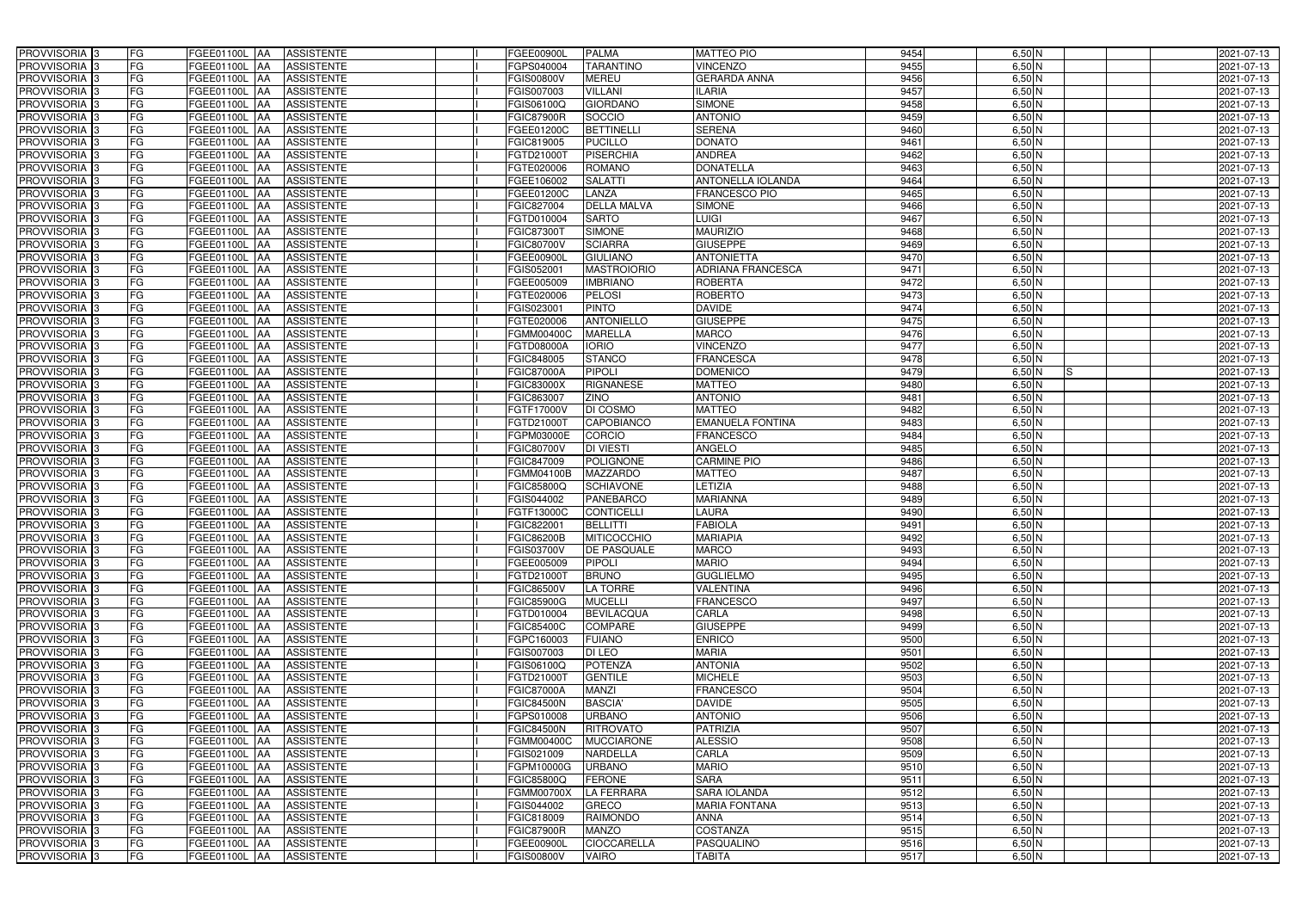| PROVVISORIA <sup>3</sup><br>FG   | FGEE01100L AA<br><b>ASSISTENTE</b>            | FGEE00900L<br><b>PALMA</b>                   | <b>MATTEO PIO</b>        | 9454 | $6,50$ N | 2021-07-13 |
|----------------------------------|-----------------------------------------------|----------------------------------------------|--------------------------|------|----------|------------|
| FG<br>PROVVISORIA <sup>3</sup>   | <b>ASSISTENTE</b><br>FGEE01100L<br>IAA        | <b>TARANTINO</b><br>FGPS040004               | <b>VINCENZO</b>          | 9455 | $6,50$ N | 2021-07-13 |
| FG<br>PROVVISORIA <sup>3</sup>   | FGEE01100L<br><b>ASSISTENTE</b><br>IAA        | FGIS00800V<br><b>MEREU</b>                   | <b>GERARDA ANNA</b>      | 9456 | $6,50$ N | 2021-07-13 |
| FG<br>PROVVISORIA <sup>3</sup>   | FGEE01100L<br><b>ASSISTENTE</b><br>IAA        | <b>VILLANI</b><br>FGIS007003                 | <b>ILARIA</b>            | 9457 | $6,50$ N | 2021-07-13 |
| FG<br>PROVVISORIA <sup>3</sup>   | FGEE01100L<br><b>ASSISTENTE</b><br>IAA        | <b>GIORDANO</b><br>FGIS06100Q                | <b>SIMONE</b>            | 9458 | $6,50$ N | 2021-07-13 |
| FG<br>PROVVISORIA <sup>3</sup>   | <b>FGEE01100L AA</b><br><b>ASSISTENTE</b>     | SOCCIO<br><b>FGIC87900R</b>                  | <b>ANTONIO</b>           | 9459 | $6,50$ N | 2021-07-13 |
| FG<br>PROVVISORIA <sup>1</sup> 3 | FGEE01100L AA<br><b>ASSISTENTE</b>            | <b>BETTINELL</b><br>FGEE01200C               | <b>SERENA</b>            | 9460 | $6,50$ N | 2021-07-13 |
| FG<br>PROVVISORIA <sup>3</sup>   | <b>ASSISTENTE</b><br>FGEE01100L AA            | <b>PUCILLO</b><br>FGIC819005                 | <b>DONATO</b>            | 9461 | $6,50$ N | 2021-07-13 |
| PROVVISORIA 3<br>FG              | FGEE01100L AA<br><b>ASSISTENTE</b>            | <b>PISERCHIA</b><br>FGTD21000T               | <b>ANDREA</b>            | 9462 | $6,50$ N | 2021-07-13 |
| PROVVISORIA <sup>3</sup><br>FG   | <b>FGEE01100L AA</b><br><b>ASSISTENTE</b>     | <b>ROMANO</b><br>FGTE020006                  | <b>DONATELLA</b>         | 9463 | 6,50 N   | 2021-07-13 |
| PROVVISORIA 3<br>FG              | FGEE01100L AA<br><b>ASSISTENTE</b>            | <b>SALATTI</b><br>FGEE106002                 | <b>ANTONELLA IOLANDA</b> | 9464 | $6,50$ N | 2021-07-13 |
| PROVVISORIA 3<br>FG              | FGEE01100L AA<br><b>ASSISTENTE</b>            | FGEE01200C<br><b>LANZA</b>                   | <b>FRANCESCO PIO</b>     | 9465 | $6,50$ N | 2021-07-13 |
| FG<br>PROVVISORIA <sup>3</sup>   | FGEE01100L AA<br><b>ASSISTENTE</b>            | FGIC827004<br><b>DELLA MALVA</b>             | <b>SIMONE</b>            | 9466 | $6,50$ N | 2021-07-13 |
| PROVVISORIA 3<br>FG              | FGEE01100L AA<br><b>ASSISTENTE</b>            | <b>SARTO</b><br>FGTD010004                   | <b>LUIGI</b>             | 9467 | $6,50$ N | 2021-07-13 |
| FG<br>PROVVISORIA 3              | FGEE01100L AA<br><b>ASSISTENTE</b>            | <b>SIMONE</b><br>FGIC873007                  | <b>MAURIZIO</b>          | 9468 | $6,50$ N | 2021-07-13 |
| FG<br>PROVVISORIA 3              | FGEE01100L<br><b>ASSISTENTE</b><br>IAA        | <b>SCIARRA</b><br>FGIC80700V                 | <b>GIUSEPPE</b>          | 9469 | $6,50$ N | 2021-07-13 |
| PROVVISORIA 3<br>FG              | FGEE01100L<br><b>ASSISTENTE</b><br>IAA        | <b>GIULIANO</b><br>FGEE00900L                | <b>ANTONIETTA</b>        | 9470 | $6,50$ N | 2021-07-13 |
| PROVVISORIA <sup>3</sup><br>FG   | FGEE01100L AA<br><b>ASSISTENTE</b>            | <b>MASTROIORIO</b><br>FGIS05200 <sup>-</sup> | <b>ADRIANA FRANCESCA</b> | 9471 | $6,50$ N | 2021-07-13 |
| PROVVISORIA 3<br>FG              | FGEE01100L<br><b>ASSISTENTE</b><br><b>JAA</b> | <b>IMBRIANO</b><br>FGEE005009                | <b>ROBERTA</b>           | 9472 | $6,50$ N | 2021-07-13 |
| PROVVISORIA 3<br>FG              | FGEE01100L<br>IAA<br><b>ASSISTENTE</b>        | FGTE020006<br><b>PELOSI</b>                  | <b>ROBERTO</b>           | 9473 | $6,50$ N | 2021-07-13 |
| FG<br>PROVVISORIA <sup>3</sup>   | FGEE01100L<br><b>ASSISTENTE</b><br>ΙAΑ        | FGIS02300 <sup>-</sup><br><b>PINTO</b>       | <b>DAVIDE</b>            | 9474 | $6,50$ N | 2021-07-13 |
| PROVVISORIA 3<br>FG              | <b>FGEE01100L</b><br><b>ASSISTENTE</b><br>IAA | <b>ANTONIELLO</b><br>FGTE020006              | <b>GIUSEPPE</b>          | 9475 | $6,50$ N | 2021-07-13 |
| PROVVISORIA 3<br>FG              | FGEE01100L<br><b>ASSISTENTE</b><br>IAA        | FGMM00400C<br><b>MARELLA</b>                 | <b>MARCO</b>             | 9476 | $6,50$ N | 2021-07-13 |
| PROVVISORIA 3<br>FG              | FGEE01100L AA<br><b>ASSISTENTE</b>            | <b>IORIO</b><br>FGTD08000A                   | <b>VINCENZO</b>          | 9477 | $6,50$ N | 2021-07-13 |
| PROVVISORIA <sup>3</sup><br>FG   | FGEE01100L<br><b>ASSISTENTE</b><br> AA        | <b>STANCO</b><br>FGIC848005                  | <b>FRANCESCA</b>         | 9478 | $6,50$ N | 2021-07-13 |
| PROVVISORIA 3<br>FG              | FGEE01100L<br><b>ASSISTENTE</b><br><b>JAA</b> | <b>PIPOLI</b><br>FGIC87000A                  | <b>DOMENICO</b>          | 9479 | $6,50$ N | 2021-07-13 |
| PROVVISORIA 3<br>FG              | FGEE01100L AA<br><b>ASSISTENTE</b>            | <b>RIGNANESE</b><br>FGIC83000X               | <b>MATTEO</b>            | 9480 | $6,50$ N | 2021-07-13 |
| FG<br>PROVVISORIA 3              | FGEE01100L<br><b>ASSISTENTE</b><br>IAA        | <b>ZINO</b><br>FGIC863007                    | <b>ANTONIO</b>           | 9481 | $6,50$ N | 2021-07-13 |
| FG<br>PROVVISORIA <sup>3</sup>   | FGEE01100L AA<br><b>ASSISTENTE</b>            | DI COSMO<br>FGTF17000V                       | <b>MATTEO</b>            | 9482 | $6,50$ N | 2021-07-13 |
| FG<br>PROVVISORIA <sup>3</sup>   | <b>FGEE01100L AA</b><br><b>ASSISTENTE</b>     | CAPOBIANCO<br>FGTD21000T                     | <b>EMANUELA FONTINA</b>  | 9483 | $6,50$ N | 2021-07-13 |
| FG<br>PROVVISORIA <sup>3</sup>   | <b>FGEE01100L AA</b><br><b>ASSISTENTE</b>     | <b>CORCIO</b><br>FGPM03000E                  | <b>FRANCESCO</b>         | 9484 | $6,50$ N | 2021-07-13 |
| PROVVISORIA <sup>3</sup><br>FG   | FGEE01100L AA<br><b>ASSISTENTE</b>            | <b>DI VIESTI</b><br>FGIC80700V               | ANGELO                   | 9485 | $6,50$ N | 2021-07-13 |
| FG<br>PROVVISORIA <sup>3</sup>   | <b>FGEE01100L AA</b><br><b>ASSISTENTE</b>     | <b>POLIGNONE</b><br>FGIC847009               | <b>CARMINE PIO</b>       | 9486 | $6,50$ N | 2021-07-13 |
| FG<br>PROVVISORIA <sup>3</sup>   | FGEE01100L AA<br><b>ASSISTENTE</b>            | <b>MAZZARDO</b><br>FGMM04100B                | <b>MATTEO</b>            | 9487 | $6,50$ N | 2021-07-13 |
| PROVVISORIA <sup>3</sup><br>FG   | <b>ASSISTENTE</b><br>FGEE01100L<br>IAA        | <b>SCHIAVONE</b><br>FGIC85800Q               | LETIZIA                  | 9488 | $6,50$ N | 2021-07-13 |
| PROVVISORIA <sup>3</sup><br>FG   | <b>FGEE01100L</b><br><b>ASSISTENTE</b><br>IAA | PANEBARCO<br>GIS044002                       | <b>MARIANNA</b>          | 9489 | $6,50$ N | 2021-07-13 |
| PROVVISORIA <sup>3</sup><br>FG   | FGEE01100L<br><b>ASSISTENTE</b><br>IAA        | FGTF13000C<br><b>CONTICELLI</b>              | <b>LAURA</b>             | 9490 | $6,50$ N | 2021-07-13 |
| PROVVISORIA <sup>3</sup><br>FG   | <b>ASSISTENTE</b><br>FGEE01100L AA            | FGIC822001<br><b>BELLITTI</b>                | <b>FABIOLA</b>           | 9491 | $6,50$ N | 2021-07-13 |
| PROVVISORIA 3<br>FG              | FGEE01100L AA<br><b>ASSISTENTE</b>            | <b>FGIC86200B</b><br>MITICOCCHIO             | <b>MARIAPIA</b>          | 9492 | $6,50$ N | 2021-07-13 |
| <b>PROVVISORIA</b> 3<br>FG       | FGEE01100L AA<br><b>ASSISTENTE</b>            | FGIS03700V<br><b>DE PASQUALE</b>             | <b>MARCO</b>             | 9493 | $6,50$ N | 2021-07-13 |
| PROVVISORIA <sup>3</sup><br>FG   | FGEE01100L AA<br>ASSISTENTE                   | FGEE005009<br><b>PIPOLI</b>                  | <b>MARIO</b>             | 9494 | $6,50$ N | 2021-07-13 |
| PROVVISORIA <sup>3</sup><br>FG   | <b>FGEE01100L AA</b><br>ASSISTENTE            | <b>BRUNO</b><br>FGTD21000T                   | <b>GUGLIELMO</b>         | 9495 | $6,50$ N | 2021-07-13 |
| PROVVISORIA <sup>3</sup><br>FG   | FGEE01100L AA<br>ASSISTENTE                   | FGIC86500V<br>LA TORRE                       | <b>VALENTINA</b>         | 9496 | $6,50$ N | 2021-07-13 |
| PROVVISORIA <sup>3</sup><br>FG   | FGEE01100L AA<br>ASSISTENTE                   | <b>MUCELLI</b><br><b>FGIC85900G</b>          | <b>FRANCESCO</b>         | 9497 | $6,50$ N | 2021-07-13 |
| PROVVISORIA 3<br>FG              | FGEE01100L AA<br><b>ASSISTENTE</b>            | FGTD010004<br><b>BEVILACQUA</b>              | CARLA                    | 9498 | $6,50$ N | 2021-07-13 |
| PROVVISORIA <sup>3</sup><br>FG   | FGEE01100L AA<br><b>ASSISTENTE</b>            | FGIC85400C<br><b>COMPARE</b>                 | <b>GIUSEPPE</b>          | 9499 | $6,50$ N | 2021-07-13 |
| PROVVISORIA <sup>3</sup><br>FG   | FGEE01100L AA<br>ASSISTENTE                   | FGPC160003<br><b>FUIANO</b>                  | <b>ENRICO</b>            | 9500 | $6,50$ N | 2021-07-13 |
| PROVVISORIA <sup>3</sup><br>FG   | FGEE01100L AA<br>ASSISTENTE                   | DI LEO<br>FGIS007003                         | <b>MARIA</b>             | 9501 | $6,50$ N | 2021-07-13 |
| PROVVISORIA <sup>3</sup><br>FG   | FGEE01100L AA<br>ASSISTENTE                   | FGIS06100Q<br><b>POTENZA</b>                 | <b>ANTONIA</b>           | 9502 | $6,50$ N | 2021-07-13 |
| PROVVISORIA <sup>3</sup><br>FG   | FGEE01100L AA<br>ASSISTENTE                   | FGTD21000T<br><b>GENTILE</b>                 | <b>MICHELE</b>           | 9503 | $6,50$ N | 2021-07-13 |
| PROVVISORIA <sup>3</sup><br>FG   | FGEE01100L AA<br><b>ASSISTENTE</b>            | FGIC87000A<br><b>MANZI</b>                   | FRANCESCO                | 9504 | $6,50$ N | 2021-07-13 |
| PROVVISORIA <sup>3</sup><br>FG   | FGEE01100L AA<br>ASSISTENTE                   | <b>BASCIA</b><br><b>FGIC84500N</b>           | <b>DAVIDE</b>            | 9505 | $6,50$ N | 2021-07-13 |
| PROVVISORIA <sup>3</sup><br>FG   | FGEE01100L AA<br>ASSISTENTE                   | <b>URBANO</b><br>FGPS010008                  | <b>ANTONIO</b>           | 9506 | $6,50$ N | 2021-07-13 |
| PROVVISORIA <sup>3</sup><br>FG   | FGEE01100L AA<br><b>ASSISTENTE</b>            | <b>FGIC84500N</b><br><b>RITROVATO</b>        | <b>PATRIZIA</b>          | 9507 | $6,50$ N | 2021-07-13 |
| FG<br><b>PROVVISORIA</b> 3       | FGEE01100L AA<br><b>ASSISTENTE</b>            | <b>MUCCIARONE</b><br>FGMM00400C              | <b>ALESSIO</b>           | 9508 | $6,50$ N | 2021-07-13 |
| FG<br>PROVVISORIA <sup>1</sup> 3 | FGEE01100L AA<br><b>ASSISTENTE</b>            | NARDELLA<br>FGIS021009                       | CARLA                    | 9509 | 6,50 N   | 2021-07-13 |
| FG<br>PROVVISORIA <sup>3</sup>   | FGEE01100L AA<br><b>ASSISTENTE</b>            | <b>URBANO</b><br>FGPM10000G                  | <b>MARIO</b>             | 9510 | $6,50$ N | 2021-07-13 |
| PROVVISORIA <sup>1</sup> 3<br>FG | FGEE01100L AA<br>ASSISTENTE                   | <b>FERONE</b><br>FGIC85800Q                  | <b>SARA</b>              | 9511 | 6,50 N   | 2021-07-13 |
| PROVVISORIA <sup>3</sup><br>FG   | <b>ASSISTENTE</b><br>FGEE01100L AA            | <b>LA FERRARA</b><br>FGMM00700X              | <b>SARA IOLANDA</b>      | 9512 | 6,50 N   | 2021-07-13 |
| FG<br>PROVVISORIA <sup>1</sup> 3 | <b>ASSISTENTE</b><br>FGEE01100L AA            | GRECO<br>FGIS044002                          | <b>MARIA FONTANA</b>     | 9513 | $6,50$ N | 2021-07-13 |
| PROVVISORIA <sup>3</sup><br>FG   | FGEE01100L AA<br><b>ASSISTENTE</b>            | <b>RAIMONDO</b><br>FGIC818009                | ANNA                     | 9514 | $6,50$ N | 2021-07-13 |
| PROVVISORIA <sup>3</sup><br>FG   | FGEE01100L AA<br><b>ASSISTENTE</b>            | <b>MANZO</b><br><b>FGIC87900R</b>            | <b>COSTANZA</b>          | 9515 | $6,50$ N | 2021-07-13 |
| PROVVISORIA <sup>3</sup><br>FG   | FGEE01100L AA<br><b>ASSISTENTE</b>            | <b>CIOCCARELLA</b><br>FGEE00900L             | <b>PASQUALINO</b>        | 9516 | $6,50$ N | 2021-07-13 |
| PROVVISORIA 3<br>FG              | FGEE01100L AA<br>ASSISTENTE                   | <b>FGIS00800V</b><br><b>VAIRO</b>            | <b>TABITA</b>            | 9517 | $6,50$ N | 2021-07-13 |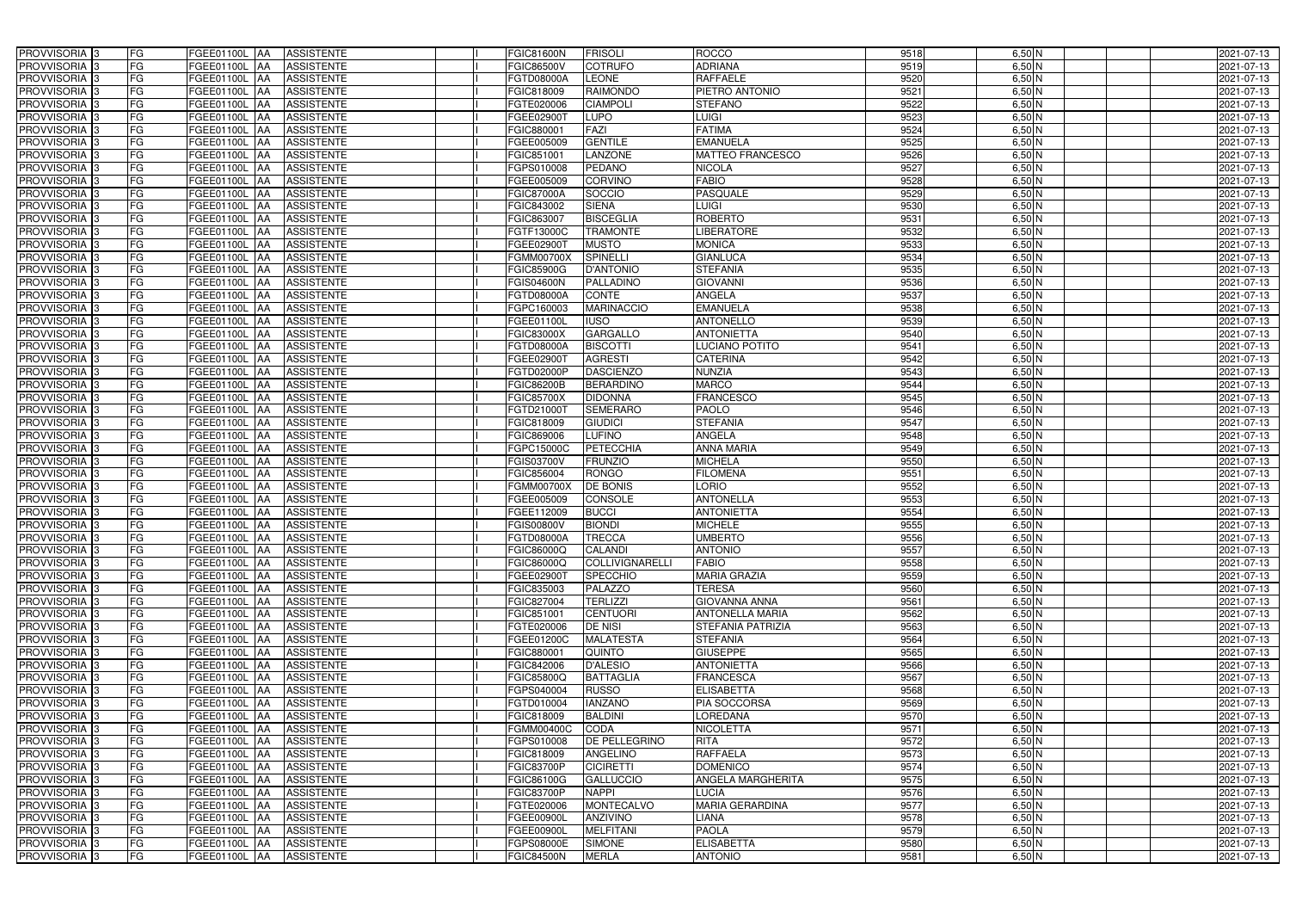| PROVVISORIA <sup>3</sup>                             | FG<br>FGEE01100L AA        | <b>ASSISTENTE</b>               | <b>FGIC81600N</b> | <b>FRISOLI</b>       | <b>ROCCO</b>                      | 9518 | $6,50$ N | 2021-07-13 |
|------------------------------------------------------|----------------------------|---------------------------------|-------------------|----------------------|-----------------------------------|------|----------|------------|
| PROVVISORIA <sup>3</sup>                             | FG<br>FGEE01100L           | <b>ASSISTENTE</b><br>IAA        | FGIC86500V        | <b>COTRUFO</b>       | <b>ADRIANA</b>                    | 9519 | $6,50$ N | 2021-07-13 |
| PROVVISORIA <sup>3</sup>                             | FG<br>FGEE01100L           | <b>ASSISTENTE</b><br>IAA        | FGTD08000A        | <b>LEONE</b>         | <b>RAFFAELE</b>                   | 9520 | $6,50$ N | 2021-07-13 |
| PROVVISORIA 3                                        | FG<br>FGEE01100L           | <b>ASSISTENTE</b><br>IAA        | FGIC818009        | <b>RAIMONDO</b>      | PIETRO ANTONIO                    | 9521 | $6,50$ N | 2021-07-13 |
| PROVVISORIA <sup>3</sup>                             | FG<br>FGEE01100L           | <b>ASSISTENTE</b><br>IAA        | FGTE020006        | <b>CIAMPOLI</b>      | STEFANO                           | 9522 | $6,50$ N | 2021-07-13 |
| PROVVISORIA 3                                        | FG<br><b>FGEE01100L AA</b> | <b>ASSISTENTE</b>               | FGEE02900T        | <b>LUPO</b>          | LUIGI                             | 9523 | $6,50$ N | 2021-07-13 |
| PROVVISORIA <sup>1</sup> 3                           | FG<br>FGEE01100L AA        | <b>ASSISTENTE</b>               | FGIC880001        | <b>FAZI</b>          | <b>FATIMA</b>                     | 9524 | $6,50$ N | 2021-07-13 |
| PROVVISORIA <sup>1</sup> 3                           | FG<br>FGEE01100L AA        | <b>ASSISTENTE</b>               | FGEE005009        | <b>GENTILE</b>       | <b>EMANUELA</b>                   | 9525 | $6,50$ N | 2021-07-13 |
| PROVVISORIA 3                                        | FG<br>FGEE01100L AA        | <b>ASSISTENTE</b>               | FGIC851001        | <b>LANZONE</b>       | <b>MATTEO FRANCESCO</b>           | 9526 | $6,50$ N | 2021-07-13 |
| PROVVISORIA <sup>3</sup>                             | FG<br>FGEE01100L AA        | <b>ASSISTENTE</b>               | FGPS010008        | <b>PEDANO</b>        | <b>NICOLA</b>                     | 9527 | 6,50 N   | 2021-07-13 |
| PROVVISORIA 3                                        | FG<br>FGEE01100L AA        | <b>ASSISTENTE</b>               | FGEE005009        | <b>CORVINO</b>       | <b>FABIO</b>                      | 9528 | $6,50$ N | 2021-07-13 |
| PROVVISORIA 3                                        | FG<br>FGEE01100L AA        | <b>ASSISTENTE</b>               | <b>FGIC87000A</b> | SOCCIO               | <b>PASQUALE</b>                   | 9529 | $6,50$ N | 2021-07-13 |
| PROVVISORIA <sup>3</sup>                             | FG<br>FGEE01100L AA        | <b>ASSISTENTE</b>               | FGIC843002        | <b>SIENA</b>         | <b>LUIGI</b>                      | 9530 | $6,50$ N | 2021-07-13 |
| PROVVISORIA 3                                        | FG<br>FGEE01100L AA        | <b>ASSISTENTE</b>               | FGIC863007        | <b>BISCEGLIA</b>     | <b>ROBERTO</b>                    | 9531 | $6,50$ N | 2021-07-13 |
| PROVVISORIA 3                                        | FG<br>FGEE01100L AA        | <b>ASSISTENTE</b>               | FGTF13000C        | <b>TRAMONTE</b>      | <b>LIBERATORE</b>                 | 9532 | $6,50$ N | 2021-07-13 |
| PROVVISORIA 3                                        | FG<br><b>FGEE01100L</b>    | <b>ASSISTENTE</b><br>IAA        | FGEE02900T        | <b>MUSTO</b>         | <b>MONICA</b>                     | 9533 | $6,50$ N | 2021-07-13 |
| PROVVISORIA 3                                        | FG<br>FGEE01100L           | <b>ASSISTENTE</b><br>IAA        | FGMM00700X        | <b>SPINELLI</b>      | <b>GIANLUCA</b>                   | 9534 | $6,50$ N | 2021-07-13 |
| PROVVISORIA <sup>3</sup>                             | FG<br>FGEE01100L AA        | <b>ASSISTENTE</b>               | <b>FGIC85900G</b> | <b>D'ANTONIO</b>     | <b>STEFANIA</b>                   | 9535 | $6,50$ N | 2021-07-13 |
| PROVVISORIA 3                                        | FG<br>FGEE01100L           | <b>ASSISTENTE</b><br><b>JAA</b> | FGIS04600N        | <b>PALLADINO</b>     | <b>GIOVANNI</b>                   | 9536 | $6,50$ N | 2021-07-13 |
| PROVVISORIA 3                                        | FG<br>FGEE01100L           | <b>JAA</b><br><b>ASSISTENTE</b> | FGTD08000A        | <b>CONTE</b>         | <b>ANGELA</b>                     | 9537 | $6,50$ N | 2021-07-13 |
| PROVVISORIA <sup>3</sup>                             | FG<br>FGEE01100L           | <b>ASSISTENTE</b><br>ΙAΑ        | FGPC160003        | <b>MARINACCIO</b>    | <b>EMANUELA</b>                   | 9538 | $6,50$ N | 2021-07-13 |
| PROVVISORIA 3                                        | FG<br><b>FGEE01100L</b>    | <b>ASSISTENTE</b><br>IAA        | FGEE01100L        | <b>IUSO</b>          | <b>ANTONELLO</b>                  | 9539 | $6,50$ N | 2021-07-13 |
| PROVVISORIA 3                                        | FG<br>FGEE01100L           | <b>ASSISTENTE</b><br>IAA        | FGIC83000X        | <b>GARGALLO</b>      | <b>ANTONIETTA</b>                 | 9540 | $6,50$ N | 2021-07-13 |
| PROVVISORIA 3                                        | FG<br>FGEE01100L AA        | <b>ASSISTENTE</b>               | FGTD08000A        | <b>BISCOTTI</b>      | <b>LUCIANO POTITO</b>             | 9541 | $6,50$ N | 2021-07-13 |
| PROVVISORIA <sup>3</sup>                             | FG<br>FGEE01100L           | <b>ASSISTENTE</b><br> AA        | FGEE02900T        | <b>AGRESTI</b>       | <b>CATERINA</b>                   | 9542 | $6,50$ N | 2021-07-13 |
| PROVVISORIA 3                                        | FG<br>FGEE01100L           | <b>ASSISTENTE</b><br><b>JAA</b> | FGTD02000P        | <b>DASCIENZO</b>     | <b>NUNZIA</b>                     | 9543 | $6,50$ N | 2021-07-13 |
| PROVVISORIA 3                                        | FG<br>FGEE01100L AA        | <b>ASSISTENTE</b>               | <b>FGIC86200B</b> | <b>BERARDINO</b>     | <b>MARCO</b>                      | 9544 | $6,50$ N | 2021-07-13 |
| PROVVISORIA 3                                        | FG<br>FGEE01100L           | <b>ASSISTENTE</b><br>IAA        | <b>FGIC85700X</b> | <b>DIDONNA</b>       | <b>FRANCESCO</b>                  | 9545 | $6,50$ N | 2021-07-13 |
| PROVVISORIA <sup>3</sup>                             | FG<br>FGEE01100L AA        | <b>ASSISTENTE</b>               | FGTD21000T        | <b>SEMERARO</b>      | PAOLO                             | 9546 | $6,50$ N | 2021-07-13 |
| PROVVISORIA <sup>3</sup>                             | FG<br><b>FGEE01100L AA</b> | <b>ASSISTENTE</b>               | FGIC818009        | <b>GIUDICI</b>       | <b>STEFANIA</b>                   | 9547 | $6,50$ N | 2021-07-13 |
| PROVVISORIA <sup>3</sup>                             | FG<br><b>FGEE01100L AA</b> | <b>ASSISTENTE</b>               | FGIC869006        | <b>LUFINO</b>        | ANGELA                            | 9548 | $6,50$ N | 2021-07-13 |
| PROVVISORIA <sup>3</sup>                             | FG<br>FGEE01100L AA        | <b>ASSISTENTE</b>               | FGPC15000C        | <b>PETECCHIA</b>     | <b>ANNA MARIA</b>                 | 9549 | $6,50$ N | 2021-07-13 |
| PROVVISORIA <sup>3</sup>                             | FG<br><b>FGEE01100L AA</b> | <b>ASSISTENTE</b>               | FGIS03700V        | <b>FRUNZIO</b>       | <b>MICHELA</b>                    | 9550 | $6,50$ N | 2021-07-13 |
| PROVVISORIA <sup>3</sup>                             | FG<br>FGEE01100L AA        | <b>ASSISTENTE</b>               | FGIC856004        | <b>RONGO</b>         | <b>FILOMENA</b>                   | 9551 | $6,50$ N | 2021-07-13 |
| PROVVISORIA <sup>3</sup>                             | FG<br>FGEE01100L           | <b>ASSISTENTE</b><br>IAA        | FGMM00700X        | <b>DE BONIS</b>      | <b>LORIO</b>                      | 9552 | $6,50$ N | 2021-07-13 |
| PROVVISORIA <sup>3</sup>                             | FG<br><b>FGEE01100L</b>    | <b>ASSISTENTE</b><br>IAA        | FGEE005009        | <b>CONSOLE</b>       | <b>ANTONELLA</b>                  | 9553 | $6,50$ N | 2021-07-13 |
| PROVVISORIA <sup>3</sup>                             | FG<br>FGEE01100L           | <b>ASSISTENTE</b><br>IAA        | FGEE112009        | <b>BUCCI</b>         | <b>ANTONIETTA</b>                 | 9554 | $6,50$ N | 2021-07-13 |
| PROVVISORIA <sup>3</sup>                             | FG<br>FGEE01100L AA        | <b>ASSISTENTE</b>               | FGIS00800V        | <b>BIONDI</b>        | <b>MICHELE</b>                    | 9555 | $6,50$ N | 2021-07-13 |
| PROVVISORIA 3                                        | FG<br>FGEE01100L AA        | <b>ASSISTENTE</b>               | FGTD08000A        | <b>TRECCA</b>        | <b>UMBERTO</b>                    | 9556 | $6,50$ N | 2021-07-13 |
| PROVVISORIA <sup>3</sup>                             | FG<br>FGEE01100L AA        | ASSISTENTE                      | FGIC86000Q        | <b>CALANDI</b>       | <b>ANTONIO</b>                    | 9557 | $6,50$ N | 2021-07-13 |
| PROVVISORIA <sup>3</sup>                             | FG<br>FGEE01100L AA        | ASSISTENTE                      | FGIC86000Q        | COLLIVIGNARELLI      | <b>FABIO</b>                      | 9558 | $6,50$ N | 2021-07-13 |
| PROVVISORIA <sup>3</sup>                             | FG<br><b>FGEE01100L AA</b> | <b>ASSISTENTE</b>               | FGEE02900T        | <b>SPECCHIO</b>      | <b>MARIA GRAZIA</b>               | 9559 | $6,50$ N | 2021-07-13 |
| PROVVISORIA <sup>3</sup>                             | FG<br>FGEE01100L AA        | <b>ASSISTENTE</b>               | FGIC835003        | <b>PALAZZO</b>       | <b>TERESA</b>                     | 9560 | $6,50$ N | 2021-07-13 |
| PROVVISORIA <sup>3</sup>                             | FG<br>FGEE01100L AA        | ASSISTENTE                      | FGIC827004        | <b>TERLIZZI</b>      | <b>GIOVANNA ANNA</b>              | 9561 | $6,50$ N | 2021-07-13 |
| PROVVISORIA 3                                        | FG<br>FGEE01100L AA        | <b>ASSISTENTE</b>               | FGIC851001        | <b>CENTUORI</b>      | <b>ANTONELLA MARIA</b>            | 9562 | 6,50 N   | 2021-07-13 |
| PROVVISORIA <sup>3</sup>                             | FG<br>FGEE01100L AA        | <b>ASSISTENTE</b>               | FGTE020006        | <b>DE NISI</b>       | <b>STEFANIA PATRIZIA</b>          | 9563 | $6,50$ N | 2021-07-13 |
| PROVVISORIA <sup>3</sup>                             | FG<br>FGEE01100L AA        | ASSISTENTE                      | FGEE01200C        | <b>MALATESTA</b>     | <b>STEFANIA</b>                   | 9564 | $6,50$ N | 2021-07-13 |
| PROVVISORIA <sup>3</sup>                             | FG<br>FGEE01100L AA        | ASSISTENTE                      | FGIC880001        | <b>QUINTO</b>        | <b>GIUSEPPE</b>                   | 9565 | $6,50$ N | 2021-07-13 |
| PROVVISORIA <sup>3</sup>                             | FG<br>FGEE01100L AA        | ASSISTENTE                      | FGIC842006        | <b>D'ALESIO</b>      | <b>ANTONIETTA</b>                 | 9566 | $6,50$ N | 2021-07-13 |
| PROVVISORIA <sup>3</sup>                             | FG<br>FGEE01100L AA        | ASSISTENTE                      | FGIC85800Q        | <b>BATTAGLIA</b>     | <b>FRANCESCA</b>                  | 9567 | $6,50$ N | 2021-07-13 |
| PROVVISORIA <sup>3</sup>                             | FG<br>FGEE01100L AA        | <b>ASSISTENTE</b>               | FGPS040004        | <b>RUSSO</b>         | <b>ELISABETTA</b>                 | 9568 | $6,50$ N | 2021-07-13 |
| PROVVISORIA <sup>3</sup>                             | FG<br>FGEE01100L AA        | <b>ASSISTENTE</b>               | FGTD010004        | <b>IANZANO</b>       | PIA SOCCORSA                      | 9569 | $6,50$ N | 2021-07-13 |
| PROVVISORIA <sup>3</sup>                             | FG<br>FGEE01100L AA        | <b>ASSISTENTE</b>               | FGIC818009        | <b>BALDINI</b>       | <b>LOREDANA</b>                   | 9570 | $6,50$ N | 2021-07-13 |
| PROVVISORIA <sup>3</sup>                             | FG<br>FGEE01100L AA        | <b>ASSISTENTE</b>               | FGMM00400C        | <b>CODA</b>          | <b>NICOLETTA</b>                  | 9571 | $6,50$ N | 2021-07-13 |
| PROVVISORIA <sup>13</sup>                            | FG<br>FGEE01100L AA        | <b>ASSISTENTE</b>               | FGPS010008        | <b>DE PELLEGRINO</b> | <b>RITA</b>                       | 9572 | $6,50$ N | 2021-07-13 |
| PROVVISORIA <sup>1</sup> 3                           | FG<br>FGEE01100L AA        | <b>ASSISTENTE</b>               | FGIC818009        | <b>ANGELINO</b>      | <b>RAFFAELA</b>                   | 9573 | 6,50 N   | 2021-07-13 |
| PROVVISORIA <sup>3</sup>                             | FG<br>FGEE01100L AA        | <b>ASSISTENTE</b>               | <b>FGIC83700P</b> | <b>CICIRETTI</b>     | <b>DOMENICO</b>                   | 9574 | $6,50$ N | 2021-07-13 |
| <b>PROVVISORIA</b> 3                                 | FG<br>FGEE01100L AA        | <b>ASSISTENTE</b>               | FGIC86100G        | <b>GALLUCCIO</b>     | ANGELA MARGHERITA                 | 9575 | 6,50 N   | 2021-07-13 |
| PROVVISORIA <sup>3</sup>                             | FG<br>FGEE01100L AA        | <b>ASSISTENTE</b>               | <b>FGIC83700P</b> | <b>NAPPI</b>         | <b>LUCIA</b>                      | 9576 | 6,50 N   | 2021-07-13 |
| PROVVISORIA <sup>1</sup> 3                           | FG<br>FGEE01100L AA        | <b>ASSISTENTE</b>               | FGTE020006        | <b>MONTECALVO</b>    | <b>MARIA GERARDINA</b>            | 9577 | $6,50$ N | 2021-07-13 |
| PROVVISORIA <sup>3</sup>                             | FG<br>FGEE01100L AA        | <b>ASSISTENTE</b>               | FGEE00900L        | <b>ANZIVINO</b>      | LIANA                             | 9578 | $6,50$ N | 2021-07-13 |
| PROVVISORIA <sup>3</sup>                             | FG<br>FGEE01100L AA        | <b>ASSISTENTE</b>               | FGEE00900L        | <b>MELFITANI</b>     | <b>PAOLA</b><br><b>ELISABETTA</b> | 9579 | $6,50$ N | 2021-07-13 |
| PROVVISORIA <sup>3</sup><br>PROVVISORIA <sup>3</sup> | FG<br>FGEE01100L AA<br>FG  | ASSISTENTE<br>ASSISTENTE        | FGPS08000E        | <b>SIMONE</b>        | <b>ANTONIO</b>                    | 9580 | $6,50$ N | 2021-07-13 |
|                                                      | FGEE01100L AA              |                                 | <b>FGIC84500N</b> | <b>MERLA</b>         |                                   | 9581 | $6,50$ N | 2021-07-13 |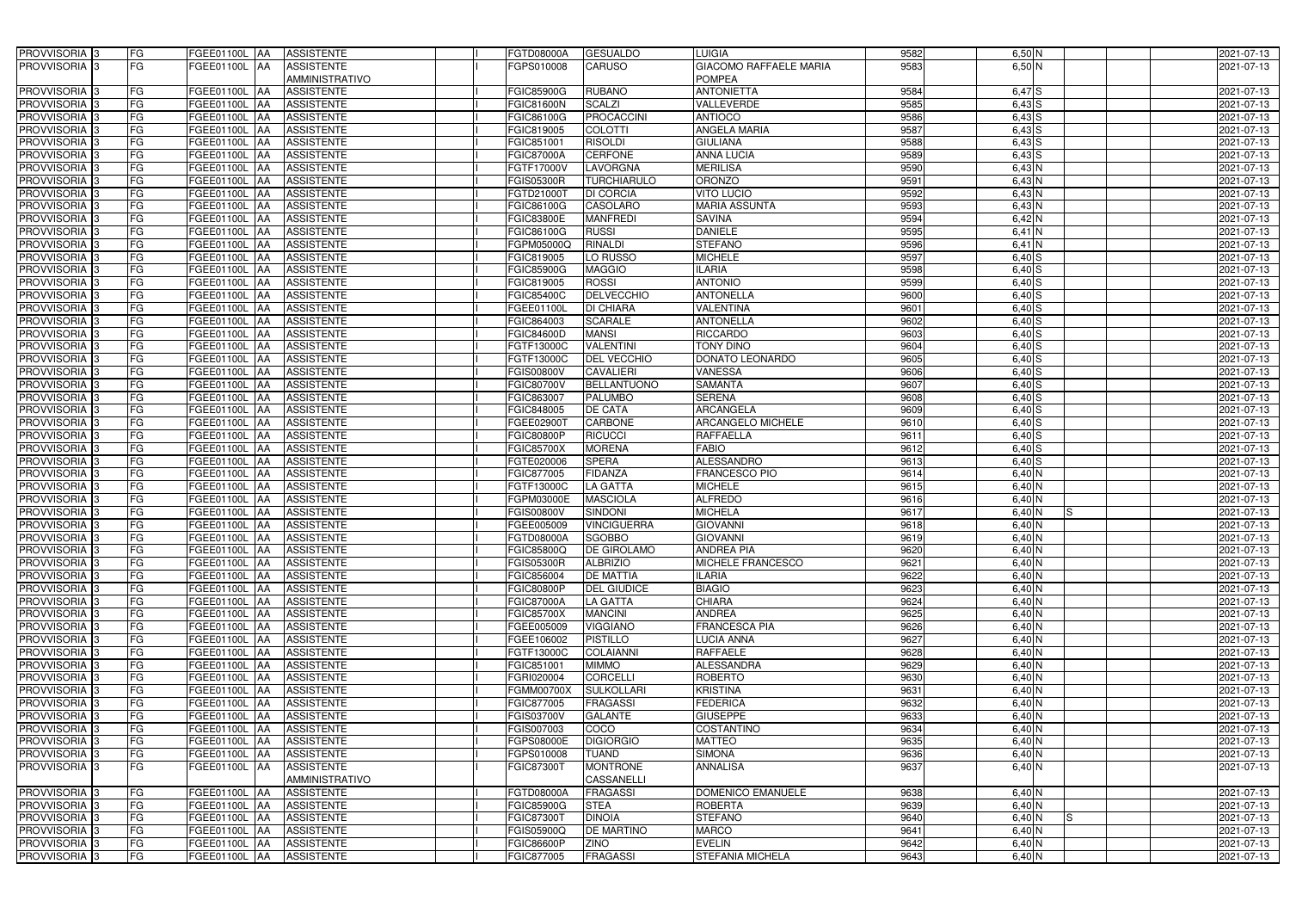| PROVVISORIA <sup>3</sup>                             | FG        | FGEE01100L AA                   | <b>ASSISTENTE</b>                      | <b>FGTD08000A</b>        | <b>GESUALDO</b>                     | <b>LUIGIA</b>                             | 9582         | $6,50$ N                 | 2021-07-13               |
|------------------------------------------------------|-----------|---------------------------------|----------------------------------------|--------------------------|-------------------------------------|-------------------------------------------|--------------|--------------------------|--------------------------|
| PROVVISORIA <sup>3</sup>                             | FG        | FGEE01100L AA                   | <b>ASSISTENTE</b>                      | FGPS010008               | CARUSO                              | <b>GIACOMO RAFFAELE MARIA</b>             | 9583         | 6,50 N                   | 2021-07-13               |
|                                                      |           |                                 | <b>AMMINISTRATIVO</b>                  |                          |                                     | <b>POMPEA</b>                             |              |                          |                          |
| PROVVISORIA <sup>3</sup>                             | FG        | FGEE01100L AA                   | <b>ASSISTENTE</b>                      | <b>FGIC85900G</b>        | <b>RUBANO</b>                       | <b>ANTONIETTA</b>                         | 9584         | $6,47$ $S$               | 2021-07-13               |
| PROVVISORIA 3                                        | FG        | FGEE01100L AA                   | <b>ASSISTENTE</b>                      | <b>FGIC81600N</b>        | SCALZI                              | VALLEVERDE                                | 9585         | $6,43$ S                 | 2021-07-13               |
| PROVVISORIA <sup>1</sup> 3                           | FG        | FGEE01100L AA                   | <b>ASSISTENTE</b>                      | FGIC86100G               | PROCACCINI                          | <b>ANTIOCO</b>                            | 9586         | $6,43$ S                 | 2021-07-13               |
| PROVVISORIA 3                                        | FG        | FGEE01100L AA                   | <b>ASSISTENTE</b>                      | FGIC819005               | <b>COLOTTI</b>                      | <b>ANGELA MARIA</b>                       | 9587         | $6,43$ S                 | 2021-07-13               |
| PROVVISORIA <sup>3</sup>                             | FG        | FGEE01100L AA                   | <b>ASSISTENTE</b>                      | FGIC851001               | <b>RISOLDI</b>                      | <b>GIULIANA</b>                           | 9588         | $6,43$ S                 | 2021-07-13               |
| PROVVISORIA <sup>3</sup>                             | FG        | <b>FGEE01100L AA</b>            | <b>ASSISTENTE</b>                      | <b>FGIC87000A</b>        | <b>CERFONE</b>                      | <b>ANNA LUCIA</b>                         | 9589         | $6,43$ S                 | 2021-07-13               |
| PROVVISORIA <sup>3</sup>                             | FG        | FGEE01100L AA                   | <b>ASSISTENTE</b>                      | FGTF17000V               | LAVORGNA                            | <b>MERILISA</b>                           | 9590         | 6,43 N                   | 2021-07-13               |
| PROVVISORIA <sup>3</sup>                             | FG        | FGEE01100L<br>IAA               | <b>ASSISTENTE</b>                      | <b>FGIS05300R</b>        | <b>TURCHIARULO</b>                  | <b>ORONZO</b>                             | 9591         | 6,43 N                   | 2021-07-13               |
| PROVVISORIA <sup>3</sup>                             | FG        | FGEE01100L<br><b>IAA</b>        | <b>ASSISTENTE</b>                      | FGTD21000T               | <b>DI CORCIA</b>                    | <b>VITO LUCIO</b>                         | 9592         | 6,43 N                   | 2021-07-13               |
| PROVVISORIA <sup>3</sup>                             | FG        | FGEE01100L<br>IAA               | <b>ASSISTENTE</b>                      | FGIC86100G               | <b>CASOLARO</b>                     | <b>MARIA ASSUNTA</b>                      | 9593         | 6,43 N                   | 2021-07-13               |
| PROVVISORIA 3                                        | FG        | FGEE01100L AA                   | <b>ASSISTENTE</b>                      | FGIC83800E               | <b>MANFREDI</b>                     | <b>SAVINA</b>                             | 9594         | $6,42$ N                 | 2021-07-13               |
| PROVVISORIA 3                                        | FG        | FGEE01100L AA                   | <b>ASSISTENTE</b>                      | FGIC86100G               | <b>RUSSI</b>                        | <b>DANIELE</b>                            | 9595         | $6,41$ N                 | 2021-07-13               |
| PROVVISORIA 3                                        | FG        | FGEE01100L AA                   | <b>ASSISTENTE</b>                      | FGPM05000Q               | <b>RINALDI</b>                      | <b>STEFANC</b>                            | 9596         | $6,41$ N                 | 2021-07-13               |
| PROVVISORIA 3                                        | FG        | FGEE01100L<br>IAA               | <b>ASSISTENTE</b>                      | FGIC819005               | LO RUSSO                            | <b>MICHELE</b>                            | 9597         | $6,40$ S                 | 2021-07-13               |
| PROVVISORIA 3                                        | FG        | FGEE01100L<br>IAA               | <b>ASSISTENTE</b>                      | <b>FGIC85900G</b>        | <b>MAGGIO</b>                       | <b>ILARIA</b>                             | 9598         | $6,40$ S                 | 2021-07-13               |
| PROVVISORIA 3                                        | FG        | <b>FGEE01100L AA</b>            | <b>ASSISTENTE</b>                      | FGIC819005               | <b>ROSSI</b>                        | <b>ANTONIO</b>                            | 9599         | $6,40$ S                 | 2021-07-13               |
| PROVVISORIA <sup>3</sup>                             | FG        | <b>FGEE01100L</b><br><b>JAA</b> | <b>ASSISTENTE</b>                      | FGIC85400C               | <b>DELVECCHIO</b>                   | <b>ANTONELLA</b>                          | 9600         | $6,40$ S                 | 2021-07-13               |
| PROVVISORIA <sup>3</sup>                             | FG        | FGEE01100L AA                   | <b>ASSISTENTE</b>                      | FGEE01100L               | <b>DI CHIARA</b>                    | <b>VALENTINA</b>                          | 9601         | $6,40$ S                 | 2021-07-13               |
| PROVVISORIA <sup>3</sup>                             | FG        | FGEE01100L AA                   | <b>ASSISTENTE</b>                      | FGIC864003               | <b>SCARALE</b>                      | <b>ANTONELLA</b>                          | 9602         | $6,40$ S                 | 2021-07-13               |
| PROVVISORIA 3                                        | FG        | FGEE01100L AA                   | <b>ASSISTENTE</b>                      | <b>FGIC84600D</b>        | <b>MANSI</b>                        | <b>RICCARDO</b>                           | 9603         | $6,40$ S                 | 2021-07-13               |
| PROVVISORIA 3                                        | FG        | FGEE01100L<br>IAA               | <b>ASSISTENTE</b>                      | FGTF13000C               | <b>VALENTINI</b>                    | <b>TONY DINO</b>                          | 9604         | $6,40$ S                 | 2021-07-13               |
| PROVVISORIA <sup>3</sup>                             | FG        | FGEE01100L<br>IAA               | <b>ASSISTENTE</b>                      | FGTF13000C               | DEL VECCHIO                         | DONATO LEONARDO                           | 9605         | $6,40$ S                 | 2021-07-13               |
| PROVVISORIA 3                                        | FG        | FGEE01100L<br><b>IAA</b>        | <b>ASSISTENTE</b>                      | FGIS00800V               | <b>CAVALIERI</b>                    | <b>VANESSA</b>                            | 9606         | $6,40$ S                 | 2021-07-13               |
| PROVVISORIA 3                                        | FG        | <b>FGEE01100L</b><br>IAA        | <b>ASSISTENTE</b>                      | FGIC80700V               | <b>BELLANTUONO</b>                  | <b>SAMANTA</b>                            | 9607         | $6,40$ S                 | 2021-07-13               |
| PROVVISORIA 3                                        | FG        | FGEE01100L AA                   | <b>ASSISTENTE</b>                      | FGIC863007               | PALUMBO                             | <b>SERENA</b>                             | 9608         | $6,40$ S                 | 2021-07-13               |
| PROVVISORIA <sup>3</sup>                             | FG        | <b>FGEE01100L</b><br>I۸⁄        | <b>ASSISTENTE</b>                      | FGIC848005               | <b>DE CATA</b>                      | <b>ARCANGELA</b>                          | 9609         | $6,40$ S                 | 2021-07-13               |
| PROVVISORIA 3                                        | FG        | <b>FGEE01100L</b>               | <b>ASSISTENTE</b>                      | FGEE029001               | <b>CARBONE</b>                      | <b>ARCANGELO MICHELE</b>                  | 9610         | 6,40S                    | 2021-07-13               |
| PROVVISORIA <sup>3</sup>                             | FG        | FGEE01100L<br>IAA               | <b>ASSISTENTE</b>                      | FGIC80800P               | <b>RICUCCI</b>                      | RAFFAELLA                                 | 9611         | $6,40$ S                 | 2021-07-13               |
| PROVVISORIA <sup>3</sup>                             | FG        | FGEE01100L                      | <b>ASSISTENTE</b>                      | <b>FGIC85700X</b>        | <b>MORENA</b>                       | <b>FABIO</b>                              | 9612         | $6,40$ S                 | 2021-07-13               |
| PROVVISORIA <sup>3</sup>                             | FG        | <b>FGEE01100L</b><br>IAA        | <b>ASSISTENTE</b>                      | FGTE020006               | <b>SPERA</b>                        | <b>ALESSANDRO</b>                         | 9613         | $6,40$ S                 | 2021-07-13               |
| PROVVISORIA <sup>3</sup>                             | FG        | <b>FGEE01100L AA</b>            | <b>ASSISTENTE</b>                      | FGIC877005               | <b>FIDANZA</b>                      | <b>FRANCESCO PIO</b>                      | 9614         | 6,40 N                   | 2021-07-13               |
| PROVVISORIA <sup>3</sup>                             | FG        | FGEE01100L<br>IAA               | <b>ASSISTENTE</b>                      | FGTF13000C               | <b>LA GATTA</b>                     | <b>MICHELE</b>                            | 9615         | 6,40 N                   | 2021-07-13               |
| PROVVISORIA <sup>3</sup>                             | FG        | FGEE01100L<br>IAA               | <b>ASSISTENTE</b>                      | FGPM03000E               | <b>MASCIOLA</b>                     | <b>ALFREDO</b>                            | 9616         | 6,40 N                   | 2021-07-13               |
| PROVVISORIA <sup>3</sup>                             | FG        | FGEE01100L<br>IAA               | <b>ASSISTENTE</b>                      | FGIS00800V               | <b>SINDONI</b>                      | <b>MICHELA</b>                            | 9617         | $6,40$ N<br>IS           | 2021-07-13               |
| PROVVISORIA <sup>1</sup> 3                           | FG        | FGEE01100L AA                   | <b>ASSISTENTE</b>                      | FGEE005009               | <b>VINCIGUERRA</b>                  | <b>GIOVANNI</b>                           | 9618         | 6,40 N                   | 2021-07-13               |
| PROVVISORIA <sup>3</sup>                             | FG        | FGEE01100L AA                   | <b>ASSISTENTE</b>                      | FGTD08000A               | <b>SGOBBO</b>                       | <b>GIOVANNI</b>                           | 9619         | $6,40$ N                 | 2021-07-13               |
| <b>PROVVISORIA</b> 3                                 | FG        | FGEE01100L AA                   | ASSISTENTE                             | FGIC85800Q               | <b>DE GIROLAMO</b>                  | <b>ANDREA PIA</b>                         | 9620         | 6,40 N                   | 2021-07-13               |
| PROVVISORIA <sup>3</sup>                             | FG        | FGEE01100L AA                   | <b>ASSISTENTE</b>                      | <b>FGIS05300R</b>        | <b>ALBRIZIO</b>                     | <b>MICHELE FRANCESCO</b>                  | 9621         | $6,40$ N                 | 2021-07-13               |
| <b>PROVVISORIA</b> 3                                 | FG        | FGEE01100L AA                   | <b>ASSISTENTE</b>                      | FGIC856004               | <b>DE MATTIA</b>                    | <b>ILARIA</b>                             | 9622         | $6,40$ N                 | 2021-07-13               |
| PROVVISORIA <sup>3</sup>                             | FG        | FGEE01100L AA                   | ASSISTENTE                             | <b>FGIC80800P</b>        | <b>DEL GIUDICE</b>                  | <b>BIAGIO</b>                             | 9623         | $6,40$ N                 | 2021-07-13               |
| PROVVISORIA <sup>3</sup>                             | FG        | FGEE01100L AA                   | ASSISTENTE                             | <b>FGIC87000A</b>        | <b>LA GATTA</b>                     | <b>CHIARA</b>                             | 9624         | $6,40$ N                 | 2021-07-13               |
| PROVVISORIA <sup>3</sup>                             | FG        | FGEE01100L AA                   | ASSISTENTE                             | <b>FGIC85700X</b>        | <b>MANCINI</b>                      | <b>ANDREA</b>                             | 9625         | $6,40$ N                 | 2021-07-13               |
| PROVVISORIA <sup>3</sup>                             | FG        | FGEE01100L AA                   | <b>ASSISTENTE</b>                      | FGEE005009<br>FGEE106002 | <b>VIGGIANO</b>                     | <b>FRANCESCA PIA</b><br><b>LUCIA ANNA</b> | 9626         | 6,40 N                   | 2021-07-13               |
| PROVVISORIA <sup>3</sup><br>PROVVISORIA <sup>3</sup> | FG<br>FG  | FGEE01100L AA                   | ASSISTENTE                             | FGTF13000C               | <b>PISTILLO</b><br><b>COLAIANNI</b> | <b>RAFFAELE</b>                           | 9627<br>9628 | $6,40$ N<br>6,40 N       | 2021-07-13<br>2021-07-13 |
| PROVVISORIA <sup>3</sup>                             | FG        | FGEE01100L AA<br>FGEE01100L AA  | <b>ASSISTENTE</b><br><b>ASSISTENTE</b> | FGIC851001               | <b>MIMMO</b>                        | <b>ALESSANDRA</b>                         | 9629         | 6,40 N                   | 2021-07-13               |
| PROVVISORIA <sup>3</sup>                             | FG        | FGEE01100L AA                   | <b>ASSISTENTE</b>                      | FGRI020004               | <b>CORCELLI</b>                     | <b>ROBERTO</b>                            | 9630         | 6,40 N                   | 2021-07-13               |
| PROVVISORIA <sup>3</sup>                             | FG        | FGEE01100L AA                   | <b>ASSISTENTE</b>                      | <b>FGMM00700X</b>        | <b>SULKOLLARI</b>                   | <b>KRISTINA</b>                           | 9631         | 6,40 N                   | 2021-07-13               |
| PROVVISORIA <sup>3</sup>                             | FG        | FGEE01100L AA                   | <b>ASSISTENTE</b>                      | FGIC877005               | <b>FRAGASSI</b>                     | <b>FEDERICA</b>                           | 9632         | $6,40$ N                 | 2021-07-13               |
| PROVVISORIA <sup>3</sup>                             | FG        | FGEE01100L AA                   | <b>ASSISTENTE</b>                      | FGIS03700V               | <b>GALANTE</b>                      | <b>GIUSEPPE</b>                           | 9633         | $6,40$ N                 | 2021-07-13               |
| PROVVISORIA <sup>3</sup>                             | FG        | FGEE01100L AA                   | <b>ASSISTENTE</b>                      | FGIS007003               | COCO                                | COSTANTINO                                | 9634         | $6,40$ N                 | 2021-07-13               |
| PROVVISORIA <sup>3</sup>                             | FG        | FGEE01100L AA                   | <b>ASSISTENTE</b>                      | FGPS08000E               | <b>DIGIORGIO</b>                    | <b>MATTEO</b>                             | 9635         | $6,40$ N                 | 2021-07-13               |
| PROVVISORIA <sup>3</sup>                             | <b>FG</b> | FGEE01100L AA                   | <b>ASSISTENTE</b>                      | FGPS010008               | <b>TUAND</b>                        | <b>SIMONA</b>                             | 9636         | 6,40 N                   | 2021-07-13               |
| <b>PROVVISORIA</b> 3                                 | FG        | FGEE01100L AA                   | <b>ASSISTENTE</b>                      | <b>FGIC87300T</b>        | <b>MONTRONE</b>                     | <b>ANNALISA</b>                           | 9637         | 6,40 N                   | 2021-07-13               |
|                                                      |           |                                 | AMMINISTRATIVO                         |                          | <b>CASSANELLI</b>                   |                                           |              |                          |                          |
| PROVVISORIA <sup>3</sup>                             | <b>FG</b> | FGEE01100L AA                   | <b>ASSISTENTE</b>                      | FGTD08000A               | <b>FRAGASSI</b>                     | DOMENICO EMANUELE                         | 9638         | $6,40$ N                 | 2021-07-13               |
| <b>PROVVISORIA</b> 3                                 | FG        | FGEE01100L AA                   | <b>ASSISTENTE</b>                      | <b>FGIC85900G</b>        | <b>STEA</b>                         | <b>ROBERTA</b>                            | 9639         | 6,40 N                   | 2021-07-13               |
| PROVVISORIA <sup>1</sup> 3                           | FG        | FGEE01100L AA                   | <b>ASSISTENTE</b>                      | FGIC87300T               | <b>DINOIA</b>                       | <b>STEFANO</b>                            | 9640         | $6,40\overline{N}$<br>IS | 2021-07-13               |
| PROVVISORIA <sup>1</sup> 3                           | FG        | FGEE01100L AA                   | <b>ASSISTENTE</b>                      | FGIS05900Q               | <b>DE MARTINO</b>                   | <b>MARCO</b>                              | 9641         | $6,40$ N                 | 2021-07-13               |
| PROVVISORIA <sup>1</sup> 3                           | FG        | FGEE01100L AA                   | ASSISTENTE                             | FGIC86600P               | <b>ZINO</b>                         | <b>EVELIN</b>                             | 9642         | $6,40$ N                 | 2021-07-13               |
| PROVVISORIA <sup>3</sup>                             | FG        | FGEE01100L AA                   | <b>ASSISTENTE</b>                      | FGIC877005               | <b>FRAGASSI</b>                     | <b>STEFANIA MICHELA</b>                   | 9643         | $6,40$ N                 | 2021-07-13               |
|                                                      |           |                                 |                                        |                          |                                     |                                           |              |                          |                          |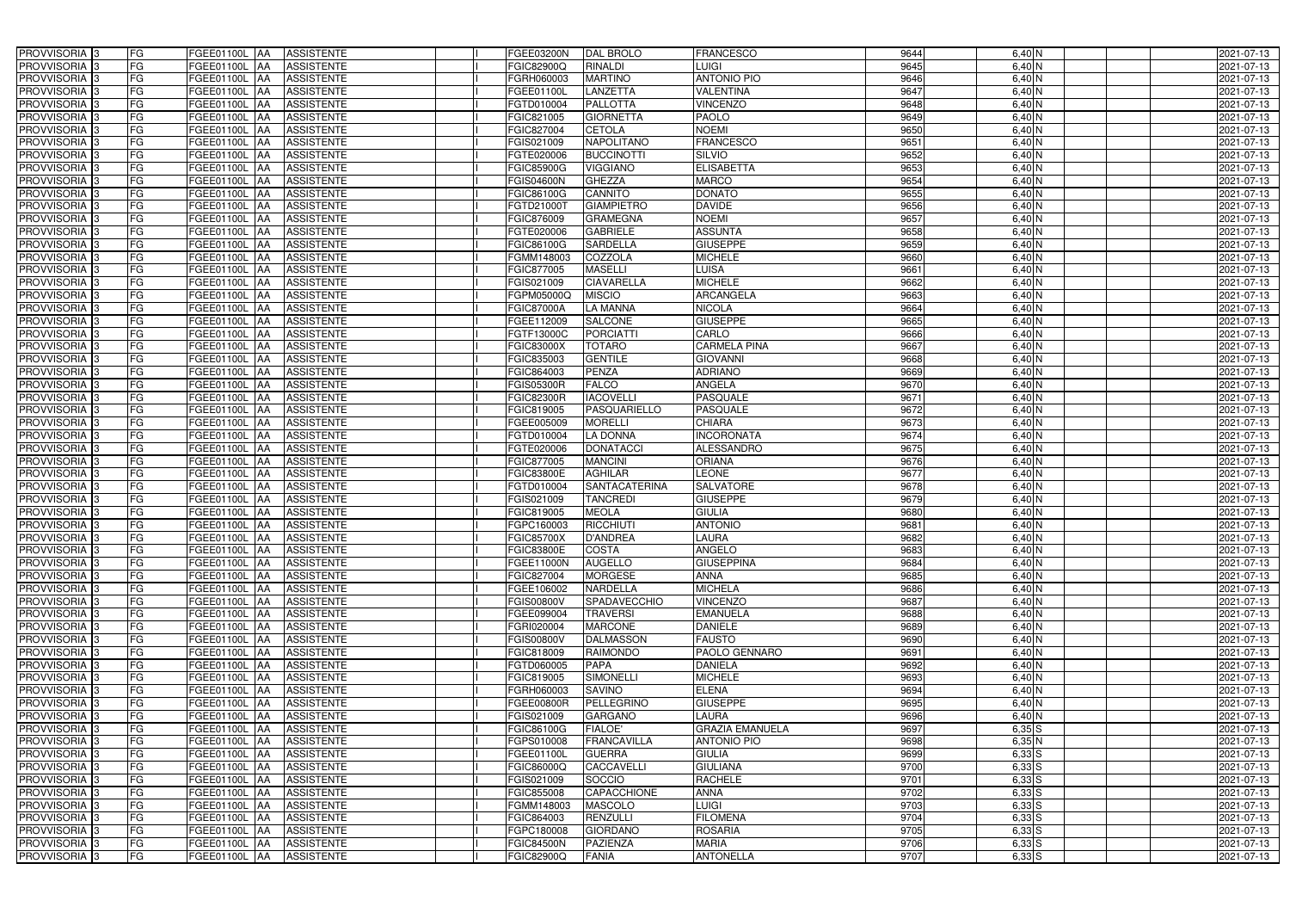| PROVVISORIA <sup>3</sup>   | FG<br>FGEE01100L AA                       | <b>ASSISTENTE</b>               | FGEE03200N        | <b>DAL BROLO</b>     | <b>FRANCESCO</b>       | 9644 | $6,40$ N               | 2021-07-13 |
|----------------------------|-------------------------------------------|---------------------------------|-------------------|----------------------|------------------------|------|------------------------|------------|
| PROVVISORIA <sup>3</sup>   | FG<br><b>FGEE01100L AA</b>                | <b>ASSISTENTE</b>               | FGIC82900Q        | RINALDI              | LUIGI                  | 9645 | 6,40 N                 | 2021-07-13 |
| PROVVISORIA <sup>3</sup>   | FG<br>FGEE01100L AA                       | <b>ASSISTENTE</b>               | FGRH060003        | <b>MARTINO</b>       | <b>ANTONIO PIO</b>     | 9646 | $6,40$ N               | 2021-07-13 |
| PROVVISORIA 3              | FG<br>FGEE01100L AA                       | <b>ASSISTENTE</b>               | FGEE01100L        | LANZETTA             | <b>VALENTINA</b>       | 9647 | $6,40$ N               | 2021-07-13 |
| PROVVISORIA <sup>3</sup>   | FG<br><b>FGEE01100L</b>                   | <b>ASSISTENTE</b><br><b>IAA</b> | FGTD010004        | <b>PALLOTTA</b>      | <b>VINCENZO</b>        | 9648 | 6,40 N                 | 2021-07-13 |
| PROVVISORIA 3              | FG<br>FGEE01100L AA                       | <b>ASSISTENTE</b>               | FGIC821005        | <b>GIORNETTA</b>     | <b>PAOLO</b>           | 9649 | $6,40$ N               | 2021-07-13 |
| PROVVISORIA 3              | FG<br>FGEE01100L AA                       | <b>ASSISTENTE</b>               | FGIC827004        | <b>CETOLA</b>        | <b>NOEMI</b>           | 9650 | 6,40 N                 | 2021-07-13 |
| PROVVISORIA 3              | FG<br>FGEE01100L AA                       | <b>ASSISTENTE</b>               | FGIS021009        | <b>NAPOLITANO</b>    | <b>FRANCESCO</b>       | 9651 | 6,40 N                 | 2021-07-13 |
| PROVVISORIA 3              | FG<br>FGEE01100L AA                       | <b>ASSISTENTE</b>               | FGTE020006        | <b>BUCCINOTTI</b>    | <b>SILVIO</b>          | 9652 | 6,40 N                 | 2021-07-13 |
| PROVVISORIA <sup>3</sup>   | FG<br><b>FGEE01100L AA</b>                | <b>ASSISTENTE</b>               | FGIC85900G        | <b>VIGGIANO</b>      | <b>ELISABETTA</b>      | 9653 | $6,40\overline{\rm N}$ | 2021-07-13 |
| PROVVISORIA 3              | FG<br>FGEE01100L AA                       | <b>ASSISTENTE</b>               | <b>FGIS04600N</b> | <b>GHEZZA</b>        | <b>MARCO</b>           | 9654 | 6,40 N                 | 2021-07-13 |
| PROVVISORIA 3              | FG<br>FGEE01100L AA                       | <b>ASSISTENTE</b>               | FGIC86100G        | <b>CANNITO</b>       | <b>DONATO</b>          | 9655 | $6,40$ N               | 2021-07-13 |
| PROVVISORIA 3              | FG<br>FGEE01100L AA                       | <b>ASSISTENTE</b>               | FGTD21000T        | <b>GIAMPIETRO</b>    | <b>DAVIDE</b>          | 9656 | $6,40$ N               | 2021-07-13 |
| PROVVISORIA 3              | FG<br>FGEE01100L AA                       | <b>ASSISTENTE</b>               | <b>FGIC876009</b> | <b>GRAMEGNA</b>      | <b>NOEMI</b>           | 9657 | $6,40$ N               | 2021-07-13 |
| PROVVISORIA 3              | $\overline{\mathsf{FG}}$<br>FGEE01100L AA | <b>ASSISTENTE</b>               | FGTE020006        | <b>GABRIELE</b>      | <b>ASSUNTA</b>         | 9658 | $6,40$ N               | 2021-07-13 |
| PROVVISORIA <sup>3</sup>   | $\overline{\mathsf{FG}}$<br>FGEE01100L AA | <b>ASSISTENTE</b>               | FGIC86100G        | <b>SARDELLA</b>      | <b>GIUSEPPE</b>        | 9659 | $6,40$ N               | 2021-07-13 |
| PROVVISORIA 3              | FG<br><b>FGEE01100L</b>                   | <b>ASSISTENTE</b><br><b>IAA</b> | FGMM148003        | COZZOLA              | <b>MICHELE</b>         | 9660 | $6,40$ N               | 2021-07-13 |
| PROVVISORIA 3              | FG<br>FGEE01100L AA                       | <b>ASSISTENTE</b>               | FGIC877005        | <b>MASELLI</b>       | LUISA                  | 9661 | 6,40 N                 | 2021-07-13 |
| PROVVISORIA 3              | FG<br>FGEE01100L                          | <b>ASSISTENTE</b><br><b>JAA</b> | FGIS021009        | <b>CIAVARELLA</b>    | <b>MICHELE</b>         | 9662 | 6,40 N                 | 2021-07-13 |
| PROVVISORIA 3              | FG<br>FGEE01100L AA                       | <b>ASSISTENTE</b>               | FGPM05000Q        | <b>MISCIO</b>        | <b>ARCANGELA</b>       | 9663 | 6,40 N                 | 2021-07-13 |
| PROVVISORIA <sup>3</sup>   | FG<br>FGEE01100L                          | <b>AA</b><br><b>ASSISTENTE</b>  | <b>FGIC87000A</b> | <b>LA MANNA</b>      | <b>NICOLA</b>          | 9664 | 6,40 N                 | 2021-07-13 |
| PROVVISORIA 3              | FG<br>FGEE01100L AA                       | <b>ASSISTENTE</b>               | FGEE112009        | <b>SALCONE</b>       | <b>GIUSEPPE</b>        | 9665 | 6,40 N                 | 2021-07-13 |
| PROVVISORIA 3              | FG<br>FGEE01100L AA                       | <b>ASSISTENTE</b>               | FGTF13000C        | <b>PORCIATTI</b>     | CARLO                  | 9666 | 6,40 N                 | 2021-07-13 |
| PROVVISORIA 3              | FG<br>FGEE01100L AA                       | <b>ASSISTENTE</b>               | <b>FGIC83000X</b> | <b>TOTARO</b>        | <b>CARMELA PINA</b>    | 9667 | $6,40$ N               | 2021-07-13 |
| PROVVISORIA <sup>3</sup>   | FG<br>FGEE01100L AA                       | <b>ASSISTENTE</b>               | FGIC835003        | <b>GENTILE</b>       | <b>GIOVANNI</b>        | 9668 | $6,40$ N               | 2021-07-13 |
| PROVVISORIA 3              | FG<br>FGEE01100L AA                       | <b>ASSISTENTE</b>               | FGIC864003        | <b>PENZA</b>         | <b>ADRIANO</b>         | 9669 | $6,40$ N               | 2021-07-13 |
| PROVVISORIA 3              | FG<br>FGEE01100L AA                       | <b>ASSISTENTE</b>               | <b>FGIS05300R</b> | <b>FALCO</b>         | ANGELA                 | 9670 | $6,40$ N               | 2021-07-13 |
| PROVVISORIA 3              | FG<br>FGEE01100L AA                       | <b>ASSISTENTE</b>               | <b>FGIC82300R</b> | <b>IACOVELLI</b>     | <b>PASQUALE</b>        | 9671 | $6,40$ N               | 2021-07-13 |
| PROVVISORIA <sup>3</sup>   | FG<br>FGEE01100L AA                       | <b>ASSISTENTE</b>               | FGIC819005        | PASQUARIELLO         | PASQUALE               | 9672 | $6,40$ N               | 2021-07-13 |
| PROVVISORIA 3              | FG<br><b>FGEE01100L AA</b>                | <b>ASSISTENTE</b>               | FGEE005009        | <b>MORELLI</b>       | <b>CHIARA</b>          | 9673 | $6,40$ N               | 2021-07-13 |
| PROVVISORIA <sup>3</sup>   | FG<br>FGEE01100L AA                       | <b>ASSISTENTE</b>               | FGTD010004        | <b>LA DONNA</b>      | <b>INCORONATA</b>      | 9674 | $6,40$ N               | 2021-07-13 |
| PROVVISORIA <sup>3</sup>   | FG<br><b>FGEE01100L AA</b>                | <b>ASSISTENTE</b>               | FGTE020006        | <b>DONATACCI</b>     | <b>ALESSANDRO</b>      | 9675 | 6,40 N                 | 2021-07-13 |
| PROVVISORIA <sup>3</sup>   | FG<br>FGEE01100L AA                       | <b>ASSISTENTE</b>               | FGIC877005        | <b>MANCINI</b>       | <b>ORIANA</b>          | 9676 | 6,40 N                 | 2021-07-13 |
| PROVVISORIA <sup>3</sup>   | FG<br>FGEE01100L AA                       | <b>ASSISTENTE</b>               | <b>FGIC83800E</b> | <b>AGHILAR</b>       | <b>LEONE</b>           | 9677 | 6,40 N                 | 2021-07-13 |
| PROVVISORIA 3              | FG<br><b>FGEE01100L</b>                   | <b>ASSISTENTE</b><br> AA        | FGTD010004        | <b>SANTACATERINA</b> | <b>SALVATORE</b>       | 9678 | 6,40 N                 | 2021-07-13 |
| PROVVISORIA <sup>3</sup>   | FG<br>FGEE01100L                          | <b>ASSISTENTE</b><br><b>JAA</b> | FGIS021009        | <b>TANCREDI</b>      | <b>GIUSEPPE</b>        | 9679 | 6,40 N                 | 2021-07-13 |
| PROVVISORIA <sup>3</sup>   | FG<br>FGEE01100L                          | <b>ASSISTENTE</b><br><b>JAA</b> | FGIC819005        | <b>MEOLA</b>         | <b>GIULIA</b>          | 9680 | 6,40 N                 | 2021-07-13 |
| PROVVISORIA <sup>3</sup>   | FG<br>FGEE01100L AA                       | <b>ASSISTENTE</b>               | FGPC160003        | <b>RICCHIUTI</b>     | <b>ANTONIO</b>         | 9681 | $6,40$ N               | 2021-07-13 |
| PROVVISORIA 3              | FG<br><b>FGEE01100L</b> AA                | <b>ASSISTENTE</b>               | <b>FGIC85700X</b> | <b>D'ANDREA</b>      | <b>LAURA</b>           | 9682 | 6,40 N                 | 2021-07-13 |
| PROVVISORIA <sup>3</sup>   | FG<br>FGEE01100L AA                       | <b>ASSISTENTE</b>               | <b>FGIC83800E</b> | <b>COSTA</b>         | ANGELO                 | 9683 | 6,40 N                 | 2021-07-13 |
| PROVVISORIA <sup>3</sup>   | FG<br>FGEE01100L AA                       | ASSISTENTE                      | <b>FGEE11000N</b> | <b>AUGELLO</b>       | <b>GIUSEPPINA</b>      | 9684 | $6,40$ N               | 2021-07-13 |
| PROVVISORIA <sup>3</sup>   | FG<br>FGEE01100L AA                       | ASSISTENTE                      | FGIC827004        | <b>MORGESE</b>       | <b>ANNA</b>            | 9685 | 6,40 N                 | 2021-07-13 |
| PROVVISORIA <sup>3</sup>   | FG<br>FGEE01100L AA                       | <b>ASSISTENTE</b>               | FGEE106002        | <b>NARDELLA</b>      | <b>MICHELA</b>         | 9686 | $6,40$ N               | 2021-07-13 |
| PROVVISORIA <sup>3</sup>   | FG<br><b>FGEE01100L</b> AA                | <b>ASSISTENTE</b>               | <b>FGIS00800V</b> | SPADAVECCHIO         | <b>VINCENZO</b>        | 9687 | 6,40 N                 | 2021-07-13 |
| PROVVISORIA 3              | FG<br>FGEE01100L AA                       | ASSISTENTE                      | FGEE099004        | <b>TRAVERSI</b>      | <b>EMANUELA</b>        | 9688 | 6,40 N                 | 2021-07-13 |
| PROVVISORIA <sup>3</sup>   | FG<br>FGEE01100L AA                       | ASSISTENTE                      | FGRI020004        | <b>MARCONE</b>       | <b>DANIELE</b>         | 9689 | $6,40$ N               | 2021-07-13 |
| PROVVISORIA <sup>3</sup>   | FG<br>FGEE01100L AA                       | ASSISTENTE                      | <b>FGIS00800V</b> | <b>DALMASSON</b>     | <b>FAUSTO</b>          | 9690 | 6,40 N                 | 2021-07-13 |
| PROVVISORIA <sup>3</sup>   | FG<br>FGEE01100L AA                       | ASSISTENTE                      | FGIC818009        | <b>RAIMONDO</b>      | PAOLO GENNARO          | 9691 | 6,40 N                 | 2021-07-13 |
| PROVVISORIA <sup>3</sup>   | FG<br>FGEE01100L AA                       | ASSISTENTE                      | FGTD060005        | <b>PAPA</b>          | <b>DANIELA</b>         | 9692 | $6,40$ N               | 2021-07-13 |
| PROVVISORIA <sup>3</sup>   | FG<br>FGEE01100L AA                       | ASSISTENTE                      | FGIC819005        | <b>SIMONELLI</b>     | <b>MICHELE</b>         | 9693 | $6,40$ N               | 2021-07-13 |
| PROVVISORIA <sup>3</sup>   | FG<br>FGEE01100L AA                       | <b>ASSISTENTE</b>               | FGRH060003        | <b>SAVINO</b>        | <b>ELENA</b>           | 9694 | $6,40$ N               | 2021-07-13 |
| PROVVISORIA <sup>3</sup>   | FG<br>FGEE01100L AA                       | ASSISTENTE                      | FGEE00800R        | <b>PELLEGRINO</b>    | <b>GIUSEPPE</b>        | 9695 | $6,40$ N               | 2021-07-13 |
| PROVVISORIA <sup>3</sup>   | FG<br>FGEE01100L AA                       | ASSISTENTE                      | FGIS021009        | <b>GARGANO</b>       | LAURA                  | 9696 | $6,40$ N               | 2021-07-13 |
| PROVVISORIA <sup>3</sup>   | FG<br>FGEE01100L AA                       | <b>ASSISTENTE</b>               | FGIC86100G        | <b>FIALOE'</b>       | <b>GRAZIA EMANUELA</b> | 9697 | $6,35$ S               | 2021-07-13 |
| PROVVISORIA <sup>13</sup>  | FG<br>FGEE01100L AA                       | <b>ASSISTENTE</b>               | FGPS010008        | <b>FRANCAVILLA</b>   | <b>ANTONIO PIO</b>     | 9698 | 6,35N                  | 2021-07-13 |
| PROVVISORIA <sup>1</sup> 3 | FG<br>FGEE01100L AA                       | <b>ASSISTENTE</b>               | FGEE01100L        | <b>GUERRA</b>        | <b>GIULIA</b>          | 9699 | $6,33$ $S$             | 2021-07-13 |
| PROVVISORIA <sup>3</sup>   | FG<br>FGEE01100L AA                       | <b>ASSISTENTE</b>               | FGIC86000Q        | CACCAVELLI           | <b>GIULIANA</b>        | 9700 | $6,33$ $S$             | 2021-07-13 |
| <b>PROVVISORIA</b> 3       | FG<br>FGEE01100L AA                       | <b>ASSISTENTE</b>               | FGIS021009        | SOCCIO               | <b>RACHELE</b>         | 9701 | $6,33$ $S$             | 2021-07-13 |
| PROVVISORIA <sup>3</sup>   | FG<br>FGEE01100L AA                       | <b>ASSISTENTE</b>               | FGIC855008        | CAPACCHIONE          | <b>ANNA</b>            | 9702 | $6,33$ $S$             | 2021-07-13 |
| PROVVISORIA <sup>1</sup> 3 | FG<br><b>FGEE01100L AA</b>                | <b>ASSISTENTE</b>               | FGMM148003        | <b>MASCOLO</b>       | <b>LUIGI</b>           | 9703 | $6,33$ $S$             | 2021-07-13 |
| PROVVISORIA <sup>3</sup>   | FG<br>FGEE01100L AA                       | <b>ASSISTENTE</b>               | FGIC864003        | <b>RENZULLI</b>      | <b>FILOMENA</b>        | 9704 | $6,33$ $S$             | 2021-07-13 |
| PROVVISORIA <sup>3</sup>   | FG<br>FGEE01100L AA                       | <b>ASSISTENTE</b>               | FGPC180008        | <b>GIORDANO</b>      | <b>ROSARIA</b>         | 9705 | $6,33$ $S$             | 2021-07-13 |
| PROVVISORIA <sup>3</sup>   | FG<br>FGEE01100L AA                       | <b>ASSISTENTE</b>               | <b>FGIC84500N</b> | <b>PAZIENZA</b>      | <b>MARIA</b>           | 9706 | $6,33$ $S$             | 2021-07-13 |
| PROVVISORIA <sup>3</sup>   | FG<br><b>FGEE01100L AA</b>                | ASSISTENTE                      | <b>FGIC82900Q</b> | <b>FANIA</b>         | <b>ANTONELLA</b>       | 9707 | $6,33$ $S$             | 2021-07-13 |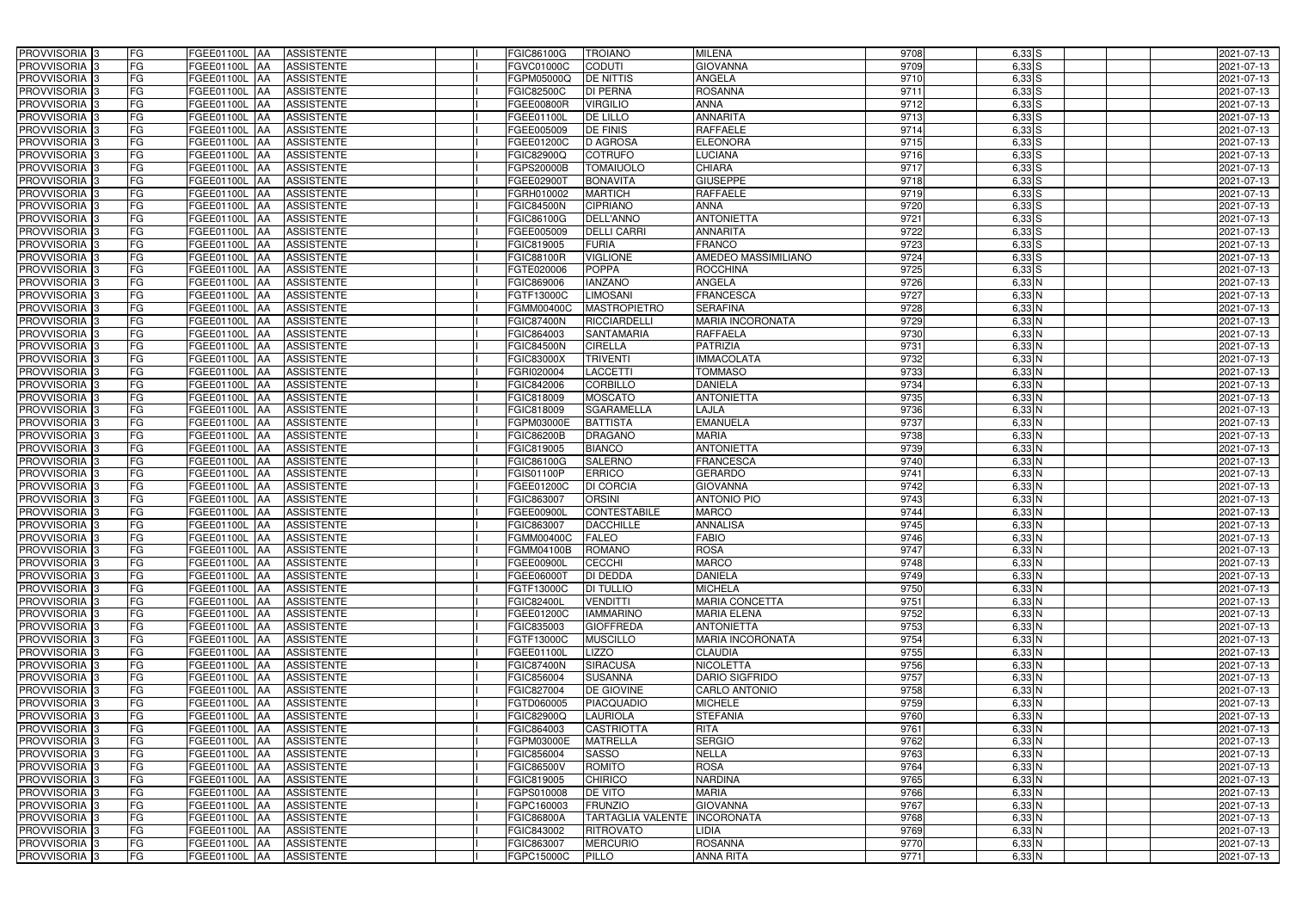| PROVVISORIA 3                                        | FG        | FGEE01100L AA                  | <b>ASSISTENTE</b>                      | FGIC86100G               | <b>TROIANO</b>                  | <b>MILENA</b>                      | 9708         | $6,33$ $S$         | 2021-07-13               |
|------------------------------------------------------|-----------|--------------------------------|----------------------------------------|--------------------------|---------------------------------|------------------------------------|--------------|--------------------|--------------------------|
| PROVVISORIA 3                                        | FG        | FGEE01100L<br>IAA              | <b>ASSISTENTE</b>                      | FGVC01000C               | <b>CODUTI</b>                   | <b>GIOVANNA</b>                    | 9709         | $6,33$ $S$         | 2021-07-13               |
| PROVVISORIA 3                                        | FG        | FGEE01100L AA                  | <b>ASSISTENTE</b>                      | FGPM05000Q               | <b>DE NITTIS</b>                | ANGELA                             | 9710         | $6,33$ $S$         | 2021-07-13               |
| PROVVISORIA 3                                        | FG        | <b>FGEE01100L   AA</b>         | <b>ASSISTENTE</b>                      | FGIC82500C               | <b>DI PERNA</b>                 | <b>ROSANNA</b>                     | 9711         | $6,33$ $S$         | 2021-07-13               |
| PROVVISORIA 3                                        | FG        | <b>FGEE01100L  AA</b>          | <b>ASSISTENTE</b>                      | FGEE00800R               | <b>VIRGILIO</b>                 | <b>ANNA</b>                        | 9712         | $6,33$ $S$         | 2021-07-13               |
| PROVVISORIA 3                                        | FG        | FGEE01100L<br>IAA              | <b>ASSISTENTE</b>                      | FGEE01100L               | <b>DE LILLO</b>                 | <b>ANNARITA</b>                    | 9713         | $6,33$ S           | 2021-07-13               |
| PROVVISORIA 3                                        | <b>FG</b> | FGEE01100L AA                  | <b>ASSISTENTE</b>                      | FGEE005009               | <b>DE FINIS</b>                 | <b>RAFFAELE</b>                    | 9714         | $6,33$ $S$         | 2021-07-13               |
| <b>PROVVISORIA</b> 3                                 | <b>FG</b> | FGEE01100L<br>IAA              | <b>ASSISTENTE</b>                      | FGEE01200C               | <b>D AGROSA</b>                 | <b>ELEONORA</b>                    | 9715         | $6,33$ $S$         | 2021-07-13               |
| PROVVISORIA <sup>1</sup> 3                           | FG        | FGEE01100L<br>IAA              | <b>ASSISTENTE</b>                      | FGIC82900Q               | <b>COTRUFO</b>                  | <b>LUCIANA</b>                     | 9716         | $6,33$ $S$         | 2021-07-13               |
| PROVVISORIA <sup>3</sup>                             | FG        | FGEE01100L<br>IAA              | <b>ASSISTENTE</b>                      | FGPS20000B               | <b>TOMAIUOLO</b>                | <b>CHIARA</b>                      | 9717         | $6,33$ $S$         | 2021-07-13               |
| PROVVISORIA 3                                        | FG        | FGEE01100L<br>IAA              | <b>ASSISTENTE</b>                      | FGEE02900T               | <b>BONAVITA</b>                 | <b>GIUSEPPE</b>                    | 9718         | $6,33$ $S$         | 2021-07-13               |
| PROVVISORIA 3                                        | <b>FG</b> | FGEE01100L AA                  | <b>ASSISTENTE</b>                      | FGRH010002               | <b>MARTICH</b>                  | <b>RAFFAELE</b>                    | 9719         | $6,33$ $S$         | 2021-07-13               |
| PROVVISORIA <sup>3</sup>                             | FG        | FGEE01100L AA                  | <b>ASSISTENTE</b>                      | <b>FGIC84500N</b>        | <b>CIPRIANO</b>                 | <b>ANNA</b>                        | 9720         | $6,33$ $S$         | 2021-07-13               |
| PROVVISORIA 3                                        | <b>FG</b> | FGEE01100L AA                  | <b>ASSISTENTE</b>                      | FGIC86100G               | <b>DELL'ANNO</b>                | <b>ANTONIETTA</b>                  | 9721         | $6,33$ $S$         | 2021-07-13               |
| PROVVISORIA <sup>3</sup>                             | FG        | FGEE01100L AA                  | <b>ASSISTENTE</b>                      | FGEE005009               | <b>DELLI CARRI</b>              | <b>ANNARITA</b>                    | 9722         | $6,33$ $S$         | 2021-07-13               |
| PROVVISORIA 3                                        | <b>FG</b> | <b>FGEE01100L   AA</b>         | <b>ASSISTENTE</b>                      | FGIC819005               | <b>FURIA</b>                    | <b>FRANCO</b>                      | 9723         | $6,33$ $S$         | 2021-07-13               |
| PROVVISORIA 3                                        | <b>FG</b> | FGEE01100L AA                  | <b>ASSISTENTE</b>                      | <b>FGIC88100R</b>        | <b>VIGLIONE</b>                 | AMEDEO MASSIMILIANO                | 9724         | $6,33$ $S$         | 2021-07-13               |
| PROVVISORIA <sup>3</sup>                             | <b>FG</b> | FGEE01100L AA                  | <b>ASSISTENTE</b>                      | FGTE020006               | <b>POPPA</b>                    | <b>ROCCHINA</b>                    | 9725         | $6,33$ $S$         | 2021-07-13               |
| PROVVISORIA 3                                        | FG        | FGEE01100L<br><b>IAA</b>       | <b>ASSISTENTE</b>                      | FGIC869006               | <b>IANZANO</b>                  | <b>ANGELA</b>                      | 9726         | $6,33$ N           | 2021-07-13               |
| PROVVISORIA 3                                        | FG        | FGEE01100L<br>IAA              | <b>ASSISTENTE</b>                      | FGTF13000C               | <b>LIMOSANI</b>                 | <b>FRANCESCA</b>                   | 9727         | $6,33$ N           | 2021-07-13               |
| PROVVISORIA <sup>1</sup> 3                           | <b>FG</b> | FGEE01100L<br>IAA              | <b>ASSISTENTE</b>                      | FGMM00400C               | <b>MASTROPIETRO</b>             | <b>SERAFINA</b>                    | 9728         | $6,33$ N           | 2021-07-13               |
| PROVVISORIA <sup>3</sup>                             | FG        | FGEE01100L<br>IAA              | <b>ASSISTENTE</b>                      | <b>FGIC87400N</b>        | <b>RICCIARDELLI</b>             | <b>MARIA INCORONATA</b>            | 9729         | $6,33$ N           | 2021-07-13               |
| PROVVISORIA <sup>3</sup>                             | FG        | <b>FGEE01100L</b><br>IAA       | <b>ASSISTENTE</b>                      | FGIC864003               | SANTAMARIA                      | <b>RAFFAELA</b>                    | 9730         | $6,33$ N           | 2021-07-13               |
| <b>PROVVISORIA</b> 3                                 | FG        | FGEE01100L                     | <b>ASSISTENTE</b>                      | <b>FGIC84500N</b>        | <b>CIRELLA</b>                  | <b>PATRIZIA</b>                    | 9731         | $6,33$ N           | 2021-07-13               |
| <b>PROVVISORIA</b> 3                                 | <b>FG</b> | FGEE01100L<br>IAA              | <b>ASSISTENTE</b>                      | FGIC83000X               | <b>TRIVENTI</b>                 | <b>MMACOLATA</b>                   | 9732         | $6,33$ N           | 2021-07-13               |
| PROVVISORIA <sup>3</sup>                             | <b>FG</b> | FGEE01100L<br>IAA              | <b>ASSISTENTE</b>                      | FGRI020004               | LACCETTI                        | <b>TOMMASO</b>                     | 9733         | $6,33$ N           | 2021-07-13               |
| PROVVISORIA 3                                        | <b>FG</b> | <b>FGEE01100L</b>              | <b>ASSISTENTE</b>                      | FGIC842006               | <b>CORBILLO</b>                 | <b>DANIELA</b>                     | 9734         | $6,33$ N           | 2021-07-13               |
| PROVVISORIA <sup>3</sup>                             | FG        | FGEE01100L<br>IAA              | <b>ASSISTENTE</b>                      | FGIC818009               | <b>MOSCATO</b>                  | <b>ANTONIETTA</b>                  | 9735         | $6,33$ N           | 2021-07-13               |
| PROVVISORIA 3                                        | FG        | FGEE01100L                     | <b>ASSISTENTE</b>                      | FGIC818009               | <b>SGARAMELLA</b>               | LAJLA                              | 9736         | $6,33$ N           | 2021-07-13               |
| PROVVISORIA 3                                        | <b>FG</b> | FGEE01100L<br>IAA              | <b>ASSISTENTE</b>                      | FGPM03000E               | <b>BATTISTA</b>                 | <b>EMANUELA</b>                    | 9737         | $6,33$ N           | 2021-07-13               |
| PROVVISORIA 3                                        | <b>FG</b> | <b>FGEE01100L</b><br>IAA       | <b>ASSISTENTE</b>                      | <b>FGIC86200B</b>        | <b>DRAGANO</b>                  | <b>MARIA</b>                       | 9738         | $6,33$ N           | 2021-07-13               |
| PROVVISORIA <sup>3</sup>                             | FG        | FGEE01100L<br>IAA              | <b>ASSISTENTE</b>                      | FGIC819005               | <b>BIANCO</b>                   | <b>ANTONIETTA</b>                  | 9739         | $6,33$ N           | 2021-07-13               |
| <b>PROVVISORIA</b> 3                                 | <b>FG</b> | FGEE01100L<br>IAA              | <b>ASSISTENTE</b>                      | FGIC86100G               | <b>SALERNO</b>                  | <b>FRANCESCA</b>                   | 9740         | $6,33$ N           | 2021-07-13               |
| PROVVISORIA <sup>1</sup> 3                           | FG        | FGEE01100L<br>IAA              | <b>ASSISTENTE</b>                      | FGIS01100P               | <b>ERRICO</b>                   | <b>GERARDO</b>                     | 9741         | $6,33$ N           | 2021-07-13               |
| PROVVISORIA <sup>3</sup>                             | FG        | FGEE01100L<br>IAA              | <b>ASSISTENTE</b>                      | FGEE01200C               | <b>DI CORCIA</b>                | <b>GIOVANNA</b>                    | 9742         | $6,33$ N           | 2021-07-13               |
| PROVVISORIA 3                                        | FG        | FGEE01100L<br><b>JAA</b>       | <b>ASSISTENTE</b>                      | FGIC863007               | <b>ORSINI</b>                   | <b>ANTONIO PIO</b>                 | 9743         | $6,33$ N           | 2021-07-13               |
| PROVVISORIA 3                                        | <b>FG</b> | FGEE01100L AA                  | <b>ASSISTENTE</b>                      | FGEE00900L               | <b>CONTESTABILE</b>             | <b>MARCO</b>                       | 9744         | $6,33$ N           | 2021-07-13               |
| PROVVISORIA <sup>3</sup>                             | <b>FG</b> | FGEE01100L AA                  | <b>ASSISTENTE</b>                      | FGIC863007               | <b>DACCHILLE</b>                | <b>ANNALISA</b>                    | 9745         | $6,33$ N           | 2021-07-13               |
| PROVVISORIA <sup>3</sup>                             | <b>FG</b> | FGEE01100L AA ASSISTENTE       |                                        | <b>FGMM00400C</b>        | FALEO                           | <b>FABIO</b>                       | 9746         | $6,33$ N           | 2021-07-13               |
| <b>PROVVISORIA</b> 3                                 | <b>FG</b> | FGEE01100L AA                  | <b>ASSISTENTE</b>                      | FGMM04100B               | <b>ROMANO</b>                   | <b>ROSA</b>                        | 9747         | 6,33 N             | 2021-07-13               |
| <b>PROVVISORIA</b> 3                                 | FG        | FGEE01100L AA                  | <b>ASSISTENTE</b>                      | FGEE00900L               | <b>CECCHI</b>                   | <b>MARCO</b>                       | 9748         | $6,33$ N           | 2021-07-13               |
| <b>PROVVISORIA</b> 3                                 | FG        | FGEE01100L AA ASSISTENTE       |                                        | FGEE06000T               | <b>DI DEDDA</b>                 | <b>DANIELA</b>                     | 9749         | $6,33$ N           | 2021-07-13               |
| PROVVISORIA <sup>3</sup>                             | FG        | <b>FGEE01100L AA</b>           | <b>ASSISTENTE</b>                      | FGTF13000C               | <b>DI TULLIO</b>                | <b>MICHELA</b>                     | 9750         | $6,33$ N           | 2021-07-13               |
| PROVVISORIA <sup>3</sup>                             | FG        | <b>FGEE01100L AA</b>           | <b>ASSISTENTE</b>                      | FGIC82400L               | <b>VENDITTI</b>                 | <b>MARIA CONCETTA</b>              | 9751         | $6,33$ N           | 2021-07-13               |
| PROVVISORIA 3                                        | FG        | FGEE01100L AA                  | <b>ASSISTENTE</b>                      | FGEE01200C               | <b>IAMMARINO</b>                | <b>MARIA ELENA</b>                 | 9752         | $6,33$ N           | 2021-07-13               |
| PROVVISORIA 3                                        | <b>FG</b> | FGEE01100L AA                  | <b>ASSISTENTE</b>                      | FGIC835003               | <b>GIOFFREDA</b>                | <b>ANTONIETTA</b>                  | 9753         | $6,33$ N           | 2021-07-13               |
| PROVVISORIA <sup>3</sup><br>PROVVISORIA <sup>3</sup> | FG<br>FG  | FGEE01100L AA                  | ASSISTENTE                             | FGTF13000C<br>FGEE01100L | <b>MUSCILLO</b><br><b>LIZZO</b> | MARIA INCORONATA<br><b>CLAUDIA</b> | 9754<br>9755 | 6,33 N<br>$6,33$ N | 2021-07-13               |
| PROVVISORIA <sup>3</sup>                             | FG        | FGEE01100L AA<br>FGEE01100L AA | <b>ASSISTENTE</b><br><b>ASSISTENTE</b> | <b>FGIC87400N</b>        | <b>SIRACUSA</b>                 | <b>NICOLETTA</b>                   | 9756         | $6,33$ N           | 2021-07-13<br>2021-07-13 |
| PROVVISORIA <sup>3</sup>                             | FG        | FGEE01100L AA                  | <b>ASSISTENTE</b>                      | FGIC856004               | <b>SUSANNA</b>                  | <b>DARIO SIGFRIDO</b>              | 9757         | $6,33$ N           | 2021-07-13               |
| PROVVISORIA <sup>3</sup>                             | <b>FG</b> | FGEE01100L AA                  | <b>ASSISTENTE</b>                      | FGIC827004               | <b>DE GIOVINE</b>               | CARLO ANTONIO                      | 9758         | $6,33$ N           | 2021-07-13               |
| PROVVISORIA <sup>3</sup>                             | FG        | FGEE01100L AA                  | <b>ASSISTENTE</b>                      | FGTD060005               | <b>PIACQUADIO</b>               | <b>MICHELE</b>                     | 9759         | $6,33$ N           | 2021-07-13               |
| PROVVISORIA <sup>3</sup>                             | FG        | FGEE01100L AA                  | <b>ASSISTENTE</b>                      | <b>FGIC82900Q</b>        | <b>LAURIOLA</b>                 | <b>STEFANIA</b>                    | 9760         | $6,33$ N           | 2021-07-13               |
| PROVVISORIA <sup>3</sup>                             | FG        | <b>FGEE01100L AA</b>           | <b>ASSISTENTE</b>                      | FGIC864003               | <b>CASTRIOTTA</b>               | <b>RITA</b>                        | 9761         | $6,33$ N           | 2021-07-13               |
| PROVVISORIA <sup>3</sup>                             | FG        | FGEE01100L AA                  | <b>ASSISTENTE</b>                      | FGPM03000E               | <b>MATRELLA</b>                 | <b>SERGIO</b>                      | 9762         | $6,33$ N           | 2021-07-13               |
| PROVVISORIA <sup>3</sup>                             | FG        | FGEE01100L AA                  | <b>ASSISTENTE</b>                      | FGIC856004               | <b>SASSO</b>                    | <b>NELLA</b>                       | 9763         | $6,33$ N           | 2021-07-13               |
| PROVVISORIA <sup>3</sup>                             | FG        | FGEE01100L AA                  | <b>ASSISTENTE</b>                      | FGIC86500V               | <b>ROMITO</b>                   | <b>ROSA</b>                        | 9764         | $6,33$ N           | 2021-07-13               |
| PROVVISORIA <sup>3</sup>                             | FG        | FGEE01100L AA                  | <b>ASSISTENTE</b>                      | FGIC819005               | <b>CHIRICO</b>                  | <b>NARDINA</b>                     | 9765         | $6,33$ N           | 2021-07-13               |
| PROVVISORIA <sup>3</sup>                             | FG        | FGEE01100L AA                  | <b>ASSISTENTE</b>                      | FGPS010008               | <b>DE VITO</b>                  | <b>MARIA</b>                       | 9766         | $6,33$ N           | 2021-07-13               |
| PROVVISORIA <sup>3</sup>                             | FG        | FGEE01100L AA                  | <b>ASSISTENTE</b>                      | FGPC160003               | <b>FRUNZIO</b>                  | <b>GIOVANNA</b>                    | 9767         | $6,33$ N           | 2021-07-13               |
| PROVVISORIA <sup>3</sup>                             | FG        | FGEE01100L AA                  | <b>ASSISTENTE</b>                      | FGIC86800A               | <b>TARTAGLIA VALENTE</b>        | <b>INCORONATA</b>                  | 9768         | $6,33$ N           | 2021-07-13               |
| PROVVISORIA <sup>3</sup>                             | FG        | FGEE01100L AA                  | <b>ASSISTENTE</b>                      | FGIC843002               | <b>RITROVATO</b>                | <b>IDIA</b>                        | 9769         | $6,33$ N           | 2021-07-13               |
| PROVVISORIA <sup>3</sup>                             | FG        | FGEE01100L AA                  | ASSISTENTE                             | FGIC863007               | <b>MERCURIO</b>                 | <b>ROSANNA</b>                     | 9770         | $6,33$ N           | 2021-07-13               |
| PROVVISORIA 3                                        | FG        | <b>FGEE01100L AA</b>           | <b>ASSISTENTE</b>                      | FGPC15000C               | PILLO                           | <b>ANNA RITA</b>                   | 9771         | $6,33$ N           | 2021-07-13               |
|                                                      |           |                                |                                        |                          |                                 |                                    |              |                    |                          |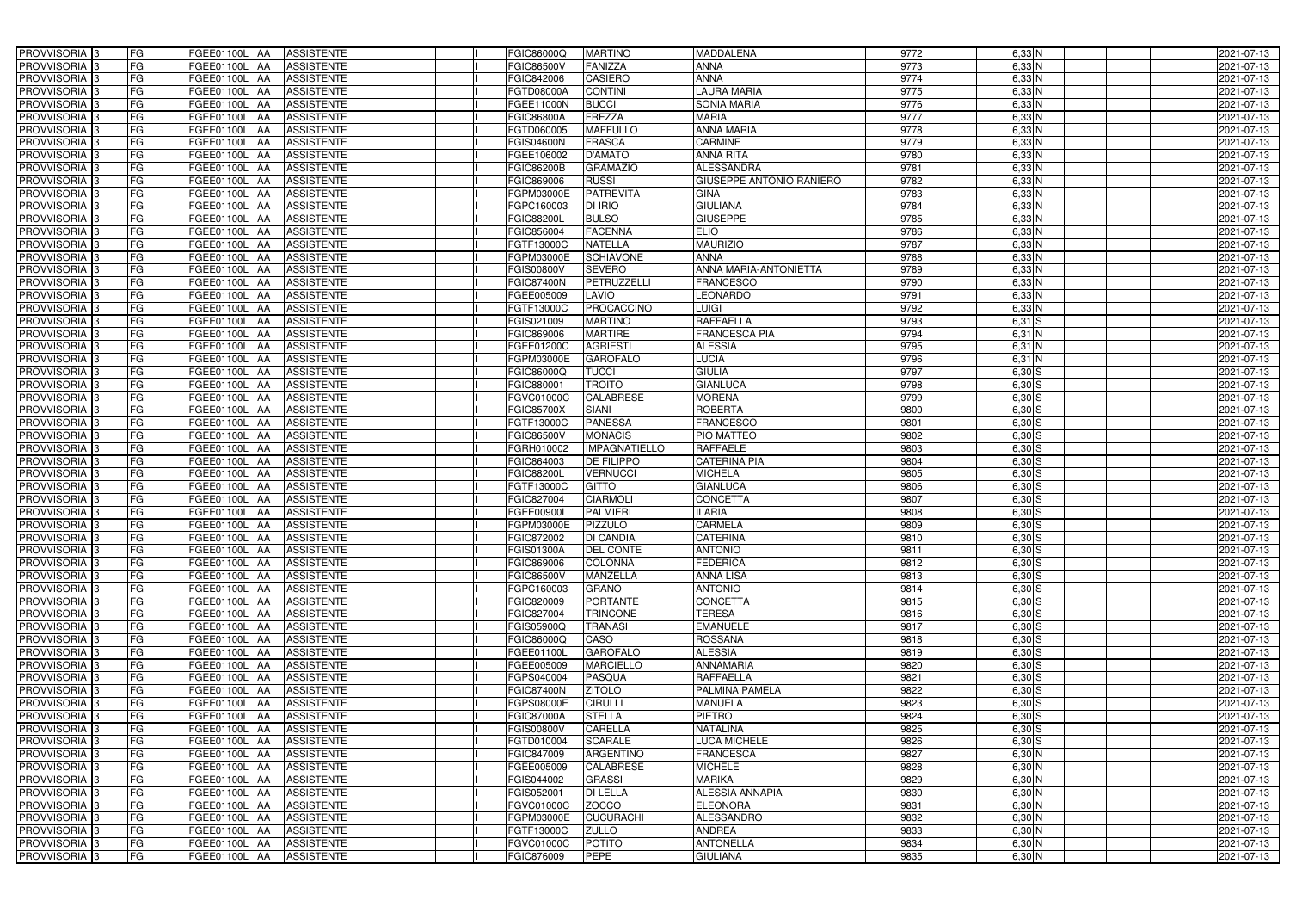| PROVVISORIA 3                             | FG        | FGEE01100L AA                         | <b>ASSISTENTE</b>                      | FGIC86000Q               | <b>MARTINO</b>                  | <b>MADDALENA</b>             | 9772         | 6,33 N                 | 2021-07-13               |
|-------------------------------------------|-----------|---------------------------------------|----------------------------------------|--------------------------|---------------------------------|------------------------------|--------------|------------------------|--------------------------|
| PROVVISORIA 3                             | FG        | FGEE01100L                            | <b>ASSISTENTE</b>                      | FGIC86500V               | <b>FANIZZA</b>                  | <b>ANNA</b>                  | 9773         | $6,33$ N               | 2021-07-13               |
| PROVVISORIA 3                             | FG        | FGEE01100L<br>IAA                     | <b>ASSISTENTE</b>                      | FGIC842006               | <b>CASIERO</b>                  | <b>ANNA</b>                  | 9774         | $6,33$ N               | 2021-07-13               |
| PROVVISORIA 3                             | <b>FG</b> | FGEE01100L<br>IAA                     | <b>ASSISTENTE</b>                      | FGTD08000A               | <b>CONTINI</b>                  | AURA MARIA                   | 9775         | $6,33$ N               | 2021-07-13               |
| PROVVISORIA 3                             | FG        | <b>FGEE01100L</b>                     | <b>ASSISTENTE</b>                      | FGEE11000N               | <b>BUCCI</b>                    | SONIA MARIA                  | 9776         | $6,33$ N               | 2021-07-13               |
| PROVVISORIA 3                             | <b>FG</b> | FGEE01100L AA                         | <b>ASSISTENTE</b>                      | <b>FGIC86800A</b>        | FREZZA                          | <b>MARIA</b>                 | 9777         | $6,33$ N               | 2021-07-13               |
| PROVVISORIA 3                             | FG        | FGEE01100L AA                         | <b>ASSISTENTE</b>                      | FGTD060005               | <b>MAFFULLO</b>                 | <b>ANNA MARIA</b>            | 9778         | $6,33$ N               | 2021-07-13               |
| PROVVISORIA 3                             | FG        | FGEE01100L AA                         | <b>ASSISTENTE</b>                      | <b>FGIS04600N</b>        | FRASCA                          | <b>CARMINE</b>               | 9779         | $6,33$ N               | 2021-07-13               |
| PROVVISORIA 3                             | <b>FG</b> | FGEE01100L AA                         | <b>ASSISTENTE</b>                      | FGEE106002               | <b>D'AMATO</b>                  | <b>ANNA RITA</b>             | 9780         | $6,33$ N               | 2021-07-13               |
| PROVVISORIA 3                             | FG        | <b>FGEE01100L</b><br><b>JAA</b>       | <b>ASSISTENTE</b>                      | <b>FGIC86200B</b>        | <b>GRAMAZIO</b>                 | <b>ALESSANDRA</b>            | 9781         | $6,33$ N               | 2021-07-13               |
| PROVVISORIA <sup>13</sup>                 | FG        | FGEE01100L AA                         | <b>ASSISTENTE</b>                      | FGIC869006               | <b>RUSSI</b>                    | GIUSEPPE ANTONIO RANIERO     | 9782         | $6,33$ N               | 2021-07-13               |
| PROVVISORIA 3                             | FG        | FGEE01100L AA                         | <b>ASSISTENTE</b>                      | FGPM03000E               | <b>PATREVITA</b>                | <b>GINA</b>                  | 9783         | $6,33$ N               | 2021-07-13               |
| PROVVISORIA 3                             | FG        | FGEE01100L<br>IAA                     | <b>ASSISTENTE</b>                      | FGPC160003               | DI IRIO                         | <b>GIULIANA</b>              | 9784         | $6,33$ N               | 2021-07-13               |
| PROVVISORIA 3                             | FG        | FGEE01100L<br><b>IAA</b>              | <b>ASSISTENTE</b>                      | <b>FGIC88200L</b>        | <b>BULSO</b>                    | <b>GIUSEPPE</b>              | 9785         | $6,33$ N               | 2021-07-13               |
| PROVVISORIA 3                             | <b>FG</b> | FGEE01100L AA                         | <b>ASSISTENTE</b>                      | FGIC856004               | <b>FACENNA</b>                  | <b>ELIO</b>                  | 9786         | $6,33$ N               | 2021-07-13               |
| PROVVISORIA 3                             | <b>FG</b> | <b>FGEE01100L</b><br>IAA              | <b>ASSISTENTE</b>                      | FGTF13000C               | <b>NATELLA</b>                  | <b>MAURIZIO</b>              | 9787         | $6,33$ N               | 2021-07-13               |
| PROVVISORIA 3                             | FG        | <b>FGEE01100L</b><br>IAA              | <b>ASSISTENTE</b>                      | FGPM03000E               | <b>SCHIAVONE</b>                | <b>ANNA</b>                  | 9788         | $6,33$ N               | 2021-07-13               |
| PROVVISORIA 3                             | FG        | FGEE01100L<br>IAA                     | <b>ASSISTENTE</b>                      | FGIS00800V               | <b>SEVERO</b>                   | <b>ANNA MARIA-ANTONIETTA</b> | 9789         | $6,33$ N               | 2021-07-13               |
| PROVVISORIA 3                             | FG        | <b>FGEE01100L</b><br>IAA              | <b>ASSISTENTE</b>                      | <b>FGIC87400N</b>        | PETRUZZELLI                     | <b>FRANCESCO</b>             | 9790         | $6,33$ N               | 2021-07-13               |
| PROVVISORIA 3                             | FG        | FGEE01100L<br>IAA                     | <b>ASSISTENTE</b>                      | FGEE005009               | LAVIO                           | <b>LEONARDO</b>              | 9791         | 6,33 N                 | 2021-07-13               |
| <b>PROVVISORIA</b>                        | FG        | FGEE01100L                            | <b>ASSISTENTE</b>                      | FGTF13000C               | PROCACCINO                      | LUIGI                        | 9792         | $6,33$ N               | 2021-07-13               |
| <b>PROVVISORIA</b> 3                      | FG        | <b>FGEE01100L</b><br>IAA              | <b>ASSISTENTE</b>                      | FGIS021009               | <b>MARTINO</b>                  | <b>RAFFAELLA</b>             | 9793         | $6,31$ S               | 2021-07-13               |
| PROVVISORIA <sup>3</sup>                  | FG        | <b>FGEE01100L</b>                     | <b>ASSISTENTE</b>                      | FGIC869006               | <b>MARTIRE</b>                  | <b>FRANCESCA PIA</b>         | 9794         | $6,31$ N               | 2021-07-13               |
| PROVVISORIA <sup>13</sup>                 | <b>FG</b> | FGEE01100L<br>IAA                     | <b>ASSISTENTE</b>                      | FGEE01200C               | <b>AGRIESTI</b>                 | <b>ALESSIA</b>               | 9795         | $6,31$ N               | 2021-07-13               |
| <b>PROVVISORIA</b> 3                      | FG        | FGEE01100L<br>IAA                     | <b>ASSISTENTE</b>                      | <b>GPM03000E</b>         | <b>GAROFALO</b>                 | <b>LUCIA</b>                 | 9796         | $6,31$ N               | 2021-07-13               |
| PROVVISORIA 3                             | FG        | FGEE01100L<br>IAA                     | <b>ASSISTENTE</b>                      | FGIC86000Q               | <b>TUCCI</b>                    | <b>GIULIA</b>                | 9797         | 6,30S                  | 2021-07-13               |
| PROVVISORIA 3                             | <b>FG</b> | FGEE01100L<br>IAA                     | <b>ASSISTENTE</b>                      | FGIC88000                | <b>TROITO</b>                   | <b>GIANLUCA</b>              | 9798         | $6,30$ S               | 2021-07-13               |
| PROVVISORIA 3                             | <b>FG</b> | FGEE01100L<br>IAA                     | <b>ASSISTENTE</b>                      | FGVC01000C               | <b>CALABRESE</b>                | <b>MORENA</b>                | 9799         | $6,30$ S               | 2021-07-13               |
| PROVVISORIA <sup>3</sup>                  | FG        | FGEE01100L<br>IAA                     | <b>ASSISTENTE</b>                      | <b>FGIC85700X</b>        | <b>SIANI</b>                    | <b>ROBERTA</b>               | 9800         | $6,30$ S               | 2021-07-13               |
| PROVVISORIA 3                             | <b>FG</b> | FGEE01100L<br>-IAA                    | <b>ASSISTENTE</b>                      | FGTF13000C               | <b>PANESSA</b>                  | FRANCESCO                    | 9801         | $6,30$ S               | 2021-07-13               |
| PROVVISORIA 3                             | FG        | FGEE01100L<br>IAA                     | <b>ASSISTENTE</b>                      | FGIC86500V               | <b>MONACIS</b>                  | <b>PIO MATTEO</b>            | 9802         | $6,30$ $S$             | 2021-07-13               |
| PROVVISORIA 3                             | FG        | FGEE01100L<br>IAA                     | <b>ASSISTENTE</b>                      | FGRH010002               | <b>IMPAGNATIELLO</b>            | <b>RAFFAELE</b>              | 9803         | $6,30$ S               | 2021-07-13               |
| PROVVISORIA 3                             | FG        | FGEE01100L<br>IAA                     | <b>ASSISTENTE</b>                      | FGIC864003               | <b>DE FILIPPO</b>               | <b>CATERINA PIA</b>          | 9804         | $6,30$ S               | 2021-07-13               |
| PROVVISORIA 3                             | FG        | FGEE01100L<br><b>IAA</b>              | <b>ASSISTENTE</b>                      | <b>FGIC88200L</b>        | <b>VERNUCCI</b>                 | <b>MICHELA</b>               | 9805         | $6,30$ S               | 2021-07-13               |
| PROVVISORIA                               | <b>FG</b> | FGEE01100L<br>IAA                     | <b>ASSISTENTE</b>                      | FGTF13000C               | <b>GITTO</b>                    | <b>GIANLUCA</b>              | 9806         | $6,30$ S               | 2021-07-13               |
| <b>PROVVISORIA</b> 3                      | FG        | FGEE01100L<br>IAA                     | <b>ASSISTENTE</b>                      | FGIC827004               | <b>CIARMOLI</b>                 | <b>CONCETTA</b>              | 9807         | $6,30$ S               | 2021-07-13               |
| PROVVISORIA <sup>1</sup> 3                | FG        | FGEE01100L<br>IAA                     | <b>ASSISTENTE</b>                      | FGEE00900L               | <b>PALMIERI</b>                 | <b>LARIA</b>                 | 9808         | $6,30$ S               | 2021-07-13               |
| PROVVISORIA <sup>3</sup>                  | <b>FG</b> | FGEE01100L AA                         | <b>ASSISTENTE</b>                      | FGPM03000E               | <b>PIZZULO</b>                  | <b>CARMELA</b>               | 9809         | $6,30$ S               | 2021-07-13               |
| PROVVISORIA <sup>3</sup>                  | FG        | FGEE01100L AA ASSISTENTE              |                                        | FGIC872002               | <b>DI CANDIA</b>                | <b>CATERINA</b>              | 9810         | $6,30$ S               | 2021-07-13               |
| PROVVISORIA <sup>3</sup>                  | FG        | FGEE01100L AA                         | <b>ASSISTENTE</b>                      | <b>FGIS01300A</b>        | <b>DEL CONTE</b>                | <b>ANTONIO</b>               | 9811         | $6,30$ S               | 2021-07-13               |
| PROVVISORIA <sup>3</sup>                  | FG<br>FG  | FGEE01100L AA                         | <b>ASSISTENTE</b>                      | <b>FGIC869006</b>        | <b>COLONNA</b>                  | <b>FEDERICA</b>              | 9812         | $6,30$ S               | 2021-07-13               |
| PROVVISORIA 3<br>PROVVISORIA <sup>3</sup> | FG        | FGEE01100L AA                         | <b>ASSISTENTE</b>                      | <b>FGIC86500V</b>        | MANZELLA                        | ANNA LISA<br><b>ANTONIO</b>  | 9813         | $6,30$ S<br>$6,30$ S   | 2021-07-13<br>2021-07-13 |
| PROVVISORIA <sup>3</sup>                  | FG        | FGEE01100L AA<br><b>FGEE01100L AA</b> | <b>ASSISTENTE</b><br><b>ASSISTENTE</b> | FGPC160003<br>FGIC820009 | <b>GRANO</b><br><b>PORTANTE</b> | <b>CONCETTA</b>              | 9814<br>9815 | $6,30$ S               | 2021-07-13               |
| PROVVISORIA <sup>3</sup>                  | FG        | FGEE01100L AA                         | <b>ASSISTENTE</b>                      | FGIC827004               | <b>TRINCONE</b>                 | <b>TERESA</b>                | 9816         | $6,30$ S               | 2021-07-13               |
| PROVVISORIA <sup>3</sup>                  | FG        | FGEE01100L AA                         | <b>ASSISTENTE</b>                      | <b>FGIS05900Q</b>        | <b>TRANASI</b>                  | <b>EMANUELE</b>              | 9817         | $6,30$ S               | 2021-07-13               |
| PROVVISORIA <sup>3</sup>                  | FG        | FGEE01100L AA                         | <b>ASSISTENTE</b>                      | FGIC86000Q               | CASO                            | <b>ROSSANA</b>               | 9818         | $6,30$ S               | 2021-07-13               |
| PROVVISORIA <sup>3</sup>                  | FG        | FGEE01100L AA                         | ASSISTENTE                             | FGEE01100L               | <b>GAROFALO</b>                 | <b>ALESSIA</b>               | 9819         | $6,30$ S               | 2021-07-13               |
| PROVVISORIA 3                             | FG        | FGEE01100L AA                         | <b>ASSISTENTE</b>                      | FGEE005009               | <b>MARCIELLO</b>                | <b>ANNAMARIA</b>             | 9820         | $6,30$ S               | 2021-07-13               |
| PROVVISORIA <sup>3</sup>                  | FG        | FGEE01100L AA                         | <b>ASSISTENTE</b>                      | FGPS040004               | <b>PASQUA</b>                   | <b>RAFFAELLA</b>             | 9821         | $6,30$ S               | 2021-07-13               |
| PROVVISORIA 3                             | FG        | FGEE01100L AA                         | <b>ASSISTENTE</b>                      | <b>FGIC87400N</b>        | <b>ZITOLO</b>                   | PALMINA PAMELA               | 9822         | $6,30$ S               | 2021-07-13               |
| PROVVISORIA <sup>3</sup>                  | FG        | FGEE01100L AA                         | <b>ASSISTENTE</b>                      | FGPS08000E               | <b>CIRULLI</b>                  | <b>MANUELA</b>               | 9823         | 6,30S                  | 2021-07-13               |
| PROVVISORIA <sup>3</sup>                  | FG        | FGEE01100L AA                         | <b>ASSISTENTE</b>                      | <b>FGIC87000A</b>        | <b>STELLA</b>                   | <b>PIETRO</b>                | 9824         | 6,30S                  | 2021-07-13               |
| PROVVISORIA <sup>3</sup>                  | FG        | FGEE01100L AA                         | <b>ASSISTENTE</b>                      | <b>FGIS00800V</b>        | <b>CARELLA</b>                  | <b>NATALINA</b>              | 9825         | 6,30S                  | 2021-07-13               |
| PROVVISORIA <sup>13</sup>                 | FG        | FGEE01100L AA                         | <b>ASSISTENTE</b>                      | FGTD010004               | <b>SCARALE</b>                  | LUCA MICHELE                 | 9826         | $6,30$ S               | 2021-07-13               |
| PROVVISORIA <sup>3</sup>                  | FG        | FGEE01100L AA                         | <b>ASSISTENTE</b>                      | FGIC847009               | ARGENTINO                       | <b>FRANCESCA</b>             | 9827         | $6,30$ N               | 2021-07-13               |
| PROVVISORIA <sup>3</sup>                  | FG        | FGEE01100L AA                         | <b>ASSISTENTE</b>                      | FGEE005009               | <b>CALABRESE</b>                | <b>MICHELE</b>               | 9828         | $6,30$ N               | 2021-07-13               |
| PROVVISORIA <sup>3</sup>                  | FG        | FGEE01100L AA                         | <b>ASSISTENTE</b>                      | FGIS044002               | <b>GRASSI</b>                   | <b>MARIKA</b>                | 9829         | 6,30 N                 | 2021-07-13               |
| PROVVISORIA <sup>3</sup>                  | FG        | FGEE01100L AA                         | <b>ASSISTENTE</b>                      | FGIS052001               | <b>DI LELLA</b>                 | ALESSIA ANNAPIA              | 9830         | $6,30$ N               | 2021-07-13               |
| PROVVISORIA <sup>3</sup>                  | FG        | FGEE01100L AA                         | <b>ASSISTENTE</b>                      | FGVC01000C               | <b>ZOCCO</b>                    | <b>ELEONORA</b>              | 9831         | $6,30\overline{\rm N}$ | 2021-07-13               |
| PROVVISORIA <sup>3</sup>                  | FG        | FGEE01100L AA                         | <b>ASSISTENTE</b>                      | FGPM03000E               | <b>CUCURACHI</b>                | <b>ALESSANDRO</b>            | 9832         | $6,30$ N               | 2021-07-13               |
| PROVVISORIA <sup>3</sup>                  | FG        | FGEE01100L AA                         | <b>ASSISTENTE</b>                      | FGTF13000C               | <b>ZULLO</b>                    | <b>ANDREA</b>                | 9833         | $6,30$ N               | 2021-07-13               |
| PROVVISORIA <sup>3</sup>                  | FG        | <b>FGEE01100L AA</b>                  | <b>ASSISTENTE</b>                      | FGVC01000C               | <b>POTITO</b>                   | <b>ANTONELLA</b>             | 9834         | $6,30$ N               | 2021-07-13               |
| PROVVISORIA 3                             | FG        | FGEE01100L AA                         | ASSISTENTE                             | FGIC876009               | PEPE                            | <b>GIULIANA</b>              | 9835         | $6,30$ N               | 2021-07-13               |
|                                           |           |                                       |                                        |                          |                                 |                              |              |                        |                          |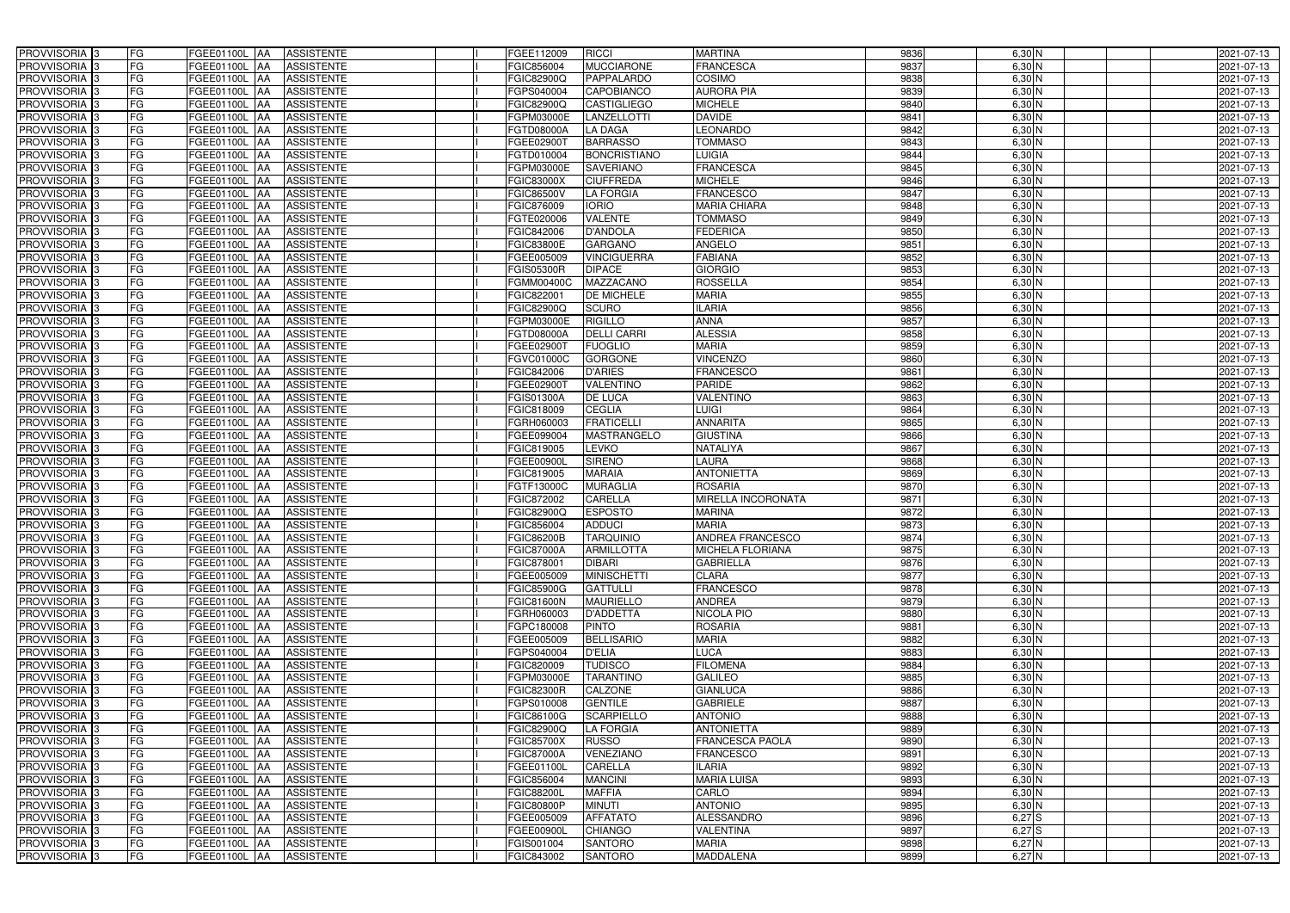| PROVVISORIA <sup>3</sup>                               | FG<br>FGEE01100L AA                         | <b>ASSISTENTE</b>                      | FGEE112009                      | <b>RICCI</b>                     | <b>MARTINA</b>                   | 9836         | 6,30 N               | 2021-07-13               |
|--------------------------------------------------------|---------------------------------------------|----------------------------------------|---------------------------------|----------------------------------|----------------------------------|--------------|----------------------|--------------------------|
| PROVVISORIA <sup>3</sup>                               | FG<br><b>FGEE01100L AA</b>                  | <b>ASSISTENTE</b>                      | FGIC856004                      | <b>MUCCIARONE</b>                | <b>FRANCESCA</b>                 | 9837         | $6,30$ N             | 2021-07-13               |
| PROVVISORIA <sup>3</sup>                               | FG<br>FGEE01100L AA                         | <b>ASSISTENTE</b>                      | FGIC82900Q                      | PAPPALARDO                       | COSIMO                           | 9838         | $6,30$ N             | 2021-07-13               |
| PROVVISORIA 3                                          | FG<br>FGEE01100L AA                         | <b>ASSISTENTE</b>                      | FGPS040004                      | <b>CAPOBIANCO</b>                | <b>AURORA PIA</b>                | 9839         | $6,30$ N             | 2021-07-13               |
| PROVVISORIA <sup>3</sup>                               | FG<br>FGEE01100L                            | <b>ASSISTENTE</b><br><b>IAA</b>        | FGIC82900Q                      | <b>CASTIGLIEGO</b>               | <b>MICHELE</b>                   | 9840         | $6,30$ N             | 2021-07-13               |
| PROVVISORIA 3                                          | FG<br>FGEE01100L AA                         | <b>ASSISTENTE</b>                      | FGPM03000E                      | <b>LANZELLOTTI</b>               | <b>DAVIDE</b>                    | 9841         | $6,30$ N             | 2021-07-13               |
| PROVVISORIA <sup>1</sup> 3                             | FG<br>FGEE01100L AA                         | <b>ASSISTENTE</b>                      | FGTD08000A                      | <b>LA DAGA</b>                   | <b>LEONARDO</b>                  | 9842         | $6,30$ N             | 2021-07-13               |
| PROVVISORIA 3                                          | FG<br>FGEE01100L AA                         | <b>ASSISTENTE</b>                      | FGEE02900T                      | <b>BARRASSO</b>                  | <b>TOMMASO</b>                   | 9843         | $6,30$ N             | 2021-07-13               |
| PROVVISORIA 3                                          | FG<br>FGEE01100L AA                         | <b>ASSISTENTE</b>                      | FGTD010004                      | <b>BONCRISTIANO</b>              | <b>LUIGIA</b>                    | 9844         | $6,30$ N             | 2021-07-13               |
| PROVVISORIA <sup>3</sup>                               | FG<br><b>FGEE01100L AA</b>                  | <b>ASSISTENTE</b>                      | FGPM03000E                      | <b>SAVERIANO</b>                 | <b>FRANCESCA</b>                 | 9845         | $6,30$ N             | 2021-07-13               |
| PROVVISORIA 3                                          | FG<br>FGEE01100L AA                         | <b>ASSISTENTE</b>                      | <b>FGIC83000X</b>               | <b>CIUFFREDA</b>                 | <b>MICHELE</b>                   | 9846         | $6,30$ N             | 2021-07-13               |
| PROVVISORIA 3                                          | FG<br>FGEE01100L AA                         | <b>ASSISTENTE</b>                      | <b>FGIC86500V</b>               | <b>LA FORGIA</b>                 | <b>FRANCESCO</b>                 | 9847         | $6,30$ N             | 2021-07-13               |
| PROVVISORIA 3                                          | FG<br>FGEE01100L AA                         | <b>ASSISTENTE</b>                      | FGIC876009                      | <b>IORIO</b>                     | <b>MARIA CHIARA</b>              | 9848         | $6,30$ N             | 2021-07-13               |
| PROVVISORIA 3                                          | FG<br>FGEE01100L AA                         | <b>ASSISTENTE</b>                      | FGTE020006                      | <b>VALENTE</b>                   | <b>TOMMASO</b>                   | 9849         | $6,30$ N             | 2021-07-13               |
| PROVVISORIA 3                                          | $\overline{\mathsf{FG}}$<br>FGEE01100L AA   | <b>ASSISTENTE</b>                      | <b>FGIC842006</b>               | <b>D'ANDOLA</b>                  | <b>FEDERICA</b>                  | 9850         | $6,30$ N             | 2021-07-13               |
| PROVVISORIA 3                                          | $\overline{\mathsf{FG}}$<br>FGEE01100L AA   | <b>ASSISTENTE</b>                      | <b>FGIC83800E</b>               | <b>GARGANO</b>                   | <b>ANGELO</b>                    | 9851         | $6,30$ N             | 2021-07-13               |
| PROVVISORIA 3                                          | FG<br><b>FGEE01100L</b>                     | <b>ASSISTENTE</b><br><b>IAA</b>        | FGEE005009                      | <b>VINCIGUERRA</b>               | <b>FABIANA</b>                   | 9852         | $6,30$ N             | 2021-07-13               |
| PROVVISORIA 3                                          | FG<br>FGEE01100L AA                         | <b>ASSISTENTE</b>                      | <b>FGIS05300R</b>               | <b>DIPACE</b>                    | <b>GIORGIO</b>                   | 9853         | $6,30$ N             | 2021-07-13               |
| PROVVISORIA 3                                          | FG<br>FGEE01100L                            | <b>ASSISTENTE</b><br><b>JAA</b>        | FGMM00400C                      | <b>MAZZACANO</b>                 | <b>ROSSELLA</b>                  | 9854         | $6,30$ N             | 2021-07-13               |
| PROVVISORIA 3                                          | FG<br>FGEE01100L AA                         | <b>ASSISTENTE</b>                      | FGIC82200                       | DE MICHELE                       | <b>MARIA</b>                     | 9855         | 6,30 N               | 2021-07-13               |
| PROVVISORIA <sup>3</sup>                               | FG<br>FGEE01100L                            | <b>AA</b><br><b>ASSISTENTE</b>         | FGIC82900Q                      | <b>SCURO</b>                     | <b>ILARIA</b>                    | 9856         | 6,30 N               | 2021-07-13               |
| PROVVISORIA 3                                          | FG<br>FGEE01100L AA                         | <b>ASSISTENTE</b>                      | FGPM03000E                      | <b>RIGILLO</b>                   | <b>ANNA</b>                      | 9857         | $6,30$ N             | 2021-07-13               |
| PROVVISORIA 3                                          | FG<br>FGEE01100L AA                         | <b>ASSISTENTE</b>                      | FGTD08000A                      | <b>DELLI CARRI</b>               | <b>ALESSIA</b>                   | 9858         | $6,30$ N             | 2021-07-13               |
| PROVVISORIA 3                                          | FG<br>FGEE01100L AA                         | <b>ASSISTENTE</b>                      | FGEE02900T                      | <b>FUOGLIO</b>                   | <b>MARIA</b>                     | 9859         | $6,30$ N             | 2021-07-13               |
| PROVVISORIA <sup>3</sup>                               | FG<br>FGEE01100L AA                         | <b>ASSISTENTE</b>                      | FGVC01000C                      | <b>GORGONE</b>                   | <b>VINCENZO</b>                  | 9860         | $6,30$ N             | 2021-07-13               |
| PROVVISORIA 3                                          | FG<br>FGEE01100L AA                         | <b>ASSISTENTE</b>                      | FGIC842006                      | <b>D'ARIES</b>                   | <b>FRANCESCO</b>                 | 9861         | $6,30$ N             | 2021-07-13               |
| PROVVISORIA 3                                          | FG<br>FGEE01100L AA                         | <b>ASSISTENTE</b>                      | FGEE029001                      | <b>VALENTINO</b>                 | <b>PARIDE</b>                    | 9862         | $6,30$ N             | 2021-07-13               |
| PROVVISORIA 3                                          | FG<br>FGEE01100L AA                         | <b>ASSISTENTE</b>                      | FGIS01300A                      | DE LUCA                          | <b>VALENTINO</b>                 | 9863         | $6,30$ N             | 2021-07-13               |
| PROVVISORIA <sup>3</sup>                               | FG<br>FGEE01100L AA                         | <b>ASSISTENTE</b>                      | FGIC818009                      | <b>CEGLIA</b>                    | <b>LUIGI</b>                     | 9864         | $6,30$ N             | 2021-07-13               |
| PROVVISORIA <sup>3</sup>                               | FG<br><b>FGEE01100L AA</b>                  | <b>ASSISTENTE</b>                      | FGRH060003                      | <b>FRATICELLI</b>                | <b>ANNARITA</b>                  | 9865         | $6,30$ N             | 2021-07-13               |
| PROVVISORIA <sup>3</sup>                               | FG<br>FGEE01100L AA                         | <b>ASSISTENTE</b>                      | FGEE099004                      | MASTRANGELO                      | <b>GIUSTINA</b>                  | 9866         | $6,30$ N             | 2021-07-13               |
| PROVVISORIA <sup>3</sup>                               | FG<br>FGEE01100L AA                         | <b>ASSISTENTE</b>                      | FGIC819005                      | LEVKO                            | NATALIYA                         | 9867         | 6,30 N               | 2021-07-13               |
| PROVVISORIA <sup>3</sup>                               | FG<br>FGEE01100L AA                         | <b>ASSISTENTE</b>                      | FGEE00900L                      | <b>SIRENO</b>                    | <b>LAURA</b>                     | 9868         | $6,30$ N             | 2021-07-13               |
| PROVVISORIA <sup>3</sup>                               | FG<br><b>FGEE01100L AA</b>                  | <b>ASSISTENTE</b>                      | FGIC819005                      | <b>MARAIA</b>                    | <b>ANTONIETTA</b>                | 9869         | $6,30$ N             | 2021-07-13               |
| PROVVISORIA <sup>3</sup>                               | FG<br>FGEE01100L                            | <b>ASSISTENTE</b><br> AA               | FGTF13000C                      | <b>MURAGLIA</b>                  | <b>ROSARIA</b>                   | 9870         | $6,30$ N             | 2021-07-13               |
| PROVVISORIA <sup>3</sup>                               | FG<br>FGEE01100L                            | <b>ASSISTENTE</b><br><b>JAA</b>        | FGIC872002                      | <b>CARELLA</b>                   | MIRELLA INCORONATA               | 9871         | 6,30 N               | 2021-07-13               |
| PROVVISORIA <sup>3</sup>                               | FG<br>FGEE01100L                            | <b>ASSISTENTE</b><br><b>JAA</b>        | FGIC82900Q                      | <b>ESPOSTO</b>                   | <b>MARINA</b>                    | 9872         | 6,30 N               | 2021-07-13               |
| PROVVISORIA <sup>3</sup>                               | FG<br>FGEE01100L AA                         | <b>ASSISTENTE</b>                      | FGIC856004                      | <b>ADDUCI</b>                    | <b>MARIA</b>                     | 9873         | $6,30$ N             | 2021-07-13               |
| PROVVISORIA 3                                          | FG<br><b>FGEE01100L</b> AA                  | ASSISTENTE                             | <b>FGIC86200B</b>               | <b>TARQUINIO</b>                 | <b>ANDREA FRANCESCO</b>          | 9874         | 6,30 N               | 2021-07-13               |
| PROVVISORIA <sup>3</sup>                               | FG<br>FGEE01100L AA                         | ASSISTENTE                             | <b>FGIC87000A</b>               | <b>ARMILLOTTA</b>                | <b>MICHELA FLORIANA</b>          | 9875         | $6,30$ N             | 2021-07-13               |
| PROVVISORIA <sup>3</sup>                               | FG<br>FGEE01100L AA                         | ASSISTENTE                             | FGIC878001                      | <b>DIBARI</b>                    | <b>GABRIELLA</b>                 | 9876         | $6,30$ N             | 2021-07-13               |
| PROVVISORIA <sup>3</sup>                               | FG<br>FGEE01100L AA                         | ASSISTENTE                             | FGEE005009                      | <b>MINISCHETTI</b>               | <b>CLARA</b>                     | 9877         | $6,30$ N             | 2021-07-13               |
| PROVVISORIA <sup>3</sup>                               | FG<br>FGEE01100L AA                         | <b>ASSISTENTE</b>                      | <b>FGIC85900G</b>               | <b>GATTULLI</b>                  | <b>FRANCESCO</b>                 | 9878         | $6,30$ N             | 2021-07-13               |
| PROVVISORIA <sup>3</sup>                               | FG<br>FGEE01100L AA                         | ASSISTENTE                             | <b>FGIC81600N</b>               | <b>MAURIELLO</b>                 | <b>ANDREA</b>                    | 9879         | $6,30$ N             | 2021-07-13               |
| PROVVISORIA 3                                          | FG<br>FGEE01100L AA                         | ASSISTENTE                             | FGRH060003                      | <b>D'ADDETTA</b>                 | <b>NICOLA PIO</b>                | 9880         | 6,30 N               | 2021-07-13               |
| PROVVISORIA <sup>3</sup>                               | FG<br>FGEE01100L AA                         | ASSISTENTE                             | FGPC180008                      | <b>PINTO</b>                     | <b>ROSARIA</b>                   | 9881         | $6,30$ N             | 2021-07-13               |
| PROVVISORIA <sup>3</sup>                               | FG<br>FGEE01100L AA                         | ASSISTENTE                             | FGEE005009                      | <b>BELLISARIO</b>                | <b>MARIA</b>                     | 9882         | $6,30$ N             | 2021-07-13               |
| PROVVISORIA <sup>3</sup>                               | FG<br>FGEE01100L AA                         | ASSISTENTE                             | FGPS040004                      | <b>D'ELIA</b>                    | <b>LUCA</b>                      | 9883         | $6,30$ N             | 2021-07-13               |
| PROVVISORIA <sup>3</sup>                               | FG<br><b>FGEE01100L AA</b>                  | ASSISTENTE                             | FGIC820009                      | <b>TUDISCO</b>                   | <b>FILOMENA</b>                  | 9884         | $6,30$ N             | 2021-07-13               |
| PROVVISORIA <sup>3</sup>                               | FG<br>FGEE01100L AA                         | ASSISTENTE                             | FGPM03000E                      | <b>TARANTINO</b>                 | <b>GALILEO</b>                   | 9885         | $6,30$ N             | 2021-07-13               |
| PROVVISORIA <sup>3</sup>                               | FG<br>FGEE01100L AA                         | <b>ASSISTENTE</b>                      | <b>FGIC82300R</b>               | CALZONE                          | <b>GIANLUCA</b>                  | 9886         | $6,30$ N             | 2021-07-13               |
| PROVVISORIA <sup>3</sup>                               | FG<br>FGEE01100L AA                         | ASSISTENTE                             | FGPS010008                      | <b>GENTILE</b>                   | <b>GABRIELE</b>                  | 9887         | $6,30$ N             | 2021-07-13               |
| PROVVISORIA <sup>3</sup>                               | FG<br>FGEE01100L AA                         | ASSISTENTE                             | FGIC86100G                      | <b>SCARPIELLO</b>                | <b>ANTONIO</b>                   | 9888         | $6,30$ N             | 2021-07-13               |
| PROVVISORIA <sup>3</sup>                               | FG<br>FGEE01100L AA                         | <b>ASSISTENTE</b>                      | FGIC82900Q                      | <b>LA FORGIA</b>                 | <b>ANTONIETTA</b>                | 9889         | $6,30$ N             |                          |
| <b>PROVVISORIA</b> 3                                   | FG<br>FGEE01100L AA                         | <b>ASSISTENTE</b>                      | <b>FGIC85700X</b>               | <b>RUSSO</b>                     | FRANCESCA PAOLA                  | 9890         | $6,30$ N             | 2021-07-13<br>2021-07-13 |
| PROVVISORIA <sup>1</sup> 3                             | FG<br>FGEE01100L AA                         | <b>ASSISTENTE</b>                      | <b>FGIC87000A</b>               | VENEZIANO                        | <b>FRANCESCO</b>                 | 9891         | 6,30 N               |                          |
|                                                        |                                             |                                        |                                 | <b>CARELLA</b>                   | <b>ILARIA</b>                    | 9892         |                      | 2021-07-13               |
| PROVVISORIA <sup>3</sup><br>PROVVISORIA <sup>1</sup> 3 | FG<br>FGEE01100L AA                         | <b>ASSISTENTE</b><br><b>ASSISTENTE</b> | FGEE01100L                      | <b>MANCINI</b>                   | <b>MARIA LUISA</b>               | 9893         | $6,30$ N             | 2021-07-13               |
| PROVVISORIA <sup>3</sup>                               | FG<br>FGEE01100L AA<br>FG                   | <b>ASSISTENTE</b>                      | FGIC856004                      | <b>MAFFIA</b>                    | CARLO                            | 9894         | 6,30 N<br>6,30 N     | 2021-07-13               |
| PROVVISORIA <sup>1</sup> 3                             | FGEE01100L AA<br>FG<br><b>FGEE01100L AA</b> | <b>ASSISTENTE</b>                      | FGIC88200L<br><b>FGIC80800P</b> | <b>MINUTI</b>                    | <b>ANTONIO</b>                   | 9895         | $6,30$ N             | 2021-07-13<br>2021-07-13 |
|                                                        |                                             |                                        |                                 |                                  | <b>ALESSANDRO</b>                |              |                      | 2021-07-13               |
|                                                        |                                             |                                        |                                 |                                  |                                  |              |                      |                          |
| PROVVISORIA <sup>3</sup>                               | FG<br>FGEE01100L AA                         | <b>ASSISTENTE</b>                      | FGEE005009                      | <b>AFFATATO</b>                  |                                  | 9896         | $6,27$ S             |                          |
| PROVVISORIA <sup>3</sup>                               | FG<br>FGEE01100L AA                         | <b>ASSISTENTE</b>                      | FGEE00900L                      | <b>CHIANGO</b>                   | <b>VALENTINA</b>                 | 9897         | $6,27$ S             | 2021-07-13               |
| PROVVISORIA <sup>3</sup><br>PROVVISORIA 3              | FG<br>FGEE01100L AA<br>FG<br>FGEE01100L AA  | <b>ASSISTENTE</b><br>ASSISTENTE        | FGIS001004<br>FGIC843002        | <b>SANTORO</b><br><b>SANTORO</b> | <b>MARIA</b><br><b>MADDALENA</b> | 9898<br>9899 | $6,27$ N<br>$6,27$ N | 2021-07-13<br>2021-07-13 |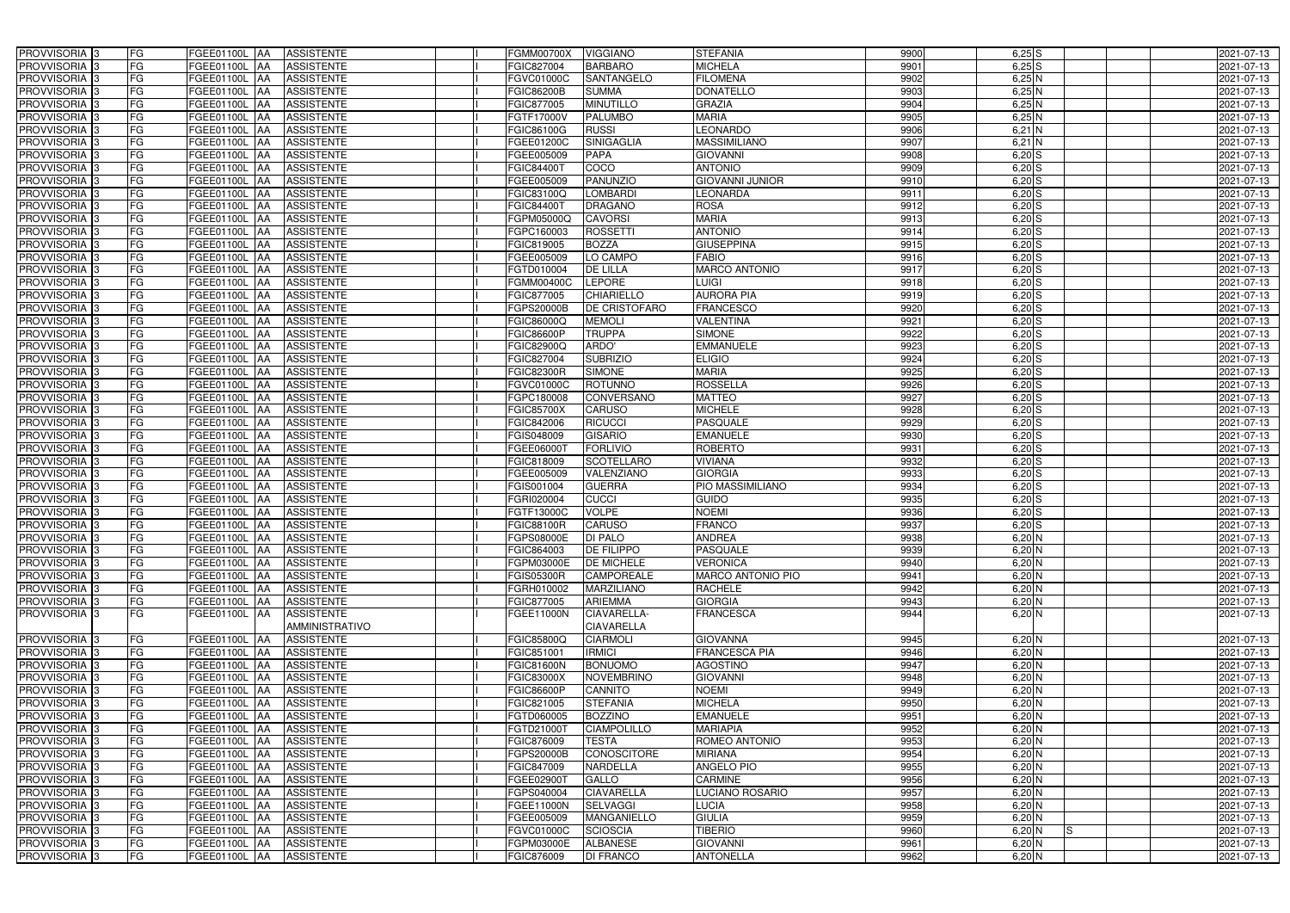| PROVVISORIA <sup>3</sup>   | FG<br>FGEE01100L AA                       | <b>ASSISTENTE</b>               | <b>FGMM00700X</b> | <b>VIGGIANO</b>    | <b>STEFANIA</b>          | 9900 | $6,25$ S        | 2021-07-13 |
|----------------------------|-------------------------------------------|---------------------------------|-------------------|--------------------|--------------------------|------|-----------------|------------|
| PROVVISORIA <sup>3</sup>   | FG<br>FGEE01100L AA                       | <b>ASSISTENTE</b>               | FGIC827004        | <b>BARBARO</b>     | <b>MICHELA</b>           | 9901 | $6,25$ S        | 2021-07-13 |
| PROVVISORIA <sup>1</sup> 3 | FG<br>FGEE01100L   AA                     | <b>ASSISTENTE</b>               | FGVC01000C        | SANTANGELO         | <b>FILOMENA</b>          | 9902 | $6,25$ N        | 2021-07-13 |
| PROVVISORIA 3              | FG<br>FGEE01100L AA                       | <b>ASSISTENTE</b>               | <b>FGIC86200B</b> | <b>SUMMA</b>       | <b>DONATELLO</b>         | 9903 | $6,25$ N        | 2021-07-13 |
| PROVVISORIA 3              | FG<br>FGEE01100L AA                       | <b>ASSISTENTE</b>               | FGIC877005        | <b>MINUTILLO</b>   | <b>GRAZIA</b>            | 9904 | $6,25$ N        | 2021-07-13 |
| PROVVISORIA <sup>3</sup>   | FG<br>FGEE01100L AA                       | <b>ASSISTENTE</b>               | FGTF17000V        | <b>PALUMBO</b>     | <b>MARIA</b>             | 9905 | $6,25$ N        | 2021-07-13 |
| PROVVISORIA 3              | FG<br>FGEE01100L AA                       | <b>ASSISTENTE</b>               | FGIC86100G        | <b>RUSSI</b>       | LEONARDO                 | 9906 | $6,21$ N        | 2021-07-13 |
| PROVVISORIA 3              | FG<br>FGEE01100L AA                       | <b>ASSISTENTE</b>               | FGEE01200C        | <b>SINIGAGLIA</b>  | <b>MASSIMILIANO</b>      | 9907 | $6,21$ N        | 2021-07-13 |
| PROVVISORIA 3              | FG<br>FGEE01100L AA                       | <b>ASSISTENTE</b>               | FGEE005009        | <b>PAPA</b>        | <b>GIOVANNI</b>          | 9908 | $6,20$ S        | 2021-07-13 |
| PROVVISORIA <sup>3</sup>   | FG<br>FGEE01100L                          | <b>ASSISTENTE</b><br><b>JAA</b> | FGIC84400T        | COCO               | <b>ANTONIO</b>           | 9909 | $6,20$ S        | 2021-07-13 |
| PROVVISORIA 3              | FG<br>FGEE01100L AA                       | <b>ASSISTENTE</b>               | FGEE005009        | <b>PANUNZIO</b>    | <b>GIOVANNI JUNIOR</b>   | 9910 | $6,20$ S        | 2021-07-13 |
| PROVVISORIA 3              | FG<br>FGEE01100L AA                       | <b>ASSISTENTE</b>               | FGIC83100Q        | <b>LOMBARDI</b>    | <b>LEONARDA</b>          | 9911 | $6,20$ S        | 2021-07-13 |
| PROVVISORIA <sup>3</sup>   | FG<br>FGEE01100L AA                       | <b>ASSISTENTE</b>               | <b>FGIC84400T</b> | <b>DRAGANO</b>     | <b>ROSA</b>              | 9912 | $6,20$ S        | 2021-07-13 |
| PROVVISORIA 3              | $\overline{\mathsf{FG}}$<br>FGEE01100L AA | <b>ASSISTENTE</b>               | FGPM05000Q        | <b>CAVORSI</b>     | <b>MARIA</b>             | 9913 | $6,20$ $S$      | 2021-07-13 |
| PROVVISORIA 3              | FG<br><b>FGEE01100L   AA</b>              | <b>ASSISTENTE</b>               | FGPC160003        | <b>ROSSETTI</b>    | <b>ANTONIO</b>           | 9914 | $6,20$ S        | 2021-07-13 |
| PROVVISORIA 3              | $\overline{\mathsf{FG}}$<br>FGEE01100L AA | <b>ASSISTENTE</b>               | FGIC819005        | <b>BOZZA</b>       | <b>GIUSEPPINA</b>        | 9915 | $6,20$ S        | 2021-07-13 |
| PROVVISORIA 3              | FG<br>FGEE01100L AA                       | <b>ASSISTENTE</b>               | FGEE005009        | LO CAMPO           | <b>FABIO</b>             | 9916 | $6,20$ S        | 2021-07-13 |
| PROVVISORIA 3              | FG<br>FGEE01100L AA                       | <b>ASSISTENTE</b>               | FGTD010004        | <b>DE LILLA</b>    | <b>MARCO ANTONIO</b>     | 9917 | $6,20$ S        | 2021-07-13 |
| PROVVISORIA <sup>3</sup>   | FG<br>FGEE01100L AA                       | <b>ASSISTENTE</b>               | FGMM00400C        | <b>LEPORE</b>      | LUIGI                    | 9918 | $6,20$ S        | 2021-07-13 |
| PROVVISORIA 3              | FG<br>FGEE01100L AA                       | <b>ASSISTENTE</b>               | FGIC877005        | <b>CHIARIELLO</b>  | <b>AURORA PIA</b>        | 9919 | $6,20$ S        | 2021-07-13 |
| PROVVISORIA <sup>3</sup>   | FG<br>FGEE01100L                          | <b>ASSISTENTE</b><br><b>JAA</b> | FGPS20000B        | DE CRISTOFARO      | <b>FRANCESCO</b>         | 9920 | $6,20$ S        | 2021-07-13 |
| PROVVISORIA 3              | FG<br>FGEE01100L                          | AA<br><b>ASSISTENTE</b>         | FGIC86000Q        | <b>MEMOLI</b>      | <b>VALENTINA</b>         | 9921 | $6,20$ S        | 2021-07-13 |
| PROVVISORIA 3              | FG<br>FGEE01100L AA                       | <b>ASSISTENTE</b>               | FGIC86600P        | <b>TRUPPA</b>      | <b>SIMONE</b>            | 9922 | $6,20$ S        | 2021-07-13 |
| PROVVISORIA <sup>3</sup>   | FG<br>FGEE01100L AA                       | <b>ASSISTENTE</b>               | FGIC82900Q        | ARDO'              | <b>EMMANUELE</b>         | 9923 | $6,20$ S        | 2021-07-13 |
| PROVVISORIA 3              | FG<br>FGEE01100L AA                       | <b>ASSISTENTE</b>               | FGIC827004        | <b>SUBRIZIO</b>    | <b>ELIGIO</b>            | 9924 | $6,20$ S        | 2021-07-13 |
| PROVVISORIA 3              | $\overline{\mathsf{FG}}$<br>FGEE01100L AA | <b>ASSISTENTE</b>               | <b>FGIC82300R</b> | <b>SIMONE</b>      | <b>MARIA</b>             | 9925 | 6,20S           | 2021-07-13 |
| PROVVISORIA 3              | FG<br>FGEE01100L                          | <b>ASSISTENTE</b><br>IAA        | FGVC01000C        | <b>ROTUNNO</b>     | <b>ROSSELLA</b>          | 9926 | $6,20$ S        | 2021-07-13 |
| PROVVISORIA 3              | FG<br>FGEE01100L                          | <b>ASSISTENTE</b><br>IAA        | FGPC180008        | CONVERSANO         | <b>MATTEO</b>            | 9927 | $6,20$ S        | 2021-07-13 |
| PROVVISORIA <sup>3</sup>   | FG<br>FGEE01100L                          | <b>ASSISTENTE</b><br>IAA        | <b>FGIC85700X</b> | CARUSO             | <b>MICHELE</b>           | 9928 | $6,20$ S        | 2021-07-13 |
| PROVVISORIA <sup>3</sup>   | FG<br><b>FGEE01100L AA</b>                | <b>ASSISTENTE</b>               | FGIC842006        | <b>RICUCCI</b>     | <b>PASQUALE</b>          | 9929 | $6,20$ S        | 2021-07-13 |
| PROVVISORIA <sup>3</sup>   | FG<br><b>FGEE01100L AA</b>                | <b>ASSISTENTE</b>               | FGIS048009        | <b>GISARIO</b>     | <b>EMANUELE</b>          | 9930 | $6,20$ S        | 2021-07-13 |
| PROVVISORIA <sup>3</sup>   | FG<br>FGEE01100L AA                       | <b>ASSISTENTE</b>               | FGEE06000T        | <b>FORLIVIO</b>    | <b>ROBERTO</b>           | 9931 | $6,20$ S        | 2021-07-13 |
| PROVVISORIA <sup>3</sup>   | FG<br><b>FGEE01100L AA</b>                | <b>ASSISTENTE</b>               | FGIC818009        | <b>SCOTELLARO</b>  | <b>VIVIANA</b>           | 9932 | $6,20$ $S$      | 2021-07-13 |
| PROVVISORIA <sup>3</sup>   | FG<br><b>FGEE01100L   AA</b>              | <b>ASSISTENTE</b>               | FGEE005009        | VALENZIANO         | <b>GIORGIA</b>           | 9933 | $6,20$ S        | 2021-07-13 |
| PROVVISORIA 3              | FG<br>FGEE01100L AA                       | <b>ASSISTENTE</b>               | FGIS001004        | <b>GUERRA</b>      | PIO MASSIMILIANO         | 9934 | $6,20$ S        | 2021-07-13 |
| PROVVISORIA <sup>3</sup>   | FG<br>FGEE01100L AA                       | <b>ASSISTENTE</b>               | FGRI020004        | <b>CUCCI</b>       | GUIDO                    | 9935 | $6,20$ $S$      | 2021-07-13 |
| PROVVISORIA 3              | FG<br>FGEE01100L AA                       | <b>ASSISTENTE</b>               | FGTF13000C        | <b>VOLPE</b>       | <b>NOEMI</b>             | 9936 | $6,20$ $S$      | 2021-07-13 |
| PROVVISORIA <sup>3</sup>   | FG<br>FGEE01100L AA                       | <b>ASSISTENTE</b>               | <b>FGIC88100R</b> | <b>CARUSO</b>      | <b>FRANCO</b>            | 9937 | $6,20$ $S$      | 2021-07-13 |
| PROVVISORIA <sup>3</sup>   | <b>FG</b>                                 | FGEE01100L AA ASSISTENTE        | <b>FGPS08000E</b> | <b>DI PALO</b>     | <b>ANDREA</b>            | 9938 | $6,20$ N        | 2021-07-13 |
| PROVVISORIA <sup>3</sup>   | FG<br>FGEE01100L AA                       | ASSISTENTE                      | FGIC864003        | <b>DE FILIPPO</b>  | <b>PASQUALE</b>          | 9939 | $6,20$ N        | 2021-07-13 |
| PROVVISORIA <sup>3</sup>   | FG<br>FGEE01100L AA                       | <b>ASSISTENTE</b>               | FGPM03000E        | <b>DE MICHELE</b>  | <b>VERONICA</b>          | 9940 | $6,20$ N        | 2021-07-13 |
| <b>PROVVISORIA</b> 3       | FG<br>FGEE01100L AA                       | <b>ASSISTENTE</b>               | <b>FGIS05300R</b> | <b>CAMPOREALE</b>  | <b>MARCO ANTONIO PIO</b> | 9941 | $6,20$ N        | 2021-07-13 |
| PROVVISORIA <sup>3</sup>   | FG<br>FGEE01100L AA                       | ASSISTENTE                      | FGRH010002        | <b>MARZILIANO</b>  | <b>RACHELE</b>           | 9942 | $6,20$ N        | 2021-07-13 |
| <b>PROVVISORIA</b> 3       | FG<br>FGEE01100L AA                       | <b>ASSISTENTE</b>               | FGIC877005        | <b>ARIEMMA</b>     | <b>GIORGIA</b>           | 9943 | $6,20$ N        | 2021-07-13 |
| PROVVISORIA 3              | FG<br>FGEE01100L AA                       | ASSISTENTE                      | FGEE11000N        | CIAVARELLA-        | <b>FRANCESCA</b>         | 9944 | $6,20$ N        | 2021-07-13 |
|                            |                                           | AMMINISTRATIVO                  |                   | <b>CIAVARELLA</b>  |                          |      |                 |            |
| PROVVISORIA <sup>3</sup>   | FG<br>FGEE01100L AA                       | <b>ASSISTENTE</b>               | FGIC85800Q        | <b>CIARMOLI</b>    | <b>GIOVANNA</b>          | 9945 | $6,20$ N        | 2021-07-13 |
| PROVVISORIA <sup>3</sup>   | FG<br>FGEE01100L AA                       | <b>ASSISTENTE</b>               | FGIC851001        | <b>IRMICI</b>      | <b>FRANCESCA PIA</b>     | 9946 | $6,20$ N        | 2021-07-13 |
| PROVVISORIA <sup>3</sup>   | FG<br><b>FGEE01100L AA</b>                | <b>ASSISTENTE</b>               | <b>FGIC81600N</b> | <b>BONUOMO</b>     | <b>AGOSTINO</b>          | 9947 | $6,20$ N        | 2021-07-13 |
| PROVVISORIA <sup>3</sup>   | FG<br>FGEE01100L AA                       | <b>ASSISTENTE</b>               | <b>FGIC83000X</b> | <b>NOVEMBRINO</b>  | <b>GIOVANNI</b>          | 9948 | $6,20$ N        | 2021-07-13 |
| PROVVISORIA <sup>3</sup>   | FG<br>FGEE01100L AA                       | <b>ASSISTENTE</b>               | <b>FGIC86600P</b> | <b>CANNITO</b>     | <b>NOEMI</b>             | 9949 | $6,20$ N        | 2021-07-13 |
| PROVVISORIA <sup>3</sup>   | FG<br>FGEE01100L AA                       | <b>ASSISTENTE</b>               | FGIC821005        | <b>STEFANIA</b>    | <b>MICHELA</b>           | 9950 | $6,20$ N        | 2021-07-13 |
| PROVVISORIA <sup>3</sup>   | FG<br>FGEE01100L AA                       | <b>ASSISTENTE</b>               | FGTD060005        | <b>BOZZINO</b>     | <b>EMANUELE</b>          | 9951 | $6,20$ N        | 2021-07-13 |
| PROVVISORIA <sup>3</sup>   | FG<br>FGEE01100L AA                       | <b>ASSISTENTE</b>               | FGTD21000T        | <b>CIAMPOLILLO</b> | <b>MARIAPIA</b>          | 9952 | $6,20$ N        | 2021-07-13 |
| PROVVISORIA <sup>3</sup>   | FG<br>FGEE01100L AA                       | <b>ASSISTENTE</b>               | FGIC876009        | <b>TESTA</b>       | ROMEO ANTONIO            | 9953 | $6,20$ N        | 2021-07-13 |
| PROVVISORIA <sup>3</sup>   | FG<br>FGEE01100L AA                       | <b>ASSISTENTE</b>               | FGPS20000B        | <b>CONOSCITORE</b> | <b>MIRIANA</b>           | 9954 | $6,20$ N        | 2021-07-13 |
| PROVVISORIA <sup>3</sup>   | FG<br>FGEE01100L AA                       | <b>ASSISTENTE</b>               | FGIC847009        | <b>NARDELLA</b>    | <b>ANGELO PIO</b>        | 9955 | $6,20$ N        | 2021-07-13 |
| PROVVISORIA <sup>3</sup>   | FG<br>FGEE01100L AA                       | <b>ASSISTENTE</b>               | FGEE02900T        | <b>GALLO</b>       | <b>CARMINE</b>           | 9956 | $6,20$ N        | 2021-07-13 |
| PROVVISORIA <sup>3</sup>   | FGEE01100L AA<br>FG                       | <b>ASSISTENTE</b>               | FGPS040004        | <b>CIAVARELLA</b>  | LUCIANO ROSARIO          | 9957 | $6,20$ N        | 2021-07-13 |
| PROVVISORIA <sup>3</sup>   | FG<br>FGEE01100L AA                       | <b>ASSISTENTE</b>               | FGEE11000N        | <b>SELVAGGI</b>    | LUCIA                    | 9958 | $6,20$ N        | 2021-07-13 |
| PROVVISORIA <sup>3</sup>   | FG<br>FGEE01100L AA                       | <b>ASSISTENTE</b>               | FGEE005009        | <b>MANGANIELLO</b> | <b>GIULIA</b>            | 9959 | $6,20$ N        | 2021-07-13 |
| PROVVISORIA <sup>3</sup>   | FG<br>FGEE01100L AA                       | <b>ASSISTENTE</b>               | FGVC01000C        | <b>SCIOSCIA</b>    | <b>TIBERIO</b>           | 9960 | $6,20$ N<br>IS. | 2021-07-13 |
| PROVVISORIA <sup>3</sup>   | FG<br>FGEE01100L AA                       | <b>ASSISTENTE</b>               | FGPM03000E        | <b>ALBANESE</b>    | <b>GIOVANNI</b>          | 9961 | $6,20$ N        | 2021-07-13 |
| PROVVISORIA 3              | FG<br>FGEE01100L AA                       | ASSISTENTE                      | FGIC876009        | <b>DI FRANCO</b>   | <b>ANTONELLA</b>         | 9962 | $6,20$ N        | 2021-07-13 |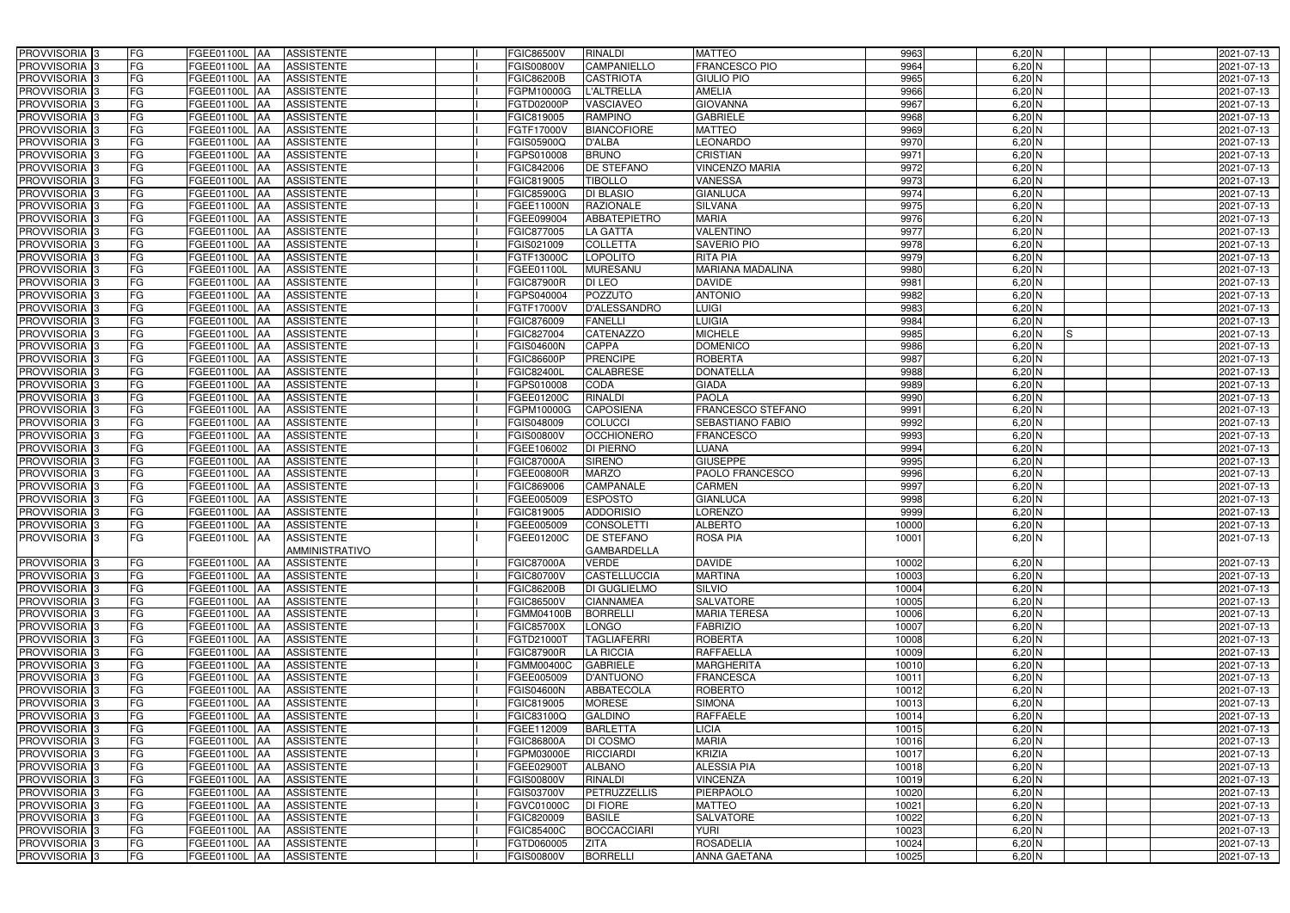| PROVVISORIA 3                             | FG              | FGEE01100L AA                  | <b>ASSISTENTE</b>                      | FGIC86500V               | <b>RINALDI</b>                        | <b>MATTEO</b>                    | 9963          | $6,20$ N             | 2021-07-13               |
|-------------------------------------------|-----------------|--------------------------------|----------------------------------------|--------------------------|---------------------------------------|----------------------------------|---------------|----------------------|--------------------------|
| PROVVISORIA 3                             | FG              | FGEE01100L                     | <b>ASSISTENTE</b>                      | FGIS00800V               | CAMPANIELLO                           | FRANCESCO PIO                    | 9964          | $6,20$ N             | 2021-07-13               |
| PROVVISORIA 3                             | <b>FG</b>       | FGEE01100L<br>IAA              | <b>ASSISTENTE</b>                      | FGIC86200B               | <b>CASTRIOTA</b>                      | <b>GIULIO PIO</b>                | 9965          | $6,20$ N             | 2021-07-13               |
| PROVVISORIA <sup>3</sup>                  | <b>FG</b>       | FGEE01100L<br>IAA              | <b>ASSISTENTE</b>                      | <b>FGPM10000G</b>        | <b>L'ALTRELLA</b>                     | <b>AMELIA</b>                    | 9966          | $6,20$ N             | 2021-07-13               |
| PROVVISORIA <sup>3</sup>                  | FG              | FGEE01100L                     | <b>ASSISTENTE</b>                      | FGTD02000P               | VASCIAVEO                             | <b>GIOVANNA</b>                  | 9967          | $6,20$ N             | 2021-07-13               |
| PROVVISORIA 3                             | <b>FG</b>       | <b>FGEE01100L AA</b>           | <b>ASSISTENTE</b>                      | FGIC819005               | <b>RAMPINO</b>                        | <b>GABRIELE</b>                  | 9968          | $6,20$ N             | 2021-07-13               |
| PROVVISORIA 3                             | FG              | <b>FGEE01100L   AA</b>         | <b>ASSISTENTE</b>                      | FGTF17000V               | <b>BIANCOFIORE</b>                    | <b>MATTEO</b>                    | 9969          | $6,20$ N             | 2021-07-13               |
| PROVVISORIA 3                             | FG              | FGEE01100L AA                  | <b>ASSISTENTE</b>                      | FGIS05900Q               | <b>D'ALBA</b>                         | <b>LEONARDO</b>                  | 9970          | $6,20$ N             | 2021-07-13               |
| PROVVISORIA 3                             | <b>FG</b>       | FGEE01100L AA                  | <b>ASSISTENTE</b>                      | FGPS010008               | <b>BRUNO</b>                          | <b>CRISTIAN</b>                  | 9971          | $6,20$ N             | 2021-07-13               |
| PROVVISORIA 3                             | <b>FG</b>       | FGEE01100L AA                  | <b>ASSISTENTE</b>                      | FGIC842006               | DE STEFANO                            | <b>VINCENZO MARIA</b>            | 9972          | $6,20$ N             | 2021-07-13               |
| PROVVISORIA <sup>3</sup>                  | FG              | FGEE01100L AA                  | <b>ASSISTENTE</b>                      | FGIC819005               | <b>TIBOLLO</b>                        | <b>VANESSA</b>                   | 9973          | $6,20$ N             | 2021-07-13               |
| PROVVISORIA 3                             | FG              | FGEE01100L AA                  | <b>ASSISTENTE</b>                      | FGIC85900G               | <b>DI BLASIO</b>                      | <b>GIANLUCA</b>                  | 9974          | $6,20$ N             | 2021-07-13               |
| PROVVISORIA <sup>3</sup>                  | FG              | FGEE01100L<br>IAA              | <b>ASSISTENTE</b>                      | FGEE11000N               | <b>RAZIONALE</b>                      | <b>SILVANA</b>                   | 9975          | $6,20$ N             | 2021-07-13               |
| PROVVISORIA 3                             | FG              | FGEE01100L AA                  | <b>ASSISTENTE</b>                      | FGEE099004               | <b>ABBATEPIETRO</b>                   | <b>MARIA</b>                     | 9976          | $6,20$ N             | 2021-07-13               |
| PROVVISORIA 3                             | <b>FG</b>       | FGEE01100L AA                  | <b>ASSISTENTE</b>                      | FGIC877005               | <b>LA GATTA</b>                       | <b>VALENTINO</b>                 | 9977          | $6,20$ N             | 2021-07-13               |
| PROVVISORIA 3                             | <b>FG</b>       | <b>FGEE01100L</b><br>IAA       | <b>ASSISTENTE</b>                      | GIS021009                | <b>COLLETTA</b>                       | <b>SAVERIO PIO</b>               | 9978          | $6,20$ N             | 2021-07-13               |
| PROVVISORIA 3                             | FG              | <b>FGEE01100L</b><br>IAA       | <b>ASSISTENTE</b>                      | FGTF13000C               | <b>LOPOLITO</b>                       | <b>RITA PIA</b>                  | 9979          | $6,20$ N             | 2021-07-13               |
| PROVVISORIA 3                             | FG              | <b>FGEE01100L</b><br>IAA       | <b>ASSISTENTE</b>                      | FGEE01100L               | <b>MURESANU</b>                       | <b>MARIANA MADALINA</b>          | 9980          | $6,20$ N             | 2021-07-13               |
| PROVVISORIA 3                             | FG              | FGEE01100L<br>IAA              | <b>ASSISTENTE</b>                      | <b>FGIC87900R</b>        | <b>DI LEO</b>                         | <b>DAVIDE</b>                    | 9981          | $6,20$ N             | 2021-07-13               |
| PROVVISORIA 3                             | FG              | FGEE01100L<br>IAA              | <b>ASSISTENTE</b>                      | FGPS040004               | <b>POZZUTO</b>                        | <b>ANTONIO</b>                   | 9982          | 6,20 N               | 2021-07-13               |
| <b>PROVVISORIA</b> 3                      | FG              | FGEE01100L                     | <b>ASSISTENTE</b>                      | FGTF17000V               | <b>D'ALESSANDRO</b>                   | <b>LUIGI</b>                     | 9983          | 6,20 N               | 2021-07-13               |
| <b>PROVVISORIA</b> 3                      | FG              | FGEE01100L                     | <b>ASSISTENTE</b>                      | FGIC876009               | <b>FANELLI</b>                        | <b>LUIGIA</b>                    | 9984          | $6,20$ N             | 2021-07-13               |
| PROVVISORIA <sup>3</sup>                  | FG              | FGEE01100L                     | <b>ASSISTENTE</b>                      | FGIC827004               | <b>CATENAZZO</b>                      | <b>MICHELE</b>                   | 9985          | $6,20$ N             | 2021-07-13               |
| PROVVISORIA <sup>3</sup>                  | <b>FG</b>       | <b>FGEE01100L</b><br>ΙAΑ       | <b>ASSISTENTE</b>                      | <b>GIS04600N</b>         | <b>CAPPA</b>                          | <b>DOMENICO</b>                  | 9986          | $6,20$ N             | 2021-07-13               |
| <b>PROVVISORIA</b> 3                      | <b>FG</b>       | FGEE01100L<br>IAA              | <b>ASSISTENTE</b>                      | <b>GIC86600P</b>         | <b>PRENCIPE</b>                       | <b>ROBERTA</b>                   | 9987          | $6,20$ N             | 2021-07-13               |
| PROVVISORIA 3                             | FG              | FGEE01100L<br>IAA              | <b>ASSISTENTE</b>                      | FGIC82400L               | <b>CALABRESE</b>                      | <b>DONATELLA</b>                 | 9988          | $6,20$ N             | 2021-07-13               |
| PROVVISORIA 3                             | <b>FG</b>       | FGEE01100L AA                  | <b>ASSISTENTE</b>                      | FGPS010008               | CODA                                  | <b>GIADA</b>                     | 9989          | $6,20$ N             | 2021-07-13               |
| PROVVISORIA 3                             | <b>FG</b>       | FGEE01100L AA                  | <b>ASSISTENTE</b>                      | FGEE01200C               | <b>RINALDI</b>                        | <b>PAOLA</b>                     | 9990          | $6,20$ N             | 2021-07-13               |
| PROVVISORIA <sup>3</sup>                  | FG              | FGEE01100L<br>IAA              | <b>ASSISTENTE</b>                      | <b>GPM10000G</b>         | <b>CAPOSIENA</b>                      | FRANCESCO STEFANO                | 9991          | $6,20$ N             | 2021-07-13               |
| PROVVISORIA 3                             | <b>FG</b>       | FGEE01100L AA                  | <b>ASSISTENTE</b>                      | GIS048009                | <b>COLUCCI</b>                        | SEBASTIANO FABIO                 | 9992          | $6,20$ N             | 2021-07-13               |
| PROVVISORIA 3                             | FG              | <b>FGEE01100L AA</b>           | <b>ASSISTENTE</b>                      | FGIS00800V               | <b>OCCHIONERO</b>                     | <b>FRANCESCO</b>                 | 9993          | $6,20$ N             | 2021-07-13               |
| PROVVISORIA 3                             | FG              | FGEE01100L AA                  | <b>ASSISTENTE</b>                      | FGEE106002               | DI PIERNO                             | LUANA                            | 9994          | 6,20 N               | 2021-07-13               |
| PROVVISORIA 3                             | FG              | FGEE01100L<br>IAA              | <b>ASSISTENTE</b>                      | <b>FGIC87000A</b>        | <b>SIRENO</b>                         | <b>GIUSEPPE</b>                  | 9995          | $6,20$ N             | 2021-07-13               |
| PROVVISORIA <sup>3</sup>                  | <b>FG</b>       | FGEE01100L AA                  | <b>ASSISTENTE</b>                      | FGEE00800R               | <b>MARZO</b>                          | PAOLO FRANCESCO                  | 9996          | 6,20 N               | 2021-07-13               |
| <b>PROVVISORIA</b> 3                      | <b>FG</b>       | FGEE01100L<br>IAA              | <b>ASSISTENTE</b>                      | FGIC869006               | <b>CAMPANALE</b>                      | <b>CARMEN</b>                    | 9997          | $6,20$ N             | 2021-07-13               |
| PROVVISORIA <sup>1</sup> 3                | FG              | FGEE01100L<br>IAA              | <b>ASSISTENTE</b>                      | GEE005009                | <b>ESPOSTO</b>                        | <b>GIANLUCA</b>                  | 9998          | $6,20$ N             | 2021-07-13               |
| PROVVISORIA <sup>1</sup> 3                | FG<br><b>FG</b> | <b>FGEE01100L</b><br>IAA       | <b>ASSISTENTE</b>                      | GIC819005 <sup>-</sup>   | <b>ADDORISIO</b><br><b>CONSOLETTI</b> | <b>LORENZO</b><br><b>ALBERTO</b> | 9999<br>10000 | $6,20$ N<br>$6,20$ N | 2021-07-13               |
| PROVVISORIA <sup>3</sup><br>PROVVISORIA 3 | FG              | FGEE01100L AA<br>FGEE01100L AA | <b>ASSISTENTE</b><br><b>ASSISTENTE</b> | FGEE005009<br>FGEE01200C | <b>DE STEFANO</b>                     | <b>ROSA PIA</b>                  | 10001         | $6,20$ N             | 2021-07-13<br>2021-07-13 |
|                                           |                 |                                | <b>AMMINISTRATIVO</b>                  |                          | <b>GAMBARDELLA</b>                    |                                  |               |                      |                          |
| PROVVISORIA <sup>3</sup>                  | FG              | FGEE01100L AA                  | <b>ASSISTENTE</b>                      | <b>FGIC87000A</b>        | <b>VERDE</b>                          | <b>DAVIDE</b>                    | 10002         | $6,20$ N             | 2021-07-13               |
| PROVVISORIA <sup>3</sup>                  | FG              | FGEE01100L AA                  | <b>ASSISTENTE</b>                      | FGIC80700V               | CASTELLUCCIA                          | <b>MARTINA</b>                   | 10003         | $6,20$ N             | 2021-07-13               |
| PROVVISORIA <sup>3</sup>                  | FG              | FGEE01100L AA                  | <b>ASSISTENTE</b>                      | <b>FGIC86200B</b>        | <b>DI GUGLIELMO</b>                   | SILVIO                           | 10004         | $6,20$ N             | 2021-07-13               |
| PROVVISORIA <sup>3</sup>                  | FG              | FGEE01100L AA                  | <b>ASSISTENTE</b>                      | FGIC86500V               | <b>CIANNAMEA</b>                      | <b>SALVATORE</b>                 | 10005         | $6,20$ N             | 2021-07-13               |
| PROVVISORIA <sup>3</sup>                  | FG              | FGEE01100L AA                  | <b>ASSISTENTE</b>                      | FGMM04100B               | <b>BORRELLI</b>                       | <b>MARIA TERESA</b>              | 10006         | $6,20$ N             | 2021-07-13               |
| PROVVISORIA <sup>3</sup>                  | FG              | FGEE01100L AA                  | <b>ASSISTENTE</b>                      | <b>FGIC85700X</b>        | <b>LONGO</b>                          | <b>FABRIZIO</b>                  | 10007         | $6,20$ N             | 2021-07-13               |
| PROVVISORIA <sup>3</sup>                  | FG              | FGEE01100L AA                  | <b>ASSISTENTE</b>                      | FGTD21000T               | <b>TAGLIAFERRI</b>                    | <b>ROBERTA</b>                   | 10008         | $6,20$ N             | 2021-07-13               |
| PROVVISORIA <sup>3</sup>                  | FG              | FGEE01100L AA                  | <b>ASSISTENTE</b>                      | <b>FGIC87900R</b>        | <b>LA RICCIA</b>                      | <b>RAFFAELLA</b>                 | 10009         | $6,20$ N             | 2021-07-13               |
| PROVVISORIA <sup>3</sup>                  | FG              | FGEE01100L AA                  | <b>ASSISTENTE</b>                      | FGMM00400C               | <b>GABRIELE</b>                       | <b>MARGHERITA</b>                | 10010         | $6,20$ N             | 2021-07-13               |
| PROVVISORIA <sup>3</sup>                  | FG              | FGEE01100L AA                  | <b>ASSISTENTE</b>                      | FGEE005009               | <b>D'ANTUONO</b>                      | <b>FRANCESCA</b>                 | 10011         | $6,20$ N             | 2021-07-13               |
| PROVVISORIA <sup>3</sup>                  | FG              | FGEE01100L AA                  | <b>ASSISTENTE</b>                      | FGIS04600N               | <b>ABBATECOLA</b>                     | <b>ROBERTO</b>                   | 10012         | $6,20$ N             | 2021-07-13               |
| PROVVISORIA <sup>3</sup>                  | FG              | FGEE01100L AA                  | <b>ASSISTENTE</b>                      | FGIC819005               | <b>MORESE</b>                         | <b>SIMONA</b>                    | 10013         | $6,20$ N             | 2021-07-13               |
| PROVVISORIA <sup>3</sup>                  | FG              | <b>FGEE01100L   AA</b>         | <b>ASSISTENTE</b>                      | FGIC83100Q               | <b>GALDINO</b>                        | <b>RAFFAELE</b>                  | 10014         | $6,20$ N             | 2021-07-13               |
| PROVVISORIA <sup>3</sup>                  | FG              | <b>FGEE01100L   AA</b>         | <b>ASSISTENTE</b>                      | FGEE112009               | <b>BARLETTA</b>                       | <b>LICIA</b>                     | 10015         | $6,20$ N             | 2021-07-13               |
| PROVVISORIA <sup>13</sup>                 | FG              | FGEE01100L AA                  | <b>ASSISTENTE</b>                      | FGIC86800A               | DI COSMO                              | <b>MARIA</b>                     | 10016         | $6,20$ N             | 2021-07-13               |
| PROVVISORIA <sup>3</sup>                  | FG              | <b>FGEE01100L   AA</b>         | <b>ASSISTENTE</b>                      | FGPM03000E               | <b>RICCIARDI</b>                      | <b>KRIZIA</b>                    | 10017         | 6,20 N               | 2021-07-13               |
| PROVVISORIA <sup>3</sup>                  | FG              | FGEE01100L AA                  | <b>ASSISTENTE</b>                      | FGEE02900T               | <b>ALBANO</b>                         | <b>ALESSIA PIA</b>               | 10018         | $6,20$ N             | 2021-07-13               |
| PROVVISORIA <sup>3</sup>                  | FG              | <b>FGEE01100L   AA</b>         | <b>ASSISTENTE</b>                      | FGIS00800V               | <b>RINALDI</b>                        | <b>VINCENZA</b>                  | 10019         | $6,20$ N             | 2021-07-13               |
| PROVVISORIA <sup>3</sup>                  | FG              | FGEE01100L AA                  | <b>ASSISTENTE</b>                      | FGIS03700V               | PETRUZZELLIS                          | PIERPAOLO                        | 10020         | $6,20$ N             | 2021-07-13               |
| PROVVISORIA <sup>3</sup>                  | FG              | FGEE01100L AA                  | <b>ASSISTENTE</b>                      | FGVC01000C               | <b>DI FIORE</b>                       | <b>MATTEO</b>                    | 10021         | $6,20$ N             | 2021-07-13               |
| PROVVISORIA <sup>3</sup>                  | FG              | FGEE01100L AA                  | <b>ASSISTENTE</b>                      | FGIC820009               | <b>BASILE</b>                         | <b>SALVATORE</b>                 | 10022         | $6,20$ N             | 2021-07-13               |
| PROVVISORIA <sup>3</sup>                  | FG              | FGEE01100L AA                  | <b>ASSISTENTE</b>                      | FGIC85400C               | <b>BOCCACCIARI</b>                    | <b>YURI</b>                      | 10023         | $6,20$ N             | 2021-07-13               |
| PROVVISORIA <sup>3</sup>                  | FG              | FGEE01100L AA                  | ASSISTENTE                             | FGTD060005               | <b>ZITA</b>                           | <b>ROSADELIA</b>                 | 10024         | $6,20$ N             | 2021-07-13               |
| PROVVISORIA 3                             | FG              | <b>FGEE01100L AA</b>           | <b>ASSISTENTE</b>                      | <b>FGIS00800V</b>        | <b>BORRELLI</b>                       | <b>ANNA GAETANA</b>              | 10025         | $6,20$ N             | 2021-07-13               |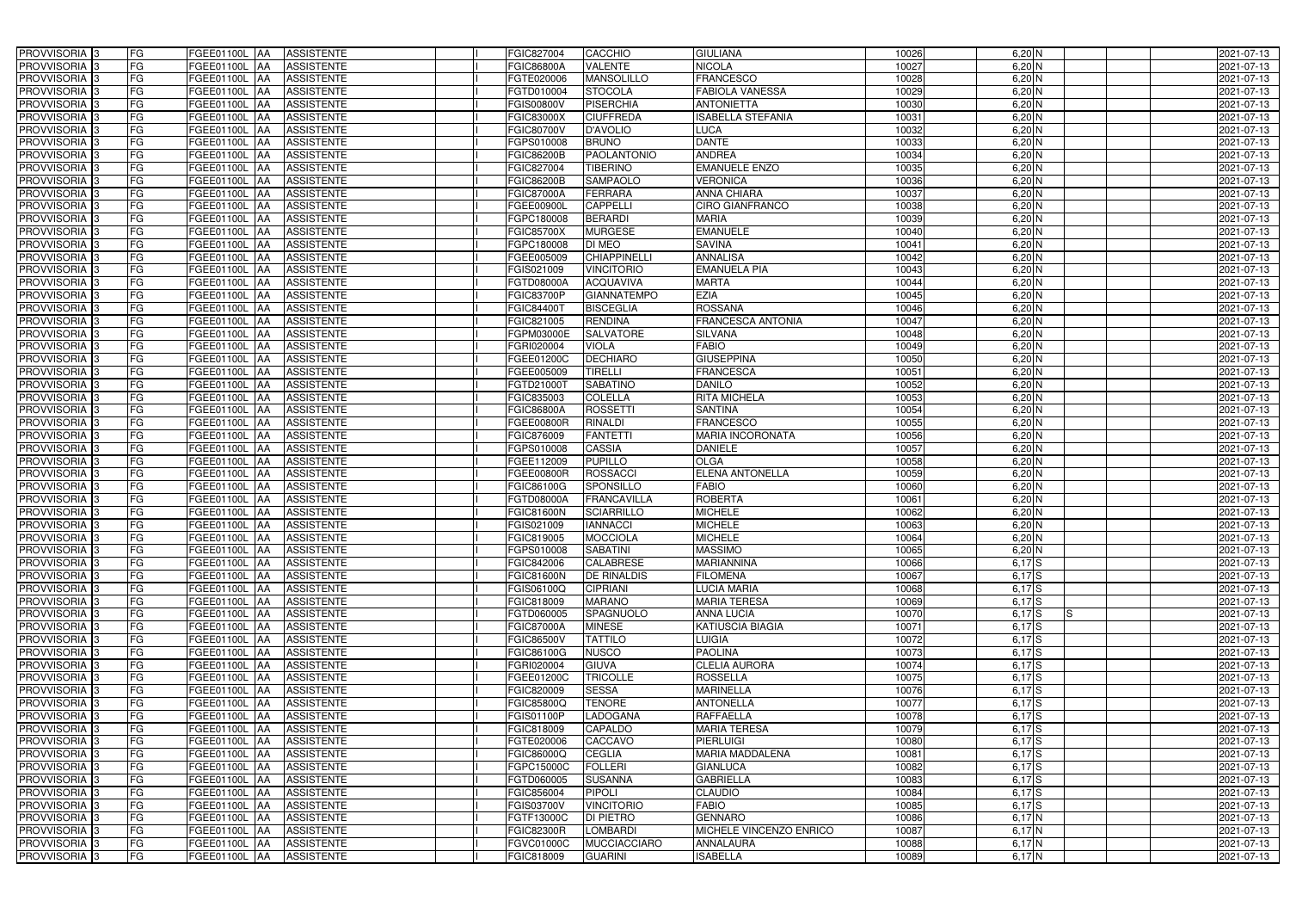| PROVVISORIA 3              | FG<br>FGEE01100L AA                       | <b>ASSISTENTE</b>               | FGIC827004        | CACCHIO             | <b>GIULIANA</b>          | 10026    | $6,20$ N                  | 2021-07-13 |
|----------------------------|-------------------------------------------|---------------------------------|-------------------|---------------------|--------------------------|----------|---------------------------|------------|
| PROVVISORIA <sup>3</sup>   | FG<br>FGEE01100L AA                       | <b>ASSISTENTE</b>               | <b>FGIC86800A</b> | VALENTE             | <b>NICOLA</b>            | 10027    | $6,20$ N                  | 2021-07-13 |
| PROVVISORIA <sup>3</sup>   | FG<br>FGEE01100L AA                       | <b>ASSISTENTE</b>               | FGTE020006        | <b>MANSOLILLO</b>   | <b>FRANCESCO</b>         | 10028    | $6,20$ N                  | 2021-07-13 |
| PROVVISORIA 3              | FG<br>FGEE01100L AA                       | <b>ASSISTENTE</b>               | FGTD010004        | <b>STOCOLA</b>      | FABIOLA VANESSA          | 10029    | $6,20$ N                  | 2021-07-13 |
| PROVVISORIA <sup>3</sup>   | FG<br>FGEE01100L                          | <b>ASSISTENTE</b><br><b>IAA</b> | <b>FGIS00800V</b> | <b>PISERCHIA</b>    | <b>ANTONIETTA</b>        | 10030    | $6,20$ N                  | 2021-07-13 |
| PROVVISORIA <sup>3</sup>   | FG<br>FGEE01100L AA                       | <b>ASSISTENTE</b>               | <b>FGIC83000X</b> | <b>CIUFFREDA</b>    | <b>ISABELLA STEFANIA</b> | 10031    | $6,20$ N                  | 2021-07-13 |
| PROVVISORIA <sup>1</sup> 3 | FG<br>FGEE01100L AA                       | <b>ASSISTENTE</b>               | <b>FGIC80700V</b> | <b>D'AVOLIO</b>     | <b>LUCA</b>              | 10032    | $6,20$ N                  | 2021-07-13 |
| PROVVISORIA <sup>3</sup>   | FG<br>FGEE01100L AA                       | <b>ASSISTENTE</b>               | FGPS010008        | <b>BRUNO</b>        | <b>DANTE</b>             | 10033    | $6,20$ N                  | 2021-07-13 |
| PROVVISORIA <sup>3</sup>   | FG<br>FGEE01100L AA                       | <b>ASSISTENTE</b>               | <b>FGIC86200B</b> | PAOLANTONIO         | <b>ANDREA</b>            | 10034    | $6,20$ N                  | 2021-07-13 |
| PROVVISORIA <sup>3</sup>   | FG<br>FGEE01100L AA                       | <b>ASSISTENTE</b>               | FGIC827004        | <b>TIBERINO</b>     | <b>EMANUELE ENZO</b>     | 10035    | $6,20$ N                  | 2021-07-13 |
| PROVVISORIA 3              | FG<br>FGEE01100L AA                       | <b>ASSISTENTE</b>               | <b>FGIC86200B</b> | <b>SAMPAOLO</b>     | <b>VERONICA</b>          | 10036    | $6,20$ N                  | 2021-07-13 |
| PROVVISORIA 3              | FG<br>FGEE01100L AA                       | <b>ASSISTENTE</b>               | <b>FGIC87000A</b> | <b>FERRARA</b>      | <b>ANNA CHIARA</b>       | 10037    | $6,20$ N                  | 2021-07-13 |
| PROVVISORIA <sup>3</sup>   | FG<br>FGEE01100L AA                       | <b>ASSISTENTE</b>               | FGEE00900L        | <b>CAPPELLI</b>     | <b>CIRO GIANFRANCO</b>   | 10038    | $6,20$ N                  | 2021-07-13 |
| PROVVISORIA 3              | FG<br>FGEE01100L AA                       | <b>ASSISTENTE</b>               | FGPC180008        | <b>BERARDI</b>      | <b>MARIA</b>             | 10039    | $6,20$ N                  | 2021-07-13 |
| PROVVISORIA 3              | $\overline{\mathsf{FG}}$<br>FGEE01100L AA | <b>ASSISTENTE</b>               | <b>FGIC85700X</b> | <b>MURGESE</b>      | <b>EMANUELE</b>          | 10040    | $6,20$ N                  | 2021-07-13 |
| PROVVISORIA 3              | $\overline{\mathsf{FG}}$<br>FGEE01100L AA | <b>ASSISTENTE</b>               | FGPC180008        | <b>DI MEO</b>       | <b>SAVINA</b>            | 1004     | $6,20$ N                  | 2021-07-13 |
| PROVVISORIA 3              | FG<br><b>FGEE01100L</b>                   | <b>ASSISTENTE</b><br><b>IAA</b> | FGEE005009        | <b>CHIAPPINELLI</b> | <b>ANNALISA</b>          | 10042    | $6,20$ N                  | 2021-07-13 |
| PROVVISORIA <sup>3</sup>   | FG<br>FGEE01100L AA                       | <b>ASSISTENTE</b>               | FGIS021009        | <b>VINCITORIO</b>   | <b>EMANUELA PIA</b>      | 10043    | $6,20$ N                  | 2021-07-13 |
| PROVVISORIA 3              | FG<br><b>FGEE01100L</b>                   | <b>ASSISTENTE</b><br><b>JAA</b> | <b>FGTD08000A</b> | <b>ACQUAVIVA</b>    | <b>MARTA</b>             | 10044    | $6,20$ N                  | 2021-07-13 |
| PROVVISORIA 3              | FG<br><b>FGEE01100L AA</b>                | <b>ASSISTENTE</b>               | <b>FGIC83700P</b> | <b>GIANNATEMPO</b>  | <b>EZIA</b>              | 10045    | 6,20 N                    | 2021-07-13 |
| PROVVISORIA <sup>3</sup>   | FG<br><b>FGEE01100L</b>                   | <b>AA</b><br><b>ASSISTENTE</b>  | FGIC844001        | <b>BISCEGLIA</b>    | <b>ROSSANA</b>           | 10046    | 6,20 N                    | 2021-07-13 |
| PROVVISORIA 3              | FG<br>FGEE01100L                          | <b>ASSISTENTE</b><br><b>JAA</b> | FGIC821005        | <b>RENDINA</b>      | <b>FRANCESCA ANTONIA</b> | 10047    | $6,20$ N                  | 2021-07-13 |
| PROVVISORIA 3              | FG<br>FGEE01100L                          | <b>JAA</b><br><b>ASSISTENTE</b> | FGPM03000E        | SALVATORE           | <b>SILVANA</b>           | 10048    | $6,20$ N                  | 2021-07-13 |
| PROVVISORIA 3              | FG<br>FGEE01100L AA                       | <b>ASSISTENTE</b>               | FGRI020004        | <b>VIOLA</b>        | <b>FABIO</b>             | 10049    | $6,20$ N                  | 2021-07-13 |
| PROVVISORIA <sup>3</sup>   | FG<br>FGEE01100L AA                       | <b>ASSISTENTE</b>               | FGEE01200C        | <b>DECHIARO</b>     | <b>GIUSEPPINA</b>        | 10050    | $6,20$ N                  | 2021-07-13 |
| PROVVISORIA 3              | FG<br>FGEE01100L AA                       | <b>ASSISTENTE</b>               | FGEE005009        | <b>TIRELLI</b>      | <b>FRANCESCA</b>         | 10051    | $6,20$ N                  | 2021-07-13 |
| PROVVISORIA 3              | FG<br>FGEE01100L AA                       | <b>ASSISTENTE</b>               | FGTD21000T        | <b>SABATINO</b>     | <b>DANILO</b>            | 10052    | $6,20$ N                  | 2021-07-13 |
| PROVVISORIA 3              | FG<br>FGEE01100L AA                       | <b>ASSISTENTE</b>               | FGIC835003        | <b>COLELLA</b>      | <b>RITA MICHELA</b>      | 10053    | $6,20$ N                  | 2021-07-13 |
| PROVVISORIA <sup>3</sup>   | FG<br>FGEE01100L AA                       | <b>ASSISTENTE</b>               | <b>FGIC86800A</b> | <b>ROSSETTI</b>     | <b>SANTINA</b>           | 10054    | $6,20$ N                  | 2021-07-13 |
| PROVVISORIA <sup>3</sup>   | FG<br>FGEE01100L AA                       | <b>ASSISTENTE</b>               | FGEE00800R        | RINALDI             | <b>FRANCESCO</b>         | 10055    | $6,20$ N                  | 2021-07-13 |
| PROVVISORIA <sup>3</sup>   | FG<br>FGEE01100L AA                       | <b>ASSISTENTE</b>               | FGIC876009        | <b>FANTETTI</b>     | <b>MARIA INCORONATA</b>  | 10056    | $6,20$ N                  | 2021-07-13 |
| PROVVISORIA <sup>3</sup>   | FG<br>FGEE01100L AA                       | <b>ASSISTENTE</b>               | FGPS010008        | CASSIA              | <b>DANIELE</b>           | 10057    | 6,20 N                    | 2021-07-13 |
| PROVVISORIA <sup>3</sup>   | FG<br>FGEE01100L AA                       | <b>ASSISTENTE</b>               | FGEE112009        | <b>PUPILLO</b>      | <b>OLGA</b>              | 10058    | $6,20$ N                  | 2021-07-13 |
| PROVVISORIA <sup>3</sup>   | FG<br><b>FGEE01100L AA</b>                | <b>ASSISTENTE</b>               | FGEE00800R        | <b>ROSSACCI</b>     | <b>ELENA ANTONELLA</b>   | 10059    | $6,20$ N                  | 2021-07-13 |
| PROVVISORIA <sup>3</sup>   | FG<br>FGEE01100L                          | <b>ASSISTENTE</b><br><b>IAA</b> | FGIC86100G        | <b>SPONSILLO</b>    | <b>FABIO</b>             | 10060    | $6,20$ N                  | 2021-07-13 |
| PROVVISORIA <sup>3</sup>   | FG<br>FGEE01100L                          | <b>ASSISTENTE</b><br><b>JAA</b> | FGTD08000A        | <b>FRANCAVILLA</b>  | <b>ROBERTA</b>           | $1006 -$ | $6,20$ N                  | 2021-07-13 |
| PROVVISORIA <sup>3</sup>   | FG<br>FGEE01100L                          | <b>ASSISTENTE</b><br><b>JAA</b> | <b>FGIC81600N</b> | <b>SCIARRILLO</b>   | <b>MICHELE</b>           | 10062    | $6,20$ N                  | 2021-07-13 |
| PROVVISORIA <sup>3</sup>   | FG<br>FGEE01100L AA                       | <b>ASSISTENTE</b>               | FGIS021009        | <b>IANNACCI</b>     | <b>MICHELE</b>           | 10063    | $6,20$ N                  | 2021-07-13 |
| PROVVISORIA 3              | FG<br><b>FGEE01100L</b> AA                | ASSISTENTE                      | FGIC819005        | <b>MOCCIOLA</b>     | <b>MICHELE</b>           | 10064    | $6,20 \overline{N}$       | 2021-07-13 |
| PROVVISORIA <sup>3</sup>   | FG<br>FGEE01100L AA                       | <b>ASSISTENTE</b>               | FGPS010008        | <b>SABATINI</b>     | <b>MASSIMO</b>           | 10065    | $6,20$ N                  | 2021-07-13 |
| PROVVISORIA <sup>3</sup>   | FG<br>FGEE01100L AA                       | ASSISTENTE                      | <b>FGIC842006</b> | <b>CALABRESE</b>    | <b>MARIANNINA</b>        | 10066    | $6,17$ S                  | 2021-07-13 |
| PROVVISORIA <sup>3</sup>   | FG<br>FGEE01100L AA                       | ASSISTENTE                      | <b>FGIC81600N</b> | <b>DE RINALDIS</b>  | <b>FILOMENA</b>          | 10067    | $6,17$ S                  | 2021-07-13 |
| PROVVISORIA <sup>3</sup>   | FG<br>FGEE01100L AA                       | ASSISTENTE                      | FGIS06100Q        | <b>CIPRIANI</b>     | <b>LUCIA MARIA</b>       | 10068    | $6,17$ S                  | 2021-07-13 |
| PROVVISORIA <sup>3</sup>   | FG<br><b>FGEE01100L</b> AA                | ASSISTENTE                      | FGIC818009        | <b>MARANO</b>       | <b>MARIA TERESA</b>      | 10069    | $6,17$ S                  | 2021-07-13 |
| PROVVISORIA 3              | FG<br>FGEE01100L AA                       | ASSISTENTE                      | FGTD060005        | SPAGNUOLO           | <b>ANNA LUCIA</b>        | 10070    | $6,17$ S<br><sub>IS</sub> | 2021-07-13 |
| PROVVISORIA <sup>3</sup>   | FG<br>FGEE01100L AA                       | ASSISTENTE                      | <b>FGIC87000A</b> | <b>MINESE</b>       | <b>KATIUSCIA BIAGIA</b>  | 10071    | $6,17$ $S$                | 2021-07-13 |
| PROVVISORIA <sup>3</sup>   | FG<br>FGEE01100L AA                       | ASSISTENTE                      | <b>FGIC86500V</b> | <b>TATTILO</b>      | LUIGIA                   | 10072    | $6,17$ S                  | 2021-07-13 |
| PROVVISORIA <sup>3</sup>   | FG<br>FGEE01100L AA                       | ASSISTENTE                      | FGIC86100G        | <b>NUSCO</b>        | <b>PAOLINA</b>           | 10073    | $6,17$ S                  | 2021-07-13 |
| PROVVISORIA <sup>3</sup>   | FG<br>FGEE01100L AA                       | ASSISTENTE                      | FGRI020004        | <b>GIUVA</b>        | <b>CLELIA AURORA</b>     | 10074    | $6,17$ S                  | 2021-07-13 |
| PROVVISORIA <sup>3</sup>   | FG<br>FGEE01100L AA                       | ASSISTENTE                      | FGEE01200C        | <b>TRICOLLE</b>     | <b>ROSSELLA</b>          | 10075    | $6,17$ S                  | 2021-07-13 |
| PROVVISORIA 3              | FG<br>FGEE01100L AA                       | <b>ASSISTENTE</b>               | FGIC820009        | <b>SESSA</b>        | <b>MARINELLA</b>         | 10076    | $6,17$ S                  | 2021-07-13 |
| PROVVISORIA <sup>3</sup>   | FG<br>FGEE01100L AA                       | <b>ASSISTENTE</b>               | <b>FGIC85800Q</b> | <b>TENORE</b>       | <b>ANTONELLA</b>         | 10077    | $6,17$ S                  | 2021-07-13 |
| PROVVISORIA <sup>3</sup>   | FG<br>FGEE01100L AA                       | <b>ASSISTENTE</b>               | <b>FGIS01100P</b> | <b>LADOGANA</b>     | <b>RAFFAELLA</b>         | 10078    | $6,17$ S                  | 2021-07-13 |
| PROVVISORIA <sup>3</sup>   | FG<br>FGEE01100L AA                       | <b>ASSISTENTE</b>               | FGIC818009        | <b>CAPALDO</b>      | <b>MARIA TERESA</b>      | 10079    | $6,17$ S                  | 2021-07-13 |
| PROVVISORIA <sup>13</sup>  | FG<br>FGEE01100L AA                       | <b>ASSISTENTE</b>               | FGTE020006        | CACCAVO             | <b>PIERLUIGI</b>         | 10080    | $6,17$ S                  | 2021-07-13 |
| PROVVISORIA <sup>1</sup> 3 | FG<br>FGEE01100L AA                       | <b>ASSISTENTE</b>               | FGIC86000Q        | <b>CEGLIA</b>       | <b>MARIA MADDALENA</b>   | 10081    | $6,17$ S                  | 2021-07-13 |
| PROVVISORIA <sup>3</sup>   | FG<br>FGEE01100L AA                       | <b>ASSISTENTE</b>               | FGPC15000C        | <b>FOLLERI</b>      | <b>GIANLUCA</b>          | 10082    | $6,17$ S                  | 2021-07-13 |
| <b>PROVVISORIA</b> 3       | FG<br>FGEE01100L AA                       | <b>ASSISTENTE</b>               | FGTD060005        | <b>SUSANNA</b>      | <b>GABRIELLA</b>         | 10083    | $6,17$ S                  | 2021-07-13 |
| PROVVISORIA <sup>3</sup>   | FG<br>FGEE01100L AA                       | <b>ASSISTENTE</b>               | FGIC856004        | PIPOLI              | <b>CLAUDIO</b>           | 10084    | $6,17$ S                  | 2021-07-13 |
| PROVVISORIA <sup>3</sup>   | FG<br><b>FGEE01100L AA</b>                | <b>ASSISTENTE</b>               | FGIS03700V        | <b>VINCITORIO</b>   | <b>FABIO</b>             | 10085    | $6,17$ S                  | 2021-07-13 |
| PROVVISORIA <sup>3</sup>   | FG<br>FGEE01100L AA                       | <b>ASSISTENTE</b>               | FGTF13000C        | <b>DI PIETRO</b>    | <b>GENNARO</b>           | 10086    | $6,17$ N                  | 2021-07-13 |
| PROVVISORIA <sup>3</sup>   | FG<br>FGEE01100L AA                       | <b>ASSISTENTE</b>               | <b>FGIC82300R</b> | <b>LOMBARDI</b>     | MICHELE VINCENZO ENRICO  | 10087    | $6,17$ N                  | 2021-07-13 |
| PROVVISORIA <sup>3</sup>   | FG<br>FGEE01100L AA                       | <b>ASSISTENTE</b>               | <b>FGVC01000C</b> | <b>MUCCIACCIARO</b> | <b>ANNALAURA</b>         | 10088    | $6,17$ N                  | 2021-07-13 |
| PROVVISORIA <sup>3</sup>   | FG<br>FGEE01100L AA                       | ASSISTENTE                      | FGIC818009        | <b>GUARINI</b>      | <b>ISABELLA</b>          | 10089    | $6,17$ N                  | 2021-07-13 |
|                            |                                           |                                 |                   |                     |                          |          |                           |            |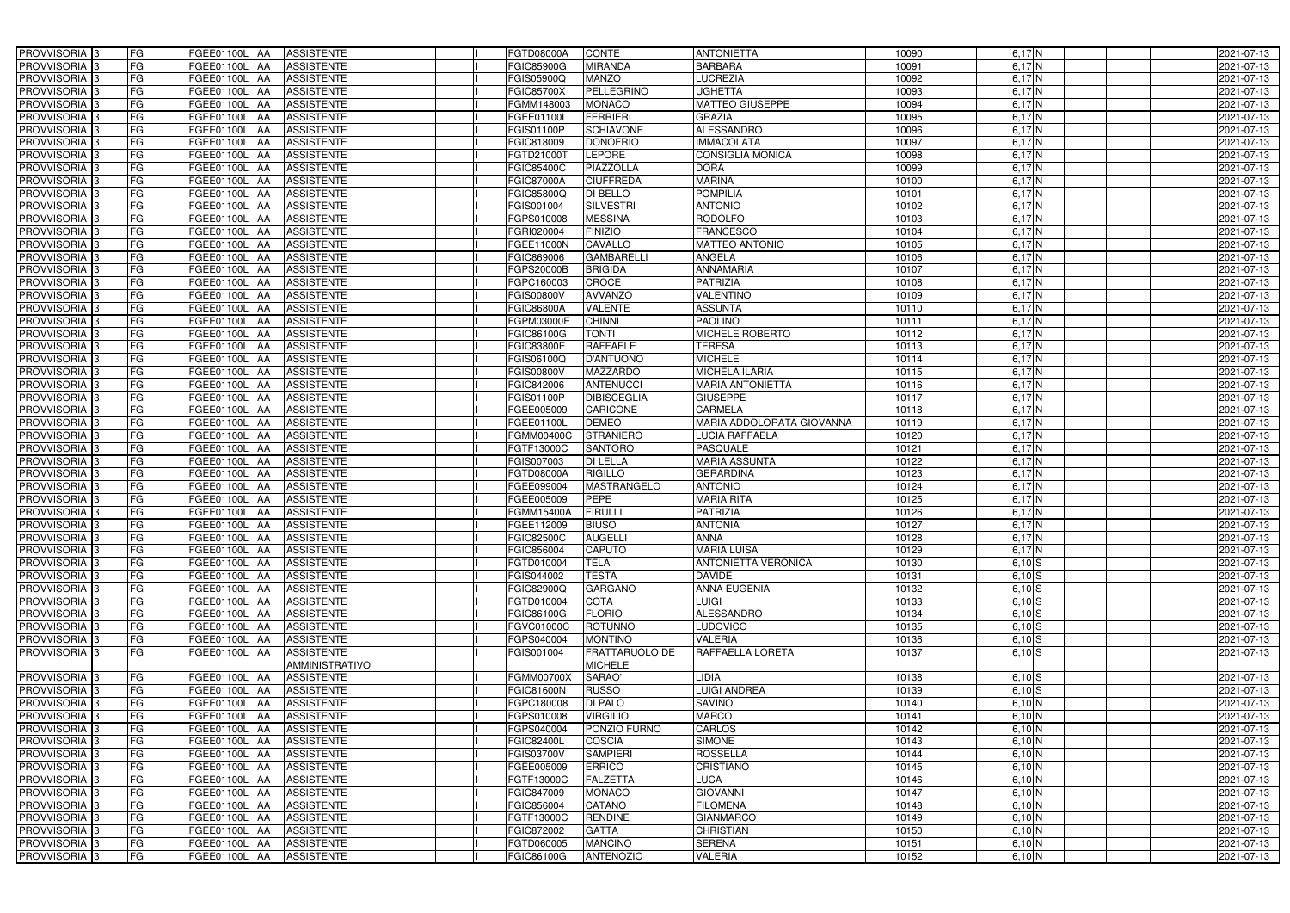| PROVVISORIA 3<br>FG                              | FGEE01100L<br><b>AA</b><br><b>ASSISTENTE</b>  | <b>FGTD08000A</b> | CONTE                 | <b>ANTONIETTA</b>          | 10090 | $6,17$ N                  | 2021-07-13 |
|--------------------------------------------------|-----------------------------------------------|-------------------|-----------------------|----------------------------|-------|---------------------------|------------|
| FG<br>PROVVISORIA <sup>3</sup>                   | <b>ASSISTENTE</b><br>FGEE01100L<br><b>IAA</b> | <b>FGIC85900G</b> | <b>MIRANDA</b>        | <b>BARBARA</b>             | 10091 | $6,17$ N                  | 2021-07-13 |
| FG<br>PROVVISORIA 3                              | FGEE01100L<br><b>ASSISTENTE</b><br><b>IAA</b> | FGIS05900Q        | <b>MANZO</b>          | <b>LUCREZIA</b>            | 10092 | 6,17N                     | 2021-07-13 |
| FG<br>PROVVISORIA 3                              | <b>ASSISTENTE</b><br>FGEE01100L<br><b>IAA</b> | <b>FGIC85700X</b> | <b>PELLEGRINO</b>     | <b>UGHETTA</b>             | 10093 | 6,17N                     | 2021-07-13 |
| FG<br><b>PROVVISORIA</b> 3                       | FGEE01100L<br><b>ASSISTENTE</b><br>IAA        | FGMM148003        | <b>MONACO</b>         | <b>MATTEO GIUSEPPE</b>     | 10094 | $6,17$ N                  | 2021-07-13 |
| FG<br>PROVVISORIA                                | <b>AA</b><br><b>ASSISTENTE</b><br>FGEE01100L  | FGEE01100L        | <b>FERRIERI</b>       | <b>GRAZIA</b>              | 10095 | 6,17N                     | 2021-07-13 |
| FG<br>PROVVISORIA 3                              | FGEE01100L AA<br><b>ASSISTENTE</b>            | FGIS01100P        | <b>SCHIAVONE</b>      | <b>ALESSANDRO</b>          | 10096 | $6,17$ N                  | 2021-07-13 |
| PROVVISORIA 3<br>FG                              | FGEE01100L AA<br><b>ASSISTENTE</b>            | FGIC818009        | <b>DONOFRIO</b>       | <b>IMMACOLATA</b>          | 10097 | $6,17$ N                  | 2021-07-13 |
| <b>PROVVISORIA</b> 3<br>FG                       | FGEE01100L<br><b>ASSISTENTE</b><br><b>JAA</b> | FGTD21000T        | <b>LEPORE</b>         | <b>CONSIGLIA MONICA</b>    | 10098 | $6,17$ N                  | 2021-07-13 |
| PROVVISORIA <sub>3</sub><br>FG                   | <b>ASSISTENTE</b><br>FGEE01100L<br><b>AA</b>  | FGIC85400C        | PIAZZOLLA             | <b>DORA</b>                | 10099 | $6,17$ N                  | 2021-07-13 |
| PROVVISORIA 3<br>FG                              | FGEE01100L<br><b>ASSISTENTE</b><br><b>JAA</b> | <b>FGIC87000A</b> | <b>CIUFFREDA</b>      | <b>MARINA</b>              | 10100 | 6,17N                     | 2021-07-13 |
| <b>PROVVISORIA</b> 3<br>FG                       | FGEE01100L<br><b>ASSISTENTE</b><br><b>JAA</b> | <b>FGIC85800Q</b> | <b>DI BELLO</b>       | <b>POMPILIA</b>            | 10101 | 6,17N                     | 2021-07-13 |
| PROVVISORIA <sup>3</sup><br>FG                   | FGEE01100L<br><b>ASSISTENTE</b><br><b>AA</b>  | FGIS001004        | <b>SILVESTRI</b>      | <b>ANTONIO</b>             | 10102 | 6,17 N                    | 2021-07-13 |
| PROVVISORIA <sup>3</sup><br>FG                   | FGEE01100L<br><b>ASSISTENTE</b><br><b>JAA</b> | FGPS010008        | <b>MESSINA</b>        | <b>RODOLFO</b>             | 10103 | 6,17N                     | 2021-07-13 |
| <b>PROVVISORIA</b> 3<br>FG                       | <b>ASSISTENTE</b><br>FGEE01100L<br><b>JAA</b> | FGRI020004        | <b>FINIZIO</b>        | <b>FRANCESCO</b>           | 10104 | $6,17$ N                  | 2021-07-13 |
| $\overline{\mathsf{FG}}$<br><b>PROVVISORIA</b> 3 | FGEE01100L<br><b>ASSISTENTE</b><br><b>AA</b>  | FGEE11000N        | <b>CAVALLO</b>        | <b>MATTEO ANTONIO</b>      | 10105 | 6,17N                     | 2021-07-13 |
| FG<br><b>PROVVISORIA</b> 3                       | FGEE01100L<br><b>ASSISTENTE</b><br><b>JAA</b> | FGIC869006        | <b>GAMBARELLI</b>     | <b>ANGELA</b>              | 10106 | $6,17$ N                  | 2021-07-13 |
| PROVVISORIA  <br>FG                              | FGEE01100L<br><b>ASSISTENTE</b><br><b>AA</b>  | FGPS20000B        | <b>BRIGIDA</b>        | <b>ANNAMARIA</b>           | 1010  | $6,17$ N                  | 2021-07-13 |
| PROVVISORIA  <br>FG                              | FGEE01100L<br><b>AA</b><br><b>ASSISTENTE</b>  | FGPC160003        | <b>CROCE</b>          | <b>PATRIZIA</b>            | 10108 | $6,17$ N                  | 2021-07-13 |
| <b>PROVVISORIA</b><br>FG                         | <b>ASSISTENTE</b><br>FGEE01100L<br><b>AA</b>  | <b>FGIS00800V</b> | <b>AVVANZO</b>        | <b>VALENTINO</b>           | 10109 | $6,17$ N                  | 2021-07-13 |
| <b>PROVVISORIA</b><br>FG                         | FGEE01100L<br><b>JAA</b><br><b>ASSISTENTE</b> | <b>FGIC86800A</b> | <b>VALENTE</b>        | <b>ASSUNTA</b>             | 10110 | $6,17\overline{\text{N}}$ | 2021-07-13 |
| <b>PROVVISORIA</b> 3<br>FG                       | FGEE01100L<br><b>ASSISTENTE</b><br><b>IAA</b> | FGPM03000E        | <b>CHINNI</b>         | <b>PAOLINO</b>             | 1011  | $6,17$ N                  | 2021-07-13 |
| <b>PROVVISORIA</b> 3<br>FG                       | FGEE01100L<br><b>ASSISTENTE</b><br><b>AA</b>  | FGIC86100G        | <b>TONTI</b>          | <b>MICHELE ROBERTO</b>     | 10112 | $6,17$ N                  | 2021-07-13 |
| <b>PROVVISORIA</b> 3<br>FG                       | FGEE01100L<br><b>AA</b><br><b>ASSISTENTE</b>  | <b>FGIC83800E</b> | <b>RAFFAELE</b>       | <b>TERESA</b>              | 10113 | 6,17N                     | 2021-07-13 |
| <b>PROVVISORIA</b> 3<br>FG                       | <b>JAA</b><br><b>ASSISTENTE</b><br>FGEE01100L | FGIS06100Q        | <b>D'ANTUONO</b>      | <b>MICHELE</b>             | 10114 | 6,17N                     | 2021-07-13 |
| <b>PROVVISORIA</b> 3<br>FG                       | FGEE01100L<br><b>ASSISTENTE</b><br><b>IAA</b> | FGIS00800V        | <b>MAZZARDO</b>       | <b>MICHELA ILARIA</b>      | 10115 | 6,17N                     | 2021-07-13 |
| <b>PROVVISORIA</b> 3<br>FG                       | FGEE01100L<br><b>AA</b><br><b>ASSISTENTE</b>  | FGIC842006        | <b>ANTENUCCI</b>      | <b>MARIA ANTONIETTA</b>    | 10116 | 6,17N                     | 2021-07-13 |
| <b>PROVVISORIA</b> 3<br>FG                       | FGEE01100L<br><b>ASSISTENTE</b><br><b>IAA</b> | FGIS01100P        | <b>DIBISCEGLIA</b>    | <b>GIUSEPPE</b>            | 1011  | 6,17N                     | 2021-07-13 |
| <b>PROVVISORIA</b><br>FG                         | FGEE01100L<br><b>ASSISTENTE</b><br><b>IAA</b> | FGEE005009        | CARICONE              | CARMELA                    | 10118 | $6,17$ N                  | 2021-07-13 |
| FG<br><b>PROVVISORIA</b> 3                       | FGEE01100L<br><b>ASSISTENTE</b><br><b>IAA</b> | FGEE01100L        | <b>DEMEO</b>          | MARIA ADDOLORATA GIOVANNA  | 10119 | 6,17N                     | 2021-07-13 |
| FG<br>PROVVISORIA                                | <b>AA</b><br><b>ASSISTENTE</b><br>FGEE01100L  | FGMM00400C        | <b>STRANIERO</b>      | LUCIA RAFFAELA             | 10120 | 6,17N                     | 2021-07-13 |
| <b>PROVVISORIA</b><br>FG                         | <b>ASSISTENTE</b><br>FGEE01100L<br><b>AA</b>  | FGTF13000C        | <b>SANTORO</b>        | <b>PASQUALE</b>            | 10121 | 6,17 N                    | 2021-07-13 |
| <b>PROVVISORIA</b><br>FG                         | FGEE01100L<br><b>ASSISTENTE</b><br><b>IAA</b> | FGIS007003        | <b>DI LELLA</b>       | <b>MARIA ASSUNTA</b>       | 10122 | $6,17$ N                  | 2021-07-13 |
| <b>PROVVISORIA</b><br>FG                         | <b>ASSISTENTE</b><br>FGEE01100L<br><b>IAA</b> | FGTD08000A        | <b>RIGILLO</b>        | <b>GERARDINA</b>           | 10123 | $6,17$ N                  | 2021-07-13 |
| <b>PROVVISORIA</b><br>FG                         | <b>ASSISTENTE</b><br>FGEE01100L<br>IAA        | FGEE099004        | <b>MASTRANGELO</b>    | <b>ANTONIO</b>             | 10124 | $6,17$ N                  | 2021-07-13 |
| <b>PROVVISORIA</b><br>FG                         | <b>ASSISTENTE</b><br>FGEE01100L<br><b>JAA</b> | FGEE005009        | <b>PEPE</b>           | <b>MARIA RITA</b>          | 10125 | $6,17$ N                  | 2021-07-13 |
| PROVVISORIA 3<br>FG                              | <b>ASSISTENTE</b><br>GEE01100L-<br><b>IAA</b> | FGMM15400A        | <b>FIRULLI</b>        | <b>PATRIZIA</b>            | 10126 | $6,17$ N                  | 2021-07-13 |
| PROVVISORIA <sup>3</sup><br>FG                   | <b>ASSISTENTE</b><br>FGEE01100L<br><b>AA</b>  | FGEE112009        | <b>BIUSO</b>          | <b>ANTONIA</b>             | 10127 | 6,17N                     | 2021-07-13 |
| PROVVISORIA 3<br>FG                              | FGEE01100L AA ASSISTENTE                      | <b>FGIC82500C</b> | <b>AUGELLI</b>        | <b>ANNA</b>                | 10128 | $6,17$ N                  | 2021-07-13 |
| PROVVISORIA <sup>3</sup><br>FG                   | <b>ASSISTENTE</b><br>FGEE01100L AA            | FGIC856004        | <b>CAPUTO</b>         | <b>MARIA LUISA</b>         | 10129 | 6,17N                     | 2021-07-13 |
| <b>PROVVISORIA</b> 3<br>FG                       | <b>ASSISTENTE</b><br>FGEE01100L AA            | FGTD010004        | <b>TELA</b>           | <b>ANTONIETTA VERONICA</b> | 10130 | $6,10$ S                  | 2021-07-13 |
| PROVVISORIA <sup>3</sup><br>FG                   | <b>ASSISTENTE</b><br>FGEE01100L AA            | FGIS044002        | <b>TESTA</b>          | <b>DAVIDE</b>              | 10131 | $6,10$ S                  | 2021-07-13 |
| PROVVISORIA <sup>3</sup><br>FG                   | FGEE01100L AA<br><b>ASSISTENTE</b>            | FGIC82900Q        | <b>GARGANO</b>        | <b>ANNA EUGENIA</b>        | 10132 | $6,10$ S                  | 2021-07-13 |
| PROVVISORIA 3<br>FG                              | FGEE01100L AA<br><b>ASSISTENTE</b>            | FGTD010004        | <b>COTA</b>           | <b>LUIGI</b>               | 10133 | $6,10$ S                  | 2021-07-13 |
| PROVVISORIA <sup>3</sup><br>FG                   | FGEE01100L AA<br><b>ASSISTENTE</b>            | FGIC86100G        | <b>FLORIO</b>         | ALESSANDRO                 | 10134 | $6,10$ S                  | 2021-07-13 |
| <b>PROVVISORIA</b> 3<br>FG                       | FGEE01100L AA<br><b>ASSISTENTE</b>            | <b>FGVC01000C</b> | <b>ROTUNNO</b>        | <b>LUDOVICO</b>            | 10135 | $6,10$ S                  | 2021-07-13 |
| PROVVISORIA <sup>3</sup><br>FG                   | FGEE01100L AA<br><b>ASSISTENTE</b>            | FGPS040004        | <b>MONTINO</b>        | <b>VALERIA</b>             | 10136 | $6,10$ S                  | 2021-07-13 |
| PROVVISORIA <sup>3</sup><br>FG                   | FGEE01100L AA<br><b>ASSISTENTE</b>            | FGIS001004        | <b>FRATTARUOLO DE</b> | <b>RAFFAELLA LORETA</b>    | 10137 | $6,10$ S                  | 2021-07-13 |
|                                                  | AMMINISTRATIVO                                |                   | <b>MICHELE</b>        |                            |       |                           |            |
| PROVVISORIA <sup>3</sup><br>FG                   | <b>FGEE01100L AA</b><br><b>ASSISTENTE</b>     | <b>FGMM00700X</b> | SARAO'                | <b>LIDIA</b>               | 10138 | $6,10$ S                  | 2021-07-13 |
| PROVVISORIA <sup>3</sup><br>FG                   | FGEE01100L AA<br><b>ASSISTENTE</b>            | <b>FGIC81600N</b> | <b>RUSSO</b>          | <b>LUIGI ANDREA</b>        | 10139 | $6,10$ S                  | 2021-07-13 |
| PROVVISORIA <sup>3</sup><br>FG                   | FGEE01100L AA<br><b>ASSISTENTE</b>            | FGPC180008        | <b>DI PALO</b>        | <b>SAVINO</b>              | 10140 | 6,10 N                    | 2021-07-13 |
| PROVVISORIA <sup>3</sup><br>FG                   | FGEE01100L AA<br><b>ASSISTENTE</b>            | FGPS010008        | <b>VIRGILIO</b>       | <b>MARCO</b>               | 10141 | 6,10 N                    | 2021-07-13 |
| PROVVISORIA <sup>3</sup><br>FG                   | FGEE01100L AA<br><b>ASSISTENTE</b>            | FGPS040004        | PONZIO FURNO          | <b>CARLOS</b>              | 10142 | 6,10 N                    | 2021-07-13 |
| FG<br>PROVVISORIA <sup>3</sup>                   | FGEE01100L AA<br><b>ASSISTENTE</b>            | <b>FGIC82400L</b> | <b>COSCIA</b>         | <b>SIMONE</b>              | 10143 | 6,10 N                    | 2021-07-13 |
| FG<br>PROVVISORIA 3                              | <b>ASSISTENTE</b><br>FGEE01100L<br><b>JAA</b> | <b>FGIS03700V</b> | <b>SAMPIERI</b>       | <b>ROSSELLA</b>            | 10144 | 6,10 N                    | 2021-07-13 |
| FG<br>PROVVISORIA <sup>3</sup>                   | <b>ASSISTENTE</b><br>FGEE01100L AA            | FGEE005009        | <b>ERRICO</b>         | <b>CRISTIANO</b>           | 10145 | 6,10 N                    | 2021-07-13 |
| PROVVISORIA <sup>3</sup><br>FG                   | FGEE01100L AA<br><b>ASSISTENTE</b>            | FGTF13000C        | <b>FALZETTA</b>       | <b>LUCA</b>                | 10146 | 6,10 N                    | 2021-07-13 |
| PROVVISORIA <sup>3</sup><br>FG                   | <b>ASSISTENTE</b><br>FGEE01100L AA            | FGIC847009        | <b>MONACO</b>         | <b>GIOVANNI</b>            | 10147 | $6,10\overline{\rm N}$    | 2021-07-13 |
| PROVVISORIA <sup>3</sup><br>FG                   | <b>ASSISTENTE</b><br>FGEE01100L AA            | FGIC856004        | CATANO                | <b>FILOMENA</b>            | 10148 | 6,10 N                    | 2021-07-13 |
| PROVVISORIA <sup>3</sup><br>FG                   | <b>ASSISTENTE</b><br>FGEE01100L AA            | FGTF13000C        | <b>RENDINE</b>        | <b>GIANMARCO</b>           | 10149 | 6,10 N                    | 2021-07-13 |
| PROVVISORIA <sup>3</sup><br>FG                   | <b>ASSISTENTE</b><br>FGEE01100L AA            | FGIC872002        | <b>GATTA</b>          | <b>CHRISTIAN</b>           | 10150 | 6,10 N                    | 2021-07-13 |
| PROVVISORIA <sup>3</sup><br>FG                   | <b>ASSISTENTE</b><br>FGEE01100L AA            | FGTD060005        | <b>MANCINO</b>        | <b>SERENA</b>              | 10151 | 6,10 N                    | 2021-07-13 |
| PROVVISORIA <sup>3</sup><br>FG                   | <b>ASSISTENTE</b><br>FGEE01100L AA            | <b>FGIC86100G</b> | <b>ANTENOZIO</b>      | <b>VALERIA</b>             | 10152 | 6,10 N                    | 2021-07-13 |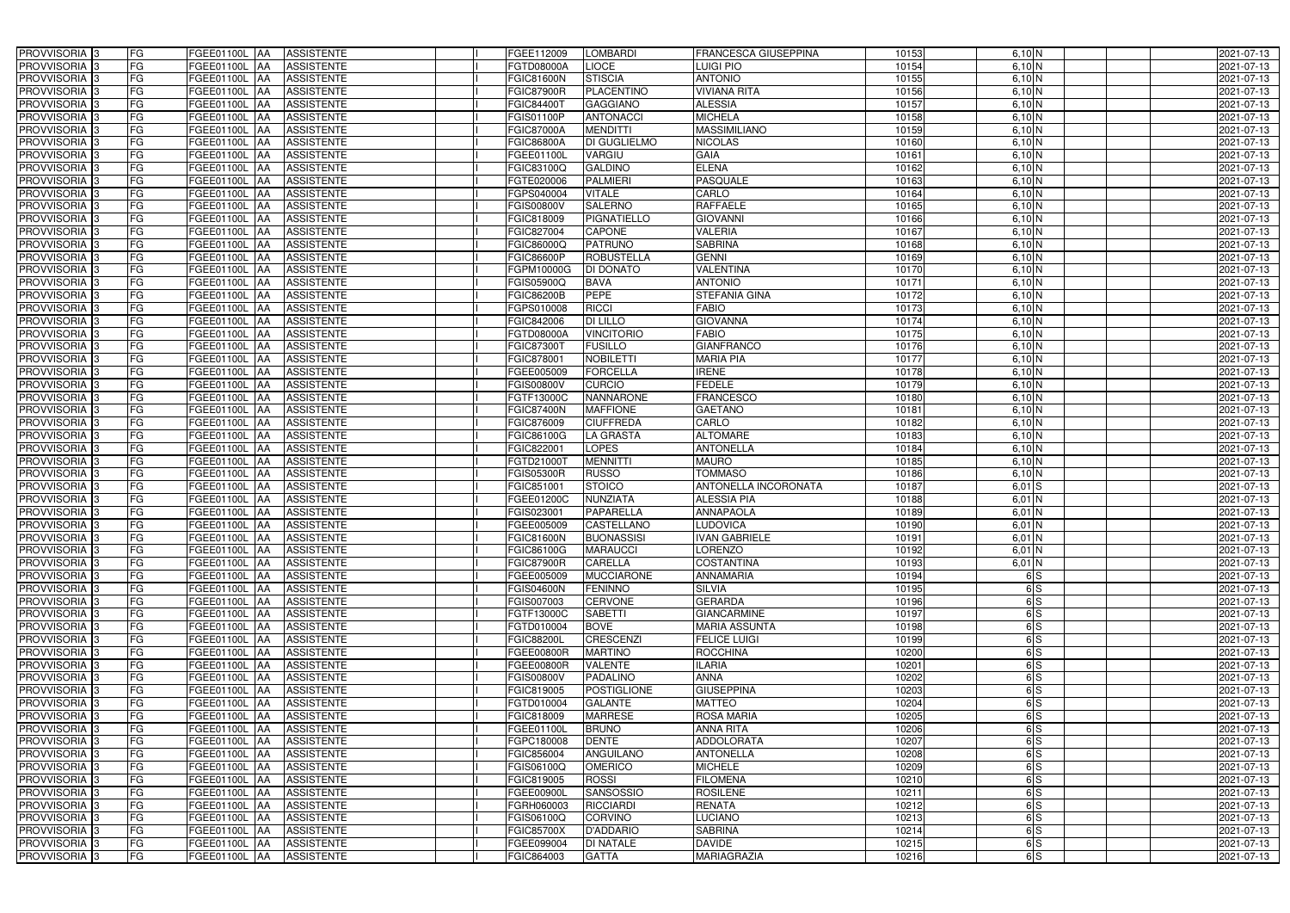| PROVVISORIA 3                                        | FG        | FGEE01100L AA<br><b>ASSISTENTE</b>                                              | FGEE112009                      | LOMBARDI                         | FRANCESCA GIUSEPPINA                        | 10153          | 6,10 N                    | 2021-07-13               |
|------------------------------------------------------|-----------|---------------------------------------------------------------------------------|---------------------------------|----------------------------------|---------------------------------------------|----------------|---------------------------|--------------------------|
| PROVVISORIA 3                                        | FG        | <b>ASSISTENTE</b><br>FGEE01100L                                                 | FGTD08000A                      | <b>LIOCE</b>                     | LUIGI PIO                                   | 10154          | 6,10 N                    | 2021-07-13               |
| PROVVISORIA 3                                        | <b>FG</b> | <b>FGEE01100L</b><br><b>ASSISTENTE</b><br>IAA                                   | FGIC81600N                      | <b>STISCIA</b>                   | <b>ANTONIO</b>                              | 10155          | 6,10 N                    | 2021-07-13               |
| PROVVISORIA <sup>3</sup>                             | FG        | FGEE01100L<br><b>ASSISTENTE</b><br>IAA                                          | <b>GIC87900R</b>                | <b>PLACENTINO</b>                | <b>VIVIANA RITA</b>                         | 10156          | 6,10 N                    | 2021-07-13               |
| PROVVISORIA <sup>3</sup>                             | FG        | FGEE01100L<br><b>ASSISTENTE</b><br>IAA                                          | FGIC84400T                      | <b>GAGGIANO</b>                  | <b>ALESSIA</b>                              | 10157          | 6,10 N                    | 2021-07-13               |
| PROVVISORIA 3                                        | <b>FG</b> | <b>FGEE01100L AA</b><br><b>ASSISTENTE</b>                                       | FGIS01100P                      | <b>ANTONACCI</b>                 | <b>MICHELA</b>                              | 10158          | 6,10 N                    | 2021-07-13               |
| PROVVISORIA 3                                        | FG        | FGEE01100L AA<br><b>ASSISTENTE</b>                                              | FGIC87000A                      | <b>MENDITTI</b>                  | <b>MASSIMILIANO</b>                         | 10159          | 6,10 N                    | 2021-07-13               |
| PROVVISORIA 3                                        | FG        | <b>ASSISTENTE</b><br>FGEE01100L AA                                              | <b>FGIC86800A</b>               | <b>DI GUGLIELMO</b>              | <b>NICOLAS</b>                              | 10160          | 6,10 N                    | 2021-07-13               |
| PROVVISORIA 3                                        | <b>FG</b> | FGEE01100L AA<br><b>ASSISTENTE</b>                                              | FGEE01100L                      | VARGIU                           | <b>GAIA</b>                                 | 10161          | $6,10$ N                  | 2021-07-13               |
| PROVVISORIA 3                                        | FG        | FGEE01100L AA<br><b>ASSISTENTE</b>                                              | FGIC83100Q                      | <b>GALDINO</b>                   | <b>ELENA</b>                                | 10162          | $6,10\overline{\rm N}$    | 2021-07-13               |
| PROVVISORIA 3                                        | FG        | <b>ASSISTENTE</b><br>FGEE01100L AA                                              | FGTE020006                      | <b>PALMIERI</b>                  | <b>PASQUALE</b>                             | 10163          | $6,10$ N                  | 2021-07-13               |
| PROVVISORIA <sup>3</sup>                             | FG        | FGEE01100L AA<br><b>ASSISTENTE</b>                                              | FGPS040004                      | <b>VITALE</b>                    | CARLO                                       | 10164          | 6,10 N                    | 2021-07-13               |
| PROVVISORIA <sup>3</sup>                             | FG        | FGEE01100L<br><b>ASSISTENTE</b><br><b>IAA</b>                                   | <b>GIS00800V</b>                | <b>SALERNO</b>                   | <b>RAFFAELE</b>                             | 10165          | 6,10 N                    | 2021-07-13               |
| PROVVISORIA 3                                        | FG        | FGEE01100L AA<br><b>ASSISTENTE</b>                                              | FGIC818009                      | <b>PIGNATIELLO</b>               | <b>GIOVANNI</b>                             | 10166          | 6,10 N                    | 2021-07-13               |
| PROVVISORIA 3                                        | <b>FG</b> | FGEE01100L AA<br><b>ASSISTENTE</b>                                              | FGIC827004                      | <b>CAPONE</b>                    | <b>VALERIA</b>                              | 10167          | 6,10 N                    | 2021-07-13               |
| PROVVISORIA 3                                        | <b>FG</b> | FGEE01100L<br><b>ASSISTENTE</b><br>IAA                                          | FGIC86000Q                      | <b>PATRUNO</b>                   | <b>SABRINA</b>                              | 10168          | 6,10 N                    | 2021-07-13               |
| PROVVISORIA 3                                        | FG        | FGEE01100L<br><b>ASSISTENTE</b><br>IAA                                          | FGIC86600P                      | <b>ROBUSTELLA</b>                | <b>GENNI</b>                                | 1016           | 6,10 N                    | 2021-07-13               |
| PROVVISORIA 3                                        | FG        | FGEE01100L<br><b>ASSISTENTE</b><br>IAA                                          | <b>GPM10000G</b>                | <b>DI DONATO</b>                 | VALENTINA                                   | 1017           | $6,10$ N                  | 2021-07-13               |
| PROVVISORIA 3                                        | FG        | FGEE01100L<br><b>ASSISTENTE</b><br>IAA                                          | FGIS05900Q                      | <b>BAVA</b>                      | <b>ANTONIO</b>                              | 1017           | 6,10 N                    | 2021-07-13               |
| PROVVISORIA 3                                        | FG        | FGEE01100L<br><b>ASSISTENTE</b><br>IAA                                          | <b>FGIC86200B</b>               | <b>PEPE</b>                      | <b>STEFANIA GINA</b>                        | 10172          | $6,10$ N                  | 2021-07-13               |
| PROVVISORIA <sup>3</sup>                             | FG        | FGEE01100L<br><b>ASSISTENTE</b>                                                 | FGPS010008                      | <b>RICCI</b>                     | <b>FABIO</b>                                | 10173          | $6,10\overline{\text{N}}$ | 2021-07-13               |
| PROVVISORIA <sup>3</sup>                             | FG        | FGEE01100L<br><b>ASSISTENTE</b>                                                 | FGIC842006                      | <b>DI LILLO</b>                  | <b>GIOVANNA</b>                             | 10174          | $6,10$ N                  | 2021-07-13               |
| PROVVISORIA <sup>3</sup>                             | FG        | FGEE01100L<br><b>ASSISTENTE</b>                                                 | FGTD08000A                      | <b>VINCITORIO</b>                | <b>FABIO</b>                                | 10175          | $6,10$ N                  | 2021-07-13               |
| PROVVISORIA <sup>3</sup>                             | <b>FG</b> | FGEE01100L<br><b>ASSISTENTE</b><br>ΙAΑ                                          | FGIC873007                      | <b>FUSILLO</b>                   | <b>GIANFRANCO</b>                           | 10176          | 6,10 N                    | 2021-07-13               |
| <b>PROVVISORIA</b> 3                                 | FG        | FGEE01100L<br><b>ASSISTENTE</b><br>IAA                                          | FGIC87800                       | <b>NOBILETTI</b>                 | <b>MARIA PIA</b>                            | 10177          | 6,10 N                    | 2021-07-13               |
| PROVVISORIA 3                                        | <b>FG</b> | FGEE01100L<br><b>ASSISTENTE</b><br>IAA                                          | FGEE005009                      | <b>FORCELLA</b>                  | <b>IRENE</b>                                | 10178          | 6,10 N                    | 2021-07-13               |
| PROVVISORIA 3                                        | <b>FG</b> | FGEE01100L AA<br><b>ASSISTENTE</b>                                              | FGIS00800V                      | <b>CURCIO</b>                    | <b>FEDELE</b>                               | 10179          | 6,10 N                    | 2021-07-13               |
| PROVVISORIA 3                                        | <b>FG</b> | FGEE01100L AA<br><b>ASSISTENTE</b>                                              | FGTF13000C                      | <b>NANNARONE</b>                 | <b>FRANCESCO</b>                            | 10180          | 6,10 N                    | 2021-07-13               |
| PROVVISORIA 3                                        | FG        | <b>FGEE01100L</b><br><b>ASSISTENTE</b><br>IAA                                   | FGIC87400N                      | <b>MAFFIONE</b>                  | <b>GAETANO</b>                              | 10181          | $6,10$ N                  | 2021-07-13               |
| PROVVISORIA 3                                        | <b>FG</b> | <b>FGEE01100L   AA</b><br><b>ASSISTENTE</b>                                     | FGIC876009                      | <b>CIUFFREDA</b>                 | CARLO                                       | 10182          | 6,10 N                    | 2021-07-13               |
| PROVVISORIA 3                                        | FG        | <b>FGEE01100L AA</b><br><b>ASSISTENTE</b>                                       | FGIC86100G                      | <b>LA GRASTA</b>                 | <b>ALTOMARE</b>                             | 10183          | 6,10 N                    | 2021-07-13               |
| PROVVISORIA 3                                        | FG        | <b>ASSISTENTE</b><br>FGEE01100L AA                                              | FGIC822001                      | <b>LOPES</b>                     | <b>ANTONELLA</b>                            | 10184          | 6,10 N                    | 2021-07-13               |
| PROVVISORIA 3                                        | FG        | <b>FGEE01100L</b><br><b>ASSISTENTE</b><br>IAA                                   | FGTD21000T                      | <b>MENNITTI</b>                  | <b>MAURO</b>                                | 10185          | 6,10 N                    | 2021-07-13               |
| PROVVISORIA 3                                        | <b>FG</b> | <b>FGEE01100L AA</b><br><b>ASSISTENTE</b>                                       | FGIS05300R                      | <b>RUSSO</b>                     | <b>TOMMASO</b>                              | 10186          | 6,10 N                    | 2021-07-13               |
| PROVVISORIA 3                                        | <b>FG</b> | FGEE01100L<br><b>ASSISTENTE</b><br>IAA                                          | FGIC851001                      | <b>STOICO</b>                    | ANTONELLA INCORONATA                        | 10187          | $6,01$ S                  | 2021-07-13               |
| PROVVISORIA <sup>3</sup>                             | FG        | FGEE01100L<br><b>ASSISTENTE</b><br>IAA                                          | GEE01200C                       | NUNZIATA                         | <b>ALESSIA PIA</b>                          | 10188          | $6,01$ N                  | 2021-07-13               |
| PROVVISORIA <sup>1</sup> 3                           | FG        | <b>FGEE01100L</b><br><b>ASSISTENTE</b><br>IAA                                   | GIS023001                       | PAPARELLA                        | <b>ANNAPAOLA</b>                            | 10189          | $6,01$ N                  | 2021-07-13               |
| PROVVISORIA <sup>3</sup>                             | <b>FG</b> | FGEE01100L AA<br><b>ASSISTENTE</b>                                              | FGEE005009                      | <b>CASTELLANO</b>                | <b>LUDOVICA</b>                             | 10190          | $6,01$ N                  | 2021-07-13               |
| PROVVISORIA <sup>3</sup>                             | FG        | FGEE01100L AA ASSISTENTE                                                        | <b>FGIC81600N</b>               | <b>BUONASSISI</b>                | <b>IVAN GABRIELE</b>                        | 10191          | $6,01$ N                  | 2021-07-13               |
| PROVVISORIA <sup>3</sup>                             | FG        | FGEE01100L AA<br>ASSISTENTE                                                     | FGIC86100G                      | <b>MARAUCCI</b>                  | <b>LORENZO</b>                              | 10192          | $6,01$ N                  | 2021-07-13               |
| PROVVISORIA <sup>3</sup>                             | FG        | ASSISTENTE<br><b>FGEE01100L</b> AA                                              | <b>FGIC87900R</b>               | <b>CARELLA</b>                   | <b>COSTANTINA</b>                           | 10193          | $6,01$ N                  | 2021-07-13               |
| PROVVISORIA <sup>3</sup>                             | FG        | FGEE01100L AA<br><b>ASSISTENTE</b>                                              |                                 | <b>MUCCIARONE</b>                | <b>ANNAMARIA</b>                            | 10194          | 6S                        | 2021-07-13               |
| PROVVISORIA <sup>3</sup>                             | FG        |                                                                                 | FGEE005009                      | <b>FENINNO</b>                   | <b>SILVIA</b>                               |                | 6S                        |                          |
| PROVVISORIA <sup>3</sup>                             | FG        | <b>FGEE01100L</b> AA<br><b>ASSISTENTE</b><br>FGEE01100L AA<br><b>ASSISTENTE</b> | <b>FGIS04600N</b><br>FGIS007003 | <b>CERVONE</b>                   | <b>GERARDA</b>                              | 10195<br>10196 | 6S                        | 2021-07-13<br>2021-07-13 |
| PROVVISORIA <sup>3</sup>                             | FG        | FGEE01100L AA<br><b>ASSISTENTE</b>                                              | FGTF13000C                      | <b>SABETTI</b>                   | <b>GIANCARMINE</b>                          |                | 6S                        | 2021-07-13               |
|                                                      |           |                                                                                 |                                 |                                  |                                             | 10197          |                           |                          |
| PROVVISORIA <sup>3</sup><br>PROVVISORIA <sup>3</sup> | FG<br>FG  | FGEE01100L AA<br><b>ASSISTENTE</b><br><b>FGEE01100L</b> AA<br><b>ASSISTENTE</b> | FGTD010004<br>FGIC88200L        | <b>BOVE</b><br><b>CRESCENZI</b>  | <b>MARIA ASSUNTA</b><br><b>FELICE LUIGI</b> | 10198<br>10199 | 6S<br>6S                  | 2021-07-13<br>2021-07-13 |
| PROVVISORIA <sup>3</sup>                             | FG        | FGEE01100L AA<br>ASSISTENTE                                                     | FGEE00800R                      | <b>MARTINO</b>                   | <b>ROCCHINA</b>                             | 10200          | 6S                        | 2021-07-13               |
| PROVVISORIA 3                                        | FG        | FGEE01100L AA<br><b>ASSISTENTE</b>                                              | FGEE00800R                      | <b>VALENTE</b>                   | <b>ILARIA</b>                               | 10201          | 6S                        | 2021-07-13               |
| PROVVISORIA <sup>3</sup>                             | FG        | FGEE01100L AA<br><b>ASSISTENTE</b>                                              | FGIS00800V                      | PADALINO                         | <b>ANNA</b>                                 | 10202          | 6S                        | 2021-07-13               |
| PROVVISORIA <sup>3</sup>                             | FG        |                                                                                 |                                 |                                  | <b>GIUSEPPINA</b>                           |                | 6S                        |                          |
| PROVVISORIA <sup>3</sup>                             | FG        | FGEE01100L AA<br><b>ASSISTENTE</b>                                              | FGIC819005                      | POSTIGLIONE                      | <b>MATTEO</b>                               | 10203<br>10204 | 6S                        | 2021-07-13               |
| PROVVISORIA <sup>3</sup>                             | FG        | FGEE01100L AA<br><b>ASSISTENTE</b>                                              | FGTD010004                      | <b>GALANTE</b><br><b>MARRESE</b> | <b>ROSA MARIA</b>                           | 10205          | 6S                        | 2021-07-13               |
|                                                      |           | FGEE01100L AA<br><b>ASSISTENTE</b>                                              | FGIC818009                      |                                  |                                             |                |                           | 2021-07-13               |
| PROVVISORIA <sup>3</sup>                             | FG        | FGEE01100L AA<br><b>ASSISTENTE</b>                                              | FGEE01100L                      | <b>BRUNO</b>                     | <b>ANNA RITA</b>                            | 10206          | 6S                        | 2021-07-13               |
| PROVVISORIA <sup>13</sup>                            | FG        | FGEE01100L AA<br><b>ASSISTENTE</b>                                              | FGPC180008                      | <b>DENTE</b>                     | <b>ADDOLORATA</b>                           | 10207          | 6S                        | 2021-07-13               |
| PROVVISORIA <sup>3</sup>                             | FG        | FGEE01100L AA<br><b>ASSISTENTE</b>                                              | FGIC856004                      | ANGUILANO                        | <b>ANTONELLA</b>                            | 10208          | 6S                        | 2021-07-13               |
| PROVVISORIA <sup>3</sup>                             | FG        | FGEE01100L AA<br><b>ASSISTENTE</b>                                              | FGIS06100Q                      | <b>OMERICO</b>                   | <b>MICHELE</b>                              | 10209          | 6S                        | 2021-07-13               |
| PROVVISORIA <sup>3</sup>                             | FG        | FGEE01100L AA<br><b>ASSISTENTE</b>                                              | FGIC819005                      | <b>ROSSI</b>                     | <b>FILOMENA</b>                             | 10210          | 6S                        | 2021-07-13               |
| PROVVISORIA <sup>3</sup>                             | FG        | <b>ASSISTENTE</b><br>FGEE01100L AA                                              | FGEE00900L                      | <b>SANSOSSIO</b>                 | <b>ROSILENE</b>                             | 10211          | 6S                        | 2021-07-13               |
| PROVVISORIA <sup>3</sup>                             | FG        | <b>ASSISTENTE</b><br>FGEE01100L AA                                              | FGRH060003                      | <b>RICCIARDI</b>                 | <b>RENATA</b>                               | 10212          | 6S                        | 2021-07-13               |
| PROVVISORIA <sup>3</sup>                             | FG        | FGEE01100L AA<br><b>ASSISTENTE</b>                                              | FGIS06100Q                      | <b>CORVINO</b>                   | <b>LUCIANO</b>                              | 10213          | 6S                        | 2021-07-13               |
| PROVVISORIA <sup>3</sup>                             | FG        | <b>ASSISTENTE</b><br>FGEE01100L AA                                              | FGIC85700X                      | <b>D'ADDARIO</b>                 | <b>SABRINA</b>                              | 10214          | 6S                        | 2021-07-13               |
| PROVVISORIA <sup>3</sup><br>PROVVISORIA 3            | FG        | ASSISTENTE<br>FGEE01100L AA                                                     | FGEE099004                      | <b>DI NATALE</b>                 | <b>DAVIDE</b>                               | 10215          | 6S                        | 2021-07-13               |
|                                                      | FG        | <b>ASSISTENTE</b><br>FGEE01100L AA                                              | FGIC864003                      | <b>GATTA</b>                     | <b>MARIAGRAZIA</b>                          | 10216          | 6S                        | 2021-07-13               |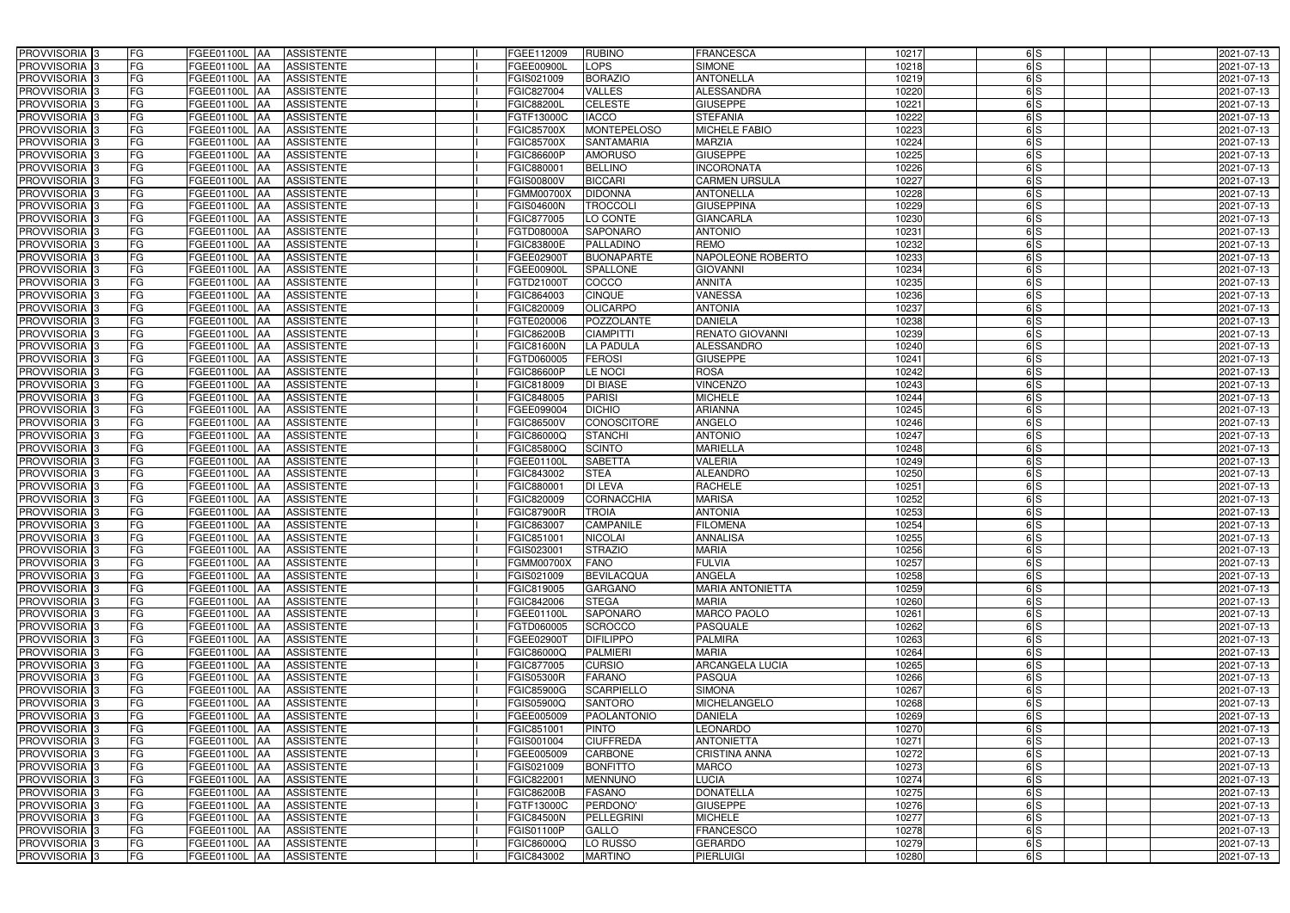| PROVVISORIA <sup>3</sup>                             | FG        | FGEE01100L AA<br><b>ASSISTENTE</b>                                | FGEE112009               | <b>RUBINO</b>                     | <b>FRANCESCA</b>                         | 10217          | 6S       | 2021-07-13               |
|------------------------------------------------------|-----------|-------------------------------------------------------------------|--------------------------|-----------------------------------|------------------------------------------|----------------|----------|--------------------------|
| PROVVISORIA <sup>3</sup>                             | FG        | FGEE01100L AA<br><b>ASSISTENTE</b>                                | FGEE00900L               | LOPS                              | <b>SIMONE</b>                            | 10218          | 6S       | 2021-07-13               |
| PROVVISORIA <sup>1</sup> 3                           | FG        | FGEE01100L   AA<br><b>ASSISTENTE</b>                              | FGIS021009               | <b>BORAZIO</b>                    | <b>ANTONELLA</b>                         | 10219          | 6S       | 2021-07-13               |
| PROVVISORIA <sup>3</sup>                             | FG        | FGEE01100L AA<br><b>ASSISTENTE</b>                                | FGIC827004               | <b>VALLES</b>                     | <b>ALESSANDRA</b>                        | 10220          | 6S       | 2021-07-13               |
| PROVVISORIA <sup>3</sup>                             | FG        | FGEE01100L AA<br><b>ASSISTENTE</b>                                | FGIC88200L               | <b>CELESTE</b>                    | <b>GIUSEPPE</b>                          | 10221          | 6S       | 2021-07-13               |
| PROVVISORIA <sup>3</sup>                             | FG        | <b>FGEE01100L AA</b><br><b>ASSISTENTE</b>                         | FGTF13000C               | <b>IACCO</b>                      | <b>STEFANIA</b>                          | 10222          | 6S       | 2021-07-13               |
| PROVVISORIA <sup>3</sup>                             | FG        | FGEE01100L AA<br><b>ASSISTENTE</b>                                | FGIC85700X               | <b>MONTEPELOSO</b>                | <b>MICHELE FABIO</b>                     | 10223          | 6S       | 2021-07-13               |
| PROVVISORIA <sup>3</sup>                             | FG        | <b>ASSISTENTE</b><br>FGEE01100L<br>IAA                            | <b>FGIC85700X</b>        | <b>SANTAMARIA</b>                 | <b>MARZIA</b>                            | 10224          | 6S       | 2021-07-13               |
| PROVVISORIA <sup>3</sup>                             | FG        | FGEE01100L<br><b>ASSISTENTE</b><br><b>IAA</b>                     | FGIC86600P               | <b>AMORUSO</b>                    | <b>GIUSEPPE</b>                          | 10225          | 6S       | 2021-07-13               |
| PROVVISORIA <sup>3</sup>                             | FG        | FGEE01100L<br><b>ASSISTENTE</b><br>IAA                            | FGIC880001               | <b>BELLINO</b>                    | <b>INCORONATA</b>                        | 10226          | 6S       | 2021-07-13               |
| PROVVISORIA 3                                        | FG        | <b>FGEE01100L AA</b><br><b>ASSISTENTE</b>                         | FGIS00800V               | <b>BICCARI</b>                    | <b>CARMEN URSULA</b>                     | 10227          | 6S       | 2021-07-13               |
| PROVVISORIA 3                                        | FG        | <b>FGEE01100L AA</b><br><b>ASSISTENTE</b>                         | FGMM00700X               | <b>DIDONNA</b>                    | <b>ANTONELLA</b>                         | 10228          | 6S       | 2021-07-13               |
| PROVVISORIA 3                                        | FG        | FGEE01100L<br><b>ASSISTENTE</b><br><b>IAA</b>                     | <b>FGIS04600N</b>        | <b>TROCCOL</b>                    | <b>GIUSEPPINA</b>                        | 10229          | 6S       | 2021-07-13               |
| PROVVISORIA 3                                        | FG        | FGEE01100L<br><b>ASSISTENTE</b><br><b>JAA</b>                     | FGIC877005               | LO CONTE                          | <b>GIANCARLA</b>                         | 10230          | 6S       | 2021-07-13               |
| PROVVISORIA 3                                        | FG        | FGEE01100L<br><b>ASSISTENTE</b><br><b>IAA</b>                     | FGTD08000A               | <b>SAPONARO</b>                   | <b>ANTONIO</b>                           | 10231          | 6S       | 2021-07-13               |
| PROVVISORIA 3                                        | FG        | <b>FGEE01100L AA</b><br><b>ASSISTENTE</b>                         | FGIC83800E               | PALLADINO                         | <b>REMO</b>                              | 10232          | 6S       | 2021-07-13               |
| PROVVISORIA <sup>3</sup>                             | FG        | FGEE01100L AA<br><b>ASSISTENTE</b>                                | FGEE02900T               | <b>BUONAPARTE</b>                 | <b>NAPOLEONE ROBERTO</b>                 | 10233          | 6S       | 2021-07-13               |
| PROVVISORIA 3                                        | FG        | FGEE01100L AA<br><b>ASSISTENTE</b>                                | FGEE00900L               | <b>SPALLONE</b>                   | <b>GIOVANNI</b>                          | 10234          | 6S       | 2021-07-13               |
| PROVVISORIA 3                                        | FG        | FGEE01100L AA<br><b>ASSISTENTE</b>                                | FGTD21000T               | COCCO                             | <b>ANNITA</b>                            | 10235          | 6S       | 2021-07-13               |
| PROVVISORIA 3                                        | FG        | FGEE01100L<br><b>ASSISTENTE</b><br>l AA                           | FGIC864003               | <b>CINQUE</b>                     | <b>VANESSA</b>                           | 10236          | 6S       | 2021-07-13               |
| PROVVISORIA <sup>3</sup>                             | FG        | FGEE01100L<br><b>ASSISTENTE</b><br>ΙAΑ                            | FGIC820009               | <b>OLICARPO</b>                   | <b>ANTONIA</b>                           | 10237          | 6S       | 2021-07-13               |
| PROVVISORIA <sup>3</sup>                             | FG        | FGEE01100L<br><b>ASSISTENTE</b><br>IAA                            | FGTE020006               | <b>POZZOLANTE</b>                 | <b>DANIELA</b>                           | 10238          | 6S       | 2021-07-13               |
| PROVVISORIA 3                                        | FG        | FGEE01100L<br><b>ASSISTENTE</b><br>IAA                            | FGIC86200B               | <b>CIAMPITTI</b>                  | <b>RENATO GIOVANNI</b>                   | 10239          | 6S       | 2021-07-13               |
| PROVVISORIA <sup>3</sup>                             | FG        | <b>FGEE01100L</b><br><b>ASSISTENTE</b><br>IAA                     | FGIC81600N               | LA PADULA                         | <b>ALESSANDRO</b>                        | 10240          | 6S       | 2021-07-13               |
| PROVVISORIA <sup>3</sup>                             | FG        | FGEE01100L<br><b>ASSISTENTE</b><br>۱AA                            | FGTD060005               | <b>FEROSI</b>                     | <b>GIUSEPPE</b>                          | 10241          | 6S       | 2021-07-13               |
| PROVVISORIA 3                                        | FG        | <b>FGEE01100L</b><br><b>ASSISTENTE</b><br>IAA                     | FGIC86600P               | LE NOCI                           | <b>ROSA</b>                              | 10242          | 6S       | 2021-07-13               |
| PROVVISORIA 3                                        | FG        | <b>FGEE01100L</b><br><b>ASSISTENTE</b>                            | FGIC818009               | <b>DI BIASE</b>                   | <b>VINCENZO</b>                          | 10243          | 6S       | 2021-07-13               |
| PROVVISORIA 3                                        | FG        | FGEE01100L<br><b>ASSISTENTE</b><br>IAA                            | FGIC848005               | <b>PARISI</b>                     | <b>MICHELE</b>                           | 10244          | 6S       | 2021-07-13               |
| PROVVISORIA <sup>3</sup>                             | FG        | FGEE01100L<br><b>ASSISTENTE</b>                                   | FGEE099004               | <b>DICHIO</b>                     | <b>ARIANNA</b>                           | 10245          | 6S       | 2021-07-13               |
| PROVVISORIA <sup>3</sup>                             | FG        | <b>FGEE01100L</b><br><b>ASSISTENTE</b><br>IAA                     | FGIC86500V               | <b>CONOSCITORE</b>                | <b>ANGELO</b>                            | 10246          | 6S       | 2021-07-13               |
| PROVVISORIA <sup>3</sup>                             | FG        | <b>FGEE01100L</b><br><b>ASSISTENTE</b><br><b>IAA</b>              | FGIC86000Q               | <b>STANCHI</b>                    | <b>ANTONIO</b>                           | 10247          | 6S       | 2021-07-13               |
| PROVVISORIA <sup>3</sup>                             | FG        | FGEE01100L<br><b>ASSISTENTE</b><br>lAA                            | FGIC85800Q               | <b>SCINTO</b>                     | <b>MARIELLA</b>                          | 10248          | 6S       | 2021-07-13               |
| PROVVISORIA <sup>3</sup>                             | FG        | <b>FGEE01100L</b><br><b>ASSISTENTE</b><br>IAA                     | FGEE01100L               | <b>SABETTA</b>                    | <b>VALERIA</b>                           | 10249          | 6S       | 2021-07-13               |
| PROVVISORIA <sup>3</sup>                             | FG        | <b>FGEE01100L</b><br><b>ASSISTENTE</b><br><b>IAA</b>              | FGIC843002               | <b>STEA</b>                       | <b>ALEANDRO</b>                          | 10250          | 6S       | 2021-07-13               |
| PROVVISORIA <sup>13</sup>                            | FG        | FGEE01100L<br><b>ASSISTENTE</b><br><b>IAA</b>                     | FGIC880001               | DI LEVA                           | <b>RACHELE</b>                           | 10251          | 6S       | 2021-07-13               |
| PROVVISORIA <sup>3</sup>                             | FG        | FGEE01100L AA<br><b>ASSISTENTE</b>                                | FGIC820009               | <b>CORNACCHIA</b>                 | <b>MARISA</b>                            | 10252          | 6S       | 2021-07-13               |
| PROVVISORIA <sup>3</sup>                             | FG        | FGEE01100L AA<br><b>ASSISTENTE</b>                                | <b>FGIC87900R</b>        | <b>TROIA</b>                      | <b>ANTONIA</b>                           | 10253          | 6S       | 2021-07-13               |
| PROVVISORIA <sup>1</sup> 3                           | FG        | FGEE01100L AA<br><b>ASSISTENTE</b>                                | FGIC863007               | <b>CAMPANILE</b>                  | <b>FILOMENA</b>                          | 10254          | 6S       | 2021-07-13               |
| PROVVISORIA <sup>3</sup>                             | <b>FG</b> | FGEE01100L AA ASSISTENTE                                          | FGIC851001               | <b>NICOLAI</b>                    | <b>ANNALISA</b>                          | 10255          | 6S       | 2021-07-13               |
| <b>PROVVISORIA</b> 3                                 | FG        | FGEE01100L AA<br>ASSISTENTE                                       | FGIS023001               | <b>STRAZIO</b>                    | <b>MARIA</b>                             | 10256          | 6S       | 2021-07-13               |
| PROVVISORIA <sup>3</sup>                             | FG        | <b>FGEE01100L</b> AA<br><b>ASSISTENTE</b>                         | FGMM00700X               | <b>FANO</b>                       | <b>FULVIA</b>                            | 10257          | 6S       | 2021-07-13               |
| PROVVISORIA <sup>3</sup>                             | FG        | FGEE01100L AA<br><b>ASSISTENTE</b>                                | FGIS021009               | <b>BEVILACQUA</b>                 | <b>ANGELA</b><br><b>MARIA ANTONIETTA</b> | 10258          | 6S       | 2021-07-13               |
| PROVVISORIA <sup>3</sup><br><b>PROVVISORIA</b> 3     | FG        | FGEE01100L AA<br>ASSISTENTE                                       | FGIC819005               | <b>GARGANO</b>                    |                                          | 10259          | 6S       | 2021-07-13               |
|                                                      | FG        | FGEE01100L AA<br>ASSISTENTE                                       | FGIC842006               | <b>STEGA</b>                      | <b>MARIA</b>                             | 10260          | 6S       | 2021-07-13               |
| PROVVISORIA <sup>3</sup><br>PROVVISORIA <sup>3</sup> | FG<br>FG  | FGEE01100L AA<br>ASSISTENTE<br>FGEE01100L AA<br><b>ASSISTENTE</b> | FGEE01100L<br>FGTD060005 | <b>SAPONARO</b><br><b>SCROCCO</b> | <b>MARCO PAOLO</b><br><b>PASQUALE</b>    | 10261<br>10262 | 6S<br>6S | 2021-07-13<br>2021-07-13 |
| PROVVISORIA <sup>3</sup>                             | FG        | FGEE01100L AA<br><b>ASSISTENTE</b>                                | FGEE02900T               | <b>DIFILIPPO</b>                  | <b>PALMIRA</b>                           | 10263          | 6S       | 2021-07-13               |
| PROVVISORIA <sup>3</sup>                             | FG        | FGEE01100L AA<br><b>ASSISTENTE</b>                                | FGIC86000Q               | <b>PALMIERI</b>                   | <b>MARIA</b>                             | 10264          | 6S       | 2021-07-13               |
| PROVVISORIA <sup>3</sup>                             | FG        | FGEE01100L AA<br><b>ASSISTENTE</b>                                | FGIC877005               | <b>CURSIO</b>                     | <b>ARCANGELA LUCIA</b>                   | 10265          | 6S       | 2021-07-13               |
| PROVVISORIA <sup>3</sup>                             | FG        | FGEE01100L AA<br><b>ASSISTENTE</b>                                | <b>FGIS05300R</b>        | <b>FARANO</b>                     | PASQUA                                   | 10266          | 6S       | 2021-07-13               |
| PROVVISORIA <sup>3</sup>                             | FG        | FGEE01100L AA<br><b>ASSISTENTE</b>                                | FGIC85900G               | <b>SCARPIELLO</b>                 | <b>SIMONA</b>                            | 10267          | 6S       | 2021-07-13               |
| PROVVISORIA <sup>3</sup>                             | FG        | FGEE01100L AA<br><b>ASSISTENTE</b>                                | FGIS05900Q               | <b>SANTORO</b>                    | MICHELANGELO                             | 10268          | 6S       | 2021-07-13               |
| PROVVISORIA <sup>3</sup>                             | FG        | FGEE01100L AA<br><b>ASSISTENTE</b>                                | FGEE005009               | PAOLANTONIO                       | <b>DANIELA</b>                           | 10269          | 6S       | 2021-07-13               |
| PROVVISORIA <sup>3</sup>                             | FG        | FGEE01100L AA<br><b>ASSISTENTE</b>                                | FGIC851001               | <b>PINTO</b>                      | <b>LEONARDO</b>                          | 10270          | 6S       | 2021-07-13               |
| PROVVISORIA <sup>3</sup>                             | FG        | <b>ASSISTENTE</b><br>FGEE01100L AA                                | FGIS001004               | <b>CIUFFREDA</b>                  | <b>ANTONIETTA</b>                        | 10271          | 6S       | 2021-07-13               |
| PROVVISORIA <sup>3</sup>                             | FG        | <b>ASSISTENTE</b><br>FGEE01100L AA                                | FGEE005009               | <b>CARBONE</b>                    | <b>CRISTINA ANNA</b>                     | 10272          | 6S       | 2021-07-13               |
| PROVVISORIA <sup>1</sup> 3                           | FG        | FGEE01100L AA<br>ASSISTENTE                                       | FGIS021009               | <b>BONFITTO</b>                   | <b>MARCO</b>                             | 10273          | 6S       | 2021-07-13               |
| PROVVISORIA <sup>3</sup>                             | FG        | FGEE01100L AA<br><b>ASSISTENTE</b>                                | FGIC822001               | <b>MENNUNO</b>                    | <b>LUCIA</b>                             | 10274          | 6S       | 2021-07-13               |
| PROVVISORIA <sup>3</sup>                             | FG        | FGEE01100L AA<br><b>ASSISTENTE</b>                                | FGIC86200B               | <b>FASANO</b>                     | <b>DONATELLA</b>                         | 10275          | 6S       | 2021-07-13               |
| PROVVISORIA <sup>3</sup>                             | FG        | FGEE01100L AA<br><b>ASSISTENTE</b>                                | FGTF13000C               | PERDONO'                          | <b>GIUSEPPE</b>                          | 10276          | 6S       | 2021-07-13               |
| PROVVISORIA <sup>3</sup>                             | FG        | <b>ASSISTENTE</b><br>FGEE01100L AA                                | <b>FGIC84500N</b>        | <b>PELLEGRINI</b>                 | <b>MICHELE</b>                           | 10277          | 6S       | 2021-07-13               |
| PROVVISORIA <sup>3</sup>                             | FG        | <b>FGEE01100L AA</b><br><b>ASSISTENTE</b>                         | FGIS01100P               | GALLO                             | <b>FRANCESCO</b>                         | 10278          | 6S       | 2021-07-13               |
| PROVVISORIA <sup>3</sup>                             | FG        | FGEE01100L AA<br><b>ASSISTENTE</b>                                | FGIC86000Q               | LO RUSSO                          | <b>GERARDO</b>                           | 10279          | 6S       | 2021-07-13               |
| PROVVISORIA 3                                        | FG        | FGEE01100L AA<br>ASSISTENTE                                       | FGIC843002               | <b>MARTINO</b>                    | <b>PIERLUIGI</b>                         | 10280          | 6S       | 2021-07-13               |
|                                                      |           |                                                                   |                          |                                   |                                          |                |          |                          |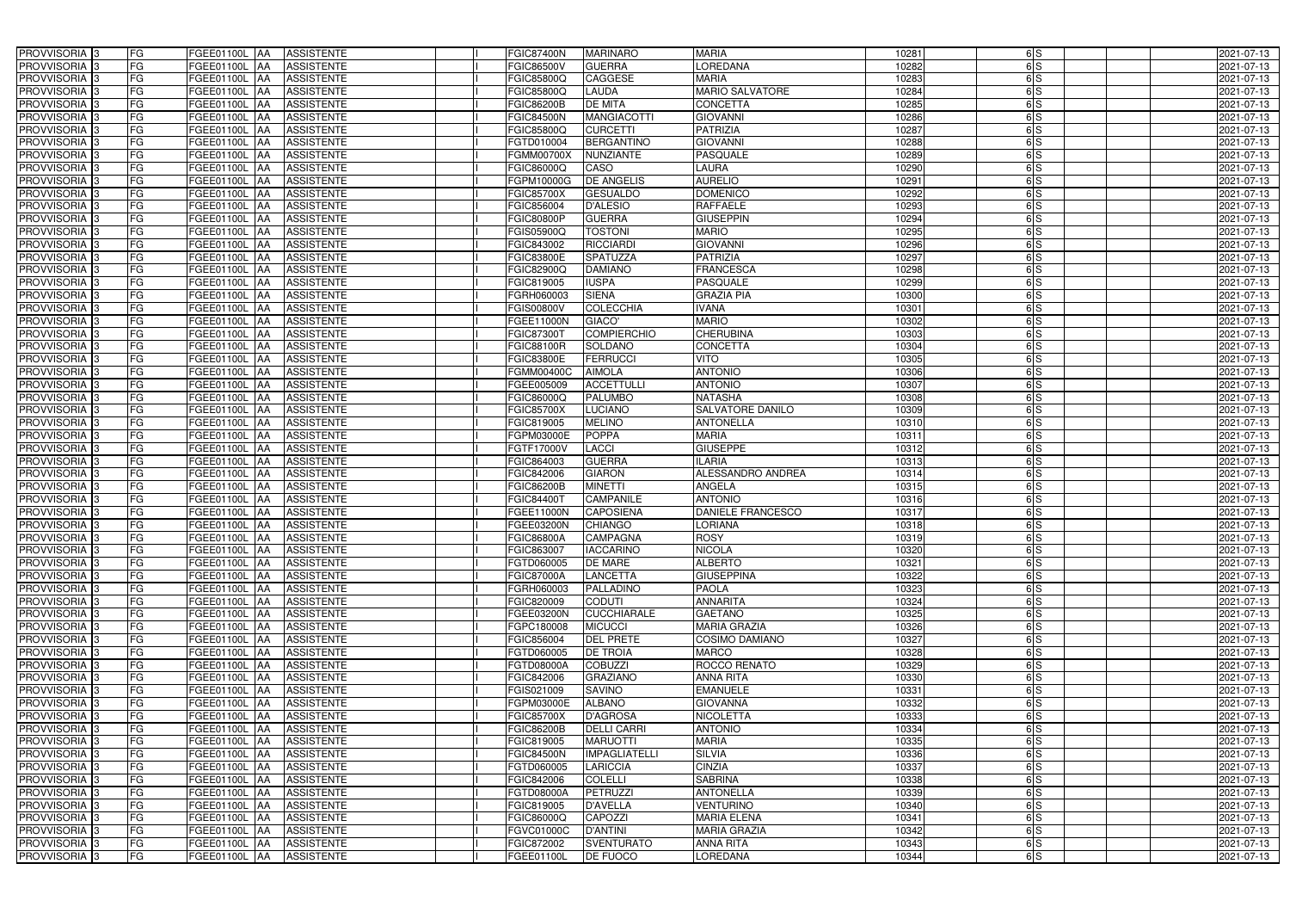| PROVVISORIA <sup>3</sup>                             | FG        | FGEE01100L AA                         | <b>ASSISTENTE</b>               | <b>FGIC87400N</b>               | <b>MARINARO</b>                   | <b>MARIA</b>                        | 10281          | 6S       | 2021-07-13               |
|------------------------------------------------------|-----------|---------------------------------------|---------------------------------|---------------------------------|-----------------------------------|-------------------------------------|----------------|----------|--------------------------|
| PROVVISORIA 3                                        | FG        | FGEE01100L AA                         | <b>ASSISTENTE</b>               | FGIC86500V                      | <b>GUERRA</b>                     | <b>OREDANA</b>                      | 10282          | 6S       | 2021-07-13               |
| PROVVISORIA <sup>1</sup> 3                           | FG        | FGEE01100L   AA                       | <b>ASSISTENTE</b>               | FGIC85800Q                      | <b>CAGGESE</b>                    | <b>MARIA</b>                        | 10283          | 6S       | 2021-07-13               |
| PROVVISORIA <sup>3</sup>                             | FG        | <b>FGEE01100L AA</b>                  | <b>ASSISTENTE</b>               | FGIC85800Q                      | <b>LAUDA</b>                      | <b>MARIO SALVATORE</b>              | 10284          | 6S       | 2021-07-13               |
| PROVVISORIA <sup>3</sup>                             | FG        | FGEE01100L AA                         | <b>ASSISTENTE</b>               | FGIC86200B                      | <b>DE MITA</b>                    | CONCETTA                            | 10285          | 6S       | 2021-07-13               |
| PROVVISORIA <sup>3</sup>                             | FG        | <b>FGEE01100L AA</b>                  | <b>ASSISTENTE</b>               | <b>FGIC84500N</b>               | <b>MANGIACOTTI</b>                | <b>GIOVANNI</b>                     | 10286          | 6S       | 2021-07-13               |
| PROVVISORIA <sup>3</sup>                             | FG        | FGEE01100L AA                         | <b>ASSISTENTE</b>               | FGIC85800Q                      | <b>CURCETTI</b>                   | <b>PATRIZIA</b>                     | 10287          | 6S       | 2021-07-13               |
| PROVVISORIA <sup>3</sup>                             | FG        | FGEE01100L AA                         | <b>ASSISTENTE</b>               | FGTD010004                      | <b>BERGANTINO</b>                 | <b>GIOVANNI</b>                     | 10288          | 6S       | 2021-07-13               |
| PROVVISORIA <sup>3</sup>                             | FG        | FGEE01100L<br><b>IAA</b>              | <b>ASSISTENTE</b>               | FGMM00700X                      | <b>NUNZIANTE</b>                  | <b>PASQUALE</b>                     | 10289          | 6S       | 2021-07-13               |
| PROVVISORIA <sup>3</sup>                             | FG        | FGEE01100L                            | <b>ASSISTENTE</b><br>IAA        | FGIC86000Q                      | CASO                              | <b>LAURA</b>                        | 10290          | 6S       | 2021-07-13               |
| PROVVISORIA 3                                        | FG        | <b>FGEE01100L AA</b>                  | <b>ASSISTENTE</b>               | <b>GPM10000G</b>                | <b>DE ANGELIS</b>                 | <b>AURELIO</b>                      | 10291          | 6S       | 2021-07-13               |
| PROVVISORIA 3                                        | FG        | <b>FGEE01100L AA</b>                  | <b>ASSISTENTE</b>               | FGIC85700X                      | <b>GESUALDO</b>                   | <b>DOMENICO</b>                     | 10292          | 6S       | 2021-07-13               |
| PROVVISORIA <sup>3</sup>                             | FG        | FGEE01100L<br><b>IAA</b>              | <b>ASSISTENTE</b>               | FGIC856004                      | <b>D'ALESIO</b>                   | <b>RAFFAELE</b>                     | 10293          | 6S       | 2021-07-13               |
| PROVVISORIA 3                                        | FG        | <b>FGEE01100L</b><br><b>IAA</b>       | <b>ASSISTENTE</b>               | <b>FGIC80800P</b>               | <b>GUERRA</b>                     | <b>GIUSEPPIN</b>                    | 10294          | 6S       | 2021-07-13               |
| PROVVISORIA 3                                        | FG        | FGEE01100L                            | <b>ASSISTENTE</b><br>IAA        | FGIS05900Q                      | <b>TOSTONI</b>                    | <b>MARIO</b>                        | 10295          | 6S       | 2021-07-13               |
| PROVVISORIA 3                                        | FG        | <b>FGEE01100L AA</b>                  | <b>ASSISTENTE</b>               | FGIC843002                      | <b>RICCIARDI</b>                  | <b>GIOVANN</b>                      | 10296          | 6S       | 2021-07-13               |
| PROVVISORIA 3                                        | FG        | FGEE01100L AA                         | <b>ASSISTENTE</b>               | FGIC83800E                      | <b>SPATUZZA</b>                   | <b>PATRIZIA</b>                     | 10297          | 6S       | 2021-07-13               |
| PROVVISORIA 3                                        | FG        | FGEE01100L AA                         | <b>ASSISTENTE</b>               | FGIC82900Q                      | <b>DAMIANO</b>                    | <b>FRANCESCA</b>                    | 10298          | 6S       | 2021-07-13               |
| PROVVISORIA 3                                        | FG        | FGEE01100L AA                         | <b>ASSISTENTE</b>               | FGIC819005                      | <b>IUSPA</b>                      | <b>PASQUALE</b>                     | 10299          | 6S       | 2021-07-13               |
| PROVVISORIA <sup>3</sup>                             | FG        | FGEE01100L                            | <b>ASSISTENTE</b><br>l AA       | FGRH060003                      | <b>SIENA</b>                      | <b>GRAZIA PIA</b>                   | 10300          | 6S       | 2021-07-13               |
| PROVVISORIA 3                                        | FG        | FGEE01100L                            | <b>ASSISTENTE</b><br>ΙAΑ        | FGIS00800V                      | <b>COLECCHIA</b>                  | <b>IVANA</b>                        | 10301          | 6S       | 2021-07-13               |
| PROVVISORIA <sup>3</sup>                             | FG        | FGEE01100L                            | <b>ASSISTENTE</b><br>IAA        | FGEE11000N                      | GIACO'                            | <b>MARIO</b>                        | 10302          | 6S       | 2021-07-13               |
| PROVVISORIA <sup>3</sup>                             | FG        | <b>FGEE01100L</b>                     | <b>ASSISTENTE</b><br>IAA        | FGIC87300                       | <b>COMPIERCHIO</b>                | <b>CHERUBINA</b>                    | 10303          | 6S       | 2021-07-13               |
| PROVVISORIA <sup>3</sup>                             | FG        | <b>FGEE01100L</b>                     | <b>ASSISTENTE</b><br>IAA        | FGIC88100R                      | SOLDANO                           | <b>CONCETTA</b>                     | 10304          | 6S       | 2021-07-13               |
| PROVVISORIA 3                                        | FG        | FGEE01100L<br>۱AA                     | <b>ASSISTENTE</b>               | FGIC83800E                      | <b>FERRUCCI</b>                   | <b>VITO</b>                         | 10305          | 6S       | 2021-07-13               |
| PROVVISORIA 3                                        | FG        | FGEE01100L                            | <b>ASSISTENTE</b><br>IAA        | FGMM00400C                      | <b>AIMOLA</b>                     | <b>ANTONIO</b>                      | 10306          | 6S       | 2021-07-13               |
| PROVVISORIA 3                                        | FG        | <b>FGEE01100L</b>                     | <b>ASSISTENTE</b>               | FGEE005009                      | <b>ACCETTULLI</b>                 | <b>ANTONIO</b>                      | 10307          | 6S       | 2021-07-13               |
| PROVVISORIA 3                                        | FG        | FGEE01100L                            | <b>ASSISTENTE</b><br>IAA        | FGIC86000Q                      | PALUMBO                           | <b>NATASHA</b>                      | 10308          | 6S       | 2021-07-13               |
| PROVVISORIA <sup>3</sup>                             | FG        | FGEE01100L                            | <b>ASSISTENTE</b>               | <b>FGIC85700X</b>               | <b>LUCIANO</b>                    | <b>SALVATORE DANILO</b>             | 10309          | 6S       | 2021-07-13               |
| PROVVISORIA <sup>3</sup>                             | FG        | <b>FGEE01100L</b>                     | <b>ASSISTENTE</b><br>IAA        | FGIC819005                      | <b>MELINO</b>                     | <b>ANTONELLA</b>                    | 10310          | 6S       | 2021-07-13               |
| PROVVISORIA <sup>3</sup>                             | FG        | <b>FGEE01100L</b><br><b>IAA</b>       | <b>ASSISTENTE</b>               | FGPM03000E                      | <b>POPPA</b>                      | <b>MARIA</b>                        | 1031           | 6S       | 2021-07-13               |
| PROVVISORIA <sup>3</sup>                             | FG        | FGEE01100L                            | <b>ASSISTENTE</b><br>IAA        | FGTF17000V                      | LACCI                             | <b>GIUSEPPE</b>                     | 10312          | 6S       | 2021-07-13               |
| PROVVISORIA <sup>3</sup>                             | FG        | FGEE01100L                            | <b>ASSISTENTE</b><br>IAA        | FGIC864003                      | <b>GUERRA</b>                     | <b>ILARIA</b>                       | 10313          | 6S       | 2021-07-13               |
| PROVVISORIA <sup>3</sup>                             | FG        | FGEE01100L AA                         | <b>ASSISTENTE</b>               | FGIC842006                      | <b>GIARON</b>                     | ALESSANDRO ANDREA                   | 10314          | 6S       | 2021-07-13               |
| PROVVISORIA <sup>13</sup>                            | FG        | FGEE01100L AA                         | <b>ASSISTENTE</b>               | FGIC86200B                      | <b>MINETTI</b>                    | ANGELA                              | 10315          | 6S       | 2021-07-13               |
| PROVVISORIA <sup>3</sup>                             | FG        | FGEE01100L AA                         | <b>ASSISTENTE</b>               | FGIC844007                      | <b>CAMPANILE</b>                  | <b>ANTONIO</b>                      | 10316          | 6S       | 2021-07-13               |
| PROVVISORIA <sup>3</sup>                             | FG        | FGEE01100L AA                         | <b>ASSISTENTE</b>               | <b>FGEE11000N</b>               | <b>CAPOSIENA</b>                  | <b>DANIELE FRANCESCO</b>            | 10317          | 6S       | 2021-07-13               |
| PROVVISORIA <sup>3</sup>                             | FG        | FGEE01100L AA                         | <b>ASSISTENTE</b>               | FGEE03200N                      | <b>CHIANGO</b>                    | <b>LORIANA</b>                      | 10318          | 6S       | 2021-07-13               |
| <b>PROVVISORIA</b> 3                                 | <b>FG</b> |                                       | FGEE01100L AA ASSISTENTE        | <b>FGIC86800A</b>               | <b>CAMPAGNA</b>                   | <b>ROSY</b>                         | 10319          | 6S       | 2021-07-13               |
| <b>PROVVISORIA</b> 3                                 | FG        | FGEE01100L AA                         | ASSISTENTE                      | FGIC863007                      | <b>IACCARINO</b>                  | <b>NICOLA</b>                       | 10320          | 6S       | 2021-07-13               |
| PROVVISORIA <sup>3</sup><br>PROVVISORIA <sup>3</sup> | FG<br>FG  | FGEE01100L AA                         | ASSISTENTE                      | FGTD060005<br><b>FGIC87000A</b> | <b>DE MARE</b><br><b>LANCETTA</b> | <b>ALBERTO</b><br><b>GIUSEPPINA</b> | 10321          | 6S<br>6S | 2021-07-13<br>2021-07-13 |
| PROVVISORIA <sup>3</sup>                             | FG        | FGEE01100L AA<br><b>FGEE01100L AA</b> | <b>ASSISTENTE</b><br>ASSISTENTE | FGRH060003                      | PALLADINO                         | <b>PAOLA</b>                        | 10322          | 6S       | 2021-07-13               |
| PROVVISORIA <sup>3</sup>                             | FG        | FGEE01100L AA                         | <b>ASSISTENTE</b>               | FGIC820009                      | <b>CODUTI</b>                     | <b>ANNARITA</b>                     | 10323<br>10324 | 6S       | 2021-07-13               |
| PROVVISORIA <sup>3</sup>                             | FG        | FGEE01100L AA                         | ASSISTENTE                      | FGEE03200N                      | <b>CUCCHIARALE</b>                | <b>GAETANO</b>                      | 10325          | 6S       | 2021-07-13               |
| PROVVISORIA <sup>3</sup>                             | FG        | FGEE01100L AA                         | <b>ASSISTENTE</b>               | FGPC180008                      | <b>MICUCCI</b>                    | <b>MARIA GRAZIA</b>                 | 10326          | 6S       | 2021-07-13               |
| PROVVISORIA <sup>1</sup> 3                           | FG        | FGEE01100L AA                         | <b>ASSISTENTE</b>               | FGIC856004                      | <b>DEL PRETE</b>                  | <b>COSIMO DAMIANO</b>               | 10327          | 6S       | 2021-07-13               |
| PROVVISORIA <sup>3</sup>                             | FG        | FGEE01100L AA                         | <b>ASSISTENTE</b>               | FGTD060005                      | <b>DE TROIA</b>                   | <b>MARCO</b>                        | 10328          | 6S       | 2021-07-13               |
| PROVVISORIA <sup>3</sup>                             | FG        | FGEE01100L AA                         | <b>ASSISTENTE</b>               | FGTD08000A                      | <b>COBUZZI</b>                    | ROCCO RENATO                        | 10329          | 6S       | 2021-07-13               |
| PROVVISORIA <sup>3</sup>                             | FG        | FGEE01100L AA                         | <b>ASSISTENTE</b>               | FGIC842006                      | <b>GRAZIANO</b>                   | <b>ANNA RITA</b>                    | 10330          | 6S       | 2021-07-13               |
| PROVVISORIA <sup>3</sup>                             | FG        | FGEE01100L AA                         | <b>ASSISTENTE</b>               | FGIS021009                      | <b>SAVINO</b>                     | <b>EMANUELE</b>                     | 10331          | 6S       | 2021-07-13               |
| PROVVISORIA <sup>3</sup>                             | FG        | FGEE01100L AA                         | <b>ASSISTENTE</b>               | FGPM03000E                      | <b>ALBANO</b>                     | <b>GIOVANNA</b>                     | 10332          | 6S       | 2021-07-13               |
| PROVVISORIA <sup>3</sup>                             | FG        | FGEE01100L AA                         | <b>ASSISTENTE</b>               | <b>FGIC85700X</b>               | <b>D'AGROSA</b>                   | <b>NICOLETTA</b>                    | 10333          | 6S       | 2021-07-13               |
| PROVVISORIA <sup>3</sup>                             | FG        | FGEE01100L AA                         | <b>ASSISTENTE</b>               | <b>FGIC86200B</b>               | <b>DELLI CARRI</b>                | <b>ANTONIO</b>                      | 10334          | 6S       | 2021-07-13               |
| PROVVISORIA <sup>3</sup>                             | FG        | FGEE01100L AA                         | <b>ASSISTENTE</b>               | FGIC819005                      | <b>MARUOTTI</b>                   | <b>MARIA</b>                        | 10335          | 6S       | 2021-07-13               |
| PROVVISORIA <sup>3</sup>                             | FG        | FGEE01100L AA                         | <b>ASSISTENTE</b>               | <b>FGIC84500N</b>               | <b>IMPAGLIATELLI</b>              | <b>SILVIA</b>                       | 10336          | 6S       | 2021-07-13               |
| PROVVISORIA <sup>1</sup> 3                           | FG        | FGEE01100L AA                         | <b>ASSISTENTE</b>               | FGTD060005                      | <b>LARICCIA</b>                   | <b>CINZIA</b>                       | 10337          | 6S       | 2021-07-13               |
| PROVVISORIA <sup>1</sup> 3                           | FG        | FGEE01100L AA                         | <b>ASSISTENTE</b>               | FGIC842006                      | <b>COLELLI</b>                    | <b>SABRINA</b>                      | 10338          | 6S       | 2021-07-13               |
| PROVVISORIA <sup>3</sup>                             | FG        | FGEE01100L AA                         | <b>ASSISTENTE</b>               | FGTD08000A                      | <b>PETRUZZI</b>                   | <b>ANTONELLA</b>                    | 10339          | 6S       | 2021-07-13               |
| PROVVISORIA <sup>1</sup> 3                           | FG        | FGEE01100L AA                         | <b>ASSISTENTE</b>               | FGIC819005                      | <b>D'AVELLA</b>                   | <b>VENTURINO</b>                    | 10340          | 6S       | 2021-07-13               |
| PROVVISORIA <sup>3</sup>                             | FG        | FGEE01100L AA                         | <b>ASSISTENTE</b>               | FGIC86000Q                      | <b>CAPOZZI</b>                    | <b>MARIA ELENA</b>                  | 10341          | 6S       | 2021-07-13               |
| PROVVISORIA <sup>3</sup>                             | FG        | FGEE01100L AA                         | <b>ASSISTENTE</b>               | FGVC01000C                      | <b>D'ANTINI</b>                   | <b>MARIA GRAZIA</b>                 | 10342          | 6S       | 2021-07-13               |
| PROVVISORIA <sup>3</sup>                             | FG        | FGEE01100L AA                         | <b>ASSISTENTE</b>               | FGIC872002                      | <b>SVENTURATO</b>                 | <b>ANNA RITA</b>                    | 10343          | 6S       | 2021-07-13               |
| PROVVISORIA 3                                        | FG        | FGEE01100L AA                         | ASSISTENTE                      | FGEE01100L                      | <b>DE FUOCO</b>                   | <b>LOREDANA</b>                     | 10344          | 6S       | 2021-07-13               |
|                                                      |           |                                       |                                 |                                 |                                   |                                     |                |          |                          |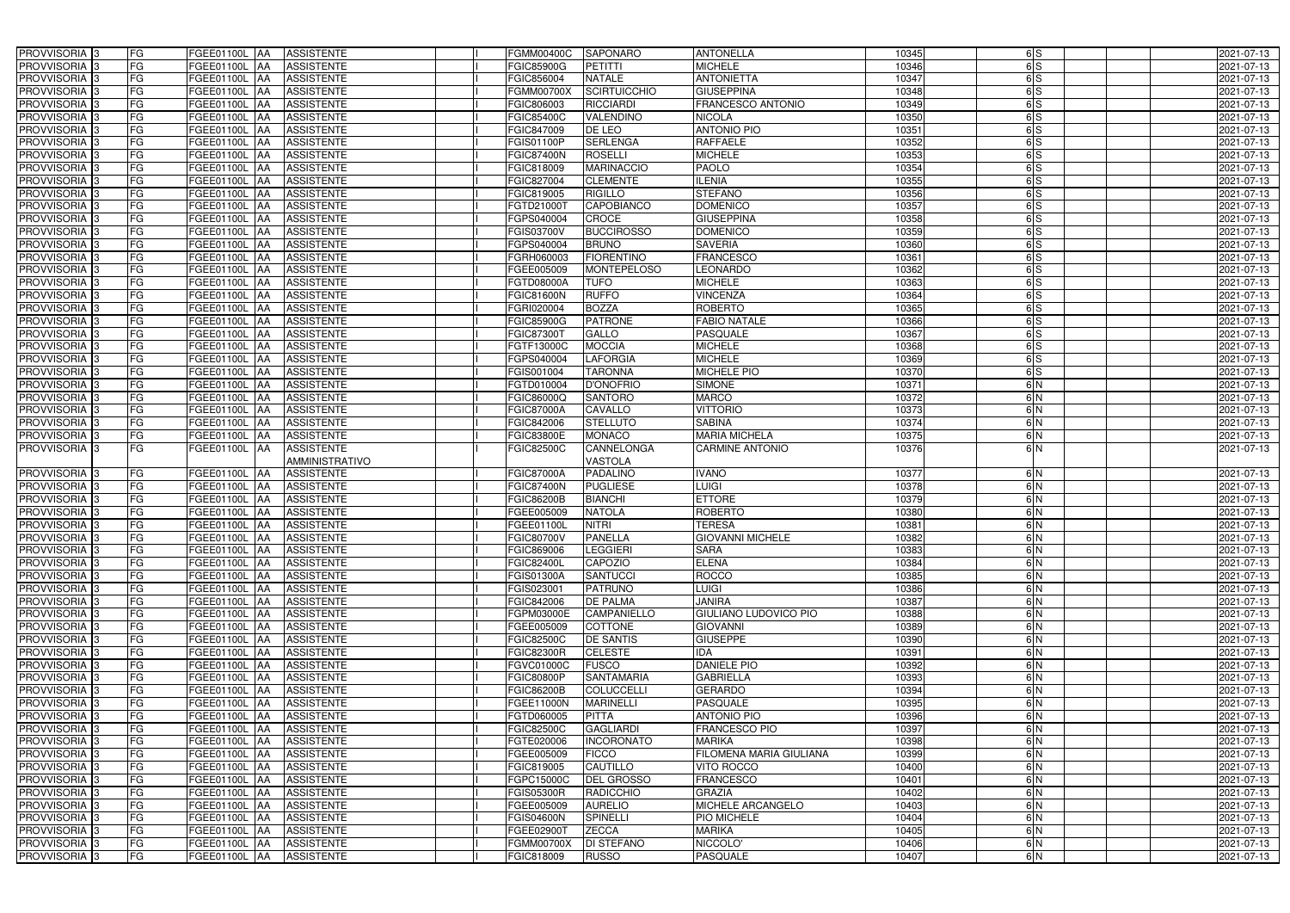| PROVVISORIA <sup>3</sup>                             | FG                       | FGEE01100L AA                  | <b>ASSISTENTE</b>                      | <b>FGMM00400C</b>               | <b>SAPONARO</b>                   | <b>ANTONELLA</b>                 | 10345          | $\frac{1}{5}$ | 2021-07-13               |
|------------------------------------------------------|--------------------------|--------------------------------|----------------------------------------|---------------------------------|-----------------------------------|----------------------------------|----------------|---------------|--------------------------|
| PROVVISORIA <sup>3</sup>                             | FG                       | FGEE01100L AA                  | <b>ASSISTENTE</b>                      | <b>FGIC85900G</b>               | PETITTI                           | <b>MICHELE</b>                   | 10346          | 6S            | 2021-07-13               |
| PROVVISORIA <sup>1</sup> 3                           | FG                       | FGEE01100L   AA                | <b>ASSISTENTE</b>                      | FGIC856004                      | <b>NATALE</b>                     | <b>ANTONIETTA</b>                | 10347          | 6S            | 2021-07-13               |
| PROVVISORIA <sup>3</sup>                             | FG                       | FGEE01100L AA                  | <b>ASSISTENTE</b>                      | <b>FGMM00700X</b>               | <b>SCIRTUICCHIO</b>               | <b>GIUSEPPINA</b>                | 10348          | 6S            | 2021-07-13               |
| PROVVISORIA <sup>3</sup>                             | FG                       | FGEE01100L AA                  | <b>ASSISTENTE</b>                      | FGIC806003                      | <b>RICCIARDI</b>                  | FRANCESCO ANTONIO                | 10349          | 6S            | 2021-07-13               |
| PROVVISORIA <sup>3</sup>                             | FG                       | FGEE01100L AA                  | <b>ASSISTENTE</b>                      | FGIC85400C                      | <b>VALENDINO</b>                  | <b>NICOLA</b>                    | 10350          | $\frac{1}{5}$ | 2021-07-13               |
| PROVVISORIA 3                                        | FG                       | FGEE01100L AA                  | <b>ASSISTENTE</b>                      | FGIC847009                      | DE LEO                            | <b>ANTONIO PIO</b>               | 10351          | 6S            | 2021-07-13               |
| PROVVISORIA 3                                        | FG                       | FGEE01100L AA                  | <b>ASSISTENTE</b>                      | FGIS01100P                      | <b>SERLENGA</b>                   | <b>RAFFAELE</b>                  | 10352          | 6S            | 2021-07-13               |
| PROVVISORIA 3                                        | FG                       | FGEE01100L AA                  | <b>ASSISTENTE</b>                      | <b>FGIC87400N</b>               | <b>ROSELLI</b>                    | <b>MICHELE</b>                   | 10353          | 6S            | 2021-07-13               |
| PROVVISORIA <sup>3</sup>                             | FG                       | FGEE01100L                     | <b>ASSISTENTE</b><br><b>JAA</b>        | FGIC818009                      | <b>MARINACCIO</b>                 | <b>PAOLO</b>                     | 10354          | 6S            | 2021-07-13               |
| PROVVISORIA 3                                        | FG                       | FGEE01100L AA                  | <b>ASSISTENTE</b>                      | FGIC827004                      | <b>CLEMENTE</b>                   | <b>ILENIA</b>                    | 10355          | 6S            | 2021-07-13               |
| PROVVISORIA 3                                        | FG                       | FGEE01100L AA                  | <b>ASSISTENTE</b>                      | FGIC819005                      | <b>RIGILLO</b>                    | <b>STEFANO</b>                   | 10356          | 6S            | 2021-07-13               |
| PROVVISORIA <sup>3</sup>                             | FG                       | FGEE01100L AA                  | <b>ASSISTENTE</b>                      | FGTD21000T                      | <b>CAPOBIANCO</b>                 | <b>DOMENICO</b>                  | 10357          | 6S            | 2021-07-13               |
| PROVVISORIA 3                                        | $\overline{\mathsf{FG}}$ | FGEE01100L AA                  | <b>ASSISTENTE</b>                      | FGPS040004                      | <b>CROCE</b>                      | <b>GIUSEPPINA</b>                | 10358          | 6S            | 2021-07-13               |
| PROVVISORIA 3                                        | FG                       | <b>FGEE01100L   AA</b>         | <b>ASSISTENTE</b>                      | FGIS03700V                      | <b>BUCCIROSSO</b>                 | <b>DOMENICO</b>                  | 10359          | 6S            | 2021-07-13               |
| PROVVISORIA <sup>3</sup>                             | $\overline{FG}$          | FGEE01100L AA                  | <b>ASSISTENTE</b>                      | FGPS040004                      | <b>BRUNO</b>                      | <b>SAVERIA</b>                   | 10360          | 6S            | 2021-07-13               |
| PROVVISORIA 3                                        | FG                       | FGEE01100L AA                  | <b>ASSISTENTE</b>                      | FGRH060003                      | <b>FIORENTINO</b>                 | <b>FRANCESCO</b>                 | 10361          | 6S            | 2021-07-13               |
| PROVVISORIA <sup>3</sup>                             | FG                       | FGEE01100L AA                  | <b>ASSISTENTE</b>                      | FGEE005009                      | <b>MONTEPELOSO</b>                | <b>LEONARDO</b>                  | 10362          | 6S            | 2021-07-13               |
| PROVVISORIA 3                                        | FG                       | FGEE01100L AA                  | <b>ASSISTENTE</b>                      | FGTD08000A                      | <b>TUFO</b>                       | <b>MICHELE</b>                   | 10363          | 6S            | 2021-07-13               |
| PROVVISORIA 3                                        | FG                       | FGEE01100L AA                  | <b>ASSISTENTE</b>                      | <b>FGIC81600N</b>               | <b>RUFFO</b>                      | <b>VINCENZA</b>                  | 10364          | 6S            | 2021-07-13               |
| PROVVISORIA 3                                        | FG                       | FGEE01100L                     | <b>AA</b><br><b>ASSISTENTE</b>         | FGRI020004                      | <b>BOZZA</b>                      | <b>ROBERTO</b>                   | 10365          | 6S            | 2021-07-13               |
| PROVVISORIA 3                                        | FG                       | FGEE01100L AA                  | <b>ASSISTENTE</b>                      | FGIC85900G                      | <b>PATRONE</b>                    | <b>FABIO NATALE</b>              | 10366          | 6S            | 2021-07-13               |
| PROVVISORIA 3                                        | FG                       | FGEE01100L AA                  | <b>ASSISTENTE</b>                      | FGIC873001                      | GALLO                             | <b>PASQUALE</b>                  | 10367          | 6S            | 2021-07-13               |
| PROVVISORIA 3                                        | FG                       | FGEE01100L AA                  | <b>ASSISTENTE</b>                      | FGTF13000C                      | <b>MOCCIA</b>                     | <b>MICHELE</b>                   | 10368          | 6S            | 2021-07-13               |
| PROVVISORIA <sup>3</sup>                             | FG                       | FGEE01100L AA                  | <b>ASSISTENTE</b>                      | FGPS040004                      | <b>LAFORGIA</b>                   | <b>MICHELE</b>                   | 10369          | 6S            | 2021-07-13               |
| PROVVISORIA 3                                        | $\overline{\mathsf{FG}}$ | FGEE01100L AA                  | <b>ASSISTENTE</b>                      | FGIS001004                      | <b>TARONNA</b>                    | <b>MICHELE PIO</b>               | 10370          | 6S            | 2021-07-13               |
| PROVVISORIA 3                                        | FG                       | FGEE01100L AA                  | <b>ASSISTENTE</b>                      | FGTD010004                      | <b>D'ONOFRIO</b>                  | <b>SIMONE</b>                    | 1037           | 6N            | 2021-07-13               |
| PROVVISORIA 3                                        | FG                       | FGEE01100L                     | <b>ASSISTENTE</b><br>IAA               | FGIC86000Q                      | <b>SANTORO</b>                    | <b>MARCO</b>                     | 10372          | 6N            | 2021-07-13               |
| PROVVISORIA <sup>3</sup>                             | FG                       | FGEE01100L                     | <b>ASSISTENTE</b><br>IAA               | <b>FGIC87000A</b>               | CAVALLO                           | <b>VITTORIO</b>                  | 10373          | 6N            | 2021-07-13               |
| PROVVISORIA <sup>3</sup>                             | FG                       | <b>FGEE01100L AA</b>           | <b>ASSISTENTE</b>                      | FGIC842006                      | <b>STELLUTO</b>                   | <b>SABINA</b>                    | 10374          | 6N            | 2021-07-13               |
| PROVVISORIA <sup>3</sup>                             | FG                       | <b>FGEE01100L AA</b>           | <b>ASSISTENTE</b>                      | <b>FGIC83800E</b>               | <b>MONACO</b>                     | <b>MARIA MICHELA</b>             | 10375          | 6N            | 2021-07-13               |
| PROVVISORIA <sup>1</sup> 3                           | FG                       | FGEE01100L AA                  | <b>ASSISTENTE</b>                      | <b>FGIC82500C</b>               | CANNELONGA                        | <b>CARMINE ANTONIO</b>           | 10376          | 6N            | 2021-07-13               |
|                                                      |                          |                                | AMMINISTRATIVO                         |                                 | <b>VASTOLA</b>                    |                                  |                |               |                          |
| PROVVISORIA 3                                        | FG                       | FGEE01100L AA                  | <b>ASSISTENTE</b>                      | <b>FGIC87000A</b>               | <b>PADALINO</b>                   | <b>IVANO</b>                     | 10377          | 6N            | 2021-07-13               |
| PROVVISORIA <sup>3</sup>                             | FG                       | FGEE01100L AA                  | <b>ASSISTENTE</b>                      | <b>FGIC87400N</b>               | <b>PUGLIESE</b>                   | <b>LUIGI</b>                     | 10378          | 6N            | 2021-07-13               |
| PROVVISORIA <sup>3</sup>                             | FG                       | <b>FGEE01100L AA</b>           | <b>ASSISTENTE</b>                      | <b>FGIC86200B</b>               | <b>BIANCHI</b>                    | <b>ETTORE</b>                    | 10379          | 6N            | 2021-07-13               |
| PROVVISORIA <sup>3</sup>                             | FG                       | FGEE01100L AA                  | <b>ASSISTENTE</b>                      | FGEE005009                      | <b>NATOLA</b>                     | <b>ROBERTO</b>                   | 10380          | 6N            | 2021-07-13               |
| PROVVISORIA <sup>3</sup>                             | FG                       | FGEE01100L AA                  | <b>ASSISTENTE</b>                      | FGEE01100L                      | <b>NITRI</b>                      | <b>TERESA</b>                    | 10381          | 6N            | 2021-07-13               |
| PROVVISORIA <sup>3</sup>                             | <b>FG</b>                |                                | FGEE01100L AA ASSISTENTE               | <b>FGIC80700V</b>               | <b>PANELLA</b>                    | <b>GIOVANNI MICHELE</b>          | 10382          | 6 N           | 2021-07-13               |
| <b>PROVVISORIA</b> 3                                 | FG                       | FGEE01100L AA                  | ASSISTENTE                             | FGIC869006                      | <b>LEGGIERI</b>                   | <b>SARA</b>                      | 10383          | 6N            | 2021-07-13               |
| PROVVISORIA <sup>3</sup>                             | FG                       | FGEE01100L AA                  | <b>ASSISTENTE</b>                      | <b>FGIC82400L</b>               | CAPOZIO                           | <b>ELENA</b>                     | 10384          | 6N            | 2021-07-13               |
| PROVVISORIA <sup>3</sup>                             | FG                       | FGEE01100L AA                  | <b>ASSISTENTE</b>                      | FGIS01300A                      | <b>SANTUCCI</b>                   | <b>ROCCO</b>                     | 10385          | 6N            | 2021-07-13               |
| <b>PROVVISORIA</b> 3                                 | FG                       | FGEE01100L AA                  | ASSISTENTE                             | FGIS023001                      | <b>PATRUNO</b>                    | <b>LUIGI</b>                     | 10386          | 6N            | 2021-07-13               |
| PROVVISORIA <sup>3</sup>                             | FG                       | FGEE01100L AA                  | ASSISTENTE                             | FGIC842006                      | <b>DE PALMA</b>                   | <b>JANIRA</b>                    | 10387          | 6N            | 2021-07-13               |
| PROVVISORIA <sup>3</sup>                             | FG                       | FGEE01100L AA                  | ASSISTENTE                             | FGPM03000E                      | CAMPANIELLO                       | <b>GIULIANO LUDOVICO PIO</b>     | 10388          | 6N            | 2021-07-13               |
| PROVVISORIA <sup>3</sup>                             | FG                       | FGEE01100L AA                  | <b>ASSISTENTE</b>                      | FGEE005009                      | <b>COTTONE</b>                    | <b>GIOVANNI</b>                  | 10389          | 6N            | 2021-07-13               |
| PROVVISORIA <sup>1</sup> 3                           | FG                       | FGEE01100L AA                  | <b>ASSISTENTE</b>                      | <b>FGIC82500C</b>               | <b>DE SANTIS</b>                  | <b>GIUSEPPE</b>                  | 10390          | 6N            | 2021-07-13               |
| PROVVISORIA <sup>3</sup>                             | FG                       | FGEE01100L AA                  | <b>ASSISTENTE</b>                      | <b>FGIC82300R</b>               | <b>CELESTE</b>                    | <b>IDA</b>                       | 10391          | 6N            | 2021-07-13               |
| PROVVISORIA <sup>3</sup>                             | FG                       | FGEE01100L AA                  | <b>ASSISTENTE</b>                      | FGVC01000C                      | <b>FUSCO</b>                      | <b>DANIELE PIO</b>               | 10392          | 6 N           | 2021-07-13               |
| PROVVISORIA <sup>3</sup>                             | FG                       | FGEE01100L AA                  | <b>ASSISTENTE</b>                      | <b>FGIC80800P</b>               | SANTAMARIA                        | <b>GABRIELLA</b>                 | 10393          | 6 N           | 2021-07-13               |
| PROVVISORIA <sup>3</sup>                             | FG                       | FGEE01100L AA                  | <b>ASSISTENTE</b>                      | <b>FGIC86200B</b>               | <b>COLUCCELLI</b>                 | <b>GERARDO</b>                   | 10394          | 6N            | 2021-07-13               |
| PROVVISORIA <sup>3</sup>                             | FG                       | FGEE01100L AA                  | <b>ASSISTENTE</b>                      | <b>FGEE11000N</b>               | <b>MARINELLI</b>                  | <b>PASQUALE</b>                  | 10395          | 6N            | 2021-07-13               |
| PROVVISORIA <sup>3</sup>                             | FG                       | FGEE01100L AA                  | <b>ASSISTENTE</b>                      | FGTD060005                      | <b>PITTA</b>                      | <b>ANTONIO PIO</b>               | 10396          | 6N            | 2021-07-13               |
| PROVVISORIA <sup>3</sup>                             | FG                       | FGEE01100L AA                  | <b>ASSISTENTE</b>                      | <b>FGIC82500C</b>               | <b>GAGLIARDI</b>                  | FRANCESCO PIO                    | 10397          | 6N            | 2021-07-13               |
| PROVVISORIA <sup>3</sup>                             | FG                       | FGEE01100L AA                  | <b>ASSISTENTE</b>                      | FGTE020006                      | <b>INCORONATO</b>                 | <b>MARIKA</b>                    | 10398          | 6N            | 2021-07-13               |
| PROVVISORIA <sup>3</sup>                             | FG                       | FGEE01100L AA                  | <b>ASSISTENTE</b>                      | FGEE005009                      | <b>FICCO</b>                      | <b>FILOMENA MARIA GIULIANA</b>   | 10399          | 6N            | 2021-07-13               |
| PROVVISORIA <sup>1</sup> 3                           | FG                       | FGEE01100L AA                  | <b>ASSISTENTE</b>                      | FGIC819005                      | CAUTILLO                          | VITO ROCCO                       | 10400          | 6N            | 2021-07-13               |
| PROVVISORIA <sup>3</sup>                             | FG                       | FGEE01100L AA                  | <b>ASSISTENTE</b>                      | FGPC15000C                      | <b>DEL GROSSO</b>                 | <b>FRANCESCO</b>                 | 10401          | 6N            | 2021-07-13               |
| PROVVISORIA <sup>3</sup>                             | FG                       | FGEE01100L AA                  | <b>ASSISTENTE</b>                      | <b>FGIS05300R</b>               | RADICCHIO                         | <b>GRAZIA</b>                    | 10402          | 6N            | 2021-07-13               |
| PROVVISORIA <sup>3</sup><br>PROVVISORIA <sup>3</sup> | FG                       | FGEE01100L AA                  | <b>ASSISTENTE</b>                      | FGEE005009                      | <b>AURELIO</b><br><b>SPINELLI</b> | MICHELE ARCANGELO<br>PIO MICHELE | 10403          | 6N<br>6N      | 2021-07-13               |
| PROVVISORIA <sup>3</sup>                             | FG                       | FGEE01100L AA<br>FGEE01100L AA | <b>ASSISTENTE</b><br><b>ASSISTENTE</b> | <b>FGIS04600N</b>               | <b>ZECCA</b>                      | <b>MARIKA</b>                    | 10404          | 6N            | 2021-07-13               |
| PROVVISORIA <sup>3</sup>                             | FG<br>FG                 | FGEE01100L AA                  |                                        | FGEE02900T<br><b>FGMM00700X</b> | <b>DI STEFANO</b>                 | NICCOLO'                         | 10405<br>10406 | 6N            | 2021-07-13<br>2021-07-13 |
| PROVVISORIA 3                                        | FG                       | FGEE01100L AA                  | <b>ASSISTENTE</b><br>ASSISTENTE        | FGIC818009                      |                                   | <b>PASQUALE</b>                  | 10407          | 6N            |                          |
|                                                      |                          |                                |                                        |                                 | <b>RUSSO</b>                      |                                  |                |               | 2021-07-13               |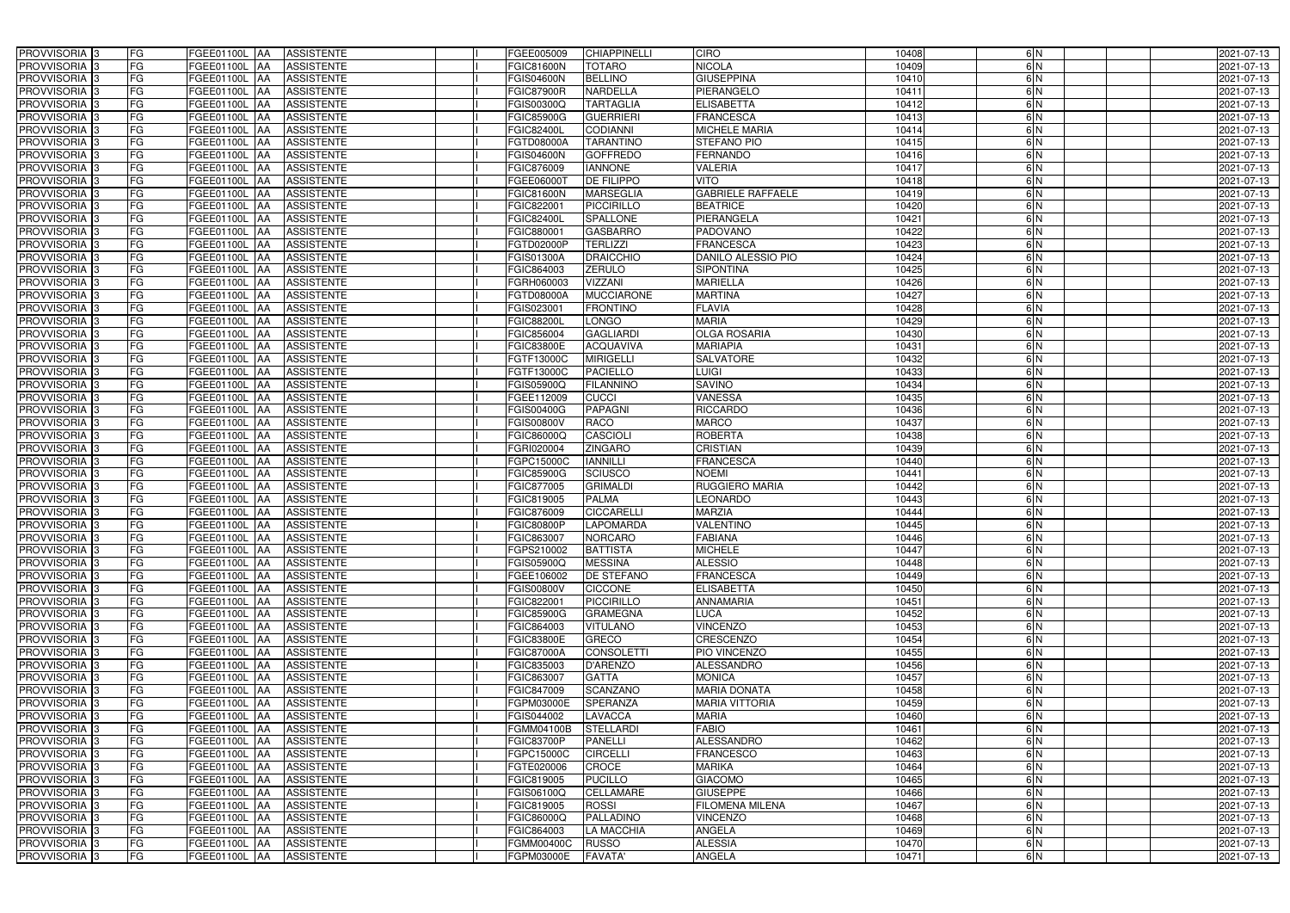| PROVVISORIA <sup>3</sup>                               | FG        | FGEE01100L AA                   | <b>ASSISTENTE</b>               | FGEE005009               | <b>CHIAPPINELLI</b>              | <b>CIRO</b>                               | 10408          | 6N            | 2021-07-13               |
|--------------------------------------------------------|-----------|---------------------------------|---------------------------------|--------------------------|----------------------------------|-------------------------------------------|----------------|---------------|--------------------------|
| PROVVISORIA <sup>3</sup>                               | FG        | FGEE01100L AA                   | <b>ASSISTENTE</b>               | FGIC81600N               | <b>TOTARO</b>                    | <b>NICOLA</b>                             | 10409          | 6N            | 2021-07-13               |
| PROVVISORIA <sup>1</sup> 3                             | FG        | FGEE01100L   AA                 | <b>ASSISTENTE</b>               | FGIS04600N               | <b>BELLINO</b>                   | <b>GIUSEPPINA</b>                         | 10410          | 6N            | 2021-07-13               |
| PROVVISORIA <sup>3</sup>                               | FG        | FGEE01100L AA                   | <b>ASSISTENTE</b>               | <b>FGIC87900R</b>        | <b>NARDELLA</b>                  | PIERANGELO                                | 10411          | 6N            | 2021-07-13               |
| PROVVISORIA <sup>3</sup>                               | FG        | FGEE01100L AA                   | <b>ASSISTENTE</b>               | FGIS00300Q               | <b>TARTAGLIA</b>                 | <b>ELISABETTA</b>                         | 10412          | $\frac{6}{N}$ | 2021-07-13               |
| PROVVISORIA <sup>3</sup>                               | FG        | <b>FGEE01100L AA</b>            | <b>ASSISTENTE</b>               | <b>FGIC85900G</b>        | <b>GUERRIERI</b>                 | <b>FRANCESCA</b>                          | 10413          | 6N            | 2021-07-13               |
| PROVVISORIA <sup>3</sup>                               | FG        | FGEE01100L AA                   | <b>ASSISTENTE</b>               | FGIC82400L               | <b>CODIANNI</b>                  | <b>MICHELE MARIA</b>                      | 10414          | 6N            | 2021-07-13               |
| PROVVISORIA <sup>3</sup>                               | FG        | FGEE01100L<br>IAA               | <b>ASSISTENTE</b>               | FGTD08000A               | <b>TARANTINO</b>                 | <b>STEFANO PIO</b>                        | 10415          | 6N            | 2021-07-13               |
| PROVVISORIA <sup>3</sup>                               | FG        | FGEE01100L<br><b>IAA</b>        | <b>ASSISTENTE</b>               | GIS04600N                | <b>GOFFREDO</b>                  | <b>FERNANDO</b>                           | 10416          | 6N            | 2021-07-13               |
| PROVVISORIA <sup>3</sup>                               | FG        | FGEE01100L<br>IAA               | <b>ASSISTENTE</b>               | FGIC876009               | <b>IANNONE</b>                   | <b>VALERIA</b>                            | 10417          | $\frac{6}{N}$ | 2021-07-13               |
| PROVVISORIA 3                                          | FG        | <b>FGEE01100L AA</b>            | <b>ASSISTENTE</b>               | FGEE06000T               | <b>DE FILIPPO</b>                | <b>VITO</b>                               | 10418          | 6N            | 2021-07-13               |
| PROVVISORIA 3                                          | FG        | <b>FGEE01100L AA</b>            | <b>ASSISTENTE</b>               | <b>FGIC81600N</b>        | <b>MARSEGLIA</b>                 | <b>GABRIELE RAFFAELE</b>                  | 10419          | 6N            | 2021-07-13               |
| PROVVISORIA <sup>3</sup>                               | FG        | FGEE01100L<br><b>IAA</b>        | <b>ASSISTENTE</b>               | FGIC82200                | PICCIRILLO                       | <b>BEATRICE</b>                           | 10420          | 6N            | 2021-07-13               |
| PROVVISORIA 3                                          | FG        | FGEE01100L<br><b>JAA</b>        | <b>ASSISTENTE</b>               | FGIC82400L               | <b>SPALLONE</b>                  | PIERANGELA                                | 10421          | 6N            | 2021-07-13               |
| PROVVISORIA 3                                          | FG        | FGEE01100L<br><b>IAA</b>        | <b>ASSISTENTE</b>               | FGIC88000                | <b>GASBARRO</b>                  | <b>PADOVANO</b>                           | 10422          | 6N            | 2021-07-13               |
| PROVVISORIA 3                                          | FG        | <b>FGEE01100L AA</b>            | <b>ASSISTENTE</b>               | FGTD02000P               | <b>TERLIZZI</b>                  | <b>FRANCESCA</b>                          | 10423          | 6N            | 2021-07-13               |
| PROVVISORIA 3                                          | FG        | FGEE01100L AA                   | <b>ASSISTENTE</b>               | <b>FGIS01300A</b>        | <b>DRAICCHIO</b>                 | DANILO ALESSIO PIO                        | 10424          | 6N            | 2021-07-13               |
| PROVVISORIA 3                                          | FG        | FGEE01100L AA                   | <b>ASSISTENTE</b>               | FGIC864003               | <b>ZERULO</b>                    | <b>SIPONTINA</b>                          | 10425          | 6N            | 2021-07-13               |
| PROVVISORIA 3                                          | FG        | FGEE01100L AA                   | <b>ASSISTENTE</b>               | FGRH060003               | <b>VIZZANI</b>                   | <b>MARIELLA</b>                           | 10426          | 6N            | 2021-07-13               |
| PROVVISORIA 3                                          | FG        | FGEE01100L<br>l AA              | <b>ASSISTENTE</b>               | FGTD08000A               | <b>MUCCIARONE</b>                | <b>MARTINA</b>                            | 10427          | 6N            | 2021-07-13               |
| PROVVISORIA 3                                          | FG        | FGEE01100L<br>ΙAΑ               | <b>ASSISTENTE</b>               | FGIS023001               | <b>FRONTINO</b>                  | <b>FLAVIA</b>                             | 10428          | $\frac{6}{N}$ | 2021-07-13               |
| PROVVISORIA <sup>3</sup>                               | FG        | FGEE01100L<br>IAA               | <b>ASSISTENTE</b>               | FGIC88200L               | LONGO                            | <b>MARIA</b>                              | 10429          | 6N            | 2021-07-13               |
| PROVVISORIA <sup>3</sup>                               | FG        | FGEE01100L<br>IAA               | <b>ASSISTENTE</b>               | FGIC856004               | <b>GAGLIARDI</b>                 | <b>OLGA ROSARIA</b>                       | 10430          | 6N            | 2021-07-13               |
| PROVVISORIA <sup>3</sup>                               | FG        | <b>FGEE01100L</b><br>IAA        | <b>ASSISTENTE</b>               | FGIC83800E               | <b>ACQUAVIVA</b>                 | <b>MARIAPIA</b>                           | 10431          | 6N            | 2021-07-13               |
| PROVVISORIA 3                                          | FG        | <b>FGEE01100L</b><br>۱AA        | <b>ASSISTENTE</b>               | FGTF13000C               | <b>MIRIGELLI</b>                 | SALVATORE                                 | 10432          | 6N            | 2021-07-13               |
| PROVVISORIA 3                                          | FG        | FGEE01100L<br>IAA               | <b>ASSISTENTE</b>               | FGTF13000C               | <b>PACIELLO</b>                  | <b>LUIGI</b>                              | 10433          | 6N            | 2021-07-13               |
| PROVVISORIA 3                                          | FG        | <b>FGEE01100L</b>               | <b>ASSISTENTE</b>               | FGIS05900Q               | <b>FILANNINO</b>                 | <b>SAVINO</b>                             | 10434          | 6N            | 2021-07-13               |
| PROVVISORIA <sup>3</sup>                               | FG        | FGEE01100L<br>IAA               | <b>ASSISTENTE</b>               | FGEE112009               | <b>CUCCI</b>                     | <b>VANESSA</b>                            | 10435          | 6N            | 2021-07-13               |
| PROVVISORIA <sup>3</sup>                               | FG        | FGEE01100L                      | <b>ASSISTENTE</b>               | FGIS00400G               | <b>PAPAGNI</b>                   | <b>RICCARDO</b>                           | 10436          | $\frac{6}{N}$ | 2021-07-13               |
| PROVVISORIA <sup>3</sup>                               | FG        | <b>FGEE01100L</b><br>IAA        | <b>ASSISTENTE</b>               | FGIS00800V               | <b>RACO</b>                      | <b>MARCO</b>                              | 10437          | 6N            | 2021-07-13               |
| PROVVISORIA <sup>3</sup>                               | FG        | <b>FGEE01100L</b><br><b>IAA</b> | <b>ASSISTENTE</b>               | FGIC86000Q               | <b>CASCIOLI</b>                  | <b>ROBERTA</b>                            | 10438          | 6N            | 2021-07-13               |
| PROVVISORIA <sup>3</sup>                               | FG        | FGEE01100L<br>IAA               | <b>ASSISTENTE</b>               | FGRI020004               | <b>ZINGARO</b>                   | <b>CRISTIAN</b>                           | 10439          | $\frac{6}{N}$ | 2021-07-13               |
| PROVVISORIA <sup>3</sup>                               | FG        | FGEE01100L<br>IAA               | <b>ASSISTENTE</b>               | FGPC15000C               | <b>IANNILLI</b>                  | <b>FRANCESCA</b>                          | 10440          | 6N            | 2021-07-13               |
| PROVVISORIA <sup>3</sup>                               | FG        | <b>FGEE01100L</b><br><b>IAA</b> | <b>ASSISTENTE</b>               | <b>FGIC85900G</b>        | <b>SCIUSCO</b>                   | <b>NOEMI</b>                              | 10441          | 6N            | 2021-07-13               |
| PROVVISORIA <sup>13</sup>                              | FG        | FGEE01100L AA                   | <b>ASSISTENTE</b>               | FGIC877005               | <b>GRIMALDI</b>                  | <b>RUGGIERO MARIA</b>                     | 10442          | 6N            | 2021-07-13               |
| PROVVISORIA <sup>3</sup>                               | FG        | FGEE01100L AA                   | <b>ASSISTENTE</b>               | FGIC819005               | <b>PALMA</b>                     | <b>LEONARDO</b>                           | 10443          | $\frac{6}{N}$ | 2021-07-13               |
| PROVVISORIA <sup>3</sup>                               | FG        | FGEE01100L AA                   | <b>ASSISTENTE</b>               | FGIC876009               | <b>CICCARELLI</b>                | <b>MARZIA</b>                             | 10444          | 6N            | 2021-07-13               |
| PROVVISORIA <sup>3</sup>                               | FG        | FGEE01100L AA                   | <b>ASSISTENTE</b>               | <b>FGIC80800P</b>        | <b>LAPOMARDA</b>                 | <b>VALENTINO</b>                          | 10445          | 6N            | 2021-07-13               |
| <b>PROVVISORIA</b> 3                                   | <b>FG</b> | FGEE01100L AA ASSISTENTE        |                                 | FGIC863007               | <b>NORCARO</b>                   | <b>FABIANA</b>                            | 10446          | 6 N           | 2021-07-13               |
| <b>PROVVISORIA</b> 3                                   | FG        | FGEE01100L AA                   | ASSISTENTE                      | FGPS210002               | <b>BATTISTA</b>                  | <b>MICHELE</b>                            | 10447          | 6 N           | 2021-07-13               |
| PROVVISORIA <sup>3</sup>                               | FG        | FGEE01100L AA                   | <b>ASSISTENTE</b>               | FGIS05900Q               | <b>MESSINA</b>                   | <b>ALESSIO</b>                            | 10448          | 6N            | 2021-07-13               |
| <b>PROVVISORIA</b> 3                                   | FG        | FGEE01100L AA ASSISTENTE        |                                 | FGEE106002               | <b>DE STEFANO</b>                | <b>FRANCESCA</b>                          | 10449          | 6N            | 2021-07-13               |
| PROVVISORIA <sup>3</sup>                               | FG        | <b>FGEE01100L AA</b>            | ASSISTENTE                      | FGIS00800V               | <b>CICCONE</b>                   | <b>ELISABETTA</b>                         | 10450          | 6N            | 2021-07-13               |
| PROVVISORIA <sup>3</sup>                               | FG        | FGEE01100L AA                   | <b>ASSISTENTE</b>               | FGIC822001               | PICCIRILLO                       | <b>ANNAMARIA</b>                          | 10451          | 6N            | 2021-07-13               |
| PROVVISORIA <sup>3</sup>                               | FG        | FGEE01100L AA                   | <b>ASSISTENTE</b>               | <b>FGIC85900G</b>        | <b>GRAMEGNA</b>                  | LUCA                                      | 10452          | 6N            | 2021-07-13               |
| PROVVISORIA <sup>3</sup>                               | FG        | FGEE01100L AA                   | <b>ASSISTENTE</b>               | FGIC864003               | <b>VITULANO</b>                  | <b>VINCENZO</b>                           | 10453          | 6N            | 2021-07-13               |
| PROVVISORIA <sup>1</sup> 3                             | FG        | FGEE01100L AA                   | <b>ASSISTENTE</b>               | FGIC83800E               | <b>GRECO</b>                     | <b>CRESCENZO</b>                          | 10454          | 6N            | 2021-07-13               |
| PROVVISORIA <sup>3</sup>                               | FG        | FGEE01100L AA                   | <b>ASSISTENTE</b>               | FGIC87000A               | <b>CONSOLETTI</b>                | PIO VINCENZO                              | 10455          | 6N            | 2021-07-13               |
| PROVVISORIA <sup>3</sup>                               | FG        | FGEE01100L AA                   | <b>ASSISTENTE</b>               | FGIC835003               | D'ARENZO                         | ALESSANDRO                                | 10456          | 6N            | 2021-07-13               |
| PROVVISORIA <sup>3</sup>                               | FG        | FGEE01100L AA                   | <b>ASSISTENTE</b>               | FGIC863007               | <b>GATTA</b>                     | <b>MONICA</b>                             | 10457          | 6N            | 2021-07-13               |
| PROVVISORIA <sup>3</sup>                               | FG        | FGEE01100L AA                   | <b>ASSISTENTE</b>               | FGIC847009               | <b>SCANZANO</b>                  | <b>MARIA DONATA</b>                       | 10458          | 6N            | 2021-07-13               |
| PROVVISORIA <sup>3</sup>                               | FG        | FGEE01100L AA                   | <b>ASSISTENTE</b>               | FGPM03000E               | <b>SPERANZA</b>                  | <b>MARIA VITTORIA</b>                     | 10459          | 6N            | 2021-07-13               |
| PROVVISORIA <sup>3</sup>                               | FG        | FGEE01100L AA                   | <b>ASSISTENTE</b>               | FGIS044002               | <b>LAVACCA</b>                   | <b>MARIA</b>                              | 10460          | 6N            | 2021-07-13               |
| PROVVISORIA <sup>3</sup>                               | FG        | FGEE01100L AA                   | <b>ASSISTENTE</b>               | FGMM04100B               | <b>STELLARDI</b>                 | <b>FABIO</b>                              | 10461          | 6N            | 2021-07-13               |
| PROVVISORIA <sup>3</sup>                               | FG        | FGEE01100L AA                   | <b>ASSISTENTE</b>               | <b>FGIC83700P</b>        | <b>PANELLI</b>                   | <b>ALESSANDRO</b>                         | 10462          | 6N            | 2021-07-13               |
| PROVVISORIA <sup>3</sup>                               | FG        | FGEE01100L AA                   | <b>ASSISTENTE</b>               | FGPC15000C               | <b>CIRCELLI</b>                  | <b>FRANCESCO</b>                          | 10463          | 6N            | 2021-07-13               |
| PROVVISORIA <sup>1</sup> 3                             | FG        | FGEE01100L AA                   | <b>ASSISTENTE</b>               | FGTE020006               | CROCE                            | <b>MARIKA</b>                             | 10464          | 6N<br>6N      | 2021-07-13               |
| PROVVISORIA <sup>1</sup> 3                             | FG        | FGEE01100L AA                   | <b>ASSISTENTE</b>               | FGIC819005               | <b>PUCILLO</b>                   | <b>GIACOMO</b>                            | 10465          |               | 2021-07-13               |
| PROVVISORIA <sup>3</sup>                               | FG        | FGEE01100L AA                   | <b>ASSISTENTE</b>               | FGIS06100Q               | CELLAMARE                        | <b>GIUSEPPE</b>                           | 10466          | 6N            | 2021-07-13               |
| PROVVISORIA <sup>1</sup> 3<br>PROVVISORIA <sup>3</sup> | FG        | FGEE01100L AA                   | <b>ASSISTENTE</b>               | FGIC819005               | <b>ROSSI</b><br><b>PALLADINO</b> | <b>FILOMENA MILENA</b><br><b>VINCENZO</b> | 10467          | 6N<br>6N      | 2021-07-13               |
| PROVVISORIA <sup>3</sup>                               | FG<br>FG  | FGEE01100L AA                   | ASSISTENTE<br><b>ASSISTENTE</b> | FGIC86000Q               | <b>LA MACCHIA</b>                | <b>ANGELA</b>                             | 10468          | 6N            | 2021-07-13               |
| PROVVISORIA <sup>3</sup>                               | FG        | FGEE01100L AA<br>FGEE01100L AA  |                                 | FGIC864003<br>FGMM00400C |                                  | <b>ALESSIA</b>                            | 10469<br>10470 |               | 2021-07-13<br>2021-07-13 |
|                                                        | FG        | FGEE01100L AA                   | ASSISTENTE<br>ASSISTENTE        |                          | <b>RUSSO</b>                     |                                           |                | 6 N           |                          |
| PROVVISORIA 3                                          |           |                                 |                                 | FGPM03000E               | <b>FAVATA'</b>                   | <b>ANGELA</b>                             | 10471          | 6N            | 2021-07-13               |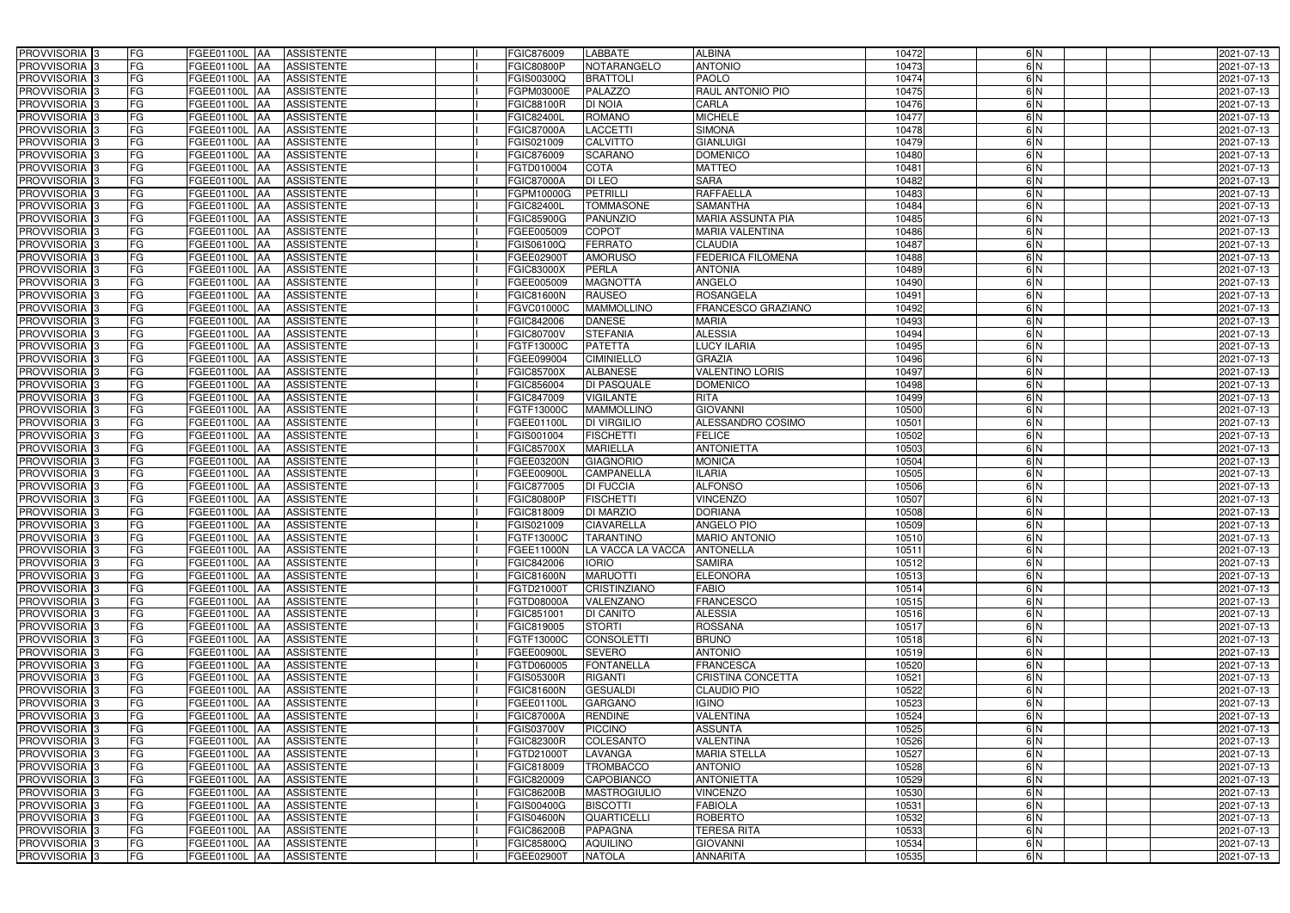| <b>PROVVISORIA</b> 3<br>FG                               | FGEE01100L AA<br><b>ASSISTENTE</b>                                               | FGIC876009                      | <b>LABBATE</b>                      | <b>ALBINA</b>                        | 10472          | 6N       | 2021-07-13               |
|----------------------------------------------------------|----------------------------------------------------------------------------------|---------------------------------|-------------------------------------|--------------------------------------|----------------|----------|--------------------------|
| FG<br><b>PROVVISORIA</b> 3                               | FGEE01100L<br><b>JAA</b><br><b>ASSISTENTE</b>                                    | <b>FGIC80800P</b>               | NOTARANGELO                         | <b>ANTONIO</b>                       | 10473          | 6N       | 2021-07-13               |
| FG<br><b>PROVVISORIA</b> 3                               | FGEE01100L<br><b>JAA</b><br><b>ASSISTENTE</b>                                    | FGIS00300Q                      | <b>BRATTOLI</b>                     | <b>PAOLO</b>                         | 10474          | 6N       | 2021-07-13               |
| FG<br><b>PROVVISORIA</b> 3                               | <b>AA</b><br><b>ASSISTENTE</b><br>FGEE01100L                                     | FGPM03000E                      | <b>PALAZZO</b>                      | RAUL ANTONIO PIO                     | 10475          | 6N       | 2021-07-13               |
| <b>PROVVISORIA</b><br>FG                                 | <b>ASSISTENTE</b><br>FGEE01100L<br><b>AA</b>                                     | <b>FGIC88100R</b>               | <b>DI NOIA</b>                      | CARLA                                | 10476          | 6N       | 2021-07-13               |
| <b>PROVVISORIA</b><br>FG                                 | <b>ASSISTENTE</b><br>FGEE01100L<br><b>JAA</b>                                    | <b>FGIC82400L</b>               | <b>ROMANO</b>                       | <b>MICHELE</b>                       | 10477          | 6N       | 2021-07-13               |
| <b>PROVVISORIA</b> 3<br>FG                               | <b>ASSISTENTE</b><br>FGEE01100L<br><b>AA</b>                                     | <b>FGIC87000A</b>               | <b>LACCETTI</b>                     | <b>SIMONA</b>                        | 10478          | 6N       | 2021-07-13               |
| <b>PROVVISORIA</b> 3<br>FG                               | <b>ASSISTENTE</b><br>FGEE01100L<br><b>JAA</b>                                    | FGIS021009                      | <b>CALVITTO</b>                     | <b>GIANLUIGI</b>                     | 10479          | 6N       | 2021-07-13               |
| PROVVISORIA 3<br>FG                                      | <b>ASSISTENTE</b><br>FGEE01100L<br><b>AA</b>                                     | FGIC876009                      | <b>SCARANO</b>                      | <b>DOMENICO</b>                      | 10480          | 6N       | 2021-07-13               |
| FG<br>PROVVISORIA <sup>3</sup>                           | FGEE01100L<br><b>ASSISTENTE</b><br>IAA                                           | FGTD010004                      | <b>COTA</b>                         | <b>MATTEO</b>                        | 10481          | 6N       | 2021-07-13               |
| <b>PROVVISORIA</b> 3<br>FG                               | FGEE01100L<br><b>ASSISTENTE</b><br><b>JAA</b>                                    | <b>FGIC87000A</b>               | <b>DI LEO</b>                       | <b>SARA</b>                          | 10482          | 6N       | 2021-07-13               |
| PROVVISORIA <sup>3</sup><br>FG                           | FGEE01100L<br><b>ASSISTENTE</b><br><b>JAA</b>                                    | FGPM10000G                      | <b>PETRILL</b>                      | <b>RAFFAELLA</b>                     | 10483          | 6N       | 2021-07-13               |
| FG<br>PROVVISORIA <sup>3</sup>                           | FGEE01100L<br><b>ASSISTENTE</b><br><b>AA</b>                                     | <b>FGIC82400L</b>               | <b>TOMMASONE</b>                    | <b>SAMANTHA</b>                      | 10484          | 6N       | 2021-07-13               |
| <b>PROVVISORIA</b> 3<br>FG                               | FGEE01100L<br><b>ASSISTENTE</b><br><b>JAA</b>                                    | <b>FGIC85900G</b>               | <b>PANUNZIO</b>                     | <b>MARIA ASSUNTA PIA</b>             | 10485          | 6N       | 2021-07-13               |
| FG<br><b>PROVVISORIA</b> 3                               | FGEE01100L<br><b>ASSISTENTE</b><br><b>JAA</b>                                    | FGEE005009                      | <b>COPOT</b>                        | <b>MARIA VALENTINA</b>               | 10486          | 6N       | 2021-07-13               |
| FG<br><b>PROVVISORIA</b> 3                               | FGEE01100L<br><b>ASSISTENTE</b><br><b>JAA</b>                                    | FGIS06100Q                      | <b>FERRATO</b>                      | <b>CLAUDIA</b>                       | 10487          | 6N       | 2021-07-13               |
| PROVVISORIA  <br>FG                                      | FGEE01100L<br><b>ASSISTENTE</b><br><b>AA</b>                                     | FGEE029001                      | <b>AMORUSO</b>                      | <b>FEDERICA FILOMENA</b>             | 10488          | 6N       | 2021-07-13               |
| PROVVISORIA <sup>3</sup><br>FG                           | FGEE01100L<br><b>AA</b><br><b>ASSISTENTE</b>                                     | <b>FGIC83000X</b>               | <b>PERLA</b>                        | <b>ANTONIA</b>                       | 10489          | 6N       | 2021-07-13               |
| <b>PROVVISORIA</b> 3<br>FG                               | FGEE01100L<br><b>AA</b><br><b>ASSISTENTE</b>                                     | FGEE005009                      | <b>MAGNOTTA</b>                     | <b>ANGELO</b>                        | 10490          | 6N       | 2021-07-13               |
| <b>PROVVISORIA</b><br>FG                                 | FGEE01100L<br><b>ASSISTENTE</b><br><b>AA</b>                                     | <b>FGIC81600N</b>               | <b>RAUSEO</b>                       | <b>ROSANGELA</b>                     | 10491          | 6N       | 2021-07-13               |
| PROVVISORIA <sup>3</sup><br>FG                           | FGEE01100L<br><b>JAA</b><br><b>ASSISTENTE</b>                                    | FGVC01000C                      | <b>MAMMOLLINO</b>                   | FRANCESCO GRAZIANO                   | 10492          | 6N       | 2021-07-13               |
| <b>PROVVISORIA</b> 3<br>FG<br><b>PROVVISORIA</b> 3       | FGEE01100L<br><b>ASSISTENTE</b><br><b>IAA</b>                                    | FGIC842006<br><b>FGIC80700V</b> | <b>DANESE</b>                       | <b>MARIA</b>                         | 10493          | 6N       | 2021-07-13               |
| FG                                                       | <b>IAA</b><br><b>ASSISTENTE</b><br>FGEE01100L                                    |                                 | <b>STEFANIA</b>                     | <b>ALESSIA</b><br><b>LUCY ILARIA</b> | 10494          | 6N       | 2021-07-13               |
| <b>PROVVISORIA</b> 3<br>FG<br><b>PROVVISORIA</b> 3<br>FG | FGEE01100L<br><b>IAA</b><br><b>ASSISTENTE</b><br>FGEE01100L<br><b>ASSISTENTE</b> | FGTF13000C<br>FGEE099004        | <b>PATETTA</b><br><b>CIMINIELLO</b> | <b>GRAZIA</b>                        | 10495<br>10496 | 6N<br>6N | 2021-07-13               |
| <b>PROVVISORIA</b> 3<br>FG                               | <b>IAA</b><br><b>ASSISTENTE</b>                                                  | <b>FGIC85700X</b>               | <b>ALBANESE</b>                     | <b>VALENTINO LORIS</b>               | 10497          | 6N       | 2021-07-13               |
| <b>PROVVISORIA</b> 3<br>FG                               | FGEE01100L<br><b>IAA</b><br>FGEE01100L<br><b>ASSISTENTE</b><br>IAA               | FGIC856004                      | <b>DI PASQUALE</b>                  | <b>DOMENICO</b>                      | 10498          | 6N       | 2021-07-13<br>2021-07-13 |
| FG<br><b>PROVVISORIA</b> 3                               | FGEE01100L<br><b>ASSISTENTE</b><br>IAA                                           | FGIC847009                      | <b>VIGILANTE</b>                    | <b>RITA</b>                          | 10499          | 6N       | 2021-07-13               |
| FG<br>PROVVISORIA                                        | FGEE01100L<br><b>ASSISTENTE</b><br>IAA                                           | FGTF13000C                      | <b>MAMMOLLINO</b>                   | <b>GIOVANNI</b>                      | 10500          | 6N       | 2021-07-13               |
| FG<br>PROVVISORIA                                        | FGEE01100L<br><b>JAA</b><br><b>ASSISTENTE</b>                                    | FGEE01100L                      | <b>DI VIRGILIO</b>                  | ALESSANDRO COSIMO                    | 10501          | 6N       | 2021-07-13               |
| <b>PROVVISORIA</b><br>FG                                 | <b>ASSISTENTE</b><br>FGEE01100L<br><b>IAA</b>                                    | FGIS001004                      | <b>FISCHETTI</b>                    | <b>FELICE</b>                        | 10502          | 6N       | 2021-07-13               |
| <b>PROVVISORIA</b> 3<br>FG                               | <b>ASSISTENTE</b><br>FGEE01100L<br><b>JAA</b>                                    | <b>FGIC85700X</b>               | <b>MARIELLA</b>                     | <b>ANTONIETTA</b>                    | 10503          | 6N       | 2021-07-13               |
| PROVVISORIA  :<br>FG                                     | <b>ASSISTENTE</b><br>FGEE01100L<br><b>IAA</b>                                    | FGEE03200N                      | <b>GIAGNORIO</b>                    | <b>MONICA</b>                        | 10504          | 6N       | 2021-07-13               |
| PROVVISORIA <sup>3</sup><br>FG                           | FGEE01100L<br><b>ASSISTENTE</b><br><b>JAA</b>                                    | FGEE00900L                      | <b>CAMPANELLA</b>                   | <b>ILARIA</b>                        | 10505          | 6N       | 2021-07-13               |
| <b>PROVVISORIA</b> 3<br>FG                               | FGEE01100L<br><b>ASSISTENTE</b><br><b>JAA</b>                                    | FGIC877005                      | <b>DI FUCCIA</b>                    | <b>ALFONSO</b>                       | 10506          | 6N       | 2021-07-13               |
| FG<br><b>PROVVISORIA</b> 3                               | FGEE01100L<br><b>ASSISTENTE</b><br><b>JAA</b>                                    | <b>FGIC80800P</b>               | <b>FISCHETTI</b>                    | <b>VINCENZO</b>                      | 10507          | 6N       | 2021-07-13               |
| PROVVISORIA <sup>3</sup><br>FG                           | FGEE01100L<br><b>ASSISTENTE</b><br><b>JAA</b>                                    | <b>FGIC818009</b>               | <b>DI MARZIO</b>                    | <b>DORIANA</b>                       | 10508          | 6N       | 2021-07-13               |
| PROVVISORIA 3<br>FG                                      | FGEE01100L AA<br><b>ASSISTENTE</b>                                               | FGIS021009                      | <b>CIAVARELLA</b>                   | <b>ANGELO PIO</b>                    | 10509          | 6N       | 2021-07-13               |
| PROVVISORIA <sup>3</sup><br>FG                           | FGEE01100L AA ASSISTENTE                                                         | <b>FGTF13000C</b>               | <b>TARANTINO</b>                    | <b>MARIO ANTONIO</b>                 | 10510          | 6 N      | 2021-07-13               |
| PROVVISORIA <sup>3</sup><br>FG                           | ASSISTENTE<br>FGEE01100L AA                                                      | <b>FGEE11000N</b>               | LA VACCA LA VACCA                   | <b>ANTONELLA</b>                     | 10511          | 6N       | 2021-07-13               |
| PROVVISORIA <sup>3</sup><br>FG                           | FGEE01100L AA<br><b>ASSISTENTE</b>                                               | FGIC842006                      | <b>IORIO</b>                        | <b>SAMIRA</b>                        | 10512          | 6N       | 2021-07-13               |
| PROVVISORIA <sup>3</sup><br>FG                           | FGEE01100L AA<br><b>ASSISTENTE</b>                                               | <b>FGIC81600N</b>               | <b>MARUOTTI</b>                     | <b>ELEONORA</b>                      | 10513          | 6N       | 2021-07-13               |
| PROVVISORIA <sup>3</sup><br>FG                           | FGEE01100L AA<br><b>ASSISTENTE</b>                                               | FGTD21000T                      | <b>CRISTINZIANO</b>                 | <b>FABIO</b>                         | 10514          | 6N       | 2021-07-13               |
| PROVVISORIA 3<br>FG                                      | FGEE01100L AA<br><b>ASSISTENTE</b>                                               | <b>FGTD08000A</b>               | VALENZANO                           | <b>FRANCESCO</b>                     | 10515          | 6N       | 2021-07-13               |
| PROVVISORIA <sup>3</sup><br>FG                           | FGEE01100L AA<br><b>ASSISTENTE</b>                                               | FGIC851001                      | <b>DI CANITO</b>                    | <b>ALESSIA</b>                       | 10516          | 6N       | 2021-07-13               |
| PROVVISORIA <sup>3</sup><br>FG                           | FGEE01100L AA<br><b>ASSISTENTE</b>                                               | FGIC819005                      | STORTI                              | <b>ROSSANA</b>                       | 10517          | 6N       | 2021-07-13               |
| PROVVISORIA <sup>3</sup><br>FG                           | FGEE01100L AA<br><b>ASSISTENTE</b>                                               | FGTF13000C                      | <b>CONSOLETTI</b>                   | <b>BRUNO</b>                         | 10518          | 6N       | 2021-07-13               |
| PROVVISORIA <sup>3</sup><br>FG                           | FGEE01100L<br><b>AA</b><br><b>ASSISTENTE</b>                                     | FGEE00900L                      | <b>SEVERO</b>                       | <b>ANTONIO</b>                       | 10519          | 6N       | 2021-07-13               |
| PROVVISORIA <sup>3</sup><br>FG                           | FGEE01100L AA<br><b>ASSISTENTE</b>                                               | FGTD060005                      | <b>FONTANELLA</b>                   | <b>FRANCESCA</b>                     | 10520          | 6N       | 2021-07-13               |
| PROVVISORIA <sup>3</sup><br>FG                           | FGEE01100L AA<br><b>ASSISTENTE</b>                                               | <b>FGIS05300R</b>               | <b>RIGANTI</b>                      | CRISTINA CONCETTA                    | 10521          | 6N       | 2021-07-13               |
| FG<br>PROVVISORIA <sup>3</sup>                           | FGEE01100L AA<br><b>ASSISTENTE</b>                                               | <b>FGIC81600N</b>               | <b>GESUALDI</b>                     | <b>CLAUDIO PIO</b>                   | 10522          | 6N       | 2021-07-13               |
| PROVVISORIA <sup>3</sup><br>FG                           | FGEE01100L AA<br><b>ASSISTENTE</b>                                               | <b>FGEE01100L</b>               | <b>GARGANO</b>                      | <b>IGINO</b>                         | 10523          | 6N       | 2021-07-13               |
| FG<br>PROVVISORIA <sup>3</sup>                           | FGEE01100L AA<br><b>ASSISTENTE</b>                                               | <b>FGIC87000A</b>               | <b>RENDINE</b>                      | VALENTINA                            | 10524          | 6N       | 2021-07-13               |
| FG<br>PROVVISORIA <sup>3</sup>                           | FGEE01100L AA<br><b>ASSISTENTE</b>                                               | <b>FGIS03700V</b>               | <b>PICCINO</b>                      | <b>ASSUNTA</b>                       | 10525          | 6N       | 2021-07-13               |
| FG<br>PROVVISORIA <sup>3</sup>                           | <b>ASSISTENTE</b><br>FGEE01100L AA                                               | <b>FGIC82300R</b>               | COLESANTO                           | <b>VALENTINA</b>                     | 10526          | 6N       | 2021-07-13               |
| PROVVISORIA <sup>3</sup><br>FG                           | <b>ASSISTENTE</b><br>FGEE01100L AA                                               | FGTD21000T                      | LAVANGA                             | <b>MARIA STELLA</b>                  | 10527          | 6N       | 2021-07-13               |
| PROVVISORIA <sup>3</sup><br>FG                           | <b>ASSISTENTE</b><br>FGEE01100L AA                                               | FGIC818009                      | <b>TROMBACCO</b>                    | <b>ANTONIO</b>                       | 10528          | 6N       | 2021-07-13               |
| PROVVISORIA <sub>3</sub><br>FG                           | <b>ASSISTENTE</b><br>FGEE01100L AA                                               | FGIC820009                      | <b>CAPOBIANCO</b>                   | <b>ANTONIETTA</b>                    | 10529          | 6N       | 2021-07-13               |
| PROVVISORIA <sup>3</sup><br>FG                           | <b>ASSISTENTE</b><br>FGEE01100L AA                                               | <b>FGIC86200B</b>               | <b>MASTROGIULIO</b>                 | <b>VINCENZO</b>                      | 10530          | 6N       | 2021-07-13               |
| PROVVISORIA <sup>3</sup><br>FG                           | FGEE01100L AA<br><b>ASSISTENTE</b>                                               | <b>FGIS00400G</b>               | <b>BISCOTTI</b>                     | <b>FABIOLA</b>                       | 10531          | 6N       | 2021-07-13               |
| PROVVISORIA <sup>3</sup><br>FG                           | <b>ASSISTENTE</b><br>FGEE01100L AA                                               | <b>FGIS04600N</b>               | QUARTICELLI                         | <b>ROBERTO</b>                       | 10532          | 6N       | 2021-07-13               |
| PROVVISORIA <sup>3</sup><br>FG                           | <b>ASSISTENTE</b><br>FGEE01100L<br><b>AA</b>                                     | <b>FGIC86200B</b>               | <b>PAPAGNA</b>                      | <b>TERESA RITA</b>                   | 10533          | 6N       | 2021-07-13               |
| PROVVISORIA <sup>3</sup><br>FG                           | FGEE01100L AA<br>ASSISTENTE                                                      | <b>FGIC85800Q</b>               | <b>AQUILINO</b>                     | <b>GIOVANNI</b>                      | 10534          | 6N       | 2021-07-13               |
| PROVVISORIA <sup>3</sup><br>FG                           | <b>ASSISTENTE</b><br>FGEE01100L AA                                               | FGEE02900T                      | <b>NATOLA</b>                       | <b>ANNARITA</b>                      | 10535          | 6N       | 2021-07-13               |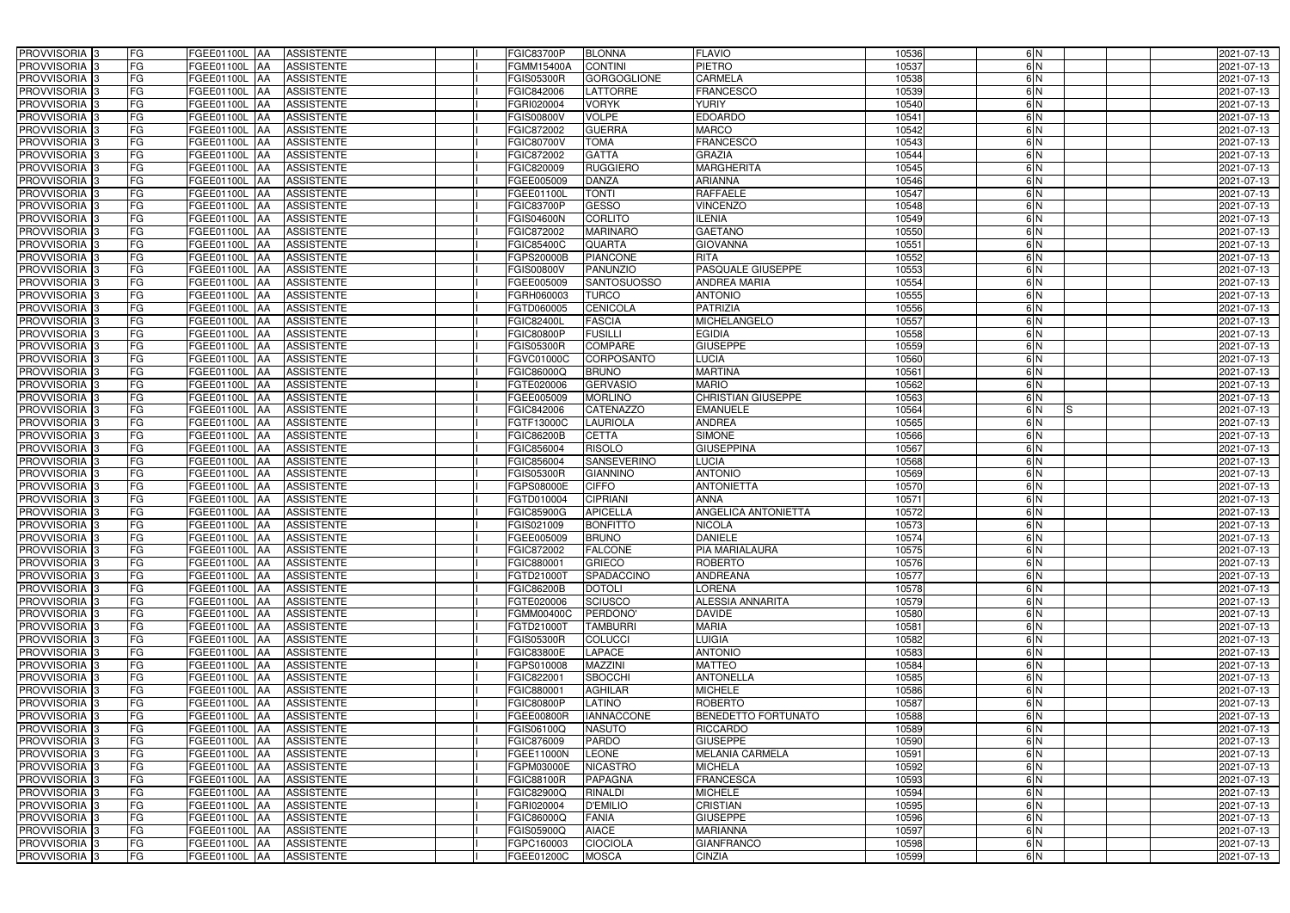| PROVVISORIA <sup>3</sup>                             | FG        | FGEE01100L AA<br><b>ASSISTENTE</b>                                | <b>FGIC83700P</b>        | <b>BLONNA</b>               | <b>FLAVIO</b>                            | 10536          | 6N            | 2021-07-13               |
|------------------------------------------------------|-----------|-------------------------------------------------------------------|--------------------------|-----------------------------|------------------------------------------|----------------|---------------|--------------------------|
| PROVVISORIA <sup>3</sup>                             | FG        | FGEE01100L AA<br><b>ASSISTENTE</b>                                | FGMM15400A               | <b>CONTINI</b>              | <b>PIETRO</b>                            | 10537          | 6N            | 2021-07-13               |
| PROVVISORIA <sup>1</sup> 3                           | FG        | <b>FGEE01100L   AA</b><br><b>ASSISTENTE</b>                       | <b>GIS05300R</b>         | <b>GORGOGLIONE</b>          | <b>CARMELA</b>                           | 10538          | 6N            | 2021-07-13               |
| PROVVISORIA <sup>3</sup>                             | FG        | FGEE01100L AA<br><b>ASSISTENTE</b>                                | FGIC842006               | <b>LATTORRE</b>             | <b>FRANCESCO</b>                         | 10539          | 6N            | 2021-07-13               |
| PROVVISORIA <sup>3</sup>                             | FG        | FGEE01100L AA<br><b>ASSISTENTE</b>                                | FGRI020004               | <b>VORYK</b>                | <b>YURIY</b>                             | 10540          | 6N            | 2021-07-13               |
| PROVVISORIA <sup>3</sup>                             | FG        | <b>FGEE01100L AA</b><br><b>ASSISTENTE</b>                         | FGIS00800V               | <b>VOLPE</b>                | <b>EDOARDO</b>                           | 10541          | 6N            | 2021-07-13               |
| PROVVISORIA <sup>3</sup>                             | FG        | FGEE01100L AA<br><b>ASSISTENTE</b>                                | FGIC872002               | <b>GUERRA</b>               | <b>MARCO</b>                             | 10542          | 6N            | 2021-07-13               |
| PROVVISORIA <sup>3</sup>                             | FG        | <b>ASSISTENTE</b><br>FGEE01100L<br>IAA                            | FGIC80700V               | <b>TOMA</b>                 | <b>FRANCESCO</b>                         | 10543          | 6N            | 2021-07-13               |
| PROVVISORIA <sup>3</sup>                             | FG        | FGEE01100L<br><b>ASSISTENTE</b><br>IAA                            | FGIC872002               | <b>GATTA</b>                | <b>GRAZIA</b>                            | 10544          | 6N            | 2021-07-13               |
| PROVVISORIA <sup>3</sup>                             | FG        | FGEE01100L<br><b>ASSISTENTE</b><br>IAA                            | FGIC820009               | <b>RUGGIERO</b>             | <b>MARGHERITA</b>                        | 10545          | $\frac{6}{N}$ | 2021-07-13               |
| PROVVISORIA <sup>3</sup>                             | FG        | <b>FGEE01100L AA</b><br><b>ASSISTENTE</b>                         | FGEE005009               | <b>DANZA</b>                | <b>ARIANNA</b>                           | 10546          | 6N            | 2021-07-13               |
| PROVVISORIA <sup>3</sup>                             | FG        | <b>FGEE01100L AA</b><br><b>ASSISTENTE</b>                         | FGEE01100L               | <b>TONTI</b>                | <b>RAFFAELE</b>                          | 10547          | 6N            | 2021-07-13               |
| PROVVISORIA <sup>3</sup>                             | FG        | FGEE01100L<br><b>ASSISTENTE</b><br><b>IAA</b>                     | FGIC83700P               | <b>GESSO</b>                | <b>VINCENZO</b>                          | 10548          | 6N            | 2021-07-13               |
| PROVVISORIA 3                                        | FG        | FGEE01100L<br><b>ASSISTENTE</b><br>IAA                            | <b>FGIS04600N</b>        | <b>CORLITO</b>              | <b>ILENIA</b>                            | 10549          | 6N            | 2021-07-13               |
| PROVVISORIA <sup>3</sup>                             | FG        | FGEE01100L<br><b>ASSISTENTE</b><br>IAA                            | FGIC872002               | <b>MARINARO</b>             | <b>GAETANO</b>                           | 10550          | 6N            | 2021-07-13               |
| PROVVISORIA <sup>3</sup>                             | FG        | <b>FGEE01100L AA</b><br><b>ASSISTENTE</b>                         | FGIC85400C               | <b>QUARTA</b>               | <b>GIOVANNA</b>                          | 10551          | 6N            | 2021-07-13               |
| PROVVISORIA <sup>3</sup>                             | FG        | FGEE01100L<br><b>ASSISTENTE</b><br><b>JAA</b>                     | FGPS20000B               | <b>PIANCONE</b>             | <b>RITA</b>                              | 10552          | 6N            | 2021-07-13               |
| PROVVISORIA <sup>3</sup>                             | FG        | FGEE01100L AA<br><b>ASSISTENTE</b>                                | FGIS00800V               | <b>PANUNZIO</b>             | <b>PASQUALE GIUSEPPE</b>                 | 10553          | 6N            | 2021-07-13               |
| PROVVISORIA 3                                        | FG        | FGEE01100L AA<br><b>ASSISTENTE</b>                                | FGEE005009               | <b>SANTOSUOSSO</b>          | <b>ANDREA MARIA</b>                      | 10554          | 6N            | 2021-07-13               |
| PROVVISORIA <sup>3</sup>                             | FG        | FGEE01100L<br><b>ASSISTENTE</b><br>l AA                           | FGRH060003               | <b>TURCO</b>                | <b>ANTONIO</b>                           | 10555          | 6N            | 2021-07-13               |
| PROVVISORIA <sup>3</sup>                             | FG        | FGEE01100L<br><b>ASSISTENTE</b>                                   | FGTD060005               | CENICOLA                    | PATRIZIA                                 | 10556          | $\frac{6}{N}$ | 2021-07-13               |
| PROVVISORIA <sup>3</sup>                             | FG        | FGEE01100L<br><b>ASSISTENTE</b>                                   | FGIC82400L               | <b>FASCIA</b>               | <b>MICHELANGELO</b>                      | 10557          | 6N            | 2021-07-13               |
| PROVVISORIA <sup>3</sup>                             | FG        | <b>FGEE01100L</b><br><b>ASSISTENTE</b><br>IAA                     | FGIC80800P               | <b>FUSILLI</b>              | <b>EGIDIA</b>                            | 10558          | 6N            | 2021-07-13               |
| PROVVISORIA <sup>3</sup>                             | FG        | <b>FGEE01100L</b><br><b>ASSISTENTE</b><br>IAA                     | <b>GIS05300R</b>         | <b>COMPARE</b>              | <b>GIUSEPPE</b>                          | 10559          | 6N            | 2021-07-13               |
| PROVVISORIA 3                                        | FG        | <b>FGEE01100L</b><br><b>ASSISTENTE</b><br>۱AA                     | FGVC01000C               | CORPOSANTO                  | <b>LUCIA</b>                             | 10560          | 6N            | 2021-07-13               |
| PROVVISORIA 3                                        | FG        | <b>FGEE01100L</b><br><b>ASSISTENTE</b><br>IAA                     | FGIC86000Q               | <b>BRUNO</b>                | <b>MARTINA</b>                           | 10561          | 6N            | 2021-07-13               |
| PROVVISORIA 3                                        | FG        | FGEE01100L<br><b>ASSISTENTE</b>                                   | FGTE020006               | <b>GERVASIO</b>             | <b>MARIO</b>                             | 10562          | 6N            | 2021-07-13               |
| PROVVISORIA <sup>3</sup>                             | FG        | FGEE01100L<br><b>ASSISTENTE</b>                                   | FGEE005009               | <b>MORLINO</b>              | CHRISTIAN GIUSEPPE                       | 10563          | 6N            | 2021-07-13               |
| PROVVISORIA <sup>3</sup>                             | FG        | FGEE01100L<br><b>ASSISTENTE</b>                                   | FGIC842006               | <b>CATENAZZO</b>            | <b>EMANUELE</b>                          | 10564          | $\frac{6}{N}$ | 2021-07-13               |
| PROVVISORIA <sup>3</sup>                             | FG        | FGEE01100L<br><b>ASSISTENTE</b><br>IAA                            | FGTF13000C               | <b>LAURIOLA</b>             | <b>ANDREA</b>                            | 10565          | 6N            | 2021-07-13               |
| PROVVISORIA <sup>3</sup>                             | FG        | FGEE01100L<br><b>ASSISTENTE</b><br>IAA                            | FGIC86200B               | <b>CETTA</b>                | <b>SIMONE</b>                            | 10566          | 6N            | 2021-07-13               |
| PROVVISORIA <sup>3</sup>                             | FG        | FGEE01100L<br><b>ASSISTENTE</b><br>lAA                            | FGIC856004               | <b>RISOLO</b>               | <b>GIUSEPPINA</b>                        | 10567          | $\frac{6}{N}$ | 2021-07-13               |
| PROVVISORIA <sup>3</sup>                             | FG        | <b>FGEE01100L</b><br><b>ASSISTENTE</b><br>IAA                     | FGIC856004               | <b>SANSEVERINO</b>          | LUCIA                                    | 10568          | 6N            | 2021-07-13               |
| PROVVISORIA <sup>3</sup>                             | FG        | <b>FGEE01100L</b><br><b>ASSISTENTE</b><br><b>IAA</b>              | <b>FGIS05300R</b>        | <b>GIANNINO</b>             | <b>ANTONIO</b>                           | 10569          | 6N            | 2021-07-13               |
| PROVVISORIA <sub>3</sub>                             | FG        | FGEE01100L<br><b>ASSISTENTE</b><br><b>IAA</b>                     | FGPS08000E               | <b>CIFFO</b>                | <b>ANTONIETTA</b>                        | 10570          | 6N            | 2021-07-13               |
| PROVVISORIA <sup>3</sup>                             | FG        | FGEE01100L<br><b>ASSISTENTE</b><br><b>IAA</b>                     | FGTD010004               | <b>CIPRIANI</b>             | <b>ANNA</b>                              | 10571          | 6N            | 2021-07-13               |
| <b>PROVVISORIA</b> 3                                 | FG        | FGEE01100L<br><b>ASSISTENTE</b><br><b>IAA</b>                     | <b>FGIC85900G</b>        | <b>APICELLA</b>             | <b>ANGELICA ANTONIETTA</b>               | 10572          | 6N            | 2021-07-13               |
| PROVVISORIA <sup>1</sup> 3                           | FG        | FGEE01100L AA<br><b>ASSISTENTE</b>                                | FGIS021009               | <b>BONFITTO</b>             | <b>NICOLA</b>                            | 10573          | $\frac{6}{N}$ | 2021-07-13               |
| PROVVISORIA <sup>3</sup>                             | <b>FG</b> | FGEE01100L AA ASSISTENTE                                          | FGEE005009               | <b>BRUNO</b>                | <b>DANIELE</b>                           | 10574          | 6 N           | 2021-07-13               |
| <b>PROVVISORIA</b> 3                                 | FG        | FGEE01100L AA<br>ASSISTENTE                                       | FGIC872002               | <b>FALCONE</b>              | <b>PIA MARIALAURA</b>                    | 10575          | 6N            | 2021-07-13               |
| PROVVISORIA <sup>3</sup>                             | FG        | <b>FGEE01100L</b> AA<br><b>ASSISTENTE</b>                         | FGIC880001               | <b>GRIECO</b>               | <b>ROBERTO</b>                           | 10576          | 6 N           | 2021-07-13               |
| PROVVISORIA <sup>3</sup><br><b>PROVVISORIA</b> 3     | FG        | FGEE01100L AA<br><b>ASSISTENTE</b>                                | FGTD21000T               | SPADACCINO                  | <b>ANDREANA</b>                          | 10577          | 6N            | 2021-07-13               |
| PROVVISORIA <sup>3</sup>                             | FG        | FGEE01100L AA<br>ASSISTENTE                                       | FGIC86200B<br>FGTE020006 | <b>DOTOLI</b>               | <b>LORENA</b><br><b>ALESSIA ANNARITA</b> | 10578          | 6N<br>6N      | 2021-07-13<br>2021-07-13 |
|                                                      | FG        | FGEE01100L AA<br><b>ASSISTENTE</b>                                |                          | SCIUSCO                     |                                          | 10579          |               |                          |
| PROVVISORIA <sup>3</sup><br>PROVVISORIA <sup>3</sup> | FG<br>FG  | FGEE01100L AA<br>ASSISTENTE<br>FGEE01100L AA<br><b>ASSISTENTE</b> | FGMM00400C<br>FGTD21000T | PERDONO'<br><b>TAMBURRI</b> | <b>DAVIDE</b><br><b>MARIA</b>            | 10580<br>10581 | 6N<br>6N      | 2021-07-13<br>2021-07-13 |
| PROVVISORIA <sup>1</sup> 3                           | FG        | FGEE01100L AA<br><b>ASSISTENTE</b>                                | FGIS05300R               | <b>COLUCCI</b>              | <b>LUIGIA</b>                            | 10582          | 6N            | 2021-07-13               |
| PROVVISORIA <sup>3</sup>                             | FG        | FGEE01100L AA<br><b>ASSISTENTE</b>                                | FGIC83800E               | <b>LAPACE</b>               | <b>ANTONIO</b>                           | 10583          | 6N            | 2021-07-13               |
| PROVVISORIA <sup>3</sup>                             | FG        | FGEE01100L AA<br><b>ASSISTENTE</b>                                | FGPS010008               | <b>MAZZINI</b>              | <b>MATTEO</b>                            | 10584          | 6N            | 2021-07-13               |
| PROVVISORIA <sup>3</sup>                             | FG        | FGEE01100L AA<br><b>ASSISTENTE</b>                                | FGIC822001               | <b>SBOCCHI</b>              | <b>ANTONELLA</b>                         | 10585          | 6N            | 2021-07-13               |
| PROVVISORIA <sup>3</sup>                             | FG        | FGEE01100L AA<br><b>ASSISTENTE</b>                                | FGIC880001               | <b>AGHILAR</b>              | <b>MICHELE</b>                           | 10586          | 6N            | 2021-07-13               |
| PROVVISORIA <sup>3</sup>                             | FG        | FGEE01100L AA<br><b>ASSISTENTE</b>                                | <b>FGIC80800P</b>        | LATINO                      | <b>ROBERTO</b>                           | 10587          | 6N            | 2021-07-13               |
| PROVVISORIA <sup>3</sup>                             | FG        | FGEE01100L AA<br><b>ASSISTENTE</b>                                | FGEE00800R               | <b>IANNACCONE</b>           | <b>BENEDETTO FORTUNATO</b>               | 10588          | 6N            | 2021-07-13               |
| PROVVISORIA <sup>3</sup>                             | FG        | <b>FGEE01100L   AA</b><br><b>ASSISTENTE</b>                       | FGIS06100Q               | <b>NASUTO</b>               | <b>RICCARDO</b>                          | 10589          | 6N            | 2021-07-13               |
| PROVVISORIA <sup>3</sup>                             | FG        | FGEE01100L AA<br><b>ASSISTENTE</b>                                | FGIC876009               | <b>PARDO</b>                | <b>GIUSEPPE</b>                          | 10590          | 6N            | 2021-07-13               |
| PROVVISORIA <sup>3</sup>                             | FG        | <b>ASSISTENTE</b><br>FGEE01100L AA                                | FGEE11000N               | <b>LEONE</b>                | MELANIA CARMELA                          | 10591          | 6N            | 2021-07-13               |
| PROVVISORIA <sup>1</sup> 3                           | FG        | FGEE01100L AA<br><b>ASSISTENTE</b>                                | FGPM03000E               | <b>NICASTRO</b>             | <b>MICHELA</b>                           | 10592          | 6N            | 2021-07-13               |
| PROVVISORIA <sup>1</sup> 3                           | FG        | FGEE01100L AA<br><b>ASSISTENTE</b>                                | <b>FGIC88100R</b>        | <b>PAPAGNA</b>              | <b>FRANCESCA</b>                         | 10593          | 6N            | 2021-07-13               |
| PROVVISORIA <sup>3</sup>                             | FG        | <b>ASSISTENTE</b><br>FGEE01100L AA                                | FGIC82900Q               | <b>RINALDI</b>              | <b>MICHELE</b>                           | 10594          | 6N            | 2021-07-13               |
| PROVVISORIA <sup>1</sup> 3                           | FG        | FGEE01100L AA<br><b>ASSISTENTE</b>                                | FGRI020004               | <b>D'EMILIO</b>             | <b>CRISTIAN</b>                          | 10595          | 6N            | 2021-07-13               |
| PROVVISORIA <sup>3</sup>                             | FG        | FGEE01100L AA<br><b>ASSISTENTE</b>                                | FGIC86000Q               | <b>FANIA</b>                | <b>GIUSEPPE</b>                          | 10596          | 6N            | 2021-07-13               |
| PROVVISORIA <sup>3</sup>                             | FG        | <b>ASSISTENTE</b><br>FGEE01100L AA                                | FGIS05900Q               | <b>AIACE</b>                | <b>MARIANNA</b>                          | 10597          | 6N            | 2021-07-13               |
| PROVVISORIA <sup>3</sup>                             | FG        | FGEE01100L AA<br><b>ASSISTENTE</b>                                | FGPC160003               | <b>CIOCIOLA</b>             | <b>GIANFRANCO</b>                        | 10598          | 6 N           | 2021-07-13               |
| PROVVISORIA 3                                        | FG        | FGEE01100L AA<br>ASSISTENTE                                       | FGEE01200C               | <b>MOSCA</b>                | <b>CINZIA</b>                            | 10599          | 6 N           | 2021-07-13               |
|                                                      |           |                                                                   |                          |                             |                                          |                |               |                          |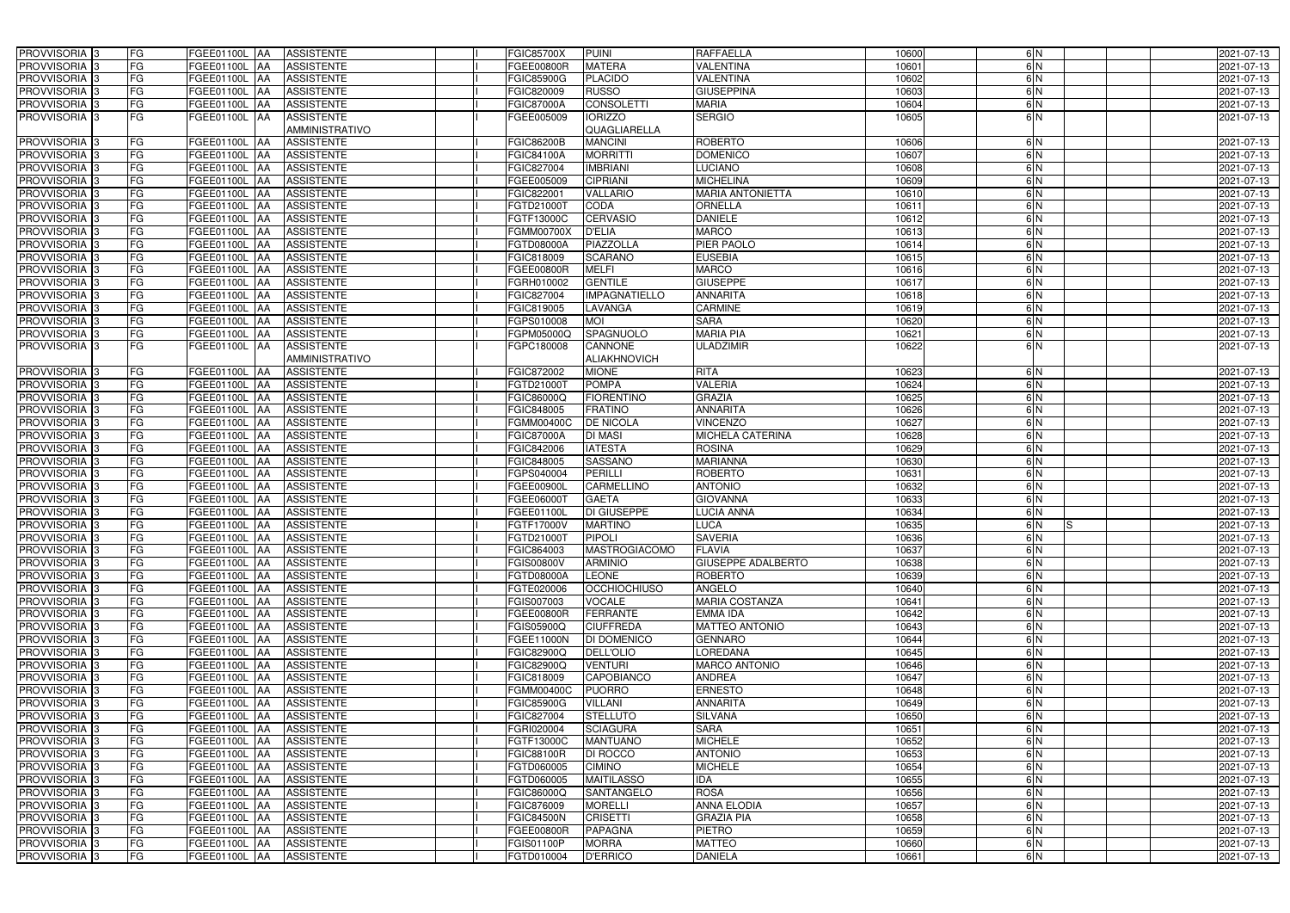| <b>PROVVISORIA</b> 3                                 | FG       | FGEE01100L AA<br><b>ASSISTENTE</b>                                                 | <b>FGIC85700X</b>                      | <b>PUINI</b>                           | <b>RAFFAELLA</b>                  | 10600          | 6N       | 2021-07-13               |
|------------------------------------------------------|----------|------------------------------------------------------------------------------------|----------------------------------------|----------------------------------------|-----------------------------------|----------------|----------|--------------------------|
| <b>PROVVISORIA</b> 3                                 | FG       | <b>ASSISTENTE</b><br>FGEE01100L<br><b>AA</b>                                       | FGEE00800R                             | <b>MATERA</b>                          | <b>VALENTINA</b>                  | 10601          | 6N       | 2021-07-13               |
| PROVVISORIA <sub>3</sub>                             | FG       | FGEE01100L AA<br><b>ASSISTENTE</b>                                                 | <b>FGIC85900G</b>                      | <b>PLACIDO</b>                         | <b>VALENTINA</b>                  | 10602          | 6N       | 2021-07-13               |
| PROVVISORIA <sub>3</sub>                             | FG       | FGEE01100L AA<br><b>ASSISTENTE</b>                                                 | FGIC820009                             | <b>RUSSO</b>                           | <b>GIUSEPPINA</b>                 | 10603          | 6N       | 2021-07-13               |
| PROVVISORIA 3                                        | FG       | FGEE01100L AA<br><b>ASSISTENTE</b>                                                 | <b>FGIC87000A</b>                      | <b>CONSOLETTI</b>                      | <b>MARIA</b>                      | 10604          | 6N       | 2021-07-13               |
| PROVVISORIA 3                                        | FG       | FGEE01100L AA<br><b>ASSISTENTE</b>                                                 | FGEE005009                             | <b>IORIZZO</b>                         | <b>SERGIO</b>                     | 10605          | 6N       | 2021-07-13               |
|                                                      |          | AMMINISTRATIVO                                                                     |                                        | QUAGLIARELLA                           |                                   |                |          |                          |
| PROVVISORIA 3                                        | FG       | FGEE01100L AA<br><b>ASSISTENTE</b>                                                 | <b>FGIC86200B</b>                      | <b>MANCINI</b>                         | <b>ROBERTO</b>                    | 10606          | 6N       | 2021-07-13               |
| <b>PROVVISORIA</b>                                   | FG       | <b>ASSISTENTE</b><br>FGEE01100L  AA                                                | <b>FGIC84100A</b>                      | <b>MORRITTI</b>                        | <b>DOMENICO</b>                   | 10607          | 6N       | 2021-07-13               |
| PROVVISORIA 3                                        | FG       | <b>ASSISTENTE</b><br>FGEE01100L<br><b>AA</b>                                       | FGIC827004                             | <b>IMBRIANI</b>                        | <b>LUCIANO</b>                    | 10608          | 6N       | 2021-07-13               |
| <b>PROVVISORIA</b> 3                                 | FG       | <b>ASSISTENTE</b><br>FGEE01100L<br><b>JAA</b>                                      | FGEE005009                             | <b>CIPRIANI</b>                        | <b>MICHELINA</b>                  | 10609          | 6N       | 2021-07-13               |
| PROVVISORIA <sub>3</sub>                             | FG       | <b>ASSISTENTE</b><br>FGEE01100L<br><b>JAA</b>                                      | FGIC822001                             | <b>VALLARIO</b>                        | <b>MARIA ANTONIETTA</b>           | 10610          | 6N       | 2021-07-13               |
| PROVVISORIA <sup>3</sup>                             | FG       | FGEE01100L<br><b>ASSISTENTE</b><br><b>JAA</b>                                      | FGTD21000T                             | CODA                                   | ORNELLA                           | 10611          | 6N       | 2021-07-13               |
| <b>PROVVISORIA</b> 3                                 | FG       | <b>ASSISTENTE</b><br>FGEE01100L<br><b>AA</b>                                       | FGTF13000C                             | <b>CERVASIO</b>                        | <b>DANIELE</b>                    | 10612          | 6N       | 2021-07-13               |
| PROVVISORIA <sup>3</sup>                             | FG       | FGEE01100L<br><b>ASSISTENTE</b><br><b>AA</b>                                       | <b>FGMM00700X</b>                      | <b>D'ELIA</b>                          | <b>MARCO</b>                      | 10613          | 6N       | 2021-07-13               |
| <b>PROVVISORIA</b> 3                                 | FG       | <b>FGEE01100L AA</b><br><b>ASSISTENTE</b>                                          | <b>FGTD08000A</b>                      | PIAZZOLLA                              | PIER PAOLO                        | 10614          | 6N       | 2021-07-13               |
| <b>PROVVISORIA</b> 3                                 | FG       | FGEE01100L<br><b>ASSISTENTE</b><br><b>AA</b>                                       | FGIC818009                             | <b>SCARANO</b>                         | <b>EUSEBIA</b>                    | 10615          | 6N       | 2021-07-13               |
| PROVVISORIA 3                                        | FG       | <b>FGEE01100L</b><br><b>ASSISTENTE</b><br><b>JAA</b>                               | <b>FGEE00800R</b>                      | <b>MELFI</b>                           | <b>MARCO</b>                      | 10616          | 6N       | 2021-07-13               |
| <b>PROVVISORIA</b> 3                                 | FG       | FGEE01100L<br><b>ASSISTENTE</b><br><b>AA</b>                                       | FGRH010002                             | <b>GENTILE</b><br><b>IMPAGNATIELLO</b> | <b>GIUSEPPE</b>                   | 10617          | 6N       | 2021-07-13               |
| <b>PROVVISORIA</b> 3                                 | FG       | FGEE01100L<br><b>AA</b><br><b>ASSISTENTE</b>                                       | FGIC827004                             |                                        | <b>ANNARITA</b>                   | 10618          | 6N       | 2021-07-13               |
| <b>PROVVISORIA</b> 3                                 | FG       | FGEE01100L<br><b>AA</b><br><b>ASSISTENTE</b>                                       | FGIC819005                             | LAVANGA                                | <b>CARMINE</b><br><b>SARA</b>     | 10619          | 6N       | 2021-07-13<br>2021-07-13 |
| <b>PROVVISORIA</b> 3<br><b>PROVVISORIA</b> 3         | FG<br>FG | FGEE01100L<br><b>AA</b><br><b>ASSISTENTE</b><br>FGEE01100L AA<br><b>ASSISTENTE</b> | FGPS010008<br>FGPM05000Q               | <b>MOI</b><br><b>SPAGNUOLO</b>         | <b>MARIA PIA</b>                  | 10620<br>10621 | 6N<br>6N | 2021-07-13               |
| PROVVISORIA 3                                        | FG       | FGEE01100L AA<br><b>ASSISTENTE</b>                                                 | FGPC180008                             | <b>CANNONE</b>                         | <b>ULADZIMIR</b>                  | 10622          | 6N       | 2021-07-13               |
|                                                      |          | AMMINISTRATIVO                                                                     |                                        | <b>ALIAKHNOVICH</b>                    |                                   |                |          |                          |
| <b>PROVVISORIA</b> 3                                 | FG       | FGEE01100L AA<br><b>ASSISTENTE</b>                                                 | <b>FGIC872002</b>                      | <b>MIONE</b>                           | <b>RITA</b>                       | 10623          | 6N       | 2021-07-13               |
| <b>PROVVISORIA</b> 3                                 | FG       | FGEE01100L<br><b>IAA</b><br><b>ASSISTENTE</b>                                      | FGTD21000T                             | <b>POMPA</b>                           | <b>VALERIA</b>                    | 10624          | 6N       | 2021-07-13               |
| <b>PROVVISORIA</b> 3                                 | FG       | FGEE01100L<br><b>ASSISTENTE</b><br><b>JAA</b>                                      | FGIC86000Q                             | <b>FIORENTINO</b>                      | <b>GRAZIA</b>                     | 10625          | 6N       | 2021-07-13               |
| PROVVISORIA <sup>3</sup>                             | FG       | <b>ASSISTENTE</b><br>FGEE01100L<br><b>IAA</b>                                      | FGIC848005                             | <b>FRATINO</b>                         | <b>ANNARITA</b>                   | 10626          | 6N       | 2021-07-13               |
| <b>PROVVISORIA</b> 3                                 | FG       | FGEE01100L<br><b>ASSISTENTE</b><br><b>IAA</b>                                      | FGMM00400C                             | <b>DE NICOLA</b>                       | <b>VINCENZO</b>                   | 10627          | 6N       | 2021-07-13               |
| <b>PROVVISORIA</b> 3                                 | FG       | FGEE01100L<br><b>ASSISTENTE</b><br>1AA                                             | <b>FGIC87000A</b>                      | <b>DI MASI</b>                         | MICHELA CATERINA                  | 10628          | 6N       | 2021-07-13               |
| PROVVISORIA                                          | FG       | FGEE01100L<br><b>ASSISTENTE</b><br>IAA                                             | FGIC842006                             | <b>IATESTA</b>                         | <b>ROSINA</b>                     | 10629          | 6N       | 2021-07-13               |
| PROVVISORIA                                          | FG       | FGEE01100L<br><b>AA</b><br><b>ASSISTENTE</b>                                       | FGIC848005                             | <b>SASSANO</b>                         | <b>MARIANNA</b>                   | 10630          | 6N       | 2021-07-13               |
| PROVVISORIA 3                                        | FG       | <b>AA</b><br><b>ASSISTENTE</b><br>FGEE01100L                                       | FGPS040004                             | PERILLI                                | <b>ROBERTO</b>                    | 10631          | 6N       | 2021-07-13               |
| <b>PROVVISORIA</b>                                   | FG       | FGEE01100L<br><b>AA</b><br><b>ASSISTENTE</b>                                       | <b>FGEE00900L</b>                      | CARMELLINO                             | <b>ANTONIO</b>                    | 10632          | 6N       | 2021-07-13               |
| <b>PROVVISORIA</b> 3                                 | FG       | FGEE01100L<br><b>ASSISTENTE</b><br><b>JAA</b>                                      | <b>FGEE06000T</b>                      | <b>GAETA</b>                           | <b>GIOVANNA</b>                   | 10633          | 6N       | 2021-07-13               |
| PROVVISORIA <sup>3</sup>                             | FG       | <b>ASSISTENTE</b><br>FGEE01100L<br><b>JAA</b>                                      | FGEE01100L                             | DI GIUSEPPE                            | LUCIA ANNA                        | 10634          | 6N       | 2021-07-13               |
| PROVVISORIA <sup>3</sup>                             | FG       | FGEE01100L AA<br><b>ASSISTENTE</b>                                                 | FGTF17000V                             | <b>MARTINO</b>                         | <b>LUCA</b>                       | 10635          | 6N<br>ls | 2021-07-13               |
| PROVVISORIA <sup>3</sup>                             | FG       | FGEE01100L AA<br><b>ASSISTENTE</b>                                                 | FGTD21000T                             | PIPOLI                                 | <b>SAVERIA</b>                    | 10636          | 6 N      | 2021-07-13               |
| PROVVISORIA <sup>3</sup>                             | FG       | FGEE01100L AA<br><b>ASSISTENTE</b>                                                 | FGIC864003                             | <b>MASTROGIACOMO</b>                   | <b>FLAVIA</b>                     | 10637          | 6N       | 2021-07-13               |
| <b>PROVVISORIA</b> 3                                 | FG       | <b>ASSISTENTE</b><br>FGEE01100L AA                                                 | <b>FGIS00800V</b>                      | <b>ARMINIO</b>                         | <b>GIUSEPPE ADALBERTO</b>         | 10638          | 6N       | 2021-07-13               |
| PROVVISORIA <sup>3</sup>                             | FG       | FGEE01100L AA<br><b>ASSISTENTE</b>                                                 | <b>FGTD08000A</b>                      | <b>LEONE</b>                           | <b>ROBERTO</b>                    | 10639          | 6N       | 2021-07-13               |
| PROVVISORIA <sup>3</sup>                             | FG       | FGEE01100L AA<br><b>ASSISTENTE</b>                                                 | FGTE020006                             | <b>OCCHIOCHIUSO</b>                    | ANGELO                            | 10640          | 6N       | 2021-07-13               |
| PROVVISORIA <sup>3</sup>                             | FG       | FGEE01100L AA<br><b>ASSISTENTE</b>                                                 | FGIS007003                             | <b>VOCALE</b>                          | <b>MARIA COSTANZA</b>             | 10641          | 6N       | 2021-07-13               |
| PROVVISORIA 3                                        | FG       | FGEE01100L AA<br><b>ASSISTENTE</b>                                                 | <b>FGEE00800R</b>                      | <b>FERRANTE</b>                        | <b>EMMA IDA</b>                   | 10642          | 6N       | 2021-07-13               |
| PROVVISORIA 3                                        | FG       | FGEE01100L AA<br><b>ASSISTENTE</b>                                                 | FGIS05900Q                             | <b>CIUFFREDA</b>                       | <b>MATTEO ANTONIO</b>             | 10643          | 6N       | 2021-07-13               |
| PROVVISORIA 3                                        | FG       | FGEE01100L AA<br><b>ASSISTENTE</b>                                                 | <b>FGEE11000N</b>                      | <b>DI DOMENICO</b>                     | <b>GENNARO</b>                    | 10644          | 6N       | 2021-07-13               |
| <b>PROVVISORIA</b> 3                                 | FG       | FGEE01100L AA<br><b>ASSISTENTE</b>                                                 | FGIC82900Q                             | <b>DELL'OLIO</b>                       | <b>LOREDANA</b>                   | 10645          | 6N       | 2021-07-13               |
| PROVVISORIA <sup>3</sup>                             | FG       | FGEE01100L AA<br><b>ASSISTENTE</b>                                                 | FGIC82900Q                             | <b>VENTURI</b>                         | <b>MARCO ANTONIO</b>              | 10646          | 6N       | 2021-07-13               |
| PROVVISORIA <sup>3</sup>                             | FG       | FGEE01100L AA<br><b>ASSISTENTE</b>                                                 | FGIC818009                             | <b>CAPOBIANCO</b>                      | <b>ANDREA</b>                     | 10647          | 6N       | 2021-07-13               |
| PROVVISORIA <sup>3</sup><br>PROVVISORIA <sup>3</sup> | FG<br>FG | FGEE01100L<br><b>AA</b><br><b>ASSISTENTE</b><br>FGEE01100L AA<br><b>ASSISTENTE</b> | <b>FGMM00400C</b><br><b>FGIC85900G</b> | <b>PUORRO</b><br><b>VILLANI</b>        | <b>ERNESTO</b><br><b>ANNARITA</b> | 10648<br>10649 | 6N<br>6N | 2021-07-13<br>2021-07-13 |
| PROVVISORIA <sup>3</sup>                             | FG       | <b>FGEE01100L AA</b>                                                               |                                        |                                        |                                   | 10650          | 6N       |                          |
| PROVVISORIA <sup>3</sup>                             | FG       | <b>ASSISTENTE</b><br>FGEE01100L AA<br><b>ASSISTENTE</b>                            | FGIC827004<br>FGRI020004               | <b>STELLUTO</b><br><b>SCIAGURA</b>     | <b>SILVANA</b><br><b>SARA</b>     | 10651          | 6N       | 2021-07-13<br>2021-07-13 |
| PROVVISORIA <sup>3</sup>                             | FG       | FGEE01100L AA<br><b>ASSISTENTE</b>                                                 | FGTF13000C                             | <b>MANTUANO</b>                        | <b>MICHELE</b>                    | 10652          | 6N       | 2021-07-13               |
| PROVVISORIA <sup>3</sup>                             | FG       | FGEE01100L AA<br><b>ASSISTENTE</b>                                                 | <b>FGIC88100R</b>                      | DI ROCCO                               | <b>ANTONIO</b>                    | 10653          | 6N       | 2021-07-13               |
| PROVVISORIA <sup>3</sup>                             | FG       | FGEE01100L AA<br><b>ASSISTENTE</b>                                                 | FGTD060005                             | <b>CIMINO</b>                          | <b>MICHELE</b>                    | 10654          | 6N       | 2021-07-13               |
| PROVVISORIA 3                                        | FG       | <b>ASSISTENTE</b><br>FGEE01100L AA                                                 | FGTD060005                             | <b>MAITILASSO</b>                      | IDA                               | 10655          | 6N       | 2021-07-13               |
| PROVVISORIA <sup>3</sup>                             | FG       | <b>ASSISTENTE</b><br>FGEE01100L AA                                                 | FGIC86000Q                             | SANTANGELO                             | <b>ROSA</b>                       | 10656          | 6N       | 2021-07-13               |
| PROVVISORIA <sup>3</sup>                             | FG       | <b>ASSISTENTE</b><br>FGEE01100L AA                                                 | FGIC876009                             | <b>MORELLI</b>                         | <b>ANNA ELODIA</b>                | 10657          | 6N       | 2021-07-13               |
| PROVVISORIA <sup>1</sup> 3                           | FG       | <b>ASSISTENTE</b><br>FGEE01100L AA                                                 | <b>FGIC84500N</b>                      | <b>CRISETTI</b>                        | <b>GRAZIA PIA</b>                 | 10658          | 6N       | 2021-07-13               |
| <b>PROVVISORIA</b> 3                                 | FG       | <b>ASSISTENTE</b><br>FGEE01100L AA                                                 | <b>FGEE00800R</b>                      | <b>PAPAGNA</b>                         | PIETRO                            | 10659          | 6N       | 2021-07-13               |
| PROVVISORIA <sup>3</sup>                             | FG       | FGEE01100L AA<br><b>ASSISTENTE</b>                                                 | FGIS01100P                             | <b>MORRA</b>                           | <b>MATTEO</b>                     | 10660          | 6N       | 2021-07-13               |
| PROVVISORIA <sup>3</sup>                             | FG       | <b>ASSISTENTE</b><br>FGEE01100L AA                                                 | FGTD010004                             | <b>D'ERRICO</b>                        | <b>DANIELA</b>                    | 10661          | 6N       | 2021-07-13               |
|                                                      |          |                                                                                    |                                        |                                        |                                   |                |          |                          |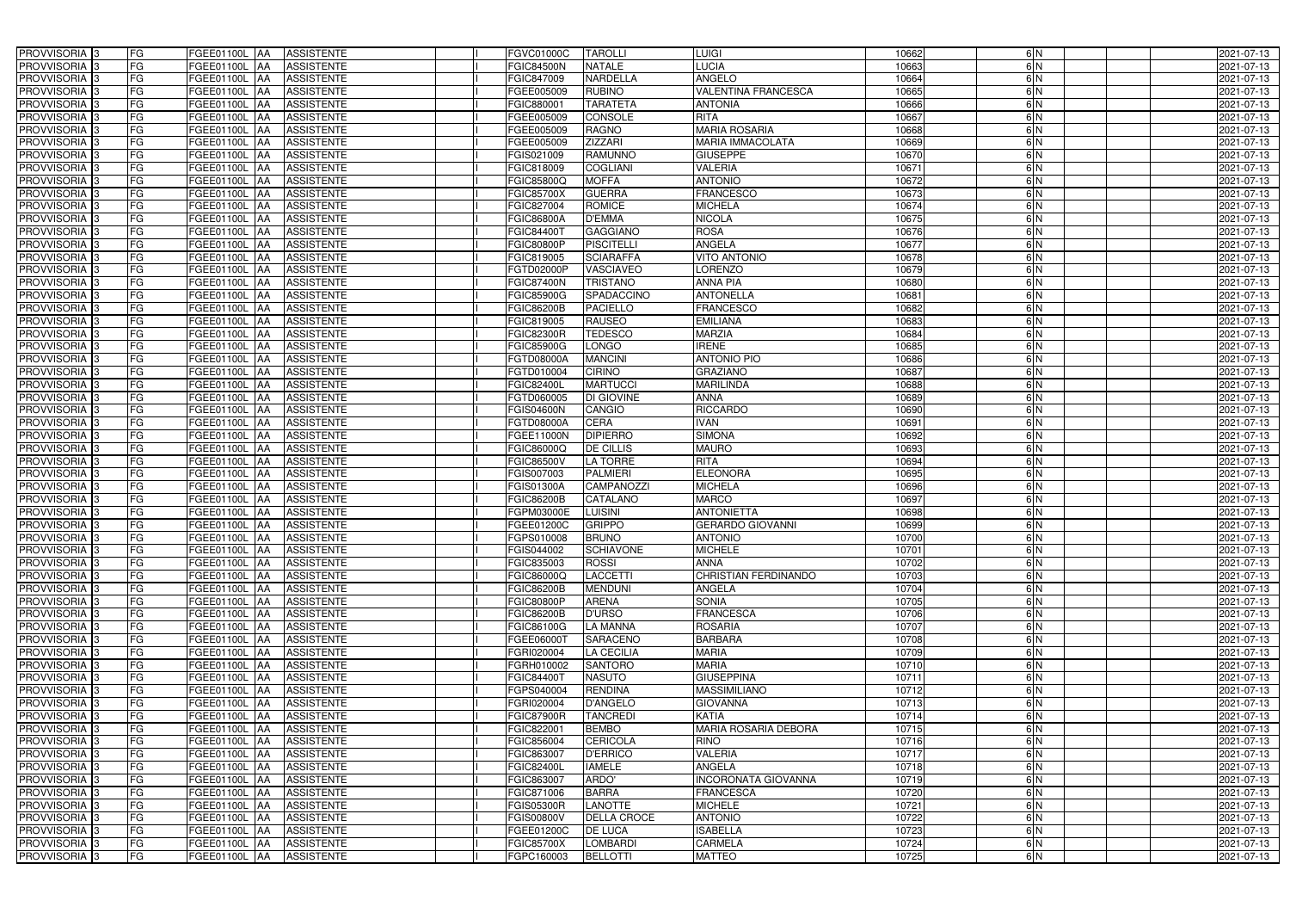| <b>PROVVISORIA</b> 3<br>FG                               | FGEE01100L AA<br><b>ASSISTENTE</b>                                                             | <b>FGVC01000C</b>               | <b>TAROLLI</b>                  | <b>LUIGI</b>                       | 10662          | 6N       | 2021-07-13               |
|----------------------------------------------------------|------------------------------------------------------------------------------------------------|---------------------------------|---------------------------------|------------------------------------|----------------|----------|--------------------------|
| FG<br><b>PROVVISORIA</b> 3                               | FGEE01100L<br><b>JAA</b><br><b>ASSISTENTE</b>                                                  | <b>FGIC84500N</b>               | <b>NATALE</b>                   | LUCIA                              | 10663          | 6N       | 2021-07-13               |
| FG<br><b>PROVVISORIA</b> 3                               | FGEE01100L<br><b>JAA</b><br><b>ASSISTENTE</b>                                                  | FGIC847009                      | NARDELLA                        | <b>ANGELO</b>                      | 10664          | 6N       | 2021-07-13               |
| FG<br><b>PROVVISORIA</b> 3                               | <b>AA</b><br><b>ASSISTENTE</b><br>FGEE01100L                                                   | FGEE005009                      | <b>RUBINO</b>                   | <b>VALENTINA FRANCESCA</b>         | 10665          | 6N       | 2021-07-13               |
| <b>PROVVISORIA</b><br>FG                                 | <b>ASSISTENTE</b><br>FGEE01100L<br><b>AA</b>                                                   | FGIC880001                      | <b>TARATETA</b>                 | <b>ANTONIA</b>                     | 10666          | 6N       | 2021-07-13               |
| <b>PROVVISORIA</b> 3<br>FG                               | <b>AA</b><br><b>ASSISTENTE</b><br>FGEE01100L                                                   | FGEE005009                      | <b>CONSOLE</b>                  | <b>RITA</b>                        | 10667          | 6N       | 2021-07-13               |
| <b>PROVVISORIA</b> 3<br>FG                               | <b>ASSISTENTE</b><br>FGEE01100L<br><b>AA</b>                                                   | FGEE005009                      | <b>RAGNO</b>                    | <b>MARIA ROSARIA</b>               | 10668          | 6N       | 2021-07-13               |
| <b>PROVVISORIA</b> 3<br>FG                               | <b>ASSISTENTE</b><br>FGEE01100L<br><b>JAA</b>                                                  | FGEE005009                      | <b>ZIZZARI</b>                  | <b>MARIA IMMACOLATA</b>            | 10669          | 6N       | 2021-07-13               |
| PROVVISORIA 3<br>FG                                      | <b>ASSISTENTE</b><br>FGEE01100L<br><b>IAA</b>                                                  | FGIS021009                      | <b>RAMUNNO</b>                  | <b>GIUSEPPE</b>                    | 10670          | 6N       | 2021-07-13               |
| FG<br>PROVVISORIA <sup>3</sup>                           | FGEE01100L<br><b>ASSISTENTE</b><br>IAA                                                         | FGIC818009                      | <b>COGLIANI</b>                 | <b>VALERIA</b>                     | 10671          | 6N       | 2021-07-13               |
| <b>PROVVISORIA</b> 3<br>FG                               | FGEE01100L<br><b>ASSISTENTE</b><br><b>JAA</b>                                                  | FGIC85800Q                      | <b>MOFFA</b>                    | <b>ANTONIO</b>                     | 10672          | 6N       | 2021-07-13               |
| PROVVISORIA <sup>3</sup><br>FG                           | FGEE01100L<br><b>ASSISTENTE</b><br><b>JAA</b>                                                  | <b>FGIC85700X</b>               | <b>GUERRA</b>                   | <b>FRANCESCO</b>                   | 10673          | 6N       | 2021-07-13               |
| FG<br>PROVVISORIA <sup>3</sup>                           | FGEE01100L<br><b>ASSISTENTE</b><br><b>AA</b>                                                   | FGIC827004                      | <b>ROMICE</b>                   | <b>MICHELA</b>                     | 10674          | 6N       | 2021-07-13               |
| $\overline{\mathsf{FG}}$<br><b>PROVVISORIA</b> 3         | FGEE01100L<br><b>ASSISTENTE</b><br><b>JAA</b>                                                  | <b>FGIC86800A</b>               | <b>D'EMMA</b>                   | <b>NICOLA</b>                      | 10675          | 6N       | 2021-07-13               |
| FG<br><b>PROVVISORIA</b> 3                               | FGEE01100L<br><b>ASSISTENTE</b><br><b>JAA</b>                                                  | FGIC844001                      | <b>GAGGIANO</b>                 | <b>ROSA</b>                        | 10676          | 6N       | 2021-07-13               |
| FG<br><b>PROVVISORIA</b> 3                               | FGEE01100L<br><b>ASSISTENTE</b><br><b>JAA</b>                                                  | <b>FGIC80800P</b>               | <b>PISCITELLI</b>               | <b>ANGELA</b>                      | 10677          | 6N       | 2021-07-13               |
| FG<br><b>PROVVISORIA</b> :                               | FGEE01100L<br><b>ASSISTENTE</b><br><b>AA</b>                                                   | FGIC819005                      | <b>SCIARAFFA</b>                | <b>VITO ANTONIO</b>                | 10678          | 6N       | 2021-07-13               |
| <b>PROVVISORIA</b> 3<br>FG                               | FGEE01100L<br><b>AA</b><br><b>ASSISTENTE</b>                                                   | FGTD02000P                      | <b>VASCIAVEO</b>                | <b>LORENZO</b>                     | 10679          | 6N       | 2021-07-13               |
| <b>PROVVISORIA</b> 3<br>FG                               | FGEE01100L<br><b>AA</b><br><b>ASSISTENTE</b>                                                   | <b>FGIC87400N</b>               | <b>TRISTANO</b>                 | <b>ANNA PIA</b>                    | 10680          | 6N<br>6N | 2021-07-13               |
| <b>PROVVISORIA</b><br>FG                                 | FGEE01100L<br><b>ASSISTENTE</b><br><b>AA</b>                                                   | <b>FGIC85900G</b>               | SPADACCINO                      | <b>ANTONELLA</b>                   | 10681          | 6N       | 2021-07-13               |
| PROVVISORIA <sup>3</sup><br>FG                           | FGEE01100L<br><b>JAA</b><br><b>ASSISTENTE</b>                                                  | <b>FGIC86200B</b>               | <b>PACIELLO</b>                 | <b>FRANCESCO</b>                   | 10682          | 6N       | 2021-07-13               |
| <b>PROVVISORIA</b> 3<br>FG<br><b>PROVVISORIA</b> 3<br>FG | <b>ASSISTENTE</b><br>FGEE01100L<br>IAA<br><b>IAA</b><br><b>ASSISTENTE</b>                      | FGIC819005<br><b>FGIC82300R</b> | <b>RAUSEO</b><br><b>TEDESCO</b> | <b>EMILIANA</b><br><b>MARZIA</b>   | 10683<br>10684 | 6N       | 2021-07-13<br>2021-07-13 |
|                                                          | FGEE01100L                                                                                     |                                 |                                 |                                    |                |          |                          |
| <b>PROVVISORIA</b> 3<br>FG<br><b>PROVVISORIA</b> 3<br>FG | FGEE01100L<br><b>IAA</b><br><b>ASSISTENTE</b><br>FGEE01100L<br><b>ASSISTENTE</b><br><b>IAA</b> | <b>FGIC85900G</b><br>FGTD08000A | LONGO<br><b>MANCINI</b>         | <b>IRENE</b><br><b>ANTONIO PIO</b> | 10685<br>10686 | 6N<br>6N | 2021-07-13<br>2021-07-13 |
| <b>PROVVISORIA</b> 3<br>FG                               | <b>ASSISTENTE</b><br>FGEE01100L<br><b>IAA</b>                                                  | FGTD010004                      | <b>CIRINO</b>                   | <b>GRAZIANO</b>                    | 10687          | 6N       | 2021-07-13               |
| <b>PROVVISORIA</b> 3<br>FG                               | FGEE01100L<br><b>ASSISTENTE</b><br>IAA                                                         | <b>FGIC82400L</b>               | <b>MARTUCCI</b>                 | <b>MARILINDA</b>                   | 10688          | 6N       | 2021-07-13               |
| FG<br><b>PROVVISORIA</b> 3                               | FGEE01100L<br><b>ASSISTENTE</b><br>IAA                                                         | FGTD060005                      | DI GIOVINE                      | <b>ANNA</b>                        | 10689          | 6N       | 2021-07-13               |
| FG<br>PROVVISORIA                                        | FGEE01100L<br><b>ASSISTENTE</b><br>IAA                                                         | <b>FGIS04600N</b>               | CANGIO                          | <b>RICCARDO</b>                    | 10690          | 6N       | 2021-07-13               |
| FG<br>PROVVISORIA                                        | FGEE01100L<br><b>JAA</b><br><b>ASSISTENTE</b>                                                  | FGTD08000A                      | <b>CERA</b>                     | <b>IVAN</b>                        | 10691          | 6N       | 2021-07-13               |
| <b>PROVVISORIA</b><br>FG                                 | <b>ASSISTENTE</b><br>FGEE01100L<br><b>IAA</b>                                                  | FGEE11000N                      | <b>DIPIERRO</b>                 | <b>SIMONA</b>                      | 10692          | 6N       | 2021-07-13               |
| <b>PROVVISORIA</b><br>FG                                 | <b>ASSISTENTE</b><br>FGEE01100L<br><b>JAA</b>                                                  | FGIC86000Q                      | <b>DE CILLIS</b>                | <b>MAURO</b>                       | 10693          | 6N       | 2021-07-13               |
| PROVVISORIA  :<br>FG                                     | <b>ASSISTENTE</b><br>FGEE01100L<br><b>IAA</b>                                                  | <b>FGIC86500V</b>               | <b>LA TORRE</b>                 | <b>RITA</b>                        | 10694          | 6N       | 2021-07-13               |
| <b>PROVVISORIA</b> 3<br>FG                               | FGEE01100L<br><b>ASSISTENTE</b><br><b>JAA</b>                                                  | FGIS007003                      | <b>PALMIERI</b>                 | <b>ELEONORA</b>                    | 10695          | 6N       | 2021-07-13               |
| <b>PROVVISORIA</b> 3<br>FG                               | FGEE01100L<br><b>ASSISTENTE</b><br><b>AA</b>                                                   | <b>FGIS01300A</b>               | <b>CAMPANOZZI</b>               | <b>MICHELA</b>                     | 10696          | 6N       | 2021-07-13               |
| FG<br><b>PROVVISORIA</b> 3                               | FGEE01100L<br><b>ASSISTENTE</b><br><b>JAA</b>                                                  | <b>FGIC86200B</b>               | CATALANO                        | <b>MARCO</b>                       | 10697          | 6N       | 2021-07-13               |
| PROVVISORIA <sup>13</sup><br>FG                          | FGEE01100L<br><b>ASSISTENTE</b><br><b>JAA</b>                                                  | FGPM03000E                      | <b>LUISINI</b>                  | <b>ANTONIETTA</b>                  | 10698          | 6N       | 2021-07-13               |
| PROVVISORIA 3<br>FG                                      | FGEE01100L<br><b>AA</b><br><b>ASSISTENTE</b>                                                   | FGEE01200C                      | <b>GRIPPO</b>                   | <b>GERARDO GIOVANNI</b>            | 10699          | 6N       | 2021-07-13               |
| PROVVISORIA <sup>3</sup><br>FG                           | FGEE01100L AA ASSISTENTE                                                                       | FGPS010008                      | <b>BRUNO</b>                    | <b>ANTONIO</b>                     | 10700          | 6 N      | 2021-07-13               |
| PROVVISORIA <sup>3</sup><br>FG                           | <b>ASSISTENTE</b><br>FGEE01100L AA                                                             | FGIS044002                      | <b>SCHIAVONE</b>                | <b>MICHELE</b>                     | 10701          | 6N       | 2021-07-13               |
| PROVVISORIA <sup>3</sup><br>FG                           | FGEE01100L AA<br><b>ASSISTENTE</b>                                                             | FGIC835003                      | <b>ROSSI</b>                    | <b>ANNA</b>                        | 10702          | 6N       | 2021-07-13               |
| PROVVISORIA 3<br>FG                                      | FGEE01100L AA<br><b>ASSISTENTE</b>                                                             | FGIC86000Q                      | <b>LACCETTI</b>                 | <b>CHRISTIAN FERDINANDO</b>        | 10703          | 6N       | 2021-07-13               |
| PROVVISORIA 3<br>FG                                      | FGEE01100L AA<br><b>ASSISTENTE</b>                                                             | <b>FGIC86200B</b>               | <b>MENDUNI</b>                  | <b>ANGELA</b>                      | 10704          | 6N       | 2021-07-13               |
| PROVVISORIA 3<br>FG                                      | FGEE01100L AA<br><b>ASSISTENTE</b>                                                             | <b>FGIC80800P</b>               | <b>ARENA</b>                    | <b>SONIA</b>                       | 10705          | 6N       | 2021-07-13               |
| <b>PROVVISORIA</b> 3<br>FG                               | FGEE01100L AA<br><b>ASSISTENTE</b>                                                             | <b>FGIC86200B</b>               | <b>D'URSO</b>                   | <b>FRANCESCA</b>                   | 10706          | 6N       | 2021-07-13               |
| PROVVISORIA <sup>3</sup><br>FG                           | FGEE01100L AA<br><b>ASSISTENTE</b>                                                             | FGIC86100G                      | <b>LA MANNA</b>                 | <b>ROSARIA</b>                     | 10707          | 6N       | 2021-07-13               |
| PROVVISORIA <sup>3</sup><br>FG                           | FGEE01100L AA<br><b>ASSISTENTE</b>                                                             | FGEE06000T                      | <b>SARACENO</b>                 | <b>BARBARA</b>                     | 10708          | 6N       | 2021-07-13               |
| FG<br>PROVVISORIA <sup>3</sup>                           | FGEE01100L<br><b>AA</b><br><b>ASSISTENTE</b>                                                   | FGRI020004                      | <b>LA CECILIA</b>               | <b>MARIA</b>                       | 10709          | 6N       | 2021-07-13               |
| PROVVISORIA <sup>3</sup><br>FG                           | FGEE01100L AA<br><b>ASSISTENTE</b>                                                             | FGRH010002                      | <b>SANTORO</b>                  | <b>MARIA</b>                       | 10710          | 6N       | 2021-07-13               |
| PROVVISORIA <sup>3</sup><br>FG                           | <b>FGEE01100L AA</b><br><b>ASSISTENTE</b>                                                      | FGIC84400T                      | <b>NASUTO</b>                   | <b>GIUSEPPINA</b>                  | 10711          | 6N       | 2021-07-13               |
| FG<br>PROVVISORIA <sup>3</sup>                           | FGEE01100L AA<br><b>ASSISTENTE</b>                                                             | FGPS040004                      | <b>RENDINA</b>                  | <b>MASSIMILIANO</b>                | 10712          | 6N       | 2021-07-13               |
| PROVVISORIA 3<br>FG                                      | FGEE01100L AA<br><b>ASSISTENTE</b>                                                             | FGRI020004                      | <b>D'ANGELO</b>                 | <b>GIOVANNA</b>                    | 10713          | 6N       | 2021-07-13               |
| FG<br>PROVVISORIA <sup>3</sup>                           | FGEE01100L AA<br><b>ASSISTENTE</b>                                                             | <b>FGIC87900R</b>               | <b>TANCREDI</b>                 | <b>KATIA</b>                       | 10714          | 6N       | 2021-07-13               |
| FG<br>PROVVISORIA <sup>3</sup>                           | FGEE01100L AA<br><b>ASSISTENTE</b>                                                             | FGIC822001                      | <b>BEMBO</b>                    | MARIA ROSARIA DEBORA               | 10715          | 6N       | 2021-07-13               |
| FG<br>PROVVISORIA <sup>3</sup>                           | <b>ASSISTENTE</b><br>FGEE01100L AA                                                             | FGIC856004                      | <b>CERICOLA</b>                 | <b>RINO</b>                        | 10716          | 6N       | 2021-07-13               |
| PROVVISORIA <sup>3</sup><br>FG                           | <b>ASSISTENTE</b><br>FGEE01100L AA                                                             | FGIC863007                      | <b>D'ERRICO</b>                 | VALERIA                            | 10717          | 6N       | 2021-07-13               |
| PROVVISORIA <sup>3</sup><br>FG                           | <b>ASSISTENTE</b><br>FGEE01100L AA                                                             | <b>FGIC82400L</b>               | <b>IAMELE</b>                   | <b>ANGELA</b>                      | 10718          | 6N       | 2021-07-13               |
| PROVVISORIA 3<br>FG                                      | <b>ASSISTENTE</b><br>FGEE01100L AA                                                             | FGIC863007                      | ARDO'                           | <b>INCORONATA GIOVANNA</b>         | 10719          | 6N       | 2021-07-13               |
| PROVVISORIA <sup>3</sup><br>FG                           | <b>ASSISTENTE</b><br>FGEE01100L AA                                                             | FGIC871006                      | <b>BARRA</b>                    | <b>FRANCESCA</b>                   | 10720          | 6N       | 2021-07-13               |
| PROVVISORIA <sup>3</sup><br>FG                           | <b>ASSISTENTE</b><br>FGEE01100L AA                                                             | <b>FGIS05300R</b>               | <b>LANOTTE</b>                  | <b>MICHELE</b>                     | 10721          | 6N       | 2021-07-13               |
| PROVVISORIA <sup>3</sup><br>FG                           | <b>ASSISTENTE</b><br>FGEE01100L AA                                                             | <b>FGIS00800V</b>               | <b>DELLA CROCE</b>              | <b>ANTONIO</b>                     | 10722          | 6N       | 2021-07-13               |
| PROVVISORIA <sup>3</sup><br>FG                           | <b>ASSISTENTE</b><br>FGEE01100L<br><b>AA</b>                                                   | FGEE01200C                      | <b>DE LUCA</b>                  | <b>ISABELLA</b>                    | 10723          | 6N       | 2021-07-13               |
| PROVVISORIA <sup>3</sup><br>FG                           | FGEE01100L AA<br>ASSISTENTE                                                                    | <b>FGIC85700X</b>               | <b>LOMBARDI</b>                 | <b>CARMELA</b>                     | 10724          | 6N       | 2021-07-13               |
| FG<br>PROVVISORIA <sup>3</sup>                           | <b>ASSISTENTE</b><br>FGEE01100L AA                                                             | FGPC160003                      | <b>BELLOTTI</b>                 | <b>MATTEO</b>                      | 10725          | 6N       | 2021-07-13               |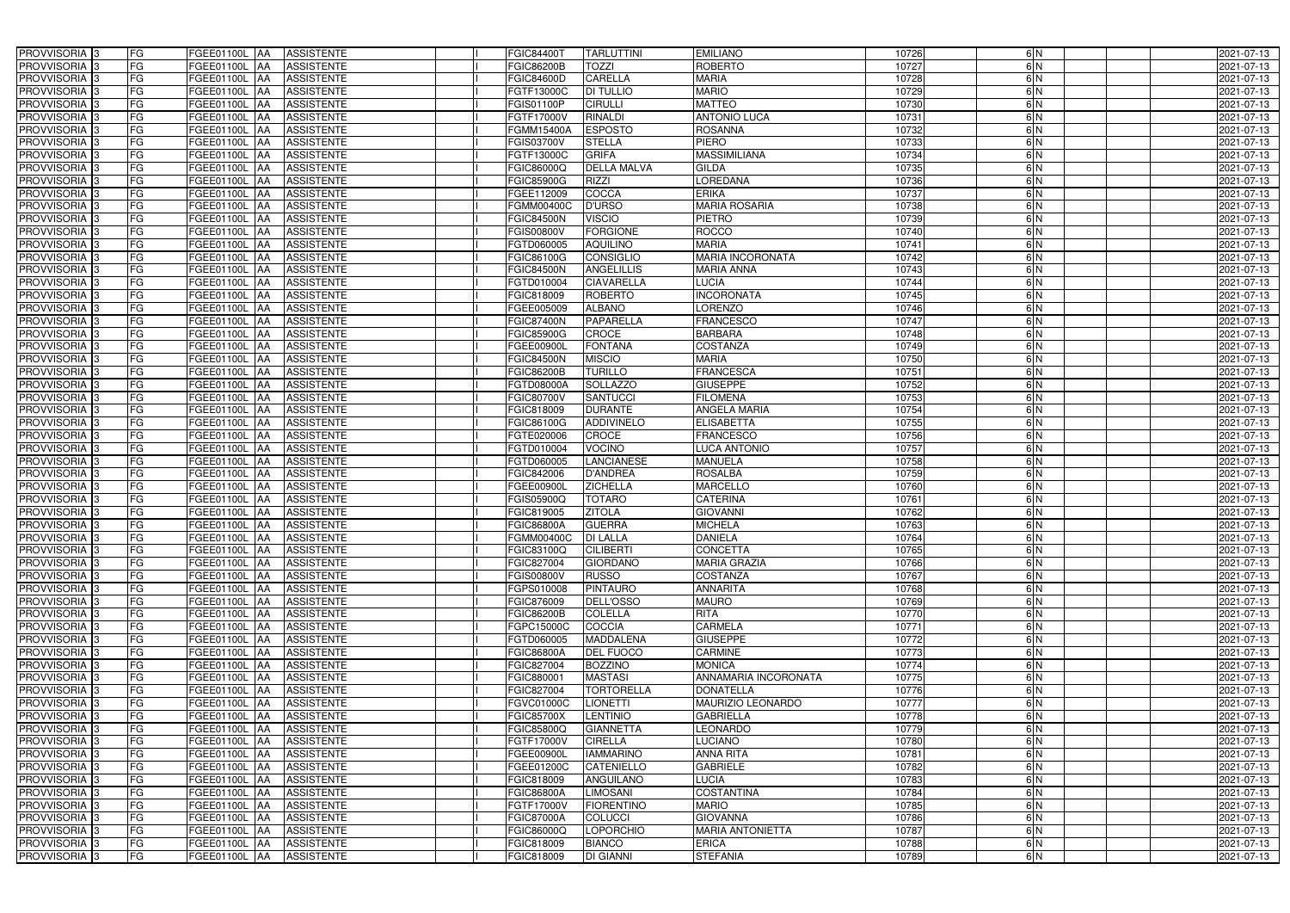| PROVVISORIA <sup>3</sup>                             | FG        | FGEE01100L AA<br><b>ASSISTENTE</b>                      | FGIC84400T               | <b>TARLUTTINI</b>                    | <b>EMILIANO</b>                   | 10726          | 6N            | 2021-07-13               |
|------------------------------------------------------|-----------|---------------------------------------------------------|--------------------------|--------------------------------------|-----------------------------------|----------------|---------------|--------------------------|
| PROVVISORIA <sup>3</sup>                             | FG        | FGEE01100L AA<br><b>ASSISTENTE</b>                      | FGIC86200B               | TOZZI                                | <b>ROBERTO</b>                    | 10727          | 6N            | 2021-07-13               |
| PROVVISORIA <sup>1</sup> 3                           | FG        | FGEE01100L AA<br><b>ASSISTENTE</b>                      | FGIC84600D               | <b>CARELLA</b>                       | <b>MARIA</b>                      | 10728          | 6N            | 2021-07-13               |
| PROVVISORIA <sup>3</sup>                             | FG        | FGEE01100L AA<br><b>ASSISTENTE</b>                      | FGTF13000C               | <b>DI TULLIO</b>                     | <b>MARIO</b>                      | 10729          | 6N            | 2021-07-13               |
| PROVVISORIA <sup>3</sup>                             | FG        | FGEE01100L AA<br><b>ASSISTENTE</b>                      | FGIS01100P               | <b>CIRULLI</b>                       | <b>MATTEO</b>                     | 10730          | $\frac{6}{N}$ | 2021-07-13               |
| PROVVISORIA <sup>3</sup>                             | FG        | <b>FGEE01100L AA</b><br><b>ASSISTENTE</b>               | FGTF17000V               | <b>RINALDI</b>                       | <b>ANTONIO LUCA</b>               | 10731          | 6N            | 2021-07-13               |
| PROVVISORIA <sup>3</sup>                             | FG        | <b>ASSISTENTE</b><br>FGEE01100L AA                      | FGMM15400A               | <b>ESPOSTO</b>                       | <b>ROSANNA</b>                    | 10732          | 6N            | 2021-07-13               |
| PROVVISORIA <sup>3</sup>                             | FG        | <b>ASSISTENTE</b><br>FGEE01100L AA                      | FGIS03700V               | <b>STELLA</b>                        | <b>PIERO</b>                      | 10733          | 6N            | 2021-07-13               |
| PROVVISORIA <sup>3</sup>                             | FG        | FGEE01100L AA<br><b>ASSISTENTE</b>                      | FGTF13000C               | <b>GRIFA</b>                         | <b>MASSIMILIANA</b>               | 10734          | 6N            | 2021-07-13               |
| PROVVISORIA <sup>3</sup>                             | FG        | FGEE01100L<br><b>ASSISTENTE</b><br>IAA                  | FGIC86000Q               | <b>DELLA MALVA</b>                   | <b>GILDA</b>                      | 10735          | $\frac{6}{2}$ | 2021-07-13               |
| PROVVISORIA 3                                        | FG        | <b>FGEE01100L AA</b><br><b>ASSISTENTE</b>               | <b>FGIC85900G</b>        | <b>RIZZI</b>                         | <b>LOREDANA</b>                   | 10736          | 6N            | 2021-07-13               |
| PROVVISORIA <sup>3</sup>                             | FG        | <b>FGEE01100L AA</b><br><b>ASSISTENTE</b>               | FGEE112009               | COCCA                                | <b>ERIKA</b>                      | 10737          | 6N            | 2021-07-13               |
| PROVVISORIA <sup>3</sup>                             | FG        | FGEE01100L AA<br><b>ASSISTENTE</b>                      | FGMM00400C               | <b>D'URSO</b>                        | <b>MARIA ROSARIA</b>              | 10738          | 6N            | 2021-07-13               |
| PROVVISORIA 3                                        | FG        | FGEE01100L AA<br><b>ASSISTENTE</b>                      | <b>FGIC84500N</b>        | <b>VISCIO</b>                        | PIETRO                            | 10739          | 6N            | 2021-07-13               |
| PROVVISORIA 3                                        | FG        | <b>FGEE01100L   AA</b><br><b>ASSISTENTE</b>             | FGIS00800V               | <b>FORGIONE</b>                      | <b>ROCCO</b>                      | 10740          | 6N            | 2021-07-13               |
| PROVVISORIA 3                                        | FG        | FGEE01100L AA<br><b>ASSISTENTE</b>                      | FGTD060005               | <b>AQUILINO</b>                      | <b>MARIA</b>                      | 10741          | 6N            | 2021-07-13               |
| PROVVISORIA 3                                        | FG        | FGEE01100L AA<br><b>ASSISTENTE</b>                      | FGIC86100G               | <b>CONSIGLIO</b>                     | <b>MARIA INCORONATA</b>           | 10742          | 6N            | 2021-07-13               |
| PROVVISORIA 3                                        | FG        | FGEE01100L AA<br><b>ASSISTENTE</b>                      | <b>FGIC84500N</b>        | <b>ANGELILLIS</b>                    | <b>MARIA ANNA</b>                 | 10743          | 6N            | 2021-07-13               |
| PROVVISORIA 3                                        | FG        | FGEE01100L AA<br><b>ASSISTENTE</b>                      | FGTD010004               | <b>CIAVARELLA</b>                    | LUCIA                             | 10744          | 6N            | 2021-07-13               |
| PROVVISORIA 3                                        | FG        | FGEE01100L<br><b>ASSISTENTE</b><br><b>JAA</b>           | FGIC818009               | <b>ROBERTO</b>                       | <b>INCORONATA</b>                 | 10745          | 6N            | 2021-07-13               |
| PROVVISORIA <sup>3</sup>                             | FG        | FGEE01100L<br><b>ASSISTENTE</b><br>ΙAΑ                  | FGEE005009               | <b>ALBANO</b>                        | <b>LORENZO</b>                    | 10746          | $\frac{6}{N}$ | 2021-07-13               |
| PROVVISORIA 3                                        | FG        | FGEE01100L<br><b>ASSISTENTE</b><br>IAA                  | <b>FGIC87400N</b>        | <b>PAPARELLA</b>                     | <b>FRANCESCO</b>                  | 10747          | 6N            | 2021-07-13               |
| PROVVISORIA 3                                        | FG        | FGEE01100L<br><b>ASSISTENTE</b><br><b>IAA</b>           | FGIC85900G               | <b>CROCE</b>                         | <b>BARBARA</b>                    | 10748          | 6N            | 2021-07-13               |
| PROVVISORIA 3                                        | FG        | <b>FGEE01100L</b><br><b>ASSISTENTE</b><br>IAA           | FGEE00900L               | <b>FONTANA</b>                       | <b>COSTANZA</b>                   | 10749          | 6N            | 2021-07-13               |
| PROVVISORIA 3                                        | FG        | FGEE01100L AA<br><b>ASSISTENTE</b>                      | <b>FGIC84500N</b>        | <b>MISCIO</b>                        | <b>MARIA</b>                      | 10750          | 6N            | 2021-07-13               |
| PROVVISORIA 3                                        | FG        | FGEE01100L<br><b>ASSISTENTE</b><br>IAA                  | FGIC86200B               | <b>TURILLO</b>                       | <b>FRANCESCA</b>                  | 10751          | 6N            | 2021-07-13               |
| PROVVISORIA 3                                        | FG        | <b>FGEE01100L</b><br><b>ASSISTENTE</b>                  | FGTD08000A               | <b>SOLLAZZO</b>                      | <b>GIUSEPPE</b>                   | 10752          | 6N            | 2021-07-13               |
| PROVVISORIA <sup>3</sup>                             | FG        | FGEE01100L<br><b>ASSISTENTE</b><br>IAA                  | FGIC80700V               | SANTUCCI                             | <b>FILOMENA</b>                   | 10753          | 6N            | 2021-07-13               |
| PROVVISORIA <sup>3</sup>                             | FG        | FGEE01100L<br><b>ASSISTENTE</b>                         | FGIC818009               | <b>DURANTE</b>                       | ANGELA MARIA                      | 10754          | $\frac{6}{N}$ | 2021-07-13               |
| PROVVISORIA <sup>3</sup>                             | FG        | <b>FGEE01100L</b><br><b>ASSISTENTE</b><br><b>JAA</b>    | FGIC86100G               | <b>ADDIVINELO</b>                    | <b>ELISABETTA</b>                 | 10755          | 6N            | 2021-07-13               |
| PROVVISORIA <sup>3</sup>                             | FG        | <b>FGEE01100L AA</b><br><b>ASSISTENTE</b>               | FGTE020006               | <b>CROCE</b>                         | <b>FRANCESCO</b>                  | 10756          | 6N            | 2021-07-13               |
| PROVVISORIA <sup>3</sup>                             | FG        | FGEE01100L<br><b>ASSISTENTE</b><br>IAA                  | FGTD010004               | <b>VOCINO</b>                        | <b>LUCA ANTONIO</b>               | 10757          | $\frac{6}{N}$ | 2021-07-13               |
| PROVVISORIA <sup>3</sup>                             | FG        | FGEE01100L<br><b>ASSISTENTE</b><br>IAA                  | FGTD060005               | <b>LANCIANESE</b>                    | <b>MANUELA</b>                    | 10758          | 6N            | 2021-07-13               |
| PROVVISORIA <sup>3</sup>                             | FG        | <b>FGEE01100L   AA</b><br><b>ASSISTENTE</b>             | FGIC842006               | <b>D'ANDREA</b>                      | <b>ROSALBA</b>                    | 10759          | 6N            | 2021-07-13               |
| PROVVISORIA <sup>3</sup>                             | FG        | FGEE01100L AA<br><b>ASSISTENTE</b>                      | FGEE00900L               | <b>ZICHELLA</b>                      | <b>MARCELLO</b>                   | 10760          | 6N            | 2021-07-13               |
| PROVVISORIA <sup>3</sup>                             | FG        | FGEE01100L AA<br><b>ASSISTENTE</b>                      | FGIS05900Q               | <b>TOTARO</b>                        | <b>CATERINA</b>                   | 10761          | $\frac{6}{N}$ | 2021-07-13               |
| PROVVISORIA <sup>1</sup> 3                           | FG        | FGEE01100L AA<br><b>ASSISTENTE</b>                      | FGIC819005               | <b>ZITOLA</b>                        | <b>GIOVANNI</b>                   | 10762          | 6N            | 2021-07-13               |
| PROVVISORIA <sup>3</sup>                             | FG        | FGEE01100L AA<br><b>ASSISTENTE</b>                      | FGIC86800A               | <b>GUERRA</b>                        | <b>MICHELA</b>                    | 10763          | 6N            | 2021-07-13               |
| PROVVISORIA <sup>3</sup>                             | <b>FG</b> | FGEE01100L AA ASSISTENTE                                | <b>FGMM00400C</b>        | <b>DI LALLA</b>                      | <b>DANIELA</b>                    | 10764          | 6 N           | 2021-07-13               |
| <b>PROVVISORIA</b> 3                                 | FG        | FGEE01100L AA<br>ASSISTENTE                             | FGIC83100Q               | <b>CILIBERTI</b>                     | <b>CONCETTA</b>                   | 10765          | 6 N           | 2021-07-13               |
| PROVVISORIA <sup>3</sup>                             | FG        | FGEE01100L AA<br><b>ASSISTENTE</b>                      | FGIC827004               | <b>GIORDANO</b>                      | <b>MARIA GRAZIA</b>               | 10766          | 6 N           | 2021-07-13               |
| PROVVISORIA <sup>3</sup>                             | FG        | FGEE01100L AA ASSISTENTE                                | FGIS00800V               | <b>RUSSO</b>                         | <b>COSTANZA</b>                   | 10767          | 6N            | 2021-07-13               |
| <b>PROVVISORIA</b> 3                                 | FG        | FGEE01100L AA<br>ASSISTENTE                             | FGPS010008               | <b>PINTAURO</b>                      | <b>ANNARITA</b>                   | 10768          | 6N            | 2021-07-13               |
| PROVVISORIA <sup>3</sup>                             | FG        | FGEE01100L AA<br>ASSISTENTE                             | FGIC876009               | <b>DELL'OSSO</b>                     | <b>MAURO</b>                      | 10769          | 6N            | 2021-07-13               |
| PROVVISORIA <sup>3</sup>                             | FG        | FGEE01100L AA<br><b>ASSISTENTE</b>                      | FGIC86200B               | <b>COLELLA</b>                       | <b>RITA</b>                       | 10770          | 6N            | 2021-07-13               |
| PROVVISORIA <sup>3</sup>                             | FG        | FGEE01100L AA<br><b>ASSISTENTE</b>                      | FGPC15000C               | <b>COCCIA</b>                        | <b>CARMELA</b><br><b>GIUSEPPE</b> | 10771          | 6N            | 2021-07-13               |
| PROVVISORIA <sup>3</sup><br>PROVVISORIA <sup>3</sup> | FG<br>FG  | FGEE01100L AA<br>ASSISTENTE<br>FGEE01100L AA            | FGTD060005<br>FGIC86800A | <b>MADDALENA</b><br><b>DEL FUOCO</b> | <b>CARMINE</b>                    | 10772<br>10773 | 6N<br>6N      | 2021-07-13               |
| PROVVISORIA <sup>3</sup>                             | FG        | <b>ASSISTENTE</b><br>FGEE01100L AA<br><b>ASSISTENTE</b> | FGIC827004               | <b>BOZZINO</b>                       | <b>MONICA</b>                     | 10774          | 6N            | 2021-07-13<br>2021-07-13 |
| PROVVISORIA <sup>3</sup>                             | FG        | FGEE01100L AA<br><b>ASSISTENTE</b>                      | FGIC880001               | <b>MASTASI</b>                       | ANNAMARIA INCORONATA              | 10775          | 6N            | 2021-07-13               |
| PROVVISORIA <sup>3</sup>                             | FG        | <b>ASSISTENTE</b><br>FGEE01100L AA                      | FGIC827004               | <b>TORTORELLA</b>                    | <b>DONATELLA</b>                  | 10776          | 6N            | 2021-07-13               |
| PROVVISORIA <sup>3</sup>                             | FG        | FGEE01100L AA<br><b>ASSISTENTE</b>                      | FGVC01000C               | <b>LIONETTI</b>                      | MAURIZIO LEONARDO                 | 10777          | 6N            | 2021-07-13               |
| PROVVISORIA <sup>3</sup>                             | FG        | FGEE01100L AA<br><b>ASSISTENTE</b>                      | <b>FGIC85700X</b>        | <b>LENTINIO</b>                      | <b>GABRIELLA</b>                  | 10778          | 6N            | 2021-07-13               |
| PROVVISORIA <sup>3</sup>                             | FG        | FGEE01100L AA<br><b>ASSISTENTE</b>                      | FGIC85800Q               | <b>GIANNETTA</b>                     | <b>LEONARDO</b>                   | 10779          | 6N            | 2021-07-13               |
| PROVVISORIA <sup>3</sup>                             | FG        | <b>ASSISTENTE</b><br>FGEE01100L AA                      | FGTF17000V               | <b>CIRELLA</b>                       | <b>LUCIANO</b>                    | 10780          | 6N            | 2021-07-13               |
| PROVVISORIA <sup>3</sup>                             | FG        | <b>ASSISTENTE</b><br>FGEE01100L AA                      | FGEE00900L               | <b>IAMMARINO</b>                     | <b>ANNA RITA</b>                  | 10781          | 6N            | 2021-07-13               |
| PROVVISORIA <sup>1</sup> 3                           | FG        | FGEE01100L AA<br><b>ASSISTENTE</b>                      | FGEE01200C               | <b>CATENIELLO</b>                    | <b>GABRIELE</b>                   | 10782          | 6N            | 2021-07-13               |
| PROVVISORIA <sup>3</sup>                             | FG        | FGEE01100L AA<br><b>ASSISTENTE</b>                      | FGIC818009               | ANGUILANO                            | <b>LUCIA</b>                      | 10783          | 6N            | 2021-07-13               |
| PROVVISORIA <sup>3</sup>                             | FG        | FGEE01100L AA<br><b>ASSISTENTE</b>                      | FGIC86800A               | <b>LIMOSANI</b>                      | <b>COSTANTINA</b>                 | 10784          | 6N            | 2021-07-13               |
| PROVVISORIA <sup>3</sup>                             | FG        | FGEE01100L AA<br><b>ASSISTENTE</b>                      | FGTF17000V               | <b>FIORENTINO</b>                    | <b>MARIO</b>                      | 10785          | 6N            | 2021-07-13               |
| PROVVISORIA <sup>3</sup>                             | FG        | <b>ASSISTENTE</b><br>FGEE01100L AA                      | FGIC87000A               | <b>COLUCCI</b>                       | <b>GIOVANNA</b>                   | 10786          | 6N            | 2021-07-13               |
| PROVVISORIA <sup>3</sup>                             | FG        | <b>FGEE01100L AA</b><br><b>ASSISTENTE</b>               | FGIC86000Q               | <b>LOPORCHIO</b>                     | <b>MARIA ANTONIETTA</b>           | 10787          | 6N            | 2021-07-13               |
| PROVVISORIA <sup>3</sup>                             | FG        | FGEE01100L AA<br>ASSISTENTE                             | FGIC818009               | <b>BIANCO</b>                        | <b>ERICA</b>                      | 10788          | 6 N           | 2021-07-13               |
| PROVVISORIA 3                                        | FG        | FGEE01100L AA<br>ASSISTENTE                             | FGIC818009               | <b>DI GIANNI</b>                     | <b>STEFANIA</b>                   | 10789          | 6 N           | 2021-07-13               |
|                                                      |           |                                                         |                          |                                      |                                   |                |               |                          |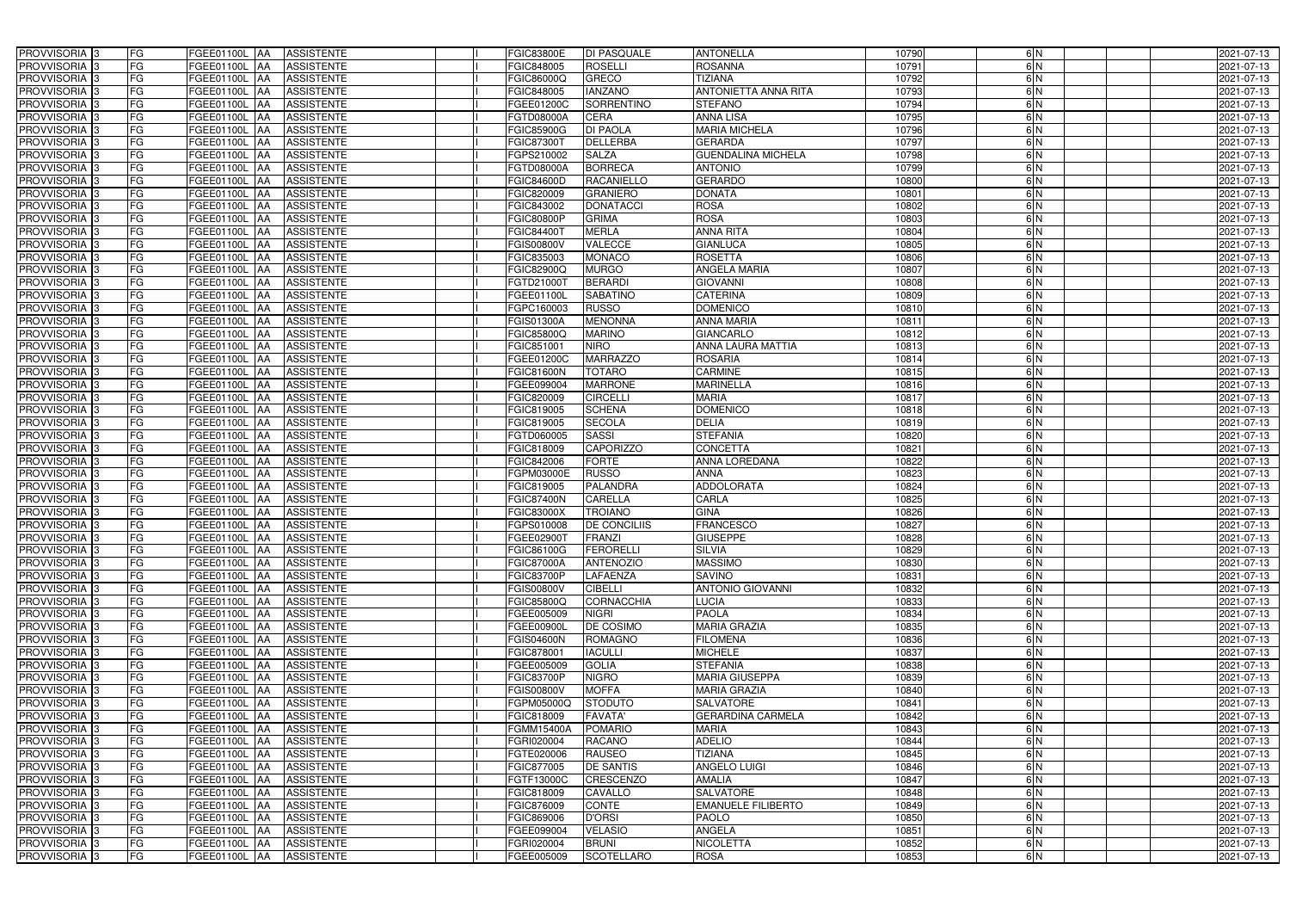| PROVVISORIA <sup>3</sup>   | FG        | FGEE01100L AA<br><b>ASSISTENTE</b>                   | <b>FGIC83800E</b> | DI PASQUALE         | <b>ANTONELLA</b>          | 10790 | 6N            | 2021-07-13 |
|----------------------------|-----------|------------------------------------------------------|-------------------|---------------------|---------------------------|-------|---------------|------------|
| PROVVISORIA <sup>3</sup>   | FG        | FGEE01100L AA<br><b>ASSISTENTE</b>                   | FGIC848005        | <b>ROSELLI</b>      | <b>ROSANNA</b>            | 10791 | 6N            | 2021-07-13 |
| PROVVISORIA <sup>1</sup> 3 | FG        | <b>FGEE01100L   AA</b><br><b>ASSISTENTE</b>          | FGIC86000Q        | GRECO               | <b>TIZIANA</b>            | 10792 | 6N            | 2021-07-13 |
| PROVVISORIA <sup>3</sup>   | FG        | <b>FGEE01100L AA</b><br><b>ASSISTENTE</b>            | FGIC848005        | <b>IANZANO</b>      | ANTONIETTA ANNA RITA      | 10793 | 6N            | 2021-07-13 |
| PROVVISORIA <sup>3</sup>   | FG        | FGEE01100L AA<br><b>ASSISTENTE</b>                   | FGEE01200C        | SORRENTINO          | <b>STEFANO</b>            | 10794 | $\frac{6}{N}$ | 2021-07-13 |
| PROVVISORIA <sup>3</sup>   | FG        | FGEE01100L AA<br><b>ASSISTENTE</b>                   | FGTD08000A        | <b>CERA</b>         | <b>ANNA LISA</b>          | 10795 | 6N            | 2021-07-13 |
| PROVVISORIA <sup>3</sup>   | FG        | FGEE01100L AA<br><b>ASSISTENTE</b>                   | FGIC85900G        | <b>DI PAOLA</b>     | <b>MARIA MICHELA</b>      | 10796 | 6N            | 2021-07-13 |
| PROVVISORIA <sup>3</sup>   | FG        | <b>ASSISTENTE</b><br>FGEE01100L AA                   | FGIC87300T        | <b>DELLERBA</b>     | <b>GERARDA</b>            | 10797 | 6N            | 2021-07-13 |
| PROVVISORIA <sup>3</sup>   | FG        | <b>FGEE01100L   AA</b><br><b>ASSISTENTE</b>          | GPS210002         | <b>SALZA</b>        | <b>GUENDALINA MICHELA</b> | 10798 | 6N            | 2021-07-13 |
| PROVVISORIA <sup>3</sup>   | FG        | FGEE01100L<br><b>ASSISTENTE</b><br>IAA               | FGTD08000A        | <b>BORRECA</b>      | <b>ANTONIO</b>            | 10799 | $\frac{6}{N}$ | 2021-07-13 |
| PROVVISORIA 3              | FG        | <b>FGEE01100L AA</b><br><b>ASSISTENTE</b>            | FGIC84600D        | <b>RACANIELLO</b>   | <b>GERARDO</b>            | 10800 | 6N            | 2021-07-13 |
| PROVVISORIA 3              | FG        | <b>FGEE01100L AA</b><br><b>ASSISTENTE</b>            | FGIC820009        | <b>GRANIERO</b>     | <b>DONATA</b>             | 10801 | 6N            | 2021-07-13 |
| PROVVISORIA 3              | FG        | FGEE01100L AA<br><b>ASSISTENTE</b>                   | FGIC843002        | <b>DONATACCI</b>    | <b>ROSA</b>               | 10802 | 6N            | 2021-07-13 |
| PROVVISORIA 3              | FG        | FGEE01100L AA<br><b>ASSISTENTE</b>                   | <b>FGIC80800P</b> | <b>GRIMA</b>        | <b>ROSA</b>               | 10803 | 6N            | 2021-07-13 |
| PROVVISORIA 3              | FG        | <b>FGEE01100L</b><br><b>ASSISTENTE</b><br>IAA        | FGIC844001        | <b>MERLA</b>        | <b>ANNA RITA</b>          | 10804 | 6N            | 2021-07-13 |
| PROVVISORIA 3              | FG        | <b>FGEE01100L AA</b><br><b>ASSISTENTE</b>            | FGIS00800V        | <b>VALECCE</b>      | <b>GIANLUCA</b>           | 10805 | 6N            | 2021-07-13 |
| PROVVISORIA 3              | FG        | FGEE01100L AA<br><b>ASSISTENTE</b>                   | FGIC835003        | <b>MONACO</b>       | <b>ROSETTA</b>            | 10806 | 6N            | 2021-07-13 |
| PROVVISORIA 3              | FG        | FGEE01100L AA<br><b>ASSISTENTE</b>                   | FGIC82900Q        | <b>MURGO</b>        | <b>ANGELA MARIA</b>       | 10807 | 6N            | 2021-07-13 |
| PROVVISORIA 3              | FG        | FGEE01100L AA<br><b>ASSISTENTE</b>                   | FGTD21000T        | <b>BERARDI</b>      | <b>GIOVANNI</b>           | 10808 | 6N            | 2021-07-13 |
| PROVVISORIA <sup>3</sup>   | FG        | FGEE01100L<br><b>ASSISTENTE</b><br>l AA              | FGEE01100L        | <b>SABATINO</b>     | <b>CATERINA</b>           | 10809 | 6N            | 2021-07-13 |
| PROVVISORIA <sup>3</sup>   | FG        | FGEE01100L<br><b>ASSISTENTE</b><br>ΙAΑ               | FGPC160003        | <b>RUSSO</b>        | <b>DOMENICO</b>           | 10810 | $\frac{6}{N}$ | 2021-07-13 |
| PROVVISORIA <sup>3</sup>   | FG        | FGEE01100L<br><b>ASSISTENTE</b><br>IAA               | <b>GIS01300A</b>  | <b>MENONNA</b>      | <b>ANNA MARIA</b>         | 10811 | 6N            | 2021-07-13 |
| PROVVISORIA <sup>3</sup>   | FG        | FGEE01100L<br><b>ASSISTENTE</b><br>IAA               | FGIC85800Q        | <b>MARINO</b>       | <b>GIANCARLO</b>          | 10812 | 6N            | 2021-07-13 |
| PROVVISORIA <sup>3</sup>   | FG        | <b>FGEE01100L</b><br><b>ASSISTENTE</b><br>IAA        | FGIC851001        | <b>NIRO</b>         | <b>ANNA LAURA MATTIA</b>  | 10813 | 6N            | 2021-07-13 |
| PROVVISORIA 3              | FG        | FGEE01100L AA<br><b>ASSISTENTE</b>                   | GEE01200C         | <b>MARRAZZO</b>     | <b>ROSARIA</b>            | 10814 | 6N            | 2021-07-13 |
| PROVVISORIA 3              | FG        | FGEE01100L<br><b>ASSISTENTE</b><br>IAA               | FGIC81600N        | <b>TOTARO</b>       | <b>CARMINE</b>            | 10815 | 6N            | 2021-07-13 |
| PROVVISORIA 3              | FG        | <b>FGEE01100L</b><br><b>ASSISTENTE</b>               | FGEE099004        | <b>MARRONE</b>      | <b>MARINELLA</b>          | 10816 | 6N            | 2021-07-13 |
| PROVVISORIA 3              | FG        | FGEE01100L<br><b>ASSISTENTE</b><br>IAA               | FGIC820009        | <b>CIRCELLI</b>     | <b>MARIA</b>              | 10817 | 6N            | 2021-07-13 |
| PROVVISORIA <sup>3</sup>   | FG        | FGEE01100L<br><b>ASSISTENTE</b>                      | FGIC819005        | <b>SCHENA</b>       | <b>DOMENICO</b>           | 10818 | $\frac{6}{N}$ | 2021-07-13 |
| PROVVISORIA <sup>3</sup>   | FG        | <b>FGEE01100L</b><br><b>ASSISTENTE</b><br><b>JAA</b> | FGIC819005        | <b>SECOLA</b>       | <b>DELIA</b>              | 10819 | 6N            | 2021-07-13 |
| PROVVISORIA <sup>3</sup>   | FG        | FGEE01100L AA<br><b>ASSISTENTE</b>                   | FGTD060005        | <b>SASSI</b>        | <b>STEFANIA</b>           | 10820 | 6N            | 2021-07-13 |
| PROVVISORIA <sup>3</sup>   | FG        | FGEE01100L<br><b>ASSISTENTE</b><br>IAA               | FGIC818009        | <b>CAPORIZZO</b>    | CONCETTA                  | 10821 | $\frac{6}{N}$ | 2021-07-13 |
| PROVVISORIA <sup>3</sup>   | FG        | FGEE01100L<br><b>ASSISTENTE</b><br>IAA               | FGIC842006        | <b>FORTE</b>        | ANNA LOREDANA             | 10822 | 6N            | 2021-07-13 |
| PROVVISORIA <sup>3</sup>   | FG        | FGEE01100L AA<br><b>ASSISTENTE</b>                   | FGPM03000E        | <b>RUSSO</b>        | <b>ANNA</b>               | 10823 | 6N            | 2021-07-13 |
| PROVVISORIA <sup>3</sup>   | FG        | FGEE01100L AA<br><b>ASSISTENTE</b>                   | <b>EGIC819005</b> | <b>PALANDRA</b>     | <b>ADDOLORATA</b>         | 10824 | 6N            | 2021-07-13 |
| PROVVISORIA <sup>3</sup>   | FG        | FGEE01100L AA<br><b>ASSISTENTE</b>                   | FGIC87400N        | <b>CARELLA</b>      | CARLA                     | 10825 | $\frac{6}{N}$ | 2021-07-13 |
| PROVVISORIA <sup>3</sup>   | FG        | FGEE01100L AA<br><b>ASSISTENTE</b>                   | <b>FGIC83000X</b> | <b>TROIANO</b>      | <b>GINA</b>               | 10826 | 6N            | 2021-07-13 |
| PROVVISORIA <sup>3</sup>   | FG        | FGEE01100L AA<br><b>ASSISTENTE</b>                   | FGPS010008        | <b>DE CONCILIIS</b> | <b>FRANCESCO</b>          | 10827 | 6N            | 2021-07-13 |
| PROVVISORIA <sup>3</sup>   | <b>FG</b> | FGEE01100L AA ASSISTENTE                             | FGEE02900T        | FRANZI              | <b>GIUSEPPE</b>           | 10828 | 6 N           | 2021-07-13 |
| <b>PROVVISORIA</b> 3       | FG        | FGEE01100L AA<br><b>ASSISTENTE</b>                   | FGIC86100G        | <b>FERORELLI</b>    | <b>SILVIA</b>             | 10829 | 6N            | 2021-07-13 |
| PROVVISORIA <sup>3</sup>   | FG        | <b>FGEE01100L</b> AA<br><b>ASSISTENTE</b>            | <b>FGIC87000A</b> | <b>ANTENOZIO</b>    | <b>MASSIMO</b>            | 10830 | 6N            | 2021-07-13 |
| PROVVISORIA <sup>3</sup>   | FG        | FGEE01100L AA<br><b>ASSISTENTE</b>                   | FGIC83700P        | <b>LAFAENZA</b>     | <b>SAVINO</b>             | 10831 | 6N            | 2021-07-13 |
| <b>PROVVISORIA</b> 3       | FG        | FGEE01100L AA<br><b>ASSISTENTE</b>                   | FGIS00800V        | <b>CIBELLI</b>      | <b>ANTONIO GIOVANNI</b>   | 10832 | 6N            | 2021-07-13 |
| PROVVISORIA <sup>3</sup>   | FG        | FGEE01100L AA<br><b>ASSISTENTE</b>                   | FGIC85800Q        | CORNACCHIA          | <b>LUCIA</b>              | 10833 | 6N            | 2021-07-13 |
| PROVVISORIA <sup>3</sup>   | FG        | FGEE01100L AA<br><b>ASSISTENTE</b>                   | FGEE005009        | <b>NIGRI</b>        | <b>PAOLA</b>              | 10834 | 6N            | 2021-07-13 |
| PROVVISORIA <sup>3</sup>   | FG        | FGEE01100L AA<br><b>ASSISTENTE</b>                   | FGEE00900L        | <b>DE COSIMO</b>    | <b>MARIA GRAZIA</b>       | 10835 | 6N            | 2021-07-13 |
| PROVVISORIA <sup>1</sup> 3 | FG        | FGEE01100L AA<br><b>ASSISTENTE</b>                   | FGIS04600N        | <b>ROMAGNO</b>      | <b>FILOMENA</b>           | 10836 | 6N            | 2021-07-13 |
| PROVVISORIA <sup>3</sup>   | FG        | FGEE01100L AA<br><b>ASSISTENTE</b>                   | FGIC878001        | <b>IACULLI</b>      | <b>MICHELE</b>            | 10837 | 6N            | 2021-07-13 |
| PROVVISORIA <sup>3</sup>   | FG        | FGEE01100L AA<br><b>ASSISTENTE</b>                   | FGEE005009        | <b>GOLIA</b>        | <b>STEFANIA</b>           | 10838 | 6N            | 2021-07-13 |
| PROVVISORIA <sup>3</sup>   | FG        | FGEE01100L AA<br><b>ASSISTENTE</b>                   | FGIC83700P        | <b>NIGRO</b>        | <b>MARIA GIUSEPPA</b>     | 10839 | 6N            | 2021-07-13 |
| PROVVISORIA <sup>3</sup>   | FG        | <b>ASSISTENTE</b><br>FGEE01100L AA                   | FGIS00800V        | <b>MOFFA</b>        | <b>MARIA GRAZIA</b>       | 10840 | 6N            | 2021-07-13 |
| PROVVISORIA <sup>3</sup>   | FG        | FGEE01100L AA<br><b>ASSISTENTE</b>                   | FGPM05000Q        | <b>STODUTO</b>      | <b>SALVATORE</b>          | 10841 | 6N            | 2021-07-13 |
| PROVVISORIA <sup>3</sup>   | FG        | FGEE01100L AA<br><b>ASSISTENTE</b>                   | FGIC818009        | <b>FAVATA'</b>      | <b>GERARDINA CARMELA</b>  | 10842 | 6N            | 2021-07-13 |
| PROVVISORIA <sup>3</sup>   | FG        | FGEE01100L AA<br><b>ASSISTENTE</b>                   | FGMM15400A        | <b>POMARIO</b>      | <b>MARIA</b>              | 10843 | 6N            | 2021-07-13 |
| PROVVISORIA <sup>3</sup>   | FG        | <b>ASSISTENTE</b><br>FGEE01100L AA                   | FGRI020004        | <b>RACANO</b>       | <b>ADELIO</b>             | 10844 | 6N            | 2021-07-13 |
| PROVVISORIA <sup>3</sup>   | FG        | <b>ASSISTENTE</b><br>FGEE01100L AA                   | FGTE020006        | <b>RAUSEO</b>       | <b>TIZIANA</b>            | 10845 | 6N            | 2021-07-13 |
| PROVVISORIA <sup>1</sup> 3 | FG        | FGEE01100L AA<br><b>ASSISTENTE</b>                   | FGIC877005        | <b>DE SANTIS</b>    | <b>ANGELO LUIGI</b>       | 10846 | 6N            | 2021-07-13 |
| PROVVISORIA <sup>1</sup> 3 | FG        | FGEE01100L AA<br><b>ASSISTENTE</b>                   | FGTF13000C        | <b>CRESCENZO</b>    | <b>AMALIA</b>             | 10847 | 6N            | 2021-07-13 |
| PROVVISORIA <sup>3</sup>   | FG        | <b>ASSISTENTE</b><br>FGEE01100L AA                   | FGIC818009        | <b>CAVALLO</b>      | <b>SALVATORE</b>          | 10848 | 6N            | 2021-07-13 |
| PROVVISORIA <sup>3</sup>   | FG        | FGEE01100L AA<br><b>ASSISTENTE</b>                   | FGIC876009        | <b>CONTE</b>        | <b>EMANUELE FILIBERTO</b> | 10849 | 6N            | 2021-07-13 |
| PROVVISORIA <sup>3</sup>   | FG        | <b>ASSISTENTE</b><br>FGEE01100L AA                   | FGIC869006        | <b>D'ORSI</b>       | <b>PAOLO</b>              | 10850 | 6N            | 2021-07-13 |
| PROVVISORIA <sup>3</sup>   | FG        | <b>ASSISTENTE</b><br>FGEE01100L AA                   | FGEE099004        | <b>VELASIO</b>      | <b>ANGELA</b>             | 10851 | 6N            | 2021-07-13 |
| PROVVISORIA <sup>3</sup>   | FG        | FGEE01100L AA<br><b>ASSISTENTE</b>                   | FGRI020004        | <b>BRUNI</b>        | <b>NICOLETTA</b>          | 10852 | 6 N           | 2021-07-13 |
| PROVVISORIA 3              | FG        | FGEE01100L AA<br>ASSISTENTE                          | FGEE005009        | <b>SCOTELLARO</b>   | <b>ROSA</b>               | 10853 | 6N            | 2021-07-13 |